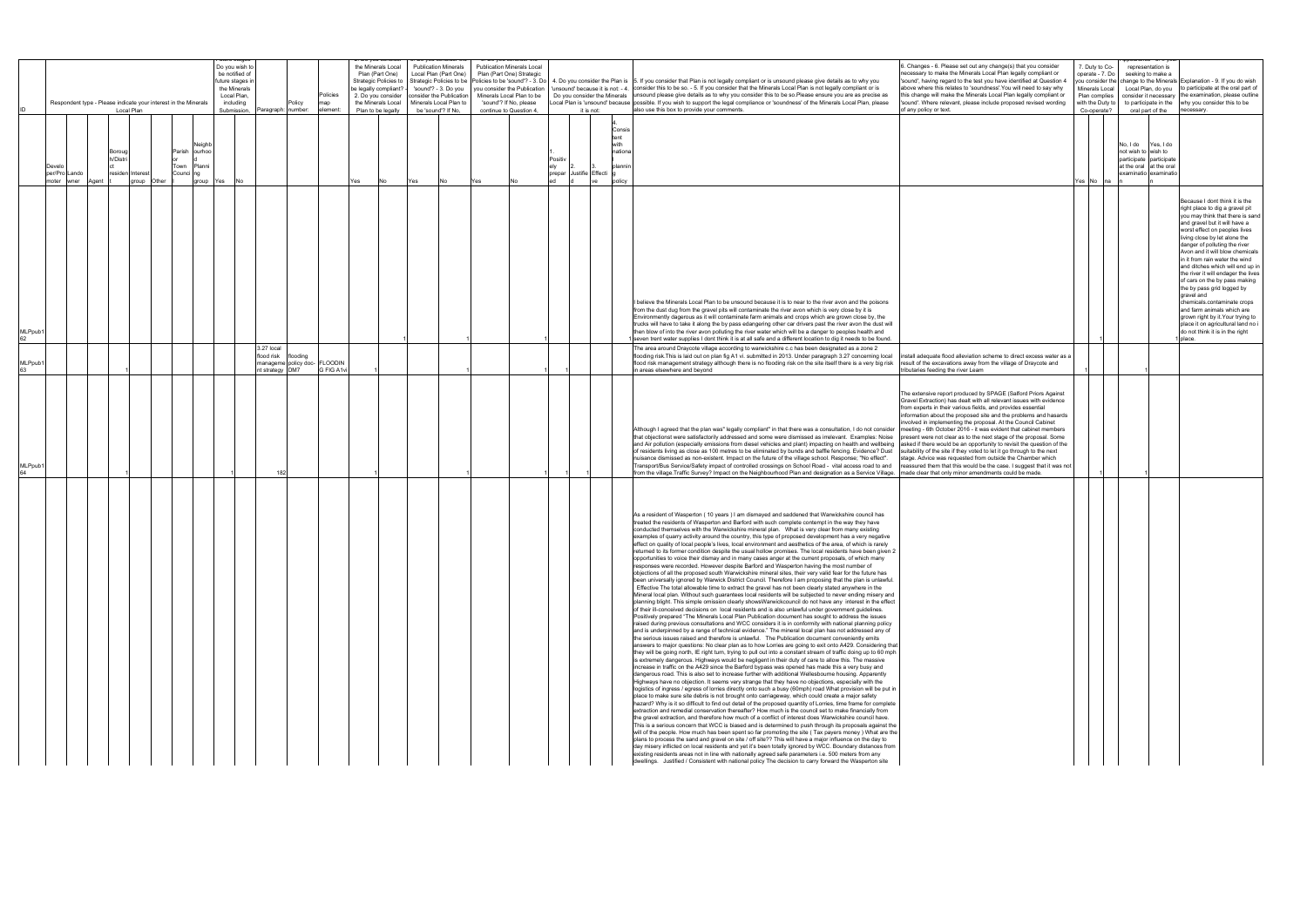|               |                        | Respondent type - Please indicate your interest in the Minerals | Local Plan                             |             |                |                                                  | Do you wish to<br>be notified of<br>future stages i<br>the Minerals<br>Local Plan,<br>including<br>Submission, | Paragraph: number:                          | Policy   | Policies<br>map<br>element:                |     | the Minerals Local<br>Plan (Part One)<br>Strategic Policies to<br>be legally compliant?<br>2. Do you consider<br>the Minerals Local<br>Plan to be legally |     | <b>Publication Minerals</b><br>Local Plan (Part One)<br>'sound'? - 3. Do you<br>consider the Publication<br>Minerals Local Plan to<br>be 'sound'? If No, |      | <b>Publication Minerals Local</b><br>Plan (Part One) Strategic<br>Minerals Local Plan to be<br>'sound'? If No, please<br>continue to Question 4. | it is not:                            |                                                              | Strategic Policies to be   Policies to be 'sound'? - 3. Do   4. Do you consider the Plan is   5. If you consider that Plan is not legally compliant or is unsound please give details as to why you<br>you consider the Publication   'unsound' because it is not: - 4.   consider this to be so. - 5. If you consider that the Minerals Local Plan is not legally compliant or is<br>Do you consider the Minerals unsound please give details as to why you consider this to be so.Please ensure you are as precise as<br>Local Plan is 'unsound' because possible. If you wish to support the legal compliance or 'soundness' of the Minerals Local Plan, please<br>also use this box to provide your comments. |  |                                                                                                                                                                                                                                                                                                                                                                                                                                                                                                                                                                                                                                                                                                                                                                                                                                                                                                                                                                                                                                                                                                                                                                                                                                                                                                                                                                                                                                                                                                                                                                                                                                                                                                                                                                                                                                                                                                                                                                                                                                                                                                                                                                                                                                                                                                                                                                                                                                                                                                                                                                                                                                                                                                                                                                                                                                                                                                                         |                                                                                                                                                                                                                                                                                                                                                                                                                                                                                                                                                                                                                                                                                                                                                                                                                                                                                                                | of any policy or text. | . Changes - 6. Please set out any change(s) that you consider<br>necessary to make the Minerals Local Plan legally compliant or<br>'sound', having regard to the test you have identified at Question 4<br>above where this relates to 'soundness'. You will need to say why<br>this change will make the Minerals Local Plan legally compliant or<br>'sound'. Where relevant, please include proposed revised wording                                                           |  |                                                                                                                                           | 7. Duty to Co-<br>operate - 7. Do<br>Minerals Local<br>Plan complies<br>with the Duty to<br>Co-operate? |                                 | representation is<br>seeking to make a<br>oral part of the                               | you consider the change to the Minerals Explanation - 9. If you do wish<br>Local Plan, do you to participate at the oral part of<br>consider it necessary the examination, please outline<br>to participate in the why you consider this to be<br>necessary.                                                                                                                                                                                                                                                                                                                                                                                                |
|---------------|------------------------|-----------------------------------------------------------------|----------------------------------------|-------------|----------------|--------------------------------------------------|----------------------------------------------------------------------------------------------------------------|---------------------------------------------|----------|--------------------------------------------|-----|-----------------------------------------------------------------------------------------------------------------------------------------------------------|-----|----------------------------------------------------------------------------------------------------------------------------------------------------------|------|--------------------------------------------------------------------------------------------------------------------------------------------------|---------------------------------------|--------------------------------------------------------------|-------------------------------------------------------------------------------------------------------------------------------------------------------------------------------------------------------------------------------------------------------------------------------------------------------------------------------------------------------------------------------------------------------------------------------------------------------------------------------------------------------------------------------------------------------------------------------------------------------------------------------------------------------------------------------------------------------------------|--|-------------------------------------------------------------------------------------------------------------------------------------------------------------------------------------------------------------------------------------------------------------------------------------------------------------------------------------------------------------------------------------------------------------------------------------------------------------------------------------------------------------------------------------------------------------------------------------------------------------------------------------------------------------------------------------------------------------------------------------------------------------------------------------------------------------------------------------------------------------------------------------------------------------------------------------------------------------------------------------------------------------------------------------------------------------------------------------------------------------------------------------------------------------------------------------------------------------------------------------------------------------------------------------------------------------------------------------------------------------------------------------------------------------------------------------------------------------------------------------------------------------------------------------------------------------------------------------------------------------------------------------------------------------------------------------------------------------------------------------------------------------------------------------------------------------------------------------------------------------------------------------------------------------------------------------------------------------------------------------------------------------------------------------------------------------------------------------------------------------------------------------------------------------------------------------------------------------------------------------------------------------------------------------------------------------------------------------------------------------------------------------------------------------------------------------------------------------------------------------------------------------------------------------------------------------------------------------------------------------------------------------------------------------------------------------------------------------------------------------------------------------------------------------------------------------------------------------------------------------------------------------------------------------------------|----------------------------------------------------------------------------------------------------------------------------------------------------------------------------------------------------------------------------------------------------------------------------------------------------------------------------------------------------------------------------------------------------------------------------------------------------------------------------------------------------------------------------------------------------------------------------------------------------------------------------------------------------------------------------------------------------------------------------------------------------------------------------------------------------------------------------------------------------------------------------------------------------------------|------------------------|----------------------------------------------------------------------------------------------------------------------------------------------------------------------------------------------------------------------------------------------------------------------------------------------------------------------------------------------------------------------------------------------------------------------------------------------------------------------------------|--|-------------------------------------------------------------------------------------------------------------------------------------------|---------------------------------------------------------------------------------------------------------|---------------------------------|------------------------------------------------------------------------------------------|-------------------------------------------------------------------------------------------------------------------------------------------------------------------------------------------------------------------------------------------------------------------------------------------------------------------------------------------------------------------------------------------------------------------------------------------------------------------------------------------------------------------------------------------------------------------------------------------------------------------------------------------------------------|
|               | Devel<br>per/Pro Lando | moter wner Agent                                                | Borouc<br>h/Distri<br>residen Interest | group Other | Parish<br>Town | Veighb<br>ourhoo<br>Planni<br>Counci ng<br>group | Yes                                                                                                            |                                             |          |                                            | Yes | No                                                                                                                                                        | Yes | No                                                                                                                                                       | Yes. |                                                                                                                                                  | Positiv<br>Justifie Effecti<br>prepar | Consis<br>tent<br>with<br>nationa<br>ılannin<br>policy<br>ve |                                                                                                                                                                                                                                                                                                                                                                                                                                                                                                                                                                                                                                                                                                                   |  |                                                                                                                                                                                                                                                                                                                                                                                                                                                                                                                                                                                                                                                                                                                                                                                                                                                                                                                                                                                                                                                                                                                                                                                                                                                                                                                                                                                                                                                                                                                                                                                                                                                                                                                                                                                                                                                                                                                                                                                                                                                                                                                                                                                                                                                                                                                                                                                                                                                                                                                                                                                                                                                                                                                                                                                                                                                                                                                         |                                                                                                                                                                                                                                                                                                                                                                                                                                                                                                                                                                                                                                                                                                                                                                                                                                                                                                                |                        |                                                                                                                                                                                                                                                                                                                                                                                                                                                                                  |  |                                                                                                                                           |                                                                                                         | No. I do<br>not wish to wish to | Yes, I do<br>participate participate<br>at the oral at the oral<br>examinatio examinatio |                                                                                                                                                                                                                                                                                                                                                                                                                                                                                                                                                                                                                                                             |
| MLPpub1<br>62 |                        |                                                                 |                                        |             |                |                                                  |                                                                                                                |                                             |          |                                            |     |                                                                                                                                                           |     |                                                                                                                                                          |      |                                                                                                                                                  |                                       |                                                              |                                                                                                                                                                                                                                                                                                                                                                                                                                                                                                                                                                                                                                                                                                                   |  | I believe the Minerals Local Plan to be unsound because it is to near to the river avon and the poisons<br>from the dust dug from the gravel pits will contaminate the river avon which is very close by it is<br>Environmently dagerous as it will contaminate farm animals and crops which are grown close by, the<br>trucks will have to take it along the by pass edangering other car drivers past the river avon the dust will<br>then blow of into the river avon polluting the river water which will be a danger to peoples health and<br>1 seven trent water supplies I dont think it is at all safe and a different location to dig it needs to be found.                                                                                                                                                                                                                                                                                                                                                                                                                                                                                                                                                                                                                                                                                                                                                                                                                                                                                                                                                                                                                                                                                                                                                                                                                                                                                                                                                                                                                                                                                                                                                                                                                                                                                                                                                                                                                                                                                                                                                                                                                                                                                                                                                                                                                                                    |                                                                                                                                                                                                                                                                                                                                                                                                                                                                                                                                                                                                                                                                                                                                                                                                                                                                                                                |                        |                                                                                                                                                                                                                                                                                                                                                                                                                                                                                  |  |                                                                                                                                           |                                                                                                         |                                 |                                                                                          | Because I dont think it is the<br>right place to dig a gravel pit<br>you may think that there is sand<br>and gravel but it will have a<br>worst effect on peoples lives<br>living close by let alone the<br>danger of polluting the river<br>Avon and it will blow chemicals<br>in it from rain water the wind<br>and ditches which will end up in<br>the river it will endager the lives<br>of cars on the by pass making<br>the by pass grid logged by<br>gravel and<br>chemicals.contaminate crops<br>and farm animals which are<br>grown right by it. Your trying to<br>place it on agricultural land no i<br>do not think it is in the right<br>place. |
| MLPpub1       |                        |                                                                 |                                        |             |                |                                                  |                                                                                                                | 3.27 local<br>flood risk<br>ot strategy DM7 | flooding | nanageme policy doc- FLOODIN<br>G FIG A1vi |     |                                                                                                                                                           |     |                                                                                                                                                          |      |                                                                                                                                                  |                                       |                                                              | in areas elsewhere and bevond                                                                                                                                                                                                                                                                                                                                                                                                                                                                                                                                                                                                                                                                                     |  | The area around Draycote village according to warwickshire c.c has been designated as a zone 2                                                                                                                                                                                                                                                                                                                                                                                                                                                                                                                                                                                                                                                                                                                                                                                                                                                                                                                                                                                                                                                                                                                                                                                                                                                                                                                                                                                                                                                                                                                                                                                                                                                                                                                                                                                                                                                                                                                                                                                                                                                                                                                                                                                                                                                                                                                                                                                                                                                                                                                                                                                                                                                                                                                                                                                                                          | flooding risk. This is laid out on plan fig A1 vi. submitted in 2013. Under paragraph 3.27 concerning local install adequate flood alleviation scheme to direct excess water as a<br>flood risk management strategy although there is no flooding risk on the site itself there is a very big risk result of the excavations away from the village of Draycote and                                                                                                                                                                                                                                                                                                                                                                                                                                                                                                                                             |                        | ributaries feeding the river Leam                                                                                                                                                                                                                                                                                                                                                                                                                                                |  |                                                                                                                                           |                                                                                                         |                                 |                                                                                          |                                                                                                                                                                                                                                                                                                                                                                                                                                                                                                                                                                                                                                                             |
| MLPpub1       |                        |                                                                 |                                        |             |                |                                                  |                                                                                                                |                                             |          |                                            |     |                                                                                                                                                           |     |                                                                                                                                                          |      |                                                                                                                                                  |                                       |                                                              |                                                                                                                                                                                                                                                                                                                                                                                                                                                                                                                                                                                                                                                                                                                   |  | of residents living as close as 100 metres to be eliminated by bunds and baffle fencing. Evidence? Dust<br>nuisance dismissed as non-existent. Impact on the future of the village school. Response; "No effect".<br>Transport/Bus Service/Safety impact of controlled crossings on School Road - vital access road to and                                                                                                                                                                                                                                                                                                                                                                                                                                                                                                                                                                                                                                                                                                                                                                                                                                                                                                                                                                                                                                                                                                                                                                                                                                                                                                                                                                                                                                                                                                                                                                                                                                                                                                                                                                                                                                                                                                                                                                                                                                                                                                                                                                                                                                                                                                                                                                                                                                                                                                                                                                                              | Although I agreed that the plan was" legally compliant" in that there was a consultation, I do not consider<br>that objectionst were satisfactorily addressed and some were dismissed as irrelevant. Examples: Noise present were not clear as to the next stage of the proposal. Some<br>and Air pollution (especially emissions from diesel vehicles and plant) impacting on health and wellbeing asked if there would be an opportunity to revisit the question of the<br>from the village. Traffic Survey? Impact on the Neighbourhood Plan and designation as a Service Village.   made clear that only minor amendments could be made.                                                                                                                                                                                                                                                                   |                        | The extensive report produced by SPAGE (Salford Priors Against<br>Gravel Extraction) has dealt with all relevant issues with evidence<br>from experts in their various fields, and provides essential<br>nvolved in implementing the proposal. At the Council Cabinet<br>meeting - 6th October 2016 - it was evident that cabinet members<br>suitability of the site if they voted to let it go through to the next<br>tage. Advice was requested from outside the Chamber which |  | information about the proposed site and the problems and hasards<br>reassured them that this would be the case. I suggest that it was not |                                                                                                         |                                 |                                                                                          |                                                                                                                                                                                                                                                                                                                                                                                                                                                                                                                                                                                                                                                             |
|               |                        |                                                                 |                                        |             |                |                                                  |                                                                                                                |                                             |          |                                            |     |                                                                                                                                                           |     |                                                                                                                                                          |      |                                                                                                                                                  |                                       |                                                              |                                                                                                                                                                                                                                                                                                                                                                                                                                                                                                                                                                                                                                                                                                                   |  | As a resident of Wasperton (10 years ) I am dismayed and saddened that Warwickshire council has<br>treated the residents of Wasperton and Barford with such complete contempt in the way they have<br>conducted themselves with the Warwickshire mineral plan. What is very clear from many existing<br>examples of quarry activity around the country, this type of proposed development has a very negative<br>effect on quality of local people's lives, local environment and aesthetics of the area, of which is rarely<br>2 returned to its former condition despite the usual hollow promises. The local residents have been given<br>opportunities to voice their dismay and in many cases anger at the current proposals, of which many<br>responses were recorded. However despite Barford and Wasperton having the most number of<br>objections of all the proposed south Warwickshire mineral sites, their very valid fear for the future has<br>been universally ignored by Warwick District Council. Therefore I am proposing that the plan is unlawful.<br>Effective The total allowable time to extract the gravel has not been clearly stated anywhere in the<br>Mineral local plan. Without such quarantees local residents will be subjected to never ending misery and<br>of their ill-conceived decisions on local residents and is also unlawful under government guidelines.<br>Positively prepared "The Minerals Local Plan Publication document has sought to address the issues<br>raised during previous consultations and WCC considers it is in conformity with national planning policy<br>and is underpinned by a range of technical evidence." The mineral local plan has not addressed any of<br>the serious issues raised and therefore is unlawful. The Publication document conveniently emits<br>is extremely dangerous. Highways would be negligent in their duty of care to allow this. The massive<br>increase in traffic on the A429 since the Barford bypass was opened has made this a very busy and<br>dangerous road. This is also set to increase further with additional Wellesbourne housing. Apparently<br>Highways have no objection. It seems very strange that they have no objections, especially with the<br>place to make sure site debris is not brought onto carriageway, which could create a major safety<br>extraction and remedial conservation thereafter? How much is the council set to make financially from<br>the gravel extraction, and therefore how much of a conflict of interest does Warwickshire council have.<br>plans to process the sand and gravel on site / off site?? This will have a major influence on the day to<br>existing residents areas not in line with nationally agreed safe parameters i.e. 500 meters from any<br>Iwellings. Justified / Consistent with national policy The decision to carry forward the Wasperton site | planning blight. This simple omission clearly showsWarwickcouncil do not have any interest in the effect<br>answers to major questions: No clear plan as to how Lorries are going to exit onto A429. Considering that<br>they will be going north, IE right turn, trying to pull out into a constant stream of traffic doing up to 60 mph<br>logistics of ingress / egress of lorries directly onto such a busy (60mph) road What provision will be put in<br>hazard? Why is it so difficult to find out detail of the proposed quantity of Lorries, time frame for complete<br>This is a serious concern that WCC is biased and is determined to push through its proposals against the<br>will of the people. How much has been spent so far promoting the site (Tax payers money) What are the<br>day misery inflicted on local residents and yet it's been totally ignored by WCC. Boundary distances from |                        |                                                                                                                                                                                                                                                                                                                                                                                                                                                                                  |  |                                                                                                                                           |                                                                                                         |                                 |                                                                                          |                                                                                                                                                                                                                                                                                                                                                                                                                                                                                                                                                                                                                                                             |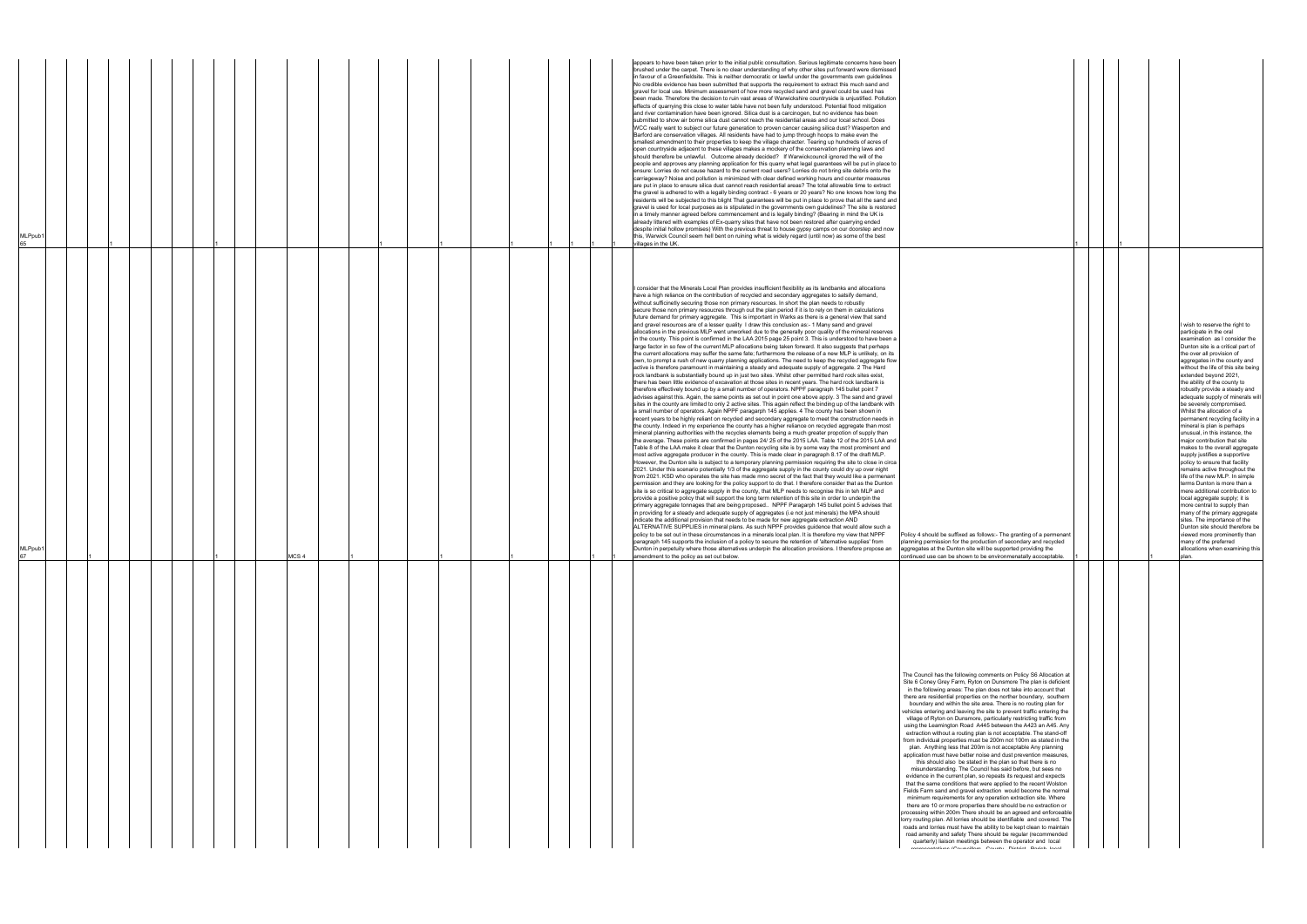|                                                                                                                                                                                                                                                                                                                                                                                                                                                                                                                                                                                                                                                                                                                                                                                                                                                                                                                                                                                                                                                                                                                                                                                                                                                                                                                                                                                                                                                                                                                                                                                                                                                                                                                                                  | 1 |  |  |                                                                                                                                                                                                                                                                                                                                                                                                                                                                                                                                                                                                                                                                                                                                                                                                                                                                                                                                                                                                                                                                                     |
|--------------------------------------------------------------------------------------------------------------------------------------------------------------------------------------------------------------------------------------------------------------------------------------------------------------------------------------------------------------------------------------------------------------------------------------------------------------------------------------------------------------------------------------------------------------------------------------------------------------------------------------------------------------------------------------------------------------------------------------------------------------------------------------------------------------------------------------------------------------------------------------------------------------------------------------------------------------------------------------------------------------------------------------------------------------------------------------------------------------------------------------------------------------------------------------------------------------------------------------------------------------------------------------------------------------------------------------------------------------------------------------------------------------------------------------------------------------------------------------------------------------------------------------------------------------------------------------------------------------------------------------------------------------------------------------------------------------------------------------------------|---|--|--|-------------------------------------------------------------------------------------------------------------------------------------------------------------------------------------------------------------------------------------------------------------------------------------------------------------------------------------------------------------------------------------------------------------------------------------------------------------------------------------------------------------------------------------------------------------------------------------------------------------------------------------------------------------------------------------------------------------------------------------------------------------------------------------------------------------------------------------------------------------------------------------------------------------------------------------------------------------------------------------------------------------------------------------------------------------------------------------|
| Policy 4 should be suffixed as follows:- The granting of a permenant<br>planning permission for the production of secondary and recycled<br>aggregates at the Dunton site will be supported providing the<br>continued use can be shown to be environmenatally accceptable.                                                                                                                                                                                                                                                                                                                                                                                                                                                                                                                                                                                                                                                                                                                                                                                                                                                                                                                                                                                                                                                                                                                                                                                                                                                                                                                                                                                                                                                                      | 1 |  |  | I wish to reserve the right to<br>participate in the oral<br>examination as I consider the<br>Dunton site is a critical part of<br>the over all provision of<br>aggregates in the county and<br>without the life of this site being<br>extended beyond 2021,<br>the ability of the county to<br>robustly provide a steady and<br>adequate supply of minerals will<br>be severely compromised.<br>Whilst the allocation of a<br>permanent recycling facility in a<br>mineral is plan is perhaps<br>unusual, in this instance, the<br>major contribution that site<br>makes to the overall aggregate<br>supply justifies a supportive<br>policy to ensure that facility<br>remains active throughout the<br>life of the new MLP. In simple<br>terms Dunton is more than a<br>mere additional contribution to<br>local aggregate supply; it is<br>more central to supply than<br>many of the primary aggregate<br>sites. The importance of the<br>Dunton site should therefore be<br>viewed more prominently than<br>many of the preferred<br>allocations when examining this<br>plan. |
| The Council has the following comments on Policy S6 Allocation at<br>Site 6 Coney Grey Farm, Ryton on Dunsmore The plan is deficient<br>in the following areas: The plan does not take into account that<br>there are residential properties on the norther boundary, southern<br>boundary and within the site area. There is no routing plan for<br>vehicles entering and leaving the site to prevent traffic entering the<br>village of Ryton on Dunsmore, particularly restricting traffic from<br>using the Leamington Road A445 between the A423 an A45. Any<br>extraction without a routing plan is not acceptable. The stand-off<br>from individual properties must be 200m not 100m as stated in the<br>plan. Anything less that 200m is not acceptable Any planning<br>application must have better noise and dust prevention measures,<br>this should also be stated in the plan so that there is no<br>misunderstanding. The Council has said before, but sees no<br>evidence in the current plan, so repeats its request and expects<br>that the same conditions that were applied to the recent Wolston<br>Fields Farm sand and gravel extraction would become the normal<br>minimum requirements for any operation extraction site. Where<br>there are 10 or more properties there should be no extraction or<br>processing within 200m There should be an agreed and enforceable<br>lorry routing plan. All lorries should be identifiable and covered. The<br>roads and lorries must have the ability to be kept clean to maintain<br>road amenity and safety There should be regular (recommended<br>quarterly) liaison meetings between the operator and local<br>ronrocontativos (Councillors, County, District, Darish Josel |   |  |  |                                                                                                                                                                                                                                                                                                                                                                                                                                                                                                                                                                                                                                                                                                                                                                                                                                                                                                                                                                                                                                                                                     |

| MLPpub1     |  |  |  |  |                  |  |  |  |  |  | brushed under the carpet. There is no clear understanding of why other sites put forward were dismissed<br>in favour of a Greenfieldsite. This is neither democratic or lawful under the governments own guidelines<br>No credible evidence has been submitted that supports the requirement to extract this much sand and<br>gravel for local use. Minimum assessment of how more recycled sand and gravel could be used has<br>been made. Therefore the decision to ruin vast areas of Warwickshire countryside is unjustified. Pollution<br>effects of quarrying this close to water table have not been fully understood. Potential flood mitigation<br>and river contamination have been ignored. Silica dust is a carcinogen, but no evidence has been<br>submitted to show air borne silica dust cannot reach the residential areas and our local school. Does<br>WCC really want to subject our future generation to proven cancer causing silica dust? Wasperton and<br>Barford are conservation villages. All residents have had to jump through hoops to make even the<br>smallest amendment to their properties to keep the village character. Tearing up hundreds of acres of<br>open countryside adjacent to these villages makes a mockery of the conservation planning laws and<br>should therefore be unlawful. Outcome already decided? If Warwickcouncil ignored the will of the<br>people and approves any planning application for this quarry what legal guarantees will be put in place to<br>ensure: Lorries do not cause hazard to the current road users? Lorries do not bring site debris onto the<br>carriageway? Noise and pollution is minimized with clear defined working hours and counter measures<br>are put in place to ensure silica dust cannot reach residential areas? The total allowable time to extract<br>the gravel is adhered to with a legally binding contract - 6 years or 20 years? No one knows how long the<br>residents will be subjected to this blight That guarantees will be put in place to prove that all the sand and<br>gravel is used for local purposes as is stipulated in the governments own guidelines? The site is restored<br>in a timely manner agreed before commencement and is legally binding? (Bearing in mind the UK is<br>already littered with examples of Ex-quarry sites that have not been restored after quarrying ended<br>despite initial hollow promises) With the previous threat to house gypsy camps on our doorstep and now<br>this, Warwick Council seem hell bent on ruining what is widely regard (until now) as some of the best<br>villages in the UK.                                                                                                                                                                                                                                                                                                                                                                                                                                                                                                                                                                                                                                                                                                                                                                                                                                                                                                                                                                                                                                                                                                                                                                                                                                                                                                                                                                                                                                                                                                                                                                                                                                                                                                                  |                                                                                                                                                                                                                                      |
|-------------|--|--|--|--|------------------|--|--|--|--|--|-----------------------------------------------------------------------------------------------------------------------------------------------------------------------------------------------------------------------------------------------------------------------------------------------------------------------------------------------------------------------------------------------------------------------------------------------------------------------------------------------------------------------------------------------------------------------------------------------------------------------------------------------------------------------------------------------------------------------------------------------------------------------------------------------------------------------------------------------------------------------------------------------------------------------------------------------------------------------------------------------------------------------------------------------------------------------------------------------------------------------------------------------------------------------------------------------------------------------------------------------------------------------------------------------------------------------------------------------------------------------------------------------------------------------------------------------------------------------------------------------------------------------------------------------------------------------------------------------------------------------------------------------------------------------------------------------------------------------------------------------------------------------------------------------------------------------------------------------------------------------------------------------------------------------------------------------------------------------------------------------------------------------------------------------------------------------------------------------------------------------------------------------------------------------------------------------------------------------------------------------------------------------------------------------------------------------------------------------------------------------------------------------------------------------------------------------------------------------------------------------------------------------------------------------------------------------------------------------------------------------------------------------------------------------------------------------------------------------------------------------------------------------------------------------------------------------------------------------------------------------------------------------------------------------------------------------------------------------------------------------------------------------------------------------------------------------------------------------------------------------------------------------------------------------------------------------------------------------------------------------------------------------------------------------------------------------------------------------------------------------------------------------------------------------------------------------------------------------------------------------------------------------------------------------------------------------------------------------------------------------------------------------------------------------------------------------------------------------------------------------------------------------------------------------------------------------------------------------------------------------------------------------------------------------------------------------------------------------------------------------------------------------------------------------------------------------------------------------------------------------------------------------------------------------------------------------------------------------------------------------------------------------------------------------------------------------------------------------------------------------|--------------------------------------------------------------------------------------------------------------------------------------------------------------------------------------------------------------------------------------|
| MLPPL<br>67 |  |  |  |  | MCS <sub>4</sub> |  |  |  |  |  | l consider that the Minerals Local Plan provides insufficient flexibility as its landbanks and allocations<br>have a high reliance on the contribution of recycled and secondary aggregates to satsify demand,<br>without sufficinetly securing those non primary resources. In short the plan needs to robustly<br>secure those non primary resoucres through out the plan period if it is to rely on them in calculations<br>future demand for primary aggregate. This is important in Warks as there is a general view that sand<br>and gravel resources are of a lesser quality I draw this conclusion as:- 1 Many sand and gravel<br>allocations in the previous MLP went unworked due to the generally poor quality of the mineral reserves<br>in the county. This point is confirmed in the LAA 2015 page 25 point 3. This is understood to have been a<br>large factor in so few of the current MLP allocations being taken forward. It also suggests that perhaps<br>the current allocations may suffer the same fate; furthermore the release of a new MLP is unlikely, on its<br>own, to prompt a rush of new quarry planning applications. The need to keep the recycled aggregate flow<br>active is therefore paramount in maintaining a steady and adequate supply of aggregate. 2 The Hard<br>rock landbank is substantially bound up in just two sites. Whilst other permitted hard rock sites exist,<br>there has been little evidence of excavation at those sites in recent years. The hard rock landbank is<br>therefore effectively bound up by a small number of operators. NPPF paragraph 145 bullet point 7<br>advises against this. Again, the same points as set out in point one above apply. 3 The sand and gravel<br>sites in the county are limited to only 2 active sites. This again reflect the binding up of the landbank with<br>a small number of operators. Again NPPF paragarph 145 applies. 4 The county has been shown in<br>recent years to be highly reliant on recycled and secondary aggregate to meet the construction needs in<br>the county. Indeed in my experience the county has a higher reliance on recycled aggregate than most<br>mineral planning authorities with the recycles elements being a much greater propotion of supply than<br>the average. These points are confirmed in pages 24/ 25 of the 2015 LAA. Table 12 of the 2015 LAA and<br>Table 8 of the LAA make it clear that the Dunton recycling site is by some way the most prominent and<br>most active aggregate producer in the county. This is made clear in paragraph 8.17 of the draft MLP.<br>However, the Dunton site is subject to a temporary planning permission requiring the site to close in circa<br>2021. Under this scenario potentially 1/3 of the aggregate supply in the county could dry up over night<br>from 2021. KSD who operates the site has made mno secret of the fact that they would like a permenant<br>permission and they are looking for the policy support to do that. I therefore consider that as the Dunton<br>site is so critical to aggregate supply in the county, that MLP needs to recognise this in teh MLP and<br>provide a positive policy that will support the long term retention of this site in order to underpin the<br>primary aggregate tonnages that are being proposed. NPPF Paragarph 145 bullet point 5 advises that<br>in providing for a steady and adequate supply of aggregates (i.e not just minerals) the MPA should<br>indicate the additional provision that needs to be made for new aggregate extraction AND<br>ALTERNATIVE SUPPLIES in mineral plans. As such NPPF provides guidence that would allow such a<br>policy to be set out in these circumstances in a minerals local plan. It is therefore my view that NPPF<br>Policy 4 should be suffixed as follows:- The granting of a permenant<br>planning permission for the production of secondary and recycled<br>paragraph 145 supports the inclusion of a policy to secure the retention of 'alternative supplies' from<br>unton in perpetuity where those alternatives underpin the allocation provisions. I therefore propose an<br>aggregates at the Dunton site will be supported providing the<br>amendment to the policy as set out below.<br>continued use can be shown to be environmenatally accceptable. | parti<br>exar<br>Dun<br>the o<br>aggr<br>with<br>exte<br>the a<br>robu<br>ade<br>be s<br>Whil<br>mine<br>unus<br>majo<br>mak<br>supp<br>polic<br>rem<br>life o<br>mer<br>loca<br>mor<br>man<br>sites<br>Dun<br>view<br>allor<br>plan |
|             |  |  |  |  |                  |  |  |  |  |  | The Council has the following comments on Policy S6 Allocation at<br>Site 6 Coney Grey Farm, Ryton on Dunsmore The plan is deficient<br>in the following areas: The plan does not take into account that<br>there are residential properties on the norther boundary, southern<br>boundary and within the site area. There is no routing plan for<br>vehicles entering and leaving the site to prevent traffic entering the<br>village of Ryton on Dunsmore, particularly restricting traffic from<br>using the Leamington Road A445 between the A423 an A45. Any<br>extraction without a routing plan is not acceptable. The stand-off<br>from individual properties must be 200m not 100m as stated in the<br>plan. Anything less that 200m is not acceptable Any planning<br>application must have better noise and dust prevention measures,<br>this should also be stated in the plan so that there is no<br>misunderstanding. The Council has said before, but sees no<br>evidence in the current plan, so repeats its request and expects<br>that the same conditions that were applied to the recent Wolston<br>Fields Farm sand and gravel extraction would become the normal<br>minimum requirements for any operation extraction site. Where<br>there are 10 or more properties there should be no extraction or<br>processing within 200m There should be an agreed and enforceable<br>lorry routing plan. All lorries should be identifiable and covered. The<br>roads and lorries must have the ability to be kept clean to maintain<br>road amenity and safety There should be regular (recommended<br>quarterly) liaison meetings between the operator and local                                                                                                                                                                                                                                                                                                                                                                                                                                                                                                                                                                                                                                                                                                                                                                                                                                                                                                                                                                                                                                                                                                                                                                                                                                                                                                                                                                                                                                                                                                                                                                                                                                                                                                                                                                                                                                                                                                                                                                                                                                                                                                                                                                                                                                                                                                                                                                                                                                                                                                                                                                                                                                                                                      |                                                                                                                                                                                                                                      |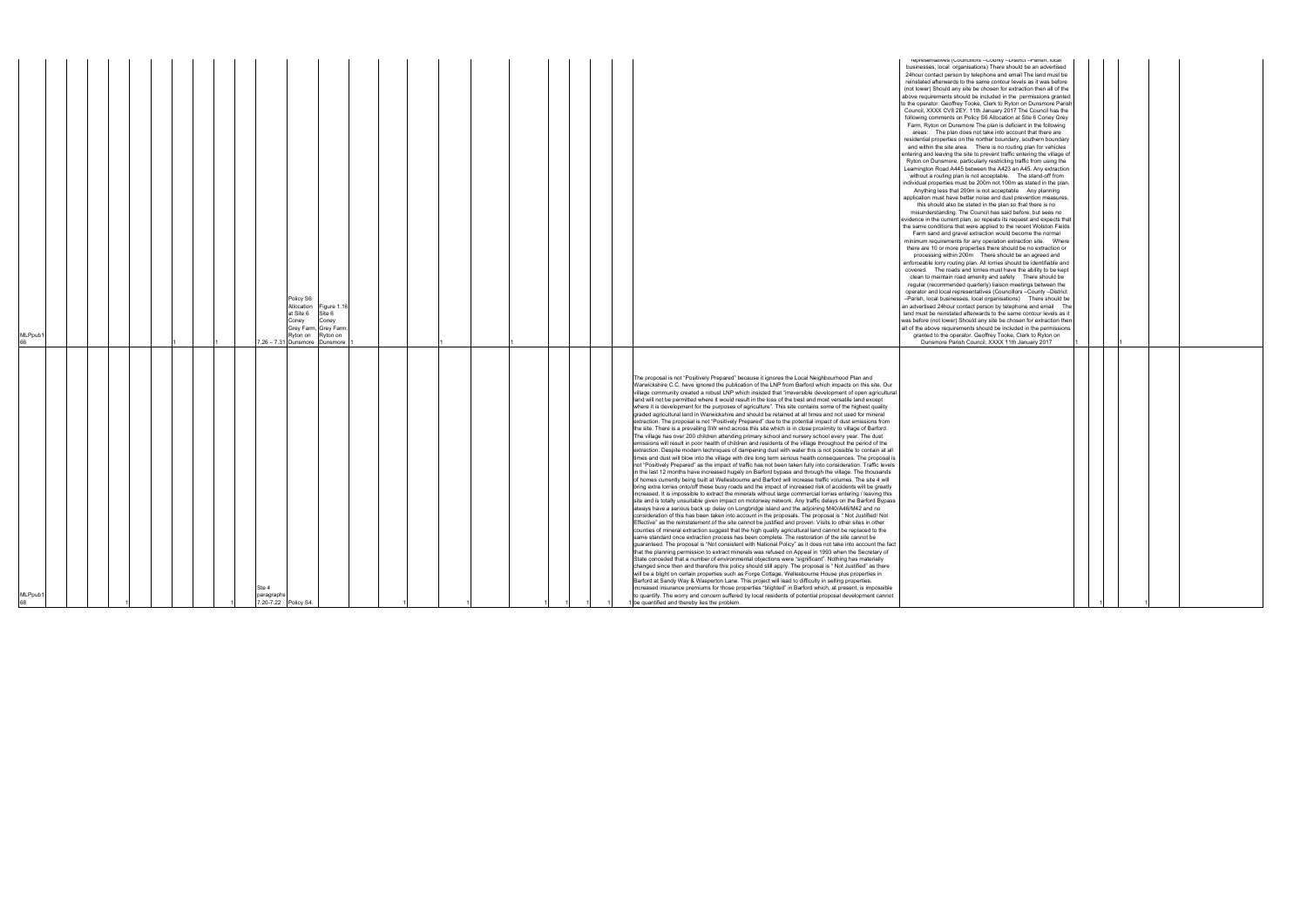| MLPpub1                                                                                                                                                                                                                                                                                                                                                                                                                                                                                                                                                                                                                                                                                                                                                                                                                                                                                                                                                                                                                                                                                                                                                                                                                                                                                                                                                                                                                                                                                                                                                                                                                                                                                                                                                                                                                                                                                                                                                                                                                                                                                                                                                                                                                                                                                                                                                                                                                                                                                                                                                                                                                                                                                                                                                                                                                                                                                                                                                                                                                                                                                                                                                                                                                                                                                                                                                                                                                                                                                  | MLPpub1                                                                                                                                                                                                                                                                                                                                                                                                                                                                                                                                                                                                                                                                                                                                                                                                                                                                                                                                                                                                                                                                                                                                                                                                                                                                                                                                                                                                                                                                                                                                                                                                                                                                                                                                                                                                                                                                                                                                                                                                                                                                                                                                                                                                                                                                                                                                                                                                                                                                                                                                                                                                                                                                                 |
|------------------------------------------------------------------------------------------------------------------------------------------------------------------------------------------------------------------------------------------------------------------------------------------------------------------------------------------------------------------------------------------------------------------------------------------------------------------------------------------------------------------------------------------------------------------------------------------------------------------------------------------------------------------------------------------------------------------------------------------------------------------------------------------------------------------------------------------------------------------------------------------------------------------------------------------------------------------------------------------------------------------------------------------------------------------------------------------------------------------------------------------------------------------------------------------------------------------------------------------------------------------------------------------------------------------------------------------------------------------------------------------------------------------------------------------------------------------------------------------------------------------------------------------------------------------------------------------------------------------------------------------------------------------------------------------------------------------------------------------------------------------------------------------------------------------------------------------------------------------------------------------------------------------------------------------------------------------------------------------------------------------------------------------------------------------------------------------------------------------------------------------------------------------------------------------------------------------------------------------------------------------------------------------------------------------------------------------------------------------------------------------------------------------------------------------------------------------------------------------------------------------------------------------------------------------------------------------------------------------------------------------------------------------------------------------------------------------------------------------------------------------------------------------------------------------------------------------------------------------------------------------------------------------------------------------------------------------------------------------------------------------------------------------------------------------------------------------------------------------------------------------------------------------------------------------------------------------------------------------------------------------------------------------------------------------------------------------------------------------------------------------------------------------------------------------------------------------------------------------|-----------------------------------------------------------------------------------------------------------------------------------------------------------------------------------------------------------------------------------------------------------------------------------------------------------------------------------------------------------------------------------------------------------------------------------------------------------------------------------------------------------------------------------------------------------------------------------------------------------------------------------------------------------------------------------------------------------------------------------------------------------------------------------------------------------------------------------------------------------------------------------------------------------------------------------------------------------------------------------------------------------------------------------------------------------------------------------------------------------------------------------------------------------------------------------------------------------------------------------------------------------------------------------------------------------------------------------------------------------------------------------------------------------------------------------------------------------------------------------------------------------------------------------------------------------------------------------------------------------------------------------------------------------------------------------------------------------------------------------------------------------------------------------------------------------------------------------------------------------------------------------------------------------------------------------------------------------------------------------------------------------------------------------------------------------------------------------------------------------------------------------------------------------------------------------------------------------------------------------------------------------------------------------------------------------------------------------------------------------------------------------------------------------------------------------------------------------------------------------------------------------------------------------------------------------------------------------------------------------------------------------------------------------------------------------------|
|                                                                                                                                                                                                                                                                                                                                                                                                                                                                                                                                                                                                                                                                                                                                                                                                                                                                                                                                                                                                                                                                                                                                                                                                                                                                                                                                                                                                                                                                                                                                                                                                                                                                                                                                                                                                                                                                                                                                                                                                                                                                                                                                                                                                                                                                                                                                                                                                                                                                                                                                                                                                                                                                                                                                                                                                                                                                                                                                                                                                                                                                                                                                                                                                                                                                                                                                                                                                                                                                                          |                                                                                                                                                                                                                                                                                                                                                                                                                                                                                                                                                                                                                                                                                                                                                                                                                                                                                                                                                                                                                                                                                                                                                                                                                                                                                                                                                                                                                                                                                                                                                                                                                                                                                                                                                                                                                                                                                                                                                                                                                                                                                                                                                                                                                                                                                                                                                                                                                                                                                                                                                                                                                                                                                         |
|                                                                                                                                                                                                                                                                                                                                                                                                                                                                                                                                                                                                                                                                                                                                                                                                                                                                                                                                                                                                                                                                                                                                                                                                                                                                                                                                                                                                                                                                                                                                                                                                                                                                                                                                                                                                                                                                                                                                                                                                                                                                                                                                                                                                                                                                                                                                                                                                                                                                                                                                                                                                                                                                                                                                                                                                                                                                                                                                                                                                                                                                                                                                                                                                                                                                                                                                                                                                                                                                                          |                                                                                                                                                                                                                                                                                                                                                                                                                                                                                                                                                                                                                                                                                                                                                                                                                                                                                                                                                                                                                                                                                                                                                                                                                                                                                                                                                                                                                                                                                                                                                                                                                                                                                                                                                                                                                                                                                                                                                                                                                                                                                                                                                                                                                                                                                                                                                                                                                                                                                                                                                                                                                                                                                         |
|                                                                                                                                                                                                                                                                                                                                                                                                                                                                                                                                                                                                                                                                                                                                                                                                                                                                                                                                                                                                                                                                                                                                                                                                                                                                                                                                                                                                                                                                                                                                                                                                                                                                                                                                                                                                                                                                                                                                                                                                                                                                                                                                                                                                                                                                                                                                                                                                                                                                                                                                                                                                                                                                                                                                                                                                                                                                                                                                                                                                                                                                                                                                                                                                                                                                                                                                                                                                                                                                                          |                                                                                                                                                                                                                                                                                                                                                                                                                                                                                                                                                                                                                                                                                                                                                                                                                                                                                                                                                                                                                                                                                                                                                                                                                                                                                                                                                                                                                                                                                                                                                                                                                                                                                                                                                                                                                                                                                                                                                                                                                                                                                                                                                                                                                                                                                                                                                                                                                                                                                                                                                                                                                                                                                         |
|                                                                                                                                                                                                                                                                                                                                                                                                                                                                                                                                                                                                                                                                                                                                                                                                                                                                                                                                                                                                                                                                                                                                                                                                                                                                                                                                                                                                                                                                                                                                                                                                                                                                                                                                                                                                                                                                                                                                                                                                                                                                                                                                                                                                                                                                                                                                                                                                                                                                                                                                                                                                                                                                                                                                                                                                                                                                                                                                                                                                                                                                                                                                                                                                                                                                                                                                                                                                                                                                                          |                                                                                                                                                                                                                                                                                                                                                                                                                                                                                                                                                                                                                                                                                                                                                                                                                                                                                                                                                                                                                                                                                                                                                                                                                                                                                                                                                                                                                                                                                                                                                                                                                                                                                                                                                                                                                                                                                                                                                                                                                                                                                                                                                                                                                                                                                                                                                                                                                                                                                                                                                                                                                                                                                         |
|                                                                                                                                                                                                                                                                                                                                                                                                                                                                                                                                                                                                                                                                                                                                                                                                                                                                                                                                                                                                                                                                                                                                                                                                                                                                                                                                                                                                                                                                                                                                                                                                                                                                                                                                                                                                                                                                                                                                                                                                                                                                                                                                                                                                                                                                                                                                                                                                                                                                                                                                                                                                                                                                                                                                                                                                                                                                                                                                                                                                                                                                                                                                                                                                                                                                                                                                                                                                                                                                                          |                                                                                                                                                                                                                                                                                                                                                                                                                                                                                                                                                                                                                                                                                                                                                                                                                                                                                                                                                                                                                                                                                                                                                                                                                                                                                                                                                                                                                                                                                                                                                                                                                                                                                                                                                                                                                                                                                                                                                                                                                                                                                                                                                                                                                                                                                                                                                                                                                                                                                                                                                                                                                                                                                         |
|                                                                                                                                                                                                                                                                                                                                                                                                                                                                                                                                                                                                                                                                                                                                                                                                                                                                                                                                                                                                                                                                                                                                                                                                                                                                                                                                                                                                                                                                                                                                                                                                                                                                                                                                                                                                                                                                                                                                                                                                                                                                                                                                                                                                                                                                                                                                                                                                                                                                                                                                                                                                                                                                                                                                                                                                                                                                                                                                                                                                                                                                                                                                                                                                                                                                                                                                                                                                                                                                                          |                                                                                                                                                                                                                                                                                                                                                                                                                                                                                                                                                                                                                                                                                                                                                                                                                                                                                                                                                                                                                                                                                                                                                                                                                                                                                                                                                                                                                                                                                                                                                                                                                                                                                                                                                                                                                                                                                                                                                                                                                                                                                                                                                                                                                                                                                                                                                                                                                                                                                                                                                                                                                                                                                         |
|                                                                                                                                                                                                                                                                                                                                                                                                                                                                                                                                                                                                                                                                                                                                                                                                                                                                                                                                                                                                                                                                                                                                                                                                                                                                                                                                                                                                                                                                                                                                                                                                                                                                                                                                                                                                                                                                                                                                                                                                                                                                                                                                                                                                                                                                                                                                                                                                                                                                                                                                                                                                                                                                                                                                                                                                                                                                                                                                                                                                                                                                                                                                                                                                                                                                                                                                                                                                                                                                                          |                                                                                                                                                                                                                                                                                                                                                                                                                                                                                                                                                                                                                                                                                                                                                                                                                                                                                                                                                                                                                                                                                                                                                                                                                                                                                                                                                                                                                                                                                                                                                                                                                                                                                                                                                                                                                                                                                                                                                                                                                                                                                                                                                                                                                                                                                                                                                                                                                                                                                                                                                                                                                                                                                         |
| Ste 4<br>paragraphs                                                                                                                                                                                                                                                                                                                                                                                                                                                                                                                                                                                                                                                                                                                                                                                                                                                                                                                                                                                                                                                                                                                                                                                                                                                                                                                                                                                                                                                                                                                                                                                                                                                                                                                                                                                                                                                                                                                                                                                                                                                                                                                                                                                                                                                                                                                                                                                                                                                                                                                                                                                                                                                                                                                                                                                                                                                                                                                                                                                                                                                                                                                                                                                                                                                                                                                                                                                                                                                                      |                                                                                                                                                                                                                                                                                                                                                                                                                                                                                                                                                                                                                                                                                                                                                                                                                                                                                                                                                                                                                                                                                                                                                                                                                                                                                                                                                                                                                                                                                                                                                                                                                                                                                                                                                                                                                                                                                                                                                                                                                                                                                                                                                                                                                                                                                                                                                                                                                                                                                                                                                                                                                                                                                         |
| 7.20-7.22 Policy S4                                                                                                                                                                                                                                                                                                                                                                                                                                                                                                                                                                                                                                                                                                                                                                                                                                                                                                                                                                                                                                                                                                                                                                                                                                                                                                                                                                                                                                                                                                                                                                                                                                                                                                                                                                                                                                                                                                                                                                                                                                                                                                                                                                                                                                                                                                                                                                                                                                                                                                                                                                                                                                                                                                                                                                                                                                                                                                                                                                                                                                                                                                                                                                                                                                                                                                                                                                                                                                                                      |                                                                                                                                                                                                                                                                                                                                                                                                                                                                                                                                                                                                                                                                                                                                                                                                                                                                                                                                                                                                                                                                                                                                                                                                                                                                                                                                                                                                                                                                                                                                                                                                                                                                                                                                                                                                                                                                                                                                                                                                                                                                                                                                                                                                                                                                                                                                                                                                                                                                                                                                                                                                                                                                                         |
|                                                                                                                                                                                                                                                                                                                                                                                                                                                                                                                                                                                                                                                                                                                                                                                                                                                                                                                                                                                                                                                                                                                                                                                                                                                                                                                                                                                                                                                                                                                                                                                                                                                                                                                                                                                                                                                                                                                                                                                                                                                                                                                                                                                                                                                                                                                                                                                                                                                                                                                                                                                                                                                                                                                                                                                                                                                                                                                                                                                                                                                                                                                                                                                                                                                                                                                                                                                                                                                                                          | Policy S6<br>at Site 6<br>Coney<br>Ryton on Ryton on                                                                                                                                                                                                                                                                                                                                                                                                                                                                                                                                                                                                                                                                                                                                                                                                                                                                                                                                                                                                                                                                                                                                                                                                                                                                                                                                                                                                                                                                                                                                                                                                                                                                                                                                                                                                                                                                                                                                                                                                                                                                                                                                                                                                                                                                                                                                                                                                                                                                                                                                                                                                                                    |
|                                                                                                                                                                                                                                                                                                                                                                                                                                                                                                                                                                                                                                                                                                                                                                                                                                                                                                                                                                                                                                                                                                                                                                                                                                                                                                                                                                                                                                                                                                                                                                                                                                                                                                                                                                                                                                                                                                                                                                                                                                                                                                                                                                                                                                                                                                                                                                                                                                                                                                                                                                                                                                                                                                                                                                                                                                                                                                                                                                                                                                                                                                                                                                                                                                                                                                                                                                                                                                                                                          | Allocation Figure 1.16<br>Site 6<br>Coney<br>Grey Farm, Grey Farm,<br>7.26 - 7.31 Dunsmore Dunsmore                                                                                                                                                                                                                                                                                                                                                                                                                                                                                                                                                                                                                                                                                                                                                                                                                                                                                                                                                                                                                                                                                                                                                                                                                                                                                                                                                                                                                                                                                                                                                                                                                                                                                                                                                                                                                                                                                                                                                                                                                                                                                                                                                                                                                                                                                                                                                                                                                                                                                                                                                                                     |
|                                                                                                                                                                                                                                                                                                                                                                                                                                                                                                                                                                                                                                                                                                                                                                                                                                                                                                                                                                                                                                                                                                                                                                                                                                                                                                                                                                                                                                                                                                                                                                                                                                                                                                                                                                                                                                                                                                                                                                                                                                                                                                                                                                                                                                                                                                                                                                                                                                                                                                                                                                                                                                                                                                                                                                                                                                                                                                                                                                                                                                                                                                                                                                                                                                                                                                                                                                                                                                                                                          |                                                                                                                                                                                                                                                                                                                                                                                                                                                                                                                                                                                                                                                                                                                                                                                                                                                                                                                                                                                                                                                                                                                                                                                                                                                                                                                                                                                                                                                                                                                                                                                                                                                                                                                                                                                                                                                                                                                                                                                                                                                                                                                                                                                                                                                                                                                                                                                                                                                                                                                                                                                                                                                                                         |
|                                                                                                                                                                                                                                                                                                                                                                                                                                                                                                                                                                                                                                                                                                                                                                                                                                                                                                                                                                                                                                                                                                                                                                                                                                                                                                                                                                                                                                                                                                                                                                                                                                                                                                                                                                                                                                                                                                                                                                                                                                                                                                                                                                                                                                                                                                                                                                                                                                                                                                                                                                                                                                                                                                                                                                                                                                                                                                                                                                                                                                                                                                                                                                                                                                                                                                                                                                                                                                                                                          |                                                                                                                                                                                                                                                                                                                                                                                                                                                                                                                                                                                                                                                                                                                                                                                                                                                                                                                                                                                                                                                                                                                                                                                                                                                                                                                                                                                                                                                                                                                                                                                                                                                                                                                                                                                                                                                                                                                                                                                                                                                                                                                                                                                                                                                                                                                                                                                                                                                                                                                                                                                                                                                                                         |
|                                                                                                                                                                                                                                                                                                                                                                                                                                                                                                                                                                                                                                                                                                                                                                                                                                                                                                                                                                                                                                                                                                                                                                                                                                                                                                                                                                                                                                                                                                                                                                                                                                                                                                                                                                                                                                                                                                                                                                                                                                                                                                                                                                                                                                                                                                                                                                                                                                                                                                                                                                                                                                                                                                                                                                                                                                                                                                                                                                                                                                                                                                                                                                                                                                                                                                                                                                                                                                                                                          |                                                                                                                                                                                                                                                                                                                                                                                                                                                                                                                                                                                                                                                                                                                                                                                                                                                                                                                                                                                                                                                                                                                                                                                                                                                                                                                                                                                                                                                                                                                                                                                                                                                                                                                                                                                                                                                                                                                                                                                                                                                                                                                                                                                                                                                                                                                                                                                                                                                                                                                                                                                                                                                                                         |
|                                                                                                                                                                                                                                                                                                                                                                                                                                                                                                                                                                                                                                                                                                                                                                                                                                                                                                                                                                                                                                                                                                                                                                                                                                                                                                                                                                                                                                                                                                                                                                                                                                                                                                                                                                                                                                                                                                                                                                                                                                                                                                                                                                                                                                                                                                                                                                                                                                                                                                                                                                                                                                                                                                                                                                                                                                                                                                                                                                                                                                                                                                                                                                                                                                                                                                                                                                                                                                                                                          |                                                                                                                                                                                                                                                                                                                                                                                                                                                                                                                                                                                                                                                                                                                                                                                                                                                                                                                                                                                                                                                                                                                                                                                                                                                                                                                                                                                                                                                                                                                                                                                                                                                                                                                                                                                                                                                                                                                                                                                                                                                                                                                                                                                                                                                                                                                                                                                                                                                                                                                                                                                                                                                                                         |
|                                                                                                                                                                                                                                                                                                                                                                                                                                                                                                                                                                                                                                                                                                                                                                                                                                                                                                                                                                                                                                                                                                                                                                                                                                                                                                                                                                                                                                                                                                                                                                                                                                                                                                                                                                                                                                                                                                                                                                                                                                                                                                                                                                                                                                                                                                                                                                                                                                                                                                                                                                                                                                                                                                                                                                                                                                                                                                                                                                                                                                                                                                                                                                                                                                                                                                                                                                                                                                                                                          |                                                                                                                                                                                                                                                                                                                                                                                                                                                                                                                                                                                                                                                                                                                                                                                                                                                                                                                                                                                                                                                                                                                                                                                                                                                                                                                                                                                                                                                                                                                                                                                                                                                                                                                                                                                                                                                                                                                                                                                                                                                                                                                                                                                                                                                                                                                                                                                                                                                                                                                                                                                                                                                                                         |
|                                                                                                                                                                                                                                                                                                                                                                                                                                                                                                                                                                                                                                                                                                                                                                                                                                                                                                                                                                                                                                                                                                                                                                                                                                                                                                                                                                                                                                                                                                                                                                                                                                                                                                                                                                                                                                                                                                                                                                                                                                                                                                                                                                                                                                                                                                                                                                                                                                                                                                                                                                                                                                                                                                                                                                                                                                                                                                                                                                                                                                                                                                                                                                                                                                                                                                                                                                                                                                                                                          |                                                                                                                                                                                                                                                                                                                                                                                                                                                                                                                                                                                                                                                                                                                                                                                                                                                                                                                                                                                                                                                                                                                                                                                                                                                                                                                                                                                                                                                                                                                                                                                                                                                                                                                                                                                                                                                                                                                                                                                                                                                                                                                                                                                                                                                                                                                                                                                                                                                                                                                                                                                                                                                                                         |
|                                                                                                                                                                                                                                                                                                                                                                                                                                                                                                                                                                                                                                                                                                                                                                                                                                                                                                                                                                                                                                                                                                                                                                                                                                                                                                                                                                                                                                                                                                                                                                                                                                                                                                                                                                                                                                                                                                                                                                                                                                                                                                                                                                                                                                                                                                                                                                                                                                                                                                                                                                                                                                                                                                                                                                                                                                                                                                                                                                                                                                                                                                                                                                                                                                                                                                                                                                                                                                                                                          |                                                                                                                                                                                                                                                                                                                                                                                                                                                                                                                                                                                                                                                                                                                                                                                                                                                                                                                                                                                                                                                                                                                                                                                                                                                                                                                                                                                                                                                                                                                                                                                                                                                                                                                                                                                                                                                                                                                                                                                                                                                                                                                                                                                                                                                                                                                                                                                                                                                                                                                                                                                                                                                                                         |
|                                                                                                                                                                                                                                                                                                                                                                                                                                                                                                                                                                                                                                                                                                                                                                                                                                                                                                                                                                                                                                                                                                                                                                                                                                                                                                                                                                                                                                                                                                                                                                                                                                                                                                                                                                                                                                                                                                                                                                                                                                                                                                                                                                                                                                                                                                                                                                                                                                                                                                                                                                                                                                                                                                                                                                                                                                                                                                                                                                                                                                                                                                                                                                                                                                                                                                                                                                                                                                                                                          |                                                                                                                                                                                                                                                                                                                                                                                                                                                                                                                                                                                                                                                                                                                                                                                                                                                                                                                                                                                                                                                                                                                                                                                                                                                                                                                                                                                                                                                                                                                                                                                                                                                                                                                                                                                                                                                                                                                                                                                                                                                                                                                                                                                                                                                                                                                                                                                                                                                                                                                                                                                                                                                                                         |
|                                                                                                                                                                                                                                                                                                                                                                                                                                                                                                                                                                                                                                                                                                                                                                                                                                                                                                                                                                                                                                                                                                                                                                                                                                                                                                                                                                                                                                                                                                                                                                                                                                                                                                                                                                                                                                                                                                                                                                                                                                                                                                                                                                                                                                                                                                                                                                                                                                                                                                                                                                                                                                                                                                                                                                                                                                                                                                                                                                                                                                                                                                                                                                                                                                                                                                                                                                                                                                                                                          |                                                                                                                                                                                                                                                                                                                                                                                                                                                                                                                                                                                                                                                                                                                                                                                                                                                                                                                                                                                                                                                                                                                                                                                                                                                                                                                                                                                                                                                                                                                                                                                                                                                                                                                                                                                                                                                                                                                                                                                                                                                                                                                                                                                                                                                                                                                                                                                                                                                                                                                                                                                                                                                                                         |
|                                                                                                                                                                                                                                                                                                                                                                                                                                                                                                                                                                                                                                                                                                                                                                                                                                                                                                                                                                                                                                                                                                                                                                                                                                                                                                                                                                                                                                                                                                                                                                                                                                                                                                                                                                                                                                                                                                                                                                                                                                                                                                                                                                                                                                                                                                                                                                                                                                                                                                                                                                                                                                                                                                                                                                                                                                                                                                                                                                                                                                                                                                                                                                                                                                                                                                                                                                                                                                                                                          |                                                                                                                                                                                                                                                                                                                                                                                                                                                                                                                                                                                                                                                                                                                                                                                                                                                                                                                                                                                                                                                                                                                                                                                                                                                                                                                                                                                                                                                                                                                                                                                                                                                                                                                                                                                                                                                                                                                                                                                                                                                                                                                                                                                                                                                                                                                                                                                                                                                                                                                                                                                                                                                                                         |
| The proposal is not "Positively Prepared" because it ignores the Local Neighbourhood Plan and<br>Warwickshire C.C. have ignored the publication of the LNP from Barford which impacts on this site. Our<br>village community created a robust LNP which insisted that "irreversible development of open agricultural<br>land will not be permitted where it would result in the loss of the best and most versatile land except<br>where it is development for the purposes of agriculture". This site contains some of the highest quality<br>graded agricultural land in Warwickshire and should be retained at all times and not used for mineral<br>extraction. The proposal is not "Positively Prepared" due to the potential impact of dust emissions from<br>the site. There is a prevailing SW wind across this site which is in close proximity to village of Barford.<br>The village has over 200 children attending primary school and nursery school every year. The dust<br>emissions will result in poor health of children and residents of the village throughout the period of the<br>extraction. Despite modern techniques of dampening dust with water this is not possible to contain at all<br>times and dust will blow into the village with dire long term serious health consequences. The proposal is<br>not "Positively Prepared" as the impact of traffic has not been taken fully into consideration. Traffic levels<br>in the last 12 months have increased hugely on Barford bypass and through the village. The thousands<br>of homes currently being built at Wellesbourne and Barford will increase traffic volumes. The site 4 will<br>bring extra lorries onto/off these busy roads and the impact of increased risk of accidents will be greatly<br>increased. It is impossible to extract the minerals without large commercial lorries entering / leaving this<br>site and is totally unsuitable given impact on motorway network. Any traffic delays on the Barford Bypass<br>always have a serious back up delay on Longbridge island and the adjoining M40/A46/M42 and no<br>consideration of this has been taken into account in the proposals. The proposal is "Not Justified/Not<br>Effective" as the reinstatement of the site cannot be justified and proven. Visits to other sites in other<br>counties of mineral extraction suggest that the high quality agricultural land cannot be replaced to the<br>same standard once extraction process has been complete. The restoration of the site cannot be<br>guaranteed. The proposal is "Not consistent with National Policy" as it does not take into account the fact<br>that the planning permission to extract minerals was refused on Appeal in 1993 when the Secretary of<br>State conceded that a number of environmental objections were "significant". Nothing has materially<br>changed since then and therefore this policy should still apply. The proposal is "Not Justified" as there<br>will be a blight on certain properties such as Forge Cottage, Wellesbourne House plus properties in<br>Barford at Sandy Way & Wasperton Lane. This project will lead to difficulty in selling properties,<br>increased insurance premiums for those properties "blighted" in Barford which, at present, is impossible<br>to quantify. The worry and concern suffered by local residents of potential proposal development cannot<br>1 be quantified and thereby lies the problem. | representatives (Gouriditions -Gourity -District -Parish, local<br>businesses, local organisations) There should be an advertised<br>24hour contact person by telephone and email The land must be<br>reinstated afterwards to the same contour levels as it was before<br>(not lower) Should any site be chosen for extraction then all of the<br>above requirements should be included in the permissions granted<br>to the operator. Geoffrey Tooke, Clerk to Ryton on Dunsmore Parish<br>Council, XXXX CV8 2EY. 11th January 2017 The Council has the<br>following comments on Policy S6 Allocation at Site 6 Coney Grey<br>Farm, Ryton on Dunsmore The plan is deficient in the following<br>areas: The plan does not take into account that there are<br>residential properties on the norther boundary, southern boundary<br>and within the site area. There is no routing plan for vehicles<br>entering and leaving the site to prevent traffic entering the village of<br>Ryton on Dunsmore, particularly restricting traffic from using the<br>Leamington Road A445 between the A423 an A45. Any extraction<br>without a routing plan is not acceptable.  The stand-off from<br>individual properties must be 200m not 100m as stated in the plan.<br>Anything less that 200m is not acceptable Any planning<br>application must have better noise and dust prevention measures,<br>this should also be stated in the plan so that there is no<br>misunderstanding. The Council has said before, but sees no<br>evidence in the current plan, so repeats its request and expects that<br>the same conditions that were applied to the recent Wolston Fields<br>Farm sand and gravel extraction would become the normal<br>there are 10 or more properties there should be no extraction or<br>processing within 200m There should be an agreed and<br>enforceable lorry routing plan. All lorries should be identifiable and<br>covered. The roads and lorries must have the ability to be kept<br>clean to maintain road amenity and safety There should be<br>regular (recommended quarterly) liaison meetings between the<br>operator and local representatives (Councillors -County -District<br>-Parish, local businesses, local organisations) There should be<br>an advertised 24hour contact person by telephone and email The<br>land must be reinstated afterwards to the same contour levels as it<br>was before (not lower) Should any site be chosen for extraction then<br>all of the above requirements should be included in the permissions<br>granted to the operator. Geoffrey Tooke, Clerk to Ryton on<br>Dunsmore Parish Council, XXXX 11th January 2017 |
|                                                                                                                                                                                                                                                                                                                                                                                                                                                                                                                                                                                                                                                                                                                                                                                                                                                                                                                                                                                                                                                                                                                                                                                                                                                                                                                                                                                                                                                                                                                                                                                                                                                                                                                                                                                                                                                                                                                                                                                                                                                                                                                                                                                                                                                                                                                                                                                                                                                                                                                                                                                                                                                                                                                                                                                                                                                                                                                                                                                                                                                                                                                                                                                                                                                                                                                                                                                                                                                                                          |                                                                                                                                                                                                                                                                                                                                                                                                                                                                                                                                                                                                                                                                                                                                                                                                                                                                                                                                                                                                                                                                                                                                                                                                                                                                                                                                                                                                                                                                                                                                                                                                                                                                                                                                                                                                                                                                                                                                                                                                                                                                                                                                                                                                                                                                                                                                                                                                                                                                                                                                                                                                                                                                                         |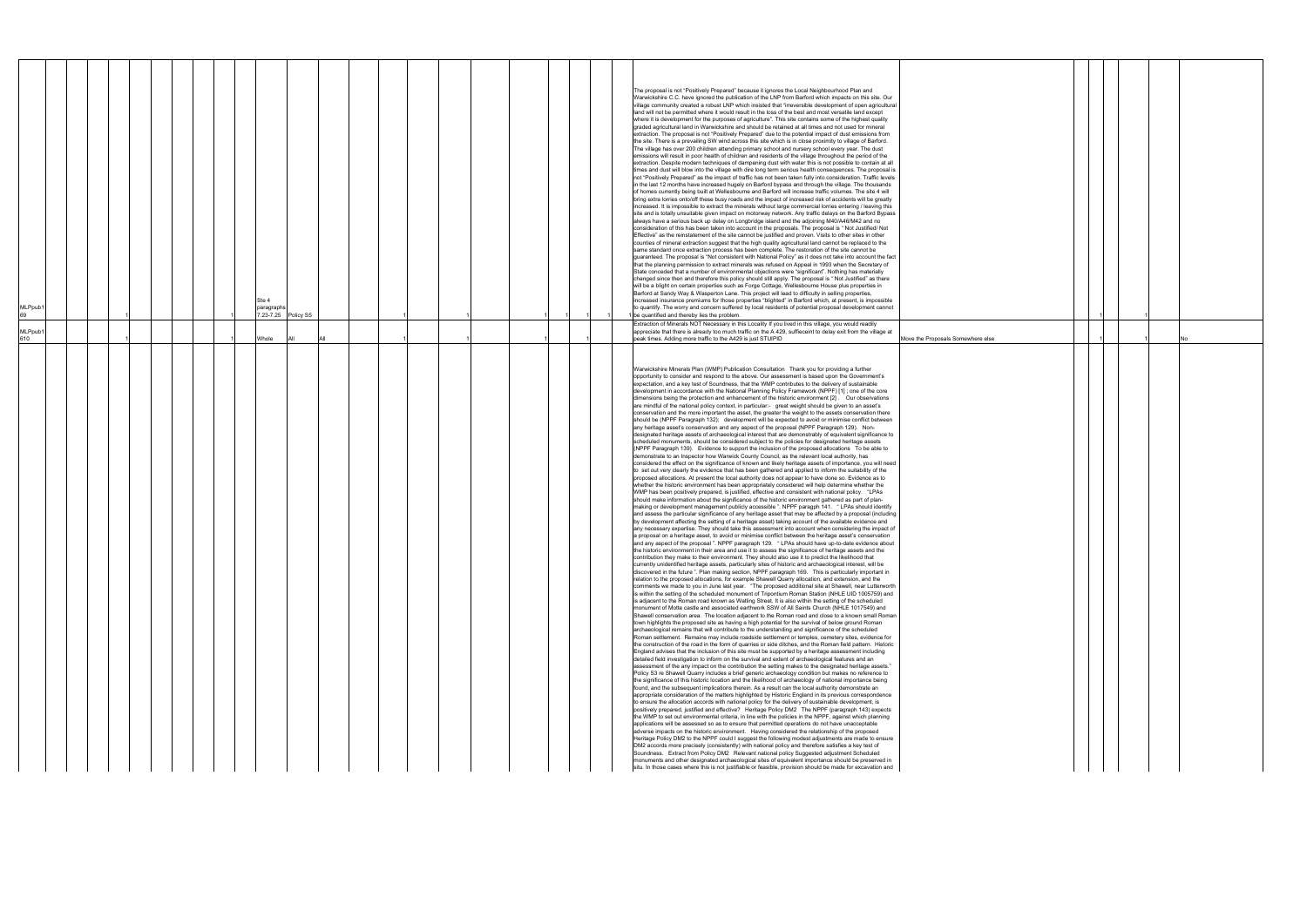| MLPpub1<br>69  |  |  |  | Ste 4<br>paragraphs<br>7.23-7.25 Policy S5 |     |  |  |  |  | The proposal is not "Positively Prepared" because it ignores the Local Neighbourhood Plan and<br>Warwickshire C.C. have ignored the publication of the LNP from Barford which impacts on this site. Our<br>village community created a robust LNP which insisted that "irreversible development of open agricultural<br>land will not be permitted where it would result in the loss of the best and most versatile land except<br>where it is development for the purposes of agriculture". This site contains some of the highest quality<br>graded agricultural land in Warwickshire and should be retained at all times and not used for mineral<br>extraction. The proposal is not "Positively Prepared" due to the potential impact of dust emissions from<br>the site. There is a prevailing SW wind across this site which is in close proximity to village of Barford.<br>The village has over 200 children attending primary school and nursery school every year. The dust<br>emissions will result in poor health of children and residents of the village throughout the period of the<br>extraction. Despite modern techniques of dampening dust with water this is not possible to contain at all<br>times and dust will blow into the village with dire long term serious health consequences. The proposal is<br>not "Positively Prepared" as the impact of traffic has not been taken fully into consideration. Traffic levels<br>in the last 12 months have increased hugely on Barford bypass and through the village. The thousands<br>of homes currently being built at Wellesbourne and Barford will increase traffic volumes. The site 4 will<br>bring extra lorries onto/off these busy roads and the impact of increased risk of accidents will be greatly<br>increased. It is impossible to extract the minerals without large commercial lorries entering / leaving this<br>site and is totally unsuitable given impact on motorway network. Any traffic delays on the Barford Bypass<br>always have a serious back up delay on Longbridge island and the adjoining M40/A46/M42 and no<br>consideration of this has been taken into account in the proposals. The proposal is "Not Justified/Not<br>Effective" as the reinstatement of the site cannot be justified and proven. Visits to other sites in other<br>counties of mineral extraction suggest that the high quality agricultural land cannot be replaced to the<br>same standard once extraction process has been complete. The restoration of the site cannot be<br>guaranteed. The proposal is "Not consistent with National Policy" as it does not take into account the fact<br>that the planning permission to extract minerals was refused on Appeal in 1993 when the Secretary of<br>State conceded that a number of environmental objections were "significant". Nothing has materially<br>changed since then and therefore this policy should still apply. The proposal is " Not Justified" as there<br>will be a blight on certain properties such as Forge Cottage, Wellesbourne House plus properties in<br>Barford at Sandy Way & Wasperton Lane. This project will lead to difficulty in selling properties,<br>increased insurance premiums for those properties "blighted" in Barford which, at present, is impossible<br>to quantify. The worry and concern suffered by local residents of potential proposal development cannot<br>be quantified and thereby lies the problem.                                                                                                                                                                                                                                                                                                                                                                                                                                                                                                                                                                                                                                                                                                                                                                                                                                                                                                                                                                                                                                                                                                                                                                                                                                                                                                                                                                                                                                                                                                                                                                                                                                                                                                                                                                                                                                                                                                                                                                                                                                                                                                                                                                                                                                                                                                                                                                                                                                                                                                                                                                                                         |                                   |  |  |  |
|----------------|--|--|--|--------------------------------------------|-----|--|--|--|--|-------------------------------------------------------------------------------------------------------------------------------------------------------------------------------------------------------------------------------------------------------------------------------------------------------------------------------------------------------------------------------------------------------------------------------------------------------------------------------------------------------------------------------------------------------------------------------------------------------------------------------------------------------------------------------------------------------------------------------------------------------------------------------------------------------------------------------------------------------------------------------------------------------------------------------------------------------------------------------------------------------------------------------------------------------------------------------------------------------------------------------------------------------------------------------------------------------------------------------------------------------------------------------------------------------------------------------------------------------------------------------------------------------------------------------------------------------------------------------------------------------------------------------------------------------------------------------------------------------------------------------------------------------------------------------------------------------------------------------------------------------------------------------------------------------------------------------------------------------------------------------------------------------------------------------------------------------------------------------------------------------------------------------------------------------------------------------------------------------------------------------------------------------------------------------------------------------------------------------------------------------------------------------------------------------------------------------------------------------------------------------------------------------------------------------------------------------------------------------------------------------------------------------------------------------------------------------------------------------------------------------------------------------------------------------------------------------------------------------------------------------------------------------------------------------------------------------------------------------------------------------------------------------------------------------------------------------------------------------------------------------------------------------------------------------------------------------------------------------------------------------------------------------------------------------------------------------------------------------------------------------------------------------------------------------------------------------------------------------------------------------------------------------------------------------------------------------------------------------------------------------------------------------------------------------------------------------------------------------------------------------------------------------------------------------------------------------------------------------------------------------------------------------------------------------------------------------------------------------------------------------------------------------------------------------------------------------------------------------------------------------------------------------------------------------------------------------------------------------------------------------------------------------------------------------------------------------------------------------------------------------------------------------------------------------------------------------------------------------------------------------------------------------------------------------------------------------------------------------------------------------------------------------------------------------------------------------------------------------------------------------------------------------------------------------------------------------------------------------------------------------------------------------------------------------------------------------------------------------------------------------------------------------------------------------------------------------------------------------------------------------------------------------------------------------------------------------------------------------------------------------------------------------------------------------------------------------------------------------------------------------------------------------------------------------------------------------------------------------------------------------------------------------------------------------------------------------------------------------------------------------------------------------------------------------------------------------------------------------------------------------------------------------------------------------------------------------------------------------------------------------------------------------------------------------------------------------------------------------------------------------------------------------------------------------------------------------------------------------------------------------------------------------------------------------------------------------------------------|-----------------------------------|--|--|--|
| MLPpub1<br>610 |  |  |  |                                            | All |  |  |  |  | Extraction of Minerals NOT Necessary in this Locality If you lived in this village, you would readily<br>appreciate that there is already too much traffic on the A 429, suffieceint to delay exit from the village at                                                                                                                                                                                                                                                                                                                                                                                                                                                                                                                                                                                                                                                                                                                                                                                                                                                                                                                                                                                                                                                                                                                                                                                                                                                                                                                                                                                                                                                                                                                                                                                                                                                                                                                                                                                                                                                                                                                                                                                                                                                                                                                                                                                                                                                                                                                                                                                                                                                                                                                                                                                                                                                                                                                                                                                                                                                                                                                                                                                                                                                                                                                                                                                                                                                                                                                                                                                                                                                                                                                                                                                                                                                                                                                                                                                                                                                                                                                                                                                                                                                                                                                                                                                                                                                                                                                                                                                                                                                                                                                                                                                                                                                                                                                                                                                                                                                                                                                                                                                                                                                                                                                                                                                                                                                                                                                                                                                                                                                                                                                                                                                                                                                                                                                                                                                                                                                                          |                                   |  |  |  |
|                |  |  |  | Whole                                      |     |  |  |  |  | peak times. Adding more traffic to the A429 is just STUIPID<br>Warwickshire Minerals Plan (WMP) Publication Consultation Thank you for providing a further<br>opportunity to consider and respond to the above. Our assessment is based upon the Government's<br>expectation, and a key test of Soundness, that the WMP contributes to the delivery of sustainable<br>development in accordance with the National Planning Policy Framework (NPPF) [1]; one of the core<br>dimensions being the protection and enhancement of the historic environment [2] . Our observations<br>are mindful of the national policy context, in particular:- great weight should be given to an asset's<br>conservation and the more important the asset, the greater the weight to the assets conservation there<br>should be (NPPF Paragraph 132); development will be expected to avoid or minimise conflict between<br>any heritage asset's conservation and any aspect of the proposal (NPPF Paragraph 129). Non-<br>designated heritage assets of archaeological interest that are demonstrably of equivalent significance to<br>scheduled monuments, should be considered subject to the policies for designated heritage assets<br>(NPPF Paragraph 139). Evidence to support the inclusion of the proposed allocations To be able to<br>demonstrate to an Inspector how Warwick County Council, as the relevant local authority, has<br>considered the effect on the significance of known and likely heritage assets of importance, you will need<br>to set out very clearly the evidence that has been gathered and applied to inform the suitability of the<br>proposed allocations. At present the local authority does not appear to have done so. Evidence as to<br>whether the historic environment has been appropriately considered will help determine whether the<br>WMP has been positively prepared, is justified, effective and consistent with national policy. "LPAs<br>should make information about the significance of the historic environment gathered as part of plan-<br>making or development management publicly accessible ". NPPF paragph 141. " LPAs should identify<br>and assess the particular significance of any heritage asset that may be affected by a proposal (including<br>by development affecting the setting of a heritage asset) taking account of the available evidence and<br>any necessary expertise. They should take this assessment into account when considering the impact of<br>a proposal on a heritage asset, to avoid or minimise conflict between the heritage asset's conservation<br>and any aspect of the proposal". NPPF paragraph 129. "LPAs should have up-to-date evidence about<br>the historic environment in their area and use it to assess the significance of heritage assets and the<br>contribution they make to their environment. They should also use it to predict the likelihood that<br>currently unidentified heritage assets, particularly sites of historic and archaeological interest, will be<br>discovered in the future". Plan making section, NPPF paragraph 169. This is particularly important in<br>relation to the proposed allocations, for example Shawell Quarry allocation, and extension, and the<br>comments we made to you in June last year. "The proposed additional site at Shawell, near Lutterworth<br>is within the setting of the scheduled monument of Tripontium Roman Station (NHLE UID 1005759) and<br>is adjacent to the Roman road known as Watling Street. It is also within the setting of the scheduled<br>monument of Motte castle and associated earthwork SSW of All Saints Church (NHLE 1017549) and<br>Shawell conservation area. The location adjacent to the Roman road and close to a known small Roman<br>town highlights the proposed site as having a high potential for the survival of below ground Roman<br>archaeological remains that will contribute to the understanding and significance of the scheduled<br>Roman settlement. Remains may include roadside settlement or temples, cemetery sites, evidence for<br>the construction of the road in the form of quarries or side ditches, and the Roman field pattern. Historic<br>England advises that the inclusion of this site must be supported by a heritage assessment including<br>detailed field investigation to inform on the survival and extent of archaeological features and an<br>assessment of the any impact on the contribution the setting makes to the designated heritage assets."<br>Policy S3 re Shawell Quarry includes a brief generic archaeology condition but makes no reference to<br>the significance of this historic location and the likelihood of archaeology of national importance being<br>found, and the subsequent implications therein. As a result can the local authority demonstrate an<br>appropriate consideration of the matters highlighted by Historic England in its previous correspondence<br>to ensure the allocation accords with national policy for the delivery of sustainable development, is<br>positively prepared, justified and effective? Heritage Policy DM2 The NPPF (paragraph 143) expects<br>the WMP to set out environmental criteria, in line with the policies in the NPPF, against which planning<br>applications will be assessed so as to ensure that permitted operations do not have unacceptable<br>adverse impacts on the historic environment. Having considered the relationship of the proposed<br>Heritage Policy DM2 to the NPPF could I suggest the following modest adjustments are made to ensure<br>DM2 accords more precisely (consistently) with national policy and therefore satisfies a key test of<br>Soundness. Extract from Policy DM2 Relevant national policy Suggested adjustment Scheduled<br>monuments and other designated archaeological sites of equivalent importance should be preserved in<br>situ. In those cases where this is not justifiable or feasible, provision should be made for excavation and | Move the Proposals Somewhere else |  |  |  |

|     | $\mathbf{1}$ | $\mathbf{1}$ |    |
|-----|--------------|--------------|----|
| lse | $\mathbf 1$  | $\mathbf{1}$ | No |
|     |              |              |    |
|     |              |              |    |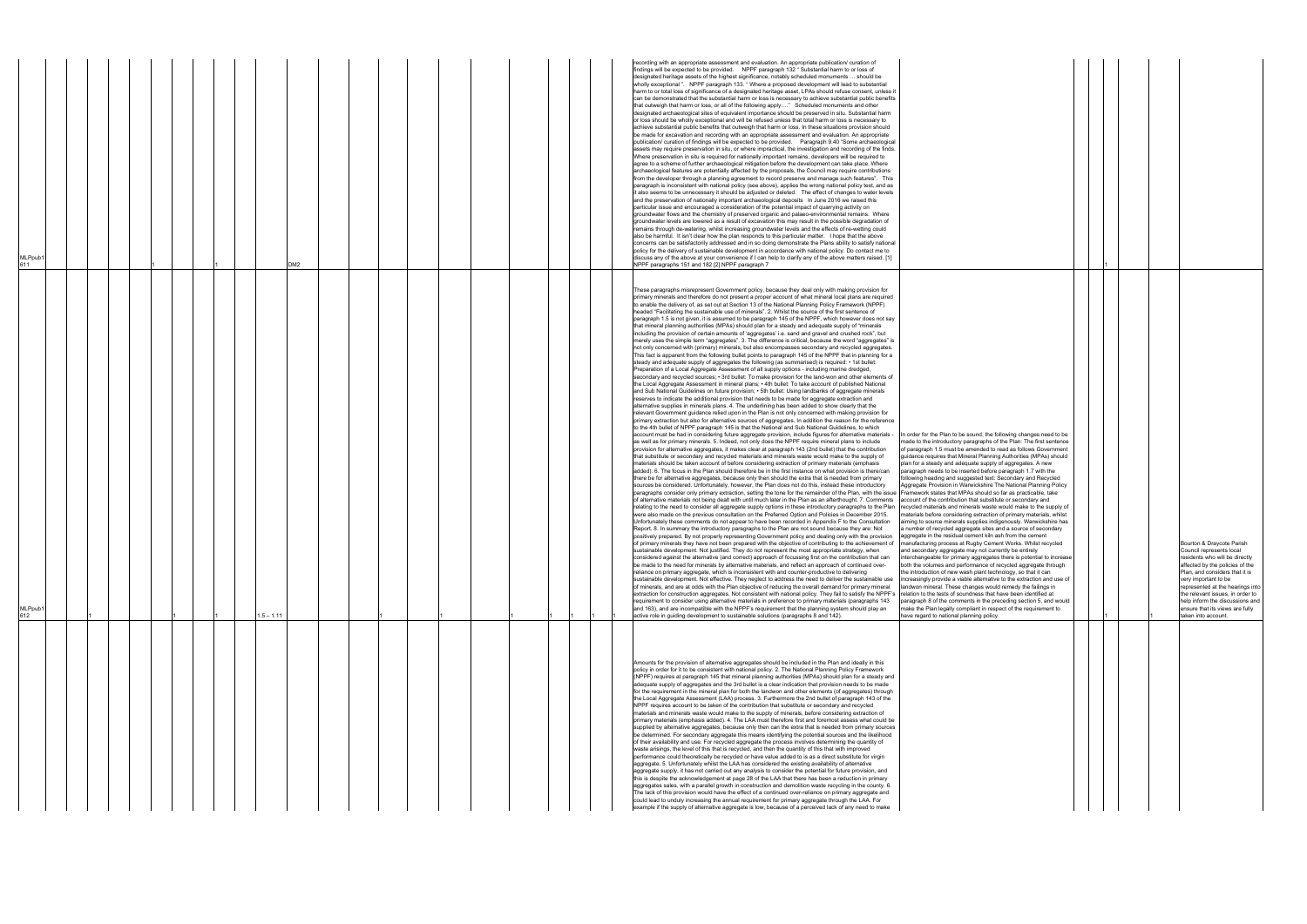| MLPpub1<br>611 |  |  |              | DM2 |  |  |  | findings will be expected to be provided. NPPF paragraph 132 "Substantial harm to or loss of<br>designated heritage assets of the highest significance, notably scheduled monuments  should be<br>wholly exceptional ". NPPF paragraph 133. "Where a proposed development will lead to substantial<br>harm to or total loss of significance of a designated heritage asset, LPAs should refuse consent, unless it<br>can be demonstrated that the substantial harm or loss is necessary to achieve substantial public benefits<br>that outweigh that harm or loss, or all of the following apply:" Scheduled monuments and other<br>designated archaeological sites of equivalent importance should be preserved in situ. Substantial harm<br>or loss should be wholly exceptional and will be refused unless that total harm or loss is necessary to<br>achieve substantial public benefits that outweigh that harm or loss. In these situations provision should<br>be made for excavation and recording with an appropriate assessment and evaluation. An appropriate<br>publication/ curation of findings will be expected to be provided. Paragraph 9.40 "Some archaeological<br>assets may require preservation in situ, or where impractical, the investigation and recording of the finds.<br>Where preservation in situ is required for nationally important remains, developers will be required to<br>agree to a scheme of further archaeological mitigation before the development can take place. Where<br>archaeological features are potentially affected by the proposals, the Council may require contributions<br>from the developer through a planning agreement to record preserve and manage such features". This<br>paragraph is inconsistent with national policy (see above), applies the wrong national policy test, and as<br>it also seems to be unnecessary it should be adjusted or deleted.  The effect of changes to water levels<br>and the preservation of nationally important archaeological deposits In June 2016 we raised this<br>particular issue and encouraged a consideration of the potential impact of quarrying activity on<br>groundwater flows and the chemistry of preserved organic and palaeo-environmental remains. Where<br>groundwater levels are lowered as a result of excavation this may result in the possible degradation of<br>remains through de-watering, whilst increasing groundwater levels and the effects of re-wetting could<br>also be harmful. It isn't clear how the plan responds to this particular matter. I hope that the above<br>concerns can be satisfactorily addressed and in so doing demonstrate the Plans ability to satisfy national<br>policy for the delivery of sustainable development in accordance with national policy. Do contact me to<br>discuss any of the above at your convenience if I can help to clarify any of the above matters raised. [1]<br>NPPF paragraphs 151 and 182 [2] NPPF paragraph 7                                                                                                                                                                                                                                                                                                                                                                                                                                                                                                                                                                                                                                                                                                                                                                                                                                                                                                                                                                                                                                                                                                                                                                                                                                                                                                                                                                                                                                                                                                                                                                                                                                                                                                                                                                                                                                                                                                                                                                                                                                                                                                                                                                                                                                                                                                                                                                                                                                                                                                                                                                                                                                                                                                                                                                                                                                                                                                                                                                                                                                                                                                                                                                                                                                                                                                                                                                                                                                                                                                                                                                                                                                                                                                                                                                                 |  |
|----------------|--|--|--------------|-----|--|--|--|---------------------------------------------------------------------------------------------------------------------------------------------------------------------------------------------------------------------------------------------------------------------------------------------------------------------------------------------------------------------------------------------------------------------------------------------------------------------------------------------------------------------------------------------------------------------------------------------------------------------------------------------------------------------------------------------------------------------------------------------------------------------------------------------------------------------------------------------------------------------------------------------------------------------------------------------------------------------------------------------------------------------------------------------------------------------------------------------------------------------------------------------------------------------------------------------------------------------------------------------------------------------------------------------------------------------------------------------------------------------------------------------------------------------------------------------------------------------------------------------------------------------------------------------------------------------------------------------------------------------------------------------------------------------------------------------------------------------------------------------------------------------------------------------------------------------------------------------------------------------------------------------------------------------------------------------------------------------------------------------------------------------------------------------------------------------------------------------------------------------------------------------------------------------------------------------------------------------------------------------------------------------------------------------------------------------------------------------------------------------------------------------------------------------------------------------------------------------------------------------------------------------------------------------------------------------------------------------------------------------------------------------------------------------------------------------------------------------------------------------------------------------------------------------------------------------------------------------------------------------------------------------------------------------------------------------------------------------------------------------------------------------------------------------------------------------------------------------------------------------------------------------------------------------------------------------------------------------------------------------------------------------------------------------------------------------------------------------------------------------------------------------------------------------------------------------------------------------------------------------------------------------------------------------------------------------------------------------------------------------------------------------------------------------------------------------------------------------------------------------------------------------------------------------------------------------------------------------------------------------------------------------------------------------------------------------------------------------------------------------------------------------------------------------------------------------------------------------------------------------------------------------------------------------------------------------------------------------------------------------------------------------------------------------------------------------------------------------------------------------------------------------------------------------------------------------------------------------------------------------------------------------------------------------------------------------------------------------------------------------------------------------------------------------------------------------------------------------------------------------------------------------------------------------------------------------------------------------------------------------------------------------------------------------------------------------------------------------------------------------------------------------------------------------------------------------------------------------------------------------------------------------------------------------------------------------------------------------------------------------------------------------------------------------------------------------------------------------------------------------------------------------------------------------------------------------------------------------------------------------------------------------------------------------------------------------------------------------------------------------------------------------------------------------------------------------------------------------------------------------------------------------------------------------------------------------------------------------------------------------------------------------------------------------------------------------------------------------------------------------------------------------------------------------------------------------------------------------------------------------------------------------------------------------------------------------------------------------------------------------------------------------------------------------------------------------------------------------------------------------------------------------------------------------------------------------------------------------------------------------------------------------------------------------------------------------------------------------------------------------------------------------------------------------------------------------------------------------------------------------------------------------------------------|--|
| MLPpub1<br>612 |  |  | $1.5 - 1.11$ |     |  |  |  | These paragraphs misrepresent Government policy, because they deal only with making provision for<br>primary minerals and therefore do not present a proper account of what mineral local plans are required<br>to enable the delivery of, as set out at Section 13 of the National Planning Policy Framework (NPPF)<br>headed "Facilitating the sustainable use of minerals". 2. Whilst the source of the first sentence of<br>paragraph 1.5 is not given, it is assumed to be paragraph 145 of the NPPF, which however does not say<br>that mineral planning authorities (MPAs) should plan for a steady and adequate supply of "minerals"<br>including the provision of certain amounts of 'aggregates' i.e. sand and gravel and crushed rock", but<br>merely uses the simple term "aggregates". 3. The difference is critical, because the word "aggregates" is<br>not only concerned with (primary) minerals, but also encompasses secondary and recycled aggregates.<br>This fact is apparent from the following bullet points to paragraph 145 of the NPPF that in planning for a<br>steady and adequate supply of aggregates the following (as summarised) is required: • 1st bullet:<br>Preparation of a Local Aggregate Assessment of all supply options - including marine dredged,<br>secondary and recycled sources; • 3rd bullet: To make provision for the land-won and other elements of<br>the Local Aggregate Assessment in mineral plans; • 4th bullet: To take account of published National<br>and Sub National Guidelines on future provision; $\cdot$ 5th bullet: Using landbanks of aggregate minerals<br>reserves to indicate the additional provision that needs to be made for aggregate extraction and<br>alternative supplies in minerals plans. 4. The underlining has been added to show clearly that the<br>relevant Government guidance relied upon in the Plan is not only concerned with making provision for<br>primary extraction but also for alternative sources of aggregates. In addition the reason for the reference<br>to the 4th bullet of NPPF paragraph 145 is that the National and Sub National Guidelines, to which<br>account must be had in considering future aggregate provision, include figures for alternative materials -<br>In order for the Plan to be sound, the following changes need to be<br>as well as for primary minerals. 5. Indeed, not only does the NPPF require mineral plans to include<br>made to the introductory paragraphs of the Plan: The first sentence<br>of paragraph 1.5 must be amended to read as follows Government<br>provision for alternative aggregates, it makes clear at paragraph 143 (2nd bullet) that the contribution<br>guidance requires that Mineral Planning Authorities (MPAs) should<br>that substitute or secondary and recycled materials and minerals waste would make to the supply of<br>plan for a steady and adequate supply of aggregates. A new<br>materials should be taken account of before considering extraction of primary materials (emphasis<br>added). 6. The focus in the Plan should therefore be in the first instance on what provision is there/can<br>paragraph needs to be inserted before paragraph 1.7 with the<br>there be for alternative aggregates, because only then should the extra that is needed from primary<br>following heading and suggested text: Secondary and Recycled<br>sources be considered. Unfortunately, however, the Plan does not do this, instead these introductory<br>Aggregate Provision in Warwickshire The National Planning Policy<br>Framework states that MPAs should so far as practicable, take<br>paragraphs consider only primary extraction, setting the tone for the remainder of the Plan, with the issue<br>of alternative materials not being dealt with until much later in the Plan as an afterthought. 7. Comments<br>account of the contribution that substitute or secondary and<br>relating to the need to consider all aggregate supply options in these introductory paragraphs to the Plan<br>recycled materials and minerals waste would make to the supply of<br>were also made on the previous consultation on the Preferred Option and Policies in December 2015.<br>materials before considering extraction of primary materials, whilst<br>Unfortunately these comments do not appear to have been recorded in Appendix F to the Consultation<br>aiming to source minerals supplies indigenously. Warwickshire has<br>Report. 8. In summary the introductory paragraphs to the Plan are not sound because they are: Not<br>a number of recycled aggregate sites and a source of secondary<br>positively prepared. By not properly representing Government policy and dealing only with the provision<br>aggregate in the residual cement kiln ash from the cement<br>of primary minerals they have not been prepared with the objective of contributing to the achievement of manufacturing process at Rugby Cement Works. Whilst recycled<br>ustainable development. Not justified. They do not represent the most appropriate strategy, when<br>and secondary aggregate may not currently be entirely<br>considered against the alternative (and correct) approach of focussing first on the contribution that can<br>interchangeable for primary aggregates there is potential to increase<br>be made to the need for minerals by alternative materials, and reflect an approach of continued over-<br>both the volumes and performance of recycled aggregate through<br>reliance on primary aggregate, which is inconsistent with and counter-productive to delivering<br>the introduction of new wash plant technology, so that it can<br>sustainable development. Not effective. They neglect to address the need to deliver the sustainable use<br>increasingly provide a viable alternative to the extraction and use of<br>of minerals, and are at odds with the Plan objective of reducing the overall demand for primary mineral<br>landwon mineral. These changes would remedy the failings in<br>extraction for construction aggregates. Not consistent with national policy. They fail to satisfy the NPPF's<br>relation to the tests of soundness that have been identified at<br>requirement to consider using alternative materials in preference to primary materials (paragraphs 143<br>paragraph 8 of the comments in the preceding section 5, and would<br>and 163), and are incompatible with the NPPF's requirement that the planning system should play an<br>make the Plan legally compliant in respect of the requirement to<br>active role in guiding development to sustainable solutions (paragraphs 8 and 142).<br>have regard to national planning policy. |  |
|                |  |  |              |     |  |  |  | Amounts for the provision of alternative aggregates should be included in the Plan and ideally in this<br>policy in order for it to be consistent with national policy. 2. The National Planning Policy Framework<br>(NPPF) requires at paragraph 145 that mineral planning authorities (MPAs) should plan for a steady and<br>adequate supply of aggregates and the 3rd bullet is a clear indication that provision needs to be made<br>for the requirement in the mineral plan for both the landwon and other elements (of aggregates) through<br>the Local Aggregate Assessment (LAA) process. 3. Furthermore the 2nd bullet of paragraph 143 of the<br>NPPF requires account to be taken of the contribution that substitute or secondary and recycled<br>materials and minerals waste would make to the supply of minerals, before considering extraction of<br>primary materials (emphasis added). 4. The LAA must therefore first and foremost assess what could be<br>supplied by alternative aggregates, because only then can the extra that is needed from primary sources<br>be determined. For secondary aggregate this means identifying the potential sources and the likelihood<br>of their availability and use. For recycled aggregate the process involves determining the quantity of<br>waste arisings, the level of this that is recycled, and then the quantity of this that with improved<br>performance could theoretically be recycled or have value added to is as a direct substitute for virgin<br>aggregate. 5. Unfortunately whilst the LAA has considered the existing availability of alternative<br>aggregate supply, it has not carried out any analysis to consider the potential for future provision, and<br>this is despite the acknowledgement at page 28 of the LAA that there has been a reduction in primary<br>aggregates sales, with a parallel growth in construction and demolition waste recycling in the county. 6.<br>The lack of this provision would have the effect of a continued over-reliance on primary aggregate and<br>could lead to unduly increasing the annual requirement for primary aggregate through the LAA. For<br>example if the supply of alternative aggregate is low, because of a perceived lack of any need to make                                                                                                                                                                                                                                                                                                                                                                                                                                                                                                                                                                                                                                                                                                                                                                                                                                                                                                                                                                                                                                                                                                                                                                                                                                                                                                                                                                                                                                                                                                                                                                                                                                                                                                                                                                                                                                                                                                                                                                                                                                                                                                                                                                                                                                                                                                                                                                                                                                                                                                                                                                                                                                                                                                                                                                                                                                                                                                                                                                                                                                                                                                                                                                                                                                                                                                                                                                                                                                                                                                                                                                                                                                                                                                                                                                                                                                                                                                                                                                                                                                                                                                                                                                                                                                                                                                                                                                                                                                                                                         |  |

|                                                                                                                                                                                                                                                                                                                                                                                                                                                                                                                                                                                                                                                                                                                                                                                                                                                      |  | 1 |   |                                                                                                                                                                                                                                                                                                                                                           |
|------------------------------------------------------------------------------------------------------------------------------------------------------------------------------------------------------------------------------------------------------------------------------------------------------------------------------------------------------------------------------------------------------------------------------------------------------------------------------------------------------------------------------------------------------------------------------------------------------------------------------------------------------------------------------------------------------------------------------------------------------------------------------------------------------------------------------------------------------|--|---|---|-----------------------------------------------------------------------------------------------------------------------------------------------------------------------------------------------------------------------------------------------------------------------------------------------------------------------------------------------------------|
| e following changes need to be<br>is of the Plan: The first sentence<br>to read as follows Government<br>ning Authorities (MPAs) should<br>ply of aggregates. A new<br>ore paragraph 1.7 with the<br>ext: Secondary and Recycled<br>re The National Planning Policy<br>d so far as practicable, take<br>stitute or secondary and<br>ste would make to the supply of<br>tion of primary materials, whilst<br>indigenously. Warwickshire has<br>es and a source of secondary<br>In ash from the cement<br>ement Works. Whilst recycled<br>currently be entirely<br>ates there is potential to increase<br>of recycled aggregate through<br>technology, so that it can<br>ative to the extraction and use of<br>ould remedy the failings in<br>at have been identified at<br>e preceding section 5, and would<br>respect of the requirement to<br>licy. |  | 1 | 1 | Bourton & Draycote Parish<br>Council represents local<br>residents who will be directly<br>affected by the policies of the<br>Plan, and considers that it is<br>very important to be<br>represented at the hearings into<br>the relevant issues, in order to<br>help inform the discussions and<br>ensure that its views are fully<br>taken into account. |
|                                                                                                                                                                                                                                                                                                                                                                                                                                                                                                                                                                                                                                                                                                                                                                                                                                                      |  |   |   |                                                                                                                                                                                                                                                                                                                                                           |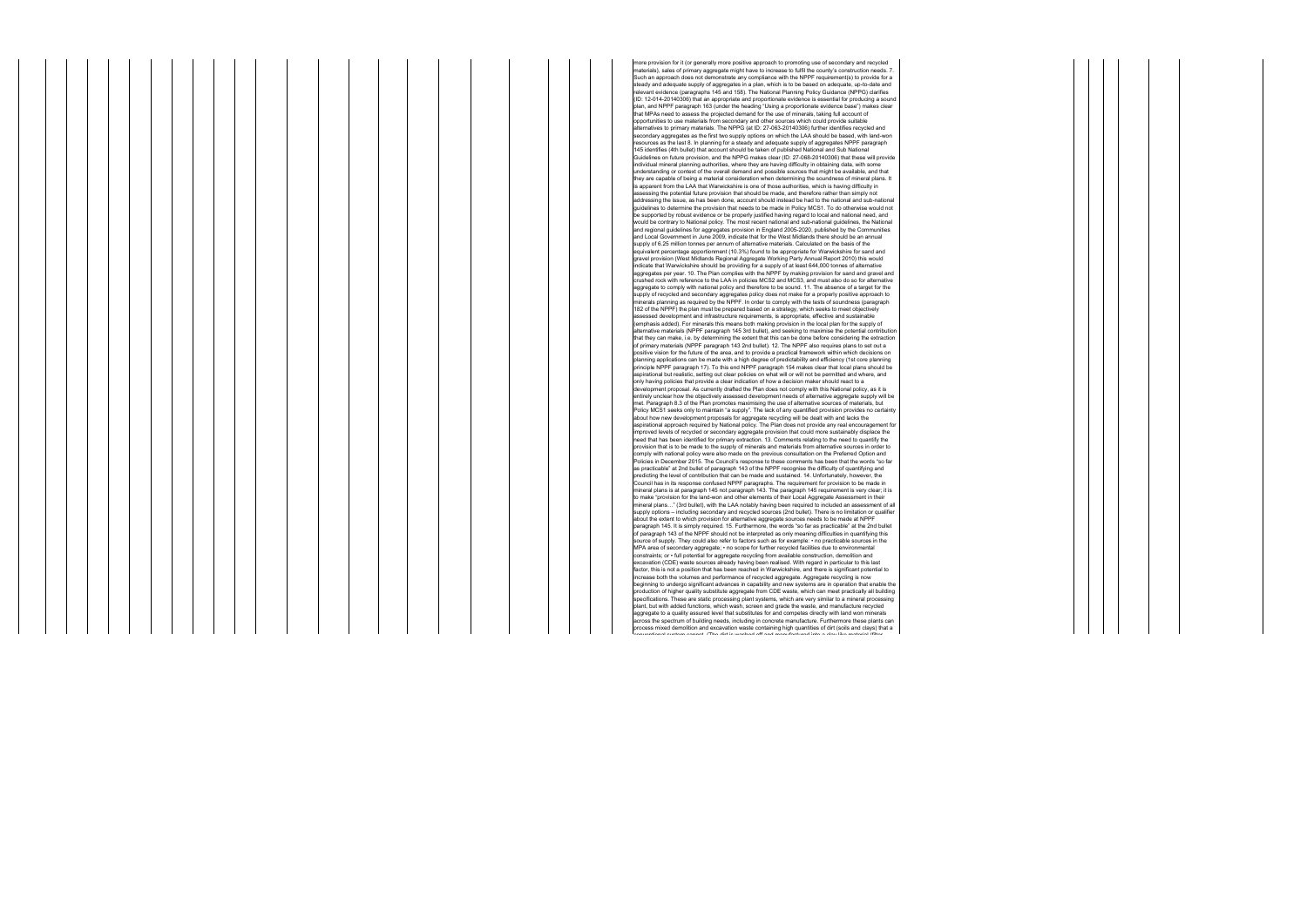more provision for it (or generally more positive approach to promoting use of secondary and recycled materials), sales of primary aggregate might have to increase to fulfil the county's construction needs. 7. Such an approach does not demonstrate any compliance with the NPPF requirement(s) to provide for a teady and adequate supply of aggregates in a plan, which is to be based on adequate, up-to-date and relevant evidence (paragraphs 145 and 158). The National Planning Policy Guidance (NPPG) clarifies (ID: 12-014-20140306) that an appropriate and proportionate evidence is essential for producing a sound plan, and NPPF paragraph 163 (under the heading "Using a proportionate evidence base") makes clear<br>that MPAs need to assess the projected demand for the use of minerals, taking full account of opportunities to use materials from secondary and other sources which could provide suitable alternatives to primary materials. The NPPG (at ID: 27-063-20140306) further identifies recycled and secondary aggregates as the first two supply options on which the LAA should be based, with land-won resources as the last 8. In planning for a steady and adequate supply of aggregates NPPF paragraph 145 identifies (4th bullet) that account should be taken of published National and Sub National Guidelines on future provision, and the NPPG makes clear (ID: 27-068-20140306) that these will provide individual mineral planning authorities, where they are having difficulty in obtaining data, with some<br>understanding or context of the overall demand and possible sources that might be available, and that<br>they are capable is apparent from the LAA that Warwickshire is one of those authorities, which is having difficulty in assing the potential future provision that should be made, and therefore rather than simply not be shown in the made, and therefore rather than simply not addressing the issue, as has been done, account should instead be had to the national and sub-national guidelines to determine the provision that needs to be made in Policy MCS1. To do otherwise would not be supported by robust evidence or be properly justified having regard to local and national need, and would be contrary to National policy. The most recent national and sub-national guidelines, the National and regional guidelines for aggregates provision in England 2005-2020, published by the Communities and Local Government in June 2009, indicate that for the West Midlands there should be an annual supply of 6.25 million tonnes per annum of alternative materials. Calculated on the basis of the equivalent percentage apportionment (10.3%) found to be appropriate for Warwickshire for sand and equivalent percentage appointment (10.9%) found to be appropriate for warwickshife for sail and<br>gravel provision (West Midlands Regional Aggregate Working Party Annual Report 2010) this would indicate that Warwickshire should be providing for a supply of at least 644,000 tonnes of alternative aggregates per year. 10. The Plan complies with the NPPF by making provision for sand and gravel and<br>crushed rock with reference to the LAA in policies MCS2 and MCS3, and must also do so for alternative aggregate to comply with national policy and therefore to be sound. 11. The absence of a target for the supply of recycled and secondary aggregates policy does not make for a properly positive approach to minerals planning as required by the NPPF. In order to comply with the tests of soundness (paragraph 182 of the NPPF) the plan must be prepared based on a strategy, which seeks to meet objectively<br>assessed development and infrastructure requirements, is appropriate, effective and sustainable<br>(emphasis added). For minerals alternative materials (NPPF paragraph 145 3rd bullet), and seeking to maximise the potential contribution that they can make, i.e. by determining the extent that this can be done before considering the extraction of primary materials (NPPF paragraph 143 2nd bullet). 12. The NPPF also requires plans to set out a positive vision for the future of the area, and to provide a practical framework within which decisions on planning applications can be made with a high degree of predictability and efficiency (1st core planning principle NPPF paragraph 17). To this end NPPF paragraph 154 makes clear that local plans should be aspirational but realistic, setting out clear policies on what will or will not be permitted and where, and<br>only having policies that provide a clear indication of how a decision maker should react to a development proposal. As currently drafted the Plan does not comply with this National policy, as it is entirely unclear how the objectively assessed development needs of alternative aggregate supply will be met. Paragraph 8.3 of the Plan promotes maximising the use of alternative sources of materials, but Policy MCS1 seeks only to maintain "a supply". The lack of any quantified provision provides no certainty about how new development proposals for aggregate recycling will be dealt with and lacks the aspirational approach required by National policy. The Plan does not provide any real encouragement for improved levels of recycled or secondary aggregate provision that could more sustainably displace the<br>need that has been identified for primary extraction. 13. Comments relating to the need to quantify the<br>provision that i comply with national policy were also made on the previous consultation on the Preferred Option and Policies in December 2015. The Council's response to these comments has been that the words "so far as practicable" at 2nd bullet of paragraph 143 of the NPPF recognise the difficulty of quantifying and predicting the level of contribution that can be made and sustained. 14. Unfortunately, however, the Council has in its response confused NPPF paragraphs. The requirement for provision to be made in mineral plans is at paragraph 145 not paragraph 143. The paragraph 145 requirement is very clear; it is to make "provision for the land-won and other elements of their Local Aggregate Assessment in their mineral plans…" (3rd bullet), with the LAA notably having been required to included an assessment of all supply options – including secondary and recycled sources (2nd bullet). There is no limitation or qualifier about the extent to which provision for alternative aggregate sources needs to be made at NPPF paragraph 145. It is simply required. 15. Furthermore, the words "so far as practicable" at the 2nd bullet of paragraph 143 of the NPPF should not be interpreted as only meaning difficulties in quantifying this rce of supply. They could also refer to factors such as for example: • no practicable sources in the MPA area of secondary aggregate; • no scope for further recycled facilities due to environmental constraints; or • full potential for aggregate recycling from available construction, demolition and excavation (CDE) waste sources already having been realised. With regard in particular to this last factor, this is not a position that has been reached in Warwickshire, and there is significant potential to increase both the volumes and performance of recycled aggregate. Aggregate recycling is now beginning to undergo significant advances in capability and new systems are in operation that enable the production of higher quality substitute aggregate from CDE waste, which can meet practically all building specifications. These are static processing plant systems, which are very similar to a mineral processing<br>plant, but with added functions, which wash, screen and grade the waste, and manufacture recycled<br>aggregate to a qua cross the spectrum of building needs, including in concrete manufacture. Furthermore these plants can process mixed demolition and excavation waste containing high quantities of dirt (soils and clays) that a conventional (filter and manufactured into a classical officer and manufactured into a classical officer of the cont

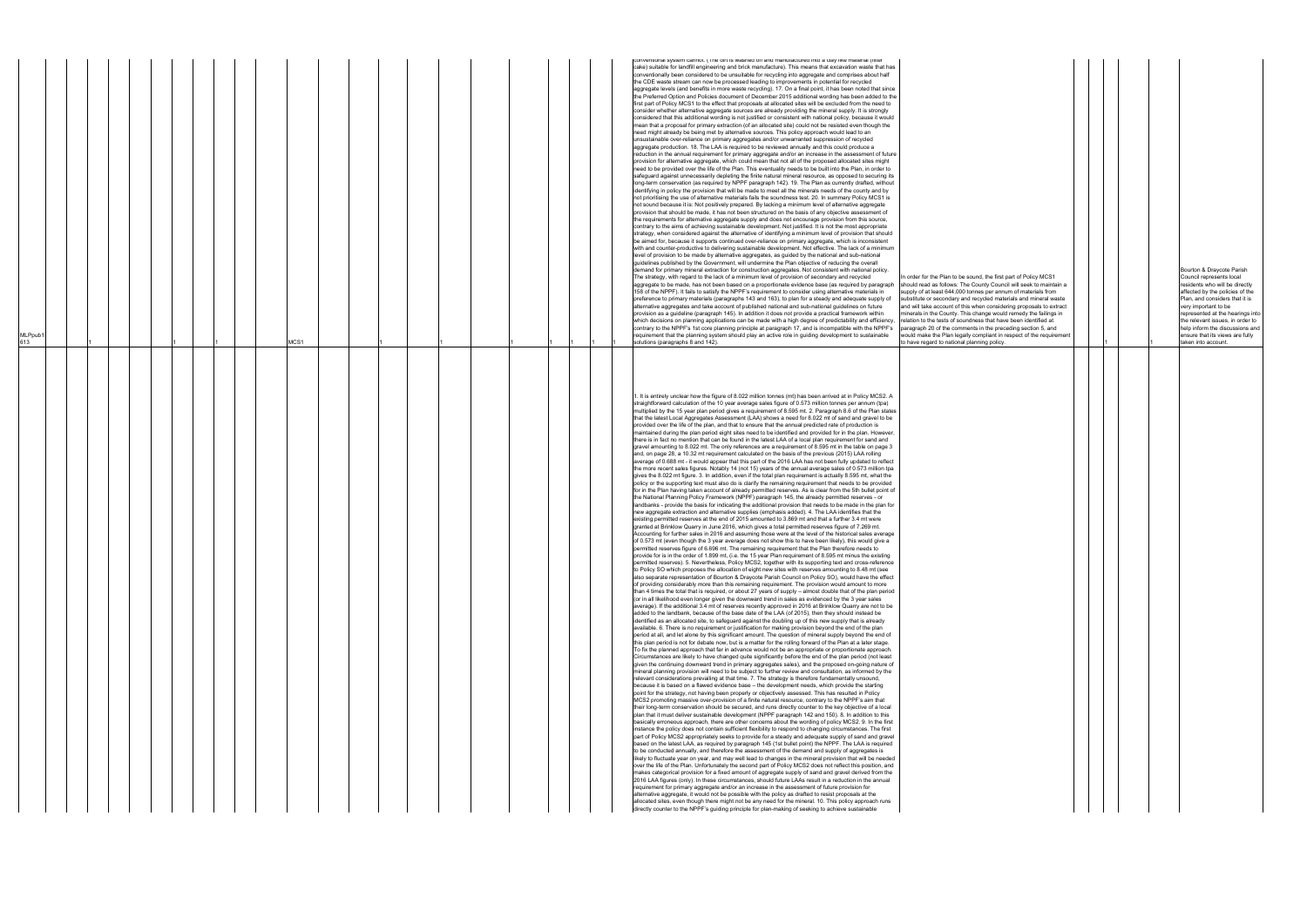|                                                                                                                                         |  |   |   | Bourton & Draycote Parish                                            |
|-----------------------------------------------------------------------------------------------------------------------------------------|--|---|---|----------------------------------------------------------------------|
| In order for the Plan to be sound, the first part of Policy MCS1<br>should read as follows: The County Council will seek to maintain a  |  |   |   | Council represents local<br>residents who will be directly           |
| supply of at least 644,000 tonnes per annum of materials from<br>substitute or secondary and recycled materials and mineral waste       |  |   |   | affected by the policies of the<br>Plan, and considers that it is    |
| and will take account of this when considering proposals to extract<br>minerals in the County. This change would remedy the failings in |  |   |   | very important to be                                                 |
| relation to the tests of soundness that have been identified at                                                                         |  |   |   | represented at the hearings into<br>the relevant issues, in order to |
| paragraph 20 of the comments in the preceding section 5, and<br>would make the Plan legally compliant in respect of the requirement     |  |   |   | help inform the discussions and<br>ensure that its views are fully   |
| to have regard to national planning policy.                                                                                             |  | 1 | 1 | taken into account.                                                  |
|                                                                                                                                         |  |   |   |                                                                      |
|                                                                                                                                         |  |   |   |                                                                      |
|                                                                                                                                         |  |   |   |                                                                      |
|                                                                                                                                         |  |   |   |                                                                      |
|                                                                                                                                         |  |   |   |                                                                      |
|                                                                                                                                         |  |   |   |                                                                      |
|                                                                                                                                         |  |   |   |                                                                      |
|                                                                                                                                         |  |   |   |                                                                      |
|                                                                                                                                         |  |   |   |                                                                      |
|                                                                                                                                         |  |   |   |                                                                      |
|                                                                                                                                         |  |   |   |                                                                      |
|                                                                                                                                         |  |   |   |                                                                      |
|                                                                                                                                         |  |   |   |                                                                      |
|                                                                                                                                         |  |   |   |                                                                      |
|                                                                                                                                         |  |   |   |                                                                      |
|                                                                                                                                         |  |   |   |                                                                      |
|                                                                                                                                         |  |   |   |                                                                      |
|                                                                                                                                         |  |   |   |                                                                      |
|                                                                                                                                         |  |   |   |                                                                      |
|                                                                                                                                         |  |   |   |                                                                      |
|                                                                                                                                         |  |   |   |                                                                      |
|                                                                                                                                         |  |   |   |                                                                      |
|                                                                                                                                         |  |   |   |                                                                      |
|                                                                                                                                         |  |   |   |                                                                      |
|                                                                                                                                         |  |   |   |                                                                      |
|                                                                                                                                         |  |   |   |                                                                      |
|                                                                                                                                         |  |   |   |                                                                      |
|                                                                                                                                         |  |   |   |                                                                      |
|                                                                                                                                         |  |   |   |                                                                      |
|                                                                                                                                         |  |   |   |                                                                      |
|                                                                                                                                         |  |   |   |                                                                      |
|                                                                                                                                         |  |   |   |                                                                      |
|                                                                                                                                         |  |   |   |                                                                      |
|                                                                                                                                         |  |   |   |                                                                      |
|                                                                                                                                         |  |   |   |                                                                      |
|                                                                                                                                         |  |   |   |                                                                      |
|                                                                                                                                         |  |   |   |                                                                      |
|                                                                                                                                         |  |   |   |                                                                      |
|                                                                                                                                         |  |   |   |                                                                      |

| MLPpub<br>613 |  |  |  | MCS1 |  |  |  |  | convenitonal system cannot. (The untils washed on and manufactured into a clay like material (lilter<br>cake) suitable for landfill engineering and brick manufacture). This means that excavation waste that has<br>conventionally been considered to be unsuitable for recycling into aggregate and comprises about half<br>the CDE waste stream can now be processed leading to improvements in potential for recycled<br>aggregate levels (and benefits in more waste recycling). 17. On a final point, it has been noted that since<br>the Preferred Option and Policies document of December 2015 additional wording has been added to the<br>first part of Policy MCS1 to the effect that proposals at allocated sites will be excluded from the need to<br>consider whether alternative aggregate sources are already providing the mineral supply. It is strongly<br>considered that this additional wording is not justified or consistent with national policy, because it would<br>mean that a proposal for primary extraction (of an allocated site) could not be resisted even though the<br>need might already be being met by alternative sources. This policy approach would lead to an<br>unsustainable over-reliance on primary aggregates and/or unwarranted suppression of recycled<br>aggregate production. 18. The LAA is required to be reviewed annually and this could produce a<br>reduction in the annual requirement for primary aggregate and/or an increase in the assessment of future<br>provision for alternative aggregate, which could mean that not all of the proposed allocated sites might<br>need to be provided over the life of the Plan. This eventuality needs to be built into the Plan, in order to<br>safeguard against unnecessarily depleting the finite natural mineral resource, as opposed to securing its<br>long-term conservation (as required by NPPF paragraph 142). 19. The Plan as currently drafted, without<br>identifying in policy the provision that will be made to meet all the minerals needs of the county and by<br>not prioritising the use of alternative materials fails the soundness test. 20. In summary Policy MCS1 is<br>not sound because it is: Not positively prepared. By lacking a minimum level of alternative aggregate<br>provision that should be made, it has not been structured on the basis of any objective assessment of<br>the requirements for alternative aggregate supply and does not encourage provision from this source,<br>contrary to the aims of achieving sustainable development. Not justified. It is not the most appropriate<br>strategy, when considered against the alternative of identifying a minimum level of provision that should<br>be aimed for, because it supports continued over-reliance on primary aggregate, which is inconsistent<br>with and counter-productive to delivering sustainable development. Not effective. The lack of a minimum<br>level of provision to be made by alternative aggregates, as guided by the national and sub-national<br>guidelines published by the Government, will undermine the Plan objective of reducing the overall<br>demand for primary mineral extraction for construction aggregates. Not consistent with national policy.<br>The strategy, with regard to the lack of a minimum level of provision of secondary and recycled<br>In order for the Plan to be sound, the first part of Policy MCS1<br>aggregate to be made, has not been based on a proportionate evidence base (as required by paragraph<br>should read as follows: The County Council will seek to maintain a<br>158 of the NPPF). It fails to satisfy the NPPF's requirement to consider using alternative materials in<br>supply of at least 644,000 tonnes per annum of materials from<br>preference to primary materials (paragraphs 143 and 163), to plan for a steady and adequate supply of<br>substitute or secondary and recycled materials and mineral waste<br>alternative aggregates and take account of published national and sub-national guidelines on future<br>and will take account of this when considering proposals to extract<br>provision as a quideline (paragraph 145). In addition it does not provide a practical framework within<br>minerals in the County. This change would remedy the failings in<br>which decisions on planning applications can be made with a high degree of predictability and efficiency,<br>relation to the tests of soundness that have been identified at<br>contrary to the NPPF's 1st core planning principle at paragraph 17, and is incompatible with the NPPF's<br>paragraph 20 of the comments in the preceding section 5, and<br>requirement that the planning system should play an active role in guiding development to sustainable<br>would make the Plan legally compliant in respect of the requirement<br>solutions (paragraphs 8 and 142).<br>to have regard to national planning policy.                                                                                                                                                                                                                                                                                                                                                                                                                                                                                                                                                                                                                                                                                                                                                                                                                                                                                                                                                                                                                                                                                                                                                                                                                                                                                                                                                                                                                     |  |
|---------------|--|--|--|------|--|--|--|--|-------------------------------------------------------------------------------------------------------------------------------------------------------------------------------------------------------------------------------------------------------------------------------------------------------------------------------------------------------------------------------------------------------------------------------------------------------------------------------------------------------------------------------------------------------------------------------------------------------------------------------------------------------------------------------------------------------------------------------------------------------------------------------------------------------------------------------------------------------------------------------------------------------------------------------------------------------------------------------------------------------------------------------------------------------------------------------------------------------------------------------------------------------------------------------------------------------------------------------------------------------------------------------------------------------------------------------------------------------------------------------------------------------------------------------------------------------------------------------------------------------------------------------------------------------------------------------------------------------------------------------------------------------------------------------------------------------------------------------------------------------------------------------------------------------------------------------------------------------------------------------------------------------------------------------------------------------------------------------------------------------------------------------------------------------------------------------------------------------------------------------------------------------------------------------------------------------------------------------------------------------------------------------------------------------------------------------------------------------------------------------------------------------------------------------------------------------------------------------------------------------------------------------------------------------------------------------------------------------------------------------------------------------------------------------------------------------------------------------------------------------------------------------------------------------------------------------------------------------------------------------------------------------------------------------------------------------------------------------------------------------------------------------------------------------------------------------------------------------------------------------------------------------------------------------------------------------------------------------------------------------------------------------------------------------------------------------------------------------------------------------------------------------------------------------------------------------------------------------------------------------------------------------------------------------------------------------------------------------------------------------------------------------------------------------------------------------------------------------------------------------------------------------------------------------------------------------------------------------------------------------------------------------------------------------------------------------------------------------------------------------------------------------------------------------------------------------------------------------------------------------------------------------------------------------------------------------------------------------------------------------------------------------------------------------------------------------------------------------------------------------------------------------------------------------------------------------------------------------------------------------------------------------------------------------------------------------------------------------------------------------------------------------------------------------------------------------------------------------------------------------------------------------------------------------------------------------------------------------------------------------------------------------------------------------------------------------------------------------------------------------------------------------------------------------------------------------------------------------------------------------------------------------------------------------------------------------------------------------------------------------------------------------------------------------------------------------------------------------------------------------------------------------------------------------------------------------------------------------------------------------------------------------------------------------------------------------------------------------------------------------------------------------------------------------------------------------------------------------------------------------------------------------------------------------------------------------------------------------------------------------------------------------------------------------------------------------------------------------------------------------------------------------------------------------------------------------------------------------------------------------------------------------------------------------------------------------------------------------------------------------------------------------------------------------------------------------------------------------------------------------------------------------------------------------|--|
|               |  |  |  |      |  |  |  |  | . It is entirely unclear how the figure of 8.022 million tonnes (mt) has been arrived at in Policy MCS2. A<br>straightforward calculation of the 10 year average sales figure of 0.573 million tonnes per annum (tpa)<br>multiplied by the 15 year plan period gives a requirement of 8.595 mt. 2. Paragraph 8.6 of the Plan states<br>that the latest Local Aggregates Assessment (LAA) shows a need for 8.022 mt of sand and gravel to be<br>provided over the life of the plan, and that to ensure that the annual predicted rate of production is<br>maintained during the plan period eight sites need to be identified and provided for in the plan. However,<br>there is in fact no mention that can be found in the latest LAA of a local plan requirement for sand and<br>gravel amounting to 8.022 mt. The only references are a requirement of 8.595 mt in the table on page 3<br>and, on page 28, a 10.32 mt requirement calculated on the basis of the previous (2015) LAA rolling<br>average of 0.688 mt - it would appear that this part of the 2016 LAA has not been fully updated to reflect<br>the more recent sales figures. Notably 14 (not 15) years of the annual average sales of 0.573 million tpa<br>gives the 8.022 mt figure. 3. In addition, even if the total plan requirement is actually 8.595 mt, what the<br>policy or the supporting text must also do is clarify the remaining requirement that needs to be provided<br>for in the Plan having taken account of already permitted reserves. As is clear from the 5th bullet point of<br>the National Planning Policy Framework (NPPF) paragraph 145, the already permitted reserves - or<br>landbanks - provide the basis for indicating the additional provision that needs to be made in the plan for<br>new aggregate extraction and alternative supplies (emphasis added). 4. The LAA identifies that the<br>existing permitted reserves at the end of 2015 amounted to 3.869 mt and that a further 3.4 mt were<br>granted at Brinklow Quarry in June 2016, which gives a total permitted reserves figure of 7.269 mt.<br>Accounting for further sales in 2016 and assuming those were at the level of the historical sales average<br>of 0.573 mt (even though the 3 year average does not show this to have been likely), this would give a<br>permitted reserves figure of 6.696 mt. The remaining requirement that the Plan therefore needs to<br>provide for is in the order of 1.899 mt, (i.e. the 15 year Plan requirement of 8.595 mt minus the existing<br>permitted reserves). 5. Nevertheless, Policy MCS2, together with its supporting text and cross-reference<br>to Policy SO which proposes the allocation of eight new sites with reserves amounting to 8.48 mt (see<br>also separate representation of Bourton & Draycote Parish Council on Policy SO), would have the effect<br>of providing considerably more than this remaining requirement. The provision would amount to more<br>than 4 times the total that is required, or about 27 years of supply - almost double that of the plan period<br>(or in all likelihood even longer given the downward trend in sales as evidenced by the 3 year sales<br>average). If the additional 3.4 mt of reserves recently approved in 2016 at Brinklow Quarry are not to be<br>added to the landbank, because of the base date of the LAA (of 2015), then they should instead be<br>identified as an allocated site, to safeguard against the doubling up of this new supply that is already<br>available. 6. There is no requirement or justification for making provision beyond the end of the plan<br>period at all, and let alone by this significant amount. The question of mineral supply beyond the end of<br>this plan period is not for debate now, but is a matter for the rolling forward of the Plan at a later stage.<br>To fix the planned approach that far in advance would not be an appropriate or proportionate approach.<br>Circumstances are likely to have changed quite significantly before the end of the plan period (not least<br>given the continuing downward trend in primary aggregates sales), and the proposed on-going nature of<br>mineral planning provision will need to be subject to further review and consultation, as informed by the<br>relevant considerations prevailing at that time. 7. The strategy is therefore fundamentally unsound,<br>because it is based on a flawed evidence base - the development needs, which provide the starting<br>point for the strategy, not having been properly or objectively assessed. This has resulted in Policy<br>MCS2 promoting massive over-provision of a finite natural resource, contrary to the NPPF's aim that<br>their long-term conservation should be secured, and runs directly counter to the key objective of a local<br>plan that it must deliver sustainable development (NPPF paragraph 142 and 150). 8. In addition to this<br>basically erroneous approach, there are other concerns about the wording of policy MCS2. 9. In the first<br>instance the policy does not contain sufficient flexibility to respond to changing circumstances. The first<br>part of Policy MCS2 appropriately seeks to provide for a steady and adequate supply of sand and gravel<br>based on the latest LAA, as required by paragraph 145 (1st bullet point) the NPPF. The LAA is required<br>to be conducted annually, and therefore the assessment of the demand and supply of aggregates is<br>likely to fluctuate year on year, and may well lead to changes in the mineral provision that will be needed<br>over the life of the Plan. Unfortunately the second part of Policy MCS2 does not reflect this position, and<br>makes categorical provision for a fixed amount of aggregate supply of sand and gravel derived from the<br>2016 LAA figures (only). In these circumstances, should future LAAs result in a reduction in the annual<br>requirement for primary aggregate and/or an increase in the assessment of future provision for<br>alternative aggregate, it would not be possible with the policy as drafted to resist proposals at the<br>allocated sites, even though there might not be any need for the mineral. 10. This policy approach runs<br>directly counter to the NPPF's guiding principle for plan-making of seeking to achieve sustainable |  |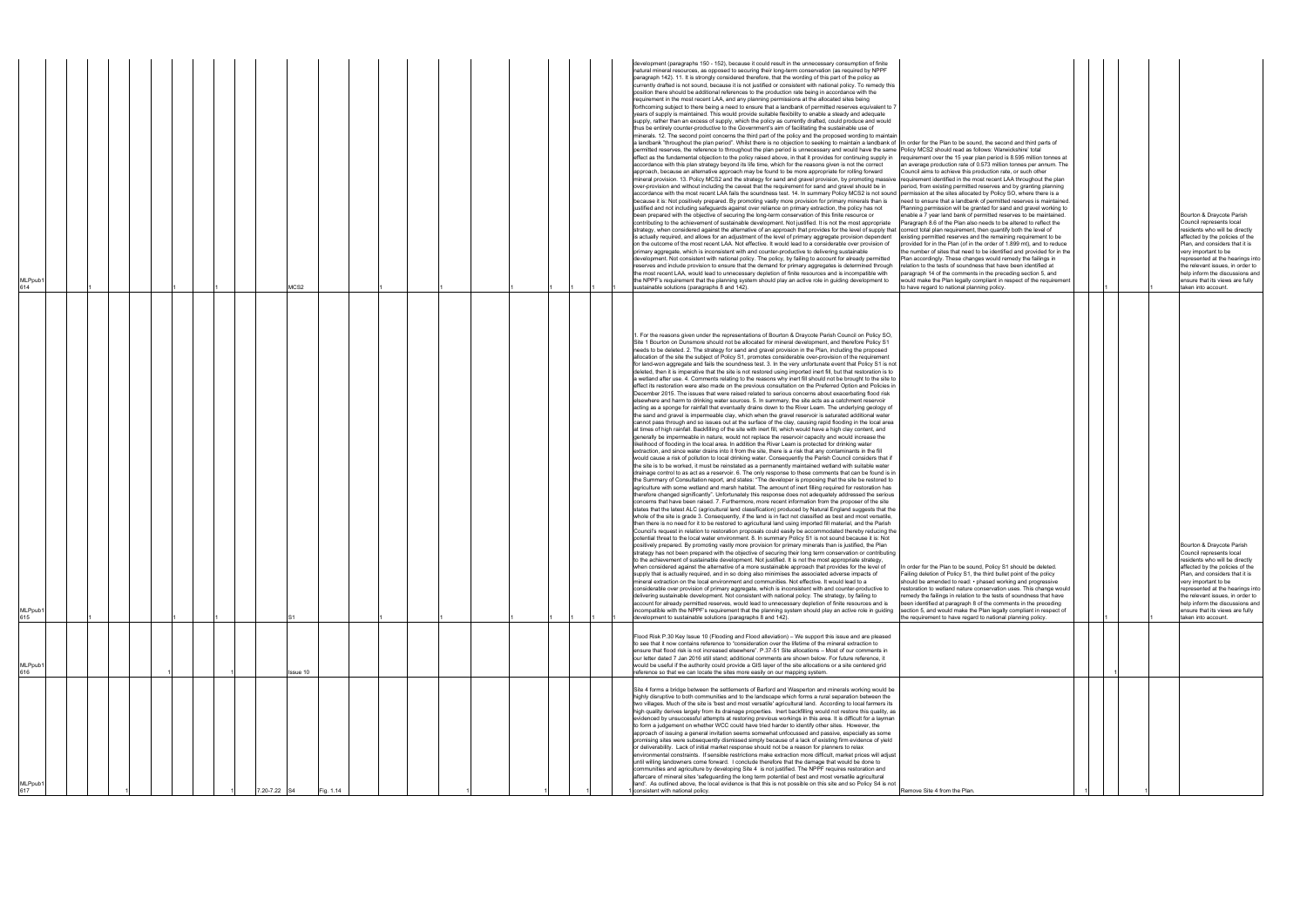| /ILPpub<br>614 |  | MCS2     |           |  |  |  | development (paragraphs 150 - 152), because it could result in the unnecessary consumption of finite<br>natural mineral resources, as opposed to securing their long-term conservation (as required by NPPF<br>paragraph 142). 11. It is strongly considered therefore, that the wording of this part of the policy as<br>currently drafted is not sound, because it is not justified or consistent with national policy. To remedy this<br>position there should be additional references to the production rate being in accordance with the<br>requirement in the most recent LAA, and any planning permissions at the allocated sites being<br>forthcoming subject to there being a need to ensure that a landbank of permitted reserves equivalent to 7<br>years of supply is maintained. This would provide suitable flexibility to enable a steady and adequate<br>supply, rather than an excess of supply, which the policy as currently drafted, could produce and would<br>thus be entirely counter-productive to the Government's aim of facilitating the sustainable use of<br>minerals. 12. The second point concerns the third part of the policy and the proposed wording to maintair<br>a landbank "throughout the plan period". Whilst there is no objection to seeking to maintain a landbank of In order for the Plan to be sound, the second and third parts of<br>permitted reserves, the reference to throughout the plan period is unnecessary and would have the same Policy MCS2 should read as follows: Warwickshire' total<br>effect as the fundamental objection to the policy raised above, in that it provides for continuing supply in<br>accordance with this plan strategy beyond its life time, which for the reasons given is not the correct<br>approach, because an alternative approach may be found to be more appropriate for rolling forward<br>mineral provision. 13. Policy MCS2 and the strategy for sand and gravel provision, by promoting massive requirement identified in the most recent LAA throughout the plan<br>over-provision and without including the caveat that the requirement for sand and gravel should be in<br>accordance with the most recent LAA fails the soundness test. 14. In summary Policy MCS2 is not sound permission at the sites allocated by Policy SO, where there is a<br>because it is: Not positively prepared. By promoting vastly more provision for primary minerals than is<br>justified and not including safeguards against over reliance on primary extraction, the policy has not<br>been prepared with the objective of securing the long-term conservation of this finite resource or<br>contributing to the achievement of sustainable development. Not justified. It is not the most appropriate<br>strategy, when considered against the alternative of an approach that provides for the level of supply that correct total plan requirement, then quantify both the level of<br>is actually required, and allows for an adjustment of the level of primary aggregate provision dependent<br>on the outcome of the most recent LAA. Not effective. It would lead to a considerable over provision of<br>primary aggregate, which is inconsistent with and counter-productive to delivering sustainable<br>development. Not consistent with national policy. The policy, by failing to account for already permitted<br>reserves and include provision to ensure that the demand for primary aggregates is determined through<br>the most recent LAA, would lead to unnecessary depletion of finite resources and is incompatible with<br>the NPPF's requirement that the planning system should play an active role in guiding development to<br>sustainable solutions (paragraphs 8 and 142).                                                                                                                                                                                                                                                                                                                                                                                                                                                                                                                                                                                                                                  | requirement over the 15 year plan period is 8.595 million tonnes at<br>an average production rate of 0.573 million tonnes per annum. The<br>Council aims to achieve this production rate, or such other<br>period, from existing permitted reserves and by granting planning<br>need to ensure that a landbank of permitted reserves is maintained.<br>Planning permission will be granted for sand and gravel working to<br>enable a 7 year land bank of permitted reserves to be maintained.<br>Paragraph 8.6 of the Plan also needs to be altered to reflect the<br>existing permitted reserves and the remaining requirement to be<br>provided for in the Plan (of in the order of 1.899 mt), and to reduce<br>the number of sites that need to be identified and provided for in the<br>Plan accordingly. These changes would remedy the failings in<br>relation to the tests of soundness that have been identified at<br>paragraph 14 of the comments in the preceding section 5, and<br>would make the Plan legally compliant in respect of the requirement<br>o have regard to national planning policy. |  | Bourton & Draycote Parish<br>Council represents local<br>residents who will be directly<br>affected by the policies of the<br>Plan, and considers that it is<br>very important to be<br>represented at the hearings into<br>the relevant issues, in order to<br>help inform the discussions and<br>ensure that its views are fully<br>taken into account. |
|----------------|--|----------|-----------|--|--|--|--------------------------------------------------------------------------------------------------------------------------------------------------------------------------------------------------------------------------------------------------------------------------------------------------------------------------------------------------------------------------------------------------------------------------------------------------------------------------------------------------------------------------------------------------------------------------------------------------------------------------------------------------------------------------------------------------------------------------------------------------------------------------------------------------------------------------------------------------------------------------------------------------------------------------------------------------------------------------------------------------------------------------------------------------------------------------------------------------------------------------------------------------------------------------------------------------------------------------------------------------------------------------------------------------------------------------------------------------------------------------------------------------------------------------------------------------------------------------------------------------------------------------------------------------------------------------------------------------------------------------------------------------------------------------------------------------------------------------------------------------------------------------------------------------------------------------------------------------------------------------------------------------------------------------------------------------------------------------------------------------------------------------------------------------------------------------------------------------------------------------------------------------------------------------------------------------------------------------------------------------------------------------------------------------------------------------------------------------------------------------------------------------------------------------------------------------------------------------------------------------------------------------------------------------------------------------------------------------------------------------------------------------------------------------------------------------------------------------------------------------------------------------------------------------------------------------------------------------------------------------------------------------------------------------------------------------------------------------------------------------------------------------------------------------------------------------------------------------------------------------------------------------------------------------------------------------------------------------------------------------------------------------------------------------------------------------------------------------------------------------------------------------------------------------------------------------------------------------------------------------------------------------------------------------------------------------------------------------------------------------------------------------------------------------------------------------------------------------------------------------------------------------------------------------------------------------------------------------------------------------------------------------------------------------------------------------------------------------------------------------------------------------------------------------------------------------------------------------------------------------------------------------------------------------------------------------------------------------------------------------------------------------------------------------------------------------------------------------------------------------------------------------------------------------------|-------------------------------------------------------------------------------------------------------------------------------------------------------------------------------------------------------------------------------------------------------------------------------------------------------------------------------------------------------------------------------------------------------------------------------------------------------------------------------------------------------------------------------------------------------------------------------------------------------------------------------------------------------------------------------------------------------------------------------------------------------------------------------------------------------------------------------------------------------------------------------------------------------------------------------------------------------------------------------------------------------------------------------------------------------------------------------------------------------------------|--|-----------------------------------------------------------------------------------------------------------------------------------------------------------------------------------------------------------------------------------------------------------------------------------------------------------------------------------------------------------|
| MLPpub1<br>615 |  |          |           |  |  |  | . For the reasons given under the representations of Bourton & Draycote Parish Council on Policy SO,<br>Site 1 Bourton on Dunsmore should not be allocated for mineral development, and therefore Policy S1<br>needs to be deleted. 2. The strategy for sand and gravel provision in the Plan, including the proposed<br>allocation of the site the subject of Policy S1, promotes considerable over-provision of the requirement<br>for land-won aggregate and fails the soundness test. 3. In the very unfortunate event that Policy S1 is not<br>deleted, then it is imperative that the site is not restored using imported inert fill, but that restoration is to<br>a wetland after use. 4. Comments relating to the reasons why inert fill should not be brought to the site to<br>effect its restoration were also made on the previous consultation on the Preferred Option and Policies in<br>December 2015. The issues that were raised related to serious concerns about exacerbating flood risk<br>elsewhere and harm to drinking water sources. 5. In summary, the site acts as a catchment reservoir<br>acting as a sponge for rainfall that eventually drains down to the River Leam. The underlying geology of<br>the sand and gravel is impermeable clay, which when the gravel reservoir is saturated additional water<br>cannot pass through and so issues out at the surface of the clay, causing rapid flooding in the local area<br>at times of high rainfall. Backfilling of the site with inert fill, which would have a high clay content, and<br>generally be impermeable in nature, would not replace the reservoir capacity and would increase the<br>likelihood of flooding in the local area. In addition the River Leam is protected for drinking water<br>extraction, and since water drains into it from the site, there is a risk that any contaminants in the fill<br>would cause a risk of pollution to local drinking water. Consequently the Parish Council considers that if<br>the site is to be worked, it must be reinstated as a permanently maintained wetland with suitable water<br>drainage control to as act as a reservoir. 6. The only response to these comments that can be found is in<br>the Summary of Consultation report, and states: "The developer is proposing that the site be restored to<br>agriculture with some wetland and marsh habitat. The amount of inert filling required for restoration has<br>therefore changed significantly". Unfortunately this response does not adequately addressed the serious<br>concerns that have been raised. 7. Furthermore, more recent information from the proposer of the site<br>states that the latest ALC (agricultural land classification) produced by Natural England suggests that the<br>whole of the site is grade 3. Consequently, if the land is in fact not classified as best and most versatile,<br>then there is no need for it to be restored to agricultural land using imported fill material, and the Parish<br>Council's request in relation to restoration proposals could easily be accommodated thereby reducing the<br>potential threat to the local water environment. 8. In summary Policy S1 is not sound because it is: Not<br>positively prepared. By promoting vastly more provision for primary minerals than is justified, the Plan<br>strategy has not been prepared with the objective of securing their long term conservation or contributing<br>to the achievement of sustainable development. Not justified. It is not the most appropriate strategy,<br>when considered against the alternative of a more sustainable approach that provides for the level of<br>supply that is actually required, and in so doing also minimises the associated adverse impacts of<br>mineral extraction on the local environment and communities. Not effective. It would lead to a<br>considerable over provision of primary aggregate, which is inconsistent with and counter-productive to<br>delivering sustainable development. Not consistent with national policy. The strategy, by failing to<br>account for already permitted reserves, would lead to unnecessary depletion of finite resources and is<br>incompatible with the NPPF's requirement that the planning system should play an active role in guiding<br>development to sustainable solutions (paragraphs 8 and 142). | In order for the Plan to be sound, Policy S1 should be deleted.<br>Failing deletion of Policy S1, the third bullet point of the policy<br>should be amended to read: • phased working and progressive<br>restoration to wetland nature conservation uses. This change would<br>remedy the failings in relation to the tests of soundness that have<br>been identified at paragraph 8 of the comments in the preceding<br>section 5, and would make the Plan legally compliant in respect of<br>the requirement to have regard to national planning policy.                                                                                                                                                                                                                                                                                                                                                                                                                                                                                                                                                        |  | urton & Draycote Parish<br>Council represents local<br>residents who will be directly<br>affected by the policies of the<br>Plan, and considers that it is<br>very important to be<br>represented at the hearings into<br>the relevant issues, in order to<br>help inform the discussions and<br>ensure that its views are fully<br>taken into account.   |
| MLPpub′<br>616 |  | Issue 10 |           |  |  |  | Flood Risk P.30 Key Issue 10 (Flooding and Flood alleviation) – We support this issue and are pleased<br>to see that it now contains reference to "consideration over the lifetime of the mineral extraction to<br>ensure that flood risk is not increased elsewhere". P.37-51 Site allocations - Most of our comments in<br>our letter dated 7 Jan 2016 still stand; additional comments are shown below. For future reference, it<br>would be useful if the authority could provide a GIS layer of the site allocations or a site centered grid<br>reference so that we can locate the sites more easily on our mapping system.                                                                                                                                                                                                                                                                                                                                                                                                                                                                                                                                                                                                                                                                                                                                                                                                                                                                                                                                                                                                                                                                                                                                                                                                                                                                                                                                                                                                                                                                                                                                                                                                                                                                                                                                                                                                                                                                                                                                                                                                                                                                                                                                                                                                                                                                                                                                                                                                                                                                                                                                                                                                                                                                                                                                                                                                                                                                                                                                                                                                                                                                                                                                                                                                                                                                                                                                                                                                                                                                                                                                                                                                                                                                                                                                                                                              |                                                                                                                                                                                                                                                                                                                                                                                                                                                                                                                                                                                                                                                                                                                                                                                                                                                                                                                                                                                                                                                                                                                   |  |                                                                                                                                                                                                                                                                                                                                                           |
| MLPpub1<br>617 |  | .20-7.22 | Fig. 1.14 |  |  |  | Site 4 forms a bridge between the settlements of Barford and Wasperton and minerals working would be<br>highly disruptive to both communities and to the landscape which forms a rural separation between the<br>two villages. Much of the site is 'best and most versatile' agricultural land. According to local farmers its<br>high quality derives largely from its drainage properties. Inert backfilling would not restore this quality, as<br>evidenced by unsuccessful attempts at restoring previous workings in this area. It is difficult for a layman<br>to form a judgement on whether WCC could have tried harder to identify other sites. However, the<br>approach of issuing a general invitation seems somewhat unfocussed and passive, especially as some<br>promising sites were subsequently dismissed simply because of a lack of existing firm evidence of yield<br>or deliverability. Lack of initial market response should not be a reason for planners to relax<br>environmental constraints. If sensible restrictions make extraction more difficult, market prices will adjust<br>until willing landowners come forward. I conclude therefore that the damage that would be done to<br>communities and agriculture by developing Site 4 is not justified. The NPPF requires restoration and<br>aftercare of mineral sites 'safeguarding the long term potential of best and most versatile agricultural<br>land'. As outlined above, the local evidence is that this is not possible on this site and so Policy S4 is not<br>consistent with national policy.                                                                                                                                                                                                                                                                                                                                                                                                                                                                                                                                                                                                                                                                                                                                                                                                                                                                                                                                                                                                                                                                                                                                                                                                                                                                                                                                                                                                                                                                                                                                                                                                                                                                                                                                                                                                                                                                                                                                                                                                                                                                                                                                                                                                                                                                                                                                                                                                                                                                                                                                                                                                                                                                                                                                                                                                                                      | Remove Site 4 from the Plan.                                                                                                                                                                                                                                                                                                                                                                                                                                                                                                                                                                                                                                                                                                                                                                                                                                                                                                                                                                                                                                                                                      |  |                                                                                                                                                                                                                                                                                                                                                           |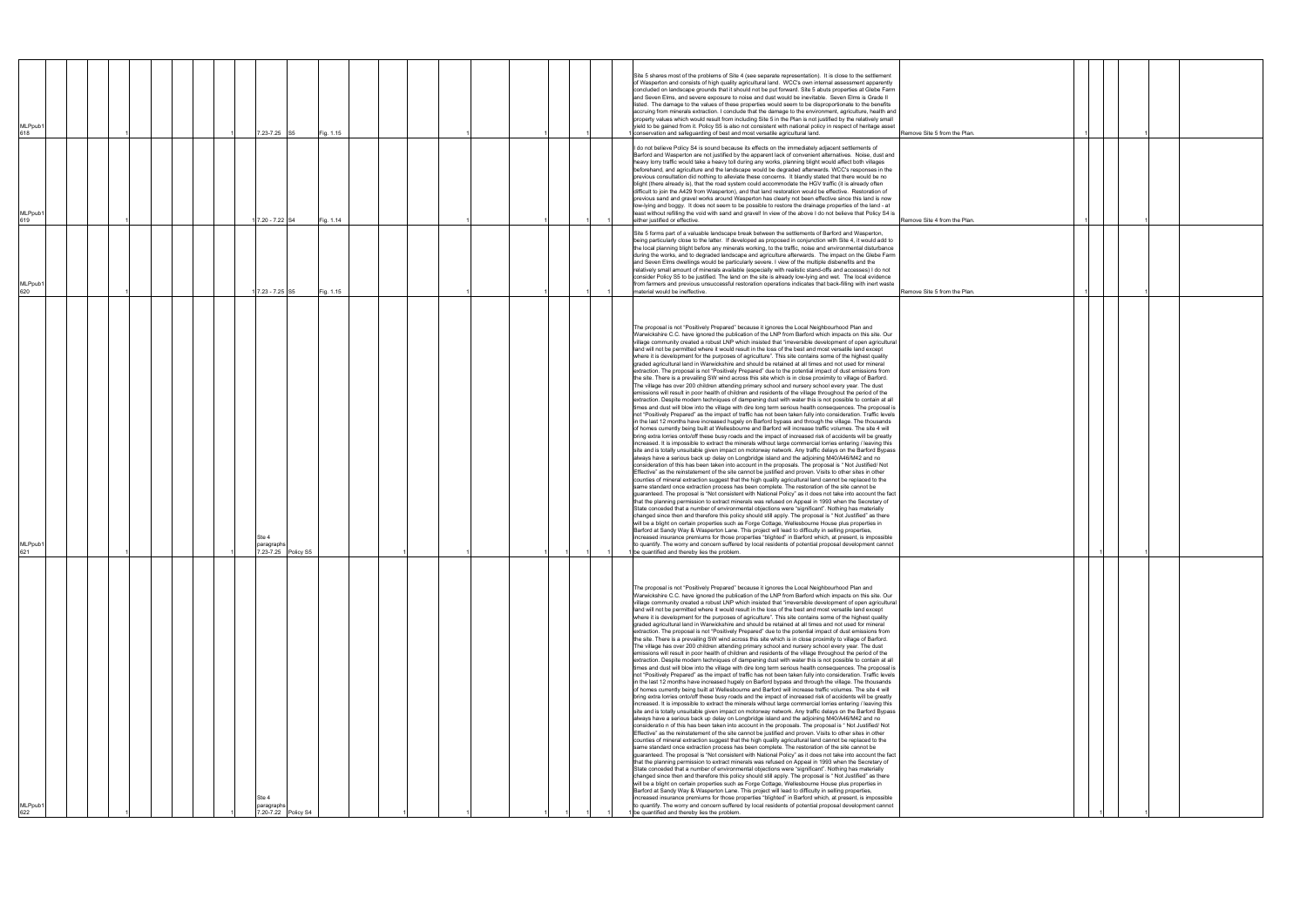| MLPpub <sup>*</sup><br>618 |  |  |  | 7.23-7.25 S5                               |                     | Fig. 1.15 |  |  |  | Site 5 shares most of the problems of Site 4 (see separate representation). It is close to the settlement<br>of Wasperton and consists of high quality agricultural land. WCC's own internal assessment apparently<br>concluded on landscape grounds that it should not be put forward. Site 5 abuts properties at Glebe Farm<br>and Seven Elms, and severe exposure to noise and dust would be inevitable. Seven Elms is Grade II<br>listed. The damage to the values of these properties would seem to be disproportionate to the benefits<br>accruing from minerals extraction. I conclude that the damage to the environment, agriculture, health and<br>property values which would result from including Site 5 in the Plan is not justified by the relatively small<br>yield to be gained from it. Policy S5 is also not consistent with national policy in respect of heritage asset<br>conservation and safeguarding of best and most versatile agricultural land.<br>Remove Site 5 from the Plan.                                                                                                                                                                                                                                                                                                                                                                                                                                                                                                                                                                                                                                                                                                                                                                                                                                                                                                                                                                                                                                                                                                                                                                                                                                                                                                                                                                                                                                                                                                                                                                                                                                                                                                                                                                                                                                                                                                                                                                                                                                                                                                                                                                                                                                                                                                                                                                                                                                                                                |
|----------------------------|--|--|--|--------------------------------------------|---------------------|-----------|--|--|--|--------------------------------------------------------------------------------------------------------------------------------------------------------------------------------------------------------------------------------------------------------------------------------------------------------------------------------------------------------------------------------------------------------------------------------------------------------------------------------------------------------------------------------------------------------------------------------------------------------------------------------------------------------------------------------------------------------------------------------------------------------------------------------------------------------------------------------------------------------------------------------------------------------------------------------------------------------------------------------------------------------------------------------------------------------------------------------------------------------------------------------------------------------------------------------------------------------------------------------------------------------------------------------------------------------------------------------------------------------------------------------------------------------------------------------------------------------------------------------------------------------------------------------------------------------------------------------------------------------------------------------------------------------------------------------------------------------------------------------------------------------------------------------------------------------------------------------------------------------------------------------------------------------------------------------------------------------------------------------------------------------------------------------------------------------------------------------------------------------------------------------------------------------------------------------------------------------------------------------------------------------------------------------------------------------------------------------------------------------------------------------------------------------------------------------------------------------------------------------------------------------------------------------------------------------------------------------------------------------------------------------------------------------------------------------------------------------------------------------------------------------------------------------------------------------------------------------------------------------------------------------------------------------------------------------------------------------------------------------------------------------------------------------------------------------------------------------------------------------------------------------------------------------------------------------------------------------------------------------------------------------------------------------------------------------------------------------------------------------------------------------------------------------------------------------------------------------------------------------------------|
| MLPpub <sup>-</sup><br>619 |  |  |  | 7.20 - 7.22 S4                             |                     | Fig. 1.14 |  |  |  | I do not believe Policy S4 is sound because its effects on the immediately adjacent settlements of<br>Barford and Wasperton are not justified by the apparent lack of convenient alternatives. Noise, dust and<br>heavy lorry traffic would take a heavy toll during any works, planning blight would affect both villages<br>beforehand, and agriculture and the landscape would be degraded afterwards. WCC's responses in the<br>previous consultation did nothing to alleviate these concerns. It blandly stated that there would be no<br>blight (there already is), that the road system could accommodate the HGV traffic (it is already often<br>difficult to join the A429 from Wasperton), and that land restoration would be effective. Restoration of<br>previous sand and gravel works around Wasperton has clearly not been effective since this land is now<br>low-lying and boggy. It does not seem to be possible to restore the drainage properties of the land - at<br>least without refilling the void with sand and gravel! In view of the above I do not believe that Policy S4 is<br>either justified or effective.<br>Remove Site 4 from the Plan.                                                                                                                                                                                                                                                                                                                                                                                                                                                                                                                                                                                                                                                                                                                                                                                                                                                                                                                                                                                                                                                                                                                                                                                                                                                                                                                                                                                                                                                                                                                                                                                                                                                                                                                                                                                                                                                                                                                                                                                                                                                                                                                                                                                                                                                                                                                 |
| MLPpub <sup>*</sup><br>620 |  |  |  | 7.23 - 7.25 S5                             |                     | Fig. 1.15 |  |  |  | Site 5 forms part of a valuable landscape break between the settlements of Barford and Wasperton,<br>being particularly close to the latter. If developed as proposed in conjunction with Site 4, it would add to<br>the local planning blight before any minerals working, to the traffic, noise and environmental disturbance<br>during the works, and to degraded landscape and agriculture afterwards. The impact on the Glebe Farm<br>and Seven Elms dwellings would be particularly severe. I view of the multiple disbenefits and the<br>relatively small amount of minerals available (especially with realistic stand-offs and accesses) I do not<br>consider Policy S5 to be justified. The land on the site is already low-lying and wet. The local evidence<br>from farmers and previous unsuccessful restoration operations indicates that back-filling with inert waste<br>material would be ineffective.<br>Remove Site 5 from the Plan.                                                                                                                                                                                                                                                                                                                                                                                                                                                                                                                                                                                                                                                                                                                                                                                                                                                                                                                                                                                                                                                                                                                                                                                                                                                                                                                                                                                                                                                                                                                                                                                                                                                                                                                                                                                                                                                                                                                                                                                                                                                                                                                                                                                                                                                                                                                                                                                                                                                                                                                                    |
| 621                        |  |  |  | Ste 4                                      | 7.23-7.25 Policy S5 |           |  |  |  | The proposal is not "Positively Prepared" because it ignores the Local Neighbourhood Plan and<br>Warwickshire C.C. have ignored the publication of the LNP from Barford which impacts on this site. Our<br>village community created a robust LNP which insisted that "irreversible development of open agricultural<br>land will not be permitted where it would result in the loss of the best and most versatile land except<br>where it is development for the purposes of agriculture". This site contains some of the highest quality<br>graded agricultural land in Warwickshire and should be retained at all times and not used for mineral<br>extraction. The proposal is not "Positively Prepared" due to the potential impact of dust emissions from<br>the site. There is a prevailing SW wind across this site which is in close proximity to village of Barford.<br>The village has over 200 children attending primary school and nursery school every year. The dust<br>emissions will result in poor health of children and residents of the village throughout the period of the<br>extraction. Despite modern techniques of dampening dust with water this is not possible to contain at all<br>times and dust will blow into the village with dire long term serious health consequences. The proposal is<br>not "Positively Prepared" as the impact of traffic has not been taken fully into consideration. Traffic levels<br>in the last 12 months have increased hugely on Barford bypass and through the village. The thousands<br>of homes currently being built at Wellesbourne and Barford will increase traffic volumes. The site 4 will<br>bring extra lorries onto/off these busy roads and the impact of increased risk of accidents will be greatly<br>increased. It is impossible to extract the minerals without large commercial lorries entering / leaving this<br>site and is totally unsuitable given impact on motorway network. Any traffic delays on the Barford Bypass<br>always have a serious back up delay on Longbridge island and the adjoining M40/A46/M42 and no<br>consideration of this has been taken into account in the proposals. The proposal is "Not Justified/Not<br>Effective" as the reinstatement of the site cannot be justified and proven. Visits to other sites in other<br>counties of mineral extraction suggest that the high quality agricultural land cannot be replaced to the<br>same standard once extraction process has been complete. The restoration of the site cannot be<br>guaranteed. The proposal is "Not consistent with National Policy" as it does not take into account the fact<br>that the planning permission to extract minerals was refused on Appeal in 1993 when the Secretary of<br>State conceded that a number of environmental objections were "significant". Nothing has materially<br>changed since then and therefore this policy should still apply. The proposal is "Not Justified" as there<br>will be a blight on certain properties such as Forge Cottage, Wellesbourne House plus properties in<br>Barford at Sandy Way & Wasperton Lane. This project will lead to difficulty in selling properties,<br>increased insurance premiums for those properties "blighted" in Barford which, at present, is impossible<br>to quantify. The worry and concern suffered by local residents of potential proposal development cannot<br>1 be quantified and thereby lies the problem.   |
| MLPpub <sup>-</sup><br>622 |  |  |  | Ste 4<br>paragraph:<br>7.20-7.22 Policy S4 |                     |           |  |  |  | The proposal is not "Positively Prepared" because it ignores the Local Neighbourhood Plan and<br>Warwickshire C.C. have ignored the publication of the LNP from Barford which impacts on this site. Our<br>village community created a robust LNP which insisted that "irreversible development of open agricultural<br>land will not be permitted where it would result in the loss of the best and most versatile land except<br>where it is development for the purposes of agriculture". This site contains some of the highest quality<br>graded agricultural land in Warwickshire and should be retained at all times and not used for mineral<br>extraction. The proposal is not "Positively Prepared" due to the potential impact of dust emissions from<br>the site. There is a prevailing SW wind across this site which is in close proximity to village of Barford.<br>The village has over 200 children attending primary school and nursery school every year. The dust<br>emissions will result in poor health of children and residents of the village throughout the period of the<br>extraction. Despite modern techniques of dampening dust with water this is not possible to contain at all<br>times and dust will blow into the village with dire long term serious health consequences. The proposal is<br>not "Positively Prepared" as the impact of traffic has not been taken fully into consideration. Traffic levels<br>in the last 12 months have increased hugely on Barford bypass and through the village. The thousands<br>of homes currently being built at Wellesbourne and Barford will increase traffic volumes. The site 4 will<br>bring extra lorries onto/off these busy roads and the impact of increased risk of accidents will be greatly<br>increased. It is impossible to extract the minerals without large commercial lorries entering / leaving this<br>site and is totally unsuitable given impact on motorway network. Any traffic delays on the Barford Bypass<br>always have a serious back up delay on Longbridge island and the adjoining M40/A46/M42 and no<br>consideratio n of this has been taken into account in the proposals. The proposal is " Not Justified/ Not<br>Effective" as the reinstatement of the site cannot be justified and proven. Visits to other sites in other<br>counties of mineral extraction suggest that the high quality agricultural land cannot be replaced to the<br>same standard once extraction process has been complete. The restoration of the site cannot be<br>guaranteed. The proposal is "Not consistent with National Policy" as it does not take into account the fact<br>that the planning permission to extract minerals was refused on Appeal in 1993 when the Secretary of<br>State conceded that a number of environmental objections were "significant". Nothing has materially<br>changed since then and therefore this policy should still apply. The proposal is " Not Justified" as there<br>will be a blight on certain properties such as Forge Cottage, Wellesbourne House plus properties in<br>Barford at Sandy Way & Wasperton Lane. This project will lead to difficulty in selling properties,<br>increased insurance premiums for those properties "blighted" in Barford which, at present, is impossible<br>to quantify. The worry and concern suffered by local residents of potential proposal development cannot<br>be quantified and thereby lies the problem. |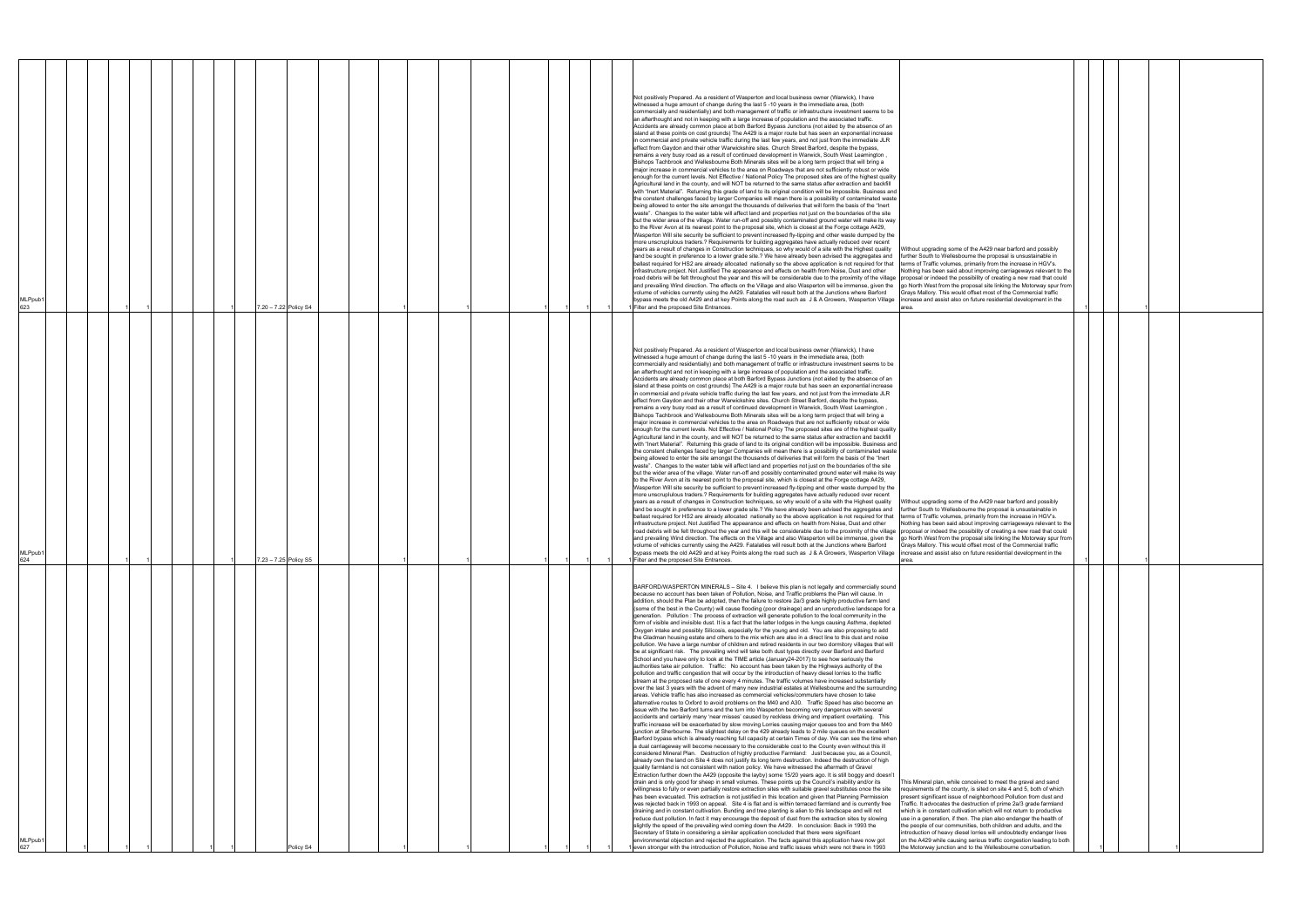| Not positively Prepared. As a resident of Wasperton and local business owner (Warwick), I have<br>witnessed a huge amount of change during the last 5 -10 years in the immediate area, (both<br>commercially and residentially) and both management of traffic or infrastructure investment seems to be<br>an afterthought and not in keeping with a large increase of population and the associated traffic.<br>Accidents are already common place at both Barford Bypass Junctions (not aided by the absence of an<br>island at these points on cost grounds) The A429 is a major route but has seen an exponential increase<br>in commercial and private vehicle traffic during the last few years, and not just from the immediate JLR<br>effect from Gaydon and their other Warwickshire sites. Church Street Barford, despite the bypass,<br>remains a very busy road as a result of continued development in Warwick, South West Leamington,<br>Bishops Tachbrook and Wellesbourne Both Minerals sites will be a long term project that will bring a<br>major increase in commercial vehicles to the area on Roadways that are not sufficiently robust or wide<br>enough for the current levels. Not Effective / National Policy The proposed sites are of the highest quality<br>Agricultural land in the county, and will NOT be returned to the same status after extraction and backfill<br>with "Inert Material". Returning this grade of land to its original condition will be impossible. Business and<br>the constent challenges faced by larger Companies will mean there is a possibility of contaminated waste<br>being allowed to enter the site amongst the thousands of deliveries that will form the basis of the "Inert<br>waste". Changes to the water table will affect land and properties not just on the boundaries of the site<br>but the wider area of the village. Water run-off and possibly contaminated ground water will make its way<br>to the River Avon at its nearest point to the proposal site, which is closest at the Forge cottage A429,<br>Wasperton Will site security be sufficient to prevent increased fly-tipping and other waste dumped by the<br>more unscruplulous traders.? Requirements for building aggregates have actually reduced over recent<br>years as a result of changes in Construction techniques, so why would of a site with the Highest quality Without upgrading some of the A429 near barford and possibly<br>land be sought in preference to a lower grade site.? We have already been advised the aggregates and further South to Wellesbourne the proposal is unsustainable in<br>ballast required for HS2 are already allocated nationally so the above application is not required for that terms of Traffic volumes, primarily from the increase in HGV's.<br>infrastructure project. Not Justified The appearance and effects on health from Noise, Dust and other<br>Nothing has been said about improving carriageways relevant to the<br>road debris will be felt throughout the year and this will be considerable due to the proximity of the village proposal or indeed the possibility of creating a new road that could<br>and prevailing Wind direction. The effects on the Village and also Wasperton will be immense, given the go North West from the proposal site linking the Motorway spur from<br>volume of vehicles currently using the A429. Fatalaties will result both at the Junctions where Barford<br>Grays Mallory. This would offset most of the Commercial traffic<br>bypass meets the old A429 and at key Points along the road such as J & A Growers, Wasperton Village increase and assist also on future residential development in the<br>7.20 - 7.22 Policy S4<br>Filter and the proposed Site Entrances.<br>area.<br>Not positively Prepared. As a resident of Wasperton and local business owner (Warwick), I have<br>witnessed a huge amount of change during the last 5 -10 years in the immediate area, (both<br>commercially and residentially) and both management of traffic or infrastructure investment seems to be<br>an afterthought and not in keeping with a large increase of population and the associated traffic.<br>Accidents are already common place at both Barford Bypass Junctions (not aided by the absence of an<br>island at these points on cost grounds) The A429 is a major route but has seen an exponential increase<br>in commercial and private vehicle traffic during the last few years, and not just from the immediate JLR<br>effect from Gaydon and their other Warwickshire sites. Church Street Barford, despite the bypass,<br>remains a very busy road as a result of continued development in Warwick, South West Leamington,<br>Bishops Tachbrook and Wellesbourne Both Minerals sites will be a long term project that will bring a<br>major increase in commercial vehicles to the area on Roadways that are not sufficiently robust or wide<br>enough for the current levels. Not Effective / National Policy The proposed sites are of the highest quality<br>Agricultural land in the county, and will NOT be returned to the same status after extraction and backfill<br>with "Inert Material". Returning this grade of land to its original condition will be impossible. Business and<br>the constent challenges faced by larger Companies will mean there is a possibility of contaminated waste<br>being allowed to enter the site amongst the thousands of deliveries that will form the basis of the "Inert"<br>waste". Changes to the water table will affect land and properties not just on the boundaries of the site<br>but the wider area of the village. Water run-off and possibly contaminated ground water will make its way<br>to the River Avon at its nearest point to the proposal site, which is closest at the Forge cottage A429,<br>Wasperton Will site security be sufficient to prevent increased fly-tipping and other waste dumped by the<br>more unscruplulous traders.? Requirements for building aggregates have actually reduced over recent<br>years as a result of changes in Construction techniques, so why would of a site with the Highest quality<br>Without upgrading some of the A429 near barford and possibly<br>land be sought in preference to a lower grade site.? We have already been advised the aggregates and further South to Wellesbourne the proposal is unsustainable in<br>ballast required for HS2 are already allocated nationally so the above application is not required for that terms of Traffic volumes, primarily from the increase in HGV's.<br>infrastructure project. Not Justified The appearance and effects on health from Noise, Dust and other<br>Nothing has been said about improving carriageways relevant to the<br>road debris will be felt throughout the year and this will be considerable due to the proximity of the village proposal or indeed the possibility of creating a new road that could<br>and prevailing Wind direction. The effects on the Village and also Wasperton will be immense, given the   go North West from the proposal site linking the Motorway spur from<br>volume of vehicles currently using the A429. Fatalaties will result both at the Junctions where Barford<br>Grays Mallory. This would offset most of the Commercial traffic<br>bypass meets the old A429 and at key Points along the road such as J & A Growers, Wasperton Village increase and assist also on future residential development in the<br>7.23 - 7.25 Policy S5<br>Filter and the proposed Site Entrances.<br>area<br>BARFORD/WASPERTON MINERALS - Site 4. I believe this plan is not legally and commercially sound<br>because no account has been taken of Pollution, Noise, and Traffic problems the Plan will cause. In<br>addition, should the Plan be adopted, then the failure to restore 2a/3 grade highly productive farm land<br>(some of the best in the County) will cause flooding (poor drainage) and an unproductive landscape for a<br>generation. Pollution: The process of extraction will generate pollution to the local community in the<br>form of visible and invisible dust. It is a fact that the latter lodges in the lungs causing Asthma, depleted<br>Oxygen intake and possibly Silicosis, especially for the young and old. You are also proposing to add<br>the Gladman housing estate and others to the mix which are also in a direct line to this dust and noise<br>pollution. We have a large number of children and retired residents in our two dormitory villages that will<br>be at significant risk. The prevailing wind will take both dust types directly over Barford and Barford<br>School and you have only to look at the TIME article (January 24-2017) to see how seriously the<br>authorities take air pollution. Traffic: No account has been taken by the Highways authority of the<br>pollution and traffic congestion that will occur by the introduction of heavy diesel lorries to the traffic<br>stream at the proposed rate of one every 4 minutes. The traffic volumes have increased substantially<br>over the last 3 years with the advent of many new industrial estates at Wellesbourne and the surrounding<br>areas. Vehicle traffic has also increased as commercial vehicles/commuters have chosen to take<br>alternative routes to Oxford to avoid problems on the M40 and A30. Traffic Speed has also become an<br>issue with the two Barford turns and the turn into Wasperton becoming very dangerous with several<br>accidents and certainly many 'near misses' caused by reckless driving and impatient overtaking. This<br>traffic increase will be exacerbated by slow moving Lorries causing major queues too and from the M40<br>junction at Sherbourne. The slightest delay on the 429 already leads to 2 mile queues on the excellent<br>Barford bypass which is already reaching full capacity at certain Times of day. We can see the time when<br>a dual carriageway will become necessary to the considerable cost to the County even without this ill<br>considered Mineral Plan. Destruction of highly productive Farmland: Just because you, as a Council,<br>already own the land on Site 4 does not justify its long term destruction. Indeed the destruction of high<br>quality farmland is not consistent with nation policy. We have witnessed the aftermath of Gravel<br>Extraction further down the A429 (opposite the layby) some 15/20 years ago. It is still boggy and doesn't<br>drain and is only good for sheep in small volumes. These points up the Council's inability and/or its<br>This Mineral plan, while conceived to meet the gravel and sand<br>willingness to fully or even partially restore extraction sites with suitable gravel substitutes once the site<br>requirements of the county, is sited on site 4 and 5, both of which<br>has been evacuated. This extraction is not justified in this location and given that Planning Permission<br>present significant issue of neighborhood Pollution from dust and<br>was rejected back in 1993 on appeal. Site 4 is flat and is within terraced farmland and is currently free<br>Traffic. It advocates the destruction of prime 2a/3 grade farmland<br>draining and in constant cultivation. Bunding and tree planting is alien to this landscape and will not<br>which is in constant cultivation which will not return to productive<br>reduce dust pollution. In fact it may encourage the deposit of dust from the extraction sites by slowing<br>use in a generation, if then. The plan also endanger the health of<br>slightly the speed of the prevailing wind coming down the A429. In conclusion: Back in 1993 the<br>the people of our communities, both children and adults, and the<br>Secretary of State in considering a similar application concluded that there were significant<br>introduction of heavy diesel lorries will undoubtedly endanger lives<br>environmental objection and rejected the application. The facts against this application have now got<br>on the A429 while causing serious traffic congestion leading to both<br>1 even stronger with the introduction of Pollution, Noise and traffic issues which were not there in 1993<br>the Motorway junction and to the Wellesbourne conurbation.<br>Policy S4 | MLPpub1<br>627 | <b>MLPpub</b><br>624 | <b>MLPpub</b><br>623 |
|-----------------------------------------------------------------------------------------------------------------------------------------------------------------------------------------------------------------------------------------------------------------------------------------------------------------------------------------------------------------------------------------------------------------------------------------------------------------------------------------------------------------------------------------------------------------------------------------------------------------------------------------------------------------------------------------------------------------------------------------------------------------------------------------------------------------------------------------------------------------------------------------------------------------------------------------------------------------------------------------------------------------------------------------------------------------------------------------------------------------------------------------------------------------------------------------------------------------------------------------------------------------------------------------------------------------------------------------------------------------------------------------------------------------------------------------------------------------------------------------------------------------------------------------------------------------------------------------------------------------------------------------------------------------------------------------------------------------------------------------------------------------------------------------------------------------------------------------------------------------------------------------------------------------------------------------------------------------------------------------------------------------------------------------------------------------------------------------------------------------------------------------------------------------------------------------------------------------------------------------------------------------------------------------------------------------------------------------------------------------------------------------------------------------------------------------------------------------------------------------------------------------------------------------------------------------------------------------------------------------------------------------------------------------------------------------------------------------------------------------------------------------------------------------------------------------------------------------------------------------------------------------------------------------------------------------------------------------------------------------------------------------------------------------------------------------------------------------------------------------------------------------------------------------------------------------------------------------------------------------------------------------------------------------------------------------------------------------------------------------------------------------------------------------------------------------------------------------------------------------------------------------------------------------------------------------------------------------------------------------------------------------------------------------------------------------------------------------------------------------------------------------------------------------------------------------------------------------------------------------------------------------------------------------------------------------------------------------------------------------------------------------------------------------------------------------------------------------------------------------------------------------------------------------------------------------------------------------------------------------------------------------------------------------------------------------------------------------------------------------------------------------------------------------------------------------------------------------------------------------------------------------------------------------------------------------------------------------------------------------------------------------------------------------------------------------------------------------------------------------------------------------------------------------------------------------------------------------------------------------------------------------------------------------------------------------------------------------------------------------------------------------------------------------------------------------------------------------------------------------------------------------------------------------------------------------------------------------------------------------------------------------------------------------------------------------------------------------------------------------------------------------------------------------------------------------------------------------------------------------------------------------------------------------------------------------------------------------------------------------------------------------------------------------------------------------------------------------------------------------------------------------------------------------------------------------------------------------------------------------------------------------------------------------------------------------------------------------------------------------------------------------------------------------------------------------------------------------------------------------------------------------------------------------------------------------------------------------------------------------------------------------------------------------------------------------------------------------------------------------------------------------------------------------------------------------------------------------------------------------------------------------------------------------------------------------------------------------------------------------------------------------------------------------------------------------------------------------------------------------------------------------------------------------------------------------------------------------------------------------------------------------------------------------------------------------------------------------------------------------------------------------------------------------------------------------------------------------------------------------------------------------------------------------------------------------------------------------------------------------------------------------------------------------------------------------------------------------------------------------------------------------------------------------------------------------------------------------------------------------------------------------------------------------------------------------------------------------------------------------------------------------------------------------------------------------------------------------------------------------------------------------------------------------------------------------------------------------------------------------------------------------------------------------------------------------------------------------------------------------------------------------------------------------------------------------------------------------------------------------------------------------------------------------------------------------------------------------------------------------------------------------------------------------------------------------------------------------------------------------------------------------------------------------------------------------------------------------------------------------------------------------------------------------------------------------------------------------------------------------------------------------------------------------------------------------------------------------------------------------------------------------------------------------------------------------------------------------------------------------------------------------------------------------------------------------------------------------------------------------------------------------------------------------------------------------------------------------------------------------------------------------------------------------------------------------------------------------------------------------------------------------------------------------------------------------------------------------------------------------------------------------------------------------------------------------------------------------------------------------------------------------------------------------------------------------------------------------------------------------------------------------------------------------------------------------------------------------------------------------------------------------------------------------------------------------------------------------------------------------------------------------------------------------------------------------------------------------------------------------------------------------------------------------------------------------------------------------------------------------------------------------------------------------------------------------------------------------------------------------------------------------------------------------------------------------------------------------------------------------------------------------------------------------------------------------------------------------------------------------------------------------------------------------------------------------------------------------------------------------------------------------------------------------------------------------------------------------------------------------------------------------------------------------------------------------------------------------------------------------------------------------------------------------------------------------------------------------------------------------------------------------------------------------------------------------------------------------------------------------------------------------------------------------------------------------------------------------------------------------------------------------------------------------------------------------------------------------------------------------------------------------------------------------------------------------------------------------------------------------------------------------------------------------------------------------------------------------------------------------------------------------------------------------------------------------------------------------------------------------------------------------------------------------------------------------------------------------------------------------------------------------------------------------------------------------------------------------------------------------------------------------------------------------------------------------------------------------------------------------------------------------------------------------------------------------------------------------------------------------------------------------------------------------------------------------------------------------------------------------------------------------------------------------------------------------------------------------------------|----------------|----------------------|----------------------|
|                                                                                                                                                                                                                                                                                                                                                                                                                                                                                                                                                                                                                                                                                                                                                                                                                                                                                                                                                                                                                                                                                                                                                                                                                                                                                                                                                                                                                                                                                                                                                                                                                                                                                                                                                                                                                                                                                                                                                                                                                                                                                                                                                                                                                                                                                                                                                                                                                                                                                                                                                                                                                                                                                                                                                                                                                                                                                                                                                                                                                                                                                                                                                                                                                                                                                                                                                                                                                                                                                                                                                                                                                                                                                                                                                                                                                                                                                                                                                                                                                                                                                                                                                                                                                                                                                                                                                                                                                                                                                                                                                                                                                                                                                                                                                                                                                                                                                                                                                                                                                                                                                                                                                                                                                                                                                                                                                                                                                                                                                                                                                                                                                                                                                                                                                                                                                                                                                                                                                                                                                                                                                                                                                                                                                                                                                                                                                                                                                                                                                                                                                                                                                                                                                                                                                                                                                                                                                                                                                                                                                                                                                                                                                                                                                                                                                                                                                                                                                                                                                                                                                                                                                                                                                                                                                                                                                                                                                                                                                                                                                                                                                                                                                                                                                                                                                                                                                                                                                                                                                                                                                                                                                                                                                                                                                                                                                                                                                                                                                                                                                                                                                                                                                                                                                                                                                                                                                                                                                                                                                                                                                                                                                                                                                                                                                                                                                                                                                                                                                                                                                                                                                                                                                                                                                                                                                                                                                                                                                                                                                                                                                                                                                                                                                                                                                                                                                                                                                                                                                                                                                                                                                                                                                                                                                                                                                                                                                                                                                                                                                                                                                                                                                                                                                                                                                                                                                                                                                                                                                                                                                                                                                                                                                                                                                                                                                                                                                                                                                                                                             |                |                      |                      |
|                                                                                                                                                                                                                                                                                                                                                                                                                                                                                                                                                                                                                                                                                                                                                                                                                                                                                                                                                                                                                                                                                                                                                                                                                                                                                                                                                                                                                                                                                                                                                                                                                                                                                                                                                                                                                                                                                                                                                                                                                                                                                                                                                                                                                                                                                                                                                                                                                                                                                                                                                                                                                                                                                                                                                                                                                                                                                                                                                                                                                                                                                                                                                                                                                                                                                                                                                                                                                                                                                                                                                                                                                                                                                                                                                                                                                                                                                                                                                                                                                                                                                                                                                                                                                                                                                                                                                                                                                                                                                                                                                                                                                                                                                                                                                                                                                                                                                                                                                                                                                                                                                                                                                                                                                                                                                                                                                                                                                                                                                                                                                                                                                                                                                                                                                                                                                                                                                                                                                                                                                                                                                                                                                                                                                                                                                                                                                                                                                                                                                                                                                                                                                                                                                                                                                                                                                                                                                                                                                                                                                                                                                                                                                                                                                                                                                                                                                                                                                                                                                                                                                                                                                                                                                                                                                                                                                                                                                                                                                                                                                                                                                                                                                                                                                                                                                                                                                                                                                                                                                                                                                                                                                                                                                                                                                                                                                                                                                                                                                                                                                                                                                                                                                                                                                                                                                                                                                                                                                                                                                                                                                                                                                                                                                                                                                                                                                                                                                                                                                                                                                                                                                                                                                                                                                                                                                                                                                                                                                                                                                                                                                                                                                                                                                                                                                                                                                                                                                                                                                                                                                                                                                                                                                                                                                                                                                                                                                                                                                                                                                                                                                                                                                                                                                                                                                                                                                                                                                                                                                                                                                                                                                                                                                                                                                                                                                                                                                                                                                                                                             |                |                      |                      |
|                                                                                                                                                                                                                                                                                                                                                                                                                                                                                                                                                                                                                                                                                                                                                                                                                                                                                                                                                                                                                                                                                                                                                                                                                                                                                                                                                                                                                                                                                                                                                                                                                                                                                                                                                                                                                                                                                                                                                                                                                                                                                                                                                                                                                                                                                                                                                                                                                                                                                                                                                                                                                                                                                                                                                                                                                                                                                                                                                                                                                                                                                                                                                                                                                                                                                                                                                                                                                                                                                                                                                                                                                                                                                                                                                                                                                                                                                                                                                                                                                                                                                                                                                                                                                                                                                                                                                                                                                                                                                                                                                                                                                                                                                                                                                                                                                                                                                                                                                                                                                                                                                                                                                                                                                                                                                                                                                                                                                                                                                                                                                                                                                                                                                                                                                                                                                                                                                                                                                                                                                                                                                                                                                                                                                                                                                                                                                                                                                                                                                                                                                                                                                                                                                                                                                                                                                                                                                                                                                                                                                                                                                                                                                                                                                                                                                                                                                                                                                                                                                                                                                                                                                                                                                                                                                                                                                                                                                                                                                                                                                                                                                                                                                                                                                                                                                                                                                                                                                                                                                                                                                                                                                                                                                                                                                                                                                                                                                                                                                                                                                                                                                                                                                                                                                                                                                                                                                                                                                                                                                                                                                                                                                                                                                                                                                                                                                                                                                                                                                                                                                                                                                                                                                                                                                                                                                                                                                                                                                                                                                                                                                                                                                                                                                                                                                                                                                                                                                                                                                                                                                                                                                                                                                                                                                                                                                                                                                                                                                                                                                                                                                                                                                                                                                                                                                                                                                                                                                                                                                                                                                                                                                                                                                                                                                                                                                                                                                                                                                                                                             |                |                      |                      |
|                                                                                                                                                                                                                                                                                                                                                                                                                                                                                                                                                                                                                                                                                                                                                                                                                                                                                                                                                                                                                                                                                                                                                                                                                                                                                                                                                                                                                                                                                                                                                                                                                                                                                                                                                                                                                                                                                                                                                                                                                                                                                                                                                                                                                                                                                                                                                                                                                                                                                                                                                                                                                                                                                                                                                                                                                                                                                                                                                                                                                                                                                                                                                                                                                                                                                                                                                                                                                                                                                                                                                                                                                                                                                                                                                                                                                                                                                                                                                                                                                                                                                                                                                                                                                                                                                                                                                                                                                                                                                                                                                                                                                                                                                                                                                                                                                                                                                                                                                                                                                                                                                                                                                                                                                                                                                                                                                                                                                                                                                                                                                                                                                                                                                                                                                                                                                                                                                                                                                                                                                                                                                                                                                                                                                                                                                                                                                                                                                                                                                                                                                                                                                                                                                                                                                                                                                                                                                                                                                                                                                                                                                                                                                                                                                                                                                                                                                                                                                                                                                                                                                                                                                                                                                                                                                                                                                                                                                                                                                                                                                                                                                                                                                                                                                                                                                                                                                                                                                                                                                                                                                                                                                                                                                                                                                                                                                                                                                                                                                                                                                                                                                                                                                                                                                                                                                                                                                                                                                                                                                                                                                                                                                                                                                                                                                                                                                                                                                                                                                                                                                                                                                                                                                                                                                                                                                                                                                                                                                                                                                                                                                                                                                                                                                                                                                                                                                                                                                                                                                                                                                                                                                                                                                                                                                                                                                                                                                                                                                                                                                                                                                                                                                                                                                                                                                                                                                                                                                                                                                                                                                                                                                                                                                                                                                                                                                                                                                                                                                                                                             |                |                      |                      |
|                                                                                                                                                                                                                                                                                                                                                                                                                                                                                                                                                                                                                                                                                                                                                                                                                                                                                                                                                                                                                                                                                                                                                                                                                                                                                                                                                                                                                                                                                                                                                                                                                                                                                                                                                                                                                                                                                                                                                                                                                                                                                                                                                                                                                                                                                                                                                                                                                                                                                                                                                                                                                                                                                                                                                                                                                                                                                                                                                                                                                                                                                                                                                                                                                                                                                                                                                                                                                                                                                                                                                                                                                                                                                                                                                                                                                                                                                                                                                                                                                                                                                                                                                                                                                                                                                                                                                                                                                                                                                                                                                                                                                                                                                                                                                                                                                                                                                                                                                                                                                                                                                                                                                                                                                                                                                                                                                                                                                                                                                                                                                                                                                                                                                                                                                                                                                                                                                                                                                                                                                                                                                                                                                                                                                                                                                                                                                                                                                                                                                                                                                                                                                                                                                                                                                                                                                                                                                                                                                                                                                                                                                                                                                                                                                                                                                                                                                                                                                                                                                                                                                                                                                                                                                                                                                                                                                                                                                                                                                                                                                                                                                                                                                                                                                                                                                                                                                                                                                                                                                                                                                                                                                                                                                                                                                                                                                                                                                                                                                                                                                                                                                                                                                                                                                                                                                                                                                                                                                                                                                                                                                                                                                                                                                                                                                                                                                                                                                                                                                                                                                                                                                                                                                                                                                                                                                                                                                                                                                                                                                                                                                                                                                                                                                                                                                                                                                                                                                                                                                                                                                                                                                                                                                                                                                                                                                                                                                                                                                                                                                                                                                                                                                                                                                                                                                                                                                                                                                                                                                                                                                                                                                                                                                                                                                                                                                                                                                                                                                                                                             |                |                      |                      |
|                                                                                                                                                                                                                                                                                                                                                                                                                                                                                                                                                                                                                                                                                                                                                                                                                                                                                                                                                                                                                                                                                                                                                                                                                                                                                                                                                                                                                                                                                                                                                                                                                                                                                                                                                                                                                                                                                                                                                                                                                                                                                                                                                                                                                                                                                                                                                                                                                                                                                                                                                                                                                                                                                                                                                                                                                                                                                                                                                                                                                                                                                                                                                                                                                                                                                                                                                                                                                                                                                                                                                                                                                                                                                                                                                                                                                                                                                                                                                                                                                                                                                                                                                                                                                                                                                                                                                                                                                                                                                                                                                                                                                                                                                                                                                                                                                                                                                                                                                                                                                                                                                                                                                                                                                                                                                                                                                                                                                                                                                                                                                                                                                                                                                                                                                                                                                                                                                                                                                                                                                                                                                                                                                                                                                                                                                                                                                                                                                                                                                                                                                                                                                                                                                                                                                                                                                                                                                                                                                                                                                                                                                                                                                                                                                                                                                                                                                                                                                                                                                                                                                                                                                                                                                                                                                                                                                                                                                                                                                                                                                                                                                                                                                                                                                                                                                                                                                                                                                                                                                                                                                                                                                                                                                                                                                                                                                                                                                                                                                                                                                                                                                                                                                                                                                                                                                                                                                                                                                                                                                                                                                                                                                                                                                                                                                                                                                                                                                                                                                                                                                                                                                                                                                                                                                                                                                                                                                                                                                                                                                                                                                                                                                                                                                                                                                                                                                                                                                                                                                                                                                                                                                                                                                                                                                                                                                                                                                                                                                                                                                                                                                                                                                                                                                                                                                                                                                                                                                                                                                                                                                                                                                                                                                                                                                                                                                                                                                                                                                                                                             |                |                      |                      |
|                                                                                                                                                                                                                                                                                                                                                                                                                                                                                                                                                                                                                                                                                                                                                                                                                                                                                                                                                                                                                                                                                                                                                                                                                                                                                                                                                                                                                                                                                                                                                                                                                                                                                                                                                                                                                                                                                                                                                                                                                                                                                                                                                                                                                                                                                                                                                                                                                                                                                                                                                                                                                                                                                                                                                                                                                                                                                                                                                                                                                                                                                                                                                                                                                                                                                                                                                                                                                                                                                                                                                                                                                                                                                                                                                                                                                                                                                                                                                                                                                                                                                                                                                                                                                                                                                                                                                                                                                                                                                                                                                                                                                                                                                                                                                                                                                                                                                                                                                                                                                                                                                                                                                                                                                                                                                                                                                                                                                                                                                                                                                                                                                                                                                                                                                                                                                                                                                                                                                                                                                                                                                                                                                                                                                                                                                                                                                                                                                                                                                                                                                                                                                                                                                                                                                                                                                                                                                                                                                                                                                                                                                                                                                                                                                                                                                                                                                                                                                                                                                                                                                                                                                                                                                                                                                                                                                                                                                                                                                                                                                                                                                                                                                                                                                                                                                                                                                                                                                                                                                                                                                                                                                                                                                                                                                                                                                                                                                                                                                                                                                                                                                                                                                                                                                                                                                                                                                                                                                                                                                                                                                                                                                                                                                                                                                                                                                                                                                                                                                                                                                                                                                                                                                                                                                                                                                                                                                                                                                                                                                                                                                                                                                                                                                                                                                                                                                                                                                                                                                                                                                                                                                                                                                                                                                                                                                                                                                                                                                                                                                                                                                                                                                                                                                                                                                                                                                                                                                                                                                                                                                                                                                                                                                                                                                                                                                                                                                                                                                                                                             |                |                      |                      |
|                                                                                                                                                                                                                                                                                                                                                                                                                                                                                                                                                                                                                                                                                                                                                                                                                                                                                                                                                                                                                                                                                                                                                                                                                                                                                                                                                                                                                                                                                                                                                                                                                                                                                                                                                                                                                                                                                                                                                                                                                                                                                                                                                                                                                                                                                                                                                                                                                                                                                                                                                                                                                                                                                                                                                                                                                                                                                                                                                                                                                                                                                                                                                                                                                                                                                                                                                                                                                                                                                                                                                                                                                                                                                                                                                                                                                                                                                                                                                                                                                                                                                                                                                                                                                                                                                                                                                                                                                                                                                                                                                                                                                                                                                                                                                                                                                                                                                                                                                                                                                                                                                                                                                                                                                                                                                                                                                                                                                                                                                                                                                                                                                                                                                                                                                                                                                                                                                                                                                                                                                                                                                                                                                                                                                                                                                                                                                                                                                                                                                                                                                                                                                                                                                                                                                                                                                                                                                                                                                                                                                                                                                                                                                                                                                                                                                                                                                                                                                                                                                                                                                                                                                                                                                                                                                                                                                                                                                                                                                                                                                                                                                                                                                                                                                                                                                                                                                                                                                                                                                                                                                                                                                                                                                                                                                                                                                                                                                                                                                                                                                                                                                                                                                                                                                                                                                                                                                                                                                                                                                                                                                                                                                                                                                                                                                                                                                                                                                                                                                                                                                                                                                                                                                                                                                                                                                                                                                                                                                                                                                                                                                                                                                                                                                                                                                                                                                                                                                                                                                                                                                                                                                                                                                                                                                                                                                                                                                                                                                                                                                                                                                                                                                                                                                                                                                                                                                                                                                                                                                                                                                                                                                                                                                                                                                                                                                                                                                                                                                                                                             |                |                      |                      |
|                                                                                                                                                                                                                                                                                                                                                                                                                                                                                                                                                                                                                                                                                                                                                                                                                                                                                                                                                                                                                                                                                                                                                                                                                                                                                                                                                                                                                                                                                                                                                                                                                                                                                                                                                                                                                                                                                                                                                                                                                                                                                                                                                                                                                                                                                                                                                                                                                                                                                                                                                                                                                                                                                                                                                                                                                                                                                                                                                                                                                                                                                                                                                                                                                                                                                                                                                                                                                                                                                                                                                                                                                                                                                                                                                                                                                                                                                                                                                                                                                                                                                                                                                                                                                                                                                                                                                                                                                                                                                                                                                                                                                                                                                                                                                                                                                                                                                                                                                                                                                                                                                                                                                                                                                                                                                                                                                                                                                                                                                                                                                                                                                                                                                                                                                                                                                                                                                                                                                                                                                                                                                                                                                                                                                                                                                                                                                                                                                                                                                                                                                                                                                                                                                                                                                                                                                                                                                                                                                                                                                                                                                                                                                                                                                                                                                                                                                                                                                                                                                                                                                                                                                                                                                                                                                                                                                                                                                                                                                                                                                                                                                                                                                                                                                                                                                                                                                                                                                                                                                                                                                                                                                                                                                                                                                                                                                                                                                                                                                                                                                                                                                                                                                                                                                                                                                                                                                                                                                                                                                                                                                                                                                                                                                                                                                                                                                                                                                                                                                                                                                                                                                                                                                                                                                                                                                                                                                                                                                                                                                                                                                                                                                                                                                                                                                                                                                                                                                                                                                                                                                                                                                                                                                                                                                                                                                                                                                                                                                                                                                                                                                                                                                                                                                                                                                                                                                                                                                                                                                                                                                                                                                                                                                                                                                                                                                                                                                                                                                                                                             |                |                      |                      |
|                                                                                                                                                                                                                                                                                                                                                                                                                                                                                                                                                                                                                                                                                                                                                                                                                                                                                                                                                                                                                                                                                                                                                                                                                                                                                                                                                                                                                                                                                                                                                                                                                                                                                                                                                                                                                                                                                                                                                                                                                                                                                                                                                                                                                                                                                                                                                                                                                                                                                                                                                                                                                                                                                                                                                                                                                                                                                                                                                                                                                                                                                                                                                                                                                                                                                                                                                                                                                                                                                                                                                                                                                                                                                                                                                                                                                                                                                                                                                                                                                                                                                                                                                                                                                                                                                                                                                                                                                                                                                                                                                                                                                                                                                                                                                                                                                                                                                                                                                                                                                                                                                                                                                                                                                                                                                                                                                                                                                                                                                                                                                                                                                                                                                                                                                                                                                                                                                                                                                                                                                                                                                                                                                                                                                                                                                                                                                                                                                                                                                                                                                                                                                                                                                                                                                                                                                                                                                                                                                                                                                                                                                                                                                                                                                                                                                                                                                                                                                                                                                                                                                                                                                                                                                                                                                                                                                                                                                                                                                                                                                                                                                                                                                                                                                                                                                                                                                                                                                                                                                                                                                                                                                                                                                                                                                                                                                                                                                                                                                                                                                                                                                                                                                                                                                                                                                                                                                                                                                                                                                                                                                                                                                                                                                                                                                                                                                                                                                                                                                                                                                                                                                                                                                                                                                                                                                                                                                                                                                                                                                                                                                                                                                                                                                                                                                                                                                                                                                                                                                                                                                                                                                                                                                                                                                                                                                                                                                                                                                                                                                                                                                                                                                                                                                                                                                                                                                                                                                                                                                                                                                                                                                                                                                                                                                                                                                                                                                                                                                                                                             |                |                      |                      |
|                                                                                                                                                                                                                                                                                                                                                                                                                                                                                                                                                                                                                                                                                                                                                                                                                                                                                                                                                                                                                                                                                                                                                                                                                                                                                                                                                                                                                                                                                                                                                                                                                                                                                                                                                                                                                                                                                                                                                                                                                                                                                                                                                                                                                                                                                                                                                                                                                                                                                                                                                                                                                                                                                                                                                                                                                                                                                                                                                                                                                                                                                                                                                                                                                                                                                                                                                                                                                                                                                                                                                                                                                                                                                                                                                                                                                                                                                                                                                                                                                                                                                                                                                                                                                                                                                                                                                                                                                                                                                                                                                                                                                                                                                                                                                                                                                                                                                                                                                                                                                                                                                                                                                                                                                                                                                                                                                                                                                                                                                                                                                                                                                                                                                                                                                                                                                                                                                                                                                                                                                                                                                                                                                                                                                                                                                                                                                                                                                                                                                                                                                                                                                                                                                                                                                                                                                                                                                                                                                                                                                                                                                                                                                                                                                                                                                                                                                                                                                                                                                                                                                                                                                                                                                                                                                                                                                                                                                                                                                                                                                                                                                                                                                                                                                                                                                                                                                                                                                                                                                                                                                                                                                                                                                                                                                                                                                                                                                                                                                                                                                                                                                                                                                                                                                                                                                                                                                                                                                                                                                                                                                                                                                                                                                                                                                                                                                                                                                                                                                                                                                                                                                                                                                                                                                                                                                                                                                                                                                                                                                                                                                                                                                                                                                                                                                                                                                                                                                                                                                                                                                                                                                                                                                                                                                                                                                                                                                                                                                                                                                                                                                                                                                                                                                                                                                                                                                                                                                                                                                                                                                                                                                                                                                                                                                                                                                                                                                                                                                                                                             |                |                      |                      |
|                                                                                                                                                                                                                                                                                                                                                                                                                                                                                                                                                                                                                                                                                                                                                                                                                                                                                                                                                                                                                                                                                                                                                                                                                                                                                                                                                                                                                                                                                                                                                                                                                                                                                                                                                                                                                                                                                                                                                                                                                                                                                                                                                                                                                                                                                                                                                                                                                                                                                                                                                                                                                                                                                                                                                                                                                                                                                                                                                                                                                                                                                                                                                                                                                                                                                                                                                                                                                                                                                                                                                                                                                                                                                                                                                                                                                                                                                                                                                                                                                                                                                                                                                                                                                                                                                                                                                                                                                                                                                                                                                                                                                                                                                                                                                                                                                                                                                                                                                                                                                                                                                                                                                                                                                                                                                                                                                                                                                                                                                                                                                                                                                                                                                                                                                                                                                                                                                                                                                                                                                                                                                                                                                                                                                                                                                                                                                                                                                                                                                                                                                                                                                                                                                                                                                                                                                                                                                                                                                                                                                                                                                                                                                                                                                                                                                                                                                                                                                                                                                                                                                                                                                                                                                                                                                                                                                                                                                                                                                                                                                                                                                                                                                                                                                                                                                                                                                                                                                                                                                                                                                                                                                                                                                                                                                                                                                                                                                                                                                                                                                                                                                                                                                                                                                                                                                                                                                                                                                                                                                                                                                                                                                                                                                                                                                                                                                                                                                                                                                                                                                                                                                                                                                                                                                                                                                                                                                                                                                                                                                                                                                                                                                                                                                                                                                                                                                                                                                                                                                                                                                                                                                                                                                                                                                                                                                                                                                                                                                                                                                                                                                                                                                                                                                                                                                                                                                                                                                                                                                                                                                                                                                                                                                                                                                                                                                                                                                                                                                                                                             |                |                      |                      |
|                                                                                                                                                                                                                                                                                                                                                                                                                                                                                                                                                                                                                                                                                                                                                                                                                                                                                                                                                                                                                                                                                                                                                                                                                                                                                                                                                                                                                                                                                                                                                                                                                                                                                                                                                                                                                                                                                                                                                                                                                                                                                                                                                                                                                                                                                                                                                                                                                                                                                                                                                                                                                                                                                                                                                                                                                                                                                                                                                                                                                                                                                                                                                                                                                                                                                                                                                                                                                                                                                                                                                                                                                                                                                                                                                                                                                                                                                                                                                                                                                                                                                                                                                                                                                                                                                                                                                                                                                                                                                                                                                                                                                                                                                                                                                                                                                                                                                                                                                                                                                                                                                                                                                                                                                                                                                                                                                                                                                                                                                                                                                                                                                                                                                                                                                                                                                                                                                                                                                                                                                                                                                                                                                                                                                                                                                                                                                                                                                                                                                                                                                                                                                                                                                                                                                                                                                                                                                                                                                                                                                                                                                                                                                                                                                                                                                                                                                                                                                                                                                                                                                                                                                                                                                                                                                                                                                                                                                                                                                                                                                                                                                                                                                                                                                                                                                                                                                                                                                                                                                                                                                                                                                                                                                                                                                                                                                                                                                                                                                                                                                                                                                                                                                                                                                                                                                                                                                                                                                                                                                                                                                                                                                                                                                                                                                                                                                                                                                                                                                                                                                                                                                                                                                                                                                                                                                                                                                                                                                                                                                                                                                                                                                                                                                                                                                                                                                                                                                                                                                                                                                                                                                                                                                                                                                                                                                                                                                                                                                                                                                                                                                                                                                                                                                                                                                                                                                                                                                                                                                                                                                                                                                                                                                                                                                                                                                                                                                                                                                                                                             |                |                      |                      |
|                                                                                                                                                                                                                                                                                                                                                                                                                                                                                                                                                                                                                                                                                                                                                                                                                                                                                                                                                                                                                                                                                                                                                                                                                                                                                                                                                                                                                                                                                                                                                                                                                                                                                                                                                                                                                                                                                                                                                                                                                                                                                                                                                                                                                                                                                                                                                                                                                                                                                                                                                                                                                                                                                                                                                                                                                                                                                                                                                                                                                                                                                                                                                                                                                                                                                                                                                                                                                                                                                                                                                                                                                                                                                                                                                                                                                                                                                                                                                                                                                                                                                                                                                                                                                                                                                                                                                                                                                                                                                                                                                                                                                                                                                                                                                                                                                                                                                                                                                                                                                                                                                                                                                                                                                                                                                                                                                                                                                                                                                                                                                                                                                                                                                                                                                                                                                                                                                                                                                                                                                                                                                                                                                                                                                                                                                                                                                                                                                                                                                                                                                                                                                                                                                                                                                                                                                                                                                                                                                                                                                                                                                                                                                                                                                                                                                                                                                                                                                                                                                                                                                                                                                                                                                                                                                                                                                                                                                                                                                                                                                                                                                                                                                                                                                                                                                                                                                                                                                                                                                                                                                                                                                                                                                                                                                                                                                                                                                                                                                                                                                                                                                                                                                                                                                                                                                                                                                                                                                                                                                                                                                                                                                                                                                                                                                                                                                                                                                                                                                                                                                                                                                                                                                                                                                                                                                                                                                                                                                                                                                                                                                                                                                                                                                                                                                                                                                                                                                                                                                                                                                                                                                                                                                                                                                                                                                                                                                                                                                                                                                                                                                                                                                                                                                                                                                                                                                                                                                                                                                                                                                                                                                                                                                                                                                                                                                                                                                                                                                                                                             |                |                      |                      |
|                                                                                                                                                                                                                                                                                                                                                                                                                                                                                                                                                                                                                                                                                                                                                                                                                                                                                                                                                                                                                                                                                                                                                                                                                                                                                                                                                                                                                                                                                                                                                                                                                                                                                                                                                                                                                                                                                                                                                                                                                                                                                                                                                                                                                                                                                                                                                                                                                                                                                                                                                                                                                                                                                                                                                                                                                                                                                                                                                                                                                                                                                                                                                                                                                                                                                                                                                                                                                                                                                                                                                                                                                                                                                                                                                                                                                                                                                                                                                                                                                                                                                                                                                                                                                                                                                                                                                                                                                                                                                                                                                                                                                                                                                                                                                                                                                                                                                                                                                                                                                                                                                                                                                                                                                                                                                                                                                                                                                                                                                                                                                                                                                                                                                                                                                                                                                                                                                                                                                                                                                                                                                                                                                                                                                                                                                                                                                                                                                                                                                                                                                                                                                                                                                                                                                                                                                                                                                                                                                                                                                                                                                                                                                                                                                                                                                                                                                                                                                                                                                                                                                                                                                                                                                                                                                                                                                                                                                                                                                                                                                                                                                                                                                                                                                                                                                                                                                                                                                                                                                                                                                                                                                                                                                                                                                                                                                                                                                                                                                                                                                                                                                                                                                                                                                                                                                                                                                                                                                                                                                                                                                                                                                                                                                                                                                                                                                                                                                                                                                                                                                                                                                                                                                                                                                                                                                                                                                                                                                                                                                                                                                                                                                                                                                                                                                                                                                                                                                                                                                                                                                                                                                                                                                                                                                                                                                                                                                                                                                                                                                                                                                                                                                                                                                                                                                                                                                                                                                                                                                                                                                                                                                                                                                                                                                                                                                                                                                                                                                                                                             |                |                      |                      |
|                                                                                                                                                                                                                                                                                                                                                                                                                                                                                                                                                                                                                                                                                                                                                                                                                                                                                                                                                                                                                                                                                                                                                                                                                                                                                                                                                                                                                                                                                                                                                                                                                                                                                                                                                                                                                                                                                                                                                                                                                                                                                                                                                                                                                                                                                                                                                                                                                                                                                                                                                                                                                                                                                                                                                                                                                                                                                                                                                                                                                                                                                                                                                                                                                                                                                                                                                                                                                                                                                                                                                                                                                                                                                                                                                                                                                                                                                                                                                                                                                                                                                                                                                                                                                                                                                                                                                                                                                                                                                                                                                                                                                                                                                                                                                                                                                                                                                                                                                                                                                                                                                                                                                                                                                                                                                                                                                                                                                                                                                                                                                                                                                                                                                                                                                                                                                                                                                                                                                                                                                                                                                                                                                                                                                                                                                                                                                                                                                                                                                                                                                                                                                                                                                                                                                                                                                                                                                                                                                                                                                                                                                                                                                                                                                                                                                                                                                                                                                                                                                                                                                                                                                                                                                                                                                                                                                                                                                                                                                                                                                                                                                                                                                                                                                                                                                                                                                                                                                                                                                                                                                                                                                                                                                                                                                                                                                                                                                                                                                                                                                                                                                                                                                                                                                                                                                                                                                                                                                                                                                                                                                                                                                                                                                                                                                                                                                                                                                                                                                                                                                                                                                                                                                                                                                                                                                                                                                                                                                                                                                                                                                                                                                                                                                                                                                                                                                                                                                                                                                                                                                                                                                                                                                                                                                                                                                                                                                                                                                                                                                                                                                                                                                                                                                                                                                                                                                                                                                                                                                                                                                                                                                                                                                                                                                                                                                                                                                                                                                                                                             |                |                      |                      |
|                                                                                                                                                                                                                                                                                                                                                                                                                                                                                                                                                                                                                                                                                                                                                                                                                                                                                                                                                                                                                                                                                                                                                                                                                                                                                                                                                                                                                                                                                                                                                                                                                                                                                                                                                                                                                                                                                                                                                                                                                                                                                                                                                                                                                                                                                                                                                                                                                                                                                                                                                                                                                                                                                                                                                                                                                                                                                                                                                                                                                                                                                                                                                                                                                                                                                                                                                                                                                                                                                                                                                                                                                                                                                                                                                                                                                                                                                                                                                                                                                                                                                                                                                                                                                                                                                                                                                                                                                                                                                                                                                                                                                                                                                                                                                                                                                                                                                                                                                                                                                                                                                                                                                                                                                                                                                                                                                                                                                                                                                                                                                                                                                                                                                                                                                                                                                                                                                                                                                                                                                                                                                                                                                                                                                                                                                                                                                                                                                                                                                                                                                                                                                                                                                                                                                                                                                                                                                                                                                                                                                                                                                                                                                                                                                                                                                                                                                                                                                                                                                                                                                                                                                                                                                                                                                                                                                                                                                                                                                                                                                                                                                                                                                                                                                                                                                                                                                                                                                                                                                                                                                                                                                                                                                                                                                                                                                                                                                                                                                                                                                                                                                                                                                                                                                                                                                                                                                                                                                                                                                                                                                                                                                                                                                                                                                                                                                                                                                                                                                                                                                                                                                                                                                                                                                                                                                                                                                                                                                                                                                                                                                                                                                                                                                                                                                                                                                                                                                                                                                                                                                                                                                                                                                                                                                                                                                                                                                                                                                                                                                                                                                                                                                                                                                                                                                                                                                                                                                                                                                                                                                                                                                                                                                                                                                                                                                                                                                                                                                                                                             |                |                      |                      |
|                                                                                                                                                                                                                                                                                                                                                                                                                                                                                                                                                                                                                                                                                                                                                                                                                                                                                                                                                                                                                                                                                                                                                                                                                                                                                                                                                                                                                                                                                                                                                                                                                                                                                                                                                                                                                                                                                                                                                                                                                                                                                                                                                                                                                                                                                                                                                                                                                                                                                                                                                                                                                                                                                                                                                                                                                                                                                                                                                                                                                                                                                                                                                                                                                                                                                                                                                                                                                                                                                                                                                                                                                                                                                                                                                                                                                                                                                                                                                                                                                                                                                                                                                                                                                                                                                                                                                                                                                                                                                                                                                                                                                                                                                                                                                                                                                                                                                                                                                                                                                                                                                                                                                                                                                                                                                                                                                                                                                                                                                                                                                                                                                                                                                                                                                                                                                                                                                                                                                                                                                                                                                                                                                                                                                                                                                                                                                                                                                                                                                                                                                                                                                                                                                                                                                                                                                                                                                                                                                                                                                                                                                                                                                                                                                                                                                                                                                                                                                                                                                                                                                                                                                                                                                                                                                                                                                                                                                                                                                                                                                                                                                                                                                                                                                                                                                                                                                                                                                                                                                                                                                                                                                                                                                                                                                                                                                                                                                                                                                                                                                                                                                                                                                                                                                                                                                                                                                                                                                                                                                                                                                                                                                                                                                                                                                                                                                                                                                                                                                                                                                                                                                                                                                                                                                                                                                                                                                                                                                                                                                                                                                                                                                                                                                                                                                                                                                                                                                                                                                                                                                                                                                                                                                                                                                                                                                                                                                                                                                                                                                                                                                                                                                                                                                                                                                                                                                                                                                                                                                                                                                                                                                                                                                                                                                                                                                                                                                                                                                                                                             |                |                      |                      |
|                                                                                                                                                                                                                                                                                                                                                                                                                                                                                                                                                                                                                                                                                                                                                                                                                                                                                                                                                                                                                                                                                                                                                                                                                                                                                                                                                                                                                                                                                                                                                                                                                                                                                                                                                                                                                                                                                                                                                                                                                                                                                                                                                                                                                                                                                                                                                                                                                                                                                                                                                                                                                                                                                                                                                                                                                                                                                                                                                                                                                                                                                                                                                                                                                                                                                                                                                                                                                                                                                                                                                                                                                                                                                                                                                                                                                                                                                                                                                                                                                                                                                                                                                                                                                                                                                                                                                                                                                                                                                                                                                                                                                                                                                                                                                                                                                                                                                                                                                                                                                                                                                                                                                                                                                                                                                                                                                                                                                                                                                                                                                                                                                                                                                                                                                                                                                                                                                                                                                                                                                                                                                                                                                                                                                                                                                                                                                                                                                                                                                                                                                                                                                                                                                                                                                                                                                                                                                                                                                                                                                                                                                                                                                                                                                                                                                                                                                                                                                                                                                                                                                                                                                                                                                                                                                                                                                                                                                                                                                                                                                                                                                                                                                                                                                                                                                                                                                                                                                                                                                                                                                                                                                                                                                                                                                                                                                                                                                                                                                                                                                                                                                                                                                                                                                                                                                                                                                                                                                                                                                                                                                                                                                                                                                                                                                                                                                                                                                                                                                                                                                                                                                                                                                                                                                                                                                                                                                                                                                                                                                                                                                                                                                                                                                                                                                                                                                                                                                                                                                                                                                                                                                                                                                                                                                                                                                                                                                                                                                                                                                                                                                                                                                                                                                                                                                                                                                                                                                                                                                                                                                                                                                                                                                                                                                                                                                                                                                                                                                                                                             |                |                      |                      |
|                                                                                                                                                                                                                                                                                                                                                                                                                                                                                                                                                                                                                                                                                                                                                                                                                                                                                                                                                                                                                                                                                                                                                                                                                                                                                                                                                                                                                                                                                                                                                                                                                                                                                                                                                                                                                                                                                                                                                                                                                                                                                                                                                                                                                                                                                                                                                                                                                                                                                                                                                                                                                                                                                                                                                                                                                                                                                                                                                                                                                                                                                                                                                                                                                                                                                                                                                                                                                                                                                                                                                                                                                                                                                                                                                                                                                                                                                                                                                                                                                                                                                                                                                                                                                                                                                                                                                                                                                                                                                                                                                                                                                                                                                                                                                                                                                                                                                                                                                                                                                                                                                                                                                                                                                                                                                                                                                                                                                                                                                                                                                                                                                                                                                                                                                                                                                                                                                                                                                                                                                                                                                                                                                                                                                                                                                                                                                                                                                                                                                                                                                                                                                                                                                                                                                                                                                                                                                                                                                                                                                                                                                                                                                                                                                                                                                                                                                                                                                                                                                                                                                                                                                                                                                                                                                                                                                                                                                                                                                                                                                                                                                                                                                                                                                                                                                                                                                                                                                                                                                                                                                                                                                                                                                                                                                                                                                                                                                                                                                                                                                                                                                                                                                                                                                                                                                                                                                                                                                                                                                                                                                                                                                                                                                                                                                                                                                                                                                                                                                                                                                                                                                                                                                                                                                                                                                                                                                                                                                                                                                                                                                                                                                                                                                                                                                                                                                                                                                                                                                                                                                                                                                                                                                                                                                                                                                                                                                                                                                                                                                                                                                                                                                                                                                                                                                                                                                                                                                                                                                                                                                                                                                                                                                                                                                                                                                                                                                                                                                                                                             |                |                      |                      |
|                                                                                                                                                                                                                                                                                                                                                                                                                                                                                                                                                                                                                                                                                                                                                                                                                                                                                                                                                                                                                                                                                                                                                                                                                                                                                                                                                                                                                                                                                                                                                                                                                                                                                                                                                                                                                                                                                                                                                                                                                                                                                                                                                                                                                                                                                                                                                                                                                                                                                                                                                                                                                                                                                                                                                                                                                                                                                                                                                                                                                                                                                                                                                                                                                                                                                                                                                                                                                                                                                                                                                                                                                                                                                                                                                                                                                                                                                                                                                                                                                                                                                                                                                                                                                                                                                                                                                                                                                                                                                                                                                                                                                                                                                                                                                                                                                                                                                                                                                                                                                                                                                                                                                                                                                                                                                                                                                                                                                                                                                                                                                                                                                                                                                                                                                                                                                                                                                                                                                                                                                                                                                                                                                                                                                                                                                                                                                                                                                                                                                                                                                                                                                                                                                                                                                                                                                                                                                                                                                                                                                                                                                                                                                                                                                                                                                                                                                                                                                                                                                                                                                                                                                                                                                                                                                                                                                                                                                                                                                                                                                                                                                                                                                                                                                                                                                                                                                                                                                                                                                                                                                                                                                                                                                                                                                                                                                                                                                                                                                                                                                                                                                                                                                                                                                                                                                                                                                                                                                                                                                                                                                                                                                                                                                                                                                                                                                                                                                                                                                                                                                                                                                                                                                                                                                                                                                                                                                                                                                                                                                                                                                                                                                                                                                                                                                                                                                                                                                                                                                                                                                                                                                                                                                                                                                                                                                                                                                                                                                                                                                                                                                                                                                                                                                                                                                                                                                                                                                                                                                                                                                                                                                                                                                                                                                                                                                                                                                                                                                                                                             |                |                      |                      |
|                                                                                                                                                                                                                                                                                                                                                                                                                                                                                                                                                                                                                                                                                                                                                                                                                                                                                                                                                                                                                                                                                                                                                                                                                                                                                                                                                                                                                                                                                                                                                                                                                                                                                                                                                                                                                                                                                                                                                                                                                                                                                                                                                                                                                                                                                                                                                                                                                                                                                                                                                                                                                                                                                                                                                                                                                                                                                                                                                                                                                                                                                                                                                                                                                                                                                                                                                                                                                                                                                                                                                                                                                                                                                                                                                                                                                                                                                                                                                                                                                                                                                                                                                                                                                                                                                                                                                                                                                                                                                                                                                                                                                                                                                                                                                                                                                                                                                                                                                                                                                                                                                                                                                                                                                                                                                                                                                                                                                                                                                                                                                                                                                                                                                                                                                                                                                                                                                                                                                                                                                                                                                                                                                                                                                                                                                                                                                                                                                                                                                                                                                                                                                                                                                                                                                                                                                                                                                                                                                                                                                                                                                                                                                                                                                                                                                                                                                                                                                                                                                                                                                                                                                                                                                                                                                                                                                                                                                                                                                                                                                                                                                                                                                                                                                                                                                                                                                                                                                                                                                                                                                                                                                                                                                                                                                                                                                                                                                                                                                                                                                                                                                                                                                                                                                                                                                                                                                                                                                                                                                                                                                                                                                                                                                                                                                                                                                                                                                                                                                                                                                                                                                                                                                                                                                                                                                                                                                                                                                                                                                                                                                                                                                                                                                                                                                                                                                                                                                                                                                                                                                                                                                                                                                                                                                                                                                                                                                                                                                                                                                                                                                                                                                                                                                                                                                                                                                                                                                                                                                                                                                                                                                                                                                                                                                                                                                                                                                                                                                                                                             |                |                      |                      |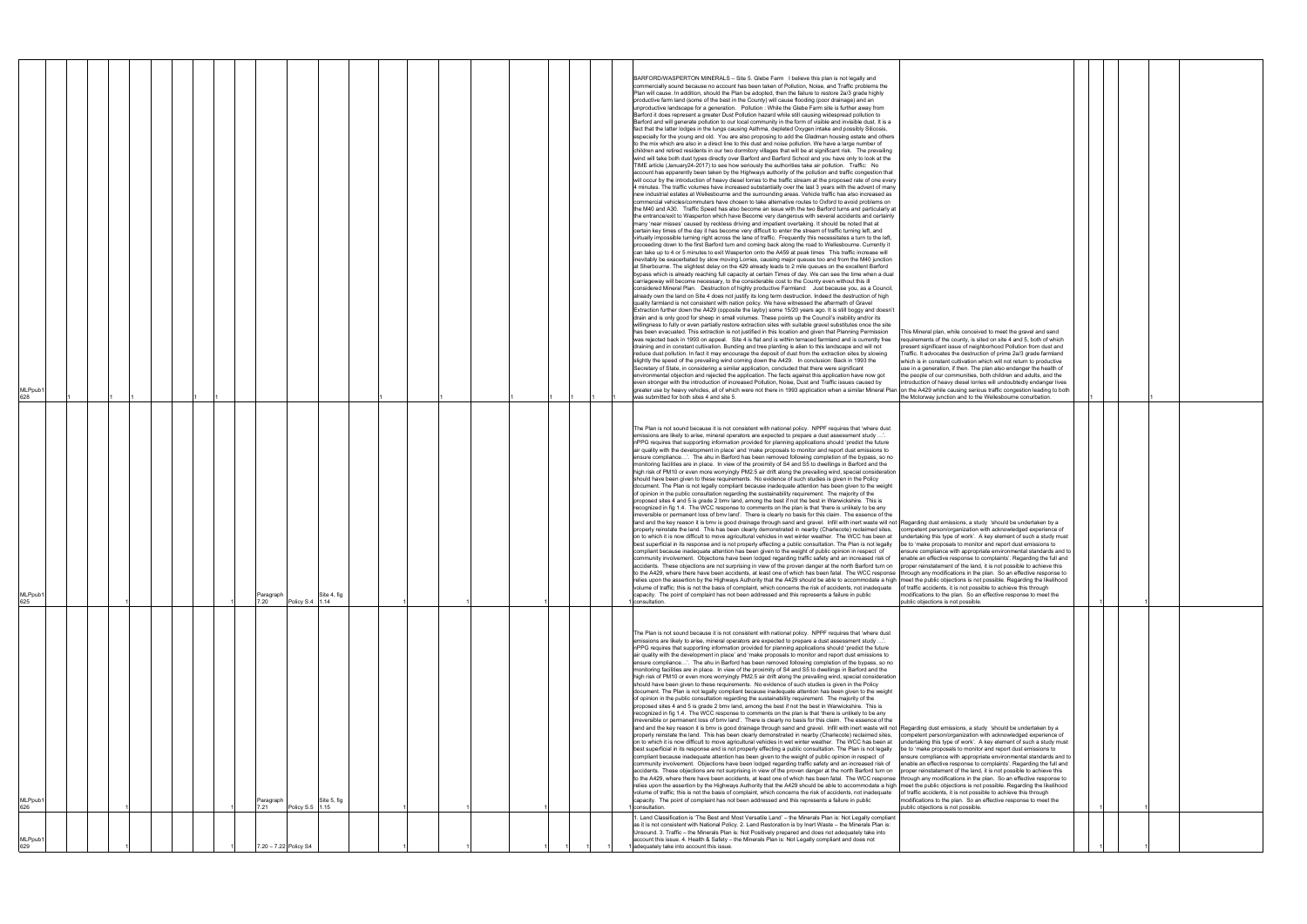| <b>MLPpub</b><br>628       |  |  |                   |                      |              |  |  |  | BARFORD/WASPERTON MINERALS - Site 5. Glebe Farm I believe this plan is not legally and<br>commercially sound because no account has been taken of Pollution, Noise, and Traffic problems the<br>Plan will cause. In addition, should the Plan be adopted, then the failure to restore 2a/3 grade highly<br>productive farm land (some of the best in the County) will cause flooding (poor drainage) and an<br>unproductive landscape for a generation. Pollution: While the Glebe Farm site is further away from<br>Barford it does represent a greater Dust Pollution hazard while still causing widespread pollution to<br>Barford and will generate pollution to our local community in the form of visible and invisible dust. It is a<br>fact that the latter lodges in the lungs causing Asthma, depleted Oxygen intake and possibly Silicosis,<br>especially for the young and old. You are also proposing to add the Gladman housing estate and others<br>to the mix which are also in a direct line to this dust and noise pollution. We have a large number of<br>children and retired residents in our two dormitory villages that will be at significant risk. The prevailing<br>wind will take both dust types directly over Barford and Barford School and you have only to look at the<br>TIME article (January24-2017) to see how seriously the authorities take air pollution. Traffic: No<br>account has apparently been taken by the Highways authority of the pollution and traffic congestion that<br>will occur by the introduction of heavy diesel lorries to the traffic stream at the proposed rate of one every<br>4 minutes. The traffic volumes have increased substantially over the last 3 years with the advent of many<br>new industrial estates at Wellesbourne and the surrounding areas. Vehicle traffic has also increased as<br>commercial vehicles/commuters have chosen to take alternative routes to Oxford to avoid problems on<br>the M40 and A30. Traffic Speed has also become an issue with the two Barford turns and particularly at<br>the entrance/exit to Wasperton which have Become very dangerous with several accidents and certainly<br>many 'near misses' caused by reckless driving and impatient overtaking. It should be noted that at<br>certain key times of the day it has become very difficult to enter the stream of traffic turning left, and<br>virtually impossible turning right across the lane of traffic. Frequently this necessitates a turn to the left,<br>proceeding down to the first Barford turn and coming back along the road to Wellesbourne. Currently it<br>can take up to 4 or 5 minutes to exit Wasperton onto the A459 at peak times This traffic increase will<br>inevitably be exacerbated by slow moving Lorries, causing major queues too and from the M40 junction<br>at Sherbourne. The slightest delay on the 429 already leads to 2 mile queues on the excellent Barford<br>bypass which is already reaching full capacity at certain Times of day. We can see the time when a dual<br>carriageway will become necessary, to the considerable cost to the County even without this ill<br>considered Mineral Plan. Destruction of highly productive Farmland: Just because you, as a Council,<br>already own the land on Site 4 does not justify its long term destruction. Indeed the destruction of high<br>quality farmland is not consistent with nation policy. We have witnessed the aftermath of Gravel<br>Extraction further down the A429 (opposite the layby) some 15/20 years ago. It is still boggy and doesn't<br>drain and is only good for sheep in small volumes. These points up the Council's inability and/or its<br>willingness to fully or even partially restore extraction sites with suitable gravel substitutes once the site<br>has been evacuated. This extraction is not justified in this location and given that Planning Permission<br>This Mineral plan, while conceived to meet the gravel and sand<br>requirements of the county, is sited on site 4 and 5, both of which<br>was rejected back in 1993 on appeal. Site 4 is flat and is within terraced farmland and is currently free<br>draining and in constant cultivation. Bunding and tree planting is alien to this landscape and will not<br>present significant issue of neighborhood Pollution from dust and<br>Fraffic. It advocates the destruction of prime 2a/3 grade farmland<br>reduce dust pollution. In fact it may encourage the deposit of dust from the extraction sites by slowing<br>slightly the speed of the prevailing wind coming down the A429. In conclusion: Back in 1993 the<br>which is in constant cultivation which will not return to productive<br>Secretary of State, in considering a similar application, concluded that there were significant<br>use in a generation, if then. The plan also endanger the health of<br>environmental objection and rejected the application. The facts against this application have now got<br>the people of our communities, both children and adults, and the<br>even stronger with the introduction of increased Pollution, Noise, Dust and Traffic issues caused by<br>ntroduction of heavy diesel lorries will undoubtedly endanger lives<br>greater use by heavy vehicles, all of which were not there in 1993 application when a similar Mineral Plan<br>on the A429 while causing serious traffic congestion leading to both<br>was submitted for both sites 4 and site 5.<br>the Motorway junction and to the Wellesbourne conurbation. |  |
|----------------------------|--|--|-------------------|----------------------|--------------|--|--|--|-------------------------------------------------------------------------------------------------------------------------------------------------------------------------------------------------------------------------------------------------------------------------------------------------------------------------------------------------------------------------------------------------------------------------------------------------------------------------------------------------------------------------------------------------------------------------------------------------------------------------------------------------------------------------------------------------------------------------------------------------------------------------------------------------------------------------------------------------------------------------------------------------------------------------------------------------------------------------------------------------------------------------------------------------------------------------------------------------------------------------------------------------------------------------------------------------------------------------------------------------------------------------------------------------------------------------------------------------------------------------------------------------------------------------------------------------------------------------------------------------------------------------------------------------------------------------------------------------------------------------------------------------------------------------------------------------------------------------------------------------------------------------------------------------------------------------------------------------------------------------------------------------------------------------------------------------------------------------------------------------------------------------------------------------------------------------------------------------------------------------------------------------------------------------------------------------------------------------------------------------------------------------------------------------------------------------------------------------------------------------------------------------------------------------------------------------------------------------------------------------------------------------------------------------------------------------------------------------------------------------------------------------------------------------------------------------------------------------------------------------------------------------------------------------------------------------------------------------------------------------------------------------------------------------------------------------------------------------------------------------------------------------------------------------------------------------------------------------------------------------------------------------------------------------------------------------------------------------------------------------------------------------------------------------------------------------------------------------------------------------------------------------------------------------------------------------------------------------------------------------------------------------------------------------------------------------------------------------------------------------------------------------------------------------------------------------------------------------------------------------------------------------------------------------------------------------------------------------------------------------------------------------------------------------------------------------------------------------------------------------------------------------------------------------------------------------------------------------------------------------------------------------------------------------------------------------------------------------------------------------------------------------------------------------------------------------------------------------------------------------------------------------------------------------------------------------------------------------------------------------------------------------------------------------------------------------------------------------------------------------------------------------------------------------------------------------------------------------------------------------------------------------------------------------------------------------------------------------------------------------------------------------------------------------------------------------------------------------------------------------------------------------------------------------------------------------------------------------------------------------------------------------------------------------------------------------------------------------------------------------------------------------------------------------------------------------------------------------------------------------------------------------------------------------------------------------------------------------------------------------------------------------------------------------------------------------------------------------------------|--|
| MLPpub <sup>+</sup><br>625 |  |  | Paragraph<br>7.20 | Policy S.4 1.14      | Site 4, fig  |  |  |  | The Plan is not sound because it is not consistent with national policy. NPPF requires that 'where dust<br>missions are likely to arise, mineral operators are expected to prepare a dust assessment study.<br>nPPG requires that supporting information provided for planning applications should 'predict the future<br>air quality with the development in place' and 'make proposals to monitor and report dust emissions to<br>ensure compliance'. The ahu in Barford has been removed following completion of the bypass, so no<br>monitoring facilities are in place. In view of the proximity of S4 and S5 to dwellings in Barford and the<br>high risk of PM10 or even more worryingly PM2.5 air drift along the prevailing wind, special consideration<br>should have been given to these requirements. No evidence of such studies is given in the Policy<br>document. The Plan is not legally compliant because inadequate attention has been given to the weight<br>of opinion in the public consultation regarding the sustainability requirement. The majority of the<br>proposed sites 4 and 5 is grade 2 bmv land, among the best if not the best in Warwickshire. This is<br>recognized in fig 1.4. The WCC response to comments on the plan is that 'there is unlikely to be any<br>irreversible or permanent loss of bmv land'. There is clearly no basis for this claim. The essence of the<br>land and the key reason it is bmv is good drainage through sand and gravel. Infill with inert waste will not Regarding dust emissions, a study 'should be undertaken by a<br>properly reinstate the land. This has been clearly demonstrated in nearby (Charlecote) reclaimed sites,<br>competent person/organization with acknowledged experience of<br>on to which it is now difficult to move agricultural vehicles in wet winter weather. The WCC has been at<br>undertaking this type of work'. A key element of such a study must<br>best superficial in its response and is not properly effecting a public consultation. The Plan is not legally be to 'make proposals to monitor and report dust emissions to<br>compliant because inadequate attention has been given to the weight of public opinion in respect of<br>ensure compliance with appropriate environmental standards and to<br>community involvement. Objections have been lodged regarding traffic safety and an increased risk of<br>enable an effective response to complaints'. Regarding the full and<br>accidents. These objections are not surprising in view of the proven danger at the north Barford turn on<br>proper reinstatement of the land, it is not possible to achieve this<br>to the A429, where there have been accidents, at least one of which has been fatal. The WCC response<br>through any modifications in the plan. So an effective response to<br>relies upon the assertion by the Highways Authority that the A429 should be able to accommodate a high  meet the public objections is not possible. Regarding the likelihood<br>volume of traffic; this is not the basis of complaint, which concerns the risk of accidents, not inadequate<br>of traffic accidents, it is not possible to achieve this through<br>modifications to the plan. So an effective response to meet the<br>capacity. The point of complaint has not been addressed and this represents a failure in public<br>public objections is not possible<br>consultation                                                                                                                                                                                                                                                                                                                                                                                                                                                                                                                                                                                                                                                                                                                                                                                                                                                                                                                                                                                                                                                                                                                                                                                                                                                                                                                                                                                                                                                                                                                                                                                                                                                                                                                                                                                                                                                                                                                                                                                                                                                                                                                                       |  |
| MLPpub <sup>.</sup><br>626 |  |  | Paragraph<br>7.21 | Policy S.5 1.15      | Site 5, fig. |  |  |  | The Plan is not sound because it is not consistent with national policy. NPPF requires that 'where dust<br>emissions are likely to arise, mineral operators are expected to prepare a dust assessment study '.<br>nPPG requires that supporting information provided for planning applications should 'predict the future<br>air quality with the development in place' and 'make proposals to monitor and report dust emissions to<br>ensure compliance'. The ahu in Barford has been removed following completion of the bypass, so no<br>monitoring facilities are in place. In view of the proximity of S4 and S5 to dwellings in Barford and the<br>high risk of PM10 or even more worryingly PM2.5 air drift along the prevailing wind, special consideration<br>should have been given to these requirements. No evidence of such studies is given in the Policy<br>document. The Plan is not legally compliant because inadequate attention has been given to the weight<br>of opinion in the public consultation regarding the sustainability requirement. The majority of the<br>proposed sites 4 and 5 is grade 2 bmv land, among the best if not the best in Warwickshire. This is<br>recognized in fig 1.4. The WCC response to comments on the plan is that 'there is unlikely to be any<br>irreversible or permanent loss of bmv land'. There is clearly no basis for this claim. The essence of the<br>land and the key reason it is bmv is good drainage through sand and gravel. Infill with inert waste will not Regarding dust emissions, a study 'should be undertaken by a<br>properly reinstate the land. This has been clearly demonstrated in nearby (Charlecote) reclaimed sites,<br>competent person/organization with acknowledged experience of<br>on to which it is now difficult to move agricultural vehicles in wet winter weather. The WCC has been at<br>undertaking this type of work'. A key element of such a study must<br>best superficial in its response and is not properly effecting a public consultation. The Plan is not legally<br>be to 'make proposals to monitor and report dust emissions to<br>compliant because inadequate attention has been given to the weight of public opinion in respect of<br>nsure compliance with appropriate environmental standards and to:<br>community involvement. Objections have been lodged regarding traffic safety and an increased risk of<br>enable an effective response to complaints'. Regarding the full and<br>accidents. These objections are not surprising in view of the proven danger at the north Barford turn on<br>proper reinstatement of the land, it is not possible to achieve this<br>to the A429, where there have been accidents, at least one of which has been fatal. The WCC response<br>through any modifications in the plan. So an effective response to<br>relies upon the assertion by the Highways Authority that the A429 should be able to accommodate a high<br>meet the public objections is not possible. Regarding the likelihood<br>of traffic accidents, it is not possible to achieve this through<br>volume of traffic; this is not the basis of complaint, which concerns the risk of accidents, not inadequate<br>capacity. The point of complaint has not been addressed and this represents a failure in public<br>modifications to the plan. So an effective response to meet the<br>public objections is not possible.<br>consultation.                                                                                                                                                                                                                                                                                                                                                                                                                                                                                                                                                                                                                                                                                                                                                                                                                                                                                                                                                                                                                                                                                                                                                                                                                                                                                                                                                                                                                                                                                                                                                                                                                                                                                                                                                                                                                                                                                                                                                                                                                                                                                                                             |  |
| (MLPpub<br>629             |  |  |                   | .20 - 7.22 Policy S4 |              |  |  |  | . Land Classification is 'The Best and Most Versatile Land' - the Minerals Plan is: Not Legally compliant<br>as it is not consistent with National Policy. 2. Land Restoration is by Inert Waste - the Minerals Plan is:<br>Unsound. 3. Traffic - the Minerals Plan is: Not Positively prepared and does not adequately take into<br>account this issue. 4. Health & Safety - the Minerals Plan is: Not Legally compliant and does not<br>adequately take into account this issue.                                                                                                                                                                                                                                                                                                                                                                                                                                                                                                                                                                                                                                                                                                                                                                                                                                                                                                                                                                                                                                                                                                                                                                                                                                                                                                                                                                                                                                                                                                                                                                                                                                                                                                                                                                                                                                                                                                                                                                                                                                                                                                                                                                                                                                                                                                                                                                                                                                                                                                                                                                                                                                                                                                                                                                                                                                                                                                                                                                                                                                                                                                                                                                                                                                                                                                                                                                                                                                                                                                                                                                                                                                                                                                                                                                                                                                                                                                                                                                                                                                                                                                                                                                                                                                                                                                                                                                                                                                                                                                                                                                                                                                                                                                                                                                                                                                                                                                                                                                                                                                                                                                                          |  |

| This Mineral plan, while conceived to meet the gravel and sand<br>requirements of the county, is sited on site 4 and 5, both of which<br>present significant issue of neighborhood Pollution from dust and<br>Traffic. It advocates the destruction of prime 2a/3 grade farmland<br>which is in constant cultivation which will not return to productive<br>use in a generation, if then. The plan also endanger the health of<br>the people of our communities, both children and adults, and the<br>introduction of heavy diesel lorries will undoubtedly endanger lives<br>on the A429 while causing serious traffic congestion leading to both<br>the Motorway junction and to the Wellesbourne conurbation.                                                                                                    |   |   |  |
|---------------------------------------------------------------------------------------------------------------------------------------------------------------------------------------------------------------------------------------------------------------------------------------------------------------------------------------------------------------------------------------------------------------------------------------------------------------------------------------------------------------------------------------------------------------------------------------------------------------------------------------------------------------------------------------------------------------------------------------------------------------------------------------------------------------------|---|---|--|
| Regarding dust emissions, a study 'should be undertaken by a<br>competent person/organization with acknowledged experience of<br>undertaking this type of work'. A key element of such a study must<br>be to 'make proposals to monitor and report dust emissions to<br>ensure compliance with appropriate environmental standards and to<br>enable an effective response to complaints'. Regarding the full and<br>proper reinstatement of the land, it is not possible to achieve this<br>through any modifications in the plan. So an effective response to<br>meet the public objections is not possible. Regarding the likelihood<br>of traffic accidents, it is not possible to achieve this through<br>modifications to the plan. So an effective response to meet the<br>public objections is not possible. | 1 | 1 |  |
| Regarding dust emissions, a study 'should be undertaken by a<br>competent person/organization with acknowledged experience of<br>undertaking this type of work'. A key element of such a study must<br>be to 'make proposals to monitor and report dust emissions to<br>ensure compliance with appropriate environmental standards and to<br>enable an effective response to complaints'. Regarding the full and<br>proper reinstatement of the land, it is not possible to achieve this<br>through any modifications in the plan. So an effective response to<br>meet the public objections is not possible. Regarding the likelihood<br>of traffic accidents, it is not possible to achieve this through<br>modifications to the plan. So an effective response to meet the<br>public objections is not possible. | 1 | 1 |  |
|                                                                                                                                                                                                                                                                                                                                                                                                                                                                                                                                                                                                                                                                                                                                                                                                                     |   |   |  |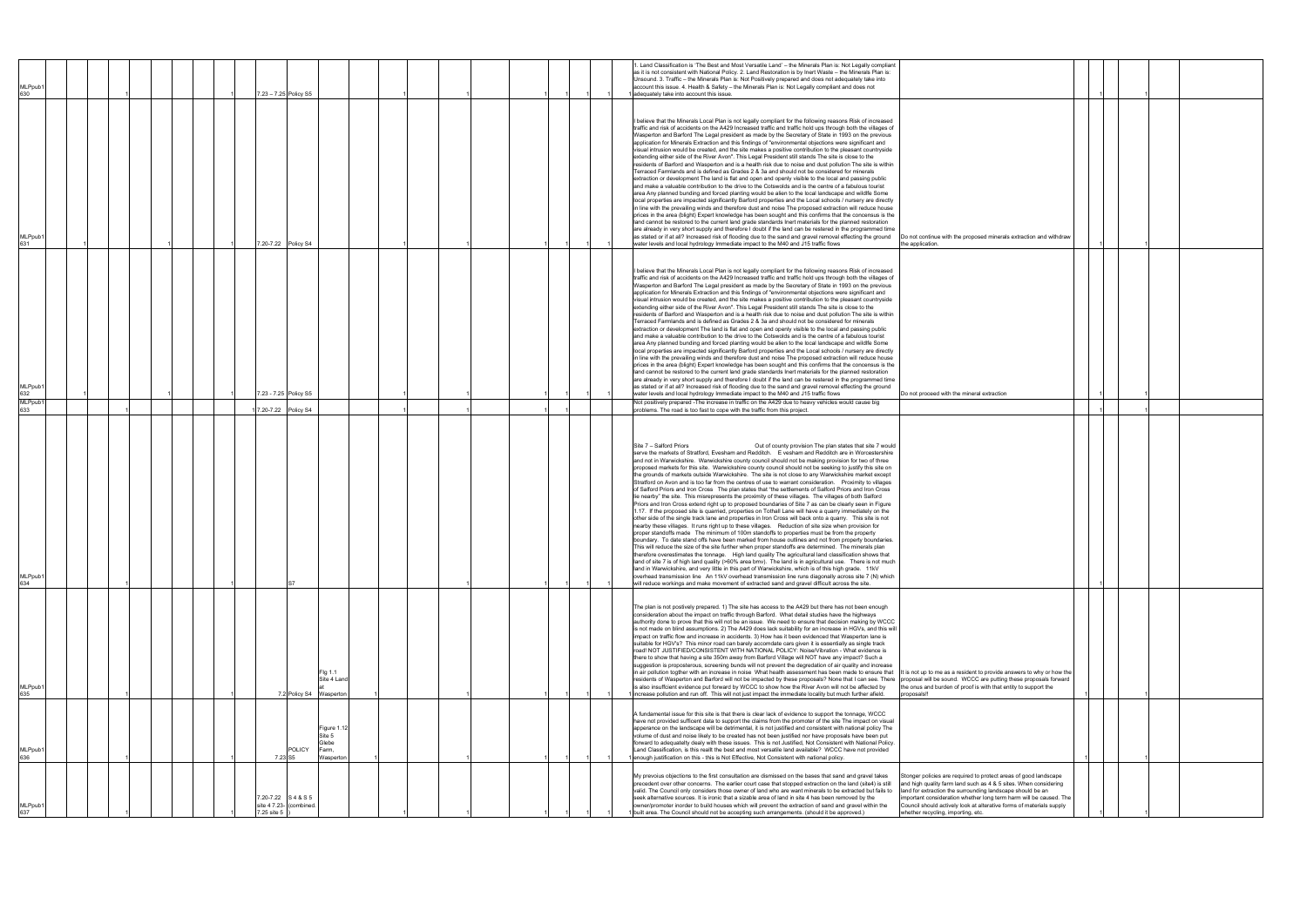| MLPpub1<br>630             |  |  |  | 7.23 - 7.25 Policy S5          |                         |                                                      |  |  |  | . Land Classification is 'The Best and Most Versatile Land' - the Minerals Plan is: Not Legally compliant<br>as it is not consistent with National Policy. 2. Land Restoration is by Inert Waste - the Minerals Plan is:<br>Unsound. 3. Traffic - the Minerals Plan is: Not Positively prepared and does not adequately take into<br>account this issue. 4. Health & Safety - the Minerals Plan is: Not Legally compliant and does not<br>adequately take into account this issue.                                                                                                                                                                                                                                                                                                                                                                                                                                                                                                                                                                                                                                                                                                                                                                                                                                                                                                                                                                                                                                                                                                                                                                                                                                                                                                                                                                                                                                                                                                                                                                                                                                                   |                                                                                                                                                                                                                                                                                                                                                 |  |  |  |
|----------------------------|--|--|--|--------------------------------|-------------------------|------------------------------------------------------|--|--|--|--------------------------------------------------------------------------------------------------------------------------------------------------------------------------------------------------------------------------------------------------------------------------------------------------------------------------------------------------------------------------------------------------------------------------------------------------------------------------------------------------------------------------------------------------------------------------------------------------------------------------------------------------------------------------------------------------------------------------------------------------------------------------------------------------------------------------------------------------------------------------------------------------------------------------------------------------------------------------------------------------------------------------------------------------------------------------------------------------------------------------------------------------------------------------------------------------------------------------------------------------------------------------------------------------------------------------------------------------------------------------------------------------------------------------------------------------------------------------------------------------------------------------------------------------------------------------------------------------------------------------------------------------------------------------------------------------------------------------------------------------------------------------------------------------------------------------------------------------------------------------------------------------------------------------------------------------------------------------------------------------------------------------------------------------------------------------------------------------------------------------------------|-------------------------------------------------------------------------------------------------------------------------------------------------------------------------------------------------------------------------------------------------------------------------------------------------------------------------------------------------|--|--|--|
| MLPpub1<br>631             |  |  |  | 7.20-7.22 Policy S4            |                         |                                                      |  |  |  | I believe that the Minerals Local Plan is not legally compliant for the following reasons Risk of increased<br>traffic and risk of accidents on the A429 Increased traffic and traffic hold ups through both the villages of<br>Wasperton and Barford The Legal president as made by the Secretary of State in 1993 on the previous<br>application for Minerals Extraction and this findings of "environmental objections were significant and<br>visual intrusion would be created, and the site makes a positive contribution to the pleasant countryside<br>extending either side of the River Avon". This Legal President still stands The site is close to the<br>residents of Barford and Wasperton and is a health risk due to noise and dust pollution The site is within<br>Terraced Farmlands and is defined as Grades 2 & 3a and should not be considered for minerals<br>extraction or development The land is flat and open and openly visible to the local and passing public<br>and make a valuable contribution to the drive to the Cotswolds and is the centre of a fabulous tourist<br>area Any planned bunding and forced planting would be alien to the local landscape and wildlfe Some<br>local properties are impacted significantly Barford properties and the Local schools / nursery are directly<br>in line with the prevailing winds and therefore dust and noise The proposed extraction will reduce house<br>prices in the area (blight) Expert knowledge has been sought and this confirms that the concensus is the<br>land cannot be restored to the current land grade standards lnert materials for the planned restoration<br>are already in very short supply and therefore I doubt if the land can be restered in the programmed time<br>as stated or if at all? Increased risk of flooding due to the sand and gravel removal effecting the ground<br>water levels and local hydrology Immediate impact to the M40 and J15 traffic flows<br>the application.                                                                                                                                  | Do not continue with the proposed minerals extraction and withdraw                                                                                                                                                                                                                                                                              |  |  |  |
| MLPpub <sup>-</sup><br>632 |  |  |  |                                | 7.23 - 7.25 Policy S5   |                                                      |  |  |  | I believe that the Minerals Local Plan is not legally compliant for the following reasons Risk of increased<br>traffic and risk of accidents on the A429 Increased traffic and traffic hold ups through both the villages of<br>Wasperton and Barford The Legal president as made by the Secretary of State in 1993 on the previous<br>application for Minerals Extraction and this findings of "environmental objections were significant and<br>visual intrusion would be created, and the site makes a positive contribution to the pleasant countryside<br>extending either side of the River Avon". This Legal President still stands The site is close to the<br>residents of Barford and Wasperton and is a health risk due to noise and dust pollution The site is within<br>Terraced Farmlands and is defined as Grades 2 & 3a and should not be considered for minerals<br>extraction or development The land is flat and open and openly visible to the local and passing public<br>and make a valuable contribution to the drive to the Cotswolds and is the centre of a fabulous tourist<br>area Any planned bunding and forced planting would be alien to the local landscape and wildlfe Some<br>local properties are impacted significantly Barford properties and the Local schools / nursery are directly<br>in line with the prevailing winds and therefore dust and noise The proposed extraction will reduce house<br>prices in the area (blight) Expert knowledge has been sought and this confirms that the concensus is the<br>land cannot be restored to the current land grade standards lnert materials for the planned restoration<br>are already in very short supply and therefore I doubt if the land can be restered in the programmed time<br>as stated or if at all? Increased risk of flooding due to the sand and gravel removal effecting the ground<br>water levels and local hydrology Immediate impact to the M40 and J15 traffic flows<br>Do not proceed with the mineral extraction                                                                                                        |                                                                                                                                                                                                                                                                                                                                                 |  |  |  |
| MLPpub <sup>-</sup><br>633 |  |  |  | 7.20-7.22 Policy S4            |                         |                                                      |  |  |  | Not positively prepared -The increase in traffic on the A429 due to heavy vehicles would cause big<br>problems. The road is too fast to cope with the traffic from this project.                                                                                                                                                                                                                                                                                                                                                                                                                                                                                                                                                                                                                                                                                                                                                                                                                                                                                                                                                                                                                                                                                                                                                                                                                                                                                                                                                                                                                                                                                                                                                                                                                                                                                                                                                                                                                                                                                                                                                     |                                                                                                                                                                                                                                                                                                                                                 |  |  |  |
| MLPpub <sup>-</sup><br>634 |  |  |  |                                |                         |                                                      |  |  |  | Out of county provision The plan states that site 7 would<br>serve the markets of Stratford, Evesham and Redditch. E vesham and Redditch are in Worcestershire<br>and not in Warwickshire. Warwickshire county council should not be making provision for two of three<br>proposed markets for this site. Warwickshire county council should not be seeking to justify this site on<br>the grounds of markets outside Warwickshire. The site is not close to any Warwickshire market except<br>Stratford on Avon and is too far from the centres of use to warrant consideration. Proximity to villages<br>of Salford Priors and Iron Cross The plan states that "the settlements of Salford Priors and Iron Cross<br>lie nearby" the site. This misrepresents the proximity of these villages. The villages of both Salford<br>Priors and Iron Cross extend right up to proposed boundaries of Site 7 as can be clearly seen in Figure<br>1.17. If the proposed site is quarried, properties on Tothall Lane will have a quarry immediately on the<br>other side of the single track lane and properties in Iron Cross will back onto a quarry. This site is not<br>nearby these villages. It runs right up to these villages. Reduction of site size when provision for<br>proper standoffs made The minimum of 100m standoffs to properties must be from the property<br>boundary. To date stand offs have been marked from house outlines and not from property boundaries.<br>This will reduce the size of the site further when proper standoffs are determined. The minerals plan<br>therefore overestimates the tonnage. High land quality The agricultural land classification shows that<br>land of site 7 is of high land quality (>60% area bmv). The land is in agricultural use. There is not much<br>land in Warwickshire, and very little in this part of Warwickshire, which is of this high grade. 11kV<br>overhead transmission line An 11kV overhead transmission line runs diagonally across site 7 (N) which<br>will reduce workings and make movement of extracted sand and gravel difficult across the site. |                                                                                                                                                                                                                                                                                                                                                 |  |  |  |
| MLPpub1<br>635             |  |  |  |                                |                         | Fig 1.1<br>Site 4 Land<br>7.2 Policy S4 Wasperton    |  |  |  | The plan is not postively prepared. 1) The site has access to the A429 but there has not been enough<br>consideration about the impact on traffic through Barford. What detail studies have the highways<br>authority done to prove that this will not be an issue. We need to ensure that decision making by WCCC<br>is not made on blind assumptions. 2) The A429 does lack suitability for an increase in HGVs, and this will<br>impact on traffic flow and increase in accidents. 3) How has it been evidenced that Wasperton lane is<br>suitable for HGV's? This minor road can barely accomdate cars given it is essentially as single track<br>road! NOT JUSTIFIED/CONSISTENT WITH NATIONAL POLICY: Noise/Vibration - What evidence is<br>there to show that having a site 350m away from Barford Village will NOT have any impact? Such a<br>suggestion is proposterous, screening bunds will not prevent the degredation of air quality and increase<br>in air pollution togther with an increase in noise What health assessment has been made to ensure that It is not up to me as a resident to provide answers to why or how the<br>residents of Wasperton and Barford will not be impacted by these proposals? None that I can see. There  proposal will be sound. WCCC are putting these proposals forward<br>is also insuffcient evidence put forward by WCCC to show how the River Avon will not be affected by<br>increase pollution and run off. This will not just impact the immediate locality but much further afield.<br>proposals!!                                                                                                                                                                                                                                                                                                                                                                                                                                                                                                                                                                         | the onus and burden of proof is with that entity to support the                                                                                                                                                                                                                                                                                 |  |  |  |
| MLPpub <sup>®</sup><br>636 |  |  |  | 7.23 S5                        | <b>POLICY</b>           | Figure 1.12<br>Site 5<br>Glebe<br>Farm,<br>Wasperton |  |  |  | A fundamental issue for this site is that there is clear lack of evidence to support the tonnage, WCCC<br>have not provided sufficent data to support the claims from the promoter of the site The impact on visual<br>apperance on the landscape will be detrimental, it is not justified and consistent with national policy The<br>volume of dust and noise likely to be created has not been justified nor have proposals have been put<br>forward to adequatelty dealy with these issues. This is not Justified, Not Consistent with National Policy.<br>Land Classification, is this reallt the best and most versatile land available? WCCC have not provided<br>enough justification on this - this is Not Effective, Not Consistent with national policy.                                                                                                                                                                                                                                                                                                                                                                                                                                                                                                                                                                                                                                                                                                                                                                                                                                                                                                                                                                                                                                                                                                                                                                                                                                                                                                                                                                   |                                                                                                                                                                                                                                                                                                                                                 |  |  |  |
| MLPpub1<br>637             |  |  |  | 7.20-7.22 S4&S5<br>7.25 site 5 | site 4 7.23- (combined. |                                                      |  |  |  | My prevoius objections to the first consultation are dismissed on the bases that sand and gravel takes<br>precedent over other concerns. The earlier court case that stopped extraction on the land (site4) is still<br>valid. The Council only considers those owner of land who are want minerals to be extracted but fails to<br>seek alternative sources. It is ironic that a sizable area of land in site 4 has been removed by the<br>owner/promoter inorder to build houses which will prevent the extraction of sand and gravel within the<br>built area. The Council should not be accepting such arrangements. (should it be approved.)<br>whether recycling, importing, etc.                                                                                                                                                                                                                                                                                                                                                                                                                                                                                                                                                                                                                                                                                                                                                                                                                                                                                                                                                                                                                                                                                                                                                                                                                                                                                                                                                                                                                                              | Stonger policies are required to protect areas of good landscape<br>and high quality farm land such as 4 & 5 sites. When considering<br>land for extraction the surrounding landscape should be an<br>mportant consideration whether long term harm will be caused. The<br>Council should actively look at alterative forms of materials supply |  |  |  |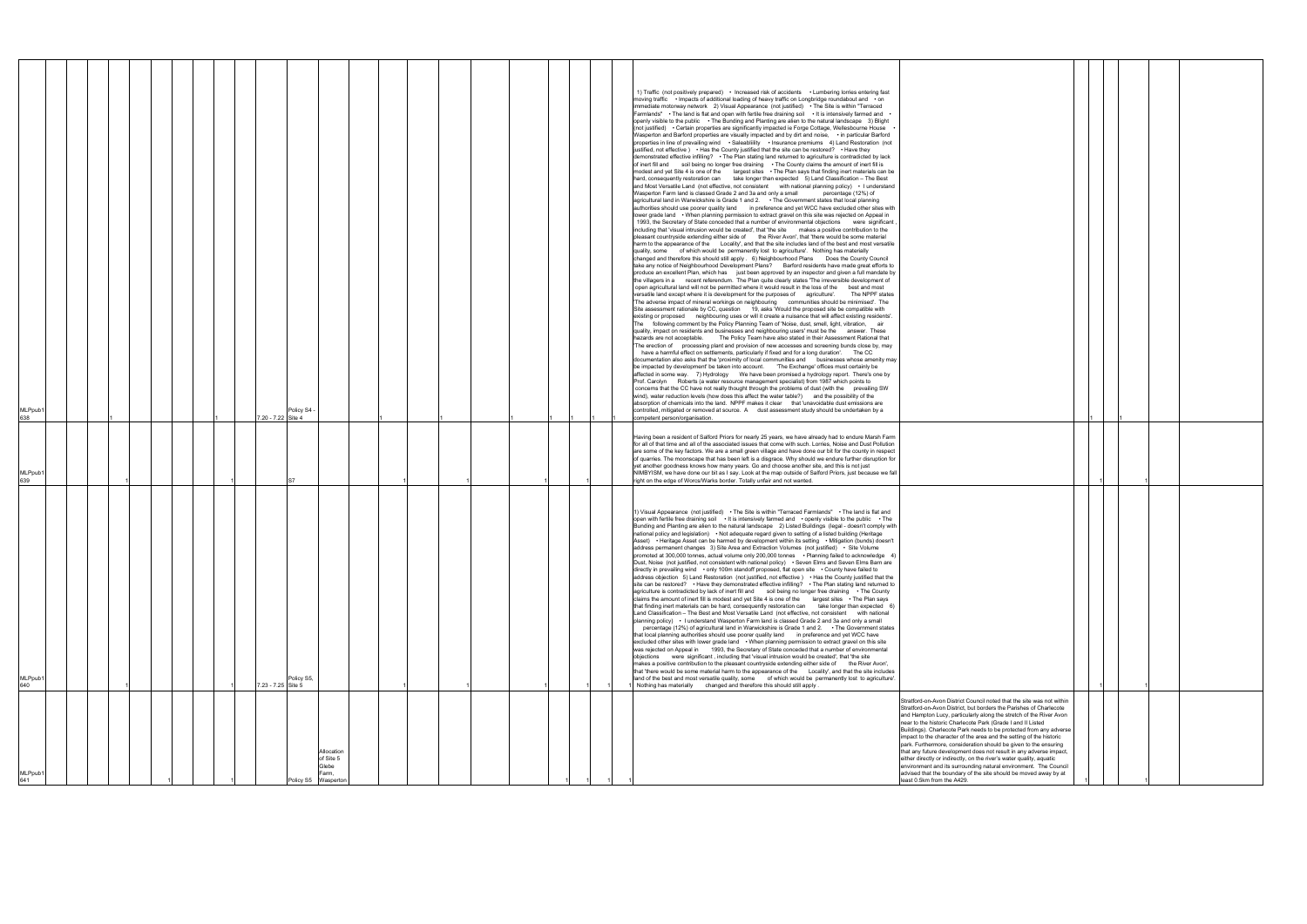|                                                                                                                                             | 1 |   |  |
|---------------------------------------------------------------------------------------------------------------------------------------------|---|---|--|
|                                                                                                                                             |   |   |  |
|                                                                                                                                             |   |   |  |
|                                                                                                                                             |   |   |  |
|                                                                                                                                             |   |   |  |
|                                                                                                                                             |   |   |  |
|                                                                                                                                             |   |   |  |
|                                                                                                                                             |   |   |  |
|                                                                                                                                             |   |   |  |
|                                                                                                                                             |   |   |  |
|                                                                                                                                             |   |   |  |
|                                                                                                                                             |   |   |  |
|                                                                                                                                             |   |   |  |
|                                                                                                                                             |   |   |  |
|                                                                                                                                             |   |   |  |
|                                                                                                                                             | 1 | 1 |  |
|                                                                                                                                             |   |   |  |
| Stratford-on-Avon District Council noted that the site was not within<br>Stratford-on-Avon District, but borders the Parishes of Charlecote |   |   |  |
| and Hampton Lucy, particularly along the stretch of the River Avon<br>near to the historic Charlecote Park (Grade I and II Listed           |   |   |  |
| Buildings). Charlecote Park needs to be protected from any adverse<br>impact to the character of the area and the setting of the historic   |   |   |  |
| park. Furthermore, consideration should be given to the ensuring<br>that any future development does not result in any adverse impact,      |   |   |  |
| either directly or indirectly, on the river's water quality, aquatic<br>environment and its surrounding natural environment. The Council    |   |   |  |
| advised that the boundary of the site should be moved away by at<br>least 0.5km from the A429.                                              |   |   |  |

| MLPpub1<br>641                                                                                                                                                                                                                                                                                                                                                                                                                                                                                                                                                                                                                                                                                                                                                                                                       | MLPpub1<br>640                                                                                                                                                                                                                                                                                                                                                                                                                                                                                                                                                                                                                                                                                                                                                                                                                                                                                                                                                                                                                                                                                                                                                                                                                                                                                                                                                                                                                                                                                                                                                                                                                                                                                                                                                                                                                                                                                                                                                                                                                                                                                                                                                                                                                                                                                                                                                                                                                                                                                                                                                                                                                                      | MLPpub1<br>639                                                                                                                                                                                                                                                                                                                                                                                                                                                                                                                                                                                                                                                                                                                        | MLPpub1<br>638                                                                                                                                                                                                                                                                                                                                                                                                                                                                                                                                                                                                                                                                                                                                                                                                                                                                                                                                                                                                                                                                                                                                                                                                                                                                                                                                                                                                                                                                                                                                                                                                                                                                                                                                                                                                                                                                                                                                                                                                                                                                                                                                                                                                                                                                                                                                                                                                                                                                                                                                                                                                                                                                                                                                                                                                                                                                                                                                                                                                                                                                                                                                                                                                                                                                                                                                                                                                                                                                                                                                                                                                                                                                                                                                                                                                                                                                                                                                                                                                                                                                                                                                                                                                                                                                                                                                                                                                                                                                                                                                                                                                                                                                                                                                 |
|----------------------------------------------------------------------------------------------------------------------------------------------------------------------------------------------------------------------------------------------------------------------------------------------------------------------------------------------------------------------------------------------------------------------------------------------------------------------------------------------------------------------------------------------------------------------------------------------------------------------------------------------------------------------------------------------------------------------------------------------------------------------------------------------------------------------|-----------------------------------------------------------------------------------------------------------------------------------------------------------------------------------------------------------------------------------------------------------------------------------------------------------------------------------------------------------------------------------------------------------------------------------------------------------------------------------------------------------------------------------------------------------------------------------------------------------------------------------------------------------------------------------------------------------------------------------------------------------------------------------------------------------------------------------------------------------------------------------------------------------------------------------------------------------------------------------------------------------------------------------------------------------------------------------------------------------------------------------------------------------------------------------------------------------------------------------------------------------------------------------------------------------------------------------------------------------------------------------------------------------------------------------------------------------------------------------------------------------------------------------------------------------------------------------------------------------------------------------------------------------------------------------------------------------------------------------------------------------------------------------------------------------------------------------------------------------------------------------------------------------------------------------------------------------------------------------------------------------------------------------------------------------------------------------------------------------------------------------------------------------------------------------------------------------------------------------------------------------------------------------------------------------------------------------------------------------------------------------------------------------------------------------------------------------------------------------------------------------------------------------------------------------------------------------------------------------------------------------------------------|---------------------------------------------------------------------------------------------------------------------------------------------------------------------------------------------------------------------------------------------------------------------------------------------------------------------------------------------------------------------------------------------------------------------------------------------------------------------------------------------------------------------------------------------------------------------------------------------------------------------------------------------------------------------------------------------------------------------------------------|------------------------------------------------------------------------------------------------------------------------------------------------------------------------------------------------------------------------------------------------------------------------------------------------------------------------------------------------------------------------------------------------------------------------------------------------------------------------------------------------------------------------------------------------------------------------------------------------------------------------------------------------------------------------------------------------------------------------------------------------------------------------------------------------------------------------------------------------------------------------------------------------------------------------------------------------------------------------------------------------------------------------------------------------------------------------------------------------------------------------------------------------------------------------------------------------------------------------------------------------------------------------------------------------------------------------------------------------------------------------------------------------------------------------------------------------------------------------------------------------------------------------------------------------------------------------------------------------------------------------------------------------------------------------------------------------------------------------------------------------------------------------------------------------------------------------------------------------------------------------------------------------------------------------------------------------------------------------------------------------------------------------------------------------------------------------------------------------------------------------------------------------------------------------------------------------------------------------------------------------------------------------------------------------------------------------------------------------------------------------------------------------------------------------------------------------------------------------------------------------------------------------------------------------------------------------------------------------------------------------------------------------------------------------------------------------------------------------------------------------------------------------------------------------------------------------------------------------------------------------------------------------------------------------------------------------------------------------------------------------------------------------------------------------------------------------------------------------------------------------------------------------------------------------------------------------------------------------------------------------------------------------------------------------------------------------------------------------------------------------------------------------------------------------------------------------------------------------------------------------------------------------------------------------------------------------------------------------------------------------------------------------------------------------------------------------------------------------------------------------------------------------------------------------------------------------------------------------------------------------------------------------------------------------------------------------------------------------------------------------------------------------------------------------------------------------------------------------------------------------------------------------------------------------------------------------------------------------------------------------------------------------------------------------------------------------------------------------------------------------------------------------------------------------------------------------------------------------------------------------------------------------------------------------------------------------------------------------------------------------------------------------------------------------------------------------------------------------------------------------|
|                                                                                                                                                                                                                                                                                                                                                                                                                                                                                                                                                                                                                                                                                                                                                                                                                      |                                                                                                                                                                                                                                                                                                                                                                                                                                                                                                                                                                                                                                                                                                                                                                                                                                                                                                                                                                                                                                                                                                                                                                                                                                                                                                                                                                                                                                                                                                                                                                                                                                                                                                                                                                                                                                                                                                                                                                                                                                                                                                                                                                                                                                                                                                                                                                                                                                                                                                                                                                                                                                                     |                                                                                                                                                                                                                                                                                                                                                                                                                                                                                                                                                                                                                                                                                                                                       |                                                                                                                                                                                                                                                                                                                                                                                                                                                                                                                                                                                                                                                                                                                                                                                                                                                                                                                                                                                                                                                                                                                                                                                                                                                                                                                                                                                                                                                                                                                                                                                                                                                                                                                                                                                                                                                                                                                                                                                                                                                                                                                                                                                                                                                                                                                                                                                                                                                                                                                                                                                                                                                                                                                                                                                                                                                                                                                                                                                                                                                                                                                                                                                                                                                                                                                                                                                                                                                                                                                                                                                                                                                                                                                                                                                                                                                                                                                                                                                                                                                                                                                                                                                                                                                                                                                                                                                                                                                                                                                                                                                                                                                                                                                                                |
|                                                                                                                                                                                                                                                                                                                                                                                                                                                                                                                                                                                                                                                                                                                                                                                                                      |                                                                                                                                                                                                                                                                                                                                                                                                                                                                                                                                                                                                                                                                                                                                                                                                                                                                                                                                                                                                                                                                                                                                                                                                                                                                                                                                                                                                                                                                                                                                                                                                                                                                                                                                                                                                                                                                                                                                                                                                                                                                                                                                                                                                                                                                                                                                                                                                                                                                                                                                                                                                                                                     |                                                                                                                                                                                                                                                                                                                                                                                                                                                                                                                                                                                                                                                                                                                                       |                                                                                                                                                                                                                                                                                                                                                                                                                                                                                                                                                                                                                                                                                                                                                                                                                                                                                                                                                                                                                                                                                                                                                                                                                                                                                                                                                                                                                                                                                                                                                                                                                                                                                                                                                                                                                                                                                                                                                                                                                                                                                                                                                                                                                                                                                                                                                                                                                                                                                                                                                                                                                                                                                                                                                                                                                                                                                                                                                                                                                                                                                                                                                                                                                                                                                                                                                                                                                                                                                                                                                                                                                                                                                                                                                                                                                                                                                                                                                                                                                                                                                                                                                                                                                                                                                                                                                                                                                                                                                                                                                                                                                                                                                                                                                |
|                                                                                                                                                                                                                                                                                                                                                                                                                                                                                                                                                                                                                                                                                                                                                                                                                      |                                                                                                                                                                                                                                                                                                                                                                                                                                                                                                                                                                                                                                                                                                                                                                                                                                                                                                                                                                                                                                                                                                                                                                                                                                                                                                                                                                                                                                                                                                                                                                                                                                                                                                                                                                                                                                                                                                                                                                                                                                                                                                                                                                                                                                                                                                                                                                                                                                                                                                                                                                                                                                                     |                                                                                                                                                                                                                                                                                                                                                                                                                                                                                                                                                                                                                                                                                                                                       |                                                                                                                                                                                                                                                                                                                                                                                                                                                                                                                                                                                                                                                                                                                                                                                                                                                                                                                                                                                                                                                                                                                                                                                                                                                                                                                                                                                                                                                                                                                                                                                                                                                                                                                                                                                                                                                                                                                                                                                                                                                                                                                                                                                                                                                                                                                                                                                                                                                                                                                                                                                                                                                                                                                                                                                                                                                                                                                                                                                                                                                                                                                                                                                                                                                                                                                                                                                                                                                                                                                                                                                                                                                                                                                                                                                                                                                                                                                                                                                                                                                                                                                                                                                                                                                                                                                                                                                                                                                                                                                                                                                                                                                                                                                                                |
|                                                                                                                                                                                                                                                                                                                                                                                                                                                                                                                                                                                                                                                                                                                                                                                                                      |                                                                                                                                                                                                                                                                                                                                                                                                                                                                                                                                                                                                                                                                                                                                                                                                                                                                                                                                                                                                                                                                                                                                                                                                                                                                                                                                                                                                                                                                                                                                                                                                                                                                                                                                                                                                                                                                                                                                                                                                                                                                                                                                                                                                                                                                                                                                                                                                                                                                                                                                                                                                                                                     |                                                                                                                                                                                                                                                                                                                                                                                                                                                                                                                                                                                                                                                                                                                                       |                                                                                                                                                                                                                                                                                                                                                                                                                                                                                                                                                                                                                                                                                                                                                                                                                                                                                                                                                                                                                                                                                                                                                                                                                                                                                                                                                                                                                                                                                                                                                                                                                                                                                                                                                                                                                                                                                                                                                                                                                                                                                                                                                                                                                                                                                                                                                                                                                                                                                                                                                                                                                                                                                                                                                                                                                                                                                                                                                                                                                                                                                                                                                                                                                                                                                                                                                                                                                                                                                                                                                                                                                                                                                                                                                                                                                                                                                                                                                                                                                                                                                                                                                                                                                                                                                                                                                                                                                                                                                                                                                                                                                                                                                                                                                |
|                                                                                                                                                                                                                                                                                                                                                                                                                                                                                                                                                                                                                                                                                                                                                                                                                      |                                                                                                                                                                                                                                                                                                                                                                                                                                                                                                                                                                                                                                                                                                                                                                                                                                                                                                                                                                                                                                                                                                                                                                                                                                                                                                                                                                                                                                                                                                                                                                                                                                                                                                                                                                                                                                                                                                                                                                                                                                                                                                                                                                                                                                                                                                                                                                                                                                                                                                                                                                                                                                                     |                                                                                                                                                                                                                                                                                                                                                                                                                                                                                                                                                                                                                                                                                                                                       |                                                                                                                                                                                                                                                                                                                                                                                                                                                                                                                                                                                                                                                                                                                                                                                                                                                                                                                                                                                                                                                                                                                                                                                                                                                                                                                                                                                                                                                                                                                                                                                                                                                                                                                                                                                                                                                                                                                                                                                                                                                                                                                                                                                                                                                                                                                                                                                                                                                                                                                                                                                                                                                                                                                                                                                                                                                                                                                                                                                                                                                                                                                                                                                                                                                                                                                                                                                                                                                                                                                                                                                                                                                                                                                                                                                                                                                                                                                                                                                                                                                                                                                                                                                                                                                                                                                                                                                                                                                                                                                                                                                                                                                                                                                                                |
|                                                                                                                                                                                                                                                                                                                                                                                                                                                                                                                                                                                                                                                                                                                                                                                                                      |                                                                                                                                                                                                                                                                                                                                                                                                                                                                                                                                                                                                                                                                                                                                                                                                                                                                                                                                                                                                                                                                                                                                                                                                                                                                                                                                                                                                                                                                                                                                                                                                                                                                                                                                                                                                                                                                                                                                                                                                                                                                                                                                                                                                                                                                                                                                                                                                                                                                                                                                                                                                                                                     |                                                                                                                                                                                                                                                                                                                                                                                                                                                                                                                                                                                                                                                                                                                                       |                                                                                                                                                                                                                                                                                                                                                                                                                                                                                                                                                                                                                                                                                                                                                                                                                                                                                                                                                                                                                                                                                                                                                                                                                                                                                                                                                                                                                                                                                                                                                                                                                                                                                                                                                                                                                                                                                                                                                                                                                                                                                                                                                                                                                                                                                                                                                                                                                                                                                                                                                                                                                                                                                                                                                                                                                                                                                                                                                                                                                                                                                                                                                                                                                                                                                                                                                                                                                                                                                                                                                                                                                                                                                                                                                                                                                                                                                                                                                                                                                                                                                                                                                                                                                                                                                                                                                                                                                                                                                                                                                                                                                                                                                                                                                |
| Allocation<br>of Site 5<br>Blebe<br>Farm,<br>Policy S5<br>Waspertor                                                                                                                                                                                                                                                                                                                                                                                                                                                                                                                                                                                                                                                                                                                                                  | Policy S5,<br>7.23 - 7.25 Site 5                                                                                                                                                                                                                                                                                                                                                                                                                                                                                                                                                                                                                                                                                                                                                                                                                                                                                                                                                                                                                                                                                                                                                                                                                                                                                                                                                                                                                                                                                                                                                                                                                                                                                                                                                                                                                                                                                                                                                                                                                                                                                                                                                                                                                                                                                                                                                                                                                                                                                                                                                                                                                    |                                                                                                                                                                                                                                                                                                                                                                                                                                                                                                                                                                                                                                                                                                                                       | Policy S4 -<br>7.20 - 7.22 Site 4                                                                                                                                                                                                                                                                                                                                                                                                                                                                                                                                                                                                                                                                                                                                                                                                                                                                                                                                                                                                                                                                                                                                                                                                                                                                                                                                                                                                                                                                                                                                                                                                                                                                                                                                                                                                                                                                                                                                                                                                                                                                                                                                                                                                                                                                                                                                                                                                                                                                                                                                                                                                                                                                                                                                                                                                                                                                                                                                                                                                                                                                                                                                                                                                                                                                                                                                                                                                                                                                                                                                                                                                                                                                                                                                                                                                                                                                                                                                                                                                                                                                                                                                                                                                                                                                                                                                                                                                                                                                                                                                                                                                                                                                                                              |
|                                                                                                                                                                                                                                                                                                                                                                                                                                                                                                                                                                                                                                                                                                                                                                                                                      |                                                                                                                                                                                                                                                                                                                                                                                                                                                                                                                                                                                                                                                                                                                                                                                                                                                                                                                                                                                                                                                                                                                                                                                                                                                                                                                                                                                                                                                                                                                                                                                                                                                                                                                                                                                                                                                                                                                                                                                                                                                                                                                                                                                                                                                                                                                                                                                                                                                                                                                                                                                                                                                     |                                                                                                                                                                                                                                                                                                                                                                                                                                                                                                                                                                                                                                                                                                                                       |                                                                                                                                                                                                                                                                                                                                                                                                                                                                                                                                                                                                                                                                                                                                                                                                                                                                                                                                                                                                                                                                                                                                                                                                                                                                                                                                                                                                                                                                                                                                                                                                                                                                                                                                                                                                                                                                                                                                                                                                                                                                                                                                                                                                                                                                                                                                                                                                                                                                                                                                                                                                                                                                                                                                                                                                                                                                                                                                                                                                                                                                                                                                                                                                                                                                                                                                                                                                                                                                                                                                                                                                                                                                                                                                                                                                                                                                                                                                                                                                                                                                                                                                                                                                                                                                                                                                                                                                                                                                                                                                                                                                                                                                                                                                                |
|                                                                                                                                                                                                                                                                                                                                                                                                                                                                                                                                                                                                                                                                                                                                                                                                                      |                                                                                                                                                                                                                                                                                                                                                                                                                                                                                                                                                                                                                                                                                                                                                                                                                                                                                                                                                                                                                                                                                                                                                                                                                                                                                                                                                                                                                                                                                                                                                                                                                                                                                                                                                                                                                                                                                                                                                                                                                                                                                                                                                                                                                                                                                                                                                                                                                                                                                                                                                                                                                                                     |                                                                                                                                                                                                                                                                                                                                                                                                                                                                                                                                                                                                                                                                                                                                       |                                                                                                                                                                                                                                                                                                                                                                                                                                                                                                                                                                                                                                                                                                                                                                                                                                                                                                                                                                                                                                                                                                                                                                                                                                                                                                                                                                                                                                                                                                                                                                                                                                                                                                                                                                                                                                                                                                                                                                                                                                                                                                                                                                                                                                                                                                                                                                                                                                                                                                                                                                                                                                                                                                                                                                                                                                                                                                                                                                                                                                                                                                                                                                                                                                                                                                                                                                                                                                                                                                                                                                                                                                                                                                                                                                                                                                                                                                                                                                                                                                                                                                                                                                                                                                                                                                                                                                                                                                                                                                                                                                                                                                                                                                                                                |
|                                                                                                                                                                                                                                                                                                                                                                                                                                                                                                                                                                                                                                                                                                                                                                                                                      |                                                                                                                                                                                                                                                                                                                                                                                                                                                                                                                                                                                                                                                                                                                                                                                                                                                                                                                                                                                                                                                                                                                                                                                                                                                                                                                                                                                                                                                                                                                                                                                                                                                                                                                                                                                                                                                                                                                                                                                                                                                                                                                                                                                                                                                                                                                                                                                                                                                                                                                                                                                                                                                     |                                                                                                                                                                                                                                                                                                                                                                                                                                                                                                                                                                                                                                                                                                                                       |                                                                                                                                                                                                                                                                                                                                                                                                                                                                                                                                                                                                                                                                                                                                                                                                                                                                                                                                                                                                                                                                                                                                                                                                                                                                                                                                                                                                                                                                                                                                                                                                                                                                                                                                                                                                                                                                                                                                                                                                                                                                                                                                                                                                                                                                                                                                                                                                                                                                                                                                                                                                                                                                                                                                                                                                                                                                                                                                                                                                                                                                                                                                                                                                                                                                                                                                                                                                                                                                                                                                                                                                                                                                                                                                                                                                                                                                                                                                                                                                                                                                                                                                                                                                                                                                                                                                                                                                                                                                                                                                                                                                                                                                                                                                                |
|                                                                                                                                                                                                                                                                                                                                                                                                                                                                                                                                                                                                                                                                                                                                                                                                                      |                                                                                                                                                                                                                                                                                                                                                                                                                                                                                                                                                                                                                                                                                                                                                                                                                                                                                                                                                                                                                                                                                                                                                                                                                                                                                                                                                                                                                                                                                                                                                                                                                                                                                                                                                                                                                                                                                                                                                                                                                                                                                                                                                                                                                                                                                                                                                                                                                                                                                                                                                                                                                                                     |                                                                                                                                                                                                                                                                                                                                                                                                                                                                                                                                                                                                                                                                                                                                       |                                                                                                                                                                                                                                                                                                                                                                                                                                                                                                                                                                                                                                                                                                                                                                                                                                                                                                                                                                                                                                                                                                                                                                                                                                                                                                                                                                                                                                                                                                                                                                                                                                                                                                                                                                                                                                                                                                                                                                                                                                                                                                                                                                                                                                                                                                                                                                                                                                                                                                                                                                                                                                                                                                                                                                                                                                                                                                                                                                                                                                                                                                                                                                                                                                                                                                                                                                                                                                                                                                                                                                                                                                                                                                                                                                                                                                                                                                                                                                                                                                                                                                                                                                                                                                                                                                                                                                                                                                                                                                                                                                                                                                                                                                                                                |
|                                                                                                                                                                                                                                                                                                                                                                                                                                                                                                                                                                                                                                                                                                                                                                                                                      |                                                                                                                                                                                                                                                                                                                                                                                                                                                                                                                                                                                                                                                                                                                                                                                                                                                                                                                                                                                                                                                                                                                                                                                                                                                                                                                                                                                                                                                                                                                                                                                                                                                                                                                                                                                                                                                                                                                                                                                                                                                                                                                                                                                                                                                                                                                                                                                                                                                                                                                                                                                                                                                     |                                                                                                                                                                                                                                                                                                                                                                                                                                                                                                                                                                                                                                                                                                                                       |                                                                                                                                                                                                                                                                                                                                                                                                                                                                                                                                                                                                                                                                                                                                                                                                                                                                                                                                                                                                                                                                                                                                                                                                                                                                                                                                                                                                                                                                                                                                                                                                                                                                                                                                                                                                                                                                                                                                                                                                                                                                                                                                                                                                                                                                                                                                                                                                                                                                                                                                                                                                                                                                                                                                                                                                                                                                                                                                                                                                                                                                                                                                                                                                                                                                                                                                                                                                                                                                                                                                                                                                                                                                                                                                                                                                                                                                                                                                                                                                                                                                                                                                                                                                                                                                                                                                                                                                                                                                                                                                                                                                                                                                                                                                                |
|                                                                                                                                                                                                                                                                                                                                                                                                                                                                                                                                                                                                                                                                                                                                                                                                                      |                                                                                                                                                                                                                                                                                                                                                                                                                                                                                                                                                                                                                                                                                                                                                                                                                                                                                                                                                                                                                                                                                                                                                                                                                                                                                                                                                                                                                                                                                                                                                                                                                                                                                                                                                                                                                                                                                                                                                                                                                                                                                                                                                                                                                                                                                                                                                                                                                                                                                                                                                                                                                                                     |                                                                                                                                                                                                                                                                                                                                                                                                                                                                                                                                                                                                                                                                                                                                       |                                                                                                                                                                                                                                                                                                                                                                                                                                                                                                                                                                                                                                                                                                                                                                                                                                                                                                                                                                                                                                                                                                                                                                                                                                                                                                                                                                                                                                                                                                                                                                                                                                                                                                                                                                                                                                                                                                                                                                                                                                                                                                                                                                                                                                                                                                                                                                                                                                                                                                                                                                                                                                                                                                                                                                                                                                                                                                                                                                                                                                                                                                                                                                                                                                                                                                                                                                                                                                                                                                                                                                                                                                                                                                                                                                                                                                                                                                                                                                                                                                                                                                                                                                                                                                                                                                                                                                                                                                                                                                                                                                                                                                                                                                                                                |
|                                                                                                                                                                                                                                                                                                                                                                                                                                                                                                                                                                                                                                                                                                                                                                                                                      |                                                                                                                                                                                                                                                                                                                                                                                                                                                                                                                                                                                                                                                                                                                                                                                                                                                                                                                                                                                                                                                                                                                                                                                                                                                                                                                                                                                                                                                                                                                                                                                                                                                                                                                                                                                                                                                                                                                                                                                                                                                                                                                                                                                                                                                                                                                                                                                                                                                                                                                                                                                                                                                     |                                                                                                                                                                                                                                                                                                                                                                                                                                                                                                                                                                                                                                                                                                                                       |                                                                                                                                                                                                                                                                                                                                                                                                                                                                                                                                                                                                                                                                                                                                                                                                                                                                                                                                                                                                                                                                                                                                                                                                                                                                                                                                                                                                                                                                                                                                                                                                                                                                                                                                                                                                                                                                                                                                                                                                                                                                                                                                                                                                                                                                                                                                                                                                                                                                                                                                                                                                                                                                                                                                                                                                                                                                                                                                                                                                                                                                                                                                                                                                                                                                                                                                                                                                                                                                                                                                                                                                                                                                                                                                                                                                                                                                                                                                                                                                                                                                                                                                                                                                                                                                                                                                                                                                                                                                                                                                                                                                                                                                                                                                                |
|                                                                                                                                                                                                                                                                                                                                                                                                                                                                                                                                                                                                                                                                                                                                                                                                                      |                                                                                                                                                                                                                                                                                                                                                                                                                                                                                                                                                                                                                                                                                                                                                                                                                                                                                                                                                                                                                                                                                                                                                                                                                                                                                                                                                                                                                                                                                                                                                                                                                                                                                                                                                                                                                                                                                                                                                                                                                                                                                                                                                                                                                                                                                                                                                                                                                                                                                                                                                                                                                                                     |                                                                                                                                                                                                                                                                                                                                                                                                                                                                                                                                                                                                                                                                                                                                       |                                                                                                                                                                                                                                                                                                                                                                                                                                                                                                                                                                                                                                                                                                                                                                                                                                                                                                                                                                                                                                                                                                                                                                                                                                                                                                                                                                                                                                                                                                                                                                                                                                                                                                                                                                                                                                                                                                                                                                                                                                                                                                                                                                                                                                                                                                                                                                                                                                                                                                                                                                                                                                                                                                                                                                                                                                                                                                                                                                                                                                                                                                                                                                                                                                                                                                                                                                                                                                                                                                                                                                                                                                                                                                                                                                                                                                                                                                                                                                                                                                                                                                                                                                                                                                                                                                                                                                                                                                                                                                                                                                                                                                                                                                                                                |
|                                                                                                                                                                                                                                                                                                                                                                                                                                                                                                                                                                                                                                                                                                                                                                                                                      | 1) Visual Appearance (not justified) • The Site is within "Terraced Farmlands" • The land is flat and<br>open with fertile free draining soil . It is intensively farmed and . openly visible to the public . The<br>Bunding and Planting are alien to the natural landscape 2) Listed Buildings (legal - doesn't comply with<br>national policy and legislation) • Not adequate regard given to setting of a listed building (Heritage<br>Asset) • Heritage Asset can be harmed by development within its setting • Mitigation (bunds) doesn't<br>address permanent changes 3) Site Area and Extraction Volumes (not justified) • Site Volume<br>promoted at 300,000 tonnes, actual volume only 200,000 tonnes • Planning failed to acknowledge 4)<br>Dust, Noise (not justified, not consistent with national policy) • Seven Elms and Seven Elms Barn are<br>directly in prevailing wind • only 100m standoff proposed, flat open site • County have failed to<br>address objection 5) Land Restoration (not justified, not effective) • Has the County justified that the<br>site can be restored? • Have they demonstrated effective infilling? • The Plan stating land returned to<br>agriculture is contradicted by lack of inert fill and soil being no longer free draining . The County<br>claims the amount of inert fill is modest and yet Site 4 is one of the largest sites $\cdot$ The Plan says<br>that finding inert materials can be hard, consequently restoration can take longer than expected 6)<br>Land Classification - The Best and Most Versatile Land (not effective, not consistent with national<br>planning policy) • I understand Wasperton Farm land is classed Grade 2 and 3a and only a small<br>percentage (12%) of agricultural land in Warwickshire is Grade 1 and 2. • The Government states<br>that local planning authorities should use poorer quality land in preference and yet WCC have<br>excluded other sites with lower grade land • When planning permission to extract gravel on this site<br>was rejected on Appeal in 1993, the Secretary of State conceded that a number of environmental<br>objections were significant, including that 'visual intrusion would be created', that 'the site<br>makes a positive contribution to the pleasant countryside extending either side of the River Avon',<br>that 'there would be some material harm to the appearance of the Locality', and that the site includes<br>land of the best and most versatile quality, some of which would be permanently lost to agriculture'.<br>Nothing has materially changed and therefore this should still apply. | Having been a resident of Salford Priors for nearly 25 years, we have already had to endure Marsh Farm<br>for all of that time and all of the associated issues that come with such. Lorries, Noise and Dust Pollution<br>are some of the key factors. We are a small green village and have done our bit for the county in respect<br>of quarries. The moonscape that has been left is a disgrace. Why should we endure further disruption for<br>yet another goodness knows how many years. Go and choose another site, and this is not just<br>NIMBYISM, we have done our bit as I say. Look at the map outside of Salford Priors, just because we fall<br>right on the edge of Worcs/Warks border. Totally unfair and not wanted. | 1) Traffic (not positively prepared) • Increased risk of accidents • Lumbering lorries entering fast<br>moving traffic • Impacts of additional loading of heavy traffic on Longbridge roundabout and • on<br>immediate motorway network 2) Visual Appearance (not justified) • The Site is within "Terraced<br>Farmlands" • The land is flat and open with fertile free draining soil • It is intensively farmed and •<br>openly visible to the public • The Bunding and Planting are alien to the natural landscape 3) Blight<br>(not justified) • Certain properties are significantly impacted ie Forge Cottage, Wellesbourne House<br>Wasperton and Barford properties are visually impacted and by dirt and noise, • in particular Barford<br>properties in line of prevailing wind . Saleabliility . Insurance premiums 4) Land Restoration (not<br>justified, not effective ) . Has the County justified that the site can be restored? . Have they<br>demonstrated effective infilling? • The Plan stating land returned to agriculture is contradicted by lack<br>of inert fill and soil being no longer free draining • The County claims the amount of inert fill is<br>modest and yet Site 4 is one of the largest sites • The Plan says that finding inert materials can be<br>hard, consequently restoration can take longer than expected 5) Land Classification - The Best<br>and Most Versatile Land (not effective, not consistent with national planning policy) • I understand<br>Wasperton Farm land is classed Grade 2 and 3a and only a small<br>percentage (12%) of<br>agricultural land in Warwickshire is Grade 1 and 2. • The Government states that local planning<br>authorities should use poorer quality land in preference and yet WCC have excluded other sites with<br>lower grade land • When planning permission to extract gravel on this site was rejected on Appeal in<br>1993, the Secretary of State conceded that a number of environmental objections were significant<br>including that 'visual intrusion would be created', that 'the site makes a positive contribution to the<br>pleasant countryside extending either side of the River Avon', that 'there would be some material<br>harm to the appearance of the Locality', and that the site includes land of the best and most versatile<br>quality, some of which would be permanently lost to agriculture'. Nothing has materially<br>changed and therefore this should still apply . 6) Neighbourhood Plans Does the County Council<br>take any notice of Neighbourhood Development Plans? Barford residents have made great efforts to<br>produce an excellent Plan, which has just been approved by an inspector and given a full mandate by<br>the villagers in a recent referendum. The Plan quite clearly states 'The irreversible development of<br>open agricultural land will not be permitted where it would result in the loss of the best and most<br>versatile land except where it is development for the purposes of agriculture'. The NPPF states<br>'The adverse impact of mineral workings on neighbouring communities should be minimised'. The<br>Site assessment rationale by CC, question 19, asks 'Would the proposed site be compatible with<br>existing or proposed neighbouring uses or will it create a nuisance that will affect existing residents'.<br>The following comment by the Policy Planning Team of 'Noise, dust, smell, light, vibration, air<br>quality, impact on residents and businesses and neighbouring users' must be the answer. These<br>hazards are not acceptable. The Policy Team have also stated in their Assessment Rational that<br>The erection of processing plant and provision of new accesses and screening bunds close by, may<br>have a harmful effect on settlements, particularly if fixed and for a long duration'. The CC<br>documentation also asks that the 'proximity of local communities and businesses whose amenity may<br>be impacted by development' be taken into account. The Exchange' offices must certainly be<br>affected in some way. 7) Hydrology We have been promised a hydrology report. There's one by<br>Prof. Carolyn Roberts (a water resource management specialist) from 1987 which points to<br>concerns that the CC have not really thought through the problems of dust (with the prevailing SW<br>wind), water reduction levels (how does this affect the water table?) and the possibility of the<br>absorption of chemicals into the land. NPPF makes it clear that 'unavoidable dust emissions are<br>controlled, mitigated or removed at source. A dust assessment study should be undertaken by a<br>competent person/organisation. |
| Stratford-on-Avon District Council noted that the site was not within<br>Stratford-on-Avon District, but borders the Parishes of Charlecote<br>and Hampton Lucy, particularly along the stretch of the River Avon<br>near to the historic Charlecote Park (Grade I and II Listed<br>Buildings). Charlecote Park needs to be protected from any adverse<br>impact to the character of the area and the setting of the historic<br>park. Furthermore, consideration should be given to the ensuring<br>that any future development does not result in any adverse impact,<br>either directly or indirectly, on the river's water quality, aquatic<br>environment and its surrounding natural environment. The Council<br>advised that the boundary of the site should be moved away by at<br>east 0.5km from the A429. |                                                                                                                                                                                                                                                                                                                                                                                                                                                                                                                                                                                                                                                                                                                                                                                                                                                                                                                                                                                                                                                                                                                                                                                                                                                                                                                                                                                                                                                                                                                                                                                                                                                                                                                                                                                                                                                                                                                                                                                                                                                                                                                                                                                                                                                                                                                                                                                                                                                                                                                                                                                                                                                     |                                                                                                                                                                                                                                                                                                                                                                                                                                                                                                                                                                                                                                                                                                                                       |                                                                                                                                                                                                                                                                                                                                                                                                                                                                                                                                                                                                                                                                                                                                                                                                                                                                                                                                                                                                                                                                                                                                                                                                                                                                                                                                                                                                                                                                                                                                                                                                                                                                                                                                                                                                                                                                                                                                                                                                                                                                                                                                                                                                                                                                                                                                                                                                                                                                                                                                                                                                                                                                                                                                                                                                                                                                                                                                                                                                                                                                                                                                                                                                                                                                                                                                                                                                                                                                                                                                                                                                                                                                                                                                                                                                                                                                                                                                                                                                                                                                                                                                                                                                                                                                                                                                                                                                                                                                                                                                                                                                                                                                                                                                                |
|                                                                                                                                                                                                                                                                                                                                                                                                                                                                                                                                                                                                                                                                                                                                                                                                                      |                                                                                                                                                                                                                                                                                                                                                                                                                                                                                                                                                                                                                                                                                                                                                                                                                                                                                                                                                                                                                                                                                                                                                                                                                                                                                                                                                                                                                                                                                                                                                                                                                                                                                                                                                                                                                                                                                                                                                                                                                                                                                                                                                                                                                                                                                                                                                                                                                                                                                                                                                                                                                                                     |                                                                                                                                                                                                                                                                                                                                                                                                                                                                                                                                                                                                                                                                                                                                       |                                                                                                                                                                                                                                                                                                                                                                                                                                                                                                                                                                                                                                                                                                                                                                                                                                                                                                                                                                                                                                                                                                                                                                                                                                                                                                                                                                                                                                                                                                                                                                                                                                                                                                                                                                                                                                                                                                                                                                                                                                                                                                                                                                                                                                                                                                                                                                                                                                                                                                                                                                                                                                                                                                                                                                                                                                                                                                                                                                                                                                                                                                                                                                                                                                                                                                                                                                                                                                                                                                                                                                                                                                                                                                                                                                                                                                                                                                                                                                                                                                                                                                                                                                                                                                                                                                                                                                                                                                                                                                                                                                                                                                                                                                                                                |
|                                                                                                                                                                                                                                                                                                                                                                                                                                                                                                                                                                                                                                                                                                                                                                                                                      |                                                                                                                                                                                                                                                                                                                                                                                                                                                                                                                                                                                                                                                                                                                                                                                                                                                                                                                                                                                                                                                                                                                                                                                                                                                                                                                                                                                                                                                                                                                                                                                                                                                                                                                                                                                                                                                                                                                                                                                                                                                                                                                                                                                                                                                                                                                                                                                                                                                                                                                                                                                                                                                     |                                                                                                                                                                                                                                                                                                                                                                                                                                                                                                                                                                                                                                                                                                                                       |                                                                                                                                                                                                                                                                                                                                                                                                                                                                                                                                                                                                                                                                                                                                                                                                                                                                                                                                                                                                                                                                                                                                                                                                                                                                                                                                                                                                                                                                                                                                                                                                                                                                                                                                                                                                                                                                                                                                                                                                                                                                                                                                                                                                                                                                                                                                                                                                                                                                                                                                                                                                                                                                                                                                                                                                                                                                                                                                                                                                                                                                                                                                                                                                                                                                                                                                                                                                                                                                                                                                                                                                                                                                                                                                                                                                                                                                                                                                                                                                                                                                                                                                                                                                                                                                                                                                                                                                                                                                                                                                                                                                                                                                                                                                                |
|                                                                                                                                                                                                                                                                                                                                                                                                                                                                                                                                                                                                                                                                                                                                                                                                                      |                                                                                                                                                                                                                                                                                                                                                                                                                                                                                                                                                                                                                                                                                                                                                                                                                                                                                                                                                                                                                                                                                                                                                                                                                                                                                                                                                                                                                                                                                                                                                                                                                                                                                                                                                                                                                                                                                                                                                                                                                                                                                                                                                                                                                                                                                                                                                                                                                                                                                                                                                                                                                                                     |                                                                                                                                                                                                                                                                                                                                                                                                                                                                                                                                                                                                                                                                                                                                       |                                                                                                                                                                                                                                                                                                                                                                                                                                                                                                                                                                                                                                                                                                                                                                                                                                                                                                                                                                                                                                                                                                                                                                                                                                                                                                                                                                                                                                                                                                                                                                                                                                                                                                                                                                                                                                                                                                                                                                                                                                                                                                                                                                                                                                                                                                                                                                                                                                                                                                                                                                                                                                                                                                                                                                                                                                                                                                                                                                                                                                                                                                                                                                                                                                                                                                                                                                                                                                                                                                                                                                                                                                                                                                                                                                                                                                                                                                                                                                                                                                                                                                                                                                                                                                                                                                                                                                                                                                                                                                                                                                                                                                                                                                                                                |
|                                                                                                                                                                                                                                                                                                                                                                                                                                                                                                                                                                                                                                                                                                                                                                                                                      |                                                                                                                                                                                                                                                                                                                                                                                                                                                                                                                                                                                                                                                                                                                                                                                                                                                                                                                                                                                                                                                                                                                                                                                                                                                                                                                                                                                                                                                                                                                                                                                                                                                                                                                                                                                                                                                                                                                                                                                                                                                                                                                                                                                                                                                                                                                                                                                                                                                                                                                                                                                                                                                     |                                                                                                                                                                                                                                                                                                                                                                                                                                                                                                                                                                                                                                                                                                                                       |                                                                                                                                                                                                                                                                                                                                                                                                                                                                                                                                                                                                                                                                                                                                                                                                                                                                                                                                                                                                                                                                                                                                                                                                                                                                                                                                                                                                                                                                                                                                                                                                                                                                                                                                                                                                                                                                                                                                                                                                                                                                                                                                                                                                                                                                                                                                                                                                                                                                                                                                                                                                                                                                                                                                                                                                                                                                                                                                                                                                                                                                                                                                                                                                                                                                                                                                                                                                                                                                                                                                                                                                                                                                                                                                                                                                                                                                                                                                                                                                                                                                                                                                                                                                                                                                                                                                                                                                                                                                                                                                                                                                                                                                                                                                                |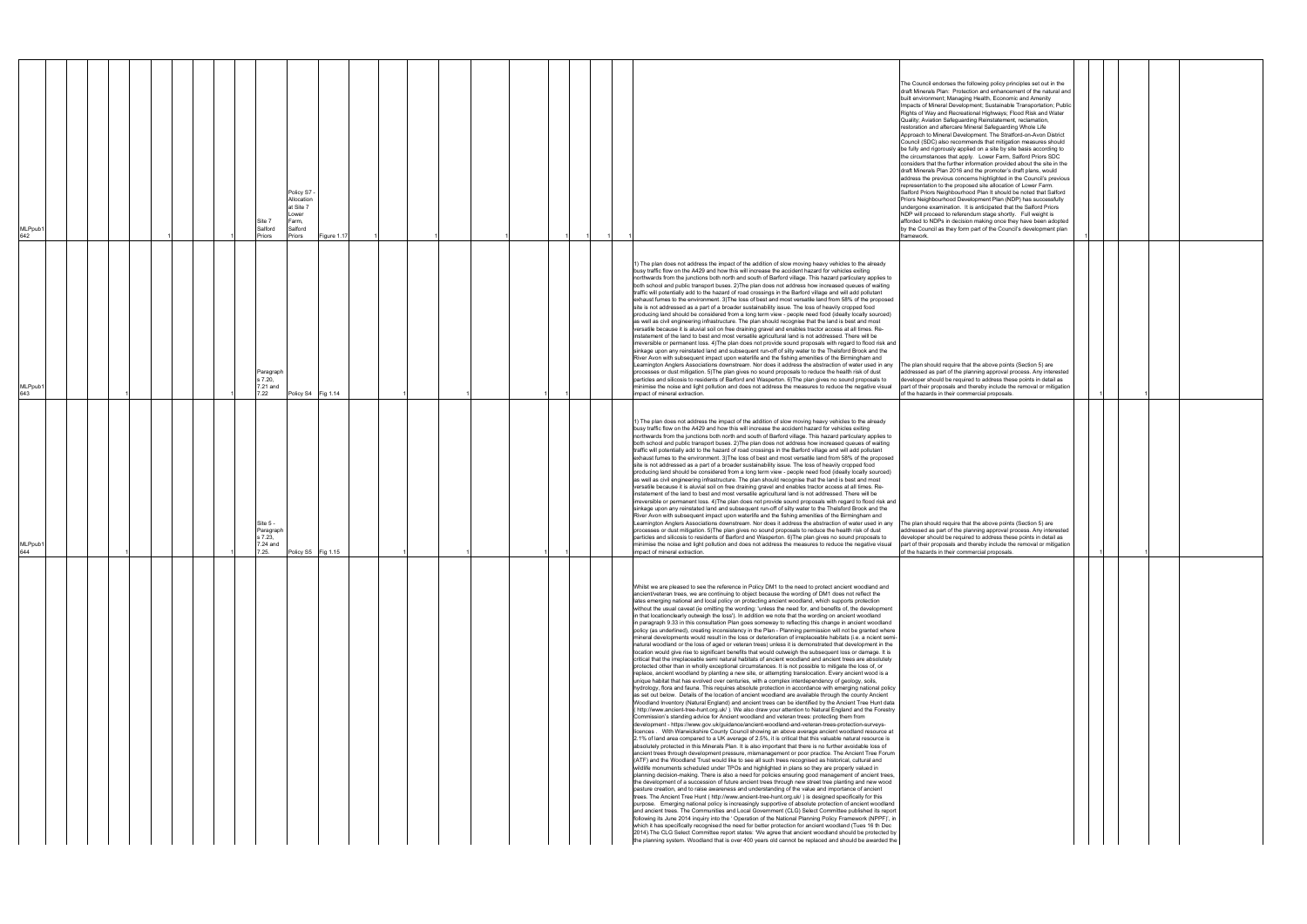| Policy S7 -<br>Allocation<br>at Site 7<br>ower.<br>Farm,<br>Site 7<br>Salford<br>Salford<br>MLPpub1<br>642<br>Priors<br>Priors<br>Figure 1.17 | The Council endorses the following policy principles set out in the<br>draft Minerals Plan: Protection and enhancement of the natural and<br>built environment; Managing Health, Economic and Amenity<br>Impacts of Mineral Development; Sustainable Transportation; Public<br>Rights of Way and Recreational Highways; Flood Risk and Water<br>Quality; Aviation Safeguarding Reinstatement, reclamation,<br>restoration and aftercare Mineral Safeguarding Whole Life<br>Approach to Mineral Development. The Stratford-on-Avon District<br>Council (SDC) also recommends that mitigation measures should<br>be fully and rigorously applied on a site by site basis according to<br>the circumstances that apply. Lower Farm, Salford Priors SDC<br>considers that the further information provided about the site in the<br>draft Minerals Plan 2016 and the promoter's draft plans, would<br>address the previous concerns highlighted in the Council's previous<br>representation to the proposed site allocation of Lower Farm.<br>Salford Priors Neighbourhood Plan It should be noted that Salford<br>Priors Neighbourhood Development Plan (NDP) has successfully<br>undergone examination. It is anticipated that the Salford Priors<br>NDP will proceed to referendum stage shortly. Full weight is<br>afforded to NDPs in decision making once they have been adopted<br>by the Council as they form part of the Council's development plan<br>framework.                                                                                                                                                                                                                                                                                                                                                                                                                                                                                                                                                                                                                                                                                                                                                                                                                                                                                                                                                                                                                                                                                                                                                                                                                                                                                                                                                                                                                                                                                                                                                                                                                                                                                                                                                                                                                                                                                                                                                                                                                                                                                                                                                                                                                                                                                                                                                                                                                                                                            |  |
|-----------------------------------------------------------------------------------------------------------------------------------------------|---------------------------------------------------------------------------------------------------------------------------------------------------------------------------------------------------------------------------------------------------------------------------------------------------------------------------------------------------------------------------------------------------------------------------------------------------------------------------------------------------------------------------------------------------------------------------------------------------------------------------------------------------------------------------------------------------------------------------------------------------------------------------------------------------------------------------------------------------------------------------------------------------------------------------------------------------------------------------------------------------------------------------------------------------------------------------------------------------------------------------------------------------------------------------------------------------------------------------------------------------------------------------------------------------------------------------------------------------------------------------------------------------------------------------------------------------------------------------------------------------------------------------------------------------------------------------------------------------------------------------------------------------------------------------------------------------------------------------------------------------------------------------------------------------------------------------------------------------------------------------------------------------------------------------------------------------------------------------------------------------------------------------------------------------------------------------------------------------------------------------------------------------------------------------------------------------------------------------------------------------------------------------------------------------------------------------------------------------------------------------------------------------------------------------------------------------------------------------------------------------------------------------------------------------------------------------------------------------------------------------------------------------------------------------------------------------------------------------------------------------------------------------------------------------------------------------------------------------------------------------------------------------------------------------------------------------------------------------------------------------------------------------------------------------------------------------------------------------------------------------------------------------------------------------------------------------------------------------------------------------------------------------------------------------------------------------------------------------------------------------------------------------------------------------------------------------------------------------------------------------------------------------------------------------------------------------------------------------------------------------------------------------------------------------------------------------------------------------------------------------------------------------------------------------------------------------------------------------------------------------------------------------------------------------------------------------|--|
| Paragraph<br>s 7.20,<br>7.21 and<br>MLPpub1<br>643<br>7.22<br>Policy S4 Fig 1.14                                                              | 1) The plan does not address the impact of the addition of slow moving heavy vehicles to the already<br>busy traffic flow on the A429 and how this will increase the accident hazard for vehicles exiting<br>northwards from the junctions both north and south of Barford village. This hazard particulary applies to<br>both school and public transport buses. 2) The plan does not address how increased queues of waiting<br>traffic will potentially add to the hazard of road crossings in the Barford village and will add pollutant<br>exhaust fumes to the environment. 3) The loss of best and most versatile land from 58% of the proposed<br>site is not addressed as a part of a broader sustainability issue. The loss of heavily cropped food<br>producing land should be considered from a long term view - people need food (ideally locally sourced)<br>as well as civil engineering infrastructure. The plan should recognise that the land is best and most<br>versatile because it is aluvial soil on free draining gravel and enables tractor access at all times. Re-<br>instatement of the land to best and most versatile agricultural land is not addressed. There will be<br>irreversible or permanent loss. 4) The plan does not provide sound proposals with regard to flood risk and<br>sinkage upon any reinstated land and subsequent run-off of silty water to the Thelsford Brook and the<br>River Avon with subsequent impact upon waterlife and the fishing amenities of the Birmingham and<br>Leamington Anglers Associations downstream. Nor does it address the abstraction of water used in any The plan should require that the above points (Section 5) are<br>processes or dust mitigation. 5) The plan gives no sound proposals to reduce the health risk of dust<br>addressed as part of the planning approval process. Any interested<br>particles and silicosis to residents of Barford and Wasperton. 6) The plan gives no sound proposals to<br>developer should be required to address these points in detail as<br>minimise the noise and light pollution and does not address the measures to reduce the negative visual<br>part of their proposals and thereby include the removal or mitigation<br>of the hazards in their commercial proposals.<br>impact of mineral extraction.                                                                                                                                                                                                                                                                                                                                                                                                                                                                                                                                                                                                                                                                                                                                                                                                                                                                                                                                                                                                                                                                                                                                                                                                                                                                                                                                                                                                                                                                                                                                                                                                          |  |
| Site 5<br>Paragraph<br>s 7.23,<br>7.24 and<br>MLPpub1<br>644<br>7.25.<br>Policy S5 Fig 1.15                                                   | 1) The plan does not address the impact of the addition of slow moving heavy vehicles to the already<br>busy traffic flow on the A429 and how this will increase the accident hazard for vehicles exiting<br>northwards from the junctions both north and south of Barford village. This hazard particulary applies to<br>both school and public transport buses. 2) The plan does not address how increased queues of waiting<br>traffic will potentially add to the hazard of road crossings in the Barford village and will add pollutant<br>exhaust fumes to the environment. 3) The loss of best and most versatile land from 58% of the proposed<br>site is not addressed as a part of a broader sustainability issue. The loss of heavily cropped food<br>producing land should be considered from a long term view - people need food (ideally locally sourced)<br>as well as civil engineering infrastructure. The plan should recognise that the land is best and most<br>versatile because it is aluvial soil on free draining gravel and enables tractor access at all times. Re-<br>instatement of the land to best and most versatile agricultural land is not addressed. There will be<br>irreversible or permanent loss. 4) The plan does not provide sound proposals with regard to flood risk and<br>sinkage upon any reinstated land and subsequent run-off of silty water to the Thelsford Brook and the<br>River Avon with subsequent impact upon waterlife and the fishing amenities of the Birmingham and<br>Leamington Anglers Associations downstream. Nor does it address the abstraction of water used in any The plan should require that the above points (Section 5) are<br>processes or dust mitigation. 5) The plan gives no sound proposals to reduce the health risk of dust<br>addressed as part of the planning approval process. Any interested<br>particles and silicosis to residents of Barford and Wasperton. 6) The plan gives no sound proposals to<br>developer should be required to address these points in detail as<br>minimise the noise and light pollution and does not address the measures to reduce the negative visual part of their proposals and thereby include the removal or mitigation<br>of the hazards in their commercial proposals.<br>impact of mineral extraction.                                                                                                                                                                                                                                                                                                                                                                                                                                                                                                                                                                                                                                                                                                                                                                                                                                                                                                                                                                                                                                                                                                                                                                                                                                                                                                                                                                                                                                                                                                                                                                                                             |  |
|                                                                                                                                               | Whilst we are pleased to see the reference in Policy DM1 to the need to protect ancient woodland and<br>ancient/veteran trees, we are continuing to object because the wording of DM1 does not reflect the<br>lates emerging national and local policy on protecting ancient woodland, which supports protection<br>without the usual caveat (ie omitting the wording: 'unless the need for, and benefits of, the development<br>in that locationclearly outweigh the loss'). In addition we note that the wording on ancient woodland<br>in paragraph 9.33 in this consultation Plan goes someway to reflecting this change in ancient woodland<br>policy (as underlined), creating inconsistency in the Plan - Planning permission will not be granted where<br>mineral developments would result in the loss or deterioration of irreplaceable habitats (i.e. a ncient semi-<br>natural woodland or the loss of aged or veteran trees) unless it is demonstrated that development in the<br>location would give rise to significant benefits that would outweigh the subsequent loss or damage. It is<br>critical that the irreplaceable semi natural habitats of ancient woodland and ancient trees are absolutely<br>protected other than in wholly exceptional circumstances. It is not possible to mitigate the loss of, or<br>replace, ancient woodland by planting a new site, or attempting translocation. Every ancient wood is a<br>unique habitat that has evolved over centuries, with a complex interdependency of geology, soils,<br>hydrology, flora and fauna. This requires absolute protection in accordance with emerging national policy<br>as set out below. Details of the location of ancient woodland are available through the county Ancient<br>Woodland Inventory (Natural England) and ancient trees can be identified by the Ancient Tree Hunt data<br>(http://www.ancient-tree-hunt.org.uk/). We also draw your attention to Natural England and the Forestry<br>Commission's standing advice for Ancient woodland and veteran trees: protecting them from<br>development - https://www.gov.uk/guidance/ancient-woodland-and-veteran-trees-protection-surveys-<br>licences . With Warwickshire County Council showing an above average ancient woodland resource at<br>2.1% of land area compared to a UK average of 2.5%, it is critical that this valuable natural resource is<br>absolutely protected in this Minerals Plan. It is also important that there is no further avoidable loss of<br>ancient trees through development pressure, mismanagement or poor practice. The Ancient Tree Forum<br>(ATF) and the Woodland Trust would like to see all such trees recognised as historical, cultural and<br>wildlife monuments scheduled under TPOs and highlighted in plans so they are properly valued in<br>planning decision-making. There is also a need for policies ensuring good management of ancient trees,<br>the development of a succession of future ancient trees through new street tree planting and new wood<br>pasture creation, and to raise awareness and understanding of the value and importance of ancient<br>trees. The Ancient Tree Hunt ( http://www.ancient-tree-hunt.org.uk/ ) is designed specifically for this<br>purpose. Emerging national policy is increasingly supportive of absolute protection of ancient woodland<br>and ancient trees. The Communities and Local Government (CLG) Select Committee published its report<br>following its June 2014 inquiry into the ' Operation of the National Planning Policy Framework (NPPF)', in<br>which it has specifically recognised the need for better protection for ancient woodland (Tues 16 th Dec<br>2014). The CLG Select Committee report states: 'We agree that ancient woodland should be protected by<br>the planning system. Woodland that is over 400 years old cannot be replaced and should be awarded the |  |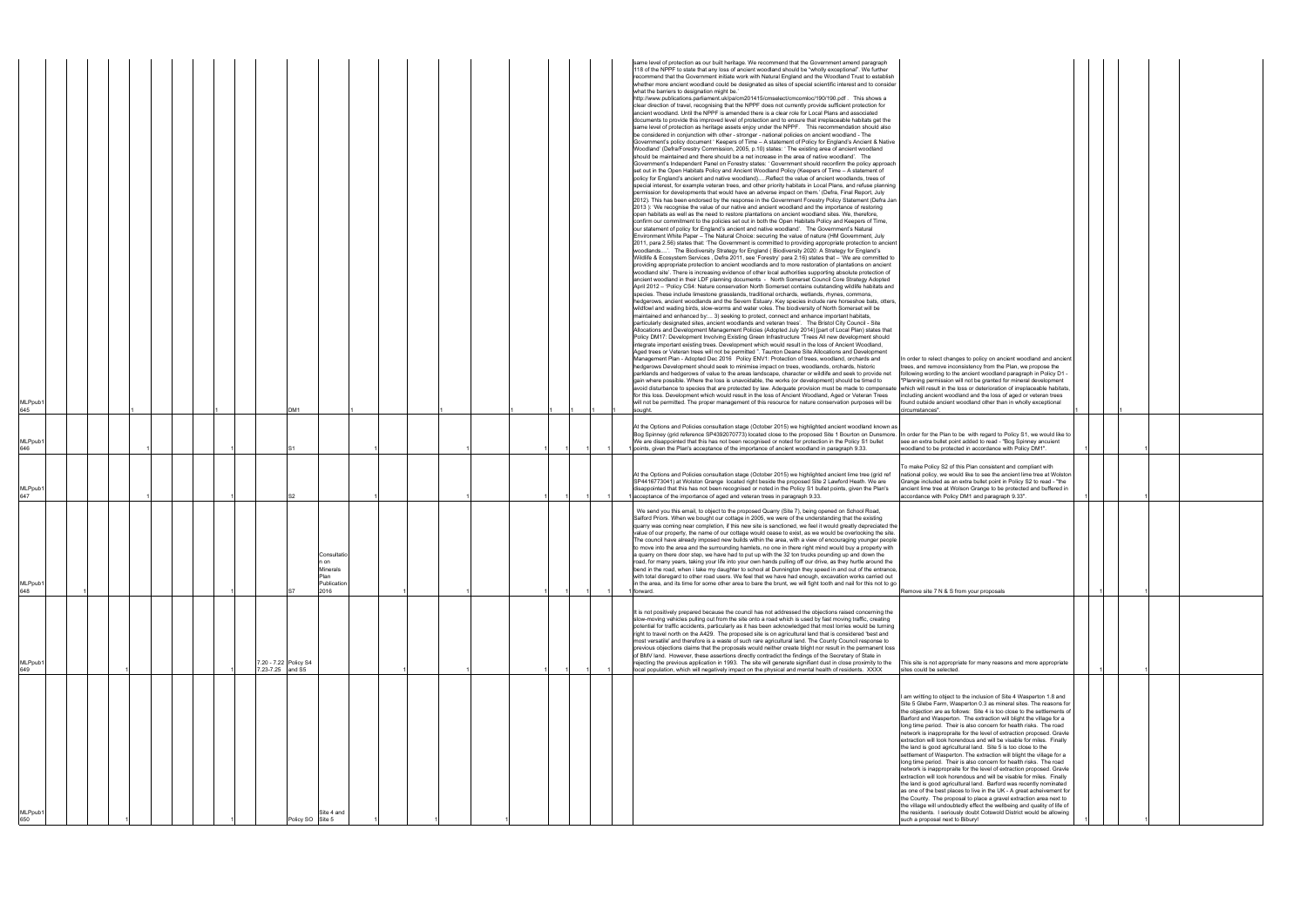| In order to relect changes to policy on ancient woodland and ancient                                                                           |   |   |   |  |
|------------------------------------------------------------------------------------------------------------------------------------------------|---|---|---|--|
| trees, and remove inconsistency from the Plan, we propose the<br>following wording to the ancient woodland paragraph in Policy D1 -            |   |   |   |  |
| "Planning permission will not be granted for mineral development                                                                               |   |   |   |  |
| which will result in the loss or deterioration of irreplaceable habitats,<br>including ancient woodland and the loss of aged or veteran trees  |   |   |   |  |
| found outside ancient woodland other than in wholly exceptional                                                                                |   |   |   |  |
| circumstances".                                                                                                                                | 1 |   |   |  |
|                                                                                                                                                |   |   |   |  |
| In order for the Plan to be with regard to Policy S1, we would like to<br>see an extra bullet point added to read - "Bog Spinney ancuient      |   |   |   |  |
| woodland to be protected in accordance with Policy DM1".                                                                                       | 1 |   | 1 |  |
|                                                                                                                                                |   |   |   |  |
| To make Policy S2 of this Plan consistent and compliant with<br>national policy, we would like to see the ancient lime tree at Wolston         |   |   |   |  |
| Grange included as an extra bullet point in Policy S2 to read - "the<br>ancient lime tree at Wolson Grange to be protected and buffered in     |   |   |   |  |
| accordance with Policy DM1 and paragraph 9.33".                                                                                                | 1 |   | 1 |  |
|                                                                                                                                                |   |   |   |  |
|                                                                                                                                                |   |   |   |  |
|                                                                                                                                                |   |   |   |  |
|                                                                                                                                                |   |   |   |  |
|                                                                                                                                                |   |   |   |  |
|                                                                                                                                                |   |   |   |  |
|                                                                                                                                                |   |   |   |  |
| Remove site 7 N & S from your proposals                                                                                                        |   | 1 | 1 |  |
|                                                                                                                                                |   |   |   |  |
|                                                                                                                                                |   |   |   |  |
|                                                                                                                                                |   |   |   |  |
|                                                                                                                                                |   |   |   |  |
|                                                                                                                                                |   |   |   |  |
|                                                                                                                                                |   |   |   |  |
| This site is not appropriate for many reasons and more appropriate<br>sites could be selected.                                                 |   | 1 | 1 |  |
|                                                                                                                                                |   |   |   |  |
|                                                                                                                                                |   |   |   |  |
| I am writting to object to the inclusion of Site 4 Wasperton 1.8 and<br>Site 5 Glebe Farm, Wasperton 0.3 as mineral sites. The reasons for     |   |   |   |  |
| the objection are as follows: Site 4 is too close to the settlements of                                                                        |   |   |   |  |
| Barford and Wasperton. The extraction will blight the village for a<br>long time period. Their is also concern for health risks. The road      |   |   |   |  |
| network is inappropraite for the level of extraction proposed. Gravle                                                                          |   |   |   |  |
| extraction will look horendous and will be visable for miles. Finally<br>the land is good agricultural land. Site 5 is too close to the        |   |   |   |  |
| settlement of Wasperton. The extraction will blight the village for a                                                                          |   |   |   |  |
| long time period. Their is also concern for health risks. The road<br>network is inappropraite for the level of extraction proposed. Gravle    |   |   |   |  |
| extraction will look horendous and will be visable for miles. Finally<br>the land is good agricultural land. Barford was recently nominated    |   |   |   |  |
| as one of the best places to live in the UK - A great acheivement for                                                                          |   |   |   |  |
| the County. The proposal to place a gravel extraction area next to<br>the village will undoubtedly effect the wellbeing and quality of life of |   |   |   |  |
| the residents. I seriously doubt Cotswold District would be allowing                                                                           |   |   |   |  |
| such a proposal next to Bibury!                                                                                                                |   |   |   |  |

|                            |  |  |  |                  |                       |                                                                       |  |  |  |  | same level of protection as our built heritage. We recommend that the Government amend paragraph<br>118 of the NPPF to state that any loss of ancient woodland should be "wholly exceptional". We further<br>recommend that the Government initiate work with Natural England and the Woodland Trust to establish<br>whether more ancient woodland could be designated as sites of special scientific interest and to consider<br>what the barriers to designation might be.<br>nttp://www.publications.parliament.uk/pa/cm201415/cmselect/cmcomloc/190/190.pdf . This shows a<br>clear direction of travel, recognising that the NPPF does not currently provide sufficient protection for<br>ancient woodland. Until the NPPF is amended there is a clear role for Local Plans and associated<br>documents to provide this improved level of protection and to ensure that irreplaceable habitats get the<br>same level of protection as heritage assets enjoy under the NPPF.  This recommendation should also<br>be considered in conjunction with other - stronger - national policies on ancient woodland - The<br>Government's policy document ' Keepers of Time - A statement of Policy for England's Ancient & Native<br>Woodland' (Defra/Forestry Commission, 2005, p.10) states: ' The existing area of ancient woodland<br>should be maintained and there should be a net increase in the area of native woodland'. The<br>Government's Independent Panel on Forestry states: ' Government should reconfirm the policy approach<br>set out in the Open Habitats Policy and Ancient Woodland Policy (Keepers of Time - A statement of<br>policy for England's ancient and native woodland)Reflect the value of ancient woodlands, trees of<br>special interest, for example veteran trees, and other priority habitats in Local Plans, and refuse planning<br>permission for developments that would have an adverse impact on them.' (Defra, Final Report, July<br>2012). This has been endorsed by the response in the Government Forestry Policy Statement (Defra Jan<br>2013): 'We recognise the value of our native and ancient woodland and the importance of restoring<br>open habitats as well as the need to restore plantations on ancient woodland sites. We, therefore,<br>confirm our commitment to the policies set out in both the Open Habitats Policy and Keepers of Time,<br>our statement of policy for England's ancient and native woodland'. The Government's Natural<br>Environment White Paper – The Natural Choice: securing the value of nature (HM Government, July<br>2011, para 2.56) states that: 'The Government is committed to providing appropriate protection to ancient<br>woodlands'. The Biodiversity Strategy for England (Biodiversity 2020: A Strategy for England's<br>Wildlife & Ecosystem Services, Defra 2011, see 'Forestry' para 2.16) states that - 'We are committed to<br>providing appropriate protection to ancient woodlands and to more restoration of plantations on ancient<br>woodland site'. There is increasing evidence of other local authorities supporting absolute protection of<br>ancient woodland in their LDF planning documents - North Somerset Council Core Strategy Adopted<br>April 2012 - 'Policy CS4: Nature conservation North Somerset contains outstanding wildlife habitats and<br>species. These include limestone grasslands, traditional orchards, wetlands, rhynes, commons,<br>hedgerows, ancient woodlands and the Severn Estuary. Key species include rare horseshoe bats, otters,<br>wildfowl and wading birds, slow-worms and water voles. The biodiversity of North Somerset will be<br>maintained and enhanced by: 3) seeking to protect, connect and enhance important habitats,<br>particularly designated sites, ancient woodlands and veteran trees'. The Bristol City Council - Site<br>Allocations and Development Management Policies (Adopted July 2014) [part of Local Plan) states that<br>Policy DM17: Development Involving Existing Green Infrastructure "Trees All new development should<br>integrate important existing trees. Development which would result in the loss of Ancient Woodland,<br>Aged trees or Veteran trees will not be permitted ". Taunton Deane Site Allocations and Development<br>Management Plan - Adopted Dec 2016 Policy ENV1: Protection of trees, woodland, orchards and<br>In order to relect changes to policy on ancient woodland and ancier<br>hedgerows Development should seek to minimise impact on trees, woodlands, orchards, historic<br>trees, and remove inconsistency from the Plan, we propose the<br>parklands and hedgerows of value to the areas landscape, character or wildlife and seek to provide net<br>following wording to the ancient woodland paragraph in Policy D1 -<br>gain where possible. Where the loss is unavoidable, the works (or development) should be timed to<br>"Planning permission will not be granted for mineral development<br>avoid disturbance to species that are protected by law. Adequate provision must be made to compensate<br>which will result in the loss or deterioration of irreplaceable habitats<br>for this loss. Development which would result in the loss of Ancient Woodland, Aged or Veteran Trees<br>including ancient woodland and the loss of aged or veteran trees |  |
|----------------------------|--|--|--|------------------|-----------------------|-----------------------------------------------------------------------|--|--|--|--|---------------------------------------------------------------------------------------------------------------------------------------------------------------------------------------------------------------------------------------------------------------------------------------------------------------------------------------------------------------------------------------------------------------------------------------------------------------------------------------------------------------------------------------------------------------------------------------------------------------------------------------------------------------------------------------------------------------------------------------------------------------------------------------------------------------------------------------------------------------------------------------------------------------------------------------------------------------------------------------------------------------------------------------------------------------------------------------------------------------------------------------------------------------------------------------------------------------------------------------------------------------------------------------------------------------------------------------------------------------------------------------------------------------------------------------------------------------------------------------------------------------------------------------------------------------------------------------------------------------------------------------------------------------------------------------------------------------------------------------------------------------------------------------------------------------------------------------------------------------------------------------------------------------------------------------------------------------------------------------------------------------------------------------------------------------------------------------------------------------------------------------------------------------------------------------------------------------------------------------------------------------------------------------------------------------------------------------------------------------------------------------------------------------------------------------------------------------------------------------------------------------------------------------------------------------------------------------------------------------------------------------------------------------------------------------------------------------------------------------------------------------------------------------------------------------------------------------------------------------------------------------------------------------------------------------------------------------------------------------------------------------------------------------------------------------------------------------------------------------------------------------------------------------------------------------------------------------------------------------------------------------------------------------------------------------------------------------------------------------------------------------------------------------------------------------------------------------------------------------------------------------------------------------------------------------------------------------------------------------------------------------------------------------------------------------------------------------------------------------------------------------------------------------------------------------------------------------------------------------------------------------------------------------------------------------------------------------------------------------------------------------------------------------------------------------------------------------------------------------------------------------------------------------------------------------------------------------------------------------------------------------------------------------------------------------------------------------------------------------------------------------------------------------------------------------------------------------------------------------------------------------------------------------------------------------------------------------------------------------------------------------------------------------------------------------------------------------------------------------------------------------------------------------------------------------------------------------------------------------------------------------------------------------------------------------------------------------------------------------------------------------------------------------------------------------------------------------------------------------------------------------------------------------------------------------------------------------------------------------------------------------------------------------------------------------------------------------------------------------------------------------------|--|
| MLPpub <sup>.</sup><br>645 |  |  |  |                  | DM <sub>1</sub>       |                                                                       |  |  |  |  | will not be permitted. The proper management of this resource for nature conservation purposes will be<br>found outside ancient woodland other than in wholly exceptional<br>sought.<br>circumstances".                                                                                                                                                                                                                                                                                                                                                                                                                                                                                                                                                                                                                                                                                                                                                                                                                                                                                                                                                                                                                                                                                                                                                                                                                                                                                                                                                                                                                                                                                                                                                                                                                                                                                                                                                                                                                                                                                                                                                                                                                                                                                                                                                                                                                                                                                                                                                                                                                                                                                                                                                                                                                                                                                                                                                                                                                                                                                                                                                                                                                                                                                                                                                                                                                                                                                                                                                                                                                                                                                                                                                                                                                                                                                                                                                                                                                                                                                                                                                                                                                                                                                                                                                                                                                                                                                                                                                                                                                                                                                                                                                                                                                                                                                                                                                                                                                                                                                                                                                                                                                                                                                                                                                                                     |  |
| MLPpub <sup>.</sup><br>646 |  |  |  |                  |                       |                                                                       |  |  |  |  | At the Options and Policies consultation stage (October 2015) we highlighted ancient woodland known as<br>Bog Spinney (grid reference SP4392070773) located close to the proposed Site 1 Bourton on Dunsmore.<br>In order for the Plan to be with regard to Policy S1, we would like to<br>We are disappointed that this has not been recognised or noted for protection in the Policy S1 bullet<br>see an extra bullet point added to read - "Bog Spinney ancuient<br>points, given the Plan's acceptance of the importance of ancient woodland in paragraph 9.33.<br>woodland to be protected in accordance with Policy DM1".                                                                                                                                                                                                                                                                                                                                                                                                                                                                                                                                                                                                                                                                                                                                                                                                                                                                                                                                                                                                                                                                                                                                                                                                                                                                                                                                                                                                                                                                                                                                                                                                                                                                                                                                                                                                                                                                                                                                                                                                                                                                                                                                                                                                                                                                                                                                                                                                                                                                                                                                                                                                                                                                                                                                                                                                                                                                                                                                                                                                                                                                                                                                                                                                                                                                                                                                                                                                                                                                                                                                                                                                                                                                                                                                                                                                                                                                                                                                                                                                                                                                                                                                                                                                                                                                                                                                                                                                                                                                                                                                                                                                                                                                                                                                                             |  |
| MLPpub <sup>*</sup><br>647 |  |  |  |                  |                       |                                                                       |  |  |  |  | To make Policy S2 of this Plan consistent and compliant with<br>At the Options and Policies consultation stage (October 2015) we highlighted ancient lime tree (grid ref<br>national policy, we would like to see the ancient lime tree at Wolstor<br>SP4416773041) at Wolston Grange located right beside the proposed Site 2 Lawford Heath. We are<br>Grange included as an extra bullet point in Policy S2 to read - "the<br>disappointed that this has not been recognised or noted in the Policy S1 bullet points, given the Plan's<br>ancient lime tree at Wolson Grange to be protected and buffered in<br>accordance with Policy DM1 and paragraph 9.33".<br>acceptance of the importance of aged and veteran trees in paragraph 9.33.                                                                                                                                                                                                                                                                                                                                                                                                                                                                                                                                                                                                                                                                                                                                                                                                                                                                                                                                                                                                                                                                                                                                                                                                                                                                                                                                                                                                                                                                                                                                                                                                                                                                                                                                                                                                                                                                                                                                                                                                                                                                                                                                                                                                                                                                                                                                                                                                                                                                                                                                                                                                                                                                                                                                                                                                                                                                                                                                                                                                                                                                                                                                                                                                                                                                                                                                                                                                                                                                                                                                                                                                                                                                                                                                                                                                                                                                                                                                                                                                                                                                                                                                                                                                                                                                                                                                                                                                                                                                                                                                                                                                                                              |  |
| <b>MLPpub</b><br>648       |  |  |  |                  |                       | Consultatio<br>n on<br><b>Minerals</b><br>Plan<br>Publication<br>2016 |  |  |  |  | We send you this email, to object to the proposed Quarry (Site 7), being opened on School Road,<br>Salford Priors. When we bought our cottage in 2005, we were of the understanding that the existing<br>quarry was coming near completion, if this new site is sanctioned, we feel it would greatly depreciated the<br>value of our property, the name of our cottage would cease to exist, as we would be overlooking the site.<br>The council have already imposed new builds within the area, with a view of encouraging younger people<br>to move into the area and the surrounding hamlets, no one in there right mind would buy a property with<br>a quarry on there door step, we have had to put up with the 32 ton trucks pounding up and down the<br>road, for many years, taking your life into your own hands pulling off our drive, as they hurtle around the<br>bend in the road, when i take my daughter to school at Dunnington they speed in and out of the entrance,<br>with total disregard to other road users. We feel that we have had enough, excavation works carried out<br>in the area, and its time for some other area to bare the brunt, we will fight tooth and nail for this not to go<br>Remove site 7 N & S from your proposals<br>forward.                                                                                                                                                                                                                                                                                                                                                                                                                                                                                                                                                                                                                                                                                                                                                                                                                                                                                                                                                                                                                                                                                                                                                                                                                                                                                                                                                                                                                                                                                                                                                                                                                                                                                                                                                                                                                                                                                                                                                                                                                                                                                                                                                                                                                                                                                                                                                                                                                                                                                                                                                                                                                                                                                                                                                                                                                                                                                                                                                                                                                                                                                                                                                                                                                                                                                                                                                                                                                                                                                                                                                                                                                                                                                                                                                                                                                                                                                                                                                                                                                                                                                                               |  |
| MLPpub <sup>®</sup><br>649 |  |  |  | 7.23-7.25 and S5 | 7.20 - 7.22 Policy S4 |                                                                       |  |  |  |  | t is not positively prepared because the council has not addressed the objections raised concerning the<br>slow-moving vehicles pulling out from the site onto a road which is used by fast moving traffic, creating<br>potential for traffic accidents, particularly as it has been acknowledged that most lorries would be turning<br>right to travel north on the A429. The proposed site is on agricultural land that is considered 'best and<br>most versatile' and therefore is a waste of such rare agricultural land. The County Council response to<br>previous objections claims that the proposals would neither create blight nor result in the permanent loss<br>of BMV land. However, these assertions directly contradict the findings of the Secretary of State in<br>rejecting the previous application in 1993. The site will generate signifiant dust in close proximity to the<br>This site is not appropriate for many reasons and more appropriate<br>local population, which will negatively impact on the physical and mental health of residents. XXXX<br>sites could be selected.                                                                                                                                                                                                                                                                                                                                                                                                                                                                                                                                                                                                                                                                                                                                                                                                                                                                                                                                                                                                                                                                                                                                                                                                                                                                                                                                                                                                                                                                                                                                                                                                                                                                                                                                                                                                                                                                                                                                                                                                                                                                                                                                                                                                                                                                                                                                                                                                                                                                                                                                                                                                                                                                                                                                                                                                                                                                                                                                                                                                                                                                                                                                                                                                                                                                                                                                                                                                                                                                                                                                                                                                                                                                                                                                                                                                                                                                                                                                                                                                                                                                                                                                                                                                                                                                                 |  |
| <b>MLPpub</b><br>650       |  |  |  |                  | Policy SO Site 5      | Site 4 and                                                            |  |  |  |  | am writting to object to the inclusion of Site 4 Wasperton 1.8 and<br>Site 5 Glebe Farm, Wasperton 0.3 as mineral sites. The reasons for<br>the objection are as follows: Site 4 is too close to the settlements of<br>Barford and Wasperton. The extraction will blight the village for a<br>long time period. Their is also concern for health risks. The road<br>network is inappropraite for the level of extraction proposed. Gravle<br>extraction will look horendous and will be visable for miles. Finally<br>the land is good agricultural land. Site 5 is too close to the<br>settlement of Wasperton. The extraction will blight the village for a<br>long time period. Their is also concern for health risks. The road<br>network is inappropraite for the level of extraction proposed. Gravle<br>extraction will look horendous and will be visable for miles. Finally<br>the land is good agricultural land. Barford was recently nominated<br>as one of the best places to live in the UK - A great acheivement for<br>the County. The proposal to place a gravel extraction area next to<br>the village will undoubtedly effect the wellbeing and quality of life of<br>the residents. I seriously doubt Cotswold District would be allowing<br>such a proposal next to Bibury!                                                                                                                                                                                                                                                                                                                                                                                                                                                                                                                                                                                                                                                                                                                                                                                                                                                                                                                                                                                                                                                                                                                                                                                                                                                                                                                                                                                                                                                                                                                                                                                                                                                                                                                                                                                                                                                                                                                                                                                                                                                                                                                                                                                                                                                                                                                                                                                                                                                                                                                                                                                                                                                                                                                                                                                                                                                                                                                                                                                                                                                                                                                                                                                                                                                                                                                                                                                                                                                                                                                                                                                                                                                                                                                                                                                                                                                                                                                                                                                                                                                                                           |  |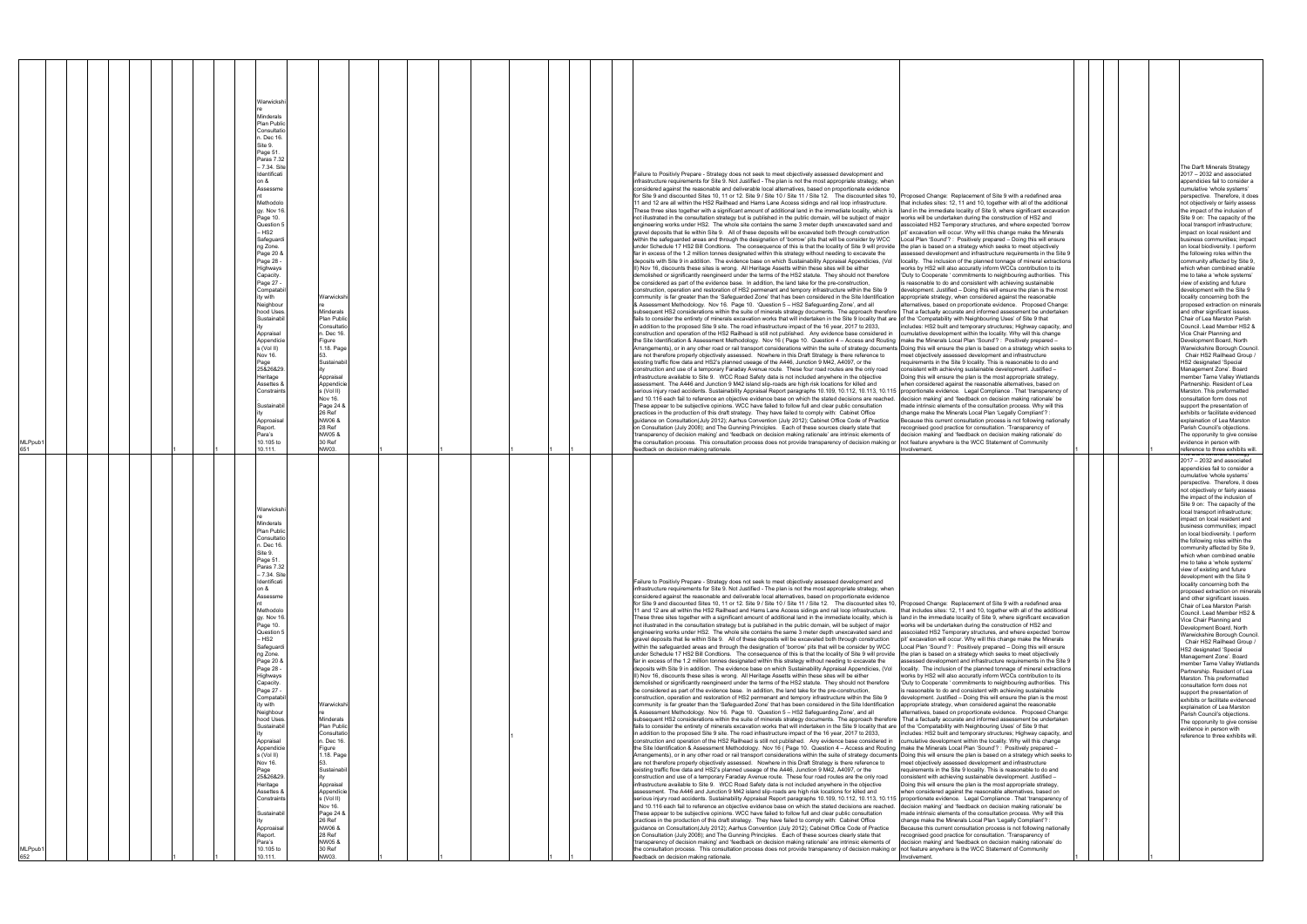| MLPpub <sup>.</sup><br>651 | Warwicksh<br>Minderals<br>Plan Publi<br>Consultatio<br>. Dec 16<br>Site 9.<br>Page 51.<br>Paras 7.32<br>- 7.34. Site<br>Identificati<br>ת R<br>Assessme<br>Methodolo<br>gy. Nov 16<br>Page 10.<br>Question !<br>HS2<br>Safeguard<br>ng Zone.<br>Page 20 &<br>Page 28 ·<br>Highways<br>Capacity.<br>Page 27 -<br>Compatab<br>y with<br>Warwicksh<br>Neighbour<br>hood Uses<br>Minderals<br>Plan Public<br>Sustainabil<br>Consultatio<br>າ. Dec 16<br>Appraisal<br>Appendicie<br>Figure<br>s (Vol II)<br>1.18. Page<br>Nov 16.<br>Page<br>Sustainabil<br>25&26&29<br>Heritage<br>Appraisal<br>Assettes &<br>Appendicie<br>Constraints<br>s (Vol II)<br>Nov 16.<br>Page 24 8<br>Sustainab<br>26 Ref<br>NW06 &<br>Approaisal<br>28 Ref<br>Report.<br>NW05 &<br>Para's<br>10.105 to<br>30 Ref<br>NW03.<br>10.111.               |  | Failure to Positivly Prepare - Strategy does not seek to meet objectively assessed development and<br>infrastructure requirements for Site 9. Not Justified - The plan is not the most appropriate strategy, when<br>considered against the reasonable and deliverable local alternatives, based on proportionate evidence<br>for Site 9 and discounted Sites 10, 11 or 12. Site 9 / Site 10 / Site 11 / Site 12. The discounted sites 10,<br>Proposed Change: Replacement of Site 9 with a redefined area<br>11 and 12 are all within the HS2 Railhead and Hams Lane Access sidings and rail loop infrastructure.<br>that includes sites: 12, 11 and 10, together with all of the additional<br>land in the immediate locality of Site 9, where significant excavation<br>These three sites together with a significant amount of additional land in the immediate locality, which is<br>not illustrated in the consultation strategy but is published in the public domain, will be subject of major<br>works will be undertaken during the construction of HS2 and<br>engineering works under HS2. The whole site contains the same 3 meter depth unexcavated sand and<br>asscoiated HS2 Temporary structures, and where expected 'borrow<br>gravel deposits that lie within Site 9. All of these deposits will be excavated both through construction<br>pit' excavation will occur. Why will this change make the Minerals<br>within the safeguarded areas and through the designation of 'borrow' pits that will be consider by WCC<br>Local Plan 'Sound'? : Positively prepared - Doing this will ensure<br>under Schedule 17 HS2 Bill Condtions. The consequence of this is that the locality of Site 9 will provide<br>the plan is based on a strategy which seeks to meet objectively<br>far in excess of the 1.2 million tonnes designated within this strategy without needing to excavate the<br>sessed development and infrastructure requirements in the Site 9<br>deposits with Site 9 in addition. The evidence base on which Sustainability Appraisal Appendicies, (Vol<br>locality. The inclusion of the planned tonnage of mineral extractions<br>II) Nov 16, discounts these sites is wrong. All Heritage Assetts within these sites will be either<br>works by HS2 will also accuratly inform WCCs contribution to its<br>demolished or significantly reengineerd under the terms of the HS2 statute. They should not therefore<br>'Duty to Cooperate ' commitments to neighbouring authorities. This<br>be considered as part of the evidence base. In addition, the land take for the pre-construction,<br>is reasonable to do and consistent with achieving sustainable<br>construction, operation and restoration of HS2 permenant and tempory infrastructure within the Site 9<br>levelopment. Justified - Doing this will ensure the plan is the most<br>community is far greater than the 'Safeguarded Zone' that has been considered in the Site Identification<br>appropriate strategy, when considered against the reasonable<br>& Assessment Methodology. Nov 16. Page 10. 'Question 5 - HS2 Safeguarding Zone', and all<br>alternatives, based on proportionate evidence. Proposed Change:<br>subsequent HS2 considerations within the suite of minerals strategy documents. The approach therefore   That a factually accurate and informed assessment be undertaken<br>fails to consider the entirety of minerals excavation works that will indertaken in the Site 9 locality that are of the 'Compatability with Neighbouring Uses' of Site 9 that<br>in addition to the proposed Site 9 site. The road infrastructure impact of the 16 year, 2017 to 2033,<br>ncludes: HS2 built and temporary structures; Highway capacity, and<br>construction and operation of the HS2 Railhead is still not published. Any evidence base considered in<br>cumulative development within the locality. Why will this change<br>the Site Identification & Assessment Methodology. Nov 16 (Page 10. Question 4 - Access and Routing   make the Minerals Local Plan 'Sound'? : Positively prepared -<br>Arrangements), or in any other road or rail transport considerations within the suite of strategy documents Doing this will ensure the plan is based on a strategy which seeks to<br>are not therefore properly objectively assessed. Nowhere in this Draft Strategy is there reference to<br>meet objectively assessed development and infrastructure<br>existing traffic flow data and HS2's planned useage of the A446, Junction 9 M42, A4097, or the<br>requirements in the Site 9 locality. This is reasonable to do and<br>construction and use of a temporary Faraday Avenue route. These four road routes are the only road<br>consistent with achieving sustainable development. Justified -<br>infrastructure available to Site 9. WCC Road Safety data is not included anywhere in the objective<br>Doing this will ensure the plan is the most appropriate strategy,<br>assessment. The A446 and Junction 9 M42 island slip-roads are high risk locations for killed and<br>when considered against the reasonable alternatives, based on<br>serious injury road accidents. Sustainability Appraisal Report paragraphs 10.109, 10.112, 10.113, 10.115<br>proportionate evidence. Legal Compliance . That 'transparency of<br>and 10.116 each fail to reference an objective evidence base on which the stated decisions are reached.<br>decision making' and 'feedback on decision making rationale' be<br>These appear to be subjective opinions. WCC have failed to follow full and clear public consultation<br>made intrinsic elements of the consultation process. Why will this<br>practices in the production of this draft strategy. They have failed to comply with: Cabinet Office<br>change make the Minerals Local Plan 'Legally Compliant'?<br>guidance on Consultation(July 2012); Aarhus Convention (July 2012); Cabinet Office Code of Practice<br>Because this current consultation process is not following nationally<br>on Consultation (July 2008); and The Gunning Principles. Each of these sources clearly state that<br>ecognised good practice for consultation. 'Transparency of<br>'transparency of decision making' and 'feedback on decision making rationale' are intrinsic elements of<br>decision making' and 'feedback on decision making rationale' do<br>the consultation process. This consultation process does not provide transparency of decision making or not feature anywhere is the WCC Statement of Community<br>feedback on decision making rationale.<br>Involvement. | The Darft Minerals Strategy<br>2017 - 2032 and associated<br>appendicies fail to consider a<br>cumulative 'whole systems'<br>perspective. Therefore, it does<br>not objectively or fairly assess<br>the impact of the inclusion of<br>Site 9 on: The capacity of the<br>local transport infrastructure;<br>impact on local resident and<br>business communities; impact<br>on local biodiversity. I perform<br>the following roles within the<br>community affected by Site 9,<br>which when combined enable<br>me to take a 'whole systems'<br>view of existing and future<br>development with the Site 9<br>locality concerning both the<br>proposed extraction on minerals<br>and other significant issues.<br>Chair of Lea Marston Parish<br>Council. Lead Member HS2 &<br>Vice Chair Planning and<br>Development Board, North<br>Warwickshire Borough Council.<br>Chair HS2 Railhead Group /<br>HS2 designated 'Special<br>Management Zone'. Board<br>member Tame Valley Wetlands<br>Partnership. Resident of Lea<br>Marston. This preformatted<br>consultation form does not<br>support the presentation of<br>exhibits or facilitate evidenced<br>explaination of Lea Marston<br>Parish Council's objections.<br>The opporunity to give consise<br>evidence in person with<br>reference to three exhibits will.<br>πε Dant Millerais διιαίες |
|----------------------------|----------------------------------------------------------------------------------------------------------------------------------------------------------------------------------------------------------------------------------------------------------------------------------------------------------------------------------------------------------------------------------------------------------------------------------------------------------------------------------------------------------------------------------------------------------------------------------------------------------------------------------------------------------------------------------------------------------------------------------------------------------------------------------------------------------------------------|--|------------------------------------------------------------------------------------------------------------------------------------------------------------------------------------------------------------------------------------------------------------------------------------------------------------------------------------------------------------------------------------------------------------------------------------------------------------------------------------------------------------------------------------------------------------------------------------------------------------------------------------------------------------------------------------------------------------------------------------------------------------------------------------------------------------------------------------------------------------------------------------------------------------------------------------------------------------------------------------------------------------------------------------------------------------------------------------------------------------------------------------------------------------------------------------------------------------------------------------------------------------------------------------------------------------------------------------------------------------------------------------------------------------------------------------------------------------------------------------------------------------------------------------------------------------------------------------------------------------------------------------------------------------------------------------------------------------------------------------------------------------------------------------------------------------------------------------------------------------------------------------------------------------------------------------------------------------------------------------------------------------------------------------------------------------------------------------------------------------------------------------------------------------------------------------------------------------------------------------------------------------------------------------------------------------------------------------------------------------------------------------------------------------------------------------------------------------------------------------------------------------------------------------------------------------------------------------------------------------------------------------------------------------------------------------------------------------------------------------------------------------------------------------------------------------------------------------------------------------------------------------------------------------------------------------------------------------------------------------------------------------------------------------------------------------------------------------------------------------------------------------------------------------------------------------------------------------------------------------------------------------------------------------------------------------------------------------------------------------------------------------------------------------------------------------------------------------------------------------------------------------------------------------------------------------------------------------------------------------------------------------------------------------------------------------------------------------------------------------------------------------------------------------------------------------------------------------------------------------------------------------------------------------------------------------------------------------------------------------------------------------------------------------------------------------------------------------------------------------------------------------------------------------------------------------------------------------------------------------------------------------------------------------------------------------------------------------------------------------------------------------------------------------------------------------------------------------------------------------------------------------------------------------------------------------------------------------------------------------------------------------------------------------------------------------------------------------------------------------------------------------------------------------------------------------------------------------------------------------------------------------------------------------------------------------------------------------------------------------------------------------------------------------------------------------------------------------------------------------------------------------------------------------------------------------------------------------------------------------------------------------------------------------------------------------------------------------------------------------------------------------------------------------------------------------------------------------------------------------------------------------------------------------------------------------------------------------------------------------------------------------------------------------------------------------------------------------------------------------------------------------------------------------------------------------------------------------------------------------------------------------------------------------------------------------------------------------------------------------------------------------------------------------------------------------------------------------------------------------------------------------------------------------------------------------------------------------------------------------------------------------------------------------------------------------------------------------------------------------------------------------------------------------------------------------------------------------------------------------------------------------------------------------------------------------------------------------------------------------------------------------------------------------------|-----------------------------------------------------------------------------------------------------------------------------------------------------------------------------------------------------------------------------------------------------------------------------------------------------------------------------------------------------------------------------------------------------------------------------------------------------------------------------------------------------------------------------------------------------------------------------------------------------------------------------------------------------------------------------------------------------------------------------------------------------------------------------------------------------------------------------------------------------------------------------------------------------------------------------------------------------------------------------------------------------------------------------------------------------------------------------------------------------------------------------------------------------------------------------------------------------------------------------------------------------------------------------------------------------------------------------------------------------|
| /ILPpub1<br>652            | Warwicksh<br>Minderals<br>Plan Public<br>Consultatic<br>. Dec 16.<br>Site 9<br>Page 51.<br>Paras 7.32<br>- 7.34. Site<br>Identificati<br>ת R<br>Assessme<br>Methodolc<br>qy. Nov 16<br>Page 10.<br>Question !<br>HS <sub>2</sub><br>Safeguard<br>ng Zone.<br>Page 20 &<br>Page 28 -<br>Highways<br>Capacity.<br>Page 27 -<br>Compatab<br>y with<br>Warwickshi<br>Neighbour<br>hood Uses<br>Minderals<br>Plan Public<br>Sustainabil<br>Consultatio<br>1. Dec 16.<br>Appraisa<br>Appendicie<br>Figure<br>1.18. Page<br>s (Vol II)<br>Nov 16.<br>Sustainabil<br>Page<br>25&26&29<br>Heritage<br>Appraisal<br>Assettes &<br>Appendicie<br>Constraints<br>s (Vol II)<br>Nov 16.<br>Page 24 &<br>;ustainabi<br>26 Ref<br>NW06 &<br>Approaisal<br>28 Ref<br>Report.<br>NW05 &<br>Para's<br>10.105 to<br>30 Ref<br>NW03.<br>0.111. |  | Failure to Positivly Prepare - Strategy does not seek to meet objectively assessed development and<br>infrastructure requirements for Site 9. Not Justified - The plan is not the most appropriate strategy, when<br>considered against the reasonable and deliverable local alternatives, based on proportionate evidence<br>for Site 9 and discounted Sites 10, 11 or 12. Site 9 / Site 10 / Site 11 / Site 12. The discounted sites 10.<br>Proposed Change: Replacement of Site 9 with a redefined area<br>11 and 12 are all within the HS2 Railhead and Hams Lane Access sidings and rail loop infrastructure.<br>that includes sites: 12, 11 and 10, together with all of the additional<br>These three sites together with a significant amount of additional land in the immediate locality, which is<br>land in the immediate locality of Site 9, where significant excavation<br>not illustrated in the consultation strategy but is published in the public domain, will be subject of major<br>orks will be undertaken during the construction of HS2 and<br>engineering works under HS2. The whole site contains the same 3 meter depth unexcavated sand and<br>asscoiated HS2 Temporary structures, and where expected 'borrow<br>gravel deposits that lie within Site 9. All of these deposits will be excavated both through construction<br>pit' excavation will occur. Why will this change make the Minerals<br>within the safeguarded areas and through the designation of 'borrow' pits that will be consider by WCC<br>Local Plan 'Sound'? : Positively prepared - Doing this will ensure<br>under Schedule 17 HS2 Bill Condtions. The consequence of this is that the locality of Site 9 will provide<br>the plan is based on a strategy which seeks to meet objectively<br>far in excess of the 1.2 million tonnes designated within this strategy without needing to excavate the<br>sessed development and infrastructure requirements in the Site 9<br>deposits with Site 9 in addition. The evidence base on which Sustainability Appraisal Appendicies, (Vol<br>locality. The inclusion of the planned tonnage of mineral extractions<br>II) Nov 16, discounts these sites is wrong. All Heritage Assetts within these sites will be either<br>works by HS2 will also accuratly inform WCCs contribution to its<br>demolished or significantly reengineerd under the terms of the HS2 statute. They should not therefore<br>'Duty to Cooperate ' commitments to neighbouring authorities. This<br>be considered as part of the evidence base. In addition, the land take for the pre-construction,<br>is reasonable to do and consistent with achieving sustainable<br>construction, operation and restoration of HS2 permenant and tempory infrastructure within the Site 9<br>development. Justified - Doing this will ensure the plan is the most<br>community is far greater than the 'Safeguarded Zone' that has been considered in the Site Identification<br>appropriate strategy, when considered against the reasonable<br>& Assessment Methodology. Nov 16. Page 10. 'Question 5 - HS2 Safeguarding Zone', and all<br>alternatives, based on proportionate evidence. Proposed Change:<br>subsequent HS2 considerations within the suite of minerals strategy documents. The approach therefore   That a factually accurate and informed assessment be undertaken<br>fails to consider the entirety of minerals excavation works that will indertaken in the Site 9 locality that are of the 'Compatability with Neighbouring Uses' of Site 9 that<br>in addition to the proposed Site 9 site. The road infrastructure impact of the 16 year, 2017 to 2033,<br>includes: HS2 built and temporary structures; Highway capacity, and<br>construction and operation of the HS2 Railhead is still not published. Any evidence base considered in<br>cumulative development within the locality. Why will this change<br>the Site Identification & Assessment Methodology. Nov 16 (Page 10. Question 4 - Access and Routing Imake the Minerals Local Plan 'Sound'? : Positively prepared -<br>Arrangements), or in any other road or rail transport considerations within the suite of strategy documents Doing this will ensure the plan is based on a strategy which seeks to<br>are not therefore properly objectively assessed. Nowhere in this Draft Strategy is there reference to<br>meet objectively assessed development and infrastructure<br>existing traffic flow data and HS2's planned useage of the A446, Junction 9 M42, A4097, or the<br>requirements in the Site 9 locality. This is reasonable to do and<br>construction and use of a temporary Faraday Avenue route. These four road routes are the only road<br>consistent with achieving sustainable development. Justified -<br>infrastructure available to Site 9. WCC Road Safety data is not included anywhere in the objective<br>Doing this will ensure the plan is the most appropriate strategy,<br>assessment. The A446 and Junction 9 M42 island slip-roads are high risk locations for killed and<br>when considered against the reasonable alternatives, based on<br>serious injury road accidents. Sustainability Appraisal Report paragraphs 10.109, 10.112, 10.113, 10.115 proportionate evidence. Legal Compliance . That 'transparency of<br>and 10.116 each fail to reference an objective evidence base on which the stated decisions are reached.<br>decision making' and 'feedback on decision making rationale' be<br>These appear to be subjective opinions. WCC have failed to follow full and clear public consultation<br>made intrinsic elements of the consultation process. Why will this<br>practices in the production of this draft strategy. They have failed to comply with: Cabinet Office<br>change make the Minerals Local Plan 'Legally Compliant'? :<br>guidance on Consultation(July 2012); Aarhus Convention (July 2012); Cabinet Office Code of Practice<br>Because this current consultation process is not following nationally<br>on Consultation (July 2008); and The Gunning Principles. Each of these sources clearly state that<br>recognised good practice for consultation. 'Transparency of<br>'transparency of decision making' and 'feedback on decision making rationale' are intrinsic elements of<br>decision making' and 'feedback on decision making rationale' do<br>the consultation process. This consultation process does not provide transparency of decision making or not feature anywhere is the WCC Statement of Community<br>feedback on decision making rationale.<br>Involvement.  | 2017 - 2032 and associated<br>appendicies fail to consider a<br>cumulative 'whole systems'<br>perspective. Therefore, it does<br>not objectively or fairly assess<br>the impact of the inclusion of<br>Site 9 on: The capacity of the<br>local transport infrastructure;<br>impact on local resident and<br>business communities; impact<br>on local biodiversity. I perform<br>the following roles within the<br>community affected by Site 9,<br>which when combined enable<br>me to take a 'whole systems'<br>view of existing and future<br>development with the Site 9<br>locality concerning both the<br>proposed extraction on minerals<br>and other significant issues.<br>Chair of Lea Marston Parish<br>Council. Lead Member HS2 &<br>Vice Chair Planning and<br>Development Board, North<br>Warwickshire Borough Council.<br>Chair HS2 Railhead Group /<br>HS2 designated 'Special<br>Management Zone'. Board<br>member Tame Valley Wetlands<br>Partnership. Resident of Lea<br>Marston. This preformatted<br>consultation form does not<br>support the presentation of<br>exhibits or facilitate evidenced<br>explaination of Lea Marston<br>Parish Council's objections.<br>The opporunity to give consise<br>evidence in person with<br>reference to three exhibits will.                                                             |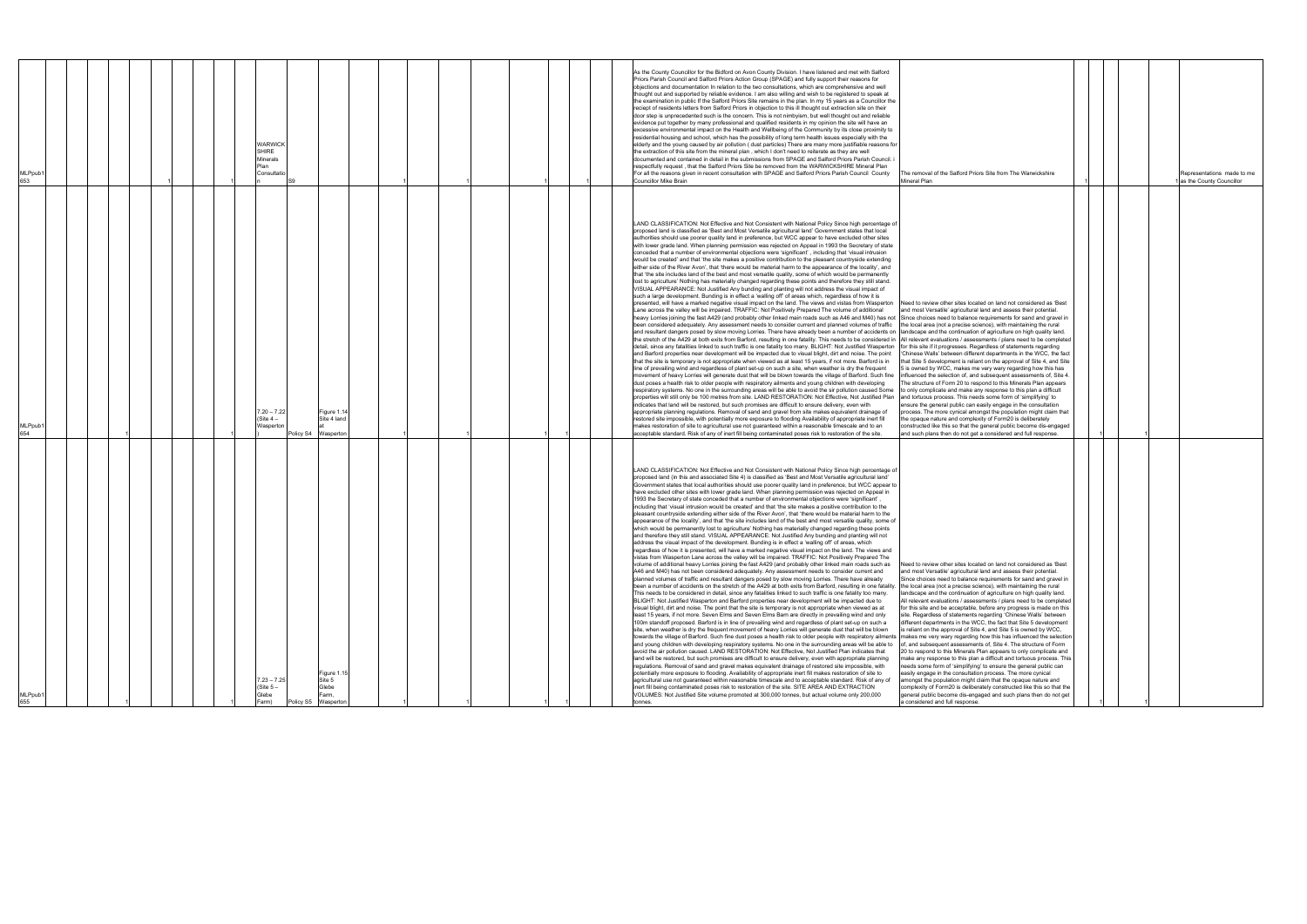|                     |  |                                                                   |                                                   |  |  |  | As the County Councillor for the Bidford on Avon County Division. I have listened and met with Salford                                                                                                                                                                                                                                                                                                                                                                                                                                                                                                                                                                                                                                                                                                                                                                                                                                                                                                                                                                                                                                                                                                                                                                                                                                                                                                                                                                                                                                                                                                                                                                                                                                                                                                                                                                                                                                                                                                                                                                                                                                                                                                                                                                                                                                                                                                                                                                                                                                                                                                                                                                                                                                                                                                                                                                                                                                                                                                                                                                                                                                                                                                                                                                                                                                                                                                                                                                                                                                                                                                                                         |                                                                                                                                                                                                                                                                                                                                                                                                                                                                                                                                                                                                                                                                                                                                                                                                                                                                                                                                                                                                                                                                                                                                                                                                                                                            |  |                                                        |
|---------------------|--|-------------------------------------------------------------------|---------------------------------------------------|--|--|--|------------------------------------------------------------------------------------------------------------------------------------------------------------------------------------------------------------------------------------------------------------------------------------------------------------------------------------------------------------------------------------------------------------------------------------------------------------------------------------------------------------------------------------------------------------------------------------------------------------------------------------------------------------------------------------------------------------------------------------------------------------------------------------------------------------------------------------------------------------------------------------------------------------------------------------------------------------------------------------------------------------------------------------------------------------------------------------------------------------------------------------------------------------------------------------------------------------------------------------------------------------------------------------------------------------------------------------------------------------------------------------------------------------------------------------------------------------------------------------------------------------------------------------------------------------------------------------------------------------------------------------------------------------------------------------------------------------------------------------------------------------------------------------------------------------------------------------------------------------------------------------------------------------------------------------------------------------------------------------------------------------------------------------------------------------------------------------------------------------------------------------------------------------------------------------------------------------------------------------------------------------------------------------------------------------------------------------------------------------------------------------------------------------------------------------------------------------------------------------------------------------------------------------------------------------------------------------------------------------------------------------------------------------------------------------------------------------------------------------------------------------------------------------------------------------------------------------------------------------------------------------------------------------------------------------------------------------------------------------------------------------------------------------------------------------------------------------------------------------------------------------------------------------------------------------------------------------------------------------------------------------------------------------------------------------------------------------------------------------------------------------------------------------------------------------------------------------------------------------------------------------------------------------------------------------------------------------------------------------------------------------------------|------------------------------------------------------------------------------------------------------------------------------------------------------------------------------------------------------------------------------------------------------------------------------------------------------------------------------------------------------------------------------------------------------------------------------------------------------------------------------------------------------------------------------------------------------------------------------------------------------------------------------------------------------------------------------------------------------------------------------------------------------------------------------------------------------------------------------------------------------------------------------------------------------------------------------------------------------------------------------------------------------------------------------------------------------------------------------------------------------------------------------------------------------------------------------------------------------------------------------------------------------------|--|--------------------------------------------------------|
| MLPpub1<br>653      |  | <b>WARWICK</b><br><b>SHIRE</b><br>Minerals<br>Plan<br>Consultatio |                                                   |  |  |  | Priors Parish Council and Salford Priors Action Group (SPAGE) and fully support their reasons for<br>objections and documentation In relation to the two consultations, which are comprehensive and well<br>thought out and supported by reliable evidence. I am also willing and wish to be registered to speak at<br>the examination in public If the Salford Priors Site remains in the plan. In my 15 years as a Councillor the<br>reciept of residents letters from Salford Priors in objection to this ill thought out extraction site on their<br>door step is unprecedented such is the concern. This is not nimbyism, but well thought out and reliable<br>evidence put together by many professional and qualified residents in my opinion the site will have an<br>excessive environmental impact on the Health and Wellbeing of the Community by its close proximity to<br>residential housing and school, which has the possibility of long term health issues especially with the<br>elderly and the young caused by air pollution (dust particles) There are many more justifiable reasons for<br>the extraction of this site from the mineral plan, which I don't need to reiterate as they are well<br>documented and contained in detail in the submissions from SPAGE and Salford Priors Parish Council.<br>espectfully request,that the Salford Priors Site be removed from the WARWICKSHIRE Mineral Plan<br>For all the reasons given in recent consultation with SPAGE and Salford Priors Parish Council County<br>Councillor Mike Brain                                                                                                                                                                                                                                                                                                                                                                                                                                                                                                                                                                                                                                                                                                                                                                                                                                                                                                                                                                                                                                                                                                                                                                                                                                                                                                                                                                                                                                                                                                                                                                                                                                                                                                                                                                                                                                                                                                                                                                                                                                                                                 | The removal of the Salford Priors Site from The Warwickshire<br>Mineral Plan                                                                                                                                                                                                                                                                                                                                                                                                                                                                                                                                                                                                                                                                                                                                                                                                                                                                                                                                                                                                                                                                                                                                                                               |  | Representations made to me<br>as the County Councillor |
| MLPpub1<br>654      |  | $7.20 - 7.22$<br>(Site $4-$<br>Waspertor                          | Figure 1.14<br>Site 4 land<br>Policy S4 Wasperton |  |  |  | LAND CLASSIFICATION: Not Effective and Not Consistent with National Policy Since high percentage of<br>proposed land is classified as 'Best and Most Versatile agricultural land' Government states that local<br>authorities should use poorer quality land in preference, but WCC appear to have excluded other sites<br>with lower grade land. When planning permission was rejected on Appeal in 1993 the Secretary of state<br>conceded that a number of environmental objections were 'significant', including that 'visual intrusion<br>would be created' and that 'the site makes a positive contribution to the pleasant countryside extending<br>either side of the River Avon', that 'there would be material harm to the appearance of the locality', and<br>that 'the site includes land of the best and most versatile quality, some of which would be permanently<br>lost to agriculture' Nothing has materially changed regarding these points and therefore they still stand.<br>VISUAL APPEARANCE: Not Justified Any bunding and planting will not address the visual impact of<br>such a large development. Bunding is in effect a 'walling off' of areas which, regardless of how it is<br>presented, will have a marked negative visual impact on the land. The views and vistas from Wasperton<br>Lane across the valley will be impaired. TRAFFIC: Not Positively Prepared The volume of additional<br>heavy Lorries joining the fast A429 (and probably other linked main roads such as A46 and M40) has not<br>been considered adequately. Any assessment needs to consider current and planned volumes of traffic<br>and resultant dangers posed by slow moving Lorries. There have already been a number of accidents on landscape and the continuation of agriculture on high quality land.<br>the stretch of the A429 at both exits from Barford, resulting in one fatality. This needs to be considered in All relevant evaluations / assessments / plans need to be completed<br>detail, since any fatalities linked to such traffic is one fatality too many. BLIGHT: Not Justified Wasperton for this site if it progresses. Regardless of statements regarding<br>and Barford properties near development will be impacted due to visual blight, dirt and noise. The point<br>that the site is temporary is not appropriate when viewed as at least 15 years, if not more. Barford is in<br>line of prevailing wind and regardless of plant set-up on such a site, when weather is dry the frequent<br>movement of heavy Lorries will generate dust that will be blown towards the village of Barford. Such fine<br>dust poses a health risk to older people with respiratory ailments and young children with developing<br>respiratory systems. No one in the surrounding areas will be able to avoid the sir pollution caused Some<br>properties will still only be 100 metres from site. LAND RESTORATION: Not Effective, Not Justified Plan<br>indicates that land will be restored, but such promises are difficult to ensure delivery, even with<br>appropriate planning regulations. Removal of sand and gravel from site makes equivalent drainage of<br>restored site impossible, with potentially more exposure to flooding Availability of appropriate inert fill<br>makes restoration of site to agricultural use not guaranteed within a reasonable timescale and to an<br>acceptable standard. Risk of any of inert fill being contaminated poses risk to restoration of the site.                                                                                                            | Need to review other sites located on land not considered as 'Best<br>and most Versatile' agricultural land and assess their potential.<br>Since choices need to balance requirements for sand and gravel in<br>the local area (not a precise science), with maintaining the rural<br>'Chinese Walls' between different departments in the WCC, the fact<br>that Site 5 development is reliant on the approval of Site 4, and Site<br>5 is owned by WCC, makes me very wary regarding how this has<br>influenced the selection of, and subsequent assessments of, Site 4.<br>The structure of Form 20 to respond to this Minerals Plan appears<br>to only complicate and make any response to this plan a difficult<br>and tortuous process. This needs some form of 'simplifying' to<br>ensure the general public can easily engage in the consultation<br>process. The more cynical amongst the population might claim that<br>the opaque nature and complexity of Form20 is deliberately<br>constructed like this so that the general public become dis-engaged<br>and such plans then do not get a considered and full response.                                                                                                                       |  |                                                        |
| MLPpub <sup>®</sup> |  | $7.23 - 7.25$<br>(Site $5-$<br>Glebe                              | Figure 1.15<br>Site 5<br>Glebe<br>Farm,           |  |  |  | LAND CLASSIFICATION: Not Effective and Not Consistent with National Policy Since high percentage of<br>proposed land (in this and associated Site 4) is classified as 'Best and Most Versatile agricultural land'<br>Government states that local authorities should use poorer quality land in preference, but WCC appear to<br>have excluded other sites with lower grade land. When planning permission was rejected on Appeal in<br>1993 the Secretary of state conceded that a number of environmental objections were 'significant',<br>including that 'visual intrusion would be created' and that 'the site makes a positive contribution to the<br>pleasant countryside extending either side of the River Avon', that 'there would be material harm to the<br>appearance of the locality', and that 'the site includes land of the best and most versatile quality, some of<br>which would be permanently lost to agriculture' Nothing has materially changed regarding these points<br>and therefore they still stand. VISUAL APPEARANCE: Not Justified Any bunding and planting will not<br>address the visual impact of the development. Bunding is in effect a 'walling off' of areas, which<br>regardless of how it is presented, will have a marked negative visual impact on the land. The views and<br>vistas from Wasperton Lane across the valley will be impaired. TRAFFIC: Not Positively Prepared The<br>volume of additional heavy Lorries joining the fast A429 (and probably other linked main roads such as<br>A46 and M40) has not been considered adequately. Any assessment needs to consider current and<br>planned volumes of traffic and resultant dangers posed by slow moving Lorries. There have already<br>been a number of accidents on the stretch of the A429 at both exits from Barford, resulting in one fatality.   the local area (not a precise science), with maintaining the rural<br>This needs to be considered in detail, since any fatalities linked to such traffic is one fatality too many.<br>BLIGHT: Not Justified Wasperton and Barford properties near development will be impacted due to<br>visual blight, dirt and noise. The point that the site is temporary is not appropriate when viewed as at<br>least 15 years, if not more. Seven Elms and Seven Elms Barn are directly in prevailing wind and only<br>100m standoff proposed. Barford is in line of prevailing wind and regardless of plant set-up on such a<br>site, when weather is dry the frequent movement of heavy Lorries will generate dust that will be blown<br>towards the village of Barford. Such fine dust poses a health risk to older people with respiratory ailments makes me very wary regarding how this has influenced the selection<br>and young children with developing respiratory systems. No one in the surrounding areas will be able to<br>avoid the air pollution caused. LAND RESTORATION: Not Effective, Not Justified Plan indicates that<br>land will be restored, but such promises are difficult to ensure delivery, even with appropriate planning<br>regulations. Removal of sand and gravel makes equivalent drainage of restored site impossible, with<br>potentially more exposure to flooding. Availability of appropriate inert fill makes restoration of site to<br>agricultural use not guaranteed within reasonable timescale and to acceptable standard. Risk of any of<br>inert fill being contaminated poses risk to restoration of the site. SITE AREA AND EXTRACTION<br>VOLUMES: Not Justified Site volume promoted at 300,000 tonnes, but actual volume only 200,000 | Need to review other sites located on land not considered as 'Best<br>and most Versatile' agricultural land and assess their potential.<br>Since choices need to balance requirements for sand and gravel in<br>landscape and the continuation of agriculture on high quality land.<br>All relevant evaluations / assessments / plans need to be completed<br>for this site and be acceptable, before any progress is made on this<br>site. Regardless of statements regarding 'Chinese Walls' between<br>different departments in the WCC, the fact that Site 5 development<br>is reliant on the approval of Site 4, and Site 5 is owned by WCC,<br>of, and subsequent assessments of, Site 4. The structure of Form<br>20 to respond to this Minerals Plan appears to only complicate and<br>make any response to this plan a difficult and tortuous process. This<br>needs some form of 'simplifying' to ensure the general public can<br>easily engage in the consultation process. The more cynical<br>amongst the population might claim that the opaque nature and<br>complexity of Form20 is deliberately constructed like this so that the<br>general public become dis-engaged and such plans then do not get<br>a considered and full response. |  |                                                        |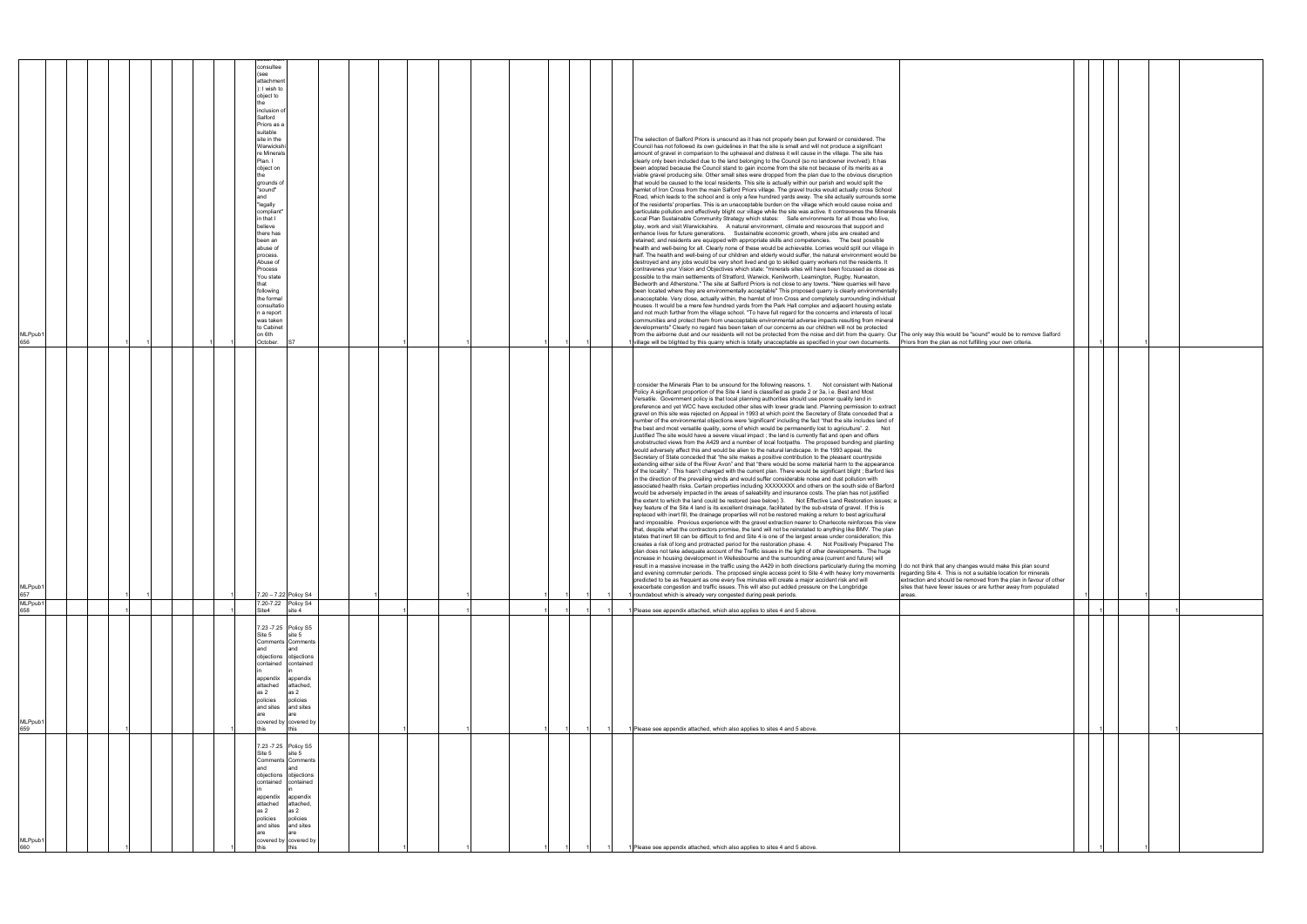| MLPpub1<br>660                                                                                                                                                                       | MLPpub1<br>659                                                                                                                                                                                                | MLPpub1<br>658                                                             | MLPpub1<br>657                                                                                                                                                                                                                                                                                                                                                                                                                                                                                                                                                                                                                                                                                                                                                                                                                                                                                                                                                                                                                                                                                                                                                                                                                                                                                                                                                                                                                                                                                                                                                                                                                                                                                                                                                                                                                                                                                                                                                                                                                                                                                                                                                                                                                                                                                                                                                                                                                                                                                                                                                                                                                                                                                                                                                                                                                                                                                                                                                                                                                                                                                                                                                                                                                                                                                                                  | MLPpub1<br>656                                                                                                                                                                                                                                                                                                                                                                                                                                                                                                                                                                                                                                                                                                                                                                                                                                                                                                                                                                                                                                                                                                                                                                                                                                                                                                                                                                                                                                                                                                                                                                                                                                                                                                                                                                                                                                                                                                                                                                                                                                                                                                                                                                                                                                                                                                                                                                                                                                                                                                                                                                                                                                                                                                                                                                                                                                                                                                                                                                                                                                                                                                                                                                                                                                                    |
|--------------------------------------------------------------------------------------------------------------------------------------------------------------------------------------|---------------------------------------------------------------------------------------------------------------------------------------------------------------------------------------------------------------|----------------------------------------------------------------------------|---------------------------------------------------------------------------------------------------------------------------------------------------------------------------------------------------------------------------------------------------------------------------------------------------------------------------------------------------------------------------------------------------------------------------------------------------------------------------------------------------------------------------------------------------------------------------------------------------------------------------------------------------------------------------------------------------------------------------------------------------------------------------------------------------------------------------------------------------------------------------------------------------------------------------------------------------------------------------------------------------------------------------------------------------------------------------------------------------------------------------------------------------------------------------------------------------------------------------------------------------------------------------------------------------------------------------------------------------------------------------------------------------------------------------------------------------------------------------------------------------------------------------------------------------------------------------------------------------------------------------------------------------------------------------------------------------------------------------------------------------------------------------------------------------------------------------------------------------------------------------------------------------------------------------------------------------------------------------------------------------------------------------------------------------------------------------------------------------------------------------------------------------------------------------------------------------------------------------------------------------------------------------------------------------------------------------------------------------------------------------------------------------------------------------------------------------------------------------------------------------------------------------------------------------------------------------------------------------------------------------------------------------------------------------------------------------------------------------------------------------------------------------------------------------------------------------------------------------------------------------------------------------------------------------------------------------------------------------------------------------------------------------------------------------------------------------------------------------------------------------------------------------------------------------------------------------------------------------------------------------------------------------------------------------------------------------------|-------------------------------------------------------------------------------------------------------------------------------------------------------------------------------------------------------------------------------------------------------------------------------------------------------------------------------------------------------------------------------------------------------------------------------------------------------------------------------------------------------------------------------------------------------------------------------------------------------------------------------------------------------------------------------------------------------------------------------------------------------------------------------------------------------------------------------------------------------------------------------------------------------------------------------------------------------------------------------------------------------------------------------------------------------------------------------------------------------------------------------------------------------------------------------------------------------------------------------------------------------------------------------------------------------------------------------------------------------------------------------------------------------------------------------------------------------------------------------------------------------------------------------------------------------------------------------------------------------------------------------------------------------------------------------------------------------------------------------------------------------------------------------------------------------------------------------------------------------------------------------------------------------------------------------------------------------------------------------------------------------------------------------------------------------------------------------------------------------------------------------------------------------------------------------------------------------------------------------------------------------------------------------------------------------------------------------------------------------------------------------------------------------------------------------------------------------------------------------------------------------------------------------------------------------------------------------------------------------------------------------------------------------------------------------------------------------------------------------------------------------------------------------------------------------------------------------------------------------------------------------------------------------------------------------------------------------------------------------------------------------------------------------------------------------------------------------------------------------------------------------------------------------------------------------------------------------------------------------------------------------------------|
|                                                                                                                                                                                      |                                                                                                                                                                                                               |                                                                            |                                                                                                                                                                                                                                                                                                                                                                                                                                                                                                                                                                                                                                                                                                                                                                                                                                                                                                                                                                                                                                                                                                                                                                                                                                                                                                                                                                                                                                                                                                                                                                                                                                                                                                                                                                                                                                                                                                                                                                                                                                                                                                                                                                                                                                                                                                                                                                                                                                                                                                                                                                                                                                                                                                                                                                                                                                                                                                                                                                                                                                                                                                                                                                                                                                                                                                                                 |                                                                                                                                                                                                                                                                                                                                                                                                                                                                                                                                                                                                                                                                                                                                                                                                                                                                                                                                                                                                                                                                                                                                                                                                                                                                                                                                                                                                                                                                                                                                                                                                                                                                                                                                                                                                                                                                                                                                                                                                                                                                                                                                                                                                                                                                                                                                                                                                                                                                                                                                                                                                                                                                                                                                                                                                                                                                                                                                                                                                                                                                                                                                                                                                                                                                   |
|                                                                                                                                                                                      |                                                                                                                                                                                                               |                                                                            |                                                                                                                                                                                                                                                                                                                                                                                                                                                                                                                                                                                                                                                                                                                                                                                                                                                                                                                                                                                                                                                                                                                                                                                                                                                                                                                                                                                                                                                                                                                                                                                                                                                                                                                                                                                                                                                                                                                                                                                                                                                                                                                                                                                                                                                                                                                                                                                                                                                                                                                                                                                                                                                                                                                                                                                                                                                                                                                                                                                                                                                                                                                                                                                                                                                                                                                                 |                                                                                                                                                                                                                                                                                                                                                                                                                                                                                                                                                                                                                                                                                                                                                                                                                                                                                                                                                                                                                                                                                                                                                                                                                                                                                                                                                                                                                                                                                                                                                                                                                                                                                                                                                                                                                                                                                                                                                                                                                                                                                                                                                                                                                                                                                                                                                                                                                                                                                                                                                                                                                                                                                                                                                                                                                                                                                                                                                                                                                                                                                                                                                                                                                                                                   |
|                                                                                                                                                                                      |                                                                                                                                                                                                               |                                                                            |                                                                                                                                                                                                                                                                                                                                                                                                                                                                                                                                                                                                                                                                                                                                                                                                                                                                                                                                                                                                                                                                                                                                                                                                                                                                                                                                                                                                                                                                                                                                                                                                                                                                                                                                                                                                                                                                                                                                                                                                                                                                                                                                                                                                                                                                                                                                                                                                                                                                                                                                                                                                                                                                                                                                                                                                                                                                                                                                                                                                                                                                                                                                                                                                                                                                                                                                 |                                                                                                                                                                                                                                                                                                                                                                                                                                                                                                                                                                                                                                                                                                                                                                                                                                                                                                                                                                                                                                                                                                                                                                                                                                                                                                                                                                                                                                                                                                                                                                                                                                                                                                                                                                                                                                                                                                                                                                                                                                                                                                                                                                                                                                                                                                                                                                                                                                                                                                                                                                                                                                                                                                                                                                                                                                                                                                                                                                                                                                                                                                                                                                                                                                                                   |
|                                                                                                                                                                                      |                                                                                                                                                                                                               |                                                                            |                                                                                                                                                                                                                                                                                                                                                                                                                                                                                                                                                                                                                                                                                                                                                                                                                                                                                                                                                                                                                                                                                                                                                                                                                                                                                                                                                                                                                                                                                                                                                                                                                                                                                                                                                                                                                                                                                                                                                                                                                                                                                                                                                                                                                                                                                                                                                                                                                                                                                                                                                                                                                                                                                                                                                                                                                                                                                                                                                                                                                                                                                                                                                                                                                                                                                                                                 |                                                                                                                                                                                                                                                                                                                                                                                                                                                                                                                                                                                                                                                                                                                                                                                                                                                                                                                                                                                                                                                                                                                                                                                                                                                                                                                                                                                                                                                                                                                                                                                                                                                                                                                                                                                                                                                                                                                                                                                                                                                                                                                                                                                                                                                                                                                                                                                                                                                                                                                                                                                                                                                                                                                                                                                                                                                                                                                                                                                                                                                                                                                                                                                                                                                                   |
|                                                                                                                                                                                      |                                                                                                                                                                                                               |                                                                            |                                                                                                                                                                                                                                                                                                                                                                                                                                                                                                                                                                                                                                                                                                                                                                                                                                                                                                                                                                                                                                                                                                                                                                                                                                                                                                                                                                                                                                                                                                                                                                                                                                                                                                                                                                                                                                                                                                                                                                                                                                                                                                                                                                                                                                                                                                                                                                                                                                                                                                                                                                                                                                                                                                                                                                                                                                                                                                                                                                                                                                                                                                                                                                                                                                                                                                                                 |                                                                                                                                                                                                                                                                                                                                                                                                                                                                                                                                                                                                                                                                                                                                                                                                                                                                                                                                                                                                                                                                                                                                                                                                                                                                                                                                                                                                                                                                                                                                                                                                                                                                                                                                                                                                                                                                                                                                                                                                                                                                                                                                                                                                                                                                                                                                                                                                                                                                                                                                                                                                                                                                                                                                                                                                                                                                                                                                                                                                                                                                                                                                                                                                                                                                   |
|                                                                                                                                                                                      |                                                                                                                                                                                                               |                                                                            |                                                                                                                                                                                                                                                                                                                                                                                                                                                                                                                                                                                                                                                                                                                                                                                                                                                                                                                                                                                                                                                                                                                                                                                                                                                                                                                                                                                                                                                                                                                                                                                                                                                                                                                                                                                                                                                                                                                                                                                                                                                                                                                                                                                                                                                                                                                                                                                                                                                                                                                                                                                                                                                                                                                                                                                                                                                                                                                                                                                                                                                                                                                                                                                                                                                                                                                                 |                                                                                                                                                                                                                                                                                                                                                                                                                                                                                                                                                                                                                                                                                                                                                                                                                                                                                                                                                                                                                                                                                                                                                                                                                                                                                                                                                                                                                                                                                                                                                                                                                                                                                                                                                                                                                                                                                                                                                                                                                                                                                                                                                                                                                                                                                                                                                                                                                                                                                                                                                                                                                                                                                                                                                                                                                                                                                                                                                                                                                                                                                                                                                                                                                                                                   |
|                                                                                                                                                                                      |                                                                                                                                                                                                               |                                                                            |                                                                                                                                                                                                                                                                                                                                                                                                                                                                                                                                                                                                                                                                                                                                                                                                                                                                                                                                                                                                                                                                                                                                                                                                                                                                                                                                                                                                                                                                                                                                                                                                                                                                                                                                                                                                                                                                                                                                                                                                                                                                                                                                                                                                                                                                                                                                                                                                                                                                                                                                                                                                                                                                                                                                                                                                                                                                                                                                                                                                                                                                                                                                                                                                                                                                                                                                 |                                                                                                                                                                                                                                                                                                                                                                                                                                                                                                                                                                                                                                                                                                                                                                                                                                                                                                                                                                                                                                                                                                                                                                                                                                                                                                                                                                                                                                                                                                                                                                                                                                                                                                                                                                                                                                                                                                                                                                                                                                                                                                                                                                                                                                                                                                                                                                                                                                                                                                                                                                                                                                                                                                                                                                                                                                                                                                                                                                                                                                                                                                                                                                                                                                                                   |
|                                                                                                                                                                                      |                                                                                                                                                                                                               |                                                                            |                                                                                                                                                                                                                                                                                                                                                                                                                                                                                                                                                                                                                                                                                                                                                                                                                                                                                                                                                                                                                                                                                                                                                                                                                                                                                                                                                                                                                                                                                                                                                                                                                                                                                                                                                                                                                                                                                                                                                                                                                                                                                                                                                                                                                                                                                                                                                                                                                                                                                                                                                                                                                                                                                                                                                                                                                                                                                                                                                                                                                                                                                                                                                                                                                                                                                                                                 |                                                                                                                                                                                                                                                                                                                                                                                                                                                                                                                                                                                                                                                                                                                                                                                                                                                                                                                                                                                                                                                                                                                                                                                                                                                                                                                                                                                                                                                                                                                                                                                                                                                                                                                                                                                                                                                                                                                                                                                                                                                                                                                                                                                                                                                                                                                                                                                                                                                                                                                                                                                                                                                                                                                                                                                                                                                                                                                                                                                                                                                                                                                                                                                                                                                                   |
|                                                                                                                                                                                      |                                                                                                                                                                                                               |                                                                            |                                                                                                                                                                                                                                                                                                                                                                                                                                                                                                                                                                                                                                                                                                                                                                                                                                                                                                                                                                                                                                                                                                                                                                                                                                                                                                                                                                                                                                                                                                                                                                                                                                                                                                                                                                                                                                                                                                                                                                                                                                                                                                                                                                                                                                                                                                                                                                                                                                                                                                                                                                                                                                                                                                                                                                                                                                                                                                                                                                                                                                                                                                                                                                                                                                                                                                                                 |                                                                                                                                                                                                                                                                                                                                                                                                                                                                                                                                                                                                                                                                                                                                                                                                                                                                                                                                                                                                                                                                                                                                                                                                                                                                                                                                                                                                                                                                                                                                                                                                                                                                                                                                                                                                                                                                                                                                                                                                                                                                                                                                                                                                                                                                                                                                                                                                                                                                                                                                                                                                                                                                                                                                                                                                                                                                                                                                                                                                                                                                                                                                                                                                                                                                   |
| and<br>as 2                                                                                                                                                                          | and<br>as 2<br>this                                                                                                                                                                                           |                                                                            |                                                                                                                                                                                                                                                                                                                                                                                                                                                                                                                                                                                                                                                                                                                                                                                                                                                                                                                                                                                                                                                                                                                                                                                                                                                                                                                                                                                                                                                                                                                                                                                                                                                                                                                                                                                                                                                                                                                                                                                                                                                                                                                                                                                                                                                                                                                                                                                                                                                                                                                                                                                                                                                                                                                                                                                                                                                                                                                                                                                                                                                                                                                                                                                                                                                                                                                                 | 'see<br>and<br>that                                                                                                                                                                                                                                                                                                                                                                                                                                                                                                                                                                                                                                                                                                                                                                                                                                                                                                                                                                                                                                                                                                                                                                                                                                                                                                                                                                                                                                                                                                                                                                                                                                                                                                                                                                                                                                                                                                                                                                                                                                                                                                                                                                                                                                                                                                                                                                                                                                                                                                                                                                                                                                                                                                                                                                                                                                                                                                                                                                                                                                                                                                                                                                                                                                               |
| Site 5<br>contained<br>appendix<br>attached<br>policies<br>and sites                                                                                                                 | Site 5<br>appendix<br>attached<br>policies<br>and sites                                                                                                                                                       | Site4                                                                      |                                                                                                                                                                                                                                                                                                                                                                                                                                                                                                                                                                                                                                                                                                                                                                                                                                                                                                                                                                                                                                                                                                                                                                                                                                                                                                                                                                                                                                                                                                                                                                                                                                                                                                                                                                                                                                                                                                                                                                                                                                                                                                                                                                                                                                                                                                                                                                                                                                                                                                                                                                                                                                                                                                                                                                                                                                                                                                                                                                                                                                                                                                                                                                                                                                                                                                                                 | consultee<br>attachment<br>: I wish to<br>object to<br>inclusion of<br>Salford<br>Priors as a<br>suitable<br>site in the<br>Warwicksh<br>re Minerals<br>Plan. I<br>object on<br>grounds of<br>"sound"<br>"legally<br>compliant"<br>in that I<br>believe<br>there has<br>been an<br>abuse of<br>process.<br>Abuse of<br>Process<br>You state<br>following<br>the formal<br>consultatio<br>a report<br>was taken<br>to Cabinet<br>on 6th<br>October.                                                                                                                                                                                                                                                                                                                                                                                                                                                                                                                                                                                                                                                                                                                                                                                                                                                                                                                                                                                                                                                                                                                                                                                                                                                                                                                                                                                                                                                                                                                                                                                                                                                                                                                                                                                                                                                                                                                                                                                                                                                                                                                                                                                                                                                                                                                                                                                                                                                                                                                                                                                                                                                                                                                                                                                                                |
| 7.23 - 7.25 Policy S5<br>site 5<br>Comments Comments<br>and<br>objections objections<br>contained<br>appendix<br>attached,<br>as 2<br>policies<br>and sites<br>covered by covered by | 7.23 - 7.25 Policy S5<br>site 5<br>Comments Comments<br>and<br>objections objections<br>contained contained<br>appendix<br>attached,<br>as 2<br>policies<br>and sites<br>are<br>covered by covered by<br>this | 7.20-7.22 Policy S4<br>site 4                                              | 7.20 - 7.22 Policy S4                                                                                                                                                                                                                                                                                                                                                                                                                                                                                                                                                                                                                                                                                                                                                                                                                                                                                                                                                                                                                                                                                                                                                                                                                                                                                                                                                                                                                                                                                                                                                                                                                                                                                                                                                                                                                                                                                                                                                                                                                                                                                                                                                                                                                                                                                                                                                                                                                                                                                                                                                                                                                                                                                                                                                                                                                                                                                                                                                                                                                                                                                                                                                                                                                                                                                                           |                                                                                                                                                                                                                                                                                                                                                                                                                                                                                                                                                                                                                                                                                                                                                                                                                                                                                                                                                                                                                                                                                                                                                                                                                                                                                                                                                                                                                                                                                                                                                                                                                                                                                                                                                                                                                                                                                                                                                                                                                                                                                                                                                                                                                                                                                                                                                                                                                                                                                                                                                                                                                                                                                                                                                                                                                                                                                                                                                                                                                                                                                                                                                                                                                                                                   |
|                                                                                                                                                                                      |                                                                                                                                                                                                               |                                                                            |                                                                                                                                                                                                                                                                                                                                                                                                                                                                                                                                                                                                                                                                                                                                                                                                                                                                                                                                                                                                                                                                                                                                                                                                                                                                                                                                                                                                                                                                                                                                                                                                                                                                                                                                                                                                                                                                                                                                                                                                                                                                                                                                                                                                                                                                                                                                                                                                                                                                                                                                                                                                                                                                                                                                                                                                                                                                                                                                                                                                                                                                                                                                                                                                                                                                                                                                 |                                                                                                                                                                                                                                                                                                                                                                                                                                                                                                                                                                                                                                                                                                                                                                                                                                                                                                                                                                                                                                                                                                                                                                                                                                                                                                                                                                                                                                                                                                                                                                                                                                                                                                                                                                                                                                                                                                                                                                                                                                                                                                                                                                                                                                                                                                                                                                                                                                                                                                                                                                                                                                                                                                                                                                                                                                                                                                                                                                                                                                                                                                                                                                                                                                                                   |
|                                                                                                                                                                                      |                                                                                                                                                                                                               |                                                                            |                                                                                                                                                                                                                                                                                                                                                                                                                                                                                                                                                                                                                                                                                                                                                                                                                                                                                                                                                                                                                                                                                                                                                                                                                                                                                                                                                                                                                                                                                                                                                                                                                                                                                                                                                                                                                                                                                                                                                                                                                                                                                                                                                                                                                                                                                                                                                                                                                                                                                                                                                                                                                                                                                                                                                                                                                                                                                                                                                                                                                                                                                                                                                                                                                                                                                                                                 |                                                                                                                                                                                                                                                                                                                                                                                                                                                                                                                                                                                                                                                                                                                                                                                                                                                                                                                                                                                                                                                                                                                                                                                                                                                                                                                                                                                                                                                                                                                                                                                                                                                                                                                                                                                                                                                                                                                                                                                                                                                                                                                                                                                                                                                                                                                                                                                                                                                                                                                                                                                                                                                                                                                                                                                                                                                                                                                                                                                                                                                                                                                                                                                                                                                                   |
|                                                                                                                                                                                      |                                                                                                                                                                                                               |                                                                            |                                                                                                                                                                                                                                                                                                                                                                                                                                                                                                                                                                                                                                                                                                                                                                                                                                                                                                                                                                                                                                                                                                                                                                                                                                                                                                                                                                                                                                                                                                                                                                                                                                                                                                                                                                                                                                                                                                                                                                                                                                                                                                                                                                                                                                                                                                                                                                                                                                                                                                                                                                                                                                                                                                                                                                                                                                                                                                                                                                                                                                                                                                                                                                                                                                                                                                                                 |                                                                                                                                                                                                                                                                                                                                                                                                                                                                                                                                                                                                                                                                                                                                                                                                                                                                                                                                                                                                                                                                                                                                                                                                                                                                                                                                                                                                                                                                                                                                                                                                                                                                                                                                                                                                                                                                                                                                                                                                                                                                                                                                                                                                                                                                                                                                                                                                                                                                                                                                                                                                                                                                                                                                                                                                                                                                                                                                                                                                                                                                                                                                                                                                                                                                   |
|                                                                                                                                                                                      |                                                                                                                                                                                                               |                                                                            |                                                                                                                                                                                                                                                                                                                                                                                                                                                                                                                                                                                                                                                                                                                                                                                                                                                                                                                                                                                                                                                                                                                                                                                                                                                                                                                                                                                                                                                                                                                                                                                                                                                                                                                                                                                                                                                                                                                                                                                                                                                                                                                                                                                                                                                                                                                                                                                                                                                                                                                                                                                                                                                                                                                                                                                                                                                                                                                                                                                                                                                                                                                                                                                                                                                                                                                                 |                                                                                                                                                                                                                                                                                                                                                                                                                                                                                                                                                                                                                                                                                                                                                                                                                                                                                                                                                                                                                                                                                                                                                                                                                                                                                                                                                                                                                                                                                                                                                                                                                                                                                                                                                                                                                                                                                                                                                                                                                                                                                                                                                                                                                                                                                                                                                                                                                                                                                                                                                                                                                                                                                                                                                                                                                                                                                                                                                                                                                                                                                                                                                                                                                                                                   |
|                                                                                                                                                                                      |                                                                                                                                                                                                               |                                                                            |                                                                                                                                                                                                                                                                                                                                                                                                                                                                                                                                                                                                                                                                                                                                                                                                                                                                                                                                                                                                                                                                                                                                                                                                                                                                                                                                                                                                                                                                                                                                                                                                                                                                                                                                                                                                                                                                                                                                                                                                                                                                                                                                                                                                                                                                                                                                                                                                                                                                                                                                                                                                                                                                                                                                                                                                                                                                                                                                                                                                                                                                                                                                                                                                                                                                                                                                 |                                                                                                                                                                                                                                                                                                                                                                                                                                                                                                                                                                                                                                                                                                                                                                                                                                                                                                                                                                                                                                                                                                                                                                                                                                                                                                                                                                                                                                                                                                                                                                                                                                                                                                                                                                                                                                                                                                                                                                                                                                                                                                                                                                                                                                                                                                                                                                                                                                                                                                                                                                                                                                                                                                                                                                                                                                                                                                                                                                                                                                                                                                                                                                                                                                                                   |
|                                                                                                                                                                                      |                                                                                                                                                                                                               |                                                                            |                                                                                                                                                                                                                                                                                                                                                                                                                                                                                                                                                                                                                                                                                                                                                                                                                                                                                                                                                                                                                                                                                                                                                                                                                                                                                                                                                                                                                                                                                                                                                                                                                                                                                                                                                                                                                                                                                                                                                                                                                                                                                                                                                                                                                                                                                                                                                                                                                                                                                                                                                                                                                                                                                                                                                                                                                                                                                                                                                                                                                                                                                                                                                                                                                                                                                                                                 |                                                                                                                                                                                                                                                                                                                                                                                                                                                                                                                                                                                                                                                                                                                                                                                                                                                                                                                                                                                                                                                                                                                                                                                                                                                                                                                                                                                                                                                                                                                                                                                                                                                                                                                                                                                                                                                                                                                                                                                                                                                                                                                                                                                                                                                                                                                                                                                                                                                                                                                                                                                                                                                                                                                                                                                                                                                                                                                                                                                                                                                                                                                                                                                                                                                                   |
|                                                                                                                                                                                      |                                                                                                                                                                                                               |                                                                            |                                                                                                                                                                                                                                                                                                                                                                                                                                                                                                                                                                                                                                                                                                                                                                                                                                                                                                                                                                                                                                                                                                                                                                                                                                                                                                                                                                                                                                                                                                                                                                                                                                                                                                                                                                                                                                                                                                                                                                                                                                                                                                                                                                                                                                                                                                                                                                                                                                                                                                                                                                                                                                                                                                                                                                                                                                                                                                                                                                                                                                                                                                                                                                                                                                                                                                                                 |                                                                                                                                                                                                                                                                                                                                                                                                                                                                                                                                                                                                                                                                                                                                                                                                                                                                                                                                                                                                                                                                                                                                                                                                                                                                                                                                                                                                                                                                                                                                                                                                                                                                                                                                                                                                                                                                                                                                                                                                                                                                                                                                                                                                                                                                                                                                                                                                                                                                                                                                                                                                                                                                                                                                                                                                                                                                                                                                                                                                                                                                                                                                                                                                                                                                   |
|                                                                                                                                                                                      |                                                                                                                                                                                                               |                                                                            |                                                                                                                                                                                                                                                                                                                                                                                                                                                                                                                                                                                                                                                                                                                                                                                                                                                                                                                                                                                                                                                                                                                                                                                                                                                                                                                                                                                                                                                                                                                                                                                                                                                                                                                                                                                                                                                                                                                                                                                                                                                                                                                                                                                                                                                                                                                                                                                                                                                                                                                                                                                                                                                                                                                                                                                                                                                                                                                                                                                                                                                                                                                                                                                                                                                                                                                                 |                                                                                                                                                                                                                                                                                                                                                                                                                                                                                                                                                                                                                                                                                                                                                                                                                                                                                                                                                                                                                                                                                                                                                                                                                                                                                                                                                                                                                                                                                                                                                                                                                                                                                                                                                                                                                                                                                                                                                                                                                                                                                                                                                                                                                                                                                                                                                                                                                                                                                                                                                                                                                                                                                                                                                                                                                                                                                                                                                                                                                                                                                                                                                                                                                                                                   |
|                                                                                                                                                                                      |                                                                                                                                                                                                               |                                                                            |                                                                                                                                                                                                                                                                                                                                                                                                                                                                                                                                                                                                                                                                                                                                                                                                                                                                                                                                                                                                                                                                                                                                                                                                                                                                                                                                                                                                                                                                                                                                                                                                                                                                                                                                                                                                                                                                                                                                                                                                                                                                                                                                                                                                                                                                                                                                                                                                                                                                                                                                                                                                                                                                                                                                                                                                                                                                                                                                                                                                                                                                                                                                                                                                                                                                                                                                 |                                                                                                                                                                                                                                                                                                                                                                                                                                                                                                                                                                                                                                                                                                                                                                                                                                                                                                                                                                                                                                                                                                                                                                                                                                                                                                                                                                                                                                                                                                                                                                                                                                                                                                                                                                                                                                                                                                                                                                                                                                                                                                                                                                                                                                                                                                                                                                                                                                                                                                                                                                                                                                                                                                                                                                                                                                                                                                                                                                                                                                                                                                                                                                                                                                                                   |
|                                                                                                                                                                                      |                                                                                                                                                                                                               |                                                                            |                                                                                                                                                                                                                                                                                                                                                                                                                                                                                                                                                                                                                                                                                                                                                                                                                                                                                                                                                                                                                                                                                                                                                                                                                                                                                                                                                                                                                                                                                                                                                                                                                                                                                                                                                                                                                                                                                                                                                                                                                                                                                                                                                                                                                                                                                                                                                                                                                                                                                                                                                                                                                                                                                                                                                                                                                                                                                                                                                                                                                                                                                                                                                                                                                                                                                                                                 |                                                                                                                                                                                                                                                                                                                                                                                                                                                                                                                                                                                                                                                                                                                                                                                                                                                                                                                                                                                                                                                                                                                                                                                                                                                                                                                                                                                                                                                                                                                                                                                                                                                                                                                                                                                                                                                                                                                                                                                                                                                                                                                                                                                                                                                                                                                                                                                                                                                                                                                                                                                                                                                                                                                                                                                                                                                                                                                                                                                                                                                                                                                                                                                                                                                                   |
|                                                                                                                                                                                      |                                                                                                                                                                                                               |                                                                            |                                                                                                                                                                                                                                                                                                                                                                                                                                                                                                                                                                                                                                                                                                                                                                                                                                                                                                                                                                                                                                                                                                                                                                                                                                                                                                                                                                                                                                                                                                                                                                                                                                                                                                                                                                                                                                                                                                                                                                                                                                                                                                                                                                                                                                                                                                                                                                                                                                                                                                                                                                                                                                                                                                                                                                                                                                                                                                                                                                                                                                                                                                                                                                                                                                                                                                                                 |                                                                                                                                                                                                                                                                                                                                                                                                                                                                                                                                                                                                                                                                                                                                                                                                                                                                                                                                                                                                                                                                                                                                                                                                                                                                                                                                                                                                                                                                                                                                                                                                                                                                                                                                                                                                                                                                                                                                                                                                                                                                                                                                                                                                                                                                                                                                                                                                                                                                                                                                                                                                                                                                                                                                                                                                                                                                                                                                                                                                                                                                                                                                                                                                                                                                   |
|                                                                                                                                                                                      |                                                                                                                                                                                                               |                                                                            |                                                                                                                                                                                                                                                                                                                                                                                                                                                                                                                                                                                                                                                                                                                                                                                                                                                                                                                                                                                                                                                                                                                                                                                                                                                                                                                                                                                                                                                                                                                                                                                                                                                                                                                                                                                                                                                                                                                                                                                                                                                                                                                                                                                                                                                                                                                                                                                                                                                                                                                                                                                                                                                                                                                                                                                                                                                                                                                                                                                                                                                                                                                                                                                                                                                                                                                                 |                                                                                                                                                                                                                                                                                                                                                                                                                                                                                                                                                                                                                                                                                                                                                                                                                                                                                                                                                                                                                                                                                                                                                                                                                                                                                                                                                                                                                                                                                                                                                                                                                                                                                                                                                                                                                                                                                                                                                                                                                                                                                                                                                                                                                                                                                                                                                                                                                                                                                                                                                                                                                                                                                                                                                                                                                                                                                                                                                                                                                                                                                                                                                                                                                                                                   |
|                                                                                                                                                                                      |                                                                                                                                                                                                               |                                                                            |                                                                                                                                                                                                                                                                                                                                                                                                                                                                                                                                                                                                                                                                                                                                                                                                                                                                                                                                                                                                                                                                                                                                                                                                                                                                                                                                                                                                                                                                                                                                                                                                                                                                                                                                                                                                                                                                                                                                                                                                                                                                                                                                                                                                                                                                                                                                                                                                                                                                                                                                                                                                                                                                                                                                                                                                                                                                                                                                                                                                                                                                                                                                                                                                                                                                                                                                 |                                                                                                                                                                                                                                                                                                                                                                                                                                                                                                                                                                                                                                                                                                                                                                                                                                                                                                                                                                                                                                                                                                                                                                                                                                                                                                                                                                                                                                                                                                                                                                                                                                                                                                                                                                                                                                                                                                                                                                                                                                                                                                                                                                                                                                                                                                                                                                                                                                                                                                                                                                                                                                                                                                                                                                                                                                                                                                                                                                                                                                                                                                                                                                                                                                                                   |
|                                                                                                                                                                                      |                                                                                                                                                                                                               |                                                                            |                                                                                                                                                                                                                                                                                                                                                                                                                                                                                                                                                                                                                                                                                                                                                                                                                                                                                                                                                                                                                                                                                                                                                                                                                                                                                                                                                                                                                                                                                                                                                                                                                                                                                                                                                                                                                                                                                                                                                                                                                                                                                                                                                                                                                                                                                                                                                                                                                                                                                                                                                                                                                                                                                                                                                                                                                                                                                                                                                                                                                                                                                                                                                                                                                                                                                                                                 |                                                                                                                                                                                                                                                                                                                                                                                                                                                                                                                                                                                                                                                                                                                                                                                                                                                                                                                                                                                                                                                                                                                                                                                                                                                                                                                                                                                                                                                                                                                                                                                                                                                                                                                                                                                                                                                                                                                                                                                                                                                                                                                                                                                                                                                                                                                                                                                                                                                                                                                                                                                                                                                                                                                                                                                                                                                                                                                                                                                                                                                                                                                                                                                                                                                                   |
|                                                                                                                                                                                      |                                                                                                                                                                                                               |                                                                            |                                                                                                                                                                                                                                                                                                                                                                                                                                                                                                                                                                                                                                                                                                                                                                                                                                                                                                                                                                                                                                                                                                                                                                                                                                                                                                                                                                                                                                                                                                                                                                                                                                                                                                                                                                                                                                                                                                                                                                                                                                                                                                                                                                                                                                                                                                                                                                                                                                                                                                                                                                                                                                                                                                                                                                                                                                                                                                                                                                                                                                                                                                                                                                                                                                                                                                                                 |                                                                                                                                                                                                                                                                                                                                                                                                                                                                                                                                                                                                                                                                                                                                                                                                                                                                                                                                                                                                                                                                                                                                                                                                                                                                                                                                                                                                                                                                                                                                                                                                                                                                                                                                                                                                                                                                                                                                                                                                                                                                                                                                                                                                                                                                                                                                                                                                                                                                                                                                                                                                                                                                                                                                                                                                                                                                                                                                                                                                                                                                                                                                                                                                                                                                   |
|                                                                                                                                                                                      |                                                                                                                                                                                                               |                                                                            | 1 roundabout which is already very congested during peak periods.                                                                                                                                                                                                                                                                                                                                                                                                                                                                                                                                                                                                                                                                                                                                                                                                                                                                                                                                                                                                                                                                                                                                                                                                                                                                                                                                                                                                                                                                                                                                                                                                                                                                                                                                                                                                                                                                                                                                                                                                                                                                                                                                                                                                                                                                                                                                                                                                                                                                                                                                                                                                                                                                                                                                                                                                                                                                                                                                                                                                                                                                                                                                                                                                                                                               |                                                                                                                                                                                                                                                                                                                                                                                                                                                                                                                                                                                                                                                                                                                                                                                                                                                                                                                                                                                                                                                                                                                                                                                                                                                                                                                                                                                                                                                                                                                                                                                                                                                                                                                                                                                                                                                                                                                                                                                                                                                                                                                                                                                                                                                                                                                                                                                                                                                                                                                                                                                                                                                                                                                                                                                                                                                                                                                                                                                                                                                                                                                                                                                                                                                                   |
|                                                                                                                                                                                      |                                                                                                                                                                                                               |                                                                            |                                                                                                                                                                                                                                                                                                                                                                                                                                                                                                                                                                                                                                                                                                                                                                                                                                                                                                                                                                                                                                                                                                                                                                                                                                                                                                                                                                                                                                                                                                                                                                                                                                                                                                                                                                                                                                                                                                                                                                                                                                                                                                                                                                                                                                                                                                                                                                                                                                                                                                                                                                                                                                                                                                                                                                                                                                                                                                                                                                                                                                                                                                                                                                                                                                                                                                                                 |                                                                                                                                                                                                                                                                                                                                                                                                                                                                                                                                                                                                                                                                                                                                                                                                                                                                                                                                                                                                                                                                                                                                                                                                                                                                                                                                                                                                                                                                                                                                                                                                                                                                                                                                                                                                                                                                                                                                                                                                                                                                                                                                                                                                                                                                                                                                                                                                                                                                                                                                                                                                                                                                                                                                                                                                                                                                                                                                                                                                                                                                                                                                                                                                                                                                   |
|                                                                                                                                                                                      |                                                                                                                                                                                                               |                                                                            |                                                                                                                                                                                                                                                                                                                                                                                                                                                                                                                                                                                                                                                                                                                                                                                                                                                                                                                                                                                                                                                                                                                                                                                                                                                                                                                                                                                                                                                                                                                                                                                                                                                                                                                                                                                                                                                                                                                                                                                                                                                                                                                                                                                                                                                                                                                                                                                                                                                                                                                                                                                                                                                                                                                                                                                                                                                                                                                                                                                                                                                                                                                                                                                                                                                                                                                                 |                                                                                                                                                                                                                                                                                                                                                                                                                                                                                                                                                                                                                                                                                                                                                                                                                                                                                                                                                                                                                                                                                                                                                                                                                                                                                                                                                                                                                                                                                                                                                                                                                                                                                                                                                                                                                                                                                                                                                                                                                                                                                                                                                                                                                                                                                                                                                                                                                                                                                                                                                                                                                                                                                                                                                                                                                                                                                                                                                                                                                                                                                                                                                                                                                                                                   |
|                                                                                                                                                                                      |                                                                                                                                                                                                               |                                                                            |                                                                                                                                                                                                                                                                                                                                                                                                                                                                                                                                                                                                                                                                                                                                                                                                                                                                                                                                                                                                                                                                                                                                                                                                                                                                                                                                                                                                                                                                                                                                                                                                                                                                                                                                                                                                                                                                                                                                                                                                                                                                                                                                                                                                                                                                                                                                                                                                                                                                                                                                                                                                                                                                                                                                                                                                                                                                                                                                                                                                                                                                                                                                                                                                                                                                                                                                 |                                                                                                                                                                                                                                                                                                                                                                                                                                                                                                                                                                                                                                                                                                                                                                                                                                                                                                                                                                                                                                                                                                                                                                                                                                                                                                                                                                                                                                                                                                                                                                                                                                                                                                                                                                                                                                                                                                                                                                                                                                                                                                                                                                                                                                                                                                                                                                                                                                                                                                                                                                                                                                                                                                                                                                                                                                                                                                                                                                                                                                                                                                                                                                                                                                                                   |
|                                                                                                                                                                                      |                                                                                                                                                                                                               |                                                                            |                                                                                                                                                                                                                                                                                                                                                                                                                                                                                                                                                                                                                                                                                                                                                                                                                                                                                                                                                                                                                                                                                                                                                                                                                                                                                                                                                                                                                                                                                                                                                                                                                                                                                                                                                                                                                                                                                                                                                                                                                                                                                                                                                                                                                                                                                                                                                                                                                                                                                                                                                                                                                                                                                                                                                                                                                                                                                                                                                                                                                                                                                                                                                                                                                                                                                                                                 |                                                                                                                                                                                                                                                                                                                                                                                                                                                                                                                                                                                                                                                                                                                                                                                                                                                                                                                                                                                                                                                                                                                                                                                                                                                                                                                                                                                                                                                                                                                                                                                                                                                                                                                                                                                                                                                                                                                                                                                                                                                                                                                                                                                                                                                                                                                                                                                                                                                                                                                                                                                                                                                                                                                                                                                                                                                                                                                                                                                                                                                                                                                                                                                                                                                                   |
| Please see appendix attached, which also applies to sites 4 and 5 above.                                                                                                             | 1 Please see appendix attached, which also applies to sites 4 and 5 above.                                                                                                                                    | 1 Please see appendix attached, which also applies to sites 4 and 5 above. |                                                                                                                                                                                                                                                                                                                                                                                                                                                                                                                                                                                                                                                                                                                                                                                                                                                                                                                                                                                                                                                                                                                                                                                                                                                                                                                                                                                                                                                                                                                                                                                                                                                                                                                                                                                                                                                                                                                                                                                                                                                                                                                                                                                                                                                                                                                                                                                                                                                                                                                                                                                                                                                                                                                                                                                                                                                                                                                                                                                                                                                                                                                                                                                                                                                                                                                                 |                                                                                                                                                                                                                                                                                                                                                                                                                                                                                                                                                                                                                                                                                                                                                                                                                                                                                                                                                                                                                                                                                                                                                                                                                                                                                                                                                                                                                                                                                                                                                                                                                                                                                                                                                                                                                                                                                                                                                                                                                                                                                                                                                                                                                                                                                                                                                                                                                                                                                                                                                                                                                                                                                                                                                                                                                                                                                                                                                                                                                                                                                                                                                                                                                                                                   |
|                                                                                                                                                                                      |                                                                                                                                                                                                               |                                                                            |                                                                                                                                                                                                                                                                                                                                                                                                                                                                                                                                                                                                                                                                                                                                                                                                                                                                                                                                                                                                                                                                                                                                                                                                                                                                                                                                                                                                                                                                                                                                                                                                                                                                                                                                                                                                                                                                                                                                                                                                                                                                                                                                                                                                                                                                                                                                                                                                                                                                                                                                                                                                                                                                                                                                                                                                                                                                                                                                                                                                                                                                                                                                                                                                                                                                                                                                 |                                                                                                                                                                                                                                                                                                                                                                                                                                                                                                                                                                                                                                                                                                                                                                                                                                                                                                                                                                                                                                                                                                                                                                                                                                                                                                                                                                                                                                                                                                                                                                                                                                                                                                                                                                                                                                                                                                                                                                                                                                                                                                                                                                                                                                                                                                                                                                                                                                                                                                                                                                                                                                                                                                                                                                                                                                                                                                                                                                                                                                                                                                                                                                                                                                                                   |
|                                                                                                                                                                                      |                                                                                                                                                                                                               |                                                                            | I consider the Minerals Plan to be unsound for the following reasons. 1. Not consistent with National<br>Policy A significant proportion of the Site 4 land is classified as grade 2 or 3a, i.e. Best and Most<br>Versatile. Government policy is that local planning authorities should use poorer quality land in<br>preference and yet WCC have excluded other sites with lower grade land. Planning permission to extract<br>gravel on this site was rejected on Appeal in 1993 at which point the Secretary of State conceded that a<br>number of the environmental objections were 'significant' including the fact "that the site includes land of<br>the best and most versatile quality, some of which would be permanently lost to agriculture". 2. Not<br>Justified The site would have a severe visual impact ; the land is currently flat and open and offers<br>unobstructed views from the A429 and a number of local footpaths. The proposed bunding and planting<br>would adversely affect this and would be alien to the natural landscape. In the 1993 appeal, the<br>Secretary of State conceded that "the site makes a positive contribution to the pleasant countryside<br>extending either side of the River Avon" and that "there would be some material harm to the appearance<br>of the locality". This hasn't changed with the current plan. There would be significant blight; Barford lies<br>in the direction of the prevailing winds and would suffer considerable noise and dust pollution with<br>associated health risks. Certain properties including XXXXXXXX and others on the south side of Barford<br>would be adversely impacted in the areas of saleability and insurance costs. The plan has not justified<br>the extent to which the land could be restored (see below) 3. Not Effective Land Restoration issues; a<br>key feature of the Site 4 land is its excellent drainage, facilitated by the sub-strata of gravel. If this is<br>replaced with inert fill, the drainage properties will not be restored making a return to best agricultural<br>land impossible. Previous experience with the gravel extraction nearer to Charlecote reinforces this view<br>that, despite what the contractors promise, the land will not be reinstated to anything like BMV. The plan<br>states that inert fill can be difficult to find and Site 4 is one of the largest areas under consideration; this<br>creates a risk of long and protracted period for the restoration phase. 4. Not Positively Prepared The<br>plan does not take adequate account of the Traffic issues in the light of other developments. The huge<br>increase in housing development in Wellesbourne and the surrounding area (current and future) will<br>result in a massive increase in the traffic using the A429 in both directions particularly during the morning II do not think that any changes would make this plan sound<br>and evening commuter periods. The proposed single access point to Site 4 with heavy lorry movements regarding Site 4. This is not a suitable location for minerals<br>predicted to be as frequent as one every five minutes will create a major accident risk and will<br>exacerbate congestion and traffic issues. This will also put added pressure on the Longbridge | The selection of Salford Priors is unsound as it has not properly been put forward or considered. The<br>Council has not followed its own guidelines in that the site is small and will not produce a significant<br>amount of gravel in comparison to the upheaval and distress it will cause in the village. The site has<br>clearly only been included due to the land belonging to the Council (so no landowner involved). It has<br>been adopted because the Council stand to gain income from the site not because of its merits as a<br>viable gravel producing site. Other small sites were dropped from the plan due to the obvious disruption<br>that would be caused to the local residents. This site is actually within our parish and would split the<br>hamlet of Iron Cross from the main Salford Priors village. The gravel trucks would actually cross School<br>Road, which leads to the school and is only a few hundred yards away. The site actually surrounds some<br>of the residents' properties. This is an unacceptable burden on the village which would cause noise and<br>particulate pollution and effectively blight our village while the site was active. It contravenes the Minerals<br>Local Plan Sustainable Community Strategy which states: Safe environments for all those who live,<br>play, work and visit Warwickshire. A natural environment, climate and resources that support and<br>enhance lives for future generations. Sustainable economic growth, where jobs are created and<br>retained; and residents are equipped with appropriate skills and competencies.  The best possible<br>health and well-being for all. Clearly none of these would be achievable. Lorries would split our village in<br>half. The health and well-being of our children and elderly would suffer, the natural environment would be<br>destroyed and any jobs would be very short lived and go to skilled quarry workers not the residents. It<br>contravenes your Vision and Objectives which state: "minerals sites will have been focussed as close as<br>possible to the main settlements of Stratford, Warwick, Kenilworth, Leamington, Rugby, Nuneaton,<br>Bedworth and Atherstone." The site at Salford Priors is not close to any towns. "New quarries will have<br>been located where they are environmentally acceptable" This proposed quarry is clearly environmentally<br>unacceptable. Very close, actually within, the hamlet of Iron Cross and completely surrounding individual<br>houses. It would be a mere few hundred yards from the Park Hall complex and adjacent housing estate<br>and not much further from the village school. "To have full regard for the concerns and interests of local<br>communities and protect them from unacceptable environmental adverse impacts resulting from mineral<br>developments" Clearly no regard has been taken of our concerns as our children will not be protected<br>from the airborne dust and our residents will not be protected from the noise and dirt from the quarry. Our The only way this would be "sound" would be to remove Salford<br>1 village will be blighted by this quarry which is totally unacceptable as specified in your own documents. |
|                                                                                                                                                                                      |                                                                                                                                                                                                               |                                                                            |                                                                                                                                                                                                                                                                                                                                                                                                                                                                                                                                                                                                                                                                                                                                                                                                                                                                                                                                                                                                                                                                                                                                                                                                                                                                                                                                                                                                                                                                                                                                                                                                                                                                                                                                                                                                                                                                                                                                                                                                                                                                                                                                                                                                                                                                                                                                                                                                                                                                                                                                                                                                                                                                                                                                                                                                                                                                                                                                                                                                                                                                                                                                                                                                                                                                                                                                 |                                                                                                                                                                                                                                                                                                                                                                                                                                                                                                                                                                                                                                                                                                                                                                                                                                                                                                                                                                                                                                                                                                                                                                                                                                                                                                                                                                                                                                                                                                                                                                                                                                                                                                                                                                                                                                                                                                                                                                                                                                                                                                                                                                                                                                                                                                                                                                                                                                                                                                                                                                                                                                                                                                                                                                                                                                                                                                                                                                                                                                                                                                                                                                                                                                                                   |
|                                                                                                                                                                                      |                                                                                                                                                                                                               |                                                                            | extraction and should be removed from the plan in favour of other<br>sites that have fewer issues or are further away from populated<br>areas.                                                                                                                                                                                                                                                                                                                                                                                                                                                                                                                                                                                                                                                                                                                                                                                                                                                                                                                                                                                                                                                                                                                                                                                                                                                                                                                                                                                                                                                                                                                                                                                                                                                                                                                                                                                                                                                                                                                                                                                                                                                                                                                                                                                                                                                                                                                                                                                                                                                                                                                                                                                                                                                                                                                                                                                                                                                                                                                                                                                                                                                                                                                                                                                  | Priors from the plan as not fulfilling your own criteria.                                                                                                                                                                                                                                                                                                                                                                                                                                                                                                                                                                                                                                                                                                                                                                                                                                                                                                                                                                                                                                                                                                                                                                                                                                                                                                                                                                                                                                                                                                                                                                                                                                                                                                                                                                                                                                                                                                                                                                                                                                                                                                                                                                                                                                                                                                                                                                                                                                                                                                                                                                                                                                                                                                                                                                                                                                                                                                                                                                                                                                                                                                                                                                                                         |
|                                                                                                                                                                                      |                                                                                                                                                                                                               |                                                                            |                                                                                                                                                                                                                                                                                                                                                                                                                                                                                                                                                                                                                                                                                                                                                                                                                                                                                                                                                                                                                                                                                                                                                                                                                                                                                                                                                                                                                                                                                                                                                                                                                                                                                                                                                                                                                                                                                                                                                                                                                                                                                                                                                                                                                                                                                                                                                                                                                                                                                                                                                                                                                                                                                                                                                                                                                                                                                                                                                                                                                                                                                                                                                                                                                                                                                                                                 |                                                                                                                                                                                                                                                                                                                                                                                                                                                                                                                                                                                                                                                                                                                                                                                                                                                                                                                                                                                                                                                                                                                                                                                                                                                                                                                                                                                                                                                                                                                                                                                                                                                                                                                                                                                                                                                                                                                                                                                                                                                                                                                                                                                                                                                                                                                                                                                                                                                                                                                                                                                                                                                                                                                                                                                                                                                                                                                                                                                                                                                                                                                                                                                                                                                                   |
|                                                                                                                                                                                      |                                                                                                                                                                                                               |                                                                            |                                                                                                                                                                                                                                                                                                                                                                                                                                                                                                                                                                                                                                                                                                                                                                                                                                                                                                                                                                                                                                                                                                                                                                                                                                                                                                                                                                                                                                                                                                                                                                                                                                                                                                                                                                                                                                                                                                                                                                                                                                                                                                                                                                                                                                                                                                                                                                                                                                                                                                                                                                                                                                                                                                                                                                                                                                                                                                                                                                                                                                                                                                                                                                                                                                                                                                                                 |                                                                                                                                                                                                                                                                                                                                                                                                                                                                                                                                                                                                                                                                                                                                                                                                                                                                                                                                                                                                                                                                                                                                                                                                                                                                                                                                                                                                                                                                                                                                                                                                                                                                                                                                                                                                                                                                                                                                                                                                                                                                                                                                                                                                                                                                                                                                                                                                                                                                                                                                                                                                                                                                                                                                                                                                                                                                                                                                                                                                                                                                                                                                                                                                                                                                   |
|                                                                                                                                                                                      |                                                                                                                                                                                                               |                                                                            |                                                                                                                                                                                                                                                                                                                                                                                                                                                                                                                                                                                                                                                                                                                                                                                                                                                                                                                                                                                                                                                                                                                                                                                                                                                                                                                                                                                                                                                                                                                                                                                                                                                                                                                                                                                                                                                                                                                                                                                                                                                                                                                                                                                                                                                                                                                                                                                                                                                                                                                                                                                                                                                                                                                                                                                                                                                                                                                                                                                                                                                                                                                                                                                                                                                                                                                                 |                                                                                                                                                                                                                                                                                                                                                                                                                                                                                                                                                                                                                                                                                                                                                                                                                                                                                                                                                                                                                                                                                                                                                                                                                                                                                                                                                                                                                                                                                                                                                                                                                                                                                                                                                                                                                                                                                                                                                                                                                                                                                                                                                                                                                                                                                                                                                                                                                                                                                                                                                                                                                                                                                                                                                                                                                                                                                                                                                                                                                                                                                                                                                                                                                                                                   |
|                                                                                                                                                                                      |                                                                                                                                                                                                               |                                                                            |                                                                                                                                                                                                                                                                                                                                                                                                                                                                                                                                                                                                                                                                                                                                                                                                                                                                                                                                                                                                                                                                                                                                                                                                                                                                                                                                                                                                                                                                                                                                                                                                                                                                                                                                                                                                                                                                                                                                                                                                                                                                                                                                                                                                                                                                                                                                                                                                                                                                                                                                                                                                                                                                                                                                                                                                                                                                                                                                                                                                                                                                                                                                                                                                                                                                                                                                 |                                                                                                                                                                                                                                                                                                                                                                                                                                                                                                                                                                                                                                                                                                                                                                                                                                                                                                                                                                                                                                                                                                                                                                                                                                                                                                                                                                                                                                                                                                                                                                                                                                                                                                                                                                                                                                                                                                                                                                                                                                                                                                                                                                                                                                                                                                                                                                                                                                                                                                                                                                                                                                                                                                                                                                                                                                                                                                                                                                                                                                                                                                                                                                                                                                                                   |
|                                                                                                                                                                                      |                                                                                                                                                                                                               |                                                                            |                                                                                                                                                                                                                                                                                                                                                                                                                                                                                                                                                                                                                                                                                                                                                                                                                                                                                                                                                                                                                                                                                                                                                                                                                                                                                                                                                                                                                                                                                                                                                                                                                                                                                                                                                                                                                                                                                                                                                                                                                                                                                                                                                                                                                                                                                                                                                                                                                                                                                                                                                                                                                                                                                                                                                                                                                                                                                                                                                                                                                                                                                                                                                                                                                                                                                                                                 |                                                                                                                                                                                                                                                                                                                                                                                                                                                                                                                                                                                                                                                                                                                                                                                                                                                                                                                                                                                                                                                                                                                                                                                                                                                                                                                                                                                                                                                                                                                                                                                                                                                                                                                                                                                                                                                                                                                                                                                                                                                                                                                                                                                                                                                                                                                                                                                                                                                                                                                                                                                                                                                                                                                                                                                                                                                                                                                                                                                                                                                                                                                                                                                                                                                                   |
|                                                                                                                                                                                      |                                                                                                                                                                                                               |                                                                            |                                                                                                                                                                                                                                                                                                                                                                                                                                                                                                                                                                                                                                                                                                                                                                                                                                                                                                                                                                                                                                                                                                                                                                                                                                                                                                                                                                                                                                                                                                                                                                                                                                                                                                                                                                                                                                                                                                                                                                                                                                                                                                                                                                                                                                                                                                                                                                                                                                                                                                                                                                                                                                                                                                                                                                                                                                                                                                                                                                                                                                                                                                                                                                                                                                                                                                                                 |                                                                                                                                                                                                                                                                                                                                                                                                                                                                                                                                                                                                                                                                                                                                                                                                                                                                                                                                                                                                                                                                                                                                                                                                                                                                                                                                                                                                                                                                                                                                                                                                                                                                                                                                                                                                                                                                                                                                                                                                                                                                                                                                                                                                                                                                                                                                                                                                                                                                                                                                                                                                                                                                                                                                                                                                                                                                                                                                                                                                                                                                                                                                                                                                                                                                   |
|                                                                                                                                                                                      |                                                                                                                                                                                                               |                                                                            |                                                                                                                                                                                                                                                                                                                                                                                                                                                                                                                                                                                                                                                                                                                                                                                                                                                                                                                                                                                                                                                                                                                                                                                                                                                                                                                                                                                                                                                                                                                                                                                                                                                                                                                                                                                                                                                                                                                                                                                                                                                                                                                                                                                                                                                                                                                                                                                                                                                                                                                                                                                                                                                                                                                                                                                                                                                                                                                                                                                                                                                                                                                                                                                                                                                                                                                                 |                                                                                                                                                                                                                                                                                                                                                                                                                                                                                                                                                                                                                                                                                                                                                                                                                                                                                                                                                                                                                                                                                                                                                                                                                                                                                                                                                                                                                                                                                                                                                                                                                                                                                                                                                                                                                                                                                                                                                                                                                                                                                                                                                                                                                                                                                                                                                                                                                                                                                                                                                                                                                                                                                                                                                                                                                                                                                                                                                                                                                                                                                                                                                                                                                                                                   |
|                                                                                                                                                                                      |                                                                                                                                                                                                               |                                                                            |                                                                                                                                                                                                                                                                                                                                                                                                                                                                                                                                                                                                                                                                                                                                                                                                                                                                                                                                                                                                                                                                                                                                                                                                                                                                                                                                                                                                                                                                                                                                                                                                                                                                                                                                                                                                                                                                                                                                                                                                                                                                                                                                                                                                                                                                                                                                                                                                                                                                                                                                                                                                                                                                                                                                                                                                                                                                                                                                                                                                                                                                                                                                                                                                                                                                                                                                 |                                                                                                                                                                                                                                                                                                                                                                                                                                                                                                                                                                                                                                                                                                                                                                                                                                                                                                                                                                                                                                                                                                                                                                                                                                                                                                                                                                                                                                                                                                                                                                                                                                                                                                                                                                                                                                                                                                                                                                                                                                                                                                                                                                                                                                                                                                                                                                                                                                                                                                                                                                                                                                                                                                                                                                                                                                                                                                                                                                                                                                                                                                                                                                                                                                                                   |
|                                                                                                                                                                                      |                                                                                                                                                                                                               |                                                                            |                                                                                                                                                                                                                                                                                                                                                                                                                                                                                                                                                                                                                                                                                                                                                                                                                                                                                                                                                                                                                                                                                                                                                                                                                                                                                                                                                                                                                                                                                                                                                                                                                                                                                                                                                                                                                                                                                                                                                                                                                                                                                                                                                                                                                                                                                                                                                                                                                                                                                                                                                                                                                                                                                                                                                                                                                                                                                                                                                                                                                                                                                                                                                                                                                                                                                                                                 |                                                                                                                                                                                                                                                                                                                                                                                                                                                                                                                                                                                                                                                                                                                                                                                                                                                                                                                                                                                                                                                                                                                                                                                                                                                                                                                                                                                                                                                                                                                                                                                                                                                                                                                                                                                                                                                                                                                                                                                                                                                                                                                                                                                                                                                                                                                                                                                                                                                                                                                                                                                                                                                                                                                                                                                                                                                                                                                                                                                                                                                                                                                                                                                                                                                                   |
|                                                                                                                                                                                      |                                                                                                                                                                                                               |                                                                            |                                                                                                                                                                                                                                                                                                                                                                                                                                                                                                                                                                                                                                                                                                                                                                                                                                                                                                                                                                                                                                                                                                                                                                                                                                                                                                                                                                                                                                                                                                                                                                                                                                                                                                                                                                                                                                                                                                                                                                                                                                                                                                                                                                                                                                                                                                                                                                                                                                                                                                                                                                                                                                                                                                                                                                                                                                                                                                                                                                                                                                                                                                                                                                                                                                                                                                                                 |                                                                                                                                                                                                                                                                                                                                                                                                                                                                                                                                                                                                                                                                                                                                                                                                                                                                                                                                                                                                                                                                                                                                                                                                                                                                                                                                                                                                                                                                                                                                                                                                                                                                                                                                                                                                                                                                                                                                                                                                                                                                                                                                                                                                                                                                                                                                                                                                                                                                                                                                                                                                                                                                                                                                                                                                                                                                                                                                                                                                                                                                                                                                                                                                                                                                   |
|                                                                                                                                                                                      |                                                                                                                                                                                                               |                                                                            |                                                                                                                                                                                                                                                                                                                                                                                                                                                                                                                                                                                                                                                                                                                                                                                                                                                                                                                                                                                                                                                                                                                                                                                                                                                                                                                                                                                                                                                                                                                                                                                                                                                                                                                                                                                                                                                                                                                                                                                                                                                                                                                                                                                                                                                                                                                                                                                                                                                                                                                                                                                                                                                                                                                                                                                                                                                                                                                                                                                                                                                                                                                                                                                                                                                                                                                                 |                                                                                                                                                                                                                                                                                                                                                                                                                                                                                                                                                                                                                                                                                                                                                                                                                                                                                                                                                                                                                                                                                                                                                                                                                                                                                                                                                                                                                                                                                                                                                                                                                                                                                                                                                                                                                                                                                                                                                                                                                                                                                                                                                                                                                                                                                                                                                                                                                                                                                                                                                                                                                                                                                                                                                                                                                                                                                                                                                                                                                                                                                                                                                                                                                                                                   |
|                                                                                                                                                                                      |                                                                                                                                                                                                               |                                                                            |                                                                                                                                                                                                                                                                                                                                                                                                                                                                                                                                                                                                                                                                                                                                                                                                                                                                                                                                                                                                                                                                                                                                                                                                                                                                                                                                                                                                                                                                                                                                                                                                                                                                                                                                                                                                                                                                                                                                                                                                                                                                                                                                                                                                                                                                                                                                                                                                                                                                                                                                                                                                                                                                                                                                                                                                                                                                                                                                                                                                                                                                                                                                                                                                                                                                                                                                 |                                                                                                                                                                                                                                                                                                                                                                                                                                                                                                                                                                                                                                                                                                                                                                                                                                                                                                                                                                                                                                                                                                                                                                                                                                                                                                                                                                                                                                                                                                                                                                                                                                                                                                                                                                                                                                                                                                                                                                                                                                                                                                                                                                                                                                                                                                                                                                                                                                                                                                                                                                                                                                                                                                                                                                                                                                                                                                                                                                                                                                                                                                                                                                                                                                                                   |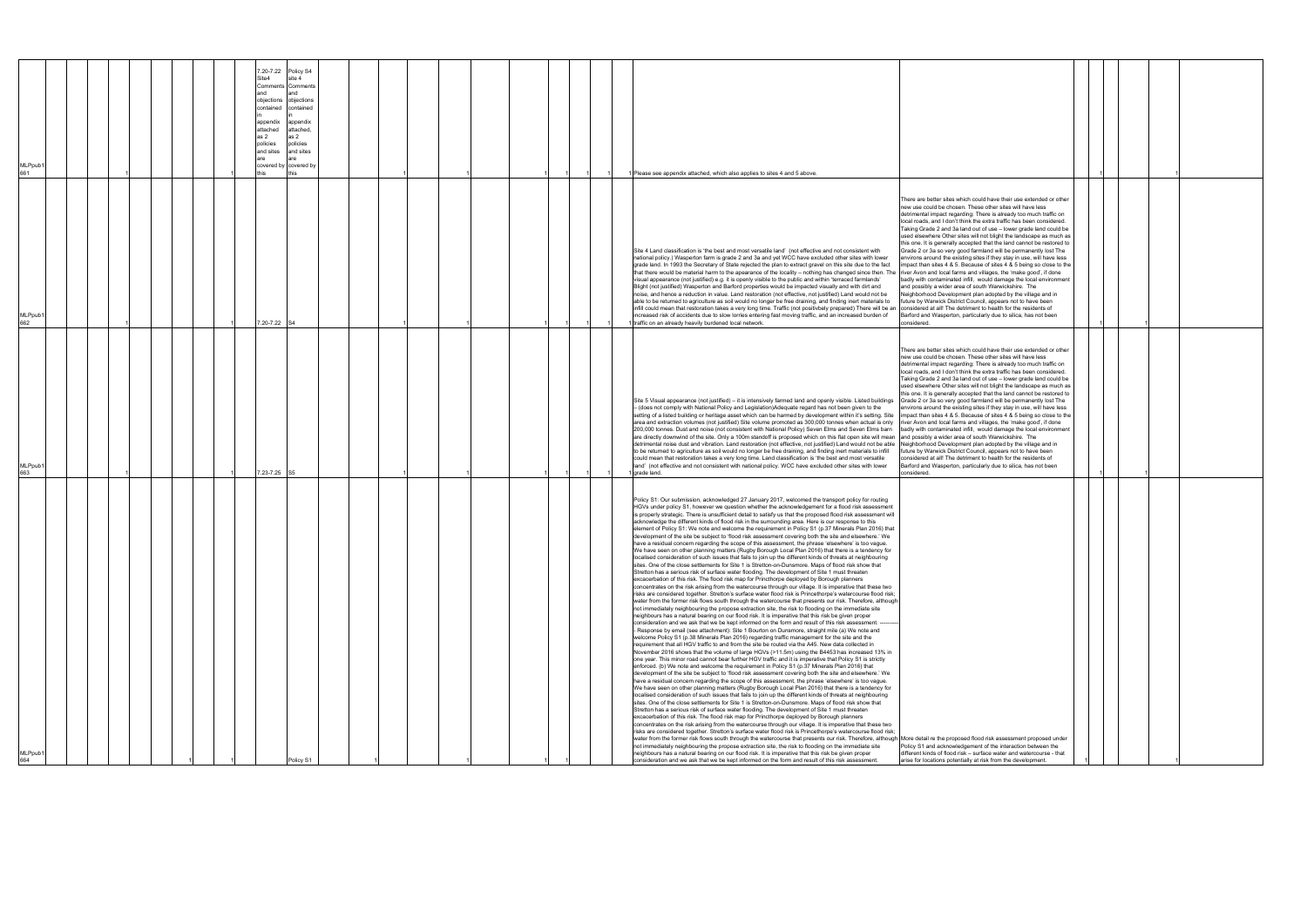| MLPpub1<br>661<br>MLPpub1<br>662<br>MLPpub1<br>663 | 7.20-7.22<br>Policy S4<br>Site4<br>site 4<br>Comments Comments<br>and<br>objections objections<br>contained<br>contained<br>appendix<br>appendix<br>attached<br>attached,<br>as 2<br>as 2<br>policies<br>policies<br>and sites<br>and sites<br>covered by covered by<br>7.20-7.22 S4<br>7.23-7.25 S5 |  |  | Please see appendix attached, which also applies to sites 4 and 5 above.<br>Site 4 Land classification is 'the best and most versatile land' (not effective and not consistent with<br>national policy.) Wasperton farm is grade 2 and 3a and yet WCC have excluded other sites with lower<br>grade land. In 1993 the Secretary of State rejected the plan to extract gravel on this site due to the fact<br>that there would be material harm to the apearance of the locality - nothing has changed since then. The river Avon and local farms and villages, the 'make good', if done<br>visual appearance (not justified) e.g. it is openly visible to the public and within 'terraced farmlands'<br>Blight (not justified) Wasperton and Barford properties would be impacted visually and with dirt and<br>noise, and hence a reduction in value. Land restoration (not effective, not justified) Land would not be<br>able to be returned to agriculture as soil would no longer be free draining, and finding inert materials to<br>infill could mean that restoration takes a very long time. Traffic (not positivbely prepared) There will be an<br>increased risk of accidents due to slow lorries entering fast moving traffic, and an increased burden of<br>traffic on an already heavily burdened local network.<br>Site 5 Visual appearance (not justified) – it is intensively farmed land and openly visible. Listed buildings<br>- (does not comply with National Policy and Legislation)Adequate regard has not been given to the<br>setting of a listed building or heritage asset which can be harmed by development within it's setting. Site<br>area and extraction volumes (not justified) Site volume promoted as 300,000 tonnes when actual is only<br>200,000 tonnes. Dust and noise (not consistent with National Policy) Seven Elms and Seven Elms barn<br>are directly downwind of the site. Only a 100m standoff is proposed which on this flat open site will mean and possibly a wider area of south Warwickshire. The<br>detrimental noise dust and vibration. Land restoration (not effective, not justified) Land would not be able Neighborhood Development plan adopted by the village and in<br>to be returned to agriculture as soil would no longer be free draining, and finding inert materials to infill<br>could mean that restoration takes a very long time. Land classification is 'the best and most versatile<br>land' (not effective and not consistent with national policy. WCC have excluded other sites with lower<br>I grade land.<br>Policy S1: Our submission, acknowledged 27 January 2017, welcomed the transport policy for routing<br>HGVs under policy S1, however we question whether the acknowledgement for a flood risk assessment<br>is properly strategic. There is unsufficient detail to satisfy us that the proposed flood risk assessment will<br>acknowledge the different kinds of flood risk in the surrounding area. Here is our response to this<br>element of Policy S1: We note and welcome the requirement in Policy S1 (p.37 Minerals Plan 2016) that<br>development of the site be subject to 'flood risk assessment covering both the site and elsewhere.' We<br>have a residual concern regarding the scope of this assessment, the phrase 'elsewhere' is too vague.<br>e have seen on other planning matters (Rugby Borough Local Plan 2016) that there is a tendency for<br>localised consideration of such issues that fails to join up the different kinds of threats at neighbouring<br>sites. One of the close settlements for Site 1 is Stretton-on-Dunsmore. Maps of flood risk show that<br>Stretton has a serious risk of surface water flooding. The development of Site 1 must threaten<br>excacerbation of this risk. The flood risk map for Princthorpe deployed by Borough planners<br>concentrates on the risk arising from the watercourse through our village. It is imperative that these two<br>risks are considered together. Stretton's surface water flood risk is Princethorpe's watercourse flood risk;<br>water from the former risk flows south through the watercourse that presents our risk. Therefore, although<br>not immediately neighbouring the propose extraction site, the risk to flooding on the immediate site<br>neighbours has a natural bearing on our flood risk. It is imperative that this risk be given proper<br>consideration and we ask that we be kept informed on the form and result of this risk assessment. -<br>- Response by email (see attachment): Site 1 Bourton on Dunsmore, straight mile (a) We note and<br>welcome Policy S1 (p.38 Minerals Plan 2016) regarding traffic management for the site and the<br>requirement that all HGV traffic to and from the site be routed via the A45. New data collected in<br>November 2016 shows that the volume of large HGVs (>11.5m) using the B4453 has increased 13% in<br>one year. This minor road cannot bear further HGV traffic and it is imperative that Policy S1 is strictly<br>enforced. (b) We note and welcome the requirement in Policy S1 (p.37 Minerals Plan 2016) that<br>development of the site be subject to 'flood risk assessment covering both the site and elsewhere.' We<br>have a residual concern regarding the scope of this assessment, the phrase 'elsewhere' is too vague. | There are better sites which could have their use extended or other<br>new use could be chosen. These other sites will have less<br>detrimental impact regarding: There is already too much traffic on<br>local roads, and I don't think the extra traffic has been considered.<br>Taking Grade 2 and 3a land out of use - lower grade land could be<br>used elsewhere Other sites will not blight the landscape as much as<br>this one. It is generally accepted that the land cannot be restored to<br>Grade 2 or 3a so very good farmland will be permanently lost The<br>environs around the existing sites if they stay in use, will have less<br>impact than sites 4 & 5. Because of sites 4 & 5 being so close to the<br>badly with contaminated infill, would damage the local environment<br>and possibly a wider area of south Warwickshire. The<br>Neighborhood Development plan adopted by the village and in<br>future by Warwick District Council, appears not to have been<br>considered at all! The detriment to health for the residents of<br>Barford and Wasperton, particularly due to silica, has not been<br>considered.<br>There are better sites which could have their use extended or other<br>new use could be chosen. These other sites will have less<br>detrimental impact regarding: There is already too much traffic on<br>local roads, and I don't think the extra traffic has been considered.<br>Taking Grade 2 and 3a land out of use - lower grade land could be<br>used elsewhere Other sites will not blight the landscape as much as<br>this one. It is generally accepted that the land cannot be restored to<br>Grade 2 or 3a so very good farmland will be permanently lost The<br>environs around the existing sites if they stay in use, will have less<br>impact than sites 4 & 5. Because of sites 4 & 5 being so close to the<br>river Avon and local farms and villages, the 'make good', if done<br>badly with contaminated infill, would damage the local environment<br>future by Warwick District Council, appears not to have been<br>considered at all! The detriment to health for the residents of<br>Barford and Wasperton, particularly due to silica, has not been<br>considered. |  |  |
|----------------------------------------------------|------------------------------------------------------------------------------------------------------------------------------------------------------------------------------------------------------------------------------------------------------------------------------------------------------|--|--|--------------------------------------------------------------------------------------------------------------------------------------------------------------------------------------------------------------------------------------------------------------------------------------------------------------------------------------------------------------------------------------------------------------------------------------------------------------------------------------------------------------------------------------------------------------------------------------------------------------------------------------------------------------------------------------------------------------------------------------------------------------------------------------------------------------------------------------------------------------------------------------------------------------------------------------------------------------------------------------------------------------------------------------------------------------------------------------------------------------------------------------------------------------------------------------------------------------------------------------------------------------------------------------------------------------------------------------------------------------------------------------------------------------------------------------------------------------------------------------------------------------------------------------------------------------------------------------------------------------------------------------------------------------------------------------------------------------------------------------------------------------------------------------------------------------------------------------------------------------------------------------------------------------------------------------------------------------------------------------------------------------------------------------------------------------------------------------------------------------------------------------------------------------------------------------------------------------------------------------------------------------------------------------------------------------------------------------------------------------------------------------------------------------------------------------------------------------------------------------------------------------------------------------------------------------------------------------------------------------------------------------------------------------------------------------------------------------------------------------------------------------------------------------------------------------------------------------------------------------------------------------------------------------------------------------------------------------------------------------------------------------------------------------------------------------------------------------------------------------------------------------------------------------------------------------------------------------------------------------------------------------------------------------------------------------------------------------------------------------------------------------------------------------------------------------------------------------------------------------------------------------------------------------------------------------------------------------------------------------------------------------------------------------------------------------------------------------------------------------------------------------------------------------------------------------------------------------------------------------------------------------------------------------------------------------------------------------------------------------------------------------------------------------------------------------------------------------------------------------------------------------------------------------------------------------------------------------------------------------------------------------------------------------------------------------------------------------------------------------------------------------------------------------------------------------------------------------------------------------------------------------------------------------------------------------------------------------------------------------------------------------------------------------------------------------------------------------------------------------------------------------------------------------------------------------------------------------------------------------------------------------------------------------------------------------------------------------------------------------------------------------------------------------------------------------------------------------------------------------------------------------------------------------------------------------------------------------------------------------------------------------------------------------------------------------------------------------------------------------------------------------------------------|------------------------------------------------------------------------------------------------------------------------------------------------------------------------------------------------------------------------------------------------------------------------------------------------------------------------------------------------------------------------------------------------------------------------------------------------------------------------------------------------------------------------------------------------------------------------------------------------------------------------------------------------------------------------------------------------------------------------------------------------------------------------------------------------------------------------------------------------------------------------------------------------------------------------------------------------------------------------------------------------------------------------------------------------------------------------------------------------------------------------------------------------------------------------------------------------------------------------------------------------------------------------------------------------------------------------------------------------------------------------------------------------------------------------------------------------------------------------------------------------------------------------------------------------------------------------------------------------------------------------------------------------------------------------------------------------------------------------------------------------------------------------------------------------------------------------------------------------------------------------------------------------------------------------------------------------------------------------------------------------------------------------------------------------------------------------------------------------------------------------------------------------------------------------------------------------------------------------------------------------|--|--|
| MLPpub1<br>664                                     | Policy S                                                                                                                                                                                                                                                                                             |  |  | We have seen on other planning matters (Rugby Borough Local Plan 2016) that there is a tendency for<br>localised consideration of such issues that fails to join up the different kinds of threats at neighbouring<br>sites. One of the close settlements for Site 1 is Stretton-on-Dunsmore. Maps of flood risk show that<br>Stretton has a serious risk of surface water flooding. The development of Site 1 must threaten<br>excacerbation of this risk. The flood risk map for Princthorpe deployed by Borough planners<br>concentrates on the risk arising from the watercourse through our village. It is imperative that these two<br>risks are considered together. Stretton's surface water flood risk is Princethorpe's watercourse flood risk;<br>water from the former risk flows south through the watercourse that presents our risk. Therefore, although More detail re the proposed flood risk assessment proposed under<br>not immediately neighbouring the propose extraction site, the risk to flooding on the immediate site<br>neighbours has a natural bearing on our flood risk. It is imperative that this risk be given proper<br>consideration and we ask that we be kept informed on the form and result of this risk assessment.                                                                                                                                                                                                                                                                                                                                                                                                                                                                                                                                                                                                                                                                                                                                                                                                                                                                                                                                                                                                                                                                                                                                                                                                                                                                                                                                                                                                                                                                                                                                                                                                                                                                                                                                                                                                                                                                                                                                                                                                                                                                                                                                                                                                                                                                                                                                                                                                                                                                                                                                                                                                                                                                                                                                                                                                                                                                                                                                                                                                                                                                                                                                                                                                                                                                                                                                                                                                                                                                                                                                                                                                                                                                                                                                                                                                                                                                                                                                                                                                                                                                                                                                           | Policy S1 and acknowledgement of the interaction between the<br>different kinds of flood risk - surface water and watercourse - that<br>arise for locations potentially at risk from the development.                                                                                                                                                                                                                                                                                                                                                                                                                                                                                                                                                                                                                                                                                                                                                                                                                                                                                                                                                                                                                                                                                                                                                                                                                                                                                                                                                                                                                                                                                                                                                                                                                                                                                                                                                                                                                                                                                                                                                                                                                                          |  |  |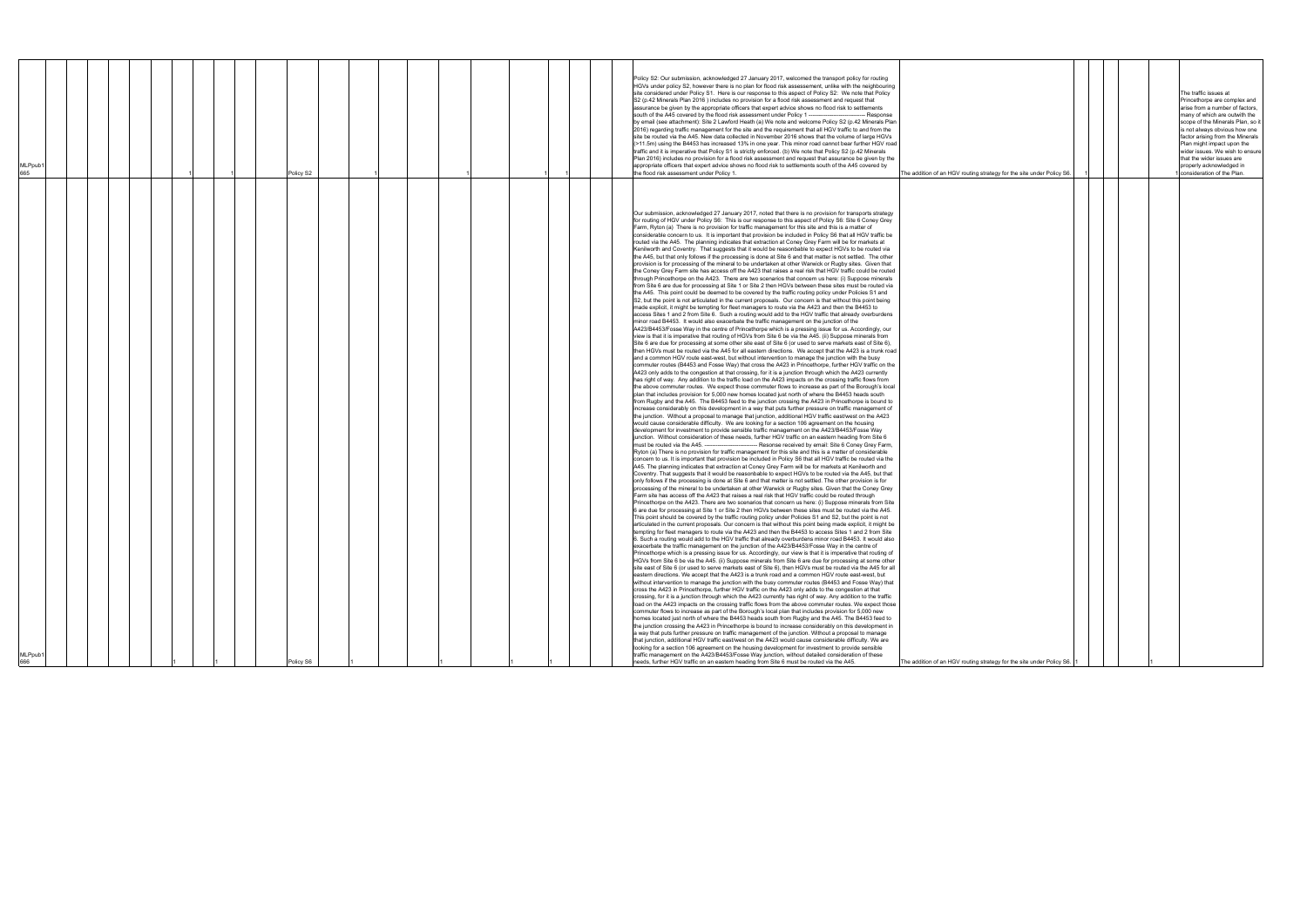| MLPpub′                    |  |  |  | Policy S2 |  |  |  |  | Policy S2: Our submission, acknowledged 27 January 2017, welcomed the transport policy for routing<br>HGVs under policy S2, however there is no plan for flood risk assessement, unlike with the neighbouring<br>site considered under Policy S1. Here is our response to this aspect of Policy S2: We note that Policy<br>S2 (p.42 Minerals Plan 2016) includes no provision for a flood risk assessment and request that<br>assurance be given by the appropriate officers that expert advice shows no flood risk to settlements<br>south of the A45 covered by the flood risk assessment under Policy 1 -----<br>-- Response<br>by email (see attachment): Site 2 Lawford Heath (a) We note and welcome Policy S2 (p.42 Minerals Plan<br>2016) regarding traffic management for the site and the requirement that all HGV traffic to and from the<br>site be routed via the A45. New data collected in November 2016 shows that the volume of large HGVs<br>(>11.5m) using the B4453 has increased 13% in one year. This minor road cannot bear further HGV road<br>traffic and it is imperative that Policy S1 is strictly enforced. (b) We note that Policy S2 (p.42 Minerals<br>Plan 2016) includes no provision for a flood risk assessment and request that assurance be given by the<br>appropriate officers that expert advice shows no flood risk to settlements south of the A45 covered by<br>the flood risk assessment under Policy 1                                                                                                                                                                                                                                                                                                                                                                                                                                                                                                                                                                                                                                                                                                                                                                                                                                                                                                                                                                                                                                                                                                                                                                                                                                                                                                                                                                                                                                                                                                                                                                                                                                                                                                                                                                                                                                                                                                                                                                                                                                                                                                                                                                                                                                                                                                                                                                                                                                                                                                                                                                                                                                                                                                                                                                                                                                                                                                                                                                                                                                                                                                                                                                                                                                                                                                                                                                                                                                                                                                                                                                                                                                                                                                                                                                                                                                                                                                                                                                                                                                                                                                                                                                                                                                                                                                                                                                                                                                                                                                                                                                                                                                                                                                                                                                                                                                                                                                                                                                                                                                                                                                                                                                                                                                                                                                                                                                                                                                                               | The addition of an HGV routing strategy for the site under Policy S6  |  |  |
|----------------------------|--|--|--|-----------|--|--|--|--|-------------------------------------------------------------------------------------------------------------------------------------------------------------------------------------------------------------------------------------------------------------------------------------------------------------------------------------------------------------------------------------------------------------------------------------------------------------------------------------------------------------------------------------------------------------------------------------------------------------------------------------------------------------------------------------------------------------------------------------------------------------------------------------------------------------------------------------------------------------------------------------------------------------------------------------------------------------------------------------------------------------------------------------------------------------------------------------------------------------------------------------------------------------------------------------------------------------------------------------------------------------------------------------------------------------------------------------------------------------------------------------------------------------------------------------------------------------------------------------------------------------------------------------------------------------------------------------------------------------------------------------------------------------------------------------------------------------------------------------------------------------------------------------------------------------------------------------------------------------------------------------------------------------------------------------------------------------------------------------------------------------------------------------------------------------------------------------------------------------------------------------------------------------------------------------------------------------------------------------------------------------------------------------------------------------------------------------------------------------------------------------------------------------------------------------------------------------------------------------------------------------------------------------------------------------------------------------------------------------------------------------------------------------------------------------------------------------------------------------------------------------------------------------------------------------------------------------------------------------------------------------------------------------------------------------------------------------------------------------------------------------------------------------------------------------------------------------------------------------------------------------------------------------------------------------------------------------------------------------------------------------------------------------------------------------------------------------------------------------------------------------------------------------------------------------------------------------------------------------------------------------------------------------------------------------------------------------------------------------------------------------------------------------------------------------------------------------------------------------------------------------------------------------------------------------------------------------------------------------------------------------------------------------------------------------------------------------------------------------------------------------------------------------------------------------------------------------------------------------------------------------------------------------------------------------------------------------------------------------------------------------------------------------------------------------------------------------------------------------------------------------------------------------------------------------------------------------------------------------------------------------------------------------------------------------------------------------------------------------------------------------------------------------------------------------------------------------------------------------------------------------------------------------------------------------------------------------------------------------------------------------------------------------------------------------------------------------------------------------------------------------------------------------------------------------------------------------------------------------------------------------------------------------------------------------------------------------------------------------------------------------------------------------------------------------------------------------------------------------------------------------------------------------------------------------------------------------------------------------------------------------------------------------------------------------------------------------------------------------------------------------------------------------------------------------------------------------------------------------------------------------------------------------------------------------------------------------------------------------------------------------------------------------------------------------------------------------------------------------------------------------------------------------------------------------------------------------------------------------------------------------------------------------------------------------------------------------------------------------------------------------------------------------------------------------------------------------------------------------------------------------------------------------------------------------------------------------------------------------------------------------------------------------------------------------------------------------------------------------------------------------------------------------------------------------------------------------------------------------------------------------------------------------------------------------------------------------------------------------------------------------------------------------------|-----------------------------------------------------------------------|--|--|
| MLPpub <sup>.</sup><br>666 |  |  |  | Policy S6 |  |  |  |  | Our submission, acknowledged 27 January 2017, noted that there is no provision for transports strategy<br>for routing of HGV under Policy S6: This is our response to this aspect of Policy S6: Site 6 Coney Grey<br>Farm, Ryton (a) There is no provision for traffic management for this site and this is a matter of<br>considerable concern to us. It is important that provision be included in Policy S6 that all HGV traffic be<br>routed via the A45. The planning indicates that extraction at Coney Grey Farm will be for markets at<br>Kenilworth and Coventry. That suggests that it would be reasonbable to expect HGVs to be routed via<br>the A45, but that only follows if the processing is done at Site 6 and that matter is not settled. The other<br>provision is for processing of the mineral to be undertaken at other Warwick or Rugby sites. Given that<br>the Coney Grey Farm site has access off the A423 that raises a real risk that HGV traffic could be routed<br>through Princethorpe on the A423. There are two scenarios that concern us here: (i) Suppose minerals<br>from Site 6 are due for processing at Site 1 or Site 2 then HGVs between these sites must be routed via<br>the A45. This point could be deemed to be covered by the traffic routing policy under Policies S1 and<br>S2, but the point is not articulated in the current proposals. Our concern is that without this point being<br>made explicit, it might be tempting for fleet managers to route via the A423 and then the B4453 to<br>access Sites 1 and 2 from Site 6. Such a routing would add to the HGV traffic that already overburdens<br>minor road B4453. It would also exacerbate the traffic management on the junction of the<br>A423/B4453/Fosse Way in the centre of Princethorpe which is a pressing issue for us. Accordingly, our<br>view is that it is imperative that routing of HGVs from Site 6 be via the A45. (ii) Suppose minerals from<br>Site 6 are due for processing at some other site east of Site 6 (or used to serve markets east of Site 6).<br>then HGVs must be routed via the A45 for all eastern directions. We accept that the A423 is a trunk road<br>and a common HGV route east-west, but without intervention to manage the junction with the busy<br>commuter routes (B4453 and Fosse Way) that cross the A423 in Princethorpe, further HGV traffic on the<br>A423 only adds to the congestion at that crossing, for it is a junction through which the A423 currently<br>has right of way. Any addition to the traffic load on the A423 impacts on the crossing traffic flows from<br>the above commuter routes. We expect those commuter flows to increase as part of the Borough's local<br>plan that includes provision for 5,000 new homes located just north of where the B4453 heads south<br>from Rugby and the A45. The B4453 feed to the junction crossing the A423 in Princethorpe is bound to<br>increase considerably on this development in a way that puts further pressure on traffic management of<br>the junction. Without a proposal to manage that junction, additional HGV traffic east/west on the A423<br>would cause considerable difficulty. We are looking for a section 106 agreement on the housing<br>development for investment to provide sensible traffic management on the A423/B4453/Fosse Way<br>junction. Without consideration of these needs, further HGV traffic on an eastern heading from Site 6<br>must be routed via the A45. ------------------------------ Resonse received by email: Site 6 Coney Grey Farm,<br>Ryton (a) There is no provision for traffic management for this site and this is a matter of considerable<br>concern to us. It is important that provision be included in Policy S6 that all HGV traffic be routed via the<br>A45. The planning indicates that extraction at Coney Grey Farm will be for markets at Kenilworth and<br>Coventry. That suggests that it would be reasonbable to expect HGVs to be routed via the A45, but that<br>only follows if the processing is done at Site 6 and that matter is not settled. The other provision is for<br>processing of the mineral to be undertaken at other Warwick or Rugby sites. Given that the Coney Grey<br>Farm site has access off the A423 that raises a real risk that HGV traffic could be routed through<br>Princethorpe on the A423. There are two scenarios that concern us here: (i) Suppose minerals from Site<br>6 are due for processing at Site 1 or Site 2 then HGVs between these sites must be routed via the A45.<br>This point should be covered by the traffic routing policy under Policies S1 and S2, but the point is not<br>articulated in the current proposals. Our concern is that without this point being made explicit, it might be<br>tempting for fleet managers to route via the A423 and then the B4453 to access Sites 1 and 2 from Site<br>6. Such a routing would add to the HGV traffic that already overburdens minor road B4453. It would also<br>exacerbate the traffic management on the junction of the A423/B4453/Fosse Way in the centre of<br>Princethorpe which is a pressing issue for us. Accordingly, our view is that it is imperative that routing of<br>HGVs from Site 6 be via the A45. (ii) Suppose minerals from Site 6 are due for processing at some other<br>site east of Site 6 (or used to serve markets east of Site 6), then HGVs must be routed via the A45 for all<br>eastern directions. We accept that the A423 is a trunk road and a common HGV route east-west, but<br>without intervention to manage the junction with the busy commuter routes (B4453 and Fosse Way) that<br>cross the A423 in Princethorpe, further HGV traffic on the A423 only adds to the congestion at that<br>crossing, for it is a junction through which the A423 currently has right of way. Any addition to the traffic<br>load on the A423 impacts on the crossing traffic flows from the above commuter routes. We expect those<br>commuter flows to increase as part of the Borough's local plan that includes provision for 5,000 new<br>homes located just north of where the B4453 heads south from Rugby and the A45. The B4453 feed to<br>the junction crossing the A423 in Princethorpe is bound to increase considerably on this development in<br>a way that puts further pressure on traffic management of the junction. Without a proposal to manage<br>that junction, additional HGV traffic east/west on the A423 would cause considerable difficulty. We are<br>looking for a section 106 agreement on the housing development for investment to provide sensible<br>traffic management on the A423/B4453/Fosse Way junction, without detailed consideration of these<br>needs, further HGV traffic on an eastern heading from Site 6 must be routed via the A45. |                                                                       |  |  |
|                            |  |  |  |           |  |  |  |  |                                                                                                                                                                                                                                                                                                                                                                                                                                                                                                                                                                                                                                                                                                                                                                                                                                                                                                                                                                                                                                                                                                                                                                                                                                                                                                                                                                                                                                                                                                                                                                                                                                                                                                                                                                                                                                                                                                                                                                                                                                                                                                                                                                                                                                                                                                                                                                                                                                                                                                                                                                                                                                                                                                                                                                                                                                                                                                                                                                                                                                                                                                                                                                                                                                                                                                                                                                                                                                                                                                                                                                                                                                                                                                                                                                                                                                                                                                                                                                                                                                                                                                                                                                                                                                                                                                                                                                                                                                                                                                                                                                                                                                                                                                                                                                                                                                                                                                                                                                                                                                                                                                                                                                                                                                                                                                                                                                                                                                                                                                                                                                                                                                                                                                                                                                                                                                                                                                                                                                                                                                                                                                                                                                                                                                                                                                                                                                                                                                                                                                                                                                                                                                                                                                                                                                                                                                                                                                                   | The addition of an HGV routing strategy for the site under Policy S6. |  |  |

|                                     |   |  |   | The traffic issues at<br>Princethorpe are complex and<br>arise from a number of factors,<br>many of which are outwith the<br>scope of the Minerals Plan, so it<br>is not always obvious how one<br>factor arising from the Minerals |
|-------------------------------------|---|--|---|-------------------------------------------------------------------------------------------------------------------------------------------------------------------------------------------------------------------------------------|
| ategy for the site under Policy S6. | 1 |  |   | Plan might impact upon the<br>wider issues. We wish to ensure<br>that the wider issues are<br>properly acknowledged in<br>1 consideration of the Plan.                                                                              |
|                                     |   |  |   |                                                                                                                                                                                                                                     |
|                                     |   |  |   |                                                                                                                                                                                                                                     |
|                                     |   |  |   |                                                                                                                                                                                                                                     |
|                                     |   |  |   |                                                                                                                                                                                                                                     |
|                                     |   |  |   |                                                                                                                                                                                                                                     |
|                                     |   |  |   |                                                                                                                                                                                                                                     |
|                                     |   |  |   |                                                                                                                                                                                                                                     |
|                                     |   |  |   |                                                                                                                                                                                                                                     |
|                                     |   |  |   |                                                                                                                                                                                                                                     |
|                                     |   |  |   |                                                                                                                                                                                                                                     |
|                                     |   |  |   |                                                                                                                                                                                                                                     |
|                                     |   |  |   |                                                                                                                                                                                                                                     |
|                                     |   |  |   |                                                                                                                                                                                                                                     |
|                                     |   |  |   |                                                                                                                                                                                                                                     |
|                                     |   |  |   |                                                                                                                                                                                                                                     |
|                                     |   |  |   |                                                                                                                                                                                                                                     |
|                                     |   |  |   |                                                                                                                                                                                                                                     |
|                                     |   |  |   |                                                                                                                                                                                                                                     |
|                                     |   |  |   |                                                                                                                                                                                                                                     |
|                                     |   |  |   |                                                                                                                                                                                                                                     |
|                                     |   |  |   |                                                                                                                                                                                                                                     |
|                                     |   |  |   |                                                                                                                                                                                                                                     |
|                                     |   |  |   |                                                                                                                                                                                                                                     |
|                                     |   |  |   |                                                                                                                                                                                                                                     |
|                                     |   |  |   |                                                                                                                                                                                                                                     |
|                                     |   |  |   |                                                                                                                                                                                                                                     |
|                                     |   |  |   |                                                                                                                                                                                                                                     |
|                                     |   |  |   |                                                                                                                                                                                                                                     |
| ategy for the site under Policy S6. | 1 |  | 1 |                                                                                                                                                                                                                                     |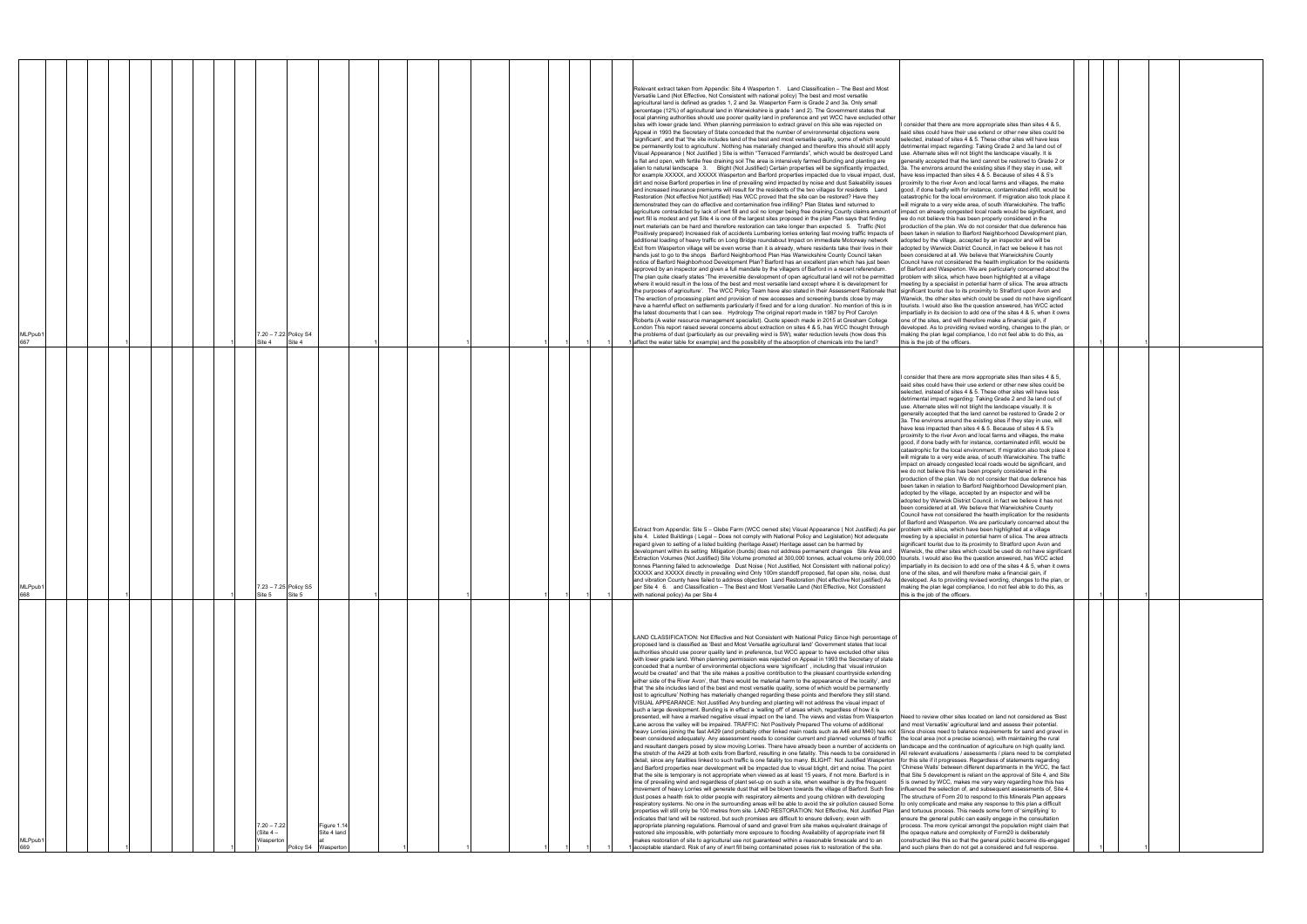| MLPpub1<br>667 |  |  |  | 7.20 - 7.22 Policy S4<br>Site 4          | Site 4                                             |  |  |  | Appeal in 1993 the Secretary of State conceded that the number of environmental objections were<br>said sites could have their use extend or other new sites could be<br>selected, instead of sites 4 & 5. These other sites will have less<br>'significant', and that 'the site includes land of the best and most versatile quality, some of which would<br>be permanently lost to agriculture'. Nothing has materially changed and therefore this should still apply<br>detrimental impact regarding: Taking Grade 2 and 3a land out of<br>Visual Appearance (Not Justified) Site is within "Terraced Farmlands", which would be destroyed Land<br>use. Alternate sites will not blight the landscape visually. It is<br>is flat and open, with fertile free draining soil The area is intensively farmed Bunding and planting are<br>generally accepted that the land cannot be restored to Grade 2 or<br>alien to natural landscape 3. Blight (Not Justified) Certain properties will be significantly impacted,<br>3a. The environs around the existing sites if they stay in use, will<br>for example XXXXX, and XXXXX Wasperton and Barford properties impacted due to visual impact, dust,<br>have less impacted than sites 4 & 5. Because of sites 4 & 5's<br>dirt and noise Barford properties in line of prevailing wind impacted by noise and dust Saleability issues<br>proximity to the river Avon and local farms and villages, the make<br>and increased insurance premiums will result for the residents of the two villages for residents Land<br>good, if done badly with for instance, contaminated infill, would be<br>Restoration (Not effective Not justified) Has WCC proved that the site can be restored? Have they<br>catastrophic for the local environment. If migration also took place it<br>demonstrated they can do effective and contamination free infilling? Plan States land returned to<br>will migrate to a very wide area, of south Warwickshire. The traffic<br>agriculture contradicted by lack of inert fill and soil no longer being free draining County claims amount of<br>impact on already congested local roads would be significant, and<br>inert fill is modest and yet Site 4 is one of the largest sites proposed in the plan Plan says that finding<br>we do not believe this has been properly considered in the<br>linert materials can be hard and therefore restoration can take longer than expected 5. Traffic (Not<br>production of the plan. We do not consider that due deference has<br>Positively prepared) Increased risk of accidents Lumbering lorries entering fast moving traffic Impacts of<br>been taken in relation to Barford Neighborhood Development plan,<br>additional loading of heavy traffic on Long Bridge roundabout Impact on immediate Motorway network<br>adopted by the village, accepted by an inspector and will be<br>Exit from Wasperton village will be even worse than it is already, where residents take their lives in their<br>adopted by Warwick District Council, in fact we believe it has not<br>hands just to go to the shops Barford Neighborhood Plan Has Warwickshire County Council taken<br>been considered at all. We believe that Warwickshire County<br>notice of Barford Neighborhood Development Plan? Barford has an excellent plan which has just been<br>Council have not considered the health implication for the residents<br>approved by an inspector and given a full mandate by the villagers of Barford in a recent referendum.<br>of Barford and Wasperton. We are particularly concerned about the<br>The plan quite clearly states 'The irreversible development of open agricultural land will not be permitted<br>problem with silica, which have been highlighted at a village<br>where it would result in the loss of the best and most versatile land except where it is development for<br>meeting by a specialist in potential harm of silica. The area attracts<br>the purposes of agriculture'. The WCC Policy Team have also stated in their Assessment Rationale that significant tourist due to its proximity to Stratford upon Avon and<br>The erection of processing plant and provision of new accesses and screening bunds close by may<br>Warwick, the other sites which could be used do not have significant<br>have a harmful effect on settlements particularly if fixed and for a long duration'. No mention of this is in<br>tourists. I would also like the question answered, has WCC acted<br>the latest documents that I can see. Hydrology The original report made in 1987 by Prof Carolyn<br>impartially in its decision to add one of the sites 4 & 5, when it owns<br>Roberts (A water resource management specialist). Quote speech made in 2015 at Gresham College<br>one of the sites, and will therefore make a financial gain, if<br>London This report raised several concerns about extraction on sites 4 & 5, has WCC thought through<br>developed. As to providing revised wording, changes to the plan, or<br>the problems of dust (particularly as our prevailing wind is SW), water reduction levels (how does this<br>making the plan legal compliance, I do not feel able to do this, as<br>l affect the water table for example) and the possibility of the absorption of chemicals into the land?<br>this is the job of the officers.<br>I consider that there are more appropriate sites than sites 4 & 5,<br>said sites could have their use extend or other new sites could be<br>selected, instead of sites 4 & 5. These other sites will have less<br>detrimental impact regarding: Taking Grade 2 and 3a land out of<br>use. Alternate sites will not blight the landscape visually. It is<br>generally accepted that the land cannot be restored to Grade 2 or<br>3a. The environs around the existing sites if they stay in use, will<br>have less impacted than sites 4 & 5. Because of sites 4 & 5's |  |
|----------------|--|--|--|------------------------------------------|----------------------------------------------------|--|--|--|-----------------------------------------------------------------------------------------------------------------------------------------------------------------------------------------------------------------------------------------------------------------------------------------------------------------------------------------------------------------------------------------------------------------------------------------------------------------------------------------------------------------------------------------------------------------------------------------------------------------------------------------------------------------------------------------------------------------------------------------------------------------------------------------------------------------------------------------------------------------------------------------------------------------------------------------------------------------------------------------------------------------------------------------------------------------------------------------------------------------------------------------------------------------------------------------------------------------------------------------------------------------------------------------------------------------------------------------------------------------------------------------------------------------------------------------------------------------------------------------------------------------------------------------------------------------------------------------------------------------------------------------------------------------------------------------------------------------------------------------------------------------------------------------------------------------------------------------------------------------------------------------------------------------------------------------------------------------------------------------------------------------------------------------------------------------------------------------------------------------------------------------------------------------------------------------------------------------------------------------------------------------------------------------------------------------------------------------------------------------------------------------------------------------------------------------------------------------------------------------------------------------------------------------------------------------------------------------------------------------------------------------------------------------------------------------------------------------------------------------------------------------------------------------------------------------------------------------------------------------------------------------------------------------------------------------------------------------------------------------------------------------------------------------------------------------------------------------------------------------------------------------------------------------------------------------------------------------------------------------------------------------------------------------------------------------------------------------------------------------------------------------------------------------------------------------------------------------------------------------------------------------------------------------------------------------------------------------------------------------------------------------------------------------------------------------------------------------------------------------------------------------------------------------------------------------------------------------------------------------------------------------------------------------------------------------------------------------------------------------------------------------------------------------------------------------------------------------------------------------------------------------------------------------------------------------------------------------------------------------------------------------------------------------------------------------------------------------------------------------------------------------------------------------------------------------------------------------------------------------------------------------------------------------------------------------------------------------------------------------------------------------------------------------------------------------------------------------------------------------------------------------------------------------------------------------------------------------------------------------------------------------------------------------------------------------------------------------------------------------------------------------------------------------------------------------------------------------------------------------------------------------------------------------------------------------------------------------------------------------------------------------------------------------------------------------------------------------------------------------------------------------------------------------------------------------------------------------------------------------------------------------------------------------------------------------------------------------------------------------------------------------------------------------------------------------------------------------------------------------------------------------------------------------------------------------------------------------------------------------------------------------------------------------------------------------------------------------------------------------------|--|
| MLPpub1<br>668 |  |  |  | 7.23 - 7.25 Policy S5<br>Site 5          | Site 5                                             |  |  |  | proximity to the river Avon and local farms and villages, the make<br>good, if done badly with for instance, contaminated infill, would be<br>catastrophic for the local environment. If migration also took place it<br>will migrate to a very wide area, of south Warwickshire. The traffic<br>impact on already congested local roads would be significant, and<br>we do not believe this has been properly considered in the<br>production of the plan. We do not consider that due deference has<br>been taken in relation to Barford Neighborhood Development plan,<br>adopted by the village, accepted by an inspector and will be<br>adopted by Warwick District Council, in fact we believe it has not<br>been considered at all. We believe that Warwickshire County<br>Council have not considered the health implication for the residents<br>of Barford and Wasperton. We are particularly concerned about the<br>Extract from Appendix: Site 5 - Glebe Farm (WCC owned site) Visual Appearance (Not Justified) As per problem with silica, which have been highlighted at a village<br>site 4. Listed Buildings (Legal - Does not comply with National Policy and Legislation) Not adequate<br>neeting by a specialist in potential harm of silica. The area attracts<br>regard given to setting of a listed building (heritage Asset) Heritage asset can be harmed by<br>significant tourist due to its proximity to Stratford upon Avon and<br>development within its setting Mitigation (bunds) does not address permanent changes Site Area and Warwick, the other sites which could be used do not have significan<br>Extraction Volumes (Not Justified) Site Volume promoted at 300,000 tonnes, actual volume only 200,000 tourists. I would also like the question answered, has WCC acted<br>tonnes Planning failed to acknowledge Dust Noise (Not Justified, Not Consistent with national policy)<br>impartially in its decision to add one of the sites 4 & 5, when it owns<br>XXXXX and XXXXX directly in prevailing wind Only 100m standoff proposed, flat open site, noise, dust<br>one of the sites, and will therefore make a financial gain, if<br>and vibration County have failed to address objection Land Restoration (Not effective Not justified) As<br>developed. As to providing revised wording, changes to the plan, or<br>per Site 4 6. and Classification - The Best and Most Versatile Land (Not Effective, Not Consistent<br>making the plan legal compliance, I do not feel able to do this, as<br>with national policy) As per Site 4<br>this is the job of the officers.                                                                                                                                                                                                                                                                                                                                                                                                                                                                                                                                                                                                                                                                                                                                                                                                                                                                                                                                                                                                                                                                                                                                                                                                                                                                                                                                                                                                                                                                                                                                                                                                                                                                                                                                                                                                                                                                                                                                                                                                                                                                                                                                                                                                                                                                                                                                                                                                                                                                                                                                                                                                                                                                                                                                                                                                                                                                                                                                                                                                                                                                                                                                                                                                                                                                                                                                                                       |  |
| MLPpub1<br>669 |  |  |  | $7.20 - 7.22$<br>(Site $4-$<br>Naspertor | Figure 1.1<br>Site 4 land<br>olicy S4<br>Waspertor |  |  |  | LAND CLASSIFICATION: Not Effective and Not Consistent with National Policy Since high percentage of<br>proposed land is classified as 'Best and Most Versatile agricultural land' Government states that local<br>authorities should use poorer quality land in preference, but WCC appear to have excluded other sites<br>with lower grade land. When planning permission was rejected on Appeal in 1993 the Secretary of state<br>conceded that a number of environmental objections were 'significant', including that 'visual intrusion<br>would be created' and that 'the site makes a positive contribution to the pleasant countryside extending<br>either side of the River Avon', that 'there would be material harm to the appearance of the locality', and<br>that 'the site includes land of the best and most versatile quality, some of which would be permanently<br>lost to agriculture' Nothing has materially changed regarding these points and therefore they still stand.<br>VISUAL APPEARANCE: Not Justified Any bunding and planting will not address the visual impact of<br>such a large development. Bunding is in effect a 'walling off' of areas which, regardless of how it is<br>presented, will have a marked negative visual impact on the land. The views and vistas from Wasperton Need to review other sites located on land not considered as 'Best<br>Lane across the valley will be impaired. TRAFFIC: Not Positively Prepared The volume of additional<br>and most Versatile' agricultural land and assess their potential.<br>heavy Lorries joining the fast A429 (and probably other linked main roads such as A46 and M40) has not Since choices need to balance requirements for sand and gravel in<br>been considered adequately. Any assessment needs to consider current and planned volumes of traffic   the local area (not a precise science), with maintaining the rural<br>and resultant dangers posed by slow moving Lorries. There have already been a number of accidents on Ilandscape and the continuation of agriculture on high quality land.<br>the stretch of the A429 at both exits from Barford, resulting in one fatality. This needs to be considered in All relevant evaluations / assessments / plans need to be completed<br>detail, since any fatalities linked to such traffic is one fatality too many. BLIGHT: Not Justified Wasperton<br>for this site if it progresses. Regardless of statements regarding<br>and Barford properties near development will be impacted due to visual blight, dirt and noise. The point<br>'Chinese Walls' between different departments in the WCC, the fact<br>that the site is temporary is not appropriate when viewed as at least 15 years, if not more. Barford is in<br>that Site 5 development is reliant on the approval of Site 4, and Site<br>line of prevailing wind and regardless of plant set-up on such a site, when weather is dry the frequent<br>5 is owned by WCC, makes me very wary regarding how this has<br>movement of heavy Lorries will generate dust that will be blown towards the village of Barford. Such fine<br>influenced the selection of, and subsequent assessments of, Site 4.<br>dust poses a health risk to older people with respiratory ailments and young children with developing<br>The structure of Form 20 to respond to this Minerals Plan appears<br>respiratory systems. No one in the surrounding areas will be able to avoid the sir pollution caused Some<br>to only complicate and make any response to this plan a difficult<br>properties will still only be 100 metres from site. LAND RESTORATION: Not Effective, Not Justified Plan<br>and tortuous process. This needs some form of 'simplifying' to<br>ensure the general public can easily engage in the consultation<br>indicates that land will be restored, but such promises are difficult to ensure delivery, even with<br>appropriate planning regulations. Removal of sand and gravel from site makes equivalent drainage of<br>process. The more cynical amongst the population might claim that<br>restored site impossible, with potentially more exposure to flooding Availability of appropriate inert fill<br>the opaque nature and complexity of Form20 is deliberately<br>makes restoration of site to agricultural use not guaranteed within a reasonable timescale and to an<br>constructed like this so that the general public become dis-engaged<br>acceptable standard. Risk of any of inert fill being contaminated poses risk to restoration of the site.<br>and such plans then do not get a considered and full response.                                                                                                                                                                                                                                                                                                                                                                                                                                                                                                                                                                                                                                                                                                                                                                                                                                                                                                                                                                                                                                                                                                                                                                                                                                                                                                                      |  |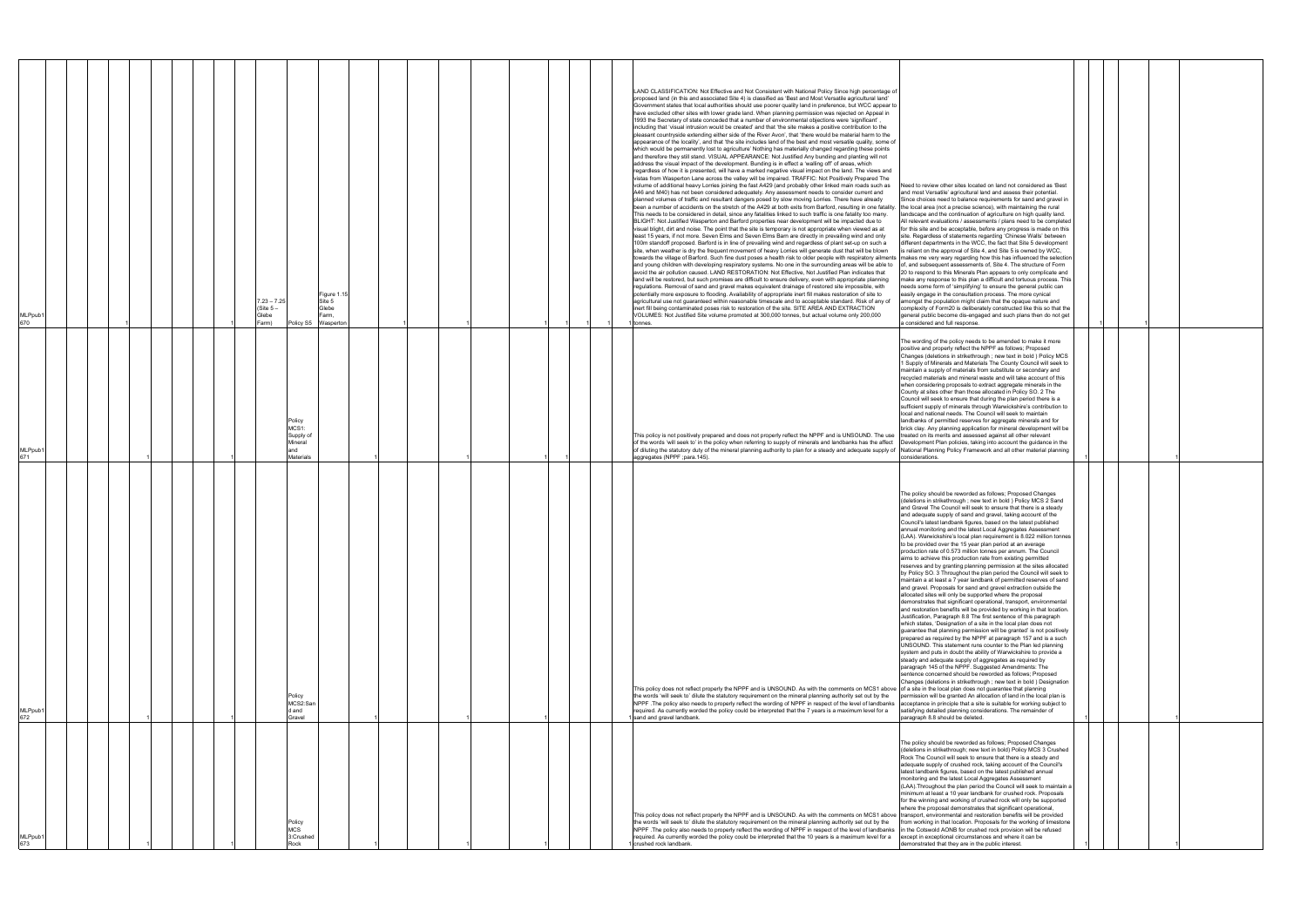| MLPpub <sup>.</sup><br>673                                                                                                                                                                                                                                                                                                                                                                                                                                                                                                                                                                                                                                                                                                                                                                                                                                                                                                                         | MLPpub1<br>672                                                                                                                                                                                                                                                                                                                                                                                                                                                                                                                                                                                                                                                                                                                                                                                                                                                                                                                                                                                                                                                                                                                                                                                                                                                                                                                                                                                                                                                                                                                                                                                                                                                                                                                                                                                                                                                                                                                                                                                                                                                                                                                     | MLPpub1<br>671                                                                                                                                                                                                                                                                                                                                                                                                                                                                                                                                                                                                                                                                                                                                                                                                                                                                                                                                                                                          | MLPpub1<br>670                                                                                                                                                                                                                                                                                                                                                                                                                                                                                                                                                                                                                                                                                                                                                                                                                                                                                                                                                                                                                                                                                                                                                                                                                                                                                                                                                                                                                                                                                                                                                                                                                                                                                                                                                                                                                                                                                                                                                                                                                                                                                                                                                                                                                                                                                                                                                                                                                                                                                                                                                                                                                                                                                                                                                                                                                                                                                                                                                                                                                                                                                                                                                                                                                                                                                                                                                                                                                                                                                                                                                                                                                                             |
|----------------------------------------------------------------------------------------------------------------------------------------------------------------------------------------------------------------------------------------------------------------------------------------------------------------------------------------------------------------------------------------------------------------------------------------------------------------------------------------------------------------------------------------------------------------------------------------------------------------------------------------------------------------------------------------------------------------------------------------------------------------------------------------------------------------------------------------------------------------------------------------------------------------------------------------------------|------------------------------------------------------------------------------------------------------------------------------------------------------------------------------------------------------------------------------------------------------------------------------------------------------------------------------------------------------------------------------------------------------------------------------------------------------------------------------------------------------------------------------------------------------------------------------------------------------------------------------------------------------------------------------------------------------------------------------------------------------------------------------------------------------------------------------------------------------------------------------------------------------------------------------------------------------------------------------------------------------------------------------------------------------------------------------------------------------------------------------------------------------------------------------------------------------------------------------------------------------------------------------------------------------------------------------------------------------------------------------------------------------------------------------------------------------------------------------------------------------------------------------------------------------------------------------------------------------------------------------------------------------------------------------------------------------------------------------------------------------------------------------------------------------------------------------------------------------------------------------------------------------------------------------------------------------------------------------------------------------------------------------------------------------------------------------------------------------------------------------------|---------------------------------------------------------------------------------------------------------------------------------------------------------------------------------------------------------------------------------------------------------------------------------------------------------------------------------------------------------------------------------------------------------------------------------------------------------------------------------------------------------------------------------------------------------------------------------------------------------------------------------------------------------------------------------------------------------------------------------------------------------------------------------------------------------------------------------------------------------------------------------------------------------------------------------------------------------------------------------------------------------|------------------------------------------------------------------------------------------------------------------------------------------------------------------------------------------------------------------------------------------------------------------------------------------------------------------------------------------------------------------------------------------------------------------------------------------------------------------------------------------------------------------------------------------------------------------------------------------------------------------------------------------------------------------------------------------------------------------------------------------------------------------------------------------------------------------------------------------------------------------------------------------------------------------------------------------------------------------------------------------------------------------------------------------------------------------------------------------------------------------------------------------------------------------------------------------------------------------------------------------------------------------------------------------------------------------------------------------------------------------------------------------------------------------------------------------------------------------------------------------------------------------------------------------------------------------------------------------------------------------------------------------------------------------------------------------------------------------------------------------------------------------------------------------------------------------------------------------------------------------------------------------------------------------------------------------------------------------------------------------------------------------------------------------------------------------------------------------------------------------------------------------------------------------------------------------------------------------------------------------------------------------------------------------------------------------------------------------------------------------------------------------------------------------------------------------------------------------------------------------------------------------------------------------------------------------------------------------------------------------------------------------------------------------------------------------------------------------------------------------------------------------------------------------------------------------------------------------------------------------------------------------------------------------------------------------------------------------------------------------------------------------------------------------------------------------------------------------------------------------------------------------------------------------------------------------------------------------------------------------------------------------------------------------------------------------------------------------------------------------------------------------------------------------------------------------------------------------------------------------------------------------------------------------------------------------------------------------------------------------------------------------------------------|
|                                                                                                                                                                                                                                                                                                                                                                                                                                                                                                                                                                                                                                                                                                                                                                                                                                                                                                                                                    |                                                                                                                                                                                                                                                                                                                                                                                                                                                                                                                                                                                                                                                                                                                                                                                                                                                                                                                                                                                                                                                                                                                                                                                                                                                                                                                                                                                                                                                                                                                                                                                                                                                                                                                                                                                                                                                                                                                                                                                                                                                                                                                                    |                                                                                                                                                                                                                                                                                                                                                                                                                                                                                                                                                                                                                                                                                                                                                                                                                                                                                                                                                                                                         |                                                                                                                                                                                                                                                                                                                                                                                                                                                                                                                                                                                                                                                                                                                                                                                                                                                                                                                                                                                                                                                                                                                                                                                                                                                                                                                                                                                                                                                                                                                                                                                                                                                                                                                                                                                                                                                                                                                                                                                                                                                                                                                                                                                                                                                                                                                                                                                                                                                                                                                                                                                                                                                                                                                                                                                                                                                                                                                                                                                                                                                                                                                                                                                                                                                                                                                                                                                                                                                                                                                                                                                                                                                            |
|                                                                                                                                                                                                                                                                                                                                                                                                                                                                                                                                                                                                                                                                                                                                                                                                                                                                                                                                                    |                                                                                                                                                                                                                                                                                                                                                                                                                                                                                                                                                                                                                                                                                                                                                                                                                                                                                                                                                                                                                                                                                                                                                                                                                                                                                                                                                                                                                                                                                                                                                                                                                                                                                                                                                                                                                                                                                                                                                                                                                                                                                                                                    |                                                                                                                                                                                                                                                                                                                                                                                                                                                                                                                                                                                                                                                                                                                                                                                                                                                                                                                                                                                                         |                                                                                                                                                                                                                                                                                                                                                                                                                                                                                                                                                                                                                                                                                                                                                                                                                                                                                                                                                                                                                                                                                                                                                                                                                                                                                                                                                                                                                                                                                                                                                                                                                                                                                                                                                                                                                                                                                                                                                                                                                                                                                                                                                                                                                                                                                                                                                                                                                                                                                                                                                                                                                                                                                                                                                                                                                                                                                                                                                                                                                                                                                                                                                                                                                                                                                                                                                                                                                                                                                                                                                                                                                                                            |
|                                                                                                                                                                                                                                                                                                                                                                                                                                                                                                                                                                                                                                                                                                                                                                                                                                                                                                                                                    |                                                                                                                                                                                                                                                                                                                                                                                                                                                                                                                                                                                                                                                                                                                                                                                                                                                                                                                                                                                                                                                                                                                                                                                                                                                                                                                                                                                                                                                                                                                                                                                                                                                                                                                                                                                                                                                                                                                                                                                                                                                                                                                                    |                                                                                                                                                                                                                                                                                                                                                                                                                                                                                                                                                                                                                                                                                                                                                                                                                                                                                                                                                                                                         |                                                                                                                                                                                                                                                                                                                                                                                                                                                                                                                                                                                                                                                                                                                                                                                                                                                                                                                                                                                                                                                                                                                                                                                                                                                                                                                                                                                                                                                                                                                                                                                                                                                                                                                                                                                                                                                                                                                                                                                                                                                                                                                                                                                                                                                                                                                                                                                                                                                                                                                                                                                                                                                                                                                                                                                                                                                                                                                                                                                                                                                                                                                                                                                                                                                                                                                                                                                                                                                                                                                                                                                                                                                            |
|                                                                                                                                                                                                                                                                                                                                                                                                                                                                                                                                                                                                                                                                                                                                                                                                                                                                                                                                                    |                                                                                                                                                                                                                                                                                                                                                                                                                                                                                                                                                                                                                                                                                                                                                                                                                                                                                                                                                                                                                                                                                                                                                                                                                                                                                                                                                                                                                                                                                                                                                                                                                                                                                                                                                                                                                                                                                                                                                                                                                                                                                                                                    |                                                                                                                                                                                                                                                                                                                                                                                                                                                                                                                                                                                                                                                                                                                                                                                                                                                                                                                                                                                                         |                                                                                                                                                                                                                                                                                                                                                                                                                                                                                                                                                                                                                                                                                                                                                                                                                                                                                                                                                                                                                                                                                                                                                                                                                                                                                                                                                                                                                                                                                                                                                                                                                                                                                                                                                                                                                                                                                                                                                                                                                                                                                                                                                                                                                                                                                                                                                                                                                                                                                                                                                                                                                                                                                                                                                                                                                                                                                                                                                                                                                                                                                                                                                                                                                                                                                                                                                                                                                                                                                                                                                                                                                                                            |
|                                                                                                                                                                                                                                                                                                                                                                                                                                                                                                                                                                                                                                                                                                                                                                                                                                                                                                                                                    |                                                                                                                                                                                                                                                                                                                                                                                                                                                                                                                                                                                                                                                                                                                                                                                                                                                                                                                                                                                                                                                                                                                                                                                                                                                                                                                                                                                                                                                                                                                                                                                                                                                                                                                                                                                                                                                                                                                                                                                                                                                                                                                                    |                                                                                                                                                                                                                                                                                                                                                                                                                                                                                                                                                                                                                                                                                                                                                                                                                                                                                                                                                                                                         |                                                                                                                                                                                                                                                                                                                                                                                                                                                                                                                                                                                                                                                                                                                                                                                                                                                                                                                                                                                                                                                                                                                                                                                                                                                                                                                                                                                                                                                                                                                                                                                                                                                                                                                                                                                                                                                                                                                                                                                                                                                                                                                                                                                                                                                                                                                                                                                                                                                                                                                                                                                                                                                                                                                                                                                                                                                                                                                                                                                                                                                                                                                                                                                                                                                                                                                                                                                                                                                                                                                                                                                                                                                            |
|                                                                                                                                                                                                                                                                                                                                                                                                                                                                                                                                                                                                                                                                                                                                                                                                                                                                                                                                                    |                                                                                                                                                                                                                                                                                                                                                                                                                                                                                                                                                                                                                                                                                                                                                                                                                                                                                                                                                                                                                                                                                                                                                                                                                                                                                                                                                                                                                                                                                                                                                                                                                                                                                                                                                                                                                                                                                                                                                                                                                                                                                                                                    |                                                                                                                                                                                                                                                                                                                                                                                                                                                                                                                                                                                                                                                                                                                                                                                                                                                                                                                                                                                                         | $7.23 - 7.25$<br>(Site 5 –<br>Glebe<br>Farm)                                                                                                                                                                                                                                                                                                                                                                                                                                                                                                                                                                                                                                                                                                                                                                                                                                                                                                                                                                                                                                                                                                                                                                                                                                                                                                                                                                                                                                                                                                                                                                                                                                                                                                                                                                                                                                                                                                                                                                                                                                                                                                                                                                                                                                                                                                                                                                                                                                                                                                                                                                                                                                                                                                                                                                                                                                                                                                                                                                                                                                                                                                                                                                                                                                                                                                                                                                                                                                                                                                                                                                                                               |
| Policy<br><b>MCS</b><br>3:Crushed<br>Rock                                                                                                                                                                                                                                                                                                                                                                                                                                                                                                                                                                                                                                                                                                                                                                                                                                                                                                          | Policy<br>MCS2:San<br>d and<br>Gravel                                                                                                                                                                                                                                                                                                                                                                                                                                                                                                                                                                                                                                                                                                                                                                                                                                                                                                                                                                                                                                                                                                                                                                                                                                                                                                                                                                                                                                                                                                                                                                                                                                                                                                                                                                                                                                                                                                                                                                                                                                                                                              | Policy<br>MCS1:<br>Supply of<br>Mineral<br>and<br>Materials                                                                                                                                                                                                                                                                                                                                                                                                                                                                                                                                                                                                                                                                                                                                                                                                                                                                                                                                             | Policy S5 Waspertor                                                                                                                                                                                                                                                                                                                                                                                                                                                                                                                                                                                                                                                                                                                                                                                                                                                                                                                                                                                                                                                                                                                                                                                                                                                                                                                                                                                                                                                                                                                                                                                                                                                                                                                                                                                                                                                                                                                                                                                                                                                                                                                                                                                                                                                                                                                                                                                                                                                                                                                                                                                                                                                                                                                                                                                                                                                                                                                                                                                                                                                                                                                                                                                                                                                                                                                                                                                                                                                                                                                                                                                                                                        |
|                                                                                                                                                                                                                                                                                                                                                                                                                                                                                                                                                                                                                                                                                                                                                                                                                                                                                                                                                    |                                                                                                                                                                                                                                                                                                                                                                                                                                                                                                                                                                                                                                                                                                                                                                                                                                                                                                                                                                                                                                                                                                                                                                                                                                                                                                                                                                                                                                                                                                                                                                                                                                                                                                                                                                                                                                                                                                                                                                                                                                                                                                                                    |                                                                                                                                                                                                                                                                                                                                                                                                                                                                                                                                                                                                                                                                                                                                                                                                                                                                                                                                                                                                         | Figure 1.<br>Site 5<br>Glebe<br>Farm,                                                                                                                                                                                                                                                                                                                                                                                                                                                                                                                                                                                                                                                                                                                                                                                                                                                                                                                                                                                                                                                                                                                                                                                                                                                                                                                                                                                                                                                                                                                                                                                                                                                                                                                                                                                                                                                                                                                                                                                                                                                                                                                                                                                                                                                                                                                                                                                                                                                                                                                                                                                                                                                                                                                                                                                                                                                                                                                                                                                                                                                                                                                                                                                                                                                                                                                                                                                                                                                                                                                                                                                                                      |
|                                                                                                                                                                                                                                                                                                                                                                                                                                                                                                                                                                                                                                                                                                                                                                                                                                                                                                                                                    |                                                                                                                                                                                                                                                                                                                                                                                                                                                                                                                                                                                                                                                                                                                                                                                                                                                                                                                                                                                                                                                                                                                                                                                                                                                                                                                                                                                                                                                                                                                                                                                                                                                                                                                                                                                                                                                                                                                                                                                                                                                                                                                                    |                                                                                                                                                                                                                                                                                                                                                                                                                                                                                                                                                                                                                                                                                                                                                                                                                                                                                                                                                                                                         |                                                                                                                                                                                                                                                                                                                                                                                                                                                                                                                                                                                                                                                                                                                                                                                                                                                                                                                                                                                                                                                                                                                                                                                                                                                                                                                                                                                                                                                                                                                                                                                                                                                                                                                                                                                                                                                                                                                                                                                                                                                                                                                                                                                                                                                                                                                                                                                                                                                                                                                                                                                                                                                                                                                                                                                                                                                                                                                                                                                                                                                                                                                                                                                                                                                                                                                                                                                                                                                                                                                                                                                                                                                            |
|                                                                                                                                                                                                                                                                                                                                                                                                                                                                                                                                                                                                                                                                                                                                                                                                                                                                                                                                                    |                                                                                                                                                                                                                                                                                                                                                                                                                                                                                                                                                                                                                                                                                                                                                                                                                                                                                                                                                                                                                                                                                                                                                                                                                                                                                                                                                                                                                                                                                                                                                                                                                                                                                                                                                                                                                                                                                                                                                                                                                                                                                                                                    |                                                                                                                                                                                                                                                                                                                                                                                                                                                                                                                                                                                                                                                                                                                                                                                                                                                                                                                                                                                                         |                                                                                                                                                                                                                                                                                                                                                                                                                                                                                                                                                                                                                                                                                                                                                                                                                                                                                                                                                                                                                                                                                                                                                                                                                                                                                                                                                                                                                                                                                                                                                                                                                                                                                                                                                                                                                                                                                                                                                                                                                                                                                                                                                                                                                                                                                                                                                                                                                                                                                                                                                                                                                                                                                                                                                                                                                                                                                                                                                                                                                                                                                                                                                                                                                                                                                                                                                                                                                                                                                                                                                                                                                                                            |
|                                                                                                                                                                                                                                                                                                                                                                                                                                                                                                                                                                                                                                                                                                                                                                                                                                                                                                                                                    |                                                                                                                                                                                                                                                                                                                                                                                                                                                                                                                                                                                                                                                                                                                                                                                                                                                                                                                                                                                                                                                                                                                                                                                                                                                                                                                                                                                                                                                                                                                                                                                                                                                                                                                                                                                                                                                                                                                                                                                                                                                                                                                                    |                                                                                                                                                                                                                                                                                                                                                                                                                                                                                                                                                                                                                                                                                                                                                                                                                                                                                                                                                                                                         |                                                                                                                                                                                                                                                                                                                                                                                                                                                                                                                                                                                                                                                                                                                                                                                                                                                                                                                                                                                                                                                                                                                                                                                                                                                                                                                                                                                                                                                                                                                                                                                                                                                                                                                                                                                                                                                                                                                                                                                                                                                                                                                                                                                                                                                                                                                                                                                                                                                                                                                                                                                                                                                                                                                                                                                                                                                                                                                                                                                                                                                                                                                                                                                                                                                                                                                                                                                                                                                                                                                                                                                                                                                            |
|                                                                                                                                                                                                                                                                                                                                                                                                                                                                                                                                                                                                                                                                                                                                                                                                                                                                                                                                                    |                                                                                                                                                                                                                                                                                                                                                                                                                                                                                                                                                                                                                                                                                                                                                                                                                                                                                                                                                                                                                                                                                                                                                                                                                                                                                                                                                                                                                                                                                                                                                                                                                                                                                                                                                                                                                                                                                                                                                                                                                                                                                                                                    |                                                                                                                                                                                                                                                                                                                                                                                                                                                                                                                                                                                                                                                                                                                                                                                                                                                                                                                                                                                                         |                                                                                                                                                                                                                                                                                                                                                                                                                                                                                                                                                                                                                                                                                                                                                                                                                                                                                                                                                                                                                                                                                                                                                                                                                                                                                                                                                                                                                                                                                                                                                                                                                                                                                                                                                                                                                                                                                                                                                                                                                                                                                                                                                                                                                                                                                                                                                                                                                                                                                                                                                                                                                                                                                                                                                                                                                                                                                                                                                                                                                                                                                                                                                                                                                                                                                                                                                                                                                                                                                                                                                                                                                                                            |
|                                                                                                                                                                                                                                                                                                                                                                                                                                                                                                                                                                                                                                                                                                                                                                                                                                                                                                                                                    |                                                                                                                                                                                                                                                                                                                                                                                                                                                                                                                                                                                                                                                                                                                                                                                                                                                                                                                                                                                                                                                                                                                                                                                                                                                                                                                                                                                                                                                                                                                                                                                                                                                                                                                                                                                                                                                                                                                                                                                                                                                                                                                                    |                                                                                                                                                                                                                                                                                                                                                                                                                                                                                                                                                                                                                                                                                                                                                                                                                                                                                                                                                                                                         |                                                                                                                                                                                                                                                                                                                                                                                                                                                                                                                                                                                                                                                                                                                                                                                                                                                                                                                                                                                                                                                                                                                                                                                                                                                                                                                                                                                                                                                                                                                                                                                                                                                                                                                                                                                                                                                                                                                                                                                                                                                                                                                                                                                                                                                                                                                                                                                                                                                                                                                                                                                                                                                                                                                                                                                                                                                                                                                                                                                                                                                                                                                                                                                                                                                                                                                                                                                                                                                                                                                                                                                                                                                            |
|                                                                                                                                                                                                                                                                                                                                                                                                                                                                                                                                                                                                                                                                                                                                                                                                                                                                                                                                                    |                                                                                                                                                                                                                                                                                                                                                                                                                                                                                                                                                                                                                                                                                                                                                                                                                                                                                                                                                                                                                                                                                                                                                                                                                                                                                                                                                                                                                                                                                                                                                                                                                                                                                                                                                                                                                                                                                                                                                                                                                                                                                                                                    |                                                                                                                                                                                                                                                                                                                                                                                                                                                                                                                                                                                                                                                                                                                                                                                                                                                                                                                                                                                                         |                                                                                                                                                                                                                                                                                                                                                                                                                                                                                                                                                                                                                                                                                                                                                                                                                                                                                                                                                                                                                                                                                                                                                                                                                                                                                                                                                                                                                                                                                                                                                                                                                                                                                                                                                                                                                                                                                                                                                                                                                                                                                                                                                                                                                                                                                                                                                                                                                                                                                                                                                                                                                                                                                                                                                                                                                                                                                                                                                                                                                                                                                                                                                                                                                                                                                                                                                                                                                                                                                                                                                                                                                                                            |
|                                                                                                                                                                                                                                                                                                                                                                                                                                                                                                                                                                                                                                                                                                                                                                                                                                                                                                                                                    |                                                                                                                                                                                                                                                                                                                                                                                                                                                                                                                                                                                                                                                                                                                                                                                                                                                                                                                                                                                                                                                                                                                                                                                                                                                                                                                                                                                                                                                                                                                                                                                                                                                                                                                                                                                                                                                                                                                                                                                                                                                                                                                                    |                                                                                                                                                                                                                                                                                                                                                                                                                                                                                                                                                                                                                                                                                                                                                                                                                                                                                                                                                                                                         |                                                                                                                                                                                                                                                                                                                                                                                                                                                                                                                                                                                                                                                                                                                                                                                                                                                                                                                                                                                                                                                                                                                                                                                                                                                                                                                                                                                                                                                                                                                                                                                                                                                                                                                                                                                                                                                                                                                                                                                                                                                                                                                                                                                                                                                                                                                                                                                                                                                                                                                                                                                                                                                                                                                                                                                                                                                                                                                                                                                                                                                                                                                                                                                                                                                                                                                                                                                                                                                                                                                                                                                                                                                            |
| This policy does not reflect properly the NPPF and is UNSOUND. As with the comments on MCS1 above transport, environmental and restoration benefits will be provided<br>the words 'will seek to' dilute the statutory requirement on the mineral planning authority set out by the<br>NPPF . The policy also needs to properly reflect the wording of NPPF in respect of the level of landbanks<br>required. As currently worded the policy could be interpreted that the 10 years is a maximum level for a<br>crushed rock landbank.                                                                                                                                                                                                                                                                                                                                                                                                              | This policy does not reflect properly the NPPF and is UNSOUND. As with the comments on MCS1 above of a site in the local plan does not guarantee that planning<br>the words 'will seek to' dilute the statutory requirement on the mineral planning authority set out by the<br>NPPF . The policy also needs to properly reflect the wording of NPPF in respect of the level of landbanks<br>required. As currently worded the policy could be interpreted that the 7 years is a maximum level for a<br>1 sand and gravel landbank.                                                                                                                                                                                                                                                                                                                                                                                                                                                                                                                                                                                                                                                                                                                                                                                                                                                                                                                                                                                                                                                                                                                                                                                                                                                                                                                                                                                                                                                                                                                                                                                                | This policy is not positively prepared and does not properly reflect the NPPF and is UNSOUND. The use treated on its merits and assessed against all other relevant<br>of the words 'will seek to' in the policy when referring to supply of minerals and landbanks has the affect<br>of diluting the statutory duty of the mineral planning authority to plan for a steady and adequate supply of National Planning Policy Framework and all other material planning<br>aggregates (NPPF ;para.145).                                                                                                                                                                                                                                                                                                                                                                                                                                                                                                   | LAND CLASSIFICATION: Not Effective and Not Consistent with National Policy Since high percentage of<br>proposed land (in this and associated Site 4) is classified as 'Best and Most Versatile agricultural land'<br>Government states that local authorities should use poorer quality land in preference, but WCC appear to<br>have excluded other sites with lower grade land. When planning permission was rejected on Appeal in<br>1993 the Secretary of state conceded that a number of environmental objections were 'significant',<br>including that 'visual intrusion would be created' and that 'the site makes a positive contribution to the<br>pleasant countryside extending either side of the River Avon', that 'there would be material harm to the<br>appearance of the locality', and that 'the site includes land of the best and most versatile quality, some of<br>which would be permanently lost to agriculture' Nothing has materially changed regarding these points<br>and therefore they still stand. VISUAL APPEARANCE: Not Justified Any bunding and planting will not<br>address the visual impact of the development. Bunding is in effect a 'walling off' of areas, which<br>regardless of how it is presented, will have a marked negative visual impact on the land. The views and<br>vistas from Wasperton Lane across the valley will be impaired. TRAFFIC: Not Positively Prepared The<br>volume of additional heavy Lorries joining the fast A429 (and probably other linked main roads such as<br>A46 and M40) has not been considered adequately. Any assessment needs to consider current and<br>planned volumes of traffic and resultant dangers posed by slow moving Lorries. There have already<br>been a number of accidents on the stretch of the A429 at both exits from Barford, resulting in one fatality. Ithe local area (not a precise science), with maintaining the rural<br>This needs to be considered in detail, since any fatalities linked to such traffic is one fatality too many.<br>BLIGHT: Not Justified Wasperton and Barford properties near development will be impacted due to<br>visual blight, dirt and noise. The point that the site is temporary is not appropriate when viewed as at<br>least 15 years, if not more. Seven Elms and Seven Elms Barn are directly in prevailing wind and only<br>100m standoff proposed. Barford is in line of prevailing wind and regardless of plant set-up on such a<br>site, when weather is dry the frequent movement of heavy Lorries will generate dust that will be blown<br>towards the village of Barford. Such fine dust poses a health risk to older people with respiratory ailments makes me very wary regarding how this has influenced the selection<br>and young children with developing respiratory systems. No one in the surrounding areas will be able to<br>avoid the air pollution caused. LAND RESTORATION: Not Effective, Not Justified Plan indicates that<br>land will be restored, but such promises are difficult to ensure delivery, even with appropriate planning<br>regulations. Removal of sand and gravel makes equivalent drainage of restored site impossible, with<br>potentially more exposure to flooding. Availability of appropriate inert fill makes restoration of site to<br>agricultural use not guaranteed within reasonable timescale and to acceptable standard. Risk of any of<br>inert fill being contaminated poses risk to restoration of the site. SITE AREA AND EXTRACTION<br>VOLUMES: Not Justified Site volume promoted at 300,000 tonnes, but actual volume only 200,000<br>1 tonnes. |
| The policy should be reworded as follows; Proposed Changes<br>(deletions in strikethrough; new text in bold) Policy MCS 3 Crushed<br>Rock The Council will seek to ensure that there is a steady and<br>adequate supply of crushed rock, taking account of the Council's<br>latest landbank figures, based on the latest published annual<br>monitoring and the latest Local Aggregates Assessment<br>(LAA). Throughout the plan period the Council will seek to maintain a<br>minimum at least a 10 year landbank for crushed rock. Proposals<br>for the winning and working of crushed rock will only be supported<br>where the proposal demonstrates that significant operational,<br>from working in that location. Proposals for the working of limestone<br>in the Cotswold AONB for crushed rock provision will be refused<br>except in exceptional circumstances and where it can be<br>demonstrated that they are in the public interest. | The policy should be reworded as follows; Proposed Changes<br>(deletions in strikethrough ; new text in bold) Policy MCS 2 Sand<br>and Gravel The Council will seek to ensure that there is a steady<br>and adequate supply of sand and gravel, taking account of the<br>Council's latest landbank figures, based on the latest published<br>annual monitoring and the latest Local Aggregates Assessment<br>(LAA). Warwickshire's local plan requirement is 8.022 million tonnes<br>to be provided over the 15 year plan period at an average<br>production rate of 0.573 million tonnes per annum. The Council<br>aims to achieve this production rate from existing permitted<br>reserves and by granting planning permission at the sites allocated<br>by Policy SO. 3 Throughout the plan period the Council will seek to<br>maintain a at least a 7 year landbank of permitted reserves of sand<br>and gravel. Proposals for sand and gravel extraction outside the<br>allocated sites will only be supported where the proposal<br>demonstrates that significant operational, transport, environmental<br>and restoration benefits will be provided by working in that location.<br>Justification, Paragraph 8.8 The first sentence of this paragraph<br>which states, 'Designation of a site in the local plan does not<br>guarantee that planning permission will be granted' is not positively<br>prepared as required by the NPPF at paragraph 157 and is a such<br>UNSOUND. This statement runs counter to the Plan led planning<br>system and puts in doubt the ability of Warwickshire to provide a<br>steady and adequate supply of aggregates as required by<br>paragraph 145 of the NPPF. Suggested Amendments: The<br>sentence concerned should be reworded as follows; Proposed<br>Changes (deletions in strikethrough ; new text in bold ) Designation<br>permission will be granted An allocation of land in the local plan is<br>acceptance in principle that a site is suitable for working subject to<br>satisfying detailed planning considerations. The remainder of<br>paragraph 8.8 should be deleted. | The wording of the policy needs to be amended to make it more<br>positive and properly reflect the NPPF as follows; Proposed<br>Changes (deletions in strikethrough ; new text in bold ) Policy MCS<br>1 Supply of Minerals and Materials The County Council will seek to<br>maintain a supply of materials from substitute or secondary and<br>recycled materials and mineral waste and will take account of this<br>when considering proposals to extract aggregate minerals in the<br>County at sites other than those allocated in Policy SO. 2 The<br>Council will seek to ensure that during the plan period there is a<br>sufficient supply of minerals through Warwickshire's contribution to<br>local and national needs. The Council will seek to maintain<br>landbanks of permitted reserves for aggregate minerals and for<br>brick clay. Any planning application for mineral development will be<br>Development Plan policies, taking into account the guidance in the<br>considerations. | Need to review other sites located on land not considered as 'Best<br>and most Versatile' agricultural land and assess their potential.<br>Since choices need to balance requirements for sand and gravel in<br>landscape and the continuation of agriculture on high quality land.<br>All relevant evaluations / assessments / plans need to be completed<br>for this site and be acceptable, before any progress is made on this<br>site. Regardless of statements regarding 'Chinese Walls' between<br>different departments in the WCC, the fact that Site 5 development<br>is reliant on the approval of Site 4, and Site 5 is owned by WCC,<br>of, and subsequent assessments of, Site 4. The structure of Form<br>20 to respond to this Minerals Plan appears to only complicate and<br>make any response to this plan a difficult and tortuous process. This<br>needs some form of 'simplifying' to ensure the general public can<br>easily engage in the consultation process. The more cynical<br>amongst the population might claim that the opaque nature and<br>complexity of Form20 is deliberately constructed like this so that the<br>general public become dis-engaged and such plans then do not get<br>a considered and full response.                                                                                                                                                                                                                                                                                                                                                                                                                                                                                                                                                                                                                                                                                                                                                                                                                                                                                                                                                                                                                                                                                                                                                                                                                                                                                                                                                                                                                                                                                                                                                                                                                                                                                                                                                                                                                                                                                                                                                                                                                                                                                                                                                                                                                                                                                                                                                                                                 |
|                                                                                                                                                                                                                                                                                                                                                                                                                                                                                                                                                                                                                                                                                                                                                                                                                                                                                                                                                    |                                                                                                                                                                                                                                                                                                                                                                                                                                                                                                                                                                                                                                                                                                                                                                                                                                                                                                                                                                                                                                                                                                                                                                                                                                                                                                                                                                                                                                                                                                                                                                                                                                                                                                                                                                                                                                                                                                                                                                                                                                                                                                                                    |                                                                                                                                                                                                                                                                                                                                                                                                                                                                                                                                                                                                                                                                                                                                                                                                                                                                                                                                                                                                         |                                                                                                                                                                                                                                                                                                                                                                                                                                                                                                                                                                                                                                                                                                                                                                                                                                                                                                                                                                                                                                                                                                                                                                                                                                                                                                                                                                                                                                                                                                                                                                                                                                                                                                                                                                                                                                                                                                                                                                                                                                                                                                                                                                                                                                                                                                                                                                                                                                                                                                                                                                                                                                                                                                                                                                                                                                                                                                                                                                                                                                                                                                                                                                                                                                                                                                                                                                                                                                                                                                                                                                                                                                                            |
|                                                                                                                                                                                                                                                                                                                                                                                                                                                                                                                                                                                                                                                                                                                                                                                                                                                                                                                                                    |                                                                                                                                                                                                                                                                                                                                                                                                                                                                                                                                                                                                                                                                                                                                                                                                                                                                                                                                                                                                                                                                                                                                                                                                                                                                                                                                                                                                                                                                                                                                                                                                                                                                                                                                                                                                                                                                                                                                                                                                                                                                                                                                    |                                                                                                                                                                                                                                                                                                                                                                                                                                                                                                                                                                                                                                                                                                                                                                                                                                                                                                                                                                                                         |                                                                                                                                                                                                                                                                                                                                                                                                                                                                                                                                                                                                                                                                                                                                                                                                                                                                                                                                                                                                                                                                                                                                                                                                                                                                                                                                                                                                                                                                                                                                                                                                                                                                                                                                                                                                                                                                                                                                                                                                                                                                                                                                                                                                                                                                                                                                                                                                                                                                                                                                                                                                                                                                                                                                                                                                                                                                                                                                                                                                                                                                                                                                                                                                                                                                                                                                                                                                                                                                                                                                                                                                                                                            |
|                                                                                                                                                                                                                                                                                                                                                                                                                                                                                                                                                                                                                                                                                                                                                                                                                                                                                                                                                    |                                                                                                                                                                                                                                                                                                                                                                                                                                                                                                                                                                                                                                                                                                                                                                                                                                                                                                                                                                                                                                                                                                                                                                                                                                                                                                                                                                                                                                                                                                                                                                                                                                                                                                                                                                                                                                                                                                                                                                                                                                                                                                                                    |                                                                                                                                                                                                                                                                                                                                                                                                                                                                                                                                                                                                                                                                                                                                                                                                                                                                                                                                                                                                         |                                                                                                                                                                                                                                                                                                                                                                                                                                                                                                                                                                                                                                                                                                                                                                                                                                                                                                                                                                                                                                                                                                                                                                                                                                                                                                                                                                                                                                                                                                                                                                                                                                                                                                                                                                                                                                                                                                                                                                                                                                                                                                                                                                                                                                                                                                                                                                                                                                                                                                                                                                                                                                                                                                                                                                                                                                                                                                                                                                                                                                                                                                                                                                                                                                                                                                                                                                                                                                                                                                                                                                                                                                                            |
|                                                                                                                                                                                                                                                                                                                                                                                                                                                                                                                                                                                                                                                                                                                                                                                                                                                                                                                                                    |                                                                                                                                                                                                                                                                                                                                                                                                                                                                                                                                                                                                                                                                                                                                                                                                                                                                                                                                                                                                                                                                                                                                                                                                                                                                                                                                                                                                                                                                                                                                                                                                                                                                                                                                                                                                                                                                                                                                                                                                                                                                                                                                    |                                                                                                                                                                                                                                                                                                                                                                                                                                                                                                                                                                                                                                                                                                                                                                                                                                                                                                                                                                                                         |                                                                                                                                                                                                                                                                                                                                                                                                                                                                                                                                                                                                                                                                                                                                                                                                                                                                                                                                                                                                                                                                                                                                                                                                                                                                                                                                                                                                                                                                                                                                                                                                                                                                                                                                                                                                                                                                                                                                                                                                                                                                                                                                                                                                                                                                                                                                                                                                                                                                                                                                                                                                                                                                                                                                                                                                                                                                                                                                                                                                                                                                                                                                                                                                                                                                                                                                                                                                                                                                                                                                                                                                                                                            |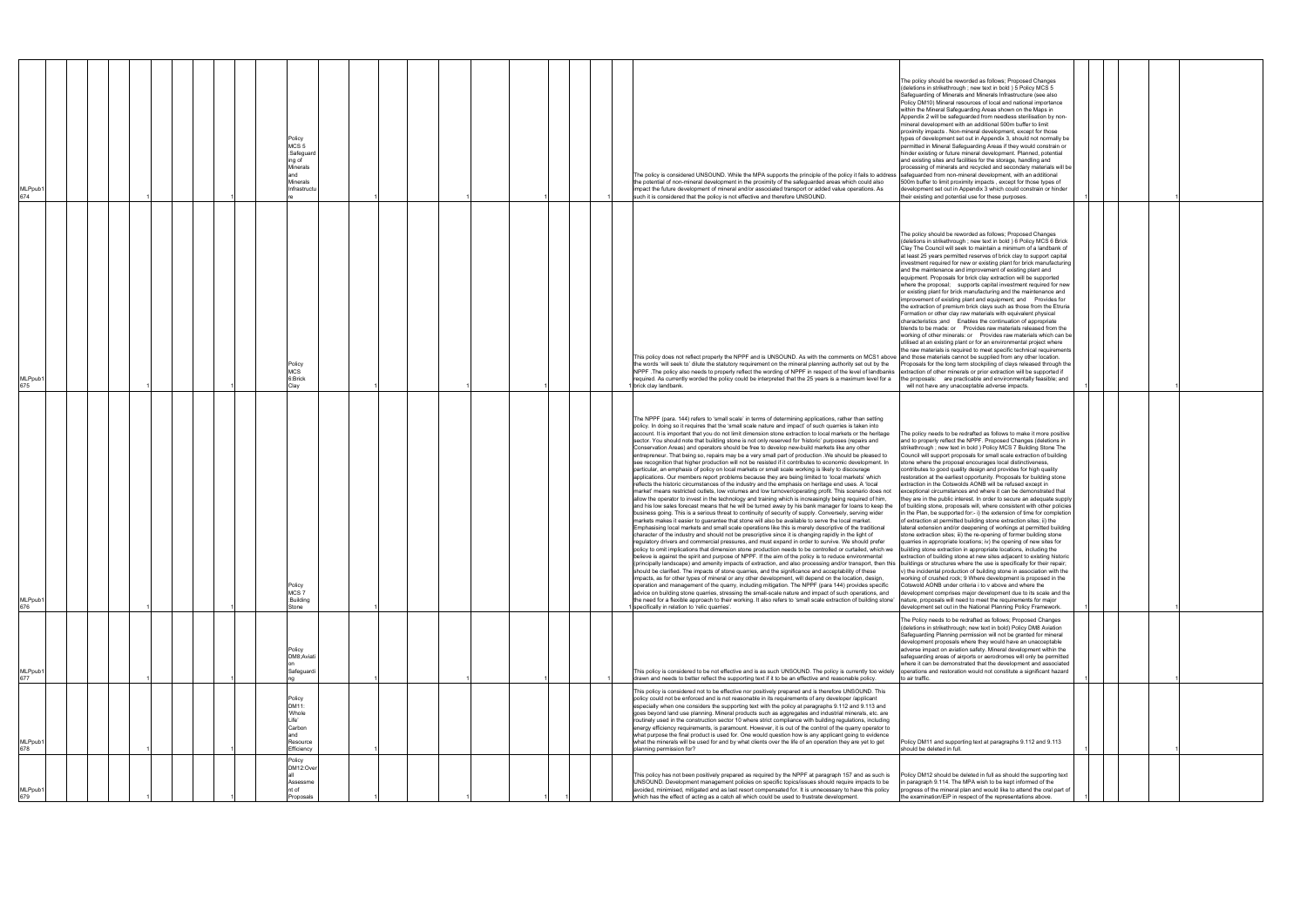| MLPpub1<br>674             |  |  |  | Policy<br>MCS <sub>5</sub><br>:Safeguard<br>ing of<br>Minerals<br>and<br>Minerals<br>Infrastructu |  |  |  | The policy is considered UNSOUND. While the MPA supports the principle of the policy it fails to address safeguarded from non-mineral development, with an additional<br>the potential of non-mineral development in the proximity of the safeguarded areas which could also<br>impact the future development of mineral and/or associated transport or added value operations. As<br>such it is considered that the policy is not effective and therefore UNSOUND.                                                                                                                                                                                                                                                                                                                                                                                                                                                                                                                                                                                                                                                                                                                                                                                                                                                                                                                                                                                                                                                                                                                                                                                                                                                                                                                                                                                                                                                                                                                                                                                                                                                                                                                                                                                                                                                                                                                                                                                                                                                                                                                                                                                                                                                                                                                                                                                                                                                                                                        | The policy should be reworded as follows; Proposed Changes<br>(deletions in strikethrough ; new text in bold ) 5 Policy MCS 5<br>Safeguarding of Minerals and Minerals Infrastructure (see also<br>Policy DM10) Mineral resources of local and national importance<br>within the Mineral Safeguarding Areas shown on the Maps in<br>Appendix 2 will be safequarded from needless sterilisation by non-<br>mineral development with an additional 500m buffer to limit<br>proximity impacts . Non-mineral development, except for those<br>types of development set out in Appendix 3, should not normally be<br>permitted in Mineral Safeguarding Areas if they would constrain or<br>hinder existing or future mineral development. Planned, potential<br>and existing sites and facilities for the storage, handling and<br>processing of minerals and recycled and secondary materials will be<br>500m buffer to limit proximity impacts, except for those types of<br>development set out in Appendix 3 which could constrain or hinder<br>their existing and potential use for these purposes.                                                                                                                                                                                                                                                                                                                                                                                                                                                                                                                                                                                                                               |  |  |
|----------------------------|--|--|--|---------------------------------------------------------------------------------------------------|--|--|--|----------------------------------------------------------------------------------------------------------------------------------------------------------------------------------------------------------------------------------------------------------------------------------------------------------------------------------------------------------------------------------------------------------------------------------------------------------------------------------------------------------------------------------------------------------------------------------------------------------------------------------------------------------------------------------------------------------------------------------------------------------------------------------------------------------------------------------------------------------------------------------------------------------------------------------------------------------------------------------------------------------------------------------------------------------------------------------------------------------------------------------------------------------------------------------------------------------------------------------------------------------------------------------------------------------------------------------------------------------------------------------------------------------------------------------------------------------------------------------------------------------------------------------------------------------------------------------------------------------------------------------------------------------------------------------------------------------------------------------------------------------------------------------------------------------------------------------------------------------------------------------------------------------------------------------------------------------------------------------------------------------------------------------------------------------------------------------------------------------------------------------------------------------------------------------------------------------------------------------------------------------------------------------------------------------------------------------------------------------------------------------------------------------------------------------------------------------------------------------------------------------------------------------------------------------------------------------------------------------------------------------------------------------------------------------------------------------------------------------------------------------------------------------------------------------------------------------------------------------------------------------------------------------------------------------------------------------------------------|-----------------------------------------------------------------------------------------------------------------------------------------------------------------------------------------------------------------------------------------------------------------------------------------------------------------------------------------------------------------------------------------------------------------------------------------------------------------------------------------------------------------------------------------------------------------------------------------------------------------------------------------------------------------------------------------------------------------------------------------------------------------------------------------------------------------------------------------------------------------------------------------------------------------------------------------------------------------------------------------------------------------------------------------------------------------------------------------------------------------------------------------------------------------------------------------------------------------------------------------------------------------------------------------------------------------------------------------------------------------------------------------------------------------------------------------------------------------------------------------------------------------------------------------------------------------------------------------------------------------------------------------------------------------------------------------------------------------------------------|--|--|
| MLPpub1<br>675             |  |  |  | Policy<br><b>MCS</b><br>6:Brick<br>Clay                                                           |  |  |  | This policy does not reflect properly the NPPF and is UNSOUND. As with the comments on MCS1 above and those materials cannot be supplied from any other location.<br>the words 'will seek to' dilute the statutory requirement on the mineral planning authority set out by the<br>NPPF. The policy also needs to properly reflect the wording of NPPF in respect of the level of landbanks<br>required. As currently worded the policy could be interpreted that the 25 years is a maximum level for a<br>brick clay landbank.                                                                                                                                                                                                                                                                                                                                                                                                                                                                                                                                                                                                                                                                                                                                                                                                                                                                                                                                                                                                                                                                                                                                                                                                                                                                                                                                                                                                                                                                                                                                                                                                                                                                                                                                                                                                                                                                                                                                                                                                                                                                                                                                                                                                                                                                                                                                                                                                                                            | The policy should be reworded as follows; Proposed Changes<br>(deletions in strikethrough ; new text in bold ) 6 Policy MCS 6 Brick<br>Clay The Council will seek to maintain a minimum of a landbank of<br>at least 25 years permitted reserves of brick clay to support capital<br>investment required for new or existing plant for brick manufacturing<br>and the maintenance and improvement of existing plant and<br>equipment. Proposals for brick clay extraction will be supported<br>where the proposal; supports capital investment required for new<br>or existing plant for brick manufacturing and the maintenance and<br>improvement of existing plant and equipment; and Provides for<br>the extraction of premium brick clays such as those from the Etruria<br>Formation or other clay raw materials with equivalent physical<br>characteristics ;and Enables the continuation of appropriate<br>blends to be made: or Provides raw materials released from the<br>working of other minerals: or Provides raw materials which can be<br>utilised at an existing plant or for an environmental project where<br>the raw materials is required to meet specific technical requirements<br>roposals for the long term stockpiling of clays released through the<br>extraction of other minerals or prior extraction will be supported if<br>the proposals: are practicable and environmentally feasible; and<br>will not have any unacceptable adverse impacts.                                                                                                                                                                                                                                                    |  |  |
| MLPpub1<br>676             |  |  |  | Policy<br>MCS7<br>:Building<br>Stone                                                              |  |  |  | The NPPF (para. 144) refers to 'small scale' in terms of determining applications, rather than setting<br>policy. In doing so it requires that the 'small scale nature and impact' of such quarries is taken into<br>account. It is important that you do not limit dimension stone extraction to local markets or the heritage<br>sector. You should note that building stone is not only reserved for 'historic' purposes (repairs and<br>Conservation Areas) and operators should be free to develop new-build markets like any other<br>entrepreneur. That being so, repairs may be a very small part of production . We should be pleased to<br>see recognition that higher production will not be resisted if it contributes to economic development. In<br>particular, an emphasis of policy on local markets or small scale working is likely to discourage<br>applications. Our members report problems because they are being limited to 'local markets' which<br>reflects the historic circumstances of the industry and the emphasis on heritage end uses. A 'local<br>market' means restricted outlets, low volumes and low turnover/operating profit. This scenario does not<br>allow the operator to invest in the technology and training which is increasingly being required of him,<br>and his low sales forecast means that he will be turned away by his bank manager for loans to keep the<br>business going. This is a serious threat to continuity of security of supply. Conversely, serving wider<br>markets makes it easier to guarantee that stone will also be available to serve the local market.<br>Emphasising local markets and small scale operations like this is merely descriptive of the traditional<br>character of the industry and should not be prescriptive since it is changing rapidly in the light of<br>regulatory drivers and commercial pressures, and must expand in order to survive. We should prefer<br>licy to omit implications that dimension stone production needs to be controlled or curtailed, which we<br>believe is against the spirit and purpose of NPPF. If the aim of the policy is to reduce environmental<br>(principally landscape) and amenity impacts of extraction, and also processing and/or transport, then this buildings or structures where the use is specifically for their repair;<br>should be clarified. The impacts of stone quarries, and the significance and acceptability of these<br>impacts, as for other types of mineral or any other development, will depend on the location, design,<br>operation and management of the quarry, including mitigation. The NPPF (para 144) provides specific<br>advice on building stone quarries, stressing the small-scale nature and impact of such operations, and<br>the need for a flexible approach to their working. It also refers to 'small scale extraction of building stone'<br>specifically in relation to 'relic quarries'. | The policy needs to be redrafted as follows to make it more positive<br>and to properly reflect the NPPF. Proposed Changes (deletions in<br>strikethrough ; new text in bold ) Policy MCS 7 Building Stone The<br>Council will support proposals for small scale extraction of building<br>stone where the proposal encourages local distinctiveness,<br>contributes to good quality design and provides for high quality<br>restoration at the earliest opportunity. Proposals for building stone<br>extraction in the Cotswolds AONB will be refused except in<br>exceptional circumstances and where it can be demonstrated that<br>they are in the public interest. In order to secure an adequate supply<br>of building stone, proposals will, where consistent with other policies<br>in the Plan, be supported for:- i) the extension of time for completion<br>of extraction at permitted building stone extraction sites; ii) the<br>lateral extension and/or deepening of workings at permitted building<br>stone extraction sites; iii) the re-opening of former building stone<br>quarries in appropriate locations; iv) the opening of new sites for<br>building stone extraction in appropriate locations, including the<br>extraction of building stone at new sites adjacent to existing historic<br>v) the incidental production of building stone in association with the<br>working of crushed rock; 9 Where development is proposed in the<br>Cotswold AONB under criteria i to v above and where the<br>development comprises major development due to its scale and the<br>nature, proposals will need to meet the requirements for major<br>development set out in the National Planning Policy Framework. |  |  |
| MLPpub <sup>.</sup><br>677 |  |  |  | Policy<br>DM8;Aviati<br>Safeguardi                                                                |  |  |  | This policy is considered to be not effective and is as such UNSOUND. The policy is currently too widely<br>drawn and needs to better reflect the supporting text if it to be an effective and reasonable policy.<br>This policy is considered not to be effective nor positively prepared and is therefore UNSOUND. This                                                                                                                                                                                                                                                                                                                                                                                                                                                                                                                                                                                                                                                                                                                                                                                                                                                                                                                                                                                                                                                                                                                                                                                                                                                                                                                                                                                                                                                                                                                                                                                                                                                                                                                                                                                                                                                                                                                                                                                                                                                                                                                                                                                                                                                                                                                                                                                                                                                                                                                                                                                                                                                  | The Policy needs to be redrafted as follows; Proposed Changes<br>(deletions in strikethrough; new text in bold) Policy DM8 Aviation<br>Safeguarding Planning permission will not be granted for mineral<br>development proposals where they would have an unacceptable<br>adverse impact on aviation safety. Mineral development within the<br>safeguarding areas of airports or aerodromes will only be permitted<br>where it can be demonstrated that the development and associated<br>operations and restoration would not constitute a significant hazard<br>to air traffic.                                                                                                                                                                                                                                                                                                                                                                                                                                                                                                                                                                                                                                                                                                                                                                                                                                                                                                                                                                                                                                                                                                                                                 |  |  |
| MLPpub1<br>678             |  |  |  | Policy<br>DM11:<br>'Whole<br>Life'<br>Carbon<br>and<br>Resource<br>Efficiency<br>Policy           |  |  |  | policy could not be enforced and is not reasonable in its requirements of any developer /applicant<br>especially when one considers the supporting text with the policy at paragraphs 9.112 and 9.113 and<br>goes beyond land use planning. Mineral products such as aggregates and industrial minerals, etc. are<br>routinely used in the construction sector 10 where strict compliance with building regulations, including<br>energy efficiency requirements, is paramount. However, it is out of the control of the quarry operator to<br>what purpose the final product is used for. One would question how is any applicant going to evidence<br>what the minerals will be used for and by what clients over the life of an operation they are yet to get<br>planning permission for?                                                                                                                                                                                                                                                                                                                                                                                                                                                                                                                                                                                                                                                                                                                                                                                                                                                                                                                                                                                                                                                                                                                                                                                                                                                                                                                                                                                                                                                                                                                                                                                                                                                                                                                                                                                                                                                                                                                                                                                                                                                                                                                                                                               | Policy DM11 and supporting text at paragraphs 9.112 and 9.113<br>should be deleted in full.                                                                                                                                                                                                                                                                                                                                                                                                                                                                                                                                                                                                                                                                                                                                                                                                                                                                                                                                                                                                                                                                                                                                                                                                                                                                                                                                                                                                                                                                                                                                                                                                                                       |  |  |
| /ILPpub                    |  |  |  | DM12:Over<br>Assessme<br>nt of<br>Proposals                                                       |  |  |  | This policy has not been positively prepared as required by the NPPF at paragraph 157 and as such is<br>UNSOUND. Development management policies on specific topics/issues should require impacts to be<br>avoided, minimised, mitigated and as last resort compensated for. It is unnecessary to have this policy<br>which has the effect of acting as a catch all which could be used to frustrate development.                                                                                                                                                                                                                                                                                                                                                                                                                                                                                                                                                                                                                                                                                                                                                                                                                                                                                                                                                                                                                                                                                                                                                                                                                                                                                                                                                                                                                                                                                                                                                                                                                                                                                                                                                                                                                                                                                                                                                                                                                                                                                                                                                                                                                                                                                                                                                                                                                                                                                                                                                          | Policy DM12 should be deleted in full as should the supporting text<br>in paragraph 9.114. The MPA wish to be kept informed of the<br>progress of the mineral plan and would like to attend the oral part of<br>the examination/EiP in respect of the representations above.                                                                                                                                                                                                                                                                                                                                                                                                                                                                                                                                                                                                                                                                                                                                                                                                                                                                                                                                                                                                                                                                                                                                                                                                                                                                                                                                                                                                                                                      |  |  |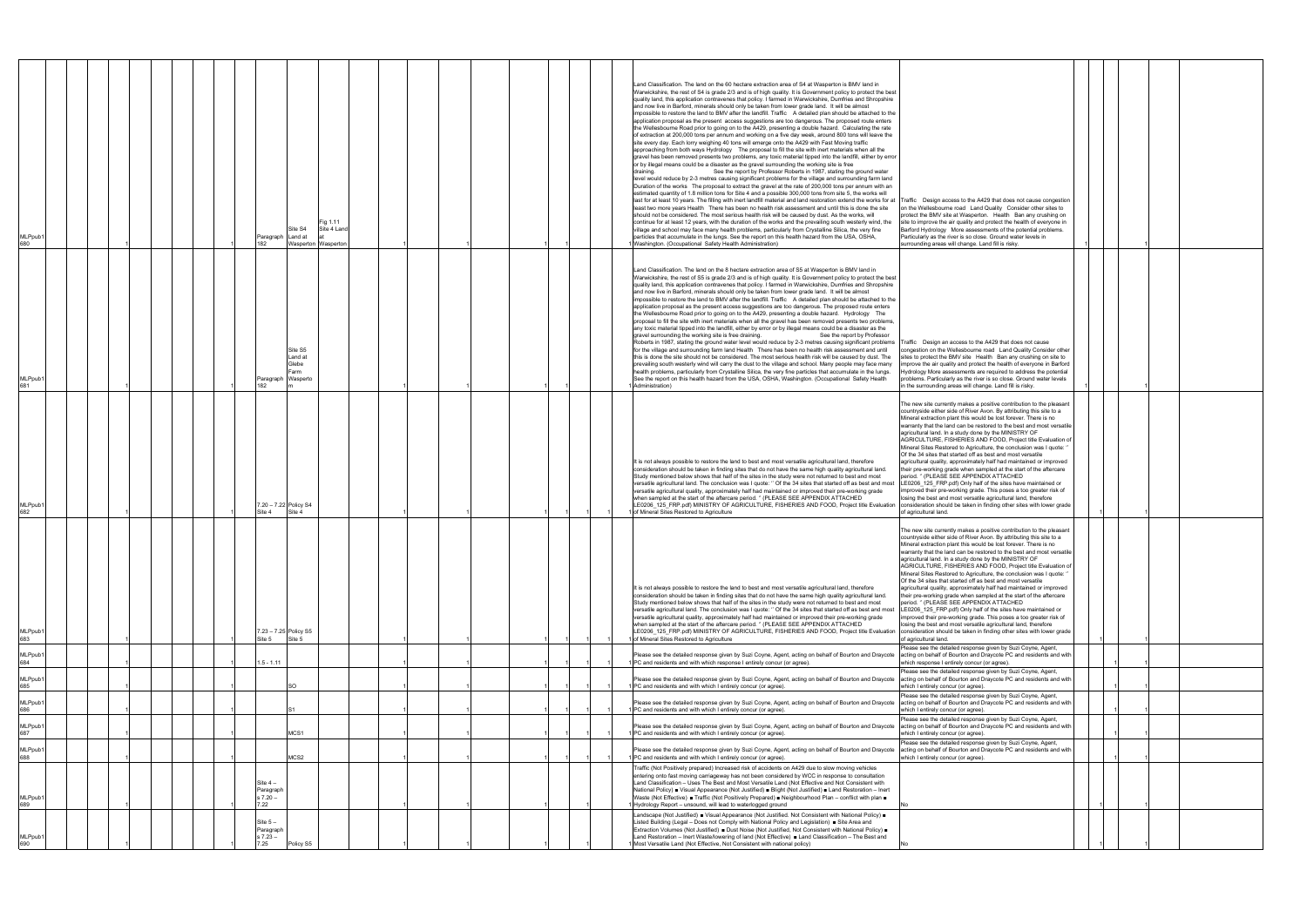| MLPpub1<br>680       |  | Paragraph Land at<br>182                     | Fig 1.11<br>Site S4<br>Site 4 Land<br>Wasperton Wasperton |  | Land Classification. The land on the 60 hectare extraction area of S4 at Wasperton is BMV land in<br>Warwickshire, the rest of S4 is grade 2/3 and is of high quality. It is Government policy to protect the best<br>quality land, this application contravenes that policy. I farmed in Warwickshire, Dumfries and Shropshire<br>and now live in Barford, minerals should only be taken from lower grade land. It will be almost<br>impossible to restore the land to BMV after the landfill. Traffic A detailed plan should be attached to the<br>application proposal as the present access suggestions are too dangerous. The proposed route enters<br>the Wellesbourne Road prior to going on to the A429, presenting a double hazard. Calculating the rate<br>of extraction at 200,000 tons per annum and working on a five day week, around 800 tons will leave the<br>site every day. Each lorry weighing 40 tons will emerge onto the A429 with Fast Moving traffic<br>approaching from both ways Hydrology The proposal to fill the site with inert materials when all the<br>gravel has been removed presents two problems, any toxic material tipped into the landfill, either by error<br>or by illegal means could be a disaster as the gravel surrounding the working site is free<br>draining.<br>See the report by Professor Roberts in 1987, stating the ground water<br>level would reduce by 2-3 metres causing significant problems for the village and surrounding farm land<br>Duration of the works The proposal to extract the gravel at the rate of 200,000 tons per annum with an<br>estimated quantity of 1.8 million tons for Site 4 and a possible 300,000 tons from site 5, the works will<br>last for at least 10 years. The filling with inert landfill material and land restoration extend the works for at Traffic Design access to the A429 that does not cause congestion<br>least two more years Health There has been no health risk assessment and until this is done the site<br>should not be considered. The most serious health risk will be caused by dust. As the works, will<br>continue for at least 12 years, with the duration of the works and the prevailing south westerly wind, the<br>village and school may face many health problems, particularly from Crystalline Silica, the very fine<br>particles that accumulate in the lungs. See the report on this health hazard from the USA, OSHA,<br>Washington. (Occupational Safety Health Administration) | on the Wellesbourne road Land Quality Consider other sites to<br>protect the BMV site at Wasperton. Health Ban any crushing on<br>site to improve the air quality and protect the health of everyone in<br>Barford Hydrology More assessments of the potential problems.<br>Particularly as the river is so close. Ground water levels in<br>surrounding areas will change. Land fill is risky.                                                                                                                                                                                                                                                                                                                                                                                                                                                                                                                                                                                      |  |  |
|----------------------|--|----------------------------------------------|-----------------------------------------------------------|--|---------------------------------------------------------------------------------------------------------------------------------------------------------------------------------------------------------------------------------------------------------------------------------------------------------------------------------------------------------------------------------------------------------------------------------------------------------------------------------------------------------------------------------------------------------------------------------------------------------------------------------------------------------------------------------------------------------------------------------------------------------------------------------------------------------------------------------------------------------------------------------------------------------------------------------------------------------------------------------------------------------------------------------------------------------------------------------------------------------------------------------------------------------------------------------------------------------------------------------------------------------------------------------------------------------------------------------------------------------------------------------------------------------------------------------------------------------------------------------------------------------------------------------------------------------------------------------------------------------------------------------------------------------------------------------------------------------------------------------------------------------------------------------------------------------------------------------------------------------------------------------------------------------------------------------------------------------------------------------------------------------------------------------------------------------------------------------------------------------------------------------------------------------------------------------------------------------------------------------------------------------------------------------------------------------------------------------------------------------------------------------------------------------------------------------------------------------------------------------------------------------------------|--------------------------------------------------------------------------------------------------------------------------------------------------------------------------------------------------------------------------------------------------------------------------------------------------------------------------------------------------------------------------------------------------------------------------------------------------------------------------------------------------------------------------------------------------------------------------------------------------------------------------------------------------------------------------------------------------------------------------------------------------------------------------------------------------------------------------------------------------------------------------------------------------------------------------------------------------------------------------------------|--|--|
| MLPpub1<br>681       |  | Paragraph Wasperto<br>182                    | Site S5<br>Land at<br>Glebe<br>Farm                       |  | Land Classification. The land on the 8 hectare extraction area of S5 at Wasperton is BMV land in<br>Warwickshire, the rest of S5 is grade 2/3 and is of high quality. It is Government policy to protect the best<br>quality land, this application contravenes that policy. I farmed in Warwickshire, Dumfries and Shropshire<br>and now live in Barford, minerals should only be taken from lower grade land. It will be almost<br>impossible to restore the land to BMV after the landfill. Traffic A detailed plan should be attached to the<br>application proposal as the present access suggestions are too dangerous. The proposed route enters<br>the Wellesbourne Road prior to going on to the A429, presenting a double hazard. Hydrology The<br>proposal to fill the site with inert materials when all the gravel has been removed presents two problems,<br>any toxic material tipped into the landfill, either by error or by illegal means could be a disaster as the<br>gravel surrounding the working site is free draining.<br>See the report by Professor<br>Roberts in 1987, stating the ground water level would reduce by 2-3 metres causing significant problems   Traffic Design an access to the A429 that does not cause<br>for the village and surrounding farm land Health There has been no health risk assessment and until<br>this is done the site should not be considered. The most serious health risk will be caused by dust. The<br>prevailing south westerly wind will carry the dust to the village and school. Many people may face many<br>health problems, particularly from Crystalline Silica, the very fine particles that accumulate in the lungs.<br>See the report on this health hazard from the USA, OSHA, Washington. (Occupational Safety Health<br>Administration)                                                                                                                                                                                                                                                                                                                                                                                                                                                                                                                                                                                                                                                                                           | ongestion on the Wellesbourne road Land Quality Consider other<br>sites to protect the BMV site Health Ban any crushing on site to<br>improve the air quality and protect the health of everyone in Barford<br>Hydrology More assessments are required to address the potential<br>problems. Particularly as the river is so close. Ground water levels<br>in the surrounding areas will change. Land fill is risky.                                                                                                                                                                                                                                                                                                                                                                                                                                                                                                                                                                 |  |  |
| MLPpub1<br>682       |  | 7.20 - 7.22 Policy S4<br>Site 4              | Site 4                                                    |  | It is not always possible to restore the land to best and most versatile agricultural land, therefore<br>consideration should be taken in finding sites that do not have the same high quality agricultural land.<br>Study mentioned below shows that half of the sites in the study were not returned to best and most<br>versatile agricultural land. The conclusion was I quote: " Of the 34 sites that started off as best and most<br>versatile agricultural quality, approximately half had maintained or improved their pre-working grade<br>when sampled at the start of the aftercare period. " (PLEASE SEE APPENDIX ATTACHED<br>LE0206_125_FRP.pdf) MINISTRY OF AGRICULTURE, FISHERIES AND FOOD, Project title Evaluation consideration should be taken in finding other sites with lower grade<br>of Mineral Sites Restored to Agriculture                                                                                                                                                                                                                                                                                                                                                                                                                                                                                                                                                                                                                                                                                                                                                                                                                                                                                                                                                                                                                                                                                                                                                                                                                                                                                                                                                                                                                                                                                                                                                                                                                                                               | The new site currently makes a positive contribution to the pleasant<br>countryside either side of River Avon. By attributing this site to a<br>Mineral extraction plant this would be lost forever. There is no<br>warranty that the land can be restored to the best and most versatile<br>agricultural land. In a study done by the MINISTRY OF<br>AGRICULTURE, FISHERIES AND FOOD, Project title Evaluation of<br>Mineral Sites Restored to Agriculture, the conclusion was I quote: "<br>Of the 34 sites that started off as best and most versatile<br>agricultural quality, approximately half had maintained or improved<br>their pre-working grade when sampled at the start of the aftercare<br>period. " (PLEASE SEE APPENDIX ATTACHED<br>LE0206_125_FRP.pdf) Only half of the sites have maintained or<br>improved their pre-working grade. This poses a too greater risk of<br>losing the best and most versatile agricultural land, therefore<br>of agricultural land. |  |  |
| <b>MLPpub</b><br>683 |  | 7.23 - 7.25 Policy S5<br>Site 5              | Site 5                                                    |  | It is not always possible to restore the land to best and most versatile agricultural land, therefore<br>consideration should be taken in finding sites that do not have the same high quality agricultural land.<br>Study mentioned below shows that half of the sites in the study were not returned to best and most<br>versatile agricultural land. The conclusion was I quote: " Of the 34 sites that started off as best and most LE0206_125_FRP.pdf) Only half of the sites have maintained or<br>versatile agricultural quality, approximately half had maintained or improved their pre-working grade<br>when sampled at the start of the aftercare period. " (PLEASE SEE APPENDIX ATTACHED<br>LE0206_125_FRP.pdf) MINISTRY OF AGRICULTURE, FISHERIES AND FOOD, Project title Evaluation consideration should be taken in finding other sites with lower grade<br>of Mineral Sites Restored to Agriculture                                                                                                                                                                                                                                                                                                                                                                                                                                                                                                                                                                                                                                                                                                                                                                                                                                                                                                                                                                                                                                                                                                                                                                                                                                                                                                                                                                                                                                                                                                                                                                                                 | The new site currently makes a positive contribution to the pleasant<br>countryside either side of River Avon. By attributing this site to a<br>Mineral extraction plant this would be lost forever. There is no<br>warranty that the land can be restored to the best and most versatile<br>agricultural land. In a study done by the MINISTRY OF<br>AGRICULTURE, FISHERIES AND FOOD, Project title Evaluation of<br>Mineral Sites Restored to Agriculture, the conclusion was I quote: '<br>Of the 34 sites that started off as best and most versatile<br>agricultural quality, approximately half had maintained or improved<br>their pre-working grade when sampled at the start of the aftercare<br>period. " (PLEASE SEE APPENDIX ATTACHED<br>improved their pre-working grade. This poses a too greater risk of<br>losing the best and most versatile agricultural land, therefore<br>of agricultural land.                                                                  |  |  |
| MLPpub1<br>684       |  | $1.5 - 1.11$                                 |                                                           |  | Please see the detailed response given by Suzi Coyne, Agent, acting on behalf of Bourton and Draycote<br>PC and residents and with which response I entirely concur (or agree).                                                                                                                                                                                                                                                                                                                                                                                                                                                                                                                                                                                                                                                                                                                                                                                                                                                                                                                                                                                                                                                                                                                                                                                                                                                                                                                                                                                                                                                                                                                                                                                                                                                                                                                                                                                                                                                                                                                                                                                                                                                                                                                                                                                                                                                                                                                                     | Please see the detailed response given by Suzi Coyne, Agent,<br>acting on behalf of Bourton and Draycote PC and residents and with<br>which response I entirely concur (or agree).                                                                                                                                                                                                                                                                                                                                                                                                                                                                                                                                                                                                                                                                                                                                                                                                   |  |  |
| MLPpub1<br>685       |  |                                              | SO                                                        |  | Please see the detailed response given by Suzi Coyne, Agent, acting on behalf of Bourton and Draycote acting on behalf of Bourton and Draycote PC and residents and with<br>PC and residents and with which I entirely concur (or agree).                                                                                                                                                                                                                                                                                                                                                                                                                                                                                                                                                                                                                                                                                                                                                                                                                                                                                                                                                                                                                                                                                                                                                                                                                                                                                                                                                                                                                                                                                                                                                                                                                                                                                                                                                                                                                                                                                                                                                                                                                                                                                                                                                                                                                                                                           | Please see the detailed response given by Suzi Coyne, Agent,<br>which I entirely concur (or agree).                                                                                                                                                                                                                                                                                                                                                                                                                                                                                                                                                                                                                                                                                                                                                                                                                                                                                  |  |  |
| MLPpub1<br>686       |  |                                              |                                                           |  | Please see the detailed response given by Suzi Coyne, Agent, acting on behalf of Bourton and Draycote<br>PC and residents and with which I entirely concur (or agree).                                                                                                                                                                                                                                                                                                                                                                                                                                                                                                                                                                                                                                                                                                                                                                                                                                                                                                                                                                                                                                                                                                                                                                                                                                                                                                                                                                                                                                                                                                                                                                                                                                                                                                                                                                                                                                                                                                                                                                                                                                                                                                                                                                                                                                                                                                                                              | Please see the detailed response given by Suzi Coyne, Agent,<br>acting on behalf of Bourton and Draycote PC and residents and with<br>which I entirely concur (or agree).                                                                                                                                                                                                                                                                                                                                                                                                                                                                                                                                                                                                                                                                                                                                                                                                            |  |  |
| MLPpub1<br>687       |  |                                              | MCS1                                                      |  | Please see the detailed response given by Suzi Coyne, Agent, acting on behalf of Bourton and Draycote<br>PC and residents and with which I entirely concur (or agree).                                                                                                                                                                                                                                                                                                                                                                                                                                                                                                                                                                                                                                                                                                                                                                                                                                                                                                                                                                                                                                                                                                                                                                                                                                                                                                                                                                                                                                                                                                                                                                                                                                                                                                                                                                                                                                                                                                                                                                                                                                                                                                                                                                                                                                                                                                                                              | Please see the detailed response given by Suzi Coyne, Agent,<br>acting on behalf of Bourton and Draycote PC and residents and with<br>vhich I entirely concur (or agree).                                                                                                                                                                                                                                                                                                                                                                                                                                                                                                                                                                                                                                                                                                                                                                                                            |  |  |
| MLPpub1<br>688       |  |                                              | MCS2                                                      |  | Please see the detailed response given by Suzi Coyne, Agent, acting on behalf of Bourton and Draycote<br>PC and residents and with which I entirely concur (or agree).                                                                                                                                                                                                                                                                                                                                                                                                                                                                                                                                                                                                                                                                                                                                                                                                                                                                                                                                                                                                                                                                                                                                                                                                                                                                                                                                                                                                                                                                                                                                                                                                                                                                                                                                                                                                                                                                                                                                                                                                                                                                                                                                                                                                                                                                                                                                              | Please see the detailed response given by Suzi Coyne, Agent,<br>acting on behalf of Bourton and Draycote PC and residents and with<br>which I entirely concur (or agree).                                                                                                                                                                                                                                                                                                                                                                                                                                                                                                                                                                                                                                                                                                                                                                                                            |  |  |
| MLPpub1<br>689       |  | Site $4-$<br>Paragraph<br>$s 7.20 -$<br>7.22 |                                                           |  | Traffic (Not Positively prepared) Increased risk of accidents on A429 due to slow moving vehicles<br>entering onto fast moving carriageway has not been considered by WCC in response to consultation<br>Land Classification - Uses The Best and Most Versatile Land (Not Effective and Not Consistent with<br>National Policy) · Visual Appearance (Not Justified) · Blight (Not Justified) · Land Restoration - Inert<br>Waste (Not Effective) $\blacksquare$ Traffic (Not Positively Prepared) $\blacksquare$ Neighbourhood Plan – conflict with plan $\blacksquare$<br>Hydrology Report - unsound, will lead to waterlogged ground                                                                                                                                                                                                                                                                                                                                                                                                                                                                                                                                                                                                                                                                                                                                                                                                                                                                                                                                                                                                                                                                                                                                                                                                                                                                                                                                                                                                                                                                                                                                                                                                                                                                                                                                                                                                                                                                              |                                                                                                                                                                                                                                                                                                                                                                                                                                                                                                                                                                                                                                                                                                                                                                                                                                                                                                                                                                                      |  |  |
| MLPpub1<br>690       |  | Site $5-$<br>Paragraph<br>$s 7.23 -$<br>25'  | Policy S5                                                 |  | Landscape (Not Justified) ■ Visual Appearance (Not Justified. Not Consistent with National Policy) ■<br>Listed Building (Legal - Does not Comply with National Policy and Legislation) <b>B</b> Site Area and<br>Extraction Volumes (Not Justified) ■ Dust Noise (Not Justified, Not Consistent with National Policy) ■<br>Land Restoration - Inert Waste/lowering of land (Not Effective) Land Classification - The Best and<br>Most Versatile Land (Not Effective, Not Consistent with national policy)                                                                                                                                                                                                                                                                                                                                                                                                                                                                                                                                                                                                                                                                                                                                                                                                                                                                                                                                                                                                                                                                                                                                                                                                                                                                                                                                                                                                                                                                                                                                                                                                                                                                                                                                                                                                                                                                                                                                                                                                           |                                                                                                                                                                                                                                                                                                                                                                                                                                                                                                                                                                                                                                                                                                                                                                                                                                                                                                                                                                                      |  |  |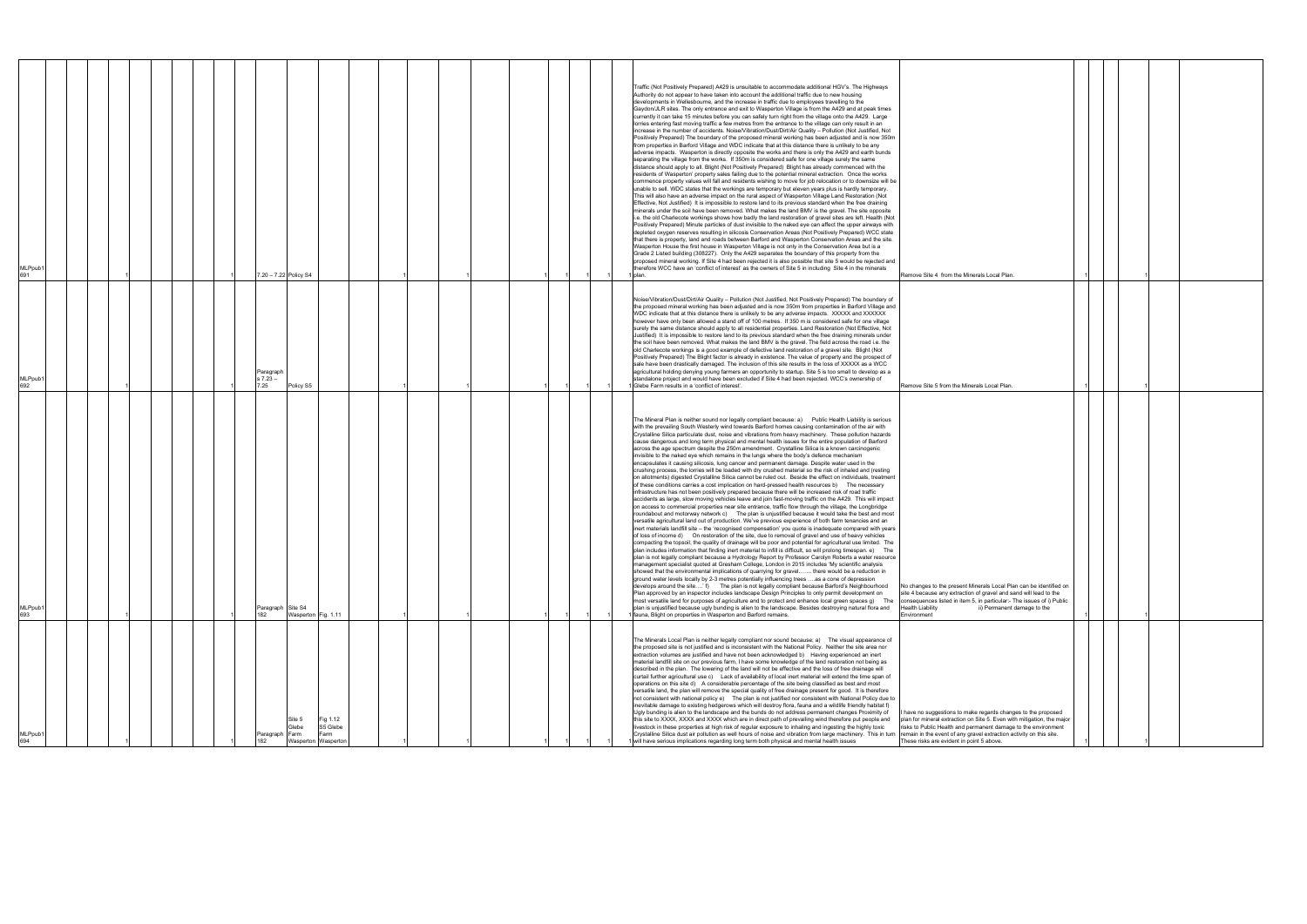| MLPpub <sup>.</sup><br>694                                                                                                                                                                                                                                                                                                                                                                                                                                                                                                                                                                                                                                                                                                                                                                                                                                                                                                                                                                                                                                                                                                                                                                                                                                                                                                                                                                                                                                                                                                                                                                                                                                                                                                  | MLPpub1<br>693                                                                                                                                                                                                                                                                                                                                                                                                                                                                                                                                                                                                                                                                                                                                                                                                                                                                                                                                                                                                                                                                                                                                                                                                                                                                                                                                                                                                                                                                                                                                                                                                                                                                                                                                                                                                                                                                                                                                                                                                                                                                                                                                                                                                                                                                                                                                                                                                                                                                                                                                                                                                                                                                                                                                                                                                                                                                                                                                                                            | MLPpub <sup>®</sup><br>692                                                                                                                                                                                                                                                                                                                                                                                                                                                                                                                                                                                                                                                                                                                                                                                                                                                                                                                                                                                                                                                                                                                                                                                                                                                                                                                                           | MLPpub1<br>691                                                                                                                                                                                                                                                                                                                                                                                                                                                                                                                                                                                                                                                                                                                                                                                                                                                                                                                                                                                                                                                                                                                                                                                                                                                                                                                                                                                                                                                                                                                                                                                                                                                                                                                                                                                                                                                                                                                                                                                                                                                                                                                                                                                                                                                                                                                                                                                                                                                                                                                                                                                                                                                                                                                                                                                                                                     |
|-----------------------------------------------------------------------------------------------------------------------------------------------------------------------------------------------------------------------------------------------------------------------------------------------------------------------------------------------------------------------------------------------------------------------------------------------------------------------------------------------------------------------------------------------------------------------------------------------------------------------------------------------------------------------------------------------------------------------------------------------------------------------------------------------------------------------------------------------------------------------------------------------------------------------------------------------------------------------------------------------------------------------------------------------------------------------------------------------------------------------------------------------------------------------------------------------------------------------------------------------------------------------------------------------------------------------------------------------------------------------------------------------------------------------------------------------------------------------------------------------------------------------------------------------------------------------------------------------------------------------------------------------------------------------------------------------------------------------------|-------------------------------------------------------------------------------------------------------------------------------------------------------------------------------------------------------------------------------------------------------------------------------------------------------------------------------------------------------------------------------------------------------------------------------------------------------------------------------------------------------------------------------------------------------------------------------------------------------------------------------------------------------------------------------------------------------------------------------------------------------------------------------------------------------------------------------------------------------------------------------------------------------------------------------------------------------------------------------------------------------------------------------------------------------------------------------------------------------------------------------------------------------------------------------------------------------------------------------------------------------------------------------------------------------------------------------------------------------------------------------------------------------------------------------------------------------------------------------------------------------------------------------------------------------------------------------------------------------------------------------------------------------------------------------------------------------------------------------------------------------------------------------------------------------------------------------------------------------------------------------------------------------------------------------------------------------------------------------------------------------------------------------------------------------------------------------------------------------------------------------------------------------------------------------------------------------------------------------------------------------------------------------------------------------------------------------------------------------------------------------------------------------------------------------------------------------------------------------------------------------------------------------------------------------------------------------------------------------------------------------------------------------------------------------------------------------------------------------------------------------------------------------------------------------------------------------------------------------------------------------------------------------------------------------------------------------------------------------------------|----------------------------------------------------------------------------------------------------------------------------------------------------------------------------------------------------------------------------------------------------------------------------------------------------------------------------------------------------------------------------------------------------------------------------------------------------------------------------------------------------------------------------------------------------------------------------------------------------------------------------------------------------------------------------------------------------------------------------------------------------------------------------------------------------------------------------------------------------------------------------------------------------------------------------------------------------------------------------------------------------------------------------------------------------------------------------------------------------------------------------------------------------------------------------------------------------------------------------------------------------------------------------------------------------------------------------------------------------------------------|----------------------------------------------------------------------------------------------------------------------------------------------------------------------------------------------------------------------------------------------------------------------------------------------------------------------------------------------------------------------------------------------------------------------------------------------------------------------------------------------------------------------------------------------------------------------------------------------------------------------------------------------------------------------------------------------------------------------------------------------------------------------------------------------------------------------------------------------------------------------------------------------------------------------------------------------------------------------------------------------------------------------------------------------------------------------------------------------------------------------------------------------------------------------------------------------------------------------------------------------------------------------------------------------------------------------------------------------------------------------------------------------------------------------------------------------------------------------------------------------------------------------------------------------------------------------------------------------------------------------------------------------------------------------------------------------------------------------------------------------------------------------------------------------------------------------------------------------------------------------------------------------------------------------------------------------------------------------------------------------------------------------------------------------------------------------------------------------------------------------------------------------------------------------------------------------------------------------------------------------------------------------------------------------------------------------------------------------------------------------------------------------------------------------------------------------------------------------------------------------------------------------------------------------------------------------------------------------------------------------------------------------------------------------------------------------------------------------------------------------------------------------------------------------------------------------------------------------------|
|                                                                                                                                                                                                                                                                                                                                                                                                                                                                                                                                                                                                                                                                                                                                                                                                                                                                                                                                                                                                                                                                                                                                                                                                                                                                                                                                                                                                                                                                                                                                                                                                                                                                                                                             |                                                                                                                                                                                                                                                                                                                                                                                                                                                                                                                                                                                                                                                                                                                                                                                                                                                                                                                                                                                                                                                                                                                                                                                                                                                                                                                                                                                                                                                                                                                                                                                                                                                                                                                                                                                                                                                                                                                                                                                                                                                                                                                                                                                                                                                                                                                                                                                                                                                                                                                                                                                                                                                                                                                                                                                                                                                                                                                                                                                           |                                                                                                                                                                                                                                                                                                                                                                                                                                                                                                                                                                                                                                                                                                                                                                                                                                                                                                                                                                                                                                                                                                                                                                                                                                                                                                                                                                      |                                                                                                                                                                                                                                                                                                                                                                                                                                                                                                                                                                                                                                                                                                                                                                                                                                                                                                                                                                                                                                                                                                                                                                                                                                                                                                                                                                                                                                                                                                                                                                                                                                                                                                                                                                                                                                                                                                                                                                                                                                                                                                                                                                                                                                                                                                                                                                                                                                                                                                                                                                                                                                                                                                                                                                                                                                                    |
|                                                                                                                                                                                                                                                                                                                                                                                                                                                                                                                                                                                                                                                                                                                                                                                                                                                                                                                                                                                                                                                                                                                                                                                                                                                                                                                                                                                                                                                                                                                                                                                                                                                                                                                             |                                                                                                                                                                                                                                                                                                                                                                                                                                                                                                                                                                                                                                                                                                                                                                                                                                                                                                                                                                                                                                                                                                                                                                                                                                                                                                                                                                                                                                                                                                                                                                                                                                                                                                                                                                                                                                                                                                                                                                                                                                                                                                                                                                                                                                                                                                                                                                                                                                                                                                                                                                                                                                                                                                                                                                                                                                                                                                                                                                                           |                                                                                                                                                                                                                                                                                                                                                                                                                                                                                                                                                                                                                                                                                                                                                                                                                                                                                                                                                                                                                                                                                                                                                                                                                                                                                                                                                                      |                                                                                                                                                                                                                                                                                                                                                                                                                                                                                                                                                                                                                                                                                                                                                                                                                                                                                                                                                                                                                                                                                                                                                                                                                                                                                                                                                                                                                                                                                                                                                                                                                                                                                                                                                                                                                                                                                                                                                                                                                                                                                                                                                                                                                                                                                                                                                                                                                                                                                                                                                                                                                                                                                                                                                                                                                                                    |
|                                                                                                                                                                                                                                                                                                                                                                                                                                                                                                                                                                                                                                                                                                                                                                                                                                                                                                                                                                                                                                                                                                                                                                                                                                                                                                                                                                                                                                                                                                                                                                                                                                                                                                                             |                                                                                                                                                                                                                                                                                                                                                                                                                                                                                                                                                                                                                                                                                                                                                                                                                                                                                                                                                                                                                                                                                                                                                                                                                                                                                                                                                                                                                                                                                                                                                                                                                                                                                                                                                                                                                                                                                                                                                                                                                                                                                                                                                                                                                                                                                                                                                                                                                                                                                                                                                                                                                                                                                                                                                                                                                                                                                                                                                                                           |                                                                                                                                                                                                                                                                                                                                                                                                                                                                                                                                                                                                                                                                                                                                                                                                                                                                                                                                                                                                                                                                                                                                                                                                                                                                                                                                                                      |                                                                                                                                                                                                                                                                                                                                                                                                                                                                                                                                                                                                                                                                                                                                                                                                                                                                                                                                                                                                                                                                                                                                                                                                                                                                                                                                                                                                                                                                                                                                                                                                                                                                                                                                                                                                                                                                                                                                                                                                                                                                                                                                                                                                                                                                                                                                                                                                                                                                                                                                                                                                                                                                                                                                                                                                                                                    |
|                                                                                                                                                                                                                                                                                                                                                                                                                                                                                                                                                                                                                                                                                                                                                                                                                                                                                                                                                                                                                                                                                                                                                                                                                                                                                                                                                                                                                                                                                                                                                                                                                                                                                                                             |                                                                                                                                                                                                                                                                                                                                                                                                                                                                                                                                                                                                                                                                                                                                                                                                                                                                                                                                                                                                                                                                                                                                                                                                                                                                                                                                                                                                                                                                                                                                                                                                                                                                                                                                                                                                                                                                                                                                                                                                                                                                                                                                                                                                                                                                                                                                                                                                                                                                                                                                                                                                                                                                                                                                                                                                                                                                                                                                                                                           |                                                                                                                                                                                                                                                                                                                                                                                                                                                                                                                                                                                                                                                                                                                                                                                                                                                                                                                                                                                                                                                                                                                                                                                                                                                                                                                                                                      |                                                                                                                                                                                                                                                                                                                                                                                                                                                                                                                                                                                                                                                                                                                                                                                                                                                                                                                                                                                                                                                                                                                                                                                                                                                                                                                                                                                                                                                                                                                                                                                                                                                                                                                                                                                                                                                                                                                                                                                                                                                                                                                                                                                                                                                                                                                                                                                                                                                                                                                                                                                                                                                                                                                                                                                                                                                    |
|                                                                                                                                                                                                                                                                                                                                                                                                                                                                                                                                                                                                                                                                                                                                                                                                                                                                                                                                                                                                                                                                                                                                                                                                                                                                                                                                                                                                                                                                                                                                                                                                                                                                                                                             |                                                                                                                                                                                                                                                                                                                                                                                                                                                                                                                                                                                                                                                                                                                                                                                                                                                                                                                                                                                                                                                                                                                                                                                                                                                                                                                                                                                                                                                                                                                                                                                                                                                                                                                                                                                                                                                                                                                                                                                                                                                                                                                                                                                                                                                                                                                                                                                                                                                                                                                                                                                                                                                                                                                                                                                                                                                                                                                                                                                           |                                                                                                                                                                                                                                                                                                                                                                                                                                                                                                                                                                                                                                                                                                                                                                                                                                                                                                                                                                                                                                                                                                                                                                                                                                                                                                                                                                      |                                                                                                                                                                                                                                                                                                                                                                                                                                                                                                                                                                                                                                                                                                                                                                                                                                                                                                                                                                                                                                                                                                                                                                                                                                                                                                                                                                                                                                                                                                                                                                                                                                                                                                                                                                                                                                                                                                                                                                                                                                                                                                                                                                                                                                                                                                                                                                                                                                                                                                                                                                                                                                                                                                                                                                                                                                                    |
|                                                                                                                                                                                                                                                                                                                                                                                                                                                                                                                                                                                                                                                                                                                                                                                                                                                                                                                                                                                                                                                                                                                                                                                                                                                                                                                                                                                                                                                                                                                                                                                                                                                                                                                             |                                                                                                                                                                                                                                                                                                                                                                                                                                                                                                                                                                                                                                                                                                                                                                                                                                                                                                                                                                                                                                                                                                                                                                                                                                                                                                                                                                                                                                                                                                                                                                                                                                                                                                                                                                                                                                                                                                                                                                                                                                                                                                                                                                                                                                                                                                                                                                                                                                                                                                                                                                                                                                                                                                                                                                                                                                                                                                                                                                                           |                                                                                                                                                                                                                                                                                                                                                                                                                                                                                                                                                                                                                                                                                                                                                                                                                                                                                                                                                                                                                                                                                                                                                                                                                                                                                                                                                                      |                                                                                                                                                                                                                                                                                                                                                                                                                                                                                                                                                                                                                                                                                                                                                                                                                                                                                                                                                                                                                                                                                                                                                                                                                                                                                                                                                                                                                                                                                                                                                                                                                                                                                                                                                                                                                                                                                                                                                                                                                                                                                                                                                                                                                                                                                                                                                                                                                                                                                                                                                                                                                                                                                                                                                                                                                                                    |
| Paragraph                                                                                                                                                                                                                                                                                                                                                                                                                                                                                                                                                                                                                                                                                                                                                                                                                                                                                                                                                                                                                                                                                                                                                                                                                                                                                                                                                                                                                                                                                                                                                                                                                                                                                                                   | Paragraph Site S4<br>182                                                                                                                                                                                                                                                                                                                                                                                                                                                                                                                                                                                                                                                                                                                                                                                                                                                                                                                                                                                                                                                                                                                                                                                                                                                                                                                                                                                                                                                                                                                                                                                                                                                                                                                                                                                                                                                                                                                                                                                                                                                                                                                                                                                                                                                                                                                                                                                                                                                                                                                                                                                                                                                                                                                                                                                                                                                                                                                                                                  | Paragraph<br>$57.23 -$<br>7.25                                                                                                                                                                                                                                                                                                                                                                                                                                                                                                                                                                                                                                                                                                                                                                                                                                                                                                                                                                                                                                                                                                                                                                                                                                                                                                                                       |                                                                                                                                                                                                                                                                                                                                                                                                                                                                                                                                                                                                                                                                                                                                                                                                                                                                                                                                                                                                                                                                                                                                                                                                                                                                                                                                                                                                                                                                                                                                                                                                                                                                                                                                                                                                                                                                                                                                                                                                                                                                                                                                                                                                                                                                                                                                                                                                                                                                                                                                                                                                                                                                                                                                                                                                                                                    |
| Site 5<br>Glebe<br>Farm                                                                                                                                                                                                                                                                                                                                                                                                                                                                                                                                                                                                                                                                                                                                                                                                                                                                                                                                                                                                                                                                                                                                                                                                                                                                                                                                                                                                                                                                                                                                                                                                                                                                                                     | Wasperton Fig. 1.11                                                                                                                                                                                                                                                                                                                                                                                                                                                                                                                                                                                                                                                                                                                                                                                                                                                                                                                                                                                                                                                                                                                                                                                                                                                                                                                                                                                                                                                                                                                                                                                                                                                                                                                                                                                                                                                                                                                                                                                                                                                                                                                                                                                                                                                                                                                                                                                                                                                                                                                                                                                                                                                                                                                                                                                                                                                                                                                                                                       | Policy S5                                                                                                                                                                                                                                                                                                                                                                                                                                                                                                                                                                                                                                                                                                                                                                                                                                                                                                                                                                                                                                                                                                                                                                                                                                                                                                                                                            | 7.20 - 7.22 Policy S4                                                                                                                                                                                                                                                                                                                                                                                                                                                                                                                                                                                                                                                                                                                                                                                                                                                                                                                                                                                                                                                                                                                                                                                                                                                                                                                                                                                                                                                                                                                                                                                                                                                                                                                                                                                                                                                                                                                                                                                                                                                                                                                                                                                                                                                                                                                                                                                                                                                                                                                                                                                                                                                                                                                                                                                                                              |
| Fig 1.12<br>S5 Glebe<br>arm<br>Wasperton Wasperto                                                                                                                                                                                                                                                                                                                                                                                                                                                                                                                                                                                                                                                                                                                                                                                                                                                                                                                                                                                                                                                                                                                                                                                                                                                                                                                                                                                                                                                                                                                                                                                                                                                                           |                                                                                                                                                                                                                                                                                                                                                                                                                                                                                                                                                                                                                                                                                                                                                                                                                                                                                                                                                                                                                                                                                                                                                                                                                                                                                                                                                                                                                                                                                                                                                                                                                                                                                                                                                                                                                                                                                                                                                                                                                                                                                                                                                                                                                                                                                                                                                                                                                                                                                                                                                                                                                                                                                                                                                                                                                                                                                                                                                                                           |                                                                                                                                                                                                                                                                                                                                                                                                                                                                                                                                                                                                                                                                                                                                                                                                                                                                                                                                                                                                                                                                                                                                                                                                                                                                                                                                                                      |                                                                                                                                                                                                                                                                                                                                                                                                                                                                                                                                                                                                                                                                                                                                                                                                                                                                                                                                                                                                                                                                                                                                                                                                                                                                                                                                                                                                                                                                                                                                                                                                                                                                                                                                                                                                                                                                                                                                                                                                                                                                                                                                                                                                                                                                                                                                                                                                                                                                                                                                                                                                                                                                                                                                                                                                                                                    |
|                                                                                                                                                                                                                                                                                                                                                                                                                                                                                                                                                                                                                                                                                                                                                                                                                                                                                                                                                                                                                                                                                                                                                                                                                                                                                                                                                                                                                                                                                                                                                                                                                                                                                                                             |                                                                                                                                                                                                                                                                                                                                                                                                                                                                                                                                                                                                                                                                                                                                                                                                                                                                                                                                                                                                                                                                                                                                                                                                                                                                                                                                                                                                                                                                                                                                                                                                                                                                                                                                                                                                                                                                                                                                                                                                                                                                                                                                                                                                                                                                                                                                                                                                                                                                                                                                                                                                                                                                                                                                                                                                                                                                                                                                                                                           |                                                                                                                                                                                                                                                                                                                                                                                                                                                                                                                                                                                                                                                                                                                                                                                                                                                                                                                                                                                                                                                                                                                                                                                                                                                                                                                                                                      |                                                                                                                                                                                                                                                                                                                                                                                                                                                                                                                                                                                                                                                                                                                                                                                                                                                                                                                                                                                                                                                                                                                                                                                                                                                                                                                                                                                                                                                                                                                                                                                                                                                                                                                                                                                                                                                                                                                                                                                                                                                                                                                                                                                                                                                                                                                                                                                                                                                                                                                                                                                                                                                                                                                                                                                                                                                    |
|                                                                                                                                                                                                                                                                                                                                                                                                                                                                                                                                                                                                                                                                                                                                                                                                                                                                                                                                                                                                                                                                                                                                                                                                                                                                                                                                                                                                                                                                                                                                                                                                                                                                                                                             |                                                                                                                                                                                                                                                                                                                                                                                                                                                                                                                                                                                                                                                                                                                                                                                                                                                                                                                                                                                                                                                                                                                                                                                                                                                                                                                                                                                                                                                                                                                                                                                                                                                                                                                                                                                                                                                                                                                                                                                                                                                                                                                                                                                                                                                                                                                                                                                                                                                                                                                                                                                                                                                                                                                                                                                                                                                                                                                                                                                           |                                                                                                                                                                                                                                                                                                                                                                                                                                                                                                                                                                                                                                                                                                                                                                                                                                                                                                                                                                                                                                                                                                                                                                                                                                                                                                                                                                      |                                                                                                                                                                                                                                                                                                                                                                                                                                                                                                                                                                                                                                                                                                                                                                                                                                                                                                                                                                                                                                                                                                                                                                                                                                                                                                                                                                                                                                                                                                                                                                                                                                                                                                                                                                                                                                                                                                                                                                                                                                                                                                                                                                                                                                                                                                                                                                                                                                                                                                                                                                                                                                                                                                                                                                                                                                                    |
|                                                                                                                                                                                                                                                                                                                                                                                                                                                                                                                                                                                                                                                                                                                                                                                                                                                                                                                                                                                                                                                                                                                                                                                                                                                                                                                                                                                                                                                                                                                                                                                                                                                                                                                             |                                                                                                                                                                                                                                                                                                                                                                                                                                                                                                                                                                                                                                                                                                                                                                                                                                                                                                                                                                                                                                                                                                                                                                                                                                                                                                                                                                                                                                                                                                                                                                                                                                                                                                                                                                                                                                                                                                                                                                                                                                                                                                                                                                                                                                                                                                                                                                                                                                                                                                                                                                                                                                                                                                                                                                                                                                                                                                                                                                                           |                                                                                                                                                                                                                                                                                                                                                                                                                                                                                                                                                                                                                                                                                                                                                                                                                                                                                                                                                                                                                                                                                                                                                                                                                                                                                                                                                                      |                                                                                                                                                                                                                                                                                                                                                                                                                                                                                                                                                                                                                                                                                                                                                                                                                                                                                                                                                                                                                                                                                                                                                                                                                                                                                                                                                                                                                                                                                                                                                                                                                                                                                                                                                                                                                                                                                                                                                                                                                                                                                                                                                                                                                                                                                                                                                                                                                                                                                                                                                                                                                                                                                                                                                                                                                                                    |
|                                                                                                                                                                                                                                                                                                                                                                                                                                                                                                                                                                                                                                                                                                                                                                                                                                                                                                                                                                                                                                                                                                                                                                                                                                                                                                                                                                                                                                                                                                                                                                                                                                                                                                                             |                                                                                                                                                                                                                                                                                                                                                                                                                                                                                                                                                                                                                                                                                                                                                                                                                                                                                                                                                                                                                                                                                                                                                                                                                                                                                                                                                                                                                                                                                                                                                                                                                                                                                                                                                                                                                                                                                                                                                                                                                                                                                                                                                                                                                                                                                                                                                                                                                                                                                                                                                                                                                                                                                                                                                                                                                                                                                                                                                                                           |                                                                                                                                                                                                                                                                                                                                                                                                                                                                                                                                                                                                                                                                                                                                                                                                                                                                                                                                                                                                                                                                                                                                                                                                                                                                                                                                                                      |                                                                                                                                                                                                                                                                                                                                                                                                                                                                                                                                                                                                                                                                                                                                                                                                                                                                                                                                                                                                                                                                                                                                                                                                                                                                                                                                                                                                                                                                                                                                                                                                                                                                                                                                                                                                                                                                                                                                                                                                                                                                                                                                                                                                                                                                                                                                                                                                                                                                                                                                                                                                                                                                                                                                                                                                                                                    |
|                                                                                                                                                                                                                                                                                                                                                                                                                                                                                                                                                                                                                                                                                                                                                                                                                                                                                                                                                                                                                                                                                                                                                                                                                                                                                                                                                                                                                                                                                                                                                                                                                                                                                                                             |                                                                                                                                                                                                                                                                                                                                                                                                                                                                                                                                                                                                                                                                                                                                                                                                                                                                                                                                                                                                                                                                                                                                                                                                                                                                                                                                                                                                                                                                                                                                                                                                                                                                                                                                                                                                                                                                                                                                                                                                                                                                                                                                                                                                                                                                                                                                                                                                                                                                                                                                                                                                                                                                                                                                                                                                                                                                                                                                                                                           |                                                                                                                                                                                                                                                                                                                                                                                                                                                                                                                                                                                                                                                                                                                                                                                                                                                                                                                                                                                                                                                                                                                                                                                                                                                                                                                                                                      |                                                                                                                                                                                                                                                                                                                                                                                                                                                                                                                                                                                                                                                                                                                                                                                                                                                                                                                                                                                                                                                                                                                                                                                                                                                                                                                                                                                                                                                                                                                                                                                                                                                                                                                                                                                                                                                                                                                                                                                                                                                                                                                                                                                                                                                                                                                                                                                                                                                                                                                                                                                                                                                                                                                                                                                                                                                    |
|                                                                                                                                                                                                                                                                                                                                                                                                                                                                                                                                                                                                                                                                                                                                                                                                                                                                                                                                                                                                                                                                                                                                                                                                                                                                                                                                                                                                                                                                                                                                                                                                                                                                                                                             |                                                                                                                                                                                                                                                                                                                                                                                                                                                                                                                                                                                                                                                                                                                                                                                                                                                                                                                                                                                                                                                                                                                                                                                                                                                                                                                                                                                                                                                                                                                                                                                                                                                                                                                                                                                                                                                                                                                                                                                                                                                                                                                                                                                                                                                                                                                                                                                                                                                                                                                                                                                                                                                                                                                                                                                                                                                                                                                                                                                           |                                                                                                                                                                                                                                                                                                                                                                                                                                                                                                                                                                                                                                                                                                                                                                                                                                                                                                                                                                                                                                                                                                                                                                                                                                                                                                                                                                      |                                                                                                                                                                                                                                                                                                                                                                                                                                                                                                                                                                                                                                                                                                                                                                                                                                                                                                                                                                                                                                                                                                                                                                                                                                                                                                                                                                                                                                                                                                                                                                                                                                                                                                                                                                                                                                                                                                                                                                                                                                                                                                                                                                                                                                                                                                                                                                                                                                                                                                                                                                                                                                                                                                                                                                                                                                                    |
|                                                                                                                                                                                                                                                                                                                                                                                                                                                                                                                                                                                                                                                                                                                                                                                                                                                                                                                                                                                                                                                                                                                                                                                                                                                                                                                                                                                                                                                                                                                                                                                                                                                                                                                             |                                                                                                                                                                                                                                                                                                                                                                                                                                                                                                                                                                                                                                                                                                                                                                                                                                                                                                                                                                                                                                                                                                                                                                                                                                                                                                                                                                                                                                                                                                                                                                                                                                                                                                                                                                                                                                                                                                                                                                                                                                                                                                                                                                                                                                                                                                                                                                                                                                                                                                                                                                                                                                                                                                                                                                                                                                                                                                                                                                                           |                                                                                                                                                                                                                                                                                                                                                                                                                                                                                                                                                                                                                                                                                                                                                                                                                                                                                                                                                                                                                                                                                                                                                                                                                                                                                                                                                                      |                                                                                                                                                                                                                                                                                                                                                                                                                                                                                                                                                                                                                                                                                                                                                                                                                                                                                                                                                                                                                                                                                                                                                                                                                                                                                                                                                                                                                                                                                                                                                                                                                                                                                                                                                                                                                                                                                                                                                                                                                                                                                                                                                                                                                                                                                                                                                                                                                                                                                                                                                                                                                                                                                                                                                                                                                                                    |
|                                                                                                                                                                                                                                                                                                                                                                                                                                                                                                                                                                                                                                                                                                                                                                                                                                                                                                                                                                                                                                                                                                                                                                                                                                                                                                                                                                                                                                                                                                                                                                                                                                                                                                                             |                                                                                                                                                                                                                                                                                                                                                                                                                                                                                                                                                                                                                                                                                                                                                                                                                                                                                                                                                                                                                                                                                                                                                                                                                                                                                                                                                                                                                                                                                                                                                                                                                                                                                                                                                                                                                                                                                                                                                                                                                                                                                                                                                                                                                                                                                                                                                                                                                                                                                                                                                                                                                                                                                                                                                                                                                                                                                                                                                                                           |                                                                                                                                                                                                                                                                                                                                                                                                                                                                                                                                                                                                                                                                                                                                                                                                                                                                                                                                                                                                                                                                                                                                                                                                                                                                                                                                                                      |                                                                                                                                                                                                                                                                                                                                                                                                                                                                                                                                                                                                                                                                                                                                                                                                                                                                                                                                                                                                                                                                                                                                                                                                                                                                                                                                                                                                                                                                                                                                                                                                                                                                                                                                                                                                                                                                                                                                                                                                                                                                                                                                                                                                                                                                                                                                                                                                                                                                                                                                                                                                                                                                                                                                                                                                                                                    |
|                                                                                                                                                                                                                                                                                                                                                                                                                                                                                                                                                                                                                                                                                                                                                                                                                                                                                                                                                                                                                                                                                                                                                                                                                                                                                                                                                                                                                                                                                                                                                                                                                                                                                                                             |                                                                                                                                                                                                                                                                                                                                                                                                                                                                                                                                                                                                                                                                                                                                                                                                                                                                                                                                                                                                                                                                                                                                                                                                                                                                                                                                                                                                                                                                                                                                                                                                                                                                                                                                                                                                                                                                                                                                                                                                                                                                                                                                                                                                                                                                                                                                                                                                                                                                                                                                                                                                                                                                                                                                                                                                                                                                                                                                                                                           |                                                                                                                                                                                                                                                                                                                                                                                                                                                                                                                                                                                                                                                                                                                                                                                                                                                                                                                                                                                                                                                                                                                                                                                                                                                                                                                                                                      |                                                                                                                                                                                                                                                                                                                                                                                                                                                                                                                                                                                                                                                                                                                                                                                                                                                                                                                                                                                                                                                                                                                                                                                                                                                                                                                                                                                                                                                                                                                                                                                                                                                                                                                                                                                                                                                                                                                                                                                                                                                                                                                                                                                                                                                                                                                                                                                                                                                                                                                                                                                                                                                                                                                                                                                                                                                    |
|                                                                                                                                                                                                                                                                                                                                                                                                                                                                                                                                                                                                                                                                                                                                                                                                                                                                                                                                                                                                                                                                                                                                                                                                                                                                                                                                                                                                                                                                                                                                                                                                                                                                                                                             |                                                                                                                                                                                                                                                                                                                                                                                                                                                                                                                                                                                                                                                                                                                                                                                                                                                                                                                                                                                                                                                                                                                                                                                                                                                                                                                                                                                                                                                                                                                                                                                                                                                                                                                                                                                                                                                                                                                                                                                                                                                                                                                                                                                                                                                                                                                                                                                                                                                                                                                                                                                                                                                                                                                                                                                                                                                                                                                                                                                           |                                                                                                                                                                                                                                                                                                                                                                                                                                                                                                                                                                                                                                                                                                                                                                                                                                                                                                                                                                                                                                                                                                                                                                                                                                                                                                                                                                      |                                                                                                                                                                                                                                                                                                                                                                                                                                                                                                                                                                                                                                                                                                                                                                                                                                                                                                                                                                                                                                                                                                                                                                                                                                                                                                                                                                                                                                                                                                                                                                                                                                                                                                                                                                                                                                                                                                                                                                                                                                                                                                                                                                                                                                                                                                                                                                                                                                                                                                                                                                                                                                                                                                                                                                                                                                                    |
| The Minerals Local Plan is neither legally compliant nor sound because; a) The visual appearance of<br>the proposed site is not justified and is inconsistent with the National Policy. Neither the site area nor<br>extraction volumes are justified and have not been acknowledged b) Having experienced an inert<br>material landfill site on our previous farm, I have some knowledge of the land restoration not being as<br>described in the plan. The lowering of the land will not be effective and the loss of free drainage will<br>curtail further agricultural use c) Lack of availability of local inert material will extend the time span of<br>operations on this site d) A considerable percentage of the site being classified as best and most<br>versatile land, the plan will remove the special quality of free drainage present for good. It is therefore<br>not consistent with national policy e) The plan is not justified nor consistent with National Policy due to<br>inevitable damage to existing hedgerows which will destroy flora, fauna and a wildlife friendly habitat f)<br>Ugly bunding is alien to the landscape and the bunds do not address permanent changes Proximity of<br>this site to XXXX, XXXX and XXXX which are in direct path of prevailing wind therefore put people and<br>livestock in these properties at high risk of regular exposure to inhaling and ingesting the highly toxic<br>Crystalline Silica dust air pollution as well hours of noise and vibration from large machinery. This in turn remain in the event of any gravel extraction activity on this site.<br>will have serious implications regarding long term both physical and mental health issues | The Mineral Plan is neither sound nor legally compliant because: a) Public Health Liability is serious<br>with the prevailing South Westerly wind towards Barford homes causing contamination of the air with<br>Crystalline Silica particulate dust, noise and vibrations from heavy machinery. These pollution hazards<br>cause dangerous and long term physical and mental health issues for the entire population of Barford<br>across the age spectrum despite the 250m amendment. Crystalline Silica is a known carcinogenic<br>invisible to the naked eye which remains in the lungs where the body's defence mechanism<br>encapsulates it causing silicosis, lung cancer and permanent damage. Despite water used in the<br>crushing process, the lorries will be loaded with dry crushed material so the risk of inhaled and (resting<br>on allotments) digested Crystalline Silica cannot be ruled out. Beside the effect on individuals, treatment<br>of these conditions carries a cost implication on hard-pressed health resources b) The necessary<br>infrastructure has not been positively prepared because there will be increased risk of road traffic<br>accidents as large, slow moving vehicles leave and join fast-moving traffic on the A429. This will impact<br>on access to commercial properties near site entrance, traffic flow through the village, the Longbridge<br>roundabout and motorway network c) The plan is unjustified because it would take the best and most<br>versatile agricultural land out of production. We've previous experience of both farm tenancies and an<br>inert materials landfill site - the 'recognised compensation' you quote is inadequate compared with years<br>of loss of income d) On restoration of the site, due to removal of gravel and use of heavy vehicles<br>compacting the topsoil, the quality of drainage will be poor and potential for agricultural use limited. The<br>plan includes information that finding inert material to infill is difficult, so will prolong timespan. e) The<br>plan is not legally compliant because a Hydrology Report by Professor Carolyn Roberts a water resource<br>management specialist quoted at Gresham College, London in 2015 includes 'My scientific analysis<br>showed that the environmental implications of quarrying for gravel there would be a reduction in<br>ground water levels locally by 2-3 metres potentially influencing trees as a cone of depression<br>develops around the site' f) The plan is not legally compliant because Barford's Neighbourhood<br>Plan approved by an inspector includes landscape Design Principles to only permit development on<br>most versatile land for purposes of agriculture and to protect and enhance local green spaces g) The<br>plan is unjustified because ugly bunding is alien to the landscape. Besides destroying natural flora and<br>1 fauna, Blight on properties in Wasperton and Barford remains. | Noise/Vibration/Dust/Dirt/Air Quality - Pollution (Not Justified, Not Positively Prepared) The boundary of<br>the proposed mineral working has been adjusted and is now 350m from properties in Barford Village and<br>WDC indicate that at this distance there is unlikely to be any adverse impacts. XXXXX and XXXXXX<br>however have only been allowed a stand off of 100 metres. If 350 m is considered safe for one village<br>surely the same distance should apply to all residential properties. Land Restoration (Not Effective, Not<br>Justified) It is impossible to restore land to its previous standard when the free draining minerals under<br>the soil have been removed. What makes the land BMV is the gravel. The field across the road i.e. the<br>old Charlecote workings is a good example of defective land restoration of a gravel site. Blight (Not<br>Positively Prepared) The Blight factor is already in existence. The value of property and the prospect of<br>sale have been drastically damaged. The inclusion of this site results in the loss of XXXXX as a WCC<br>agricultural holding denying young farmers an opportunity to startup. Site 5 is too small to develop as a<br>standalone project and would have been excluded if Site 4 had been rejected. WCC's ownership of<br>Glebe Farm results in a 'conflict of interest' | Traffic (Not Positively Prepared) A429 is unsuitable to accommodate additional HGV's. The Highways<br>Authority do not appear to have taken into account the additional traffic due to new housing<br>developments in Wellesbourne, and the increase in traffic due to employees travelling to the<br>Gaydon/JLR sites. The only entrance and exit to Wasperton Village is from the A429 and at peak times<br>currently it can take 15 minutes before you can safely turn right from the village onto the A429. Large<br>lorries entering fast moving traffic a few metres from the entrance to the village can only result in an<br>increase in the number of accidents. Noise/Vibration/Dust/Dirt/Air Quality - Pollution (Not Justified, Not<br>Positively Prepared) The boundary of the proposed mineral working has been adjusted and is now 350m<br>from properties in Barford Village and WDC indicate that at this distance there is unlikely to be any<br>adverse impacts. Wasperton is directly opposite the works and there is only the A429 and earth bunds<br>separating the village from the works. If 350m is considered safe for one village surely the same<br>distance should apply to all. Blight (Not Positively Prepared) Blight has already commenced with the<br>residents of Wasperton' property sales failing due to the potential mineral extraction. Once the works<br>commence property values will fall and residents wishing to move for job relocation or to downsize will be<br>unable to sell. WDC states that the workings are temporary but eleven years plus is hardly temporary.<br>This will also have an adverse impact on the rural aspect of Wasperton Village Land Restoration (Not<br>Effective, Not Justified) It is impossible to restore land to its previous standard when the free draining<br>minerals under the soil have been removed. What makes the land BMV is the gravel. The site opposite<br>i.e. the old Charlecote workings shows how badly the land restoration of gravel sites are left. Health (Not<br>Positively Prepared) Minute particles of dust invisible to the naked eye can affect the upper airways with<br>depleted oxygen reserves resulting in silicosis Conservation Areas (Not Positively Prepared) WCC state<br>that there is property, land and roads between Barford and Wasperton Conservation Areas and the site.<br>Wasperton House the first house in Wasperton Village is not only in the Conservation Area but is a<br>Grade 2 Listed building (308227). Only the A429 separates the boundary of this property from the<br>proposed mineral working. If Site 4 had been rejected it is also possible that site 5 would be rejected and<br>therefore WCC have an 'conflict of interest' as the owners of Site 5 in including Site 4 in the minerals<br>1 plan. |
| I have no suggestions to make regards changes to the proposed<br>plan for mineral extraction on Site 5. Even with mitigation, the major<br>risks to Public Health and permanent damage to the environment<br>These risks are evident in point 5 above.                                                                                                                                                                                                                                                                                                                                                                                                                                                                                                                                                                                                                                                                                                                                                                                                                                                                                                                                                                                                                                                                                                                                                                                                                                                                                                                                                                                                                                                                      | No changes to the present Minerals Local Plan can be identified on<br>site 4 because any extraction of gravel and sand will lead to the<br>consequences listed in item 5, in particular:- The issues of i) Public<br><b>Health Liability</b><br>ii) Permanent damage to the<br>Environment                                                                                                                                                                                                                                                                                                                                                                                                                                                                                                                                                                                                                                                                                                                                                                                                                                                                                                                                                                                                                                                                                                                                                                                                                                                                                                                                                                                                                                                                                                                                                                                                                                                                                                                                                                                                                                                                                                                                                                                                                                                                                                                                                                                                                                                                                                                                                                                                                                                                                                                                                                                                                                                                                                | Remove Site 5 from the Minerals Local Plan.                                                                                                                                                                                                                                                                                                                                                                                                                                                                                                                                                                                                                                                                                                                                                                                                                                                                                                                                                                                                                                                                                                                                                                                                                                                                                                                          | Remove Site 4 from the Minerals Local Plan.                                                                                                                                                                                                                                                                                                                                                                                                                                                                                                                                                                                                                                                                                                                                                                                                                                                                                                                                                                                                                                                                                                                                                                                                                                                                                                                                                                                                                                                                                                                                                                                                                                                                                                                                                                                                                                                                                                                                                                                                                                                                                                                                                                                                                                                                                                                                                                                                                                                                                                                                                                                                                                                                                                                                                                                                        |
|                                                                                                                                                                                                                                                                                                                                                                                                                                                                                                                                                                                                                                                                                                                                                                                                                                                                                                                                                                                                                                                                                                                                                                                                                                                                                                                                                                                                                                                                                                                                                                                                                                                                                                                             |                                                                                                                                                                                                                                                                                                                                                                                                                                                                                                                                                                                                                                                                                                                                                                                                                                                                                                                                                                                                                                                                                                                                                                                                                                                                                                                                                                                                                                                                                                                                                                                                                                                                                                                                                                                                                                                                                                                                                                                                                                                                                                                                                                                                                                                                                                                                                                                                                                                                                                                                                                                                                                                                                                                                                                                                                                                                                                                                                                                           |                                                                                                                                                                                                                                                                                                                                                                                                                                                                                                                                                                                                                                                                                                                                                                                                                                                                                                                                                                                                                                                                                                                                                                                                                                                                                                                                                                      |                                                                                                                                                                                                                                                                                                                                                                                                                                                                                                                                                                                                                                                                                                                                                                                                                                                                                                                                                                                                                                                                                                                                                                                                                                                                                                                                                                                                                                                                                                                                                                                                                                                                                                                                                                                                                                                                                                                                                                                                                                                                                                                                                                                                                                                                                                                                                                                                                                                                                                                                                                                                                                                                                                                                                                                                                                                    |
|                                                                                                                                                                                                                                                                                                                                                                                                                                                                                                                                                                                                                                                                                                                                                                                                                                                                                                                                                                                                                                                                                                                                                                                                                                                                                                                                                                                                                                                                                                                                                                                                                                                                                                                             |                                                                                                                                                                                                                                                                                                                                                                                                                                                                                                                                                                                                                                                                                                                                                                                                                                                                                                                                                                                                                                                                                                                                                                                                                                                                                                                                                                                                                                                                                                                                                                                                                                                                                                                                                                                                                                                                                                                                                                                                                                                                                                                                                                                                                                                                                                                                                                                                                                                                                                                                                                                                                                                                                                                                                                                                                                                                                                                                                                                           |                                                                                                                                                                                                                                                                                                                                                                                                                                                                                                                                                                                                                                                                                                                                                                                                                                                                                                                                                                                                                                                                                                                                                                                                                                                                                                                                                                      |                                                                                                                                                                                                                                                                                                                                                                                                                                                                                                                                                                                                                                                                                                                                                                                                                                                                                                                                                                                                                                                                                                                                                                                                                                                                                                                                                                                                                                                                                                                                                                                                                                                                                                                                                                                                                                                                                                                                                                                                                                                                                                                                                                                                                                                                                                                                                                                                                                                                                                                                                                                                                                                                                                                                                                                                                                                    |
|                                                                                                                                                                                                                                                                                                                                                                                                                                                                                                                                                                                                                                                                                                                                                                                                                                                                                                                                                                                                                                                                                                                                                                                                                                                                                                                                                                                                                                                                                                                                                                                                                                                                                                                             |                                                                                                                                                                                                                                                                                                                                                                                                                                                                                                                                                                                                                                                                                                                                                                                                                                                                                                                                                                                                                                                                                                                                                                                                                                                                                                                                                                                                                                                                                                                                                                                                                                                                                                                                                                                                                                                                                                                                                                                                                                                                                                                                                                                                                                                                                                                                                                                                                                                                                                                                                                                                                                                                                                                                                                                                                                                                                                                                                                                           |                                                                                                                                                                                                                                                                                                                                                                                                                                                                                                                                                                                                                                                                                                                                                                                                                                                                                                                                                                                                                                                                                                                                                                                                                                                                                                                                                                      |                                                                                                                                                                                                                                                                                                                                                                                                                                                                                                                                                                                                                                                                                                                                                                                                                                                                                                                                                                                                                                                                                                                                                                                                                                                                                                                                                                                                                                                                                                                                                                                                                                                                                                                                                                                                                                                                                                                                                                                                                                                                                                                                                                                                                                                                                                                                                                                                                                                                                                                                                                                                                                                                                                                                                                                                                                                    |
|                                                                                                                                                                                                                                                                                                                                                                                                                                                                                                                                                                                                                                                                                                                                                                                                                                                                                                                                                                                                                                                                                                                                                                                                                                                                                                                                                                                                                                                                                                                                                                                                                                                                                                                             |                                                                                                                                                                                                                                                                                                                                                                                                                                                                                                                                                                                                                                                                                                                                                                                                                                                                                                                                                                                                                                                                                                                                                                                                                                                                                                                                                                                                                                                                                                                                                                                                                                                                                                                                                                                                                                                                                                                                                                                                                                                                                                                                                                                                                                                                                                                                                                                                                                                                                                                                                                                                                                                                                                                                                                                                                                                                                                                                                                                           |                                                                                                                                                                                                                                                                                                                                                                                                                                                                                                                                                                                                                                                                                                                                                                                                                                                                                                                                                                                                                                                                                                                                                                                                                                                                                                                                                                      |                                                                                                                                                                                                                                                                                                                                                                                                                                                                                                                                                                                                                                                                                                                                                                                                                                                                                                                                                                                                                                                                                                                                                                                                                                                                                                                                                                                                                                                                                                                                                                                                                                                                                                                                                                                                                                                                                                                                                                                                                                                                                                                                                                                                                                                                                                                                                                                                                                                                                                                                                                                                                                                                                                                                                                                                                                                    |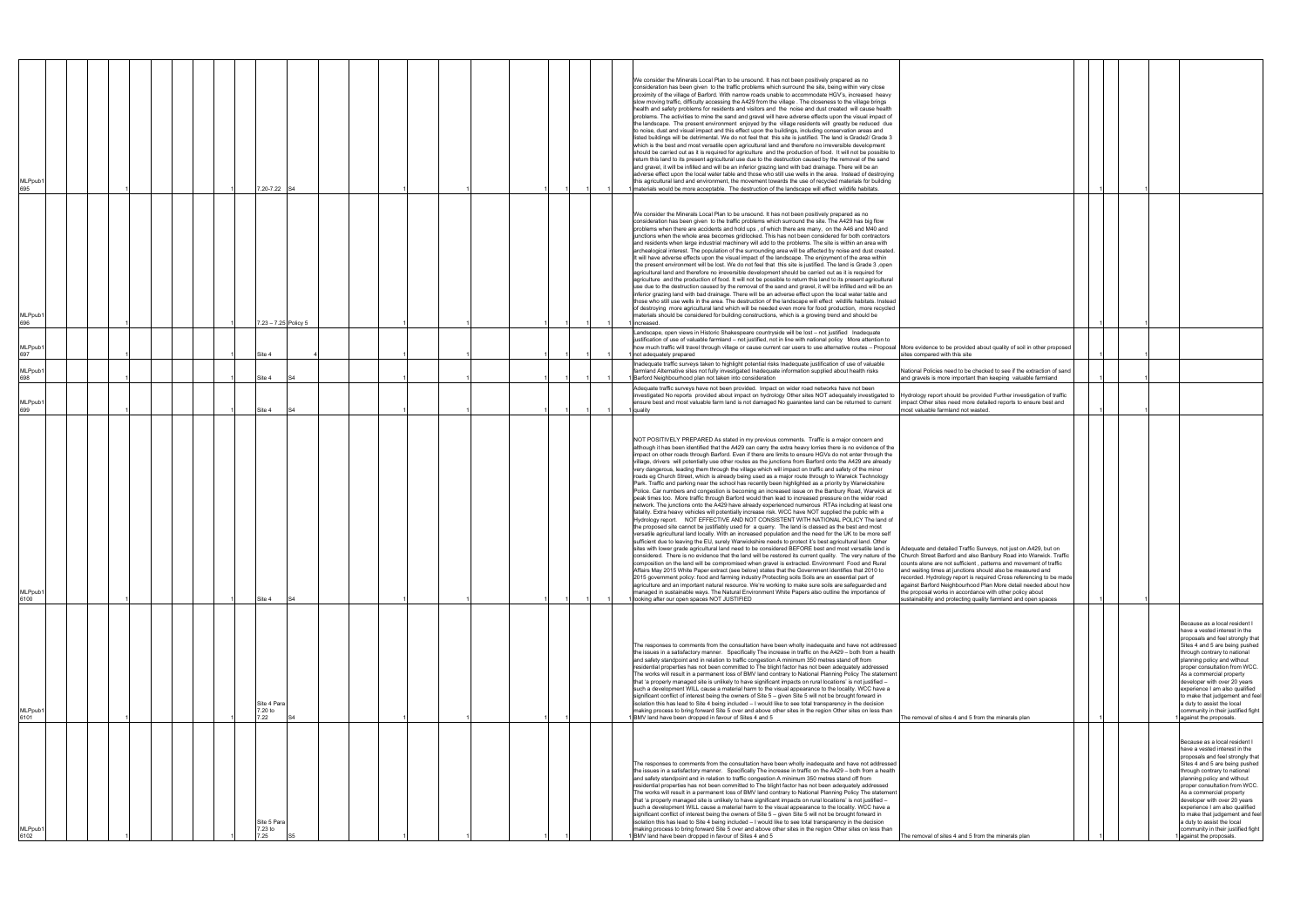| MLPpub <sup>-</sup><br>695 |  |  |  | 7.20-7.22                      |                      |  |  |  |  |  | We consider the Minerals Local Plan to be unsound. It has not been positively prepared as no<br>consideration has been given to the traffic problems which surround the site, being within very close<br>proximity of the village of Barford. With narrow roads unable to accommodate HGV's, increased heavy<br>slow moving traffic, difficulty accessing the A429 from the village . The closeness to the village brings<br>health and safety problems for residents and visitors and the noise and dust created will cause health<br>problems. The activities to mine the sand and gravel will have adverse effects upon the visual impact of<br>the landscape. The present environment enjoyed by the village residents will greatly be reduced due<br>to noise, dust and visual impact and this effect upon the buildings, including conservation areas and<br>listed buildings will be detrimental. We do not feel that this site is justified. The land is Grade2/ Grade 3<br>which is the best and most versatile open agricultural land and therefore no irreversible development<br>should be carried out as it is required for agriculture and the production of food. It will not be possible to<br>return this land to its present agricultural use due to the destruction caused by the removal of the sand<br>and gravel, it will be infilled and will be an inferior grazing land with bad drainage. There will be an<br>adverse effect upon the local water table and those who still use wells in the area. Instead of destroying<br>this agricultural land and environment, the movement towards the use of recycled materials for building<br>materials would be more acceptable. The destruction of the landscape will effect wildlife habitats                                                                                                                                                                                                                                                                                                                                                                                                                                                                                                                                                                                                                                                                                                                 |                                                                                                                                                                                                                                                                                                                                                                                                                                                                            |  |                                                                                                                                                                                                                                                                                                                                                                                                                                                                     |
|----------------------------|--|--|--|--------------------------------|----------------------|--|--|--|--|--|-------------------------------------------------------------------------------------------------------------------------------------------------------------------------------------------------------------------------------------------------------------------------------------------------------------------------------------------------------------------------------------------------------------------------------------------------------------------------------------------------------------------------------------------------------------------------------------------------------------------------------------------------------------------------------------------------------------------------------------------------------------------------------------------------------------------------------------------------------------------------------------------------------------------------------------------------------------------------------------------------------------------------------------------------------------------------------------------------------------------------------------------------------------------------------------------------------------------------------------------------------------------------------------------------------------------------------------------------------------------------------------------------------------------------------------------------------------------------------------------------------------------------------------------------------------------------------------------------------------------------------------------------------------------------------------------------------------------------------------------------------------------------------------------------------------------------------------------------------------------------------------------------------------------------------------------------------------------------------------------------------------------------------------------------------------------------------------------------------------------------------------------------------------------------------------------------------------------------------------------------------------------------------------------------------------------------------------------------------------------------------------------------------------------------------------------------------------------------------------|----------------------------------------------------------------------------------------------------------------------------------------------------------------------------------------------------------------------------------------------------------------------------------------------------------------------------------------------------------------------------------------------------------------------------------------------------------------------------|--|---------------------------------------------------------------------------------------------------------------------------------------------------------------------------------------------------------------------------------------------------------------------------------------------------------------------------------------------------------------------------------------------------------------------------------------------------------------------|
| MLPpub <sup>-</sup><br>696 |  |  |  |                                | 7.23 - 7.25 Policy 5 |  |  |  |  |  | We consider the Minerals Local Plan to be unsound. It has not been positively prepared as no<br>consideration has been given to the traffic problems which surround the site. The A429 has big flow<br>problems when there are accidents and hold ups, of which there are many, on the A46 and M40 and<br>junctions when the whole area becomes gridlocked. This has not been considered for both contractors<br>and residents when large industrial machinery will add to the problems. The site is within an area with<br>archealogical interest. The population of the surrounding area will be affected by noise and dust created.<br>It will have adverse effects upon the visual impact of the landscape. The enjoyment of the area within<br>the present environment will be lost. We do not feel that this site is justified. The land is Grade 3, open<br>agricultural land and therefore no irreversible development should be carried out as it is required for<br>agriculture and the production of food. It will not be possible to return this land to its present agricultural<br>use due to the destruction caused by the removal of the sand and gravel, it will be infilled and will be an<br>inferior grazing land with bad drainage. There will be an adverse effect upon the local water table and<br>those who still use wells in the area. The destruction of the landscape will effect wildlife habitats. Instead<br>of destroying more agricultural land which will be needed even more for food production, more recycled<br>materials should be considered for building constructions, which is a growing trend and should be<br>I increased.                                                                                                                                                                                                                                                                                                                                                                                                                                                                                                                                                                                                                                                                                                                                                                                                            |                                                                                                                                                                                                                                                                                                                                                                                                                                                                            |  |                                                                                                                                                                                                                                                                                                                                                                                                                                                                     |
| MLPpub <sup>-</sup><br>697 |  |  |  | Site 4                         |                      |  |  |  |  |  | Landscape, open views in Historic Shakespeare countryside will be lost - not justified Inadequate<br>justification of use of valuable farmland - not justified, not in line with national policy More attention to<br>how much traffic will travel through village or cause current car users to use alternative routes - Proposal More evidence to be provided about quality of soil in other proposed<br>not adequately prepared                                                                                                                                                                                                                                                                                                                                                                                                                                                                                                                                                                                                                                                                                                                                                                                                                                                                                                                                                                                                                                                                                                                                                                                                                                                                                                                                                                                                                                                                                                                                                                                                                                                                                                                                                                                                                                                                                                                                                                                                                                                  | sites compared with this site                                                                                                                                                                                                                                                                                                                                                                                                                                              |  |                                                                                                                                                                                                                                                                                                                                                                                                                                                                     |
| MLPpub <sup>-</sup><br>698 |  |  |  | Site 4                         |                      |  |  |  |  |  | nadequate traffic surveys taken to highlight potential risks Inadequate justification of use of valuable<br>armland Alternative sites not fully investigated Inadequate information supplied about health risks<br>Barford Neighbourhood plan not taken into consideration                                                                                                                                                                                                                                                                                                                                                                                                                                                                                                                                                                                                                                                                                                                                                                                                                                                                                                                                                                                                                                                                                                                                                                                                                                                                                                                                                                                                                                                                                                                                                                                                                                                                                                                                                                                                                                                                                                                                                                                                                                                                                                                                                                                                          | National Policies need to be checked to see if the extraction of sand<br>and gravels is more important than keeping valuable farmland                                                                                                                                                                                                                                                                                                                                      |  |                                                                                                                                                                                                                                                                                                                                                                                                                                                                     |
| MLPpub1<br>699             |  |  |  | Site 4                         |                      |  |  |  |  |  | Adequate traffic surveys have not been provided. Impact on wider road networks have not been<br>investigated No reports provided about impact on hydrology Other sites NOT adequately investigated to Hydrology report should be provided Further investigation of traffic<br>ensure best and most valuable farm land is not damaged No guarantee land can be returned to current<br>quality                                                                                                                                                                                                                                                                                                                                                                                                                                                                                                                                                                                                                                                                                                                                                                                                                                                                                                                                                                                                                                                                                                                                                                                                                                                                                                                                                                                                                                                                                                                                                                                                                                                                                                                                                                                                                                                                                                                                                                                                                                                                                        | mpact Other sites need more detailed reports to ensure best and<br>nost valuable farmland not wasted.                                                                                                                                                                                                                                                                                                                                                                      |  |                                                                                                                                                                                                                                                                                                                                                                                                                                                                     |
| MLPpub1<br>6100            |  |  |  | Site 4                         | S4                   |  |  |  |  |  | NOT POSITIVELY PREPARED As stated in my previous comments. Traffic is a major concern and<br>although it has been identified that the A429 can carry the extra heavy lorries there is no evidence of the<br>impact on other roads through Barford. Even if there are limits to ensure HGVs do not enter through the<br>village, drivers will potentially use other routes as the junctions from Barford onto the A429 are already<br>very dangerous, leading them through the village which will impact on traffic and safety of the minor<br>roads eg Church Street, which is already being used as a major route through to Warwick Technology<br>Park. Traffic and parking near the school has recently been highlighted as a priority by Warwickshire<br>Police. Car numbers and congestion is becoming an increased issue on the Banbury Road, Warwick at<br>peak times too. More traffic through Barford would then lead to increased pressure on the wider road<br>network. The junctions onto the A429 have already experienced numerous RTAs including at least one<br>fatality. Extra heavy vehicles will potentially increase risk. WCC have NOT supplied the public with a<br>Hydrology report. NOT EFFECTIVE AND NOT CONSISTENT WITH NATIONAL POLICY The land of<br>the proposed site cannot be justifiably used for a quarry. The land is classed as the best and most<br>versatile agricultural land locally. With an increased population and the need for the UK to be more self<br>sufficient due to leaving the EU, surely Warwickshire needs to protect it's best agricultural land. Other<br>ites with lower grade agricultural land need to be considered BEFORE best and most versatile land is<br>considered. There is no evidence that the land will be restored its current quality. The very nature of the Church Street Barford and also Banbury Road into Warwick. Traffic<br>composition on the land will be compromised when gravel is extracted. Environment Food and Rural<br>Affairs May 2015 White Paper extract (see below) states that the Government identifies that 2010 to<br>2015 government policy: food and farming industry Protecting soils Soils are an essential part of<br>agriculture and an important natural resource. We're working to make sure soils are safeguarded and<br>managed in sustainable ways. The Natural Environment White Papers also outline the importance of<br>1 looking after our open spaces NOT JUSTIFIED | Adequate and detailed Traffic Surveys, not just on A429, but on<br>counts alone are not sufficient, patterns and movement of traffic<br>and waiting times at junctions should also be measured and<br>recorded. Hydrology report is required Cross referencing to be made<br>against Barford Neighbourhood Plan More detail needed about how<br>the proposal works in accordance with other policy about<br>sustainability and protecting quality farmland and open spaces |  |                                                                                                                                                                                                                                                                                                                                                                                                                                                                     |
| MLPpub1<br>6101            |  |  |  | Site 4 Para<br>7.20 to<br>7.22 |                      |  |  |  |  |  | The responses to comments from the consultation have been wholly inadequate and have not addressed<br>the issues in a satisfactory manner. Specifically The increase in traffic on the A429 - both from a health<br>and safety standpoint and in relation to traffic congestion A minimum 350 metres stand off from<br>residential properties has not been committed to The blight factor has not been adequately addressed<br>The works will result in a permanent loss of BMV land contrary to National Planning Policy The statement<br>that 'a properly managed site is unlikely to have significant impacts on rural locations' is not justified -<br>such a development WILL cause a material harm to the visual appearance to the locality. WCC have a<br>significant conflict of interest being the owners of Site 5 - given Site 5 will not be brought forward in<br>isolation this has lead to Site 4 being included - I would like to see total transparency in the decision<br>making process to bring forward Site 5 over and above other sites in the region Other sites on less than<br>1 BMV land have been dropped in favour of Sites 4 and 5                                                                                                                                                                                                                                                                                                                                                                                                                                                                                                                                                                                                                                                                                                                                                                                                                                                                                                                                                                                                                                                                                                                                                                                                                                                                                                                      | The removal of sites 4 and 5 from the minerals plan                                                                                                                                                                                                                                                                                                                                                                                                                        |  | Because as a local resident I<br>have a vested interest in the<br>proposals and feel strongly that<br>Sites 4 and 5 are being pushed<br>through contrary to national<br>planning policy and without<br>proper consultation from WCC.<br>As a commercial property<br>developer with over 20 years<br>experience I am also qualified<br>to make that judgement and feel<br>a duty to assist the local<br>community in their justified fight<br>against the proposals. |
| MLPpub1<br>6102            |  |  |  | Site 5 Para<br>7.23 to<br>7.25 |                      |  |  |  |  |  | The responses to comments from the consultation have been wholly inadequate and have not addressed<br>the issues in a satisfactory manner. Specifically The increase in traffic on the A429 - both from a health<br>and safety standpoint and in relation to traffic congestion A minimum 350 metres stand off from<br>residential properties has not been committed to The blight factor has not been adequately addressed<br>The works will result in a permanent loss of BMV land contrary to National Planning Policy The statement<br>that 'a properly managed site is unlikely to have significant impacts on rural locations' is not justified -<br>such a development WILL cause a material harm to the visual appearance to the locality. WCC have a<br>significant conflict of interest being the owners of Site 5 - given Site 5 will not be brought forward in<br>isolation this has lead to Site 4 being included - I would like to see total transparency in the decision<br>making process to bring forward Site 5 over and above other sites in the region Other sites on less than<br>BMV land have been dropped in favour of Sites 4 and 5                                                                                                                                                                                                                                                                                                                                                                                                                                                                                                                                                                                                                                                                                                                                                                                                                                                                                                                                                                                                                                                                                                                                                                                                                                                                                                                        | The removal of sites 4 and 5 from the minerals plan                                                                                                                                                                                                                                                                                                                                                                                                                        |  | Because as a local resident I<br>have a vested interest in the<br>proposals and feel strongly that<br>Sites 4 and 5 are being pushed<br>through contrary to national<br>planning policy and without<br>proper consultation from WCC.<br>As a commercial property<br>developer with over 20 years<br>experience I am also qualified<br>to make that judgement and feel<br>a duty to assist the local<br>community in their justified fight<br>against the proposals. |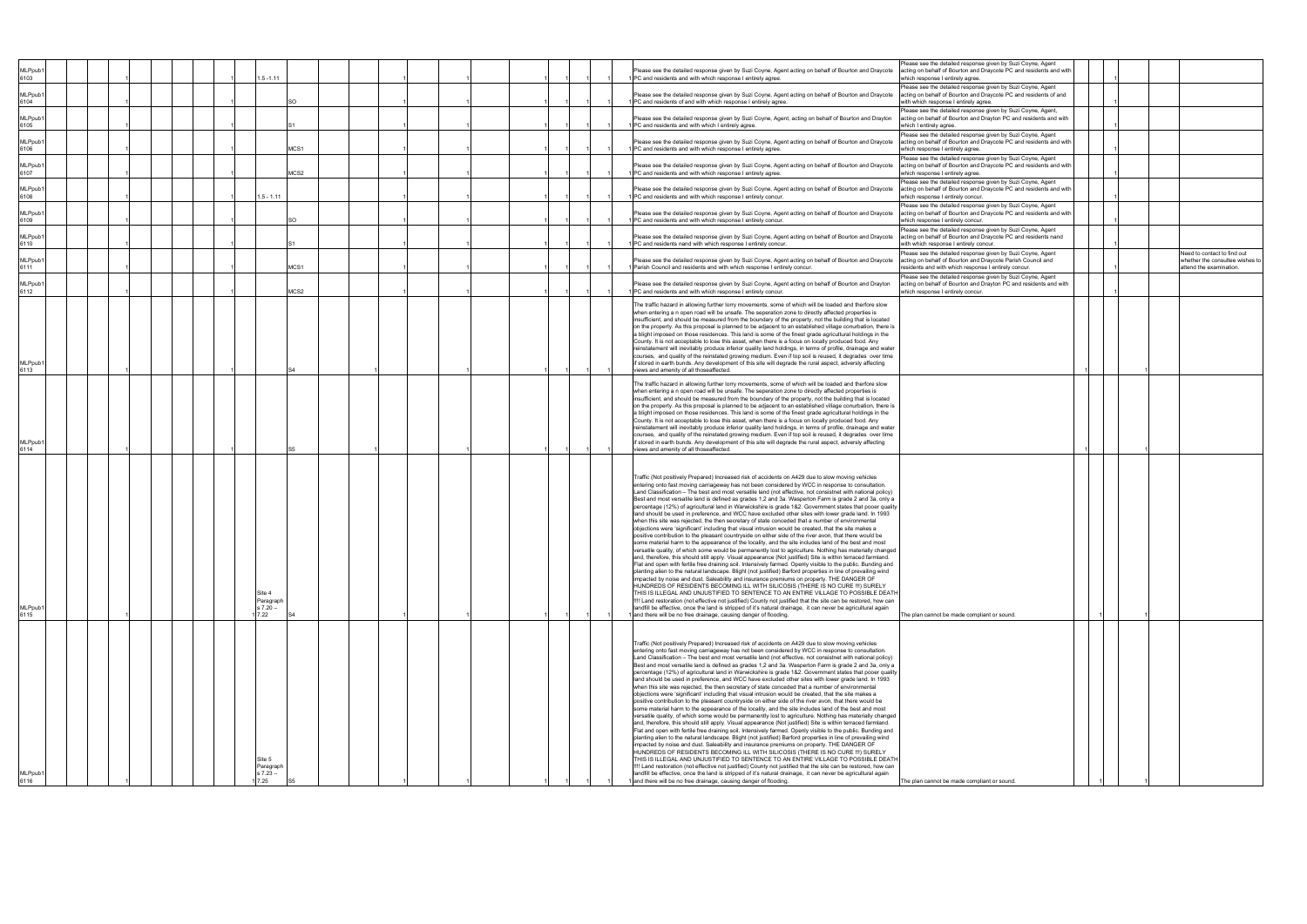| 7.22<br>and there will be no free drainage, causing danger of flooding.<br>Traffic (Not positively Prepared) Increased risk of accidents on A429 due to slow moving vehicles<br>when this site was rejected, the then secretary of state conceded that a number of environmental<br>objections were 'significant' including that visual intrusion would be created, that the site makes a<br>positive contribution to the pleasant countryside on either side of the river avon, that there would be<br>impacted by noise and dust. Saleability and insurance premiums on property. THE DANGER OF<br>Site 5<br>Paragraph<br>$37.23 -$<br>7.25<br>and there will be no free drainage, causing danger of flooding.                                                                                                                                                                                                                                                                                                                                                                                                                                                                                                                                                                                                                                                                                                                                                                                                                                                                                                                | Traffic (Not positively Prepared) Increased risk of accidents on A429 due to slow moving vehicles<br>when this site was rejected, the then secretary of state conceded that a number of environmental<br>objections were 'significant' including that visual intrusion would be created, that the site makes a<br>positive contribution to the pleasant countryside on either side of the river avon, that there would be<br>impacted by noise and dust. Saleability and insurance premiums on property. THE DANGER OF<br>Site 4<br>Paragraph<br>s 7.20 –                                                                                                                                                                                                                                                                                                                                                                                                                                                                                                                                                                                                                                                                                                                                                                                                                                                                                                                                                                         | when entering a n open road will be unsafe. The seperation zone to directly affected properties is<br>County. It is not acceptable to lose this asset, when there is a focus on locally produced food. Any<br>views and amenity of all thoseaffected.                                                                                                                                                                                                                                                                                                                                                                                                                                                                                                                                 | when entering a n open road will be unsafe. The seperation zone to directly affected properties is<br>County. It is not acceptable to lose this asset, when there is a focus on locally produced food. Any<br>views and amenity of all thoseaffected.                                                                                                                                                                                                                                                                                                                                                                                                                                                                                                                                  | MCS1<br>1 Parish Council and residents and with which response I entirely concur.<br>MCS2<br>1 PC and residents and with which response I entirely concur.                                                                                                                                                                                                      | 1 PC and residents nand with which response I entirely concur.                                                                                                                                                                                                                                                                                                                                                                                                                                                           | PC and residents and with which response I entirely concur                                                                                                                                                                                                                     | $.5 - 1.11$<br>1 PC and residents and with which response I entirely concur                                                                                                                                                                                                                                                                   | MCS2<br>1 PC and residents and with which response I entirely agree.                                                                                                                                                                                                          | PC and residents and with which I entirely agree.<br>MCS1<br>1 PC and residents and with which response I entirely agree.                                                                                                                                                                                | PC and residents of and with which response I entirely agree.                                                                                                                                                                                                                      |                                                                                                                                                                                                                                         | MLPpub1<br>Please see the detailed response given by Suzi Coyne, Agent acting on behalf of Bourton and Draycote<br>$.5 - 1.11$<br>PC and residents and with which response I entirely agree. |
|---------------------------------------------------------------------------------------------------------------------------------------------------------------------------------------------------------------------------------------------------------------------------------------------------------------------------------------------------------------------------------------------------------------------------------------------------------------------------------------------------------------------------------------------------------------------------------------------------------------------------------------------------------------------------------------------------------------------------------------------------------------------------------------------------------------------------------------------------------------------------------------------------------------------------------------------------------------------------------------------------------------------------------------------------------------------------------------------------------------------------------------------------------------------------------------------------------------------------------------------------------------------------------------------------------------------------------------------------------------------------------------------------------------------------------------------------------------------------------------------------------------------------------------------------------------------------------------------------------------------------------|-----------------------------------------------------------------------------------------------------------------------------------------------------------------------------------------------------------------------------------------------------------------------------------------------------------------------------------------------------------------------------------------------------------------------------------------------------------------------------------------------------------------------------------------------------------------------------------------------------------------------------------------------------------------------------------------------------------------------------------------------------------------------------------------------------------------------------------------------------------------------------------------------------------------------------------------------------------------------------------------------------------------------------------------------------------------------------------------------------------------------------------------------------------------------------------------------------------------------------------------------------------------------------------------------------------------------------------------------------------------------------------------------------------------------------------------------------------------------------------------------------------------------------------|---------------------------------------------------------------------------------------------------------------------------------------------------------------------------------------------------------------------------------------------------------------------------------------------------------------------------------------------------------------------------------------------------------------------------------------------------------------------------------------------------------------------------------------------------------------------------------------------------------------------------------------------------------------------------------------------------------------------------------------------------------------------------------------|----------------------------------------------------------------------------------------------------------------------------------------------------------------------------------------------------------------------------------------------------------------------------------------------------------------------------------------------------------------------------------------------------------------------------------------------------------------------------------------------------------------------------------------------------------------------------------------------------------------------------------------------------------------------------------------------------------------------------------------------------------------------------------------|-----------------------------------------------------------------------------------------------------------------------------------------------------------------------------------------------------------------------------------------------------------------------------------------------------------------------------------------------------------------|--------------------------------------------------------------------------------------------------------------------------------------------------------------------------------------------------------------------------------------------------------------------------------------------------------------------------------------------------------------------------------------------------------------------------------------------------------------------------------------------------------------------------|--------------------------------------------------------------------------------------------------------------------------------------------------------------------------------------------------------------------------------------------------------------------------------|-----------------------------------------------------------------------------------------------------------------------------------------------------------------------------------------------------------------------------------------------------------------------------------------------------------------------------------------------|-------------------------------------------------------------------------------------------------------------------------------------------------------------------------------------------------------------------------------------------------------------------------------|----------------------------------------------------------------------------------------------------------------------------------------------------------------------------------------------------------------------------------------------------------------------------------------------------------|------------------------------------------------------------------------------------------------------------------------------------------------------------------------------------------------------------------------------------------------------------------------------------|-----------------------------------------------------------------------------------------------------------------------------------------------------------------------------------------------------------------------------------------|----------------------------------------------------------------------------------------------------------------------------------------------------------------------------------------------|
| The plan cannot be made compliant or sound.<br>entering onto fast moving carriageway has not been considered by WCC in response to consultation.<br>Land Classification - The best and most versatile land (not effective, not consistnet with national policy)<br>Best and most versatile land is defined as grades 1,2 and 3a. Wasperton Farm is grade 2 and 3a, only a<br>percentage (12%) of agricultural land in Warwickshire is grade 1&2. Government states that pooer quality<br>land should be used in preference, and WCC have excluded other sites with lower grade land. In 1993<br>some material harm to the appearance of the locality, and the site includes land of the best and most<br>versatile quality, of which some would be permanently lost to agriculture. Nothing has materially changed<br>and, therefore, this should still apply. Visual appearance (Not justified) Site is within terraced farmland.<br>Flat and open with fertile free draining soil. Intensively farmed. Openly visible to the public. Bunding and<br>planting alien to the natural landscape. Blight (not justified) Barford properties in line of prevailing wind<br>HUNDREDS OF RESIDENTS BECOMING ILL WITH SILICOSIS (THERE IS NO CURE !!!) SURELY<br>THIS IS ILLEGAL AND UNJUSTIFIED TO SENTENCE TO AN ENTIRE VILLAGE TO POSSIBLE DEATH<br>!!!! Land restoration (not effective not justified) County not justified that the site can be restored, how can<br>landfill be effective, once the land is stripped of it's natural drainage, it can never be agricultural again<br>The plan cannot be made compliant or sound. | entering onto fast moving carriageway has not been considered by WCC in response to consultation.<br>Land Classification - The best and most versatile land (not effective, not consistnet with national policy)<br>Best and most versatile land is defined as grades 1,2 and 3a. Wasperton Farm is grade 2 and 3a, only a<br>percentage (12%) of agricultural land in Warwickshire is grade 1&2. Government states that pooer quality<br>land should be used in preference, and WCC have excluded other sites with lower grade land. In 1993<br>some material harm to the appearance of the locality, and the site includes land of the best and most<br>versatile quality, of which some would be permanently lost to agriculture. Nothing has materially changed<br>and, therefore, this should still apply. Visual appearance (Not justified) Site is within terraced farmland.<br>Flat and open with fertile free draining soil. Intensively farmed. Openly visible to the public. Bunding and<br>planting alien to the natural landscape. Blight (not justified) Barford properties in line of prevailing wind<br>HUNDREDS OF RESIDENTS BECOMING ILL WITH SILICOSIS (THERE IS NO CURE !!!) SURELY<br>THIS IS ILLEGAL AND UNJUSTIFIED TO SENTENCE TO AN ENTIRE VILLAGE TO POSSIBLE DEATH<br>!!!! Land restoration (not effective not justified) County not justified that the site can be restored, how can<br>landfill be effective, once the land is stripped of it's natural drainage, it can never be agricultural again | he traffic hazard in allowing further lorry movements, some of which will be loaded and therfore slow<br>insufficient, and should be measured from the boundary of the property, not the building that is located<br>on the property. As this proposal is planned to be adjacent to an established village conurbation, there is<br>a blight imposed on those residences. This land is some of the finest grade agricultural holdings in the<br>reinstatement will inevitably produce inferior quality land holdings, in terms of profile, drainage and water<br>courses, and quality of the reinstated growing medium. Even if top soil is reused, it degrades over time<br>if stored in earth bunds. Any development of this site will degrade the rural aspect, adversly affecting | The traffic hazard in allowing further lorry movements, some of which will be loaded and therfore slow<br>insufficient, and should be measured from the boundary of the property, not the building that is located<br>on the property. As this proposal is planned to be adjacent to an established village conurbation, there is<br>a blight imposed on those residences. This land is some of the finest grade agricultural holdings in the<br>reinstatement will inevitably produce inferior quality land holdings, in terms of profile, drainage and water<br>courses, and quality of the reinstated growing medium. Even if top soil is reused, it degrades over time<br>if stored in earth bunds. Any development of this site will degrade the rural aspect, adversly affecting | residents and with which response I entirely concur.<br>attend the examination.<br>Please see the detailed response given by Suzi Coyne, Agent<br>Please see the detailed response given by Suzi Coyne, Agent acting on behalf of Bourton and Drayton<br>acting on behalf of Bourton and Drayton PC and residents and with<br>which response I entirely concur. | Please see the detailed response given by Suzi Coyne, Agent acting on behalf of Bourton and Draycote<br>acting on behalf of Bourton and Draycote PC and residents nand<br>with which response I entirely concur.<br>Please see the detailed response given by Suzi Coyne, Agent<br>Need to contact to find out<br>Please see the detailed response given by Suzi Coyne, Agent acting on behalf of Bourton and Draycote<br>acting on behalf of Bourton and Draycote Parish Council and<br>whether the consultee wishes to | Please see the detailed response given by Suzi Coyne, Agent acting on behalf of Bourton and Draycote<br>acting on behalf of Bourton and Draycote PC and residents and with<br>which response I entirely concur.<br>Please see the detailed response given by Suzi Coyne, Agent | Please see the detailed response given by Suzi Coyne, Agent<br>Please see the detailed response given by Suzi Coyne, Agent acting on behalf of Bourton and Draycote<br>acting on behalf of Bourton and Draycote PC and residents and with<br>which response I entirely concur.<br>Please see the detailed response given by Suzi Coyne, Agent | Please see the detailed response given by Suzi Coyne, Agent<br>Please see the detailed response given by Suzi Coyne, Agent acting on behalf of Bourton and Draycote<br>acting on behalf of Bourton and Draycote PC and residents and with<br>which response I entirely agree. | which I entirely agree.<br>Please see the detailed response given by Suzi Coyne, Agent<br>Please see the detailed response given by Suzi Coyne, Agent acting on behalf of Bourton and Draycote<br>acting on behalf of Bourton and Draycote PC and residents and with<br>which response I entirely agree. | vith which response I entirely agree.<br>Please see the detailed response given by Suzi Coyne, Agent,<br>Please see the detailed response given by Suzi Coyne, Agent, acting on behalf of Bourton and Drayton<br>acting on behalf of Bourton and Drayton PC and residents and with | Please see the detailed response given by Suzi Coyne, Agent<br>Please see the detailed response given by Suzi Coyne, Agent acting on behalf of Bourton and Draycote<br>acting on behalf of Bourton and Draycote PC and residents of and | which response I entirely agree.                                                                                                                                                             |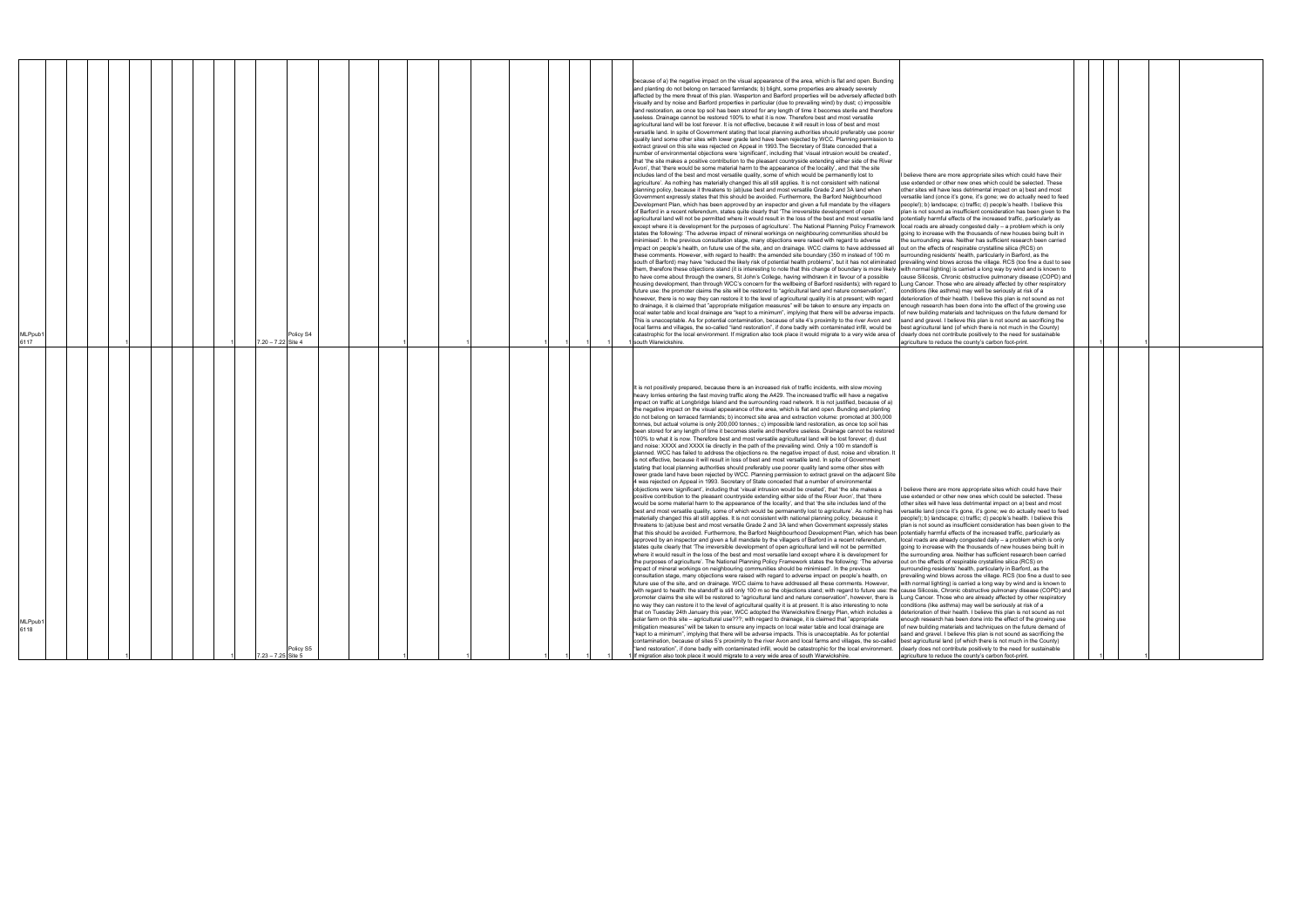| <b>MLPpub</b><br>6117 |  |  |  | 7.20 - 7.22 Site 4   | Policy S4 |  |  |  |  | because of a) the negative impact on the visual appearance of the area, which is flat and open. Bunding<br>and planting do not belong on terraced farmlands; b) blight, some properties are already severely<br>affected by the mere threat of this plan. Wasperton and Barford properties will be adversely affected both<br>visually and by noise and Barford properties in particular (due to prevailing wind) by dust; c) impossible<br>land restoration, as once top soil has been stored for any length of time it becomes sterile and therefore<br>useless. Drainage cannot be restored 100% to what it is now. Therefore best and most versatile<br>agricultural land will be lost forever. It is not effective, because it will result in loss of best and most<br>versatile land. In spite of Government stating that local planning authorities should preferably use poorer<br>quality land some other sites with lower grade land have been rejected by WCC. Planning permission to<br>extract gravel on this site was rejected on Appeal in 1993. The Secretary of State conceded that a<br>number of environmental objections were 'significant', including that 'visual intrusion would be created',<br>that 'the site makes a positive contribution to the pleasant countryside extending either side of the River<br>Avon', that 'there would be some material harm to the appearance of the locality', and that 'the site<br>includes land of the best and most versatile quality, some of which would be permanently lost to<br>I believe there are more appropriate sites which could have their<br>agriculture'. As nothing has materially changed this all still applies. It is not consistent with national<br>use extended or other new ones which could be selected. These<br>planning policy, because it threatens to (ab)use best and most versatile Grade 2 and 3A land when<br>other sites will have less detrimental impact on a) best and most<br>Government expressly states that this should be avoided. Furthermore, the Barford Neighbourhood<br>versatile land (once it's gone, it's gone; we do actually need to feed<br>Development Plan, which has been approved by an inspector and given a full mandate by the villagers<br>people!); b) landscape; c) traffic; d) people's health. I believe this<br>of Barford in a recent referendum, states quite clearly that 'The irreversible development of open<br>plan is not sound as insufficient consideration has been given to the<br>agricultural land will not be permitted where it would result in the loss of the best and most versatile land<br>potentially harmful effects of the increased traffic, particularly as<br>except where it is development for the purposes of agriculture'. The National Planning Policy Framework<br>local roads are already congested daily - a problem which is only<br>states the following: 'The adverse impact of mineral workings on neighbouring communities should be<br>going to increase with the thousands of new houses being built in<br>minimised'. In the previous consultation stage, many objections were raised with regard to adverse<br>the surrounding area. Neither has sufficient research been carried<br>impact on people's health, on future use of the site, and on drainage. WCC claims to have addressed all<br>out on the effects of respirable crystalline silica (RCS) on<br>these comments. However, with regard to health: the amended site boundary (350 m instead of 100 m<br>surrounding residents' health, particularly in Barford, as the<br>south of Barford) may have "reduced the likely risk of potential health problems", but it has not eliminated<br>prevailing wind blows across the village. RCS (too fine a dust to see<br>them, therefore these objections stand (it is interesting to note that this change of boundary is more likely with normal lighting) is carried a long way by wind and is known to<br>to have come about through the owners, St John's College, having withdrawn it in favour of a possible<br>cause Silicosis, Chronic obstructive pulmonary disease (COPD) and<br>housing development, than through WCC's concern for the wellbeing of Barford residents); with regard to Lung Cancer. Those who are already affected by other respiratory<br>future use: the promoter claims the site will be restored to "agricultural land and nature conservation",<br>conditions (like asthma) may well be seriously at risk of a<br>however, there is no way they can restore it to the level of agricultural quality it is at present; with regard<br>deterioration of their health. I believe this plan is not sound as not<br>to drainage, it is claimed that "appropriate mitigation measures" will be taken to ensure any impacts on<br>enough research has been done into the effect of the growing use<br>local water table and local drainage are "kept to a minimum", implying that there will be adverse impacts.<br>of new building materials and techniques on the future demand for<br>This is unacceptable. As for potential contamination, because of site 4's proximity to the river Avon and<br>sand and gravel. I believe this plan is not sound as sacrificing the<br>local farms and villages, the so-called "land restoration", if done badly with contaminated infill, would be<br>best agricultural land (of which there is not much in the County)<br>catastrophic for the local environment. If migration also took place it would migrate to a very wide area of<br>clearly does not contribute positively to the need for sustainable<br>south Warwickshire<br>agriculture to reduce the county's carbon foot-print.                                                                                                                                                                            |  |
|-----------------------|--|--|--|----------------------|-----------|--|--|--|--|-------------------------------------------------------------------------------------------------------------------------------------------------------------------------------------------------------------------------------------------------------------------------------------------------------------------------------------------------------------------------------------------------------------------------------------------------------------------------------------------------------------------------------------------------------------------------------------------------------------------------------------------------------------------------------------------------------------------------------------------------------------------------------------------------------------------------------------------------------------------------------------------------------------------------------------------------------------------------------------------------------------------------------------------------------------------------------------------------------------------------------------------------------------------------------------------------------------------------------------------------------------------------------------------------------------------------------------------------------------------------------------------------------------------------------------------------------------------------------------------------------------------------------------------------------------------------------------------------------------------------------------------------------------------------------------------------------------------------------------------------------------------------------------------------------------------------------------------------------------------------------------------------------------------------------------------------------------------------------------------------------------------------------------------------------------------------------------------------------------------------------------------------------------------------------------------------------------------------------------------------------------------------------------------------------------------------------------------------------------------------------------------------------------------------------------------------------------------------------------------------------------------------------------------------------------------------------------------------------------------------------------------------------------------------------------------------------------------------------------------------------------------------------------------------------------------------------------------------------------------------------------------------------------------------------------------------------------------------------------------------------------------------------------------------------------------------------------------------------------------------------------------------------------------------------------------------------------------------------------------------------------------------------------------------------------------------------------------------------------------------------------------------------------------------------------------------------------------------------------------------------------------------------------------------------------------------------------------------------------------------------------------------------------------------------------------------------------------------------------------------------------------------------------------------------------------------------------------------------------------------------------------------------------------------------------------------------------------------------------------------------------------------------------------------------------------------------------------------------------------------------------------------------------------------------------------------------------------------------------------------------------------------------------------------------------------------------------------------------------------------------------------------------------------------------------------------------------------------------------------------------------------------------------------------------------------------------------------------------------------------------------------------------------------------------------------------------------------------------------------------------------------------------------------------------------------------------------------------------------------------------------------------------------------------------------------------------------------------------------------------------------------------------------------------------------------------------------------------------------------------------------------------------------------------------------------------------------------------------------------------------------------------------------------------------------------------------------------------------------------------------------------------------------------------------------------------------------------------------------------------------------------------------------------------------------------------------------------------------------------------------------------------------------------------------------------------------------------------------------------------------------------------------------------------------------------------------------------------------------------------------------------------------------------------------|--|
| MLPpub1<br>6118       |  |  |  | $7.23 - 7.25$ Site 5 | Policy S5 |  |  |  |  | It is not positively prepared, because there is an increased risk of traffic incidents, with slow moving<br>heavy lorries entering the fast moving traffic along the A429. The increased traffic will have a negative<br>impact on traffic at Longbridge Island and the surrounding road network. It is not justified, because of a)<br>the negative impact on the visual appearance of the area, which is flat and open. Bunding and planting<br>do not belong on terraced farmlands; b) incorrect site area and extraction volume: promoted at 300,000<br>tonnes, but actual volume is only 200,000 tonnes.; c) impossible land restoration, as once top soil has<br>been stored for any length of time it becomes sterile and therefore useless. Drainage cannot be restored<br>100% to what it is now. Therefore best and most versatile agricultural land will be lost forever; d) dust<br>and noise: XXXX and XXXX lie directly in the path of the prevailing wind. Only a 100 m standoff is<br>planned. WCC has failed to address the objections re. the negative impact of dust, noise and vibration. It<br>is not effective, because it will result in loss of best and most versatile land. In spite of Government<br>stating that local planning authorities should preferably use poorer quality land some other sites with<br>lower grade land have been rejected by WCC. Planning permission to extract gravel on the adjacent Site<br>4 was rejected on Appeal in 1993. Secretary of State conceded that a number of environmental<br>objections were 'significant', including that 'visual intrusion would be created', that 'the site makes a<br>I believe there are more appropriate sites which could have their<br>positive contribution to the pleasant countryside extending either side of the River Avon', that 'there<br>use extended or other new ones which could be selected. These<br>would be some material harm to the appearance of the locality', and that 'the site includes land of the<br>other sites will have less detrimental impact on a) best and most<br>best and most versatile quality, some of which would be permanently lost to agriculture'. As nothing has<br>versatile land (once it's gone, it's gone; we do actually need to feed<br>materially changed this all still applies. It is not consistent with national planning policy, because it<br>people!); b) landscape; c) traffic; d) people's health. I believe this<br>threatens to (ab)use best and most versatile Grade 2 and 3A land when Government expressly states<br>plan is not sound as insufficient consideration has been given to the<br>that this should be avoided. Furthermore, the Barford Neighbourhood Development Plan, which has been potentially harmful effects of the increased traffic, particularly as<br>approved by an inspector and given a full mandate by the villagers of Barford in a recent referendum,<br>local roads are already congested daily - a problem which is only<br>states quite clearly that 'The irreversible development of open agricultural land will not be permitted<br>going to increase with the thousands of new houses being built in<br>where it would result in the loss of the best and most versatile land except where it is development for<br>the surrounding area. Neither has sufficient research been carried<br>the purposes of agriculture'. The National Planning Policy Framework states the following: 'The adverse<br>out on the effects of respirable crystalline silica (RCS) on<br>impact of mineral workings on neighbouring communities should be minimised'. In the previous<br>surrounding residents' health, particularly in Barford, as the<br>prevailing wind blows across the village. RCS (too fine a dust to see<br>consultation stage, many objections were raised with regard to adverse impact on people's health, on<br>future use of the site, and on drainage. WCC claims to have addressed all these comments. However,<br>with normal lighting) is carried a long way by wind and is known to<br>with regard to health: the standoff is still only 100 m so the objections stand; with regard to future use: the cause Silicosis, Chronic obstructive pulmonary disease (COPD) and<br>promoter claims the site will be restored to "agricultural land and nature conservation", however, there is<br>Lung Cancer. Those who are already affected by other respiratory<br>no way they can restore it to the level of agricultural quality it is at present. It is also interesting to note<br>conditions (like asthma) may well be seriously at risk of a<br>that on Tuesday 24th January this year, WCC adopted the Warwickshire Energy Plan, which includes a<br>deterioration of their health. I believe this plan is not sound as not<br>solar farm on this site - agricultural use???; with regard to drainage, it is claimed that "appropriate"<br>enough research has been done into the effect of the growing use<br>mitigation measures" will be taken to ensure any impacts on local water table and local drainage are<br>of new building materials and techniques on the future demand of<br>"kept to a minimum", implying that there will be adverse impacts. This is unacceptable. As for potential<br>sand and gravel. I believe this plan is not sound as sacrificing the<br>contamination, because of sites 5's proximity to the river Avon and local farms and villages, the so-called<br>best agricultural land (of which there is not much in the County)<br>"land restoration", if done badly with contaminated infill, would be catastrophic for the local environment.<br>clearly does not contribute positively to the need for sustainable<br>If migration also took place it would migrate to a very wide area of south Warwickshire.<br>agriculture to reduce the county's carbon foot-print. |  |

| I believe there are more appropriate sites which could have their                                                                               |  |  |  |
|-------------------------------------------------------------------------------------------------------------------------------------------------|--|--|--|
| use extended or other new ones which could be selected. These<br>other sites will have less detrimental impact on a) best and most              |  |  |  |
| versatile land (once it's gone, it's gone; we do actually need to feed                                                                          |  |  |  |
| people!); b) landscape; c) traffic; d) people's health. I believe this                                                                          |  |  |  |
| plan is not sound as insufficient consideration has been given to the                                                                           |  |  |  |
| potentially harmful effects of the increased traffic, particularly as<br>local roads are already congested daily - a problem which is only      |  |  |  |
| going to increase with the thousands of new houses being built in                                                                               |  |  |  |
| the surrounding area. Neither has sufficient research been carried                                                                              |  |  |  |
| out on the effects of respirable crystalline silica (RCS) on                                                                                    |  |  |  |
| surrounding residents' health, particularly in Barford, as the                                                                                  |  |  |  |
| prevailing wind blows across the village. RCS (too fine a dust to see<br>with normal lighting) is carried a long way by wind and is known to    |  |  |  |
| cause Silicosis, Chronic obstructive pulmonary disease (COPD) and                                                                               |  |  |  |
| Lung Cancer. Those who are already affected by other respiratory                                                                                |  |  |  |
| conditions (like asthma) may well be seriously at risk of a                                                                                     |  |  |  |
| deterioration of their health. I believe this plan is not sound as not<br>enough research has been done into the effect of the growing use      |  |  |  |
| of new building materials and techniques on the future demand for                                                                               |  |  |  |
| sand and gravel. I believe this plan is not sound as sacrificing the                                                                            |  |  |  |
| best agricultural land (of which there is not much in the County)                                                                               |  |  |  |
| clearly does not contribute positively to the need for sustainable<br>agriculture to reduce the county's carbon foot-print.                     |  |  |  |
|                                                                                                                                                 |  |  |  |
|                                                                                                                                                 |  |  |  |
|                                                                                                                                                 |  |  |  |
|                                                                                                                                                 |  |  |  |
|                                                                                                                                                 |  |  |  |
|                                                                                                                                                 |  |  |  |
|                                                                                                                                                 |  |  |  |
|                                                                                                                                                 |  |  |  |
|                                                                                                                                                 |  |  |  |
|                                                                                                                                                 |  |  |  |
|                                                                                                                                                 |  |  |  |
|                                                                                                                                                 |  |  |  |
|                                                                                                                                                 |  |  |  |
|                                                                                                                                                 |  |  |  |
|                                                                                                                                                 |  |  |  |
| I believe there are more appropriate sites which could have their                                                                               |  |  |  |
| use extended or other new ones which could be selected. These                                                                                   |  |  |  |
| other sites will have less detrimental impact on a) best and most                                                                               |  |  |  |
| versatile land (once it's gone, it's gone; we do actually need to feed                                                                          |  |  |  |
| people!); b) landscape; c) traffic; d) people's health. I believe this<br>plan is not sound as insufficient consideration has been given to the |  |  |  |
| potentially harmful effects of the increased traffic, particularly as                                                                           |  |  |  |
| local roads are already congested daily - a problem which is only                                                                               |  |  |  |
| going to increase with the thousands of new houses being built in                                                                               |  |  |  |
| the surrounding area. Neither has sufficient research been carried<br>out on the effects of respirable crystalline silica (RCS) on              |  |  |  |
| surrounding residents' health, particularly in Barford, as the                                                                                  |  |  |  |
| prevailing wind blows across the village. RCS (too fine a dust to see                                                                           |  |  |  |
| with normal lighting) is carried a long way by wind and is known to                                                                             |  |  |  |
| cause Silicosis, Chronic obstructive pulmonary disease (COPD) and<br>Lung Cancer. Those who are already affected by other respiratory           |  |  |  |
| conditions (like asthma) may well be seriously at risk of a                                                                                     |  |  |  |
| deterioration of their health. I believe this plan is not sound as not                                                                          |  |  |  |
| enough research has been done into the effect of the growing use                                                                                |  |  |  |
| of new building materials and techniques on the future demand of<br>sand and gravel. I believe this plan is not sound as sacrificing the        |  |  |  |
| best agricultural land (of which there is not much in the County)                                                                               |  |  |  |
| clearly does not contribute positively to the need for sustainable                                                                              |  |  |  |
| agriculture to reduce the county's carbon foot-print.                                                                                           |  |  |  |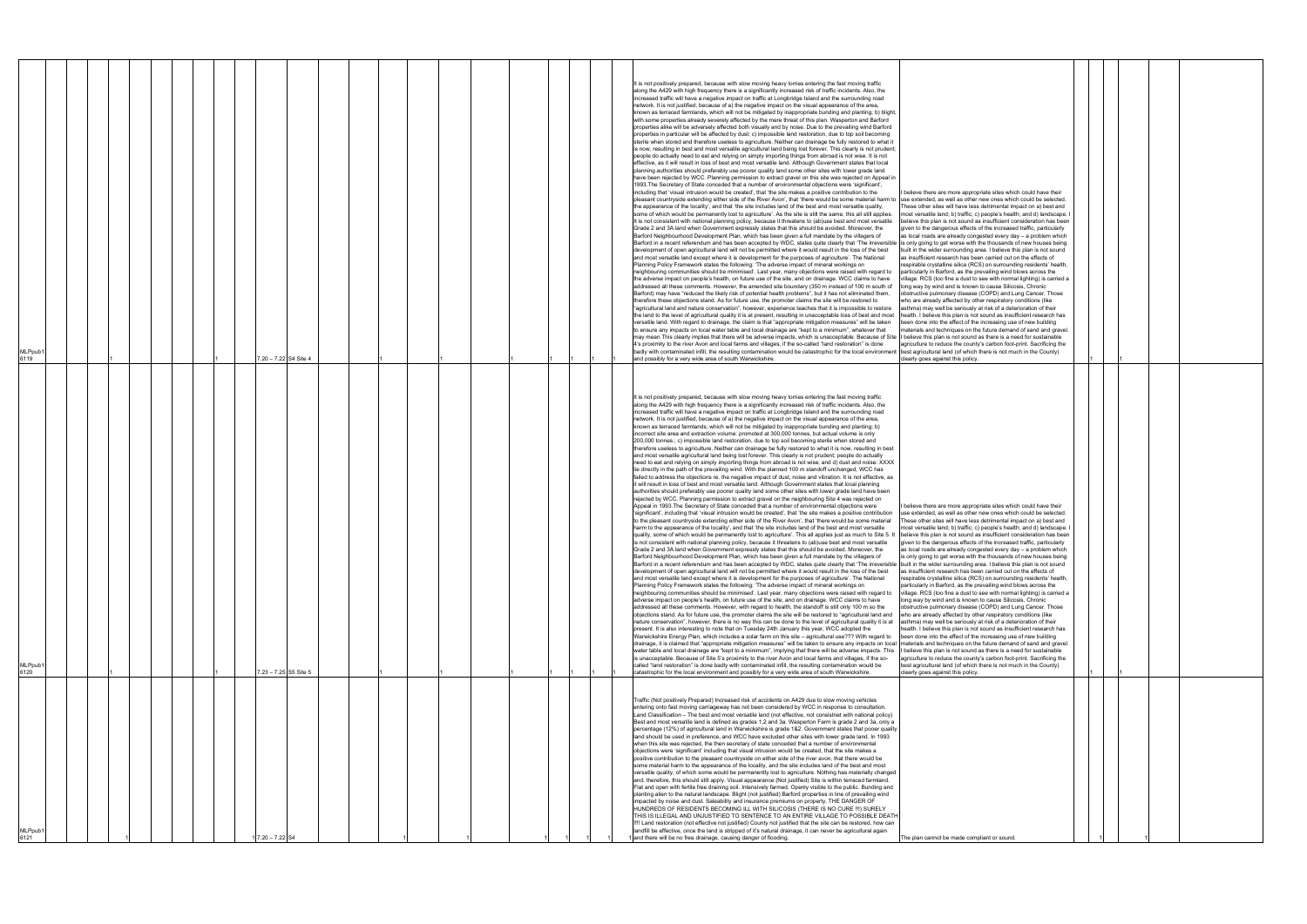| MLPpub′<br>6121                                                                                                                                                                                                                                                                                                                                                                                                                                                                                                                                                                                                                                                                                                                                                                                                                                                                                                                                                                                                                                                                                                                                                                                                                                                                                                                                                                                                                                                                                                                                                                                                                                                                                                                                                                                                                                                                                                                                                                                                                                                                                                                                                               | MLPpub1<br>6120                                                                                                                                                                                                                                                                                                                                                                                                                                                                                                                                                                                                                                                                                                                                                                                                                                                                                                                                                                                                                                                                                                                                                                                                                                                                                                                                                                                                                                                                                                                                                                                                                                                                                                                                                                                                                                                                                                                                                                                                                                                                                                                                                                                                                                                                                                                                                                                                                                                                                                                                                                                                                                                                                                                                                                                                                                                                                                                                                                                                                                                                                                                                                                                                                                                                                                                                                                                                                                                                                                                                                                                                                                                                                                                                                                                                                                                                                                                                                                                                                                                                                                                                                                                                                                                                                                                                                                                                                                                                                                                                                                                                                                                                                                                                                                                                                                                                                                                                                                                                                                                                                                                                                                                                                                                                                                                                                                                                                                                                                                                                                                                                                                                                                                                                                                                                                                                                                                                                                                        | MLPpub′<br>6119                                                                                                                                                                                                                                                                                                                                                                                                                                                                                                                                                                                                                                                                                                                                                                                                                                                                                                                                                                                                                                                                                                                                                                                                                                                                                                                                                                                                                                                                                                                                                                                                                                                                                                                                                                                                                                                                                                                                                                                                                                                                                                                                                                                                                                                                                                                                                                                                                                                                                                                                                                                                                                                                                                                                                                                                                                                                                                                                                                                                                                                                                                                                                                                                                                                                                                                                                                                                                                                                                                                                                                                                                                                                                                                                                                                                                                                                                                                                                                                                                                                                                                                                                                                                                                                                                                                                                                                                                                                                                                                                                                                                                                                                                                                                                                                                                                                                                                                                                                                                                                                                                                                                                                                                                                                                                                                                                                                                                                                                                                                                                                                                                                                                                                                                                                                                                                                                                                                                                                                    |
|-------------------------------------------------------------------------------------------------------------------------------------------------------------------------------------------------------------------------------------------------------------------------------------------------------------------------------------------------------------------------------------------------------------------------------------------------------------------------------------------------------------------------------------------------------------------------------------------------------------------------------------------------------------------------------------------------------------------------------------------------------------------------------------------------------------------------------------------------------------------------------------------------------------------------------------------------------------------------------------------------------------------------------------------------------------------------------------------------------------------------------------------------------------------------------------------------------------------------------------------------------------------------------------------------------------------------------------------------------------------------------------------------------------------------------------------------------------------------------------------------------------------------------------------------------------------------------------------------------------------------------------------------------------------------------------------------------------------------------------------------------------------------------------------------------------------------------------------------------------------------------------------------------------------------------------------------------------------------------------------------------------------------------------------------------------------------------------------------------------------------------------------------------------------------------|----------------------------------------------------------------------------------------------------------------------------------------------------------------------------------------------------------------------------------------------------------------------------------------------------------------------------------------------------------------------------------------------------------------------------------------------------------------------------------------------------------------------------------------------------------------------------------------------------------------------------------------------------------------------------------------------------------------------------------------------------------------------------------------------------------------------------------------------------------------------------------------------------------------------------------------------------------------------------------------------------------------------------------------------------------------------------------------------------------------------------------------------------------------------------------------------------------------------------------------------------------------------------------------------------------------------------------------------------------------------------------------------------------------------------------------------------------------------------------------------------------------------------------------------------------------------------------------------------------------------------------------------------------------------------------------------------------------------------------------------------------------------------------------------------------------------------------------------------------------------------------------------------------------------------------------------------------------------------------------------------------------------------------------------------------------------------------------------------------------------------------------------------------------------------------------------------------------------------------------------------------------------------------------------------------------------------------------------------------------------------------------------------------------------------------------------------------------------------------------------------------------------------------------------------------------------------------------------------------------------------------------------------------------------------------------------------------------------------------------------------------------------------------------------------------------------------------------------------------------------------------------------------------------------------------------------------------------------------------------------------------------------------------------------------------------------------------------------------------------------------------------------------------------------------------------------------------------------------------------------------------------------------------------------------------------------------------------------------------------------------------------------------------------------------------------------------------------------------------------------------------------------------------------------------------------------------------------------------------------------------------------------------------------------------------------------------------------------------------------------------------------------------------------------------------------------------------------------------------------------------------------------------------------------------------------------------------------------------------------------------------------------------------------------------------------------------------------------------------------------------------------------------------------------------------------------------------------------------------------------------------------------------------------------------------------------------------------------------------------------------------------------------------------------------------------------------------------------------------------------------------------------------------------------------------------------------------------------------------------------------------------------------------------------------------------------------------------------------------------------------------------------------------------------------------------------------------------------------------------------------------------------------------------------------------------------------------------------------------------------------------------------------------------------------------------------------------------------------------------------------------------------------------------------------------------------------------------------------------------------------------------------------------------------------------------------------------------------------------------------------------------------------------------------------------------------------------------------------------------------------------------------------------------------------------------------------------------------------------------------------------------------------------------------------------------------------------------------------------------------------------------------------------------------------------------------------------------------------------------------------------------------------------------------------------------------------------------------------------------|----------------------------------------------------------------------------------------------------------------------------------------------------------------------------------------------------------------------------------------------------------------------------------------------------------------------------------------------------------------------------------------------------------------------------------------------------------------------------------------------------------------------------------------------------------------------------------------------------------------------------------------------------------------------------------------------------------------------------------------------------------------------------------------------------------------------------------------------------------------------------------------------------------------------------------------------------------------------------------------------------------------------------------------------------------------------------------------------------------------------------------------------------------------------------------------------------------------------------------------------------------------------------------------------------------------------------------------------------------------------------------------------------------------------------------------------------------------------------------------------------------------------------------------------------------------------------------------------------------------------------------------------------------------------------------------------------------------------------------------------------------------------------------------------------------------------------------------------------------------------------------------------------------------------------------------------------------------------------------------------------------------------------------------------------------------------------------------------------------------------------------------------------------------------------------------------------------------------------------------------------------------------------------------------------------------------------------------------------------------------------------------------------------------------------------------------------------------------------------------------------------------------------------------------------------------------------------------------------------------------------------------------------------------------------------------------------------------------------------------------------------------------------------------------------------------------------------------------------------------------------------------------------------------------------------------------------------------------------------------------------------------------------------------------------------------------------------------------------------------------------------------------------------------------------------------------------------------------------------------------------------------------------------------------------------------------------------------------------------------------------------------------------------------------------------------------------------------------------------------------------------------------------------------------------------------------------------------------------------------------------------------------------------------------------------------------------------------------------------------------------------------------------------------------------------------------------------------------------------------------------------------------------------------------------------------------------------------------------------------------------------------------------------------------------------------------------------------------------------------------------------------------------------------------------------------------------------------------------------------------------------------------------------------------------------------------------------------------------------------------------------------------------------------------------------------------------------------------------------------------------------------------------------------------------------------------------------------------------------------------------------------------------------------------------------------------------------------------------------------------------------------------------------------------------------------------------------------------------------------------------------------------------------------------------------------------------------------------------------------------------------------------------------------------------------------------------------------------------------------------------------------------------------------------------------------------------------------------------------------------------------------------------------------------------------------------------------------------------------------------------------------------------------------------------------------------------------------------------------------------------------------------------------------------------------------------------------------------------------------------------------------------------------------------------------------------------------------------------------------------------------------------------------------------------------------------------------------------------------------------------------------------------------------------------------------------------------------------------------------------------|
|                                                                                                                                                                                                                                                                                                                                                                                                                                                                                                                                                                                                                                                                                                                                                                                                                                                                                                                                                                                                                                                                                                                                                                                                                                                                                                                                                                                                                                                                                                                                                                                                                                                                                                                                                                                                                                                                                                                                                                                                                                                                                                                                                                               |                                                                                                                                                                                                                                                                                                                                                                                                                                                                                                                                                                                                                                                                                                                                                                                                                                                                                                                                                                                                                                                                                                                                                                                                                                                                                                                                                                                                                                                                                                                                                                                                                                                                                                                                                                                                                                                                                                                                                                                                                                                                                                                                                                                                                                                                                                                                                                                                                                                                                                                                                                                                                                                                                                                                                                                                                                                                                                                                                                                                                                                                                                                                                                                                                                                                                                                                                                                                                                                                                                                                                                                                                                                                                                                                                                                                                                                                                                                                                                                                                                                                                                                                                                                                                                                                                                                                                                                                                                                                                                                                                                                                                                                                                                                                                                                                                                                                                                                                                                                                                                                                                                                                                                                                                                                                                                                                                                                                                                                                                                                                                                                                                                                                                                                                                                                                                                                                                                                                                                                        |                                                                                                                                                                                                                                                                                                                                                                                                                                                                                                                                                                                                                                                                                                                                                                                                                                                                                                                                                                                                                                                                                                                                                                                                                                                                                                                                                                                                                                                                                                                                                                                                                                                                                                                                                                                                                                                                                                                                                                                                                                                                                                                                                                                                                                                                                                                                                                                                                                                                                                                                                                                                                                                                                                                                                                                                                                                                                                                                                                                                                                                                                                                                                                                                                                                                                                                                                                                                                                                                                                                                                                                                                                                                                                                                                                                                                                                                                                                                                                                                                                                                                                                                                                                                                                                                                                                                                                                                                                                                                                                                                                                                                                                                                                                                                                                                                                                                                                                                                                                                                                                                                                                                                                                                                                                                                                                                                                                                                                                                                                                                                                                                                                                                                                                                                                                                                                                                                                                                                                                                    |
|                                                                                                                                                                                                                                                                                                                                                                                                                                                                                                                                                                                                                                                                                                                                                                                                                                                                                                                                                                                                                                                                                                                                                                                                                                                                                                                                                                                                                                                                                                                                                                                                                                                                                                                                                                                                                                                                                                                                                                                                                                                                                                                                                                               |                                                                                                                                                                                                                                                                                                                                                                                                                                                                                                                                                                                                                                                                                                                                                                                                                                                                                                                                                                                                                                                                                                                                                                                                                                                                                                                                                                                                                                                                                                                                                                                                                                                                                                                                                                                                                                                                                                                                                                                                                                                                                                                                                                                                                                                                                                                                                                                                                                                                                                                                                                                                                                                                                                                                                                                                                                                                                                                                                                                                                                                                                                                                                                                                                                                                                                                                                                                                                                                                                                                                                                                                                                                                                                                                                                                                                                                                                                                                                                                                                                                                                                                                                                                                                                                                                                                                                                                                                                                                                                                                                                                                                                                                                                                                                                                                                                                                                                                                                                                                                                                                                                                                                                                                                                                                                                                                                                                                                                                                                                                                                                                                                                                                                                                                                                                                                                                                                                                                                                                        |                                                                                                                                                                                                                                                                                                                                                                                                                                                                                                                                                                                                                                                                                                                                                                                                                                                                                                                                                                                                                                                                                                                                                                                                                                                                                                                                                                                                                                                                                                                                                                                                                                                                                                                                                                                                                                                                                                                                                                                                                                                                                                                                                                                                                                                                                                                                                                                                                                                                                                                                                                                                                                                                                                                                                                                                                                                                                                                                                                                                                                                                                                                                                                                                                                                                                                                                                                                                                                                                                                                                                                                                                                                                                                                                                                                                                                                                                                                                                                                                                                                                                                                                                                                                                                                                                                                                                                                                                                                                                                                                                                                                                                                                                                                                                                                                                                                                                                                                                                                                                                                                                                                                                                                                                                                                                                                                                                                                                                                                                                                                                                                                                                                                                                                                                                                                                                                                                                                                                                                                    |
|                                                                                                                                                                                                                                                                                                                                                                                                                                                                                                                                                                                                                                                                                                                                                                                                                                                                                                                                                                                                                                                                                                                                                                                                                                                                                                                                                                                                                                                                                                                                                                                                                                                                                                                                                                                                                                                                                                                                                                                                                                                                                                                                                                               |                                                                                                                                                                                                                                                                                                                                                                                                                                                                                                                                                                                                                                                                                                                                                                                                                                                                                                                                                                                                                                                                                                                                                                                                                                                                                                                                                                                                                                                                                                                                                                                                                                                                                                                                                                                                                                                                                                                                                                                                                                                                                                                                                                                                                                                                                                                                                                                                                                                                                                                                                                                                                                                                                                                                                                                                                                                                                                                                                                                                                                                                                                                                                                                                                                                                                                                                                                                                                                                                                                                                                                                                                                                                                                                                                                                                                                                                                                                                                                                                                                                                                                                                                                                                                                                                                                                                                                                                                                                                                                                                                                                                                                                                                                                                                                                                                                                                                                                                                                                                                                                                                                                                                                                                                                                                                                                                                                                                                                                                                                                                                                                                                                                                                                                                                                                                                                                                                                                                                                                        |                                                                                                                                                                                                                                                                                                                                                                                                                                                                                                                                                                                                                                                                                                                                                                                                                                                                                                                                                                                                                                                                                                                                                                                                                                                                                                                                                                                                                                                                                                                                                                                                                                                                                                                                                                                                                                                                                                                                                                                                                                                                                                                                                                                                                                                                                                                                                                                                                                                                                                                                                                                                                                                                                                                                                                                                                                                                                                                                                                                                                                                                                                                                                                                                                                                                                                                                                                                                                                                                                                                                                                                                                                                                                                                                                                                                                                                                                                                                                                                                                                                                                                                                                                                                                                                                                                                                                                                                                                                                                                                                                                                                                                                                                                                                                                                                                                                                                                                                                                                                                                                                                                                                                                                                                                                                                                                                                                                                                                                                                                                                                                                                                                                                                                                                                                                                                                                                                                                                                                                                    |
|                                                                                                                                                                                                                                                                                                                                                                                                                                                                                                                                                                                                                                                                                                                                                                                                                                                                                                                                                                                                                                                                                                                                                                                                                                                                                                                                                                                                                                                                                                                                                                                                                                                                                                                                                                                                                                                                                                                                                                                                                                                                                                                                                                               |                                                                                                                                                                                                                                                                                                                                                                                                                                                                                                                                                                                                                                                                                                                                                                                                                                                                                                                                                                                                                                                                                                                                                                                                                                                                                                                                                                                                                                                                                                                                                                                                                                                                                                                                                                                                                                                                                                                                                                                                                                                                                                                                                                                                                                                                                                                                                                                                                                                                                                                                                                                                                                                                                                                                                                                                                                                                                                                                                                                                                                                                                                                                                                                                                                                                                                                                                                                                                                                                                                                                                                                                                                                                                                                                                                                                                                                                                                                                                                                                                                                                                                                                                                                                                                                                                                                                                                                                                                                                                                                                                                                                                                                                                                                                                                                                                                                                                                                                                                                                                                                                                                                                                                                                                                                                                                                                                                                                                                                                                                                                                                                                                                                                                                                                                                                                                                                                                                                                                                                        |                                                                                                                                                                                                                                                                                                                                                                                                                                                                                                                                                                                                                                                                                                                                                                                                                                                                                                                                                                                                                                                                                                                                                                                                                                                                                                                                                                                                                                                                                                                                                                                                                                                                                                                                                                                                                                                                                                                                                                                                                                                                                                                                                                                                                                                                                                                                                                                                                                                                                                                                                                                                                                                                                                                                                                                                                                                                                                                                                                                                                                                                                                                                                                                                                                                                                                                                                                                                                                                                                                                                                                                                                                                                                                                                                                                                                                                                                                                                                                                                                                                                                                                                                                                                                                                                                                                                                                                                                                                                                                                                                                                                                                                                                                                                                                                                                                                                                                                                                                                                                                                                                                                                                                                                                                                                                                                                                                                                                                                                                                                                                                                                                                                                                                                                                                                                                                                                                                                                                                                                    |
|                                                                                                                                                                                                                                                                                                                                                                                                                                                                                                                                                                                                                                                                                                                                                                                                                                                                                                                                                                                                                                                                                                                                                                                                                                                                                                                                                                                                                                                                                                                                                                                                                                                                                                                                                                                                                                                                                                                                                                                                                                                                                                                                                                               |                                                                                                                                                                                                                                                                                                                                                                                                                                                                                                                                                                                                                                                                                                                                                                                                                                                                                                                                                                                                                                                                                                                                                                                                                                                                                                                                                                                                                                                                                                                                                                                                                                                                                                                                                                                                                                                                                                                                                                                                                                                                                                                                                                                                                                                                                                                                                                                                                                                                                                                                                                                                                                                                                                                                                                                                                                                                                                                                                                                                                                                                                                                                                                                                                                                                                                                                                                                                                                                                                                                                                                                                                                                                                                                                                                                                                                                                                                                                                                                                                                                                                                                                                                                                                                                                                                                                                                                                                                                                                                                                                                                                                                                                                                                                                                                                                                                                                                                                                                                                                                                                                                                                                                                                                                                                                                                                                                                                                                                                                                                                                                                                                                                                                                                                                                                                                                                                                                                                                                                        |                                                                                                                                                                                                                                                                                                                                                                                                                                                                                                                                                                                                                                                                                                                                                                                                                                                                                                                                                                                                                                                                                                                                                                                                                                                                                                                                                                                                                                                                                                                                                                                                                                                                                                                                                                                                                                                                                                                                                                                                                                                                                                                                                                                                                                                                                                                                                                                                                                                                                                                                                                                                                                                                                                                                                                                                                                                                                                                                                                                                                                                                                                                                                                                                                                                                                                                                                                                                                                                                                                                                                                                                                                                                                                                                                                                                                                                                                                                                                                                                                                                                                                                                                                                                                                                                                                                                                                                                                                                                                                                                                                                                                                                                                                                                                                                                                                                                                                                                                                                                                                                                                                                                                                                                                                                                                                                                                                                                                                                                                                                                                                                                                                                                                                                                                                                                                                                                                                                                                                                                    |
|                                                                                                                                                                                                                                                                                                                                                                                                                                                                                                                                                                                                                                                                                                                                                                                                                                                                                                                                                                                                                                                                                                                                                                                                                                                                                                                                                                                                                                                                                                                                                                                                                                                                                                                                                                                                                                                                                                                                                                                                                                                                                                                                                                               |                                                                                                                                                                                                                                                                                                                                                                                                                                                                                                                                                                                                                                                                                                                                                                                                                                                                                                                                                                                                                                                                                                                                                                                                                                                                                                                                                                                                                                                                                                                                                                                                                                                                                                                                                                                                                                                                                                                                                                                                                                                                                                                                                                                                                                                                                                                                                                                                                                                                                                                                                                                                                                                                                                                                                                                                                                                                                                                                                                                                                                                                                                                                                                                                                                                                                                                                                                                                                                                                                                                                                                                                                                                                                                                                                                                                                                                                                                                                                                                                                                                                                                                                                                                                                                                                                                                                                                                                                                                                                                                                                                                                                                                                                                                                                                                                                                                                                                                                                                                                                                                                                                                                                                                                                                                                                                                                                                                                                                                                                                                                                                                                                                                                                                                                                                                                                                                                                                                                                                                        |                                                                                                                                                                                                                                                                                                                                                                                                                                                                                                                                                                                                                                                                                                                                                                                                                                                                                                                                                                                                                                                                                                                                                                                                                                                                                                                                                                                                                                                                                                                                                                                                                                                                                                                                                                                                                                                                                                                                                                                                                                                                                                                                                                                                                                                                                                                                                                                                                                                                                                                                                                                                                                                                                                                                                                                                                                                                                                                                                                                                                                                                                                                                                                                                                                                                                                                                                                                                                                                                                                                                                                                                                                                                                                                                                                                                                                                                                                                                                                                                                                                                                                                                                                                                                                                                                                                                                                                                                                                                                                                                                                                                                                                                                                                                                                                                                                                                                                                                                                                                                                                                                                                                                                                                                                                                                                                                                                                                                                                                                                                                                                                                                                                                                                                                                                                                                                                                                                                                                                                                    |
|                                                                                                                                                                                                                                                                                                                                                                                                                                                                                                                                                                                                                                                                                                                                                                                                                                                                                                                                                                                                                                                                                                                                                                                                                                                                                                                                                                                                                                                                                                                                                                                                                                                                                                                                                                                                                                                                                                                                                                                                                                                                                                                                                                               |                                                                                                                                                                                                                                                                                                                                                                                                                                                                                                                                                                                                                                                                                                                                                                                                                                                                                                                                                                                                                                                                                                                                                                                                                                                                                                                                                                                                                                                                                                                                                                                                                                                                                                                                                                                                                                                                                                                                                                                                                                                                                                                                                                                                                                                                                                                                                                                                                                                                                                                                                                                                                                                                                                                                                                                                                                                                                                                                                                                                                                                                                                                                                                                                                                                                                                                                                                                                                                                                                                                                                                                                                                                                                                                                                                                                                                                                                                                                                                                                                                                                                                                                                                                                                                                                                                                                                                                                                                                                                                                                                                                                                                                                                                                                                                                                                                                                                                                                                                                                                                                                                                                                                                                                                                                                                                                                                                                                                                                                                                                                                                                                                                                                                                                                                                                                                                                                                                                                                                                        |                                                                                                                                                                                                                                                                                                                                                                                                                                                                                                                                                                                                                                                                                                                                                                                                                                                                                                                                                                                                                                                                                                                                                                                                                                                                                                                                                                                                                                                                                                                                                                                                                                                                                                                                                                                                                                                                                                                                                                                                                                                                                                                                                                                                                                                                                                                                                                                                                                                                                                                                                                                                                                                                                                                                                                                                                                                                                                                                                                                                                                                                                                                                                                                                                                                                                                                                                                                                                                                                                                                                                                                                                                                                                                                                                                                                                                                                                                                                                                                                                                                                                                                                                                                                                                                                                                                                                                                                                                                                                                                                                                                                                                                                                                                                                                                                                                                                                                                                                                                                                                                                                                                                                                                                                                                                                                                                                                                                                                                                                                                                                                                                                                                                                                                                                                                                                                                                                                                                                                                                    |
|                                                                                                                                                                                                                                                                                                                                                                                                                                                                                                                                                                                                                                                                                                                                                                                                                                                                                                                                                                                                                                                                                                                                                                                                                                                                                                                                                                                                                                                                                                                                                                                                                                                                                                                                                                                                                                                                                                                                                                                                                                                                                                                                                                               |                                                                                                                                                                                                                                                                                                                                                                                                                                                                                                                                                                                                                                                                                                                                                                                                                                                                                                                                                                                                                                                                                                                                                                                                                                                                                                                                                                                                                                                                                                                                                                                                                                                                                                                                                                                                                                                                                                                                                                                                                                                                                                                                                                                                                                                                                                                                                                                                                                                                                                                                                                                                                                                                                                                                                                                                                                                                                                                                                                                                                                                                                                                                                                                                                                                                                                                                                                                                                                                                                                                                                                                                                                                                                                                                                                                                                                                                                                                                                                                                                                                                                                                                                                                                                                                                                                                                                                                                                                                                                                                                                                                                                                                                                                                                                                                                                                                                                                                                                                                                                                                                                                                                                                                                                                                                                                                                                                                                                                                                                                                                                                                                                                                                                                                                                                                                                                                                                                                                                                                        |                                                                                                                                                                                                                                                                                                                                                                                                                                                                                                                                                                                                                                                                                                                                                                                                                                                                                                                                                                                                                                                                                                                                                                                                                                                                                                                                                                                                                                                                                                                                                                                                                                                                                                                                                                                                                                                                                                                                                                                                                                                                                                                                                                                                                                                                                                                                                                                                                                                                                                                                                                                                                                                                                                                                                                                                                                                                                                                                                                                                                                                                                                                                                                                                                                                                                                                                                                                                                                                                                                                                                                                                                                                                                                                                                                                                                                                                                                                                                                                                                                                                                                                                                                                                                                                                                                                                                                                                                                                                                                                                                                                                                                                                                                                                                                                                                                                                                                                                                                                                                                                                                                                                                                                                                                                                                                                                                                                                                                                                                                                                                                                                                                                                                                                                                                                                                                                                                                                                                                                                    |
|                                                                                                                                                                                                                                                                                                                                                                                                                                                                                                                                                                                                                                                                                                                                                                                                                                                                                                                                                                                                                                                                                                                                                                                                                                                                                                                                                                                                                                                                                                                                                                                                                                                                                                                                                                                                                                                                                                                                                                                                                                                                                                                                                                               |                                                                                                                                                                                                                                                                                                                                                                                                                                                                                                                                                                                                                                                                                                                                                                                                                                                                                                                                                                                                                                                                                                                                                                                                                                                                                                                                                                                                                                                                                                                                                                                                                                                                                                                                                                                                                                                                                                                                                                                                                                                                                                                                                                                                                                                                                                                                                                                                                                                                                                                                                                                                                                                                                                                                                                                                                                                                                                                                                                                                                                                                                                                                                                                                                                                                                                                                                                                                                                                                                                                                                                                                                                                                                                                                                                                                                                                                                                                                                                                                                                                                                                                                                                                                                                                                                                                                                                                                                                                                                                                                                                                                                                                                                                                                                                                                                                                                                                                                                                                                                                                                                                                                                                                                                                                                                                                                                                                                                                                                                                                                                                                                                                                                                                                                                                                                                                                                                                                                                                                        |                                                                                                                                                                                                                                                                                                                                                                                                                                                                                                                                                                                                                                                                                                                                                                                                                                                                                                                                                                                                                                                                                                                                                                                                                                                                                                                                                                                                                                                                                                                                                                                                                                                                                                                                                                                                                                                                                                                                                                                                                                                                                                                                                                                                                                                                                                                                                                                                                                                                                                                                                                                                                                                                                                                                                                                                                                                                                                                                                                                                                                                                                                                                                                                                                                                                                                                                                                                                                                                                                                                                                                                                                                                                                                                                                                                                                                                                                                                                                                                                                                                                                                                                                                                                                                                                                                                                                                                                                                                                                                                                                                                                                                                                                                                                                                                                                                                                                                                                                                                                                                                                                                                                                                                                                                                                                                                                                                                                                                                                                                                                                                                                                                                                                                                                                                                                                                                                                                                                                                                                    |
|                                                                                                                                                                                                                                                                                                                                                                                                                                                                                                                                                                                                                                                                                                                                                                                                                                                                                                                                                                                                                                                                                                                                                                                                                                                                                                                                                                                                                                                                                                                                                                                                                                                                                                                                                                                                                                                                                                                                                                                                                                                                                                                                                                               | 7.23 - 7.25 S5 Site 5                                                                                                                                                                                                                                                                                                                                                                                                                                                                                                                                                                                                                                                                                                                                                                                                                                                                                                                                                                                                                                                                                                                                                                                                                                                                                                                                                                                                                                                                                                                                                                                                                                                                                                                                                                                                                                                                                                                                                                                                                                                                                                                                                                                                                                                                                                                                                                                                                                                                                                                                                                                                                                                                                                                                                                                                                                                                                                                                                                                                                                                                                                                                                                                                                                                                                                                                                                                                                                                                                                                                                                                                                                                                                                                                                                                                                                                                                                                                                                                                                                                                                                                                                                                                                                                                                                                                                                                                                                                                                                                                                                                                                                                                                                                                                                                                                                                                                                                                                                                                                                                                                                                                                                                                                                                                                                                                                                                                                                                                                                                                                                                                                                                                                                                                                                                                                                                                                                                                                                  | 7.20 - 7.22 S4 Site 4                                                                                                                                                                                                                                                                                                                                                                                                                                                                                                                                                                                                                                                                                                                                                                                                                                                                                                                                                                                                                                                                                                                                                                                                                                                                                                                                                                                                                                                                                                                                                                                                                                                                                                                                                                                                                                                                                                                                                                                                                                                                                                                                                                                                                                                                                                                                                                                                                                                                                                                                                                                                                                                                                                                                                                                                                                                                                                                                                                                                                                                                                                                                                                                                                                                                                                                                                                                                                                                                                                                                                                                                                                                                                                                                                                                                                                                                                                                                                                                                                                                                                                                                                                                                                                                                                                                                                                                                                                                                                                                                                                                                                                                                                                                                                                                                                                                                                                                                                                                                                                                                                                                                                                                                                                                                                                                                                                                                                                                                                                                                                                                                                                                                                                                                                                                                                                                                                                                                                                              |
|                                                                                                                                                                                                                                                                                                                                                                                                                                                                                                                                                                                                                                                                                                                                                                                                                                                                                                                                                                                                                                                                                                                                                                                                                                                                                                                                                                                                                                                                                                                                                                                                                                                                                                                                                                                                                                                                                                                                                                                                                                                                                                                                                                               |                                                                                                                                                                                                                                                                                                                                                                                                                                                                                                                                                                                                                                                                                                                                                                                                                                                                                                                                                                                                                                                                                                                                                                                                                                                                                                                                                                                                                                                                                                                                                                                                                                                                                                                                                                                                                                                                                                                                                                                                                                                                                                                                                                                                                                                                                                                                                                                                                                                                                                                                                                                                                                                                                                                                                                                                                                                                                                                                                                                                                                                                                                                                                                                                                                                                                                                                                                                                                                                                                                                                                                                                                                                                                                                                                                                                                                                                                                                                                                                                                                                                                                                                                                                                                                                                                                                                                                                                                                                                                                                                                                                                                                                                                                                                                                                                                                                                                                                                                                                                                                                                                                                                                                                                                                                                                                                                                                                                                                                                                                                                                                                                                                                                                                                                                                                                                                                                                                                                                                                        |                                                                                                                                                                                                                                                                                                                                                                                                                                                                                                                                                                                                                                                                                                                                                                                                                                                                                                                                                                                                                                                                                                                                                                                                                                                                                                                                                                                                                                                                                                                                                                                                                                                                                                                                                                                                                                                                                                                                                                                                                                                                                                                                                                                                                                                                                                                                                                                                                                                                                                                                                                                                                                                                                                                                                                                                                                                                                                                                                                                                                                                                                                                                                                                                                                                                                                                                                                                                                                                                                                                                                                                                                                                                                                                                                                                                                                                                                                                                                                                                                                                                                                                                                                                                                                                                                                                                                                                                                                                                                                                                                                                                                                                                                                                                                                                                                                                                                                                                                                                                                                                                                                                                                                                                                                                                                                                                                                                                                                                                                                                                                                                                                                                                                                                                                                                                                                                                                                                                                                                                    |
|                                                                                                                                                                                                                                                                                                                                                                                                                                                                                                                                                                                                                                                                                                                                                                                                                                                                                                                                                                                                                                                                                                                                                                                                                                                                                                                                                                                                                                                                                                                                                                                                                                                                                                                                                                                                                                                                                                                                                                                                                                                                                                                                                                               |                                                                                                                                                                                                                                                                                                                                                                                                                                                                                                                                                                                                                                                                                                                                                                                                                                                                                                                                                                                                                                                                                                                                                                                                                                                                                                                                                                                                                                                                                                                                                                                                                                                                                                                                                                                                                                                                                                                                                                                                                                                                                                                                                                                                                                                                                                                                                                                                                                                                                                                                                                                                                                                                                                                                                                                                                                                                                                                                                                                                                                                                                                                                                                                                                                                                                                                                                                                                                                                                                                                                                                                                                                                                                                                                                                                                                                                                                                                                                                                                                                                                                                                                                                                                                                                                                                                                                                                                                                                                                                                                                                                                                                                                                                                                                                                                                                                                                                                                                                                                                                                                                                                                                                                                                                                                                                                                                                                                                                                                                                                                                                                                                                                                                                                                                                                                                                                                                                                                                                                        |                                                                                                                                                                                                                                                                                                                                                                                                                                                                                                                                                                                                                                                                                                                                                                                                                                                                                                                                                                                                                                                                                                                                                                                                                                                                                                                                                                                                                                                                                                                                                                                                                                                                                                                                                                                                                                                                                                                                                                                                                                                                                                                                                                                                                                                                                                                                                                                                                                                                                                                                                                                                                                                                                                                                                                                                                                                                                                                                                                                                                                                                                                                                                                                                                                                                                                                                                                                                                                                                                                                                                                                                                                                                                                                                                                                                                                                                                                                                                                                                                                                                                                                                                                                                                                                                                                                                                                                                                                                                                                                                                                                                                                                                                                                                                                                                                                                                                                                                                                                                                                                                                                                                                                                                                                                                                                                                                                                                                                                                                                                                                                                                                                                                                                                                                                                                                                                                                                                                                                                                    |
|                                                                                                                                                                                                                                                                                                                                                                                                                                                                                                                                                                                                                                                                                                                                                                                                                                                                                                                                                                                                                                                                                                                                                                                                                                                                                                                                                                                                                                                                                                                                                                                                                                                                                                                                                                                                                                                                                                                                                                                                                                                                                                                                                                               |                                                                                                                                                                                                                                                                                                                                                                                                                                                                                                                                                                                                                                                                                                                                                                                                                                                                                                                                                                                                                                                                                                                                                                                                                                                                                                                                                                                                                                                                                                                                                                                                                                                                                                                                                                                                                                                                                                                                                                                                                                                                                                                                                                                                                                                                                                                                                                                                                                                                                                                                                                                                                                                                                                                                                                                                                                                                                                                                                                                                                                                                                                                                                                                                                                                                                                                                                                                                                                                                                                                                                                                                                                                                                                                                                                                                                                                                                                                                                                                                                                                                                                                                                                                                                                                                                                                                                                                                                                                                                                                                                                                                                                                                                                                                                                                                                                                                                                                                                                                                                                                                                                                                                                                                                                                                                                                                                                                                                                                                                                                                                                                                                                                                                                                                                                                                                                                                                                                                                                                        |                                                                                                                                                                                                                                                                                                                                                                                                                                                                                                                                                                                                                                                                                                                                                                                                                                                                                                                                                                                                                                                                                                                                                                                                                                                                                                                                                                                                                                                                                                                                                                                                                                                                                                                                                                                                                                                                                                                                                                                                                                                                                                                                                                                                                                                                                                                                                                                                                                                                                                                                                                                                                                                                                                                                                                                                                                                                                                                                                                                                                                                                                                                                                                                                                                                                                                                                                                                                                                                                                                                                                                                                                                                                                                                                                                                                                                                                                                                                                                                                                                                                                                                                                                                                                                                                                                                                                                                                                                                                                                                                                                                                                                                                                                                                                                                                                                                                                                                                                                                                                                                                                                                                                                                                                                                                                                                                                                                                                                                                                                                                                                                                                                                                                                                                                                                                                                                                                                                                                                                                    |
|                                                                                                                                                                                                                                                                                                                                                                                                                                                                                                                                                                                                                                                                                                                                                                                                                                                                                                                                                                                                                                                                                                                                                                                                                                                                                                                                                                                                                                                                                                                                                                                                                                                                                                                                                                                                                                                                                                                                                                                                                                                                                                                                                                               |                                                                                                                                                                                                                                                                                                                                                                                                                                                                                                                                                                                                                                                                                                                                                                                                                                                                                                                                                                                                                                                                                                                                                                                                                                                                                                                                                                                                                                                                                                                                                                                                                                                                                                                                                                                                                                                                                                                                                                                                                                                                                                                                                                                                                                                                                                                                                                                                                                                                                                                                                                                                                                                                                                                                                                                                                                                                                                                                                                                                                                                                                                                                                                                                                                                                                                                                                                                                                                                                                                                                                                                                                                                                                                                                                                                                                                                                                                                                                                                                                                                                                                                                                                                                                                                                                                                                                                                                                                                                                                                                                                                                                                                                                                                                                                                                                                                                                                                                                                                                                                                                                                                                                                                                                                                                                                                                                                                                                                                                                                                                                                                                                                                                                                                                                                                                                                                                                                                                                                                        |                                                                                                                                                                                                                                                                                                                                                                                                                                                                                                                                                                                                                                                                                                                                                                                                                                                                                                                                                                                                                                                                                                                                                                                                                                                                                                                                                                                                                                                                                                                                                                                                                                                                                                                                                                                                                                                                                                                                                                                                                                                                                                                                                                                                                                                                                                                                                                                                                                                                                                                                                                                                                                                                                                                                                                                                                                                                                                                                                                                                                                                                                                                                                                                                                                                                                                                                                                                                                                                                                                                                                                                                                                                                                                                                                                                                                                                                                                                                                                                                                                                                                                                                                                                                                                                                                                                                                                                                                                                                                                                                                                                                                                                                                                                                                                                                                                                                                                                                                                                                                                                                                                                                                                                                                                                                                                                                                                                                                                                                                                                                                                                                                                                                                                                                                                                                                                                                                                                                                                                                    |
|                                                                                                                                                                                                                                                                                                                                                                                                                                                                                                                                                                                                                                                                                                                                                                                                                                                                                                                                                                                                                                                                                                                                                                                                                                                                                                                                                                                                                                                                                                                                                                                                                                                                                                                                                                                                                                                                                                                                                                                                                                                                                                                                                                               |                                                                                                                                                                                                                                                                                                                                                                                                                                                                                                                                                                                                                                                                                                                                                                                                                                                                                                                                                                                                                                                                                                                                                                                                                                                                                                                                                                                                                                                                                                                                                                                                                                                                                                                                                                                                                                                                                                                                                                                                                                                                                                                                                                                                                                                                                                                                                                                                                                                                                                                                                                                                                                                                                                                                                                                                                                                                                                                                                                                                                                                                                                                                                                                                                                                                                                                                                                                                                                                                                                                                                                                                                                                                                                                                                                                                                                                                                                                                                                                                                                                                                                                                                                                                                                                                                                                                                                                                                                                                                                                                                                                                                                                                                                                                                                                                                                                                                                                                                                                                                                                                                                                                                                                                                                                                                                                                                                                                                                                                                                                                                                                                                                                                                                                                                                                                                                                                                                                                                                                        |                                                                                                                                                                                                                                                                                                                                                                                                                                                                                                                                                                                                                                                                                                                                                                                                                                                                                                                                                                                                                                                                                                                                                                                                                                                                                                                                                                                                                                                                                                                                                                                                                                                                                                                                                                                                                                                                                                                                                                                                                                                                                                                                                                                                                                                                                                                                                                                                                                                                                                                                                                                                                                                                                                                                                                                                                                                                                                                                                                                                                                                                                                                                                                                                                                                                                                                                                                                                                                                                                                                                                                                                                                                                                                                                                                                                                                                                                                                                                                                                                                                                                                                                                                                                                                                                                                                                                                                                                                                                                                                                                                                                                                                                                                                                                                                                                                                                                                                                                                                                                                                                                                                                                                                                                                                                                                                                                                                                                                                                                                                                                                                                                                                                                                                                                                                                                                                                                                                                                                                                    |
|                                                                                                                                                                                                                                                                                                                                                                                                                                                                                                                                                                                                                                                                                                                                                                                                                                                                                                                                                                                                                                                                                                                                                                                                                                                                                                                                                                                                                                                                                                                                                                                                                                                                                                                                                                                                                                                                                                                                                                                                                                                                                                                                                                               |                                                                                                                                                                                                                                                                                                                                                                                                                                                                                                                                                                                                                                                                                                                                                                                                                                                                                                                                                                                                                                                                                                                                                                                                                                                                                                                                                                                                                                                                                                                                                                                                                                                                                                                                                                                                                                                                                                                                                                                                                                                                                                                                                                                                                                                                                                                                                                                                                                                                                                                                                                                                                                                                                                                                                                                                                                                                                                                                                                                                                                                                                                                                                                                                                                                                                                                                                                                                                                                                                                                                                                                                                                                                                                                                                                                                                                                                                                                                                                                                                                                                                                                                                                                                                                                                                                                                                                                                                                                                                                                                                                                                                                                                                                                                                                                                                                                                                                                                                                                                                                                                                                                                                                                                                                                                                                                                                                                                                                                                                                                                                                                                                                                                                                                                                                                                                                                                                                                                                                                        |                                                                                                                                                                                                                                                                                                                                                                                                                                                                                                                                                                                                                                                                                                                                                                                                                                                                                                                                                                                                                                                                                                                                                                                                                                                                                                                                                                                                                                                                                                                                                                                                                                                                                                                                                                                                                                                                                                                                                                                                                                                                                                                                                                                                                                                                                                                                                                                                                                                                                                                                                                                                                                                                                                                                                                                                                                                                                                                                                                                                                                                                                                                                                                                                                                                                                                                                                                                                                                                                                                                                                                                                                                                                                                                                                                                                                                                                                                                                                                                                                                                                                                                                                                                                                                                                                                                                                                                                                                                                                                                                                                                                                                                                                                                                                                                                                                                                                                                                                                                                                                                                                                                                                                                                                                                                                                                                                                                                                                                                                                                                                                                                                                                                                                                                                                                                                                                                                                                                                                                                    |
|                                                                                                                                                                                                                                                                                                                                                                                                                                                                                                                                                                                                                                                                                                                                                                                                                                                                                                                                                                                                                                                                                                                                                                                                                                                                                                                                                                                                                                                                                                                                                                                                                                                                                                                                                                                                                                                                                                                                                                                                                                                                                                                                                                               |                                                                                                                                                                                                                                                                                                                                                                                                                                                                                                                                                                                                                                                                                                                                                                                                                                                                                                                                                                                                                                                                                                                                                                                                                                                                                                                                                                                                                                                                                                                                                                                                                                                                                                                                                                                                                                                                                                                                                                                                                                                                                                                                                                                                                                                                                                                                                                                                                                                                                                                                                                                                                                                                                                                                                                                                                                                                                                                                                                                                                                                                                                                                                                                                                                                                                                                                                                                                                                                                                                                                                                                                                                                                                                                                                                                                                                                                                                                                                                                                                                                                                                                                                                                                                                                                                                                                                                                                                                                                                                                                                                                                                                                                                                                                                                                                                                                                                                                                                                                                                                                                                                                                                                                                                                                                                                                                                                                                                                                                                                                                                                                                                                                                                                                                                                                                                                                                                                                                                                                        |                                                                                                                                                                                                                                                                                                                                                                                                                                                                                                                                                                                                                                                                                                                                                                                                                                                                                                                                                                                                                                                                                                                                                                                                                                                                                                                                                                                                                                                                                                                                                                                                                                                                                                                                                                                                                                                                                                                                                                                                                                                                                                                                                                                                                                                                                                                                                                                                                                                                                                                                                                                                                                                                                                                                                                                                                                                                                                                                                                                                                                                                                                                                                                                                                                                                                                                                                                                                                                                                                                                                                                                                                                                                                                                                                                                                                                                                                                                                                                                                                                                                                                                                                                                                                                                                                                                                                                                                                                                                                                                                                                                                                                                                                                                                                                                                                                                                                                                                                                                                                                                                                                                                                                                                                                                                                                                                                                                                                                                                                                                                                                                                                                                                                                                                                                                                                                                                                                                                                                                                    |
|                                                                                                                                                                                                                                                                                                                                                                                                                                                                                                                                                                                                                                                                                                                                                                                                                                                                                                                                                                                                                                                                                                                                                                                                                                                                                                                                                                                                                                                                                                                                                                                                                                                                                                                                                                                                                                                                                                                                                                                                                                                                                                                                                                               |                                                                                                                                                                                                                                                                                                                                                                                                                                                                                                                                                                                                                                                                                                                                                                                                                                                                                                                                                                                                                                                                                                                                                                                                                                                                                                                                                                                                                                                                                                                                                                                                                                                                                                                                                                                                                                                                                                                                                                                                                                                                                                                                                                                                                                                                                                                                                                                                                                                                                                                                                                                                                                                                                                                                                                                                                                                                                                                                                                                                                                                                                                                                                                                                                                                                                                                                                                                                                                                                                                                                                                                                                                                                                                                                                                                                                                                                                                                                                                                                                                                                                                                                                                                                                                                                                                                                                                                                                                                                                                                                                                                                                                                                                                                                                                                                                                                                                                                                                                                                                                                                                                                                                                                                                                                                                                                                                                                                                                                                                                                                                                                                                                                                                                                                                                                                                                                                                                                                                                                        |                                                                                                                                                                                                                                                                                                                                                                                                                                                                                                                                                                                                                                                                                                                                                                                                                                                                                                                                                                                                                                                                                                                                                                                                                                                                                                                                                                                                                                                                                                                                                                                                                                                                                                                                                                                                                                                                                                                                                                                                                                                                                                                                                                                                                                                                                                                                                                                                                                                                                                                                                                                                                                                                                                                                                                                                                                                                                                                                                                                                                                                                                                                                                                                                                                                                                                                                                                                                                                                                                                                                                                                                                                                                                                                                                                                                                                                                                                                                                                                                                                                                                                                                                                                                                                                                                                                                                                                                                                                                                                                                                                                                                                                                                                                                                                                                                                                                                                                                                                                                                                                                                                                                                                                                                                                                                                                                                                                                                                                                                                                                                                                                                                                                                                                                                                                                                                                                                                                                                                                                    |
|                                                                                                                                                                                                                                                                                                                                                                                                                                                                                                                                                                                                                                                                                                                                                                                                                                                                                                                                                                                                                                                                                                                                                                                                                                                                                                                                                                                                                                                                                                                                                                                                                                                                                                                                                                                                                                                                                                                                                                                                                                                                                                                                                                               |                                                                                                                                                                                                                                                                                                                                                                                                                                                                                                                                                                                                                                                                                                                                                                                                                                                                                                                                                                                                                                                                                                                                                                                                                                                                                                                                                                                                                                                                                                                                                                                                                                                                                                                                                                                                                                                                                                                                                                                                                                                                                                                                                                                                                                                                                                                                                                                                                                                                                                                                                                                                                                                                                                                                                                                                                                                                                                                                                                                                                                                                                                                                                                                                                                                                                                                                                                                                                                                                                                                                                                                                                                                                                                                                                                                                                                                                                                                                                                                                                                                                                                                                                                                                                                                                                                                                                                                                                                                                                                                                                                                                                                                                                                                                                                                                                                                                                                                                                                                                                                                                                                                                                                                                                                                                                                                                                                                                                                                                                                                                                                                                                                                                                                                                                                                                                                                                                                                                                                                        |                                                                                                                                                                                                                                                                                                                                                                                                                                                                                                                                                                                                                                                                                                                                                                                                                                                                                                                                                                                                                                                                                                                                                                                                                                                                                                                                                                                                                                                                                                                                                                                                                                                                                                                                                                                                                                                                                                                                                                                                                                                                                                                                                                                                                                                                                                                                                                                                                                                                                                                                                                                                                                                                                                                                                                                                                                                                                                                                                                                                                                                                                                                                                                                                                                                                                                                                                                                                                                                                                                                                                                                                                                                                                                                                                                                                                                                                                                                                                                                                                                                                                                                                                                                                                                                                                                                                                                                                                                                                                                                                                                                                                                                                                                                                                                                                                                                                                                                                                                                                                                                                                                                                                                                                                                                                                                                                                                                                                                                                                                                                                                                                                                                                                                                                                                                                                                                                                                                                                                                                    |
|                                                                                                                                                                                                                                                                                                                                                                                                                                                                                                                                                                                                                                                                                                                                                                                                                                                                                                                                                                                                                                                                                                                                                                                                                                                                                                                                                                                                                                                                                                                                                                                                                                                                                                                                                                                                                                                                                                                                                                                                                                                                                                                                                                               |                                                                                                                                                                                                                                                                                                                                                                                                                                                                                                                                                                                                                                                                                                                                                                                                                                                                                                                                                                                                                                                                                                                                                                                                                                                                                                                                                                                                                                                                                                                                                                                                                                                                                                                                                                                                                                                                                                                                                                                                                                                                                                                                                                                                                                                                                                                                                                                                                                                                                                                                                                                                                                                                                                                                                                                                                                                                                                                                                                                                                                                                                                                                                                                                                                                                                                                                                                                                                                                                                                                                                                                                                                                                                                                                                                                                                                                                                                                                                                                                                                                                                                                                                                                                                                                                                                                                                                                                                                                                                                                                                                                                                                                                                                                                                                                                                                                                                                                                                                                                                                                                                                                                                                                                                                                                                                                                                                                                                                                                                                                                                                                                                                                                                                                                                                                                                                                                                                                                                                                        |                                                                                                                                                                                                                                                                                                                                                                                                                                                                                                                                                                                                                                                                                                                                                                                                                                                                                                                                                                                                                                                                                                                                                                                                                                                                                                                                                                                                                                                                                                                                                                                                                                                                                                                                                                                                                                                                                                                                                                                                                                                                                                                                                                                                                                                                                                                                                                                                                                                                                                                                                                                                                                                                                                                                                                                                                                                                                                                                                                                                                                                                                                                                                                                                                                                                                                                                                                                                                                                                                                                                                                                                                                                                                                                                                                                                                                                                                                                                                                                                                                                                                                                                                                                                                                                                                                                                                                                                                                                                                                                                                                                                                                                                                                                                                                                                                                                                                                                                                                                                                                                                                                                                                                                                                                                                                                                                                                                                                                                                                                                                                                                                                                                                                                                                                                                                                                                                                                                                                                                                    |
|                                                                                                                                                                                                                                                                                                                                                                                                                                                                                                                                                                                                                                                                                                                                                                                                                                                                                                                                                                                                                                                                                                                                                                                                                                                                                                                                                                                                                                                                                                                                                                                                                                                                                                                                                                                                                                                                                                                                                                                                                                                                                                                                                                               |                                                                                                                                                                                                                                                                                                                                                                                                                                                                                                                                                                                                                                                                                                                                                                                                                                                                                                                                                                                                                                                                                                                                                                                                                                                                                                                                                                                                                                                                                                                                                                                                                                                                                                                                                                                                                                                                                                                                                                                                                                                                                                                                                                                                                                                                                                                                                                                                                                                                                                                                                                                                                                                                                                                                                                                                                                                                                                                                                                                                                                                                                                                                                                                                                                                                                                                                                                                                                                                                                                                                                                                                                                                                                                                                                                                                                                                                                                                                                                                                                                                                                                                                                                                                                                                                                                                                                                                                                                                                                                                                                                                                                                                                                                                                                                                                                                                                                                                                                                                                                                                                                                                                                                                                                                                                                                                                                                                                                                                                                                                                                                                                                                                                                                                                                                                                                                                                                                                                                                                        |                                                                                                                                                                                                                                                                                                                                                                                                                                                                                                                                                                                                                                                                                                                                                                                                                                                                                                                                                                                                                                                                                                                                                                                                                                                                                                                                                                                                                                                                                                                                                                                                                                                                                                                                                                                                                                                                                                                                                                                                                                                                                                                                                                                                                                                                                                                                                                                                                                                                                                                                                                                                                                                                                                                                                                                                                                                                                                                                                                                                                                                                                                                                                                                                                                                                                                                                                                                                                                                                                                                                                                                                                                                                                                                                                                                                                                                                                                                                                                                                                                                                                                                                                                                                                                                                                                                                                                                                                                                                                                                                                                                                                                                                                                                                                                                                                                                                                                                                                                                                                                                                                                                                                                                                                                                                                                                                                                                                                                                                                                                                                                                                                                                                                                                                                                                                                                                                                                                                                                                                    |
| Traffic (Not positively Prepared) Increased risk of accidents on A429 due to slow moving vehicles<br>entering onto fast moving carriageway has not been considered by WCC in response to consultation.<br>Land Classification - The best and most versatile land (not effective, not consistnet with national policy)<br>Best and most versatile land is defined as grades 1,2 and 3a. Wasperton Farm is grade 2 and 3a, only a<br>percentage (12%) of agricultural land in Warwickshire is grade 1&2. Government states that pooer quality<br>land should be used in preference, and WCC have excluded other sites with lower grade land. In 1993<br>when this site was rejected, the then secretary of state conceded that a number of environmental<br>objections were 'significant' including that visual intrusion would be created, that the site makes a<br>positive contribution to the pleasant countryside on either side of the river avon, that there would be<br>some material harm to the appearance of the locality, and the site includes land of the best and most<br>versatile quality, of which some would be permanently lost to agriculture. Nothing has materially changed<br>and, therefore, this should still apply. Visual appearance (Not justified) Site is within terraced farmland.<br>Flat and open with fertile free draining soil. Intensively farmed. Openly visible to the public. Bunding and<br>planting alien to the natural landscape. Blight (not justified) Barford properties in line of prevailing wind<br>impacted by noise and dust. Saleability and insurance premiums on property. THE DANGER OF<br>HUNDREDS OF RESIDENTS BECOMING ILL WITH SILICOSIS (THERE IS NO CURE !!!) SURELY<br>THIS IS ILLEGAL AND UNJUSTIFIED TO SENTENCE TO AN ENTIRE VILLAGE TO POSSIBLE DEATH<br>!!!! Land restoration (not effective not justified) County not justified that the site can be restored, how can<br>landfill be effective, once the land is stripped of it's natural drainage, it can never be agricultural again<br>and there will be no free drainage, causing danger of flooding.<br>The plan cannot be made compliant or sound. | It is not positively prepared, because with slow moving heavy lorries entering the fast moving traffic<br>along the A429 with high frequency there is a significantly increased risk of traffic incidents. Also, the<br>increased traffic will have a negative impact on traffic at Longbridge Island and the surrounding road<br>network. It is not justified, because of a) the negative impact on the visual appearance of the area,<br>known as terraced farmlands, which will not be mitigated by inappropriate bunding and planting; b)<br>incorrect site area and extraction volume: promoted at 300,000 tonnes, but actual volume is only<br>200,000 tonnes.; c) impossible land restoration, due to top soil becoming sterile when stored and<br>therefore useless to agriculture. Neither can drainage be fully restored to what it is now, resulting in best<br>and most versatile agricultural land being lost forever. This clearly is not prudent; people do actually<br>need to eat and relying on simply importing things from abroad is not wise; and d) dust and noise: XXXX<br>lie directly in the path of the prevailing wind. With the planned 100 m standoff unchanged, WCC has<br>failed to address the objections re. the negative impact of dust, noise and vibration. It is not effective, as<br>it will result in loss of best and most versatile land. Although Government states that local planning<br>authorities should preferably use poorer quality land some other sites with lower grade land have been<br>rejected by WCC. Planning permission to extract gravel on the neighbouring Site 4 was rejected on<br>Appeal in 1993. The Secretary of State conceded that a number of environmental objections were<br>believe there are more appropriate sites which could have their<br>'significant', including that 'visual intrusion would be created', that 'the site makes a positive contribution<br>use extended, as well as other new ones which could be selected.<br>to the pleasant countryside extending either side of the River Avon', that 'there would be some material<br>These other sites will have less detrimental impact on a) best and<br>harm to the appearance of the locality', and that 'the site includes land of the best and most versatile<br>most versatile land; b) traffic; c) people's health; and d) landscape.<br>quality, some of which would be permanently lost to agriculture'. This all applies just as much to Site 5. It<br>believe this plan is not sound as insufficient consideration has been<br>is not consistent with national planning policy, because it threatens to (ab)use best and most versatile<br>given to the dangerous effects of the increased traffic, particularly<br>Grade 2 and 3A land when Government expressly states that this should be avoided. Moreover, the<br>as local roads are already congested every day – a problem which<br>Barford Neighbourhood Development Plan, which has been given a full mandate by the villagers of<br>is only going to get worse with the thousands of new houses being<br>Barford in a recent referendum and has been accepted by WDC, states quite clearly that 'The irreversible built in the wider surrounding area. I believe this plan is not sound<br>development of open agricultural land will not be permitted where it would result in the loss of the best<br>as insufficient research has been carried out on the effects of<br>and most versatile land except where it is development for the purposes of agriculture'. The National<br>respirable crystalline silica (RCS) on surrounding residents' health,<br>particularly in Barford, as the prevailing wind blows across the<br>Planning Policy Framework states the following: 'The adverse impact of mineral workings on<br>neighbouring communities should be minimised'. Last year, many objections were raised with regard to<br>village. RCS (too fine a dust to see with normal lighting) is carried a<br>adverse impact on people's health, on future use of the site, and on drainage. WCC claims to have<br>long way by wind and is known to cause Silicosis, Chronic<br>addressed all these comments. However, with regard to health, the standoff is still only 100 m so the<br>obstructive pulmonary disease (COPD) and Lung Cancer. Those<br>objections stand. As for future use, the promoter claims the site will be restored to "agricultural land and<br>who are already affected by other respiratory conditions (like<br>nature conservation", however, there is no way this can be done to the level of agricultural quality it is at<br>asthma) may well be seriously at risk of a deterioration of their<br>present. It is also interesting to note that on Tuesday 24th January this year, WCC adopted the<br>health. I believe this plan is not sound as insufficient research has<br>Warwickshire Energy Plan, which includes a solar farm on this site - agricultural use??? With regard to<br>been done into the effect of the increasing use of new building<br>drainage, it is claimed that "appropriate mitigation measures" will be taken to ensure any impacts on local materials and techniques on the future demand of sand and gravel.<br>water table and local drainage are "kept to a minimum", implying that there will be adverse impacts. This I believe this plan is not sound as there is a need for sustainable<br>is unacceptable. Because of Site 5's proximity to the river Avon and local farms and villages, if the so-<br>agriculture to reduce the county's carbon foot-print. Sacrificing the<br>called "land restoration" is done badly with contaminated infill, the resulting contamination would be<br>best agricultural land (of which there is not much in the County)<br>catastrophic for the local environment and possibly for a very wide area of south Warwickshire.<br>clearly goes against this policy. | It is not positively prepared, because with slow moving heavy lorries entering the fast moving traffic<br>along the A429 with high frequency there is a significantly increased risk of traffic incidents. Also, the<br>increased traffic will have a negative impact on traffic at Longbridge Island and the surrounding road<br>network. It is not justified, because of a) the negative impact on the visual appearance of the area,<br>known as terraced farmlands, which will not be mitigated by inappropriate bunding and planting; b) blight,<br>with some properties already severely affected by the mere threat of this plan. Wasperton and Barford<br>properties alike will be adversely affected both visually and by noise. Due to the prevailing wind Barford<br>properties in particular will be affected by dust; c) impossible land restoration, due to top soil becoming<br>sterile when stored and therefore useless to agriculture. Neither can drainage be fully restored to what it<br>is now, resulting in best and most versatile agricultural land being lost forever. This clearly is not prudent;<br>people do actually need to eat and relying on simply importing things from abroad is not wise. It is not<br>effective, as it will result in loss of best and most versatile land. Although Government states that local<br>planning authorities should preferably use poorer quality land some other sites with lower grade land<br>have been rejected by WCC. Planning permission to extract gravel on this site was rejected on Appeal in<br>1993. The Secretary of State conceded that a number of environmental objections were 'significant',<br>including that 'visual intrusion would be created', that 'the site makes a positive contribution to the<br>believe there are more appropriate sites which could have their<br>pleasant countryside extending either side of the River Avon', that 'there would be some material harm to<br>use extended, as well as other new ones which could be selected.<br>the appearance of the locality', and that 'the site includes land of the best and most versatile quality,<br>These other sites will have less detrimental impact on a) best and<br>some of which would be permanently lost to agriculture'. As the site is still the same, this all still applies.<br>most versatile land; b) traffic; c) people's health; and d) landscape.<br>It is not consistent with national planning policy, because it threatens to (ab)use best and most versatile<br>believe this plan is not sound as insufficient consideration has been<br>Grade 2 and 3A land when Government expressly states that this should be avoided. Moreover, the<br>given to the dangerous effects of the increased traffic, particularly<br>Barford Neighbourhood Development Plan, which has been given a full mandate by the villagers of<br>as local roads are already congested every day - a problem which<br>Barford in a recent referendum and has been accepted by WDC, states quite clearly that 'The irreversible is only going to get worse with the thousands of new houses being<br>development of open agricultural land will not be permitted where it would result in the loss of the best<br>built in the wider surrounding area. I believe this plan is not sound<br>and most versatile land except where it is development for the purposes of agriculture'. The National<br>as insufficient research has been carried out on the effects of<br>Planning Policy Framework states the following: 'The adverse impact of mineral workings on<br>respirable crystalline silica (RCS) on surrounding residents' health,<br>neighbouring communities should be minimised'. Last year, many objections were raised with regard to<br>particularly in Barford, as the prevailing wind blows across the<br>the adverse impact on people's health, on future use of the site, and on drainage. WCC claims to have<br>rillage. RCS (too fine a dust to see with normal lighting) is carried a<br>addressed all these comments. However, the amended site boundary (350 m instead of 100 m south of<br>long way by wind and is known to cause Silicosis, Chronic<br>obstructive pulmonary disease (COPD) and Lung Cancer. Those<br>Barford) may have "reduced the likely risk of potential health problems", but it has not eliminated them,<br>therefore these objections stand. As for future use, the promoter claims the site will be restored to<br>who are already affected by other respiratory conditions (like<br>"agricultural land and nature conservation", however, experience teaches that it is impossible to restore<br>asthma) may well be seriously at risk of a deterioration of their<br>the land to the level of agricultural quality it is at present, resulting in unacceptable loss of best and most<br>health. I believe this plan is not sound as insufficient research has<br>versatile land. With regard to drainage, the claim is that "appropriate mitigation measures" will be taken<br>been done into the effect of the increasing use of new building<br>to ensure any impacts on local water table and local drainage are "kept to a minimum", whatever that<br>naterials and techniques on the future demand of sand and gravel.<br>may mean This clearly implies that there will be adverse impacts, which is unacceptable. Because of Site  I believe this plan is not sound as there is a need for sustainable<br>4's proximity to the river Avon and local farms and villages, if the so-called "land restoration" is done<br>agriculture to reduce the county's carbon foot-print. Sacrificing the<br>badly with contaminated infill, the resulting contamination would be catastrophic for the local environment best agricultural land (of which there is not much in the County)<br>and possibly for a very wide area of south Warwickshire.<br>clearly goes against this policy. |
|                                                                                                                                                                                                                                                                                                                                                                                                                                                                                                                                                                                                                                                                                                                                                                                                                                                                                                                                                                                                                                                                                                                                                                                                                                                                                                                                                                                                                                                                                                                                                                                                                                                                                                                                                                                                                                                                                                                                                                                                                                                                                                                                                                               |                                                                                                                                                                                                                                                                                                                                                                                                                                                                                                                                                                                                                                                                                                                                                                                                                                                                                                                                                                                                                                                                                                                                                                                                                                                                                                                                                                                                                                                                                                                                                                                                                                                                                                                                                                                                                                                                                                                                                                                                                                                                                                                                                                                                                                                                                                                                                                                                                                                                                                                                                                                                                                                                                                                                                                                                                                                                                                                                                                                                                                                                                                                                                                                                                                                                                                                                                                                                                                                                                                                                                                                                                                                                                                                                                                                                                                                                                                                                                                                                                                                                                                                                                                                                                                                                                                                                                                                                                                                                                                                                                                                                                                                                                                                                                                                                                                                                                                                                                                                                                                                                                                                                                                                                                                                                                                                                                                                                                                                                                                                                                                                                                                                                                                                                                                                                                                                                                                                                                                                        |                                                                                                                                                                                                                                                                                                                                                                                                                                                                                                                                                                                                                                                                                                                                                                                                                                                                                                                                                                                                                                                                                                                                                                                                                                                                                                                                                                                                                                                                                                                                                                                                                                                                                                                                                                                                                                                                                                                                                                                                                                                                                                                                                                                                                                                                                                                                                                                                                                                                                                                                                                                                                                                                                                                                                                                                                                                                                                                                                                                                                                                                                                                                                                                                                                                                                                                                                                                                                                                                                                                                                                                                                                                                                                                                                                                                                                                                                                                                                                                                                                                                                                                                                                                                                                                                                                                                                                                                                                                                                                                                                                                                                                                                                                                                                                                                                                                                                                                                                                                                                                                                                                                                                                                                                                                                                                                                                                                                                                                                                                                                                                                                                                                                                                                                                                                                                                                                                                                                                                                                    |
|                                                                                                                                                                                                                                                                                                                                                                                                                                                                                                                                                                                                                                                                                                                                                                                                                                                                                                                                                                                                                                                                                                                                                                                                                                                                                                                                                                                                                                                                                                                                                                                                                                                                                                                                                                                                                                                                                                                                                                                                                                                                                                                                                                               |                                                                                                                                                                                                                                                                                                                                                                                                                                                                                                                                                                                                                                                                                                                                                                                                                                                                                                                                                                                                                                                                                                                                                                                                                                                                                                                                                                                                                                                                                                                                                                                                                                                                                                                                                                                                                                                                                                                                                                                                                                                                                                                                                                                                                                                                                                                                                                                                                                                                                                                                                                                                                                                                                                                                                                                                                                                                                                                                                                                                                                                                                                                                                                                                                                                                                                                                                                                                                                                                                                                                                                                                                                                                                                                                                                                                                                                                                                                                                                                                                                                                                                                                                                                                                                                                                                                                                                                                                                                                                                                                                                                                                                                                                                                                                                                                                                                                                                                                                                                                                                                                                                                                                                                                                                                                                                                                                                                                                                                                                                                                                                                                                                                                                                                                                                                                                                                                                                                                                                                        |                                                                                                                                                                                                                                                                                                                                                                                                                                                                                                                                                                                                                                                                                                                                                                                                                                                                                                                                                                                                                                                                                                                                                                                                                                                                                                                                                                                                                                                                                                                                                                                                                                                                                                                                                                                                                                                                                                                                                                                                                                                                                                                                                                                                                                                                                                                                                                                                                                                                                                                                                                                                                                                                                                                                                                                                                                                                                                                                                                                                                                                                                                                                                                                                                                                                                                                                                                                                                                                                                                                                                                                                                                                                                                                                                                                                                                                                                                                                                                                                                                                                                                                                                                                                                                                                                                                                                                                                                                                                                                                                                                                                                                                                                                                                                                                                                                                                                                                                                                                                                                                                                                                                                                                                                                                                                                                                                                                                                                                                                                                                                                                                                                                                                                                                                                                                                                                                                                                                                                                                    |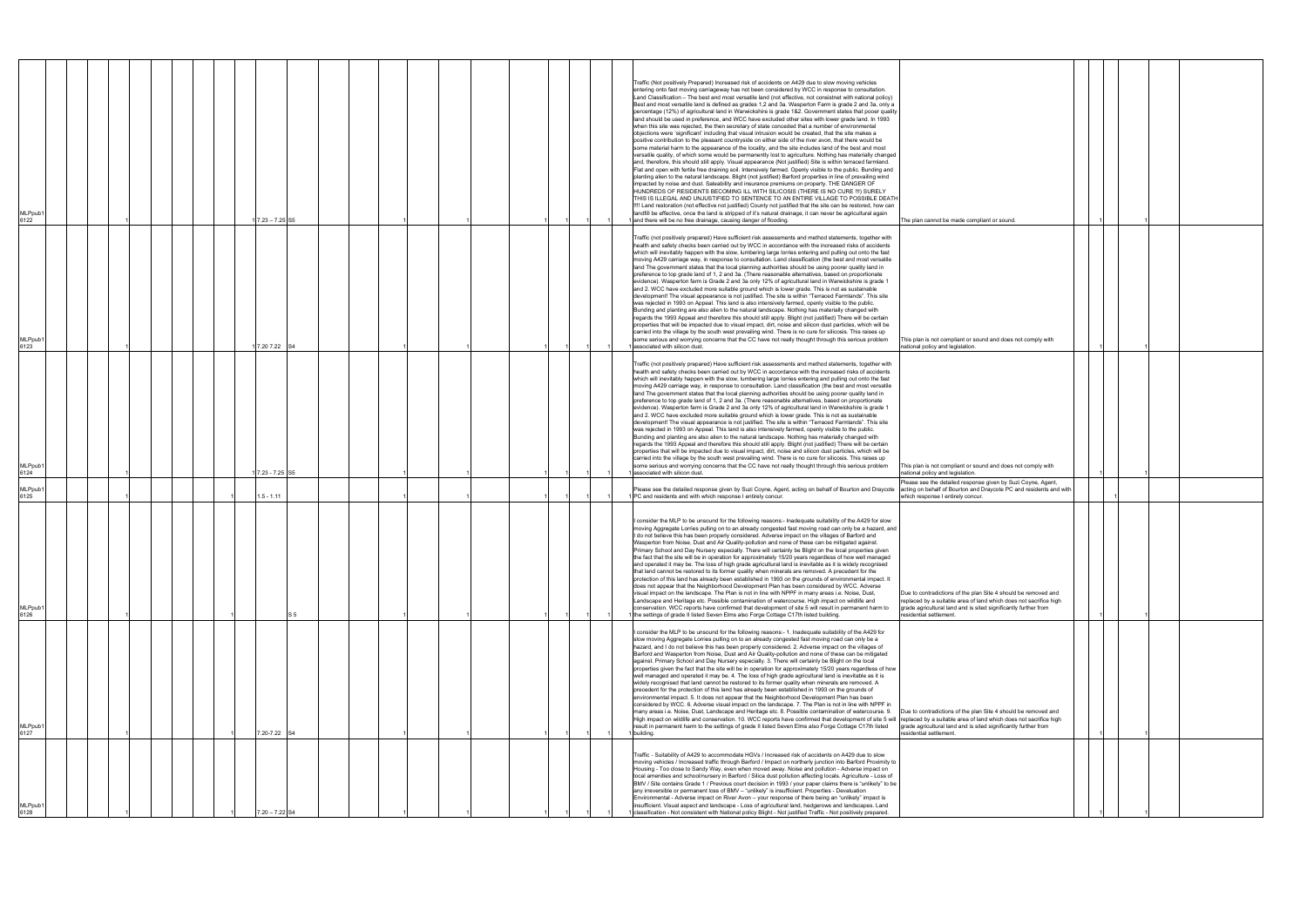| MLPpub1<br>6122             |  |  |  | $17.23 - 7.25$ S5 |     |  |  |  |  | Traffic (Not positively Prepared) Increased risk of accidents on A429 due to slow moving vehicles<br>entering onto fast moving carriageway has not been considered by WCC in response to consultation.<br>Land Classification - The best and most versatile land (not effective, not consistnet with national policy)<br>Best and most versatile land is defined as grades 1,2 and 3a. Wasperton Farm is grade 2 and 3a, only a<br>percentage (12%) of agricultural land in Warwickshire is grade 1&2. Government states that pooer quality<br>land should be used in preference, and WCC have excluded other sites with lower grade land. In 1993<br>when this site was rejected, the then secretary of state conceded that a number of environmental<br>objections were 'significant' including that visual intrusion would be created, that the site makes a<br>positive contribution to the pleasant countryside on either side of the river avon, that there would be<br>some material harm to the appearance of the locality, and the site includes land of the best and most<br>versatile quality, of which some would be permanently lost to agriculture. Nothing has materially changed<br>and, therefore, this should still apply. Visual appearance (Not justified) Site is within terraced farmland.<br>Flat and open with fertile free draining soil. Intensively farmed. Openly visible to the public. Bunding and<br>planting alien to the natural landscape. Blight (not justified) Barford properties in line of prevailing wind<br>impacted by noise and dust. Saleability and insurance premiums on property. THE DANGER OF<br>HUNDREDS OF RESIDENTS BECOMING ILL WITH SILICOSIS (THERE IS NO CURE !!!) SURELY<br>THIS IS ILLEGAL AND UNJUSTIFIED TO SENTENCE TO AN ENTIRE VILLAGE TO POSSIBLE DEATH<br>!!!! Land restoration (not effective not justified) County not justified that the site can be restored, how can<br>landfill be effective, once the land is stripped of it's natural drainage, it can never be agricultural again<br>and there will be no free drainage, causing danger of flooding.<br>The plan cannot be made compliant or sound. |
|-----------------------------|--|--|--|-------------------|-----|--|--|--|--|-------------------------------------------------------------------------------------------------------------------------------------------------------------------------------------------------------------------------------------------------------------------------------------------------------------------------------------------------------------------------------------------------------------------------------------------------------------------------------------------------------------------------------------------------------------------------------------------------------------------------------------------------------------------------------------------------------------------------------------------------------------------------------------------------------------------------------------------------------------------------------------------------------------------------------------------------------------------------------------------------------------------------------------------------------------------------------------------------------------------------------------------------------------------------------------------------------------------------------------------------------------------------------------------------------------------------------------------------------------------------------------------------------------------------------------------------------------------------------------------------------------------------------------------------------------------------------------------------------------------------------------------------------------------------------------------------------------------------------------------------------------------------------------------------------------------------------------------------------------------------------------------------------------------------------------------------------------------------------------------------------------------------------------------------------------------------------------------------------------------------------------------------------------------------------|
| MLPpub <sup>-</sup><br>6123 |  |  |  | 17.20 7.22 S4     |     |  |  |  |  | Traffic (not positively prepared) Have sufficient risk assessments and method statements, together with<br>health and safety checks been carried out by WCC in accordance with the increased risks of accidents<br>which will inevitably happen with the slow, lumbering large lorries entering and pulling out onto the fast<br>moving A429 carriage way, in response to consultation. Land classification (the best and most versatile<br>land The government states that the local planning authorities should be using poorer quality land in<br>preference to top grade land of 1, 2 and 3a. (There reasonable alternatives, based on proportionate<br>evidence). Wasperton farm is Grade 2 and 3a only 12% of agricultural land in Warwickshire is grade 1<br>and 2. WCC have excluded more suitable ground which is lower grade. This is not as sustainable<br>development! The visual appearance is not justified. The site is within "Terraced Farmlands". This site<br>was rejected in 1993 on Appeal. This land is also intensively farmed, openly visible to the public.<br>Bunding and planting are also alien to the natural landscape. Nothing has materially changed with<br>regards the 1993 Appeal and therefore this should still apply. Blight (not justified) There will be certain<br>properties that will be impacted due to visual impact, dirt, noise and silicon dust particles, which will be<br>carried into the village by the south west prevailing wind. There is no cure for silicosis. This raises up<br>some serious and worrying concerns that the CC have not really thought through this serious problem<br>This plan is not compliant or sound and does not comply with<br>associated with silicon dust.<br>national policy and legislation.                                                                                                                                                                                                                                                                                                                                                                                            |
| MLPpub <sup>-</sup><br>6124 |  |  |  | 17.23 - 7.25 S5   |     |  |  |  |  | Traffic (not positively prepared) Have sufficient risk assessments and method statements, together with<br>health and safety checks been carried out by WCC in accordance with the increased risks of accidents<br>which will inevitably happen with the slow, lumbering large lorries entering and pulling out onto the fast<br>moving A429 carriage way, in response to consultation. Land classification (the best and most versatile<br>land The government states that the local planning authorities should be using poorer quality land in<br>preference to top grade land of 1, 2 and 3a. (There reasonable alternatives, based on proportionate<br>evidence). Wasperton farm is Grade 2 and 3a only 12% of agricultural land in Warwickshire is grade 1<br>and 2. WCC have excluded more suitable ground which is lower grade. This is not as sustainable<br>development! The visual appearance is not justified. The site is within "Terraced Farmlands". This site<br>was rejected in 1993 on Appeal. This land is also intensively farmed, openly visible to the public.<br>Bunding and planting are also alien to the natural landscape. Nothing has materially changed with<br>regards the 1993 Appeal and therefore this should still apply. Blight (not justified) There will be certain<br>properties that will be impacted due to visual impact, dirt, noise and silicon dust particles, which will be<br>carried into the village by the south west prevailing wind. There is no cure for silicosis. This raises up<br>some serious and worrying concerns that the CC have not really thought through this serious problem<br>This plan is not compliant or sound and does not comply with<br>associated with silicon dust.<br>national policy and legislation.                                                                                                                                                                                                                                                                                                                                                                                            |
| MLPpub1<br>6125             |  |  |  | $1.5 - 1.11$      |     |  |  |  |  | Please see the detailed response given by Suzi Coyne, Agent,<br>Please see the detailed response given by Suzi Coyne, Agent, acting on behalf of Bourton and Draycote<br>acting on behalf of Bourton and Draycote PC and residents and with<br>PC and residents and with which response I entirely concur.<br>which response I entirely concur.                                                                                                                                                                                                                                                                                                                                                                                                                                                                                                                                                                                                                                                                                                                                                                                                                                                                                                                                                                                                                                                                                                                                                                                                                                                                                                                                                                                                                                                                                                                                                                                                                                                                                                                                                                                                                               |
| MLPpub <sup>®</sup><br>6126 |  |  |  |                   | S 5 |  |  |  |  | consider the MLP to be unsound for the following reasons:- Inadequate suitability of the A429 for slow<br>moving Aggregate Lorries pulling on to an already congested fast moving road can only be a hazard, and<br>I do not believe this has been properly considered. Adverse impact on the villages of Barford and<br>Wasperton from Noise, Dust and Air Quality-pollution and none of these can be mitigated against.<br>Primary School and Day Nursery especially. There will certainly be Blight on the local properties given<br>the fact that the site will be in operation for approximately 15/20 years regardless of how well managed<br>and operated it may be. The loss of high grade agricultural land is inevitable as it is widely recognised<br>that land cannot be restored to its former quality when minerals are removed. A precedent for the<br>protection of this land has already been established in 1993 on the grounds of environmental impact. It<br>does not appear that the Neighborhood Development Plan has been considered by WCC. Adverse<br>visual impact on the landscape. The Plan is not in line with NPPF in many areas i.e. Noise, Dust,<br>Due to contradictions of the plan Site 4 should be removed and<br>Landscape and Heritage etc. Possible contamination of watercourse. High impact on wildlife and<br>replaced by a suitable area of land which does not sacrifice high<br>conservation. WCC reports have confirmed that development of site 5 will result in permanent harm to<br>grade agricultural land and is sited significantly further from<br>the settings of grade II listed Seven Elms also Forge Cottage C17th listed building.<br>residential settlement.                                                                                                                                                                                                                                                                                                                                                                                                                                                       |
| MLPpub <sup>®</sup><br>6127 |  |  |  | 7.20-7.22 S4      |     |  |  |  |  | I consider the MLP to be unsound for the following reasons:- 1. Inadequate suitability of the A429 for<br>slow moving Aggregate Lorries pulling on to an already congested fast moving road can only be a<br>hazard, and I do not believe this has been properly considered. 2. Adverse impact on the villages of<br>Barford and Wasperton from Noise, Dust and Air Quality-pollution and none of these can be mitigated<br>against. Primary School and Day Nursery especially. 3. There will certainly be Blight on the local<br>properties given the fact that the site will be in operation for approximately 15/20 years regardless of how<br>well managed and operated it may be. 4. The loss of high grade agricultural land is inevitable as it is<br>widely recognised that land cannot be restored to its former quality when minerals are removed. A<br>precedent for the protection of this land has already been established in 1993 on the grounds of<br>environmental impact. 5. It does not appear that the Neighborhood Development Plan has been<br>considered by WCC. 6. Adverse visual impact on the landscape. 7. The Plan is not in line with NPPF in<br>many areas i.e. Noise, Dust, Landscape and Heritage etc. 8. Possible contamination of watercourse. 9.<br>Due to contradictions of the plan Site 4 should be removed and<br>High impact on wildlife and conservation. 10. WCC reports have confirmed that development of site 5 will replaced by a suitable area of land which does not sacrifice high<br>result in permanent harm to the settings of grade II listed Seven Elms also Forge Cottage C17th listed<br>grade agricultural land and is sited significantly further from<br>building.<br>esidential settlement.                                                                                                                                                                                                                                                                                                                                                                                                                       |
| MLPpub1<br>6128             |  |  |  | $20 - 7.22$ S4    |     |  |  |  |  | Traffic - Suitability of A429 to accommodate HGVs / Increased risk of accidents on A429 due to slow<br>moving vehicles / Increased traffic through Barford / Impact on northerly junction into Barford Proximity to<br>Housing - Too close to Sandy Way, even when moved away. Noise and pollution - Adverse impact on<br>local amenities and school/nursery in Barford / Silica dust pollution affecting locals. Agriculture - Loss of<br>BMV / Site contains Grade 1 / Previous court decision in 1993 / your paper claims there is "unlikely" to be<br>any irreversible or permanent loss of BMV - "unlikely" is insufficient. Properties - Devaluation<br>Environmental - Adverse impact on River Avon - your response of there being an "unlikely" impact is<br>insufficient. Visual aspect and landscape - Loss of agricultural land, hedgerows and landscapes. Land<br>classification - Not consistent with National policy Blight - Not justified Traffic - Not positively prepared.                                                                                                                                                                                                                                                                                                                                                                                                                                                                                                                                                                                                                                                                                                                                                                                                                                                                                                                                                                                                                                                                                                                                                                                  |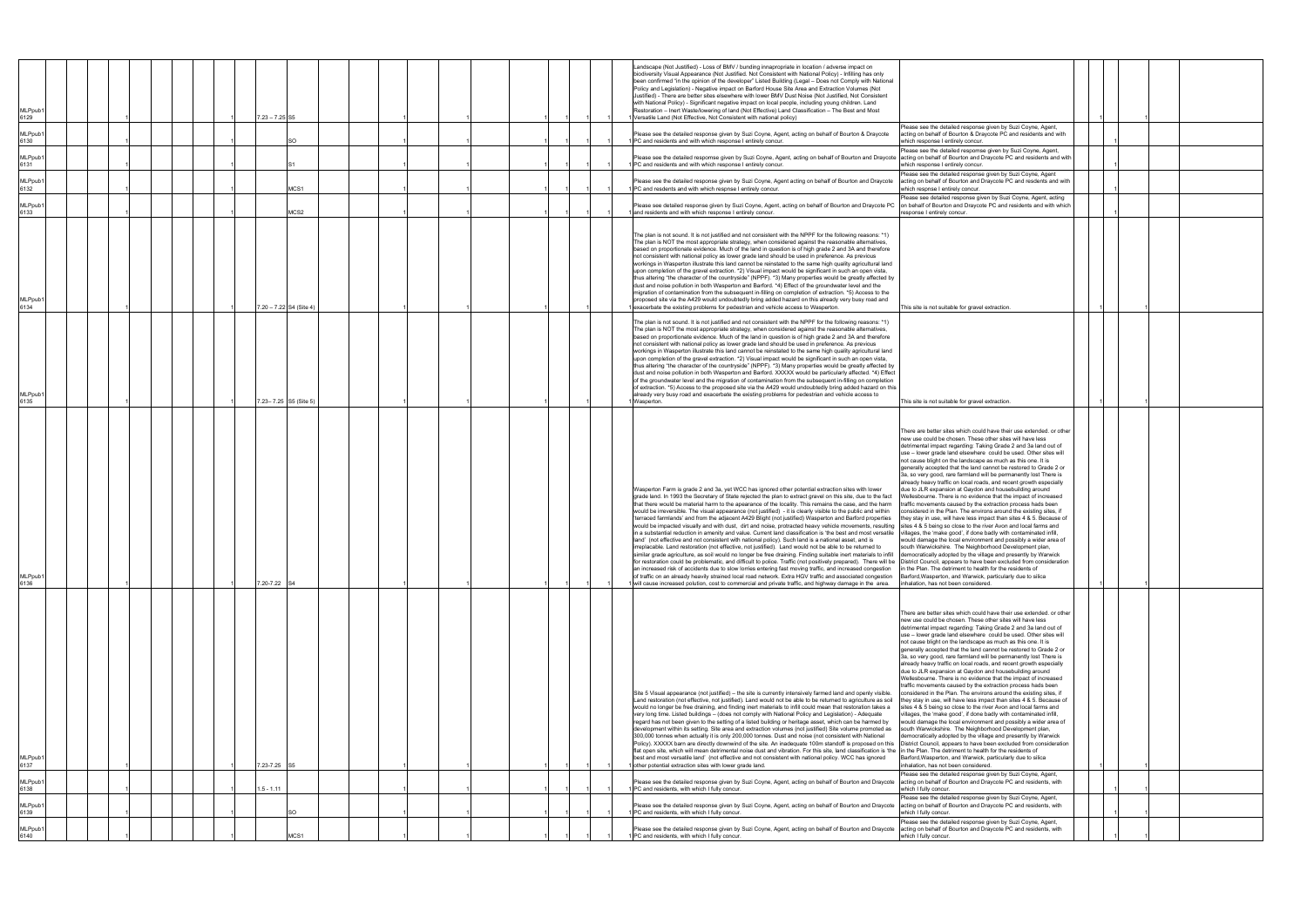| <b>MLPpub</b><br>6129  |  |  |  | $7.23 - 7.25$ S5        |                  |  |  |  |  | Landscape (Not Justified) - Loss of BMV / bunding innapropriate in location / adverse impact on<br>biodiversity Visual Appearance (Not Justified. Not Consistent with National Policy) - Infilling has only<br>been confirmed "in the opinion of the developer" Listed Building (Legal - Does not Comply with National<br>Policy and Legislation) - Negative impact on Barford House Site Area and Extraction Volumes (Not<br>Justified) - There are better sites elsewhere with lower BMV Dust Noise (Not Justified, Not Consistent<br>with National Policy) - Significant negative impact on local people, including young children. Land<br>Restoration - Inert Waste/lowering of land (Not Effective) Land Classification - The Best and Most<br>Versatile Land (Not Effective, Not Consistent with national policy)                                                                                                                                                                                                                                                                                                                                                                                                                                                                                                                                                                                                                                                                                                                                                                                                                                                                                                                                                                                                                          |                                                                                                                                                                                                                                                                                                                                                                                                                                                                                                                                                                                                                                                                                                                                                                                                                                                                                                                                                                                                                                                                                                                                                                                                                                                                                                                                                      |  |  |
|------------------------|--|--|--|-------------------------|------------------|--|--|--|--|---------------------------------------------------------------------------------------------------------------------------------------------------------------------------------------------------------------------------------------------------------------------------------------------------------------------------------------------------------------------------------------------------------------------------------------------------------------------------------------------------------------------------------------------------------------------------------------------------------------------------------------------------------------------------------------------------------------------------------------------------------------------------------------------------------------------------------------------------------------------------------------------------------------------------------------------------------------------------------------------------------------------------------------------------------------------------------------------------------------------------------------------------------------------------------------------------------------------------------------------------------------------------------------------------------------------------------------------------------------------------------------------------------------------------------------------------------------------------------------------------------------------------------------------------------------------------------------------------------------------------------------------------------------------------------------------------------------------------------------------------------------------------------------------------------------------------------------------------|------------------------------------------------------------------------------------------------------------------------------------------------------------------------------------------------------------------------------------------------------------------------------------------------------------------------------------------------------------------------------------------------------------------------------------------------------------------------------------------------------------------------------------------------------------------------------------------------------------------------------------------------------------------------------------------------------------------------------------------------------------------------------------------------------------------------------------------------------------------------------------------------------------------------------------------------------------------------------------------------------------------------------------------------------------------------------------------------------------------------------------------------------------------------------------------------------------------------------------------------------------------------------------------------------------------------------------------------------|--|--|
| MLPpub1<br>6130        |  |  |  | SO                      |                  |  |  |  |  | Please see the detailed response given by Suzi Coyne, Agent, acting on behalf of Bourton & Draycote<br>PC and residents and with which response I entirely concur.                                                                                                                                                                                                                                                                                                                                                                                                                                                                                                                                                                                                                                                                                                                                                                                                                                                                                                                                                                                                                                                                                                                                                                                                                                                                                                                                                                                                                                                                                                                                                                                                                                                                                | Please see the detailed response given by Suzi Coyne, Agent,<br>acting on behalf of Bourton & Draycote PC and residents and with<br>which response I entirely concur.                                                                                                                                                                                                                                                                                                                                                                                                                                                                                                                                                                                                                                                                                                                                                                                                                                                                                                                                                                                                                                                                                                                                                                                |  |  |
| MLPpub1<br>6131        |  |  |  |                         |                  |  |  |  |  | Please see the detailed respomse given by Suzi Coyne, Agent, acting on behalf of Bourton and Draycote acting on behalf of Bourton and Draycote PC and residents and with<br>PC and residents and with which response I entirely concur.                                                                                                                                                                                                                                                                                                                                                                                                                                                                                                                                                                                                                                                                                                                                                                                                                                                                                                                                                                                                                                                                                                                                                                                                                                                                                                                                                                                                                                                                                                                                                                                                           | Please see the detailed respomse given by Suzi Coyne, Agent,<br>which response I entirely concur.                                                                                                                                                                                                                                                                                                                                                                                                                                                                                                                                                                                                                                                                                                                                                                                                                                                                                                                                                                                                                                                                                                                                                                                                                                                    |  |  |
| <b>MLPpub1</b><br>6132 |  |  |  |                         | MCS1             |  |  |  |  | Please see the detailed response given by Suzi Coyne, Agent acting on behalf of Bourton and Draycote<br>PC and resdents and with which respnse I entirely concur.                                                                                                                                                                                                                                                                                                                                                                                                                                                                                                                                                                                                                                                                                                                                                                                                                                                                                                                                                                                                                                                                                                                                                                                                                                                                                                                                                                                                                                                                                                                                                                                                                                                                                 | Please see the detailed response given by Suzi Coyne, Agent<br>acting on behalf of Bourton and Draycote PC and resdents and with<br>which respnse I entirely concur.                                                                                                                                                                                                                                                                                                                                                                                                                                                                                                                                                                                                                                                                                                                                                                                                                                                                                                                                                                                                                                                                                                                                                                                 |  |  |
| MLPpub1<br>6133        |  |  |  |                         | MCS2             |  |  |  |  | Please see detailed response given by Suzi Coyne, Agent, acting on behalf of Bourton and Draycote PC<br>and residents and with which response I entirely concur.                                                                                                                                                                                                                                                                                                                                                                                                                                                                                                                                                                                                                                                                                                                                                                                                                                                                                                                                                                                                                                                                                                                                                                                                                                                                                                                                                                                                                                                                                                                                                                                                                                                                                  | Please see detailed response given by Suzi Coyne, Agent, acting<br>on behalf of Bourton and Draycote PC and residents and with which<br>esponse I entirely concur                                                                                                                                                                                                                                                                                                                                                                                                                                                                                                                                                                                                                                                                                                                                                                                                                                                                                                                                                                                                                                                                                                                                                                                    |  |  |
| MLPpub1<br>6134        |  |  |  | 7.20 - 7.22 S4 (Site 4) |                  |  |  |  |  | The plan is not sound. It is not justified and not consistent with the NPPF for the following reasons: *1)<br>The plan is NOT the most appropriate strategy, when considered against the reasonable alternatives,<br>based on proportionate evidence. Much of the land in question is of high grade 2 and 3A and therefore<br>not consistent with national policy as lower grade land should be used in preference. As previous<br>workings in Wasperton illustrate this land cannot be reinstated to the same high quality agricultural land<br>upon completion of the gravel extraction. *2) Visual impact would be significant in such an open vista,<br>thus altering "the character of the countryside" (NPPF). *3) Many properties would be greatly affected by<br>dust and noise pollution in both Wasperton and Barford. *4) Effect of the groundwater level and the<br>migration of contamination from the subsequent in-filling on completion of extraction. *5) Access to the<br>proposed site via the A429 would undoubtedly bring added hazard on this already very busy road and<br>exacerbate the existing problems for pedestrian and vehicle access to Wasperton.                                                                                                                                                                                                                                                                                                                                                                                                                                                                                                                                                                                                                                                                | This site is not suitable for gravel extraction                                                                                                                                                                                                                                                                                                                                                                                                                                                                                                                                                                                                                                                                                                                                                                                                                                                                                                                                                                                                                                                                                                                                                                                                                                                                                                      |  |  |
| MLPpub1<br>6135        |  |  |  | 7.23-7.25 S5 (Site 5)   |                  |  |  |  |  | The plan is not sound. It is not justified and not consistent with the NPPF for the following reasons: *1)<br>The plan is NOT the most appropriate strategy, when considered against the reasonable alternatives,<br>based on proportionate evidence. Much of the land in question is of high grade 2 and 3A and therefore<br>not consistent with national policy as lower grade land should be used in preference. As previous<br>workings in Wasperton illustrate this land cannot be reinstated to the same high quality agricultural land<br>upon completion of the gravel extraction. *2) Visual impact would be significant in such an open vista,<br>thus altering "the character of the countryside" (NPPF). *3) Many properties would be greatly affected by<br>dust and noise pollution in both Wasperton and Barford. XXXXX would be particularly affected. *4) Effect<br>of the groundwater level and the migration of contamination from the subsequent in-filling on completion<br>of extraction. *5) Access to the proposed site via the A429 would undoubtedly bring added hazard on this<br>already very busy road and exacerbate the existing problems for pedestrian and vehicle access to<br>Wasperton.                                                                                                                                                                                                                                                                                                                                                                                                                                                                                                                                                                                                                       | This site is not suitable for gravel extraction.                                                                                                                                                                                                                                                                                                                                                                                                                                                                                                                                                                                                                                                                                                                                                                                                                                                                                                                                                                                                                                                                                                                                                                                                                                                                                                     |  |  |
| <b>MLPpub1</b><br>6136 |  |  |  | 7.20-7.22 S4            |                  |  |  |  |  | Wasperton Farm is grade 2 and 3a, yet WCC has ignored other potential extraction sites with lower<br>grade land. In 1993 the Secretary of State rejected the plan to extract gravel on this site, due to the fact<br>that there would be material harm to the apearance of the locality. This remains the case, and the harm<br>would be irreversible. The visual appearance (not justified) - it is clearly visible to the public and within<br>'terraced farmlands' and from the adjacent A429 Blight (not justified) Wasperton and Barford properties<br>would be impacted visually and with dust, dirt and noise, protracted heavy vehicle movements, resulting sites 4 & 5 being so close to the river Avon and local farms and<br>in a substantial reduction in amenity and value. Current land classification is 'the best and most versatile villages, the 'make good', if done badly with contaminated infill,<br>land' (not effective and not consistent with national policy). Such land is a national asset, and is<br>lacable. Land restoration (not effective, not justified). Land would not be able to be returned to<br>similar grade agriculture, as soil would no longer be free draining. Finding suitable inert materials to infill democratically adopted by the village and presently by Warwick<br>for restoration could be problematic, and difficult to police. Traffic (not positively prepared). There will be District Council, appears to have been excluded from consideration<br>an increased risk of accidents due to slow lorries entering fast moving traffic, and increased congestion<br>of traffic on an already heavily strained local road network. Extra HGV traffic and associated congestion<br>will cause increased polution, cost to commercial and private traffic, and highway damage in the area. | There are better sites which could have their use extended, or other<br>new use could be chosen. These other sites will have less<br>detrimental impact regarding: Taking Grade 2 and 3a land out of<br>use - lower grade land elsewhere could be used. Other sites will<br>not cause blight on the landscape as much as this one. It is<br>generally accepted that the land cannot be restored to Grade 2 or<br>3a, so very good, rare farmland will be permanently lost There is<br>already heavy traffic on local roads, and recent growth especially<br>due to JLR expansion at Gaydon and housebuilding around<br>Wellesbourne. There is no evidence that the impact of increased<br>traffic movements caused by the extraction process hads been<br>considered in the Plan. The environs around the existing sites, if<br>they stay in use, will have less impact than sites 4 & 5. Because of<br>would damage the local environment and possibly a wider area of<br>south Warwickshire. The Neighborhood Development plan<br>in the Plan. The detriment to health for the residents of<br>Barford, Wasperton, and Warwick, particularly due to silica<br>inhalation, has not been considered.                                                                                                                                                 |  |  |
| MLPpub1<br>6137        |  |  |  | 7.23-7.25 S5            |                  |  |  |  |  | Site 5 Visual appearance (not justified) - the site is currently intensively farmed land and openly visible.<br>Land restoration (not effective, not justified). Land would not be able to be returned to agriculture as soil<br>would no longer be free draining, and finding inert materials to infill could mean that restoration takes a<br>very long time. Listed buildings - (does not comply with National Policy and Legislation) - Adequate<br>regard has not been given to the setting of a listed building or heritage asset, which can be harmed by<br>development within its setting. Site area and extraction volumes (not justified) Site volume promoted as<br>300,000 tonnes when actually it is only 200,000 tonnes. Dust and noise (not consistent with National<br>Policy). XXXXX barn are directly downwind of the site. An inadequate 100m standoff is proposed on this   District Council, appears to have been excluded from consideration<br>flat open site, which will mean detrimental noise dust and vibration. For this site, land classification is 'the in the Plan. The detriment to health for the residents of<br>best and most versatile land' (not effective and not consistent with national policy. WCC has ignored<br>other potential extraction sites with lower grade land.                                                                                                                                                                                                                                                                                                                                                                                                                                                                                                                              | There are better sites which could have their use extended. or other<br>new use could be chosen. These other sites will have less<br>detrimental impact regarding: Taking Grade 2 and 3a land out of<br>use - lower grade land elsewhere could be used. Other sites will<br>not cause blight on the landscape as much as this one. It is<br>generally accepted that the land cannot be restored to Grade 2 or<br>3a, so very good, rare farmland will be permanently lost There is<br>already heavy traffic on local roads, and recent growth especially<br>due to JLR expansion at Gaydon and housebuilding around<br>Wellesbourne. There is no evidence that the impact of increased<br>traffic movements caused by the extraction process hads been<br>considered in the Plan. The environs around the existing sites, if<br>they stay in use, will have less impact than sites 4 & 5. Because of<br>sites 4 & 5 being so close to the river Avon and local farms and<br>villages, the 'make good', if done badly with contaminated infill,<br>would damage the local environment and possibly a wider area of<br>south Warwickshire. The Neighborhood Development plan,<br>democratically adopted by the village and presently by Warwick<br>Barford, Wasperton, and Warwick, particularly due to silica<br>inhalation, has not been considered. |  |  |
| MLPpub1<br>6138        |  |  |  | $1.5 - 1.11$            |                  |  |  |  |  | Please see the detailed response given by Suzi Coyne, Agent, acting on behalf of Bourton and Draycote<br>PC and residents, with which I fully concur.                                                                                                                                                                                                                                                                                                                                                                                                                                                                                                                                                                                                                                                                                                                                                                                                                                                                                                                                                                                                                                                                                                                                                                                                                                                                                                                                                                                                                                                                                                                                                                                                                                                                                             | lease see the detailed response given by Suzi Coyne, Agent,<br>acting on behalf of Bourton and Draycote PC and residents, with<br>which I fully concur.                                                                                                                                                                                                                                                                                                                                                                                                                                                                                                                                                                                                                                                                                                                                                                                                                                                                                                                                                                                                                                                                                                                                                                                              |  |  |
| MLPpub1<br>6139        |  |  |  | SO                      |                  |  |  |  |  | Please see the detailed response given by Suzi Coyne, Agent, acting on behalf of Bourton and Draycote<br>1 PC and residents, with which I fully concur.                                                                                                                                                                                                                                                                                                                                                                                                                                                                                                                                                                                                                                                                                                                                                                                                                                                                                                                                                                                                                                                                                                                                                                                                                                                                                                                                                                                                                                                                                                                                                                                                                                                                                           | Please see the detailed response given by Suzi Coyne, Agent,<br>acting on behalf of Bourton and Draycote PC and residents, with<br>which I fully concur.                                                                                                                                                                                                                                                                                                                                                                                                                                                                                                                                                                                                                                                                                                                                                                                                                                                                                                                                                                                                                                                                                                                                                                                             |  |  |
| MLPpub1                |  |  |  |                         |                  |  |  |  |  | Please see the detailed response given by Suzi Coyne, Agent, acting on behalf of Bourton and Draycote                                                                                                                                                                                                                                                                                                                                                                                                                                                                                                                                                                                                                                                                                                                                                                                                                                                                                                                                                                                                                                                                                                                                                                                                                                                                                                                                                                                                                                                                                                                                                                                                                                                                                                                                             | Please see the detailed response given by Suzi Coyne, Agent,<br>acting on behalf of Bourton and Draycote PC and residents, with                                                                                                                                                                                                                                                                                                                                                                                                                                                                                                                                                                                                                                                                                                                                                                                                                                                                                                                                                                                                                                                                                                                                                                                                                      |  |  |
| 6140                   |  |  |  |                         | ACS <sub>1</sub> |  |  |  |  | PC and residents, with which I fully concur.                                                                                                                                                                                                                                                                                                                                                                                                                                                                                                                                                                                                                                                                                                                                                                                                                                                                                                                                                                                                                                                                                                                                                                                                                                                                                                                                                                                                                                                                                                                                                                                                                                                                                                                                                                                                      | which I fully concur.                                                                                                                                                                                                                                                                                                                                                                                                                                                                                                                                                                                                                                                                                                                                                                                                                                                                                                                                                                                                                                                                                                                                                                                                                                                                                                                                |  |  |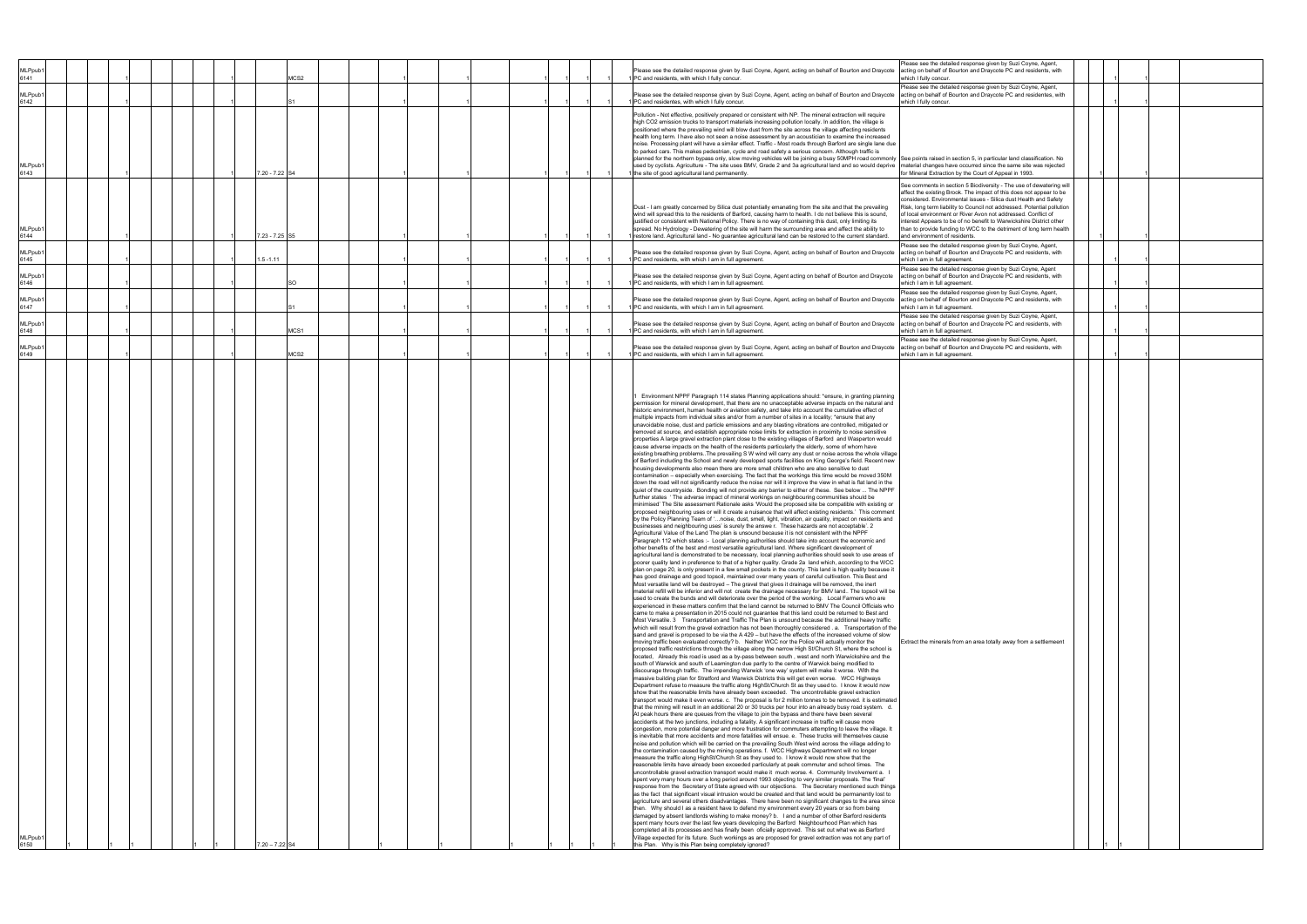|                             |  |  |  |  |                  |      |  |  |  |  |  | Please see the detailed response given by Suzi Coyne, Agent,                                                                                                                                                                                                                                                                                                                                                                                                                                                                                                                                                                                                                                                                                                                                                                                                                                                                                                                                                                                                                                                                                                                                                                                                                                                                                                                                                                                                                                                                                                                                                                                                                                                                                                                                                                                                                                                                                                                                                                                                                                                                                                                                                                                                                                                                                                                                                                                                                                                                                                                                                                                                                                                                                                                                                                                                                                                                                                                                                                                                                                                                                                                                                                                                                                                                                                                                                                                                                                                                                                                                                                                                                                                                                                                                                                                                                                                                                                                                                                                                                                                                                                                                                                                                                                                                                                                                                                                                                                                                                                                                                                                                                                                                                                                                                                                                                                                                                                                                                                                                                                                                                                                                                                                                                                                                                                                                                                                                                                                                                                                                                                                                                                                                                                                                                                                                                                                                                                                                                                                                                                                                                                                                                                                                                                                                                                                                                                                                                                                                                                                                                                                                                                                                                                                                                                                        |  |  |
|-----------------------------|--|--|--|--|------------------|------|--|--|--|--|--|-----------------------------------------------------------------------------------------------------------------------------------------------------------------------------------------------------------------------------------------------------------------------------------------------------------------------------------------------------------------------------------------------------------------------------------------------------------------------------------------------------------------------------------------------------------------------------------------------------------------------------------------------------------------------------------------------------------------------------------------------------------------------------------------------------------------------------------------------------------------------------------------------------------------------------------------------------------------------------------------------------------------------------------------------------------------------------------------------------------------------------------------------------------------------------------------------------------------------------------------------------------------------------------------------------------------------------------------------------------------------------------------------------------------------------------------------------------------------------------------------------------------------------------------------------------------------------------------------------------------------------------------------------------------------------------------------------------------------------------------------------------------------------------------------------------------------------------------------------------------------------------------------------------------------------------------------------------------------------------------------------------------------------------------------------------------------------------------------------------------------------------------------------------------------------------------------------------------------------------------------------------------------------------------------------------------------------------------------------------------------------------------------------------------------------------------------------------------------------------------------------------------------------------------------------------------------------------------------------------------------------------------------------------------------------------------------------------------------------------------------------------------------------------------------------------------------------------------------------------------------------------------------------------------------------------------------------------------------------------------------------------------------------------------------------------------------------------------------------------------------------------------------------------------------------------------------------------------------------------------------------------------------------------------------------------------------------------------------------------------------------------------------------------------------------------------------------------------------------------------------------------------------------------------------------------------------------------------------------------------------------------------------------------------------------------------------------------------------------------------------------------------------------------------------------------------------------------------------------------------------------------------------------------------------------------------------------------------------------------------------------------------------------------------------------------------------------------------------------------------------------------------------------------------------------------------------------------------------------------------------------------------------------------------------------------------------------------------------------------------------------------------------------------------------------------------------------------------------------------------------------------------------------------------------------------------------------------------------------------------------------------------------------------------------------------------------------------------------------------------------------------------------------------------------------------------------------------------------------------------------------------------------------------------------------------------------------------------------------------------------------------------------------------------------------------------------------------------------------------------------------------------------------------------------------------------------------------------------------------------------------------------------------------------------------------------------------------------------------------------------------------------------------------------------------------------------------------------------------------------------------------------------------------------------------------------------------------------------------------------------------------------------------------------------------------------------------------------------------------------------------------------------------------------------------------------------------------------------------------------------------------------------------------------------------------------------------------------------------------------------------------------------------------------------------------------------------------------------------------------------------------------------------------------------------------------------------------------------------------------------------------------------------------------------------------------------------------------------------------------------------------------------------------------------------------------------------------------------------------------------------------------------------------------------------------------------------------------------------------------------------------------------------------------------------------------------------------------------------------------------------------------------------------------------------------------------------------------------------|--|--|
| MLPpub <sup>®</sup><br>6141 |  |  |  |  |                  | MCS2 |  |  |  |  |  | Please see the detailed response given by Suzi Coyne, Agent, acting on behalf of Bourton and Draycote<br>acting on behalf of Bourton and Draycote PC and residents, with<br>PC and residents, with which I fully concur.<br>which I fully concur.                                                                                                                                                                                                                                                                                                                                                                                                                                                                                                                                                                                                                                                                                                                                                                                                                                                                                                                                                                                                                                                                                                                                                                                                                                                                                                                                                                                                                                                                                                                                                                                                                                                                                                                                                                                                                                                                                                                                                                                                                                                                                                                                                                                                                                                                                                                                                                                                                                                                                                                                                                                                                                                                                                                                                                                                                                                                                                                                                                                                                                                                                                                                                                                                                                                                                                                                                                                                                                                                                                                                                                                                                                                                                                                                                                                                                                                                                                                                                                                                                                                                                                                                                                                                                                                                                                                                                                                                                                                                                                                                                                                                                                                                                                                                                                                                                                                                                                                                                                                                                                                                                                                                                                                                                                                                                                                                                                                                                                                                                                                                                                                                                                                                                                                                                                                                                                                                                                                                                                                                                                                                                                                                                                                                                                                                                                                                                                                                                                                                                                                                                                                                   |  |  |
| <b>MLPpub</b><br>6142       |  |  |  |  |                  |      |  |  |  |  |  | Please see the detailed response given by Suzi Coyne, Agent,<br>Please see the detailed response given by Suzi Coyne, Agent, acting on behalf of Bourton and Draycote<br>acting on behalf of Bourton and Draycote PC and residentes, with<br>PC and residentes, with which I fully concur.<br>which I fully concur.                                                                                                                                                                                                                                                                                                                                                                                                                                                                                                                                                                                                                                                                                                                                                                                                                                                                                                                                                                                                                                                                                                                                                                                                                                                                                                                                                                                                                                                                                                                                                                                                                                                                                                                                                                                                                                                                                                                                                                                                                                                                                                                                                                                                                                                                                                                                                                                                                                                                                                                                                                                                                                                                                                                                                                                                                                                                                                                                                                                                                                                                                                                                                                                                                                                                                                                                                                                                                                                                                                                                                                                                                                                                                                                                                                                                                                                                                                                                                                                                                                                                                                                                                                                                                                                                                                                                                                                                                                                                                                                                                                                                                                                                                                                                                                                                                                                                                                                                                                                                                                                                                                                                                                                                                                                                                                                                                                                                                                                                                                                                                                                                                                                                                                                                                                                                                                                                                                                                                                                                                                                                                                                                                                                                                                                                                                                                                                                                                                                                                                                                 |  |  |
| <b>MLPpub</b><br>6143       |  |  |  |  | 7.20 - 7.22 S4   |      |  |  |  |  |  | Pollution - Not effective, positively prepared or consistent with NP. The mineral extraction will require<br>high CO2 emission trucks to transport materials increasing pollution locally. In addition, the village is<br>positioned where the prevailing wind will blow dust from the site across the village affecting residents<br>health long term. I have also not seen a noise assessment by an acoustician to examine the increased<br>noise. Processing plant will have a similar effect. Traffic - Most roads through Barford are single lane due<br>to parked cars. This makes pedestrian, cycle and road safety a serious concern. Although traffic is<br>planned for the northern bypass only, slow moving vehicles will be joining a busy 50MPH road commonly See points raised in section 5, in particular land classification. No<br>used by cyclists. Agriculture - The site uses BMV, Grade 2 and 3a agricultural land and so would deprive naterial changes have occurred since the same site was rejected<br>for Mineral Extraction by the Court of Appeal in 1993.<br>the site of good agricultural land permanently.                                                                                                                                                                                                                                                                                                                                                                                                                                                                                                                                                                                                                                                                                                                                                                                                                                                                                                                                                                                                                                                                                                                                                                                                                                                                                                                                                                                                                                                                                                                                                                                                                                                                                                                                                                                                                                                                                                                                                                                                                                                                                                                                                                                                                                                                                                                                                                                                                                                                                                                                                                                                                                                                                                                                                                                                                                                                                                                                                                                                                                                                                                                                                                                                                                                                                                                                                                                                                                                                                                                                                                                                                                                                                                                                                                                                                                                                                                                                                                                                                                                                                                                                                                                                                                                                                                                                                                                                                                                                                                                                                                                                                                                                                                                                                                                                                                                                                                                                                                                                                                                                                                                                                                                                                                                                                                                                                                                                                                                                                                                                                                                                                                                                                                           |  |  |
| <b>MLPpub</b><br>6144       |  |  |  |  | 7.23 - 7.25 S5   |      |  |  |  |  |  | See comments in section 5 Biodiversity - The use of dewatering will<br>affect the existing Brook. The impact of this does not appear to be<br>considered. Environmental issues - Silica dust Health and Safety<br>Dust - I am greatly concerned by Silica dust potentially emanating from the site and that the prevailing<br>Risk, long term liability to Council not addressed. Potential pollution<br>wind will spread this to the residents of Barford, causing harm to health. I do not believe this is sound,<br>of local environment or River Avon not addressed. Conflict of<br>justified or consistent with National Policy. There is no way of containing this dust, only limiting its<br>interest Appears to be of no benefit to Warwickshire District other<br>spread. No Hydrology - Dewatering of the site will harm the surrounding area and affect the ability to<br>than to provide funding to WCC to the detriment of long term health<br>restore land. Agricultural land - No guarantee agricultural land can be restored to the current standard.<br>and environment of residents.                                                                                                                                                                                                                                                                                                                                                                                                                                                                                                                                                                                                                                                                                                                                                                                                                                                                                                                                                                                                                                                                                                                                                                                                                                                                                                                                                                                                                                                                                                                                                                                                                                                                                                                                                                                                                                                                                                                                                                                                                                                                                                                                                                                                                                                                                                                                                                                                                                                                                                                                                                                                                                                                                                                                                                                                                                                                                                                                                                                                                                                                                                                                                                                                                                                                                                                                                                                                                                                                                                                                                                                                                                                                                                                                                                                                                                                                                                                                                                                                                                                                                                                                                                                                                                                                                                                                                                                                                                                                                                                                                                                                                                                                                                                                                                                                                                                                                                                                                                                                                                                                                                                                                                                                                                                                                                                                                                                                                                                                                                                                                                                                                                                                                                                                              |  |  |
| MLPpub <sup>®</sup><br>6145 |  |  |  |  | $1.5 - 1.11$     |      |  |  |  |  |  | lease see the detailed response given by Suzi Coyne, Agent,<br>Please see the detailed response given by Suzi Coyne, Agent, acting on behalf of Bourton and Draycote<br>acting on behalf of Bourton and Draycote PC and residents, with<br>PC and residents, with which I am in full agreement<br>which I am in full agreement.                                                                                                                                                                                                                                                                                                                                                                                                                                                                                                                                                                                                                                                                                                                                                                                                                                                                                                                                                                                                                                                                                                                                                                                                                                                                                                                                                                                                                                                                                                                                                                                                                                                                                                                                                                                                                                                                                                                                                                                                                                                                                                                                                                                                                                                                                                                                                                                                                                                                                                                                                                                                                                                                                                                                                                                                                                                                                                                                                                                                                                                                                                                                                                                                                                                                                                                                                                                                                                                                                                                                                                                                                                                                                                                                                                                                                                                                                                                                                                                                                                                                                                                                                                                                                                                                                                                                                                                                                                                                                                                                                                                                                                                                                                                                                                                                                                                                                                                                                                                                                                                                                                                                                                                                                                                                                                                                                                                                                                                                                                                                                                                                                                                                                                                                                                                                                                                                                                                                                                                                                                                                                                                                                                                                                                                                                                                                                                                                                                                                                                                     |  |  |
| <b>MLPpub</b><br>6146       |  |  |  |  |                  | SO   |  |  |  |  |  | Please see the detailed response given by Suzi Coyne, Agent<br>Please see the detailed response given by Suzi Coyne, Agent acting on behalf of Bourton and Draycote<br>acting on behalf of Bourton and Draycote PC and residents, with<br>PC and residents, with which I am in full agreement.<br>which I am in full agreement.                                                                                                                                                                                                                                                                                                                                                                                                                                                                                                                                                                                                                                                                                                                                                                                                                                                                                                                                                                                                                                                                                                                                                                                                                                                                                                                                                                                                                                                                                                                                                                                                                                                                                                                                                                                                                                                                                                                                                                                                                                                                                                                                                                                                                                                                                                                                                                                                                                                                                                                                                                                                                                                                                                                                                                                                                                                                                                                                                                                                                                                                                                                                                                                                                                                                                                                                                                                                                                                                                                                                                                                                                                                                                                                                                                                                                                                                                                                                                                                                                                                                                                                                                                                                                                                                                                                                                                                                                                                                                                                                                                                                                                                                                                                                                                                                                                                                                                                                                                                                                                                                                                                                                                                                                                                                                                                                                                                                                                                                                                                                                                                                                                                                                                                                                                                                                                                                                                                                                                                                                                                                                                                                                                                                                                                                                                                                                                                                                                                                                                                     |  |  |
| <b>MLPpub</b><br>6147       |  |  |  |  |                  |      |  |  |  |  |  | Please see the detailed response given by Suzi Coyne, Agent,<br>Please see the detailed response given by Suzi Coyne, Agent, acting on behalf of Bourton and Draycote<br>acting on behalf of Bourton and Draycote PC and residents, with<br>PC and residents, with which I am in full agreement.<br>which I am in full agreement.                                                                                                                                                                                                                                                                                                                                                                                                                                                                                                                                                                                                                                                                                                                                                                                                                                                                                                                                                                                                                                                                                                                                                                                                                                                                                                                                                                                                                                                                                                                                                                                                                                                                                                                                                                                                                                                                                                                                                                                                                                                                                                                                                                                                                                                                                                                                                                                                                                                                                                                                                                                                                                                                                                                                                                                                                                                                                                                                                                                                                                                                                                                                                                                                                                                                                                                                                                                                                                                                                                                                                                                                                                                                                                                                                                                                                                                                                                                                                                                                                                                                                                                                                                                                                                                                                                                                                                                                                                                                                                                                                                                                                                                                                                                                                                                                                                                                                                                                                                                                                                                                                                                                                                                                                                                                                                                                                                                                                                                                                                                                                                                                                                                                                                                                                                                                                                                                                                                                                                                                                                                                                                                                                                                                                                                                                                                                                                                                                                                                                                                   |  |  |
| MLPpub <sup>®</sup><br>6148 |  |  |  |  |                  | MCS1 |  |  |  |  |  | Please see the detailed response given by Suzi Coyne, Agent,<br>Please see the detailed response given by Suzi Coyne, Agent, acting on behalf of Bourton and Draycote<br>acting on behalf of Bourton and Draycote PC and residents, with<br>PC and residents, with which I am in full agreement.<br>which I am in full agreement.                                                                                                                                                                                                                                                                                                                                                                                                                                                                                                                                                                                                                                                                                                                                                                                                                                                                                                                                                                                                                                                                                                                                                                                                                                                                                                                                                                                                                                                                                                                                                                                                                                                                                                                                                                                                                                                                                                                                                                                                                                                                                                                                                                                                                                                                                                                                                                                                                                                                                                                                                                                                                                                                                                                                                                                                                                                                                                                                                                                                                                                                                                                                                                                                                                                                                                                                                                                                                                                                                                                                                                                                                                                                                                                                                                                                                                                                                                                                                                                                                                                                                                                                                                                                                                                                                                                                                                                                                                                                                                                                                                                                                                                                                                                                                                                                                                                                                                                                                                                                                                                                                                                                                                                                                                                                                                                                                                                                                                                                                                                                                                                                                                                                                                                                                                                                                                                                                                                                                                                                                                                                                                                                                                                                                                                                                                                                                                                                                                                                                                                   |  |  |
| MLPpub <sup>®</sup><br>6149 |  |  |  |  |                  | MCS2 |  |  |  |  |  | Please see the detailed response given by Suzi Coyne, Agent,<br>Please see the detailed response given by Suzi Coyne, Agent, acting on behalf of Bourton and Draycote<br>acting on behalf of Bourton and Draycote PC and residents, with<br>PC and residents, with which I am in full agreement<br>which I am in full agreement.                                                                                                                                                                                                                                                                                                                                                                                                                                                                                                                                                                                                                                                                                                                                                                                                                                                                                                                                                                                                                                                                                                                                                                                                                                                                                                                                                                                                                                                                                                                                                                                                                                                                                                                                                                                                                                                                                                                                                                                                                                                                                                                                                                                                                                                                                                                                                                                                                                                                                                                                                                                                                                                                                                                                                                                                                                                                                                                                                                                                                                                                                                                                                                                                                                                                                                                                                                                                                                                                                                                                                                                                                                                                                                                                                                                                                                                                                                                                                                                                                                                                                                                                                                                                                                                                                                                                                                                                                                                                                                                                                                                                                                                                                                                                                                                                                                                                                                                                                                                                                                                                                                                                                                                                                                                                                                                                                                                                                                                                                                                                                                                                                                                                                                                                                                                                                                                                                                                                                                                                                                                                                                                                                                                                                                                                                                                                                                                                                                                                                                                    |  |  |
| MLPpub <sup>®</sup><br>6150 |  |  |  |  | $7.20 - 7.22$ S4 |      |  |  |  |  |  | Environment NPPF Paragraph 114 states Planning applications should: *ensure, in granting planning<br>permission for mineral development, that there are no unacceptable adverse impacts on the natural and<br>historic environment, human health or aviation safety, and take into account the cumulative effect of<br>multiple impacts from individual sites and/or from a number of sites in a locality; *ensure that any<br>unavoidable noise, dust and particle emissions and any blasting vibrations are controlled, mitigated or<br>removed at source, and establish appropriate noise limits for extraction in proximity to noise sensitive<br>properties A large gravel extraction plant close to the existing villages of Barford and Wasperton would<br>cause adverse impacts on the health of the residents particularly the elderly, some of whom have<br>existing breathing problems. The prevailing S W wind will carry any dust or noise across the whole village<br>of Barford including the School and newly developed sports facilities on King George's field. Recent new<br>housing developments also mean there are more small children who are also sensitive to dust<br>contamination - especially when exercising. The fact that the workings this time would be moved 350M<br>down the road will not significantly reduce the noise nor will it improve the view in what is flat land in the<br>quiet of the countryside. Bonding will not provide any barrier to either of these. See below  The NPPF<br>further states 'The adverse impact of mineral workings on neighbouring communities should be<br>minimised' The Site assessment Rationale asks 'Would the proposed site be compatible with existing or<br>proposed neighbouring uses or will it create a nuisance that will affect existing residents.' This comment<br>by the Policy Planning Team of 'noise, dust, smell, light, vibration, air quality, impact on residents and<br>businesses and neighbouring uses' is surely the answe r. These hazards are not acceptable'. 2<br>Agricultural Value of the Land The plan is unsound because it is not consistent with the NPPF<br>Paragraph 112 which states :- Local planning authorities should take into account the economic and<br>her benefits of the best and most versatile agricultural land. Where significant development of<br>agricultural land is demonstrated to be necessary, local planning authorities should seek to use areas of<br>poorer quality land in preference to that of a higher quality. Grade 2a land which, according to the WCC<br>plan on page 20, is only present in a few small pockets in the county. This land is high quality because it<br>has good drainage and good topsoil, maintained over many years of careful cultivation. This Best and<br>Most versatile land will be destroyed - The gravel that gives it drainage will be removed, the inert<br>material refill will be inferior and will not create the drainage necessary for BMV land The topsoil will be<br>used to create the bunds and will deteriorate over the period of the working. Local Farmers who are<br>experienced in these matters confirm that the land cannot be returned to BMV The Council Officials who<br>came to make a presentation in 2015 could not guarantee that this land could be returned to Best and<br>Most Versatile. 3 Transportation and Traffic The Plan is unsound because the additional heavy traffic<br>which will result from the gravel extraction has not been thoroughly considered . a. Transportation of the<br>sand and gravel is proposed to be via the A 429 - but have the effects of the increased volume of slow<br>moving traffic been evaluated correctly? b. Neither WCC nor the Police will actually monitor the<br>Extract the minerals from an area totally away from a settlemeent<br>proposed traffic restrictions through the village along the narrow High St/Church St, where the school is<br>located, Already this road is used as a by-pass between south, west and north Warwickshire and the<br>south of Warwick and south of Leamington due partly to the centre of Warwick being modified to<br>discourage through traffic. The impending Warwick 'one way' system will make it worse. With the<br>massive building plan for Stratford and Warwick Districts this will get even worse. WCC Highways<br>Department refuse to measure the traffic along HighSt/Church St as they used to. I know it would now<br>show that the reasonable limits have already been exceeded. The uncontrollable gravel extraction<br>transport would make it even worse. c. The proposal is for 2 million tonnes to be removed. it is estimated<br>that the mining will result in an additional 20 or 30 trucks per hour into an already busy road system. d.<br>At peak hours there are queues from the village to join the bypass and there have been several<br>accidents at the two junctions, including a fatality. A significant increase in traffic will cause more<br>congestion, more potential danger and more frustration for commuters attempting to leave the village. It<br>is inevitable that more accidents and more fatalities will ensue. e. These trucks will themselves cause<br>noise and pollution which will be carried on the prevailing South West wind across the village adding to<br>the contamination caused by the mining operations. f. WCC Highways Department will no longer<br>measure the traffic along HighSt/Church St as they used to. I know it would now show that the<br>reasonable limits have already been exceeded particularly at peak commuter and school times. The<br>uncontrollable gravel extraction transport would make it much worse. 4. Community Involvement a. I<br>spent very many hours over a long period around 1993 objecting to very similar proposals. The 'final'<br>response from the Secretary of State agreed with our objections. The Secretary mentioned such things<br>as the fact that significant visual intrusion would be created and that land would be permanently lost to<br>agriculture and several others disadvantages. There have been no significant changes to the area since<br>then. Why should I as a resident have to defend my environment every 20 years or so from being<br>damaged by absent landlords wishing to make money? b. I and a number of other Barford residents<br>spent many hours over the last few years developing the Barford Neighbourhood Plan which has<br>completed all its processes and has finally been oficially approved. This set out what we as Barford<br>Village expected for its future. Such workings as are proposed for gravel extraction was not any part of<br>this Plan. Why is this Plan being completely ignored? |  |  |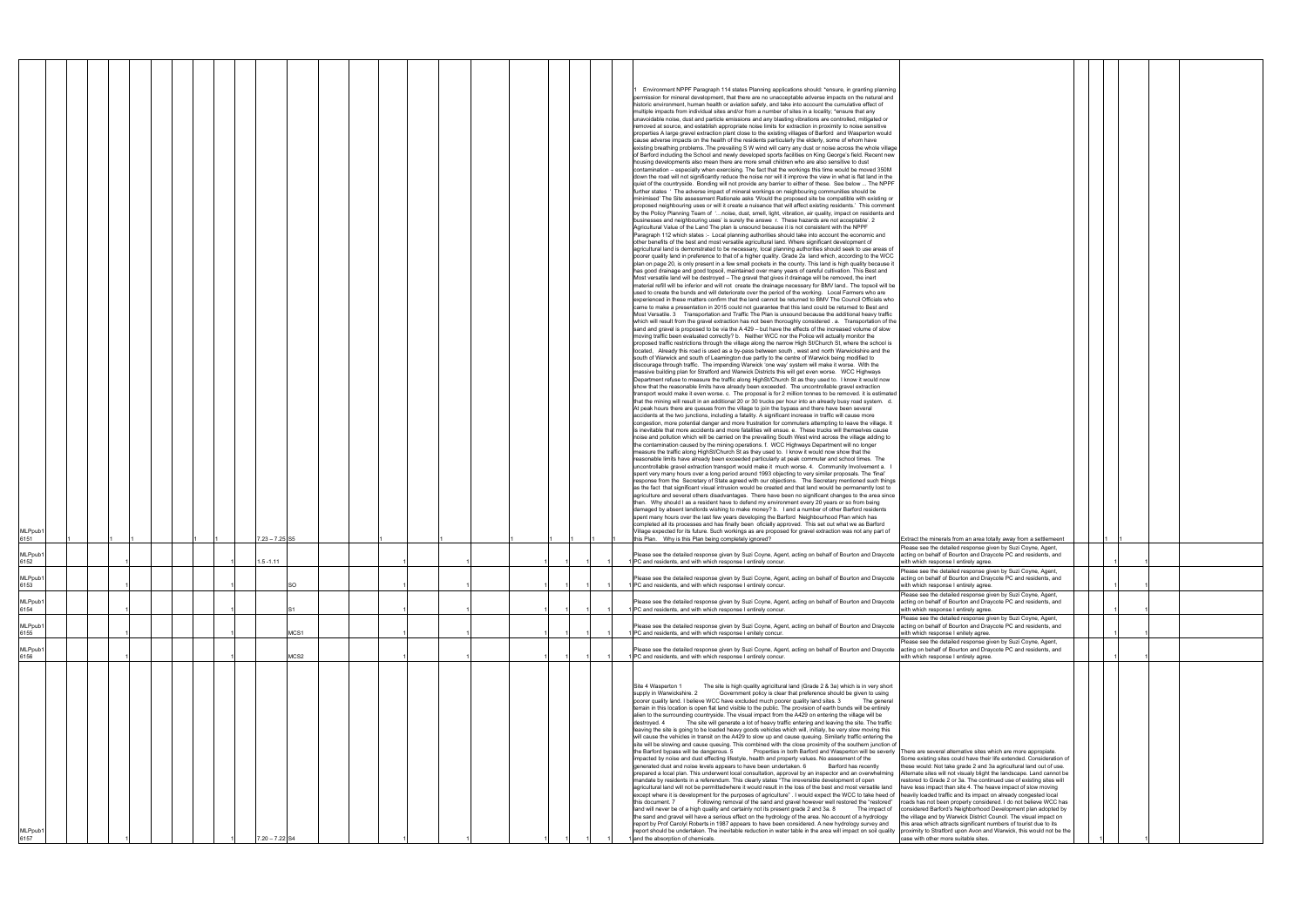| Extract the minerals from an area totally away from a settlemeent<br>Please see the detailed response given by Suzi Coyne, Agent,<br>acting on behalf of Bourton and Draycote PC and residents, and                                                                                                                                                                                                                                                                                                                                                                                                                                                                                                                                                                                                                                                                                              |  |   |   |  |
|--------------------------------------------------------------------------------------------------------------------------------------------------------------------------------------------------------------------------------------------------------------------------------------------------------------------------------------------------------------------------------------------------------------------------------------------------------------------------------------------------------------------------------------------------------------------------------------------------------------------------------------------------------------------------------------------------------------------------------------------------------------------------------------------------------------------------------------------------------------------------------------------------|--|---|---|--|
| with which response I entirely agree.<br>Please see the detailed response given by Suzi Coyne, Agent,                                                                                                                                                                                                                                                                                                                                                                                                                                                                                                                                                                                                                                                                                                                                                                                            |  | 1 | 1 |  |
| acting on behalf of Bourton and Draycote PC and residents, and<br>with which response I entirely agree.<br>Please see the detailed response given by Suzi Coyne, Agent,                                                                                                                                                                                                                                                                                                                                                                                                                                                                                                                                                                                                                                                                                                                          |  | 1 | 1 |  |
| acting on behalf of Bourton and Draycote PC and residents, and<br>with which response I entirely agree.<br>Please see the detailed response given by Suzi Coyne, Agent,                                                                                                                                                                                                                                                                                                                                                                                                                                                                                                                                                                                                                                                                                                                          |  | 1 | 1 |  |
| acting on behalf of Bourton and Draycote PC and residents, and<br>with which response I enitely agree.<br>Please see the detailed response given by Suzi Coyne, Agent,                                                                                                                                                                                                                                                                                                                                                                                                                                                                                                                                                                                                                                                                                                                           |  | 1 | 1 |  |
| acting on behalf of Bourton and Draycote PC and residents, and<br>with which response I entirely agree.                                                                                                                                                                                                                                                                                                                                                                                                                                                                                                                                                                                                                                                                                                                                                                                          |  | 1 | 1 |  |
| There are several alternative sites which are more appropiate.<br>Some existing sites could have their life extended. Consideration of<br>these would: Not take grade 2 and 3a agricultural land out of use.<br>Alternate sites will not visualy blight the landscape. Land cannot be<br>restored to Grade 2 or 3a. The continued use of existing sites will<br>have less impact than site 4. The heave impact of slow moving<br>heavily loaded traffic and its impact on already congested local<br>roads has not been properly considered. I do not believe WCC has<br>considered Barford's Neighborhood Development plan adopted by<br>the village and by Warwick District Council. The visual impact on<br>this area which attracts significant numbers of tourist due to its<br>proximity to Stratford upon Avon and Warwick, this would not be the<br>case with other more suitable sites. |  |   |   |  |

| MLPpub <sup>®</sup><br>6157                                                                                                                                                                                                                                                                                                                                                                                                                                                                                                                                                                                                                                                                                                                                                                                                                                                                                                                                                                                                                                                                                                                                                                                                                                                                                                                                                                                                                                                                                                                                                                                                                                                                                                                                                                                                                                                                                                                                                                                                                                                                                                                                                                                                                                                                                                                                                                                                                                                                                                                                                                                                                                                                                                                                                                                                                                                                                                                                                                                                                                                                                                                                                                                                  | <b>MLPpub</b><br>6156                                                                                                                                                                                                                                                                                                                            | <b>MLPpub</b><br>6155                                                                                                                                                                                                                                                                                                                       | 6153<br>MLPpub1<br>6154                                                                                                                                                                                                                                                                                                                                                                                                                                   | 6152<br>MLPpub1                                                                                                                                                                                                                                                                                                                                  | 6151<br>MLPpub1                                                                                                                                                                                                                                                                                                                                                    | MLPpub <sup>®</sup>                                                                                                                                                                                                                                                                                                                                                                                                                                                                                                                                                                                                                                                                                                                                                                                                                                                                                                                                                                                                                                                                                                                                                                                                                                                                                                                                                                                                                                                                                                                                                                                                                                                                                                                                                                                                                                                                                                                                                                                                                                                                                                                                                                                                                                                                                                                                                                                                                                                                                                                                                                                                                                                                                                                                                                                                                                                                                                                                                                                                                                                                                                                                                                                                                                                                                                                                                                                                                                                                                                                                                                                                                                                                                                                                                                                                                                                                                                                                                                                                                                                                                                                                                                                                                                                                                                                                                                                                                                                                                                                                                                                                                                                                                                                                                                                                                                                                                                                                                                                                                                                                                                                                                                                                                                                                                                                                                                                                                                                                                                                                                                                                                                                                                                                                                                                                                                                                                                                                                                                                                                                                                                                                                                                                                                                                                                                                                                                                                                                                                                                                                                                                                                                                                                      |
|------------------------------------------------------------------------------------------------------------------------------------------------------------------------------------------------------------------------------------------------------------------------------------------------------------------------------------------------------------------------------------------------------------------------------------------------------------------------------------------------------------------------------------------------------------------------------------------------------------------------------------------------------------------------------------------------------------------------------------------------------------------------------------------------------------------------------------------------------------------------------------------------------------------------------------------------------------------------------------------------------------------------------------------------------------------------------------------------------------------------------------------------------------------------------------------------------------------------------------------------------------------------------------------------------------------------------------------------------------------------------------------------------------------------------------------------------------------------------------------------------------------------------------------------------------------------------------------------------------------------------------------------------------------------------------------------------------------------------------------------------------------------------------------------------------------------------------------------------------------------------------------------------------------------------------------------------------------------------------------------------------------------------------------------------------------------------------------------------------------------------------------------------------------------------------------------------------------------------------------------------------------------------------------------------------------------------------------------------------------------------------------------------------------------------------------------------------------------------------------------------------------------------------------------------------------------------------------------------------------------------------------------------------------------------------------------------------------------------------------------------------------------------------------------------------------------------------------------------------------------------------------------------------------------------------------------------------------------------------------------------------------------------------------------------------------------------------------------------------------------------------------------------------------------------------------------------------------------------|--------------------------------------------------------------------------------------------------------------------------------------------------------------------------------------------------------------------------------------------------------------------------------------------------------------------------------------------------|---------------------------------------------------------------------------------------------------------------------------------------------------------------------------------------------------------------------------------------------------------------------------------------------------------------------------------------------|-----------------------------------------------------------------------------------------------------------------------------------------------------------------------------------------------------------------------------------------------------------------------------------------------------------------------------------------------------------------------------------------------------------------------------------------------------------|--------------------------------------------------------------------------------------------------------------------------------------------------------------------------------------------------------------------------------------------------------------------------------------------------------------------------------------------------|--------------------------------------------------------------------------------------------------------------------------------------------------------------------------------------------------------------------------------------------------------------------------------------------------------------------------------------------------------------------|--------------------------------------------------------------------------------------------------------------------------------------------------------------------------------------------------------------------------------------------------------------------------------------------------------------------------------------------------------------------------------------------------------------------------------------------------------------------------------------------------------------------------------------------------------------------------------------------------------------------------------------------------------------------------------------------------------------------------------------------------------------------------------------------------------------------------------------------------------------------------------------------------------------------------------------------------------------------------------------------------------------------------------------------------------------------------------------------------------------------------------------------------------------------------------------------------------------------------------------------------------------------------------------------------------------------------------------------------------------------------------------------------------------------------------------------------------------------------------------------------------------------------------------------------------------------------------------------------------------------------------------------------------------------------------------------------------------------------------------------------------------------------------------------------------------------------------------------------------------------------------------------------------------------------------------------------------------------------------------------------------------------------------------------------------------------------------------------------------------------------------------------------------------------------------------------------------------------------------------------------------------------------------------------------------------------------------------------------------------------------------------------------------------------------------------------------------------------------------------------------------------------------------------------------------------------------------------------------------------------------------------------------------------------------------------------------------------------------------------------------------------------------------------------------------------------------------------------------------------------------------------------------------------------------------------------------------------------------------------------------------------------------------------------------------------------------------------------------------------------------------------------------------------------------------------------------------------------------------------------------------------------------------------------------------------------------------------------------------------------------------------------------------------------------------------------------------------------------------------------------------------------------------------------------------------------------------------------------------------------------------------------------------------------------------------------------------------------------------------------------------------------------------------------------------------------------------------------------------------------------------------------------------------------------------------------------------------------------------------------------------------------------------------------------------------------------------------------------------------------------------------------------------------------------------------------------------------------------------------------------------------------------------------------------------------------------------------------------------------------------------------------------------------------------------------------------------------------------------------------------------------------------------------------------------------------------------------------------------------------------------------------------------------------------------------------------------------------------------------------------------------------------------------------------------------------------------------------------------------------------------------------------------------------------------------------------------------------------------------------------------------------------------------------------------------------------------------------------------------------------------------------------------------------------------------------------------------------------------------------------------------------------------------------------------------------------------------------------------------------------------------------------------------------------------------------------------------------------------------------------------------------------------------------------------------------------------------------------------------------------------------------------------------------------------------------------------------------------------------------------------------------------------------------------------------------------------------------------------------------------------------------------------------------------------------------------------------------------------------------------------------------------------------------------------------------------------------------------------------------------------------------------------------------------------------------------------------------------------------------------------------------------------------------------------------------------------------------------------------------------------------------------------------------------------------------------------------------------------------------------------------------------------------------------------------------------------------------------------------------------------------------------------------------------------------------------------------------------|
|                                                                                                                                                                                                                                                                                                                                                                                                                                                                                                                                                                                                                                                                                                                                                                                                                                                                                                                                                                                                                                                                                                                                                                                                                                                                                                                                                                                                                                                                                                                                                                                                                                                                                                                                                                                                                                                                                                                                                                                                                                                                                                                                                                                                                                                                                                                                                                                                                                                                                                                                                                                                                                                                                                                                                                                                                                                                                                                                                                                                                                                                                                                                                                                                                              |                                                                                                                                                                                                                                                                                                                                                  |                                                                                                                                                                                                                                                                                                                                             |                                                                                                                                                                                                                                                                                                                                                                                                                                                           |                                                                                                                                                                                                                                                                                                                                                  |                                                                                                                                                                                                                                                                                                                                                                    |                                                                                                                                                                                                                                                                                                                                                                                                                                                                                                                                                                                                                                                                                                                                                                                                                                                                                                                                                                                                                                                                                                                                                                                                                                                                                                                                                                                                                                                                                                                                                                                                                                                                                                                                                                                                                                                                                                                                                                                                                                                                                                                                                                                                                                                                                                                                                                                                                                                                                                                                                                                                                                                                                                                                                                                                                                                                                                                                                                                                                                                                                                                                                                                                                                                                                                                                                                                                                                                                                                                                                                                                                                                                                                                                                                                                                                                                                                                                                                                                                                                                                                                                                                                                                                                                                                                                                                                                                                                                                                                                                                                                                                                                                                                                                                                                                                                                                                                                                                                                                                                                                                                                                                                                                                                                                                                                                                                                                                                                                                                                                                                                                                                                                                                                                                                                                                                                                                                                                                                                                                                                                                                                                                                                                                                                                                                                                                                                                                                                                                                                                                                                                                                                                                                          |
|                                                                                                                                                                                                                                                                                                                                                                                                                                                                                                                                                                                                                                                                                                                                                                                                                                                                                                                                                                                                                                                                                                                                                                                                                                                                                                                                                                                                                                                                                                                                                                                                                                                                                                                                                                                                                                                                                                                                                                                                                                                                                                                                                                                                                                                                                                                                                                                                                                                                                                                                                                                                                                                                                                                                                                                                                                                                                                                                                                                                                                                                                                                                                                                                                              |                                                                                                                                                                                                                                                                                                                                                  |                                                                                                                                                                                                                                                                                                                                             |                                                                                                                                                                                                                                                                                                                                                                                                                                                           |                                                                                                                                                                                                                                                                                                                                                  |                                                                                                                                                                                                                                                                                                                                                                    |                                                                                                                                                                                                                                                                                                                                                                                                                                                                                                                                                                                                                                                                                                                                                                                                                                                                                                                                                                                                                                                                                                                                                                                                                                                                                                                                                                                                                                                                                                                                                                                                                                                                                                                                                                                                                                                                                                                                                                                                                                                                                                                                                                                                                                                                                                                                                                                                                                                                                                                                                                                                                                                                                                                                                                                                                                                                                                                                                                                                                                                                                                                                                                                                                                                                                                                                                                                                                                                                                                                                                                                                                                                                                                                                                                                                                                                                                                                                                                                                                                                                                                                                                                                                                                                                                                                                                                                                                                                                                                                                                                                                                                                                                                                                                                                                                                                                                                                                                                                                                                                                                                                                                                                                                                                                                                                                                                                                                                                                                                                                                                                                                                                                                                                                                                                                                                                                                                                                                                                                                                                                                                                                                                                                                                                                                                                                                                                                                                                                                                                                                                                                                                                                                                                          |
|                                                                                                                                                                                                                                                                                                                                                                                                                                                                                                                                                                                                                                                                                                                                                                                                                                                                                                                                                                                                                                                                                                                                                                                                                                                                                                                                                                                                                                                                                                                                                                                                                                                                                                                                                                                                                                                                                                                                                                                                                                                                                                                                                                                                                                                                                                                                                                                                                                                                                                                                                                                                                                                                                                                                                                                                                                                                                                                                                                                                                                                                                                                                                                                                                              |                                                                                                                                                                                                                                                                                                                                                  |                                                                                                                                                                                                                                                                                                                                             |                                                                                                                                                                                                                                                                                                                                                                                                                                                           |                                                                                                                                                                                                                                                                                                                                                  |                                                                                                                                                                                                                                                                                                                                                                    |                                                                                                                                                                                                                                                                                                                                                                                                                                                                                                                                                                                                                                                                                                                                                                                                                                                                                                                                                                                                                                                                                                                                                                                                                                                                                                                                                                                                                                                                                                                                                                                                                                                                                                                                                                                                                                                                                                                                                                                                                                                                                                                                                                                                                                                                                                                                                                                                                                                                                                                                                                                                                                                                                                                                                                                                                                                                                                                                                                                                                                                                                                                                                                                                                                                                                                                                                                                                                                                                                                                                                                                                                                                                                                                                                                                                                                                                                                                                                                                                                                                                                                                                                                                                                                                                                                                                                                                                                                                                                                                                                                                                                                                                                                                                                                                                                                                                                                                                                                                                                                                                                                                                                                                                                                                                                                                                                                                                                                                                                                                                                                                                                                                                                                                                                                                                                                                                                                                                                                                                                                                                                                                                                                                                                                                                                                                                                                                                                                                                                                                                                                                                                                                                                                                          |
|                                                                                                                                                                                                                                                                                                                                                                                                                                                                                                                                                                                                                                                                                                                                                                                                                                                                                                                                                                                                                                                                                                                                                                                                                                                                                                                                                                                                                                                                                                                                                                                                                                                                                                                                                                                                                                                                                                                                                                                                                                                                                                                                                                                                                                                                                                                                                                                                                                                                                                                                                                                                                                                                                                                                                                                                                                                                                                                                                                                                                                                                                                                                                                                                                              |                                                                                                                                                                                                                                                                                                                                                  |                                                                                                                                                                                                                                                                                                                                             |                                                                                                                                                                                                                                                                                                                                                                                                                                                           |                                                                                                                                                                                                                                                                                                                                                  |                                                                                                                                                                                                                                                                                                                                                                    |                                                                                                                                                                                                                                                                                                                                                                                                                                                                                                                                                                                                                                                                                                                                                                                                                                                                                                                                                                                                                                                                                                                                                                                                                                                                                                                                                                                                                                                                                                                                                                                                                                                                                                                                                                                                                                                                                                                                                                                                                                                                                                                                                                                                                                                                                                                                                                                                                                                                                                                                                                                                                                                                                                                                                                                                                                                                                                                                                                                                                                                                                                                                                                                                                                                                                                                                                                                                                                                                                                                                                                                                                                                                                                                                                                                                                                                                                                                                                                                                                                                                                                                                                                                                                                                                                                                                                                                                                                                                                                                                                                                                                                                                                                                                                                                                                                                                                                                                                                                                                                                                                                                                                                                                                                                                                                                                                                                                                                                                                                                                                                                                                                                                                                                                                                                                                                                                                                                                                                                                                                                                                                                                                                                                                                                                                                                                                                                                                                                                                                                                                                                                                                                                                                                          |
|                                                                                                                                                                                                                                                                                                                                                                                                                                                                                                                                                                                                                                                                                                                                                                                                                                                                                                                                                                                                                                                                                                                                                                                                                                                                                                                                                                                                                                                                                                                                                                                                                                                                                                                                                                                                                                                                                                                                                                                                                                                                                                                                                                                                                                                                                                                                                                                                                                                                                                                                                                                                                                                                                                                                                                                                                                                                                                                                                                                                                                                                                                                                                                                                                              |                                                                                                                                                                                                                                                                                                                                                  |                                                                                                                                                                                                                                                                                                                                             |                                                                                                                                                                                                                                                                                                                                                                                                                                                           |                                                                                                                                                                                                                                                                                                                                                  |                                                                                                                                                                                                                                                                                                                                                                    |                                                                                                                                                                                                                                                                                                                                                                                                                                                                                                                                                                                                                                                                                                                                                                                                                                                                                                                                                                                                                                                                                                                                                                                                                                                                                                                                                                                                                                                                                                                                                                                                                                                                                                                                                                                                                                                                                                                                                                                                                                                                                                                                                                                                                                                                                                                                                                                                                                                                                                                                                                                                                                                                                                                                                                                                                                                                                                                                                                                                                                                                                                                                                                                                                                                                                                                                                                                                                                                                                                                                                                                                                                                                                                                                                                                                                                                                                                                                                                                                                                                                                                                                                                                                                                                                                                                                                                                                                                                                                                                                                                                                                                                                                                                                                                                                                                                                                                                                                                                                                                                                                                                                                                                                                                                                                                                                                                                                                                                                                                                                                                                                                                                                                                                                                                                                                                                                                                                                                                                                                                                                                                                                                                                                                                                                                                                                                                                                                                                                                                                                                                                                                                                                                                                          |
|                                                                                                                                                                                                                                                                                                                                                                                                                                                                                                                                                                                                                                                                                                                                                                                                                                                                                                                                                                                                                                                                                                                                                                                                                                                                                                                                                                                                                                                                                                                                                                                                                                                                                                                                                                                                                                                                                                                                                                                                                                                                                                                                                                                                                                                                                                                                                                                                                                                                                                                                                                                                                                                                                                                                                                                                                                                                                                                                                                                                                                                                                                                                                                                                                              |                                                                                                                                                                                                                                                                                                                                                  |                                                                                                                                                                                                                                                                                                                                             |                                                                                                                                                                                                                                                                                                                                                                                                                                                           |                                                                                                                                                                                                                                                                                                                                                  |                                                                                                                                                                                                                                                                                                                                                                    |                                                                                                                                                                                                                                                                                                                                                                                                                                                                                                                                                                                                                                                                                                                                                                                                                                                                                                                                                                                                                                                                                                                                                                                                                                                                                                                                                                                                                                                                                                                                                                                                                                                                                                                                                                                                                                                                                                                                                                                                                                                                                                                                                                                                                                                                                                                                                                                                                                                                                                                                                                                                                                                                                                                                                                                                                                                                                                                                                                                                                                                                                                                                                                                                                                                                                                                                                                                                                                                                                                                                                                                                                                                                                                                                                                                                                                                                                                                                                                                                                                                                                                                                                                                                                                                                                                                                                                                                                                                                                                                                                                                                                                                                                                                                                                                                                                                                                                                                                                                                                                                                                                                                                                                                                                                                                                                                                                                                                                                                                                                                                                                                                                                                                                                                                                                                                                                                                                                                                                                                                                                                                                                                                                                                                                                                                                                                                                                                                                                                                                                                                                                                                                                                                                                          |
| $20 - 7.22$                                                                                                                                                                                                                                                                                                                                                                                                                                                                                                                                                                                                                                                                                                                                                                                                                                                                                                                                                                                                                                                                                                                                                                                                                                                                                                                                                                                                                                                                                                                                                                                                                                                                                                                                                                                                                                                                                                                                                                                                                                                                                                                                                                                                                                                                                                                                                                                                                                                                                                                                                                                                                                                                                                                                                                                                                                                                                                                                                                                                                                                                                                                                                                                                                  |                                                                                                                                                                                                                                                                                                                                                  |                                                                                                                                                                                                                                                                                                                                             |                                                                                                                                                                                                                                                                                                                                                                                                                                                           | $1.5 - 1.11$                                                                                                                                                                                                                                                                                                                                     | $7.23 - 7.25$ S5                                                                                                                                                                                                                                                                                                                                                   |                                                                                                                                                                                                                                                                                                                                                                                                                                                                                                                                                                                                                                                                                                                                                                                                                                                                                                                                                                                                                                                                                                                                                                                                                                                                                                                                                                                                                                                                                                                                                                                                                                                                                                                                                                                                                                                                                                                                                                                                                                                                                                                                                                                                                                                                                                                                                                                                                                                                                                                                                                                                                                                                                                                                                                                                                                                                                                                                                                                                                                                                                                                                                                                                                                                                                                                                                                                                                                                                                                                                                                                                                                                                                                                                                                                                                                                                                                                                                                                                                                                                                                                                                                                                                                                                                                                                                                                                                                                                                                                                                                                                                                                                                                                                                                                                                                                                                                                                                                                                                                                                                                                                                                                                                                                                                                                                                                                                                                                                                                                                                                                                                                                                                                                                                                                                                                                                                                                                                                                                                                                                                                                                                                                                                                                                                                                                                                                                                                                                                                                                                                                                                                                                                                                          |
|                                                                                                                                                                                                                                                                                                                                                                                                                                                                                                                                                                                                                                                                                                                                                                                                                                                                                                                                                                                                                                                                                                                                                                                                                                                                                                                                                                                                                                                                                                                                                                                                                                                                                                                                                                                                                                                                                                                                                                                                                                                                                                                                                                                                                                                                                                                                                                                                                                                                                                                                                                                                                                                                                                                                                                                                                                                                                                                                                                                                                                                                                                                                                                                                                              | MCS2                                                                                                                                                                                                                                                                                                                                             | MCS1                                                                                                                                                                                                                                                                                                                                        | SO                                                                                                                                                                                                                                                                                                                                                                                                                                                        |                                                                                                                                                                                                                                                                                                                                                  |                                                                                                                                                                                                                                                                                                                                                                    |                                                                                                                                                                                                                                                                                                                                                                                                                                                                                                                                                                                                                                                                                                                                                                                                                                                                                                                                                                                                                                                                                                                                                                                                                                                                                                                                                                                                                                                                                                                                                                                                                                                                                                                                                                                                                                                                                                                                                                                                                                                                                                                                                                                                                                                                                                                                                                                                                                                                                                                                                                                                                                                                                                                                                                                                                                                                                                                                                                                                                                                                                                                                                                                                                                                                                                                                                                                                                                                                                                                                                                                                                                                                                                                                                                                                                                                                                                                                                                                                                                                                                                                                                                                                                                                                                                                                                                                                                                                                                                                                                                                                                                                                                                                                                                                                                                                                                                                                                                                                                                                                                                                                                                                                                                                                                                                                                                                                                                                                                                                                                                                                                                                                                                                                                                                                                                                                                                                                                                                                                                                                                                                                                                                                                                                                                                                                                                                                                                                                                                                                                                                                                                                                                                                          |
|                                                                                                                                                                                                                                                                                                                                                                                                                                                                                                                                                                                                                                                                                                                                                                                                                                                                                                                                                                                                                                                                                                                                                                                                                                                                                                                                                                                                                                                                                                                                                                                                                                                                                                                                                                                                                                                                                                                                                                                                                                                                                                                                                                                                                                                                                                                                                                                                                                                                                                                                                                                                                                                                                                                                                                                                                                                                                                                                                                                                                                                                                                                                                                                                                              |                                                                                                                                                                                                                                                                                                                                                  |                                                                                                                                                                                                                                                                                                                                             |                                                                                                                                                                                                                                                                                                                                                                                                                                                           |                                                                                                                                                                                                                                                                                                                                                  |                                                                                                                                                                                                                                                                                                                                                                    |                                                                                                                                                                                                                                                                                                                                                                                                                                                                                                                                                                                                                                                                                                                                                                                                                                                                                                                                                                                                                                                                                                                                                                                                                                                                                                                                                                                                                                                                                                                                                                                                                                                                                                                                                                                                                                                                                                                                                                                                                                                                                                                                                                                                                                                                                                                                                                                                                                                                                                                                                                                                                                                                                                                                                                                                                                                                                                                                                                                                                                                                                                                                                                                                                                                                                                                                                                                                                                                                                                                                                                                                                                                                                                                                                                                                                                                                                                                                                                                                                                                                                                                                                                                                                                                                                                                                                                                                                                                                                                                                                                                                                                                                                                                                                                                                                                                                                                                                                                                                                                                                                                                                                                                                                                                                                                                                                                                                                                                                                                                                                                                                                                                                                                                                                                                                                                                                                                                                                                                                                                                                                                                                                                                                                                                                                                                                                                                                                                                                                                                                                                                                                                                                                                                          |
|                                                                                                                                                                                                                                                                                                                                                                                                                                                                                                                                                                                                                                                                                                                                                                                                                                                                                                                                                                                                                                                                                                                                                                                                                                                                                                                                                                                                                                                                                                                                                                                                                                                                                                                                                                                                                                                                                                                                                                                                                                                                                                                                                                                                                                                                                                                                                                                                                                                                                                                                                                                                                                                                                                                                                                                                                                                                                                                                                                                                                                                                                                                                                                                                                              |                                                                                                                                                                                                                                                                                                                                                  |                                                                                                                                                                                                                                                                                                                                             |                                                                                                                                                                                                                                                                                                                                                                                                                                                           |                                                                                                                                                                                                                                                                                                                                                  |                                                                                                                                                                                                                                                                                                                                                                    |                                                                                                                                                                                                                                                                                                                                                                                                                                                                                                                                                                                                                                                                                                                                                                                                                                                                                                                                                                                                                                                                                                                                                                                                                                                                                                                                                                                                                                                                                                                                                                                                                                                                                                                                                                                                                                                                                                                                                                                                                                                                                                                                                                                                                                                                                                                                                                                                                                                                                                                                                                                                                                                                                                                                                                                                                                                                                                                                                                                                                                                                                                                                                                                                                                                                                                                                                                                                                                                                                                                                                                                                                                                                                                                                                                                                                                                                                                                                                                                                                                                                                                                                                                                                                                                                                                                                                                                                                                                                                                                                                                                                                                                                                                                                                                                                                                                                                                                                                                                                                                                                                                                                                                                                                                                                                                                                                                                                                                                                                                                                                                                                                                                                                                                                                                                                                                                                                                                                                                                                                                                                                                                                                                                                                                                                                                                                                                                                                                                                                                                                                                                                                                                                                                                          |
|                                                                                                                                                                                                                                                                                                                                                                                                                                                                                                                                                                                                                                                                                                                                                                                                                                                                                                                                                                                                                                                                                                                                                                                                                                                                                                                                                                                                                                                                                                                                                                                                                                                                                                                                                                                                                                                                                                                                                                                                                                                                                                                                                                                                                                                                                                                                                                                                                                                                                                                                                                                                                                                                                                                                                                                                                                                                                                                                                                                                                                                                                                                                                                                                                              |                                                                                                                                                                                                                                                                                                                                                  |                                                                                                                                                                                                                                                                                                                                             |                                                                                                                                                                                                                                                                                                                                                                                                                                                           |                                                                                                                                                                                                                                                                                                                                                  |                                                                                                                                                                                                                                                                                                                                                                    |                                                                                                                                                                                                                                                                                                                                                                                                                                                                                                                                                                                                                                                                                                                                                                                                                                                                                                                                                                                                                                                                                                                                                                                                                                                                                                                                                                                                                                                                                                                                                                                                                                                                                                                                                                                                                                                                                                                                                                                                                                                                                                                                                                                                                                                                                                                                                                                                                                                                                                                                                                                                                                                                                                                                                                                                                                                                                                                                                                                                                                                                                                                                                                                                                                                                                                                                                                                                                                                                                                                                                                                                                                                                                                                                                                                                                                                                                                                                                                                                                                                                                                                                                                                                                                                                                                                                                                                                                                                                                                                                                                                                                                                                                                                                                                                                                                                                                                                                                                                                                                                                                                                                                                                                                                                                                                                                                                                                                                                                                                                                                                                                                                                                                                                                                                                                                                                                                                                                                                                                                                                                                                                                                                                                                                                                                                                                                                                                                                                                                                                                                                                                                                                                                                                          |
|                                                                                                                                                                                                                                                                                                                                                                                                                                                                                                                                                                                                                                                                                                                                                                                                                                                                                                                                                                                                                                                                                                                                                                                                                                                                                                                                                                                                                                                                                                                                                                                                                                                                                                                                                                                                                                                                                                                                                                                                                                                                                                                                                                                                                                                                                                                                                                                                                                                                                                                                                                                                                                                                                                                                                                                                                                                                                                                                                                                                                                                                                                                                                                                                                              |                                                                                                                                                                                                                                                                                                                                                  |                                                                                                                                                                                                                                                                                                                                             |                                                                                                                                                                                                                                                                                                                                                                                                                                                           |                                                                                                                                                                                                                                                                                                                                                  |                                                                                                                                                                                                                                                                                                                                                                    |                                                                                                                                                                                                                                                                                                                                                                                                                                                                                                                                                                                                                                                                                                                                                                                                                                                                                                                                                                                                                                                                                                                                                                                                                                                                                                                                                                                                                                                                                                                                                                                                                                                                                                                                                                                                                                                                                                                                                                                                                                                                                                                                                                                                                                                                                                                                                                                                                                                                                                                                                                                                                                                                                                                                                                                                                                                                                                                                                                                                                                                                                                                                                                                                                                                                                                                                                                                                                                                                                                                                                                                                                                                                                                                                                                                                                                                                                                                                                                                                                                                                                                                                                                                                                                                                                                                                                                                                                                                                                                                                                                                                                                                                                                                                                                                                                                                                                                                                                                                                                                                                                                                                                                                                                                                                                                                                                                                                                                                                                                                                                                                                                                                                                                                                                                                                                                                                                                                                                                                                                                                                                                                                                                                                                                                                                                                                                                                                                                                                                                                                                                                                                                                                                                                          |
|                                                                                                                                                                                                                                                                                                                                                                                                                                                                                                                                                                                                                                                                                                                                                                                                                                                                                                                                                                                                                                                                                                                                                                                                                                                                                                                                                                                                                                                                                                                                                                                                                                                                                                                                                                                                                                                                                                                                                                                                                                                                                                                                                                                                                                                                                                                                                                                                                                                                                                                                                                                                                                                                                                                                                                                                                                                                                                                                                                                                                                                                                                                                                                                                                              |                                                                                                                                                                                                                                                                                                                                                  |                                                                                                                                                                                                                                                                                                                                             |                                                                                                                                                                                                                                                                                                                                                                                                                                                           |                                                                                                                                                                                                                                                                                                                                                  |                                                                                                                                                                                                                                                                                                                                                                    |                                                                                                                                                                                                                                                                                                                                                                                                                                                                                                                                                                                                                                                                                                                                                                                                                                                                                                                                                                                                                                                                                                                                                                                                                                                                                                                                                                                                                                                                                                                                                                                                                                                                                                                                                                                                                                                                                                                                                                                                                                                                                                                                                                                                                                                                                                                                                                                                                                                                                                                                                                                                                                                                                                                                                                                                                                                                                                                                                                                                                                                                                                                                                                                                                                                                                                                                                                                                                                                                                                                                                                                                                                                                                                                                                                                                                                                                                                                                                                                                                                                                                                                                                                                                                                                                                                                                                                                                                                                                                                                                                                                                                                                                                                                                                                                                                                                                                                                                                                                                                                                                                                                                                                                                                                                                                                                                                                                                                                                                                                                                                                                                                                                                                                                                                                                                                                                                                                                                                                                                                                                                                                                                                                                                                                                                                                                                                                                                                                                                                                                                                                                                                                                                                                                          |
|                                                                                                                                                                                                                                                                                                                                                                                                                                                                                                                                                                                                                                                                                                                                                                                                                                                                                                                                                                                                                                                                                                                                                                                                                                                                                                                                                                                                                                                                                                                                                                                                                                                                                                                                                                                                                                                                                                                                                                                                                                                                                                                                                                                                                                                                                                                                                                                                                                                                                                                                                                                                                                                                                                                                                                                                                                                                                                                                                                                                                                                                                                                                                                                                                              |                                                                                                                                                                                                                                                                                                                                                  |                                                                                                                                                                                                                                                                                                                                             |                                                                                                                                                                                                                                                                                                                                                                                                                                                           |                                                                                                                                                                                                                                                                                                                                                  |                                                                                                                                                                                                                                                                                                                                                                    |                                                                                                                                                                                                                                                                                                                                                                                                                                                                                                                                                                                                                                                                                                                                                                                                                                                                                                                                                                                                                                                                                                                                                                                                                                                                                                                                                                                                                                                                                                                                                                                                                                                                                                                                                                                                                                                                                                                                                                                                                                                                                                                                                                                                                                                                                                                                                                                                                                                                                                                                                                                                                                                                                                                                                                                                                                                                                                                                                                                                                                                                                                                                                                                                                                                                                                                                                                                                                                                                                                                                                                                                                                                                                                                                                                                                                                                                                                                                                                                                                                                                                                                                                                                                                                                                                                                                                                                                                                                                                                                                                                                                                                                                                                                                                                                                                                                                                                                                                                                                                                                                                                                                                                                                                                                                                                                                                                                                                                                                                                                                                                                                                                                                                                                                                                                                                                                                                                                                                                                                                                                                                                                                                                                                                                                                                                                                                                                                                                                                                                                                                                                                                                                                                                                          |
|                                                                                                                                                                                                                                                                                                                                                                                                                                                                                                                                                                                                                                                                                                                                                                                                                                                                                                                                                                                                                                                                                                                                                                                                                                                                                                                                                                                                                                                                                                                                                                                                                                                                                                                                                                                                                                                                                                                                                                                                                                                                                                                                                                                                                                                                                                                                                                                                                                                                                                                                                                                                                                                                                                                                                                                                                                                                                                                                                                                                                                                                                                                                                                                                                              |                                                                                                                                                                                                                                                                                                                                                  |                                                                                                                                                                                                                                                                                                                                             |                                                                                                                                                                                                                                                                                                                                                                                                                                                           |                                                                                                                                                                                                                                                                                                                                                  |                                                                                                                                                                                                                                                                                                                                                                    |                                                                                                                                                                                                                                                                                                                                                                                                                                                                                                                                                                                                                                                                                                                                                                                                                                                                                                                                                                                                                                                                                                                                                                                                                                                                                                                                                                                                                                                                                                                                                                                                                                                                                                                                                                                                                                                                                                                                                                                                                                                                                                                                                                                                                                                                                                                                                                                                                                                                                                                                                                                                                                                                                                                                                                                                                                                                                                                                                                                                                                                                                                                                                                                                                                                                                                                                                                                                                                                                                                                                                                                                                                                                                                                                                                                                                                                                                                                                                                                                                                                                                                                                                                                                                                                                                                                                                                                                                                                                                                                                                                                                                                                                                                                                                                                                                                                                                                                                                                                                                                                                                                                                                                                                                                                                                                                                                                                                                                                                                                                                                                                                                                                                                                                                                                                                                                                                                                                                                                                                                                                                                                                                                                                                                                                                                                                                                                                                                                                                                                                                                                                                                                                                                                                          |
|                                                                                                                                                                                                                                                                                                                                                                                                                                                                                                                                                                                                                                                                                                                                                                                                                                                                                                                                                                                                                                                                                                                                                                                                                                                                                                                                                                                                                                                                                                                                                                                                                                                                                                                                                                                                                                                                                                                                                                                                                                                                                                                                                                                                                                                                                                                                                                                                                                                                                                                                                                                                                                                                                                                                                                                                                                                                                                                                                                                                                                                                                                                                                                                                                              |                                                                                                                                                                                                                                                                                                                                                  |                                                                                                                                                                                                                                                                                                                                             |                                                                                                                                                                                                                                                                                                                                                                                                                                                           |                                                                                                                                                                                                                                                                                                                                                  |                                                                                                                                                                                                                                                                                                                                                                    |                                                                                                                                                                                                                                                                                                                                                                                                                                                                                                                                                                                                                                                                                                                                                                                                                                                                                                                                                                                                                                                                                                                                                                                                                                                                                                                                                                                                                                                                                                                                                                                                                                                                                                                                                                                                                                                                                                                                                                                                                                                                                                                                                                                                                                                                                                                                                                                                                                                                                                                                                                                                                                                                                                                                                                                                                                                                                                                                                                                                                                                                                                                                                                                                                                                                                                                                                                                                                                                                                                                                                                                                                                                                                                                                                                                                                                                                                                                                                                                                                                                                                                                                                                                                                                                                                                                                                                                                                                                                                                                                                                                                                                                                                                                                                                                                                                                                                                                                                                                                                                                                                                                                                                                                                                                                                                                                                                                                                                                                                                                                                                                                                                                                                                                                                                                                                                                                                                                                                                                                                                                                                                                                                                                                                                                                                                                                                                                                                                                                                                                                                                                                                                                                                                                          |
|                                                                                                                                                                                                                                                                                                                                                                                                                                                                                                                                                                                                                                                                                                                                                                                                                                                                                                                                                                                                                                                                                                                                                                                                                                                                                                                                                                                                                                                                                                                                                                                                                                                                                                                                                                                                                                                                                                                                                                                                                                                                                                                                                                                                                                                                                                                                                                                                                                                                                                                                                                                                                                                                                                                                                                                                                                                                                                                                                                                                                                                                                                                                                                                                                              |                                                                                                                                                                                                                                                                                                                                                  |                                                                                                                                                                                                                                                                                                                                             |                                                                                                                                                                                                                                                                                                                                                                                                                                                           |                                                                                                                                                                                                                                                                                                                                                  |                                                                                                                                                                                                                                                                                                                                                                    |                                                                                                                                                                                                                                                                                                                                                                                                                                                                                                                                                                                                                                                                                                                                                                                                                                                                                                                                                                                                                                                                                                                                                                                                                                                                                                                                                                                                                                                                                                                                                                                                                                                                                                                                                                                                                                                                                                                                                                                                                                                                                                                                                                                                                                                                                                                                                                                                                                                                                                                                                                                                                                                                                                                                                                                                                                                                                                                                                                                                                                                                                                                                                                                                                                                                                                                                                                                                                                                                                                                                                                                                                                                                                                                                                                                                                                                                                                                                                                                                                                                                                                                                                                                                                                                                                                                                                                                                                                                                                                                                                                                                                                                                                                                                                                                                                                                                                                                                                                                                                                                                                                                                                                                                                                                                                                                                                                                                                                                                                                                                                                                                                                                                                                                                                                                                                                                                                                                                                                                                                                                                                                                                                                                                                                                                                                                                                                                                                                                                                                                                                                                                                                                                                                                          |
| Site 4 Wasperton 1<br>The site is high quality agriciltural land (Grade 2 & 3a) which is in very short<br>supply in Warwickshire. 2<br>Government policy is clear that preference should be given to using<br>poorer quality land. I believe WCC have excluded much poorer quality land sites. 3<br>The general<br>terrain in this location is open flat land visible to the public. The provision of earth bunds will be entirely<br>alien to the surrounding countryside. The visual impact from the A429 on entering the village will be<br>The site will generate a lot of heavy traffic entering and leaving the site. The traffic<br>destroyed. 4<br>leaving the site is going to be loaded heavy goods vehicles which will, initialy, be very slow moving this<br>will cause the vehicles in transit on the A429 to slow up and cause queuing. Similarly traffic entering the<br>site will be slowing and cause queuing. This combined with the close proximity of the southern junction of<br>the Barford bypass will be dangerous. 5 Properties in both Barford and Wasperton will be severly There are several alternative sites which are more appropiate.<br>Some existing sites could have their life extended. Consideration of<br>impacted by noise and dust effecting lifestyle, health and property values. No assesment of the<br>generated dust and noise levels appears to have been undertaken. 6<br>these would: Not take grade 2 and 3a agricultural land out of use.<br>Barford has recently<br>Alternate sites will not visualy blight the landscape. Land cannot be<br>orepared a local plan. This underwent local consultation, approval by an inspector and an overwhelming<br>mandate by residents in a referendum. This clearly states "The irreversible development of open<br>restored to Grade 2 or 3a. The continued use of existing sites will<br>agricultural land will not be permittedwhere it would result in the loss of the best and most versatile land<br>have less impact than site 4. The heave impact of slow moving<br>except where it is development for the purposes of agriculture". I would expect the WCC to take heed of heavily loaded traffic and its impact on already congested local<br>Following removal of the sand and gravel however well restored the "restored"<br>roads has not been properly considered. I do not believe WCC has<br>this document. 7<br>land will never be of a high quality and certainly not its present grade 2 and 3a. 8<br>considered Barford's Neighborhood Development plan adopted by<br>The impact of<br>the sand and gravel will have a serious effect on the hydrology of the area. No account of a hydrology<br>the village and by Warwick District Council. The visual impact on<br>report by Prof Carolyl Roberts in 1987 appears to have been considered. A new hydrology survey and<br>this area which attracts significant numbers of tourist due to its<br>report should be undertaken. The inevitable reduction in water table in the area will impact on soil quality proximity to Stratford upon Avon and Warwick, this would not be the<br>and the absorption of chemicals.<br>case with other more suitable sites. | Please see the detailed response given by Suzi Coyne, Agent,<br>Please see the detailed response given by Suzi Coyne, Agent, acting on behalf of Bourton and Draycote<br>acting on behalf of Bourton and Draycote PC and residents, and<br>PC and residents, and with which response I entirely concur.<br>with which response I entirely agree. | Please see the detailed response given by Suzi Coyne, Agent,<br>Please see the detailed response given by Suzi Coyne, Agent, acting on behalf of Bourton and Draycote acting on behalf of Bourton and Draycote PC and residents, and<br>PC and residents, and with which response I enitely concur.<br>with which response I enitely agree. | PC and residents, and with which response I entirely concur.<br>with which response I entirely agree.<br>Please see the detailed response given by Suzi Coyne, Agent,<br>Please see the detailed response given by Suzi Coyne, Agent, acting on behalf of Bourton and Draycote<br>acting on behalf of Bourton and Draycote PC and residents, and<br>PC and residents, and with which response I entirely concur.<br>with which response I entirely agree. | PC and residents, and with which response I entirely concur.<br>with which response I entirely agree.<br>Please see the detailed response given by Suzi Coyne, Agent,<br>Please see the detailed response given by Suzi Coyne, Agent, acting on behalf of Bourton and Draycote<br>acting on behalf of Bourton and Draycote PC and residents, and | this Plan. Why is this Plan being completely ignored?<br>Extract the minerals from an area totally away from a settlemeent<br>Please see the detailed response given by Suzi Coyne, Agent,<br>Please see the detailed response given by Suzi Coyne, Agent, acting on behalf of Bourton and Draycote acting on behalf of Bourton and Draycote PC and residents, and | Environment NPPF Paragraph 114 states Planning applications should: *ensure, in granting planning<br>permission for mineral development, that there are no unacceptable adverse impacts on the natural and<br>historic environment, human health or aviation safety, and take into account the cumulative effect of<br>multiple impacts from individual sites and/or from a number of sites in a locality; *ensure that any<br>unavoidable noise, dust and particle emissions and any blasting vibrations are controlled, mitigated or<br>removed at source, and establish appropriate noise limits for extraction in proximity to noise sensitive<br>properties A large gravel extraction plant close to the existing villages of Barford and Wasperton would<br>cause adverse impacts on the health of the residents particularly the elderly, some of whom have<br>existing breathing problems. The prevailing S W wind will carry any dust or noise across the whole village<br>of Barford including the School and newly developed sports facilities on King George's field. Recent new<br>housing developments also mean there are more small children who are also sensitive to dust<br>contamination – especially when exercising. The fact that the workings this time would be moved 350M<br>down the road will not significantly reduce the noise nor will it improve the view in what is flat land in the<br>quiet of the countryside. Bonding will not provide any barrier to either of these. See below  The NPPF<br>further states ' The adverse impact of mineral workings on neighbouring communities should be<br>minimised' The Site assessment Rationale asks 'Would the proposed site be compatible with existing or<br>proposed neighbouring uses or will it create a nuisance that will affect existing residents.' This comment<br>by the Policy Planning Team of 'noise, dust, smell, light, vibration, air quality, impact on residents and<br>businesses and neighbouring uses' is surely the answe r. These hazards are not acceptable'. 2<br>Agricultural Value of the Land The plan is unsound because it is not consistent with the NPPF<br>Paragraph 112 which states :- Local planning authorities should take into account the economic and<br>other benefits of the best and most versatile agricultural land. Where significant development of<br>agricultural land is demonstrated to be necessary, local planning authorities should seek to use areas of<br>poorer quality land in preference to that of a higher quality. Grade 2a land which, according to the WCC<br>plan on page 20, is only present in a few small pockets in the county. This land is high quality because it<br>has good drainage and good topsoil, maintained over many years of careful cultivation. This Best and<br>Most versatile land will be destroyed – The gravel that gives it drainage will be removed, the inert<br>material refill will be inferior and will not create the drainage necessary for BMV land The topsoil will be<br>used to create the bunds and will deteriorate over the period of the working. Local Farmers who are<br>experienced in these matters confirm that the land cannot be returned to BMV The Council Officials who<br>came to make a presentation in 2015 could not guarantee that this land could be returned to Best and<br>Most Versatile. 3 Transportation and Traffic The Plan is unsound because the additional heavy traffic<br>which will result from the gravel extraction has not been thoroughly considered . a. Transportation of the<br>sand and gravel is proposed to be via the A 429 - but have the effects of the increased volume of slow<br>moving traffic been evaluated correctly? b. Neither WCC nor the Police will actually monitor the<br>proposed traffic restrictions through the village along the narrow High St/Church St, where the school is<br>located, Already this road is used as a by-pass between south, west and north Warwickshire and the<br>south of Warwick and south of Leamington due partly to the centre of Warwick being modified to<br>discourage through traffic. The impending Warwick 'one way' system will make it worse. With the<br>massive building plan for Stratford and Warwick Districts this will get even worse. WCC Highways<br>Department refuse to measure the traffic along HighSt/Church St as they used to. I know it would now<br>show that the reasonable limits have already been exceeded. The uncontrollable gravel extraction<br>transport would make it even worse. c. The proposal is for 2 million tonnes to be removed. it is estimated<br>that the mining will result in an additional 20 or 30 trucks per hour into an already busy road system. d.<br>At peak hours there are queues from the village to join the bypass and there have been several<br>accidents at the two junctions, including a fatality. A significant increase in traffic will cause more<br>congestion, more potential danger and more frustration for commuters attempting to leave the village. It<br>is inevitable that more accidents and more fatalities will ensue. e. These trucks will themselves cause<br>noise and pollution which will be carried on the prevailing South West wind across the village adding to<br>the contamination caused by the mining operations. f. WCC Highways Department will no longer<br>measure the traffic along HighSt/Church St as they used to. I know it would now show that the<br>reasonable limits have already been exceeded particularly at peak commuter and school times. The<br>uncontrollable gravel extraction transport would make it much worse. 4. Community Involvement a. I<br>spent very many hours over a long period around 1993 objecting to very similar proposals. The 'final'<br>response from the Secretary of State agreed with our objections. The Secretary mentioned such things<br>as the fact that significant visual intrusion would be created and that land would be permanently lost to<br>agriculture and several others disadvantages. There have been no significant changes to the area since<br>then. Why should I as a resident have to defend my environment every 20 years or so from being<br>damaged by absent landlords wishing to make money? b. I and a number of other Barford residents<br>spent many hours over the last few years developing the Barford Neighbourhood Plan which has<br>completed all its processes and has finally been oficially approved. This set out what we as Barford<br>Village expected for its future. Such workings as are proposed for gravel extraction was not any part of |
|                                                                                                                                                                                                                                                                                                                                                                                                                                                                                                                                                                                                                                                                                                                                                                                                                                                                                                                                                                                                                                                                                                                                                                                                                                                                                                                                                                                                                                                                                                                                                                                                                                                                                                                                                                                                                                                                                                                                                                                                                                                                                                                                                                                                                                                                                                                                                                                                                                                                                                                                                                                                                                                                                                                                                                                                                                                                                                                                                                                                                                                                                                                                                                                                                              |                                                                                                                                                                                                                                                                                                                                                  |                                                                                                                                                                                                                                                                                                                                             |                                                                                                                                                                                                                                                                                                                                                                                                                                                           |                                                                                                                                                                                                                                                                                                                                                  |                                                                                                                                                                                                                                                                                                                                                                    |                                                                                                                                                                                                                                                                                                                                                                                                                                                                                                                                                                                                                                                                                                                                                                                                                                                                                                                                                                                                                                                                                                                                                                                                                                                                                                                                                                                                                                                                                                                                                                                                                                                                                                                                                                                                                                                                                                                                                                                                                                                                                                                                                                                                                                                                                                                                                                                                                                                                                                                                                                                                                                                                                                                                                                                                                                                                                                                                                                                                                                                                                                                                                                                                                                                                                                                                                                                                                                                                                                                                                                                                                                                                                                                                                                                                                                                                                                                                                                                                                                                                                                                                                                                                                                                                                                                                                                                                                                                                                                                                                                                                                                                                                                                                                                                                                                                                                                                                                                                                                                                                                                                                                                                                                                                                                                                                                                                                                                                                                                                                                                                                                                                                                                                                                                                                                                                                                                                                                                                                                                                                                                                                                                                                                                                                                                                                                                                                                                                                                                                                                                                                                                                                                                                          |
|                                                                                                                                                                                                                                                                                                                                                                                                                                                                                                                                                                                                                                                                                                                                                                                                                                                                                                                                                                                                                                                                                                                                                                                                                                                                                                                                                                                                                                                                                                                                                                                                                                                                                                                                                                                                                                                                                                                                                                                                                                                                                                                                                                                                                                                                                                                                                                                                                                                                                                                                                                                                                                                                                                                                                                                                                                                                                                                                                                                                                                                                                                                                                                                                                              |                                                                                                                                                                                                                                                                                                                                                  |                                                                                                                                                                                                                                                                                                                                             |                                                                                                                                                                                                                                                                                                                                                                                                                                                           |                                                                                                                                                                                                                                                                                                                                                  |                                                                                                                                                                                                                                                                                                                                                                    |                                                                                                                                                                                                                                                                                                                                                                                                                                                                                                                                                                                                                                                                                                                                                                                                                                                                                                                                                                                                                                                                                                                                                                                                                                                                                                                                                                                                                                                                                                                                                                                                                                                                                                                                                                                                                                                                                                                                                                                                                                                                                                                                                                                                                                                                                                                                                                                                                                                                                                                                                                                                                                                                                                                                                                                                                                                                                                                                                                                                                                                                                                                                                                                                                                                                                                                                                                                                                                                                                                                                                                                                                                                                                                                                                                                                                                                                                                                                                                                                                                                                                                                                                                                                                                                                                                                                                                                                                                                                                                                                                                                                                                                                                                                                                                                                                                                                                                                                                                                                                                                                                                                                                                                                                                                                                                                                                                                                                                                                                                                                                                                                                                                                                                                                                                                                                                                                                                                                                                                                                                                                                                                                                                                                                                                                                                                                                                                                                                                                                                                                                                                                                                                                                                                          |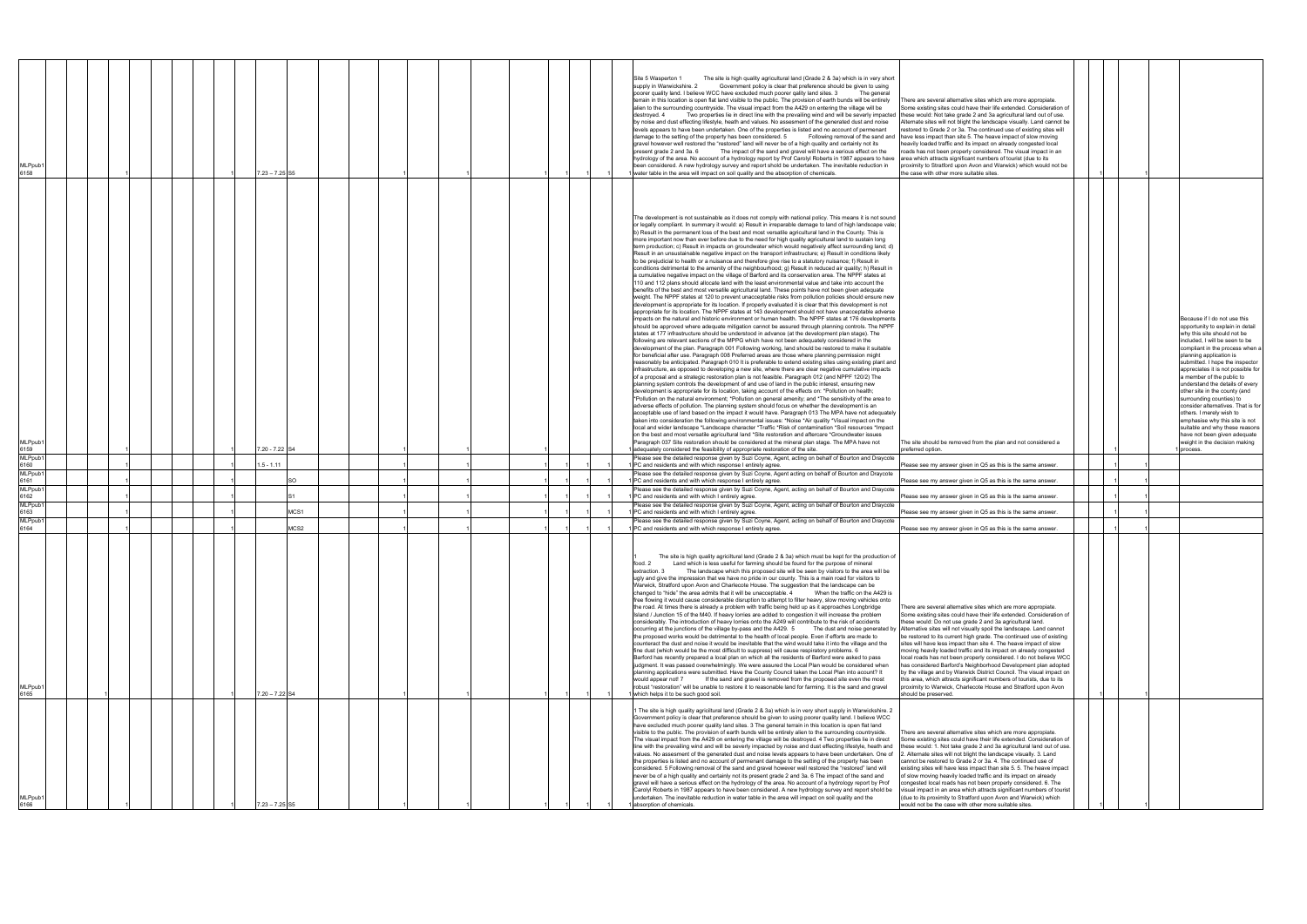| MLPpub1<br>6166                                                                                                                                                                                                                                                                                                                                                                                                                                                                                                                                                                                                                                                                                                                                                                                                                                                                                                                                                                                                                                                                                                                                                                                                                                                                                                                                                                                                                                                                                                                                                                                                                                                                                                                                                                                                                                                                                                                                                                                                                                                                                                                                                                                                                            | MLPpub<br>6165                                                                                                                                                                                                                                                                                                                                                                                                                                                                                                                                                                                                                                                                                                                                                                                                                                                                                                                                                                                                                                                                                                                                                                                                                                                                                                                                                                                                                                                                                                                                                                                                                                                                                                                                                                                                                                                                                                                                                                                                                                                                                                                                                                                                                                                                                                                                                                                                                                                                                                                                                                                                                                                                                                                                                                                                                                                                                                                               | 6163<br>MLPpub1<br>6164                                                                                                                                                                                                                                                                                                                                 | 6162<br>MLPpub <sup>1</sup>                                                                                                                                                                                               | MLPpub1<br>6161<br>MLPpub1                                                                                                                                                                                                                                                                                                                  | MLPpub1<br>6160                                                                                                                                                                                                                      | MLPpub1<br>6159                                                                                                                                                                                                                                                                                                                                                                                                                                                                                                                                                                                                                                                                                                                                                                                                                                                                                                                                                                                                                                                                                                                                                                                                                                                                                                                                                                                                                                                                                                                                                                                                                                                                                                                                                                                                                                                                                                                                                                                                                                                                                                                                                                                                                                                                                                                                                                                                                                                                                                                                                                                                                                                                                                                                                                                                                                                                                                                                                                                                                                                                                                                                                                                                                                                                                                                                                                                                                                                                                                                                                                                                                                                 | MLPpub1<br>6158                                                                                                                                                                                                                                                                                                                                                                                                                                                                                                                                                                                                                                                                                                                                                                                                                                                                                                                                                                                                                                                                                                                                                                                                                                                                                                                                                                                                                                                                                                                                                                                                                                                                                                                                                                                                                                                                                                                                                                                                                                                                                                                                                                                                                                |  |
|--------------------------------------------------------------------------------------------------------------------------------------------------------------------------------------------------------------------------------------------------------------------------------------------------------------------------------------------------------------------------------------------------------------------------------------------------------------------------------------------------------------------------------------------------------------------------------------------------------------------------------------------------------------------------------------------------------------------------------------------------------------------------------------------------------------------------------------------------------------------------------------------------------------------------------------------------------------------------------------------------------------------------------------------------------------------------------------------------------------------------------------------------------------------------------------------------------------------------------------------------------------------------------------------------------------------------------------------------------------------------------------------------------------------------------------------------------------------------------------------------------------------------------------------------------------------------------------------------------------------------------------------------------------------------------------------------------------------------------------------------------------------------------------------------------------------------------------------------------------------------------------------------------------------------------------------------------------------------------------------------------------------------------------------------------------------------------------------------------------------------------------------------------------------------------------------------------------------------------------------|----------------------------------------------------------------------------------------------------------------------------------------------------------------------------------------------------------------------------------------------------------------------------------------------------------------------------------------------------------------------------------------------------------------------------------------------------------------------------------------------------------------------------------------------------------------------------------------------------------------------------------------------------------------------------------------------------------------------------------------------------------------------------------------------------------------------------------------------------------------------------------------------------------------------------------------------------------------------------------------------------------------------------------------------------------------------------------------------------------------------------------------------------------------------------------------------------------------------------------------------------------------------------------------------------------------------------------------------------------------------------------------------------------------------------------------------------------------------------------------------------------------------------------------------------------------------------------------------------------------------------------------------------------------------------------------------------------------------------------------------------------------------------------------------------------------------------------------------------------------------------------------------------------------------------------------------------------------------------------------------------------------------------------------------------------------------------------------------------------------------------------------------------------------------------------------------------------------------------------------------------------------------------------------------------------------------------------------------------------------------------------------------------------------------------------------------------------------------------------------------------------------------------------------------------------------------------------------------------------------------------------------------------------------------------------------------------------------------------------------------------------------------------------------------------------------------------------------------------------------------------------------------------------------------------------------------|---------------------------------------------------------------------------------------------------------------------------------------------------------------------------------------------------------------------------------------------------------------------------------------------------------------------------------------------------------|---------------------------------------------------------------------------------------------------------------------------------------------------------------------------------------------------------------------------|---------------------------------------------------------------------------------------------------------------------------------------------------------------------------------------------------------------------------------------------------------------------------------------------------------------------------------------------|--------------------------------------------------------------------------------------------------------------------------------------------------------------------------------------------------------------------------------------|-----------------------------------------------------------------------------------------------------------------------------------------------------------------------------------------------------------------------------------------------------------------------------------------------------------------------------------------------------------------------------------------------------------------------------------------------------------------------------------------------------------------------------------------------------------------------------------------------------------------------------------------------------------------------------------------------------------------------------------------------------------------------------------------------------------------------------------------------------------------------------------------------------------------------------------------------------------------------------------------------------------------------------------------------------------------------------------------------------------------------------------------------------------------------------------------------------------------------------------------------------------------------------------------------------------------------------------------------------------------------------------------------------------------------------------------------------------------------------------------------------------------------------------------------------------------------------------------------------------------------------------------------------------------------------------------------------------------------------------------------------------------------------------------------------------------------------------------------------------------------------------------------------------------------------------------------------------------------------------------------------------------------------------------------------------------------------------------------------------------------------------------------------------------------------------------------------------------------------------------------------------------------------------------------------------------------------------------------------------------------------------------------------------------------------------------------------------------------------------------------------------------------------------------------------------------------------------------------------------------------------------------------------------------------------------------------------------------------------------------------------------------------------------------------------------------------------------------------------------------------------------------------------------------------------------------------------------------------------------------------------------------------------------------------------------------------------------------------------------------------------------------------------------------------------------------------------------------------------------------------------------------------------------------------------------------------------------------------------------------------------------------------------------------------------------------------------------------------------------------------------------------------------------------------------------------------------------------------------------------------------------------------------------------|------------------------------------------------------------------------------------------------------------------------------------------------------------------------------------------------------------------------------------------------------------------------------------------------------------------------------------------------------------------------------------------------------------------------------------------------------------------------------------------------------------------------------------------------------------------------------------------------------------------------------------------------------------------------------------------------------------------------------------------------------------------------------------------------------------------------------------------------------------------------------------------------------------------------------------------------------------------------------------------------------------------------------------------------------------------------------------------------------------------------------------------------------------------------------------------------------------------------------------------------------------------------------------------------------------------------------------------------------------------------------------------------------------------------------------------------------------------------------------------------------------------------------------------------------------------------------------------------------------------------------------------------------------------------------------------------------------------------------------------------------------------------------------------------------------------------------------------------------------------------------------------------------------------------------------------------------------------------------------------------------------------------------------------------------------------------------------------------------------------------------------------------------------------------------------------------------------------------------------------------|--|
|                                                                                                                                                                                                                                                                                                                                                                                                                                                                                                                                                                                                                                                                                                                                                                                                                                                                                                                                                                                                                                                                                                                                                                                                                                                                                                                                                                                                                                                                                                                                                                                                                                                                                                                                                                                                                                                                                                                                                                                                                                                                                                                                                                                                                                            |                                                                                                                                                                                                                                                                                                                                                                                                                                                                                                                                                                                                                                                                                                                                                                                                                                                                                                                                                                                                                                                                                                                                                                                                                                                                                                                                                                                                                                                                                                                                                                                                                                                                                                                                                                                                                                                                                                                                                                                                                                                                                                                                                                                                                                                                                                                                                                                                                                                                                                                                                                                                                                                                                                                                                                                                                                                                                                                                              |                                                                                                                                                                                                                                                                                                                                                         |                                                                                                                                                                                                                           |                                                                                                                                                                                                                                                                                                                                             |                                                                                                                                                                                                                                      |                                                                                                                                                                                                                                                                                                                                                                                                                                                                                                                                                                                                                                                                                                                                                                                                                                                                                                                                                                                                                                                                                                                                                                                                                                                                                                                                                                                                                                                                                                                                                                                                                                                                                                                                                                                                                                                                                                                                                                                                                                                                                                                                                                                                                                                                                                                                                                                                                                                                                                                                                                                                                                                                                                                                                                                                                                                                                                                                                                                                                                                                                                                                                                                                                                                                                                                                                                                                                                                                                                                                                                                                                                                                 |                                                                                                                                                                                                                                                                                                                                                                                                                                                                                                                                                                                                                                                                                                                                                                                                                                                                                                                                                                                                                                                                                                                                                                                                                                                                                                                                                                                                                                                                                                                                                                                                                                                                                                                                                                                                                                                                                                                                                                                                                                                                                                                                                                                                                                                |  |
|                                                                                                                                                                                                                                                                                                                                                                                                                                                                                                                                                                                                                                                                                                                                                                                                                                                                                                                                                                                                                                                                                                                                                                                                                                                                                                                                                                                                                                                                                                                                                                                                                                                                                                                                                                                                                                                                                                                                                                                                                                                                                                                                                                                                                                            |                                                                                                                                                                                                                                                                                                                                                                                                                                                                                                                                                                                                                                                                                                                                                                                                                                                                                                                                                                                                                                                                                                                                                                                                                                                                                                                                                                                                                                                                                                                                                                                                                                                                                                                                                                                                                                                                                                                                                                                                                                                                                                                                                                                                                                                                                                                                                                                                                                                                                                                                                                                                                                                                                                                                                                                                                                                                                                                                              |                                                                                                                                                                                                                                                                                                                                                         |                                                                                                                                                                                                                           |                                                                                                                                                                                                                                                                                                                                             |                                                                                                                                                                                                                                      |                                                                                                                                                                                                                                                                                                                                                                                                                                                                                                                                                                                                                                                                                                                                                                                                                                                                                                                                                                                                                                                                                                                                                                                                                                                                                                                                                                                                                                                                                                                                                                                                                                                                                                                                                                                                                                                                                                                                                                                                                                                                                                                                                                                                                                                                                                                                                                                                                                                                                                                                                                                                                                                                                                                                                                                                                                                                                                                                                                                                                                                                                                                                                                                                                                                                                                                                                                                                                                                                                                                                                                                                                                                                 |                                                                                                                                                                                                                                                                                                                                                                                                                                                                                                                                                                                                                                                                                                                                                                                                                                                                                                                                                                                                                                                                                                                                                                                                                                                                                                                                                                                                                                                                                                                                                                                                                                                                                                                                                                                                                                                                                                                                                                                                                                                                                                                                                                                                                                                |  |
|                                                                                                                                                                                                                                                                                                                                                                                                                                                                                                                                                                                                                                                                                                                                                                                                                                                                                                                                                                                                                                                                                                                                                                                                                                                                                                                                                                                                                                                                                                                                                                                                                                                                                                                                                                                                                                                                                                                                                                                                                                                                                                                                                                                                                                            |                                                                                                                                                                                                                                                                                                                                                                                                                                                                                                                                                                                                                                                                                                                                                                                                                                                                                                                                                                                                                                                                                                                                                                                                                                                                                                                                                                                                                                                                                                                                                                                                                                                                                                                                                                                                                                                                                                                                                                                                                                                                                                                                                                                                                                                                                                                                                                                                                                                                                                                                                                                                                                                                                                                                                                                                                                                                                                                                              |                                                                                                                                                                                                                                                                                                                                                         |                                                                                                                                                                                                                           |                                                                                                                                                                                                                                                                                                                                             |                                                                                                                                                                                                                                      |                                                                                                                                                                                                                                                                                                                                                                                                                                                                                                                                                                                                                                                                                                                                                                                                                                                                                                                                                                                                                                                                                                                                                                                                                                                                                                                                                                                                                                                                                                                                                                                                                                                                                                                                                                                                                                                                                                                                                                                                                                                                                                                                                                                                                                                                                                                                                                                                                                                                                                                                                                                                                                                                                                                                                                                                                                                                                                                                                                                                                                                                                                                                                                                                                                                                                                                                                                                                                                                                                                                                                                                                                                                                 |                                                                                                                                                                                                                                                                                                                                                                                                                                                                                                                                                                                                                                                                                                                                                                                                                                                                                                                                                                                                                                                                                                                                                                                                                                                                                                                                                                                                                                                                                                                                                                                                                                                                                                                                                                                                                                                                                                                                                                                                                                                                                                                                                                                                                                                |  |
|                                                                                                                                                                                                                                                                                                                                                                                                                                                                                                                                                                                                                                                                                                                                                                                                                                                                                                                                                                                                                                                                                                                                                                                                                                                                                                                                                                                                                                                                                                                                                                                                                                                                                                                                                                                                                                                                                                                                                                                                                                                                                                                                                                                                                                            |                                                                                                                                                                                                                                                                                                                                                                                                                                                                                                                                                                                                                                                                                                                                                                                                                                                                                                                                                                                                                                                                                                                                                                                                                                                                                                                                                                                                                                                                                                                                                                                                                                                                                                                                                                                                                                                                                                                                                                                                                                                                                                                                                                                                                                                                                                                                                                                                                                                                                                                                                                                                                                                                                                                                                                                                                                                                                                                                              |                                                                                                                                                                                                                                                                                                                                                         |                                                                                                                                                                                                                           |                                                                                                                                                                                                                                                                                                                                             |                                                                                                                                                                                                                                      |                                                                                                                                                                                                                                                                                                                                                                                                                                                                                                                                                                                                                                                                                                                                                                                                                                                                                                                                                                                                                                                                                                                                                                                                                                                                                                                                                                                                                                                                                                                                                                                                                                                                                                                                                                                                                                                                                                                                                                                                                                                                                                                                                                                                                                                                                                                                                                                                                                                                                                                                                                                                                                                                                                                                                                                                                                                                                                                                                                                                                                                                                                                                                                                                                                                                                                                                                                                                                                                                                                                                                                                                                                                                 |                                                                                                                                                                                                                                                                                                                                                                                                                                                                                                                                                                                                                                                                                                                                                                                                                                                                                                                                                                                                                                                                                                                                                                                                                                                                                                                                                                                                                                                                                                                                                                                                                                                                                                                                                                                                                                                                                                                                                                                                                                                                                                                                                                                                                                                |  |
|                                                                                                                                                                                                                                                                                                                                                                                                                                                                                                                                                                                                                                                                                                                                                                                                                                                                                                                                                                                                                                                                                                                                                                                                                                                                                                                                                                                                                                                                                                                                                                                                                                                                                                                                                                                                                                                                                                                                                                                                                                                                                                                                                                                                                                            |                                                                                                                                                                                                                                                                                                                                                                                                                                                                                                                                                                                                                                                                                                                                                                                                                                                                                                                                                                                                                                                                                                                                                                                                                                                                                                                                                                                                                                                                                                                                                                                                                                                                                                                                                                                                                                                                                                                                                                                                                                                                                                                                                                                                                                                                                                                                                                                                                                                                                                                                                                                                                                                                                                                                                                                                                                                                                                                                              |                                                                                                                                                                                                                                                                                                                                                         |                                                                                                                                                                                                                           |                                                                                                                                                                                                                                                                                                                                             |                                                                                                                                                                                                                                      |                                                                                                                                                                                                                                                                                                                                                                                                                                                                                                                                                                                                                                                                                                                                                                                                                                                                                                                                                                                                                                                                                                                                                                                                                                                                                                                                                                                                                                                                                                                                                                                                                                                                                                                                                                                                                                                                                                                                                                                                                                                                                                                                                                                                                                                                                                                                                                                                                                                                                                                                                                                                                                                                                                                                                                                                                                                                                                                                                                                                                                                                                                                                                                                                                                                                                                                                                                                                                                                                                                                                                                                                                                                                 |                                                                                                                                                                                                                                                                                                                                                                                                                                                                                                                                                                                                                                                                                                                                                                                                                                                                                                                                                                                                                                                                                                                                                                                                                                                                                                                                                                                                                                                                                                                                                                                                                                                                                                                                                                                                                                                                                                                                                                                                                                                                                                                                                                                                                                                |  |
|                                                                                                                                                                                                                                                                                                                                                                                                                                                                                                                                                                                                                                                                                                                                                                                                                                                                                                                                                                                                                                                                                                                                                                                                                                                                                                                                                                                                                                                                                                                                                                                                                                                                                                                                                                                                                                                                                                                                                                                                                                                                                                                                                                                                                                            |                                                                                                                                                                                                                                                                                                                                                                                                                                                                                                                                                                                                                                                                                                                                                                                                                                                                                                                                                                                                                                                                                                                                                                                                                                                                                                                                                                                                                                                                                                                                                                                                                                                                                                                                                                                                                                                                                                                                                                                                                                                                                                                                                                                                                                                                                                                                                                                                                                                                                                                                                                                                                                                                                                                                                                                                                                                                                                                                              |                                                                                                                                                                                                                                                                                                                                                         |                                                                                                                                                                                                                           |                                                                                                                                                                                                                                                                                                                                             |                                                                                                                                                                                                                                      |                                                                                                                                                                                                                                                                                                                                                                                                                                                                                                                                                                                                                                                                                                                                                                                                                                                                                                                                                                                                                                                                                                                                                                                                                                                                                                                                                                                                                                                                                                                                                                                                                                                                                                                                                                                                                                                                                                                                                                                                                                                                                                                                                                                                                                                                                                                                                                                                                                                                                                                                                                                                                                                                                                                                                                                                                                                                                                                                                                                                                                                                                                                                                                                                                                                                                                                                                                                                                                                                                                                                                                                                                                                                 |                                                                                                                                                                                                                                                                                                                                                                                                                                                                                                                                                                                                                                                                                                                                                                                                                                                                                                                                                                                                                                                                                                                                                                                                                                                                                                                                                                                                                                                                                                                                                                                                                                                                                                                                                                                                                                                                                                                                                                                                                                                                                                                                                                                                                                                |  |
| $23 - 7.25$ SF                                                                                                                                                                                                                                                                                                                                                                                                                                                                                                                                                                                                                                                                                                                                                                                                                                                                                                                                                                                                                                                                                                                                                                                                                                                                                                                                                                                                                                                                                                                                                                                                                                                                                                                                                                                                                                                                                                                                                                                                                                                                                                                                                                                                                             | $7.20 - 7.22$ S4                                                                                                                                                                                                                                                                                                                                                                                                                                                                                                                                                                                                                                                                                                                                                                                                                                                                                                                                                                                                                                                                                                                                                                                                                                                                                                                                                                                                                                                                                                                                                                                                                                                                                                                                                                                                                                                                                                                                                                                                                                                                                                                                                                                                                                                                                                                                                                                                                                                                                                                                                                                                                                                                                                                                                                                                                                                                                                                             | MCS1<br>MCS2                                                                                                                                                                                                                                                                                                                                            |                                                                                                                                                                                                                           |                                                                                                                                                                                                                                                                                                                                             | $.5 - 1.11$                                                                                                                                                                                                                          | 7.20 - 7.22 S4                                                                                                                                                                                                                                                                                                                                                                                                                                                                                                                                                                                                                                                                                                                                                                                                                                                                                                                                                                                                                                                                                                                                                                                                                                                                                                                                                                                                                                                                                                                                                                                                                                                                                                                                                                                                                                                                                                                                                                                                                                                                                                                                                                                                                                                                                                                                                                                                                                                                                                                                                                                                                                                                                                                                                                                                                                                                                                                                                                                                                                                                                                                                                                                                                                                                                                                                                                                                                                                                                                                                                                                                                                                  | $7.23 - 7.25$ S5                                                                                                                                                                                                                                                                                                                                                                                                                                                                                                                                                                                                                                                                                                                                                                                                                                                                                                                                                                                                                                                                                                                                                                                                                                                                                                                                                                                                                                                                                                                                                                                                                                                                                                                                                                                                                                                                                                                                                                                                                                                                                                                                                                                                                               |  |
|                                                                                                                                                                                                                                                                                                                                                                                                                                                                                                                                                                                                                                                                                                                                                                                                                                                                                                                                                                                                                                                                                                                                                                                                                                                                                                                                                                                                                                                                                                                                                                                                                                                                                                                                                                                                                                                                                                                                                                                                                                                                                                                                                                                                                                            |                                                                                                                                                                                                                                                                                                                                                                                                                                                                                                                                                                                                                                                                                                                                                                                                                                                                                                                                                                                                                                                                                                                                                                                                                                                                                                                                                                                                                                                                                                                                                                                                                                                                                                                                                                                                                                                                                                                                                                                                                                                                                                                                                                                                                                                                                                                                                                                                                                                                                                                                                                                                                                                                                                                                                                                                                                                                                                                                              |                                                                                                                                                                                                                                                                                                                                                         |                                                                                                                                                                                                                           |                                                                                                                                                                                                                                                                                                                                             |                                                                                                                                                                                                                                      |                                                                                                                                                                                                                                                                                                                                                                                                                                                                                                                                                                                                                                                                                                                                                                                                                                                                                                                                                                                                                                                                                                                                                                                                                                                                                                                                                                                                                                                                                                                                                                                                                                                                                                                                                                                                                                                                                                                                                                                                                                                                                                                                                                                                                                                                                                                                                                                                                                                                                                                                                                                                                                                                                                                                                                                                                                                                                                                                                                                                                                                                                                                                                                                                                                                                                                                                                                                                                                                                                                                                                                                                                                                                 |                                                                                                                                                                                                                                                                                                                                                                                                                                                                                                                                                                                                                                                                                                                                                                                                                                                                                                                                                                                                                                                                                                                                                                                                                                                                                                                                                                                                                                                                                                                                                                                                                                                                                                                                                                                                                                                                                                                                                                                                                                                                                                                                                                                                                                                |  |
|                                                                                                                                                                                                                                                                                                                                                                                                                                                                                                                                                                                                                                                                                                                                                                                                                                                                                                                                                                                                                                                                                                                                                                                                                                                                                                                                                                                                                                                                                                                                                                                                                                                                                                                                                                                                                                                                                                                                                                                                                                                                                                                                                                                                                                            |                                                                                                                                                                                                                                                                                                                                                                                                                                                                                                                                                                                                                                                                                                                                                                                                                                                                                                                                                                                                                                                                                                                                                                                                                                                                                                                                                                                                                                                                                                                                                                                                                                                                                                                                                                                                                                                                                                                                                                                                                                                                                                                                                                                                                                                                                                                                                                                                                                                                                                                                                                                                                                                                                                                                                                                                                                                                                                                                              |                                                                                                                                                                                                                                                                                                                                                         |                                                                                                                                                                                                                           |                                                                                                                                                                                                                                                                                                                                             |                                                                                                                                                                                                                                      |                                                                                                                                                                                                                                                                                                                                                                                                                                                                                                                                                                                                                                                                                                                                                                                                                                                                                                                                                                                                                                                                                                                                                                                                                                                                                                                                                                                                                                                                                                                                                                                                                                                                                                                                                                                                                                                                                                                                                                                                                                                                                                                                                                                                                                                                                                                                                                                                                                                                                                                                                                                                                                                                                                                                                                                                                                                                                                                                                                                                                                                                                                                                                                                                                                                                                                                                                                                                                                                                                                                                                                                                                                                                 |                                                                                                                                                                                                                                                                                                                                                                                                                                                                                                                                                                                                                                                                                                                                                                                                                                                                                                                                                                                                                                                                                                                                                                                                                                                                                                                                                                                                                                                                                                                                                                                                                                                                                                                                                                                                                                                                                                                                                                                                                                                                                                                                                                                                                                                |  |
|                                                                                                                                                                                                                                                                                                                                                                                                                                                                                                                                                                                                                                                                                                                                                                                                                                                                                                                                                                                                                                                                                                                                                                                                                                                                                                                                                                                                                                                                                                                                                                                                                                                                                                                                                                                                                                                                                                                                                                                                                                                                                                                                                                                                                                            |                                                                                                                                                                                                                                                                                                                                                                                                                                                                                                                                                                                                                                                                                                                                                                                                                                                                                                                                                                                                                                                                                                                                                                                                                                                                                                                                                                                                                                                                                                                                                                                                                                                                                                                                                                                                                                                                                                                                                                                                                                                                                                                                                                                                                                                                                                                                                                                                                                                                                                                                                                                                                                                                                                                                                                                                                                                                                                                                              |                                                                                                                                                                                                                                                                                                                                                         |                                                                                                                                                                                                                           |                                                                                                                                                                                                                                                                                                                                             |                                                                                                                                                                                                                                      |                                                                                                                                                                                                                                                                                                                                                                                                                                                                                                                                                                                                                                                                                                                                                                                                                                                                                                                                                                                                                                                                                                                                                                                                                                                                                                                                                                                                                                                                                                                                                                                                                                                                                                                                                                                                                                                                                                                                                                                                                                                                                                                                                                                                                                                                                                                                                                                                                                                                                                                                                                                                                                                                                                                                                                                                                                                                                                                                                                                                                                                                                                                                                                                                                                                                                                                                                                                                                                                                                                                                                                                                                                                                 |                                                                                                                                                                                                                                                                                                                                                                                                                                                                                                                                                                                                                                                                                                                                                                                                                                                                                                                                                                                                                                                                                                                                                                                                                                                                                                                                                                                                                                                                                                                                                                                                                                                                                                                                                                                                                                                                                                                                                                                                                                                                                                                                                                                                                                                |  |
|                                                                                                                                                                                                                                                                                                                                                                                                                                                                                                                                                                                                                                                                                                                                                                                                                                                                                                                                                                                                                                                                                                                                                                                                                                                                                                                                                                                                                                                                                                                                                                                                                                                                                                                                                                                                                                                                                                                                                                                                                                                                                                                                                                                                                                            |                                                                                                                                                                                                                                                                                                                                                                                                                                                                                                                                                                                                                                                                                                                                                                                                                                                                                                                                                                                                                                                                                                                                                                                                                                                                                                                                                                                                                                                                                                                                                                                                                                                                                                                                                                                                                                                                                                                                                                                                                                                                                                                                                                                                                                                                                                                                                                                                                                                                                                                                                                                                                                                                                                                                                                                                                                                                                                                                              |                                                                                                                                                                                                                                                                                                                                                         |                                                                                                                                                                                                                           |                                                                                                                                                                                                                                                                                                                                             |                                                                                                                                                                                                                                      |                                                                                                                                                                                                                                                                                                                                                                                                                                                                                                                                                                                                                                                                                                                                                                                                                                                                                                                                                                                                                                                                                                                                                                                                                                                                                                                                                                                                                                                                                                                                                                                                                                                                                                                                                                                                                                                                                                                                                                                                                                                                                                                                                                                                                                                                                                                                                                                                                                                                                                                                                                                                                                                                                                                                                                                                                                                                                                                                                                                                                                                                                                                                                                                                                                                                                                                                                                                                                                                                                                                                                                                                                                                                 |                                                                                                                                                                                                                                                                                                                                                                                                                                                                                                                                                                                                                                                                                                                                                                                                                                                                                                                                                                                                                                                                                                                                                                                                                                                                                                                                                                                                                                                                                                                                                                                                                                                                                                                                                                                                                                                                                                                                                                                                                                                                                                                                                                                                                                                |  |
|                                                                                                                                                                                                                                                                                                                                                                                                                                                                                                                                                                                                                                                                                                                                                                                                                                                                                                                                                                                                                                                                                                                                                                                                                                                                                                                                                                                                                                                                                                                                                                                                                                                                                                                                                                                                                                                                                                                                                                                                                                                                                                                                                                                                                                            |                                                                                                                                                                                                                                                                                                                                                                                                                                                                                                                                                                                                                                                                                                                                                                                                                                                                                                                                                                                                                                                                                                                                                                                                                                                                                                                                                                                                                                                                                                                                                                                                                                                                                                                                                                                                                                                                                                                                                                                                                                                                                                                                                                                                                                                                                                                                                                                                                                                                                                                                                                                                                                                                                                                                                                                                                                                                                                                                              |                                                                                                                                                                                                                                                                                                                                                         |                                                                                                                                                                                                                           |                                                                                                                                                                                                                                                                                                                                             |                                                                                                                                                                                                                                      |                                                                                                                                                                                                                                                                                                                                                                                                                                                                                                                                                                                                                                                                                                                                                                                                                                                                                                                                                                                                                                                                                                                                                                                                                                                                                                                                                                                                                                                                                                                                                                                                                                                                                                                                                                                                                                                                                                                                                                                                                                                                                                                                                                                                                                                                                                                                                                                                                                                                                                                                                                                                                                                                                                                                                                                                                                                                                                                                                                                                                                                                                                                                                                                                                                                                                                                                                                                                                                                                                                                                                                                                                                                                 |                                                                                                                                                                                                                                                                                                                                                                                                                                                                                                                                                                                                                                                                                                                                                                                                                                                                                                                                                                                                                                                                                                                                                                                                                                                                                                                                                                                                                                                                                                                                                                                                                                                                                                                                                                                                                                                                                                                                                                                                                                                                                                                                                                                                                                                |  |
|                                                                                                                                                                                                                                                                                                                                                                                                                                                                                                                                                                                                                                                                                                                                                                                                                                                                                                                                                                                                                                                                                                                                                                                                                                                                                                                                                                                                                                                                                                                                                                                                                                                                                                                                                                                                                                                                                                                                                                                                                                                                                                                                                                                                                                            |                                                                                                                                                                                                                                                                                                                                                                                                                                                                                                                                                                                                                                                                                                                                                                                                                                                                                                                                                                                                                                                                                                                                                                                                                                                                                                                                                                                                                                                                                                                                                                                                                                                                                                                                                                                                                                                                                                                                                                                                                                                                                                                                                                                                                                                                                                                                                                                                                                                                                                                                                                                                                                                                                                                                                                                                                                                                                                                                              |                                                                                                                                                                                                                                                                                                                                                         |                                                                                                                                                                                                                           |                                                                                                                                                                                                                                                                                                                                             |                                                                                                                                                                                                                                      |                                                                                                                                                                                                                                                                                                                                                                                                                                                                                                                                                                                                                                                                                                                                                                                                                                                                                                                                                                                                                                                                                                                                                                                                                                                                                                                                                                                                                                                                                                                                                                                                                                                                                                                                                                                                                                                                                                                                                                                                                                                                                                                                                                                                                                                                                                                                                                                                                                                                                                                                                                                                                                                                                                                                                                                                                                                                                                                                                                                                                                                                                                                                                                                                                                                                                                                                                                                                                                                                                                                                                                                                                                                                 |                                                                                                                                                                                                                                                                                                                                                                                                                                                                                                                                                                                                                                                                                                                                                                                                                                                                                                                                                                                                                                                                                                                                                                                                                                                                                                                                                                                                                                                                                                                                                                                                                                                                                                                                                                                                                                                                                                                                                                                                                                                                                                                                                                                                                                                |  |
| 1 The site is high quality agriciltural land (Grade 2 & 3a) which is in very short supply in Warwickshire. 2<br>Government policy is clear that preference should be given to using poorer quality land. I believe WCC<br>have excluded much poorer quality land sites. 3 The general terrain in this location is open flat land<br>visible to the public. The provision of earth bunds will be entirely alien to the surrounding countryside.<br>There are several alternative sites which are more appropiate<br>The visual impact from the A429 on entering the village will be destroyed. 4 Two properties lie in direct<br>Some existing sites could have their life extended. Consideration of<br>line with the prevailing wind and will be severly impacted by noise and dust effecting lifestyle, heath and<br>these would: 1. Not take grade 2 and 3a agricultural land out of use.<br>values. No assesment of the generated dust and noise levels appears to have been undertaken. One of<br>. Alternate sites will not blight the landscape visually. 3. Land<br>cannot be restored to Grade 2 or 3a. 4. The continued use of<br>the properties is listed and no account of permenant damage to the setting of the property has been<br>existing sites will have less impact than site 5. 5. The heave impact<br>considered. 5 Following removal of the sand and gravel however well restored the "restored" land will<br>never be of a high quality and certainly not its present grade 2 and 3a. 6 The impact of the sand and<br>of slow moving heavily loaded traffic and its impact on already<br>gravel will have a serious effect on the hydrology of the area. No account of a hydrology report by Prof<br>ongested local roads has not been properly considered. 6. The<br>Carolyl Roberts in 1987 appears to have been considered. A new hydrology survey and report shold be<br>visual impact in an area which attracts significant numbers of tourist<br>undertaken. The inevitable reduction in water table in the area will impact on soil quality and the<br>(due to its proximity to Stratford upon Avon and Warwick) which<br>absorption of chemicals.<br>would not be the case with other more suitable sites. | The site is high quality agriciltural land (Grade 2 & 3a) which must be kept for the production of<br>food. 2<br>Land which is less useful for farming should be found for the purpose of mineral<br>extraction. 3<br>The landscape which this proposed site will be seen by visitors to the area will be<br>ugly and give the impression that we have no pride in our county. This is a main road for visitors to<br>Warwick, Stratford upon Avon and Charlecote House. The suggestion that the landscape can be<br>changed to "hide" the area admits that it will be unacceptable. 4 When the traffic on the A429 is<br>free flowing it would cause considerable disruption to attempt to filter heavy, slow moving vehicles onto<br>the road. At times there is already a problem with traffic being held up as it approaches Longbridge<br>There are several alternative sites which are more appropiate<br>Island / Junction 15 of the M40. If heavy lorries are added to congestion it will increase the problem<br>Some existing sites could have their life extended. Consideration of<br>considerably. The introduction of heavy lorries onto the A249 will contribute to the risk of accidents<br>these would: Do not use grade 2 and 3a agricultural land.<br>occurring at the junctions of the village by-pass and the A429. 5 The dust and noise generated by Alternative sites will not visually spoil the landscape. Land cannot<br>the proposed works would be detrimental to the health of local people. Even if efforts are made to<br>be restored to its current high grade. The continued use of existing<br>counteract the dust and noise it would be inevitable that the wind would take it into the village and the<br>sites will have less impact than site 4. The heave impact of slow<br>fine dust (which would be the most difficult to suppress) will cause respiratory problems. 6<br>moving heavily loaded traffic and its impact on already congested<br>Barford has recently prepared a local plan on which all the residents of Barford were asked to pass<br>local roads has not been properly considered. I do not believe WCC<br>judgment. It was passed overwhelmingly. We were assured the Local Plan would be considered when<br>has considered Barford's Neighborhood Development plan adopted<br>planning applications were submitted. Have the County Council taken the Local Plan into acount? It<br>by the village and by Warwick District Council. The visual impact on<br>would appear not! 7 If the sand and gravel is removed from the proposed site even the most<br>this area, which attracts significant numbers of tourists, due to its<br>robust "restoration" will be unable to restore it to reasonable land for farming. It is the sand and gravel<br>proximity to Warwick, Charlecote House and Stratford upon Avon<br>which helps it to be such good soil.<br>should be preserved. | PC and residents and with which I entirely agree<br>Please see my answer given in Q5 as this is the same answer.<br>Please see the detailed response given by Suzi Coyne, Agent, acting on behalf of Bourton and Draycote<br>PC and residents and with which response I entirely agree.<br>Please see my answer given in Q5 as this is the same answer. | PC and residents and with which I entirely agree.<br>lease see my answer given in Q5 as this is the same answer.<br>Please see the detailed response given by Suzi Coyne, Agent, acting on behalf of Bourton and Draycote | Please see the detailed response given by Suzi Coyne, Agent acting on behalf of Bourton and Draycote<br>PC and residents and with which response I entirely agree.<br>Please see my answer given in Q5 as this is the same answer.<br>Please see the detailed response given by Suzi Coyne, Agent, acting on behalf of Bourton and Draycote | Please see the detailed response given by Suzi Coyne, Agent, acting on behalf of Bourton and Draycote<br>Please see my answer given in Q5 as this is the same answer.<br>1 PC and residents and with which response I entirely agree | The development is not sustainable as it does not comply with national policy. This means it is not sound<br>or legally compliant. In summary it would: a) Result in irreparable damage to land of high landscape vale;<br>b) Result in the permanent loss of the best and most versatile agricultural land in the County. This is<br>more important now than ever before due to the need for high quality agricultural land to sustain long<br>term production; c) Result in impacts on groundwater which would negatively affect surrounding land; d)<br>Result in an unsustainable negative impact on the transport infrastructure; e) Result in conditions likely<br>to be prejudicial to health or a nuisance and therefore give rise to a statutory nuisance; f) Result in<br>conditions detrimental to the amenity of the neighbourhood; g) Result in reduced air quality; h) Result in<br>a cumulative negative impact on the village of Barford and its conservation area. The NPPF states at<br>110 and 112 plans should allocate land with the least environmental value and take into account the<br>benefits of the best and most versatile agricultural land. These points have not been given adequate<br>weight. The NPPF states at 120 to prevent unacceptable risks from pollution policies should ensure new<br>development is appropriate for its location. If properly evaluated it is clear that this development is not<br>appropriate for its location. The NPPF states at 143 development should not have unacceptable adverse<br>impacts on the natural and historic environment or human health. The NPPF states at 176 developments<br>should be approved where adequate mitigation cannot be assured through planning controls. The NPPF<br>states at 177 infrastructure should be understood in advance (at the development plan stage). The<br>following are relevant sections of the MPPG which have not been adequately considered in the<br>development of the plan. Paragraph 001 Following working, land should be restored to make it suitable<br>for beneficial after use. Paragraph 008 Preferred areas are those where planning permission might<br>reasonably be anticipated. Paragraph 010 It is preferable to extend existing sites using existing plant and<br>infrastructure, as opposed to developing a new site, where there are clear negative cumulative impacts<br>of a proposal and a strategic restoration plan is not feasible. Paragraph 012 (and NPPF 120/2) The<br>planning system controls the development of and use of land in the public interest, ensuring new<br>development is appropriate for its location, taking account of the effects on: *Pollution on health;<br>*Pollution on the natural environment; *Pollution on general amenity; and *The sensitivity of the area to<br>adverse effects of pollution. The planning system should focus on whether the development is an<br>acceptable use of land based on the impact it would have. Paragraph 013 The MPA have not adequately<br>taken into consideration the following environmental issues: *Noise *Air quality *Visual impact on the<br>local and wider landscape *Landscape character *Traffic *Risk of contamination *Soil resources *Impact<br>on the best and most versatile agricultural land *Site restoration and aftercare *Groundwater issues<br>Paragraph 037 Site restoration should be considered at the mineral plan stage. The MPA have not<br>The site should be removed from the plan and not considered a<br>adequately considered the feasibility of appropriate restoration of the site.<br>preferred option | The site is high quality agricultural land (Grade 2 & 3a) which is in very short<br>Site 5 Wasperton 1<br>supply in Warwickshire. 2 Government policy is clear that preference should be given to using<br>poorer quality land. I believe WCC have excluded much poorer qality land sites. 3<br>The general<br>terrain in this location is open flat land visible to the public. The provision of earth bunds will be entirely<br>There are several alternative sites which are more appropiate.<br>alien to the surrounding countryside. The visual impact from the A429 on entering the village will be<br>Some existing sites could have their life extended. Consideration of<br>destroved, 4<br>Two properties lie in direct line with the prevailing wind and will be severly impacted these would: Not take grade 2 and 3a agricultural land out of use.<br>by noise and dust effecting lifestyle, heath and values. No assesment of the generated dust and noise<br>Alternate sites will not blight the landscape visually. Land cannot be<br>levels appears to have been undertaken. One of the properties is listed and no account of permenant<br>restored to Grade 2 or 3a. The continued use of existing sites will<br>damage to the setting of the property has been considered. 5 Following removal of the sand and have less impact than site 5. The heave impact of slow moving<br>gravel however well restored the "restored" land will never be of a high quality and certainly not its<br>heavily loaded traffic and its impact on already congested local<br>present grade 2 and 3a. 6 The impact of the sand and gravel will have a serious effect on the<br>roads has not been properly considered. The visual impact in an<br>hydrology of the area. No account of a hydrology report by Prof Carolyl Roberts in 1987 appears to have<br>area which attracts significant numbers of tourist (due to its<br>been considered. A new hydrology survey and report shold be undertaken. The inevitable reduction in<br>proximity to Stratford upon Avon and Warwick) which would not be<br>water table in the area will impact on soil quality and the absorption of chemicals.<br>the case with other more suitable sites. |  |
|                                                                                                                                                                                                                                                                                                                                                                                                                                                                                                                                                                                                                                                                                                                                                                                                                                                                                                                                                                                                                                                                                                                                                                                                                                                                                                                                                                                                                                                                                                                                                                                                                                                                                                                                                                                                                                                                                                                                                                                                                                                                                                                                                                                                                                            |                                                                                                                                                                                                                                                                                                                                                                                                                                                                                                                                                                                                                                                                                                                                                                                                                                                                                                                                                                                                                                                                                                                                                                                                                                                                                                                                                                                                                                                                                                                                                                                                                                                                                                                                                                                                                                                                                                                                                                                                                                                                                                                                                                                                                                                                                                                                                                                                                                                                                                                                                                                                                                                                                                                                                                                                                                                                                                                                              |                                                                                                                                                                                                                                                                                                                                                         |                                                                                                                                                                                                                           |                                                                                                                                                                                                                                                                                                                                             |                                                                                                                                                                                                                                      |                                                                                                                                                                                                                                                                                                                                                                                                                                                                                                                                                                                                                                                                                                                                                                                                                                                                                                                                                                                                                                                                                                                                                                                                                                                                                                                                                                                                                                                                                                                                                                                                                                                                                                                                                                                                                                                                                                                                                                                                                                                                                                                                                                                                                                                                                                                                                                                                                                                                                                                                                                                                                                                                                                                                                                                                                                                                                                                                                                                                                                                                                                                                                                                                                                                                                                                                                                                                                                                                                                                                                                                                                                                                 |                                                                                                                                                                                                                                                                                                                                                                                                                                                                                                                                                                                                                                                                                                                                                                                                                                                                                                                                                                                                                                                                                                                                                                                                                                                                                                                                                                                                                                                                                                                                                                                                                                                                                                                                                                                                                                                                                                                                                                                                                                                                                                                                                                                                                                                |  |
|                                                                                                                                                                                                                                                                                                                                                                                                                                                                                                                                                                                                                                                                                                                                                                                                                                                                                                                                                                                                                                                                                                                                                                                                                                                                                                                                                                                                                                                                                                                                                                                                                                                                                                                                                                                                                                                                                                                                                                                                                                                                                                                                                                                                                                            |                                                                                                                                                                                                                                                                                                                                                                                                                                                                                                                                                                                                                                                                                                                                                                                                                                                                                                                                                                                                                                                                                                                                                                                                                                                                                                                                                                                                                                                                                                                                                                                                                                                                                                                                                                                                                                                                                                                                                                                                                                                                                                                                                                                                                                                                                                                                                                                                                                                                                                                                                                                                                                                                                                                                                                                                                                                                                                                                              |                                                                                                                                                                                                                                                                                                                                                         |                                                                                                                                                                                                                           |                                                                                                                                                                                                                                                                                                                                             |                                                                                                                                                                                                                                      |                                                                                                                                                                                                                                                                                                                                                                                                                                                                                                                                                                                                                                                                                                                                                                                                                                                                                                                                                                                                                                                                                                                                                                                                                                                                                                                                                                                                                                                                                                                                                                                                                                                                                                                                                                                                                                                                                                                                                                                                                                                                                                                                                                                                                                                                                                                                                                                                                                                                                                                                                                                                                                                                                                                                                                                                                                                                                                                                                                                                                                                                                                                                                                                                                                                                                                                                                                                                                                                                                                                                                                                                                                                                 |                                                                                                                                                                                                                                                                                                                                                                                                                                                                                                                                                                                                                                                                                                                                                                                                                                                                                                                                                                                                                                                                                                                                                                                                                                                                                                                                                                                                                                                                                                                                                                                                                                                                                                                                                                                                                                                                                                                                                                                                                                                                                                                                                                                                                                                |  |
|                                                                                                                                                                                                                                                                                                                                                                                                                                                                                                                                                                                                                                                                                                                                                                                                                                                                                                                                                                                                                                                                                                                                                                                                                                                                                                                                                                                                                                                                                                                                                                                                                                                                                                                                                                                                                                                                                                                                                                                                                                                                                                                                                                                                                                            |                                                                                                                                                                                                                                                                                                                                                                                                                                                                                                                                                                                                                                                                                                                                                                                                                                                                                                                                                                                                                                                                                                                                                                                                                                                                                                                                                                                                                                                                                                                                                                                                                                                                                                                                                                                                                                                                                                                                                                                                                                                                                                                                                                                                                                                                                                                                                                                                                                                                                                                                                                                                                                                                                                                                                                                                                                                                                                                                              |                                                                                                                                                                                                                                                                                                                                                         |                                                                                                                                                                                                                           |                                                                                                                                                                                                                                                                                                                                             |                                                                                                                                                                                                                                      | Because if I do not use this<br>opportunity to explain in detail<br>why this site should not be<br>included, I will be seen to be<br>compliant in the process when a<br>planning application is<br>submitted. I hope the inspector<br>appreciates it is not possible for<br>a member of the public to<br>understand the details of every<br>other site in the county (and<br>surrounding counties) to<br>consider alternatives. That is for<br>others. I merely wish to<br>emphasise why this site is not<br>suitable and why these reasons<br>have not been given adequate<br>weight in the decision making<br>process.                                                                                                                                                                                                                                                                                                                                                                                                                                                                                                                                                                                                                                                                                                                                                                                                                                                                                                                                                                                                                                                                                                                                                                                                                                                                                                                                                                                                                                                                                                                                                                                                                                                                                                                                                                                                                                                                                                                                                                                                                                                                                                                                                                                                                                                                                                                                                                                                                                                                                                                                                                                                                                                                                                                                                                                                                                                                                                                                                                                                                                        |                                                                                                                                                                                                                                                                                                                                                                                                                                                                                                                                                                                                                                                                                                                                                                                                                                                                                                                                                                                                                                                                                                                                                                                                                                                                                                                                                                                                                                                                                                                                                                                                                                                                                                                                                                                                                                                                                                                                                                                                                                                                                                                                                                                                                                                |  |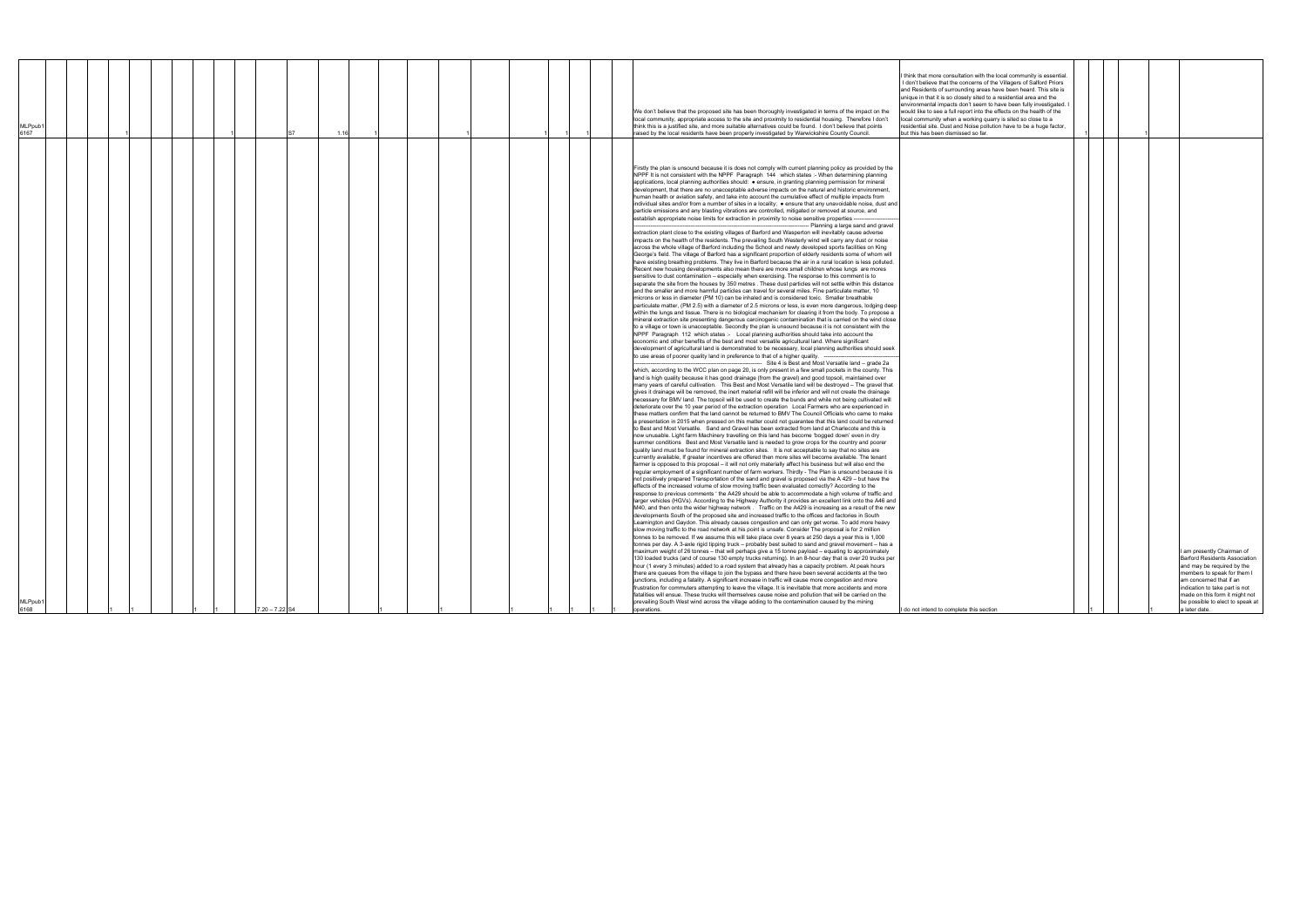| MLPpub1<br>6168                                                                                                                                                                                                                                                                                                                                                                                                                                                                                                                                                                                                                                                                                                                                                                                                                                                                                                                                                                                                                                                                                                                                                                                                                                                                                                                                                                                                                                                                                                                                                                                                                                                                                                                                                                                                                                                                                                                                                                                                                                                                                                                                                                                                                                                                                                                                                                                                                                                                                                                                                                                                                                                                                                                                                                                                                                                                                                                                                                                                                                                                                                                                                                                                                                                                                                                                                                                                                                                                                                                                                                                                                                                                                                                                                                                                                                                                                                                                                                                                                                                                                                                                                                                                                                                                                                                                                                                                                                                                                                                                                                                                                                                                                                                                                                                                                                                                                                                                                                                                                                                                                                                                                                                                                                                                                                                                                                                                                                                                                                                                                                                                                                                                                                                                                                                                                                                                                                                                                                                                                                                                                                                                                                                                                                                                                                                                                                                                                                                                                                                                | MLPpub1<br>6167                                                                                                                                                                                                                                                                                                                                                                                                                                                                                                                                                                                                    |
|------------------------------------------------------------------------------------------------------------------------------------------------------------------------------------------------------------------------------------------------------------------------------------------------------------------------------------------------------------------------------------------------------------------------------------------------------------------------------------------------------------------------------------------------------------------------------------------------------------------------------------------------------------------------------------------------------------------------------------------------------------------------------------------------------------------------------------------------------------------------------------------------------------------------------------------------------------------------------------------------------------------------------------------------------------------------------------------------------------------------------------------------------------------------------------------------------------------------------------------------------------------------------------------------------------------------------------------------------------------------------------------------------------------------------------------------------------------------------------------------------------------------------------------------------------------------------------------------------------------------------------------------------------------------------------------------------------------------------------------------------------------------------------------------------------------------------------------------------------------------------------------------------------------------------------------------------------------------------------------------------------------------------------------------------------------------------------------------------------------------------------------------------------------------------------------------------------------------------------------------------------------------------------------------------------------------------------------------------------------------------------------------------------------------------------------------------------------------------------------------------------------------------------------------------------------------------------------------------------------------------------------------------------------------------------------------------------------------------------------------------------------------------------------------------------------------------------------------------------------------------------------------------------------------------------------------------------------------------------------------------------------------------------------------------------------------------------------------------------------------------------------------------------------------------------------------------------------------------------------------------------------------------------------------------------------------------------------------------------------------------------------------------------------------------------------------------------------------------------------------------------------------------------------------------------------------------------------------------------------------------------------------------------------------------------------------------------------------------------------------------------------------------------------------------------------------------------------------------------------------------------------------------------------------------------------------------------------------------------------------------------------------------------------------------------------------------------------------------------------------------------------------------------------------------------------------------------------------------------------------------------------------------------------------------------------------------------------------------------------------------------------------------------------------------------------------------------------------------------------------------------------------------------------------------------------------------------------------------------------------------------------------------------------------------------------------------------------------------------------------------------------------------------------------------------------------------------------------------------------------------------------------------------------------------------------------------------------------------------------------------------------------------------------------------------------------------------------------------------------------------------------------------------------------------------------------------------------------------------------------------------------------------------------------------------------------------------------------------------------------------------------------------------------------------------------------------------------------------------------------------------------------------------------------------------------------------------------------------------------------------------------------------------------------------------------------------------------------------------------------------------------------------------------------------------------------------------------------------------------------------------------------------------------------------------------------------------------------------------------------------------------------------------------------------------------------------------------------------------------------------------------------------------------------------------------------------------------------------------------------------------------------------------------------------------------------------------------------------------------------------------------------------------------------------------------------------------------------------------------------------------------------------------------------|--------------------------------------------------------------------------------------------------------------------------------------------------------------------------------------------------------------------------------------------------------------------------------------------------------------------------------------------------------------------------------------------------------------------------------------------------------------------------------------------------------------------------------------------------------------------------------------------------------------------|
|                                                                                                                                                                                                                                                                                                                                                                                                                                                                                                                                                                                                                                                                                                                                                                                                                                                                                                                                                                                                                                                                                                                                                                                                                                                                                                                                                                                                                                                                                                                                                                                                                                                                                                                                                                                                                                                                                                                                                                                                                                                                                                                                                                                                                                                                                                                                                                                                                                                                                                                                                                                                                                                                                                                                                                                                                                                                                                                                                                                                                                                                                                                                                                                                                                                                                                                                                                                                                                                                                                                                                                                                                                                                                                                                                                                                                                                                                                                                                                                                                                                                                                                                                                                                                                                                                                                                                                                                                                                                                                                                                                                                                                                                                                                                                                                                                                                                                                                                                                                                                                                                                                                                                                                                                                                                                                                                                                                                                                                                                                                                                                                                                                                                                                                                                                                                                                                                                                                                                                                                                                                                                                                                                                                                                                                                                                                                                                                                                                                                                                                                                |                                                                                                                                                                                                                                                                                                                                                                                                                                                                                                                                                                                                                    |
|                                                                                                                                                                                                                                                                                                                                                                                                                                                                                                                                                                                                                                                                                                                                                                                                                                                                                                                                                                                                                                                                                                                                                                                                                                                                                                                                                                                                                                                                                                                                                                                                                                                                                                                                                                                                                                                                                                                                                                                                                                                                                                                                                                                                                                                                                                                                                                                                                                                                                                                                                                                                                                                                                                                                                                                                                                                                                                                                                                                                                                                                                                                                                                                                                                                                                                                                                                                                                                                                                                                                                                                                                                                                                                                                                                                                                                                                                                                                                                                                                                                                                                                                                                                                                                                                                                                                                                                                                                                                                                                                                                                                                                                                                                                                                                                                                                                                                                                                                                                                                                                                                                                                                                                                                                                                                                                                                                                                                                                                                                                                                                                                                                                                                                                                                                                                                                                                                                                                                                                                                                                                                                                                                                                                                                                                                                                                                                                                                                                                                                                                                |                                                                                                                                                                                                                                                                                                                                                                                                                                                                                                                                                                                                                    |
|                                                                                                                                                                                                                                                                                                                                                                                                                                                                                                                                                                                                                                                                                                                                                                                                                                                                                                                                                                                                                                                                                                                                                                                                                                                                                                                                                                                                                                                                                                                                                                                                                                                                                                                                                                                                                                                                                                                                                                                                                                                                                                                                                                                                                                                                                                                                                                                                                                                                                                                                                                                                                                                                                                                                                                                                                                                                                                                                                                                                                                                                                                                                                                                                                                                                                                                                                                                                                                                                                                                                                                                                                                                                                                                                                                                                                                                                                                                                                                                                                                                                                                                                                                                                                                                                                                                                                                                                                                                                                                                                                                                                                                                                                                                                                                                                                                                                                                                                                                                                                                                                                                                                                                                                                                                                                                                                                                                                                                                                                                                                                                                                                                                                                                                                                                                                                                                                                                                                                                                                                                                                                                                                                                                                                                                                                                                                                                                                                                                                                                                                                |                                                                                                                                                                                                                                                                                                                                                                                                                                                                                                                                                                                                                    |
|                                                                                                                                                                                                                                                                                                                                                                                                                                                                                                                                                                                                                                                                                                                                                                                                                                                                                                                                                                                                                                                                                                                                                                                                                                                                                                                                                                                                                                                                                                                                                                                                                                                                                                                                                                                                                                                                                                                                                                                                                                                                                                                                                                                                                                                                                                                                                                                                                                                                                                                                                                                                                                                                                                                                                                                                                                                                                                                                                                                                                                                                                                                                                                                                                                                                                                                                                                                                                                                                                                                                                                                                                                                                                                                                                                                                                                                                                                                                                                                                                                                                                                                                                                                                                                                                                                                                                                                                                                                                                                                                                                                                                                                                                                                                                                                                                                                                                                                                                                                                                                                                                                                                                                                                                                                                                                                                                                                                                                                                                                                                                                                                                                                                                                                                                                                                                                                                                                                                                                                                                                                                                                                                                                                                                                                                                                                                                                                                                                                                                                                                                |                                                                                                                                                                                                                                                                                                                                                                                                                                                                                                                                                                                                                    |
|                                                                                                                                                                                                                                                                                                                                                                                                                                                                                                                                                                                                                                                                                                                                                                                                                                                                                                                                                                                                                                                                                                                                                                                                                                                                                                                                                                                                                                                                                                                                                                                                                                                                                                                                                                                                                                                                                                                                                                                                                                                                                                                                                                                                                                                                                                                                                                                                                                                                                                                                                                                                                                                                                                                                                                                                                                                                                                                                                                                                                                                                                                                                                                                                                                                                                                                                                                                                                                                                                                                                                                                                                                                                                                                                                                                                                                                                                                                                                                                                                                                                                                                                                                                                                                                                                                                                                                                                                                                                                                                                                                                                                                                                                                                                                                                                                                                                                                                                                                                                                                                                                                                                                                                                                                                                                                                                                                                                                                                                                                                                                                                                                                                                                                                                                                                                                                                                                                                                                                                                                                                                                                                                                                                                                                                                                                                                                                                                                                                                                                                                                |                                                                                                                                                                                                                                                                                                                                                                                                                                                                                                                                                                                                                    |
|                                                                                                                                                                                                                                                                                                                                                                                                                                                                                                                                                                                                                                                                                                                                                                                                                                                                                                                                                                                                                                                                                                                                                                                                                                                                                                                                                                                                                                                                                                                                                                                                                                                                                                                                                                                                                                                                                                                                                                                                                                                                                                                                                                                                                                                                                                                                                                                                                                                                                                                                                                                                                                                                                                                                                                                                                                                                                                                                                                                                                                                                                                                                                                                                                                                                                                                                                                                                                                                                                                                                                                                                                                                                                                                                                                                                                                                                                                                                                                                                                                                                                                                                                                                                                                                                                                                                                                                                                                                                                                                                                                                                                                                                                                                                                                                                                                                                                                                                                                                                                                                                                                                                                                                                                                                                                                                                                                                                                                                                                                                                                                                                                                                                                                                                                                                                                                                                                                                                                                                                                                                                                                                                                                                                                                                                                                                                                                                                                                                                                                                                                |                                                                                                                                                                                                                                                                                                                                                                                                                                                                                                                                                                                                                    |
|                                                                                                                                                                                                                                                                                                                                                                                                                                                                                                                                                                                                                                                                                                                                                                                                                                                                                                                                                                                                                                                                                                                                                                                                                                                                                                                                                                                                                                                                                                                                                                                                                                                                                                                                                                                                                                                                                                                                                                                                                                                                                                                                                                                                                                                                                                                                                                                                                                                                                                                                                                                                                                                                                                                                                                                                                                                                                                                                                                                                                                                                                                                                                                                                                                                                                                                                                                                                                                                                                                                                                                                                                                                                                                                                                                                                                                                                                                                                                                                                                                                                                                                                                                                                                                                                                                                                                                                                                                                                                                                                                                                                                                                                                                                                                                                                                                                                                                                                                                                                                                                                                                                                                                                                                                                                                                                                                                                                                                                                                                                                                                                                                                                                                                                                                                                                                                                                                                                                                                                                                                                                                                                                                                                                                                                                                                                                                                                                                                                                                                                                                |                                                                                                                                                                                                                                                                                                                                                                                                                                                                                                                                                                                                                    |
|                                                                                                                                                                                                                                                                                                                                                                                                                                                                                                                                                                                                                                                                                                                                                                                                                                                                                                                                                                                                                                                                                                                                                                                                                                                                                                                                                                                                                                                                                                                                                                                                                                                                                                                                                                                                                                                                                                                                                                                                                                                                                                                                                                                                                                                                                                                                                                                                                                                                                                                                                                                                                                                                                                                                                                                                                                                                                                                                                                                                                                                                                                                                                                                                                                                                                                                                                                                                                                                                                                                                                                                                                                                                                                                                                                                                                                                                                                                                                                                                                                                                                                                                                                                                                                                                                                                                                                                                                                                                                                                                                                                                                                                                                                                                                                                                                                                                                                                                                                                                                                                                                                                                                                                                                                                                                                                                                                                                                                                                                                                                                                                                                                                                                                                                                                                                                                                                                                                                                                                                                                                                                                                                                                                                                                                                                                                                                                                                                                                                                                                                                |                                                                                                                                                                                                                                                                                                                                                                                                                                                                                                                                                                                                                    |
|                                                                                                                                                                                                                                                                                                                                                                                                                                                                                                                                                                                                                                                                                                                                                                                                                                                                                                                                                                                                                                                                                                                                                                                                                                                                                                                                                                                                                                                                                                                                                                                                                                                                                                                                                                                                                                                                                                                                                                                                                                                                                                                                                                                                                                                                                                                                                                                                                                                                                                                                                                                                                                                                                                                                                                                                                                                                                                                                                                                                                                                                                                                                                                                                                                                                                                                                                                                                                                                                                                                                                                                                                                                                                                                                                                                                                                                                                                                                                                                                                                                                                                                                                                                                                                                                                                                                                                                                                                                                                                                                                                                                                                                                                                                                                                                                                                                                                                                                                                                                                                                                                                                                                                                                                                                                                                                                                                                                                                                                                                                                                                                                                                                                                                                                                                                                                                                                                                                                                                                                                                                                                                                                                                                                                                                                                                                                                                                                                                                                                                                                                |                                                                                                                                                                                                                                                                                                                                                                                                                                                                                                                                                                                                                    |
| $7.20 - 7.22$ S4                                                                                                                                                                                                                                                                                                                                                                                                                                                                                                                                                                                                                                                                                                                                                                                                                                                                                                                                                                                                                                                                                                                                                                                                                                                                                                                                                                                                                                                                                                                                                                                                                                                                                                                                                                                                                                                                                                                                                                                                                                                                                                                                                                                                                                                                                                                                                                                                                                                                                                                                                                                                                                                                                                                                                                                                                                                                                                                                                                                                                                                                                                                                                                                                                                                                                                                                                                                                                                                                                                                                                                                                                                                                                                                                                                                                                                                                                                                                                                                                                                                                                                                                                                                                                                                                                                                                                                                                                                                                                                                                                                                                                                                                                                                                                                                                                                                                                                                                                                                                                                                                                                                                                                                                                                                                                                                                                                                                                                                                                                                                                                                                                                                                                                                                                                                                                                                                                                                                                                                                                                                                                                                                                                                                                                                                                                                                                                                                                                                                                                                               |                                                                                                                                                                                                                                                                                                                                                                                                                                                                                                                                                                                                                    |
|                                                                                                                                                                                                                                                                                                                                                                                                                                                                                                                                                                                                                                                                                                                                                                                                                                                                                                                                                                                                                                                                                                                                                                                                                                                                                                                                                                                                                                                                                                                                                                                                                                                                                                                                                                                                                                                                                                                                                                                                                                                                                                                                                                                                                                                                                                                                                                                                                                                                                                                                                                                                                                                                                                                                                                                                                                                                                                                                                                                                                                                                                                                                                                                                                                                                                                                                                                                                                                                                                                                                                                                                                                                                                                                                                                                                                                                                                                                                                                                                                                                                                                                                                                                                                                                                                                                                                                                                                                                                                                                                                                                                                                                                                                                                                                                                                                                                                                                                                                                                                                                                                                                                                                                                                                                                                                                                                                                                                                                                                                                                                                                                                                                                                                                                                                                                                                                                                                                                                                                                                                                                                                                                                                                                                                                                                                                                                                                                                                                                                                                                                |                                                                                                                                                                                                                                                                                                                                                                                                                                                                                                                                                                                                                    |
|                                                                                                                                                                                                                                                                                                                                                                                                                                                                                                                                                                                                                                                                                                                                                                                                                                                                                                                                                                                                                                                                                                                                                                                                                                                                                                                                                                                                                                                                                                                                                                                                                                                                                                                                                                                                                                                                                                                                                                                                                                                                                                                                                                                                                                                                                                                                                                                                                                                                                                                                                                                                                                                                                                                                                                                                                                                                                                                                                                                                                                                                                                                                                                                                                                                                                                                                                                                                                                                                                                                                                                                                                                                                                                                                                                                                                                                                                                                                                                                                                                                                                                                                                                                                                                                                                                                                                                                                                                                                                                                                                                                                                                                                                                                                                                                                                                                                                                                                                                                                                                                                                                                                                                                                                                                                                                                                                                                                                                                                                                                                                                                                                                                                                                                                                                                                                                                                                                                                                                                                                                                                                                                                                                                                                                                                                                                                                                                                                                                                                                                                                | 116                                                                                                                                                                                                                                                                                                                                                                                                                                                                                                                                                                                                                |
|                                                                                                                                                                                                                                                                                                                                                                                                                                                                                                                                                                                                                                                                                                                                                                                                                                                                                                                                                                                                                                                                                                                                                                                                                                                                                                                                                                                                                                                                                                                                                                                                                                                                                                                                                                                                                                                                                                                                                                                                                                                                                                                                                                                                                                                                                                                                                                                                                                                                                                                                                                                                                                                                                                                                                                                                                                                                                                                                                                                                                                                                                                                                                                                                                                                                                                                                                                                                                                                                                                                                                                                                                                                                                                                                                                                                                                                                                                                                                                                                                                                                                                                                                                                                                                                                                                                                                                                                                                                                                                                                                                                                                                                                                                                                                                                                                                                                                                                                                                                                                                                                                                                                                                                                                                                                                                                                                                                                                                                                                                                                                                                                                                                                                                                                                                                                                                                                                                                                                                                                                                                                                                                                                                                                                                                                                                                                                                                                                                                                                                                                                |                                                                                                                                                                                                                                                                                                                                                                                                                                                                                                                                                                                                                    |
|                                                                                                                                                                                                                                                                                                                                                                                                                                                                                                                                                                                                                                                                                                                                                                                                                                                                                                                                                                                                                                                                                                                                                                                                                                                                                                                                                                                                                                                                                                                                                                                                                                                                                                                                                                                                                                                                                                                                                                                                                                                                                                                                                                                                                                                                                                                                                                                                                                                                                                                                                                                                                                                                                                                                                                                                                                                                                                                                                                                                                                                                                                                                                                                                                                                                                                                                                                                                                                                                                                                                                                                                                                                                                                                                                                                                                                                                                                                                                                                                                                                                                                                                                                                                                                                                                                                                                                                                                                                                                                                                                                                                                                                                                                                                                                                                                                                                                                                                                                                                                                                                                                                                                                                                                                                                                                                                                                                                                                                                                                                                                                                                                                                                                                                                                                                                                                                                                                                                                                                                                                                                                                                                                                                                                                                                                                                                                                                                                                                                                                                                                |                                                                                                                                                                                                                                                                                                                                                                                                                                                                                                                                                                                                                    |
|                                                                                                                                                                                                                                                                                                                                                                                                                                                                                                                                                                                                                                                                                                                                                                                                                                                                                                                                                                                                                                                                                                                                                                                                                                                                                                                                                                                                                                                                                                                                                                                                                                                                                                                                                                                                                                                                                                                                                                                                                                                                                                                                                                                                                                                                                                                                                                                                                                                                                                                                                                                                                                                                                                                                                                                                                                                                                                                                                                                                                                                                                                                                                                                                                                                                                                                                                                                                                                                                                                                                                                                                                                                                                                                                                                                                                                                                                                                                                                                                                                                                                                                                                                                                                                                                                                                                                                                                                                                                                                                                                                                                                                                                                                                                                                                                                                                                                                                                                                                                                                                                                                                                                                                                                                                                                                                                                                                                                                                                                                                                                                                                                                                                                                                                                                                                                                                                                                                                                                                                                                                                                                                                                                                                                                                                                                                                                                                                                                                                                                                                                |                                                                                                                                                                                                                                                                                                                                                                                                                                                                                                                                                                                                                    |
|                                                                                                                                                                                                                                                                                                                                                                                                                                                                                                                                                                                                                                                                                                                                                                                                                                                                                                                                                                                                                                                                                                                                                                                                                                                                                                                                                                                                                                                                                                                                                                                                                                                                                                                                                                                                                                                                                                                                                                                                                                                                                                                                                                                                                                                                                                                                                                                                                                                                                                                                                                                                                                                                                                                                                                                                                                                                                                                                                                                                                                                                                                                                                                                                                                                                                                                                                                                                                                                                                                                                                                                                                                                                                                                                                                                                                                                                                                                                                                                                                                                                                                                                                                                                                                                                                                                                                                                                                                                                                                                                                                                                                                                                                                                                                                                                                                                                                                                                                                                                                                                                                                                                                                                                                                                                                                                                                                                                                                                                                                                                                                                                                                                                                                                                                                                                                                                                                                                                                                                                                                                                                                                                                                                                                                                                                                                                                                                                                                                                                                                                                |                                                                                                                                                                                                                                                                                                                                                                                                                                                                                                                                                                                                                    |
|                                                                                                                                                                                                                                                                                                                                                                                                                                                                                                                                                                                                                                                                                                                                                                                                                                                                                                                                                                                                                                                                                                                                                                                                                                                                                                                                                                                                                                                                                                                                                                                                                                                                                                                                                                                                                                                                                                                                                                                                                                                                                                                                                                                                                                                                                                                                                                                                                                                                                                                                                                                                                                                                                                                                                                                                                                                                                                                                                                                                                                                                                                                                                                                                                                                                                                                                                                                                                                                                                                                                                                                                                                                                                                                                                                                                                                                                                                                                                                                                                                                                                                                                                                                                                                                                                                                                                                                                                                                                                                                                                                                                                                                                                                                                                                                                                                                                                                                                                                                                                                                                                                                                                                                                                                                                                                                                                                                                                                                                                                                                                                                                                                                                                                                                                                                                                                                                                                                                                                                                                                                                                                                                                                                                                                                                                                                                                                                                                                                                                                                                                |                                                                                                                                                                                                                                                                                                                                                                                                                                                                                                                                                                                                                    |
|                                                                                                                                                                                                                                                                                                                                                                                                                                                                                                                                                                                                                                                                                                                                                                                                                                                                                                                                                                                                                                                                                                                                                                                                                                                                                                                                                                                                                                                                                                                                                                                                                                                                                                                                                                                                                                                                                                                                                                                                                                                                                                                                                                                                                                                                                                                                                                                                                                                                                                                                                                                                                                                                                                                                                                                                                                                                                                                                                                                                                                                                                                                                                                                                                                                                                                                                                                                                                                                                                                                                                                                                                                                                                                                                                                                                                                                                                                                                                                                                                                                                                                                                                                                                                                                                                                                                                                                                                                                                                                                                                                                                                                                                                                                                                                                                                                                                                                                                                                                                                                                                                                                                                                                                                                                                                                                                                                                                                                                                                                                                                                                                                                                                                                                                                                                                                                                                                                                                                                                                                                                                                                                                                                                                                                                                                                                                                                                                                                                                                                                                                |                                                                                                                                                                                                                                                                                                                                                                                                                                                                                                                                                                                                                    |
|                                                                                                                                                                                                                                                                                                                                                                                                                                                                                                                                                                                                                                                                                                                                                                                                                                                                                                                                                                                                                                                                                                                                                                                                                                                                                                                                                                                                                                                                                                                                                                                                                                                                                                                                                                                                                                                                                                                                                                                                                                                                                                                                                                                                                                                                                                                                                                                                                                                                                                                                                                                                                                                                                                                                                                                                                                                                                                                                                                                                                                                                                                                                                                                                                                                                                                                                                                                                                                                                                                                                                                                                                                                                                                                                                                                                                                                                                                                                                                                                                                                                                                                                                                                                                                                                                                                                                                                                                                                                                                                                                                                                                                                                                                                                                                                                                                                                                                                                                                                                                                                                                                                                                                                                                                                                                                                                                                                                                                                                                                                                                                                                                                                                                                                                                                                                                                                                                                                                                                                                                                                                                                                                                                                                                                                                                                                                                                                                                                                                                                                                                |                                                                                                                                                                                                                                                                                                                                                                                                                                                                                                                                                                                                                    |
|                                                                                                                                                                                                                                                                                                                                                                                                                                                                                                                                                                                                                                                                                                                                                                                                                                                                                                                                                                                                                                                                                                                                                                                                                                                                                                                                                                                                                                                                                                                                                                                                                                                                                                                                                                                                                                                                                                                                                                                                                                                                                                                                                                                                                                                                                                                                                                                                                                                                                                                                                                                                                                                                                                                                                                                                                                                                                                                                                                                                                                                                                                                                                                                                                                                                                                                                                                                                                                                                                                                                                                                                                                                                                                                                                                                                                                                                                                                                                                                                                                                                                                                                                                                                                                                                                                                                                                                                                                                                                                                                                                                                                                                                                                                                                                                                                                                                                                                                                                                                                                                                                                                                                                                                                                                                                                                                                                                                                                                                                                                                                                                                                                                                                                                                                                                                                                                                                                                                                                                                                                                                                                                                                                                                                                                                                                                                                                                                                                                                                                                                                |                                                                                                                                                                                                                                                                                                                                                                                                                                                                                                                                                                                                                    |
|                                                                                                                                                                                                                                                                                                                                                                                                                                                                                                                                                                                                                                                                                                                                                                                                                                                                                                                                                                                                                                                                                                                                                                                                                                                                                                                                                                                                                                                                                                                                                                                                                                                                                                                                                                                                                                                                                                                                                                                                                                                                                                                                                                                                                                                                                                                                                                                                                                                                                                                                                                                                                                                                                                                                                                                                                                                                                                                                                                                                                                                                                                                                                                                                                                                                                                                                                                                                                                                                                                                                                                                                                                                                                                                                                                                                                                                                                                                                                                                                                                                                                                                                                                                                                                                                                                                                                                                                                                                                                                                                                                                                                                                                                                                                                                                                                                                                                                                                                                                                                                                                                                                                                                                                                                                                                                                                                                                                                                                                                                                                                                                                                                                                                                                                                                                                                                                                                                                                                                                                                                                                                                                                                                                                                                                                                                                                                                                                                                                                                                                                                |                                                                                                                                                                                                                                                                                                                                                                                                                                                                                                                                                                                                                    |
|                                                                                                                                                                                                                                                                                                                                                                                                                                                                                                                                                                                                                                                                                                                                                                                                                                                                                                                                                                                                                                                                                                                                                                                                                                                                                                                                                                                                                                                                                                                                                                                                                                                                                                                                                                                                                                                                                                                                                                                                                                                                                                                                                                                                                                                                                                                                                                                                                                                                                                                                                                                                                                                                                                                                                                                                                                                                                                                                                                                                                                                                                                                                                                                                                                                                                                                                                                                                                                                                                                                                                                                                                                                                                                                                                                                                                                                                                                                                                                                                                                                                                                                                                                                                                                                                                                                                                                                                                                                                                                                                                                                                                                                                                                                                                                                                                                                                                                                                                                                                                                                                                                                                                                                                                                                                                                                                                                                                                                                                                                                                                                                                                                                                                                                                                                                                                                                                                                                                                                                                                                                                                                                                                                                                                                                                                                                                                                                                                                                                                                                                                |                                                                                                                                                                                                                                                                                                                                                                                                                                                                                                                                                                                                                    |
| Firstly the plan is unsound because it is does not comply with current planning policy as provided by the<br>NPPF It is not consistent with the NPPF Paragraph 144 which states :- When determining planning<br>applications, local planning authorities should: . ensure, in granting planning permission for mineral<br>development, that there are no unacceptable adverse impacts on the natural and historic environment,<br>human health or aviation safety, and take into account the cumulative effect of multiple impacts from<br>individual sites and/or from a number of sites in a locality; . ensure that any unavoidable noise, dust and<br>particle emissions and any blasting vibrations are controlled, mitigated or removed at source, and<br>establish appropriate noise limits for extraction in proximity to noise sensitive properties --<br>- Planning a large sand and gravel<br>extraction plant close to the existing villages of Barford and Wasperton will inevitably cause adverse<br>impacts on the health of the residents. The prevailing South Westerly wind will carry any dust or noise<br>across the whole village of Barford including the School and newly developed sports facilities on King<br>George's field. The village of Barford has a significant proportion of elderly residents some of whom will<br>have existing breathing problems. They live in Barford because the air in a rural location is less polluted.<br>Recent new housing developments also mean there are more small children whose lungs are mores<br>sensitive to dust contamination - especially when exercising. The response to this comment is to<br>separate the site from the houses by 350 metres . These dust particles will not settle within this distance<br>and the smaller and more harmful particles can travel for several miles. Fine particulate matter, 10<br>microns or less in diameter (PM 10) can be inhaled and is considered toxic. Smaller breathable<br>particulate matter, (PM 2.5) with a diameter of 2.5 microns or less, is even more dangerous, lodging deep<br>within the lungs and tissue. There is no biological mechanism for clearing it from the body. To propose a<br>mineral extraction site presenting dangerous carcinogenic contamination that is carried on the wind close<br>to a village or town is unacceptable. Secondly the plan is unsound because it is not consistent with the<br>NPPF Paragraph 112 which states :- Local planning authorities should take into account the<br>economic and other benefits of the best and most versatile agricultural land. Where significant<br>development of agricultural land is demonstrated to be necessary, local planning authorities should seek<br>to use areas of poorer quality land in preference to that of a higher quality.<br>--- Site 4 is Best and Most Versatile land - grade 2a<br>which, according to the WCC plan on page 20, is only present in a few small pockets in the county. This<br>land is high quality because it has good drainage (from the gravel) and good topsoil, maintained over<br>many years of careful cultivation. This Best and Most Versatile land will be destroyed - The gravel that<br>gives it drainage will be removed, the inert material refill will be inferior and will not create the drainage<br>necessary for BMV land. The topsoil will be used to create the bunds and while not being cultivated will<br>deteriorate over the 10 year period of the extraction operation Local Farmers who are experienced in<br>these matters confirm that the land cannot be returned to BMV The Council Officials who came to make<br>a presentation in 2015 when pressed on this matter could not guarantee that this land could be returned<br>to Best and Most Versatile. Sand and Gravel has been extracted from land at Charlecote and this is<br>now unusable. Light farm Machinery travelling on this land has become 'bogged down' even in dry<br>summer conditions  Best and Most Versatile land is needed to grow crops for the country and poorer<br>quality land must be found for mineral extraction sites. It is not acceptable to say that no sites are<br>currently available, If greater incentives are offered then more sites will become available. The tenant<br>farmer is opposed to this proposal - it will not only materially affect his business but will also end the<br>regular employment of a significant number of farm workers. Thirdly - The Plan is unsound because it is<br>not positively prepared Transportation of the sand and gravel is proposed via the A 429 - but have the<br>effects of the increased volume of slow moving traffic been evaluated correctly? According to the<br>response to previous comments ' the A429 should be able to accommodate a high volume of traffic and<br>larger vehicles (HGVs). According to the Highway Authority it provides an excellent link onto the A46 and<br>M40, and then onto the wider highway network. Traffic on the A429 is increasing as a result of the new<br>developments South of the proposed site and increased traffic to the offices and factories in South<br>Leamington and Gaydon. This already causes congestion and can only get worse. To add more heavy<br>slow moving traffic to the road network at his point is unsafe. Consider The proposal is for 2 million<br>tonnes to be removed. If we assume this will take place over 8 years at 250 days a year this is 1,000<br>tonnes per day. A 3-axle rigid tipping truck - probably best suited to sand and gravel movement - has a<br>maximum weight of 26 tonnes - that will perhaps give a 15 tonne payload - equating to approximately<br>130 loaded trucks (and of course 130 empty trucks returning). In an 8-hour day that is over 20 trucks per<br>hour (1 every 3 minutes) added to a road system that already has a capacity problem. At peak hours<br>there are queues from the village to join the bypass and there have been several accidents at the two<br>junctions, including a fatality. A significant increase in traffic will cause more congestion and more<br>frustration for commuters attempting to leave the village. It is inevitable that more accidents and more<br>fatalities will ensue. These trucks will themselves cause noise and pollution that will be carried on the<br>prevailing South West wind across the village adding to the contamination caused by the mining<br>operations. | We don't believe that the proposed site has been thoroughly investigated in terms of the impact on the<br>local community, appropriate access to the site and proximity to residential housing. Therefore I don't<br>think this is a justified site, and more suitable alternatives could be found. I don't believe that points<br>raised by the local residents have been properly investigated by Warwickshire County Council.                                                                                                                                                                                   |
| do not intend to complete this section                                                                                                                                                                                                                                                                                                                                                                                                                                                                                                                                                                                                                                                                                                                                                                                                                                                                                                                                                                                                                                                                                                                                                                                                                                                                                                                                                                                                                                                                                                                                                                                                                                                                                                                                                                                                                                                                                                                                                                                                                                                                                                                                                                                                                                                                                                                                                                                                                                                                                                                                                                                                                                                                                                                                                                                                                                                                                                                                                                                                                                                                                                                                                                                                                                                                                                                                                                                                                                                                                                                                                                                                                                                                                                                                                                                                                                                                                                                                                                                                                                                                                                                                                                                                                                                                                                                                                                                                                                                                                                                                                                                                                                                                                                                                                                                                                                                                                                                                                                                                                                                                                                                                                                                                                                                                                                                                                                                                                                                                                                                                                                                                                                                                                                                                                                                                                                                                                                                                                                                                                                                                                                                                                                                                                                                                                                                                                                                                                                                                                                         | think that more consultation with the local community is essential.<br>I don't believe that the concerns of the Villagers of Salford Priors<br>and Residents of surrounding areas have been heard. This site is<br>unique in that it is so closely sited to a residential area and the<br>environmental impacts don't seem to have been fully investigated.<br>would like to see a full report into the effects on the health of the<br>local community when a working quarry is sited so close to a<br>residential site. Dust and Noise pollution have to be a huge factor,<br>but this has been dismissed so far |
|                                                                                                                                                                                                                                                                                                                                                                                                                                                                                                                                                                                                                                                                                                                                                                                                                                                                                                                                                                                                                                                                                                                                                                                                                                                                                                                                                                                                                                                                                                                                                                                                                                                                                                                                                                                                                                                                                                                                                                                                                                                                                                                                                                                                                                                                                                                                                                                                                                                                                                                                                                                                                                                                                                                                                                                                                                                                                                                                                                                                                                                                                                                                                                                                                                                                                                                                                                                                                                                                                                                                                                                                                                                                                                                                                                                                                                                                                                                                                                                                                                                                                                                                                                                                                                                                                                                                                                                                                                                                                                                                                                                                                                                                                                                                                                                                                                                                                                                                                                                                                                                                                                                                                                                                                                                                                                                                                                                                                                                                                                                                                                                                                                                                                                                                                                                                                                                                                                                                                                                                                                                                                                                                                                                                                                                                                                                                                                                                                                                                                                                                                |                                                                                                                                                                                                                                                                                                                                                                                                                                                                                                                                                                                                                    |
|                                                                                                                                                                                                                                                                                                                                                                                                                                                                                                                                                                                                                                                                                                                                                                                                                                                                                                                                                                                                                                                                                                                                                                                                                                                                                                                                                                                                                                                                                                                                                                                                                                                                                                                                                                                                                                                                                                                                                                                                                                                                                                                                                                                                                                                                                                                                                                                                                                                                                                                                                                                                                                                                                                                                                                                                                                                                                                                                                                                                                                                                                                                                                                                                                                                                                                                                                                                                                                                                                                                                                                                                                                                                                                                                                                                                                                                                                                                                                                                                                                                                                                                                                                                                                                                                                                                                                                                                                                                                                                                                                                                                                                                                                                                                                                                                                                                                                                                                                                                                                                                                                                                                                                                                                                                                                                                                                                                                                                                                                                                                                                                                                                                                                                                                                                                                                                                                                                                                                                                                                                                                                                                                                                                                                                                                                                                                                                                                                                                                                                                                                |                                                                                                                                                                                                                                                                                                                                                                                                                                                                                                                                                                                                                    |
| I am presently Chairman of<br><b>Barford Residents Association</b><br>and may be required by the<br>members to speak for them I<br>am concerned that if an<br>indication to take part is not<br>made on this form it might not<br>be possible to elect to speak at<br>a later date.                                                                                                                                                                                                                                                                                                                                                                                                                                                                                                                                                                                                                                                                                                                                                                                                                                                                                                                                                                                                                                                                                                                                                                                                                                                                                                                                                                                                                                                                                                                                                                                                                                                                                                                                                                                                                                                                                                                                                                                                                                                                                                                                                                                                                                                                                                                                                                                                                                                                                                                                                                                                                                                                                                                                                                                                                                                                                                                                                                                                                                                                                                                                                                                                                                                                                                                                                                                                                                                                                                                                                                                                                                                                                                                                                                                                                                                                                                                                                                                                                                                                                                                                                                                                                                                                                                                                                                                                                                                                                                                                                                                                                                                                                                                                                                                                                                                                                                                                                                                                                                                                                                                                                                                                                                                                                                                                                                                                                                                                                                                                                                                                                                                                                                                                                                                                                                                                                                                                                                                                                                                                                                                                                                                                                                                            |                                                                                                                                                                                                                                                                                                                                                                                                                                                                                                                                                                                                                    |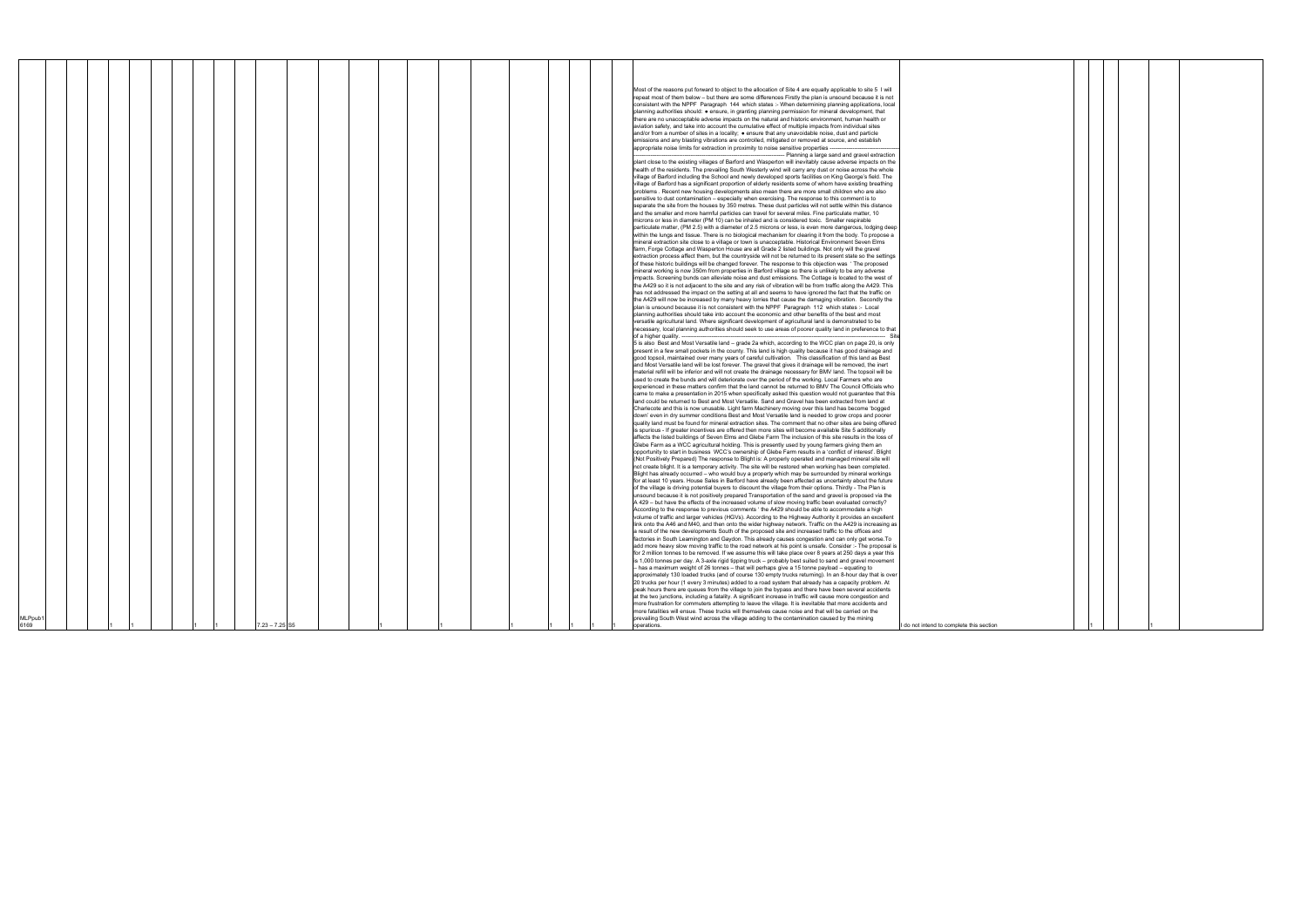| MLPpub1<br>6169 |  |  |  |  |  |  |  |  |  |  | $7.23 - 7.25$ S5 |  |  |  |  |  |  |  |  |  |  |  |  | Most of the reasons put forward to object to the allocation of Site 4 are equally applicable to site 5 I will<br>repeat most of them below - but there are some differences Firstly the plan is unsound because it is not<br>consistent with the NPPF Paragraph 144 which states :- When determining planning applications, local<br>planning authorities should: • ensure, in granting planning permission for mineral development, that<br>there are no unacceptable adverse impacts on the natural and historic environment, human health or<br>aviation safety, and take into account the cumulative effect of multiple impacts from individual sites<br>and/or from a number of sites in a locality; • ensure that any unavoidable noise, dust and particle<br>emissions and any blasting vibrations are controlled, mitigated or removed at source, and establish<br>appropriate noise limits for extraction in proximity to noise sensitive properties -<br>-- Planning a large sand and gravel extraction<br>plant close to the existing villages of Barford and Wasperton will inevitably cause adverse impacts on the<br>health of the residents. The prevailing South Westerly wind will carry any dust or noise across the whole<br>village of Barford including the School and newly developed sports facilities on King George's field. The<br>village of Barford has a significant proportion of elderly residents some of whom have existing breathing<br>problems. Recent new housing developments also mean there are more small children who are also<br>sensitive to dust contamination - especially when exercising. The response to this comment is to<br>separate the site from the houses by 350 metres. These dust particles will not settle within this distance<br>and the smaller and more harmful particles can travel for several miles. Fine particulate matter, 10<br>microns or less in diameter (PM 10) can be inhaled and is considered toxic. Smaller respirable<br>particulate matter, (PM 2.5) with a diameter of 2.5 microns or less, is even more dangerous, lodging deep<br>within the lungs and tissue. There is no biological mechanism for clearing it from the body. To propose a<br>mineral extraction site close to a village or town is unacceptable. Historical Environment Seven Elms<br>farm, Forge Cottage and Wasperton House are all Grade 2 listed buildings. Not only will the gravel<br>extraction process affect them, but the countryside will not be returned to its present state so the settings<br>of these historic buildings will be changed forever. The response to this objection was 'The proposed<br>mineral working is now 350m from properties in Barford village so there is unlikely to be any adverse<br>impacts. Screening bunds can alleviate noise and dust emissions. The Cottage is located to the west of<br>the A429 so it is not adjacent to the site and any risk of vibration will be from traffic along the A429. This<br>has not addressed the impact on the setting at all and seems to have ignored the fact that the traffic on<br>the A429 will now be increased by many heavy lorries that cause the damaging vibration. Secondly the<br>plan is unsound because it is not consistent with the NPPF Paragraph 112 which states :- Local<br>planning authorities should take into account the economic and other benefits of the best and most<br>versatile agricultural land. Where significant development of agricultural land is demonstrated to be<br>necessary, local planning authorities should seek to use areas of poorer quality land in preference to that<br>of a higher quality.<br>Site<br>5 is also Best and Most Versatile land - grade 2a which, according to the WCC plan on page 20, is only<br>present in a few small pockets in the county. This land is high quality because it has good drainage and<br>good topsoil, maintained over many years of careful cultivation.  This classification of this land as Best<br>and Most Versatile land will be lost forever. The gravel that gives it drainage will be removed, the inert<br>material refill will be inferior and will not create the drainage necessary for BMV land. The topsoil will be<br>used to create the bunds and will deteriorate over the period of the working. Local Farmers who are<br>experienced in these matters confirm that the land cannot be returned to BMV The Council Officials who<br>came to make a presentation in 2015 when specifically asked this question would not guarantee that this<br>land could be returned to Best and Most Versatile. Sand and Gravel has been extracted from land at<br>Charlecote and this is now unusable. Light farm Machinery moving over this land has become 'bogged<br>down' even in dry summer conditions Best and Most Versatile land is needed to grow crops and poorer<br>quality land must be found for mineral extraction sites. The comment that no other sites are being offered<br>is spurious - If greater incentives are offered then more sites will become available Site 5 additionally<br>affects the listed buildings of Seven Elms and Glebe Farm The inclusion of this site results in the loss of<br>Glebe Farm as a WCC agricultural holding. This is presently used by young farmers giving them an<br>opportunity to start in business WCC's ownership of Glebe Farm results in a 'conflict of interest'. Blight<br>(Not Positively Prepared) The response to Blight is: A properly operated and managed mineral site will<br>not create blight. It is a temporary activity. The site will be restored when working has been completed.<br>Blight has already occurred - who would buy a property which may be surrounded by mineral workings<br>for at least 10 years. House Sales in Barford have already been affected as uncertainty about the future<br>of the village is driving potential buyers to discount the village from their options. Thirdly - The Plan is<br>unsound because it is not positively prepared Transportation of the sand and gravel is proposed via the<br>A 429 - but have the effects of the increased volume of slow moving traffic been evaluated correctly?<br>According to the response to previous comments 'the A429 should be able to accommodate a high<br>volume of traffic and larger vehicles (HGVs). According to the Highway Authority it provides an excellent<br>link onto the A46 and M40, and then onto the wider highway network. Traffic on the A429 is increasing as<br>a result of the new developments South of the proposed site and increased traffic to the offices and<br>factories in South Leamington and Gaydon. This already causes congestion and can only get worse. To<br>add more heavy slow moving traffic to the road network at his point is unsafe. Consider :- The proposal is<br>for 2 million tonnes to be removed. If we assume this will take place over 8 years at 250 days a year this<br>is 1,000 tonnes per day. A 3-axle rigid tipping truck - probably best suited to sand and gravel movement<br>- has a maximum weight of 26 tonnes - that will perhaps give a 15 tonne payload - equating to<br>approximately 130 loaded trucks (and of course 130 empty trucks returning). In an 8-hour day that is over<br>20 trucks per hour (1 every 3 minutes) added to a road system that already has a capacity problem. At<br>peak hours there are queues from the village to join the bypass and there have been several accidents<br>at the two junctions, including a fatality. A significant increase in traffic will cause more congestion and<br>more frustration for commuters attempting to leave the village. It is inevitable that more accidents and<br>more fatalities will ensue. These trucks will themselves cause noise and that will be carried on the<br>prevailing South West wind across the village adding to the contamination caused by the mining<br>operations. | I do not intend to complete this section |
|-----------------|--|--|--|--|--|--|--|--|--|--|------------------|--|--|--|--|--|--|--|--|--|--|--|--|------------------------------------------------------------------------------------------------------------------------------------------------------------------------------------------------------------------------------------------------------------------------------------------------------------------------------------------------------------------------------------------------------------------------------------------------------------------------------------------------------------------------------------------------------------------------------------------------------------------------------------------------------------------------------------------------------------------------------------------------------------------------------------------------------------------------------------------------------------------------------------------------------------------------------------------------------------------------------------------------------------------------------------------------------------------------------------------------------------------------------------------------------------------------------------------------------------------------------------------------------------------------------------------------------------------------------------------------------------------------------------------------------------------------------------------------------------------------------------------------------------------------------------------------------------------------------------------------------------------------------------------------------------------------------------------------------------------------------------------------------------------------------------------------------------------------------------------------------------------------------------------------------------------------------------------------------------------------------------------------------------------------------------------------------------------------------------------------------------------------------------------------------------------------------------------------------------------------------------------------------------------------------------------------------------------------------------------------------------------------------------------------------------------------------------------------------------------------------------------------------------------------------------------------------------------------------------------------------------------------------------------------------------------------------------------------------------------------------------------------------------------------------------------------------------------------------------------------------------------------------------------------------------------------------------------------------------------------------------------------------------------------------------------------------------------------------------------------------------------------------------------------------------------------------------------------------------------------------------------------------------------------------------------------------------------------------------------------------------------------------------------------------------------------------------------------------------------------------------------------------------------------------------------------------------------------------------------------------------------------------------------------------------------------------------------------------------------------------------------------------------------------------------------------------------------------------------------------------------------------------------------------------------------------------------------------------------------------------------------------------------------------------------------------------------------------------------------------------------------------------------------------------------------------------------------------------------------------------------------------------------------------------------------------------------------------------------------------------------------------------------------------------------------------------------------------------------------------------------------------------------------------------------------------------------------------------------------------------------------------------------------------------------------------------------------------------------------------------------------------------------------------------------------------------------------------------------------------------------------------------------------------------------------------------------------------------------------------------------------------------------------------------------------------------------------------------------------------------------------------------------------------------------------------------------------------------------------------------------------------------------------------------------------------------------------------------------------------------------------------------------------------------------------------------------------------------------------------------------------------------------------------------------------------------------------------------------------------------------------------------------------------------------------------------------------------------------------------------------------------------------------------------------------------------------------------------------------------------------------------------------------------------------------------------------------------------------------------------------------------------------------------------------------------------------------------------------------------------------------------------------------------------------------------------------------------------------------------------------------------------------------------------------------------------------------------------------------------------------------------------------------------------------------------------------------------------------------------------------------------------------------------------------------------------------------------------------------------------------------------------------------------------------------------------------------------------------------------------------------------------------------------------------------------------------------------------------------------------------------------------------------------------------------------------------------------------------------------------------------------------------------------------------------------------------------------------------------------------------------------------------------------------------------------------------------------------------------------------------------------------------------------------------------------------------------------------------------------------------------------------------------------------------------------------------------------------------------------------------------------------------------------------------------------------------------------------------------------------------------------------------------------------------------------------------------------------------------------------------------------------------------------------------------------------------------------------------------------------------------------------------------------------------------------------------------------------------------------------------------------------------------------------------|------------------------------------------|
|-----------------|--|--|--|--|--|--|--|--|--|--|------------------|--|--|--|--|--|--|--|--|--|--|--|--|------------------------------------------------------------------------------------------------------------------------------------------------------------------------------------------------------------------------------------------------------------------------------------------------------------------------------------------------------------------------------------------------------------------------------------------------------------------------------------------------------------------------------------------------------------------------------------------------------------------------------------------------------------------------------------------------------------------------------------------------------------------------------------------------------------------------------------------------------------------------------------------------------------------------------------------------------------------------------------------------------------------------------------------------------------------------------------------------------------------------------------------------------------------------------------------------------------------------------------------------------------------------------------------------------------------------------------------------------------------------------------------------------------------------------------------------------------------------------------------------------------------------------------------------------------------------------------------------------------------------------------------------------------------------------------------------------------------------------------------------------------------------------------------------------------------------------------------------------------------------------------------------------------------------------------------------------------------------------------------------------------------------------------------------------------------------------------------------------------------------------------------------------------------------------------------------------------------------------------------------------------------------------------------------------------------------------------------------------------------------------------------------------------------------------------------------------------------------------------------------------------------------------------------------------------------------------------------------------------------------------------------------------------------------------------------------------------------------------------------------------------------------------------------------------------------------------------------------------------------------------------------------------------------------------------------------------------------------------------------------------------------------------------------------------------------------------------------------------------------------------------------------------------------------------------------------------------------------------------------------------------------------------------------------------------------------------------------------------------------------------------------------------------------------------------------------------------------------------------------------------------------------------------------------------------------------------------------------------------------------------------------------------------------------------------------------------------------------------------------------------------------------------------------------------------------------------------------------------------------------------------------------------------------------------------------------------------------------------------------------------------------------------------------------------------------------------------------------------------------------------------------------------------------------------------------------------------------------------------------------------------------------------------------------------------------------------------------------------------------------------------------------------------------------------------------------------------------------------------------------------------------------------------------------------------------------------------------------------------------------------------------------------------------------------------------------------------------------------------------------------------------------------------------------------------------------------------------------------------------------------------------------------------------------------------------------------------------------------------------------------------------------------------------------------------------------------------------------------------------------------------------------------------------------------------------------------------------------------------------------------------------------------------------------------------------------------------------------------------------------------------------------------------------------------------------------------------------------------------------------------------------------------------------------------------------------------------------------------------------------------------------------------------------------------------------------------------------------------------------------------------------------------------------------------------------------------------------------------------------------------------------------------------------------------------------------------------------------------------------------------------------------------------------------------------------------------------------------------------------------------------------------------------------------------------------------------------------------------------------------------------------------------------------------------------------------------------------------------------------------------------------------------------------------------------------------------------------------------------------------------------------------------------------------------------------------------------------------------------------------------------------------------------------------------------------------------------------------------------------------------------------------------------------------------------------------------------------------------------------------------------------------------------------------------------------------------------------------------------------------------------------------------------------------------------------------------------------------------------------------------------------------------------------------------------------------------------------------------------------------------------------------------------------------------------------------------------------------------------------------------------------------------------------------------------------------------------------------------------------------------------------------------------------------------------------------------------------------------------------------------------------------------------------------------------------------------------------------------------------------------------------------------------------------------------------------------------------------------------------------------------------------------------------------------------------------------------------------------------------------------------------------------------|------------------------------------------|

|    | <sup>1</sup> |  |  |  |
|----|--------------|--|--|--|
| on |              |  |  |  |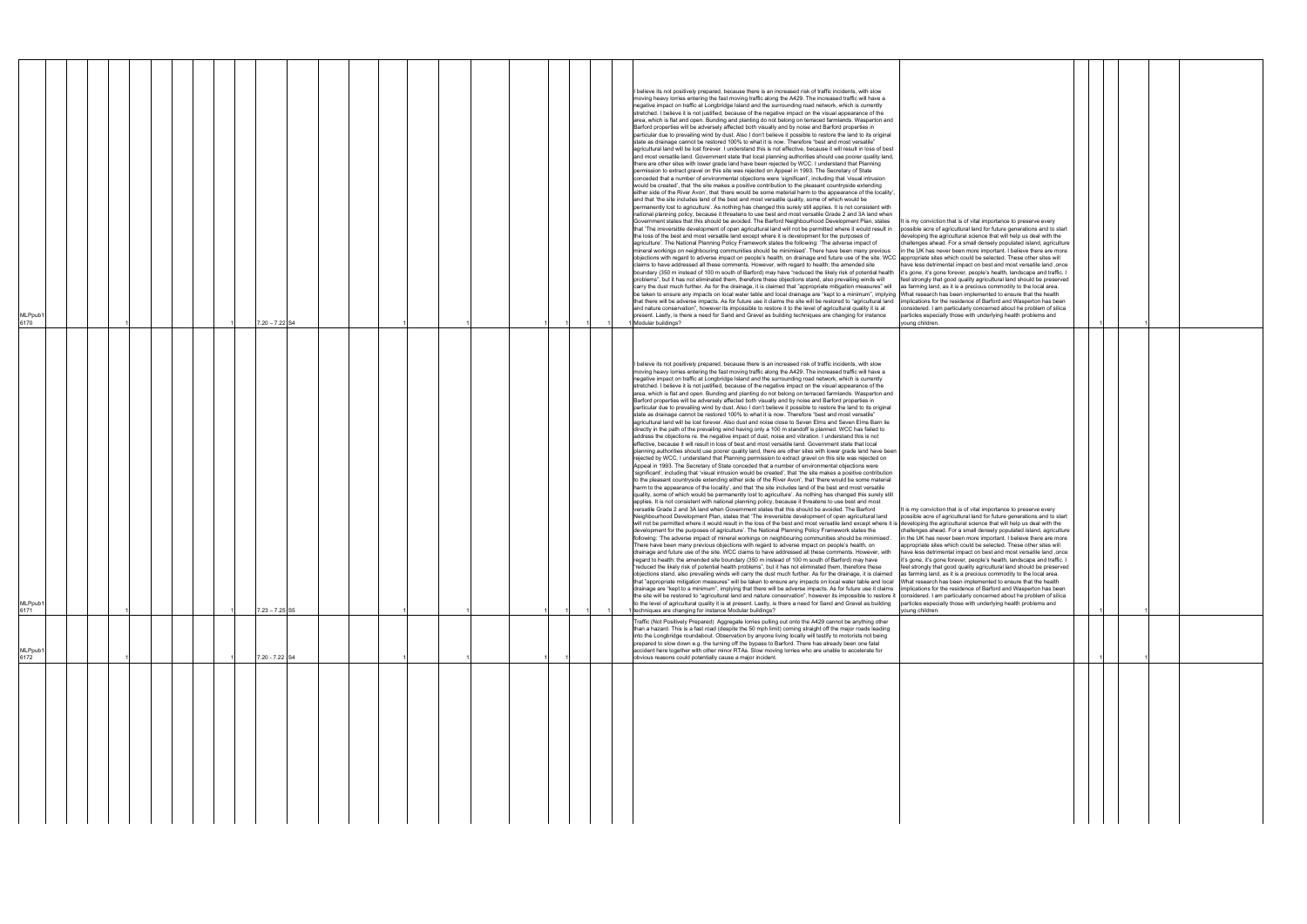| MLPpub1<br>6172                                                                                                                                                                                                                                                                                                                                                                                                                                                                                                                                                                                         | MLPpub1<br>6171                                                                                                                                                                                                                                                                                                                                                                                                                                                                                                                                                                                                                                                                                                                                                                                                                                                                                                                                                                                                                                                                                                                                                                                                                                                                                                                                                                                                                                                                                                                                                                                                                                                                                                                                                                                                                                                                                                                                                                                                                                                                                                                                                                                                                                                                                                                                                                                                                                                                                                                                                                                                                                                                                                                                                                                                                                                                                                                                                                                                                                                                                                                                                                                                                                                                                                                                                                                                                                                                                                                                                                                                                                                                                                                                                                                                                                                                                                                                                                                                                                                                                                                                                                                                                                                                                                                                                                                                                                                                                                                                                                                                                                                                                                                                                                                                                                        | <b>MLPpub</b><br>6170                                                                                                                                                                                                                                                                                                                                                                                                                                                                                                                                                                                                                                                                                                                                                                                                                                                                                                                                                                                                                                                                                                                                                                                                                                                                                                                                                                                                                                                                                                                                                                                                                                                                                                                                                                                                                                                                                                                                                                                                                                                                                                                                                                                                                                                                                                                                                                                                                                                                                                                                                                                                                                                                                                                                                                                                                                                                                                                                                                                                                                                                                                                                                                                                                                                                                                                                                                                                                                                                                                                                                                                                                                                                                                                                                                                                                                                                                                                                                                                                                                                                                                                                                                                                                                                                                                                                                                                                                                                                                                                                                                        |
|---------------------------------------------------------------------------------------------------------------------------------------------------------------------------------------------------------------------------------------------------------------------------------------------------------------------------------------------------------------------------------------------------------------------------------------------------------------------------------------------------------------------------------------------------------------------------------------------------------|--------------------------------------------------------------------------------------------------------------------------------------------------------------------------------------------------------------------------------------------------------------------------------------------------------------------------------------------------------------------------------------------------------------------------------------------------------------------------------------------------------------------------------------------------------------------------------------------------------------------------------------------------------------------------------------------------------------------------------------------------------------------------------------------------------------------------------------------------------------------------------------------------------------------------------------------------------------------------------------------------------------------------------------------------------------------------------------------------------------------------------------------------------------------------------------------------------------------------------------------------------------------------------------------------------------------------------------------------------------------------------------------------------------------------------------------------------------------------------------------------------------------------------------------------------------------------------------------------------------------------------------------------------------------------------------------------------------------------------------------------------------------------------------------------------------------------------------------------------------------------------------------------------------------------------------------------------------------------------------------------------------------------------------------------------------------------------------------------------------------------------------------------------------------------------------------------------------------------------------------------------------------------------------------------------------------------------------------------------------------------------------------------------------------------------------------------------------------------------------------------------------------------------------------------------------------------------------------------------------------------------------------------------------------------------------------------------------------------------------------------------------------------------------------------------------------------------------------------------------------------------------------------------------------------------------------------------------------------------------------------------------------------------------------------------------------------------------------------------------------------------------------------------------------------------------------------------------------------------------------------------------------------------------------------------------------------------------------------------------------------------------------------------------------------------------------------------------------------------------------------------------------------------------------------------------------------------------------------------------------------------------------------------------------------------------------------------------------------------------------------------------------------------------------------------------------------------------------------------------------------------------------------------------------------------------------------------------------------------------------------------------------------------------------------------------------------------------------------------------------------------------------------------------------------------------------------------------------------------------------------------------------------------------------------------------------------------------------------------------------------------------------------------------------------------------------------------------------------------------------------------------------------------------------------------------------------------------------------------------------------------------------------------------------------------------------------------------------------------------------------------------------------------------------------------------------------------------------------------|----------------------------------------------------------------------------------------------------------------------------------------------------------------------------------------------------------------------------------------------------------------------------------------------------------------------------------------------------------------------------------------------------------------------------------------------------------------------------------------------------------------------------------------------------------------------------------------------------------------------------------------------------------------------------------------------------------------------------------------------------------------------------------------------------------------------------------------------------------------------------------------------------------------------------------------------------------------------------------------------------------------------------------------------------------------------------------------------------------------------------------------------------------------------------------------------------------------------------------------------------------------------------------------------------------------------------------------------------------------------------------------------------------------------------------------------------------------------------------------------------------------------------------------------------------------------------------------------------------------------------------------------------------------------------------------------------------------------------------------------------------------------------------------------------------------------------------------------------------------------------------------------------------------------------------------------------------------------------------------------------------------------------------------------------------------------------------------------------------------------------------------------------------------------------------------------------------------------------------------------------------------------------------------------------------------------------------------------------------------------------------------------------------------------------------------------------------------------------------------------------------------------------------------------------------------------------------------------------------------------------------------------------------------------------------------------------------------------------------------------------------------------------------------------------------------------------------------------------------------------------------------------------------------------------------------------------------------------------------------------------------------------------------------------------------------------------------------------------------------------------------------------------------------------------------------------------------------------------------------------------------------------------------------------------------------------------------------------------------------------------------------------------------------------------------------------------------------------------------------------------------------------------------------------------------------------------------------------------------------------------------------------------------------------------------------------------------------------------------------------------------------------------------------------------------------------------------------------------------------------------------------------------------------------------------------------------------------------------------------------------------------------------------------------------------------------------------------------------------------------------------------------------------------------------------------------------------------------------------------------------------------------------------------------------------------------------------------------------------------------------------------------------------------------------------------------------------------------------------------------------------------------------------------------------------------------------------------------|
|                                                                                                                                                                                                                                                                                                                                                                                                                                                                                                                                                                                                         |                                                                                                                                                                                                                                                                                                                                                                                                                                                                                                                                                                                                                                                                                                                                                                                                                                                                                                                                                                                                                                                                                                                                                                                                                                                                                                                                                                                                                                                                                                                                                                                                                                                                                                                                                                                                                                                                                                                                                                                                                                                                                                                                                                                                                                                                                                                                                                                                                                                                                                                                                                                                                                                                                                                                                                                                                                                                                                                                                                                                                                                                                                                                                                                                                                                                                                                                                                                                                                                                                                                                                                                                                                                                                                                                                                                                                                                                                                                                                                                                                                                                                                                                                                                                                                                                                                                                                                                                                                                                                                                                                                                                                                                                                                                                                                                                                                                        |                                                                                                                                                                                                                                                                                                                                                                                                                                                                                                                                                                                                                                                                                                                                                                                                                                                                                                                                                                                                                                                                                                                                                                                                                                                                                                                                                                                                                                                                                                                                                                                                                                                                                                                                                                                                                                                                                                                                                                                                                                                                                                                                                                                                                                                                                                                                                                                                                                                                                                                                                                                                                                                                                                                                                                                                                                                                                                                                                                                                                                                                                                                                                                                                                                                                                                                                                                                                                                                                                                                                                                                                                                                                                                                                                                                                                                                                                                                                                                                                                                                                                                                                                                                                                                                                                                                                                                                                                                                                                                                                                                                              |
|                                                                                                                                                                                                                                                                                                                                                                                                                                                                                                                                                                                                         |                                                                                                                                                                                                                                                                                                                                                                                                                                                                                                                                                                                                                                                                                                                                                                                                                                                                                                                                                                                                                                                                                                                                                                                                                                                                                                                                                                                                                                                                                                                                                                                                                                                                                                                                                                                                                                                                                                                                                                                                                                                                                                                                                                                                                                                                                                                                                                                                                                                                                                                                                                                                                                                                                                                                                                                                                                                                                                                                                                                                                                                                                                                                                                                                                                                                                                                                                                                                                                                                                                                                                                                                                                                                                                                                                                                                                                                                                                                                                                                                                                                                                                                                                                                                                                                                                                                                                                                                                                                                                                                                                                                                                                                                                                                                                                                                                                                        |                                                                                                                                                                                                                                                                                                                                                                                                                                                                                                                                                                                                                                                                                                                                                                                                                                                                                                                                                                                                                                                                                                                                                                                                                                                                                                                                                                                                                                                                                                                                                                                                                                                                                                                                                                                                                                                                                                                                                                                                                                                                                                                                                                                                                                                                                                                                                                                                                                                                                                                                                                                                                                                                                                                                                                                                                                                                                                                                                                                                                                                                                                                                                                                                                                                                                                                                                                                                                                                                                                                                                                                                                                                                                                                                                                                                                                                                                                                                                                                                                                                                                                                                                                                                                                                                                                                                                                                                                                                                                                                                                                                              |
|                                                                                                                                                                                                                                                                                                                                                                                                                                                                                                                                                                                                         |                                                                                                                                                                                                                                                                                                                                                                                                                                                                                                                                                                                                                                                                                                                                                                                                                                                                                                                                                                                                                                                                                                                                                                                                                                                                                                                                                                                                                                                                                                                                                                                                                                                                                                                                                                                                                                                                                                                                                                                                                                                                                                                                                                                                                                                                                                                                                                                                                                                                                                                                                                                                                                                                                                                                                                                                                                                                                                                                                                                                                                                                                                                                                                                                                                                                                                                                                                                                                                                                                                                                                                                                                                                                                                                                                                                                                                                                                                                                                                                                                                                                                                                                                                                                                                                                                                                                                                                                                                                                                                                                                                                                                                                                                                                                                                                                                                                        |                                                                                                                                                                                                                                                                                                                                                                                                                                                                                                                                                                                                                                                                                                                                                                                                                                                                                                                                                                                                                                                                                                                                                                                                                                                                                                                                                                                                                                                                                                                                                                                                                                                                                                                                                                                                                                                                                                                                                                                                                                                                                                                                                                                                                                                                                                                                                                                                                                                                                                                                                                                                                                                                                                                                                                                                                                                                                                                                                                                                                                                                                                                                                                                                                                                                                                                                                                                                                                                                                                                                                                                                                                                                                                                                                                                                                                                                                                                                                                                                                                                                                                                                                                                                                                                                                                                                                                                                                                                                                                                                                                                              |
|                                                                                                                                                                                                                                                                                                                                                                                                                                                                                                                                                                                                         |                                                                                                                                                                                                                                                                                                                                                                                                                                                                                                                                                                                                                                                                                                                                                                                                                                                                                                                                                                                                                                                                                                                                                                                                                                                                                                                                                                                                                                                                                                                                                                                                                                                                                                                                                                                                                                                                                                                                                                                                                                                                                                                                                                                                                                                                                                                                                                                                                                                                                                                                                                                                                                                                                                                                                                                                                                                                                                                                                                                                                                                                                                                                                                                                                                                                                                                                                                                                                                                                                                                                                                                                                                                                                                                                                                                                                                                                                                                                                                                                                                                                                                                                                                                                                                                                                                                                                                                                                                                                                                                                                                                                                                                                                                                                                                                                                                                        |                                                                                                                                                                                                                                                                                                                                                                                                                                                                                                                                                                                                                                                                                                                                                                                                                                                                                                                                                                                                                                                                                                                                                                                                                                                                                                                                                                                                                                                                                                                                                                                                                                                                                                                                                                                                                                                                                                                                                                                                                                                                                                                                                                                                                                                                                                                                                                                                                                                                                                                                                                                                                                                                                                                                                                                                                                                                                                                                                                                                                                                                                                                                                                                                                                                                                                                                                                                                                                                                                                                                                                                                                                                                                                                                                                                                                                                                                                                                                                                                                                                                                                                                                                                                                                                                                                                                                                                                                                                                                                                                                                                              |
|                                                                                                                                                                                                                                                                                                                                                                                                                                                                                                                                                                                                         |                                                                                                                                                                                                                                                                                                                                                                                                                                                                                                                                                                                                                                                                                                                                                                                                                                                                                                                                                                                                                                                                                                                                                                                                                                                                                                                                                                                                                                                                                                                                                                                                                                                                                                                                                                                                                                                                                                                                                                                                                                                                                                                                                                                                                                                                                                                                                                                                                                                                                                                                                                                                                                                                                                                                                                                                                                                                                                                                                                                                                                                                                                                                                                                                                                                                                                                                                                                                                                                                                                                                                                                                                                                                                                                                                                                                                                                                                                                                                                                                                                                                                                                                                                                                                                                                                                                                                                                                                                                                                                                                                                                                                                                                                                                                                                                                                                                        |                                                                                                                                                                                                                                                                                                                                                                                                                                                                                                                                                                                                                                                                                                                                                                                                                                                                                                                                                                                                                                                                                                                                                                                                                                                                                                                                                                                                                                                                                                                                                                                                                                                                                                                                                                                                                                                                                                                                                                                                                                                                                                                                                                                                                                                                                                                                                                                                                                                                                                                                                                                                                                                                                                                                                                                                                                                                                                                                                                                                                                                                                                                                                                                                                                                                                                                                                                                                                                                                                                                                                                                                                                                                                                                                                                                                                                                                                                                                                                                                                                                                                                                                                                                                                                                                                                                                                                                                                                                                                                                                                                                              |
|                                                                                                                                                                                                                                                                                                                                                                                                                                                                                                                                                                                                         |                                                                                                                                                                                                                                                                                                                                                                                                                                                                                                                                                                                                                                                                                                                                                                                                                                                                                                                                                                                                                                                                                                                                                                                                                                                                                                                                                                                                                                                                                                                                                                                                                                                                                                                                                                                                                                                                                                                                                                                                                                                                                                                                                                                                                                                                                                                                                                                                                                                                                                                                                                                                                                                                                                                                                                                                                                                                                                                                                                                                                                                                                                                                                                                                                                                                                                                                                                                                                                                                                                                                                                                                                                                                                                                                                                                                                                                                                                                                                                                                                                                                                                                                                                                                                                                                                                                                                                                                                                                                                                                                                                                                                                                                                                                                                                                                                                                        |                                                                                                                                                                                                                                                                                                                                                                                                                                                                                                                                                                                                                                                                                                                                                                                                                                                                                                                                                                                                                                                                                                                                                                                                                                                                                                                                                                                                                                                                                                                                                                                                                                                                                                                                                                                                                                                                                                                                                                                                                                                                                                                                                                                                                                                                                                                                                                                                                                                                                                                                                                                                                                                                                                                                                                                                                                                                                                                                                                                                                                                                                                                                                                                                                                                                                                                                                                                                                                                                                                                                                                                                                                                                                                                                                                                                                                                                                                                                                                                                                                                                                                                                                                                                                                                                                                                                                                                                                                                                                                                                                                                              |
| 7.20 - 7.22 S4                                                                                                                                                                                                                                                                                                                                                                                                                                                                                                                                                                                          | $7.23 - 7.25$ S5                                                                                                                                                                                                                                                                                                                                                                                                                                                                                                                                                                                                                                                                                                                                                                                                                                                                                                                                                                                                                                                                                                                                                                                                                                                                                                                                                                                                                                                                                                                                                                                                                                                                                                                                                                                                                                                                                                                                                                                                                                                                                                                                                                                                                                                                                                                                                                                                                                                                                                                                                                                                                                                                                                                                                                                                                                                                                                                                                                                                                                                                                                                                                                                                                                                                                                                                                                                                                                                                                                                                                                                                                                                                                                                                                                                                                                                                                                                                                                                                                                                                                                                                                                                                                                                                                                                                                                                                                                                                                                                                                                                                                                                                                                                                                                                                                                       | $7.20 - 7.22$ S4                                                                                                                                                                                                                                                                                                                                                                                                                                                                                                                                                                                                                                                                                                                                                                                                                                                                                                                                                                                                                                                                                                                                                                                                                                                                                                                                                                                                                                                                                                                                                                                                                                                                                                                                                                                                                                                                                                                                                                                                                                                                                                                                                                                                                                                                                                                                                                                                                                                                                                                                                                                                                                                                                                                                                                                                                                                                                                                                                                                                                                                                                                                                                                                                                                                                                                                                                                                                                                                                                                                                                                                                                                                                                                                                                                                                                                                                                                                                                                                                                                                                                                                                                                                                                                                                                                                                                                                                                                                                                                                                                                             |
|                                                                                                                                                                                                                                                                                                                                                                                                                                                                                                                                                                                                         |                                                                                                                                                                                                                                                                                                                                                                                                                                                                                                                                                                                                                                                                                                                                                                                                                                                                                                                                                                                                                                                                                                                                                                                                                                                                                                                                                                                                                                                                                                                                                                                                                                                                                                                                                                                                                                                                                                                                                                                                                                                                                                                                                                                                                                                                                                                                                                                                                                                                                                                                                                                                                                                                                                                                                                                                                                                                                                                                                                                                                                                                                                                                                                                                                                                                                                                                                                                                                                                                                                                                                                                                                                                                                                                                                                                                                                                                                                                                                                                                                                                                                                                                                                                                                                                                                                                                                                                                                                                                                                                                                                                                                                                                                                                                                                                                                                                        |                                                                                                                                                                                                                                                                                                                                                                                                                                                                                                                                                                                                                                                                                                                                                                                                                                                                                                                                                                                                                                                                                                                                                                                                                                                                                                                                                                                                                                                                                                                                                                                                                                                                                                                                                                                                                                                                                                                                                                                                                                                                                                                                                                                                                                                                                                                                                                                                                                                                                                                                                                                                                                                                                                                                                                                                                                                                                                                                                                                                                                                                                                                                                                                                                                                                                                                                                                                                                                                                                                                                                                                                                                                                                                                                                                                                                                                                                                                                                                                                                                                                                                                                                                                                                                                                                                                                                                                                                                                                                                                                                                                              |
|                                                                                                                                                                                                                                                                                                                                                                                                                                                                                                                                                                                                         |                                                                                                                                                                                                                                                                                                                                                                                                                                                                                                                                                                                                                                                                                                                                                                                                                                                                                                                                                                                                                                                                                                                                                                                                                                                                                                                                                                                                                                                                                                                                                                                                                                                                                                                                                                                                                                                                                                                                                                                                                                                                                                                                                                                                                                                                                                                                                                                                                                                                                                                                                                                                                                                                                                                                                                                                                                                                                                                                                                                                                                                                                                                                                                                                                                                                                                                                                                                                                                                                                                                                                                                                                                                                                                                                                                                                                                                                                                                                                                                                                                                                                                                                                                                                                                                                                                                                                                                                                                                                                                                                                                                                                                                                                                                                                                                                                                                        |                                                                                                                                                                                                                                                                                                                                                                                                                                                                                                                                                                                                                                                                                                                                                                                                                                                                                                                                                                                                                                                                                                                                                                                                                                                                                                                                                                                                                                                                                                                                                                                                                                                                                                                                                                                                                                                                                                                                                                                                                                                                                                                                                                                                                                                                                                                                                                                                                                                                                                                                                                                                                                                                                                                                                                                                                                                                                                                                                                                                                                                                                                                                                                                                                                                                                                                                                                                                                                                                                                                                                                                                                                                                                                                                                                                                                                                                                                                                                                                                                                                                                                                                                                                                                                                                                                                                                                                                                                                                                                                                                                                              |
|                                                                                                                                                                                                                                                                                                                                                                                                                                                                                                                                                                                                         |                                                                                                                                                                                                                                                                                                                                                                                                                                                                                                                                                                                                                                                                                                                                                                                                                                                                                                                                                                                                                                                                                                                                                                                                                                                                                                                                                                                                                                                                                                                                                                                                                                                                                                                                                                                                                                                                                                                                                                                                                                                                                                                                                                                                                                                                                                                                                                                                                                                                                                                                                                                                                                                                                                                                                                                                                                                                                                                                                                                                                                                                                                                                                                                                                                                                                                                                                                                                                                                                                                                                                                                                                                                                                                                                                                                                                                                                                                                                                                                                                                                                                                                                                                                                                                                                                                                                                                                                                                                                                                                                                                                                                                                                                                                                                                                                                                                        |                                                                                                                                                                                                                                                                                                                                                                                                                                                                                                                                                                                                                                                                                                                                                                                                                                                                                                                                                                                                                                                                                                                                                                                                                                                                                                                                                                                                                                                                                                                                                                                                                                                                                                                                                                                                                                                                                                                                                                                                                                                                                                                                                                                                                                                                                                                                                                                                                                                                                                                                                                                                                                                                                                                                                                                                                                                                                                                                                                                                                                                                                                                                                                                                                                                                                                                                                                                                                                                                                                                                                                                                                                                                                                                                                                                                                                                                                                                                                                                                                                                                                                                                                                                                                                                                                                                                                                                                                                                                                                                                                                                              |
|                                                                                                                                                                                                                                                                                                                                                                                                                                                                                                                                                                                                         |                                                                                                                                                                                                                                                                                                                                                                                                                                                                                                                                                                                                                                                                                                                                                                                                                                                                                                                                                                                                                                                                                                                                                                                                                                                                                                                                                                                                                                                                                                                                                                                                                                                                                                                                                                                                                                                                                                                                                                                                                                                                                                                                                                                                                                                                                                                                                                                                                                                                                                                                                                                                                                                                                                                                                                                                                                                                                                                                                                                                                                                                                                                                                                                                                                                                                                                                                                                                                                                                                                                                                                                                                                                                                                                                                                                                                                                                                                                                                                                                                                                                                                                                                                                                                                                                                                                                                                                                                                                                                                                                                                                                                                                                                                                                                                                                                                                        |                                                                                                                                                                                                                                                                                                                                                                                                                                                                                                                                                                                                                                                                                                                                                                                                                                                                                                                                                                                                                                                                                                                                                                                                                                                                                                                                                                                                                                                                                                                                                                                                                                                                                                                                                                                                                                                                                                                                                                                                                                                                                                                                                                                                                                                                                                                                                                                                                                                                                                                                                                                                                                                                                                                                                                                                                                                                                                                                                                                                                                                                                                                                                                                                                                                                                                                                                                                                                                                                                                                                                                                                                                                                                                                                                                                                                                                                                                                                                                                                                                                                                                                                                                                                                                                                                                                                                                                                                                                                                                                                                                                              |
|                                                                                                                                                                                                                                                                                                                                                                                                                                                                                                                                                                                                         |                                                                                                                                                                                                                                                                                                                                                                                                                                                                                                                                                                                                                                                                                                                                                                                                                                                                                                                                                                                                                                                                                                                                                                                                                                                                                                                                                                                                                                                                                                                                                                                                                                                                                                                                                                                                                                                                                                                                                                                                                                                                                                                                                                                                                                                                                                                                                                                                                                                                                                                                                                                                                                                                                                                                                                                                                                                                                                                                                                                                                                                                                                                                                                                                                                                                                                                                                                                                                                                                                                                                                                                                                                                                                                                                                                                                                                                                                                                                                                                                                                                                                                                                                                                                                                                                                                                                                                                                                                                                                                                                                                                                                                                                                                                                                                                                                                                        |                                                                                                                                                                                                                                                                                                                                                                                                                                                                                                                                                                                                                                                                                                                                                                                                                                                                                                                                                                                                                                                                                                                                                                                                                                                                                                                                                                                                                                                                                                                                                                                                                                                                                                                                                                                                                                                                                                                                                                                                                                                                                                                                                                                                                                                                                                                                                                                                                                                                                                                                                                                                                                                                                                                                                                                                                                                                                                                                                                                                                                                                                                                                                                                                                                                                                                                                                                                                                                                                                                                                                                                                                                                                                                                                                                                                                                                                                                                                                                                                                                                                                                                                                                                                                                                                                                                                                                                                                                                                                                                                                                                              |
|                                                                                                                                                                                                                                                                                                                                                                                                                                                                                                                                                                                                         |                                                                                                                                                                                                                                                                                                                                                                                                                                                                                                                                                                                                                                                                                                                                                                                                                                                                                                                                                                                                                                                                                                                                                                                                                                                                                                                                                                                                                                                                                                                                                                                                                                                                                                                                                                                                                                                                                                                                                                                                                                                                                                                                                                                                                                                                                                                                                                                                                                                                                                                                                                                                                                                                                                                                                                                                                                                                                                                                                                                                                                                                                                                                                                                                                                                                                                                                                                                                                                                                                                                                                                                                                                                                                                                                                                                                                                                                                                                                                                                                                                                                                                                                                                                                                                                                                                                                                                                                                                                                                                                                                                                                                                                                                                                                                                                                                                                        |                                                                                                                                                                                                                                                                                                                                                                                                                                                                                                                                                                                                                                                                                                                                                                                                                                                                                                                                                                                                                                                                                                                                                                                                                                                                                                                                                                                                                                                                                                                                                                                                                                                                                                                                                                                                                                                                                                                                                                                                                                                                                                                                                                                                                                                                                                                                                                                                                                                                                                                                                                                                                                                                                                                                                                                                                                                                                                                                                                                                                                                                                                                                                                                                                                                                                                                                                                                                                                                                                                                                                                                                                                                                                                                                                                                                                                                                                                                                                                                                                                                                                                                                                                                                                                                                                                                                                                                                                                                                                                                                                                                              |
|                                                                                                                                                                                                                                                                                                                                                                                                                                                                                                                                                                                                         |                                                                                                                                                                                                                                                                                                                                                                                                                                                                                                                                                                                                                                                                                                                                                                                                                                                                                                                                                                                                                                                                                                                                                                                                                                                                                                                                                                                                                                                                                                                                                                                                                                                                                                                                                                                                                                                                                                                                                                                                                                                                                                                                                                                                                                                                                                                                                                                                                                                                                                                                                                                                                                                                                                                                                                                                                                                                                                                                                                                                                                                                                                                                                                                                                                                                                                                                                                                                                                                                                                                                                                                                                                                                                                                                                                                                                                                                                                                                                                                                                                                                                                                                                                                                                                                                                                                                                                                                                                                                                                                                                                                                                                                                                                                                                                                                                                                        |                                                                                                                                                                                                                                                                                                                                                                                                                                                                                                                                                                                                                                                                                                                                                                                                                                                                                                                                                                                                                                                                                                                                                                                                                                                                                                                                                                                                                                                                                                                                                                                                                                                                                                                                                                                                                                                                                                                                                                                                                                                                                                                                                                                                                                                                                                                                                                                                                                                                                                                                                                                                                                                                                                                                                                                                                                                                                                                                                                                                                                                                                                                                                                                                                                                                                                                                                                                                                                                                                                                                                                                                                                                                                                                                                                                                                                                                                                                                                                                                                                                                                                                                                                                                                                                                                                                                                                                                                                                                                                                                                                                              |
|                                                                                                                                                                                                                                                                                                                                                                                                                                                                                                                                                                                                         |                                                                                                                                                                                                                                                                                                                                                                                                                                                                                                                                                                                                                                                                                                                                                                                                                                                                                                                                                                                                                                                                                                                                                                                                                                                                                                                                                                                                                                                                                                                                                                                                                                                                                                                                                                                                                                                                                                                                                                                                                                                                                                                                                                                                                                                                                                                                                                                                                                                                                                                                                                                                                                                                                                                                                                                                                                                                                                                                                                                                                                                                                                                                                                                                                                                                                                                                                                                                                                                                                                                                                                                                                                                                                                                                                                                                                                                                                                                                                                                                                                                                                                                                                                                                                                                                                                                                                                                                                                                                                                                                                                                                                                                                                                                                                                                                                                                        |                                                                                                                                                                                                                                                                                                                                                                                                                                                                                                                                                                                                                                                                                                                                                                                                                                                                                                                                                                                                                                                                                                                                                                                                                                                                                                                                                                                                                                                                                                                                                                                                                                                                                                                                                                                                                                                                                                                                                                                                                                                                                                                                                                                                                                                                                                                                                                                                                                                                                                                                                                                                                                                                                                                                                                                                                                                                                                                                                                                                                                                                                                                                                                                                                                                                                                                                                                                                                                                                                                                                                                                                                                                                                                                                                                                                                                                                                                                                                                                                                                                                                                                                                                                                                                                                                                                                                                                                                                                                                                                                                                                              |
|                                                                                                                                                                                                                                                                                                                                                                                                                                                                                                                                                                                                         |                                                                                                                                                                                                                                                                                                                                                                                                                                                                                                                                                                                                                                                                                                                                                                                                                                                                                                                                                                                                                                                                                                                                                                                                                                                                                                                                                                                                                                                                                                                                                                                                                                                                                                                                                                                                                                                                                                                                                                                                                                                                                                                                                                                                                                                                                                                                                                                                                                                                                                                                                                                                                                                                                                                                                                                                                                                                                                                                                                                                                                                                                                                                                                                                                                                                                                                                                                                                                                                                                                                                                                                                                                                                                                                                                                                                                                                                                                                                                                                                                                                                                                                                                                                                                                                                                                                                                                                                                                                                                                                                                                                                                                                                                                                                                                                                                                                        |                                                                                                                                                                                                                                                                                                                                                                                                                                                                                                                                                                                                                                                                                                                                                                                                                                                                                                                                                                                                                                                                                                                                                                                                                                                                                                                                                                                                                                                                                                                                                                                                                                                                                                                                                                                                                                                                                                                                                                                                                                                                                                                                                                                                                                                                                                                                                                                                                                                                                                                                                                                                                                                                                                                                                                                                                                                                                                                                                                                                                                                                                                                                                                                                                                                                                                                                                                                                                                                                                                                                                                                                                                                                                                                                                                                                                                                                                                                                                                                                                                                                                                                                                                                                                                                                                                                                                                                                                                                                                                                                                                                              |
|                                                                                                                                                                                                                                                                                                                                                                                                                                                                                                                                                                                                         |                                                                                                                                                                                                                                                                                                                                                                                                                                                                                                                                                                                                                                                                                                                                                                                                                                                                                                                                                                                                                                                                                                                                                                                                                                                                                                                                                                                                                                                                                                                                                                                                                                                                                                                                                                                                                                                                                                                                                                                                                                                                                                                                                                                                                                                                                                                                                                                                                                                                                                                                                                                                                                                                                                                                                                                                                                                                                                                                                                                                                                                                                                                                                                                                                                                                                                                                                                                                                                                                                                                                                                                                                                                                                                                                                                                                                                                                                                                                                                                                                                                                                                                                                                                                                                                                                                                                                                                                                                                                                                                                                                                                                                                                                                                                                                                                                                                        |                                                                                                                                                                                                                                                                                                                                                                                                                                                                                                                                                                                                                                                                                                                                                                                                                                                                                                                                                                                                                                                                                                                                                                                                                                                                                                                                                                                                                                                                                                                                                                                                                                                                                                                                                                                                                                                                                                                                                                                                                                                                                                                                                                                                                                                                                                                                                                                                                                                                                                                                                                                                                                                                                                                                                                                                                                                                                                                                                                                                                                                                                                                                                                                                                                                                                                                                                                                                                                                                                                                                                                                                                                                                                                                                                                                                                                                                                                                                                                                                                                                                                                                                                                                                                                                                                                                                                                                                                                                                                                                                                                                              |
|                                                                                                                                                                                                                                                                                                                                                                                                                                                                                                                                                                                                         |                                                                                                                                                                                                                                                                                                                                                                                                                                                                                                                                                                                                                                                                                                                                                                                                                                                                                                                                                                                                                                                                                                                                                                                                                                                                                                                                                                                                                                                                                                                                                                                                                                                                                                                                                                                                                                                                                                                                                                                                                                                                                                                                                                                                                                                                                                                                                                                                                                                                                                                                                                                                                                                                                                                                                                                                                                                                                                                                                                                                                                                                                                                                                                                                                                                                                                                                                                                                                                                                                                                                                                                                                                                                                                                                                                                                                                                                                                                                                                                                                                                                                                                                                                                                                                                                                                                                                                                                                                                                                                                                                                                                                                                                                                                                                                                                                                                        |                                                                                                                                                                                                                                                                                                                                                                                                                                                                                                                                                                                                                                                                                                                                                                                                                                                                                                                                                                                                                                                                                                                                                                                                                                                                                                                                                                                                                                                                                                                                                                                                                                                                                                                                                                                                                                                                                                                                                                                                                                                                                                                                                                                                                                                                                                                                                                                                                                                                                                                                                                                                                                                                                                                                                                                                                                                                                                                                                                                                                                                                                                                                                                                                                                                                                                                                                                                                                                                                                                                                                                                                                                                                                                                                                                                                                                                                                                                                                                                                                                                                                                                                                                                                                                                                                                                                                                                                                                                                                                                                                                                              |
|                                                                                                                                                                                                                                                                                                                                                                                                                                                                                                                                                                                                         |                                                                                                                                                                                                                                                                                                                                                                                                                                                                                                                                                                                                                                                                                                                                                                                                                                                                                                                                                                                                                                                                                                                                                                                                                                                                                                                                                                                                                                                                                                                                                                                                                                                                                                                                                                                                                                                                                                                                                                                                                                                                                                                                                                                                                                                                                                                                                                                                                                                                                                                                                                                                                                                                                                                                                                                                                                                                                                                                                                                                                                                                                                                                                                                                                                                                                                                                                                                                                                                                                                                                                                                                                                                                                                                                                                                                                                                                                                                                                                                                                                                                                                                                                                                                                                                                                                                                                                                                                                                                                                                                                                                                                                                                                                                                                                                                                                                        |                                                                                                                                                                                                                                                                                                                                                                                                                                                                                                                                                                                                                                                                                                                                                                                                                                                                                                                                                                                                                                                                                                                                                                                                                                                                                                                                                                                                                                                                                                                                                                                                                                                                                                                                                                                                                                                                                                                                                                                                                                                                                                                                                                                                                                                                                                                                                                                                                                                                                                                                                                                                                                                                                                                                                                                                                                                                                                                                                                                                                                                                                                                                                                                                                                                                                                                                                                                                                                                                                                                                                                                                                                                                                                                                                                                                                                                                                                                                                                                                                                                                                                                                                                                                                                                                                                                                                                                                                                                                                                                                                                                              |
| Traffic (Not Positively Prepared) Aggregate lorries pulling out onto the A429 cannot be anything other<br>than a hazard. This is a fast road (despite the 50 mph limit) coming straight off the major roads leading<br>into the Longbridge roundabout. Observation by anyone living locally will testify to motorists not being<br>prepared to slow down e.g. the turning off the bypass to Barford. There has already been one fatal<br>accident here together with other minor RTAs. Slow moving lorries who are unable to accelerate for<br>obvious reasons could potentially cause a major incident | believe its not positively prepared, because there is an increased risk of traffic incidents, with slow<br>moving heavy lorries entering the fast moving traffic along the A429. The increased traffic will have a<br>negative impact on traffic at Longbridge Island and the surrounding road network, which is currently<br>stretched. I believe it is not justified, because of the negative impact on the visual appearance of the<br>area, which is flat and open. Bunding and planting do not belong on terraced farmlands. Wasperton and<br>Barford properties will be adversely affected both visually and by noise and Barford properties in<br>particular due to prevailing wind by dust. Also I don't believe it possible to restore the land to its original<br>state as drainage cannot be restored 100% to what it is now. Therefore "best and most versatile"<br>agricultural land will be lost forever. Also dust and noise close to Seven Elms and Seven Elms Barn lie<br>directly in the path of the prevailing wind having only a 100 m standoff is planned. WCC has failed to<br>address the objections re. the negative impact of dust, noise and vibration. I understand this is not<br>effective, because it will result in loss of best and most versatile land. Government state that local<br>planning authorities should use poorer quality land, there are other sites with lower grade land have beer<br>rejected by WCC. I understand that Planning permission to extract gravel on this site was rejected on<br>Appeal in 1993. The Secretary of State conceded that a number of environmental objections were<br>'significant', including that 'visual intrusion would be created', that 'the site makes a positive contribution<br>to the pleasant countryside extending either side of the River Avon', that 'there would be some material<br>harm to the appearance of the locality', and that 'the site includes land of the best and most versatile<br>quality, some of which would be permanently lost to agriculture'. As nothing has changed this surely still<br>applies. It is not consistent with national planning policy, because it threatens to use best and most<br>versatile Grade 2 and 3A land when Government states that this should be avoided. The Barford<br>It is my conviction that is of vital importance to preserve every<br>possible acre of agricultural land for future generations and to start<br>Veighbourhood Development Plan, states that 'The irreversible development of open agricultural land<br>will not be permitted where it would result in the loss of the best and most versatile land except where it is developing the agricultural science that will help us deal with the<br>development for the purposes of agriculture'. The National Planning Policy Framework states the<br>challenges ahead. For a small densely populated island, agriculture<br>following: 'The adverse impact of mineral workings on neighbouring communities should be minimised'.<br>in the UK has never been more important. I believe there are more<br>There have been many previous objections with regard to adverse impact on people's health, on<br>appropriate sites which could be selected. These other sites will<br>drainage and future use of the site. WCC claims to have addressed all these comments. However, with<br>have less detrimental impact on best and most versatile land , once<br>regard to health: the amended site boundary (350 m instead of 100 m south of Barford) may have<br>it's gone, it's gone forever, people's health, landscape and traffic. I<br>"reduced the likely risk of potential health problems", but it has not eliminated them, therefore these<br>feel strongly that good quality agricultural land should be preserved<br>objections stand, also prevailing winds will carry the dust much further. As for the drainage, it is claimed<br>as farming land, as it is a precious commodity to the local area.<br>that "appropriate mitigation measures" will be taken to ensure any impacts on local water table and local<br>What research has been implemented to ensure that the health<br>drainage are "kept to a minimum", implying that there will be adverse impacts. As for future use it claims<br>mplications for the residence of Barford and Wasperton has been<br>the site will be restored to "agricultural land and nature conservation", however its impossible to restore it<br>considered. I am particularly concerned about he problem of silica<br>to the level of agricultural quality it is at present. Lastly, is there a need for Sand and Gravel as building<br>particles especially those with underlying health problems and<br>techniques are changing for instance Modular buildings?<br>young children. | believe its not positively prepared, because there is an increased risk of traffic incidents, with slow<br>moving heavy lorries entering the fast moving traffic along the A429. The increased traffic will have a<br>negative impact on traffic at Longbridge Island and the surrounding road network, which is currently<br>stretched. I believe it is not justified, because of the negative impact on the visual appearance of the<br>area, which is flat and open. Bunding and planting do not belong on terraced farmlands. Wasperton and<br>Barford properties will be adversely affected both visually and by noise and Barford properties in<br>particular due to prevailing wind by dust. Also I don't believe it possible to restore the land to its original<br>state as drainage cannot be restored 100% to what it is now. Therefore "best and most versatile"<br>agricultural land will be lost forever. I understand this is not effective, because it will result in loss of best<br>and most versatile land. Government state that local planning authorities should use poorer quality land,<br>there are other sites with lower grade land have been rejected by WCC. I understand that Planning<br>permission to extract gravel on this site was rejected on Appeal in 1993. The Secretary of State<br>conceded that a number of environmental objections were 'significant', including that 'visual intrusion<br>would be created', that 'the site makes a positive contribution to the pleasant countryside extending<br>either side of the River Avon', that 'there would be some material harm to the appearance of the locality',<br>and that 'the site includes land of the best and most versatile quality, some of which would be<br>permanently lost to agriculture'. As nothing has changed this surely still applies. It is not consistent with<br>national planning policy, because it threatens to use best and most versatile Grade 2 and 3A land when<br>Government states that this should be avoided. The Barford Neighbourhood Development Plan, states<br>It is my conviction that is of vital importance to preserve every<br>that 'The irreversible development of open agricultural land will not be permitted where it would result in<br>possible acre of agricultural land for future generations and to start<br>the loss of the best and most versatile land except where it is development for the purposes of<br>developing the agricultural science that will help us deal with the<br>agriculture'. The National Planning Policy Framework states the following: 'The adverse impact of<br>challenges ahead. For a small densely populated island, agriculture<br>mineral workings on neighbouring communities should be minimised'. There have been many previous<br>n the UK has never been more important. I believe there are more<br>objections with regard to adverse impact on people's health, on drainage and future use of the site. WCC<br>appropriate sites which could be selected. These other sites will<br>claims to have addressed all these comments. However, with regard to health: the amended site<br>have less detrimental impact on best and most versatile land ,once<br>boundary (350 m instead of 100 m south of Barford) may have "reduced the likely risk of potential health<br>it's gone, it's gone forever, people's health, landscape and traffic. I<br>problems", but it has not eliminated them, therefore these objections stand, also prevailing winds will<br>eel strongly that good quality agricultural land should be preserved<br>carry the dust much further. As for the drainage, it is claimed that "appropriate mitigation measures" will<br>as farming land, as it is a precious commodity to the local area.<br>be taken to ensure any impacts on local water table and local drainage are "kept to a minimum", implying<br>What research has been implemented to ensure that the health<br>that there will be adverse impacts. As for future use it claims the site will be restored to "agricultural land<br>mplications for the residence of Barford and Wasperton has been<br>and nature conservation", however its impossible to restore it to the level of agricultural quality it is at<br>considered. I am particularly concerned about he problem of silica<br>present. Lastly, is there a need for Sand and Gravel as building techniques are changing for instance<br>particles especially those with underlying health problems and<br>Modular buildings?<br>young children. |
|                                                                                                                                                                                                                                                                                                                                                                                                                                                                                                                                                                                                         |                                                                                                                                                                                                                                                                                                                                                                                                                                                                                                                                                                                                                                                                                                                                                                                                                                                                                                                                                                                                                                                                                                                                                                                                                                                                                                                                                                                                                                                                                                                                                                                                                                                                                                                                                                                                                                                                                                                                                                                                                                                                                                                                                                                                                                                                                                                                                                                                                                                                                                                                                                                                                                                                                                                                                                                                                                                                                                                                                                                                                                                                                                                                                                                                                                                                                                                                                                                                                                                                                                                                                                                                                                                                                                                                                                                                                                                                                                                                                                                                                                                                                                                                                                                                                                                                                                                                                                                                                                                                                                                                                                                                                                                                                                                                                                                                                                                        |                                                                                                                                                                                                                                                                                                                                                                                                                                                                                                                                                                                                                                                                                                                                                                                                                                                                                                                                                                                                                                                                                                                                                                                                                                                                                                                                                                                                                                                                                                                                                                                                                                                                                                                                                                                                                                                                                                                                                                                                                                                                                                                                                                                                                                                                                                                                                                                                                                                                                                                                                                                                                                                                                                                                                                                                                                                                                                                                                                                                                                                                                                                                                                                                                                                                                                                                                                                                                                                                                                                                                                                                                                                                                                                                                                                                                                                                                                                                                                                                                                                                                                                                                                                                                                                                                                                                                                                                                                                                                                                                                                                              |
|                                                                                                                                                                                                                                                                                                                                                                                                                                                                                                                                                                                                         |                                                                                                                                                                                                                                                                                                                                                                                                                                                                                                                                                                                                                                                                                                                                                                                                                                                                                                                                                                                                                                                                                                                                                                                                                                                                                                                                                                                                                                                                                                                                                                                                                                                                                                                                                                                                                                                                                                                                                                                                                                                                                                                                                                                                                                                                                                                                                                                                                                                                                                                                                                                                                                                                                                                                                                                                                                                                                                                                                                                                                                                                                                                                                                                                                                                                                                                                                                                                                                                                                                                                                                                                                                                                                                                                                                                                                                                                                                                                                                                                                                                                                                                                                                                                                                                                                                                                                                                                                                                                                                                                                                                                                                                                                                                                                                                                                                                        |                                                                                                                                                                                                                                                                                                                                                                                                                                                                                                                                                                                                                                                                                                                                                                                                                                                                                                                                                                                                                                                                                                                                                                                                                                                                                                                                                                                                                                                                                                                                                                                                                                                                                                                                                                                                                                                                                                                                                                                                                                                                                                                                                                                                                                                                                                                                                                                                                                                                                                                                                                                                                                                                                                                                                                                                                                                                                                                                                                                                                                                                                                                                                                                                                                                                                                                                                                                                                                                                                                                                                                                                                                                                                                                                                                                                                                                                                                                                                                                                                                                                                                                                                                                                                                                                                                                                                                                                                                                                                                                                                                                              |
|                                                                                                                                                                                                                                                                                                                                                                                                                                                                                                                                                                                                         |                                                                                                                                                                                                                                                                                                                                                                                                                                                                                                                                                                                                                                                                                                                                                                                                                                                                                                                                                                                                                                                                                                                                                                                                                                                                                                                                                                                                                                                                                                                                                                                                                                                                                                                                                                                                                                                                                                                                                                                                                                                                                                                                                                                                                                                                                                                                                                                                                                                                                                                                                                                                                                                                                                                                                                                                                                                                                                                                                                                                                                                                                                                                                                                                                                                                                                                                                                                                                                                                                                                                                                                                                                                                                                                                                                                                                                                                                                                                                                                                                                                                                                                                                                                                                                                                                                                                                                                                                                                                                                                                                                                                                                                                                                                                                                                                                                                        |                                                                                                                                                                                                                                                                                                                                                                                                                                                                                                                                                                                                                                                                                                                                                                                                                                                                                                                                                                                                                                                                                                                                                                                                                                                                                                                                                                                                                                                                                                                                                                                                                                                                                                                                                                                                                                                                                                                                                                                                                                                                                                                                                                                                                                                                                                                                                                                                                                                                                                                                                                                                                                                                                                                                                                                                                                                                                                                                                                                                                                                                                                                                                                                                                                                                                                                                                                                                                                                                                                                                                                                                                                                                                                                                                                                                                                                                                                                                                                                                                                                                                                                                                                                                                                                                                                                                                                                                                                                                                                                                                                                              |

| It is my conviction that is of vital importance to preserve every<br>possible acre of agricultural land for future generations and to start<br>developing the agricultural science that will help us deal with the<br>challenges ahead. For a small densely populated island, agriculture<br>in the UK has never been more important. I believe there are more<br>appropriate sites which could be selected. These other sites will<br>have less detrimental impact on best and most versatile land ,once<br>it's gone, it's gone forever, people's health, landscape and traffic. I<br>feel strongly that good quality agricultural land should be preserved<br>as farming land, as it is a precious commodity to the local area.<br>What research has been implemented to ensure that the health<br>implications for the residence of Barford and Wasperton has been<br>considered. I am particularly concerned about he problem of silica<br>particles especially those with underlying health problems and                                       |        |   |  |  |
|------------------------------------------------------------------------------------------------------------------------------------------------------------------------------------------------------------------------------------------------------------------------------------------------------------------------------------------------------------------------------------------------------------------------------------------------------------------------------------------------------------------------------------------------------------------------------------------------------------------------------------------------------------------------------------------------------------------------------------------------------------------------------------------------------------------------------------------------------------------------------------------------------------------------------------------------------------------------------------------------------------------------------------------------------|--------|---|--|--|
| young children.<br>It is my conviction that is of vital importance to preserve every<br>possible acre of agricultural land for future generations and to start<br>developing the agricultural science that will help us deal with the<br>challenges ahead. For a small densely populated island, agriculture<br>in the UK has never been more important. I believe there are more<br>appropriate sites which could be selected. These other sites will<br>have less detrimental impact on best and most versatile land ,once<br>it's gone, it's gone forever, people's health, landscape and traffic. I<br>feel strongly that good quality agricultural land should be preserved<br>as farming land, as it is a precious commodity to the local area.<br>What research has been implemented to ensure that the health<br>implications for the residence of Barford and Wasperton has been<br>considered. I am particularly concerned about he problem of silica<br>particles especially those with underlying health problems and<br>young children. | 1<br>1 | 1 |  |  |
|                                                                                                                                                                                                                                                                                                                                                                                                                                                                                                                                                                                                                                                                                                                                                                                                                                                                                                                                                                                                                                                      | 1      | 1 |  |  |
|                                                                                                                                                                                                                                                                                                                                                                                                                                                                                                                                                                                                                                                                                                                                                                                                                                                                                                                                                                                                                                                      |        |   |  |  |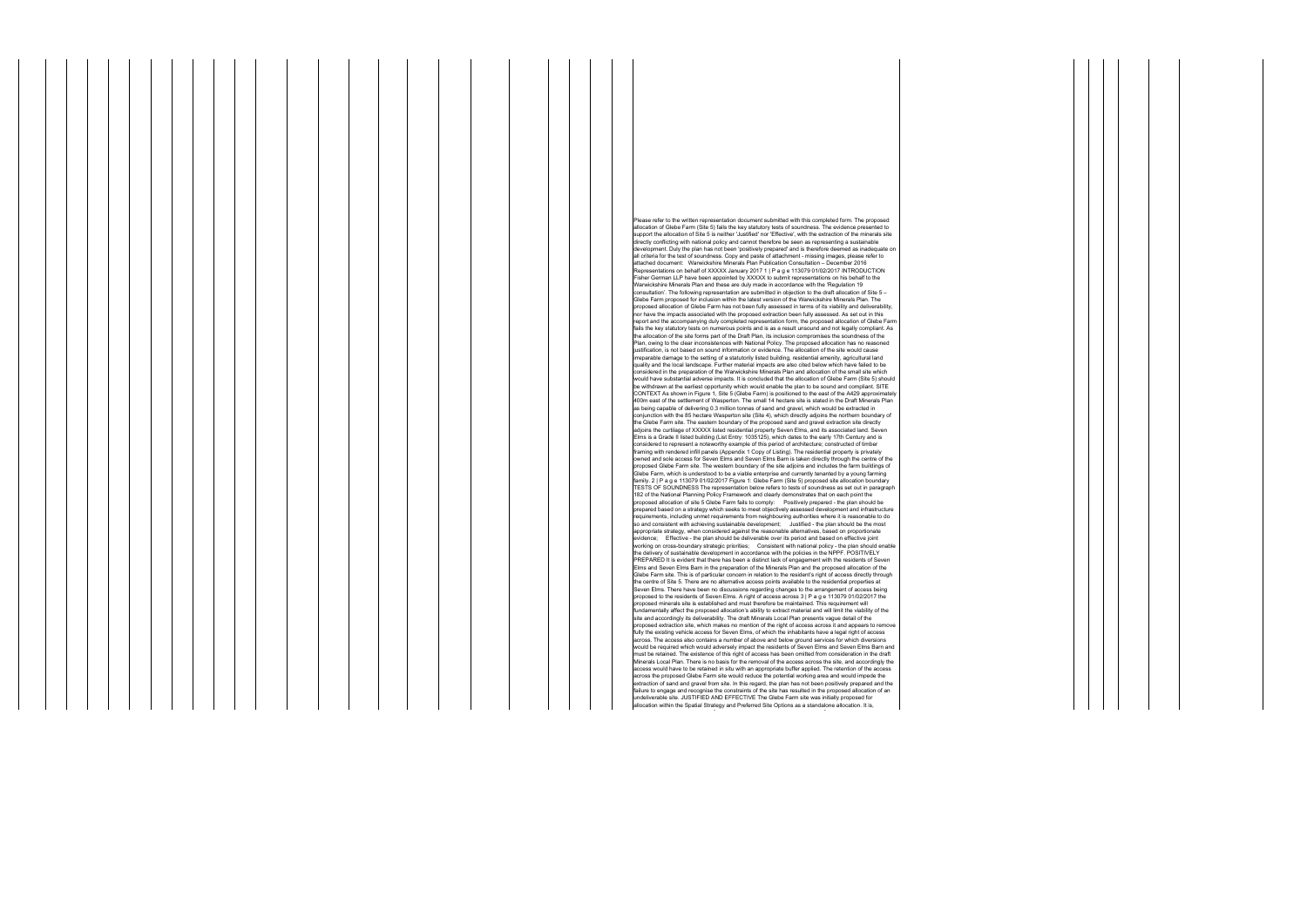Please refer to the written representation document submitted with this completed form. The proposed allocation of Glebe Farm (Site 5) fails the key statutory tests of soundness. The evidence presented to support the allocation of Site 5 is neither 'Justified' nor 'Effective', with the extraction of the minerals site directly conflicting with national policy and cannot therefore be seen as representing a sustainable development. Duly the plan has not been 'positively prepared' and is therefore deemed as inadequate on all criteria for the test of soundness. Copy and paste of attachment - missing images, please refer to attached document: Warwickshire Minerals Plan Publication Consultation – December 2016 Representations on behalf of XXXXX January 2017 1 | P a g e 113079 01/02/2017 INTRODUCTION Fisher German LLP have been appointed by XXXXX to submit representations on his behalf to the Warwickshire Minerals Plan and these are duly made in accordance with the 'Regulation 19 consultation'. The following representation are submitted in objection to the draft allocation of Site 5 – Glebe Farm proposed for inclusion within the latest version of the Warwickshire Minerals Plan. The proposed allocation of Glebe Farm has not been fully assessed in terms of its viability and deliverability, nor have the impacts associated with the proposed extraction been fully assessed. As set out in this report and the accompanying duly completed representation form, the proposed allocation of Glebe Farm fails the key statutory tests on numerous points and is as a result unsound and not legally compliant. As the allocation of the site forms part of the Draft Plan, its inclusion compromises the soundness of the Plan, owing to the clear inconsistences with National Policy. The proposed allocation has no reasoned justification, is not based on sound information or evidence. The allocation of the site would cause irreparable damage to the setting of a statutorily listed building, residential amenity, agricultural land quality and the local landscape. Further material impacts are also cited below which have failed to be considered in the preparation of the Warwickshire Minerals Plan and allocation of the small site which would have substantial adverse impacts. It is concluded that the allocation of Glebe Farm (Site 5) should be withdrawn at the earliest opportunity which would enable the plan to be sound and compliant. SITE<br>CONTEXT As shown in Figure 1, Site 5 (Glebe Farm) is positioned to the east of the A429 approximately<br>400m east of the se as being capable of delivering 0.3 million tonnes of sand and gravel, which would be extracted in conjunction with the 85 hectare Wasperton site (Site 4), which directly adjoins the northern boundary of the Glebe Farm site. The eastern boundary of the proposed sand and gravel extraction site directly adjoins the curtilage of XXXXX listed residential property Seven Elms, and its associated land. Seven Elms is a Grade II listed building (List Entry: 1035125), which dates to the early 17th Century and is considered to represent a noteworthy example of this period of architecture; constructed of timber framing with rendered infill panels (Appendix 1 Copy of Listing). The residential property is privately owned and sole access for Seven Elms and Seven Elms Barn is taken directly through the centre of the proposed Glebe Farm site. The western boundary of the site adjoins and includes the farm buildings of Glebe Farm, which is understood to be a viable enterprise and currently tenanted by a young farming family. 2 | P a g e 113079 01/02/2017 Figure 1: Glebe Farm (Site 5) proposed site allocation boundary TESTS OF SOUNDNESS The representation below refers to tests of soundness as set out in paragraph 182 of the National Planning Policy Framework and clearly demonstrates that on each point the proposed allocation of site 5 Glebe Farm fails to comply: Positively prepared - the plan should be prepared based on a strategy which seeks to meet objectively assessed development and infrastructure requirements, including unmet requirements from neighbouring authorities where it is reasonable to do so and consistent with achieving sustainable development; Justified - the plan should be the most appropriate strategy, when considered against the reasonable alternatives, based on proportionate<br>evidence; Effective - the plan should be deliverable over its period and based on effective joint<br>working on cross-bounda the delivery of sustainable development in accordance with the policies in the NPPF. POSITIVELY PREPARED It is evident that there has been a distinct lack of engagement with the residents of Seven Elms and Seven Elms Barn in the preparation of the Minerals Plan and the proposed allocation of the Glebe Farm site. This is of particular concern in relation to the resident's right of access directly through the centre of Site 5. There are no alternative access points available to the residential properties at Seven Elms. There have been no discussions regarding changes to the arrangement of access being proposed to the residents of Seven Elms. A right of access across 3 | P a g e 113079 01/02/2017 the proposed minerals site is established and must therefore be maintained. This requirement will fundamentally affect the proposed allocation's ability to extract material and will limit the viability of the<br>site and accordingly its deliverability. The draft Minerals Local Plan presents vague detail of the<br>proposed ex fully the existing vehicle access for Seven Elms, of which the inhabitants have a legal right of access across. The access also contains a number of above and below ground services for which diversions would be required which would adversely impact the residents of Seven Elms and Seven Elms Barn and must be retained. The existence of this right of access has been omitted from consideration in the draft Minerals Local Plan. There is no basis for the removal of the access across the site, and accordingly the access would have to be retained in situ with an appropriate buffer applied. The retention of the access across the proposed Glebe Farm site would reduce the potential working area and would impede the extraction of sand and gravel from site. In this regard, the plan has not been positively prepared and the failure to engage and recognise the constraints of the site has resulted in the proposed allocation of an ndeliverable site. JUSTIFIED AND EFFECTIVE The Glebe Farm site was initially proposed for allocation within the Spatial Strategy and Preferred Site Options as a standalone allocation. It is,

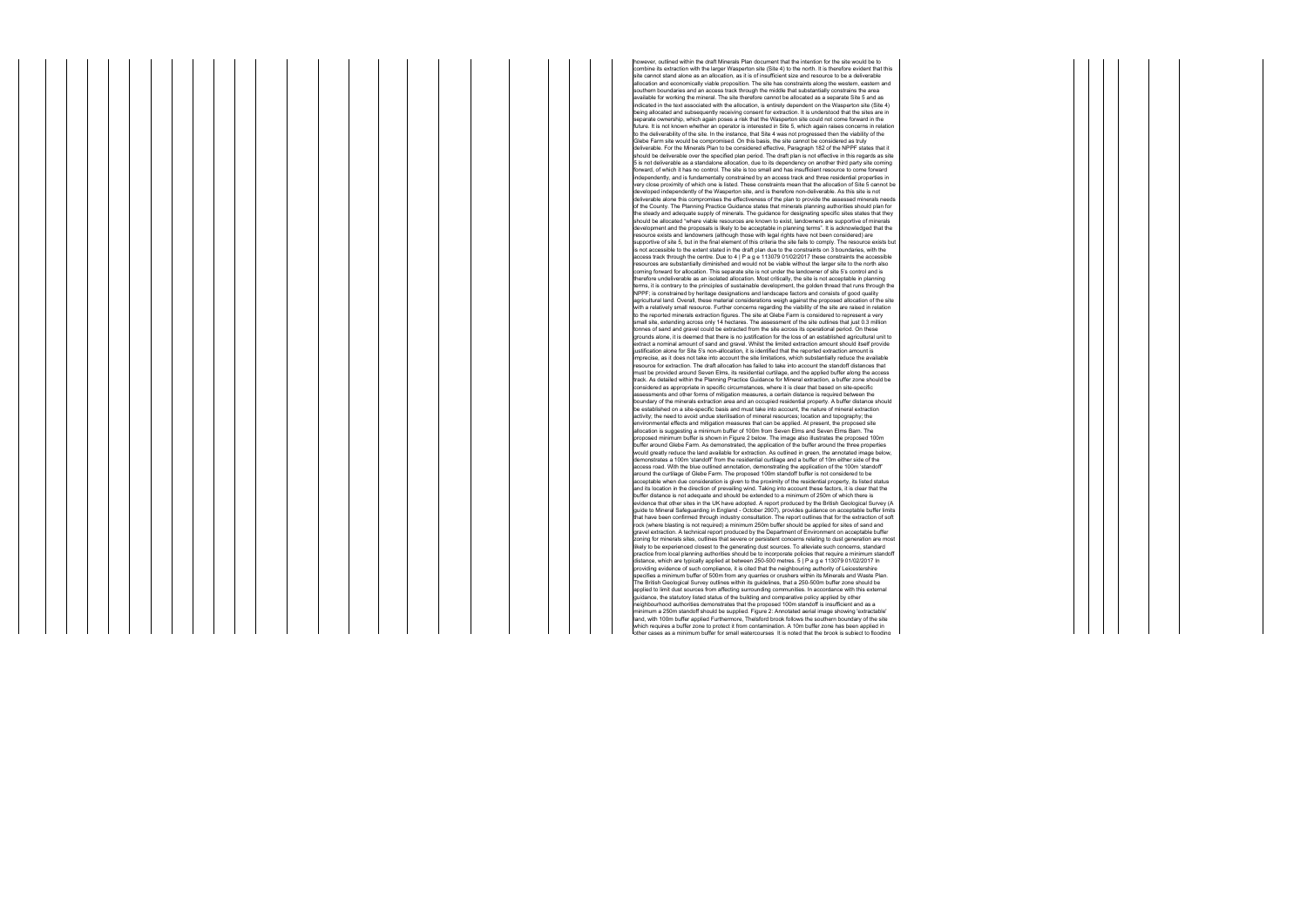ver, outlined within the draft Minerals Plan document that the intention for the site would be to combine its extraction with the larger Wasperton site (Site 4) to the north. It is therefore evident that this site cannot stand alone as an allocation, as it is of insufficient size and resource to be a deliverable allocation and economically viable proposition. The site has constraints along the western, eastern and southern boundaries and an access track through the middle that substantially constrains the area available for working the mineral. The site therefore cannot be allocated as a separate Site 5 and as indicated in the text associated with the allocation, is entirely dependent on the Wasperton site (Site 4) being allocated and subsequently receiving consent for extraction. It is understood that the sites are in separate ownership, which again poses a risk that the Wasperton site could not come forward in the arate ownership, which again poses a risk that the Wasperton site could not come forward in the future. It is not known whether an operator is interested in Site 5, which again raises concerns in relation to the deliverability of the site. In the instance, that Site 4 was not progressed then the viability of the Glebe Farm site would be compromised. On this basis, the site cannot be considered as truly deliverable. For the Minerals Plan to be considered effective, Paragraph 182 of the NPPF states that it should be deliverable over the specified plan period. The draft plan is not effective in this regards as site 5 is not deliverable as a standalone allocation, due to its dependency on another third party site coming forward, of which it has no control. The site is too small and has insufficient resource to come forward independently, and is fundamentally constrained by an access track and three residential properties in very close proximity of which one is listed. These constraints mean that the allocation of Site 5 cannot be developed independently of the Wasperton site, and is therefore non-deliverable. As this site is not deliverable alone this compromises the effectiveness of the plan to provide the assessed minerals needs of the County. The Planning Practice Guidance states that minerals planning authorities should plan for the steady and adequate supply of minerals. The guidance for designating specific sites states that they should be allocated "where viable resources are known to exist, landowners are supportive of minerals development and the proposals is likely to be acceptable in planning terms". It is acknowledged that the resource exists and landowners (although those with legal rights have not been considered) are supportive of site 5, but in the final element of this criteria the site fails to comply. The resource exists but is not accessible to the extent stated in the draft plan due to the constraints on 3 boundaries, with the access track through the centre. Due to 4 | P a g e 113079 01/02/2017 these constraints the accessible resources are substantially diminished and would not be viable without the larger site to the north also coming forward for allocation. This separate site is not under the landowner of site 5's control and is therefore undeliverable as an isolated allocation. Most critically, the site is not acceptable in planning<br>terms, it is contrary to the principles of sustainable development, the golden thread that runs through the<br>NPPF; i agricultural land. Overall, these material considerations weigh against the proposed allocation of the site<br>with a relatively small resource. Further concerns regarding the viability of the site are raised in relation to the reported minerals extraction figures. The site at Glebe Farm is considered to represent a very small site, extending across only 14 hectares. The assessment of the site outlines that just 0.3 million tonnes of sand and gravel could be extracted from the site across its operational period. On these grounds alone, it is deemed that there is no justification for the loss of an established agricultural unit to extract a nominal amount of sand and gravel. Whilst the limited extraction amount should itself provide<br>justification alone for Site 5's non-allocation, it is identified that the reported extraction amount is<br>imprecise, as resource for extraction. The draft allocation has failed to take into account the standoff distances that must be provided around Seven Elms, its residential curtilage, and the applied buffer along the access track. As detailed within the Planning Practice Guidance for Mineral extraction, a buffer zone should be considered as appropriate in specific circumstances, where it is clear that based on site-specific assessments and other forms of mitigation measures, a certain distance is required between the boundary of the minerals extraction area and an occupied residential property. A buffer distance should be established on a site-specific basis and must take into account, the nature of mineral extraction activity; the need to avoid undue sterilisation of mineral resources; location and topography; the environmental effects and mitigation measures that can be applied. At present, the proposed site allocation is suggesting a minimum buffer of 100m from Seven Elms and Seven Elms Barn. The proposed minimum buffer is shown in Figure 2 below. The image also illustrates the proposed 100m buffer around Glebe Farm. As demonstrated, the application of the buffer around the three properties would greatly reduce the land available for extraction. As outlined in green, the annotated image below, demonstrates a 100m 'standoff' from the residential curtilage and a buffer of 10m either side of the access road. With the blue outlined annotation, demonstrating the application of the 100m 'standoff' around the curtilage of Glebe Farm. The proposed 100m standoff buffer is not considered to be acceptable when due consideration is given to the proximity of the residential property, its listed status and its location in the direction of prevailing wind. Taking into account these factors, it is clear that the buffer distance is not adequate and should be extended to a minimum of 250m of which there is evidence that other sites in the UK have adopted. A report produced by the British Geological Survey (A guide to Mineral Safeguarding in England - October 2007), provides guidance on acceptable buffer limits<br>that have been confirmed through industry consultation. The report outlines that for the extraction of soft rock (where blasting is not required) a minimum 250m buffer should be applied for sites of sand and gravel extraction. A technical report produced by the Department of Environment on acceptable buffer zoning for minerals sites, outlines that severe or persistent concerns relating to dust generation are most likely to be experienced closest to the generating dust sources. To alleviate such concerns, standard practice from local planning authorities should be to incorporate policies that require a minimum standoff distance, which are typically applied at between 250-500 metres. 5 | P a g e 113079 01/02/2017 In providing evidence of such compliance, it is cited that the neighbouring authority of Leicestershire<br>specifies a minimum buffer of 500m from any quarries or crushers within its Minerals and Waste Plan.<br>The British Geologic applied to limit dust sources from affecting surrounding communities. In accordance with this external guidance, the statutory listed status of the building and comparative policy applied by other neighbourhood authorities demonstrates that the proposed 100m standoff is insufficient and as a minimum a 250m standoff should be supplied. Figure 2: Annotated aerial image showing 'extractable' land, with 100m buffer applied Furthermore, Thelsford brook follows the southern boundary of the site which requires a buffer zone to protect it from contamination. A 10m buffer zone has been applied in out the present manner communication is considered that the brook is subject to flooding

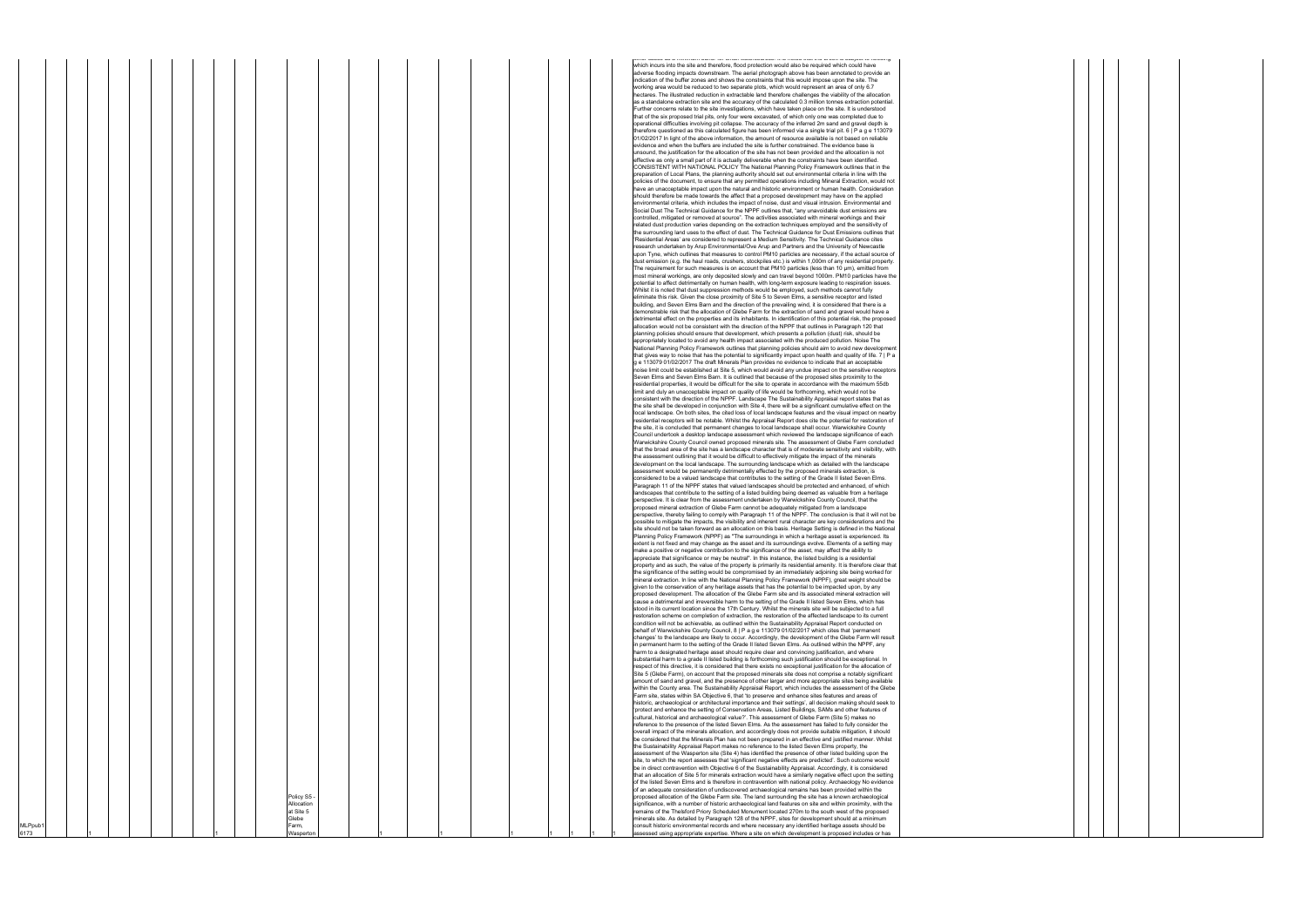|         |  |  |  |  |  |                         |  |  |  |  |  | ווטו טעסטס עס ע ווווווווועווו טעווטו וטו סווועוו זוענטוסטעוסטס. וג וס ווטנטע גוועג גווט טוסטוג וס סעוטטע גט ווטטעווואָ<br>which incurs into the site and therefore, flood protection would also be required which could have<br>adverse flooding impacts downstream. The aerial photograph above has been annotated to provide an |
|---------|--|--|--|--|--|-------------------------|--|--|--|--|--|-----------------------------------------------------------------------------------------------------------------------------------------------------------------------------------------------------------------------------------------------------------------------------------------------------------------------------------|
|         |  |  |  |  |  |                         |  |  |  |  |  | indication of the buffer zones and shows the constraints that this would impose upon the site. The<br>working area would be reduced to two separate plots, which would represent an area of only 6.7                                                                                                                              |
|         |  |  |  |  |  |                         |  |  |  |  |  | hectares. The illustrated reduction in extractable land therefore challenges the viability of the allocation<br>as a standalone extraction site and the accuracy of the calculated 0.3 million tonnes extraction potential.                                                                                                       |
|         |  |  |  |  |  |                         |  |  |  |  |  | Further concerns relate to the site investigations, which have taken place on the site. It is understood<br>that of the six proposed trial pits, only four were excavated, of which only one was completed due to                                                                                                                 |
|         |  |  |  |  |  |                         |  |  |  |  |  | operational difficulties involving pit collapse. The accuracy of the inferred 2m sand and gravel depth is<br>therefore questioned as this calculated figure has been informed via a single trial pit, 6   P a g e 113079                                                                                                          |
|         |  |  |  |  |  |                         |  |  |  |  |  | 01/02/2017 In light of the above information, the amount of resource available is not based on reliable<br>evidence and when the buffers are included the site is further constrained. The evidence base is                                                                                                                       |
|         |  |  |  |  |  |                         |  |  |  |  |  | unsound, the justification for the allocation of the site has not been provided and the allocation is not                                                                                                                                                                                                                         |
|         |  |  |  |  |  |                         |  |  |  |  |  | effective as only a small part of it is actually deliverable when the constraints have been identified.<br>CONSISTENT WITH NATIONAL POLICY The National Planning Policy Framework outlines that in the                                                                                                                            |
|         |  |  |  |  |  |                         |  |  |  |  |  | preparation of Local Plans, the planning authority should set out environmental criteria in line with the<br>policies of the document, to ensure that any permitted operations including Mineral Extraction, would not                                                                                                            |
|         |  |  |  |  |  |                         |  |  |  |  |  | have an unacceptable impact upon the natural and historic environment or human health. Consideration<br>should therefore be made towards the affect that a proposed development may have on the applied                                                                                                                           |
|         |  |  |  |  |  |                         |  |  |  |  |  | environmental criteria, which includes the impact of noise, dust and visual intrusion. Environmental and<br>Social Dust The Technical Guidance for the NPPF outlines that, "any unavoidable dust emissions are                                                                                                                    |
|         |  |  |  |  |  |                         |  |  |  |  |  | controlled, mitigated or removed at source". The activities associated with mineral workings and their<br>related dust production varies depending on the extraction techniques employed and the sensitivity of                                                                                                                   |
|         |  |  |  |  |  |                         |  |  |  |  |  | the surrounding land uses to the effect of dust. The Technical Guidance for Dust Emissions outlines that<br>'Residential Areas' are considered to represent a Medium Sensitivity. The Technical Guidance cites                                                                                                                    |
|         |  |  |  |  |  |                         |  |  |  |  |  | research undertaken by Arup Environmental/Ove Arup and Partners and the University of Newcastle<br>upon Tyne, which outlines that measures to control PM10 particles are necessary, if the actual source of                                                                                                                       |
|         |  |  |  |  |  |                         |  |  |  |  |  | dust emission (e.g. the haul roads, crushers, stockpiles etc.) is within 1,000m of any residential property.<br>The requirement for such measures is on account that PM10 particles (less than 10 µm), emitted from                                                                                                               |
|         |  |  |  |  |  |                         |  |  |  |  |  | most mineral workings, are only deposited slowly and can travel beyond 1000m. PM10 particles have the                                                                                                                                                                                                                             |
|         |  |  |  |  |  |                         |  |  |  |  |  | potential to affect detrimentally on human health, with long-term exposure leading to respiration issues.<br>Whilst it is noted that dust suppression methods would be employed, such methods cannot fully                                                                                                                        |
|         |  |  |  |  |  |                         |  |  |  |  |  | eliminate this risk. Given the close proximity of Site 5 to Seven Elms, a sensitive receptor and listed<br>building, and Seven Elms Barn and the direction of the prevailing wind, it is considered that there is a                                                                                                               |
|         |  |  |  |  |  |                         |  |  |  |  |  | demonstrable risk that the allocation of Glebe Farm for the extraction of sand and gravel would have a<br>detrimental effect on the properties and its inhabitants. In identification of this potential risk, the proposed                                                                                                        |
|         |  |  |  |  |  |                         |  |  |  |  |  | allocation would not be consistent with the direction of the NPPF that outlines in Paragraph 120 that<br>planning policies should ensure that development, which presents a pollution (dust) risk, should be                                                                                                                      |
|         |  |  |  |  |  |                         |  |  |  |  |  | appropriately located to avoid any health impact associated with the produced pollution. Noise The<br>National Planning Policy Framework outlines that planning policies should aim to avoid new development                                                                                                                      |
|         |  |  |  |  |  |                         |  |  |  |  |  | that gives way to noise that has the potential to significantly impact upon health and quality of life. 7   P a<br>g e 113079 01/02/2017 The draft Minerals Plan provides no evidence to indicate that an acceptable                                                                                                              |
|         |  |  |  |  |  |                         |  |  |  |  |  | noise limit could be established at Site 5, which would avoid any undue impact on the sensitive receptors<br>Seven Elms and Seven Elms Barn. It is outlined that because of the proposed sites proximity to the                                                                                                                   |
|         |  |  |  |  |  |                         |  |  |  |  |  | residential properties, it would be difficult for the site to operate in accordance with the maximum 55db<br>limit and duly an unacceptable impact on quality of life would be forthcoming, which would not be                                                                                                                    |
|         |  |  |  |  |  |                         |  |  |  |  |  | consistent with the direction of the NPPF. Landscape The Sustainability Appraisal report states that as<br>the site shall be developed in conjunction with Site 4, there will be a significant cumulative effect on the                                                                                                           |
|         |  |  |  |  |  |                         |  |  |  |  |  | local landscape. On both sites, the cited loss of local landscape features and the visual impact on nearby<br>residential receptors will be notable. Whilst the Appraisal Report does cite the potential for restoration of                                                                                                       |
|         |  |  |  |  |  |                         |  |  |  |  |  | the site, it is concluded that permanent changes to local landscape shall occur. Warwickshire County                                                                                                                                                                                                                              |
|         |  |  |  |  |  |                         |  |  |  |  |  | Council undertook a desktop landscape assessment which reviewed the landscape significance of each<br>Warwickshire County Council owned proposed minerals site. The assessment of Glebe Farm concluded                                                                                                                            |
|         |  |  |  |  |  |                         |  |  |  |  |  | that the broad area of the site has a landscape character that is of moderate sensitivity and visibility, with<br>the assessment outlining that it would be difficult to effectively mitigate the impact of the minerals                                                                                                          |
|         |  |  |  |  |  |                         |  |  |  |  |  | development on the local landscape. The surrounding landscape which as detailed with the landscape<br>assessment would be permanently detrimentally effected by the proposed minerals extraction, is                                                                                                                              |
|         |  |  |  |  |  |                         |  |  |  |  |  | considered to be a valued landscape that contributes to the setting of the Grade II listed Seven Elms.<br>Paragraph 11 of the NPPF states that valued landscapes should be protected and enhanced, of which                                                                                                                       |
|         |  |  |  |  |  |                         |  |  |  |  |  | landscapes that contribute to the setting of a listed building being deemed as valuable from a heritage<br>perspective. It is clear from the assessment undertaken by Warwickshire County Council, that the                                                                                                                       |
|         |  |  |  |  |  |                         |  |  |  |  |  | proposed mineral extraction of Glebe Farm cannot be adequately mitigated from a landscape<br>perspective, thereby failing to comply with Paragraph 11 of the NPPF. The conclusion is that it will not be                                                                                                                          |
|         |  |  |  |  |  |                         |  |  |  |  |  | possible to mitigate the impacts, the visibility and inherent rural character are key considerations and the<br>site should not be taken forward as an allocation on this basis. Heritage Setting is defined in the National                                                                                                      |
|         |  |  |  |  |  |                         |  |  |  |  |  | Planning Policy Framework (NPPF) as "The surroundings in which a heritage asset is experienced. Its<br>extent is not fixed and may change as the asset and its surroundings evolve. Elements of a setting may                                                                                                                     |
|         |  |  |  |  |  |                         |  |  |  |  |  | nake a positive or negative contribution to the significance of the asset, may affect the ability to<br>appreciate that significance or may be neutral". In this instance, the listed building is a residential                                                                                                                   |
|         |  |  |  |  |  |                         |  |  |  |  |  | property and as such, the value of the property is primarily its residential amenity. It is therefore clear that<br>the significance of the setting would be compromised by an immediately adjoining site being worked for                                                                                                        |
|         |  |  |  |  |  |                         |  |  |  |  |  | mineral extraction. In line with the National Planning Policy Framework (NPPF), great weight should be<br>given to the conservation of any heritage assets that has the potential to be impacted upon, by any                                                                                                                     |
|         |  |  |  |  |  |                         |  |  |  |  |  | proposed development. The allocation of the Glebe Farm site and its associated mineral extraction will<br>cause a detrimental and irreversible harm to the setting of the Grade II listed Seven Elms, which has                                                                                                                   |
|         |  |  |  |  |  |                         |  |  |  |  |  | stood in its current location since the 17th Century. Whilst the minerals site will be subjected to a full<br>restoration scheme on completion of extraction, the restoration of the affected landscape to its current                                                                                                            |
|         |  |  |  |  |  |                         |  |  |  |  |  | condition will not be achievable, as outlined within the Sustainability Appraisal Report conducted on<br>behalf of Warwickshire County Council, 8   P a g e 113079 01/02/2017 which cites that 'permanent                                                                                                                         |
|         |  |  |  |  |  |                         |  |  |  |  |  | changes' to the landscape are likely to occur. Accordingly, the development of the Glebe Farm will result                                                                                                                                                                                                                         |
|         |  |  |  |  |  |                         |  |  |  |  |  | in permanent harm to the setting of the Grade II listed Seven Elms. As outlined within the NPPF, any<br>harm to a designated heritage asset should require clear and convincing justification, and where                                                                                                                          |
|         |  |  |  |  |  |                         |  |  |  |  |  | substantial harm to a grade II listed building is forthcoming such justification should be exceptional. In<br>respect of this directive, it is considered that there exists no exceptional justification for the allocation of                                                                                                    |
|         |  |  |  |  |  |                         |  |  |  |  |  | Site 5 (Glebe Farm), on account that the proposed minerals site does not comprise a notably significant<br>amount of sand and gravel, and the presence of other larger and more appropriate sites being available                                                                                                                 |
|         |  |  |  |  |  |                         |  |  |  |  |  | within the County area. The Sustainability Appraisal Report, which includes the assessment of the Glebe<br>Farm site, states within SA Objective 6, that 'to preserve and enhance sites features and areas of                                                                                                                     |
|         |  |  |  |  |  |                         |  |  |  |  |  | historic, archaeological or architectural importance and their settings', all decision making should seek to<br>'protect and enhance the setting of Conservation Areas, Listed Buildings, SAMs and other features of                                                                                                              |
|         |  |  |  |  |  |                         |  |  |  |  |  | cultural, historical and archaeological value?'. This assessment of Glebe Farm (Site 5) makes no<br>reference to the presence of the listed Seven Elms. As the assessment has failed to fully consider the                                                                                                                        |
|         |  |  |  |  |  |                         |  |  |  |  |  | overall impact of the minerals allocation, and accordingly does not provide suitable mitigation, it should<br>be considered that the Minerals Plan has not been prepared in an effective and justified manner. Whilst                                                                                                             |
|         |  |  |  |  |  |                         |  |  |  |  |  | the Sustainability Appraisal Report makes no reference to the listed Seven Elms property, the<br>assessment of the Wasperton site (Site 4) has identified the presence of other listed building upon the                                                                                                                          |
|         |  |  |  |  |  |                         |  |  |  |  |  | site, to which the report assesses that 'significant negative effects are predicted'. Such outcome would<br>be in direct contravention with Objective 6 of the Sustainability Appraisal. Accordingly, it is considered                                                                                                            |
|         |  |  |  |  |  |                         |  |  |  |  |  | that an allocation of Site 5 for minerals extraction would have a similarly negative effect upon the setting<br>of the listed Seven Elms and is therefore in contravention with national policy. Archaeology No evidence                                                                                                          |
|         |  |  |  |  |  | Policy S5 -             |  |  |  |  |  | of an adequate consideration of undiscovered archaeological remains has been provided within the<br>proposed allocation of the Glebe Farm site. The land surrounding the site has a known archaeological                                                                                                                          |
|         |  |  |  |  |  | Allocation<br>at Site 5 |  |  |  |  |  | significance, with a number of historic archaeological land features on site and within proximity, with the<br>remains of the Thelsford Priory Scheduled Monument located 270m to the south west of the proposed                                                                                                                  |
| MLPpub1 |  |  |  |  |  | Glebe<br>Farm,          |  |  |  |  |  | minerals site. As detailed by Paragraph 128 of the NPPF, sites for development should at a minimum<br>consult historic environmental records and where necessary any identified heritage assets should be                                                                                                                         |
| 6173    |  |  |  |  |  | Wasperton               |  |  |  |  |  | assessed using appropriate expertise. Where a site on which development is proposed includes or has                                                                                                                                                                                                                               |

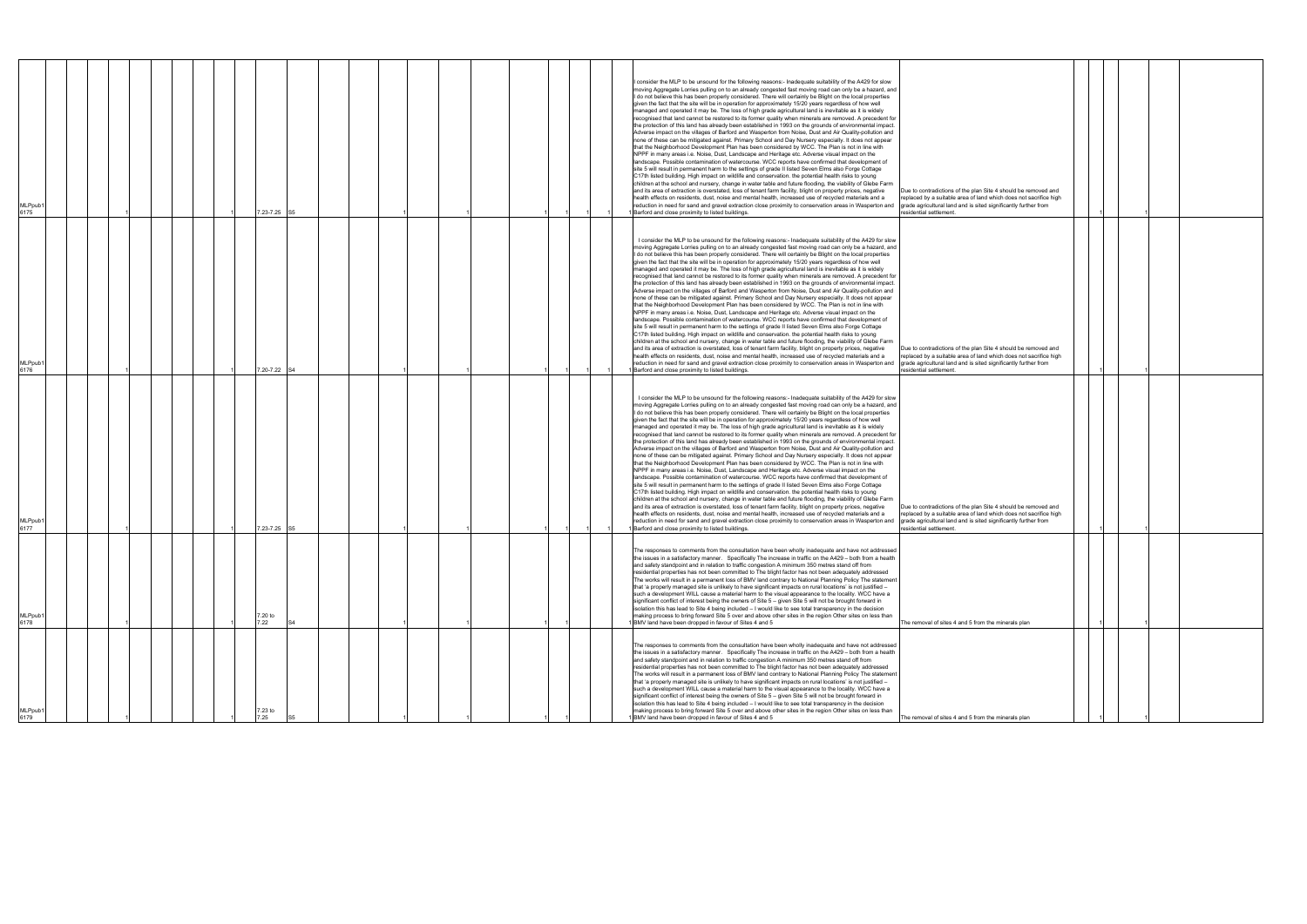| MLPpub1<br>6175 |  |                 | 7.23-7.25 S5 |  |  |  |  | consider the MLP to be unsound for the following reasons:- Inadequate suitability of the A429 for slow<br>moving Aggregate Lorries pulling on to an already congested fast moving road can only be a hazard, and<br>I do not believe this has been properly considered. There will certainly be Blight on the local properties<br>given the fact that the site will be in operation for approximately 15/20 years regardless of how well<br>managed and operated it may be. The loss of high grade agricultural land is inevitable as it is widely<br>recognised that land cannot be restored to its former quality when minerals are removed. A precedent for<br>the protection of this land has already been established in 1993 on the grounds of environmental impact.<br>Adverse impact on the villages of Barford and Wasperton from Noise, Dust and Air Quality-pollution and<br>none of these can be mitigated against. Primary School and Day Nursery especially. It does not appear<br>that the Neighborhood Development Plan has been considered by WCC. The Plan is not in line with<br>NPPF in many areas i.e. Noise, Dust, Landscape and Heritage etc. Adverse visual impact on the<br>landscape. Possible contamination of watercourse. WCC reports have confirmed that development of<br>site 5 will result in permanent harm to the settings of grade II listed Seven Elms also Forge Cottage<br>C17th listed building. High impact on wildlife and conservation. the potential health risks to young<br>children at the school and nursery, change in water table and future flooding, the viability of Glebe Farm<br>and its area of extraction is overstated, loss of tenant farm facility, blight on property prices, negative<br>Due to contradictions of the plan Site 4 should be removed and<br>health effects on residents, dust, noise and mental health, increased use of recycled materials and a<br>replaced by a suitable area of land which does not sacrifice high<br>reduction in need for sand and gravel extraction close proximity to conservation areas in Wasperton and<br>grade agricultural land and is sited significantly further from<br>1 Barford and close proximity to listed buildings.<br>residential settlement.   |
|-----------------|--|-----------------|--------------|--|--|--|--|----------------------------------------------------------------------------------------------------------------------------------------------------------------------------------------------------------------------------------------------------------------------------------------------------------------------------------------------------------------------------------------------------------------------------------------------------------------------------------------------------------------------------------------------------------------------------------------------------------------------------------------------------------------------------------------------------------------------------------------------------------------------------------------------------------------------------------------------------------------------------------------------------------------------------------------------------------------------------------------------------------------------------------------------------------------------------------------------------------------------------------------------------------------------------------------------------------------------------------------------------------------------------------------------------------------------------------------------------------------------------------------------------------------------------------------------------------------------------------------------------------------------------------------------------------------------------------------------------------------------------------------------------------------------------------------------------------------------------------------------------------------------------------------------------------------------------------------------------------------------------------------------------------------------------------------------------------------------------------------------------------------------------------------------------------------------------------------------------------------------------------------------------------------------------------------------------------------------------------------------------------------------|
| MLPpub1<br>6176 |  |                 | 7.20-7.22 S4 |  |  |  |  | I consider the MLP to be unsound for the following reasons:- Inadequate suitability of the A429 for slow<br>moving Aggregate Lorries pulling on to an already congested fast moving road can only be a hazard, and<br>I do not believe this has been properly considered. There will certainly be Blight on the local properties<br>given the fact that the site will be in operation for approximately 15/20 years regardless of how well<br>managed and operated it may be. The loss of high grade agricultural land is inevitable as it is widely<br>recognised that land cannot be restored to its former quality when minerals are removed. A precedent for<br>the protection of this land has already been established in 1993 on the grounds of environmental impact.<br>Adverse impact on the villages of Barford and Wasperton from Noise, Dust and Air Quality-pollution and<br>none of these can be mitigated against. Primary School and Day Nursery especially. It does not appear<br>that the Neighborhood Development Plan has been considered by WCC. The Plan is not in line with<br>NPPF in many areas i.e. Noise, Dust, Landscape and Heritage etc. Adverse visual impact on the<br>landscape. Possible contamination of watercourse. WCC reports have confirmed that development of<br>site 5 will result in permanent harm to the settings of grade II listed Seven Elms also Forge Cottage<br>C17th listed building. High impact on wildlife and conservation. the potential health risks to young<br>children at the school and nursery, change in water table and future flooding, the viability of Glebe Farm<br>and its area of extraction is overstated, loss of tenant farm facility, blight on property prices, negative<br>Due to contradictions of the plan Site 4 should be removed and<br>health effects on residents, dust, noise and mental health, increased use of recycled materials and a<br>replaced by a suitable area of land which does not sacrifice high<br>reduction in need for sand and gravel extraction close proximity to conservation areas in Wasperton and<br>grade agricultural land and is sited significantly further from<br>1 Barford and close proximity to listed buildings.<br>residential settlement. |
| MLPpub1<br>6177 |  |                 | 7.23-7.25 S5 |  |  |  |  | I consider the MLP to be unsound for the following reasons:- Inadequate suitability of the A429 for slow<br>moving Aggregate Lorries pulling on to an already congested fast moving road can only be a hazard, and<br>I do not believe this has been properly considered. There will certainly be Blight on the local properties<br>given the fact that the site will be in operation for approximately 15/20 years regardless of how well<br>managed and operated it may be. The loss of high grade agricultural land is inevitable as it is widely<br>recognised that land cannot be restored to its former quality when minerals are removed. A precedent for<br>the protection of this land has already been established in 1993 on the grounds of environmental impact.<br>Adverse impact on the villages of Barford and Wasperton from Noise, Dust and Air Quality-pollution and<br>none of these can be mitigated against. Primary School and Day Nursery especially. It does not appear<br>that the Neighborhood Development Plan has been considered by WCC. The Plan is not in line with<br>NPPF in many areas i.e. Noise, Dust, Landscape and Heritage etc. Adverse visual impact on the<br>landscape. Possible contamination of watercourse. WCC reports have confirmed that development of<br>site 5 will result in permanent harm to the settings of grade II listed Seven Elms also Forge Cottage<br>C17th listed building. High impact on wildlife and conservation. the potential health risks to young<br>children at the school and nursery, change in water table and future flooding, the viability of Glebe Farm<br>and its area of extraction is overstated, loss of tenant farm facility, blight on property prices, negative<br>Due to contradictions of the plan Site 4 should be removed and<br>health effects on residents, dust, noise and mental health, increased use of recycled materials and a<br>replaced by a suitable area of land which does not sacrifice high<br>reduction in need for sand and gravel extraction close proximity to conservation areas in Wasperton and<br>grade agricultural land and is sited significantly further from<br>Barford and close proximity to listed buildings.<br>residential settlement.   |
| MLPpub1<br>6178 |  | 7.20 to<br>7.22 | S4           |  |  |  |  | The responses to comments from the consultation have been wholly inadequate and have not addressed<br>the issues in a satisfactory manner. Specifically The increase in traffic on the A429 - both from a health<br>and safety standpoint and in relation to traffic congestion A minimum 350 metres stand off from<br>residential properties has not been committed to The blight factor has not been adequately addressed<br>The works will result in a permanent loss of BMV land contrary to National Planning Policy The statement<br>that 'a properly managed site is unlikely to have significant impacts on rural locations' is not justified -<br>such a development WILL cause a material harm to the visual appearance to the locality. WCC have a<br>significant conflict of interest being the owners of Site 5 - given Site 5 will not be brought forward in<br>isolation this has lead to Site 4 being included - I would like to see total transparency in the decision<br>making process to bring forward Site 5 over and above other sites in the region Other sites on less than<br>1 BMV land have been dropped in favour of Sites 4 and 5<br>The removal of sites 4 and 5 from the minerals plan                                                                                                                                                                                                                                                                                                                                                                                                                                                                                                                                                                                                                                                                                                                                                                                                                                                                                                                                                                                                                                                |
| MLPpub1<br>6179 |  | 7.23 to         |              |  |  |  |  | The responses to comments from the consultation have been wholly inadequate and have not addressed<br>the issues in a satisfactory manner. Specifically The increase in traffic on the A429 - both from a health<br>and safety standpoint and in relation to traffic congestion A minimum 350 metres stand off from<br>residential properties has not been committed to The blight factor has not been adequately addressed<br>The works will result in a permanent loss of BMV land contrary to National Planning Policy The statement<br>that 'a properly managed site is unlikely to have significant impacts on rural locations' is not justified -<br>such a development WILL cause a material harm to the visual appearance to the locality. WCC have a<br>significant conflict of interest being the owners of Site 5 - given Site 5 will not be brought forward in<br>isolation this has lead to Site 4 being included - I would like to see total transparency in the decision<br>making process to bring forward Site 5 over and above other sites in the region Other sites on less than<br>BMV land have been dropped in favour of Sites 4 and 5<br>The removal of sites 4 and 5 from the minerals plan                                                                                                                                                                                                                                                                                                                                                                                                                                                                                                                                                                                                                                                                                                                                                                                                                                                                                                                                                                                                                                                  |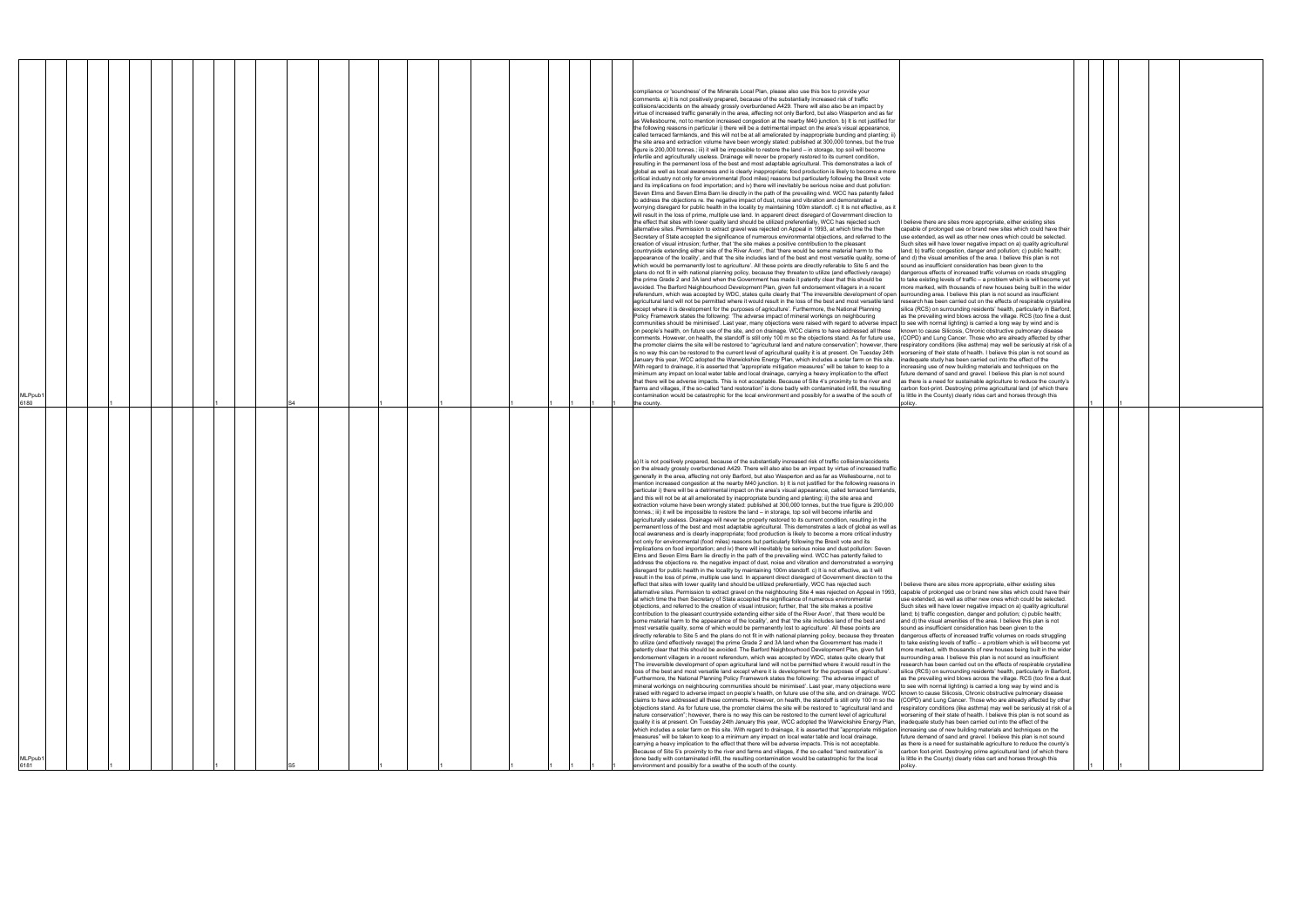| a) It is not positively prepared, because of the substantially increased risk of traffic collisions/accidents<br>on the already grossly overburdened A429. There will also also be an impact by virtue of increased traffic<br>generally in the area, affecting not only Barford, but also Wasperton and as far as Wellesbourne, not to<br>mention increased congestion at the nearby M40 junction. b) It is not justified for the following reasons in<br>particular i) there will be a detrimental impact on the area's visual appearance, called terraced farmlands,<br>and this will not be at all ameliorated by inappropriate bunding and planting; ii) the site area and<br>extraction volume have been wrongly stated: published at 300,000 tonnes, but the true figure is 200,000<br>tonnes.; iii) it will be impossible to restore the land - in storage, top soil will become infertile and<br>agriculturally useless. Drainage will never be properly restored to its current condition, resulting in the<br>permanent loss of the best and most adaptable agricultural. This demonstrates a lack of global as well as<br>local awareness and is clearly inappropriate; food production is likely to become a more critical industry<br>not only for environmental (food miles) reasons but particularly following the Brexit vote and its<br>implications on food importation; and iv) there will inevitably be serious noise and dust pollution: Seven<br>Elms and Seven Elms Barn lie directly in the path of the prevailing wind. WCC has patently failed to<br>address the objections re, the negative impact of dust, noise and vibration and demonstrated a worrying<br>disregard for public health in the locality by maintaining 100m standoff. c) It is not effective, as it will<br>result in the loss of prime, multiple use land. In apparent direct disregard of Government direction to the<br>effect that sites with lower quality land should be utilized preferentially, WCC has rejected such<br>alternative sites. Permission to extract gravel on the neighbouring Site 4 was rejected on Appeal in 1993,<br>at which time the then Secretary of State accepted the significance of numerous environmental<br>objections, and referred to the creation of visual intrusion; further, that 'the site makes a positive<br>contribution to the pleasant countryside extending either side of the River Avon', that 'there would be<br>some material harm to the appearance of the locality', and that 'the site includes land of the best and<br>most versatile quality, some of which would be permanently lost to agriculture'. All these points are<br>directly referable to Site 5 and the plans do not fit in with national planning policy, because they threaten<br>to utilize (and effectively ravage) the prime Grade 2 and 3A land when the Government has made it<br>patently clear that this should be avoided. The Barford Neighbourhood Development Plan, given full<br>endorsement villagers in a recent referendum, which was accepted by WDC, states quite clearly that<br>'The irreversible development of open agricultural land will not be permitted where it would result in the<br>loss of the best and most versatile land except where it is development for the purposes of agriculture'.<br>Furthermore, the National Planning Policy Framework states the following: 'The adverse impact of<br>mineral workings on neighbouring communities should be minimised'. Last year, many objections were<br>raised with regard to adverse impact on people's health, on future use of the site, and on drainage. WCC  known to cause Silicosis, Chronic obstructive pulmonary disease<br>claims to have addressed all these comments. However, on health, the standoff is still only 100 m so the<br>objections stand. As for future use, the promoter claims the site will be restored to "agricultural land and<br>nature conservation"; however, there is no way this can be restored to the current level of agricultural<br>quality it is at present. On Tuesday 24th January this year, WCC adopted the Warwickshire Energy Plan,<br>which includes a solar farm on this site. With regard to drainage, it is asserted that "appropriate mitigation lincreasing use of new building materials and techniques on the<br>measures" will be taken to keep to a minimum any impact on local water table and local drainage,<br>carrying a heavy implication to the effect that there will be adverse impacts. This is not acceptable.<br>Because of Site 5's proximity to the river and farms and villages, if the so-called "land restoration" is<br>done badly with contaminated infill, the resulting contamination would be catastrophic for the local<br>environment and possibly for a swathe of the south of the county. | compliance or 'soundness' of the Minerals Local Plan, please also use this box to provide your<br>comments. a) It is not positively prepared, because of the substantially increased risk of traffic<br>collisions/accidents on the already grossly overburdened A429. There will also also be an impact by<br>virtue of increased traffic generally in the area, affecting not only Barford, but also Wasperton and as far<br>as Wellesbourne, not to mention increased congestion at the nearby M40 junction. b) It is not justified for<br>the following reasons in particular i) there will be a detrimental impact on the area's visual appearance,<br>called terraced farmlands, and this will not be at all ameliorated by inappropriate bunding and planting; ii)<br>the site area and extraction volume have been wrongly stated: published at 300,000 tonnes, but the true<br>figure is 200,000 tonnes.; iii) it will be impossible to restore the land - in storage, top soil will become<br>infertile and agriculturally useless. Drainage will never be properly restored to its current condition,<br>resulting in the permanent loss of the best and most adaptable agricultural. This demonstrates a lack of<br>global as well as local awareness and is clearly inappropriate; food production is likely to become a more<br>critical industry not only for environmental (food miles) reasons but particularly following the Brexit vote<br>and its implications on food importation; and iv) there will inevitably be serious noise and dust pollution:<br>Seven Elms and Seven Elms Barn lie directly in the path of the prevailing wind. WCC has patently failed<br>to address the objections re. the negative impact of dust, noise and vibration and demonstrated a<br>worrying disregard for public health in the locality by maintaining 100m standoff. c) It is not effective, as it<br>will result in the loss of prime, multiple use land. In apparent direct disregard of Government direction to<br>the effect that sites with lower quality land should be utilized preferentially, WCC has rejected such<br>alternative sites. Permission to extract gravel was rejected on Appeal in 1993, at which time the then<br>Secretary of State accepted the significance of numerous environmental objections, and referred to the<br>creation of visual intrusion; further, that 'the site makes a positive contribution to the pleasant<br>countryside extending either side of the River Avon', that 'there would be some material harm to the<br>appearance of the locality', and that 'the site includes land of the best and most versatile quality, some of and d) the visual amenities of the area. I believe this plan is not<br>which would be permanently lost to agriculture'. All these points are directly referable to Site 5 and the<br>plans do not fit in with national planning policy, because they threaten to utilize (and effectively ravage)<br>the prime Grade 2 and 3A land when the Government has made it patently clear that this should be<br>avoided. The Barford Neighbourhood Development Plan, given full endorsement villagers in a recent<br>referendum, which was accepted by WDC, states quite clearly that 'The irreversible development of open<br>agricultural land will not be permitted where it would result in the loss of the best and most versatile land<br>except where it is development for the purposes of agriculture'. Furthermore, the National Planning<br>Policy Framework states the following: 'The adverse impact of mineral workings on neighbouring<br>communities should be minimised'. Last year, many objections were raised with regard to adverse impact to see with normal lighting) is carried a long way by wind and is<br>on people's health, on future use of the site, and on drainage. WCC claims to have addressed all these<br>comments. However, on health, the standoff is still only 100 m so the objections stand. As for future use,<br>the promoter claims the site will be restored to "agricultural land and nature conservation"; however, there respiratory conditions (like asthma) may well be seriously at risk of a<br>is no way this can be restored to the current level of agricultural quality it is at present. On Tuesday 24th<br>January this year, WCC adopted the Warwickshire Energy Plan, which includes a solar farm on this site.<br>With regard to drainage, it is asserted that "appropriate mitigation measures" will be taken to keep to a<br>minimum any impact on local water table and local drainage, carrying a heavy implication to the effect<br>that there will be adverse impacts. This is not acceptable. Because of Site 4's proximity to the river and<br>farms and villages, if the so-called "land restoration" is done badly with contaminated infill, the resulting<br>contamination would be catastrophic for the local environment and possibly for a swathe of the south of<br>the county. |
|--------------------------------------------------------------------------------------------------------------------------------------------------------------------------------------------------------------------------------------------------------------------------------------------------------------------------------------------------------------------------------------------------------------------------------------------------------------------------------------------------------------------------------------------------------------------------------------------------------------------------------------------------------------------------------------------------------------------------------------------------------------------------------------------------------------------------------------------------------------------------------------------------------------------------------------------------------------------------------------------------------------------------------------------------------------------------------------------------------------------------------------------------------------------------------------------------------------------------------------------------------------------------------------------------------------------------------------------------------------------------------------------------------------------------------------------------------------------------------------------------------------------------------------------------------------------------------------------------------------------------------------------------------------------------------------------------------------------------------------------------------------------------------------------------------------------------------------------------------------------------------------------------------------------------------------------------------------------------------------------------------------------------------------------------------------------------------------------------------------------------------------------------------------------------------------------------------------------------------------------------------------------------------------------------------------------------------------------------------------------------------------------------------------------------------------------------------------------------------------------------------------------------------------------------------------------------------------------------------------------------------------------------------------------------------------------------------------------------------------------------------------------------------------------------------------------------------------------------------------------------------------------------------------------------------------------------------------------------------------------------------------------------------------------------------------------------------------------------------------------------------------------------------------------------------------------------------------------------------------------------------------------------------------------------------------------------------------------------------------------------------------------------------------------------------------------------------------------------------------------------------------------------------------------------------------------------------------------------------------------------------------------------------------------------------------------------------------------------------------------------------------------------------------------------------------------------------------------------------------------------------------------------------------------------------------------------------------------------------------------------------------------------------------------------------------------------------------------------------------------------------------------------------------------------------------------------------------------------------------------------------------------------------------------------------------------------------------------------------------------------------------------------------------------------------------------------------------------------------------------------------------------------------------------------------------------------------------------------------------------------------------------------------------------------------------------------------------------------------------------------------------------------------------------------------------------------------------------------------------------------------------|----------------------------------------------------------------------------------------------------------------------------------------------------------------------------------------------------------------------------------------------------------------------------------------------------------------------------------------------------------------------------------------------------------------------------------------------------------------------------------------------------------------------------------------------------------------------------------------------------------------------------------------------------------------------------------------------------------------------------------------------------------------------------------------------------------------------------------------------------------------------------------------------------------------------------------------------------------------------------------------------------------------------------------------------------------------------------------------------------------------------------------------------------------------------------------------------------------------------------------------------------------------------------------------------------------------------------------------------------------------------------------------------------------------------------------------------------------------------------------------------------------------------------------------------------------------------------------------------------------------------------------------------------------------------------------------------------------------------------------------------------------------------------------------------------------------------------------------------------------------------------------------------------------------------------------------------------------------------------------------------------------------------------------------------------------------------------------------------------------------------------------------------------------------------------------------------------------------------------------------------------------------------------------------------------------------------------------------------------------------------------------------------------------------------------------------------------------------------------------------------------------------------------------------------------------------------------------------------------------------------------------------------------------------------------------------------------------------------------------------------------------------------------------------------------------------------------------------------------------------------------------------------------------------------------------------------------------------------------------------------------------------------------------------------------------------------------------------------------------------------------------------------------------------------------------------------------------------------------------------------------------------------------------------------------------------------------------------------------------------------------------------------------------------------------------------------------------------------------------------------------------------------------------------------------------------------------------------------------------------------------------------------------------------------------------------------------------------------------------------------------------------------------------------------------------------------------------------------------------------------------------------------------------------------------------------------------------------------------------------------------------------------------------------------------------------------------------------------------------------------------------------------------------------------------------------------------------------------------------------------------------------------------------------------------------------------------------------------------------------------------------------------------------------------------------------------------------------------------------------------------------------------------------------------------------------------------------------------------------------------------------------------------------------------------------------------------------------------------------------------------------------------------------------------------------------------------------------------------------------------------------------------------------------------------------------------------------------------------------------------------------------------------------------------------|
| I believe there are sites more appropriate, either existing sites<br>capable of prolonged use or brand new sites which could have their<br>use extended, as well as other new ones which could be selected.<br>Such sites will have lower negative impact on a) quality agricultural<br>land; b) traffic congestion, danger and pollution; c) public health;<br>and d) the visual amenities of the area. I believe this plan is not<br>sound as insufficient consideration has been given to the<br>dangerous effects of increased traffic volumes on roads struggling<br>to take existing levels of traffic - a problem which is will become yet<br>more marked, with thousands of new houses being built in the wider<br>surrounding area. I believe this plan is not sound as insufficient<br>research has been carried out on the effects of respirable crystalline<br>silica (RCS) on surrounding residents' health, particularly in Barford,<br>as the prevailing wind blows across the village. RCS (too fine a dust<br>to see with normal lighting) is carried a long way by wind and is<br>(COPD) and Lung Cancer. Those who are already affected by other<br>respiratory conditions (like asthma) may well be seriously at risk of a<br>worsening of their state of health. I believe this plan is not sound as<br>inadequate study has been carried out into the effect of the<br>future demand of sand and gravel. I believe this plan is not sound<br>as there is a need for sustainable agriculture to reduce the county's<br>carbon foot-print. Destroying prime agricultural land (of which there<br>is little in the County) clearly rides cart and horses through this<br>policy.                                                                                                                                                                                                                                                                                                                                                                                                                                                                                                                                                                                                                                                                                                                                                                                                                                                                                                                                                                                                                                                                                                                                                                                                                                                                                                                                                                                                                                                                                                                                                                                                                                                                                                                                                                                                                                                                                                                                                                                                                                                                                                                                                                                                                                                                                                                                                                                                                                                                                                                                                                                                                                                                                                                                                                                                                                                                                                                                                                                                                                                                                                                                                                                  | I believe there are sites more appropriate, either existing sites<br>capable of prolonged use or brand new sites which could have their<br>use extended, as well as other new ones which could be selected.<br>Such sites will have lower negative impact on a) quality agricultural<br>land; b) traffic congestion, danger and pollution; c) public health;<br>sound as insufficient consideration has been given to the<br>dangerous effects of increased traffic volumes on roads struggling<br>to take existing levels of traffic - a problem which is will become yet<br>more marked, with thousands of new houses being built in the wider<br>surrounding area. I believe this plan is not sound as insufficient<br>research has been carried out on the effects of respirable crystalline<br>silica (RCS) on surrounding residents' health, particularly in Barford<br>as the prevailing wind blows across the village. RCS (too fine a dust<br>known to cause Silicosis, Chronic obstructive pulmonary disease<br>(COPD) and Lung Cancer. Those who are already affected by other<br>worsening of their state of health. I believe this plan is not sound as<br>inadequate study has been carried out into the effect of the<br>increasing use of new building materials and techniques on the<br>future demand of sand and gravel. I believe this plan is not sound<br>as there is a need for sustainable agriculture to reduce the county's<br>carbon foot-print. Destroying prime agricultural land (of which there<br>is little in the County) clearly rides cart and horses through this<br>policy                                                                                                                                                                                                                                                                                                                                                                                                                                                                                                                                                                                                                                                                                                                                                                                                                                                                                                                                                                                                                                                                                                                                                                                                                                                                                                                                                                                                                                                                                                                                                                                                                                                                                                                                                                                                                                                                                                                                                                                                                                                                                                                                                                                                                                                                                                                                                                                                                                                                                                                                                                                                                                                                                                                                                                                                                                                                                                                                                                                                                                                                                                                                                                                                                                                                                                                                                                                                                                    |
|                                                                                                                                                                                                                                                                                                                                                                                                                                                                                                                                                                                                                                                                                                                                                                                                                                                                                                                                                                                                                                                                                                                                                                                                                                                                                                                                                                                                                                                                                                                                                                                                                                                                                                                                                                                                                                                                                                                                                                                                                                                                                                                                                                                                                                                                                                                                                                                                                                                                                                                                                                                                                                                                                                                                                                                                                                                                                                                                                                                                                                                                                                                                                                                                                                                                                                                                                                                                                                                                                                                                                                                                                                                                                                                                                                                                                                                                                                                                                                                                                                                                                                                                                                                                                                                                                                                                                                                                                                                                                                                                                                                                                                                                                                                                                                                                                                                                                      |                                                                                                                                                                                                                                                                                                                                                                                                                                                                                                                                                                                                                                                                                                                                                                                                                                                                                                                                                                                                                                                                                                                                                                                                                                                                                                                                                                                                                                                                                                                                                                                                                                                                                                                                                                                                                                                                                                                                                                                                                                                                                                                                                                                                                                                                                                                                                                                                                                                                                                                                                                                                                                                                                                                                                                                                                                                                                                                                                                                                                                                                                                                                                                                                                                                                                                                                                                                                                                                                                                                                                                                                                                                                                                                                                                                                                                                                                                                                                                                                                                                                                                                                                                                                                                                                                                                                                                                                                                                                                                                                                                                                                                                                                                                                                                                                                                                                                                                                                                                                                                                    |
|                                                                                                                                                                                                                                                                                                                                                                                                                                                                                                                                                                                                                                                                                                                                                                                                                                                                                                                                                                                                                                                                                                                                                                                                                                                                                                                                                                                                                                                                                                                                                                                                                                                                                                                                                                                                                                                                                                                                                                                                                                                                                                                                                                                                                                                                                                                                                                                                                                                                                                                                                                                                                                                                                                                                                                                                                                                                                                                                                                                                                                                                                                                                                                                                                                                                                                                                                                                                                                                                                                                                                                                                                                                                                                                                                                                                                                                                                                                                                                                                                                                                                                                                                                                                                                                                                                                                                                                                                                                                                                                                                                                                                                                                                                                                                                                                                                                                                      |                                                                                                                                                                                                                                                                                                                                                                                                                                                                                                                                                                                                                                                                                                                                                                                                                                                                                                                                                                                                                                                                                                                                                                                                                                                                                                                                                                                                                                                                                                                                                                                                                                                                                                                                                                                                                                                                                                                                                                                                                                                                                                                                                                                                                                                                                                                                                                                                                                                                                                                                                                                                                                                                                                                                                                                                                                                                                                                                                                                                                                                                                                                                                                                                                                                                                                                                                                                                                                                                                                                                                                                                                                                                                                                                                                                                                                                                                                                                                                                                                                                                                                                                                                                                                                                                                                                                                                                                                                                                                                                                                                                                                                                                                                                                                                                                                                                                                                                                                                                                                                                    |
|                                                                                                                                                                                                                                                                                                                                                                                                                                                                                                                                                                                                                                                                                                                                                                                                                                                                                                                                                                                                                                                                                                                                                                                                                                                                                                                                                                                                                                                                                                                                                                                                                                                                                                                                                                                                                                                                                                                                                                                                                                                                                                                                                                                                                                                                                                                                                                                                                                                                                                                                                                                                                                                                                                                                                                                                                                                                                                                                                                                                                                                                                                                                                                                                                                                                                                                                                                                                                                                                                                                                                                                                                                                                                                                                                                                                                                                                                                                                                                                                                                                                                                                                                                                                                                                                                                                                                                                                                                                                                                                                                                                                                                                                                                                                                                                                                                                                                      |                                                                                                                                                                                                                                                                                                                                                                                                                                                                                                                                                                                                                                                                                                                                                                                                                                                                                                                                                                                                                                                                                                                                                                                                                                                                                                                                                                                                                                                                                                                                                                                                                                                                                                                                                                                                                                                                                                                                                                                                                                                                                                                                                                                                                                                                                                                                                                                                                                                                                                                                                                                                                                                                                                                                                                                                                                                                                                                                                                                                                                                                                                                                                                                                                                                                                                                                                                                                                                                                                                                                                                                                                                                                                                                                                                                                                                                                                                                                                                                                                                                                                                                                                                                                                                                                                                                                                                                                                                                                                                                                                                                                                                                                                                                                                                                                                                                                                                                                                                                                                                                    |
|                                                                                                                                                                                                                                                                                                                                                                                                                                                                                                                                                                                                                                                                                                                                                                                                                                                                                                                                                                                                                                                                                                                                                                                                                                                                                                                                                                                                                                                                                                                                                                                                                                                                                                                                                                                                                                                                                                                                                                                                                                                                                                                                                                                                                                                                                                                                                                                                                                                                                                                                                                                                                                                                                                                                                                                                                                                                                                                                                                                                                                                                                                                                                                                                                                                                                                                                                                                                                                                                                                                                                                                                                                                                                                                                                                                                                                                                                                                                                                                                                                                                                                                                                                                                                                                                                                                                                                                                                                                                                                                                                                                                                                                                                                                                                                                                                                                                                      |                                                                                                                                                                                                                                                                                                                                                                                                                                                                                                                                                                                                                                                                                                                                                                                                                                                                                                                                                                                                                                                                                                                                                                                                                                                                                                                                                                                                                                                                                                                                                                                                                                                                                                                                                                                                                                                                                                                                                                                                                                                                                                                                                                                                                                                                                                                                                                                                                                                                                                                                                                                                                                                                                                                                                                                                                                                                                                                                                                                                                                                                                                                                                                                                                                                                                                                                                                                                                                                                                                                                                                                                                                                                                                                                                                                                                                                                                                                                                                                                                                                                                                                                                                                                                                                                                                                                                                                                                                                                                                                                                                                                                                                                                                                                                                                                                                                                                                                                                                                                                                                    |
|                                                                                                                                                                                                                                                                                                                                                                                                                                                                                                                                                                                                                                                                                                                                                                                                                                                                                                                                                                                                                                                                                                                                                                                                                                                                                                                                                                                                                                                                                                                                                                                                                                                                                                                                                                                                                                                                                                                                                                                                                                                                                                                                                                                                                                                                                                                                                                                                                                                                                                                                                                                                                                                                                                                                                                                                                                                                                                                                                                                                                                                                                                                                                                                                                                                                                                                                                                                                                                                                                                                                                                                                                                                                                                                                                                                                                                                                                                                                                                                                                                                                                                                                                                                                                                                                                                                                                                                                                                                                                                                                                                                                                                                                                                                                                                                                                                                                                      |                                                                                                                                                                                                                                                                                                                                                                                                                                                                                                                                                                                                                                                                                                                                                                                                                                                                                                                                                                                                                                                                                                                                                                                                                                                                                                                                                                                                                                                                                                                                                                                                                                                                                                                                                                                                                                                                                                                                                                                                                                                                                                                                                                                                                                                                                                                                                                                                                                                                                                                                                                                                                                                                                                                                                                                                                                                                                                                                                                                                                                                                                                                                                                                                                                                                                                                                                                                                                                                                                                                                                                                                                                                                                                                                                                                                                                                                                                                                                                                                                                                                                                                                                                                                                                                                                                                                                                                                                                                                                                                                                                                                                                                                                                                                                                                                                                                                                                                                                                                                                                                    |
|                                                                                                                                                                                                                                                                                                                                                                                                                                                                                                                                                                                                                                                                                                                                                                                                                                                                                                                                                                                                                                                                                                                                                                                                                                                                                                                                                                                                                                                                                                                                                                                                                                                                                                                                                                                                                                                                                                                                                                                                                                                                                                                                                                                                                                                                                                                                                                                                                                                                                                                                                                                                                                                                                                                                                                                                                                                                                                                                                                                                                                                                                                                                                                                                                                                                                                                                                                                                                                                                                                                                                                                                                                                                                                                                                                                                                                                                                                                                                                                                                                                                                                                                                                                                                                                                                                                                                                                                                                                                                                                                                                                                                                                                                                                                                                                                                                                                                      |                                                                                                                                                                                                                                                                                                                                                                                                                                                                                                                                                                                                                                                                                                                                                                                                                                                                                                                                                                                                                                                                                                                                                                                                                                                                                                                                                                                                                                                                                                                                                                                                                                                                                                                                                                                                                                                                                                                                                                                                                                                                                                                                                                                                                                                                                                                                                                                                                                                                                                                                                                                                                                                                                                                                                                                                                                                                                                                                                                                                                                                                                                                                                                                                                                                                                                                                                                                                                                                                                                                                                                                                                                                                                                                                                                                                                                                                                                                                                                                                                                                                                                                                                                                                                                                                                                                                                                                                                                                                                                                                                                                                                                                                                                                                                                                                                                                                                                                                                                                                                                                    |
|                                                                                                                                                                                                                                                                                                                                                                                                                                                                                                                                                                                                                                                                                                                                                                                                                                                                                                                                                                                                                                                                                                                                                                                                                                                                                                                                                                                                                                                                                                                                                                                                                                                                                                                                                                                                                                                                                                                                                                                                                                                                                                                                                                                                                                                                                                                                                                                                                                                                                                                                                                                                                                                                                                                                                                                                                                                                                                                                                                                                                                                                                                                                                                                                                                                                                                                                                                                                                                                                                                                                                                                                                                                                                                                                                                                                                                                                                                                                                                                                                                                                                                                                                                                                                                                                                                                                                                                                                                                                                                                                                                                                                                                                                                                                                                                                                                                                                      |                                                                                                                                                                                                                                                                                                                                                                                                                                                                                                                                                                                                                                                                                                                                                                                                                                                                                                                                                                                                                                                                                                                                                                                                                                                                                                                                                                                                                                                                                                                                                                                                                                                                                                                                                                                                                                                                                                                                                                                                                                                                                                                                                                                                                                                                                                                                                                                                                                                                                                                                                                                                                                                                                                                                                                                                                                                                                                                                                                                                                                                                                                                                                                                                                                                                                                                                                                                                                                                                                                                                                                                                                                                                                                                                                                                                                                                                                                                                                                                                                                                                                                                                                                                                                                                                                                                                                                                                                                                                                                                                                                                                                                                                                                                                                                                                                                                                                                                                                                                                                                                    |

| MLPpub <sup>®</sup><br>6180 |  |  |  |  |  |  |  |  | the following reasons in particular i) there will be a detrimental impact on the area's visual appearance,<br>called terraced farmlands, and this will not be at all ameliorated by inappropriate bunding and planting; ii)<br>the site area and extraction volume have been wrongly stated: published at 300,000 tonnes, but the true<br>figure is 200,000 tonnes.; iii) it will be impossible to restore the land - in storage, top soil will become<br>infertile and agriculturally useless. Drainage will never be properly restored to its current condition,<br>resulting in the permanent loss of the best and most adaptable agricultural. This demonstrates a lack of<br>global as well as local awareness and is clearly inappropriate; food production is likely to become a more<br>critical industry not only for environmental (food miles) reasons but particularly following the Brexit vote<br>and its implications on food importation; and iv) there will inevitably be serious noise and dust pollution:<br>Seven Elms and Seven Elms Barn lie directly in the path of the prevailing wind. WCC has patently failed<br>to address the objections re. the negative impact of dust, noise and vibration and demonstrated a<br>worrying disregard for public health in the locality by maintaining 100m standoff. c) It is not effective, as it<br>will result in the loss of prime, multiple use land. In apparent direct disregard of Government direction to<br>the effect that sites with lower quality land should be utilized preferentially, WCC has rejected such<br>alternative sites. Permission to extract gravel was rejected on Appeal in 1993, at which time the then<br>Secretary of State accepted the significance of numerous environmental objections, and referred to the<br>creation of visual intrusion; further, that 'the site makes a positive contribution to the pleasant<br>countryside extending either side of the River Avon', that 'there would be some material harm to the<br>appearance of the locality', and that 'the site includes land of the best and most versatile quality, some of<br>which would be permanently lost to agriculture'. All these points are directly referable to Site 5 and the<br>plans do not fit in with national planning policy, because they threaten to utilize (and effectively ravage)<br>the prime Grade 2 and 3A land when the Government has made it patently clear that this should be<br>avoided. The Barford Neighbourhood Development Plan, given full endorsement villagers in a recent<br>referendum, which was accepted by WDC, states quite clearly that 'The irreversible development of open surrounding area. I believe this plan is not sound as insufficient<br>agricultural land will not be permitted where it would result in the loss of the best and most versatile land research has been carried out on the effects of respirable crystalline<br>except where it is development for the purposes of agriculture'. Furthermore, the National Planning<br>Policy Framework states the following: 'The adverse impact of mineral workings on neighbouring<br>communities should be minimised'. Last year, many objections were raised with regard to adverse impact to see with normal lighting) is carried a long way by wind and is<br>on people's health, on future use of the site, and on drainage. WCC claims to have addressed all these<br>comments. However, on health, the standoff is still only 100 m so the objections stand. As for future use, (COPD) and Lung Cancer. Those who are already affected by other<br>the promoter claims the site will be restored to "agricultural land and nature conservation"; however, there respiratory conditions (like asthma) may well be seriously at risk of a<br>is no way this can be restored to the current level of agricultural quality it is at present. On Tuesday 24th<br>January this year, WCC adopted the Warwickshire Energy Plan, which includes a solar farm on this site.<br>With regard to drainage, it is asserted that "appropriate mitigation measures" will be taken to keep to a<br>minimum any impact on local water table and local drainage, carrying a heavy implication to the effect<br>that there will be adverse impacts. This is not acceptable. Because of Site 4's proximity to the river and<br>farms and villages, if the so-called "land restoration" is done badly with contaminated infill, the resulting<br>contamination would be catastrophic for the local environment and possibly for a swathe of the south of<br>the county.<br>a) It is not positively prepared, because of the substantially increased risk of traffic collisions/accidents<br>on the already grossly overburdened A429. There will also also be an impact by virtue of increased traffic | believe there are sites more appropriate, either existing sites<br>capable of prolonged use or brand new sites which could have their<br>use extended, as well as other new ones which could be selected.<br>Such sites will have lower negative impact on a) quality agricultural<br>land; b) traffic congestion, danger and pollution; c) public health;<br>and d) the visual amenities of the area. I believe this plan is not<br>sound as insufficient consideration has been given to the<br>dangerous effects of increased traffic volumes on roads struggling<br>to take existing levels of traffic - a problem which is will become yet<br>more marked, with thousands of new houses being built in the wider<br>silica (RCS) on surrounding residents' health, particularly in Barford,<br>as the prevailing wind blows across the village. RCS (too fine a dust<br>known to cause Silicosis, Chronic obstructive pulmonary disease<br>worsening of their state of health. I believe this plan is not sound as<br>inadequate study has been carried out into the effect of the<br>increasing use of new building materials and techniques on the<br>future demand of sand and gravel. I believe this plan is not sound<br>as there is a need for sustainable agriculture to reduce the county's<br>carbon foot-print. Destroying prime agricultural land (of which there<br>is little in the County) clearly rides cart and horses through this<br>policy.                                                                                        |  |
|-----------------------------|--|--|--|--|--|--|--|--|---------------------------------------------------------------------------------------------------------------------------------------------------------------------------------------------------------------------------------------------------------------------------------------------------------------------------------------------------------------------------------------------------------------------------------------------------------------------------------------------------------------------------------------------------------------------------------------------------------------------------------------------------------------------------------------------------------------------------------------------------------------------------------------------------------------------------------------------------------------------------------------------------------------------------------------------------------------------------------------------------------------------------------------------------------------------------------------------------------------------------------------------------------------------------------------------------------------------------------------------------------------------------------------------------------------------------------------------------------------------------------------------------------------------------------------------------------------------------------------------------------------------------------------------------------------------------------------------------------------------------------------------------------------------------------------------------------------------------------------------------------------------------------------------------------------------------------------------------------------------------------------------------------------------------------------------------------------------------------------------------------------------------------------------------------------------------------------------------------------------------------------------------------------------------------------------------------------------------------------------------------------------------------------------------------------------------------------------------------------------------------------------------------------------------------------------------------------------------------------------------------------------------------------------------------------------------------------------------------------------------------------------------------------------------------------------------------------------------------------------------------------------------------------------------------------------------------------------------------------------------------------------------------------------------------------------------------------------------------------------------------------------------------------------------------------------------------------------------------------------------------------------------------------------------------------------------------------------------------------------------------------------------------------------------------------------------------------------------------------------------------------------------------------------------------------------------------------------------------------------------------------------------------------------------------------------------------------------------------------------------------------------------------------------------------------------------------------------------------------------------------------------------------------------------------------------------------------------------------------------------------------------------------------------------------------------------------------------------------------------------------------------------------------------------------------------------------------------------------------------------------------------------------------------------------------------------------------------------------------------------------------------------------------------------------------------------------------------------------------------------------------------------------------------------------------------------------------------------------------------------------------------------------------------------------------------------------------------------------------------------------------------------------------------------------------------------------------------------------------------------------------------------------------------------------------------------------------------------------------------------|------------------------------------------------------------------------------------------------------------------------------------------------------------------------------------------------------------------------------------------------------------------------------------------------------------------------------------------------------------------------------------------------------------------------------------------------------------------------------------------------------------------------------------------------------------------------------------------------------------------------------------------------------------------------------------------------------------------------------------------------------------------------------------------------------------------------------------------------------------------------------------------------------------------------------------------------------------------------------------------------------------------------------------------------------------------------------------------------------------------------------------------------------------------------------------------------------------------------------------------------------------------------------------------------------------------------------------------------------------------------------------------------------------------------------------------------------------------------------------------------------------------------------------------------------------|--|
| MLPpub <sup>®</sup><br>6181 |  |  |  |  |  |  |  |  | generally in the area, affecting not only Barford, but also Wasperton and as far as Wellesbourne, not to<br>mention increased congestion at the nearby M40 junction. b) It is not justified for the following reasons in<br>particular i) there will be a detrimental impact on the area's visual appearance, called terraced farmlands,<br>and this will not be at all ameliorated by inappropriate bunding and planting; ii) the site area and<br>extraction volume have been wrongly stated: published at 300,000 tonnes, but the true figure is 200,000<br>tonnes.; iii) it will be impossible to restore the land - in storage, top soil will become infertile and<br>agriculturally useless. Drainage will never be properly restored to its current condition, resulting in the<br>permanent loss of the best and most adaptable agricultural. This demonstrates a lack of global as well as<br>local awareness and is clearly inappropriate; food production is likely to become a more critical industry<br>not only for environmental (food miles) reasons but particularly following the Brexit vote and its<br>implications on food importation; and iv) there will inevitably be serious noise and dust pollution: Seven<br>Elms and Seven Elms Barn lie directly in the path of the prevailing wind. WCC has patently failed to<br>address the objections re. the negative impact of dust, noise and vibration and demonstrated a worrying<br>disregard for public health in the locality by maintaining 100m standoff. c) It is not effective, as it will<br>result in the loss of prime, multiple use land. In apparent direct disregard of Government direction to the<br>effect that sites with lower quality land should be utilized preferentially, WCC has rejected such<br>alternative sites. Permission to extract gravel on the neighbouring Site 4 was rejected on Appeal in 1993, capable of prolonged use or brand new sites which could have their<br>at which time the then Secretary of State accepted the significance of numerous environmental<br>objections, and referred to the creation of visual intrusion; further, that 'the site makes a positive<br>contribution to the pleasant countryside extending either side of the River Avon', that 'there would be<br>some material harm to the appearance of the locality', and that 'the site includes land of the best and<br>most versatile quality, some of which would be permanently lost to agriculture'. All these points are<br>directly referable to Site 5 and the plans do not fit in with national planning policy, because they threaten<br>to utilize (and effectively ravage) the prime Grade 2 and 3A land when the Government has made it<br>patently clear that this should be avoided. The Barford Neighbourhood Development Plan, given full<br>endorsement villagers in a recent referendum, which was accepted by WDC, states quite clearly that<br>The irreversible development of open agricultural land will not be permitted where it would result in the<br>loss of the best and most versatile land except where it is development for the purposes of agriculture'.<br>Furthermore, the National Planning Policy Framework states the following: 'The adverse impact of<br>mineral workings on neighbouring communities should be minimised'. Last year, many objections were<br>raised with regard to adverse impact on people's health, on future use of the site, and on drainage. WCC known to cause Silicosis, Chronic obstructive pulmonary disease<br>claims to have addressed all these comments. However, on health, the standoff is still only 100 m so the (COPD) and Lung Cancer. Those who are already affected by other<br>objections stand. As for future use, the promoter claims the site will be restored to "agricultural land and<br>nature conservation"; however, there is no way this can be restored to the current level of agricultural<br>quality it is at present. On Tuesday 24th January this year, WCC adopted the Warwickshire Energy Plan,<br>which includes a solar farm on this site. With regard to drainage, it is asserted that "appropriate mitigation lincreasing use of new building materials and techniques on the<br>measures" will be taken to keep to a minimum any impact on local water table and local drainage,<br>carrying a heavy implication to the effect that there will be adverse impacts. This is not acceptable.<br>Because of Site 5's proximity to the river and farms and villages, if the so-called "land restoration" is<br>done badly with contaminated infill, the resulting contamination would be catastrophic for the local<br>environment and possibly for a swathe of the south of the county.                                                                                    | I believe there are sites more appropriate, either existing sites<br>use extended, as well as other new ones which could be selected.<br>Such sites will have lower negative impact on a) quality agricultural<br>land; b) traffic congestion, danger and pollution; c) public health;<br>and d) the visual amenities of the area. I believe this plan is not<br>sound as insufficient consideration has been given to the<br>dangerous effects of increased traffic volumes on roads struggling<br>to take existing levels of traffic - a problem which is will become yet<br>more marked, with thousands of new houses being built in the wider<br>surrounding area. I believe this plan is not sound as insufficient<br>research has been carried out on the effects of respirable crystalline<br>silica (RCS) on surrounding residents' health, particularly in Barford,<br>as the prevailing wind blows across the village. RCS (too fine a dust<br>to see with normal lighting) is carried a long way by wind and is<br>respiratory conditions (like asthma) may well be seriously at risk of a<br>worsening of their state of health. I believe this plan is not sound as<br>inadequate study has been carried out into the effect of the<br>future demand of sand and gravel. I believe this plan is not sound<br>as there is a need for sustainable agriculture to reduce the county's<br>carbon foot-print. Destroying prime agricultural land (of which there<br>is little in the County) clearly rides cart and horses through this<br>policy. |  |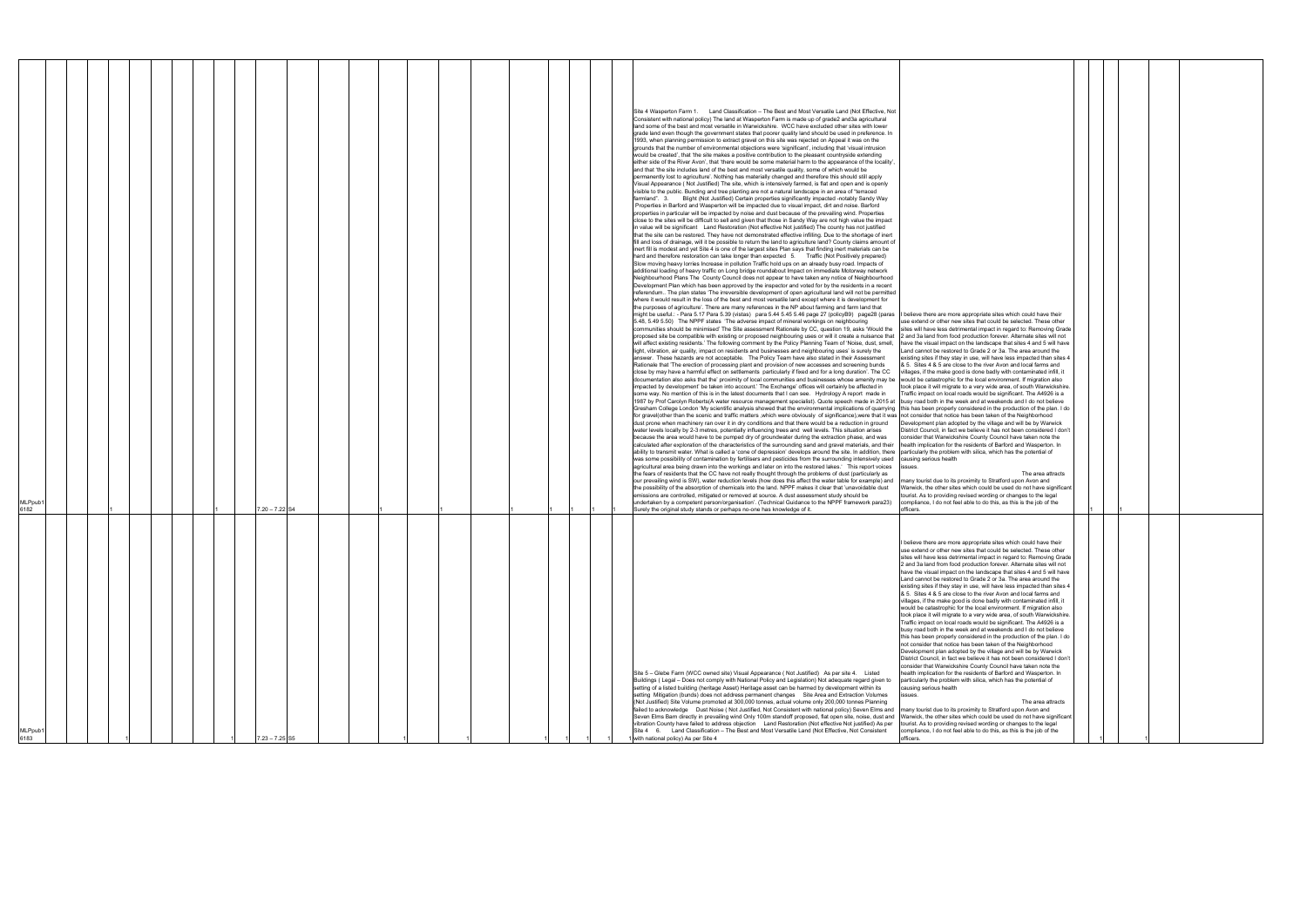| I believe there are more appropriate sites which could have their<br>use extend or other new sites that could be selected. These other<br>sites will have less detrimental impact in regard to: Removing Grade<br>2 and 3a land from food production forever. Alternate sites will not<br>have the visual impact on the landscape that sites 4 and 5 will have<br>Land cannot be restored to Grade 2 or 3a. The area around the<br>existing sites if they stay in use, will have less impacted than sites 4<br>& 5. Sites 4 & 5 are close to the river Avon and local farms and<br>villages, if the make good is done badly with contaminated infill, it<br>would be catastrophic for the local environment. If migration also<br>took place it will migrate to a very wide area, of south Warwickshire.<br>Traffic impact on local roads would be significant. The A4926 is a<br>busy road both in the week and at weekends and I do not believe<br>this has been properly considered in the production of the plan. I do<br>not consider that notice has been taken of the Neighborhood<br>Development plan adopted by the village and will be by Warwick<br>District Council, in fact we believe it has not been considered I don't<br>consider that Warwickshire County Council have taken note the<br>health implication for the residents of Barford and Wasperton. In<br>particularly the problem with silica, which has the potential of                                                                                                                                                                                                                                                                                                                                                                        |  |  |  |
|-------------------------------------------------------------------------------------------------------------------------------------------------------------------------------------------------------------------------------------------------------------------------------------------------------------------------------------------------------------------------------------------------------------------------------------------------------------------------------------------------------------------------------------------------------------------------------------------------------------------------------------------------------------------------------------------------------------------------------------------------------------------------------------------------------------------------------------------------------------------------------------------------------------------------------------------------------------------------------------------------------------------------------------------------------------------------------------------------------------------------------------------------------------------------------------------------------------------------------------------------------------------------------------------------------------------------------------------------------------------------------------------------------------------------------------------------------------------------------------------------------------------------------------------------------------------------------------------------------------------------------------------------------------------------------------------------------------------------------------------------------------------------------------------------------------------------|--|--|--|
| causing serious health<br>issues.<br>The area attracts<br>many tourist due to its proximity to Stratford upon Avon and<br>Warwick, the other sites which could be used do not have significant<br>tourist. As to providing revised wording or changes to the legal<br>compliance, I do not feel able to do this, as this is the job of the                                                                                                                                                                                                                                                                                                                                                                                                                                                                                                                                                                                                                                                                                                                                                                                                                                                                                                                                                                                                                                                                                                                                                                                                                                                                                                                                                                                                                                                                              |  |  |  |
| officers.<br>I believe there are more appropriate sites which could have their<br>use extend or other new sites that could be selected. These other<br>sites will have less detrimental impact in regard to: Removing Grade<br>2 and 3a land from food production forever. Alternate sites will not<br>have the visual impact on the landscape that sites 4 and 5 will have<br>Land cannot be restored to Grade 2 or 3a. The area around the<br>existing sites if they stay in use, will have less impacted than sites 4<br>& 5. Sites 4 & 5 are close to the river Avon and local farms and<br>villages, if the make good is done badly with contaminated infill, it<br>would be catastrophic for the local environment. If migration also<br>took place it will migrate to a very wide area, of south Warwickshire.<br>Traffic impact on local roads would be significant. The A4926 is a<br>busy road both in the week and at weekends and I do not believe<br>this has been properly considered in the production of the plan. I do<br>not consider that notice has been taken of the Neighborhood<br>Development plan adopted by the village and will be by Warwick<br>District Council, in fact we believe it has not been considered I don't<br>consider that Warwickshire County Council have taken note the<br>health implication for the residents of Barford and Wasperton. In<br>particularly the problem with silica, which has the potential of<br>causing serious health<br>issues.<br>The area attracts<br>many tourist due to its proximity to Stratford upon Avon and<br>Warwick, the other sites which could be used do not have significant<br>tourist. As to providing revised wording or changes to the legal<br>compliance, I do not feel able to do this, as this is the job of the<br>officers |  |  |  |

| MLPpub <sup>®</sup><br>6183                                                                                                                                                                                                                                                                                                                                                                                                                                                                                                                                                                                                                                                                                                                                                                                                                                                                                                                                                                                            | MLPpub <sup>-</sup><br>6182                                                                                                                                                                                                                                                                                                                                                                                                                                                                                                                                                                                                                                                                                                                                                                                                                                                                                                                                                                                                                                                                                                                                                                                                                                                                                                                                                                                                                                                                                                                                                                                                                                                                                                                                                                                                                                                                                                                                                                                                                                                                                                                                                                                                                                                                                                                                                                                                                                                                                                                                                                                                                                                                                                                                                                                                                                                                                                                                                                                                                                                                                                                                                                                                                                                                                                                                                                                                                                                                                                                                                                                                                                                                                                                                                                                                                                                                                                                                                                                                                                                                                                                                                                                                                                                                                                                                                                                                                                                                                                                                                                                                                                                                                                                                                                                                                                                                                                                                                                                                                                                                                                                                                                                                                                                                                                                                                                                                                                                                                                                                                                                                                                                                                                                                                                                                                                                                                                                                                                                                                                                                                                                                                     |
|------------------------------------------------------------------------------------------------------------------------------------------------------------------------------------------------------------------------------------------------------------------------------------------------------------------------------------------------------------------------------------------------------------------------------------------------------------------------------------------------------------------------------------------------------------------------------------------------------------------------------------------------------------------------------------------------------------------------------------------------------------------------------------------------------------------------------------------------------------------------------------------------------------------------------------------------------------------------------------------------------------------------|---------------------------------------------------------------------------------------------------------------------------------------------------------------------------------------------------------------------------------------------------------------------------------------------------------------------------------------------------------------------------------------------------------------------------------------------------------------------------------------------------------------------------------------------------------------------------------------------------------------------------------------------------------------------------------------------------------------------------------------------------------------------------------------------------------------------------------------------------------------------------------------------------------------------------------------------------------------------------------------------------------------------------------------------------------------------------------------------------------------------------------------------------------------------------------------------------------------------------------------------------------------------------------------------------------------------------------------------------------------------------------------------------------------------------------------------------------------------------------------------------------------------------------------------------------------------------------------------------------------------------------------------------------------------------------------------------------------------------------------------------------------------------------------------------------------------------------------------------------------------------------------------------------------------------------------------------------------------------------------------------------------------------------------------------------------------------------------------------------------------------------------------------------------------------------------------------------------------------------------------------------------------------------------------------------------------------------------------------------------------------------------------------------------------------------------------------------------------------------------------------------------------------------------------------------------------------------------------------------------------------------------------------------------------------------------------------------------------------------------------------------------------------------------------------------------------------------------------------------------------------------------------------------------------------------------------------------------------------------------------------------------------------------------------------------------------------------------------------------------------------------------------------------------------------------------------------------------------------------------------------------------------------------------------------------------------------------------------------------------------------------------------------------------------------------------------------------------------------------------------------------------------------------------------------------------------------------------------------------------------------------------------------------------------------------------------------------------------------------------------------------------------------------------------------------------------------------------------------------------------------------------------------------------------------------------------------------------------------------------------------------------------------------------------------------------------------------------------------------------------------------------------------------------------------------------------------------------------------------------------------------------------------------------------------------------------------------------------------------------------------------------------------------------------------------------------------------------------------------------------------------------------------------------------------------------------------------------------------------------------------------------------------------------------------------------------------------------------------------------------------------------------------------------------------------------------------------------------------------------------------------------------------------------------------------------------------------------------------------------------------------------------------------------------------------------------------------------------------------------------------------------------------------------------------------------------------------------------------------------------------------------------------------------------------------------------------------------------------------------------------------------------------------------------------------------------------------------------------------------------------------------------------------------------------------------------------------------------------------------------------------------------------------------------------------------------------------------------------------------------------------------------------------------------------------------------------------------------------------------------------------------------------------------------------------------------------------------------------------------------------------------------------------------------------------------------------------------------------------------------------------------------------------------------------------|
|                                                                                                                                                                                                                                                                                                                                                                                                                                                                                                                                                                                                                                                                                                                                                                                                                                                                                                                                                                                                                        |                                                                                                                                                                                                                                                                                                                                                                                                                                                                                                                                                                                                                                                                                                                                                                                                                                                                                                                                                                                                                                                                                                                                                                                                                                                                                                                                                                                                                                                                                                                                                                                                                                                                                                                                                                                                                                                                                                                                                                                                                                                                                                                                                                                                                                                                                                                                                                                                                                                                                                                                                                                                                                                                                                                                                                                                                                                                                                                                                                                                                                                                                                                                                                                                                                                                                                                                                                                                                                                                                                                                                                                                                                                                                                                                                                                                                                                                                                                                                                                                                                                                                                                                                                                                                                                                                                                                                                                                                                                                                                                                                                                                                                                                                                                                                                                                                                                                                                                                                                                                                                                                                                                                                                                                                                                                                                                                                                                                                                                                                                                                                                                                                                                                                                                                                                                                                                                                                                                                                                                                                                                                                                                                                                                 |
|                                                                                                                                                                                                                                                                                                                                                                                                                                                                                                                                                                                                                                                                                                                                                                                                                                                                                                                                                                                                                        |                                                                                                                                                                                                                                                                                                                                                                                                                                                                                                                                                                                                                                                                                                                                                                                                                                                                                                                                                                                                                                                                                                                                                                                                                                                                                                                                                                                                                                                                                                                                                                                                                                                                                                                                                                                                                                                                                                                                                                                                                                                                                                                                                                                                                                                                                                                                                                                                                                                                                                                                                                                                                                                                                                                                                                                                                                                                                                                                                                                                                                                                                                                                                                                                                                                                                                                                                                                                                                                                                                                                                                                                                                                                                                                                                                                                                                                                                                                                                                                                                                                                                                                                                                                                                                                                                                                                                                                                                                                                                                                                                                                                                                                                                                                                                                                                                                                                                                                                                                                                                                                                                                                                                                                                                                                                                                                                                                                                                                                                                                                                                                                                                                                                                                                                                                                                                                                                                                                                                                                                                                                                                                                                                                                 |
|                                                                                                                                                                                                                                                                                                                                                                                                                                                                                                                                                                                                                                                                                                                                                                                                                                                                                                                                                                                                                        |                                                                                                                                                                                                                                                                                                                                                                                                                                                                                                                                                                                                                                                                                                                                                                                                                                                                                                                                                                                                                                                                                                                                                                                                                                                                                                                                                                                                                                                                                                                                                                                                                                                                                                                                                                                                                                                                                                                                                                                                                                                                                                                                                                                                                                                                                                                                                                                                                                                                                                                                                                                                                                                                                                                                                                                                                                                                                                                                                                                                                                                                                                                                                                                                                                                                                                                                                                                                                                                                                                                                                                                                                                                                                                                                                                                                                                                                                                                                                                                                                                                                                                                                                                                                                                                                                                                                                                                                                                                                                                                                                                                                                                                                                                                                                                                                                                                                                                                                                                                                                                                                                                                                                                                                                                                                                                                                                                                                                                                                                                                                                                                                                                                                                                                                                                                                                                                                                                                                                                                                                                                                                                                                                                                 |
|                                                                                                                                                                                                                                                                                                                                                                                                                                                                                                                                                                                                                                                                                                                                                                                                                                                                                                                                                                                                                        |                                                                                                                                                                                                                                                                                                                                                                                                                                                                                                                                                                                                                                                                                                                                                                                                                                                                                                                                                                                                                                                                                                                                                                                                                                                                                                                                                                                                                                                                                                                                                                                                                                                                                                                                                                                                                                                                                                                                                                                                                                                                                                                                                                                                                                                                                                                                                                                                                                                                                                                                                                                                                                                                                                                                                                                                                                                                                                                                                                                                                                                                                                                                                                                                                                                                                                                                                                                                                                                                                                                                                                                                                                                                                                                                                                                                                                                                                                                                                                                                                                                                                                                                                                                                                                                                                                                                                                                                                                                                                                                                                                                                                                                                                                                                                                                                                                                                                                                                                                                                                                                                                                                                                                                                                                                                                                                                                                                                                                                                                                                                                                                                                                                                                                                                                                                                                                                                                                                                                                                                                                                                                                                                                                                 |
|                                                                                                                                                                                                                                                                                                                                                                                                                                                                                                                                                                                                                                                                                                                                                                                                                                                                                                                                                                                                                        |                                                                                                                                                                                                                                                                                                                                                                                                                                                                                                                                                                                                                                                                                                                                                                                                                                                                                                                                                                                                                                                                                                                                                                                                                                                                                                                                                                                                                                                                                                                                                                                                                                                                                                                                                                                                                                                                                                                                                                                                                                                                                                                                                                                                                                                                                                                                                                                                                                                                                                                                                                                                                                                                                                                                                                                                                                                                                                                                                                                                                                                                                                                                                                                                                                                                                                                                                                                                                                                                                                                                                                                                                                                                                                                                                                                                                                                                                                                                                                                                                                                                                                                                                                                                                                                                                                                                                                                                                                                                                                                                                                                                                                                                                                                                                                                                                                                                                                                                                                                                                                                                                                                                                                                                                                                                                                                                                                                                                                                                                                                                                                                                                                                                                                                                                                                                                                                                                                                                                                                                                                                                                                                                                                                 |
|                                                                                                                                                                                                                                                                                                                                                                                                                                                                                                                                                                                                                                                                                                                                                                                                                                                                                                                                                                                                                        |                                                                                                                                                                                                                                                                                                                                                                                                                                                                                                                                                                                                                                                                                                                                                                                                                                                                                                                                                                                                                                                                                                                                                                                                                                                                                                                                                                                                                                                                                                                                                                                                                                                                                                                                                                                                                                                                                                                                                                                                                                                                                                                                                                                                                                                                                                                                                                                                                                                                                                                                                                                                                                                                                                                                                                                                                                                                                                                                                                                                                                                                                                                                                                                                                                                                                                                                                                                                                                                                                                                                                                                                                                                                                                                                                                                                                                                                                                                                                                                                                                                                                                                                                                                                                                                                                                                                                                                                                                                                                                                                                                                                                                                                                                                                                                                                                                                                                                                                                                                                                                                                                                                                                                                                                                                                                                                                                                                                                                                                                                                                                                                                                                                                                                                                                                                                                                                                                                                                                                                                                                                                                                                                                                                 |
|                                                                                                                                                                                                                                                                                                                                                                                                                                                                                                                                                                                                                                                                                                                                                                                                                                                                                                                                                                                                                        |                                                                                                                                                                                                                                                                                                                                                                                                                                                                                                                                                                                                                                                                                                                                                                                                                                                                                                                                                                                                                                                                                                                                                                                                                                                                                                                                                                                                                                                                                                                                                                                                                                                                                                                                                                                                                                                                                                                                                                                                                                                                                                                                                                                                                                                                                                                                                                                                                                                                                                                                                                                                                                                                                                                                                                                                                                                                                                                                                                                                                                                                                                                                                                                                                                                                                                                                                                                                                                                                                                                                                                                                                                                                                                                                                                                                                                                                                                                                                                                                                                                                                                                                                                                                                                                                                                                                                                                                                                                                                                                                                                                                                                                                                                                                                                                                                                                                                                                                                                                                                                                                                                                                                                                                                                                                                                                                                                                                                                                                                                                                                                                                                                                                                                                                                                                                                                                                                                                                                                                                                                                                                                                                                                                 |
|                                                                                                                                                                                                                                                                                                                                                                                                                                                                                                                                                                                                                                                                                                                                                                                                                                                                                                                                                                                                                        |                                                                                                                                                                                                                                                                                                                                                                                                                                                                                                                                                                                                                                                                                                                                                                                                                                                                                                                                                                                                                                                                                                                                                                                                                                                                                                                                                                                                                                                                                                                                                                                                                                                                                                                                                                                                                                                                                                                                                                                                                                                                                                                                                                                                                                                                                                                                                                                                                                                                                                                                                                                                                                                                                                                                                                                                                                                                                                                                                                                                                                                                                                                                                                                                                                                                                                                                                                                                                                                                                                                                                                                                                                                                                                                                                                                                                                                                                                                                                                                                                                                                                                                                                                                                                                                                                                                                                                                                                                                                                                                                                                                                                                                                                                                                                                                                                                                                                                                                                                                                                                                                                                                                                                                                                                                                                                                                                                                                                                                                                                                                                                                                                                                                                                                                                                                                                                                                                                                                                                                                                                                                                                                                                                                 |
|                                                                                                                                                                                                                                                                                                                                                                                                                                                                                                                                                                                                                                                                                                                                                                                                                                                                                                                                                                                                                        |                                                                                                                                                                                                                                                                                                                                                                                                                                                                                                                                                                                                                                                                                                                                                                                                                                                                                                                                                                                                                                                                                                                                                                                                                                                                                                                                                                                                                                                                                                                                                                                                                                                                                                                                                                                                                                                                                                                                                                                                                                                                                                                                                                                                                                                                                                                                                                                                                                                                                                                                                                                                                                                                                                                                                                                                                                                                                                                                                                                                                                                                                                                                                                                                                                                                                                                                                                                                                                                                                                                                                                                                                                                                                                                                                                                                                                                                                                                                                                                                                                                                                                                                                                                                                                                                                                                                                                                                                                                                                                                                                                                                                                                                                                                                                                                                                                                                                                                                                                                                                                                                                                                                                                                                                                                                                                                                                                                                                                                                                                                                                                                                                                                                                                                                                                                                                                                                                                                                                                                                                                                                                                                                                                                 |
|                                                                                                                                                                                                                                                                                                                                                                                                                                                                                                                                                                                                                                                                                                                                                                                                                                                                                                                                                                                                                        |                                                                                                                                                                                                                                                                                                                                                                                                                                                                                                                                                                                                                                                                                                                                                                                                                                                                                                                                                                                                                                                                                                                                                                                                                                                                                                                                                                                                                                                                                                                                                                                                                                                                                                                                                                                                                                                                                                                                                                                                                                                                                                                                                                                                                                                                                                                                                                                                                                                                                                                                                                                                                                                                                                                                                                                                                                                                                                                                                                                                                                                                                                                                                                                                                                                                                                                                                                                                                                                                                                                                                                                                                                                                                                                                                                                                                                                                                                                                                                                                                                                                                                                                                                                                                                                                                                                                                                                                                                                                                                                                                                                                                                                                                                                                                                                                                                                                                                                                                                                                                                                                                                                                                                                                                                                                                                                                                                                                                                                                                                                                                                                                                                                                                                                                                                                                                                                                                                                                                                                                                                                                                                                                                                                 |
| $7.23 - 7.25$ S5                                                                                                                                                                                                                                                                                                                                                                                                                                                                                                                                                                                                                                                                                                                                                                                                                                                                                                                                                                                                       | $7.20 - 7.22$ S <sub>4</sub>                                                                                                                                                                                                                                                                                                                                                                                                                                                                                                                                                                                                                                                                                                                                                                                                                                                                                                                                                                                                                                                                                                                                                                                                                                                                                                                                                                                                                                                                                                                                                                                                                                                                                                                                                                                                                                                                                                                                                                                                                                                                                                                                                                                                                                                                                                                                                                                                                                                                                                                                                                                                                                                                                                                                                                                                                                                                                                                                                                                                                                                                                                                                                                                                                                                                                                                                                                                                                                                                                                                                                                                                                                                                                                                                                                                                                                                                                                                                                                                                                                                                                                                                                                                                                                                                                                                                                                                                                                                                                                                                                                                                                                                                                                                                                                                                                                                                                                                                                                                                                                                                                                                                                                                                                                                                                                                                                                                                                                                                                                                                                                                                                                                                                                                                                                                                                                                                                                                                                                                                                                                                                                                                                    |
|                                                                                                                                                                                                                                                                                                                                                                                                                                                                                                                                                                                                                                                                                                                                                                                                                                                                                                                                                                                                                        |                                                                                                                                                                                                                                                                                                                                                                                                                                                                                                                                                                                                                                                                                                                                                                                                                                                                                                                                                                                                                                                                                                                                                                                                                                                                                                                                                                                                                                                                                                                                                                                                                                                                                                                                                                                                                                                                                                                                                                                                                                                                                                                                                                                                                                                                                                                                                                                                                                                                                                                                                                                                                                                                                                                                                                                                                                                                                                                                                                                                                                                                                                                                                                                                                                                                                                                                                                                                                                                                                                                                                                                                                                                                                                                                                                                                                                                                                                                                                                                                                                                                                                                                                                                                                                                                                                                                                                                                                                                                                                                                                                                                                                                                                                                                                                                                                                                                                                                                                                                                                                                                                                                                                                                                                                                                                                                                                                                                                                                                                                                                                                                                                                                                                                                                                                                                                                                                                                                                                                                                                                                                                                                                                                                 |
|                                                                                                                                                                                                                                                                                                                                                                                                                                                                                                                                                                                                                                                                                                                                                                                                                                                                                                                                                                                                                        |                                                                                                                                                                                                                                                                                                                                                                                                                                                                                                                                                                                                                                                                                                                                                                                                                                                                                                                                                                                                                                                                                                                                                                                                                                                                                                                                                                                                                                                                                                                                                                                                                                                                                                                                                                                                                                                                                                                                                                                                                                                                                                                                                                                                                                                                                                                                                                                                                                                                                                                                                                                                                                                                                                                                                                                                                                                                                                                                                                                                                                                                                                                                                                                                                                                                                                                                                                                                                                                                                                                                                                                                                                                                                                                                                                                                                                                                                                                                                                                                                                                                                                                                                                                                                                                                                                                                                                                                                                                                                                                                                                                                                                                                                                                                                                                                                                                                                                                                                                                                                                                                                                                                                                                                                                                                                                                                                                                                                                                                                                                                                                                                                                                                                                                                                                                                                                                                                                                                                                                                                                                                                                                                                                                 |
|                                                                                                                                                                                                                                                                                                                                                                                                                                                                                                                                                                                                                                                                                                                                                                                                                                                                                                                                                                                                                        |                                                                                                                                                                                                                                                                                                                                                                                                                                                                                                                                                                                                                                                                                                                                                                                                                                                                                                                                                                                                                                                                                                                                                                                                                                                                                                                                                                                                                                                                                                                                                                                                                                                                                                                                                                                                                                                                                                                                                                                                                                                                                                                                                                                                                                                                                                                                                                                                                                                                                                                                                                                                                                                                                                                                                                                                                                                                                                                                                                                                                                                                                                                                                                                                                                                                                                                                                                                                                                                                                                                                                                                                                                                                                                                                                                                                                                                                                                                                                                                                                                                                                                                                                                                                                                                                                                                                                                                                                                                                                                                                                                                                                                                                                                                                                                                                                                                                                                                                                                                                                                                                                                                                                                                                                                                                                                                                                                                                                                                                                                                                                                                                                                                                                                                                                                                                                                                                                                                                                                                                                                                                                                                                                                                 |
|                                                                                                                                                                                                                                                                                                                                                                                                                                                                                                                                                                                                                                                                                                                                                                                                                                                                                                                                                                                                                        |                                                                                                                                                                                                                                                                                                                                                                                                                                                                                                                                                                                                                                                                                                                                                                                                                                                                                                                                                                                                                                                                                                                                                                                                                                                                                                                                                                                                                                                                                                                                                                                                                                                                                                                                                                                                                                                                                                                                                                                                                                                                                                                                                                                                                                                                                                                                                                                                                                                                                                                                                                                                                                                                                                                                                                                                                                                                                                                                                                                                                                                                                                                                                                                                                                                                                                                                                                                                                                                                                                                                                                                                                                                                                                                                                                                                                                                                                                                                                                                                                                                                                                                                                                                                                                                                                                                                                                                                                                                                                                                                                                                                                                                                                                                                                                                                                                                                                                                                                                                                                                                                                                                                                                                                                                                                                                                                                                                                                                                                                                                                                                                                                                                                                                                                                                                                                                                                                                                                                                                                                                                                                                                                                                                 |
|                                                                                                                                                                                                                                                                                                                                                                                                                                                                                                                                                                                                                                                                                                                                                                                                                                                                                                                                                                                                                        |                                                                                                                                                                                                                                                                                                                                                                                                                                                                                                                                                                                                                                                                                                                                                                                                                                                                                                                                                                                                                                                                                                                                                                                                                                                                                                                                                                                                                                                                                                                                                                                                                                                                                                                                                                                                                                                                                                                                                                                                                                                                                                                                                                                                                                                                                                                                                                                                                                                                                                                                                                                                                                                                                                                                                                                                                                                                                                                                                                                                                                                                                                                                                                                                                                                                                                                                                                                                                                                                                                                                                                                                                                                                                                                                                                                                                                                                                                                                                                                                                                                                                                                                                                                                                                                                                                                                                                                                                                                                                                                                                                                                                                                                                                                                                                                                                                                                                                                                                                                                                                                                                                                                                                                                                                                                                                                                                                                                                                                                                                                                                                                                                                                                                                                                                                                                                                                                                                                                                                                                                                                                                                                                                                                 |
|                                                                                                                                                                                                                                                                                                                                                                                                                                                                                                                                                                                                                                                                                                                                                                                                                                                                                                                                                                                                                        |                                                                                                                                                                                                                                                                                                                                                                                                                                                                                                                                                                                                                                                                                                                                                                                                                                                                                                                                                                                                                                                                                                                                                                                                                                                                                                                                                                                                                                                                                                                                                                                                                                                                                                                                                                                                                                                                                                                                                                                                                                                                                                                                                                                                                                                                                                                                                                                                                                                                                                                                                                                                                                                                                                                                                                                                                                                                                                                                                                                                                                                                                                                                                                                                                                                                                                                                                                                                                                                                                                                                                                                                                                                                                                                                                                                                                                                                                                                                                                                                                                                                                                                                                                                                                                                                                                                                                                                                                                                                                                                                                                                                                                                                                                                                                                                                                                                                                                                                                                                                                                                                                                                                                                                                                                                                                                                                                                                                                                                                                                                                                                                                                                                                                                                                                                                                                                                                                                                                                                                                                                                                                                                                                                                 |
|                                                                                                                                                                                                                                                                                                                                                                                                                                                                                                                                                                                                                                                                                                                                                                                                                                                                                                                                                                                                                        |                                                                                                                                                                                                                                                                                                                                                                                                                                                                                                                                                                                                                                                                                                                                                                                                                                                                                                                                                                                                                                                                                                                                                                                                                                                                                                                                                                                                                                                                                                                                                                                                                                                                                                                                                                                                                                                                                                                                                                                                                                                                                                                                                                                                                                                                                                                                                                                                                                                                                                                                                                                                                                                                                                                                                                                                                                                                                                                                                                                                                                                                                                                                                                                                                                                                                                                                                                                                                                                                                                                                                                                                                                                                                                                                                                                                                                                                                                                                                                                                                                                                                                                                                                                                                                                                                                                                                                                                                                                                                                                                                                                                                                                                                                                                                                                                                                                                                                                                                                                                                                                                                                                                                                                                                                                                                                                                                                                                                                                                                                                                                                                                                                                                                                                                                                                                                                                                                                                                                                                                                                                                                                                                                                                 |
|                                                                                                                                                                                                                                                                                                                                                                                                                                                                                                                                                                                                                                                                                                                                                                                                                                                                                                                                                                                                                        |                                                                                                                                                                                                                                                                                                                                                                                                                                                                                                                                                                                                                                                                                                                                                                                                                                                                                                                                                                                                                                                                                                                                                                                                                                                                                                                                                                                                                                                                                                                                                                                                                                                                                                                                                                                                                                                                                                                                                                                                                                                                                                                                                                                                                                                                                                                                                                                                                                                                                                                                                                                                                                                                                                                                                                                                                                                                                                                                                                                                                                                                                                                                                                                                                                                                                                                                                                                                                                                                                                                                                                                                                                                                                                                                                                                                                                                                                                                                                                                                                                                                                                                                                                                                                                                                                                                                                                                                                                                                                                                                                                                                                                                                                                                                                                                                                                                                                                                                                                                                                                                                                                                                                                                                                                                                                                                                                                                                                                                                                                                                                                                                                                                                                                                                                                                                                                                                                                                                                                                                                                                                                                                                                                                 |
|                                                                                                                                                                                                                                                                                                                                                                                                                                                                                                                                                                                                                                                                                                                                                                                                                                                                                                                                                                                                                        |                                                                                                                                                                                                                                                                                                                                                                                                                                                                                                                                                                                                                                                                                                                                                                                                                                                                                                                                                                                                                                                                                                                                                                                                                                                                                                                                                                                                                                                                                                                                                                                                                                                                                                                                                                                                                                                                                                                                                                                                                                                                                                                                                                                                                                                                                                                                                                                                                                                                                                                                                                                                                                                                                                                                                                                                                                                                                                                                                                                                                                                                                                                                                                                                                                                                                                                                                                                                                                                                                                                                                                                                                                                                                                                                                                                                                                                                                                                                                                                                                                                                                                                                                                                                                                                                                                                                                                                                                                                                                                                                                                                                                                                                                                                                                                                                                                                                                                                                                                                                                                                                                                                                                                                                                                                                                                                                                                                                                                                                                                                                                                                                                                                                                                                                                                                                                                                                                                                                                                                                                                                                                                                                                                                 |
|                                                                                                                                                                                                                                                                                                                                                                                                                                                                                                                                                                                                                                                                                                                                                                                                                                                                                                                                                                                                                        |                                                                                                                                                                                                                                                                                                                                                                                                                                                                                                                                                                                                                                                                                                                                                                                                                                                                                                                                                                                                                                                                                                                                                                                                                                                                                                                                                                                                                                                                                                                                                                                                                                                                                                                                                                                                                                                                                                                                                                                                                                                                                                                                                                                                                                                                                                                                                                                                                                                                                                                                                                                                                                                                                                                                                                                                                                                                                                                                                                                                                                                                                                                                                                                                                                                                                                                                                                                                                                                                                                                                                                                                                                                                                                                                                                                                                                                                                                                                                                                                                                                                                                                                                                                                                                                                                                                                                                                                                                                                                                                                                                                                                                                                                                                                                                                                                                                                                                                                                                                                                                                                                                                                                                                                                                                                                                                                                                                                                                                                                                                                                                                                                                                                                                                                                                                                                                                                                                                                                                                                                                                                                                                                                                                 |
|                                                                                                                                                                                                                                                                                                                                                                                                                                                                                                                                                                                                                                                                                                                                                                                                                                                                                                                                                                                                                        |                                                                                                                                                                                                                                                                                                                                                                                                                                                                                                                                                                                                                                                                                                                                                                                                                                                                                                                                                                                                                                                                                                                                                                                                                                                                                                                                                                                                                                                                                                                                                                                                                                                                                                                                                                                                                                                                                                                                                                                                                                                                                                                                                                                                                                                                                                                                                                                                                                                                                                                                                                                                                                                                                                                                                                                                                                                                                                                                                                                                                                                                                                                                                                                                                                                                                                                                                                                                                                                                                                                                                                                                                                                                                                                                                                                                                                                                                                                                                                                                                                                                                                                                                                                                                                                                                                                                                                                                                                                                                                                                                                                                                                                                                                                                                                                                                                                                                                                                                                                                                                                                                                                                                                                                                                                                                                                                                                                                                                                                                                                                                                                                                                                                                                                                                                                                                                                                                                                                                                                                                                                                                                                                                                                 |
|                                                                                                                                                                                                                                                                                                                                                                                                                                                                                                                                                                                                                                                                                                                                                                                                                                                                                                                                                                                                                        |                                                                                                                                                                                                                                                                                                                                                                                                                                                                                                                                                                                                                                                                                                                                                                                                                                                                                                                                                                                                                                                                                                                                                                                                                                                                                                                                                                                                                                                                                                                                                                                                                                                                                                                                                                                                                                                                                                                                                                                                                                                                                                                                                                                                                                                                                                                                                                                                                                                                                                                                                                                                                                                                                                                                                                                                                                                                                                                                                                                                                                                                                                                                                                                                                                                                                                                                                                                                                                                                                                                                                                                                                                                                                                                                                                                                                                                                                                                                                                                                                                                                                                                                                                                                                                                                                                                                                                                                                                                                                                                                                                                                                                                                                                                                                                                                                                                                                                                                                                                                                                                                                                                                                                                                                                                                                                                                                                                                                                                                                                                                                                                                                                                                                                                                                                                                                                                                                                                                                                                                                                                                                                                                                                                 |
| Site 5 - Glebe Farm (WCC owned site) Visual Appearance (Not Justified) As per site 4. Listed<br>Buildings (Legal - Does not comply with National Policy and Legislation) Not adequate regard given to<br>setting of a listed building (heritage Asset) Heritage asset can be harmed by development within its<br>setting Mitigation (bunds) does not address permanent changes Site Area and Extraction Volumes<br>(Not Justified) Site Volume promoted at 300,000 tonnes, actual volume only 200,000 tonnes Planning<br>failed to acknowledge  Dust Noise (Not Justified, Not Consistent with national policy) Seven Elms and<br>Seven Elms Barn directly in prevailing wind Only 100m standoff proposed, flat open site, noise, dust and<br>vibration County have failed to address objection Land Restoration (Not effective Not justified) As per<br>Site 4 6. Land Classification - The Best and Most Versatile Land (Not Effective, Not Consistent<br>with national policy) As per Site 4                        | Site 4 Wasperton Farm 1. Land Classification - The Best and Most Versatile Land (Not Effective, Not<br>Consistent with national policy) The land at Wasperton Farm is made up of grade2 and3a agricultural<br>land some of the best and most versatile in Warwickshire. WCC have excluded other sites with lower<br>grade land even though the government states that poorer quality land should be used in preference. In<br>1993, when planning permission to extract gravel on this site was rejected on Appeal it was on the<br>grounds that the number of environmental objections were 'significant', including that 'visual intrusion<br>would be created', that 'the site makes a positive contribution to the pleasant countryside extending<br>either side of the River Avon', that 'there would be some material harm to the appearance of the locality',<br>and that 'the site includes land of the best and most versatile quality, some of which would be<br>permanently lost to agriculture'. Nothing has materially changed and therefore this should still apply<br>Visual Appearance (Not Justified) The site, which is intensively farmed, is flat and open and is openly<br>visible to the public. Bunding and tree planting are not a natural landscape in an area of "terraced<br>farmland". 3. Blight (Not Justified) Certain properties significantly impacted -notably Sandy Way<br>Properties in Barford and Wasperton will be impacted due to visual impact, dirt and noise. Barford<br>properties in particular will be impacted by noise and dust because of the prevailing wind. Properties<br>close to the sites will be difficult to sell and given that those in Sandy Way are not high value the impact<br>in value will be significant Land Restoration (Not effective Not justified) The county has not justified<br>that the site can be restored. They have not demonstrated effective infilling. Due to the shortage of inert<br>fill and loss of drainage, will it be possible to return the land to agriculture land? County claims amount of<br>inert fill is modest and yet Site 4 is one of the largest sites Plan says that finding inert materials can be<br>hard and therefore restoration can take longer than expected 5. Traffic (Not Positively prepared)<br>Slow moving heavy lorries Increase in pollution Traffic hold ups on an already busy road. Impacts of<br>additional loading of heavy traffic on Long bridge roundabout Impact on immediate Motorway network<br>Neighbourhood Plans The County Council does not appear to have taken any notice of Neighbourhood<br>Development Plan which has been approved by the inspector and voted for by the residents in a recent<br>referendum The plan states 'The irreversible development of open agricultural land will not be permitted<br>where it would result in the loss of the best and most versatile land except where it is development for<br>the purposes of agriculture'. There are many references in the NP about farming and farm land that<br>might be useful.: - Para 5.17 Para 5.39 (vistas) para 5.44 5.45 5.46 page 27 (policyB9) page28 (paras I believe there are more appropriat<br>5.48, 5.49 5.50) The NPPF states 'The adverse impact of mineral workings on neighbouring<br>communities should be minimised' The Site assessment Rationale by CC, question 19, asks 'Would the<br>proposed site be compatible with existing or proposed neighbouring uses or will it create a nuisance that<br>will affect existing residents.' The following comment by the Policy Planning Team of 'Noise, dust, smell,<br>light, vibration, air quality, impact on residents and businesses and neighbouring uses' is surely the<br>answer. These hazards are not acceptable. The Policy Team have also stated in their Assessment<br>Rationale that 'The erection of processing plant and provision of new accesses and screening bunds<br>close by may have a harmful effect on settlements particularly if fixed and for a long duration'. The CC<br>documentation also asks that the' proximity of local communities and businesses whose amenity may be<br>impacted by development' be taken into account.' The Exchange' offices will certainly be affected in<br>some way. No mention of this is in the latest documents that I can see. Hydrology A report made in<br>1987 by Prof Carolyn Roberts(A water resource management specialist). Quote speech made in 2015 at<br>Gresham College London 'My scientific analysis showed that the environmental implications of quarrying<br>for gravel(other than the scenic and traffic matters , which were obviously of significance), were that it was not consider that notice has been t<br>dust prone when machinery ran over it in dry conditions and that there would be a reduction in ground<br>water levels locally by 2-3 metres, potentially influencing trees and well levels. This situation arises<br>because the area would have to be pumped dry of groundwater during the extraction phase, and was<br>calculated after exploration of the characteristics of the surrounding sand and gravel materials, and their<br>ability to transmit water. What is called a 'cone of depression' develops around the site. In addition, there<br>was some possibility of contamination by fertilisers and pesticides from the surrounding intensively used<br>agricultural area being drawn into the workings and later on into the restored lakes.' This report voices<br>the fears of residents that the CC have not really thought through the problems of dust (particularly as<br>our prevailing wind is SW), water reduction levels (how does this affect the water table for example) and<br>the possibility of the absorption of chemicals into the land. NPPF makes it clear that 'unavoidable dust<br>emissions are controlled, mitigated or removed at source. A dust assessment study should be<br>undertaken by a competent person/organisation'. (Technical Guidance to the NPPF framework para23)<br>Surely the original study stands or perhaps no-one has knowledge of it. |
| I believe there are more appropriat<br>use extend or other new sites that<br>sites will have less detrimental imp<br>2 and 3a land from food production<br>have the visual impact on the land<br>Land cannot be restored to Grade<br>existing sites if they stay in use, wi<br>& 5. Sites 4 & 5 are close to the ri-<br>villages, if the make good is done I<br>would be catastrophic for the local<br>took place it will migrate to a very v<br>Traffic impact on local roads would<br>busy road both in the week and at<br>this has been properly considered<br>not consider that notice has been t<br>Development plan adopted by the<br>District Council, in fact we believe<br>consider that Warwickshire County<br>health implication for the residents<br>particularly the problem with silica,<br>causing serious health<br>issues.<br>many tourist due to its proximity to<br>Warwick, the other sites which cou<br>tourist. As to providing revised wor<br>compliance, I do not feel able to do<br>officers. | use extend or other new sites that<br>sites will have less detrimental imp<br>2 and 3a land from food production<br>have the visual impact on the land<br>Land cannot be restored to Grade<br>existing sites if they stay in use, wi<br>& 5. Sites 4 & 5 are close to the ri-<br>villages, if the make good is done I<br>would be catastrophic for the local<br>took place it will migrate to a very v<br>Traffic impact on local roads would<br>busy road both in the week and at<br>this has been properly considered<br>Development plan adopted by the<br>District Council, in fact we believe<br>consider that Warwickshire County<br>health implication for the residents<br>particularly the problem with silica,<br>causing serious health<br>issues.<br>many tourist due to its proximity to<br>Warwick, the other sites which cou<br>tourist. As to providing revised wor<br>compliance, I do not feel able to do<br>officers.                                                                                                                                                                                                                                                                                                                                                                                                                                                                                                                                                                                                                                                                                                                                                                                                                                                                                                                                                                                                                                                                                                                                                                                                                                                                                                                                                                                                                                                                                                                                                                                                                                                                                                                                                                                                                                                                                                                                                                                                                                                                                                                                                                                                                                                                                                                                                                                                                                                                                                                                                                                                                                                                                                                                                                                                                                                                                                                                                                                                                                                                                                                                                                                                                                                                                                                                                                                                                                                                                                                                                                                                                                                                                                                                                                                                                                                                                                                                                                                                                                                                                                                                                                                                                                                                                                                                                                                                                                                                                                                                                                                                                                                                                                                                                                                                                                                                                                                                                                                                                                                                                                                                                                                                                                        |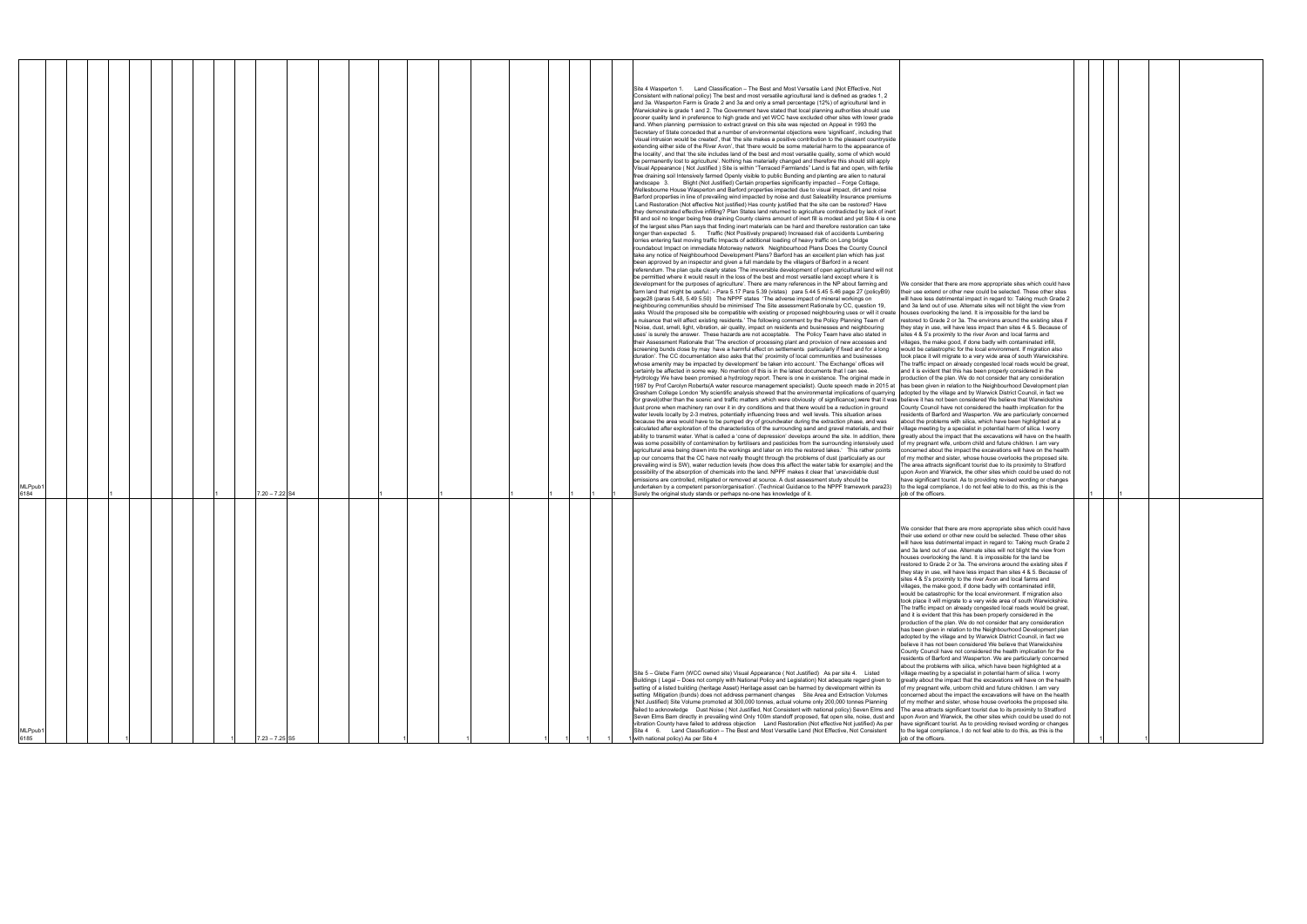| We consider that there are more appropriate sites which could have<br>their use extend or other new could be selected. These other sites<br>will have less detrimental impact in regard to: Taking much Grade 2<br>and 3a land out of use. Alternate sites will not blight the view from<br>houses overlooking the land. It is impossible for the land be<br>restored to Grade 2 or 3a. The environs around the existing sites if<br>they stay in use, will have less impact than sites 4 & 5. Because of                                                                                                                                                                                                                                                                                                                                                                                                                                                                                                                                                                                                                                                                                                                                                                                                                                                                                                                                                                                                                                                                                                                                                                                                                                                                                                                                                                                                                                                                                                                                                                                                                    |   |  |  |
|------------------------------------------------------------------------------------------------------------------------------------------------------------------------------------------------------------------------------------------------------------------------------------------------------------------------------------------------------------------------------------------------------------------------------------------------------------------------------------------------------------------------------------------------------------------------------------------------------------------------------------------------------------------------------------------------------------------------------------------------------------------------------------------------------------------------------------------------------------------------------------------------------------------------------------------------------------------------------------------------------------------------------------------------------------------------------------------------------------------------------------------------------------------------------------------------------------------------------------------------------------------------------------------------------------------------------------------------------------------------------------------------------------------------------------------------------------------------------------------------------------------------------------------------------------------------------------------------------------------------------------------------------------------------------------------------------------------------------------------------------------------------------------------------------------------------------------------------------------------------------------------------------------------------------------------------------------------------------------------------------------------------------------------------------------------------------------------------------------------------------|---|--|--|
| sites 4 & 5's proximity to the river Avon and local farms and<br>villages, the make good, if done badly with contaminated infill,<br>would be catastrophic for the local environment. If migration also<br>took place it will migrate to a very wide area of south Warwickshire.<br>The traffic impact on already congested local roads would be great,<br>and it is evident that this has been properly considered in the<br>production of the plan. We do not consider that any consideration<br>has been given in relation to the Neighbourhood Development plan<br>adopted by the village and by Warwick District Council, in fact we<br>believe it has not been considered We believe that Warwickshire<br>County Council have not considered the health implication for the<br>residents of Barford and Wasperton. We are particularly concerned<br>about the problems with silica, which have been highlighted at a<br>village meeting by a specialist in potential harm of silica. I worry<br>greatly about the impact that the excavations will have on the health<br>of my pregnant wife, unborn child and future children. I am very<br>concerned about the impact the excavations will have on the health<br>of my mother and sister, whose house overlooks the proposed site.<br>The area attracts significant tourist due to its proximity to Stratford<br>upon Avon and Warwick, the other sites which could be used do not<br>have significant tourist. As to providing revised wording or changes<br>to the legal compliance, I do not feel able to do this, as this is the<br>job of the officers.                                                                                                                                                                                                                                                                                                                                                                                                                                                                                                         | 1 |  |  |
| We consider that there are more appropriate sites which could have<br>their use extend or other new could be selected. These other sites<br>will have less detrimental impact in regard to: Taking much Grade 2<br>and 3a land out of use. Alternate sites will not blight the view<br>houses overlooking the land. It is impossible for the land be<br>restored to Grade 2 or 3a. The environs around the existing sites if<br>they stay in use, will have less impact than sites 4 & 5. Because of<br>sites 4 & 5's proximity to the river Avon and local farms and<br>villages, the make good, if done badly with contaminated infill,<br>would be catastrophic for the local environment. If migration also<br>took place it will migrate to a very wide area of south Warwickshire.<br>The traffic impact on already congested local roads would be great,<br>and it is evident that this has been properly considered in the<br>production of the plan. We do not consider that any consideration<br>has been given in relation to the Neighbourhood Development plan<br>adopted by the village and by Warwick District Council, in fact we<br>believe it has not been considered We believe that Warwickshire<br>County Council have not considered the health implication for the<br>residents of Barford and Wasperton. We are particularly concerned<br>about the problems with silica, which have been highlighted at a<br>village meeting by a specialist in potential harm of silica. I worry<br>greatly about the impact that the excavations will have on the health<br>of my pregnant wife, unborn child and future children. I am very<br>concerned about the impact the excavations will have on the health<br>of my mother and sister, whose house overlooks the proposed site.<br>The area attracts significant tourist due to its proximity to Stratford<br>upon Avon and Warwick, the other sites which could be used do not<br>have significant tourist. As to providing revised wording or changes<br>to the legal compliance, I do not feel able to do this, as this is the<br>job of the officers. |   |  |  |

| MLPpub<br>6185                                                                                                                                                                                                                                                                                                                                                                                                                                                                                                                                                                                                                                                                                                                                                                                                                                                                                                                                                                                                                                                                                                                                                                                                 | MLPpub <sup>.</sup><br>6184                                                                                                                                                                                                                                                                                                                                                                                                                                                                                                                                                                                                                                                                                                                                                                                                                                                                                                                                                                                                                                                                                                                                                                                                                                                                                                                                                                                                                                                                                                                                                                                                                                                                                                                                                                                                                                                                                                                                                                                                                                                                                                                                                                                                                                                                                                                                                                                                                                                                                                                                                                                                                                                                                                                                                                                                                                                                                                                                                                                                                                                                                                                                                                                                                                                                                                                                                                                                                                                                                                                                                                                                                                                                                                                                                                                                                                                                                                                                                                                                                                                                                                                                                                                                                                                                                                                                                                                                                                                                                                                                                                                                                                                                                                                                                                                                                                                                                                                                                                                                                                                                                                                                                                                                                                                                                                                                                                                                                                                                                                                                                                                                                                                                                                                                                                                                                                                                                                                                                                                                                                                                                        |
|----------------------------------------------------------------------------------------------------------------------------------------------------------------------------------------------------------------------------------------------------------------------------------------------------------------------------------------------------------------------------------------------------------------------------------------------------------------------------------------------------------------------------------------------------------------------------------------------------------------------------------------------------------------------------------------------------------------------------------------------------------------------------------------------------------------------------------------------------------------------------------------------------------------------------------------------------------------------------------------------------------------------------------------------------------------------------------------------------------------------------------------------------------------------------------------------------------------|--------------------------------------------------------------------------------------------------------------------------------------------------------------------------------------------------------------------------------------------------------------------------------------------------------------------------------------------------------------------------------------------------------------------------------------------------------------------------------------------------------------------------------------------------------------------------------------------------------------------------------------------------------------------------------------------------------------------------------------------------------------------------------------------------------------------------------------------------------------------------------------------------------------------------------------------------------------------------------------------------------------------------------------------------------------------------------------------------------------------------------------------------------------------------------------------------------------------------------------------------------------------------------------------------------------------------------------------------------------------------------------------------------------------------------------------------------------------------------------------------------------------------------------------------------------------------------------------------------------------------------------------------------------------------------------------------------------------------------------------------------------------------------------------------------------------------------------------------------------------------------------------------------------------------------------------------------------------------------------------------------------------------------------------------------------------------------------------------------------------------------------------------------------------------------------------------------------------------------------------------------------------------------------------------------------------------------------------------------------------------------------------------------------------------------------------------------------------------------------------------------------------------------------------------------------------------------------------------------------------------------------------------------------------------------------------------------------------------------------------------------------------------------------------------------------------------------------------------------------------------------------------------------------------------------------------------------------------------------------------------------------------------------------------------------------------------------------------------------------------------------------------------------------------------------------------------------------------------------------------------------------------------------------------------------------------------------------------------------------------------------------------------------------------------------------------------------------------------------------------------------------------------------------------------------------------------------------------------------------------------------------------------------------------------------------------------------------------------------------------------------------------------------------------------------------------------------------------------------------------------------------------------------------------------------------------------------------------------------------------------------------------------------------------------------------------------------------------------------------------------------------------------------------------------------------------------------------------------------------------------------------------------------------------------------------------------------------------------------------------------------------------------------------------------------------------------------------------------------------------------------------------------------------------------------------------------------------------------------------------------------------------------------------------------------------------------------------------------------------------------------------------------------------------------------------------------------------------------------------------------------------------------------------------------------------------------------------------------------------------------------------------------------------------------------------------------------------------------------------------------------------------------------------------------------------------------------------------------------------------------------------------------------------------------------------------------------------------------------------------------------------------------------------------------------------------------------------------------------------------------------------------------------------------------------------------------------------------------------------------------------------------------------------------------------------------------------------------------------------------------------------------------------------------------------------------------------------------------------------------------------------------------------------------------------------------------------------------------------------------------------------------------------------------------------------------------------------------------------------------|
|                                                                                                                                                                                                                                                                                                                                                                                                                                                                                                                                                                                                                                                                                                                                                                                                                                                                                                                                                                                                                                                                                                                                                                                                                |                                                                                                                                                                                                                                                                                                                                                                                                                                                                                                                                                                                                                                                                                                                                                                                                                                                                                                                                                                                                                                                                                                                                                                                                                                                                                                                                                                                                                                                                                                                                                                                                                                                                                                                                                                                                                                                                                                                                                                                                                                                                                                                                                                                                                                                                                                                                                                                                                                                                                                                                                                                                                                                                                                                                                                                                                                                                                                                                                                                                                                                                                                                                                                                                                                                                                                                                                                                                                                                                                                                                                                                                                                                                                                                                                                                                                                                                                                                                                                                                                                                                                                                                                                                                                                                                                                                                                                                                                                                                                                                                                                                                                                                                                                                                                                                                                                                                                                                                                                                                                                                                                                                                                                                                                                                                                                                                                                                                                                                                                                                                                                                                                                                                                                                                                                                                                                                                                                                                                                                                                                                                                                                    |
|                                                                                                                                                                                                                                                                                                                                                                                                                                                                                                                                                                                                                                                                                                                                                                                                                                                                                                                                                                                                                                                                                                                                                                                                                |                                                                                                                                                                                                                                                                                                                                                                                                                                                                                                                                                                                                                                                                                                                                                                                                                                                                                                                                                                                                                                                                                                                                                                                                                                                                                                                                                                                                                                                                                                                                                                                                                                                                                                                                                                                                                                                                                                                                                                                                                                                                                                                                                                                                                                                                                                                                                                                                                                                                                                                                                                                                                                                                                                                                                                                                                                                                                                                                                                                                                                                                                                                                                                                                                                                                                                                                                                                                                                                                                                                                                                                                                                                                                                                                                                                                                                                                                                                                                                                                                                                                                                                                                                                                                                                                                                                                                                                                                                                                                                                                                                                                                                                                                                                                                                                                                                                                                                                                                                                                                                                                                                                                                                                                                                                                                                                                                                                                                                                                                                                                                                                                                                                                                                                                                                                                                                                                                                                                                                                                                                                                                                                    |
|                                                                                                                                                                                                                                                                                                                                                                                                                                                                                                                                                                                                                                                                                                                                                                                                                                                                                                                                                                                                                                                                                                                                                                                                                |                                                                                                                                                                                                                                                                                                                                                                                                                                                                                                                                                                                                                                                                                                                                                                                                                                                                                                                                                                                                                                                                                                                                                                                                                                                                                                                                                                                                                                                                                                                                                                                                                                                                                                                                                                                                                                                                                                                                                                                                                                                                                                                                                                                                                                                                                                                                                                                                                                                                                                                                                                                                                                                                                                                                                                                                                                                                                                                                                                                                                                                                                                                                                                                                                                                                                                                                                                                                                                                                                                                                                                                                                                                                                                                                                                                                                                                                                                                                                                                                                                                                                                                                                                                                                                                                                                                                                                                                                                                                                                                                                                                                                                                                                                                                                                                                                                                                                                                                                                                                                                                                                                                                                                                                                                                                                                                                                                                                                                                                                                                                                                                                                                                                                                                                                                                                                                                                                                                                                                                                                                                                                                                    |
|                                                                                                                                                                                                                                                                                                                                                                                                                                                                                                                                                                                                                                                                                                                                                                                                                                                                                                                                                                                                                                                                                                                                                                                                                |                                                                                                                                                                                                                                                                                                                                                                                                                                                                                                                                                                                                                                                                                                                                                                                                                                                                                                                                                                                                                                                                                                                                                                                                                                                                                                                                                                                                                                                                                                                                                                                                                                                                                                                                                                                                                                                                                                                                                                                                                                                                                                                                                                                                                                                                                                                                                                                                                                                                                                                                                                                                                                                                                                                                                                                                                                                                                                                                                                                                                                                                                                                                                                                                                                                                                                                                                                                                                                                                                                                                                                                                                                                                                                                                                                                                                                                                                                                                                                                                                                                                                                                                                                                                                                                                                                                                                                                                                                                                                                                                                                                                                                                                                                                                                                                                                                                                                                                                                                                                                                                                                                                                                                                                                                                                                                                                                                                                                                                                                                                                                                                                                                                                                                                                                                                                                                                                                                                                                                                                                                                                                                                    |
|                                                                                                                                                                                                                                                                                                                                                                                                                                                                                                                                                                                                                                                                                                                                                                                                                                                                                                                                                                                                                                                                                                                                                                                                                |                                                                                                                                                                                                                                                                                                                                                                                                                                                                                                                                                                                                                                                                                                                                                                                                                                                                                                                                                                                                                                                                                                                                                                                                                                                                                                                                                                                                                                                                                                                                                                                                                                                                                                                                                                                                                                                                                                                                                                                                                                                                                                                                                                                                                                                                                                                                                                                                                                                                                                                                                                                                                                                                                                                                                                                                                                                                                                                                                                                                                                                                                                                                                                                                                                                                                                                                                                                                                                                                                                                                                                                                                                                                                                                                                                                                                                                                                                                                                                                                                                                                                                                                                                                                                                                                                                                                                                                                                                                                                                                                                                                                                                                                                                                                                                                                                                                                                                                                                                                                                                                                                                                                                                                                                                                                                                                                                                                                                                                                                                                                                                                                                                                                                                                                                                                                                                                                                                                                                                                                                                                                                                                    |
|                                                                                                                                                                                                                                                                                                                                                                                                                                                                                                                                                                                                                                                                                                                                                                                                                                                                                                                                                                                                                                                                                                                                                                                                                |                                                                                                                                                                                                                                                                                                                                                                                                                                                                                                                                                                                                                                                                                                                                                                                                                                                                                                                                                                                                                                                                                                                                                                                                                                                                                                                                                                                                                                                                                                                                                                                                                                                                                                                                                                                                                                                                                                                                                                                                                                                                                                                                                                                                                                                                                                                                                                                                                                                                                                                                                                                                                                                                                                                                                                                                                                                                                                                                                                                                                                                                                                                                                                                                                                                                                                                                                                                                                                                                                                                                                                                                                                                                                                                                                                                                                                                                                                                                                                                                                                                                                                                                                                                                                                                                                                                                                                                                                                                                                                                                                                                                                                                                                                                                                                                                                                                                                                                                                                                                                                                                                                                                                                                                                                                                                                                                                                                                                                                                                                                                                                                                                                                                                                                                                                                                                                                                                                                                                                                                                                                                                                                    |
|                                                                                                                                                                                                                                                                                                                                                                                                                                                                                                                                                                                                                                                                                                                                                                                                                                                                                                                                                                                                                                                                                                                                                                                                                |                                                                                                                                                                                                                                                                                                                                                                                                                                                                                                                                                                                                                                                                                                                                                                                                                                                                                                                                                                                                                                                                                                                                                                                                                                                                                                                                                                                                                                                                                                                                                                                                                                                                                                                                                                                                                                                                                                                                                                                                                                                                                                                                                                                                                                                                                                                                                                                                                                                                                                                                                                                                                                                                                                                                                                                                                                                                                                                                                                                                                                                                                                                                                                                                                                                                                                                                                                                                                                                                                                                                                                                                                                                                                                                                                                                                                                                                                                                                                                                                                                                                                                                                                                                                                                                                                                                                                                                                                                                                                                                                                                                                                                                                                                                                                                                                                                                                                                                                                                                                                                                                                                                                                                                                                                                                                                                                                                                                                                                                                                                                                                                                                                                                                                                                                                                                                                                                                                                                                                                                                                                                                                                    |
| $7.23 - 7.25$ S5                                                                                                                                                                                                                                                                                                                                                                                                                                                                                                                                                                                                                                                                                                                                                                                                                                                                                                                                                                                                                                                                                                                                                                                               | $7.20 - 7.22$ S4                                                                                                                                                                                                                                                                                                                                                                                                                                                                                                                                                                                                                                                                                                                                                                                                                                                                                                                                                                                                                                                                                                                                                                                                                                                                                                                                                                                                                                                                                                                                                                                                                                                                                                                                                                                                                                                                                                                                                                                                                                                                                                                                                                                                                                                                                                                                                                                                                                                                                                                                                                                                                                                                                                                                                                                                                                                                                                                                                                                                                                                                                                                                                                                                                                                                                                                                                                                                                                                                                                                                                                                                                                                                                                                                                                                                                                                                                                                                                                                                                                                                                                                                                                                                                                                                                                                                                                                                                                                                                                                                                                                                                                                                                                                                                                                                                                                                                                                                                                                                                                                                                                                                                                                                                                                                                                                                                                                                                                                                                                                                                                                                                                                                                                                                                                                                                                                                                                                                                                                                                                                                                                   |
|                                                                                                                                                                                                                                                                                                                                                                                                                                                                                                                                                                                                                                                                                                                                                                                                                                                                                                                                                                                                                                                                                                                                                                                                                |                                                                                                                                                                                                                                                                                                                                                                                                                                                                                                                                                                                                                                                                                                                                                                                                                                                                                                                                                                                                                                                                                                                                                                                                                                                                                                                                                                                                                                                                                                                                                                                                                                                                                                                                                                                                                                                                                                                                                                                                                                                                                                                                                                                                                                                                                                                                                                                                                                                                                                                                                                                                                                                                                                                                                                                                                                                                                                                                                                                                                                                                                                                                                                                                                                                                                                                                                                                                                                                                                                                                                                                                                                                                                                                                                                                                                                                                                                                                                                                                                                                                                                                                                                                                                                                                                                                                                                                                                                                                                                                                                                                                                                                                                                                                                                                                                                                                                                                                                                                                                                                                                                                                                                                                                                                                                                                                                                                                                                                                                                                                                                                                                                                                                                                                                                                                                                                                                                                                                                                                                                                                                                                    |
|                                                                                                                                                                                                                                                                                                                                                                                                                                                                                                                                                                                                                                                                                                                                                                                                                                                                                                                                                                                                                                                                                                                                                                                                                |                                                                                                                                                                                                                                                                                                                                                                                                                                                                                                                                                                                                                                                                                                                                                                                                                                                                                                                                                                                                                                                                                                                                                                                                                                                                                                                                                                                                                                                                                                                                                                                                                                                                                                                                                                                                                                                                                                                                                                                                                                                                                                                                                                                                                                                                                                                                                                                                                                                                                                                                                                                                                                                                                                                                                                                                                                                                                                                                                                                                                                                                                                                                                                                                                                                                                                                                                                                                                                                                                                                                                                                                                                                                                                                                                                                                                                                                                                                                                                                                                                                                                                                                                                                                                                                                                                                                                                                                                                                                                                                                                                                                                                                                                                                                                                                                                                                                                                                                                                                                                                                                                                                                                                                                                                                                                                                                                                                                                                                                                                                                                                                                                                                                                                                                                                                                                                                                                                                                                                                                                                                                                                                    |
|                                                                                                                                                                                                                                                                                                                                                                                                                                                                                                                                                                                                                                                                                                                                                                                                                                                                                                                                                                                                                                                                                                                                                                                                                |                                                                                                                                                                                                                                                                                                                                                                                                                                                                                                                                                                                                                                                                                                                                                                                                                                                                                                                                                                                                                                                                                                                                                                                                                                                                                                                                                                                                                                                                                                                                                                                                                                                                                                                                                                                                                                                                                                                                                                                                                                                                                                                                                                                                                                                                                                                                                                                                                                                                                                                                                                                                                                                                                                                                                                                                                                                                                                                                                                                                                                                                                                                                                                                                                                                                                                                                                                                                                                                                                                                                                                                                                                                                                                                                                                                                                                                                                                                                                                                                                                                                                                                                                                                                                                                                                                                                                                                                                                                                                                                                                                                                                                                                                                                                                                                                                                                                                                                                                                                                                                                                                                                                                                                                                                                                                                                                                                                                                                                                                                                                                                                                                                                                                                                                                                                                                                                                                                                                                                                                                                                                                                                    |
|                                                                                                                                                                                                                                                                                                                                                                                                                                                                                                                                                                                                                                                                                                                                                                                                                                                                                                                                                                                                                                                                                                                                                                                                                |                                                                                                                                                                                                                                                                                                                                                                                                                                                                                                                                                                                                                                                                                                                                                                                                                                                                                                                                                                                                                                                                                                                                                                                                                                                                                                                                                                                                                                                                                                                                                                                                                                                                                                                                                                                                                                                                                                                                                                                                                                                                                                                                                                                                                                                                                                                                                                                                                                                                                                                                                                                                                                                                                                                                                                                                                                                                                                                                                                                                                                                                                                                                                                                                                                                                                                                                                                                                                                                                                                                                                                                                                                                                                                                                                                                                                                                                                                                                                                                                                                                                                                                                                                                                                                                                                                                                                                                                                                                                                                                                                                                                                                                                                                                                                                                                                                                                                                                                                                                                                                                                                                                                                                                                                                                                                                                                                                                                                                                                                                                                                                                                                                                                                                                                                                                                                                                                                                                                                                                                                                                                                                                    |
|                                                                                                                                                                                                                                                                                                                                                                                                                                                                                                                                                                                                                                                                                                                                                                                                                                                                                                                                                                                                                                                                                                                                                                                                                |                                                                                                                                                                                                                                                                                                                                                                                                                                                                                                                                                                                                                                                                                                                                                                                                                                                                                                                                                                                                                                                                                                                                                                                                                                                                                                                                                                                                                                                                                                                                                                                                                                                                                                                                                                                                                                                                                                                                                                                                                                                                                                                                                                                                                                                                                                                                                                                                                                                                                                                                                                                                                                                                                                                                                                                                                                                                                                                                                                                                                                                                                                                                                                                                                                                                                                                                                                                                                                                                                                                                                                                                                                                                                                                                                                                                                                                                                                                                                                                                                                                                                                                                                                                                                                                                                                                                                                                                                                                                                                                                                                                                                                                                                                                                                                                                                                                                                                                                                                                                                                                                                                                                                                                                                                                                                                                                                                                                                                                                                                                                                                                                                                                                                                                                                                                                                                                                                                                                                                                                                                                                                                                    |
|                                                                                                                                                                                                                                                                                                                                                                                                                                                                                                                                                                                                                                                                                                                                                                                                                                                                                                                                                                                                                                                                                                                                                                                                                |                                                                                                                                                                                                                                                                                                                                                                                                                                                                                                                                                                                                                                                                                                                                                                                                                                                                                                                                                                                                                                                                                                                                                                                                                                                                                                                                                                                                                                                                                                                                                                                                                                                                                                                                                                                                                                                                                                                                                                                                                                                                                                                                                                                                                                                                                                                                                                                                                                                                                                                                                                                                                                                                                                                                                                                                                                                                                                                                                                                                                                                                                                                                                                                                                                                                                                                                                                                                                                                                                                                                                                                                                                                                                                                                                                                                                                                                                                                                                                                                                                                                                                                                                                                                                                                                                                                                                                                                                                                                                                                                                                                                                                                                                                                                                                                                                                                                                                                                                                                                                                                                                                                                                                                                                                                                                                                                                                                                                                                                                                                                                                                                                                                                                                                                                                                                                                                                                                                                                                                                                                                                                                                    |
|                                                                                                                                                                                                                                                                                                                                                                                                                                                                                                                                                                                                                                                                                                                                                                                                                                                                                                                                                                                                                                                                                                                                                                                                                |                                                                                                                                                                                                                                                                                                                                                                                                                                                                                                                                                                                                                                                                                                                                                                                                                                                                                                                                                                                                                                                                                                                                                                                                                                                                                                                                                                                                                                                                                                                                                                                                                                                                                                                                                                                                                                                                                                                                                                                                                                                                                                                                                                                                                                                                                                                                                                                                                                                                                                                                                                                                                                                                                                                                                                                                                                                                                                                                                                                                                                                                                                                                                                                                                                                                                                                                                                                                                                                                                                                                                                                                                                                                                                                                                                                                                                                                                                                                                                                                                                                                                                                                                                                                                                                                                                                                                                                                                                                                                                                                                                                                                                                                                                                                                                                                                                                                                                                                                                                                                                                                                                                                                                                                                                                                                                                                                                                                                                                                                                                                                                                                                                                                                                                                                                                                                                                                                                                                                                                                                                                                                                                    |
|                                                                                                                                                                                                                                                                                                                                                                                                                                                                                                                                                                                                                                                                                                                                                                                                                                                                                                                                                                                                                                                                                                                                                                                                                |                                                                                                                                                                                                                                                                                                                                                                                                                                                                                                                                                                                                                                                                                                                                                                                                                                                                                                                                                                                                                                                                                                                                                                                                                                                                                                                                                                                                                                                                                                                                                                                                                                                                                                                                                                                                                                                                                                                                                                                                                                                                                                                                                                                                                                                                                                                                                                                                                                                                                                                                                                                                                                                                                                                                                                                                                                                                                                                                                                                                                                                                                                                                                                                                                                                                                                                                                                                                                                                                                                                                                                                                                                                                                                                                                                                                                                                                                                                                                                                                                                                                                                                                                                                                                                                                                                                                                                                                                                                                                                                                                                                                                                                                                                                                                                                                                                                                                                                                                                                                                                                                                                                                                                                                                                                                                                                                                                                                                                                                                                                                                                                                                                                                                                                                                                                                                                                                                                                                                                                                                                                                                                                    |
|                                                                                                                                                                                                                                                                                                                                                                                                                                                                                                                                                                                                                                                                                                                                                                                                                                                                                                                                                                                                                                                                                                                                                                                                                |                                                                                                                                                                                                                                                                                                                                                                                                                                                                                                                                                                                                                                                                                                                                                                                                                                                                                                                                                                                                                                                                                                                                                                                                                                                                                                                                                                                                                                                                                                                                                                                                                                                                                                                                                                                                                                                                                                                                                                                                                                                                                                                                                                                                                                                                                                                                                                                                                                                                                                                                                                                                                                                                                                                                                                                                                                                                                                                                                                                                                                                                                                                                                                                                                                                                                                                                                                                                                                                                                                                                                                                                                                                                                                                                                                                                                                                                                                                                                                                                                                                                                                                                                                                                                                                                                                                                                                                                                                                                                                                                                                                                                                                                                                                                                                                                                                                                                                                                                                                                                                                                                                                                                                                                                                                                                                                                                                                                                                                                                                                                                                                                                                                                                                                                                                                                                                                                                                                                                                                                                                                                                                                    |
|                                                                                                                                                                                                                                                                                                                                                                                                                                                                                                                                                                                                                                                                                                                                                                                                                                                                                                                                                                                                                                                                                                                                                                                                                |                                                                                                                                                                                                                                                                                                                                                                                                                                                                                                                                                                                                                                                                                                                                                                                                                                                                                                                                                                                                                                                                                                                                                                                                                                                                                                                                                                                                                                                                                                                                                                                                                                                                                                                                                                                                                                                                                                                                                                                                                                                                                                                                                                                                                                                                                                                                                                                                                                                                                                                                                                                                                                                                                                                                                                                                                                                                                                                                                                                                                                                                                                                                                                                                                                                                                                                                                                                                                                                                                                                                                                                                                                                                                                                                                                                                                                                                                                                                                                                                                                                                                                                                                                                                                                                                                                                                                                                                                                                                                                                                                                                                                                                                                                                                                                                                                                                                                                                                                                                                                                                                                                                                                                                                                                                                                                                                                                                                                                                                                                                                                                                                                                                                                                                                                                                                                                                                                                                                                                                                                                                                                                                    |
|                                                                                                                                                                                                                                                                                                                                                                                                                                                                                                                                                                                                                                                                                                                                                                                                                                                                                                                                                                                                                                                                                                                                                                                                                |                                                                                                                                                                                                                                                                                                                                                                                                                                                                                                                                                                                                                                                                                                                                                                                                                                                                                                                                                                                                                                                                                                                                                                                                                                                                                                                                                                                                                                                                                                                                                                                                                                                                                                                                                                                                                                                                                                                                                                                                                                                                                                                                                                                                                                                                                                                                                                                                                                                                                                                                                                                                                                                                                                                                                                                                                                                                                                                                                                                                                                                                                                                                                                                                                                                                                                                                                                                                                                                                                                                                                                                                                                                                                                                                                                                                                                                                                                                                                                                                                                                                                                                                                                                                                                                                                                                                                                                                                                                                                                                                                                                                                                                                                                                                                                                                                                                                                                                                                                                                                                                                                                                                                                                                                                                                                                                                                                                                                                                                                                                                                                                                                                                                                                                                                                                                                                                                                                                                                                                                                                                                                                                    |
| Site 5 – Glebe Farm (WCC owned site) Visual Appearance (Not Justified) As per site 4. Listed<br>Buildings (Legal - Does not comply with National Policy and Legislation) Not adequate regard given to<br>setting of a listed building (heritage Asset) Heritage asset can be harmed by development within its<br>setting Mitigation (bunds) does not address permanent changes Site Area and Extraction Volumes<br>(Not Justified) Site Volume promoted at 300,000 tonnes, actual volume only 200,000 tonnes Planning<br>failed to acknowledge  Dust Noise (Not Justified, Not Consistent with national policy) Seven Elms and<br>Seven Elms Barn directly in prevailing wind Only 100m standoff proposed, flat open site, noise, dust and<br>vibration County have failed to address objection Land Restoration (Not effective Not justified) As per<br>Site 4 6. Land Classification - The Best and Most Versatile Land (Not Effective, Not Consistent<br>with national policy) As per Site 4                                                                                                                                                                                                                | Consistent with national policy) The best and most versatile agricultural land is defined as grades 1, 2<br>and 3a. Wasperton Farm is Grade 2 and 3a and only a small percentage (12%) of agricultural land in<br>Warwickshire is grade 1 and 2. The Government have stated that local planning authorities should use<br>poorer quality land in preference to high grade and yet WCC have excluded other sites with lower grade<br>land. When planning permission to extract gravel on this site was rejected on Appeal in 1993 the<br>Secretary of State conceded that a number of environmental objections were 'significant', including that<br>'visual intrusion would be created', that 'the site makes a positive contribution to the pleasant countryside<br>extending either side of the River Avon', that 'there would be some material harm to the appearance of<br>the locality', and that 'the site includes land of the best and most versatile quality, some of which would<br>be permanently lost to agriculture'. Nothing has materially changed and therefore this should still apply<br>Visual Appearance (Not Justified) Site is within "Terraced Farmlands" Land is flat and open, with fertile<br>free draining soil Intensively farmed Openly visible to public Bunding and planting are alien to natural<br>landscape 3. Blight (Not Justified) Certain properties significantly impacted - Forge Cottage,<br>Wellesbourne House Wasperton and Barford properties impacted due to visual impact, dirt and noise<br>Barford properties in line of prevailing wind impacted by noise and dust Saleability Insurance premiums<br>Land Restoration (Not effective Not justified) Has county justified that the site can be restored? Have<br>they demonstrated effective infilling? Plan States land returned to agriculture contradicted by lack of inert<br>fill and soil no longer being free draining County claims amount of inert fill is modest and yet Site 4 is one<br>of the largest sites Plan says that finding inert materials can be hard and therefore restoration can take<br>longer than expected 5. Traffic (Not Positively prepared) Increased risk of accidents Lumbering<br>lorries entering fast moving traffic Impacts of additional loading of heavy traffic on Long bridge<br>roundabout Impact on immediate Motorway network Neighbourhood Plans Does the County Council<br>take any notice of Neighbourhood Development Plans? Barford has an excellent plan which has just<br>been approved by an inspector and given a full mandate by the villagers of Barford in a recent<br>referendum. The plan quite clearly states 'The irreversible development of open agricultural land will not<br>be permitted where it would result in the loss of the best and most versatile land except where it is<br>development for the purposes of agriculture'. There are many references in the NP about farming and<br>farm land that might be useful.: - Para 5.17 Para 5.39 (vistas) para 5.44 5.45 5.46 page 27 (policyB9)<br>page28 (paras 5.48, 5.49 5.50) The NPPF states 'The adverse impact of mineral workings on<br>neighbouring communities should be minimised' The Site assessment Rationale by CC, question 19,<br>asks 'Would the proposed site be compatible with existing or proposed neighbouring uses or will it create<br>a nuisance that will affect existing residents.' The following comment by the Policy Planning Team of<br>'Noise, dust, smell, light, vibration, air quality, impact on residents and businesses and neighbouring<br>uses' is surely the answer. These hazards are not acceptable. The Policy Team have also stated in<br>their Assessment Rationale that 'The erection of processing plant and provision of new accesses and<br>screening bunds close by may have a harmful effect on settlements particularly if fixed and for a long<br>duration'. The CC documentation also asks that the' proximity of local communities and businesses<br>whose amenity may be impacted by development' be taken into account.' The Exchange' offices will<br>certainly be affected in some way. No mention of this is in the latest documents that I can see.<br>Hydrology We have been promised a hydrology report. There is one in existence. The original made in<br>1987 by Prof Carolyn Roberts(A water resource management specialist). Quote speech made in 2015 at<br>Gresham College London 'My scientific analysis showed that the environmental implications of quarrying<br>for gravel(other than the scenic and traffic matters ,which were obviously of significance),were that it was believe it has not been considered<br>dust prone when machinery ran over it in dry conditions and that there would be a reduction in ground<br>water levels locally by 2-3 metres, potentially influencing trees and well levels. This situation arises<br>because the area would have to be pumped dry of groundwater during the extraction phase, and was<br>calculated after exploration of the characteristics of the surrounding sand and gravel materials, and their<br>ability to transmit water. What is called a 'cone of depression' develops around the site. In addition, there<br>was some possibility of contamination by fertilisers and pesticides from the surrounding intensively used<br>agricultural area being drawn into the workings and later on into the restored lakes.' This rather points<br>up our concerns that the CC have not really thought through the problems of dust (particularly as our<br>prevailing wind is SW), water reduction levels (how does this affect the water table for example) and the<br>possibility of the absorption of chemicals into the land. NPPF makes it clear that 'unavoidable dust<br>emissions are controlled, mitigated or removed at source. A dust assessment study should be<br>undertaken by a competent person/organisation'. (Technical Guidance to the NPPF framework para23)<br>Surely the original study stands or perhaps no-one has knowledge of it. |
| We consider that there are more ap<br>their use extend or other new could<br>will have less detrimental impact in<br>and 3a land out of use. Alternate si<br>houses overlooking the land. It is in<br>restored to Grade 2 or 3a. The envi<br>they stay in use, will have less impa<br>sites 4 & 5's proximity to the river A<br>villages, the make good, if done ba<br>would be catastrophic for the local<br>took place it will migrate to a very w<br>The traffic impact on already conge<br>and it is evident that this has been<br>production of the plan. We do not c<br>has been given in relation to the Ne<br>adopted by the village and by Warv<br>believe it has not been considered<br>County Council have not considere<br>residents of Barford and Waspertor<br>about the problems with silica, whic<br>village meeting by a specialist in po<br>greatly about the impact that the ex-<br>of my pregnant wife, unborn child a<br>concerned about the impact the exi<br>of my mother and sister, whose hou<br>The area attracts significant tourist<br>upon Avon and Warwick, the other<br>have significant tourist. As to provid<br>to the legal compliance, I do not fee<br>job of the officers. | We consider that there are more ap<br>their use extend or other new could<br>will have less detrimental impact in<br>and 3a land out of use. Alternate si<br>houses overlooking the land. It is in<br>restored to Grade 2 or 3a. The envi<br>they stay in use, will have less impa<br>sites 4 & 5's proximity to the river A<br>villages, the make good, if done ba<br>would be catastrophic for the local<br>took place it will migrate to a very w<br>The traffic impact on already conge<br>and it is evident that this has been<br>production of the plan. We do not c<br>has been given in relation to the Ne<br>adopted by the village and by Warv<br>County Council have not considere<br>residents of Barford and Waspertor<br>about the problems with silica, whic<br>village meeting by a specialist in po<br>greatly about the impact that the ex-<br>of my pregnant wife, unborn child a<br>concerned about the impact the exi<br>of my mother and sister, whose hou<br>The area attracts significant tourist<br>upon Avon and Warwick, the other<br>have significant tourist. As to provid<br>to the legal compliance, I do not fee<br>job of the officers.                                                                                                                                                                                                                                                                                                                                                                                                                                                                                                                                                                                                                                                                                                                                                                                                                                                                                                                                                                                                                                                                                                                                                                                                                                                                                                                                                                                                                                                                                                                                                                                                                                                                                                                                                                                                                                                                                                                                                                                                                                                                                                                                                                                                                                                                                                                                                                                                                                                                                                                                                                                                                                                                                                                                                                                                                                                                                                                                                                                                                                                                                                                                                                                                                                                                                                                                                                                                                                                                                                                                                                                                                                                                                                                                                                                                                                                                                                                                                                                                                                                                                                                                                                                                                                                                                                                                                                                                                                                                                                                                                                                                                                                                                                                                                                                                                                                                                                                                           |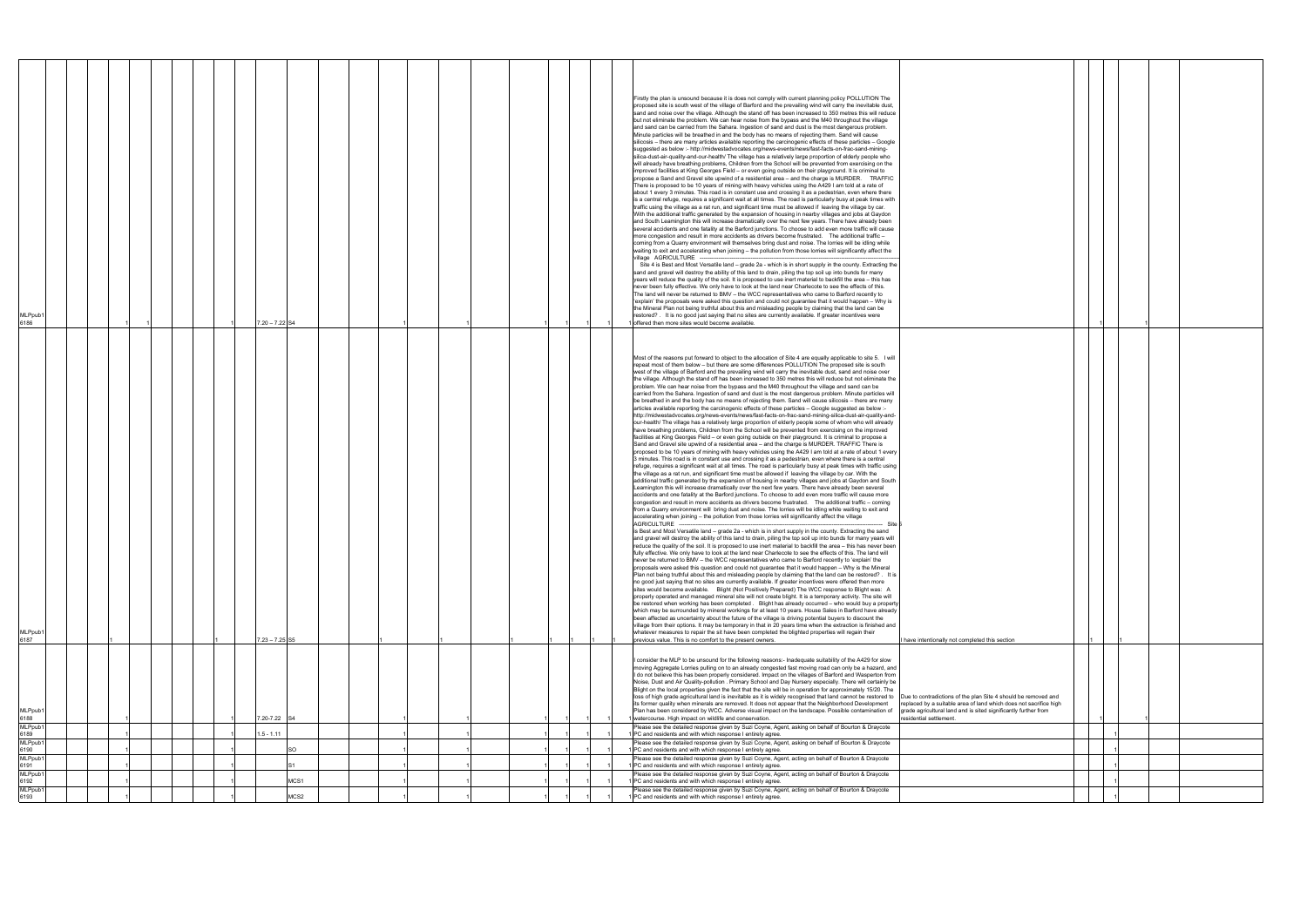|                                                                                                                                     | $\mathbf{1}$ |              | 1            |  |
|-------------------------------------------------------------------------------------------------------------------------------------|--------------|--------------|--------------|--|
|                                                                                                                                     |              |              |              |  |
|                                                                                                                                     |              |              |              |  |
|                                                                                                                                     |              |              |              |  |
|                                                                                                                                     |              |              |              |  |
|                                                                                                                                     |              |              |              |  |
|                                                                                                                                     |              |              |              |  |
|                                                                                                                                     |              |              |              |  |
|                                                                                                                                     |              |              |              |  |
|                                                                                                                                     |              |              |              |  |
|                                                                                                                                     |              |              |              |  |
|                                                                                                                                     |              |              |              |  |
|                                                                                                                                     |              |              |              |  |
|                                                                                                                                     |              |              |              |  |
|                                                                                                                                     |              |              |              |  |
|                                                                                                                                     |              |              |              |  |
|                                                                                                                                     |              |              |              |  |
|                                                                                                                                     |              |              |              |  |
|                                                                                                                                     |              |              |              |  |
|                                                                                                                                     |              |              |              |  |
|                                                                                                                                     |              |              |              |  |
|                                                                                                                                     |              |              |              |  |
| I have intentionally not completed this section                                                                                     | $\mathbf{1}$ |              | 1            |  |
|                                                                                                                                     |              |              |              |  |
|                                                                                                                                     |              |              |              |  |
|                                                                                                                                     |              |              |              |  |
| Due to contradictions of the plan Site 4 should be removed and<br>replaced by a suitable area of land which does not sacrifice high |              |              |              |  |
| grade agricultural land and is sited significantly further from<br>residential settlement.                                          | $\mathbf 1$  |              | $\mathbf{1}$ |  |
|                                                                                                                                     |              | 1            |              |  |
|                                                                                                                                     |              |              |              |  |
|                                                                                                                                     |              | $\mathbf{1}$ |              |  |
|                                                                                                                                     |              | 1            |              |  |
|                                                                                                                                     |              | 1            |              |  |
|                                                                                                                                     |              | $\mathbf{1}$ |              |  |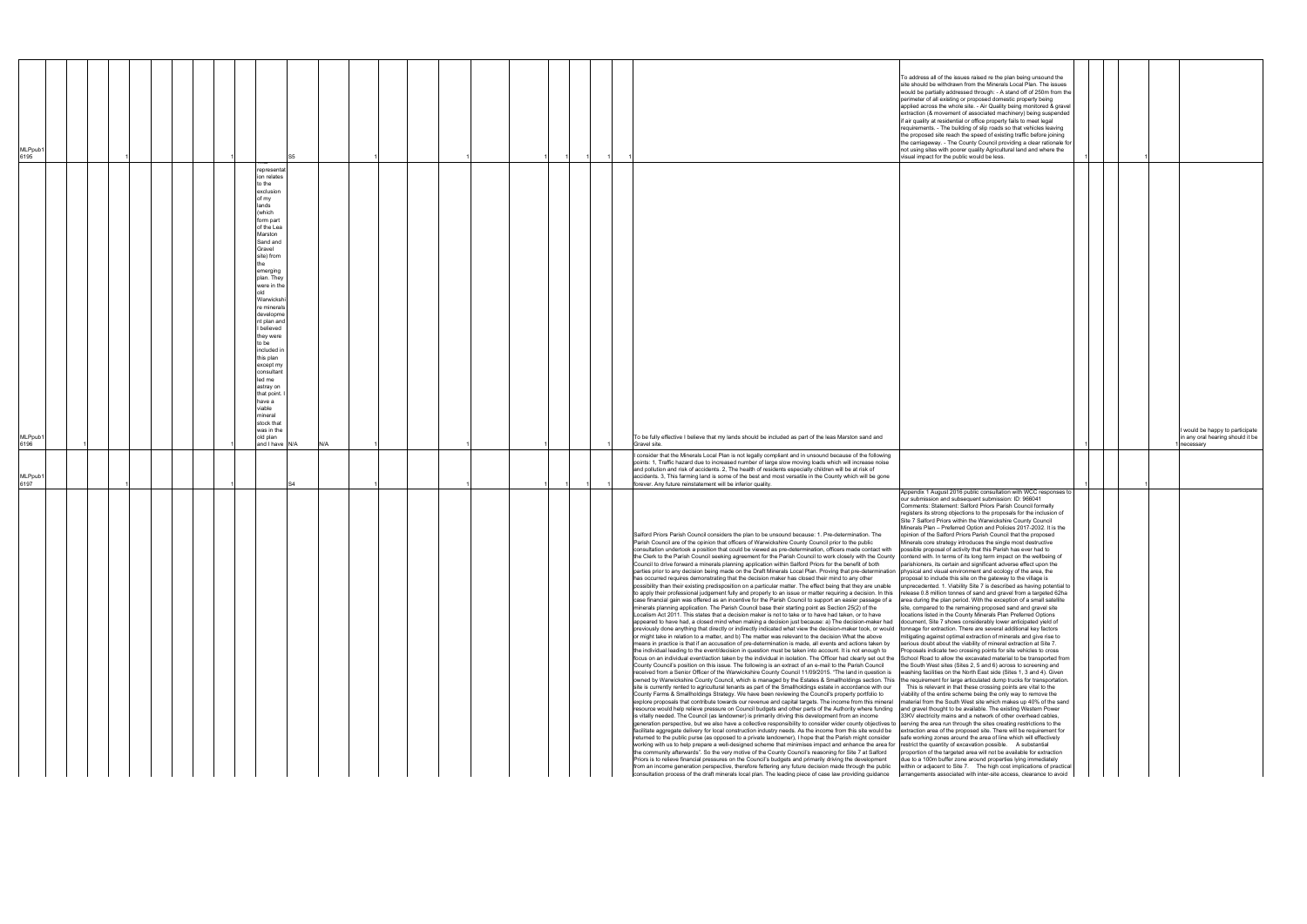|                                                                                                                                                                                                                                                                                                                                                                                                                                                                                                                                                                                                                                                                                                                                                                                                                                                                                                                                                                                                                                                                                                                                                                                                                                                                                                                                                                                                                                                                                                                                                                                                                                                                                                                                                                                                                                                                                                                                                                                                                                                                                                                                                                                                                                                                                                                                                                                                                                                                                                                                                                                                                                                                                                                                                                                                                                                                                                                                                                                                                                                                                                                                                                                                                                                                                                                                                                                                                                                                                                                                                                                                                                                                                                                                                                                                                                                                                                                                                                                                                                                                                                                                                                                                                                                                                                                                                                                                                                                                                                                                                                                                                                                                                                                                                                                                                                                                                                                                                                                                                                                                                                                                                                                                                                                                                                                                                                                                                                                                                                                                                                                                                                                                                                                                                                                                                                                                                                                                                                                                                                                                                                                                                                                                                                                                                                                                                                                                                                                                                                                                                                           | MLPpub1<br>6197                                                                                                                                                                                                                                                                                                                                                                                                                                                                                        | MLPpub1<br>6196                                                                                                                                                                                                                                                                                                                                                                                                                                                                  | MLPpub1<br>6195                                                                                                                                                                                                                                                                                                                                                                                                                                                                                                                                                                                                                                                                                                                                                                                                                                   |
|---------------------------------------------------------------------------------------------------------------------------------------------------------------------------------------------------------------------------------------------------------------------------------------------------------------------------------------------------------------------------------------------------------------------------------------------------------------------------------------------------------------------------------------------------------------------------------------------------------------------------------------------------------------------------------------------------------------------------------------------------------------------------------------------------------------------------------------------------------------------------------------------------------------------------------------------------------------------------------------------------------------------------------------------------------------------------------------------------------------------------------------------------------------------------------------------------------------------------------------------------------------------------------------------------------------------------------------------------------------------------------------------------------------------------------------------------------------------------------------------------------------------------------------------------------------------------------------------------------------------------------------------------------------------------------------------------------------------------------------------------------------------------------------------------------------------------------------------------------------------------------------------------------------------------------------------------------------------------------------------------------------------------------------------------------------------------------------------------------------------------------------------------------------------------------------------------------------------------------------------------------------------------------------------------------------------------------------------------------------------------------------------------------------------------------------------------------------------------------------------------------------------------------------------------------------------------------------------------------------------------------------------------------------------------------------------------------------------------------------------------------------------------------------------------------------------------------------------------------------------------------------------------------------------------------------------------------------------------------------------------------------------------------------------------------------------------------------------------------------------------------------------------------------------------------------------------------------------------------------------------------------------------------------------------------------------------------------------------------------------------------------------------------------------------------------------------------------------------------------------------------------------------------------------------------------------------------------------------------------------------------------------------------------------------------------------------------------------------------------------------------------------------------------------------------------------------------------------------------------------------------------------------------------------------------------------------------------------------------------------------------------------------------------------------------------------------------------------------------------------------------------------------------------------------------------------------------------------------------------------------------------------------------------------------------------------------------------------------------------------------------------------------------------------------------------------------------------------------------------------------------------------------------------------------------------------------------------------------------------------------------------------------------------------------------------------------------------------------------------------------------------------------------------------------------------------------------------------------------------------------------------------------------------------------------------------------------------------------------------------------------------------------------------------------------------------------------------------------------------------------------------------------------------------------------------------------------------------------------------------------------------------------------------------------------------------------------------------------------------------------------------------------------------------------------------------------------------------------------------------------------------------------------------------------------------------------------------------------------------------------------------------------------------------------------------------------------------------------------------------------------------------------------------------------------------------------------------------------------------------------------------------------------------------------------------------------------------------------------------------------------------------------------------------------------------------------------------------------------------------------------------------------------------------------------------------------------------------------------------------------------------------------------------------------------------------------------------------------------------------------------------------------------------------------------------------------------------------------------------------------------------------------------------------------------------------------|--------------------------------------------------------------------------------------------------------------------------------------------------------------------------------------------------------------------------------------------------------------------------------------------------------------------------------------------------------------------------------------------------------------------------------------------------------------------------------------------------------|----------------------------------------------------------------------------------------------------------------------------------------------------------------------------------------------------------------------------------------------------------------------------------------------------------------------------------------------------------------------------------------------------------------------------------------------------------------------------------|---------------------------------------------------------------------------------------------------------------------------------------------------------------------------------------------------------------------------------------------------------------------------------------------------------------------------------------------------------------------------------------------------------------------------------------------------------------------------------------------------------------------------------------------------------------------------------------------------------------------------------------------------------------------------------------------------------------------------------------------------------------------------------------------------------------------------------------------------|
|                                                                                                                                                                                                                                                                                                                                                                                                                                                                                                                                                                                                                                                                                                                                                                                                                                                                                                                                                                                                                                                                                                                                                                                                                                                                                                                                                                                                                                                                                                                                                                                                                                                                                                                                                                                                                                                                                                                                                                                                                                                                                                                                                                                                                                                                                                                                                                                                                                                                                                                                                                                                                                                                                                                                                                                                                                                                                                                                                                                                                                                                                                                                                                                                                                                                                                                                                                                                                                                                                                                                                                                                                                                                                                                                                                                                                                                                                                                                                                                                                                                                                                                                                                                                                                                                                                                                                                                                                                                                                                                                                                                                                                                                                                                                                                                                                                                                                                                                                                                                                                                                                                                                                                                                                                                                                                                                                                                                                                                                                                                                                                                                                                                                                                                                                                                                                                                                                                                                                                                                                                                                                                                                                                                                                                                                                                                                                                                                                                                                                                                                                                           |                                                                                                                                                                                                                                                                                                                                                                                                                                                                                                        |                                                                                                                                                                                                                                                                                                                                                                                                                                                                                  |                                                                                                                                                                                                                                                                                                                                                                                                                                                                                                                                                                                                                                                                                                                                                                                                                                                   |
|                                                                                                                                                                                                                                                                                                                                                                                                                                                                                                                                                                                                                                                                                                                                                                                                                                                                                                                                                                                                                                                                                                                                                                                                                                                                                                                                                                                                                                                                                                                                                                                                                                                                                                                                                                                                                                                                                                                                                                                                                                                                                                                                                                                                                                                                                                                                                                                                                                                                                                                                                                                                                                                                                                                                                                                                                                                                                                                                                                                                                                                                                                                                                                                                                                                                                                                                                                                                                                                                                                                                                                                                                                                                                                                                                                                                                                                                                                                                                                                                                                                                                                                                                                                                                                                                                                                                                                                                                                                                                                                                                                                                                                                                                                                                                                                                                                                                                                                                                                                                                                                                                                                                                                                                                                                                                                                                                                                                                                                                                                                                                                                                                                                                                                                                                                                                                                                                                                                                                                                                                                                                                                                                                                                                                                                                                                                                                                                                                                                                                                                                                                           |                                                                                                                                                                                                                                                                                                                                                                                                                                                                                                        |                                                                                                                                                                                                                                                                                                                                                                                                                                                                                  |                                                                                                                                                                                                                                                                                                                                                                                                                                                                                                                                                                                                                                                                                                                                                                                                                                                   |
|                                                                                                                                                                                                                                                                                                                                                                                                                                                                                                                                                                                                                                                                                                                                                                                                                                                                                                                                                                                                                                                                                                                                                                                                                                                                                                                                                                                                                                                                                                                                                                                                                                                                                                                                                                                                                                                                                                                                                                                                                                                                                                                                                                                                                                                                                                                                                                                                                                                                                                                                                                                                                                                                                                                                                                                                                                                                                                                                                                                                                                                                                                                                                                                                                                                                                                                                                                                                                                                                                                                                                                                                                                                                                                                                                                                                                                                                                                                                                                                                                                                                                                                                                                                                                                                                                                                                                                                                                                                                                                                                                                                                                                                                                                                                                                                                                                                                                                                                                                                                                                                                                                                                                                                                                                                                                                                                                                                                                                                                                                                                                                                                                                                                                                                                                                                                                                                                                                                                                                                                                                                                                                                                                                                                                                                                                                                                                                                                                                                                                                                                                                           |                                                                                                                                                                                                                                                                                                                                                                                                                                                                                                        |                                                                                                                                                                                                                                                                                                                                                                                                                                                                                  |                                                                                                                                                                                                                                                                                                                                                                                                                                                                                                                                                                                                                                                                                                                                                                                                                                                   |
|                                                                                                                                                                                                                                                                                                                                                                                                                                                                                                                                                                                                                                                                                                                                                                                                                                                                                                                                                                                                                                                                                                                                                                                                                                                                                                                                                                                                                                                                                                                                                                                                                                                                                                                                                                                                                                                                                                                                                                                                                                                                                                                                                                                                                                                                                                                                                                                                                                                                                                                                                                                                                                                                                                                                                                                                                                                                                                                                                                                                                                                                                                                                                                                                                                                                                                                                                                                                                                                                                                                                                                                                                                                                                                                                                                                                                                                                                                                                                                                                                                                                                                                                                                                                                                                                                                                                                                                                                                                                                                                                                                                                                                                                                                                                                                                                                                                                                                                                                                                                                                                                                                                                                                                                                                                                                                                                                                                                                                                                                                                                                                                                                                                                                                                                                                                                                                                                                                                                                                                                                                                                                                                                                                                                                                                                                                                                                                                                                                                                                                                                                                           |                                                                                                                                                                                                                                                                                                                                                                                                                                                                                                        |                                                                                                                                                                                                                                                                                                                                                                                                                                                                                  |                                                                                                                                                                                                                                                                                                                                                                                                                                                                                                                                                                                                                                                                                                                                                                                                                                                   |
|                                                                                                                                                                                                                                                                                                                                                                                                                                                                                                                                                                                                                                                                                                                                                                                                                                                                                                                                                                                                                                                                                                                                                                                                                                                                                                                                                                                                                                                                                                                                                                                                                                                                                                                                                                                                                                                                                                                                                                                                                                                                                                                                                                                                                                                                                                                                                                                                                                                                                                                                                                                                                                                                                                                                                                                                                                                                                                                                                                                                                                                                                                                                                                                                                                                                                                                                                                                                                                                                                                                                                                                                                                                                                                                                                                                                                                                                                                                                                                                                                                                                                                                                                                                                                                                                                                                                                                                                                                                                                                                                                                                                                                                                                                                                                                                                                                                                                                                                                                                                                                                                                                                                                                                                                                                                                                                                                                                                                                                                                                                                                                                                                                                                                                                                                                                                                                                                                                                                                                                                                                                                                                                                                                                                                                                                                                                                                                                                                                                                                                                                                                           |                                                                                                                                                                                                                                                                                                                                                                                                                                                                                                        |                                                                                                                                                                                                                                                                                                                                                                                                                                                                                  |                                                                                                                                                                                                                                                                                                                                                                                                                                                                                                                                                                                                                                                                                                                                                                                                                                                   |
|                                                                                                                                                                                                                                                                                                                                                                                                                                                                                                                                                                                                                                                                                                                                                                                                                                                                                                                                                                                                                                                                                                                                                                                                                                                                                                                                                                                                                                                                                                                                                                                                                                                                                                                                                                                                                                                                                                                                                                                                                                                                                                                                                                                                                                                                                                                                                                                                                                                                                                                                                                                                                                                                                                                                                                                                                                                                                                                                                                                                                                                                                                                                                                                                                                                                                                                                                                                                                                                                                                                                                                                                                                                                                                                                                                                                                                                                                                                                                                                                                                                                                                                                                                                                                                                                                                                                                                                                                                                                                                                                                                                                                                                                                                                                                                                                                                                                                                                                                                                                                                                                                                                                                                                                                                                                                                                                                                                                                                                                                                                                                                                                                                                                                                                                                                                                                                                                                                                                                                                                                                                                                                                                                                                                                                                                                                                                                                                                                                                                                                                                                                           |                                                                                                                                                                                                                                                                                                                                                                                                                                                                                                        |                                                                                                                                                                                                                                                                                                                                                                                                                                                                                  |                                                                                                                                                                                                                                                                                                                                                                                                                                                                                                                                                                                                                                                                                                                                                                                                                                                   |
|                                                                                                                                                                                                                                                                                                                                                                                                                                                                                                                                                                                                                                                                                                                                                                                                                                                                                                                                                                                                                                                                                                                                                                                                                                                                                                                                                                                                                                                                                                                                                                                                                                                                                                                                                                                                                                                                                                                                                                                                                                                                                                                                                                                                                                                                                                                                                                                                                                                                                                                                                                                                                                                                                                                                                                                                                                                                                                                                                                                                                                                                                                                                                                                                                                                                                                                                                                                                                                                                                                                                                                                                                                                                                                                                                                                                                                                                                                                                                                                                                                                                                                                                                                                                                                                                                                                                                                                                                                                                                                                                                                                                                                                                                                                                                                                                                                                                                                                                                                                                                                                                                                                                                                                                                                                                                                                                                                                                                                                                                                                                                                                                                                                                                                                                                                                                                                                                                                                                                                                                                                                                                                                                                                                                                                                                                                                                                                                                                                                                                                                                                                           |                                                                                                                                                                                                                                                                                                                                                                                                                                                                                                        |                                                                                                                                                                                                                                                                                                                                                                                                                                                                                  |                                                                                                                                                                                                                                                                                                                                                                                                                                                                                                                                                                                                                                                                                                                                                                                                                                                   |
|                                                                                                                                                                                                                                                                                                                                                                                                                                                                                                                                                                                                                                                                                                                                                                                                                                                                                                                                                                                                                                                                                                                                                                                                                                                                                                                                                                                                                                                                                                                                                                                                                                                                                                                                                                                                                                                                                                                                                                                                                                                                                                                                                                                                                                                                                                                                                                                                                                                                                                                                                                                                                                                                                                                                                                                                                                                                                                                                                                                                                                                                                                                                                                                                                                                                                                                                                                                                                                                                                                                                                                                                                                                                                                                                                                                                                                                                                                                                                                                                                                                                                                                                                                                                                                                                                                                                                                                                                                                                                                                                                                                                                                                                                                                                                                                                                                                                                                                                                                                                                                                                                                                                                                                                                                                                                                                                                                                                                                                                                                                                                                                                                                                                                                                                                                                                                                                                                                                                                                                                                                                                                                                                                                                                                                                                                                                                                                                                                                                                                                                                                                           |                                                                                                                                                                                                                                                                                                                                                                                                                                                                                                        | representat<br>ion relates<br>to the<br>exclusion<br>of my<br>lands<br>(which<br>form part<br>of the Lea<br>Marston<br>Sand and<br>Gravel<br>site) from<br>emerging<br>plan. They<br>were in the<br>Warwickshi<br>e minerals<br>developme<br>nt plan and<br>believed<br>they were<br>to be<br>included in<br>this plan<br>except my<br>consultant<br>led me<br>astray on<br>that point.<br>have a<br>viable<br>nineral<br>stock that<br>was in the<br>old plan<br>and I have N/A |                                                                                                                                                                                                                                                                                                                                                                                                                                                                                                                                                                                                                                                                                                                                                                                                                                                   |
|                                                                                                                                                                                                                                                                                                                                                                                                                                                                                                                                                                                                                                                                                                                                                                                                                                                                                                                                                                                                                                                                                                                                                                                                                                                                                                                                                                                                                                                                                                                                                                                                                                                                                                                                                                                                                                                                                                                                                                                                                                                                                                                                                                                                                                                                                                                                                                                                                                                                                                                                                                                                                                                                                                                                                                                                                                                                                                                                                                                                                                                                                                                                                                                                                                                                                                                                                                                                                                                                                                                                                                                                                                                                                                                                                                                                                                                                                                                                                                                                                                                                                                                                                                                                                                                                                                                                                                                                                                                                                                                                                                                                                                                                                                                                                                                                                                                                                                                                                                                                                                                                                                                                                                                                                                                                                                                                                                                                                                                                                                                                                                                                                                                                                                                                                                                                                                                                                                                                                                                                                                                                                                                                                                                                                                                                                                                                                                                                                                                                                                                                                                           |                                                                                                                                                                                                                                                                                                                                                                                                                                                                                                        |                                                                                                                                                                                                                                                                                                                                                                                                                                                                                  |                                                                                                                                                                                                                                                                                                                                                                                                                                                                                                                                                                                                                                                                                                                                                                                                                                                   |
|                                                                                                                                                                                                                                                                                                                                                                                                                                                                                                                                                                                                                                                                                                                                                                                                                                                                                                                                                                                                                                                                                                                                                                                                                                                                                                                                                                                                                                                                                                                                                                                                                                                                                                                                                                                                                                                                                                                                                                                                                                                                                                                                                                                                                                                                                                                                                                                                                                                                                                                                                                                                                                                                                                                                                                                                                                                                                                                                                                                                                                                                                                                                                                                                                                                                                                                                                                                                                                                                                                                                                                                                                                                                                                                                                                                                                                                                                                                                                                                                                                                                                                                                                                                                                                                                                                                                                                                                                                                                                                                                                                                                                                                                                                                                                                                                                                                                                                                                                                                                                                                                                                                                                                                                                                                                                                                                                                                                                                                                                                                                                                                                                                                                                                                                                                                                                                                                                                                                                                                                                                                                                                                                                                                                                                                                                                                                                                                                                                                                                                                                                                           |                                                                                                                                                                                                                                                                                                                                                                                                                                                                                                        | N/A                                                                                                                                                                                                                                                                                                                                                                                                                                                                              |                                                                                                                                                                                                                                                                                                                                                                                                                                                                                                                                                                                                                                                                                                                                                                                                                                                   |
|                                                                                                                                                                                                                                                                                                                                                                                                                                                                                                                                                                                                                                                                                                                                                                                                                                                                                                                                                                                                                                                                                                                                                                                                                                                                                                                                                                                                                                                                                                                                                                                                                                                                                                                                                                                                                                                                                                                                                                                                                                                                                                                                                                                                                                                                                                                                                                                                                                                                                                                                                                                                                                                                                                                                                                                                                                                                                                                                                                                                                                                                                                                                                                                                                                                                                                                                                                                                                                                                                                                                                                                                                                                                                                                                                                                                                                                                                                                                                                                                                                                                                                                                                                                                                                                                                                                                                                                                                                                                                                                                                                                                                                                                                                                                                                                                                                                                                                                                                                                                                                                                                                                                                                                                                                                                                                                                                                                                                                                                                                                                                                                                                                                                                                                                                                                                                                                                                                                                                                                                                                                                                                                                                                                                                                                                                                                                                                                                                                                                                                                                                                           |                                                                                                                                                                                                                                                                                                                                                                                                                                                                                                        |                                                                                                                                                                                                                                                                                                                                                                                                                                                                                  |                                                                                                                                                                                                                                                                                                                                                                                                                                                                                                                                                                                                                                                                                                                                                                                                                                                   |
|                                                                                                                                                                                                                                                                                                                                                                                                                                                                                                                                                                                                                                                                                                                                                                                                                                                                                                                                                                                                                                                                                                                                                                                                                                                                                                                                                                                                                                                                                                                                                                                                                                                                                                                                                                                                                                                                                                                                                                                                                                                                                                                                                                                                                                                                                                                                                                                                                                                                                                                                                                                                                                                                                                                                                                                                                                                                                                                                                                                                                                                                                                                                                                                                                                                                                                                                                                                                                                                                                                                                                                                                                                                                                                                                                                                                                                                                                                                                                                                                                                                                                                                                                                                                                                                                                                                                                                                                                                                                                                                                                                                                                                                                                                                                                                                                                                                                                                                                                                                                                                                                                                                                                                                                                                                                                                                                                                                                                                                                                                                                                                                                                                                                                                                                                                                                                                                                                                                                                                                                                                                                                                                                                                                                                                                                                                                                                                                                                                                                                                                                                                           |                                                                                                                                                                                                                                                                                                                                                                                                                                                                                                        |                                                                                                                                                                                                                                                                                                                                                                                                                                                                                  |                                                                                                                                                                                                                                                                                                                                                                                                                                                                                                                                                                                                                                                                                                                                                                                                                                                   |
|                                                                                                                                                                                                                                                                                                                                                                                                                                                                                                                                                                                                                                                                                                                                                                                                                                                                                                                                                                                                                                                                                                                                                                                                                                                                                                                                                                                                                                                                                                                                                                                                                                                                                                                                                                                                                                                                                                                                                                                                                                                                                                                                                                                                                                                                                                                                                                                                                                                                                                                                                                                                                                                                                                                                                                                                                                                                                                                                                                                                                                                                                                                                                                                                                                                                                                                                                                                                                                                                                                                                                                                                                                                                                                                                                                                                                                                                                                                                                                                                                                                                                                                                                                                                                                                                                                                                                                                                                                                                                                                                                                                                                                                                                                                                                                                                                                                                                                                                                                                                                                                                                                                                                                                                                                                                                                                                                                                                                                                                                                                                                                                                                                                                                                                                                                                                                                                                                                                                                                                                                                                                                                                                                                                                                                                                                                                                                                                                                                                                                                                                                                           |                                                                                                                                                                                                                                                                                                                                                                                                                                                                                                        |                                                                                                                                                                                                                                                                                                                                                                                                                                                                                  |                                                                                                                                                                                                                                                                                                                                                                                                                                                                                                                                                                                                                                                                                                                                                                                                                                                   |
|                                                                                                                                                                                                                                                                                                                                                                                                                                                                                                                                                                                                                                                                                                                                                                                                                                                                                                                                                                                                                                                                                                                                                                                                                                                                                                                                                                                                                                                                                                                                                                                                                                                                                                                                                                                                                                                                                                                                                                                                                                                                                                                                                                                                                                                                                                                                                                                                                                                                                                                                                                                                                                                                                                                                                                                                                                                                                                                                                                                                                                                                                                                                                                                                                                                                                                                                                                                                                                                                                                                                                                                                                                                                                                                                                                                                                                                                                                                                                                                                                                                                                                                                                                                                                                                                                                                                                                                                                                                                                                                                                                                                                                                                                                                                                                                                                                                                                                                                                                                                                                                                                                                                                                                                                                                                                                                                                                                                                                                                                                                                                                                                                                                                                                                                                                                                                                                                                                                                                                                                                                                                                                                                                                                                                                                                                                                                                                                                                                                                                                                                                                           |                                                                                                                                                                                                                                                                                                                                                                                                                                                                                                        |                                                                                                                                                                                                                                                                                                                                                                                                                                                                                  |                                                                                                                                                                                                                                                                                                                                                                                                                                                                                                                                                                                                                                                                                                                                                                                                                                                   |
|                                                                                                                                                                                                                                                                                                                                                                                                                                                                                                                                                                                                                                                                                                                                                                                                                                                                                                                                                                                                                                                                                                                                                                                                                                                                                                                                                                                                                                                                                                                                                                                                                                                                                                                                                                                                                                                                                                                                                                                                                                                                                                                                                                                                                                                                                                                                                                                                                                                                                                                                                                                                                                                                                                                                                                                                                                                                                                                                                                                                                                                                                                                                                                                                                                                                                                                                                                                                                                                                                                                                                                                                                                                                                                                                                                                                                                                                                                                                                                                                                                                                                                                                                                                                                                                                                                                                                                                                                                                                                                                                                                                                                                                                                                                                                                                                                                                                                                                                                                                                                                                                                                                                                                                                                                                                                                                                                                                                                                                                                                                                                                                                                                                                                                                                                                                                                                                                                                                                                                                                                                                                                                                                                                                                                                                                                                                                                                                                                                                                                                                                                                           |                                                                                                                                                                                                                                                                                                                                                                                                                                                                                                        |                                                                                                                                                                                                                                                                                                                                                                                                                                                                                  |                                                                                                                                                                                                                                                                                                                                                                                                                                                                                                                                                                                                                                                                                                                                                                                                                                                   |
|                                                                                                                                                                                                                                                                                                                                                                                                                                                                                                                                                                                                                                                                                                                                                                                                                                                                                                                                                                                                                                                                                                                                                                                                                                                                                                                                                                                                                                                                                                                                                                                                                                                                                                                                                                                                                                                                                                                                                                                                                                                                                                                                                                                                                                                                                                                                                                                                                                                                                                                                                                                                                                                                                                                                                                                                                                                                                                                                                                                                                                                                                                                                                                                                                                                                                                                                                                                                                                                                                                                                                                                                                                                                                                                                                                                                                                                                                                                                                                                                                                                                                                                                                                                                                                                                                                                                                                                                                                                                                                                                                                                                                                                                                                                                                                                                                                                                                                                                                                                                                                                                                                                                                                                                                                                                                                                                                                                                                                                                                                                                                                                                                                                                                                                                                                                                                                                                                                                                                                                                                                                                                                                                                                                                                                                                                                                                                                                                                                                                                                                                                                           |                                                                                                                                                                                                                                                                                                                                                                                                                                                                                                        |                                                                                                                                                                                                                                                                                                                                                                                                                                                                                  |                                                                                                                                                                                                                                                                                                                                                                                                                                                                                                                                                                                                                                                                                                                                                                                                                                                   |
|                                                                                                                                                                                                                                                                                                                                                                                                                                                                                                                                                                                                                                                                                                                                                                                                                                                                                                                                                                                                                                                                                                                                                                                                                                                                                                                                                                                                                                                                                                                                                                                                                                                                                                                                                                                                                                                                                                                                                                                                                                                                                                                                                                                                                                                                                                                                                                                                                                                                                                                                                                                                                                                                                                                                                                                                                                                                                                                                                                                                                                                                                                                                                                                                                                                                                                                                                                                                                                                                                                                                                                                                                                                                                                                                                                                                                                                                                                                                                                                                                                                                                                                                                                                                                                                                                                                                                                                                                                                                                                                                                                                                                                                                                                                                                                                                                                                                                                                                                                                                                                                                                                                                                                                                                                                                                                                                                                                                                                                                                                                                                                                                                                                                                                                                                                                                                                                                                                                                                                                                                                                                                                                                                                                                                                                                                                                                                                                                                                                                                                                                                                           |                                                                                                                                                                                                                                                                                                                                                                                                                                                                                                        |                                                                                                                                                                                                                                                                                                                                                                                                                                                                                  |                                                                                                                                                                                                                                                                                                                                                                                                                                                                                                                                                                                                                                                                                                                                                                                                                                                   |
|                                                                                                                                                                                                                                                                                                                                                                                                                                                                                                                                                                                                                                                                                                                                                                                                                                                                                                                                                                                                                                                                                                                                                                                                                                                                                                                                                                                                                                                                                                                                                                                                                                                                                                                                                                                                                                                                                                                                                                                                                                                                                                                                                                                                                                                                                                                                                                                                                                                                                                                                                                                                                                                                                                                                                                                                                                                                                                                                                                                                                                                                                                                                                                                                                                                                                                                                                                                                                                                                                                                                                                                                                                                                                                                                                                                                                                                                                                                                                                                                                                                                                                                                                                                                                                                                                                                                                                                                                                                                                                                                                                                                                                                                                                                                                                                                                                                                                                                                                                                                                                                                                                                                                                                                                                                                                                                                                                                                                                                                                                                                                                                                                                                                                                                                                                                                                                                                                                                                                                                                                                                                                                                                                                                                                                                                                                                                                                                                                                                                                                                                                                           |                                                                                                                                                                                                                                                                                                                                                                                                                                                                                                        |                                                                                                                                                                                                                                                                                                                                                                                                                                                                                  |                                                                                                                                                                                                                                                                                                                                                                                                                                                                                                                                                                                                                                                                                                                                                                                                                                                   |
|                                                                                                                                                                                                                                                                                                                                                                                                                                                                                                                                                                                                                                                                                                                                                                                                                                                                                                                                                                                                                                                                                                                                                                                                                                                                                                                                                                                                                                                                                                                                                                                                                                                                                                                                                                                                                                                                                                                                                                                                                                                                                                                                                                                                                                                                                                                                                                                                                                                                                                                                                                                                                                                                                                                                                                                                                                                                                                                                                                                                                                                                                                                                                                                                                                                                                                                                                                                                                                                                                                                                                                                                                                                                                                                                                                                                                                                                                                                                                                                                                                                                                                                                                                                                                                                                                                                                                                                                                                                                                                                                                                                                                                                                                                                                                                                                                                                                                                                                                                                                                                                                                                                                                                                                                                                                                                                                                                                                                                                                                                                                                                                                                                                                                                                                                                                                                                                                                                                                                                                                                                                                                                                                                                                                                                                                                                                                                                                                                                                                                                                                                                           |                                                                                                                                                                                                                                                                                                                                                                                                                                                                                                        |                                                                                                                                                                                                                                                                                                                                                                                                                                                                                  |                                                                                                                                                                                                                                                                                                                                                                                                                                                                                                                                                                                                                                                                                                                                                                                                                                                   |
|                                                                                                                                                                                                                                                                                                                                                                                                                                                                                                                                                                                                                                                                                                                                                                                                                                                                                                                                                                                                                                                                                                                                                                                                                                                                                                                                                                                                                                                                                                                                                                                                                                                                                                                                                                                                                                                                                                                                                                                                                                                                                                                                                                                                                                                                                                                                                                                                                                                                                                                                                                                                                                                                                                                                                                                                                                                                                                                                                                                                                                                                                                                                                                                                                                                                                                                                                                                                                                                                                                                                                                                                                                                                                                                                                                                                                                                                                                                                                                                                                                                                                                                                                                                                                                                                                                                                                                                                                                                                                                                                                                                                                                                                                                                                                                                                                                                                                                                                                                                                                                                                                                                                                                                                                                                                                                                                                                                                                                                                                                                                                                                                                                                                                                                                                                                                                                                                                                                                                                                                                                                                                                                                                                                                                                                                                                                                                                                                                                                                                                                                                                           |                                                                                                                                                                                                                                                                                                                                                                                                                                                                                                        |                                                                                                                                                                                                                                                                                                                                                                                                                                                                                  |                                                                                                                                                                                                                                                                                                                                                                                                                                                                                                                                                                                                                                                                                                                                                                                                                                                   |
| Appendix 1 August 2016 public consultation with WCC responses to<br>our submission and subsequent submission: ID: 966041<br>Comments: Statement: Salford Priors Parish Council formally<br>registers its strong objections to the proposals for the inclusion of<br>Site 7 Salford Priors within the Warwickshire County Council<br>Minerals Plan - Preferred Option and Policies 2017-2032. It is the<br>opinion of the Salford Priors Parish Council that the proposed<br>Salford Priors Parish Council considers the plan to be unsound because: 1. Pre-determination. The<br>Parish Council are of the opinion that officers of Warwickshire County Council prior to the public<br>Minerals core strategy introduces the single most destructive<br>consultation undertook a position that could be viewed as pre-determination, officers made contact with<br>possible proposal of activity that this Parish has ever had to<br>the Clerk to the Parish Council seeking agreement for the Parish Council to work closely with the County contend with. In terms of its long term impact on the wellbeing of<br>Council to drive forward a minerals planning application within Salford Priors for the benefit of both<br>parishioners, its certain and significant adverse effect upon the<br>parties prior to any decision being made on the Draft Minerals Local Plan. Proving that pre-determination physical and visual environment and ecology of the area, the<br>has occurred requires demonstrating that the decision maker has closed their mind to any other<br>proposal to include this site on the gateway to the village is<br>possibility than their existing predisposition on a particular matter. The effect being that they are unable<br>unprecedented. 1. Viability Site 7 is described as having potential to<br>to apply their professional judgement fully and properly to an issue or matter requiring a decision. In this<br>release 0.8 million tonnes of sand and gravel from a targeted 62ha<br>case financial gain was offered as an incentive for the Parish Council to support an easier passage of a area during the plan period. With the exception of a small satellite<br>minerals planning application. The Parish Council base their starting point as Section 25(2) of the<br>site, compared to the remaining proposed sand and gravel site<br>Localism Act 2011. This states that a decision maker is not to take or to have had taken, or to have<br>locations listed in the County Minerals Plan Preferred Options<br>appeared to have had, a closed mind when making a decision just because: a) The decision-maker had<br>document, Site 7 shows considerably lower anticipated yield of<br>previously done anything that directly or indirectly indicated what view the decision-maker took, or would<br>tonnage for extraction. There are several additional key factors<br>or might take in relation to a matter, and b) The matter was relevant to the decision What the above<br>iitigating against optimal extraction of minerals and give rise to<br>means in practice is that if an accusation of pre-determination is made, all events and actions taken by<br>serious doubt about the viability of mineral extraction at Site 7.<br>the individual leading to the event/decision in question must be taken into account. It is not enough to<br>Proposals indicate two crossing points for site vehicles to cross<br>focus on an individual event/action taken by the individual in isolation. The Officer had clearly set out the<br>School Road to allow the excavated material to be transported from<br>County Council's position on this issue. The following is an extract of an e-mail to the Parish Council<br>the South West sites (Sites 2, 5 and 6) across to screening and<br>received from a Senior Officer of the Warwickshire County Council 11/09/2015. "The land in question is<br>washing facilities on the North East side (Sites 1, 3 and 4). Given<br>owned by Warwickshire County Council, which is managed by the Estates & Smallholdings section. This the requirement for large articulated dump trucks for transportation.<br>site is currently rented to agricultural tenants as part of the Smallholdings estate in accordance with our<br>This is relevant in that these crossing points are vital to the<br>County Farms & Smallholdings Strategy. We have been reviewing the Council's property portfolio to<br>viability of the entire scheme being the only way to remove the<br>explore proposals that contribute towards our revenue and capital targets. The income from this mineral<br>material from the South West site which makes up 40% of the sand<br>resource would help relieve pressure on Council budgets and other parts of the Authority where funding<br>and gravel thought to be available. The existing Western Power<br>is vitally needed. The Council (as landowner) is primarily driving this development from an income<br>33KV electricity mains and a network of other overhead cables,<br>generation perspective, but we also have a collective responsibility to consider wider county objectives to serving the area run through the sites creating restrictions to the<br>facilitate aggregate delivery for local construction industry needs. As the income from this site would be<br>extraction area of the proposed site. There will be requirement for<br>returned to the public purse (as opposed to a private landowner), I hope that the Parish might consider<br>safe working zones around the area of line which will effectively<br>working with us to help prepare a well-designed scheme that minimises impact and enhance the area for restrict the quantity of excavation possible. A substantial<br>the community afterwards". So the very motive of the County Council's reasoning for Site 7 at Salford<br>proportion of the targeted area will not be available for extraction<br>Priors is to relieve financial pressures on the Council's budgets and primarily driving the development<br>due to a 100m buffer zone around properties lying immediately<br>from an income generation perspective, therefore fettering any future decision made through the public<br>within or adjacent to Site 7. The high cost implications of practical<br>consultation process of the draft minerals local plan. The leading piece of case law providing guidance<br>arrangements associated with inter-site access, clearance to avoid | I consider that the Minerals Local Plan is not legally compliant and in unsound because of the following<br>points: 1, Traffic hazard due to increased number of large slow moving loads which will increase noise<br>and pollution and risk of accidents. 2, The health of residents especially children will be at risk of<br>accidents. 3, This farming land is some of the best and most versatile in the County which will be gone<br>forever. Any future reinstatement will be inferior quality. | To be fully effective I believe that my lands should be included as part of the leas Marston sand and<br>Gravel site.<br>necessary                                                                                                                                                                                                                                                                                                                                               | To address all of the issues raised re the plan being unsound the<br>site should be withdrawn from the Minerals Local Plan. The issues<br>would be partially addressed through: - A stand off of 250m from the<br>perimeter of all existing or proposed domestic property being<br>applied across the whole site. - Air Quality being monitored & gravel<br>extraction (& movement of associated machinery) being suspended<br>if air quality at residential or office property fails to meet legal<br>requirements. - The building of slip roads so that vehicles leaving<br>the proposed site reach the speed of existing traffic before joining<br>the carriageway. - The County Council providing a clear rationale for<br>not using sites with poorer quality Agricultural land and where the<br>visual impact for the public would be less. |
|                                                                                                                                                                                                                                                                                                                                                                                                                                                                                                                                                                                                                                                                                                                                                                                                                                                                                                                                                                                                                                                                                                                                                                                                                                                                                                                                                                                                                                                                                                                                                                                                                                                                                                                                                                                                                                                                                                                                                                                                                                                                                                                                                                                                                                                                                                                                                                                                                                                                                                                                                                                                                                                                                                                                                                                                                                                                                                                                                                                                                                                                                                                                                                                                                                                                                                                                                                                                                                                                                                                                                                                                                                                                                                                                                                                                                                                                                                                                                                                                                                                                                                                                                                                                                                                                                                                                                                                                                                                                                                                                                                                                                                                                                                                                                                                                                                                                                                                                                                                                                                                                                                                                                                                                                                                                                                                                                                                                                                                                                                                                                                                                                                                                                                                                                                                                                                                                                                                                                                                                                                                                                                                                                                                                                                                                                                                                                                                                                                                                                                                                                                           |                                                                                                                                                                                                                                                                                                                                                                                                                                                                                                        | I would be happy to participate<br>in any oral hearing should it be                                                                                                                                                                                                                                                                                                                                                                                                              |                                                                                                                                                                                                                                                                                                                                                                                                                                                                                                                                                                                                                                                                                                                                                                                                                                                   |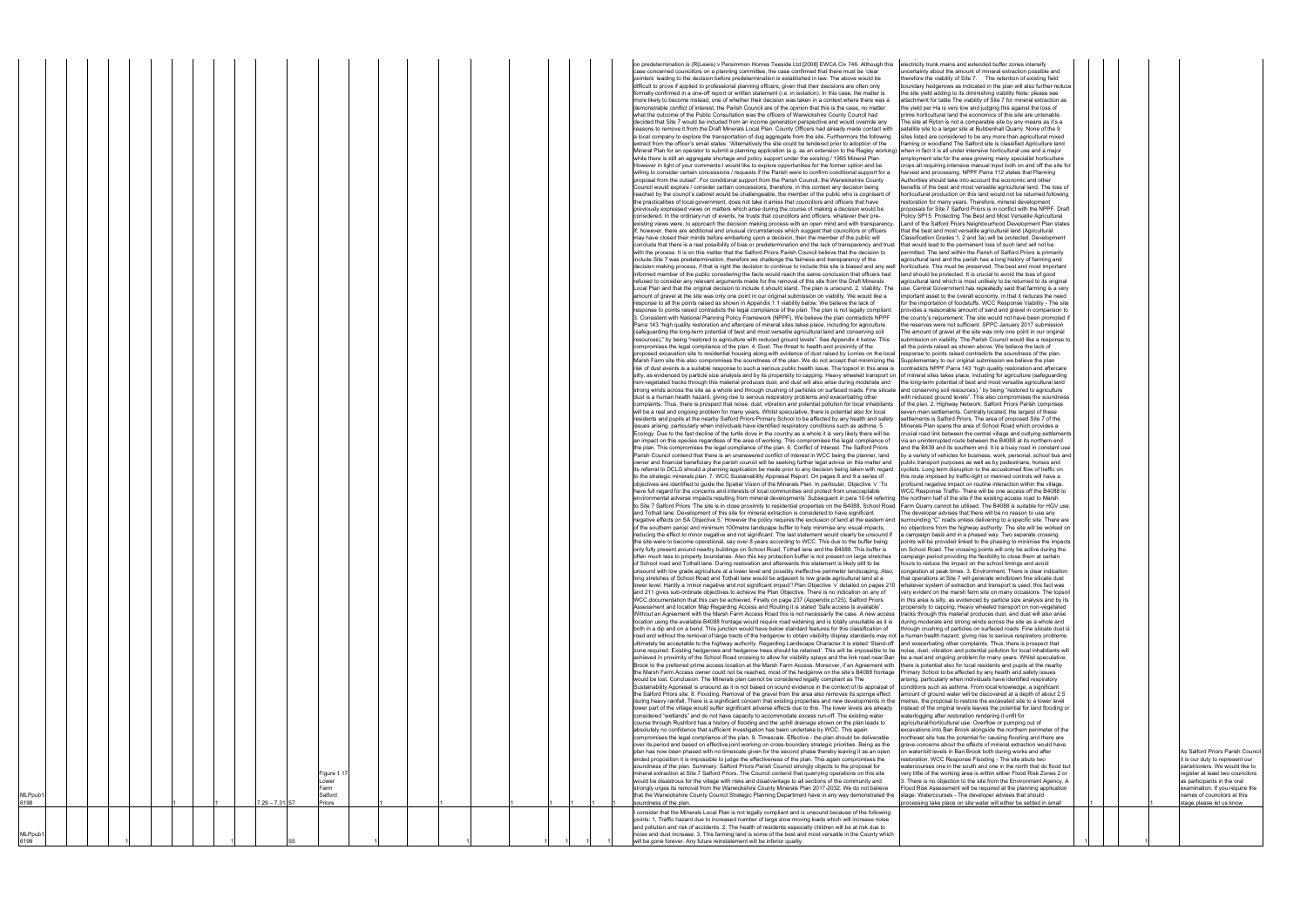| electricity trunk mains and extended buffer zones intensify<br>uncertainty about the amount of mineral extraction possible and<br>therefore the viability of Site 7.<br>The retention of existing field<br>boundary hedgerows as indicated in the plan will also further reduce<br>the site yield adding to its diminishing viability Note: please see<br>attachment for table The viability of Site 7 for mineral extraction as<br>the yield per Ha is very low and judging this against the loss of<br>prime horticultural land the economics of this site are untenable.<br>The site at Ryton is not a comparable site by any means as it's a<br>satellite site to a larger site at Bubbenhall Quarry. None of the 9<br>sites listed are considered to be any more than agricultural mixed<br>framing or woodland The Salford site is classified Agriculture land<br>when in fact it is all under intensive horticultural use and a major<br>employment site for the area growing many specialist horticulture<br>crops all requiring intensive manual input both on and off the site for<br>harvest and processing. NPPF Parra 112 states that Planning<br>Authorities should take into account the economic and other<br>benefits of the best and most versatile agricultural land. The loss of<br>horticultural production on this land would not be returned following<br>restoration for many years. Therefore, mineral development<br>proposals for Site 7 Salford Priors is in conflict with the NPPF. Draft<br>Policy SP15: Protecting The Best and Most Versatile Agricultural<br>Land of the Salford Priors Neighbourhood Development Plan states<br>that the best and most versatile agricultural land (Agricultural<br>Classification Grades 1, 2 and 3a) will be protected. Development<br>that would lead to the permanent loss of such land will not be<br>permitted. The land within the Parish of Salford Priors is primarily<br>agricultural land and the parish has a long history of farming and<br>horticulture. This must be preserved. The best and most important<br>land should be protected. It is crucial to avoid the loss of good<br>agricultural land which is most unlikely to be returned to its original<br>use. Central Government has repeatedly said that farming is a very<br>important asset to the overall economy, in that it reduces the need<br>for the importation of foodstuffs. WCC Response Viability - The site<br>provides a reasonable amount of sand and gravel in comparison to<br>the county's requirement. The site would not have been promoted if<br>the reserves were not sufficient. SPPC January 2017 submission<br>The amount of gravel at the site was only one point in our original<br>submission on viability. The Parish Council would like a response to<br>all the points raised as shown above. We believe the lack of<br>response to points raised contradicts the soundness of the plan.<br>Supplementary to our original submission we believe the plan<br>contradicts NPPF Parra 143 "high quality restoration and aftercare<br>of mineral sites takes place, including for agriculture (safeguarding<br>the long-term potential of best and most versatile agricultural land<br>and conserving soil resources)," by being "restored to agriculture<br>with reduced ground levels". This also compromises the soundness<br>of the plan. 2. Highway Network. Salford Priors Parish comprises<br>seven main settlements. Centrally located, the largest of these<br>settlements is Salford Priors. The area of proposed Site 7 of the<br>Minerals Plan spans the area of School Road which provides a<br>crucial road link between the central village and outlying settlements<br>via an uninterrupted route between the B4088 at its northern end<br>and the B439 and its southern end. It is a busy road in constant use<br>by a variety of vehicles for business, work, personal, school bus and<br>public transport purposes as well as by pedestrians, horses and<br>cyclists. Long term disruption to the accustomed flow of traffic on<br>this route imposed by traffic-light or manned controls will have a<br>profound negative impact on routine interaction within the village.<br>WCC Response Traffic- There will be one access off the B4088 to<br>the northern half of the site if the existing access road to Marsh<br>Farm Quarry cannot be utilised. The B4088 is suitable for HGV use.<br>The developer advises that there will be no reason to use any<br>surrounding "C" roads unless delivering to a specific site. There are<br>no objections from the highway authority. The site will be worked on<br>a campaign basis and in a phased way. Two separate crossing<br>points will be provided linked to the phasing to minimise the impacts<br>on School Road. The crossing points will only be active during the<br>campaign period providing the flexibility to close them at certain<br>hours to reduce the impact on the school timings and avoid<br>congestion at peak times. 3. Environment. There is clear indication<br>that operations at Site 7 will generate windblown fine silicate dust<br>whatever system of extraction and transport is used; this fact was<br>very evident on the marsh farm site on many occasions. The topsoil<br>in this area is silty, as evidenced by particle size analysis and by its<br>propensity to capping. Heavy wheeled transport on non-vegetated<br>tracks through this material produces dust, and dust will also arise<br>during moderate and strong winds across the site as a whole and<br>through crushing of particles on surfaced roads. Fine silicate dust is<br>a human health hazard, giving rise to serious respiratory problems<br>and exacerbating other complaints. Thus, there is prospect that<br>noise, dust, vibration and potential pollution for local inhabitants will<br>be a real and ongoing problem for many years. Whilst speculative,<br>there is potential also for local residents and pupils at the nearby<br>Primary School to be affected by any health and safety issues<br>arising, particularly when individuals have identified respiratory<br>conditions such as asthma. From local knowledge, a significant<br>amount of ground water will be discovered at a depth of about 2.5<br>metres, the proposal to restore the excavated site to a lower level<br>instead of the original levels leaves the potential for land flooding or<br>waterlogging after restoration rendering it unfit for<br>agricultural/horticultural use. Overflow or pumping out of<br>excavations into Ban Brook alongside the northern perimeter of the<br>northeast site has the potential for causing flooding and there are<br>grave concerns about the effects of mineral extraction would have |  |  |                                                                                                                                                                                                                                                                         |
|--------------------------------------------------------------------------------------------------------------------------------------------------------------------------------------------------------------------------------------------------------------------------------------------------------------------------------------------------------------------------------------------------------------------------------------------------------------------------------------------------------------------------------------------------------------------------------------------------------------------------------------------------------------------------------------------------------------------------------------------------------------------------------------------------------------------------------------------------------------------------------------------------------------------------------------------------------------------------------------------------------------------------------------------------------------------------------------------------------------------------------------------------------------------------------------------------------------------------------------------------------------------------------------------------------------------------------------------------------------------------------------------------------------------------------------------------------------------------------------------------------------------------------------------------------------------------------------------------------------------------------------------------------------------------------------------------------------------------------------------------------------------------------------------------------------------------------------------------------------------------------------------------------------------------------------------------------------------------------------------------------------------------------------------------------------------------------------------------------------------------------------------------------------------------------------------------------------------------------------------------------------------------------------------------------------------------------------------------------------------------------------------------------------------------------------------------------------------------------------------------------------------------------------------------------------------------------------------------------------------------------------------------------------------------------------------------------------------------------------------------------------------------------------------------------------------------------------------------------------------------------------------------------------------------------------------------------------------------------------------------------------------------------------------------------------------------------------------------------------------------------------------------------------------------------------------------------------------------------------------------------------------------------------------------------------------------------------------------------------------------------------------------------------------------------------------------------------------------------------------------------------------------------------------------------------------------------------------------------------------------------------------------------------------------------------------------------------------------------------------------------------------------------------------------------------------------------------------------------------------------------------------------------------------------------------------------------------------------------------------------------------------------------------------------------------------------------------------------------------------------------------------------------------------------------------------------------------------------------------------------------------------------------------------------------------------------------------------------------------------------------------------------------------------------------------------------------------------------------------------------------------------------------------------------------------------------------------------------------------------------------------------------------------------------------------------------------------------------------------------------------------------------------------------------------------------------------------------------------------------------------------------------------------------------------------------------------------------------------------------------------------------------------------------------------------------------------------------------------------------------------------------------------------------------------------------------------------------------------------------------------------------------------------------------------------------------------------------------------------------------------------------------------------------------------------------------------------------------------------------------------------------------------------------------------------------------------------------------------------------------------------------------------------------------------------------------------------------------------------------------------------------------------------------------------------------------------------------------------------------------------------------------------------------------------------------------------------------------------------------------------------------------------------------------------------------------------------------------------------------------------------------------------------------------------------------------------------------------------------------------------------------------------------------------------------------------------------------------------------------------------------------------------------------------------------------------------------------------------------------------------------------------------------------------------------------------------------------------------------------------------------------------------------------------------------------------------------------------------------------------------------------------------------------------------------------------------------------------------------------|--|--|-------------------------------------------------------------------------------------------------------------------------------------------------------------------------------------------------------------------------------------------------------------------------|
| on water/silt levels in Ban Brook both during works and after<br>restoration. WCC Response Flooding - The site abuts two<br>watercourses one in the south and one in the north that do flood but<br>very little of the working area is within either Flood Risk Zones 2 or<br>3. There is no objection to the site from the Environment Agency. A<br>Flood Risk Assessment will be required at the planning application<br>stage. Watercourses - The developer advises that should<br>processing take place on site water will either be settled in small                                                                                                                                                                                                                                                                                                                                                                                                                                                                                                                                                                                                                                                                                                                                                                                                                                                                                                                                                                                                                                                                                                                                                                                                                                                                                                                                                                                                                                                                                                                                                                                                                                                                                                                                                                                                                                                                                                                                                                                                                                                                                                                                                                                                                                                                                                                                                                                                                                                                                                                                                                                                                                                                                                                                                                                                                                                                                                                                                                                                                                                                                                                                                                                                                                                                                                                                                                                                                                                                                                                                                                                                                                                                                                                                                                                                                                                                                                                                                                                                                                                                                                                                                                                                                                                                                                                                                                                                                                                                                                                                                                                                                                                                                                                                                                                                                                                                                                                                                                                                                                                                                                                                                                                                                                                                                                                                                                                                                                                                                                                                                                                                                                                                                                                                                                                                                                                                                                                                                                                                                                                                                                                                                                                                                                                                                                          |  |  | As Salford Priors Parish Council<br>it is our duty to represent our<br>parishioners. We would like to<br>register at least two councilors<br>as participants in the oral<br>examination. If you require the<br>names of councilors at this<br>stage please let us know. |
|                                                                                                                                                                                                                                                                                                                                                                                                                                                                                                                                                                                                                                                                                                                                                                                                                                                                                                                                                                                                                                                                                                                                                                                                                                                                                                                                                                                                                                                                                                                                                                                                                                                                                                                                                                                                                                                                                                                                                                                                                                                                                                                                                                                                                                                                                                                                                                                                                                                                                                                                                                                                                                                                                                                                                                                                                                                                                                                                                                                                                                                                                                                                                                                                                                                                                                                                                                                                                                                                                                                                                                                                                                                                                                                                                                                                                                                                                                                                                                                                                                                                                                                                                                                                                                                                                                                                                                                                                                                                                                                                                                                                                                                                                                                                                                                                                                                                                                                                                                                                                                                                                                                                                                                                                                                                                                                                                                                                                                                                                                                                                                                                                                                                                                                                                                                                                                                                                                                                                                                                                                                                                                                                                                                                                                                                                                                                                                                                                                                                                                                                                                                                                                                                                                                                                                                                                                                                    |  |  |                                                                                                                                                                                                                                                                         |

| MLPpub <sup>.</sup><br>6199 |  |  |  |                |                                                   |  |  |  |  | points: 1, Traffic hazard due to increased number of large slow moving loads which will increase noise<br>and pollution and risk of accidents. 2, The health of residents especially children will be at risk due to<br>noise and dust increase. 3, This farming land is some of the best and most versatile in the County which<br>will be gone forever. Any future reinstatement will be inferior quality.                                                                                                                                                                                                                                                                                                                                                                                                                                                                                                                                                                                                                                                                                                                                                                                                                                                                                                                                                                                                                                                                                                                                                                                                                                                                                                                                                                                                                                                                                                                                                                                                                                                                                                                                                                                                                                                                                                                                                                                                                                                                                                                                                                                                                                                                                                                                                                                                                                                                                                                                                                                                                                                                                                                                                                                                                                                                                                                                                                                                                                                                                                                                                                                                                                                                                                                                                                                                                                                                                                                                                                                                                                                                                                                                                                                                                                                                                                                                                                                                                                                                                                                                                                                                                                                                                                                                                                                                                                                                                                                                                                                                                                                                                                                                                                                                                                                                                                                                                                                                                                                                                                                                                                                                                                                                                                                                                                                                                                                                                                                                                                                                                                                                                                                                                                                                                                                                                                                                                                                                                                                                                                                                                                                                                                                                                                                                                                                                                                                                                                                                                                                                                                                                                                                                                                                                                                                                                                                                                                                                                                                                                                                                                                                                                                                                                                                                                                                                                                                                                                                                                                                                                                                                                                                                                                                                                                                                                                                                                                                                                                                                                                                                                                                                                                                                                                                                                                                                                                                                                                                                                                                                                                                                                                                                                                                                                                                                                                                                                                                                                                                                                                                                                                                                                                                                                                                                                                                                                                                                                                                                                                                                                                                                                                                                                                                                                                                                                                                                                                                                                                                                                                                                                                                                                                                                                                                                                                                                                                                                                                                                                                                                                                                                       |                                                                                                                                                                                                                                                                                                                                                                                                                                                                                                                                                                                                                                                                                                                                                                                                                                                                                                                                                                                                                                                                                                                                                                                                                                                                                                                                                                                                                                                                                                                                                                                                                                                                                                                                                                                                                                                                                                                                                                                                                                                                                                                                                                                                                                                                                                                                                                                                                                                                                                                                                                                                                                                                                                                                                                                                                                                                                                                                                                                                                                                                                                                                                                                                                                                                                                                                                                                                                                                                                                                                                                                                                                                                                                                                                                                                                                                                                                                                                                                                                                                                                                                                                                                                                                                                                                                                                                                                                                                                                                                                                                                                                                                                                                                                                                                                                                                                                                                                                                                                                                                                                                                                                                                                             |
|-----------------------------|--|--|--|----------------|---------------------------------------------------|--|--|--|--|------------------------------------------------------------------------------------------------------------------------------------------------------------------------------------------------------------------------------------------------------------------------------------------------------------------------------------------------------------------------------------------------------------------------------------------------------------------------------------------------------------------------------------------------------------------------------------------------------------------------------------------------------------------------------------------------------------------------------------------------------------------------------------------------------------------------------------------------------------------------------------------------------------------------------------------------------------------------------------------------------------------------------------------------------------------------------------------------------------------------------------------------------------------------------------------------------------------------------------------------------------------------------------------------------------------------------------------------------------------------------------------------------------------------------------------------------------------------------------------------------------------------------------------------------------------------------------------------------------------------------------------------------------------------------------------------------------------------------------------------------------------------------------------------------------------------------------------------------------------------------------------------------------------------------------------------------------------------------------------------------------------------------------------------------------------------------------------------------------------------------------------------------------------------------------------------------------------------------------------------------------------------------------------------------------------------------------------------------------------------------------------------------------------------------------------------------------------------------------------------------------------------------------------------------------------------------------------------------------------------------------------------------------------------------------------------------------------------------------------------------------------------------------------------------------------------------------------------------------------------------------------------------------------------------------------------------------------------------------------------------------------------------------------------------------------------------------------------------------------------------------------------------------------------------------------------------------------------------------------------------------------------------------------------------------------------------------------------------------------------------------------------------------------------------------------------------------------------------------------------------------------------------------------------------------------------------------------------------------------------------------------------------------------------------------------------------------------------------------------------------------------------------------------------------------------------------------------------------------------------------------------------------------------------------------------------------------------------------------------------------------------------------------------------------------------------------------------------------------------------------------------------------------------------------------------------------------------------------------------------------------------------------------------------------------------------------------------------------------------------------------------------------------------------------------------------------------------------------------------------------------------------------------------------------------------------------------------------------------------------------------------------------------------------------------------------------------------------------------------------------------------------------------------------------------------------------------------------------------------------------------------------------------------------------------------------------------------------------------------------------------------------------------------------------------------------------------------------------------------------------------------------------------------------------------------------------------------------------------------------------------------------------------------------------------------------------------------------------------------------------------------------------------------------------------------------------------------------------------------------------------------------------------------------------------------------------------------------------------------------------------------------------------------------------------------------------------------------------------------------------------------------------------------------------------------------------------------------------------------------------------------------------------------------------------------------------------------------------------------------------------------------------------------------------------------------------------------------------------------------------------------------------------------------------------------------------------------------------------------------------------------------------------------------------------------------------------------------------------------------------------------------------------------------------------------------------------------------------------------------------------------------------------------------------------------------------------------------------------------------------------------------------------------------------------------------------------------------------------------------------------------------------------------------------------------------------------------------------------------------------------------------------------------------------------------------------------------------------------------------------------------------------------------------------------------------------------------------------------------------------------------------------------------------------------------------------------------------------------------------------------------------------------------------------------------------------------------------------------------------------------------------------------------------------------------------------------------------------------------------------------------------------------------------------------------------------------------------------------------------------------------------------------------------------------------------------------------------------------------------------------------------------------------------------------------------------------------------------------------------------------------------------------------------------------------------------------------------------------------------------------------------------------------------------------------------------------------------------------------------------------------------------------------------------------------------------------------------------------------------------------------------------------------------------------------------------------------------------------------------------------------------------------------------------------------------------------------------------------------------------------------------------------------------------------------------------------------------------------------------------------------------------------------------------------------------------------------------------------------------------------------------------------------------------------------------------------------------------------------------------------------------------------------------------------------------------------------------------------------------------------------------------------------------------------------------------------------------------------------------------------------------------------------------------------------------------------------------------------------------------------------------------------------------------------------------------------------------------------------------------------------------------------------------------------------------------------------------------------------------------------------------------------------------------------------------------------------------------------------------------------------------------------------------------------------------------------------------------------------------------------------------------------------------------------------------------------------------------------------------------------------------------------------------------------------------------------------------------------------------------------------------------------------------------------------------------------------------------------------------------------------------------------------------------------------------------------------------------------------------------------------------------------------------------------------------------------------------------------------------------------------------------------------------------------------------------------------------------------------------------------------------------------------------------------------------------------------------------------------------------------------------------------------------------------------------------------------------------------------------------------------------------------------------------------------------------------------------------------------------------------------------------------------------------------------------------------------------------------------------------------------------------------------------------------------------------------|-------------------------------------------------------------------------------------------------------------------------------------------------------------------------------------------------------------------------------------------------------------------------------------------------------------------------------------------------------------------------------------------------------------------------------------------------------------------------------------------------------------------------------------------------------------------------------------------------------------------------------------------------------------------------------------------------------------------------------------------------------------------------------------------------------------------------------------------------------------------------------------------------------------------------------------------------------------------------------------------------------------------------------------------------------------------------------------------------------------------------------------------------------------------------------------------------------------------------------------------------------------------------------------------------------------------------------------------------------------------------------------------------------------------------------------------------------------------------------------------------------------------------------------------------------------------------------------------------------------------------------------------------------------------------------------------------------------------------------------------------------------------------------------------------------------------------------------------------------------------------------------------------------------------------------------------------------------------------------------------------------------------------------------------------------------------------------------------------------------------------------------------------------------------------------------------------------------------------------------------------------------------------------------------------------------------------------------------------------------------------------------------------------------------------------------------------------------------------------------------------------------------------------------------------------------------------------------------------------------------------------------------------------------------------------------------------------------------------------------------------------------------------------------------------------------------------------------------------------------------------------------------------------------------------------------------------------------------------------------------------------------------------------------------------------------------------------------------------------------------------------------------------------------------------------------------------------------------------------------------------------------------------------------------------------------------------------------------------------------------------------------------------------------------------------------------------------------------------------------------------------------------------------------------------------------------------------------------------------------------------------------------------------------------------------------------------------------------------------------------------------------------------------------------------------------------------------------------------------------------------------------------------------------------------------------------------------------------------------------------------------------------------------------------------------------------------------------------------------------------------------------------------------------------------------------------------------------------------------------------------------------------------------------------------------------------------------------------------------------------------------------------------------------------------------------------------------------------------------------------------------------------------------------------------------------------------------------------------------------------------------------------------------------------------------------------------------------------------------------------------------------------------------------------------------------------------------------------------------------------------------------------------------------------------------------------------------------------------------------------------------------------------------------------------------------------------------------------------------------------------------------------------------------------------------------------------------------|
| MLPpub <sup>.</sup><br>6198 |  |  |  | 7.29 - 7.31 S7 | Figure 1.17<br>ower.<br>Farm<br>Salford<br>Priors |  |  |  |  | formally confirmed in a one-off report or written statement (i.e. in isolation). In this case, the matter is<br>more likely to become instead, one of whether their decision was taken in a context where there was a<br>demonstrable conflict of interest, the Parish Council are of the opinion that this is the case, no matter<br>what the outcome of the Public Consultation was the officers of Warwickshire County Council had<br>decided that Site 7 would be included from an income generation perspective and would override any<br>reasons to remove it from the Draft Minerals Local Plan. County Officers had already made contact with<br>a local company to explore the transportation of dug aggregate from the site. Furthermore the following<br>extract from the officer's email states: "Alternatively the site could be tendered prior to adoption of the<br>Mineral Plan for an operator to submit a planning application (e.g. as an extension to the Ragley working) when in fact it is all under intensive horticultural<br>while there is still an aggregate shortage and policy support under the existing / 1995 Mineral Plan.<br>However in light of your comments I would like to explore opportunities for the former option and be<br>willing to consider certain concessions / requests if the Parish were to confirm conditional support for a<br>proposal from the outset". For conditional support from the Parish Council, the Warwickshire County<br>Council would explore / consider certain concessions, therefore, in this context any decision being<br>reached by the council's cabinet would be challengeable, the member of the public who is cognisant of<br>the practicalities of local government, does not take it amiss that councillors and officers that have<br>previously expressed views on matters which arise during the course of making a decision would be<br>considered. In the ordinary run of events, he trusts that councillors and officers, whatever their pre-<br>existing views were, to approach the decision making process with an open mind and with transparency.<br>If, however, there are additional and unusual circumstances which suggest that councillors or officers<br>may have closed their minds before embarking upon a decision, then the member of the public will<br>conclude that there is a real possibility of bias or predetermination and the lack of transparency and trust<br>with the process. It is on this matter that the Salford Priors Parish Council believe that the decision to<br>include Site 7 was predetermination, therefore we challenge the fairness and transparency of the<br>decision making process, if that is right the decision to continue to include this site is biased and any well<br>informed member of the public considering the facts would reach the same conclusion that officers had<br>refused to consider any relevant arguments made for the removal of this site from the Draft Minerals<br>Local Plan and that the original decision to include it should stand. The plan is unsound. 2. Viability. The<br>amount of gravel at the site was only one point in our original submission on viability. We would like a<br>response to all the points raised as shown in Appendix 1.1 viability below. We believe the lack of<br>response to points raised contradicts the legal compliance of the plan. The plan is not legally compliant.<br>3. Consistent with National Planning Policy Framework (NPPF). We believe the plan contradicts NPPF<br>Parra 143 "high quality restoration and aftercare of mineral sites takes place, including for agriculture<br>(safeguarding the long-term potential of best and most versatile agricultural land and conserving soil<br>resources)," by being "restored to agriculture with reduced ground levels". See Appendix 4 below. This<br>compromises the legal compliance of the plan. 4. Dust. The threat to health and proximity of the<br>proposed excavation site to residential housing along with evidence of dust raised by Lorries on the local<br>Marsh Farm site this also compromises the soundness of the plan. We do not accept that minimizing the<br>risk of dust events is a suitable response to such a serious public health issue. The topsoil in this area is<br>silty, as evidenced by particle size analysis and by its propensity to capping. Heavy wheeled transport on<br>non-vegetated tracks through this material produces dust, and dust will also arise during moderate and<br>strong winds across the site as a whole and through crushing of particles on surfaced roads. Fine silicate<br>dust is a human health hazard, giving rise to serious respiratory problems and exacerbating other<br>complaints. Thus, there is prospect that noise, dust, vibration and potential pollution for local inhabitants<br>will be a real and ongoing problem for many years. Whilst speculative, there is potential also for local<br>residents and pupils at the nearby Salford Priors Primary School to be affected by any health and safety<br>issues arising, particularly when individuals have identified respiratory conditions such as asthma. 5.<br>Ecology. Due to the fast decline of the turtle dove in the country as a whole it is very likely there will be<br>an impact on this species regardless of the area of working. This compromises the legal compliance of<br>the plan. This compromises the legal compliance of the plan. 6. Conflict of Interest. The Salford Priors<br>Parish Council contend that there is an unanswered conflict of interest in WCC being the planner, land<br>owner and financial beneficiary the parish council will be seeking further legal advice on this matter and<br>its referral to DCLG should a planning application be made prior to any decision being taken with regard<br>to the strategic minerals plan. 7. WCC Sustainability Appraisal Report. On pages 8 and 9 a series of<br>objectives are identified to guide the Spatial Vision of the Minerals Plan. In particular, Objective 'v' 'To<br>have full regard for the concerns and interests of local communities and protect from unacceptable<br>environmental adverse impacts resulting from mineral developments' Subsequent in para 10.64 referring<br>to Site 7 Salford Priors 'The site is in close proximity to residential properties on the B4088, School Road<br>and Tothall lane. Development of this site for mineral extraction is considered to have significant<br>negative effects on SA Objective 5.' However the policy requires the exclusion of land at the eastern en<br>of the southern parcel and minimum 100metre landscape buffer to help minimise any visual impacts,<br>reducing the effect to minor negative and not significant. The last statement would clearly be unsound if<br>the site were to become operational, say over 8 years according to WCC. This due to the buffer being<br>only fully present around nearby buildings on School Road, Tothall lane and the B4088. This buffer is<br>often much less to property boundaries. Also this key protection buffer is not present on large stretches<br>of School road and Tothall lane. During restoration and afterwards this statement is likely still to be<br>unsound with low grade agriculture at a lower level and possibly ineffective perimeter landscaping. Also,<br>long stretches of School Road and Tothall lane would be adjacent to low grade agricultural land at a<br>lower level. Hardly a 'minor negative and not significant impact'! Plan Objective 'v' detailed on pages 210<br>and 211 gives sub-ordinate objectives to achieve the Plan Objective. There is no indication on any of<br>WCC documentation that this can be achieved. Finally on page 237 (Appendix p125), Salford Priors<br>Assessment and location Map Regarding Access and Routing it is stated 'Safe access is available'.<br>Without an Agreement with the Marsh Farm Access Road this is not necessarily the case. A new access<br>location using the available B4088 frontage would require road widening and is totally unsuitable as it is<br>both in a dip and on a bend. This junction would have below standard features for this classification of<br>road and without the removal of large tracts of the hedgerow to obtain visibility display standards may not a human health hazard, giving rise to serious re<br>ultimately be acceptable to the highway authority. Regarding Landscape Character it is stated 'Stand-off<br>zone required. Existing hedgerows and hedgerow trees should be retained'. This will be impossible to be<br>achieved in proximity of the School Road crossing to allow for visibility splays and the link road near Ban<br>Brook to the preferred prime access location at the Marsh Farm Access. Moreover, if an Agreement with<br>the Marsh Farm Access owner could not be reached, most of the hedgerow on the site's B4088 frontage<br>would be lost. Conclusion: The Minerals plan cannot be considered legally compliant as The<br>Sustainability Appraisal is unsound as it is not based on sound evidence in the context of its appraisal of<br>the Salford Priors site. 8. Flooding. Removal of the gravel from the area also removes its sponge effect<br>during heavy rainfall. There is a significant concern that existing properties and new developments in the<br>lower part of the village would suffer significant adverse effects due to this. The lower levels are already<br>considered "wetlands" and do not have capacity to accommodate excess run-off. The existing water<br>course through Rushford has a history of flooding and the uphill drainage shown on the plan leads to<br>absolutely no confidence that sufficient investigation has been undertake by WCC. This again<br>compromises the legal compliance of the plan. 9. Timescale. Effective - the plan should be deliverable<br>over its period and based on effective joint working on cross-boundary strategic priorities. Being as the<br>plan has now been phased with no timescale given for the second phase thereby leaving it as an open<br>ended proposition it is impossible to judge the effectiveness of the plan. This again compromises the<br>soundness of the plan. Summary: Salford Priors Parish Council strongly objects to the proposal for<br>mineral extraction at Site 7 Salford Priors. The Council contend that quarrying operations on this site<br>would be disastrous for the village with risks and disadvantage to all sections of the community and<br>strongly urges its removal from the Warwickshire County Minerals Plan 2017-2032. We do not believe<br>that the Warwickshire County Council Strategic Planning Department have in any way demonstrated the<br>soundness of the plan.<br>I consider that the Minerals Local Plan is not legally compliant and is unsound because of the following | the site vield adding to its diminishing viability N<br>attachment for table The viability of Site 7 for m<br>the yield per Ha is very low and judging this again<br>prime horticultural land the economics of this sit<br>The site at Ryton is not a comparable site by are<br>satellite site to a larger site at Bubbenhall Quar<br>sites listed are considered to be any more than<br>framing or woodland The Salford site is classific<br>employment site for the area growing many spe<br>crops all requiring intensive manual input both o<br>harvest and processing. NPPF Parra 112 state:<br>Authorities should take into account the econor<br>benefits of the best and most versatile agricultu<br>horticultural production on this land would not b<br>restoration for many years. Therefore, mineral o<br>proposals for Site 7 Salford Priors is in conflict<br>Policy SP15: Protecting The Best and Most Ver<br>Land of the Salford Priors Neighbourhood Deve<br>that the best and most versatile agricultural land<br>Classification Grades 1, 2 and 3a) will be prote-<br>that would lead to the permanent loss of such la<br>permitted. The land within the Parish of Salford<br>agricultural land and the parish has a long histo<br>horticulture. This must be preserved. The best<br>land should be protected. It is crucial to avoid th<br>agricultural land which is most unlikely to be ref<br>use. Central Government has repeatedly said th<br>important asset to the overall economy, in that<br>for the importation of foodstuffs. WCC Respons<br>provides a reasonable amount of sand and gray<br>the county's requirement. The site would not ha<br>the reserves were not sufficient. SPPC January<br>The amount of gravel at the site was only one p<br>submission on viability. The Parish Council wou<br>all the points raised as shown above. We believ<br>response to points raised contradicts the sound<br>Supplementary to our original submission we b<br>contradicts NPPF Parra 143 "high quality restor<br>of mineral sites takes place, including for agriculation<br>the long-term potential of best and most versati<br>and conserving soil resources)," by being "resto<br>with reduced ground levels". This also compron<br>of the plan. 2. Highway Network. Salford Priors<br>seven main settlements. Centrally located, the<br>settlements is Salford Priors. The area of propo<br>Minerals Plan spans the area of School Road w<br>crucial road link between the central village and<br>via an uninterrupted route between the B4088 a<br>and the B439 and its southern end. It is a busy<br>by a variety of vehicles for business, work, pers<br>public transport purposes as well as by pedestr<br>cyclists. Long term disruption to the accustome<br>this route imposed by traffic-light or manned co<br>profound negative impact on routine interaction<br>WCC Response Traffic- There will be one acce<br>the northern half of the site if the existing acces<br>Farm Quarry cannot be utilised. The B4088 is s<br>The developer advises that there will be no reas<br>surrounding "C" roads unless delivering to a sp<br>no objections from the highway authority. The s<br>a campaign basis and in a phased way. Two se<br>points will be provided linked to the phasing to<br>on School Road. The crossing points will only b<br>campaign period providing the flexibility to close<br>hours to reduce the impact on the school timing<br>congestion at peak times. 3. Environment. The<br>that operations at Site 7 will generate windblow<br>whatever system of extraction and transport is<br>very evident on the marsh farm site on many or<br>in this area is silty, as evidenced by particle size<br>propensity to capping. Heavy wheeled transpor<br>tracks through this material produces dust, and<br>during moderate and strong winds across the s<br>through crushing of particles on surfaced roads<br>and exacerbating other complaints. Thus, there<br>noise, dust, vibration and potential pollution for<br>be a real and ongoing problem for many years.<br>there is potential also for local residents and pu<br>Primary School to be affected by any health an<br>arising, particularly when individuals have ident<br>conditions such as asthma. From local knowled<br>amount of ground water will be discovered at a<br>metres, the proposal to restore the excavated s<br>nstead of the original levels leaves the potentia<br>waterlogging after restoration rendering it unfit t<br>agricultural/horticultural use. Overflow or pumpi<br>excavations into Ban Brook alongside the north<br>northeast site has the potential for causing floor<br>grave concerns about the effects of mineral ext<br>on water/silt levels in Ban Brook both during wo<br>restoration. WCC Response Flooding - The site<br>watercourses one in the south and one in the n<br>very little of the working area is within either Flo<br>3. There is no objection to the site from the Env<br>Flood Risk Assessment will be required at the p<br>stage. Watercourses - The developer advises t<br>processing take place on site water will either b |
|                             |  |  |  |                |                                                   |  |  |  |  | pointers' leading to the decision before predetermination is established in law. The above would be<br>difficult to prove if applied to professional planning officers, given that their decisions are often only                                                                                                                                                                                                                                                                                                                                                                                                                                                                                                                                                                                                                                                                                                                                                                                                                                                                                                                                                                                                                                                                                                                                                                                                                                                                                                                                                                                                                                                                                                                                                                                                                                                                                                                                                                                                                                                                                                                                                                                                                                                                                                                                                                                                                                                                                                                                                                                                                                                                                                                                                                                                                                                                                                                                                                                                                                                                                                                                                                                                                                                                                                                                                                                                                                                                                                                                                                                                                                                                                                                                                                                                                                                                                                                                                                                                                                                                                                                                                                                                                                                                                                                                                                                                                                                                                                                                                                                                                                                                                                                                                                                                                                                                                                                                                                                                                                                                                                                                                                                                                                                                                                                                                                                                                                                                                                                                                                                                                                                                                                                                                                                                                                                                                                                                                                                                                                                                                                                                                                                                                                                                                                                                                                                                                                                                                                                                                                                                                                                                                                                                                                                                                                                                                                                                                                                                                                                                                                                                                                                                                                                                                                                                                                                                                                                                                                                                                                                                                                                                                                                                                                                                                                                                                                                                                                                                                                                                                                                                                                                                                                                                                                                                                                                                                                                                                                                                                                                                                                                                                                                                                                                                                                                                                                                                                                                                                                                                                                                                                                                                                                                                                                                                                                                                                                                                                                                                                                                                                                                                                                                                                                                                                                                                                                                                                                                                                                                                                                                                                                                                                                                                                                                                                                                                                                                                                                                                                                                                                                                                                                                                                                                                                                                                                                                                                                                                                                                                  | therefore the viability of Site 7. The retention<br>boundary hedgerows as indicated in the plan w                                                                                                                                                                                                                                                                                                                                                                                                                                                                                                                                                                                                                                                                                                                                                                                                                                                                                                                                                                                                                                                                                                                                                                                                                                                                                                                                                                                                                                                                                                                                                                                                                                                                                                                                                                                                                                                                                                                                                                                                                                                                                                                                                                                                                                                                                                                                                                                                                                                                                                                                                                                                                                                                                                                                                                                                                                                                                                                                                                                                                                                                                                                                                                                                                                                                                                                                                                                                                                                                                                                                                                                                                                                                                                                                                                                                                                                                                                                                                                                                                                                                                                                                                                                                                                                                                                                                                                                                                                                                                                                                                                                                                                                                                                                                                                                                                                                                                                                                                                                                                                                                                                           |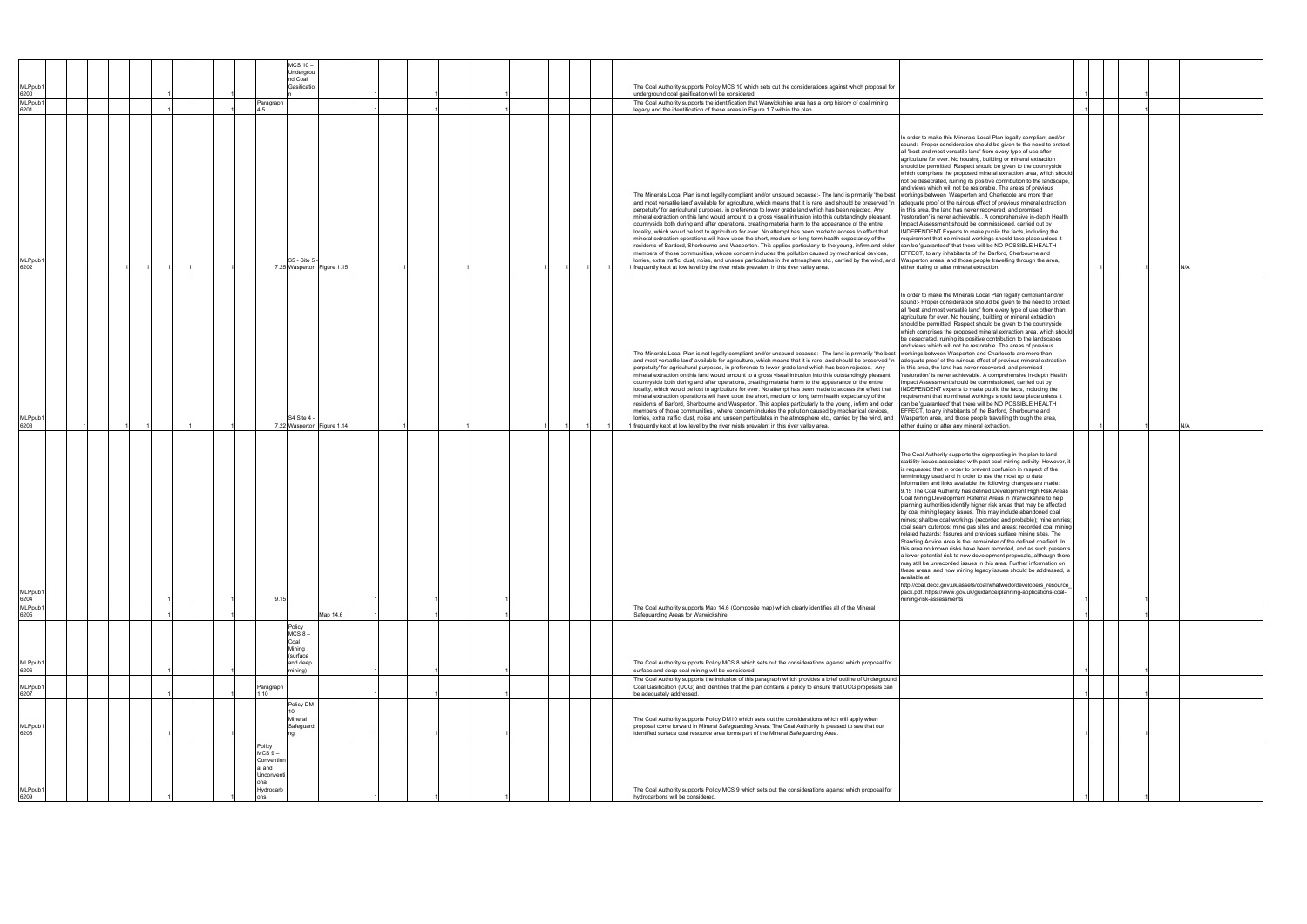| MLPpub1         | <b>MCS 10-</b><br>Undergrou<br>nd Coal<br>Gasificatio                        |  |  | The Coal Authority supports Policy MCS 10 which sets out the considerations against which proposal for                                                                                                                                                                                                                                                                                                                                                                                                                                                                                                                                                                                                                                                                                                                                                                                                                                                                                                                                                                                                                                                                                                                                                                                                                                                                                          |                                                                                                                                                                                                                                                                                                                                                                                                                                                                                                                                                                                                                                                                                                                                                                                                                                                                                                                                                                                                                                                                                                                                                                                                                                                                                                                                                                                              |  |     |
|-----------------|------------------------------------------------------------------------------|--|--|-------------------------------------------------------------------------------------------------------------------------------------------------------------------------------------------------------------------------------------------------------------------------------------------------------------------------------------------------------------------------------------------------------------------------------------------------------------------------------------------------------------------------------------------------------------------------------------------------------------------------------------------------------------------------------------------------------------------------------------------------------------------------------------------------------------------------------------------------------------------------------------------------------------------------------------------------------------------------------------------------------------------------------------------------------------------------------------------------------------------------------------------------------------------------------------------------------------------------------------------------------------------------------------------------------------------------------------------------------------------------------------------------|----------------------------------------------------------------------------------------------------------------------------------------------------------------------------------------------------------------------------------------------------------------------------------------------------------------------------------------------------------------------------------------------------------------------------------------------------------------------------------------------------------------------------------------------------------------------------------------------------------------------------------------------------------------------------------------------------------------------------------------------------------------------------------------------------------------------------------------------------------------------------------------------------------------------------------------------------------------------------------------------------------------------------------------------------------------------------------------------------------------------------------------------------------------------------------------------------------------------------------------------------------------------------------------------------------------------------------------------------------------------------------------------|--|-----|
| 6200<br>MLPpub1 | Paragraph                                                                    |  |  | underground coal gasification will be considered.<br>The Coal Authority supports the identification that Warwickshire area has a long history of coal mining                                                                                                                                                                                                                                                                                                                                                                                                                                                                                                                                                                                                                                                                                                                                                                                                                                                                                                                                                                                                                                                                                                                                                                                                                                    |                                                                                                                                                                                                                                                                                                                                                                                                                                                                                                                                                                                                                                                                                                                                                                                                                                                                                                                                                                                                                                                                                                                                                                                                                                                                                                                                                                                              |  |     |
| 6201            |                                                                              |  |  | legacy and the identification of these areas in Figure 1.7 within the plan.                                                                                                                                                                                                                                                                                                                                                                                                                                                                                                                                                                                                                                                                                                                                                                                                                                                                                                                                                                                                                                                                                                                                                                                                                                                                                                                     |                                                                                                                                                                                                                                                                                                                                                                                                                                                                                                                                                                                                                                                                                                                                                                                                                                                                                                                                                                                                                                                                                                                                                                                                                                                                                                                                                                                              |  |     |
| MLPpub1<br>6202 | S5 - Site 5<br>7.25 Wasperton Figure 1.                                      |  |  | The Minerals Local Plan is not legally compliant and/or unsound because:- The land is primarily 'the best workings between Wasperton and Charlecote are more than<br>and most versatile land' available for agriculture, which means that it is rare, and should be preserved 'in adequate proof of the ruinous effect of previous mineral extraction<br>perpetuity' for agricultural purposes, in preference to lower grade land which has been rejected. Any<br>mineral extraction on this land would amount to a gross visual intrusion into this outstandingly pleasant<br>countryside both during and after operations, creating material harm to the appearance of the entire<br>locality, which would be lost to agriculture for ever. No attempt has been made to access to effect that<br>mineral extraction operations will have upon the short, medium or long term health expectancy of the<br>residents of Bardord, Sherbourne and Wasperton. This applies particularly to the young, infirm and older<br>members of those communities, whose concern includes the pollution caused by mechanical devices,<br>lorries, extra traffic, dust, noise, and unseen particulates in the atmosphere etc., carried by the wind, and Wasperton areas, and those people travelling through the area,<br>frequently kept at low level by the river mists prevalent in this river valley area. | In order to make this Minerals Local Plan legally compliant and/or<br>sound:- Proper consideration should be given to the need to protect<br>all 'best and most versatile land' from every type of use after<br>agriculture for ever. No housing, building or mineral extraction<br>should be permitted. Respect should be given to the countryside<br>which comprises the proposed mineral extraction area, which should<br>not be desecrated, ruining its positive contribution to the landscape,<br>and views which will not be restorable. The areas of previous<br>in this area, the land has never recovered, and promised<br>'restoration' is never achievable A comprehensive in-depth Health<br>Impact Assessment should be commissioned, carried out by<br>INDEPENDENT Experts to make public the facts, including the<br>requirement that no mineral workings should take place unless it<br>can be 'guaranteed' that there will be NO POSSIBLE HEALTH<br>FFECT, to any inhabitants of the Barford, Sherbourne and<br>either during or after mineral extraction.                                                                                                                                                                                                                                                                                                                  |  | N/A |
| MLPpub1<br>6203 | S4 Site 4 -<br>7.22 Wasperton Figure 1.1                                     |  |  | The Minerals Local Plan is not legally compliant and/or unsound because:- The land is primarily 'the best workings between Wasperton and Charlecote are more than<br>and most versatile land' available for agriculture, which means that it is rare, and should be preserved 'in adequate proof of the ruinous effect of previous mineral extraction<br>perpetuity' for agricultural purposes, in preference to lower grade land which has been rejected. Any<br>mineral extraction on this land would amount to a gross visual intrusion into this outstandingly pleasant<br>countryside both during and after operations, creating material harm to the appearance of the entire<br>locality, which would be lost to agriculture for ever. No attempt has been made to access the effect that<br>mineral extraction operations will have upon the short, medium or long term health expectancy of the<br>residents of Barford, Sherbourne and Wasperton. This applies particularly to the young, infirm and older<br>members of those communities, where concern includes the pollution caused by mechanical devices,<br>lorries, extra traffic, dust, noise and unseen particulates in the atmosphere etc., carried by the wind, and<br>frequently kept at low level by the river mists prevalent in this river valley area.                                                                | In order to make the Minerals Local Plan legally compliant and/or<br>sound:- Proper consideration should be given to the need to protect<br>all 'best and most versatile land' from every type of use other than<br>agriculture for ever. No housing, building or mineral extraction<br>should be permitted. Respect should be given to the countryside<br>which comprises the proposed mineral extraction area, which should<br>be desecrated, ruining its positive contribution to the landscapes<br>and views which will not be restorable. The areas of previous<br>in this area, the land has never recovered, and promised<br>'restoration' is never achievable. A comprehensive in-depth Health<br>Impact Assessment should be commissioned, carried out by<br>INDEPENDENT experts to make public the facts, including the<br>requirement that no mineral workings should take place unless it<br>can be 'guaranteed' that there will be NO POSSIBLE HEALTH<br>FFECT, to any inhabitants of the Barford, Sherbourne and<br>Wasperton area, and those people travelling through the area,<br>either during or after any mineral extraction.                                                                                                                                                                                                                                            |  | N/A |
| MLPpub1<br>6204 | 9.15                                                                         |  |  |                                                                                                                                                                                                                                                                                                                                                                                                                                                                                                                                                                                                                                                                                                                                                                                                                                                                                                                                                                                                                                                                                                                                                                                                                                                                                                                                                                                                 | The Coal Authority supports the signposting in the plan to land<br>stability issues associated with past coal mining activity. However, it<br>is requested that in order to prevent confusion in respect of the<br>terminology used and in order to use the most up to date<br>information and links available the following changes are made:<br>9.15 The Coal Authority has defined Development High Risk Areas<br>Coal Mining Development Referral Areas in Warwickshire to help<br>planning authorities identify higher risk areas that may be affected<br>by coal mining legacy issues. This may include abandoned coal<br>mines; shallow coal workings (recorded and probable); mine entries;<br>coal seam outcrops; mine gas sites and areas; recorded coal mining<br>related hazards; fissures and previous surface mining sites. The<br>Standing Advice Area is the remainder of the defined coalfield. In<br>is area no known risks have been recorded, and as such presen<br>a lower potential risk to new development proposals, although there<br>may still be unrecorded issues in this area. Further information on<br>these areas, and how mining legacy issues should be addressed, is<br>available at<br>http://coal.decc.gov.uk/assets/coal/whatwedo/developers_resource_<br>pack.pdf. https://www.gov.uk/guidance/planning-applications-coal-<br>mining-risk-assessments |  |     |
| MLPpub1<br>6205 | Map 14.6                                                                     |  |  | The Coal Authority supports Map 14.6 (Composite map) which clearly identifies all of the Mineral<br>Safeguarding Areas for Warwickshire.                                                                                                                                                                                                                                                                                                                                                                                                                                                                                                                                                                                                                                                                                                                                                                                                                                                                                                                                                                                                                                                                                                                                                                                                                                                        |                                                                                                                                                                                                                                                                                                                                                                                                                                                                                                                                                                                                                                                                                                                                                                                                                                                                                                                                                                                                                                                                                                                                                                                                                                                                                                                                                                                              |  |     |
| MLPpub′         | Policy<br>$MCS_8$ -<br>Coal<br>Mining<br>(surface<br>and deep                |  |  | The Coal Authority supports Policy MCS 8 which sets out the considerations against which proposal for                                                                                                                                                                                                                                                                                                                                                                                                                                                                                                                                                                                                                                                                                                                                                                                                                                                                                                                                                                                                                                                                                                                                                                                                                                                                                           |                                                                                                                                                                                                                                                                                                                                                                                                                                                                                                                                                                                                                                                                                                                                                                                                                                                                                                                                                                                                                                                                                                                                                                                                                                                                                                                                                                                              |  |     |
| 6206<br>MLPpub1 | nining)                                                                      |  |  | surface and deep coal mining will be considered.<br>The Coal Authority supports the inclusion of this paragraph which provides a brief outline of Underground<br>Coal Gasification (UCG) and identifies that the plan contains a policy to ensure that UCG proposals can                                                                                                                                                                                                                                                                                                                                                                                                                                                                                                                                                                                                                                                                                                                                                                                                                                                                                                                                                                                                                                                                                                                        |                                                                                                                                                                                                                                                                                                                                                                                                                                                                                                                                                                                                                                                                                                                                                                                                                                                                                                                                                                                                                                                                                                                                                                                                                                                                                                                                                                                              |  |     |
| 6207            | Paragraph<br>1.10                                                            |  |  | be adequately addressed.                                                                                                                                                                                                                                                                                                                                                                                                                                                                                                                                                                                                                                                                                                                                                                                                                                                                                                                                                                                                                                                                                                                                                                                                                                                                                                                                                                        |                                                                                                                                                                                                                                                                                                                                                                                                                                                                                                                                                                                                                                                                                                                                                                                                                                                                                                                                                                                                                                                                                                                                                                                                                                                                                                                                                                                              |  |     |
| MLPpub1<br>6208 | Policy DM<br>$10 -$<br>Mineral<br>Safeguardi                                 |  |  | The Coal Authority supports Policy DM10 which sets out the considerations which will apply when<br>proposal come forward in Mineral Safeguarding Areas. The Coal Authority is pleased to see that our<br>identified surface coal resource area forms part of the Mineral Safeguarding Area.                                                                                                                                                                                                                                                                                                                                                                                                                                                                                                                                                                                                                                                                                                                                                                                                                                                                                                                                                                                                                                                                                                     |                                                                                                                                                                                                                                                                                                                                                                                                                                                                                                                                                                                                                                                                                                                                                                                                                                                                                                                                                                                                                                                                                                                                                                                                                                                                                                                                                                                              |  |     |
| MLPpub1<br>6209 | Policy<br>$MCS9 -$<br>Convention<br>al and<br>Unconvent<br>onal<br>Hydrocarb |  |  | The Coal Authority supports Policy MCS 9 which sets out the considerations against which proposal for<br>hydrocarbons will be considered.                                                                                                                                                                                                                                                                                                                                                                                                                                                                                                                                                                                                                                                                                                                                                                                                                                                                                                                                                                                                                                                                                                                                                                                                                                                       |                                                                                                                                                                                                                                                                                                                                                                                                                                                                                                                                                                                                                                                                                                                                                                                                                                                                                                                                                                                                                                                                                                                                                                                                                                                                                                                                                                                              |  |     |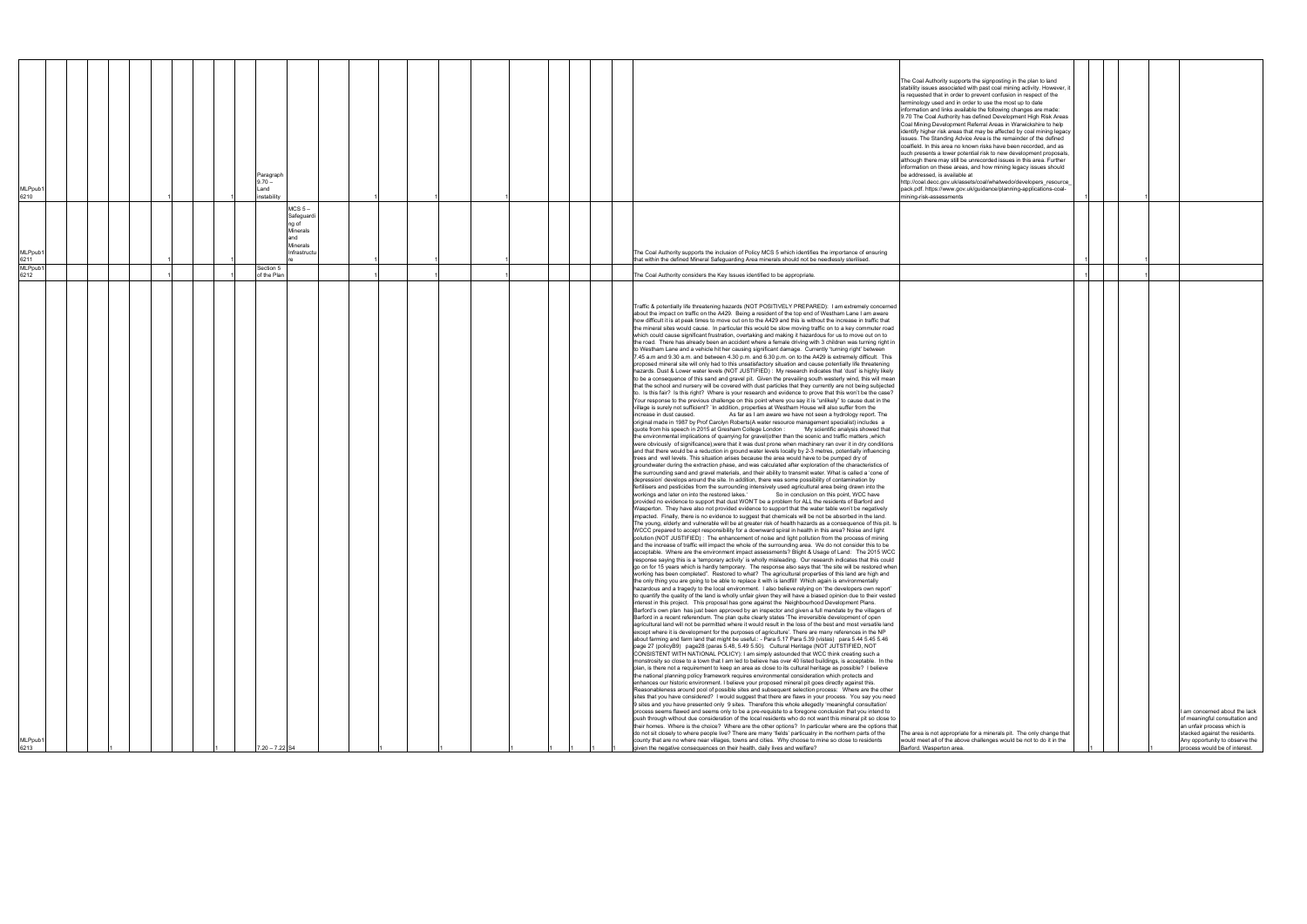| /ILPpub<br>6213                                                                                                                                                                                                                                                                                                                                                                                                                                                                                                                                                                                                                                                                                                                                                                                                                                                                                                                                                                                                                                                                                                                                                                                                                                                                                                                                                                                                                                                                                                                                                                                                                                                                                                                                                                                                                                                                                                                                                                                                                                                                                                                                                                                                                                                                                                                                                                                                                                                                                                                                                                                                                                                                                                                                                                                                                                                                                                                                                                                                                                                                                                                                                                                                                                                                                                                                                                                                                                                                                                                                                                                                                                                                                                                                                                                                                                                                                                                                                                                                                                                                                                                                                                                                                                                                                                                                                                                                                                                                                                                                                                                                                                                                                                                                                                                                                                                                                                                                                                                                                                                                                                                                                                                                                                                                                                                                                                                                                                                                                                                                                                                                                                                                                                                                                                                                                                                                                                                                                                                                                                                                                                                                                                                                                                                                                                                                                                                                                                                                                                                                                                                                                | MLPpub1<br>6212                                                           | MLPpub1<br>6211                                                                                                                                                                                          | MLPpub1<br>6210                                                                                                                                                                                                                                                                                                                                                                                                                                                                                                                                                                                                                                                                                                                                                                                                                                                                                                                                                                                                                                                                                                            |
|--------------------------------------------------------------------------------------------------------------------------------------------------------------------------------------------------------------------------------------------------------------------------------------------------------------------------------------------------------------------------------------------------------------------------------------------------------------------------------------------------------------------------------------------------------------------------------------------------------------------------------------------------------------------------------------------------------------------------------------------------------------------------------------------------------------------------------------------------------------------------------------------------------------------------------------------------------------------------------------------------------------------------------------------------------------------------------------------------------------------------------------------------------------------------------------------------------------------------------------------------------------------------------------------------------------------------------------------------------------------------------------------------------------------------------------------------------------------------------------------------------------------------------------------------------------------------------------------------------------------------------------------------------------------------------------------------------------------------------------------------------------------------------------------------------------------------------------------------------------------------------------------------------------------------------------------------------------------------------------------------------------------------------------------------------------------------------------------------------------------------------------------------------------------------------------------------------------------------------------------------------------------------------------------------------------------------------------------------------------------------------------------------------------------------------------------------------------------------------------------------------------------------------------------------------------------------------------------------------------------------------------------------------------------------------------------------------------------------------------------------------------------------------------------------------------------------------------------------------------------------------------------------------------------------------------------------------------------------------------------------------------------------------------------------------------------------------------------------------------------------------------------------------------------------------------------------------------------------------------------------------------------------------------------------------------------------------------------------------------------------------------------------------------------------------------------------------------------------------------------------------------------------------------------------------------------------------------------------------------------------------------------------------------------------------------------------------------------------------------------------------------------------------------------------------------------------------------------------------------------------------------------------------------------------------------------------------------------------------------------------------------------------------------------------------------------------------------------------------------------------------------------------------------------------------------------------------------------------------------------------------------------------------------------------------------------------------------------------------------------------------------------------------------------------------------------------------------------------------------------------------------------------------------------------------------------------------------------------------------------------------------------------------------------------------------------------------------------------------------------------------------------------------------------------------------------------------------------------------------------------------------------------------------------------------------------------------------------------------------------------------------------------------------------------------------------------------------------------------------------------------------------------------------------------------------------------------------------------------------------------------------------------------------------------------------------------------------------------------------------------------------------------------------------------------------------------------------------------------------------------------------------------------------------------------------------------------------------------------------------------------------------------------------------------------------------------------------------------------------------------------------------------------------------------------------------------------------------------------------------------------------------------------------------------------------------------------------------------------------------------------------------------------------------------------------------------------------------------------------------------------------------------------------------------------------------------------------------------------------------------------------------------------------------------------------------------------------------------------------------------------------------------------------------------------------------------------------------------------------------------------------------------------------------------------------------------------------------------------------------------------|---------------------------------------------------------------------------|----------------------------------------------------------------------------------------------------------------------------------------------------------------------------------------------------------|----------------------------------------------------------------------------------------------------------------------------------------------------------------------------------------------------------------------------------------------------------------------------------------------------------------------------------------------------------------------------------------------------------------------------------------------------------------------------------------------------------------------------------------------------------------------------------------------------------------------------------------------------------------------------------------------------------------------------------------------------------------------------------------------------------------------------------------------------------------------------------------------------------------------------------------------------------------------------------------------------------------------------------------------------------------------------------------------------------------------------|
|                                                                                                                                                                                                                                                                                                                                                                                                                                                                                                                                                                                                                                                                                                                                                                                                                                                                                                                                                                                                                                                                                                                                                                                                                                                                                                                                                                                                                                                                                                                                                                                                                                                                                                                                                                                                                                                                                                                                                                                                                                                                                                                                                                                                                                                                                                                                                                                                                                                                                                                                                                                                                                                                                                                                                                                                                                                                                                                                                                                                                                                                                                                                                                                                                                                                                                                                                                                                                                                                                                                                                                                                                                                                                                                                                                                                                                                                                                                                                                                                                                                                                                                                                                                                                                                                                                                                                                                                                                                                                                                                                                                                                                                                                                                                                                                                                                                                                                                                                                                                                                                                                                                                                                                                                                                                                                                                                                                                                                                                                                                                                                                                                                                                                                                                                                                                                                                                                                                                                                                                                                                                                                                                                                                                                                                                                                                                                                                                                                                                                                                                                                                                                                |                                                                           |                                                                                                                                                                                                          |                                                                                                                                                                                                                                                                                                                                                                                                                                                                                                                                                                                                                                                                                                                                                                                                                                                                                                                                                                                                                                                                                                                            |
|                                                                                                                                                                                                                                                                                                                                                                                                                                                                                                                                                                                                                                                                                                                                                                                                                                                                                                                                                                                                                                                                                                                                                                                                                                                                                                                                                                                                                                                                                                                                                                                                                                                                                                                                                                                                                                                                                                                                                                                                                                                                                                                                                                                                                                                                                                                                                                                                                                                                                                                                                                                                                                                                                                                                                                                                                                                                                                                                                                                                                                                                                                                                                                                                                                                                                                                                                                                                                                                                                                                                                                                                                                                                                                                                                                                                                                                                                                                                                                                                                                                                                                                                                                                                                                                                                                                                                                                                                                                                                                                                                                                                                                                                                                                                                                                                                                                                                                                                                                                                                                                                                                                                                                                                                                                                                                                                                                                                                                                                                                                                                                                                                                                                                                                                                                                                                                                                                                                                                                                                                                                                                                                                                                                                                                                                                                                                                                                                                                                                                                                                                                                                                                |                                                                           |                                                                                                                                                                                                          |                                                                                                                                                                                                                                                                                                                                                                                                                                                                                                                                                                                                                                                                                                                                                                                                                                                                                                                                                                                                                                                                                                                            |
|                                                                                                                                                                                                                                                                                                                                                                                                                                                                                                                                                                                                                                                                                                                                                                                                                                                                                                                                                                                                                                                                                                                                                                                                                                                                                                                                                                                                                                                                                                                                                                                                                                                                                                                                                                                                                                                                                                                                                                                                                                                                                                                                                                                                                                                                                                                                                                                                                                                                                                                                                                                                                                                                                                                                                                                                                                                                                                                                                                                                                                                                                                                                                                                                                                                                                                                                                                                                                                                                                                                                                                                                                                                                                                                                                                                                                                                                                                                                                                                                                                                                                                                                                                                                                                                                                                                                                                                                                                                                                                                                                                                                                                                                                                                                                                                                                                                                                                                                                                                                                                                                                                                                                                                                                                                                                                                                                                                                                                                                                                                                                                                                                                                                                                                                                                                                                                                                                                                                                                                                                                                                                                                                                                                                                                                                                                                                                                                                                                                                                                                                                                                                                                |                                                                           |                                                                                                                                                                                                          |                                                                                                                                                                                                                                                                                                                                                                                                                                                                                                                                                                                                                                                                                                                                                                                                                                                                                                                                                                                                                                                                                                                            |
|                                                                                                                                                                                                                                                                                                                                                                                                                                                                                                                                                                                                                                                                                                                                                                                                                                                                                                                                                                                                                                                                                                                                                                                                                                                                                                                                                                                                                                                                                                                                                                                                                                                                                                                                                                                                                                                                                                                                                                                                                                                                                                                                                                                                                                                                                                                                                                                                                                                                                                                                                                                                                                                                                                                                                                                                                                                                                                                                                                                                                                                                                                                                                                                                                                                                                                                                                                                                                                                                                                                                                                                                                                                                                                                                                                                                                                                                                                                                                                                                                                                                                                                                                                                                                                                                                                                                                                                                                                                                                                                                                                                                                                                                                                                                                                                                                                                                                                                                                                                                                                                                                                                                                                                                                                                                                                                                                                                                                                                                                                                                                                                                                                                                                                                                                                                                                                                                                                                                                                                                                                                                                                                                                                                                                                                                                                                                                                                                                                                                                                                                                                                                                                |                                                                           |                                                                                                                                                                                                          |                                                                                                                                                                                                                                                                                                                                                                                                                                                                                                                                                                                                                                                                                                                                                                                                                                                                                                                                                                                                                                                                                                                            |
|                                                                                                                                                                                                                                                                                                                                                                                                                                                                                                                                                                                                                                                                                                                                                                                                                                                                                                                                                                                                                                                                                                                                                                                                                                                                                                                                                                                                                                                                                                                                                                                                                                                                                                                                                                                                                                                                                                                                                                                                                                                                                                                                                                                                                                                                                                                                                                                                                                                                                                                                                                                                                                                                                                                                                                                                                                                                                                                                                                                                                                                                                                                                                                                                                                                                                                                                                                                                                                                                                                                                                                                                                                                                                                                                                                                                                                                                                                                                                                                                                                                                                                                                                                                                                                                                                                                                                                                                                                                                                                                                                                                                                                                                                                                                                                                                                                                                                                                                                                                                                                                                                                                                                                                                                                                                                                                                                                                                                                                                                                                                                                                                                                                                                                                                                                                                                                                                                                                                                                                                                                                                                                                                                                                                                                                                                                                                                                                                                                                                                                                                                                                                                                |                                                                           |                                                                                                                                                                                                          |                                                                                                                                                                                                                                                                                                                                                                                                                                                                                                                                                                                                                                                                                                                                                                                                                                                                                                                                                                                                                                                                                                                            |
|                                                                                                                                                                                                                                                                                                                                                                                                                                                                                                                                                                                                                                                                                                                                                                                                                                                                                                                                                                                                                                                                                                                                                                                                                                                                                                                                                                                                                                                                                                                                                                                                                                                                                                                                                                                                                                                                                                                                                                                                                                                                                                                                                                                                                                                                                                                                                                                                                                                                                                                                                                                                                                                                                                                                                                                                                                                                                                                                                                                                                                                                                                                                                                                                                                                                                                                                                                                                                                                                                                                                                                                                                                                                                                                                                                                                                                                                                                                                                                                                                                                                                                                                                                                                                                                                                                                                                                                                                                                                                                                                                                                                                                                                                                                                                                                                                                                                                                                                                                                                                                                                                                                                                                                                                                                                                                                                                                                                                                                                                                                                                                                                                                                                                                                                                                                                                                                                                                                                                                                                                                                                                                                                                                                                                                                                                                                                                                                                                                                                                                                                                                                                                                |                                                                           |                                                                                                                                                                                                          |                                                                                                                                                                                                                                                                                                                                                                                                                                                                                                                                                                                                                                                                                                                                                                                                                                                                                                                                                                                                                                                                                                                            |
|                                                                                                                                                                                                                                                                                                                                                                                                                                                                                                                                                                                                                                                                                                                                                                                                                                                                                                                                                                                                                                                                                                                                                                                                                                                                                                                                                                                                                                                                                                                                                                                                                                                                                                                                                                                                                                                                                                                                                                                                                                                                                                                                                                                                                                                                                                                                                                                                                                                                                                                                                                                                                                                                                                                                                                                                                                                                                                                                                                                                                                                                                                                                                                                                                                                                                                                                                                                                                                                                                                                                                                                                                                                                                                                                                                                                                                                                                                                                                                                                                                                                                                                                                                                                                                                                                                                                                                                                                                                                                                                                                                                                                                                                                                                                                                                                                                                                                                                                                                                                                                                                                                                                                                                                                                                                                                                                                                                                                                                                                                                                                                                                                                                                                                                                                                                                                                                                                                                                                                                                                                                                                                                                                                                                                                                                                                                                                                                                                                                                                                                                                                                                                                |                                                                           |                                                                                                                                                                                                          |                                                                                                                                                                                                                                                                                                                                                                                                                                                                                                                                                                                                                                                                                                                                                                                                                                                                                                                                                                                                                                                                                                                            |
|                                                                                                                                                                                                                                                                                                                                                                                                                                                                                                                                                                                                                                                                                                                                                                                                                                                                                                                                                                                                                                                                                                                                                                                                                                                                                                                                                                                                                                                                                                                                                                                                                                                                                                                                                                                                                                                                                                                                                                                                                                                                                                                                                                                                                                                                                                                                                                                                                                                                                                                                                                                                                                                                                                                                                                                                                                                                                                                                                                                                                                                                                                                                                                                                                                                                                                                                                                                                                                                                                                                                                                                                                                                                                                                                                                                                                                                                                                                                                                                                                                                                                                                                                                                                                                                                                                                                                                                                                                                                                                                                                                                                                                                                                                                                                                                                                                                                                                                                                                                                                                                                                                                                                                                                                                                                                                                                                                                                                                                                                                                                                                                                                                                                                                                                                                                                                                                                                                                                                                                                                                                                                                                                                                                                                                                                                                                                                                                                                                                                                                                                                                                                                                |                                                                           |                                                                                                                                                                                                          |                                                                                                                                                                                                                                                                                                                                                                                                                                                                                                                                                                                                                                                                                                                                                                                                                                                                                                                                                                                                                                                                                                                            |
|                                                                                                                                                                                                                                                                                                                                                                                                                                                                                                                                                                                                                                                                                                                                                                                                                                                                                                                                                                                                                                                                                                                                                                                                                                                                                                                                                                                                                                                                                                                                                                                                                                                                                                                                                                                                                                                                                                                                                                                                                                                                                                                                                                                                                                                                                                                                                                                                                                                                                                                                                                                                                                                                                                                                                                                                                                                                                                                                                                                                                                                                                                                                                                                                                                                                                                                                                                                                                                                                                                                                                                                                                                                                                                                                                                                                                                                                                                                                                                                                                                                                                                                                                                                                                                                                                                                                                                                                                                                                                                                                                                                                                                                                                                                                                                                                                                                                                                                                                                                                                                                                                                                                                                                                                                                                                                                                                                                                                                                                                                                                                                                                                                                                                                                                                                                                                                                                                                                                                                                                                                                                                                                                                                                                                                                                                                                                                                                                                                                                                                                                                                                                                                |                                                                           |                                                                                                                                                                                                          |                                                                                                                                                                                                                                                                                                                                                                                                                                                                                                                                                                                                                                                                                                                                                                                                                                                                                                                                                                                                                                                                                                                            |
|                                                                                                                                                                                                                                                                                                                                                                                                                                                                                                                                                                                                                                                                                                                                                                                                                                                                                                                                                                                                                                                                                                                                                                                                                                                                                                                                                                                                                                                                                                                                                                                                                                                                                                                                                                                                                                                                                                                                                                                                                                                                                                                                                                                                                                                                                                                                                                                                                                                                                                                                                                                                                                                                                                                                                                                                                                                                                                                                                                                                                                                                                                                                                                                                                                                                                                                                                                                                                                                                                                                                                                                                                                                                                                                                                                                                                                                                                                                                                                                                                                                                                                                                                                                                                                                                                                                                                                                                                                                                                                                                                                                                                                                                                                                                                                                                                                                                                                                                                                                                                                                                                                                                                                                                                                                                                                                                                                                                                                                                                                                                                                                                                                                                                                                                                                                                                                                                                                                                                                                                                                                                                                                                                                                                                                                                                                                                                                                                                                                                                                                                                                                                                                | Section 5<br>of the Plan                                                  |                                                                                                                                                                                                          | Paragraph<br>$9.70 -$<br>Land<br>instability                                                                                                                                                                                                                                                                                                                                                                                                                                                                                                                                                                                                                                                                                                                                                                                                                                                                                                                                                                                                                                                                               |
| 7.20 - 7.22 S4                                                                                                                                                                                                                                                                                                                                                                                                                                                                                                                                                                                                                                                                                                                                                                                                                                                                                                                                                                                                                                                                                                                                                                                                                                                                                                                                                                                                                                                                                                                                                                                                                                                                                                                                                                                                                                                                                                                                                                                                                                                                                                                                                                                                                                                                                                                                                                                                                                                                                                                                                                                                                                                                                                                                                                                                                                                                                                                                                                                                                                                                                                                                                                                                                                                                                                                                                                                                                                                                                                                                                                                                                                                                                                                                                                                                                                                                                                                                                                                                                                                                                                                                                                                                                                                                                                                                                                                                                                                                                                                                                                                                                                                                                                                                                                                                                                                                                                                                                                                                                                                                                                                                                                                                                                                                                                                                                                                                                                                                                                                                                                                                                                                                                                                                                                                                                                                                                                                                                                                                                                                                                                                                                                                                                                                                                                                                                                                                                                                                                                                                                                                                                 |                                                                           | MCS <sub>5</sub><br>Safeguardi<br>ng of<br>Minerals<br>and<br>Minerals<br>Infrastructu                                                                                                                   |                                                                                                                                                                                                                                                                                                                                                                                                                                                                                                                                                                                                                                                                                                                                                                                                                                                                                                                                                                                                                                                                                                                            |
|                                                                                                                                                                                                                                                                                                                                                                                                                                                                                                                                                                                                                                                                                                                                                                                                                                                                                                                                                                                                                                                                                                                                                                                                                                                                                                                                                                                                                                                                                                                                                                                                                                                                                                                                                                                                                                                                                                                                                                                                                                                                                                                                                                                                                                                                                                                                                                                                                                                                                                                                                                                                                                                                                                                                                                                                                                                                                                                                                                                                                                                                                                                                                                                                                                                                                                                                                                                                                                                                                                                                                                                                                                                                                                                                                                                                                                                                                                                                                                                                                                                                                                                                                                                                                                                                                                                                                                                                                                                                                                                                                                                                                                                                                                                                                                                                                                                                                                                                                                                                                                                                                                                                                                                                                                                                                                                                                                                                                                                                                                                                                                                                                                                                                                                                                                                                                                                                                                                                                                                                                                                                                                                                                                                                                                                                                                                                                                                                                                                                                                                                                                                                                                |                                                                           |                                                                                                                                                                                                          |                                                                                                                                                                                                                                                                                                                                                                                                                                                                                                                                                                                                                                                                                                                                                                                                                                                                                                                                                                                                                                                                                                                            |
|                                                                                                                                                                                                                                                                                                                                                                                                                                                                                                                                                                                                                                                                                                                                                                                                                                                                                                                                                                                                                                                                                                                                                                                                                                                                                                                                                                                                                                                                                                                                                                                                                                                                                                                                                                                                                                                                                                                                                                                                                                                                                                                                                                                                                                                                                                                                                                                                                                                                                                                                                                                                                                                                                                                                                                                                                                                                                                                                                                                                                                                                                                                                                                                                                                                                                                                                                                                                                                                                                                                                                                                                                                                                                                                                                                                                                                                                                                                                                                                                                                                                                                                                                                                                                                                                                                                                                                                                                                                                                                                                                                                                                                                                                                                                                                                                                                                                                                                                                                                                                                                                                                                                                                                                                                                                                                                                                                                                                                                                                                                                                                                                                                                                                                                                                                                                                                                                                                                                                                                                                                                                                                                                                                                                                                                                                                                                                                                                                                                                                                                                                                                                                                |                                                                           |                                                                                                                                                                                                          |                                                                                                                                                                                                                                                                                                                                                                                                                                                                                                                                                                                                                                                                                                                                                                                                                                                                                                                                                                                                                                                                                                                            |
|                                                                                                                                                                                                                                                                                                                                                                                                                                                                                                                                                                                                                                                                                                                                                                                                                                                                                                                                                                                                                                                                                                                                                                                                                                                                                                                                                                                                                                                                                                                                                                                                                                                                                                                                                                                                                                                                                                                                                                                                                                                                                                                                                                                                                                                                                                                                                                                                                                                                                                                                                                                                                                                                                                                                                                                                                                                                                                                                                                                                                                                                                                                                                                                                                                                                                                                                                                                                                                                                                                                                                                                                                                                                                                                                                                                                                                                                                                                                                                                                                                                                                                                                                                                                                                                                                                                                                                                                                                                                                                                                                                                                                                                                                                                                                                                                                                                                                                                                                                                                                                                                                                                                                                                                                                                                                                                                                                                                                                                                                                                                                                                                                                                                                                                                                                                                                                                                                                                                                                                                                                                                                                                                                                                                                                                                                                                                                                                                                                                                                                                                                                                                                                |                                                                           |                                                                                                                                                                                                          |                                                                                                                                                                                                                                                                                                                                                                                                                                                                                                                                                                                                                                                                                                                                                                                                                                                                                                                                                                                                                                                                                                                            |
|                                                                                                                                                                                                                                                                                                                                                                                                                                                                                                                                                                                                                                                                                                                                                                                                                                                                                                                                                                                                                                                                                                                                                                                                                                                                                                                                                                                                                                                                                                                                                                                                                                                                                                                                                                                                                                                                                                                                                                                                                                                                                                                                                                                                                                                                                                                                                                                                                                                                                                                                                                                                                                                                                                                                                                                                                                                                                                                                                                                                                                                                                                                                                                                                                                                                                                                                                                                                                                                                                                                                                                                                                                                                                                                                                                                                                                                                                                                                                                                                                                                                                                                                                                                                                                                                                                                                                                                                                                                                                                                                                                                                                                                                                                                                                                                                                                                                                                                                                                                                                                                                                                                                                                                                                                                                                                                                                                                                                                                                                                                                                                                                                                                                                                                                                                                                                                                                                                                                                                                                                                                                                                                                                                                                                                                                                                                                                                                                                                                                                                                                                                                                                                |                                                                           |                                                                                                                                                                                                          |                                                                                                                                                                                                                                                                                                                                                                                                                                                                                                                                                                                                                                                                                                                                                                                                                                                                                                                                                                                                                                                                                                                            |
|                                                                                                                                                                                                                                                                                                                                                                                                                                                                                                                                                                                                                                                                                                                                                                                                                                                                                                                                                                                                                                                                                                                                                                                                                                                                                                                                                                                                                                                                                                                                                                                                                                                                                                                                                                                                                                                                                                                                                                                                                                                                                                                                                                                                                                                                                                                                                                                                                                                                                                                                                                                                                                                                                                                                                                                                                                                                                                                                                                                                                                                                                                                                                                                                                                                                                                                                                                                                                                                                                                                                                                                                                                                                                                                                                                                                                                                                                                                                                                                                                                                                                                                                                                                                                                                                                                                                                                                                                                                                                                                                                                                                                                                                                                                                                                                                                                                                                                                                                                                                                                                                                                                                                                                                                                                                                                                                                                                                                                                                                                                                                                                                                                                                                                                                                                                                                                                                                                                                                                                                                                                                                                                                                                                                                                                                                                                                                                                                                                                                                                                                                                                                                                |                                                                           |                                                                                                                                                                                                          |                                                                                                                                                                                                                                                                                                                                                                                                                                                                                                                                                                                                                                                                                                                                                                                                                                                                                                                                                                                                                                                                                                                            |
|                                                                                                                                                                                                                                                                                                                                                                                                                                                                                                                                                                                                                                                                                                                                                                                                                                                                                                                                                                                                                                                                                                                                                                                                                                                                                                                                                                                                                                                                                                                                                                                                                                                                                                                                                                                                                                                                                                                                                                                                                                                                                                                                                                                                                                                                                                                                                                                                                                                                                                                                                                                                                                                                                                                                                                                                                                                                                                                                                                                                                                                                                                                                                                                                                                                                                                                                                                                                                                                                                                                                                                                                                                                                                                                                                                                                                                                                                                                                                                                                                                                                                                                                                                                                                                                                                                                                                                                                                                                                                                                                                                                                                                                                                                                                                                                                                                                                                                                                                                                                                                                                                                                                                                                                                                                                                                                                                                                                                                                                                                                                                                                                                                                                                                                                                                                                                                                                                                                                                                                                                                                                                                                                                                                                                                                                                                                                                                                                                                                                                                                                                                                                                                |                                                                           |                                                                                                                                                                                                          |                                                                                                                                                                                                                                                                                                                                                                                                                                                                                                                                                                                                                                                                                                                                                                                                                                                                                                                                                                                                                                                                                                                            |
|                                                                                                                                                                                                                                                                                                                                                                                                                                                                                                                                                                                                                                                                                                                                                                                                                                                                                                                                                                                                                                                                                                                                                                                                                                                                                                                                                                                                                                                                                                                                                                                                                                                                                                                                                                                                                                                                                                                                                                                                                                                                                                                                                                                                                                                                                                                                                                                                                                                                                                                                                                                                                                                                                                                                                                                                                                                                                                                                                                                                                                                                                                                                                                                                                                                                                                                                                                                                                                                                                                                                                                                                                                                                                                                                                                                                                                                                                                                                                                                                                                                                                                                                                                                                                                                                                                                                                                                                                                                                                                                                                                                                                                                                                                                                                                                                                                                                                                                                                                                                                                                                                                                                                                                                                                                                                                                                                                                                                                                                                                                                                                                                                                                                                                                                                                                                                                                                                                                                                                                                                                                                                                                                                                                                                                                                                                                                                                                                                                                                                                                                                                                                                                |                                                                           |                                                                                                                                                                                                          |                                                                                                                                                                                                                                                                                                                                                                                                                                                                                                                                                                                                                                                                                                                                                                                                                                                                                                                                                                                                                                                                                                                            |
|                                                                                                                                                                                                                                                                                                                                                                                                                                                                                                                                                                                                                                                                                                                                                                                                                                                                                                                                                                                                                                                                                                                                                                                                                                                                                                                                                                                                                                                                                                                                                                                                                                                                                                                                                                                                                                                                                                                                                                                                                                                                                                                                                                                                                                                                                                                                                                                                                                                                                                                                                                                                                                                                                                                                                                                                                                                                                                                                                                                                                                                                                                                                                                                                                                                                                                                                                                                                                                                                                                                                                                                                                                                                                                                                                                                                                                                                                                                                                                                                                                                                                                                                                                                                                                                                                                                                                                                                                                                                                                                                                                                                                                                                                                                                                                                                                                                                                                                                                                                                                                                                                                                                                                                                                                                                                                                                                                                                                                                                                                                                                                                                                                                                                                                                                                                                                                                                                                                                                                                                                                                                                                                                                                                                                                                                                                                                                                                                                                                                                                                                                                                                                                |                                                                           |                                                                                                                                                                                                          |                                                                                                                                                                                                                                                                                                                                                                                                                                                                                                                                                                                                                                                                                                                                                                                                                                                                                                                                                                                                                                                                                                                            |
|                                                                                                                                                                                                                                                                                                                                                                                                                                                                                                                                                                                                                                                                                                                                                                                                                                                                                                                                                                                                                                                                                                                                                                                                                                                                                                                                                                                                                                                                                                                                                                                                                                                                                                                                                                                                                                                                                                                                                                                                                                                                                                                                                                                                                                                                                                                                                                                                                                                                                                                                                                                                                                                                                                                                                                                                                                                                                                                                                                                                                                                                                                                                                                                                                                                                                                                                                                                                                                                                                                                                                                                                                                                                                                                                                                                                                                                                                                                                                                                                                                                                                                                                                                                                                                                                                                                                                                                                                                                                                                                                                                                                                                                                                                                                                                                                                                                                                                                                                                                                                                                                                                                                                                                                                                                                                                                                                                                                                                                                                                                                                                                                                                                                                                                                                                                                                                                                                                                                                                                                                                                                                                                                                                                                                                                                                                                                                                                                                                                                                                                                                                                                                                |                                                                           |                                                                                                                                                                                                          |                                                                                                                                                                                                                                                                                                                                                                                                                                                                                                                                                                                                                                                                                                                                                                                                                                                                                                                                                                                                                                                                                                                            |
|                                                                                                                                                                                                                                                                                                                                                                                                                                                                                                                                                                                                                                                                                                                                                                                                                                                                                                                                                                                                                                                                                                                                                                                                                                                                                                                                                                                                                                                                                                                                                                                                                                                                                                                                                                                                                                                                                                                                                                                                                                                                                                                                                                                                                                                                                                                                                                                                                                                                                                                                                                                                                                                                                                                                                                                                                                                                                                                                                                                                                                                                                                                                                                                                                                                                                                                                                                                                                                                                                                                                                                                                                                                                                                                                                                                                                                                                                                                                                                                                                                                                                                                                                                                                                                                                                                                                                                                                                                                                                                                                                                                                                                                                                                                                                                                                                                                                                                                                                                                                                                                                                                                                                                                                                                                                                                                                                                                                                                                                                                                                                                                                                                                                                                                                                                                                                                                                                                                                                                                                                                                                                                                                                                                                                                                                                                                                                                                                                                                                                                                                                                                                                                |                                                                           |                                                                                                                                                                                                          |                                                                                                                                                                                                                                                                                                                                                                                                                                                                                                                                                                                                                                                                                                                                                                                                                                                                                                                                                                                                                                                                                                                            |
|                                                                                                                                                                                                                                                                                                                                                                                                                                                                                                                                                                                                                                                                                                                                                                                                                                                                                                                                                                                                                                                                                                                                                                                                                                                                                                                                                                                                                                                                                                                                                                                                                                                                                                                                                                                                                                                                                                                                                                                                                                                                                                                                                                                                                                                                                                                                                                                                                                                                                                                                                                                                                                                                                                                                                                                                                                                                                                                                                                                                                                                                                                                                                                                                                                                                                                                                                                                                                                                                                                                                                                                                                                                                                                                                                                                                                                                                                                                                                                                                                                                                                                                                                                                                                                                                                                                                                                                                                                                                                                                                                                                                                                                                                                                                                                                                                                                                                                                                                                                                                                                                                                                                                                                                                                                                                                                                                                                                                                                                                                                                                                                                                                                                                                                                                                                                                                                                                                                                                                                                                                                                                                                                                                                                                                                                                                                                                                                                                                                                                                                                                                                                                                |                                                                           |                                                                                                                                                                                                          |                                                                                                                                                                                                                                                                                                                                                                                                                                                                                                                                                                                                                                                                                                                                                                                                                                                                                                                                                                                                                                                                                                                            |
|                                                                                                                                                                                                                                                                                                                                                                                                                                                                                                                                                                                                                                                                                                                                                                                                                                                                                                                                                                                                                                                                                                                                                                                                                                                                                                                                                                                                                                                                                                                                                                                                                                                                                                                                                                                                                                                                                                                                                                                                                                                                                                                                                                                                                                                                                                                                                                                                                                                                                                                                                                                                                                                                                                                                                                                                                                                                                                                                                                                                                                                                                                                                                                                                                                                                                                                                                                                                                                                                                                                                                                                                                                                                                                                                                                                                                                                                                                                                                                                                                                                                                                                                                                                                                                                                                                                                                                                                                                                                                                                                                                                                                                                                                                                                                                                                                                                                                                                                                                                                                                                                                                                                                                                                                                                                                                                                                                                                                                                                                                                                                                                                                                                                                                                                                                                                                                                                                                                                                                                                                                                                                                                                                                                                                                                                                                                                                                                                                                                                                                                                                                                                                                |                                                                           |                                                                                                                                                                                                          |                                                                                                                                                                                                                                                                                                                                                                                                                                                                                                                                                                                                                                                                                                                                                                                                                                                                                                                                                                                                                                                                                                                            |
|                                                                                                                                                                                                                                                                                                                                                                                                                                                                                                                                                                                                                                                                                                                                                                                                                                                                                                                                                                                                                                                                                                                                                                                                                                                                                                                                                                                                                                                                                                                                                                                                                                                                                                                                                                                                                                                                                                                                                                                                                                                                                                                                                                                                                                                                                                                                                                                                                                                                                                                                                                                                                                                                                                                                                                                                                                                                                                                                                                                                                                                                                                                                                                                                                                                                                                                                                                                                                                                                                                                                                                                                                                                                                                                                                                                                                                                                                                                                                                                                                                                                                                                                                                                                                                                                                                                                                                                                                                                                                                                                                                                                                                                                                                                                                                                                                                                                                                                                                                                                                                                                                                                                                                                                                                                                                                                                                                                                                                                                                                                                                                                                                                                                                                                                                                                                                                                                                                                                                                                                                                                                                                                                                                                                                                                                                                                                                                                                                                                                                                                                                                                                                                |                                                                           |                                                                                                                                                                                                          |                                                                                                                                                                                                                                                                                                                                                                                                                                                                                                                                                                                                                                                                                                                                                                                                                                                                                                                                                                                                                                                                                                                            |
| Traffic & potentially life threatening hazards (NOT POSITIVELY PREPARED): I am extremely concerned<br>about the impact on traffic on the A429. Being a resident of the top end of Westham Lane I am aware<br>how difficult it is at peak times to move out on to the A429 and this is without the increase in traffic that<br>the mineral sites would cause. In particular this would be slow moving traffic on to a key commuter road<br>which could cause significant frustration, overtaking and making it hazardous for us to move out on to<br>the road. There has already been an accident where a female driving with 3 children was turning right in<br>to Westham Lane and a vehicle hit her causing significant damage. Currently 'turning right' between<br>7.45 a.m and 9.30 a.m. and between 4.30 p.m. and 6.30 p.m. on to the A429 is extremely difficult. This<br>proposed mineral site will only had to this unsatisfactory situation and cause potentially life threatening<br>hazards. Dust & Lower water levels (NOT JUSTIFIED) : My research indicates that 'dust' is highly likely<br>to be a consequence of this sand and gravel pit. Given the prevailing south westerly wind, this will mean<br>that the school and nursery will be covered with dust particles that they currently are not being subjected<br>to. Is this fair? Is this right? Where is your research and evidence to prove that this won't be the case?<br>Your response to the previous challenge on this point where you say it is "unlikely" to cause dust in the<br>village is surely not sufficient? `In addition, properties at Westham House will also suffer from the<br>increase in dust caused.<br>original made in 1987 by Prof Carolyn Roberts(A water resource management specialist) includes a<br>quote from his speech in 2015 at Gresham College London : "My scientific analysis showed that<br>the environmental implications of quarrying for gravel(other than the scenic and traffic matters , which<br>were obviously of significance), were that it was dust prone when machinery ran over it in dry conditions<br>and that there would be a reduction in ground water levels locally by 2-3 metres, potentially influencing<br>trees and well levels. This situation arises because the area would have to be pumped dry of<br>groundwater during the extraction phase, and was calculated after exploration of the characteristics of<br>the surrounding sand and gravel materials, and their ability to transmit water. What is called a 'cone of<br>depression' develops around the site. In addition, there was some possibility of contamination by<br>fertilisers and pesticides from the surrounding intensively used agricultural area being drawn into the<br>workings and later on into the restored lakes.'<br>provided no evidence to support that dust WON'T be a problem for ALL the residents of Barford and<br>Wasperton. They have also not provided evidence to support that the water table won't be negatively<br>impacted. Finally, there is no evidence to suggest that chemicals will be not be absorbed in the land.<br>The young, elderly and vulnerable will be at greater risk of health hazards as a consequence of this pit. Is<br>WCCC prepared to accept responsibility for a downward spiral in health in this area? Noise and light<br>polution (NOT JUSTIFIED): The enhancement of noise and light pollution from the process of mining<br>and the increase of traffic will impact the whole of the surrounding area. We do not consider this to be<br>acceptable. Where are the environment impact assessments? Blight & Usage of Land: The 2015 WCC<br>response saying this is a 'temporary activity' is wholly misleading. Our research indicates that this could<br>go on for 15 years which is hardly temporary. The response also says that "the site will be restored when<br>working has been completed". Restored to what? The agricultural properties of this land are high and<br>the only thing you are going to be able to replace it with is landfill! Which again is environmentally<br>hazardous and a tragedy to the local environment. I also believe relying on 'the developers own report'<br>to quantify the quality of the land is wholly unfair given they will have a biased opinion due to their vested<br>interest in this project. This proposal has gone against the Neighbourhood Development Plans.<br>Barford's own plan has just been approved by an inspector and given a full mandate by the villagers of<br>Barford in a recent referendum. The plan quite clearly states 'The irreversible development of open<br>agricultural land will not be permitted where it would result in the loss of the best and most versatile land<br>except where it is development for the purposes of agriculture'. There are many references in the NP<br>about farming and farm land that might be useful.: - Para 5.17 Para 5.39 (vistas) para 5.44 5.45 5.46<br>page 27 (policyB9) page28 (paras 5.48, 5.49 5.50). Cultural Heritage (NOT JUTSTIFIED, NOT<br>CONSISTENT WITH NATIONAL POLICY): I am simply astounded that WCC think creating such a<br>monstrosity so close to a town that I am led to believe has over 40 listed buildings, is acceptable. In the<br>plan, is there not a requirement to keep an area as close to its cultural heritage as possible? I believe<br>the national planning policy framework requires environmental consideration which protects and<br>enhances our historic environment. I believe your proposed mineral pit goes directly against this.<br>Reasonableness around pool of possible sites and subsequent selection process: Where are the other<br>sites that you have considered? I would suggest that there are flaws in your process. You say you need<br>9 sites and you have presented only 9 sites. Therefore this whole allegedly 'meaningful consultation'<br>process seems flawed and seems only to be a pre-requiste to a foregone conclusion that you intend to<br>push through without due consideration of the local residents who do not want this mineral pit so close to<br>their homes. Where is the choice? Where are the other options? In particular where are the options that<br>do not sit closely to where people live? There are many 'fields' particualry in the northern parts of the<br>county that are no where near villages, towns and cities. Why choose to mine so close to residents<br>given the negative consequences on their health, daily lives and welfare? | The Coal Authority considers the Key Issues identified to be appropriate. | The Coal Authority supports the inclusion of Policy MCS 5 which identifies the importance of ensuring<br>that within the defined Mineral Safeguarding Area minerals should not be needlessly sterilised. |                                                                                                                                                                                                                                                                                                                                                                                                                                                                                                                                                                                                                                                                                                                                                                                                                                                                                                                                                                                                                                                                                                                            |
|                                                                                                                                                                                                                                                                                                                                                                                                                                                                                                                                                                                                                                                                                                                                                                                                                                                                                                                                                                                                                                                                                                                                                                                                                                                                                                                                                                                                                                                                                                                                                                                                                                                                                                                                                                                                                                                                                                                                                                                                                                                                                                                                                                                                                                                                                                                                                                                                                                                                                                                                                                                                                                                                                                                                                                                                                                                                                                                                                                                                                                                                                                                                                                                                                                                                                                                                                                                                                                                                                                                                                                                                                                                                                                                                                                                                                                                                                                                                                                                                                                                                                                                                                                                                                                                                                                                                                                                                                                                                                                                                                                                                                                                                                                                                                                                                                                                                                                                                                                                                                                                                                                                                                                                                                                                                                                                                                                                                                                                                                                                                                                                                                                                                                                                                                                                                                                                                                                                                                                                                                                                                                                                                                                                                                                                                                                                                                                                                                                                                                                                                                                                                                                |                                                                           |                                                                                                                                                                                                          |                                                                                                                                                                                                                                                                                                                                                                                                                                                                                                                                                                                                                                                                                                                                                                                                                                                                                                                                                                                                                                                                                                                            |
|                                                                                                                                                                                                                                                                                                                                                                                                                                                                                                                                                                                                                                                                                                                                                                                                                                                                                                                                                                                                                                                                                                                                                                                                                                                                                                                                                                                                                                                                                                                                                                                                                                                                                                                                                                                                                                                                                                                                                                                                                                                                                                                                                                                                                                                                                                                                                                                                                                                                                                                                                                                                                                                                                                                                                                                                                                                                                                                                                                                                                                                                                                                                                                                                                                                                                                                                                                                                                                                                                                                                                                                                                                                                                                                                                                                                                                                                                                                                                                                                                                                                                                                                                                                                                                                                                                                                                                                                                                                                                                                                                                                                                                                                                                                                                                                                                                                                                                                                                                                                                                                                                                                                                                                                                                                                                                                                                                                                                                                                                                                                                                                                                                                                                                                                                                                                                                                                                                                                                                                                                                                                                                                                                                                                                                                                                                                                                                                                                                                                                                                                                                                                                                |                                                                           |                                                                                                                                                                                                          |                                                                                                                                                                                                                                                                                                                                                                                                                                                                                                                                                                                                                                                                                                                                                                                                                                                                                                                                                                                                                                                                                                                            |
|                                                                                                                                                                                                                                                                                                                                                                                                                                                                                                                                                                                                                                                                                                                                                                                                                                                                                                                                                                                                                                                                                                                                                                                                                                                                                                                                                                                                                                                                                                                                                                                                                                                                                                                                                                                                                                                                                                                                                                                                                                                                                                                                                                                                                                                                                                                                                                                                                                                                                                                                                                                                                                                                                                                                                                                                                                                                                                                                                                                                                                                                                                                                                                                                                                                                                                                                                                                                                                                                                                                                                                                                                                                                                                                                                                                                                                                                                                                                                                                                                                                                                                                                                                                                                                                                                                                                                                                                                                                                                                                                                                                                                                                                                                                                                                                                                                                                                                                                                                                                                                                                                                                                                                                                                                                                                                                                                                                                                                                                                                                                                                                                                                                                                                                                                                                                                                                                                                                                                                                                                                                                                                                                                                                                                                                                                                                                                                                                                                                                                                                                                                                                                                |                                                                           |                                                                                                                                                                                                          |                                                                                                                                                                                                                                                                                                                                                                                                                                                                                                                                                                                                                                                                                                                                                                                                                                                                                                                                                                                                                                                                                                                            |
|                                                                                                                                                                                                                                                                                                                                                                                                                                                                                                                                                                                                                                                                                                                                                                                                                                                                                                                                                                                                                                                                                                                                                                                                                                                                                                                                                                                                                                                                                                                                                                                                                                                                                                                                                                                                                                                                                                                                                                                                                                                                                                                                                                                                                                                                                                                                                                                                                                                                                                                                                                                                                                                                                                                                                                                                                                                                                                                                                                                                                                                                                                                                                                                                                                                                                                                                                                                                                                                                                                                                                                                                                                                                                                                                                                                                                                                                                                                                                                                                                                                                                                                                                                                                                                                                                                                                                                                                                                                                                                                                                                                                                                                                                                                                                                                                                                                                                                                                                                                                                                                                                                                                                                                                                                                                                                                                                                                                                                                                                                                                                                                                                                                                                                                                                                                                                                                                                                                                                                                                                                                                                                                                                                                                                                                                                                                                                                                                                                                                                                                                                                                                                                |                                                                           |                                                                                                                                                                                                          |                                                                                                                                                                                                                                                                                                                                                                                                                                                                                                                                                                                                                                                                                                                                                                                                                                                                                                                                                                                                                                                                                                                            |
|                                                                                                                                                                                                                                                                                                                                                                                                                                                                                                                                                                                                                                                                                                                                                                                                                                                                                                                                                                                                                                                                                                                                                                                                                                                                                                                                                                                                                                                                                                                                                                                                                                                                                                                                                                                                                                                                                                                                                                                                                                                                                                                                                                                                                                                                                                                                                                                                                                                                                                                                                                                                                                                                                                                                                                                                                                                                                                                                                                                                                                                                                                                                                                                                                                                                                                                                                                                                                                                                                                                                                                                                                                                                                                                                                                                                                                                                                                                                                                                                                                                                                                                                                                                                                                                                                                                                                                                                                                                                                                                                                                                                                                                                                                                                                                                                                                                                                                                                                                                                                                                                                                                                                                                                                                                                                                                                                                                                                                                                                                                                                                                                                                                                                                                                                                                                                                                                                                                                                                                                                                                                                                                                                                                                                                                                                                                                                                                                                                                                                                                                                                                                                                |                                                                           |                                                                                                                                                                                                          |                                                                                                                                                                                                                                                                                                                                                                                                                                                                                                                                                                                                                                                                                                                                                                                                                                                                                                                                                                                                                                                                                                                            |
| As far as I am aware we have not seen a hydrology report. The<br>So in conclusion on this point, WCC have                                                                                                                                                                                                                                                                                                                                                                                                                                                                                                                                                                                                                                                                                                                                                                                                                                                                                                                                                                                                                                                                                                                                                                                                                                                                                                                                                                                                                                                                                                                                                                                                                                                                                                                                                                                                                                                                                                                                                                                                                                                                                                                                                                                                                                                                                                                                                                                                                                                                                                                                                                                                                                                                                                                                                                                                                                                                                                                                                                                                                                                                                                                                                                                                                                                                                                                                                                                                                                                                                                                                                                                                                                                                                                                                                                                                                                                                                                                                                                                                                                                                                                                                                                                                                                                                                                                                                                                                                                                                                                                                                                                                                                                                                                                                                                                                                                                                                                                                                                                                                                                                                                                                                                                                                                                                                                                                                                                                                                                                                                                                                                                                                                                                                                                                                                                                                                                                                                                                                                                                                                                                                                                                                                                                                                                                                                                                                                                                                                                                                                                      |                                                                           |                                                                                                                                                                                                          |                                                                                                                                                                                                                                                                                                                                                                                                                                                                                                                                                                                                                                                                                                                                                                                                                                                                                                                                                                                                                                                                                                                            |
|                                                                                                                                                                                                                                                                                                                                                                                                                                                                                                                                                                                                                                                                                                                                                                                                                                                                                                                                                                                                                                                                                                                                                                                                                                                                                                                                                                                                                                                                                                                                                                                                                                                                                                                                                                                                                                                                                                                                                                                                                                                                                                                                                                                                                                                                                                                                                                                                                                                                                                                                                                                                                                                                                                                                                                                                                                                                                                                                                                                                                                                                                                                                                                                                                                                                                                                                                                                                                                                                                                                                                                                                                                                                                                                                                                                                                                                                                                                                                                                                                                                                                                                                                                                                                                                                                                                                                                                                                                                                                                                                                                                                                                                                                                                                                                                                                                                                                                                                                                                                                                                                                                                                                                                                                                                                                                                                                                                                                                                                                                                                                                                                                                                                                                                                                                                                                                                                                                                                                                                                                                                                                                                                                                                                                                                                                                                                                                                                                                                                                                                                                                                                                                |                                                                           |                                                                                                                                                                                                          |                                                                                                                                                                                                                                                                                                                                                                                                                                                                                                                                                                                                                                                                                                                                                                                                                                                                                                                                                                                                                                                                                                                            |
| The area is not appropriate for a minerals pit. The only change that<br>would meet all of the above challenges would be not to do it in the<br>Barford, Wasperton area.                                                                                                                                                                                                                                                                                                                                                                                                                                                                                                                                                                                                                                                                                                                                                                                                                                                                                                                                                                                                                                                                                                                                                                                                                                                                                                                                                                                                                                                                                                                                                                                                                                                                                                                                                                                                                                                                                                                                                                                                                                                                                                                                                                                                                                                                                                                                                                                                                                                                                                                                                                                                                                                                                                                                                                                                                                                                                                                                                                                                                                                                                                                                                                                                                                                                                                                                                                                                                                                                                                                                                                                                                                                                                                                                                                                                                                                                                                                                                                                                                                                                                                                                                                                                                                                                                                                                                                                                                                                                                                                                                                                                                                                                                                                                                                                                                                                                                                                                                                                                                                                                                                                                                                                                                                                                                                                                                                                                                                                                                                                                                                                                                                                                                                                                                                                                                                                                                                                                                                                                                                                                                                                                                                                                                                                                                                                                                                                                                                                        |                                                                           |                                                                                                                                                                                                          | The Coal Authority supports the signposting in the plan to land<br>stability issues associated with past coal mining activity. However, it<br>is requested that in order to prevent confusion in respect of the<br>terminology used and in order to use the most up to date<br>information and links available the following changes are made:<br>9.70 The Coal Authority has defined Development High Risk Areas<br>Coal Mining Development Referral Areas in Warwickshire to help<br>identify higher risk areas that may be affected by coal mining legacy<br>issues. The Standing Advice Area is the remainder of the defined<br>coalfield. In this area no known risks have been recorded, and as<br>such presents a lower potential risk to new development proposals,<br>although there may still be unrecorded issues in this area. Further<br>information on these areas, and how mining legacy issues should<br>be addressed, is available at<br>http://coal.decc.gov.uk/assets/coal/whatwedo/developers_resource<br>pack.pdf. https://www.gov.uk/guidance/planning-applications-coal-<br>mining-risk-assessments |
|                                                                                                                                                                                                                                                                                                                                                                                                                                                                                                                                                                                                                                                                                                                                                                                                                                                                                                                                                                                                                                                                                                                                                                                                                                                                                                                                                                                                                                                                                                                                                                                                                                                                                                                                                                                                                                                                                                                                                                                                                                                                                                                                                                                                                                                                                                                                                                                                                                                                                                                                                                                                                                                                                                                                                                                                                                                                                                                                                                                                                                                                                                                                                                                                                                                                                                                                                                                                                                                                                                                                                                                                                                                                                                                                                                                                                                                                                                                                                                                                                                                                                                                                                                                                                                                                                                                                                                                                                                                                                                                                                                                                                                                                                                                                                                                                                                                                                                                                                                                                                                                                                                                                                                                                                                                                                                                                                                                                                                                                                                                                                                                                                                                                                                                                                                                                                                                                                                                                                                                                                                                                                                                                                                                                                                                                                                                                                                                                                                                                                                                                                                                                                                |                                                                           |                                                                                                                                                                                                          |                                                                                                                                                                                                                                                                                                                                                                                                                                                                                                                                                                                                                                                                                                                                                                                                                                                                                                                                                                                                                                                                                                                            |
|                                                                                                                                                                                                                                                                                                                                                                                                                                                                                                                                                                                                                                                                                                                                                                                                                                                                                                                                                                                                                                                                                                                                                                                                                                                                                                                                                                                                                                                                                                                                                                                                                                                                                                                                                                                                                                                                                                                                                                                                                                                                                                                                                                                                                                                                                                                                                                                                                                                                                                                                                                                                                                                                                                                                                                                                                                                                                                                                                                                                                                                                                                                                                                                                                                                                                                                                                                                                                                                                                                                                                                                                                                                                                                                                                                                                                                                                                                                                                                                                                                                                                                                                                                                                                                                                                                                                                                                                                                                                                                                                                                                                                                                                                                                                                                                                                                                                                                                                                                                                                                                                                                                                                                                                                                                                                                                                                                                                                                                                                                                                                                                                                                                                                                                                                                                                                                                                                                                                                                                                                                                                                                                                                                                                                                                                                                                                                                                                                                                                                                                                                                                                                                |                                                                           |                                                                                                                                                                                                          |                                                                                                                                                                                                                                                                                                                                                                                                                                                                                                                                                                                                                                                                                                                                                                                                                                                                                                                                                                                                                                                                                                                            |
|                                                                                                                                                                                                                                                                                                                                                                                                                                                                                                                                                                                                                                                                                                                                                                                                                                                                                                                                                                                                                                                                                                                                                                                                                                                                                                                                                                                                                                                                                                                                                                                                                                                                                                                                                                                                                                                                                                                                                                                                                                                                                                                                                                                                                                                                                                                                                                                                                                                                                                                                                                                                                                                                                                                                                                                                                                                                                                                                                                                                                                                                                                                                                                                                                                                                                                                                                                                                                                                                                                                                                                                                                                                                                                                                                                                                                                                                                                                                                                                                                                                                                                                                                                                                                                                                                                                                                                                                                                                                                                                                                                                                                                                                                                                                                                                                                                                                                                                                                                                                                                                                                                                                                                                                                                                                                                                                                                                                                                                                                                                                                                                                                                                                                                                                                                                                                                                                                                                                                                                                                                                                                                                                                                                                                                                                                                                                                                                                                                                                                                                                                                                                                                |                                                                           |                                                                                                                                                                                                          |                                                                                                                                                                                                                                                                                                                                                                                                                                                                                                                                                                                                                                                                                                                                                                                                                                                                                                                                                                                                                                                                                                                            |
|                                                                                                                                                                                                                                                                                                                                                                                                                                                                                                                                                                                                                                                                                                                                                                                                                                                                                                                                                                                                                                                                                                                                                                                                                                                                                                                                                                                                                                                                                                                                                                                                                                                                                                                                                                                                                                                                                                                                                                                                                                                                                                                                                                                                                                                                                                                                                                                                                                                                                                                                                                                                                                                                                                                                                                                                                                                                                                                                                                                                                                                                                                                                                                                                                                                                                                                                                                                                                                                                                                                                                                                                                                                                                                                                                                                                                                                                                                                                                                                                                                                                                                                                                                                                                                                                                                                                                                                                                                                                                                                                                                                                                                                                                                                                                                                                                                                                                                                                                                                                                                                                                                                                                                                                                                                                                                                                                                                                                                                                                                                                                                                                                                                                                                                                                                                                                                                                                                                                                                                                                                                                                                                                                                                                                                                                                                                                                                                                                                                                                                                                                                                                                                |                                                                           |                                                                                                                                                                                                          |                                                                                                                                                                                                                                                                                                                                                                                                                                                                                                                                                                                                                                                                                                                                                                                                                                                                                                                                                                                                                                                                                                                            |
|                                                                                                                                                                                                                                                                                                                                                                                                                                                                                                                                                                                                                                                                                                                                                                                                                                                                                                                                                                                                                                                                                                                                                                                                                                                                                                                                                                                                                                                                                                                                                                                                                                                                                                                                                                                                                                                                                                                                                                                                                                                                                                                                                                                                                                                                                                                                                                                                                                                                                                                                                                                                                                                                                                                                                                                                                                                                                                                                                                                                                                                                                                                                                                                                                                                                                                                                                                                                                                                                                                                                                                                                                                                                                                                                                                                                                                                                                                                                                                                                                                                                                                                                                                                                                                                                                                                                                                                                                                                                                                                                                                                                                                                                                                                                                                                                                                                                                                                                                                                                                                                                                                                                                                                                                                                                                                                                                                                                                                                                                                                                                                                                                                                                                                                                                                                                                                                                                                                                                                                                                                                                                                                                                                                                                                                                                                                                                                                                                                                                                                                                                                                                                                |                                                                           |                                                                                                                                                                                                          |                                                                                                                                                                                                                                                                                                                                                                                                                                                                                                                                                                                                                                                                                                                                                                                                                                                                                                                                                                                                                                                                                                                            |
|                                                                                                                                                                                                                                                                                                                                                                                                                                                                                                                                                                                                                                                                                                                                                                                                                                                                                                                                                                                                                                                                                                                                                                                                                                                                                                                                                                                                                                                                                                                                                                                                                                                                                                                                                                                                                                                                                                                                                                                                                                                                                                                                                                                                                                                                                                                                                                                                                                                                                                                                                                                                                                                                                                                                                                                                                                                                                                                                                                                                                                                                                                                                                                                                                                                                                                                                                                                                                                                                                                                                                                                                                                                                                                                                                                                                                                                                                                                                                                                                                                                                                                                                                                                                                                                                                                                                                                                                                                                                                                                                                                                                                                                                                                                                                                                                                                                                                                                                                                                                                                                                                                                                                                                                                                                                                                                                                                                                                                                                                                                                                                                                                                                                                                                                                                                                                                                                                                                                                                                                                                                                                                                                                                                                                                                                                                                                                                                                                                                                                                                                                                                                                                |                                                                           |                                                                                                                                                                                                          |                                                                                                                                                                                                                                                                                                                                                                                                                                                                                                                                                                                                                                                                                                                                                                                                                                                                                                                                                                                                                                                                                                                            |
| I am concerned about the lack<br>of meaningful consultation and<br>an unfair process which is<br>stacked against the residents.<br>Any opportunity to observe the<br>process would be of interest.                                                                                                                                                                                                                                                                                                                                                                                                                                                                                                                                                                                                                                                                                                                                                                                                                                                                                                                                                                                                                                                                                                                                                                                                                                                                                                                                                                                                                                                                                                                                                                                                                                                                                                                                                                                                                                                                                                                                                                                                                                                                                                                                                                                                                                                                                                                                                                                                                                                                                                                                                                                                                                                                                                                                                                                                                                                                                                                                                                                                                                                                                                                                                                                                                                                                                                                                                                                                                                                                                                                                                                                                                                                                                                                                                                                                                                                                                                                                                                                                                                                                                                                                                                                                                                                                                                                                                                                                                                                                                                                                                                                                                                                                                                                                                                                                                                                                                                                                                                                                                                                                                                                                                                                                                                                                                                                                                                                                                                                                                                                                                                                                                                                                                                                                                                                                                                                                                                                                                                                                                                                                                                                                                                                                                                                                                                                                                                                                                             |                                                                           |                                                                                                                                                                                                          |                                                                                                                                                                                                                                                                                                                                                                                                                                                                                                                                                                                                                                                                                                                                                                                                                                                                                                                                                                                                                                                                                                                            |
|                                                                                                                                                                                                                                                                                                                                                                                                                                                                                                                                                                                                                                                                                                                                                                                                                                                                                                                                                                                                                                                                                                                                                                                                                                                                                                                                                                                                                                                                                                                                                                                                                                                                                                                                                                                                                                                                                                                                                                                                                                                                                                                                                                                                                                                                                                                                                                                                                                                                                                                                                                                                                                                                                                                                                                                                                                                                                                                                                                                                                                                                                                                                                                                                                                                                                                                                                                                                                                                                                                                                                                                                                                                                                                                                                                                                                                                                                                                                                                                                                                                                                                                                                                                                                                                                                                                                                                                                                                                                                                                                                                                                                                                                                                                                                                                                                                                                                                                                                                                                                                                                                                                                                                                                                                                                                                                                                                                                                                                                                                                                                                                                                                                                                                                                                                                                                                                                                                                                                                                                                                                                                                                                                                                                                                                                                                                                                                                                                                                                                                                                                                                                                                |                                                                           |                                                                                                                                                                                                          |                                                                                                                                                                                                                                                                                                                                                                                                                                                                                                                                                                                                                                                                                                                                                                                                                                                                                                                                                                                                                                                                                                                            |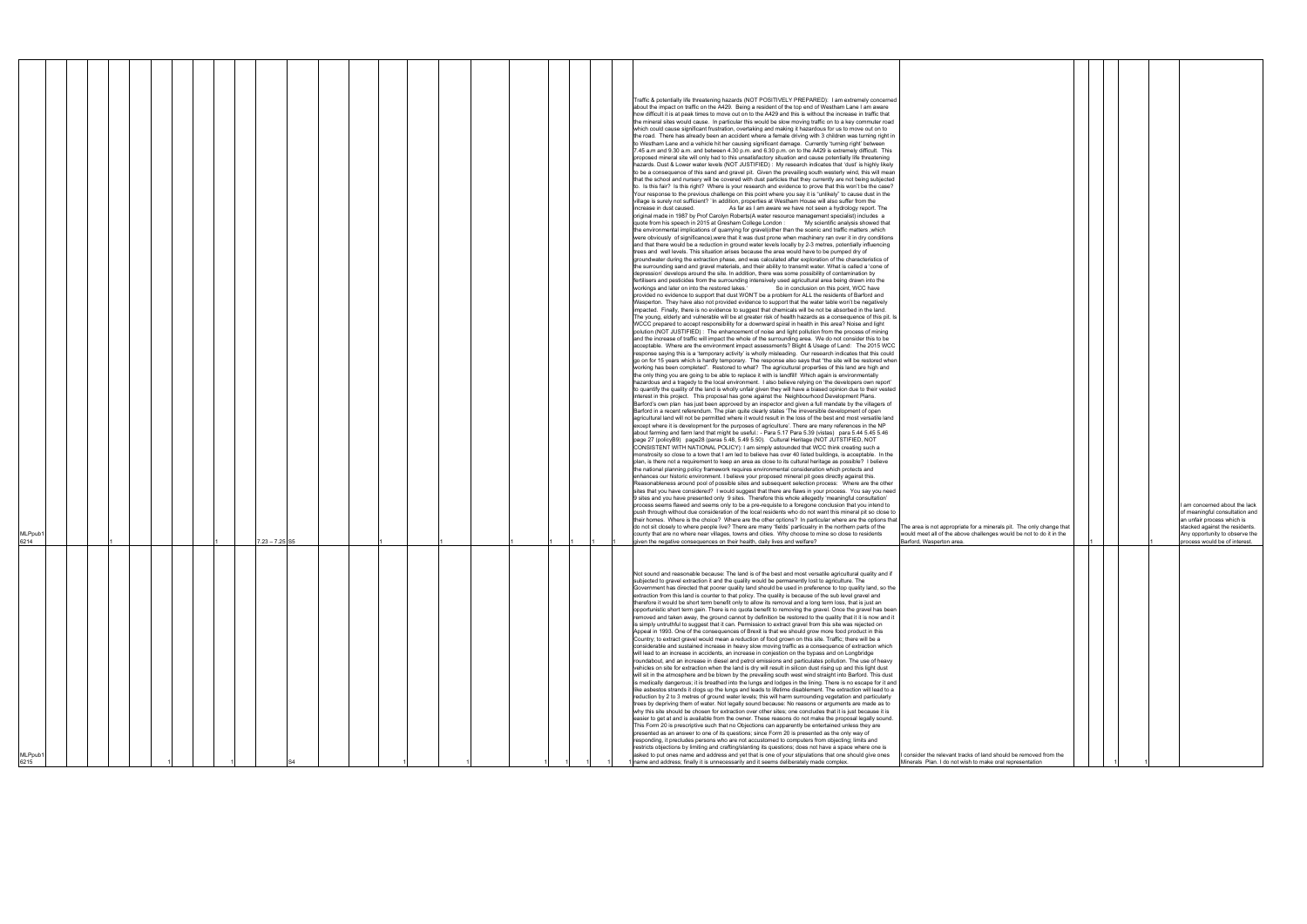|                                                                                                                                             |   |  |   | I am concerned about the lack<br>of meaningful consultation and |
|---------------------------------------------------------------------------------------------------------------------------------------------|---|--|---|-----------------------------------------------------------------|
|                                                                                                                                             |   |  |   | an unfair process which is                                      |
| The area is not appropriate for a minerals pit. The only change that<br>would meet all of the above challenges would be not to do it in the |   |  |   | stacked against the residents.                                  |
| Barford, Wasperton area.                                                                                                                    | 1 |  | 1 | Any opportunity to observe the<br>process would be of interest. |
|                                                                                                                                             |   |  |   |                                                                 |
|                                                                                                                                             |   |  |   |                                                                 |
|                                                                                                                                             |   |  |   |                                                                 |
|                                                                                                                                             |   |  |   |                                                                 |
|                                                                                                                                             |   |  |   |                                                                 |
|                                                                                                                                             |   |  |   |                                                                 |
|                                                                                                                                             |   |  |   |                                                                 |
|                                                                                                                                             |   |  |   |                                                                 |
|                                                                                                                                             |   |  |   |                                                                 |
|                                                                                                                                             |   |  |   |                                                                 |
|                                                                                                                                             |   |  |   |                                                                 |
|                                                                                                                                             |   |  |   |                                                                 |
|                                                                                                                                             |   |  |   |                                                                 |
|                                                                                                                                             |   |  |   |                                                                 |
|                                                                                                                                             |   |  |   |                                                                 |
|                                                                                                                                             |   |  |   |                                                                 |
|                                                                                                                                             |   |  |   |                                                                 |
|                                                                                                                                             |   |  |   |                                                                 |
|                                                                                                                                             |   |  |   |                                                                 |
|                                                                                                                                             |   |  |   |                                                                 |
|                                                                                                                                             |   |  |   |                                                                 |
| I consider the relevant tracks of land should be removed from the                                                                           |   |  |   |                                                                 |
| Minerals Plan. I do not wish to make oral representation                                                                                    |   |  |   |                                                                 |

| MLPpub1<br>6215                                                                                                                                                                                                                                                                                                                                                                                                                                                                                                                                                                                                                                                                                                                                                                                                                                                                                                                                                                                                                                                                                                                                                                                                                                                                                                                                                                                                                                                                                                                                                                                                                                                                                                                                                                                                                                                                                                                                                                                                                                                                                                                                                                                                                                                                                                                                                                                                                                                                                                                                                                                                                                                                                                                                                                                                                                                                                                                                                                                                                                                                                         | MLPpub1<br>6214                                                                                                                                                                                                                                                                                                                                                                                                                                                                                                                                                                                                                                                                                                                                                                                                                                                                                                                                                                                                                                                                                                                                                                                                                                                                                                                                                                                                                                                                                                                                                                                                                                                                                                                                                                                                                                                                                                                                                                                                                                                                                                                                                                                                                                                                                                                                                                                                                                                                                                                                                                                                                                                                                                                                                                                                                                                                                                                                                                                                                                                                                                                                                                                                                                                                                                                                                                                                                                                                                                                                                                                                                                                                                                                                                                                                                                                                                                                                                                                                                                                                                                                                                                                                                                                                                                                                                                                                                                                                                                                                                                                                                                                                                                                                                                                                                                                                                                                                                                                                                                                                                                                                                                                                                                                                                                                                                                                                                                                                                                                                                                                                                                                                                                                                                                                                                                                                                                                                                                                                                                                                                                                                                                                                                                                                                                                                                                                                                                                                                                                                                                                                                                                                                                                                                                                                                                                                                                       |
|---------------------------------------------------------------------------------------------------------------------------------------------------------------------------------------------------------------------------------------------------------------------------------------------------------------------------------------------------------------------------------------------------------------------------------------------------------------------------------------------------------------------------------------------------------------------------------------------------------------------------------------------------------------------------------------------------------------------------------------------------------------------------------------------------------------------------------------------------------------------------------------------------------------------------------------------------------------------------------------------------------------------------------------------------------------------------------------------------------------------------------------------------------------------------------------------------------------------------------------------------------------------------------------------------------------------------------------------------------------------------------------------------------------------------------------------------------------------------------------------------------------------------------------------------------------------------------------------------------------------------------------------------------------------------------------------------------------------------------------------------------------------------------------------------------------------------------------------------------------------------------------------------------------------------------------------------------------------------------------------------------------------------------------------------------------------------------------------------------------------------------------------------------------------------------------------------------------------------------------------------------------------------------------------------------------------------------------------------------------------------------------------------------------------------------------------------------------------------------------------------------------------------------------------------------------------------------------------------------------------------------------------------------------------------------------------------------------------------------------------------------------------------------------------------------------------------------------------------------------------------------------------------------------------------------------------------------------------------------------------------------------------------------------------------------------------------------------------------------|-----------------------------------------------------------------------------------------------------------------------------------------------------------------------------------------------------------------------------------------------------------------------------------------------------------------------------------------------------------------------------------------------------------------------------------------------------------------------------------------------------------------------------------------------------------------------------------------------------------------------------------------------------------------------------------------------------------------------------------------------------------------------------------------------------------------------------------------------------------------------------------------------------------------------------------------------------------------------------------------------------------------------------------------------------------------------------------------------------------------------------------------------------------------------------------------------------------------------------------------------------------------------------------------------------------------------------------------------------------------------------------------------------------------------------------------------------------------------------------------------------------------------------------------------------------------------------------------------------------------------------------------------------------------------------------------------------------------------------------------------------------------------------------------------------------------------------------------------------------------------------------------------------------------------------------------------------------------------------------------------------------------------------------------------------------------------------------------------------------------------------------------------------------------------------------------------------------------------------------------------------------------------------------------------------------------------------------------------------------------------------------------------------------------------------------------------------------------------------------------------------------------------------------------------------------------------------------------------------------------------------------------------------------------------------------------------------------------------------------------------------------------------------------------------------------------------------------------------------------------------------------------------------------------------------------------------------------------------------------------------------------------------------------------------------------------------------------------------------------------------------------------------------------------------------------------------------------------------------------------------------------------------------------------------------------------------------------------------------------------------------------------------------------------------------------------------------------------------------------------------------------------------------------------------------------------------------------------------------------------------------------------------------------------------------------------------------------------------------------------------------------------------------------------------------------------------------------------------------------------------------------------------------------------------------------------------------------------------------------------------------------------------------------------------------------------------------------------------------------------------------------------------------------------------------------------------------------------------------------------------------------------------------------------------------------------------------------------------------------------------------------------------------------------------------------------------------------------------------------------------------------------------------------------------------------------------------------------------------------------------------------------------------------------------------------------------------------------------------------------------------------------------------------------------------------------------------------------------------------------------------------------------------------------------------------------------------------------------------------------------------------------------------------------------------------------------------------------------------------------------------------------------------------------------------------------------------------------------------------------------------------------------------------------------------------------------------------------------------------------------------------------------------------------------------------------------------------------------------------------------------------------------------------------------------------------------------------------------------------------------------------------------------------------------------------------------------------------------------------------------------------------------------------------------------------------------------------------------------------------------------------------------------------------------------------------------------------------------------------------------------------------------------------------------------------------------------------------------------------------------------------------------------------------------------------------------------------------------------------------------------------------------------------------------------------------------------------------------------------------------------------------------------------------------------------------------------------------------------------------------------------------------------------------------------------------------------------------------------------------------------------------------------------------------------------------------------------------------------------------------------------------------------------------------------------------------------------------------------------------------------------------------------------------------|
|                                                                                                                                                                                                                                                                                                                                                                                                                                                                                                                                                                                                                                                                                                                                                                                                                                                                                                                                                                                                                                                                                                                                                                                                                                                                                                                                                                                                                                                                                                                                                                                                                                                                                                                                                                                                                                                                                                                                                                                                                                                                                                                                                                                                                                                                                                                                                                                                                                                                                                                                                                                                                                                                                                                                                                                                                                                                                                                                                                                                                                                                                                         |                                                                                                                                                                                                                                                                                                                                                                                                                                                                                                                                                                                                                                                                                                                                                                                                                                                                                                                                                                                                                                                                                                                                                                                                                                                                                                                                                                                                                                                                                                                                                                                                                                                                                                                                                                                                                                                                                                                                                                                                                                                                                                                                                                                                                                                                                                                                                                                                                                                                                                                                                                                                                                                                                                                                                                                                                                                                                                                                                                                                                                                                                                                                                                                                                                                                                                                                                                                                                                                                                                                                                                                                                                                                                                                                                                                                                                                                                                                                                                                                                                                                                                                                                                                                                                                                                                                                                                                                                                                                                                                                                                                                                                                                                                                                                                                                                                                                                                                                                                                                                                                                                                                                                                                                                                                                                                                                                                                                                                                                                                                                                                                                                                                                                                                                                                                                                                                                                                                                                                                                                                                                                                                                                                                                                                                                                                                                                                                                                                                                                                                                                                                                                                                                                                                                                                                                                                                                                                                       |
|                                                                                                                                                                                                                                                                                                                                                                                                                                                                                                                                                                                                                                                                                                                                                                                                                                                                                                                                                                                                                                                                                                                                                                                                                                                                                                                                                                                                                                                                                                                                                                                                                                                                                                                                                                                                                                                                                                                                                                                                                                                                                                                                                                                                                                                                                                                                                                                                                                                                                                                                                                                                                                                                                                                                                                                                                                                                                                                                                                                                                                                                                                         |                                                                                                                                                                                                                                                                                                                                                                                                                                                                                                                                                                                                                                                                                                                                                                                                                                                                                                                                                                                                                                                                                                                                                                                                                                                                                                                                                                                                                                                                                                                                                                                                                                                                                                                                                                                                                                                                                                                                                                                                                                                                                                                                                                                                                                                                                                                                                                                                                                                                                                                                                                                                                                                                                                                                                                                                                                                                                                                                                                                                                                                                                                                                                                                                                                                                                                                                                                                                                                                                                                                                                                                                                                                                                                                                                                                                                                                                                                                                                                                                                                                                                                                                                                                                                                                                                                                                                                                                                                                                                                                                                                                                                                                                                                                                                                                                                                                                                                                                                                                                                                                                                                                                                                                                                                                                                                                                                                                                                                                                                                                                                                                                                                                                                                                                                                                                                                                                                                                                                                                                                                                                                                                                                                                                                                                                                                                                                                                                                                                                                                                                                                                                                                                                                                                                                                                                                                                                                                                       |
|                                                                                                                                                                                                                                                                                                                                                                                                                                                                                                                                                                                                                                                                                                                                                                                                                                                                                                                                                                                                                                                                                                                                                                                                                                                                                                                                                                                                                                                                                                                                                                                                                                                                                                                                                                                                                                                                                                                                                                                                                                                                                                                                                                                                                                                                                                                                                                                                                                                                                                                                                                                                                                                                                                                                                                                                                                                                                                                                                                                                                                                                                                         |                                                                                                                                                                                                                                                                                                                                                                                                                                                                                                                                                                                                                                                                                                                                                                                                                                                                                                                                                                                                                                                                                                                                                                                                                                                                                                                                                                                                                                                                                                                                                                                                                                                                                                                                                                                                                                                                                                                                                                                                                                                                                                                                                                                                                                                                                                                                                                                                                                                                                                                                                                                                                                                                                                                                                                                                                                                                                                                                                                                                                                                                                                                                                                                                                                                                                                                                                                                                                                                                                                                                                                                                                                                                                                                                                                                                                                                                                                                                                                                                                                                                                                                                                                                                                                                                                                                                                                                                                                                                                                                                                                                                                                                                                                                                                                                                                                                                                                                                                                                                                                                                                                                                                                                                                                                                                                                                                                                                                                                                                                                                                                                                                                                                                                                                                                                                                                                                                                                                                                                                                                                                                                                                                                                                                                                                                                                                                                                                                                                                                                                                                                                                                                                                                                                                                                                                                                                                                                                       |
|                                                                                                                                                                                                                                                                                                                                                                                                                                                                                                                                                                                                                                                                                                                                                                                                                                                                                                                                                                                                                                                                                                                                                                                                                                                                                                                                                                                                                                                                                                                                                                                                                                                                                                                                                                                                                                                                                                                                                                                                                                                                                                                                                                                                                                                                                                                                                                                                                                                                                                                                                                                                                                                                                                                                                                                                                                                                                                                                                                                                                                                                                                         |                                                                                                                                                                                                                                                                                                                                                                                                                                                                                                                                                                                                                                                                                                                                                                                                                                                                                                                                                                                                                                                                                                                                                                                                                                                                                                                                                                                                                                                                                                                                                                                                                                                                                                                                                                                                                                                                                                                                                                                                                                                                                                                                                                                                                                                                                                                                                                                                                                                                                                                                                                                                                                                                                                                                                                                                                                                                                                                                                                                                                                                                                                                                                                                                                                                                                                                                                                                                                                                                                                                                                                                                                                                                                                                                                                                                                                                                                                                                                                                                                                                                                                                                                                                                                                                                                                                                                                                                                                                                                                                                                                                                                                                                                                                                                                                                                                                                                                                                                                                                                                                                                                                                                                                                                                                                                                                                                                                                                                                                                                                                                                                                                                                                                                                                                                                                                                                                                                                                                                                                                                                                                                                                                                                                                                                                                                                                                                                                                                                                                                                                                                                                                                                                                                                                                                                                                                                                                                                       |
|                                                                                                                                                                                                                                                                                                                                                                                                                                                                                                                                                                                                                                                                                                                                                                                                                                                                                                                                                                                                                                                                                                                                                                                                                                                                                                                                                                                                                                                                                                                                                                                                                                                                                                                                                                                                                                                                                                                                                                                                                                                                                                                                                                                                                                                                                                                                                                                                                                                                                                                                                                                                                                                                                                                                                                                                                                                                                                                                                                                                                                                                                                         |                                                                                                                                                                                                                                                                                                                                                                                                                                                                                                                                                                                                                                                                                                                                                                                                                                                                                                                                                                                                                                                                                                                                                                                                                                                                                                                                                                                                                                                                                                                                                                                                                                                                                                                                                                                                                                                                                                                                                                                                                                                                                                                                                                                                                                                                                                                                                                                                                                                                                                                                                                                                                                                                                                                                                                                                                                                                                                                                                                                                                                                                                                                                                                                                                                                                                                                                                                                                                                                                                                                                                                                                                                                                                                                                                                                                                                                                                                                                                                                                                                                                                                                                                                                                                                                                                                                                                                                                                                                                                                                                                                                                                                                                                                                                                                                                                                                                                                                                                                                                                                                                                                                                                                                                                                                                                                                                                                                                                                                                                                                                                                                                                                                                                                                                                                                                                                                                                                                                                                                                                                                                                                                                                                                                                                                                                                                                                                                                                                                                                                                                                                                                                                                                                                                                                                                                                                                                                                                       |
|                                                                                                                                                                                                                                                                                                                                                                                                                                                                                                                                                                                                                                                                                                                                                                                                                                                                                                                                                                                                                                                                                                                                                                                                                                                                                                                                                                                                                                                                                                                                                                                                                                                                                                                                                                                                                                                                                                                                                                                                                                                                                                                                                                                                                                                                                                                                                                                                                                                                                                                                                                                                                                                                                                                                                                                                                                                                                                                                                                                                                                                                                                         |                                                                                                                                                                                                                                                                                                                                                                                                                                                                                                                                                                                                                                                                                                                                                                                                                                                                                                                                                                                                                                                                                                                                                                                                                                                                                                                                                                                                                                                                                                                                                                                                                                                                                                                                                                                                                                                                                                                                                                                                                                                                                                                                                                                                                                                                                                                                                                                                                                                                                                                                                                                                                                                                                                                                                                                                                                                                                                                                                                                                                                                                                                                                                                                                                                                                                                                                                                                                                                                                                                                                                                                                                                                                                                                                                                                                                                                                                                                                                                                                                                                                                                                                                                                                                                                                                                                                                                                                                                                                                                                                                                                                                                                                                                                                                                                                                                                                                                                                                                                                                                                                                                                                                                                                                                                                                                                                                                                                                                                                                                                                                                                                                                                                                                                                                                                                                                                                                                                                                                                                                                                                                                                                                                                                                                                                                                                                                                                                                                                                                                                                                                                                                                                                                                                                                                                                                                                                                                                       |
|                                                                                                                                                                                                                                                                                                                                                                                                                                                                                                                                                                                                                                                                                                                                                                                                                                                                                                                                                                                                                                                                                                                                                                                                                                                                                                                                                                                                                                                                                                                                                                                                                                                                                                                                                                                                                                                                                                                                                                                                                                                                                                                                                                                                                                                                                                                                                                                                                                                                                                                                                                                                                                                                                                                                                                                                                                                                                                                                                                                                                                                                                                         |                                                                                                                                                                                                                                                                                                                                                                                                                                                                                                                                                                                                                                                                                                                                                                                                                                                                                                                                                                                                                                                                                                                                                                                                                                                                                                                                                                                                                                                                                                                                                                                                                                                                                                                                                                                                                                                                                                                                                                                                                                                                                                                                                                                                                                                                                                                                                                                                                                                                                                                                                                                                                                                                                                                                                                                                                                                                                                                                                                                                                                                                                                                                                                                                                                                                                                                                                                                                                                                                                                                                                                                                                                                                                                                                                                                                                                                                                                                                                                                                                                                                                                                                                                                                                                                                                                                                                                                                                                                                                                                                                                                                                                                                                                                                                                                                                                                                                                                                                                                                                                                                                                                                                                                                                                                                                                                                                                                                                                                                                                                                                                                                                                                                                                                                                                                                                                                                                                                                                                                                                                                                                                                                                                                                                                                                                                                                                                                                                                                                                                                                                                                                                                                                                                                                                                                                                                                                                                                       |
|                                                                                                                                                                                                                                                                                                                                                                                                                                                                                                                                                                                                                                                                                                                                                                                                                                                                                                                                                                                                                                                                                                                                                                                                                                                                                                                                                                                                                                                                                                                                                                                                                                                                                                                                                                                                                                                                                                                                                                                                                                                                                                                                                                                                                                                                                                                                                                                                                                                                                                                                                                                                                                                                                                                                                                                                                                                                                                                                                                                                                                                                                                         | $7.23 - 7.25$ S5                                                                                                                                                                                                                                                                                                                                                                                                                                                                                                                                                                                                                                                                                                                                                                                                                                                                                                                                                                                                                                                                                                                                                                                                                                                                                                                                                                                                                                                                                                                                                                                                                                                                                                                                                                                                                                                                                                                                                                                                                                                                                                                                                                                                                                                                                                                                                                                                                                                                                                                                                                                                                                                                                                                                                                                                                                                                                                                                                                                                                                                                                                                                                                                                                                                                                                                                                                                                                                                                                                                                                                                                                                                                                                                                                                                                                                                                                                                                                                                                                                                                                                                                                                                                                                                                                                                                                                                                                                                                                                                                                                                                                                                                                                                                                                                                                                                                                                                                                                                                                                                                                                                                                                                                                                                                                                                                                                                                                                                                                                                                                                                                                                                                                                                                                                                                                                                                                                                                                                                                                                                                                                                                                                                                                                                                                                                                                                                                                                                                                                                                                                                                                                                                                                                                                                                                                                                                                                      |
|                                                                                                                                                                                                                                                                                                                                                                                                                                                                                                                                                                                                                                                                                                                                                                                                                                                                                                                                                                                                                                                                                                                                                                                                                                                                                                                                                                                                                                                                                                                                                                                                                                                                                                                                                                                                                                                                                                                                                                                                                                                                                                                                                                                                                                                                                                                                                                                                                                                                                                                                                                                                                                                                                                                                                                                                                                                                                                                                                                                                                                                                                                         |                                                                                                                                                                                                                                                                                                                                                                                                                                                                                                                                                                                                                                                                                                                                                                                                                                                                                                                                                                                                                                                                                                                                                                                                                                                                                                                                                                                                                                                                                                                                                                                                                                                                                                                                                                                                                                                                                                                                                                                                                                                                                                                                                                                                                                                                                                                                                                                                                                                                                                                                                                                                                                                                                                                                                                                                                                                                                                                                                                                                                                                                                                                                                                                                                                                                                                                                                                                                                                                                                                                                                                                                                                                                                                                                                                                                                                                                                                                                                                                                                                                                                                                                                                                                                                                                                                                                                                                                                                                                                                                                                                                                                                                                                                                                                                                                                                                                                                                                                                                                                                                                                                                                                                                                                                                                                                                                                                                                                                                                                                                                                                                                                                                                                                                                                                                                                                                                                                                                                                                                                                                                                                                                                                                                                                                                                                                                                                                                                                                                                                                                                                                                                                                                                                                                                                                                                                                                                                                       |
|                                                                                                                                                                                                                                                                                                                                                                                                                                                                                                                                                                                                                                                                                                                                                                                                                                                                                                                                                                                                                                                                                                                                                                                                                                                                                                                                                                                                                                                                                                                                                                                                                                                                                                                                                                                                                                                                                                                                                                                                                                                                                                                                                                                                                                                                                                                                                                                                                                                                                                                                                                                                                                                                                                                                                                                                                                                                                                                                                                                                                                                                                                         |                                                                                                                                                                                                                                                                                                                                                                                                                                                                                                                                                                                                                                                                                                                                                                                                                                                                                                                                                                                                                                                                                                                                                                                                                                                                                                                                                                                                                                                                                                                                                                                                                                                                                                                                                                                                                                                                                                                                                                                                                                                                                                                                                                                                                                                                                                                                                                                                                                                                                                                                                                                                                                                                                                                                                                                                                                                                                                                                                                                                                                                                                                                                                                                                                                                                                                                                                                                                                                                                                                                                                                                                                                                                                                                                                                                                                                                                                                                                                                                                                                                                                                                                                                                                                                                                                                                                                                                                                                                                                                                                                                                                                                                                                                                                                                                                                                                                                                                                                                                                                                                                                                                                                                                                                                                                                                                                                                                                                                                                                                                                                                                                                                                                                                                                                                                                                                                                                                                                                                                                                                                                                                                                                                                                                                                                                                                                                                                                                                                                                                                                                                                                                                                                                                                                                                                                                                                                                                                       |
|                                                                                                                                                                                                                                                                                                                                                                                                                                                                                                                                                                                                                                                                                                                                                                                                                                                                                                                                                                                                                                                                                                                                                                                                                                                                                                                                                                                                                                                                                                                                                                                                                                                                                                                                                                                                                                                                                                                                                                                                                                                                                                                                                                                                                                                                                                                                                                                                                                                                                                                                                                                                                                                                                                                                                                                                                                                                                                                                                                                                                                                                                                         |                                                                                                                                                                                                                                                                                                                                                                                                                                                                                                                                                                                                                                                                                                                                                                                                                                                                                                                                                                                                                                                                                                                                                                                                                                                                                                                                                                                                                                                                                                                                                                                                                                                                                                                                                                                                                                                                                                                                                                                                                                                                                                                                                                                                                                                                                                                                                                                                                                                                                                                                                                                                                                                                                                                                                                                                                                                                                                                                                                                                                                                                                                                                                                                                                                                                                                                                                                                                                                                                                                                                                                                                                                                                                                                                                                                                                                                                                                                                                                                                                                                                                                                                                                                                                                                                                                                                                                                                                                                                                                                                                                                                                                                                                                                                                                                                                                                                                                                                                                                                                                                                                                                                                                                                                                                                                                                                                                                                                                                                                                                                                                                                                                                                                                                                                                                                                                                                                                                                                                                                                                                                                                                                                                                                                                                                                                                                                                                                                                                                                                                                                                                                                                                                                                                                                                                                                                                                                                                       |
|                                                                                                                                                                                                                                                                                                                                                                                                                                                                                                                                                                                                                                                                                                                                                                                                                                                                                                                                                                                                                                                                                                                                                                                                                                                                                                                                                                                                                                                                                                                                                                                                                                                                                                                                                                                                                                                                                                                                                                                                                                                                                                                                                                                                                                                                                                                                                                                                                                                                                                                                                                                                                                                                                                                                                                                                                                                                                                                                                                                                                                                                                                         |                                                                                                                                                                                                                                                                                                                                                                                                                                                                                                                                                                                                                                                                                                                                                                                                                                                                                                                                                                                                                                                                                                                                                                                                                                                                                                                                                                                                                                                                                                                                                                                                                                                                                                                                                                                                                                                                                                                                                                                                                                                                                                                                                                                                                                                                                                                                                                                                                                                                                                                                                                                                                                                                                                                                                                                                                                                                                                                                                                                                                                                                                                                                                                                                                                                                                                                                                                                                                                                                                                                                                                                                                                                                                                                                                                                                                                                                                                                                                                                                                                                                                                                                                                                                                                                                                                                                                                                                                                                                                                                                                                                                                                                                                                                                                                                                                                                                                                                                                                                                                                                                                                                                                                                                                                                                                                                                                                                                                                                                                                                                                                                                                                                                                                                                                                                                                                                                                                                                                                                                                                                                                                                                                                                                                                                                                                                                                                                                                                                                                                                                                                                                                                                                                                                                                                                                                                                                                                                       |
|                                                                                                                                                                                                                                                                                                                                                                                                                                                                                                                                                                                                                                                                                                                                                                                                                                                                                                                                                                                                                                                                                                                                                                                                                                                                                                                                                                                                                                                                                                                                                                                                                                                                                                                                                                                                                                                                                                                                                                                                                                                                                                                                                                                                                                                                                                                                                                                                                                                                                                                                                                                                                                                                                                                                                                                                                                                                                                                                                                                                                                                                                                         |                                                                                                                                                                                                                                                                                                                                                                                                                                                                                                                                                                                                                                                                                                                                                                                                                                                                                                                                                                                                                                                                                                                                                                                                                                                                                                                                                                                                                                                                                                                                                                                                                                                                                                                                                                                                                                                                                                                                                                                                                                                                                                                                                                                                                                                                                                                                                                                                                                                                                                                                                                                                                                                                                                                                                                                                                                                                                                                                                                                                                                                                                                                                                                                                                                                                                                                                                                                                                                                                                                                                                                                                                                                                                                                                                                                                                                                                                                                                                                                                                                                                                                                                                                                                                                                                                                                                                                                                                                                                                                                                                                                                                                                                                                                                                                                                                                                                                                                                                                                                                                                                                                                                                                                                                                                                                                                                                                                                                                                                                                                                                                                                                                                                                                                                                                                                                                                                                                                                                                                                                                                                                                                                                                                                                                                                                                                                                                                                                                                                                                                                                                                                                                                                                                                                                                                                                                                                                                                       |
|                                                                                                                                                                                                                                                                                                                                                                                                                                                                                                                                                                                                                                                                                                                                                                                                                                                                                                                                                                                                                                                                                                                                                                                                                                                                                                                                                                                                                                                                                                                                                                                                                                                                                                                                                                                                                                                                                                                                                                                                                                                                                                                                                                                                                                                                                                                                                                                                                                                                                                                                                                                                                                                                                                                                                                                                                                                                                                                                                                                                                                                                                                         |                                                                                                                                                                                                                                                                                                                                                                                                                                                                                                                                                                                                                                                                                                                                                                                                                                                                                                                                                                                                                                                                                                                                                                                                                                                                                                                                                                                                                                                                                                                                                                                                                                                                                                                                                                                                                                                                                                                                                                                                                                                                                                                                                                                                                                                                                                                                                                                                                                                                                                                                                                                                                                                                                                                                                                                                                                                                                                                                                                                                                                                                                                                                                                                                                                                                                                                                                                                                                                                                                                                                                                                                                                                                                                                                                                                                                                                                                                                                                                                                                                                                                                                                                                                                                                                                                                                                                                                                                                                                                                                                                                                                                                                                                                                                                                                                                                                                                                                                                                                                                                                                                                                                                                                                                                                                                                                                                                                                                                                                                                                                                                                                                                                                                                                                                                                                                                                                                                                                                                                                                                                                                                                                                                                                                                                                                                                                                                                                                                                                                                                                                                                                                                                                                                                                                                                                                                                                                                                       |
|                                                                                                                                                                                                                                                                                                                                                                                                                                                                                                                                                                                                                                                                                                                                                                                                                                                                                                                                                                                                                                                                                                                                                                                                                                                                                                                                                                                                                                                                                                                                                                                                                                                                                                                                                                                                                                                                                                                                                                                                                                                                                                                                                                                                                                                                                                                                                                                                                                                                                                                                                                                                                                                                                                                                                                                                                                                                                                                                                                                                                                                                                                         |                                                                                                                                                                                                                                                                                                                                                                                                                                                                                                                                                                                                                                                                                                                                                                                                                                                                                                                                                                                                                                                                                                                                                                                                                                                                                                                                                                                                                                                                                                                                                                                                                                                                                                                                                                                                                                                                                                                                                                                                                                                                                                                                                                                                                                                                                                                                                                                                                                                                                                                                                                                                                                                                                                                                                                                                                                                                                                                                                                                                                                                                                                                                                                                                                                                                                                                                                                                                                                                                                                                                                                                                                                                                                                                                                                                                                                                                                                                                                                                                                                                                                                                                                                                                                                                                                                                                                                                                                                                                                                                                                                                                                                                                                                                                                                                                                                                                                                                                                                                                                                                                                                                                                                                                                                                                                                                                                                                                                                                                                                                                                                                                                                                                                                                                                                                                                                                                                                                                                                                                                                                                                                                                                                                                                                                                                                                                                                                                                                                                                                                                                                                                                                                                                                                                                                                                                                                                                                                       |
|                                                                                                                                                                                                                                                                                                                                                                                                                                                                                                                                                                                                                                                                                                                                                                                                                                                                                                                                                                                                                                                                                                                                                                                                                                                                                                                                                                                                                                                                                                                                                                                                                                                                                                                                                                                                                                                                                                                                                                                                                                                                                                                                                                                                                                                                                                                                                                                                                                                                                                                                                                                                                                                                                                                                                                                                                                                                                                                                                                                                                                                                                                         |                                                                                                                                                                                                                                                                                                                                                                                                                                                                                                                                                                                                                                                                                                                                                                                                                                                                                                                                                                                                                                                                                                                                                                                                                                                                                                                                                                                                                                                                                                                                                                                                                                                                                                                                                                                                                                                                                                                                                                                                                                                                                                                                                                                                                                                                                                                                                                                                                                                                                                                                                                                                                                                                                                                                                                                                                                                                                                                                                                                                                                                                                                                                                                                                                                                                                                                                                                                                                                                                                                                                                                                                                                                                                                                                                                                                                                                                                                                                                                                                                                                                                                                                                                                                                                                                                                                                                                                                                                                                                                                                                                                                                                                                                                                                                                                                                                                                                                                                                                                                                                                                                                                                                                                                                                                                                                                                                                                                                                                                                                                                                                                                                                                                                                                                                                                                                                                                                                                                                                                                                                                                                                                                                                                                                                                                                                                                                                                                                                                                                                                                                                                                                                                                                                                                                                                                                                                                                                                       |
|                                                                                                                                                                                                                                                                                                                                                                                                                                                                                                                                                                                                                                                                                                                                                                                                                                                                                                                                                                                                                                                                                                                                                                                                                                                                                                                                                                                                                                                                                                                                                                                                                                                                                                                                                                                                                                                                                                                                                                                                                                                                                                                                                                                                                                                                                                                                                                                                                                                                                                                                                                                                                                                                                                                                                                                                                                                                                                                                                                                                                                                                                                         |                                                                                                                                                                                                                                                                                                                                                                                                                                                                                                                                                                                                                                                                                                                                                                                                                                                                                                                                                                                                                                                                                                                                                                                                                                                                                                                                                                                                                                                                                                                                                                                                                                                                                                                                                                                                                                                                                                                                                                                                                                                                                                                                                                                                                                                                                                                                                                                                                                                                                                                                                                                                                                                                                                                                                                                                                                                                                                                                                                                                                                                                                                                                                                                                                                                                                                                                                                                                                                                                                                                                                                                                                                                                                                                                                                                                                                                                                                                                                                                                                                                                                                                                                                                                                                                                                                                                                                                                                                                                                                                                                                                                                                                                                                                                                                                                                                                                                                                                                                                                                                                                                                                                                                                                                                                                                                                                                                                                                                                                                                                                                                                                                                                                                                                                                                                                                                                                                                                                                                                                                                                                                                                                                                                                                                                                                                                                                                                                                                                                                                                                                                                                                                                                                                                                                                                                                                                                                                                       |
|                                                                                                                                                                                                                                                                                                                                                                                                                                                                                                                                                                                                                                                                                                                                                                                                                                                                                                                                                                                                                                                                                                                                                                                                                                                                                                                                                                                                                                                                                                                                                                                                                                                                                                                                                                                                                                                                                                                                                                                                                                                                                                                                                                                                                                                                                                                                                                                                                                                                                                                                                                                                                                                                                                                                                                                                                                                                                                                                                                                                                                                                                                         |                                                                                                                                                                                                                                                                                                                                                                                                                                                                                                                                                                                                                                                                                                                                                                                                                                                                                                                                                                                                                                                                                                                                                                                                                                                                                                                                                                                                                                                                                                                                                                                                                                                                                                                                                                                                                                                                                                                                                                                                                                                                                                                                                                                                                                                                                                                                                                                                                                                                                                                                                                                                                                                                                                                                                                                                                                                                                                                                                                                                                                                                                                                                                                                                                                                                                                                                                                                                                                                                                                                                                                                                                                                                                                                                                                                                                                                                                                                                                                                                                                                                                                                                                                                                                                                                                                                                                                                                                                                                                                                                                                                                                                                                                                                                                                                                                                                                                                                                                                                                                                                                                                                                                                                                                                                                                                                                                                                                                                                                                                                                                                                                                                                                                                                                                                                                                                                                                                                                                                                                                                                                                                                                                                                                                                                                                                                                                                                                                                                                                                                                                                                                                                                                                                                                                                                                                                                                                                                       |
|                                                                                                                                                                                                                                                                                                                                                                                                                                                                                                                                                                                                                                                                                                                                                                                                                                                                                                                                                                                                                                                                                                                                                                                                                                                                                                                                                                                                                                                                                                                                                                                                                                                                                                                                                                                                                                                                                                                                                                                                                                                                                                                                                                                                                                                                                                                                                                                                                                                                                                                                                                                                                                                                                                                                                                                                                                                                                                                                                                                                                                                                                                         |                                                                                                                                                                                                                                                                                                                                                                                                                                                                                                                                                                                                                                                                                                                                                                                                                                                                                                                                                                                                                                                                                                                                                                                                                                                                                                                                                                                                                                                                                                                                                                                                                                                                                                                                                                                                                                                                                                                                                                                                                                                                                                                                                                                                                                                                                                                                                                                                                                                                                                                                                                                                                                                                                                                                                                                                                                                                                                                                                                                                                                                                                                                                                                                                                                                                                                                                                                                                                                                                                                                                                                                                                                                                                                                                                                                                                                                                                                                                                                                                                                                                                                                                                                                                                                                                                                                                                                                                                                                                                                                                                                                                                                                                                                                                                                                                                                                                                                                                                                                                                                                                                                                                                                                                                                                                                                                                                                                                                                                                                                                                                                                                                                                                                                                                                                                                                                                                                                                                                                                                                                                                                                                                                                                                                                                                                                                                                                                                                                                                                                                                                                                                                                                                                                                                                                                                                                                                                                                       |
|                                                                                                                                                                                                                                                                                                                                                                                                                                                                                                                                                                                                                                                                                                                                                                                                                                                                                                                                                                                                                                                                                                                                                                                                                                                                                                                                                                                                                                                                                                                                                                                                                                                                                                                                                                                                                                                                                                                                                                                                                                                                                                                                                                                                                                                                                                                                                                                                                                                                                                                                                                                                                                                                                                                                                                                                                                                                                                                                                                                                                                                                                                         |                                                                                                                                                                                                                                                                                                                                                                                                                                                                                                                                                                                                                                                                                                                                                                                                                                                                                                                                                                                                                                                                                                                                                                                                                                                                                                                                                                                                                                                                                                                                                                                                                                                                                                                                                                                                                                                                                                                                                                                                                                                                                                                                                                                                                                                                                                                                                                                                                                                                                                                                                                                                                                                                                                                                                                                                                                                                                                                                                                                                                                                                                                                                                                                                                                                                                                                                                                                                                                                                                                                                                                                                                                                                                                                                                                                                                                                                                                                                                                                                                                                                                                                                                                                                                                                                                                                                                                                                                                                                                                                                                                                                                                                                                                                                                                                                                                                                                                                                                                                                                                                                                                                                                                                                                                                                                                                                                                                                                                                                                                                                                                                                                                                                                                                                                                                                                                                                                                                                                                                                                                                                                                                                                                                                                                                                                                                                                                                                                                                                                                                                                                                                                                                                                                                                                                                                                                                                                                                       |
|                                                                                                                                                                                                                                                                                                                                                                                                                                                                                                                                                                                                                                                                                                                                                                                                                                                                                                                                                                                                                                                                                                                                                                                                                                                                                                                                                                                                                                                                                                                                                                                                                                                                                                                                                                                                                                                                                                                                                                                                                                                                                                                                                                                                                                                                                                                                                                                                                                                                                                                                                                                                                                                                                                                                                                                                                                                                                                                                                                                                                                                                                                         |                                                                                                                                                                                                                                                                                                                                                                                                                                                                                                                                                                                                                                                                                                                                                                                                                                                                                                                                                                                                                                                                                                                                                                                                                                                                                                                                                                                                                                                                                                                                                                                                                                                                                                                                                                                                                                                                                                                                                                                                                                                                                                                                                                                                                                                                                                                                                                                                                                                                                                                                                                                                                                                                                                                                                                                                                                                                                                                                                                                                                                                                                                                                                                                                                                                                                                                                                                                                                                                                                                                                                                                                                                                                                                                                                                                                                                                                                                                                                                                                                                                                                                                                                                                                                                                                                                                                                                                                                                                                                                                                                                                                                                                                                                                                                                                                                                                                                                                                                                                                                                                                                                                                                                                                                                                                                                                                                                                                                                                                                                                                                                                                                                                                                                                                                                                                                                                                                                                                                                                                                                                                                                                                                                                                                                                                                                                                                                                                                                                                                                                                                                                                                                                                                                                                                                                                                                                                                                                       |
| Not sound and reasonable because: The land is of the best and most versatile agricultural quality and if<br>subjected to gravel extraction it and the quality would be permanently lost to agriculture. The<br>Government has directed that poorer quality land should be used in preference to top quality land, so the<br>extraction from this land is counter to that policy. The quality is because of the sub level gravel and<br>therefore it would be short term benefit only to allow its removal and a long term loss, that is just an<br>opportunistic short term gain. There is no quota benefit to removing the gravel. Once the gravel has been<br>removed and taken away, the ground cannot by definition be restored to the quality that it it is now and it<br>is simply untruthful to suggest that it can. Permission to extract gravel from this site was rejected on<br>Appeal in 1993. One of the consequences of Brexit is that we should grow more food product in this<br>Country; to extract gravel would mean a reduction of food grown on this site. Traffic; there will be a<br>considerable and sustained increase in heavy slow moving traffic as a consequence of extraction which<br>will lead to an increase in accidents, an increase in conjestion on the bypass and on Longbridge<br>roundabout, and an increase in diesel and petrol emissions and particulates pollution. The use of heavy<br>vehicles on site for extraction when the land is dry will result in silicon dust rising up and this light dust<br>will sit in the atmosphere and be blown by the prevailing south west wind straight into Barford. This dust<br>is medically dangerous; it is breathed into the lungs and lodges in the lining. There is no escape for it and<br>like asbestos strands it clogs up the lungs and leads to lifetime disablement. The extraction will lead to a<br>reduction by 2 to 3 metres of ground water levels; this will harm surrounding vegetation and particularly<br>trees by depriving them of water. Not legally sound because: No reasons or arguments are made as to<br>why this site should be chosen for extraction over other sites; one concludes that it is just because it is<br>easier to get at and is available from the owner. These reasons do not make the proposal legally sound.<br>This Form 20 is prescriptive such that no Objections can apparently be entertained unless they are<br>presented as an answer to one of its questions; since Form 20 is presented as the only way of<br>responding, it precludes persons who are not accustomed to computers from objecting; limits and<br>restricts objections by limiting and crafting/slanting its questions; does not have a space where one is<br>asked to put ones name and address and yet that is one of your stipulations that one should give ones<br>I consider the relevant tracks of land should be removed from the<br>name and address; finally it is unnecessarily and it seems deliberately made complex.<br>Minerals Plan. I do not wish to make oral representation | Traffic & potentially life threatening hazards (NOT POSITIVELY PREPARED): I am extremely concerned<br>about the impact on traffic on the A429. Being a resident of the top end of Westham Lane I am aware<br>how difficult it is at peak times to move out on to the A429 and this is without the increase in traffic that<br>the mineral sites would cause. In particular this would be slow moving traffic on to a key commuter road<br>which could cause significant frustration, overtaking and making it hazardous for us to move out on to<br>the road. There has already been an accident where a female driving with 3 children was turning right in<br>to Westham Lane and a vehicle hit her causing significant damage. Currently 'turning right' between<br>7.45 a.m and 9.30 a.m. and between 4.30 p.m. and 6.30 p.m. on to the A429 is extremely difficult. This<br>proposed mineral site will only had to this unsatisfactory situation and cause potentially life threatening<br>hazards. Dust & Lower water levels (NOT JUSTIFIED): My research indicates that 'dust' is highly likely<br>to be a consequence of this sand and gravel pit. Given the prevailing south westerly wind, this will mean<br>that the school and nursery will be covered with dust particles that they currently are not being subjected<br>to. Is this fair? Is this right? Where is your research and evidence to prove that this won't be the case?<br>Your response to the previous challenge on this point where you say it is "unlikely" to cause dust in the<br>village is surely not sufficient? `In addition, properties at Westham House will also suffer from the<br>increase in dust caused.<br>As far as I am aware we have not seen a hydrology report. The<br>original made in 1987 by Prof Carolyn Roberts(A water resource management specialist) includes a<br>quote from his speech in 2015 at Gresham College London : "My scientific analysis showed that<br>the environmental implications of quarrying for gravel(other than the scenic and traffic matters , which<br>were obviously of significance), were that it was dust prone when machinery ran over it in dry conditions<br>and that there would be a reduction in ground water levels locally by 2-3 metres, potentially influencing<br>trees and well levels. This situation arises because the area would have to be pumped dry of<br>groundwater during the extraction phase, and was calculated after exploration of the characteristics of<br>the surrounding sand and gravel materials, and their ability to transmit water. What is called a 'cone of<br>depression' develops around the site. In addition, there was some possibility of contamination by<br>fertilisers and pesticides from the surrounding intensively used agricultural area being drawn into the<br>workings and later on into the restored lakes."<br>So in conclusion on this point, WCC have<br>provided no evidence to support that dust WON'T be a problem for ALL the residents of Barford and<br>Wasperton. They have also not provided evidence to support that the water table won't be negatively<br>impacted. Finally, there is no evidence to suggest that chemicals will be not be absorbed in the land.<br>The young, elderly and vulnerable will be at greater risk of health hazards as a consequence of this pit. Is<br>WCCC prepared to accept responsibility for a downward spiral in health in this area? Noise and light<br>polution (NOT JUSTIFIED): The enhancement of noise and light pollution from the process of mining<br>and the increase of traffic will impact the whole of the surrounding area. We do not consider this to be<br>acceptable. Where are the environment impact assessments? Blight & Usage of Land: The 2015 WCC<br>response saying this is a 'temporary activity' is wholly misleading. Our research indicates that this could<br>go on for 15 years which is hardly temporary. The response also says that "the site will be restored when<br>working has been completed". Restored to what? The agricultural properties of this land are high and<br>the only thing you are going to be able to replace it with is landfill! Which again is environmentally<br>hazardous and a tragedy to the local environment. I also believe relying on 'the developers own report'<br>to quantify the quality of the land is wholly unfair given they will have a biased opinion due to their vested<br>interest in this project. This proposal has gone against the Neighbourhood Development Plans.<br>Barford's own plan has just been approved by an inspector and given a full mandate by the villagers of<br>Barford in a recent referendum. The plan quite clearly states 'The irreversible development of open<br>agricultural land will not be permitted where it would result in the loss of the best and most versatile land<br>except where it is development for the purposes of agriculture'. There are many references in the NP<br>about farming and farm land that might be useful.: - Para 5.17 Para 5.39 (vistas) para 5.44 5.45 5.46<br>page 27 (policyB9) page28 (paras 5.48, 5.49 5.50). Cultural Heritage (NOT JUTSTIFIED, NOT<br>CONSISTENT WITH NATIONAL POLICY): I am simply astounded that WCC think creating such a<br>monstrosity so close to a town that I am led to believe has over 40 listed buildings, is acceptable. In the<br>plan, is there not a requirement to keep an area as close to its cultural heritage as possible? I believe<br>the national planning policy framework requires environmental consideration which protects and<br>enhances our historic environment. I believe your proposed mineral pit goes directly against this.<br>Reasonableness around pool of possible sites and subsequent selection process: Where are the other<br>sites that you have considered? I would suggest that there are flaws in your process. You say you need<br>9 sites and you have presented only 9 sites. Therefore this whole allegedly 'meaningful consultation'<br>process seems flawed and seems only to be a pre-requiste to a foregone conclusion that you intend to<br>push through without due consideration of the local residents who do not want this mineral pit so close to<br>their homes. Where is the choice? Where are the other options? In particular where are the options that<br>do not sit closely to where people live? There are many 'fields' particualry in the northern parts of the<br>The area is not appropriate for a minerals pit. The only change that<br>would meet all of the above challenges would be not to do it in the<br>county that are no where near villages, towns and cities. Why choose to mine so close to residents<br>given the negative consequences on their health, daily lives and welfare?<br>Barford, Wasperton area. |
|                                                                                                                                                                                                                                                                                                                                                                                                                                                                                                                                                                                                                                                                                                                                                                                                                                                                                                                                                                                                                                                                                                                                                                                                                                                                                                                                                                                                                                                                                                                                                                                                                                                                                                                                                                                                                                                                                                                                                                                                                                                                                                                                                                                                                                                                                                                                                                                                                                                                                                                                                                                                                                                                                                                                                                                                                                                                                                                                                                                                                                                                                                         | I am concerned about the la<br>of meaningful consultation a<br>an unfair process which is<br>stacked against the resident<br>Any opportunity to observe t<br>process would be of interest                                                                                                                                                                                                                                                                                                                                                                                                                                                                                                                                                                                                                                                                                                                                                                                                                                                                                                                                                                                                                                                                                                                                                                                                                                                                                                                                                                                                                                                                                                                                                                                                                                                                                                                                                                                                                                                                                                                                                                                                                                                                                                                                                                                                                                                                                                                                                                                                                                                                                                                                                                                                                                                                                                                                                                                                                                                                                                                                                                                                                                                                                                                                                                                                                                                                                                                                                                                                                                                                                                                                                                                                                                                                                                                                                                                                                                                                                                                                                                                                                                                                                                                                                                                                                                                                                                                                                                                                                                                                                                                                                                                                                                                                                                                                                                                                                                                                                                                                                                                                                                                                                                                                                                                                                                                                                                                                                                                                                                                                                                                                                                                                                                                                                                                                                                                                                                                                                                                                                                                                                                                                                                                                                                                                                                                                                                                                                                                                                                                                                                                                                                                                                                                                                                                             |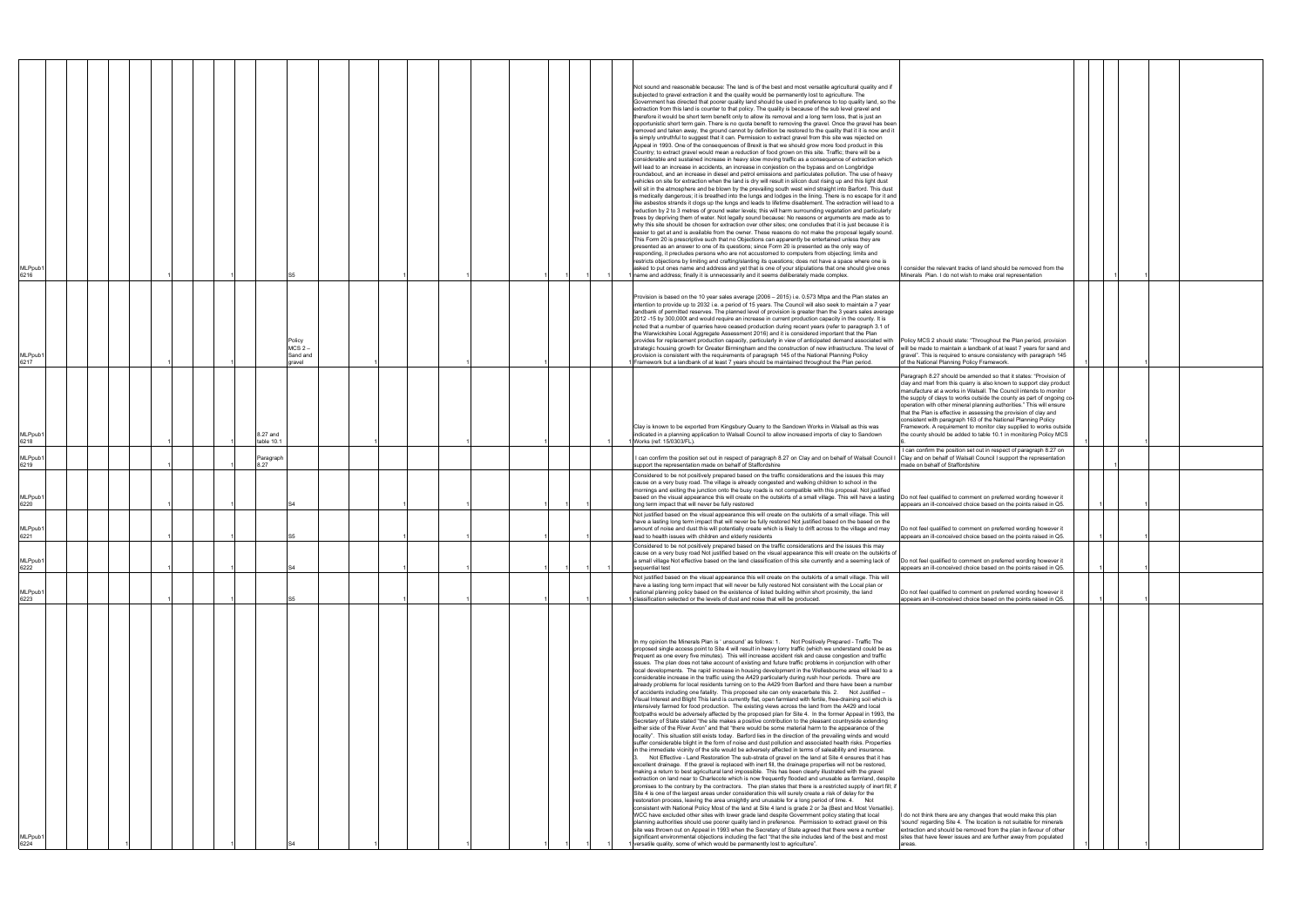| MLPpub<br>6216          |  |  |                        |                                |  |  |  |  | Not sound and reasonable because: The land is of the best and most versatile agricultural quality and if<br>subjected to gravel extraction it and the quality would be permanently lost to agriculture. The<br>Government has directed that poorer quality land should be used in preference to top quality land, so the<br>extraction from this land is counter to that policy. The quality is because of the sub level gravel and<br>therefore it would be short term benefit only to allow its removal and a long term loss, that is just an<br>opportunistic short term gain. There is no quota benefit to removing the gravel. Once the gravel has been<br>removed and taken away, the ground cannot by definition be restored to the quality that it it is now and it<br>is simply untruthful to suggest that it can. Permission to extract gravel from this site was rejected on<br>Appeal in 1993. One of the consequences of Brexit is that we should grow more food product in this<br>Country; to extract gravel would mean a reduction of food grown on this site. Traffic; there will be a<br>considerable and sustained increase in heavy slow moving traffic as a consequence of extraction which<br>will lead to an increase in accidents, an increase in conjestion on the bypass and on Longbridge<br>roundabout, and an increase in diesel and petrol emissions and particulates pollution. The use of heavy<br>vehicles on site for extraction when the land is dry will result in silicon dust rising up and this light dust<br>will sit in the atmosphere and be blown by the prevailing south west wind straight into Barford. This dust<br>is medically dangerous; it is breathed into the lungs and lodges in the lining. There is no escape for it and<br>like asbestos strands it clogs up the lungs and leads to lifetime disablement. The extraction will lead to a<br>reduction by 2 to 3 metres of ground water levels; this will harm surrounding vegetation and particularly<br>trees by depriving them of water. Not legally sound because: No reasons or arguments are made as to<br>why this site should be chosen for extraction over other sites; one concludes that it is just because it is<br>easier to get at and is available from the owner. These reasons do not make the proposal legally sound.<br>This Form 20 is prescriptive such that no Objections can apparently be entertained unless they are<br>presented as an answer to one of its questions; since Form 20 is presented as the only way of<br>responding, it precludes persons who are not accustomed to computers from objecting; limits and<br>restricts objections by limiting and crafting/slanting its questions; does not have a space where one is<br>asked to put ones name and address and yet that is one of your stipulations that one should give ones<br>I name and address; finally it is unnecessarily and it seems deliberately made complex.                                                                                                                                                                                                                  | consider the relevant tracks of land should be removed from the<br>Minerals Plan. I do not wish to make oral representation                                                                                                                                                                                                                                                                                                                                                                                                                                                                                                                       |  |  |
|-------------------------|--|--|------------------------|--------------------------------|--|--|--|--|-------------------------------------------------------------------------------------------------------------------------------------------------------------------------------------------------------------------------------------------------------------------------------------------------------------------------------------------------------------------------------------------------------------------------------------------------------------------------------------------------------------------------------------------------------------------------------------------------------------------------------------------------------------------------------------------------------------------------------------------------------------------------------------------------------------------------------------------------------------------------------------------------------------------------------------------------------------------------------------------------------------------------------------------------------------------------------------------------------------------------------------------------------------------------------------------------------------------------------------------------------------------------------------------------------------------------------------------------------------------------------------------------------------------------------------------------------------------------------------------------------------------------------------------------------------------------------------------------------------------------------------------------------------------------------------------------------------------------------------------------------------------------------------------------------------------------------------------------------------------------------------------------------------------------------------------------------------------------------------------------------------------------------------------------------------------------------------------------------------------------------------------------------------------------------------------------------------------------------------------------------------------------------------------------------------------------------------------------------------------------------------------------------------------------------------------------------------------------------------------------------------------------------------------------------------------------------------------------------------------------------------------------------------------------------------------------------------------------------------------------------------------------------------------------------------------------------------------------------------------------------------------------------------------------------------------------------------------------------------------------------------------------------------------------------------------------------------------------------------------------------------------------------------------------------------------|---------------------------------------------------------------------------------------------------------------------------------------------------------------------------------------------------------------------------------------------------------------------------------------------------------------------------------------------------------------------------------------------------------------------------------------------------------------------------------------------------------------------------------------------------------------------------------------------------------------------------------------------------|--|--|
| MLPpub1<br>6217         |  |  |                        | $MCS2$ .<br>Sand and<br>gravel |  |  |  |  | Provision is based on the 10 year sales average (2006 - 2015) i.e. 0.573 Mtpa and the Plan states an<br>intention to provide up to 2032 i.e. a period of 15 years. The Council will also seek to maintain a 7 year<br>landbank of permitted reserves. The planned level of provision is greater than the 3 years sales average<br>2012 -15 by 300,000t and would require an increase in current production capacity in the county. It is<br>noted that a number of quarries have ceased production during recent years (refer to paragraph 3.1 of<br>the Warwickshire Local Aggregate Assessment 2016) and it is considered important that the Plan<br>provides for replacement production capacity, particularly in view of anticipated demand associated with Policy MCS 2 should state: "Throughout the Plan period, provision<br>strategic housing growth for Greater Birmingham and the construction of new infrastructure. The level of will be made to maintain a landbank of at least 7 years for sand and<br>provision is consistent with the requirements of paragraph 145 of the National Planning Policy<br>1 Framework but a landbank of at least 7 years should be maintained throughout the Plan period.                                                                                                                                                                                                                                                                                                                                                                                                                                                                                                                                                                                                                                                                                                                                                                                                                                                                                                                                                                                                                                                                                                                                                                                                                                                                                                                                                                                                                                                                                                                                                                                                                                                                                                                                                                                                                                                                                                                                                                   | gravel". This is required to ensure consistency with paragraph 145<br>of the National Planning Policy Framework.                                                                                                                                                                                                                                                                                                                                                                                                                                                                                                                                  |  |  |
| MLPpub1<br>6218         |  |  | 8.27 and<br>table 10.1 |                                |  |  |  |  | Clay is known to be exported from Kingsbury Quarry to the Sandown Works in Walsall as this was<br>indicated in a planning application to Walsall Council to allow increased imports of clay to Sandown<br>1 Works (ref: 15/0303/FL).                                                                                                                                                                                                                                                                                                                                                                                                                                                                                                                                                                                                                                                                                                                                                                                                                                                                                                                                                                                                                                                                                                                                                                                                                                                                                                                                                                                                                                                                                                                                                                                                                                                                                                                                                                                                                                                                                                                                                                                                                                                                                                                                                                                                                                                                                                                                                                                                                                                                                                                                                                                                                                                                                                                                                                                                                                                                                                                                                      | Paragraph 8.27 should be amended so that it states: "Provision of<br>clay and marl from this quarry is also known to support clay product<br>manufacture at a works in Walsall. The Council intends to monitor<br>the supply of clays to works outside the county as part of ongoing co-<br>operation with other mineral planning authorities." This will ensure<br>that the Plan is effective in assessing the provision of clay and<br>consistent with paragraph 163 of the National Planning Policy<br>Framework. A requirement to monitor clay supplied to works outside<br>the county should be added to table 10.1 in monitoring Policy MCS |  |  |
| MLPpub1                 |  |  | Paragraph              |                                |  |  |  |  | I can confirm the position set out in respect of paragraph 8.27 on Clay and on behalf of Walsall Council I                                                                                                                                                                                                                                                                                                                                                                                                                                                                                                                                                                                                                                                                                                                                                                                                                                                                                                                                                                                                                                                                                                                                                                                                                                                                                                                                                                                                                                                                                                                                                                                                                                                                                                                                                                                                                                                                                                                                                                                                                                                                                                                                                                                                                                                                                                                                                                                                                                                                                                                                                                                                                                                                                                                                                                                                                                                                                                                                                                                                                                                                                | I can confirm the position set out in respect of paragraph 8.27 on<br>Clay and on behalf of Walsall Council I support the representation                                                                                                                                                                                                                                                                                                                                                                                                                                                                                                          |  |  |
| 6219<br>MLPpub1<br>6220 |  |  | 8.27                   |                                |  |  |  |  | support the representation made on behalf of Staffordshire<br>Considered to be not positively prepared based on the traffic considerations and the issues this may<br>cause on a very busy road. The village is already congested and walking children to school in the<br>mornings and exiting the junction onto the busy roads is not compatible with this proposal. Not justified<br>based on the visual appearance this will create on the outskirts of a small village. This will have a lasting Do not feel qualified to comment on preferred wording however it<br>long term impact that will never be fully restored                                                                                                                                                                                                                                                                                                                                                                                                                                                                                                                                                                                                                                                                                                                                                                                                                                                                                                                                                                                                                                                                                                                                                                                                                                                                                                                                                                                                                                                                                                                                                                                                                                                                                                                                                                                                                                                                                                                                                                                                                                                                                                                                                                                                                                                                                                                                                                                                                                                                                                                                                              | made on behalf of Staffordshire<br>appears an ill-conceived choice based on the points raised in Q5.                                                                                                                                                                                                                                                                                                                                                                                                                                                                                                                                              |  |  |
| MLPpub1<br>6221         |  |  |                        |                                |  |  |  |  | Not justified based on the visual appearance this will create on the outskirts of a small village. This will<br>have a lasting long term impact that will never be fully restored Not justified based on the based on the<br>amount of noise and dust this will potentially create which is likely to drift across to the village and may<br>lead to health issues with children and elderly residents                                                                                                                                                                                                                                                                                                                                                                                                                                                                                                                                                                                                                                                                                                                                                                                                                                                                                                                                                                                                                                                                                                                                                                                                                                                                                                                                                                                                                                                                                                                                                                                                                                                                                                                                                                                                                                                                                                                                                                                                                                                                                                                                                                                                                                                                                                                                                                                                                                                                                                                                                                                                                                                                                                                                                                                    | Do not feel qualified to comment on preferred wording however it<br>appears an ill-conceived choice based on the points raised in Q5.                                                                                                                                                                                                                                                                                                                                                                                                                                                                                                             |  |  |
| MLPpub1<br>6222         |  |  |                        |                                |  |  |  |  | Considered to be not positively prepared based on the traffic considerations and the issues this may<br>cause on a very busy road Not justified based on the visual appearance this will create on the outskirts of<br>a small village Not effective based on the land classification of this site currently and a seeming lack of<br>sequential test                                                                                                                                                                                                                                                                                                                                                                                                                                                                                                                                                                                                                                                                                                                                                                                                                                                                                                                                                                                                                                                                                                                                                                                                                                                                                                                                                                                                                                                                                                                                                                                                                                                                                                                                                                                                                                                                                                                                                                                                                                                                                                                                                                                                                                                                                                                                                                                                                                                                                                                                                                                                                                                                                                                                                                                                                                     | Do not feel qualified to comment on preferred wording however it<br>appears an ill-conceived choice based on the points raised in Q5.                                                                                                                                                                                                                                                                                                                                                                                                                                                                                                             |  |  |
| MLPpub1<br>6223         |  |  |                        |                                |  |  |  |  | Not justified based on the visual appearance this will create on the outskirts of a small village. This will<br>have a lasting long term impact that will never be fully restored Not consistent with the Local plan or<br>national planning policy based on the existence of listed building within short proximity, the land<br>1 classification selected or the levels of dust and noise that will be produced.                                                                                                                                                                                                                                                                                                                                                                                                                                                                                                                                                                                                                                                                                                                                                                                                                                                                                                                                                                                                                                                                                                                                                                                                                                                                                                                                                                                                                                                                                                                                                                                                                                                                                                                                                                                                                                                                                                                                                                                                                                                                                                                                                                                                                                                                                                                                                                                                                                                                                                                                                                                                                                                                                                                                                                        | Do not feel qualified to comment on preferred wording however it<br>appears an ill-conceived choice based on the points raised in Q5.                                                                                                                                                                                                                                                                                                                                                                                                                                                                                                             |  |  |
| MLPpub1<br>6224         |  |  |                        |                                |  |  |  |  | In my opinion the Minerals Plan is ' unsound' as follows: 1. Not Positively Prepared - Traffic The<br>proposed single access point to Site 4 will result in heavy lorry traffic (which we understand could be as<br>frequent as one every five minutes). This will increase accident risk and cause congestion and traffic<br>issues. The plan does not take account of existing and future traffic problems in conjunction with other<br>local developments. The rapid increase in housing development in the Wellesbourne area will lead to a<br>considerable increase in the traffic using the A429 particularly during rush hour periods. There are<br>already problems for local residents turning on to the A429 from Barford and there have been a number<br>of accidents including one fatality. This proposed site can only exacerbate this. 2. Not Justified -<br>Visual Interest and Blight This land is currently flat, open farmland with fertile, free-draining soil which is<br>intensively farmed for food production. The existing views across the land from the A429 and local<br>footpaths would be adversely affected by the proposed plan for Site 4. In the former Appeal in 1993, the<br>Secretary of State stated "the site makes a positive contribution to the pleasant countryside extending<br>either side of the River Avon" and that "there would be some material harm to the appearance of the<br>locality". This situation still exists today. Barford lies in the direction of the prevailing winds and would<br>suffer considerable blight in the form of noise and dust pollution and associated health risks. Properties<br>in the immediate vicinity of the site would be adversely affected in terms of saleability and insurance.<br>3. Not Effective - Land Restoration The sub-strata of gravel on the land at Site 4 ensures that it has<br>excellent drainage. If the gravel is replaced with inert fill, the drainage properties will not be restored,<br>making a return to best agricultural land impossible. This has been clearly illustrated with the gravel<br>extraction on land near to Charlecote which is now frequently flooded and unusable as farmland, despite<br>promises to the contrary by the contractors. The plan states that there is a restricted supply of inert fill; if<br>Site 4 is one of the largest areas under consideration this will surely create a risk of delay for the<br>restoration process, leaving the area unsightly and unusable for a long period of time. 4. Not<br>consistent with National Policy Most of the land at Site 4 land is grade 2 or 3a (Best and Most Versatile).<br>WCC have excluded other sites with lower grade land despite Government policy stating that local<br>planning authorities should use poorer quality land in preference. Permission to extract gravel on this<br>site was thrown out on Appeal in 1993 when the Secretary of State agreed that there were a number<br>significant environmental objections including the fact "that the site includes land of the best and most<br>versatile quality, some of which would be permanently lost to agriculture". | I do not think there are any changes that would make this plan<br>'sound' regarding Site 4. The location is not suitable for minerals<br>extraction and should be removed from the plan in favour of other<br>sites that have fewer issues and are further away from populated<br>areas.                                                                                                                                                                                                                                                                                                                                                          |  |  |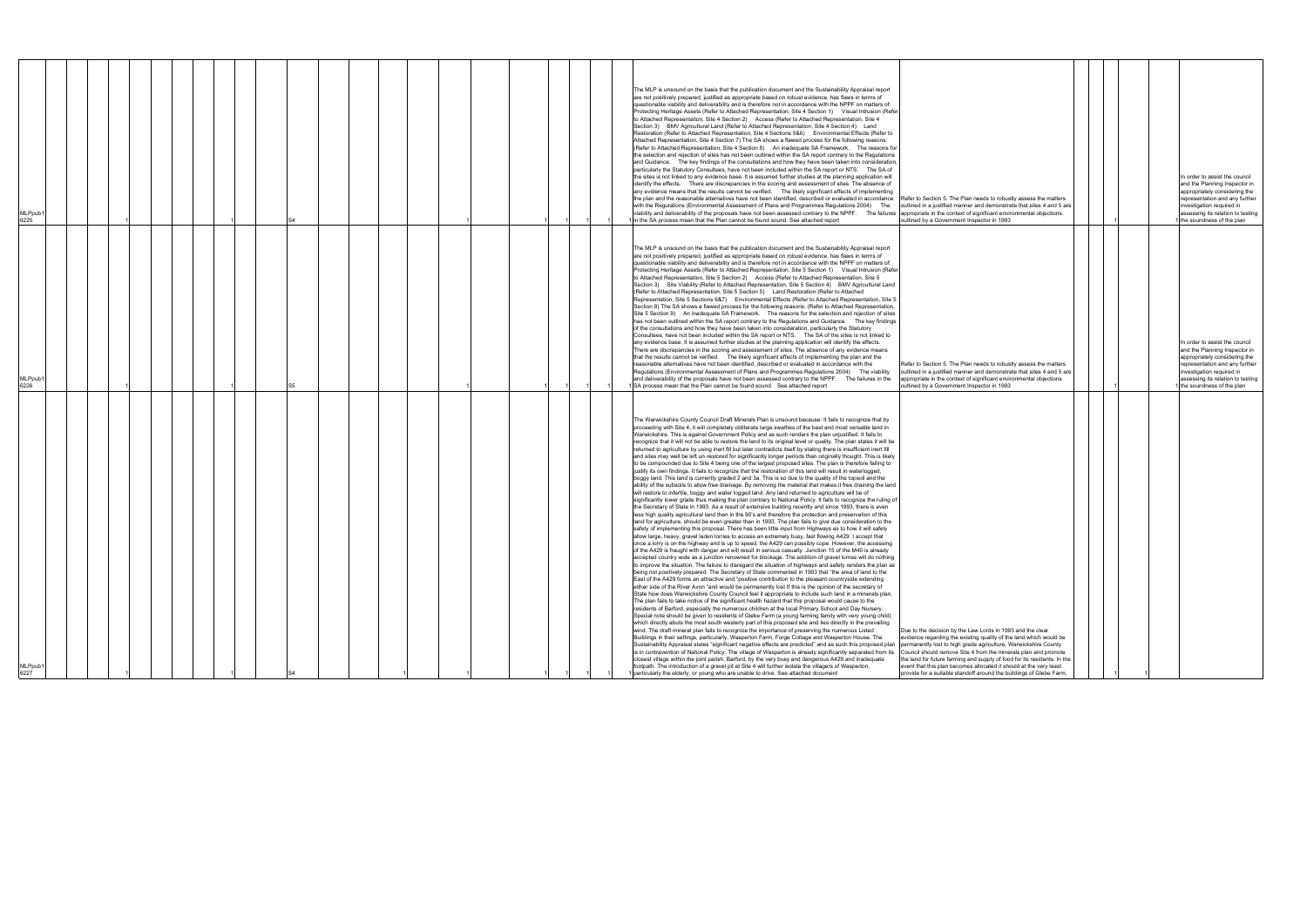| MLPpub1<br>6227                                                                                                                                                                                                                                                                                                                                                                                                                                                                                                                                                                                                                                                                                                                                                                                                                                                                                                                                                                                                                                                                                                                                                                                                                                                                                                                                                                                                                                                                                                                                                                                                                                                                                                                                                                                                                                                                                                                                                                                                                                                                                                                                                                                                                                                                                                                                                                                                                                                                                                                                                                                                                                                                                                                                                                                                                                                                                                                                                                                                                                                                                                                                                                                                                                                                                                                                                                                                                                                                                                                                                                                                                                                                                                                                                                                                                                                                                                                                                                                                                                                                                                                                                                                                                                                                                                                                                                                                                                                                                                               | <b>MLPpub</b><br>6226                                                                                                                                                                                                                                                                                                                                                                                                                                                                                                                                                                                                                                                                                                                                                                                                                                                                                                                                                                                                                                                                                                                                                                                                                                                                                                                                                                                                                                                                                                                                                                                                                                                                                                                                                                                                                                                                                                                                                                                                                                                                                                                                                                                                                                                                                                                                                                                                                                                                                                                                                                                            | MLPpub1<br>6225                                                                                                                                                                                                                                                                                                                                                                                                                                                                                                                                                                                                                                                                                                                                                                                                                                                                                                                                                                                                                                                                                                                                                                                                                                                                                                                                                                                                                                                                                                                                                                                                                                                                                                                                                                                                                                                                                                                                                                                                                                                                                                                                                                                                                                                                                                                                                                                                                                                                                                                      |
|-------------------------------------------------------------------------------------------------------------------------------------------------------------------------------------------------------------------------------------------------------------------------------------------------------------------------------------------------------------------------------------------------------------------------------------------------------------------------------------------------------------------------------------------------------------------------------------------------------------------------------------------------------------------------------------------------------------------------------------------------------------------------------------------------------------------------------------------------------------------------------------------------------------------------------------------------------------------------------------------------------------------------------------------------------------------------------------------------------------------------------------------------------------------------------------------------------------------------------------------------------------------------------------------------------------------------------------------------------------------------------------------------------------------------------------------------------------------------------------------------------------------------------------------------------------------------------------------------------------------------------------------------------------------------------------------------------------------------------------------------------------------------------------------------------------------------------------------------------------------------------------------------------------------------------------------------------------------------------------------------------------------------------------------------------------------------------------------------------------------------------------------------------------------------------------------------------------------------------------------------------------------------------------------------------------------------------------------------------------------------------------------------------------------------------------------------------------------------------------------------------------------------------------------------------------------------------------------------------------------------------------------------------------------------------------------------------------------------------------------------------------------------------------------------------------------------------------------------------------------------------------------------------------------------------------------------------------------------------------------------------------------------------------------------------------------------------------------------------------------------------------------------------------------------------------------------------------------------------------------------------------------------------------------------------------------------------------------------------------------------------------------------------------------------------------------------------------------------------------------------------------------------------------------------------------------------------------------------------------------------------------------------------------------------------------------------------------------------------------------------------------------------------------------------------------------------------------------------------------------------------------------------------------------------------------------------------------------------------------------------------------------------------------------------------------------------------------------------------------------------------------------------------------------------------------------------------------------------------------------------------------------------------------------------------------------------------------------------------------------------------------------------------------------------------------------------------------------------------------------------------------------------------|------------------------------------------------------------------------------------------------------------------------------------------------------------------------------------------------------------------------------------------------------------------------------------------------------------------------------------------------------------------------------------------------------------------------------------------------------------------------------------------------------------------------------------------------------------------------------------------------------------------------------------------------------------------------------------------------------------------------------------------------------------------------------------------------------------------------------------------------------------------------------------------------------------------------------------------------------------------------------------------------------------------------------------------------------------------------------------------------------------------------------------------------------------------------------------------------------------------------------------------------------------------------------------------------------------------------------------------------------------------------------------------------------------------------------------------------------------------------------------------------------------------------------------------------------------------------------------------------------------------------------------------------------------------------------------------------------------------------------------------------------------------------------------------------------------------------------------------------------------------------------------------------------------------------------------------------------------------------------------------------------------------------------------------------------------------------------------------------------------------------------------------------------------------------------------------------------------------------------------------------------------------------------------------------------------------------------------------------------------------------------------------------------------------------------------------------------------------------------------------------------------------------------------------------------------------------------------------------------------------|--------------------------------------------------------------------------------------------------------------------------------------------------------------------------------------------------------------------------------------------------------------------------------------------------------------------------------------------------------------------------------------------------------------------------------------------------------------------------------------------------------------------------------------------------------------------------------------------------------------------------------------------------------------------------------------------------------------------------------------------------------------------------------------------------------------------------------------------------------------------------------------------------------------------------------------------------------------------------------------------------------------------------------------------------------------------------------------------------------------------------------------------------------------------------------------------------------------------------------------------------------------------------------------------------------------------------------------------------------------------------------------------------------------------------------------------------------------------------------------------------------------------------------------------------------------------------------------------------------------------------------------------------------------------------------------------------------------------------------------------------------------------------------------------------------------------------------------------------------------------------------------------------------------------------------------------------------------------------------------------------------------------------------------------------------------------------------------------------------------------------------------------------------------------------------------------------------------------------------------------------------------------------------------------------------------------------------------------------------------------------------------------------------------------------------------------------------------------------------------------------------------------------------------|
|                                                                                                                                                                                                                                                                                                                                                                                                                                                                                                                                                                                                                                                                                                                                                                                                                                                                                                                                                                                                                                                                                                                                                                                                                                                                                                                                                                                                                                                                                                                                                                                                                                                                                                                                                                                                                                                                                                                                                                                                                                                                                                                                                                                                                                                                                                                                                                                                                                                                                                                                                                                                                                                                                                                                                                                                                                                                                                                                                                                                                                                                                                                                                                                                                                                                                                                                                                                                                                                                                                                                                                                                                                                                                                                                                                                                                                                                                                                                                                                                                                                                                                                                                                                                                                                                                                                                                                                                                                                                                                                               |                                                                                                                                                                                                                                                                                                                                                                                                                                                                                                                                                                                                                                                                                                                                                                                                                                                                                                                                                                                                                                                                                                                                                                                                                                                                                                                                                                                                                                                                                                                                                                                                                                                                                                                                                                                                                                                                                                                                                                                                                                                                                                                                                                                                                                                                                                                                                                                                                                                                                                                                                                                                                  |                                                                                                                                                                                                                                                                                                                                                                                                                                                                                                                                                                                                                                                                                                                                                                                                                                                                                                                                                                                                                                                                                                                                                                                                                                                                                                                                                                                                                                                                                                                                                                                                                                                                                                                                                                                                                                                                                                                                                                                                                                                                                                                                                                                                                                                                                                                                                                                                                                                                                                                                      |
|                                                                                                                                                                                                                                                                                                                                                                                                                                                                                                                                                                                                                                                                                                                                                                                                                                                                                                                                                                                                                                                                                                                                                                                                                                                                                                                                                                                                                                                                                                                                                                                                                                                                                                                                                                                                                                                                                                                                                                                                                                                                                                                                                                                                                                                                                                                                                                                                                                                                                                                                                                                                                                                                                                                                                                                                                                                                                                                                                                                                                                                                                                                                                                                                                                                                                                                                                                                                                                                                                                                                                                                                                                                                                                                                                                                                                                                                                                                                                                                                                                                                                                                                                                                                                                                                                                                                                                                                                                                                                                                               |                                                                                                                                                                                                                                                                                                                                                                                                                                                                                                                                                                                                                                                                                                                                                                                                                                                                                                                                                                                                                                                                                                                                                                                                                                                                                                                                                                                                                                                                                                                                                                                                                                                                                                                                                                                                                                                                                                                                                                                                                                                                                                                                                                                                                                                                                                                                                                                                                                                                                                                                                                                                                  |                                                                                                                                                                                                                                                                                                                                                                                                                                                                                                                                                                                                                                                                                                                                                                                                                                                                                                                                                                                                                                                                                                                                                                                                                                                                                                                                                                                                                                                                                                                                                                                                                                                                                                                                                                                                                                                                                                                                                                                                                                                                                                                                                                                                                                                                                                                                                                                                                                                                                                                                      |
|                                                                                                                                                                                                                                                                                                                                                                                                                                                                                                                                                                                                                                                                                                                                                                                                                                                                                                                                                                                                                                                                                                                                                                                                                                                                                                                                                                                                                                                                                                                                                                                                                                                                                                                                                                                                                                                                                                                                                                                                                                                                                                                                                                                                                                                                                                                                                                                                                                                                                                                                                                                                                                                                                                                                                                                                                                                                                                                                                                                                                                                                                                                                                                                                                                                                                                                                                                                                                                                                                                                                                                                                                                                                                                                                                                                                                                                                                                                                                                                                                                                                                                                                                                                                                                                                                                                                                                                                                                                                                                                               |                                                                                                                                                                                                                                                                                                                                                                                                                                                                                                                                                                                                                                                                                                                                                                                                                                                                                                                                                                                                                                                                                                                                                                                                                                                                                                                                                                                                                                                                                                                                                                                                                                                                                                                                                                                                                                                                                                                                                                                                                                                                                                                                                                                                                                                                                                                                                                                                                                                                                                                                                                                                                  |                                                                                                                                                                                                                                                                                                                                                                                                                                                                                                                                                                                                                                                                                                                                                                                                                                                                                                                                                                                                                                                                                                                                                                                                                                                                                                                                                                                                                                                                                                                                                                                                                                                                                                                                                                                                                                                                                                                                                                                                                                                                                                                                                                                                                                                                                                                                                                                                                                                                                                                                      |
|                                                                                                                                                                                                                                                                                                                                                                                                                                                                                                                                                                                                                                                                                                                                                                                                                                                                                                                                                                                                                                                                                                                                                                                                                                                                                                                                                                                                                                                                                                                                                                                                                                                                                                                                                                                                                                                                                                                                                                                                                                                                                                                                                                                                                                                                                                                                                                                                                                                                                                                                                                                                                                                                                                                                                                                                                                                                                                                                                                                                                                                                                                                                                                                                                                                                                                                                                                                                                                                                                                                                                                                                                                                                                                                                                                                                                                                                                                                                                                                                                                                                                                                                                                                                                                                                                                                                                                                                                                                                                                                               |                                                                                                                                                                                                                                                                                                                                                                                                                                                                                                                                                                                                                                                                                                                                                                                                                                                                                                                                                                                                                                                                                                                                                                                                                                                                                                                                                                                                                                                                                                                                                                                                                                                                                                                                                                                                                                                                                                                                                                                                                                                                                                                                                                                                                                                                                                                                                                                                                                                                                                                                                                                                                  |                                                                                                                                                                                                                                                                                                                                                                                                                                                                                                                                                                                                                                                                                                                                                                                                                                                                                                                                                                                                                                                                                                                                                                                                                                                                                                                                                                                                                                                                                                                                                                                                                                                                                                                                                                                                                                                                                                                                                                                                                                                                                                                                                                                                                                                                                                                                                                                                                                                                                                                                      |
|                                                                                                                                                                                                                                                                                                                                                                                                                                                                                                                                                                                                                                                                                                                                                                                                                                                                                                                                                                                                                                                                                                                                                                                                                                                                                                                                                                                                                                                                                                                                                                                                                                                                                                                                                                                                                                                                                                                                                                                                                                                                                                                                                                                                                                                                                                                                                                                                                                                                                                                                                                                                                                                                                                                                                                                                                                                                                                                                                                                                                                                                                                                                                                                                                                                                                                                                                                                                                                                                                                                                                                                                                                                                                                                                                                                                                                                                                                                                                                                                                                                                                                                                                                                                                                                                                                                                                                                                                                                                                                                               |                                                                                                                                                                                                                                                                                                                                                                                                                                                                                                                                                                                                                                                                                                                                                                                                                                                                                                                                                                                                                                                                                                                                                                                                                                                                                                                                                                                                                                                                                                                                                                                                                                                                                                                                                                                                                                                                                                                                                                                                                                                                                                                                                                                                                                                                                                                                                                                                                                                                                                                                                                                                                  |                                                                                                                                                                                                                                                                                                                                                                                                                                                                                                                                                                                                                                                                                                                                                                                                                                                                                                                                                                                                                                                                                                                                                                                                                                                                                                                                                                                                                                                                                                                                                                                                                                                                                                                                                                                                                                                                                                                                                                                                                                                                                                                                                                                                                                                                                                                                                                                                                                                                                                                                      |
|                                                                                                                                                                                                                                                                                                                                                                                                                                                                                                                                                                                                                                                                                                                                                                                                                                                                                                                                                                                                                                                                                                                                                                                                                                                                                                                                                                                                                                                                                                                                                                                                                                                                                                                                                                                                                                                                                                                                                                                                                                                                                                                                                                                                                                                                                                                                                                                                                                                                                                                                                                                                                                                                                                                                                                                                                                                                                                                                                                                                                                                                                                                                                                                                                                                                                                                                                                                                                                                                                                                                                                                                                                                                                                                                                                                                                                                                                                                                                                                                                                                                                                                                                                                                                                                                                                                                                                                                                                                                                                                               |                                                                                                                                                                                                                                                                                                                                                                                                                                                                                                                                                                                                                                                                                                                                                                                                                                                                                                                                                                                                                                                                                                                                                                                                                                                                                                                                                                                                                                                                                                                                                                                                                                                                                                                                                                                                                                                                                                                                                                                                                                                                                                                                                                                                                                                                                                                                                                                                                                                                                                                                                                                                                  |                                                                                                                                                                                                                                                                                                                                                                                                                                                                                                                                                                                                                                                                                                                                                                                                                                                                                                                                                                                                                                                                                                                                                                                                                                                                                                                                                                                                                                                                                                                                                                                                                                                                                                                                                                                                                                                                                                                                                                                                                                                                                                                                                                                                                                                                                                                                                                                                                                                                                                                                      |
|                                                                                                                                                                                                                                                                                                                                                                                                                                                                                                                                                                                                                                                                                                                                                                                                                                                                                                                                                                                                                                                                                                                                                                                                                                                                                                                                                                                                                                                                                                                                                                                                                                                                                                                                                                                                                                                                                                                                                                                                                                                                                                                                                                                                                                                                                                                                                                                                                                                                                                                                                                                                                                                                                                                                                                                                                                                                                                                                                                                                                                                                                                                                                                                                                                                                                                                                                                                                                                                                                                                                                                                                                                                                                                                                                                                                                                                                                                                                                                                                                                                                                                                                                                                                                                                                                                                                                                                                                                                                                                                               |                                                                                                                                                                                                                                                                                                                                                                                                                                                                                                                                                                                                                                                                                                                                                                                                                                                                                                                                                                                                                                                                                                                                                                                                                                                                                                                                                                                                                                                                                                                                                                                                                                                                                                                                                                                                                                                                                                                                                                                                                                                                                                                                                                                                                                                                                                                                                                                                                                                                                                                                                                                                                  |                                                                                                                                                                                                                                                                                                                                                                                                                                                                                                                                                                                                                                                                                                                                                                                                                                                                                                                                                                                                                                                                                                                                                                                                                                                                                                                                                                                                                                                                                                                                                                                                                                                                                                                                                                                                                                                                                                                                                                                                                                                                                                                                                                                                                                                                                                                                                                                                                                                                                                                                      |
|                                                                                                                                                                                                                                                                                                                                                                                                                                                                                                                                                                                                                                                                                                                                                                                                                                                                                                                                                                                                                                                                                                                                                                                                                                                                                                                                                                                                                                                                                                                                                                                                                                                                                                                                                                                                                                                                                                                                                                                                                                                                                                                                                                                                                                                                                                                                                                                                                                                                                                                                                                                                                                                                                                                                                                                                                                                                                                                                                                                                                                                                                                                                                                                                                                                                                                                                                                                                                                                                                                                                                                                                                                                                                                                                                                                                                                                                                                                                                                                                                                                                                                                                                                                                                                                                                                                                                                                                                                                                                                                               |                                                                                                                                                                                                                                                                                                                                                                                                                                                                                                                                                                                                                                                                                                                                                                                                                                                                                                                                                                                                                                                                                                                                                                                                                                                                                                                                                                                                                                                                                                                                                                                                                                                                                                                                                                                                                                                                                                                                                                                                                                                                                                                                                                                                                                                                                                                                                                                                                                                                                                                                                                                                                  |                                                                                                                                                                                                                                                                                                                                                                                                                                                                                                                                                                                                                                                                                                                                                                                                                                                                                                                                                                                                                                                                                                                                                                                                                                                                                                                                                                                                                                                                                                                                                                                                                                                                                                                                                                                                                                                                                                                                                                                                                                                                                                                                                                                                                                                                                                                                                                                                                                                                                                                                      |
|                                                                                                                                                                                                                                                                                                                                                                                                                                                                                                                                                                                                                                                                                                                                                                                                                                                                                                                                                                                                                                                                                                                                                                                                                                                                                                                                                                                                                                                                                                                                                                                                                                                                                                                                                                                                                                                                                                                                                                                                                                                                                                                                                                                                                                                                                                                                                                                                                                                                                                                                                                                                                                                                                                                                                                                                                                                                                                                                                                                                                                                                                                                                                                                                                                                                                                                                                                                                                                                                                                                                                                                                                                                                                                                                                                                                                                                                                                                                                                                                                                                                                                                                                                                                                                                                                                                                                                                                                                                                                                                               |                                                                                                                                                                                                                                                                                                                                                                                                                                                                                                                                                                                                                                                                                                                                                                                                                                                                                                                                                                                                                                                                                                                                                                                                                                                                                                                                                                                                                                                                                                                                                                                                                                                                                                                                                                                                                                                                                                                                                                                                                                                                                                                                                                                                                                                                                                                                                                                                                                                                                                                                                                                                                  |                                                                                                                                                                                                                                                                                                                                                                                                                                                                                                                                                                                                                                                                                                                                                                                                                                                                                                                                                                                                                                                                                                                                                                                                                                                                                                                                                                                                                                                                                                                                                                                                                                                                                                                                                                                                                                                                                                                                                                                                                                                                                                                                                                                                                                                                                                                                                                                                                                                                                                                                      |
|                                                                                                                                                                                                                                                                                                                                                                                                                                                                                                                                                                                                                                                                                                                                                                                                                                                                                                                                                                                                                                                                                                                                                                                                                                                                                                                                                                                                                                                                                                                                                                                                                                                                                                                                                                                                                                                                                                                                                                                                                                                                                                                                                                                                                                                                                                                                                                                                                                                                                                                                                                                                                                                                                                                                                                                                                                                                                                                                                                                                                                                                                                                                                                                                                                                                                                                                                                                                                                                                                                                                                                                                                                                                                                                                                                                                                                                                                                                                                                                                                                                                                                                                                                                                                                                                                                                                                                                                                                                                                                                               |                                                                                                                                                                                                                                                                                                                                                                                                                                                                                                                                                                                                                                                                                                                                                                                                                                                                                                                                                                                                                                                                                                                                                                                                                                                                                                                                                                                                                                                                                                                                                                                                                                                                                                                                                                                                                                                                                                                                                                                                                                                                                                                                                                                                                                                                                                                                                                                                                                                                                                                                                                                                                  |                                                                                                                                                                                                                                                                                                                                                                                                                                                                                                                                                                                                                                                                                                                                                                                                                                                                                                                                                                                                                                                                                                                                                                                                                                                                                                                                                                                                                                                                                                                                                                                                                                                                                                                                                                                                                                                                                                                                                                                                                                                                                                                                                                                                                                                                                                                                                                                                                                                                                                                                      |
|                                                                                                                                                                                                                                                                                                                                                                                                                                                                                                                                                                                                                                                                                                                                                                                                                                                                                                                                                                                                                                                                                                                                                                                                                                                                                                                                                                                                                                                                                                                                                                                                                                                                                                                                                                                                                                                                                                                                                                                                                                                                                                                                                                                                                                                                                                                                                                                                                                                                                                                                                                                                                                                                                                                                                                                                                                                                                                                                                                                                                                                                                                                                                                                                                                                                                                                                                                                                                                                                                                                                                                                                                                                                                                                                                                                                                                                                                                                                                                                                                                                                                                                                                                                                                                                                                                                                                                                                                                                                                                                               |                                                                                                                                                                                                                                                                                                                                                                                                                                                                                                                                                                                                                                                                                                                                                                                                                                                                                                                                                                                                                                                                                                                                                                                                                                                                                                                                                                                                                                                                                                                                                                                                                                                                                                                                                                                                                                                                                                                                                                                                                                                                                                                                                                                                                                                                                                                                                                                                                                                                                                                                                                                                                  |                                                                                                                                                                                                                                                                                                                                                                                                                                                                                                                                                                                                                                                                                                                                                                                                                                                                                                                                                                                                                                                                                                                                                                                                                                                                                                                                                                                                                                                                                                                                                                                                                                                                                                                                                                                                                                                                                                                                                                                                                                                                                                                                                                                                                                                                                                                                                                                                                                                                                                                                      |
|                                                                                                                                                                                                                                                                                                                                                                                                                                                                                                                                                                                                                                                                                                                                                                                                                                                                                                                                                                                                                                                                                                                                                                                                                                                                                                                                                                                                                                                                                                                                                                                                                                                                                                                                                                                                                                                                                                                                                                                                                                                                                                                                                                                                                                                                                                                                                                                                                                                                                                                                                                                                                                                                                                                                                                                                                                                                                                                                                                                                                                                                                                                                                                                                                                                                                                                                                                                                                                                                                                                                                                                                                                                                                                                                                                                                                                                                                                                                                                                                                                                                                                                                                                                                                                                                                                                                                                                                                                                                                                                               |                                                                                                                                                                                                                                                                                                                                                                                                                                                                                                                                                                                                                                                                                                                                                                                                                                                                                                                                                                                                                                                                                                                                                                                                                                                                                                                                                                                                                                                                                                                                                                                                                                                                                                                                                                                                                                                                                                                                                                                                                                                                                                                                                                                                                                                                                                                                                                                                                                                                                                                                                                                                                  |                                                                                                                                                                                                                                                                                                                                                                                                                                                                                                                                                                                                                                                                                                                                                                                                                                                                                                                                                                                                                                                                                                                                                                                                                                                                                                                                                                                                                                                                                                                                                                                                                                                                                                                                                                                                                                                                                                                                                                                                                                                                                                                                                                                                                                                                                                                                                                                                                                                                                                                                      |
|                                                                                                                                                                                                                                                                                                                                                                                                                                                                                                                                                                                                                                                                                                                                                                                                                                                                                                                                                                                                                                                                                                                                                                                                                                                                                                                                                                                                                                                                                                                                                                                                                                                                                                                                                                                                                                                                                                                                                                                                                                                                                                                                                                                                                                                                                                                                                                                                                                                                                                                                                                                                                                                                                                                                                                                                                                                                                                                                                                                                                                                                                                                                                                                                                                                                                                                                                                                                                                                                                                                                                                                                                                                                                                                                                                                                                                                                                                                                                                                                                                                                                                                                                                                                                                                                                                                                                                                                                                                                                                                               |                                                                                                                                                                                                                                                                                                                                                                                                                                                                                                                                                                                                                                                                                                                                                                                                                                                                                                                                                                                                                                                                                                                                                                                                                                                                                                                                                                                                                                                                                                                                                                                                                                                                                                                                                                                                                                                                                                                                                                                                                                                                                                                                                                                                                                                                                                                                                                                                                                                                                                                                                                                                                  |                                                                                                                                                                                                                                                                                                                                                                                                                                                                                                                                                                                                                                                                                                                                                                                                                                                                                                                                                                                                                                                                                                                                                                                                                                                                                                                                                                                                                                                                                                                                                                                                                                                                                                                                                                                                                                                                                                                                                                                                                                                                                                                                                                                                                                                                                                                                                                                                                                                                                                                                      |
| The Warwickshire County Council Draft Minerals Plan is unsound because: It fails to recognize that by<br>proceeding with Site 4, it will completely obliterate large swathes of the best and most versatile land in<br>Warwickshire. This is against Government Policy and as such renders the plan unjustified. It fails to<br>recognize that it will not be able to restore the land to its original level or quality. The plan states it will be<br>returned to agriculture by using inert fill but later contradicts itself by stating there is insufficient inert fill<br>and sites may well be left un-restored for significantly longer periods than originally thought. This is likely<br>to be compounded due to Site 4 being one of the largest proposed sites. The plan is therefore failing to<br>justify its own findings. It fails to recognize that the restoration of this land will result in waterlogged,<br>boggy land. This land is currently graded 2 and 3a. This is so due to the quality of the topsoil and the<br>ability of the subsoils to allow free drainage. By removing the material that makes it free draining the land<br>will restore to infertile, boggy and water logged land. Any land returned to agriculture will be of<br>significantly lower grade thus making the plan contrary to National Policy. It fails to recognize the ruling of<br>the Secretary of State in 1993. As a result of extensive building recently and since 1993, there is even<br>less high quality agricultural land than in the 90's and therefore the protection and preservation of this<br>land for agriculture, should be even greater than in 1993. The plan fails to give due consideration to the<br>safety of implementing this proposal. There has been little input from Highways as to how it will safely<br>allow large, heavy, gravel laden lorries to access an extremely busy, fast flowing A429. I accept that<br>once a lorry is on the highway and is up to speed, the A429 can possibly cope. However, the accessing<br>of the A429 is fraught with danger and will result in serious casualty. Junction 15 of the M40 is already<br>accepted country wide as a junction renowned for blockage. The addition of gravel lorries will do nothing<br>to improve the situation. The failure to disregard the situation of highways and safety renders the plan as<br>being not positively prepared. The Secretary of State commented in 1993 that "the area of land to the<br>East of the A429 forms an attractive and "positive contribution to the pleasant countryside extending<br>either side of the River Avon "and would be permanently lost If this is the opinion of the secretary of<br>State how does Warwickshire County Council feel it appropriate to include such land in a minerals plan.<br>The plan fails to take notice of the significant health hazard that this proposal would cause to the<br>residents of Barford, especially the numerous children at the local Primary School and Day Nursery.<br>Special note should be given to residents of Glebe Farm (a young farming family with very young child)<br>which directly abuts the most south westerly part of this proposed site and lies directly in the prevailing<br>wind. The draft mineral plan fails to recognize the importance of preserving the numerous Listed<br>Due to the decision by the Law Lords in 1993 and the clear<br>Buildings in their settings, particularly, Wasperton Farm, Forge Cottage and Wasperton House. The<br>evidence regarding the existing quality of the land which would be<br>Sustainability Appraisal states "significant negative effects are predicted" and as such this proposed plan permanently lost to high grade agriculture, Warwickshire County<br>is in contravention of National Policy. The village of Wasperton is already significantly separated from its Council should remove Site 4 from the minerals plan and promote<br>closest village within the joint parish, Barford, by the very busy and dangerous A429 and inadequate<br>the land for future farming and supply of food for its residents. In the<br>footpath. The introduction of a gravel pit at Site 4 will further isolate the villagers of Wasperton,<br>event that this plan becomes allocated it should at the very least<br>particularly the elderly, or young who are unable to drive. See attached document<br>provide for a suitable standoff around the buildings of Glebe Farm, | The MLP is unsound on the basis that the publication document and the Sustainability Appraisal report<br>are not positively prepared, justified as appropriate based on robust evidence, has flaws in terms of<br>questionable viability and deliverability and is therefore not in accordance with the NPPF on matters of:<br>Protecting Heritage Assets (Refer to Attached Representation, Site 5 Section 1) Visual Intrusion (Refer<br>to Attached Representation, Site 5 Section 2) Access (Refer to Attached Representation, Site 5<br>Section 3) Site Viability (Refer to Attached Representation, Site 5 Section 4) BMV Agricultural Land<br>(Refer to Attached Representation, Site 5 Section 5) Land Restoration (Refer to Attached<br>Representation, Site 5 Sections 6&7) Environmental Effects (Refer to Attached Representation, Site 5<br>Section 8) The SA shows a flawed process for the following reasons: (Refer to Attached Representation,<br>Site 5 Section 9) An inadequate SA Framework. The reasons for the selection and rejection of sites<br>has not been outlined within the SA report contrary to the Regulations and Guidance. The key findings<br>of the consultations and how they have been taken into consideration, particularly the Statutory<br>Consultees, have not been included within the SA report or NTS. The SA of the sites is not linked to<br>any evidence base. It is assumed further studies at the planning application will identify the effects.<br>In order to assist the council<br>There are discrepancies in the scoring and assessment of sites. The absence of any evidence means<br>and the Planning Inspector in<br>that the results cannot be verified. The likely significant effects of implementing the plan and the<br>appropriately considering the<br>reasonable alternatives have not been identified, described or evaluated in accordance with the<br>Refer to Section 5. The Plan needs to robustly assess the matters<br>representation and any further<br>Regulations (Environmental Assessment of Plans and Programmes Regulations 2004) The viability<br>outlined in a justified manner and demonstrate that sites 4 and 5 are<br>investigation required in<br>appropriate in the context of significant environmental objections<br>assessing its relation to testing<br>and deliverability of the proposals have not been assessed contrary to the NPPF. The failures in the<br>SA process mean that the Plan cannot be found sound. See attached report<br>outlined by a Government Inspector in 1993<br>the soundness of the plan | The MLP is unsound on the basis that the publication document and the Sustainability Appraisal report<br>are not positively prepared, justified as appropriate based on robust evidence, has flaws in terms of<br>questionable viability and deliverability and is therefore not in accordance with the NPPF on matters of:<br>Protecting Heritage Assets (Refer to Attached Representation, Site 4 Section 1) Visual Intrusion (Refer<br>to Attached Representation, Site 4 Section 2) Access (Refer to Attached Representation, Site 4<br>Section 3) BMV Agricultural Land (Refer to Attached Representation, Site 4 Section 4) Land<br>Restoration (Refer to Attached Representation, Site 4 Sections 5&6) Environmental Effects (Refer to<br>Attached Representation, Site 4 Section 7) The SA shows a flawed process for the following reasons:<br>(Refer to Attached Representation, Site 4 Section 8) An inadequate SA Framework. The reasons for<br>the selection and rejection of sites has not been outlined within the SA report contrary to the Regulations<br>and Guidance. The key findings of the consultations and how they have been taken into consideration,<br>particularly the Statutory Consultees, have not been included within the SA report or NTS.  The SA of<br>the sites is not linked to any evidence base. It is assumed further studies at the planning application will<br>In order to assist the council<br>identify the effects. There are discrepancies in the scoring and assessment of sites. The absence of<br>and the Planning Inspector in<br>any evidence means that the results cannot be verified. The likely significant effects of implementing<br>appropriately considering the<br>the plan and the reasonable alternatives have not been identified, described or evaluated in accordance Refer to Section 5. The Plan needs to robustly assess the matters<br>representation and any further<br>with the Regulations (Environmental Assessment of Plans and Programmes Regulations 2004) The<br>outlined in a justified manner and demonstrate that sites 4 and 5 are<br>investigation required in<br>viability and deliverability of the proposals have not been assessed contrary to the NPPF. The failures appropriate in the context of significant environmental objections<br>assessing its relation to testing<br>in the SA process mean that the Plan cannot be found sound. See attached report<br>outlined by a Government Inspector in 1993<br>the soundness of the plan |
|                                                                                                                                                                                                                                                                                                                                                                                                                                                                                                                                                                                                                                                                                                                                                                                                                                                                                                                                                                                                                                                                                                                                                                                                                                                                                                                                                                                                                                                                                                                                                                                                                                                                                                                                                                                                                                                                                                                                                                                                                                                                                                                                                                                                                                                                                                                                                                                                                                                                                                                                                                                                                                                                                                                                                                                                                                                                                                                                                                                                                                                                                                                                                                                                                                                                                                                                                                                                                                                                                                                                                                                                                                                                                                                                                                                                                                                                                                                                                                                                                                                                                                                                                                                                                                                                                                                                                                                                                                                                                                                               |                                                                                                                                                                                                                                                                                                                                                                                                                                                                                                                                                                                                                                                                                                                                                                                                                                                                                                                                                                                                                                                                                                                                                                                                                                                                                                                                                                                                                                                                                                                                                                                                                                                                                                                                                                                                                                                                                                                                                                                                                                                                                                                                                                                                                                                                                                                                                                                                                                                                                                                                                                                                                  |                                                                                                                                                                                                                                                                                                                                                                                                                                                                                                                                                                                                                                                                                                                                                                                                                                                                                                                                                                                                                                                                                                                                                                                                                                                                                                                                                                                                                                                                                                                                                                                                                                                                                                                                                                                                                                                                                                                                                                                                                                                                                                                                                                                                                                                                                                                                                                                                                                                                                                                                      |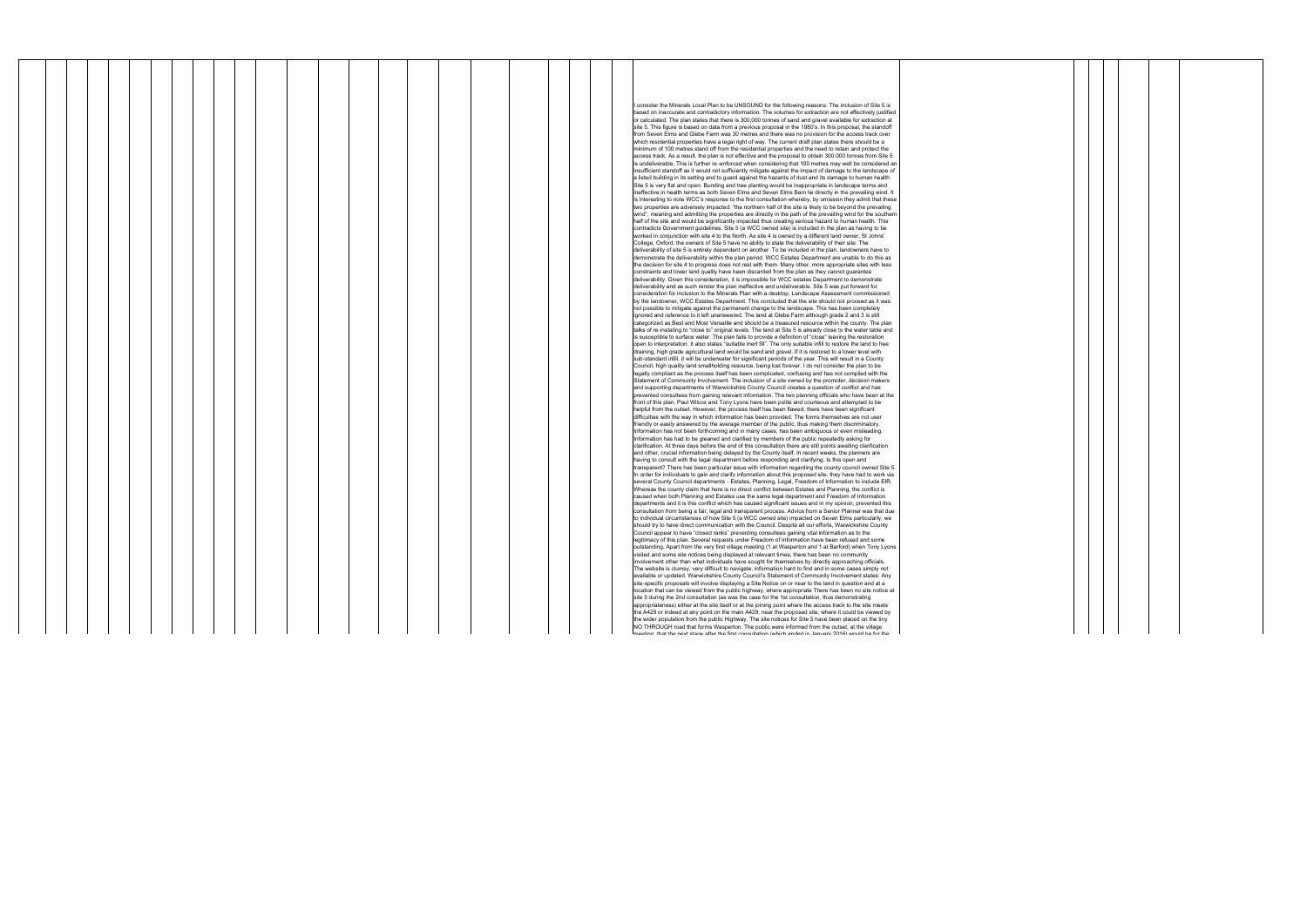|  |  |  |  |  |  |  |  |  |  | I consider the Minerals Local Plan to be UNSOUND for the following reasons: The inclusion of Site 5 is                                                                                                                    |
|--|--|--|--|--|--|--|--|--|--|---------------------------------------------------------------------------------------------------------------------------------------------------------------------------------------------------------------------------|
|  |  |  |  |  |  |  |  |  |  | based on inaccurate and contradictory information. The volumes for extraction are not effectively justified<br>or calculated. The plan states that there is 300,000 tonnes of sand and gravel available for extraction at |
|  |  |  |  |  |  |  |  |  |  | site 5. This figure is based on data from a previous proposal in the 1980's. In this proposal, the standoff                                                                                                               |
|  |  |  |  |  |  |  |  |  |  | from Seven Elms and Glebe Farm was 30 metres and there was no provision for the access track over                                                                                                                         |
|  |  |  |  |  |  |  |  |  |  | which residential properties have a legal right of way. The current draft plan states there should be a                                                                                                                   |
|  |  |  |  |  |  |  |  |  |  | minimum of 100 metres stand off from the residential properties and the need to retain and protect the<br>access track. As a result, the plan is not effective and the proposal to obtain 300.000 tonnes from Site 5      |
|  |  |  |  |  |  |  |  |  |  | is undeliverable. This is further re-enforced when considering that 100 metres may well be considered an                                                                                                                  |
|  |  |  |  |  |  |  |  |  |  | insufficient standoff as it would not sufficiently mitigate against the impact of damage to the landscape of                                                                                                              |
|  |  |  |  |  |  |  |  |  |  | a listed building in its setting and to guard against the hazards of dust and its damage to human health.                                                                                                                 |
|  |  |  |  |  |  |  |  |  |  | Site 5 is very flat and open. Bunding and tree planting would be inappropriate in landscape terms and<br>ineffective in health terms as both Seven Elms and Seven Elms Barn lie directly in the prevailing wind. It       |
|  |  |  |  |  |  |  |  |  |  | is interesting to note WCC's response to the first consultation whereby, by omission they admit that these                                                                                                                |
|  |  |  |  |  |  |  |  |  |  | two properties are adversely impacted: "the northern half of the site is likely to be beyond the prevailing                                                                                                               |
|  |  |  |  |  |  |  |  |  |  | wind", meaning and admitting the properties are directly in the path of the prevailing wind for the southern                                                                                                              |
|  |  |  |  |  |  |  |  |  |  | half of the site and would be significantly impacted thus creating serious hazard to human health. This<br>contradicts Government guidelines. Site 5 (a WCC owned site) is included in the plan as having to be           |
|  |  |  |  |  |  |  |  |  |  | worked in conjunction with site 4 to the North. As site 4 is owned by a different land owner, St Johns'                                                                                                                   |
|  |  |  |  |  |  |  |  |  |  | College, Oxford, the owners of Site 5 have no ability to state the deliverability of their site. The                                                                                                                      |
|  |  |  |  |  |  |  |  |  |  | deliverability of site 5 is entirely dependent on another. To be included in the plan, landowners have to                                                                                                                 |
|  |  |  |  |  |  |  |  |  |  | demonstrate the deliverability within the plan period. WCC Estates Department are unable to do this as<br>the decision for site 4 to progress does not rest with them. Many other, more appropriate sites with less       |
|  |  |  |  |  |  |  |  |  |  | constraints and lower land quality have been discarded from the plan as they cannot guarantee                                                                                                                             |
|  |  |  |  |  |  |  |  |  |  | deliverability. Given this consideration, it is impossible for WCC estates Department to demonstrate                                                                                                                      |
|  |  |  |  |  |  |  |  |  |  | deliverability and as such render the plan ineffective and undeliverable. Site 5 was put forward for                                                                                                                      |
|  |  |  |  |  |  |  |  |  |  | consideration for inclusion to the Minerals Plan with a desktop, Landscape Assessment commissioned<br>by the landowner, WCC Estates Department. This concluded that the site should not proceed as it was                 |
|  |  |  |  |  |  |  |  |  |  | not possible to mitigate against the permanent change to the landscape. This has been completely                                                                                                                          |
|  |  |  |  |  |  |  |  |  |  | ignored and reference to it left unanswered. The land at Glebe Farm although grade 2 and 3 is still                                                                                                                       |
|  |  |  |  |  |  |  |  |  |  | categorized as Best and Most Versatile and should be a treasured resource within the county. The plan<br>talks of re-instating to "close to" original levels. The land at Site 5 is already close to the water table and  |
|  |  |  |  |  |  |  |  |  |  | is susceptible to surface water. The plan fails to provide a definition of "close" leaving the restoration                                                                                                                |
|  |  |  |  |  |  |  |  |  |  | open to interpretation. It also states "suitable inert fill". The only suitable infill to restore the land to free                                                                                                        |
|  |  |  |  |  |  |  |  |  |  | draining, high grade agricultural land would be sand and gravel. If it is restored to a lower level with<br>sub-standard infill, it will be underwater for significant periods of the year. This will result in a County  |
|  |  |  |  |  |  |  |  |  |  | Council, high quality land smallholding resource, being lost forever. I do not consider the plan to be                                                                                                                    |
|  |  |  |  |  |  |  |  |  |  | legally compliant as the process itself has been complicated, confusing and has not complied with the                                                                                                                     |
|  |  |  |  |  |  |  |  |  |  | Statement of Community Involvement. The inclusion of a site owned by the promoter, decision makers                                                                                                                        |
|  |  |  |  |  |  |  |  |  |  | and supporting departments of Warwickshire County Council creates a question of conflict and has<br>prevented consultees from gaining relevant information. The two planning officials who have been at the               |
|  |  |  |  |  |  |  |  |  |  | front of this plan, Paul Wilcox and Tony Lyons have been polite and courteous and attempted to be                                                                                                                         |
|  |  |  |  |  |  |  |  |  |  | helpful from the outset. However, the process itself has been flawed, there have been significant                                                                                                                         |
|  |  |  |  |  |  |  |  |  |  | difficulties with the way in which information has been provided. The forms themselves are not user                                                                                                                       |
|  |  |  |  |  |  |  |  |  |  | friendly or easily answered by the average member of the public, thus making them discriminatory.<br>Information has not been forthcoming and in many cases, has been ambiguous or even misleading.                       |
|  |  |  |  |  |  |  |  |  |  | Information has had to be gleaned and clarified by members of the public repeatedly asking for                                                                                                                            |
|  |  |  |  |  |  |  |  |  |  | clarification. At three days before the end of this consultation there are still points awaiting clarification                                                                                                            |
|  |  |  |  |  |  |  |  |  |  | and other, crucial information being delayed by the County itself. In recent weeks, the planners are<br>having to consult with the legal department before responding and clarifying. Is this open and                    |
|  |  |  |  |  |  |  |  |  |  | transparent? There has been particular issue with information regarding the county council owned Site 5.                                                                                                                  |
|  |  |  |  |  |  |  |  |  |  | In order for individuals to gain and clarify information about this proposed site, they have had to work via                                                                                                              |
|  |  |  |  |  |  |  |  |  |  | several County Council departments - Estates, Planning, Legal, Freedom of Information to include EIR.                                                                                                                     |
|  |  |  |  |  |  |  |  |  |  | Whereas the county claim that here is no direct conflict between Estates and Planning, the conflict is<br>caused when both Planning and Estates use the same legal department and Freedom of Information                  |
|  |  |  |  |  |  |  |  |  |  | departments and it is this conflict which has caused significant issues and in my opinion, prevented this                                                                                                                 |
|  |  |  |  |  |  |  |  |  |  | consultation from being a fair, legal and transparent process. Advice from a Senior Planner was that due                                                                                                                  |
|  |  |  |  |  |  |  |  |  |  | to individual circumstances of how Site 5 (a WCC owned site) impacted on Seven Elms particularly, we<br>should try to have direct communication with the Council. Despite all our efforts, Warwickshire County            |
|  |  |  |  |  |  |  |  |  |  | Council appear to have "closed ranks" preventing consultees gaining vital information as to the                                                                                                                           |
|  |  |  |  |  |  |  |  |  |  | legitimacy of this plan. Several requests under Freedom of Information have been refused and some                                                                                                                         |
|  |  |  |  |  |  |  |  |  |  | outstanding. Apart from the very first village meeting (1 at Wasperton and 1 at Barford) when Tony Lyons                                                                                                                  |
|  |  |  |  |  |  |  |  |  |  | visited and some site notices being displayed at relevant times, there has been no community<br>involvement other than what individuals have sought for themselves by directly approaching officials.                     |
|  |  |  |  |  |  |  |  |  |  | The website is clumsy, very difficult to navigate, information hard to find and in some cases simply not                                                                                                                  |
|  |  |  |  |  |  |  |  |  |  | available or updated. Warwickshire County Council's Statement of Community Involvement states: Any                                                                                                                        |
|  |  |  |  |  |  |  |  |  |  | site-specific proposals will involve displaying a Site Notice on or near to the land in question and at a                                                                                                                 |
|  |  |  |  |  |  |  |  |  |  | location that can be viewed from the public highway, where appropriate There has been no site notice at<br>site 5 during the 2nd consultation (as was the case for the 1st consultation, thus demonstrating               |
|  |  |  |  |  |  |  |  |  |  | appropriateness) either at the site itself or at the joining point where the access track to the site meets                                                                                                               |
|  |  |  |  |  |  |  |  |  |  | the A429 or indeed at any point on the main A429, near the proposed site, where it could be viewed by                                                                                                                     |
|  |  |  |  |  |  |  |  |  |  | the wider population from the public Highway. The site notices for Site 5 have been placed on the tiny<br>NO THROUGH road that forms Wasperton. The public were informed from the outset, at the village                  |
|  |  |  |  |  |  |  |  |  |  | mooting. that the nout atops ofter the first consultation (which onded in Jonuary 2018) would be for the                                                                                                                  |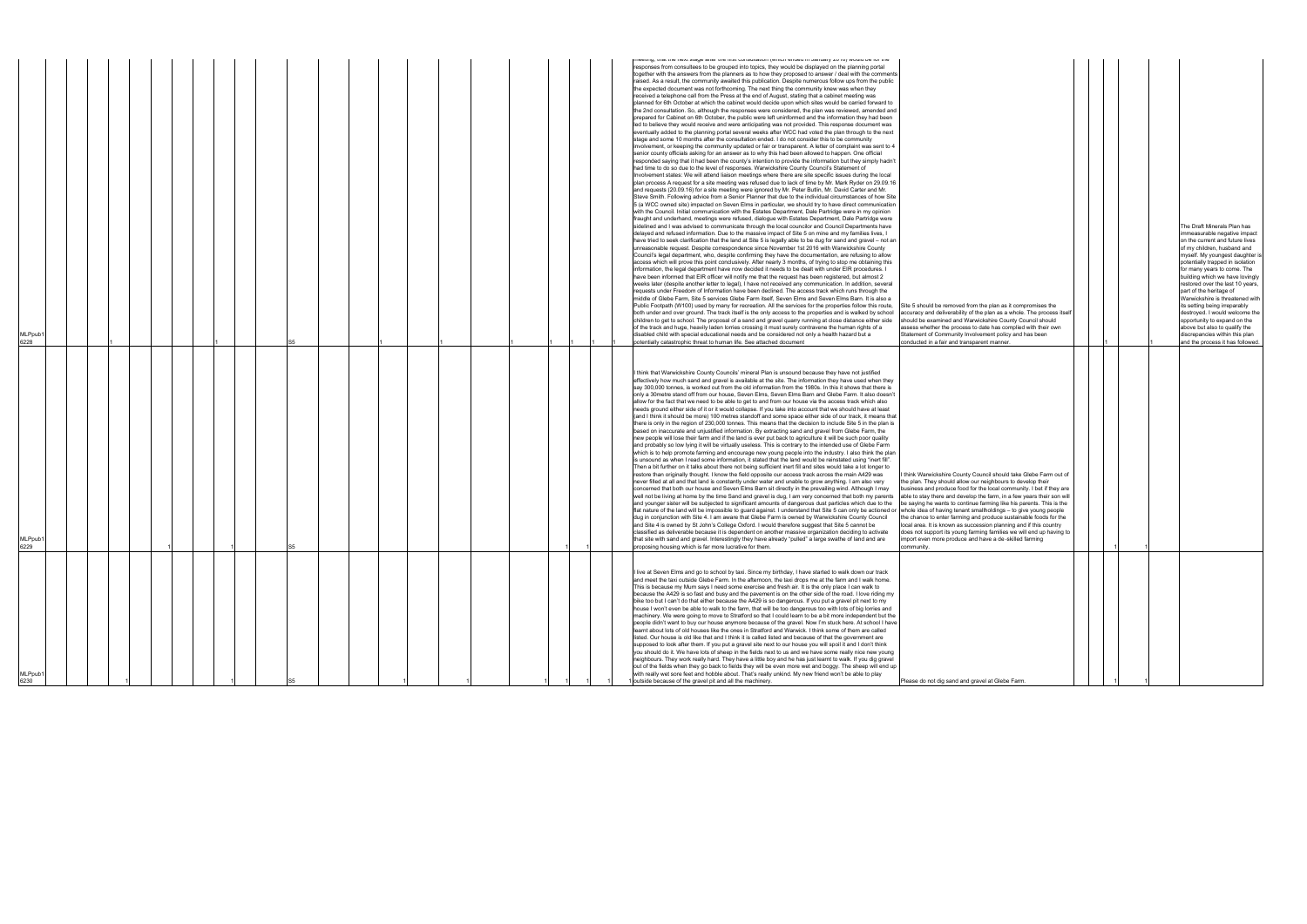| MLPpub1<br>6230                                                                                                                                                                                                                                                                                                                                                                                                                                                                                                                                                                                                                                                                                                                                                                                                                                                                                                                                                                                                                                                                                                                                                                                                                                                                                                                                                                                                                                                                                                                                                                                                                                                                                                                                                        | MLPpub1<br>5229                                                                                                                                                                                                                                                                                                                                                                                                                                                                                                                                                                                                                                                                                                                                                                                                                                                                                                                                                                                                                                                                                                                                                                                                                                                                                                                                                                                                                                                                                                                                                                                                                                                                                                                                                                                                                                                                                                                                                                                                                                                                                                                                                                                                                                                                                                                                                                                                                                                                                                                                                                                                                                                                                                                                                                                                                                                                                                                                                                                                                                                               | MLPpub1<br>6228<br>S <sub>5</sub>                                                                                                                                                                                                                                                                                                                                                                                                                                                                                                                                                                                                                                                                                                                                                                                                                                                                                                                                                                                                                                                                                                                                                                                                                                                                                                                                                                                                                                                                                                                                                                                                                                                                                                                                                                                                                                                                                                                                                                                                                                                                                                                                                                                                                                                                                                                                                                                                                                                                                                                                                                                                                                                                                                                                                                                                                                                                                                                                                                                                                                                                                                                                                                                                                                                                                                                                                                                                                                                                                                                                                                                                                                                                                                                                                                                                                                                                                                                                                                                                                                                                                                                                                                                                                                                                                                                                                                                                                                                                                                       |
|------------------------------------------------------------------------------------------------------------------------------------------------------------------------------------------------------------------------------------------------------------------------------------------------------------------------------------------------------------------------------------------------------------------------------------------------------------------------------------------------------------------------------------------------------------------------------------------------------------------------------------------------------------------------------------------------------------------------------------------------------------------------------------------------------------------------------------------------------------------------------------------------------------------------------------------------------------------------------------------------------------------------------------------------------------------------------------------------------------------------------------------------------------------------------------------------------------------------------------------------------------------------------------------------------------------------------------------------------------------------------------------------------------------------------------------------------------------------------------------------------------------------------------------------------------------------------------------------------------------------------------------------------------------------------------------------------------------------------------------------------------------------|-------------------------------------------------------------------------------------------------------------------------------------------------------------------------------------------------------------------------------------------------------------------------------------------------------------------------------------------------------------------------------------------------------------------------------------------------------------------------------------------------------------------------------------------------------------------------------------------------------------------------------------------------------------------------------------------------------------------------------------------------------------------------------------------------------------------------------------------------------------------------------------------------------------------------------------------------------------------------------------------------------------------------------------------------------------------------------------------------------------------------------------------------------------------------------------------------------------------------------------------------------------------------------------------------------------------------------------------------------------------------------------------------------------------------------------------------------------------------------------------------------------------------------------------------------------------------------------------------------------------------------------------------------------------------------------------------------------------------------------------------------------------------------------------------------------------------------------------------------------------------------------------------------------------------------------------------------------------------------------------------------------------------------------------------------------------------------------------------------------------------------------------------------------------------------------------------------------------------------------------------------------------------------------------------------------------------------------------------------------------------------------------------------------------------------------------------------------------------------------------------------------------------------------------------------------------------------------------------------------------------------------------------------------------------------------------------------------------------------------------------------------------------------------------------------------------------------------------------------------------------------------------------------------------------------------------------------------------------------------------------------------------------------------------------------------------------------|-----------------------------------------------------------------------------------------------------------------------------------------------------------------------------------------------------------------------------------------------------------------------------------------------------------------------------------------------------------------------------------------------------------------------------------------------------------------------------------------------------------------------------------------------------------------------------------------------------------------------------------------------------------------------------------------------------------------------------------------------------------------------------------------------------------------------------------------------------------------------------------------------------------------------------------------------------------------------------------------------------------------------------------------------------------------------------------------------------------------------------------------------------------------------------------------------------------------------------------------------------------------------------------------------------------------------------------------------------------------------------------------------------------------------------------------------------------------------------------------------------------------------------------------------------------------------------------------------------------------------------------------------------------------------------------------------------------------------------------------------------------------------------------------------------------------------------------------------------------------------------------------------------------------------------------------------------------------------------------------------------------------------------------------------------------------------------------------------------------------------------------------------------------------------------------------------------------------------------------------------------------------------------------------------------------------------------------------------------------------------------------------------------------------------------------------------------------------------------------------------------------------------------------------------------------------------------------------------------------------------------------------------------------------------------------------------------------------------------------------------------------------------------------------------------------------------------------------------------------------------------------------------------------------------------------------------------------------------------------------------------------------------------------------------------------------------------------------------------------------------------------------------------------------------------------------------------------------------------------------------------------------------------------------------------------------------------------------------------------------------------------------------------------------------------------------------------------------------------------------------------------------------------------------------------------------------------------------------------------------------------------------------------------------------------------------------------------------------------------------------------------------------------------------------------------------------------------------------------------------------------------------------------------------------------------------------------------------------------------------------------------------------------------------------------------------------------------------------------------------------------------------------------------------------------------------------------------------------------------------------------------------------------------------------------------------------------------------------------------------------------------------------------------------------------------------------------------------------------------------------------------------------------------------|
| I live at Seven Elms and go to school by taxi. Since my birthday, I have started to walk down our track<br>and meet the taxi outside Glebe Farm. In the afternoon, the taxi drops me at the farm and I walk home.<br>This is because my Mum says I need some exercise and fresh air. It is the only place I can walk to<br>because the A429 is so fast and busy and the pavement is on the other side of the road. I love riding my<br>bike too but I can't do that either because the A429 is so dangerous. If you put a gravel pit next to my<br>house I won't even be able to walk to the farm, that will be too dangerous too with lots of big lorries and<br>machinery. We were going to move to Stratford so that I could learn to be a bit more independent but the<br>people didn't want to buy our house anymore because of the gravel. Now I'm stuck here. At school I have<br>learnt about lots of old houses like the ones in Stratford and Warwick. I think some of them are called<br>listed. Our house is old like that and I think it is called listed and because of that the government are<br>supposed to look after them. If you put a gravel site next to our house you will spoil it and I don't think<br>you should do it. We have lots of sheep in the fields next to us and we have some really nice new young<br>neighbours. They work really hard. They have a little boy and he has just learnt to walk. If you dig gravel<br>out of the fields when they go back to fields they will be even more wet and boggy. The sheep will end up<br>with really wet sore feet and hobble about. That's really unkind. My new friend won't be able to play<br>outside because of the gravel pit and all the machinery.<br>Please do not dig sand and | I think that Warwickshire County Councils' mineral Plan is unsound because they have not justified<br>effectively how much sand and gravel is available at the site. The information they have used when they<br>say 300,000 tonnes, is worked out from the old information from the 1980s. In this it shows that there is<br>only a 30metre stand off from our house, Seven Elms, Seven Elms Barn and Glebe Farm. It also doesn't<br>allow for the fact that we need to be able to get to and from our house via the access track which also<br>needs ground either side of it or it would collapse. If you take into account that we should have at least<br>(and I think it should be more) 100 metres standoff and some space either side of our track, it means that<br>there is only in the region of 230,000 tonnes. This means that the decision to include Site 5 in the plan is<br>based on inaccurate and unjustified information. By extracting sand and gravel from Glebe Farm, the<br>new people will lose their farm and if the land is ever put back to agriculture it will be such poor quality<br>and probably so low lying it will be virtually useless. This is contrary to the intended use of Glebe Farm<br>which is to help promote farming and encourage new young people into the industry. I also think the plan<br>is unsound as when I read some information, it stated that the land would be reinstated using "inert fill".<br>Then a bit further on it talks about there not being sufficient inert fill and sites would take a lot longer to<br>restore than originally thought. I know the field opposite our access track across the main A429 was<br>think Warwickshire County<br>never filled at all and that land is constantly under water and unable to grow anything. I am also very<br>the plan. They should allow<br>concerned that both our house and Seven Elms Barn sit directly in the prevailing wind. Although I may<br>business and produce food t<br>well not be living at home by the time Sand and gravel is dug, I am very concerned that both my parents<br>able to stay there and devel<br>and younger sister will be subjected to significant amounts of dangerous dust particles which due to the<br>be saying he wants to contin<br>flat nature of the land will be impossible to quard against. I understand that Site 5 can only be actioned or whole idea of having tenant<br>dug in conjunction with Site 4. I am aware that Glebe Farm is owned by Warwickshire County Council<br>the chance to enter farming<br>and Site 4 is owned by St John's College Oxford. I would therefore suggest that Site 5 cannot be<br>local area. It is known as sur<br>classified as deliverable because it is dependent on another massive organization deciding to activate<br>does not support its young fa<br>that site with sand and gravel. Interestingly they have already "pulled" a large swathe of land and are<br>import even more produce a<br>proposing housing which is far more lucrative for them<br>community | וופפעווען, עומג עופ וופאג אמעפ מונפר עופ ווואג טטוואטונמנוטוו (איווטוו פוועפט ווו סמונעמוץ בט וט) איטעוע טפ וטר<br>responses from consultees to be grouped into topics, they would be displayed on the planning portal<br>together with the answers from the planners as to how they proposed to answer / deal with the comments<br>raised. As a result, the community awaited this publication. Despite numerous follow ups from the public<br>the expected document was not forthcoming. The next thing the community knew was when they<br>received a telephone call from the Press at the end of August, stating that a cabinet meeting was<br>planned for 6th October at which the cabinet would decide upon which sites would be carried forward to<br>the 2nd consultation. So, although the responses were considered, the plan was reviewed, amended and<br>prepared for Cabinet on 6th October, the public were left uninformed and the information they had been<br>led to believe they would receive and were anticipating was not provided. This response document was<br>eventually added to the planning portal several weeks after WCC had voted the plan through to the next<br>stage and some 10 months after the consultation ended. I do not consider this to be community<br>involvement, or keeping the community updated or fair or transparent. A letter of complaint was sent to 4<br>senior county officials asking for an answer as to why this had been allowed to happen. One official<br>responded saying that it had been the county's intention to provide the information but they simply hadn't<br>had time to do so due to the level of responses. Warwickshire County Council's Statement of<br>Involvement states: We will attend liaison meetings where there are site specific issues during the local<br>plan process A request for a site meeting was refused due to lack of time by Mr. Mark Ryder on 29.09.16<br>and requests (20.09.16) for a site meeting were ignored by Mr. Peter Butlin, Mr. David Carter and Mr.<br>Steve Smith. Following advice from a Senior Planner that due to the individual circumstances of how Site<br>5 (a WCC owned site) impacted on Seven Elms in particular, we should try to have direct communication<br>with the Council. Initial communication with the Estates Department, Dale Partridge were in my opinion<br>fraught and underhand, meetings were refused, dialogue with Estates Department, Dale Partridge were<br>sidelined and I was advised to communicate through the local councilor and Council Departments have<br>delayed and refused information. Due to the massive impact of Site 5 on mine and my families lives, I<br>have tried to seek clarification that the land at Site 5 is legally able to be dug for sand and gravel - not an<br>unreasonable request. Despite correspondence since November 1st 2016 with Warwickshire County<br>Council's legal department, who, despite confirming they have the documentation, are refusing to allow<br>access which will prove this point conclusively. After nearly 3 months, of trying to stop me obtaining this<br>information, the legal department have now decided it needs to be dealt with under EIR procedures. I<br>have been informed that EIR officer will notify me that the request has been registered, but almost 2<br>weeks later (despite another letter to legal), I have not received any communication. In addition, several<br>requests under Freedom of Information have been declined. The access track which runs through the<br>middle of Glebe Farm, Site 5 services Glebe Farm itself, Seven Elms and Seven Elms Barn. It is also a<br>Public Footpath (W100) used by many for recreation. All the services for the properties follow this route,<br>Site 5 should be removed fro<br>both under and over ground. The track itself is the only access to the properties and is walked by school<br>accuracy and deliverability o<br>children to get to school. The proposal of a sand and gravel quarry running at close distance either side<br>should be examined and Wa<br>of the track and huge, heavily laden lorries crossing it must surely contravene the human rights of a<br>assess whether the process<br>disabled child with special educational needs and be considered not only a health hazard but a<br>Statement of Community Inv<br>potentially catastrophic threat to human life. See attached document<br>conducted in a fair and trans |

| Site 5 should be removed from the plan as it compromises the<br>accuracy and deliverability of the plan as a whole. The process itself                                                                                                                                                                                                                                                                                                                                                                                                                                                                                                                                                                                    |  |   |   | The Draft Minerals Plan has<br>immeasurable negative impact<br>on the current and future lives<br>of my children, husband and<br>myself. My youngest daughter is<br>potentially trapped in isolation<br>for many years to come. The<br>building which we have lovingly<br>restored over the last 10 years,<br>part of the heritage of<br>Warwickshire is threatened with<br>its setting being irreparably<br>destroyed. I would welcome the |
|---------------------------------------------------------------------------------------------------------------------------------------------------------------------------------------------------------------------------------------------------------------------------------------------------------------------------------------------------------------------------------------------------------------------------------------------------------------------------------------------------------------------------------------------------------------------------------------------------------------------------------------------------------------------------------------------------------------------------|--|---|---|---------------------------------------------------------------------------------------------------------------------------------------------------------------------------------------------------------------------------------------------------------------------------------------------------------------------------------------------------------------------------------------------------------------------------------------------|
| should be examined and Warwickshire County Council should<br>assess whether the process to date has complied with their own<br>Statement of Community Involvement policy and has been<br>conducted in a fair and transparent manner.                                                                                                                                                                                                                                                                                                                                                                                                                                                                                      |  | 1 |   | opportunity to expand on the<br>above but also to qualify the<br>discrepancies within this plan<br>and the process it has followed.                                                                                                                                                                                                                                                                                                         |
| I think Warwickshire County Council should take Glebe Farm out of<br>the plan. They should allow our neighbours to develop their<br>business and produce food for the local community. I bet if they are<br>able to stay there and develop the farm, in a few years their son will<br>be saying he wants to continue farming like his parents. This is the<br>whole idea of having tenant smallholdings - to give young people<br>the chance to enter farming and produce sustainable foods for the<br>local area. It is known as succession planning and if this country<br>does not support its young farming families we will end up having to<br>import even more produce and have a de-skilled farming<br>community. |  | 1 | 1 |                                                                                                                                                                                                                                                                                                                                                                                                                                             |
| Please do not dig sand and gravel at Glebe Farm.                                                                                                                                                                                                                                                                                                                                                                                                                                                                                                                                                                                                                                                                          |  | 1 | 1 |                                                                                                                                                                                                                                                                                                                                                                                                                                             |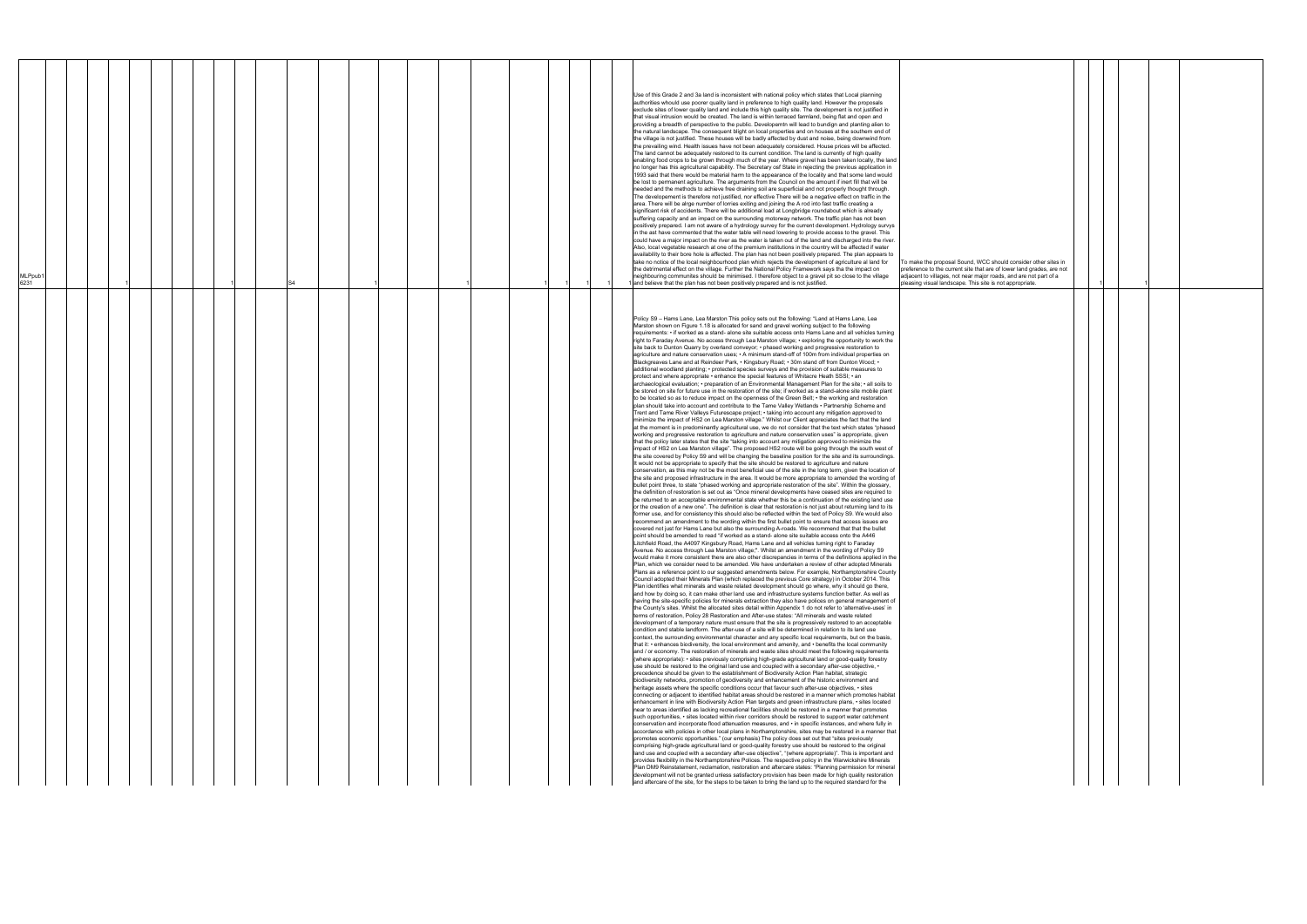6231 1 1 S4 1 1

To make the proposal Sound, WCC preference to the current site that a djacent to villages, not near ma ising visual landscape. This site

lse of this Grade 2 and 3a land is inconsistent with national policy which states that Local planning authorities whould use poorer quality land in preference to high quality land. However the proposals exclude sites of lower quality land and include this high quality site. The development is not justified in that visual intrusion would be created. The land is within terraced farmland, being flat and open and providing a breadth of perspective to the public. Developemtn will lead to bundign and planting alien to the natural landscape. The consequent blight on local properties and on houses at the southern end of the village is not justified. These houses will be badly affected by dust and noise, being downwind from the prevailing wind. Health issues have not been adequately considered. House prices will be affected. The land cannot be adequately restored to its current condition. The land is currently of high quality enabling food crops to be grown through much of the year. Where gravel has been taken locally, the land no longer has this agricultural capability. The Secretary osf State in rejecting the previous application in 1993 said that there would be material harm to the appearance of the locality and that some land would be lost to permanent agriculture. The arguments from the Council on the amount if inert fill that will be needed and the methods to achieve free draining soil are superficial and not properly thought through. The developement is therefore not justified, nor effective There will be a negative effect on traffic in the area. There will be alrge number of lorries exiting and joining the A rod into fast traffic creating a significant risk of accidents. There will be additional load at Longbridge roundabout which is already suffering capacity and an impact on the surrounding motorway network. The traffic plan has not been positively prepared. I am not aware of a hydrology survey for the current development. Hydrology survys in the ast have commented that the water table will need lowering to provide access to the gravel. This could have a major impact on the river as the water is taken out of the land and discharged into the river. Also, local vegetable research at one of the premium institutions in the country will be affected if water availability to their bore hole is affected. The plan has not been positively prepared. The plan appears to take no notice of the local neighbourhood plan which rejects the development of agriculture al land for the detrimental effect on the village. Further the National Policy Framework says tha the impact on neighbouring communites should be minimised. I therefore object to a gravel pit so close to the village and believe that the plan has not been positively prepared and is not justified.

1 1 1 1 1 1 1

**ILPpub** 

Policy S9 – Hams Lane, Lea Marston This policy sets out the following: "Land at Hams Lane, Lea Marston shown on Figure 1.18 is allocated for sand and gravel working subject to the following requirements: • if worked as a stand- alone site suitable access onto Hams Lane and all vehicles turning right to Faraday Avenue. No access through Lea Marston village; • exploring the opportunity to work the<br>site back to Dunton Quarry by overland conveyor; • phased working and progressive restoration to<br>agriculture and natu Blackgreaves Lane and at Reindeer Park, • Kingsbury Road; • 30m stand off from Dunton Wood; •<br>additional woodland planting; • protected species surveys and the provision of suitable measures to<br>protect and where appropria archaeological evaluation; • preparation of an Environmental Management Plan for the site; • all soils to be stored on site for future use in the restoration of the site; if worked as a stand-alone site mobile plant to be located so as to reduce impact on the openness of the Green Belt: • the working and restoration plan should take into account and contribute to the Tame Valley Wetlands • Partnership Scheme and Trent and Tame River Valleys Futurescape project; • taking into account any mitigation approved to minimize the impact of HS2 on Lea Marston village." Whilst our Client appreciates the fact that the land at the moment is in predominantly agricultural use, we do not consider that the text which states "phased working and progressive restoration to agriculture and nature conservation uses" is appropriate, given that the policy later states that the site "taking into account any mitigation approved to minimize the impact of HS2 on Lea Marston village". The proposed HS2 route will be going through the south west of the site covered by Policy S9 and will be changing the baseline position for the site and its surroundings. It would not be appropriate to specify that the site should be restored to agriculture and nature ervation, as this may not be the most beneficial use of the site in the long term, given the location of evaluation. the site and proposed infrastructure in the area. It would be more appropriate to amended the wording of bullet point three, to state "phased working and appropriate restoration of the site". Within the glossary, the definition of restoration is set out as "Once mineral developments have ceased sites are required to be returned to an acceptable environmental state whether this be a continuation of the existing land use or the creation of a new one". The definition is clear that restoration is not just about returning land to its former use, and for consistency this should also be reflected within the text of Policy S9. We would also recommend an amendment to the wording within the first bullet point to ensure that access issues are covered not just for Hams Lane but also the surrounding A-roads. We recommend that that the bullet point should be amended to read "if worked as a stand- alone site suitable access onto the A446 Litchfield Road, the A4097 Kingsbury Road, Hams Lane and all vehicles turning right to Faraday Avenue. No access through Lea Marston village;". Whilst an amendment in the wording of Policy S9 would make it more consistent there are also other discrepancies in terms of the definitions applied in the Plan, which we consider need to be amended. We have undertaken a review of other adopted Minerals any ment to constant focus to be americant to have an example and the capped minimate. Council adopted their Minerals Plan (which replaced the previous Core strategy) in October 2014. This Plan identifies what minerals and waste related development should go where, why it should go there,<br>and how by doing so, it can make other land use and infrastructure systems function better. As well as<br>having the site-sp the County's sites. Whilst the allocated sites detail within Appendix 1 do not refer to 'alternative-uses' in rms of restoration, Policy 28 Restoration and After-use states: "All minerals and waste related development of a temporary nature must ensure that the site is progressively restored to an acceptable condition and stable landform. The after-use of a site will be determined in relation to its land use context, the surrounding environmental character and any specific local requirements, but on the basis, that it: • enhances biodiversity, the local environment and amenity, and • benefits the local community and / or economy. The restoration of minerals and waste sites should meet the following requirements (where appropriate): • sites previously comprising high-grade agricultural land or good-quality forestry use should be restored to the original land use and coupled with a secondary after-use objective, ∙<br>precedence should be given to the establishment of Biodiversity Action Plan habitat, strategic<br>biodiversity networks, pro heritage assets where the specific conditions occur that favour such after-use objectives, • sites connecting or adjacent to identified habitat areas should be restored in a manner which promotes habitat areas should be restored in a manner which promotes habitat hancement in line with Biodiversity Action Plan targets and green infrastructure plans, • sites located near to areas identified as lacking recreational facilities should be restored in a manner that promotes such opportunities,  $\cdot$  sites located within river corridors should be restored to support water catchment conservation and incorporate flood attenuation measures, and • in specific instances, and where fully in accordance with policies in other local plans in Northamptonshire, sites may be restored in a manner that<br>promotes economic opportunities." (our emphasis) The policy does set out that "sites previously<br>comprising high-grad land use and coupled with a secondary after-use objective", "(where appropriate)". This is important and provides flexibility in the Northamptonshire Polices. The respective policy in the Warwickshire Minerals Plan DM9 Reinstatement, reclamation, restoration and aftercare states: "Planning permission for mineral development will not be granted unless satisfactory provision has been made for high quality restoration and aftercare of the site, for the steps to be taken to bring the land up to the required standard for the

| should consider other sites in<br>re of lower land grades, are not<br>roads, and are not part of a<br>is not appropriate. | 1 | 1 |  |
|---------------------------------------------------------------------------------------------------------------------------|---|---|--|
|                                                                                                                           |   |   |  |
|                                                                                                                           |   |   |  |
|                                                                                                                           |   |   |  |
|                                                                                                                           |   |   |  |
|                                                                                                                           |   |   |  |
|                                                                                                                           |   |   |  |
|                                                                                                                           |   |   |  |
|                                                                                                                           |   |   |  |
|                                                                                                                           |   |   |  |
|                                                                                                                           |   |   |  |
|                                                                                                                           |   |   |  |
|                                                                                                                           |   |   |  |
|                                                                                                                           |   |   |  |
|                                                                                                                           |   |   |  |
|                                                                                                                           |   |   |  |
|                                                                                                                           |   |   |  |
|                                                                                                                           |   |   |  |
|                                                                                                                           |   |   |  |
|                                                                                                                           |   |   |  |
|                                                                                                                           |   |   |  |
|                                                                                                                           |   |   |  |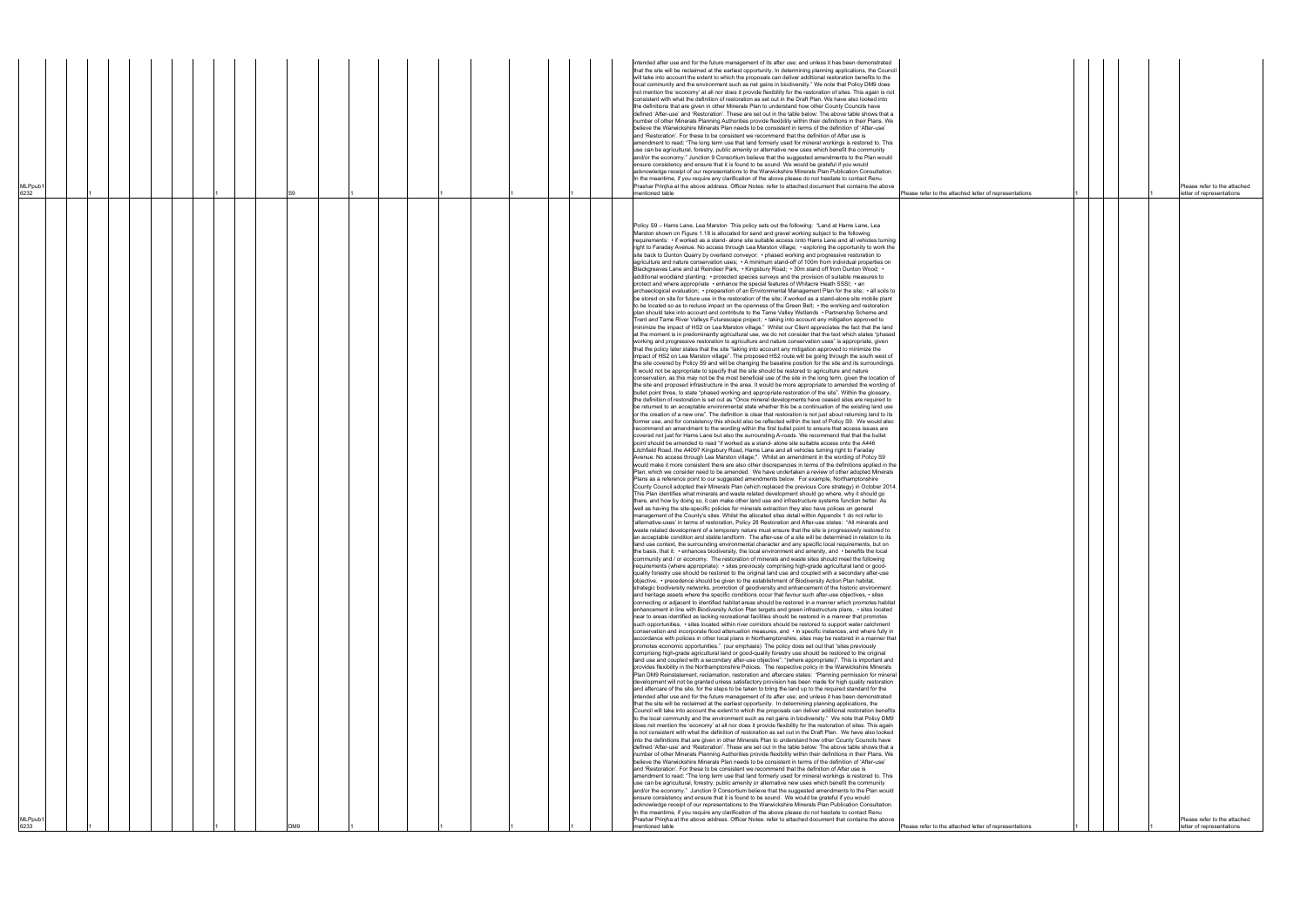| of representations | $\mathbf{1}$ |  | $\mathbf{1}$ | Please refer to the attached<br>letter of representations |
|--------------------|--------------|--|--------------|-----------------------------------------------------------|
|                    |              |  |              |                                                           |
|                    |              |  |              |                                                           |
|                    |              |  |              |                                                           |
|                    |              |  |              |                                                           |
|                    |              |  |              |                                                           |
|                    |              |  |              |                                                           |
|                    |              |  |              |                                                           |
|                    |              |  |              |                                                           |
|                    |              |  |              |                                                           |
|                    |              |  |              |                                                           |
|                    |              |  |              |                                                           |
|                    |              |  |              |                                                           |
|                    |              |  |              |                                                           |
|                    |              |  |              |                                                           |
|                    |              |  |              |                                                           |
|                    |              |  |              |                                                           |
|                    |              |  |              |                                                           |
|                    |              |  |              |                                                           |
|                    |              |  |              |                                                           |
|                    |              |  |              |                                                           |
|                    |              |  |              |                                                           |
|                    |              |  |              |                                                           |
|                    |              |  |              |                                                           |
|                    |              |  |              |                                                           |
|                    |              |  |              |                                                           |
|                    |              |  |              |                                                           |
|                    |              |  |              |                                                           |
|                    |              |  |              |                                                           |
|                    |              |  |              |                                                           |
|                    |              |  |              |                                                           |
|                    |              |  |              |                                                           |
|                    |              |  |              |                                                           |
|                    |              |  |              |                                                           |
|                    |              |  |              |                                                           |
|                    |              |  |              |                                                           |
|                    |              |  |              |                                                           |
|                    |              |  |              |                                                           |
|                    |              |  |              |                                                           |
|                    |              |  |              |                                                           |
|                    |              |  |              |                                                           |
|                    |              |  |              |                                                           |
|                    |              |  |              |                                                           |
|                    |              |  |              |                                                           |
|                    |              |  |              |                                                           |
|                    |              |  |              |                                                           |
|                    |              |  |              |                                                           |
|                    |              |  |              |                                                           |
|                    |              |  |              |                                                           |
|                    |              |  |              |                                                           |
|                    |              |  |              |                                                           |
|                    |              |  |              |                                                           |
|                    |              |  |              |                                                           |
|                    |              |  |              |                                                           |
|                    |              |  |              |                                                           |
|                    |              |  |              |                                                           |
|                    |              |  |              |                                                           |
|                    |              |  |              |                                                           |
|                    |              |  |              |                                                           |
|                    |              |  |              |                                                           |
|                    |              |  |              |                                                           |
|                    |              |  |              |                                                           |
|                    |              |  |              |                                                           |
|                    |              |  |              | Please refer to the attached                              |
| of representations | $\mathbf{1}$ |  | 1            | letter of representations                                 |

| MLPpub1<br>6233                                                                                                                                                                                                                                                                                                                                                                                                                                                                                                                                                                                                                                                                                                                                                                                                                                                                                                                                                                                                                                                                                                                                                                                                                                                                                                                                                                                                                                                                                                                                                                                                                                                                                                                                                                                                                                                                                                                                                                                                                                                                                                                                                                                                                                                                                                                                                                                                                                                                                                                                                                                                                                                                                                                                                                                                                                                                                                                                                                                                                                                                                                                                                                                                                                                                                                                                                                                                                                                                                                                                                                                                                                                                                                                                                                                                                                                                                                                                                                                                                                                                                                                                                                                                                                                                                                                                                                                                                                                                                                                                                                                                                                                                                                                                                                                                                                                                                                                                                                                                                                                                                                                                                                                                                                                                                                                                                                                                                                                                                                                                                                                                                                                                                                                                                                                                                                                                                                                                                                                                                                                                                                                                                                                                                                                                                                                                                                                                                                                                                                                                                                                                                                                                                                                                                                                                                                                                                                                                                                                                                                                                                                                                                                                                                                                                                                                                                                                                                                                                                                                                                                                                                                                                                                                                                                                                                                                                                                                                                                                                                                                                                                                                                                                                                                                                                                                                                                                                                                                                                                                                                                                                                                                                                                                                                                                                                                                                                                                                                                                                                                                                                                                                              | MLPpub1<br>6232                                                                                                                                                                                                                                                                                                                                                                                                                                                                                                                                                                                                                                                                                                                                                                                                                                                                                                                                                                                                                                                                                                                                                                                                                                                                                                                                                                                                                                                                                                                                                                                                                                                                                                                                                                                                                                                                                                                                                                                               |
|--------------------------------------------------------------------------------------------------------------------------------------------------------------------------------------------------------------------------------------------------------------------------------------------------------------------------------------------------------------------------------------------------------------------------------------------------------------------------------------------------------------------------------------------------------------------------------------------------------------------------------------------------------------------------------------------------------------------------------------------------------------------------------------------------------------------------------------------------------------------------------------------------------------------------------------------------------------------------------------------------------------------------------------------------------------------------------------------------------------------------------------------------------------------------------------------------------------------------------------------------------------------------------------------------------------------------------------------------------------------------------------------------------------------------------------------------------------------------------------------------------------------------------------------------------------------------------------------------------------------------------------------------------------------------------------------------------------------------------------------------------------------------------------------------------------------------------------------------------------------------------------------------------------------------------------------------------------------------------------------------------------------------------------------------------------------------------------------------------------------------------------------------------------------------------------------------------------------------------------------------------------------------------------------------------------------------------------------------------------------------------------------------------------------------------------------------------------------------------------------------------------------------------------------------------------------------------------------------------------------------------------------------------------------------------------------------------------------------------------------------------------------------------------------------------------------------------------------------------------------------------------------------------------------------------------------------------------------------------------------------------------------------------------------------------------------------------------------------------------------------------------------------------------------------------------------------------------------------------------------------------------------------------------------------------------------------------------------------------------------------------------------------------------------------------------------------------------------------------------------------------------------------------------------------------------------------------------------------------------------------------------------------------------------------------------------------------------------------------------------------------------------------------------------------------------------------------------------------------------------------------------------------------------------------------------------------------------------------------------------------------------------------------------------------------------------------------------------------------------------------------------------------------------------------------------------------------------------------------------------------------------------------------------------------------------------------------------------------------------------------------------------------------------------------------------------------------------------------------------------------------------------------------------------------------------------------------------------------------------------------------------------------------------------------------------------------------------------------------------------------------------------------------------------------------------------------------------------------------------------------------------------------------------------------------------------------------------------------------------------------------------------------------------------------------------------------------------------------------------------------------------------------------------------------------------------------------------------------------------------------------------------------------------------------------------------------------------------------------------------------------------------------------------------------------------------------------------------------------------------------------------------------------------------------------------------------------------------------------------------------------------------------------------------------------------------------------------------------------------------------------------------------------------------------------------------------------------------------------------------------------------------------------------------------------------------------------------------------------------------------------------------------------------------------------------------------------------------------------------------------------------------------------------------------------------------------------------------------------------------------------------------------------------------------------------------------------------------------------------------------------------------------------------------------------------------------------------------------------------------------------------------------------------------------------------------------------------------------------------------------------------------------------------------------------------------------------------------------------------------------------------------------------------------------------------------------------------------------------------------------------------------------------------------------------------------------------------------------------------------------------------------------------------------------------------------------------------------------------------------------------------------------------------------------------------------------------------------------------------------------------------------------------------------------------------------------------------------------------------------------------------------------------------------------------------------------------------------------------------------------------------------------------------------------------------------------------------------------------------------------------------------------------------------------------------------------------------------------------------------------------------------------------------------------------------------------------------------------------------------------------------------------------------------------------------------------------------------------------------------------------------------------------------------------------------------------------------------------------------------------------------------------------------------------------------------------------------------------------------------------------------------------------------------------------------------------------------------------------------------------------------------------------------------------------------------------------------------------------------------------------------------------------------------------------------------------------------------------------------------------------------------------------------------------------------------------------------------------------------------------------------------------------------------------------------------------------------------------------------------------------------------------------------------------------------------------------------------------------------------------------------------------------------------------------------------------------------------------------------------------------------------------------------|---------------------------------------------------------------------------------------------------------------------------------------------------------------------------------------------------------------------------------------------------------------------------------------------------------------------------------------------------------------------------------------------------------------------------------------------------------------------------------------------------------------------------------------------------------------------------------------------------------------------------------------------------------------------------------------------------------------------------------------------------------------------------------------------------------------------------------------------------------------------------------------------------------------------------------------------------------------------------------------------------------------------------------------------------------------------------------------------------------------------------------------------------------------------------------------------------------------------------------------------------------------------------------------------------------------------------------------------------------------------------------------------------------------------------------------------------------------------------------------------------------------------------------------------------------------------------------------------------------------------------------------------------------------------------------------------------------------------------------------------------------------------------------------------------------------------------------------------------------------------------------------------------------------------------------------------------------------------------------------------------------------|
|                                                                                                                                                                                                                                                                                                                                                                                                                                                                                                                                                                                                                                                                                                                                                                                                                                                                                                                                                                                                                                                                                                                                                                                                                                                                                                                                                                                                                                                                                                                                                                                                                                                                                                                                                                                                                                                                                                                                                                                                                                                                                                                                                                                                                                                                                                                                                                                                                                                                                                                                                                                                                                                                                                                                                                                                                                                                                                                                                                                                                                                                                                                                                                                                                                                                                                                                                                                                                                                                                                                                                                                                                                                                                                                                                                                                                                                                                                                                                                                                                                                                                                                                                                                                                                                                                                                                                                                                                                                                                                                                                                                                                                                                                                                                                                                                                                                                                                                                                                                                                                                                                                                                                                                                                                                                                                                                                                                                                                                                                                                                                                                                                                                                                                                                                                                                                                                                                                                                                                                                                                                                                                                                                                                                                                                                                                                                                                                                                                                                                                                                                                                                                                                                                                                                                                                                                                                                                                                                                                                                                                                                                                                                                                                                                                                                                                                                                                                                                                                                                                                                                                                                                                                                                                                                                                                                                                                                                                                                                                                                                                                                                                                                                                                                                                                                                                                                                                                                                                                                                                                                                                                                                                                                                                                                                                                                                                                                                                                                                                                                                                                                                                                                                              |                                                                                                                                                                                                                                                                                                                                                                                                                                                                                                                                                                                                                                                                                                                                                                                                                                                                                                                                                                                                                                                                                                                                                                                                                                                                                                                                                                                                                                                                                                                                                                                                                                                                                                                                                                                                                                                                                                                                                                                                               |
|                                                                                                                                                                                                                                                                                                                                                                                                                                                                                                                                                                                                                                                                                                                                                                                                                                                                                                                                                                                                                                                                                                                                                                                                                                                                                                                                                                                                                                                                                                                                                                                                                                                                                                                                                                                                                                                                                                                                                                                                                                                                                                                                                                                                                                                                                                                                                                                                                                                                                                                                                                                                                                                                                                                                                                                                                                                                                                                                                                                                                                                                                                                                                                                                                                                                                                                                                                                                                                                                                                                                                                                                                                                                                                                                                                                                                                                                                                                                                                                                                                                                                                                                                                                                                                                                                                                                                                                                                                                                                                                                                                                                                                                                                                                                                                                                                                                                                                                                                                                                                                                                                                                                                                                                                                                                                                                                                                                                                                                                                                                                                                                                                                                                                                                                                                                                                                                                                                                                                                                                                                                                                                                                                                                                                                                                                                                                                                                                                                                                                                                                                                                                                                                                                                                                                                                                                                                                                                                                                                                                                                                                                                                                                                                                                                                                                                                                                                                                                                                                                                                                                                                                                                                                                                                                                                                                                                                                                                                                                                                                                                                                                                                                                                                                                                                                                                                                                                                                                                                                                                                                                                                                                                                                                                                                                                                                                                                                                                                                                                                                                                                                                                                                                              |                                                                                                                                                                                                                                                                                                                                                                                                                                                                                                                                                                                                                                                                                                                                                                                                                                                                                                                                                                                                                                                                                                                                                                                                                                                                                                                                                                                                                                                                                                                                                                                                                                                                                                                                                                                                                                                                                                                                                                                                               |
|                                                                                                                                                                                                                                                                                                                                                                                                                                                                                                                                                                                                                                                                                                                                                                                                                                                                                                                                                                                                                                                                                                                                                                                                                                                                                                                                                                                                                                                                                                                                                                                                                                                                                                                                                                                                                                                                                                                                                                                                                                                                                                                                                                                                                                                                                                                                                                                                                                                                                                                                                                                                                                                                                                                                                                                                                                                                                                                                                                                                                                                                                                                                                                                                                                                                                                                                                                                                                                                                                                                                                                                                                                                                                                                                                                                                                                                                                                                                                                                                                                                                                                                                                                                                                                                                                                                                                                                                                                                                                                                                                                                                                                                                                                                                                                                                                                                                                                                                                                                                                                                                                                                                                                                                                                                                                                                                                                                                                                                                                                                                                                                                                                                                                                                                                                                                                                                                                                                                                                                                                                                                                                                                                                                                                                                                                                                                                                                                                                                                                                                                                                                                                                                                                                                                                                                                                                                                                                                                                                                                                                                                                                                                                                                                                                                                                                                                                                                                                                                                                                                                                                                                                                                                                                                                                                                                                                                                                                                                                                                                                                                                                                                                                                                                                                                                                                                                                                                                                                                                                                                                                                                                                                                                                                                                                                                                                                                                                                                                                                                                                                                                                                                                                              |                                                                                                                                                                                                                                                                                                                                                                                                                                                                                                                                                                                                                                                                                                                                                                                                                                                                                                                                                                                                                                                                                                                                                                                                                                                                                                                                                                                                                                                                                                                                                                                                                                                                                                                                                                                                                                                                                                                                                                                                               |
|                                                                                                                                                                                                                                                                                                                                                                                                                                                                                                                                                                                                                                                                                                                                                                                                                                                                                                                                                                                                                                                                                                                                                                                                                                                                                                                                                                                                                                                                                                                                                                                                                                                                                                                                                                                                                                                                                                                                                                                                                                                                                                                                                                                                                                                                                                                                                                                                                                                                                                                                                                                                                                                                                                                                                                                                                                                                                                                                                                                                                                                                                                                                                                                                                                                                                                                                                                                                                                                                                                                                                                                                                                                                                                                                                                                                                                                                                                                                                                                                                                                                                                                                                                                                                                                                                                                                                                                                                                                                                                                                                                                                                                                                                                                                                                                                                                                                                                                                                                                                                                                                                                                                                                                                                                                                                                                                                                                                                                                                                                                                                                                                                                                                                                                                                                                                                                                                                                                                                                                                                                                                                                                                                                                                                                                                                                                                                                                                                                                                                                                                                                                                                                                                                                                                                                                                                                                                                                                                                                                                                                                                                                                                                                                                                                                                                                                                                                                                                                                                                                                                                                                                                                                                                                                                                                                                                                                                                                                                                                                                                                                                                                                                                                                                                                                                                                                                                                                                                                                                                                                                                                                                                                                                                                                                                                                                                                                                                                                                                                                                                                                                                                                                                              |                                                                                                                                                                                                                                                                                                                                                                                                                                                                                                                                                                                                                                                                                                                                                                                                                                                                                                                                                                                                                                                                                                                                                                                                                                                                                                                                                                                                                                                                                                                                                                                                                                                                                                                                                                                                                                                                                                                                                                                                               |
|                                                                                                                                                                                                                                                                                                                                                                                                                                                                                                                                                                                                                                                                                                                                                                                                                                                                                                                                                                                                                                                                                                                                                                                                                                                                                                                                                                                                                                                                                                                                                                                                                                                                                                                                                                                                                                                                                                                                                                                                                                                                                                                                                                                                                                                                                                                                                                                                                                                                                                                                                                                                                                                                                                                                                                                                                                                                                                                                                                                                                                                                                                                                                                                                                                                                                                                                                                                                                                                                                                                                                                                                                                                                                                                                                                                                                                                                                                                                                                                                                                                                                                                                                                                                                                                                                                                                                                                                                                                                                                                                                                                                                                                                                                                                                                                                                                                                                                                                                                                                                                                                                                                                                                                                                                                                                                                                                                                                                                                                                                                                                                                                                                                                                                                                                                                                                                                                                                                                                                                                                                                                                                                                                                                                                                                                                                                                                                                                                                                                                                                                                                                                                                                                                                                                                                                                                                                                                                                                                                                                                                                                                                                                                                                                                                                                                                                                                                                                                                                                                                                                                                                                                                                                                                                                                                                                                                                                                                                                                                                                                                                                                                                                                                                                                                                                                                                                                                                                                                                                                                                                                                                                                                                                                                                                                                                                                                                                                                                                                                                                                                                                                                                                                              |                                                                                                                                                                                                                                                                                                                                                                                                                                                                                                                                                                                                                                                                                                                                                                                                                                                                                                                                                                                                                                                                                                                                                                                                                                                                                                                                                                                                                                                                                                                                                                                                                                                                                                                                                                                                                                                                                                                                                                                                               |
|                                                                                                                                                                                                                                                                                                                                                                                                                                                                                                                                                                                                                                                                                                                                                                                                                                                                                                                                                                                                                                                                                                                                                                                                                                                                                                                                                                                                                                                                                                                                                                                                                                                                                                                                                                                                                                                                                                                                                                                                                                                                                                                                                                                                                                                                                                                                                                                                                                                                                                                                                                                                                                                                                                                                                                                                                                                                                                                                                                                                                                                                                                                                                                                                                                                                                                                                                                                                                                                                                                                                                                                                                                                                                                                                                                                                                                                                                                                                                                                                                                                                                                                                                                                                                                                                                                                                                                                                                                                                                                                                                                                                                                                                                                                                                                                                                                                                                                                                                                                                                                                                                                                                                                                                                                                                                                                                                                                                                                                                                                                                                                                                                                                                                                                                                                                                                                                                                                                                                                                                                                                                                                                                                                                                                                                                                                                                                                                                                                                                                                                                                                                                                                                                                                                                                                                                                                                                                                                                                                                                                                                                                                                                                                                                                                                                                                                                                                                                                                                                                                                                                                                                                                                                                                                                                                                                                                                                                                                                                                                                                                                                                                                                                                                                                                                                                                                                                                                                                                                                                                                                                                                                                                                                                                                                                                                                                                                                                                                                                                                                                                                                                                                                                              |                                                                                                                                                                                                                                                                                                                                                                                                                                                                                                                                                                                                                                                                                                                                                                                                                                                                                                                                                                                                                                                                                                                                                                                                                                                                                                                                                                                                                                                                                                                                                                                                                                                                                                                                                                                                                                                                                                                                                                                                               |
|                                                                                                                                                                                                                                                                                                                                                                                                                                                                                                                                                                                                                                                                                                                                                                                                                                                                                                                                                                                                                                                                                                                                                                                                                                                                                                                                                                                                                                                                                                                                                                                                                                                                                                                                                                                                                                                                                                                                                                                                                                                                                                                                                                                                                                                                                                                                                                                                                                                                                                                                                                                                                                                                                                                                                                                                                                                                                                                                                                                                                                                                                                                                                                                                                                                                                                                                                                                                                                                                                                                                                                                                                                                                                                                                                                                                                                                                                                                                                                                                                                                                                                                                                                                                                                                                                                                                                                                                                                                                                                                                                                                                                                                                                                                                                                                                                                                                                                                                                                                                                                                                                                                                                                                                                                                                                                                                                                                                                                                                                                                                                                                                                                                                                                                                                                                                                                                                                                                                                                                                                                                                                                                                                                                                                                                                                                                                                                                                                                                                                                                                                                                                                                                                                                                                                                                                                                                                                                                                                                                                                                                                                                                                                                                                                                                                                                                                                                                                                                                                                                                                                                                                                                                                                                                                                                                                                                                                                                                                                                                                                                                                                                                                                                                                                                                                                                                                                                                                                                                                                                                                                                                                                                                                                                                                                                                                                                                                                                                                                                                                                                                                                                                                                              |                                                                                                                                                                                                                                                                                                                                                                                                                                                                                                                                                                                                                                                                                                                                                                                                                                                                                                                                                                                                                                                                                                                                                                                                                                                                                                                                                                                                                                                                                                                                                                                                                                                                                                                                                                                                                                                                                                                                                                                                               |
| DM9                                                                                                                                                                                                                                                                                                                                                                                                                                                                                                                                                                                                                                                                                                                                                                                                                                                                                                                                                                                                                                                                                                                                                                                                                                                                                                                                                                                                                                                                                                                                                                                                                                                                                                                                                                                                                                                                                                                                                                                                                                                                                                                                                                                                                                                                                                                                                                                                                                                                                                                                                                                                                                                                                                                                                                                                                                                                                                                                                                                                                                                                                                                                                                                                                                                                                                                                                                                                                                                                                                                                                                                                                                                                                                                                                                                                                                                                                                                                                                                                                                                                                                                                                                                                                                                                                                                                                                                                                                                                                                                                                                                                                                                                                                                                                                                                                                                                                                                                                                                                                                                                                                                                                                                                                                                                                                                                                                                                                                                                                                                                                                                                                                                                                                                                                                                                                                                                                                                                                                                                                                                                                                                                                                                                                                                                                                                                                                                                                                                                                                                                                                                                                                                                                                                                                                                                                                                                                                                                                                                                                                                                                                                                                                                                                                                                                                                                                                                                                                                                                                                                                                                                                                                                                                                                                                                                                                                                                                                                                                                                                                                                                                                                                                                                                                                                                                                                                                                                                                                                                                                                                                                                                                                                                                                                                                                                                                                                                                                                                                                                                                                                                                                                                          |                                                                                                                                                                                                                                                                                                                                                                                                                                                                                                                                                                                                                                                                                                                                                                                                                                                                                                                                                                                                                                                                                                                                                                                                                                                                                                                                                                                                                                                                                                                                                                                                                                                                                                                                                                                                                                                                                                                                                                                                               |
|                                                                                                                                                                                                                                                                                                                                                                                                                                                                                                                                                                                                                                                                                                                                                                                                                                                                                                                                                                                                                                                                                                                                                                                                                                                                                                                                                                                                                                                                                                                                                                                                                                                                                                                                                                                                                                                                                                                                                                                                                                                                                                                                                                                                                                                                                                                                                                                                                                                                                                                                                                                                                                                                                                                                                                                                                                                                                                                                                                                                                                                                                                                                                                                                                                                                                                                                                                                                                                                                                                                                                                                                                                                                                                                                                                                                                                                                                                                                                                                                                                                                                                                                                                                                                                                                                                                                                                                                                                                                                                                                                                                                                                                                                                                                                                                                                                                                                                                                                                                                                                                                                                                                                                                                                                                                                                                                                                                                                                                                                                                                                                                                                                                                                                                                                                                                                                                                                                                                                                                                                                                                                                                                                                                                                                                                                                                                                                                                                                                                                                                                                                                                                                                                                                                                                                                                                                                                                                                                                                                                                                                                                                                                                                                                                                                                                                                                                                                                                                                                                                                                                                                                                                                                                                                                                                                                                                                                                                                                                                                                                                                                                                                                                                                                                                                                                                                                                                                                                                                                                                                                                                                                                                                                                                                                                                                                                                                                                                                                                                                                                                                                                                                                                              |                                                                                                                                                                                                                                                                                                                                                                                                                                                                                                                                                                                                                                                                                                                                                                                                                                                                                                                                                                                                                                                                                                                                                                                                                                                                                                                                                                                                                                                                                                                                                                                                                                                                                                                                                                                                                                                                                                                                                                                                               |
|                                                                                                                                                                                                                                                                                                                                                                                                                                                                                                                                                                                                                                                                                                                                                                                                                                                                                                                                                                                                                                                                                                                                                                                                                                                                                                                                                                                                                                                                                                                                                                                                                                                                                                                                                                                                                                                                                                                                                                                                                                                                                                                                                                                                                                                                                                                                                                                                                                                                                                                                                                                                                                                                                                                                                                                                                                                                                                                                                                                                                                                                                                                                                                                                                                                                                                                                                                                                                                                                                                                                                                                                                                                                                                                                                                                                                                                                                                                                                                                                                                                                                                                                                                                                                                                                                                                                                                                                                                                                                                                                                                                                                                                                                                                                                                                                                                                                                                                                                                                                                                                                                                                                                                                                                                                                                                                                                                                                                                                                                                                                                                                                                                                                                                                                                                                                                                                                                                                                                                                                                                                                                                                                                                                                                                                                                                                                                                                                                                                                                                                                                                                                                                                                                                                                                                                                                                                                                                                                                                                                                                                                                                                                                                                                                                                                                                                                                                                                                                                                                                                                                                                                                                                                                                                                                                                                                                                                                                                                                                                                                                                                                                                                                                                                                                                                                                                                                                                                                                                                                                                                                                                                                                                                                                                                                                                                                                                                                                                                                                                                                                                                                                                                                              |                                                                                                                                                                                                                                                                                                                                                                                                                                                                                                                                                                                                                                                                                                                                                                                                                                                                                                                                                                                                                                                                                                                                                                                                                                                                                                                                                                                                                                                                                                                                                                                                                                                                                                                                                                                                                                                                                                                                                                                                               |
|                                                                                                                                                                                                                                                                                                                                                                                                                                                                                                                                                                                                                                                                                                                                                                                                                                                                                                                                                                                                                                                                                                                                                                                                                                                                                                                                                                                                                                                                                                                                                                                                                                                                                                                                                                                                                                                                                                                                                                                                                                                                                                                                                                                                                                                                                                                                                                                                                                                                                                                                                                                                                                                                                                                                                                                                                                                                                                                                                                                                                                                                                                                                                                                                                                                                                                                                                                                                                                                                                                                                                                                                                                                                                                                                                                                                                                                                                                                                                                                                                                                                                                                                                                                                                                                                                                                                                                                                                                                                                                                                                                                                                                                                                                                                                                                                                                                                                                                                                                                                                                                                                                                                                                                                                                                                                                                                                                                                                                                                                                                                                                                                                                                                                                                                                                                                                                                                                                                                                                                                                                                                                                                                                                                                                                                                                                                                                                                                                                                                                                                                                                                                                                                                                                                                                                                                                                                                                                                                                                                                                                                                                                                                                                                                                                                                                                                                                                                                                                                                                                                                                                                                                                                                                                                                                                                                                                                                                                                                                                                                                                                                                                                                                                                                                                                                                                                                                                                                                                                                                                                                                                                                                                                                                                                                                                                                                                                                                                                                                                                                                                                                                                                                                              |                                                                                                                                                                                                                                                                                                                                                                                                                                                                                                                                                                                                                                                                                                                                                                                                                                                                                                                                                                                                                                                                                                                                                                                                                                                                                                                                                                                                                                                                                                                                                                                                                                                                                                                                                                                                                                                                                                                                                                                                               |
|                                                                                                                                                                                                                                                                                                                                                                                                                                                                                                                                                                                                                                                                                                                                                                                                                                                                                                                                                                                                                                                                                                                                                                                                                                                                                                                                                                                                                                                                                                                                                                                                                                                                                                                                                                                                                                                                                                                                                                                                                                                                                                                                                                                                                                                                                                                                                                                                                                                                                                                                                                                                                                                                                                                                                                                                                                                                                                                                                                                                                                                                                                                                                                                                                                                                                                                                                                                                                                                                                                                                                                                                                                                                                                                                                                                                                                                                                                                                                                                                                                                                                                                                                                                                                                                                                                                                                                                                                                                                                                                                                                                                                                                                                                                                                                                                                                                                                                                                                                                                                                                                                                                                                                                                                                                                                                                                                                                                                                                                                                                                                                                                                                                                                                                                                                                                                                                                                                                                                                                                                                                                                                                                                                                                                                                                                                                                                                                                                                                                                                                                                                                                                                                                                                                                                                                                                                                                                                                                                                                                                                                                                                                                                                                                                                                                                                                                                                                                                                                                                                                                                                                                                                                                                                                                                                                                                                                                                                                                                                                                                                                                                                                                                                                                                                                                                                                                                                                                                                                                                                                                                                                                                                                                                                                                                                                                                                                                                                                                                                                                                                                                                                                                                              |                                                                                                                                                                                                                                                                                                                                                                                                                                                                                                                                                                                                                                                                                                                                                                                                                                                                                                                                                                                                                                                                                                                                                                                                                                                                                                                                                                                                                                                                                                                                                                                                                                                                                                                                                                                                                                                                                                                                                                                                               |
|                                                                                                                                                                                                                                                                                                                                                                                                                                                                                                                                                                                                                                                                                                                                                                                                                                                                                                                                                                                                                                                                                                                                                                                                                                                                                                                                                                                                                                                                                                                                                                                                                                                                                                                                                                                                                                                                                                                                                                                                                                                                                                                                                                                                                                                                                                                                                                                                                                                                                                                                                                                                                                                                                                                                                                                                                                                                                                                                                                                                                                                                                                                                                                                                                                                                                                                                                                                                                                                                                                                                                                                                                                                                                                                                                                                                                                                                                                                                                                                                                                                                                                                                                                                                                                                                                                                                                                                                                                                                                                                                                                                                                                                                                                                                                                                                                                                                                                                                                                                                                                                                                                                                                                                                                                                                                                                                                                                                                                                                                                                                                                                                                                                                                                                                                                                                                                                                                                                                                                                                                                                                                                                                                                                                                                                                                                                                                                                                                                                                                                                                                                                                                                                                                                                                                                                                                                                                                                                                                                                                                                                                                                                                                                                                                                                                                                                                                                                                                                                                                                                                                                                                                                                                                                                                                                                                                                                                                                                                                                                                                                                                                                                                                                                                                                                                                                                                                                                                                                                                                                                                                                                                                                                                                                                                                                                                                                                                                                                                                                                                                                                                                                                                                              |                                                                                                                                                                                                                                                                                                                                                                                                                                                                                                                                                                                                                                                                                                                                                                                                                                                                                                                                                                                                                                                                                                                                                                                                                                                                                                                                                                                                                                                                                                                                                                                                                                                                                                                                                                                                                                                                                                                                                                                                               |
|                                                                                                                                                                                                                                                                                                                                                                                                                                                                                                                                                                                                                                                                                                                                                                                                                                                                                                                                                                                                                                                                                                                                                                                                                                                                                                                                                                                                                                                                                                                                                                                                                                                                                                                                                                                                                                                                                                                                                                                                                                                                                                                                                                                                                                                                                                                                                                                                                                                                                                                                                                                                                                                                                                                                                                                                                                                                                                                                                                                                                                                                                                                                                                                                                                                                                                                                                                                                                                                                                                                                                                                                                                                                                                                                                                                                                                                                                                                                                                                                                                                                                                                                                                                                                                                                                                                                                                                                                                                                                                                                                                                                                                                                                                                                                                                                                                                                                                                                                                                                                                                                                                                                                                                                                                                                                                                                                                                                                                                                                                                                                                                                                                                                                                                                                                                                                                                                                                                                                                                                                                                                                                                                                                                                                                                                                                                                                                                                                                                                                                                                                                                                                                                                                                                                                                                                                                                                                                                                                                                                                                                                                                                                                                                                                                                                                                                                                                                                                                                                                                                                                                                                                                                                                                                                                                                                                                                                                                                                                                                                                                                                                                                                                                                                                                                                                                                                                                                                                                                                                                                                                                                                                                                                                                                                                                                                                                                                                                                                                                                                                                                                                                                                                              |                                                                                                                                                                                                                                                                                                                                                                                                                                                                                                                                                                                                                                                                                                                                                                                                                                                                                                                                                                                                                                                                                                                                                                                                                                                                                                                                                                                                                                                                                                                                                                                                                                                                                                                                                                                                                                                                                                                                                                                                               |
|                                                                                                                                                                                                                                                                                                                                                                                                                                                                                                                                                                                                                                                                                                                                                                                                                                                                                                                                                                                                                                                                                                                                                                                                                                                                                                                                                                                                                                                                                                                                                                                                                                                                                                                                                                                                                                                                                                                                                                                                                                                                                                                                                                                                                                                                                                                                                                                                                                                                                                                                                                                                                                                                                                                                                                                                                                                                                                                                                                                                                                                                                                                                                                                                                                                                                                                                                                                                                                                                                                                                                                                                                                                                                                                                                                                                                                                                                                                                                                                                                                                                                                                                                                                                                                                                                                                                                                                                                                                                                                                                                                                                                                                                                                                                                                                                                                                                                                                                                                                                                                                                                                                                                                                                                                                                                                                                                                                                                                                                                                                                                                                                                                                                                                                                                                                                                                                                                                                                                                                                                                                                                                                                                                                                                                                                                                                                                                                                                                                                                                                                                                                                                                                                                                                                                                                                                                                                                                                                                                                                                                                                                                                                                                                                                                                                                                                                                                                                                                                                                                                                                                                                                                                                                                                                                                                                                                                                                                                                                                                                                                                                                                                                                                                                                                                                                                                                                                                                                                                                                                                                                                                                                                                                                                                                                                                                                                                                                                                                                                                                                                                                                                                                                              |                                                                                                                                                                                                                                                                                                                                                                                                                                                                                                                                                                                                                                                                                                                                                                                                                                                                                                                                                                                                                                                                                                                                                                                                                                                                                                                                                                                                                                                                                                                                                                                                                                                                                                                                                                                                                                                                                                                                                                                                               |
|                                                                                                                                                                                                                                                                                                                                                                                                                                                                                                                                                                                                                                                                                                                                                                                                                                                                                                                                                                                                                                                                                                                                                                                                                                                                                                                                                                                                                                                                                                                                                                                                                                                                                                                                                                                                                                                                                                                                                                                                                                                                                                                                                                                                                                                                                                                                                                                                                                                                                                                                                                                                                                                                                                                                                                                                                                                                                                                                                                                                                                                                                                                                                                                                                                                                                                                                                                                                                                                                                                                                                                                                                                                                                                                                                                                                                                                                                                                                                                                                                                                                                                                                                                                                                                                                                                                                                                                                                                                                                                                                                                                                                                                                                                                                                                                                                                                                                                                                                                                                                                                                                                                                                                                                                                                                                                                                                                                                                                                                                                                                                                                                                                                                                                                                                                                                                                                                                                                                                                                                                                                                                                                                                                                                                                                                                                                                                                                                                                                                                                                                                                                                                                                                                                                                                                                                                                                                                                                                                                                                                                                                                                                                                                                                                                                                                                                                                                                                                                                                                                                                                                                                                                                                                                                                                                                                                                                                                                                                                                                                                                                                                                                                                                                                                                                                                                                                                                                                                                                                                                                                                                                                                                                                                                                                                                                                                                                                                                                                                                                                                                                                                                                                                              |                                                                                                                                                                                                                                                                                                                                                                                                                                                                                                                                                                                                                                                                                                                                                                                                                                                                                                                                                                                                                                                                                                                                                                                                                                                                                                                                                                                                                                                                                                                                                                                                                                                                                                                                                                                                                                                                                                                                                                                                               |
|                                                                                                                                                                                                                                                                                                                                                                                                                                                                                                                                                                                                                                                                                                                                                                                                                                                                                                                                                                                                                                                                                                                                                                                                                                                                                                                                                                                                                                                                                                                                                                                                                                                                                                                                                                                                                                                                                                                                                                                                                                                                                                                                                                                                                                                                                                                                                                                                                                                                                                                                                                                                                                                                                                                                                                                                                                                                                                                                                                                                                                                                                                                                                                                                                                                                                                                                                                                                                                                                                                                                                                                                                                                                                                                                                                                                                                                                                                                                                                                                                                                                                                                                                                                                                                                                                                                                                                                                                                                                                                                                                                                                                                                                                                                                                                                                                                                                                                                                                                                                                                                                                                                                                                                                                                                                                                                                                                                                                                                                                                                                                                                                                                                                                                                                                                                                                                                                                                                                                                                                                                                                                                                                                                                                                                                                                                                                                                                                                                                                                                                                                                                                                                                                                                                                                                                                                                                                                                                                                                                                                                                                                                                                                                                                                                                                                                                                                                                                                                                                                                                                                                                                                                                                                                                                                                                                                                                                                                                                                                                                                                                                                                                                                                                                                                                                                                                                                                                                                                                                                                                                                                                                                                                                                                                                                                                                                                                                                                                                                                                                                                                                                                                                                              |                                                                                                                                                                                                                                                                                                                                                                                                                                                                                                                                                                                                                                                                                                                                                                                                                                                                                                                                                                                                                                                                                                                                                                                                                                                                                                                                                                                                                                                                                                                                                                                                                                                                                                                                                                                                                                                                                                                                                                                                               |
|                                                                                                                                                                                                                                                                                                                                                                                                                                                                                                                                                                                                                                                                                                                                                                                                                                                                                                                                                                                                                                                                                                                                                                                                                                                                                                                                                                                                                                                                                                                                                                                                                                                                                                                                                                                                                                                                                                                                                                                                                                                                                                                                                                                                                                                                                                                                                                                                                                                                                                                                                                                                                                                                                                                                                                                                                                                                                                                                                                                                                                                                                                                                                                                                                                                                                                                                                                                                                                                                                                                                                                                                                                                                                                                                                                                                                                                                                                                                                                                                                                                                                                                                                                                                                                                                                                                                                                                                                                                                                                                                                                                                                                                                                                                                                                                                                                                                                                                                                                                                                                                                                                                                                                                                                                                                                                                                                                                                                                                                                                                                                                                                                                                                                                                                                                                                                                                                                                                                                                                                                                                                                                                                                                                                                                                                                                                                                                                                                                                                                                                                                                                                                                                                                                                                                                                                                                                                                                                                                                                                                                                                                                                                                                                                                                                                                                                                                                                                                                                                                                                                                                                                                                                                                                                                                                                                                                                                                                                                                                                                                                                                                                                                                                                                                                                                                                                                                                                                                                                                                                                                                                                                                                                                                                                                                                                                                                                                                                                                                                                                                                                                                                                                                              |                                                                                                                                                                                                                                                                                                                                                                                                                                                                                                                                                                                                                                                                                                                                                                                                                                                                                                                                                                                                                                                                                                                                                                                                                                                                                                                                                                                                                                                                                                                                                                                                                                                                                                                                                                                                                                                                                                                                                                                                               |
|                                                                                                                                                                                                                                                                                                                                                                                                                                                                                                                                                                                                                                                                                                                                                                                                                                                                                                                                                                                                                                                                                                                                                                                                                                                                                                                                                                                                                                                                                                                                                                                                                                                                                                                                                                                                                                                                                                                                                                                                                                                                                                                                                                                                                                                                                                                                                                                                                                                                                                                                                                                                                                                                                                                                                                                                                                                                                                                                                                                                                                                                                                                                                                                                                                                                                                                                                                                                                                                                                                                                                                                                                                                                                                                                                                                                                                                                                                                                                                                                                                                                                                                                                                                                                                                                                                                                                                                                                                                                                                                                                                                                                                                                                                                                                                                                                                                                                                                                                                                                                                                                                                                                                                                                                                                                                                                                                                                                                                                                                                                                                                                                                                                                                                                                                                                                                                                                                                                                                                                                                                                                                                                                                                                                                                                                                                                                                                                                                                                                                                                                                                                                                                                                                                                                                                                                                                                                                                                                                                                                                                                                                                                                                                                                                                                                                                                                                                                                                                                                                                                                                                                                                                                                                                                                                                                                                                                                                                                                                                                                                                                                                                                                                                                                                                                                                                                                                                                                                                                                                                                                                                                                                                                                                                                                                                                                                                                                                                                                                                                                                                                                                                                                                              |                                                                                                                                                                                                                                                                                                                                                                                                                                                                                                                                                                                                                                                                                                                                                                                                                                                                                                                                                                                                                                                                                                                                                                                                                                                                                                                                                                                                                                                                                                                                                                                                                                                                                                                                                                                                                                                                                                                                                                                                               |
| Policy S9 - Hams Lane, Lea Marston This policy sets out the following: "Land at Hams Lane, Lea<br>Marston shown on Figure 1.18 is allocated for sand and gravel working subject to the following<br>requirements: • if worked as a stand- alone site suitable access onto Hams Lane and all vehicles turning<br>right to Faraday Avenue. No access through Lea Marston village; • exploring the opportunity to work the<br>site back to Dunton Quarry by overland conveyor; • phased working and progressive restoration to<br>agriculture and nature conservation uses; • A minimum stand-off of 100m from individual properties on<br>Blackgreaves Lane and at Reindeer Park, • Kingsbury Road; • 30m stand off from Dunton Wood; •<br>additional woodland planting; • protected species surveys and the provision of suitable measures to<br>protect and where appropriate · enhance the special features of Whitacre Heath SSSI; · an<br>archaeological evaluation; • preparation of an Environmental Management Plan for the site; • all soils to<br>be stored on site for future use in the restoration of the site; if worked as a stand-alone site mobile plant<br>to be located so as to reduce impact on the openness of the Green Belt; • the working and restoration<br>plan should take into account and contribute to the Tame Valley Wetlands • Partnership Scheme and<br>Trent and Tame River Valleys Futurescape project; • taking into account any mitigation approved to<br>minimize the impact of HS2 on Lea Marston village." Whilst our Client appreciates the fact that the land<br>at the moment is in predominantly agricultural use, we do not consider that the text which states "phased"<br>working and progressive restoration to agriculture and nature conservation uses" is appropriate, given<br>that the policy later states that the site "taking into account any mitigation approved to minimize the<br>impact of HS2 on Lea Marston village". The proposed HS2 route will be going through the south west of<br>the site covered by Policy S9 and will be changing the baseline position for the site and its surroundings.<br>It would not be appropriate to specify that the site should be restored to agriculture and nature<br>conservation, as this may not be the most beneficial use of the site in the long term, given the location of<br>the site and proposed infrastructure in the area. It would be more appropriate to amended the wording of<br>bullet point three, to state "phased working and appropriate restoration of the site". Within the glossary,<br>the definition of restoration is set out as "Once mineral developments have ceased sites are required to<br>be returned to an acceptable environmental state whether this be a continuation of the existing land use<br>or the creation of a new one". The definition is clear that restoration is not just about returning land to its<br>former use, and for consistency this should also be reflected within the text of Policy S9. We would also<br>recommend an amendment to the wording within the first bullet point to ensure that access issues are<br>covered not just for Hams Lane but also the surrounding A-roads. We recommend that that the bullet<br>point should be amended to read "if worked as a stand- alone site suitable access onto the A446<br>Litchfield Road, the A4097 Kingsbury Road, Hams Lane and all vehicles turning right to Faraday<br>Avenue. No access through Lea Marston village;". Whilst an amendment in the wording of Policy S9<br>would make it more consistent there are also other discrepancies in terms of the definitions applied in the<br>Plan, which we consider need to be amended. We have undertaken a review of other adopted Minerals<br>Plans as a reference point to our suggested amendments below. For example, Northamptonshire<br>County Council adopted their Minerals Plan (which replaced the previous Core strategy) in October 2014.<br>This Plan identifies what minerals and waste related development should go where, why it should go<br>there, and how by doing so, it can make other land use and infrastructure systems function better. As<br>well as having the site-specific policies for minerals extraction they also have polices on general<br>management of the County's sites. Whilst the allocated sites detail within Appendix 1 do not refer to<br>'alternative-uses' in terms of restoration, Policy 28 Restoration and After-use states: "All minerals and<br>waste related development of a temporary nature must ensure that the site is progressively restored to<br>an acceptable condition and stable landform. The after-use of a site will be determined in relation to its<br>land use context, the surrounding environmental character and any specific local requirements, but on<br>the basis, that it: $\cdot$ enhances biodiversity, the local environment and amenity, and $\cdot$ benefits the local<br>community and / or economy. The restoration of minerals and waste sites should meet the following<br>requirements (where appropriate): • sites previously comprising high-grade agricultural land or good-<br>quality forestry use should be restored to the original land use and coupled with a secondary after-use<br>objective, • precedence should be given to the establishment of Biodiversity Action Plan habitat,<br>strategic biodiversity networks, promotion of geodiversity and enhancement of the historic environment<br>and heritage assets where the specific conditions occur that favour such after-use objectives, • sites<br>connecting or adjacent to identified habitat areas should be restored in a manner which promotes habitat<br>enhancement in line with Biodiversity Action Plan targets and green infrastructure plans, · sites located<br>near to areas identified as lacking recreational facilities should be restored in a manner that promotes<br>such opportunities, • sites located within river corridors should be restored to support water catchment<br>conservation and incorporate flood attenuation measures, and • in specific instances, and where fully in<br>accordance with policies in other local plans in Northamptonshire, sites may be restored in a manner that<br>promotes economic opportunities." (our emphasis) The policy does set out that "sites previously<br>comprising high-grade agricultural land or good-quality forestry use should be restored to the original<br>land use and coupled with a secondary after-use objective", "(where appropriate)". This is important and<br>provides flexibility in the Northamptonshire Polices. The respective policy in the Warwickshire Minerals<br>Plan DM9 Reinstatement, reclamation, restoration and aftercare states: "Planning permission for mineral<br>development will not be granted unless satisfactory provision has been made for high quality restoration<br>and aftercare of the site, for the steps to be taken to bring the land up to the required standard for the<br>intended after use and for the future management of its after use; and unless it has been demonstrated<br>that the site will be reclaimed at the earliest opportunity. In determining planning applications, the<br>Council will take into account the extent to which the proposals can deliver additional restoration benefits<br>to the local community and the environment such as net gains in biodiversity." We note that Policy DM9<br>does not mention the 'economy' at all nor does it provide flexibility for the restoration of sites. This again<br>is not consistent with what the definition of restoration as set out in the Draft Plan. We have also looked<br>into the definitions that are given in other Minerals Plan to understand how other County Councils have<br>defined 'After-use' and 'Restoration'. These are set out in the table below: The above table shows that a<br>number of other Minerals Planning Authorities provide flexibility within their definitions in their Plans. We<br>believe the Warwickshire Minerals Plan needs to be consistent in terms of the definition of 'After-use'<br>and 'Restoration'. For these to be consistent we recommend that the definition of After use is<br>amendment to read: "The long term use that land formerly used for mineral workings is restored to. This<br>use can be agricultural, forestry, public amenity or alternative new uses which benefit the community<br>and/or the economy." Junction 9 Consortium believe that the suggested amendments to the Plan would<br>ensure consistency and ensure that it is found to be sound. We would be grateful if you would<br>acknowledge receipt of our representations to the Warwickshire Minerals Plan Publication Consultation.<br>In the meantime, if you require any clarification of the above please do not hesitate to contact Renu<br>Prashar Prinjha at the above address. Officer Notes: refer to attached document that contains the above<br>nentioned table | intended after use and for the future management of its after use; and unless it has been demonstrated<br>that the site will be reclaimed at the earliest opportunity. In determining planning applications, the Council<br>will take into account the extent to which the proposals can deliver additional restoration benefits to the<br>local community and the environment such as net gains in biodiversity." We note that Policy DM9 does<br>not mention the 'economy' at all nor does it provide flexibility for the restoration of sites. This again is not<br>consistent with what the definition of restoration as set out in the Draft Plan. We have also looked into<br>the definitions that are given in other Minerals Plan to understand how other County Councils have<br>defined 'After-use' and 'Restoration'. These are set out in the table below: The above table shows that a<br>number of other Minerals Planning Authorities provide flexibility within their definitions in their Plans. We<br>believe the Warwickshire Minerals Plan needs to be consistent in terms of the definition of 'After-use'<br>and 'Restoration'. For these to be consistent we recommend that the definition of After use is<br>amendment to read: "The long term use that land formerly used for mineral workings is restored to. This<br>use can be agricultural, forestry, public amenity or alternative new uses which benefit the community<br>and/or the economy." Junction 9 Consortium believe that the suggested amendments to the Plan would<br>ensure consistency and ensure that it is found to be sound. We would be grateful if you would<br>acknowledge receipt of our representations to the Warwickshire Minerals Plan Publication Consultation.<br>In the meantime, if you require any clarification of the above please do not hesitate to contact Renu<br>Prashar Prinjha at the above address. Officer Notes: refer to attached document that contains the above<br>mentioned table |
| Please refer to the attached letter of representations                                                                                                                                                                                                                                                                                                                                                                                                                                                                                                                                                                                                                                                                                                                                                                                                                                                                                                                                                                                                                                                                                                                                                                                                                                                                                                                                                                                                                                                                                                                                                                                                                                                                                                                                                                                                                                                                                                                                                                                                                                                                                                                                                                                                                                                                                                                                                                                                                                                                                                                                                                                                                                                                                                                                                                                                                                                                                                                                                                                                                                                                                                                                                                                                                                                                                                                                                                                                                                                                                                                                                                                                                                                                                                                                                                                                                                                                                                                                                                                                                                                                                                                                                                                                                                                                                                                                                                                                                                                                                                                                                                                                                                                                                                                                                                                                                                                                                                                                                                                                                                                                                                                                                                                                                                                                                                                                                                                                                                                                                                                                                                                                                                                                                                                                                                                                                                                                                                                                                                                                                                                                                                                                                                                                                                                                                                                                                                                                                                                                                                                                                                                                                                                                                                                                                                                                                                                                                                                                                                                                                                                                                                                                                                                                                                                                                                                                                                                                                                                                                                                                                                                                                                                                                                                                                                                                                                                                                                                                                                                                                                                                                                                                                                                                                                                                                                                                                                                                                                                                                                                                                                                                                                                                                                                                                                                                                                                                                                                                                                                                                                                                                                       | Please refer to the attached letter of representations                                                                                                                                                                                                                                                                                                                                                                                                                                                                                                                                                                                                                                                                                                                                                                                                                                                                                                                                                                                                                                                                                                                                                                                                                                                                                                                                                                                                                                                                                                                                                                                                                                                                                                                                                                                                                                                                                                                                                        |
|                                                                                                                                                                                                                                                                                                                                                                                                                                                                                                                                                                                                                                                                                                                                                                                                                                                                                                                                                                                                                                                                                                                                                                                                                                                                                                                                                                                                                                                                                                                                                                                                                                                                                                                                                                                                                                                                                                                                                                                                                                                                                                                                                                                                                                                                                                                                                                                                                                                                                                                                                                                                                                                                                                                                                                                                                                                                                                                                                                                                                                                                                                                                                                                                                                                                                                                                                                                                                                                                                                                                                                                                                                                                                                                                                                                                                                                                                                                                                                                                                                                                                                                                                                                                                                                                                                                                                                                                                                                                                                                                                                                                                                                                                                                                                                                                                                                                                                                                                                                                                                                                                                                                                                                                                                                                                                                                                                                                                                                                                                                                                                                                                                                                                                                                                                                                                                                                                                                                                                                                                                                                                                                                                                                                                                                                                                                                                                                                                                                                                                                                                                                                                                                                                                                                                                                                                                                                                                                                                                                                                                                                                                                                                                                                                                                                                                                                                                                                                                                                                                                                                                                                                                                                                                                                                                                                                                                                                                                                                                                                                                                                                                                                                                                                                                                                                                                                                                                                                                                                                                                                                                                                                                                                                                                                                                                                                                                                                                                                                                                                                                                                                                                                                              |                                                                                                                                                                                                                                                                                                                                                                                                                                                                                                                                                                                                                                                                                                                                                                                                                                                                                                                                                                                                                                                                                                                                                                                                                                                                                                                                                                                                                                                                                                                                                                                                                                                                                                                                                                                                                                                                                                                                                                                                               |
|                                                                                                                                                                                                                                                                                                                                                                                                                                                                                                                                                                                                                                                                                                                                                                                                                                                                                                                                                                                                                                                                                                                                                                                                                                                                                                                                                                                                                                                                                                                                                                                                                                                                                                                                                                                                                                                                                                                                                                                                                                                                                                                                                                                                                                                                                                                                                                                                                                                                                                                                                                                                                                                                                                                                                                                                                                                                                                                                                                                                                                                                                                                                                                                                                                                                                                                                                                                                                                                                                                                                                                                                                                                                                                                                                                                                                                                                                                                                                                                                                                                                                                                                                                                                                                                                                                                                                                                                                                                                                                                                                                                                                                                                                                                                                                                                                                                                                                                                                                                                                                                                                                                                                                                                                                                                                                                                                                                                                                                                                                                                                                                                                                                                                                                                                                                                                                                                                                                                                                                                                                                                                                                                                                                                                                                                                                                                                                                                                                                                                                                                                                                                                                                                                                                                                                                                                                                                                                                                                                                                                                                                                                                                                                                                                                                                                                                                                                                                                                                                                                                                                                                                                                                                                                                                                                                                                                                                                                                                                                                                                                                                                                                                                                                                                                                                                                                                                                                                                                                                                                                                                                                                                                                                                                                                                                                                                                                                                                                                                                                                                                                                                                                                                              |                                                                                                                                                                                                                                                                                                                                                                                                                                                                                                                                                                                                                                                                                                                                                                                                                                                                                                                                                                                                                                                                                                                                                                                                                                                                                                                                                                                                                                                                                                                                                                                                                                                                                                                                                                                                                                                                                                                                                                                                               |
| Please refer to the atta<br>etter of representations                                                                                                                                                                                                                                                                                                                                                                                                                                                                                                                                                                                                                                                                                                                                                                                                                                                                                                                                                                                                                                                                                                                                                                                                                                                                                                                                                                                                                                                                                                                                                                                                                                                                                                                                                                                                                                                                                                                                                                                                                                                                                                                                                                                                                                                                                                                                                                                                                                                                                                                                                                                                                                                                                                                                                                                                                                                                                                                                                                                                                                                                                                                                                                                                                                                                                                                                                                                                                                                                                                                                                                                                                                                                                                                                                                                                                                                                                                                                                                                                                                                                                                                                                                                                                                                                                                                                                                                                                                                                                                                                                                                                                                                                                                                                                                                                                                                                                                                                                                                                                                                                                                                                                                                                                                                                                                                                                                                                                                                                                                                                                                                                                                                                                                                                                                                                                                                                                                                                                                                                                                                                                                                                                                                                                                                                                                                                                                                                                                                                                                                                                                                                                                                                                                                                                                                                                                                                                                                                                                                                                                                                                                                                                                                                                                                                                                                                                                                                                                                                                                                                                                                                                                                                                                                                                                                                                                                                                                                                                                                                                                                                                                                                                                                                                                                                                                                                                                                                                                                                                                                                                                                                                                                                                                                                                                                                                                                                                                                                                                                                                                                                                                         | Please refer to the atta<br>letter of representations                                                                                                                                                                                                                                                                                                                                                                                                                                                                                                                                                                                                                                                                                                                                                                                                                                                                                                                                                                                                                                                                                                                                                                                                                                                                                                                                                                                                                                                                                                                                                                                                                                                                                                                                                                                                                                                                                                                                                         |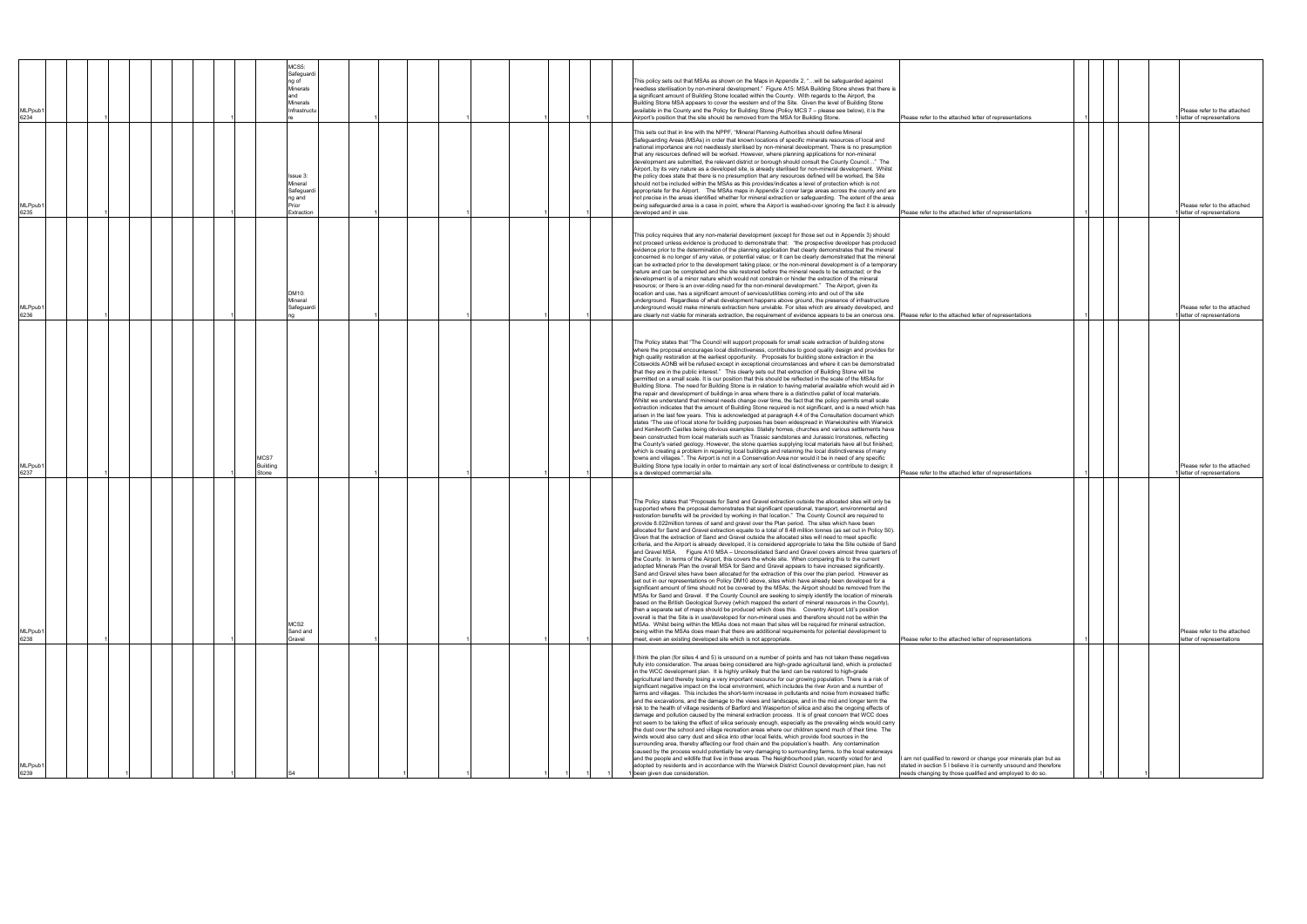| MLPpub1<br>6234 | MCS5:<br>Safeguard<br>ng of<br>Minerals<br>and<br><b>Minerals</b><br>Infrastructu |  | This policy sets out that MSAs as shown on the Maps in Appendix 2, "will be safeguarded against<br>needless sterilisation by non-mineral development." Figure A15: MSA Building Stone shows that there is<br>a significant amount of Building Stone located within the County. With regards to the Airport, the<br>Building Stone MSA appears to cover the western end of the Site. Given the level of Building Stone<br>available in the County and the Policy for Building Stone (Policy MCS 7 - please see below), it is the<br>Airport's position that the site should be removed from the MSA for Building Stone.                                                                                                                                                                                                                                                                                                                                                                                                                                                                                                                                                                                                                                                                                                                                                                                                                                                                                                                                                                                                                                                                                                                                                                                                                                                                                                                                                                                                                                                                                                            | Please refer to the attached letter of representations                                                                                                                                              | Please refer to the attached<br>letter of representations |
|-----------------|-----------------------------------------------------------------------------------|--|-----------------------------------------------------------------------------------------------------------------------------------------------------------------------------------------------------------------------------------------------------------------------------------------------------------------------------------------------------------------------------------------------------------------------------------------------------------------------------------------------------------------------------------------------------------------------------------------------------------------------------------------------------------------------------------------------------------------------------------------------------------------------------------------------------------------------------------------------------------------------------------------------------------------------------------------------------------------------------------------------------------------------------------------------------------------------------------------------------------------------------------------------------------------------------------------------------------------------------------------------------------------------------------------------------------------------------------------------------------------------------------------------------------------------------------------------------------------------------------------------------------------------------------------------------------------------------------------------------------------------------------------------------------------------------------------------------------------------------------------------------------------------------------------------------------------------------------------------------------------------------------------------------------------------------------------------------------------------------------------------------------------------------------------------------------------------------------------------------------------------------------|-----------------------------------------------------------------------------------------------------------------------------------------------------------------------------------------------------|-----------------------------------------------------------|
| MLPpub1<br>6235 | Issue 3:<br>Mineral<br>Safeguard<br>ng and<br>Prior<br>Extraction                 |  | This sets out that in line with the NPPF, "Mineral Planning Authorities should define Mineral<br>Safeguarding Areas (MSAs) in order that known locations of specific minerals resources of local and<br>national importance are not needlessly sterilised by non-mineral development. There is no presumption<br>that any resources defined will be worked. However, where planning applications for non-mineral<br>development are submitted, the relevant district or borough should consult the County Council" The<br>Airport, by its very nature as a developed site, is already sterilised for non-mineral development. Whilst<br>the policy does state that there is no presumption that any resources defined will be worked, the Site<br>should not be included within the MSAs as this provides/indicates a level of protection which is not<br>appropriate for the Airport. The MSAs maps in Appendix 2 cover large areas across the county and are<br>not precise in the areas identified whether for mineral extraction or safeguarding. The extent of the area<br>being safeguarded area is a case in point, where the Airport is washed-over ignoring the fact it is already<br>developed and in use.                                                                                                                                                                                                                                                                                                                                                                                                                                                                                                                                                                                                                                                                                                                                                                                                                                                                                                              | Please refer to the attached letter of representations                                                                                                                                              | Please refer to the attached<br>letter of representations |
| MLPpub1<br>6236 | DM10:<br>Mineral<br>Safeguard                                                     |  | This policy requires that any non-material development (except for those set out in Appendix 3) should<br>not proceed unless evidence is produced to demonstrate that: "the prospective developer has produced<br>evidence prior to the determination of the planning application that clearly demonstrates that the mineral<br>concerned is no longer of any value, or potential value; or It can be clearly demonstrated that the mineral<br>can be extracted prior to the development taking place; or the non-mineral development is of a temporary<br>nature and can be completed and the site restored before the mineral needs to be extracted; or the<br>development is of a minor nature which would not constrain or hinder the extraction of the mineral<br>esource; or there is an over-riding need for the non-mineral development." The Airport, given its<br>location and use, has a significant amount of services/utilities coming into and out of the site<br>underground. Regardless of what development happens above ground, the presence of infrastructure<br>underground would make minerals extraction here unviable. For sites which are already developed, and<br>are clearly not viable for minerals extraction, the requirement of evidence appears to be an onerous one.                                                                                                                                                                                                                                                                                                                                                                                                                                                                                                                                                                                                                                                                                                                                                                                                                             | Please refer to the attached letter of representations                                                                                                                                              | Please refer to the attached<br>letter of representations |
| MLPpub1<br>6237 | MCS7<br>Building<br>Stone                                                         |  | The Policy states that "The Council will support proposals for small scale extraction of building stone<br>where the proposal encourages local distinctiveness, contributes to good quality design and provides for<br>high quality restoration at the earliest opportunity. Proposals for building stone extraction in the<br>Cotswolds AONB will be refused except in exceptional circumstances and where it can be demonstrated<br>that they are in the public interest." This clearly sets out that extraction of Building Stone will be<br>permitted on a small scale. It is our position that this should be reflected in the scale of the MSAs for<br>Building Stone. The need for Building Stone is in relation to having material available which would aid in<br>the repair and development of buildings in area where there is a distinctive pallet of local materials.<br>Whilst we understand that mineral needs change over time, the fact that the policy permits small scale<br>extraction indicates that the amount of Building Stone required is not significant, and is a need which has<br>arisen in the last few years. This is acknowledged at paragraph 4.4 of the Consultation document which<br>states "The use of local stone for building purposes has been widespread in Warwickshire with Warwick<br>and Kenilworth Castles being obvious examples. Stately homes, churches and various settlements have<br>been constructed from local materials such as Triassic sandstones and Jurassic Ironstones, reflecting<br>the County's varied geology. However, the stone quarries supplying local materials have all but finished,<br>which is creating a problem in repairing local buildings and retaining the local distinctiveness of many<br>towns and villages.". The Airport is not in a Conservation Area nor would it be in need of any specific<br>Building Stone type locally in order to maintain any sort of local distinctiveness or contribute to design; it<br>is a developed commercial site.                                                                                           | Please refer to the attached letter of representations                                                                                                                                              | Please refer to the attached<br>letter of representations |
| /ILPpub<br>6238 | MCS <sub>2</sub><br>Sand and<br>Gravel                                            |  | The Policy states that "Proposals for Sand and Gravel extraction outside the allocated sites will only be<br>supported where the proposal demonstrates that significant operational, transport, environmental and<br>restoration benefits will be provided by working in that location." The County Council are required to<br>provide 8.022million tonnes of sand and gravel over the Plan period. The sites which have been<br>allocated for Sand and Gravel extraction equate to a total of 8.48 million tonnes (as set out in Policy S0).<br>Given that the extraction of Sand and Gravel outside the allocated sites will need to meet specific<br>criteria, and the Airport is already developed, it is considered appropriate to take the Site outside of Sand<br>and Gravel MSA. Figure A10 MSA - Unconsolidated Sand and Gravel covers almost three quarters of<br>the County. In terms of the Airport, this covers the whole site. When comparing this to the current<br>adopted Minerals Plan the overall MSA for Sand and Gravel appears to have increased significantly.<br>Sand and Gravel sites have been allocated for the extraction of this over the plan period. However as<br>set out in our representations on Policy DM10 above, sites which have already been developed for a<br>significant amount of time should not be covered by the MSAs; the Airport should be removed from the<br>MSAs for Sand and Gravel. If the County Council are seeking to simply identify the location of minerals<br>based on the British Geological Survey (which mapped the extent of mineral resources in the County),<br>then a separate set of maps should be produced which does this.  Coventry Airport Ltd's position<br>overall is that the Site is in use/developed for non-mineral uses and therefore should not be within the<br>MSAs. Whilst being within the MSAs does not mean that sites will be required for mineral extraction,<br>being within the MSAs does mean that there are additional requirements for potential development to<br>meet, even an existing developed site which is not appropriate. | Please refer to the attached letter of representations                                                                                                                                              | Please refer to the attached<br>letter of representations |
| ILPpub1<br>6239 |                                                                                   |  | I think the plan (for sites 4 and 5) is unsound on a number of points and has not taken these negatives<br>fully into consideration. The areas being considered are high-grade agricultural land, which is protected<br>in the WCC development plan. It is highly unlikely that the land can be restored to high-grade<br>agricultural land thereby losing a very important resource for our growing population. There is a risk of<br>significant negative impact on the local environment, which includes the river Avon and a number of<br>farms and villages. This includes the short-term increase in pollutants and noise from increased traffic<br>and the excavations, and the damage to the views and landscape, and in the mid and longer term the<br>risk to the health of village residents of Barford and Wasperton of silica and also the ongoing effects of<br>damage and pollution caused by the mineral extraction process. It is of great concern that WCC does<br>not seem to be taking the effect of silica seriously enough, especially as the prevailing winds would carry<br>the dust over the school and village recreation areas where our children spend much of their time. The<br>winds would also carry dust and silica into other local fields, which provide food sources in the<br>surrounding area, thereby affecting our food chain and the population's health. Any contamination<br>caused by the process would potentially be very damaging to surrounding farms, to the local waterways<br>and the people and wildlife that live in these areas. The Neighbourhood plan, recently voted for and<br>adopted by residents and in accordance with the Warwick District Council development plan, has not<br>been given due consideration.                                                                                                                                                                                                                                                                                                                                                      | I am not qualified to reword or change your minerals plan but as<br>stated in section 5 I believe it is currently unsound and therefore<br>needs changing by those qualified and employed to do so. |                                                           |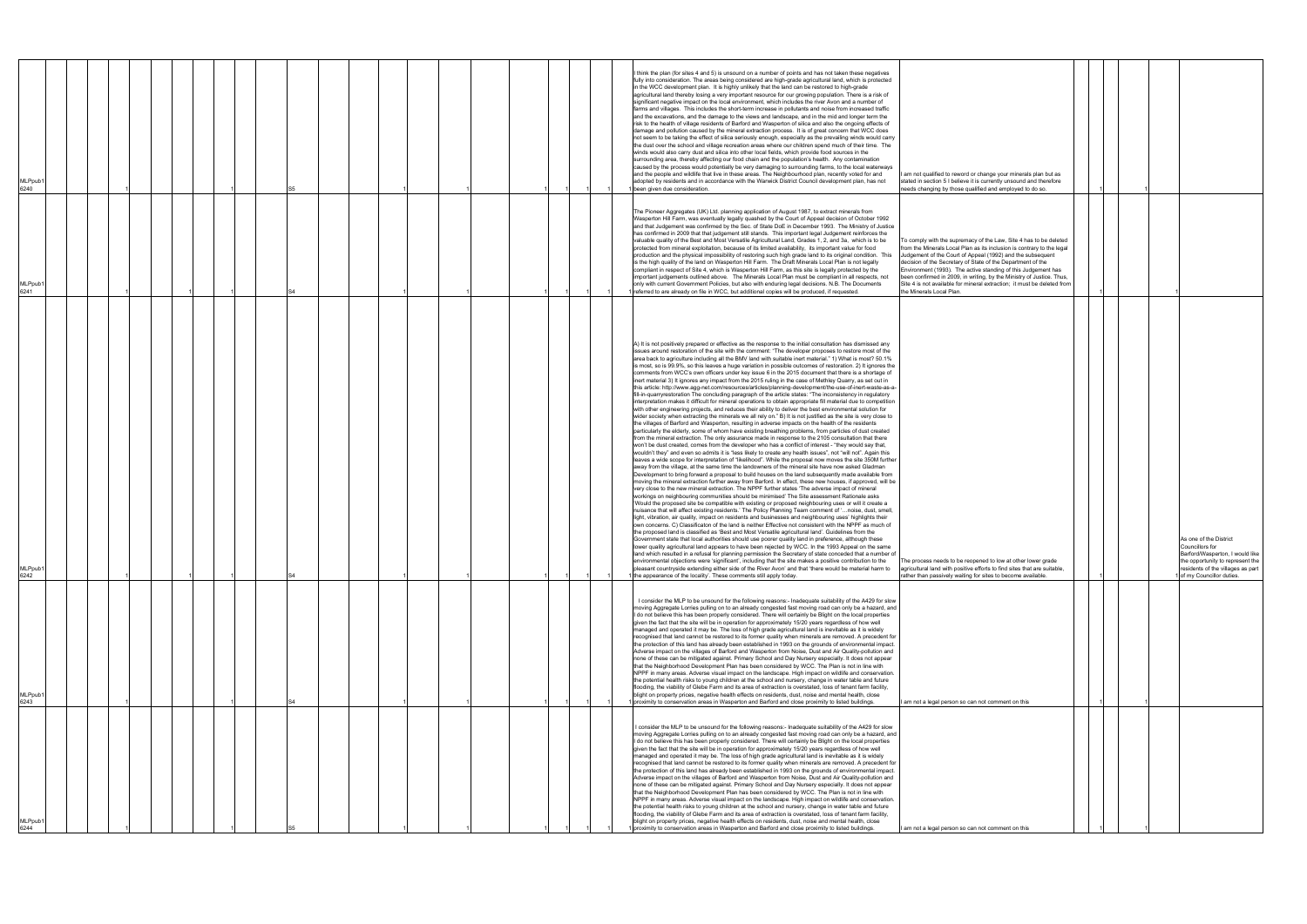| MLPpub <sup>®</sup><br>6240 |  |  |  |  |  |  |  |  | I think the plan (for sites 4 and 5) is unsound on a number of points and has not taken these negatives<br>fully into consideration. The areas being considered are high-grade agricultural land, which is protected<br>in the WCC development plan. It is highly unlikely that the land can be restored to high-grade<br>agricultural land thereby losing a very important resource for our growing population. There is a risk of<br>significant negative impact on the local environment, which includes the river Avon and a number of<br>farms and villages. This includes the short-term increase in pollutants and noise from increased traffic<br>and the excavations, and the damage to the views and landscape, and in the mid and longer term the<br>risk to the health of village residents of Barford and Wasperton of silica and also the ongoing effects of<br>damage and pollution caused by the mineral extraction process. It is of great concern that WCC does<br>not seem to be taking the effect of silica seriously enough, especially as the prevailing winds would carry<br>the dust over the school and village recreation areas where our children spend much of their time. The<br>winds would also carry dust and silica into other local fields, which provide food sources in the<br>surrounding area, thereby affecting our food chain and the population's health. Any contamination<br>caused by the process would potentially be very damaging to surrounding farms, to the local waterways<br>and the people and wildlife that live in these areas. The Neighbourhood plan, recently voted for and<br>adopted by residents and in accordance with the Warwick District Council development plan, has not<br>been given due consideration.                                                                                                                                                                                                                                                                                                                                                                                                                                                                                                                                                                                                                                                                                                                                                                                                                                                                                                                                                                                                                                                                                                                                                                                                                                                                                                                                                                                                                                                                                                                                                                                                                                                                                                                                                                                                                                                         | am not qualified to reword or change your minerals plan but as<br>stated in section 5 I believe it is currently unsound and therefore<br>needs changing by those qualified and employed to do so.                                                                                                                                                                                                                                                                                                                        |  |                                                                                                                                                                                   |
|-----------------------------|--|--|--|--|--|--|--|--|--------------------------------------------------------------------------------------------------------------------------------------------------------------------------------------------------------------------------------------------------------------------------------------------------------------------------------------------------------------------------------------------------------------------------------------------------------------------------------------------------------------------------------------------------------------------------------------------------------------------------------------------------------------------------------------------------------------------------------------------------------------------------------------------------------------------------------------------------------------------------------------------------------------------------------------------------------------------------------------------------------------------------------------------------------------------------------------------------------------------------------------------------------------------------------------------------------------------------------------------------------------------------------------------------------------------------------------------------------------------------------------------------------------------------------------------------------------------------------------------------------------------------------------------------------------------------------------------------------------------------------------------------------------------------------------------------------------------------------------------------------------------------------------------------------------------------------------------------------------------------------------------------------------------------------------------------------------------------------------------------------------------------------------------------------------------------------------------------------------------------------------------------------------------------------------------------------------------------------------------------------------------------------------------------------------------------------------------------------------------------------------------------------------------------------------------------------------------------------------------------------------------------------------------------------------------------------------------------------------------------------------------------------------------------------------------------------------------------------------------------------------------------------------------------------------------------------------------------------------------------------------------------------------------------------------------------------------------------------------------------------------------------------------------------------------------------------------------------------------------------------------------------------------------------------------------------------------------------------------------------------------------------------------------------------------------------------------------------------------------------------------------------------------------------------------------------------------------------------------------------------------------------------------------------------------------------------------------------------------------------------------|--------------------------------------------------------------------------------------------------------------------------------------------------------------------------------------------------------------------------------------------------------------------------------------------------------------------------------------------------------------------------------------------------------------------------------------------------------------------------------------------------------------------------|--|-----------------------------------------------------------------------------------------------------------------------------------------------------------------------------------|
| MLPpub <sup>-</sup><br>6241 |  |  |  |  |  |  |  |  | The Pioneer Aggregates (UK) Ltd. planning application of August 1987, to extract minerals from<br>Wasperton Hill Farm, was eventually legally quashed by the Court of Appeal decision of October 1992<br>and that Judgement was confirmed by the Sec. of State DoE in December 1993. The Ministry of Justice<br>has confirmed in 2009 that that judgement still stands. This important legal Judgement reinforces the<br>valuable quality of the Best and Most Versatile Agricultural Land, Grades 1, 2, and 3a, which is to be<br>protected from mineral exploitation, because of its limited availability, its important value for food<br>production and the physical impossibility of restoring such high grade land to its original condition. This<br>is the high quality of the land on Wasperton Hill Farm. The Draft Minerals Local Plan is not legally<br>compliant in respect of Site 4, which is Wasperton Hill Farm, as this site is legally protected by the<br>important judgements outlined above. The Minerals Local Plan must be compliant in all respects, not<br>only with current Government Policies, but also with enduring legal decisions. N.B. The Documents<br>referred to are already on file in WCC, but additional copies will be produced, if requested.                                                                                                                                                                                                                                                                                                                                                                                                                                                                                                                                                                                                                                                                                                                                                                                                                                                                                                                                                                                                                                                                                                                                                                                                                                                                                                                                                                                                                                                                                                                                                                                                                                                                                                                                                                                                                                                                                                                                                                                                                                                                                                                                                                                                                                                                                                                                              | To comply with the supremacy of the Law, Site 4 has to be deleted<br>from the Minerals Local Plan as its inclusion is contrary to the legal<br>Judgement of the Court of Appeal (1992) and the subsequent<br>decision of the Secretary of State of the Department of the<br>Environment (1993). The active standing of this Judgement has<br>been confirmed in 2009, in writing, by the Ministry of Justice. Thus<br>Site 4 is not available for mineral extraction; it must be deleted from<br>the Minerals Local Plan. |  |                                                                                                                                                                                   |
| MLPpub′<br>6242             |  |  |  |  |  |  |  |  | A) It is not positively prepared or effective as the response to the initial consultation has dismissed any<br>issues around restoration of the site with the comment: "The developer proposes to restore most of the<br>area back to agriculture including all the BMV land with suitable inert material." 1) What is most? 50.1%<br>is most, so is 99.9%, so this leaves a huge variation in possible outcomes of restoration. 2) It ignores the<br>comments from WCC's own officers under key issue 6 in the 2015 document that there is a shortage of<br>inert material 3) It ignores any impact from the 2015 ruling in the case of Methley Quarry, as set out in<br>this article: http://www.agg-net.com/resources/articles/planning-development/the-use-of-inert-waste-as-a-<br>fill-in-quarryrestoration The concluding paragraph of the article states: "The inconsistency in regulatory<br>interpretation makes it difficult for mineral operations to obtain appropriate fill material due to competition<br>with other engineering projects, and reduces their ability to deliver the best environmental solution for<br>wider society when extracting the minerals we all rely on." B) It is not justified as the site is very close to<br>the villages of Barford and Wasperton, resulting in adverse impacts on the health of the residents<br>particularly the elderly, some of whom have existing breathing problems, from particles of dust created<br>from the mineral extraction. The only assurance made in response to the 2105 consultation that there<br>won't be dust created, comes from the developer who has a conflict of interest - "they would say that,<br>wouldn't they" and even so admits it is "less likely to create any health issues", not "will not". Again this<br>leaves a wide scope for interpretation of "likelihood". While the proposal now moves the site 350M further<br>away from the village, at the same time the landowners of the mineral site have now asked Gladman<br>Development to bring forward a proposal to build houses on the land subsequently made available from<br>moving the mineral extraction further away from Barford. In effect, these new houses, if approved, will be<br>very close to the new mineral extraction. The NPPF further states 'The adverse impact of mineral<br>workings on neighbouring communities should be minimised' The Site assessment Rationale asks<br>'Would the proposed site be compatible with existing or proposed neighbouring uses or will it create a<br>nuisance that will affect existing residents.' The Policy Planning Team comment of 'noise, dust, smell,<br>light, vibration, air quality, impact on residents and businesses and neighbouring uses' highlights their<br>own concerns. C) Classificaton of the land is neither Effective not consistent with the NPPF as much of<br>the proposed land is classified as 'Best and Most Versatile agricultural land'. Guidelines from the<br>Government state that local authorities should use poorer quality land in preference, although these<br>lower quality agricultural land appears to have been rejected by WCC. In the 1993 Appeal on the same<br>land which resulted in a refusal for planning permission the Secretary of state conceded that a number of<br>environmental objections were 'significant', including that the site makes a positive contribution to the<br>pleasant countryside extending either side of the River Avon' and that 'there would be material harm to<br>the appearance of the locality'. These comments still apply today. | The process needs to be reopened to low at other lower grade<br>agricultural land with positive efforts to find sites that are suitable,<br>rather than passively waiting for sites to become available.                                                                                                                                                                                                                                                                                                                 |  | As one of the District<br>Councillors for<br>Barford/Wasperton, I would like<br>the opportunity to represent the<br>residents of the villages as part<br>of my Councillor duties. |
| MLPpub <sup>®</sup><br>6243 |  |  |  |  |  |  |  |  | I consider the MLP to be unsound for the following reasons:- Inadequate suitability of the A429 for slow<br>moving Aggregate Lorries pulling on to an already congested fast moving road can only be a hazard, and<br>I do not believe this has been properly considered. There will certainly be Blight on the local properties<br>given the fact that the site will be in operation for approximately 15/20 years regardless of how well<br>managed and operated it may be. The loss of high grade agricultural land is inevitable as it is widely<br>recognised that land cannot be restored to its former quality when minerals are removed. A precedent for<br>the protection of this land has already been established in 1993 on the grounds of environmental impact.<br>Adverse impact on the villages of Barford and Wasperton from Noise, Dust and Air Quality-pollution and<br>none of these can be mitigated against. Primary School and Day Nursery especially. It does not appear<br>that the Neighborhood Development Plan has been considered by WCC. The Plan is not in line with<br>NPPF in many areas. Adverse visual impact on the landscape. High impact on wildlife and conservation.<br>the potential health risks to young children at the school and nursery, change in water table and future<br>flooding, the viability of Glebe Farm and its area of extraction is overstated, loss of tenant farm facility,<br>blight on property prices, negative health effects on residents, dust, noise and mental health, close<br>proximity to conservation areas in Wasperton and Barford and close proximity to listed buildings.                                                                                                                                                                                                                                                                                                                                                                                                                                                                                                                                                                                                                                                                                                                                                                                                                                                                                                                                                                                                                                                                                                                                                                                                                                                                                                                                                                                                                                                                                                                                                                                                                                                                                                                                                                                                                                                                                                                                                                               | I am not a legal person so can not comment on this                                                                                                                                                                                                                                                                                                                                                                                                                                                                       |  |                                                                                                                                                                                   |
| MLPpub′<br>6244             |  |  |  |  |  |  |  |  | I consider the MLP to be unsound for the following reasons:- Inadequate suitability of the A429 for slow<br>moving Aggregate Lorries pulling on to an already congested fast moving road can only be a hazard, and<br>I do not believe this has been properly considered. There will certainly be Blight on the local properties<br>given the fact that the site will be in operation for approximately 15/20 years regardless of how well<br>managed and operated it may be. The loss of high grade agricultural land is inevitable as it is widely<br>recognised that land cannot be restored to its former quality when minerals are removed. A precedent for<br>the protection of this land has already been established in 1993 on the grounds of environmental impact.<br>Adverse impact on the villages of Barford and Wasperton from Noise, Dust and Air Quality-pollution and<br>none of these can be mitigated against. Primary School and Day Nursery especially. It does not appear<br>that the Neighborhood Development Plan has been considered by WCC. The Plan is not in line with<br>NPPF in many areas. Adverse visual impact on the landscape. High impact on wildlife and conservation.<br>the potential health risks to young children at the school and nursery, change in water table and future<br>flooding, the viability of Glebe Farm and its area of extraction is overstated, loss of tenant farm facility,<br>blight on property prices, negative health effects on residents, dust, noise and mental health, close<br>proximity to conservation areas in Wasperton and Barford and close proximity to listed buildings.                                                                                                                                                                                                                                                                                                                                                                                                                                                                                                                                                                                                                                                                                                                                                                                                                                                                                                                                                                                                                                                                                                                                                                                                                                                                                                                                                                                                                                                                                                                                                                                                                                                                                                                                                                                                                                                                                                                                                                               | I am not a legal person so can not comment on this                                                                                                                                                                                                                                                                                                                                                                                                                                                                       |  |                                                                                                                                                                                   |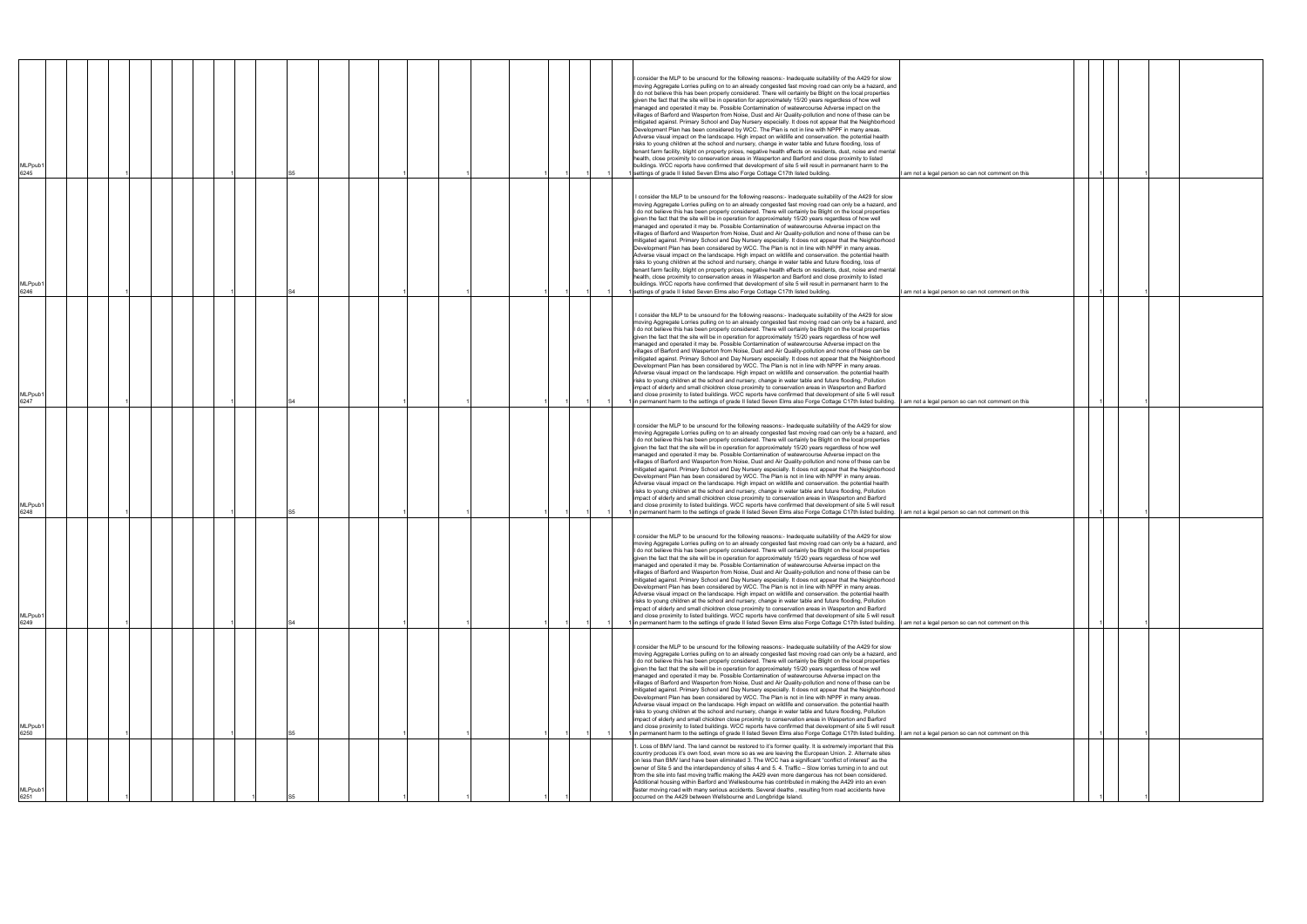| MLPpub<br>6245              |  |  |  |  |  |  |  |  | I consider the MLP to be unsound for the following reasons:- Inadequate suitability of the A429 for slow<br>moving Aggregate Lorries pulling on to an already congested fast moving road can only be a hazard, and<br>I do not believe this has been properly considered. There will certainly be Blight on the local properties<br>given the fact that the site will be in operation for approximately 15/20 years regardless of how well<br>managed and operated it may be. Possible Contamination of watewrcourse Adverse impact on the<br>villages of Barford and Wasperton from Noise, Dust and Air Quality-pollution and none of these can be<br>mitigated against. Primary School and Day Nursery especially. It does not appear that the Neighborhood<br>Development Plan has been considered by WCC. The Plan is not in line with NPPF in many areas.<br>Adverse visual impact on the landscape. High impact on wildlife and conservation. the potential health<br>risks to young children at the school and nursery, change in water table and future flooding, loss of<br>tenant farm facility, blight on property prices, negative health effects on residents, dust, noise and mental<br>health, close proximity to conservation areas in Wasperton and Barford and close proximity to listed<br>buildings. WCC reports have confirmed that development of site 5 will result in permanent harm to the<br>settings of grade II listed Seven Elms also Forge Cottage C17th listed building.<br>I am not a legal person so can not comment on this |
|-----------------------------|--|--|--|--|--|--|--|--|---------------------------------------------------------------------------------------------------------------------------------------------------------------------------------------------------------------------------------------------------------------------------------------------------------------------------------------------------------------------------------------------------------------------------------------------------------------------------------------------------------------------------------------------------------------------------------------------------------------------------------------------------------------------------------------------------------------------------------------------------------------------------------------------------------------------------------------------------------------------------------------------------------------------------------------------------------------------------------------------------------------------------------------------------------------------------------------------------------------------------------------------------------------------------------------------------------------------------------------------------------------------------------------------------------------------------------------------------------------------------------------------------------------------------------------------------------------------------------------------------------------------------------------------------------------|
| MLPpub′<br>6246             |  |  |  |  |  |  |  |  | I consider the MLP to be unsound for the following reasons:- Inadequate suitability of the A429 for slow<br>moving Aggregate Lorries pulling on to an already congested fast moving road can only be a hazard, and<br>I do not believe this has been properly considered. There will certainly be Blight on the local properties<br>given the fact that the site will be in operation for approximately 15/20 years regardless of how well<br>managed and operated it may be. Possible Contamination of watewrcourse Adverse impact on the<br>villages of Barford and Wasperton from Noise, Dust and Air Quality-pollution and none of these can be<br>mitigated against. Primary School and Day Nursery especially. It does not appear that the Neighborhood<br>Development Plan has been considered by WCC. The Plan is not in line with NPPF in many areas.<br>Adverse visual impact on the landscape. High impact on wildlife and conservation. the potential health<br>risks to young children at the school and nursery, change in water table and future flooding, loss of<br>tenant farm facility, blight on property prices, negative health effects on residents, dust, noise and mental<br>health, close proximity to conservation areas in Wasperton and Barford and close proximity to listed<br>buildings. WCC reports have confirmed that development of site 5 will result in permanent harm to the<br>settings of grade II listed Seven Elms also Forge Cottage C17th listed building.<br>I am not a legal person so can not comment on this |
| MLPpub <sup>®</sup><br>6247 |  |  |  |  |  |  |  |  | I consider the MLP to be unsound for the following reasons:- Inadequate suitability of the A429 for slow<br>moving Aggregate Lorries pulling on to an already congested fast moving road can only be a hazard, and<br>I do not believe this has been properly considered. There will certainly be Blight on the local properties<br>given the fact that the site will be in operation for approximately 15/20 years regardless of how well<br>managed and operated it may be. Possible Contamination of watewrcourse Adverse impact on the<br>villages of Barford and Wasperton from Noise, Dust and Air Quality-pollution and none of these can be<br>mitigated against. Primary School and Day Nursery especially. It does not appear that the Neighborhood<br>Development Plan has been considered by WCC. The Plan is not in line with NPPF in many areas.<br>Adverse visual impact on the landscape. High impact on wildlife and conservation. the potential health<br>risks to young children at the school and nursery, change in water table and future flooding, Pollution<br>impact of elderly and small chioldren close proximity to conservation areas in Wasperton and Barford<br>and close proximity to listed buildings. WCC reports have confirmed that development of site 5 will result<br>in permanent harm to the settings of grade II listed Seven Elms also Forge Cottage C17th listed building. I am not a legal person so can not comment on this                                                                                     |
| MLPpub′<br>6248             |  |  |  |  |  |  |  |  | I consider the MLP to be unsound for the following reasons:- Inadequate suitability of the A429 for slow<br>moving Aggregate Lorries pulling on to an already congested fast moving road can only be a hazard, and<br>I do not believe this has been properly considered. There will certainly be Blight on the local properties<br>given the fact that the site will be in operation for approximately 15/20 years regardless of how well<br>managed and operated it may be. Possible Contamination of watewrcourse Adverse impact on the<br>villages of Barford and Wasperton from Noise, Dust and Air Quality-pollution and none of these can be<br>mitigated against. Primary School and Day Nursery especially. It does not appear that the Neighborhood<br>Development Plan has been considered by WCC. The Plan is not in line with NPPF in many areas.<br>Adverse visual impact on the landscape. High impact on wildlife and conservation. the potential health<br>risks to young children at the school and nursery, change in water table and future flooding, Pollution<br>impact of elderly and small chioldren close proximity to conservation areas in Wasperton and Barford<br>and close proximity to listed buildings. WCC reports have confirmed that development of site 5 will result<br>I in permanent harm to the settings of grade II listed Seven Elms also Forge Cottage C17th listed building. I am not a legal person so can not comment on this                                                                                   |
| MLPpub′<br>6249             |  |  |  |  |  |  |  |  | I consider the MLP to be unsound for the following reasons:- Inadequate suitability of the A429 for slow<br>moving Aggregate Lorries pulling on to an already congested fast moving road can only be a hazard, and<br>I do not believe this has been properly considered. There will certainly be Blight on the local properties<br>given the fact that the site will be in operation for approximately 15/20 years regardless of how well<br>managed and operated it may be. Possible Contamination of watewrcourse Adverse impact on the<br>villages of Barford and Wasperton from Noise, Dust and Air Quality-pollution and none of these can be<br>mitigated against. Primary School and Day Nursery especially. It does not appear that the Neighborhood<br>Development Plan has been considered by WCC. The Plan is not in line with NPPF in many areas.<br>Adverse visual impact on the landscape. High impact on wildlife and conservation. the potential health<br>risks to young children at the school and nursery, change in water table and future flooding, Pollution<br>impact of elderly and small chioldren close proximity to conservation areas in Wasperton and Barford<br>and close proximity to listed buildings. WCC reports have confirmed that development of site 5 will result<br>in permanent harm to the settings of grade II listed Seven Elms also Forge Cottage C17th listed building.   am not a legal person so can not comment on this                                                                                     |
| MLPpub <sup>®</sup><br>6250 |  |  |  |  |  |  |  |  | I consider the MLP to be unsound for the following reasons:- Inadequate suitability of the A429 for slow<br>moving Aggregate Lorries pulling on to an already congested fast moving road can only be a hazard, and<br>I do not believe this has been properly considered. There will certainly be Blight on the local properties<br>given the fact that the site will be in operation for approximately 15/20 years regardless of how well<br>managed and operated it may be. Possible Contamination of watewrcourse Adverse impact on the<br>villages of Barford and Wasperton from Noise, Dust and Air Quality-pollution and none of these can be<br>mitigated against. Primary School and Day Nursery especially. It does not appear that the Neighborhood<br>Development Plan has been considered by WCC. The Plan is not in line with NPPF in many areas.<br>Adverse visual impact on the landscape. High impact on wildlife and conservation. the potential health<br>risks to young children at the school and nursery, change in water table and future flooding, Pollution<br>impact of elderly and small chioldren close proximity to conservation areas in Wasperton and Barford<br>and close proximity to listed buildings. WCC reports have confirmed that development of site 5 will result<br>1 in permanent harm to the settings of grade II listed Seven Elms also Forge Cottage C17th listed building. I am not a legal person so can not comment on this                                                                                   |
| MLPpub′<br>6251             |  |  |  |  |  |  |  |  | 1. Loss of BMV land. The land cannot be restored to it's former quality. It is extremely important that this<br>country produces it's own food, even more so as we are leaving the European Union. 2. Alternate sites<br>on less than BMV land have been eliminated 3. The WCC has a significant "conflict of interest" as the<br>owner of Site 5 and the interdependency of sites 4 and 5.4. Traffic - Slow lorries turning in to and out<br>from the site into fast moving traffic making the A429 even more dangerous has not been considered.<br>Additional housing within Barford and Wellesbourne has contributed in making the A429 into an even<br>faster moving road with many serious accidents. Several deaths, resulting from road accidents have<br>occurred on the A429 between Wellsbourne and Longbridge Island.                                                                                                                                                                                                                                                                                                                                                                                                                                                                                                                                                                                                                                                                                                                              |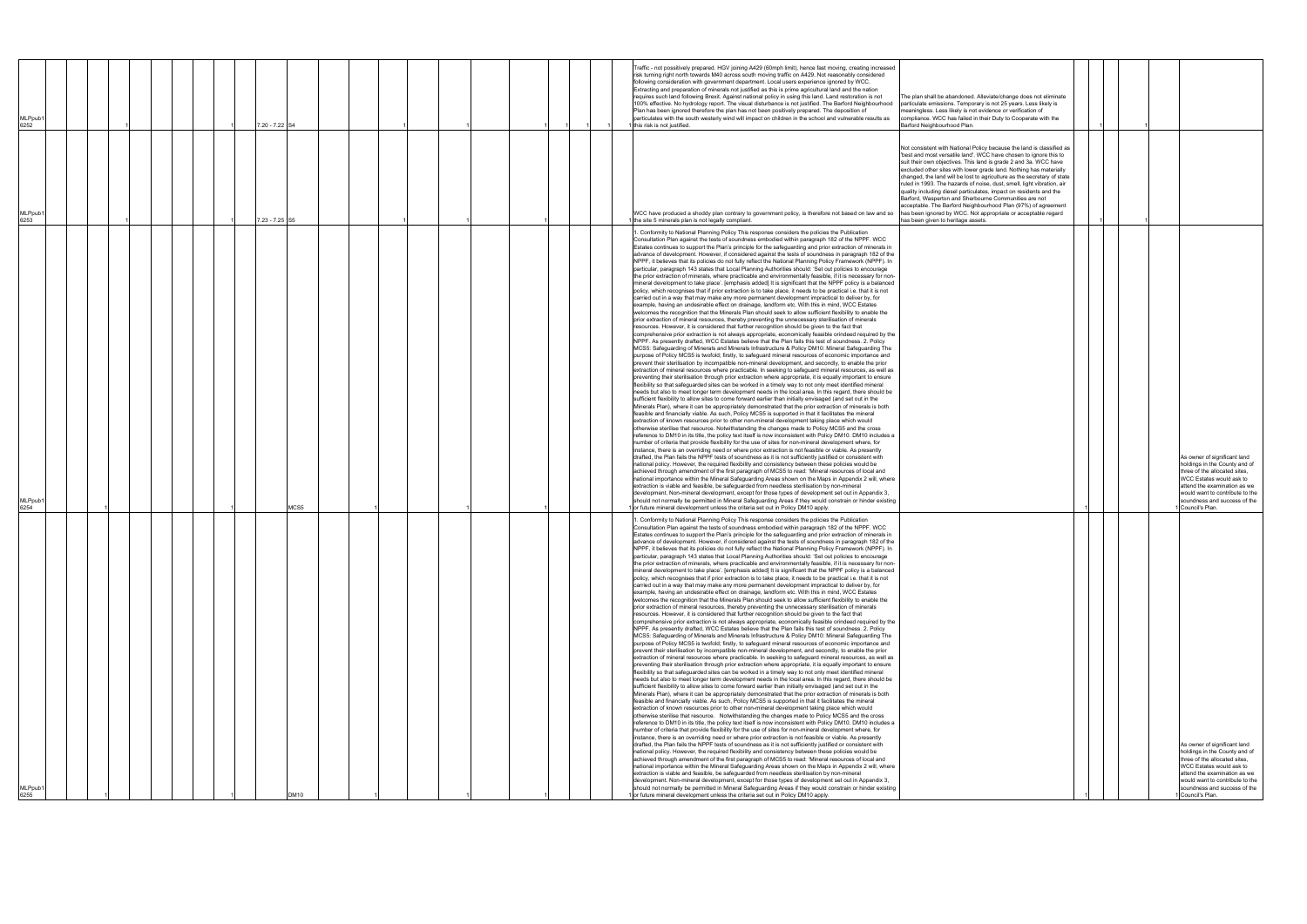| MLPpub1<br>6255                                                                                                                                                                                                                                                                                                                                                                                                                                                                                                                                                                                                                                                                                                                                                                                                                                                                                                                                                                                                                                                                                                                                                                                                                                                                                                                                                                                                                                                                                                                                                                                                                                                                                                                                                                                                                                                                                                                                                                                                                                                                                                                                                                                                                                                                                                                                                                                                                                                                                                                                                                                                                                                                                                                                                                                                                                                                                                                                                                                                                                                                                                                                                                                                                                                                                                                                                                                                                                                                                                                                                                                                                                                                                                                                                                                                                                                                                                                                                                                                                                                                                                                                                                                                                                         | MLPpub1<br>6254                                                                                                                                                                                                                                                                                                                                                                                                                                                                                                                                                                                                                                                                                                                                                                                                                                                                                                                                                                                                                                                                                                                                                                                                                                                                                                                                                                                                                                                                                                                                                                                                                                                                                                                                                                                                                                                                                                                                                                                                                                                                                                                                                                                                                                                                                                                                                                                                                                                                                                                                                                                                                                                                                                                                                                                                                                                                                                                                                                                                                                                                                                                                                                                                                                                                                                                                                                                                                                                                                                                                                                                                                                                                                                                                                                                                                                                                                                                                                                                                                                                                                                                                                                                                                                           | <b>MLPpub</b><br>6253                                                                                                                                                                                                                                                                                                                                                                                                                                                                                                                                                                                                                                                                                                                            | MLPpub1<br>6252                                                                                                                                                                                                                                                                                                                                                                                                                                                                                                                                                                                                                                                                                                                                                                                                                                                                               |
|---------------------------------------------------------------------------------------------------------------------------------------------------------------------------------------------------------------------------------------------------------------------------------------------------------------------------------------------------------------------------------------------------------------------------------------------------------------------------------------------------------------------------------------------------------------------------------------------------------------------------------------------------------------------------------------------------------------------------------------------------------------------------------------------------------------------------------------------------------------------------------------------------------------------------------------------------------------------------------------------------------------------------------------------------------------------------------------------------------------------------------------------------------------------------------------------------------------------------------------------------------------------------------------------------------------------------------------------------------------------------------------------------------------------------------------------------------------------------------------------------------------------------------------------------------------------------------------------------------------------------------------------------------------------------------------------------------------------------------------------------------------------------------------------------------------------------------------------------------------------------------------------------------------------------------------------------------------------------------------------------------------------------------------------------------------------------------------------------------------------------------------------------------------------------------------------------------------------------------------------------------------------------------------------------------------------------------------------------------------------------------------------------------------------------------------------------------------------------------------------------------------------------------------------------------------------------------------------------------------------------------------------------------------------------------------------------------------------------------------------------------------------------------------------------------------------------------------------------------------------------------------------------------------------------------------------------------------------------------------------------------------------------------------------------------------------------------------------------------------------------------------------------------------------------------------------------------------------------------------------------------------------------------------------------------------------------------------------------------------------------------------------------------------------------------------------------------------------------------------------------------------------------------------------------------------------------------------------------------------------------------------------------------------------------------------------------------------------------------------------------------------------------------------------------------------------------------------------------------------------------------------------------------------------------------------------------------------------------------------------------------------------------------------------------------------------------------------------------------------------------------------------------------------------------------------------------------------------------------------------------------|-----------------------------------------------------------------------------------------------------------------------------------------------------------------------------------------------------------------------------------------------------------------------------------------------------------------------------------------------------------------------------------------------------------------------------------------------------------------------------------------------------------------------------------------------------------------------------------------------------------------------------------------------------------------------------------------------------------------------------------------------------------------------------------------------------------------------------------------------------------------------------------------------------------------------------------------------------------------------------------------------------------------------------------------------------------------------------------------------------------------------------------------------------------------------------------------------------------------------------------------------------------------------------------------------------------------------------------------------------------------------------------------------------------------------------------------------------------------------------------------------------------------------------------------------------------------------------------------------------------------------------------------------------------------------------------------------------------------------------------------------------------------------------------------------------------------------------------------------------------------------------------------------------------------------------------------------------------------------------------------------------------------------------------------------------------------------------------------------------------------------------------------------------------------------------------------------------------------------------------------------------------------------------------------------------------------------------------------------------------------------------------------------------------------------------------------------------------------------------------------------------------------------------------------------------------------------------------------------------------------------------------------------------------------------------------------------------------------------------------------------------------------------------------------------------------------------------------------------------------------------------------------------------------------------------------------------------------------------------------------------------------------------------------------------------------------------------------------------------------------------------------------------------------------------------------------------------------------------------------------------------------------------------------------------------------------------------------------------------------------------------------------------------------------------------------------------------------------------------------------------------------------------------------------------------------------------------------------------------------------------------------------------------------------------------------------------------------------------------------------------------------------------------------------------------------------------------------------------------------------------------------------------------------------------------------------------------------------------------------------------------------------------------------------------------------------------------------------------------------------------------------------------------------------------------------------------------------------------------------------------------------|--------------------------------------------------------------------------------------------------------------------------------------------------------------------------------------------------------------------------------------------------------------------------------------------------------------------------------------------------------------------------------------------------------------------------------------------------------------------------------------------------------------------------------------------------------------------------------------------------------------------------------------------------------------------------------------------------------------------------------------------------|-----------------------------------------------------------------------------------------------------------------------------------------------------------------------------------------------------------------------------------------------------------------------------------------------------------------------------------------------------------------------------------------------------------------------------------------------------------------------------------------------------------------------------------------------------------------------------------------------------------------------------------------------------------------------------------------------------------------------------------------------------------------------------------------------------------------------------------------------------------------------------------------------|
|                                                                                                                                                                                                                                                                                                                                                                                                                                                                                                                                                                                                                                                                                                                                                                                                                                                                                                                                                                                                                                                                                                                                                                                                                                                                                                                                                                                                                                                                                                                                                                                                                                                                                                                                                                                                                                                                                                                                                                                                                                                                                                                                                                                                                                                                                                                                                                                                                                                                                                                                                                                                                                                                                                                                                                                                                                                                                                                                                                                                                                                                                                                                                                                                                                                                                                                                                                                                                                                                                                                                                                                                                                                                                                                                                                                                                                                                                                                                                                                                                                                                                                                                                                                                                                                         |                                                                                                                                                                                                                                                                                                                                                                                                                                                                                                                                                                                                                                                                                                                                                                                                                                                                                                                                                                                                                                                                                                                                                                                                                                                                                                                                                                                                                                                                                                                                                                                                                                                                                                                                                                                                                                                                                                                                                                                                                                                                                                                                                                                                                                                                                                                                                                                                                                                                                                                                                                                                                                                                                                                                                                                                                                                                                                                                                                                                                                                                                                                                                                                                                                                                                                                                                                                                                                                                                                                                                                                                                                                                                                                                                                                                                                                                                                                                                                                                                                                                                                                                                                                                                                                           |                                                                                                                                                                                                                                                                                                                                                                                                                                                                                                                                                                                                                                                                                                                                                  |                                                                                                                                                                                                                                                                                                                                                                                                                                                                                                                                                                                                                                                                                                                                                                                                                                                                                               |
|                                                                                                                                                                                                                                                                                                                                                                                                                                                                                                                                                                                                                                                                                                                                                                                                                                                                                                                                                                                                                                                                                                                                                                                                                                                                                                                                                                                                                                                                                                                                                                                                                                                                                                                                                                                                                                                                                                                                                                                                                                                                                                                                                                                                                                                                                                                                                                                                                                                                                                                                                                                                                                                                                                                                                                                                                                                                                                                                                                                                                                                                                                                                                                                                                                                                                                                                                                                                                                                                                                                                                                                                                                                                                                                                                                                                                                                                                                                                                                                                                                                                                                                                                                                                                                                         |                                                                                                                                                                                                                                                                                                                                                                                                                                                                                                                                                                                                                                                                                                                                                                                                                                                                                                                                                                                                                                                                                                                                                                                                                                                                                                                                                                                                                                                                                                                                                                                                                                                                                                                                                                                                                                                                                                                                                                                                                                                                                                                                                                                                                                                                                                                                                                                                                                                                                                                                                                                                                                                                                                                                                                                                                                                                                                                                                                                                                                                                                                                                                                                                                                                                                                                                                                                                                                                                                                                                                                                                                                                                                                                                                                                                                                                                                                                                                                                                                                                                                                                                                                                                                                                           |                                                                                                                                                                                                                                                                                                                                                                                                                                                                                                                                                                                                                                                                                                                                                  |                                                                                                                                                                                                                                                                                                                                                                                                                                                                                                                                                                                                                                                                                                                                                                                                                                                                                               |
|                                                                                                                                                                                                                                                                                                                                                                                                                                                                                                                                                                                                                                                                                                                                                                                                                                                                                                                                                                                                                                                                                                                                                                                                                                                                                                                                                                                                                                                                                                                                                                                                                                                                                                                                                                                                                                                                                                                                                                                                                                                                                                                                                                                                                                                                                                                                                                                                                                                                                                                                                                                                                                                                                                                                                                                                                                                                                                                                                                                                                                                                                                                                                                                                                                                                                                                                                                                                                                                                                                                                                                                                                                                                                                                                                                                                                                                                                                                                                                                                                                                                                                                                                                                                                                                         |                                                                                                                                                                                                                                                                                                                                                                                                                                                                                                                                                                                                                                                                                                                                                                                                                                                                                                                                                                                                                                                                                                                                                                                                                                                                                                                                                                                                                                                                                                                                                                                                                                                                                                                                                                                                                                                                                                                                                                                                                                                                                                                                                                                                                                                                                                                                                                                                                                                                                                                                                                                                                                                                                                                                                                                                                                                                                                                                                                                                                                                                                                                                                                                                                                                                                                                                                                                                                                                                                                                                                                                                                                                                                                                                                                                                                                                                                                                                                                                                                                                                                                                                                                                                                                                           |                                                                                                                                                                                                                                                                                                                                                                                                                                                                                                                                                                                                                                                                                                                                                  |                                                                                                                                                                                                                                                                                                                                                                                                                                                                                                                                                                                                                                                                                                                                                                                                                                                                                               |
|                                                                                                                                                                                                                                                                                                                                                                                                                                                                                                                                                                                                                                                                                                                                                                                                                                                                                                                                                                                                                                                                                                                                                                                                                                                                                                                                                                                                                                                                                                                                                                                                                                                                                                                                                                                                                                                                                                                                                                                                                                                                                                                                                                                                                                                                                                                                                                                                                                                                                                                                                                                                                                                                                                                                                                                                                                                                                                                                                                                                                                                                                                                                                                                                                                                                                                                                                                                                                                                                                                                                                                                                                                                                                                                                                                                                                                                                                                                                                                                                                                                                                                                                                                                                                                                         |                                                                                                                                                                                                                                                                                                                                                                                                                                                                                                                                                                                                                                                                                                                                                                                                                                                                                                                                                                                                                                                                                                                                                                                                                                                                                                                                                                                                                                                                                                                                                                                                                                                                                                                                                                                                                                                                                                                                                                                                                                                                                                                                                                                                                                                                                                                                                                                                                                                                                                                                                                                                                                                                                                                                                                                                                                                                                                                                                                                                                                                                                                                                                                                                                                                                                                                                                                                                                                                                                                                                                                                                                                                                                                                                                                                                                                                                                                                                                                                                                                                                                                                                                                                                                                                           |                                                                                                                                                                                                                                                                                                                                                                                                                                                                                                                                                                                                                                                                                                                                                  |                                                                                                                                                                                                                                                                                                                                                                                                                                                                                                                                                                                                                                                                                                                                                                                                                                                                                               |
|                                                                                                                                                                                                                                                                                                                                                                                                                                                                                                                                                                                                                                                                                                                                                                                                                                                                                                                                                                                                                                                                                                                                                                                                                                                                                                                                                                                                                                                                                                                                                                                                                                                                                                                                                                                                                                                                                                                                                                                                                                                                                                                                                                                                                                                                                                                                                                                                                                                                                                                                                                                                                                                                                                                                                                                                                                                                                                                                                                                                                                                                                                                                                                                                                                                                                                                                                                                                                                                                                                                                                                                                                                                                                                                                                                                                                                                                                                                                                                                                                                                                                                                                                                                                                                                         |                                                                                                                                                                                                                                                                                                                                                                                                                                                                                                                                                                                                                                                                                                                                                                                                                                                                                                                                                                                                                                                                                                                                                                                                                                                                                                                                                                                                                                                                                                                                                                                                                                                                                                                                                                                                                                                                                                                                                                                                                                                                                                                                                                                                                                                                                                                                                                                                                                                                                                                                                                                                                                                                                                                                                                                                                                                                                                                                                                                                                                                                                                                                                                                                                                                                                                                                                                                                                                                                                                                                                                                                                                                                                                                                                                                                                                                                                                                                                                                                                                                                                                                                                                                                                                                           |                                                                                                                                                                                                                                                                                                                                                                                                                                                                                                                                                                                                                                                                                                                                                  |                                                                                                                                                                                                                                                                                                                                                                                                                                                                                                                                                                                                                                                                                                                                                                                                                                                                                               |
|                                                                                                                                                                                                                                                                                                                                                                                                                                                                                                                                                                                                                                                                                                                                                                                                                                                                                                                                                                                                                                                                                                                                                                                                                                                                                                                                                                                                                                                                                                                                                                                                                                                                                                                                                                                                                                                                                                                                                                                                                                                                                                                                                                                                                                                                                                                                                                                                                                                                                                                                                                                                                                                                                                                                                                                                                                                                                                                                                                                                                                                                                                                                                                                                                                                                                                                                                                                                                                                                                                                                                                                                                                                                                                                                                                                                                                                                                                                                                                                                                                                                                                                                                                                                                                                         |                                                                                                                                                                                                                                                                                                                                                                                                                                                                                                                                                                                                                                                                                                                                                                                                                                                                                                                                                                                                                                                                                                                                                                                                                                                                                                                                                                                                                                                                                                                                                                                                                                                                                                                                                                                                                                                                                                                                                                                                                                                                                                                                                                                                                                                                                                                                                                                                                                                                                                                                                                                                                                                                                                                                                                                                                                                                                                                                                                                                                                                                                                                                                                                                                                                                                                                                                                                                                                                                                                                                                                                                                                                                                                                                                                                                                                                                                                                                                                                                                                                                                                                                                                                                                                                           |                                                                                                                                                                                                                                                                                                                                                                                                                                                                                                                                                                                                                                                                                                                                                  |                                                                                                                                                                                                                                                                                                                                                                                                                                                                                                                                                                                                                                                                                                                                                                                                                                                                                               |
|                                                                                                                                                                                                                                                                                                                                                                                                                                                                                                                                                                                                                                                                                                                                                                                                                                                                                                                                                                                                                                                                                                                                                                                                                                                                                                                                                                                                                                                                                                                                                                                                                                                                                                                                                                                                                                                                                                                                                                                                                                                                                                                                                                                                                                                                                                                                                                                                                                                                                                                                                                                                                                                                                                                                                                                                                                                                                                                                                                                                                                                                                                                                                                                                                                                                                                                                                                                                                                                                                                                                                                                                                                                                                                                                                                                                                                                                                                                                                                                                                                                                                                                                                                                                                                                         |                                                                                                                                                                                                                                                                                                                                                                                                                                                                                                                                                                                                                                                                                                                                                                                                                                                                                                                                                                                                                                                                                                                                                                                                                                                                                                                                                                                                                                                                                                                                                                                                                                                                                                                                                                                                                                                                                                                                                                                                                                                                                                                                                                                                                                                                                                                                                                                                                                                                                                                                                                                                                                                                                                                                                                                                                                                                                                                                                                                                                                                                                                                                                                                                                                                                                                                                                                                                                                                                                                                                                                                                                                                                                                                                                                                                                                                                                                                                                                                                                                                                                                                                                                                                                                                           | 7.23 - 7.25 S5                                                                                                                                                                                                                                                                                                                                                                                                                                                                                                                                                                                                                                                                                                                                   | 7.20 - 7.22 S4                                                                                                                                                                                                                                                                                                                                                                                                                                                                                                                                                                                                                                                                                                                                                                                                                                                                                |
| DM10                                                                                                                                                                                                                                                                                                                                                                                                                                                                                                                                                                                                                                                                                                                                                                                                                                                                                                                                                                                                                                                                                                                                                                                                                                                                                                                                                                                                                                                                                                                                                                                                                                                                                                                                                                                                                                                                                                                                                                                                                                                                                                                                                                                                                                                                                                                                                                                                                                                                                                                                                                                                                                                                                                                                                                                                                                                                                                                                                                                                                                                                                                                                                                                                                                                                                                                                                                                                                                                                                                                                                                                                                                                                                                                                                                                                                                                                                                                                                                                                                                                                                                                                                                                                                                                    | MCS5                                                                                                                                                                                                                                                                                                                                                                                                                                                                                                                                                                                                                                                                                                                                                                                                                                                                                                                                                                                                                                                                                                                                                                                                                                                                                                                                                                                                                                                                                                                                                                                                                                                                                                                                                                                                                                                                                                                                                                                                                                                                                                                                                                                                                                                                                                                                                                                                                                                                                                                                                                                                                                                                                                                                                                                                                                                                                                                                                                                                                                                                                                                                                                                                                                                                                                                                                                                                                                                                                                                                                                                                                                                                                                                                                                                                                                                                                                                                                                                                                                                                                                                                                                                                                                                      |                                                                                                                                                                                                                                                                                                                                                                                                                                                                                                                                                                                                                                                                                                                                                  |                                                                                                                                                                                                                                                                                                                                                                                                                                                                                                                                                                                                                                                                                                                                                                                                                                                                                               |
|                                                                                                                                                                                                                                                                                                                                                                                                                                                                                                                                                                                                                                                                                                                                                                                                                                                                                                                                                                                                                                                                                                                                                                                                                                                                                                                                                                                                                                                                                                                                                                                                                                                                                                                                                                                                                                                                                                                                                                                                                                                                                                                                                                                                                                                                                                                                                                                                                                                                                                                                                                                                                                                                                                                                                                                                                                                                                                                                                                                                                                                                                                                                                                                                                                                                                                                                                                                                                                                                                                                                                                                                                                                                                                                                                                                                                                                                                                                                                                                                                                                                                                                                                                                                                                                         |                                                                                                                                                                                                                                                                                                                                                                                                                                                                                                                                                                                                                                                                                                                                                                                                                                                                                                                                                                                                                                                                                                                                                                                                                                                                                                                                                                                                                                                                                                                                                                                                                                                                                                                                                                                                                                                                                                                                                                                                                                                                                                                                                                                                                                                                                                                                                                                                                                                                                                                                                                                                                                                                                                                                                                                                                                                                                                                                                                                                                                                                                                                                                                                                                                                                                                                                                                                                                                                                                                                                                                                                                                                                                                                                                                                                                                                                                                                                                                                                                                                                                                                                                                                                                                                           |                                                                                                                                                                                                                                                                                                                                                                                                                                                                                                                                                                                                                                                                                                                                                  |                                                                                                                                                                                                                                                                                                                                                                                                                                                                                                                                                                                                                                                                                                                                                                                                                                                                                               |
|                                                                                                                                                                                                                                                                                                                                                                                                                                                                                                                                                                                                                                                                                                                                                                                                                                                                                                                                                                                                                                                                                                                                                                                                                                                                                                                                                                                                                                                                                                                                                                                                                                                                                                                                                                                                                                                                                                                                                                                                                                                                                                                                                                                                                                                                                                                                                                                                                                                                                                                                                                                                                                                                                                                                                                                                                                                                                                                                                                                                                                                                                                                                                                                                                                                                                                                                                                                                                                                                                                                                                                                                                                                                                                                                                                                                                                                                                                                                                                                                                                                                                                                                                                                                                                                         |                                                                                                                                                                                                                                                                                                                                                                                                                                                                                                                                                                                                                                                                                                                                                                                                                                                                                                                                                                                                                                                                                                                                                                                                                                                                                                                                                                                                                                                                                                                                                                                                                                                                                                                                                                                                                                                                                                                                                                                                                                                                                                                                                                                                                                                                                                                                                                                                                                                                                                                                                                                                                                                                                                                                                                                                                                                                                                                                                                                                                                                                                                                                                                                                                                                                                                                                                                                                                                                                                                                                                                                                                                                                                                                                                                                                                                                                                                                                                                                                                                                                                                                                                                                                                                                           |                                                                                                                                                                                                                                                                                                                                                                                                                                                                                                                                                                                                                                                                                                                                                  |                                                                                                                                                                                                                                                                                                                                                                                                                                                                                                                                                                                                                                                                                                                                                                                                                                                                                               |
|                                                                                                                                                                                                                                                                                                                                                                                                                                                                                                                                                                                                                                                                                                                                                                                                                                                                                                                                                                                                                                                                                                                                                                                                                                                                                                                                                                                                                                                                                                                                                                                                                                                                                                                                                                                                                                                                                                                                                                                                                                                                                                                                                                                                                                                                                                                                                                                                                                                                                                                                                                                                                                                                                                                                                                                                                                                                                                                                                                                                                                                                                                                                                                                                                                                                                                                                                                                                                                                                                                                                                                                                                                                                                                                                                                                                                                                                                                                                                                                                                                                                                                                                                                                                                                                         |                                                                                                                                                                                                                                                                                                                                                                                                                                                                                                                                                                                                                                                                                                                                                                                                                                                                                                                                                                                                                                                                                                                                                                                                                                                                                                                                                                                                                                                                                                                                                                                                                                                                                                                                                                                                                                                                                                                                                                                                                                                                                                                                                                                                                                                                                                                                                                                                                                                                                                                                                                                                                                                                                                                                                                                                                                                                                                                                                                                                                                                                                                                                                                                                                                                                                                                                                                                                                                                                                                                                                                                                                                                                                                                                                                                                                                                                                                                                                                                                                                                                                                                                                                                                                                                           |                                                                                                                                                                                                                                                                                                                                                                                                                                                                                                                                                                                                                                                                                                                                                  |                                                                                                                                                                                                                                                                                                                                                                                                                                                                                                                                                                                                                                                                                                                                                                                                                                                                                               |
|                                                                                                                                                                                                                                                                                                                                                                                                                                                                                                                                                                                                                                                                                                                                                                                                                                                                                                                                                                                                                                                                                                                                                                                                                                                                                                                                                                                                                                                                                                                                                                                                                                                                                                                                                                                                                                                                                                                                                                                                                                                                                                                                                                                                                                                                                                                                                                                                                                                                                                                                                                                                                                                                                                                                                                                                                                                                                                                                                                                                                                                                                                                                                                                                                                                                                                                                                                                                                                                                                                                                                                                                                                                                                                                                                                                                                                                                                                                                                                                                                                                                                                                                                                                                                                                         |                                                                                                                                                                                                                                                                                                                                                                                                                                                                                                                                                                                                                                                                                                                                                                                                                                                                                                                                                                                                                                                                                                                                                                                                                                                                                                                                                                                                                                                                                                                                                                                                                                                                                                                                                                                                                                                                                                                                                                                                                                                                                                                                                                                                                                                                                                                                                                                                                                                                                                                                                                                                                                                                                                                                                                                                                                                                                                                                                                                                                                                                                                                                                                                                                                                                                                                                                                                                                                                                                                                                                                                                                                                                                                                                                                                                                                                                                                                                                                                                                                                                                                                                                                                                                                                           |                                                                                                                                                                                                                                                                                                                                                                                                                                                                                                                                                                                                                                                                                                                                                  |                                                                                                                                                                                                                                                                                                                                                                                                                                                                                                                                                                                                                                                                                                                                                                                                                                                                                               |
|                                                                                                                                                                                                                                                                                                                                                                                                                                                                                                                                                                                                                                                                                                                                                                                                                                                                                                                                                                                                                                                                                                                                                                                                                                                                                                                                                                                                                                                                                                                                                                                                                                                                                                                                                                                                                                                                                                                                                                                                                                                                                                                                                                                                                                                                                                                                                                                                                                                                                                                                                                                                                                                                                                                                                                                                                                                                                                                                                                                                                                                                                                                                                                                                                                                                                                                                                                                                                                                                                                                                                                                                                                                                                                                                                                                                                                                                                                                                                                                                                                                                                                                                                                                                                                                         |                                                                                                                                                                                                                                                                                                                                                                                                                                                                                                                                                                                                                                                                                                                                                                                                                                                                                                                                                                                                                                                                                                                                                                                                                                                                                                                                                                                                                                                                                                                                                                                                                                                                                                                                                                                                                                                                                                                                                                                                                                                                                                                                                                                                                                                                                                                                                                                                                                                                                                                                                                                                                                                                                                                                                                                                                                                                                                                                                                                                                                                                                                                                                                                                                                                                                                                                                                                                                                                                                                                                                                                                                                                                                                                                                                                                                                                                                                                                                                                                                                                                                                                                                                                                                                                           |                                                                                                                                                                                                                                                                                                                                                                                                                                                                                                                                                                                                                                                                                                                                                  |                                                                                                                                                                                                                                                                                                                                                                                                                                                                                                                                                                                                                                                                                                                                                                                                                                                                                               |
|                                                                                                                                                                                                                                                                                                                                                                                                                                                                                                                                                                                                                                                                                                                                                                                                                                                                                                                                                                                                                                                                                                                                                                                                                                                                                                                                                                                                                                                                                                                                                                                                                                                                                                                                                                                                                                                                                                                                                                                                                                                                                                                                                                                                                                                                                                                                                                                                                                                                                                                                                                                                                                                                                                                                                                                                                                                                                                                                                                                                                                                                                                                                                                                                                                                                                                                                                                                                                                                                                                                                                                                                                                                                                                                                                                                                                                                                                                                                                                                                                                                                                                                                                                                                                                                         |                                                                                                                                                                                                                                                                                                                                                                                                                                                                                                                                                                                                                                                                                                                                                                                                                                                                                                                                                                                                                                                                                                                                                                                                                                                                                                                                                                                                                                                                                                                                                                                                                                                                                                                                                                                                                                                                                                                                                                                                                                                                                                                                                                                                                                                                                                                                                                                                                                                                                                                                                                                                                                                                                                                                                                                                                                                                                                                                                                                                                                                                                                                                                                                                                                                                                                                                                                                                                                                                                                                                                                                                                                                                                                                                                                                                                                                                                                                                                                                                                                                                                                                                                                                                                                                           |                                                                                                                                                                                                                                                                                                                                                                                                                                                                                                                                                                                                                                                                                                                                                  |                                                                                                                                                                                                                                                                                                                                                                                                                                                                                                                                                                                                                                                                                                                                                                                                                                                                                               |
|                                                                                                                                                                                                                                                                                                                                                                                                                                                                                                                                                                                                                                                                                                                                                                                                                                                                                                                                                                                                                                                                                                                                                                                                                                                                                                                                                                                                                                                                                                                                                                                                                                                                                                                                                                                                                                                                                                                                                                                                                                                                                                                                                                                                                                                                                                                                                                                                                                                                                                                                                                                                                                                                                                                                                                                                                                                                                                                                                                                                                                                                                                                                                                                                                                                                                                                                                                                                                                                                                                                                                                                                                                                                                                                                                                                                                                                                                                                                                                                                                                                                                                                                                                                                                                                         |                                                                                                                                                                                                                                                                                                                                                                                                                                                                                                                                                                                                                                                                                                                                                                                                                                                                                                                                                                                                                                                                                                                                                                                                                                                                                                                                                                                                                                                                                                                                                                                                                                                                                                                                                                                                                                                                                                                                                                                                                                                                                                                                                                                                                                                                                                                                                                                                                                                                                                                                                                                                                                                                                                                                                                                                                                                                                                                                                                                                                                                                                                                                                                                                                                                                                                                                                                                                                                                                                                                                                                                                                                                                                                                                                                                                                                                                                                                                                                                                                                                                                                                                                                                                                                                           |                                                                                                                                                                                                                                                                                                                                                                                                                                                                                                                                                                                                                                                                                                                                                  |                                                                                                                                                                                                                                                                                                                                                                                                                                                                                                                                                                                                                                                                                                                                                                                                                                                                                               |
|                                                                                                                                                                                                                                                                                                                                                                                                                                                                                                                                                                                                                                                                                                                                                                                                                                                                                                                                                                                                                                                                                                                                                                                                                                                                                                                                                                                                                                                                                                                                                                                                                                                                                                                                                                                                                                                                                                                                                                                                                                                                                                                                                                                                                                                                                                                                                                                                                                                                                                                                                                                                                                                                                                                                                                                                                                                                                                                                                                                                                                                                                                                                                                                                                                                                                                                                                                                                                                                                                                                                                                                                                                                                                                                                                                                                                                                                                                                                                                                                                                                                                                                                                                                                                                                         |                                                                                                                                                                                                                                                                                                                                                                                                                                                                                                                                                                                                                                                                                                                                                                                                                                                                                                                                                                                                                                                                                                                                                                                                                                                                                                                                                                                                                                                                                                                                                                                                                                                                                                                                                                                                                                                                                                                                                                                                                                                                                                                                                                                                                                                                                                                                                                                                                                                                                                                                                                                                                                                                                                                                                                                                                                                                                                                                                                                                                                                                                                                                                                                                                                                                                                                                                                                                                                                                                                                                                                                                                                                                                                                                                                                                                                                                                                                                                                                                                                                                                                                                                                                                                                                           |                                                                                                                                                                                                                                                                                                                                                                                                                                                                                                                                                                                                                                                                                                                                                  |                                                                                                                                                                                                                                                                                                                                                                                                                                                                                                                                                                                                                                                                                                                                                                                                                                                                                               |
|                                                                                                                                                                                                                                                                                                                                                                                                                                                                                                                                                                                                                                                                                                                                                                                                                                                                                                                                                                                                                                                                                                                                                                                                                                                                                                                                                                                                                                                                                                                                                                                                                                                                                                                                                                                                                                                                                                                                                                                                                                                                                                                                                                                                                                                                                                                                                                                                                                                                                                                                                                                                                                                                                                                                                                                                                                                                                                                                                                                                                                                                                                                                                                                                                                                                                                                                                                                                                                                                                                                                                                                                                                                                                                                                                                                                                                                                                                                                                                                                                                                                                                                                                                                                                                                         |                                                                                                                                                                                                                                                                                                                                                                                                                                                                                                                                                                                                                                                                                                                                                                                                                                                                                                                                                                                                                                                                                                                                                                                                                                                                                                                                                                                                                                                                                                                                                                                                                                                                                                                                                                                                                                                                                                                                                                                                                                                                                                                                                                                                                                                                                                                                                                                                                                                                                                                                                                                                                                                                                                                                                                                                                                                                                                                                                                                                                                                                                                                                                                                                                                                                                                                                                                                                                                                                                                                                                                                                                                                                                                                                                                                                                                                                                                                                                                                                                                                                                                                                                                                                                                                           |                                                                                                                                                                                                                                                                                                                                                                                                                                                                                                                                                                                                                                                                                                                                                  |                                                                                                                                                                                                                                                                                                                                                                                                                                                                                                                                                                                                                                                                                                                                                                                                                                                                                               |
|                                                                                                                                                                                                                                                                                                                                                                                                                                                                                                                                                                                                                                                                                                                                                                                                                                                                                                                                                                                                                                                                                                                                                                                                                                                                                                                                                                                                                                                                                                                                                                                                                                                                                                                                                                                                                                                                                                                                                                                                                                                                                                                                                                                                                                                                                                                                                                                                                                                                                                                                                                                                                                                                                                                                                                                                                                                                                                                                                                                                                                                                                                                                                                                                                                                                                                                                                                                                                                                                                                                                                                                                                                                                                                                                                                                                                                                                                                                                                                                                                                                                                                                                                                                                                                                         |                                                                                                                                                                                                                                                                                                                                                                                                                                                                                                                                                                                                                                                                                                                                                                                                                                                                                                                                                                                                                                                                                                                                                                                                                                                                                                                                                                                                                                                                                                                                                                                                                                                                                                                                                                                                                                                                                                                                                                                                                                                                                                                                                                                                                                                                                                                                                                                                                                                                                                                                                                                                                                                                                                                                                                                                                                                                                                                                                                                                                                                                                                                                                                                                                                                                                                                                                                                                                                                                                                                                                                                                                                                                                                                                                                                                                                                                                                                                                                                                                                                                                                                                                                                                                                                           |                                                                                                                                                                                                                                                                                                                                                                                                                                                                                                                                                                                                                                                                                                                                                  |                                                                                                                                                                                                                                                                                                                                                                                                                                                                                                                                                                                                                                                                                                                                                                                                                                                                                               |
|                                                                                                                                                                                                                                                                                                                                                                                                                                                                                                                                                                                                                                                                                                                                                                                                                                                                                                                                                                                                                                                                                                                                                                                                                                                                                                                                                                                                                                                                                                                                                                                                                                                                                                                                                                                                                                                                                                                                                                                                                                                                                                                                                                                                                                                                                                                                                                                                                                                                                                                                                                                                                                                                                                                                                                                                                                                                                                                                                                                                                                                                                                                                                                                                                                                                                                                                                                                                                                                                                                                                                                                                                                                                                                                                                                                                                                                                                                                                                                                                                                                                                                                                                                                                                                                         |                                                                                                                                                                                                                                                                                                                                                                                                                                                                                                                                                                                                                                                                                                                                                                                                                                                                                                                                                                                                                                                                                                                                                                                                                                                                                                                                                                                                                                                                                                                                                                                                                                                                                                                                                                                                                                                                                                                                                                                                                                                                                                                                                                                                                                                                                                                                                                                                                                                                                                                                                                                                                                                                                                                                                                                                                                                                                                                                                                                                                                                                                                                                                                                                                                                                                                                                                                                                                                                                                                                                                                                                                                                                                                                                                                                                                                                                                                                                                                                                                                                                                                                                                                                                                                                           |                                                                                                                                                                                                                                                                                                                                                                                                                                                                                                                                                                                                                                                                                                                                                  |                                                                                                                                                                                                                                                                                                                                                                                                                                                                                                                                                                                                                                                                                                                                                                                                                                                                                               |
| I. Conformity to National Planning Policy This response considers the policies the Publication<br>Consultation Plan against the tests of soundness embodied within paragraph 182 of the NPPF. WCC<br>Estates continues to support the Plan's principle for the safeguarding and prior extraction of minerals in<br>advance of development. However, if considered against the tests of soundness in paragraph 182 of the<br>NPPF, it believes that its policies do not fully reflect the National Planning Policy Framework (NPPF). In<br>particular, paragraph 143 states that Local Planning Authorities should: 'Set out policies to encourage<br>the prior extraction of minerals, where practicable and environmentally feasible, if it is necessary for non-<br>mineral development to take place'. [emphasis added] It is significant that the NPPF policy is a balanced<br>policy, which recognises that if prior extraction is to take place, it needs to be practical i.e. that it is not<br>carried out in a way that may make any more permanent development impractical to deliver by, for<br>example, having an undesirable effect on drainage, landform etc. With this in mind, WCC Estates<br>welcomes the recognition that the Minerals Plan should seek to allow sufficient flexibility to enable the<br>prior extraction of mineral resources, thereby preventing the unnecessary sterilisation of minerals<br>resources. However, it is considered that further recognition should be given to the fact that<br>comprehensive prior extraction is not always appropriate, economically feasible orindeed required by the<br>NPPF. As presently drafted, WCC Estates believe that the Plan fails this test of soundness. 2. Policy<br>MCS5: Safeguarding of Minerals and Minerals Infrastructure & Policy DM10: Mineral Safeguarding The<br>purpose of Policy MCS5 is twofold; firstly, to safeguard mineral resources of economic importance and<br>prevent their sterilisation by incompatible non-mineral development, and secondly, to enable the prior<br>extraction of mineral resources where practicable. In seeking to safeguard mineral resources, as well as<br>preventing their sterilisation through prior extraction where appropriate, it is equally important to ensure<br>flexibility so that safeguarded sites can be worked in a timely way to not only meet identified mineral<br>needs but also to meet longer term development needs in the local area. In this regard, there should be<br>sufficient flexibility to allow sites to come forward earlier than initially envisaged (and set out in the<br>Minerals Plan), where it can be appropriately demonstrated that the prior extraction of minerals is both<br>feasible and financially viable. As such, Policy MCS5 is supported in that it facilitates the mineral<br>extraction of known resources prior to other non-mineral development taking place which would<br>otherwise sterilise that resource. Notwithstanding the changes made to Policy MCS5 and the cross<br>reference to DM10 in its title, the policy text itself is now inconsistent with Policy DM10. DM10 includes a<br>number of criteria that provide flexibility for the use of sites for non-mineral development where, for<br>instance, there is an overriding need or where prior extraction is not feasible or viable. As presently<br>drafted, the Plan fails the NPPF tests of soundness as it is not sufficiently justified or consistent with<br>national policy. However, the required flexibility and consistency between these policies would be<br>achieved through amendment of the first paragraph of MCS5 to read: 'Mineral resources of local and<br>national importance within the Mineral Safeguarding Areas shown on the Maps in Appendix 2 will, where<br>extraction is viable and feasible, be safeguarded from needless sterilisation by non-mineral<br>development. Non-mineral development, except for those types of development set out in Appendix 3,<br>should not normally be permitted in Mineral Safeguarding Areas if they would constrain or hinder existing<br>or future mineral development unless the criteria set out in Policy DM10 apply. | 1. Conformity to National Planning Policy This response considers the policies the Publication<br>Consultation Plan against the tests of soundness embodied within paragraph 182 of the NPPF. WCC<br>Estates continues to support the Plan's principle for the safeguarding and prior extraction of minerals in<br>advance of development. However, if considered against the tests of soundness in paragraph 182 of the<br>NPPF, it believes that its policies do not fully reflect the National Planning Policy Framework (NPPF). In<br>particular, paragraph 143 states that Local Planning Authorities should: 'Set out policies to encourage<br>the prior extraction of minerals, where practicable and environmentally feasible, if it is necessary for non-<br>mineral development to take place'. [emphasis added] It is significant that the NPPF policy is a balanced<br>policy, which recognises that if prior extraction is to take place, it needs to be practical i.e. that it is not<br>carried out in a way that may make any more permanent development impractical to deliver by, for<br>example, having an undesirable effect on drainage, landform etc. With this in mind, WCC Estates<br>welcomes the recognition that the Minerals Plan should seek to allow sufficient flexibility to enable the<br>prior extraction of mineral resources, thereby preventing the unnecessary sterilisation of minerals<br>resources. However, it is considered that further recognition should be given to the fact that<br>comprehensive prior extraction is not always appropriate, economically feasible orindeed required by the<br>NPPF. As presently drafted, WCC Estates believe that the Plan fails this test of soundness. 2. Policy<br>MCS5: Safeguarding of Minerals and Minerals Infrastructure & Policy DM10: Mineral Safeguarding The<br>purpose of Policy MCS5 is twofold; firstly, to safeguard mineral resources of economic importance and<br>prevent their sterilisation by incompatible non-mineral development, and secondly, to enable the prior<br>extraction of mineral resources where practicable. In seeking to safeguard mineral resources, as well as<br>preventing their sterilisation through prior extraction where appropriate, it is equally important to ensure<br>flexibility so that safeguarded sites can be worked in a timely way to not only meet identified mineral<br>needs but also to meet longer term development needs in the local area. In this regard, there should be<br>sufficient flexibility to allow sites to come forward earlier than initially envisaged (and set out in the<br>Minerals Plan), where it can be appropriately demonstrated that the prior extraction of minerals is both<br>feasible and financially viable. As such, Policy MCS5 is supported in that it facilitates the mineral<br>extraction of known resources prior to other non-mineral development taking place which would<br>otherwise sterilise that resource. Notwithstanding the changes made to Policy MCS5 and the cross<br>reference to DM10 in its title, the policy text itself is now inconsistent with Policy DM10. DM10 includes a<br>number of criteria that provide flexibility for the use of sites for non-mineral development where, for<br>instance, there is an overriding need or where prior extraction is not feasible or viable. As presently<br>drafted, the Plan fails the NPPF tests of soundness as it is not sufficiently justified or consistent with<br>national policy. However, the required flexibility and consistency between these policies would be<br>achieved through amendment of the first paragraph of MCS5 to read: 'Mineral resources of local and<br>national importance within the Mineral Safeguarding Areas shown on the Maps in Appendix 2 will, where<br>extraction is viable and feasible, be safeguarded from needless sterilisation by non-mineral<br>development. Non-mineral development, except for those types of development set out in Appendix 3,<br>should not normally be permitted in Mineral Safeguarding Areas if they would constrain or hinder existing<br>1 or future mineral development unless the criteria set out in Policy DM10 apply. | WCC have produced a shoddy plan contrary to government policy, is therefore not based on law and so<br>1 the site 5 minerals plan is not legally compliant.                                                                                                                                                                                                                                                                                                                                                                                                                                                                                                                                                                                      | Traffic - not possitively prepared. HGV joining A429 (60mph limit), hence fast moving, creating increased<br>risk turning right north towards M40 across south moving traffic on A429. Not reasonably considered<br>following consideration with government department. Local users experience ignored by WCC.<br>Extracting and preparation of minerals not justified as this is prime agricultural land and the nation<br>requires such land following Brexit. Against national policy in using this land. Land restoration is not<br>100% effective. No hydrology report. The visual disturbance is not justified. The Barford Neighbourhood<br>Plan has been ignored therefore the plan has not been positively prepared. The deposition of<br>particulates with the south westerly wind will impact on children in the school and vulnerable results as<br>1 this risk is not justified. |
|                                                                                                                                                                                                                                                                                                                                                                                                                                                                                                                                                                                                                                                                                                                                                                                                                                                                                                                                                                                                                                                                                                                                                                                                                                                                                                                                                                                                                                                                                                                                                                                                                                                                                                                                                                                                                                                                                                                                                                                                                                                                                                                                                                                                                                                                                                                                                                                                                                                                                                                                                                                                                                                                                                                                                                                                                                                                                                                                                                                                                                                                                                                                                                                                                                                                                                                                                                                                                                                                                                                                                                                                                                                                                                                                                                                                                                                                                                                                                                                                                                                                                                                                                                                                                                                         |                                                                                                                                                                                                                                                                                                                                                                                                                                                                                                                                                                                                                                                                                                                                                                                                                                                                                                                                                                                                                                                                                                                                                                                                                                                                                                                                                                                                                                                                                                                                                                                                                                                                                                                                                                                                                                                                                                                                                                                                                                                                                                                                                                                                                                                                                                                                                                                                                                                                                                                                                                                                                                                                                                                                                                                                                                                                                                                                                                                                                                                                                                                                                                                                                                                                                                                                                                                                                                                                                                                                                                                                                                                                                                                                                                                                                                                                                                                                                                                                                                                                                                                                                                                                                                                           | Not consistent with National Policy because the land is classified as<br>'best and most versatile land'. WCC have chosen to ignore this to<br>suit their own objectives. This land is grade 2 and 3a. WCC have<br>excluded other sites with lower grade land. Nothing has materially<br>changed, the land will be lost to agriculture as the secretary of state<br>ruled in 1993. The hazards of noise, dust, smell, light vibration, air<br>quality including diesel particulates, impact on residents and the<br>Barford, Wasperton and Sherbourne Communities are not<br>acceptable. The Barford Neighbourhood Plan (97%) of agreement<br>has been ignored by WCC. Not appropriate or acceptable regard<br>has been given to heritage assets. | The plan shall be abandoned. Alleviate/change does not eliminate<br>particulate emissions. Temporary is not 25 years. Less likely is<br>meaningless. Less likely is not evidence or verification of<br>compliance. WCC has failed in their Duty to Cooperate with the<br>Barford Neighbourhood Plan.                                                                                                                                                                                                                                                                                                                                                                                                                                                                                                                                                                                          |
|                                                                                                                                                                                                                                                                                                                                                                                                                                                                                                                                                                                                                                                                                                                                                                                                                                                                                                                                                                                                                                                                                                                                                                                                                                                                                                                                                                                                                                                                                                                                                                                                                                                                                                                                                                                                                                                                                                                                                                                                                                                                                                                                                                                                                                                                                                                                                                                                                                                                                                                                                                                                                                                                                                                                                                                                                                                                                                                                                                                                                                                                                                                                                                                                                                                                                                                                                                                                                                                                                                                                                                                                                                                                                                                                                                                                                                                                                                                                                                                                                                                                                                                                                                                                                                                         |                                                                                                                                                                                                                                                                                                                                                                                                                                                                                                                                                                                                                                                                                                                                                                                                                                                                                                                                                                                                                                                                                                                                                                                                                                                                                                                                                                                                                                                                                                                                                                                                                                                                                                                                                                                                                                                                                                                                                                                                                                                                                                                                                                                                                                                                                                                                                                                                                                                                                                                                                                                                                                                                                                                                                                                                                                                                                                                                                                                                                                                                                                                                                                                                                                                                                                                                                                                                                                                                                                                                                                                                                                                                                                                                                                                                                                                                                                                                                                                                                                                                                                                                                                                                                                                           |                                                                                                                                                                                                                                                                                                                                                                                                                                                                                                                                                                                                                                                                                                                                                  |                                                                                                                                                                                                                                                                                                                                                                                                                                                                                                                                                                                                                                                                                                                                                                                                                                                                                               |
|                                                                                                                                                                                                                                                                                                                                                                                                                                                                                                                                                                                                                                                                                                                                                                                                                                                                                                                                                                                                                                                                                                                                                                                                                                                                                                                                                                                                                                                                                                                                                                                                                                                                                                                                                                                                                                                                                                                                                                                                                                                                                                                                                                                                                                                                                                                                                                                                                                                                                                                                                                                                                                                                                                                                                                                                                                                                                                                                                                                                                                                                                                                                                                                                                                                                                                                                                                                                                                                                                                                                                                                                                                                                                                                                                                                                                                                                                                                                                                                                                                                                                                                                                                                                                                                         |                                                                                                                                                                                                                                                                                                                                                                                                                                                                                                                                                                                                                                                                                                                                                                                                                                                                                                                                                                                                                                                                                                                                                                                                                                                                                                                                                                                                                                                                                                                                                                                                                                                                                                                                                                                                                                                                                                                                                                                                                                                                                                                                                                                                                                                                                                                                                                                                                                                                                                                                                                                                                                                                                                                                                                                                                                                                                                                                                                                                                                                                                                                                                                                                                                                                                                                                                                                                                                                                                                                                                                                                                                                                                                                                                                                                                                                                                                                                                                                                                                                                                                                                                                                                                                                           |                                                                                                                                                                                                                                                                                                                                                                                                                                                                                                                                                                                                                                                                                                                                                  |                                                                                                                                                                                                                                                                                                                                                                                                                                                                                                                                                                                                                                                                                                                                                                                                                                                                                               |
| As owner of significant land<br>holdings in the County and of<br>three of the allocated sites,<br>WCC Estates would ask to<br>attend the examination as we<br>would want to contribute to the<br>soundness and success of the<br>Council's Plan.                                                                                                                                                                                                                                                                                                                                                                                                                                                                                                                                                                                                                                                                                                                                                                                                                                                                                                                                                                                                                                                                                                                                                                                                                                                                                                                                                                                                                                                                                                                                                                                                                                                                                                                                                                                                                                                                                                                                                                                                                                                                                                                                                                                                                                                                                                                                                                                                                                                                                                                                                                                                                                                                                                                                                                                                                                                                                                                                                                                                                                                                                                                                                                                                                                                                                                                                                                                                                                                                                                                                                                                                                                                                                                                                                                                                                                                                                                                                                                                                        | As owner of significant land<br>holdings in the County and of<br>three of the allocated sites,<br>WCC Estates would ask to<br>attend the examination as we<br>would want to contribute to the<br>soundness and success of the<br>Council's Plan.                                                                                                                                                                                                                                                                                                                                                                                                                                                                                                                                                                                                                                                                                                                                                                                                                                                                                                                                                                                                                                                                                                                                                                                                                                                                                                                                                                                                                                                                                                                                                                                                                                                                                                                                                                                                                                                                                                                                                                                                                                                                                                                                                                                                                                                                                                                                                                                                                                                                                                                                                                                                                                                                                                                                                                                                                                                                                                                                                                                                                                                                                                                                                                                                                                                                                                                                                                                                                                                                                                                                                                                                                                                                                                                                                                                                                                                                                                                                                                                                          |                                                                                                                                                                                                                                                                                                                                                                                                                                                                                                                                                                                                                                                                                                                                                  |                                                                                                                                                                                                                                                                                                                                                                                                                                                                                                                                                                                                                                                                                                                                                                                                                                                                                               |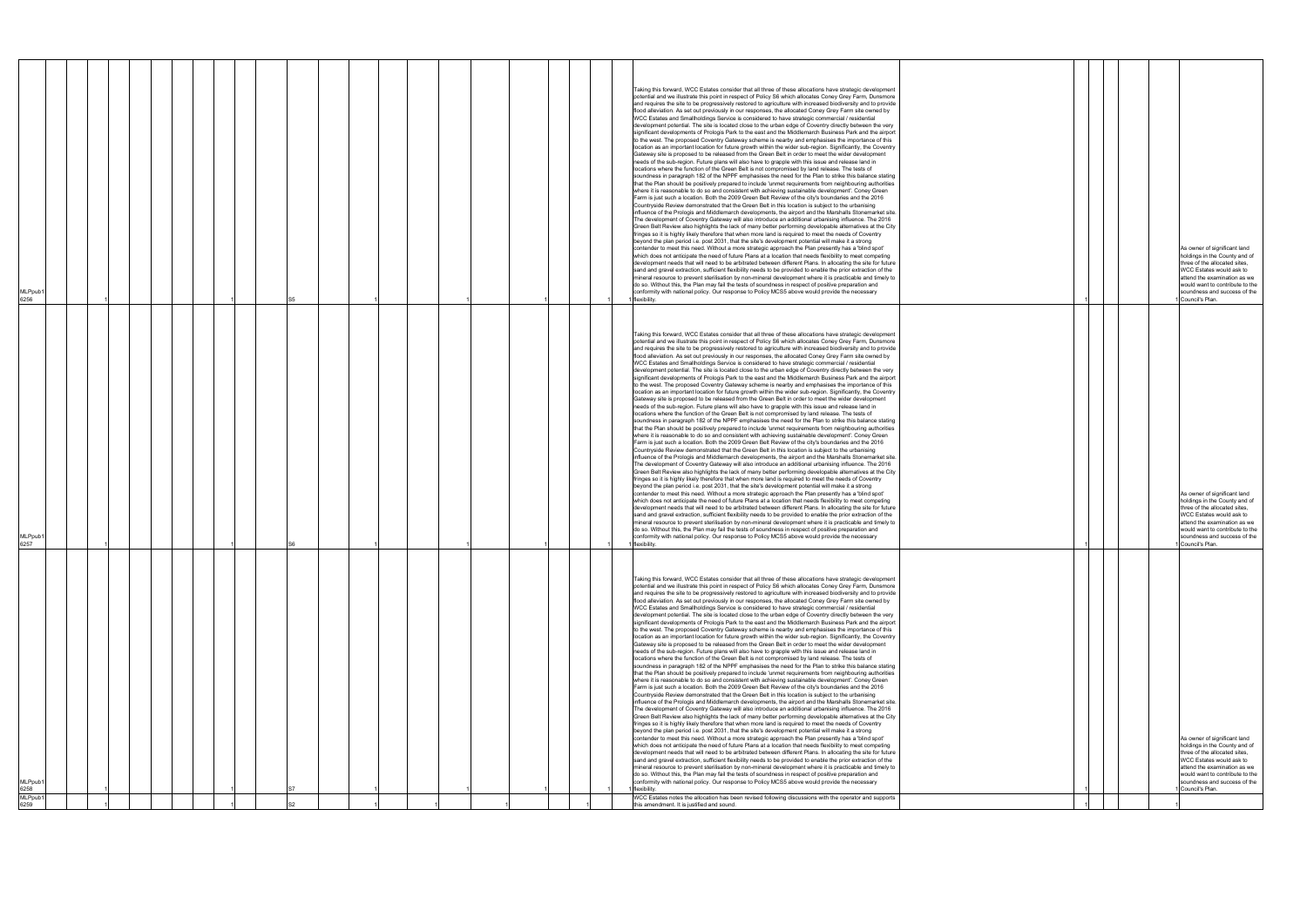| MLPpub <sup>-</sup><br>6258<br><b>MLPpub</b><br>6259                                                                                                                                                                                                                                                                                                                                                                                                                                                                                                                                                                                                                                                                                                                                                                                                                                                                                                                                                                                                                                                                                                                                                                                                                                                                                                                                                                                                                                                                                                                                                                                                                                                                                                                                                                                                                                                                                                                                                                                                                                                                                                                                                                                                                                                                                                                                                                                                                                                                                                                                                                                                                                                                                                                                                                                                                                                                                                                                                                                                                                                                                                                                                                                                                                                                                                       | MLPpub1<br>6257                                                                                                                                                                                                                                                                                                                                                                                                                                                                                                                                                                                                                                                                                                                                                                                                                                                                                                                                                                                                                                                                                                                                                                                                                                                                                                                                                                                                                                                                                                                                                                                                                                                                                                                                                                                                                                                                                                                                                                                                                                                                                                                                                                                                                                                                                                                                                                                                                                                                                                                                                                                                                                                                                                                                                                                                                                                                                                                                                                                                                                                                                                                                                                                    | MLPpub <sup>®</sup><br>6256                                                                                                                                                                                                                                                                                                                                                                                                                                                                                                                                                                                                                                                                                                                                                                                                                                                                                                                                                                                                                                                                                                                                                                                                                                                                                                                                                                                                                                                                                                                                                                                                                                                                                                                                                                                                                                                                                                                                                                                                                                                                                                                                                                                                                                                                                                                                                                                                                                                                                                                                                                                                                                                                                                                                                                                                                                                                                                                                                                                                                                                                                                                                                                           |
|------------------------------------------------------------------------------------------------------------------------------------------------------------------------------------------------------------------------------------------------------------------------------------------------------------------------------------------------------------------------------------------------------------------------------------------------------------------------------------------------------------------------------------------------------------------------------------------------------------------------------------------------------------------------------------------------------------------------------------------------------------------------------------------------------------------------------------------------------------------------------------------------------------------------------------------------------------------------------------------------------------------------------------------------------------------------------------------------------------------------------------------------------------------------------------------------------------------------------------------------------------------------------------------------------------------------------------------------------------------------------------------------------------------------------------------------------------------------------------------------------------------------------------------------------------------------------------------------------------------------------------------------------------------------------------------------------------------------------------------------------------------------------------------------------------------------------------------------------------------------------------------------------------------------------------------------------------------------------------------------------------------------------------------------------------------------------------------------------------------------------------------------------------------------------------------------------------------------------------------------------------------------------------------------------------------------------------------------------------------------------------------------------------------------------------------------------------------------------------------------------------------------------------------------------------------------------------------------------------------------------------------------------------------------------------------------------------------------------------------------------------------------------------------------------------------------------------------------------------------------------------------------------------------------------------------------------------------------------------------------------------------------------------------------------------------------------------------------------------------------------------------------------------------------------------------------------------------------------------------------------------------------------------------------------------------------------------------------------------|----------------------------------------------------------------------------------------------------------------------------------------------------------------------------------------------------------------------------------------------------------------------------------------------------------------------------------------------------------------------------------------------------------------------------------------------------------------------------------------------------------------------------------------------------------------------------------------------------------------------------------------------------------------------------------------------------------------------------------------------------------------------------------------------------------------------------------------------------------------------------------------------------------------------------------------------------------------------------------------------------------------------------------------------------------------------------------------------------------------------------------------------------------------------------------------------------------------------------------------------------------------------------------------------------------------------------------------------------------------------------------------------------------------------------------------------------------------------------------------------------------------------------------------------------------------------------------------------------------------------------------------------------------------------------------------------------------------------------------------------------------------------------------------------------------------------------------------------------------------------------------------------------------------------------------------------------------------------------------------------------------------------------------------------------------------------------------------------------------------------------------------------------------------------------------------------------------------------------------------------------------------------------------------------------------------------------------------------------------------------------------------------------------------------------------------------------------------------------------------------------------------------------------------------------------------------------------------------------------------------------------------------------------------------------------------------------------------------------------------------------------------------------------------------------------------------------------------------------------------------------------------------------------------------------------------------------------------------------------------------------------------------------------------------------------------------------------------------------------------------------------------------------------------------------------------------------|-------------------------------------------------------------------------------------------------------------------------------------------------------------------------------------------------------------------------------------------------------------------------------------------------------------------------------------------------------------------------------------------------------------------------------------------------------------------------------------------------------------------------------------------------------------------------------------------------------------------------------------------------------------------------------------------------------------------------------------------------------------------------------------------------------------------------------------------------------------------------------------------------------------------------------------------------------------------------------------------------------------------------------------------------------------------------------------------------------------------------------------------------------------------------------------------------------------------------------------------------------------------------------------------------------------------------------------------------------------------------------------------------------------------------------------------------------------------------------------------------------------------------------------------------------------------------------------------------------------------------------------------------------------------------------------------------------------------------------------------------------------------------------------------------------------------------------------------------------------------------------------------------------------------------------------------------------------------------------------------------------------------------------------------------------------------------------------------------------------------------------------------------------------------------------------------------------------------------------------------------------------------------------------------------------------------------------------------------------------------------------------------------------------------------------------------------------------------------------------------------------------------------------------------------------------------------------------------------------------------------------------------------------------------------------------------------------------------------------------------------------------------------------------------------------------------------------------------------------------------------------------------------------------------------------------------------------------------------------------------------------------------------------------------------------------------------------------------------------------------------------------------------------------------------------------------------------|
|                                                                                                                                                                                                                                                                                                                                                                                                                                                                                                                                                                                                                                                                                                                                                                                                                                                                                                                                                                                                                                                                                                                                                                                                                                                                                                                                                                                                                                                                                                                                                                                                                                                                                                                                                                                                                                                                                                                                                                                                                                                                                                                                                                                                                                                                                                                                                                                                                                                                                                                                                                                                                                                                                                                                                                                                                                                                                                                                                                                                                                                                                                                                                                                                                                                                                                                                                            |                                                                                                                                                                                                                                                                                                                                                                                                                                                                                                                                                                                                                                                                                                                                                                                                                                                                                                                                                                                                                                                                                                                                                                                                                                                                                                                                                                                                                                                                                                                                                                                                                                                                                                                                                                                                                                                                                                                                                                                                                                                                                                                                                                                                                                                                                                                                                                                                                                                                                                                                                                                                                                                                                                                                                                                                                                                                                                                                                                                                                                                                                                                                                                                                    |                                                                                                                                                                                                                                                                                                                                                                                                                                                                                                                                                                                                                                                                                                                                                                                                                                                                                                                                                                                                                                                                                                                                                                                                                                                                                                                                                                                                                                                                                                                                                                                                                                                                                                                                                                                                                                                                                                                                                                                                                                                                                                                                                                                                                                                                                                                                                                                                                                                                                                                                                                                                                                                                                                                                                                                                                                                                                                                                                                                                                                                                                                                                                                                                       |
|                                                                                                                                                                                                                                                                                                                                                                                                                                                                                                                                                                                                                                                                                                                                                                                                                                                                                                                                                                                                                                                                                                                                                                                                                                                                                                                                                                                                                                                                                                                                                                                                                                                                                                                                                                                                                                                                                                                                                                                                                                                                                                                                                                                                                                                                                                                                                                                                                                                                                                                                                                                                                                                                                                                                                                                                                                                                                                                                                                                                                                                                                                                                                                                                                                                                                                                                                            |                                                                                                                                                                                                                                                                                                                                                                                                                                                                                                                                                                                                                                                                                                                                                                                                                                                                                                                                                                                                                                                                                                                                                                                                                                                                                                                                                                                                                                                                                                                                                                                                                                                                                                                                                                                                                                                                                                                                                                                                                                                                                                                                                                                                                                                                                                                                                                                                                                                                                                                                                                                                                                                                                                                                                                                                                                                                                                                                                                                                                                                                                                                                                                                                    |                                                                                                                                                                                                                                                                                                                                                                                                                                                                                                                                                                                                                                                                                                                                                                                                                                                                                                                                                                                                                                                                                                                                                                                                                                                                                                                                                                                                                                                                                                                                                                                                                                                                                                                                                                                                                                                                                                                                                                                                                                                                                                                                                                                                                                                                                                                                                                                                                                                                                                                                                                                                                                                                                                                                                                                                                                                                                                                                                                                                                                                                                                                                                                                                       |
|                                                                                                                                                                                                                                                                                                                                                                                                                                                                                                                                                                                                                                                                                                                                                                                                                                                                                                                                                                                                                                                                                                                                                                                                                                                                                                                                                                                                                                                                                                                                                                                                                                                                                                                                                                                                                                                                                                                                                                                                                                                                                                                                                                                                                                                                                                                                                                                                                                                                                                                                                                                                                                                                                                                                                                                                                                                                                                                                                                                                                                                                                                                                                                                                                                                                                                                                                            |                                                                                                                                                                                                                                                                                                                                                                                                                                                                                                                                                                                                                                                                                                                                                                                                                                                                                                                                                                                                                                                                                                                                                                                                                                                                                                                                                                                                                                                                                                                                                                                                                                                                                                                                                                                                                                                                                                                                                                                                                                                                                                                                                                                                                                                                                                                                                                                                                                                                                                                                                                                                                                                                                                                                                                                                                                                                                                                                                                                                                                                                                                                                                                                                    |                                                                                                                                                                                                                                                                                                                                                                                                                                                                                                                                                                                                                                                                                                                                                                                                                                                                                                                                                                                                                                                                                                                                                                                                                                                                                                                                                                                                                                                                                                                                                                                                                                                                                                                                                                                                                                                                                                                                                                                                                                                                                                                                                                                                                                                                                                                                                                                                                                                                                                                                                                                                                                                                                                                                                                                                                                                                                                                                                                                                                                                                                                                                                                                                       |
|                                                                                                                                                                                                                                                                                                                                                                                                                                                                                                                                                                                                                                                                                                                                                                                                                                                                                                                                                                                                                                                                                                                                                                                                                                                                                                                                                                                                                                                                                                                                                                                                                                                                                                                                                                                                                                                                                                                                                                                                                                                                                                                                                                                                                                                                                                                                                                                                                                                                                                                                                                                                                                                                                                                                                                                                                                                                                                                                                                                                                                                                                                                                                                                                                                                                                                                                                            |                                                                                                                                                                                                                                                                                                                                                                                                                                                                                                                                                                                                                                                                                                                                                                                                                                                                                                                                                                                                                                                                                                                                                                                                                                                                                                                                                                                                                                                                                                                                                                                                                                                                                                                                                                                                                                                                                                                                                                                                                                                                                                                                                                                                                                                                                                                                                                                                                                                                                                                                                                                                                                                                                                                                                                                                                                                                                                                                                                                                                                                                                                                                                                                                    |                                                                                                                                                                                                                                                                                                                                                                                                                                                                                                                                                                                                                                                                                                                                                                                                                                                                                                                                                                                                                                                                                                                                                                                                                                                                                                                                                                                                                                                                                                                                                                                                                                                                                                                                                                                                                                                                                                                                                                                                                                                                                                                                                                                                                                                                                                                                                                                                                                                                                                                                                                                                                                                                                                                                                                                                                                                                                                                                                                                                                                                                                                                                                                                                       |
|                                                                                                                                                                                                                                                                                                                                                                                                                                                                                                                                                                                                                                                                                                                                                                                                                                                                                                                                                                                                                                                                                                                                                                                                                                                                                                                                                                                                                                                                                                                                                                                                                                                                                                                                                                                                                                                                                                                                                                                                                                                                                                                                                                                                                                                                                                                                                                                                                                                                                                                                                                                                                                                                                                                                                                                                                                                                                                                                                                                                                                                                                                                                                                                                                                                                                                                                                            |                                                                                                                                                                                                                                                                                                                                                                                                                                                                                                                                                                                                                                                                                                                                                                                                                                                                                                                                                                                                                                                                                                                                                                                                                                                                                                                                                                                                                                                                                                                                                                                                                                                                                                                                                                                                                                                                                                                                                                                                                                                                                                                                                                                                                                                                                                                                                                                                                                                                                                                                                                                                                                                                                                                                                                                                                                                                                                                                                                                                                                                                                                                                                                                                    |                                                                                                                                                                                                                                                                                                                                                                                                                                                                                                                                                                                                                                                                                                                                                                                                                                                                                                                                                                                                                                                                                                                                                                                                                                                                                                                                                                                                                                                                                                                                                                                                                                                                                                                                                                                                                                                                                                                                                                                                                                                                                                                                                                                                                                                                                                                                                                                                                                                                                                                                                                                                                                                                                                                                                                                                                                                                                                                                                                                                                                                                                                                                                                                                       |
|                                                                                                                                                                                                                                                                                                                                                                                                                                                                                                                                                                                                                                                                                                                                                                                                                                                                                                                                                                                                                                                                                                                                                                                                                                                                                                                                                                                                                                                                                                                                                                                                                                                                                                                                                                                                                                                                                                                                                                                                                                                                                                                                                                                                                                                                                                                                                                                                                                                                                                                                                                                                                                                                                                                                                                                                                                                                                                                                                                                                                                                                                                                                                                                                                                                                                                                                                            |                                                                                                                                                                                                                                                                                                                                                                                                                                                                                                                                                                                                                                                                                                                                                                                                                                                                                                                                                                                                                                                                                                                                                                                                                                                                                                                                                                                                                                                                                                                                                                                                                                                                                                                                                                                                                                                                                                                                                                                                                                                                                                                                                                                                                                                                                                                                                                                                                                                                                                                                                                                                                                                                                                                                                                                                                                                                                                                                                                                                                                                                                                                                                                                                    |                                                                                                                                                                                                                                                                                                                                                                                                                                                                                                                                                                                                                                                                                                                                                                                                                                                                                                                                                                                                                                                                                                                                                                                                                                                                                                                                                                                                                                                                                                                                                                                                                                                                                                                                                                                                                                                                                                                                                                                                                                                                                                                                                                                                                                                                                                                                                                                                                                                                                                                                                                                                                                                                                                                                                                                                                                                                                                                                                                                                                                                                                                                                                                                                       |
|                                                                                                                                                                                                                                                                                                                                                                                                                                                                                                                                                                                                                                                                                                                                                                                                                                                                                                                                                                                                                                                                                                                                                                                                                                                                                                                                                                                                                                                                                                                                                                                                                                                                                                                                                                                                                                                                                                                                                                                                                                                                                                                                                                                                                                                                                                                                                                                                                                                                                                                                                                                                                                                                                                                                                                                                                                                                                                                                                                                                                                                                                                                                                                                                                                                                                                                                                            |                                                                                                                                                                                                                                                                                                                                                                                                                                                                                                                                                                                                                                                                                                                                                                                                                                                                                                                                                                                                                                                                                                                                                                                                                                                                                                                                                                                                                                                                                                                                                                                                                                                                                                                                                                                                                                                                                                                                                                                                                                                                                                                                                                                                                                                                                                                                                                                                                                                                                                                                                                                                                                                                                                                                                                                                                                                                                                                                                                                                                                                                                                                                                                                                    |                                                                                                                                                                                                                                                                                                                                                                                                                                                                                                                                                                                                                                                                                                                                                                                                                                                                                                                                                                                                                                                                                                                                                                                                                                                                                                                                                                                                                                                                                                                                                                                                                                                                                                                                                                                                                                                                                                                                                                                                                                                                                                                                                                                                                                                                                                                                                                                                                                                                                                                                                                                                                                                                                                                                                                                                                                                                                                                                                                                                                                                                                                                                                                                                       |
|                                                                                                                                                                                                                                                                                                                                                                                                                                                                                                                                                                                                                                                                                                                                                                                                                                                                                                                                                                                                                                                                                                                                                                                                                                                                                                                                                                                                                                                                                                                                                                                                                                                                                                                                                                                                                                                                                                                                                                                                                                                                                                                                                                                                                                                                                                                                                                                                                                                                                                                                                                                                                                                                                                                                                                                                                                                                                                                                                                                                                                                                                                                                                                                                                                                                                                                                                            |                                                                                                                                                                                                                                                                                                                                                                                                                                                                                                                                                                                                                                                                                                                                                                                                                                                                                                                                                                                                                                                                                                                                                                                                                                                                                                                                                                                                                                                                                                                                                                                                                                                                                                                                                                                                                                                                                                                                                                                                                                                                                                                                                                                                                                                                                                                                                                                                                                                                                                                                                                                                                                                                                                                                                                                                                                                                                                                                                                                                                                                                                                                                                                                                    |                                                                                                                                                                                                                                                                                                                                                                                                                                                                                                                                                                                                                                                                                                                                                                                                                                                                                                                                                                                                                                                                                                                                                                                                                                                                                                                                                                                                                                                                                                                                                                                                                                                                                                                                                                                                                                                                                                                                                                                                                                                                                                                                                                                                                                                                                                                                                                                                                                                                                                                                                                                                                                                                                                                                                                                                                                                                                                                                                                                                                                                                                                                                                                                                       |
|                                                                                                                                                                                                                                                                                                                                                                                                                                                                                                                                                                                                                                                                                                                                                                                                                                                                                                                                                                                                                                                                                                                                                                                                                                                                                                                                                                                                                                                                                                                                                                                                                                                                                                                                                                                                                                                                                                                                                                                                                                                                                                                                                                                                                                                                                                                                                                                                                                                                                                                                                                                                                                                                                                                                                                                                                                                                                                                                                                                                                                                                                                                                                                                                                                                                                                                                                            |                                                                                                                                                                                                                                                                                                                                                                                                                                                                                                                                                                                                                                                                                                                                                                                                                                                                                                                                                                                                                                                                                                                                                                                                                                                                                                                                                                                                                                                                                                                                                                                                                                                                                                                                                                                                                                                                                                                                                                                                                                                                                                                                                                                                                                                                                                                                                                                                                                                                                                                                                                                                                                                                                                                                                                                                                                                                                                                                                                                                                                                                                                                                                                                                    |                                                                                                                                                                                                                                                                                                                                                                                                                                                                                                                                                                                                                                                                                                                                                                                                                                                                                                                                                                                                                                                                                                                                                                                                                                                                                                                                                                                                                                                                                                                                                                                                                                                                                                                                                                                                                                                                                                                                                                                                                                                                                                                                                                                                                                                                                                                                                                                                                                                                                                                                                                                                                                                                                                                                                                                                                                                                                                                                                                                                                                                                                                                                                                                                       |
|                                                                                                                                                                                                                                                                                                                                                                                                                                                                                                                                                                                                                                                                                                                                                                                                                                                                                                                                                                                                                                                                                                                                                                                                                                                                                                                                                                                                                                                                                                                                                                                                                                                                                                                                                                                                                                                                                                                                                                                                                                                                                                                                                                                                                                                                                                                                                                                                                                                                                                                                                                                                                                                                                                                                                                                                                                                                                                                                                                                                                                                                                                                                                                                                                                                                                                                                                            |                                                                                                                                                                                                                                                                                                                                                                                                                                                                                                                                                                                                                                                                                                                                                                                                                                                                                                                                                                                                                                                                                                                                                                                                                                                                                                                                                                                                                                                                                                                                                                                                                                                                                                                                                                                                                                                                                                                                                                                                                                                                                                                                                                                                                                                                                                                                                                                                                                                                                                                                                                                                                                                                                                                                                                                                                                                                                                                                                                                                                                                                                                                                                                                                    |                                                                                                                                                                                                                                                                                                                                                                                                                                                                                                                                                                                                                                                                                                                                                                                                                                                                                                                                                                                                                                                                                                                                                                                                                                                                                                                                                                                                                                                                                                                                                                                                                                                                                                                                                                                                                                                                                                                                                                                                                                                                                                                                                                                                                                                                                                                                                                                                                                                                                                                                                                                                                                                                                                                                                                                                                                                                                                                                                                                                                                                                                                                                                                                                       |
|                                                                                                                                                                                                                                                                                                                                                                                                                                                                                                                                                                                                                                                                                                                                                                                                                                                                                                                                                                                                                                                                                                                                                                                                                                                                                                                                                                                                                                                                                                                                                                                                                                                                                                                                                                                                                                                                                                                                                                                                                                                                                                                                                                                                                                                                                                                                                                                                                                                                                                                                                                                                                                                                                                                                                                                                                                                                                                                                                                                                                                                                                                                                                                                                                                                                                                                                                            |                                                                                                                                                                                                                                                                                                                                                                                                                                                                                                                                                                                                                                                                                                                                                                                                                                                                                                                                                                                                                                                                                                                                                                                                                                                                                                                                                                                                                                                                                                                                                                                                                                                                                                                                                                                                                                                                                                                                                                                                                                                                                                                                                                                                                                                                                                                                                                                                                                                                                                                                                                                                                                                                                                                                                                                                                                                                                                                                                                                                                                                                                                                                                                                                    |                                                                                                                                                                                                                                                                                                                                                                                                                                                                                                                                                                                                                                                                                                                                                                                                                                                                                                                                                                                                                                                                                                                                                                                                                                                                                                                                                                                                                                                                                                                                                                                                                                                                                                                                                                                                                                                                                                                                                                                                                                                                                                                                                                                                                                                                                                                                                                                                                                                                                                                                                                                                                                                                                                                                                                                                                                                                                                                                                                                                                                                                                                                                                                                                       |
|                                                                                                                                                                                                                                                                                                                                                                                                                                                                                                                                                                                                                                                                                                                                                                                                                                                                                                                                                                                                                                                                                                                                                                                                                                                                                                                                                                                                                                                                                                                                                                                                                                                                                                                                                                                                                                                                                                                                                                                                                                                                                                                                                                                                                                                                                                                                                                                                                                                                                                                                                                                                                                                                                                                                                                                                                                                                                                                                                                                                                                                                                                                                                                                                                                                                                                                                                            |                                                                                                                                                                                                                                                                                                                                                                                                                                                                                                                                                                                                                                                                                                                                                                                                                                                                                                                                                                                                                                                                                                                                                                                                                                                                                                                                                                                                                                                                                                                                                                                                                                                                                                                                                                                                                                                                                                                                                                                                                                                                                                                                                                                                                                                                                                                                                                                                                                                                                                                                                                                                                                                                                                                                                                                                                                                                                                                                                                                                                                                                                                                                                                                                    |                                                                                                                                                                                                                                                                                                                                                                                                                                                                                                                                                                                                                                                                                                                                                                                                                                                                                                                                                                                                                                                                                                                                                                                                                                                                                                                                                                                                                                                                                                                                                                                                                                                                                                                                                                                                                                                                                                                                                                                                                                                                                                                                                                                                                                                                                                                                                                                                                                                                                                                                                                                                                                                                                                                                                                                                                                                                                                                                                                                                                                                                                                                                                                                                       |
|                                                                                                                                                                                                                                                                                                                                                                                                                                                                                                                                                                                                                                                                                                                                                                                                                                                                                                                                                                                                                                                                                                                                                                                                                                                                                                                                                                                                                                                                                                                                                                                                                                                                                                                                                                                                                                                                                                                                                                                                                                                                                                                                                                                                                                                                                                                                                                                                                                                                                                                                                                                                                                                                                                                                                                                                                                                                                                                                                                                                                                                                                                                                                                                                                                                                                                                                                            |                                                                                                                                                                                                                                                                                                                                                                                                                                                                                                                                                                                                                                                                                                                                                                                                                                                                                                                                                                                                                                                                                                                                                                                                                                                                                                                                                                                                                                                                                                                                                                                                                                                                                                                                                                                                                                                                                                                                                                                                                                                                                                                                                                                                                                                                                                                                                                                                                                                                                                                                                                                                                                                                                                                                                                                                                                                                                                                                                                                                                                                                                                                                                                                                    |                                                                                                                                                                                                                                                                                                                                                                                                                                                                                                                                                                                                                                                                                                                                                                                                                                                                                                                                                                                                                                                                                                                                                                                                                                                                                                                                                                                                                                                                                                                                                                                                                                                                                                                                                                                                                                                                                                                                                                                                                                                                                                                                                                                                                                                                                                                                                                                                                                                                                                                                                                                                                                                                                                                                                                                                                                                                                                                                                                                                                                                                                                                                                                                                       |
|                                                                                                                                                                                                                                                                                                                                                                                                                                                                                                                                                                                                                                                                                                                                                                                                                                                                                                                                                                                                                                                                                                                                                                                                                                                                                                                                                                                                                                                                                                                                                                                                                                                                                                                                                                                                                                                                                                                                                                                                                                                                                                                                                                                                                                                                                                                                                                                                                                                                                                                                                                                                                                                                                                                                                                                                                                                                                                                                                                                                                                                                                                                                                                                                                                                                                                                                                            |                                                                                                                                                                                                                                                                                                                                                                                                                                                                                                                                                                                                                                                                                                                                                                                                                                                                                                                                                                                                                                                                                                                                                                                                                                                                                                                                                                                                                                                                                                                                                                                                                                                                                                                                                                                                                                                                                                                                                                                                                                                                                                                                                                                                                                                                                                                                                                                                                                                                                                                                                                                                                                                                                                                                                                                                                                                                                                                                                                                                                                                                                                                                                                                                    |                                                                                                                                                                                                                                                                                                                                                                                                                                                                                                                                                                                                                                                                                                                                                                                                                                                                                                                                                                                                                                                                                                                                                                                                                                                                                                                                                                                                                                                                                                                                                                                                                                                                                                                                                                                                                                                                                                                                                                                                                                                                                                                                                                                                                                                                                                                                                                                                                                                                                                                                                                                                                                                                                                                                                                                                                                                                                                                                                                                                                                                                                                                                                                                                       |
|                                                                                                                                                                                                                                                                                                                                                                                                                                                                                                                                                                                                                                                                                                                                                                                                                                                                                                                                                                                                                                                                                                                                                                                                                                                                                                                                                                                                                                                                                                                                                                                                                                                                                                                                                                                                                                                                                                                                                                                                                                                                                                                                                                                                                                                                                                                                                                                                                                                                                                                                                                                                                                                                                                                                                                                                                                                                                                                                                                                                                                                                                                                                                                                                                                                                                                                                                            |                                                                                                                                                                                                                                                                                                                                                                                                                                                                                                                                                                                                                                                                                                                                                                                                                                                                                                                                                                                                                                                                                                                                                                                                                                                                                                                                                                                                                                                                                                                                                                                                                                                                                                                                                                                                                                                                                                                                                                                                                                                                                                                                                                                                                                                                                                                                                                                                                                                                                                                                                                                                                                                                                                                                                                                                                                                                                                                                                                                                                                                                                                                                                                                                    |                                                                                                                                                                                                                                                                                                                                                                                                                                                                                                                                                                                                                                                                                                                                                                                                                                                                                                                                                                                                                                                                                                                                                                                                                                                                                                                                                                                                                                                                                                                                                                                                                                                                                                                                                                                                                                                                                                                                                                                                                                                                                                                                                                                                                                                                                                                                                                                                                                                                                                                                                                                                                                                                                                                                                                                                                                                                                                                                                                                                                                                                                                                                                                                                       |
|                                                                                                                                                                                                                                                                                                                                                                                                                                                                                                                                                                                                                                                                                                                                                                                                                                                                                                                                                                                                                                                                                                                                                                                                                                                                                                                                                                                                                                                                                                                                                                                                                                                                                                                                                                                                                                                                                                                                                                                                                                                                                                                                                                                                                                                                                                                                                                                                                                                                                                                                                                                                                                                                                                                                                                                                                                                                                                                                                                                                                                                                                                                                                                                                                                                                                                                                                            |                                                                                                                                                                                                                                                                                                                                                                                                                                                                                                                                                                                                                                                                                                                                                                                                                                                                                                                                                                                                                                                                                                                                                                                                                                                                                                                                                                                                                                                                                                                                                                                                                                                                                                                                                                                                                                                                                                                                                                                                                                                                                                                                                                                                                                                                                                                                                                                                                                                                                                                                                                                                                                                                                                                                                                                                                                                                                                                                                                                                                                                                                                                                                                                                    |                                                                                                                                                                                                                                                                                                                                                                                                                                                                                                                                                                                                                                                                                                                                                                                                                                                                                                                                                                                                                                                                                                                                                                                                                                                                                                                                                                                                                                                                                                                                                                                                                                                                                                                                                                                                                                                                                                                                                                                                                                                                                                                                                                                                                                                                                                                                                                                                                                                                                                                                                                                                                                                                                                                                                                                                                                                                                                                                                                                                                                                                                                                                                                                                       |
|                                                                                                                                                                                                                                                                                                                                                                                                                                                                                                                                                                                                                                                                                                                                                                                                                                                                                                                                                                                                                                                                                                                                                                                                                                                                                                                                                                                                                                                                                                                                                                                                                                                                                                                                                                                                                                                                                                                                                                                                                                                                                                                                                                                                                                                                                                                                                                                                                                                                                                                                                                                                                                                                                                                                                                                                                                                                                                                                                                                                                                                                                                                                                                                                                                                                                                                                                            |                                                                                                                                                                                                                                                                                                                                                                                                                                                                                                                                                                                                                                                                                                                                                                                                                                                                                                                                                                                                                                                                                                                                                                                                                                                                                                                                                                                                                                                                                                                                                                                                                                                                                                                                                                                                                                                                                                                                                                                                                                                                                                                                                                                                                                                                                                                                                                                                                                                                                                                                                                                                                                                                                                                                                                                                                                                                                                                                                                                                                                                                                                                                                                                                    |                                                                                                                                                                                                                                                                                                                                                                                                                                                                                                                                                                                                                                                                                                                                                                                                                                                                                                                                                                                                                                                                                                                                                                                                                                                                                                                                                                                                                                                                                                                                                                                                                                                                                                                                                                                                                                                                                                                                                                                                                                                                                                                                                                                                                                                                                                                                                                                                                                                                                                                                                                                                                                                                                                                                                                                                                                                                                                                                                                                                                                                                                                                                                                                                       |
|                                                                                                                                                                                                                                                                                                                                                                                                                                                                                                                                                                                                                                                                                                                                                                                                                                                                                                                                                                                                                                                                                                                                                                                                                                                                                                                                                                                                                                                                                                                                                                                                                                                                                                                                                                                                                                                                                                                                                                                                                                                                                                                                                                                                                                                                                                                                                                                                                                                                                                                                                                                                                                                                                                                                                                                                                                                                                                                                                                                                                                                                                                                                                                                                                                                                                                                                                            |                                                                                                                                                                                                                                                                                                                                                                                                                                                                                                                                                                                                                                                                                                                                                                                                                                                                                                                                                                                                                                                                                                                                                                                                                                                                                                                                                                                                                                                                                                                                                                                                                                                                                                                                                                                                                                                                                                                                                                                                                                                                                                                                                                                                                                                                                                                                                                                                                                                                                                                                                                                                                                                                                                                                                                                                                                                                                                                                                                                                                                                                                                                                                                                                    |                                                                                                                                                                                                                                                                                                                                                                                                                                                                                                                                                                                                                                                                                                                                                                                                                                                                                                                                                                                                                                                                                                                                                                                                                                                                                                                                                                                                                                                                                                                                                                                                                                                                                                                                                                                                                                                                                                                                                                                                                                                                                                                                                                                                                                                                                                                                                                                                                                                                                                                                                                                                                                                                                                                                                                                                                                                                                                                                                                                                                                                                                                                                                                                                       |
| Taking this forward, WCC Estates consider that all three of these allocations have strategic development<br>potential and we illustrate this point in respect of Policy S6 which allocates Coney Grey Farm, Dunsmore<br>and requires the site to be progressively restored to agriculture with increased biodiversity and to provide<br>flood alleviation. As set out previously in our responses, the allocated Coney Grey Farm site owned by<br>WCC Estates and Smallholdings Service is considered to have strategic commercial / residential<br>development potential. The site is located close to the urban edge of Coventry directly between the very<br>significant developments of Prologis Park to the east and the Middlemarch Business Park and the airport<br>to the west. The proposed Coventry Gateway scheme is nearby and emphasises the importance of this<br>location as an important location for future growth within the wider sub-region. Significantly, the Coventry<br>Gateway site is proposed to be released from the Green Belt in order to meet the wider development<br>needs of the sub-region. Future plans will also have to grapple with this issue and release land in<br>locations where the function of the Green Belt is not compromised by land release. The tests of<br>soundness in paragraph 182 of the NPPF emphasises the need for the Plan to strike this balance stating<br>that the Plan should be positively prepared to include 'unmet requirements from neighbouring authorities<br>where it is reasonable to do so and consistent with achieving sustainable development'. Coney Green<br>Farm is just such a location. Both the 2009 Green Belt Review of the city's boundaries and the 2016<br>Countryside Review demonstrated that the Green Belt in this location is subject to the urbanising<br>influence of the Prologis and Middlemarch developments, the airport and the Marshalls Stonemarket site<br>The development of Coventry Gateway will also introduce an additional urbanising influence. The 2016<br>Green Belt Review also highlights the lack of many better performing developable alternatives at the City<br>fringes so it is highly likely therefore that when more land is required to meet the needs of Coventry<br>beyond the plan period i.e. post 2031, that the site's development potential will make it a strong<br>contender to meet this need. Without a more strategic approach the Plan presently has a 'blind spot'<br>which does not anticipate the need of future Plans at a location that needs flexibility to meet competing<br>development needs that will need to be arbitrated between different Plans. In allocating the site for future<br>sand and gravel extraction, sufficient flexibility needs to be provided to enable the prior extraction of the<br>mineral resource to prevent sterilisation by non-mineral development where it is practicable and timely to<br>do so. Without this, the Plan may fail the tests of soundness in respect of positive preparation and<br>conformity with national policy. Our response to Policy MCS5 above would provide the necessary<br>flexibility.<br>WCC Estates notes the allocation has been revised following discussions with the operator and supports<br>this amendment. It is justified and sound. | Taking this forward, WCC Estates consider that all three of these allocations have strategic development<br>potential and we illustrate this point in respect of Policy S6 which allocates Coney Grey Farm, Dunsmore<br>and requires the site to be progressively restored to agriculture with increased biodiversity and to provide<br>flood alleviation. As set out previously in our responses, the allocated Coney Grey Farm site owned by<br>WCC Estates and Smallholdings Service is considered to have strategic commercial / residential<br>development potential. The site is located close to the urban edge of Coventry directly between the very<br>significant developments of Prologis Park to the east and the Middlemarch Business Park and the airport<br>to the west. The proposed Coventry Gateway scheme is nearby and emphasises the importance of this<br>location as an important location for future growth within the wider sub-region. Significantly, the Coventry<br>Gateway site is proposed to be released from the Green Belt in order to meet the wider development<br>needs of the sub-region. Future plans will also have to grapple with this issue and release land in<br>locations where the function of the Green Belt is not compromised by land release. The tests of<br>soundness in paragraph 182 of the NPPF emphasises the need for the Plan to strike this balance stating<br>that the Plan should be positively prepared to include 'unmet requirements from neighbouring authorities<br>where it is reasonable to do so and consistent with achieving sustainable development'. Coney Green<br>Farm is just such a location. Both the 2009 Green Belt Review of the city's boundaries and the 2016<br>Countryside Review demonstrated that the Green Belt in this location is subject to the urbanising<br>influence of the Prologis and Middlemarch developments, the airport and the Marshalls Stonemarket site.<br>The development of Coventry Gateway will also introduce an additional urbanising influence. The 2016<br>Green Belt Review also highlights the lack of many better performing developable alternatives at the City<br>fringes so it is highly likely therefore that when more land is required to meet the needs of Coventry<br>beyond the plan period i.e. post 2031, that the site's development potential will make it a strong<br>contender to meet this need. Without a more strategic approach the Plan presently has a 'blind spot'<br>which does not anticipate the need of future Plans at a location that needs flexibility to meet competing<br>development needs that will need to be arbitrated between different Plans. In allocating the site for future<br>sand and gravel extraction, sufficient flexibility needs to be provided to enable the prior extraction of the<br>mineral resource to prevent sterilisation by non-mineral development where it is practicable and timely to<br>do so. Without this, the Plan may fail the tests of soundness in respect of positive preparation and<br>conformity with national policy. Our response to Policy MCS5 above would provide the necessary<br>flexibility | Taking this forward, WCC Estates consider that all three of these allocations have strategic development<br>potential and we illustrate this point in respect of Policy S6 which allocates Coney Grey Farm, Dunsmore<br>and requires the site to be progressively restored to agriculture with increased biodiversity and to provide<br>flood alleviation. As set out previously in our responses, the allocated Coney Grey Farm site owned by<br>WCC Estates and Smallholdings Service is considered to have strategic commercial / residential<br>development potential. The site is located close to the urban edge of Coventry directly between the very<br>significant developments of Prologis Park to the east and the Middlemarch Business Park and the airport<br>to the west. The proposed Coventry Gateway scheme is nearby and emphasises the importance of this<br>location as an important location for future growth within the wider sub-region. Significantly, the Coventry<br>Gateway site is proposed to be released from the Green Belt in order to meet the wider development<br>needs of the sub-region. Future plans will also have to grapple with this issue and release land in<br>locations where the function of the Green Belt is not compromised by land release. The tests of<br>soundness in paragraph 182 of the NPPF emphasises the need for the Plan to strike this balance stating<br>that the Plan should be positively prepared to include 'unmet requirements from neighbouring authorities<br>where it is reasonable to do so and consistent with achieving sustainable development'. Coney Green<br>Farm is just such a location. Both the 2009 Green Belt Review of the city's boundaries and the 2016<br>Countryside Review demonstrated that the Green Belt in this location is subject to the urbanising<br>influence of the Prologis and Middlemarch developments, the airport and the Marshalls Stonemarket site.<br>The development of Coventry Gateway will also introduce an additional urbanising influence. The 2016<br>Green Belt Review also highlights the lack of many better performing developable alternatives at the City<br>fringes so it is highly likely therefore that when more land is required to meet the needs of Coventry<br>beyond the plan period i.e. post 2031, that the site's development potential will make it a strong<br>contender to meet this need. Without a more strategic approach the Plan presently has a 'blind spot'<br>which does not anticipate the need of future Plans at a location that needs flexibility to meet competing<br>development needs that will need to be arbitrated between different Plans. In allocating the site for future<br>sand and gravel extraction, sufficient flexibility needs to be provided to enable the prior extraction of the<br>mineral resource to prevent sterilisation by non-mineral development where it is practicable and timely to<br>do so. Without this, the Plan may fail the tests of soundness in respect of positive preparation and<br>conformity with national policy. Our response to Policy MCS5 above would provide the necessary<br>1 flexibility. |
|                                                                                                                                                                                                                                                                                                                                                                                                                                                                                                                                                                                                                                                                                                                                                                                                                                                                                                                                                                                                                                                                                                                                                                                                                                                                                                                                                                                                                                                                                                                                                                                                                                                                                                                                                                                                                                                                                                                                                                                                                                                                                                                                                                                                                                                                                                                                                                                                                                                                                                                                                                                                                                                                                                                                                                                                                                                                                                                                                                                                                                                                                                                                                                                                                                                                                                                                                            |                                                                                                                                                                                                                                                                                                                                                                                                                                                                                                                                                                                                                                                                                                                                                                                                                                                                                                                                                                                                                                                                                                                                                                                                                                                                                                                                                                                                                                                                                                                                                                                                                                                                                                                                                                                                                                                                                                                                                                                                                                                                                                                                                                                                                                                                                                                                                                                                                                                                                                                                                                                                                                                                                                                                                                                                                                                                                                                                                                                                                                                                                                                                                                                                    |                                                                                                                                                                                                                                                                                                                                                                                                                                                                                                                                                                                                                                                                                                                                                                                                                                                                                                                                                                                                                                                                                                                                                                                                                                                                                                                                                                                                                                                                                                                                                                                                                                                                                                                                                                                                                                                                                                                                                                                                                                                                                                                                                                                                                                                                                                                                                                                                                                                                                                                                                                                                                                                                                                                                                                                                                                                                                                                                                                                                                                                                                                                                                                                                       |

|              |  |              | As owner of significant land<br>holdings in the County and of<br>three of the allocated sites,<br>WCC Estates would ask to<br>attend the examination as we<br>would want to contribute to the<br>soundness and success of the                      |
|--------------|--|--------------|----------------------------------------------------------------------------------------------------------------------------------------------------------------------------------------------------------------------------------------------------|
| 1            |  |              | 1 Council's Plan.                                                                                                                                                                                                                                  |
| 1            |  |              | As owner of significant land<br>holdings in the County and of<br>three of the allocated sites,<br>WCC Estates would ask to<br>attend the examination as we<br>would want to contribute to the<br>soundness and success of the<br>1 Council's Plan. |
|              |  |              | As owner of significant land<br>holdings in the County and of<br>three of the allocated sites,<br>WCC Estates would ask to<br>attend the examination as we                                                                                         |
| 1            |  |              | would want to contribute to the<br>soundness and success of the<br>1 Council's Plan.                                                                                                                                                               |
| $\mathbf{1}$ |  | $\mathbf{1}$ |                                                                                                                                                                                                                                                    |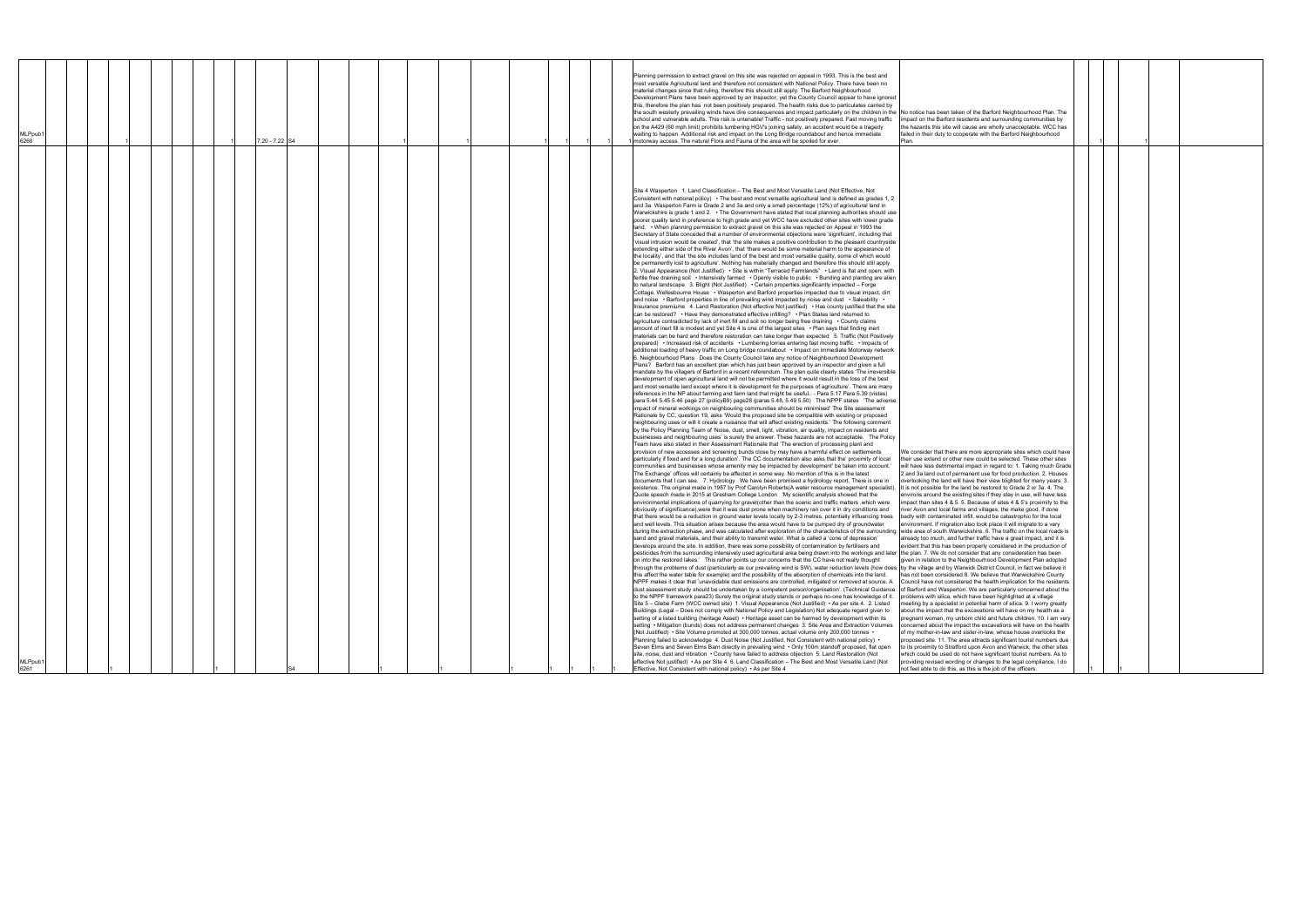| MLPpub1<br>6261                                                                                                                                                                                                                                                                                                                                                                                                                                                                                                                                                                                                                                                                                                                                                                                                                                                                                                                                                                                                                                                                                                                                                                                                                                                                                                                                                                                                                                                                                                                                                                                                                                                                                                                                                                                                                                                                                                                                                                                                                                                                                                                                                                                                                                                                                                                                                                                                                                                                                                                                                                                                                                                                                                                                                                                                                                                                                                                                                                                                                                                                                                                                                                                                                                                                                                                                                                                                                                                                                                                                                                                                                                                                                                                                                                                                                                                                                                                                                                                                                                                                                                                                                                                                                                                                                                                                                                                                                                                                                                                                                                                                                                                                                                                                                                                                                                                                                                                                                                                                                                                                                                                                                                                                                                                                                                                                                                                                                                                                                                                                                                                                                                                                                                                                                                                                                                                                                                                                                                                                                                                                                                                                                                                                                                                                                                                                                                                                                                                                                                                                                                                                                                                                                                                                                                                                                                                                                                                                                                                                                                                                                                                                                                                                                                                                                                                                                                                                                                                                                                                                                                                                                                                                                                                                                                  | MLPpub1<br>6260                                                                                                                                                                                                                                                                                                                                                                                                                                                                                                                                                                                                                                                                                                                                                                                                                                                                                                                                                                                                                                                                                                                                                                                          |
|----------------------------------------------------------------------------------------------------------------------------------------------------------------------------------------------------------------------------------------------------------------------------------------------------------------------------------------------------------------------------------------------------------------------------------------------------------------------------------------------------------------------------------------------------------------------------------------------------------------------------------------------------------------------------------------------------------------------------------------------------------------------------------------------------------------------------------------------------------------------------------------------------------------------------------------------------------------------------------------------------------------------------------------------------------------------------------------------------------------------------------------------------------------------------------------------------------------------------------------------------------------------------------------------------------------------------------------------------------------------------------------------------------------------------------------------------------------------------------------------------------------------------------------------------------------------------------------------------------------------------------------------------------------------------------------------------------------------------------------------------------------------------------------------------------------------------------------------------------------------------------------------------------------------------------------------------------------------------------------------------------------------------------------------------------------------------------------------------------------------------------------------------------------------------------------------------------------------------------------------------------------------------------------------------------------------------------------------------------------------------------------------------------------------------------------------------------------------------------------------------------------------------------------------------------------------------------------------------------------------------------------------------------------------------------------------------------------------------------------------------------------------------------------------------------------------------------------------------------------------------------------------------------------------------------------------------------------------------------------------------------------------------------------------------------------------------------------------------------------------------------------------------------------------------------------------------------------------------------------------------------------------------------------------------------------------------------------------------------------------------------------------------------------------------------------------------------------------------------------------------------------------------------------------------------------------------------------------------------------------------------------------------------------------------------------------------------------------------------------------------------------------------------------------------------------------------------------------------------------------------------------------------------------------------------------------------------------------------------------------------------------------------------------------------------------------------------------------------------------------------------------------------------------------------------------------------------------------------------------------------------------------------------------------------------------------------------------------------------------------------------------------------------------------------------------------------------------------------------------------------------------------------------------------------------------------------------------------------------------------------------------------------------------------------------------------------------------------------------------------------------------------------------------------------------------------------------------------------------------------------------------------------------------------------------------------------------------------------------------------------------------------------------------------------------------------------------------------------------------------------------------------------------------------------------------------------------------------------------------------------------------------------------------------------------------------------------------------------------------------------------------------------------------------------------------------------------------------------------------------------------------------------------------------------------------------------------------------------------------------------------------------------------------------------------------------------------------------------------------------------------------------------------------------------------------------------------------------------------------------------------------------------------------------------------------------------------------------------------------------------------------------------------------------------------------------------------------------------------------------------------------------------------------------------------------------------------------------------------------------------------------------------------------------------------------------------------------------------------------------------------------------------------------------------------------------------------------------------------------------------------------------------------------------------------------------------------------------------------------------------------------------------------------------------------------------------------------------------------------------------------------------------------------------------------------------------------------------------------------------------------------------------------------------------------------------------------------------------------------------------------------------------------------------------------------------------------------------------------------------------------------------------------------------------------------------------------------------------------------------------------------------------------------------------------------------------------------------------------------------------------------------------------------------------------------------------------------------------------------------------------------------------------------------------------------------------------------------------------------------------------------------------------------------------------------------------------------------------------------------------------------------------------|----------------------------------------------------------------------------------------------------------------------------------------------------------------------------------------------------------------------------------------------------------------------------------------------------------------------------------------------------------------------------------------------------------------------------------------------------------------------------------------------------------------------------------------------------------------------------------------------------------------------------------------------------------------------------------------------------------------------------------------------------------------------------------------------------------------------------------------------------------------------------------------------------------------------------------------------------------------------------------------------------------------------------------------------------------------------------------------------------------------------------------------------------------------------------------------------------------|
|                                                                                                                                                                                                                                                                                                                                                                                                                                                                                                                                                                                                                                                                                                                                                                                                                                                                                                                                                                                                                                                                                                                                                                                                                                                                                                                                                                                                                                                                                                                                                                                                                                                                                                                                                                                                                                                                                                                                                                                                                                                                                                                                                                                                                                                                                                                                                                                                                                                                                                                                                                                                                                                                                                                                                                                                                                                                                                                                                                                                                                                                                                                                                                                                                                                                                                                                                                                                                                                                                                                                                                                                                                                                                                                                                                                                                                                                                                                                                                                                                                                                                                                                                                                                                                                                                                                                                                                                                                                                                                                                                                                                                                                                                                                                                                                                                                                                                                                                                                                                                                                                                                                                                                                                                                                                                                                                                                                                                                                                                                                                                                                                                                                                                                                                                                                                                                                                                                                                                                                                                                                                                                                                                                                                                                                                                                                                                                                                                                                                                                                                                                                                                                                                                                                                                                                                                                                                                                                                                                                                                                                                                                                                                                                                                                                                                                                                                                                                                                                                                                                                                                                                                                                                                                                                                                                  |                                                                                                                                                                                                                                                                                                                                                                                                                                                                                                                                                                                                                                                                                                                                                                                                                                                                                                                                                                                                                                                                                                                                                                                                          |
|                                                                                                                                                                                                                                                                                                                                                                                                                                                                                                                                                                                                                                                                                                                                                                                                                                                                                                                                                                                                                                                                                                                                                                                                                                                                                                                                                                                                                                                                                                                                                                                                                                                                                                                                                                                                                                                                                                                                                                                                                                                                                                                                                                                                                                                                                                                                                                                                                                                                                                                                                                                                                                                                                                                                                                                                                                                                                                                                                                                                                                                                                                                                                                                                                                                                                                                                                                                                                                                                                                                                                                                                                                                                                                                                                                                                                                                                                                                                                                                                                                                                                                                                                                                                                                                                                                                                                                                                                                                                                                                                                                                                                                                                                                                                                                                                                                                                                                                                                                                                                                                                                                                                                                                                                                                                                                                                                                                                                                                                                                                                                                                                                                                                                                                                                                                                                                                                                                                                                                                                                                                                                                                                                                                                                                                                                                                                                                                                                                                                                                                                                                                                                                                                                                                                                                                                                                                                                                                                                                                                                                                                                                                                                                                                                                                                                                                                                                                                                                                                                                                                                                                                                                                                                                                                                                                  |                                                                                                                                                                                                                                                                                                                                                                                                                                                                                                                                                                                                                                                                                                                                                                                                                                                                                                                                                                                                                                                                                                                                                                                                          |
|                                                                                                                                                                                                                                                                                                                                                                                                                                                                                                                                                                                                                                                                                                                                                                                                                                                                                                                                                                                                                                                                                                                                                                                                                                                                                                                                                                                                                                                                                                                                                                                                                                                                                                                                                                                                                                                                                                                                                                                                                                                                                                                                                                                                                                                                                                                                                                                                                                                                                                                                                                                                                                                                                                                                                                                                                                                                                                                                                                                                                                                                                                                                                                                                                                                                                                                                                                                                                                                                                                                                                                                                                                                                                                                                                                                                                                                                                                                                                                                                                                                                                                                                                                                                                                                                                                                                                                                                                                                                                                                                                                                                                                                                                                                                                                                                                                                                                                                                                                                                                                                                                                                                                                                                                                                                                                                                                                                                                                                                                                                                                                                                                                                                                                                                                                                                                                                                                                                                                                                                                                                                                                                                                                                                                                                                                                                                                                                                                                                                                                                                                                                                                                                                                                                                                                                                                                                                                                                                                                                                                                                                                                                                                                                                                                                                                                                                                                                                                                                                                                                                                                                                                                                                                                                                                                                  |                                                                                                                                                                                                                                                                                                                                                                                                                                                                                                                                                                                                                                                                                                                                                                                                                                                                                                                                                                                                                                                                                                                                                                                                          |
|                                                                                                                                                                                                                                                                                                                                                                                                                                                                                                                                                                                                                                                                                                                                                                                                                                                                                                                                                                                                                                                                                                                                                                                                                                                                                                                                                                                                                                                                                                                                                                                                                                                                                                                                                                                                                                                                                                                                                                                                                                                                                                                                                                                                                                                                                                                                                                                                                                                                                                                                                                                                                                                                                                                                                                                                                                                                                                                                                                                                                                                                                                                                                                                                                                                                                                                                                                                                                                                                                                                                                                                                                                                                                                                                                                                                                                                                                                                                                                                                                                                                                                                                                                                                                                                                                                                                                                                                                                                                                                                                                                                                                                                                                                                                                                                                                                                                                                                                                                                                                                                                                                                                                                                                                                                                                                                                                                                                                                                                                                                                                                                                                                                                                                                                                                                                                                                                                                                                                                                                                                                                                                                                                                                                                                                                                                                                                                                                                                                                                                                                                                                                                                                                                                                                                                                                                                                                                                                                                                                                                                                                                                                                                                                                                                                                                                                                                                                                                                                                                                                                                                                                                                                                                                                                                                                  |                                                                                                                                                                                                                                                                                                                                                                                                                                                                                                                                                                                                                                                                                                                                                                                                                                                                                                                                                                                                                                                                                                                                                                                                          |
|                                                                                                                                                                                                                                                                                                                                                                                                                                                                                                                                                                                                                                                                                                                                                                                                                                                                                                                                                                                                                                                                                                                                                                                                                                                                                                                                                                                                                                                                                                                                                                                                                                                                                                                                                                                                                                                                                                                                                                                                                                                                                                                                                                                                                                                                                                                                                                                                                                                                                                                                                                                                                                                                                                                                                                                                                                                                                                                                                                                                                                                                                                                                                                                                                                                                                                                                                                                                                                                                                                                                                                                                                                                                                                                                                                                                                                                                                                                                                                                                                                                                                                                                                                                                                                                                                                                                                                                                                                                                                                                                                                                                                                                                                                                                                                                                                                                                                                                                                                                                                                                                                                                                                                                                                                                                                                                                                                                                                                                                                                                                                                                                                                                                                                                                                                                                                                                                                                                                                                                                                                                                                                                                                                                                                                                                                                                                                                                                                                                                                                                                                                                                                                                                                                                                                                                                                                                                                                                                                                                                                                                                                                                                                                                                                                                                                                                                                                                                                                                                                                                                                                                                                                                                                                                                                                                  |                                                                                                                                                                                                                                                                                                                                                                                                                                                                                                                                                                                                                                                                                                                                                                                                                                                                                                                                                                                                                                                                                                                                                                                                          |
|                                                                                                                                                                                                                                                                                                                                                                                                                                                                                                                                                                                                                                                                                                                                                                                                                                                                                                                                                                                                                                                                                                                                                                                                                                                                                                                                                                                                                                                                                                                                                                                                                                                                                                                                                                                                                                                                                                                                                                                                                                                                                                                                                                                                                                                                                                                                                                                                                                                                                                                                                                                                                                                                                                                                                                                                                                                                                                                                                                                                                                                                                                                                                                                                                                                                                                                                                                                                                                                                                                                                                                                                                                                                                                                                                                                                                                                                                                                                                                                                                                                                                                                                                                                                                                                                                                                                                                                                                                                                                                                                                                                                                                                                                                                                                                                                                                                                                                                                                                                                                                                                                                                                                                                                                                                                                                                                                                                                                                                                                                                                                                                                                                                                                                                                                                                                                                                                                                                                                                                                                                                                                                                                                                                                                                                                                                                                                                                                                                                                                                                                                                                                                                                                                                                                                                                                                                                                                                                                                                                                                                                                                                                                                                                                                                                                                                                                                                                                                                                                                                                                                                                                                                                                                                                                                                                  |                                                                                                                                                                                                                                                                                                                                                                                                                                                                                                                                                                                                                                                                                                                                                                                                                                                                                                                                                                                                                                                                                                                                                                                                          |
|                                                                                                                                                                                                                                                                                                                                                                                                                                                                                                                                                                                                                                                                                                                                                                                                                                                                                                                                                                                                                                                                                                                                                                                                                                                                                                                                                                                                                                                                                                                                                                                                                                                                                                                                                                                                                                                                                                                                                                                                                                                                                                                                                                                                                                                                                                                                                                                                                                                                                                                                                                                                                                                                                                                                                                                                                                                                                                                                                                                                                                                                                                                                                                                                                                                                                                                                                                                                                                                                                                                                                                                                                                                                                                                                                                                                                                                                                                                                                                                                                                                                                                                                                                                                                                                                                                                                                                                                                                                                                                                                                                                                                                                                                                                                                                                                                                                                                                                                                                                                                                                                                                                                                                                                                                                                                                                                                                                                                                                                                                                                                                                                                                                                                                                                                                                                                                                                                                                                                                                                                                                                                                                                                                                                                                                                                                                                                                                                                                                                                                                                                                                                                                                                                                                                                                                                                                                                                                                                                                                                                                                                                                                                                                                                                                                                                                                                                                                                                                                                                                                                                                                                                                                                                                                                                                                  |                                                                                                                                                                                                                                                                                                                                                                                                                                                                                                                                                                                                                                                                                                                                                                                                                                                                                                                                                                                                                                                                                                                                                                                                          |
|                                                                                                                                                                                                                                                                                                                                                                                                                                                                                                                                                                                                                                                                                                                                                                                                                                                                                                                                                                                                                                                                                                                                                                                                                                                                                                                                                                                                                                                                                                                                                                                                                                                                                                                                                                                                                                                                                                                                                                                                                                                                                                                                                                                                                                                                                                                                                                                                                                                                                                                                                                                                                                                                                                                                                                                                                                                                                                                                                                                                                                                                                                                                                                                                                                                                                                                                                                                                                                                                                                                                                                                                                                                                                                                                                                                                                                                                                                                                                                                                                                                                                                                                                                                                                                                                                                                                                                                                                                                                                                                                                                                                                                                                                                                                                                                                                                                                                                                                                                                                                                                                                                                                                                                                                                                                                                                                                                                                                                                                                                                                                                                                                                                                                                                                                                                                                                                                                                                                                                                                                                                                                                                                                                                                                                                                                                                                                                                                                                                                                                                                                                                                                                                                                                                                                                                                                                                                                                                                                                                                                                                                                                                                                                                                                                                                                                                                                                                                                                                                                                                                                                                                                                                                                                                                                                                  | 7.20 - 7.22 S4                                                                                                                                                                                                                                                                                                                                                                                                                                                                                                                                                                                                                                                                                                                                                                                                                                                                                                                                                                                                                                                                                                                                                                                           |
|                                                                                                                                                                                                                                                                                                                                                                                                                                                                                                                                                                                                                                                                                                                                                                                                                                                                                                                                                                                                                                                                                                                                                                                                                                                                                                                                                                                                                                                                                                                                                                                                                                                                                                                                                                                                                                                                                                                                                                                                                                                                                                                                                                                                                                                                                                                                                                                                                                                                                                                                                                                                                                                                                                                                                                                                                                                                                                                                                                                                                                                                                                                                                                                                                                                                                                                                                                                                                                                                                                                                                                                                                                                                                                                                                                                                                                                                                                                                                                                                                                                                                                                                                                                                                                                                                                                                                                                                                                                                                                                                                                                                                                                                                                                                                                                                                                                                                                                                                                                                                                                                                                                                                                                                                                                                                                                                                                                                                                                                                                                                                                                                                                                                                                                                                                                                                                                                                                                                                                                                                                                                                                                                                                                                                                                                                                                                                                                                                                                                                                                                                                                                                                                                                                                                                                                                                                                                                                                                                                                                                                                                                                                                                                                                                                                                                                                                                                                                                                                                                                                                                                                                                                                                                                                                                                                  |                                                                                                                                                                                                                                                                                                                                                                                                                                                                                                                                                                                                                                                                                                                                                                                                                                                                                                                                                                                                                                                                                                                                                                                                          |
|                                                                                                                                                                                                                                                                                                                                                                                                                                                                                                                                                                                                                                                                                                                                                                                                                                                                                                                                                                                                                                                                                                                                                                                                                                                                                                                                                                                                                                                                                                                                                                                                                                                                                                                                                                                                                                                                                                                                                                                                                                                                                                                                                                                                                                                                                                                                                                                                                                                                                                                                                                                                                                                                                                                                                                                                                                                                                                                                                                                                                                                                                                                                                                                                                                                                                                                                                                                                                                                                                                                                                                                                                                                                                                                                                                                                                                                                                                                                                                                                                                                                                                                                                                                                                                                                                                                                                                                                                                                                                                                                                                                                                                                                                                                                                                                                                                                                                                                                                                                                                                                                                                                                                                                                                                                                                                                                                                                                                                                                                                                                                                                                                                                                                                                                                                                                                                                                                                                                                                                                                                                                                                                                                                                                                                                                                                                                                                                                                                                                                                                                                                                                                                                                                                                                                                                                                                                                                                                                                                                                                                                                                                                                                                                                                                                                                                                                                                                                                                                                                                                                                                                                                                                                                                                                                                                  |                                                                                                                                                                                                                                                                                                                                                                                                                                                                                                                                                                                                                                                                                                                                                                                                                                                                                                                                                                                                                                                                                                                                                                                                          |
|                                                                                                                                                                                                                                                                                                                                                                                                                                                                                                                                                                                                                                                                                                                                                                                                                                                                                                                                                                                                                                                                                                                                                                                                                                                                                                                                                                                                                                                                                                                                                                                                                                                                                                                                                                                                                                                                                                                                                                                                                                                                                                                                                                                                                                                                                                                                                                                                                                                                                                                                                                                                                                                                                                                                                                                                                                                                                                                                                                                                                                                                                                                                                                                                                                                                                                                                                                                                                                                                                                                                                                                                                                                                                                                                                                                                                                                                                                                                                                                                                                                                                                                                                                                                                                                                                                                                                                                                                                                                                                                                                                                                                                                                                                                                                                                                                                                                                                                                                                                                                                                                                                                                                                                                                                                                                                                                                                                                                                                                                                                                                                                                                                                                                                                                                                                                                                                                                                                                                                                                                                                                                                                                                                                                                                                                                                                                                                                                                                                                                                                                                                                                                                                                                                                                                                                                                                                                                                                                                                                                                                                                                                                                                                                                                                                                                                                                                                                                                                                                                                                                                                                                                                                                                                                                                                                  |                                                                                                                                                                                                                                                                                                                                                                                                                                                                                                                                                                                                                                                                                                                                                                                                                                                                                                                                                                                                                                                                                                                                                                                                          |
|                                                                                                                                                                                                                                                                                                                                                                                                                                                                                                                                                                                                                                                                                                                                                                                                                                                                                                                                                                                                                                                                                                                                                                                                                                                                                                                                                                                                                                                                                                                                                                                                                                                                                                                                                                                                                                                                                                                                                                                                                                                                                                                                                                                                                                                                                                                                                                                                                                                                                                                                                                                                                                                                                                                                                                                                                                                                                                                                                                                                                                                                                                                                                                                                                                                                                                                                                                                                                                                                                                                                                                                                                                                                                                                                                                                                                                                                                                                                                                                                                                                                                                                                                                                                                                                                                                                                                                                                                                                                                                                                                                                                                                                                                                                                                                                                                                                                                                                                                                                                                                                                                                                                                                                                                                                                                                                                                                                                                                                                                                                                                                                                                                                                                                                                                                                                                                                                                                                                                                                                                                                                                                                                                                                                                                                                                                                                                                                                                                                                                                                                                                                                                                                                                                                                                                                                                                                                                                                                                                                                                                                                                                                                                                                                                                                                                                                                                                                                                                                                                                                                                                                                                                                                                                                                                                                  |                                                                                                                                                                                                                                                                                                                                                                                                                                                                                                                                                                                                                                                                                                                                                                                                                                                                                                                                                                                                                                                                                                                                                                                                          |
|                                                                                                                                                                                                                                                                                                                                                                                                                                                                                                                                                                                                                                                                                                                                                                                                                                                                                                                                                                                                                                                                                                                                                                                                                                                                                                                                                                                                                                                                                                                                                                                                                                                                                                                                                                                                                                                                                                                                                                                                                                                                                                                                                                                                                                                                                                                                                                                                                                                                                                                                                                                                                                                                                                                                                                                                                                                                                                                                                                                                                                                                                                                                                                                                                                                                                                                                                                                                                                                                                                                                                                                                                                                                                                                                                                                                                                                                                                                                                                                                                                                                                                                                                                                                                                                                                                                                                                                                                                                                                                                                                                                                                                                                                                                                                                                                                                                                                                                                                                                                                                                                                                                                                                                                                                                                                                                                                                                                                                                                                                                                                                                                                                                                                                                                                                                                                                                                                                                                                                                                                                                                                                                                                                                                                                                                                                                                                                                                                                                                                                                                                                                                                                                                                                                                                                                                                                                                                                                                                                                                                                                                                                                                                                                                                                                                                                                                                                                                                                                                                                                                                                                                                                                                                                                                                                                  |                                                                                                                                                                                                                                                                                                                                                                                                                                                                                                                                                                                                                                                                                                                                                                                                                                                                                                                                                                                                                                                                                                                                                                                                          |
|                                                                                                                                                                                                                                                                                                                                                                                                                                                                                                                                                                                                                                                                                                                                                                                                                                                                                                                                                                                                                                                                                                                                                                                                                                                                                                                                                                                                                                                                                                                                                                                                                                                                                                                                                                                                                                                                                                                                                                                                                                                                                                                                                                                                                                                                                                                                                                                                                                                                                                                                                                                                                                                                                                                                                                                                                                                                                                                                                                                                                                                                                                                                                                                                                                                                                                                                                                                                                                                                                                                                                                                                                                                                                                                                                                                                                                                                                                                                                                                                                                                                                                                                                                                                                                                                                                                                                                                                                                                                                                                                                                                                                                                                                                                                                                                                                                                                                                                                                                                                                                                                                                                                                                                                                                                                                                                                                                                                                                                                                                                                                                                                                                                                                                                                                                                                                                                                                                                                                                                                                                                                                                                                                                                                                                                                                                                                                                                                                                                                                                                                                                                                                                                                                                                                                                                                                                                                                                                                                                                                                                                                                                                                                                                                                                                                                                                                                                                                                                                                                                                                                                                                                                                                                                                                                                                  |                                                                                                                                                                                                                                                                                                                                                                                                                                                                                                                                                                                                                                                                                                                                                                                                                                                                                                                                                                                                                                                                                                                                                                                                          |
|                                                                                                                                                                                                                                                                                                                                                                                                                                                                                                                                                                                                                                                                                                                                                                                                                                                                                                                                                                                                                                                                                                                                                                                                                                                                                                                                                                                                                                                                                                                                                                                                                                                                                                                                                                                                                                                                                                                                                                                                                                                                                                                                                                                                                                                                                                                                                                                                                                                                                                                                                                                                                                                                                                                                                                                                                                                                                                                                                                                                                                                                                                                                                                                                                                                                                                                                                                                                                                                                                                                                                                                                                                                                                                                                                                                                                                                                                                                                                                                                                                                                                                                                                                                                                                                                                                                                                                                                                                                                                                                                                                                                                                                                                                                                                                                                                                                                                                                                                                                                                                                                                                                                                                                                                                                                                                                                                                                                                                                                                                                                                                                                                                                                                                                                                                                                                                                                                                                                                                                                                                                                                                                                                                                                                                                                                                                                                                                                                                                                                                                                                                                                                                                                                                                                                                                                                                                                                                                                                                                                                                                                                                                                                                                                                                                                                                                                                                                                                                                                                                                                                                                                                                                                                                                                                                                  |                                                                                                                                                                                                                                                                                                                                                                                                                                                                                                                                                                                                                                                                                                                                                                                                                                                                                                                                                                                                                                                                                                                                                                                                          |
|                                                                                                                                                                                                                                                                                                                                                                                                                                                                                                                                                                                                                                                                                                                                                                                                                                                                                                                                                                                                                                                                                                                                                                                                                                                                                                                                                                                                                                                                                                                                                                                                                                                                                                                                                                                                                                                                                                                                                                                                                                                                                                                                                                                                                                                                                                                                                                                                                                                                                                                                                                                                                                                                                                                                                                                                                                                                                                                                                                                                                                                                                                                                                                                                                                                                                                                                                                                                                                                                                                                                                                                                                                                                                                                                                                                                                                                                                                                                                                                                                                                                                                                                                                                                                                                                                                                                                                                                                                                                                                                                                                                                                                                                                                                                                                                                                                                                                                                                                                                                                                                                                                                                                                                                                                                                                                                                                                                                                                                                                                                                                                                                                                                                                                                                                                                                                                                                                                                                                                                                                                                                                                                                                                                                                                                                                                                                                                                                                                                                                                                                                                                                                                                                                                                                                                                                                                                                                                                                                                                                                                                                                                                                                                                                                                                                                                                                                                                                                                                                                                                                                                                                                                                                                                                                                                                  |                                                                                                                                                                                                                                                                                                                                                                                                                                                                                                                                                                                                                                                                                                                                                                                                                                                                                                                                                                                                                                                                                                                                                                                                          |
|                                                                                                                                                                                                                                                                                                                                                                                                                                                                                                                                                                                                                                                                                                                                                                                                                                                                                                                                                                                                                                                                                                                                                                                                                                                                                                                                                                                                                                                                                                                                                                                                                                                                                                                                                                                                                                                                                                                                                                                                                                                                                                                                                                                                                                                                                                                                                                                                                                                                                                                                                                                                                                                                                                                                                                                                                                                                                                                                                                                                                                                                                                                                                                                                                                                                                                                                                                                                                                                                                                                                                                                                                                                                                                                                                                                                                                                                                                                                                                                                                                                                                                                                                                                                                                                                                                                                                                                                                                                                                                                                                                                                                                                                                                                                                                                                                                                                                                                                                                                                                                                                                                                                                                                                                                                                                                                                                                                                                                                                                                                                                                                                                                                                                                                                                                                                                                                                                                                                                                                                                                                                                                                                                                                                                                                                                                                                                                                                                                                                                                                                                                                                                                                                                                                                                                                                                                                                                                                                                                                                                                                                                                                                                                                                                                                                                                                                                                                                                                                                                                                                                                                                                                                                                                                                                                                  |                                                                                                                                                                                                                                                                                                                                                                                                                                                                                                                                                                                                                                                                                                                                                                                                                                                                                                                                                                                                                                                                                                                                                                                                          |
| Site 4 Wasperton 1. Land Classification - The Best and Most Versatile Land (Not Effective, Not<br>Consistent with national policy) $\cdot$ The best and most versatile agricultural land is defined as grades 1, 2<br>and 3a. Wasperton Farm is Grade 2 and 3a and only a small percentage (12%) of agricultural land in<br>Warwickshire is grade 1 and 2. • The Government have stated that local planning authorities should use<br>poorer quality land in preference to high grade and yet WCC have excluded other sites with lower grade<br>land. • When planning permission to extract gravel on this site was rejected on Appeal in 1993 the<br>Secretary of State conceded that a number of environmental objections were 'significant', including that<br>'visual intrusion would be created', that 'the site makes a positive contribution to the pleasant countryside<br>extending either side of the River Avon', that 'there would be some material harm to the appearance of<br>the locality', and that 'the site includes land of the best and most versatile quality, some of which would<br>be permanently lost to agriculture'. Nothing has materially changed and therefore this should still apply<br>2. Visual Appearance (Not Justified) • Site is within "Terraced Farmlands" • Land is flat and open, with<br>fertile free draining soil • Intensively farmed • Openly visible to public • Bunding and planting are alien<br>to natural landscape 3. Blight (Not Justified) • Certain properties significantly impacted – Forge<br>Cottage, Wellesbourne House • Wasperton and Barford properties impacted due to visual impact, dirt<br>and noise • Barford properties in line of prevailing wind impacted by noise and dust • Saleability •<br>Insurance premiums 4. Land Restoration (Not effective Not justified) • Has county justified that the site<br>can be restored? • Have they demonstrated effective infilling? • Plan States land returned to<br>agriculture contradicted by lack of inert fill and soil no longer being free draining • County claims<br>amount of inert fill is modest and yet Site 4 is one of the largest sites • Plan says that finding inert<br>materials can be hard and therefore restoration can take longer than expected 5. Traffic (Not Positively<br>prepared) • Increased risk of accidents • Lumbering lorries entering fast moving traffic • Impacts of<br>additional loading of heavy traffic on Long bridge roundabout . Impact on immediate Motorway network<br>6. Neighbourhood Plans Does the County Council take any notice of Neighbourhood Development<br>Plans? Barford has an excellent plan which has just been approved by an inspector and given a full<br>mandate by the villagers of Barford in a recent referendum. The plan quite clearly states 'The irreversible<br>development of open agricultural land will not be permitted where it would result in the loss of the best<br>and most versatile land except where it is development for the purposes of agriculture'. There are many<br>references in the NP about farming and farm land that might be useful.: - Para 5.17 Para 5.39 (vistas)<br>para 5.44 5.45 5.46 page 27 (policyB9) page28 (paras 5.48, 5.49 5.50) The NPPF states 'The adverse<br>impact of mineral workings on neighbouring communities should be minimised' The Site assessment<br>Rationale by CC, question 19, asks 'Would the proposed site be compatible with existing or proposed<br>neighbouring uses or will it create a nuisance that will affect existing residents.' The following comment<br>by the Policy Planning Team of 'Noise, dust, smell, light, vibration, air quality, impact on residents and<br>businesses and neighbouring uses' is surely the answer. These hazards are not acceptable. The Policy<br>Team have also stated in their Assessment Rationale that 'The erection of processing plant and<br>provision of new accesses and screening bunds close by may have a harmful effect on settlements<br>particularly if fixed and for a long duration'. The CC documentation also asks that the' proximity of local<br>communities and businesses whose amenity may be impacted by development' be taken into account.'<br>The Exchange' offices will certainly be affected in some way. No mention of this is in the latest<br>documents that I can see. 7. Hydrology We have been promised a hydrology report. There is one in<br>existence. The original made in 1987 by Prof Carolyn Roberts(A water resource management specialist). It is not possible for the land be restored to Grade 2 or 3a. 4. The<br>Quote speech made in 2015 at Gresham College London 'My scientific analysis showed that the<br>environmental implications of quarrying for gravel(other than the scenic and traffic matters, which were<br>obviously of significance), were that it was dust prone when machinery ran over it in dry conditions and<br>that there would be a reduction in ground water levels locally by 2-3 metres, potentially influencing trees<br>and well levels. This situation arises because the area would have to be pumped dry of groundwater<br>during the extraction phase, and was calculated after exploration of the characteristics of the surrounding wide area of south Warwickshire. 6. The traffic on the local roads is<br>sand and gravel materials, and their ability to transmit water. What is called a 'cone of depression'<br>develops around the site. In addition, there was some possibility of contamination by fertilisers and<br>pesticides from the surrounding intensively used agricultural area being drawn into the workings and later [the plan. 7. We do not consider that any consideration has been<br>on into the restored lakes.' This rather points up our concerns that the CC have not really thought<br>through the problems of dust (particularly as our prevailing wind is SW), water reduction levels (how does  by the village and by Warwick District Council, in fact we believe it<br>this affect the water table for example) and the possibility of the absorption of chemicals into the land.<br>NPPF makes it clear that 'unavoidable dust emissions are controlled, mitigated or removed at source. A Council have not considered the health implication for the residents<br>dust assessment study should be undertaken by a competent person/organisation'. (Technical Guidance   of Barford and Wasperton. We are particularly concerned about the<br>to the NPPF framework para23) Surely the original study stands or perhaps no-one has knowledge of it. problems with silica, which have been highlighted at a village<br>Site 5 - Glebe Farm (WCC owned site) 1. Visual Appearance (Not Justified) • As per site 4. 2. Listed<br>Buildings (Legal - Does not comply with National Policy and Legislation) Not adequate regard given to<br>setting of a listed building (heritage Asset) • Heritage asset can be harmed by development within its<br>setting • Mitigation (bunds) does not address permanent changes 3. Site Area and Extraction Volumes<br>(Not Justified) • Site Volume promoted at 300,000 tonnes, actual volume only 200,000 tonnes •<br>Planning failed to acknowledge 4. Dust Noise (Not Justified, Not Consistent with national policy) •<br>Seven Elms and Seven Elms Barn directly in prevailing wind • Only 100m standoff proposed, flat open<br>site, noise, dust and vibration • County have failed to address objection 5. Land Restoration (Not<br>effective Not justified) • As per Site 4 6. Land Classification - The Best and Most Versatile Land (Not<br>Effective, Not Consistent with national policy) • As per Site 4 | Planning permission to extract gravel on this site was rejected on appeal in 1993. This is the best and<br>most versatile Agricultural land and therefore not consistent with National Policy. There have been no<br>material changes since that ruling, therefore this should still apply. The Barford Neighbourhood<br>Development Plans have been approved by an Inspector, yet the County Council appear to have ignored<br>this, therefore the plan has not been positively prepared. The health risks due to particulates carried by<br>the south westerly prevailing winds have dire consequences and impact particularly on the children in the No notice has been taken of the Barford Neighbourhood Plan. The<br>school and vulnerable adults. This risk is untenable! Traffic - not positively prepared. Fast moving traffic impact on the Barford residents and surrounding communities by<br>on the A429 (60 mph limit) prohibits lumbering HGV's joining safely, an accident would be a tragedy<br>waiting to happen. Additional risk and impact on the Long Bridge roundabout and hence immediate<br>I motorway access. The natural Flora and Fauna of the area will be spoiled for ever. |
| We consider that there are more appropriate sites which could have<br>their use extend or other new could be selected. These other sites<br>will have less detrimental impact in regard to: 1. Taking much Grade<br>2 and 3a land out of permanent use for food production. 2. Houses<br>overlooking the land will have their view blighted for many years. 3.<br>environs around the existing sites if they stay in use, will have less<br>impact than sites 4 & 5. 5. Because of sites 4 & 5's proximity to the<br>river Avon and local farms and villages, the make good, if done<br>badly with contaminated infill, would be catastrophic for the local<br>environment. If migration also took place it will migrate to a very<br>already too much, and further traffic have a great impact, and it is<br>evident that this has been properly considered in the production of<br>given in relation to the Neighbourhood Development Plan adopted<br>has not been considered 8. We believe that Warwickshire County<br>meeting by a specialist in potential harm of silica. 9. I worry greatly<br>about the impact that the excavations will have on my health as a<br>pregnant woman, my unborn child and future children. 10. I am very<br>concerned about the impact the excavations will have on the health<br>of my mother-in-law and sister-in-law, whose house overlooks the<br>proposed site. 11. The area attracts significant tourist numbers due<br>to its proximity to Stratford upon Avon and Warwick, the other sites<br>which could be used do not have significant tourist numbers. As to<br>providing revised wording or changes to the legal compliance, I do<br>not feel able to do this, as this is the job of the officers.                                                                                                                                                                                                                                                                                                                                                                                                                                                                                                                                                                                                                                                                                                                                                                                                                                                                                                                                                                                                                                                                                                                                                                                                                                                                                                                                                                                                                                                                                                                                                                                                                                                                                                                                                                                                                                                                                                                                                                                                                                                                                                                                                                                                                                                                                                                                                                                                                                                                                                                                                                                                                                                                                                                                                                                                                                                                                                                                                                                                                                                                                                                                                                                                                                                                                                                                                                                                                                                                                                                                                                                                                                                                                                                                                                                                                                                                                                                                                                                                                                                                                                                                                                                                                                                                                                                                                                                                                                                                                                                                                                                                                                                                                                                                                                                                                                                                                                                                                                                                                                                                                                                                                                                                                                                                                                                                                                                                                                                                                                                                                                                                                                                                                                                                                                                                                                                                                                                                                                                                                              | the hazards this site will cause are wholly unacceptable. WCC has<br>failed in their duty to cooperate with the Barford Neighbourhood                                                                                                                                                                                                                                                                                                                                                                                                                                                                                                                                                                                                                                                                                                                                                                                                                                                                                                                                                                                                                                                                    |
|                                                                                                                                                                                                                                                                                                                                                                                                                                                                                                                                                                                                                                                                                                                                                                                                                                                                                                                                                                                                                                                                                                                                                                                                                                                                                                                                                                                                                                                                                                                                                                                                                                                                                                                                                                                                                                                                                                                                                                                                                                                                                                                                                                                                                                                                                                                                                                                                                                                                                                                                                                                                                                                                                                                                                                                                                                                                                                                                                                                                                                                                                                                                                                                                                                                                                                                                                                                                                                                                                                                                                                                                                                                                                                                                                                                                                                                                                                                                                                                                                                                                                                                                                                                                                                                                                                                                                                                                                                                                                                                                                                                                                                                                                                                                                                                                                                                                                                                                                                                                                                                                                                                                                                                                                                                                                                                                                                                                                                                                                                                                                                                                                                                                                                                                                                                                                                                                                                                                                                                                                                                                                                                                                                                                                                                                                                                                                                                                                                                                                                                                                                                                                                                                                                                                                                                                                                                                                                                                                                                                                                                                                                                                                                                                                                                                                                                                                                                                                                                                                                                                                                                                                                                                                                                                                                                  |                                                                                                                                                                                                                                                                                                                                                                                                                                                                                                                                                                                                                                                                                                                                                                                                                                                                                                                                                                                                                                                                                                                                                                                                          |
|                                                                                                                                                                                                                                                                                                                                                                                                                                                                                                                                                                                                                                                                                                                                                                                                                                                                                                                                                                                                                                                                                                                                                                                                                                                                                                                                                                                                                                                                                                                                                                                                                                                                                                                                                                                                                                                                                                                                                                                                                                                                                                                                                                                                                                                                                                                                                                                                                                                                                                                                                                                                                                                                                                                                                                                                                                                                                                                                                                                                                                                                                                                                                                                                                                                                                                                                                                                                                                                                                                                                                                                                                                                                                                                                                                                                                                                                                                                                                                                                                                                                                                                                                                                                                                                                                                                                                                                                                                                                                                                                                                                                                                                                                                                                                                                                                                                                                                                                                                                                                                                                                                                                                                                                                                                                                                                                                                                                                                                                                                                                                                                                                                                                                                                                                                                                                                                                                                                                                                                                                                                                                                                                                                                                                                                                                                                                                                                                                                                                                                                                                                                                                                                                                                                                                                                                                                                                                                                                                                                                                                                                                                                                                                                                                                                                                                                                                                                                                                                                                                                                                                                                                                                                                                                                                                                  |                                                                                                                                                                                                                                                                                                                                                                                                                                                                                                                                                                                                                                                                                                                                                                                                                                                                                                                                                                                                                                                                                                                                                                                                          |
|                                                                                                                                                                                                                                                                                                                                                                                                                                                                                                                                                                                                                                                                                                                                                                                                                                                                                                                                                                                                                                                                                                                                                                                                                                                                                                                                                                                                                                                                                                                                                                                                                                                                                                                                                                                                                                                                                                                                                                                                                                                                                                                                                                                                                                                                                                                                                                                                                                                                                                                                                                                                                                                                                                                                                                                                                                                                                                                                                                                                                                                                                                                                                                                                                                                                                                                                                                                                                                                                                                                                                                                                                                                                                                                                                                                                                                                                                                                                                                                                                                                                                                                                                                                                                                                                                                                                                                                                                                                                                                                                                                                                                                                                                                                                                                                                                                                                                                                                                                                                                                                                                                                                                                                                                                                                                                                                                                                                                                                                                                                                                                                                                                                                                                                                                                                                                                                                                                                                                                                                                                                                                                                                                                                                                                                                                                                                                                                                                                                                                                                                                                                                                                                                                                                                                                                                                                                                                                                                                                                                                                                                                                                                                                                                                                                                                                                                                                                                                                                                                                                                                                                                                                                                                                                                                                                  |                                                                                                                                                                                                                                                                                                                                                                                                                                                                                                                                                                                                                                                                                                                                                                                                                                                                                                                                                                                                                                                                                                                                                                                                          |
|                                                                                                                                                                                                                                                                                                                                                                                                                                                                                                                                                                                                                                                                                                                                                                                                                                                                                                                                                                                                                                                                                                                                                                                                                                                                                                                                                                                                                                                                                                                                                                                                                                                                                                                                                                                                                                                                                                                                                                                                                                                                                                                                                                                                                                                                                                                                                                                                                                                                                                                                                                                                                                                                                                                                                                                                                                                                                                                                                                                                                                                                                                                                                                                                                                                                                                                                                                                                                                                                                                                                                                                                                                                                                                                                                                                                                                                                                                                                                                                                                                                                                                                                                                                                                                                                                                                                                                                                                                                                                                                                                                                                                                                                                                                                                                                                                                                                                                                                                                                                                                                                                                                                                                                                                                                                                                                                                                                                                                                                                                                                                                                                                                                                                                                                                                                                                                                                                                                                                                                                                                                                                                                                                                                                                                                                                                                                                                                                                                                                                                                                                                                                                                                                                                                                                                                                                                                                                                                                                                                                                                                                                                                                                                                                                                                                                                                                                                                                                                                                                                                                                                                                                                                                                                                                                                                  |                                                                                                                                                                                                                                                                                                                                                                                                                                                                                                                                                                                                                                                                                                                                                                                                                                                                                                                                                                                                                                                                                                                                                                                                          |
|                                                                                                                                                                                                                                                                                                                                                                                                                                                                                                                                                                                                                                                                                                                                                                                                                                                                                                                                                                                                                                                                                                                                                                                                                                                                                                                                                                                                                                                                                                                                                                                                                                                                                                                                                                                                                                                                                                                                                                                                                                                                                                                                                                                                                                                                                                                                                                                                                                                                                                                                                                                                                                                                                                                                                                                                                                                                                                                                                                                                                                                                                                                                                                                                                                                                                                                                                                                                                                                                                                                                                                                                                                                                                                                                                                                                                                                                                                                                                                                                                                                                                                                                                                                                                                                                                                                                                                                                                                                                                                                                                                                                                                                                                                                                                                                                                                                                                                                                                                                                                                                                                                                                                                                                                                                                                                                                                                                                                                                                                                                                                                                                                                                                                                                                                                                                                                                                                                                                                                                                                                                                                                                                                                                                                                                                                                                                                                                                                                                                                                                                                                                                                                                                                                                                                                                                                                                                                                                                                                                                                                                                                                                                                                                                                                                                                                                                                                                                                                                                                                                                                                                                                                                                                                                                                                                  |                                                                                                                                                                                                                                                                                                                                                                                                                                                                                                                                                                                                                                                                                                                                                                                                                                                                                                                                                                                                                                                                                                                                                                                                          |
|                                                                                                                                                                                                                                                                                                                                                                                                                                                                                                                                                                                                                                                                                                                                                                                                                                                                                                                                                                                                                                                                                                                                                                                                                                                                                                                                                                                                                                                                                                                                                                                                                                                                                                                                                                                                                                                                                                                                                                                                                                                                                                                                                                                                                                                                                                                                                                                                                                                                                                                                                                                                                                                                                                                                                                                                                                                                                                                                                                                                                                                                                                                                                                                                                                                                                                                                                                                                                                                                                                                                                                                                                                                                                                                                                                                                                                                                                                                                                                                                                                                                                                                                                                                                                                                                                                                                                                                                                                                                                                                                                                                                                                                                                                                                                                                                                                                                                                                                                                                                                                                                                                                                                                                                                                                                                                                                                                                                                                                                                                                                                                                                                                                                                                                                                                                                                                                                                                                                                                                                                                                                                                                                                                                                                                                                                                                                                                                                                                                                                                                                                                                                                                                                                                                                                                                                                                                                                                                                                                                                                                                                                                                                                                                                                                                                                                                                                                                                                                                                                                                                                                                                                                                                                                                                                                                  |                                                                                                                                                                                                                                                                                                                                                                                                                                                                                                                                                                                                                                                                                                                                                                                                                                                                                                                                                                                                                                                                                                                                                                                                          |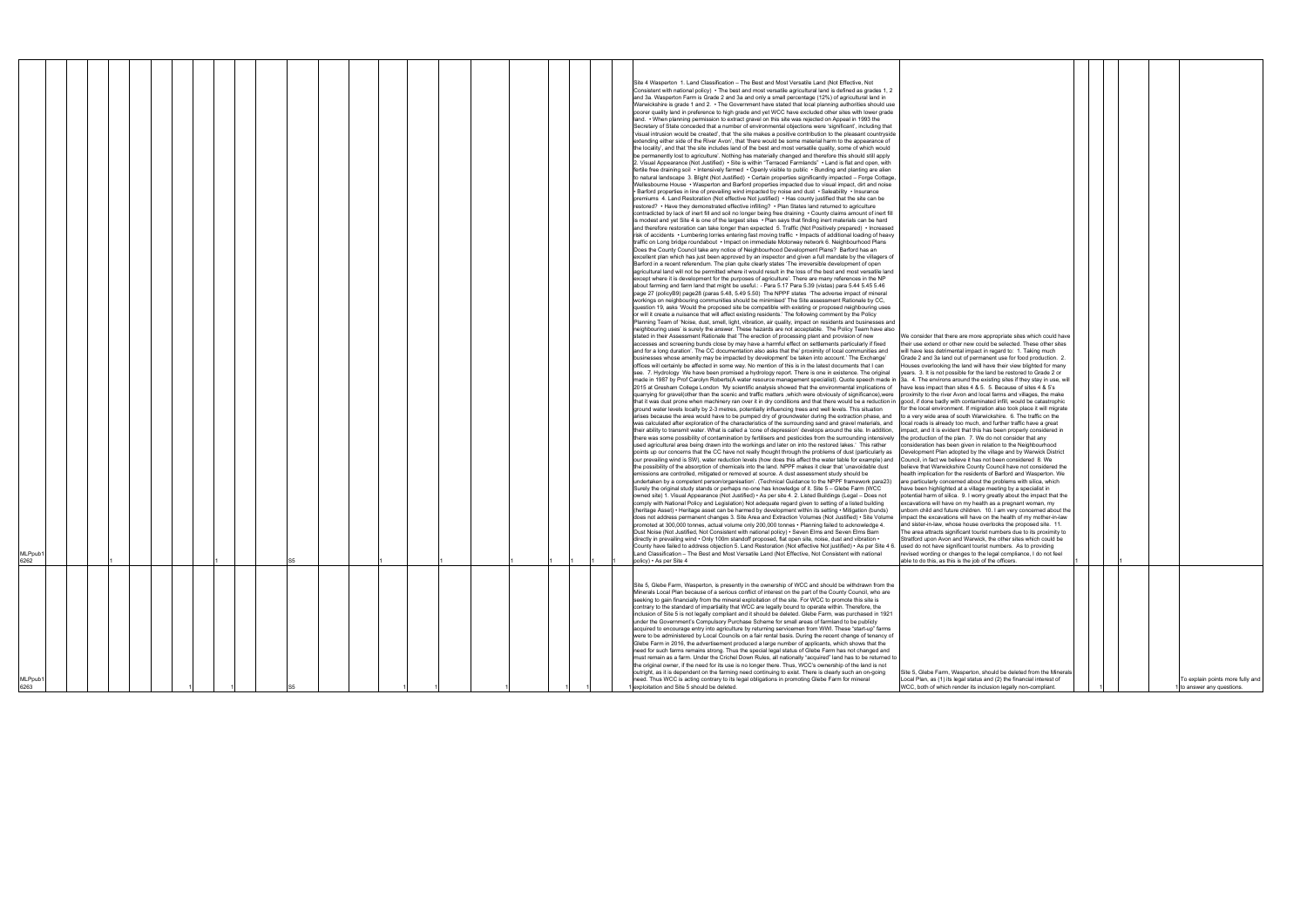| We consider that there are more appropriate sites which could have<br>their use extend or other new could be selected. These other sites<br>will have less detrimental impact in regard to: 1. Taking much                                                                                                                                                                                                                                                                                                                                                                                                                                                                                                                                                                                                                                                                                                                                                                                                                                                                                                                                                                                                                                                            |   |  |   |                                                                |
|-----------------------------------------------------------------------------------------------------------------------------------------------------------------------------------------------------------------------------------------------------------------------------------------------------------------------------------------------------------------------------------------------------------------------------------------------------------------------------------------------------------------------------------------------------------------------------------------------------------------------------------------------------------------------------------------------------------------------------------------------------------------------------------------------------------------------------------------------------------------------------------------------------------------------------------------------------------------------------------------------------------------------------------------------------------------------------------------------------------------------------------------------------------------------------------------------------------------------------------------------------------------------|---|--|---|----------------------------------------------------------------|
|                                                                                                                                                                                                                                                                                                                                                                                                                                                                                                                                                                                                                                                                                                                                                                                                                                                                                                                                                                                                                                                                                                                                                                                                                                                                       |   |  |   |                                                                |
| Grade 2 and 3a land out of permanent use for food production. 2.<br>Houses overlooking the land will have their view blighted for many<br>years. 3. It is not possible for the land be restored to Grade 2 or<br>3a. 4. The environs around the existing sites if they stay in use, will                                                                                                                                                                                                                                                                                                                                                                                                                                                                                                                                                                                                                                                                                                                                                                                                                                                                                                                                                                              |   |  |   |                                                                |
| have less impact than sites 4 & 5. 5. Because of sites 4 & 5's<br>proximity to the river Avon and local farms and villages, the make<br>good, if done badly with contaminated infill, would be catastrophic<br>for the local environment. If migration also took place it will migrate<br>to a very wide area of south Warwickshire. 6. The traffic on the<br>local roads is already too much, and further traffic have a great<br>impact, and it is evident that this has been properly considered in<br>the production of the plan. 7. We do not consider that any<br>consideration has been given in relation to the Neighbourhood<br>Development Plan adopted by the village and by Warwick District<br>Council, in fact we believe it has not been considered 8. We<br>believe that Warwickshire County Council have not considered the<br>health implication for the residents of Barford and Wasperton. We<br>are particularly concerned about the problems with silica, which<br>have been highlighted at a village meeting by a specialist in<br>potential harm of silica. 9. I worry greatly about the impact that the<br>excavations will have on my health as a pregnant woman, my<br>unborn child and future children. 10. I am very concerned about the |   |  |   |                                                                |
| impact the excavations will have on the health of my mother-in-law<br>and sister-in-law, whose house overlooks the proposed site. 11.<br>The area attracts significant tourist numbers due to its proximity to<br>Stratford upon Avon and Warwick, the other sites which could be<br>used do not have significant tourist numbers. As to providing<br>revised wording or changes to the legal compliance, I do not feel<br>able to do this, as this is the job of the officers.                                                                                                                                                                                                                                                                                                                                                                                                                                                                                                                                                                                                                                                                                                                                                                                       | 1 |  | 1 |                                                                |
| Site 5, Glebe Farm, Wasperton, should be deleted from the Minerals                                                                                                                                                                                                                                                                                                                                                                                                                                                                                                                                                                                                                                                                                                                                                                                                                                                                                                                                                                                                                                                                                                                                                                                                    |   |  |   |                                                                |
| Local Plan, as (1) its legal status and (2) the financial interest of<br>WCC, both of which render its inclusion legally non-compliant.                                                                                                                                                                                                                                                                                                                                                                                                                                                                                                                                                                                                                                                                                                                                                                                                                                                                                                                                                                                                                                                                                                                               |   |  |   | To explain points more fully and<br>1 to answer any questions. |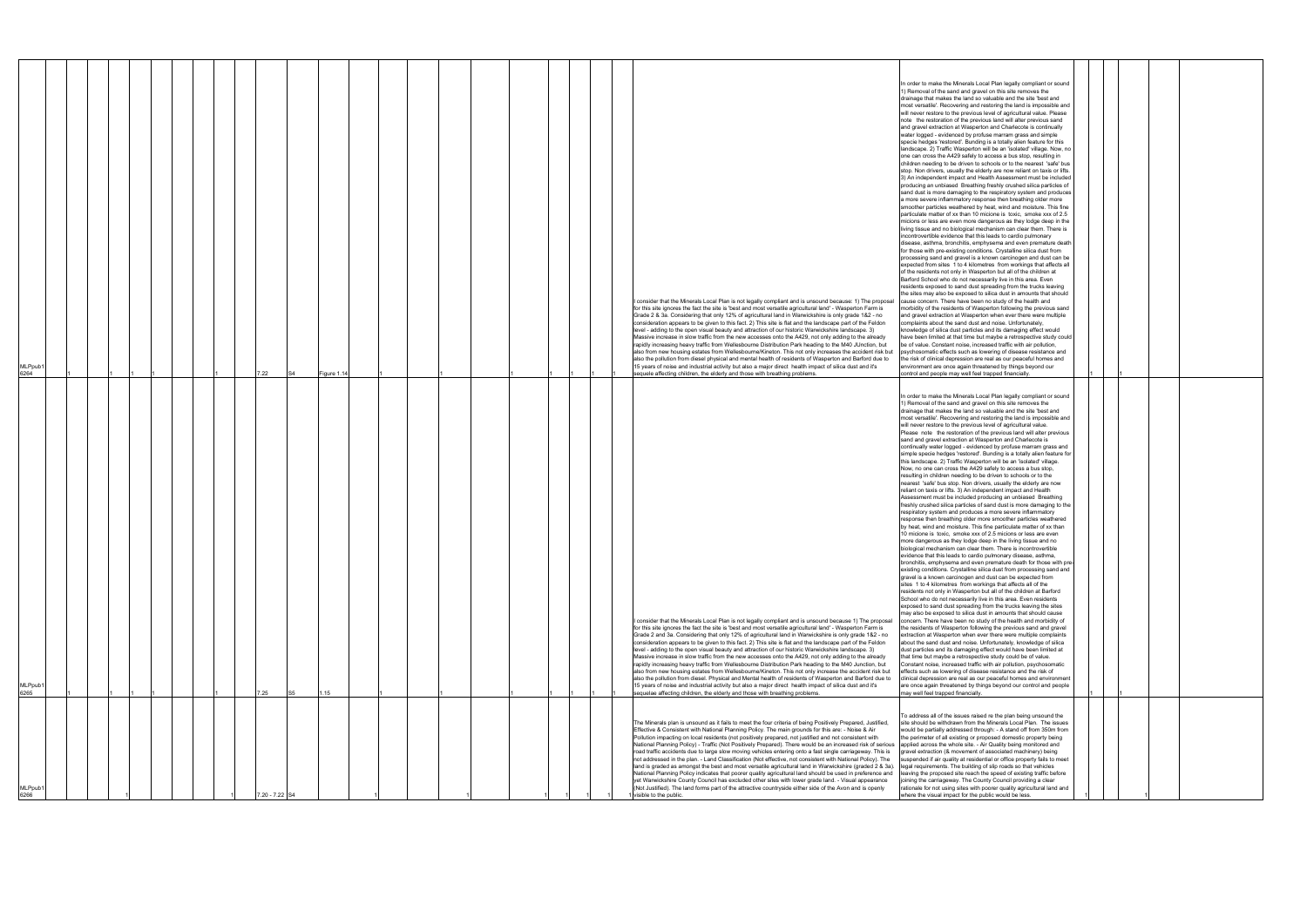| MLPpub <sup>-</sup><br>6266                                                                                                                                                                                                                                                                                                                                                                                                                                                                                                                                                                                                                                                                                                                                                                                                                                                                                                                                                                                                                                                                                                                                                                                                                                                                                                                                                                                                                                                                                                                                                                                                                                                                                                                                                                                                                                                                                                                                                                    | MLPpub<br>6265                                                                                                                                                                                                                                                                                                                                                                                                                                                                                                                                                                                                                                                                                                                                                                                                                                                                                                                                                                                                                                                                                                                                                                                                                                                                                                                                                                                                                                                                                                                                                                                                                                                                                                                                                                                                                                                                                                                                                                                                                                                                                                                                                                                                                                                                                                                                                                                                                                                                                                                                                                                                                                                                                                                                                                                                                                                                                                                                                                                                                                                                                                                                                                                                                                                                                                                                                                                                                                                                                                                                                                                                                                                                                                                                                                                                                                                                                                                                                                                                                                                                                               | <b>MLPpub</b><br>6264                                                                                                                                                                                                                                                                                                                                                                                                                                                                                                                                                                                                                                                                                                                                                                                                                                                                                                                                                                                                                                                                                                                                                                                                                                                                                                                                                                                                                                                                                                                                                                                                                                                                                                                                                                                                                                                                                                                                                                                                                                                                                                                                                                                                                                                                                                                                                                                                                                                                                                                                                                                                                                                                                                                                                                                                                                                                                                                                                                                                                                                                                                                                                                                                                                                                                                                                                                                                                                                                                                                                                                                                                                                                                                                                                                                                                                                                                                                                                                                                                                                                                  |
|------------------------------------------------------------------------------------------------------------------------------------------------------------------------------------------------------------------------------------------------------------------------------------------------------------------------------------------------------------------------------------------------------------------------------------------------------------------------------------------------------------------------------------------------------------------------------------------------------------------------------------------------------------------------------------------------------------------------------------------------------------------------------------------------------------------------------------------------------------------------------------------------------------------------------------------------------------------------------------------------------------------------------------------------------------------------------------------------------------------------------------------------------------------------------------------------------------------------------------------------------------------------------------------------------------------------------------------------------------------------------------------------------------------------------------------------------------------------------------------------------------------------------------------------------------------------------------------------------------------------------------------------------------------------------------------------------------------------------------------------------------------------------------------------------------------------------------------------------------------------------------------------------------------------------------------------------------------------------------------------|--------------------------------------------------------------------------------------------------------------------------------------------------------------------------------------------------------------------------------------------------------------------------------------------------------------------------------------------------------------------------------------------------------------------------------------------------------------------------------------------------------------------------------------------------------------------------------------------------------------------------------------------------------------------------------------------------------------------------------------------------------------------------------------------------------------------------------------------------------------------------------------------------------------------------------------------------------------------------------------------------------------------------------------------------------------------------------------------------------------------------------------------------------------------------------------------------------------------------------------------------------------------------------------------------------------------------------------------------------------------------------------------------------------------------------------------------------------------------------------------------------------------------------------------------------------------------------------------------------------------------------------------------------------------------------------------------------------------------------------------------------------------------------------------------------------------------------------------------------------------------------------------------------------------------------------------------------------------------------------------------------------------------------------------------------------------------------------------------------------------------------------------------------------------------------------------------------------------------------------------------------------------------------------------------------------------------------------------------------------------------------------------------------------------------------------------------------------------------------------------------------------------------------------------------------------------------------------------------------------------------------------------------------------------------------------------------------------------------------------------------------------------------------------------------------------------------------------------------------------------------------------------------------------------------------------------------------------------------------------------------------------------------------------------------------------------------------------------------------------------------------------------------------------------------------------------------------------------------------------------------------------------------------------------------------------------------------------------------------------------------------------------------------------------------------------------------------------------------------------------------------------------------------------------------------------------------------------------------------------------------------------------------------------------------------------------------------------------------------------------------------------------------------------------------------------------------------------------------------------------------------------------------------------------------------------------------------------------------------------------------------------------------------------------------------------------------------------------------------------|--------------------------------------------------------------------------------------------------------------------------------------------------------------------------------------------------------------------------------------------------------------------------------------------------------------------------------------------------------------------------------------------------------------------------------------------------------------------------------------------------------------------------------------------------------------------------------------------------------------------------------------------------------------------------------------------------------------------------------------------------------------------------------------------------------------------------------------------------------------------------------------------------------------------------------------------------------------------------------------------------------------------------------------------------------------------------------------------------------------------------------------------------------------------------------------------------------------------------------------------------------------------------------------------------------------------------------------------------------------------------------------------------------------------------------------------------------------------------------------------------------------------------------------------------------------------------------------------------------------------------------------------------------------------------------------------------------------------------------------------------------------------------------------------------------------------------------------------------------------------------------------------------------------------------------------------------------------------------------------------------------------------------------------------------------------------------------------------------------------------------------------------------------------------------------------------------------------------------------------------------------------------------------------------------------------------------------------------------------------------------------------------------------------------------------------------------------------------------------------------------------------------------------------------------------------------------------------------------------------------------------------------------------------------------------------------------------------------------------------------------------------------------------------------------------------------------------------------------------------------------------------------------------------------------------------------------------------------------------------------------------------------------------------------------------------------------------------------------------------------------------------------------------------------------------------------------------------------------------------------------------------------------------------------------------------------------------------------------------------------------------------------------------------------------------------------------------------------------------------------------------------------------------------------------------------------------------------------------------------------------------------------------------------------------------------------------------------------------------------------------------------------------------------------------------------------------------------------------------------------------------------------------------------------------------------------------------------------------------------------------------------------------------------------------------------------------------------------------------|
|                                                                                                                                                                                                                                                                                                                                                                                                                                                                                                                                                                                                                                                                                                                                                                                                                                                                                                                                                                                                                                                                                                                                                                                                                                                                                                                                                                                                                                                                                                                                                                                                                                                                                                                                                                                                                                                                                                                                                                                                |                                                                                                                                                                                                                                                                                                                                                                                                                                                                                                                                                                                                                                                                                                                                                                                                                                                                                                                                                                                                                                                                                                                                                                                                                                                                                                                                                                                                                                                                                                                                                                                                                                                                                                                                                                                                                                                                                                                                                                                                                                                                                                                                                                                                                                                                                                                                                                                                                                                                                                                                                                                                                                                                                                                                                                                                                                                                                                                                                                                                                                                                                                                                                                                                                                                                                                                                                                                                                                                                                                                                                                                                                                                                                                                                                                                                                                                                                                                                                                                                                                                                                                              |                                                                                                                                                                                                                                                                                                                                                                                                                                                                                                                                                                                                                                                                                                                                                                                                                                                                                                                                                                                                                                                                                                                                                                                                                                                                                                                                                                                                                                                                                                                                                                                                                                                                                                                                                                                                                                                                                                                                                                                                                                                                                                                                                                                                                                                                                                                                                                                                                                                                                                                                                                                                                                                                                                                                                                                                                                                                                                                                                                                                                                                                                                                                                                                                                                                                                                                                                                                                                                                                                                                                                                                                                                                                                                                                                                                                                                                                                                                                                                                                                                                                                                        |
|                                                                                                                                                                                                                                                                                                                                                                                                                                                                                                                                                                                                                                                                                                                                                                                                                                                                                                                                                                                                                                                                                                                                                                                                                                                                                                                                                                                                                                                                                                                                                                                                                                                                                                                                                                                                                                                                                                                                                                                                |                                                                                                                                                                                                                                                                                                                                                                                                                                                                                                                                                                                                                                                                                                                                                                                                                                                                                                                                                                                                                                                                                                                                                                                                                                                                                                                                                                                                                                                                                                                                                                                                                                                                                                                                                                                                                                                                                                                                                                                                                                                                                                                                                                                                                                                                                                                                                                                                                                                                                                                                                                                                                                                                                                                                                                                                                                                                                                                                                                                                                                                                                                                                                                                                                                                                                                                                                                                                                                                                                                                                                                                                                                                                                                                                                                                                                                                                                                                                                                                                                                                                                                              |                                                                                                                                                                                                                                                                                                                                                                                                                                                                                                                                                                                                                                                                                                                                                                                                                                                                                                                                                                                                                                                                                                                                                                                                                                                                                                                                                                                                                                                                                                                                                                                                                                                                                                                                                                                                                                                                                                                                                                                                                                                                                                                                                                                                                                                                                                                                                                                                                                                                                                                                                                                                                                                                                                                                                                                                                                                                                                                                                                                                                                                                                                                                                                                                                                                                                                                                                                                                                                                                                                                                                                                                                                                                                                                                                                                                                                                                                                                                                                                                                                                                                                        |
|                                                                                                                                                                                                                                                                                                                                                                                                                                                                                                                                                                                                                                                                                                                                                                                                                                                                                                                                                                                                                                                                                                                                                                                                                                                                                                                                                                                                                                                                                                                                                                                                                                                                                                                                                                                                                                                                                                                                                                                                |                                                                                                                                                                                                                                                                                                                                                                                                                                                                                                                                                                                                                                                                                                                                                                                                                                                                                                                                                                                                                                                                                                                                                                                                                                                                                                                                                                                                                                                                                                                                                                                                                                                                                                                                                                                                                                                                                                                                                                                                                                                                                                                                                                                                                                                                                                                                                                                                                                                                                                                                                                                                                                                                                                                                                                                                                                                                                                                                                                                                                                                                                                                                                                                                                                                                                                                                                                                                                                                                                                                                                                                                                                                                                                                                                                                                                                                                                                                                                                                                                                                                                                              |                                                                                                                                                                                                                                                                                                                                                                                                                                                                                                                                                                                                                                                                                                                                                                                                                                                                                                                                                                                                                                                                                                                                                                                                                                                                                                                                                                                                                                                                                                                                                                                                                                                                                                                                                                                                                                                                                                                                                                                                                                                                                                                                                                                                                                                                                                                                                                                                                                                                                                                                                                                                                                                                                                                                                                                                                                                                                                                                                                                                                                                                                                                                                                                                                                                                                                                                                                                                                                                                                                                                                                                                                                                                                                                                                                                                                                                                                                                                                                                                                                                                                                        |
|                                                                                                                                                                                                                                                                                                                                                                                                                                                                                                                                                                                                                                                                                                                                                                                                                                                                                                                                                                                                                                                                                                                                                                                                                                                                                                                                                                                                                                                                                                                                                                                                                                                                                                                                                                                                                                                                                                                                                                                                |                                                                                                                                                                                                                                                                                                                                                                                                                                                                                                                                                                                                                                                                                                                                                                                                                                                                                                                                                                                                                                                                                                                                                                                                                                                                                                                                                                                                                                                                                                                                                                                                                                                                                                                                                                                                                                                                                                                                                                                                                                                                                                                                                                                                                                                                                                                                                                                                                                                                                                                                                                                                                                                                                                                                                                                                                                                                                                                                                                                                                                                                                                                                                                                                                                                                                                                                                                                                                                                                                                                                                                                                                                                                                                                                                                                                                                                                                                                                                                                                                                                                                                              |                                                                                                                                                                                                                                                                                                                                                                                                                                                                                                                                                                                                                                                                                                                                                                                                                                                                                                                                                                                                                                                                                                                                                                                                                                                                                                                                                                                                                                                                                                                                                                                                                                                                                                                                                                                                                                                                                                                                                                                                                                                                                                                                                                                                                                                                                                                                                                                                                                                                                                                                                                                                                                                                                                                                                                                                                                                                                                                                                                                                                                                                                                                                                                                                                                                                                                                                                                                                                                                                                                                                                                                                                                                                                                                                                                                                                                                                                                                                                                                                                                                                                                        |
|                                                                                                                                                                                                                                                                                                                                                                                                                                                                                                                                                                                                                                                                                                                                                                                                                                                                                                                                                                                                                                                                                                                                                                                                                                                                                                                                                                                                                                                                                                                                                                                                                                                                                                                                                                                                                                                                                                                                                                                                |                                                                                                                                                                                                                                                                                                                                                                                                                                                                                                                                                                                                                                                                                                                                                                                                                                                                                                                                                                                                                                                                                                                                                                                                                                                                                                                                                                                                                                                                                                                                                                                                                                                                                                                                                                                                                                                                                                                                                                                                                                                                                                                                                                                                                                                                                                                                                                                                                                                                                                                                                                                                                                                                                                                                                                                                                                                                                                                                                                                                                                                                                                                                                                                                                                                                                                                                                                                                                                                                                                                                                                                                                                                                                                                                                                                                                                                                                                                                                                                                                                                                                                              |                                                                                                                                                                                                                                                                                                                                                                                                                                                                                                                                                                                                                                                                                                                                                                                                                                                                                                                                                                                                                                                                                                                                                                                                                                                                                                                                                                                                                                                                                                                                                                                                                                                                                                                                                                                                                                                                                                                                                                                                                                                                                                                                                                                                                                                                                                                                                                                                                                                                                                                                                                                                                                                                                                                                                                                                                                                                                                                                                                                                                                                                                                                                                                                                                                                                                                                                                                                                                                                                                                                                                                                                                                                                                                                                                                                                                                                                                                                                                                                                                                                                                                        |
|                                                                                                                                                                                                                                                                                                                                                                                                                                                                                                                                                                                                                                                                                                                                                                                                                                                                                                                                                                                                                                                                                                                                                                                                                                                                                                                                                                                                                                                                                                                                                                                                                                                                                                                                                                                                                                                                                                                                                                                                |                                                                                                                                                                                                                                                                                                                                                                                                                                                                                                                                                                                                                                                                                                                                                                                                                                                                                                                                                                                                                                                                                                                                                                                                                                                                                                                                                                                                                                                                                                                                                                                                                                                                                                                                                                                                                                                                                                                                                                                                                                                                                                                                                                                                                                                                                                                                                                                                                                                                                                                                                                                                                                                                                                                                                                                                                                                                                                                                                                                                                                                                                                                                                                                                                                                                                                                                                                                                                                                                                                                                                                                                                                                                                                                                                                                                                                                                                                                                                                                                                                                                                                              |                                                                                                                                                                                                                                                                                                                                                                                                                                                                                                                                                                                                                                                                                                                                                                                                                                                                                                                                                                                                                                                                                                                                                                                                                                                                                                                                                                                                                                                                                                                                                                                                                                                                                                                                                                                                                                                                                                                                                                                                                                                                                                                                                                                                                                                                                                                                                                                                                                                                                                                                                                                                                                                                                                                                                                                                                                                                                                                                                                                                                                                                                                                                                                                                                                                                                                                                                                                                                                                                                                                                                                                                                                                                                                                                                                                                                                                                                                                                                                                                                                                                                                        |
|                                                                                                                                                                                                                                                                                                                                                                                                                                                                                                                                                                                                                                                                                                                                                                                                                                                                                                                                                                                                                                                                                                                                                                                                                                                                                                                                                                                                                                                                                                                                                                                                                                                                                                                                                                                                                                                                                                                                                                                                |                                                                                                                                                                                                                                                                                                                                                                                                                                                                                                                                                                                                                                                                                                                                                                                                                                                                                                                                                                                                                                                                                                                                                                                                                                                                                                                                                                                                                                                                                                                                                                                                                                                                                                                                                                                                                                                                                                                                                                                                                                                                                                                                                                                                                                                                                                                                                                                                                                                                                                                                                                                                                                                                                                                                                                                                                                                                                                                                                                                                                                                                                                                                                                                                                                                                                                                                                                                                                                                                                                                                                                                                                                                                                                                                                                                                                                                                                                                                                                                                                                                                                                              |                                                                                                                                                                                                                                                                                                                                                                                                                                                                                                                                                                                                                                                                                                                                                                                                                                                                                                                                                                                                                                                                                                                                                                                                                                                                                                                                                                                                                                                                                                                                                                                                                                                                                                                                                                                                                                                                                                                                                                                                                                                                                                                                                                                                                                                                                                                                                                                                                                                                                                                                                                                                                                                                                                                                                                                                                                                                                                                                                                                                                                                                                                                                                                                                                                                                                                                                                                                                                                                                                                                                                                                                                                                                                                                                                                                                                                                                                                                                                                                                                                                                                                        |
|                                                                                                                                                                                                                                                                                                                                                                                                                                                                                                                                                                                                                                                                                                                                                                                                                                                                                                                                                                                                                                                                                                                                                                                                                                                                                                                                                                                                                                                                                                                                                                                                                                                                                                                                                                                                                                                                                                                                                                                                |                                                                                                                                                                                                                                                                                                                                                                                                                                                                                                                                                                                                                                                                                                                                                                                                                                                                                                                                                                                                                                                                                                                                                                                                                                                                                                                                                                                                                                                                                                                                                                                                                                                                                                                                                                                                                                                                                                                                                                                                                                                                                                                                                                                                                                                                                                                                                                                                                                                                                                                                                                                                                                                                                                                                                                                                                                                                                                                                                                                                                                                                                                                                                                                                                                                                                                                                                                                                                                                                                                                                                                                                                                                                                                                                                                                                                                                                                                                                                                                                                                                                                                              |                                                                                                                                                                                                                                                                                                                                                                                                                                                                                                                                                                                                                                                                                                                                                                                                                                                                                                                                                                                                                                                                                                                                                                                                                                                                                                                                                                                                                                                                                                                                                                                                                                                                                                                                                                                                                                                                                                                                                                                                                                                                                                                                                                                                                                                                                                                                                                                                                                                                                                                                                                                                                                                                                                                                                                                                                                                                                                                                                                                                                                                                                                                                                                                                                                                                                                                                                                                                                                                                                                                                                                                                                                                                                                                                                                                                                                                                                                                                                                                                                                                                                                        |
|                                                                                                                                                                                                                                                                                                                                                                                                                                                                                                                                                                                                                                                                                                                                                                                                                                                                                                                                                                                                                                                                                                                                                                                                                                                                                                                                                                                                                                                                                                                                                                                                                                                                                                                                                                                                                                                                                                                                                                                                |                                                                                                                                                                                                                                                                                                                                                                                                                                                                                                                                                                                                                                                                                                                                                                                                                                                                                                                                                                                                                                                                                                                                                                                                                                                                                                                                                                                                                                                                                                                                                                                                                                                                                                                                                                                                                                                                                                                                                                                                                                                                                                                                                                                                                                                                                                                                                                                                                                                                                                                                                                                                                                                                                                                                                                                                                                                                                                                                                                                                                                                                                                                                                                                                                                                                                                                                                                                                                                                                                                                                                                                                                                                                                                                                                                                                                                                                                                                                                                                                                                                                                                              |                                                                                                                                                                                                                                                                                                                                                                                                                                                                                                                                                                                                                                                                                                                                                                                                                                                                                                                                                                                                                                                                                                                                                                                                                                                                                                                                                                                                                                                                                                                                                                                                                                                                                                                                                                                                                                                                                                                                                                                                                                                                                                                                                                                                                                                                                                                                                                                                                                                                                                                                                                                                                                                                                                                                                                                                                                                                                                                                                                                                                                                                                                                                                                                                                                                                                                                                                                                                                                                                                                                                                                                                                                                                                                                                                                                                                                                                                                                                                                                                                                                                                                        |
|                                                                                                                                                                                                                                                                                                                                                                                                                                                                                                                                                                                                                                                                                                                                                                                                                                                                                                                                                                                                                                                                                                                                                                                                                                                                                                                                                                                                                                                                                                                                                                                                                                                                                                                                                                                                                                                                                                                                                                                                | 7.25                                                                                                                                                                                                                                                                                                                                                                                                                                                                                                                                                                                                                                                                                                                                                                                                                                                                                                                                                                                                                                                                                                                                                                                                                                                                                                                                                                                                                                                                                                                                                                                                                                                                                                                                                                                                                                                                                                                                                                                                                                                                                                                                                                                                                                                                                                                                                                                                                                                                                                                                                                                                                                                                                                                                                                                                                                                                                                                                                                                                                                                                                                                                                                                                                                                                                                                                                                                                                                                                                                                                                                                                                                                                                                                                                                                                                                                                                                                                                                                                                                                                                                         | 7.22                                                                                                                                                                                                                                                                                                                                                                                                                                                                                                                                                                                                                                                                                                                                                                                                                                                                                                                                                                                                                                                                                                                                                                                                                                                                                                                                                                                                                                                                                                                                                                                                                                                                                                                                                                                                                                                                                                                                                                                                                                                                                                                                                                                                                                                                                                                                                                                                                                                                                                                                                                                                                                                                                                                                                                                                                                                                                                                                                                                                                                                                                                                                                                                                                                                                                                                                                                                                                                                                                                                                                                                                                                                                                                                                                                                                                                                                                                                                                                                                                                                                                                   |
| 7.20 - 7.22 S4                                                                                                                                                                                                                                                                                                                                                                                                                                                                                                                                                                                                                                                                                                                                                                                                                                                                                                                                                                                                                                                                                                                                                                                                                                                                                                                                                                                                                                                                                                                                                                                                                                                                                                                                                                                                                                                                                                                                                                                 |                                                                                                                                                                                                                                                                                                                                                                                                                                                                                                                                                                                                                                                                                                                                                                                                                                                                                                                                                                                                                                                                                                                                                                                                                                                                                                                                                                                                                                                                                                                                                                                                                                                                                                                                                                                                                                                                                                                                                                                                                                                                                                                                                                                                                                                                                                                                                                                                                                                                                                                                                                                                                                                                                                                                                                                                                                                                                                                                                                                                                                                                                                                                                                                                                                                                                                                                                                                                                                                                                                                                                                                                                                                                                                                                                                                                                                                                                                                                                                                                                                                                                                              |                                                                                                                                                                                                                                                                                                                                                                                                                                                                                                                                                                                                                                                                                                                                                                                                                                                                                                                                                                                                                                                                                                                                                                                                                                                                                                                                                                                                                                                                                                                                                                                                                                                                                                                                                                                                                                                                                                                                                                                                                                                                                                                                                                                                                                                                                                                                                                                                                                                                                                                                                                                                                                                                                                                                                                                                                                                                                                                                                                                                                                                                                                                                                                                                                                                                                                                                                                                                                                                                                                                                                                                                                                                                                                                                                                                                                                                                                                                                                                                                                                                                                                        |
|                                                                                                                                                                                                                                                                                                                                                                                                                                                                                                                                                                                                                                                                                                                                                                                                                                                                                                                                                                                                                                                                                                                                                                                                                                                                                                                                                                                                                                                                                                                                                                                                                                                                                                                                                                                                                                                                                                                                                                                                | S5                                                                                                                                                                                                                                                                                                                                                                                                                                                                                                                                                                                                                                                                                                                                                                                                                                                                                                                                                                                                                                                                                                                                                                                                                                                                                                                                                                                                                                                                                                                                                                                                                                                                                                                                                                                                                                                                                                                                                                                                                                                                                                                                                                                                                                                                                                                                                                                                                                                                                                                                                                                                                                                                                                                                                                                                                                                                                                                                                                                                                                                                                                                                                                                                                                                                                                                                                                                                                                                                                                                                                                                                                                                                                                                                                                                                                                                                                                                                                                                                                                                                                                           | S <sub>4</sub>                                                                                                                                                                                                                                                                                                                                                                                                                                                                                                                                                                                                                                                                                                                                                                                                                                                                                                                                                                                                                                                                                                                                                                                                                                                                                                                                                                                                                                                                                                                                                                                                                                                                                                                                                                                                                                                                                                                                                                                                                                                                                                                                                                                                                                                                                                                                                                                                                                                                                                                                                                                                                                                                                                                                                                                                                                                                                                                                                                                                                                                                                                                                                                                                                                                                                                                                                                                                                                                                                                                                                                                                                                                                                                                                                                                                                                                                                                                                                                                                                                                                                         |
|                                                                                                                                                                                                                                                                                                                                                                                                                                                                                                                                                                                                                                                                                                                                                                                                                                                                                                                                                                                                                                                                                                                                                                                                                                                                                                                                                                                                                                                                                                                                                                                                                                                                                                                                                                                                                                                                                                                                                                                                | 1.15                                                                                                                                                                                                                                                                                                                                                                                                                                                                                                                                                                                                                                                                                                                                                                                                                                                                                                                                                                                                                                                                                                                                                                                                                                                                                                                                                                                                                                                                                                                                                                                                                                                                                                                                                                                                                                                                                                                                                                                                                                                                                                                                                                                                                                                                                                                                                                                                                                                                                                                                                                                                                                                                                                                                                                                                                                                                                                                                                                                                                                                                                                                                                                                                                                                                                                                                                                                                                                                                                                                                                                                                                                                                                                                                                                                                                                                                                                                                                                                                                                                                                                         | Figure 1.14                                                                                                                                                                                                                                                                                                                                                                                                                                                                                                                                                                                                                                                                                                                                                                                                                                                                                                                                                                                                                                                                                                                                                                                                                                                                                                                                                                                                                                                                                                                                                                                                                                                                                                                                                                                                                                                                                                                                                                                                                                                                                                                                                                                                                                                                                                                                                                                                                                                                                                                                                                                                                                                                                                                                                                                                                                                                                                                                                                                                                                                                                                                                                                                                                                                                                                                                                                                                                                                                                                                                                                                                                                                                                                                                                                                                                                                                                                                                                                                                                                                                                            |
|                                                                                                                                                                                                                                                                                                                                                                                                                                                                                                                                                                                                                                                                                                                                                                                                                                                                                                                                                                                                                                                                                                                                                                                                                                                                                                                                                                                                                                                                                                                                                                                                                                                                                                                                                                                                                                                                                                                                                                                                |                                                                                                                                                                                                                                                                                                                                                                                                                                                                                                                                                                                                                                                                                                                                                                                                                                                                                                                                                                                                                                                                                                                                                                                                                                                                                                                                                                                                                                                                                                                                                                                                                                                                                                                                                                                                                                                                                                                                                                                                                                                                                                                                                                                                                                                                                                                                                                                                                                                                                                                                                                                                                                                                                                                                                                                                                                                                                                                                                                                                                                                                                                                                                                                                                                                                                                                                                                                                                                                                                                                                                                                                                                                                                                                                                                                                                                                                                                                                                                                                                                                                                                              |                                                                                                                                                                                                                                                                                                                                                                                                                                                                                                                                                                                                                                                                                                                                                                                                                                                                                                                                                                                                                                                                                                                                                                                                                                                                                                                                                                                                                                                                                                                                                                                                                                                                                                                                                                                                                                                                                                                                                                                                                                                                                                                                                                                                                                                                                                                                                                                                                                                                                                                                                                                                                                                                                                                                                                                                                                                                                                                                                                                                                                                                                                                                                                                                                                                                                                                                                                                                                                                                                                                                                                                                                                                                                                                                                                                                                                                                                                                                                                                                                                                                                                        |
|                                                                                                                                                                                                                                                                                                                                                                                                                                                                                                                                                                                                                                                                                                                                                                                                                                                                                                                                                                                                                                                                                                                                                                                                                                                                                                                                                                                                                                                                                                                                                                                                                                                                                                                                                                                                                                                                                                                                                                                                |                                                                                                                                                                                                                                                                                                                                                                                                                                                                                                                                                                                                                                                                                                                                                                                                                                                                                                                                                                                                                                                                                                                                                                                                                                                                                                                                                                                                                                                                                                                                                                                                                                                                                                                                                                                                                                                                                                                                                                                                                                                                                                                                                                                                                                                                                                                                                                                                                                                                                                                                                                                                                                                                                                                                                                                                                                                                                                                                                                                                                                                                                                                                                                                                                                                                                                                                                                                                                                                                                                                                                                                                                                                                                                                                                                                                                                                                                                                                                                                                                                                                                                              |                                                                                                                                                                                                                                                                                                                                                                                                                                                                                                                                                                                                                                                                                                                                                                                                                                                                                                                                                                                                                                                                                                                                                                                                                                                                                                                                                                                                                                                                                                                                                                                                                                                                                                                                                                                                                                                                                                                                                                                                                                                                                                                                                                                                                                                                                                                                                                                                                                                                                                                                                                                                                                                                                                                                                                                                                                                                                                                                                                                                                                                                                                                                                                                                                                                                                                                                                                                                                                                                                                                                                                                                                                                                                                                                                                                                                                                                                                                                                                                                                                                                                                        |
|                                                                                                                                                                                                                                                                                                                                                                                                                                                                                                                                                                                                                                                                                                                                                                                                                                                                                                                                                                                                                                                                                                                                                                                                                                                                                                                                                                                                                                                                                                                                                                                                                                                                                                                                                                                                                                                                                                                                                                                                |                                                                                                                                                                                                                                                                                                                                                                                                                                                                                                                                                                                                                                                                                                                                                                                                                                                                                                                                                                                                                                                                                                                                                                                                                                                                                                                                                                                                                                                                                                                                                                                                                                                                                                                                                                                                                                                                                                                                                                                                                                                                                                                                                                                                                                                                                                                                                                                                                                                                                                                                                                                                                                                                                                                                                                                                                                                                                                                                                                                                                                                                                                                                                                                                                                                                                                                                                                                                                                                                                                                                                                                                                                                                                                                                                                                                                                                                                                                                                                                                                                                                                                              |                                                                                                                                                                                                                                                                                                                                                                                                                                                                                                                                                                                                                                                                                                                                                                                                                                                                                                                                                                                                                                                                                                                                                                                                                                                                                                                                                                                                                                                                                                                                                                                                                                                                                                                                                                                                                                                                                                                                                                                                                                                                                                                                                                                                                                                                                                                                                                                                                                                                                                                                                                                                                                                                                                                                                                                                                                                                                                                                                                                                                                                                                                                                                                                                                                                                                                                                                                                                                                                                                                                                                                                                                                                                                                                                                                                                                                                                                                                                                                                                                                                                                                        |
|                                                                                                                                                                                                                                                                                                                                                                                                                                                                                                                                                                                                                                                                                                                                                                                                                                                                                                                                                                                                                                                                                                                                                                                                                                                                                                                                                                                                                                                                                                                                                                                                                                                                                                                                                                                                                                                                                                                                                                                                |                                                                                                                                                                                                                                                                                                                                                                                                                                                                                                                                                                                                                                                                                                                                                                                                                                                                                                                                                                                                                                                                                                                                                                                                                                                                                                                                                                                                                                                                                                                                                                                                                                                                                                                                                                                                                                                                                                                                                                                                                                                                                                                                                                                                                                                                                                                                                                                                                                                                                                                                                                                                                                                                                                                                                                                                                                                                                                                                                                                                                                                                                                                                                                                                                                                                                                                                                                                                                                                                                                                                                                                                                                                                                                                                                                                                                                                                                                                                                                                                                                                                                                              |                                                                                                                                                                                                                                                                                                                                                                                                                                                                                                                                                                                                                                                                                                                                                                                                                                                                                                                                                                                                                                                                                                                                                                                                                                                                                                                                                                                                                                                                                                                                                                                                                                                                                                                                                                                                                                                                                                                                                                                                                                                                                                                                                                                                                                                                                                                                                                                                                                                                                                                                                                                                                                                                                                                                                                                                                                                                                                                                                                                                                                                                                                                                                                                                                                                                                                                                                                                                                                                                                                                                                                                                                                                                                                                                                                                                                                                                                                                                                                                                                                                                                                        |
|                                                                                                                                                                                                                                                                                                                                                                                                                                                                                                                                                                                                                                                                                                                                                                                                                                                                                                                                                                                                                                                                                                                                                                                                                                                                                                                                                                                                                                                                                                                                                                                                                                                                                                                                                                                                                                                                                                                                                                                                |                                                                                                                                                                                                                                                                                                                                                                                                                                                                                                                                                                                                                                                                                                                                                                                                                                                                                                                                                                                                                                                                                                                                                                                                                                                                                                                                                                                                                                                                                                                                                                                                                                                                                                                                                                                                                                                                                                                                                                                                                                                                                                                                                                                                                                                                                                                                                                                                                                                                                                                                                                                                                                                                                                                                                                                                                                                                                                                                                                                                                                                                                                                                                                                                                                                                                                                                                                                                                                                                                                                                                                                                                                                                                                                                                                                                                                                                                                                                                                                                                                                                                                              |                                                                                                                                                                                                                                                                                                                                                                                                                                                                                                                                                                                                                                                                                                                                                                                                                                                                                                                                                                                                                                                                                                                                                                                                                                                                                                                                                                                                                                                                                                                                                                                                                                                                                                                                                                                                                                                                                                                                                                                                                                                                                                                                                                                                                                                                                                                                                                                                                                                                                                                                                                                                                                                                                                                                                                                                                                                                                                                                                                                                                                                                                                                                                                                                                                                                                                                                                                                                                                                                                                                                                                                                                                                                                                                                                                                                                                                                                                                                                                                                                                                                                                        |
|                                                                                                                                                                                                                                                                                                                                                                                                                                                                                                                                                                                                                                                                                                                                                                                                                                                                                                                                                                                                                                                                                                                                                                                                                                                                                                                                                                                                                                                                                                                                                                                                                                                                                                                                                                                                                                                                                                                                                                                                |                                                                                                                                                                                                                                                                                                                                                                                                                                                                                                                                                                                                                                                                                                                                                                                                                                                                                                                                                                                                                                                                                                                                                                                                                                                                                                                                                                                                                                                                                                                                                                                                                                                                                                                                                                                                                                                                                                                                                                                                                                                                                                                                                                                                                                                                                                                                                                                                                                                                                                                                                                                                                                                                                                                                                                                                                                                                                                                                                                                                                                                                                                                                                                                                                                                                                                                                                                                                                                                                                                                                                                                                                                                                                                                                                                                                                                                                                                                                                                                                                                                                                                              |                                                                                                                                                                                                                                                                                                                                                                                                                                                                                                                                                                                                                                                                                                                                                                                                                                                                                                                                                                                                                                                                                                                                                                                                                                                                                                                                                                                                                                                                                                                                                                                                                                                                                                                                                                                                                                                                                                                                                                                                                                                                                                                                                                                                                                                                                                                                                                                                                                                                                                                                                                                                                                                                                                                                                                                                                                                                                                                                                                                                                                                                                                                                                                                                                                                                                                                                                                                                                                                                                                                                                                                                                                                                                                                                                                                                                                                                                                                                                                                                                                                                                                        |
|                                                                                                                                                                                                                                                                                                                                                                                                                                                                                                                                                                                                                                                                                                                                                                                                                                                                                                                                                                                                                                                                                                                                                                                                                                                                                                                                                                                                                                                                                                                                                                                                                                                                                                                                                                                                                                                                                                                                                                                                |                                                                                                                                                                                                                                                                                                                                                                                                                                                                                                                                                                                                                                                                                                                                                                                                                                                                                                                                                                                                                                                                                                                                                                                                                                                                                                                                                                                                                                                                                                                                                                                                                                                                                                                                                                                                                                                                                                                                                                                                                                                                                                                                                                                                                                                                                                                                                                                                                                                                                                                                                                                                                                                                                                                                                                                                                                                                                                                                                                                                                                                                                                                                                                                                                                                                                                                                                                                                                                                                                                                                                                                                                                                                                                                                                                                                                                                                                                                                                                                                                                                                                                              |                                                                                                                                                                                                                                                                                                                                                                                                                                                                                                                                                                                                                                                                                                                                                                                                                                                                                                                                                                                                                                                                                                                                                                                                                                                                                                                                                                                                                                                                                                                                                                                                                                                                                                                                                                                                                                                                                                                                                                                                                                                                                                                                                                                                                                                                                                                                                                                                                                                                                                                                                                                                                                                                                                                                                                                                                                                                                                                                                                                                                                                                                                                                                                                                                                                                                                                                                                                                                                                                                                                                                                                                                                                                                                                                                                                                                                                                                                                                                                                                                                                                                                        |
|                                                                                                                                                                                                                                                                                                                                                                                                                                                                                                                                                                                                                                                                                                                                                                                                                                                                                                                                                                                                                                                                                                                                                                                                                                                                                                                                                                                                                                                                                                                                                                                                                                                                                                                                                                                                                                                                                                                                                                                                |                                                                                                                                                                                                                                                                                                                                                                                                                                                                                                                                                                                                                                                                                                                                                                                                                                                                                                                                                                                                                                                                                                                                                                                                                                                                                                                                                                                                                                                                                                                                                                                                                                                                                                                                                                                                                                                                                                                                                                                                                                                                                                                                                                                                                                                                                                                                                                                                                                                                                                                                                                                                                                                                                                                                                                                                                                                                                                                                                                                                                                                                                                                                                                                                                                                                                                                                                                                                                                                                                                                                                                                                                                                                                                                                                                                                                                                                                                                                                                                                                                                                                                              |                                                                                                                                                                                                                                                                                                                                                                                                                                                                                                                                                                                                                                                                                                                                                                                                                                                                                                                                                                                                                                                                                                                                                                                                                                                                                                                                                                                                                                                                                                                                                                                                                                                                                                                                                                                                                                                                                                                                                                                                                                                                                                                                                                                                                                                                                                                                                                                                                                                                                                                                                                                                                                                                                                                                                                                                                                                                                                                                                                                                                                                                                                                                                                                                                                                                                                                                                                                                                                                                                                                                                                                                                                                                                                                                                                                                                                                                                                                                                                                                                                                                                                        |
|                                                                                                                                                                                                                                                                                                                                                                                                                                                                                                                                                                                                                                                                                                                                                                                                                                                                                                                                                                                                                                                                                                                                                                                                                                                                                                                                                                                                                                                                                                                                                                                                                                                                                                                                                                                                                                                                                                                                                                                                |                                                                                                                                                                                                                                                                                                                                                                                                                                                                                                                                                                                                                                                                                                                                                                                                                                                                                                                                                                                                                                                                                                                                                                                                                                                                                                                                                                                                                                                                                                                                                                                                                                                                                                                                                                                                                                                                                                                                                                                                                                                                                                                                                                                                                                                                                                                                                                                                                                                                                                                                                                                                                                                                                                                                                                                                                                                                                                                                                                                                                                                                                                                                                                                                                                                                                                                                                                                                                                                                                                                                                                                                                                                                                                                                                                                                                                                                                                                                                                                                                                                                                                              |                                                                                                                                                                                                                                                                                                                                                                                                                                                                                                                                                                                                                                                                                                                                                                                                                                                                                                                                                                                                                                                                                                                                                                                                                                                                                                                                                                                                                                                                                                                                                                                                                                                                                                                                                                                                                                                                                                                                                                                                                                                                                                                                                                                                                                                                                                                                                                                                                                                                                                                                                                                                                                                                                                                                                                                                                                                                                                                                                                                                                                                                                                                                                                                                                                                                                                                                                                                                                                                                                                                                                                                                                                                                                                                                                                                                                                                                                                                                                                                                                                                                                                        |
|                                                                                                                                                                                                                                                                                                                                                                                                                                                                                                                                                                                                                                                                                                                                                                                                                                                                                                                                                                                                                                                                                                                                                                                                                                                                                                                                                                                                                                                                                                                                                                                                                                                                                                                                                                                                                                                                                                                                                                                                |                                                                                                                                                                                                                                                                                                                                                                                                                                                                                                                                                                                                                                                                                                                                                                                                                                                                                                                                                                                                                                                                                                                                                                                                                                                                                                                                                                                                                                                                                                                                                                                                                                                                                                                                                                                                                                                                                                                                                                                                                                                                                                                                                                                                                                                                                                                                                                                                                                                                                                                                                                                                                                                                                                                                                                                                                                                                                                                                                                                                                                                                                                                                                                                                                                                                                                                                                                                                                                                                                                                                                                                                                                                                                                                                                                                                                                                                                                                                                                                                                                                                                                              |                                                                                                                                                                                                                                                                                                                                                                                                                                                                                                                                                                                                                                                                                                                                                                                                                                                                                                                                                                                                                                                                                                                                                                                                                                                                                                                                                                                                                                                                                                                                                                                                                                                                                                                                                                                                                                                                                                                                                                                                                                                                                                                                                                                                                                                                                                                                                                                                                                                                                                                                                                                                                                                                                                                                                                                                                                                                                                                                                                                                                                                                                                                                                                                                                                                                                                                                                                                                                                                                                                                                                                                                                                                                                                                                                                                                                                                                                                                                                                                                                                                                                                        |
|                                                                                                                                                                                                                                                                                                                                                                                                                                                                                                                                                                                                                                                                                                                                                                                                                                                                                                                                                                                                                                                                                                                                                                                                                                                                                                                                                                                                                                                                                                                                                                                                                                                                                                                                                                                                                                                                                                                                                                                                |                                                                                                                                                                                                                                                                                                                                                                                                                                                                                                                                                                                                                                                                                                                                                                                                                                                                                                                                                                                                                                                                                                                                                                                                                                                                                                                                                                                                                                                                                                                                                                                                                                                                                                                                                                                                                                                                                                                                                                                                                                                                                                                                                                                                                                                                                                                                                                                                                                                                                                                                                                                                                                                                                                                                                                                                                                                                                                                                                                                                                                                                                                                                                                                                                                                                                                                                                                                                                                                                                                                                                                                                                                                                                                                                                                                                                                                                                                                                                                                                                                                                                                              |                                                                                                                                                                                                                                                                                                                                                                                                                                                                                                                                                                                                                                                                                                                                                                                                                                                                                                                                                                                                                                                                                                                                                                                                                                                                                                                                                                                                                                                                                                                                                                                                                                                                                                                                                                                                                                                                                                                                                                                                                                                                                                                                                                                                                                                                                                                                                                                                                                                                                                                                                                                                                                                                                                                                                                                                                                                                                                                                                                                                                                                                                                                                                                                                                                                                                                                                                                                                                                                                                                                                                                                                                                                                                                                                                                                                                                                                                                                                                                                                                                                                                                        |
|                                                                                                                                                                                                                                                                                                                                                                                                                                                                                                                                                                                                                                                                                                                                                                                                                                                                                                                                                                                                                                                                                                                                                                                                                                                                                                                                                                                                                                                                                                                                                                                                                                                                                                                                                                                                                                                                                                                                                                                                |                                                                                                                                                                                                                                                                                                                                                                                                                                                                                                                                                                                                                                                                                                                                                                                                                                                                                                                                                                                                                                                                                                                                                                                                                                                                                                                                                                                                                                                                                                                                                                                                                                                                                                                                                                                                                                                                                                                                                                                                                                                                                                                                                                                                                                                                                                                                                                                                                                                                                                                                                                                                                                                                                                                                                                                                                                                                                                                                                                                                                                                                                                                                                                                                                                                                                                                                                                                                                                                                                                                                                                                                                                                                                                                                                                                                                                                                                                                                                                                                                                                                                                              |                                                                                                                                                                                                                                                                                                                                                                                                                                                                                                                                                                                                                                                                                                                                                                                                                                                                                                                                                                                                                                                                                                                                                                                                                                                                                                                                                                                                                                                                                                                                                                                                                                                                                                                                                                                                                                                                                                                                                                                                                                                                                                                                                                                                                                                                                                                                                                                                                                                                                                                                                                                                                                                                                                                                                                                                                                                                                                                                                                                                                                                                                                                                                                                                                                                                                                                                                                                                                                                                                                                                                                                                                                                                                                                                                                                                                                                                                                                                                                                                                                                                                                        |
| To address all of the issues raised re the plan being unsound the<br>The Minerals plan is unsound as it fails to meet the four criteria of being Positively Prepared, Justified,<br>site should be withdrawn from the Minerals Local Plan. The issues<br>Effective & Consistent with National Planning Policy. The main grounds for this are: - Noise & Air<br>would be partially addressed through: - A stand off from 350m from<br>Pollution impacting on local residents (not positively prepared, not justified and not consistent with<br>the perimeter of all existing or proposed domestic property being<br>National Planning Policy) - Traffic (Not Positively Prepared). There would be an increased risk of serious   applied across the whole site. - Air Quality being monitored and<br>road traffic accidents due to large slow moving vehicles entering onto a fast single carriageway. This is<br>gravel extraction (& movement of associated machinery) being<br>not addressed in the plan. - Land Classification (Not effective, not consistent with National Policy). The<br>suspended if air quality at residential or office property fails to meet<br>land is graded as amongst the best and most versatile agricultural land in Warwickshire (graded 2 & 3a).<br>legal requirements. The building of slip roads so that vehicles<br>National Planning Policy indicates that poorer quality agricultural land should be used in preference and<br>leaving the proposed site reach the speed of existing traffic before<br>yet Warwickshire County Council has excluded other sites with lower grade land. - Visual appearance<br>joining the carriageway. The County Council providing a clear<br>(Not Justified). The land forms part of the attractive countryside either side of the Avon and is openly<br>rationale for not using sites with poorer quality agricultural land and<br>visible to the public.<br>where the visual impact for the public would be less. | In order to make the Minerals Local Plan legally compliant or sound<br>1) Removal of the sand and gravel on this site removes the<br>drainage that makes the land so valuable and the site 'best and<br>most versatile'. Recovering and restoring the land is impossible and<br>will never restore to the previous level of agricultural value.<br>Please note the restoration of the previous land will alter previous<br>sand and gravel extraction at Wasperton and Charlecote is<br>continually water logged - evidenced by profuse marram grass and<br>simple specie hedges 'restored'. Bunding is a totally alien feature for<br>this landscape. 2) Traffic Wasperton will be an 'isolated' village.<br>Now, no one can cross the A429 safely to access a bus stop,<br>resulting in children needing to be driven to schools or to the<br>nearest 'safe' bus stop. Non drivers, usually the elderly are now<br>reliant on taxis or lifts. 3) An independent impact and Health<br>Assessment must be included producing an unbiased Breathing<br>freshly crushed silica particles of sand dust is more damaging to the<br>respiratory system and produces a more severe inflammatory<br>response then breathing older more smoother particles weathered<br>by heat, wind and moisture. This fine particulate matter of xx than<br>10 micione is toxic, smoke xxx of 2.5 micions or less are even<br>more dangerous as they lodge deep in the living tissue and no<br>biological mechanism can clear them. There is incontrovertible<br>evidence that this leads to cardio pulmonary disease, asthma,<br>bronchitis, emphysema and even premature death for those with pre-<br>existing conditions. Crystalline silica dust from processing sand and<br>gravel is a known carcinogen and dust can be expected from<br>sites 1 to 4 kilometres from workings that affects all of the<br>residents not only in Wasperton but all of the children at Barford<br>School who do not necessarily live in this area. Even residents<br>exposed to sand dust spreading from the trucks leaving the sites<br>may also be exposed to silica dust in amounts that should cause<br>I consider that the Minerals Local Plan is not legally compliant and is unsound because 1) The proposal<br>concern. There have been no study of the health and morbidity of<br>for this site ignores the fact the site is 'best and most versatile agricultural land' - Wasperton Farm is<br>the residents of Wasperton following the previous sand and gravel<br>Grade 2 and 3a. Considering that only 12% of agricultural land in Warwickshire is only grade 1&2 - no<br>extraction at Wasperton when ever there were multiple complaints<br>consideration appears to be given to this fact. 2) This site is flat and the landscape part of the Feldon<br>about the sand dust and noise. Unfortunately, knowledge of silica<br>level - adding to the open visual beauty and attraction of our historic Warwickshire landscape. 3)<br>dust particles and its damaging effect would have been limited at<br>Massive increase in slow traffic from the new accesses onto the A429, not only adding to the already<br>that time but maybe a retrospective study could be of value.<br>rapidly increasing heavy traffic from Wellesbourne Distribution Park heading to the M40 Junction, but<br>Constant noise, increased traffic with air pollution, psychosomatic<br>also from new housing estates from Wellesbourne/Kineton. This not only increase the accident risk but<br>effects such as lowering of disease resistance and the risk of<br>also the pollution from diesel. Physical and Mental health of residents of Wasperton and Barford due to<br>clinical depression are real as our peaceful homes and environment<br>15 years of noise and industrial activity but also a major direct health impact of silica dust and it's<br>are once again threatened by things beyond our control and people<br>sequelae affecting children, the elderly and those with breathing problems.<br>may well feel trapped financially. | In order to make the Minerals Local Plan legally compliant or sound<br>1) Removal of the sand and gravel on this site removes the<br>drainage that makes the land so valuable and the site 'best and<br>most versatile'. Recovering and restoring the land is impossible and<br>will never restore to the previous level of agricultural value. Please<br>note the restoration of the previous land will alter previous sand<br>and gravel extraction at Wasperton and Charlecote is continually<br>water logged - evidenced by profuse marram grass and simple<br>specie hedges 'restored'. Bunding is a totally alien feature for this<br>landscape. 2) Traffic Wasperton will be an 'isolated' village. Now, no<br>one can cross the A429 safely to access a bus stop, resulting in<br>children needing to be driven to schools or to the nearest 'safe' bus<br>stop. Non drivers, usually the elderly are now reliant on taxis or lifts.<br>3) An independent impact and Health Assessment must be included<br>producing an unbiased Breathing freshly crushed silica particles of<br>sand dust is more damaging to the respiratory system and produces<br>a more severe inflammatory response then breathing older more<br>smoother particles weathered by heat, wind and moisture. This fine<br>particulate matter of xx than 10 micione is toxic, smoke xxx of 2.5<br>micions or less are even more dangerous as they lodge deep in the<br>living tissue and no biological mechanism can clear them. There is<br>incontrovertible evidence that this leads to cardio pulmonary<br>disease, asthma, bronchitis, emphysema and even premature death<br>for those with pre-existing conditions. Crystalline silica dust from<br>processing sand and gravel is a known carcinogen and dust can be<br>expected from sites 1 to 4 kilometres from workings that affects all<br>of the residents not only in Wasperton but all of the children at<br>Barford School who do not necessarily live in this area. Even<br>residents exposed to sand dust spreading from the trucks leaving<br>the sites may also be exposed to silica dust in amounts that should<br>I consider that the Minerals Local Plan is not legally compliant and is unsound because: 1) The proposal<br>cause concern. There have been no study of the health and<br>for this site ignores the fact the site is 'best and most versatile agricultural land' - Wasperton Farm is<br>morbidity of the residents of Wasperton following the previous sand<br>Grade 2 & 3a. Considering that only 12% of agricultural land in Warwickshire is only grade 1&2 - no<br>and gravel extraction at Wasperton when ever there were multiple<br>consideration appears to be given to this fact. 2) This site is flat and the landscape part of the Feldon<br>complaints about the sand dust and noise. Unfortunately,<br>level - adding to the open visual beauty and attraction of our historic Warwickshire landscape. 3)<br>knowledge of silica dust particles and its damaging effect would<br>Massive increase in slow traffic from the new accesses onto the A429, not only adding to the already<br>have been limited at that time but maybe a retrospective study could<br>rapidly increasing heavy traffic from Wellesbourne Distribution Park heading to the M40 JUnction, but<br>be of value. Constant noise, increased traffic with air pollution,<br>also from new housing estates from Wellesbourne/Kineton. This not only increases the accident risk but<br>psychosomatic effects such as lowering of disease resistance and<br>also the pollution from diesel physical and mental health of residents of Wasperton and Barford due to<br>the risk of clinical depression are real as our peaceful homes and<br>15 years of noise and industrial activity but also a major direct health impact of silica dust and it's<br>environment are once again threatened by things beyond our<br>sequele affecting children, the elderly and those with breathing problems.<br>control and people may well feel trapped financially. |
|                                                                                                                                                                                                                                                                                                                                                                                                                                                                                                                                                                                                                                                                                                                                                                                                                                                                                                                                                                                                                                                                                                                                                                                                                                                                                                                                                                                                                                                                                                                                                                                                                                                                                                                                                                                                                                                                                                                                                                                                |                                                                                                                                                                                                                                                                                                                                                                                                                                                                                                                                                                                                                                                                                                                                                                                                                                                                                                                                                                                                                                                                                                                                                                                                                                                                                                                                                                                                                                                                                                                                                                                                                                                                                                                                                                                                                                                                                                                                                                                                                                                                                                                                                                                                                                                                                                                                                                                                                                                                                                                                                                                                                                                                                                                                                                                                                                                                                                                                                                                                                                                                                                                                                                                                                                                                                                                                                                                                                                                                                                                                                                                                                                                                                                                                                                                                                                                                                                                                                                                                                                                                                                              |                                                                                                                                                                                                                                                                                                                                                                                                                                                                                                                                                                                                                                                                                                                                                                                                                                                                                                                                                                                                                                                                                                                                                                                                                                                                                                                                                                                                                                                                                                                                                                                                                                                                                                                                                                                                                                                                                                                                                                                                                                                                                                                                                                                                                                                                                                                                                                                                                                                                                                                                                                                                                                                                                                                                                                                                                                                                                                                                                                                                                                                                                                                                                                                                                                                                                                                                                                                                                                                                                                                                                                                                                                                                                                                                                                                                                                                                                                                                                                                                                                                                                                        |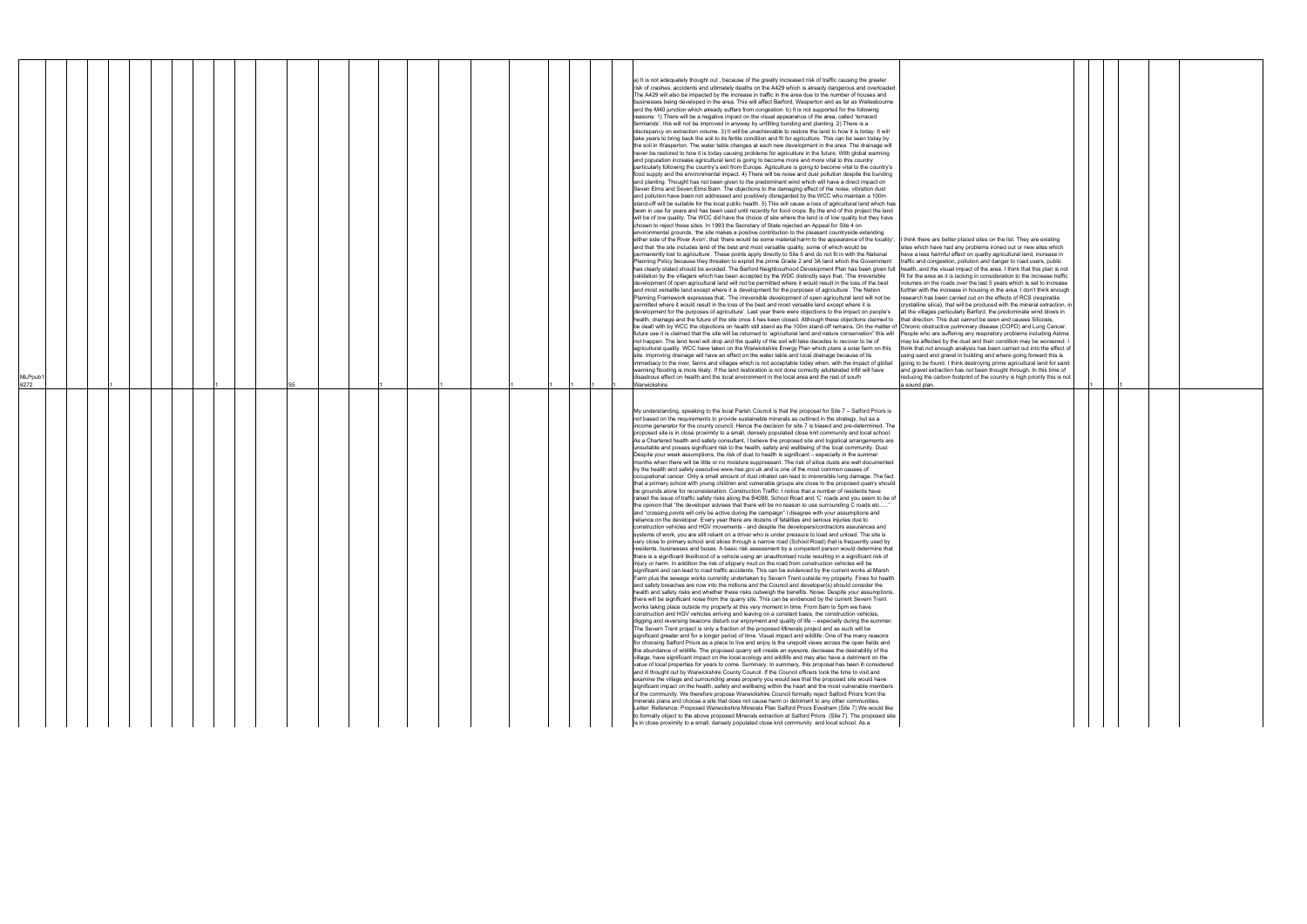| I think there are better placed sites on the list. They are existing<br>sites which have had any problems ironed out or new sites which<br>have a less harmful effect on quality agricultural land, increase in<br>traffic and congestion, pollution and danger to road users, public<br>health, and the visual impact of the area. I think that this plan is not<br>fit for the area as it is lacking in consideration to the increase traffic<br>volumes on the roads over the last 5 years which is set to increase<br>further with the increase in housing in the area. I don't think enough<br>research has been carried out on the effects of RCS (respirable<br>crystalline silica), that will be produced with the mineral extraction, in<br>all the villages particularly Barford, the predominate wind blows in<br>that direction. This dust cannot be seen and causes Silicosis,<br>Chronic obstructive pulmonary disease (COPD) and Lung Cancer.<br>People who are suffering any respiratory problems including Astma<br>may be affected by the dust and their condition may be worsened. I<br>think that not enough analysis has been carried out into the effect of<br>using sand and gravel in building and where going forward this is<br>going to be found. I think destroying prime agricultural land for sand<br>and gravel extraction has not been thought through. In this time of<br>reducing the carbon footprint of the country is high priority this is not |   |  |  |  |
|--------------------------------------------------------------------------------------------------------------------------------------------------------------------------------------------------------------------------------------------------------------------------------------------------------------------------------------------------------------------------------------------------------------------------------------------------------------------------------------------------------------------------------------------------------------------------------------------------------------------------------------------------------------------------------------------------------------------------------------------------------------------------------------------------------------------------------------------------------------------------------------------------------------------------------------------------------------------------------------------------------------------------------------------------------------------------------------------------------------------------------------------------------------------------------------------------------------------------------------------------------------------------------------------------------------------------------------------------------------------------------------------------------------------------------------------------------------------------------------|---|--|--|--|
| a sound plan.                                                                                                                                                                                                                                                                                                                                                                                                                                                                                                                                                                                                                                                                                                                                                                                                                                                                                                                                                                                                                                                                                                                                                                                                                                                                                                                                                                                                                                                                        | 1 |  |  |  |

| a) It is not adequately thought out, because of the greatly increased risk of traffic causing the greater<br>risk of crashes, accidents and ultimately deaths on the A429 which is already dangerous and overloaded.<br>The A429 will also be impacted by the increase in traffic in the area due to the number of houses and<br>businesses being developed in the area. This will affect Barford, Wasperton and as far as Wellesbourne<br>and the M40 junction which already suffers from congestion. b) It is not supported for the following<br>reasons: 1) There will be a negative impact on the visual appearance of the area, called 'terraced<br>farmlands', this will not be improved in anyway by unfitting bunding and planting. 2) There is a<br>discrepancy on extraction volume. 3) It will be unachievable to restore the land to how it is today. It will<br>take years to bring back the soil to its fertile condition and fit for agriculture. This can be seen today by<br>the soil in Wasperton. The water table changes at each new development in the area. The drainage will<br>never be restored to how it is today causing problems for agriculture in the future. With global warming<br>and population increase agricultural land is going to become more and more vital to this country<br>particularly following the country's exit from Europe. Agriculture is going to become vital to the country's                                                                                                                                                                                                                                                                                                                                                                                                                                                                                                                                                                                                                                                                                                                                                                                                                                                                                                                                                                                                                                                                                                                                                                                                                                                                                                                                                                                                                                                                                                                                                                                                                                                                                                                                                                                                                                                                                                                                                                                                                                                                                                                                                                                                                                                                                                                                                                                                                                                                                                                                                                                                                                                                                                |                                                                                                                                                                                                                                                                                                                                                                                                                                                                                                                                                                                                                                                                                                                                                                                                                                                                                                                                                                                                                                                                                                                                                                                                                                                                                                                                                                                                                     |  |
|------------------------------------------------------------------------------------------------------------------------------------------------------------------------------------------------------------------------------------------------------------------------------------------------------------------------------------------------------------------------------------------------------------------------------------------------------------------------------------------------------------------------------------------------------------------------------------------------------------------------------------------------------------------------------------------------------------------------------------------------------------------------------------------------------------------------------------------------------------------------------------------------------------------------------------------------------------------------------------------------------------------------------------------------------------------------------------------------------------------------------------------------------------------------------------------------------------------------------------------------------------------------------------------------------------------------------------------------------------------------------------------------------------------------------------------------------------------------------------------------------------------------------------------------------------------------------------------------------------------------------------------------------------------------------------------------------------------------------------------------------------------------------------------------------------------------------------------------------------------------------------------------------------------------------------------------------------------------------------------------------------------------------------------------------------------------------------------------------------------------------------------------------------------------------------------------------------------------------------------------------------------------------------------------------------------------------------------------------------------------------------------------------------------------------------------------------------------------------------------------------------------------------------------------------------------------------------------------------------------------------------------------------------------------------------------------------------------------------------------------------------------------------------------------------------------------------------------------------------------------------------------------------------------------------------------------------------------------------------------------------------------------------------------------------------------------------------------------------------------------------------------------------------------------------------------------------------------------------------------------------------------------------------------------------------------------------------------------------------------------------------------------------------------------------------------------------------------------------------------------------------------------------------------------------------------------------------------------------------------------------------------------------------------------------------------------------------------------------------------------------------------------------------------------------------------------------------------------------------------------------------------------------------------------------------------------------------------------------------------------------------------------------------------------------------------------------------------------------------------------------------|---------------------------------------------------------------------------------------------------------------------------------------------------------------------------------------------------------------------------------------------------------------------------------------------------------------------------------------------------------------------------------------------------------------------------------------------------------------------------------------------------------------------------------------------------------------------------------------------------------------------------------------------------------------------------------------------------------------------------------------------------------------------------------------------------------------------------------------------------------------------------------------------------------------------------------------------------------------------------------------------------------------------------------------------------------------------------------------------------------------------------------------------------------------------------------------------------------------------------------------------------------------------------------------------------------------------------------------------------------------------------------------------------------------------|--|
| food supply and the environmental impact. 4) There will be noise and dust pollution despite the bunding<br>and planting. Thought has not been given to the predominant wind which will have a direct impact on<br>Seven Elms and Seven Elms Barn. The objections to the damaging effect of the noise, vibration dust<br>and pollution have been not addressed and positively disregarded by the WCC who maintain a 100m<br>stand-off will be suitable for the local public health. 5) This will cause a loss of agricultural land which has<br>been in use for years and has been used until recently for food crops. By the end of this project the land<br>will be of low quality. The WCC did have the choice of site where the land is of low quality but they have<br>chosen to reject these sites. In 1993 the Secretary of State rejected an Appeal for Site 4 on<br>environmental grounds, 'the site makes a positive contribution to the pleasant countryside extending<br>either side of the River Avon', that 'there would be some material harm to the appearance of the locality',<br>and that 'the site includes land of the best and most versatile quality, some of which would be<br>permanently lost to agriculture'. These points apply directly to Site 5 and do not fit in with the National<br>Planning Policy because they threaten to exploit the prime Grade 2 and 3A land which the Government<br>has clearly stated should be avoided. The Barford Neighbourhood Development Plan has been given full<br>validation by the villagers which has been accepted by the WDC distinctly says that, 'The irreversible<br>development of open agricultural land will not be permitted where it would result in the loss of the best<br>and most versatile land except where it is development for the purposes of agriculture'. The Nation<br>Planning Framework expresses that, 'The irreversible development of open agricultural land will not be<br>permitted where it would result in the loss of the best and most versatile land except where it is<br>development for the purposes of agriculture'. Last year there were objections to the impact on people's<br>health, drainage and the future of the site once it has been closed. Although these objections claimed to<br>be dealt with by WCC the objections on health still stand as the 100m stand-off remains. On the matter of Chronic obstructive pulmonary disease (COPD) and Lung Cancer.<br>future use it is claimed that the site will be returned to 'agricultural land and nature conservation" this will<br>not happen. The land level will drop and the quality of the soil will take decades to recover to be of<br>agricultural quality. WCC have taken on the Warwickshire Energy Plan which plans a solar farm on this<br>site. Improving drainage will have an effect on the water table and local drainage because of its<br>immediacy to the river, farms and villages which is not acceptable today when, with the impact of global<br>warming flooding is more likely. If the land restoration is not done correctly adulterated infill will have<br>disastrous effect on health and the local environment in the local area and the rest of south                                                                                                                                                                                                                                                                                                                                                                                                                                                                                                                                                                                                                                                                                                                                                                                                                                                                          | I think there are better placed sites on the list. They are existing<br>sites which have had any problems ironed out or new sites which<br>have a less harmful effect on quality agricultural land, increase in<br>traffic and congestion, pollution and danger to road users, public<br>health, and the visual impact of the area. I think that this plan is not<br>fit for the area as it is lacking in consideration to the increase traffic<br>volumes on the roads over the last 5 years which is set to increase<br>further with the increase in housing in the area. I don't think enough<br>research has been carried out on the effects of RCS (respirable<br>crystalline silica), that will be produced with the mineral extraction, in<br>all the villages particularly Barford, the predominate wind blows in<br>that direction. This dust cannot be seen and causes Silicosis,<br>People who are suffering any respiratory problems including Astma<br>may be affected by the dust and their condition may be worsened. I<br>think that not enough analysis has been carried out into the effect of<br>using sand and gravel in building and where going forward this is<br>going to be found. I think destroying prime agricultural land for sand<br>and gravel extraction has not been thought through. In this time of<br>reducing the carbon footprint of the country is high priority this is not |  |
| MLPpub <sup>®</sup><br>6272<br>Warwickshire.<br>S <sub>5</sub><br>a sound plan.<br>My understanding, speaking to the local Parish Council is that the proposal for Site 7 - Salford Priors is<br>not based on the requirements to provide sustainable minerals as outlined in the strategy, but as a<br>income generator for the county council. Hence the decision for site 7 is biased and pre-determined. The<br>proposed site is in close proximity to a small, densely populated close knit community and local school.<br>As a Chartered health and safety consultant, I believe the proposed site and logistical arrangements are<br>unsuitable and posses significant risk to the health, safety and wellbeing of the local community. Dust:<br>Despite your weak assumptions, the risk of dust to health is significant – especially in the summer<br>months when there will be little or no moisture suppressant. The risk of silica dusts are well documented<br>by the health and safety executive www.hse.gov.uk and is one of the most common causes of<br>occupational cancer. Only a small amount of dust inhaled can lead to irreversible lung damage. The fact<br>that a primary school with young children and vulnerable groups are close to the proposed quarry should<br>be grounds alone for reconsideration. Construction Traffic: I notice that a number of residents have<br>raised the issue of traffic safety risks along the B4088, School Road and 'C' roads and you seem to be of<br>the opinion that "the developer advises that there will be no reason to use surrounding C roads etc"<br>and "crossing points will only be active during the campaign" I disagree with your assumptions and<br>reliance on the developer. Every year there are dozens of fatalities and serious injuries due to<br>construction vehicles and HGV movements - and despite the developers/contractors assurances and<br>systems of work, you are still reliant on a driver who is under pressure to load and unload. The site is<br>very close to primary school and slices through a narrow road (School Road) that is frequently used by<br>residents, businesses and buses. A basic risk assessment by a competent person would determine that<br>there is a significant likelihood of a vehicle using an unauthorised route resulting in a significant risk of<br>injury or harm. In addition the risk of slippery mud on the road from construction vehicles will be<br>significant and can lead to road traffic accidents. This can be evidenced by the current works at Marsh<br>Farm plus the sewage works currently undertaken by Severn Trent outside my property. Fines for health<br>and safety breaches are now into the millions and the Council and developer(s) should consider the<br>health and safety risks and whether these risks outweigh the benefits. Noise: Despite your assumptions,<br>there will be significant noise from the quarry site. This can be evidenced by the current Severn Trent<br>works taking place outside my property at this very moment in time. From 8am to 5pm we have<br>construction and HGV vehicles arriving and leaving on a constant basis, the construction vehicles,<br>digging and reversing beacons disturb our enjoyment and quality of life – especially during the summer.<br>The Severn Trent project is only a fraction of the proposed Minerals project and as such will be<br>significant greater and for a longer period of time. Visual impact and wildlife: One of the many reasons<br>for choosing Salford Priors as a place to live and enjoy is the unspoilt views across the open fields and<br>the abundance of wildlife. The proposed quarry will create an eyesore, decrease the desirability of the<br>village, have significant impact on the local ecology and wildlife and may also have a detriment on the<br>value of local properties for years to come. Summary: In summary, this proposal has been ill considered<br>and ill thought out by Warwickshire County Council. If the Council officers took the time to visit and |                                                                                                                                                                                                                                                                                                                                                                                                                                                                                                                                                                                                                                                                                                                                                                                                                                                                                                                                                                                                                                                                                                                                                                                                                                                                                                                                                                                                                     |  |

 $\perp$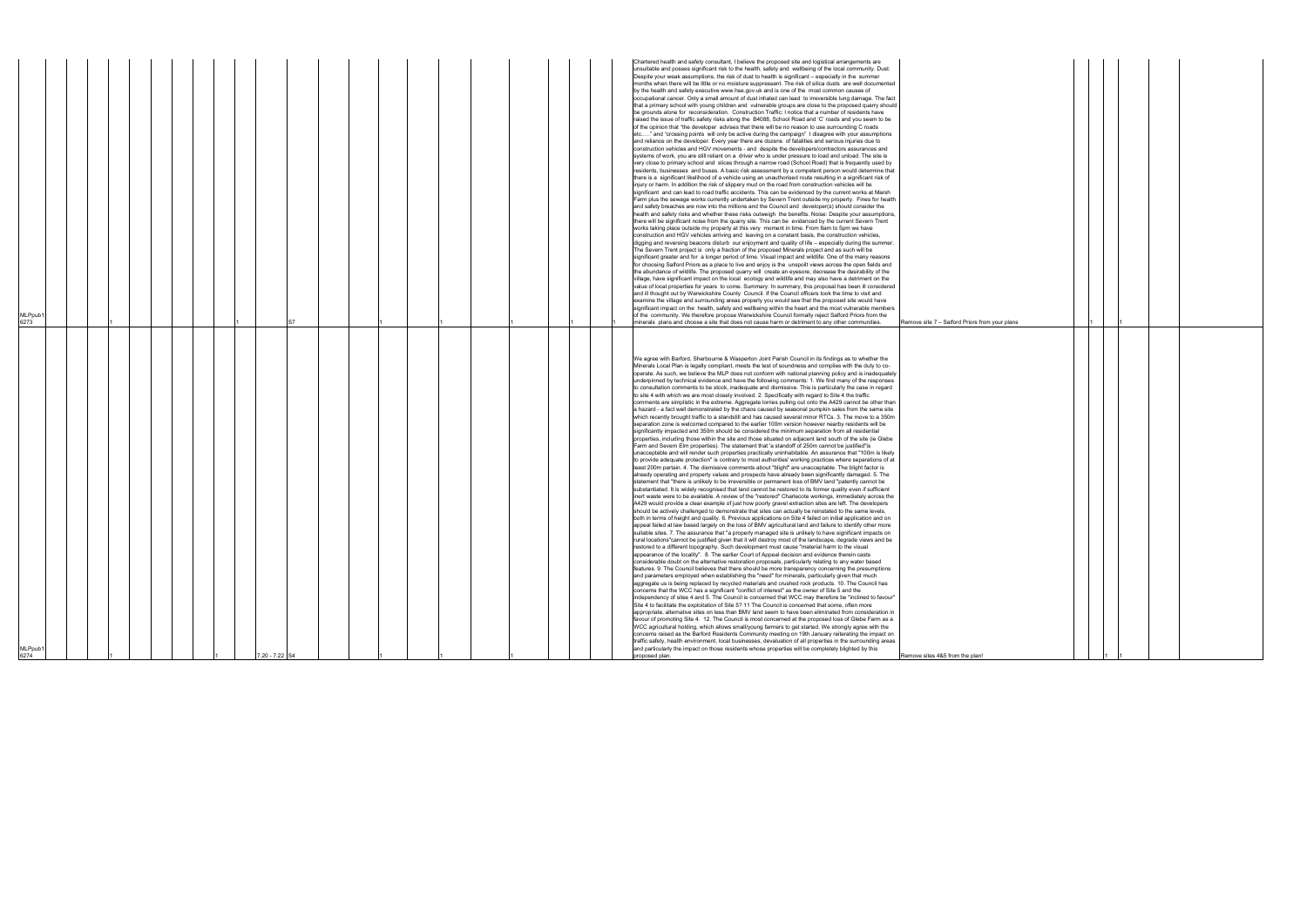| injury or harm. In addition the risk of slippery mud on the road from construction vehicles will be<br>significant and can lead to road traffic accidents. This can be evidenced by the current works at Marsh<br>Farm plus the sewage works currently undertaken by Severn Trent outside my property. Fines for health<br>and safety breaches are now into the millions and the Council and developer(s) should consider the<br>health and safety risks and whether these risks outweigh the benefits. Noise: Despite your assumptions,<br>there will be significant noise from the quarry site. This can be evidenced by the current Severn Trent<br>works taking place outside my property at this very moment in time. From 8am to 5pm we have<br>construction and HGV vehicles arriving and leaving on a constant basis, the construction vehicles,<br>digging and reversing beacons disturb our enjoyment and quality of life - especially during the summer.<br>The Severn Trent project is only a fraction of the proposed Minerals project and as such will be<br>significant greater and for a longer period of time. Visual impact and wildlife: One of the many reasons<br>for choosing Salford Priors as a place to live and enjoy is the unspoilt views across the open fields and<br>the abundance of wildlife. The proposed quarry will create an eyesore, decrease the desirability of the<br>village, have significant impact on the local ecology and wildlife and may also have a detriment on the<br>value of local properties for years to come. Summary: In summary, this proposal has been ill considered<br>and ill thought out by Warwickshire County Council. If the Council officers took the time to visit and<br>examine the village and surrounding areas properly you would see that the proposed site would have<br>significant impact on the health, safety and wellbeing within the heart and the most vulnerable members<br>of the community. We therefore propose Warwickshire Council formally reject Salford Priors from the<br>minerals plans and choose a site that does not cause harm or detriment to any other communities.<br>Remove site 7 - Salford Priors from your plans<br>We agree with Barford, Sherbourne & Wasperton Joint Parish Council in its findings as to whether the<br>Minerals Local Plan is legally compliant, meets the test of soundness and complies with the duty to co-<br>operate. As such, we believe the MLP does not conform with national planning policy and is inadequately<br>underpinned by technical evidence and have the following comments: 1. We find many of the responses<br>to consultation comments to be stock, inadequate and dismissive. This is particularly the case in regard<br>to site 4 with which we are most closely involved. 2. Specifically with regard to Site 4 the traffic<br>comments are simplistic in the extreme. Aggregate lorries pulling out onto the A429 cannot be other than<br>a hazard - a fact well demonstrated by the chaos caused by seasonal pumpkin sales from the same site<br>which recently brought traffic to a standstill and has caused several minor RTCs. 3. The move to a 350m<br>separation zone is welcomed compared to the earlier 100m version however nearby residents will be<br>significantly impacted and 350m should be considered the minimum separation from all residential<br>properties, including those within the site and those situated on adjacent land south of the site (ie Glebe<br>Farm and Severn Elm properties). The statement that 'a standoff of 250m cannot be justified"is<br>unacceptable and will render such properties practically uninhabitable. An assurance that "100m is likely<br>to provide adequate protection" is contrary to most authorities' working practices where separations of at<br>least 200m pertain. 4. The dismissive comments about "blight" are unacceptable. The blight factor is<br>already operating and property values and prospects have already been significantly damaged. 5. The<br>statement that "there is unlikely to be irreversible or permanent loss of BMV land "patently cannot be<br>substantiated. It is widely recognised that land cannot be restored to its former quality even if sufficient<br>inert waste were to be available. A review of the "restored" Charlecote workings, immediately across the<br>A429 would provide a clear example of just how poorly gravel extraction sites are left. The developers<br>should be actively challenged to demonstrate that sites can actually be reinstated to the same levels,<br>both in terms of height and quality. 6. Previous applications on Site 4 failed on initial application and on<br>appeal failed at law based largely on the loss of BMV agricultural land and failure to identify other more<br>suitable sites. 7. The assurance that "a properly managed site is unlikely to have significant impacts on<br>rural locations"cannot be justified given that it will destroy most of the landscape, degrade views and be<br>estored to a different topography. Such development must cause "material harm to the visual<br>appearance of the locality". 8. The earlier Court of Appeal decision and evidence therein casts<br>considerable doubt on the alternative restoration proposals, particularly relating to any water based<br>features. 9. The Council believes that there should be more transparency concerning the presumptions<br>and parameters employed when establishing the "need" for minerals, particularly given that much<br>aggregate us is being replaced by recycled materials and crushed rock products. 10. The Council has<br>concerns that the WCC has a significant "conflict of interest" as the owner of Site 5 and the<br>independency of sites 4 and 5. The Council is concerned that WCC may therefore be "inclined to favour"<br>Site 4 to facilitate the exploitation of Site 5? 11 The Council is concerned that some, often more<br>appropriate, alternative sites on less than BMV land seem to have been eliminated from consideration in<br>favour of promoting Site 4. 12. The Council is most concerned at the proposed loss of Glebe Farm as a<br>WCC agricultural holding, which allows small/young farmers to get started. We strongly agree with the<br>concerns raised as the Barford Residents Community meeting on 19th January reiterating the impact on<br>traffic safety, health environment, local businesses, devaluation of all properties in the surrounding areas<br>and particularly the impact on those residents whose properties will be completely blighted by this<br>proposed plan.<br>Remove sites 4&5 from the plan! |
|-------------------------------------------------------------------------------------------------------------------------------------------------------------------------------------------------------------------------------------------------------------------------------------------------------------------------------------------------------------------------------------------------------------------------------------------------------------------------------------------------------------------------------------------------------------------------------------------------------------------------------------------------------------------------------------------------------------------------------------------------------------------------------------------------------------------------------------------------------------------------------------------------------------------------------------------------------------------------------------------------------------------------------------------------------------------------------------------------------------------------------------------------------------------------------------------------------------------------------------------------------------------------------------------------------------------------------------------------------------------------------------------------------------------------------------------------------------------------------------------------------------------------------------------------------------------------------------------------------------------------------------------------------------------------------------------------------------------------------------------------------------------------------------------------------------------------------------------------------------------------------------------------------------------------------------------------------------------------------------------------------------------------------------------------------------------------------------------------------------------------------------------------------------------------------------------------------------------------------------------------------------------------------------------------------------------------------------------------------------------------------------------------------------------------------------------------------------------------------------------------------------------------------------------------------------------------------------------------------------------------------------------------------------------------------------------------------------------------------------------------------------------------------------------------------------------------------------------------------------------------------------------------------------------------------------------------------------------------------------------------------------------------------------------------------------------------------------------------------------------------------------------------------------------------------------------------------------------------------------------------------------------------------------------------------------------------------------------------------------------------------------------------------------------------------------------------------------------------------------------------------------------------------------------------------------------------------------------------------------------------------------------------------------------------------------------------------------------------------------------------------------------------------------------------------------------------------------------------------------------------------------------------------------------------------------------------------------------------------------------------------------------------------------------------------------------------------------------------------------------------------------------------------------------------------------------------------------------------------------------------------------------------------------------------------------------------------------------------------------------------------------------------------------------------------------------------------------------------------------------------------------------------------------------------------------------------------------------------------------------------------------------------------------------------------------------------------------------------------------------------------------------------------------------------------------------------------------------------------------------------------------------------------------------------------------------------------------------------------------------------------------------------------------------------------------------------------------------------------------------------------------------------------------------------------------------------------------------------------------------------------------------------------------------------------------------------------------------------------------------------------------------------------------------------------------------------------------------------------------------------------------------------------------------------------------------------------------------------------------------------------------------------------------------------------------------------------------------------------------------------------------------------------------------------------------------------------------------------------------------------------------------------------------------------------------------------------------------------------------------------------------------------------------------------------------------------------------------------------------------------------------------------------------------------------------------------------------------------------------------------------------------------------------------------------------------------------------------------------------------------------------------------------------------------------------------------------------------------------------------------------------------------------------------------------------------------------------------------------------------------------------------------------------------------------------------------------------------------------------------------------------------------|
|                                                                                                                                                                                                                                                                                                                                                                                                                                                                                                                                                                                                                                                                                                                                                                                                                                                                                                                                                                                                                                                                                                                                                                                                                                                                                                                                                                                                                                                                                                                                                                                                                                                                                                                                                                                                                                                                                                                                                                                                                                                                                                                                                                                                                                                                                                                                                                                                                                                                                                                                                                                                                                                                                                                                                                                                                                                                                                                                                                                                                                                                                                                                                                                                                                                                                                                                                                                                                                                                                                                                                                                                                                                                                                                                                                                                                                                                                                                                                                                                                                                                                                                                                                                                                                                                                                                                                                                                                                                                                                                                                                                                                                                                                                                                                                                                                                                                                                                                                                                                                                                                                                                                                                                                                                                                                                                                                                                                                                                                                                                                                                                                                                                                                                                                                                                                                                                                                                                                                                                                                                                                                                                                                                                                                                                                                                                                                                                                                                                                                                                                                                                                                                                                                                                                                                         |

| ford Priors from your plans | $\ddagger$ |   | $\mathbf{1}$ |  |
|-----------------------------|------------|---|--------------|--|
|                             |            |   |              |  |
|                             |            |   |              |  |
|                             |            |   |              |  |
|                             |            |   |              |  |
|                             |            |   |              |  |
|                             |            |   |              |  |
|                             |            |   |              |  |
|                             |            |   |              |  |
|                             |            |   |              |  |
|                             |            |   |              |  |
|                             |            |   |              |  |
|                             |            |   |              |  |
|                             |            |   |              |  |
|                             |            |   |              |  |
|                             |            |   |              |  |
|                             |            |   |              |  |
|                             |            |   |              |  |
|                             |            |   |              |  |
|                             |            |   |              |  |
|                             |            |   |              |  |
|                             |            |   |              |  |
|                             |            |   |              |  |
|                             |            |   |              |  |
|                             |            |   |              |  |
|                             |            |   |              |  |
|                             |            |   |              |  |
|                             |            |   |              |  |
|                             |            |   |              |  |
|                             |            |   |              |  |
|                             |            |   |              |  |
|                             |            |   |              |  |
|                             |            |   |              |  |
|                             |            |   |              |  |
| rom the plan!               |            | 1 | 1            |  |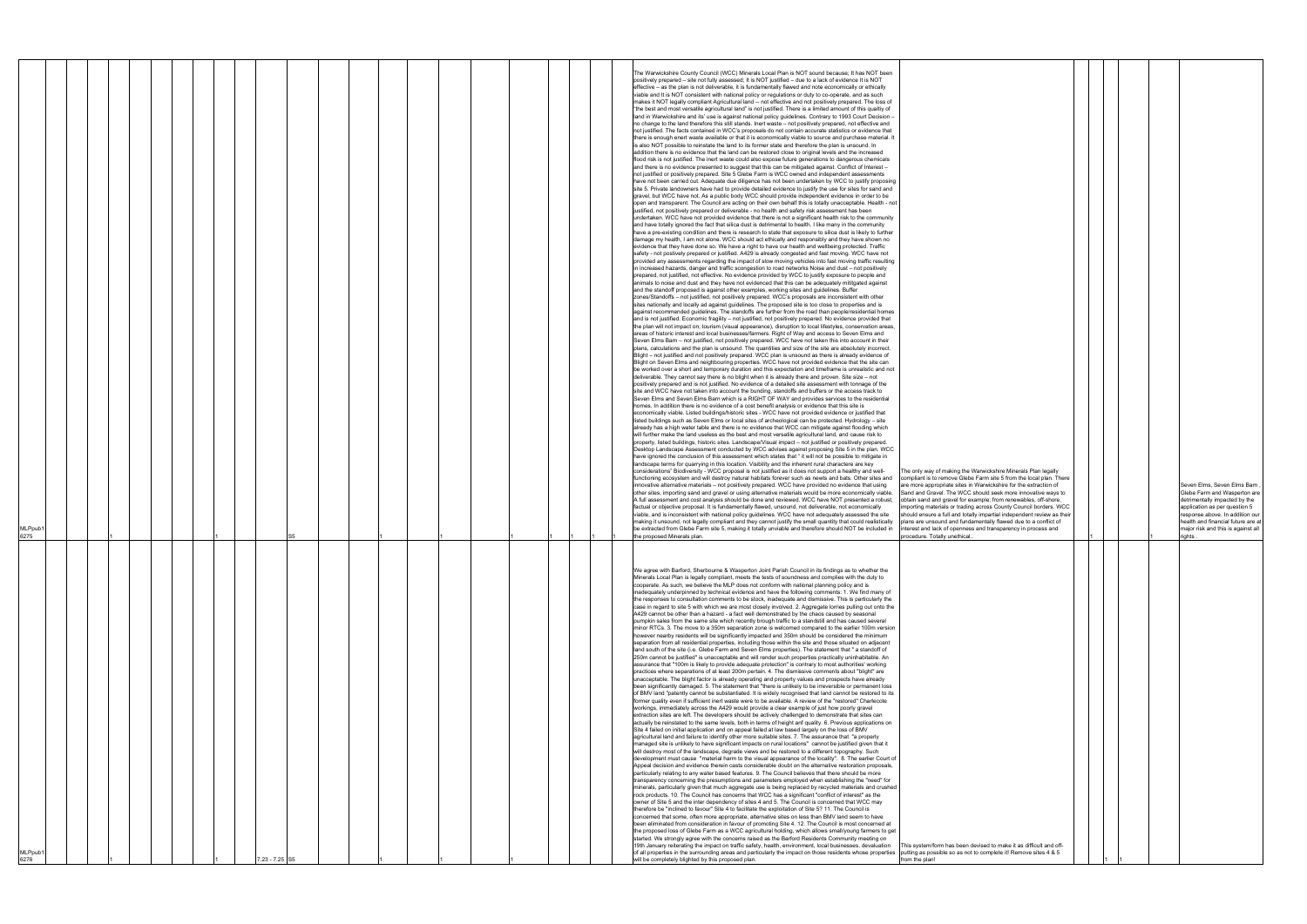| The only way of making the Warwickshire Minerals Plan legally                                                                             |   |  |                                                                       |
|-------------------------------------------------------------------------------------------------------------------------------------------|---|--|-----------------------------------------------------------------------|
| compliant is to remove Glebe Farm site 5 from the local plan. There<br>are more appropriate sites in Warwickshire for the extraction of   |   |  | Seven Elms, Seven Elms Barn,                                          |
| Sand and Gravel. The WCC should seek more innovative ways to<br>obtain sand and gravel for example; from renewables, off-shore,           |   |  | Glebe Farm and Wasperton are<br>detrimentally impacted by the         |
| importing materials or trading across County Council borders. WCC                                                                         |   |  | application as per question 5                                         |
| should ensure a full and totally impartial independent review as their<br>plans are unsound and fundamentally flawed due to a conflict of |   |  | response above. In addition our<br>health and financial future are at |
| interest and lack of openness and transparency in process and<br>procedure. Totally unethical                                             | 1 |  | major risk and this is against all<br>rights.                         |
|                                                                                                                                           |   |  |                                                                       |
|                                                                                                                                           |   |  |                                                                       |
|                                                                                                                                           |   |  |                                                                       |
|                                                                                                                                           |   |  |                                                                       |
|                                                                                                                                           |   |  |                                                                       |
|                                                                                                                                           |   |  |                                                                       |
|                                                                                                                                           |   |  |                                                                       |
|                                                                                                                                           |   |  |                                                                       |
|                                                                                                                                           |   |  |                                                                       |
|                                                                                                                                           |   |  |                                                                       |
|                                                                                                                                           |   |  |                                                                       |
|                                                                                                                                           |   |  |                                                                       |
|                                                                                                                                           |   |  |                                                                       |
|                                                                                                                                           |   |  |                                                                       |
|                                                                                                                                           |   |  |                                                                       |
|                                                                                                                                           |   |  |                                                                       |
|                                                                                                                                           |   |  |                                                                       |
|                                                                                                                                           |   |  |                                                                       |
|                                                                                                                                           |   |  |                                                                       |
|                                                                                                                                           |   |  |                                                                       |
|                                                                                                                                           |   |  |                                                                       |
|                                                                                                                                           |   |  |                                                                       |
|                                                                                                                                           |   |  |                                                                       |
|                                                                                                                                           |   |  |                                                                       |
| This system/form has been devised to make it as difficult and off-                                                                        |   |  |                                                                       |
| putting as possible so as not to complete it! Remove sites 4 & 5<br>from the plan!                                                        |   |  |                                                                       |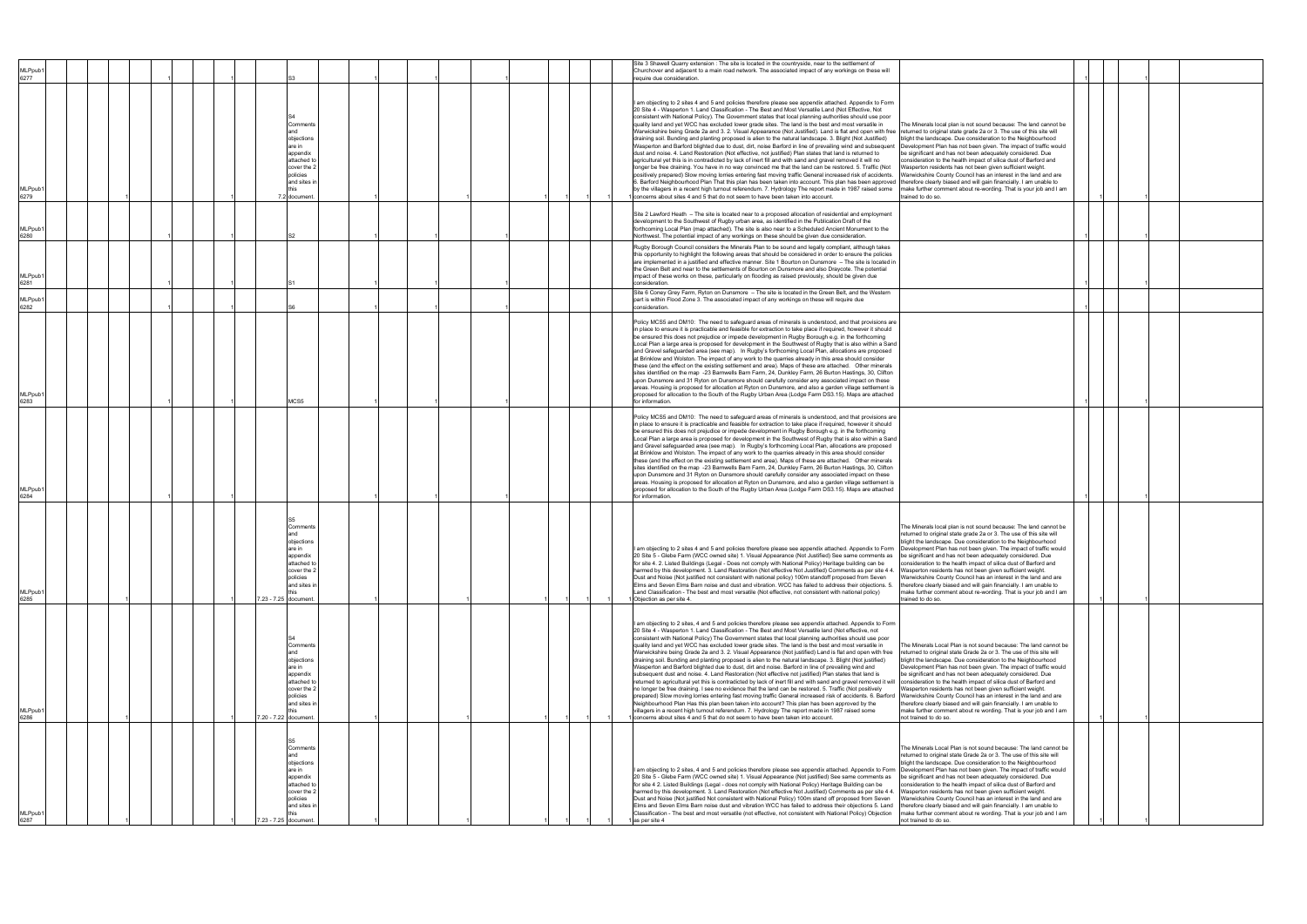|                             |  |                                                                                                                                               |  |  |  | Site 3 Shawell Quarry extension : The site is located in the countryside, near to the settlement of                                                                                                                                                                                                                                                                                                                                                                                                                                                                                                                                                                                                                                                                                                                                                                                                                                                                                                                                                                                                                                                                                                                                                                                                                                                                                                                                                                                                                                                                                                                                                                  |                                                                                                                                                                                                                                                                                                                                                                                                                                                                                                                                                                                                                                              |  |  |
|-----------------------------|--|-----------------------------------------------------------------------------------------------------------------------------------------------|--|--|--|----------------------------------------------------------------------------------------------------------------------------------------------------------------------------------------------------------------------------------------------------------------------------------------------------------------------------------------------------------------------------------------------------------------------------------------------------------------------------------------------------------------------------------------------------------------------------------------------------------------------------------------------------------------------------------------------------------------------------------------------------------------------------------------------------------------------------------------------------------------------------------------------------------------------------------------------------------------------------------------------------------------------------------------------------------------------------------------------------------------------------------------------------------------------------------------------------------------------------------------------------------------------------------------------------------------------------------------------------------------------------------------------------------------------------------------------------------------------------------------------------------------------------------------------------------------------------------------------------------------------------------------------------------------------|----------------------------------------------------------------------------------------------------------------------------------------------------------------------------------------------------------------------------------------------------------------------------------------------------------------------------------------------------------------------------------------------------------------------------------------------------------------------------------------------------------------------------------------------------------------------------------------------------------------------------------------------|--|--|
| MLPpub <sup>*</sup><br>6277 |  |                                                                                                                                               |  |  |  | Churchover and adjacent to a main road network. The associated impact of any workings on these will<br>equire due consideration.                                                                                                                                                                                                                                                                                                                                                                                                                                                                                                                                                                                                                                                                                                                                                                                                                                                                                                                                                                                                                                                                                                                                                                                                                                                                                                                                                                                                                                                                                                                                     |                                                                                                                                                                                                                                                                                                                                                                                                                                                                                                                                                                                                                                              |  |  |
| MLPpub <sup>-</sup><br>6279 |  | Comments<br>and<br>objections<br>are in<br>appendix<br>attached t<br>cover the 2<br>policies<br>and sites in<br>7.2 document                  |  |  |  | am objecting to 2 sites 4 and 5 and policies therefore please see appendix attached. Appendix to Form<br>20 Site 4 - Wasperton 1. Land Classification - The Best and Most Versatile Land (Not Effective, Not<br>consistent with National Policy). The Government states that local planning authorities should use poor<br>quality land and yet WCC has excluded lower grade sites. The land is the best and most versatile in<br>Warwickshire being Grade 2a and 3. 2. Visual Appearance (Not Justified). Land is flat and open with free returned to original state grade 2a or 3. The use of this site will<br>draining soil. Bunding and planting proposed is alien to the natural landscape. 3. Blight (Not Justified)<br>Wasperton and Barford blighted due to dust, dirt, noise Barford in line of prevailing wind and subsequent<br>dust and noise. 4. Land Restoration (Not effective, not justified) Plan states that land is returned to<br>agricultural yet this is in contradicted by lack of inert fill and with sand and gravel removed it will no<br>longer be free draining. You have in no way convinced me that the land can be restored. 5. Traffic (Not<br>positively prepared) Slow moving lorries entering fast moving traffic General increased risk of accidents.<br>6. Barford Neighbourhood Plan That this plan has been taken into account. This plan has been approved   therefore clearly biased and will gain financially. I am unable to<br>by the villagers in a recent high turnout referendum. 7. Hydrology The report made in 1987 raised some<br>concerns about sites 4 and 5 that do not seem to have been taken into account. | The Minerals local plan is not sound because: The land cannot be<br>blight the landscape. Due consideration to the Neighbourhood<br>Development Plan has not been given. The impact of traffic would<br>be significant and has not been adequately considered. Due<br>consideration to the health impact of silica dust of Barford and<br>Wasperton residents has not been given sufficient weight.<br>Warwickshire County Council has an interest in the land and are<br>nake further comment about re-wording. That is your job and I am<br>rained to do so.                                                                               |  |  |
| MLPpub <sup>-</sup><br>6280 |  |                                                                                                                                               |  |  |  | Site 2 Lawford Heath - The site is located near to a proposed allocation of residential and employment<br>development to the Southwest of Rugby urban area, as identified in the Publication Draft of the<br>forthcoming Local Plan (map attached). The site is also near to a Scheduled Ancient Monument to the<br>Northwest. The potential impact of any workings on these should be given due consideration.                                                                                                                                                                                                                                                                                                                                                                                                                                                                                                                                                                                                                                                                                                                                                                                                                                                                                                                                                                                                                                                                                                                                                                                                                                                      |                                                                                                                                                                                                                                                                                                                                                                                                                                                                                                                                                                                                                                              |  |  |
| MLPpub <sup>-</sup><br>6281 |  |                                                                                                                                               |  |  |  | Rugby Borough Council considers the Minerals Plan to be sound and legally compliant, although takes<br>this opportunity to highlight the following areas that should be considered in order to ensure the policies<br>are implemented in a justified and effective manner. Site 1 Bourton on Dunsmore - The site is located in<br>the Green Belt and near to the settlements of Bourton on Dunsmore and also Draycote. The potential<br>impact of these works on these, particularly on flooding as raised previously, should be given due<br>consideration.                                                                                                                                                                                                                                                                                                                                                                                                                                                                                                                                                                                                                                                                                                                                                                                                                                                                                                                                                                                                                                                                                                         |                                                                                                                                                                                                                                                                                                                                                                                                                                                                                                                                                                                                                                              |  |  |
| MLPpub <sup>*</sup><br>6282 |  |                                                                                                                                               |  |  |  | Site 6 Coney Grey Farm, Ryton on Dunsmore - The site is located in the Green Belt, and the Western<br>part is within Flood Zone 3. The associated impact of any workings on these will require due<br>consideration.                                                                                                                                                                                                                                                                                                                                                                                                                                                                                                                                                                                                                                                                                                                                                                                                                                                                                                                                                                                                                                                                                                                                                                                                                                                                                                                                                                                                                                                 |                                                                                                                                                                                                                                                                                                                                                                                                                                                                                                                                                                                                                                              |  |  |
| MLPpub1<br>6283             |  | MCS5                                                                                                                                          |  |  |  | Policy MCS5 and DM10: The need to safeguard areas of minerals is understood, and that provisions are<br>in place to ensure it is practicable and feasible for extraction to take place if required, however it should<br>be ensured this does not prejudice or impede development in Rugby Borough e.g. in the forthcoming<br>Local Plan a large area is proposed for development in the Southwest of Rugby that is also within a Sand<br>and Gravel safeguarded area (see map). In Rugby's forthcoming Local Plan, allocations are proposed<br>at Brinklow and Wolston. The impact of any work to the quarries already in this area should consider<br>these (and the effect on the existing settlement and area). Maps of these are attached. Other minerals<br>sites identified on the map -23 Barnwells Barn Farm, 24, Dunkley Farm, 26 Burton Hastings, 30, Clifton<br>upon Dunsmore and 31 Ryton on Dunsmore should carefully consider any associated impact on these<br>areas. Housing is proposed for allocation at Ryton on Dunsmore, and also a garden village settlement is<br>proposed for allocation to the South of the Rugby Urban Area (Lodge Farm DS3.15). Maps are attached<br>for information.                                                                                                                                                                                                                                                                                                                                                                                                                                                    |                                                                                                                                                                                                                                                                                                                                                                                                                                                                                                                                                                                                                                              |  |  |
| MLPpub <sup>-</sup><br>6284 |  |                                                                                                                                               |  |  |  | Policy MCS5 and DM10: The need to safeguard areas of minerals is understood, and that provisions are<br>in place to ensure it is practicable and feasible for extraction to take place if required, however it should<br>be ensured this does not prejudice or impede development in Rugby Borough e.g. in the forthcoming<br>Local Plan a large area is proposed for development in the Southwest of Rugby that is also within a Sand<br>and Gravel safeguarded area (see map). In Rugby's forthcoming Local Plan, allocations are proposed<br>at Brinklow and Wolston. The impact of any work to the quarries already in this area should consider<br>these (and the effect on the existing settlement and area). Maps of these are attached. Other minerals<br>sites identified on the map -23 Barnwells Barn Farm, 24, Dunkley Farm, 26 Burton Hastings, 30, Clifton<br>upon Dunsmore and 31 Ryton on Dunsmore should carefully consider any associated impact on these<br>areas. Housing is proposed for allocation at Ryton on Dunsmore, and also a garden village settlement is<br>proposed for allocation to the South of the Rugby Urban Area (Lodge Farm DS3.15). Maps are attached<br>for information.                                                                                                                                                                                                                                                                                                                                                                                                                                                    |                                                                                                                                                                                                                                                                                                                                                                                                                                                                                                                                                                                                                                              |  |  |
| MLPpub1<br>6285             |  | Comments<br>and<br>objections<br>are in<br>appendix<br>attached to<br>cover the 2<br>policies<br>and sites in<br>7.23 - 7.25 document.        |  |  |  | am objecting to 2 sites 4 and 5 and policies therefore please see appendix attached. Appendix to Form<br>20 Site 5 - Glebe Farm (WCC owned site) 1. Visual Appearance (Not Justified) See same comments as be significant and has not been adequately considered. Due<br>for site 4. 2. Listed Buildings (Legal - Does not comply with National Policy) Heritage building can be<br>harmed by this development. 3. Land Restoration (Not effective Not Justified) Comments as per site 4 4. Wasperton residents has not been given sufficient weight.<br>Dust and Noise (Not justified not consistent with national policy) 100m standoff proposed from Seven<br>Elms and Seven Elms Barn noise and dust and vibration. WCC has failed to address their objections. 5.<br>Land Classification - The best and most versatile (Not effective, not consistent with national policy)<br>1 Objection as per site 4.                                                                                                                                                                                                                                                                                                                                                                                                                                                                                                                                                                                                                                                                                                                                                       | The Minerals local plan is not sound because: The land cannot be<br>returned to original state grade 2a or 3. The use of this site will<br>blight the landscape. Due consideration to the Neighbourhood<br>Development Plan has not been given. The impact of traffic would<br>consideration to the health impact of silica dust of Barford and<br>Warwickshire County Council has an interest in the land and are<br>therefore clearly biased and will gain financially. I am unable to<br>make further comment about re-wording. That is your job and I am<br>trained to do so.                                                            |  |  |
| MLPpub1<br>6286             |  | Comments<br>and<br>objections<br>are in<br>appendix<br>attached to<br>cover the 2<br>policies<br>and sites in<br>7.20 - 7.22 document.        |  |  |  | am objecting to 2 sites, 4 and 5 and policies therefore please see appendix attached. Appendix to Form<br>20 Site 4 - Wasperton 1. Land Classification - The Best and Most Versatile land (Not effective, not<br>consistent with National Policy) The Government states that local planning authorities should use poor<br>quality land and yet WCC has excluded lower grade sites. The land is the best and most versatile in<br>Warwickshire being Grade 2a and 3. 2. Visual Appearance (Not justified) Land is flat and open with free<br>draining soil. Bunding and planting proposed is alien to the natural landscape. 3. Blight (Not justified)<br>Wasperton and Barford blighted due to dust, dirt and noise. Barford in line of prevailing wind and<br>subsequent dust and noise. 4. Land Restoration (Not effective not justified) Plan states that land is<br>returned to agricultural yet this is contradicted by lack of inert fill and with sand and gravel removed it will consideration to the health impact of silica dust of Barford and<br>no longer be free draining. I see no evidence that the land can be restored. 5. Traffic (Not positively<br>prepared) Slow moving lorries entering fast moving traffic General increased risk of accidents. 6. Barford Warwickshire County Council has an interest in the land and are<br>Neighbourhood Plan Has this plan been taken into account? This plan has been approved by the<br>villagers in a recent high turnout referendum. 7. Hydrology The report made in 1987 raised some<br>I concerns about sites 4 and 5 that do not seem to have been taken into account.                           | The Minerals Local Plan is not sound because: The land cannot be<br>returned to original state Grade 2a or 3. The use of this site will<br>blight the landscape. Due consideration to the Neighbourhood<br>Development Plan has not been given. The impact of traffic would<br>be significant and has not been adequately considered. Due<br>Wasperton residents has not been given sufficient weight.<br>therefore clearly biased and will gain financially. I am unable to<br>make further comment about re wording. That is your job and I am<br>not trained to do so.                                                                    |  |  |
| MLPpub1<br>6287             |  | Comments<br>and<br>objections<br>are in<br>appendix<br>attached to<br>cover the 2<br>policies<br>and sites in<br>this<br>7.23 - 7.25 document |  |  |  | I am objecting to 2 sites, 4 and 5 and policies therefore please see appendix attached. Appendix to Form  Development Plan has not been given. The impact of traffic would<br>20 Site 5 - Glebe Farm (WCC owned site) 1. Visual Appearance (Not justified) See same comments as<br>for site 4 2. Listed Buildings (Legal - does not comply with National Policy) Heritage Building can be<br>harmed by this development. 3. Land Restoration (Not effective Not Justified) Comments as per site 4 4.<br>Dust and Noise (Not justified Not consistent with National Policy) 100m stand off proposed from Seven<br>Elms and Seven Elms Barn noise dust and vibration WCC has failed to address their objections 5. Land<br>Classification - The best and most versatile (not effective, not consistent with National Policy) Objection<br>1 as per site 4                                                                                                                                                                                                                                                                                                                                                                                                                                                                                                                                                                                                                                                                                                                                                                                                              | The Minerals Local Plan is not sound because: The land cannot be<br>returned to original state Grade 2a or 3. The use of this site will<br>blight the landscape. Due consideration to the Neighbourhood<br>be significant and has not been adequately considered. Due<br>consideration to the health impact of silica dust of Barford and<br>Vasperton residents has not been given sufficient weight.<br>Narwickshire County Council has an interest in the land and are<br>therefore clearly biased and will gain financially. I am unable to<br>make further comment about re wording. That is your job and I am<br>not trained to do so. |  |  |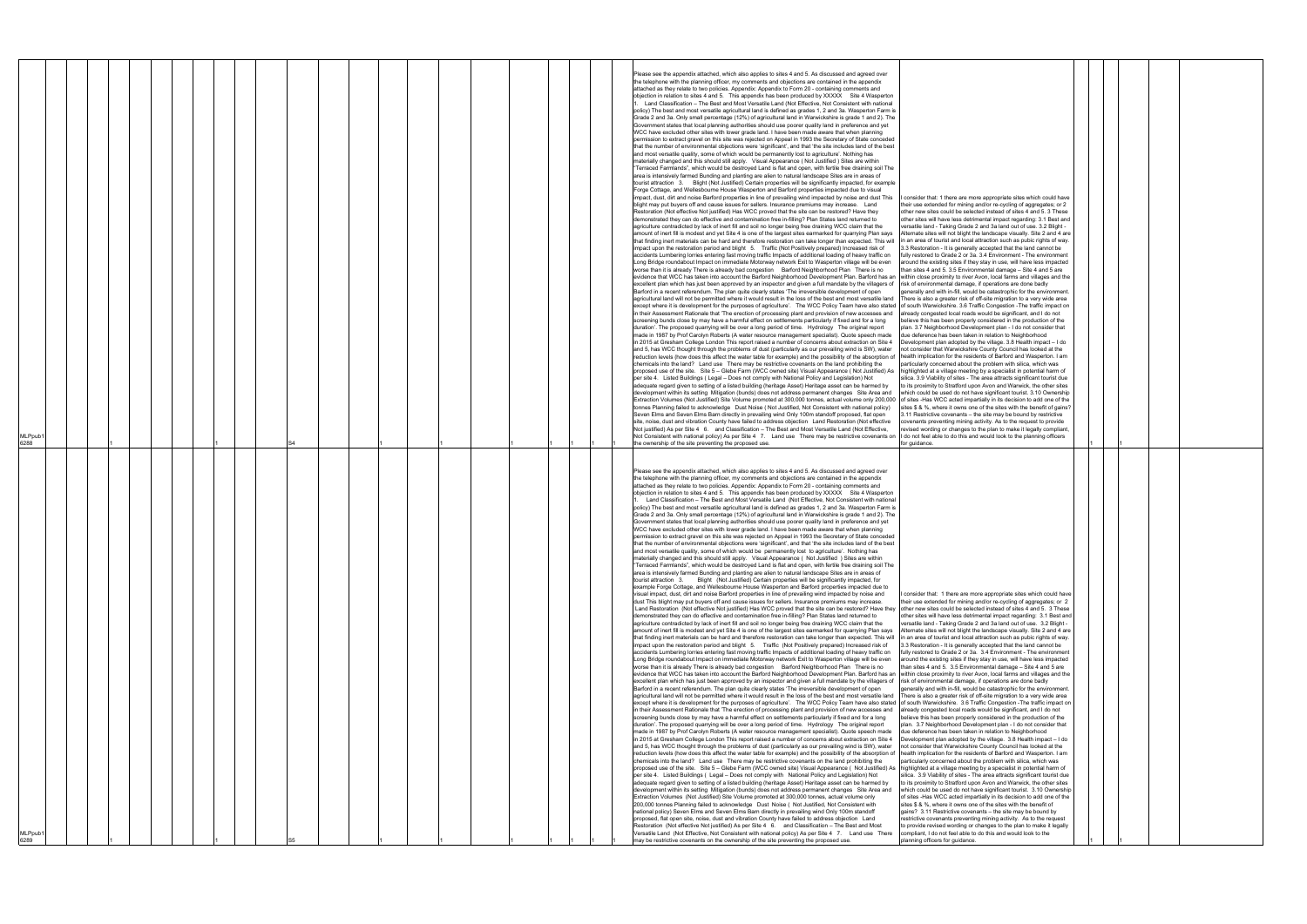| I consider that: 1 there are more appropriate sites which could have<br>their use extended for mining and/or re-cycling of aggregates; or 2<br>other new sites could be selected instead of sites 4 and 5.3 These<br>other sites will have less detrimental impact regarding: 3.1 Best and<br>versatile land - Taking Grade 2 and 3a land out of use. 3.2 Blight -<br>Alternate sites will not blight the landscape visually. Site 2 and 4 are<br>in an area of tourist and local attraction such as pubic rights of way.<br>3.3 Restoration - It is generally accepted that the land cannot be<br>fully restored to Grade 2 or 3a. 3.4 Environment - The environment<br>around the existing sites if they stay in use, will have less impacted<br>than sites 4 and 5.3.5 Environmental damage - Site 4 and 5 are<br>within close proximity to river Avon, local farms and villages and the<br>risk of environmental damage, if operations are done badly<br>generally and with in-fill, would be catastrophic for the environment.<br>There is also a greater risk of off-site migration to a very wide area<br>of south Warwickshire. 3.6 Traffic Congestion - The traffic impact on<br>already congested local roads would be significant, and I do not<br>believe this has been properly considered in the production of the<br>plan. 3.7 Neighborhood Development plan - I do not consider that<br>due deference has been taken in relation to Neighborhood<br>Development plan adopted by the village. 3.8 Health impact - I do<br>not consider that Warwickshire County Council has looked at the<br>health implication for the residents of Barford and Wasperton. I am<br>particularly concerned about the problem with silica, which was<br>highlighted at a village meeting by a specialist in potential harm of<br>silica. 3.9 Viability of sites - The area attracts significant tourist due<br>to its proximity to Stratford upon Avon and Warwick, the other sites<br>which could be used do not have significant tourist. 3.10 Ownership<br>of sites -Has WCC acted impartially in its decision to add one of the<br>sites \$ & %, where it owns one of the sites with the benefit of gains?<br>3.11 Restrictive covenants - the site may be bound by restrictive<br>covenants preventing mining activity. As to the request to provide |  |  |  |  |
|---------------------------------------------------------------------------------------------------------------------------------------------------------------------------------------------------------------------------------------------------------------------------------------------------------------------------------------------------------------------------------------------------------------------------------------------------------------------------------------------------------------------------------------------------------------------------------------------------------------------------------------------------------------------------------------------------------------------------------------------------------------------------------------------------------------------------------------------------------------------------------------------------------------------------------------------------------------------------------------------------------------------------------------------------------------------------------------------------------------------------------------------------------------------------------------------------------------------------------------------------------------------------------------------------------------------------------------------------------------------------------------------------------------------------------------------------------------------------------------------------------------------------------------------------------------------------------------------------------------------------------------------------------------------------------------------------------------------------------------------------------------------------------------------------------------------------------------------------------------------------------------------------------------------------------------------------------------------------------------------------------------------------------------------------------------------------------------------------------------------------------------------------------------------------------------------------------------------------------------------------------------------------------------------------------------------------------------------------------|--|--|--|--|
| revised wording or changes to the plan to make it legally compliant,<br>I do not feel able to do this and would look to the planning officers<br>for guidance.                                                                                                                                                                                                                                                                                                                                                                                                                                                                                                                                                                                                                                                                                                                                                                                                                                                                                                                                                                                                                                                                                                                                                                                                                                                                                                                                                                                                                                                                                                                                                                                                                                                                                                                                                                                                                                                                                                                                                                                                                                                                                                                                                                                          |  |  |  |  |
| I consider that: 1 there are more appropriate sites which could have<br>their use extended for mining and/or re-cycling of aggregates; or 2<br>other new sites could be selected instead of sites 4 and 5. 3 These<br>other sites will have less detrimental impact regarding: 3.1 Best and<br>versatile land - Taking Grade 2 and 3a land out of use. 3.2 Blight -<br>Alternate sites will not blight the landscape visually. Site 2 and 4 are<br>in an area of tourist and local attraction such as pubic rights of way.<br>3.3 Restoration - It is generally accepted that the land cannot be<br>fully restored to Grade 2 or 3a. 3.4 Environment - The environment<br>around the existing sites if they stay in use, will have less impacted<br>than sites 4 and 5. 3.5 Environmental damage - Site 4 and 5 are<br>within close proximity to river Avon, local farms and villages and the<br>risk of environmental damage, if operations are done badly                                                                                                                                                                                                                                                                                                                                                                                                                                                                                                                                                                                                                                                                                                                                                                                                                                                                                                                                                                                                                                                                                                                                                                                                                                                                                                                                                                                             |  |  |  |  |
| generally and with in-fill, would be catastrophic for the environment.<br>There is also a greater risk of off-site migration to a very wide area<br>of south Warwickshire. 3.6 Traffic Congestion - The traffic impact on<br>already congested local roads would be significant, and I do not<br>believe this has been properly considered in the production of the<br>plan. 3.7 Neighborhood Development plan - I do not consider that<br>due deference has been taken in relation to Neighborhood<br>Development plan adopted by the village. 3.8 Health impact - I do<br>not consider that Warwickshire County Council has looked at the<br>health implication for the residents of Barford and Wasperton. I am<br>particularly concerned about the problem with silica, which was<br>highlighted at a village meeting by a specialist in potential harm of<br>silica. 3.9 Viability of sites - The area attracts significant tourist due<br>to its proximity to Stratford upon Avon and Warwick, the other sites<br>which could be used do not have significant tourist. 3.10 Ownership<br>of sites -Has WCC acted impartially in its decision to add one of the<br>sites \$ & %, where it owns one of the sites with the benefit of<br>gains? 3.11 Restrictive covenants - the site may be bound by<br>restrictive covenants preventing mining activity. As to the request<br>to provide revised wording or changes to the plan to make it legally<br>compliant, I do not feel able to do this and would look to the<br>planning officers for guidance.                                                                                                                                                                                                                                                                                                                                                                                                                                                                                                                                                                                                                                                                                                                                                                                            |  |  |  |  |

| 6288 | MLPpub1 |  |  |  |  |  |  |  |  |  | Extraction Volumes (Not Justified) Site Volume promoted at 300,000 tonnes, actual volume only 200,000 of sites -Has WCC acted impartially in its decision to add one of the<br>tonnes Planning failed to acknowledge Dust Noise (Not Justified, Not Consistent with national policy)<br>sites \$ & %, where it owns one of the sites with the benefit of gains?<br>Seven Elms and Seven Elms Barn directly in prevailing wind Only 100m standoff proposed, flat open<br>3.11 Restrictive covenants – the site may be bound by restrictive<br>site, noise, dust and vibration County have failed to address objection Land Restoration (Not effective<br>covenants preventing mining activity. As to the request to provide<br>Not justified) As per Site 4 6. and Classification - The Best and Most Versatile Land (Not Effective,<br>revised wording or changes to the plan to make it legally compliant,<br>Not Consistent with national policy) As per Site 4 7. Land use There may be restrictive covenants on I do not feel able to do this and would look to the planning officers<br>the ownership of the site preventing the proposed use.<br>for quidance.<br>Please see the appendix attached, which also applies to sites 4 and 5. As discussed and agreed over<br>the telephone with the planning officer, my comments and objections are contained in the appendix<br>attached as they relate to two policies. Appendix: Appendix to Form 20 - containing comments and<br>objection in relation to sites 4 and 5. This appendix has been produced by XXXXX Site 4 Wasperton<br>Land Classification - The Best and Most Versatile Land (Not Effective, Not Consistent with national<br>policy) The best and most versatile agricultural land is defined as grades 1, 2 and 3a. Wasperton Farm is<br>Grade 2 and 3a. Only small percentage (12%) of agricultural land in Warwickshire is grade 1 and 2). The<br>Government states that local planning authorities should use poorer quality land in preference and yet<br>WCC have excluded other sites with lower grade land. I have been made aware that when planning<br>permission to extract gravel on this site was rejected on Appeal in 1993 the Secretary of State conceded<br>that the number of environmental objections were 'significant', and that 'the site includes land of the best<br>and most versatile quality, some of which would be permanently lost to agriculture'. Nothing has<br>materially changed and this should still apply. Visual Appearance ( Not Justified ) Sites are within<br>"Terraced Farmlands", which would be destroyed Land is flat and open, with fertile free draining soil The<br>area is intensively farmed Bunding and planting are alien to natural landscape Sites are in areas of<br>tourist attraction 3. Blight (Not Justified) Certain properties will be significantly impacted, for<br>example Forge Cottage, and Wellesbourne House Wasperton and Barford properties impacted due to<br>visual impact, dust, dirt and noise Barford properties in line of prevailing wind impacted by noise and<br>I consider that: 1 there are more appropriate sites which could have<br>dust This blight may put buyers off and cause issues for sellers. Insurance premiums may increase.<br>their use extended for mining and/or re-cycling of aggregates; or 2<br>Land Restoration (Not effective Not justified) Has WCC proved that the site can be restored? Have they other new sites could be selected instead of sites 4 and 5. 3 These<br>demonstrated they can do effective and contamination free in-filling? Plan States land returned to<br>other sites will have less detrimental impact regarding: 3.1 Best and<br>agriculture contradicted by lack of inert fill and soil no longer being free draining WCC claim that the<br>versatile land - Taking Grade 2 and 3a land out of use. 3.2 Blight -<br>amount of inert fill is modest and yet Site 4 is one of the largest sites earmarked for quarrying Plan says<br>Alternate sites will not blight the landscape visually. Site 2 and 4 are<br>that finding inert materials can be hard and therefore restoration can take longer than expected. This will<br>in an area of tourist and local attraction such as pubic rights of way.<br>impact upon the restoration period and blight 5. Traffic (Not Positively prepared) Increased risk of<br>3.3 Restoration - It is generally accepted that the land cannot be<br>accidents Lumbering lorries entering fast moving traffic Impacts of additional loading of heavy traffic on<br>fully restored to Grade 2 or 3a. 3.4 Environment - The environment<br>Long Bridge roundabout Impact on immediate Motorway network Exit to Wasperton village will be even<br>around the existing sites if they stay in use, will have less impacted<br>worse than it is already There is already bad congestion  Barford Neighborhood Plan  There is no<br>than sites 4 and 5. 3.5 Environmental damage - Site 4 and 5 are<br>evidence that WCC has taken into account the Barford Neighborhood Development Plan. Barford has an within close proximity to river Avon, local farms and villages and the<br>excellent plan which has just been approved by an inspector and given a full mandate by the villagers of risk of environmental damage, if operations are done badly<br>Barford in a recent referendum. The plan quite clearly states 'The irreversible development of open<br>generally and with in-fill, would be catastrophic for the environment.<br>agricultural land will not be permitted where it would result in the loss of the best and most versatile land There is also a greater risk of off-site migration to a very wide area<br>except where it is development for the purposes of agriculture'. The WCC Policy Team have also stated of south Warwickshire. 3.6 Traffic Congestion -The traffic impact on<br>in their Assessment Rationale that 'The erection of processing plant and provision of new accesses and<br>already congested local roads would be significant, and I do not<br>screening bunds close by may have a harmful effect on settlements particularly if fixed and for a long<br>believe this has been properly considered in the production of the<br>duration'. The proposed quarrying will be over a long period of time. Hydrology The original report<br>plan. 3.7 Neighborhood Development plan - I do not consider that<br>made in 1987 by Prof Carolyn Roberts (A water resource management specialist). Quote speech made<br>due deference has been taken in relation to Neighborhood<br>in 2015 at Gresham College London This report raised a number of concerns about extraction on Site 4<br>Development plan adopted by the village. 3.8 Health impact - I do<br>and 5, has WCC thought through the problems of dust (particularly as our prevailing wind is SW), water<br>not consider that Warwickshire County Council has looked at the<br>reduction levels (how does this affect the water table for example) and the possibility of the absorption of Inealth implication for the residents of Barford and Wasperton. I am<br>chemicals into the land? Land use There may be restrictive covenants on the land prohibiting the<br>particularly concerned about the problem with silica, which was<br>proposed use of the site. Site 5 - Glebe Farm (WCC owned site) Visual Appearance (Not Justified) As Inighlighted at a village meeting by a specialist in potential harm of<br>per site 4. Listed Buildings (Legal - Does not comply with National Policy and Legislation) Not<br>silica. 3.9 Viability of sites - The area attracts significant tourist due<br>adequate regard given to setting of a listed building (heritage Asset) Heritage asset can be harmed by<br>to its proximity to Stratford upon Avon and Warwick, the other sites |  |
|------|---------|--|--|--|--|--|--|--|--|--|--------------------------------------------------------------------------------------------------------------------------------------------------------------------------------------------------------------------------------------------------------------------------------------------------------------------------------------------------------------------------------------------------------------------------------------------------------------------------------------------------------------------------------------------------------------------------------------------------------------------------------------------------------------------------------------------------------------------------------------------------------------------------------------------------------------------------------------------------------------------------------------------------------------------------------------------------------------------------------------------------------------------------------------------------------------------------------------------------------------------------------------------------------------------------------------------------------------------------------------------------------------------------------------------------------------------------------------------------------------------------------------------------------------------------------------------------------------------------------------------------------------------------------------------------------------------------------------------------------------------------------------------------------------------------------------------------------------------------------------------------------------------------------------------------------------------------------------------------------------------------------------------------------------------------------------------------------------------------------------------------------------------------------------------------------------------------------------------------------------------------------------------------------------------------------------------------------------------------------------------------------------------------------------------------------------------------------------------------------------------------------------------------------------------------------------------------------------------------------------------------------------------------------------------------------------------------------------------------------------------------------------------------------------------------------------------------------------------------------------------------------------------------------------------------------------------------------------------------------------------------------------------------------------------------------------------------------------------------------------------------------------------------------------------------------------------------------------------------------------------------------------------------------------------------------------------------------------------------------------------------------------------------------------------------------------------------------------------------------------------------------------------------------------------------------------------------------------------------------------------------------------------------------------------------------------------------------------------------------------------------------------------------------------------------------------------------------------------------------------------------------------------------------------------------------------------------------------------------------------------------------------------------------------------------------------------------------------------------------------------------------------------------------------------------------------------------------------------------------------------------------------------------------------------------------------------------------------------------------------------------------------------------------------------------------------------------------------------------------------------------------------------------------------------------------------------------------------------------------------------------------------------------------------------------------------------------------------------------------------------------------------------------------------------------------------------------------------------------------------------------------------------------------------------------------------------------------------------------------------------------------------------------------------------------------------------------------------------------------------------------------------------------------------------------------------------------------------------------------------------------------------------------------------------------------------------------------------------------------------------------------------------------------------------------------------------------------------------------------------------------------------------------------------------------------------------------------------------------------------------------------------------------------------------------------------------------------------------------------------------------------------------------------------------------------------------------------------------------------------------------------------------------------------------------------------------------------------------------------------------------------------------------------------------------------------------------------------------------------------------------------------------------------------------------------------------------------------------------------------------------------------------------------------------------------------------------------------------------------------------------------------------------------------------------------------------------------------------------------------------------------------------------------------------------------------------------------------------------------------------------------------------------------------------------------------------------------------------------------------------------------------------------------------------------------------------------------------------------------------------------------------------------------------------------------------------------------------------------------------------------------------------------------------------------------------------------------------------------------------------------------------------------------------------------------------------------------------------------------------------------------------------------------------------------------------------------------------------------------------------------------------------------------------------------------------------------------------------------------------------------------------------------------------------------------------------------------------------------------------------------------------------------------------------------------------------------------------------------------------------------------------------------------------------------------------------------------------------------------------------------------------------------------------------------------------------------------------------------------------------------------------------------------------------------------------|--|
|      |         |  |  |  |  |  |  |  |  |  | Please see the appendix attached, which also applies to sites 4 and 5. As discussed and agreed over<br>the telephone with the planning officer, my comments and objections are contained in the appendix<br>attached as they relate to two policies. Appendix: Appendix to Form 20 - containing comments and<br>objection in relation to sites 4 and 5. This appendix has been produced by XXXXX Site 4 Wasperton<br>Land Classification – The Best and Most Versatile Land (Not Effective, Not Consistent with national<br>policy) The best and most versatile agricultural land is defined as grades 1, 2 and 3a. Wasperton Farm is<br>Grade 2 and 3a. Only small percentage (12%) of agricultural land in Warwickshire is grade 1 and 2). The<br>Government states that local planning authorities should use poorer quality land in preference and yet<br>WCC have excluded other sites with lower grade land. I have been made aware that when planning<br>permission to extract gravel on this site was rejected on Appeal in 1993 the Secretary of State conceded<br>that the number of environmental objections were 'significant', and that 'the site includes land of the best<br>and most versatile quality, some of which would be permanently lost to agriculture'. Nothing has<br>materially changed and this should still apply. Visual Appearance (Not Justified) Sites are within<br>"Terraced Farmlands", which would be destroyed Land is flat and open, with fertile free draining soil The<br>area is intensively farmed Bunding and planting are alien to natural landscape Sites are in areas of<br>tourist attraction 3. Blight (Not Justified) Certain properties will be significantly impacted, for example<br>Forge Cottage, and Wellesbourne House Wasperton and Barford properties impacted due to visual<br>impact, dust, dirt and noise Barford properties in line of prevailing wind impacted by noise and dust This<br>I consider that: 1 there are more appropriate sites which could have<br>blight may put buyers off and cause issues for sellers. Insurance premiums may increase. Land<br>their use extended for mining and/or re-cycling of aggregates; or 2<br>other new sites could be selected instead of sites 4 and 5.3 These<br>Restoration (Not effective Not justified) Has WCC proved that the site can be restored? Have they<br>demonstrated they can do effective and contamination free in-filling? Plan States land returned to<br>other sites will have less detrimental impact regarding: 3.1 Best and<br>agriculture contradicted by lack of inert fill and soil no longer being free draining WCC claim that the<br>versatile land - Taking Grade 2 and 3a land out of use. 3.2 Blight -<br>Alternate sites will not blight the landscape visually. Site 2 and 4 are<br>amount of inert fill is modest and yet Site 4 is one of the largest sites earmarked for quarrying Plan says<br>that finding inert materials can be hard and therefore restoration can take longer than expected. This will<br>in an area of tourist and local attraction such as pubic rights of way.<br>3.3 Restoration - It is generally accepted that the land cannot be<br>impact upon the restoration period and blight 5. Traffic (Not Positively prepared) Increased risk of<br>accidents Lumbering lorries entering fast moving traffic Impacts of additional loading of heavy traffic on<br>fully restored to Grade 2 or 3a. 3.4 Environment - The environment<br>Long Bridge roundabout Impact on immediate Motorway network Exit to Wasperton village will be even<br>around the existing sites if they stay in use, will have less impacted<br>worse than it is already There is already bad congestion Barford Neighborhood Plan There is no<br>than sites 4 and 5.3.5 Environmental damage - Site 4 and 5 are<br>evidence that WCC has taken into account the Barford Neighborhood Development Plan. Barford has an<br>within close proximity to river Avon, local farms and villages and the<br>excellent plan which has just been approved by an inspector and given a full mandate by the villagers of risk of environmental damage, if operations are done badly<br>Barford in a recent referendum. The plan quite clearly states 'The irreversible development of open<br>generally and with in-fill, would be catastrophic for the environment.<br>agricultural land will not be permitted where it would result in the loss of the best and most versatile land<br>There is also a greater risk of off-site migration to a very wide area<br>except where it is development for the purposes of agriculture'. The WCC Policy Team have also stated of south Warwickshire. 3.6 Traffic Congestion -The traffic impact on<br>in their Assessment Rationale that 'The erection of processing plant and provision of new accesses and<br>already congested local roads would be significant, and I do not<br>screening bunds close by may have a harmful effect on settlements particularly if fixed and for a long<br>believe this has been properly considered in the production of the<br>duration'. The proposed quarrying will be over a long period of time. Hydrology The original report<br>plan. 3.7 Neighborhood Development plan - I do not consider that<br>made in 1987 by Prof Carolyn Roberts (A water resource management specialist). Quote speech made<br>due deference has been taken in relation to Neighborhood<br>in 2015 at Gresham College London This report raised a number of concerns about extraction on Site 4<br>Development plan adopted by the village. 3.8 Health impact - I do<br>and 5, has WCC thought through the problems of dust (particularly as our prevailing wind is SW), water<br>not consider that Warwickshire County Council has looked at the<br>reduction levels (how does this affect the water table for example) and the possibility of the absorption of<br>health implication for the residents of Barford and Wasperton. I am<br>chemicals into the land? Land use There may be restrictive covenants on the land prohibiting the<br>particularly concerned about the problem with silica, which was<br>proposed use of the site. Site 5 - Glebe Farm (WCC owned site) Visual Appearance (Not Justified) As<br>highlighted at a village meeting by a specialist in potential harm of<br>per site 4. Listed Buildings (Legal - Does not comply with National Policy and Legislation) Not<br>silica. 3.9 Viability of sites - The area attracts significant tourist due<br>adequate regard given to setting of a listed building (heritage Asset) Heritage asset can be harmed by<br>to its proximity to Stratford upon Avon and Warwick, the other sites                                                                                                                                                                                                                                                                                                                                                                                                                                                                                                                                                                                                                                                                                                                                                                                                                                                                                                                                                                                                                                                                                                                                                                  |  |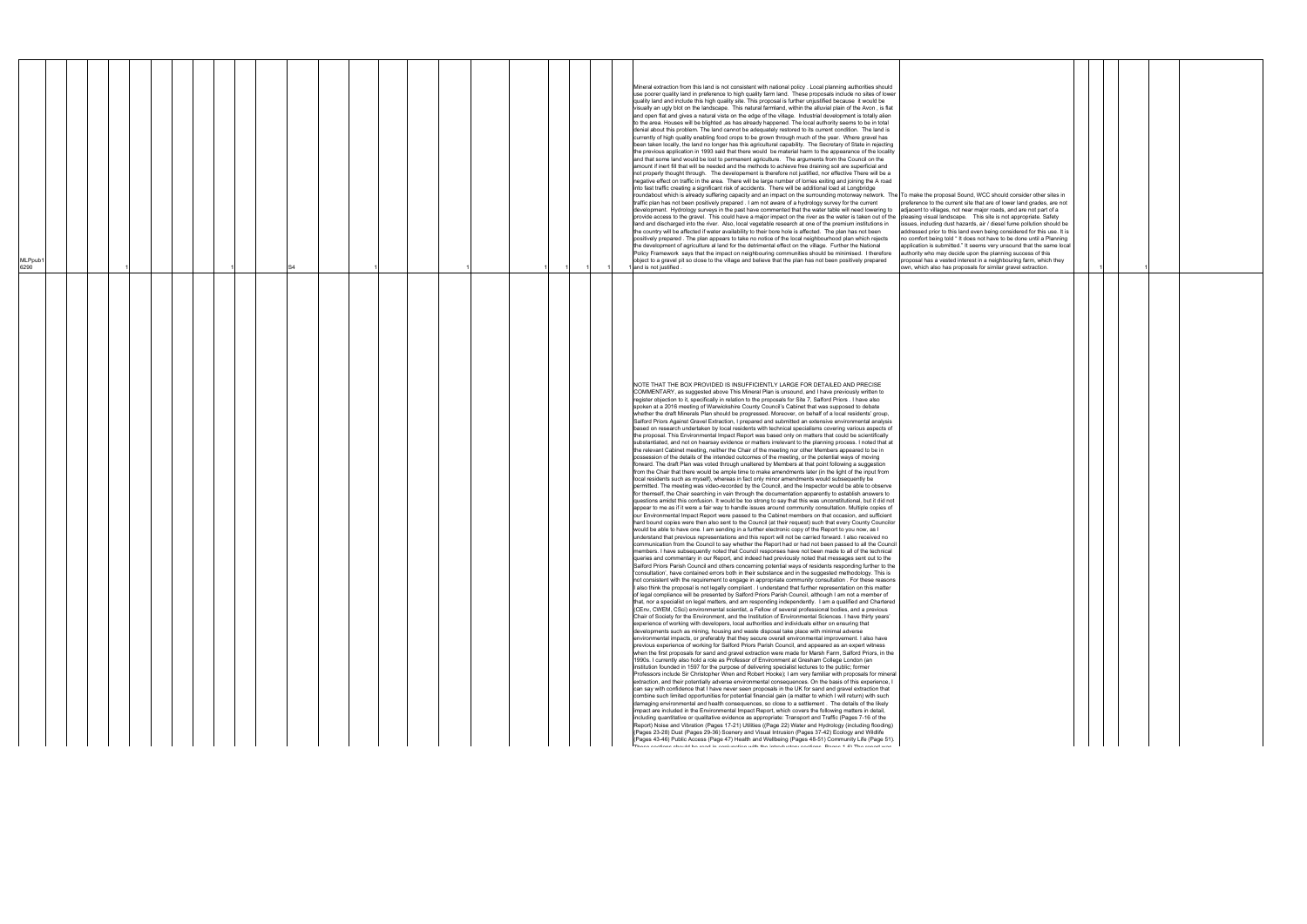| <b>MLPpub</b><br>6290 |  |  | Mineral extraction from this land is not consistent with national policy . Local planning authorities should<br>use poorer quality land in preference to high quality farm land. These proposals include no sites of lower<br>quality land and include this high quality site. This proposal is further unjustified because it would be<br>visually an ugly blot on the landscape. This natural farmland, within the alluvial plain of the Avon, is flat<br>and open flat and gives a natural vista on the edge of the village. Industrial development is totally alien<br>to the area. Houses will be blighted ,as has already happened. The local authority seems to be in total<br>denial about this problem. The land cannot be adequately restored to its current condition. The land is<br>currently of high quality enabling food crops to be grown through much of the year. Where gravel has<br>been taken locally, the land no longer has this agricultural capability. The Secretary of State in rejecting<br>the previous application in 1993 said that there would be material harm to the appearance of the locality<br>and that some land would be lost to permanent agriculture. The arguments from the Council on the<br>amount if inert fill that will be needed and the methods to achieve free draining soil are superficial and<br>not properly thought through. The developement is therefore not justified, nor effective There will be a<br>negative effect on traffic in the area. There will be large number of lorries exiting and joining the A road<br>into fast traffic creating a significant risk of accidents. There will be additional load at Longbridge<br>roundabout which is already suffering capacity and an impact on the surrounding motorway network. The To make the proposal Sound, WCC should consider other sites in<br>traffic plan has not been positively prepared . I am not aware of a hydrology survey for the current<br>development. Hydrology surveys in the past have commented that the water table will need lowering to adjacent to villages, not near major roads, and are not part of a<br>provide access to the gravel. This could have a major impact on the river as the water is taken out of the pleasing visual landscape. This site is not appropriate. Safety<br>land and discharged into the river. Also, local vegetable research at one of the premium institutions in<br>the country will be affected if water availability to their bore hole is affected. The plan has not been<br>positively prepared . The plan appears to take no notice of the local neighbourhood plan which rejects<br>the development of agriculture al land for the detrimental effect on the village. Further the National<br>Policy Framework says that the impact on neighbouring communities should be minimised. I therefore<br>object to a gravel pit so close to the village and believe that the plan has not been positively prepared<br>I and is not justified                                                                                                                                                                                                                                                                                                                                                                                                                                                                                                                                                                                                                                                                                                                                                                                                                                                                                                                                                                                                                                                                                                                                                                                                                                                                                                                                                                                                                                                                                                                                                                                                                                                                                                                                                                                                                                                                                                                                                                                                                                                                                                                                                                                                                                                                                                                                                                                                                                                                                                                    | preference to the current site that are of lower land grades, are not<br>issues, including dust hazards, air / diesel fume pollution should be<br>addressed prior to this land even being considered for this use. It is<br>no comfort being told "It does not have to be done until a Planning<br>application is submitted." It seems very unsound that the same local<br>authority who may decide upon the planning success of this<br>proposal has a vested interest in a neighbouring farm, which they<br>own, which also has proposals for similar gravel extraction. |  |  |
|-----------------------|--|--|-------------------------------------------------------------------------------------------------------------------------------------------------------------------------------------------------------------------------------------------------------------------------------------------------------------------------------------------------------------------------------------------------------------------------------------------------------------------------------------------------------------------------------------------------------------------------------------------------------------------------------------------------------------------------------------------------------------------------------------------------------------------------------------------------------------------------------------------------------------------------------------------------------------------------------------------------------------------------------------------------------------------------------------------------------------------------------------------------------------------------------------------------------------------------------------------------------------------------------------------------------------------------------------------------------------------------------------------------------------------------------------------------------------------------------------------------------------------------------------------------------------------------------------------------------------------------------------------------------------------------------------------------------------------------------------------------------------------------------------------------------------------------------------------------------------------------------------------------------------------------------------------------------------------------------------------------------------------------------------------------------------------------------------------------------------------------------------------------------------------------------------------------------------------------------------------------------------------------------------------------------------------------------------------------------------------------------------------------------------------------------------------------------------------------------------------------------------------------------------------------------------------------------------------------------------------------------------------------------------------------------------------------------------------------------------------------------------------------------------------------------------------------------------------------------------------------------------------------------------------------------------------------------------------------------------------------------------------------------------------------------------------------------------------------------------------------------------------------------------------------------------------------------------------------------------------------------------------------------------------------------------------------------------------------------------------------------------------------------------------------------------------------------------------------------------------------------------------------------------------------------------------------------------------------------------------------------------------------------------------------------------------------------------------------------------------------------------------------------------------------------------------------------------------------------------------------------------------------------------------------------------------------------------------------------------------------------------------------------------------------------------------------------------------------------------------------------------------------------------------------------------------------------------------------------------------------------------------------------------------------------------------------------------------------------------------------------------------------------------------------------------------------------------------------------------------------------------------------------------------------------------------------------------------------------------------------------------------------------------------------------------------------------------------------------------------------------------------------------------------------------------------------------------------------------------------------------------------------------------------------------------------------------------------------------------------------------------------------------------------------------------------------------------------------------------------------------------------------------------------------------------------------------------------------------------------------------------------------------------------------------------------------------------------------------------------------------------------------------------------------------------------------------------------------------------------------------------------------------------------------------------------------------------------------|----------------------------------------------------------------------------------------------------------------------------------------------------------------------------------------------------------------------------------------------------------------------------------------------------------------------------------------------------------------------------------------------------------------------------------------------------------------------------------------------------------------------------------------------------------------------------|--|--|
|                       |  |  | NOTE THAT THE BOX PROVIDED IS INSUFFICIENTLY LARGE FOR DETAILED AND PRECISE<br>COMMENTARY, as suggested above This Mineral Plan is unsound, and I have previously written to<br>register objection to it, specifically in relation to the proposals for Site 7, Salford Priors . I have also<br>spoken at a 2016 meeting of Warwickshire County Council's Cabinet that was supposed to debate<br>whether the draft Minerals Plan should be progressed. Moreover, on behalf of a local residents' group,<br>Salford Priors Against Gravel Extraction, I prepared and submitted an extensive environmental analysis<br>based on research undertaken by local residents with technical specialisms covering various aspects of<br>the proposal. This Environmental Impact Report was based only on matters that could be scientifically<br>substantiated, and not on hearsay evidence or matters irrelevant to the planning process. I noted that at<br>the relevant Cabinet meeting, neither the Chair of the meeting nor other Members appeared to be in<br>possession of the details of the intended outcomes of the meeting, or the potential ways of moving<br>forward. The draft Plan was voted through unaltered by Members at that point following a suggestion<br>from the Chair that there would be ample time to make amendments later (in the light of the input from<br>local residents such as myself), whereas in fact only minor amendments would subsequently be<br>permitted. The meeting was video-recorded by the Council, and the Inspector would be able to observe<br>for themself, the Chair searching in vain through the documentation apparently to establish answers to<br>questions amidst this confusion. It would be too strong to say that this was unconstitutional, but it did not<br>appear to me as if it were a fair way to handle issues around community consultation. Multiple copies of<br>our Environmental Impact Report were passed to the Cabinet members on that occasion, and sufficient<br>hard bound copies were then also sent to the Council (at their request) such that every County Councilor<br>would be able to have one. I am sending in a further electronic copy of the Report to you now, as I<br>understand that previous representations and this report will not be carried forward. I also received no<br>communication from the Council to say whether the Report had or had not been passed to all the Council<br>members. I have subsequently noted that Council responses have not been made to all of the technical<br>queries and commentary in our Report, and indeed had previously noted that messages sent out to the<br>Salford Priors Parish Council and others concerning potential ways of residents responding further to the<br>'consultation', have contained errors both in their substance and in the suggested methodology. This is<br>not consistent with the requirement to engage in appropriate community consultation . For these reasons<br>I also think the proposal is not legally compliant . I understand that further representation on this matter<br>of legal compliance will be presented by Salford Priors Parish Council, although I am not a member of<br>that, nor a specialist on legal matters, and am responding independently. I am a qualified and Chartered<br>(CEnv, CWEM, CSci) environmental scientist, a Fellow of several professional bodies, and a previous<br>Chair of Society for the Environment, and the Institution of Environmental Sciences. I have thirty years'<br>experience of working with developers, local authorities and individuals either on ensuring that<br>developments such as mining, housing and waste disposal take place with minimal adverse<br>environmental impacts, or preferably that they secure overall environmental improvement. I also have<br>previous experience of working for Salford Priors Parish Council, and appeared as an expert witness<br>when the first proposals for sand and gravel extraction were made for Marsh Farm, Salford Priors, in the<br>1990s. I currently also hold a role as Professor of Environment at Gresham College London (an<br>institution founded in 1597 for the purpose of delivering specialist lectures to the public; former<br>Professors include Sir Christopher Wren and Robert Hooke); I am very familiar with proposals for mineral<br>extraction, and their potentially adverse environmental consequences. On the basis of this experience, I<br>can say with confidence that I have never seen proposals in the UK for sand and gravel extraction that<br>combine such limited opportunities for potential financial gain (a matter to which I will return) with such<br>damaging environmental and health consequences, so close to a settlement. The details of the likely<br>impact are included in the Environmental Impact Report, which covers the following matters in detail,<br>including quantitative or qualitative evidence as appropriate: Transport and Traffic (Pages 7-16 of the<br>Report) Noise and Vibration (Pages 17-21) Utilities ((Page 22) Water and Hydrology (including flooding)<br>(Pages 23-28) Dust (Pages 29-36) Scenery and Visual Intrusion (Pages 37-42) Ecology and Wildlife<br>(Pages 43-46) Public Access (Page 47) Health and Wellbeing (Pages 48-51) Community Life (Page 51).<br>.<br>Tanna noottama alaasiid lan sandi la namismattam sidtle tha latendisetami namttama. Daman 4,03 Tha sanadiss |                                                                                                                                                                                                                                                                                                                                                                                                                                                                                                                                                                            |  |  |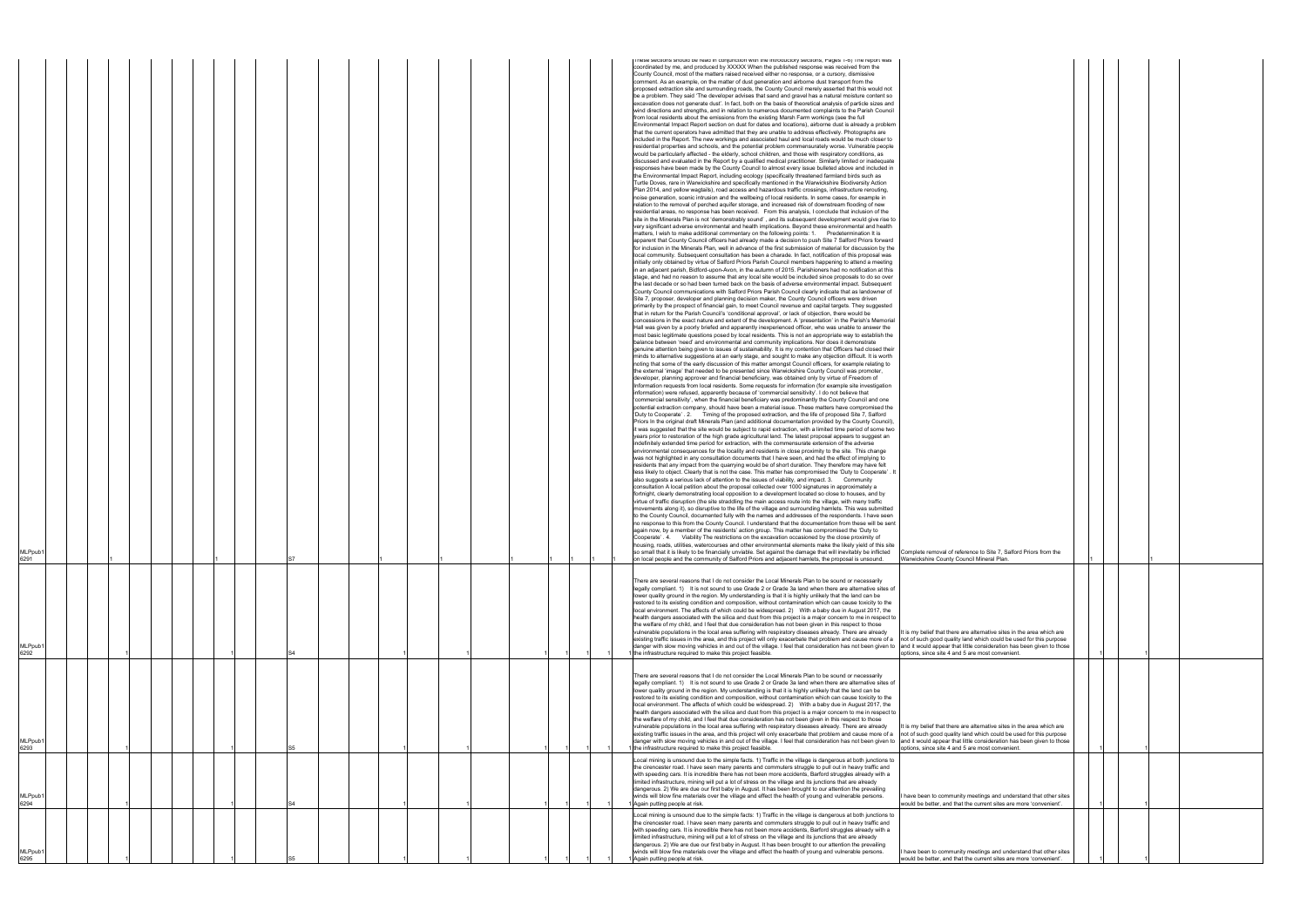| Complete removal of reference to Site 7, Salford Priors from the<br>Warwickshire County Council Mineral Plan.                                                                                                                                                             |   |   |  |  |
|---------------------------------------------------------------------------------------------------------------------------------------------------------------------------------------------------------------------------------------------------------------------------|---|---|--|--|
|                                                                                                                                                                                                                                                                           |   |   |  |  |
| It is my belief that there are alternative sites in the area which are<br>not of such good quality land which could be used for this purpose<br>and it would appear that little consideration has been given to those<br>options, since site 4 and 5 are most convenient. | 1 | 1 |  |  |
|                                                                                                                                                                                                                                                                           |   |   |  |  |
| It is my belief that there are alternative sites in the area which are                                                                                                                                                                                                    |   |   |  |  |
| not of such good quality land which could be used for this purpose<br>and it would appear that little consideration has been given to those<br>options, since site 4 and 5 are most convenient.                                                                           | 1 | 1 |  |  |
|                                                                                                                                                                                                                                                                           |   |   |  |  |
| I have been to community meetings and understand that other sites<br>would be better, and that the current sites are more 'convenient'.                                                                                                                                   | 1 | 1 |  |  |
| I have been to community meetings and understand that other sites<br>would be better, and that the current sites are more 'convenient'.                                                                                                                                   |   |   |  |  |

| MLPpub <sup>®</sup><br>6291 |  |  |  |  | S7             |  |  |  |  |  | mese sections should be read in conjunction with the introductory sections, Hages 1-6) The report was<br>coordinated by me, and produced by XXXXX When the published response was received from the<br>County Council, most of the matters raised received either no response, or a cursory, dismissive<br>comment. As an example, on the matter of dust generation and airborne dust transport from the<br>proposed extraction site and surrounding roads, the County Council merely asserted that this would not<br>be a problem. They said 'The developer advises that sand and gravel has a natural moisture content so<br>excavation does not generate dust'. In fact, both on the basis of theoretical analysis of particle sizes and<br>wind directions and strengths, and in relation to numerous documented complaints to the Parish Council<br>from local residents about the emissions from the existing Marsh Farm workings (see the full<br>Environmental Impact Report section on dust for dates and locations), airborne dust is already a problem<br>that the current operators have admitted that they are unable to address effectively. Photographs are<br>included in the Report. The new workings and associated haul and local roads would be much closer to<br>residential properties and schools, and the potential problem commensurately worse. Vulnerable people<br>would be particularly affected - the elderly, school children, and those with respiratory conditions, as<br>discussed and evaluated in the Report by a qualified medical practitioner. Similarly limited or inadequate<br>responses have been made by the County Council to almost every issue bulleted above and included in<br>the Environmental Impact Report, including ecology (specifically threatened farmland birds such as<br>Turtle Doves, rare in Warwickshire and specifically mentioned in the Warwickshire Biodiversity Action<br>Plan 2014, and yellow wagtails), road access and hazardous traffic crossings, infrastructure rerouting,<br>noise generation, scenic intrusion and the wellbeing of local residents. In some cases, for example in<br>relation to the removal of perched aquifer storage, and increased risk of downstream flooding of new<br>residential areas, no response has been received. From this analysis, I conclude that inclusion of the<br>site in the Minerals Plan is not 'demonstrably sound', and its subsequent development would give rise to<br>very significant adverse environmental and health implications. Beyond these environmental and health<br>matters, I wish to make additional commentary on the following points: 1. Predetermination It is<br>apparent that County Council officers had already made a decision to push Site 7 Salford Priors forward<br>for inclusion in the Minerals Plan, well in advance of the first submission of material for discussion by the<br>local community. Subsequent consultation has been a charade. In fact, notification of this proposal was<br>initially only obtained by virtue of Salford Priors Parish Council members happening to attend a meeting<br>in an adjacent parish, Bidford-upon-Avon, in the autumn of 2015. Parishioners had no notification at this<br>stage, and had no reason to assume that any local site would be included since proposals to do so over<br>the last decade or so had been turned back on the basis of adverse environmental impact. Subsequent<br>County Council communications with Salford Priors Parish Council clearly indicate that as landowner of<br>Site 7, proposer, developer and planning decision maker, the County Council officers were driven<br>primarily by the prospect of financial gain, to meet Council revenue and capital targets. They suggested<br>that in return for the Parish Council's 'conditional approval', or lack of objection, there would be<br>concessions in the exact nature and extent of the development. A 'presentation' in the Parish's Memorial<br>Hall was given by a poorly briefed and apparently inexperienced officer, who was unable to answer the<br>most basic legitimate questions posed by local residents. This is not an appropriate way to establish the<br>balance between 'need' and environmental and community implications. Nor does it demonstrate<br>genuine attention being given to issues of sustainability. It is my contention that Officers had closed their<br>minds to alternative suggestions at an early stage, and sought to make any objection difficult. It is worth<br>noting that some of the early discussion of this matter amongst Council officers, for example relating to<br>the external 'image' that needed to be presented since Warwickshire County Council was promoter,<br>developer, planning approver and financial beneficiary, was obtained only by virtue of Freedom of<br>Information requests from local residents. Some requests for information (for example site investigation<br>information) were refused, apparently because of 'commercial sensitivity'. I do not believe that<br>'commercial sensitivity', when the financial beneficiary was predominantly the County Council and one<br>potential extraction company, should have been a material issue. These matters have compromised the<br>'Duty to Cooperate'. 2. Timing of the proposed extraction, and the life of proposed Site 7, Salford<br>Priors In the original draft Minerals Plan (and additional documentation provided by the County Council),<br>it was suggested that the site would be subject to rapid extraction, with a limited time period of some two<br>years prior to restoration of the high grade agricultural land. The latest proposal appears to suggest an<br>indefinitely extended time period for extraction, with the commensurate extension of the adverse<br>environmental consequences for the locality and residents in close proximity to the site. This change<br>was not highlighted in any consultation documents that I have seen, and had the effect of implying to<br>residents that any impact from the quarrying would be of short duration. They therefore may have felt<br>less likely to object. Clearly that is not the case. This matter has compromised the 'Duty to Cooperate'. It<br>also suggests a serious lack of attention to the issues of viability, and impact. 3. Community<br>consultation A local petition about the proposal collected over 1000 signatures in approximately a<br>fortnight, clearly demonstrating local opposition to a development located so close to houses, and by<br>virtue of traffic disruption (the site straddling the main access route into the village, with many traffic<br>movements along it), so disruptive to the life of the village and surrounding hamlets. This was submitted<br>to the County Council, documented fully with the names and addresses of the respondents. I have seen<br>no response to this from the County Council. I understand that the documentation from these will be sent<br>again now, by a member of the residents' action group. This matter has compromised the 'Duty to<br>Cooperate' . 4. Viability The restrictions on the excavation occasioned by the close proximity of<br>housing, roads, utilities, watercourses and other environmental elements make the likely yield of this site<br>so small that it is likely to be financially unviable. Set against the damage that will inevitably be inflicted<br>Complete removal of referent<br>on local people and the community of Salford Priors and adjacent hamlets, the proposal is unsound.<br>Warwickshire County Counci |
|-----------------------------|--|--|--|--|----------------|--|--|--|--|--|--------------------------------------------------------------------------------------------------------------------------------------------------------------------------------------------------------------------------------------------------------------------------------------------------------------------------------------------------------------------------------------------------------------------------------------------------------------------------------------------------------------------------------------------------------------------------------------------------------------------------------------------------------------------------------------------------------------------------------------------------------------------------------------------------------------------------------------------------------------------------------------------------------------------------------------------------------------------------------------------------------------------------------------------------------------------------------------------------------------------------------------------------------------------------------------------------------------------------------------------------------------------------------------------------------------------------------------------------------------------------------------------------------------------------------------------------------------------------------------------------------------------------------------------------------------------------------------------------------------------------------------------------------------------------------------------------------------------------------------------------------------------------------------------------------------------------------------------------------------------------------------------------------------------------------------------------------------------------------------------------------------------------------------------------------------------------------------------------------------------------------------------------------------------------------------------------------------------------------------------------------------------------------------------------------------------------------------------------------------------------------------------------------------------------------------------------------------------------------------------------------------------------------------------------------------------------------------------------------------------------------------------------------------------------------------------------------------------------------------------------------------------------------------------------------------------------------------------------------------------------------------------------------------------------------------------------------------------------------------------------------------------------------------------------------------------------------------------------------------------------------------------------------------------------------------------------------------------------------------------------------------------------------------------------------------------------------------------------------------------------------------------------------------------------------------------------------------------------------------------------------------------------------------------------------------------------------------------------------------------------------------------------------------------------------------------------------------------------------------------------------------------------------------------------------------------------------------------------------------------------------------------------------------------------------------------------------------------------------------------------------------------------------------------------------------------------------------------------------------------------------------------------------------------------------------------------------------------------------------------------------------------------------------------------------------------------------------------------------------------------------------------------------------------------------------------------------------------------------------------------------------------------------------------------------------------------------------------------------------------------------------------------------------------------------------------------------------------------------------------------------------------------------------------------------------------------------------------------------------------------------------------------------------------------------------------------------------------------------------------------------------------------------------------------------------------------------------------------------------------------------------------------------------------------------------------------------------------------------------------------------------------------------------------------------------------------------------------------------------------------------------------------------------------------------------------------------------------------------------------------------------------------------------------------------------------------------------------------------------------------------------------------------------------------------------------------------------------------------------------------------------------------------------------------------------------------------------------------------------------------------------------------------------------------------------------------------------------------------------------------------------------------------------------------------------------------------------------------------------------------------------------------------------------------------------------------------------------------------------------------------------------------------------------------------------------------------------------------------------------------------------------------------------------------------------------------------------------------------------------------------------------------------------------------------------------------------------------------------------------------------------------------------------------------------------------------------------------------------------------------------------------------------------------------------------------------------------------------------------------------------------------------------------------------------------------------------------------------------------------------------------------------------------------------------------------------------------------------------------------------------------------------------------------------------------------------------------------------------------------------------------------------------------------------------------------------------------------------------------------------------------------------------------------------------------------------------------------------------------------------------------------------------------------------------------------------------------------------------------------------------------------------------------------------------------------------------------------------------------|
| MLPpub <sup>®</sup><br>6292 |  |  |  |  |                |  |  |  |  |  | There are several reasons that I do not consider the Local Minerals Plan to be sound or necessarily<br>legally compliant. 1) It is not sound to use Grade 2 or Grade 3a land when there are alternative sites of<br>lower quality ground in the region. My understanding is that it is highly unlikely that the land can be<br>restored to its existing condition and composition, without contamination which can cause toxicity to the<br>local environment. The affects of which could be widespread. 2) With a baby due in August 2017, the<br>health dangers associated with the silica and dust from this project is a major concern to me in respect to<br>the welfare of my child, and I feel that due consideration has not been given in this respect to those<br>vulnerable populations in the local area suffering with respiratory diseases already. There are already<br>It is my belief that there are a<br>existing traffic issues in the area, and this project will only exacerbate that problem and cause more of a<br>not of such good quality land<br>danger with slow moving vehicles in and out of the village. I feel that consideration has not been given to<br>and it would appear that little<br>the infrastructure required to make this project feasible.<br>options, since site 4 and 5 and                                                                                                                                                                                                                                                                                                                                                                                                                                                                                                                                                                                                                                                                                                                                                                                                                                                                                                                                                                                                                                                                                                                                                                                                                                                                                                                                                                                                                                                                                                                                                                                                                                                                                                                                                                                                                                                                                                                                                                                                                                                                                                                                                                                                                                                                                                                                                                                                                                                                                                                                                                                                                                                                                                                                                                                                                                                                                                                                                                                                                                                                                                                                                                                                                                                                                                                                                                                                                                                                                                                                                                                                                                                                                                                                                                                                                                                                                                                                                                                                                                                                                                                                                                                                                                                                                                                                                                                                                                                                                                                                                                                                                                                                                                                                                                                                                                                                                                                                                                                                                                                                                                                                                                                                                                                                                                                                                                                                                                                                                                                                                                                                                                                                                                                                                                                                                                                                                                                                                                                                                                                                                                                                                                                                                                                                                                                                                                                                           |
| MLPpub <sup>®</sup><br>6293 |  |  |  |  | S <sub>5</sub> |  |  |  |  |  | There are several reasons that I do not consider the Local Minerals Plan to be sound or necessarily<br>legally compliant, 1) It is not sound to use Grade 2 or Grade 3a land when there are alternative sites of<br>lower quality ground in the region. My understanding is that it is highly unlikely that the land can be<br>restored to its existing condition and composition, without contamination which can cause toxicity to the<br>local environment. The affects of which could be widespread. 2) With a baby due in August 2017, the<br>health dangers associated with the silica and dust from this project is a major concern to me in respect to<br>the welfare of my child, and I feel that due consideration has not been given in this respect to those<br>vulnerable populations in the local area suffering with respiratory diseases already. There are already<br>It is my belief that there are a<br>existing traffic issues in the area, and this project will only exacerbate that problem and cause more of a<br>not of such good quality land<br>and it would appear that little<br>danger with slow moving vehicles in and out of the village. I feel that consideration has not been given to<br>the infrastructure required to make this project feasible.<br>options, since site 4 and 5 an                                                                                                                                                                                                                                                                                                                                                                                                                                                                                                                                                                                                                                                                                                                                                                                                                                                                                                                                                                                                                                                                                                                                                                                                                                                                                                                                                                                                                                                                                                                                                                                                                                                                                                                                                                                                                                                                                                                                                                                                                                                                                                                                                                                                                                                                                                                                                                                                                                                                                                                                                                                                                                                                                                                                                                                                                                                                                                                                                                                                                                                                                                                                                                                                                                                                                                                                                                                                                                                                                                                                                                                                                                                                                                                                                                                                                                                                                                                                                                                                                                                                                                                                                                                                                                                                                                                                                                                                                                                                                                                                                                                                                                                                                                                                                                                                                                                                                                                                                                                                                                                                                                                                                                                                                                                                                                                                                                                                                                                                                                                                                                                                                                                                                                                                                                                                                                                                                                                                                                                                                                                                                                                                                                                                                                                                                                                                                                                                            |
| MLPpub <sup>.</sup><br>6294 |  |  |  |  |                |  |  |  |  |  | Local mining is unsound due to the simple facts. 1) Traffic in the village is dangerous at both junctions to<br>the cirencester road. I have seen many parents and commuters struggle to pull out in heavy traffic and<br>with speeding cars. It is incredible there has not been more accidents, Barford struggles already with a<br>limited infrastructure, mining will put a lot of stress on the village and its junctions that are already<br>dangerous. 2) We are due our first baby in August. It has been brought to our attention the prevailing<br>winds will blow fine materials over the village and effect the health of young and vulnerable persons.<br>have been to community me<br>Again putting people at risk.<br>would be better, and that the                                                                                                                                                                                                                                                                                                                                                                                                                                                                                                                                                                                                                                                                                                                                                                                                                                                                                                                                                                                                                                                                                                                                                                                                                                                                                                                                                                                                                                                                                                                                                                                                                                                                                                                                                                                                                                                                                                                                                                                                                                                                                                                                                                                                                                                                                                                                                                                                                                                                                                                                                                                                                                                                                                                                                                                                                                                                                                                                                                                                                                                                                                                                                                                                                                                                                                                                                                                                                                                                                                                                                                                                                                                                                                                                                                                                                                                                                                                                                                                                                                                                                                                                                                                                                                                                                                                                                                                                                                                                                                                                                                                                                                                                                                                                                                                                                                                                                                                                                                                                                                                                                                                                                                                                                                                                                                                                                                                                                                                                                                                                                                                                                                                                                                                                                                                                                                                                                                                                                                                                                                                                                                                                                                                                                                                                                                                                                                                                                                                                                                                                                                                                                                                                                                                                                                                                                                                                                                                                                                   |
| MLPpub<br>6295              |  |  |  |  |                |  |  |  |  |  | Local mining is unsound due to the simple facts: 1) Traffic in the village is dangerous at both junctions to<br>the cirencester road. I have seen many parents and commuters struggle to pull out in heavy traffic and<br>with speeding cars. It is incredible there has not been more accidents, Barford struggles already with a<br>limited infrastructure, mining will put a lot of stress on the village and its junctions that are already<br>dangerous. 2) We are due our first baby in August. It has been brought to our attention the prevailing<br>winds will blow fine materials over the village and effect the health of young and vulnerable persons.<br>I have been to community me<br>Again putting people at risk.<br>would be better, and that the                                                                                                                                                                                                                                                                                                                                                                                                                                                                                                                                                                                                                                                                                                                                                                                                                                                                                                                                                                                                                                                                                                                                                                                                                                                                                                                                                                                                                                                                                                                                                                                                                                                                                                                                                                                                                                                                                                                                                                                                                                                                                                                                                                                                                                                                                                                                                                                                                                                                                                                                                                                                                                                                                                                                                                                                                                                                                                                                                                                                                                                                                                                                                                                                                                                                                                                                                                                                                                                                                                                                                                                                                                                                                                                                                                                                                                                                                                                                                                                                                                                                                                                                                                                                                                                                                                                                                                                                                                                                                                                                                                                                                                                                                                                                                                                                                                                                                                                                                                                                                                                                                                                                                                                                                                                                                                                                                                                                                                                                                                                                                                                                                                                                                                                                                                                                                                                                                                                                                                                                                                                                                                                                                                                                                                                                                                                                                                                                                                                                                                                                                                                                                                                                                                                                                                                                                                                                                                                                                                 |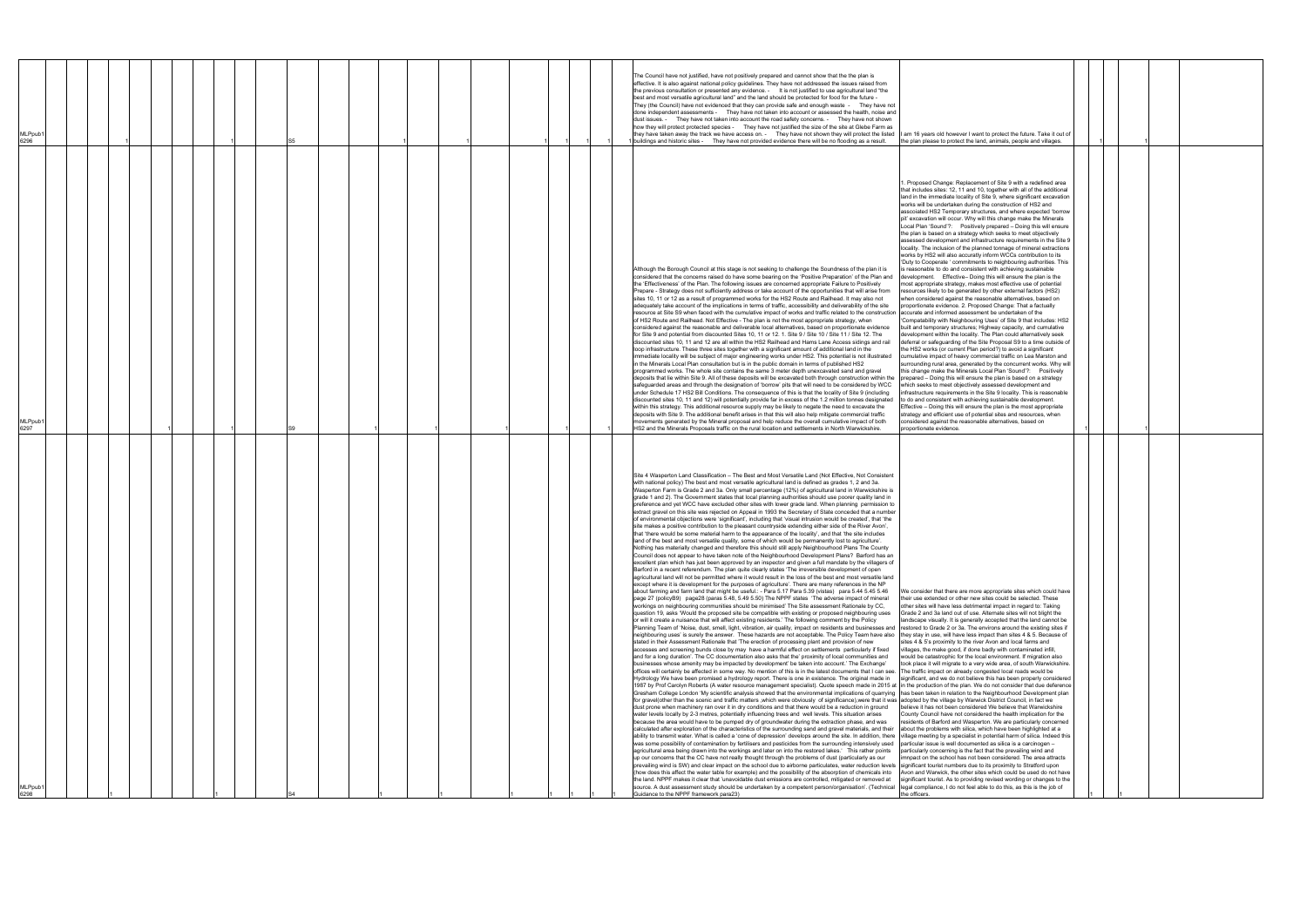| MLPpub1<br>6298                                                                                                                                                                                                                                                                                                                                                                                                                                                                                                                                                                                                                                                                                                                                                                                                                                                                                                                                                                                                                                                                                                                                                                                                                                                                                                                                                                                                                                                                                                                                                                                                                                                                                                                                                                                                                                                                                                                                                                                                                                                                                                                                                                                                                                                                                                                                                                                                                                                                                                                                                                                                                                                                                                                                                                                                                                                                                                                                                                                                                                                                                                                                                                                                                                                                                                                                                                                                                                                                                                                                                                                                                                                                                                                                                                                                                                                                                                                                                                                                                                                                                                                                                                                                                                                                                                                                                                                                                                                                                                                                                                                                                                                                                                                                                                                                                                                                                                                                                                                                                                                                                                                                                                                                                                                                                                                                                                                                                                                                                                                                                                                                                                                                                                                                                                                      | MLPpub1<br>6297                                                                                                                                                                                                                                                                                                                                                                                                                                                                                                                                                                                                                                                                                                                                                                                                                                                                                                                                                                                                                                                                                                                                                                                                                                                                                                                                                                                                                                                                                                                                                                                                                                                                                                                                                                                                                                                                                                                                                                                                                                                                                                                                                                                                                                                                                                                                                                                                                                                                                                                                                                    | MLPpub1<br>6296                                                                                                                                                                                                                                                                                                                                                                                                                                                                                                                                                                                                                                                                                                                                                                                                                                                                                                                                                                                                                                                                                                                                    |
|------------------------------------------------------------------------------------------------------------------------------------------------------------------------------------------------------------------------------------------------------------------------------------------------------------------------------------------------------------------------------------------------------------------------------------------------------------------------------------------------------------------------------------------------------------------------------------------------------------------------------------------------------------------------------------------------------------------------------------------------------------------------------------------------------------------------------------------------------------------------------------------------------------------------------------------------------------------------------------------------------------------------------------------------------------------------------------------------------------------------------------------------------------------------------------------------------------------------------------------------------------------------------------------------------------------------------------------------------------------------------------------------------------------------------------------------------------------------------------------------------------------------------------------------------------------------------------------------------------------------------------------------------------------------------------------------------------------------------------------------------------------------------------------------------------------------------------------------------------------------------------------------------------------------------------------------------------------------------------------------------------------------------------------------------------------------------------------------------------------------------------------------------------------------------------------------------------------------------------------------------------------------------------------------------------------------------------------------------------------------------------------------------------------------------------------------------------------------------------------------------------------------------------------------------------------------------------------------------------------------------------------------------------------------------------------------------------------------------------------------------------------------------------------------------------------------------------------------------------------------------------------------------------------------------------------------------------------------------------------------------------------------------------------------------------------------------------------------------------------------------------------------------------------------------------------------------------------------------------------------------------------------------------------------------------------------------------------------------------------------------------------------------------------------------------------------------------------------------------------------------------------------------------------------------------------------------------------------------------------------------------------------------------------------------------------------------------------------------------------------------------------------------------------------------------------------------------------------------------------------------------------------------------------------------------------------------------------------------------------------------------------------------------------------------------------------------------------------------------------------------------------------------------------------------------------------------------------------------------------------------------------------------------------------------------------------------------------------------------------------------------------------------------------------------------------------------------------------------------------------------------------------------------------------------------------------------------------------------------------------------------------------------------------------------------------------------------------------------------------------------------------------------------------------------------------------------------------------------------------------------------------------------------------------------------------------------------------------------------------------------------------------------------------------------------------------------------------------------------------------------------------------------------------------------------------------------------------------------------------------------------------------------------------------------------------------------------------------------------------------------------------------------------------------------------------------------------------------------------------------------------------------------------------------------------------------------------------------------------------------------------------------------------------------------------------------------------------------------------------------------------------------------------------------------|------------------------------------------------------------------------------------------------------------------------------------------------------------------------------------------------------------------------------------------------------------------------------------------------------------------------------------------------------------------------------------------------------------------------------------------------------------------------------------------------------------------------------------------------------------------------------------------------------------------------------------------------------------------------------------------------------------------------------------------------------------------------------------------------------------------------------------------------------------------------------------------------------------------------------------------------------------------------------------------------------------------------------------------------------------------------------------------------------------------------------------------------------------------------------------------------------------------------------------------------------------------------------------------------------------------------------------------------------------------------------------------------------------------------------------------------------------------------------------------------------------------------------------------------------------------------------------------------------------------------------------------------------------------------------------------------------------------------------------------------------------------------------------------------------------------------------------------------------------------------------------------------------------------------------------------------------------------------------------------------------------------------------------------------------------------------------------------------------------------------------------------------------------------------------------------------------------------------------------------------------------------------------------------------------------------------------------------------------------------------------------------------------------------------------------------------------------------------------------------------------------------------------------------------------------------------------------|----------------------------------------------------------------------------------------------------------------------------------------------------------------------------------------------------------------------------------------------------------------------------------------------------------------------------------------------------------------------------------------------------------------------------------------------------------------------------------------------------------------------------------------------------------------------------------------------------------------------------------------------------------------------------------------------------------------------------------------------------------------------------------------------------------------------------------------------------------------------------------------------------------------------------------------------------------------------------------------------------------------------------------------------------------------------------------------------------------------------------------------------------|
|                                                                                                                                                                                                                                                                                                                                                                                                                                                                                                                                                                                                                                                                                                                                                                                                                                                                                                                                                                                                                                                                                                                                                                                                                                                                                                                                                                                                                                                                                                                                                                                                                                                                                                                                                                                                                                                                                                                                                                                                                                                                                                                                                                                                                                                                                                                                                                                                                                                                                                                                                                                                                                                                                                                                                                                                                                                                                                                                                                                                                                                                                                                                                                                                                                                                                                                                                                                                                                                                                                                                                                                                                                                                                                                                                                                                                                                                                                                                                                                                                                                                                                                                                                                                                                                                                                                                                                                                                                                                                                                                                                                                                                                                                                                                                                                                                                                                                                                                                                                                                                                                                                                                                                                                                                                                                                                                                                                                                                                                                                                                                                                                                                                                                                                                                                                                      |                                                                                                                                                                                                                                                                                                                                                                                                                                                                                                                                                                                                                                                                                                                                                                                                                                                                                                                                                                                                                                                                                                                                                                                                                                                                                                                                                                                                                                                                                                                                                                                                                                                                                                                                                                                                                                                                                                                                                                                                                                                                                                                                                                                                                                                                                                                                                                                                                                                                                                                                                                                    |                                                                                                                                                                                                                                                                                                                                                                                                                                                                                                                                                                                                                                                                                                                                                                                                                                                                                                                                                                                                                                                                                                                                                    |
|                                                                                                                                                                                                                                                                                                                                                                                                                                                                                                                                                                                                                                                                                                                                                                                                                                                                                                                                                                                                                                                                                                                                                                                                                                                                                                                                                                                                                                                                                                                                                                                                                                                                                                                                                                                                                                                                                                                                                                                                                                                                                                                                                                                                                                                                                                                                                                                                                                                                                                                                                                                                                                                                                                                                                                                                                                                                                                                                                                                                                                                                                                                                                                                                                                                                                                                                                                                                                                                                                                                                                                                                                                                                                                                                                                                                                                                                                                                                                                                                                                                                                                                                                                                                                                                                                                                                                                                                                                                                                                                                                                                                                                                                                                                                                                                                                                                                                                                                                                                                                                                                                                                                                                                                                                                                                                                                                                                                                                                                                                                                                                                                                                                                                                                                                                                                      |                                                                                                                                                                                                                                                                                                                                                                                                                                                                                                                                                                                                                                                                                                                                                                                                                                                                                                                                                                                                                                                                                                                                                                                                                                                                                                                                                                                                                                                                                                                                                                                                                                                                                                                                                                                                                                                                                                                                                                                                                                                                                                                                                                                                                                                                                                                                                                                                                                                                                                                                                                                    |                                                                                                                                                                                                                                                                                                                                                                                                                                                                                                                                                                                                                                                                                                                                                                                                                                                                                                                                                                                                                                                                                                                                                    |
|                                                                                                                                                                                                                                                                                                                                                                                                                                                                                                                                                                                                                                                                                                                                                                                                                                                                                                                                                                                                                                                                                                                                                                                                                                                                                                                                                                                                                                                                                                                                                                                                                                                                                                                                                                                                                                                                                                                                                                                                                                                                                                                                                                                                                                                                                                                                                                                                                                                                                                                                                                                                                                                                                                                                                                                                                                                                                                                                                                                                                                                                                                                                                                                                                                                                                                                                                                                                                                                                                                                                                                                                                                                                                                                                                                                                                                                                                                                                                                                                                                                                                                                                                                                                                                                                                                                                                                                                                                                                                                                                                                                                                                                                                                                                                                                                                                                                                                                                                                                                                                                                                                                                                                                                                                                                                                                                                                                                                                                                                                                                                                                                                                                                                                                                                                                                      |                                                                                                                                                                                                                                                                                                                                                                                                                                                                                                                                                                                                                                                                                                                                                                                                                                                                                                                                                                                                                                                                                                                                                                                                                                                                                                                                                                                                                                                                                                                                                                                                                                                                                                                                                                                                                                                                                                                                                                                                                                                                                                                                                                                                                                                                                                                                                                                                                                                                                                                                                                                    |                                                                                                                                                                                                                                                                                                                                                                                                                                                                                                                                                                                                                                                                                                                                                                                                                                                                                                                                                                                                                                                                                                                                                    |
|                                                                                                                                                                                                                                                                                                                                                                                                                                                                                                                                                                                                                                                                                                                                                                                                                                                                                                                                                                                                                                                                                                                                                                                                                                                                                                                                                                                                                                                                                                                                                                                                                                                                                                                                                                                                                                                                                                                                                                                                                                                                                                                                                                                                                                                                                                                                                                                                                                                                                                                                                                                                                                                                                                                                                                                                                                                                                                                                                                                                                                                                                                                                                                                                                                                                                                                                                                                                                                                                                                                                                                                                                                                                                                                                                                                                                                                                                                                                                                                                                                                                                                                                                                                                                                                                                                                                                                                                                                                                                                                                                                                                                                                                                                                                                                                                                                                                                                                                                                                                                                                                                                                                                                                                                                                                                                                                                                                                                                                                                                                                                                                                                                                                                                                                                                                                      |                                                                                                                                                                                                                                                                                                                                                                                                                                                                                                                                                                                                                                                                                                                                                                                                                                                                                                                                                                                                                                                                                                                                                                                                                                                                                                                                                                                                                                                                                                                                                                                                                                                                                                                                                                                                                                                                                                                                                                                                                                                                                                                                                                                                                                                                                                                                                                                                                                                                                                                                                                                    |                                                                                                                                                                                                                                                                                                                                                                                                                                                                                                                                                                                                                                                                                                                                                                                                                                                                                                                                                                                                                                                                                                                                                    |
|                                                                                                                                                                                                                                                                                                                                                                                                                                                                                                                                                                                                                                                                                                                                                                                                                                                                                                                                                                                                                                                                                                                                                                                                                                                                                                                                                                                                                                                                                                                                                                                                                                                                                                                                                                                                                                                                                                                                                                                                                                                                                                                                                                                                                                                                                                                                                                                                                                                                                                                                                                                                                                                                                                                                                                                                                                                                                                                                                                                                                                                                                                                                                                                                                                                                                                                                                                                                                                                                                                                                                                                                                                                                                                                                                                                                                                                                                                                                                                                                                                                                                                                                                                                                                                                                                                                                                                                                                                                                                                                                                                                                                                                                                                                                                                                                                                                                                                                                                                                                                                                                                                                                                                                                                                                                                                                                                                                                                                                                                                                                                                                                                                                                                                                                                                                                      |                                                                                                                                                                                                                                                                                                                                                                                                                                                                                                                                                                                                                                                                                                                                                                                                                                                                                                                                                                                                                                                                                                                                                                                                                                                                                                                                                                                                                                                                                                                                                                                                                                                                                                                                                                                                                                                                                                                                                                                                                                                                                                                                                                                                                                                                                                                                                                                                                                                                                                                                                                                    |                                                                                                                                                                                                                                                                                                                                                                                                                                                                                                                                                                                                                                                                                                                                                                                                                                                                                                                                                                                                                                                                                                                                                    |
|                                                                                                                                                                                                                                                                                                                                                                                                                                                                                                                                                                                                                                                                                                                                                                                                                                                                                                                                                                                                                                                                                                                                                                                                                                                                                                                                                                                                                                                                                                                                                                                                                                                                                                                                                                                                                                                                                                                                                                                                                                                                                                                                                                                                                                                                                                                                                                                                                                                                                                                                                                                                                                                                                                                                                                                                                                                                                                                                                                                                                                                                                                                                                                                                                                                                                                                                                                                                                                                                                                                                                                                                                                                                                                                                                                                                                                                                                                                                                                                                                                                                                                                                                                                                                                                                                                                                                                                                                                                                                                                                                                                                                                                                                                                                                                                                                                                                                                                                                                                                                                                                                                                                                                                                                                                                                                                                                                                                                                                                                                                                                                                                                                                                                                                                                                                                      |                                                                                                                                                                                                                                                                                                                                                                                                                                                                                                                                                                                                                                                                                                                                                                                                                                                                                                                                                                                                                                                                                                                                                                                                                                                                                                                                                                                                                                                                                                                                                                                                                                                                                                                                                                                                                                                                                                                                                                                                                                                                                                                                                                                                                                                                                                                                                                                                                                                                                                                                                                                    |                                                                                                                                                                                                                                                                                                                                                                                                                                                                                                                                                                                                                                                                                                                                                                                                                                                                                                                                                                                                                                                                                                                                                    |
|                                                                                                                                                                                                                                                                                                                                                                                                                                                                                                                                                                                                                                                                                                                                                                                                                                                                                                                                                                                                                                                                                                                                                                                                                                                                                                                                                                                                                                                                                                                                                                                                                                                                                                                                                                                                                                                                                                                                                                                                                                                                                                                                                                                                                                                                                                                                                                                                                                                                                                                                                                                                                                                                                                                                                                                                                                                                                                                                                                                                                                                                                                                                                                                                                                                                                                                                                                                                                                                                                                                                                                                                                                                                                                                                                                                                                                                                                                                                                                                                                                                                                                                                                                                                                                                                                                                                                                                                                                                                                                                                                                                                                                                                                                                                                                                                                                                                                                                                                                                                                                                                                                                                                                                                                                                                                                                                                                                                                                                                                                                                                                                                                                                                                                                                                                                                      |                                                                                                                                                                                                                                                                                                                                                                                                                                                                                                                                                                                                                                                                                                                                                                                                                                                                                                                                                                                                                                                                                                                                                                                                                                                                                                                                                                                                                                                                                                                                                                                                                                                                                                                                                                                                                                                                                                                                                                                                                                                                                                                                                                                                                                                                                                                                                                                                                                                                                                                                                                                    |                                                                                                                                                                                                                                                                                                                                                                                                                                                                                                                                                                                                                                                                                                                                                                                                                                                                                                                                                                                                                                                                                                                                                    |
|                                                                                                                                                                                                                                                                                                                                                                                                                                                                                                                                                                                                                                                                                                                                                                                                                                                                                                                                                                                                                                                                                                                                                                                                                                                                                                                                                                                                                                                                                                                                                                                                                                                                                                                                                                                                                                                                                                                                                                                                                                                                                                                                                                                                                                                                                                                                                                                                                                                                                                                                                                                                                                                                                                                                                                                                                                                                                                                                                                                                                                                                                                                                                                                                                                                                                                                                                                                                                                                                                                                                                                                                                                                                                                                                                                                                                                                                                                                                                                                                                                                                                                                                                                                                                                                                                                                                                                                                                                                                                                                                                                                                                                                                                                                                                                                                                                                                                                                                                                                                                                                                                                                                                                                                                                                                                                                                                                                                                                                                                                                                                                                                                                                                                                                                                                                                      |                                                                                                                                                                                                                                                                                                                                                                                                                                                                                                                                                                                                                                                                                                                                                                                                                                                                                                                                                                                                                                                                                                                                                                                                                                                                                                                                                                                                                                                                                                                                                                                                                                                                                                                                                                                                                                                                                                                                                                                                                                                                                                                                                                                                                                                                                                                                                                                                                                                                                                                                                                                    |                                                                                                                                                                                                                                                                                                                                                                                                                                                                                                                                                                                                                                                                                                                                                                                                                                                                                                                                                                                                                                                                                                                                                    |
|                                                                                                                                                                                                                                                                                                                                                                                                                                                                                                                                                                                                                                                                                                                                                                                                                                                                                                                                                                                                                                                                                                                                                                                                                                                                                                                                                                                                                                                                                                                                                                                                                                                                                                                                                                                                                                                                                                                                                                                                                                                                                                                                                                                                                                                                                                                                                                                                                                                                                                                                                                                                                                                                                                                                                                                                                                                                                                                                                                                                                                                                                                                                                                                                                                                                                                                                                                                                                                                                                                                                                                                                                                                                                                                                                                                                                                                                                                                                                                                                                                                                                                                                                                                                                                                                                                                                                                                                                                                                                                                                                                                                                                                                                                                                                                                                                                                                                                                                                                                                                                                                                                                                                                                                                                                                                                                                                                                                                                                                                                                                                                                                                                                                                                                                                                                                      |                                                                                                                                                                                                                                                                                                                                                                                                                                                                                                                                                                                                                                                                                                                                                                                                                                                                                                                                                                                                                                                                                                                                                                                                                                                                                                                                                                                                                                                                                                                                                                                                                                                                                                                                                                                                                                                                                                                                                                                                                                                                                                                                                                                                                                                                                                                                                                                                                                                                                                                                                                                    |                                                                                                                                                                                                                                                                                                                                                                                                                                                                                                                                                                                                                                                                                                                                                                                                                                                                                                                                                                                                                                                                                                                                                    |
|                                                                                                                                                                                                                                                                                                                                                                                                                                                                                                                                                                                                                                                                                                                                                                                                                                                                                                                                                                                                                                                                                                                                                                                                                                                                                                                                                                                                                                                                                                                                                                                                                                                                                                                                                                                                                                                                                                                                                                                                                                                                                                                                                                                                                                                                                                                                                                                                                                                                                                                                                                                                                                                                                                                                                                                                                                                                                                                                                                                                                                                                                                                                                                                                                                                                                                                                                                                                                                                                                                                                                                                                                                                                                                                                                                                                                                                                                                                                                                                                                                                                                                                                                                                                                                                                                                                                                                                                                                                                                                                                                                                                                                                                                                                                                                                                                                                                                                                                                                                                                                                                                                                                                                                                                                                                                                                                                                                                                                                                                                                                                                                                                                                                                                                                                                                                      |                                                                                                                                                                                                                                                                                                                                                                                                                                                                                                                                                                                                                                                                                                                                                                                                                                                                                                                                                                                                                                                                                                                                                                                                                                                                                                                                                                                                                                                                                                                                                                                                                                                                                                                                                                                                                                                                                                                                                                                                                                                                                                                                                                                                                                                                                                                                                                                                                                                                                                                                                                                    |                                                                                                                                                                                                                                                                                                                                                                                                                                                                                                                                                                                                                                                                                                                                                                                                                                                                                                                                                                                                                                                                                                                                                    |
|                                                                                                                                                                                                                                                                                                                                                                                                                                                                                                                                                                                                                                                                                                                                                                                                                                                                                                                                                                                                                                                                                                                                                                                                                                                                                                                                                                                                                                                                                                                                                                                                                                                                                                                                                                                                                                                                                                                                                                                                                                                                                                                                                                                                                                                                                                                                                                                                                                                                                                                                                                                                                                                                                                                                                                                                                                                                                                                                                                                                                                                                                                                                                                                                                                                                                                                                                                                                                                                                                                                                                                                                                                                                                                                                                                                                                                                                                                                                                                                                                                                                                                                                                                                                                                                                                                                                                                                                                                                                                                                                                                                                                                                                                                                                                                                                                                                                                                                                                                                                                                                                                                                                                                                                                                                                                                                                                                                                                                                                                                                                                                                                                                                                                                                                                                                                      |                                                                                                                                                                                                                                                                                                                                                                                                                                                                                                                                                                                                                                                                                                                                                                                                                                                                                                                                                                                                                                                                                                                                                                                                                                                                                                                                                                                                                                                                                                                                                                                                                                                                                                                                                                                                                                                                                                                                                                                                                                                                                                                                                                                                                                                                                                                                                                                                                                                                                                                                                                                    |                                                                                                                                                                                                                                                                                                                                                                                                                                                                                                                                                                                                                                                                                                                                                                                                                                                                                                                                                                                                                                                                                                                                                    |
| Site 4 Wasperton Land Classification - The Best and Most Versatile Land (Not Effective, Not Consistent<br>with national policy) The best and most versatile agricultural land is defined as grades 1, 2 and 3a.<br>Wasperton Farm is Grade 2 and 3a. Only small percentage (12%) of agricultural land in Warwickshire is<br>grade 1 and 2). The Government states that local planning authorities should use poorer quality land in<br>preference and yet WCC have excluded other sites with lower grade land. When planning permission to<br>extract gravel on this site was rejected on Appeal in 1993 the Secretary of State conceded that a number<br>of environmental objections were 'significant', including that 'visual intrusion would be created', that 'the<br>site makes a positive contribution to the pleasant countryside extending either side of the River Avon',<br>that 'there would be some material harm to the appearance of the locality', and that 'the site includes<br>land of the best and most versatile quality, some of which would be permanently lost to agriculture'.<br>Nothing has materially changed and therefore this should still apply Neighbourhood Plans The County<br>Council does not appear to have taken note of the Neighbourhood Development Plans? Barford has an<br>excellent plan which has just been approved by an inspector and given a full mandate by the villagers of<br>Barford in a recent referendum. The plan quite clearly states 'The irreversible development of open<br>agricultural land will not be permitted where it would result in the loss of the best and most versatile land<br>except where it is development for the purposes of agriculture'. There are many references in the NP<br>about farming and farm land that might be useful.: - Para 5.17 Para 5.39 (vistas) para 5.44 5.45 5.46<br>page 27 (policyB9) page28 (paras 5.48, 5.49 5.50) The NPPF states 'The adverse impact of mineral<br>workings on neighbouring communities should be minimised' The Site assessment Rationale by CC,<br>question 19, asks 'Would the proposed site be compatible with existing or proposed neighbouring uses<br>or will it create a nuisance that will affect existing residents.' The following comment by the Policy<br>Planning Team of 'Noise, dust, smell, light, vibration, air quality, impact on residents and businesses and restored to Grade 2 or 3a. The environs around the existing sites if<br>neighbouring uses' is surely the answer. These hazards are not acceptable. The Policy Team have also  they stay in use, will have less impact than sites 4 & 5. Because of<br>stated in their Assessment Rationale that 'The erection of processing plant and provision of new<br>accesses and screening bunds close by may have a harmful effect on settlements particularly if fixed<br>and for a long duration'. The CC documentation also asks that the' proximity of local communities and<br>businesses whose amenity may be impacted by development' be taken into account.' The Exchange'<br>offices will certainly be affected in some way. No mention of this is in the latest documents that I can see. The traffic impact on already congested local roads would be<br>Hydrology We have been promised a hydrology report. There is one in existence. The original made in<br>1987 by Prof Carolyn Roberts (A water resource management specialist). Quote speech made in 2015 at  in the production of the plan. We do not consider that due deference<br>Gresham College London 'My scientific analysis showed that the environmental implications of quarrying  has been taken in relation to the Neighbourhood Development plan<br>for gravel(other than the scenic and traffic matters ,which were obviously of significance),were that it was  adopted by the village by Warwick District Council, in fact we<br>dust prone when machinery ran over it in dry conditions and that there would be a reduction in ground<br>water levels locally by 2-3 metres, potentially influencing trees and well levels. This situation arises<br>because the area would have to be pumped dry of groundwater during the extraction phase, and was<br>calculated after exploration of the characteristics of the surrounding sand and gravel materials, and their  about the problems with silica, which have been highlighted at a<br>ability to transmit water. What is called a 'cone of depression' develops around the site. In addition, there village meeting by a specialist in potential harm of silica. Indeed this<br>was some possibility of contamination by fertilisers and pesticides from the surrounding intensively used particular issue is well documented as silica is a carcinogen -<br>agricultural area being drawn into the workings and later on into the restored lakes.' This rather points particularly concerning is the fact that the prevailing wind and<br>up our concerns that the CC have not really thought through the problems of dust (particularly as our<br>prevailing wind is SW) and clear impact on the school due to airborne particulates, water reduction levels significant tourist numbers due to its proximity to Stratford upon<br>(how does this affect the water table for example) and the possibility of the absorption of chemicals into Avon and Warwick, the other sites which could be used do not have<br>the land. NPPF makes it clear that 'unavoidable dust emissions are controlled, mitigated or removed at<br>source. A dust assessment study should be undertaken by a competent person/organisation'. (Technical [legal compliance, I do not feel able to do this, as this is the job of<br>Suidance to the NPPF framework para23) | Although the Borough Council at this stage is not seeking to challenge the Soundness of the plan it is<br>considered that the concerns raised do have some bearing on the 'Positive Preparation' of the Plan and<br>the 'Effectiveness' of the Plan. The following issues are concerned appropriate Failure to Positively<br>Prepare - Strategy does not sufficiently address or take account of the opportunities that will arise from<br>sites 10, 11 or 12 as a result of programmed works for the HS2 Route and Railhead. It may also not<br>adequately take account of the implications in terms of traffic, accessibility and deliverability of the site<br>resource at Site S9 when faced with the cumulative impact of works and traffic related to the construction accurate and informed assessment be undertaken of the<br>of HS2 Route and Railhead. Not Effective - The plan is not the most appropriate strategy, when<br>considered against the reasonable and deliverable local alternatives, based on proportionate evidence<br>for Site 9 and potential from discounted Sites 10, 11 or 12. 1. Site 9 / Site 10 / Site 11 / Site 12. The<br>discounted sites 10, 11 and 12 are all within the HS2 Railhead and Hams Lane Access sidings and rail<br>loop infrastructure. These three sites together with a significant amount of additional land in the<br>immediate locality will be subject of major engineering works under HS2. This potential is not illustrated<br>in the Minerals Local Plan consultation but is in the public domain in terms of published HS2<br>programmed works. The whole site contains the same 3 meter depth unexcavated sand and gravel<br>deposits that lie within Site 9. All of these deposits will be excavated both through construction within the<br>safeguarded areas and through the designation of 'borrow' pits that will need to be considered by WCC<br>under Schedule 17 HS2 Bill Conditions. The consequence of this is that the locality of Site 9 (including<br>discounted sites 10, 11 and 12) will potentially provide far in excess of the 1.2 million tonnes designated<br>within this strategy. This additional resource supply may be likely to negate the need to excavate the<br>deposits with Site 9. The additional benefit arises in that this will also help mitigate commercial traffic<br>movements generated by the Mineral proposal and help reduce the overall cumulative impact of both<br>HS2 and the Minerals Proposals traffic on the rural location and settlements in North Warwickshire. | The Council have not justified, have not positively prepared and cannot show that the the plan is<br>effective. It is also against national policy guidelines. They have not addressed the issues raised from<br>the previous consultation or presented any evidence. - It is not justified to use agricultural land "the<br>best and most versatile agricultural land" and the land should be protected for food for the future -<br>They (the Council) have not evidenced that they can provide safe and enough waste - They have not<br>done independent assessments - They have not taken into account or assessed the health, noise and<br>dust issues. - They have not taken into account the road safety concerns. - They have not shown<br>how they will protect protected species - They have not justified the size of the site at Glebe Farm as<br>they have taken away the track we have access on. They have not shown they will protect the listed I am 16 years old however I want to protect the future. Take it out of<br>I buildings and historic sites - They have not provided evidence there will be no flooding as a result. |
| We consider that there are more appropriate sites which could have<br>their use extended or other new sites could be selected. These<br>other sites will have less detrimental impact in regard to: Taking<br>Grade 2 and 3a land out of use. Alternate sites will not blight the<br>landscape visually. It is generally accepted that the land cannot be<br>sites 4 & 5's proximity to the river Avon and local farms and<br>villages, the make good, if done badly with contaminated infill,<br>would be catastrophic for the local environment. If migration also<br>took place it will migrate to a very wide area, of south Warwickshire.<br>significant, and we do not believe this has been properly considered<br>believe it has not been considered We believe that Warwickshire<br>County Council have not considered the health implication for the<br>residents of Barford and Wasperton. We are particularly concerned<br>imnpact on the school has not been considered. The area attracts<br>significant tourist. As to providing revised wording or changes to the<br>the officers.                                                                                                                                                                                                                                                                                                                                                                                                                                                                                                                                                                                                                                                                                                                                                                                                                                                                                                                                                                                                                                                                                                                                                                                                                                                                                                                                                                                                                                                                                                                                                                                                                                                                                                                                                                                                                                                                                                                                                                                                                                                                                                                                                                                                                                                                                                                                                                                                                                                                                                                                                                                                                                                                                                                                                                                                                                                                                                                                                                                                                                                                                                                                                                                                                                                                                                                                                                                                                                                                                                                                                                                                                                                                                                                                                                                                                                                                                                                                                                                                                                                                                                                                                                                                                                                                                                                                                                                                                                                                                                                                                                                                                                                                                                   | 1. Proposed Change: Replacement of Site 9 with a redefined area<br>that includes sites: 12, 11 and 10, together with all of the additional<br>land in the immediate locality of Site 9, where significant excavation<br>works will be undertaken during the construction of HS2 and<br>asscoiated HS2 Temporary structures, and where expected 'borrow<br>pit' excavation will occur. Why will this change make the Minerals<br>Local Plan 'Sound'?: Positively prepared - Doing this will ensure<br>the plan is based on a strategy which seeks to meet objectively<br>assessed development and infrastructure requirements in the Site 9<br>locality. The inclusion of the planned tonnage of mineral extractions<br>works by HS2 will also accuratly inform WCCs contribution to its<br>'Duty to Cooperate ' commitments to neighbouring authorities. This<br>is reasonable to do and consistent with achieving sustainable<br>development. Effective- Doing this will ensure the plan is the<br>most appropriate strategy, makes most effective use of potential<br>resources likely to be generated by other external factors (HS2)<br>when considered against the reasonable alternatives, based on<br>proportionate evidence. 2. Proposed Change: That a factually<br>'Compatability with Neighbouring Uses' of Site 9 that includes: HS2<br>built and temporary structures; Highway capacity, and cumulative<br>development within the locality. The Plan could alternatively seek<br>deferral or safeguarding of the Site Proposal S9 to a time outside of<br>the HS2 works (or current Plan period?) to avoid a significant<br>cumulative impact of heavy commercial traffic on Lea Marston and<br>surrounding rural area, generated by the concurrent works. Why will<br>this change make the Minerals Local Plan 'Sound'?: Positively<br>prepared - Doing this will ensure the plan is based on a strategy<br>which seeks to meet objectively assessed development and<br>infrastructure requirements in the Site 9 locality. This is reasonable<br>to do and consistent with achieving sustainable development.<br>Effective – Doing this will ensure the plan is the most appropriate<br>strategy and efficient use of potential sites and resources, when<br>considered against the reasonable alternatives, based on<br>proportionate evidence                                                                                                                                                                                                                     | the plan please to protect the land, animals, people and villages.                                                                                                                                                                                                                                                                                                                                                                                                                                                                                                                                                                                                                                                                                                                                                                                                                                                                                                                                                                                                                                                                                 |
|                                                                                                                                                                                                                                                                                                                                                                                                                                                                                                                                                                                                                                                                                                                                                                                                                                                                                                                                                                                                                                                                                                                                                                                                                                                                                                                                                                                                                                                                                                                                                                                                                                                                                                                                                                                                                                                                                                                                                                                                                                                                                                                                                                                                                                                                                                                                                                                                                                                                                                                                                                                                                                                                                                                                                                                                                                                                                                                                                                                                                                                                                                                                                                                                                                                                                                                                                                                                                                                                                                                                                                                                                                                                                                                                                                                                                                                                                                                                                                                                                                                                                                                                                                                                                                                                                                                                                                                                                                                                                                                                                                                                                                                                                                                                                                                                                                                                                                                                                                                                                                                                                                                                                                                                                                                                                                                                                                                                                                                                                                                                                                                                                                                                                                                                                                                                      |                                                                                                                                                                                                                                                                                                                                                                                                                                                                                                                                                                                                                                                                                                                                                                                                                                                                                                                                                                                                                                                                                                                                                                                                                                                                                                                                                                                                                                                                                                                                                                                                                                                                                                                                                                                                                                                                                                                                                                                                                                                                                                                                                                                                                                                                                                                                                                                                                                                                                                                                                                                    |                                                                                                                                                                                                                                                                                                                                                                                                                                                                                                                                                                                                                                                                                                                                                                                                                                                                                                                                                                                                                                                                                                                                                    |
|                                                                                                                                                                                                                                                                                                                                                                                                                                                                                                                                                                                                                                                                                                                                                                                                                                                                                                                                                                                                                                                                                                                                                                                                                                                                                                                                                                                                                                                                                                                                                                                                                                                                                                                                                                                                                                                                                                                                                                                                                                                                                                                                                                                                                                                                                                                                                                                                                                                                                                                                                                                                                                                                                                                                                                                                                                                                                                                                                                                                                                                                                                                                                                                                                                                                                                                                                                                                                                                                                                                                                                                                                                                                                                                                                                                                                                                                                                                                                                                                                                                                                                                                                                                                                                                                                                                                                                                                                                                                                                                                                                                                                                                                                                                                                                                                                                                                                                                                                                                                                                                                                                                                                                                                                                                                                                                                                                                                                                                                                                                                                                                                                                                                                                                                                                                                      |                                                                                                                                                                                                                                                                                                                                                                                                                                                                                                                                                                                                                                                                                                                                                                                                                                                                                                                                                                                                                                                                                                                                                                                                                                                                                                                                                                                                                                                                                                                                                                                                                                                                                                                                                                                                                                                                                                                                                                                                                                                                                                                                                                                                                                                                                                                                                                                                                                                                                                                                                                                    |                                                                                                                                                                                                                                                                                                                                                                                                                                                                                                                                                                                                                                                                                                                                                                                                                                                                                                                                                                                                                                                                                                                                                    |
|                                                                                                                                                                                                                                                                                                                                                                                                                                                                                                                                                                                                                                                                                                                                                                                                                                                                                                                                                                                                                                                                                                                                                                                                                                                                                                                                                                                                                                                                                                                                                                                                                                                                                                                                                                                                                                                                                                                                                                                                                                                                                                                                                                                                                                                                                                                                                                                                                                                                                                                                                                                                                                                                                                                                                                                                                                                                                                                                                                                                                                                                                                                                                                                                                                                                                                                                                                                                                                                                                                                                                                                                                                                                                                                                                                                                                                                                                                                                                                                                                                                                                                                                                                                                                                                                                                                                                                                                                                                                                                                                                                                                                                                                                                                                                                                                                                                                                                                                                                                                                                                                                                                                                                                                                                                                                                                                                                                                                                                                                                                                                                                                                                                                                                                                                                                                      |                                                                                                                                                                                                                                                                                                                                                                                                                                                                                                                                                                                                                                                                                                                                                                                                                                                                                                                                                                                                                                                                                                                                                                                                                                                                                                                                                                                                                                                                                                                                                                                                                                                                                                                                                                                                                                                                                                                                                                                                                                                                                                                                                                                                                                                                                                                                                                                                                                                                                                                                                                                    |                                                                                                                                                                                                                                                                                                                                                                                                                                                                                                                                                                                                                                                                                                                                                                                                                                                                                                                                                                                                                                                                                                                                                    |
|                                                                                                                                                                                                                                                                                                                                                                                                                                                                                                                                                                                                                                                                                                                                                                                                                                                                                                                                                                                                                                                                                                                                                                                                                                                                                                                                                                                                                                                                                                                                                                                                                                                                                                                                                                                                                                                                                                                                                                                                                                                                                                                                                                                                                                                                                                                                                                                                                                                                                                                                                                                                                                                                                                                                                                                                                                                                                                                                                                                                                                                                                                                                                                                                                                                                                                                                                                                                                                                                                                                                                                                                                                                                                                                                                                                                                                                                                                                                                                                                                                                                                                                                                                                                                                                                                                                                                                                                                                                                                                                                                                                                                                                                                                                                                                                                                                                                                                                                                                                                                                                                                                                                                                                                                                                                                                                                                                                                                                                                                                                                                                                                                                                                                                                                                                                                      |                                                                                                                                                                                                                                                                                                                                                                                                                                                                                                                                                                                                                                                                                                                                                                                                                                                                                                                                                                                                                                                                                                                                                                                                                                                                                                                                                                                                                                                                                                                                                                                                                                                                                                                                                                                                                                                                                                                                                                                                                                                                                                                                                                                                                                                                                                                                                                                                                                                                                                                                                                                    |                                                                                                                                                                                                                                                                                                                                                                                                                                                                                                                                                                                                                                                                                                                                                                                                                                                                                                                                                                                                                                                                                                                                                    |
|                                                                                                                                                                                                                                                                                                                                                                                                                                                                                                                                                                                                                                                                                                                                                                                                                                                                                                                                                                                                                                                                                                                                                                                                                                                                                                                                                                                                                                                                                                                                                                                                                                                                                                                                                                                                                                                                                                                                                                                                                                                                                                                                                                                                                                                                                                                                                                                                                                                                                                                                                                                                                                                                                                                                                                                                                                                                                                                                                                                                                                                                                                                                                                                                                                                                                                                                                                                                                                                                                                                                                                                                                                                                                                                                                                                                                                                                                                                                                                                                                                                                                                                                                                                                                                                                                                                                                                                                                                                                                                                                                                                                                                                                                                                                                                                                                                                                                                                                                                                                                                                                                                                                                                                                                                                                                                                                                                                                                                                                                                                                                                                                                                                                                                                                                                                                      |                                                                                                                                                                                                                                                                                                                                                                                                                                                                                                                                                                                                                                                                                                                                                                                                                                                                                                                                                                                                                                                                                                                                                                                                                                                                                                                                                                                                                                                                                                                                                                                                                                                                                                                                                                                                                                                                                                                                                                                                                                                                                                                                                                                                                                                                                                                                                                                                                                                                                                                                                                                    |                                                                                                                                                                                                                                                                                                                                                                                                                                                                                                                                                                                                                                                                                                                                                                                                                                                                                                                                                                                                                                                                                                                                                    |
|                                                                                                                                                                                                                                                                                                                                                                                                                                                                                                                                                                                                                                                                                                                                                                                                                                                                                                                                                                                                                                                                                                                                                                                                                                                                                                                                                                                                                                                                                                                                                                                                                                                                                                                                                                                                                                                                                                                                                                                                                                                                                                                                                                                                                                                                                                                                                                                                                                                                                                                                                                                                                                                                                                                                                                                                                                                                                                                                                                                                                                                                                                                                                                                                                                                                                                                                                                                                                                                                                                                                                                                                                                                                                                                                                                                                                                                                                                                                                                                                                                                                                                                                                                                                                                                                                                                                                                                                                                                                                                                                                                                                                                                                                                                                                                                                                                                                                                                                                                                                                                                                                                                                                                                                                                                                                                                                                                                                                                                                                                                                                                                                                                                                                                                                                                                                      |                                                                                                                                                                                                                                                                                                                                                                                                                                                                                                                                                                                                                                                                                                                                                                                                                                                                                                                                                                                                                                                                                                                                                                                                                                                                                                                                                                                                                                                                                                                                                                                                                                                                                                                                                                                                                                                                                                                                                                                                                                                                                                                                                                                                                                                                                                                                                                                                                                                                                                                                                                                    |                                                                                                                                                                                                                                                                                                                                                                                                                                                                                                                                                                                                                                                                                                                                                                                                                                                                                                                                                                                                                                                                                                                                                    |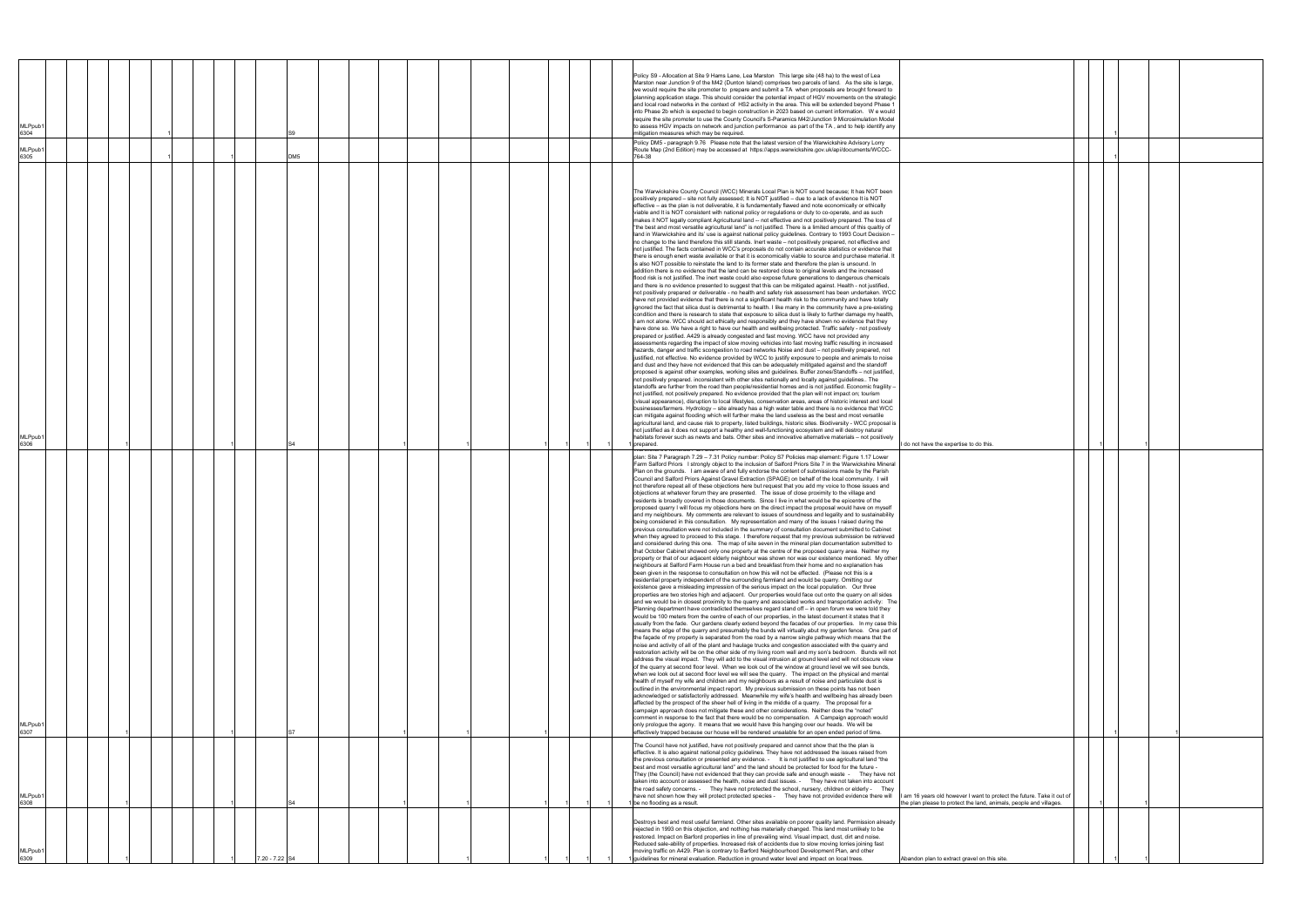| <b>MLPpub</b><br>6304<br>MLPpub1<br>6305 |  |  |              | DM5 |  |  |  |  |  | Policy S9 - Allocation at Site 9 Hams Lane, Lea Marston This large site (48 ha) to the west of Lea<br>Marston near Junction 9 of the M42 (Dunton Island) comprises two parcels of land. As the site is large,<br>we would require the site promoter to prepare and submit a TA when proposals are brought forward to<br>planning application stage. This should consider the potential impact of HGV movements on the strategic<br>and local road networks in the context of HS2 activity in the area. This will be extended beyond Phase 1<br>into Phase 2b which is expected to begin construction in 2023 based on current information. We would<br>require the site promoter to use the County Council's S-Paramics M42/Junction 9 Microsimulation Model<br>to assess HGV impacts on network and junction performance as part of the TA, and to help identify any<br>mitigation measures which may be required.<br>Policy DM5 - paragraph 9.76 Please note that the latest version of the Warwickshire Advisory Lorry<br>Route Map (2nd Edition) may be accessed at https://apps.warwickshire.gov.uk/api/documents/WCCC-<br>764-38                                                                                                                                                                                                                                                                                                                                                                                                                                                                                                                                                                                                                                                                                                                                                                                                                                                                                                                                                                                                                                                                                                                                                                                                                                                                                                                                                                                                                                                                                                                                                                                                                                                                                                                                                                                                                                                                                                                                                                                                                                                                                                                                                                                                                                                                                                                                                                                                                                                                                                                                                                                                                                                                                                                                                                                                                                                                                                                                                                                                                                                                                                                                        |                                                                                                                                              |  |  |  |
|------------------------------------------|--|--|--------------|-----|--|--|--|--|--|-------------------------------------------------------------------------------------------------------------------------------------------------------------------------------------------------------------------------------------------------------------------------------------------------------------------------------------------------------------------------------------------------------------------------------------------------------------------------------------------------------------------------------------------------------------------------------------------------------------------------------------------------------------------------------------------------------------------------------------------------------------------------------------------------------------------------------------------------------------------------------------------------------------------------------------------------------------------------------------------------------------------------------------------------------------------------------------------------------------------------------------------------------------------------------------------------------------------------------------------------------------------------------------------------------------------------------------------------------------------------------------------------------------------------------------------------------------------------------------------------------------------------------------------------------------------------------------------------------------------------------------------------------------------------------------------------------------------------------------------------------------------------------------------------------------------------------------------------------------------------------------------------------------------------------------------------------------------------------------------------------------------------------------------------------------------------------------------------------------------------------------------------------------------------------------------------------------------------------------------------------------------------------------------------------------------------------------------------------------------------------------------------------------------------------------------------------------------------------------------------------------------------------------------------------------------------------------------------------------------------------------------------------------------------------------------------------------------------------------------------------------------------------------------------------------------------------------------------------------------------------------------------------------------------------------------------------------------------------------------------------------------------------------------------------------------------------------------------------------------------------------------------------------------------------------------------------------------------------------------------------------------------------------------------------------------------------------------------------------------------------------------------------------------------------------------------------------------------------------------------------------------------------------------------------------------------------------------------------------------------------------------------------------------------------------------------------------------------------------------------------------------------------------------------------------------------------------------------------------------------------------------------------------------------------------------------------------------------------------------------------------------------------------------------------------------------------------------------------------------------------------------------------------------------------------------------------------------------------------------------------------------------------|----------------------------------------------------------------------------------------------------------------------------------------------|--|--|--|
|                                          |  |  |              |     |  |  |  |  |  |                                                                                                                                                                                                                                                                                                                                                                                                                                                                                                                                                                                                                                                                                                                                                                                                                                                                                                                                                                                                                                                                                                                                                                                                                                                                                                                                                                                                                                                                                                                                                                                                                                                                                                                                                                                                                                                                                                                                                                                                                                                                                                                                                                                                                                                                                                                                                                                                                                                                                                                                                                                                                                                                                                                                                                                                                                                                                                                                                                                                                                                                                                                                                                                                                                                                                                                                                                                                                                                                                                                                                                                                                                                                                                                                                                                                                                                                                                                                                                                                                                                                                                                                                                                                                                                                               |                                                                                                                                              |  |  |  |
|                                          |  |  |              |     |  |  |  |  |  | The Warwickshire County Council (WCC) Minerals Local Plan is NOT sound because; It has NOT been<br>positively prepared - site not fully assessed; It is NOT justified - due to a lack of evidence It is NOT<br>effective – as the plan is not deliverable, it is fundamentally flawed and note economically or ethically<br>viable and It is NOT consistent with national policy or regulations or duty to co-operate, and as such<br>makes it NOT legally compliant Agricultural land -- not effective and not positively prepared. The loss of<br>"the best and most versatile agricultural land" is not justified. There is a limited amount of this qualtiy of<br>land in Warwickshire and its' use is against national policy guidelines. Contrary to 1993 Court Decision -<br>no change to the land therefore this still stands. Inert waste – not positively prepared, not effective and<br>not justified. The facts contained in WCC's proposals do not contain accurate statistics or evidence that<br>there is enough enert waste available or that it is economically viable to source and purchase material. It<br>is also NOT possible to reinstate the land to its former state and therefore the plan is unsound. In<br>addition there is no evidence that the land can be restored close to original levels and the increased<br>flood risk is not justified. The inert waste could also expose future generations to dangerous chemicals<br>and there is no evidence presented to suggest that this can be mitigated against. Health - not justified,<br>not positively prepared or deliverable - no health and safety risk assessment has been undertaken. WCC<br>have not provided evidence that there is not a significant health risk to the community and have totally<br>ignored the fact that silica dust is detrimental to health. I like many in the community have a pre-existing<br>condition and there is research to state that exposure to silica dust is likely to further damage my health,<br>I am not alone. WCC should act ethically and responsibly and they have shown no evidence that they<br>have done so. We have a right to have our health and wellbeing protected. Traffic safety - not postively<br>prepared or justified. A429 is already congested and fast moving. WCC have not provided any<br>assessments regarding the impact of slow moving vehicles into fast moving traffic resulting in increased<br>hazards, danger and traffic scongestion to road networks Noise and dust - not positively prepared, not<br>justified, not effective. No evidence provided by WCC to justify exposure to people and animals to noise<br>and dust and they have not evidenced that this can be adequately mititgated against and the standoff<br>proposed is against other examples, working sites and guidelines. Buffer zones/Standoffs - not justified,<br>not positively prepared. inconsistent with other sites nationally and locally against guidelines The<br>standoffs are further from the road than people/residential homes and is not justified. Economic fragility -<br>not justified, not positively prepared. No evidence provided that the plan will not impact on; tourism<br>(visual appearance), disruption to local lifestyles, conservation areas, areas of historic interest and local<br>businesses/farmers. Hydrology - site already has a high water table and there is no evidence that WCC<br>can mitigate against flooding which will further make the land useless as the best and most versatile<br>agricultural land, and cause risk to property, listed buildings, historic sites. Biodiversity - WCC proposal is<br>not justified as it does not support a healthy and well-functioning ecosystem and will destroy natural                                                                                                                                                                                                                                                                                                                                                                                                                                                                        |                                                                                                                                              |  |  |  |
| <b>MLPpub</b><br>6306                    |  |  |              |     |  |  |  |  |  | habitats forever such as newts and bats. Other sites and innovative alternative materials - not positively<br>prepared.                                                                                                                                                                                                                                                                                                                                                                                                                                                                                                                                                                                                                                                                                                                                                                                                                                                                                                                                                                                                                                                                                                                                                                                                                                                                                                                                                                                                                                                                                                                                                                                                                                                                                                                                                                                                                                                                                                                                                                                                                                                                                                                                                                                                                                                                                                                                                                                                                                                                                                                                                                                                                                                                                                                                                                                                                                                                                                                                                                                                                                                                                                                                                                                                                                                                                                                                                                                                                                                                                                                                                                                                                                                                                                                                                                                                                                                                                                                                                                                                                                                                                                                                                       | I do not have the expertise to do this.                                                                                                      |  |  |  |
| <b>MLPpub</b><br>6307                    |  |  |              |     |  |  |  |  |  | r rins representation relates to rollowing part or the locals<br>plan: Site 7 Paragraph 7.29 - 7.31 Policy number: Policy S7 Policies map element: Figure 1.17 Lower<br>Farm Salford Priors I strongly object to the inclusion of Salford Priors Site 7 in the Warwickshire Mineral<br>Plan on the grounds. I am aware of and fully endorse the content of submissions made by the Parish<br>Council and Salford Priors Against Gravel Extraction (SPAGE) on behalf of the local community. I will<br>not therefore repeat all of these objections here but request that you add my voice to those issues and<br>objections at whatever forum they are presented. The issue of close proximity to the village and<br>residents is broadly covered in those documents. Since I live in what would be the epicentre of the<br>proposed quarry I will focus my objections here on the direct impact the proposal would have on myself<br>and my neighbours. My comments are relevant to issues of soundness and legality and to sustainability<br>being considered in this consultation. My representation and many of the issues I raised during the<br>previous consultation were not included in the summary of consultation document submitted to Cabinet<br>when they agreed to proceed to this stage. I therefore request that my previous submission be retrieved<br>and considered during this one. The map of site seven in the mineral plan documentation submitted to<br>that October Cabinet showed only one property at the centre of the proposed quarry area. Neither my<br>property or that of our adjacent elderly neighbour was shown nor was our existence mentioned. My other<br>neighbours at Salford Farm House run a bed and breakfast from their home and no explanation has<br>been given in the response to consultation on how this will not be effected. (Please not this is a<br>residential property independent of the surrounding farmland and would be quarry. Omitting our<br>existence gave a misleading impression of the serious impact on the local population. Our three<br>properties are two stories high and adjacent. Our properties would face out onto the quarry on all sides<br>and we would be in closest proximity to the quarry and associated works and transportation activity: The<br>Planning department have contradicted themselves regard stand off - in open forum we were told they<br>would be 100 meters from the centre of each of our properties, in the latest document it states that it<br>usually from the fade. Our gardens clearly extend beyond the facades of our properties. In my case this<br>means the edge of the quarry and presumably the bunds will virtually abut my garden fence. One part of<br>the façade of my property is separated from the road by a narrow single pathway which means that the<br>noise and activity of all of the plant and haulage trucks and congestion associated with the quarry and<br>restoration activity will be on the other side of my living room wall and my son's bedroom. Bunds will not<br>address the visual impact. They will add to the visual intrusion at ground level and will not obscure view<br>of the quarry at second floor level. When we look out of the window at ground level we will see bunds,<br>when we look out at second floor level we will see the quarry. The impact on the physical and mental<br>health of myself my wife and children and my neighbours as a result of noise and particulate dust is<br>outlined in the environmental impact report. My previous submission on these points has not been<br>acknowledged or satisfactorily addressed. Meanwhile my wife's health and wellbeing has already been<br>affected by the prospect of the sheer hell of living in the middle of a quarry. The proposal for a<br>campaign approach does not mitigate these and other considerations. Neither does the "noted"<br>comment in response to the fact that there would be no compensation. A Campaign approach would<br>only prologue the agony. It means that we would have this hanging over our heads. We will be<br>effectively trapped because our house will be rendered unsalable for an open ended period of time. |                                                                                                                                              |  |  |  |
| MLPpub<br>6308                           |  |  |              |     |  |  |  |  |  | The Council have not justified, have not positively prepared and cannot show that the the plan is<br>effective. It is also against national policy guidelines. They have not addressed the issues raised from<br>the previous consultation or presented any evidence. - It is not justified to use agricultural land "the<br>best and most versatile agricultural land" and the land should be protected for food for the future -<br>They (the Council) have not evidenced that they can provide safe and enough waste - They have not<br>taken into account or assessed the health, noise and dust issues. - They have not taken into account<br>the road safety concerns. - They have not protected the school, nursery, children or elderly - They<br>have not shown how they will protect protected species - They have not provided evidence there will<br>1 be no flooding as a result.                                                                                                                                                                                                                                                                                                                                                                                                                                                                                                                                                                                                                                                                                                                                                                                                                                                                                                                                                                                                                                                                                                                                                                                                                                                                                                                                                                                                                                                                                                                                                                                                                                                                                                                                                                                                                                                                                                                                                                                                                                                                                                                                                                                                                                                                                                                                                                                                                                                                                                                                                                                                                                                                                                                                                                                                                                                                                                                                                                                                                                                                                                                                                                                                                                                                                                                                                                                | I am 16 years old however I want to protect the future. Take it out of<br>the plan please to protect the land, animals, people and villages. |  |  |  |
| MLPpub<br>6309                           |  |  | 20 - 7.22 S4 |     |  |  |  |  |  | Destroys best and most useful farmland. Other sites available on poorer quality land. Permission already<br>rejected in 1993 on this objection, and nothing has materially changed. This land most unlikely to be<br>restored. Impact on Barford properties in line of prevailing wind. Visual impact, dust, dirt and noise.<br>Reduced sale-ability of properties. Increased risk of accidents due to slow moving lorries joining fast<br>moving traffic on A429. Plan is contrary to Barford Neighbourhood Development Plan, and other<br>guidelines for mineral evaluation. Reduction in ground water level and impact on local trees.                                                                                                                                                                                                                                                                                                                                                                                                                                                                                                                                                                                                                                                                                                                                                                                                                                                                                                                                                                                                                                                                                                                                                                                                                                                                                                                                                                                                                                                                                                                                                                                                                                                                                                                                                                                                                                                                                                                                                                                                                                                                                                                                                                                                                                                                                                                                                                                                                                                                                                                                                                                                                                                                                                                                                                                                                                                                                                                                                                                                                                                                                                                                                                                                                                                                                                                                                                                                                                                                                                                                                                                                                                     | Abandon plan to extract gravel on this site.                                                                                                 |  |  |  |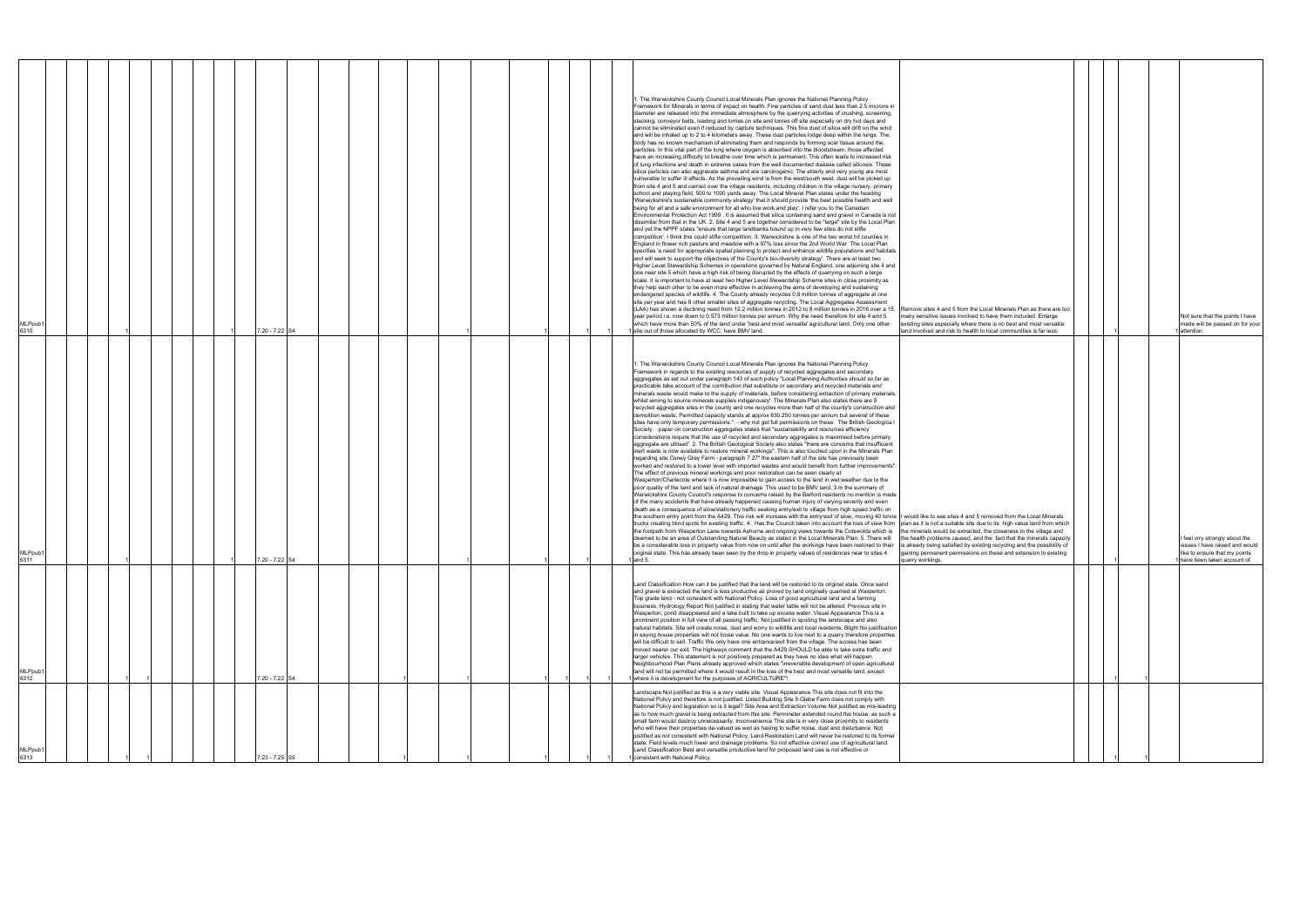| MLPpub<br>6313                                                                                                                                                                                                                                                                                                                                                                                                                                                                                                                                                                                                                                                                                                                                                                                                                                                                                                                                                                                                                        | MLPpub<br>6312                                                                                                                                                                                                                                                                                                                                                                                                                                                                                                                                                                                                                                                                                                                                                                                                                                                                                                                                                                                                                                                                                                                                                                                                                                                                                                                                                                                                                                                                                           | MLPpub1<br>6311                                                                                                                                                                                                                                                                                                                                                                                                                                                                                                                                                                                                                                                                                                                                                                                                                                                                                                                                                                                                                                                                                                                                                                                                                                                                                                                                                                                                                                                                                                                                                                                                                                                                                                                                                                                                                                                                                                                                                                                                                                                                                                                                                                                                                                                                                                                                                                                                                                                                                                                                                                                                                                                                                                                                                                                                                                                                                                                                                                                                                                                                                                                                                                                                                                                                                       | MLPpub1<br>6310                                                                                                                                                                                                                                                                                                                                                                                                                                                                                                                                                                                                                                                                                                                                                                                                                                                                                                                                                                                                                                                                                                                                                                                                                                                                                                                                                                                                                                                                                                                                                                                                                                                                                                                                                                                                                                                                                                                                                                                                                                                                                                                                                                                                                                                                                                                                                                                                                                                                                                                                                                                                                                                                                                                                                                                                                                                                                                                                                                                                                                                                                                                                                                                                                                                                                                                                                                                                                                                                                                                                                                                                                                  |
|---------------------------------------------------------------------------------------------------------------------------------------------------------------------------------------------------------------------------------------------------------------------------------------------------------------------------------------------------------------------------------------------------------------------------------------------------------------------------------------------------------------------------------------------------------------------------------------------------------------------------------------------------------------------------------------------------------------------------------------------------------------------------------------------------------------------------------------------------------------------------------------------------------------------------------------------------------------------------------------------------------------------------------------|----------------------------------------------------------------------------------------------------------------------------------------------------------------------------------------------------------------------------------------------------------------------------------------------------------------------------------------------------------------------------------------------------------------------------------------------------------------------------------------------------------------------------------------------------------------------------------------------------------------------------------------------------------------------------------------------------------------------------------------------------------------------------------------------------------------------------------------------------------------------------------------------------------------------------------------------------------------------------------------------------------------------------------------------------------------------------------------------------------------------------------------------------------------------------------------------------------------------------------------------------------------------------------------------------------------------------------------------------------------------------------------------------------------------------------------------------------------------------------------------------------|-------------------------------------------------------------------------------------------------------------------------------------------------------------------------------------------------------------------------------------------------------------------------------------------------------------------------------------------------------------------------------------------------------------------------------------------------------------------------------------------------------------------------------------------------------------------------------------------------------------------------------------------------------------------------------------------------------------------------------------------------------------------------------------------------------------------------------------------------------------------------------------------------------------------------------------------------------------------------------------------------------------------------------------------------------------------------------------------------------------------------------------------------------------------------------------------------------------------------------------------------------------------------------------------------------------------------------------------------------------------------------------------------------------------------------------------------------------------------------------------------------------------------------------------------------------------------------------------------------------------------------------------------------------------------------------------------------------------------------------------------------------------------------------------------------------------------------------------------------------------------------------------------------------------------------------------------------------------------------------------------------------------------------------------------------------------------------------------------------------------------------------------------------------------------------------------------------------------------------------------------------------------------------------------------------------------------------------------------------------------------------------------------------------------------------------------------------------------------------------------------------------------------------------------------------------------------------------------------------------------------------------------------------------------------------------------------------------------------------------------------------------------------------------------------------------------------------------------------------------------------------------------------------------------------------------------------------------------------------------------------------------------------------------------------------------------------------------------------------------------------------------------------------------------------------------------------------------------------------------------------------------------------------------------------------|--------------------------------------------------------------------------------------------------------------------------------------------------------------------------------------------------------------------------------------------------------------------------------------------------------------------------------------------------------------------------------------------------------------------------------------------------------------------------------------------------------------------------------------------------------------------------------------------------------------------------------------------------------------------------------------------------------------------------------------------------------------------------------------------------------------------------------------------------------------------------------------------------------------------------------------------------------------------------------------------------------------------------------------------------------------------------------------------------------------------------------------------------------------------------------------------------------------------------------------------------------------------------------------------------------------------------------------------------------------------------------------------------------------------------------------------------------------------------------------------------------------------------------------------------------------------------------------------------------------------------------------------------------------------------------------------------------------------------------------------------------------------------------------------------------------------------------------------------------------------------------------------------------------------------------------------------------------------------------------------------------------------------------------------------------------------------------------------------------------------------------------------------------------------------------------------------------------------------------------------------------------------------------------------------------------------------------------------------------------------------------------------------------------------------------------------------------------------------------------------------------------------------------------------------------------------------------------------------------------------------------------------------------------------------------------------------------------------------------------------------------------------------------------------------------------------------------------------------------------------------------------------------------------------------------------------------------------------------------------------------------------------------------------------------------------------------------------------------------------------------------------------------------------------------------------------------------------------------------------------------------------------------------------------------------------------------------------------------------------------------------------------------------------------------------------------------------------------------------------------------------------------------------------------------------------------------------------------------------------------------------------------------|
|                                                                                                                                                                                                                                                                                                                                                                                                                                                                                                                                                                                                                                                                                                                                                                                                                                                                                                                                                                                                                                       |                                                                                                                                                                                                                                                                                                                                                                                                                                                                                                                                                                                                                                                                                                                                                                                                                                                                                                                                                                                                                                                                                                                                                                                                                                                                                                                                                                                                                                                                                                          |                                                                                                                                                                                                                                                                                                                                                                                                                                                                                                                                                                                                                                                                                                                                                                                                                                                                                                                                                                                                                                                                                                                                                                                                                                                                                                                                                                                                                                                                                                                                                                                                                                                                                                                                                                                                                                                                                                                                                                                                                                                                                                                                                                                                                                                                                                                                                                                                                                                                                                                                                                                                                                                                                                                                                                                                                                                                                                                                                                                                                                                                                                                                                                                                                                                                                                       |                                                                                                                                                                                                                                                                                                                                                                                                                                                                                                                                                                                                                                                                                                                                                                                                                                                                                                                                                                                                                                                                                                                                                                                                                                                                                                                                                                                                                                                                                                                                                                                                                                                                                                                                                                                                                                                                                                                                                                                                                                                                                                                                                                                                                                                                                                                                                                                                                                                                                                                                                                                                                                                                                                                                                                                                                                                                                                                                                                                                                                                                                                                                                                                                                                                                                                                                                                                                                                                                                                                                                                                                                                                  |
|                                                                                                                                                                                                                                                                                                                                                                                                                                                                                                                                                                                                                                                                                                                                                                                                                                                                                                                                                                                                                                       |                                                                                                                                                                                                                                                                                                                                                                                                                                                                                                                                                                                                                                                                                                                                                                                                                                                                                                                                                                                                                                                                                                                                                                                                                                                                                                                                                                                                                                                                                                          |                                                                                                                                                                                                                                                                                                                                                                                                                                                                                                                                                                                                                                                                                                                                                                                                                                                                                                                                                                                                                                                                                                                                                                                                                                                                                                                                                                                                                                                                                                                                                                                                                                                                                                                                                                                                                                                                                                                                                                                                                                                                                                                                                                                                                                                                                                                                                                                                                                                                                                                                                                                                                                                                                                                                                                                                                                                                                                                                                                                                                                                                                                                                                                                                                                                                                                       |                                                                                                                                                                                                                                                                                                                                                                                                                                                                                                                                                                                                                                                                                                                                                                                                                                                                                                                                                                                                                                                                                                                                                                                                                                                                                                                                                                                                                                                                                                                                                                                                                                                                                                                                                                                                                                                                                                                                                                                                                                                                                                                                                                                                                                                                                                                                                                                                                                                                                                                                                                                                                                                                                                                                                                                                                                                                                                                                                                                                                                                                                                                                                                                                                                                                                                                                                                                                                                                                                                                                                                                                                                                  |
|                                                                                                                                                                                                                                                                                                                                                                                                                                                                                                                                                                                                                                                                                                                                                                                                                                                                                                                                                                                                                                       |                                                                                                                                                                                                                                                                                                                                                                                                                                                                                                                                                                                                                                                                                                                                                                                                                                                                                                                                                                                                                                                                                                                                                                                                                                                                                                                                                                                                                                                                                                          |                                                                                                                                                                                                                                                                                                                                                                                                                                                                                                                                                                                                                                                                                                                                                                                                                                                                                                                                                                                                                                                                                                                                                                                                                                                                                                                                                                                                                                                                                                                                                                                                                                                                                                                                                                                                                                                                                                                                                                                                                                                                                                                                                                                                                                                                                                                                                                                                                                                                                                                                                                                                                                                                                                                                                                                                                                                                                                                                                                                                                                                                                                                                                                                                                                                                                                       |                                                                                                                                                                                                                                                                                                                                                                                                                                                                                                                                                                                                                                                                                                                                                                                                                                                                                                                                                                                                                                                                                                                                                                                                                                                                                                                                                                                                                                                                                                                                                                                                                                                                                                                                                                                                                                                                                                                                                                                                                                                                                                                                                                                                                                                                                                                                                                                                                                                                                                                                                                                                                                                                                                                                                                                                                                                                                                                                                                                                                                                                                                                                                                                                                                                                                                                                                                                                                                                                                                                                                                                                                                                  |
|                                                                                                                                                                                                                                                                                                                                                                                                                                                                                                                                                                                                                                                                                                                                                                                                                                                                                                                                                                                                                                       |                                                                                                                                                                                                                                                                                                                                                                                                                                                                                                                                                                                                                                                                                                                                                                                                                                                                                                                                                                                                                                                                                                                                                                                                                                                                                                                                                                                                                                                                                                          |                                                                                                                                                                                                                                                                                                                                                                                                                                                                                                                                                                                                                                                                                                                                                                                                                                                                                                                                                                                                                                                                                                                                                                                                                                                                                                                                                                                                                                                                                                                                                                                                                                                                                                                                                                                                                                                                                                                                                                                                                                                                                                                                                                                                                                                                                                                                                                                                                                                                                                                                                                                                                                                                                                                                                                                                                                                                                                                                                                                                                                                                                                                                                                                                                                                                                                       |                                                                                                                                                                                                                                                                                                                                                                                                                                                                                                                                                                                                                                                                                                                                                                                                                                                                                                                                                                                                                                                                                                                                                                                                                                                                                                                                                                                                                                                                                                                                                                                                                                                                                                                                                                                                                                                                                                                                                                                                                                                                                                                                                                                                                                                                                                                                                                                                                                                                                                                                                                                                                                                                                                                                                                                                                                                                                                                                                                                                                                                                                                                                                                                                                                                                                                                                                                                                                                                                                                                                                                                                                                                  |
|                                                                                                                                                                                                                                                                                                                                                                                                                                                                                                                                                                                                                                                                                                                                                                                                                                                                                                                                                                                                                                       |                                                                                                                                                                                                                                                                                                                                                                                                                                                                                                                                                                                                                                                                                                                                                                                                                                                                                                                                                                                                                                                                                                                                                                                                                                                                                                                                                                                                                                                                                                          |                                                                                                                                                                                                                                                                                                                                                                                                                                                                                                                                                                                                                                                                                                                                                                                                                                                                                                                                                                                                                                                                                                                                                                                                                                                                                                                                                                                                                                                                                                                                                                                                                                                                                                                                                                                                                                                                                                                                                                                                                                                                                                                                                                                                                                                                                                                                                                                                                                                                                                                                                                                                                                                                                                                                                                                                                                                                                                                                                                                                                                                                                                                                                                                                                                                                                                       |                                                                                                                                                                                                                                                                                                                                                                                                                                                                                                                                                                                                                                                                                                                                                                                                                                                                                                                                                                                                                                                                                                                                                                                                                                                                                                                                                                                                                                                                                                                                                                                                                                                                                                                                                                                                                                                                                                                                                                                                                                                                                                                                                                                                                                                                                                                                                                                                                                                                                                                                                                                                                                                                                                                                                                                                                                                                                                                                                                                                                                                                                                                                                                                                                                                                                                                                                                                                                                                                                                                                                                                                                                                  |
|                                                                                                                                                                                                                                                                                                                                                                                                                                                                                                                                                                                                                                                                                                                                                                                                                                                                                                                                                                                                                                       |                                                                                                                                                                                                                                                                                                                                                                                                                                                                                                                                                                                                                                                                                                                                                                                                                                                                                                                                                                                                                                                                                                                                                                                                                                                                                                                                                                                                                                                                                                          |                                                                                                                                                                                                                                                                                                                                                                                                                                                                                                                                                                                                                                                                                                                                                                                                                                                                                                                                                                                                                                                                                                                                                                                                                                                                                                                                                                                                                                                                                                                                                                                                                                                                                                                                                                                                                                                                                                                                                                                                                                                                                                                                                                                                                                                                                                                                                                                                                                                                                                                                                                                                                                                                                                                                                                                                                                                                                                                                                                                                                                                                                                                                                                                                                                                                                                       |                                                                                                                                                                                                                                                                                                                                                                                                                                                                                                                                                                                                                                                                                                                                                                                                                                                                                                                                                                                                                                                                                                                                                                                                                                                                                                                                                                                                                                                                                                                                                                                                                                                                                                                                                                                                                                                                                                                                                                                                                                                                                                                                                                                                                                                                                                                                                                                                                                                                                                                                                                                                                                                                                                                                                                                                                                                                                                                                                                                                                                                                                                                                                                                                                                                                                                                                                                                                                                                                                                                                                                                                                                                  |
|                                                                                                                                                                                                                                                                                                                                                                                                                                                                                                                                                                                                                                                                                                                                                                                                                                                                                                                                                                                                                                       |                                                                                                                                                                                                                                                                                                                                                                                                                                                                                                                                                                                                                                                                                                                                                                                                                                                                                                                                                                                                                                                                                                                                                                                                                                                                                                                                                                                                                                                                                                          |                                                                                                                                                                                                                                                                                                                                                                                                                                                                                                                                                                                                                                                                                                                                                                                                                                                                                                                                                                                                                                                                                                                                                                                                                                                                                                                                                                                                                                                                                                                                                                                                                                                                                                                                                                                                                                                                                                                                                                                                                                                                                                                                                                                                                                                                                                                                                                                                                                                                                                                                                                                                                                                                                                                                                                                                                                                                                                                                                                                                                                                                                                                                                                                                                                                                                                       |                                                                                                                                                                                                                                                                                                                                                                                                                                                                                                                                                                                                                                                                                                                                                                                                                                                                                                                                                                                                                                                                                                                                                                                                                                                                                                                                                                                                                                                                                                                                                                                                                                                                                                                                                                                                                                                                                                                                                                                                                                                                                                                                                                                                                                                                                                                                                                                                                                                                                                                                                                                                                                                                                                                                                                                                                                                                                                                                                                                                                                                                                                                                                                                                                                                                                                                                                                                                                                                                                                                                                                                                                                                  |
|                                                                                                                                                                                                                                                                                                                                                                                                                                                                                                                                                                                                                                                                                                                                                                                                                                                                                                                                                                                                                                       |                                                                                                                                                                                                                                                                                                                                                                                                                                                                                                                                                                                                                                                                                                                                                                                                                                                                                                                                                                                                                                                                                                                                                                                                                                                                                                                                                                                                                                                                                                          |                                                                                                                                                                                                                                                                                                                                                                                                                                                                                                                                                                                                                                                                                                                                                                                                                                                                                                                                                                                                                                                                                                                                                                                                                                                                                                                                                                                                                                                                                                                                                                                                                                                                                                                                                                                                                                                                                                                                                                                                                                                                                                                                                                                                                                                                                                                                                                                                                                                                                                                                                                                                                                                                                                                                                                                                                                                                                                                                                                                                                                                                                                                                                                                                                                                                                                       |                                                                                                                                                                                                                                                                                                                                                                                                                                                                                                                                                                                                                                                                                                                                                                                                                                                                                                                                                                                                                                                                                                                                                                                                                                                                                                                                                                                                                                                                                                                                                                                                                                                                                                                                                                                                                                                                                                                                                                                                                                                                                                                                                                                                                                                                                                                                                                                                                                                                                                                                                                                                                                                                                                                                                                                                                                                                                                                                                                                                                                                                                                                                                                                                                                                                                                                                                                                                                                                                                                                                                                                                                                                  |
| .23 - 7.25                                                                                                                                                                                                                                                                                                                                                                                                                                                                                                                                                                                                                                                                                                                                                                                                                                                                                                                                                                                                                            | 7.20 - 7.22 S4                                                                                                                                                                                                                                                                                                                                                                                                                                                                                                                                                                                                                                                                                                                                                                                                                                                                                                                                                                                                                                                                                                                                                                                                                                                                                                                                                                                                                                                                                           | $.20 - 7.22$ S4                                                                                                                                                                                                                                                                                                                                                                                                                                                                                                                                                                                                                                                                                                                                                                                                                                                                                                                                                                                                                                                                                                                                                                                                                                                                                                                                                                                                                                                                                                                                                                                                                                                                                                                                                                                                                                                                                                                                                                                                                                                                                                                                                                                                                                                                                                                                                                                                                                                                                                                                                                                                                                                                                                                                                                                                                                                                                                                                                                                                                                                                                                                                                                                                                                                                                       | 7.20 - 7.22 S4                                                                                                                                                                                                                                                                                                                                                                                                                                                                                                                                                                                                                                                                                                                                                                                                                                                                                                                                                                                                                                                                                                                                                                                                                                                                                                                                                                                                                                                                                                                                                                                                                                                                                                                                                                                                                                                                                                                                                                                                                                                                                                                                                                                                                                                                                                                                                                                                                                                                                                                                                                                                                                                                                                                                                                                                                                                                                                                                                                                                                                                                                                                                                                                                                                                                                                                                                                                                                                                                                                                                                                                                                                   |
|                                                                                                                                                                                                                                                                                                                                                                                                                                                                                                                                                                                                                                                                                                                                                                                                                                                                                                                                                                                                                                       |                                                                                                                                                                                                                                                                                                                                                                                                                                                                                                                                                                                                                                                                                                                                                                                                                                                                                                                                                                                                                                                                                                                                                                                                                                                                                                                                                                                                                                                                                                          |                                                                                                                                                                                                                                                                                                                                                                                                                                                                                                                                                                                                                                                                                                                                                                                                                                                                                                                                                                                                                                                                                                                                                                                                                                                                                                                                                                                                                                                                                                                                                                                                                                                                                                                                                                                                                                                                                                                                                                                                                                                                                                                                                                                                                                                                                                                                                                                                                                                                                                                                                                                                                                                                                                                                                                                                                                                                                                                                                                                                                                                                                                                                                                                                                                                                                                       |                                                                                                                                                                                                                                                                                                                                                                                                                                                                                                                                                                                                                                                                                                                                                                                                                                                                                                                                                                                                                                                                                                                                                                                                                                                                                                                                                                                                                                                                                                                                                                                                                                                                                                                                                                                                                                                                                                                                                                                                                                                                                                                                                                                                                                                                                                                                                                                                                                                                                                                                                                                                                                                                                                                                                                                                                                                                                                                                                                                                                                                                                                                                                                                                                                                                                                                                                                                                                                                                                                                                                                                                                                                  |
|                                                                                                                                                                                                                                                                                                                                                                                                                                                                                                                                                                                                                                                                                                                                                                                                                                                                                                                                                                                                                                       |                                                                                                                                                                                                                                                                                                                                                                                                                                                                                                                                                                                                                                                                                                                                                                                                                                                                                                                                                                                                                                                                                                                                                                                                                                                                                                                                                                                                                                                                                                          |                                                                                                                                                                                                                                                                                                                                                                                                                                                                                                                                                                                                                                                                                                                                                                                                                                                                                                                                                                                                                                                                                                                                                                                                                                                                                                                                                                                                                                                                                                                                                                                                                                                                                                                                                                                                                                                                                                                                                                                                                                                                                                                                                                                                                                                                                                                                                                                                                                                                                                                                                                                                                                                                                                                                                                                                                                                                                                                                                                                                                                                                                                                                                                                                                                                                                                       |                                                                                                                                                                                                                                                                                                                                                                                                                                                                                                                                                                                                                                                                                                                                                                                                                                                                                                                                                                                                                                                                                                                                                                                                                                                                                                                                                                                                                                                                                                                                                                                                                                                                                                                                                                                                                                                                                                                                                                                                                                                                                                                                                                                                                                                                                                                                                                                                                                                                                                                                                                                                                                                                                                                                                                                                                                                                                                                                                                                                                                                                                                                                                                                                                                                                                                                                                                                                                                                                                                                                                                                                                                                  |
|                                                                                                                                                                                                                                                                                                                                                                                                                                                                                                                                                                                                                                                                                                                                                                                                                                                                                                                                                                                                                                       |                                                                                                                                                                                                                                                                                                                                                                                                                                                                                                                                                                                                                                                                                                                                                                                                                                                                                                                                                                                                                                                                                                                                                                                                                                                                                                                                                                                                                                                                                                          |                                                                                                                                                                                                                                                                                                                                                                                                                                                                                                                                                                                                                                                                                                                                                                                                                                                                                                                                                                                                                                                                                                                                                                                                                                                                                                                                                                                                                                                                                                                                                                                                                                                                                                                                                                                                                                                                                                                                                                                                                                                                                                                                                                                                                                                                                                                                                                                                                                                                                                                                                                                                                                                                                                                                                                                                                                                                                                                                                                                                                                                                                                                                                                                                                                                                                                       |                                                                                                                                                                                                                                                                                                                                                                                                                                                                                                                                                                                                                                                                                                                                                                                                                                                                                                                                                                                                                                                                                                                                                                                                                                                                                                                                                                                                                                                                                                                                                                                                                                                                                                                                                                                                                                                                                                                                                                                                                                                                                                                                                                                                                                                                                                                                                                                                                                                                                                                                                                                                                                                                                                                                                                                                                                                                                                                                                                                                                                                                                                                                                                                                                                                                                                                                                                                                                                                                                                                                                                                                                                                  |
|                                                                                                                                                                                                                                                                                                                                                                                                                                                                                                                                                                                                                                                                                                                                                                                                                                                                                                                                                                                                                                       |                                                                                                                                                                                                                                                                                                                                                                                                                                                                                                                                                                                                                                                                                                                                                                                                                                                                                                                                                                                                                                                                                                                                                                                                                                                                                                                                                                                                                                                                                                          |                                                                                                                                                                                                                                                                                                                                                                                                                                                                                                                                                                                                                                                                                                                                                                                                                                                                                                                                                                                                                                                                                                                                                                                                                                                                                                                                                                                                                                                                                                                                                                                                                                                                                                                                                                                                                                                                                                                                                                                                                                                                                                                                                                                                                                                                                                                                                                                                                                                                                                                                                                                                                                                                                                                                                                                                                                                                                                                                                                                                                                                                                                                                                                                                                                                                                                       |                                                                                                                                                                                                                                                                                                                                                                                                                                                                                                                                                                                                                                                                                                                                                                                                                                                                                                                                                                                                                                                                                                                                                                                                                                                                                                                                                                                                                                                                                                                                                                                                                                                                                                                                                                                                                                                                                                                                                                                                                                                                                                                                                                                                                                                                                                                                                                                                                                                                                                                                                                                                                                                                                                                                                                                                                                                                                                                                                                                                                                                                                                                                                                                                                                                                                                                                                                                                                                                                                                                                                                                                                                                  |
|                                                                                                                                                                                                                                                                                                                                                                                                                                                                                                                                                                                                                                                                                                                                                                                                                                                                                                                                                                                                                                       |                                                                                                                                                                                                                                                                                                                                                                                                                                                                                                                                                                                                                                                                                                                                                                                                                                                                                                                                                                                                                                                                                                                                                                                                                                                                                                                                                                                                                                                                                                          |                                                                                                                                                                                                                                                                                                                                                                                                                                                                                                                                                                                                                                                                                                                                                                                                                                                                                                                                                                                                                                                                                                                                                                                                                                                                                                                                                                                                                                                                                                                                                                                                                                                                                                                                                                                                                                                                                                                                                                                                                                                                                                                                                                                                                                                                                                                                                                                                                                                                                                                                                                                                                                                                                                                                                                                                                                                                                                                                                                                                                                                                                                                                                                                                                                                                                                       |                                                                                                                                                                                                                                                                                                                                                                                                                                                                                                                                                                                                                                                                                                                                                                                                                                                                                                                                                                                                                                                                                                                                                                                                                                                                                                                                                                                                                                                                                                                                                                                                                                                                                                                                                                                                                                                                                                                                                                                                                                                                                                                                                                                                                                                                                                                                                                                                                                                                                                                                                                                                                                                                                                                                                                                                                                                                                                                                                                                                                                                                                                                                                                                                                                                                                                                                                                                                                                                                                                                                                                                                                                                  |
|                                                                                                                                                                                                                                                                                                                                                                                                                                                                                                                                                                                                                                                                                                                                                                                                                                                                                                                                                                                                                                       |                                                                                                                                                                                                                                                                                                                                                                                                                                                                                                                                                                                                                                                                                                                                                                                                                                                                                                                                                                                                                                                                                                                                                                                                                                                                                                                                                                                                                                                                                                          |                                                                                                                                                                                                                                                                                                                                                                                                                                                                                                                                                                                                                                                                                                                                                                                                                                                                                                                                                                                                                                                                                                                                                                                                                                                                                                                                                                                                                                                                                                                                                                                                                                                                                                                                                                                                                                                                                                                                                                                                                                                                                                                                                                                                                                                                                                                                                                                                                                                                                                                                                                                                                                                                                                                                                                                                                                                                                                                                                                                                                                                                                                                                                                                                                                                                                                       |                                                                                                                                                                                                                                                                                                                                                                                                                                                                                                                                                                                                                                                                                                                                                                                                                                                                                                                                                                                                                                                                                                                                                                                                                                                                                                                                                                                                                                                                                                                                                                                                                                                                                                                                                                                                                                                                                                                                                                                                                                                                                                                                                                                                                                                                                                                                                                                                                                                                                                                                                                                                                                                                                                                                                                                                                                                                                                                                                                                                                                                                                                                                                                                                                                                                                                                                                                                                                                                                                                                                                                                                                                                  |
|                                                                                                                                                                                                                                                                                                                                                                                                                                                                                                                                                                                                                                                                                                                                                                                                                                                                                                                                                                                                                                       |                                                                                                                                                                                                                                                                                                                                                                                                                                                                                                                                                                                                                                                                                                                                                                                                                                                                                                                                                                                                                                                                                                                                                                                                                                                                                                                                                                                                                                                                                                          |                                                                                                                                                                                                                                                                                                                                                                                                                                                                                                                                                                                                                                                                                                                                                                                                                                                                                                                                                                                                                                                                                                                                                                                                                                                                                                                                                                                                                                                                                                                                                                                                                                                                                                                                                                                                                                                                                                                                                                                                                                                                                                                                                                                                                                                                                                                                                                                                                                                                                                                                                                                                                                                                                                                                                                                                                                                                                                                                                                                                                                                                                                                                                                                                                                                                                                       |                                                                                                                                                                                                                                                                                                                                                                                                                                                                                                                                                                                                                                                                                                                                                                                                                                                                                                                                                                                                                                                                                                                                                                                                                                                                                                                                                                                                                                                                                                                                                                                                                                                                                                                                                                                                                                                                                                                                                                                                                                                                                                                                                                                                                                                                                                                                                                                                                                                                                                                                                                                                                                                                                                                                                                                                                                                                                                                                                                                                                                                                                                                                                                                                                                                                                                                                                                                                                                                                                                                                                                                                                                                  |
|                                                                                                                                                                                                                                                                                                                                                                                                                                                                                                                                                                                                                                                                                                                                                                                                                                                                                                                                                                                                                                       |                                                                                                                                                                                                                                                                                                                                                                                                                                                                                                                                                                                                                                                                                                                                                                                                                                                                                                                                                                                                                                                                                                                                                                                                                                                                                                                                                                                                                                                                                                          |                                                                                                                                                                                                                                                                                                                                                                                                                                                                                                                                                                                                                                                                                                                                                                                                                                                                                                                                                                                                                                                                                                                                                                                                                                                                                                                                                                                                                                                                                                                                                                                                                                                                                                                                                                                                                                                                                                                                                                                                                                                                                                                                                                                                                                                                                                                                                                                                                                                                                                                                                                                                                                                                                                                                                                                                                                                                                                                                                                                                                                                                                                                                                                                                                                                                                                       |                                                                                                                                                                                                                                                                                                                                                                                                                                                                                                                                                                                                                                                                                                                                                                                                                                                                                                                                                                                                                                                                                                                                                                                                                                                                                                                                                                                                                                                                                                                                                                                                                                                                                                                                                                                                                                                                                                                                                                                                                                                                                                                                                                                                                                                                                                                                                                                                                                                                                                                                                                                                                                                                                                                                                                                                                                                                                                                                                                                                                                                                                                                                                                                                                                                                                                                                                                                                                                                                                                                                                                                                                                                  |
|                                                                                                                                                                                                                                                                                                                                                                                                                                                                                                                                                                                                                                                                                                                                                                                                                                                                                                                                                                                                                                       |                                                                                                                                                                                                                                                                                                                                                                                                                                                                                                                                                                                                                                                                                                                                                                                                                                                                                                                                                                                                                                                                                                                                                                                                                                                                                                                                                                                                                                                                                                          |                                                                                                                                                                                                                                                                                                                                                                                                                                                                                                                                                                                                                                                                                                                                                                                                                                                                                                                                                                                                                                                                                                                                                                                                                                                                                                                                                                                                                                                                                                                                                                                                                                                                                                                                                                                                                                                                                                                                                                                                                                                                                                                                                                                                                                                                                                                                                                                                                                                                                                                                                                                                                                                                                                                                                                                                                                                                                                                                                                                                                                                                                                                                                                                                                                                                                                       |                                                                                                                                                                                                                                                                                                                                                                                                                                                                                                                                                                                                                                                                                                                                                                                                                                                                                                                                                                                                                                                                                                                                                                                                                                                                                                                                                                                                                                                                                                                                                                                                                                                                                                                                                                                                                                                                                                                                                                                                                                                                                                                                                                                                                                                                                                                                                                                                                                                                                                                                                                                                                                                                                                                                                                                                                                                                                                                                                                                                                                                                                                                                                                                                                                                                                                                                                                                                                                                                                                                                                                                                                                                  |
|                                                                                                                                                                                                                                                                                                                                                                                                                                                                                                                                                                                                                                                                                                                                                                                                                                                                                                                                                                                                                                       |                                                                                                                                                                                                                                                                                                                                                                                                                                                                                                                                                                                                                                                                                                                                                                                                                                                                                                                                                                                                                                                                                                                                                                                                                                                                                                                                                                                                                                                                                                          |                                                                                                                                                                                                                                                                                                                                                                                                                                                                                                                                                                                                                                                                                                                                                                                                                                                                                                                                                                                                                                                                                                                                                                                                                                                                                                                                                                                                                                                                                                                                                                                                                                                                                                                                                                                                                                                                                                                                                                                                                                                                                                                                                                                                                                                                                                                                                                                                                                                                                                                                                                                                                                                                                                                                                                                                                                                                                                                                                                                                                                                                                                                                                                                                                                                                                                       |                                                                                                                                                                                                                                                                                                                                                                                                                                                                                                                                                                                                                                                                                                                                                                                                                                                                                                                                                                                                                                                                                                                                                                                                                                                                                                                                                                                                                                                                                                                                                                                                                                                                                                                                                                                                                                                                                                                                                                                                                                                                                                                                                                                                                                                                                                                                                                                                                                                                                                                                                                                                                                                                                                                                                                                                                                                                                                                                                                                                                                                                                                                                                                                                                                                                                                                                                                                                                                                                                                                                                                                                                                                  |
|                                                                                                                                                                                                                                                                                                                                                                                                                                                                                                                                                                                                                                                                                                                                                                                                                                                                                                                                                                                                                                       |                                                                                                                                                                                                                                                                                                                                                                                                                                                                                                                                                                                                                                                                                                                                                                                                                                                                                                                                                                                                                                                                                                                                                                                                                                                                                                                                                                                                                                                                                                          |                                                                                                                                                                                                                                                                                                                                                                                                                                                                                                                                                                                                                                                                                                                                                                                                                                                                                                                                                                                                                                                                                                                                                                                                                                                                                                                                                                                                                                                                                                                                                                                                                                                                                                                                                                                                                                                                                                                                                                                                                                                                                                                                                                                                                                                                                                                                                                                                                                                                                                                                                                                                                                                                                                                                                                                                                                                                                                                                                                                                                                                                                                                                                                                                                                                                                                       |                                                                                                                                                                                                                                                                                                                                                                                                                                                                                                                                                                                                                                                                                                                                                                                                                                                                                                                                                                                                                                                                                                                                                                                                                                                                                                                                                                                                                                                                                                                                                                                                                                                                                                                                                                                                                                                                                                                                                                                                                                                                                                                                                                                                                                                                                                                                                                                                                                                                                                                                                                                                                                                                                                                                                                                                                                                                                                                                                                                                                                                                                                                                                                                                                                                                                                                                                                                                                                                                                                                                                                                                                                                  |
|                                                                                                                                                                                                                                                                                                                                                                                                                                                                                                                                                                                                                                                                                                                                                                                                                                                                                                                                                                                                                                       |                                                                                                                                                                                                                                                                                                                                                                                                                                                                                                                                                                                                                                                                                                                                                                                                                                                                                                                                                                                                                                                                                                                                                                                                                                                                                                                                                                                                                                                                                                          |                                                                                                                                                                                                                                                                                                                                                                                                                                                                                                                                                                                                                                                                                                                                                                                                                                                                                                                                                                                                                                                                                                                                                                                                                                                                                                                                                                                                                                                                                                                                                                                                                                                                                                                                                                                                                                                                                                                                                                                                                                                                                                                                                                                                                                                                                                                                                                                                                                                                                                                                                                                                                                                                                                                                                                                                                                                                                                                                                                                                                                                                                                                                                                                                                                                                                                       |                                                                                                                                                                                                                                                                                                                                                                                                                                                                                                                                                                                                                                                                                                                                                                                                                                                                                                                                                                                                                                                                                                                                                                                                                                                                                                                                                                                                                                                                                                                                                                                                                                                                                                                                                                                                                                                                                                                                                                                                                                                                                                                                                                                                                                                                                                                                                                                                                                                                                                                                                                                                                                                                                                                                                                                                                                                                                                                                                                                                                                                                                                                                                                                                                                                                                                                                                                                                                                                                                                                                                                                                                                                  |
| Landscape Not justified as this is a very viable site. Visual Appearance This site does not fit into the<br>National Policy and therefore is not justified. Listed Building Site 5 Glebe Farm does not comply with<br>National Policy and legislation so is it legal? Site Area and Extraction Volume Not justified as mis-leading<br>as to how much gravel is being extracted from this site. Permineter extended round the house, as such a<br>small farm would destroy unnecessarily. Inconvenience This site is in very close proximity to residents<br>who will have their properties de-valued as well as having to suffer noise, dust and disturbance. Not<br>justified as not consistent with National Policy. Land Restoration Land will never be restored to its former<br>state. Field levels much lower and drainage problems. So not effective correct use of agricultural land.<br>Land Classification Best and versatile productive land for proposed land use is not effective or<br>consistent with National Policy. | Land Classification How can it be justified that the land will be restored to its original state. Once sand<br>and gravel is extracted the land is less productive as proved by land originally quarried at Wasperton.<br>Top grade land - not consistent with National Policy. Loss of good agricultural land and a farming<br>business. Hydrology Report Not justified in stating that water table will not be altered. Previous site in<br>Wasperton, pond disappeared and a lake built to take up excess water. Visual Appearance This is a<br>prominent position in full view of all passing traffic. Not justified in spoiling the landscape and also<br>natural habitats. Site will create noise, dust and worry to wildlife and local residents. Blight No justification<br>in saying house properties will not loose value. No one wants to live next to a quarry therefore properties<br>will be difficult to sell. Traffic We only have one entrance/exit from the village. The access has been<br>moved nearer our exit. The highways comment that the A429 SHOULD be able to take extra traffic and<br>larger vehicles. This statement is not positively prepared as they have no idea what will happen.<br>Neighbourhood Plan Plans already approved which states "irreversible development of open agricultural<br>land will not be permitted where it would result in the loss of the best and most versatile land, except<br>where it is development for the purposes of AGRICULTURE"!. | 1. The Warwickshire County Council Local Minerals Plan ignores the National Planning Policy<br>Framework in regards to the existing resources of supply of recycled aggregates and secondary<br>aggregates as set out under paragraph 143 of such policy "Local Planning Authorities should so far as<br>practicable take account of the contribution that substitute or secondary and recycled materials and<br>minerals waste would make to the supply of materials, before considering extraction of primary materials,<br>whilst aiming to source minerals supplies indigenously'. The Minerals Plan also states there are 9<br>recycled aggregates sites in the county and one recycles more than half of the county's construction and<br>demolition waste. Permitted capacity stands at approx 830.250 tonnes per annum but several of these<br>sites have only temporary permissions.". - why not get full permissions on these. The British Geologica I<br>Society paper on construction aggregates states that "sustainability and resources efficiency<br>considerations require that the use of recycled and secondary aggregates is maximised before primary<br>aggregate are utilised'. 2. The British Geological Society also states "there are concerns that insufficient<br>inert waste is now available to restore mineral workings". This is also touched upon in the Minerals Plan<br>regarding site Coney Grey Farm - paragraph 7.27" the eastern half of the site has previously been<br>worked and restored to a lower level with imported wastes and would benefit from further improvements".<br>The effect of previous mineral workings and poor restoration can be seen clearly at<br>Wasperton/Charlecote where it is now impossible to gain access to the land in wet weather due to the<br>poor quality of the land and lack of natural drainage. This used to be BMV land. 3.In the summary of<br>Warwickshire County Council's response to concerns raised by the Barford residents no mention is made<br>of the many accidents that have already happened causing human injury of varying severity and even<br>death as a consequence of slow/stationery traffic seeking entry/exit to village from high speed traffic on<br>the southern entry point from the A429. This risk will increase with the entry/exit of slow, moving 40 tonne I would like to see sites 4 and 5 removed from the Local Minerals<br>trucks creating blind spots for existing traffic. 4. Has the Council taken into account the loss of view from plan as it is not a suitable site due to its high value land from which<br>the footpath from Wasperton Lane towards Ashorne and ongoing views towards the Cotswolds which is Ithe minerals would be extracted, the closeness to the village and<br>deemed to be an area of Outstanding Natural Beauty as stated in the Local Minerals Plan. 5. There will the health problems caused, and the fact that the minerals capacity<br>be a considerable loss in property value from now on until after the workings have been restored to their is already being satisfied by existing recycling and the possibility of<br>original state. This has already been seen by the drop in property values of residences near to sites 4<br>and 5. | 1. The Warwickshire County Council Local Minerals Plan ignores the National Planning Policy<br>Framework for Minerals in terms of impact on health. Fine particles of sand dust less than 2.5 microns in<br>diameter are released into the immediate atmosphere by the quarrying activities of crushing, screening,<br>stacking, conveyor belts, loading and lorries on site and lorries off site especially on dry hot days and<br>cannot be eliminated even if reduced by capture techniques. This fine dust of silica will drift on the wind<br>and will be inhaled up to 2 to 4 kilometers away. These dust particles lodge deep within the lungs. The<br>body has no known mechanism of eliminating them and responds by forming scar tissue around the<br>particles. In this vital part of the lung where oxygen is absorbed into the bloodstream, those affected<br>have an increasing difficulty to breathe over time which is permanent. This often leads to increased risk<br>of lung infections and death in extreme cases from the well documented disease called silicosis. These<br>silica particles can also aggravate asthma and are carcinogenic. The elderly and very young are most<br>vulnerable to suffer ill effects. As the prevailing wind is from the west/south west, dust will be picked up<br>from site 4 and 5 and carried over the village residents, including children in the village nursery, primary<br>school and playing field, 500 to 1000 yards away. The Local Mineral Plan states under the heading<br>'Warwickshire's sustainable community strategy' that it should provide 'the best possible health and well<br>being for all and a safe environment for all who live work and play'. I refer you to the Canadian<br>Environmental Protection Act 1999. It is assumed that silica containing sand and gravel in Canada is not<br>dissimilar from that in the UK. 2. Site 4 and 5 are together considered to be "large" site by the Local Plan<br>and yet the NPPF states "ensure that large landbanks bound up in very few sites do not stifle<br>competition'. I think this could stifle competition. 3. Warwickshire is one of the two worst hit counties in<br>England in flower rich pasture and meadow with a 97% loss since the 2nd World War. The Local Plan<br>specifies 'a need for appropriate spatial planning to protect and enhance wildlife populations and habitats<br>and will seek to support the objectives of the County's bio-diversity strategy'. There are at least two<br>Higher Level Stewardship Schemes in operations governed by Natural England, one adjoining site 4 and<br>one near site 5 which have a high risk of being disrupted by the effects of quarrying on such a large<br>scale. It is important to have at least two Higher Level Stewardship Scheme sites in close proximity as<br>they help each other to be even more effective in achieving the aims of developing and sustaining<br>endangered species of wildlife. 4. The County already recycles 0.8 million tonnes of aggregate at one<br>site per year and has 8 other smaller sites of aggregate recycling. The Local Aggregates Assessment<br>(LAA) has shown a declining need from 12.2 million tonnes in 2012 to 8 million tonnes in 2016 over a 15 Remove sites 4 and 5 from the Local Minerals Plan as there are too<br>year period i.e. now down to 0.573 million tonnes per annum. Why the need therefore for site 4 and 5<br>which have more than 50% of the land under 'best and most versatile' agricultural land. Only one other<br>site out of those allocated by WCC, have BMV land. |
|                                                                                                                                                                                                                                                                                                                                                                                                                                                                                                                                                                                                                                                                                                                                                                                                                                                                                                                                                                                                                                       |                                                                                                                                                                                                                                                                                                                                                                                                                                                                                                                                                                                                                                                                                                                                                                                                                                                                                                                                                                                                                                                                                                                                                                                                                                                                                                                                                                                                                                                                                                          |                                                                                                                                                                                                                                                                                                                                                                                                                                                                                                                                                                                                                                                                                                                                                                                                                                                                                                                                                                                                                                                                                                                                                                                                                                                                                                                                                                                                                                                                                                                                                                                                                                                                                                                                                                                                                                                                                                                                                                                                                                                                                                                                                                                                                                                                                                                                                                                                                                                                                                                                                                                                                                                                                                                                                                                                                                                                                                                                                                                                                                                                                                                                                                                                                                                                                                       |                                                                                                                                                                                                                                                                                                                                                                                                                                                                                                                                                                                                                                                                                                                                                                                                                                                                                                                                                                                                                                                                                                                                                                                                                                                                                                                                                                                                                                                                                                                                                                                                                                                                                                                                                                                                                                                                                                                                                                                                                                                                                                                                                                                                                                                                                                                                                                                                                                                                                                                                                                                                                                                                                                                                                                                                                                                                                                                                                                                                                                                                                                                                                                                                                                                                                                                                                                                                                                                                                                                                                                                                                                                  |
|                                                                                                                                                                                                                                                                                                                                                                                                                                                                                                                                                                                                                                                                                                                                                                                                                                                                                                                                                                                                                                       |                                                                                                                                                                                                                                                                                                                                                                                                                                                                                                                                                                                                                                                                                                                                                                                                                                                                                                                                                                                                                                                                                                                                                                                                                                                                                                                                                                                                                                                                                                          |                                                                                                                                                                                                                                                                                                                                                                                                                                                                                                                                                                                                                                                                                                                                                                                                                                                                                                                                                                                                                                                                                                                                                                                                                                                                                                                                                                                                                                                                                                                                                                                                                                                                                                                                                                                                                                                                                                                                                                                                                                                                                                                                                                                                                                                                                                                                                                                                                                                                                                                                                                                                                                                                                                                                                                                                                                                                                                                                                                                                                                                                                                                                                                                                                                                                                                       |                                                                                                                                                                                                                                                                                                                                                                                                                                                                                                                                                                                                                                                                                                                                                                                                                                                                                                                                                                                                                                                                                                                                                                                                                                                                                                                                                                                                                                                                                                                                                                                                                                                                                                                                                                                                                                                                                                                                                                                                                                                                                                                                                                                                                                                                                                                                                                                                                                                                                                                                                                                                                                                                                                                                                                                                                                                                                                                                                                                                                                                                                                                                                                                                                                                                                                                                                                                                                                                                                                                                                                                                                                                  |
|                                                                                                                                                                                                                                                                                                                                                                                                                                                                                                                                                                                                                                                                                                                                                                                                                                                                                                                                                                                                                                       |                                                                                                                                                                                                                                                                                                                                                                                                                                                                                                                                                                                                                                                                                                                                                                                                                                                                                                                                                                                                                                                                                                                                                                                                                                                                                                                                                                                                                                                                                                          |                                                                                                                                                                                                                                                                                                                                                                                                                                                                                                                                                                                                                                                                                                                                                                                                                                                                                                                                                                                                                                                                                                                                                                                                                                                                                                                                                                                                                                                                                                                                                                                                                                                                                                                                                                                                                                                                                                                                                                                                                                                                                                                                                                                                                                                                                                                                                                                                                                                                                                                                                                                                                                                                                                                                                                                                                                                                                                                                                                                                                                                                                                                                                                                                                                                                                                       |                                                                                                                                                                                                                                                                                                                                                                                                                                                                                                                                                                                                                                                                                                                                                                                                                                                                                                                                                                                                                                                                                                                                                                                                                                                                                                                                                                                                                                                                                                                                                                                                                                                                                                                                                                                                                                                                                                                                                                                                                                                                                                                                                                                                                                                                                                                                                                                                                                                                                                                                                                                                                                                                                                                                                                                                                                                                                                                                                                                                                                                                                                                                                                                                                                                                                                                                                                                                                                                                                                                                                                                                                                                  |
|                                                                                                                                                                                                                                                                                                                                                                                                                                                                                                                                                                                                                                                                                                                                                                                                                                                                                                                                                                                                                                       |                                                                                                                                                                                                                                                                                                                                                                                                                                                                                                                                                                                                                                                                                                                                                                                                                                                                                                                                                                                                                                                                                                                                                                                                                                                                                                                                                                                                                                                                                                          |                                                                                                                                                                                                                                                                                                                                                                                                                                                                                                                                                                                                                                                                                                                                                                                                                                                                                                                                                                                                                                                                                                                                                                                                                                                                                                                                                                                                                                                                                                                                                                                                                                                                                                                                                                                                                                                                                                                                                                                                                                                                                                                                                                                                                                                                                                                                                                                                                                                                                                                                                                                                                                                                                                                                                                                                                                                                                                                                                                                                                                                                                                                                                                                                                                                                                                       |                                                                                                                                                                                                                                                                                                                                                                                                                                                                                                                                                                                                                                                                                                                                                                                                                                                                                                                                                                                                                                                                                                                                                                                                                                                                                                                                                                                                                                                                                                                                                                                                                                                                                                                                                                                                                                                                                                                                                                                                                                                                                                                                                                                                                                                                                                                                                                                                                                                                                                                                                                                                                                                                                                                                                                                                                                                                                                                                                                                                                                                                                                                                                                                                                                                                                                                                                                                                                                                                                                                                                                                                                                                  |
|                                                                                                                                                                                                                                                                                                                                                                                                                                                                                                                                                                                                                                                                                                                                                                                                                                                                                                                                                                                                                                       |                                                                                                                                                                                                                                                                                                                                                                                                                                                                                                                                                                                                                                                                                                                                                                                                                                                                                                                                                                                                                                                                                                                                                                                                                                                                                                                                                                                                                                                                                                          |                                                                                                                                                                                                                                                                                                                                                                                                                                                                                                                                                                                                                                                                                                                                                                                                                                                                                                                                                                                                                                                                                                                                                                                                                                                                                                                                                                                                                                                                                                                                                                                                                                                                                                                                                                                                                                                                                                                                                                                                                                                                                                                                                                                                                                                                                                                                                                                                                                                                                                                                                                                                                                                                                                                                                                                                                                                                                                                                                                                                                                                                                                                                                                                                                                                                                                       |                                                                                                                                                                                                                                                                                                                                                                                                                                                                                                                                                                                                                                                                                                                                                                                                                                                                                                                                                                                                                                                                                                                                                                                                                                                                                                                                                                                                                                                                                                                                                                                                                                                                                                                                                                                                                                                                                                                                                                                                                                                                                                                                                                                                                                                                                                                                                                                                                                                                                                                                                                                                                                                                                                                                                                                                                                                                                                                                                                                                                                                                                                                                                                                                                                                                                                                                                                                                                                                                                                                                                                                                                                                  |
|                                                                                                                                                                                                                                                                                                                                                                                                                                                                                                                                                                                                                                                                                                                                                                                                                                                                                                                                                                                                                                       |                                                                                                                                                                                                                                                                                                                                                                                                                                                                                                                                                                                                                                                                                                                                                                                                                                                                                                                                                                                                                                                                                                                                                                                                                                                                                                                                                                                                                                                                                                          | gaining permanent permissions on these and extension to existing<br>quarry workings.                                                                                                                                                                                                                                                                                                                                                                                                                                                                                                                                                                                                                                                                                                                                                                                                                                                                                                                                                                                                                                                                                                                                                                                                                                                                                                                                                                                                                                                                                                                                                                                                                                                                                                                                                                                                                                                                                                                                                                                                                                                                                                                                                                                                                                                                                                                                                                                                                                                                                                                                                                                                                                                                                                                                                                                                                                                                                                                                                                                                                                                                                                                                                                                                                  | many sensitive issues involved to have them included. Enlarge<br>existing sites especially where there is no best and most versatile<br>land involved and risk to health to local communities is far less.                                                                                                                                                                                                                                                                                                                                                                                                                                                                                                                                                                                                                                                                                                                                                                                                                                                                                                                                                                                                                                                                                                                                                                                                                                                                                                                                                                                                                                                                                                                                                                                                                                                                                                                                                                                                                                                                                                                                                                                                                                                                                                                                                                                                                                                                                                                                                                                                                                                                                                                                                                                                                                                                                                                                                                                                                                                                                                                                                                                                                                                                                                                                                                                                                                                                                                                                                                                                                                       |
|                                                                                                                                                                                                                                                                                                                                                                                                                                                                                                                                                                                                                                                                                                                                                                                                                                                                                                                                                                                                                                       |                                                                                                                                                                                                                                                                                                                                                                                                                                                                                                                                                                                                                                                                                                                                                                                                                                                                                                                                                                                                                                                                                                                                                                                                                                                                                                                                                                                                                                                                                                          |                                                                                                                                                                                                                                                                                                                                                                                                                                                                                                                                                                                                                                                                                                                                                                                                                                                                                                                                                                                                                                                                                                                                                                                                                                                                                                                                                                                                                                                                                                                                                                                                                                                                                                                                                                                                                                                                                                                                                                                                                                                                                                                                                                                                                                                                                                                                                                                                                                                                                                                                                                                                                                                                                                                                                                                                                                                                                                                                                                                                                                                                                                                                                                                                                                                                                                       |                                                                                                                                                                                                                                                                                                                                                                                                                                                                                                                                                                                                                                                                                                                                                                                                                                                                                                                                                                                                                                                                                                                                                                                                                                                                                                                                                                                                                                                                                                                                                                                                                                                                                                                                                                                                                                                                                                                                                                                                                                                                                                                                                                                                                                                                                                                                                                                                                                                                                                                                                                                                                                                                                                                                                                                                                                                                                                                                                                                                                                                                                                                                                                                                                                                                                                                                                                                                                                                                                                                                                                                                                                                  |
|                                                                                                                                                                                                                                                                                                                                                                                                                                                                                                                                                                                                                                                                                                                                                                                                                                                                                                                                                                                                                                       |                                                                                                                                                                                                                                                                                                                                                                                                                                                                                                                                                                                                                                                                                                                                                                                                                                                                                                                                                                                                                                                                                                                                                                                                                                                                                                                                                                                                                                                                                                          |                                                                                                                                                                                                                                                                                                                                                                                                                                                                                                                                                                                                                                                                                                                                                                                                                                                                                                                                                                                                                                                                                                                                                                                                                                                                                                                                                                                                                                                                                                                                                                                                                                                                                                                                                                                                                                                                                                                                                                                                                                                                                                                                                                                                                                                                                                                                                                                                                                                                                                                                                                                                                                                                                                                                                                                                                                                                                                                                                                                                                                                                                                                                                                                                                                                                                                       |                                                                                                                                                                                                                                                                                                                                                                                                                                                                                                                                                                                                                                                                                                                                                                                                                                                                                                                                                                                                                                                                                                                                                                                                                                                                                                                                                                                                                                                                                                                                                                                                                                                                                                                                                                                                                                                                                                                                                                                                                                                                                                                                                                                                                                                                                                                                                                                                                                                                                                                                                                                                                                                                                                                                                                                                                                                                                                                                                                                                                                                                                                                                                                                                                                                                                                                                                                                                                                                                                                                                                                                                                                                  |
|                                                                                                                                                                                                                                                                                                                                                                                                                                                                                                                                                                                                                                                                                                                                                                                                                                                                                                                                                                                                                                       |                                                                                                                                                                                                                                                                                                                                                                                                                                                                                                                                                                                                                                                                                                                                                                                                                                                                                                                                                                                                                                                                                                                                                                                                                                                                                                                                                                                                                                                                                                          |                                                                                                                                                                                                                                                                                                                                                                                                                                                                                                                                                                                                                                                                                                                                                                                                                                                                                                                                                                                                                                                                                                                                                                                                                                                                                                                                                                                                                                                                                                                                                                                                                                                                                                                                                                                                                                                                                                                                                                                                                                                                                                                                                                                                                                                                                                                                                                                                                                                                                                                                                                                                                                                                                                                                                                                                                                                                                                                                                                                                                                                                                                                                                                                                                                                                                                       |                                                                                                                                                                                                                                                                                                                                                                                                                                                                                                                                                                                                                                                                                                                                                                                                                                                                                                                                                                                                                                                                                                                                                                                                                                                                                                                                                                                                                                                                                                                                                                                                                                                                                                                                                                                                                                                                                                                                                                                                                                                                                                                                                                                                                                                                                                                                                                                                                                                                                                                                                                                                                                                                                                                                                                                                                                                                                                                                                                                                                                                                                                                                                                                                                                                                                                                                                                                                                                                                                                                                                                                                                                                  |
|                                                                                                                                                                                                                                                                                                                                                                                                                                                                                                                                                                                                                                                                                                                                                                                                                                                                                                                                                                                                                                       |                                                                                                                                                                                                                                                                                                                                                                                                                                                                                                                                                                                                                                                                                                                                                                                                                                                                                                                                                                                                                                                                                                                                                                                                                                                                                                                                                                                                                                                                                                          |                                                                                                                                                                                                                                                                                                                                                                                                                                                                                                                                                                                                                                                                                                                                                                                                                                                                                                                                                                                                                                                                                                                                                                                                                                                                                                                                                                                                                                                                                                                                                                                                                                                                                                                                                                                                                                                                                                                                                                                                                                                                                                                                                                                                                                                                                                                                                                                                                                                                                                                                                                                                                                                                                                                                                                                                                                                                                                                                                                                                                                                                                                                                                                                                                                                                                                       |                                                                                                                                                                                                                                                                                                                                                                                                                                                                                                                                                                                                                                                                                                                                                                                                                                                                                                                                                                                                                                                                                                                                                                                                                                                                                                                                                                                                                                                                                                                                                                                                                                                                                                                                                                                                                                                                                                                                                                                                                                                                                                                                                                                                                                                                                                                                                                                                                                                                                                                                                                                                                                                                                                                                                                                                                                                                                                                                                                                                                                                                                                                                                                                                                                                                                                                                                                                                                                                                                                                                                                                                                                                  |
|                                                                                                                                                                                                                                                                                                                                                                                                                                                                                                                                                                                                                                                                                                                                                                                                                                                                                                                                                                                                                                       |                                                                                                                                                                                                                                                                                                                                                                                                                                                                                                                                                                                                                                                                                                                                                                                                                                                                                                                                                                                                                                                                                                                                                                                                                                                                                                                                                                                                                                                                                                          |                                                                                                                                                                                                                                                                                                                                                                                                                                                                                                                                                                                                                                                                                                                                                                                                                                                                                                                                                                                                                                                                                                                                                                                                                                                                                                                                                                                                                                                                                                                                                                                                                                                                                                                                                                                                                                                                                                                                                                                                                                                                                                                                                                                                                                                                                                                                                                                                                                                                                                                                                                                                                                                                                                                                                                                                                                                                                                                                                                                                                                                                                                                                                                                                                                                                                                       |                                                                                                                                                                                                                                                                                                                                                                                                                                                                                                                                                                                                                                                                                                                                                                                                                                                                                                                                                                                                                                                                                                                                                                                                                                                                                                                                                                                                                                                                                                                                                                                                                                                                                                                                                                                                                                                                                                                                                                                                                                                                                                                                                                                                                                                                                                                                                                                                                                                                                                                                                                                                                                                                                                                                                                                                                                                                                                                                                                                                                                                                                                                                                                                                                                                                                                                                                                                                                                                                                                                                                                                                                                                  |
|                                                                                                                                                                                                                                                                                                                                                                                                                                                                                                                                                                                                                                                                                                                                                                                                                                                                                                                                                                                                                                       |                                                                                                                                                                                                                                                                                                                                                                                                                                                                                                                                                                                                                                                                                                                                                                                                                                                                                                                                                                                                                                                                                                                                                                                                                                                                                                                                                                                                                                                                                                          |                                                                                                                                                                                                                                                                                                                                                                                                                                                                                                                                                                                                                                                                                                                                                                                                                                                                                                                                                                                                                                                                                                                                                                                                                                                                                                                                                                                                                                                                                                                                                                                                                                                                                                                                                                                                                                                                                                                                                                                                                                                                                                                                                                                                                                                                                                                                                                                                                                                                                                                                                                                                                                                                                                                                                                                                                                                                                                                                                                                                                                                                                                                                                                                                                                                                                                       |                                                                                                                                                                                                                                                                                                                                                                                                                                                                                                                                                                                                                                                                                                                                                                                                                                                                                                                                                                                                                                                                                                                                                                                                                                                                                                                                                                                                                                                                                                                                                                                                                                                                                                                                                                                                                                                                                                                                                                                                                                                                                                                                                                                                                                                                                                                                                                                                                                                                                                                                                                                                                                                                                                                                                                                                                                                                                                                                                                                                                                                                                                                                                                                                                                                                                                                                                                                                                                                                                                                                                                                                                                                  |
|                                                                                                                                                                                                                                                                                                                                                                                                                                                                                                                                                                                                                                                                                                                                                                                                                                                                                                                                                                                                                                       |                                                                                                                                                                                                                                                                                                                                                                                                                                                                                                                                                                                                                                                                                                                                                                                                                                                                                                                                                                                                                                                                                                                                                                                                                                                                                                                                                                                                                                                                                                          |                                                                                                                                                                                                                                                                                                                                                                                                                                                                                                                                                                                                                                                                                                                                                                                                                                                                                                                                                                                                                                                                                                                                                                                                                                                                                                                                                                                                                                                                                                                                                                                                                                                                                                                                                                                                                                                                                                                                                                                                                                                                                                                                                                                                                                                                                                                                                                                                                                                                                                                                                                                                                                                                                                                                                                                                                                                                                                                                                                                                                                                                                                                                                                                                                                                                                                       |                                                                                                                                                                                                                                                                                                                                                                                                                                                                                                                                                                                                                                                                                                                                                                                                                                                                                                                                                                                                                                                                                                                                                                                                                                                                                                                                                                                                                                                                                                                                                                                                                                                                                                                                                                                                                                                                                                                                                                                                                                                                                                                                                                                                                                                                                                                                                                                                                                                                                                                                                                                                                                                                                                                                                                                                                                                                                                                                                                                                                                                                                                                                                                                                                                                                                                                                                                                                                                                                                                                                                                                                                                                  |
|                                                                                                                                                                                                                                                                                                                                                                                                                                                                                                                                                                                                                                                                                                                                                                                                                                                                                                                                                                                                                                       |                                                                                                                                                                                                                                                                                                                                                                                                                                                                                                                                                                                                                                                                                                                                                                                                                                                                                                                                                                                                                                                                                                                                                                                                                                                                                                                                                                                                                                                                                                          |                                                                                                                                                                                                                                                                                                                                                                                                                                                                                                                                                                                                                                                                                                                                                                                                                                                                                                                                                                                                                                                                                                                                                                                                                                                                                                                                                                                                                                                                                                                                                                                                                                                                                                                                                                                                                                                                                                                                                                                                                                                                                                                                                                                                                                                                                                                                                                                                                                                                                                                                                                                                                                                                                                                                                                                                                                                                                                                                                                                                                                                                                                                                                                                                                                                                                                       |                                                                                                                                                                                                                                                                                                                                                                                                                                                                                                                                                                                                                                                                                                                                                                                                                                                                                                                                                                                                                                                                                                                                                                                                                                                                                                                                                                                                                                                                                                                                                                                                                                                                                                                                                                                                                                                                                                                                                                                                                                                                                                                                                                                                                                                                                                                                                                                                                                                                                                                                                                                                                                                                                                                                                                                                                                                                                                                                                                                                                                                                                                                                                                                                                                                                                                                                                                                                                                                                                                                                                                                                                                                  |
|                                                                                                                                                                                                                                                                                                                                                                                                                                                                                                                                                                                                                                                                                                                                                                                                                                                                                                                                                                                                                                       |                                                                                                                                                                                                                                                                                                                                                                                                                                                                                                                                                                                                                                                                                                                                                                                                                                                                                                                                                                                                                                                                                                                                                                                                                                                                                                                                                                                                                                                                                                          | I feel vrry strongly about the<br>issues I have raised and would<br>like to ensure that my points<br>have been taken account of.                                                                                                                                                                                                                                                                                                                                                                                                                                                                                                                                                                                                                                                                                                                                                                                                                                                                                                                                                                                                                                                                                                                                                                                                                                                                                                                                                                                                                                                                                                                                                                                                                                                                                                                                                                                                                                                                                                                                                                                                                                                                                                                                                                                                                                                                                                                                                                                                                                                                                                                                                                                                                                                                                                                                                                                                                                                                                                                                                                                                                                                                                                                                                                      | Not sure that the points I have<br>made will be passed on for your<br>attention.                                                                                                                                                                                                                                                                                                                                                                                                                                                                                                                                                                                                                                                                                                                                                                                                                                                                                                                                                                                                                                                                                                                                                                                                                                                                                                                                                                                                                                                                                                                                                                                                                                                                                                                                                                                                                                                                                                                                                                                                                                                                                                                                                                                                                                                                                                                                                                                                                                                                                                                                                                                                                                                                                                                                                                                                                                                                                                                                                                                                                                                                                                                                                                                                                                                                                                                                                                                                                                                                                                                                                                 |
|                                                                                                                                                                                                                                                                                                                                                                                                                                                                                                                                                                                                                                                                                                                                                                                                                                                                                                                                                                                                                                       |                                                                                                                                                                                                                                                                                                                                                                                                                                                                                                                                                                                                                                                                                                                                                                                                                                                                                                                                                                                                                                                                                                                                                                                                                                                                                                                                                                                                                                                                                                          |                                                                                                                                                                                                                                                                                                                                                                                                                                                                                                                                                                                                                                                                                                                                                                                                                                                                                                                                                                                                                                                                                                                                                                                                                                                                                                                                                                                                                                                                                                                                                                                                                                                                                                                                                                                                                                                                                                                                                                                                                                                                                                                                                                                                                                                                                                                                                                                                                                                                                                                                                                                                                                                                                                                                                                                                                                                                                                                                                                                                                                                                                                                                                                                                                                                                                                       |                                                                                                                                                                                                                                                                                                                                                                                                                                                                                                                                                                                                                                                                                                                                                                                                                                                                                                                                                                                                                                                                                                                                                                                                                                                                                                                                                                                                                                                                                                                                                                                                                                                                                                                                                                                                                                                                                                                                                                                                                                                                                                                                                                                                                                                                                                                                                                                                                                                                                                                                                                                                                                                                                                                                                                                                                                                                                                                                                                                                                                                                                                                                                                                                                                                                                                                                                                                                                                                                                                                                                                                                                                                  |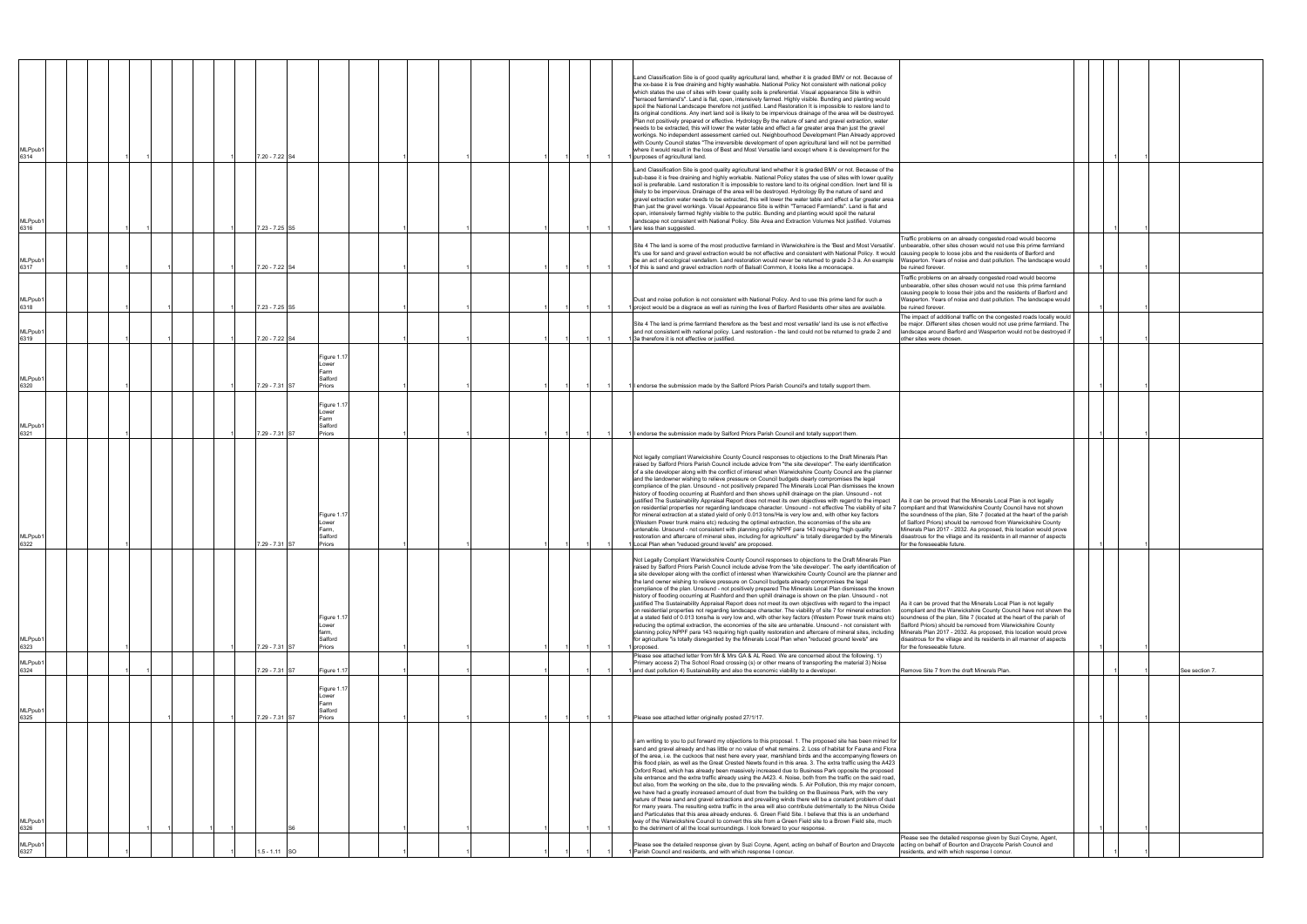| MLPpub1<br>6314         |  |  |  | 7.20 - 7.22 S4  |                                                   |  |  |  |  | Land Classification Site is of good quality agricultural land, whether it is graded BMV or not. Because of<br>the xx-base it is free draining and highly washable. National Policy Not consistent with national policy<br>which states the use of sites with lower quality soils is preferential. Visual appearance Site is within<br>"terraced farmland's". Land is flat, open, intensively farmed. Highly visible. Bunding and planting would<br>spoil the National Landscape therefore not justified. Land Restoration It is impossible to restore land to<br>its original conditions. Any inert land soil is likely to be impervious drainage of the area will be destroyed.<br>Plan not positively prepared or effective. Hydrology By the nature of sand and gravel extraction, water<br>needs to be extracted, this will lower the water table and effect a far greater area than just the gravel<br>workings. No independent assessment carried out. Neighbourhood Development Plan Already approved<br>with County Council states "The irreversible development of open agricultural land will not be permitted<br>where it would result in the loss of Best and Most Versatile land except where it is development for the<br>purposes of agricultural land.                                                                                                                                                                                                                                   |                                                                                                                                                                                                                                                                                                                                                                                        |  |                |
|-------------------------|--|--|--|-----------------|---------------------------------------------------|--|--|--|--|----------------------------------------------------------------------------------------------------------------------------------------------------------------------------------------------------------------------------------------------------------------------------------------------------------------------------------------------------------------------------------------------------------------------------------------------------------------------------------------------------------------------------------------------------------------------------------------------------------------------------------------------------------------------------------------------------------------------------------------------------------------------------------------------------------------------------------------------------------------------------------------------------------------------------------------------------------------------------------------------------------------------------------------------------------------------------------------------------------------------------------------------------------------------------------------------------------------------------------------------------------------------------------------------------------------------------------------------------------------------------------------------------------------------------------------------------------------------------------------------------------|----------------------------------------------------------------------------------------------------------------------------------------------------------------------------------------------------------------------------------------------------------------------------------------------------------------------------------------------------------------------------------------|--|----------------|
| MLPpub1<br>6316         |  |  |  | 7.23 - 7.25 S5  |                                                   |  |  |  |  | Land Classification Site is good quality agricultural land whether it is graded BMV or not. Because of the<br>sub-base it is free draining and highly workable. National Policy states the use of sites with lower quality<br>soil is preferable. Land restoration It is impossible to restore land to its original condition. Inert land fill is<br>likely to be impervious. Drainage of the area will be destroyed. Hydrology By the nature of sand and<br>gravel extraction water needs to be extracted, this will lower the water table and effect a far greater area<br>than just the gravel workings. Visual Appearance Site is within "Terraced Farmlands". Land is flat and<br>open, intensively farmed highly visible to the public. Bunding and planting would spoil the natural<br>landscape not consistent with National Policy. Site Area and Extraction Volumes Not justified. Volumes<br>are less than suggested.                                                                                                                                                                                                                                                                                                                                                                                                                                                                                                                                                                         |                                                                                                                                                                                                                                                                                                                                                                                        |  |                |
| <b>MLPpub1</b><br>6317  |  |  |  | 7.20 - 7.22 S4  |                                                   |  |  |  |  | Site 4 The land is some of the most productive farmland in Warwickshire is the 'Best and Most Versatile'.<br>It's use for sand and gravel extraction would be not effective and consistent with National Policy. It would causing people to loose jobs and the residents of Barford and<br>be an act of ecological vandalism. Land restoration would never be returned to grade 2-3 a. An example<br>1 of this is sand and gravel extraction north of Balsall Common, it looks like a moonscape                                                                                                                                                                                                                                                                                                                                                                                                                                                                                                                                                                                                                                                                                                                                                                                                                                                                                                                                                                                                          | Traffic problems on an already congested road would become<br>unbearable, other sites chosen would not use this prime farmland<br>Wasperton. Years of noise and dust pollution. The landscape would<br>be ruined forever.                                                                                                                                                              |  |                |
| MLPpub1<br>6318         |  |  |  | 7.23 - 7.25 S5  |                                                   |  |  |  |  | Dust and noise pollution is not consistent with National Policy. And to use this prime land for such a<br>I project would be a disgrace as well as ruining the lives of Barford Residents other sites are available.                                                                                                                                                                                                                                                                                                                                                                                                                                                                                                                                                                                                                                                                                                                                                                                                                                                                                                                                                                                                                                                                                                                                                                                                                                                                                     | Traffic problems on an already congested road would become<br>unbearable, other sites chosen would not use this prime farmland<br>causing people to loose their jobs and the residents of Barford and<br>Wasperton. Years of noise and dust pollution. The landscape would<br>be ruined forever.                                                                                       |  |                |
| MLPpub1<br>6319         |  |  |  | 7.20 - 7.22 S4  |                                                   |  |  |  |  | Site 4 The land is prime farmland therefore as the 'best and most versatile' land its use is not effective<br>and not consistent with national policy. Land restoration - the land could not be returned to grade 2 and<br>3a therefore it is not effective or justified.                                                                                                                                                                                                                                                                                                                                                                                                                                                                                                                                                                                                                                                                                                                                                                                                                                                                                                                                                                                                                                                                                                                                                                                                                                | The impact of additional traffic on the congested roads locally would<br>e major. Different sites chosen would not use prime farmland. The<br>landscape around Barford and Wasperton would not be destroyed i<br>other sites were chosen.                                                                                                                                              |  |                |
| MLPpub1<br>6320         |  |  |  | 7.29 - 7.31 S7  | Figure 1.17<br>Lower<br>Farm<br>Salford<br>Priors |  |  |  |  | I endorse the submission made by the Salford Priors Parish Council's and totally support them.                                                                                                                                                                                                                                                                                                                                                                                                                                                                                                                                                                                                                                                                                                                                                                                                                                                                                                                                                                                                                                                                                                                                                                                                                                                                                                                                                                                                           |                                                                                                                                                                                                                                                                                                                                                                                        |  |                |
| <b>MLPpub</b><br>6321   |  |  |  | 7.29 - 7.31 S7  | Figure 1.17<br>Lower<br>Farm<br>Salford<br>Priors |  |  |  |  | endorse the submission made by Salford Priors Parish Council and totally support them.                                                                                                                                                                                                                                                                                                                                                                                                                                                                                                                                                                                                                                                                                                                                                                                                                                                                                                                                                                                                                                                                                                                                                                                                                                                                                                                                                                                                                   |                                                                                                                                                                                                                                                                                                                                                                                        |  |                |
| MLPpub1<br>6322         |  |  |  | 7.29 - 7.31 S7  | Figure 1.1<br>Lower<br>Farm,<br>Salford<br>Priors |  |  |  |  | Not legally compliant Warwickshire County Council responses to objections to the Draft Minerals Plan<br>raised by Salford Priors Parish Council include advice from "the site developer". The early identification<br>of a site developer along with the conflict of interest when Warwickshire County Council are the planner<br>and the landowner wishing to relieve pressure on Council budgets clearly compromises the legal<br>compliance of the plan. Unsound - not positively prepared The Minerals Local Plan dismisses the known<br>history of flooding occurring at Rushford and then shows uphill drainage on the plan. Unsound - not<br>justified The Sustainability Appraisal Report does not meet its own objectives with regard to the impact<br>on residential properties nor regarding landscape character. Unsound - not effective The viability of site 7 compliant and that Warwickshire County Council have not shown<br>for mineral extraction at a stated yield of only 0.013 tons/Ha is very low and, with other key factors<br>(Western Power trunk mains etc) reducing the optimal extraction, the economies of the site are<br>untenable. Unsound - not consistent with planning policy NPPF para 143 requiring "high quality<br>restoration and aftercare of mineral sites, including for agriculture" is totally disregarded by the Minerals<br>1 Local Plan when "reduced ground levels" are proposed.                                                                     | As it can be proved that the Minerals Local Plan is not legally<br>the soundness of the plan, Site 7 (located at the heart of the parish<br>of Salford Priors) should be removed from Warwickshire County<br>Minerals Plan 2017 - 2032. As proposed, this location would prove<br>disastrous for the village and its residents in all manner of aspects<br>for the foreseeable future. |  |                |
| MLPpub1<br>6323         |  |  |  | 7.29 - 7.31 S7  | Figure 1.<br>Lower<br>farm,<br>Salford<br>Priors  |  |  |  |  | Not Legally Compliant Warwickshire County Council responses to objections to the Draft Minerals Plan<br>raised by Salford Priors Parish Council include advise from the 'site developer'. The early identification of<br>a site developer along with the conflict of interest when Warwickshire County Council are the planner and<br>the land owner wishing to relieve pressure on Council budgets already compromises the legal<br>compliance of the plan. Unsound - not positively prepared The Minerals Local Plan dismisses the known<br>history of flooding occurring at Rushford and then uphill drainage is shown on the plan. Unsound - not<br>justified The Sustainability Appraisal Report does not meet its own objectives with regard to the impact<br>on residential properties not regarding landscape character. The viability of site 7 for mineral extraction<br>at a stated field of 0.013 tons/ha is very low and, with other key factors (Western Power trunk mains etc) soundness of the plan, Site 7 (located at the heart of the parish of<br>reducing the optimal extraction, the economies of the site are untenable. Unsound - not consistent with<br>planning policy NPPF para 143 requiring high quality restoration and aftercare of mineral sites, including Minerals Plan 2017 - 2032. As proposed, this location would prove<br>for agriculture "is totally disregarded by the Minerals Local Plan when "reduced ground levels" are<br>proposed.                        | As it can be proved that the Minerals Local Plan is not legally<br>compliant and the Warwickshire County Council have not shown the<br>Salford Priors) should be removed from Warwickshire County<br>disastrous for the village and its residents in all manner of aspects<br>for the foreseeable future.                                                                              |  |                |
| MLPpub1<br>6324         |  |  |  | 7.29 - 7.31 S7  | Figure 1.17                                       |  |  |  |  | Please see attached letter from Mr & Mrs GA & AL Reed. We are concerned about the following. 1)<br>Primary access 2) The School Road crossing (s) or other means of transporting the material 3) Noise<br>and dust pollution 4) Sustainability and also the economic viability to a developer.                                                                                                                                                                                                                                                                                                                                                                                                                                                                                                                                                                                                                                                                                                                                                                                                                                                                                                                                                                                                                                                                                                                                                                                                           | Remove Site 7 from the draft Minerals Plan.                                                                                                                                                                                                                                                                                                                                            |  | See section 7. |
| <b>MLPpub</b>           |  |  |  |                 | Figure 1.17<br>Lower<br>Farm<br>Salford           |  |  |  |  |                                                                                                                                                                                                                                                                                                                                                                                                                                                                                                                                                                                                                                                                                                                                                                                                                                                                                                                                                                                                                                                                                                                                                                                                                                                                                                                                                                                                                                                                                                          |                                                                                                                                                                                                                                                                                                                                                                                        |  |                |
| 6325<br>MLPpub1<br>6326 |  |  |  | 7.29 - 7.31 S7  | Priors                                            |  |  |  |  | Please see attached letter originally posted 27/1/17.<br>I am writing to you to put forward my objections to this proposal. 1. The proposed site has been mined for<br>sand and gravel already and has little or no value of what remains. 2. Loss of habitat for Fauna and Flora<br>of the area, i.e. the cuckoos that nest here every year, marshland birds and the accompanying flowers on<br>this flood plain, as well as the Great Crested Newts found in this area. 3. The extra traffic using the A423<br>Oxford Road, which has already been massively increased due to Business Park opposite the proposed<br>site entrance and the extra traffic already using the A423. 4. Noise, both from the traffic on the said road,<br>but also, from the working on the site, due to the prevailing winds. 5. Air Pollution, this my major concern,<br>we have had a greatly increased amount of dust from the building on the Business Park, with the very<br>nature of these sand and gravel extractions and prevailing winds there will be a constant problem of dust<br>for many years. The resulting extra traffic in the area will also contribute detrimentally to the Nitrus Oxide<br>and Particulates that this area already endures. 6. Green Field Site. I believe that this is an underhand<br>way of the Warwickshire Council to convert this site from a Green Field site to a Brown Field site, much<br>to the detriment of all the local surroundings. I look forward to your response |                                                                                                                                                                                                                                                                                                                                                                                        |  |                |
| MLPpub1<br>6327         |  |  |  | $1.5 - 1.11$ SO |                                                   |  |  |  |  | Please see the detailed response given by Suzi Coyne, Agent, acting on behalf of Bourton and Draycote acting on behalf of Bourton and Draycote Parish Council and<br>Parish Council and residents, and with which response I concur.                                                                                                                                                                                                                                                                                                                                                                                                                                                                                                                                                                                                                                                                                                                                                                                                                                                                                                                                                                                                                                                                                                                                                                                                                                                                     | Please see the detailed response given by Suzi Coyne, Agent,<br>residents, and with which response I concur.                                                                                                                                                                                                                                                                           |  |                |
|                         |  |  |  |                 |                                                   |  |  |  |  |                                                                                                                                                                                                                                                                                                                                                                                                                                                                                                                                                                                                                                                                                                                                                                                                                                                                                                                                                                                                                                                                                                                                                                                                                                                                                                                                                                                                                                                                                                          |                                                                                                                                                                                                                                                                                                                                                                                        |  |                |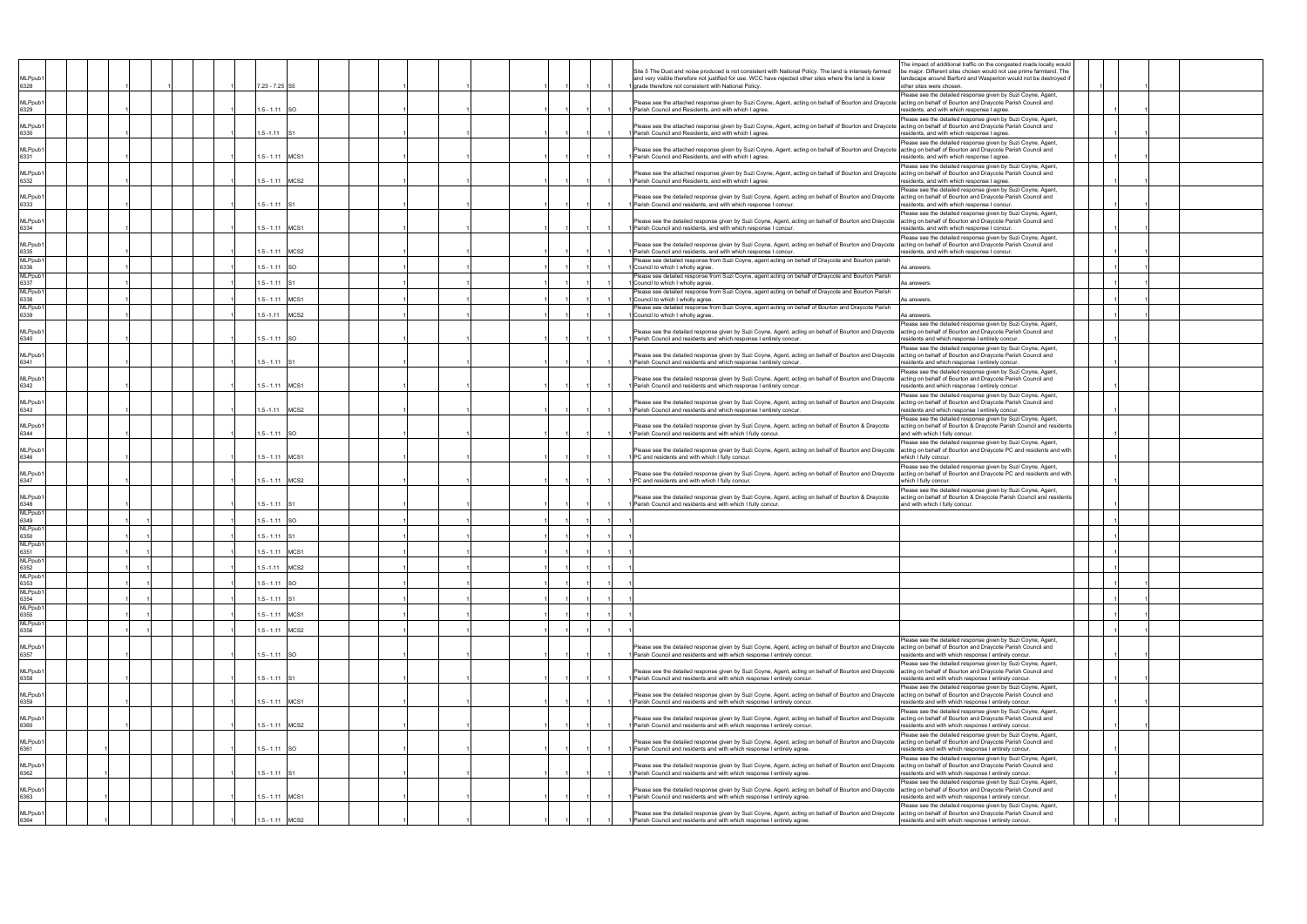| MLPpub <sup>-</sup><br>6328           |  |  | 7.23 - 7.25 S5  |                  |  |  |  |  | Site 5 The Dust and noise produced is not consistent with National Policy. The land is intensely farmed<br>and very visible therefore not justified for use. WCC have rejected other sites where the land is lower<br>1 grade therefore not consistent with National Policy.   | The impact of additional traffic on the congested roads locally would<br>e major. Different sites chosen would not use prime farmland. The<br>landscape around Barford and Wasperton would not be destroyed i<br>other sites were chosen |  |  |
|---------------------------------------|--|--|-----------------|------------------|--|--|--|--|--------------------------------------------------------------------------------------------------------------------------------------------------------------------------------------------------------------------------------------------------------------------------------|------------------------------------------------------------------------------------------------------------------------------------------------------------------------------------------------------------------------------------------|--|--|
| MLPpub <sup>*</sup><br>6329           |  |  | $1.5 - 1.11$    | <b>SO</b>        |  |  |  |  | Please see the attached response given by Suzi Coyne, Agent, acting on behalf of Bourton and Draycote   acting on behalf of Bourton and Draycote Parish Council and<br>Parish Council and Residents, and with which I agree                                                    | Please see the detailed response given by Suzi Coyne, Agent,<br>residents, and with which response I agree.                                                                                                                              |  |  |
| MLPpub <sup>-</sup><br>6330           |  |  | $.5 - 1.11$     |                  |  |  |  |  | Please see the attached response given by Suzi Coyne, Agent, acting on behalf of Bourton and Draycote acting on behalf of Bourton and Draycote Parish Council and<br>Parish Council and Residents, and with which I agree.                                                     | Please see the detailed response given by Suzi Coyne, Agent,<br>esidents, and with which response I agree.                                                                                                                               |  |  |
| MLPpub <sup>*</sup><br>6331           |  |  | $.5 - 1.11$     | MCS <sub>1</sub> |  |  |  |  | Please see the attached response given by Suzi Coyne, Agent, acting on behalf of Bourton and Draycote acting on behalf of Bourton and Draycote Parish Council and<br>Parish Council and Residents, and with which I agree                                                      | Please see the detailed response given by Suzi Coyne, Agent,<br>esidents, and with which response I agree                                                                                                                                |  |  |
| MLPpub <sup>*</sup><br>6332           |  |  | $1.5 - 1.11$    | MCS <sub>2</sub> |  |  |  |  | Please see the attached response given by Suzi Coyne, Agent, acting on behalf of Bourton and Draycote  acting on behalf of Bourton and Draycote Parish Council and<br>Parish Council and Residents, and with which I agree.                                                    | Please see the detailed response given by Suzi Coyne, Agent,<br>residents, and with which response I agree.                                                                                                                              |  |  |
| MLPpub <sup>-</sup><br>6333           |  |  | $1.5 - 1.11$    |                  |  |  |  |  | Please see the detailed response given by Suzi Coyne, Agent, acting on behalf of Bourton and Draycote acting on behalf of Bourton and Draycote Parish Council and<br>I Parish Council and residents, and with which response I concur.                                         | Please see the detailed response given by Suzi Coyne, Agent,<br>residents, and with which response I concur.                                                                                                                             |  |  |
| MLPpub <sup>*</sup><br>6334           |  |  | $1.5 - 1.11$    | MCS <sub>1</sub> |  |  |  |  | Please see the detailed response given by Suzi Coyne, Agent, acting on behalf of Bourton and Draycote acting on behalf of Bourton and Draycote Parish Council and<br>Parish Council and residents, and with which response I concur.                                           | Please see the detailed response given by Suzi Coyne, Agent,<br>residents, and with which response I concur.                                                                                                                             |  |  |
| MLPpub <sup>-</sup><br>6335<br>MLPpub |  |  | $1.5 - 1.11$    | MCS <sub>2</sub> |  |  |  |  | Please see the detailed response given by Suzi Coyne, Agent, acting on behalf of Bourton and Draycote<br>Parish Council and residents, and with which response I concur<br>Please see detailed response from Suzi Coyne, agent acting on behalf of Draycote and Bourton parish | Please see the detailed response given by Suzi Coyne, Agent,<br>acting on behalf of Bourton and Draycote Parish Council and<br>esidents, and with which response I concur.                                                               |  |  |
| 6336<br>MLPpub                        |  |  | $.5 - 1.11$     |                  |  |  |  |  | I Council to which I wholly agree                                                                                                                                                                                                                                              | s answers.                                                                                                                                                                                                                               |  |  |
| 6337                                  |  |  | $1.5 - 1.11$    |                  |  |  |  |  | Please see detailed response from Suzi Coyne, agent acting on behalf of Draycote and Bourton Parish<br>1 Council to which I wholly agree.                                                                                                                                      | As answers.                                                                                                                                                                                                                              |  |  |
| MLPpub1                               |  |  |                 |                  |  |  |  |  | Please see detailed response from Suzi Coyne, agent acting on behalf of Draycote and Bourton Parish                                                                                                                                                                            |                                                                                                                                                                                                                                          |  |  |
| 6338<br>MLPpub <sup>-</sup>           |  |  | $1.5 - 1.11$    | MCS <sup>-</sup> |  |  |  |  | Council to which I wholly agree.<br>Please see detailed response from Suzi Coyne, agent acting on behalf of Bourton and Draycote Parish                                                                                                                                        | \s answers.                                                                                                                                                                                                                              |  |  |
| 6339                                  |  |  | $.5 - 1.11$     | MCS2             |  |  |  |  | Council to which I wholly agree.                                                                                                                                                                                                                                               | <b>\s</b> answers.<br>Please see the detailed response given by Suzi Coyne, Agent,                                                                                                                                                       |  |  |
| MLPpub <sup>*</sup><br>6340           |  |  | $1.5 - 1.11$    | -SO              |  |  |  |  | Please see the detailed response given by Suzi Coyne, Agent, acting on behalf of Bourton and Draycote<br>Parish Council and residents and which response I entirely concur.                                                                                                    | acting on behalf of Bourton and Draycote Parish Council and<br>residents and which response I entirely concur<br>Please see the detailed response given by Suzi Coyne, Agent,                                                            |  |  |
| MLPpub <sup>-</sup><br>6341           |  |  | $1.5 - 1.11$    |                  |  |  |  |  | Please see the detailed response given by Suzi Coyne, Agent, acting on behalf of Bourton and Draycote acting on behalf of Bourton and Draycote Parish Council and<br>I Parish Council and residents and which response I entirely concur.                                      | residents and which response I entirely concur.<br>Please see the detailed response given by Suzi Coyne, Agent,                                                                                                                          |  |  |
| MLPpub <sup>*</sup><br>6342           |  |  | $1.5 - 1.11$    | MCS <sub>1</sub> |  |  |  |  | Please see the detailed response given by Suzi Coyne, Agent, acting on behalf of Bourton and Draycote acting on behalf of Bourton and Draycote Parish Council and<br>Parish Council and residents and which response I entirely concur                                         | residents and which response I entirely concur<br>Please see the detailed response given by Suzi Coyne, Agent,                                                                                                                           |  |  |
| MLPpub <sup>-</sup><br>6343           |  |  | $.5 - 1.11$     | MCS2             |  |  |  |  | Please see the detailed response given by Suzi Coyne, Agent, acting on behalf of Bourton and Draycote<br>Parish Council and residents and which response I entirely concur.                                                                                                    | acting on behalf of Bourton and Draycote Parish Council and<br>esidents and which response I entirely concur.<br>Please see the detailed response given by Suzi Coyne, Agent,                                                            |  |  |
| MLPpub <sup>*</sup><br>6344           |  |  | $.5 - 1.11$     |                  |  |  |  |  | Please see the detailed response given by Suzi Coyne, Agent, acting on behalf of Bourton & Draycote<br>Parish Council and residents and with which I fully concur                                                                                                              | acting on behalf of Bourton & Draycote Parish Council and residents<br>and with which I fully concur.<br>Please see the detailed response given by Suzi Coyne, Agent,                                                                    |  |  |
| MLPpub <sup>-</sup><br>6346           |  |  | $1.5 - 1.11$    | MCS <sub>1</sub> |  |  |  |  | Please see the detailed response given by Suzi Coyne, Agent, acting on behalf of Bourton and Draycote<br>PC and residents and with which I fully concur.                                                                                                                       | acting on behalf of Bourton and Draycote PC and residents and with<br>which I fully concur.<br>Please see the detailed response given by Suzi Coyne, Agent,                                                                              |  |  |
| MLPpub <sup>-</sup><br>6347           |  |  | $1.5 - 1.11$    | MCS <sub>2</sub> |  |  |  |  | Please see the detailed response given by Suzi Coyne, Agent, acting on behalf of Bourton and Draycote acting on behalf of Bourton and Draycote PC and residents and with<br>I PC and residents and with which I fully concur.                                                  | which I fully concur.<br>Please see the detailed response given by Suzi Coyne, Agent,                                                                                                                                                    |  |  |
| MLPpub <sup>*</sup><br>6348<br>MLPpub |  |  | $1.5 - 1.11$    |                  |  |  |  |  | Please see the detailed response given by Suzi Coyne, Agent, acting on behalf of Bourton & Draycote<br>Parish Council and residents and with which I fully concur                                                                                                              | acting on behalf of Bourton & Draycote Parish Council and residents<br>and with which I fully concur.                                                                                                                                    |  |  |
| 6349<br>MLPpub1                       |  |  | $1.5 - 1.11$    | -SO              |  |  |  |  |                                                                                                                                                                                                                                                                                |                                                                                                                                                                                                                                          |  |  |
| 6350                                  |  |  | $1.5 - 1.11$    |                  |  |  |  |  |                                                                                                                                                                                                                                                                                |                                                                                                                                                                                                                                          |  |  |
| MLPpub1                               |  |  | 1.5 - 1.11 MCS1 |                  |  |  |  |  |                                                                                                                                                                                                                                                                                |                                                                                                                                                                                                                                          |  |  |
| 6351<br>MLPpub1                       |  |  |                 |                  |  |  |  |  |                                                                                                                                                                                                                                                                                |                                                                                                                                                                                                                                          |  |  |
| 6352<br>MLPpub1                       |  |  | $1.5 - 1.11$    | MCS2             |  |  |  |  |                                                                                                                                                                                                                                                                                |                                                                                                                                                                                                                                          |  |  |
| 6353<br>MLPpub1                       |  |  | $1.5 - 1.11$    | <b>SO</b>        |  |  |  |  |                                                                                                                                                                                                                                                                                |                                                                                                                                                                                                                                          |  |  |
| 6354<br>MLPpub1                       |  |  | $1.5 - 1.11$ S1 |                  |  |  |  |  |                                                                                                                                                                                                                                                                                |                                                                                                                                                                                                                                          |  |  |
| 6355                                  |  |  | 1.5 - 1.11 MCS1 |                  |  |  |  |  |                                                                                                                                                                                                                                                                                |                                                                                                                                                                                                                                          |  |  |
| MLPpub <sup>-</sup><br>6356           |  |  | 1.5 - 1.11 MCS2 |                  |  |  |  |  |                                                                                                                                                                                                                                                                                |                                                                                                                                                                                                                                          |  |  |
| MLPpub <sup>-</sup><br>6357           |  |  | $1.5 - 1.11$    | <b>SO</b>        |  |  |  |  | Nease see the detailed response given by Suzi Coyne, Agent, acting on behalf of Bourton and Draycote [acting on behalf of Bourton and Draycote Parish Council and<br>Parish Council and residents and with which response I entirely concur.                                   | lease see the detailed response given by Suzi Coyne, Agent,<br>residents and with which response I entirely concur.                                                                                                                      |  |  |
| MLPpub <sup>-</sup><br>6358           |  |  | $1.5 - 1.11$    |                  |  |  |  |  | Please see the detailed response given by Suzi Coyne, Agent, acting on behalf of Bourton and Draycote acting on behalf of Bourton and Draycote Parish Council and<br>I Parish Council and residents and with which response I entirely concur.                                 | Please see the detailed response given by Suzi Coyne, Agent,<br>residents and with which response I entirely concur.                                                                                                                     |  |  |
| MLPpub1<br>6359                       |  |  | 1.5 - 1.11 MCS1 |                  |  |  |  |  | Please see the detailed response given by Suzi Coyne, Agent, acting on behalf of Bourton and Draycote acting on behalf of Bourton and Draycote Parish Council and<br>1 Parish Council and residents and with which response I entirely concur.                                 | Please see the detailed response given by Suzi Coyne, Agent,<br>residents and with which response I entirely concur.                                                                                                                     |  |  |
| MLPpub1<br>6360                       |  |  | 1.5 - 1.11 MCS2 |                  |  |  |  |  | Please see the detailed response given by Suzi Coyne, Agent, acting on behalf of Bourton and Draycote acting on behalf of Bourton and Draycote Parish Council and<br>Parish Council and residents and with which response I entirely concur.                                   | Please see the detailed response given by Suzi Coyne, Agent,<br>residents and with which response I entirely concur.                                                                                                                     |  |  |
| MLPpub <sup>-</sup><br>6361           |  |  | $1.5 - 1.11$    | -SO              |  |  |  |  | Please see the detailed response given by Suzi Coyne, Agent, acting on behalf of Bourton and Draycote<br>Parish Council and residents and with which response I entirely agree.                                                                                                | Please see the detailed response given by Suzi Coyne, Agent,<br>acting on behalf of Bourton and Draycote Parish Council and<br>residents and with which response I entirely concur.                                                      |  |  |
| MLPpub <sup>-</sup><br>6362           |  |  | $1.5 - 1.11$    |                  |  |  |  |  | Please see the detailed response given by Suzi Coyne, Agent, acting on behalf of Bourton and Draycote  acting on behalf of Bourton and Draycote Parish Council and<br>Parish Council and residents and with which response I entirely agree.                                   | Please see the detailed response given by Suzi Coyne, Agent,<br>residents and with which response I entirely concur.                                                                                                                     |  |  |
| MLPpub <sup>-</sup><br>6363           |  |  | $1.5 - 1.11$    | MCS <sub>1</sub> |  |  |  |  | Please see the detailed response given by Suzi Coyne, Agent, acting on behalf of Bourton and Draycote acting on behalf of Bourton and Draycote Parish Council and<br>I Parish Council and residents and with which response I entirely agree.                                  | Please see the detailed response given by Suzi Coyne, Agent,<br>residents and with which response I entirely concur.                                                                                                                     |  |  |
| MLPpub1<br>6364                       |  |  | $.5 - 1.11$     | MCS <sub>2</sub> |  |  |  |  | Please see the detailed response given by Suzi Coyne, Agent, acting on behalf of Bourton and Draycote acting on behalf of Bourton and Draycote Parish Council and<br>Parish Council and residents and with which response I entirely agree.                                    | Please see the detailed response given by Suzi Coyne, Agent,<br>residents and with which response I entirely concur.                                                                                                                     |  |  |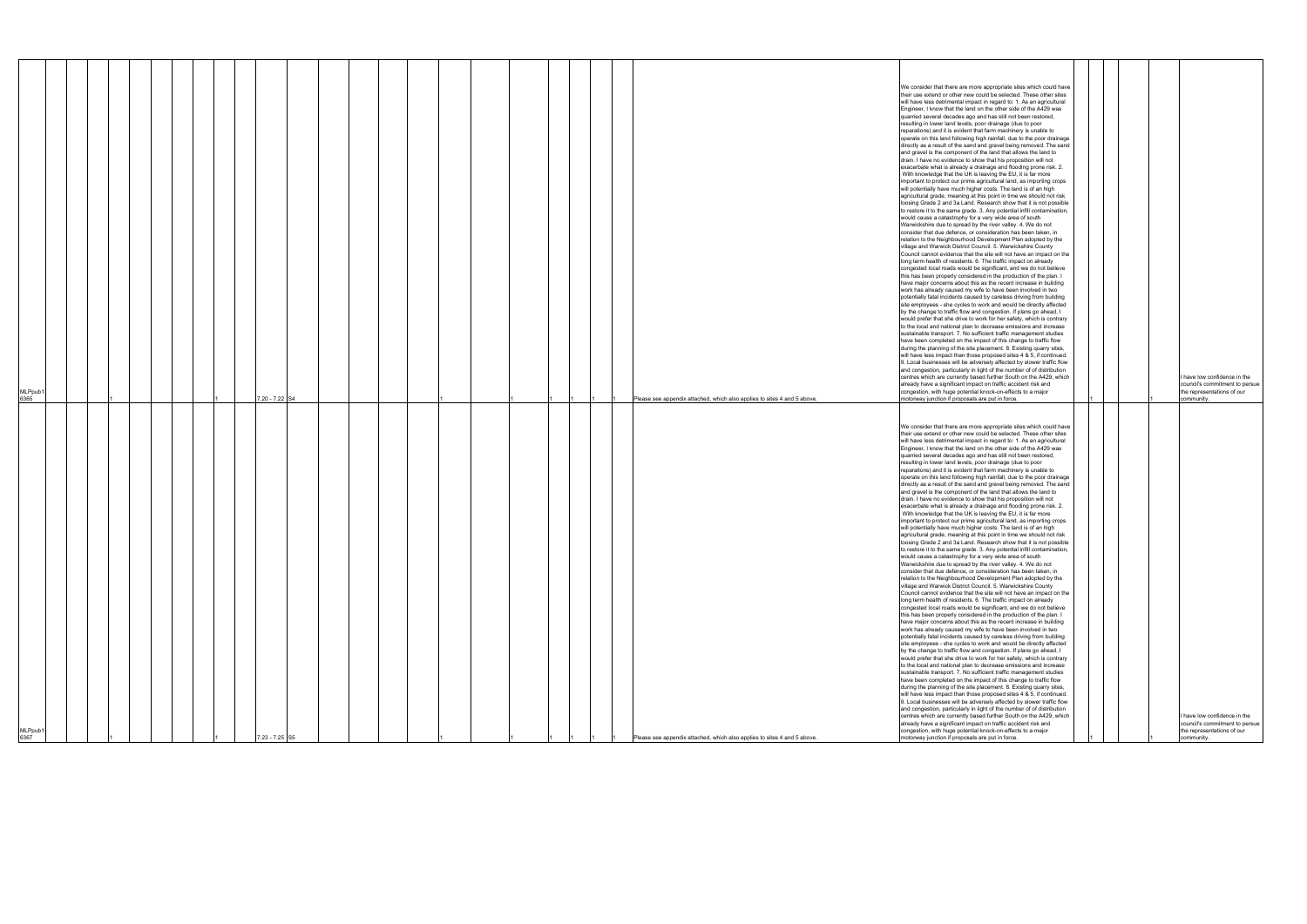| MLPpub1<br>6367                                                                                                                                                                                                                                                                                                                                                                                                                                                                                                                                                                                                                                                                                                                                                                                                                                                                                                                                                                                                                                                                                                                                                                                                                                                                                                                                                                                                                                                                                                                                                                                                                                                                                                                                                                                                                                                                                                                                                                                                                                                                                                                                                                                                                                                                                                                                                                                                                                                                                                                                                                                                                                                                                                                                                                                                                                                                                                                                                                                                                                                                                                            | MLPpub1<br>6365                                                                                                                                                                                                                                                                                                                                                                                                                                                                                                                                                                                                                                                                                                                                                                                                                                                                                                                                                                                                                                                                                                                                                                                                                                                                                                                                                                                                                                                                                                                                                                                                                                                                                                                                                                                                                                                                                                                                                                                                                                                                                                                                                                                                                                                                                                                                                                                                                                                                                                                                                                                                                                                                                                                                                                                                                                                                                                                                                                                                                                                                                                            |
|----------------------------------------------------------------------------------------------------------------------------------------------------------------------------------------------------------------------------------------------------------------------------------------------------------------------------------------------------------------------------------------------------------------------------------------------------------------------------------------------------------------------------------------------------------------------------------------------------------------------------------------------------------------------------------------------------------------------------------------------------------------------------------------------------------------------------------------------------------------------------------------------------------------------------------------------------------------------------------------------------------------------------------------------------------------------------------------------------------------------------------------------------------------------------------------------------------------------------------------------------------------------------------------------------------------------------------------------------------------------------------------------------------------------------------------------------------------------------------------------------------------------------------------------------------------------------------------------------------------------------------------------------------------------------------------------------------------------------------------------------------------------------------------------------------------------------------------------------------------------------------------------------------------------------------------------------------------------------------------------------------------------------------------------------------------------------------------------------------------------------------------------------------------------------------------------------------------------------------------------------------------------------------------------------------------------------------------------------------------------------------------------------------------------------------------------------------------------------------------------------------------------------------------------------------------------------------------------------------------------------------------------------------------------------------------------------------------------------------------------------------------------------------------------------------------------------------------------------------------------------------------------------------------------------------------------------------------------------------------------------------------------------------------------------------------------------------------------------------------------------|----------------------------------------------------------------------------------------------------------------------------------------------------------------------------------------------------------------------------------------------------------------------------------------------------------------------------------------------------------------------------------------------------------------------------------------------------------------------------------------------------------------------------------------------------------------------------------------------------------------------------------------------------------------------------------------------------------------------------------------------------------------------------------------------------------------------------------------------------------------------------------------------------------------------------------------------------------------------------------------------------------------------------------------------------------------------------------------------------------------------------------------------------------------------------------------------------------------------------------------------------------------------------------------------------------------------------------------------------------------------------------------------------------------------------------------------------------------------------------------------------------------------------------------------------------------------------------------------------------------------------------------------------------------------------------------------------------------------------------------------------------------------------------------------------------------------------------------------------------------------------------------------------------------------------------------------------------------------------------------------------------------------------------------------------------------------------------------------------------------------------------------------------------------------------------------------------------------------------------------------------------------------------------------------------------------------------------------------------------------------------------------------------------------------------------------------------------------------------------------------------------------------------------------------------------------------------------------------------------------------------------------------------------------------------------------------------------------------------------------------------------------------------------------------------------------------------------------------------------------------------------------------------------------------------------------------------------------------------------------------------------------------------------------------------------------------------------------------------------------------------|
|                                                                                                                                                                                                                                                                                                                                                                                                                                                                                                                                                                                                                                                                                                                                                                                                                                                                                                                                                                                                                                                                                                                                                                                                                                                                                                                                                                                                                                                                                                                                                                                                                                                                                                                                                                                                                                                                                                                                                                                                                                                                                                                                                                                                                                                                                                                                                                                                                                                                                                                                                                                                                                                                                                                                                                                                                                                                                                                                                                                                                                                                                                                            |                                                                                                                                                                                                                                                                                                                                                                                                                                                                                                                                                                                                                                                                                                                                                                                                                                                                                                                                                                                                                                                                                                                                                                                                                                                                                                                                                                                                                                                                                                                                                                                                                                                                                                                                                                                                                                                                                                                                                                                                                                                                                                                                                                                                                                                                                                                                                                                                                                                                                                                                                                                                                                                                                                                                                                                                                                                                                                                                                                                                                                                                                                                            |
|                                                                                                                                                                                                                                                                                                                                                                                                                                                                                                                                                                                                                                                                                                                                                                                                                                                                                                                                                                                                                                                                                                                                                                                                                                                                                                                                                                                                                                                                                                                                                                                                                                                                                                                                                                                                                                                                                                                                                                                                                                                                                                                                                                                                                                                                                                                                                                                                                                                                                                                                                                                                                                                                                                                                                                                                                                                                                                                                                                                                                                                                                                                            |                                                                                                                                                                                                                                                                                                                                                                                                                                                                                                                                                                                                                                                                                                                                                                                                                                                                                                                                                                                                                                                                                                                                                                                                                                                                                                                                                                                                                                                                                                                                                                                                                                                                                                                                                                                                                                                                                                                                                                                                                                                                                                                                                                                                                                                                                                                                                                                                                                                                                                                                                                                                                                                                                                                                                                                                                                                                                                                                                                                                                                                                                                                            |
|                                                                                                                                                                                                                                                                                                                                                                                                                                                                                                                                                                                                                                                                                                                                                                                                                                                                                                                                                                                                                                                                                                                                                                                                                                                                                                                                                                                                                                                                                                                                                                                                                                                                                                                                                                                                                                                                                                                                                                                                                                                                                                                                                                                                                                                                                                                                                                                                                                                                                                                                                                                                                                                                                                                                                                                                                                                                                                                                                                                                                                                                                                                            |                                                                                                                                                                                                                                                                                                                                                                                                                                                                                                                                                                                                                                                                                                                                                                                                                                                                                                                                                                                                                                                                                                                                                                                                                                                                                                                                                                                                                                                                                                                                                                                                                                                                                                                                                                                                                                                                                                                                                                                                                                                                                                                                                                                                                                                                                                                                                                                                                                                                                                                                                                                                                                                                                                                                                                                                                                                                                                                                                                                                                                                                                                                            |
|                                                                                                                                                                                                                                                                                                                                                                                                                                                                                                                                                                                                                                                                                                                                                                                                                                                                                                                                                                                                                                                                                                                                                                                                                                                                                                                                                                                                                                                                                                                                                                                                                                                                                                                                                                                                                                                                                                                                                                                                                                                                                                                                                                                                                                                                                                                                                                                                                                                                                                                                                                                                                                                                                                                                                                                                                                                                                                                                                                                                                                                                                                                            |                                                                                                                                                                                                                                                                                                                                                                                                                                                                                                                                                                                                                                                                                                                                                                                                                                                                                                                                                                                                                                                                                                                                                                                                                                                                                                                                                                                                                                                                                                                                                                                                                                                                                                                                                                                                                                                                                                                                                                                                                                                                                                                                                                                                                                                                                                                                                                                                                                                                                                                                                                                                                                                                                                                                                                                                                                                                                                                                                                                                                                                                                                                            |
|                                                                                                                                                                                                                                                                                                                                                                                                                                                                                                                                                                                                                                                                                                                                                                                                                                                                                                                                                                                                                                                                                                                                                                                                                                                                                                                                                                                                                                                                                                                                                                                                                                                                                                                                                                                                                                                                                                                                                                                                                                                                                                                                                                                                                                                                                                                                                                                                                                                                                                                                                                                                                                                                                                                                                                                                                                                                                                                                                                                                                                                                                                                            |                                                                                                                                                                                                                                                                                                                                                                                                                                                                                                                                                                                                                                                                                                                                                                                                                                                                                                                                                                                                                                                                                                                                                                                                                                                                                                                                                                                                                                                                                                                                                                                                                                                                                                                                                                                                                                                                                                                                                                                                                                                                                                                                                                                                                                                                                                                                                                                                                                                                                                                                                                                                                                                                                                                                                                                                                                                                                                                                                                                                                                                                                                                            |
|                                                                                                                                                                                                                                                                                                                                                                                                                                                                                                                                                                                                                                                                                                                                                                                                                                                                                                                                                                                                                                                                                                                                                                                                                                                                                                                                                                                                                                                                                                                                                                                                                                                                                                                                                                                                                                                                                                                                                                                                                                                                                                                                                                                                                                                                                                                                                                                                                                                                                                                                                                                                                                                                                                                                                                                                                                                                                                                                                                                                                                                                                                                            |                                                                                                                                                                                                                                                                                                                                                                                                                                                                                                                                                                                                                                                                                                                                                                                                                                                                                                                                                                                                                                                                                                                                                                                                                                                                                                                                                                                                                                                                                                                                                                                                                                                                                                                                                                                                                                                                                                                                                                                                                                                                                                                                                                                                                                                                                                                                                                                                                                                                                                                                                                                                                                                                                                                                                                                                                                                                                                                                                                                                                                                                                                                            |
|                                                                                                                                                                                                                                                                                                                                                                                                                                                                                                                                                                                                                                                                                                                                                                                                                                                                                                                                                                                                                                                                                                                                                                                                                                                                                                                                                                                                                                                                                                                                                                                                                                                                                                                                                                                                                                                                                                                                                                                                                                                                                                                                                                                                                                                                                                                                                                                                                                                                                                                                                                                                                                                                                                                                                                                                                                                                                                                                                                                                                                                                                                                            |                                                                                                                                                                                                                                                                                                                                                                                                                                                                                                                                                                                                                                                                                                                                                                                                                                                                                                                                                                                                                                                                                                                                                                                                                                                                                                                                                                                                                                                                                                                                                                                                                                                                                                                                                                                                                                                                                                                                                                                                                                                                                                                                                                                                                                                                                                                                                                                                                                                                                                                                                                                                                                                                                                                                                                                                                                                                                                                                                                                                                                                                                                                            |
| $.23 - 7.25$ S5                                                                                                                                                                                                                                                                                                                                                                                                                                                                                                                                                                                                                                                                                                                                                                                                                                                                                                                                                                                                                                                                                                                                                                                                                                                                                                                                                                                                                                                                                                                                                                                                                                                                                                                                                                                                                                                                                                                                                                                                                                                                                                                                                                                                                                                                                                                                                                                                                                                                                                                                                                                                                                                                                                                                                                                                                                                                                                                                                                                                                                                                                                            | 7.20 - 7.22 S4                                                                                                                                                                                                                                                                                                                                                                                                                                                                                                                                                                                                                                                                                                                                                                                                                                                                                                                                                                                                                                                                                                                                                                                                                                                                                                                                                                                                                                                                                                                                                                                                                                                                                                                                                                                                                                                                                                                                                                                                                                                                                                                                                                                                                                                                                                                                                                                                                                                                                                                                                                                                                                                                                                                                                                                                                                                                                                                                                                                                                                                                                                             |
|                                                                                                                                                                                                                                                                                                                                                                                                                                                                                                                                                                                                                                                                                                                                                                                                                                                                                                                                                                                                                                                                                                                                                                                                                                                                                                                                                                                                                                                                                                                                                                                                                                                                                                                                                                                                                                                                                                                                                                                                                                                                                                                                                                                                                                                                                                                                                                                                                                                                                                                                                                                                                                                                                                                                                                                                                                                                                                                                                                                                                                                                                                                            |                                                                                                                                                                                                                                                                                                                                                                                                                                                                                                                                                                                                                                                                                                                                                                                                                                                                                                                                                                                                                                                                                                                                                                                                                                                                                                                                                                                                                                                                                                                                                                                                                                                                                                                                                                                                                                                                                                                                                                                                                                                                                                                                                                                                                                                                                                                                                                                                                                                                                                                                                                                                                                                                                                                                                                                                                                                                                                                                                                                                                                                                                                                            |
|                                                                                                                                                                                                                                                                                                                                                                                                                                                                                                                                                                                                                                                                                                                                                                                                                                                                                                                                                                                                                                                                                                                                                                                                                                                                                                                                                                                                                                                                                                                                                                                                                                                                                                                                                                                                                                                                                                                                                                                                                                                                                                                                                                                                                                                                                                                                                                                                                                                                                                                                                                                                                                                                                                                                                                                                                                                                                                                                                                                                                                                                                                                            |                                                                                                                                                                                                                                                                                                                                                                                                                                                                                                                                                                                                                                                                                                                                                                                                                                                                                                                                                                                                                                                                                                                                                                                                                                                                                                                                                                                                                                                                                                                                                                                                                                                                                                                                                                                                                                                                                                                                                                                                                                                                                                                                                                                                                                                                                                                                                                                                                                                                                                                                                                                                                                                                                                                                                                                                                                                                                                                                                                                                                                                                                                                            |
|                                                                                                                                                                                                                                                                                                                                                                                                                                                                                                                                                                                                                                                                                                                                                                                                                                                                                                                                                                                                                                                                                                                                                                                                                                                                                                                                                                                                                                                                                                                                                                                                                                                                                                                                                                                                                                                                                                                                                                                                                                                                                                                                                                                                                                                                                                                                                                                                                                                                                                                                                                                                                                                                                                                                                                                                                                                                                                                                                                                                                                                                                                                            |                                                                                                                                                                                                                                                                                                                                                                                                                                                                                                                                                                                                                                                                                                                                                                                                                                                                                                                                                                                                                                                                                                                                                                                                                                                                                                                                                                                                                                                                                                                                                                                                                                                                                                                                                                                                                                                                                                                                                                                                                                                                                                                                                                                                                                                                                                                                                                                                                                                                                                                                                                                                                                                                                                                                                                                                                                                                                                                                                                                                                                                                                                                            |
|                                                                                                                                                                                                                                                                                                                                                                                                                                                                                                                                                                                                                                                                                                                                                                                                                                                                                                                                                                                                                                                                                                                                                                                                                                                                                                                                                                                                                                                                                                                                                                                                                                                                                                                                                                                                                                                                                                                                                                                                                                                                                                                                                                                                                                                                                                                                                                                                                                                                                                                                                                                                                                                                                                                                                                                                                                                                                                                                                                                                                                                                                                                            |                                                                                                                                                                                                                                                                                                                                                                                                                                                                                                                                                                                                                                                                                                                                                                                                                                                                                                                                                                                                                                                                                                                                                                                                                                                                                                                                                                                                                                                                                                                                                                                                                                                                                                                                                                                                                                                                                                                                                                                                                                                                                                                                                                                                                                                                                                                                                                                                                                                                                                                                                                                                                                                                                                                                                                                                                                                                                                                                                                                                                                                                                                                            |
|                                                                                                                                                                                                                                                                                                                                                                                                                                                                                                                                                                                                                                                                                                                                                                                                                                                                                                                                                                                                                                                                                                                                                                                                                                                                                                                                                                                                                                                                                                                                                                                                                                                                                                                                                                                                                                                                                                                                                                                                                                                                                                                                                                                                                                                                                                                                                                                                                                                                                                                                                                                                                                                                                                                                                                                                                                                                                                                                                                                                                                                                                                                            |                                                                                                                                                                                                                                                                                                                                                                                                                                                                                                                                                                                                                                                                                                                                                                                                                                                                                                                                                                                                                                                                                                                                                                                                                                                                                                                                                                                                                                                                                                                                                                                                                                                                                                                                                                                                                                                                                                                                                                                                                                                                                                                                                                                                                                                                                                                                                                                                                                                                                                                                                                                                                                                                                                                                                                                                                                                                                                                                                                                                                                                                                                                            |
|                                                                                                                                                                                                                                                                                                                                                                                                                                                                                                                                                                                                                                                                                                                                                                                                                                                                                                                                                                                                                                                                                                                                                                                                                                                                                                                                                                                                                                                                                                                                                                                                                                                                                                                                                                                                                                                                                                                                                                                                                                                                                                                                                                                                                                                                                                                                                                                                                                                                                                                                                                                                                                                                                                                                                                                                                                                                                                                                                                                                                                                                                                                            |                                                                                                                                                                                                                                                                                                                                                                                                                                                                                                                                                                                                                                                                                                                                                                                                                                                                                                                                                                                                                                                                                                                                                                                                                                                                                                                                                                                                                                                                                                                                                                                                                                                                                                                                                                                                                                                                                                                                                                                                                                                                                                                                                                                                                                                                                                                                                                                                                                                                                                                                                                                                                                                                                                                                                                                                                                                                                                                                                                                                                                                                                                                            |
|                                                                                                                                                                                                                                                                                                                                                                                                                                                                                                                                                                                                                                                                                                                                                                                                                                                                                                                                                                                                                                                                                                                                                                                                                                                                                                                                                                                                                                                                                                                                                                                                                                                                                                                                                                                                                                                                                                                                                                                                                                                                                                                                                                                                                                                                                                                                                                                                                                                                                                                                                                                                                                                                                                                                                                                                                                                                                                                                                                                                                                                                                                                            |                                                                                                                                                                                                                                                                                                                                                                                                                                                                                                                                                                                                                                                                                                                                                                                                                                                                                                                                                                                                                                                                                                                                                                                                                                                                                                                                                                                                                                                                                                                                                                                                                                                                                                                                                                                                                                                                                                                                                                                                                                                                                                                                                                                                                                                                                                                                                                                                                                                                                                                                                                                                                                                                                                                                                                                                                                                                                                                                                                                                                                                                                                                            |
|                                                                                                                                                                                                                                                                                                                                                                                                                                                                                                                                                                                                                                                                                                                                                                                                                                                                                                                                                                                                                                                                                                                                                                                                                                                                                                                                                                                                                                                                                                                                                                                                                                                                                                                                                                                                                                                                                                                                                                                                                                                                                                                                                                                                                                                                                                                                                                                                                                                                                                                                                                                                                                                                                                                                                                                                                                                                                                                                                                                                                                                                                                                            |                                                                                                                                                                                                                                                                                                                                                                                                                                                                                                                                                                                                                                                                                                                                                                                                                                                                                                                                                                                                                                                                                                                                                                                                                                                                                                                                                                                                                                                                                                                                                                                                                                                                                                                                                                                                                                                                                                                                                                                                                                                                                                                                                                                                                                                                                                                                                                                                                                                                                                                                                                                                                                                                                                                                                                                                                                                                                                                                                                                                                                                                                                                            |
|                                                                                                                                                                                                                                                                                                                                                                                                                                                                                                                                                                                                                                                                                                                                                                                                                                                                                                                                                                                                                                                                                                                                                                                                                                                                                                                                                                                                                                                                                                                                                                                                                                                                                                                                                                                                                                                                                                                                                                                                                                                                                                                                                                                                                                                                                                                                                                                                                                                                                                                                                                                                                                                                                                                                                                                                                                                                                                                                                                                                                                                                                                                            |                                                                                                                                                                                                                                                                                                                                                                                                                                                                                                                                                                                                                                                                                                                                                                                                                                                                                                                                                                                                                                                                                                                                                                                                                                                                                                                                                                                                                                                                                                                                                                                                                                                                                                                                                                                                                                                                                                                                                                                                                                                                                                                                                                                                                                                                                                                                                                                                                                                                                                                                                                                                                                                                                                                                                                                                                                                                                                                                                                                                                                                                                                                            |
|                                                                                                                                                                                                                                                                                                                                                                                                                                                                                                                                                                                                                                                                                                                                                                                                                                                                                                                                                                                                                                                                                                                                                                                                                                                                                                                                                                                                                                                                                                                                                                                                                                                                                                                                                                                                                                                                                                                                                                                                                                                                                                                                                                                                                                                                                                                                                                                                                                                                                                                                                                                                                                                                                                                                                                                                                                                                                                                                                                                                                                                                                                                            |                                                                                                                                                                                                                                                                                                                                                                                                                                                                                                                                                                                                                                                                                                                                                                                                                                                                                                                                                                                                                                                                                                                                                                                                                                                                                                                                                                                                                                                                                                                                                                                                                                                                                                                                                                                                                                                                                                                                                                                                                                                                                                                                                                                                                                                                                                                                                                                                                                                                                                                                                                                                                                                                                                                                                                                                                                                                                                                                                                                                                                                                                                                            |
|                                                                                                                                                                                                                                                                                                                                                                                                                                                                                                                                                                                                                                                                                                                                                                                                                                                                                                                                                                                                                                                                                                                                                                                                                                                                                                                                                                                                                                                                                                                                                                                                                                                                                                                                                                                                                                                                                                                                                                                                                                                                                                                                                                                                                                                                                                                                                                                                                                                                                                                                                                                                                                                                                                                                                                                                                                                                                                                                                                                                                                                                                                                            |                                                                                                                                                                                                                                                                                                                                                                                                                                                                                                                                                                                                                                                                                                                                                                                                                                                                                                                                                                                                                                                                                                                                                                                                                                                                                                                                                                                                                                                                                                                                                                                                                                                                                                                                                                                                                                                                                                                                                                                                                                                                                                                                                                                                                                                                                                                                                                                                                                                                                                                                                                                                                                                                                                                                                                                                                                                                                                                                                                                                                                                                                                                            |
|                                                                                                                                                                                                                                                                                                                                                                                                                                                                                                                                                                                                                                                                                                                                                                                                                                                                                                                                                                                                                                                                                                                                                                                                                                                                                                                                                                                                                                                                                                                                                                                                                                                                                                                                                                                                                                                                                                                                                                                                                                                                                                                                                                                                                                                                                                                                                                                                                                                                                                                                                                                                                                                                                                                                                                                                                                                                                                                                                                                                                                                                                                                            |                                                                                                                                                                                                                                                                                                                                                                                                                                                                                                                                                                                                                                                                                                                                                                                                                                                                                                                                                                                                                                                                                                                                                                                                                                                                                                                                                                                                                                                                                                                                                                                                                                                                                                                                                                                                                                                                                                                                                                                                                                                                                                                                                                                                                                                                                                                                                                                                                                                                                                                                                                                                                                                                                                                                                                                                                                                                                                                                                                                                                                                                                                                            |
|                                                                                                                                                                                                                                                                                                                                                                                                                                                                                                                                                                                                                                                                                                                                                                                                                                                                                                                                                                                                                                                                                                                                                                                                                                                                                                                                                                                                                                                                                                                                                                                                                                                                                                                                                                                                                                                                                                                                                                                                                                                                                                                                                                                                                                                                                                                                                                                                                                                                                                                                                                                                                                                                                                                                                                                                                                                                                                                                                                                                                                                                                                                            |                                                                                                                                                                                                                                                                                                                                                                                                                                                                                                                                                                                                                                                                                                                                                                                                                                                                                                                                                                                                                                                                                                                                                                                                                                                                                                                                                                                                                                                                                                                                                                                                                                                                                                                                                                                                                                                                                                                                                                                                                                                                                                                                                                                                                                                                                                                                                                                                                                                                                                                                                                                                                                                                                                                                                                                                                                                                                                                                                                                                                                                                                                                            |
|                                                                                                                                                                                                                                                                                                                                                                                                                                                                                                                                                                                                                                                                                                                                                                                                                                                                                                                                                                                                                                                                                                                                                                                                                                                                                                                                                                                                                                                                                                                                                                                                                                                                                                                                                                                                                                                                                                                                                                                                                                                                                                                                                                                                                                                                                                                                                                                                                                                                                                                                                                                                                                                                                                                                                                                                                                                                                                                                                                                                                                                                                                                            |                                                                                                                                                                                                                                                                                                                                                                                                                                                                                                                                                                                                                                                                                                                                                                                                                                                                                                                                                                                                                                                                                                                                                                                                                                                                                                                                                                                                                                                                                                                                                                                                                                                                                                                                                                                                                                                                                                                                                                                                                                                                                                                                                                                                                                                                                                                                                                                                                                                                                                                                                                                                                                                                                                                                                                                                                                                                                                                                                                                                                                                                                                                            |
|                                                                                                                                                                                                                                                                                                                                                                                                                                                                                                                                                                                                                                                                                                                                                                                                                                                                                                                                                                                                                                                                                                                                                                                                                                                                                                                                                                                                                                                                                                                                                                                                                                                                                                                                                                                                                                                                                                                                                                                                                                                                                                                                                                                                                                                                                                                                                                                                                                                                                                                                                                                                                                                                                                                                                                                                                                                                                                                                                                                                                                                                                                                            |                                                                                                                                                                                                                                                                                                                                                                                                                                                                                                                                                                                                                                                                                                                                                                                                                                                                                                                                                                                                                                                                                                                                                                                                                                                                                                                                                                                                                                                                                                                                                                                                                                                                                                                                                                                                                                                                                                                                                                                                                                                                                                                                                                                                                                                                                                                                                                                                                                                                                                                                                                                                                                                                                                                                                                                                                                                                                                                                                                                                                                                                                                                            |
|                                                                                                                                                                                                                                                                                                                                                                                                                                                                                                                                                                                                                                                                                                                                                                                                                                                                                                                                                                                                                                                                                                                                                                                                                                                                                                                                                                                                                                                                                                                                                                                                                                                                                                                                                                                                                                                                                                                                                                                                                                                                                                                                                                                                                                                                                                                                                                                                                                                                                                                                                                                                                                                                                                                                                                                                                                                                                                                                                                                                                                                                                                                            |                                                                                                                                                                                                                                                                                                                                                                                                                                                                                                                                                                                                                                                                                                                                                                                                                                                                                                                                                                                                                                                                                                                                                                                                                                                                                                                                                                                                                                                                                                                                                                                                                                                                                                                                                                                                                                                                                                                                                                                                                                                                                                                                                                                                                                                                                                                                                                                                                                                                                                                                                                                                                                                                                                                                                                                                                                                                                                                                                                                                                                                                                                                            |
|                                                                                                                                                                                                                                                                                                                                                                                                                                                                                                                                                                                                                                                                                                                                                                                                                                                                                                                                                                                                                                                                                                                                                                                                                                                                                                                                                                                                                                                                                                                                                                                                                                                                                                                                                                                                                                                                                                                                                                                                                                                                                                                                                                                                                                                                                                                                                                                                                                                                                                                                                                                                                                                                                                                                                                                                                                                                                                                                                                                                                                                                                                                            |                                                                                                                                                                                                                                                                                                                                                                                                                                                                                                                                                                                                                                                                                                                                                                                                                                                                                                                                                                                                                                                                                                                                                                                                                                                                                                                                                                                                                                                                                                                                                                                                                                                                                                                                                                                                                                                                                                                                                                                                                                                                                                                                                                                                                                                                                                                                                                                                                                                                                                                                                                                                                                                                                                                                                                                                                                                                                                                                                                                                                                                                                                                            |
|                                                                                                                                                                                                                                                                                                                                                                                                                                                                                                                                                                                                                                                                                                                                                                                                                                                                                                                                                                                                                                                                                                                                                                                                                                                                                                                                                                                                                                                                                                                                                                                                                                                                                                                                                                                                                                                                                                                                                                                                                                                                                                                                                                                                                                                                                                                                                                                                                                                                                                                                                                                                                                                                                                                                                                                                                                                                                                                                                                                                                                                                                                                            |                                                                                                                                                                                                                                                                                                                                                                                                                                                                                                                                                                                                                                                                                                                                                                                                                                                                                                                                                                                                                                                                                                                                                                                                                                                                                                                                                                                                                                                                                                                                                                                                                                                                                                                                                                                                                                                                                                                                                                                                                                                                                                                                                                                                                                                                                                                                                                                                                                                                                                                                                                                                                                                                                                                                                                                                                                                                                                                                                                                                                                                                                                                            |
| Please see appendix attached, which also applies to sites 4 and 5 above.                                                                                                                                                                                                                                                                                                                                                                                                                                                                                                                                                                                                                                                                                                                                                                                                                                                                                                                                                                                                                                                                                                                                                                                                                                                                                                                                                                                                                                                                                                                                                                                                                                                                                                                                                                                                                                                                                                                                                                                                                                                                                                                                                                                                                                                                                                                                                                                                                                                                                                                                                                                                                                                                                                                                                                                                                                                                                                                                                                                                                                                   | Please see appendix attached, which also applies to sites 4 and 5 above.                                                                                                                                                                                                                                                                                                                                                                                                                                                                                                                                                                                                                                                                                                                                                                                                                                                                                                                                                                                                                                                                                                                                                                                                                                                                                                                                                                                                                                                                                                                                                                                                                                                                                                                                                                                                                                                                                                                                                                                                                                                                                                                                                                                                                                                                                                                                                                                                                                                                                                                                                                                                                                                                                                                                                                                                                                                                                                                                                                                                                                                   |
|                                                                                                                                                                                                                                                                                                                                                                                                                                                                                                                                                                                                                                                                                                                                                                                                                                                                                                                                                                                                                                                                                                                                                                                                                                                                                                                                                                                                                                                                                                                                                                                                                                                                                                                                                                                                                                                                                                                                                                                                                                                                                                                                                                                                                                                                                                                                                                                                                                                                                                                                                                                                                                                                                                                                                                                                                                                                                                                                                                                                                                                                                                                            |                                                                                                                                                                                                                                                                                                                                                                                                                                                                                                                                                                                                                                                                                                                                                                                                                                                                                                                                                                                                                                                                                                                                                                                                                                                                                                                                                                                                                                                                                                                                                                                                                                                                                                                                                                                                                                                                                                                                                                                                                                                                                                                                                                                                                                                                                                                                                                                                                                                                                                                                                                                                                                                                                                                                                                                                                                                                                                                                                                                                                                                                                                                            |
|                                                                                                                                                                                                                                                                                                                                                                                                                                                                                                                                                                                                                                                                                                                                                                                                                                                                                                                                                                                                                                                                                                                                                                                                                                                                                                                                                                                                                                                                                                                                                                                                                                                                                                                                                                                                                                                                                                                                                                                                                                                                                                                                                                                                                                                                                                                                                                                                                                                                                                                                                                                                                                                                                                                                                                                                                                                                                                                                                                                                                                                                                                                            |                                                                                                                                                                                                                                                                                                                                                                                                                                                                                                                                                                                                                                                                                                                                                                                                                                                                                                                                                                                                                                                                                                                                                                                                                                                                                                                                                                                                                                                                                                                                                                                                                                                                                                                                                                                                                                                                                                                                                                                                                                                                                                                                                                                                                                                                                                                                                                                                                                                                                                                                                                                                                                                                                                                                                                                                                                                                                                                                                                                                                                                                                                                            |
|                                                                                                                                                                                                                                                                                                                                                                                                                                                                                                                                                                                                                                                                                                                                                                                                                                                                                                                                                                                                                                                                                                                                                                                                                                                                                                                                                                                                                                                                                                                                                                                                                                                                                                                                                                                                                                                                                                                                                                                                                                                                                                                                                                                                                                                                                                                                                                                                                                                                                                                                                                                                                                                                                                                                                                                                                                                                                                                                                                                                                                                                                                                            |                                                                                                                                                                                                                                                                                                                                                                                                                                                                                                                                                                                                                                                                                                                                                                                                                                                                                                                                                                                                                                                                                                                                                                                                                                                                                                                                                                                                                                                                                                                                                                                                                                                                                                                                                                                                                                                                                                                                                                                                                                                                                                                                                                                                                                                                                                                                                                                                                                                                                                                                                                                                                                                                                                                                                                                                                                                                                                                                                                                                                                                                                                                            |
| We consider that there are more appropriate sites which could have<br>their use extend or other new could be selected. These other sites<br>will have less detrimental impact in regard to: 1. As an agricultural<br>Engineer, I know that the land on the other side of the A429 was<br>quarried several decades ago and has still not been restored,<br>resulting in lower land levels, poor drainage (due to poor<br>reparations) and it is evident that farm machinery is unable to<br>operate on this land following high rainfall, due to the poor drainage<br>directly as a result of the sand and gravel being removed. The sand<br>and gravel is the component of the land that allows the land to<br>drain. I have no evidence to show that his proposition will not<br>exacerbate what is already a drainage and flooding prone risk. 2.<br>With knowledge that the UK is leaving the EU, it is far more<br>important to protect our prime agricultural land, as importing crops<br>will potentially have much higher costs. The land is of an high<br>agricultural grade, meaning at this point in time we should not risk<br>loosing Grade 2 and 3a Land. Research show that it is not possible<br>to restore it to the same grade. 3. Any potential infill contamination,<br>would cause a catastrophy for a very wide area of south<br>Warwickshire due to spread by the river valley. 4. We do not<br>consider that due defence, or consideration has been taken, in<br>relation to the Neighbourhood Development Plan adopted by the<br>village and Warwick District Council. 5. Warwickshire County<br>Council cannot evidence that the site will not have an impact on the<br>long term health of residents. 6. The traffic impact on already<br>congested local roads would be significant, and we do not believe<br>this has been properly considered in the production of the plan. I<br>have major concerns about this as the recent increase in building<br>work has already caused my wife to have been involved in two<br>potentially fatal incidents caused by careless driving from building<br>site employees - she cycles to work and would be directly affected<br>by the change to traffic flow and congestion. If plans go ahead, I<br>would prefer that she drive to work for her safety, which is contrary<br>to the local and national plan to decrease emissions and increase<br>sustainable transport. 7. No sufficient traffic management studies<br>have been completed on the impact of this change to traffic flow<br>during the planning of the site placement. 8. Existing quarry sites,<br>will have less impact than those proposed sites 4 & 5, if continued.<br>9. Local businesses will be adversely affected by slower traffic flow<br>and congestion, particularly in light of the number of of distribution<br>centres which are currently based further South on the A429, which<br>already have a significant impact on traffic accident risk and<br>congestion, with huge potential knock-on-effects to a major<br>motorway junction if proposals are put in force. | We consider that there are more appropriate sites which could have<br>their use extend or other new could be selected. These other sites<br>will have less detrimental impact in regard to: 1. As an agricultural<br>Engineer, I know that the land on the other side of the A429 was<br>quarried several decades ago and has still not been restored,<br>resulting in lower land levels, poor drainage (due to poor<br>reparations) and it is evident that farm machinery is unable to<br>operate on this land following high rainfall, due to the poor drainage<br>directly as a result of the sand and gravel being removed. The sand<br>and gravel is the component of the land that allows the land to<br>drain. I have no evidence to show that his proposition will not<br>exacerbate what is already a drainage and flooding prone risk. 2.<br>With knowledge that the UK is leaving the EU, it is far more<br>important to protect our prime agricultural land, as importing crops<br>will potentially have much higher costs. The land is of an high<br>agricultural grade, meaning at this point in time we should not risk<br>loosing Grade 2 and 3a Land. Research show that it is not possible<br>to restore it to the same grade. 3. Any potential infill contamination,<br>would cause a catastrophy for a very wide area of south<br>Warwickshire due to spread by the river valley. 4. We do not<br>consider that due defence, or consideration has been taken, in<br>relation to the Neighbourhood Development Plan adopted by the<br>village and Warwick District Council. 5. Warwickshire County<br>Council cannot evidence that the site will not have an impact on the<br>long term health of residents. 6. The traffic impact on already<br>congested local roads would be significant, and we do not believe<br>this has been properly considered in the production of the plan. I<br>have major concerns about this as the recent increase in building<br>work has already caused my wife to have been involved in two<br>potentially fatal incidents caused by careless driving from building<br>site employees - she cycles to work and would be directly affected<br>by the change to traffic flow and congestion. If plans go ahead, I<br>would prefer that she drive to work for her safety, which is contrary<br>to the local and national plan to decrease emissions and increase<br>sustainable transport. 7. No sufficient traffic management studies<br>have been completed on the impact of this change to traffic flow<br>during the planning of the site placement. 8. Existing quarry sites,<br>will have less impact than those proposed sites 4 & 5, if continued.<br>9. Local businesses will be adversely affected by slower traffic flow<br>and congestion, particularly in light of the number of of distribution<br>centres which are currently based further South on the A429, which<br>already have a significant impact on traffic accident risk and<br>congestion, with huge potential knock-on-effects to a major<br>motorway junction if proposals are put in force. |
|                                                                                                                                                                                                                                                                                                                                                                                                                                                                                                                                                                                                                                                                                                                                                                                                                                                                                                                                                                                                                                                                                                                                                                                                                                                                                                                                                                                                                                                                                                                                                                                                                                                                                                                                                                                                                                                                                                                                                                                                                                                                                                                                                                                                                                                                                                                                                                                                                                                                                                                                                                                                                                                                                                                                                                                                                                                                                                                                                                                                                                                                                                                            |                                                                                                                                                                                                                                                                                                                                                                                                                                                                                                                                                                                                                                                                                                                                                                                                                                                                                                                                                                                                                                                                                                                                                                                                                                                                                                                                                                                                                                                                                                                                                                                                                                                                                                                                                                                                                                                                                                                                                                                                                                                                                                                                                                                                                                                                                                                                                                                                                                                                                                                                                                                                                                                                                                                                                                                                                                                                                                                                                                                                                                                                                                                            |
|                                                                                                                                                                                                                                                                                                                                                                                                                                                                                                                                                                                                                                                                                                                                                                                                                                                                                                                                                                                                                                                                                                                                                                                                                                                                                                                                                                                                                                                                                                                                                                                                                                                                                                                                                                                                                                                                                                                                                                                                                                                                                                                                                                                                                                                                                                                                                                                                                                                                                                                                                                                                                                                                                                                                                                                                                                                                                                                                                                                                                                                                                                                            |                                                                                                                                                                                                                                                                                                                                                                                                                                                                                                                                                                                                                                                                                                                                                                                                                                                                                                                                                                                                                                                                                                                                                                                                                                                                                                                                                                                                                                                                                                                                                                                                                                                                                                                                                                                                                                                                                                                                                                                                                                                                                                                                                                                                                                                                                                                                                                                                                                                                                                                                                                                                                                                                                                                                                                                                                                                                                                                                                                                                                                                                                                                            |
|                                                                                                                                                                                                                                                                                                                                                                                                                                                                                                                                                                                                                                                                                                                                                                                                                                                                                                                                                                                                                                                                                                                                                                                                                                                                                                                                                                                                                                                                                                                                                                                                                                                                                                                                                                                                                                                                                                                                                                                                                                                                                                                                                                                                                                                                                                                                                                                                                                                                                                                                                                                                                                                                                                                                                                                                                                                                                                                                                                                                                                                                                                                            |                                                                                                                                                                                                                                                                                                                                                                                                                                                                                                                                                                                                                                                                                                                                                                                                                                                                                                                                                                                                                                                                                                                                                                                                                                                                                                                                                                                                                                                                                                                                                                                                                                                                                                                                                                                                                                                                                                                                                                                                                                                                                                                                                                                                                                                                                                                                                                                                                                                                                                                                                                                                                                                                                                                                                                                                                                                                                                                                                                                                                                                                                                                            |
|                                                                                                                                                                                                                                                                                                                                                                                                                                                                                                                                                                                                                                                                                                                                                                                                                                                                                                                                                                                                                                                                                                                                                                                                                                                                                                                                                                                                                                                                                                                                                                                                                                                                                                                                                                                                                                                                                                                                                                                                                                                                                                                                                                                                                                                                                                                                                                                                                                                                                                                                                                                                                                                                                                                                                                                                                                                                                                                                                                                                                                                                                                                            |                                                                                                                                                                                                                                                                                                                                                                                                                                                                                                                                                                                                                                                                                                                                                                                                                                                                                                                                                                                                                                                                                                                                                                                                                                                                                                                                                                                                                                                                                                                                                                                                                                                                                                                                                                                                                                                                                                                                                                                                                                                                                                                                                                                                                                                                                                                                                                                                                                                                                                                                                                                                                                                                                                                                                                                                                                                                                                                                                                                                                                                                                                                            |
|                                                                                                                                                                                                                                                                                                                                                                                                                                                                                                                                                                                                                                                                                                                                                                                                                                                                                                                                                                                                                                                                                                                                                                                                                                                                                                                                                                                                                                                                                                                                                                                                                                                                                                                                                                                                                                                                                                                                                                                                                                                                                                                                                                                                                                                                                                                                                                                                                                                                                                                                                                                                                                                                                                                                                                                                                                                                                                                                                                                                                                                                                                                            |                                                                                                                                                                                                                                                                                                                                                                                                                                                                                                                                                                                                                                                                                                                                                                                                                                                                                                                                                                                                                                                                                                                                                                                                                                                                                                                                                                                                                                                                                                                                                                                                                                                                                                                                                                                                                                                                                                                                                                                                                                                                                                                                                                                                                                                                                                                                                                                                                                                                                                                                                                                                                                                                                                                                                                                                                                                                                                                                                                                                                                                                                                                            |
|                                                                                                                                                                                                                                                                                                                                                                                                                                                                                                                                                                                                                                                                                                                                                                                                                                                                                                                                                                                                                                                                                                                                                                                                                                                                                                                                                                                                                                                                                                                                                                                                                                                                                                                                                                                                                                                                                                                                                                                                                                                                                                                                                                                                                                                                                                                                                                                                                                                                                                                                                                                                                                                                                                                                                                                                                                                                                                                                                                                                                                                                                                                            |                                                                                                                                                                                                                                                                                                                                                                                                                                                                                                                                                                                                                                                                                                                                                                                                                                                                                                                                                                                                                                                                                                                                                                                                                                                                                                                                                                                                                                                                                                                                                                                                                                                                                                                                                                                                                                                                                                                                                                                                                                                                                                                                                                                                                                                                                                                                                                                                                                                                                                                                                                                                                                                                                                                                                                                                                                                                                                                                                                                                                                                                                                                            |
|                                                                                                                                                                                                                                                                                                                                                                                                                                                                                                                                                                                                                                                                                                                                                                                                                                                                                                                                                                                                                                                                                                                                                                                                                                                                                                                                                                                                                                                                                                                                                                                                                                                                                                                                                                                                                                                                                                                                                                                                                                                                                                                                                                                                                                                                                                                                                                                                                                                                                                                                                                                                                                                                                                                                                                                                                                                                                                                                                                                                                                                                                                                            |                                                                                                                                                                                                                                                                                                                                                                                                                                                                                                                                                                                                                                                                                                                                                                                                                                                                                                                                                                                                                                                                                                                                                                                                                                                                                                                                                                                                                                                                                                                                                                                                                                                                                                                                                                                                                                                                                                                                                                                                                                                                                                                                                                                                                                                                                                                                                                                                                                                                                                                                                                                                                                                                                                                                                                                                                                                                                                                                                                                                                                                                                                                            |
|                                                                                                                                                                                                                                                                                                                                                                                                                                                                                                                                                                                                                                                                                                                                                                                                                                                                                                                                                                                                                                                                                                                                                                                                                                                                                                                                                                                                                                                                                                                                                                                                                                                                                                                                                                                                                                                                                                                                                                                                                                                                                                                                                                                                                                                                                                                                                                                                                                                                                                                                                                                                                                                                                                                                                                                                                                                                                                                                                                                                                                                                                                                            |                                                                                                                                                                                                                                                                                                                                                                                                                                                                                                                                                                                                                                                                                                                                                                                                                                                                                                                                                                                                                                                                                                                                                                                                                                                                                                                                                                                                                                                                                                                                                                                                                                                                                                                                                                                                                                                                                                                                                                                                                                                                                                                                                                                                                                                                                                                                                                                                                                                                                                                                                                                                                                                                                                                                                                                                                                                                                                                                                                                                                                                                                                                            |
| I have low confidence in the<br>council's commitment to persue<br>the representations of our<br>community.                                                                                                                                                                                                                                                                                                                                                                                                                                                                                                                                                                                                                                                                                                                                                                                                                                                                                                                                                                                                                                                                                                                                                                                                                                                                                                                                                                                                                                                                                                                                                                                                                                                                                                                                                                                                                                                                                                                                                                                                                                                                                                                                                                                                                                                                                                                                                                                                                                                                                                                                                                                                                                                                                                                                                                                                                                                                                                                                                                                                                 | I have low confidence in the<br>council's commitment to persue<br>the representations of our<br>community.                                                                                                                                                                                                                                                                                                                                                                                                                                                                                                                                                                                                                                                                                                                                                                                                                                                                                                                                                                                                                                                                                                                                                                                                                                                                                                                                                                                                                                                                                                                                                                                                                                                                                                                                                                                                                                                                                                                                                                                                                                                                                                                                                                                                                                                                                                                                                                                                                                                                                                                                                                                                                                                                                                                                                                                                                                                                                                                                                                                                                 |
|                                                                                                                                                                                                                                                                                                                                                                                                                                                                                                                                                                                                                                                                                                                                                                                                                                                                                                                                                                                                                                                                                                                                                                                                                                                                                                                                                                                                                                                                                                                                                                                                                                                                                                                                                                                                                                                                                                                                                                                                                                                                                                                                                                                                                                                                                                                                                                                                                                                                                                                                                                                                                                                                                                                                                                                                                                                                                                                                                                                                                                                                                                                            |                                                                                                                                                                                                                                                                                                                                                                                                                                                                                                                                                                                                                                                                                                                                                                                                                                                                                                                                                                                                                                                                                                                                                                                                                                                                                                                                                                                                                                                                                                                                                                                                                                                                                                                                                                                                                                                                                                                                                                                                                                                                                                                                                                                                                                                                                                                                                                                                                                                                                                                                                                                                                                                                                                                                                                                                                                                                                                                                                                                                                                                                                                                            |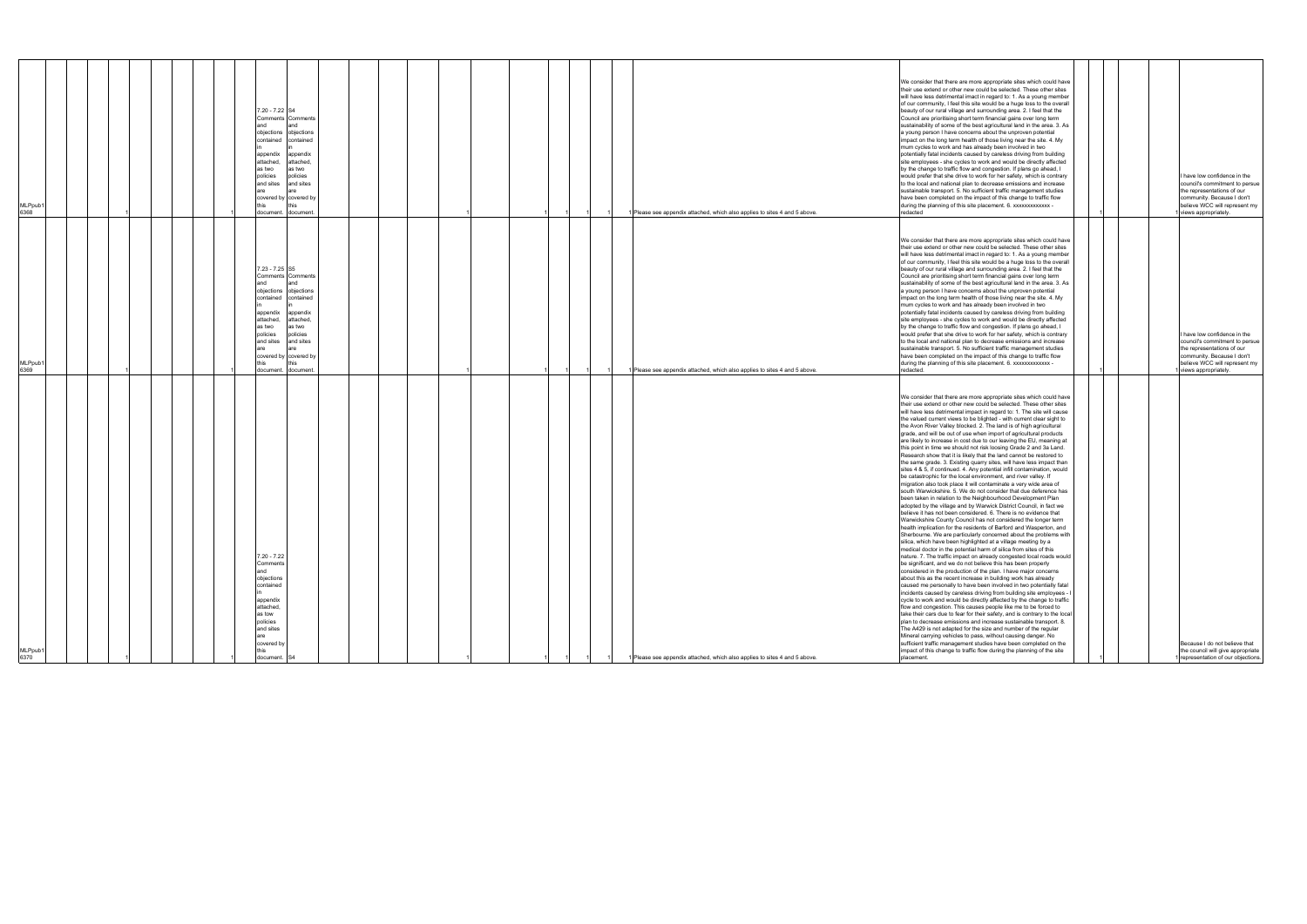|                                                                                                                                                                                                                                                                                                                                                                                                                                                                                                                                                                                                                                                                                                                                                                                                                                                                                                                                                                                                                                                                                                                                                                                                                                                                                                                                                                                                                                                                                                                                                                                                                                                                                                                                                                                                                                                                                                                                                                                                                                                                                                                                                                 | MLPpub1<br>6369                                                                                                                                                                                                                                                                                                                                                                                                                                                                                                                                                                                                                                                                                                                                                                                                                                                                                                                                                                                                                                                                                                                                                                                                                                                                                                | MLPpub1<br>6368                                                                                                                                                                                                                                                                                                                                                                                                                                                                                                                                                                                                                                                                                                                                                                                                                                                                                                                                                                                                                                                                                                                                                                                                                                                                                               |
|-----------------------------------------------------------------------------------------------------------------------------------------------------------------------------------------------------------------------------------------------------------------------------------------------------------------------------------------------------------------------------------------------------------------------------------------------------------------------------------------------------------------------------------------------------------------------------------------------------------------------------------------------------------------------------------------------------------------------------------------------------------------------------------------------------------------------------------------------------------------------------------------------------------------------------------------------------------------------------------------------------------------------------------------------------------------------------------------------------------------------------------------------------------------------------------------------------------------------------------------------------------------------------------------------------------------------------------------------------------------------------------------------------------------------------------------------------------------------------------------------------------------------------------------------------------------------------------------------------------------------------------------------------------------------------------------------------------------------------------------------------------------------------------------------------------------------------------------------------------------------------------------------------------------------------------------------------------------------------------------------------------------------------------------------------------------------------------------------------------------------------------------------------------------|----------------------------------------------------------------------------------------------------------------------------------------------------------------------------------------------------------------------------------------------------------------------------------------------------------------------------------------------------------------------------------------------------------------------------------------------------------------------------------------------------------------------------------------------------------------------------------------------------------------------------------------------------------------------------------------------------------------------------------------------------------------------------------------------------------------------------------------------------------------------------------------------------------------------------------------------------------------------------------------------------------------------------------------------------------------------------------------------------------------------------------------------------------------------------------------------------------------------------------------------------------------------------------------------------------------|---------------------------------------------------------------------------------------------------------------------------------------------------------------------------------------------------------------------------------------------------------------------------------------------------------------------------------------------------------------------------------------------------------------------------------------------------------------------------------------------------------------------------------------------------------------------------------------------------------------------------------------------------------------------------------------------------------------------------------------------------------------------------------------------------------------------------------------------------------------------------------------------------------------------------------------------------------------------------------------------------------------------------------------------------------------------------------------------------------------------------------------------------------------------------------------------------------------------------------------------------------------------------------------------------------------|
|                                                                                                                                                                                                                                                                                                                                                                                                                                                                                                                                                                                                                                                                                                                                                                                                                                                                                                                                                                                                                                                                                                                                                                                                                                                                                                                                                                                                                                                                                                                                                                                                                                                                                                                                                                                                                                                                                                                                                                                                                                                                                                                                                                 |                                                                                                                                                                                                                                                                                                                                                                                                                                                                                                                                                                                                                                                                                                                                                                                                                                                                                                                                                                                                                                                                                                                                                                                                                                                                                                                |                                                                                                                                                                                                                                                                                                                                                                                                                                                                                                                                                                                                                                                                                                                                                                                                                                                                                                                                                                                                                                                                                                                                                                                                                                                                                                               |
|                                                                                                                                                                                                                                                                                                                                                                                                                                                                                                                                                                                                                                                                                                                                                                                                                                                                                                                                                                                                                                                                                                                                                                                                                                                                                                                                                                                                                                                                                                                                                                                                                                                                                                                                                                                                                                                                                                                                                                                                                                                                                                                                                                 |                                                                                                                                                                                                                                                                                                                                                                                                                                                                                                                                                                                                                                                                                                                                                                                                                                                                                                                                                                                                                                                                                                                                                                                                                                                                                                                |                                                                                                                                                                                                                                                                                                                                                                                                                                                                                                                                                                                                                                                                                                                                                                                                                                                                                                                                                                                                                                                                                                                                                                                                                                                                                                               |
|                                                                                                                                                                                                                                                                                                                                                                                                                                                                                                                                                                                                                                                                                                                                                                                                                                                                                                                                                                                                                                                                                                                                                                                                                                                                                                                                                                                                                                                                                                                                                                                                                                                                                                                                                                                                                                                                                                                                                                                                                                                                                                                                                                 |                                                                                                                                                                                                                                                                                                                                                                                                                                                                                                                                                                                                                                                                                                                                                                                                                                                                                                                                                                                                                                                                                                                                                                                                                                                                                                                |                                                                                                                                                                                                                                                                                                                                                                                                                                                                                                                                                                                                                                                                                                                                                                                                                                                                                                                                                                                                                                                                                                                                                                                                                                                                                                               |
| 7.20 - 7.22<br>Comments<br>and<br>objections<br>contained<br>appendix<br>attached,                                                                                                                                                                                                                                                                                                                                                                                                                                                                                                                                                                                                                                                                                                                                                                                                                                                                                                                                                                                                                                                                                                                                                                                                                                                                                                                                                                                                                                                                                                                                                                                                                                                                                                                                                                                                                                                                                                                                                                                                                                                                              | 7.23 - 7.25 S5<br>Comments Comments<br>and<br>and<br>objections objections<br>contained contained<br>appendix<br>appendix<br>attached,<br>attached,<br>as two<br>as two<br>policies<br>policies<br>and sites<br>and sites<br>are<br>are.<br>covered by covered by<br>document. document.                                                                                                                                                                                                                                                                                                                                                                                                                                                                                                                                                                                                                                                                                                                                                                                                                                                                                                                                                                                                                       | 7.20 - 7.22 S4<br>Comments Comments<br>and<br>and<br>objections objections<br>contained contained<br>appendix<br>appendix<br>attached,<br>attached,<br>as two<br>as two<br>policies<br>policies<br>and sites<br>and sites<br>are<br>covered by covered by<br>document. document.                                                                                                                                                                                                                                                                                                                                                                                                                                                                                                                                                                                                                                                                                                                                                                                                                                                                                                                                                                                                                              |
|                                                                                                                                                                                                                                                                                                                                                                                                                                                                                                                                                                                                                                                                                                                                                                                                                                                                                                                                                                                                                                                                                                                                                                                                                                                                                                                                                                                                                                                                                                                                                                                                                                                                                                                                                                                                                                                                                                                                                                                                                                                                                                                                                                 |                                                                                                                                                                                                                                                                                                                                                                                                                                                                                                                                                                                                                                                                                                                                                                                                                                                                                                                                                                                                                                                                                                                                                                                                                                                                                                                |                                                                                                                                                                                                                                                                                                                                                                                                                                                                                                                                                                                                                                                                                                                                                                                                                                                                                                                                                                                                                                                                                                                                                                                                                                                                                                               |
|                                                                                                                                                                                                                                                                                                                                                                                                                                                                                                                                                                                                                                                                                                                                                                                                                                                                                                                                                                                                                                                                                                                                                                                                                                                                                                                                                                                                                                                                                                                                                                                                                                                                                                                                                                                                                                                                                                                                                                                                                                                                                                                                                                 |                                                                                                                                                                                                                                                                                                                                                                                                                                                                                                                                                                                                                                                                                                                                                                                                                                                                                                                                                                                                                                                                                                                                                                                                                                                                                                                |                                                                                                                                                                                                                                                                                                                                                                                                                                                                                                                                                                                                                                                                                                                                                                                                                                                                                                                                                                                                                                                                                                                                                                                                                                                                                                               |
|                                                                                                                                                                                                                                                                                                                                                                                                                                                                                                                                                                                                                                                                                                                                                                                                                                                                                                                                                                                                                                                                                                                                                                                                                                                                                                                                                                                                                                                                                                                                                                                                                                                                                                                                                                                                                                                                                                                                                                                                                                                                                                                                                                 |                                                                                                                                                                                                                                                                                                                                                                                                                                                                                                                                                                                                                                                                                                                                                                                                                                                                                                                                                                                                                                                                                                                                                                                                                                                                                                                |                                                                                                                                                                                                                                                                                                                                                                                                                                                                                                                                                                                                                                                                                                                                                                                                                                                                                                                                                                                                                                                                                                                                                                                                                                                                                                               |
|                                                                                                                                                                                                                                                                                                                                                                                                                                                                                                                                                                                                                                                                                                                                                                                                                                                                                                                                                                                                                                                                                                                                                                                                                                                                                                                                                                                                                                                                                                                                                                                                                                                                                                                                                                                                                                                                                                                                                                                                                                                                                                                                                                 |                                                                                                                                                                                                                                                                                                                                                                                                                                                                                                                                                                                                                                                                                                                                                                                                                                                                                                                                                                                                                                                                                                                                                                                                                                                                                                                |                                                                                                                                                                                                                                                                                                                                                                                                                                                                                                                                                                                                                                                                                                                                                                                                                                                                                                                                                                                                                                                                                                                                                                                                                                                                                                               |
|                                                                                                                                                                                                                                                                                                                                                                                                                                                                                                                                                                                                                                                                                                                                                                                                                                                                                                                                                                                                                                                                                                                                                                                                                                                                                                                                                                                                                                                                                                                                                                                                                                                                                                                                                                                                                                                                                                                                                                                                                                                                                                                                                                 |                                                                                                                                                                                                                                                                                                                                                                                                                                                                                                                                                                                                                                                                                                                                                                                                                                                                                                                                                                                                                                                                                                                                                                                                                                                                                                                |                                                                                                                                                                                                                                                                                                                                                                                                                                                                                                                                                                                                                                                                                                                                                                                                                                                                                                                                                                                                                                                                                                                                                                                                                                                                                                               |
|                                                                                                                                                                                                                                                                                                                                                                                                                                                                                                                                                                                                                                                                                                                                                                                                                                                                                                                                                                                                                                                                                                                                                                                                                                                                                                                                                                                                                                                                                                                                                                                                                                                                                                                                                                                                                                                                                                                                                                                                                                                                                                                                                                 |                                                                                                                                                                                                                                                                                                                                                                                                                                                                                                                                                                                                                                                                                                                                                                                                                                                                                                                                                                                                                                                                                                                                                                                                                                                                                                                |                                                                                                                                                                                                                                                                                                                                                                                                                                                                                                                                                                                                                                                                                                                                                                                                                                                                                                                                                                                                                                                                                                                                                                                                                                                                                                               |
|                                                                                                                                                                                                                                                                                                                                                                                                                                                                                                                                                                                                                                                                                                                                                                                                                                                                                                                                                                                                                                                                                                                                                                                                                                                                                                                                                                                                                                                                                                                                                                                                                                                                                                                                                                                                                                                                                                                                                                                                                                                                                                                                                                 | 1 Please see appendix attached, which also applies to sites 4 and 5 above.                                                                                                                                                                                                                                                                                                                                                                                                                                                                                                                                                                                                                                                                                                                                                                                                                                                                                                                                                                                                                                                                                                                                                                                                                                     | 1 Please see appendix attached, which also applies to sites 4 and 5 above.                                                                                                                                                                                                                                                                                                                                                                                                                                                                                                                                                                                                                                                                                                                                                                                                                                                                                                                                                                                                                                                                                                                                                                                                                                    |
| We consider that there are more appropriate sites which could have<br>their use extend or other new could be selected. These other sites<br>will have less detrimental impact in regard to: 1. The site will cause<br>the valued current views to be blighted - with current clear sight to<br>the Avon River Valley blocked. 2. The land is of high agricultural<br>grade, and will be out of use when import of agricultural products<br>are likely to increase in cost due to our leaving the EU, meaning at<br>this point in time we should not risk loosing Grade 2 and 3a Land.<br>Research show that it is likely that the land cannot be restored to<br>the same grade. 3. Existing quarry sites, will have less impact than<br>sites 4 & 5, if continued. 4. Any potential infill contamination, would<br>be catastrophic for the local environment, and river valley. If<br>migration also took place it will contaminate a very wide area of<br>south Warwickshire. 5. We do not consider that due deference has<br>been taken in relation to the Neighbourhood Development Plan<br>adopted by the village and by Warwick District Council, in fact we<br>believe it has not been considered. 6. There is no evidence that<br>Warwickshire County Council has not considered the longer term<br>health implication for the residents of Barford and Wasperton, and<br>Sherbourne. We are particularly concerned about the problems with<br>silica, which have been highlighted at a village meeting by a<br>medical doctor in the potential harm of silica from sites of this<br>nature. 7. The traffic impact on already congested local roads would<br>be significant, and we do not believe this has been properly<br>considered in the production of the plan. I have major concerns<br>about this as the recent increase in building work has already<br>caused me personally to have been involved in two potentially fatal<br>incidents caused by careless driving from building site employees -<br>cycle to work and would be directly affected by the change to traffic<br>flow and congestion. This causes people like me to be forced to | We consider that there are more appropriate sites which could have<br>their use extend or other new could be selected. These other sites<br>will have less detrimental imact in regard to: 1. As a young member<br>of our community, I feel this site would be a huge loss to the overall<br>beauty of our rural village and surrounding area. 2. I feel that the<br>Council are prioritising short term financial gains over long term<br>sustainability of some of the best agricultural land in the area. 3. As<br>a young person I have concerns about the unproven potential<br>impact on the long term health of those living near the site. 4. My<br>mum cycles to work and has already been involved in two<br>potentially fatal incidents caused by careless driving from building<br>site employees - she cycles to work and would be directly affected<br>by the change to traffic flow and congestion. If plans go ahead, I<br>would prefer that she drive to work for her safety, which is contrary<br>to the local and national plan to decrease emissions and increase<br>sustainable transport. 5. No sufficient traffic management studies<br>have been completed on the impact of this change to traffic flow<br>during the planning of this site placement. 6. xxxxxxxxxxxxx -<br>redacted. | We consider that there are more appropriate sites which could have<br>their use extend or other new could be selected. These other sites<br>will have less detrimental imact in regard to: 1. As a young member<br>of our community, I feel this site would be a huge loss to the overall<br>beauty of our rural village and surrounding area. 2. I feel that the<br>Council are prioritising short term financial gains over long term<br>sustainability of some of the best agricultural land in the area. 3. As<br>a young person I have concerns about the unproven potential<br>impact on the long term health of those living near the site. 4. My<br>mum cycles to work and has already been involved in two<br>potentially fatal incidents caused by careless driving from building<br>site employees - she cycles to work and would be directly affected<br>by the change to traffic flow and congestion. If plans go ahead, I<br>would prefer that she drive to work for her safety, which is contrary<br>to the local and national plan to decrease emissions and increase<br>sustainable transport. 5. No sufficient traffic management studies<br>have been completed on the impact of this change to traffic flow<br>during the planning of this site placement. 6. xxxxxxxxxxxxx -<br>redacted |
|                                                                                                                                                                                                                                                                                                                                                                                                                                                                                                                                                                                                                                                                                                                                                                                                                                                                                                                                                                                                                                                                                                                                                                                                                                                                                                                                                                                                                                                                                                                                                                                                                                                                                                                                                                                                                                                                                                                                                                                                                                                                                                                                                                 |                                                                                                                                                                                                                                                                                                                                                                                                                                                                                                                                                                                                                                                                                                                                                                                                                                                                                                                                                                                                                                                                                                                                                                                                                                                                                                                |                                                                                                                                                                                                                                                                                                                                                                                                                                                                                                                                                                                                                                                                                                                                                                                                                                                                                                                                                                                                                                                                                                                                                                                                                                                                                                               |
|                                                                                                                                                                                                                                                                                                                                                                                                                                                                                                                                                                                                                                                                                                                                                                                                                                                                                                                                                                                                                                                                                                                                                                                                                                                                                                                                                                                                                                                                                                                                                                                                                                                                                                                                                                                                                                                                                                                                                                                                                                                                                                                                                                 |                                                                                                                                                                                                                                                                                                                                                                                                                                                                                                                                                                                                                                                                                                                                                                                                                                                                                                                                                                                                                                                                                                                                                                                                                                                                                                                |                                                                                                                                                                                                                                                                                                                                                                                                                                                                                                                                                                                                                                                                                                                                                                                                                                                                                                                                                                                                                                                                                                                                                                                                                                                                                                               |
|                                                                                                                                                                                                                                                                                                                                                                                                                                                                                                                                                                                                                                                                                                                                                                                                                                                                                                                                                                                                                                                                                                                                                                                                                                                                                                                                                                                                                                                                                                                                                                                                                                                                                                                                                                                                                                                                                                                                                                                                                                                                                                                                                                 | I have low confidence in the<br>council's commitment to persue<br>the representations of our<br>community. Because I don't<br>believe WCC will represent my<br>views appropriately.                                                                                                                                                                                                                                                                                                                                                                                                                                                                                                                                                                                                                                                                                                                                                                                                                                                                                                                                                                                                                                                                                                                            | I have low confidence in the<br>council's commitment to persue<br>the representations of our<br>community. Because I don't<br>believe WCC will represent my<br>views appropriately.                                                                                                                                                                                                                                                                                                                                                                                                                                                                                                                                                                                                                                                                                                                                                                                                                                                                                                                                                                                                                                                                                                                           |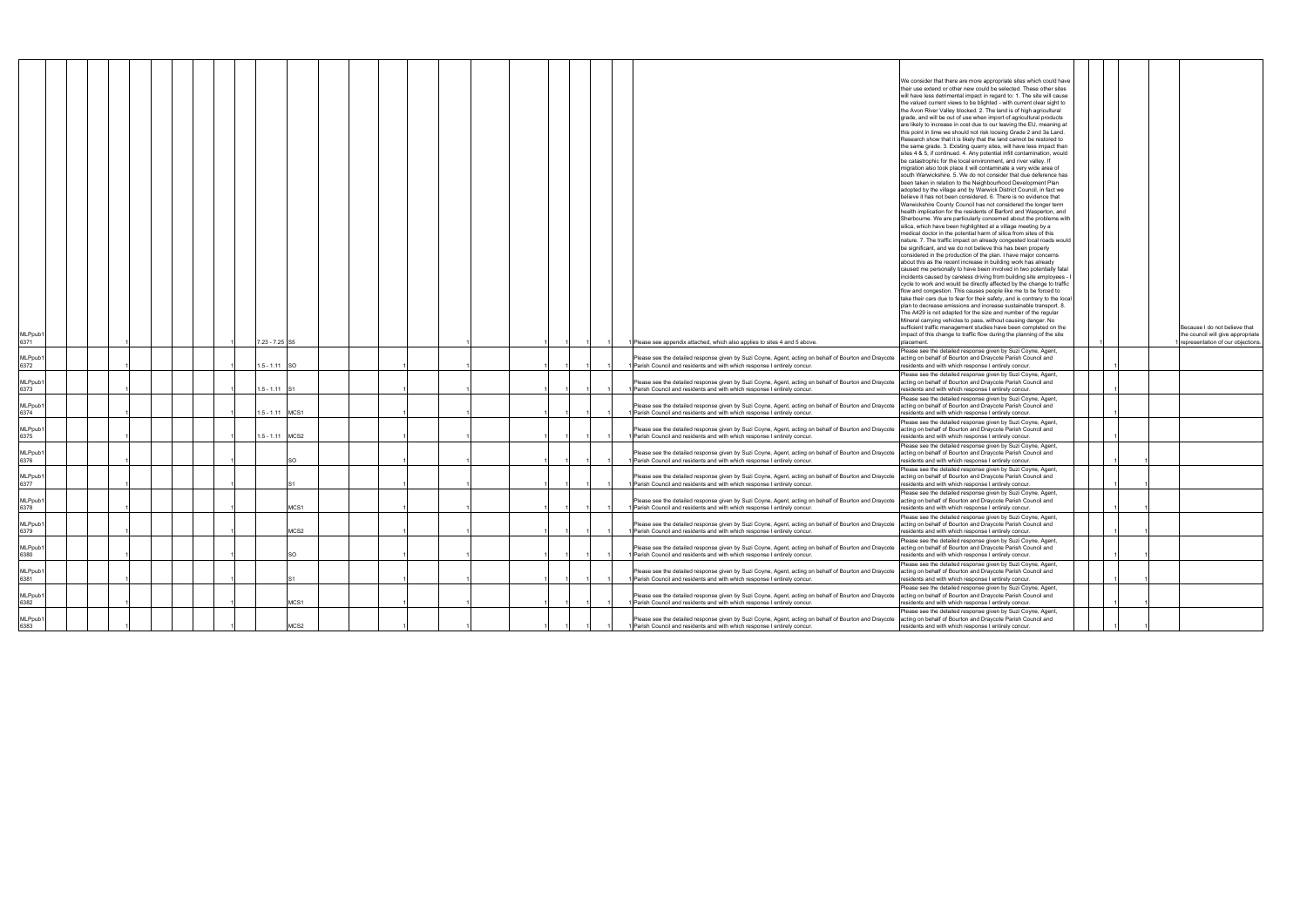|               |  |  |  |                 |                  |  |  |  |  |  |                                                                           |                                                                                                       | We consider that there are more appropriate sites which could have                                                                                                |  |                                   |
|---------------|--|--|--|-----------------|------------------|--|--|--|--|--|---------------------------------------------------------------------------|-------------------------------------------------------------------------------------------------------|-------------------------------------------------------------------------------------------------------------------------------------------------------------------|--|-----------------------------------|
|               |  |  |  |                 |                  |  |  |  |  |  |                                                                           |                                                                                                       | heir use extend or other new could be selected. These other sites                                                                                                 |  |                                   |
|               |  |  |  |                 |                  |  |  |  |  |  |                                                                           |                                                                                                       | will have less detrimental impact in regard to: 1. The site will cause                                                                                            |  |                                   |
|               |  |  |  |                 |                  |  |  |  |  |  |                                                                           |                                                                                                       | the valued current views to be blighted - with current clear sight to                                                                                             |  |                                   |
|               |  |  |  |                 |                  |  |  |  |  |  |                                                                           |                                                                                                       | the Avon River Valley blocked. 2. The land is of high agricultural                                                                                                |  |                                   |
|               |  |  |  |                 |                  |  |  |  |  |  |                                                                           |                                                                                                       |                                                                                                                                                                   |  |                                   |
|               |  |  |  |                 |                  |  |  |  |  |  |                                                                           |                                                                                                       | grade, and will be out of use when import of agricultural products                                                                                                |  |                                   |
|               |  |  |  |                 |                  |  |  |  |  |  |                                                                           |                                                                                                       | are likely to increase in cost due to our leaving the EU, meaning at                                                                                              |  |                                   |
|               |  |  |  |                 |                  |  |  |  |  |  |                                                                           |                                                                                                       | this point in time we should not risk loosing Grade 2 and 3a Land.                                                                                                |  |                                   |
|               |  |  |  |                 |                  |  |  |  |  |  |                                                                           |                                                                                                       | Research show that it is likely that the land cannot be restored to                                                                                               |  |                                   |
|               |  |  |  |                 |                  |  |  |  |  |  |                                                                           |                                                                                                       | the same grade. 3. Existing quarry sites, will have less impact than                                                                                              |  |                                   |
|               |  |  |  |                 |                  |  |  |  |  |  |                                                                           |                                                                                                       | sites 4 & 5, if continued. 4. Any potential infill contamination, would                                                                                           |  |                                   |
|               |  |  |  |                 |                  |  |  |  |  |  |                                                                           |                                                                                                       | be catastrophic for the local environment, and river valley. If                                                                                                   |  |                                   |
|               |  |  |  |                 |                  |  |  |  |  |  |                                                                           |                                                                                                       | migration also took place it will contaminate a very wide area of                                                                                                 |  |                                   |
|               |  |  |  |                 |                  |  |  |  |  |  |                                                                           |                                                                                                       | south Warwickshire. 5. We do not consider that due deference has                                                                                                  |  |                                   |
|               |  |  |  |                 |                  |  |  |  |  |  |                                                                           |                                                                                                       | been taken in relation to the Neighbourhood Development Plan                                                                                                      |  |                                   |
|               |  |  |  |                 |                  |  |  |  |  |  |                                                                           |                                                                                                       | adopted by the village and by Warwick District Council, in fact we                                                                                                |  |                                   |
|               |  |  |  |                 |                  |  |  |  |  |  |                                                                           |                                                                                                       | believe it has not been considered. 6. There is no evidence that                                                                                                  |  |                                   |
|               |  |  |  |                 |                  |  |  |  |  |  |                                                                           |                                                                                                       | Warwickshire County Council has not considered the longer term                                                                                                    |  |                                   |
|               |  |  |  |                 |                  |  |  |  |  |  |                                                                           |                                                                                                       | health implication for the residents of Barford and Wasperton, and                                                                                                |  |                                   |
|               |  |  |  |                 |                  |  |  |  |  |  |                                                                           |                                                                                                       | Sherbourne. We are particularly concerned about the problems with                                                                                                 |  |                                   |
|               |  |  |  |                 |                  |  |  |  |  |  |                                                                           |                                                                                                       |                                                                                                                                                                   |  |                                   |
|               |  |  |  |                 |                  |  |  |  |  |  |                                                                           |                                                                                                       | silica, which have been highlighted at a village meeting by a                                                                                                     |  |                                   |
|               |  |  |  |                 |                  |  |  |  |  |  |                                                                           |                                                                                                       | medical doctor in the potential harm of silica from sites of this                                                                                                 |  |                                   |
|               |  |  |  |                 |                  |  |  |  |  |  |                                                                           |                                                                                                       | nature. 7. The traffic impact on already congested local roads would                                                                                              |  |                                   |
|               |  |  |  |                 |                  |  |  |  |  |  |                                                                           |                                                                                                       | be significant, and we do not believe this has been properly                                                                                                      |  |                                   |
|               |  |  |  |                 |                  |  |  |  |  |  |                                                                           |                                                                                                       | considered in the production of the plan. I have major concerns                                                                                                   |  |                                   |
|               |  |  |  |                 |                  |  |  |  |  |  |                                                                           |                                                                                                       | about this as the recent increase in building work has already                                                                                                    |  |                                   |
|               |  |  |  |                 |                  |  |  |  |  |  |                                                                           |                                                                                                       | caused me personally to have been involved in two potentially fatal                                                                                               |  |                                   |
|               |  |  |  |                 |                  |  |  |  |  |  |                                                                           |                                                                                                       | incidents caused by careless driving from building site employees -                                                                                               |  |                                   |
|               |  |  |  |                 |                  |  |  |  |  |  |                                                                           |                                                                                                       | cycle to work and would be directly affected by the change to traffic                                                                                             |  |                                   |
|               |  |  |  |                 |                  |  |  |  |  |  |                                                                           |                                                                                                       | flow and congestion. This causes people like me to be forced to                                                                                                   |  |                                   |
|               |  |  |  |                 |                  |  |  |  |  |  |                                                                           |                                                                                                       | take their cars due to fear for their safety, and is contrary to the local                                                                                        |  |                                   |
|               |  |  |  |                 |                  |  |  |  |  |  |                                                                           |                                                                                                       | plan to decrease emissions and increase sustainable transport. 8.                                                                                                 |  |                                   |
|               |  |  |  |                 |                  |  |  |  |  |  |                                                                           |                                                                                                       | The A429 is not adapted for the size and number of the regular                                                                                                    |  |                                   |
|               |  |  |  |                 |                  |  |  |  |  |  |                                                                           |                                                                                                       | Mineral carrying vehicles to pass, without causing danger. No                                                                                                     |  |                                   |
|               |  |  |  |                 |                  |  |  |  |  |  |                                                                           |                                                                                                       | sufficient traffic management studies have been completed on the                                                                                                  |  | Because I do not believe that     |
| MLPpub1       |  |  |  |                 |                  |  |  |  |  |  |                                                                           |                                                                                                       | impact of this change to traffic flow during the planning of the site                                                                                             |  | the council will give appropriate |
| 6371          |  |  |  | 7.23 - 7.25 S5  |                  |  |  |  |  |  |                                                                           | 1 Please see appendix attached, which also applies to sites 4 and 5 above.                            | placement.                                                                                                                                                        |  | representation of our objections. |
|               |  |  |  |                 |                  |  |  |  |  |  |                                                                           |                                                                                                       |                                                                                                                                                                   |  |                                   |
|               |  |  |  |                 |                  |  |  |  |  |  |                                                                           |                                                                                                       | Please see the detailed response given by Suzi Coyne, Agent,                                                                                                      |  |                                   |
| MLPpub1       |  |  |  |                 |                  |  |  |  |  |  |                                                                           | Please see the detailed response given by Suzi Coyne, Agent, acting on behalf of Bourton and Draycote | acting on behalf of Bourton and Draycote Parish Council and                                                                                                       |  |                                   |
| 6372          |  |  |  | $.5 - 1.11$ SO  |                  |  |  |  |  |  |                                                                           | 1 Parish Council and residents and with which response I entirely concur.                             | residents and with which response I entirely concur.                                                                                                              |  |                                   |
|               |  |  |  |                 |                  |  |  |  |  |  |                                                                           |                                                                                                       | Please see the detailed response given by Suzi Coyne, Agent,                                                                                                      |  |                                   |
| MLPpub1       |  |  |  |                 |                  |  |  |  |  |  |                                                                           | Please see the detailed response given by Suzi Coyne, Agent, acting on behalf of Bourton and Draycote | acting on behalf of Bourton and Draycote Parish Council and                                                                                                       |  |                                   |
| 6373          |  |  |  | $.5 - 1.11$     |                  |  |  |  |  |  |                                                                           | 1 Parish Council and residents and with which response I entirely concur.                             | residents and with which response I entirely concur.                                                                                                              |  |                                   |
|               |  |  |  |                 |                  |  |  |  |  |  |                                                                           |                                                                                                       | Please see the detailed response given by Suzi Coyne, Agent,                                                                                                      |  |                                   |
| MLPpub1       |  |  |  |                 |                  |  |  |  |  |  |                                                                           | Please see the detailed response given by Suzi Coyne, Agent, acting on behalf of Bourton and Draycote | acting on behalf of Bourton and Draycote Parish Council and                                                                                                       |  |                                   |
| 6374          |  |  |  | 1.5 - 1.11 MCS1 |                  |  |  |  |  |  |                                                                           | 1 Parish Council and residents and with which response I entirely concur.                             | residents and with which response I entirely concur.                                                                                                              |  |                                   |
|               |  |  |  |                 |                  |  |  |  |  |  |                                                                           |                                                                                                       |                                                                                                                                                                   |  |                                   |
|               |  |  |  |                 |                  |  |  |  |  |  |                                                                           |                                                                                                       | Please see the detailed response given by Suzi Coyne, Agent,                                                                                                      |  |                                   |
| MLPpub1       |  |  |  |                 |                  |  |  |  |  |  |                                                                           | Please see the detailed response given by Suzi Coyne, Agent, acting on behalf of Bourton and Draycote | acting on behalf of Bourton and Draycote Parish Council and                                                                                                       |  |                                   |
| 6375          |  |  |  | 1.5 - 1.11 MCS2 |                  |  |  |  |  |  |                                                                           | 1 Parish Council and residents and with which response I entirely concur.                             | residents and with which response I entirely concur.                                                                                                              |  |                                   |
|               |  |  |  |                 |                  |  |  |  |  |  |                                                                           |                                                                                                       | lease see the detailed response given by Suzi Coyne, Agent,                                                                                                       |  |                                   |
| MLPpub1       |  |  |  |                 |                  |  |  |  |  |  |                                                                           | Please see the detailed response given by Suzi Coyne, Agent, acting on behalf of Bourton and Draycote | acting on behalf of Bourton and Draycote Parish Council and                                                                                                       |  |                                   |
| 6376          |  |  |  |                 |                  |  |  |  |  |  | 1 Parish Council and residents and with which response I entirely concur. |                                                                                                       | residents and with which response I entirely concur.                                                                                                              |  |                                   |
|               |  |  |  |                 |                  |  |  |  |  |  |                                                                           |                                                                                                       |                                                                                                                                                                   |  |                                   |
|               |  |  |  |                 |                  |  |  |  |  |  |                                                                           |                                                                                                       | Please see the detailed response given by Suzi Coyne, Agent,                                                                                                      |  |                                   |
| MLPpub1       |  |  |  |                 |                  |  |  |  |  |  |                                                                           | Please see the detailed response given by Suzi Coyne, Agent, acting on behalf of Bourton and Draycote | acting on behalf of Bourton and Draycote Parish Council and                                                                                                       |  |                                   |
| 6377          |  |  |  |                 |                  |  |  |  |  |  |                                                                           | 1 Parish Council and residents and with which response I entirely concur.                             | residents and with which response I entirely concur.                                                                                                              |  |                                   |
|               |  |  |  |                 |                  |  |  |  |  |  |                                                                           |                                                                                                       | Please see the detailed response given by Suzi Coyne, Agent,                                                                                                      |  |                                   |
| MLPpub1       |  |  |  |                 |                  |  |  |  |  |  |                                                                           | Please see the detailed response given by Suzi Coyne, Agent, acting on behalf of Bourton and Draycote | acting on behalf of Bourton and Draycote Parish Council and                                                                                                       |  |                                   |
| 6378          |  |  |  |                 | MCS <sub>1</sub> |  |  |  |  |  |                                                                           | 1 Parish Council and residents and with which response I entirely concur.                             | residents and with which response I entirely concur.                                                                                                              |  |                                   |
|               |  |  |  |                 |                  |  |  |  |  |  |                                                                           |                                                                                                       | Please see the detailed response given by Suzi Coyne, Agent,                                                                                                      |  |                                   |
| MLPpub1       |  |  |  |                 |                  |  |  |  |  |  |                                                                           | Please see the detailed response given by Suzi Coyne, Agent, acting on behalf of Bourton and Draycote | acting on behalf of Bourton and Draycote Parish Council and                                                                                                       |  |                                   |
| 6379          |  |  |  |                 | MCS2             |  |  |  |  |  |                                                                           | 1 Parish Council and residents and with which response I entirely concur.                             | residents and with which response I entirely concur.                                                                                                              |  |                                   |
|               |  |  |  |                 |                  |  |  |  |  |  |                                                                           |                                                                                                       |                                                                                                                                                                   |  |                                   |
|               |  |  |  |                 |                  |  |  |  |  |  |                                                                           |                                                                                                       | Please see the detailed response given by Suzi Coyne, Agent,                                                                                                      |  |                                   |
| MLPpub1       |  |  |  |                 |                  |  |  |  |  |  |                                                                           | Please see the detailed response given by Suzi Coyne, Agent, acting on behalf of Bourton and Draycote | acting on behalf of Bourton and Draycote Parish Council and                                                                                                       |  |                                   |
| 6380          |  |  |  |                 | SΟ               |  |  |  |  |  |                                                                           | 1 Parish Council and residents and with which response I entirely concur.                             | residents and with which response I entirely concur.                                                                                                              |  |                                   |
|               |  |  |  |                 |                  |  |  |  |  |  |                                                                           |                                                                                                       | Please see the detailed response given by Suzi Coyne, Agent,                                                                                                      |  |                                   |
| <b>MLPpub</b> |  |  |  |                 |                  |  |  |  |  |  |                                                                           | Please see the detailed response given by Suzi Coyne, Agent, acting on behalf of Bourton and Draycote | acting on behalf of Bourton and Draycote Parish Council and                                                                                                       |  |                                   |
| 6381          |  |  |  |                 |                  |  |  |  |  |  |                                                                           | 1 Parish Council and residents and with which response I entirely concur.                             | esidents and with which response I entirely concur.                                                                                                               |  |                                   |
|               |  |  |  |                 |                  |  |  |  |  |  |                                                                           |                                                                                                       |                                                                                                                                                                   |  |                                   |
|               |  |  |  |                 |                  |  |  |  |  |  |                                                                           |                                                                                                       | Please see the detailed response given by Suzi Coyne, Agent,<br>acting on behalf of Bourton and Draycote Parish Council and                                       |  |                                   |
| MLPpub1       |  |  |  |                 |                  |  |  |  |  |  |                                                                           | Please see the detailed response given by Suzi Coyne, Agent, acting on behalf of Bourton and Draycote |                                                                                                                                                                   |  |                                   |
| 6382          |  |  |  |                 | MCS1             |  |  |  |  |  |                                                                           | Parish Council and residents and with which response I entirely concur.                               | residents and with which response I entirely concur.                                                                                                              |  |                                   |
|               |  |  |  |                 |                  |  |  |  |  |  |                                                                           |                                                                                                       | Please see the detailed response given by Suzi Coyne, Agent,                                                                                                      |  |                                   |
| MLPpub1       |  |  |  |                 |                  |  |  |  |  |  |                                                                           |                                                                                                       | Please see the detailed response given by Suzi Coyne, Agent, acting on behalf of Bourton and Draycote acting on behalf of Bourton and Draycote Parish Council and |  |                                   |
| 6383          |  |  |  |                 | MCS2             |  |  |  |  |  |                                                                           | Parish Council and residents and with which response I entirely concur.                               | residents and with which response I entirely concur.                                                                                                              |  |                                   |
|               |  |  |  |                 |                  |  |  |  |  |  |                                                                           |                                                                                                       |                                                                                                                                                                   |  |                                   |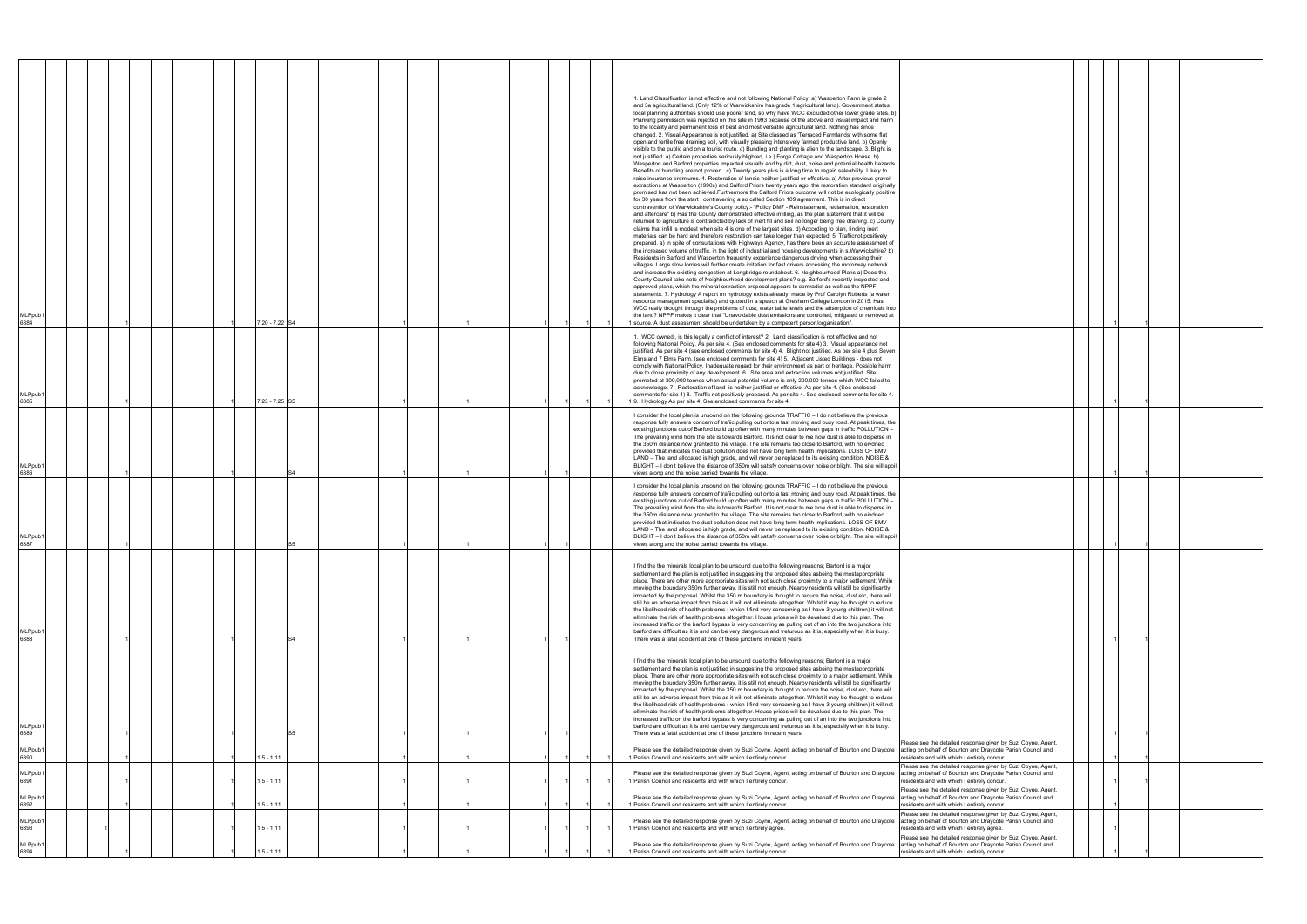| 6394                                                           | MLPpub1<br>6393<br>MLPpub <sup>®</sup>                                                                                                                                                                                                                                          | MLPpub1<br>6392                                                                                                                                                            | MLPpub1<br>6391                                                                                                                                                                                                                            | MLPpub1<br>6390                                                                                                                                                            | MLPpub <sup>1</sup><br>6389                                                                                                                                                                                                                                                                                                                                                                                                                                                                                                                                                                                                                                                                                                                                                                                                                                                                                                                                                                                                                                                                                                                                                                        | MLPpub1<br>6388                                                                                                                                                                                                                                                                                                                                                                                                                                                                                                                                                                                                                                                                                                                                                                                                                                                                                                                                                                                                                                                                                                                                                                                    | MLPpub1<br>6387                                                                                                                                                                                                                                                                                                                                                                                                                                                                                                                                                                                                                                                                                                                                                                                                                                                                                                                                | MLPpub <sup>®</sup><br>6386                                                                                                                                                                                                                                                                                                                                                                                                                                                                                                                                                                                                                                                                                                                                                                                                                                                                                                                    | MLPpub <sup>®</sup><br>6385                                                                                                                                                                                                                                                                                                                                                                                                                                                                                                                                                                                                                                                                                                                                                                                                                                                                                                                                                                                                                  | MLPpub <sup>®</sup><br>6384                                                                                                                                                                                                                                                                                                                                                                                                                                                                                                                                                                                                                                                                                                                                                                                                                                                                                                                                                                                                                                                                                                                                                                                                                                                                                                                                                                                                                                                                                                                                                                                                                                                                                                                                                                                                                                                                                                                                                                                                                                                                                                                                                                                                                                                                                                                                                                                                                                                                                                                                                                                                                                                                                                                                                                                                                                                                                                                                                                                                                                                                                                                                                                                                                                                                                                                                                                                                                                                                               |
|----------------------------------------------------------------|---------------------------------------------------------------------------------------------------------------------------------------------------------------------------------------------------------------------------------------------------------------------------------|----------------------------------------------------------------------------------------------------------------------------------------------------------------------------|--------------------------------------------------------------------------------------------------------------------------------------------------------------------------------------------------------------------------------------------|----------------------------------------------------------------------------------------------------------------------------------------------------------------------------|----------------------------------------------------------------------------------------------------------------------------------------------------------------------------------------------------------------------------------------------------------------------------------------------------------------------------------------------------------------------------------------------------------------------------------------------------------------------------------------------------------------------------------------------------------------------------------------------------------------------------------------------------------------------------------------------------------------------------------------------------------------------------------------------------------------------------------------------------------------------------------------------------------------------------------------------------------------------------------------------------------------------------------------------------------------------------------------------------------------------------------------------------------------------------------------------------|----------------------------------------------------------------------------------------------------------------------------------------------------------------------------------------------------------------------------------------------------------------------------------------------------------------------------------------------------------------------------------------------------------------------------------------------------------------------------------------------------------------------------------------------------------------------------------------------------------------------------------------------------------------------------------------------------------------------------------------------------------------------------------------------------------------------------------------------------------------------------------------------------------------------------------------------------------------------------------------------------------------------------------------------------------------------------------------------------------------------------------------------------------------------------------------------------|------------------------------------------------------------------------------------------------------------------------------------------------------------------------------------------------------------------------------------------------------------------------------------------------------------------------------------------------------------------------------------------------------------------------------------------------------------------------------------------------------------------------------------------------------------------------------------------------------------------------------------------------------------------------------------------------------------------------------------------------------------------------------------------------------------------------------------------------------------------------------------------------------------------------------------------------|------------------------------------------------------------------------------------------------------------------------------------------------------------------------------------------------------------------------------------------------------------------------------------------------------------------------------------------------------------------------------------------------------------------------------------------------------------------------------------------------------------------------------------------------------------------------------------------------------------------------------------------------------------------------------------------------------------------------------------------------------------------------------------------------------------------------------------------------------------------------------------------------------------------------------------------------|----------------------------------------------------------------------------------------------------------------------------------------------------------------------------------------------------------------------------------------------------------------------------------------------------------------------------------------------------------------------------------------------------------------------------------------------------------------------------------------------------------------------------------------------------------------------------------------------------------------------------------------------------------------------------------------------------------------------------------------------------------------------------------------------------------------------------------------------------------------------------------------------------------------------------------------------------------------------------------------------------------------------------------------------|-----------------------------------------------------------------------------------------------------------------------------------------------------------------------------------------------------------------------------------------------------------------------------------------------------------------------------------------------------------------------------------------------------------------------------------------------------------------------------------------------------------------------------------------------------------------------------------------------------------------------------------------------------------------------------------------------------------------------------------------------------------------------------------------------------------------------------------------------------------------------------------------------------------------------------------------------------------------------------------------------------------------------------------------------------------------------------------------------------------------------------------------------------------------------------------------------------------------------------------------------------------------------------------------------------------------------------------------------------------------------------------------------------------------------------------------------------------------------------------------------------------------------------------------------------------------------------------------------------------------------------------------------------------------------------------------------------------------------------------------------------------------------------------------------------------------------------------------------------------------------------------------------------------------------------------------------------------------------------------------------------------------------------------------------------------------------------------------------------------------------------------------------------------------------------------------------------------------------------------------------------------------------------------------------------------------------------------------------------------------------------------------------------------------------------------------------------------------------------------------------------------------------------------------------------------------------------------------------------------------------------------------------------------------------------------------------------------------------------------------------------------------------------------------------------------------------------------------------------------------------------------------------------------------------------------------------------------------------------------------------------------------------------------------------------------------------------------------------------------------------------------------------------------------------------------------------------------------------------------------------------------------------------------------------------------------------------------------------------------------------------------------------------------------------------------------------------------------------------------------------------------|
|                                                                |                                                                                                                                                                                                                                                                                 |                                                                                                                                                                            |                                                                                                                                                                                                                                            |                                                                                                                                                                            |                                                                                                                                                                                                                                                                                                                                                                                                                                                                                                                                                                                                                                                                                                                                                                                                                                                                                                                                                                                                                                                                                                                                                                                                    |                                                                                                                                                                                                                                                                                                                                                                                                                                                                                                                                                                                                                                                                                                                                                                                                                                                                                                                                                                                                                                                                                                                                                                                                    |                                                                                                                                                                                                                                                                                                                                                                                                                                                                                                                                                                                                                                                                                                                                                                                                                                                                                                                                                |                                                                                                                                                                                                                                                                                                                                                                                                                                                                                                                                                                                                                                                                                                                                                                                                                                                                                                                                                |                                                                                                                                                                                                                                                                                                                                                                                                                                                                                                                                                                                                                                                                                                                                                                                                                                                                                                                                                                                                                                              |                                                                                                                                                                                                                                                                                                                                                                                                                                                                                                                                                                                                                                                                                                                                                                                                                                                                                                                                                                                                                                                                                                                                                                                                                                                                                                                                                                                                                                                                                                                                                                                                                                                                                                                                                                                                                                                                                                                                                                                                                                                                                                                                                                                                                                                                                                                                                                                                                                                                                                                                                                                                                                                                                                                                                                                                                                                                                                                                                                                                                                                                                                                                                                                                                                                                                                                                                                                                                                                                                                           |
|                                                                |                                                                                                                                                                                                                                                                                 |                                                                                                                                                                            |                                                                                                                                                                                                                                            |                                                                                                                                                                            |                                                                                                                                                                                                                                                                                                                                                                                                                                                                                                                                                                                                                                                                                                                                                                                                                                                                                                                                                                                                                                                                                                                                                                                                    |                                                                                                                                                                                                                                                                                                                                                                                                                                                                                                                                                                                                                                                                                                                                                                                                                                                                                                                                                                                                                                                                                                                                                                                                    |                                                                                                                                                                                                                                                                                                                                                                                                                                                                                                                                                                                                                                                                                                                                                                                                                                                                                                                                                |                                                                                                                                                                                                                                                                                                                                                                                                                                                                                                                                                                                                                                                                                                                                                                                                                                                                                                                                                |                                                                                                                                                                                                                                                                                                                                                                                                                                                                                                                                                                                                                                                                                                                                                                                                                                                                                                                                                                                                                                              |                                                                                                                                                                                                                                                                                                                                                                                                                                                                                                                                                                                                                                                                                                                                                                                                                                                                                                                                                                                                                                                                                                                                                                                                                                                                                                                                                                                                                                                                                                                                                                                                                                                                                                                                                                                                                                                                                                                                                                                                                                                                                                                                                                                                                                                                                                                                                                                                                                                                                                                                                                                                                                                                                                                                                                                                                                                                                                                                                                                                                                                                                                                                                                                                                                                                                                                                                                                                                                                                                                           |
|                                                                |                                                                                                                                                                                                                                                                                 |                                                                                                                                                                            |                                                                                                                                                                                                                                            |                                                                                                                                                                            |                                                                                                                                                                                                                                                                                                                                                                                                                                                                                                                                                                                                                                                                                                                                                                                                                                                                                                                                                                                                                                                                                                                                                                                                    |                                                                                                                                                                                                                                                                                                                                                                                                                                                                                                                                                                                                                                                                                                                                                                                                                                                                                                                                                                                                                                                                                                                                                                                                    |                                                                                                                                                                                                                                                                                                                                                                                                                                                                                                                                                                                                                                                                                                                                                                                                                                                                                                                                                |                                                                                                                                                                                                                                                                                                                                                                                                                                                                                                                                                                                                                                                                                                                                                                                                                                                                                                                                                |                                                                                                                                                                                                                                                                                                                                                                                                                                                                                                                                                                                                                                                                                                                                                                                                                                                                                                                                                                                                                                              |                                                                                                                                                                                                                                                                                                                                                                                                                                                                                                                                                                                                                                                                                                                                                                                                                                                                                                                                                                                                                                                                                                                                                                                                                                                                                                                                                                                                                                                                                                                                                                                                                                                                                                                                                                                                                                                                                                                                                                                                                                                                                                                                                                                                                                                                                                                                                                                                                                                                                                                                                                                                                                                                                                                                                                                                                                                                                                                                                                                                                                                                                                                                                                                                                                                                                                                                                                                                                                                                                                           |
|                                                                |                                                                                                                                                                                                                                                                                 |                                                                                                                                                                            |                                                                                                                                                                                                                                            |                                                                                                                                                                            |                                                                                                                                                                                                                                                                                                                                                                                                                                                                                                                                                                                                                                                                                                                                                                                                                                                                                                                                                                                                                                                                                                                                                                                                    |                                                                                                                                                                                                                                                                                                                                                                                                                                                                                                                                                                                                                                                                                                                                                                                                                                                                                                                                                                                                                                                                                                                                                                                                    |                                                                                                                                                                                                                                                                                                                                                                                                                                                                                                                                                                                                                                                                                                                                                                                                                                                                                                                                                |                                                                                                                                                                                                                                                                                                                                                                                                                                                                                                                                                                                                                                                                                                                                                                                                                                                                                                                                                |                                                                                                                                                                                                                                                                                                                                                                                                                                                                                                                                                                                                                                                                                                                                                                                                                                                                                                                                                                                                                                              |                                                                                                                                                                                                                                                                                                                                                                                                                                                                                                                                                                                                                                                                                                                                                                                                                                                                                                                                                                                                                                                                                                                                                                                                                                                                                                                                                                                                                                                                                                                                                                                                                                                                                                                                                                                                                                                                                                                                                                                                                                                                                                                                                                                                                                                                                                                                                                                                                                                                                                                                                                                                                                                                                                                                                                                                                                                                                                                                                                                                                                                                                                                                                                                                                                                                                                                                                                                                                                                                                                           |
|                                                                |                                                                                                                                                                                                                                                                                 |                                                                                                                                                                            |                                                                                                                                                                                                                                            |                                                                                                                                                                            |                                                                                                                                                                                                                                                                                                                                                                                                                                                                                                                                                                                                                                                                                                                                                                                                                                                                                                                                                                                                                                                                                                                                                                                                    |                                                                                                                                                                                                                                                                                                                                                                                                                                                                                                                                                                                                                                                                                                                                                                                                                                                                                                                                                                                                                                                                                                                                                                                                    |                                                                                                                                                                                                                                                                                                                                                                                                                                                                                                                                                                                                                                                                                                                                                                                                                                                                                                                                                |                                                                                                                                                                                                                                                                                                                                                                                                                                                                                                                                                                                                                                                                                                                                                                                                                                                                                                                                                |                                                                                                                                                                                                                                                                                                                                                                                                                                                                                                                                                                                                                                                                                                                                                                                                                                                                                                                                                                                                                                              |                                                                                                                                                                                                                                                                                                                                                                                                                                                                                                                                                                                                                                                                                                                                                                                                                                                                                                                                                                                                                                                                                                                                                                                                                                                                                                                                                                                                                                                                                                                                                                                                                                                                                                                                                                                                                                                                                                                                                                                                                                                                                                                                                                                                                                                                                                                                                                                                                                                                                                                                                                                                                                                                                                                                                                                                                                                                                                                                                                                                                                                                                                                                                                                                                                                                                                                                                                                                                                                                                                           |
|                                                                |                                                                                                                                                                                                                                                                                 |                                                                                                                                                                            |                                                                                                                                                                                                                                            |                                                                                                                                                                            |                                                                                                                                                                                                                                                                                                                                                                                                                                                                                                                                                                                                                                                                                                                                                                                                                                                                                                                                                                                                                                                                                                                                                                                                    |                                                                                                                                                                                                                                                                                                                                                                                                                                                                                                                                                                                                                                                                                                                                                                                                                                                                                                                                                                                                                                                                                                                                                                                                    |                                                                                                                                                                                                                                                                                                                                                                                                                                                                                                                                                                                                                                                                                                                                                                                                                                                                                                                                                |                                                                                                                                                                                                                                                                                                                                                                                                                                                                                                                                                                                                                                                                                                                                                                                                                                                                                                                                                |                                                                                                                                                                                                                                                                                                                                                                                                                                                                                                                                                                                                                                                                                                                                                                                                                                                                                                                                                                                                                                              |                                                                                                                                                                                                                                                                                                                                                                                                                                                                                                                                                                                                                                                                                                                                                                                                                                                                                                                                                                                                                                                                                                                                                                                                                                                                                                                                                                                                                                                                                                                                                                                                                                                                                                                                                                                                                                                                                                                                                                                                                                                                                                                                                                                                                                                                                                                                                                                                                                                                                                                                                                                                                                                                                                                                                                                                                                                                                                                                                                                                                                                                                                                                                                                                                                                                                                                                                                                                                                                                                                           |
|                                                                |                                                                                                                                                                                                                                                                                 |                                                                                                                                                                            |                                                                                                                                                                                                                                            |                                                                                                                                                                            |                                                                                                                                                                                                                                                                                                                                                                                                                                                                                                                                                                                                                                                                                                                                                                                                                                                                                                                                                                                                                                                                                                                                                                                                    |                                                                                                                                                                                                                                                                                                                                                                                                                                                                                                                                                                                                                                                                                                                                                                                                                                                                                                                                                                                                                                                                                                                                                                                                    |                                                                                                                                                                                                                                                                                                                                                                                                                                                                                                                                                                                                                                                                                                                                                                                                                                                                                                                                                |                                                                                                                                                                                                                                                                                                                                                                                                                                                                                                                                                                                                                                                                                                                                                                                                                                                                                                                                                |                                                                                                                                                                                                                                                                                                                                                                                                                                                                                                                                                                                                                                                                                                                                                                                                                                                                                                                                                                                                                                              |                                                                                                                                                                                                                                                                                                                                                                                                                                                                                                                                                                                                                                                                                                                                                                                                                                                                                                                                                                                                                                                                                                                                                                                                                                                                                                                                                                                                                                                                                                                                                                                                                                                                                                                                                                                                                                                                                                                                                                                                                                                                                                                                                                                                                                                                                                                                                                                                                                                                                                                                                                                                                                                                                                                                                                                                                                                                                                                                                                                                                                                                                                                                                                                                                                                                                                                                                                                                                                                                                                           |
|                                                                |                                                                                                                                                                                                                                                                                 |                                                                                                                                                                            |                                                                                                                                                                                                                                            |                                                                                                                                                                            |                                                                                                                                                                                                                                                                                                                                                                                                                                                                                                                                                                                                                                                                                                                                                                                                                                                                                                                                                                                                                                                                                                                                                                                                    |                                                                                                                                                                                                                                                                                                                                                                                                                                                                                                                                                                                                                                                                                                                                                                                                                                                                                                                                                                                                                                                                                                                                                                                                    |                                                                                                                                                                                                                                                                                                                                                                                                                                                                                                                                                                                                                                                                                                                                                                                                                                                                                                                                                |                                                                                                                                                                                                                                                                                                                                                                                                                                                                                                                                                                                                                                                                                                                                                                                                                                                                                                                                                |                                                                                                                                                                                                                                                                                                                                                                                                                                                                                                                                                                                                                                                                                                                                                                                                                                                                                                                                                                                                                                              |                                                                                                                                                                                                                                                                                                                                                                                                                                                                                                                                                                                                                                                                                                                                                                                                                                                                                                                                                                                                                                                                                                                                                                                                                                                                                                                                                                                                                                                                                                                                                                                                                                                                                                                                                                                                                                                                                                                                                                                                                                                                                                                                                                                                                                                                                                                                                                                                                                                                                                                                                                                                                                                                                                                                                                                                                                                                                                                                                                                                                                                                                                                                                                                                                                                                                                                                                                                                                                                                                                           |
| $1.5 - 1.11$                                                   | $1.5 - 1.11$                                                                                                                                                                                                                                                                    | $1.5 - 1.11$                                                                                                                                                               | $1.5 - 1.11$                                                                                                                                                                                                                               | 1.5 - 1.11                                                                                                                                                                 |                                                                                                                                                                                                                                                                                                                                                                                                                                                                                                                                                                                                                                                                                                                                                                                                                                                                                                                                                                                                                                                                                                                                                                                                    | S4                                                                                                                                                                                                                                                                                                                                                                                                                                                                                                                                                                                                                                                                                                                                                                                                                                                                                                                                                                                                                                                                                                                                                                                                 |                                                                                                                                                                                                                                                                                                                                                                                                                                                                                                                                                                                                                                                                                                                                                                                                                                                                                                                                                |                                                                                                                                                                                                                                                                                                                                                                                                                                                                                                                                                                                                                                                                                                                                                                                                                                                                                                                                                | 7.23 - 7.25 S5                                                                                                                                                                                                                                                                                                                                                                                                                                                                                                                                                                                                                                                                                                                                                                                                                                                                                                                                                                                                                               | 7.20 - 7.22 S4                                                                                                                                                                                                                                                                                                                                                                                                                                                                                                                                                                                                                                                                                                                                                                                                                                                                                                                                                                                                                                                                                                                                                                                                                                                                                                                                                                                                                                                                                                                                                                                                                                                                                                                                                                                                                                                                                                                                                                                                                                                                                                                                                                                                                                                                                                                                                                                                                                                                                                                                                                                                                                                                                                                                                                                                                                                                                                                                                                                                                                                                                                                                                                                                                                                                                                                                                                                                                                                                                            |
|                                                                |                                                                                                                                                                                                                                                                                 |                                                                                                                                                                            |                                                                                                                                                                                                                                            |                                                                                                                                                                            |                                                                                                                                                                                                                                                                                                                                                                                                                                                                                                                                                                                                                                                                                                                                                                                                                                                                                                                                                                                                                                                                                                                                                                                                    |                                                                                                                                                                                                                                                                                                                                                                                                                                                                                                                                                                                                                                                                                                                                                                                                                                                                                                                                                                                                                                                                                                                                                                                                    |                                                                                                                                                                                                                                                                                                                                                                                                                                                                                                                                                                                                                                                                                                                                                                                                                                                                                                                                                |                                                                                                                                                                                                                                                                                                                                                                                                                                                                                                                                                                                                                                                                                                                                                                                                                                                                                                                                                |                                                                                                                                                                                                                                                                                                                                                                                                                                                                                                                                                                                                                                                                                                                                                                                                                                                                                                                                                                                                                                              |                                                                                                                                                                                                                                                                                                                                                                                                                                                                                                                                                                                                                                                                                                                                                                                                                                                                                                                                                                                                                                                                                                                                                                                                                                                                                                                                                                                                                                                                                                                                                                                                                                                                                                                                                                                                                                                                                                                                                                                                                                                                                                                                                                                                                                                                                                                                                                                                                                                                                                                                                                                                                                                                                                                                                                                                                                                                                                                                                                                                                                                                                                                                                                                                                                                                                                                                                                                                                                                                                                           |
|                                                                |                                                                                                                                                                                                                                                                                 |                                                                                                                                                                            |                                                                                                                                                                                                                                            |                                                                                                                                                                            |                                                                                                                                                                                                                                                                                                                                                                                                                                                                                                                                                                                                                                                                                                                                                                                                                                                                                                                                                                                                                                                                                                                                                                                                    |                                                                                                                                                                                                                                                                                                                                                                                                                                                                                                                                                                                                                                                                                                                                                                                                                                                                                                                                                                                                                                                                                                                                                                                                    |                                                                                                                                                                                                                                                                                                                                                                                                                                                                                                                                                                                                                                                                                                                                                                                                                                                                                                                                                |                                                                                                                                                                                                                                                                                                                                                                                                                                                                                                                                                                                                                                                                                                                                                                                                                                                                                                                                                |                                                                                                                                                                                                                                                                                                                                                                                                                                                                                                                                                                                                                                                                                                                                                                                                                                                                                                                                                                                                                                              |                                                                                                                                                                                                                                                                                                                                                                                                                                                                                                                                                                                                                                                                                                                                                                                                                                                                                                                                                                                                                                                                                                                                                                                                                                                                                                                                                                                                                                                                                                                                                                                                                                                                                                                                                                                                                                                                                                                                                                                                                                                                                                                                                                                                                                                                                                                                                                                                                                                                                                                                                                                                                                                                                                                                                                                                                                                                                                                                                                                                                                                                                                                                                                                                                                                                                                                                                                                                                                                                                                           |
|                                                                |                                                                                                                                                                                                                                                                                 |                                                                                                                                                                            |                                                                                                                                                                                                                                            |                                                                                                                                                                            |                                                                                                                                                                                                                                                                                                                                                                                                                                                                                                                                                                                                                                                                                                                                                                                                                                                                                                                                                                                                                                                                                                                                                                                                    |                                                                                                                                                                                                                                                                                                                                                                                                                                                                                                                                                                                                                                                                                                                                                                                                                                                                                                                                                                                                                                                                                                                                                                                                    |                                                                                                                                                                                                                                                                                                                                                                                                                                                                                                                                                                                                                                                                                                                                                                                                                                                                                                                                                |                                                                                                                                                                                                                                                                                                                                                                                                                                                                                                                                                                                                                                                                                                                                                                                                                                                                                                                                                |                                                                                                                                                                                                                                                                                                                                                                                                                                                                                                                                                                                                                                                                                                                                                                                                                                                                                                                                                                                                                                              |                                                                                                                                                                                                                                                                                                                                                                                                                                                                                                                                                                                                                                                                                                                                                                                                                                                                                                                                                                                                                                                                                                                                                                                                                                                                                                                                                                                                                                                                                                                                                                                                                                                                                                                                                                                                                                                                                                                                                                                                                                                                                                                                                                                                                                                                                                                                                                                                                                                                                                                                                                                                                                                                                                                                                                                                                                                                                                                                                                                                                                                                                                                                                                                                                                                                                                                                                                                                                                                                                                           |
|                                                                |                                                                                                                                                                                                                                                                                 |                                                                                                                                                                            |                                                                                                                                                                                                                                            |                                                                                                                                                                            |                                                                                                                                                                                                                                                                                                                                                                                                                                                                                                                                                                                                                                                                                                                                                                                                                                                                                                                                                                                                                                                                                                                                                                                                    |                                                                                                                                                                                                                                                                                                                                                                                                                                                                                                                                                                                                                                                                                                                                                                                                                                                                                                                                                                                                                                                                                                                                                                                                    |                                                                                                                                                                                                                                                                                                                                                                                                                                                                                                                                                                                                                                                                                                                                                                                                                                                                                                                                                |                                                                                                                                                                                                                                                                                                                                                                                                                                                                                                                                                                                                                                                                                                                                                                                                                                                                                                                                                |                                                                                                                                                                                                                                                                                                                                                                                                                                                                                                                                                                                                                                                                                                                                                                                                                                                                                                                                                                                                                                              |                                                                                                                                                                                                                                                                                                                                                                                                                                                                                                                                                                                                                                                                                                                                                                                                                                                                                                                                                                                                                                                                                                                                                                                                                                                                                                                                                                                                                                                                                                                                                                                                                                                                                                                                                                                                                                                                                                                                                                                                                                                                                                                                                                                                                                                                                                                                                                                                                                                                                                                                                                                                                                                                                                                                                                                                                                                                                                                                                                                                                                                                                                                                                                                                                                                                                                                                                                                                                                                                                                           |
|                                                                |                                                                                                                                                                                                                                                                                 |                                                                                                                                                                            |                                                                                                                                                                                                                                            |                                                                                                                                                                            |                                                                                                                                                                                                                                                                                                                                                                                                                                                                                                                                                                                                                                                                                                                                                                                                                                                                                                                                                                                                                                                                                                                                                                                                    |                                                                                                                                                                                                                                                                                                                                                                                                                                                                                                                                                                                                                                                                                                                                                                                                                                                                                                                                                                                                                                                                                                                                                                                                    |                                                                                                                                                                                                                                                                                                                                                                                                                                                                                                                                                                                                                                                                                                                                                                                                                                                                                                                                                |                                                                                                                                                                                                                                                                                                                                                                                                                                                                                                                                                                                                                                                                                                                                                                                                                                                                                                                                                |                                                                                                                                                                                                                                                                                                                                                                                                                                                                                                                                                                                                                                                                                                                                                                                                                                                                                                                                                                                                                                              |                                                                                                                                                                                                                                                                                                                                                                                                                                                                                                                                                                                                                                                                                                                                                                                                                                                                                                                                                                                                                                                                                                                                                                                                                                                                                                                                                                                                                                                                                                                                                                                                                                                                                                                                                                                                                                                                                                                                                                                                                                                                                                                                                                                                                                                                                                                                                                                                                                                                                                                                                                                                                                                                                                                                                                                                                                                                                                                                                                                                                                                                                                                                                                                                                                                                                                                                                                                                                                                                                                           |
|                                                                |                                                                                                                                                                                                                                                                                 |                                                                                                                                                                            |                                                                                                                                                                                                                                            |                                                                                                                                                                            |                                                                                                                                                                                                                                                                                                                                                                                                                                                                                                                                                                                                                                                                                                                                                                                                                                                                                                                                                                                                                                                                                                                                                                                                    |                                                                                                                                                                                                                                                                                                                                                                                                                                                                                                                                                                                                                                                                                                                                                                                                                                                                                                                                                                                                                                                                                                                                                                                                    |                                                                                                                                                                                                                                                                                                                                                                                                                                                                                                                                                                                                                                                                                                                                                                                                                                                                                                                                                |                                                                                                                                                                                                                                                                                                                                                                                                                                                                                                                                                                                                                                                                                                                                                                                                                                                                                                                                                |                                                                                                                                                                                                                                                                                                                                                                                                                                                                                                                                                                                                                                                                                                                                                                                                                                                                                                                                                                                                                                              |                                                                                                                                                                                                                                                                                                                                                                                                                                                                                                                                                                                                                                                                                                                                                                                                                                                                                                                                                                                                                                                                                                                                                                                                                                                                                                                                                                                                                                                                                                                                                                                                                                                                                                                                                                                                                                                                                                                                                                                                                                                                                                                                                                                                                                                                                                                                                                                                                                                                                                                                                                                                                                                                                                                                                                                                                                                                                                                                                                                                                                                                                                                                                                                                                                                                                                                                                                                                                                                                                                           |
|                                                                |                                                                                                                                                                                                                                                                                 |                                                                                                                                                                            |                                                                                                                                                                                                                                            |                                                                                                                                                                            |                                                                                                                                                                                                                                                                                                                                                                                                                                                                                                                                                                                                                                                                                                                                                                                                                                                                                                                                                                                                                                                                                                                                                                                                    |                                                                                                                                                                                                                                                                                                                                                                                                                                                                                                                                                                                                                                                                                                                                                                                                                                                                                                                                                                                                                                                                                                                                                                                                    |                                                                                                                                                                                                                                                                                                                                                                                                                                                                                                                                                                                                                                                                                                                                                                                                                                                                                                                                                |                                                                                                                                                                                                                                                                                                                                                                                                                                                                                                                                                                                                                                                                                                                                                                                                                                                                                                                                                |                                                                                                                                                                                                                                                                                                                                                                                                                                                                                                                                                                                                                                                                                                                                                                                                                                                                                                                                                                                                                                              |                                                                                                                                                                                                                                                                                                                                                                                                                                                                                                                                                                                                                                                                                                                                                                                                                                                                                                                                                                                                                                                                                                                                                                                                                                                                                                                                                                                                                                                                                                                                                                                                                                                                                                                                                                                                                                                                                                                                                                                                                                                                                                                                                                                                                                                                                                                                                                                                                                                                                                                                                                                                                                                                                                                                                                                                                                                                                                                                                                                                                                                                                                                                                                                                                                                                                                                                                                                                                                                                                                           |
|                                                                |                                                                                                                                                                                                                                                                                 |                                                                                                                                                                            |                                                                                                                                                                                                                                            |                                                                                                                                                                            |                                                                                                                                                                                                                                                                                                                                                                                                                                                                                                                                                                                                                                                                                                                                                                                                                                                                                                                                                                                                                                                                                                                                                                                                    |                                                                                                                                                                                                                                                                                                                                                                                                                                                                                                                                                                                                                                                                                                                                                                                                                                                                                                                                                                                                                                                                                                                                                                                                    |                                                                                                                                                                                                                                                                                                                                                                                                                                                                                                                                                                                                                                                                                                                                                                                                                                                                                                                                                |                                                                                                                                                                                                                                                                                                                                                                                                                                                                                                                                                                                                                                                                                                                                                                                                                                                                                                                                                |                                                                                                                                                                                                                                                                                                                                                                                                                                                                                                                                                                                                                                                                                                                                                                                                                                                                                                                                                                                                                                              |                                                                                                                                                                                                                                                                                                                                                                                                                                                                                                                                                                                                                                                                                                                                                                                                                                                                                                                                                                                                                                                                                                                                                                                                                                                                                                                                                                                                                                                                                                                                                                                                                                                                                                                                                                                                                                                                                                                                                                                                                                                                                                                                                                                                                                                                                                                                                                                                                                                                                                                                                                                                                                                                                                                                                                                                                                                                                                                                                                                                                                                                                                                                                                                                                                                                                                                                                                                                                                                                                                           |
| Parish Council and residents and with which I entirely concur. | Please see the detailed response given by Suzi Coyne, Agent, acting on behalf of Bourton and Draycote<br>Parish Council and residents and with which I entirely agree.<br>Please see the detailed response given by Suzi Coyne, Agent, acting on behalf of Bourton and Draycote | Please see the detailed response given by Suzi Coyne, Agent, acting on behalf of Bourton and Draycote<br>1 Parish Council and residents and with which I entirely concur.  | Please see the detailed response given by Suzi Coyne, Agent, acting on behalf of Bourton and Draycote<br>1 Parish Council and residents and with which I entirely concur.                                                                  | Please see the detailed response given by Suzi Coyne, Agent, acting on behalf of Bourton and Draycote<br>1 Parish Council and residents and with which I entirely concur.  | find the the minerals local plan to be unsound due to the following reasons; Barford is a major<br>settlement and the plan is not justified in suggesting the proposed sites asbeing the mostappropriate<br>place. There are other more appropriate sites with not such close proximity to a major settlement. While<br>moving the boundary 350m further away, it is still not enough. Nearby residents will still be significantly<br>impacted by the proposal. Whilst the 350 m boundary is thought to reduce the noise, dust etc, there will<br>still be an adverse impact from this as it will not elliminate altogether. Whilst it may be thought to reduce<br>the likelihood risk of health problems (which I find very concerning as I have 3 young children) it will not<br>elliminate the risk of health problems altogether. House prices will be devalued due to this plan. The<br>increased traffic on the barford bypass is very concerning as pulling out of an into the two junctions into<br>barford are difficult as it is and can be very dangerous and treturous as it is, especially when it is busy.<br>There was a fatal accident at one of these junctions in recent years. | find the the minerals local plan to be unsound due to the following reasons; Barford is a major<br>settlement and the plan is not justified in suggesting the proposed sites asbeing the mostappropriate<br>place. There are other more appropriate sites with not such close proximity to a major settlement. While<br>moving the boundary 350m further away, it is still not enough. Nearby residents will still be significantly<br>impacted by the proposal. Whilst the 350 m boundary is thought to reduce the noise, dust etc, there will<br>still be an adverse impact from this as it will not elliminate altogether. Whilst it may be thought to reduce<br>the likelihood risk of health problems (which I find very concerning as I have 3 young children) it will not<br>elliminate the risk of health problems altogether. House prices will be devalued due to this plan. The<br>increased traffic on the barford bypass is very concerning as pulling out of an into the two junctions into<br>barford are difficult as it is and can be very dangerous and treturous as it is, especially when it is busy.<br>There was a fatal accident at one of these junctions in recent years. | consider the local plan is unsound on the following grounds TRAFFIC - I do not believe the previous<br>response fully answers concern of trafiic pulling out onto a fast moving and busy road. At peak times, the<br>existing junctions out of Barford build up often with many minutes between gaps in traffic POLLUTION -<br>The prevailing wind from the site is towards Barford. It is not clear to me how dust is able to disperse in<br>the 350m distance now granted to the village. The site remains too close to Barford, with no eivdnec<br>provided that indicates the dust pollution does not have long term health implications. LOSS OF BMV<br>LAND - The land allocated is high grade, and will never be replaced to its existing condition. NOISE &<br>BLIGHT - I don't believe the distance of 350m will satisfy concerns over noise or blight. The site will spoil<br>views along and the noise carried towards the village. | consider the local plan is unsound on the following grounds TRAFFIC - I do not believe the previous<br>response fully answers concern of trafiic pulling out onto a fast moving and busy road. At peak times, the<br>existing junctions out of Barford build up often with many minutes between gaps in traffic POLLUTION -<br>The prevailing wind from the site is towards Barford. It is not clear to me how dust is able to disperse in<br>the 350m distance now granted to the village. The site remains too close to Barford, with no eivdnec<br>provided that indicates the dust pollution does not have long term health implications. LOSS OF BMV<br>LAND - The land allocated is high grade, and will never be replaced to its existing condition. NOISE &<br>BLIGHT - I don't believe the distance of 350m will satisfy concerns over noise or blight. The site will spoil<br>views along and the noise carried towards the village. | WCC owned, is this legally a conflict of interest? 2. Land classification is not effective and not<br>following National Policy. As per site 4. (See enclosed comments for site 4) 3. Visual appearance not<br>justified. As per site 4 (see enclosed comments for site 4) 4. Blight not justified. As per site 4 plus Seven<br>Elms and 7 Elms Farm. (see enclosed comments for site 4) 5. Adjacent Listed Buildings - does not<br>comply with National Policy. Inadequate regard for their environment as part of heritage. Possible harm<br>due to close proximity of any development. 6. Site area and extraction volumes not justified. Site<br>promoted at 300,000 tonnes when actual potential volume is only 200,000 tonnes which WCC failed to<br>acknowledge. 7. Restoration of land is neither justified or effective. As per site 4. (See enclosed<br>comments for site 4) 8. Traffic not positively prepared. As per site 4. See enclosed comments for site 4.<br>9. Hydrology As per site 4. See enclosed comments for site 4. | . Land Classification is not effective and not following National Policy. a) Wasperton Farm is grade 2<br>and 3a agricultural land. (Only 12% of Warwickshire has grade 1 agricultural land). Government states<br>local planning authorities should use poorer land, so why have WCC excluded other lower grade sites. b<br>Planning permission was rejected on this site in 1993 because of the above and visual impact and harm<br>to the locality and permanent loss of best and most versatile agricultural land. Nothing has since<br>changed. 2. Visual Appearance is not justified. a) Site classed as 'Terraced Farmlands' with some flat<br>open and fertile free draining soil, with visually pleasing intensively farmed productive land. b) Openly<br>visible to the public and on a tourist route. c) Bunding and planting is alien to the landscape. 3. Blight is<br>not justified. a) Certain properties seriously blighted, i.e.) Forge Cottage and Wasperton House. b)<br>Wasperton and Barford properties impacted visually and by dirt, dust, noise and potential health hazards<br>Benefits of bundling are not proven. c) Twenty years plus is a long time to regain saleability. Likely to<br>raise insurance premiums. 4. Restoration of landis neither justified or effective. a) After previous gravel<br>extractions at Wasperton (1990s) and Salford Priors twenty years ago, the restoration standard originally<br>promised has not been achieved. Furthermore the Salford Priors outcome will not be ecologically positive<br>for 30 years from the start, contravening a so called Section 109 agreement. This is in direct<br>contravention of Warwickshire's County policy:- "Policy DM7 - Reinstatement, reclamation, restoration<br>and aftercare" b) Has the County demonstrated effective infilling, as the plan statement that it will be<br>returned to agriculture is contradicted by lack of inert fill and soil no longer being free draining. c) County<br>claims that infill is modest when site 4 is one of the largest sites. d) According to plan, finding inert<br>materials can be hard and therefore restoration can take longer than expected. 5. Trafficnot positively<br>prepared. a) In spite of consultations with Highways Agency, has there been an accurate assessment of<br>the increased volume of traffic, in the light of industrial and housing developments in s. Warwickshire? b)<br>Residents in Barford and Wasperton frequently experience dangerous driving when accessing their<br>villages. Large slow lorries will further create irritation for fast drivers accessing the motorway network<br>and increase the existing congestion at Longbridge roundabout. 6. Neighbourhood Plans a) Does the<br>County Council take note of Neighbourhood development plans? e.g. Barford's recently inspected and<br>approved plans, which the mineral extraction proposal appears to contradict as well as the NPPF<br>statements. 7. Hydrology A report on hydrology exists already, made by Prof Carolyn Roberts (a water<br>resource management specialist) and quoted in a speech at Gresham College London in 2015. Has<br>WCC really thought through the problems of dust, water table levels and the absorption of chemicals into<br>the land? NPPF makes it clear that "Unavoidable dust emissions are controlled, mitigated or removed at<br>source. A dust assessment should be undertaken by a competent person/organisation". |
| residents and with which I entirely concur.                    | acting on behalf of Bourton and Draycote Parish Council and<br>esidents and with which I entirely agree.<br>Please see the detailed response given by Suzi Coyne, Agent,<br>acting on behalf of Bourton and Draycote Parish Council and                                         | acting on behalf of Bourton and Draycote Parish Council and<br>residents and with which I entirely concur.<br>Please see the detailed response given by Suzi Coyne, Agent, | Please see the detailed response given by Suzi Coyne, Agent,<br>acting on behalf of Bourton and Draycote Parish Council and<br>residents and with which I entirely concur.<br>Please see the detailed response given by Suzi Coyne, Agent, | Please see the detailed response given by Suzi Coyne, Agent,<br>acting on behalf of Bourton and Draycote Parish Council and<br>residents and with which I entirely concur. |                                                                                                                                                                                                                                                                                                                                                                                                                                                                                                                                                                                                                                                                                                                                                                                                                                                                                                                                                                                                                                                                                                                                                                                                    |                                                                                                                                                                                                                                                                                                                                                                                                                                                                                                                                                                                                                                                                                                                                                                                                                                                                                                                                                                                                                                                                                                                                                                                                    |                                                                                                                                                                                                                                                                                                                                                                                                                                                                                                                                                                                                                                                                                                                                                                                                                                                                                                                                                |                                                                                                                                                                                                                                                                                                                                                                                                                                                                                                                                                                                                                                                                                                                                                                                                                                                                                                                                                |                                                                                                                                                                                                                                                                                                                                                                                                                                                                                                                                                                                                                                                                                                                                                                                                                                                                                                                                                                                                                                              |                                                                                                                                                                                                                                                                                                                                                                                                                                                                                                                                                                                                                                                                                                                                                                                                                                                                                                                                                                                                                                                                                                                                                                                                                                                                                                                                                                                                                                                                                                                                                                                                                                                                                                                                                                                                                                                                                                                                                                                                                                                                                                                                                                                                                                                                                                                                                                                                                                                                                                                                                                                                                                                                                                                                                                                                                                                                                                                                                                                                                                                                                                                                                                                                                                                                                                                                                                                                                                                                                                           |
|                                                                |                                                                                                                                                                                                                                                                                 |                                                                                                                                                                            |                                                                                                                                                                                                                                            |                                                                                                                                                                            |                                                                                                                                                                                                                                                                                                                                                                                                                                                                                                                                                                                                                                                                                                                                                                                                                                                                                                                                                                                                                                                                                                                                                                                                    |                                                                                                                                                                                                                                                                                                                                                                                                                                                                                                                                                                                                                                                                                                                                                                                                                                                                                                                                                                                                                                                                                                                                                                                                    |                                                                                                                                                                                                                                                                                                                                                                                                                                                                                                                                                                                                                                                                                                                                                                                                                                                                                                                                                |                                                                                                                                                                                                                                                                                                                                                                                                                                                                                                                                                                                                                                                                                                                                                                                                                                                                                                                                                |                                                                                                                                                                                                                                                                                                                                                                                                                                                                                                                                                                                                                                                                                                                                                                                                                                                                                                                                                                                                                                              |                                                                                                                                                                                                                                                                                                                                                                                                                                                                                                                                                                                                                                                                                                                                                                                                                                                                                                                                                                                                                                                                                                                                                                                                                                                                                                                                                                                                                                                                                                                                                                                                                                                                                                                                                                                                                                                                                                                                                                                                                                                                                                                                                                                                                                                                                                                                                                                                                                                                                                                                                                                                                                                                                                                                                                                                                                                                                                                                                                                                                                                                                                                                                                                                                                                                                                                                                                                                                                                                                                           |
|                                                                |                                                                                                                                                                                                                                                                                 |                                                                                                                                                                            |                                                                                                                                                                                                                                            |                                                                                                                                                                            |                                                                                                                                                                                                                                                                                                                                                                                                                                                                                                                                                                                                                                                                                                                                                                                                                                                                                                                                                                                                                                                                                                                                                                                                    |                                                                                                                                                                                                                                                                                                                                                                                                                                                                                                                                                                                                                                                                                                                                                                                                                                                                                                                                                                                                                                                                                                                                                                                                    |                                                                                                                                                                                                                                                                                                                                                                                                                                                                                                                                                                                                                                                                                                                                                                                                                                                                                                                                                |                                                                                                                                                                                                                                                                                                                                                                                                                                                                                                                                                                                                                                                                                                                                                                                                                                                                                                                                                |                                                                                                                                                                                                                                                                                                                                                                                                                                                                                                                                                                                                                                                                                                                                                                                                                                                                                                                                                                                                                                              |                                                                                                                                                                                                                                                                                                                                                                                                                                                                                                                                                                                                                                                                                                                                                                                                                                                                                                                                                                                                                                                                                                                                                                                                                                                                                                                                                                                                                                                                                                                                                                                                                                                                                                                                                                                                                                                                                                                                                                                                                                                                                                                                                                                                                                                                                                                                                                                                                                                                                                                                                                                                                                                                                                                                                                                                                                                                                                                                                                                                                                                                                                                                                                                                                                                                                                                                                                                                                                                                                                           |
|                                                                |                                                                                                                                                                                                                                                                                 |                                                                                                                                                                            |                                                                                                                                                                                                                                            |                                                                                                                                                                            |                                                                                                                                                                                                                                                                                                                                                                                                                                                                                                                                                                                                                                                                                                                                                                                                                                                                                                                                                                                                                                                                                                                                                                                                    |                                                                                                                                                                                                                                                                                                                                                                                                                                                                                                                                                                                                                                                                                                                                                                                                                                                                                                                                                                                                                                                                                                                                                                                                    |                                                                                                                                                                                                                                                                                                                                                                                                                                                                                                                                                                                                                                                                                                                                                                                                                                                                                                                                                |                                                                                                                                                                                                                                                                                                                                                                                                                                                                                                                                                                                                                                                                                                                                                                                                                                                                                                                                                |                                                                                                                                                                                                                                                                                                                                                                                                                                                                                                                                                                                                                                                                                                                                                                                                                                                                                                                                                                                                                                              |                                                                                                                                                                                                                                                                                                                                                                                                                                                                                                                                                                                                                                                                                                                                                                                                                                                                                                                                                                                                                                                                                                                                                                                                                                                                                                                                                                                                                                                                                                                                                                                                                                                                                                                                                                                                                                                                                                                                                                                                                                                                                                                                                                                                                                                                                                                                                                                                                                                                                                                                                                                                                                                                                                                                                                                                                                                                                                                                                                                                                                                                                                                                                                                                                                                                                                                                                                                                                                                                                                           |
|                                                                |                                                                                                                                                                                                                                                                                 |                                                                                                                                                                            |                                                                                                                                                                                                                                            |                                                                                                                                                                            |                                                                                                                                                                                                                                                                                                                                                                                                                                                                                                                                                                                                                                                                                                                                                                                                                                                                                                                                                                                                                                                                                                                                                                                                    |                                                                                                                                                                                                                                                                                                                                                                                                                                                                                                                                                                                                                                                                                                                                                                                                                                                                                                                                                                                                                                                                                                                                                                                                    |                                                                                                                                                                                                                                                                                                                                                                                                                                                                                                                                                                                                                                                                                                                                                                                                                                                                                                                                                |                                                                                                                                                                                                                                                                                                                                                                                                                                                                                                                                                                                                                                                                                                                                                                                                                                                                                                                                                |                                                                                                                                                                                                                                                                                                                                                                                                                                                                                                                                                                                                                                                                                                                                                                                                                                                                                                                                                                                                                                              |                                                                                                                                                                                                                                                                                                                                                                                                                                                                                                                                                                                                                                                                                                                                                                                                                                                                                                                                                                                                                                                                                                                                                                                                                                                                                                                                                                                                                                                                                                                                                                                                                                                                                                                                                                                                                                                                                                                                                                                                                                                                                                                                                                                                                                                                                                                                                                                                                                                                                                                                                                                                                                                                                                                                                                                                                                                                                                                                                                                                                                                                                                                                                                                                                                                                                                                                                                                                                                                                                                           |

|                                                                                                                                                                                                                                            |  | 1 |   |  |
|--------------------------------------------------------------------------------------------------------------------------------------------------------------------------------------------------------------------------------------------|--|---|---|--|
|                                                                                                                                                                                                                                            |  |   |   |  |
|                                                                                                                                                                                                                                            |  |   |   |  |
|                                                                                                                                                                                                                                            |  |   |   |  |
|                                                                                                                                                                                                                                            |  |   |   |  |
|                                                                                                                                                                                                                                            |  |   |   |  |
|                                                                                                                                                                                                                                            |  | 1 | 1 |  |
|                                                                                                                                                                                                                                            |  |   |   |  |
|                                                                                                                                                                                                                                            |  |   |   |  |
|                                                                                                                                                                                                                                            |  |   |   |  |
|                                                                                                                                                                                                                                            |  | 1 | 1 |  |
| Please see the detailed response given by Suzi Coyne, Agent,<br>acting on behalf of Bourton and Draycote Parish Council and<br>residents and with which I entirely concur.<br>Please see the detailed response given by Suzi Coyne, Agent, |  | 1 | 1 |  |
| acting on behalf of Bourton and Draycote Parish Council and<br>residents and with which I entirely concur.<br>Please see the detailed response given by Suzi Coyne, Agent,                                                                 |  | 1 | 1 |  |
| acting on behalf of Bourton and Draycote Parish Council and<br>residents and with which I entirely concur.<br>Please see the detailed response given by Suzi Coyne, Agent,                                                                 |  | 1 |   |  |
| acting on behalf of Bourton and Draycote Parish Council and<br>residents and with which I entirely agree.<br>Please see the detailed response given by Suzi Coyne, Agent,                                                                  |  | 1 |   |  |
| acting on behalf of Bourton and Draycote Parish Council and<br>residents and with which I entirely concur.                                                                                                                                 |  | 1 | 1 |  |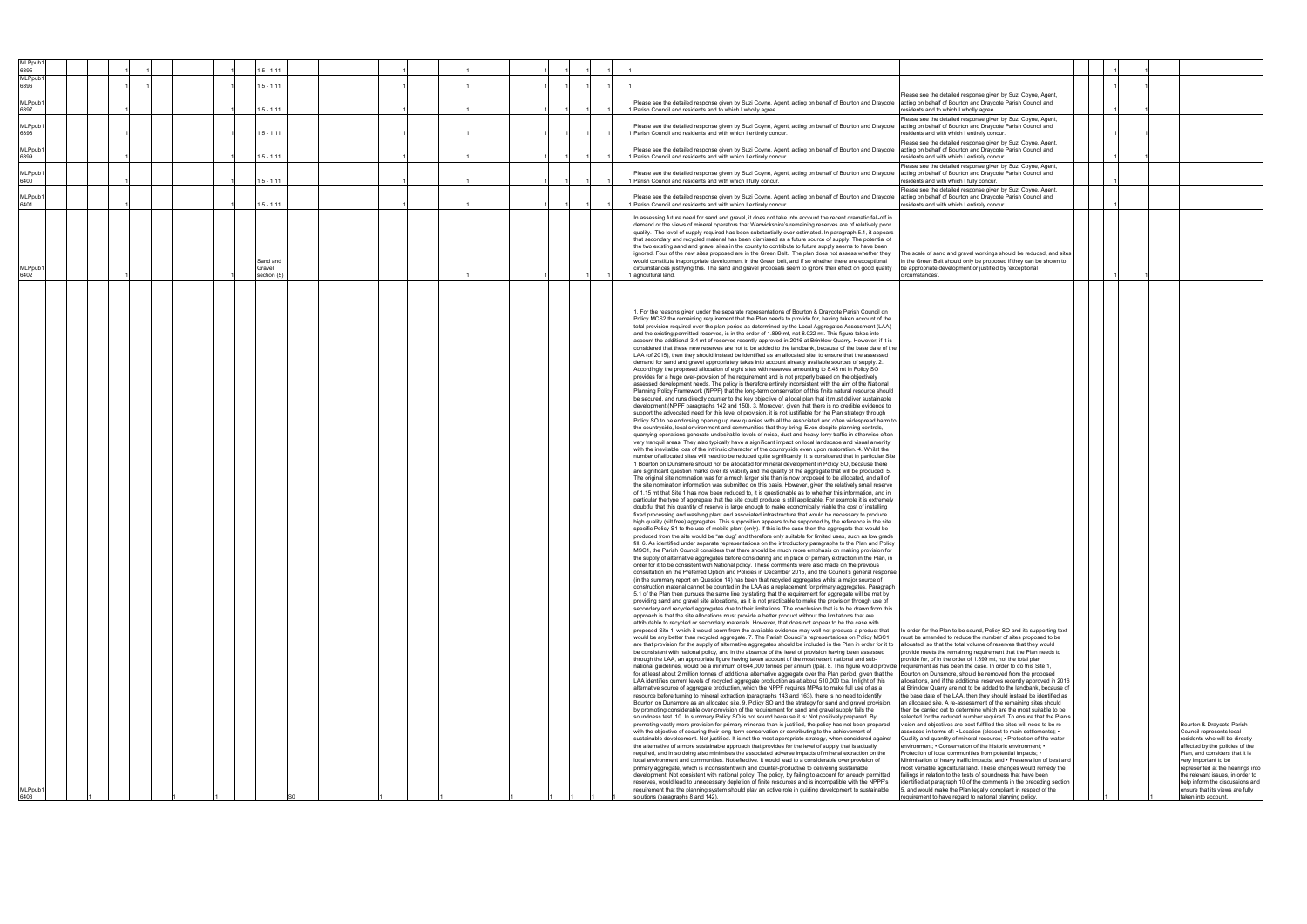| <b>MLPpub</b><br>6395 | $1.5 - 1.11$                      |             |  |  |  |                                                                                                                                                                                                                                                                                                                                                                                                                                                                                                                                                                                                                                                                                                                                                                                                                                                                                                                                                                                                                                                                                                                                                                                                                                                                                                                                                                                                                                                                                                                                                                                                                                                                                                                                                                                                                                                                                                                                                                                                                                                                                                                                                                                                                                                                                                                                                                                                                                                                                                                                                                                                                                                                                                                                                                                                                                                                                                                                                                                                                                                                                                                                                                                                                                                                                                                                                                                                                                                                                                                                                                                                                                                                                                                                                                                                                                                                                                                                                                                                                                                                                                                                                                                                                                                                                                                                                                                                                                                                                                                                                                                                                                                                                                                                                                                                                                                                                                                                                                                                                                                                                                                                                                                                                                                                                                                                                                                                                                                                                                                                                                                                                                                                                                                                                                                                                                                                                                                                                                                                                                                                                                                                                                                                                                                                                                                                                                                                                                                                                                                                                                                                                                                                                                                                                                                                                                                                                                                                                                                                                                                                                                                                                                                                                                                                                                                                                                                                                                                                                                                                                                                                                                                                                                                                                                                                                                                                                                                                                                                                                                                                                                                                                                                                                                                                                                                                                                                                                                                                                                                                                                                                                                                                                                                                                                                                                                                                                                                                                                                                                                                                                                                |  |                                                                                                                                                                                                                                                                                                                                                           |
|-----------------------|-----------------------------------|-------------|--|--|--|----------------------------------------------------------------------------------------------------------------------------------------------------------------------------------------------------------------------------------------------------------------------------------------------------------------------------------------------------------------------------------------------------------------------------------------------------------------------------------------------------------------------------------------------------------------------------------------------------------------------------------------------------------------------------------------------------------------------------------------------------------------------------------------------------------------------------------------------------------------------------------------------------------------------------------------------------------------------------------------------------------------------------------------------------------------------------------------------------------------------------------------------------------------------------------------------------------------------------------------------------------------------------------------------------------------------------------------------------------------------------------------------------------------------------------------------------------------------------------------------------------------------------------------------------------------------------------------------------------------------------------------------------------------------------------------------------------------------------------------------------------------------------------------------------------------------------------------------------------------------------------------------------------------------------------------------------------------------------------------------------------------------------------------------------------------------------------------------------------------------------------------------------------------------------------------------------------------------------------------------------------------------------------------------------------------------------------------------------------------------------------------------------------------------------------------------------------------------------------------------------------------------------------------------------------------------------------------------------------------------------------------------------------------------------------------------------------------------------------------------------------------------------------------------------------------------------------------------------------------------------------------------------------------------------------------------------------------------------------------------------------------------------------------------------------------------------------------------------------------------------------------------------------------------------------------------------------------------------------------------------------------------------------------------------------------------------------------------------------------------------------------------------------------------------------------------------------------------------------------------------------------------------------------------------------------------------------------------------------------------------------------------------------------------------------------------------------------------------------------------------------------------------------------------------------------------------------------------------------------------------------------------------------------------------------------------------------------------------------------------------------------------------------------------------------------------------------------------------------------------------------------------------------------------------------------------------------------------------------------------------------------------------------------------------------------------------------------------------------------------------------------------------------------------------------------------------------------------------------------------------------------------------------------------------------------------------------------------------------------------------------------------------------------------------------------------------------------------------------------------------------------------------------------------------------------------------------------------------------------------------------------------------------------------------------------------------------------------------------------------------------------------------------------------------------------------------------------------------------------------------------------------------------------------------------------------------------------------------------------------------------------------------------------------------------------------------------------------------------------------------------------------------------------------------------------------------------------------------------------------------------------------------------------------------------------------------------------------------------------------------------------------------------------------------------------------------------------------------------------------------------------------------------------------------------------------------------------------------------------------------------------------------------------------------------------------------------------------------------------------------------------------------------------------------------------------------------------------------------------------------------------------------------------------------------------------------------------------------------------------------------------------------------------------------------------------------------------------------------------------------------------------------------------------------------------------------------------------------------------------------------------------------------------------------------------------------------------------------------------------------------------------------------------------------------------------------------------------------------------------------------------------------------------------------------------------------------------------------------------------------------------------------------------------------------------------------------------------------------------------------------------------------------------------------------------------------------------------------------------------------------------------------------------------------------------------------------------------------------------------------------------------------------------------------------------------------------------------------------------------------------------------------------------------------------------------------------------------------------------------------------------------------------------------------------------------------------------------------------------------------------------------------------------------------------------------------------------------------------------------------------------------------------------------------------------------------------------------------------------------------------------------------------------------------------------------------------------------------------------------------------------------------------------------------------------------------------------------------------------------------------------------------------------------------------------------------------------------------------------------------------------------------------------------------------------------------------------------------------------------------------------------------------------------------------------------------------------------------------------------------------------------------------------------------------------------------------------------------------------------------------------------------------------------------------------------------------------------------------------------------------------------------------------------------------------------------------------------------------------------------------------------------------------------------------------------------------------------------------------------------------------------------------------------------------------------------------------------------------------|--|-----------------------------------------------------------------------------------------------------------------------------------------------------------------------------------------------------------------------------------------------------------------------------------------------------------------------------------------------------------|
| <b>MLPpub</b><br>6396 | $1.5 - 1.11$                      |             |  |  |  |                                                                                                                                                                                                                                                                                                                                                                                                                                                                                                                                                                                                                                                                                                                                                                                                                                                                                                                                                                                                                                                                                                                                                                                                                                                                                                                                                                                                                                                                                                                                                                                                                                                                                                                                                                                                                                                                                                                                                                                                                                                                                                                                                                                                                                                                                                                                                                                                                                                                                                                                                                                                                                                                                                                                                                                                                                                                                                                                                                                                                                                                                                                                                                                                                                                                                                                                                                                                                                                                                                                                                                                                                                                                                                                                                                                                                                                                                                                                                                                                                                                                                                                                                                                                                                                                                                                                                                                                                                                                                                                                                                                                                                                                                                                                                                                                                                                                                                                                                                                                                                                                                                                                                                                                                                                                                                                                                                                                                                                                                                                                                                                                                                                                                                                                                                                                                                                                                                                                                                                                                                                                                                                                                                                                                                                                                                                                                                                                                                                                                                                                                                                                                                                                                                                                                                                                                                                                                                                                                                                                                                                                                                                                                                                                                                                                                                                                                                                                                                                                                                                                                                                                                                                                                                                                                                                                                                                                                                                                                                                                                                                                                                                                                                                                                                                                                                                                                                                                                                                                                                                                                                                                                                                                                                                                                                                                                                                                                                                                                                                                                                                                                                                |  |                                                                                                                                                                                                                                                                                                                                                           |
| <b>MLPpub</b><br>6397 | $1.5 - 1.11$                      |             |  |  |  | Please see the detailed response given by Suzi Coyne, Agent,<br>Please see the detailed response given by Suzi Coyne, Agent, acting on behalf of Bourton and Draycote<br>acting on behalf of Bourton and Draycote Parish Council and<br>Parish Council and residents and to which I wholly agree<br>esidents and to which I wholly agree                                                                                                                                                                                                                                                                                                                                                                                                                                                                                                                                                                                                                                                                                                                                                                                                                                                                                                                                                                                                                                                                                                                                                                                                                                                                                                                                                                                                                                                                                                                                                                                                                                                                                                                                                                                                                                                                                                                                                                                                                                                                                                                                                                                                                                                                                                                                                                                                                                                                                                                                                                                                                                                                                                                                                                                                                                                                                                                                                                                                                                                                                                                                                                                                                                                                                                                                                                                                                                                                                                                                                                                                                                                                                                                                                                                                                                                                                                                                                                                                                                                                                                                                                                                                                                                                                                                                                                                                                                                                                                                                                                                                                                                                                                                                                                                                                                                                                                                                                                                                                                                                                                                                                                                                                                                                                                                                                                                                                                                                                                                                                                                                                                                                                                                                                                                                                                                                                                                                                                                                                                                                                                                                                                                                                                                                                                                                                                                                                                                                                                                                                                                                                                                                                                                                                                                                                                                                                                                                                                                                                                                                                                                                                                                                                                                                                                                                                                                                                                                                                                                                                                                                                                                                                                                                                                                                                                                                                                                                                                                                                                                                                                                                                                                                                                                                                                                                                                                                                                                                                                                                                                                                                                                                                                                                                                       |  |                                                                                                                                                                                                                                                                                                                                                           |
| <b>MLPpub</b><br>6398 |                                   | $.5 - 1.11$ |  |  |  | Please see the detailed response given by Suzi Coyne, Agent,<br>Please see the detailed response given by Suzi Coyne, Agent, acting on behalf of Bourton and Draycote<br>acting on behalf of Bourton and Draycote Parish Council and<br>Parish Council and residents and with which I entirely concur.<br>esidents and with which I entirely concur                                                                                                                                                                                                                                                                                                                                                                                                                                                                                                                                                                                                                                                                                                                                                                                                                                                                                                                                                                                                                                                                                                                                                                                                                                                                                                                                                                                                                                                                                                                                                                                                                                                                                                                                                                                                                                                                                                                                                                                                                                                                                                                                                                                                                                                                                                                                                                                                                                                                                                                                                                                                                                                                                                                                                                                                                                                                                                                                                                                                                                                                                                                                                                                                                                                                                                                                                                                                                                                                                                                                                                                                                                                                                                                                                                                                                                                                                                                                                                                                                                                                                                                                                                                                                                                                                                                                                                                                                                                                                                                                                                                                                                                                                                                                                                                                                                                                                                                                                                                                                                                                                                                                                                                                                                                                                                                                                                                                                                                                                                                                                                                                                                                                                                                                                                                                                                                                                                                                                                                                                                                                                                                                                                                                                                                                                                                                                                                                                                                                                                                                                                                                                                                                                                                                                                                                                                                                                                                                                                                                                                                                                                                                                                                                                                                                                                                                                                                                                                                                                                                                                                                                                                                                                                                                                                                                                                                                                                                                                                                                                                                                                                                                                                                                                                                                                                                                                                                                                                                                                                                                                                                                                                                                                                                                                            |  |                                                                                                                                                                                                                                                                                                                                                           |
| <b>MLPpub</b><br>6399 | $.5 - 1.11$                       |             |  |  |  | Please see the detailed response given by Suzi Coyne, Agent,<br>Please see the detailed response given by Suzi Coyne, Agent, acting on behalf of Bourton and Draycote acting on behalf of Bourton and Draycote Parish Council and<br>Parish Council and residents and with which I entirely concur.<br>residents and with which I entirely concur                                                                                                                                                                                                                                                                                                                                                                                                                                                                                                                                                                                                                                                                                                                                                                                                                                                                                                                                                                                                                                                                                                                                                                                                                                                                                                                                                                                                                                                                                                                                                                                                                                                                                                                                                                                                                                                                                                                                                                                                                                                                                                                                                                                                                                                                                                                                                                                                                                                                                                                                                                                                                                                                                                                                                                                                                                                                                                                                                                                                                                                                                                                                                                                                                                                                                                                                                                                                                                                                                                                                                                                                                                                                                                                                                                                                                                                                                                                                                                                                                                                                                                                                                                                                                                                                                                                                                                                                                                                                                                                                                                                                                                                                                                                                                                                                                                                                                                                                                                                                                                                                                                                                                                                                                                                                                                                                                                                                                                                                                                                                                                                                                                                                                                                                                                                                                                                                                                                                                                                                                                                                                                                                                                                                                                                                                                                                                                                                                                                                                                                                                                                                                                                                                                                                                                                                                                                                                                                                                                                                                                                                                                                                                                                                                                                                                                                                                                                                                                                                                                                                                                                                                                                                                                                                                                                                                                                                                                                                                                                                                                                                                                                                                                                                                                                                                                                                                                                                                                                                                                                                                                                                                                                                                                                                                              |  |                                                                                                                                                                                                                                                                                                                                                           |
| MLPpub1<br>6400       | $1.5 - 1.11$                      |             |  |  |  | Please see the detailed response given by Suzi Coyne, Agent,<br>Please see the detailed response given by Suzi Coyne, Agent, acting on behalf of Bourton and Draycote acting on behalf of Bourton and Draycote Parish Council and<br>1 Parish Council and residents and with which I fully concur.<br>residents and with which I fully concur.                                                                                                                                                                                                                                                                                                                                                                                                                                                                                                                                                                                                                                                                                                                                                                                                                                                                                                                                                                                                                                                                                                                                                                                                                                                                                                                                                                                                                                                                                                                                                                                                                                                                                                                                                                                                                                                                                                                                                                                                                                                                                                                                                                                                                                                                                                                                                                                                                                                                                                                                                                                                                                                                                                                                                                                                                                                                                                                                                                                                                                                                                                                                                                                                                                                                                                                                                                                                                                                                                                                                                                                                                                                                                                                                                                                                                                                                                                                                                                                                                                                                                                                                                                                                                                                                                                                                                                                                                                                                                                                                                                                                                                                                                                                                                                                                                                                                                                                                                                                                                                                                                                                                                                                                                                                                                                                                                                                                                                                                                                                                                                                                                                                                                                                                                                                                                                                                                                                                                                                                                                                                                                                                                                                                                                                                                                                                                                                                                                                                                                                                                                                                                                                                                                                                                                                                                                                                                                                                                                                                                                                                                                                                                                                                                                                                                                                                                                                                                                                                                                                                                                                                                                                                                                                                                                                                                                                                                                                                                                                                                                                                                                                                                                                                                                                                                                                                                                                                                                                                                                                                                                                                                                                                                                                                                                 |  |                                                                                                                                                                                                                                                                                                                                                           |
| MLPpub1<br>6401       | $.5 - 1.11$                       |             |  |  |  | Please see the detailed response given by Suzi Coyne, Agent,<br>Please see the detailed response given by Suzi Coyne, Agent, acting on behalf of Bourton and Draycote<br>acting on behalf of Bourton and Draycote Parish Council and<br>1 Parish Council and residents and with which I entirely concur.<br>esidents and with which I entirely concur.                                                                                                                                                                                                                                                                                                                                                                                                                                                                                                                                                                                                                                                                                                                                                                                                                                                                                                                                                                                                                                                                                                                                                                                                                                                                                                                                                                                                                                                                                                                                                                                                                                                                                                                                                                                                                                                                                                                                                                                                                                                                                                                                                                                                                                                                                                                                                                                                                                                                                                                                                                                                                                                                                                                                                                                                                                                                                                                                                                                                                                                                                                                                                                                                                                                                                                                                                                                                                                                                                                                                                                                                                                                                                                                                                                                                                                                                                                                                                                                                                                                                                                                                                                                                                                                                                                                                                                                                                                                                                                                                                                                                                                                                                                                                                                                                                                                                                                                                                                                                                                                                                                                                                                                                                                                                                                                                                                                                                                                                                                                                                                                                                                                                                                                                                                                                                                                                                                                                                                                                                                                                                                                                                                                                                                                                                                                                                                                                                                                                                                                                                                                                                                                                                                                                                                                                                                                                                                                                                                                                                                                                                                                                                                                                                                                                                                                                                                                                                                                                                                                                                                                                                                                                                                                                                                                                                                                                                                                                                                                                                                                                                                                                                                                                                                                                                                                                                                                                                                                                                                                                                                                                                                                                                                                                                         |  |                                                                                                                                                                                                                                                                                                                                                           |
| <b>MLPpub</b><br>6402 | Sand and<br>Gravel<br>section (5) |             |  |  |  | In assessing future need for sand and gravel, it does not take into account the recent dramatic fall-off in<br>demand or the views of mineral operators that Warwickshire's remaining reserves are of relatively poor<br>quality. The level of supply required has been substantially over-estimated. In paragraph 5.1, it appears<br>that secondary and recycled material has been dismissed as a future source of supply. The potential of<br>the two existing sand and gravel sites in the county to contribute to future supply seems to have been<br>ignored. Four of the new sites proposed are in the Green Belt. The plan does not assess whether they<br>The scale of sand and gravel workings should be reduced, and sites<br>would constitute inappropriate development in the Green belt, and if so whether there are exceptional<br>in the Green Belt should only be proposed if they can be shown to<br>circumstances justifying this. The sand and gravel proposals seem to ignore their effect on good quality<br>be appropriate development or justified by 'exceptional<br>agricultural land.<br>circumstances'.                                                                                                                                                                                                                                                                                                                                                                                                                                                                                                                                                                                                                                                                                                                                                                                                                                                                                                                                                                                                                                                                                                                                                                                                                                                                                                                                                                                                                                                                                                                                                                                                                                                                                                                                                                                                                                                                                                                                                                                                                                                                                                                                                                                                                                                                                                                                                                                                                                                                                                                                                                                                                                                                                                                                                                                                                                                                                                                                                                                                                                                                                                                                                                                                                                                                                                                                                                                                                                                                                                                                                                                                                                                                                                                                                                                                                                                                                                                                                                                                                                                                                                                                                                                                                                                                                                                                                                                                                                                                                                                                                                                                                                                                                                                                                                                                                                                                                                                                                                                                                                                                                                                                                                                                                                                                                                                                                                                                                                                                                                                                                                                                                                                                                                                                                                                                                                                                                                                                                                                                                                                                                                                                                                                                                                                                                                                                                                                                                                                                                                                                                                                                                                                                                                                                                                                                                                                                                                                                                                                                                                                                                                                                                                                                                                                                                                                                                                                                                                                                                                                                                                                                                                                                                                                                                                                                                                                                                                                                                                             |  |                                                                                                                                                                                                                                                                                                                                                           |
| <b>MLPpub</b><br>6403 |                                   |             |  |  |  | 1. For the reasons given under the separate representations of Bourton & Draycote Parish Council on<br>Policy MCS2 the remaining requirement that the Plan needs to provide for, having taken account of the<br>total provision required over the plan period as determined by the Local Aggregates Assessment (LAA)<br>and the existing permitted reserves, is in the order of 1.899 mt, not 8.022 mt. This figure takes into<br>account the additional 3.4 mt of reserves recently approved in 2016 at Brinklow Quarry. However, if it is<br>considered that these new reserves are not to be added to the landbank, because of the base date of the<br>LAA (of 2015), then they should instead be identified as an allocated site, to ensure that the assessed<br>demand for sand and gravel appropriately takes into account already available sources of supply. 2.<br>Accordingly the proposed allocation of eight sites with reserves amounting to 8.48 mt in Policy SO<br>provides for a huge over-provision of the requirement and is not properly based on the objectively<br>assessed development needs. The policy is therefore entirely inconsistent with the aim of the National<br>Planning Policy Framework (NPPF) that the long-term conservation of this finite natural resource should<br>be secured, and runs directly counter to the key objective of a local plan that it must deliver sustainable<br>development (NPPF paragraphs 142 and 150). 3. Moreover, given that there is no credible evidence to<br>support the advocated need for this level of provision, it is not justifiable for the Plan strategy through<br>Policy SO to be endorsing opening up new quarries with all the associated and often widespread harm to<br>the countryside, local environment and communities that they bring. Even despite planning controls,<br>quarrying operations generate undesirable levels of noise, dust and heavy lorry traffic in otherwise often<br>very tranquil areas. They also typically have a significant impact on local landscape and visual amenity,<br>with the inevitable loss of the intrinsic character of the countryside even upon restoration. 4. Whilst the<br>number of allocated sites will need to be reduced quite significantly, it is considered that in particular Site<br>1 Bourton on Dunsmore should not be allocated for mineral development in Policy SO, because there<br>are significant question marks over its viability and the quality of the aggregate that will be produced. 5.<br>The original site nomination was for a much larger site than is now proposed to be allocated, and all of<br>the site nomination information was submitted on this basis. However, given the relatively small reserve<br>of 1.15 mt that Site 1 has now been reduced to, it is questionable as to whether this information, and in<br>particular the type of aggregate that the site could produce is still applicable. For example it is extremely<br>doubtful that this quantity of reserve is large enough to make economically viable the cost of installing<br>fixed processing and washing plant and associated infrastructure that would be necessary to produce<br>high quality (silt free) aggregates. This supposition appears to be supported by the reference in the site<br>specific Policy S1 to the use of mobile plant (only). If this is the case then the aggregate that would be<br>produced from the site would be "as dug" and therefore only suitable for limited uses, such as low grade<br>fill. 6. As identified under separate representations on the introductory paragraphs to the Plan and Policy<br>MSC1, the Parish Council considers that there should be much more emphasis on making provision for<br>the supply of alternative aggregates before considering and in place of primary extraction in the Plan, in<br>order for it to be consistent with National policy. These comments were also made on the previous<br>consultation on the Preferred Option and Policies in December 2015, and the Council's general response<br>(in the summary report on Question 14) has been that recycled aggregates whilst a major source of<br>construction material cannot be counted in the LAA as a replacement for primary aggregates. Paragraph<br>5.1 of the Plan then pursues the same line by stating that the requirement for aggregate will be met by<br>providing sand and gravel site allocations, as it is not practicable to make the provision through use of<br>secondary and recycled aggregates due to their limitations. The conclusion that is to be drawn from this<br>approach is that the site allocations must provide a better product without the limitations that are<br>attributable to recycled or secondary materials. However, that does not appear to be the case with<br>proposed Site 1, which it would seem from the available evidence may well not produce a product that<br>In order for the Plan to be sound, Policy SO and its supporting text<br>would be any better than recycled aggregate. 7. The Parish Council's representations on Policy MSC1<br>must be amended to reduce the number of sites proposed to be<br>are that provision for the supply of alternative aggregates should be included in the Plan in order for it to allocated, so that the total volume of reserves that they would<br>be consistent with national policy, and in the absence of the level of provision having been assessed<br>provide meets the remaining requirement that the Plan needs to<br>through the LAA, an appropriate figure having taken account of the most recent national and sub-<br>provide for, of in the order of 1,899 mt, not the total plan<br>national guidelines, would be a minimum of 644,000 tonnes per annum (tpa). 8. This figure would provide requirement as has been the case. In order to do this Site 1,<br>for at least about 2 million tonnes of additional alternative aggregate over the Plan period, given that the Bourton on Dunsmore, should be removed from the proposed<br>LAA identifies current levels of recycled aggregate production as at about 510,000 tpa. In light of this<br>allocations, and if the additional reserves recently approved in 2016<br>alternative source of aggregate production, which the NPPF requires MPAs to make full use of as a<br>at Brinklow Quarry are not to be added to the landbank, because of<br>resource before turning to mineral extraction (paragraphs 143 and 163), there is no need to identify<br>the base date of the LAA, then they should instead be identified as<br>Bourton on Dunsmore as an allocated site. 9. Policy SO and the strategy for sand and gravel provision,<br>an allocated site. A re-assessment of the remaining sites should<br>by promoting considerable over-provision of the requirement for sand and gravel supply fails the<br>then be carried out to determine which are the most suitable to be<br>soundness test. 10. In summary Policy SO is not sound because it is: Not positively prepared. By<br>selected for the reduced number required. To ensure that the Plan's<br>promoting vastly more provision for primary minerals than is justified, the policy has not been prepared<br>vision and objectives are best fulfilled the sites will need to be re-<br>with the objective of securing their long-term conservation or contributing to the achievement of<br>assessed in terms of: • Location (closest to main settlements); •<br>sustainable development. Not justified. It is not the most appropriate strategy, when considered against<br>Quality and quantity of mineral resource; • Protection of the water<br>the alternative of a more sustainable approach that provides for the level of supply that is actually<br>environment; • Conservation of the historic environment; •<br>required, and in so doing also minimises the associated adverse impacts of mineral extraction on the<br>Protection of local communities from potential impacts; •<br>local environment and communities. Not effective. It would lead to a considerable over provision of<br>Minimisation of heavy traffic impacts; and • Preservation of best and<br>most versatile agricultural land. These changes would remedy the<br>primary aggregate, which is inconsistent with and counter-productive to delivering sustainable<br>development. Not consistent with national policy. The policy, by failing to account for already permitted<br>failings in relation to the tests of soundness that have been<br>reserves, would lead to unnecessary depletion of finite resources and is incompatible with the NPPF's<br>identified at paragraph 10 of the comments in the preceding section<br>requirement that the planning system should play an active role in guiding development to sustainable<br>5, and would make the Plan legally compliant in respect of the<br>solutions (paragraphs 8 and 142).<br>requirement to have regard to national planning policy. |  | Bourton & Draycote Parish<br>Council represents local<br>residents who will be directly<br>affected by the policies of the<br>Plan, and considers that it is<br>very important to be<br>represented at the hearings into<br>the relevant issues, in order to<br>help inform the discussions and<br>ensure that its views are fully<br>taken into account. |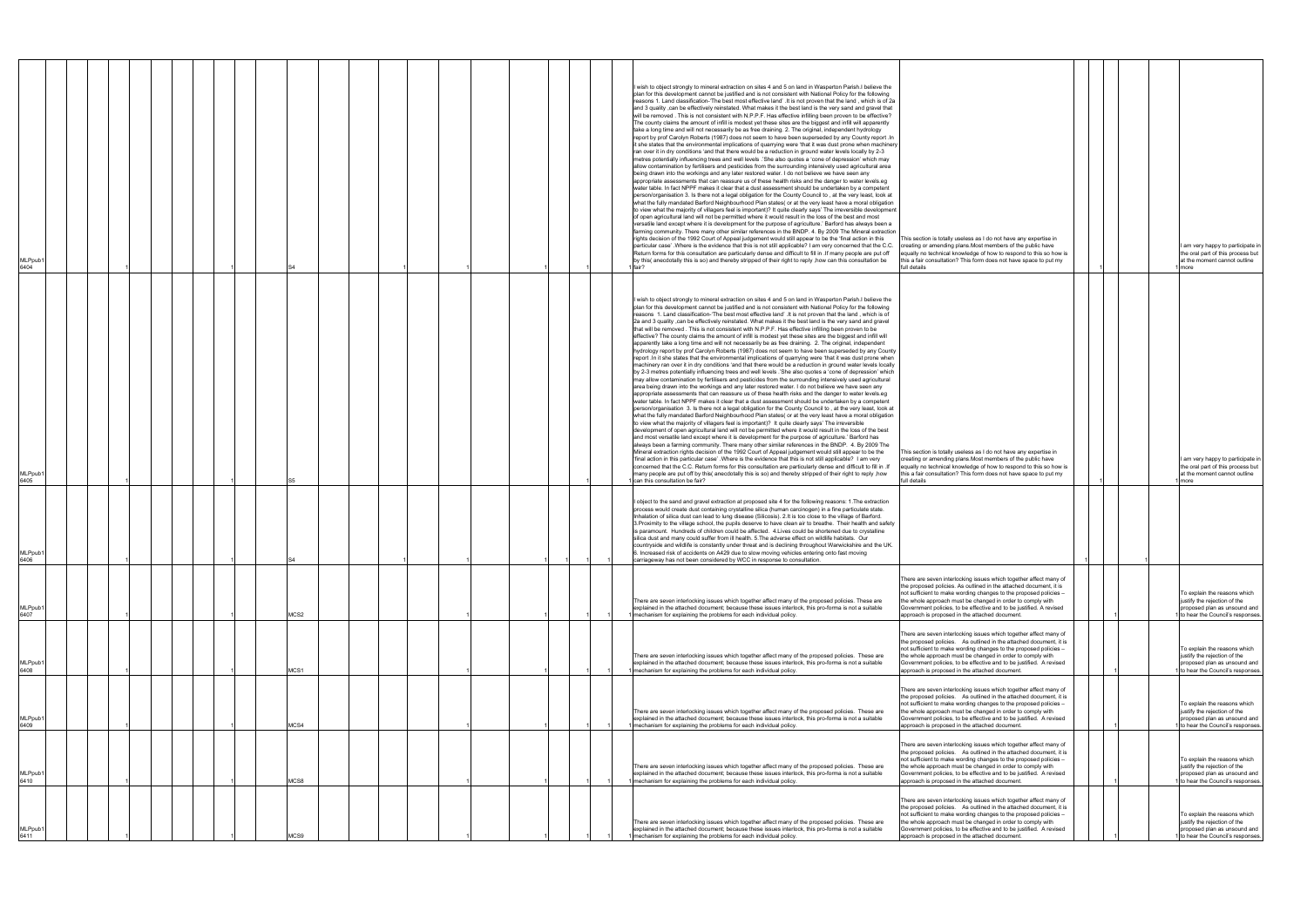| MLPpub <sup>.</sup><br>6404 |  |  |  |      |  |  |  |  | I wish to object strongly to mineral extraction on sites 4 and 5 on land in Wasperton Parish.I believe the<br>plan for this development cannot be justified and is not consistent with National Policy for the following<br>reasons 1. Land classification-'The best most effective land' .It is not proven that the land, which is of 2a<br>and 3 quality, can be effectively reinstated. What makes it the best land is the very sand and gravel that<br>will be removed. This is not consistent with N.P.P.F. Has effective infilling been proven to be effective?<br>The county claims the amount of infill is modest yet these sites are the biggest and infill will apparently<br>take a long time and will not necessarily be as free draining. 2. The original, independent hydrology<br>report by prof Carolyn Roberts (1987) does not seem to have been superseded by any County report . In<br>it she states that the environmental implications of quarrying were 'that it was dust prone when machinery<br>ran over it in dry conditions 'and that there would be a reduction in ground water levels locally by 2-3<br>metres potentially influencing trees and well levels .'She also quotes a 'cone of depression' which may<br>allow contamination by fertilisers and pesticides from the surrounding intensively used agricultural area<br>being drawn into the workings and any later restored water. I do not believe we have seen any<br>appropriate assessments that can reassure us of these health risks and the danger to water levels.eq<br>water table. In fact NPPF makes it clear that a dust assessment should be undertaken by a competent<br>person/organisation 3. Is there not a legal obligation for the County Council to, at the very least, look at<br>what the fully mandated Barford Neighbourhood Plan states( or at the very least have a moral obligation<br>to view what the majority of villagers feel is important)? It quite clearly says' The irreversible development<br>of open agricultural land will not be permitted where it would result in the loss of the best and most<br>versatile land except where it is development for the purpose of agriculture.' Barford has always been a<br>farming community. There many other similar references in the BNDP. 4. By 2009 The Mineral extraction<br>rights decision of the 1992 Court of Appeal judgement would still appear to be the 'final action in this<br>This section is totally useless as I do not have any expertise in<br>particular case' .Where is the evidence that this is not still applicable? I am very concerned that the C.C.<br>creating or amending plans. Most members of the public have<br>I am very happy to participate in<br>Return forms for this consultation are particularly dense and difficult to fill in . If many people are put off<br>equally no technical knowledge of how to respond to this so how is<br>the oral part of this process but<br>by this( anecdotally this is so) and thereby stripped of their right to reply , how can this consultation be<br>this a fair consultation? This form does not have space to put my<br>at the moment cannot outline<br>full details<br>more<br>fair?   |
|-----------------------------|--|--|--|------|--|--|--|--|-------------------------------------------------------------------------------------------------------------------------------------------------------------------------------------------------------------------------------------------------------------------------------------------------------------------------------------------------------------------------------------------------------------------------------------------------------------------------------------------------------------------------------------------------------------------------------------------------------------------------------------------------------------------------------------------------------------------------------------------------------------------------------------------------------------------------------------------------------------------------------------------------------------------------------------------------------------------------------------------------------------------------------------------------------------------------------------------------------------------------------------------------------------------------------------------------------------------------------------------------------------------------------------------------------------------------------------------------------------------------------------------------------------------------------------------------------------------------------------------------------------------------------------------------------------------------------------------------------------------------------------------------------------------------------------------------------------------------------------------------------------------------------------------------------------------------------------------------------------------------------------------------------------------------------------------------------------------------------------------------------------------------------------------------------------------------------------------------------------------------------------------------------------------------------------------------------------------------------------------------------------------------------------------------------------------------------------------------------------------------------------------------------------------------------------------------------------------------------------------------------------------------------------------------------------------------------------------------------------------------------------------------------------------------------------------------------------------------------------------------------------------------------------------------------------------------------------------------------------------------------------------------------------------------------------------------------------------------------------------------------------------------------------------------------------------------------------------------------------------------------------------------------------------------------------------------------------------------------------------------|
| MLPpub <sup>.</sup><br>6405 |  |  |  |      |  |  |  |  | I wish to object strongly to mineral extraction on sites 4 and 5 on land in Wasperton Parish.I believe the<br>plan for this development cannot be justified and is not consistent with National Policy for the following<br>reasons 1. Land classification-'The best most effective land' . It is not proven that the land, which is of<br>2a and 3 quality , can be effectively reinstated. What makes it the best land is the very sand and gravel<br>that will be removed. This is not consistent with N.P.P.F. Has effective infilling been proven to be<br>effective? The county claims the amount of infill is modest yet these sites are the biggest and infill will<br>apparently take a long time and will not necessarily be as free draining. 2. The original, independent<br>hydrology report by prof Carolyn Roberts (1987) does not seem to have been superseded by any County<br>report . In it she states that the environmental implications of quarrying were 'that it was dust prone when<br>machinery ran over it in dry conditions 'and that there would be a reduction in ground water levels locally<br>by 2-3 metres potentially influencing trees and well levels .'She also quotes a 'cone of depression' which<br>may allow contamination by fertilisers and pesticides from the surrounding intensively used agricultural<br>area being drawn into the workings and any later restored water. I do not believe we have seen any<br>appropriate assessments that can reassure us of these health risks and the danger to water levels.eg<br>water table. In fact NPPF makes it clear that a dust assessment should be undertaken by a competent<br>person/organisation 3. Is there not a legal obligation for the County Council to, at the very least, look at<br>what the fully mandated Barford Neighbourhood Plan states( or at the very least have a moral obligation<br>to view what the majority of villagers feel is important)? It quite clearly says' The irreversible<br>development of open agricultural land will not be permitted where it would result in the loss of the best<br>and most versatile land except where it is development for the purpose of agriculture.' Barford has<br>always been a farming community. There many other similar references in the BNDP. 4. By 2009 The<br>Mineral extraction rights decision of the 1992 Court of Appeal judgement would still appear to be the<br>This section is totally useless as I do not have any expertise in<br>'final action in this particular case' .Where is the evidence that this is not still applicable? I am very<br>creating or amending plans. Most members of the public have<br>I am very happy to participate in<br>equally no technical knowledge of how to respond to this so how is<br>concerned that the C.C. Return forms for this consultation are particularly dense and difficult to fill in . If<br>the oral part of this process but<br>this a fair consultation? This form does not have space to put my<br>many people are put off by this( anecdotally this is so) and thereby stripped of their right to reply , how<br>at the moment cannot outline<br>can this consultation be fair?<br>full details<br>more |
| MLPpub1<br>6406             |  |  |  |      |  |  |  |  | I object to the sand and gravel extraction at proposed site 4 for the following reasons: 1. The extraction<br>process would create dust containing crystalline silica (human carcinogen) in a fine particulate state.<br>Inhalation of silica dust can lead to lung disease (Silicosis). 2. It is too close to the village of Barford.<br>3. Proximity to the village school, the pupils deserve to have clean air to breathe. Their health and safety<br>is paramount. Hundreds of children could be affected. 4. Lives could be shortened due to crystalline<br>silica dust and many could suffer from ill health. 5. The adverse effect on wildlife habitats. Our<br>countryside and wildlife is constantly under threat and is declining throughout Warwickshire and the UK.<br>6. Increased risk of accidents on A429 due to slow moving vehicles entering onto fast moving<br>carriageway has not been considered by WCC in response to consultation                                                                                                                                                                                                                                                                                                                                                                                                                                                                                                                                                                                                                                                                                                                                                                                                                                                                                                                                                                                                                                                                                                                                                                                                                                                                                                                                                                                                                                                                                                                                                                                                                                                                                                                                                                                                                                                                                                                                                                                                                                                                                                                                                                                                                                                                                      |
| MLPpub<br>6407              |  |  |  | MCS2 |  |  |  |  | There are seven interlocking issues which together affect many of<br>the proposed policies. As outlined in the attached document, it is<br>To explain the reasons which<br>not sufficient to make wording changes to the proposed policies -<br>There are seven interlocking issues which together affect many of the proposed policies. These are<br>the whole approach must be changed in order to comply with<br>justify the rejection of the<br>explained in the attached document; because these issues interlock, this pro-forma is not a suitable<br>Government policies, to be effective and to be justified. A revised<br>proposed plan as unsound and<br>mechanism for explaining the problems for each individual policy<br>approach is proposed in the attached document.<br>to hear the Council's responses.                                                                                                                                                                                                                                                                                                                                                                                                                                                                                                                                                                                                                                                                                                                                                                                                                                                                                                                                                                                                                                                                                                                                                                                                                                                                                                                                                                                                                                                                                                                                                                                                                                                                                                                                                                                                                                                                                                                                                                                                                                                                                                                                                                                                                                                                                                                                                                                                                       |
| MLPpub <sup>-</sup><br>6408 |  |  |  | MCS1 |  |  |  |  | There are seven interlocking issues which together affect many of<br>the proposed policies. As outlined in the attached document, it is<br>not sufficient to make wording changes to the proposed policies -<br>To explain the reasons which<br>There are seven interlocking issues which together affect many of the proposed policies. These are<br>the whole approach must be changed in order to comply with<br>justify the rejection of the<br>Government policies, to be effective and to be justified. A revised<br>explained in the attached document; because these issues interlock, this pro-forma is not a suitable<br>proposed plan as unsound and<br>mechanism for explaining the problems for each individual policy<br>approach is proposed in the attached document<br>1 to hear the Council's responses.                                                                                                                                                                                                                                                                                                                                                                                                                                                                                                                                                                                                                                                                                                                                                                                                                                                                                                                                                                                                                                                                                                                                                                                                                                                                                                                                                                                                                                                                                                                                                                                                                                                                                                                                                                                                                                                                                                                                                                                                                                                                                                                                                                                                                                                                                                                                                                                                                      |
| MLPpub <sup>®</sup><br>6409 |  |  |  | MCS4 |  |  |  |  | There are seven interlocking issues which together affect many of<br>the proposed policies. As outlined in the attached document, it is<br>not sufficient to make wording changes to the proposed policies -<br>To explain the reasons which<br>There are seven interlocking issues which together affect many of the proposed policies. These are<br>the whole approach must be changed in order to comply with<br>justify the rejection of the<br>explained in the attached document; because these issues interlock, this pro-forma is not a suitable<br>Government policies, to be effective and to be justified. A revised<br>proposed plan as unsound and<br>mechanism for explaining the problems for each individual policy.<br>to hear the Council's responses.<br>approach is proposed in the attached document.                                                                                                                                                                                                                                                                                                                                                                                                                                                                                                                                                                                                                                                                                                                                                                                                                                                                                                                                                                                                                                                                                                                                                                                                                                                                                                                                                                                                                                                                                                                                                                                                                                                                                                                                                                                                                                                                                                                                                                                                                                                                                                                                                                                                                                                                                                                                                                                                                      |
| MLPpub′<br>6410             |  |  |  | MCS8 |  |  |  |  | There are seven interlocking issues which together affect many of<br>the proposed policies. As outlined in the attached document, it is<br>not sufficient to make wording changes to the proposed policies -<br>To explain the reasons which<br>There are seven interlocking issues which together affect many of the proposed policies. These are<br>the whole approach must be changed in order to comply with<br>justify the rejection of the<br>explained in the attached document; because these issues interlock, this pro-forma is not a suitable<br>Government policies, to be effective and to be justified. A revised<br>proposed plan as unsound and<br>mechanism for explaining the problems for each individual policy.<br>approach is proposed in the attached document.<br>to hear the Council's responses.                                                                                                                                                                                                                                                                                                                                                                                                                                                                                                                                                                                                                                                                                                                                                                                                                                                                                                                                                                                                                                                                                                                                                                                                                                                                                                                                                                                                                                                                                                                                                                                                                                                                                                                                                                                                                                                                                                                                                                                                                                                                                                                                                                                                                                                                                                                                                                                                                      |
| /ILPpub<br>6411             |  |  |  | MCS9 |  |  |  |  | There are seven interlocking issues which together affect many of<br>the proposed policies. As outlined in the attached document, it is<br>not sufficient to make wording changes to the proposed policies -<br>To explain the reasons which<br>There are seven interlocking issues which together affect many of the proposed policies. These are<br>the whole approach must be changed in order to comply with<br>justify the rejection of the<br>explained in the attached document; because these issues interlock, this pro-forma is not a suitable<br>Government policies, to be effective and to be justified. A revised<br>proposed plan as unsound and<br>mechanism for explaining the problems for each individual policy<br>approach is proposed in the attached document.<br>to hear the Council's responses.                                                                                                                                                                                                                                                                                                                                                                                                                                                                                                                                                                                                                                                                                                                                                                                                                                                                                                                                                                                                                                                                                                                                                                                                                                                                                                                                                                                                                                                                                                                                                                                                                                                                                                                                                                                                                                                                                                                                                                                                                                                                                                                                                                                                                                                                                                                                                                                                                       |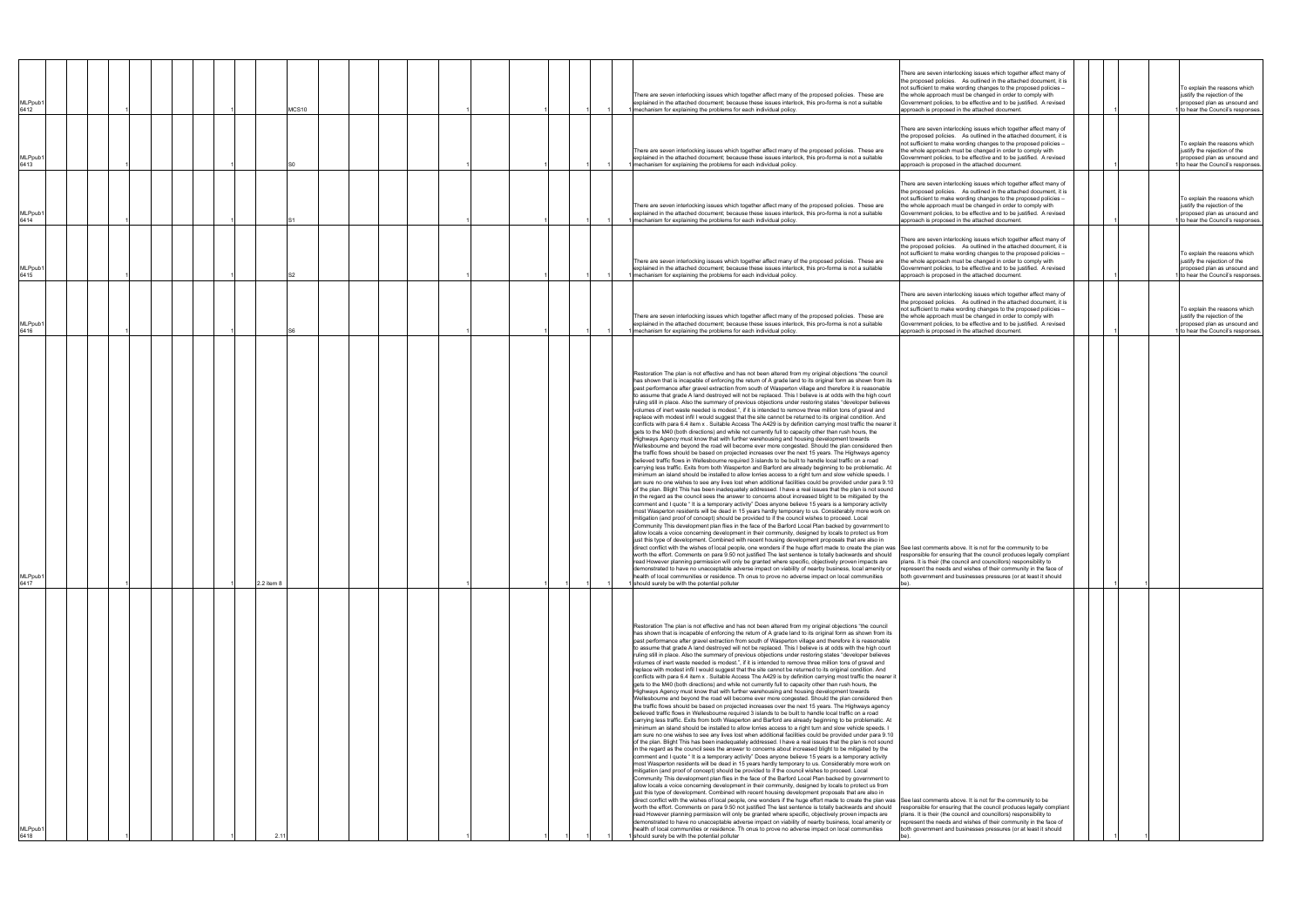| <b>MLPpub</b><br>6412<br><b>MLPpub</b><br>6413<br><b>MLPpub</b><br>6414<br>MLPpub1<br>6415 |  |  |            | MCS10 |  |  |  |  |  | There are seven interlocking issues which together affect many of the proposed policies. These are<br>explained in the attached document; because these issues interlock, this pro-forma is not a suitable<br>mechanism for explaining the problems for each individual policy.<br>There are seven interlocking issues which together affect many of the proposed policies. These are<br>explained in the attached document; because these issues interlock, this pro-forma is not a suitable<br>mechanism for explaining the problems for each individual policy<br>There are seven interlocking issues which together affect many of the proposed policies. These are<br>explained in the attached document; because these issues interlock, this pro-forma is not a suitable<br>mechanism for explaining the problems for each individual policy<br>There are seven interlocking issues which together affect many of the proposed policies. These are<br>explained in the attached document; because these issues interlock, this pro-forma is not a suitable<br>mechanism for explaining the problems for each individual policy.                                                                                                                                                                                                                                                                                                                                                                                                                                                                                                                                                                                                                                                                                                                                                                                                                                                                                                                                                                                                                                                                                                                                                                                                                                                                                                                                                                                                                                                                                                                                                                                                                                                                                                                                                                                                                                                                                                                                                                                                                                                                                                                                                          | There are seven interlocking issues which together affect many of<br>the proposed policies. As outlined in the attached document, it is<br>not sufficient to make wording changes to the proposed policies -<br>the whole approach must be changed in order to comply with<br>Government policies, to be effective and to be justified. A revised<br>approach is proposed in the attached document.<br>There are seven interlocking issues which together affect many of<br>the proposed policies. As outlined in the attached document, it is<br>not sufficient to make wording changes to the proposed policies -<br>the whole approach must be changed in order to comply with<br>Government policies, to be effective and to be justified. A revised<br>approach is proposed in the attached document.<br>There are seven interlocking issues which together affect many of<br>the proposed policies. As outlined in the attached document, it is<br>not sufficient to make wording changes to the proposed policies -<br>the whole approach must be changed in order to comply with<br>Government policies, to be effective and to be justified. A revised<br>approach is proposed in the attached document.<br>There are seven interlocking issues which together affect many of<br>the proposed policies. As outlined in the attached document, it is<br>not sufficient to make wording changes to the proposed policies -<br>the whole approach must be changed in order to comply with<br>Government policies, to be effective and to be justified. A revised<br>approach is proposed in the attached document. |  |  | To explain the reasons which<br>justify the rejection of the<br>proposed plan as unsound and<br>to hear the Council's responses<br>To explain the reasons which<br>justify the rejection of the<br>proposed plan as unsound and<br>to hear the Council's responses<br>To explain the reasons which<br>justify the rejection of the<br>proposed plan as unsound and<br>to hear the Council's responses<br>To explain the reasons which<br>justify the rejection of the<br>proposed plan as unsound and<br>to hear the Council's responses |
|--------------------------------------------------------------------------------------------|--|--|------------|-------|--|--|--|--|--|-------------------------------------------------------------------------------------------------------------------------------------------------------------------------------------------------------------------------------------------------------------------------------------------------------------------------------------------------------------------------------------------------------------------------------------------------------------------------------------------------------------------------------------------------------------------------------------------------------------------------------------------------------------------------------------------------------------------------------------------------------------------------------------------------------------------------------------------------------------------------------------------------------------------------------------------------------------------------------------------------------------------------------------------------------------------------------------------------------------------------------------------------------------------------------------------------------------------------------------------------------------------------------------------------------------------------------------------------------------------------------------------------------------------------------------------------------------------------------------------------------------------------------------------------------------------------------------------------------------------------------------------------------------------------------------------------------------------------------------------------------------------------------------------------------------------------------------------------------------------------------------------------------------------------------------------------------------------------------------------------------------------------------------------------------------------------------------------------------------------------------------------------------------------------------------------------------------------------------------------------------------------------------------------------------------------------------------------------------------------------------------------------------------------------------------------------------------------------------------------------------------------------------------------------------------------------------------------------------------------------------------------------------------------------------------------------------------------------------------------------------------------------------------------------------------------------------------------------------------------------------------------------------------------------------------------------------------------------------------------------------------------------------------------------------------------------------------------------------------------------------------------------------------------------------------------------------------------------------------------------------------------------------------------------|--------------------------------------------------------------------------------------------------------------------------------------------------------------------------------------------------------------------------------------------------------------------------------------------------------------------------------------------------------------------------------------------------------------------------------------------------------------------------------------------------------------------------------------------------------------------------------------------------------------------------------------------------------------------------------------------------------------------------------------------------------------------------------------------------------------------------------------------------------------------------------------------------------------------------------------------------------------------------------------------------------------------------------------------------------------------------------------------------------------------------------------------------------------------------------------------------------------------------------------------------------------------------------------------------------------------------------------------------------------------------------------------------------------------------------------------------------------------------------------------------------------------------------------------------------------------------------------------------------------------------|--|--|------------------------------------------------------------------------------------------------------------------------------------------------------------------------------------------------------------------------------------------------------------------------------------------------------------------------------------------------------------------------------------------------------------------------------------------------------------------------------------------------------------------------------------------|
| <b>MLPpub</b><br>6416                                                                      |  |  |            |       |  |  |  |  |  | There are seven interlocking issues which together affect many of the proposed policies. These are<br>explained in the attached document; because these issues interlock, this pro-forma is not a suitable<br>mechanism for explaining the problems for each individual policy.                                                                                                                                                                                                                                                                                                                                                                                                                                                                                                                                                                                                                                                                                                                                                                                                                                                                                                                                                                                                                                                                                                                                                                                                                                                                                                                                                                                                                                                                                                                                                                                                                                                                                                                                                                                                                                                                                                                                                                                                                                                                                                                                                                                                                                                                                                                                                                                                                                                                                                                                                                                                                                                                                                                                                                                                                                                                                                                                                                                                                 | There are seven interlocking issues which together affect many of<br>the proposed policies. As outlined in the attached document, it is<br>not sufficient to make wording changes to the proposed policies -<br>the whole approach must be changed in order to comply with<br>Government policies, to be effective and to be justified. A revised<br>approach is proposed in the attached document.                                                                                                                                                                                                                                                                                                                                                                                                                                                                                                                                                                                                                                                                                                                                                                                                                                                                                                                                                                                                                                                                                                                                                                                                                      |  |  | To explain the reasons which<br>justify the rejection of the<br>proposed plan as unsound and<br>to hear the Council's responses                                                                                                                                                                                                                                                                                                                                                                                                          |
| <b>MLPpub</b><br>6417                                                                      |  |  | 2.2 item 8 |       |  |  |  |  |  | Restoration The plan is not effective and has not been altered from my original objections "the council<br>has shown that is incapable of enforcing the return of A grade land to its original form as shown from its<br>past performance after gravel extraction from south of Wasperton village and therefore it is reasonable<br>to assume that grade A land destroyed will not be replaced. This I believe is at odds with the high court<br>ruling still in place. Also the summary of previous objections under restoring states "developer believes<br>volumes of inert waste needed is modest.", if it is intended to remove three million tons of gravel and<br>replace with modest infil I would suggest that the site cannot be returned to its original condition. And<br>conflicts with para 6.4 item x. Suitable Access The A429 is by definition carrying most traffic the nearer it<br>gets to the M40 (both directions) and while not currently full to capacity other than rush hours, the<br>Highways Agency must know that with further warehousing and housing development towards<br>Wellesbourne and beyond the road will become ever more congested. Should the plan considered then<br>the traffic flows should be based on projected increases over the next 15 years. The Highways agency<br>believed traffic flows in Wellesbourne required 3 islands to be built to handle local traffic on a road<br>carrying less traffic. Exits from both Wasperton and Barford are already beginning to be problematic. At<br>minimum an island should be installed to allow lorries access to a right turn and slow vehicle speeds. I<br>am sure no one wishes to see any lives lost when additional facilities could be provided under para 9.10<br>of the plan. Blight This has been inadequately addressed. I have a real issues that the plan is not sound<br>in the regard as the council sees the answer to concerns about increased blight to be mitigated by the<br>comment and I quote "It is a temporary activity" Does anyone believe 15 years is a temporary activity<br>most Wasperton residents will be dead in 15 years hardly temporary to us. Considerably more work on<br>mitigation (and proof of concept) should be provided to if the council wishes to proceed. Local<br>Community This development plan flies in the face of the Barford Local Plan backed by government to<br>allow locals a voice concerning development in their community, designed by locals to protect us from<br>just this type of development. Combined with recent housing development proposals that are also in<br>direct conflict with the wishes of local people, one wonders if the huge effort made to create the plan was See last comments above. It is not for the community to be<br>worth the effort. Comments on para 9.50 not justified The last sentence is totally backwards and should<br>read However planning permission will only be granted where specific, objectively proven impacts are<br>demonstrated to have no unacceptable adverse impact on viability of nearby business, local amenity or<br>health of local communities or residence. Th onus to prove no adverse impact on local communities<br>should surely be with the potential polluter  | responsible for ensuring that the council produces legally compliant<br>plans. It is their (the council and councillors) responsibility to<br>represent the needs and wishes of their community in the face of<br>both government and businesses pressures (or at least it should                                                                                                                                                                                                                                                                                                                                                                                                                                                                                                                                                                                                                                                                                                                                                                                                                                                                                                                                                                                                                                                                                                                                                                                                                                                                                                                                        |  |  |                                                                                                                                                                                                                                                                                                                                                                                                                                                                                                                                          |
| MLPpub1<br>6418                                                                            |  |  |            |       |  |  |  |  |  | Restoration The plan is not effective and has not been altered from my original objections "the council<br>has shown that is incapable of enforcing the return of A grade land to its original form as shown from its<br>past performance after gravel extraction from south of Wasperton village and therefore it is reasonable<br>to assume that grade A land destroyed will not be replaced. This I believe is at odds with the high court<br>ruling still in place. Also the summary of previous objections under restoring states "developer believes<br>volumes of inert waste needed is modest.", if it is intended to remove three million tons of gravel and<br>replace with modest infil I would suggest that the site cannot be returned to its original condition. And<br>conflicts with para 6.4 item x. Suitable Access The A429 is by definition carrying most traffic the nearer it<br>gets to the M40 (both directions) and while not currently full to capacity other than rush hours, the<br>Highways Agency must know that with further warehousing and housing development towards<br>Wellesbourne and beyond the road will become ever more congested. Should the plan considered then<br>the traffic flows should be based on projected increases over the next 15 years. The Highways agency<br>believed traffic flows in Wellesbourne required 3 islands to be built to handle local traffic on a road<br>carrying less traffic. Exits from both Wasperton and Barford are already beginning to be problematic. At<br>minimum an island should be installed to allow lorries access to a right turn and slow vehicle speeds. I<br>am sure no one wishes to see any lives lost when additional facilities could be provided under para 9.10<br>of the plan. Blight This has been inadequately addressed. I have a real issues that the plan is not sound<br>in the regard as the council sees the answer to concerns about increased blight to be mitigated by the<br>comment and I quote " It is a temporary activity" Does anyone believe 15 years is a temporary activity<br>most Wasperton residents will be dead in 15 years hardly temporary to us. Considerably more work on<br>mitigation (and proof of concept) should be provided to if the council wishes to proceed. Local<br>Community This development plan flies in the face of the Barford Local Plan backed by government to<br>allow locals a voice concerning development in their community, designed by locals to protect us from<br>just this type of development. Combined with recent housing development proposals that are also in<br>direct conflict with the wishes of local people, one wonders if the huge effort made to create the plan was See last comments above. It is not for the community to be<br>worth the effort. Comments on para 9.50 not justified The last sentence is totally backwards and should<br>read However planning permission will only be granted where specific, objectively proven impacts are<br>demonstrated to have no unacceptable adverse impact on viability of nearby business, local amenity or<br>health of local communities or residence. Th onus to prove no adverse impact on local communities<br>should surely be with the potential polluter | responsible for ensuring that the council produces legally compliant<br>plans. It is their (the council and councillors) responsibility to<br>represent the needs and wishes of their community in the face of<br>both government and businesses pressures (or at least it should                                                                                                                                                                                                                                                                                                                                                                                                                                                                                                                                                                                                                                                                                                                                                                                                                                                                                                                                                                                                                                                                                                                                                                                                                                                                                                                                        |  |  |                                                                                                                                                                                                                                                                                                                                                                                                                                                                                                                                          |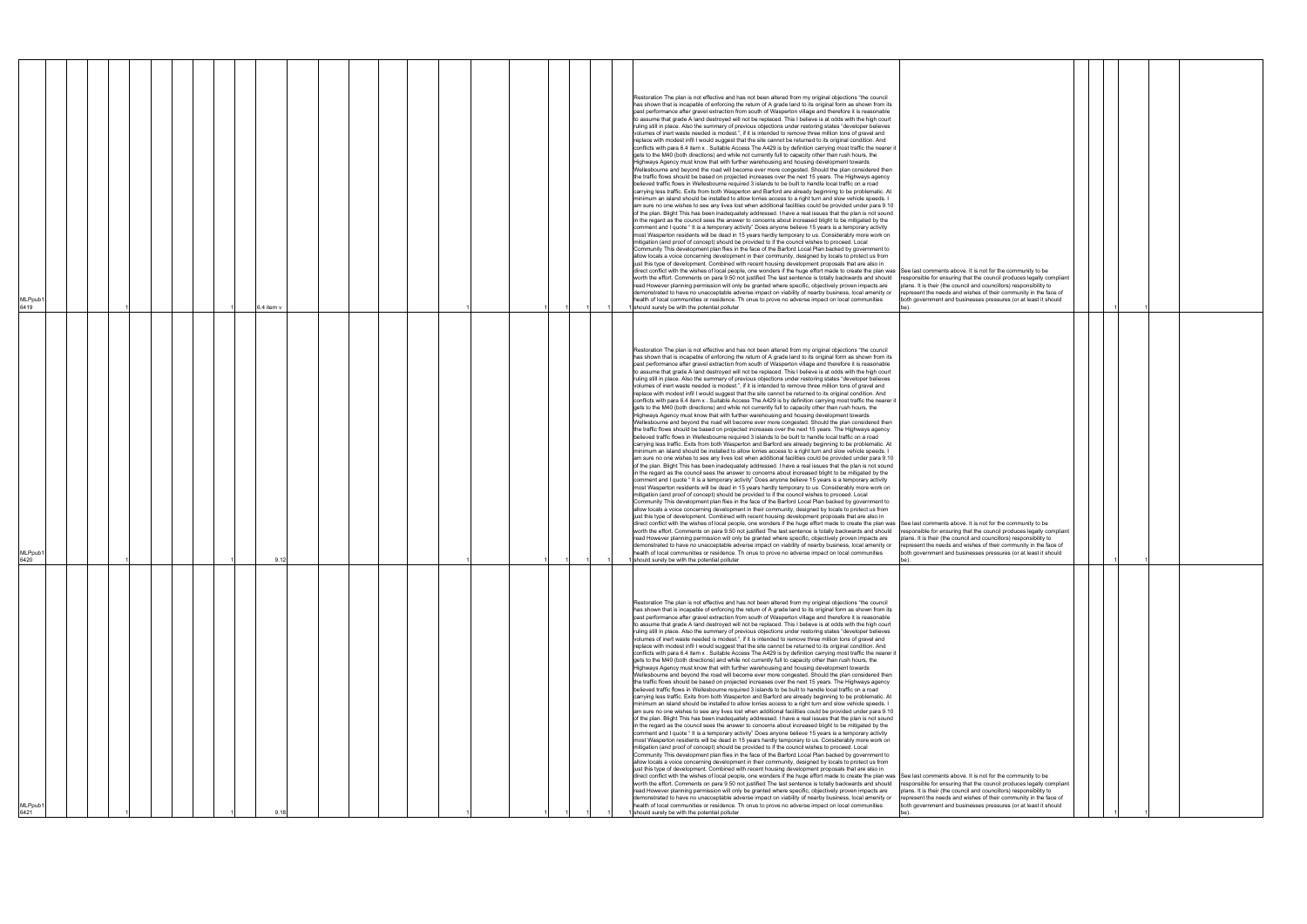| MLPpub <sup>®</sup><br>6421                                                                                                                                                                                                                                                                                                                                                                                                                                                                                                                                                                                                                                                                                                                                                                                                                                                                                                                                                                                                                                                                                                                                                                                                                                                                                                                                                                                                                                                                                                                                                                                                                                                                                                                                                                                                                                                                                                                                                                                                                                                                                                                                                                                                                                                                                                                                                                                                                                                                                                                                                                                                                                                                                                                                                                                                                                                                                                                                                                                                                                                                                                                                                                                                                                                                      | MLPpub1<br>6420                                                                                                                                                                                                                                                                                                                                                                                                                                                                                                                                                                                                                                                                                                                                                                                                                                                                                                                                                                                                                                                                                                                                                                                                                                                                                                                                                                                                                                                                                                                                                                                                                                                                                                                                                                                                                                                                                                                                                                                                                                                                                                                                                                                                                                                                                                                                                                                                                                                                                                                                                                                                                                                                                                                                                                                                                                                                                                                                                                                                                                                                                                                                                                                                                                                                                                                                                                                                                      | MLPpub1<br>6419                                                                                                                                                                                                                                                                                                                                                                                                                                                                                                                                                                                                                                                                                                                                                                                                                                                                                                                                                                                                                                                                                                                                                                                                                                                                                                                                                                                                                                                                                                                                                                                                                                                                                                                                                                                                                                                                                                                                                                                                                                                                                                                                                                                                                                                                                                                                                                                                                                                                                                                                                                                                                                                                                                                                                                                                                                                                                                                                                                                                                                                                                                                                                                                                                                                                                |
|--------------------------------------------------------------------------------------------------------------------------------------------------------------------------------------------------------------------------------------------------------------------------------------------------------------------------------------------------------------------------------------------------------------------------------------------------------------------------------------------------------------------------------------------------------------------------------------------------------------------------------------------------------------------------------------------------------------------------------------------------------------------------------------------------------------------------------------------------------------------------------------------------------------------------------------------------------------------------------------------------------------------------------------------------------------------------------------------------------------------------------------------------------------------------------------------------------------------------------------------------------------------------------------------------------------------------------------------------------------------------------------------------------------------------------------------------------------------------------------------------------------------------------------------------------------------------------------------------------------------------------------------------------------------------------------------------------------------------------------------------------------------------------------------------------------------------------------------------------------------------------------------------------------------------------------------------------------------------------------------------------------------------------------------------------------------------------------------------------------------------------------------------------------------------------------------------------------------------------------------------------------------------------------------------------------------------------------------------------------------------------------------------------------------------------------------------------------------------------------------------------------------------------------------------------------------------------------------------------------------------------------------------------------------------------------------------------------------------------------------------------------------------------------------------------------------------------------------------------------------------------------------------------------------------------------------------------------------------------------------------------------------------------------------------------------------------------------------------------------------------------------------------------------------------------------------------------------------------------------------------------------------------------------------------|--------------------------------------------------------------------------------------------------------------------------------------------------------------------------------------------------------------------------------------------------------------------------------------------------------------------------------------------------------------------------------------------------------------------------------------------------------------------------------------------------------------------------------------------------------------------------------------------------------------------------------------------------------------------------------------------------------------------------------------------------------------------------------------------------------------------------------------------------------------------------------------------------------------------------------------------------------------------------------------------------------------------------------------------------------------------------------------------------------------------------------------------------------------------------------------------------------------------------------------------------------------------------------------------------------------------------------------------------------------------------------------------------------------------------------------------------------------------------------------------------------------------------------------------------------------------------------------------------------------------------------------------------------------------------------------------------------------------------------------------------------------------------------------------------------------------------------------------------------------------------------------------------------------------------------------------------------------------------------------------------------------------------------------------------------------------------------------------------------------------------------------------------------------------------------------------------------------------------------------------------------------------------------------------------------------------------------------------------------------------------------------------------------------------------------------------------------------------------------------------------------------------------------------------------------------------------------------------------------------------------------------------------------------------------------------------------------------------------------------------------------------------------------------------------------------------------------------------------------------------------------------------------------------------------------------------------------------------------------------------------------------------------------------------------------------------------------------------------------------------------------------------------------------------------------------------------------------------------------------------------------------------------------------------------------------------------------------------------------------------------------------------------------------------------------------|------------------------------------------------------------------------------------------------------------------------------------------------------------------------------------------------------------------------------------------------------------------------------------------------------------------------------------------------------------------------------------------------------------------------------------------------------------------------------------------------------------------------------------------------------------------------------------------------------------------------------------------------------------------------------------------------------------------------------------------------------------------------------------------------------------------------------------------------------------------------------------------------------------------------------------------------------------------------------------------------------------------------------------------------------------------------------------------------------------------------------------------------------------------------------------------------------------------------------------------------------------------------------------------------------------------------------------------------------------------------------------------------------------------------------------------------------------------------------------------------------------------------------------------------------------------------------------------------------------------------------------------------------------------------------------------------------------------------------------------------------------------------------------------------------------------------------------------------------------------------------------------------------------------------------------------------------------------------------------------------------------------------------------------------------------------------------------------------------------------------------------------------------------------------------------------------------------------------------------------------------------------------------------------------------------------------------------------------------------------------------------------------------------------------------------------------------------------------------------------------------------------------------------------------------------------------------------------------------------------------------------------------------------------------------------------------------------------------------------------------------------------------------------------------------------------------------------------------------------------------------------------------------------------------------------------------------------------------------------------------------------------------------------------------------------------------------------------------------------------------------------------------------------------------------------------------------------------------------------------------------------------------------------------------|
|                                                                                                                                                                                                                                                                                                                                                                                                                                                                                                                                                                                                                                                                                                                                                                                                                                                                                                                                                                                                                                                                                                                                                                                                                                                                                                                                                                                                                                                                                                                                                                                                                                                                                                                                                                                                                                                                                                                                                                                                                                                                                                                                                                                                                                                                                                                                                                                                                                                                                                                                                                                                                                                                                                                                                                                                                                                                                                                                                                                                                                                                                                                                                                                                                                                                                                  |                                                                                                                                                                                                                                                                                                                                                                                                                                                                                                                                                                                                                                                                                                                                                                                                                                                                                                                                                                                                                                                                                                                                                                                                                                                                                                                                                                                                                                                                                                                                                                                                                                                                                                                                                                                                                                                                                                                                                                                                                                                                                                                                                                                                                                                                                                                                                                                                                                                                                                                                                                                                                                                                                                                                                                                                                                                                                                                                                                                                                                                                                                                                                                                                                                                                                                                                                                                                                                      |                                                                                                                                                                                                                                                                                                                                                                                                                                                                                                                                                                                                                                                                                                                                                                                                                                                                                                                                                                                                                                                                                                                                                                                                                                                                                                                                                                                                                                                                                                                                                                                                                                                                                                                                                                                                                                                                                                                                                                                                                                                                                                                                                                                                                                                                                                                                                                                                                                                                                                                                                                                                                                                                                                                                                                                                                                                                                                                                                                                                                                                                                                                                                                                                                                                                                                |
|                                                                                                                                                                                                                                                                                                                                                                                                                                                                                                                                                                                                                                                                                                                                                                                                                                                                                                                                                                                                                                                                                                                                                                                                                                                                                                                                                                                                                                                                                                                                                                                                                                                                                                                                                                                                                                                                                                                                                                                                                                                                                                                                                                                                                                                                                                                                                                                                                                                                                                                                                                                                                                                                                                                                                                                                                                                                                                                                                                                                                                                                                                                                                                                                                                                                                                  |                                                                                                                                                                                                                                                                                                                                                                                                                                                                                                                                                                                                                                                                                                                                                                                                                                                                                                                                                                                                                                                                                                                                                                                                                                                                                                                                                                                                                                                                                                                                                                                                                                                                                                                                                                                                                                                                                                                                                                                                                                                                                                                                                                                                                                                                                                                                                                                                                                                                                                                                                                                                                                                                                                                                                                                                                                                                                                                                                                                                                                                                                                                                                                                                                                                                                                                                                                                                                                      |                                                                                                                                                                                                                                                                                                                                                                                                                                                                                                                                                                                                                                                                                                                                                                                                                                                                                                                                                                                                                                                                                                                                                                                                                                                                                                                                                                                                                                                                                                                                                                                                                                                                                                                                                                                                                                                                                                                                                                                                                                                                                                                                                                                                                                                                                                                                                                                                                                                                                                                                                                                                                                                                                                                                                                                                                                                                                                                                                                                                                                                                                                                                                                                                                                                                                                |
|                                                                                                                                                                                                                                                                                                                                                                                                                                                                                                                                                                                                                                                                                                                                                                                                                                                                                                                                                                                                                                                                                                                                                                                                                                                                                                                                                                                                                                                                                                                                                                                                                                                                                                                                                                                                                                                                                                                                                                                                                                                                                                                                                                                                                                                                                                                                                                                                                                                                                                                                                                                                                                                                                                                                                                                                                                                                                                                                                                                                                                                                                                                                                                                                                                                                                                  |                                                                                                                                                                                                                                                                                                                                                                                                                                                                                                                                                                                                                                                                                                                                                                                                                                                                                                                                                                                                                                                                                                                                                                                                                                                                                                                                                                                                                                                                                                                                                                                                                                                                                                                                                                                                                                                                                                                                                                                                                                                                                                                                                                                                                                                                                                                                                                                                                                                                                                                                                                                                                                                                                                                                                                                                                                                                                                                                                                                                                                                                                                                                                                                                                                                                                                                                                                                                                                      |                                                                                                                                                                                                                                                                                                                                                                                                                                                                                                                                                                                                                                                                                                                                                                                                                                                                                                                                                                                                                                                                                                                                                                                                                                                                                                                                                                                                                                                                                                                                                                                                                                                                                                                                                                                                                                                                                                                                                                                                                                                                                                                                                                                                                                                                                                                                                                                                                                                                                                                                                                                                                                                                                                                                                                                                                                                                                                                                                                                                                                                                                                                                                                                                                                                                                                |
|                                                                                                                                                                                                                                                                                                                                                                                                                                                                                                                                                                                                                                                                                                                                                                                                                                                                                                                                                                                                                                                                                                                                                                                                                                                                                                                                                                                                                                                                                                                                                                                                                                                                                                                                                                                                                                                                                                                                                                                                                                                                                                                                                                                                                                                                                                                                                                                                                                                                                                                                                                                                                                                                                                                                                                                                                                                                                                                                                                                                                                                                                                                                                                                                                                                                                                  |                                                                                                                                                                                                                                                                                                                                                                                                                                                                                                                                                                                                                                                                                                                                                                                                                                                                                                                                                                                                                                                                                                                                                                                                                                                                                                                                                                                                                                                                                                                                                                                                                                                                                                                                                                                                                                                                                                                                                                                                                                                                                                                                                                                                                                                                                                                                                                                                                                                                                                                                                                                                                                                                                                                                                                                                                                                                                                                                                                                                                                                                                                                                                                                                                                                                                                                                                                                                                                      |                                                                                                                                                                                                                                                                                                                                                                                                                                                                                                                                                                                                                                                                                                                                                                                                                                                                                                                                                                                                                                                                                                                                                                                                                                                                                                                                                                                                                                                                                                                                                                                                                                                                                                                                                                                                                                                                                                                                                                                                                                                                                                                                                                                                                                                                                                                                                                                                                                                                                                                                                                                                                                                                                                                                                                                                                                                                                                                                                                                                                                                                                                                                                                                                                                                                                                |
|                                                                                                                                                                                                                                                                                                                                                                                                                                                                                                                                                                                                                                                                                                                                                                                                                                                                                                                                                                                                                                                                                                                                                                                                                                                                                                                                                                                                                                                                                                                                                                                                                                                                                                                                                                                                                                                                                                                                                                                                                                                                                                                                                                                                                                                                                                                                                                                                                                                                                                                                                                                                                                                                                                                                                                                                                                                                                                                                                                                                                                                                                                                                                                                                                                                                                                  |                                                                                                                                                                                                                                                                                                                                                                                                                                                                                                                                                                                                                                                                                                                                                                                                                                                                                                                                                                                                                                                                                                                                                                                                                                                                                                                                                                                                                                                                                                                                                                                                                                                                                                                                                                                                                                                                                                                                                                                                                                                                                                                                                                                                                                                                                                                                                                                                                                                                                                                                                                                                                                                                                                                                                                                                                                                                                                                                                                                                                                                                                                                                                                                                                                                                                                                                                                                                                                      |                                                                                                                                                                                                                                                                                                                                                                                                                                                                                                                                                                                                                                                                                                                                                                                                                                                                                                                                                                                                                                                                                                                                                                                                                                                                                                                                                                                                                                                                                                                                                                                                                                                                                                                                                                                                                                                                                                                                                                                                                                                                                                                                                                                                                                                                                                                                                                                                                                                                                                                                                                                                                                                                                                                                                                                                                                                                                                                                                                                                                                                                                                                                                                                                                                                                                                |
|                                                                                                                                                                                                                                                                                                                                                                                                                                                                                                                                                                                                                                                                                                                                                                                                                                                                                                                                                                                                                                                                                                                                                                                                                                                                                                                                                                                                                                                                                                                                                                                                                                                                                                                                                                                                                                                                                                                                                                                                                                                                                                                                                                                                                                                                                                                                                                                                                                                                                                                                                                                                                                                                                                                                                                                                                                                                                                                                                                                                                                                                                                                                                                                                                                                                                                  |                                                                                                                                                                                                                                                                                                                                                                                                                                                                                                                                                                                                                                                                                                                                                                                                                                                                                                                                                                                                                                                                                                                                                                                                                                                                                                                                                                                                                                                                                                                                                                                                                                                                                                                                                                                                                                                                                                                                                                                                                                                                                                                                                                                                                                                                                                                                                                                                                                                                                                                                                                                                                                                                                                                                                                                                                                                                                                                                                                                                                                                                                                                                                                                                                                                                                                                                                                                                                                      |                                                                                                                                                                                                                                                                                                                                                                                                                                                                                                                                                                                                                                                                                                                                                                                                                                                                                                                                                                                                                                                                                                                                                                                                                                                                                                                                                                                                                                                                                                                                                                                                                                                                                                                                                                                                                                                                                                                                                                                                                                                                                                                                                                                                                                                                                                                                                                                                                                                                                                                                                                                                                                                                                                                                                                                                                                                                                                                                                                                                                                                                                                                                                                                                                                                                                                |
|                                                                                                                                                                                                                                                                                                                                                                                                                                                                                                                                                                                                                                                                                                                                                                                                                                                                                                                                                                                                                                                                                                                                                                                                                                                                                                                                                                                                                                                                                                                                                                                                                                                                                                                                                                                                                                                                                                                                                                                                                                                                                                                                                                                                                                                                                                                                                                                                                                                                                                                                                                                                                                                                                                                                                                                                                                                                                                                                                                                                                                                                                                                                                                                                                                                                                                  |                                                                                                                                                                                                                                                                                                                                                                                                                                                                                                                                                                                                                                                                                                                                                                                                                                                                                                                                                                                                                                                                                                                                                                                                                                                                                                                                                                                                                                                                                                                                                                                                                                                                                                                                                                                                                                                                                                                                                                                                                                                                                                                                                                                                                                                                                                                                                                                                                                                                                                                                                                                                                                                                                                                                                                                                                                                                                                                                                                                                                                                                                                                                                                                                                                                                                                                                                                                                                                      |                                                                                                                                                                                                                                                                                                                                                                                                                                                                                                                                                                                                                                                                                                                                                                                                                                                                                                                                                                                                                                                                                                                                                                                                                                                                                                                                                                                                                                                                                                                                                                                                                                                                                                                                                                                                                                                                                                                                                                                                                                                                                                                                                                                                                                                                                                                                                                                                                                                                                                                                                                                                                                                                                                                                                                                                                                                                                                                                                                                                                                                                                                                                                                                                                                                                                                |
|                                                                                                                                                                                                                                                                                                                                                                                                                                                                                                                                                                                                                                                                                                                                                                                                                                                                                                                                                                                                                                                                                                                                                                                                                                                                                                                                                                                                                                                                                                                                                                                                                                                                                                                                                                                                                                                                                                                                                                                                                                                                                                                                                                                                                                                                                                                                                                                                                                                                                                                                                                                                                                                                                                                                                                                                                                                                                                                                                                                                                                                                                                                                                                                                                                                                                                  |                                                                                                                                                                                                                                                                                                                                                                                                                                                                                                                                                                                                                                                                                                                                                                                                                                                                                                                                                                                                                                                                                                                                                                                                                                                                                                                                                                                                                                                                                                                                                                                                                                                                                                                                                                                                                                                                                                                                                                                                                                                                                                                                                                                                                                                                                                                                                                                                                                                                                                                                                                                                                                                                                                                                                                                                                                                                                                                                                                                                                                                                                                                                                                                                                                                                                                                                                                                                                                      |                                                                                                                                                                                                                                                                                                                                                                                                                                                                                                                                                                                                                                                                                                                                                                                                                                                                                                                                                                                                                                                                                                                                                                                                                                                                                                                                                                                                                                                                                                                                                                                                                                                                                                                                                                                                                                                                                                                                                                                                                                                                                                                                                                                                                                                                                                                                                                                                                                                                                                                                                                                                                                                                                                                                                                                                                                                                                                                                                                                                                                                                                                                                                                                                                                                                                                |
|                                                                                                                                                                                                                                                                                                                                                                                                                                                                                                                                                                                                                                                                                                                                                                                                                                                                                                                                                                                                                                                                                                                                                                                                                                                                                                                                                                                                                                                                                                                                                                                                                                                                                                                                                                                                                                                                                                                                                                                                                                                                                                                                                                                                                                                                                                                                                                                                                                                                                                                                                                                                                                                                                                                                                                                                                                                                                                                                                                                                                                                                                                                                                                                                                                                                                                  |                                                                                                                                                                                                                                                                                                                                                                                                                                                                                                                                                                                                                                                                                                                                                                                                                                                                                                                                                                                                                                                                                                                                                                                                                                                                                                                                                                                                                                                                                                                                                                                                                                                                                                                                                                                                                                                                                                                                                                                                                                                                                                                                                                                                                                                                                                                                                                                                                                                                                                                                                                                                                                                                                                                                                                                                                                                                                                                                                                                                                                                                                                                                                                                                                                                                                                                                                                                                                                      |                                                                                                                                                                                                                                                                                                                                                                                                                                                                                                                                                                                                                                                                                                                                                                                                                                                                                                                                                                                                                                                                                                                                                                                                                                                                                                                                                                                                                                                                                                                                                                                                                                                                                                                                                                                                                                                                                                                                                                                                                                                                                                                                                                                                                                                                                                                                                                                                                                                                                                                                                                                                                                                                                                                                                                                                                                                                                                                                                                                                                                                                                                                                                                                                                                                                                                |
|                                                                                                                                                                                                                                                                                                                                                                                                                                                                                                                                                                                                                                                                                                                                                                                                                                                                                                                                                                                                                                                                                                                                                                                                                                                                                                                                                                                                                                                                                                                                                                                                                                                                                                                                                                                                                                                                                                                                                                                                                                                                                                                                                                                                                                                                                                                                                                                                                                                                                                                                                                                                                                                                                                                                                                                                                                                                                                                                                                                                                                                                                                                                                                                                                                                                                                  |                                                                                                                                                                                                                                                                                                                                                                                                                                                                                                                                                                                                                                                                                                                                                                                                                                                                                                                                                                                                                                                                                                                                                                                                                                                                                                                                                                                                                                                                                                                                                                                                                                                                                                                                                                                                                                                                                                                                                                                                                                                                                                                                                                                                                                                                                                                                                                                                                                                                                                                                                                                                                                                                                                                                                                                                                                                                                                                                                                                                                                                                                                                                                                                                                                                                                                                                                                                                                                      | 6.4 item v                                                                                                                                                                                                                                                                                                                                                                                                                                                                                                                                                                                                                                                                                                                                                                                                                                                                                                                                                                                                                                                                                                                                                                                                                                                                                                                                                                                                                                                                                                                                                                                                                                                                                                                                                                                                                                                                                                                                                                                                                                                                                                                                                                                                                                                                                                                                                                                                                                                                                                                                                                                                                                                                                                                                                                                                                                                                                                                                                                                                                                                                                                                                                                                                                                                                                     |
|                                                                                                                                                                                                                                                                                                                                                                                                                                                                                                                                                                                                                                                                                                                                                                                                                                                                                                                                                                                                                                                                                                                                                                                                                                                                                                                                                                                                                                                                                                                                                                                                                                                                                                                                                                                                                                                                                                                                                                                                                                                                                                                                                                                                                                                                                                                                                                                                                                                                                                                                                                                                                                                                                                                                                                                                                                                                                                                                                                                                                                                                                                                                                                                                                                                                                                  |                                                                                                                                                                                                                                                                                                                                                                                                                                                                                                                                                                                                                                                                                                                                                                                                                                                                                                                                                                                                                                                                                                                                                                                                                                                                                                                                                                                                                                                                                                                                                                                                                                                                                                                                                                                                                                                                                                                                                                                                                                                                                                                                                                                                                                                                                                                                                                                                                                                                                                                                                                                                                                                                                                                                                                                                                                                                                                                                                                                                                                                                                                                                                                                                                                                                                                                                                                                                                                      |                                                                                                                                                                                                                                                                                                                                                                                                                                                                                                                                                                                                                                                                                                                                                                                                                                                                                                                                                                                                                                                                                                                                                                                                                                                                                                                                                                                                                                                                                                                                                                                                                                                                                                                                                                                                                                                                                                                                                                                                                                                                                                                                                                                                                                                                                                                                                                                                                                                                                                                                                                                                                                                                                                                                                                                                                                                                                                                                                                                                                                                                                                                                                                                                                                                                                                |
|                                                                                                                                                                                                                                                                                                                                                                                                                                                                                                                                                                                                                                                                                                                                                                                                                                                                                                                                                                                                                                                                                                                                                                                                                                                                                                                                                                                                                                                                                                                                                                                                                                                                                                                                                                                                                                                                                                                                                                                                                                                                                                                                                                                                                                                                                                                                                                                                                                                                                                                                                                                                                                                                                                                                                                                                                                                                                                                                                                                                                                                                                                                                                                                                                                                                                                  |                                                                                                                                                                                                                                                                                                                                                                                                                                                                                                                                                                                                                                                                                                                                                                                                                                                                                                                                                                                                                                                                                                                                                                                                                                                                                                                                                                                                                                                                                                                                                                                                                                                                                                                                                                                                                                                                                                                                                                                                                                                                                                                                                                                                                                                                                                                                                                                                                                                                                                                                                                                                                                                                                                                                                                                                                                                                                                                                                                                                                                                                                                                                                                                                                                                                                                                                                                                                                                      |                                                                                                                                                                                                                                                                                                                                                                                                                                                                                                                                                                                                                                                                                                                                                                                                                                                                                                                                                                                                                                                                                                                                                                                                                                                                                                                                                                                                                                                                                                                                                                                                                                                                                                                                                                                                                                                                                                                                                                                                                                                                                                                                                                                                                                                                                                                                                                                                                                                                                                                                                                                                                                                                                                                                                                                                                                                                                                                                                                                                                                                                                                                                                                                                                                                                                                |
|                                                                                                                                                                                                                                                                                                                                                                                                                                                                                                                                                                                                                                                                                                                                                                                                                                                                                                                                                                                                                                                                                                                                                                                                                                                                                                                                                                                                                                                                                                                                                                                                                                                                                                                                                                                                                                                                                                                                                                                                                                                                                                                                                                                                                                                                                                                                                                                                                                                                                                                                                                                                                                                                                                                                                                                                                                                                                                                                                                                                                                                                                                                                                                                                                                                                                                  |                                                                                                                                                                                                                                                                                                                                                                                                                                                                                                                                                                                                                                                                                                                                                                                                                                                                                                                                                                                                                                                                                                                                                                                                                                                                                                                                                                                                                                                                                                                                                                                                                                                                                                                                                                                                                                                                                                                                                                                                                                                                                                                                                                                                                                                                                                                                                                                                                                                                                                                                                                                                                                                                                                                                                                                                                                                                                                                                                                                                                                                                                                                                                                                                                                                                                                                                                                                                                                      |                                                                                                                                                                                                                                                                                                                                                                                                                                                                                                                                                                                                                                                                                                                                                                                                                                                                                                                                                                                                                                                                                                                                                                                                                                                                                                                                                                                                                                                                                                                                                                                                                                                                                                                                                                                                                                                                                                                                                                                                                                                                                                                                                                                                                                                                                                                                                                                                                                                                                                                                                                                                                                                                                                                                                                                                                                                                                                                                                                                                                                                                                                                                                                                                                                                                                                |
|                                                                                                                                                                                                                                                                                                                                                                                                                                                                                                                                                                                                                                                                                                                                                                                                                                                                                                                                                                                                                                                                                                                                                                                                                                                                                                                                                                                                                                                                                                                                                                                                                                                                                                                                                                                                                                                                                                                                                                                                                                                                                                                                                                                                                                                                                                                                                                                                                                                                                                                                                                                                                                                                                                                                                                                                                                                                                                                                                                                                                                                                                                                                                                                                                                                                                                  |                                                                                                                                                                                                                                                                                                                                                                                                                                                                                                                                                                                                                                                                                                                                                                                                                                                                                                                                                                                                                                                                                                                                                                                                                                                                                                                                                                                                                                                                                                                                                                                                                                                                                                                                                                                                                                                                                                                                                                                                                                                                                                                                                                                                                                                                                                                                                                                                                                                                                                                                                                                                                                                                                                                                                                                                                                                                                                                                                                                                                                                                                                                                                                                                                                                                                                                                                                                                                                      |                                                                                                                                                                                                                                                                                                                                                                                                                                                                                                                                                                                                                                                                                                                                                                                                                                                                                                                                                                                                                                                                                                                                                                                                                                                                                                                                                                                                                                                                                                                                                                                                                                                                                                                                                                                                                                                                                                                                                                                                                                                                                                                                                                                                                                                                                                                                                                                                                                                                                                                                                                                                                                                                                                                                                                                                                                                                                                                                                                                                                                                                                                                                                                                                                                                                                                |
|                                                                                                                                                                                                                                                                                                                                                                                                                                                                                                                                                                                                                                                                                                                                                                                                                                                                                                                                                                                                                                                                                                                                                                                                                                                                                                                                                                                                                                                                                                                                                                                                                                                                                                                                                                                                                                                                                                                                                                                                                                                                                                                                                                                                                                                                                                                                                                                                                                                                                                                                                                                                                                                                                                                                                                                                                                                                                                                                                                                                                                                                                                                                                                                                                                                                                                  |                                                                                                                                                                                                                                                                                                                                                                                                                                                                                                                                                                                                                                                                                                                                                                                                                                                                                                                                                                                                                                                                                                                                                                                                                                                                                                                                                                                                                                                                                                                                                                                                                                                                                                                                                                                                                                                                                                                                                                                                                                                                                                                                                                                                                                                                                                                                                                                                                                                                                                                                                                                                                                                                                                                                                                                                                                                                                                                                                                                                                                                                                                                                                                                                                                                                                                                                                                                                                                      |                                                                                                                                                                                                                                                                                                                                                                                                                                                                                                                                                                                                                                                                                                                                                                                                                                                                                                                                                                                                                                                                                                                                                                                                                                                                                                                                                                                                                                                                                                                                                                                                                                                                                                                                                                                                                                                                                                                                                                                                                                                                                                                                                                                                                                                                                                                                                                                                                                                                                                                                                                                                                                                                                                                                                                                                                                                                                                                                                                                                                                                                                                                                                                                                                                                                                                |
| Restoration The plan is not effective and has not been altered from my original objections "the council<br>has shown that is incapable of enforcing the return of A grade land to its original form as shown from its<br>past performance after gravel extraction from south of Wasperton village and therefore it is reasonable<br>to assume that grade A land destroyed will not be replaced. This I believe is at odds with the high court<br>ruling still in place. Also the summary of previous objections under restoring states "developer believes<br>volumes of inert waste needed is modest.", if it is intended to remove three million tons of gravel and<br>replace with modest infil I would suggest that the site cannot be returned to its original condition. And<br>conflicts with para 6.4 item x . Suitable Access The A429 is by definition carrying most traffic the nearer it<br>gets to the M40 (both directions) and while not currently full to capacity other than rush hours, the<br>Highways Agency must know that with further warehousing and housing development towards<br>Wellesbourne and beyond the road will become ever more congested. Should the plan considered then<br>the traffic flows should be based on projected increases over the next 15 years. The Highways agency<br>believed traffic flows in Wellesbourne required 3 islands to be built to handle local traffic on a road<br>carrying less traffic. Exits from both Wasperton and Barford are already beginning to be problematic. At<br>minimum an island should be installed to allow lorries access to a right turn and slow vehicle speeds. I<br>am sure no one wishes to see any lives lost when additional facilities could be provided under para 9.10<br>of the plan. Blight This has been inadequately addressed. I have a real issues that the plan is not sound<br>in the regard as the council sees the answer to concerns about increased blight to be mitigated by the<br>comment and I quote " It is a temporary activity" Does anyone believe 15 years is a temporary activity<br>most Wasperton residents will be dead in 15 years hardly temporary to us. Considerably more work on<br>mitigation (and proof of concept) should be provided to if the council wishes to proceed. Local<br>Community This development plan flies in the face of the Barford Local Plan backed by government to<br>allow locals a voice concerning development in their community, designed by locals to protect us from<br>just this type of development. Combined with recent housing development proposals that are also in<br>direct conflict with the wishes of local people, one wonders if the huge effort made to create the plan was See last comments above. It is not for the community to be<br>worth the effort. Comments on para 9.50 not justified The last sentence is totally backwards and should<br>read However planning permission will only be granted where specific, objectively proven impacts are<br>demonstrated to have no unacceptable adverse impact on viability of nearby business, local amenity or<br>health of local communities or residence. Th onus to prove no adverse impact on local communities<br>should surely be with the potential polluter | Restoration The plan is not effective and has not been altered from my original objections "the council<br>has shown that is incapable of enforcing the return of A grade land to its original form as shown from its<br>past performance after gravel extraction from south of Wasperton village and therefore it is reasonable<br>to assume that grade A land destroyed will not be replaced. This I believe is at odds with the high court<br>ruling still in place. Also the summary of previous objections under restoring states "developer believes<br>volumes of inert waste needed is modest.", if it is intended to remove three million tons of gravel and<br>replace with modest infil I would suggest that the site cannot be returned to its original condition. And<br>conflicts with para 6.4 item x. Suitable Access The A429 is by definition carrying most traffic the nearer it<br>gets to the M40 (both directions) and while not currently full to capacity other than rush hours, the<br>Highways Agency must know that with further warehousing and housing development towards<br>Wellesbourne and beyond the road will become ever more congested. Should the plan considered then<br>the traffic flows should be based on projected increases over the next 15 years. The Highways agency<br>believed traffic flows in Wellesbourne required 3 islands to be built to handle local traffic on a road<br>carrying less traffic. Exits from both Wasperton and Barford are already beginning to be problematic. At<br>minimum an island should be installed to allow lorries access to a right turn and slow vehicle speeds. I<br>am sure no one wishes to see any lives lost when additional facilities could be provided under para 9.10<br>of the plan. Blight This has been inadequately addressed. I have a real issues that the plan is not sound<br>in the regard as the council sees the answer to concerns about increased blight to be mitigated by the<br>comment and I quote "It is a temporary activity" Does anyone believe 15 years is a temporary activity<br>most Wasperton residents will be dead in 15 years hardly temporary to us. Considerably more work on<br>mitigation (and proof of concept) should be provided to if the council wishes to proceed. Local<br>Community This development plan flies in the face of the Barford Local Plan backed by government to<br>allow locals a voice concerning development in their community, designed by locals to protect us from<br>just this type of development. Combined with recent housing development proposals that are also in<br>direct conflict with the wishes of local people, one wonders if the huge effort made to create the plan was See last comments above. It is not for the community to be<br>worth the effort. Comments on para 9.50 not justified The last sentence is totally backwards and should responsible for ensuring that the council produces legally compliant<br>read However planning permission will only be granted where specific, objectively proven impacts are<br>demonstrated to have no unacceptable adverse impact on viability of nearby business, local amenity or represent the needs and wishes of their community in the face of<br>health of local communities or residence. Th onus to prove no adverse impact on local communities<br>should surely be with the potential polluter | Restoration The plan is not effective and has not been altered from my original objections "the council<br>has shown that is incapable of enforcing the return of A grade land to its original form as shown from its<br>past performance after gravel extraction from south of Wasperton village and therefore it is reasonable<br>to assume that grade A land destroyed will not be replaced. This I believe is at odds with the high court<br>ruling still in place. Also the summary of previous objections under restoring states "developer believes<br>volumes of inert waste needed is modest.", if it is intended to remove three million tons of gravel and<br>replace with modest infil I would suggest that the site cannot be returned to its original condition. And<br>conflicts with para 6.4 item x. Suitable Access The A429 is by definition carrying most traffic the nearer it<br>gets to the M40 (both directions) and while not currently full to capacity other than rush hours, the<br>Highways Agency must know that with further warehousing and housing development towards<br>Wellesbourne and beyond the road will become ever more congested. Should the plan considered then<br>the traffic flows should be based on projected increases over the next 15 years. The Highways agency<br>believed traffic flows in Wellesbourne required 3 islands to be built to handle local traffic on a road<br>carrying less traffic. Exits from both Wasperton and Barford are already beginning to be problematic. At<br>minimum an island should be installed to allow lorries access to a right turn and slow vehicle speeds. I<br>am sure no one wishes to see any lives lost when additional facilities could be provided under para 9.10<br>of the plan. Blight This has been inadequately addressed. I have a real issues that the plan is not sound<br>in the regard as the council sees the answer to concerns about increased blight to be mitigated by the<br>comment and I quote "It is a temporary activity" Does anyone believe 15 years is a temporary activity<br>most Wasperton residents will be dead in 15 years hardly temporary to us. Considerably more work on<br>mitigation (and proof of concept) should be provided to if the council wishes to proceed. Local<br>Community This development plan flies in the face of the Barford Local Plan backed by government to<br>allow locals a voice concerning development in their community, designed by locals to protect us from<br>just this type of development. Combined with recent housing development proposals that are also in<br>direct conflict with the wishes of local people, one wonders if the huge effort made to create the plan was See last comments above. It is not for the community to be<br>worth the effort. Comments on para 9.50 not justified The last sentence is totally backwards and should<br>read However planning permission will only be granted where specific, objectively proven impacts are<br>demonstrated to have no unacceptable adverse impact on viability of nearby business, local amenity or<br>health of local communities or residence. Th onus to prove no adverse impact on local communities<br>should surely be with the potential polluter |
| responsible for ensuring that the council produces legally compliant<br>plans. It is their (the council and councillors) responsibility to<br>represent the needs and wishes of their community in the face of<br>both government and businesses pressures (or at least it should                                                                                                                                                                                                                                                                                                                                                                                                                                                                                                                                                                                                                                                                                                                                                                                                                                                                                                                                                                                                                                                                                                                                                                                                                                                                                                                                                                                                                                                                                                                                                                                                                                                                                                                                                                                                                                                                                                                                                                                                                                                                                                                                                                                                                                                                                                                                                                                                                                                                                                                                                                                                                                                                                                                                                                                                                                                                                                                                                                                                                | plans. It is their (the council and councillors) responsibility to<br>both government and businesses pressures (or at least it should                                                                                                                                                                                                                                                                                                                                                                                                                                                                                                                                                                                                                                                                                                                                                                                                                                                                                                                                                                                                                                                                                                                                                                                                                                                                                                                                                                                                                                                                                                                                                                                                                                                                                                                                                                                                                                                                                                                                                                                                                                                                                                                                                                                                                                                                                                                                                                                                                                                                                                                                                                                                                                                                                                                                                                                                                                                                                                                                                                                                                                                                                                                                                                                                                                                                                                | responsible for ensuring that the council produces legally compliant<br>plans. It is their (the council and councillors) responsibility to<br>represent the needs and wishes of their community in the face of<br>both government and businesses pressures (or at least it should                                                                                                                                                                                                                                                                                                                                                                                                                                                                                                                                                                                                                                                                                                                                                                                                                                                                                                                                                                                                                                                                                                                                                                                                                                                                                                                                                                                                                                                                                                                                                                                                                                                                                                                                                                                                                                                                                                                                                                                                                                                                                                                                                                                                                                                                                                                                                                                                                                                                                                                                                                                                                                                                                                                                                                                                                                                                                                                                                                                                              |
|                                                                                                                                                                                                                                                                                                                                                                                                                                                                                                                                                                                                                                                                                                                                                                                                                                                                                                                                                                                                                                                                                                                                                                                                                                                                                                                                                                                                                                                                                                                                                                                                                                                                                                                                                                                                                                                                                                                                                                                                                                                                                                                                                                                                                                                                                                                                                                                                                                                                                                                                                                                                                                                                                                                                                                                                                                                                                                                                                                                                                                                                                                                                                                                                                                                                                                  |                                                                                                                                                                                                                                                                                                                                                                                                                                                                                                                                                                                                                                                                                                                                                                                                                                                                                                                                                                                                                                                                                                                                                                                                                                                                                                                                                                                                                                                                                                                                                                                                                                                                                                                                                                                                                                                                                                                                                                                                                                                                                                                                                                                                                                                                                                                                                                                                                                                                                                                                                                                                                                                                                                                                                                                                                                                                                                                                                                                                                                                                                                                                                                                                                                                                                                                                                                                                                                      |                                                                                                                                                                                                                                                                                                                                                                                                                                                                                                                                                                                                                                                                                                                                                                                                                                                                                                                                                                                                                                                                                                                                                                                                                                                                                                                                                                                                                                                                                                                                                                                                                                                                                                                                                                                                                                                                                                                                                                                                                                                                                                                                                                                                                                                                                                                                                                                                                                                                                                                                                                                                                                                                                                                                                                                                                                                                                                                                                                                                                                                                                                                                                                                                                                                                                                |
|                                                                                                                                                                                                                                                                                                                                                                                                                                                                                                                                                                                                                                                                                                                                                                                                                                                                                                                                                                                                                                                                                                                                                                                                                                                                                                                                                                                                                                                                                                                                                                                                                                                                                                                                                                                                                                                                                                                                                                                                                                                                                                                                                                                                                                                                                                                                                                                                                                                                                                                                                                                                                                                                                                                                                                                                                                                                                                                                                                                                                                                                                                                                                                                                                                                                                                  |                                                                                                                                                                                                                                                                                                                                                                                                                                                                                                                                                                                                                                                                                                                                                                                                                                                                                                                                                                                                                                                                                                                                                                                                                                                                                                                                                                                                                                                                                                                                                                                                                                                                                                                                                                                                                                                                                                                                                                                                                                                                                                                                                                                                                                                                                                                                                                                                                                                                                                                                                                                                                                                                                                                                                                                                                                                                                                                                                                                                                                                                                                                                                                                                                                                                                                                                                                                                                                      |                                                                                                                                                                                                                                                                                                                                                                                                                                                                                                                                                                                                                                                                                                                                                                                                                                                                                                                                                                                                                                                                                                                                                                                                                                                                                                                                                                                                                                                                                                                                                                                                                                                                                                                                                                                                                                                                                                                                                                                                                                                                                                                                                                                                                                                                                                                                                                                                                                                                                                                                                                                                                                                                                                                                                                                                                                                                                                                                                                                                                                                                                                                                                                                                                                                                                                |
|                                                                                                                                                                                                                                                                                                                                                                                                                                                                                                                                                                                                                                                                                                                                                                                                                                                                                                                                                                                                                                                                                                                                                                                                                                                                                                                                                                                                                                                                                                                                                                                                                                                                                                                                                                                                                                                                                                                                                                                                                                                                                                                                                                                                                                                                                                                                                                                                                                                                                                                                                                                                                                                                                                                                                                                                                                                                                                                                                                                                                                                                                                                                                                                                                                                                                                  |                                                                                                                                                                                                                                                                                                                                                                                                                                                                                                                                                                                                                                                                                                                                                                                                                                                                                                                                                                                                                                                                                                                                                                                                                                                                                                                                                                                                                                                                                                                                                                                                                                                                                                                                                                                                                                                                                                                                                                                                                                                                                                                                                                                                                                                                                                                                                                                                                                                                                                                                                                                                                                                                                                                                                                                                                                                                                                                                                                                                                                                                                                                                                                                                                                                                                                                                                                                                                                      |                                                                                                                                                                                                                                                                                                                                                                                                                                                                                                                                                                                                                                                                                                                                                                                                                                                                                                                                                                                                                                                                                                                                                                                                                                                                                                                                                                                                                                                                                                                                                                                                                                                                                                                                                                                                                                                                                                                                                                                                                                                                                                                                                                                                                                                                                                                                                                                                                                                                                                                                                                                                                                                                                                                                                                                                                                                                                                                                                                                                                                                                                                                                                                                                                                                                                                |
|                                                                                                                                                                                                                                                                                                                                                                                                                                                                                                                                                                                                                                                                                                                                                                                                                                                                                                                                                                                                                                                                                                                                                                                                                                                                                                                                                                                                                                                                                                                                                                                                                                                                                                                                                                                                                                                                                                                                                                                                                                                                                                                                                                                                                                                                                                                                                                                                                                                                                                                                                                                                                                                                                                                                                                                                                                                                                                                                                                                                                                                                                                                                                                                                                                                                                                  |                                                                                                                                                                                                                                                                                                                                                                                                                                                                                                                                                                                                                                                                                                                                                                                                                                                                                                                                                                                                                                                                                                                                                                                                                                                                                                                                                                                                                                                                                                                                                                                                                                                                                                                                                                                                                                                                                                                                                                                                                                                                                                                                                                                                                                                                                                                                                                                                                                                                                                                                                                                                                                                                                                                                                                                                                                                                                                                                                                                                                                                                                                                                                                                                                                                                                                                                                                                                                                      |                                                                                                                                                                                                                                                                                                                                                                                                                                                                                                                                                                                                                                                                                                                                                                                                                                                                                                                                                                                                                                                                                                                                                                                                                                                                                                                                                                                                                                                                                                                                                                                                                                                                                                                                                                                                                                                                                                                                                                                                                                                                                                                                                                                                                                                                                                                                                                                                                                                                                                                                                                                                                                                                                                                                                                                                                                                                                                                                                                                                                                                                                                                                                                                                                                                                                                |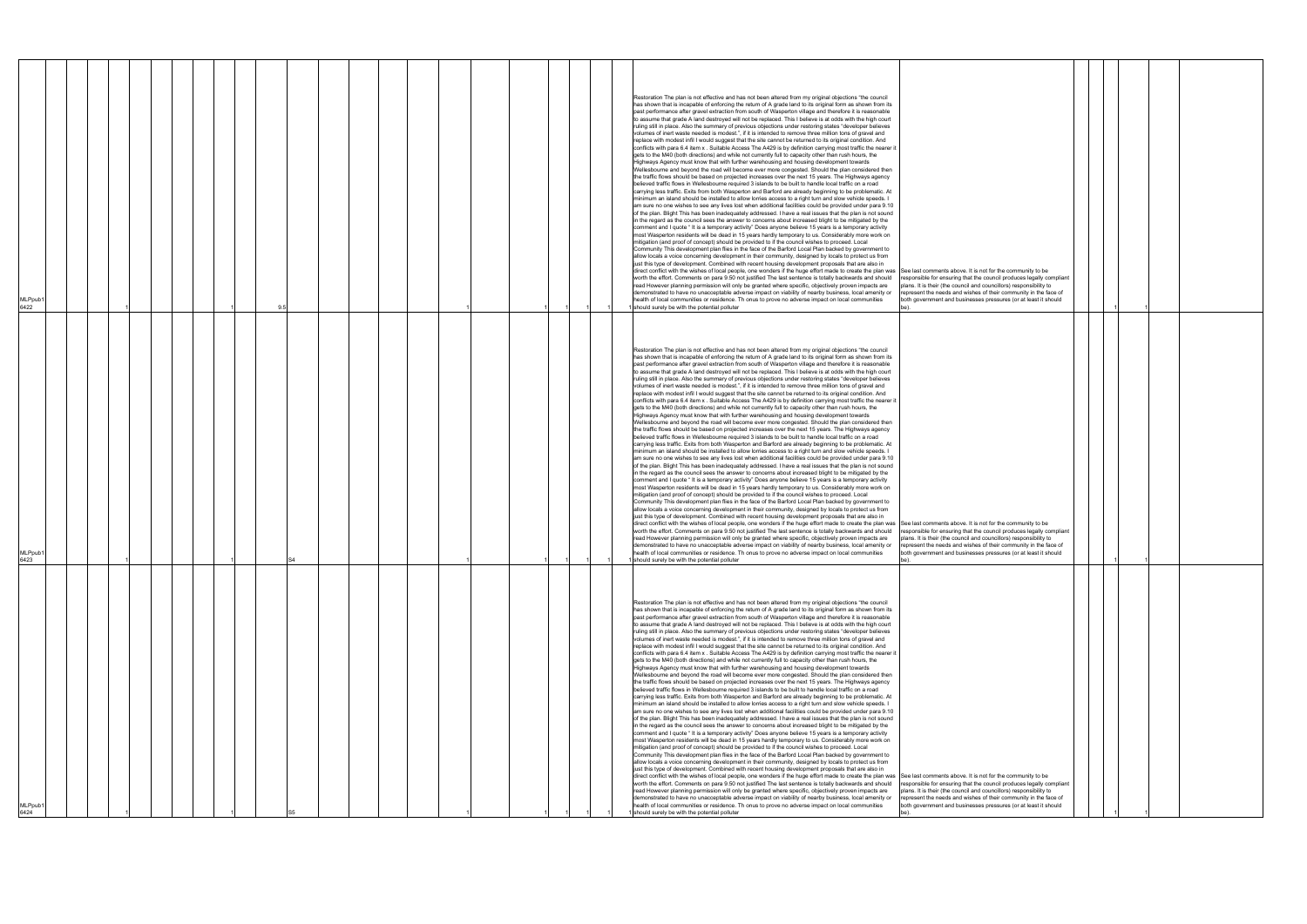|                             |  |  |  | Restoration The plan is not effective and has not been altered from my original objections "the council<br>has shown that is incapable of enforcing the return of A grade land to its original form as shown from its<br>past performance after gravel extraction from south of Wasperton village and therefore it is reasonable<br>to assume that grade A land destroyed will not be replaced. This I believe is at odds with the high court<br>ruling still in place. Also the summary of previous objections under restoring states "developer believes<br>volumes of inert waste needed is modest.", if it is intended to remove three million tons of gravel and<br>replace with modest infil I would suggest that the site cannot be returned to its original condition. And<br>conflicts with para 6.4 item x. Suitable Access The A429 is by definition carrying most traffic the nearer it<br>gets to the M40 (both directions) and while not currently full to capacity other than rush hours, the                                                                                                                                                                                                                                                                                                                                                                                                                                                                                                                                                                                                                                                                                                                                                                                                                                                                                                                                                                                                                                                                                                                                                                                                                                                                                                                                                                                                                                                                                                                                                                                                                                                                                                                                                                                                                                                                                                                                                                                                                                                                                                                                                                                                                                                                                                                                                                                                                         |                                                                                                                                                                                                                                                                                   |  |  |
|-----------------------------|--|--|--|--------------------------------------------------------------------------------------------------------------------------------------------------------------------------------------------------------------------------------------------------------------------------------------------------------------------------------------------------------------------------------------------------------------------------------------------------------------------------------------------------------------------------------------------------------------------------------------------------------------------------------------------------------------------------------------------------------------------------------------------------------------------------------------------------------------------------------------------------------------------------------------------------------------------------------------------------------------------------------------------------------------------------------------------------------------------------------------------------------------------------------------------------------------------------------------------------------------------------------------------------------------------------------------------------------------------------------------------------------------------------------------------------------------------------------------------------------------------------------------------------------------------------------------------------------------------------------------------------------------------------------------------------------------------------------------------------------------------------------------------------------------------------------------------------------------------------------------------------------------------------------------------------------------------------------------------------------------------------------------------------------------------------------------------------------------------------------------------------------------------------------------------------------------------------------------------------------------------------------------------------------------------------------------------------------------------------------------------------------------------------------------------------------------------------------------------------------------------------------------------------------------------------------------------------------------------------------------------------------------------------------------------------------------------------------------------------------------------------------------------------------------------------------------------------------------------------------------------------------------------------------------------------------------------------------------------------------------------------------------------------------------------------------------------------------------------------------------------------------------------------------------------------------------------------------------------------------------------------------------------------------------------------------------------------------------------------------------------------------------------------------------------------------------------------------------|-----------------------------------------------------------------------------------------------------------------------------------------------------------------------------------------------------------------------------------------------------------------------------------|--|--|
| MLPpub1<br>6422             |  |  |  | Highways Agency must know that with further warehousing and housing development towards<br>Wellesbourne and beyond the road will become ever more congested. Should the plan considered then<br>the traffic flows should be based on projected increases over the next 15 years. The Highways agency<br>believed traffic flows in Wellesbourne required 3 islands to be built to handle local traffic on a road<br>carrying less traffic. Exits from both Wasperton and Barford are already beginning to be problematic. At<br>minimum an island should be installed to allow lorries access to a right turn and slow vehicle speeds. I<br>am sure no one wishes to see any lives lost when additional facilities could be provided under para 9.10<br>of the plan. Blight This has been inadequately addressed. I have a real issues that the plan is not sound<br>in the regard as the council sees the answer to concerns about increased blight to be mitigated by the<br>comment and I quote "It is a temporary activity" Does anyone believe 15 years is a temporary activity<br>most Wasperton residents will be dead in 15 years hardly temporary to us. Considerably more work on<br>mitigation (and proof of concept) should be provided to if the council wishes to proceed. Local<br>Community This development plan flies in the face of the Barford Local Plan backed by government to<br>allow locals a voice concerning development in their community, designed by locals to protect us from<br>just this type of development. Combined with recent housing development proposals that are also in<br>direct conflict with the wishes of local people, one wonders if the huge effort made to create the plan was See last comments above. It is not for the community to be<br>worth the effort. Comments on para 9.50 not justified The last sentence is totally backwards and should<br>read However planning permission will only be granted where specific, objectively proven impacts are<br>demonstrated to have no unacceptable adverse impact on viability of nearby business, local amenity or<br>health of local communities or residence. Th onus to prove no adverse impact on local communities<br>I should surely be with the potential polluter                                                                                                                                                                                                                                                                                                                                                                                                                                                                                                                                                                                                                                                                                                                                                                                                                                                                                                                                                                                                                                                                                                                                                     | responsible for ensuring that the council produces legally compliant<br>plans. It is their (the council and councillors) responsibility to<br>represent the needs and wishes of their community in the face of<br>both government and businesses pressures (or at least it should |  |  |
| MLPpub1<br>6423             |  |  |  | Restoration The plan is not effective and has not been altered from my original objections "the council<br>has shown that is incapable of enforcing the return of A grade land to its original form as shown from its<br>past performance after gravel extraction from south of Wasperton village and therefore it is reasonable<br>to assume that grade A land destroyed will not be replaced. This I believe is at odds with the high court<br>ruling still in place. Also the summary of previous objections under restoring states "developer believes<br>volumes of inert waste needed is modest.", if it is intended to remove three million tons of gravel and<br>replace with modest infil I would suggest that the site cannot be returned to its original condition. And<br>conflicts with para 6.4 item x. Suitable Access The A429 is by definition carrying most traffic the nearer it<br>gets to the M40 (both directions) and while not currently full to capacity other than rush hours, the<br>Highways Agency must know that with further warehousing and housing development towards<br>Wellesbourne and beyond the road will become ever more congested. Should the plan considered then<br>the traffic flows should be based on projected increases over the next 15 years. The Highways agency<br>believed traffic flows in Wellesbourne required 3 islands to be built to handle local traffic on a road<br>carrying less traffic. Exits from both Wasperton and Barford are already beginning to be problematic. At<br>minimum an island should be installed to allow lorries access to a right turn and slow vehicle speeds. I<br>am sure no one wishes to see any lives lost when additional facilities could be provided under para 9.10<br>of the plan. Blight This has been inadequately addressed. I have a real issues that the plan is not sound<br>in the regard as the council sees the answer to concerns about increased blight to be mitigated by the<br>comment and I quote "It is a temporary activity" Does anyone believe 15 years is a temporary activity<br>most Wasperton residents will be dead in 15 years hardly temporary to us. Considerably more work on<br>mitigation (and proof of concept) should be provided to if the council wishes to proceed. Local<br>Community This development plan flies in the face of the Barford Local Plan backed by government to<br>allow locals a voice concerning development in their community, designed by locals to protect us from<br>just this type of development. Combined with recent housing development proposals that are also in<br>direct conflict with the wishes of local people, one wonders if the huge effort made to create the plan was See last comments above. It is not for the community to be<br>worth the effort. Comments on para 9.50 not justified The last sentence is totally backwards and should responsible for ensuring that the council produces legally compliant<br>read However planning permission will only be granted where specific, objectively proven impacts are<br>demonstrated to have no unacceptable adverse impact on viability of nearby business, local amenity or represent the needs and wishes of their community in the face of<br>health of local communities or residence. Th onus to prove no adverse impact on local communities<br>should surely be with the potential polluter | plans. It is their (the council and councillors) responsibility to<br>both government and businesses pressures (or at least it should                                                                                                                                             |  |  |
| MLPpub <sup>®</sup><br>6424 |  |  |  | Restoration The plan is not effective and has not been altered from my original objections "the council<br>has shown that is incapable of enforcing the return of A grade land to its original form as shown from its<br>past performance after gravel extraction from south of Wasperton village and therefore it is reasonable<br>to assume that grade A land destroyed will not be replaced. This I believe is at odds with the high court<br>ruling still in place. Also the summary of previous objections under restoring states "developer believes<br>volumes of inert waste needed is modest.", if it is intended to remove three million tons of gravel and<br>replace with modest infil I would suggest that the site cannot be returned to its original condition. And<br>conflicts with para 6.4 item x . Suitable Access The A429 is by definition carrying most traffic the nearer it<br>gets to the M40 (both directions) and while not currently full to capacity other than rush hours, the<br>Highways Agency must know that with further warehousing and housing development towards<br>Wellesbourne and beyond the road will become ever more congested. Should the plan considered then<br>the traffic flows should be based on projected increases over the next 15 years. The Highways agency<br>believed traffic flows in Wellesbourne required 3 islands to be built to handle local traffic on a road<br>carrying less traffic. Exits from both Wasperton and Barford are already beginning to be problematic. At<br>minimum an island should be installed to allow lorries access to a right turn and slow vehicle speeds. I<br>am sure no one wishes to see any lives lost when additional facilities could be provided under para 9.10<br>of the plan. Blight This has been inadequately addressed. I have a real issues that the plan is not sound<br>in the regard as the council sees the answer to concerns about increased blight to be mitigated by the<br>comment and I quote " It is a temporary activity" Does anyone believe 15 years is a temporary activity<br>most Wasperton residents will be dead in 15 years hardly temporary to us. Considerably more work on<br>mitigation (and proof of concept) should be provided to if the council wishes to proceed. Local<br>Community This development plan flies in the face of the Barford Local Plan backed by government to<br>allow locals a voice concerning development in their community, designed by locals to protect us from<br>just this type of development. Combined with recent housing development proposals that are also in<br>direct conflict with the wishes of local people, one wonders if the huge effort made to create the plan was See last comments above. It is not for the community to be<br>worth the effort. Comments on para 9.50 not justified The last sentence is totally backwards and should<br>read However planning permission will only be granted where specific, objectively proven impacts are<br>demonstrated to have no unacceptable adverse impact on viability of nearby business, local amenity or<br>health of local communities or residence. Th onus to prove no adverse impact on local communities<br>should surely be with the potential polluter                                                                                                                                     | responsible for ensuring that the council produces legally compliant<br>plans. It is their (the council and councillors) responsibility to<br>represent the needs and wishes of their community in the face of<br>both government and businesses pressures (or at least it should |  |  |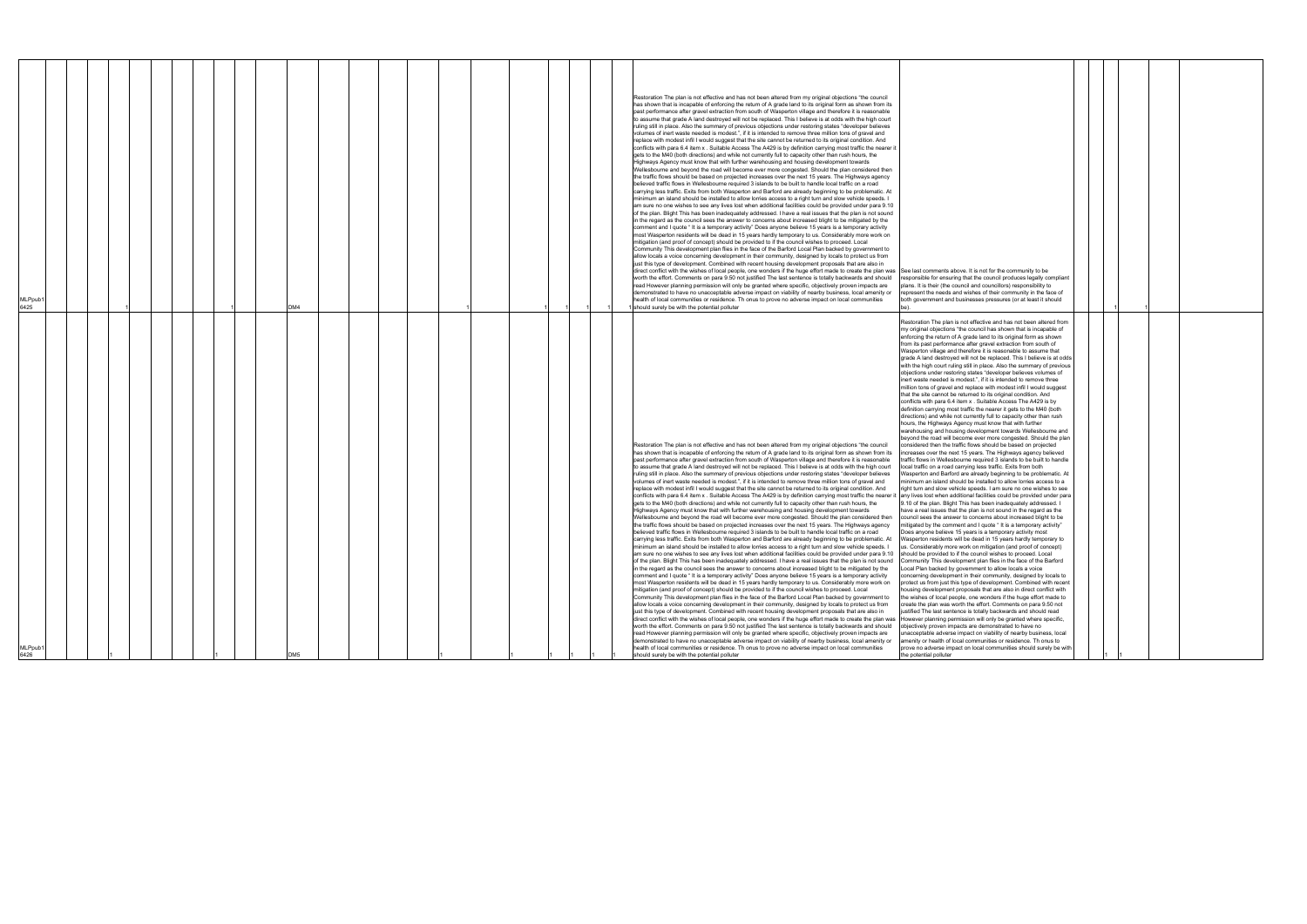| <i><b>ALPpub</b></i><br>6426                                                                                                                                                                                                                                                                                                                                                                                                                                                                                                                                                                                                                                                                                                                                                                                                                                                                                                                                                                                                                                                                                                                                                                                                                                                                                                                                                                                                                                                                                                                                                                                                                                                                                                                                                                                                                                                                                                                                                                                                                                                                                                                                                                                                                                                                                                                                                                                                                                                                                                                                                                                                                                                                                                                                                                                                                                                                                                                                                                                                                                                                                                                                                                                                                                                                                                                                                                                                                                                                                                                                                                                                                                                                                                                                                                                                                                                                                                                                                                                                                                                                                                                                                                                                                                                                                                                                                                                                                                                                                                                                                                                                                                                                                                                                                                                                                                                                                                                                                                                                                                                                                                                                                                                                                                                                                                                                                                                                                                                                                                                                                                                                                                                                                                                                                                                                                                                                                                                                                                                                                                                                                                                                                                                                                                                                                                                                                                                                                                                                                     | <b>MLPpub</b><br>6425                                                                                                                                                                                                                                                                                                                                                                                                                                                                                                                                                                                                                                                                                                                                                                                                                                                                                                                                                                                                                                                                                                                                                                                                                                                                                                                                                                                                                                                                                                                                                                                                                                                                                                                                                                                                                                                                                                                                                                                                                                                                                                                                                                                                                                                                                                                                                                                                                                                                                                                                                                                                                                                                                                                                                                                                                                                                                                                                                                                                                                                                                                                                                                                                                                                                                                                                                                                                                                                                                                                                                                 |
|------------------------------------------------------------------------------------------------------------------------------------------------------------------------------------------------------------------------------------------------------------------------------------------------------------------------------------------------------------------------------------------------------------------------------------------------------------------------------------------------------------------------------------------------------------------------------------------------------------------------------------------------------------------------------------------------------------------------------------------------------------------------------------------------------------------------------------------------------------------------------------------------------------------------------------------------------------------------------------------------------------------------------------------------------------------------------------------------------------------------------------------------------------------------------------------------------------------------------------------------------------------------------------------------------------------------------------------------------------------------------------------------------------------------------------------------------------------------------------------------------------------------------------------------------------------------------------------------------------------------------------------------------------------------------------------------------------------------------------------------------------------------------------------------------------------------------------------------------------------------------------------------------------------------------------------------------------------------------------------------------------------------------------------------------------------------------------------------------------------------------------------------------------------------------------------------------------------------------------------------------------------------------------------------------------------------------------------------------------------------------------------------------------------------------------------------------------------------------------------------------------------------------------------------------------------------------------------------------------------------------------------------------------------------------------------------------------------------------------------------------------------------------------------------------------------------------------------------------------------------------------------------------------------------------------------------------------------------------------------------------------------------------------------------------------------------------------------------------------------------------------------------------------------------------------------------------------------------------------------------------------------------------------------------------------------------------------------------------------------------------------------------------------------------------------------------------------------------------------------------------------------------------------------------------------------------------------------------------------------------------------------------------------------------------------------------------------------------------------------------------------------------------------------------------------------------------------------------------------------------------------------------------------------------------------------------------------------------------------------------------------------------------------------------------------------------------------------------------------------------------------------------------------------------------------------------------------------------------------------------------------------------------------------------------------------------------------------------------------------------------------------------------------------------------------------------------------------------------------------------------------------------------------------------------------------------------------------------------------------------------------------------------------------------------------------------------------------------------------------------------------------------------------------------------------------------------------------------------------------------------------------------------------------------------------------------------------------------------------------------------------------------------------------------------------------------------------------------------------------------------------------------------------------------------------------------------------------------------------------------------------------------------------------------------------------------------------------------------------------------------------------------------------------------------------------------------------------------------------------------------------------------------------------------------------------------------------------------------------------------------------------------------------------------------------------------------------------------------------------------------------------------------------------------------------------------------------------------------------------------------------------------------------------------------------------------------------------------------------------------------------------------------------------------------------------------------------------------------------------------------------------------------------------------------------------------------------------------------------------------------------------------------------------------------------------------------------------------------------------------------------------------------------------------------------------------------------------------------------------------------------------|---------------------------------------------------------------------------------------------------------------------------------------------------------------------------------------------------------------------------------------------------------------------------------------------------------------------------------------------------------------------------------------------------------------------------------------------------------------------------------------------------------------------------------------------------------------------------------------------------------------------------------------------------------------------------------------------------------------------------------------------------------------------------------------------------------------------------------------------------------------------------------------------------------------------------------------------------------------------------------------------------------------------------------------------------------------------------------------------------------------------------------------------------------------------------------------------------------------------------------------------------------------------------------------------------------------------------------------------------------------------------------------------------------------------------------------------------------------------------------------------------------------------------------------------------------------------------------------------------------------------------------------------------------------------------------------------------------------------------------------------------------------------------------------------------------------------------------------------------------------------------------------------------------------------------------------------------------------------------------------------------------------------------------------------------------------------------------------------------------------------------------------------------------------------------------------------------------------------------------------------------------------------------------------------------------------------------------------------------------------------------------------------------------------------------------------------------------------------------------------------------------------------------------------------------------------------------------------------------------------------------------------------------------------------------------------------------------------------------------------------------------------------------------------------------------------------------------------------------------------------------------------------------------------------------------------------------------------------------------------------------------------------------------------------------------------------------------------------------------------------------------------------------------------------------------------------------------------------------------------------------------------------------------------------------------------------------------------------------------------------------------------------------------------------------------------------------------------------------------------------------------------------------------------------------------------------------------------|
|                                                                                                                                                                                                                                                                                                                                                                                                                                                                                                                                                                                                                                                                                                                                                                                                                                                                                                                                                                                                                                                                                                                                                                                                                                                                                                                                                                                                                                                                                                                                                                                                                                                                                                                                                                                                                                                                                                                                                                                                                                                                                                                                                                                                                                                                                                                                                                                                                                                                                                                                                                                                                                                                                                                                                                                                                                                                                                                                                                                                                                                                                                                                                                                                                                                                                                                                                                                                                                                                                                                                                                                                                                                                                                                                                                                                                                                                                                                                                                                                                                                                                                                                                                                                                                                                                                                                                                                                                                                                                                                                                                                                                                                                                                                                                                                                                                                                                                                                                                                                                                                                                                                                                                                                                                                                                                                                                                                                                                                                                                                                                                                                                                                                                                                                                                                                                                                                                                                                                                                                                                                                                                                                                                                                                                                                                                                                                                                                                                                                                                                  |                                                                                                                                                                                                                                                                                                                                                                                                                                                                                                                                                                                                                                                                                                                                                                                                                                                                                                                                                                                                                                                                                                                                                                                                                                                                                                                                                                                                                                                                                                                                                                                                                                                                                                                                                                                                                                                                                                                                                                                                                                                                                                                                                                                                                                                                                                                                                                                                                                                                                                                                                                                                                                                                                                                                                                                                                                                                                                                                                                                                                                                                                                                                                                                                                                                                                                                                                                                                                                                                                                                                                                                       |
|                                                                                                                                                                                                                                                                                                                                                                                                                                                                                                                                                                                                                                                                                                                                                                                                                                                                                                                                                                                                                                                                                                                                                                                                                                                                                                                                                                                                                                                                                                                                                                                                                                                                                                                                                                                                                                                                                                                                                                                                                                                                                                                                                                                                                                                                                                                                                                                                                                                                                                                                                                                                                                                                                                                                                                                                                                                                                                                                                                                                                                                                                                                                                                                                                                                                                                                                                                                                                                                                                                                                                                                                                                                                                                                                                                                                                                                                                                                                                                                                                                                                                                                                                                                                                                                                                                                                                                                                                                                                                                                                                                                                                                                                                                                                                                                                                                                                                                                                                                                                                                                                                                                                                                                                                                                                                                                                                                                                                                                                                                                                                                                                                                                                                                                                                                                                                                                                                                                                                                                                                                                                                                                                                                                                                                                                                                                                                                                                                                                                                                                  |                                                                                                                                                                                                                                                                                                                                                                                                                                                                                                                                                                                                                                                                                                                                                                                                                                                                                                                                                                                                                                                                                                                                                                                                                                                                                                                                                                                                                                                                                                                                                                                                                                                                                                                                                                                                                                                                                                                                                                                                                                                                                                                                                                                                                                                                                                                                                                                                                                                                                                                                                                                                                                                                                                                                                                                                                                                                                                                                                                                                                                                                                                                                                                                                                                                                                                                                                                                                                                                                                                                                                                                       |
|                                                                                                                                                                                                                                                                                                                                                                                                                                                                                                                                                                                                                                                                                                                                                                                                                                                                                                                                                                                                                                                                                                                                                                                                                                                                                                                                                                                                                                                                                                                                                                                                                                                                                                                                                                                                                                                                                                                                                                                                                                                                                                                                                                                                                                                                                                                                                                                                                                                                                                                                                                                                                                                                                                                                                                                                                                                                                                                                                                                                                                                                                                                                                                                                                                                                                                                                                                                                                                                                                                                                                                                                                                                                                                                                                                                                                                                                                                                                                                                                                                                                                                                                                                                                                                                                                                                                                                                                                                                                                                                                                                                                                                                                                                                                                                                                                                                                                                                                                                                                                                                                                                                                                                                                                                                                                                                                                                                                                                                                                                                                                                                                                                                                                                                                                                                                                                                                                                                                                                                                                                                                                                                                                                                                                                                                                                                                                                                                                                                                                                                  |                                                                                                                                                                                                                                                                                                                                                                                                                                                                                                                                                                                                                                                                                                                                                                                                                                                                                                                                                                                                                                                                                                                                                                                                                                                                                                                                                                                                                                                                                                                                                                                                                                                                                                                                                                                                                                                                                                                                                                                                                                                                                                                                                                                                                                                                                                                                                                                                                                                                                                                                                                                                                                                                                                                                                                                                                                                                                                                                                                                                                                                                                                                                                                                                                                                                                                                                                                                                                                                                                                                                                                                       |
|                                                                                                                                                                                                                                                                                                                                                                                                                                                                                                                                                                                                                                                                                                                                                                                                                                                                                                                                                                                                                                                                                                                                                                                                                                                                                                                                                                                                                                                                                                                                                                                                                                                                                                                                                                                                                                                                                                                                                                                                                                                                                                                                                                                                                                                                                                                                                                                                                                                                                                                                                                                                                                                                                                                                                                                                                                                                                                                                                                                                                                                                                                                                                                                                                                                                                                                                                                                                                                                                                                                                                                                                                                                                                                                                                                                                                                                                                                                                                                                                                                                                                                                                                                                                                                                                                                                                                                                                                                                                                                                                                                                                                                                                                                                                                                                                                                                                                                                                                                                                                                                                                                                                                                                                                                                                                                                                                                                                                                                                                                                                                                                                                                                                                                                                                                                                                                                                                                                                                                                                                                                                                                                                                                                                                                                                                                                                                                                                                                                                                                                  |                                                                                                                                                                                                                                                                                                                                                                                                                                                                                                                                                                                                                                                                                                                                                                                                                                                                                                                                                                                                                                                                                                                                                                                                                                                                                                                                                                                                                                                                                                                                                                                                                                                                                                                                                                                                                                                                                                                                                                                                                                                                                                                                                                                                                                                                                                                                                                                                                                                                                                                                                                                                                                                                                                                                                                                                                                                                                                                                                                                                                                                                                                                                                                                                                                                                                                                                                                                                                                                                                                                                                                                       |
|                                                                                                                                                                                                                                                                                                                                                                                                                                                                                                                                                                                                                                                                                                                                                                                                                                                                                                                                                                                                                                                                                                                                                                                                                                                                                                                                                                                                                                                                                                                                                                                                                                                                                                                                                                                                                                                                                                                                                                                                                                                                                                                                                                                                                                                                                                                                                                                                                                                                                                                                                                                                                                                                                                                                                                                                                                                                                                                                                                                                                                                                                                                                                                                                                                                                                                                                                                                                                                                                                                                                                                                                                                                                                                                                                                                                                                                                                                                                                                                                                                                                                                                                                                                                                                                                                                                                                                                                                                                                                                                                                                                                                                                                                                                                                                                                                                                                                                                                                                                                                                                                                                                                                                                                                                                                                                                                                                                                                                                                                                                                                                                                                                                                                                                                                                                                                                                                                                                                                                                                                                                                                                                                                                                                                                                                                                                                                                                                                                                                                                                  |                                                                                                                                                                                                                                                                                                                                                                                                                                                                                                                                                                                                                                                                                                                                                                                                                                                                                                                                                                                                                                                                                                                                                                                                                                                                                                                                                                                                                                                                                                                                                                                                                                                                                                                                                                                                                                                                                                                                                                                                                                                                                                                                                                                                                                                                                                                                                                                                                                                                                                                                                                                                                                                                                                                                                                                                                                                                                                                                                                                                                                                                                                                                                                                                                                                                                                                                                                                                                                                                                                                                                                                       |
|                                                                                                                                                                                                                                                                                                                                                                                                                                                                                                                                                                                                                                                                                                                                                                                                                                                                                                                                                                                                                                                                                                                                                                                                                                                                                                                                                                                                                                                                                                                                                                                                                                                                                                                                                                                                                                                                                                                                                                                                                                                                                                                                                                                                                                                                                                                                                                                                                                                                                                                                                                                                                                                                                                                                                                                                                                                                                                                                                                                                                                                                                                                                                                                                                                                                                                                                                                                                                                                                                                                                                                                                                                                                                                                                                                                                                                                                                                                                                                                                                                                                                                                                                                                                                                                                                                                                                                                                                                                                                                                                                                                                                                                                                                                                                                                                                                                                                                                                                                                                                                                                                                                                                                                                                                                                                                                                                                                                                                                                                                                                                                                                                                                                                                                                                                                                                                                                                                                                                                                                                                                                                                                                                                                                                                                                                                                                                                                                                                                                                                                  |                                                                                                                                                                                                                                                                                                                                                                                                                                                                                                                                                                                                                                                                                                                                                                                                                                                                                                                                                                                                                                                                                                                                                                                                                                                                                                                                                                                                                                                                                                                                                                                                                                                                                                                                                                                                                                                                                                                                                                                                                                                                                                                                                                                                                                                                                                                                                                                                                                                                                                                                                                                                                                                                                                                                                                                                                                                                                                                                                                                                                                                                                                                                                                                                                                                                                                                                                                                                                                                                                                                                                                                       |
|                                                                                                                                                                                                                                                                                                                                                                                                                                                                                                                                                                                                                                                                                                                                                                                                                                                                                                                                                                                                                                                                                                                                                                                                                                                                                                                                                                                                                                                                                                                                                                                                                                                                                                                                                                                                                                                                                                                                                                                                                                                                                                                                                                                                                                                                                                                                                                                                                                                                                                                                                                                                                                                                                                                                                                                                                                                                                                                                                                                                                                                                                                                                                                                                                                                                                                                                                                                                                                                                                                                                                                                                                                                                                                                                                                                                                                                                                                                                                                                                                                                                                                                                                                                                                                                                                                                                                                                                                                                                                                                                                                                                                                                                                                                                                                                                                                                                                                                                                                                                                                                                                                                                                                                                                                                                                                                                                                                                                                                                                                                                                                                                                                                                                                                                                                                                                                                                                                                                                                                                                                                                                                                                                                                                                                                                                                                                                                                                                                                                                                                  |                                                                                                                                                                                                                                                                                                                                                                                                                                                                                                                                                                                                                                                                                                                                                                                                                                                                                                                                                                                                                                                                                                                                                                                                                                                                                                                                                                                                                                                                                                                                                                                                                                                                                                                                                                                                                                                                                                                                                                                                                                                                                                                                                                                                                                                                                                                                                                                                                                                                                                                                                                                                                                                                                                                                                                                                                                                                                                                                                                                                                                                                                                                                                                                                                                                                                                                                                                                                                                                                                                                                                                                       |
|                                                                                                                                                                                                                                                                                                                                                                                                                                                                                                                                                                                                                                                                                                                                                                                                                                                                                                                                                                                                                                                                                                                                                                                                                                                                                                                                                                                                                                                                                                                                                                                                                                                                                                                                                                                                                                                                                                                                                                                                                                                                                                                                                                                                                                                                                                                                                                                                                                                                                                                                                                                                                                                                                                                                                                                                                                                                                                                                                                                                                                                                                                                                                                                                                                                                                                                                                                                                                                                                                                                                                                                                                                                                                                                                                                                                                                                                                                                                                                                                                                                                                                                                                                                                                                                                                                                                                                                                                                                                                                                                                                                                                                                                                                                                                                                                                                                                                                                                                                                                                                                                                                                                                                                                                                                                                                                                                                                                                                                                                                                                                                                                                                                                                                                                                                                                                                                                                                                                                                                                                                                                                                                                                                                                                                                                                                                                                                                                                                                                                                                  |                                                                                                                                                                                                                                                                                                                                                                                                                                                                                                                                                                                                                                                                                                                                                                                                                                                                                                                                                                                                                                                                                                                                                                                                                                                                                                                                                                                                                                                                                                                                                                                                                                                                                                                                                                                                                                                                                                                                                                                                                                                                                                                                                                                                                                                                                                                                                                                                                                                                                                                                                                                                                                                                                                                                                                                                                                                                                                                                                                                                                                                                                                                                                                                                                                                                                                                                                                                                                                                                                                                                                                                       |
|                                                                                                                                                                                                                                                                                                                                                                                                                                                                                                                                                                                                                                                                                                                                                                                                                                                                                                                                                                                                                                                                                                                                                                                                                                                                                                                                                                                                                                                                                                                                                                                                                                                                                                                                                                                                                                                                                                                                                                                                                                                                                                                                                                                                                                                                                                                                                                                                                                                                                                                                                                                                                                                                                                                                                                                                                                                                                                                                                                                                                                                                                                                                                                                                                                                                                                                                                                                                                                                                                                                                                                                                                                                                                                                                                                                                                                                                                                                                                                                                                                                                                                                                                                                                                                                                                                                                                                                                                                                                                                                                                                                                                                                                                                                                                                                                                                                                                                                                                                                                                                                                                                                                                                                                                                                                                                                                                                                                                                                                                                                                                                                                                                                                                                                                                                                                                                                                                                                                                                                                                                                                                                                                                                                                                                                                                                                                                                                                                                                                                                                  | DM4                                                                                                                                                                                                                                                                                                                                                                                                                                                                                                                                                                                                                                                                                                                                                                                                                                                                                                                                                                                                                                                                                                                                                                                                                                                                                                                                                                                                                                                                                                                                                                                                                                                                                                                                                                                                                                                                                                                                                                                                                                                                                                                                                                                                                                                                                                                                                                                                                                                                                                                                                                                                                                                                                                                                                                                                                                                                                                                                                                                                                                                                                                                                                                                                                                                                                                                                                                                                                                                                                                                                                                                   |
|                                                                                                                                                                                                                                                                                                                                                                                                                                                                                                                                                                                                                                                                                                                                                                                                                                                                                                                                                                                                                                                                                                                                                                                                                                                                                                                                                                                                                                                                                                                                                                                                                                                                                                                                                                                                                                                                                                                                                                                                                                                                                                                                                                                                                                                                                                                                                                                                                                                                                                                                                                                                                                                                                                                                                                                                                                                                                                                                                                                                                                                                                                                                                                                                                                                                                                                                                                                                                                                                                                                                                                                                                                                                                                                                                                                                                                                                                                                                                                                                                                                                                                                                                                                                                                                                                                                                                                                                                                                                                                                                                                                                                                                                                                                                                                                                                                                                                                                                                                                                                                                                                                                                                                                                                                                                                                                                                                                                                                                                                                                                                                                                                                                                                                                                                                                                                                                                                                                                                                                                                                                                                                                                                                                                                                                                                                                                                                                                                                                                                                                  |                                                                                                                                                                                                                                                                                                                                                                                                                                                                                                                                                                                                                                                                                                                                                                                                                                                                                                                                                                                                                                                                                                                                                                                                                                                                                                                                                                                                                                                                                                                                                                                                                                                                                                                                                                                                                                                                                                                                                                                                                                                                                                                                                                                                                                                                                                                                                                                                                                                                                                                                                                                                                                                                                                                                                                                                                                                                                                                                                                                                                                                                                                                                                                                                                                                                                                                                                                                                                                                                                                                                                                                       |
|                                                                                                                                                                                                                                                                                                                                                                                                                                                                                                                                                                                                                                                                                                                                                                                                                                                                                                                                                                                                                                                                                                                                                                                                                                                                                                                                                                                                                                                                                                                                                                                                                                                                                                                                                                                                                                                                                                                                                                                                                                                                                                                                                                                                                                                                                                                                                                                                                                                                                                                                                                                                                                                                                                                                                                                                                                                                                                                                                                                                                                                                                                                                                                                                                                                                                                                                                                                                                                                                                                                                                                                                                                                                                                                                                                                                                                                                                                                                                                                                                                                                                                                                                                                                                                                                                                                                                                                                                                                                                                                                                                                                                                                                                                                                                                                                                                                                                                                                                                                                                                                                                                                                                                                                                                                                                                                                                                                                                                                                                                                                                                                                                                                                                                                                                                                                                                                                                                                                                                                                                                                                                                                                                                                                                                                                                                                                                                                                                                                                                                                  |                                                                                                                                                                                                                                                                                                                                                                                                                                                                                                                                                                                                                                                                                                                                                                                                                                                                                                                                                                                                                                                                                                                                                                                                                                                                                                                                                                                                                                                                                                                                                                                                                                                                                                                                                                                                                                                                                                                                                                                                                                                                                                                                                                                                                                                                                                                                                                                                                                                                                                                                                                                                                                                                                                                                                                                                                                                                                                                                                                                                                                                                                                                                                                                                                                                                                                                                                                                                                                                                                                                                                                                       |
|                                                                                                                                                                                                                                                                                                                                                                                                                                                                                                                                                                                                                                                                                                                                                                                                                                                                                                                                                                                                                                                                                                                                                                                                                                                                                                                                                                                                                                                                                                                                                                                                                                                                                                                                                                                                                                                                                                                                                                                                                                                                                                                                                                                                                                                                                                                                                                                                                                                                                                                                                                                                                                                                                                                                                                                                                                                                                                                                                                                                                                                                                                                                                                                                                                                                                                                                                                                                                                                                                                                                                                                                                                                                                                                                                                                                                                                                                                                                                                                                                                                                                                                                                                                                                                                                                                                                                                                                                                                                                                                                                                                                                                                                                                                                                                                                                                                                                                                                                                                                                                                                                                                                                                                                                                                                                                                                                                                                                                                                                                                                                                                                                                                                                                                                                                                                                                                                                                                                                                                                                                                                                                                                                                                                                                                                                                                                                                                                                                                                                                                  |                                                                                                                                                                                                                                                                                                                                                                                                                                                                                                                                                                                                                                                                                                                                                                                                                                                                                                                                                                                                                                                                                                                                                                                                                                                                                                                                                                                                                                                                                                                                                                                                                                                                                                                                                                                                                                                                                                                                                                                                                                                                                                                                                                                                                                                                                                                                                                                                                                                                                                                                                                                                                                                                                                                                                                                                                                                                                                                                                                                                                                                                                                                                                                                                                                                                                                                                                                                                                                                                                                                                                                                       |
|                                                                                                                                                                                                                                                                                                                                                                                                                                                                                                                                                                                                                                                                                                                                                                                                                                                                                                                                                                                                                                                                                                                                                                                                                                                                                                                                                                                                                                                                                                                                                                                                                                                                                                                                                                                                                                                                                                                                                                                                                                                                                                                                                                                                                                                                                                                                                                                                                                                                                                                                                                                                                                                                                                                                                                                                                                                                                                                                                                                                                                                                                                                                                                                                                                                                                                                                                                                                                                                                                                                                                                                                                                                                                                                                                                                                                                                                                                                                                                                                                                                                                                                                                                                                                                                                                                                                                                                                                                                                                                                                                                                                                                                                                                                                                                                                                                                                                                                                                                                                                                                                                                                                                                                                                                                                                                                                                                                                                                                                                                                                                                                                                                                                                                                                                                                                                                                                                                                                                                                                                                                                                                                                                                                                                                                                                                                                                                                                                                                                                                                  |                                                                                                                                                                                                                                                                                                                                                                                                                                                                                                                                                                                                                                                                                                                                                                                                                                                                                                                                                                                                                                                                                                                                                                                                                                                                                                                                                                                                                                                                                                                                                                                                                                                                                                                                                                                                                                                                                                                                                                                                                                                                                                                                                                                                                                                                                                                                                                                                                                                                                                                                                                                                                                                                                                                                                                                                                                                                                                                                                                                                                                                                                                                                                                                                                                                                                                                                                                                                                                                                                                                                                                                       |
|                                                                                                                                                                                                                                                                                                                                                                                                                                                                                                                                                                                                                                                                                                                                                                                                                                                                                                                                                                                                                                                                                                                                                                                                                                                                                                                                                                                                                                                                                                                                                                                                                                                                                                                                                                                                                                                                                                                                                                                                                                                                                                                                                                                                                                                                                                                                                                                                                                                                                                                                                                                                                                                                                                                                                                                                                                                                                                                                                                                                                                                                                                                                                                                                                                                                                                                                                                                                                                                                                                                                                                                                                                                                                                                                                                                                                                                                                                                                                                                                                                                                                                                                                                                                                                                                                                                                                                                                                                                                                                                                                                                                                                                                                                                                                                                                                                                                                                                                                                                                                                                                                                                                                                                                                                                                                                                                                                                                                                                                                                                                                                                                                                                                                                                                                                                                                                                                                                                                                                                                                                                                                                                                                                                                                                                                                                                                                                                                                                                                                                                  |                                                                                                                                                                                                                                                                                                                                                                                                                                                                                                                                                                                                                                                                                                                                                                                                                                                                                                                                                                                                                                                                                                                                                                                                                                                                                                                                                                                                                                                                                                                                                                                                                                                                                                                                                                                                                                                                                                                                                                                                                                                                                                                                                                                                                                                                                                                                                                                                                                                                                                                                                                                                                                                                                                                                                                                                                                                                                                                                                                                                                                                                                                                                                                                                                                                                                                                                                                                                                                                                                                                                                                                       |
|                                                                                                                                                                                                                                                                                                                                                                                                                                                                                                                                                                                                                                                                                                                                                                                                                                                                                                                                                                                                                                                                                                                                                                                                                                                                                                                                                                                                                                                                                                                                                                                                                                                                                                                                                                                                                                                                                                                                                                                                                                                                                                                                                                                                                                                                                                                                                                                                                                                                                                                                                                                                                                                                                                                                                                                                                                                                                                                                                                                                                                                                                                                                                                                                                                                                                                                                                                                                                                                                                                                                                                                                                                                                                                                                                                                                                                                                                                                                                                                                                                                                                                                                                                                                                                                                                                                                                                                                                                                                                                                                                                                                                                                                                                                                                                                                                                                                                                                                                                                                                                                                                                                                                                                                                                                                                                                                                                                                                                                                                                                                                                                                                                                                                                                                                                                                                                                                                                                                                                                                                                                                                                                                                                                                                                                                                                                                                                                                                                                                                                                  |                                                                                                                                                                                                                                                                                                                                                                                                                                                                                                                                                                                                                                                                                                                                                                                                                                                                                                                                                                                                                                                                                                                                                                                                                                                                                                                                                                                                                                                                                                                                                                                                                                                                                                                                                                                                                                                                                                                                                                                                                                                                                                                                                                                                                                                                                                                                                                                                                                                                                                                                                                                                                                                                                                                                                                                                                                                                                                                                                                                                                                                                                                                                                                                                                                                                                                                                                                                                                                                                                                                                                                                       |
|                                                                                                                                                                                                                                                                                                                                                                                                                                                                                                                                                                                                                                                                                                                                                                                                                                                                                                                                                                                                                                                                                                                                                                                                                                                                                                                                                                                                                                                                                                                                                                                                                                                                                                                                                                                                                                                                                                                                                                                                                                                                                                                                                                                                                                                                                                                                                                                                                                                                                                                                                                                                                                                                                                                                                                                                                                                                                                                                                                                                                                                                                                                                                                                                                                                                                                                                                                                                                                                                                                                                                                                                                                                                                                                                                                                                                                                                                                                                                                                                                                                                                                                                                                                                                                                                                                                                                                                                                                                                                                                                                                                                                                                                                                                                                                                                                                                                                                                                                                                                                                                                                                                                                                                                                                                                                                                                                                                                                                                                                                                                                                                                                                                                                                                                                                                                                                                                                                                                                                                                                                                                                                                                                                                                                                                                                                                                                                                                                                                                                                                  |                                                                                                                                                                                                                                                                                                                                                                                                                                                                                                                                                                                                                                                                                                                                                                                                                                                                                                                                                                                                                                                                                                                                                                                                                                                                                                                                                                                                                                                                                                                                                                                                                                                                                                                                                                                                                                                                                                                                                                                                                                                                                                                                                                                                                                                                                                                                                                                                                                                                                                                                                                                                                                                                                                                                                                                                                                                                                                                                                                                                                                                                                                                                                                                                                                                                                                                                                                                                                                                                                                                                                                                       |
|                                                                                                                                                                                                                                                                                                                                                                                                                                                                                                                                                                                                                                                                                                                                                                                                                                                                                                                                                                                                                                                                                                                                                                                                                                                                                                                                                                                                                                                                                                                                                                                                                                                                                                                                                                                                                                                                                                                                                                                                                                                                                                                                                                                                                                                                                                                                                                                                                                                                                                                                                                                                                                                                                                                                                                                                                                                                                                                                                                                                                                                                                                                                                                                                                                                                                                                                                                                                                                                                                                                                                                                                                                                                                                                                                                                                                                                                                                                                                                                                                                                                                                                                                                                                                                                                                                                                                                                                                                                                                                                                                                                                                                                                                                                                                                                                                                                                                                                                                                                                                                                                                                                                                                                                                                                                                                                                                                                                                                                                                                                                                                                                                                                                                                                                                                                                                                                                                                                                                                                                                                                                                                                                                                                                                                                                                                                                                                                                                                                                                                                  |                                                                                                                                                                                                                                                                                                                                                                                                                                                                                                                                                                                                                                                                                                                                                                                                                                                                                                                                                                                                                                                                                                                                                                                                                                                                                                                                                                                                                                                                                                                                                                                                                                                                                                                                                                                                                                                                                                                                                                                                                                                                                                                                                                                                                                                                                                                                                                                                                                                                                                                                                                                                                                                                                                                                                                                                                                                                                                                                                                                                                                                                                                                                                                                                                                                                                                                                                                                                                                                                                                                                                                                       |
|                                                                                                                                                                                                                                                                                                                                                                                                                                                                                                                                                                                                                                                                                                                                                                                                                                                                                                                                                                                                                                                                                                                                                                                                                                                                                                                                                                                                                                                                                                                                                                                                                                                                                                                                                                                                                                                                                                                                                                                                                                                                                                                                                                                                                                                                                                                                                                                                                                                                                                                                                                                                                                                                                                                                                                                                                                                                                                                                                                                                                                                                                                                                                                                                                                                                                                                                                                                                                                                                                                                                                                                                                                                                                                                                                                                                                                                                                                                                                                                                                                                                                                                                                                                                                                                                                                                                                                                                                                                                                                                                                                                                                                                                                                                                                                                                                                                                                                                                                                                                                                                                                                                                                                                                                                                                                                                                                                                                                                                                                                                                                                                                                                                                                                                                                                                                                                                                                                                                                                                                                                                                                                                                                                                                                                                                                                                                                                                                                                                                                                                  |                                                                                                                                                                                                                                                                                                                                                                                                                                                                                                                                                                                                                                                                                                                                                                                                                                                                                                                                                                                                                                                                                                                                                                                                                                                                                                                                                                                                                                                                                                                                                                                                                                                                                                                                                                                                                                                                                                                                                                                                                                                                                                                                                                                                                                                                                                                                                                                                                                                                                                                                                                                                                                                                                                                                                                                                                                                                                                                                                                                                                                                                                                                                                                                                                                                                                                                                                                                                                                                                                                                                                                                       |
|                                                                                                                                                                                                                                                                                                                                                                                                                                                                                                                                                                                                                                                                                                                                                                                                                                                                                                                                                                                                                                                                                                                                                                                                                                                                                                                                                                                                                                                                                                                                                                                                                                                                                                                                                                                                                                                                                                                                                                                                                                                                                                                                                                                                                                                                                                                                                                                                                                                                                                                                                                                                                                                                                                                                                                                                                                                                                                                                                                                                                                                                                                                                                                                                                                                                                                                                                                                                                                                                                                                                                                                                                                                                                                                                                                                                                                                                                                                                                                                                                                                                                                                                                                                                                                                                                                                                                                                                                                                                                                                                                                                                                                                                                                                                                                                                                                                                                                                                                                                                                                                                                                                                                                                                                                                                                                                                                                                                                                                                                                                                                                                                                                                                                                                                                                                                                                                                                                                                                                                                                                                                                                                                                                                                                                                                                                                                                                                                                                                                                                                  |                                                                                                                                                                                                                                                                                                                                                                                                                                                                                                                                                                                                                                                                                                                                                                                                                                                                                                                                                                                                                                                                                                                                                                                                                                                                                                                                                                                                                                                                                                                                                                                                                                                                                                                                                                                                                                                                                                                                                                                                                                                                                                                                                                                                                                                                                                                                                                                                                                                                                                                                                                                                                                                                                                                                                                                                                                                                                                                                                                                                                                                                                                                                                                                                                                                                                                                                                                                                                                                                                                                                                                                       |
|                                                                                                                                                                                                                                                                                                                                                                                                                                                                                                                                                                                                                                                                                                                                                                                                                                                                                                                                                                                                                                                                                                                                                                                                                                                                                                                                                                                                                                                                                                                                                                                                                                                                                                                                                                                                                                                                                                                                                                                                                                                                                                                                                                                                                                                                                                                                                                                                                                                                                                                                                                                                                                                                                                                                                                                                                                                                                                                                                                                                                                                                                                                                                                                                                                                                                                                                                                                                                                                                                                                                                                                                                                                                                                                                                                                                                                                                                                                                                                                                                                                                                                                                                                                                                                                                                                                                                                                                                                                                                                                                                                                                                                                                                                                                                                                                                                                                                                                                                                                                                                                                                                                                                                                                                                                                                                                                                                                                                                                                                                                                                                                                                                                                                                                                                                                                                                                                                                                                                                                                                                                                                                                                                                                                                                                                                                                                                                                                                                                                                                                  |                                                                                                                                                                                                                                                                                                                                                                                                                                                                                                                                                                                                                                                                                                                                                                                                                                                                                                                                                                                                                                                                                                                                                                                                                                                                                                                                                                                                                                                                                                                                                                                                                                                                                                                                                                                                                                                                                                                                                                                                                                                                                                                                                                                                                                                                                                                                                                                                                                                                                                                                                                                                                                                                                                                                                                                                                                                                                                                                                                                                                                                                                                                                                                                                                                                                                                                                                                                                                                                                                                                                                                                       |
| Restoration The plan is not effective and has not been altered from<br>my original objections "the council has shown that is incapable of<br>enforcing the return of A grade land to its original form as shown<br>from its past performance after gravel extraction from south of<br>Wasperton village and therefore it is reasonable to assume that<br>grade A land destroyed will not be replaced. This I believe is at odds<br>with the high court ruling still in place. Also the summary of previous<br>objections under restoring states "developer believes volumes of<br>inert waste needed is modest.", if it is intended to remove three<br>million tons of gravel and replace with modest infil I would suggest<br>that the site cannot be returned to its original condition. And<br>conflicts with para 6.4 item x. Suitable Access The A429 is by<br>definition carrying most traffic the nearer it gets to the M40 (both<br>directions) and while not currently full to capacity other than rush<br>hours, the Highways Agency must know that with further<br>warehousing and housing development towards Wellesbourne and<br>beyond the road will become ever more congested. Should the plan<br>Restoration The plan is not effective and has not been altered from my original objections "the council<br>considered then the traffic flows should be based on projected<br>has shown that is incapable of enforcing the return of A grade land to its original form as shown from its<br>increases over the next 15 years. The Highways agency believed<br>past performance after gravel extraction from south of Wasperton village and therefore it is reasonable<br>traffic flows in Wellesbourne required 3 islands to be built to handle<br>to assume that grade A land destroyed will not be replaced. This I believe is at odds with the high court<br>local traffic on a road carrying less traffic. Exits from both<br>ruling still in place. Also the summary of previous objections under restoring states "developer believes<br>Wasperton and Barford are already beginning to be problematic. At<br>volumes of inert waste needed is modest.", if it is intended to remove three million tons of gravel and<br>minimum an island should be installed to allow lorries access to a<br>replace with modest infil I would suggest that the site cannot be returned to its original condition. And<br>right turn and slow vehicle speeds. I am sure no one wishes to see<br>conflicts with para 6.4 item x. Suitable Access The A429 is by definition carrying most traffic the nearer it any lives lost when additional facilities could be provided under para<br>gets to the M40 (both directions) and while not currently full to capacity other than rush hours, the<br>9.10 of the plan. Blight This has been inadequately addressed. I<br>Highways Agency must know that with further warehousing and housing development towards<br>have a real issues that the plan is not sound in the regard as the<br>Wellesbourne and beyond the road will become ever more congested. Should the plan considered then<br>council sees the answer to concerns about increased blight to be<br>the traffic flows should be based on projected increases over the next 15 years. The Highways agency<br>mitigated by the comment and I quote "It is a temporary activity"<br>believed traffic flows in Wellesbourne required 3 islands to be built to handle local traffic on a road<br>Does anyone believe 15 years is a temporary activity most<br>carrying less traffic. Exits from both Wasperton and Barford are already beginning to be problematic. At<br>Wasperton residents will be dead in 15 years hardly temporary to<br>Iminimum an island should be installed to allow lorries access to a right turn and slow vehicle speeds. I<br>us. Considerably more work on mitigation (and proof of concept)<br>am sure no one wishes to see any lives lost when additional facilities could be provided under para 9.10 should be provided to if the council wishes to proceed. Local<br>of the plan. Blight This has been inadequately addressed. I have a real issues that the plan is not sound Community This development plan flies in the face of the Barford<br>in the regard as the council sees the answer to concerns about increased blight to be mitigated by the<br>Local Plan backed by government to allow locals a voice<br>comment and I quote " It is a temporary activity" Does anyone believe 15 years is a temporary activity<br>concerning development in their community, designed by locals to<br>most Wasperton residents will be dead in 15 years hardly temporary to us. Considerably more work on<br>protect us from just this type of development. Combined with recent<br>mitigation (and proof of concept) should be provided to if the council wishes to proceed. Local<br>housing development proposals that are also in direct conflict with<br>Community This development plan flies in the face of the Barford Local Plan backed by government to<br>the wishes of local people, one wonders if the huge effort made to<br>allow locals a voice concerning development in their community, designed by locals to protect us from<br>create the plan was worth the effort. Comments on para 9.50 not<br>just this type of development. Combined with recent housing development proposals that are also in<br>justified The last sentence is totally backwards and should read<br>direct conflict with the wishes of local people, one wonders if the huge effort made to create the plan was However planning permission will only be granted where specific,<br>worth the effort. Comments on para 9.50 not justified The last sentence is totally backwards and should objectively proven impacts are demonstrated to have no<br>read However planning permission will only be granted where specific, objectively proven impacts are<br>unacceptable adverse impact on viability of nearby business, local<br>demonstrated to have no unacceptable adverse impact on viability of nearby business, local amenity or<br>amenity or health of local communities or residence. Th onus to<br>health of local communities or residence. Th onus to prove no adverse impact on local communities<br>prove no adverse impact on local communities should surely be with<br>should surely be with the potential polluter<br>the potential polluter | Restoration The plan is not effective and has not been altered from my original objections "the council<br>has shown that is incapable of enforcing the return of A grade land to its original form as shown from its<br>past performance after gravel extraction from south of Wasperton village and therefore it is reasonable<br>to assume that grade A land destroyed will not be replaced. This I believe is at odds with the high court<br>ruling still in place. Also the summary of previous objections under restoring states "developer believes<br>volumes of inert waste needed is modest.", if it is intended to remove three million tons of gravel and<br>replace with modest infil I would suggest that the site cannot be returned to its original condition. And<br>conflicts with para 6.4 item x. Suitable Access The A429 is by definition carrying most traffic the nearer it<br>gets to the M40 (both directions) and while not currently full to capacity other than rush hours, the<br>Highways Agency must know that with further warehousing and housing development towards<br>Wellesbourne and beyond the road will become ever more congested. Should the plan considered then<br>the traffic flows should be based on projected increases over the next 15 years. The Highways agency<br>believed traffic flows in Wellesbourne required 3 islands to be built to handle local traffic on a road<br>carrying less traffic. Exits from both Wasperton and Barford are already beginning to be problematic. At<br>minimum an island should be installed to allow lorries access to a right turn and slow vehicle speeds. I<br>am sure no one wishes to see any lives lost when additional facilities could be provided under para 9.10<br>of the plan. Blight This has been inadequately addressed. I have a real issues that the plan is not sound<br>in the regard as the council sees the answer to concerns about increased blight to be mitigated by the<br>comment and I quote "It is a temporary activity" Does anyone believe 15 years is a temporary activity<br>most Wasperton residents will be dead in 15 years hardly temporary to us. Considerably more work on<br>mitigation (and proof of concept) should be provided to if the council wishes to proceed. Local<br>Community This development plan flies in the face of the Barford Local Plan backed by government to<br>allow locals a voice concerning development in their community, designed by locals to protect us from<br>just this type of development. Combined with recent housing development proposals that are also in<br>direct conflict with the wishes of local people, one wonders if the huge effort made to create the plan was See last comments above. It is not for the community to be<br>worth the effort. Comments on para 9.50 not justified The last sentence is totally backwards and should<br>responsible for ensuring that the council produces legally compliant<br>read However planning permission will only be granted where specific, objectively proven impacts are<br>plans. It is their (the council and councillors) responsibility to<br>demonstrated to have no unacceptable adverse impact on viability of nearby business, local amenity or<br>represent the needs and wishes of their community in the face of<br>health of local communities or residence. Th onus to prove no adverse impact on local communities<br>both government and businesses pressures (or at least it should<br>1 should surely be with the potential polluter |
|                                                                                                                                                                                                                                                                                                                                                                                                                                                                                                                                                                                                                                                                                                                                                                                                                                                                                                                                                                                                                                                                                                                                                                                                                                                                                                                                                                                                                                                                                                                                                                                                                                                                                                                                                                                                                                                                                                                                                                                                                                                                                                                                                                                                                                                                                                                                                                                                                                                                                                                                                                                                                                                                                                                                                                                                                                                                                                                                                                                                                                                                                                                                                                                                                                                                                                                                                                                                                                                                                                                                                                                                                                                                                                                                                                                                                                                                                                                                                                                                                                                                                                                                                                                                                                                                                                                                                                                                                                                                                                                                                                                                                                                                                                                                                                                                                                                                                                                                                                                                                                                                                                                                                                                                                                                                                                                                                                                                                                                                                                                                                                                                                                                                                                                                                                                                                                                                                                                                                                                                                                                                                                                                                                                                                                                                                                                                                                                                                                                                                                                  |                                                                                                                                                                                                                                                                                                                                                                                                                                                                                                                                                                                                                                                                                                                                                                                                                                                                                                                                                                                                                                                                                                                                                                                                                                                                                                                                                                                                                                                                                                                                                                                                                                                                                                                                                                                                                                                                                                                                                                                                                                                                                                                                                                                                                                                                                                                                                                                                                                                                                                                                                                                                                                                                                                                                                                                                                                                                                                                                                                                                                                                                                                                                                                                                                                                                                                                                                                                                                                                                                                                                                                                       |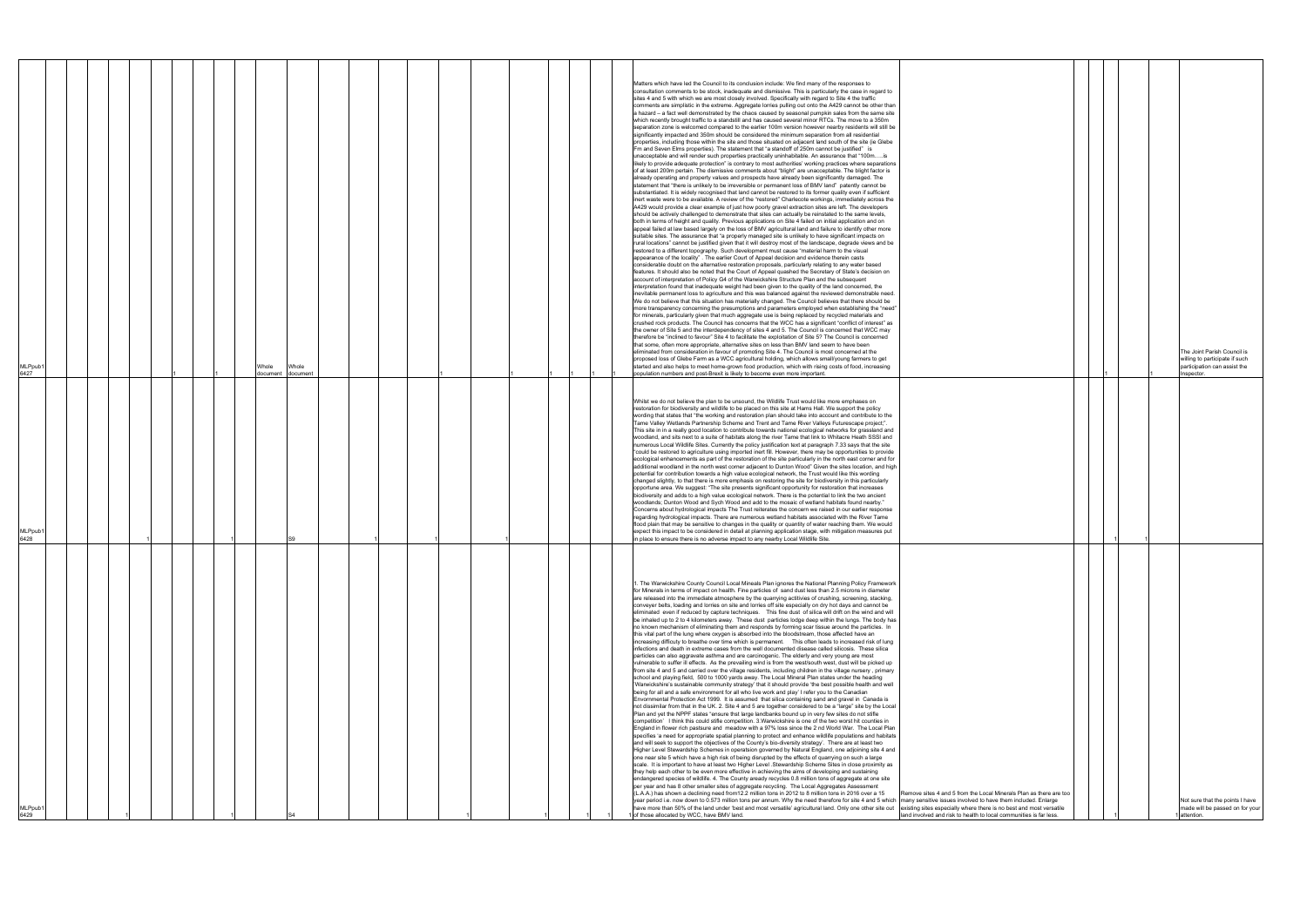| MLPpub1<br>6429                                                                                                                                                                                                                                                                                                                                                                                                                                                                                                                                                                                                                                                                                                                                                                                                                                                                                                                                                                                                                                                                                                                                                                                                                                                                                                                                                                                                                                                                                                                                                                                                                                                                                                                                                                                                                                                                                                                                                                                                                                                                                                                                                                                                                                                                                                                                                                                                                                                                                                                                                                                                                                                                                                                                                                                                                                                                                                                                                                                                                                                                                                                                                                                                                                                                                                                                                                                                                                                                                                                                                                               | MLPpub1<br>6428                                                                                                                                                                                                                                                                                                                                                                                                                                                                                                                                                                                                                                                                                                                                                                                                                                                                                                                                                                                                                                                                                                                                                                                                                                                                                                                                                                                                                                                                                                                                                                                                                                                                                                                                                                                                                                                                                                                                                                                                                                                                                                                                                                           | MLPpub1<br>6427                                                                                                                                                                                                                                                                                                                                                                                                                                                                                                                                                                                                                                                                                                                                                                                                                                                                                                                                                                                                                                                                                                                                                                                                                                                                                                                                                                                                                                                                                                                                                                                                                                                                                                                                                                                                                                                                                                                                                                                                                                                                                                                                                                                                                                                                                                                                                                                                                                                                                                                                                                                                                                                                                                                                                                                                                                                                                                                                                                                                                                                                                                                                                                                                                                                                                                                                                                                                                                                                                                                                                                                                                                                                                                                                                                                                                                                                                                                                                                                                                                                                                                                                                                                                                                                                                                                                                                                                                      |
|-----------------------------------------------------------------------------------------------------------------------------------------------------------------------------------------------------------------------------------------------------------------------------------------------------------------------------------------------------------------------------------------------------------------------------------------------------------------------------------------------------------------------------------------------------------------------------------------------------------------------------------------------------------------------------------------------------------------------------------------------------------------------------------------------------------------------------------------------------------------------------------------------------------------------------------------------------------------------------------------------------------------------------------------------------------------------------------------------------------------------------------------------------------------------------------------------------------------------------------------------------------------------------------------------------------------------------------------------------------------------------------------------------------------------------------------------------------------------------------------------------------------------------------------------------------------------------------------------------------------------------------------------------------------------------------------------------------------------------------------------------------------------------------------------------------------------------------------------------------------------------------------------------------------------------------------------------------------------------------------------------------------------------------------------------------------------------------------------------------------------------------------------------------------------------------------------------------------------------------------------------------------------------------------------------------------------------------------------------------------------------------------------------------------------------------------------------------------------------------------------------------------------------------------------------------------------------------------------------------------------------------------------------------------------------------------------------------------------------------------------------------------------------------------------------------------------------------------------------------------------------------------------------------------------------------------------------------------------------------------------------------------------------------------------------------------------------------------------------------------------------------------------------------------------------------------------------------------------------------------------------------------------------------------------------------------------------------------------------------------------------------------------------------------------------------------------------------------------------------------------------------------------------------------------------------------------------------------------|-------------------------------------------------------------------------------------------------------------------------------------------------------------------------------------------------------------------------------------------------------------------------------------------------------------------------------------------------------------------------------------------------------------------------------------------------------------------------------------------------------------------------------------------------------------------------------------------------------------------------------------------------------------------------------------------------------------------------------------------------------------------------------------------------------------------------------------------------------------------------------------------------------------------------------------------------------------------------------------------------------------------------------------------------------------------------------------------------------------------------------------------------------------------------------------------------------------------------------------------------------------------------------------------------------------------------------------------------------------------------------------------------------------------------------------------------------------------------------------------------------------------------------------------------------------------------------------------------------------------------------------------------------------------------------------------------------------------------------------------------------------------------------------------------------------------------------------------------------------------------------------------------------------------------------------------------------------------------------------------------------------------------------------------------------------------------------------------------------------------------------------------------------------------------------------------|--------------------------------------------------------------------------------------------------------------------------------------------------------------------------------------------------------------------------------------------------------------------------------------------------------------------------------------------------------------------------------------------------------------------------------------------------------------------------------------------------------------------------------------------------------------------------------------------------------------------------------------------------------------------------------------------------------------------------------------------------------------------------------------------------------------------------------------------------------------------------------------------------------------------------------------------------------------------------------------------------------------------------------------------------------------------------------------------------------------------------------------------------------------------------------------------------------------------------------------------------------------------------------------------------------------------------------------------------------------------------------------------------------------------------------------------------------------------------------------------------------------------------------------------------------------------------------------------------------------------------------------------------------------------------------------------------------------------------------------------------------------------------------------------------------------------------------------------------------------------------------------------------------------------------------------------------------------------------------------------------------------------------------------------------------------------------------------------------------------------------------------------------------------------------------------------------------------------------------------------------------------------------------------------------------------------------------------------------------------------------------------------------------------------------------------------------------------------------------------------------------------------------------------------------------------------------------------------------------------------------------------------------------------------------------------------------------------------------------------------------------------------------------------------------------------------------------------------------------------------------------------------------------------------------------------------------------------------------------------------------------------------------------------------------------------------------------------------------------------------------------------------------------------------------------------------------------------------------------------------------------------------------------------------------------------------------------------------------------------------------------------------------------------------------------------------------------------------------------------------------------------------------------------------------------------------------------------------------------------------------------------------------------------------------------------------------------------------------------------------------------------------------------------------------------------------------------------------------------------------------------------------------------------------------------------------------------------------------------------------------------------------------------------------------------------------------------------------------------------------------------------------------------------------------------------------------------------------------------------------------------------------------------------------------------------------------------------------------------------------------------------------------------------------------------------|
|                                                                                                                                                                                                                                                                                                                                                                                                                                                                                                                                                                                                                                                                                                                                                                                                                                                                                                                                                                                                                                                                                                                                                                                                                                                                                                                                                                                                                                                                                                                                                                                                                                                                                                                                                                                                                                                                                                                                                                                                                                                                                                                                                                                                                                                                                                                                                                                                                                                                                                                                                                                                                                                                                                                                                                                                                                                                                                                                                                                                                                                                                                                                                                                                                                                                                                                                                                                                                                                                                                                                                                                               |                                                                                                                                                                                                                                                                                                                                                                                                                                                                                                                                                                                                                                                                                                                                                                                                                                                                                                                                                                                                                                                                                                                                                                                                                                                                                                                                                                                                                                                                                                                                                                                                                                                                                                                                                                                                                                                                                                                                                                                                                                                                                                                                                                                           |                                                                                                                                                                                                                                                                                                                                                                                                                                                                                                                                                                                                                                                                                                                                                                                                                                                                                                                                                                                                                                                                                                                                                                                                                                                                                                                                                                                                                                                                                                                                                                                                                                                                                                                                                                                                                                                                                                                                                                                                                                                                                                                                                                                                                                                                                                                                                                                                                                                                                                                                                                                                                                                                                                                                                                                                                                                                                                                                                                                                                                                                                                                                                                                                                                                                                                                                                                                                                                                                                                                                                                                                                                                                                                                                                                                                                                                                                                                                                                                                                                                                                                                                                                                                                                                                                                                                                                                                                                      |
|                                                                                                                                                                                                                                                                                                                                                                                                                                                                                                                                                                                                                                                                                                                                                                                                                                                                                                                                                                                                                                                                                                                                                                                                                                                                                                                                                                                                                                                                                                                                                                                                                                                                                                                                                                                                                                                                                                                                                                                                                                                                                                                                                                                                                                                                                                                                                                                                                                                                                                                                                                                                                                                                                                                                                                                                                                                                                                                                                                                                                                                                                                                                                                                                                                                                                                                                                                                                                                                                                                                                                                                               |                                                                                                                                                                                                                                                                                                                                                                                                                                                                                                                                                                                                                                                                                                                                                                                                                                                                                                                                                                                                                                                                                                                                                                                                                                                                                                                                                                                                                                                                                                                                                                                                                                                                                                                                                                                                                                                                                                                                                                                                                                                                                                                                                                                           |                                                                                                                                                                                                                                                                                                                                                                                                                                                                                                                                                                                                                                                                                                                                                                                                                                                                                                                                                                                                                                                                                                                                                                                                                                                                                                                                                                                                                                                                                                                                                                                                                                                                                                                                                                                                                                                                                                                                                                                                                                                                                                                                                                                                                                                                                                                                                                                                                                                                                                                                                                                                                                                                                                                                                                                                                                                                                                                                                                                                                                                                                                                                                                                                                                                                                                                                                                                                                                                                                                                                                                                                                                                                                                                                                                                                                                                                                                                                                                                                                                                                                                                                                                                                                                                                                                                                                                                                                                      |
|                                                                                                                                                                                                                                                                                                                                                                                                                                                                                                                                                                                                                                                                                                                                                                                                                                                                                                                                                                                                                                                                                                                                                                                                                                                                                                                                                                                                                                                                                                                                                                                                                                                                                                                                                                                                                                                                                                                                                                                                                                                                                                                                                                                                                                                                                                                                                                                                                                                                                                                                                                                                                                                                                                                                                                                                                                                                                                                                                                                                                                                                                                                                                                                                                                                                                                                                                                                                                                                                                                                                                                                               |                                                                                                                                                                                                                                                                                                                                                                                                                                                                                                                                                                                                                                                                                                                                                                                                                                                                                                                                                                                                                                                                                                                                                                                                                                                                                                                                                                                                                                                                                                                                                                                                                                                                                                                                                                                                                                                                                                                                                                                                                                                                                                                                                                                           |                                                                                                                                                                                                                                                                                                                                                                                                                                                                                                                                                                                                                                                                                                                                                                                                                                                                                                                                                                                                                                                                                                                                                                                                                                                                                                                                                                                                                                                                                                                                                                                                                                                                                                                                                                                                                                                                                                                                                                                                                                                                                                                                                                                                                                                                                                                                                                                                                                                                                                                                                                                                                                                                                                                                                                                                                                                                                                                                                                                                                                                                                                                                                                                                                                                                                                                                                                                                                                                                                                                                                                                                                                                                                                                                                                                                                                                                                                                                                                                                                                                                                                                                                                                                                                                                                                                                                                                                                                      |
|                                                                                                                                                                                                                                                                                                                                                                                                                                                                                                                                                                                                                                                                                                                                                                                                                                                                                                                                                                                                                                                                                                                                                                                                                                                                                                                                                                                                                                                                                                                                                                                                                                                                                                                                                                                                                                                                                                                                                                                                                                                                                                                                                                                                                                                                                                                                                                                                                                                                                                                                                                                                                                                                                                                                                                                                                                                                                                                                                                                                                                                                                                                                                                                                                                                                                                                                                                                                                                                                                                                                                                                               |                                                                                                                                                                                                                                                                                                                                                                                                                                                                                                                                                                                                                                                                                                                                                                                                                                                                                                                                                                                                                                                                                                                                                                                                                                                                                                                                                                                                                                                                                                                                                                                                                                                                                                                                                                                                                                                                                                                                                                                                                                                                                                                                                                                           |                                                                                                                                                                                                                                                                                                                                                                                                                                                                                                                                                                                                                                                                                                                                                                                                                                                                                                                                                                                                                                                                                                                                                                                                                                                                                                                                                                                                                                                                                                                                                                                                                                                                                                                                                                                                                                                                                                                                                                                                                                                                                                                                                                                                                                                                                                                                                                                                                                                                                                                                                                                                                                                                                                                                                                                                                                                                                                                                                                                                                                                                                                                                                                                                                                                                                                                                                                                                                                                                                                                                                                                                                                                                                                                                                                                                                                                                                                                                                                                                                                                                                                                                                                                                                                                                                                                                                                                                                                      |
|                                                                                                                                                                                                                                                                                                                                                                                                                                                                                                                                                                                                                                                                                                                                                                                                                                                                                                                                                                                                                                                                                                                                                                                                                                                                                                                                                                                                                                                                                                                                                                                                                                                                                                                                                                                                                                                                                                                                                                                                                                                                                                                                                                                                                                                                                                                                                                                                                                                                                                                                                                                                                                                                                                                                                                                                                                                                                                                                                                                                                                                                                                                                                                                                                                                                                                                                                                                                                                                                                                                                                                                               |                                                                                                                                                                                                                                                                                                                                                                                                                                                                                                                                                                                                                                                                                                                                                                                                                                                                                                                                                                                                                                                                                                                                                                                                                                                                                                                                                                                                                                                                                                                                                                                                                                                                                                                                                                                                                                                                                                                                                                                                                                                                                                                                                                                           |                                                                                                                                                                                                                                                                                                                                                                                                                                                                                                                                                                                                                                                                                                                                                                                                                                                                                                                                                                                                                                                                                                                                                                                                                                                                                                                                                                                                                                                                                                                                                                                                                                                                                                                                                                                                                                                                                                                                                                                                                                                                                                                                                                                                                                                                                                                                                                                                                                                                                                                                                                                                                                                                                                                                                                                                                                                                                                                                                                                                                                                                                                                                                                                                                                                                                                                                                                                                                                                                                                                                                                                                                                                                                                                                                                                                                                                                                                                                                                                                                                                                                                                                                                                                                                                                                                                                                                                                                                      |
|                                                                                                                                                                                                                                                                                                                                                                                                                                                                                                                                                                                                                                                                                                                                                                                                                                                                                                                                                                                                                                                                                                                                                                                                                                                                                                                                                                                                                                                                                                                                                                                                                                                                                                                                                                                                                                                                                                                                                                                                                                                                                                                                                                                                                                                                                                                                                                                                                                                                                                                                                                                                                                                                                                                                                                                                                                                                                                                                                                                                                                                                                                                                                                                                                                                                                                                                                                                                                                                                                                                                                                                               |                                                                                                                                                                                                                                                                                                                                                                                                                                                                                                                                                                                                                                                                                                                                                                                                                                                                                                                                                                                                                                                                                                                                                                                                                                                                                                                                                                                                                                                                                                                                                                                                                                                                                                                                                                                                                                                                                                                                                                                                                                                                                                                                                                                           |                                                                                                                                                                                                                                                                                                                                                                                                                                                                                                                                                                                                                                                                                                                                                                                                                                                                                                                                                                                                                                                                                                                                                                                                                                                                                                                                                                                                                                                                                                                                                                                                                                                                                                                                                                                                                                                                                                                                                                                                                                                                                                                                                                                                                                                                                                                                                                                                                                                                                                                                                                                                                                                                                                                                                                                                                                                                                                                                                                                                                                                                                                                                                                                                                                                                                                                                                                                                                                                                                                                                                                                                                                                                                                                                                                                                                                                                                                                                                                                                                                                                                                                                                                                                                                                                                                                                                                                                                                      |
|                                                                                                                                                                                                                                                                                                                                                                                                                                                                                                                                                                                                                                                                                                                                                                                                                                                                                                                                                                                                                                                                                                                                                                                                                                                                                                                                                                                                                                                                                                                                                                                                                                                                                                                                                                                                                                                                                                                                                                                                                                                                                                                                                                                                                                                                                                                                                                                                                                                                                                                                                                                                                                                                                                                                                                                                                                                                                                                                                                                                                                                                                                                                                                                                                                                                                                                                                                                                                                                                                                                                                                                               |                                                                                                                                                                                                                                                                                                                                                                                                                                                                                                                                                                                                                                                                                                                                                                                                                                                                                                                                                                                                                                                                                                                                                                                                                                                                                                                                                                                                                                                                                                                                                                                                                                                                                                                                                                                                                                                                                                                                                                                                                                                                                                                                                                                           | Whole<br>document                                                                                                                                                                                                                                                                                                                                                                                                                                                                                                                                                                                                                                                                                                                                                                                                                                                                                                                                                                                                                                                                                                                                                                                                                                                                                                                                                                                                                                                                                                                                                                                                                                                                                                                                                                                                                                                                                                                                                                                                                                                                                                                                                                                                                                                                                                                                                                                                                                                                                                                                                                                                                                                                                                                                                                                                                                                                                                                                                                                                                                                                                                                                                                                                                                                                                                                                                                                                                                                                                                                                                                                                                                                                                                                                                                                                                                                                                                                                                                                                                                                                                                                                                                                                                                                                                                                                                                                                                    |
|                                                                                                                                                                                                                                                                                                                                                                                                                                                                                                                                                                                                                                                                                                                                                                                                                                                                                                                                                                                                                                                                                                                                                                                                                                                                                                                                                                                                                                                                                                                                                                                                                                                                                                                                                                                                                                                                                                                                                                                                                                                                                                                                                                                                                                                                                                                                                                                                                                                                                                                                                                                                                                                                                                                                                                                                                                                                                                                                                                                                                                                                                                                                                                                                                                                                                                                                                                                                                                                                                                                                                                                               |                                                                                                                                                                                                                                                                                                                                                                                                                                                                                                                                                                                                                                                                                                                                                                                                                                                                                                                                                                                                                                                                                                                                                                                                                                                                                                                                                                                                                                                                                                                                                                                                                                                                                                                                                                                                                                                                                                                                                                                                                                                                                                                                                                                           | Whole<br>document                                                                                                                                                                                                                                                                                                                                                                                                                                                                                                                                                                                                                                                                                                                                                                                                                                                                                                                                                                                                                                                                                                                                                                                                                                                                                                                                                                                                                                                                                                                                                                                                                                                                                                                                                                                                                                                                                                                                                                                                                                                                                                                                                                                                                                                                                                                                                                                                                                                                                                                                                                                                                                                                                                                                                                                                                                                                                                                                                                                                                                                                                                                                                                                                                                                                                                                                                                                                                                                                                                                                                                                                                                                                                                                                                                                                                                                                                                                                                                                                                                                                                                                                                                                                                                                                                                                                                                                                                    |
|                                                                                                                                                                                                                                                                                                                                                                                                                                                                                                                                                                                                                                                                                                                                                                                                                                                                                                                                                                                                                                                                                                                                                                                                                                                                                                                                                                                                                                                                                                                                                                                                                                                                                                                                                                                                                                                                                                                                                                                                                                                                                                                                                                                                                                                                                                                                                                                                                                                                                                                                                                                                                                                                                                                                                                                                                                                                                                                                                                                                                                                                                                                                                                                                                                                                                                                                                                                                                                                                                                                                                                                               |                                                                                                                                                                                                                                                                                                                                                                                                                                                                                                                                                                                                                                                                                                                                                                                                                                                                                                                                                                                                                                                                                                                                                                                                                                                                                                                                                                                                                                                                                                                                                                                                                                                                                                                                                                                                                                                                                                                                                                                                                                                                                                                                                                                           |                                                                                                                                                                                                                                                                                                                                                                                                                                                                                                                                                                                                                                                                                                                                                                                                                                                                                                                                                                                                                                                                                                                                                                                                                                                                                                                                                                                                                                                                                                                                                                                                                                                                                                                                                                                                                                                                                                                                                                                                                                                                                                                                                                                                                                                                                                                                                                                                                                                                                                                                                                                                                                                                                                                                                                                                                                                                                                                                                                                                                                                                                                                                                                                                                                                                                                                                                                                                                                                                                                                                                                                                                                                                                                                                                                                                                                                                                                                                                                                                                                                                                                                                                                                                                                                                                                                                                                                                                                      |
|                                                                                                                                                                                                                                                                                                                                                                                                                                                                                                                                                                                                                                                                                                                                                                                                                                                                                                                                                                                                                                                                                                                                                                                                                                                                                                                                                                                                                                                                                                                                                                                                                                                                                                                                                                                                                                                                                                                                                                                                                                                                                                                                                                                                                                                                                                                                                                                                                                                                                                                                                                                                                                                                                                                                                                                                                                                                                                                                                                                                                                                                                                                                                                                                                                                                                                                                                                                                                                                                                                                                                                                               |                                                                                                                                                                                                                                                                                                                                                                                                                                                                                                                                                                                                                                                                                                                                                                                                                                                                                                                                                                                                                                                                                                                                                                                                                                                                                                                                                                                                                                                                                                                                                                                                                                                                                                                                                                                                                                                                                                                                                                                                                                                                                                                                                                                           |                                                                                                                                                                                                                                                                                                                                                                                                                                                                                                                                                                                                                                                                                                                                                                                                                                                                                                                                                                                                                                                                                                                                                                                                                                                                                                                                                                                                                                                                                                                                                                                                                                                                                                                                                                                                                                                                                                                                                                                                                                                                                                                                                                                                                                                                                                                                                                                                                                                                                                                                                                                                                                                                                                                                                                                                                                                                                                                                                                                                                                                                                                                                                                                                                                                                                                                                                                                                                                                                                                                                                                                                                                                                                                                                                                                                                                                                                                                                                                                                                                                                                                                                                                                                                                                                                                                                                                                                                                      |
|                                                                                                                                                                                                                                                                                                                                                                                                                                                                                                                                                                                                                                                                                                                                                                                                                                                                                                                                                                                                                                                                                                                                                                                                                                                                                                                                                                                                                                                                                                                                                                                                                                                                                                                                                                                                                                                                                                                                                                                                                                                                                                                                                                                                                                                                                                                                                                                                                                                                                                                                                                                                                                                                                                                                                                                                                                                                                                                                                                                                                                                                                                                                                                                                                                                                                                                                                                                                                                                                                                                                                                                               |                                                                                                                                                                                                                                                                                                                                                                                                                                                                                                                                                                                                                                                                                                                                                                                                                                                                                                                                                                                                                                                                                                                                                                                                                                                                                                                                                                                                                                                                                                                                                                                                                                                                                                                                                                                                                                                                                                                                                                                                                                                                                                                                                                                           |                                                                                                                                                                                                                                                                                                                                                                                                                                                                                                                                                                                                                                                                                                                                                                                                                                                                                                                                                                                                                                                                                                                                                                                                                                                                                                                                                                                                                                                                                                                                                                                                                                                                                                                                                                                                                                                                                                                                                                                                                                                                                                                                                                                                                                                                                                                                                                                                                                                                                                                                                                                                                                                                                                                                                                                                                                                                                                                                                                                                                                                                                                                                                                                                                                                                                                                                                                                                                                                                                                                                                                                                                                                                                                                                                                                                                                                                                                                                                                                                                                                                                                                                                                                                                                                                                                                                                                                                                                      |
|                                                                                                                                                                                                                                                                                                                                                                                                                                                                                                                                                                                                                                                                                                                                                                                                                                                                                                                                                                                                                                                                                                                                                                                                                                                                                                                                                                                                                                                                                                                                                                                                                                                                                                                                                                                                                                                                                                                                                                                                                                                                                                                                                                                                                                                                                                                                                                                                                                                                                                                                                                                                                                                                                                                                                                                                                                                                                                                                                                                                                                                                                                                                                                                                                                                                                                                                                                                                                                                                                                                                                                                               |                                                                                                                                                                                                                                                                                                                                                                                                                                                                                                                                                                                                                                                                                                                                                                                                                                                                                                                                                                                                                                                                                                                                                                                                                                                                                                                                                                                                                                                                                                                                                                                                                                                                                                                                                                                                                                                                                                                                                                                                                                                                                                                                                                                           |                                                                                                                                                                                                                                                                                                                                                                                                                                                                                                                                                                                                                                                                                                                                                                                                                                                                                                                                                                                                                                                                                                                                                                                                                                                                                                                                                                                                                                                                                                                                                                                                                                                                                                                                                                                                                                                                                                                                                                                                                                                                                                                                                                                                                                                                                                                                                                                                                                                                                                                                                                                                                                                                                                                                                                                                                                                                                                                                                                                                                                                                                                                                                                                                                                                                                                                                                                                                                                                                                                                                                                                                                                                                                                                                                                                                                                                                                                                                                                                                                                                                                                                                                                                                                                                                                                                                                                                                                                      |
|                                                                                                                                                                                                                                                                                                                                                                                                                                                                                                                                                                                                                                                                                                                                                                                                                                                                                                                                                                                                                                                                                                                                                                                                                                                                                                                                                                                                                                                                                                                                                                                                                                                                                                                                                                                                                                                                                                                                                                                                                                                                                                                                                                                                                                                                                                                                                                                                                                                                                                                                                                                                                                                                                                                                                                                                                                                                                                                                                                                                                                                                                                                                                                                                                                                                                                                                                                                                                                                                                                                                                                                               |                                                                                                                                                                                                                                                                                                                                                                                                                                                                                                                                                                                                                                                                                                                                                                                                                                                                                                                                                                                                                                                                                                                                                                                                                                                                                                                                                                                                                                                                                                                                                                                                                                                                                                                                                                                                                                                                                                                                                                                                                                                                                                                                                                                           |                                                                                                                                                                                                                                                                                                                                                                                                                                                                                                                                                                                                                                                                                                                                                                                                                                                                                                                                                                                                                                                                                                                                                                                                                                                                                                                                                                                                                                                                                                                                                                                                                                                                                                                                                                                                                                                                                                                                                                                                                                                                                                                                                                                                                                                                                                                                                                                                                                                                                                                                                                                                                                                                                                                                                                                                                                                                                                                                                                                                                                                                                                                                                                                                                                                                                                                                                                                                                                                                                                                                                                                                                                                                                                                                                                                                                                                                                                                                                                                                                                                                                                                                                                                                                                                                                                                                                                                                                                      |
|                                                                                                                                                                                                                                                                                                                                                                                                                                                                                                                                                                                                                                                                                                                                                                                                                                                                                                                                                                                                                                                                                                                                                                                                                                                                                                                                                                                                                                                                                                                                                                                                                                                                                                                                                                                                                                                                                                                                                                                                                                                                                                                                                                                                                                                                                                                                                                                                                                                                                                                                                                                                                                                                                                                                                                                                                                                                                                                                                                                                                                                                                                                                                                                                                                                                                                                                                                                                                                                                                                                                                                                               |                                                                                                                                                                                                                                                                                                                                                                                                                                                                                                                                                                                                                                                                                                                                                                                                                                                                                                                                                                                                                                                                                                                                                                                                                                                                                                                                                                                                                                                                                                                                                                                                                                                                                                                                                                                                                                                                                                                                                                                                                                                                                                                                                                                           |                                                                                                                                                                                                                                                                                                                                                                                                                                                                                                                                                                                                                                                                                                                                                                                                                                                                                                                                                                                                                                                                                                                                                                                                                                                                                                                                                                                                                                                                                                                                                                                                                                                                                                                                                                                                                                                                                                                                                                                                                                                                                                                                                                                                                                                                                                                                                                                                                                                                                                                                                                                                                                                                                                                                                                                                                                                                                                                                                                                                                                                                                                                                                                                                                                                                                                                                                                                                                                                                                                                                                                                                                                                                                                                                                                                                                                                                                                                                                                                                                                                                                                                                                                                                                                                                                                                                                                                                                                      |
|                                                                                                                                                                                                                                                                                                                                                                                                                                                                                                                                                                                                                                                                                                                                                                                                                                                                                                                                                                                                                                                                                                                                                                                                                                                                                                                                                                                                                                                                                                                                                                                                                                                                                                                                                                                                                                                                                                                                                                                                                                                                                                                                                                                                                                                                                                                                                                                                                                                                                                                                                                                                                                                                                                                                                                                                                                                                                                                                                                                                                                                                                                                                                                                                                                                                                                                                                                                                                                                                                                                                                                                               |                                                                                                                                                                                                                                                                                                                                                                                                                                                                                                                                                                                                                                                                                                                                                                                                                                                                                                                                                                                                                                                                                                                                                                                                                                                                                                                                                                                                                                                                                                                                                                                                                                                                                                                                                                                                                                                                                                                                                                                                                                                                                                                                                                                           |                                                                                                                                                                                                                                                                                                                                                                                                                                                                                                                                                                                                                                                                                                                                                                                                                                                                                                                                                                                                                                                                                                                                                                                                                                                                                                                                                                                                                                                                                                                                                                                                                                                                                                                                                                                                                                                                                                                                                                                                                                                                                                                                                                                                                                                                                                                                                                                                                                                                                                                                                                                                                                                                                                                                                                                                                                                                                                                                                                                                                                                                                                                                                                                                                                                                                                                                                                                                                                                                                                                                                                                                                                                                                                                                                                                                                                                                                                                                                                                                                                                                                                                                                                                                                                                                                                                                                                                                                                      |
|                                                                                                                                                                                                                                                                                                                                                                                                                                                                                                                                                                                                                                                                                                                                                                                                                                                                                                                                                                                                                                                                                                                                                                                                                                                                                                                                                                                                                                                                                                                                                                                                                                                                                                                                                                                                                                                                                                                                                                                                                                                                                                                                                                                                                                                                                                                                                                                                                                                                                                                                                                                                                                                                                                                                                                                                                                                                                                                                                                                                                                                                                                                                                                                                                                                                                                                                                                                                                                                                                                                                                                                               |                                                                                                                                                                                                                                                                                                                                                                                                                                                                                                                                                                                                                                                                                                                                                                                                                                                                                                                                                                                                                                                                                                                                                                                                                                                                                                                                                                                                                                                                                                                                                                                                                                                                                                                                                                                                                                                                                                                                                                                                                                                                                                                                                                                           |                                                                                                                                                                                                                                                                                                                                                                                                                                                                                                                                                                                                                                                                                                                                                                                                                                                                                                                                                                                                                                                                                                                                                                                                                                                                                                                                                                                                                                                                                                                                                                                                                                                                                                                                                                                                                                                                                                                                                                                                                                                                                                                                                                                                                                                                                                                                                                                                                                                                                                                                                                                                                                                                                                                                                                                                                                                                                                                                                                                                                                                                                                                                                                                                                                                                                                                                                                                                                                                                                                                                                                                                                                                                                                                                                                                                                                                                                                                                                                                                                                                                                                                                                                                                                                                                                                                                                                                                                                      |
|                                                                                                                                                                                                                                                                                                                                                                                                                                                                                                                                                                                                                                                                                                                                                                                                                                                                                                                                                                                                                                                                                                                                                                                                                                                                                                                                                                                                                                                                                                                                                                                                                                                                                                                                                                                                                                                                                                                                                                                                                                                                                                                                                                                                                                                                                                                                                                                                                                                                                                                                                                                                                                                                                                                                                                                                                                                                                                                                                                                                                                                                                                                                                                                                                                                                                                                                                                                                                                                                                                                                                                                               |                                                                                                                                                                                                                                                                                                                                                                                                                                                                                                                                                                                                                                                                                                                                                                                                                                                                                                                                                                                                                                                                                                                                                                                                                                                                                                                                                                                                                                                                                                                                                                                                                                                                                                                                                                                                                                                                                                                                                                                                                                                                                                                                                                                           |                                                                                                                                                                                                                                                                                                                                                                                                                                                                                                                                                                                                                                                                                                                                                                                                                                                                                                                                                                                                                                                                                                                                                                                                                                                                                                                                                                                                                                                                                                                                                                                                                                                                                                                                                                                                                                                                                                                                                                                                                                                                                                                                                                                                                                                                                                                                                                                                                                                                                                                                                                                                                                                                                                                                                                                                                                                                                                                                                                                                                                                                                                                                                                                                                                                                                                                                                                                                                                                                                                                                                                                                                                                                                                                                                                                                                                                                                                                                                                                                                                                                                                                                                                                                                                                                                                                                                                                                                                      |
|                                                                                                                                                                                                                                                                                                                                                                                                                                                                                                                                                                                                                                                                                                                                                                                                                                                                                                                                                                                                                                                                                                                                                                                                                                                                                                                                                                                                                                                                                                                                                                                                                                                                                                                                                                                                                                                                                                                                                                                                                                                                                                                                                                                                                                                                                                                                                                                                                                                                                                                                                                                                                                                                                                                                                                                                                                                                                                                                                                                                                                                                                                                                                                                                                                                                                                                                                                                                                                                                                                                                                                                               |                                                                                                                                                                                                                                                                                                                                                                                                                                                                                                                                                                                                                                                                                                                                                                                                                                                                                                                                                                                                                                                                                                                                                                                                                                                                                                                                                                                                                                                                                                                                                                                                                                                                                                                                                                                                                                                                                                                                                                                                                                                                                                                                                                                           |                                                                                                                                                                                                                                                                                                                                                                                                                                                                                                                                                                                                                                                                                                                                                                                                                                                                                                                                                                                                                                                                                                                                                                                                                                                                                                                                                                                                                                                                                                                                                                                                                                                                                                                                                                                                                                                                                                                                                                                                                                                                                                                                                                                                                                                                                                                                                                                                                                                                                                                                                                                                                                                                                                                                                                                                                                                                                                                                                                                                                                                                                                                                                                                                                                                                                                                                                                                                                                                                                                                                                                                                                                                                                                                                                                                                                                                                                                                                                                                                                                                                                                                                                                                                                                                                                                                                                                                                                                      |
| . The Warwickshire County Council Local Mineals Plan ignores the National Planning Policy Framework<br>for Minerals in terms of impact on health. Fine particles of sand dust less than 2.5 microns in diameter<br>are released into the immediate atmosphere by the quarrying actitivies of crushing, screening, stacking,<br>conveyer belts, loading and lorries on site and lorries off site especially on dry hot days and cannot be<br>eliminated even if reduced by capture techniques. This fine dust of silica will drift on the wind and will<br>be inhaled up to 2 to 4 kilometers away. These dust particles lodge deep within the lungs. The body has<br>no known mechanism of eliminating them and responds by forming scar tissue around the particles. In<br>this vital part of the lung where oxygen is absorbed into the bloodstream, those affected have an<br>infections and death in extreme cases from the well documented disease called silicosis. These silica<br>particles can also aggravate asthma and are carcinogenic. The elderly and very young are most<br>vulnerable to suffer ill effects. As the prevailing wind is from the west/south west, dust will be picked up<br>from site 4 and 5 and carried over the village residents, including children in the village nursery, primary<br>school and playing field, 500 to 1000 yards away. The Local Mineral Plan states under the heading<br>'Warwickshire's sustainable community strategy' that it should provide 'the best possible health and well<br>being for all and a safe environment for all who live work and play' I refer you to the Canadian<br>Envornmental Protection Act 1999. It is assumed that silica containing sand and gravel in Canada is<br>not dissimilar from that in the UK. 2. Site 4 and 5 are together considered to be a "large" site by the Local<br>Plan and yet the NPPF states "ensure thst large landbanks bound up in very few sites do not stifle<br>competition' I think this could stifle competition. 3. Warwickshire is one of the two worst hit counties in<br>England in flower rich pastsure and meadow with a 97% loss since the 2 nd World War. The Local Plan<br>specifies 'a need for appropriate spatial planning to protect and enhance wildlife populations and habitats<br>and will seek to support the objectives of the County's bio-diversity strategy'. There are at least two<br>Higher Level Stewardship Schemes in operatsion governed by Natural England, one adjoining site 4 and<br>one near site 5 which have a high risk of being disrupted by the effects of quarrying on such a large<br>scale. It is important to have at least two Higher Level . Stewardship Scheme Sites in close proximity as<br>they help each other to be even more effective in achieving the aims of developing and sustaining<br>endangered species of wildlife. 4. The County aready recycles 0.8 million tons of aggregate at one site<br>per year and has 8 other smaller sites of aggregate recycling. The Local Aggregates Assessment<br>(L.A.A.) has shown a declining need from 12.2 million tons in 2012 to 8 million tons in 2016 over a 15<br>year period i.e. now down to 0.573 million tons per annum. Why the need therefore for site 4 and 5 which many sensitive issues involved to have them included. Enlarge<br>have more than 50% of the land under 'best and most versatile' agricultural land. Only one other site out existing sites especially where there is no best and most versatile<br>of those allocated by WCC, have BMV land. | Whilst we do not believe the plan to be unsound, the Wildlife Trust would like more emphases on<br>restoration for biodiversity and wildlife to be placed on this site at Hams Hall. We support the policy<br>wording that states that "the working and restoration plan should take into account and contribute to the<br>Tame Valley Wetlands Partnership Scheme and Trent and Tame River Valleys Futurescape project;".<br>This site in in a really good location to contribute towards national ecological networks for grassland and<br>woodland, and sits next to a suite of habitats along the river Tame that link to Whitacre Heath SSSI and<br>numerous Local Wildlife Sites. Currently the policy justification text at paragraph 7.33 says that the site<br>could be restored to agriculture using imported inert fill. However, there may be opportunities to provide<br>ecological enhancements as part of the restoration of the site particularly in the north east corner and for<br>additional woodland in the north west corner adjacent to Dunton Wood" Given the sites location, and high<br>potential for contribution towards a high value ecological network, the Trust would like this wording<br>changed slightly, to that there is more emphasis on restoring the site for biodiversity in this particularly<br>opportune area. We suggest: "The site presents significant opportunity for restoration that increases<br>biodiversity and adds to a high value ecological network. There is the potential to link the two ancient<br>".woodlands; Dunton Wood and Sych Wood and add to the mosaic of wetland habitats found nearby<br>Concerns about hydrological impacts The Trust reiterates the concern we raised in our earlier response<br>regarding hydrological impacts. There are numerous wetland habitats associated with the River Tame<br>flood plain that may be sensitive to changes in the quality or quantity of water reaching them. We would<br>expect this impact to be considered in detail at planning application stage, with mitigation measures put<br>n place to ensure there is no adverse impact to any nearby Local Wildlife Site. | Matters which have led the Council to its conclusion include: We find many of the responses to<br>consultation comments to be stock, inadequate and dismissive. This is particularly the case in regard to<br>sites 4 and 5 with which we are most closely involved. Specifically with regard to Site 4 the traffic<br>comments are simplistic in the extreme. Aggregate lorries pulling out onto the A429 cannot be other than<br>a hazard – a fact well demonstrated by the chaos caused by seasonal pumpkin sales from the same site<br>which recently brought traffic to a standstill and has caused several minor RTCs. The move to a 350m<br>separation zone is welcomed compared to the earlier 100m version however nearby residents will still be<br>significantly impacted and 350m should be considered the minimum separation from all residential<br>properties, including those within the site and those situated on adjacent land south of the site (ie Glebe<br>Fm and Seven Elms properties). The statement that "a standoff of 250m cannot be justified" is<br>unacceptable and will render such properties practically uninhabitable. An assurance that "100mis<br>likely to provide adequate protection" is contrary to most authorities' working practices where separations<br>of at least 200m pertain. The dismissive comments about "blight" are unacceptable. The blight factor is<br>already operating and property values and prospects have already been significantly damaged. The<br>statement that "there is unlikely to be irreversible or permanent loss of BMV land" patently cannot be<br>substantiated. It is widely recognised that land cannot be restored to its former quality even if sufficient<br>inert waste were to be available. A review of the "restored" Charlecote workings, immediately across the<br>A429 would provide a clear example of just how poorly gravel extraction sites are left. The developers<br>should be actively challenged to demonstrate that sites can actually be reinstated to the same levels,<br>both in terms of height and quality. Previous applications on Site 4 failed on initial application and on<br>appeal failed at law based largely on the loss of BMV agricultural land and failure to identify other more<br>suitable sites. The assurance that "a properly managed site is unlikely to have significant impacts on<br>rural locations" cannot be justified given that it will destroy most of the landscape, degrade views and be<br>restored to a different topography. Such development must cause "material harm to the visual<br>appearance of the locality". The earlier Court of Appeal decision and evidence therein casts<br>considerable doubt on the alternative restoration proposals, particularly relating to any water based<br>features. It should also be noted that the Court of Appeal quashed the Secretary of State's decision on<br>account of interpretation of Policy G4 of the Warwickshire Structure Plan and the subsequent<br>interpretation found that inadequate weight had been given to the quality of the land concerned, the<br>inevitable permanent loss to agriculture and this was balanced against the reviewed demonstrable need.<br>We do not believe that this situation has materially changed. The Council believes that there should be<br>more transparency concerning the presumptions and parameters employed when establishing the "need"<br>for minerals, particularly given that much aggregate use is being replaced by recycled materials and<br>crushed rock products. The Council has concerns that the WCC has a significant "conflict of interest" as<br>the owner of Site 5 and the interdependency of sites 4 and 5. The Council is concerned that WCC may<br>therefore be "inclined to favour" Site 4 to facilitate the exploitation of Site 5? The Council is concerned<br>that some, often more appropriate, alternative sites on less than BMV land seem to have been<br>eliminated from consideration in favour of promoting Site 4. The Council is most concerned at the<br>proposed loss of Glebe Farm as a WCC agricultural holding, which allows small/young farmers to get<br>started and also helps to meet home-grown food production, which with rising costs of food, increasing<br>population numbers and post-Brexit is likely to become even more important. |
| Remove sites 4 and 5 from the Local Minerals Plan as there are too<br>land involved and risk to health to local communities is far less.                                                                                                                                                                                                                                                                                                                                                                                                                                                                                                                                                                                                                                                                                                                                                                                                                                                                                                                                                                                                                                                                                                                                                                                                                                                                                                                                                                                                                                                                                                                                                                                                                                                                                                                                                                                                                                                                                                                                                                                                                                                                                                                                                                                                                                                                                                                                                                                                                                                                                                                                                                                                                                                                                                                                                                                                                                                                                                                                                                                                                                                                                                                                                                                                                                                                                                                                                                                                                                                      |                                                                                                                                                                                                                                                                                                                                                                                                                                                                                                                                                                                                                                                                                                                                                                                                                                                                                                                                                                                                                                                                                                                                                                                                                                                                                                                                                                                                                                                                                                                                                                                                                                                                                                                                                                                                                                                                                                                                                                                                                                                                                                                                                                                           |                                                                                                                                                                                                                                                                                                                                                                                                                                                                                                                                                                                                                                                                                                                                                                                                                                                                                                                                                                                                                                                                                                                                                                                                                                                                                                                                                                                                                                                                                                                                                                                                                                                                                                                                                                                                                                                                                                                                                                                                                                                                                                                                                                                                                                                                                                                                                                                                                                                                                                                                                                                                                                                                                                                                                                                                                                                                                                                                                                                                                                                                                                                                                                                                                                                                                                                                                                                                                                                                                                                                                                                                                                                                                                                                                                                                                                                                                                                                                                                                                                                                                                                                                                                                                                                                                                                                                                                                                                      |
|                                                                                                                                                                                                                                                                                                                                                                                                                                                                                                                                                                                                                                                                                                                                                                                                                                                                                                                                                                                                                                                                                                                                                                                                                                                                                                                                                                                                                                                                                                                                                                                                                                                                                                                                                                                                                                                                                                                                                                                                                                                                                                                                                                                                                                                                                                                                                                                                                                                                                                                                                                                                                                                                                                                                                                                                                                                                                                                                                                                                                                                                                                                                                                                                                                                                                                                                                                                                                                                                                                                                                                                               |                                                                                                                                                                                                                                                                                                                                                                                                                                                                                                                                                                                                                                                                                                                                                                                                                                                                                                                                                                                                                                                                                                                                                                                                                                                                                                                                                                                                                                                                                                                                                                                                                                                                                                                                                                                                                                                                                                                                                                                                                                                                                                                                                                                           |                                                                                                                                                                                                                                                                                                                                                                                                                                                                                                                                                                                                                                                                                                                                                                                                                                                                                                                                                                                                                                                                                                                                                                                                                                                                                                                                                                                                                                                                                                                                                                                                                                                                                                                                                                                                                                                                                                                                                                                                                                                                                                                                                                                                                                                                                                                                                                                                                                                                                                                                                                                                                                                                                                                                                                                                                                                                                                                                                                                                                                                                                                                                                                                                                                                                                                                                                                                                                                                                                                                                                                                                                                                                                                                                                                                                                                                                                                                                                                                                                                                                                                                                                                                                                                                                                                                                                                                                                                      |
|                                                                                                                                                                                                                                                                                                                                                                                                                                                                                                                                                                                                                                                                                                                                                                                                                                                                                                                                                                                                                                                                                                                                                                                                                                                                                                                                                                                                                                                                                                                                                                                                                                                                                                                                                                                                                                                                                                                                                                                                                                                                                                                                                                                                                                                                                                                                                                                                                                                                                                                                                                                                                                                                                                                                                                                                                                                                                                                                                                                                                                                                                                                                                                                                                                                                                                                                                                                                                                                                                                                                                                                               |                                                                                                                                                                                                                                                                                                                                                                                                                                                                                                                                                                                                                                                                                                                                                                                                                                                                                                                                                                                                                                                                                                                                                                                                                                                                                                                                                                                                                                                                                                                                                                                                                                                                                                                                                                                                                                                                                                                                                                                                                                                                                                                                                                                           |                                                                                                                                                                                                                                                                                                                                                                                                                                                                                                                                                                                                                                                                                                                                                                                                                                                                                                                                                                                                                                                                                                                                                                                                                                                                                                                                                                                                                                                                                                                                                                                                                                                                                                                                                                                                                                                                                                                                                                                                                                                                                                                                                                                                                                                                                                                                                                                                                                                                                                                                                                                                                                                                                                                                                                                                                                                                                                                                                                                                                                                                                                                                                                                                                                                                                                                                                                                                                                                                                                                                                                                                                                                                                                                                                                                                                                                                                                                                                                                                                                                                                                                                                                                                                                                                                                                                                                                                                                      |
|                                                                                                                                                                                                                                                                                                                                                                                                                                                                                                                                                                                                                                                                                                                                                                                                                                                                                                                                                                                                                                                                                                                                                                                                                                                                                                                                                                                                                                                                                                                                                                                                                                                                                                                                                                                                                                                                                                                                                                                                                                                                                                                                                                                                                                                                                                                                                                                                                                                                                                                                                                                                                                                                                                                                                                                                                                                                                                                                                                                                                                                                                                                                                                                                                                                                                                                                                                                                                                                                                                                                                                                               |                                                                                                                                                                                                                                                                                                                                                                                                                                                                                                                                                                                                                                                                                                                                                                                                                                                                                                                                                                                                                                                                                                                                                                                                                                                                                                                                                                                                                                                                                                                                                                                                                                                                                                                                                                                                                                                                                                                                                                                                                                                                                                                                                                                           |                                                                                                                                                                                                                                                                                                                                                                                                                                                                                                                                                                                                                                                                                                                                                                                                                                                                                                                                                                                                                                                                                                                                                                                                                                                                                                                                                                                                                                                                                                                                                                                                                                                                                                                                                                                                                                                                                                                                                                                                                                                                                                                                                                                                                                                                                                                                                                                                                                                                                                                                                                                                                                                                                                                                                                                                                                                                                                                                                                                                                                                                                                                                                                                                                                                                                                                                                                                                                                                                                                                                                                                                                                                                                                                                                                                                                                                                                                                                                                                                                                                                                                                                                                                                                                                                                                                                                                                                                                      |
| Not sure<br>made will<br>attention.                                                                                                                                                                                                                                                                                                                                                                                                                                                                                                                                                                                                                                                                                                                                                                                                                                                                                                                                                                                                                                                                                                                                                                                                                                                                                                                                                                                                                                                                                                                                                                                                                                                                                                                                                                                                                                                                                                                                                                                                                                                                                                                                                                                                                                                                                                                                                                                                                                                                                                                                                                                                                                                                                                                                                                                                                                                                                                                                                                                                                                                                                                                                                                                                                                                                                                                                                                                                                                                                                                                                                           |                                                                                                                                                                                                                                                                                                                                                                                                                                                                                                                                                                                                                                                                                                                                                                                                                                                                                                                                                                                                                                                                                                                                                                                                                                                                                                                                                                                                                                                                                                                                                                                                                                                                                                                                                                                                                                                                                                                                                                                                                                                                                                                                                                                           | The Joint<br>willing to<br>participat<br>Inspector                                                                                                                                                                                                                                                                                                                                                                                                                                                                                                                                                                                                                                                                                                                                                                                                                                                                                                                                                                                                                                                                                                                                                                                                                                                                                                                                                                                                                                                                                                                                                                                                                                                                                                                                                                                                                                                                                                                                                                                                                                                                                                                                                                                                                                                                                                                                                                                                                                                                                                                                                                                                                                                                                                                                                                                                                                                                                                                                                                                                                                                                                                                                                                                                                                                                                                                                                                                                                                                                                                                                                                                                                                                                                                                                                                                                                                                                                                                                                                                                                                                                                                                                                                                                                                                                                                                                                                                   |

|                                                                                                                                                                                                            |  |              |   |              | The Joint Parish Council is<br>willing to participate if such<br>participation can assist the |
|------------------------------------------------------------------------------------------------------------------------------------------------------------------------------------------------------------|--|--------------|---|--------------|-----------------------------------------------------------------------------------------------|
|                                                                                                                                                                                                            |  | $\mathbf{1}$ |   | $\mathbf{1}$ | Inspector.                                                                                    |
|                                                                                                                                                                                                            |  |              |   |              |                                                                                               |
|                                                                                                                                                                                                            |  |              |   |              |                                                                                               |
|                                                                                                                                                                                                            |  |              |   |              |                                                                                               |
|                                                                                                                                                                                                            |  |              |   |              |                                                                                               |
|                                                                                                                                                                                                            |  |              |   |              |                                                                                               |
|                                                                                                                                                                                                            |  |              |   |              |                                                                                               |
|                                                                                                                                                                                                            |  |              |   |              |                                                                                               |
|                                                                                                                                                                                                            |  |              |   |              |                                                                                               |
|                                                                                                                                                                                                            |  | 1            | 1 |              |                                                                                               |
|                                                                                                                                                                                                            |  |              |   |              |                                                                                               |
|                                                                                                                                                                                                            |  |              |   |              |                                                                                               |
|                                                                                                                                                                                                            |  |              |   |              |                                                                                               |
|                                                                                                                                                                                                            |  |              |   |              |                                                                                               |
|                                                                                                                                                                                                            |  |              |   |              |                                                                                               |
|                                                                                                                                                                                                            |  |              |   |              |                                                                                               |
|                                                                                                                                                                                                            |  |              |   |              |                                                                                               |
|                                                                                                                                                                                                            |  |              |   |              |                                                                                               |
|                                                                                                                                                                                                            |  |              |   |              |                                                                                               |
|                                                                                                                                                                                                            |  |              |   |              |                                                                                               |
|                                                                                                                                                                                                            |  |              |   |              |                                                                                               |
|                                                                                                                                                                                                            |  |              |   |              |                                                                                               |
|                                                                                                                                                                                                            |  |              |   |              |                                                                                               |
|                                                                                                                                                                                                            |  |              |   |              |                                                                                               |
| Remove sites 4 and 5 from the Local Minerals Plan as there are too                                                                                                                                         |  |              |   |              |                                                                                               |
| many sensitive issues involved to have them included. Enlarge<br>existing sites especially where there is no best and most versatile<br>land involved and risk to health to local communities is far less. |  | 1            |   |              | Not sure that the points I have<br>made will be passed on for your<br>1 attention.            |
|                                                                                                                                                                                                            |  |              |   |              |                                                                                               |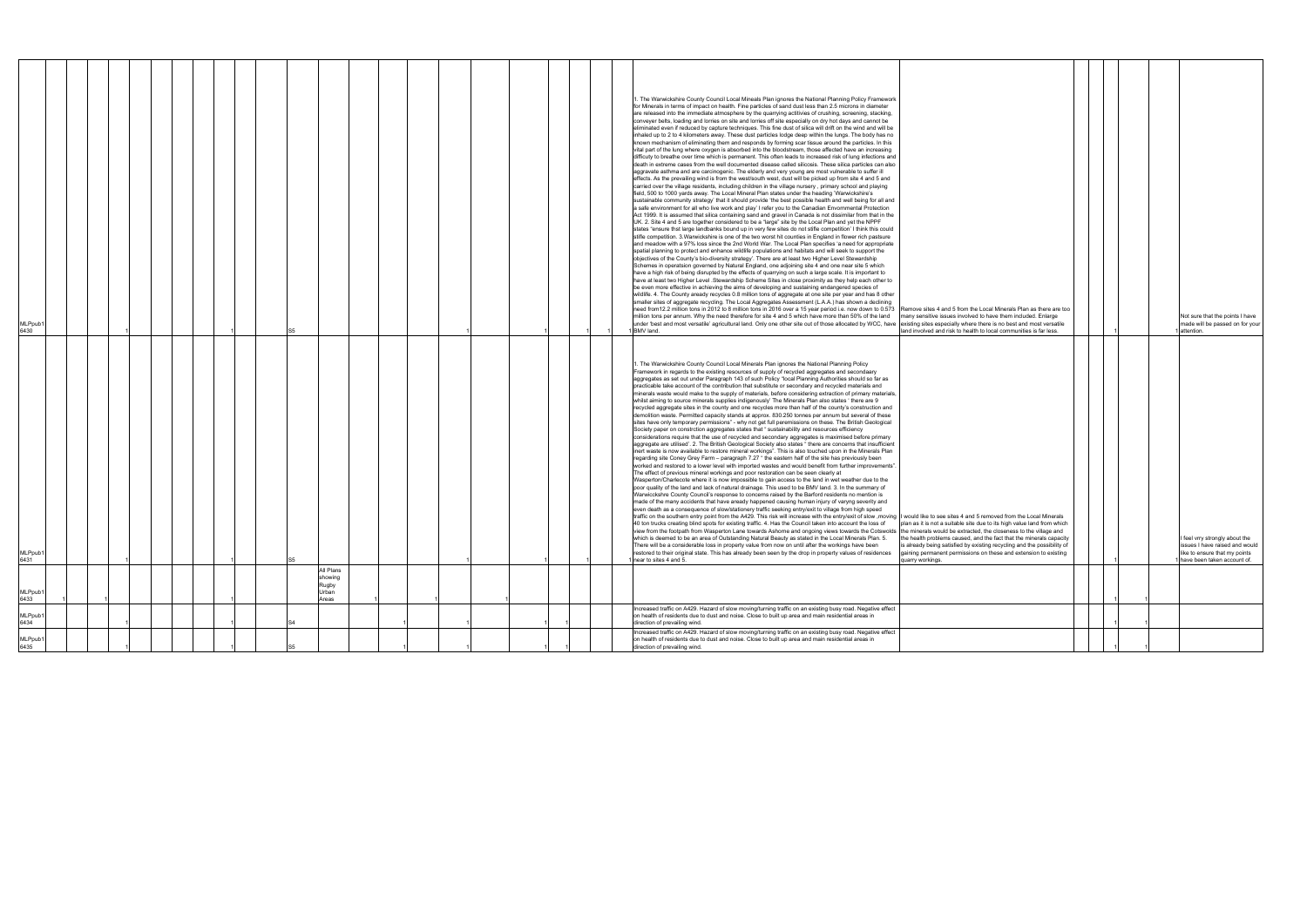| MLPpub1<br>6435                                                                                                                                                                                                                                   | MLPpub1<br>6434                                                                                                                     | MLPpub1<br>6433                                                                                            | MLPpub1<br>6431                                                                                                                                                                                                                                                                                                                                                                                                                                                                                                                                                                                                                                                                                                                                                                                                                                                                                                                                                                                                                                                                                                                                                                                                                                                                                                                                                                                                                                                                                                                                                                                                                                                                                                                                                                                                                                                                                                                                                                                                                                                                                                                                                                                                                                                                                                                                                                                                                                                                                                                                                                                                                                                                                                                                                                                                                                                                                                                                                                                                                                                                                                                                                                                                                                                                                                                                                                                                                                                                                                                            | <b>MLPpub</b><br>6430                                                                                                                                                                                                                                                                                                                                                                                                                                                                                                                                                                                                                                                                                                                                                                                                                                                                                                                                                                                                                                                                                                                                                                                                                                                                                                                                                                                                                                                                                                                                                                                                                                                                                                                                                                                                                                                                                                                                                                                                                                                                                                                                                                                                                                                                                                                                                                                                                                                                                                                                                                                                                                                                                                                                                                                                                                                                                                                                                                                                                                                                                                                                                                                                                                                                                                                                                                                                                                                                                                                                                                                                                                                                                                                                                                                                                                                                                                                            |
|---------------------------------------------------------------------------------------------------------------------------------------------------------------------------------------------------------------------------------------------------|-------------------------------------------------------------------------------------------------------------------------------------|------------------------------------------------------------------------------------------------------------|--------------------------------------------------------------------------------------------------------------------------------------------------------------------------------------------------------------------------------------------------------------------------------------------------------------------------------------------------------------------------------------------------------------------------------------------------------------------------------------------------------------------------------------------------------------------------------------------------------------------------------------------------------------------------------------------------------------------------------------------------------------------------------------------------------------------------------------------------------------------------------------------------------------------------------------------------------------------------------------------------------------------------------------------------------------------------------------------------------------------------------------------------------------------------------------------------------------------------------------------------------------------------------------------------------------------------------------------------------------------------------------------------------------------------------------------------------------------------------------------------------------------------------------------------------------------------------------------------------------------------------------------------------------------------------------------------------------------------------------------------------------------------------------------------------------------------------------------------------------------------------------------------------------------------------------------------------------------------------------------------------------------------------------------------------------------------------------------------------------------------------------------------------------------------------------------------------------------------------------------------------------------------------------------------------------------------------------------------------------------------------------------------------------------------------------------------------------------------------------------------------------------------------------------------------------------------------------------------------------------------------------------------------------------------------------------------------------------------------------------------------------------------------------------------------------------------------------------------------------------------------------------------------------------------------------------------------------------------------------------------------------------------------------------------------------------------------------------------------------------------------------------------------------------------------------------------------------------------------------------------------------------------------------------------------------------------------------------------------------------------------------------------------------------------------------------------------------------------------------------------------------------------------------------|--------------------------------------------------------------------------------------------------------------------------------------------------------------------------------------------------------------------------------------------------------------------------------------------------------------------------------------------------------------------------------------------------------------------------------------------------------------------------------------------------------------------------------------------------------------------------------------------------------------------------------------------------------------------------------------------------------------------------------------------------------------------------------------------------------------------------------------------------------------------------------------------------------------------------------------------------------------------------------------------------------------------------------------------------------------------------------------------------------------------------------------------------------------------------------------------------------------------------------------------------------------------------------------------------------------------------------------------------------------------------------------------------------------------------------------------------------------------------------------------------------------------------------------------------------------------------------------------------------------------------------------------------------------------------------------------------------------------------------------------------------------------------------------------------------------------------------------------------------------------------------------------------------------------------------------------------------------------------------------------------------------------------------------------------------------------------------------------------------------------------------------------------------------------------------------------------------------------------------------------------------------------------------------------------------------------------------------------------------------------------------------------------------------------------------------------------------------------------------------------------------------------------------------------------------------------------------------------------------------------------------------------------------------------------------------------------------------------------------------------------------------------------------------------------------------------------------------------------------------------------------------------------------------------------------------------------------------------------------------------------------------------------------------------------------------------------------------------------------------------------------------------------------------------------------------------------------------------------------------------------------------------------------------------------------------------------------------------------------------------------------------------------------------------------------------------------------------------------------------------------------------------------------------------------------------------------------------------------------------------------------------------------------------------------------------------------------------------------------------------------------------------------------------------------------------------------------------------------------------------------------------------------------------------------------------------------|
|                                                                                                                                                                                                                                                   |                                                                                                                                     |                                                                                                            |                                                                                                                                                                                                                                                                                                                                                                                                                                                                                                                                                                                                                                                                                                                                                                                                                                                                                                                                                                                                                                                                                                                                                                                                                                                                                                                                                                                                                                                                                                                                                                                                                                                                                                                                                                                                                                                                                                                                                                                                                                                                                                                                                                                                                                                                                                                                                                                                                                                                                                                                                                                                                                                                                                                                                                                                                                                                                                                                                                                                                                                                                                                                                                                                                                                                                                                                                                                                                                                                                                                                            |                                                                                                                                                                                                                                                                                                                                                                                                                                                                                                                                                                                                                                                                                                                                                                                                                                                                                                                                                                                                                                                                                                                                                                                                                                                                                                                                                                                                                                                                                                                                                                                                                                                                                                                                                                                                                                                                                                                                                                                                                                                                                                                                                                                                                                                                                                                                                                                                                                                                                                                                                                                                                                                                                                                                                                                                                                                                                                                                                                                                                                                                                                                                                                                                                                                                                                                                                                                                                                                                                                                                                                                                                                                                                                                                                                                                                                                                                                                                                  |
|                                                                                                                                                                                                                                                   |                                                                                                                                     |                                                                                                            |                                                                                                                                                                                                                                                                                                                                                                                                                                                                                                                                                                                                                                                                                                                                                                                                                                                                                                                                                                                                                                                                                                                                                                                                                                                                                                                                                                                                                                                                                                                                                                                                                                                                                                                                                                                                                                                                                                                                                                                                                                                                                                                                                                                                                                                                                                                                                                                                                                                                                                                                                                                                                                                                                                                                                                                                                                                                                                                                                                                                                                                                                                                                                                                                                                                                                                                                                                                                                                                                                                                                            |                                                                                                                                                                                                                                                                                                                                                                                                                                                                                                                                                                                                                                                                                                                                                                                                                                                                                                                                                                                                                                                                                                                                                                                                                                                                                                                                                                                                                                                                                                                                                                                                                                                                                                                                                                                                                                                                                                                                                                                                                                                                                                                                                                                                                                                                                                                                                                                                                                                                                                                                                                                                                                                                                                                                                                                                                                                                                                                                                                                                                                                                                                                                                                                                                                                                                                                                                                                                                                                                                                                                                                                                                                                                                                                                                                                                                                                                                                                                                  |
|                                                                                                                                                                                                                                                   |                                                                                                                                     |                                                                                                            |                                                                                                                                                                                                                                                                                                                                                                                                                                                                                                                                                                                                                                                                                                                                                                                                                                                                                                                                                                                                                                                                                                                                                                                                                                                                                                                                                                                                                                                                                                                                                                                                                                                                                                                                                                                                                                                                                                                                                                                                                                                                                                                                                                                                                                                                                                                                                                                                                                                                                                                                                                                                                                                                                                                                                                                                                                                                                                                                                                                                                                                                                                                                                                                                                                                                                                                                                                                                                                                                                                                                            |                                                                                                                                                                                                                                                                                                                                                                                                                                                                                                                                                                                                                                                                                                                                                                                                                                                                                                                                                                                                                                                                                                                                                                                                                                                                                                                                                                                                                                                                                                                                                                                                                                                                                                                                                                                                                                                                                                                                                                                                                                                                                                                                                                                                                                                                                                                                                                                                                                                                                                                                                                                                                                                                                                                                                                                                                                                                                                                                                                                                                                                                                                                                                                                                                                                                                                                                                                                                                                                                                                                                                                                                                                                                                                                                                                                                                                                                                                                                                  |
|                                                                                                                                                                                                                                                   |                                                                                                                                     |                                                                                                            |                                                                                                                                                                                                                                                                                                                                                                                                                                                                                                                                                                                                                                                                                                                                                                                                                                                                                                                                                                                                                                                                                                                                                                                                                                                                                                                                                                                                                                                                                                                                                                                                                                                                                                                                                                                                                                                                                                                                                                                                                                                                                                                                                                                                                                                                                                                                                                                                                                                                                                                                                                                                                                                                                                                                                                                                                                                                                                                                                                                                                                                                                                                                                                                                                                                                                                                                                                                                                                                                                                                                            |                                                                                                                                                                                                                                                                                                                                                                                                                                                                                                                                                                                                                                                                                                                                                                                                                                                                                                                                                                                                                                                                                                                                                                                                                                                                                                                                                                                                                                                                                                                                                                                                                                                                                                                                                                                                                                                                                                                                                                                                                                                                                                                                                                                                                                                                                                                                                                                                                                                                                                                                                                                                                                                                                                                                                                                                                                                                                                                                                                                                                                                                                                                                                                                                                                                                                                                                                                                                                                                                                                                                                                                                                                                                                                                                                                                                                                                                                                                                                  |
|                                                                                                                                                                                                                                                   |                                                                                                                                     |                                                                                                            |                                                                                                                                                                                                                                                                                                                                                                                                                                                                                                                                                                                                                                                                                                                                                                                                                                                                                                                                                                                                                                                                                                                                                                                                                                                                                                                                                                                                                                                                                                                                                                                                                                                                                                                                                                                                                                                                                                                                                                                                                                                                                                                                                                                                                                                                                                                                                                                                                                                                                                                                                                                                                                                                                                                                                                                                                                                                                                                                                                                                                                                                                                                                                                                                                                                                                                                                                                                                                                                                                                                                            |                                                                                                                                                                                                                                                                                                                                                                                                                                                                                                                                                                                                                                                                                                                                                                                                                                                                                                                                                                                                                                                                                                                                                                                                                                                                                                                                                                                                                                                                                                                                                                                                                                                                                                                                                                                                                                                                                                                                                                                                                                                                                                                                                                                                                                                                                                                                                                                                                                                                                                                                                                                                                                                                                                                                                                                                                                                                                                                                                                                                                                                                                                                                                                                                                                                                                                                                                                                                                                                                                                                                                                                                                                                                                                                                                                                                                                                                                                                                                  |
|                                                                                                                                                                                                                                                   |                                                                                                                                     |                                                                                                            |                                                                                                                                                                                                                                                                                                                                                                                                                                                                                                                                                                                                                                                                                                                                                                                                                                                                                                                                                                                                                                                                                                                                                                                                                                                                                                                                                                                                                                                                                                                                                                                                                                                                                                                                                                                                                                                                                                                                                                                                                                                                                                                                                                                                                                                                                                                                                                                                                                                                                                                                                                                                                                                                                                                                                                                                                                                                                                                                                                                                                                                                                                                                                                                                                                                                                                                                                                                                                                                                                                                                            |                                                                                                                                                                                                                                                                                                                                                                                                                                                                                                                                                                                                                                                                                                                                                                                                                                                                                                                                                                                                                                                                                                                                                                                                                                                                                                                                                                                                                                                                                                                                                                                                                                                                                                                                                                                                                                                                                                                                                                                                                                                                                                                                                                                                                                                                                                                                                                                                                                                                                                                                                                                                                                                                                                                                                                                                                                                                                                                                                                                                                                                                                                                                                                                                                                                                                                                                                                                                                                                                                                                                                                                                                                                                                                                                                                                                                                                                                                                                                  |
|                                                                                                                                                                                                                                                   |                                                                                                                                     |                                                                                                            |                                                                                                                                                                                                                                                                                                                                                                                                                                                                                                                                                                                                                                                                                                                                                                                                                                                                                                                                                                                                                                                                                                                                                                                                                                                                                                                                                                                                                                                                                                                                                                                                                                                                                                                                                                                                                                                                                                                                                                                                                                                                                                                                                                                                                                                                                                                                                                                                                                                                                                                                                                                                                                                                                                                                                                                                                                                                                                                                                                                                                                                                                                                                                                                                                                                                                                                                                                                                                                                                                                                                            |                                                                                                                                                                                                                                                                                                                                                                                                                                                                                                                                                                                                                                                                                                                                                                                                                                                                                                                                                                                                                                                                                                                                                                                                                                                                                                                                                                                                                                                                                                                                                                                                                                                                                                                                                                                                                                                                                                                                                                                                                                                                                                                                                                                                                                                                                                                                                                                                                                                                                                                                                                                                                                                                                                                                                                                                                                                                                                                                                                                                                                                                                                                                                                                                                                                                                                                                                                                                                                                                                                                                                                                                                                                                                                                                                                                                                                                                                                                                                  |
|                                                                                                                                                                                                                                                   |                                                                                                                                     |                                                                                                            |                                                                                                                                                                                                                                                                                                                                                                                                                                                                                                                                                                                                                                                                                                                                                                                                                                                                                                                                                                                                                                                                                                                                                                                                                                                                                                                                                                                                                                                                                                                                                                                                                                                                                                                                                                                                                                                                                                                                                                                                                                                                                                                                                                                                                                                                                                                                                                                                                                                                                                                                                                                                                                                                                                                                                                                                                                                                                                                                                                                                                                                                                                                                                                                                                                                                                                                                                                                                                                                                                                                                            |                                                                                                                                                                                                                                                                                                                                                                                                                                                                                                                                                                                                                                                                                                                                                                                                                                                                                                                                                                                                                                                                                                                                                                                                                                                                                                                                                                                                                                                                                                                                                                                                                                                                                                                                                                                                                                                                                                                                                                                                                                                                                                                                                                                                                                                                                                                                                                                                                                                                                                                                                                                                                                                                                                                                                                                                                                                                                                                                                                                                                                                                                                                                                                                                                                                                                                                                                                                                                                                                                                                                                                                                                                                                                                                                                                                                                                                                                                                                                  |
|                                                                                                                                                                                                                                                   |                                                                                                                                     |                                                                                                            |                                                                                                                                                                                                                                                                                                                                                                                                                                                                                                                                                                                                                                                                                                                                                                                                                                                                                                                                                                                                                                                                                                                                                                                                                                                                                                                                                                                                                                                                                                                                                                                                                                                                                                                                                                                                                                                                                                                                                                                                                                                                                                                                                                                                                                                                                                                                                                                                                                                                                                                                                                                                                                                                                                                                                                                                                                                                                                                                                                                                                                                                                                                                                                                                                                                                                                                                                                                                                                                                                                                                            |                                                                                                                                                                                                                                                                                                                                                                                                                                                                                                                                                                                                                                                                                                                                                                                                                                                                                                                                                                                                                                                                                                                                                                                                                                                                                                                                                                                                                                                                                                                                                                                                                                                                                                                                                                                                                                                                                                                                                                                                                                                                                                                                                                                                                                                                                                                                                                                                                                                                                                                                                                                                                                                                                                                                                                                                                                                                                                                                                                                                                                                                                                                                                                                                                                                                                                                                                                                                                                                                                                                                                                                                                                                                                                                                                                                                                                                                                                                                                  |
|                                                                                                                                                                                                                                                   |                                                                                                                                     |                                                                                                            |                                                                                                                                                                                                                                                                                                                                                                                                                                                                                                                                                                                                                                                                                                                                                                                                                                                                                                                                                                                                                                                                                                                                                                                                                                                                                                                                                                                                                                                                                                                                                                                                                                                                                                                                                                                                                                                                                                                                                                                                                                                                                                                                                                                                                                                                                                                                                                                                                                                                                                                                                                                                                                                                                                                                                                                                                                                                                                                                                                                                                                                                                                                                                                                                                                                                                                                                                                                                                                                                                                                                            |                                                                                                                                                                                                                                                                                                                                                                                                                                                                                                                                                                                                                                                                                                                                                                                                                                                                                                                                                                                                                                                                                                                                                                                                                                                                                                                                                                                                                                                                                                                                                                                                                                                                                                                                                                                                                                                                                                                                                                                                                                                                                                                                                                                                                                                                                                                                                                                                                                                                                                                                                                                                                                                                                                                                                                                                                                                                                                                                                                                                                                                                                                                                                                                                                                                                                                                                                                                                                                                                                                                                                                                                                                                                                                                                                                                                                                                                                                                                                  |
|                                                                                                                                                                                                                                                   |                                                                                                                                     | All Plans<br>showing<br>Rugby<br>Urban<br>Areas                                                            |                                                                                                                                                                                                                                                                                                                                                                                                                                                                                                                                                                                                                                                                                                                                                                                                                                                                                                                                                                                                                                                                                                                                                                                                                                                                                                                                                                                                                                                                                                                                                                                                                                                                                                                                                                                                                                                                                                                                                                                                                                                                                                                                                                                                                                                                                                                                                                                                                                                                                                                                                                                                                                                                                                                                                                                                                                                                                                                                                                                                                                                                                                                                                                                                                                                                                                                                                                                                                                                                                                                                            |                                                                                                                                                                                                                                                                                                                                                                                                                                                                                                                                                                                                                                                                                                                                                                                                                                                                                                                                                                                                                                                                                                                                                                                                                                                                                                                                                                                                                                                                                                                                                                                                                                                                                                                                                                                                                                                                                                                                                                                                                                                                                                                                                                                                                                                                                                                                                                                                                                                                                                                                                                                                                                                                                                                                                                                                                                                                                                                                                                                                                                                                                                                                                                                                                                                                                                                                                                                                                                                                                                                                                                                                                                                                                                                                                                                                                                                                                                                                                  |
|                                                                                                                                                                                                                                                   |                                                                                                                                     |                                                                                                            |                                                                                                                                                                                                                                                                                                                                                                                                                                                                                                                                                                                                                                                                                                                                                                                                                                                                                                                                                                                                                                                                                                                                                                                                                                                                                                                                                                                                                                                                                                                                                                                                                                                                                                                                                                                                                                                                                                                                                                                                                                                                                                                                                                                                                                                                                                                                                                                                                                                                                                                                                                                                                                                                                                                                                                                                                                                                                                                                                                                                                                                                                                                                                                                                                                                                                                                                                                                                                                                                                                                                            |                                                                                                                                                                                                                                                                                                                                                                                                                                                                                                                                                                                                                                                                                                                                                                                                                                                                                                                                                                                                                                                                                                                                                                                                                                                                                                                                                                                                                                                                                                                                                                                                                                                                                                                                                                                                                                                                                                                                                                                                                                                                                                                                                                                                                                                                                                                                                                                                                                                                                                                                                                                                                                                                                                                                                                                                                                                                                                                                                                                                                                                                                                                                                                                                                                                                                                                                                                                                                                                                                                                                                                                                                                                                                                                                                                                                                                                                                                                                                  |
|                                                                                                                                                                                                                                                   |                                                                                                                                     |                                                                                                            |                                                                                                                                                                                                                                                                                                                                                                                                                                                                                                                                                                                                                                                                                                                                                                                                                                                                                                                                                                                                                                                                                                                                                                                                                                                                                                                                                                                                                                                                                                                                                                                                                                                                                                                                                                                                                                                                                                                                                                                                                                                                                                                                                                                                                                                                                                                                                                                                                                                                                                                                                                                                                                                                                                                                                                                                                                                                                                                                                                                                                                                                                                                                                                                                                                                                                                                                                                                                                                                                                                                                            |                                                                                                                                                                                                                                                                                                                                                                                                                                                                                                                                                                                                                                                                                                                                                                                                                                                                                                                                                                                                                                                                                                                                                                                                                                                                                                                                                                                                                                                                                                                                                                                                                                                                                                                                                                                                                                                                                                                                                                                                                                                                                                                                                                                                                                                                                                                                                                                                                                                                                                                                                                                                                                                                                                                                                                                                                                                                                                                                                                                                                                                                                                                                                                                                                                                                                                                                                                                                                                                                                                                                                                                                                                                                                                                                                                                                                                                                                                                                                  |
|                                                                                                                                                                                                                                                   |                                                                                                                                     |                                                                                                            |                                                                                                                                                                                                                                                                                                                                                                                                                                                                                                                                                                                                                                                                                                                                                                                                                                                                                                                                                                                                                                                                                                                                                                                                                                                                                                                                                                                                                                                                                                                                                                                                                                                                                                                                                                                                                                                                                                                                                                                                                                                                                                                                                                                                                                                                                                                                                                                                                                                                                                                                                                                                                                                                                                                                                                                                                                                                                                                                                                                                                                                                                                                                                                                                                                                                                                                                                                                                                                                                                                                                            |                                                                                                                                                                                                                                                                                                                                                                                                                                                                                                                                                                                                                                                                                                                                                                                                                                                                                                                                                                                                                                                                                                                                                                                                                                                                                                                                                                                                                                                                                                                                                                                                                                                                                                                                                                                                                                                                                                                                                                                                                                                                                                                                                                                                                                                                                                                                                                                                                                                                                                                                                                                                                                                                                                                                                                                                                                                                                                                                                                                                                                                                                                                                                                                                                                                                                                                                                                                                                                                                                                                                                                                                                                                                                                                                                                                                                                                                                                                                                  |
|                                                                                                                                                                                                                                                   |                                                                                                                                     |                                                                                                            |                                                                                                                                                                                                                                                                                                                                                                                                                                                                                                                                                                                                                                                                                                                                                                                                                                                                                                                                                                                                                                                                                                                                                                                                                                                                                                                                                                                                                                                                                                                                                                                                                                                                                                                                                                                                                                                                                                                                                                                                                                                                                                                                                                                                                                                                                                                                                                                                                                                                                                                                                                                                                                                                                                                                                                                                                                                                                                                                                                                                                                                                                                                                                                                                                                                                                                                                                                                                                                                                                                                                            |                                                                                                                                                                                                                                                                                                                                                                                                                                                                                                                                                                                                                                                                                                                                                                                                                                                                                                                                                                                                                                                                                                                                                                                                                                                                                                                                                                                                                                                                                                                                                                                                                                                                                                                                                                                                                                                                                                                                                                                                                                                                                                                                                                                                                                                                                                                                                                                                                                                                                                                                                                                                                                                                                                                                                                                                                                                                                                                                                                                                                                                                                                                                                                                                                                                                                                                                                                                                                                                                                                                                                                                                                                                                                                                                                                                                                                                                                                                                                  |
|                                                                                                                                                                                                                                                   |                                                                                                                                     |                                                                                                            |                                                                                                                                                                                                                                                                                                                                                                                                                                                                                                                                                                                                                                                                                                                                                                                                                                                                                                                                                                                                                                                                                                                                                                                                                                                                                                                                                                                                                                                                                                                                                                                                                                                                                                                                                                                                                                                                                                                                                                                                                                                                                                                                                                                                                                                                                                                                                                                                                                                                                                                                                                                                                                                                                                                                                                                                                                                                                                                                                                                                                                                                                                                                                                                                                                                                                                                                                                                                                                                                                                                                            |                                                                                                                                                                                                                                                                                                                                                                                                                                                                                                                                                                                                                                                                                                                                                                                                                                                                                                                                                                                                                                                                                                                                                                                                                                                                                                                                                                                                                                                                                                                                                                                                                                                                                                                                                                                                                                                                                                                                                                                                                                                                                                                                                                                                                                                                                                                                                                                                                                                                                                                                                                                                                                                                                                                                                                                                                                                                                                                                                                                                                                                                                                                                                                                                                                                                                                                                                                                                                                                                                                                                                                                                                                                                                                                                                                                                                                                                                                                                                  |
|                                                                                                                                                                                                                                                   |                                                                                                                                     |                                                                                                            |                                                                                                                                                                                                                                                                                                                                                                                                                                                                                                                                                                                                                                                                                                                                                                                                                                                                                                                                                                                                                                                                                                                                                                                                                                                                                                                                                                                                                                                                                                                                                                                                                                                                                                                                                                                                                                                                                                                                                                                                                                                                                                                                                                                                                                                                                                                                                                                                                                                                                                                                                                                                                                                                                                                                                                                                                                                                                                                                                                                                                                                                                                                                                                                                                                                                                                                                                                                                                                                                                                                                            |                                                                                                                                                                                                                                                                                                                                                                                                                                                                                                                                                                                                                                                                                                                                                                                                                                                                                                                                                                                                                                                                                                                                                                                                                                                                                                                                                                                                                                                                                                                                                                                                                                                                                                                                                                                                                                                                                                                                                                                                                                                                                                                                                                                                                                                                                                                                                                                                                                                                                                                                                                                                                                                                                                                                                                                                                                                                                                                                                                                                                                                                                                                                                                                                                                                                                                                                                                                                                                                                                                                                                                                                                                                                                                                                                                                                                                                                                                                                                  |
|                                                                                                                                                                                                                                                   |                                                                                                                                     |                                                                                                            |                                                                                                                                                                                                                                                                                                                                                                                                                                                                                                                                                                                                                                                                                                                                                                                                                                                                                                                                                                                                                                                                                                                                                                                                                                                                                                                                                                                                                                                                                                                                                                                                                                                                                                                                                                                                                                                                                                                                                                                                                                                                                                                                                                                                                                                                                                                                                                                                                                                                                                                                                                                                                                                                                                                                                                                                                                                                                                                                                                                                                                                                                                                                                                                                                                                                                                                                                                                                                                                                                                                                            |                                                                                                                                                                                                                                                                                                                                                                                                                                                                                                                                                                                                                                                                                                                                                                                                                                                                                                                                                                                                                                                                                                                                                                                                                                                                                                                                                                                                                                                                                                                                                                                                                                                                                                                                                                                                                                                                                                                                                                                                                                                                                                                                                                                                                                                                                                                                                                                                                                                                                                                                                                                                                                                                                                                                                                                                                                                                                                                                                                                                                                                                                                                                                                                                                                                                                                                                                                                                                                                                                                                                                                                                                                                                                                                                                                                                                                                                                                                                                  |
|                                                                                                                                                                                                                                                   |                                                                                                                                     |                                                                                                            |                                                                                                                                                                                                                                                                                                                                                                                                                                                                                                                                                                                                                                                                                                                                                                                                                                                                                                                                                                                                                                                                                                                                                                                                                                                                                                                                                                                                                                                                                                                                                                                                                                                                                                                                                                                                                                                                                                                                                                                                                                                                                                                                                                                                                                                                                                                                                                                                                                                                                                                                                                                                                                                                                                                                                                                                                                                                                                                                                                                                                                                                                                                                                                                                                                                                                                                                                                                                                                                                                                                                            |                                                                                                                                                                                                                                                                                                                                                                                                                                                                                                                                                                                                                                                                                                                                                                                                                                                                                                                                                                                                                                                                                                                                                                                                                                                                                                                                                                                                                                                                                                                                                                                                                                                                                                                                                                                                                                                                                                                                                                                                                                                                                                                                                                                                                                                                                                                                                                                                                                                                                                                                                                                                                                                                                                                                                                                                                                                                                                                                                                                                                                                                                                                                                                                                                                                                                                                                                                                                                                                                                                                                                                                                                                                                                                                                                                                                                                                                                                                                                  |
|                                                                                                                                                                                                                                                   |                                                                                                                                     |                                                                                                            |                                                                                                                                                                                                                                                                                                                                                                                                                                                                                                                                                                                                                                                                                                                                                                                                                                                                                                                                                                                                                                                                                                                                                                                                                                                                                                                                                                                                                                                                                                                                                                                                                                                                                                                                                                                                                                                                                                                                                                                                                                                                                                                                                                                                                                                                                                                                                                                                                                                                                                                                                                                                                                                                                                                                                                                                                                                                                                                                                                                                                                                                                                                                                                                                                                                                                                                                                                                                                                                                                                                                            |                                                                                                                                                                                                                                                                                                                                                                                                                                                                                                                                                                                                                                                                                                                                                                                                                                                                                                                                                                                                                                                                                                                                                                                                                                                                                                                                                                                                                                                                                                                                                                                                                                                                                                                                                                                                                                                                                                                                                                                                                                                                                                                                                                                                                                                                                                                                                                                                                                                                                                                                                                                                                                                                                                                                                                                                                                                                                                                                                                                                                                                                                                                                                                                                                                                                                                                                                                                                                                                                                                                                                                                                                                                                                                                                                                                                                                                                                                                                                  |
|                                                                                                                                                                                                                                                   |                                                                                                                                     |                                                                                                            |                                                                                                                                                                                                                                                                                                                                                                                                                                                                                                                                                                                                                                                                                                                                                                                                                                                                                                                                                                                                                                                                                                                                                                                                                                                                                                                                                                                                                                                                                                                                                                                                                                                                                                                                                                                                                                                                                                                                                                                                                                                                                                                                                                                                                                                                                                                                                                                                                                                                                                                                                                                                                                                                                                                                                                                                                                                                                                                                                                                                                                                                                                                                                                                                                                                                                                                                                                                                                                                                                                                                            |                                                                                                                                                                                                                                                                                                                                                                                                                                                                                                                                                                                                                                                                                                                                                                                                                                                                                                                                                                                                                                                                                                                                                                                                                                                                                                                                                                                                                                                                                                                                                                                                                                                                                                                                                                                                                                                                                                                                                                                                                                                                                                                                                                                                                                                                                                                                                                                                                                                                                                                                                                                                                                                                                                                                                                                                                                                                                                                                                                                                                                                                                                                                                                                                                                                                                                                                                                                                                                                                                                                                                                                                                                                                                                                                                                                                                                                                                                                                                  |
|                                                                                                                                                                                                                                                   |                                                                                                                                     |                                                                                                            |                                                                                                                                                                                                                                                                                                                                                                                                                                                                                                                                                                                                                                                                                                                                                                                                                                                                                                                                                                                                                                                                                                                                                                                                                                                                                                                                                                                                                                                                                                                                                                                                                                                                                                                                                                                                                                                                                                                                                                                                                                                                                                                                                                                                                                                                                                                                                                                                                                                                                                                                                                                                                                                                                                                                                                                                                                                                                                                                                                                                                                                                                                                                                                                                                                                                                                                                                                                                                                                                                                                                            |                                                                                                                                                                                                                                                                                                                                                                                                                                                                                                                                                                                                                                                                                                                                                                                                                                                                                                                                                                                                                                                                                                                                                                                                                                                                                                                                                                                                                                                                                                                                                                                                                                                                                                                                                                                                                                                                                                                                                                                                                                                                                                                                                                                                                                                                                                                                                                                                                                                                                                                                                                                                                                                                                                                                                                                                                                                                                                                                                                                                                                                                                                                                                                                                                                                                                                                                                                                                                                                                                                                                                                                                                                                                                                                                                                                                                                                                                                                                                  |
|                                                                                                                                                                                                                                                   |                                                                                                                                     |                                                                                                            |                                                                                                                                                                                                                                                                                                                                                                                                                                                                                                                                                                                                                                                                                                                                                                                                                                                                                                                                                                                                                                                                                                                                                                                                                                                                                                                                                                                                                                                                                                                                                                                                                                                                                                                                                                                                                                                                                                                                                                                                                                                                                                                                                                                                                                                                                                                                                                                                                                                                                                                                                                                                                                                                                                                                                                                                                                                                                                                                                                                                                                                                                                                                                                                                                                                                                                                                                                                                                                                                                                                                            |                                                                                                                                                                                                                                                                                                                                                                                                                                                                                                                                                                                                                                                                                                                                                                                                                                                                                                                                                                                                                                                                                                                                                                                                                                                                                                                                                                                                                                                                                                                                                                                                                                                                                                                                                                                                                                                                                                                                                                                                                                                                                                                                                                                                                                                                                                                                                                                                                                                                                                                                                                                                                                                                                                                                                                                                                                                                                                                                                                                                                                                                                                                                                                                                                                                                                                                                                                                                                                                                                                                                                                                                                                                                                                                                                                                                                                                                                                                                                  |
| Increased traffic on A429. Hazard of slow moving/turning traffic on an existing busy road. Negative effect<br>on health of residents due to dust and noise. Close to built up area and main residential areas in<br>direction of prevailing wind. | on health of residents due to dust and noise. Close to built up area and main residential areas in<br>direction of prevailing wind. | Increased traffic on A429. Hazard of slow moving/turning traffic on an existing busy road. Negative effect | 1. The Warwickshire County Council Local Minerals Plan ignores the National Planning Policy<br>Framework in regards to the existing resources of supply of recycled aggregates and secondaary<br>aggregates as set out under Paragraph 143 of such Policy "local Planning Authorities should so far as<br>practicable take account of the contribution that substitute or secondary and recycled materials and<br>minerals waste would make to the supply of materials, before considering extraction of primary materials,<br>whilst aiming to source minerals supplies indigenously' The Minerals Plan also states ' there are 9<br>recycled aggregate sites in the county and one recycles more than half of the county's construction and<br>demolition waste. Permitted capacity stands at approx. 830.250 tonnes per annum but several of these<br>sites have only temporary permissions" - why not get full peremissions on these. The British Geological<br>Society paper on constrction aggregates states that " sustainability and resources efficiency<br>considerations require that the use of recycled and secondary aggregates is maximised before primary<br>aggregate are utilised'. 2. The British Geological Society also states " there are concerns that insufficient<br>inert waste is now available to restore mineral workings". This is also touched upon in the Minerals Plan<br>regarding site Coney Grey Farm - paragraph 7.27 " the eastern half of the site has previously been<br>worked and restored to a lower level with imported wastes and would benefit from further improvements".<br>The effect of previous mineral workings and poor restoration can be seen clearly at<br>Wasperton/Charlecote where it is now impossible to gain access to the land in wet weather due to the<br>poor quality of the land and lack of natural drainage. This used to be BMV land. 3. In the summary of<br>Warwicckshre County Council's response to concerns raised by the Barford residents no mention is<br>made of the many accidents that have aready happened causing human injury of varyng severity and<br>even death as a consequence of slow/stationery traffic seeking entry/exit to village from high speed<br>traffic on the southern entry point from the A429. This risk will increase with the entry/exit of slow , moving  I would like to see sites 4 and 5 removed from the Local Minerals<br>40 ton trucks creating blind spots for existing traffic. 4. Has the Council taken into account the loss of<br>plan as it is not a suitable site due to its high value land from which<br>view from the footpath from Wasperton Lane towards Ashorne and ongoing views towards the Cotswolds the minerals would be extracted, the closeness to the village and<br>which is deemed to be an area of Outstanding Natural Beauty as stated in the Local Minerals Plan. 5.<br>the health problems caused, and the fact that the minerals capacity<br>I feel vrry strongly about the<br>There will be a considerable loss in property value from now on until after the workings have been<br>is already being satisfied by existing recycling and the possibility of<br>issues I have raised and would<br>restored to their original state. This has already been seen by the drop in property values of residences<br>gaining permanent permissions on these and extension to existing<br>like to ensure that my points<br>have been taken account of.<br>near to sites 4 and 5.<br>quarry workings. | 1. The Warwickshire County Council Local Mineals Plan ignores the National Planning Policy Framework<br>for Minerals in terms of impact on health. Fine particles of sand dust less than 2.5 microns in diameter<br>are released into the immediate atmosphere by the quarrying actitivies of crushing, screening, stacking,<br>conveyer belts, loading and lorries on site and lorries off site especially on dry hot days and cannot be<br>eliminated even if reduced by capture techniques. This fine dust of silica will drift on the wind and will be<br>inhaled up to 2 to 4 kilometers away. These dust particles lodge deep within the lungs. The body has no<br>known mechanism of eliminating them and responds by forming scar tissue around the particles. In this<br>vital part of the lung where oxygen is absorbed into the bloodstream, those affected have an increasing<br>difficuty to breathe over time which is permanent. This often leads to increased risk of lung infections and<br>death in extreme cases from the well documented disease called silicosis. These silica particles can also<br>aggravate asthma and are carcinogenic. The elderly and very young are most vulnerable to suffer ill<br>effects. As the prevailing wind is from the west/south west, dust will be picked up from site 4 and 5 and<br>carried over the village residents, including children in the village nursery, primary school and playing<br>field, 500 to 1000 yards away. The Local Mineral Plan states under the heading 'Warwickshire's<br>sustainable community strategy' that it should provide 'the best possible health and well being for all and<br>a safe environment for all who live work and play' I refer you to the Canadian Envornmental Protection<br>Act 1999. It is assumed that silica containing sand and gravel in Canada is not dissimilar from that in the<br>UK. 2. Site 4 and 5 are together considered to be a "large" site by the Local Plan and yet the NPPF<br>states "ensure thst large landbanks bound up in very few sites do not stifle competition' I think this could<br>stifle competition. 3. Warwickshire is one of the two worst hit counties in England in flower rich pastsure<br>and meadow with a 97% loss since the 2nd World War. The Local Plan specifies 'a need for appropriate<br>spatial planning to protect and enhance wildlife populations and habitats and will seek to support the<br>objectives of the County's bio-diversity strategy'. There are at least two Higher Level Stewardship<br>Schemes in operatsion governed by Natural England, one adjoining site 4 and one near site 5 which<br>have a high risk of being disrupted by the effects of quarrying on such a large scale. It is important to<br>have at least two Higher Level . Stewardship Scheme Sites in close proximity as they help each other to<br>be even more effective in achieving the aims of developing and sustaining endangered species of<br>wildlife. 4. The County aready recycles 0.8 million tons of aggregate at one site per year and has 8 other<br>smaller sites of aggregate recycling. The Local Aggregates Assessment (L.A.A.) has shown a declining<br>need from 12.2 million tons in 2012 to 8 million tons in 2016 over a 15 year period i.e. now down to 0.573 Remove sites 4 and 5 from the Local Minerals Plan as there are too<br>million tons per annum. Why the need therefore for site 4 and 5 which have more than 50% of the land<br>nany sensitive issues involved to have them included. Enlarge<br>Not sure that the points I have<br>under 'best and most versatile' agricultural land. Only one other site out of those allocated by WCC, have existing sites especially where there is no best and most versatile<br>made will be passed on for your<br><b>BMV</b> land.<br>land involved and risk to health to local communities is far less.<br>attention. |
|                                                                                                                                                                                                                                                   |                                                                                                                                     |                                                                                                            |                                                                                                                                                                                                                                                                                                                                                                                                                                                                                                                                                                                                                                                                                                                                                                                                                                                                                                                                                                                                                                                                                                                                                                                                                                                                                                                                                                                                                                                                                                                                                                                                                                                                                                                                                                                                                                                                                                                                                                                                                                                                                                                                                                                                                                                                                                                                                                                                                                                                                                                                                                                                                                                                                                                                                                                                                                                                                                                                                                                                                                                                                                                                                                                                                                                                                                                                                                                                                                                                                                                                            |                                                                                                                                                                                                                                                                                                                                                                                                                                                                                                                                                                                                                                                                                                                                                                                                                                                                                                                                                                                                                                                                                                                                                                                                                                                                                                                                                                                                                                                                                                                                                                                                                                                                                                                                                                                                                                                                                                                                                                                                                                                                                                                                                                                                                                                                                                                                                                                                                                                                                                                                                                                                                                                                                                                                                                                                                                                                                                                                                                                                                                                                                                                                                                                                                                                                                                                                                                                                                                                                                                                                                                                                                                                                                                                                                                                                                                                                                                                                                  |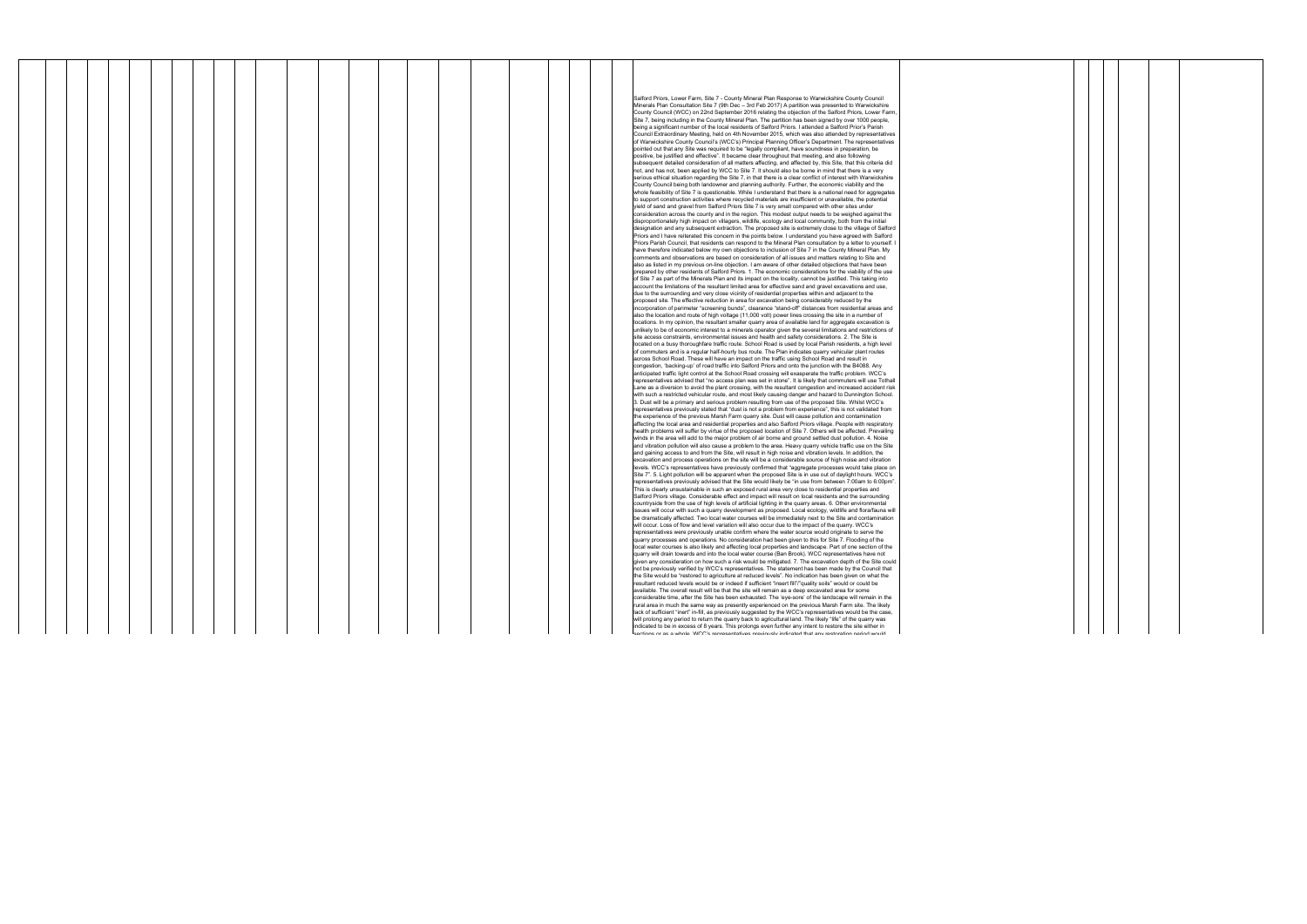|  |  |  |  |  |  |  |  |  |  |  | Salford Priors, Lower Farm, Site 7 - County Mineral Plan Response to Warwickshire County Council<br>Minerals Plan Consultation Site 7 (9th Dec - 3rd Feb 2017) A partition was presented to Warwickshire                                                                                                                            |
|--|--|--|--|--|--|--|--|--|--|--|-------------------------------------------------------------------------------------------------------------------------------------------------------------------------------------------------------------------------------------------------------------------------------------------------------------------------------------|
|  |  |  |  |  |  |  |  |  |  |  | County Council (WCC) on 22nd September 2016 relating the objection of the Salford Priors, Lower Farm<br>Site 7, being including in the County Mineral Plan. The partition has been signed by over 1000 people,                                                                                                                      |
|  |  |  |  |  |  |  |  |  |  |  | being a significant number of the local residents of Salford Priors. I attended a Salford Prior's Parish<br>Council Extraordinary Meeting, held on 4th November 2015, which was also attended by representatives                                                                                                                    |
|  |  |  |  |  |  |  |  |  |  |  | of Warwickshire County Council's (WCC's) Principal Planning Officer's Department. The representatives<br>pointed out that any Site was required to be "legally compliant, have soundness in preparation, be                                                                                                                         |
|  |  |  |  |  |  |  |  |  |  |  | positive, be justified and effective". It became clear throughout that meeting, and also following<br>subsequent detailed consideration of all matters affecting, and affected by, this Site, that this criteria did                                                                                                                |
|  |  |  |  |  |  |  |  |  |  |  | not, and has not, been applied by WCC to Site 7. It should also be borne in mind that there is a very<br>serious ethical situation regarding the Site 7, in that there is a clear conflict of interest with Warwickshire                                                                                                            |
|  |  |  |  |  |  |  |  |  |  |  | County Council being both landowner and planning authority. Further, the economic viability and the<br>whole feasibility of Site 7 is questionable. While I understand that there is a national need for aggregates                                                                                                                 |
|  |  |  |  |  |  |  |  |  |  |  | to support construction activities where recycled materials are insufficient or unavailable, the potential<br>yield of sand and gravel from Salford Priors Site 7 is very small compared with other sites under                                                                                                                     |
|  |  |  |  |  |  |  |  |  |  |  | consideration across the county and in the region. This modest output needs to be weighed against the<br>disproportionately high impact on villagers, wildlife, ecology and local community, both from the initial                                                                                                                  |
|  |  |  |  |  |  |  |  |  |  |  | designation and any subsequent extraction. The proposed site is extremely close to the village of Salford<br>Priors and I have reiterated this concern in the points below. I understand you have agreed with Salford                                                                                                               |
|  |  |  |  |  |  |  |  |  |  |  | Priors Parish Council, that residents can respond to the Mineral Plan consultation by a letter to yourself.<br>have therefore indicated below my own objections to inclusion of Site 7 in the County Mineral Plan. My                                                                                                               |
|  |  |  |  |  |  |  |  |  |  |  | comments and observations are based on consideration of all issues and matters relating to Site and<br>also as listed in my previous on-line objection. I am aware of other detailed objections that have been                                                                                                                      |
|  |  |  |  |  |  |  |  |  |  |  | prepared by other residents of Salford Priors. 1. The economic considerations for the viability of the use<br>of Site 7 as part of the Minerals Plan and its impact on the locality, cannot be justified. This taking into                                                                                                          |
|  |  |  |  |  |  |  |  |  |  |  | account the limitations of the resultant limited area for effective sand and gravel excavations and use,<br>due to the surrounding and very close vicinity of residential properties within and adjacent to the                                                                                                                     |
|  |  |  |  |  |  |  |  |  |  |  | proposed site. The effective reduction in area for excavation being considerably reduced by the<br>incorporation of perimeter "screening bunds", clearance "stand-off" distances from residential areas and                                                                                                                         |
|  |  |  |  |  |  |  |  |  |  |  | also the location and route of high voltage (11,000 volt) power lines crossing the site in a number of<br>locations. In my opinion, the resultant smaller quarry area of available land for aggregate excavation is<br>unlikely to be of economic interest to a minerals operator given the several limitations and restrictions of |
|  |  |  |  |  |  |  |  |  |  |  | site access constraints, environmental issues and health and safety considerations. 2. The Site is<br>located on a busy thoroughfare traffic route. School Road is used by local Parish residents, a high level                                                                                                                     |
|  |  |  |  |  |  |  |  |  |  |  | of commuters and is a regular half-hourly bus route. The Plan indicates quarry vehicular plant routes<br>across School Road. These will have an impact on the traffic using School Road and result in                                                                                                                               |
|  |  |  |  |  |  |  |  |  |  |  | congestion, 'backing-up' of road traffic into Salford Priors and onto the junction with the B4088. Any<br>anticipated traffic light control at the School Road crossing will exasperate the traffic problem. WCC's                                                                                                                  |
|  |  |  |  |  |  |  |  |  |  |  | representatives advised that "no access plan was set in stone". It is likely that commuters will use Tothall<br>Lane as a diversion to avoid the plant crossing, with the resultant congestion and increased accident risk                                                                                                          |
|  |  |  |  |  |  |  |  |  |  |  | with such a restricted vehicular route, and most likely causing danger and hazard to Dunnington School.<br>3. Dust will be a primary and serious problem resulting from use of the proposed Site. Whilst WCC's                                                                                                                      |
|  |  |  |  |  |  |  |  |  |  |  | representatives previously stated that "dust is not a problem from experience", this is not validated from<br>the experience of the previous Marsh Farm quarry site. Dust will cause pollution and contamination                                                                                                                    |
|  |  |  |  |  |  |  |  |  |  |  | affecting the local area and residential properties and also Salford Priors village. People with respiratory<br>health problems will suffer by virtue of the proposed location of Site 7. Others will be affected. Prevailing                                                                                                       |
|  |  |  |  |  |  |  |  |  |  |  | winds in the area will add to the major problem of air borne and ground settled dust pollution. 4. Noise<br>and vibration pollution will also cause a problem to the area. Heavy quarry vehicle traffic use on the Site                                                                                                             |
|  |  |  |  |  |  |  |  |  |  |  | and gaining access to and from the Site, will result in high noise and vibration levels. In addition, the<br>excavation and process operations on the site will be a considerable source of high noise and vibration                                                                                                                |
|  |  |  |  |  |  |  |  |  |  |  | levels. WCC's representatives have previously confirmed that "aggregate processes would take place on<br>Site 7". 5. Light pollution will be apparent when the proposed Site is in use out of daylight hours. WCC's<br>representatives previously advised that the Site would likely be "in use from between 7:00am to 6:00pm".     |
|  |  |  |  |  |  |  |  |  |  |  | This is clearly unsustainable in such an exposed rural area very close to residential properties and<br>Salford Priors village. Considerable effect and impact will result on local residents and the surrounding                                                                                                                   |
|  |  |  |  |  |  |  |  |  |  |  | countryside from the use of high levels of artificial lighting in the quarry areas. 6. Other environmental<br>issues will occur with such a quarry development as proposed. Local ecology, wildlife and flora/fauna will                                                                                                            |
|  |  |  |  |  |  |  |  |  |  |  | be dramatically affected. Two local water courses will be immediately next to the Site and contamination<br>will occur. Loss of flow and level variation will also occur due to the impact of the quarry. WCC's                                                                                                                     |
|  |  |  |  |  |  |  |  |  |  |  | representatives were previously unable confirm where the water source would originate to serve the<br>quarry processes and operations. No consideration had been given to this for Site 7. Flooding of the                                                                                                                          |
|  |  |  |  |  |  |  |  |  |  |  | local water courses is also likely and affecting local properties and landscape. Part of one section of the<br>quarry will drain towards and into the local water course (Ban Brook). WCC representatives have not                                                                                                                  |
|  |  |  |  |  |  |  |  |  |  |  | given any consideration on how such a risk would be mitigated. 7. The excavation depth of the Site could<br>not be previously verified by WCC's representatives. The statement has been made by the Council that                                                                                                                    |
|  |  |  |  |  |  |  |  |  |  |  | the Site would be "restored to agriculture at reduced levels". No indication has been given on what the<br>resultant reduced levels would be or indeed if sufficient "insert fill"/"quality soils" would or could be<br>available. The overall result will be that the site will remain as a deep excavated area for some           |
|  |  |  |  |  |  |  |  |  |  |  | considerable time, after the Site has been exhausted. The 'eye-sore' of the landscape will remain in the<br>rural area in much the same way as presently experienced on the previous Marsh Farm site. The likely                                                                                                                    |
|  |  |  |  |  |  |  |  |  |  |  | lack of sufficient "inert" in-fill, as previously suggested by the WCC's representatives would be the case,<br>will prolong any period to return the quarry back to agricultural land. The likely "life" of the quarry was                                                                                                          |
|  |  |  |  |  |  |  |  |  |  |  | indicated to be in excess of 8 years. This prolongs even further any intent to restore the site either in<br>eactions or as a whole MCC's representatives previously indicated that any restoration period would                                                                                                                    |

┯

 $\overline{\phantom{a}}$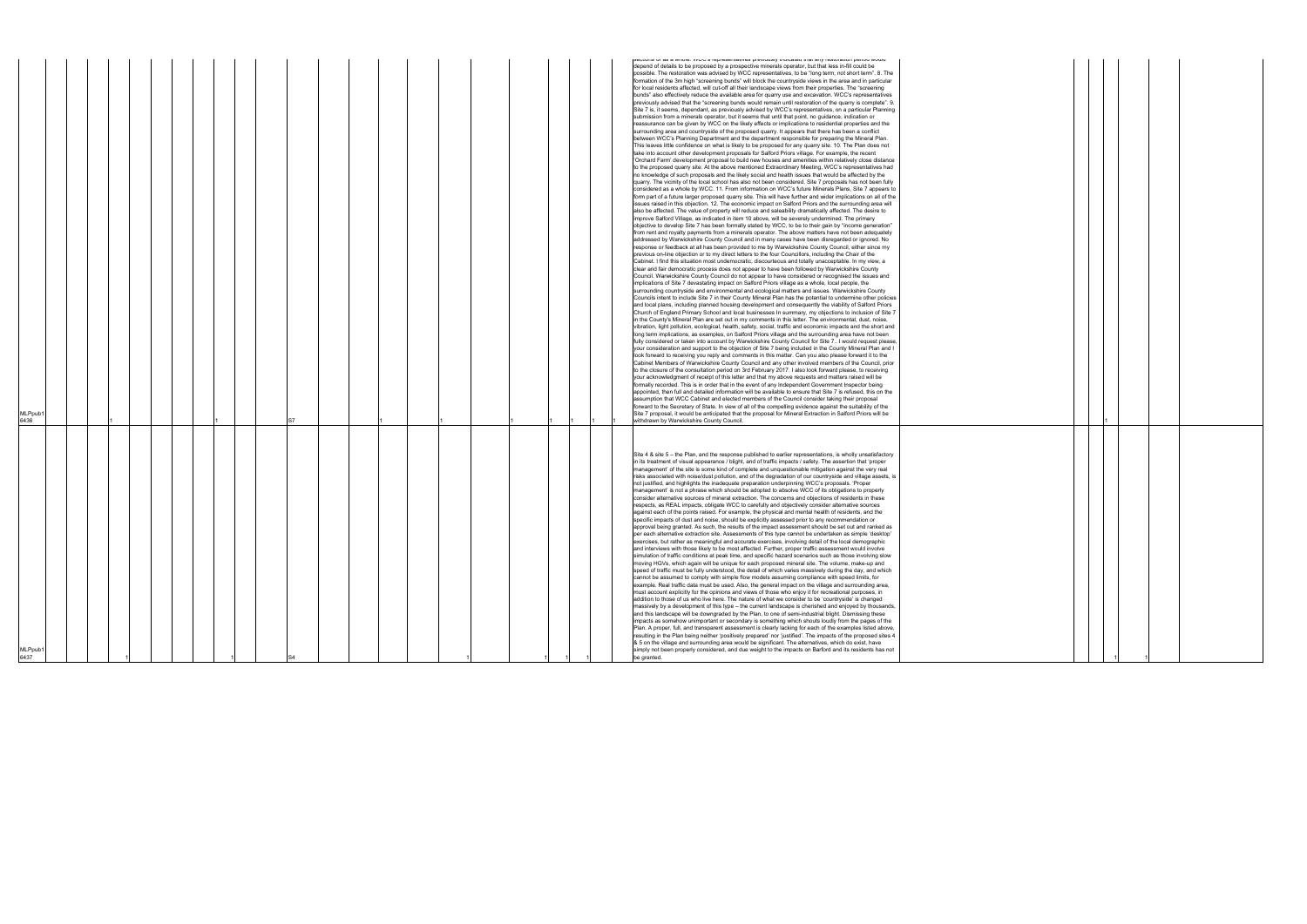|  | 1<br>1 | 1 |  |
|--|--------|---|--|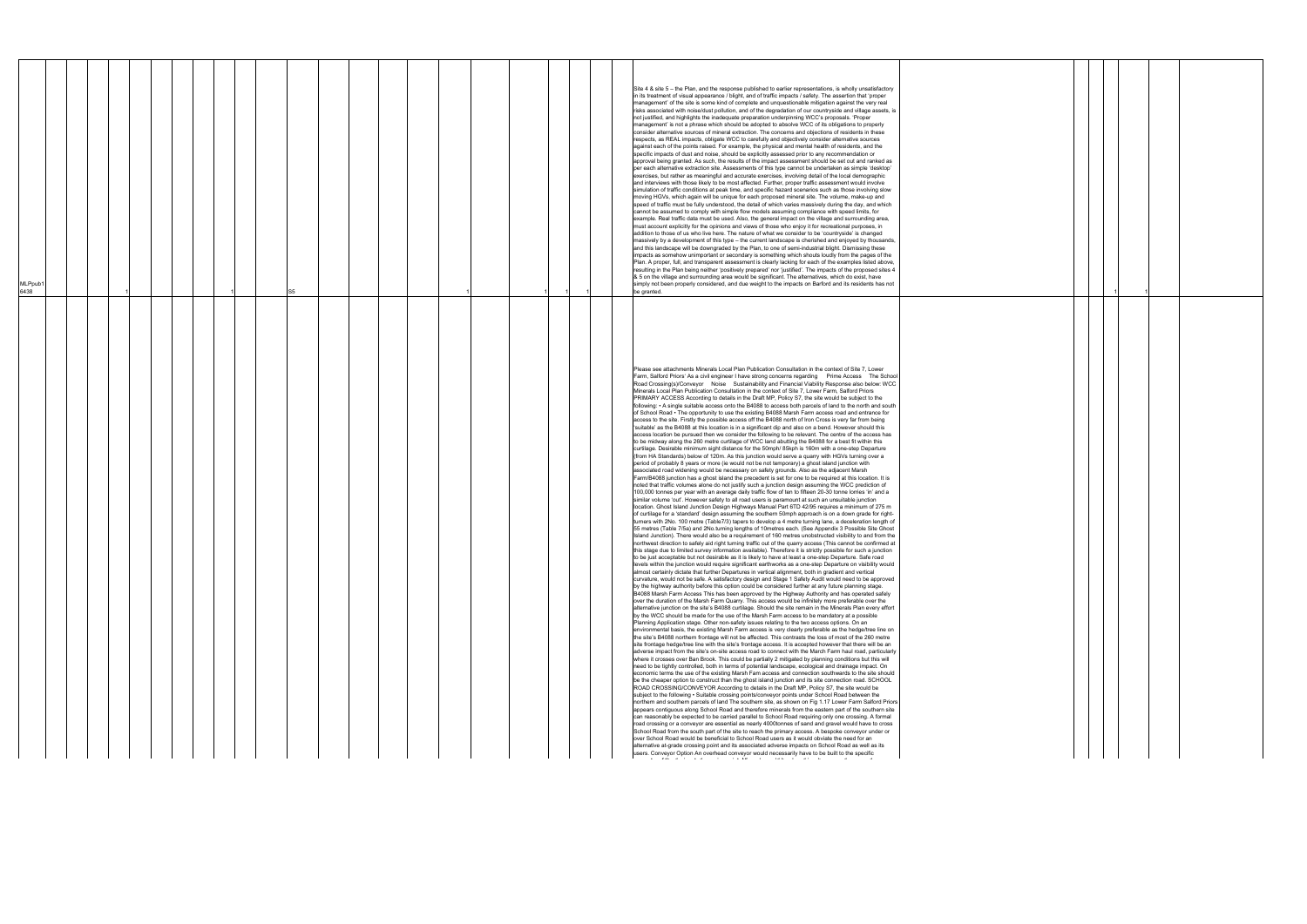| MLPpub <sup>1</sup><br>6438 |  |  |  | S5 |  |  |  |  |  | Site 4 & site 5 – the Plan, and the response published to earlier representations, is wholly unsatisfactory<br>in its treatment of visual appearance / blight, and of traffic impacts / safety. The assertion that 'proper<br>management' of the site is some kind of complete and unquestionable mitigation against the very real<br>risks associated with noise/dust pollution, and of the degradation of our countryside and village assets, is<br>not justified, and highlights the inadequate preparation underpinning WCC's proposals. 'Proper<br>management' is not a phrase which should be adopted to absolve WCC of its obligations to properly<br>consider alternative sources of mineral extraction. The concerns and objections of residents in these<br>respects, as REAL impacts, obligate WCC to carefully and objectively consider alternative sources<br>against each of the points raised. For example, the physical and mental health of residents, and the<br>specific impacts of dust and noise, should be explicitly assessed prior to any recommendation or<br>approval being granted. As such, the results of the impact assessment should be set out and ranked as<br>per each alternative extraction site. Assessments of this type cannot be undertaken as simple 'desktop'<br>exercises, but rather as meaningful and accurate exercises, involving detail of the local demographic<br>and interviews with those likely to be most affected. Further, proper traffic assessment would involve<br>simulation of traffic conditions at peak time, and specific hazard scenarios such as those involving slow<br>moving HGVs, which again will be unique for each proposed mineral site. The volume, make-up and<br>speed of traffic must be fully understood, the detail of which varies massively during the day, and which<br>cannot be assumed to comply with simple flow models assuming compliance with speed limits, for<br>example. Real traffic data must be used. Also, the general impact on the village and surrounding area,<br>must account explicitly for the opinions and views of those who enjoy it for recreational purposes, in<br>addition to those of us who live here. The nature of what we consider to be 'countryside' is changed<br>massively by a development of this type - the current landscape is cherished and enjoyed by thousands,<br>and this landscape will be downgraded by the Plan, to one of semi-industrial blight. Dismissing these<br>impacts as somehow unimportant or secondary is something which shouts loudly from the pages of the<br>Plan. A proper, full, and transparent assessment is clearly lacking for each of the examples listed above,<br>resulting in the Plan being neither 'positively prepared' nor 'justified'. The impacts of the proposed sites 4<br>& 5 on the village and surrounding area would be significant. The alternatives, which do exist, have<br>simply not been properly considered, and due weight to the impacts on Barford and its residents has not<br>be granted.                                                                                                                                                                                                                                                                                                                                                                                                                                                                                                                                                                                                                                                                                                                                                                                                                                                                                                                                                                                                                                                                                                                                                                                                                                                                                                                                                                                                                                                                                                                                                                                                                                                                                                                                                                                                                                                                                                                                                                                                                                                                                                                                                                                                                                                                                                                                                                                                                                                                                                                                                                                                                                                                                                                                                                                                                                                                                                                                                                                                                                  |  |
|-----------------------------|--|--|--|----|--|--|--|--|--|-------------------------------------------------------------------------------------------------------------------------------------------------------------------------------------------------------------------------------------------------------------------------------------------------------------------------------------------------------------------------------------------------------------------------------------------------------------------------------------------------------------------------------------------------------------------------------------------------------------------------------------------------------------------------------------------------------------------------------------------------------------------------------------------------------------------------------------------------------------------------------------------------------------------------------------------------------------------------------------------------------------------------------------------------------------------------------------------------------------------------------------------------------------------------------------------------------------------------------------------------------------------------------------------------------------------------------------------------------------------------------------------------------------------------------------------------------------------------------------------------------------------------------------------------------------------------------------------------------------------------------------------------------------------------------------------------------------------------------------------------------------------------------------------------------------------------------------------------------------------------------------------------------------------------------------------------------------------------------------------------------------------------------------------------------------------------------------------------------------------------------------------------------------------------------------------------------------------------------------------------------------------------------------------------------------------------------------------------------------------------------------------------------------------------------------------------------------------------------------------------------------------------------------------------------------------------------------------------------------------------------------------------------------------------------------------------------------------------------------------------------------------------------------------------------------------------------------------------------------------------------------------------------------------------------------------------------------------------------------------------------------------------------------------------------------------------------------------------------------------------------------------------------------------------------------------------------------------------------------------------------------------------------------------------------------------------------------------------------------------------------------------------------------------------------------------------------------------------------------------------------------------------------------------------------------------------------------------------------------------------------------------------------------------------------------------------------------------------------------------------------------------------------------------------------------------------------------------------------------------------------------------------------------------------------------------------------------------------------------------------------------------------------------------------------------------------------------------------------------------------------------------------------------------------------------------------------------------------------------------------------------------------------------------------------------------------------------------------------------------------------------------------------------------------------------------------------------------------------------------------------------------------------------------------------------------------------------------------------------------------------------------------------------------------------------------------------------------------------------------------------------------------------------------------------------------------------------------------------------------------------------------------------------------------------------------------------------------------------------------------------------------------------------------------------------------------------------------------------------------------------------------------------------------------------------------------------------------------------------------------------------------------------------------------------------------------------------------------------------------------------------------------------------------------------------------------------------------------------------------------------------------------------------------------------------------------------------------------------------------------------------------------------------------------------------------------------------------------------------------------------------------------------------------------------------------------------------------------------------------------------------------------------------------------------------------------------------------------------------------------------------------------------------------------------------------------------------------------------------------|--|
|                             |  |  |  |    |  |  |  |  |  | Please see attachments Minerals Local Plan Publication Consultation in the context of Site 7, Lower<br>Farm, Salford Priors' As a civil engineer I have strong concerns regarding  Prime Access  The School<br>Road Crossing(s)/Conveyor Noise Sustainability and Financial Viability Response also below: WCC<br>Minerals Local Plan Publication Consultation in the context of Site 7, Lower Farm, Salford Priors<br>PRIMARY ACCESS According to details in the Draft MP, Policy S7, the site would be subject to the<br>following: • A single suitable access onto the B4088 to access both parcels of land to the north and south<br>of School Road • The opportunity to use the existing B4088 Marsh Farm access road and entrance for<br>access to the site. Firstly the possible access off the B4088 north of Iron Cross is very far from being<br>'suitable' as the B4088 at this location is in a significant dip and also on a bend. However should this<br>access location be pursued then we consider the following to be relevant. The centre of the access has<br>to be midway along the 260 metre curtilage of WCC land abutting the B4088 for a best fit within this<br>curtilage. Desirable minimum sight distance for the 50mph/85kph is 160m with a one-step Departure<br>(from HA Standards) below of 120m. As this junction would serve a quarry with HGVs turning over a<br>period of probably 8 years or more (ie would not be not temporary) a ghost island junction with<br>associated road widening would be necessary on safety grounds. Also as the adjacent Marsh<br>Farm/B4088 junction has a ghost island the precedent is set for one to be required at this location. It is<br>noted that traffic volumes alone do not justify such a junction design assuming the WCC prediction of<br>100,000 tonnes per year with an average daily traffic flow of ten to fifteen 20-30 tonne lorries 'in' and a<br>similar volume 'out'. However safety to all road users is paramount at such an unsuitable junction<br>location. Ghost Island Junction Design Highways Manual Part 6TD 42/95 requires a minimum of 275 m<br>of curtilage for a 'standard' design assuming the southern 50mph approach is on a down grade for right-<br>turners with 2No. 100 metre (Table7/3) tapers to develop a 4 metre turning lane, a deceleration length of<br>55 metres (Table 7/5a) and 2No.turning lengths of 10metres each. (See Appendix 3 Possible Site Ghost<br>Island Junction). There would also be a requirement of 160 metres unobstructed visibility to and from the<br>northwest direction to safely aid right turning traffic out of the quarry access (This cannot be confirmed at<br>this stage due to limited survey information available). Therefore it is strictly possible for such a junction<br>to be just acceptable but not desirable as it is likely to have at least a one-step Departure. Safe road<br>levels within the junction would require significant earthworks as a one-step Departure on visibility would<br>almost certainly dictate that further Departures in vertical alignment, both in gradient and vertical<br>curvature, would not be safe. A satisfactory design and Stage 1 Safety Audit would need to be approved<br>by the highway authority before this option could be considered further at any future planning stage.<br>B4088 Marsh Farm Access This has been approved by the Highway Authority and has operated safely<br>over the duration of the Marsh Farm Quarry. This access would be infinitely more preferable over the<br>alternative junction on the site's B4088 curtilage. Should the site remain in the Minerals Plan every effort<br>by the WCC should be made for the use of the Marsh Farm access to be mandatory at a possible<br>Planning Application stage. Other non-safety issues relating to the two access options. On an<br>environmental basis, the existing Marsh Farm access is very clearly preferable as the hedge/tree line on<br>the site's B4088 northern frontage will not be affected. This contrasts the loss of most of the 260 metre<br>site frontage hedge/tree line with the site's frontage access. It is accepted however that there will be an<br>adverse impact from the site's on-site access road to connect with the March Farm haul road, particularly<br>where it crosses over Ban Brook. This could be partially 2 mitigated by planning conditions but this will<br>need to be tightly controlled, both in terms of potential landscape, ecological and drainage impact. On<br>economic terms the use of the existing Marsh Fam access and connection southwards to the site should<br>be the cheaper option to construct than the ghost island junction and its site connection road. SCHOOL<br>ROAD CROSSING/CONVEYOR According to details in the Draft MP, Policy S7, the site would be<br>subject to the following • Suitable crossing points/conveyor points under School Road between the<br>northern and southern parcels of land The southern site, as shown on Fig 1.17 Lower Farm Salford Priors<br>appears contiguous along School Road and therefore minerals from the eastern part of the southern site<br>can reasonably be expected to be carried parallel to School Road requiring only one crossing. A formal<br>road crossing or a conveyor are essential as nearly 4000tonnes of sand and gravel would have to cross<br>School Road from the south part of the site to reach the primary access. A bespoke conveyor under or<br>over School Road would be beneficial to School Road users as it would obviate the need for an<br>alternative at-grade crossing point and its associated adverse impacts on School Road as well as its<br>users. Conveyor Option An overhead conveyor would necessarily have to be built to the specific<br>the company of the second contract of the company of the second terms of the company of the company of the company of the company of the company of the company of the company of the company of the company of the company of |  |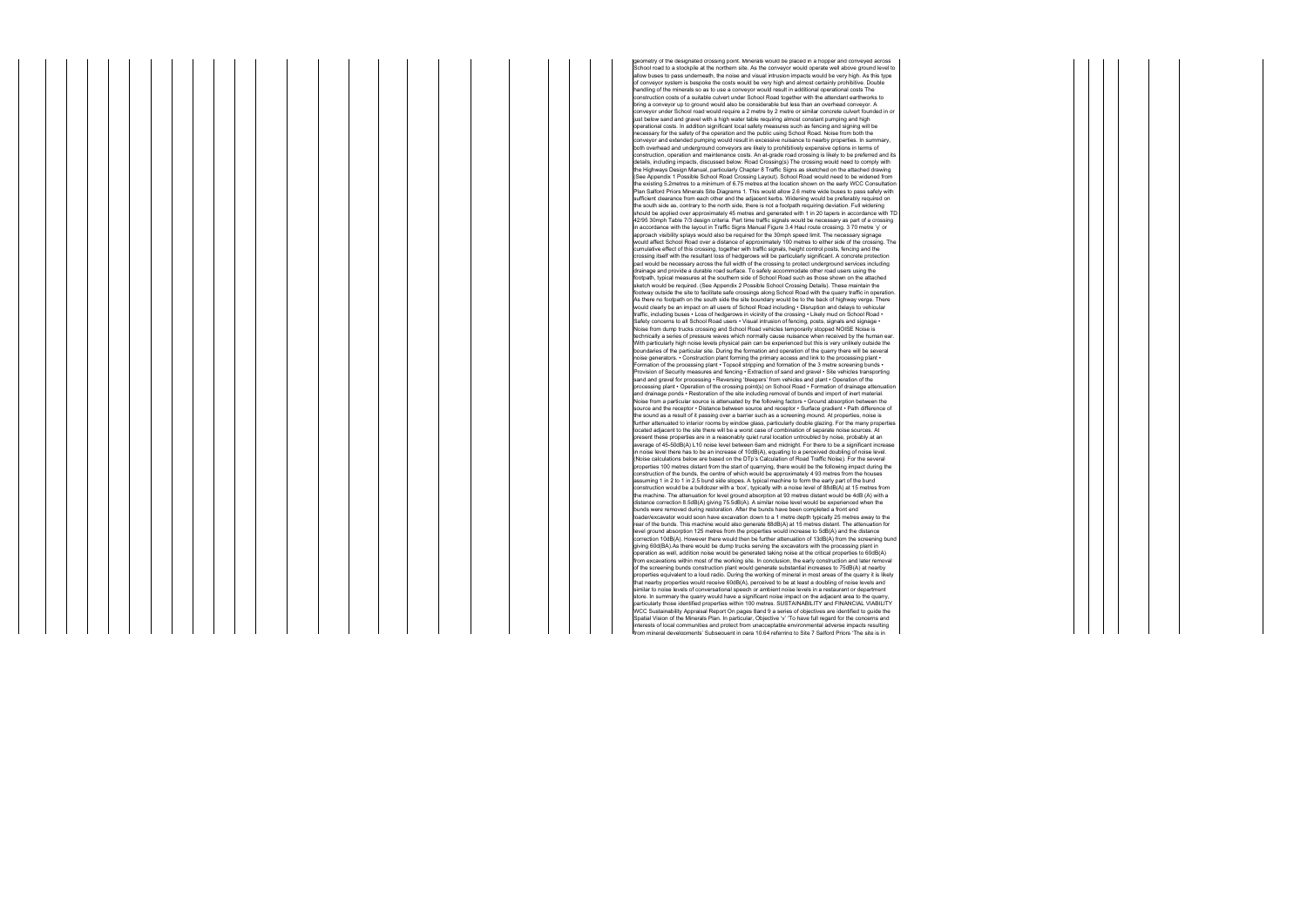etry of the designated crossing point. Minerals would be placed in a hopper and conveyed across School road to a stockpile at the northern site. As the conveyor would operate well above ground level to allow buses to pass underneath, the noise and visual intrusion impacts would be very high. As this type of conveyor system is bespoke the costs would be very high and almost certainly prohibitive. Double handling of the minerals so as to use a conveyor would result in additional operational costs The construction costs of a suitable culvert under School Road together with the attendant earthworks to bring a conveyor up to ground would also be considerable but less than an overhead conveyor. A conveyor under School road would require a 2 metre by 2 metre or similar concrete culvert founded in or just below sand and gravel with a high water table requiring almost constant pumping and high operational costs. In addition significant local safety measures such as fencing and signing will be necessary for the safety of the operation and the public using School Road. Noise from both the conveyor and extended pumping would result in excessive nuisance to nearby properties. In summary, both overhead and underground conveyors are likely to prohibitively expensive options in terms of construction, operation and maintenance costs. An at-grade road crossing is likely to be preferred and its details, including impacts, discussed below. Road Crossing(s) The crossing would need to comply with<br>the Highways Design Manual, particularly Chapter 8 Traffic Signs as sketched on the attached drawing (See Appendix 1 Possible School Road Crossing Layout). School Road would need to be widened from<br>the existing 5.2metres to a minimum of 6.75 metres at the location shown on the early WCC Consultation re existing bizineties to a minimum of 0.75 metres at the location shown on the early victo consultation<br>Ian Salford Priors Minerals Site Diagrams 1. This would allow 2.6 metre wide buses to pass safely with sufficient clearance from each other and the adjacent kerbs. Widening would be preferably required on the south side as, contrary to the north side, there is not a footpath requiring deviation. Full widening should be applied over approximately 45 metres and generated with 1 in 20 tapers in accordance with TD 42/95 30mph Table 7/3 design criteria. Part time traffic signals would be necessary as part of a crossing in accordance with the layout in Traffic Signs Manual Figure 3.4 Haul route crossing. 3 70 metre 'y' or approach visibility splays would also be required for the 30mph speed limit. The necessary signage would affect School Road over a distance of approximately 100 metres to either side of the crossing. The<br>cumulative effect of this crossing, together with traffic signals, height control posts, fencing and the<br>crossing its pad would be necessary across the full width of the crossing to protect underground services including drainage and provide a durable road surface. To safely accommodate other road users using the footpath, typical measures at the southern side of School Road such as those shown on the attached sketch would be required. (See Appendix 2 Possible School Crossing Details). These maintain the<br>footway outside the site to facilitate safe crossings along School Road with the quarry traffic in operation.<br>As there no foot which is the part of the state and the state of the state of the state of the state of  $q$  is an impact on all users of School Road including • Disruption and delays to vehicular traffic, including buses • Loss of hedgerows in vicinity of the crossing • Likely mud on School Road • Safety concerns to all School Road users • Visual intrusion of fencing, posts, signals and signage •<br>Noise from dump trucks crossing and School Road vehicles temporarily stopped NOISE Noise is<br>technically a series of press With particularly high noise levels physical pain can be experienced but this is very unlikely outside the boundaries of the particular site. During the formation and operation of the quarry there will be several noise generators. • Construction plant forming the primary access and link to the processing plant • Formation of the processing plant • Topsoil stripping and formation of the 3 metre screening bunds • Provision of Security measures and fencing • Extraction of sand and gravel • Site vehicles transporting sand and gravel for processing • Reversing 'bleepers' from vehicles and plant • Operation of the processing plant • Operation of the crossing point(s) on School Road • Formation of drainage attenuation and drainage ponds • Restoration of the site including removal of bunds and import of inert material. Noise from a particular source is attenuated by the following factors • Ground absorption between the source and the receptor • Distance between source and receptor • Surface gradient • Path difference of the sound as a result of it passing over a barrier such as a screening mound. At properties, noise is further attenuated to interior rooms by window glass, particularly double glazing. For the many properties located adjacent to the site there will be a worst case of combination of separate noise sources. At present these properties are in a reasonably quiet rural location untroubled by noise, probably at an average of 45-50dB(A) L10 noise level between 6am and midnight. For there to be a significant increase in noise level there has to be an increase of 10dB(A), equating to a perceived doubling of noise level. (Noise calculations below are based on the DTp's Calculation of Road Traffic Noise). For the several properties 100 metres distant from the start of quarrying, there would be the following impact during the construction of the bunds, the centre of which would be approximately 4 93 metres from the houses assuming 1 in 2 to 1 in 2.5 bund side slopes. A typical machine to form the early part of the bund construction would be a bulldozer with a 'box', typically with a noise level of 88dB(A) at 15 metres from the machine. The attenuation for level ground absorption at 93 metres distant would be 4dB (A) with a distance correction 8.5dB(A) giving 75.5dB(A). A similar noise level would be experienced when the bunds were removed during restoration. After the bunds have been completed a front end loader/excavator would soon have excavation down to a 1 metre depth typically 25 metres away to the rear of the bunds. This machine would also generate 88dB(A) at 15 metres distant. The attenuation for level ground absorption 125 metres from the properties would increase to 5dB(A) and the distance correction 10dB(A). However there would then be further attenuation of 13dB(A) from the screening bund giving 60d(BA).As there would be dump trucks serving the excavators with the processing plant in<br>operation as well, addition noise would be generated taking noise at the critical properties to 60dB(A)<br>from excavations with of the screening bunds construction plant would generate substantial increases to 75dB(A) at nearby properties equivalent to a loud radio. During the working of mineral in most areas of the quarry it is likely<br>that nearby properties would receive 60dB(A), perceived to be at least a doubling of noise levels and similar to noise levels of conversational speech or ambient noise levels in a restaurant or department store. In summary the quarry would have a significant noise impact on the adjacent area to the quarry, particularly those identified properties within 100 metres. SUSTAINABILITY and FINANCIAL VIABILITY WCC Sustainability Appraisal Report On pages 8and 9 a series of objectives are identified to guide the<br>Spatial Vision of the Minerals Plan. In particular, Objective 'v΄ 'To have full regard for the concerns and<br>interests from mineral developments' Subsequent in para 10.64 referring to Site 7 Salford Priors 'The site is in

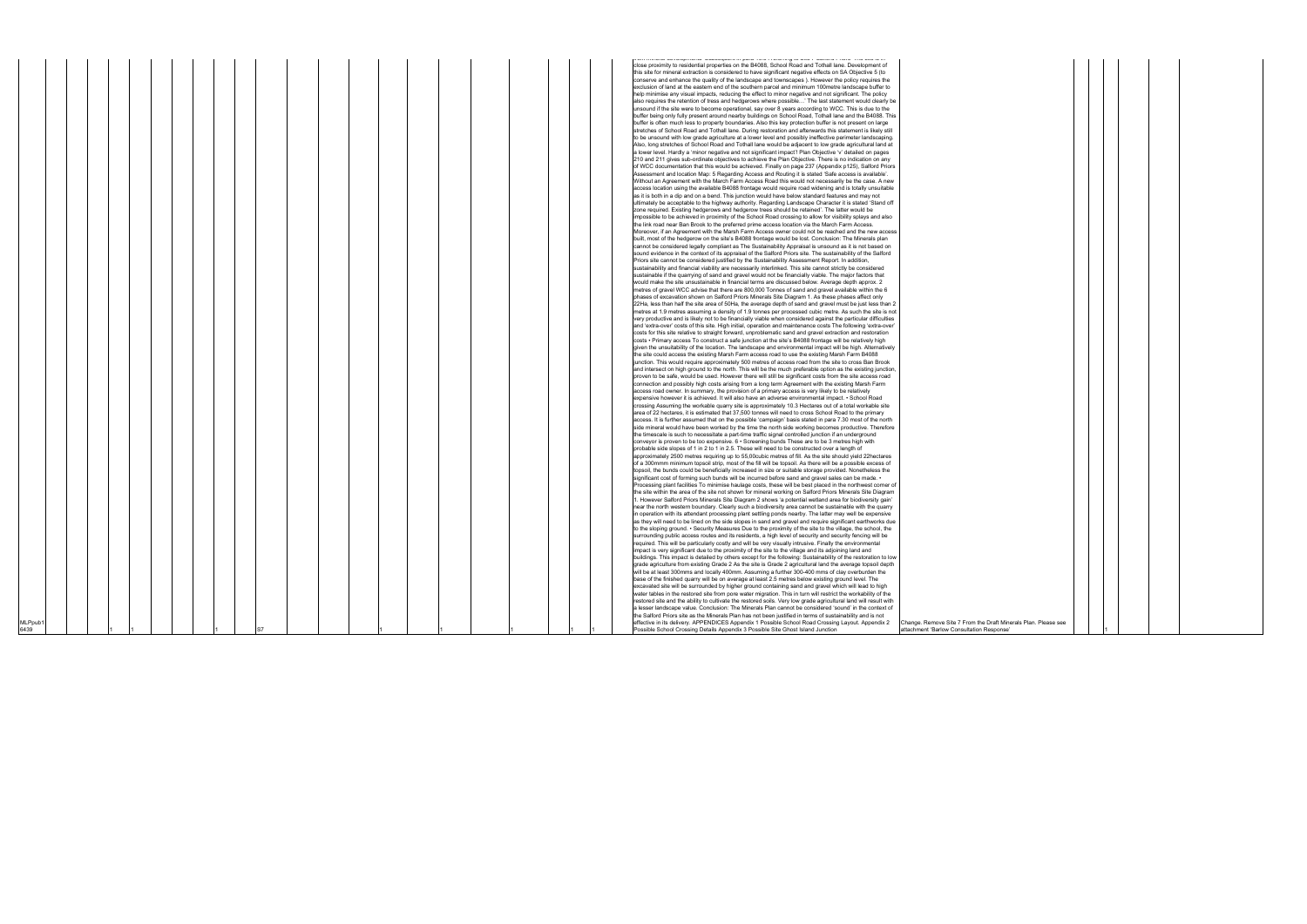|        |  |  |  |  |  |  |  | recommendate experimente de expedições do para o esto o estado agua de este o demendo serveiro soledare de la                                                       |  |
|--------|--|--|--|--|--|--|--|---------------------------------------------------------------------------------------------------------------------------------------------------------------------|--|
|        |  |  |  |  |  |  |  | close proximity to residential properties on the B4088, School Road and Tothall lane. Development of                                                                |  |
|        |  |  |  |  |  |  |  | this site for mineral extraction is considered to have significant negative effects on SA Objective 5 (to                                                           |  |
|        |  |  |  |  |  |  |  | conserve and enhance the quality of the landscape and townscapes). However the policy requires the                                                                  |  |
|        |  |  |  |  |  |  |  | exclusion of land at the eastern end of the southern parcel and minimum 100 metre landscape buffer to                                                               |  |
|        |  |  |  |  |  |  |  | help minimise any visual impacts, reducing the effect to minor negative and not significant. The policy                                                             |  |
|        |  |  |  |  |  |  |  |                                                                                                                                                                     |  |
|        |  |  |  |  |  |  |  | also requires the retention of tress and hedgerows where possible' The last statement would clearly be                                                              |  |
|        |  |  |  |  |  |  |  | unsound if the site were to become operational, say over 8 years according to WCC. This is due to the                                                               |  |
|        |  |  |  |  |  |  |  | buffer being only fully present around nearby buildings on School Road, Tothall lane and the B4088. This                                                            |  |
|        |  |  |  |  |  |  |  | buffer is often much less to property boundaries. Also this key protection buffer is not present on large                                                           |  |
|        |  |  |  |  |  |  |  | stretches of School Road and Tothall lane. During restoration and afterwards this statement is likely still                                                         |  |
|        |  |  |  |  |  |  |  | to be unsound with low grade agriculture at a lower level and possibly ineffective perimeter landscaping.                                                           |  |
|        |  |  |  |  |  |  |  | Also, long stretches of School Road and Tothall lane would be adjacent to low grade agricultural land at                                                            |  |
|        |  |  |  |  |  |  |  |                                                                                                                                                                     |  |
|        |  |  |  |  |  |  |  | a lower level. Hardly a 'minor negative and not significant impact'! Plan Objective 'v' detailed on pages                                                           |  |
|        |  |  |  |  |  |  |  | 210 and 211 gives sub-ordinate objectives to achieve the Plan Objective. There is no indication on any                                                              |  |
|        |  |  |  |  |  |  |  | of WCC documentation that this would be achieved. Finally on page 237 (Appendix p125), Salford Priors                                                               |  |
|        |  |  |  |  |  |  |  | Assessment and location Map: 5 Regarding Access and Routing it is stated 'Safe access is available'.                                                                |  |
|        |  |  |  |  |  |  |  | Without an Agreement with the March Farm Access Road this would not necessarily be the case. A new                                                                  |  |
|        |  |  |  |  |  |  |  | access location using the available B4088 frontage would require road widening and is totally unsuitable                                                            |  |
|        |  |  |  |  |  |  |  | as it is both in a dip and on a bend. This junction would have below standard features and may not                                                                  |  |
|        |  |  |  |  |  |  |  | ultimately be acceptable to the highway authority. Regarding Landscape Character it is stated 'Stand off                                                            |  |
|        |  |  |  |  |  |  |  | zone required. Existing hedgerows and hedgerow trees should be retained'. The latter would be                                                                       |  |
|        |  |  |  |  |  |  |  |                                                                                                                                                                     |  |
|        |  |  |  |  |  |  |  | impossible to be achieved in proximity of the School Road crossing to allow for visibility splays and also                                                          |  |
|        |  |  |  |  |  |  |  | the link road near Ban Brook to the preferred prime access location via the March Farm Access.                                                                      |  |
|        |  |  |  |  |  |  |  | Moreover, if an Agreement with the Marsh Farm Access owner could not be reached and the new access                                                                  |  |
|        |  |  |  |  |  |  |  | built, most of the hedgerow on the site's B4088 frontage would be lost. Conclusion: The Minerals plan                                                               |  |
|        |  |  |  |  |  |  |  | cannot be considered legally compliant as The Sustainability Appraisal is unsound as it is not based on                                                             |  |
|        |  |  |  |  |  |  |  | sound evidence in the context of its appraisal of the Salford Priors site. The sustainability of the Salford                                                        |  |
|        |  |  |  |  |  |  |  | Priors site cannot be considered justified by the Sustainability Assessment Report. In addition,                                                                    |  |
|        |  |  |  |  |  |  |  | sustainability and financial viability are necessarily interlinked. This site cannot strictly be considered                                                         |  |
|        |  |  |  |  |  |  |  | sustainable if the quarrying of sand and gravel would not be financially viable. The major factors that                                                             |  |
|        |  |  |  |  |  |  |  |                                                                                                                                                                     |  |
|        |  |  |  |  |  |  |  | would make the site unsustainable in financial terms are discussed below. Average depth approx. 2                                                                   |  |
|        |  |  |  |  |  |  |  | metres of gravel WCC advise that there are 800,000 Tonnes of sand and gravel available within the 6                                                                 |  |
|        |  |  |  |  |  |  |  | phases of excavation shown on Salford Priors Minerals Site Diagram 1. As these phases affect only                                                                   |  |
|        |  |  |  |  |  |  |  | 22Ha, less than half the site area of 50Ha, the average depth of sand and gravel must be just less than 2                                                           |  |
|        |  |  |  |  |  |  |  | metres at 1.9 metres assuming a density of 1.9 tonnes per processed cubic metre. As such the site is not                                                            |  |
|        |  |  |  |  |  |  |  | very productive and is likely not to be financially viable when considered against the particular difficulties                                                      |  |
|        |  |  |  |  |  |  |  | and 'extra-over' costs of this site. High initial, operation and maintenance costs The following 'extra-over                                                        |  |
|        |  |  |  |  |  |  |  | costs for this site relative to straight forward, unproblematic sand and gravel extraction and restoration                                                          |  |
|        |  |  |  |  |  |  |  | costs • Primary access To construct a safe junction at the site's B4088 frontage will be relatively high                                                            |  |
|        |  |  |  |  |  |  |  |                                                                                                                                                                     |  |
|        |  |  |  |  |  |  |  | given the unsuitability of the location. The landscape and environmental impact will be high. Alternatively                                                         |  |
|        |  |  |  |  |  |  |  | the site could access the existing Marsh Farm access road to use the existing Marsh Farm B4088                                                                      |  |
|        |  |  |  |  |  |  |  | junction. This would require approximately 500 metres of access road from the site to cross Ban Brook                                                               |  |
|        |  |  |  |  |  |  |  | and intersect on high ground to the north. This will be the much preferable option as the existing junction,                                                        |  |
|        |  |  |  |  |  |  |  | proven to be safe, would be used. However there will still be significant costs from the site access road                                                           |  |
|        |  |  |  |  |  |  |  | connection and possibly high costs arising from a long term Agreement with the existing Marsh Farm                                                                  |  |
|        |  |  |  |  |  |  |  | access road owner. In summary, the provision of a primary access is very likely to be relatively                                                                    |  |
|        |  |  |  |  |  |  |  | expensive however it is achieved. It will also have an adverse environmental impact. • School Road                                                                  |  |
|        |  |  |  |  |  |  |  | crossing Assuming the workable quarry site is approximately 10.3 Hectares out of a total workable site                                                              |  |
|        |  |  |  |  |  |  |  |                                                                                                                                                                     |  |
|        |  |  |  |  |  |  |  | area of 22 hectares, it is estimated that 37,500 tonnes will need to cross School Road to the primary                                                               |  |
|        |  |  |  |  |  |  |  | access. It is further assumed that on the possible 'campaign' basis stated in para 7.30 most of the north                                                           |  |
|        |  |  |  |  |  |  |  | side mineral would have been worked by the time the north side working becomes productive. Therefore                                                                |  |
|        |  |  |  |  |  |  |  | the timescale is such to necessitate a part-time traffic signal controlled junction if an underground                                                               |  |
|        |  |  |  |  |  |  |  | conveyor is proven to be too expensive. 6 • Screening bunds These are to be 3 metres high with                                                                      |  |
|        |  |  |  |  |  |  |  | probable side slopes of 1 in 2 to 1 in 2.5. These will need to be constructed over a length of                                                                      |  |
|        |  |  |  |  |  |  |  | approximately 2500 metres requiring up to 55,00cubic metres of fill. As the site should yield 22hectares                                                            |  |
|        |  |  |  |  |  |  |  | of a 300mmm minimum topsoil strip, most of the fill will be topsoil. As there will be a possible excess of                                                          |  |
|        |  |  |  |  |  |  |  | topsoil, the bunds could be beneficially increased in size or suitable storage provided. Nonetheless the                                                            |  |
|        |  |  |  |  |  |  |  | significant cost of forming such bunds will be incurred before sand and gravel sales can be made. •                                                                 |  |
|        |  |  |  |  |  |  |  |                                                                                                                                                                     |  |
|        |  |  |  |  |  |  |  | Processing plant facilities To minimise haulage costs, these will be best placed in the northwest corner of                                                         |  |
|        |  |  |  |  |  |  |  | the site within the area of the site not shown for mineral working on Salford Priors Minerals Site Diagram                                                          |  |
|        |  |  |  |  |  |  |  | 1. However Salford Priors Minerals Site Diagram 2 shows 'a potential wetland area for biodiversity gain'                                                            |  |
|        |  |  |  |  |  |  |  | near the north western boundary. Clearly such a biodiversity area cannot be sustainable with the quarry                                                             |  |
|        |  |  |  |  |  |  |  | in operation with its attendant processing plant settling ponds nearby. The latter may well be expensive                                                            |  |
|        |  |  |  |  |  |  |  | as they will need to be lined on the side slopes in sand and gravel and require significant earthworks due                                                          |  |
|        |  |  |  |  |  |  |  | to the sloping ground. • Security Measures Due to the proximity of the site to the village, the school, the                                                         |  |
|        |  |  |  |  |  |  |  | surrounding public access routes and its residents, a high level of security and security fencing will be                                                           |  |
|        |  |  |  |  |  |  |  |                                                                                                                                                                     |  |
|        |  |  |  |  |  |  |  | required. This will be particularly costly and will be very visually intrusive. Finally the environmental                                                           |  |
|        |  |  |  |  |  |  |  | impact is very significant due to the proximity of the site to the village and its adjoining land and                                                               |  |
|        |  |  |  |  |  |  |  | buildings. This impact is detailed by others except for the following: Sustainability of the restoration to low                                                     |  |
|        |  |  |  |  |  |  |  | grade agriculture from existing Grade 2 As the site is Grade 2 agricultural land the average topsoil depth                                                          |  |
|        |  |  |  |  |  |  |  | will be at least 300mms and locally 400mm. Assuming a further 300-400 mms of clay overburden the                                                                    |  |
|        |  |  |  |  |  |  |  | base of the finished quarry will be on average at least 2.5 metres below existing ground level. The                                                                 |  |
|        |  |  |  |  |  |  |  | excavated site will be surrounded by higher ground containing sand and gravel which will lead to high                                                               |  |
|        |  |  |  |  |  |  |  | water tables in the restored site from pore water migration. This in turn will restrict the workability of the                                                      |  |
|        |  |  |  |  |  |  |  | restored site and the ability to cultivate the restored soils. Very low grade agricultural land will result with                                                    |  |
|        |  |  |  |  |  |  |  | a lesser landscape value. Conclusion: The Minerals Plan cannot be considered 'sound' in the context of                                                              |  |
|        |  |  |  |  |  |  |  |                                                                                                                                                                     |  |
|        |  |  |  |  |  |  |  | the Salford Priors site as the Minerals Plan has not been justified in terms of sustainability and is not                                                           |  |
| MLPpub |  |  |  |  |  |  |  | effective in its delivery. APPENDICES Appendix 1 Possible School Road Crossing Layout. Appendix 2<br>Change. Remove Site 7 From the Draft Minerals Plan. Please see |  |
| 6439   |  |  |  |  |  |  |  | Possible School Crossing Details Appendix 3 Possible Site Ghost Island Junction<br>attachment 'Barlow Consultation Response'                                        |  |

| aft Minerals Plan. Please see<br>ponse' |  |  |  |
|-----------------------------------------|--|--|--|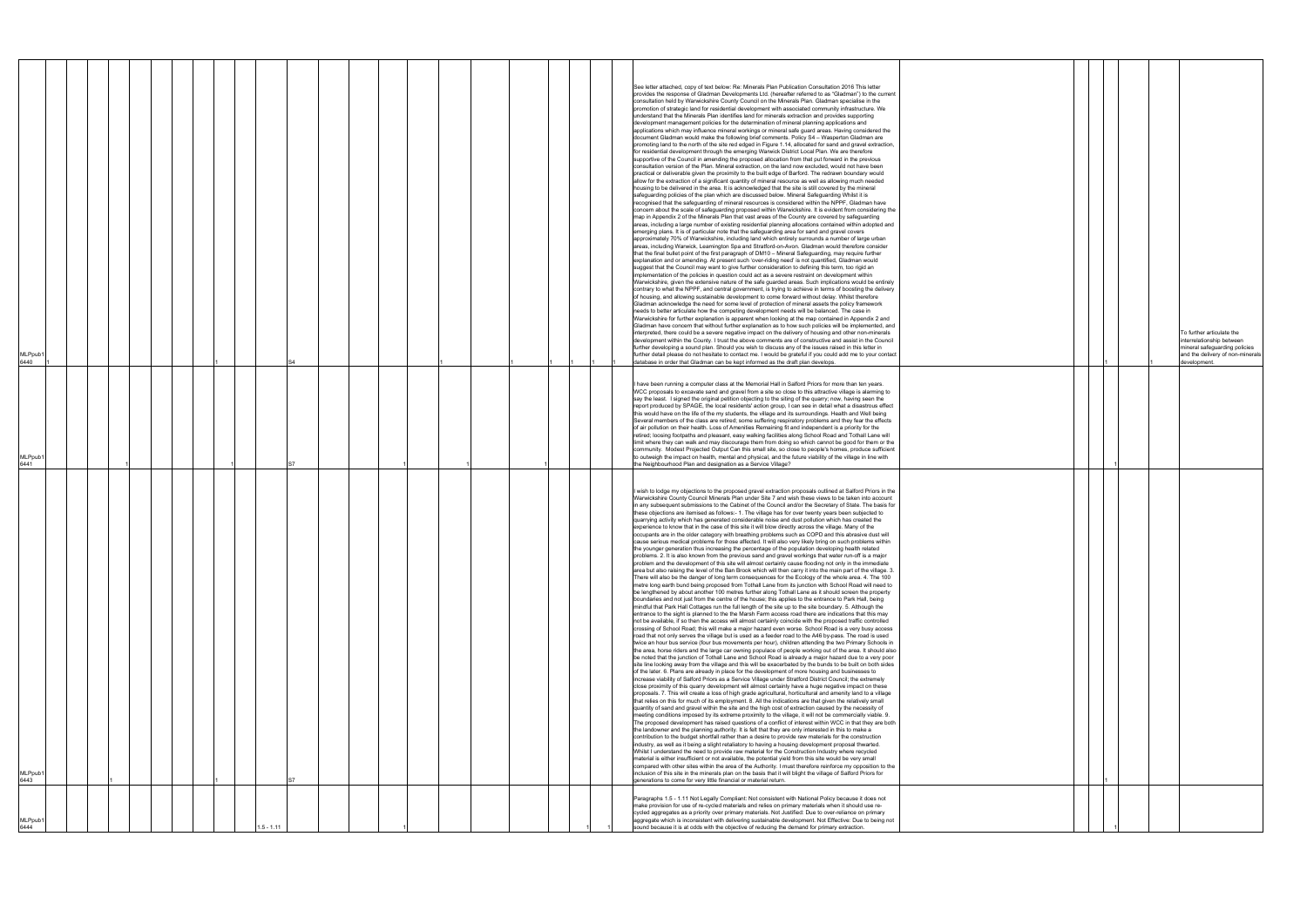|  | $\mathbf{1}$ | $\mathbf{1}$ | To further articulate the<br>interrelationship between<br>mineral safeguarding policies<br>and the delivery of non-minerals<br>development. |
|--|--------------|--------------|---------------------------------------------------------------------------------------------------------------------------------------------|
|  | $\mathbf{1}$ |              |                                                                                                                                             |
|  |              |              |                                                                                                                                             |
|  | $\mathbf{1}$ |              |                                                                                                                                             |
|  | 1            |              |                                                                                                                                             |

| MLPpub′<br>6444                                                                                                                                                                                                                                                                                                                                                                                                                                                                                                                     | MLPpub′<br>6443                                                                                                                                                                                                                                                                                                                                                                                                                                                                                                                                                                                                                                                                                                                                                                                                                                                                                                                                                                                                                                                                                                                                                                                                                                                                                                                                                                                                                                                                                                                                                                                                                                                                                                                                                                                                                                                                                                                                                                                                                                                                                                                                                                                                                                                                                                                                                                                                                                                                                                                                                                                                                                                                                                                                                                                                                                                                                                                                                                                                                                                                                                                                                                                                                                                                                                                                                                                                                                                                                                                                                                                                                                                                                                                                                                                                                                                                                                                                                                                                                                                                                                                                                                                                                                                                                                                                                                                                                                                                                                           | /ILPpub<br>6441                                                                                                                                                                                                                                                                                                                                                                                                                                                                                                                                                                                                                                                                                                                                                                                                                                                                                                                                                                                                                                                                                                                                                                                                                                                                        | <code>MLPpub1</code><br>6440                                                                                                                                                                                                                                                                                                                                                                                                                                                                                                                                                                                                                                                                                                                                                                                                                                                                                                                                                                                                                                                                                                                                                                                                                                                                                                                                                                                                                                                                                                                                                                                                                                                                                                                                                                                                                                                                                                                                                                                                                                                                                                                                                                                                                                                                                                                                                                                                                                                                                                                                                                                                                                                                                                                                                                                                                                                                                                                                                                                                                                                                                                                                                                                                                                                                                                                                                                                                                                                                                                                                                                                                                                                                                                                                                                                                                                                                                                                                                                                                                                                                                                                               |
|-------------------------------------------------------------------------------------------------------------------------------------------------------------------------------------------------------------------------------------------------------------------------------------------------------------------------------------------------------------------------------------------------------------------------------------------------------------------------------------------------------------------------------------|---------------------------------------------------------------------------------------------------------------------------------------------------------------------------------------------------------------------------------------------------------------------------------------------------------------------------------------------------------------------------------------------------------------------------------------------------------------------------------------------------------------------------------------------------------------------------------------------------------------------------------------------------------------------------------------------------------------------------------------------------------------------------------------------------------------------------------------------------------------------------------------------------------------------------------------------------------------------------------------------------------------------------------------------------------------------------------------------------------------------------------------------------------------------------------------------------------------------------------------------------------------------------------------------------------------------------------------------------------------------------------------------------------------------------------------------------------------------------------------------------------------------------------------------------------------------------------------------------------------------------------------------------------------------------------------------------------------------------------------------------------------------------------------------------------------------------------------------------------------------------------------------------------------------------------------------------------------------------------------------------------------------------------------------------------------------------------------------------------------------------------------------------------------------------------------------------------------------------------------------------------------------------------------------------------------------------------------------------------------------------------------------------------------------------------------------------------------------------------------------------------------------------------------------------------------------------------------------------------------------------------------------------------------------------------------------------------------------------------------------------------------------------------------------------------------------------------------------------------------------------------------------------------------------------------------------------------------------------------------------------------------------------------------------------------------------------------------------------------------------------------------------------------------------------------------------------------------------------------------------------------------------------------------------------------------------------------------------------------------------------------------------------------------------------------------------------------------------------------------------------------------------------------------------------------------------------------------------------------------------------------------------------------------------------------------------------------------------------------------------------------------------------------------------------------------------------------------------------------------------------------------------------------------------------------------------------------------------------------------------------------------------------------------------------------------------------------------------------------------------------------------------------------------------------------------------------------------------------------------------------------------------------------------------------------------------------------------------------------------------------------------------------------------------------------------------------------------------------------------------------------------------------|----------------------------------------------------------------------------------------------------------------------------------------------------------------------------------------------------------------------------------------------------------------------------------------------------------------------------------------------------------------------------------------------------------------------------------------------------------------------------------------------------------------------------------------------------------------------------------------------------------------------------------------------------------------------------------------------------------------------------------------------------------------------------------------------------------------------------------------------------------------------------------------------------------------------------------------------------------------------------------------------------------------------------------------------------------------------------------------------------------------------------------------------------------------------------------------------------------------------------------------------------------------------------------------|------------------------------------------------------------------------------------------------------------------------------------------------------------------------------------------------------------------------------------------------------------------------------------------------------------------------------------------------------------------------------------------------------------------------------------------------------------------------------------------------------------------------------------------------------------------------------------------------------------------------------------------------------------------------------------------------------------------------------------------------------------------------------------------------------------------------------------------------------------------------------------------------------------------------------------------------------------------------------------------------------------------------------------------------------------------------------------------------------------------------------------------------------------------------------------------------------------------------------------------------------------------------------------------------------------------------------------------------------------------------------------------------------------------------------------------------------------------------------------------------------------------------------------------------------------------------------------------------------------------------------------------------------------------------------------------------------------------------------------------------------------------------------------------------------------------------------------------------------------------------------------------------------------------------------------------------------------------------------------------------------------------------------------------------------------------------------------------------------------------------------------------------------------------------------------------------------------------------------------------------------------------------------------------------------------------------------------------------------------------------------------------------------------------------------------------------------------------------------------------------------------------------------------------------------------------------------------------------------------------------------------------------------------------------------------------------------------------------------------------------------------------------------------------------------------------------------------------------------------------------------------------------------------------------------------------------------------------------------------------------------------------------------------------------------------------------------------------------------------------------------------------------------------------------------------------------------------------------------------------------------------------------------------------------------------------------------------------------------------------------------------------------------------------------------------------------------------------------------------------------------------------------------------------------------------------------------------------------------------------------------------------------------------------------------------------------------------------------------------------------------------------------------------------------------------------------------------------------------------------------------------------------------------------------------------------------------------------------------------------------------------------------------------------------------------------------------------------------------------------------------------------------------------|
|                                                                                                                                                                                                                                                                                                                                                                                                                                                                                                                                     |                                                                                                                                                                                                                                                                                                                                                                                                                                                                                                                                                                                                                                                                                                                                                                                                                                                                                                                                                                                                                                                                                                                                                                                                                                                                                                                                                                                                                                                                                                                                                                                                                                                                                                                                                                                                                                                                                                                                                                                                                                                                                                                                                                                                                                                                                                                                                                                                                                                                                                                                                                                                                                                                                                                                                                                                                                                                                                                                                                                                                                                                                                                                                                                                                                                                                                                                                                                                                                                                                                                                                                                                                                                                                                                                                                                                                                                                                                                                                                                                                                                                                                                                                                                                                                                                                                                                                                                                                                                                                                                           |                                                                                                                                                                                                                                                                                                                                                                                                                                                                                                                                                                                                                                                                                                                                                                                                                                                                                                                                                                                                                                                                                                                                                                                                                                                                                        |                                                                                                                                                                                                                                                                                                                                                                                                                                                                                                                                                                                                                                                                                                                                                                                                                                                                                                                                                                                                                                                                                                                                                                                                                                                                                                                                                                                                                                                                                                                                                                                                                                                                                                                                                                                                                                                                                                                                                                                                                                                                                                                                                                                                                                                                                                                                                                                                                                                                                                                                                                                                                                                                                                                                                                                                                                                                                                                                                                                                                                                                                                                                                                                                                                                                                                                                                                                                                                                                                                                                                                                                                                                                                                                                                                                                                                                                                                                                                                                                                                                                                                                                                            |
|                                                                                                                                                                                                                                                                                                                                                                                                                                                                                                                                     |                                                                                                                                                                                                                                                                                                                                                                                                                                                                                                                                                                                                                                                                                                                                                                                                                                                                                                                                                                                                                                                                                                                                                                                                                                                                                                                                                                                                                                                                                                                                                                                                                                                                                                                                                                                                                                                                                                                                                                                                                                                                                                                                                                                                                                                                                                                                                                                                                                                                                                                                                                                                                                                                                                                                                                                                                                                                                                                                                                                                                                                                                                                                                                                                                                                                                                                                                                                                                                                                                                                                                                                                                                                                                                                                                                                                                                                                                                                                                                                                                                                                                                                                                                                                                                                                                                                                                                                                                                                                                                                           |                                                                                                                                                                                                                                                                                                                                                                                                                                                                                                                                                                                                                                                                                                                                                                                                                                                                                                                                                                                                                                                                                                                                                                                                                                                                                        |                                                                                                                                                                                                                                                                                                                                                                                                                                                                                                                                                                                                                                                                                                                                                                                                                                                                                                                                                                                                                                                                                                                                                                                                                                                                                                                                                                                                                                                                                                                                                                                                                                                                                                                                                                                                                                                                                                                                                                                                                                                                                                                                                                                                                                                                                                                                                                                                                                                                                                                                                                                                                                                                                                                                                                                                                                                                                                                                                                                                                                                                                                                                                                                                                                                                                                                                                                                                                                                                                                                                                                                                                                                                                                                                                                                                                                                                                                                                                                                                                                                                                                                                                            |
|                                                                                                                                                                                                                                                                                                                                                                                                                                                                                                                                     |                                                                                                                                                                                                                                                                                                                                                                                                                                                                                                                                                                                                                                                                                                                                                                                                                                                                                                                                                                                                                                                                                                                                                                                                                                                                                                                                                                                                                                                                                                                                                                                                                                                                                                                                                                                                                                                                                                                                                                                                                                                                                                                                                                                                                                                                                                                                                                                                                                                                                                                                                                                                                                                                                                                                                                                                                                                                                                                                                                                                                                                                                                                                                                                                                                                                                                                                                                                                                                                                                                                                                                                                                                                                                                                                                                                                                                                                                                                                                                                                                                                                                                                                                                                                                                                                                                                                                                                                                                                                                                                           |                                                                                                                                                                                                                                                                                                                                                                                                                                                                                                                                                                                                                                                                                                                                                                                                                                                                                                                                                                                                                                                                                                                                                                                                                                                                                        |                                                                                                                                                                                                                                                                                                                                                                                                                                                                                                                                                                                                                                                                                                                                                                                                                                                                                                                                                                                                                                                                                                                                                                                                                                                                                                                                                                                                                                                                                                                                                                                                                                                                                                                                                                                                                                                                                                                                                                                                                                                                                                                                                                                                                                                                                                                                                                                                                                                                                                                                                                                                                                                                                                                                                                                                                                                                                                                                                                                                                                                                                                                                                                                                                                                                                                                                                                                                                                                                                                                                                                                                                                                                                                                                                                                                                                                                                                                                                                                                                                                                                                                                                            |
|                                                                                                                                                                                                                                                                                                                                                                                                                                                                                                                                     |                                                                                                                                                                                                                                                                                                                                                                                                                                                                                                                                                                                                                                                                                                                                                                                                                                                                                                                                                                                                                                                                                                                                                                                                                                                                                                                                                                                                                                                                                                                                                                                                                                                                                                                                                                                                                                                                                                                                                                                                                                                                                                                                                                                                                                                                                                                                                                                                                                                                                                                                                                                                                                                                                                                                                                                                                                                                                                                                                                                                                                                                                                                                                                                                                                                                                                                                                                                                                                                                                                                                                                                                                                                                                                                                                                                                                                                                                                                                                                                                                                                                                                                                                                                                                                                                                                                                                                                                                                                                                                                           |                                                                                                                                                                                                                                                                                                                                                                                                                                                                                                                                                                                                                                                                                                                                                                                                                                                                                                                                                                                                                                                                                                                                                                                                                                                                                        |                                                                                                                                                                                                                                                                                                                                                                                                                                                                                                                                                                                                                                                                                                                                                                                                                                                                                                                                                                                                                                                                                                                                                                                                                                                                                                                                                                                                                                                                                                                                                                                                                                                                                                                                                                                                                                                                                                                                                                                                                                                                                                                                                                                                                                                                                                                                                                                                                                                                                                                                                                                                                                                                                                                                                                                                                                                                                                                                                                                                                                                                                                                                                                                                                                                                                                                                                                                                                                                                                                                                                                                                                                                                                                                                                                                                                                                                                                                                                                                                                                                                                                                                                            |
|                                                                                                                                                                                                                                                                                                                                                                                                                                                                                                                                     |                                                                                                                                                                                                                                                                                                                                                                                                                                                                                                                                                                                                                                                                                                                                                                                                                                                                                                                                                                                                                                                                                                                                                                                                                                                                                                                                                                                                                                                                                                                                                                                                                                                                                                                                                                                                                                                                                                                                                                                                                                                                                                                                                                                                                                                                                                                                                                                                                                                                                                                                                                                                                                                                                                                                                                                                                                                                                                                                                                                                                                                                                                                                                                                                                                                                                                                                                                                                                                                                                                                                                                                                                                                                                                                                                                                                                                                                                                                                                                                                                                                                                                                                                                                                                                                                                                                                                                                                                                                                                                                           |                                                                                                                                                                                                                                                                                                                                                                                                                                                                                                                                                                                                                                                                                                                                                                                                                                                                                                                                                                                                                                                                                                                                                                                                                                                                                        |                                                                                                                                                                                                                                                                                                                                                                                                                                                                                                                                                                                                                                                                                                                                                                                                                                                                                                                                                                                                                                                                                                                                                                                                                                                                                                                                                                                                                                                                                                                                                                                                                                                                                                                                                                                                                                                                                                                                                                                                                                                                                                                                                                                                                                                                                                                                                                                                                                                                                                                                                                                                                                                                                                                                                                                                                                                                                                                                                                                                                                                                                                                                                                                                                                                                                                                                                                                                                                                                                                                                                                                                                                                                                                                                                                                                                                                                                                                                                                                                                                                                                                                                                            |
|                                                                                                                                                                                                                                                                                                                                                                                                                                                                                                                                     |                                                                                                                                                                                                                                                                                                                                                                                                                                                                                                                                                                                                                                                                                                                                                                                                                                                                                                                                                                                                                                                                                                                                                                                                                                                                                                                                                                                                                                                                                                                                                                                                                                                                                                                                                                                                                                                                                                                                                                                                                                                                                                                                                                                                                                                                                                                                                                                                                                                                                                                                                                                                                                                                                                                                                                                                                                                                                                                                                                                                                                                                                                                                                                                                                                                                                                                                                                                                                                                                                                                                                                                                                                                                                                                                                                                                                                                                                                                                                                                                                                                                                                                                                                                                                                                                                                                                                                                                                                                                                                                           |                                                                                                                                                                                                                                                                                                                                                                                                                                                                                                                                                                                                                                                                                                                                                                                                                                                                                                                                                                                                                                                                                                                                                                                                                                                                                        |                                                                                                                                                                                                                                                                                                                                                                                                                                                                                                                                                                                                                                                                                                                                                                                                                                                                                                                                                                                                                                                                                                                                                                                                                                                                                                                                                                                                                                                                                                                                                                                                                                                                                                                                                                                                                                                                                                                                                                                                                                                                                                                                                                                                                                                                                                                                                                                                                                                                                                                                                                                                                                                                                                                                                                                                                                                                                                                                                                                                                                                                                                                                                                                                                                                                                                                                                                                                                                                                                                                                                                                                                                                                                                                                                                                                                                                                                                                                                                                                                                                                                                                                                            |
| $1.5 - 1.11$                                                                                                                                                                                                                                                                                                                                                                                                                                                                                                                        |                                                                                                                                                                                                                                                                                                                                                                                                                                                                                                                                                                                                                                                                                                                                                                                                                                                                                                                                                                                                                                                                                                                                                                                                                                                                                                                                                                                                                                                                                                                                                                                                                                                                                                                                                                                                                                                                                                                                                                                                                                                                                                                                                                                                                                                                                                                                                                                                                                                                                                                                                                                                                                                                                                                                                                                                                                                                                                                                                                                                                                                                                                                                                                                                                                                                                                                                                                                                                                                                                                                                                                                                                                                                                                                                                                                                                                                                                                                                                                                                                                                                                                                                                                                                                                                                                                                                                                                                                                                                                                                           |                                                                                                                                                                                                                                                                                                                                                                                                                                                                                                                                                                                                                                                                                                                                                                                                                                                                                                                                                                                                                                                                                                                                                                                                                                                                                        |                                                                                                                                                                                                                                                                                                                                                                                                                                                                                                                                                                                                                                                                                                                                                                                                                                                                                                                                                                                                                                                                                                                                                                                                                                                                                                                                                                                                                                                                                                                                                                                                                                                                                                                                                                                                                                                                                                                                                                                                                                                                                                                                                                                                                                                                                                                                                                                                                                                                                                                                                                                                                                                                                                                                                                                                                                                                                                                                                                                                                                                                                                                                                                                                                                                                                                                                                                                                                                                                                                                                                                                                                                                                                                                                                                                                                                                                                                                                                                                                                                                                                                                                                            |
|                                                                                                                                                                                                                                                                                                                                                                                                                                                                                                                                     |                                                                                                                                                                                                                                                                                                                                                                                                                                                                                                                                                                                                                                                                                                                                                                                                                                                                                                                                                                                                                                                                                                                                                                                                                                                                                                                                                                                                                                                                                                                                                                                                                                                                                                                                                                                                                                                                                                                                                                                                                                                                                                                                                                                                                                                                                                                                                                                                                                                                                                                                                                                                                                                                                                                                                                                                                                                                                                                                                                                                                                                                                                                                                                                                                                                                                                                                                                                                                                                                                                                                                                                                                                                                                                                                                                                                                                                                                                                                                                                                                                                                                                                                                                                                                                                                                                                                                                                                                                                                                                                           |                                                                                                                                                                                                                                                                                                                                                                                                                                                                                                                                                                                                                                                                                                                                                                                                                                                                                                                                                                                                                                                                                                                                                                                                                                                                                        |                                                                                                                                                                                                                                                                                                                                                                                                                                                                                                                                                                                                                                                                                                                                                                                                                                                                                                                                                                                                                                                                                                                                                                                                                                                                                                                                                                                                                                                                                                                                                                                                                                                                                                                                                                                                                                                                                                                                                                                                                                                                                                                                                                                                                                                                                                                                                                                                                                                                                                                                                                                                                                                                                                                                                                                                                                                                                                                                                                                                                                                                                                                                                                                                                                                                                                                                                                                                                                                                                                                                                                                                                                                                                                                                                                                                                                                                                                                                                                                                                                                                                                                                                            |
|                                                                                                                                                                                                                                                                                                                                                                                                                                                                                                                                     |                                                                                                                                                                                                                                                                                                                                                                                                                                                                                                                                                                                                                                                                                                                                                                                                                                                                                                                                                                                                                                                                                                                                                                                                                                                                                                                                                                                                                                                                                                                                                                                                                                                                                                                                                                                                                                                                                                                                                                                                                                                                                                                                                                                                                                                                                                                                                                                                                                                                                                                                                                                                                                                                                                                                                                                                                                                                                                                                                                                                                                                                                                                                                                                                                                                                                                                                                                                                                                                                                                                                                                                                                                                                                                                                                                                                                                                                                                                                                                                                                                                                                                                                                                                                                                                                                                                                                                                                                                                                                                                           |                                                                                                                                                                                                                                                                                                                                                                                                                                                                                                                                                                                                                                                                                                                                                                                                                                                                                                                                                                                                                                                                                                                                                                                                                                                                                        |                                                                                                                                                                                                                                                                                                                                                                                                                                                                                                                                                                                                                                                                                                                                                                                                                                                                                                                                                                                                                                                                                                                                                                                                                                                                                                                                                                                                                                                                                                                                                                                                                                                                                                                                                                                                                                                                                                                                                                                                                                                                                                                                                                                                                                                                                                                                                                                                                                                                                                                                                                                                                                                                                                                                                                                                                                                                                                                                                                                                                                                                                                                                                                                                                                                                                                                                                                                                                                                                                                                                                                                                                                                                                                                                                                                                                                                                                                                                                                                                                                                                                                                                                            |
|                                                                                                                                                                                                                                                                                                                                                                                                                                                                                                                                     |                                                                                                                                                                                                                                                                                                                                                                                                                                                                                                                                                                                                                                                                                                                                                                                                                                                                                                                                                                                                                                                                                                                                                                                                                                                                                                                                                                                                                                                                                                                                                                                                                                                                                                                                                                                                                                                                                                                                                                                                                                                                                                                                                                                                                                                                                                                                                                                                                                                                                                                                                                                                                                                                                                                                                                                                                                                                                                                                                                                                                                                                                                                                                                                                                                                                                                                                                                                                                                                                                                                                                                                                                                                                                                                                                                                                                                                                                                                                                                                                                                                                                                                                                                                                                                                                                                                                                                                                                                                                                                                           |                                                                                                                                                                                                                                                                                                                                                                                                                                                                                                                                                                                                                                                                                                                                                                                                                                                                                                                                                                                                                                                                                                                                                                                                                                                                                        |                                                                                                                                                                                                                                                                                                                                                                                                                                                                                                                                                                                                                                                                                                                                                                                                                                                                                                                                                                                                                                                                                                                                                                                                                                                                                                                                                                                                                                                                                                                                                                                                                                                                                                                                                                                                                                                                                                                                                                                                                                                                                                                                                                                                                                                                                                                                                                                                                                                                                                                                                                                                                                                                                                                                                                                                                                                                                                                                                                                                                                                                                                                                                                                                                                                                                                                                                                                                                                                                                                                                                                                                                                                                                                                                                                                                                                                                                                                                                                                                                                                                                                                                                            |
|                                                                                                                                                                                                                                                                                                                                                                                                                                                                                                                                     |                                                                                                                                                                                                                                                                                                                                                                                                                                                                                                                                                                                                                                                                                                                                                                                                                                                                                                                                                                                                                                                                                                                                                                                                                                                                                                                                                                                                                                                                                                                                                                                                                                                                                                                                                                                                                                                                                                                                                                                                                                                                                                                                                                                                                                                                                                                                                                                                                                                                                                                                                                                                                                                                                                                                                                                                                                                                                                                                                                                                                                                                                                                                                                                                                                                                                                                                                                                                                                                                                                                                                                                                                                                                                                                                                                                                                                                                                                                                                                                                                                                                                                                                                                                                                                                                                                                                                                                                                                                                                                                           |                                                                                                                                                                                                                                                                                                                                                                                                                                                                                                                                                                                                                                                                                                                                                                                                                                                                                                                                                                                                                                                                                                                                                                                                                                                                                        |                                                                                                                                                                                                                                                                                                                                                                                                                                                                                                                                                                                                                                                                                                                                                                                                                                                                                                                                                                                                                                                                                                                                                                                                                                                                                                                                                                                                                                                                                                                                                                                                                                                                                                                                                                                                                                                                                                                                                                                                                                                                                                                                                                                                                                                                                                                                                                                                                                                                                                                                                                                                                                                                                                                                                                                                                                                                                                                                                                                                                                                                                                                                                                                                                                                                                                                                                                                                                                                                                                                                                                                                                                                                                                                                                                                                                                                                                                                                                                                                                                                                                                                                                            |
|                                                                                                                                                                                                                                                                                                                                                                                                                                                                                                                                     |                                                                                                                                                                                                                                                                                                                                                                                                                                                                                                                                                                                                                                                                                                                                                                                                                                                                                                                                                                                                                                                                                                                                                                                                                                                                                                                                                                                                                                                                                                                                                                                                                                                                                                                                                                                                                                                                                                                                                                                                                                                                                                                                                                                                                                                                                                                                                                                                                                                                                                                                                                                                                                                                                                                                                                                                                                                                                                                                                                                                                                                                                                                                                                                                                                                                                                                                                                                                                                                                                                                                                                                                                                                                                                                                                                                                                                                                                                                                                                                                                                                                                                                                                                                                                                                                                                                                                                                                                                                                                                                           |                                                                                                                                                                                                                                                                                                                                                                                                                                                                                                                                                                                                                                                                                                                                                                                                                                                                                                                                                                                                                                                                                                                                                                                                                                                                                        |                                                                                                                                                                                                                                                                                                                                                                                                                                                                                                                                                                                                                                                                                                                                                                                                                                                                                                                                                                                                                                                                                                                                                                                                                                                                                                                                                                                                                                                                                                                                                                                                                                                                                                                                                                                                                                                                                                                                                                                                                                                                                                                                                                                                                                                                                                                                                                                                                                                                                                                                                                                                                                                                                                                                                                                                                                                                                                                                                                                                                                                                                                                                                                                                                                                                                                                                                                                                                                                                                                                                                                                                                                                                                                                                                                                                                                                                                                                                                                                                                                                                                                                                                            |
|                                                                                                                                                                                                                                                                                                                                                                                                                                                                                                                                     |                                                                                                                                                                                                                                                                                                                                                                                                                                                                                                                                                                                                                                                                                                                                                                                                                                                                                                                                                                                                                                                                                                                                                                                                                                                                                                                                                                                                                                                                                                                                                                                                                                                                                                                                                                                                                                                                                                                                                                                                                                                                                                                                                                                                                                                                                                                                                                                                                                                                                                                                                                                                                                                                                                                                                                                                                                                                                                                                                                                                                                                                                                                                                                                                                                                                                                                                                                                                                                                                                                                                                                                                                                                                                                                                                                                                                                                                                                                                                                                                                                                                                                                                                                                                                                                                                                                                                                                                                                                                                                                           |                                                                                                                                                                                                                                                                                                                                                                                                                                                                                                                                                                                                                                                                                                                                                                                                                                                                                                                                                                                                                                                                                                                                                                                                                                                                                        |                                                                                                                                                                                                                                                                                                                                                                                                                                                                                                                                                                                                                                                                                                                                                                                                                                                                                                                                                                                                                                                                                                                                                                                                                                                                                                                                                                                                                                                                                                                                                                                                                                                                                                                                                                                                                                                                                                                                                                                                                                                                                                                                                                                                                                                                                                                                                                                                                                                                                                                                                                                                                                                                                                                                                                                                                                                                                                                                                                                                                                                                                                                                                                                                                                                                                                                                                                                                                                                                                                                                                                                                                                                                                                                                                                                                                                                                                                                                                                                                                                                                                                                                                            |
|                                                                                                                                                                                                                                                                                                                                                                                                                                                                                                                                     |                                                                                                                                                                                                                                                                                                                                                                                                                                                                                                                                                                                                                                                                                                                                                                                                                                                                                                                                                                                                                                                                                                                                                                                                                                                                                                                                                                                                                                                                                                                                                                                                                                                                                                                                                                                                                                                                                                                                                                                                                                                                                                                                                                                                                                                                                                                                                                                                                                                                                                                                                                                                                                                                                                                                                                                                                                                                                                                                                                                                                                                                                                                                                                                                                                                                                                                                                                                                                                                                                                                                                                                                                                                                                                                                                                                                                                                                                                                                                                                                                                                                                                                                                                                                                                                                                                                                                                                                                                                                                                                           |                                                                                                                                                                                                                                                                                                                                                                                                                                                                                                                                                                                                                                                                                                                                                                                                                                                                                                                                                                                                                                                                                                                                                                                                                                                                                        |                                                                                                                                                                                                                                                                                                                                                                                                                                                                                                                                                                                                                                                                                                                                                                                                                                                                                                                                                                                                                                                                                                                                                                                                                                                                                                                                                                                                                                                                                                                                                                                                                                                                                                                                                                                                                                                                                                                                                                                                                                                                                                                                                                                                                                                                                                                                                                                                                                                                                                                                                                                                                                                                                                                                                                                                                                                                                                                                                                                                                                                                                                                                                                                                                                                                                                                                                                                                                                                                                                                                                                                                                                                                                                                                                                                                                                                                                                                                                                                                                                                                                                                                                            |
|                                                                                                                                                                                                                                                                                                                                                                                                                                                                                                                                     |                                                                                                                                                                                                                                                                                                                                                                                                                                                                                                                                                                                                                                                                                                                                                                                                                                                                                                                                                                                                                                                                                                                                                                                                                                                                                                                                                                                                                                                                                                                                                                                                                                                                                                                                                                                                                                                                                                                                                                                                                                                                                                                                                                                                                                                                                                                                                                                                                                                                                                                                                                                                                                                                                                                                                                                                                                                                                                                                                                                                                                                                                                                                                                                                                                                                                                                                                                                                                                                                                                                                                                                                                                                                                                                                                                                                                                                                                                                                                                                                                                                                                                                                                                                                                                                                                                                                                                                                                                                                                                                           |                                                                                                                                                                                                                                                                                                                                                                                                                                                                                                                                                                                                                                                                                                                                                                                                                                                                                                                                                                                                                                                                                                                                                                                                                                                                                        |                                                                                                                                                                                                                                                                                                                                                                                                                                                                                                                                                                                                                                                                                                                                                                                                                                                                                                                                                                                                                                                                                                                                                                                                                                                                                                                                                                                                                                                                                                                                                                                                                                                                                                                                                                                                                                                                                                                                                                                                                                                                                                                                                                                                                                                                                                                                                                                                                                                                                                                                                                                                                                                                                                                                                                                                                                                                                                                                                                                                                                                                                                                                                                                                                                                                                                                                                                                                                                                                                                                                                                                                                                                                                                                                                                                                                                                                                                                                                                                                                                                                                                                                                            |
|                                                                                                                                                                                                                                                                                                                                                                                                                                                                                                                                     |                                                                                                                                                                                                                                                                                                                                                                                                                                                                                                                                                                                                                                                                                                                                                                                                                                                                                                                                                                                                                                                                                                                                                                                                                                                                                                                                                                                                                                                                                                                                                                                                                                                                                                                                                                                                                                                                                                                                                                                                                                                                                                                                                                                                                                                                                                                                                                                                                                                                                                                                                                                                                                                                                                                                                                                                                                                                                                                                                                                                                                                                                                                                                                                                                                                                                                                                                                                                                                                                                                                                                                                                                                                                                                                                                                                                                                                                                                                                                                                                                                                                                                                                                                                                                                                                                                                                                                                                                                                                                                                           |                                                                                                                                                                                                                                                                                                                                                                                                                                                                                                                                                                                                                                                                                                                                                                                                                                                                                                                                                                                                                                                                                                                                                                                                                                                                                        |                                                                                                                                                                                                                                                                                                                                                                                                                                                                                                                                                                                                                                                                                                                                                                                                                                                                                                                                                                                                                                                                                                                                                                                                                                                                                                                                                                                                                                                                                                                                                                                                                                                                                                                                                                                                                                                                                                                                                                                                                                                                                                                                                                                                                                                                                                                                                                                                                                                                                                                                                                                                                                                                                                                                                                                                                                                                                                                                                                                                                                                                                                                                                                                                                                                                                                                                                                                                                                                                                                                                                                                                                                                                                                                                                                                                                                                                                                                                                                                                                                                                                                                                                            |
| Paragraphs 1.5 - 1.11 Not Legally Compliant: Not consistent with National Policy because it does not<br>make provision for use of re-cycled materials and relies on primary materials when it should use re-<br>cycled aggregates as a priority over primary materials. Not Justified: Due to over-reliance on primary<br>aggregate which is inconsistent with delivering sustainable development. Not Effective: Due to being not<br>sound because it is at odds with the objective of reducing the demand for primary extraction. | wish to lodge my objections to the proposed gravel extraction proposals outlined at Salford Priors in the<br>Warwickshire County Council Minerals Plan under Site 7 and wish these views to be taken into account<br>in any subsequent submissions to the Cabinet of the Council and/or the Secretary of State. The basis for<br>these objections are itemised as follows:- 1. The village has for over twenty years been subjected to<br>quarrying activity which has generated considerable noise and dust pollution which has created the<br>experience to know that in the case of this site it will blow directly across the village. Many of the<br>occupants are in the older category with breathing problems such as COPD and this abrasive dust will<br>cause serious medical problems for those affected. It will also very likely bring on such problems within<br>the younger generation thus increasing the percentage of the population developing health related<br>problems. 2. It is also known from the previous sand and gravel workings that water run-off is a major<br>problem and the development of this site will almost certainly cause flooding not only in the immediate<br>area but also raising the level of the Ban Brook which will then carry it into the main part of the village. 3.<br>There will also be the danger of long term consequences for the Ecology of the whole area. 4. The 100<br>metre long earth bund being proposed from Tothall Lane from its junction with School Road will need to<br>be lengthened by about another 100 metres further along Tothall Lane as it should screen the property<br>boundaries and not just from the centre of the house; this applies to the entrance to Park Hall, being<br>mindful that Park Hall Cottages run the full length of the site up to the site boundary. 5. Although the<br>entrance to the sight is planned to the the Marsh Farm access road there are indications that this may<br>not be available, if so then the access will almost certainly coincide with the proposed traffic controlled<br>crossing of School Road; this will make a major hazard even worse. School Road is a very busy access<br>road that not only serves the village but is used as a feeder road to the A46 by-pass. The road is used<br>twice an hour bus service (four bus movements per hour), children attending the two Primary Schools in<br>the area, horse riders and the large car owning populace of people working out of the area. It should also<br>be noted that the junction of Tothall Lane and School Road is already a major hazard due to a very poor<br>site line looking away from the village and this will be exacerbated by the bunds to be built on both sides<br>of the later. 6. Plans are already in place for the development of more housing and businesses to<br>increase viability of Salford Priors as a Service Village under Stratford District Council; the extremely<br>close proximity of this quarry development will almost certainly have a huge negative impact on these<br>proposals. 7. This will create a loss of high grade agricultural, horticultural and amenity land to a village<br>that relies on this for much of its employment. 8. All the indications are that given the relatively small<br>quantity of sand and gravel within the site and the high cost of extraction caused by the necessity of<br>meeting conditions imposed by its extreme proximity to the village, it will not be commercially viable. 9.<br>The proposed development has raised questions of a conflict of interest within WCC in that they are both<br>the landowner and the planning authority. It is felt that they are only interested in this to make a<br>contribution to the budget shortfall rather than a desire to provide raw materials for the construction<br>industry, as well as it being a slight retaliatory to having a housing development proposal thwarted.<br>Whilst I understand the need to provide raw material for the Construction Industry where recycled<br>material is either insufficient or not available, the potential yield from this site would be very small<br>compared with other sites within the area of the Authority. I must therefore reinforce my opposition to the<br>inclusion of this site in the minerals plan on the basis that it will blight the village of Salford Priors for<br>generations to come for very little financial or material return. | have been running a computer class at the Memorial Hall in Salford Priors for more than ten years.<br>WCC proposals to excavate sand and gravel from a site so close to this attractive village is alarming to<br>say the least. I signed the original petition objecting to the siting of the quarry; now, having seen the<br>report produced by SPAGE, the local residents' action group, I can see in detail what a disastrous effect<br>this would have on the life of the my students, the village and its surroundings. Health and Well being<br>Several members of the class are retired; some suffering respiratory problems and they fear the effects<br>of air pollution on their health. Loss of Amenities Remaining fit and independent is a priority for the<br>retired; loosing footpaths and pleasant, easy walking facilities along School Road and Tothall Lane will<br>limit where they can walk and may discourage them from doing so which cannot be good for them or the<br>community. Modest Projected Output Can this small site, so close to people's homes, produce sufficient<br>to outweigh the impact on health, mental and physical, and the future viability of the village in line with<br>the Neighbourhood Plan and designation as a Service Village? | See letter attached, copy of text below: Re: Minerals Plan Publication Consultation 2016 This letter<br>provides the response of Gladman Developments Ltd. (hereafter referred to as "Gladman") to the current<br>consultation held by Warwickshire County Council on the Minerals Plan. Gladman specialise in the<br>promotion of strategic land for residential development with associated community infrastructure. We<br>understand that the Minerals Plan identifies land for minerals extraction and provides supporting<br>development management policies for the determination of mineral planning applications and<br>applications which may influence mineral workings or mineral safe guard areas. Having considered the<br>document Gladman would make the following brief comments. Policy S4 - Wasperton Gladman are<br>promoting land to the north of the site red edged in Figure 1.14, allocated for sand and gravel extraction,<br>for residential development through the emerging Warwick District Local Plan. We are therefore<br>supportive of the Council in amending the proposed allocation from that put forward in the previous<br>consultation version of the Plan. Mineral extraction, on the land now excluded, would not have been<br>practical or deliverable given the proximity to the built edge of Barford. The redrawn boundary would<br>allow for the extraction of a significant quantity of mineral resource as well as allowing much needed<br>housing to be delivered in the area. It is acknowledged that the site is still covered by the mineral<br>safeguarding policies of the plan which are discussed below. Mineral Safeguarding Whilst it is<br>ecognised that the safeguarding of mineral resources is considered within the NPPF, Gladman have<br>concern about the scale of safeguarding proposed within Warwickshire. It is evident from considering the<br>map in Appendix 2 of the Minerals Plan that vast areas of the County are covered by safeguarding<br>areas, including a large number of existing residential planning allocations contained within adopted and<br>emerging plans. It is of particular note that the safeguarding area for sand and gravel covers<br>approximately 70% of Warwickshire, including land which entirely surrounds a number of large urban<br>areas, including Warwick, Leamington Spa and Stratford-on-Avon. Gladman would therefore consider<br>that the final bullet point of the first paragraph of DM10 - Mineral Safeguarding, may require further<br>explanation and or amending. At present such 'over-riding need' is not quantified, Gladman would<br>suggest that the Council may want to give further consideration to defining this term, too rigid an<br>mplementation of the policies in question could act as a severe restraint on development within<br>Warwickshire, given the extensive nature of the safe guarded areas. Such implications would be entirely<br>contrary to what the NPPF, and central government, is trying to achieve in terms of boosting the delivery<br>of housing, and allowing sustainable development to come forward without delay. Whilst therefore<br>Gladman acknowledge the need for some level of protection of mineral assets the policy framework<br>needs to better articulate how the competing development needs will be balanced. The case in<br>Warwickshire for further explanation is apparent when looking at the map contained in Appendix 2 and<br>Gladman have concern that without further explanation as to how such policies will be implemented, and<br>interpreted, there could be a severe negative impact on the delivery of housing and other non-minerals<br>development within the County. I trust the above comments are of constructive and assist in the Council<br>further developing a sound plan. Should you wish to discuss any of the issues raised in this letter in<br>further detail please do not hesitate to contact me. I would be grateful if you could add me to your contact<br>database in order that Gladman can be kept informed as the draft plan develops. |
|                                                                                                                                                                                                                                                                                                                                                                                                                                                                                                                                     |                                                                                                                                                                                                                                                                                                                                                                                                                                                                                                                                                                                                                                                                                                                                                                                                                                                                                                                                                                                                                                                                                                                                                                                                                                                                                                                                                                                                                                                                                                                                                                                                                                                                                                                                                                                                                                                                                                                                                                                                                                                                                                                                                                                                                                                                                                                                                                                                                                                                                                                                                                                                                                                                                                                                                                                                                                                                                                                                                                                                                                                                                                                                                                                                                                                                                                                                                                                                                                                                                                                                                                                                                                                                                                                                                                                                                                                                                                                                                                                                                                                                                                                                                                                                                                                                                                                                                                                                                                                                                                                           |                                                                                                                                                                                                                                                                                                                                                                                                                                                                                                                                                                                                                                                                                                                                                                                                                                                                                                                                                                                                                                                                                                                                                                                                                                                                                        |                                                                                                                                                                                                                                                                                                                                                                                                                                                                                                                                                                                                                                                                                                                                                                                                                                                                                                                                                                                                                                                                                                                                                                                                                                                                                                                                                                                                                                                                                                                                                                                                                                                                                                                                                                                                                                                                                                                                                                                                                                                                                                                                                                                                                                                                                                                                                                                                                                                                                                                                                                                                                                                                                                                                                                                                                                                                                                                                                                                                                                                                                                                                                                                                                                                                                                                                                                                                                                                                                                                                                                                                                                                                                                                                                                                                                                                                                                                                                                                                                                                                                                                                                            |
|                                                                                                                                                                                                                                                                                                                                                                                                                                                                                                                                     |                                                                                                                                                                                                                                                                                                                                                                                                                                                                                                                                                                                                                                                                                                                                                                                                                                                                                                                                                                                                                                                                                                                                                                                                                                                                                                                                                                                                                                                                                                                                                                                                                                                                                                                                                                                                                                                                                                                                                                                                                                                                                                                                                                                                                                                                                                                                                                                                                                                                                                                                                                                                                                                                                                                                                                                                                                                                                                                                                                                                                                                                                                                                                                                                                                                                                                                                                                                                                                                                                                                                                                                                                                                                                                                                                                                                                                                                                                                                                                                                                                                                                                                                                                                                                                                                                                                                                                                                                                                                                                                           |                                                                                                                                                                                                                                                                                                                                                                                                                                                                                                                                                                                                                                                                                                                                                                                                                                                                                                                                                                                                                                                                                                                                                                                                                                                                                        |                                                                                                                                                                                                                                                                                                                                                                                                                                                                                                                                                                                                                                                                                                                                                                                                                                                                                                                                                                                                                                                                                                                                                                                                                                                                                                                                                                                                                                                                                                                                                                                                                                                                                                                                                                                                                                                                                                                                                                                                                                                                                                                                                                                                                                                                                                                                                                                                                                                                                                                                                                                                                                                                                                                                                                                                                                                                                                                                                                                                                                                                                                                                                                                                                                                                                                                                                                                                                                                                                                                                                                                                                                                                                                                                                                                                                                                                                                                                                                                                                                                                                                                                                            |
|                                                                                                                                                                                                                                                                                                                                                                                                                                                                                                                                     |                                                                                                                                                                                                                                                                                                                                                                                                                                                                                                                                                                                                                                                                                                                                                                                                                                                                                                                                                                                                                                                                                                                                                                                                                                                                                                                                                                                                                                                                                                                                                                                                                                                                                                                                                                                                                                                                                                                                                                                                                                                                                                                                                                                                                                                                                                                                                                                                                                                                                                                                                                                                                                                                                                                                                                                                                                                                                                                                                                                                                                                                                                                                                                                                                                                                                                                                                                                                                                                                                                                                                                                                                                                                                                                                                                                                                                                                                                                                                                                                                                                                                                                                                                                                                                                                                                                                                                                                                                                                                                                           |                                                                                                                                                                                                                                                                                                                                                                                                                                                                                                                                                                                                                                                                                                                                                                                                                                                                                                                                                                                                                                                                                                                                                                                                                                                                                        |                                                                                                                                                                                                                                                                                                                                                                                                                                                                                                                                                                                                                                                                                                                                                                                                                                                                                                                                                                                                                                                                                                                                                                                                                                                                                                                                                                                                                                                                                                                                                                                                                                                                                                                                                                                                                                                                                                                                                                                                                                                                                                                                                                                                                                                                                                                                                                                                                                                                                                                                                                                                                                                                                                                                                                                                                                                                                                                                                                                                                                                                                                                                                                                                                                                                                                                                                                                                                                                                                                                                                                                                                                                                                                                                                                                                                                                                                                                                                                                                                                                                                                                                                            |
|                                                                                                                                                                                                                                                                                                                                                                                                                                                                                                                                     |                                                                                                                                                                                                                                                                                                                                                                                                                                                                                                                                                                                                                                                                                                                                                                                                                                                                                                                                                                                                                                                                                                                                                                                                                                                                                                                                                                                                                                                                                                                                                                                                                                                                                                                                                                                                                                                                                                                                                                                                                                                                                                                                                                                                                                                                                                                                                                                                                                                                                                                                                                                                                                                                                                                                                                                                                                                                                                                                                                                                                                                                                                                                                                                                                                                                                                                                                                                                                                                                                                                                                                                                                                                                                                                                                                                                                                                                                                                                                                                                                                                                                                                                                                                                                                                                                                                                                                                                                                                                                                                           |                                                                                                                                                                                                                                                                                                                                                                                                                                                                                                                                                                                                                                                                                                                                                                                                                                                                                                                                                                                                                                                                                                                                                                                                                                                                                        | To further art<br>interrelations<br>mineral safeç<br>and the deliv<br>development                                                                                                                                                                                                                                                                                                                                                                                                                                                                                                                                                                                                                                                                                                                                                                                                                                                                                                                                                                                                                                                                                                                                                                                                                                                                                                                                                                                                                                                                                                                                                                                                                                                                                                                                                                                                                                                                                                                                                                                                                                                                                                                                                                                                                                                                                                                                                                                                                                                                                                                                                                                                                                                                                                                                                                                                                                                                                                                                                                                                                                                                                                                                                                                                                                                                                                                                                                                                                                                                                                                                                                                                                                                                                                                                                                                                                                                                                                                                                                                                                                                                          |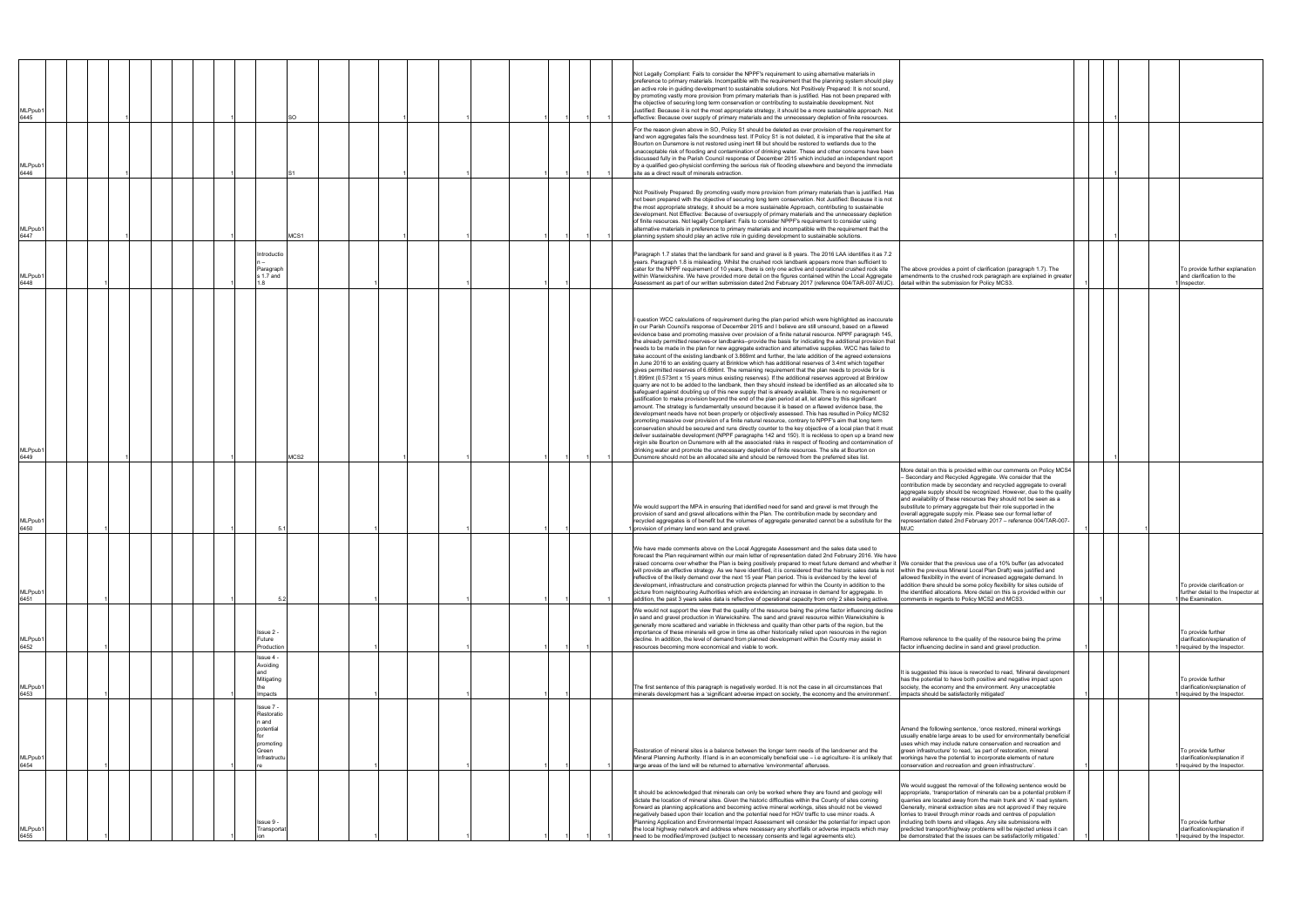| <b>MLPpub</b><br>6445       |  |  |                                                                                     | SO   |  |  |  |  | Not Legally Compliant: Fails to consider the NPPF's requirement to using alternative materials in<br>preference to primary materials. Incompatible with the requirement that the planning system should play<br>an active role in guiding development to sustainable solutions. Not Positively Prepared: It is not sound,<br>by promoting vastly more provision from primary materials than is justified. Has not been prepared with<br>the objective of securing long term conservation or contributing to sustainable development. Not<br>Justified: Because it is not the most appropriate strategy, it should be a more sustainable approach. Not<br>effective: Because over supply of primary materials and the unnecessary depletion of finite resources.                                                                                                                                                                                                                                                                                                                                                                                                                                                                                                                                                                                                                                                                                                                                                                                                                                                                                                                                                                                                                                                                                                                                                                                                                                                                                                                                                                                                                  |                                                                                                                                                                                                                                                                                                                                                                                                                                                                                                                                                                        |  |                                                                                       |
|-----------------------------|--|--|-------------------------------------------------------------------------------------|------|--|--|--|--|----------------------------------------------------------------------------------------------------------------------------------------------------------------------------------------------------------------------------------------------------------------------------------------------------------------------------------------------------------------------------------------------------------------------------------------------------------------------------------------------------------------------------------------------------------------------------------------------------------------------------------------------------------------------------------------------------------------------------------------------------------------------------------------------------------------------------------------------------------------------------------------------------------------------------------------------------------------------------------------------------------------------------------------------------------------------------------------------------------------------------------------------------------------------------------------------------------------------------------------------------------------------------------------------------------------------------------------------------------------------------------------------------------------------------------------------------------------------------------------------------------------------------------------------------------------------------------------------------------------------------------------------------------------------------------------------------------------------------------------------------------------------------------------------------------------------------------------------------------------------------------------------------------------------------------------------------------------------------------------------------------------------------------------------------------------------------------------------------------------------------------------------------------------------------------|------------------------------------------------------------------------------------------------------------------------------------------------------------------------------------------------------------------------------------------------------------------------------------------------------------------------------------------------------------------------------------------------------------------------------------------------------------------------------------------------------------------------------------------------------------------------|--|---------------------------------------------------------------------------------------|
| <b>MLPpub</b><br>6446       |  |  |                                                                                     |      |  |  |  |  | For the reason given above in SO, Policy S1 should be deleted as over provision of the requirement for<br>land won aggregates fails the soundness test. If Policy S1 is not deleted, it is imperative that the site at<br>Bourton on Dunsmore is not restored using inert fill but should be restored to wetlands due to the<br>unacceptable risk of flooding and contamination of drinking water. These and other concerns have been<br>discussed fully in the Parish Council response of December 2015 which included an independent report<br>by a qualified geo-physicist confirming the serious risk of flooding elsewhere and beyond the immediate<br>site as a direct result of minerals extraction.                                                                                                                                                                                                                                                                                                                                                                                                                                                                                                                                                                                                                                                                                                                                                                                                                                                                                                                                                                                                                                                                                                                                                                                                                                                                                                                                                                                                                                                                      |                                                                                                                                                                                                                                                                                                                                                                                                                                                                                                                                                                        |  |                                                                                       |
| <b>MLPpub</b><br>6447       |  |  |                                                                                     | MCS1 |  |  |  |  | Not Positively Prepared: By promoting vastly more provision from primary materials than is justified. Has<br>not been prepared with the objective of securing long term conservation. Not Justified: Because it is not<br>the most appropriate strategy, it should be a more sustainable Approach, contributing to sustainable<br>development. Not Effective: Because of oversupply of primary materials and the unnecessary depletion<br>of finite resources. Not legally Compliant: Fails to consider NPPF's requirement to consider using<br>alternative materials in preference to primary materials and incompatible with the requirement that the<br>planning system should play an active role in guiding development to sustainable solutions.                                                                                                                                                                                                                                                                                                                                                                                                                                                                                                                                                                                                                                                                                                                                                                                                                                                                                                                                                                                                                                                                                                                                                                                                                                                                                                                                                                                                                           |                                                                                                                                                                                                                                                                                                                                                                                                                                                                                                                                                                        |  |                                                                                       |
| <b>MLPpub</b><br>6448       |  |  | ntroductio<br>Paragraph<br>s 1.7 and                                                |      |  |  |  |  | Paragraph 1.7 states that the landbank for sand and gravel is 8 years. The 2016 LAA identifies it as 7.2<br>years. Paragraph 1.8 is misleading. Whilst the crushed rock landbank appears more than sufficient to<br>cater for the NPPF requirement of 10 years, there is only one active and operational crushed rock site<br>within Warwickshire. We have provided more detail on the figures contained within the Local Aggregate<br>Assessment as part of our written submission dated 2nd February 2017 (reference 004/TAR-007-M/JC).                                                                                                                                                                                                                                                                                                                                                                                                                                                                                                                                                                                                                                                                                                                                                                                                                                                                                                                                                                                                                                                                                                                                                                                                                                                                                                                                                                                                                                                                                                                                                                                                                                        | The above provides a point of clarification (paragraph 1.7). The<br>amendments to the crushed rock paragraph are explained in greater<br>detail within the submission for Policy MCS3.                                                                                                                                                                                                                                                                                                                                                                                 |  | To provide further explanation<br>and clarification to the<br>Inspector.              |
| MLPpub<br>6449              |  |  |                                                                                     | MCS2 |  |  |  |  | I question WCC calculations of requirement during the plan period which were highlighted as inaccurate<br>in our Parish Council's response of December 2015 and I believe are still unsound, based on a flawed<br>evidence base and promoting massive over provision of a finite natural resource. NPPF paragraph 145,<br>the already permitted reserves-or landbanks--provide the basis for indicating the additional provision that<br>needs to be made in the plan for new aggregate extraction and alternative supplies. WCC has failed to<br>take account of the existing landbank of 3.869mt and further, the late addition of the agreed extensions<br>in June 2016 to an existing quarry at Brinklow which has additional reserves of 3.4mt which together<br>gives permitted reserves of 6.696mt. The remaining requirement that the plan needs to provide for is<br>1.899mt (0.573mt x 15 years minus existing reserves). If the additional reserves approved at Brinklow<br>quarry are not to be added to the landbank, then they should instead be identified as an allocated site to<br>safeguard against doubling up of this new supply that is already available. There is no requirement or<br>justification to make provision beyond the end of the plan period at all, let alone by this significant<br>amount. The strategy is fundamentally unsound because it is based on a flawed evidence base, the<br>development needs have not been properly or objectively assessed. This has resulted in Policy MCS2<br>promoting massive over provision of a finite natural resource, contrary to NPPF's aim that long term<br>conservation should be secured and runs directly counter to the key objective of a local plan that it must<br>deliver sustainable development (NPPF paragraphs 142 and 150). It is reckless to open up a brand new<br>virgin site Bourton on Dunsmore with all the associated risks in respect of flooding and contamination of<br>drinking water and promote the unnecessary depletion of finite resources. The site at Bourton on<br>Dunsmore should not be an allocated site and should be removed from the preferred sites list. |                                                                                                                                                                                                                                                                                                                                                                                                                                                                                                                                                                        |  |                                                                                       |
| MLPpub <sup>®</sup><br>6450 |  |  |                                                                                     |      |  |  |  |  | We would support the MPA in ensuring that identified need for sand and gravel is met through the<br>provision of sand and gravel allocations within the Plan. The contribution made by secondary and<br>recycled aggregates is of benefit but the volumes of aggregate generated cannot be a substitute for the<br>provision of primary land won sand and gravel.                                                                                                                                                                                                                                                                                                                                                                                                                                                                                                                                                                                                                                                                                                                                                                                                                                                                                                                                                                                                                                                                                                                                                                                                                                                                                                                                                                                                                                                                                                                                                                                                                                                                                                                                                                                                                | More detail on this is provided within our comments on Policy MCS4<br>- Secondary and Recycled Aggregate. We consider that the<br>contribution made by secondary and recycled aggregate to overall<br>aggregate supply should be recognized. However, due to the quality<br>and availability of these resources they should not be seen as a<br>substitute to primary aggregate but their role supported in the<br>overall aggregate supply mix. Please see our formal letter of<br>representation dated 2nd February 2017 - reference 004/TAR-007-<br>M/JC            |  |                                                                                       |
| MLPpub<br>6451              |  |  | $-5.2$                                                                              |      |  |  |  |  | We have made comments above on the Local Aggregate Assessment and the sales data used to<br>forecast the Plan requirement within our main letter of representation dated 2nd February 2016. We have<br>raised concerns over whether the Plan is being positively prepared to meet future demand and whether it  We consider that the previous use of a 10% buffer (as advocated<br>will provide an effective strategy. As we have identified, it is considered that the historic sales data is not<br>reflective of the likely demand over the next 15 year Plan period. This is evidenced by the level of<br>development, infrastructure and construction projects planned for within the County in addition to the<br>picture from neighbouring Authorities which are evidencing an increase in demand for aggregate. In<br>addition, the past 3 years sales data is reflective of operational capacity from only 2 sites being active.                                                                                                                                                                                                                                                                                                                                                                                                                                                                                                                                                                                                                                                                                                                                                                                                                                                                                                                                                                                                                                                                                                                                                                                                                                        | within the previous Mineral Local Plan Draft) was justified and<br>allowed flexibility in the event of increased aggregate demand. In<br>addition there should be some policy flexibility for sites outside of<br>the identified allocations. More detail on this is provided within our<br>comments in regards to Policy MCS2 and MCS3.                                                                                                                                                                                                                               |  | To provide clarification or<br>further detail to the Inspector at<br>the Examination. |
| MLPpub<br>6452              |  |  | ssue 2<br>Future<br>Production                                                      |      |  |  |  |  | We would not support the view that the quality of the resource being the prime factor influencing decline<br>in sand and gravel production in Warwickshire. The sand and gravel resource within Warwickshire is<br>generally more scattered and variable in thickness and quality than other parts of the region, but the<br>importance of these minerals will grow in time as other historically relied upon resources in the region<br>decline. In addition, the level of demand from planned development within the County may assist in<br>resources becoming more economical and viable to work.                                                                                                                                                                                                                                                                                                                                                                                                                                                                                                                                                                                                                                                                                                                                                                                                                                                                                                                                                                                                                                                                                                                                                                                                                                                                                                                                                                                                                                                                                                                                                                            | Remove reference to the quality of the resource being the prime<br>factor influencing decline in sand and gravel production.                                                                                                                                                                                                                                                                                                                                                                                                                                           |  | To provide further<br>clarification/explanation of<br>required by the Inspector.      |
| MLPpub<br>6453              |  |  | lssue 4 -<br>Avoiding<br>Mitigating<br>Impacts                                      |      |  |  |  |  | The first sentence of this paragraph is negatively worded. It is not the case in all circumstances that<br>minerals development has a 'significant adverse impact on society, the economy and the environment'.                                                                                                                                                                                                                                                                                                                                                                                                                                                                                                                                                                                                                                                                                                                                                                                                                                                                                                                                                                                                                                                                                                                                                                                                                                                                                                                                                                                                                                                                                                                                                                                                                                                                                                                                                                                                                                                                                                                                                                  | It is suggested this issue is reworded to read, 'Mineral development<br>has the potential to have both positive and negative impact upon<br>society, the economy and the environment. Any unacceptable<br>impacts should be satisfactorily mitigated'                                                                                                                                                                                                                                                                                                                  |  | To provide further<br>clarification/explanation of<br>required by the Inspector.      |
| MLPpub<br>6454              |  |  | lssue 7 -<br>Restoratio<br>and ו<br>potential<br>promoting<br>Green<br>Infrastructu |      |  |  |  |  | Restoration of mineral sites is a balance between the longer term needs of the landowner and the<br>Mineral Planning Authority. If land is in an economically beneficial use - i.e agriculture- it is unlikely that<br>large areas of the land will be returned to alternative 'environmental' afteruses                                                                                                                                                                                                                                                                                                                                                                                                                                                                                                                                                                                                                                                                                                                                                                                                                                                                                                                                                                                                                                                                                                                                                                                                                                                                                                                                                                                                                                                                                                                                                                                                                                                                                                                                                                                                                                                                         | Amend the following sentence, 'once restored, mineral workings<br>usually enable large areas to be used for environmentally beneficial<br>uses which may include nature conservation and recreation and<br>green infrastructure' to read, 'as part of restoration, mineral<br>workings have the potential to incorporate elements of nature<br>onservation and recreation and green infrastructure'.                                                                                                                                                                   |  | To provide further<br>clarification/explanation if<br>required by the Inspector.      |
| MLPpub′<br>6455             |  |  | ssue 9 -<br>Transportat                                                             |      |  |  |  |  | It should be acknowledged that minerals can only be worked where they are found and geology will<br>dictate the location of mineral sites. Given the historic difficulties within the County of sites coming<br>forward as planning applications and becoming active mineral workings, sites should not be viewed<br>negatively based upon their location and the potential need for HGV traffic to use minor roads. A<br>Planning Application and Environmental Impact Assessment will consider the potential for impact upon<br>the local highway network and address where necessary any shortfalls or adverse impacts which may<br>need to be modified/improved (subject to necessary consents and legal agreements etc).                                                                                                                                                                                                                                                                                                                                                                                                                                                                                                                                                                                                                                                                                                                                                                                                                                                                                                                                                                                                                                                                                                                                                                                                                                                                                                                                                                                                                                                    | We would suggest the removal of the following sentence would be<br>appropriate, 'transportation of minerals can be a potential problem if<br>quarries are located away from the main trunk and 'A' road system.<br>Generally, mineral extraction sites are not approved if they require<br>lorries to travel through minor roads and centres of population<br>including both towns and villages. Any site submissions with<br>predicted transport/highway problems will be rejected unless it can<br>be demonstrated that the issues can be satisfactorily mitigated." |  | To provide further<br>clarification/explanation if<br>required by the Inspector.      |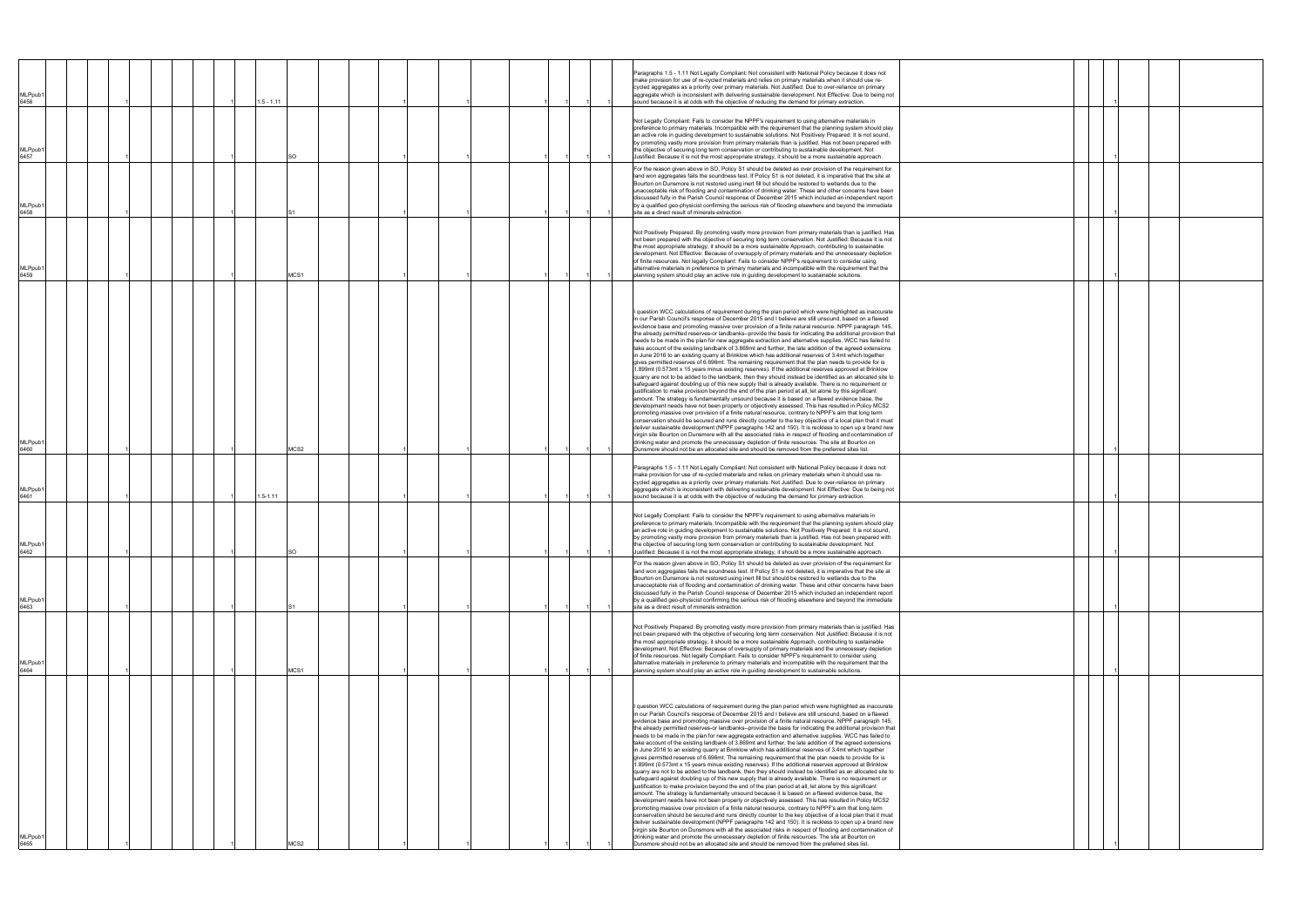| <b>MLPpub</b><br>6456<br><b>MLPpub</b><br>6457<br><b>MLPpub</b><br>6458<br><b>MLPpub</b><br>6459<br><b>MLPpub</b><br>6460<br><b>MLPpub</b><br>6461<br>MLPpub1<br>6462 |  |  |  | $1.5 - 1.11$<br>$1.5 - 1.11$ | SO<br>MCS1<br>MCS2 |  |  |  |  | cycled aggregates as a priority over primary materials. Not Justified: Due to over-reliance on primary<br>aggregate which is inconsistent with delivering sustainable development. Not Effective: Due to being not<br>sound because it is at odds with the objective of reducing the demand for primary extraction.<br>Not Legally Compliant: Fails to consider the NPPF's requirement to using alternative materials in<br>preference to primary materials. Incompatible with the requirement that the planning system should play<br>an active role in guiding development to sustainable solutions. Not Positively Prepared: It is not sound,<br>by promoting vastly more provision from primary materials than is justified. Has not been prepared with<br>the objective of securing long term conservation or contributing to sustainable development. Not<br>Justified: Because it is not the most appropriate strategy, it should be a more sustainable approach.<br>For the reason given above in SO, Policy S1 should be deleted as over provision of the requirement for<br>land won aggregates fails the soundness test. If Policy S1 is not deleted, it is imperative that the site at<br>Bourton on Dunsmore is not restored using inert fill but should be restored to wetlands due to the<br>unacceptable risk of flooding and contamination of drinking water. These and other concerns have been<br>discussed fully in the Parish Council response of December 2015 which included an independent report<br>by a qualified geo-physicist confirming the serious risk of flooding elsewhere and beyond the immediate<br>site as a direct result of minerals extraction.<br>Not Positively Prepared: By promoting vastly more provision from primary materials than is justified. Has<br>not been prepared with the objective of securing long term conservation. Not Justified: Because it is not<br>the most appropriate strategy, it should be a more sustainable Approach, contributing to sustainable<br>development. Not Effective: Because of oversupply of primary materials and the unnecessary depletion<br>of finite resources. Not legally Compliant: Fails to consider NPPF's requirement to consider using<br>alternative materials in preference to primary materials and incompatible with the requirement that the<br>planning system should play an active role in guiding development to sustainable solutions.<br>I question WCC calculations of requirement during the plan period which were highlighted as inaccurate<br>in our Parish Council's response of December 2015 and I believe are still unsound, based on a flawed<br>evidence base and promoting massive over provision of a finite natural resource. NPPF paragraph 145,<br>the already permitted reserves-or landbanks--provide the basis for indicating the additional provision that<br>needs to be made in the plan for new aggregate extraction and alternative supplies. WCC has failed to<br>take account of the existing landbank of 3.869mt and further, the late addition of the agreed extensions<br>in June 2016 to an existing quarry at Brinklow which has additional reserves of 3.4mt which together<br>gives permitted reserves of 6.696mt. The remaining requirement that the plan needs to provide for is<br>1.899mt (0.573mt x 15 years minus existing reserves). If the additional reserves approved at Brinklow<br>quarry are not to be added to the landbank, then they should instead be identified as an allocated site to<br>safeguard against doubling up of this new supply that is already available. There is no requirement or<br>justification to make provision beyond the end of the plan period at all, let alone by this significant<br>amount. The strategy is fundamentally unsound because it is based on a flawed evidence base, the<br>development needs have not been properly or objectively assessed. This has resulted in Policy MCS2<br>promoting massive over provision of a finite natural resource, contrary to NPPF's aim that long term<br>conservation should be secured and runs directly counter to the key objective of a local plan that it must<br>deliver sustainable development (NPPF paragraphs 142 and 150). It is reckless to open up a brand new<br>virgin site Bourton on Dunsmore with all the associated risks in respect of flooding and contamination of<br>drinking water and promote the unnecessary depletion of finite resources. The site at Bourton on<br>Dunsmore should not be an allocated site and should be removed from the preferred sites list.<br>Paragraphs 1.5 - 1.11 Not Legally Compliant: Not consistent with National Policy because it does not<br>make provision for use of re-cycled materials and relies on primary materials when it should use re-<br>cycled aggregates as a priority over primary materials. Not Justified: Due to over-reliance on primary<br>aggregate which is inconsistent with delivering sustainable development. Not Effective: Due to being not<br>sound because it is at odds with the objective of reducing the demand for primary extraction.<br>Not Legally Compliant: Fails to consider the NPPF's requirement to using alternative materials in<br>preference to primary materials. Incompatible with the requirement that the planning system should play<br>an active role in quiding development to sustainable solutions. Not Positively Prepared: It is not sound,<br>by promoting vastly more provision from primary materials than is justified. Has not been prepared with<br>the objective of securing long term conservation or contributing to sustainable development. Not<br>Justified: Because it is not the most appropriate strategy, it should be a more sustainable approach.<br>For the reason given above in SO, Policy S1 should be deleted as over provision of the requirement for<br>land won aggregates fails the soundness test. If Policy S1 is not deleted, it is imperative that the site at<br>Bourton on Dunsmore is not restored using inert fill but should be restored to wetlands due to the |  |
|-----------------------------------------------------------------------------------------------------------------------------------------------------------------------|--|--|--|------------------------------|--------------------|--|--|--|--|-------------------------------------------------------------------------------------------------------------------------------------------------------------------------------------------------------------------------------------------------------------------------------------------------------------------------------------------------------------------------------------------------------------------------------------------------------------------------------------------------------------------------------------------------------------------------------------------------------------------------------------------------------------------------------------------------------------------------------------------------------------------------------------------------------------------------------------------------------------------------------------------------------------------------------------------------------------------------------------------------------------------------------------------------------------------------------------------------------------------------------------------------------------------------------------------------------------------------------------------------------------------------------------------------------------------------------------------------------------------------------------------------------------------------------------------------------------------------------------------------------------------------------------------------------------------------------------------------------------------------------------------------------------------------------------------------------------------------------------------------------------------------------------------------------------------------------------------------------------------------------------------------------------------------------------------------------------------------------------------------------------------------------------------------------------------------------------------------------------------------------------------------------------------------------------------------------------------------------------------------------------------------------------------------------------------------------------------------------------------------------------------------------------------------------------------------------------------------------------------------------------------------------------------------------------------------------------------------------------------------------------------------------------------------------------------------------------------------------------------------------------------------------------------------------------------------------------------------------------------------------------------------------------------------------------------------------------------------------------------------------------------------------------------------------------------------------------------------------------------------------------------------------------------------------------------------------------------------------------------------------------------------------------------------------------------------------------------------------------------------------------------------------------------------------------------------------------------------------------------------------------------------------------------------------------------------------------------------------------------------------------------------------------------------------------------------------------------------------------------------------------------------------------------------------------------------------------------------------------------------------------------------------------------------------------------------------------------------------------------------------------------------------------------------------------------------------------------------------------------------------------------------------------------------------------------------------------------------------------------------------------------------------------------------------------------------------------------------------------------------------------------------------------------------------------------------------------------------------------------------------------------------------------------------------------------------------------------------------------------------------------------------------------------------------------------------------------------------------------------------------------------------------------------------------------------------------------------------------------------------------------------------------------------------------------------------------------------------------------------------------------------------------------------------------------------------------------------------------------------------------------------------------------------------------------------------------------------------------------------------------------------------------------------------------------------------------------------------------------------------------------------------------------------------------------------------------------------------------------------------------------------------------------------------------------------------------------------------------------------------------------------------------------------------------------------------------------------------------------------------------------------------------------------------------------------------------------------------------------------------------------------------------------------------------------------------------------------------------------------------------------------------------------------------------------------------------------------------------------------------------------------------------------------|--|
| <b>MLPpub</b><br>6463                                                                                                                                                 |  |  |  |                              |                    |  |  |  |  | unacceptable risk of flooding and contamination of drinking water. These and other concerns have been<br>discussed fully in the Parish Council response of December 2015 which included an independent report<br>by a qualified geo-physicist confirming the serious risk of flooding elsewhere and beyond the immediate<br>site as a direct result of minerals extraction.<br>Not Positively Prepared: By promoting vastly more provision from primary materials than is justified. Has<br>not been prepared with the objective of securing long term conservation. Not Justified: Because it is not<br>the most appropriate strategy, it should be a more sustainable Approach, contributing to sustainable<br>development. Not Effective: Because of oversupply of primary materials and the unnecessary depletion<br>of finite resources. Not legally Compliant: Fails to consider NPPF's requirement to consider using                                                                                                                                                                                                                                                                                                                                                                                                                                                                                                                                                                                                                                                                                                                                                                                                                                                                                                                                                                                                                                                                                                                                                                                                                                                                                                                                                                                                                                                                                                                                                                                                                                                                                                                                                                                                                                                                                                                                                                                                                                                                                                                                                                                                                                                                                                                                                                                                                                                                                                                                                                                                                                                                                                                                                                                                                                                                                                                                                                                                                                                                                                                                                                                                                                                                                                                                                                                                                                                                                                                                                                                                                                                                                                                                                                                                                                                                                                                                                                                                                                                                                                                                                                                                                                                                                                                                                                                                                                                                                                                                                                                                                                                                                                                                                                                                                                                                                                                                                                                                                                                                                                                                                                                                                                       |  |
| MLPpub <sup>®</sup><br>6464<br><b>MLPpub</b><br>6465                                                                                                                  |  |  |  |                              | MCS1<br>MCS2       |  |  |  |  | alternative materials in preference to primary materials and incompatible with the requirement that the<br>planning system should play an active role in guiding development to sustainable solutions.<br>I question WCC calculations of requirement during the plan period which were highlighted as inaccurate<br>in our Parish Council's response of December 2015 and I believe are still unsound, based on a flawed<br>evidence base and promoting massive over provision of a finite natural resource. NPPF paragraph 145,<br>the already permitted reserves-or landbanks--provide the basis for indicating the additional provision that<br>needs to be made in the plan for new aggregate extraction and alternative supplies. WCC has failed to<br>take account of the existing landbank of 3.869mt and further, the late addition of the agreed extensions<br>in June 2016 to an existing quarry at Brinklow which has additional reserves of 3.4mt which together<br>gives permitted reserves of 6.696mt. The remaining requirement that the plan needs to provide for is<br>1.899mt (0.573mt x 15 years minus existing reserves). If the additional reserves approved at Brinklow<br>quarry are not to be added to the landbank, then they should instead be identified as an allocated site to<br>safeguard against doubling up of this new supply that is already available. There is no requirement or<br>justification to make provision beyond the end of the plan period at all, let alone by this significant<br>amount. The strategy is fundamentally unsound because it is based on a flawed evidence base, the<br>development needs have not been properly or objectively assessed. This has resulted in Policy MCS2<br>promoting massive over provision of a finite natural resource, contrary to NPPF's aim that long term<br>conservation should be secured and runs directly counter to the key objective of a local plan that it must<br>deliver sustainable development (NPPF paragraphs 142 and 150). It is reckless to open up a brand new<br>virgin site Bourton on Dunsmore with all the associated risks in respect of flooding and contamination of<br>drinking water and promote the unnecessary depletion of finite resources. The site at Bourton on<br>Dunsmore should not be an allocated site and should be removed from the preferred sites list.                                                                                                                                                                                                                                                                                                                                                                                                                                                                                                                                                                                                                                                                                                                                                                                                                                                                                                                                                                                                                                                                                                                                                                                                                                                                                                                                                                                                                                                                                                                                                                                                                                                                                                                                                                                                                                                                                                                                                                                                                                                                                                                                                                                                                                                                                                                                                                                                                                                                                                                                                                                                                                                                                                                                                                                                                                                                                                                                                                                                                                                                                                                                                                                                                                                                                                                                                                                                                                                                                                                                                                                                                                                                                                                                                                        |  |

|  | 1 |  |  |
|--|---|--|--|
|  | 1 |  |  |
|  | 1 |  |  |
|  | 1 |  |  |
|  |   |  |  |
|  |   |  |  |
|  |   |  |  |
|  | 1 |  |  |
|  | 1 |  |  |
|  | 1 |  |  |
|  | 1 |  |  |
|  | 1 |  |  |
|  |   |  |  |
|  |   |  |  |
|  |   |  |  |
|  | 1 |  |  |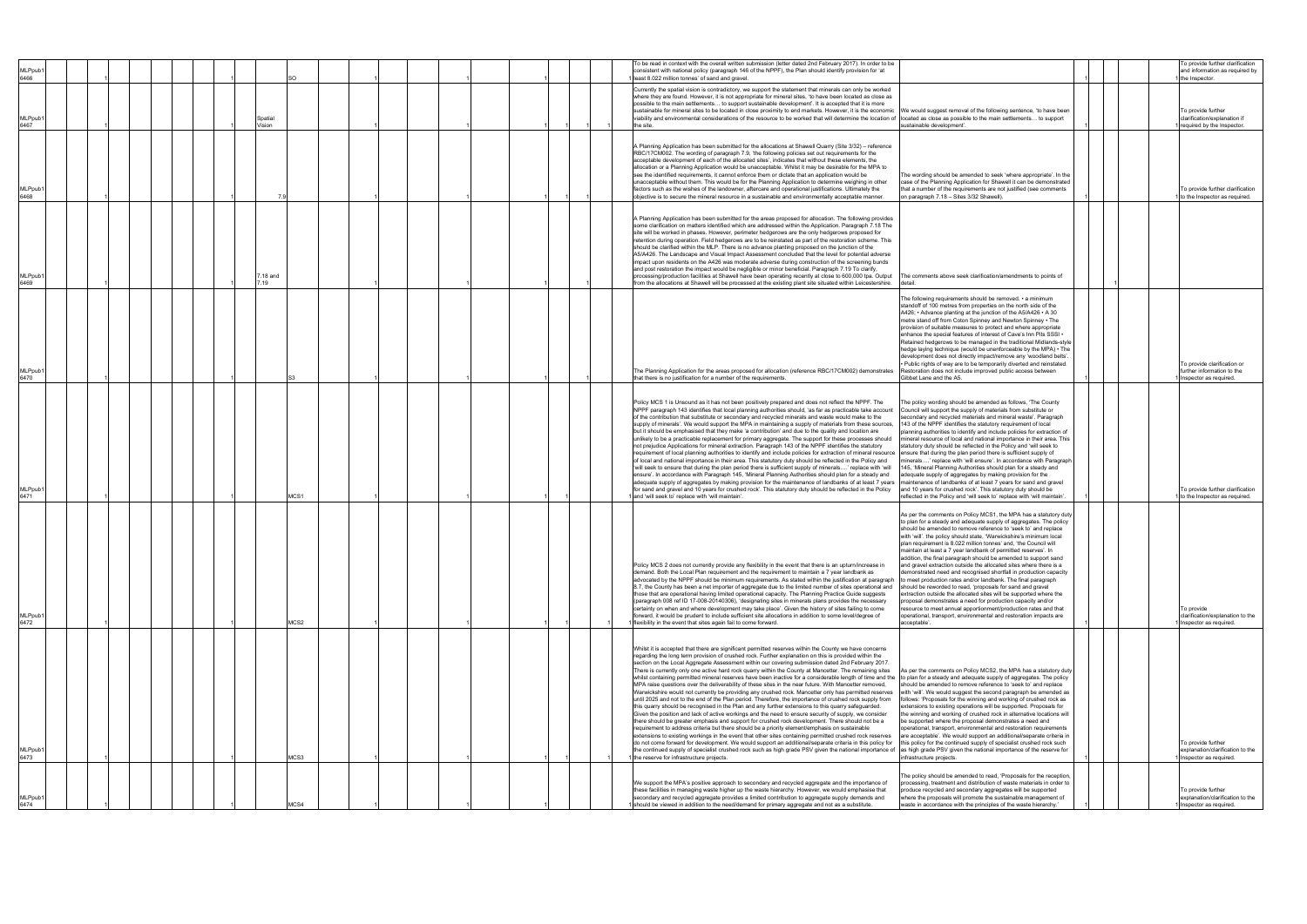| MLPpub1<br>6466             |  |  |  |                   | SO.         |  |  |  |  |  | To be read in context with the overall written submission (letter dated 2nd February 2017). In order to be<br>consistent with national policy (paragraph 146 of the NPPF), the Plan should identify provision for 'at<br>least 8.022 million tonnes' of sand and gravel.                                                                                                                                                                                                                                                                                                                                                                                                                                                                                                                                                                                                                                                                                                                                                                                                                                                                                                                                                                                                                                                                                                                                                                                                                                                                                                                                                                                                                                                                                                                                                |                                                                                                                                                                                                                                                                                                                                                                                                                                                                                                                                                                                                                                                                                                                                                                                                                                                                                                                                                                                     |  | To provide further clarification<br>and information as required by<br>the Inspector. |
|-----------------------------|--|--|--|-------------------|-------------|--|--|--|--|--|-------------------------------------------------------------------------------------------------------------------------------------------------------------------------------------------------------------------------------------------------------------------------------------------------------------------------------------------------------------------------------------------------------------------------------------------------------------------------------------------------------------------------------------------------------------------------------------------------------------------------------------------------------------------------------------------------------------------------------------------------------------------------------------------------------------------------------------------------------------------------------------------------------------------------------------------------------------------------------------------------------------------------------------------------------------------------------------------------------------------------------------------------------------------------------------------------------------------------------------------------------------------------------------------------------------------------------------------------------------------------------------------------------------------------------------------------------------------------------------------------------------------------------------------------------------------------------------------------------------------------------------------------------------------------------------------------------------------------------------------------------------------------------------------------------------------------|-------------------------------------------------------------------------------------------------------------------------------------------------------------------------------------------------------------------------------------------------------------------------------------------------------------------------------------------------------------------------------------------------------------------------------------------------------------------------------------------------------------------------------------------------------------------------------------------------------------------------------------------------------------------------------------------------------------------------------------------------------------------------------------------------------------------------------------------------------------------------------------------------------------------------------------------------------------------------------------|--|--------------------------------------------------------------------------------------|
| MLPpub <sup>®</sup><br>6467 |  |  |  | Spatial<br>Vision |             |  |  |  |  |  | Currently the spatial vision is contradictory, we support the statement that minerals can only be worked<br>where they are found. However, it is not appropriate for mineral sites, 'to have been located as close as<br>possible to the main settlements to support sustainable development'. It is accepted that it is more<br>sustainable for mineral sites to be located in close proximity to end markets. However, it is the economic<br>viability and environmental considerations of the resource to be worked that will determine the location of located as close as possible to the main settlements to support<br>the site.                                                                                                                                                                                                                                                                                                                                                                                                                                                                                                                                                                                                                                                                                                                                                                                                                                                                                                                                                                                                                                                                                                                                                                                 | We would suggest removal of the following sentence, 'to have been<br>sustainable development'.                                                                                                                                                                                                                                                                                                                                                                                                                                                                                                                                                                                                                                                                                                                                                                                                                                                                                      |  | To provide further<br>clarification/explanation if<br>required by the Inspector.     |
| MLPpub <sup>.</sup><br>6468 |  |  |  |                   | 7.9         |  |  |  |  |  | A Planning Application has been submitted for the allocations at Shawell Quarry (Site 3/32) - reference<br>RBC/17CM002. The wording of paragraph 7.9, 'the following policies set out requirements for the<br>acceptable development of each of the allocated sites', indicates that without these elements, the<br>allocation or a Planning Application would be unacceptable. Whilst it may be desirable for the MPA to<br>see the identified requirements, it cannot enforce them or dictate that an application would be<br>unacceptable without them. This would be for the Planning Application to determine weighing in other<br>factors such as the wishes of the landowner, aftercare and operational justifications. Ultimately the<br>objective is to secure the mineral resource in a sustainable and environmentally acceptable manner.                                                                                                                                                                                                                                                                                                                                                                                                                                                                                                                                                                                                                                                                                                                                                                                                                                                                                                                                                                    | The wording should be amended to seek 'where appropriate'. In the<br>case of the Planning Application for Shawell it can be demonstrated<br>that a number of the requirements are not justified (see comments<br>on paragraph 7.18 - Sites 3/32 Shawell).                                                                                                                                                                                                                                                                                                                                                                                                                                                                                                                                                                                                                                                                                                                           |  | To provide further clarification<br>to the Inspector as required.                    |
| MLPpub <sup>®</sup><br>6469 |  |  |  | 7.19              | $'$ .18 and |  |  |  |  |  | A Planning Application has been submitted for the areas proposed for allocation. The following provides<br>some clarification on matters identified which are addressed within the Application. Paragraph 7.18 The<br>site will be worked in phases. However, perimeter hedgerows are the only hedgerows proposed for<br>retention during operation. Field hedgerows are to be reinstated as part of the restoration scheme. This<br>should be clarified within the MLP. There is no advance planting proposed on the junction of the<br>A5/A426. The Landscape and Visual Impact Assessment concluded that the level for potential adverse<br>impact upon residents on the A426 was moderate adverse during construction of the screening bunds<br>and post restoration the impact would be negligible or minor beneficial. Paragraph 7.19 To clarify,<br>processing/production facilities at Shawell have been operating recently at close to 600,000 tpa. Output<br>from the allocations at Shawell will be processed at the existing plant site situated within Leicestershire.                                                                                                                                                                                                                                                                                                                                                                                                                                                                                                                                                                                                                                                                                                                                     | The comments above seek clarification/amendments to points of<br>detail.                                                                                                                                                                                                                                                                                                                                                                                                                                                                                                                                                                                                                                                                                                                                                                                                                                                                                                            |  |                                                                                      |
| MLPpub <sup>.</sup><br>6470 |  |  |  |                   |             |  |  |  |  |  | The Planning Application for the areas proposed for allocation (reference RBC/17CM002) demonstrates<br>that there is no justification for a number of the requirements                                                                                                                                                                                                                                                                                                                                                                                                                                                                                                                                                                                                                                                                                                                                                                                                                                                                                                                                                                                                                                                                                                                                                                                                                                                                                                                                                                                                                                                                                                                                                                                                                                                  | The following requirements should be removed. • a minimum<br>standoff of 100 metres from properties on the north side of the<br>A426; • Advance planting at the junction of the A5/A426 • A 30<br>metre stand off from Coton Spinney and Newton Spinney . The<br>provision of suitable measures to protect and where appropriate<br>enhance the special features of interest of Cave's Inn Pits SSSI •<br>Retained hedgerows to be managed in the traditional Midlands-style<br>hedge laying technique (would be unenforceable by the MPA) • The<br>development does not directly impact/remove any 'woodland belts'.<br>· Public rights of way are to be temporarily diverted and reinstated.<br>Restoration does not include improved public access between<br><b>Sibbet Lane and the A5.</b>                                                                                                                                                                                     |  | To provide clarification or<br>further information to the<br>Inspector as required.  |
| (MLPpub<br>6471             |  |  |  |                   | MCS1        |  |  |  |  |  | Policy MCS 1 is Unsound as it has not been positively prepared and does not reflect the NPPF. The<br>NPPF paragraph 143 identifies that local planning authorities should, 'as far as practicable take account<br>of the contribution that substitute or secondary and recycled minerals and waste would make to the<br>supply of minerals'. We would support the MPA in maintaining a supply of materials from these sources,<br>but it should be emphasised that they make 'a contribution' and due to the quality and location are<br>unlikely to be a practicable replacement for primary aggregate. The support for these processes should<br>not prejudice Applications for mineral extraction. Paragraph 143 of the NPPF identifies the statutory<br>requirement of local planning authorities to identify and include policies for extraction of mineral resource<br>of local and national importance in their area. This statutory duty should be reflected in the Policy and<br>'will seek to ensure that during the plan period there is sufficient supply of minerals' replace with 'will<br>ensure'. In accordance with Paragraph 145, 'Mineral Planning Authorities should plan for a steady and<br>adequate supply of aggregates by making provision for the maintenance of landbanks of at least 7 years<br>for sand and gravel and 10 years for crushed rock'. This statutory duty should be reflected in the Policy<br>and 'will seek to' replace with 'will maintain'                                                                                                                                                                                                                                                                                                                                | The policy wording should be amended as follows, 'The County<br>Council will support the supply of materials from substitute or<br>econdary and recycled materials and mineral waste'. Paragraph<br>143 of the NPPF identifies the statutory requirement of local<br>planning authorities to identify and include policies for extraction of<br>mineral resource of local and national importance in their area. This<br>statutory duty should be reflected in the Policy and 'will seek to<br>ensure that during the plan period there is sufficient supply of<br>inerals' replace with 'will ensure'. In accordance with Paragraph<br>145, 'Mineral Planning Authorities should plan for a steady and<br>adequate supply of aggregates by making provision for the<br>maintenance of landbanks of at least 7 years for sand and gravel<br>and 10 years for crushed rock'. This statutory duty should be<br>eflected in the Policy and 'will seek to' replace with 'will maintain' |  | To provide further clarification<br>to the Inspector as required.                    |
| <b>MLPpub</b><br>6472       |  |  |  |                   | MCS2        |  |  |  |  |  | Policy MCS 2 does not currently provide any flexibility in the event that there is an upturn/increase in<br>demand. Both the Local Plan requirement and the requirement to maintain a 7 year landbank as<br>advocated by the NPPF should be minimum requirements. As stated within the justification at paragraph to meet production rates and/or landbank. The final paragraph<br>8.7, the County has been a net importer of aggregate due to the limited number of sites operational and should be reworded to read, 'proposals for sand and gravel<br>those that are operational having limited operational capacity. The Planning Practice Guide suggests<br>(paragraph 008 ref ID 17-008-20140306), 'designating sites in minerals plans provides the necessary<br>certainty on when and where development may take place'. Given the history of sites failing to come<br>forward, it would be prudent to include sufficient site allocations in addition to some level/degree of<br>1 flexibility in the event that sites again fail to come forward.                                                                                                                                                                                                                                                                                                                                                                                                                                                                                                                                                                                                                                                                                                                                                             | As per the comments on Policy MCS1, the MPA has a statutory duty<br>to plan for a steady and adequate supply of aggregates. The policy<br>should be amended to remove reference to 'seek to' and replace<br>with 'will'. the policy should state, 'Warwickshire's minimum local<br>plan requirement is 8.022 million tonnes' and, 'the Council will<br>maintain at least a 7 year landbank of permitted reserves'. In<br>addition, the final paragraph should be amended to support sand<br>and gravel extraction outside the allocated sites where there is a<br>demonstrated need and recognised shortfall in production capacity<br>extraction outside the allocated sites will be supported where the<br>proposal demonstrates a need for production capacity and/or<br>resource to meet annual apportionment/production rates and that<br>operational, transport, environmental and restoration impacts are<br>acceptable'.                                                    |  | To provide<br>clarification/explanation to the<br>Inspector as required.             |
| <b>MLPpub</b><br>6473       |  |  |  |                   | MCS3        |  |  |  |  |  | Whilst it is accepted that there are significant permitted reserves within the County we have concerns<br>regarding the long term provision of crushed rock. Further explanation on this is provided within the<br>section on the Local Aggregate Assessment within our covering submission dated 2nd February 2017.<br>There is currently only one active hard rock quarry within the County at Mancetter. The remaining sites<br>whilst containing permitted mineral reserves have been inactive for a considerable length of time and the to plan for a steady and adequate supply of aggregates. The policy<br>MPA raise questions over the deliverability of these sites in the near future. With Mancetter removed,<br>Warwickshire would not currently be providing any crushed rock. Mancetter only has permitted reserves<br>until 2025 and not to the end of the Plan period. Therefore, the importance of crushed rock supply from<br>this quarry should be recognised in the Plan and any further extensions to this quarry safeguarded.<br>Given the position and lack of active workings and the need to ensure security of supply, we consider<br>there should be greater emphasis and support for crushed rock development. There should not be a<br>requirement to address criteria but there should be a priority element/emphasis on sustainable<br>extensions to existing workings in the event that other sites containing permitted crushed rock reserves<br>do not come forward for development. We would support an additional/separate criteria in this policy for<br>the continued supply of specialist crushed rock such as high grade PSV given the national importance of as high grade PSV given the national importance of the reserve for<br>1 the reserve for infrastructure projects. | As per the comments on Policy MCS2, the MPA has a statutory duty<br>should be amended to remove reference to 'seek to' and replace<br>with 'will'. We would suggest the second paragraph be amended as<br>follows: 'Proposals for the winning and working of crushed rock as<br>extensions to existing operations will be supported. Proposals for<br>the winning and working of crushed rock in alternative locations will<br>be supported where the proposal demonstrates a need and<br>operational, transport, environmental and restoration requirements<br>are acceptable'. We would support an additional/separate criteria in<br>this policy for the continued supply of specialist crushed rock such<br>infrastructure projects.                                                                                                                                                                                                                                            |  | To provide further<br>explanation/clarification to the<br>Inspector as required.     |
| MLPpub1<br>6474             |  |  |  |                   | MCS4        |  |  |  |  |  | We support the MPA's positive approach to secondary and recycled aggregate and the importance of<br>these facilities in managing waste higher up the waste hierarchy. However, we would emphasise that<br>secondary and recycled aggregate provides a limited contribution to aggregate supply demands and<br>should be viewed in addition to the need/demand for primary aggregate and not as a substitute.                                                                                                                                                                                                                                                                                                                                                                                                                                                                                                                                                                                                                                                                                                                                                                                                                                                                                                                                                                                                                                                                                                                                                                                                                                                                                                                                                                                                            | The policy should be amended to read, 'Proposals for the reception,<br>processing, treatment and distribution of waste materials in order to<br>produce recycled and secondary aggregates will be supported<br>where the proposals will promote the sustainable management of<br>waste in accordance with the principles of the waste hierarchy.                                                                                                                                                                                                                                                                                                                                                                                                                                                                                                                                                                                                                                    |  | To provide further<br>explanation/clarification to the<br>Inspector as required.     |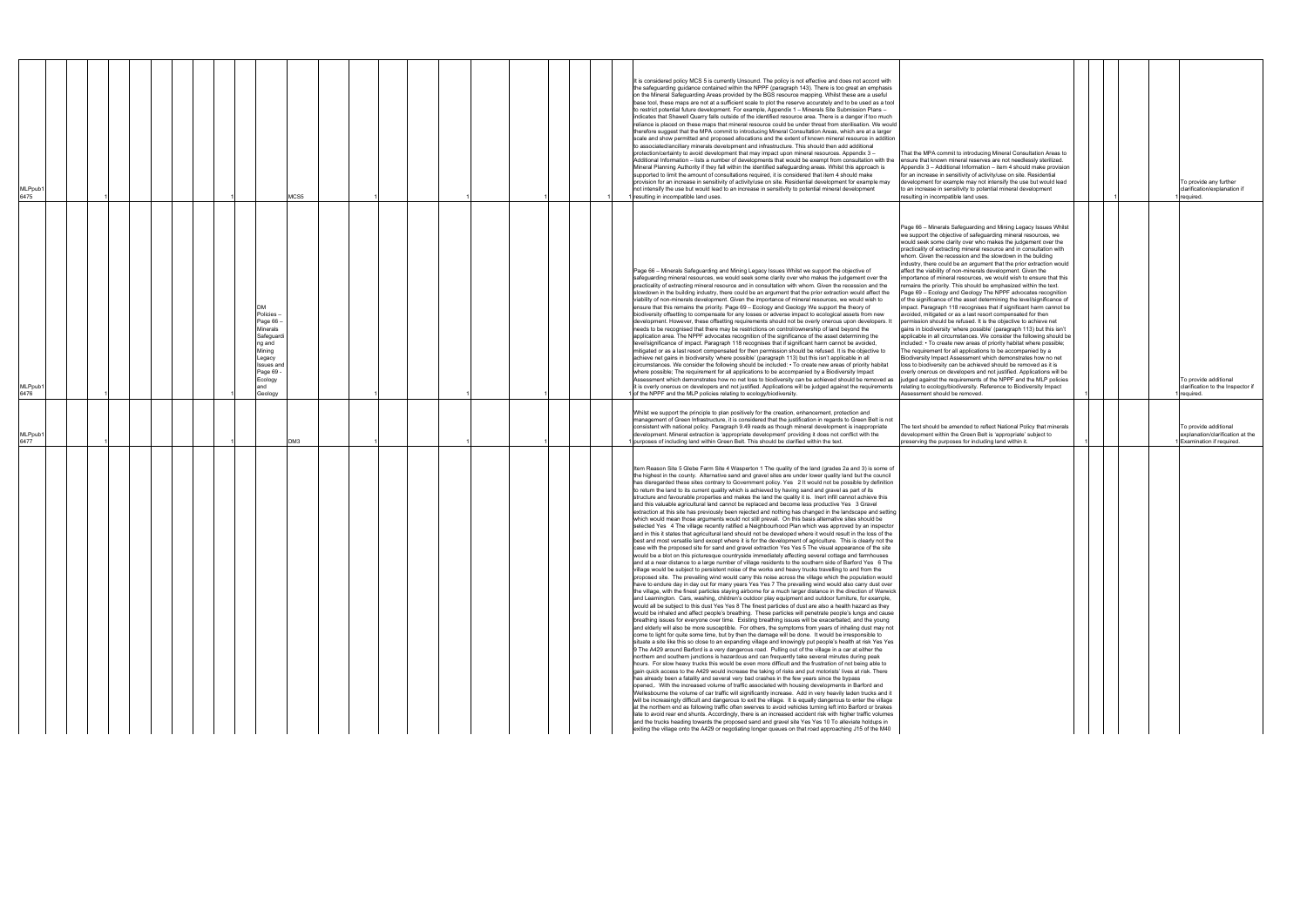|                                                                                                                                                                                                                                                                                                                                                                                                                                                                                                                                                                                                                                                                                                                                                                                                                                                                                                                                                                                                                                                                                                                                                                                                                                                                                                                                                                                                                                                                                                                                                                                                                                                                                                                                                                                                                                                                                                                                                                                                                                                                                                                                                                                                                                                                                                                                                                                                                                                                                                                                                                                                                                                                                                                                                                                                                                                                                                                                                                                                                                                                                                                                                                                                                                                                                                                                                                                                                                                                                                                                                                                                                                                                                                                                                                                                                                                                                                                                                                                                                                                                                                 | <b>MLPpub</b><br>6477                                                                                                                                                                                                                                                                                                                                                                                                                                                                                                        | <b>MLPpub</b><br>6476                                                                                                                                                                                                                                                                                                                                                                                                                                                                                                                                                                                                                                                                                                                                                                                                                                                                                                                                                                                                                                                                                                                                                                                                                                                                                                                                                                                                                                                                                                                                                                                                                                                                                                                                                                                                                                                             | <b>MLPpub</b><br>6475                                                                                                                                                                                                                                                                                                                                                                                                                                                                                                                                                                                                                                                                                                                                                                                                                                                                                                                                                                                                                                                                                                                                                                                                                                                                                                                                                                                                                                                                                                                                                                                                                                                                                                                                                                     |
|-------------------------------------------------------------------------------------------------------------------------------------------------------------------------------------------------------------------------------------------------------------------------------------------------------------------------------------------------------------------------------------------------------------------------------------------------------------------------------------------------------------------------------------------------------------------------------------------------------------------------------------------------------------------------------------------------------------------------------------------------------------------------------------------------------------------------------------------------------------------------------------------------------------------------------------------------------------------------------------------------------------------------------------------------------------------------------------------------------------------------------------------------------------------------------------------------------------------------------------------------------------------------------------------------------------------------------------------------------------------------------------------------------------------------------------------------------------------------------------------------------------------------------------------------------------------------------------------------------------------------------------------------------------------------------------------------------------------------------------------------------------------------------------------------------------------------------------------------------------------------------------------------------------------------------------------------------------------------------------------------------------------------------------------------------------------------------------------------------------------------------------------------------------------------------------------------------------------------------------------------------------------------------------------------------------------------------------------------------------------------------------------------------------------------------------------------------------------------------------------------------------------------------------------------------------------------------------------------------------------------------------------------------------------------------------------------------------------------------------------------------------------------------------------------------------------------------------------------------------------------------------------------------------------------------------------------------------------------------------------------------------------------------------------------------------------------------------------------------------------------------------------------------------------------------------------------------------------------------------------------------------------------------------------------------------------------------------------------------------------------------------------------------------------------------------------------------------------------------------------------------------------------------------------------------------------------------------------------------------------------------------------------------------------------------------------------------------------------------------------------------------------------------------------------------------------------------------------------------------------------------------------------------------------------------------------------------------------------------------------------------------------------------------------------------------------------------------------------|------------------------------------------------------------------------------------------------------------------------------------------------------------------------------------------------------------------------------------------------------------------------------------------------------------------------------------------------------------------------------------------------------------------------------------------------------------------------------------------------------------------------------|-----------------------------------------------------------------------------------------------------------------------------------------------------------------------------------------------------------------------------------------------------------------------------------------------------------------------------------------------------------------------------------------------------------------------------------------------------------------------------------------------------------------------------------------------------------------------------------------------------------------------------------------------------------------------------------------------------------------------------------------------------------------------------------------------------------------------------------------------------------------------------------------------------------------------------------------------------------------------------------------------------------------------------------------------------------------------------------------------------------------------------------------------------------------------------------------------------------------------------------------------------------------------------------------------------------------------------------------------------------------------------------------------------------------------------------------------------------------------------------------------------------------------------------------------------------------------------------------------------------------------------------------------------------------------------------------------------------------------------------------------------------------------------------------------------------------------------------------------------------------------------------|-------------------------------------------------------------------------------------------------------------------------------------------------------------------------------------------------------------------------------------------------------------------------------------------------------------------------------------------------------------------------------------------------------------------------------------------------------------------------------------------------------------------------------------------------------------------------------------------------------------------------------------------------------------------------------------------------------------------------------------------------------------------------------------------------------------------------------------------------------------------------------------------------------------------------------------------------------------------------------------------------------------------------------------------------------------------------------------------------------------------------------------------------------------------------------------------------------------------------------------------------------------------------------------------------------------------------------------------------------------------------------------------------------------------------------------------------------------------------------------------------------------------------------------------------------------------------------------------------------------------------------------------------------------------------------------------------------------------------------------------------------------------------------------------|
|                                                                                                                                                                                                                                                                                                                                                                                                                                                                                                                                                                                                                                                                                                                                                                                                                                                                                                                                                                                                                                                                                                                                                                                                                                                                                                                                                                                                                                                                                                                                                                                                                                                                                                                                                                                                                                                                                                                                                                                                                                                                                                                                                                                                                                                                                                                                                                                                                                                                                                                                                                                                                                                                                                                                                                                                                                                                                                                                                                                                                                                                                                                                                                                                                                                                                                                                                                                                                                                                                                                                                                                                                                                                                                                                                                                                                                                                                                                                                                                                                                                                                                 |                                                                                                                                                                                                                                                                                                                                                                                                                                                                                                                              |                                                                                                                                                                                                                                                                                                                                                                                                                                                                                                                                                                                                                                                                                                                                                                                                                                                                                                                                                                                                                                                                                                                                                                                                                                                                                                                                                                                                                                                                                                                                                                                                                                                                                                                                                                                                                                                                                   |                                                                                                                                                                                                                                                                                                                                                                                                                                                                                                                                                                                                                                                                                                                                                                                                                                                                                                                                                                                                                                                                                                                                                                                                                                                                                                                                                                                                                                                                                                                                                                                                                                                                                                                                                                                           |
|                                                                                                                                                                                                                                                                                                                                                                                                                                                                                                                                                                                                                                                                                                                                                                                                                                                                                                                                                                                                                                                                                                                                                                                                                                                                                                                                                                                                                                                                                                                                                                                                                                                                                                                                                                                                                                                                                                                                                                                                                                                                                                                                                                                                                                                                                                                                                                                                                                                                                                                                                                                                                                                                                                                                                                                                                                                                                                                                                                                                                                                                                                                                                                                                                                                                                                                                                                                                                                                                                                                                                                                                                                                                                                                                                                                                                                                                                                                                                                                                                                                                                                 |                                                                                                                                                                                                                                                                                                                                                                                                                                                                                                                              |                                                                                                                                                                                                                                                                                                                                                                                                                                                                                                                                                                                                                                                                                                                                                                                                                                                                                                                                                                                                                                                                                                                                                                                                                                                                                                                                                                                                                                                                                                                                                                                                                                                                                                                                                                                                                                                                                   |                                                                                                                                                                                                                                                                                                                                                                                                                                                                                                                                                                                                                                                                                                                                                                                                                                                                                                                                                                                                                                                                                                                                                                                                                                                                                                                                                                                                                                                                                                                                                                                                                                                                                                                                                                                           |
|                                                                                                                                                                                                                                                                                                                                                                                                                                                                                                                                                                                                                                                                                                                                                                                                                                                                                                                                                                                                                                                                                                                                                                                                                                                                                                                                                                                                                                                                                                                                                                                                                                                                                                                                                                                                                                                                                                                                                                                                                                                                                                                                                                                                                                                                                                                                                                                                                                                                                                                                                                                                                                                                                                                                                                                                                                                                                                                                                                                                                                                                                                                                                                                                                                                                                                                                                                                                                                                                                                                                                                                                                                                                                                                                                                                                                                                                                                                                                                                                                                                                                                 |                                                                                                                                                                                                                                                                                                                                                                                                                                                                                                                              |                                                                                                                                                                                                                                                                                                                                                                                                                                                                                                                                                                                                                                                                                                                                                                                                                                                                                                                                                                                                                                                                                                                                                                                                                                                                                                                                                                                                                                                                                                                                                                                                                                                                                                                                                                                                                                                                                   |                                                                                                                                                                                                                                                                                                                                                                                                                                                                                                                                                                                                                                                                                                                                                                                                                                                                                                                                                                                                                                                                                                                                                                                                                                                                                                                                                                                                                                                                                                                                                                                                                                                                                                                                                                                           |
|                                                                                                                                                                                                                                                                                                                                                                                                                                                                                                                                                                                                                                                                                                                                                                                                                                                                                                                                                                                                                                                                                                                                                                                                                                                                                                                                                                                                                                                                                                                                                                                                                                                                                                                                                                                                                                                                                                                                                                                                                                                                                                                                                                                                                                                                                                                                                                                                                                                                                                                                                                                                                                                                                                                                                                                                                                                                                                                                                                                                                                                                                                                                                                                                                                                                                                                                                                                                                                                                                                                                                                                                                                                                                                                                                                                                                                                                                                                                                                                                                                                                                                 |                                                                                                                                                                                                                                                                                                                                                                                                                                                                                                                              |                                                                                                                                                                                                                                                                                                                                                                                                                                                                                                                                                                                                                                                                                                                                                                                                                                                                                                                                                                                                                                                                                                                                                                                                                                                                                                                                                                                                                                                                                                                                                                                                                                                                                                                                                                                                                                                                                   |                                                                                                                                                                                                                                                                                                                                                                                                                                                                                                                                                                                                                                                                                                                                                                                                                                                                                                                                                                                                                                                                                                                                                                                                                                                                                                                                                                                                                                                                                                                                                                                                                                                                                                                                                                                           |
|                                                                                                                                                                                                                                                                                                                                                                                                                                                                                                                                                                                                                                                                                                                                                                                                                                                                                                                                                                                                                                                                                                                                                                                                                                                                                                                                                                                                                                                                                                                                                                                                                                                                                                                                                                                                                                                                                                                                                                                                                                                                                                                                                                                                                                                                                                                                                                                                                                                                                                                                                                                                                                                                                                                                                                                                                                                                                                                                                                                                                                                                                                                                                                                                                                                                                                                                                                                                                                                                                                                                                                                                                                                                                                                                                                                                                                                                                                                                                                                                                                                                                                 |                                                                                                                                                                                                                                                                                                                                                                                                                                                                                                                              |                                                                                                                                                                                                                                                                                                                                                                                                                                                                                                                                                                                                                                                                                                                                                                                                                                                                                                                                                                                                                                                                                                                                                                                                                                                                                                                                                                                                                                                                                                                                                                                                                                                                                                                                                                                                                                                                                   |                                                                                                                                                                                                                                                                                                                                                                                                                                                                                                                                                                                                                                                                                                                                                                                                                                                                                                                                                                                                                                                                                                                                                                                                                                                                                                                                                                                                                                                                                                                                                                                                                                                                                                                                                                                           |
|                                                                                                                                                                                                                                                                                                                                                                                                                                                                                                                                                                                                                                                                                                                                                                                                                                                                                                                                                                                                                                                                                                                                                                                                                                                                                                                                                                                                                                                                                                                                                                                                                                                                                                                                                                                                                                                                                                                                                                                                                                                                                                                                                                                                                                                                                                                                                                                                                                                                                                                                                                                                                                                                                                                                                                                                                                                                                                                                                                                                                                                                                                                                                                                                                                                                                                                                                                                                                                                                                                                                                                                                                                                                                                                                                                                                                                                                                                                                                                                                                                                                                                 |                                                                                                                                                                                                                                                                                                                                                                                                                                                                                                                              |                                                                                                                                                                                                                                                                                                                                                                                                                                                                                                                                                                                                                                                                                                                                                                                                                                                                                                                                                                                                                                                                                                                                                                                                                                                                                                                                                                                                                                                                                                                                                                                                                                                                                                                                                                                                                                                                                   |                                                                                                                                                                                                                                                                                                                                                                                                                                                                                                                                                                                                                                                                                                                                                                                                                                                                                                                                                                                                                                                                                                                                                                                                                                                                                                                                                                                                                                                                                                                                                                                                                                                                                                                                                                                           |
|                                                                                                                                                                                                                                                                                                                                                                                                                                                                                                                                                                                                                                                                                                                                                                                                                                                                                                                                                                                                                                                                                                                                                                                                                                                                                                                                                                                                                                                                                                                                                                                                                                                                                                                                                                                                                                                                                                                                                                                                                                                                                                                                                                                                                                                                                                                                                                                                                                                                                                                                                                                                                                                                                                                                                                                                                                                                                                                                                                                                                                                                                                                                                                                                                                                                                                                                                                                                                                                                                                                                                                                                                                                                                                                                                                                                                                                                                                                                                                                                                                                                                                 |                                                                                                                                                                                                                                                                                                                                                                                                                                                                                                                              |                                                                                                                                                                                                                                                                                                                                                                                                                                                                                                                                                                                                                                                                                                                                                                                                                                                                                                                                                                                                                                                                                                                                                                                                                                                                                                                                                                                                                                                                                                                                                                                                                                                                                                                                                                                                                                                                                   |                                                                                                                                                                                                                                                                                                                                                                                                                                                                                                                                                                                                                                                                                                                                                                                                                                                                                                                                                                                                                                                                                                                                                                                                                                                                                                                                                                                                                                                                                                                                                                                                                                                                                                                                                                                           |
|                                                                                                                                                                                                                                                                                                                                                                                                                                                                                                                                                                                                                                                                                                                                                                                                                                                                                                                                                                                                                                                                                                                                                                                                                                                                                                                                                                                                                                                                                                                                                                                                                                                                                                                                                                                                                                                                                                                                                                                                                                                                                                                                                                                                                                                                                                                                                                                                                                                                                                                                                                                                                                                                                                                                                                                                                                                                                                                                                                                                                                                                                                                                                                                                                                                                                                                                                                                                                                                                                                                                                                                                                                                                                                                                                                                                                                                                                                                                                                                                                                                                                                 |                                                                                                                                                                                                                                                                                                                                                                                                                                                                                                                              |                                                                                                                                                                                                                                                                                                                                                                                                                                                                                                                                                                                                                                                                                                                                                                                                                                                                                                                                                                                                                                                                                                                                                                                                                                                                                                                                                                                                                                                                                                                                                                                                                                                                                                                                                                                                                                                                                   |                                                                                                                                                                                                                                                                                                                                                                                                                                                                                                                                                                                                                                                                                                                                                                                                                                                                                                                                                                                                                                                                                                                                                                                                                                                                                                                                                                                                                                                                                                                                                                                                                                                                                                                                                                                           |
|                                                                                                                                                                                                                                                                                                                                                                                                                                                                                                                                                                                                                                                                                                                                                                                                                                                                                                                                                                                                                                                                                                                                                                                                                                                                                                                                                                                                                                                                                                                                                                                                                                                                                                                                                                                                                                                                                                                                                                                                                                                                                                                                                                                                                                                                                                                                                                                                                                                                                                                                                                                                                                                                                                                                                                                                                                                                                                                                                                                                                                                                                                                                                                                                                                                                                                                                                                                                                                                                                                                                                                                                                                                                                                                                                                                                                                                                                                                                                                                                                                                                                                 |                                                                                                                                                                                                                                                                                                                                                                                                                                                                                                                              | Policies<br>Page 66<br>Minerals<br>Safeguard<br>ng and<br>Mining<br>egacy<br>Issues an<br>Page 69<br>Ecology<br>and<br>Geology                                                                                                                                                                                                                                                                                                                                                                                                                                                                                                                                                                                                                                                                                                                                                                                                                                                                                                                                                                                                                                                                                                                                                                                                                                                                                                                                                                                                                                                                                                                                                                                                                                                                                                                                                    |                                                                                                                                                                                                                                                                                                                                                                                                                                                                                                                                                                                                                                                                                                                                                                                                                                                                                                                                                                                                                                                                                                                                                                                                                                                                                                                                                                                                                                                                                                                                                                                                                                                                                                                                                                                           |
|                                                                                                                                                                                                                                                                                                                                                                                                                                                                                                                                                                                                                                                                                                                                                                                                                                                                                                                                                                                                                                                                                                                                                                                                                                                                                                                                                                                                                                                                                                                                                                                                                                                                                                                                                                                                                                                                                                                                                                                                                                                                                                                                                                                                                                                                                                                                                                                                                                                                                                                                                                                                                                                                                                                                                                                                                                                                                                                                                                                                                                                                                                                                                                                                                                                                                                                                                                                                                                                                                                                                                                                                                                                                                                                                                                                                                                                                                                                                                                                                                                                                                                 | DM3                                                                                                                                                                                                                                                                                                                                                                                                                                                                                                                          |                                                                                                                                                                                                                                                                                                                                                                                                                                                                                                                                                                                                                                                                                                                                                                                                                                                                                                                                                                                                                                                                                                                                                                                                                                                                                                                                                                                                                                                                                                                                                                                                                                                                                                                                                                                                                                                                                   | MCS5                                                                                                                                                                                                                                                                                                                                                                                                                                                                                                                                                                                                                                                                                                                                                                                                                                                                                                                                                                                                                                                                                                                                                                                                                                                                                                                                                                                                                                                                                                                                                                                                                                                                                                                                                                                      |
|                                                                                                                                                                                                                                                                                                                                                                                                                                                                                                                                                                                                                                                                                                                                                                                                                                                                                                                                                                                                                                                                                                                                                                                                                                                                                                                                                                                                                                                                                                                                                                                                                                                                                                                                                                                                                                                                                                                                                                                                                                                                                                                                                                                                                                                                                                                                                                                                                                                                                                                                                                                                                                                                                                                                                                                                                                                                                                                                                                                                                                                                                                                                                                                                                                                                                                                                                                                                                                                                                                                                                                                                                                                                                                                                                                                                                                                                                                                                                                                                                                                                                                 |                                                                                                                                                                                                                                                                                                                                                                                                                                                                                                                              |                                                                                                                                                                                                                                                                                                                                                                                                                                                                                                                                                                                                                                                                                                                                                                                                                                                                                                                                                                                                                                                                                                                                                                                                                                                                                                                                                                                                                                                                                                                                                                                                                                                                                                                                                                                                                                                                                   |                                                                                                                                                                                                                                                                                                                                                                                                                                                                                                                                                                                                                                                                                                                                                                                                                                                                                                                                                                                                                                                                                                                                                                                                                                                                                                                                                                                                                                                                                                                                                                                                                                                                                                                                                                                           |
|                                                                                                                                                                                                                                                                                                                                                                                                                                                                                                                                                                                                                                                                                                                                                                                                                                                                                                                                                                                                                                                                                                                                                                                                                                                                                                                                                                                                                                                                                                                                                                                                                                                                                                                                                                                                                                                                                                                                                                                                                                                                                                                                                                                                                                                                                                                                                                                                                                                                                                                                                                                                                                                                                                                                                                                                                                                                                                                                                                                                                                                                                                                                                                                                                                                                                                                                                                                                                                                                                                                                                                                                                                                                                                                                                                                                                                                                                                                                                                                                                                                                                                 |                                                                                                                                                                                                                                                                                                                                                                                                                                                                                                                              |                                                                                                                                                                                                                                                                                                                                                                                                                                                                                                                                                                                                                                                                                                                                                                                                                                                                                                                                                                                                                                                                                                                                                                                                                                                                                                                                                                                                                                                                                                                                                                                                                                                                                                                                                                                                                                                                                   |                                                                                                                                                                                                                                                                                                                                                                                                                                                                                                                                                                                                                                                                                                                                                                                                                                                                                                                                                                                                                                                                                                                                                                                                                                                                                                                                                                                                                                                                                                                                                                                                                                                                                                                                                                                           |
|                                                                                                                                                                                                                                                                                                                                                                                                                                                                                                                                                                                                                                                                                                                                                                                                                                                                                                                                                                                                                                                                                                                                                                                                                                                                                                                                                                                                                                                                                                                                                                                                                                                                                                                                                                                                                                                                                                                                                                                                                                                                                                                                                                                                                                                                                                                                                                                                                                                                                                                                                                                                                                                                                                                                                                                                                                                                                                                                                                                                                                                                                                                                                                                                                                                                                                                                                                                                                                                                                                                                                                                                                                                                                                                                                                                                                                                                                                                                                                                                                                                                                                 |                                                                                                                                                                                                                                                                                                                                                                                                                                                                                                                              |                                                                                                                                                                                                                                                                                                                                                                                                                                                                                                                                                                                                                                                                                                                                                                                                                                                                                                                                                                                                                                                                                                                                                                                                                                                                                                                                                                                                                                                                                                                                                                                                                                                                                                                                                                                                                                                                                   |                                                                                                                                                                                                                                                                                                                                                                                                                                                                                                                                                                                                                                                                                                                                                                                                                                                                                                                                                                                                                                                                                                                                                                                                                                                                                                                                                                                                                                                                                                                                                                                                                                                                                                                                                                                           |
|                                                                                                                                                                                                                                                                                                                                                                                                                                                                                                                                                                                                                                                                                                                                                                                                                                                                                                                                                                                                                                                                                                                                                                                                                                                                                                                                                                                                                                                                                                                                                                                                                                                                                                                                                                                                                                                                                                                                                                                                                                                                                                                                                                                                                                                                                                                                                                                                                                                                                                                                                                                                                                                                                                                                                                                                                                                                                                                                                                                                                                                                                                                                                                                                                                                                                                                                                                                                                                                                                                                                                                                                                                                                                                                                                                                                                                                                                                                                                                                                                                                                                                 |                                                                                                                                                                                                                                                                                                                                                                                                                                                                                                                              |                                                                                                                                                                                                                                                                                                                                                                                                                                                                                                                                                                                                                                                                                                                                                                                                                                                                                                                                                                                                                                                                                                                                                                                                                                                                                                                                                                                                                                                                                                                                                                                                                                                                                                                                                                                                                                                                                   |                                                                                                                                                                                                                                                                                                                                                                                                                                                                                                                                                                                                                                                                                                                                                                                                                                                                                                                                                                                                                                                                                                                                                                                                                                                                                                                                                                                                                                                                                                                                                                                                                                                                                                                                                                                           |
|                                                                                                                                                                                                                                                                                                                                                                                                                                                                                                                                                                                                                                                                                                                                                                                                                                                                                                                                                                                                                                                                                                                                                                                                                                                                                                                                                                                                                                                                                                                                                                                                                                                                                                                                                                                                                                                                                                                                                                                                                                                                                                                                                                                                                                                                                                                                                                                                                                                                                                                                                                                                                                                                                                                                                                                                                                                                                                                                                                                                                                                                                                                                                                                                                                                                                                                                                                                                                                                                                                                                                                                                                                                                                                                                                                                                                                                                                                                                                                                                                                                                                                 |                                                                                                                                                                                                                                                                                                                                                                                                                                                                                                                              |                                                                                                                                                                                                                                                                                                                                                                                                                                                                                                                                                                                                                                                                                                                                                                                                                                                                                                                                                                                                                                                                                                                                                                                                                                                                                                                                                                                                                                                                                                                                                                                                                                                                                                                                                                                                                                                                                   |                                                                                                                                                                                                                                                                                                                                                                                                                                                                                                                                                                                                                                                                                                                                                                                                                                                                                                                                                                                                                                                                                                                                                                                                                                                                                                                                                                                                                                                                                                                                                                                                                                                                                                                                                                                           |
|                                                                                                                                                                                                                                                                                                                                                                                                                                                                                                                                                                                                                                                                                                                                                                                                                                                                                                                                                                                                                                                                                                                                                                                                                                                                                                                                                                                                                                                                                                                                                                                                                                                                                                                                                                                                                                                                                                                                                                                                                                                                                                                                                                                                                                                                                                                                                                                                                                                                                                                                                                                                                                                                                                                                                                                                                                                                                                                                                                                                                                                                                                                                                                                                                                                                                                                                                                                                                                                                                                                                                                                                                                                                                                                                                                                                                                                                                                                                                                                                                                                                                                 |                                                                                                                                                                                                                                                                                                                                                                                                                                                                                                                              |                                                                                                                                                                                                                                                                                                                                                                                                                                                                                                                                                                                                                                                                                                                                                                                                                                                                                                                                                                                                                                                                                                                                                                                                                                                                                                                                                                                                                                                                                                                                                                                                                                                                                                                                                                                                                                                                                   |                                                                                                                                                                                                                                                                                                                                                                                                                                                                                                                                                                                                                                                                                                                                                                                                                                                                                                                                                                                                                                                                                                                                                                                                                                                                                                                                                                                                                                                                                                                                                                                                                                                                                                                                                                                           |
|                                                                                                                                                                                                                                                                                                                                                                                                                                                                                                                                                                                                                                                                                                                                                                                                                                                                                                                                                                                                                                                                                                                                                                                                                                                                                                                                                                                                                                                                                                                                                                                                                                                                                                                                                                                                                                                                                                                                                                                                                                                                                                                                                                                                                                                                                                                                                                                                                                                                                                                                                                                                                                                                                                                                                                                                                                                                                                                                                                                                                                                                                                                                                                                                                                                                                                                                                                                                                                                                                                                                                                                                                                                                                                                                                                                                                                                                                                                                                                                                                                                                                                 |                                                                                                                                                                                                                                                                                                                                                                                                                                                                                                                              |                                                                                                                                                                                                                                                                                                                                                                                                                                                                                                                                                                                                                                                                                                                                                                                                                                                                                                                                                                                                                                                                                                                                                                                                                                                                                                                                                                                                                                                                                                                                                                                                                                                                                                                                                                                                                                                                                   |                                                                                                                                                                                                                                                                                                                                                                                                                                                                                                                                                                                                                                                                                                                                                                                                                                                                                                                                                                                                                                                                                                                                                                                                                                                                                                                                                                                                                                                                                                                                                                                                                                                                                                                                                                                           |
|                                                                                                                                                                                                                                                                                                                                                                                                                                                                                                                                                                                                                                                                                                                                                                                                                                                                                                                                                                                                                                                                                                                                                                                                                                                                                                                                                                                                                                                                                                                                                                                                                                                                                                                                                                                                                                                                                                                                                                                                                                                                                                                                                                                                                                                                                                                                                                                                                                                                                                                                                                                                                                                                                                                                                                                                                                                                                                                                                                                                                                                                                                                                                                                                                                                                                                                                                                                                                                                                                                                                                                                                                                                                                                                                                                                                                                                                                                                                                                                                                                                                                                 |                                                                                                                                                                                                                                                                                                                                                                                                                                                                                                                              |                                                                                                                                                                                                                                                                                                                                                                                                                                                                                                                                                                                                                                                                                                                                                                                                                                                                                                                                                                                                                                                                                                                                                                                                                                                                                                                                                                                                                                                                                                                                                                                                                                                                                                                                                                                                                                                                                   |                                                                                                                                                                                                                                                                                                                                                                                                                                                                                                                                                                                                                                                                                                                                                                                                                                                                                                                                                                                                                                                                                                                                                                                                                                                                                                                                                                                                                                                                                                                                                                                                                                                                                                                                                                                           |
|                                                                                                                                                                                                                                                                                                                                                                                                                                                                                                                                                                                                                                                                                                                                                                                                                                                                                                                                                                                                                                                                                                                                                                                                                                                                                                                                                                                                                                                                                                                                                                                                                                                                                                                                                                                                                                                                                                                                                                                                                                                                                                                                                                                                                                                                                                                                                                                                                                                                                                                                                                                                                                                                                                                                                                                                                                                                                                                                                                                                                                                                                                                                                                                                                                                                                                                                                                                                                                                                                                                                                                                                                                                                                                                                                                                                                                                                                                                                                                                                                                                                                                 |                                                                                                                                                                                                                                                                                                                                                                                                                                                                                                                              |                                                                                                                                                                                                                                                                                                                                                                                                                                                                                                                                                                                                                                                                                                                                                                                                                                                                                                                                                                                                                                                                                                                                                                                                                                                                                                                                                                                                                                                                                                                                                                                                                                                                                                                                                                                                                                                                                   |                                                                                                                                                                                                                                                                                                                                                                                                                                                                                                                                                                                                                                                                                                                                                                                                                                                                                                                                                                                                                                                                                                                                                                                                                                                                                                                                                                                                                                                                                                                                                                                                                                                                                                                                                                                           |
|                                                                                                                                                                                                                                                                                                                                                                                                                                                                                                                                                                                                                                                                                                                                                                                                                                                                                                                                                                                                                                                                                                                                                                                                                                                                                                                                                                                                                                                                                                                                                                                                                                                                                                                                                                                                                                                                                                                                                                                                                                                                                                                                                                                                                                                                                                                                                                                                                                                                                                                                                                                                                                                                                                                                                                                                                                                                                                                                                                                                                                                                                                                                                                                                                                                                                                                                                                                                                                                                                                                                                                                                                                                                                                                                                                                                                                                                                                                                                                                                                                                                                                 |                                                                                                                                                                                                                                                                                                                                                                                                                                                                                                                              |                                                                                                                                                                                                                                                                                                                                                                                                                                                                                                                                                                                                                                                                                                                                                                                                                                                                                                                                                                                                                                                                                                                                                                                                                                                                                                                                                                                                                                                                                                                                                                                                                                                                                                                                                                                                                                                                                   |                                                                                                                                                                                                                                                                                                                                                                                                                                                                                                                                                                                                                                                                                                                                                                                                                                                                                                                                                                                                                                                                                                                                                                                                                                                                                                                                                                                                                                                                                                                                                                                                                                                                                                                                                                                           |
| Item Reason Site 5 Glebe Farm Site 4 Wasperton 1 The quality of the land (grades 2a and 3) is some of<br>the highest in the county. Alternative sand and gravel sites are under lower quality land but the council<br>has disregarded these sites contrary to Government policy. Yes 2 It would not be possible by definition<br>to return the land to its current quality which is achieved by having sand and gravel as part of its<br>structure and favourable properties and makes the land the quality it is. Inert infill cannot achieve this<br>and this valuable agricultural land cannot be replaced and become less productive Yes 3 Gravel<br>extraction at this site has previously been rejected and nothing has changed in the landscape and setting<br>which would mean those arguments would not still prevail. On this basis alternative sites should be<br>selected Yes 4 The village recently ratified a Neighbourhood Plan which was approved by an inspector<br>and in this it states that agricultural land should not be developed where it would result in the loss of the<br>best and most versatile land except where it is for the development of agriculture. This is clearly not the<br>case with the proposed site for sand and gravel extraction Yes Yes 5 The visual appearance of the site<br>would be a blot on this picturesque countryside immediately affecting several cottage and farmhouses<br>and at a near distance to a large number of village residents to the southern side of Barford Yes 6 The<br>village would be subject to persistent noise of the works and heavy trucks travelling to and from the<br>proposed site. The prevailing wind would carry this noise across the village which the population would<br>have to endure day in day out for many years Yes Yes 7 The prevailing wind would also carry dust over<br>the village, with the finest particles staying airborne for a much larger distance in the direction of Warwick<br>and Leamington. Cars, washing, children's outdoor play equipment and outdoor furniture, for example,<br>would all be subject to this dust Yes Yes 8 The finest particles of dust are also a health hazard as they<br>would be inhaled and affect people's breathing. These particles will penetrate people's lungs and cause<br>breathing issues for everyone over time. Existing breathing issues will be exacerbated, and the young<br>and elderly will also be more susceptible. For others, the symptoms from years of inhaling dust may not<br>come to light for quite some time, but by then the damage will be done. It would be irresponsible to<br>situate a site like this so close to an expanding village and knowingly put people's health at risk Yes Yes<br>9 The A429 around Barford is a very dangerous road. Pulling out of the village in a car at either the<br>northern and southern junctions is hazardous and can frequently take several minutes during peak<br>hours. For slow heavy trucks this would be even more difficult and the frustration of not being able to<br>gain quick access to the A429 would increase the taking of risks and put motorists' lives at risk. There<br>has already been a fatality and several very bad crashes in the few years since the bypass<br>opened. With the increased volume of traffic associated with housing developments in Barford and<br>Wellesbourne the volume of car traffic will significantly increase. Add in very heavily laden trucks and it<br>will be increasingly difficult and dangerous to exit the village. It is equally dangerous to enter the village<br>at the northern end as following traffic often swerves to avoid vehicles turning left into Barford or brakes<br>late to avoid rear end shunts. Accordingly, there is an increased accident risk with higher traffic volumes<br>and the trucks heading towards the proposed sand and gravel site Yes Yes 10 To alleviate holdups in<br>exiting the village onto the A429 or negotiating longer queues on that road approaching J15 of the M40 | Whilst we support the principle to plan positively for the creation, enhancement, protection and<br>management of Green Infrastructure, it is considered that the justification in regards to Green Belt is not<br>consistent with national policy. Paragraph 9.49 reads as though mineral development is inappropriate<br>development. Mineral extraction is 'appropriate development' providing it does not conflict with the<br>I purposes of including land within Green Belt. This should be clarified within the text. | Page 66 - Minerals Safeguarding and Mining Legacy Issues Whilst we support the objective of<br>safeguarding mineral resources, we would seek some clarity over who makes the judgement over the<br>practicality of extracting mineral resource and in consultation with whom. Given the recession and the<br>slowdown in the building industry, there could be an argument that the prior extraction would affect the<br>viability of non-minerals development. Given the importance of mineral resources, we would wish to<br>ensure that this remains the priority. Page 69 - Ecology and Geology We support the theory of<br>biodiversity offsetting to compensate for any losses or adverse impact to ecological assets from new<br>development. However, these offsetting requirements should not be overly onerous upon developers. It<br>needs to be recognised that there may be restrictions on control/ownership of land beyond the<br>application area. The NPPF advocates recognition of the significance of the asset determining the<br>level/significance of impact. Paragraph 118 recognises that if significant harm cannot be avoided,<br>mitigated or as a last resort compensated for then permission should be refused. It is the objective to<br>achieve net gains in biodiversity 'where possible' (paragraph 113) but this isn't applicable in all<br>circumstances. We consider the following should be included: • To create new areas of priority habitat<br>where possible; The requirement for all applications to be accompanied by a Biodiversity Impact<br>Assessment which demonstrates how no net loss to biodiversity can be achieved should be removed as<br>it is overly onerous on developers and not justified. Applications will be judged against the requirements<br>of the NPPF and the MLP policies relating to ecology/biodiversity. | It is considered policy MCS 5 is currently Unsound. The policy is not effective and does not accord with<br>the safeguarding guidance contained within the NPPF (paragraph 143). There is too great an emphasis<br>on the Mineral Safeguarding Areas provided by the BGS resource mapping. Whilst these are a useful<br>base tool, these maps are not at a sufficient scale to plot the reserve accurately and to be used as a tool<br>to restrict potential future development. For example, Appendix 1 - Minerals Site Submission Plans -<br>indicates that Shawell Quarry falls outside of the identified resource area. There is a danger if too much<br>reliance is placed on these maps that mineral resource could be under threat from sterilisation. We would<br>therefore suggest that the MPA commit to introducing Mineral Consultation Areas, which are at a larger<br>scale and show permitted and proposed allocations and the extent of known mineral resource in addition<br>to associated/ancillary minerals development and infrastructure. This should then add additional<br>protection/certainty to avoid development that may impact upon mineral resources. Appendix 3 -<br>Additional Information - lists a number of developments that would be exempt from consultation with the<br>Mineral Planning Authority if they fall within the identified safeguarding areas. Whilst this approach is<br>supported to limit the amount of consultations required, it is considered that item 4 should make<br>provision for an increase in sensitivity of activity/use on site. Residential development for example may<br>not intensify the use but would lead to an increase in sensitivity to potential mineral development<br>resulting in incompatible land uses. |
|                                                                                                                                                                                                                                                                                                                                                                                                                                                                                                                                                                                                                                                                                                                                                                                                                                                                                                                                                                                                                                                                                                                                                                                                                                                                                                                                                                                                                                                                                                                                                                                                                                                                                                                                                                                                                                                                                                                                                                                                                                                                                                                                                                                                                                                                                                                                                                                                                                                                                                                                                                                                                                                                                                                                                                                                                                                                                                                                                                                                                                                                                                                                                                                                                                                                                                                                                                                                                                                                                                                                                                                                                                                                                                                                                                                                                                                                                                                                                                                                                                                                                                 | The text should be amended to reflect National Policy that minerals<br>development within the Green Belt is 'appropriate' subject to<br>preserving the purposes for including land within it.                                                                                                                                                                                                                                                                                                                                | Page 66 - Minerals Safeguarding and Mining Legacy Issues Whilst<br>we support the objective of safeguarding mineral resources, we<br>would seek some clarity over who makes the judgement over the<br>practicality of extracting mineral resource and in consultation with<br>whom. Given the recession and the slowdown in the building<br>industry, there could be an argument that the prior extraction would<br>affect the viability of non-minerals development. Given the<br>importance of mineral resources, we would wish to ensure that this<br>remains the priority. This should be emphasized within the text.<br>Page 69 - Ecology and Geology The NPPF advocates recognition<br>of the significance of the asset determining the level/significance of<br>impact. Paragraph 118 recognises that if significant harm cannot be<br>avoided, mitigated or as a last resort compensated for then<br>permission should be refused. It is the objective to achieve net<br>gains in biodiversity 'where possible' (paragraph 113) but this isn't<br>applicable in all circumstances. We consider the following should be<br>included: • To create new areas of priority habitat where possible;<br>The requirement for all applications to be accompanied by a<br>Biodiversity Impact Assessment which demonstrates how no net<br>loss to biodiversity can be achieved should be removed as it is<br>overly onerous on developers and not justified. Applications will be<br>judged against the requirements of the NPPF and the MLP policies<br>relating to ecology/biodiversity. Reference to Biodiversity Impact<br>Assessment should be removed.                                                                                                                                                                                                                        | That the MPA commit to introducing Mineral Consultation Areas to<br>ensure that known mineral reserves are not needlessly sterilized.<br>Appendix 3 - Additional Information - item 4 should make provision<br>for an increase in sensitivity of activity/use on site. Residential<br>development for example may not intensify the use but would lead<br>o an increase in sensitivity to potential mineral development<br>resulting in incompatible land uses.                                                                                                                                                                                                                                                                                                                                                                                                                                                                                                                                                                                                                                                                                                                                                                                                                                                                                                                                                                                                                                                                                                                                                                                                                                                                                                                           |
|                                                                                                                                                                                                                                                                                                                                                                                                                                                                                                                                                                                                                                                                                                                                                                                                                                                                                                                                                                                                                                                                                                                                                                                                                                                                                                                                                                                                                                                                                                                                                                                                                                                                                                                                                                                                                                                                                                                                                                                                                                                                                                                                                                                                                                                                                                                                                                                                                                                                                                                                                                                                                                                                                                                                                                                                                                                                                                                                                                                                                                                                                                                                                                                                                                                                                                                                                                                                                                                                                                                                                                                                                                                                                                                                                                                                                                                                                                                                                                                                                                                                                                 |                                                                                                                                                                                                                                                                                                                                                                                                                                                                                                                              |                                                                                                                                                                                                                                                                                                                                                                                                                                                                                                                                                                                                                                                                                                                                                                                                                                                                                                                                                                                                                                                                                                                                                                                                                                                                                                                                                                                                                                                                                                                                                                                                                                                                                                                                                                                                                                                                                   |                                                                                                                                                                                                                                                                                                                                                                                                                                                                                                                                                                                                                                                                                                                                                                                                                                                                                                                                                                                                                                                                                                                                                                                                                                                                                                                                                                                                                                                                                                                                                                                                                                                                                                                                                                                           |
|                                                                                                                                                                                                                                                                                                                                                                                                                                                                                                                                                                                                                                                                                                                                                                                                                                                                                                                                                                                                                                                                                                                                                                                                                                                                                                                                                                                                                                                                                                                                                                                                                                                                                                                                                                                                                                                                                                                                                                                                                                                                                                                                                                                                                                                                                                                                                                                                                                                                                                                                                                                                                                                                                                                                                                                                                                                                                                                                                                                                                                                                                                                                                                                                                                                                                                                                                                                                                                                                                                                                                                                                                                                                                                                                                                                                                                                                                                                                                                                                                                                                                                 |                                                                                                                                                                                                                                                                                                                                                                                                                                                                                                                              |                                                                                                                                                                                                                                                                                                                                                                                                                                                                                                                                                                                                                                                                                                                                                                                                                                                                                                                                                                                                                                                                                                                                                                                                                                                                                                                                                                                                                                                                                                                                                                                                                                                                                                                                                                                                                                                                                   |                                                                                                                                                                                                                                                                                                                                                                                                                                                                                                                                                                                                                                                                                                                                                                                                                                                                                                                                                                                                                                                                                                                                                                                                                                                                                                                                                                                                                                                                                                                                                                                                                                                                                                                                                                                           |
|                                                                                                                                                                                                                                                                                                                                                                                                                                                                                                                                                                                                                                                                                                                                                                                                                                                                                                                                                                                                                                                                                                                                                                                                                                                                                                                                                                                                                                                                                                                                                                                                                                                                                                                                                                                                                                                                                                                                                                                                                                                                                                                                                                                                                                                                                                                                                                                                                                                                                                                                                                                                                                                                                                                                                                                                                                                                                                                                                                                                                                                                                                                                                                                                                                                                                                                                                                                                                                                                                                                                                                                                                                                                                                                                                                                                                                                                                                                                                                                                                                                                                                 |                                                                                                                                                                                                                                                                                                                                                                                                                                                                                                                              |                                                                                                                                                                                                                                                                                                                                                                                                                                                                                                                                                                                                                                                                                                                                                                                                                                                                                                                                                                                                                                                                                                                                                                                                                                                                                                                                                                                                                                                                                                                                                                                                                                                                                                                                                                                                                                                                                   |                                                                                                                                                                                                                                                                                                                                                                                                                                                                                                                                                                                                                                                                                                                                                                                                                                                                                                                                                                                                                                                                                                                                                                                                                                                                                                                                                                                                                                                                                                                                                                                                                                                                                                                                                                                           |
|                                                                                                                                                                                                                                                                                                                                                                                                                                                                                                                                                                                                                                                                                                                                                                                                                                                                                                                                                                                                                                                                                                                                                                                                                                                                                                                                                                                                                                                                                                                                                                                                                                                                                                                                                                                                                                                                                                                                                                                                                                                                                                                                                                                                                                                                                                                                                                                                                                                                                                                                                                                                                                                                                                                                                                                                                                                                                                                                                                                                                                                                                                                                                                                                                                                                                                                                                                                                                                                                                                                                                                                                                                                                                                                                                                                                                                                                                                                                                                                                                                                                                                 |                                                                                                                                                                                                                                                                                                                                                                                                                                                                                                                              |                                                                                                                                                                                                                                                                                                                                                                                                                                                                                                                                                                                                                                                                                                                                                                                                                                                                                                                                                                                                                                                                                                                                                                                                                                                                                                                                                                                                                                                                                                                                                                                                                                                                                                                                                                                                                                                                                   |                                                                                                                                                                                                                                                                                                                                                                                                                                                                                                                                                                                                                                                                                                                                                                                                                                                                                                                                                                                                                                                                                                                                                                                                                                                                                                                                                                                                                                                                                                                                                                                                                                                                                                                                                                                           |
|                                                                                                                                                                                                                                                                                                                                                                                                                                                                                                                                                                                                                                                                                                                                                                                                                                                                                                                                                                                                                                                                                                                                                                                                                                                                                                                                                                                                                                                                                                                                                                                                                                                                                                                                                                                                                                                                                                                                                                                                                                                                                                                                                                                                                                                                                                                                                                                                                                                                                                                                                                                                                                                                                                                                                                                                                                                                                                                                                                                                                                                                                                                                                                                                                                                                                                                                                                                                                                                                                                                                                                                                                                                                                                                                                                                                                                                                                                                                                                                                                                                                                                 | To provide additional<br>explanation/clarification at the<br>Examination if required.                                                                                                                                                                                                                                                                                                                                                                                                                                        | To provide additional<br>clarification to the Inspector if<br>required.                                                                                                                                                                                                                                                                                                                                                                                                                                                                                                                                                                                                                                                                                                                                                                                                                                                                                                                                                                                                                                                                                                                                                                                                                                                                                                                                                                                                                                                                                                                                                                                                                                                                                                                                                                                                           | To provide any further<br>clarification/explanation if<br>required.                                                                                                                                                                                                                                                                                                                                                                                                                                                                                                                                                                                                                                                                                                                                                                                                                                                                                                                                                                                                                                                                                                                                                                                                                                                                                                                                                                                                                                                                                                                                                                                                                                                                                                                       |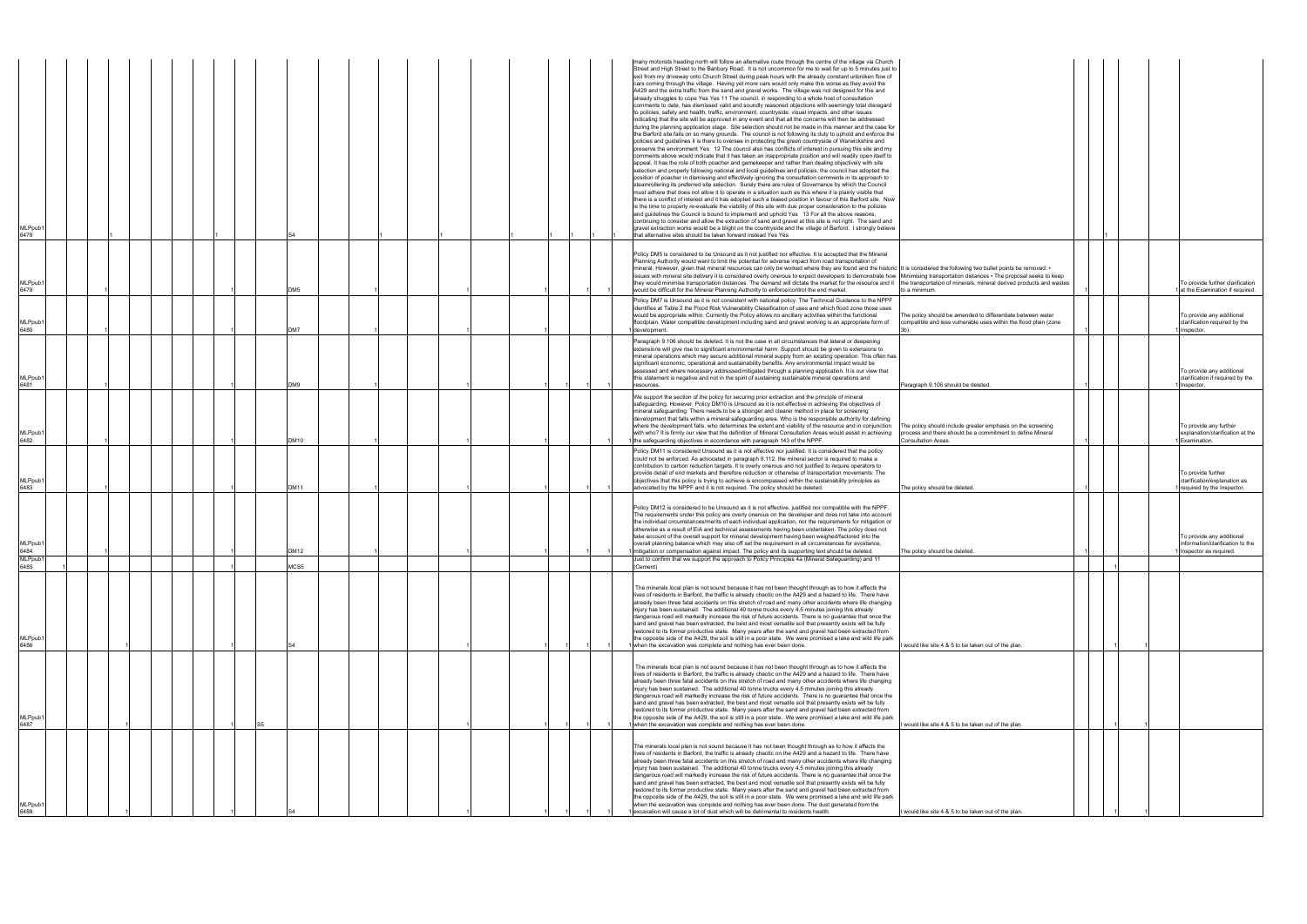| MLPpub <sup>.</sup><br>6478 |  |  |                 |  |  |  |  | many motorists heading north will follow an alternative route through the centre of the village via Church<br>Street and High Street to the Banbury Road. It is not uncommon for me to wait for up to 5 minutes just to<br>exit from my driveway onto Church Street during peak hours with the already constant unbroken flow of<br>cars coming through the village. Having yet more cars would only make this worse as they avoid the<br>A429 and the extra traffic from the sand and gravel works. The village was not designed for this and<br>already struggles to cope Yes Yes 11 The council, in responding to a whole host of consultation<br>comments to date, has dismissed valid and soundly reasoned objections with seemingly total disregard<br>to policies, safety and health, traffic, environment, countryside, visual impacts, and other issues<br>indicating that the site will be approved in any event and that all the concerns will then be addressed<br>during the planning application stage. Site selection should not be made in this manner and the case for<br>the Barford site fails on so many grounds. The council is not following its duty to uphold and enforce the<br>policies and guidelines it is there to oversee in protecting the green countryside of Warwickshire and<br>preserve the environment Yes 12 The council also has conflicts of interest in pursuing this site and my<br>comments above would indicate that it has taken an inappropriate position and will readily open itself to<br>appeal. It has the role of both poacher and gamekeeper and rather than dealing objectively with site<br>selection and properly following national and local guidelines and policies, the council has adopted the<br>position of poacher in dismissing and effectively ignoring the consultation comments in its approach to<br>steamrollering its preferred site selection. Surely there are rules of Governance by which the Council<br>must adhere that does not allow it to operate in a situation such as this where it is plainly visible that<br>there is a conflict of interest and it has adopted such a biased position in favour of this Barford site. Now<br>is the time to properly re-evaluate the viability of this site with due proper consideration to the policies<br>and guidelines the Council is bound to implement and uphold Yes 13 For all the above reasons,<br>continuing to consider and allow the extraction of sand and gravel at this site is not right. The sand and<br>gravel extraction works would be a blight on the countryside and the village of Barford. I strongly believe<br>that alternative sites should be taken forward instead Yes Yes |                                                                                                                                                  |  |                                                                                           |
|-----------------------------|--|--|-----------------|--|--|--|--|---------------------------------------------------------------------------------------------------------------------------------------------------------------------------------------------------------------------------------------------------------------------------------------------------------------------------------------------------------------------------------------------------------------------------------------------------------------------------------------------------------------------------------------------------------------------------------------------------------------------------------------------------------------------------------------------------------------------------------------------------------------------------------------------------------------------------------------------------------------------------------------------------------------------------------------------------------------------------------------------------------------------------------------------------------------------------------------------------------------------------------------------------------------------------------------------------------------------------------------------------------------------------------------------------------------------------------------------------------------------------------------------------------------------------------------------------------------------------------------------------------------------------------------------------------------------------------------------------------------------------------------------------------------------------------------------------------------------------------------------------------------------------------------------------------------------------------------------------------------------------------------------------------------------------------------------------------------------------------------------------------------------------------------------------------------------------------------------------------------------------------------------------------------------------------------------------------------------------------------------------------------------------------------------------------------------------------------------------------------------------------------------------------------------------------------------------------------------------------------------------------------------------------------------------------------------------------------------------------------------------------------------------------------------------------------------------------------------------------|--------------------------------------------------------------------------------------------------------------------------------------------------|--|-------------------------------------------------------------------------------------------|
| MLPpub <sup>.</sup><br>6479 |  |  | DM <sub>5</sub> |  |  |  |  | Policy DM5 is considered to be Unsound as it not justified nor effective. It is accepted that the Mineral<br>Planning Authority would want to limit the potential for adverse impact from road transportation of<br>mineral. However, given that mineral resources can only be worked where they are found and the historic It is considered the following two bullet points be removed: .<br>issues with mineral site delivery it is considered overly onerous to expect developers to demonstrate how Minimising transportation distances . The proposal seeks to keep<br>they would minimise transportation distances. The demand will dictate the market for the resource and it<br>would be difficult for the Mineral Planning Authority to enforce/control the end market.                                                                                                                                                                                                                                                                                                                                                                                                                                                                                                                                                                                                                                                                                                                                                                                                                                                                                                                                                                                                                                                                                                                                                                                                                                                                                                                                                                                                                                                                                                                                                                                                                                                                                                                                                                                                                                                                                                                                                | the transportation of minerals, mineral derived products and wastes<br>to a minimum.                                                             |  | To provide further clarification<br>at the Examination if required.                       |
| MLPpub1<br>6480             |  |  | DM7             |  |  |  |  | Policy DM7 is Unsound as it is not consistent with national policy. The Technical Guidance to the NPPF<br>identifies at Table 2 the Flood Risk Vulnerability Classification of uses and which flood zone those uses<br>would be appropriate within. Currently the Policy allows no ancillary activities within the functional<br>floodplain. Water compatible development including sand and gravel working is an appropriate form of<br>1 development.                                                                                                                                                                                                                                                                                                                                                                                                                                                                                                                                                                                                                                                                                                                                                                                                                                                                                                                                                                                                                                                                                                                                                                                                                                                                                                                                                                                                                                                                                                                                                                                                                                                                                                                                                                                                                                                                                                                                                                                                                                                                                                                                                                                                                                                                         | The policy should be amended to differentiate between water<br>compatible and less vulnerable uses within the flood plain (zone                  |  | To provide any additional<br>clarification required by the<br>Inspector.                  |
| MLPpub1<br>6481             |  |  | DM9             |  |  |  |  | Paragraph 9.106 should be deleted. It is not the case in all circumstances that lateral or deepening<br>extensions will give rise to significant environmental harm. Support should be given to extensions to<br>mineral operations which may secure additional mineral supply from an existing operation. This often has<br>significant economic, operational and sustainability benefits. Any environmental impact would be<br>assessed and where necessary addressed/mitigated through a planning application. It is our view that<br>this statement is negative and not in the spirit of sustaining sustainable mineral operations and<br>resources.                                                                                                                                                                                                                                                                                                                                                                                                                                                                                                                                                                                                                                                                                                                                                                                                                                                                                                                                                                                                                                                                                                                                                                                                                                                                                                                                                                                                                                                                                                                                                                                                                                                                                                                                                                                                                                                                                                                                                                                                                                                                        | Paragraph 9.106 should be deleted.                                                                                                               |  | To provide any additional<br>clarification if required by the<br>1 Inspector.             |
| MLPpub1<br>6482             |  |  | DM10            |  |  |  |  | We support the section of the policy for securing prior extraction and the principle of mineral<br>safeguarding. However, Policy DM10 is Unsound as it is not effective in achieving the objectives of<br>mineral safeguarding. There needs to be a stronger and clearer method in place for screening<br>development that falls within a mineral safeguarding area. Who is the responsible authority for defining<br>where the development falls, who determines the extent and viability of the resource and in conjunction<br>with who? It is firmly our view that the definition of Mineral Consultation Areas would assist in achieving<br>1 the safeguarding objectives in accordance with paragraph 143 of the NPPF.                                                                                                                                                                                                                                                                                                                                                                                                                                                                                                                                                                                                                                                                                                                                                                                                                                                                                                                                                                                                                                                                                                                                                                                                                                                                                                                                                                                                                                                                                                                                                                                                                                                                                                                                                                                                                                                                                                                                                                                                     | The policy should include greater emphasis on the screening<br>process and there should be a commitment to define Mineral<br>Consultation Areas. |  | To provide any further<br>explanation/clarification at the<br>Examination.                |
| MLPpub1<br>6483             |  |  | <b>DM11</b>     |  |  |  |  | Policy DM11 is considered Unsound as it is not effective nor justified. It is considered that the policy<br>could not be enforced. As advocated in paragraph 9.112, the mineral sector is required to make a<br>contribution to carbon reduction targets. It is overly onerous and not justified to require operators to<br>provide detail of end markets and therefore reduction or otherwise of transportation movements. The<br>objectives that this policy is trying to achieve is encompassed within the sustainability principles as<br>advocated by the NPPF and it is not required. The policy should be deleted.                                                                                                                                                                                                                                                                                                                                                                                                                                                                                                                                                                                                                                                                                                                                                                                                                                                                                                                                                                                                                                                                                                                                                                                                                                                                                                                                                                                                                                                                                                                                                                                                                                                                                                                                                                                                                                                                                                                                                                                                                                                                                                       | The policy should be deleted.                                                                                                                    |  | To provide further<br>clarification/explanation as<br>required by the Inspector.          |
| MLPpub1<br>6484<br>MLPpub1  |  |  | DM12            |  |  |  |  | Policy DM12 is considered to be Unsound as it is not effective, justified nor compatible with the NPPF.<br>The requirements under this policy are overly onerous on the developer and does not take into account<br>the individual circumstances/merits of each individual application, nor the requirements for mitigation or<br>otherwise as a result of EiA and technical assessments having been undertaken. The policy does not<br>take account of the overall support for mineral development having been weighed/factored into the<br>overall planning balance which may also off set the requirement in all circumstances for avoidance,<br>1 mitigation or compensation against impact. The policy and its supporting text should be deleted.<br>11 Just to confirm that we support the approach to Policy Principles 4a (Mineral Safeguarding) and                                                                                                                                                                                                                                                                                                                                                                                                                                                                                                                                                                                                                                                                                                                                                                                                                                                                                                                                                                                                                                                                                                                                                                                                                                                                                                                                                                                                                                                                                                                                                                                                                                                                                                                                                                                                                                                                    | The policy should be deleted.                                                                                                                    |  | To provide any additional<br>information/clarification to the<br>1 Inspector as required. |
| 6485<br>MLPpub1<br>6486     |  |  | MCS5            |  |  |  |  | (Cement)<br>The minerals local plan is not sound because it has not been thought through as to how it affects the<br>lives of residents in Barford, the traffic is already chaotic on the A429 and a hazard to life. There have<br>already been three fatal accidents on this stretch of road and many other accidents where life changing<br>injury has been sustained. The additional 40 tonne trucks every 4.5 minutes joining this already<br>dangerous road will markedly increase the risk of future accidents. There is no guarantee that once the<br>sand and gravel has been extracted, the best and most versatile soil that presently exists will be fully<br>restored to its former productive state. Many years after the sand and gravel had been extracted from<br>the opposite side of the A429, the soil is still in a poor state. We were promised a lake and wild life park<br>1 when the excavation was complete and nothing has ever been done.                                                                                                                                                                                                                                                                                                                                                                                                                                                                                                                                                                                                                                                                                                                                                                                                                                                                                                                                                                                                                                                                                                                                                                                                                                                                                                                                                                                                                                                                                                                                                                                                                                                                                                                                                            | would like site 4 & 5 to be taken out of the plan.                                                                                               |  |                                                                                           |
| MLPpub1<br>6487             |  |  |                 |  |  |  |  | The minerals local plan is not sound because it has not been thought through as to how it affects the<br>lives of residents in Barford, the traffic is already chaotic on the A429 and a hazard to life. There have<br>already been three fatal accidents on this stretch of road and many other accidents where life changing<br>injury has been sustained. The additional 40 tonne trucks every 4.5 minutes joining this already<br>dangerous road will markedly increase the risk of future accidents. There is no guarantee that once the<br>sand and gravel has been extracted, the best and most versatile soil that presently exists will be fully<br>restored to its former productive state. Many years after the sand and gravel had been extracted from<br>the opposite side of the A429, the soil is still in a poor state. We were promised a lake and wild life park<br>1 when the excavation was complete and nothing has ever been done.                                                                                                                                                                                                                                                                                                                                                                                                                                                                                                                                                                                                                                                                                                                                                                                                                                                                                                                                                                                                                                                                                                                                                                                                                                                                                                                                                                                                                                                                                                                                                                                                                                                                                                                                                                        | would like site 4 & 5 to be taken out of the plan.                                                                                               |  |                                                                                           |
| MLPpub <sup>.</sup><br>6488 |  |  |                 |  |  |  |  | The minerals local plan is not sound because it has not been thought through as to how it affects the<br>lives of residents in Barford, the traffic is already chaotic on the A429 and a hazard to life. There have<br>already been three fatal accidents on this stretch of road and many other accidents where life changing<br>injury has been sustained. The additional 40 tonne trucks every 4.5 minutes joining this already<br>dangerous road will markedly increase the risk of future accidents. There is no guarantee that once the<br>sand and gravel has been extracted, the best and most versatile soil that presently exists will be fully<br>restored to its former productive state. Many years after the sand and gravel had been extracted from<br>the opposite side of the A429, the soil is still in a poor state. We were promised a lake and wild life park<br>when the excavation was complete and nothing has ever been done. The dust generated from the<br>excavation will cause a lot of dust which will be detrimental to residents health.                                                                                                                                                                                                                                                                                                                                                                                                                                                                                                                                                                                                                                                                                                                                                                                                                                                                                                                                                                                                                                                                                                                                                                                                                                                                                                                                                                                                                                                                                                                                                                                                                                                        | would like site 4 & 5 to be taken out of the plan.                                                                                               |  |                                                                                           |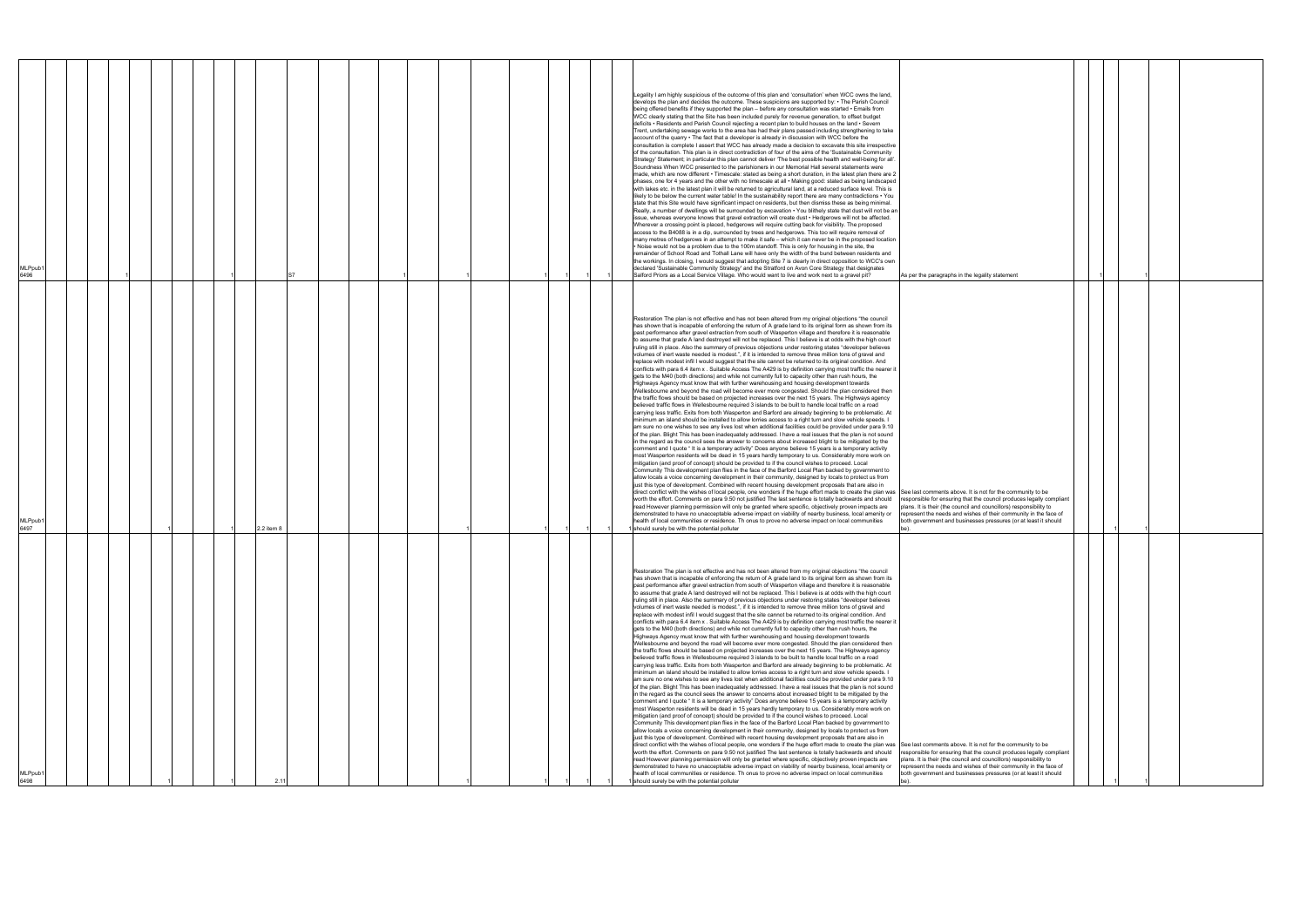| <b>MLPpub</b><br>6496 |  |            |  |  |  |  | Legality I am highly suspicious of the outcome of this plan and 'consultation' when WCC owns the land,<br>develops the plan and decides the outcome. These suspicions are supported by: • The Parish Council<br>being offered benefits if they supported the plan - before any consultation was started • Emails from<br>WCC clearly stating that the Site has been included purely for revenue generation, to offset budget<br>deficits • Residents and Parish Council rejecting a recent plan to build houses on the land • Severn<br>Trent, undertaking sewage works to the area has had their plans passed including strengthening to take<br>account of the quarry • The fact that a developer is already in discussion with WCC before the<br>consultation is complete I assert that WCC has already made a decision to excavate this site irrespective<br>of the consultation. This plan is in direct contradiction of four of the aims of the 'Sustainable Community<br>Strategy' Statement; in particular this plan cannot deliver 'The best possible health and well-being for all'.<br>Soundness When WCC presented to the parishioners in our Memorial Hall several statements were<br>made, which are now different • Timescale: stated as being a short duration, in the latest plan there are 2<br>phases, one for 4 years and the other with no timescale at all • Making good: stated as being landscaped<br>with lakes etc. in the latest plan it will be returned to agricultural land, at a reduced surface level. This is<br>likely to be below the current water table! In the sustainability report there are many contradictions $\cdot$ You<br>state that this Site would have significant impact on residents, but then dismiss these as being minimal.<br>Really, a number of dwellings will be surrounded by excavation • You blithely state that dust will not be an<br>issue, whereas everyone knows that gravel extraction will create dust • Hedgerows will not be affected.<br>Wherever a crossing point is placed, hedgerows will require cutting back for visibility. The proposed<br>access to the B4088 is in a dip, surrounded by trees and hedgerows. This too will require removal of<br>many metres of hedgerows in an attempt to make it safe - which it can never be in the proposed location<br>. Noise would not be a problem due to the 100m standoff. This is only for housing in the site, the<br>remainder of School Road and Tothall Lane will have only the width of the bund between residents and<br>the workings. In closing, I would suggest that adopting Site 7 is clearly in direct opposition to WCC's own<br>declared 'Sustainable Community Strategy' and the Stratford on Avon Core Strategy that designates<br>Salford Priors as a Local Service Village. Who would want to live and work next to a gravel pit?                                                                                                                                                                                                                                                                                                                                                                                                                                                                                   | As per the paragraphs in the legality statement                                                                                                                                                                                                                                   |  |  |  |
|-----------------------|--|------------|--|--|--|--|------------------------------------------------------------------------------------------------------------------------------------------------------------------------------------------------------------------------------------------------------------------------------------------------------------------------------------------------------------------------------------------------------------------------------------------------------------------------------------------------------------------------------------------------------------------------------------------------------------------------------------------------------------------------------------------------------------------------------------------------------------------------------------------------------------------------------------------------------------------------------------------------------------------------------------------------------------------------------------------------------------------------------------------------------------------------------------------------------------------------------------------------------------------------------------------------------------------------------------------------------------------------------------------------------------------------------------------------------------------------------------------------------------------------------------------------------------------------------------------------------------------------------------------------------------------------------------------------------------------------------------------------------------------------------------------------------------------------------------------------------------------------------------------------------------------------------------------------------------------------------------------------------------------------------------------------------------------------------------------------------------------------------------------------------------------------------------------------------------------------------------------------------------------------------------------------------------------------------------------------------------------------------------------------------------------------------------------------------------------------------------------------------------------------------------------------------------------------------------------------------------------------------------------------------------------------------------------------------------------------------------------------------------------------------------------------------------------------------------------------------------------------------------------------------------------------------------------------------------------------------------------------------------------------------------------------------------------------------------------------------------------------------------------------------------------------------------------------------------------------------------------------------------------------------------------------------------------------------------------------------------------------------------------------------------------------------------------------------------------|-----------------------------------------------------------------------------------------------------------------------------------------------------------------------------------------------------------------------------------------------------------------------------------|--|--|--|
| MLPpub1<br>6497       |  | 2.2 item 8 |  |  |  |  | Restoration The plan is not effective and has not been altered from my original objections "the council<br>has shown that is incapable of enforcing the return of A grade land to its original form as shown from its<br>past performance after gravel extraction from south of Wasperton village and therefore it is reasonable<br>to assume that grade A land destroyed will not be replaced. This I believe is at odds with the high court<br>ruling still in place. Also the summary of previous objections under restoring states "developer believes<br>volumes of inert waste needed is modest.", if it is intended to remove three million tons of gravel and<br>replace with modest infil I would suggest that the site cannot be returned to its original condition. And<br>conflicts with para 6.4 item x. Suitable Access The A429 is by definition carrying most traffic the nearer it<br>gets to the M40 (both directions) and while not currently full to capacity other than rush hours, the<br>Highways Agency must know that with further warehousing and housing development towards<br>Wellesbourne and beyond the road will become ever more congested. Should the plan considered then<br>the traffic flows should be based on projected increases over the next 15 years. The Highways agency<br>believed traffic flows in Wellesbourne required 3 islands to be built to handle local traffic on a road<br>carrying less traffic. Exits from both Wasperton and Barford are already beginning to be problematic. At<br>minimum an island should be installed to allow lorries access to a right turn and slow vehicle speeds. I<br>am sure no one wishes to see any lives lost when additional facilities could be provided under para 9.10<br>of the plan. Blight This has been inadequately addressed. I have a real issues that the plan is not sound<br>in the regard as the council sees the answer to concerns about increased blight to be mitigated by the<br>comment and I quote " It is a temporary activity" Does anyone believe 15 years is a temporary activity<br>most Wasperton residents will be dead in 15 years hardly temporary to us. Considerably more work on<br>mitigation (and proof of concept) should be provided to if the council wishes to proceed. Local<br>Community This development plan flies in the face of the Barford Local Plan backed by government to<br>allow locals a voice concerning development in their community, designed by locals to protect us from<br>just this type of development. Combined with recent housing development proposals that are also in<br>direct conflict with the wishes of local people, one wonders if the huge effort made to create the plan was See last comments above. It is not for the community to be<br>worth the effort. Comments on para 9.50 not justified The last sentence is totally backwards and should<br>read However planning permission will only be granted where specific, objectively proven impacts are<br>demonstrated to have no unacceptable adverse impact on viability of nearby business, local amenity or<br>health of local communities or residence. Th onus to prove no adverse impact on local communities<br>should surely be with the potential polluter                                                                  | responsible for ensuring that the council produces legally compliant<br>plans. It is their (the council and councillors) responsibility to<br>represent the needs and wishes of their community in the face of<br>both government and businesses pressures (or at least it should |  |  |  |
| MLPpub1<br>6498       |  |            |  |  |  |  | Restoration The plan is not effective and has not been altered from my original objections "the council<br>has shown that is incapable of enforcing the return of A grade land to its original form as shown from its<br>past performance after gravel extraction from south of Wasperton village and therefore it is reasonable<br>to assume that grade A land destroyed will not be replaced. This I believe is at odds with the high court<br>ruling still in place. Also the summary of previous objections under restoring states "developer believes<br>volumes of inert waste needed is modest.", if it is intended to remove three million tons of gravel and<br>replace with modest infil I would suggest that the site cannot be returned to its original condition. And<br>conflicts with para 6.4 item x . Suitable Access The A429 is by definition carrying most traffic the nearer it<br>gets to the M40 (both directions) and while not currently full to capacity other than rush hours, the<br>Highways Agency must know that with further warehousing and housing development towards<br>Wellesbourne and beyond the road will become ever more congested. Should the plan considered then<br>the traffic flows should be based on projected increases over the next 15 years. The Highways agency<br>believed traffic flows in Wellesbourne required 3 islands to be built to handle local traffic on a road<br>carrying less traffic. Exits from both Wasperton and Barford are already beginning to be problematic. At<br>minimum an island should be installed to allow lorries access to a right turn and slow vehicle speeds. I<br>am sure no one wishes to see any lives lost when additional facilities could be provided under para 9.10<br>of the plan. Blight This has been inadequately addressed. I have a real issues that the plan is not sound<br>in the regard as the council sees the answer to concerns about increased blight to be mitigated by the<br>comment and I quote "It is a temporary activity" Does anyone believe 15 years is a temporary activity<br>most Wasperton residents will be dead in 15 years hardly temporary to us. Considerably more work on<br>mitigation (and proof of concept) should be provided to if the council wishes to proceed. Local<br>Community This development plan flies in the face of the Barford Local Plan backed by government to<br>allow locals a voice concerning development in their community, designed by locals to protect us from<br>just this type of development. Combined with recent housing development proposals that are also in<br>direct conflict with the wishes of local people, one wonders if the huge effort made to create the plan was See last comments above. It is not for the community to be<br>worth the effort. Comments on para 9.50 not justified The last sentence is totally backwards and should<br>read However planning permission will only be granted where specific, objectively proven impacts are<br>demonstrated to have no unacceptable adverse impact on viability of nearby business, local amenity or represent the needs and wishes of their community in the face of<br>health of local communities or residence. Th onus to prove no adverse impact on local communities<br>should surely be with the potential polluter | responsible for ensuring that the council produces legally compliant<br>plans. It is their (the council and councillors) responsibility to<br>both government and businesses pressures (or at least it should                                                                     |  |  |  |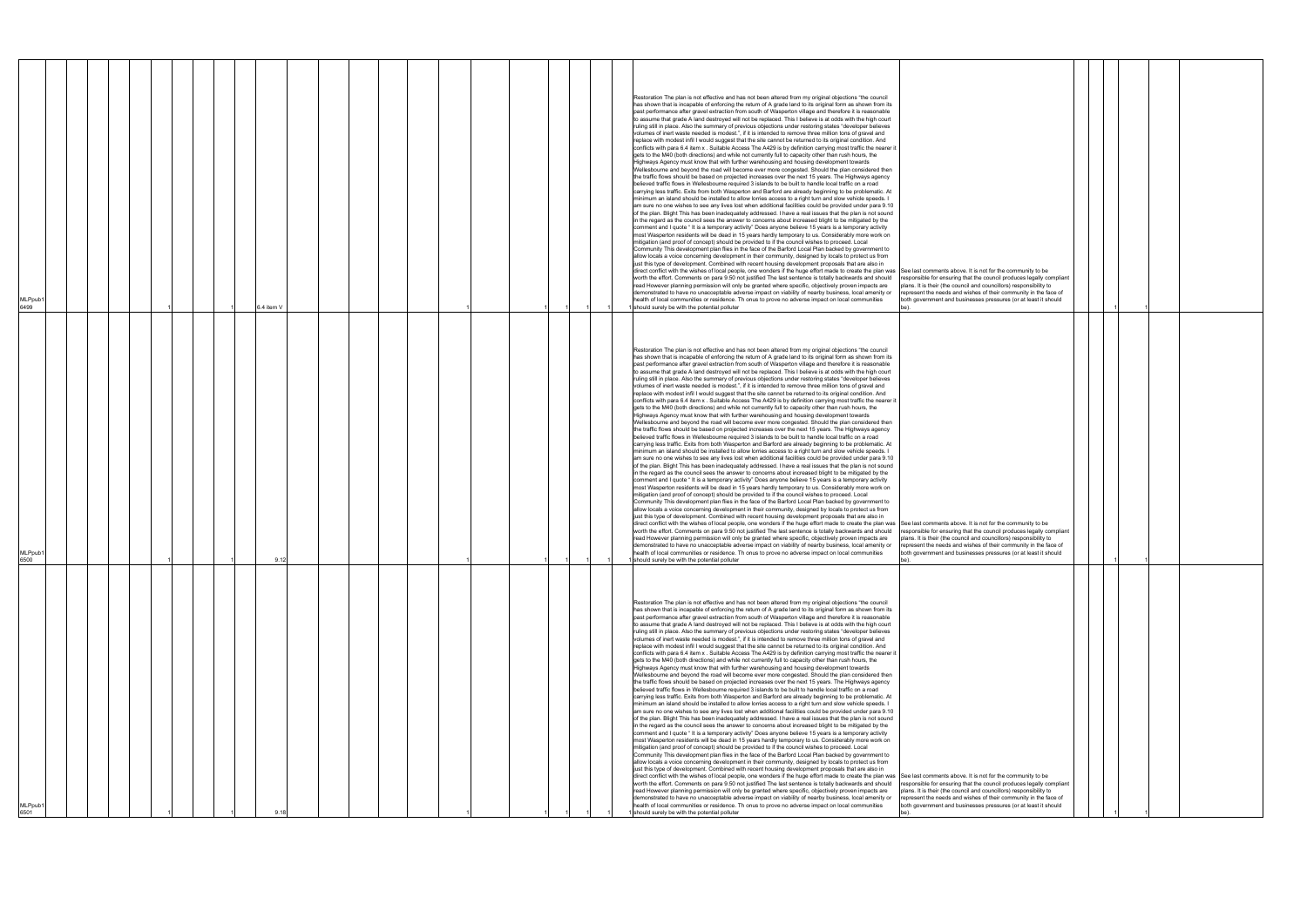| MLPpub1<br>6499             |            |  | Restoration The plan is not effective and has not been altered from my original objections "the council<br>has shown that is incapable of enforcing the return of A grade land to its original form as shown from its<br>past performance after gravel extraction from south of Wasperton village and therefore it is reasonable<br>to assume that grade A land destroyed will not be replaced. This I believe is at odds with the high court<br>ruling still in place. Also the summary of previous objections under restoring states "developer believes<br>volumes of inert waste needed is modest.", if it is intended to remove three million tons of gravel and<br>replace with modest infil I would suggest that the site cannot be returned to its original condition. And<br>conflicts with para 6.4 item x. Suitable Access The A429 is by definition carrying most traffic the nearer it<br>gets to the M40 (both directions) and while not currently full to capacity other than rush hours, the<br>Highways Agency must know that with further warehousing and housing development towards<br>Wellesbourne and beyond the road will become ever more congested. Should the plan considered then<br>the traffic flows should be based on projected increases over the next 15 years. The Highways agency<br>believed traffic flows in Wellesbourne required 3 islands to be built to handle local traffic on a road<br>carrying less traffic. Exits from both Wasperton and Barford are already beginning to be problematic. At<br>minimum an island should be installed to allow lorries access to a right turn and slow vehicle speeds. I<br>am sure no one wishes to see any lives lost when additional facilities could be provided under para 9.10<br>of the plan. Blight This has been inadequately addressed. I have a real issues that the plan is not sound<br>in the regard as the council sees the answer to concerns about increased blight to be mitigated by the<br>comment and I quote "It is a temporary activity" Does anyone believe 15 years is a temporary activity<br>most Wasperton residents will be dead in 15 years hardly temporary to us. Considerably more work on<br>mitigation (and proof of concept) should be provided to if the council wishes to proceed. Local<br>Community This development plan flies in the face of the Barford Local Plan backed by government to<br>allow locals a voice concerning development in their community, designed by locals to protect us from<br>just this type of development. Combined with recent housing development proposals that are also in<br>worth the effort. Comments on para 9.50 not justified The last sentence is totally backwards and should<br>read However planning permission will only be granted where specific, objectively proven impacts are<br>demonstrated to have no unacceptable adverse impact on viability of nearby business, local amenity or<br>health of local communities or residence. Th onus to prove no adverse impact on local communities                                                   | direct conflict with the wishes of local people, one wonders if the huge effort made to create the plan was See last comments above. It is not for the community to be | responsible for ensuring that the council produces legally compliant<br>plans. It is their (the council and councillors) responsibility to<br>represent the needs and wishes of their community in the face of<br>both government and businesses pressures (or at least it should                                                                                                                                                                                                               |  |  |
|-----------------------------|------------|--|------------------------------------------------------------------------------------------------------------------------------------------------------------------------------------------------------------------------------------------------------------------------------------------------------------------------------------------------------------------------------------------------------------------------------------------------------------------------------------------------------------------------------------------------------------------------------------------------------------------------------------------------------------------------------------------------------------------------------------------------------------------------------------------------------------------------------------------------------------------------------------------------------------------------------------------------------------------------------------------------------------------------------------------------------------------------------------------------------------------------------------------------------------------------------------------------------------------------------------------------------------------------------------------------------------------------------------------------------------------------------------------------------------------------------------------------------------------------------------------------------------------------------------------------------------------------------------------------------------------------------------------------------------------------------------------------------------------------------------------------------------------------------------------------------------------------------------------------------------------------------------------------------------------------------------------------------------------------------------------------------------------------------------------------------------------------------------------------------------------------------------------------------------------------------------------------------------------------------------------------------------------------------------------------------------------------------------------------------------------------------------------------------------------------------------------------------------------------------------------------------------------------------------------------------------------------------------------------------------------------------------------------------------------------------------------------------------------------------------------------------------------------------------------------------------------------------------------------------------------------------------------------------------------------------------------------------------------------------------------------------------------------------------------------------------------------------------------------------------------------|------------------------------------------------------------------------------------------------------------------------------------------------------------------------|-------------------------------------------------------------------------------------------------------------------------------------------------------------------------------------------------------------------------------------------------------------------------------------------------------------------------------------------------------------------------------------------------------------------------------------------------------------------------------------------------|--|--|
|                             | 6.4 item V |  | I should surely be with the potential polluter                                                                                                                                                                                                                                                                                                                                                                                                                                                                                                                                                                                                                                                                                                                                                                                                                                                                                                                                                                                                                                                                                                                                                                                                                                                                                                                                                                                                                                                                                                                                                                                                                                                                                                                                                                                                                                                                                                                                                                                                                                                                                                                                                                                                                                                                                                                                                                                                                                                                                                                                                                                                                                                                                                                                                                                                                                                                                                                                                                                                                                                                         |                                                                                                                                                                        |                                                                                                                                                                                                                                                                                                                                                                                                                                                                                                 |  |  |
| MLPpub1<br>6500             |            |  | Restoration The plan is not effective and has not been altered from my original objections "the council<br>has shown that is incapable of enforcing the return of A grade land to its original form as shown from its<br>past performance after gravel extraction from south of Wasperton village and therefore it is reasonable<br>to assume that grade A land destroyed will not be replaced. This I believe is at odds with the high court<br>ruling still in place. Also the summary of previous objections under restoring states "developer believes<br>volumes of inert waste needed is modest.", if it is intended to remove three million tons of gravel and<br>replace with modest infil I would suggest that the site cannot be returned to its original condition. And<br>conflicts with para 6.4 item x. Suitable Access The A429 is by definition carrying most traffic the nearer it<br>gets to the M40 (both directions) and while not currently full to capacity other than rush hours, the<br>Highways Agency must know that with further warehousing and housing development towards<br>Wellesbourne and beyond the road will become ever more congested. Should the plan considered then<br>the traffic flows should be based on projected increases over the next 15 years. The Highways agency<br>believed traffic flows in Wellesbourne required 3 islands to be built to handle local traffic on a road<br>carrying less traffic. Exits from both Wasperton and Barford are already beginning to be problematic. At<br>minimum an island should be installed to allow lorries access to a right turn and slow vehicle speeds. I<br>am sure no one wishes to see any lives lost when additional facilities could be provided under para 9.10<br>of the plan. Blight This has been inadequately addressed. I have a real issues that the plan is not sound<br>in the regard as the council sees the answer to concerns about increased blight to be mitigated by the<br>comment and I quote "It is a temporary activity" Does anyone believe 15 years is a temporary activity<br>most Wasperton residents will be dead in 15 years hardly temporary to us. Considerably more work on<br>mitigation (and proof of concept) should be provided to if the council wishes to proceed. Local<br>Community This development plan flies in the face of the Barford Local Plan backed by government to<br>allow locals a voice concerning development in their community, designed by locals to protect us from<br>just this type of development. Combined with recent housing development proposals that are also in<br>read However planning permission will only be granted where specific, objectively proven impacts are<br>health of local communities or residence. Th onus to prove no adverse impact on local communities<br>should surely be with the potential polluter                                                                                                                                                                                                                       | direct conflict with the wishes of local people, one wonders if the huge effort made to create the plan was See last comments above. It is not for the community to be | worth the effort. Comments on para 9.50 not justified The last sentence is totally backwards and should responsible for ensuring that the council produces legally compliant<br>plans. It is their (the council and councillors) responsibility to<br>demonstrated to have no unacceptable adverse impact on viability of nearby business, local amenity or represent the needs and wishes of their community in the face of<br>both government and businesses pressures (or at least it should |  |  |
| MLPpub <sup>®</sup><br>6501 |            |  | Restoration The plan is not effective and has not been altered from my original objections "the council<br>has shown that is incapable of enforcing the return of A grade land to its original form as shown from its<br>past performance after gravel extraction from south of Wasperton village and therefore it is reasonable<br>to assume that grade A land destroyed will not be replaced. This I believe is at odds with the high court<br>ruling still in place. Also the summary of previous objections under restoring states "developer believes<br>volumes of inert waste needed is modest.", if it is intended to remove three million tons of gravel and<br>replace with modest infil I would suggest that the site cannot be returned to its original condition. And<br>conflicts with para 6.4 item x . Suitable Access The A429 is by definition carrying most traffic the nearer it<br>gets to the M40 (both directions) and while not currently full to capacity other than rush hours, the<br>Highways Agency must know that with further warehousing and housing development towards<br>Wellesbourne and beyond the road will become ever more congested. Should the plan considered then<br>the traffic flows should be based on projected increases over the next 15 years. The Highways agency<br>believed traffic flows in Wellesbourne required 3 islands to be built to handle local traffic on a road<br>carrying less traffic. Exits from both Wasperton and Barford are already beginning to be problematic. At<br>minimum an island should be installed to allow lorries access to a right turn and slow vehicle speeds. I<br>am sure no one wishes to see any lives lost when additional facilities could be provided under para 9.10<br>of the plan. Blight This has been inadequately addressed. I have a real issues that the plan is not sound<br>in the regard as the council sees the answer to concerns about increased blight to be mitigated by the<br>comment and I quote " It is a temporary activity" Does anyone believe 15 years is a temporary activity<br>most Wasperton residents will be dead in 15 years hardly temporary to us. Considerably more work on<br>mitigation (and proof of concept) should be provided to if the council wishes to proceed. Local<br>Community This development plan flies in the face of the Barford Local Plan backed by government to<br>allow locals a voice concerning development in their community, designed by locals to protect us from<br>just this type of development. Combined with recent housing development proposals that are also in<br>worth the effort. Comments on para 9.50 not justified The last sentence is totally backwards and should<br>read However planning permission will only be granted where specific, objectively proven impacts are<br>demonstrated to have no unacceptable adverse impact on viability of nearby business, local amenity or<br>health of local communities or residence. Th onus to prove no adverse impact on local communities<br>should surely be with the potential polluter | direct conflict with the wishes of local people, one wonders if the huge effort made to create the plan was See last comments above. It is not for the community to be | responsible for ensuring that the council produces legally compliant<br>plans. It is their (the council and councillors) responsibility to<br>represent the needs and wishes of their community in the face of<br>both government and businesses pressures (or at least it should                                                                                                                                                                                                               |  |  |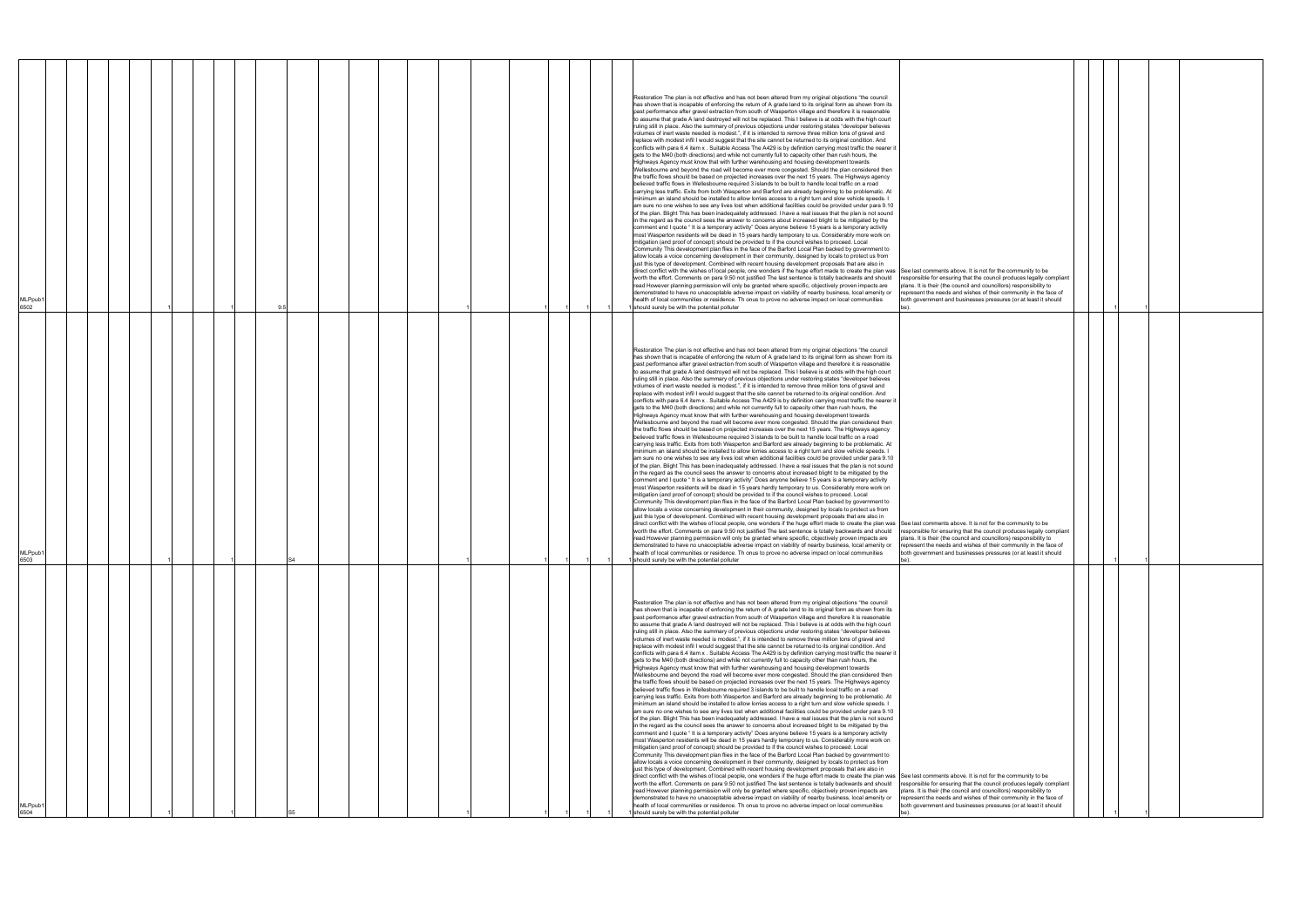| MLPpub1<br>6502             |  |  | Restoration The plan is not effective and has not been altered from my original objections "the council<br>has shown that is incapable of enforcing the return of A grade land to its original form as shown from its<br>past performance after gravel extraction from south of Wasperton village and therefore it is reasonable<br>to assume that grade A land destroyed will not be replaced. This I believe is at odds with the high court<br>ruling still in place. Also the summary of previous objections under restoring states "developer believes<br>volumes of inert waste needed is modest.", if it is intended to remove three million tons of gravel and<br>replace with modest infil I would suggest that the site cannot be returned to its original condition. And<br>conflicts with para 6.4 item x. Suitable Access The A429 is by definition carrying most traffic the nearer it<br>gets to the M40 (both directions) and while not currently full to capacity other than rush hours, the<br>Highways Agency must know that with further warehousing and housing development towards<br>Wellesbourne and beyond the road will become ever more congested. Should the plan considered then<br>the traffic flows should be based on projected increases over the next 15 years. The Highways agency<br>believed traffic flows in Wellesbourne required 3 islands to be built to handle local traffic on a road<br>carrying less traffic. Exits from both Wasperton and Barford are already beginning to be problematic. At<br>minimum an island should be installed to allow lorries access to a right turn and slow vehicle speeds. I<br>am sure no one wishes to see any lives lost when additional facilities could be provided under para 9.10<br>of the plan. Blight This has been inadequately addressed. I have a real issues that the plan is not sound<br>in the regard as the council sees the answer to concerns about increased blight to be mitigated by the<br>comment and I quote "It is a temporary activity" Does anyone believe 15 years is a temporary activity<br>most Wasperton residents will be dead in 15 years hardly temporary to us. Considerably more work on<br>mitigation (and proof of concept) should be provided to if the council wishes to proceed. Local<br>Community This development plan flies in the face of the Barford Local Plan backed by government to<br>allow locals a voice concerning development in their community, designed by locals to protect us from<br>just this type of development. Combined with recent housing development proposals that are also in<br>direct conflict with the wishes of local people, one wonders if the huge effort made to create the plan was See last comments above. It is not for the community to be<br>worth the effort. Comments on para 9.50 not justified The last sentence is totally backwards and should<br>responsible for ensuring that the council produces legally compliant<br>read However planning permission will only be granted where specific, objectively proven impacts are<br>plans. It is their (the council and councillors) responsibility to<br>demonstrated to have no unacceptable adverse impact on viability of nearby business, local amenity or<br>represent the needs and wishes of their community in the face of<br>health of local communities or residence. Th onus to prove no adverse impact on local communities<br>both government and businesses pressures (or at least it should<br>I should surely be with the potential polluter |
|-----------------------------|--|--|---------------------------------------------------------------------------------------------------------------------------------------------------------------------------------------------------------------------------------------------------------------------------------------------------------------------------------------------------------------------------------------------------------------------------------------------------------------------------------------------------------------------------------------------------------------------------------------------------------------------------------------------------------------------------------------------------------------------------------------------------------------------------------------------------------------------------------------------------------------------------------------------------------------------------------------------------------------------------------------------------------------------------------------------------------------------------------------------------------------------------------------------------------------------------------------------------------------------------------------------------------------------------------------------------------------------------------------------------------------------------------------------------------------------------------------------------------------------------------------------------------------------------------------------------------------------------------------------------------------------------------------------------------------------------------------------------------------------------------------------------------------------------------------------------------------------------------------------------------------------------------------------------------------------------------------------------------------------------------------------------------------------------------------------------------------------------------------------------------------------------------------------------------------------------------------------------------------------------------------------------------------------------------------------------------------------------------------------------------------------------------------------------------------------------------------------------------------------------------------------------------------------------------------------------------------------------------------------------------------------------------------------------------------------------------------------------------------------------------------------------------------------------------------------------------------------------------------------------------------------------------------------------------------------------------------------------------------------------------------------------------------------------------------------------------------------------------------------------------------------------------------------------------------------------------------------------------------------------------------------------------------------------------------------------------------------------------------------------------------------------------------------------------------------------------------------------------------------------------------------------------------------------------------------------------------------------------------|
| MLPpub1<br>6503             |  |  | Restoration The plan is not effective and has not been altered from my original objections "the council<br>has shown that is incapable of enforcing the return of A grade land to its original form as shown from its<br>past performance after gravel extraction from south of Wasperton village and therefore it is reasonable<br>to assume that grade A land destroyed will not be replaced. This I believe is at odds with the high court<br>ruling still in place. Also the summary of previous objections under restoring states "developer believes<br>volumes of inert waste needed is modest.", if it is intended to remove three million tons of gravel and<br>replace with modest infil I would suggest that the site cannot be returned to its original condition. And<br>conflicts with para 6.4 item x. Suitable Access The A429 is by definition carrying most traffic the nearer it<br>gets to the M40 (both directions) and while not currently full to capacity other than rush hours, the<br>Highways Agency must know that with further warehousing and housing development towards<br>Wellesbourne and beyond the road will become ever more congested. Should the plan considered then<br>the traffic flows should be based on projected increases over the next 15 years. The Highways agency<br>believed traffic flows in Wellesbourne required 3 islands to be built to handle local traffic on a road<br>carrying less traffic. Exits from both Wasperton and Barford are already beginning to be problematic. At<br>minimum an island should be installed to allow lorries access to a right turn and slow vehicle speeds. I<br>am sure no one wishes to see any lives lost when additional facilities could be provided under para 9.10<br>of the plan. Blight This has been inadequately addressed. I have a real issues that the plan is not sound<br>in the regard as the council sees the answer to concerns about increased blight to be mitigated by the<br>comment and I quote "It is a temporary activity" Does anyone believe 15 years is a temporary activity<br>most Wasperton residents will be dead in 15 years hardly temporary to us. Considerably more work on<br>mitigation (and proof of concept) should be provided to if the council wishes to proceed. Local<br>Community This development plan flies in the face of the Barford Local Plan backed by government to<br>allow locals a voice concerning development in their community, designed by locals to protect us from<br>just this type of development. Combined with recent housing development proposals that are also in<br>direct conflict with the wishes of local people, one wonders if the huge effort made to create the plan was See last comments above. It is not for the community to be<br>worth the effort. Comments on para 9.50 not justified The last sentence is totally backwards and should responsible for ensuring that the council produces legally compliant<br>read However planning permission will only be granted where specific, objectively proven impacts are<br>plans. It is their (the council and councillors) responsibility to<br>demonstrated to have no unacceptable adverse impact on viability of nearby business, local amenity or represent the needs and wishes of their community in the face of<br>health of local communities or residence. Th onus to prove no adverse impact on local communities<br>both government and businesses pressures (or at least it should<br>should surely be with the potential polluter         |
| MLPpub <sup>®</sup><br>6504 |  |  | Restoration The plan is not effective and has not been altered from my original objections "the council<br>has shown that is incapable of enforcing the return of A grade land to its original form as shown from its<br>past performance after gravel extraction from south of Wasperton village and therefore it is reasonable<br>to assume that grade A land destroyed will not be replaced. This I believe is at odds with the high court<br>ruling still in place. Also the summary of previous objections under restoring states "developer believes<br>volumes of inert waste needed is modest.", if it is intended to remove three million tons of gravel and<br>replace with modest infil I would suggest that the site cannot be returned to its original condition. And<br>conflicts with para 6.4 item x . Suitable Access The A429 is by definition carrying most traffic the nearer it<br>gets to the M40 (both directions) and while not currently full to capacity other than rush hours, the<br>Highways Agency must know that with further warehousing and housing development towards<br>Wellesbourne and beyond the road will become ever more congested. Should the plan considered then<br>the traffic flows should be based on projected increases over the next 15 years. The Highways agency<br>believed traffic flows in Wellesbourne required 3 islands to be built to handle local traffic on a road<br>carrying less traffic. Exits from both Wasperton and Barford are already beginning to be problematic. At<br>minimum an island should be installed to allow lorries access to a right turn and slow vehicle speeds. I<br>am sure no one wishes to see any lives lost when additional facilities could be provided under para 9.10<br>of the plan. Blight This has been inadequately addressed. I have a real issues that the plan is not sound<br>in the regard as the council sees the answer to concerns about increased blight to be mitigated by the<br>comment and I quote " It is a temporary activity" Does anyone believe 15 years is a temporary activity<br>most Wasperton residents will be dead in 15 years hardly temporary to us. Considerably more work on<br>mitigation (and proof of concept) should be provided to if the council wishes to proceed. Local<br>Community This development plan flies in the face of the Barford Local Plan backed by government to<br>allow locals a voice concerning development in their community, designed by locals to protect us from<br>just this type of development. Combined with recent housing development proposals that are also in<br>direct conflict with the wishes of local people, one wonders if the huge effort made to create the plan was See last comments above. It is not for the community to be<br>worth the effort. Comments on para 9.50 not justified The last sentence is totally backwards and should<br>responsible for ensuring that the council produces legally compliant<br>read However planning permission will only be granted where specific, objectively proven impacts are<br>plans. It is their (the council and councillors) responsibility to<br>demonstrated to have no unacceptable adverse impact on viability of nearby business, local amenity or<br>represent the needs and wishes of their community in the face of<br>health of local communities or residence. Th onus to prove no adverse impact on local communities<br>both government and businesses pressures (or at least it should<br>should surely be with the potential polluter |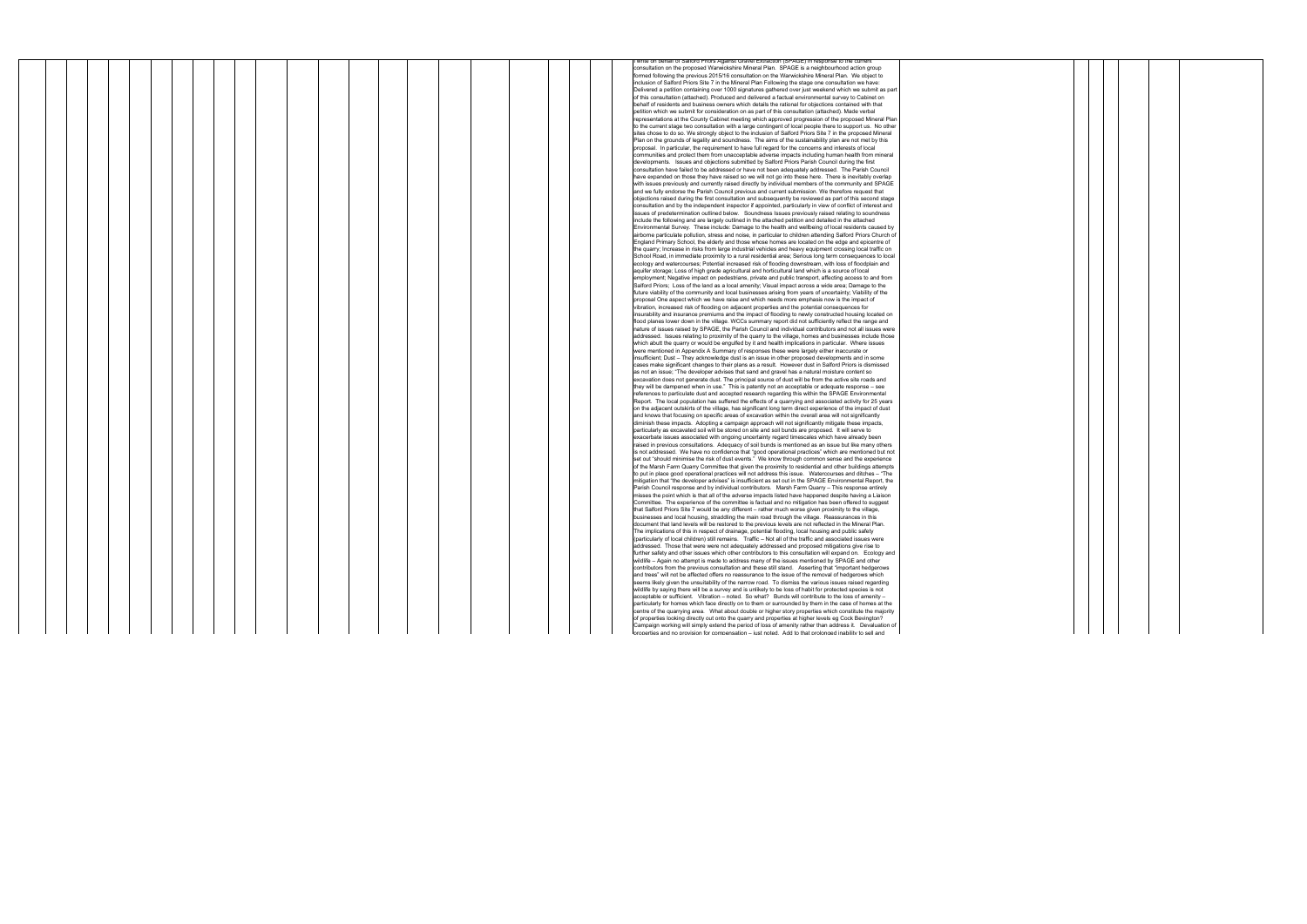|  |  |  |  |  |  |  |  |  |  |  | write on behalf of Salford Priors Against Gravel Extraction (SPAGE) in response to the currer                  |
|--|--|--|--|--|--|--|--|--|--|--|----------------------------------------------------------------------------------------------------------------|
|  |  |  |  |  |  |  |  |  |  |  | consultation on the proposed Warwickshire Mineral Plan. SPAGE is a neighbourhood action group                  |
|  |  |  |  |  |  |  |  |  |  |  | formed following the previous 2015/16 consultation on the Warwickshire Mineral Plan. We object to              |
|  |  |  |  |  |  |  |  |  |  |  | inclusion of Salford Priors Site 7 in the Mineral Plan Following the stage one consultation we have:           |
|  |  |  |  |  |  |  |  |  |  |  | Delivered a petition containing over 1000 signatures gathered over just weekend which we submit as part        |
|  |  |  |  |  |  |  |  |  |  |  | of this consultation (attached). Produced and delivered a factual environmental survey to Cabinet on           |
|  |  |  |  |  |  |  |  |  |  |  | behalf of residents and business owners which details the rational for objections contained with that          |
|  |  |  |  |  |  |  |  |  |  |  | petition which we submit for consideration on as part of this consultation (attached). Made verbal             |
|  |  |  |  |  |  |  |  |  |  |  | representations at the County Cabinet meeting which approved progression of the proposed Mineral Plan          |
|  |  |  |  |  |  |  |  |  |  |  | to the current stage two consultation with a large contingent of local people there to support us. No other    |
|  |  |  |  |  |  |  |  |  |  |  | sites chose to do so. We strongly object to the inclusion of Salford Priors Site 7 in the proposed Mineral     |
|  |  |  |  |  |  |  |  |  |  |  | Plan on the grounds of legality and soundness. The aims of the sustainability plan are not met by this         |
|  |  |  |  |  |  |  |  |  |  |  | proposal. In particular, the requirement to have full regard for the concerns and interests of local           |
|  |  |  |  |  |  |  |  |  |  |  |                                                                                                                |
|  |  |  |  |  |  |  |  |  |  |  | communities and protect them from unacceptable adverse impacts including human health from mineral             |
|  |  |  |  |  |  |  |  |  |  |  | developments. Issues and objections submitted by Salford Priors Parish Council during the first                |
|  |  |  |  |  |  |  |  |  |  |  | consultation have failed to be addressed or have not been adequately addressed. The Parish Council             |
|  |  |  |  |  |  |  |  |  |  |  | have expanded on those they have raised so we will not go into these here. There is inevitably overlap         |
|  |  |  |  |  |  |  |  |  |  |  | with issues previously and currently raised directly by individual members of the community and SPAGE          |
|  |  |  |  |  |  |  |  |  |  |  | and we fully endorse the Parish Council previous and current submission. We therefore request that             |
|  |  |  |  |  |  |  |  |  |  |  | objections raised during the first consultation and subsequently be reviewed as part of this second stage      |
|  |  |  |  |  |  |  |  |  |  |  | consultation and by the independent inspector if appointed, particularly in view of conflict of interest and   |
|  |  |  |  |  |  |  |  |  |  |  | issues of predetermination outlined below. Soundness Issues previously raised relating to soundness            |
|  |  |  |  |  |  |  |  |  |  |  | include the following and are largely outlined in the attached petition and detailed in the attached           |
|  |  |  |  |  |  |  |  |  |  |  | Environmental Survey. These include: Damage to the health and wellbeing of local residents caused by           |
|  |  |  |  |  |  |  |  |  |  |  | airborne particulate pollution, stress and noise, in particular to children attending Salford Priors Church of |
|  |  |  |  |  |  |  |  |  |  |  |                                                                                                                |
|  |  |  |  |  |  |  |  |  |  |  | England Primary School, the elderly and those whose homes are located on the edge and epicentre of             |
|  |  |  |  |  |  |  |  |  |  |  | the quarry; Increase in risks from large industrial vehicles and heavy equipment crossing local traffic on     |
|  |  |  |  |  |  |  |  |  |  |  | School Road, in immediate proximity to a rural residential area; Serious long term consequences to local       |
|  |  |  |  |  |  |  |  |  |  |  | ecology and watercourses; Potential increased risk of flooding downstream, with loss of floodplain and         |
|  |  |  |  |  |  |  |  |  |  |  | aquifer storage; Loss of high grade agricultural and horticultural land which is a source of local             |
|  |  |  |  |  |  |  |  |  |  |  | employment; Negative impact on pedestrians, private and public transport, affecting access to and from         |
|  |  |  |  |  |  |  |  |  |  |  | Salford Priors; Loss of the land as a local amenity; Visual impact across a wide area; Damage to the           |
|  |  |  |  |  |  |  |  |  |  |  | future viability of the community and local businesses arising from years of uncertainty: Viability of the     |
|  |  |  |  |  |  |  |  |  |  |  | proposal One aspect which we have raise and which needs more emphasis now is the impact of                     |
|  |  |  |  |  |  |  |  |  |  |  | vibration, increased risk of flooding on adiacent properties and the potential consequences for                |
|  |  |  |  |  |  |  |  |  |  |  |                                                                                                                |
|  |  |  |  |  |  |  |  |  |  |  | insurability and insurance premiums and the impact of flooding to newly constructed housing located on         |
|  |  |  |  |  |  |  |  |  |  |  | flood planes lower down in the village. WCCs summary report did not sufficiently reflect the range and         |
|  |  |  |  |  |  |  |  |  |  |  | nature of issues raised by SPAGE, the Parish Council and individual contributors and not all issues were       |
|  |  |  |  |  |  |  |  |  |  |  | addressed. Issues relating to proximity of the quarry to the village, homes and businesses include those       |
|  |  |  |  |  |  |  |  |  |  |  | which abutt the quarry or would be engulfed by it and health implications in particular. Where issues          |
|  |  |  |  |  |  |  |  |  |  |  | were mentioned in Appendix A Summary of responses these were largely either inaccurate or                      |
|  |  |  |  |  |  |  |  |  |  |  | insufficient; Dust - They acknowledge dust is an issue in other proposed developments and in some              |
|  |  |  |  |  |  |  |  |  |  |  | cases make significant changes to their plans as a result. However dust in Salford Priors is dismissed         |
|  |  |  |  |  |  |  |  |  |  |  | as not an issue; "The developer advises that sand and gravel has a natural moisture content so                 |
|  |  |  |  |  |  |  |  |  |  |  | excavation does not generate dust. The principal source of dust will be from the active site roads and         |
|  |  |  |  |  |  |  |  |  |  |  | they will be dampened when in use." This is patently not an acceptable or adequate response - see              |
|  |  |  |  |  |  |  |  |  |  |  |                                                                                                                |
|  |  |  |  |  |  |  |  |  |  |  | references to particulate dust and accepted research regarding this within the SPAGE Environmental             |
|  |  |  |  |  |  |  |  |  |  |  | Report. The local population has suffered the effects of a quarrying and associated activity for 25 years      |
|  |  |  |  |  |  |  |  |  |  |  | on the adjacent outskirts of the village, has significant long term direct experience of the impact of dust    |
|  |  |  |  |  |  |  |  |  |  |  | and knows that focusing on specific areas of excavation within the overall area will not significantly         |
|  |  |  |  |  |  |  |  |  |  |  | diminish these impacts. Adopting a campaign approach will not significantly mitigate these impacts,            |
|  |  |  |  |  |  |  |  |  |  |  | particularly as excavated soil will be stored on site and soil bunds are proposed. It will serve to            |
|  |  |  |  |  |  |  |  |  |  |  | exacerbate issues associated with ongoing uncertainty regard timescales which have already been                |
|  |  |  |  |  |  |  |  |  |  |  | raised in previous consultations. Adequacy of soil bunds is mentioned as an issue but like many others         |
|  |  |  |  |  |  |  |  |  |  |  | is not addressed. We have no confidence that "good operational practices" which are mentioned but not          |
|  |  |  |  |  |  |  |  |  |  |  | set out "should minimise the risk of dust events." We know through common sense and the experience             |
|  |  |  |  |  |  |  |  |  |  |  | of the Marsh Farm Quarry Committee that given the proximity to residential and other buildings attempts        |
|  |  |  |  |  |  |  |  |  |  |  | to put in place good operational practices will not address this issue.  Watercourses and ditches – "The       |
|  |  |  |  |  |  |  |  |  |  |  | mitigation that "the developer advises" is insufficient as set out in the SPAGE Environmental Report, the      |
|  |  |  |  |  |  |  |  |  |  |  |                                                                                                                |
|  |  |  |  |  |  |  |  |  |  |  | Parish Council response and by individual contributors. Marsh Farm Quarry - This response entirely             |
|  |  |  |  |  |  |  |  |  |  |  | misses the point which is that all of the adverse impacts listed have happened despite having a Liaison        |
|  |  |  |  |  |  |  |  |  |  |  | Committee. The experience of the committee is factual and no mitigation has been offered to suggest            |
|  |  |  |  |  |  |  |  |  |  |  | that Salford Priors Site 7 would be any different - rather much worse given proximity to the village,          |
|  |  |  |  |  |  |  |  |  |  |  | businesses and local housing, straddling the main road through the village. Reassurances in this               |
|  |  |  |  |  |  |  |  |  |  |  | document that land levels will be restored to the previous levels are not reflected in the Mineral Plan.       |
|  |  |  |  |  |  |  |  |  |  |  | The implications of this in respect of drainage, potential flooding, local housing and public safety           |
|  |  |  |  |  |  |  |  |  |  |  | (particularly of local children) still remains. Traffic - Not all of the traffic and associated issues were    |
|  |  |  |  |  |  |  |  |  |  |  | addressed. Those that were were not adequately addressed and proposed mitigations give rise to                 |
|  |  |  |  |  |  |  |  |  |  |  | urther safety and other issues which other contributors to this consultation will expand on. Ecology and       |
|  |  |  |  |  |  |  |  |  |  |  | wildlife – Again no attempt is made to address many of the issues mentioned by SPAGE and other                 |
|  |  |  |  |  |  |  |  |  |  |  |                                                                                                                |
|  |  |  |  |  |  |  |  |  |  |  | contributors from the previous consultation and these still stand. Asserting that "important hedgerows         |
|  |  |  |  |  |  |  |  |  |  |  | and trees" will not be affected offers no reassurance to the issue of the removal of hedgerows which           |
|  |  |  |  |  |  |  |  |  |  |  | seems likely given the unsuitability of the narrow road. To dismiss the various issues raised regarding        |
|  |  |  |  |  |  |  |  |  |  |  | wildlife by saying there will be a survey and is unlikely to be loss of habit for protected species is not     |
|  |  |  |  |  |  |  |  |  |  |  | acceptable or sufficient. Vibration - noted. So what? Bunds will contribute to the loss of amenity -           |
|  |  |  |  |  |  |  |  |  |  |  | particularly for homes which face directly on to them or surrounded by them in the case of homes at the        |
|  |  |  |  |  |  |  |  |  |  |  | centre of the quarrying area. What about double or higher story properties which constitute the majority       |
|  |  |  |  |  |  |  |  |  |  |  | of properties looking directly out onto the quarry and properties at higher levels eg Cock Bevington?          |
|  |  |  |  |  |  |  |  |  |  |  | Campaign working will simply extend the period of loss of amenity rather than address it. Devaluation of       |
|  |  |  |  |  |  |  |  |  |  |  | properties and no provision for compensation - iust noted. Add to that prolonged inability to sell and         |
|  |  |  |  |  |  |  |  |  |  |  |                                                                                                                |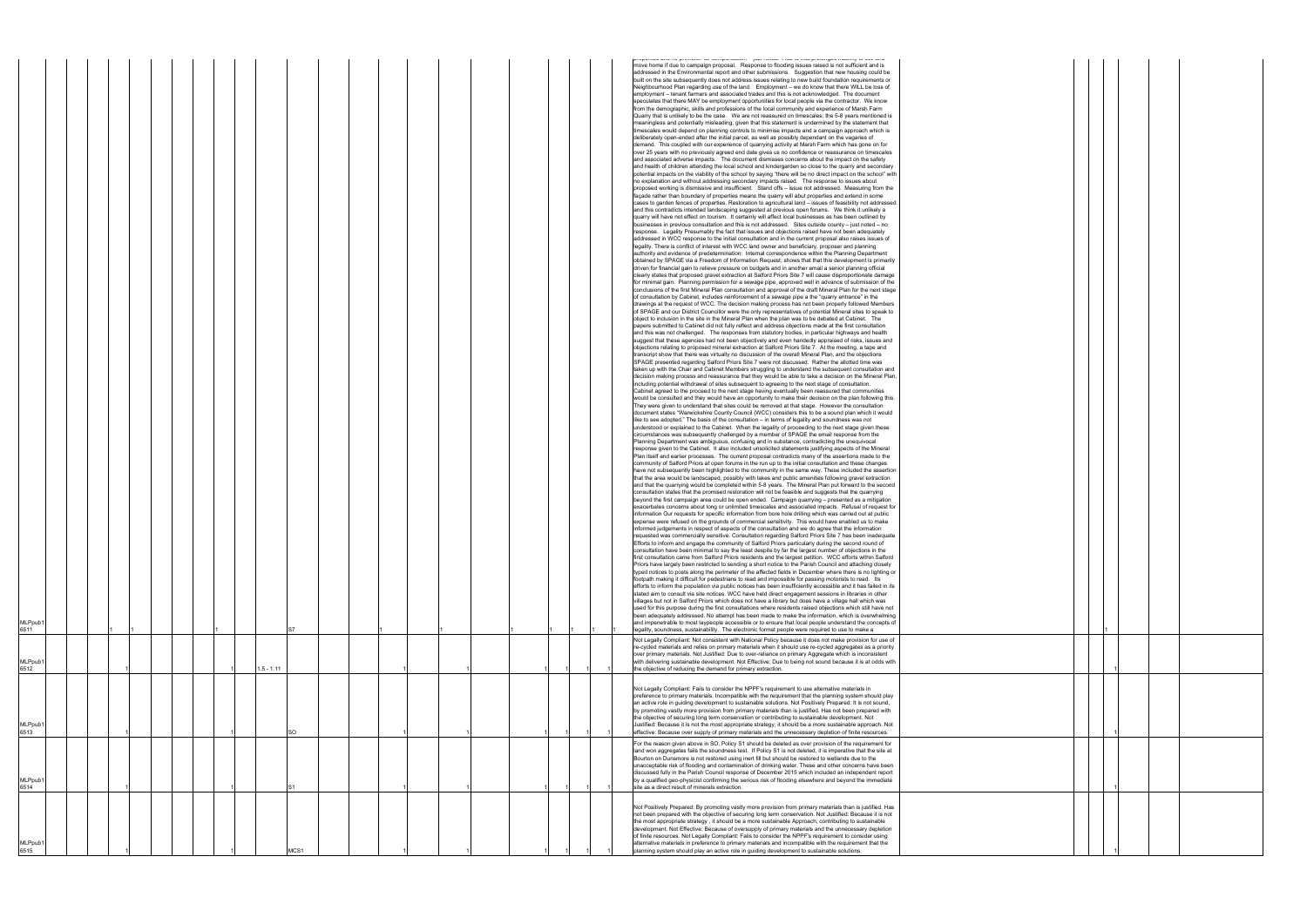|                                        |  |  |  |                     |  |  |  |  |  | proportion accuracy processes for interpretational systems contract to start processing an accuracy and accuracy<br>move home if due to campaign proposal. Response to flooding issues raised is not sufficient and is<br>addressed in the Environmental report and other submissions. Suggestion that new housing could be<br>built on the site subsequently does not address issues relating to new build foundation requirements or<br>Neighbourhood Plan regarding use of the land. Employment - we do know that there WILL be loss of<br>employment - tenant farmers and associated trades and this is not acknowledged. The document<br>speculates that there MAY be employment opportunities for local people via the contractor. We know<br>from the demographic, skills and professions of the local community and experience of Marsh Farm<br>Quarry that is unlikely to be the case. We are not reassured on timescales; the 5-8 years mentioned is<br>meaningless and potentially misleading, given that this statement is undermined by the statement that<br>timescales would depend on planning controls to minimise impacts and a campaign approach which is<br>deliberately open-ended after the initial parcel, as well as possibly dependant on the vagaries of<br>demand. This coupled with our experience of quarrying activity at Marsh Farm which has gone on for<br>over 25 years with no previously agreed end date gives us no confidence or reassurance on timescales<br>and associated adverse impacts. The document dismisses concerns about the impact on the safety<br>and health of children attending the local school and kindergarden so close to the quarry and secondary<br>potential impacts on the viability of the school by saying "there will be no direct impact on the school" with<br>no explanation and without addressing secondary impacts raised. The response to issues about<br>proposed working is dismissive and insufficient. Stand offs - issue not addressed. Measuring from the<br>façade rather than boundary of properties means the quarry will abut properties and extend in some<br>cases to garden fences of properties. Restoration to agricultural land - issues of feasibility not addressed<br>and this contradicts intended landscaping suggested at previous open forums. We think it unlikely a<br>quarry will have not effect on tourism. It certainly will affect local businesses as has been outlined by<br>businesses in previous consultation and this is not addressed. Sites outside county – just noted – no<br>response. Legality Presumably the fact that issues and objections raised have not been adequately<br>addressed in WCC response to the initial consultation and in the current proposal also raises issues of<br>legality. There is conflict of interest with WCC land owner and beneficiary, proposer and planning<br>authority and evidence of predetermination: Internal correspondence within the Planning Department<br>obtained by SPAGE via a Freedom of Information Request; shows that that this development is primarily<br>driven for financial gain to relieve pressure on budgets and in another email a senior planning official<br>clearly states that proposed gravel extraction at Salford Priors Site 7 will cause disproportionate damage<br>for minimal gain. Planning permission for a sewage pipe, approved well in advance of submission of the<br>conclusions of the first Mineral Plan consultation and approval of the draft Mineral Plan for the next stage<br>of consultation by Cabinet, includes reinforcement of a sewage pipe a the "quarry entrance" in the<br>drawings at the request of WCC. The decision making process has not been properly followed Members<br>of SPAGE and our District Councillor were the only representatives of potential Mineral sites to speak to<br>object to inclusion in the site in the Mineral Plan when the plan was to be debated at Cabinet. The<br>papers submitted to Cabinet did not fully reflect and address objections made at the first consultation<br>and this was not challenged. The responses from statutory bodies, in particular highways and health<br>suggest that these agencies had not been objectively and even handedly appraised of risks, issues and<br>objections relating to proposed mineral extraction at Salford Priors Site 7. At the meeting, a tape and<br>transcript show that there was virtually no discussion of the overall Mineral Plan, and the objections<br>SPAGE presented regarding Salford Priors Site 7 were not discussed. Rather the allotted time was<br>taken up with the Chair and Cabinet Members struggling to understand the subsequent consultation and<br>decision making process and reassurance that they would be able to take a decision on the Mineral Plan,<br>including potential withdrawal of sites subsequent to agreeing to the next stage of consultation.<br>Cabinet agreed to the proceed to the next stage having eventually been reassured that communities<br>would be consulted and they would have an opportunity to make their decision on the plan following this.<br>They were given to understand that sites could be removed at that stage. However the consultation<br>document states "Warwickshire County Council (WCC) considers this to be a sound plan which it would<br>like to see adopted." The basis of the consultation – in terms of legality and soundness was not<br>understood or explained to the Cabinet. When the legality of proceeding to the next stage given these<br>circumstances was subsequently challenged by a member of SPAGE the email response from the<br>Planning Department was ambiguous, confusing and in substance, contradicting the unequivocal<br>response given to the Cabinet. It also included unsolicited statements justifying aspects of the Mineral<br>Plan itself and earlier processes. The current proposal contradicts many of the assertions made to the<br>community of Salford Priors at open forums in the run up to the initial consultation and these changes<br>have not subsequently been highlighted to the community in the same way. These included the assertion<br>that the area would be landscaped, possibly with lakes and public amenities following gravel extraction<br>and that the quarrying would be completed within 5-8 years. The Mineral Plan put forward to the second<br>consultation states that the promised restoration will not be feasible and suggests that the quarrying<br>beyond the first campaign area could be open ended. Campaign quarrying - presented as a mitigation<br>exacerbates concerns about long or unlimited timescales and associated impacts. Refusal of request for<br>information Our requests for specific information from bore hole drilling which was carried out at public<br>expense were refused on the grounds of commercial sensitivity. This would have enabled us to make<br>informed judgements in respect of aspects of the consultation and we do agree that the information<br>requested was commercially sensitive. Consultation regarding Salford Priors Site 7 has been inadequate<br>Efforts to inform and engage the community of Salford Priors particularly during the second round of<br>consultation have been minimal to say the least despite by far the largest number of objections in the<br>first consultation came from Salford Priors residents and the largest petition. WCC efforts within Salford<br>Priors have largely been restricted to sending a short notice to the Parish Council and attaching closely<br>typed notices to posts along the perimeter of the affected fields in December where there is no lighting or<br>footpath making it difficult for pedestrians to read and impossible for passing motorists to read. Its<br>efforts to inform the population via public notices has been insufficiently accessible and it has failed in its<br>stated aim to consult via site notices. WCC have held direct engagement sessions in libraries in other<br>villages but not in Salford Priors which does not have a library but does have a village hall which was<br>used for this purpose during the first consultations where residents raised objections which still have not<br>been adequately addressed. No attempt has been made to make the information, which is overwhelming |  |
|----------------------------------------|--|--|--|---------------------|--|--|--|--|--|-------------------------------------------------------------------------------------------------------------------------------------------------------------------------------------------------------------------------------------------------------------------------------------------------------------------------------------------------------------------------------------------------------------------------------------------------------------------------------------------------------------------------------------------------------------------------------------------------------------------------------------------------------------------------------------------------------------------------------------------------------------------------------------------------------------------------------------------------------------------------------------------------------------------------------------------------------------------------------------------------------------------------------------------------------------------------------------------------------------------------------------------------------------------------------------------------------------------------------------------------------------------------------------------------------------------------------------------------------------------------------------------------------------------------------------------------------------------------------------------------------------------------------------------------------------------------------------------------------------------------------------------------------------------------------------------------------------------------------------------------------------------------------------------------------------------------------------------------------------------------------------------------------------------------------------------------------------------------------------------------------------------------------------------------------------------------------------------------------------------------------------------------------------------------------------------------------------------------------------------------------------------------------------------------------------------------------------------------------------------------------------------------------------------------------------------------------------------------------------------------------------------------------------------------------------------------------------------------------------------------------------------------------------------------------------------------------------------------------------------------------------------------------------------------------------------------------------------------------------------------------------------------------------------------------------------------------------------------------------------------------------------------------------------------------------------------------------------------------------------------------------------------------------------------------------------------------------------------------------------------------------------------------------------------------------------------------------------------------------------------------------------------------------------------------------------------------------------------------------------------------------------------------------------------------------------------------------------------------------------------------------------------------------------------------------------------------------------------------------------------------------------------------------------------------------------------------------------------------------------------------------------------------------------------------------------------------------------------------------------------------------------------------------------------------------------------------------------------------------------------------------------------------------------------------------------------------------------------------------------------------------------------------------------------------------------------------------------------------------------------------------------------------------------------------------------------------------------------------------------------------------------------------------------------------------------------------------------------------------------------------------------------------------------------------------------------------------------------------------------------------------------------------------------------------------------------------------------------------------------------------------------------------------------------------------------------------------------------------------------------------------------------------------------------------------------------------------------------------------------------------------------------------------------------------------------------------------------------------------------------------------------------------------------------------------------------------------------------------------------------------------------------------------------------------------------------------------------------------------------------------------------------------------------------------------------------------------------------------------------------------------------------------------------------------------------------------------------------------------------------------------------------------------------------------------------------------------------------------------------------------------------------------------------------------------------------------------------------------------------------------------------------------------------------------------------------------------------------------------------------------------------------------------------------------------------------------------------------------------------------------------------------------------------------------------------------------------------------------------------------------------------------------------------------------------------------------------------------------------------------------------------------------------------------------------------------------------------------------------------------------------------------------------------------------------------------------------------------------------------------------------------------------------------------------------------------------------------------------------------------------------------------------------------------------------------------------------------------------------------------------------------------------------------------------------------------------------------------------------------------------------------------------------------------------------------------------------------------------------------------------------------------------------------------------------------------------------------------------------------------------------------------------------------------------------------------------------------------------------------------------------------------------------------------------------------------------------------------------------------------------------------------------------------------------------------------------------------------------------------------------------------------------------------------------------------------------------------------------------------------------------------------------------------------------------------------------------------------------------------------------------------------------------------------------------------------------------------------------------------------------------------------------------------------------------------------------------------------------------------------------------------------------------------------------------------------------------------------------------------------------------------------------------------------------------------------------------------------------------------------------|--|
| <b>MLPpub</b><br>6511<br><b>MLPpub</b> |  |  |  |                     |  |  |  |  |  | and impenetrable to most laypeople accessible or to ensure that local people understand the concepts of<br>legality, soundness, sustainability. The electronic format people were required to use to make a<br>Not Legally Compliant: Not consistent with National Policy because it does not make provision for use of<br>re-cycled materials and relies on primary materials when it should use re-cycled aggregates as a priority<br>over primary materials. Not Justified: Due to over-reliance on primary Aggregate which is inconsistent<br>with delivering sustainable development. Not Effective: Due to being not sound because it is at odds with                                                                                                                                                                                                                                                                                                                                                                                                                                                                                                                                                                                                                                                                                                                                                                                                                                                                                                                                                                                                                                                                                                                                                                                                                                                                                                                                                                                                                                                                                                                                                                                                                                                                                                                                                                                                                                                                                                                                                                                                                                                                                                                                                                                                                                                                                                                                                                                                                                                                                                                                                                                                                                                                                                                                                                                                                                                                                                                                                                                                                                                                                                                                                                                                                                                                                                                                                                                                                                                                                                                                                                                                                                                                                                                                                                                                                                                                                                                                                                                                                                                                                                                                                                                                                                                                                                                                                                                                                                                                                                                                                                                                                                                                                                                                                                                                                                                                                                                                                                                                                                                                                                                                                                                                                                                                                                                                                                                                                                                                                                                                                                                                                                                                                                                                                                                                                                                                                                                                                                                                                                                                                                                                                                                                                                                                                                                                                                                                                                                                                                                                                                                                                                                                                                                                                                                                                                                                                                                                                                                                                                                                                                                                                                                                                                                                                                                                                                                                                                                                                                                                                                                                                                                                                                                                                                                                                                           |  |
| 6512<br>MLPpub <sup>®</sup><br>6513    |  |  |  | $1.5 - 1.11$<br>SO. |  |  |  |  |  | the objective of reducing the demand for primary extraction.<br>Not Legally Compliant: Fails to consider the NPPF's requirement to use alternative materials in<br>preference to primary materials. Incompatible with the requirement that the planning system should play<br>an active role in guiding development to sustainable solutions. Not Positively Prepared: It is not sound,<br>by promoting vastly more provision from primary materials than is justified. Has not been prepared with<br>the objective of securing long term conservation or contributing to sustainable development. Not<br>Justified: Because it is not the most appropriate strategy, it should be a more sustainable approach. Not<br>effective: Because over supply of primary materials and the unnecessary depletion of finite resources.                                                                                                                                                                                                                                                                                                                                                                                                                                                                                                                                                                                                                                                                                                                                                                                                                                                                                                                                                                                                                                                                                                                                                                                                                                                                                                                                                                                                                                                                                                                                                                                                                                                                                                                                                                                                                                                                                                                                                                                                                                                                                                                                                                                                                                                                                                                                                                                                                                                                                                                                                                                                                                                                                                                                                                                                                                                                                                                                                                                                                                                                                                                                                                                                                                                                                                                                                                                                                                                                                                                                                                                                                                                                                                                                                                                                                                                                                                                                                                                                                                                                                                                                                                                                                                                                                                                                                                                                                                                                                                                                                                                                                                                                                                                                                                                                                                                                                                                                                                                                                                                                                                                                                                                                                                                                                                                                                                                                                                                                                                                                                                                                                                                                                                                                                                                                                                                                                                                                                                                                                                                                                                                                                                                                                                                                                                                                                                                                                                                                                                                                                                                                                                                                                                                                                                                                                                                                                                                                                                                                                                                                                                                                                                                                                                                                                                                                                                                                                                                                                                                                                                                                                                                                         |  |
| <b>MLPpub</b><br>6514                  |  |  |  |                     |  |  |  |  |  | For the reason given above in SO, Policy S1 should be deleted as over provision of the requirement for<br>land won aggregates fails the soundness test. If Policy S1 is not deleted, it is imperative that the site at<br>Bourton on Dunsmore is not restored using inert fill but should be restored to wetlands due to the<br>unacceptable risk of flooding and contamination of drinking water. These and other concerns have been<br>discussed fully in the Parish Council response of December 2015 which included an independent report<br>by a qualified geo-physicist confirming the serious risk of flooding elsewhere and beyond the immediate<br>site as a direct result of minerals extraction.                                                                                                                                                                                                                                                                                                                                                                                                                                                                                                                                                                                                                                                                                                                                                                                                                                                                                                                                                                                                                                                                                                                                                                                                                                                                                                                                                                                                                                                                                                                                                                                                                                                                                                                                                                                                                                                                                                                                                                                                                                                                                                                                                                                                                                                                                                                                                                                                                                                                                                                                                                                                                                                                                                                                                                                                                                                                                                                                                                                                                                                                                                                                                                                                                                                                                                                                                                                                                                                                                                                                                                                                                                                                                                                                                                                                                                                                                                                                                                                                                                                                                                                                                                                                                                                                                                                                                                                                                                                                                                                                                                                                                                                                                                                                                                                                                                                                                                                                                                                                                                                                                                                                                                                                                                                                                                                                                                                                                                                                                                                                                                                                                                                                                                                                                                                                                                                                                                                                                                                                                                                                                                                                                                                                                                                                                                                                                                                                                                                                                                                                                                                                                                                                                                                                                                                                                                                                                                                                                                                                                                                                                                                                                                                                                                                                                                                                                                                                                                                                                                                                                                                                                                                                                                                                                                                           |  |
| MLPpub <sup>.</sup><br>6515            |  |  |  | ACS1                |  |  |  |  |  | Not Positively Prepared: By promoting vastly more provision from primary materials than is justified. Has<br>not been prepared with the objective of securing long term conservation. Not Justified: Because it is not<br>the most appropriate strategy, it should be a more sustainable Approach, contributing to sustainable<br>development. Not Effective: Because of oversupply of primary materials and the unnecessary depletion<br>of finite resources. Not Legally Compliant: Fails to consider the NPPF's requirement to consider using<br>alternative materials in preference to primary materials and incompatible with the requirement that the<br>planning system should play an active role in guiding development to sustainable solutions.                                                                                                                                                                                                                                                                                                                                                                                                                                                                                                                                                                                                                                                                                                                                                                                                                                                                                                                                                                                                                                                                                                                                                                                                                                                                                                                                                                                                                                                                                                                                                                                                                                                                                                                                                                                                                                                                                                                                                                                                                                                                                                                                                                                                                                                                                                                                                                                                                                                                                                                                                                                                                                                                                                                                                                                                                                                                                                                                                                                                                                                                                                                                                                                                                                                                                                                                                                                                                                                                                                                                                                                                                                                                                                                                                                                                                                                                                                                                                                                                                                                                                                                                                                                                                                                                                                                                                                                                                                                                                                                                                                                                                                                                                                                                                                                                                                                                                                                                                                                                                                                                                                                                                                                                                                                                                                                                                                                                                                                                                                                                                                                                                                                                                                                                                                                                                                                                                                                                                                                                                                                                                                                                                                                                                                                                                                                                                                                                                                                                                                                                                                                                                                                                                                                                                                                                                                                                                                                                                                                                                                                                                                                                                                                                                                                                                                                                                                                                                                                                                                                                                                                                                                                                                                                                            |  |

| 1 |
|---|
|   |
| 1 |
|   |
| 1 |
|   |
|   |
| 1 |
|   |
|   |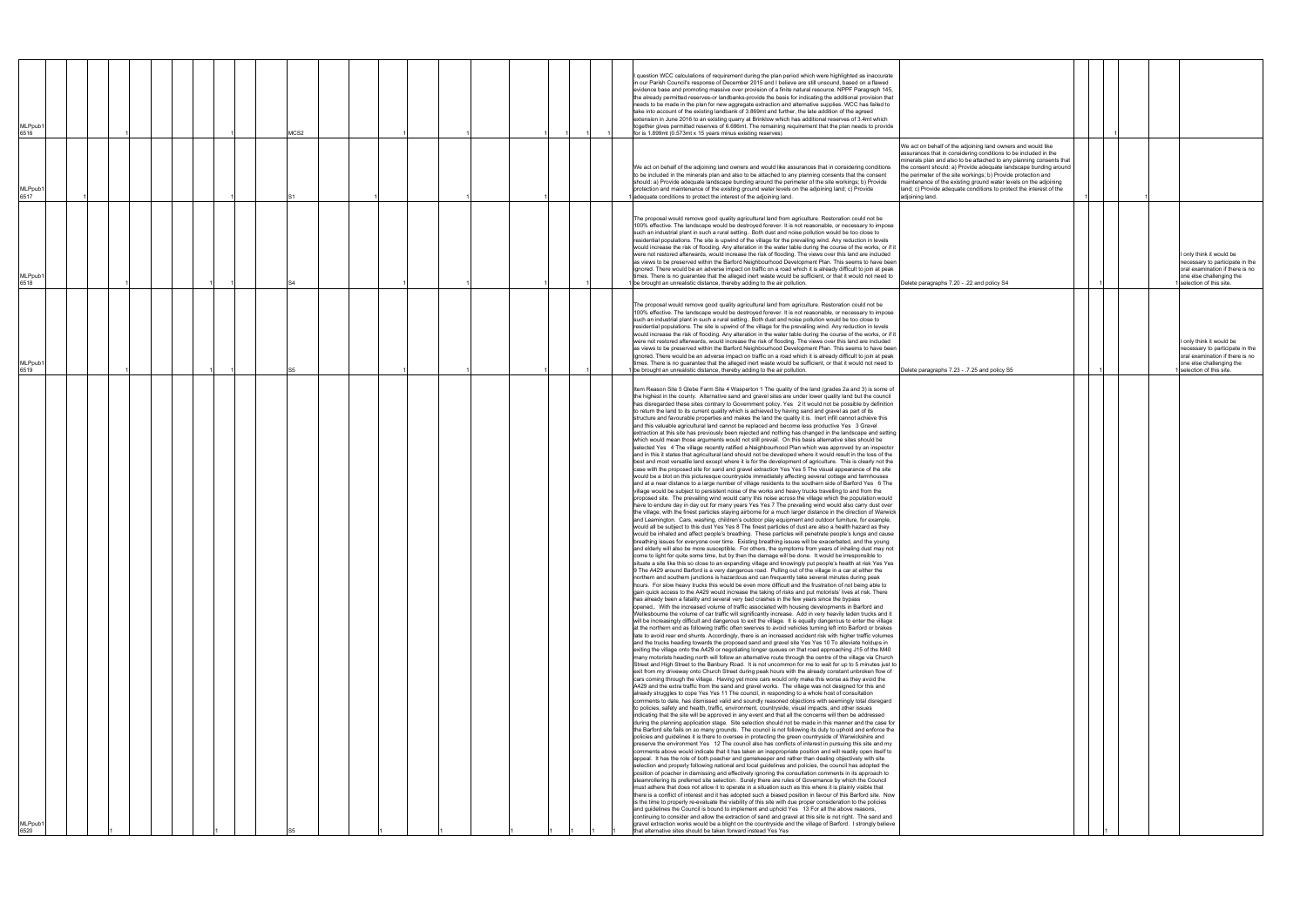| 6519<br>(MLPpub<br>6520                                                                                                                                                                                                                                                                                                                                                                                                                                                                                                                                                                                                                                                                                                                                                                                                                                                                                                                                                                                                                                                                                                                                                                                                                                                                                                                                                                                                                                                                                                                                                                                                                                                                                                                                                                                                                                                                                                                                                                                                                                                                                                                                                                                                                                                                                                                                                                                                                                                                                                                                                                                                                                                                                                                                                                                                                                                                                                                                                                                                                                                                                                                                                                                                                                                                                                                                                                                                                                                                                                                                                                                                                                                                                                                                                                                                                                                                                                                                                                                                                                                                                                                                                                                                                                                                                                                                                                                                                                                                                                                                                                                                                                                                                                                                                                                                                                                                                                                                                                                                                                                                                                                                                                                                                                                                                                                                                                                                                                                                                                                                                                                                                                                                                                                                                                                                                                                                                                                                                                                                                                                                                                                                                                                                                                                                                                                                                                                                                                                                                                                                                                                                                                                                                                                                                                                                                                                                                         | MLPpub <sup>.</sup>                                                                                                                                                                                                                                                                                                                                                                                                                                                                                                                                                                                                                                                                                                                                                                                                                                                                                                                                                                                       | MLPpub1<br>6518                                                                                                                                                                                                                                                                                                                                                                                                                                                                                                                                                                                                                                                                                                                                                                                                                                                                                                                                                                                                                                                                         | MLPpub <sup>®</sup><br>6517                                                                                                                                                                                                                                                                                                                                                                                                                                                                               | MLPpub <sup>.</sup><br>6516                                                                                                                                                                                                                                                                                                                                                                                                                                                                                                                                                                                                                                                                                                                                                                                                                                                                                                           |
|-----------------------------------------------------------------------------------------------------------------------------------------------------------------------------------------------------------------------------------------------------------------------------------------------------------------------------------------------------------------------------------------------------------------------------------------------------------------------------------------------------------------------------------------------------------------------------------------------------------------------------------------------------------------------------------------------------------------------------------------------------------------------------------------------------------------------------------------------------------------------------------------------------------------------------------------------------------------------------------------------------------------------------------------------------------------------------------------------------------------------------------------------------------------------------------------------------------------------------------------------------------------------------------------------------------------------------------------------------------------------------------------------------------------------------------------------------------------------------------------------------------------------------------------------------------------------------------------------------------------------------------------------------------------------------------------------------------------------------------------------------------------------------------------------------------------------------------------------------------------------------------------------------------------------------------------------------------------------------------------------------------------------------------------------------------------------------------------------------------------------------------------------------------------------------------------------------------------------------------------------------------------------------------------------------------------------------------------------------------------------------------------------------------------------------------------------------------------------------------------------------------------------------------------------------------------------------------------------------------------------------------------------------------------------------------------------------------------------------------------------------------------------------------------------------------------------------------------------------------------------------------------------------------------------------------------------------------------------------------------------------------------------------------------------------------------------------------------------------------------------------------------------------------------------------------------------------------------------------------------------------------------------------------------------------------------------------------------------------------------------------------------------------------------------------------------------------------------------------------------------------------------------------------------------------------------------------------------------------------------------------------------------------------------------------------------------------------------------------------------------------------------------------------------------------------------------------------------------------------------------------------------------------------------------------------------------------------------------------------------------------------------------------------------------------------------------------------------------------------------------------------------------------------------------------------------------------------------------------------------------------------------------------------------------------------------------------------------------------------------------------------------------------------------------------------------------------------------------------------------------------------------------------------------------------------------------------------------------------------------------------------------------------------------------------------------------------------------------------------------------------------------------------------------------------------------------------------------------------------------------------------------------------------------------------------------------------------------------------------------------------------------------------------------------------------------------------------------------------------------------------------------------------------------------------------------------------------------------------------------------------------------------------------------------------------------------------------------------------------------------------------------------------------------------------------------------------------------------------------------------------------------------------------------------------------------------------------------------------------------------------------------------------------------------------------------------------------------------------------------------------------------------------------------------------------------------------------------------------------------------------------------------------------------------------------------------------------------------------------------------------------------------------------------------------------------------------------------------------------------------------------------------------------------------------------------------------------------------------------------------------------------------------------------------------------------------------------------------------------------------------------------------------------------------------------------------------------------------------------------------------------------------------------------------------------------------------------------------------------------------------------------------------------------------------------------------------------------------------------------------------------------------------------------------------------------------------------------------------------------------------------------------------------------|-----------------------------------------------------------------------------------------------------------------------------------------------------------------------------------------------------------------------------------------------------------------------------------------------------------------------------------------------------------------------------------------------------------------------------------------------------------------------------------------------------------------------------------------------------------------------------------------------------------------------------------------------------------------------------------------------------------------------------------------------------------------------------------------------------------------------------------------------------------------------------------------------------------------------------------------------------------------------------------------------------------|-----------------------------------------------------------------------------------------------------------------------------------------------------------------------------------------------------------------------------------------------------------------------------------------------------------------------------------------------------------------------------------------------------------------------------------------------------------------------------------------------------------------------------------------------------------------------------------------------------------------------------------------------------------------------------------------------------------------------------------------------------------------------------------------------------------------------------------------------------------------------------------------------------------------------------------------------------------------------------------------------------------------------------------------------------------------------------------------|-----------------------------------------------------------------------------------------------------------------------------------------------------------------------------------------------------------------------------------------------------------------------------------------------------------------------------------------------------------------------------------------------------------------------------------------------------------------------------------------------------------|---------------------------------------------------------------------------------------------------------------------------------------------------------------------------------------------------------------------------------------------------------------------------------------------------------------------------------------------------------------------------------------------------------------------------------------------------------------------------------------------------------------------------------------------------------------------------------------------------------------------------------------------------------------------------------------------------------------------------------------------------------------------------------------------------------------------------------------------------------------------------------------------------------------------------------------|
|                                                                                                                                                                                                                                                                                                                                                                                                                                                                                                                                                                                                                                                                                                                                                                                                                                                                                                                                                                                                                                                                                                                                                                                                                                                                                                                                                                                                                                                                                                                                                                                                                                                                                                                                                                                                                                                                                                                                                                                                                                                                                                                                                                                                                                                                                                                                                                                                                                                                                                                                                                                                                                                                                                                                                                                                                                                                                                                                                                                                                                                                                                                                                                                                                                                                                                                                                                                                                                                                                                                                                                                                                                                                                                                                                                                                                                                                                                                                                                                                                                                                                                                                                                                                                                                                                                                                                                                                                                                                                                                                                                                                                                                                                                                                                                                                                                                                                                                                                                                                                                                                                                                                                                                                                                                                                                                                                                                                                                                                                                                                                                                                                                                                                                                                                                                                                                                                                                                                                                                                                                                                                                                                                                                                                                                                                                                                                                                                                                                                                                                                                                                                                                                                                                                                                                                                                                                                                                                 |                                                                                                                                                                                                                                                                                                                                                                                                                                                                                                                                                                                                                                                                                                                                                                                                                                                                                                                                                                                                           |                                                                                                                                                                                                                                                                                                                                                                                                                                                                                                                                                                                                                                                                                                                                                                                                                                                                                                                                                                                                                                                                                         |                                                                                                                                                                                                                                                                                                                                                                                                                                                                                                           |                                                                                                                                                                                                                                                                                                                                                                                                                                                                                                                                                                                                                                                                                                                                                                                                                                                                                                                                       |
|                                                                                                                                                                                                                                                                                                                                                                                                                                                                                                                                                                                                                                                                                                                                                                                                                                                                                                                                                                                                                                                                                                                                                                                                                                                                                                                                                                                                                                                                                                                                                                                                                                                                                                                                                                                                                                                                                                                                                                                                                                                                                                                                                                                                                                                                                                                                                                                                                                                                                                                                                                                                                                                                                                                                                                                                                                                                                                                                                                                                                                                                                                                                                                                                                                                                                                                                                                                                                                                                                                                                                                                                                                                                                                                                                                                                                                                                                                                                                                                                                                                                                                                                                                                                                                                                                                                                                                                                                                                                                                                                                                                                                                                                                                                                                                                                                                                                                                                                                                                                                                                                                                                                                                                                                                                                                                                                                                                                                                                                                                                                                                                                                                                                                                                                                                                                                                                                                                                                                                                                                                                                                                                                                                                                                                                                                                                                                                                                                                                                                                                                                                                                                                                                                                                                                                                                                                                                                                                 |                                                                                                                                                                                                                                                                                                                                                                                                                                                                                                                                                                                                                                                                                                                                                                                                                                                                                                                                                                                                           |                                                                                                                                                                                                                                                                                                                                                                                                                                                                                                                                                                                                                                                                                                                                                                                                                                                                                                                                                                                                                                                                                         |                                                                                                                                                                                                                                                                                                                                                                                                                                                                                                           |                                                                                                                                                                                                                                                                                                                                                                                                                                                                                                                                                                                                                                                                                                                                                                                                                                                                                                                                       |
|                                                                                                                                                                                                                                                                                                                                                                                                                                                                                                                                                                                                                                                                                                                                                                                                                                                                                                                                                                                                                                                                                                                                                                                                                                                                                                                                                                                                                                                                                                                                                                                                                                                                                                                                                                                                                                                                                                                                                                                                                                                                                                                                                                                                                                                                                                                                                                                                                                                                                                                                                                                                                                                                                                                                                                                                                                                                                                                                                                                                                                                                                                                                                                                                                                                                                                                                                                                                                                                                                                                                                                                                                                                                                                                                                                                                                                                                                                                                                                                                                                                                                                                                                                                                                                                                                                                                                                                                                                                                                                                                                                                                                                                                                                                                                                                                                                                                                                                                                                                                                                                                                                                                                                                                                                                                                                                                                                                                                                                                                                                                                                                                                                                                                                                                                                                                                                                                                                                                                                                                                                                                                                                                                                                                                                                                                                                                                                                                                                                                                                                                                                                                                                                                                                                                                                                                                                                                                                                 |                                                                                                                                                                                                                                                                                                                                                                                                                                                                                                                                                                                                                                                                                                                                                                                                                                                                                                                                                                                                           |                                                                                                                                                                                                                                                                                                                                                                                                                                                                                                                                                                                                                                                                                                                                                                                                                                                                                                                                                                                                                                                                                         |                                                                                                                                                                                                                                                                                                                                                                                                                                                                                                           |                                                                                                                                                                                                                                                                                                                                                                                                                                                                                                                                                                                                                                                                                                                                                                                                                                                                                                                                       |
|                                                                                                                                                                                                                                                                                                                                                                                                                                                                                                                                                                                                                                                                                                                                                                                                                                                                                                                                                                                                                                                                                                                                                                                                                                                                                                                                                                                                                                                                                                                                                                                                                                                                                                                                                                                                                                                                                                                                                                                                                                                                                                                                                                                                                                                                                                                                                                                                                                                                                                                                                                                                                                                                                                                                                                                                                                                                                                                                                                                                                                                                                                                                                                                                                                                                                                                                                                                                                                                                                                                                                                                                                                                                                                                                                                                                                                                                                                                                                                                                                                                                                                                                                                                                                                                                                                                                                                                                                                                                                                                                                                                                                                                                                                                                                                                                                                                                                                                                                                                                                                                                                                                                                                                                                                                                                                                                                                                                                                                                                                                                                                                                                                                                                                                                                                                                                                                                                                                                                                                                                                                                                                                                                                                                                                                                                                                                                                                                                                                                                                                                                                                                                                                                                                                                                                                                                                                                                                                 |                                                                                                                                                                                                                                                                                                                                                                                                                                                                                                                                                                                                                                                                                                                                                                                                                                                                                                                                                                                                           |                                                                                                                                                                                                                                                                                                                                                                                                                                                                                                                                                                                                                                                                                                                                                                                                                                                                                                                                                                                                                                                                                         |                                                                                                                                                                                                                                                                                                                                                                                                                                                                                                           |                                                                                                                                                                                                                                                                                                                                                                                                                                                                                                                                                                                                                                                                                                                                                                                                                                                                                                                                       |
|                                                                                                                                                                                                                                                                                                                                                                                                                                                                                                                                                                                                                                                                                                                                                                                                                                                                                                                                                                                                                                                                                                                                                                                                                                                                                                                                                                                                                                                                                                                                                                                                                                                                                                                                                                                                                                                                                                                                                                                                                                                                                                                                                                                                                                                                                                                                                                                                                                                                                                                                                                                                                                                                                                                                                                                                                                                                                                                                                                                                                                                                                                                                                                                                                                                                                                                                                                                                                                                                                                                                                                                                                                                                                                                                                                                                                                                                                                                                                                                                                                                                                                                                                                                                                                                                                                                                                                                                                                                                                                                                                                                                                                                                                                                                                                                                                                                                                                                                                                                                                                                                                                                                                                                                                                                                                                                                                                                                                                                                                                                                                                                                                                                                                                                                                                                                                                                                                                                                                                                                                                                                                                                                                                                                                                                                                                                                                                                                                                                                                                                                                                                                                                                                                                                                                                                                                                                                                                                 |                                                                                                                                                                                                                                                                                                                                                                                                                                                                                                                                                                                                                                                                                                                                                                                                                                                                                                                                                                                                           |                                                                                                                                                                                                                                                                                                                                                                                                                                                                                                                                                                                                                                                                                                                                                                                                                                                                                                                                                                                                                                                                                         |                                                                                                                                                                                                                                                                                                                                                                                                                                                                                                           |                                                                                                                                                                                                                                                                                                                                                                                                                                                                                                                                                                                                                                                                                                                                                                                                                                                                                                                                       |
|                                                                                                                                                                                                                                                                                                                                                                                                                                                                                                                                                                                                                                                                                                                                                                                                                                                                                                                                                                                                                                                                                                                                                                                                                                                                                                                                                                                                                                                                                                                                                                                                                                                                                                                                                                                                                                                                                                                                                                                                                                                                                                                                                                                                                                                                                                                                                                                                                                                                                                                                                                                                                                                                                                                                                                                                                                                                                                                                                                                                                                                                                                                                                                                                                                                                                                                                                                                                                                                                                                                                                                                                                                                                                                                                                                                                                                                                                                                                                                                                                                                                                                                                                                                                                                                                                                                                                                                                                                                                                                                                                                                                                                                                                                                                                                                                                                                                                                                                                                                                                                                                                                                                                                                                                                                                                                                                                                                                                                                                                                                                                                                                                                                                                                                                                                                                                                                                                                                                                                                                                                                                                                                                                                                                                                                                                                                                                                                                                                                                                                                                                                                                                                                                                                                                                                                                                                                                                                                 |                                                                                                                                                                                                                                                                                                                                                                                                                                                                                                                                                                                                                                                                                                                                                                                                                                                                                                                                                                                                           |                                                                                                                                                                                                                                                                                                                                                                                                                                                                                                                                                                                                                                                                                                                                                                                                                                                                                                                                                                                                                                                                                         |                                                                                                                                                                                                                                                                                                                                                                                                                                                                                                           |                                                                                                                                                                                                                                                                                                                                                                                                                                                                                                                                                                                                                                                                                                                                                                                                                                                                                                                                       |
|                                                                                                                                                                                                                                                                                                                                                                                                                                                                                                                                                                                                                                                                                                                                                                                                                                                                                                                                                                                                                                                                                                                                                                                                                                                                                                                                                                                                                                                                                                                                                                                                                                                                                                                                                                                                                                                                                                                                                                                                                                                                                                                                                                                                                                                                                                                                                                                                                                                                                                                                                                                                                                                                                                                                                                                                                                                                                                                                                                                                                                                                                                                                                                                                                                                                                                                                                                                                                                                                                                                                                                                                                                                                                                                                                                                                                                                                                                                                                                                                                                                                                                                                                                                                                                                                                                                                                                                                                                                                                                                                                                                                                                                                                                                                                                                                                                                                                                                                                                                                                                                                                                                                                                                                                                                                                                                                                                                                                                                                                                                                                                                                                                                                                                                                                                                                                                                                                                                                                                                                                                                                                                                                                                                                                                                                                                                                                                                                                                                                                                                                                                                                                                                                                                                                                                                                                                                                                                                 |                                                                                                                                                                                                                                                                                                                                                                                                                                                                                                                                                                                                                                                                                                                                                                                                                                                                                                                                                                                                           |                                                                                                                                                                                                                                                                                                                                                                                                                                                                                                                                                                                                                                                                                                                                                                                                                                                                                                                                                                                                                                                                                         |                                                                                                                                                                                                                                                                                                                                                                                                                                                                                                           |                                                                                                                                                                                                                                                                                                                                                                                                                                                                                                                                                                                                                                                                                                                                                                                                                                                                                                                                       |
|                                                                                                                                                                                                                                                                                                                                                                                                                                                                                                                                                                                                                                                                                                                                                                                                                                                                                                                                                                                                                                                                                                                                                                                                                                                                                                                                                                                                                                                                                                                                                                                                                                                                                                                                                                                                                                                                                                                                                                                                                                                                                                                                                                                                                                                                                                                                                                                                                                                                                                                                                                                                                                                                                                                                                                                                                                                                                                                                                                                                                                                                                                                                                                                                                                                                                                                                                                                                                                                                                                                                                                                                                                                                                                                                                                                                                                                                                                                                                                                                                                                                                                                                                                                                                                                                                                                                                                                                                                                                                                                                                                                                                                                                                                                                                                                                                                                                                                                                                                                                                                                                                                                                                                                                                                                                                                                                                                                                                                                                                                                                                                                                                                                                                                                                                                                                                                                                                                                                                                                                                                                                                                                                                                                                                                                                                                                                                                                                                                                                                                                                                                                                                                                                                                                                                                                                                                                                                                                 |                                                                                                                                                                                                                                                                                                                                                                                                                                                                                                                                                                                                                                                                                                                                                                                                                                                                                                                                                                                                           |                                                                                                                                                                                                                                                                                                                                                                                                                                                                                                                                                                                                                                                                                                                                                                                                                                                                                                                                                                                                                                                                                         |                                                                                                                                                                                                                                                                                                                                                                                                                                                                                                           |                                                                                                                                                                                                                                                                                                                                                                                                                                                                                                                                                                                                                                                                                                                                                                                                                                                                                                                                       |
|                                                                                                                                                                                                                                                                                                                                                                                                                                                                                                                                                                                                                                                                                                                                                                                                                                                                                                                                                                                                                                                                                                                                                                                                                                                                                                                                                                                                                                                                                                                                                                                                                                                                                                                                                                                                                                                                                                                                                                                                                                                                                                                                                                                                                                                                                                                                                                                                                                                                                                                                                                                                                                                                                                                                                                                                                                                                                                                                                                                                                                                                                                                                                                                                                                                                                                                                                                                                                                                                                                                                                                                                                                                                                                                                                                                                                                                                                                                                                                                                                                                                                                                                                                                                                                                                                                                                                                                                                                                                                                                                                                                                                                                                                                                                                                                                                                                                                                                                                                                                                                                                                                                                                                                                                                                                                                                                                                                                                                                                                                                                                                                                                                                                                                                                                                                                                                                                                                                                                                                                                                                                                                                                                                                                                                                                                                                                                                                                                                                                                                                                                                                                                                                                                                                                                                                                                                                                                                                 |                                                                                                                                                                                                                                                                                                                                                                                                                                                                                                                                                                                                                                                                                                                                                                                                                                                                                                                                                                                                           |                                                                                                                                                                                                                                                                                                                                                                                                                                                                                                                                                                                                                                                                                                                                                                                                                                                                                                                                                                                                                                                                                         |                                                                                                                                                                                                                                                                                                                                                                                                                                                                                                           | MCS2                                                                                                                                                                                                                                                                                                                                                                                                                                                                                                                                                                                                                                                                                                                                                                                                                                                                                                                                  |
|                                                                                                                                                                                                                                                                                                                                                                                                                                                                                                                                                                                                                                                                                                                                                                                                                                                                                                                                                                                                                                                                                                                                                                                                                                                                                                                                                                                                                                                                                                                                                                                                                                                                                                                                                                                                                                                                                                                                                                                                                                                                                                                                                                                                                                                                                                                                                                                                                                                                                                                                                                                                                                                                                                                                                                                                                                                                                                                                                                                                                                                                                                                                                                                                                                                                                                                                                                                                                                                                                                                                                                                                                                                                                                                                                                                                                                                                                                                                                                                                                                                                                                                                                                                                                                                                                                                                                                                                                                                                                                                                                                                                                                                                                                                                                                                                                                                                                                                                                                                                                                                                                                                                                                                                                                                                                                                                                                                                                                                                                                                                                                                                                                                                                                                                                                                                                                                                                                                                                                                                                                                                                                                                                                                                                                                                                                                                                                                                                                                                                                                                                                                                                                                                                                                                                                                                                                                                                                                 |                                                                                                                                                                                                                                                                                                                                                                                                                                                                                                                                                                                                                                                                                                                                                                                                                                                                                                                                                                                                           |                                                                                                                                                                                                                                                                                                                                                                                                                                                                                                                                                                                                                                                                                                                                                                                                                                                                                                                                                                                                                                                                                         |                                                                                                                                                                                                                                                                                                                                                                                                                                                                                                           |                                                                                                                                                                                                                                                                                                                                                                                                                                                                                                                                                                                                                                                                                                                                                                                                                                                                                                                                       |
|                                                                                                                                                                                                                                                                                                                                                                                                                                                                                                                                                                                                                                                                                                                                                                                                                                                                                                                                                                                                                                                                                                                                                                                                                                                                                                                                                                                                                                                                                                                                                                                                                                                                                                                                                                                                                                                                                                                                                                                                                                                                                                                                                                                                                                                                                                                                                                                                                                                                                                                                                                                                                                                                                                                                                                                                                                                                                                                                                                                                                                                                                                                                                                                                                                                                                                                                                                                                                                                                                                                                                                                                                                                                                                                                                                                                                                                                                                                                                                                                                                                                                                                                                                                                                                                                                                                                                                                                                                                                                                                                                                                                                                                                                                                                                                                                                                                                                                                                                                                                                                                                                                                                                                                                                                                                                                                                                                                                                                                                                                                                                                                                                                                                                                                                                                                                                                                                                                                                                                                                                                                                                                                                                                                                                                                                                                                                                                                                                                                                                                                                                                                                                                                                                                                                                                                                                                                                                                                 |                                                                                                                                                                                                                                                                                                                                                                                                                                                                                                                                                                                                                                                                                                                                                                                                                                                                                                                                                                                                           |                                                                                                                                                                                                                                                                                                                                                                                                                                                                                                                                                                                                                                                                                                                                                                                                                                                                                                                                                                                                                                                                                         |                                                                                                                                                                                                                                                                                                                                                                                                                                                                                                           |                                                                                                                                                                                                                                                                                                                                                                                                                                                                                                                                                                                                                                                                                                                                                                                                                                                                                                                                       |
|                                                                                                                                                                                                                                                                                                                                                                                                                                                                                                                                                                                                                                                                                                                                                                                                                                                                                                                                                                                                                                                                                                                                                                                                                                                                                                                                                                                                                                                                                                                                                                                                                                                                                                                                                                                                                                                                                                                                                                                                                                                                                                                                                                                                                                                                                                                                                                                                                                                                                                                                                                                                                                                                                                                                                                                                                                                                                                                                                                                                                                                                                                                                                                                                                                                                                                                                                                                                                                                                                                                                                                                                                                                                                                                                                                                                                                                                                                                                                                                                                                                                                                                                                                                                                                                                                                                                                                                                                                                                                                                                                                                                                                                                                                                                                                                                                                                                                                                                                                                                                                                                                                                                                                                                                                                                                                                                                                                                                                                                                                                                                                                                                                                                                                                                                                                                                                                                                                                                                                                                                                                                                                                                                                                                                                                                                                                                                                                                                                                                                                                                                                                                                                                                                                                                                                                                                                                                                                                 |                                                                                                                                                                                                                                                                                                                                                                                                                                                                                                                                                                                                                                                                                                                                                                                                                                                                                                                                                                                                           |                                                                                                                                                                                                                                                                                                                                                                                                                                                                                                                                                                                                                                                                                                                                                                                                                                                                                                                                                                                                                                                                                         |                                                                                                                                                                                                                                                                                                                                                                                                                                                                                                           |                                                                                                                                                                                                                                                                                                                                                                                                                                                                                                                                                                                                                                                                                                                                                                                                                                                                                                                                       |
|                                                                                                                                                                                                                                                                                                                                                                                                                                                                                                                                                                                                                                                                                                                                                                                                                                                                                                                                                                                                                                                                                                                                                                                                                                                                                                                                                                                                                                                                                                                                                                                                                                                                                                                                                                                                                                                                                                                                                                                                                                                                                                                                                                                                                                                                                                                                                                                                                                                                                                                                                                                                                                                                                                                                                                                                                                                                                                                                                                                                                                                                                                                                                                                                                                                                                                                                                                                                                                                                                                                                                                                                                                                                                                                                                                                                                                                                                                                                                                                                                                                                                                                                                                                                                                                                                                                                                                                                                                                                                                                                                                                                                                                                                                                                                                                                                                                                                                                                                                                                                                                                                                                                                                                                                                                                                                                                                                                                                                                                                                                                                                                                                                                                                                                                                                                                                                                                                                                                                                                                                                                                                                                                                                                                                                                                                                                                                                                                                                                                                                                                                                                                                                                                                                                                                                                                                                                                                                                 |                                                                                                                                                                                                                                                                                                                                                                                                                                                                                                                                                                                                                                                                                                                                                                                                                                                                                                                                                                                                           |                                                                                                                                                                                                                                                                                                                                                                                                                                                                                                                                                                                                                                                                                                                                                                                                                                                                                                                                                                                                                                                                                         |                                                                                                                                                                                                                                                                                                                                                                                                                                                                                                           |                                                                                                                                                                                                                                                                                                                                                                                                                                                                                                                                                                                                                                                                                                                                                                                                                                                                                                                                       |
|                                                                                                                                                                                                                                                                                                                                                                                                                                                                                                                                                                                                                                                                                                                                                                                                                                                                                                                                                                                                                                                                                                                                                                                                                                                                                                                                                                                                                                                                                                                                                                                                                                                                                                                                                                                                                                                                                                                                                                                                                                                                                                                                                                                                                                                                                                                                                                                                                                                                                                                                                                                                                                                                                                                                                                                                                                                                                                                                                                                                                                                                                                                                                                                                                                                                                                                                                                                                                                                                                                                                                                                                                                                                                                                                                                                                                                                                                                                                                                                                                                                                                                                                                                                                                                                                                                                                                                                                                                                                                                                                                                                                                                                                                                                                                                                                                                                                                                                                                                                                                                                                                                                                                                                                                                                                                                                                                                                                                                                                                                                                                                                                                                                                                                                                                                                                                                                                                                                                                                                                                                                                                                                                                                                                                                                                                                                                                                                                                                                                                                                                                                                                                                                                                                                                                                                                                                                                                                                 |                                                                                                                                                                                                                                                                                                                                                                                                                                                                                                                                                                                                                                                                                                                                                                                                                                                                                                                                                                                                           |                                                                                                                                                                                                                                                                                                                                                                                                                                                                                                                                                                                                                                                                                                                                                                                                                                                                                                                                                                                                                                                                                         |                                                                                                                                                                                                                                                                                                                                                                                                                                                                                                           |                                                                                                                                                                                                                                                                                                                                                                                                                                                                                                                                                                                                                                                                                                                                                                                                                                                                                                                                       |
|                                                                                                                                                                                                                                                                                                                                                                                                                                                                                                                                                                                                                                                                                                                                                                                                                                                                                                                                                                                                                                                                                                                                                                                                                                                                                                                                                                                                                                                                                                                                                                                                                                                                                                                                                                                                                                                                                                                                                                                                                                                                                                                                                                                                                                                                                                                                                                                                                                                                                                                                                                                                                                                                                                                                                                                                                                                                                                                                                                                                                                                                                                                                                                                                                                                                                                                                                                                                                                                                                                                                                                                                                                                                                                                                                                                                                                                                                                                                                                                                                                                                                                                                                                                                                                                                                                                                                                                                                                                                                                                                                                                                                                                                                                                                                                                                                                                                                                                                                                                                                                                                                                                                                                                                                                                                                                                                                                                                                                                                                                                                                                                                                                                                                                                                                                                                                                                                                                                                                                                                                                                                                                                                                                                                                                                                                                                                                                                                                                                                                                                                                                                                                                                                                                                                                                                                                                                                                                                 |                                                                                                                                                                                                                                                                                                                                                                                                                                                                                                                                                                                                                                                                                                                                                                                                                                                                                                                                                                                                           |                                                                                                                                                                                                                                                                                                                                                                                                                                                                                                                                                                                                                                                                                                                                                                                                                                                                                                                                                                                                                                                                                         |                                                                                                                                                                                                                                                                                                                                                                                                                                                                                                           |                                                                                                                                                                                                                                                                                                                                                                                                                                                                                                                                                                                                                                                                                                                                                                                                                                                                                                                                       |
|                                                                                                                                                                                                                                                                                                                                                                                                                                                                                                                                                                                                                                                                                                                                                                                                                                                                                                                                                                                                                                                                                                                                                                                                                                                                                                                                                                                                                                                                                                                                                                                                                                                                                                                                                                                                                                                                                                                                                                                                                                                                                                                                                                                                                                                                                                                                                                                                                                                                                                                                                                                                                                                                                                                                                                                                                                                                                                                                                                                                                                                                                                                                                                                                                                                                                                                                                                                                                                                                                                                                                                                                                                                                                                                                                                                                                                                                                                                                                                                                                                                                                                                                                                                                                                                                                                                                                                                                                                                                                                                                                                                                                                                                                                                                                                                                                                                                                                                                                                                                                                                                                                                                                                                                                                                                                                                                                                                                                                                                                                                                                                                                                                                                                                                                                                                                                                                                                                                                                                                                                                                                                                                                                                                                                                                                                                                                                                                                                                                                                                                                                                                                                                                                                                                                                                                                                                                                                                                 |                                                                                                                                                                                                                                                                                                                                                                                                                                                                                                                                                                                                                                                                                                                                                                                                                                                                                                                                                                                                           |                                                                                                                                                                                                                                                                                                                                                                                                                                                                                                                                                                                                                                                                                                                                                                                                                                                                                                                                                                                                                                                                                         |                                                                                                                                                                                                                                                                                                                                                                                                                                                                                                           |                                                                                                                                                                                                                                                                                                                                                                                                                                                                                                                                                                                                                                                                                                                                                                                                                                                                                                                                       |
|                                                                                                                                                                                                                                                                                                                                                                                                                                                                                                                                                                                                                                                                                                                                                                                                                                                                                                                                                                                                                                                                                                                                                                                                                                                                                                                                                                                                                                                                                                                                                                                                                                                                                                                                                                                                                                                                                                                                                                                                                                                                                                                                                                                                                                                                                                                                                                                                                                                                                                                                                                                                                                                                                                                                                                                                                                                                                                                                                                                                                                                                                                                                                                                                                                                                                                                                                                                                                                                                                                                                                                                                                                                                                                                                                                                                                                                                                                                                                                                                                                                                                                                                                                                                                                                                                                                                                                                                                                                                                                                                                                                                                                                                                                                                                                                                                                                                                                                                                                                                                                                                                                                                                                                                                                                                                                                                                                                                                                                                                                                                                                                                                                                                                                                                                                                                                                                                                                                                                                                                                                                                                                                                                                                                                                                                                                                                                                                                                                                                                                                                                                                                                                                                                                                                                                                                                                                                                                                 |                                                                                                                                                                                                                                                                                                                                                                                                                                                                                                                                                                                                                                                                                                                                                                                                                                                                                                                                                                                                           |                                                                                                                                                                                                                                                                                                                                                                                                                                                                                                                                                                                                                                                                                                                                                                                                                                                                                                                                                                                                                                                                                         |                                                                                                                                                                                                                                                                                                                                                                                                                                                                                                           |                                                                                                                                                                                                                                                                                                                                                                                                                                                                                                                                                                                                                                                                                                                                                                                                                                                                                                                                       |
|                                                                                                                                                                                                                                                                                                                                                                                                                                                                                                                                                                                                                                                                                                                                                                                                                                                                                                                                                                                                                                                                                                                                                                                                                                                                                                                                                                                                                                                                                                                                                                                                                                                                                                                                                                                                                                                                                                                                                                                                                                                                                                                                                                                                                                                                                                                                                                                                                                                                                                                                                                                                                                                                                                                                                                                                                                                                                                                                                                                                                                                                                                                                                                                                                                                                                                                                                                                                                                                                                                                                                                                                                                                                                                                                                                                                                                                                                                                                                                                                                                                                                                                                                                                                                                                                                                                                                                                                                                                                                                                                                                                                                                                                                                                                                                                                                                                                                                                                                                                                                                                                                                                                                                                                                                                                                                                                                                                                                                                                                                                                                                                                                                                                                                                                                                                                                                                                                                                                                                                                                                                                                                                                                                                                                                                                                                                                                                                                                                                                                                                                                                                                                                                                                                                                                                                                                                                                                                                 |                                                                                                                                                                                                                                                                                                                                                                                                                                                                                                                                                                                                                                                                                                                                                                                                                                                                                                                                                                                                           |                                                                                                                                                                                                                                                                                                                                                                                                                                                                                                                                                                                                                                                                                                                                                                                                                                                                                                                                                                                                                                                                                         |                                                                                                                                                                                                                                                                                                                                                                                                                                                                                                           |                                                                                                                                                                                                                                                                                                                                                                                                                                                                                                                                                                                                                                                                                                                                                                                                                                                                                                                                       |
|                                                                                                                                                                                                                                                                                                                                                                                                                                                                                                                                                                                                                                                                                                                                                                                                                                                                                                                                                                                                                                                                                                                                                                                                                                                                                                                                                                                                                                                                                                                                                                                                                                                                                                                                                                                                                                                                                                                                                                                                                                                                                                                                                                                                                                                                                                                                                                                                                                                                                                                                                                                                                                                                                                                                                                                                                                                                                                                                                                                                                                                                                                                                                                                                                                                                                                                                                                                                                                                                                                                                                                                                                                                                                                                                                                                                                                                                                                                                                                                                                                                                                                                                                                                                                                                                                                                                                                                                                                                                                                                                                                                                                                                                                                                                                                                                                                                                                                                                                                                                                                                                                                                                                                                                                                                                                                                                                                                                                                                                                                                                                                                                                                                                                                                                                                                                                                                                                                                                                                                                                                                                                                                                                                                                                                                                                                                                                                                                                                                                                                                                                                                                                                                                                                                                                                                                                                                                                                                 |                                                                                                                                                                                                                                                                                                                                                                                                                                                                                                                                                                                                                                                                                                                                                                                                                                                                                                                                                                                                           |                                                                                                                                                                                                                                                                                                                                                                                                                                                                                                                                                                                                                                                                                                                                                                                                                                                                                                                                                                                                                                                                                         |                                                                                                                                                                                                                                                                                                                                                                                                                                                                                                           |                                                                                                                                                                                                                                                                                                                                                                                                                                                                                                                                                                                                                                                                                                                                                                                                                                                                                                                                       |
| be brought an unrealistic distance, thereby adding to the air pollution.<br>Item Reason Site 5 Glebe Farm Site 4 Wasperton 1 The quality of the land (grades 2a and 3) is some of<br>the highest in the county. Alternative sand and gravel sites are under lower quality land but the council<br>has disregarded these sites contrary to Government policy. Yes 2 It would not be possible by definition<br>to return the land to its current quality which is achieved by having sand and gravel as part of its<br>structure and favourable properties and makes the land the quality it is. Inert infill cannot achieve this<br>and this valuable agricultural land cannot be replaced and become less productive Yes 3 Gravel<br>extraction at this site has previously been rejected and nothing has changed in the landscape and setting<br>which would mean those arguments would not still prevail. On this basis alternative sites should be<br>selected Yes 4 The village recently ratified a Neighbourhood Plan which was approved by an inspector<br>and in this it states that agricultural land should not be developed where it would result in the loss of the<br>best and most versatile land except where it is for the development of agriculture. This is clearly not the<br>case with the proposed site for sand and gravel extraction Yes Yes 5 The visual appearance of the site<br>would be a blot on this picturesque countryside immediately affecting several cottage and farmhouses<br>and at a near distance to a large number of village residents to the southern side of Barford Yes 6 The<br>village would be subject to persistent noise of the works and heavy trucks travelling to and from the<br>proposed site. The prevailing wind would carry this noise across the village which the population would<br>have to endure day in day out for many years Yes Yes 7 The prevailing wind would also carry dust over<br>the village, with the finest particles staying airborne for a much larger distance in the direction of Warwick<br>and Leamington. Cars, washing, children's outdoor play equipment and outdoor furniture, for example,<br>would all be subject to this dust Yes Yes 8 The finest particles of dust are also a health hazard as they<br>would be inhaled and affect people's breathing. These particles will penetrate people's lungs and cause<br>breathing issues for everyone over time. Existing breathing issues will be exacerbated, and the young<br>and elderly will also be more susceptible. For others, the symptoms from years of inhaling dust may not<br>come to light for quite some time, but by then the damage will be done. It would be irresponsible to<br>situate a site like this so close to an expanding village and knowingly put people's health at risk Yes Yes<br>9 The A429 around Barford is a very dangerous road. Pulling out of the village in a car at either the<br>northern and southern junctions is hazardous and can frequently take several minutes during peak<br>hours. For slow heavy trucks this would be even more difficult and the frustration of not being able to<br>gain quick access to the A429 would increase the taking of risks and put motorists' lives at risk. There<br>has already been a fatality and several very bad crashes in the few years since the bypass<br>opened,. With the increased volume of traffic associated with housing developments in Barford and<br>Wellesbourne the volume of car traffic will significantly increase. Add in very heavily laden trucks and it<br>will be increasingly difficult and dangerous to exit the village. It is equally dangerous to enter the village<br>at the northern end as following traffic often swerves to avoid vehicles turning left into Barford or brakes<br>late to avoid rear end shunts. Accordingly, there is an increased accident risk with higher traffic volumes<br>and the trucks heading towards the proposed sand and gravel site Yes Yes 10 To alleviate holdups in<br>exiting the village onto the A429 or negotiating longer queues on that road approaching J15 of the M40<br>many motorists heading north will follow an alternative route through the centre of the village via Church<br>Street and High Street to the Banbury Road. It is not uncommon for me to wait for up to 5 minutes just to<br>exit from my driveway onto Church Street during peak hours with the already constant unbroken flow of<br>cars coming through the village. Having yet more cars would only make this worse as they avoid the<br>A429 and the extra traffic from the sand and gravel works. The village was not designed for this and<br>already struggles to cope Yes Yes 11 The council, in responding to a whole host of consultation<br>comments to date, has dismissed valid and soundly reasoned objections with seemingly total disregard<br>to policies, safety and health, traffic, environment, countryside, visual impacts, and other issues<br>indicating that the site will be approved in any event and that all the concerns will then be addressed<br>during the planning application stage. Site selection should not be made in this manner and the case for<br>the Barford site fails on so many grounds. The council is not following its duty to uphold and enforce the<br>policies and guidelines it is there to oversee in protecting the green countryside of Warwickshire and<br>preserve the environment Yes 12 The council also has conflicts of interest in pursuing this site and my<br>comments above would indicate that it has taken an inappropriate position and will readily open itself to<br>appeal. It has the role of both poacher and gamekeeper and rather than dealing objectively with site<br>selection and properly following national and local guidelines and policies, the council has adopted the<br>position of poacher in dismissing and effectively ignoring the consultation comments in its approach to<br>steamrollering its preferred site selection. Surely there are rules of Governance by which the Council<br>must adhere that does not allow it to operate in a situation such as this where it is plainly visible that<br>there is a conflict of interest and it has adopted such a biased position in favour of this Barford site. Now<br>is the time to properly re-evaluate the viability of this site with due proper consideration to the policies<br>and guidelines the Council is bound to implement and uphold Yes 13 For all the above reasons,<br>continuing to consider and allow the extraction of sand and gravel at this site is not right. The sand and<br>gravel extraction works would be a blight on the countryside and the village of Barford. I strongly believe<br>that alternative sites should be taken forward instead Yes Yes | The proposal would remove good quality agricultural land from agriculture. Restoration could not be<br>100% effective. The landscape would be destroyed forever. It is not reasonable, or necessary to impose<br>such an industrial plant in such a rural setting Both dust and noise pollution would be too close to<br>residential populations. The site is upwind of the village for the prevailing wind. Any reduction in levels<br>would increase the risk of flooding. Any alteration in the water table during the course of the works, or if it<br>were not restored afterwards, would increase the risk of flooding. The views over this land are included<br>as views to be preserved within the Barford Neighbourhood Development Plan. This seems to have been<br>ignored. There would be an adverse impact on traffic on a road which it is already difficult to join at peak<br>times. There is no guarantee that the alleged inert waste would be sufficient, or that it would not need to | The proposal would remove good quality agricultural land from agriculture. Restoration could not be<br>100% effective. The landscape would be destroyed forever. It is not reasonable, or necessary to impose<br>such an industrial plant in such a rural setting Both dust and noise pollution would be too close to<br>residential populations. The site is upwind of the village for the prevailing wind. Any reduction in levels<br>would increase the risk of flooding. Any alteration in the water table during the course of the works, or if it<br>were not restored afterwards, would increase the risk of flooding. The views over this land are included<br>as views to be preserved within the Barford Neighbourhood Development Plan. This seems to have been<br>ignored. There would be an adverse impact on traffic on a road which it is already difficult to join at peak<br>times. There is no quarantee that the alleged inert waste would be sufficient, or that it would not need to<br>I be brought an unrealistic distance, thereby adding to the air pollution. | We act on behalf of the adjoining land owners and would like assurances that in considering conditions<br>to be included in the minerals plan and also to be attached to any planning consents that the consent<br>should: a) Provide adequate landscape bunding around the perimeter of the site workings; b) Provide<br>protection and maintenance of the existing ground water levels on the adjoining land; c) Provide<br>adequate conditions to protect the interest of the adjoining land.          | I question WCC calculations of requirement during the plan period which were highlighted as inaccurate<br>in our Parish Council's response of December 2015 and I believe are still unsound, based on a flawed<br>evidence base and promoting massive over provision of a finite natural resource. NPPF Paragraph 145,<br>the already permitted reserves-or landbanks-provide the basis for indicating the additional provision that<br>needs to be made in the plan for new aggregate extraction and alternative supplies. WCC has failed to<br>take into account of the existing landbank of 3.869mt and further, the late addition of the agreed<br>extension in June 2016 to an existing quarry at Brinklow which has additional reserves of 3.4mt which<br>together gives permitted reserves of 6.696mt. The remaining requirement that the plan needs to provide<br>for is 1.899mt (0.573mt x 15 years minus existing reserves) |
| Delete paragraphs 7.23 - .7.25 and policy S5                                                                                                                                                                                                                                                                                                                                                                                                                                                                                                                                                                                                                                                                                                                                                                                                                                                                                                                                                                                                                                                                                                                                                                                                                                                                                                                                                                                                                                                                                                                                                                                                                                                                                                                                                                                                                                                                                                                                                                                                                                                                                                                                                                                                                                                                                                                                                                                                                                                                                                                                                                                                                                                                                                                                                                                                                                                                                                                                                                                                                                                                                                                                                                                                                                                                                                                                                                                                                                                                                                                                                                                                                                                                                                                                                                                                                                                                                                                                                                                                                                                                                                                                                                                                                                                                                                                                                                                                                                                                                                                                                                                                                                                                                                                                                                                                                                                                                                                                                                                                                                                                                                                                                                                                                                                                                                                                                                                                                                                                                                                                                                                                                                                                                                                                                                                                                                                                                                                                                                                                                                                                                                                                                                                                                                                                                                                                                                                                                                                                                                                                                                                                                                                                                                                                                                                                                                                                    |                                                                                                                                                                                                                                                                                                                                                                                                                                                                                                                                                                                                                                                                                                                                                                                                                                                                                                                                                                                                           | Delete paragraphs 7.20 - .22 and policy S4                                                                                                                                                                                                                                                                                                                                                                                                                                                                                                                                                                                                                                                                                                                                                                                                                                                                                                                                                                                                                                              | We act on behalf of the adjoining land owners and would like<br>assurances that in considering conditions to be included in the<br>minerals plan and also to be attached to any planning consents that<br>the consent should: a) Provide adequate landscape bunding around<br>the perimeter of the site workings; b) Provide protection and<br>maintenance of the existing ground water levels on the adjoining<br>land; c) Provide adequate conditions to protect the interest of the<br>adjoining land. |                                                                                                                                                                                                                                                                                                                                                                                                                                                                                                                                                                                                                                                                                                                                                                                                                                                                                                                                       |
|                                                                                                                                                                                                                                                                                                                                                                                                                                                                                                                                                                                                                                                                                                                                                                                                                                                                                                                                                                                                                                                                                                                                                                                                                                                                                                                                                                                                                                                                                                                                                                                                                                                                                                                                                                                                                                                                                                                                                                                                                                                                                                                                                                                                                                                                                                                                                                                                                                                                                                                                                                                                                                                                                                                                                                                                                                                                                                                                                                                                                                                                                                                                                                                                                                                                                                                                                                                                                                                                                                                                                                                                                                                                                                                                                                                                                                                                                                                                                                                                                                                                                                                                                                                                                                                                                                                                                                                                                                                                                                                                                                                                                                                                                                                                                                                                                                                                                                                                                                                                                                                                                                                                                                                                                                                                                                                                                                                                                                                                                                                                                                                                                                                                                                                                                                                                                                                                                                                                                                                                                                                                                                                                                                                                                                                                                                                                                                                                                                                                                                                                                                                                                                                                                                                                                                                                                                                                                                                 |                                                                                                                                                                                                                                                                                                                                                                                                                                                                                                                                                                                                                                                                                                                                                                                                                                                                                                                                                                                                           |                                                                                                                                                                                                                                                                                                                                                                                                                                                                                                                                                                                                                                                                                                                                                                                                                                                                                                                                                                                                                                                                                         |                                                                                                                                                                                                                                                                                                                                                                                                                                                                                                           |                                                                                                                                                                                                                                                                                                                                                                                                                                                                                                                                                                                                                                                                                                                                                                                                                                                                                                                                       |
|                                                                                                                                                                                                                                                                                                                                                                                                                                                                                                                                                                                                                                                                                                                                                                                                                                                                                                                                                                                                                                                                                                                                                                                                                                                                                                                                                                                                                                                                                                                                                                                                                                                                                                                                                                                                                                                                                                                                                                                                                                                                                                                                                                                                                                                                                                                                                                                                                                                                                                                                                                                                                                                                                                                                                                                                                                                                                                                                                                                                                                                                                                                                                                                                                                                                                                                                                                                                                                                                                                                                                                                                                                                                                                                                                                                                                                                                                                                                                                                                                                                                                                                                                                                                                                                                                                                                                                                                                                                                                                                                                                                                                                                                                                                                                                                                                                                                                                                                                                                                                                                                                                                                                                                                                                                                                                                                                                                                                                                                                                                                                                                                                                                                                                                                                                                                                                                                                                                                                                                                                                                                                                                                                                                                                                                                                                                                                                                                                                                                                                                                                                                                                                                                                                                                                                                                                                                                                                                 |                                                                                                                                                                                                                                                                                                                                                                                                                                                                                                                                                                                                                                                                                                                                                                                                                                                                                                                                                                                                           |                                                                                                                                                                                                                                                                                                                                                                                                                                                                                                                                                                                                                                                                                                                                                                                                                                                                                                                                                                                                                                                                                         |                                                                                                                                                                                                                                                                                                                                                                                                                                                                                                           |                                                                                                                                                                                                                                                                                                                                                                                                                                                                                                                                                                                                                                                                                                                                                                                                                                                                                                                                       |
| selection of this site.                                                                                                                                                                                                                                                                                                                                                                                                                                                                                                                                                                                                                                                                                                                                                                                                                                                                                                                                                                                                                                                                                                                                                                                                                                                                                                                                                                                                                                                                                                                                                                                                                                                                                                                                                                                                                                                                                                                                                                                                                                                                                                                                                                                                                                                                                                                                                                                                                                                                                                                                                                                                                                                                                                                                                                                                                                                                                                                                                                                                                                                                                                                                                                                                                                                                                                                                                                                                                                                                                                                                                                                                                                                                                                                                                                                                                                                                                                                                                                                                                                                                                                                                                                                                                                                                                                                                                                                                                                                                                                                                                                                                                                                                                                                                                                                                                                                                                                                                                                                                                                                                                                                                                                                                                                                                                                                                                                                                                                                                                                                                                                                                                                                                                                                                                                                                                                                                                                                                                                                                                                                                                                                                                                                                                                                                                                                                                                                                                                                                                                                                                                                                                                                                                                                                                                                                                                                                                         | I only think it would be<br>necessary to participate in the<br>oral examination if there is no<br>one else challenging the                                                                                                                                                                                                                                                                                                                                                                                                                                                                                                                                                                                                                                                                                                                                                                                                                                                                                | I only think it would be<br>necessary to participate in the<br>oral examination if there is no<br>one else challenging the<br>selection of this site.                                                                                                                                                                                                                                                                                                                                                                                                                                                                                                                                                                                                                                                                                                                                                                                                                                                                                                                                   |                                                                                                                                                                                                                                                                                                                                                                                                                                                                                                           |                                                                                                                                                                                                                                                                                                                                                                                                                                                                                                                                                                                                                                                                                                                                                                                                                                                                                                                                       |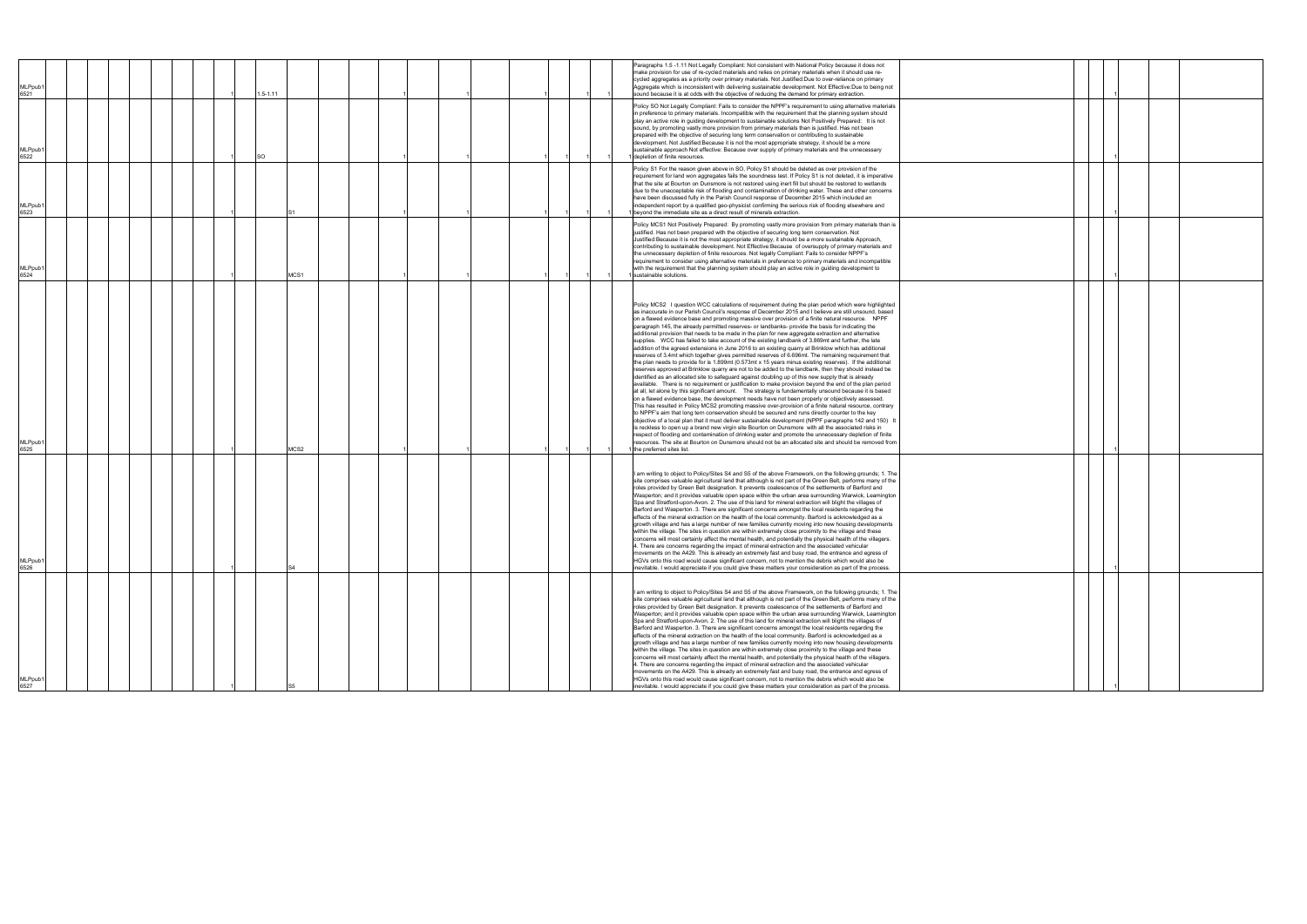|                             |  |  |              |      |  |  |  |  | Paragraphs 1.5-1.11 Not Legally Compliant: Not consistent with National Policy because it does not                                                                                                                                                                                                                                                                                                                                                                                                                                                                                                                                                                                                                                                                                                                                                                                                                                                                                                                                                                                                                                                                                                                                                                                                                                                                                                                                                                                                                                                                                                                                                                                                                                                                                                                                                                                                                                                                                                                                                                                                                                                                                               |
|-----------------------------|--|--|--------------|------|--|--|--|--|--------------------------------------------------------------------------------------------------------------------------------------------------------------------------------------------------------------------------------------------------------------------------------------------------------------------------------------------------------------------------------------------------------------------------------------------------------------------------------------------------------------------------------------------------------------------------------------------------------------------------------------------------------------------------------------------------------------------------------------------------------------------------------------------------------------------------------------------------------------------------------------------------------------------------------------------------------------------------------------------------------------------------------------------------------------------------------------------------------------------------------------------------------------------------------------------------------------------------------------------------------------------------------------------------------------------------------------------------------------------------------------------------------------------------------------------------------------------------------------------------------------------------------------------------------------------------------------------------------------------------------------------------------------------------------------------------------------------------------------------------------------------------------------------------------------------------------------------------------------------------------------------------------------------------------------------------------------------------------------------------------------------------------------------------------------------------------------------------------------------------------------------------------------------------------------------------|
| MLPpub1<br>6521             |  |  | $1.5 - 1.11$ |      |  |  |  |  | make provision for use of re-cycled materials and relies on primary materials when it should use re-<br>cycled aggregates as a priority over primary materials. Not Justified:Due to over-reliance on primary<br>Aggregate which is inconsistent with delivering sustainable development. Not Effective:Due to being not<br>sound because it is at odds with the objective of reducing the demand for primary extraction.                                                                                                                                                                                                                                                                                                                                                                                                                                                                                                                                                                                                                                                                                                                                                                                                                                                                                                                                                                                                                                                                                                                                                                                                                                                                                                                                                                                                                                                                                                                                                                                                                                                                                                                                                                        |
| MLPpub1<br>6522             |  |  | SO           |      |  |  |  |  | Policy SO Not Legally Compliant: Fails to consider the NPPF's requirement to using alternative materials<br>in preference to primary materials. Incompatible with the requirement that the planning system should<br>play an active role in guiding development to sustainable solutions Not Positively Prepared: It is not<br>sound, by promoting vastly more provision from primary materials than is justified. Has not been<br>prepared with the objective of securing long term conservation or contributing to sustainable<br>development. Not Justified: Because it is not the most appropriate strategy, it should be a more<br>sustainable approach Not effective: Because over supply of primary materials and the unnecessary<br>depletion of finite resources.                                                                                                                                                                                                                                                                                                                                                                                                                                                                                                                                                                                                                                                                                                                                                                                                                                                                                                                                                                                                                                                                                                                                                                                                                                                                                                                                                                                                                       |
| MLPpub <sup>*</sup><br>6523 |  |  |              |      |  |  |  |  | Policy S1 For the reason given above in SO, Policy S1 should be deleted as over provision of the<br>requirement for land won aggregates fails the soundness test. If Policy S1 is not deleted, it is imperative<br>that the site at Bourton on Dunsmore is not restored using inert fill but should be restored to wetlands<br>due to the unacceptable risk of flooding and contamination of drinking water. These and other concerns<br>have been discussed fully in the Parish Council response of December 2015 which included an<br>independent report by a qualified geo-physicist confirming the serious risk of flooding elsewhere and<br>beyond the immediate site as a direct result of minerals extraction.                                                                                                                                                                                                                                                                                                                                                                                                                                                                                                                                                                                                                                                                                                                                                                                                                                                                                                                                                                                                                                                                                                                                                                                                                                                                                                                                                                                                                                                                            |
| MLPpub <sup>-</sup><br>6524 |  |  |              | MCS1 |  |  |  |  | Policy MCS1 Not Positively Prepared: By promoting vastly more provision from primary materials than is<br>justified. Has not been prepared with the objective of securing long term conservation. Not<br>Justified: Because it is not the most appropriate strategy, it should be a more sustainable Approach,<br>contributing to sustainable development. Not Effective:Because of oversupply of primary materials and<br>the unnecessary depletion of finite resources. Not legally Compliant: Fails to consider NPPF's<br>requirement to consider using alternative materials in preference to primary materials and incompatible<br>with the requirement that the planning system should play an active role in guiding development to<br>sustainable solutions.                                                                                                                                                                                                                                                                                                                                                                                                                                                                                                                                                                                                                                                                                                                                                                                                                                                                                                                                                                                                                                                                                                                                                                                                                                                                                                                                                                                                                             |
| MLPpub1<br>6525             |  |  |              | MCS2 |  |  |  |  | Policy MCS2 I question WCC calculations of requirement during the plan period which were highlighted<br>as inaccurate in our Parish Council's response of December 2015 and I believe are still unsound, based<br>on a flawed evidence base and promoting massive over provision of a finite natural resource. NPPF<br>paragraph 145, the already permitted reserves- or landbanks- provide the basis for indicating the<br>additional provision that needs to be made in the plan for new aggregate extraction and alternative<br>supplies. WCC has failed to take account of the existing landbank of 3.869mt and further, the late<br>addition of the agreed extensions in June 2016 to an existing quarry at Brinklow which has additional<br>reserves of 3.4mt which together gives permitted reserves of 6.696mt. The remaining requirement that<br>the plan needs to provide for is 1.899mt (0.573mt x 15 years minus existing reserves). If the additional<br>reserves approved at Brinklow quarry are not to be added to the landbank, then they should instead be<br>identified as an allocated site to safeguard against doubling up of this new supply that is already<br>available. There is no requirement or justification to make provision beyond the end of the plan period<br>at all, let alone by this significant amount.  The strategy is fundamentally unsound because it is based<br>on a flawed evidence base, the development needs have not been properly or objectively assessed.<br>This has resulted in Policy MCS2 promoting massive over-provision of a finite natural resource, contrary<br>to NPPF's aim that long tern conservation should be secured and runs directly counter to the key<br>objective of a local plan that it must deliver sustainable development (NPPF paragraphs 142 and 150) It<br>is reckless to open up a brand new virgin site Bourton on Dunsmore with all the associated risks in<br>respect of flooding and contamination of drinking water and promote the unnecessary depletion of finite<br>resources. The site at Bourton on Dunsmore should not be an allocated site and should be removed from<br>the preferred sites list. |
| MLPpub1<br>6526             |  |  |              |      |  |  |  |  | I am writing to object to Policy/Sites S4 and S5 of the above Framework, on the following grounds; 1. The<br>site comprises valuable agricultural land that although is not part of the Green Belt, performs many of the<br>roles provided by Green Belt designation. It prevents coalescence of the settlements of Barford and<br>Wasperton; and it provides valuable open space within the urban area surrounding Warwick, Leamington<br>Spa and Stratford-upon-Avon. 2. The use of this land for mineral extraction will blight the villages of<br>Barford and Wasperton. 3. There are significant concerns amongst the local residents regarding the<br>effects of the mineral extraction on the health of the local community. Barford is acknowledged as a<br>growth village and has a large number of new families currently moving into new housing developments<br>within the village. The sites in question are within extremely close proximity to the village and these<br>concerns will most certainly affect the mental health, and potentially the physical health of the villagers.<br>4. There are concerns regarding the impact of mineral extraction and the associated vehicular<br>movements on the A429. This is already an extremely fast and busy road, the entrance and egress of<br>HGVs onto this road would cause significant concern, not to mention the debris which would also be<br>inevitable. I would appreciate if you could give these matters your consideration as part of the process.                                                                                                                                                                                                                                                                                                                                                                                                                                                                                                                                                                                                                                                                    |
| MLPpub1<br>6527             |  |  |              |      |  |  |  |  | I am writing to object to Policy/Sites S4 and S5 of the above Framework, on the following grounds; 1. The<br>site comprises valuable agricultural land that although is not part of the Green Belt, performs many of the<br>roles provided by Green Belt designation. It prevents coalescence of the settlements of Barford and<br>Wasperton; and it provides valuable open space within the urban area surrounding Warwick, Leamington<br>Spa and Stratford-upon-Avon. 2. The use of this land for mineral extraction will blight the villages of<br>Barford and Wasperton. 3. There are significant concerns amongst the local residents regarding the<br>effects of the mineral extraction on the health of the local community. Barford is acknowledged as a<br>growth village and has a large number of new families currently moving into new housing developments<br>within the village. The sites in question are within extremely close proximity to the village and these<br>concerns will most certainly affect the mental health, and potentially the physical health of the villagers.<br>4. There are concerns regarding the impact of mineral extraction and the associated vehicular<br>movements on the A429. This is already an extremely fast and busy road, the entrance and egress of<br>HGVs onto this road would cause significant concern, not to mention the debris which would also be<br>inevitable. I would appreciate if you could give these matters your consideration as part of the process.                                                                                                                                                                                                                                                                                                                                                                                                                                                                                                                                                                                                                                                                    |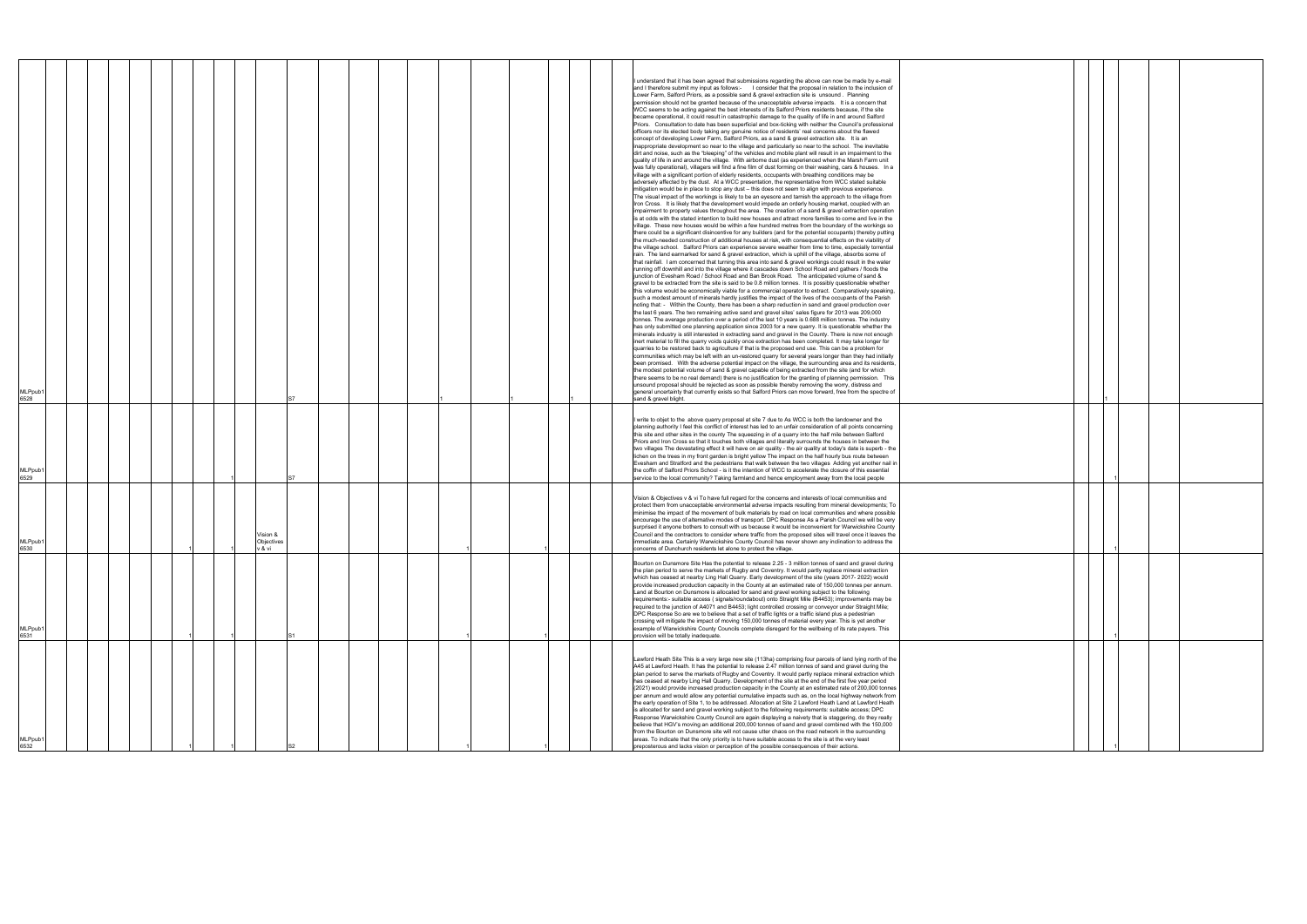| MLPpub <sup>-</sup><br>6528 |  |  |  |                                |  |  |  |  |  | understand that it has been agreed that submissions regarding the above can now be made by e-mail<br>and I therefore submit my input as follows:- I consider that the proposal in relation to the inclusion of<br>Lower Farm, Salford Priors, as a possible sand & gravel extraction site is unsound. Planning<br>permission should not be granted because of the unacceptable adverse impacts. It is a concern that<br>WCC seems to be acting against the best interests of its Salford Priors residents because, if the site<br>became operational, it could result in catastrophic damage to the quality of life in and around Salford<br>Priors. Consultation to date has been superficial and box-ticking with neither the Council's professional<br>officers nor its elected body taking any genuine notice of residents' real concerns about the flawed<br>concept of developing Lower Farm, Salford Priors, as a sand & gravel extraction site. It is an<br>inappropriate development so near to the village and particularly so near to the school. The inevitable<br>dirt and noise, such as the "bleeping" of the vehicles and mobile plant will result in an impairment to the<br>quality of life in and around the village. With airborne dust (as experienced when the Marsh Farm unit<br>was fully operational), villagers will find a fine film of dust forming on their washing, cars & houses. In a<br>village with a significant portion of elderly residents, occupants with breathing conditions may be<br>adversely affected by the dust. At a WCC presentation, the representative from WCC stated suitable<br>mitigation would be in place to stop any dust - this does not seem to align with previous experience.<br>The visual impact of the workings is likely to be an eyesore and tarnish the approach to the village from<br>Iron Cross. It is likely that the development would impede an orderly housing market, coupled with an<br>impairment to property values throughout the area. The creation of a sand & gravel extraction operation<br>is at odds with the stated intention to build new houses and attract more families to come and live in the<br>village. These new houses would be within a few hundred metres from the boundary of the workings so<br>there could be a significant disincentive for any builders (and for the potential occupants) thereby putting<br>the much-needed construction of additional houses at risk, with consequential effects on the viability of<br>the village school. Salford Priors can experience severe weather from time to time, especially torrential<br>rain. The land earmarked for sand & gravel extraction, which is uphill of the village, absorbs some of<br>that rainfall. I am concerned that turning this area into sand & gravel workings could result in the water<br>running off downhill and into the village where it cascades down School Road and gathers / floods the<br>junction of Evesham Road / School Road and Ban Brook Road. The anticipated volume of sand &<br>gravel to be extracted from the site is said to be 0.8 million tonnes. It is possibly questionable whether<br>this volume would be economically viable for a commercial operator to extract. Comparatively speaking,<br>such a modest amount of minerals hardly justifies the impact of the lives of the occupants of the Parish<br>noting that: - Within the County, there has been a sharp reduction in sand and gravel production over<br>the last 6 years. The two remaining active sand and gravel sites' sales figure for 2013 was 209,000<br>tonnes. The average production over a period of the last 10 years is 0.688 million tonnes. The industry<br>has only submitted one planning application since 2003 for a new quarry. It is questionable whether the<br>minerals industry is still interested in extracting sand and gravel in the County. There is now not enough<br>inert material to fill the quarry voids quickly once extraction has been completed. It may take longer for<br>quarries to be restored back to agriculture if that is the proposed end use. This can be a problem for<br>communities which may be left with an un-restored quarry for several years longer than they had initially<br>been promised. With the adverse potential impact on the village, the surrounding area and its residents.<br>the modest potential volume of sand & gravel capable of being extracted from the site (and for which<br>there seems to be no real demand) there is no justification for the granting of planning permission. This<br>unsound proposal should be rejected as soon as possible thereby removing the worry, distress and<br>general uncertainty that currently exists so that Salford Priors can move forward, free from the spectre of<br>sand & gravel blight. |  |
|-----------------------------|--|--|--|--------------------------------|--|--|--|--|--|---------------------------------------------------------------------------------------------------------------------------------------------------------------------------------------------------------------------------------------------------------------------------------------------------------------------------------------------------------------------------------------------------------------------------------------------------------------------------------------------------------------------------------------------------------------------------------------------------------------------------------------------------------------------------------------------------------------------------------------------------------------------------------------------------------------------------------------------------------------------------------------------------------------------------------------------------------------------------------------------------------------------------------------------------------------------------------------------------------------------------------------------------------------------------------------------------------------------------------------------------------------------------------------------------------------------------------------------------------------------------------------------------------------------------------------------------------------------------------------------------------------------------------------------------------------------------------------------------------------------------------------------------------------------------------------------------------------------------------------------------------------------------------------------------------------------------------------------------------------------------------------------------------------------------------------------------------------------------------------------------------------------------------------------------------------------------------------------------------------------------------------------------------------------------------------------------------------------------------------------------------------------------------------------------------------------------------------------------------------------------------------------------------------------------------------------------------------------------------------------------------------------------------------------------------------------------------------------------------------------------------------------------------------------------------------------------------------------------------------------------------------------------------------------------------------------------------------------------------------------------------------------------------------------------------------------------------------------------------------------------------------------------------------------------------------------------------------------------------------------------------------------------------------------------------------------------------------------------------------------------------------------------------------------------------------------------------------------------------------------------------------------------------------------------------------------------------------------------------------------------------------------------------------------------------------------------------------------------------------------------------------------------------------------------------------------------------------------------------------------------------------------------------------------------------------------------------------------------------------------------------------------------------------------------------------------------------------------------------------------------------------------------------------------------------------------------------------------------------------------------------------------------------------------------------------------------------------------------------------------------------------------------------------------------------------------------------------------------------------------------------------------------------------------------------------------------------------------------------------------------------------------------------------------------------------------------------------------------------------------------------------------------------------------------------------------------------------------------------------------------------------------------------------------------------------------------------------------------------------------------------------|--|
| <b>MLPpub</b>               |  |  |  |                                |  |  |  |  |  | write to objet to the above quarry proposal at site 7 due to As WCC is both the landowner and the<br>planning authority I feel this conflict of interest has led to an unfair consideration of all points concerning<br>this site and other sites in the county The squeezing in of a quarry into the half mile between Salford<br>Priors and Iron Cross so that it touches both villages and literally surrounds the houses in between the<br>two villages The devastating effect it will have on air quality - the air quality at today's date is superb - the<br>lichen on the trees in my front garden is bright yellow The impact on the half hourly bus route between<br>Evesham and Stratford and the pedestrians that walk between the two villages Adding yet another nail in<br>the coffin of Salford Priors School - is it the intention of WCC to accelerate the closure of this essential                                                                                                                                                                                                                                                                                                                                                                                                                                                                                                                                                                                                                                                                                                                                                                                                                                                                                                                                                                                                                                                                                                                                                                                                                                                                                                                                                                                                                                                                                                                                                                                                                                                                                                                                                                                                                                                                                                                                                                                                                                                                                                                                                                                                                                                                                                                                                                                                                                                                                                                                                                                                                                                                                                                                                                                                                                                                                                                                                                                                                                                                                                                                                                                                                                                                                                                                                                                                                                                                                                                                                                                                                                                                                                                                                                                                                                                                                                                                                                                |  |
| 6529<br>MLPpub1<br>6530     |  |  |  | Vision &<br>Objectives<br>′&vi |  |  |  |  |  | service to the local community? Taking farmland and hence employment away from the local people<br>Vision & Objectives v & vi To have full regard for the concerns and interests of local communities and<br>protect them from unacceptable environmental adverse impacts resulting from mineral developments; To<br>minimise the impact of the movement of bulk materials by road on local communities and where possible<br>encourage the use of alternative modes of transport. DPC Response As a Parish Council we will be very<br>surprised it anyone bothers to consult with us because it would be inconvenient for Warwickshire County<br>Council and the contractors to consider where traffic from the proposed sites will travel once it leaves the<br>immediate area. Certainly Warwickshire County Council has never shown any inclination to address the<br>concerns of Dunchurch residents let alone to protect the village.                                                                                                                                                                                                                                                                                                                                                                                                                                                                                                                                                                                                                                                                                                                                                                                                                                                                                                                                                                                                                                                                                                                                                                                                                                                                                                                                                                                                                                                                                                                                                                                                                                                                                                                                                                                                                                                                                                                                                                                                                                                                                                                                                                                                                                                                                                                                                                                                                                                                                                                                                                                                                                                                                                                                                                                                                                                                                                                                                                                                                                                                                                                                                                                                                                                                                                                                                                                                                                                                                                                                                                                                                                                                                                                                                                                                                                                                                                                                           |  |
| <b>MLPpub</b><br>6531       |  |  |  |                                |  |  |  |  |  | Bourton on Dunsmore Site Has the potential to release 2.25 - 3 million tonnes of sand and gravel during<br>the plan period to serve the markets of Rugby and Coventry. It would partly replace mineral extraction<br>which has ceased at nearby Ling Hall Quarry. Early development of the site (years 2017- 2022) would<br>provide increased production capacity in the County at an estimated rate of 150,000 tonnes per annum.<br>Land at Bourton on Dunsmore is allocated for sand and gravel working subject to the following<br>requirements:- suitable access (signals/roundabout) onto Straight Mile (B4453); improvements may be<br>required to the junction of A4071 and B4453; light controlled crossing or conveyor under Straight Mile;<br>DPC Response So are we to believe that a set of traffic lights or a traffic island plus a pedestrian<br>crossing will mitigate the impact of moving 150,000 tonnes of material every year. This is yet another<br>example of Warwickshire County Councils complete disregard for the wellbeing of its rate payers. This<br>provision will be totally inadequate.                                                                                                                                                                                                                                                                                                                                                                                                                                                                                                                                                                                                                                                                                                                                                                                                                                                                                                                                                                                                                                                                                                                                                                                                                                                                                                                                                                                                                                                                                                                                                                                                                                                                                                                                                                                                                                                                                                                                                                                                                                                                                                                                                                                                                                                                                                                                                                                                                                                                                                                                                                                                                                                                                                                                                                                                                                                                                                                                                                                                                                                                                                                                                                                                                                                                                                                                                                                                                                                                                                                                                                                                                                                                                                                                                              |  |
| MLPpub<br>6532              |  |  |  |                                |  |  |  |  |  | Lawford Heath Site This is a very large new site (113ha) comprising four parcels of land lying north of the<br>A45 at Lawford Heath. It has the potential to release 2.47 million tonnes of sand and gravel during the<br>plan period to serve the markets of Rugby and Coventry. It would partly replace mineral extraction which<br>has ceased at nearby Ling Hall Quarry. Development of the site at the end of the first five year period<br>(2021) would provide increased production capacity in the County at an estimated rate of 200,000 tonnes<br>per annum and would allow any potential cumulative impacts such as, on the local highway network from<br>the early operation of Site 1, to be addressed. Allocation at Site 2 Lawford Heath Land at Lawford Heath<br>is allocated for sand and gravel working subject to the following requirements: suitable access; DPC<br>Response Warwickshire County Council are again displaying a naivety that is staggering, do they really<br>believe that HGV's moving an additional 200,000 tonnes of sand and gravel combined with the 150,000<br>from the Bourton on Dunsmore site will not cause utter chaos on the road network in the surrounding<br>areas. To indicate that the only priority is to have suitable access to the site is at the very least<br>preposterous and lacks vision or perception of the possible consequences of their actions.                                                                                                                                                                                                                                                                                                                                                                                                                                                                                                                                                                                                                                                                                                                                                                                                                                                                                                                                                                                                                                                                                                                                                                                                                                                                                                                                                                                                                                                                                                                                                                                                                                                                                                                                                                                                                                                                                                                                                                                                                                                                                                                                                                                                                                                                                                                                                                                                                                                                                                                                                                                                                                                                                                                                                                                                                                                                                                                                                                                                                                                                                                                                                                                                                                                                                                                                                                                                                                                                  |  |

|  | $\mathbf{1}$ |  |  |
|--|--------------|--|--|
|  |              |  |  |
|  | 1            |  |  |
|  |              |  |  |
|  | 1            |  |  |
|  |              |  |  |
|  |              |  |  |
|  | 1            |  |  |
|  |              |  |  |
|  |              |  |  |
|  |              |  |  |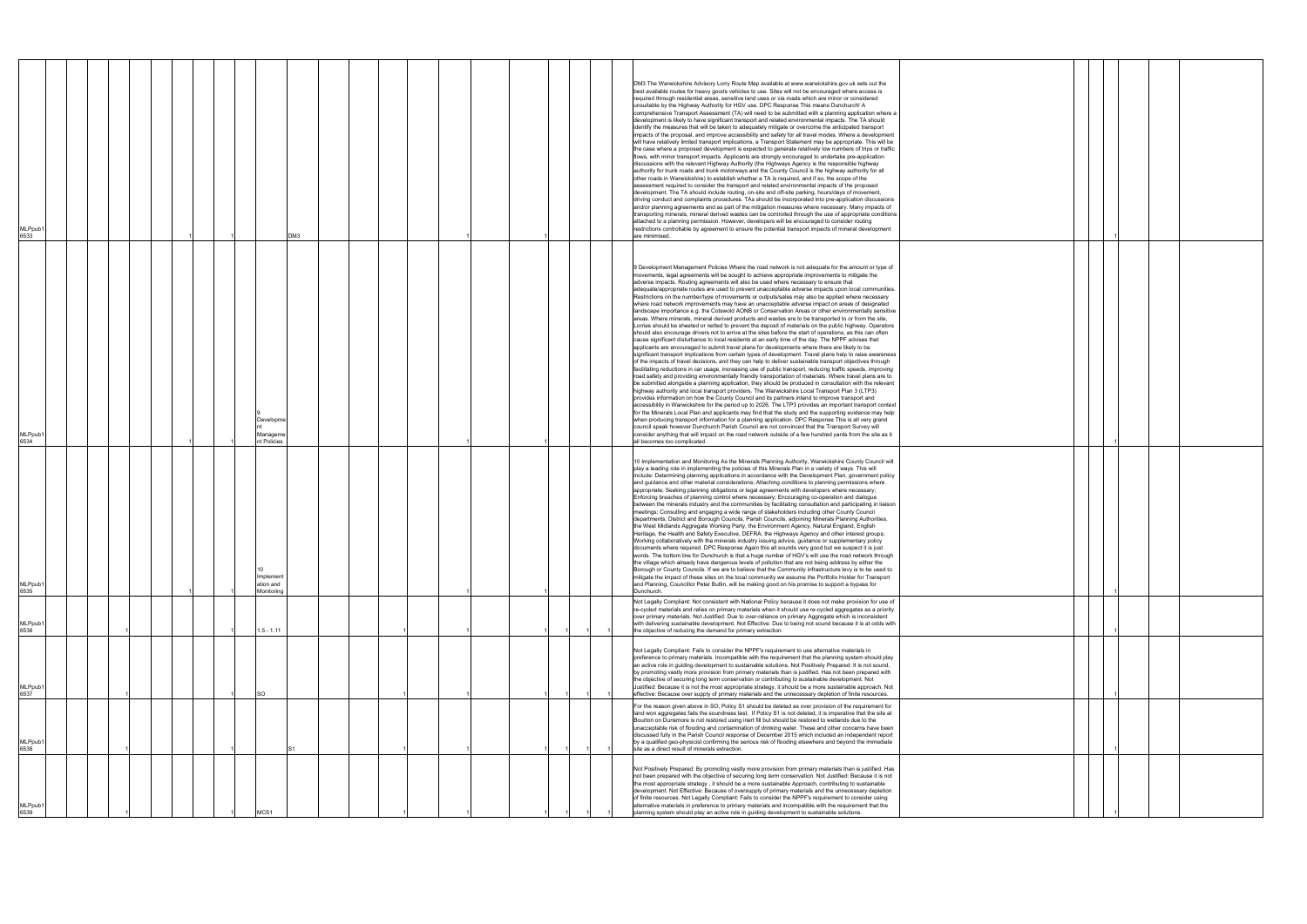| MLPpub <sup>-</sup><br>6533 |  |  |  |                                      | DM3 |  |  |  |  |  | DM3 The Warwickshire Advisory Lorry Route Map available at www.warwickshire.gov.uk sets out the<br>best available routes for heavy goods vehicles to use. Sites will not be encouraged where access is<br>required through residential areas, sensitive land uses or via roads which are minor or considered<br>unsuitable by the Highway Authority for HGV use. DPC Response This means Dunchurch! A<br>comprehensive Transport Assessment (TA) will need to be submitted with a planning application where a<br>development is likely to have significant transport and related environmental impacts. The TA should<br>identify the measures that will be taken to adequately mitigate or overcome the anticipated transport<br>impacts of the proposal, and improve accessibility and safety for all travel modes. Where a development<br>will have relatively limited transport implications, a Transport Statement may be appropriate. This will be<br>the case where a proposed development is expected to generate relatively low numbers of trips or traffic<br>flows, with minor transport impacts. Applicants are strongly encouraged to undertake pre-application<br>discussions with the relevant Highway Authority (the Highways Agency is the responsible highway<br>authority for trunk roads and trunk motorways and the County Council is the highway authority for all<br>other roads in Warwickshire) to establish whether a TA is required, and if so, the scope of the<br>assessment required to consider the transport and related environmental impacts of the proposed<br>development. The TA should include routing, on-site and off-site parking, hours/days of movement,<br>driving conduct and complaints procedures. TAs should be incorporated into pre-application discussions<br>and/or planning agreements and as part of the mitigation measures where necessary. Many impacts of<br>transporting minerals, mineral derived wastes can be controlled through the use of appropriate conditions<br>attached to a planning permission. However, developers will be encouraged to consider routing<br>restrictions controllable by agreement to ensure the potential transport impacts of mineral development<br>are minimised.                                                                                                                                                                                                                                                                                                                                                           |  |
|-----------------------------|--|--|--|--------------------------------------|-----|--|--|--|--|--|---------------------------------------------------------------------------------------------------------------------------------------------------------------------------------------------------------------------------------------------------------------------------------------------------------------------------------------------------------------------------------------------------------------------------------------------------------------------------------------------------------------------------------------------------------------------------------------------------------------------------------------------------------------------------------------------------------------------------------------------------------------------------------------------------------------------------------------------------------------------------------------------------------------------------------------------------------------------------------------------------------------------------------------------------------------------------------------------------------------------------------------------------------------------------------------------------------------------------------------------------------------------------------------------------------------------------------------------------------------------------------------------------------------------------------------------------------------------------------------------------------------------------------------------------------------------------------------------------------------------------------------------------------------------------------------------------------------------------------------------------------------------------------------------------------------------------------------------------------------------------------------------------------------------------------------------------------------------------------------------------------------------------------------------------------------------------------------------------------------------------------------------------------------------------------------------------------------------------------------------------------------------------------------------------------------------------------------------------------------------------------------------------------------------------------------------------------------------------------------------------------------------------------------------------------------------------------------------------------------------------|--|
| MLPpub <sup>-</sup><br>6534 |  |  |  | Developme<br>Manageme<br>nt Policies |     |  |  |  |  |  | 9 Development Management Policies Where the road network is not adequate for the amount or type of<br>movements, legal agreements will be sought to achieve appropriate improvements to mitigate the<br>adverse impacts. Routing agreements will also be used where necessary to ensure that<br>adequate/appropriate routes are used to prevent unacceptable adverse impacts upon local communities.<br>Restrictions on the number/type of movements or outputs/sales may also be applied where necessary<br>where road network improvements may have an unacceptable adverse impact on areas of designated<br>landscape importance e.g. the Cotswold AONB or Conservation Areas or other environmentally sensitive<br>areas. Where minerals, mineral derived products and wastes are to be transported to or from the site,<br>Lorries should be sheeted or netted to prevent the deposit of materials on the public highway. Operators<br>should also encourage drivers not to arrive at the sites before the start of operations, as this can often<br>cause significant disturbance to local residents at an early time of the day. The NPPF advises that<br>applicants are encouraged to submit travel plans for developments where there are likely to be<br>significant transport implications from certain types of development. Travel plans help to raise awareness<br>of the impacts of travel decisions, and they can help to deliver sustainable transport objectives through<br>facilitating reductions in car usage, increasing use of public transport, reducing traffic speeds, improving<br>road safety and providing environmentally friendly transportation of materials. Where travel plans are to<br>be submitted alongside a planning application, they should be produced in consultation with the relevant<br>highway authority and local transport providers. The Warwickshire Local Transport Plan 3 (LTP3)<br>provides information on how the County Council and its partners intend to improve transport and<br>accessibility in Warwickshire for the period up to 2026. The LTP3 provides an important transport context<br>for the Minerals Local Plan and applicants may find that the study and the supporting evidence may help<br>when producing transport information for a planning application. DPC Response This is all very grand<br>council speak however Dunchurch Parish Council are not convinced that the Transport Survey will<br>consider anything that will impact on the road network outside of a few hundred yards from the site as it<br>all becomes too complicated. |  |
| MLPpub′<br>6535             |  |  |  | Implement<br>ation and<br>Monitoring |     |  |  |  |  |  | 10 Implementation and Monitoring As the Minerals Planning Authority, Warwickshire County Council will<br>play a leading role in implementing the policies of this Minerals Plan in a variety of ways. This will<br>include: Determining planning applications in accordance with the Development Plan, government policy<br>and quidance and other material considerations; Attaching conditions to planning permissions where<br>appropriate; Seeking planning obligations or legal agreements with developers where necessary;<br>Enforcing breaches of planning control where necessary; Encouraging co-operation and dialogue<br>between the minerals industry and the communities by facilitating consultation and participating in liaison<br>meetings; Consulting and engaging a wide range of stakeholders including other County Council<br>departments, District and Borough Councils, Parish Councils, adjoining Minerals Planning Authorities,<br>the West Midlands Aggregate Working Party, the Environment Agency, Natural England, English<br>Heritage, the Health and Safety Executive, DEFRA, the Highways Agency and other interest groups;<br>Working collaboratively with the minerals industry issuing advice, guidance or supplementary policy<br>documents where required. DPC Response Again this all sounds very good but we suspect it is just<br>words. The bottom line for Dunchurch is that a huge number of HGV's will use the road network through<br>the village which already have dangerous levels of pollution that are not being address by either the<br>Borough or County Councils. If we are to believe that the Community infrastructure levy is to be used to<br>mitigate the impact of these sites on the local community we assume the Portfolio Holder for Transport<br>and Planning, Councillor Peter Butlin, will be making good on his promise to support a bypass for<br>Dunchurch.                                                                                                                                                                                                                                                                                                                                                                                                                                                                                                                                                                                                                                                                                       |  |
| MLPpub <sup>®</sup><br>6536 |  |  |  | $1.5 - 1.11$                         |     |  |  |  |  |  | Not Legally Compliant: Not consistent with National Policy because it does not make provision for use of<br>re-cycled materials and relies on primary materials when it should use re-cycled aggregates as a priority<br>over primary materials. Not Justified: Due to over-reliance on primary Aggregate which is inconsistent<br>with delivering sustainable development. Not Effective: Due to being not sound because it is at odds with<br>the objective of reducing the demand for primary extraction.                                                                                                                                                                                                                                                                                                                                                                                                                                                                                                                                                                                                                                                                                                                                                                                                                                                                                                                                                                                                                                                                                                                                                                                                                                                                                                                                                                                                                                                                                                                                                                                                                                                                                                                                                                                                                                                                                                                                                                                                                                                                                                              |  |
| MLPpub′<br>6537             |  |  |  | SO                                   |     |  |  |  |  |  | Not Legally Compliant: Fails to consider the NPPF's requirement to use alternative materials in<br>preference to primary materials. Incompatible with the requirement that the planning system should play<br>an active role in guiding development to sustainable solutions. Not Positively Prepared: It is not sound,<br>by promoting vastly more provision from primary materials than is justified. Has not been prepared with<br>the objective of securing long term conservation or contributing to sustainable development. Not<br>Justified: Because it is not the most appropriate strategy, it should be a more sustainable approach. Not<br>effective: Because over supply of primary materials and the unnecessary depletion of finite resources.                                                                                                                                                                                                                                                                                                                                                                                                                                                                                                                                                                                                                                                                                                                                                                                                                                                                                                                                                                                                                                                                                                                                                                                                                                                                                                                                                                                                                                                                                                                                                                                                                                                                                                                                                                                                                                                             |  |
| MLPpub <sup>®</sup><br>6538 |  |  |  |                                      |     |  |  |  |  |  | For the reason given above in SO, Policy S1 should be deleted as over provision of the requirement for<br>land won aggregates fails the soundness test. If Policy S1 is not deleted, it is imperative that the site at<br>Bourton on Dunsmore is not restored using inert fill but should be restored to wetlands due to the<br>unacceptable risk of flooding and contamination of drinking water. These and other concerns have been<br>discussed fully in the Parish Council response of December 2015 which included an independent report<br>by a qualified geo-physicist confirming the serious risk of flooding elsewhere and beyond the immediate<br>site as a direct result of minerals extraction.                                                                                                                                                                                                                                                                                                                                                                                                                                                                                                                                                                                                                                                                                                                                                                                                                                                                                                                                                                                                                                                                                                                                                                                                                                                                                                                                                                                                                                                                                                                                                                                                                                                                                                                                                                                                                                                                                                               |  |
| MLPpub′<br>6539             |  |  |  | MCS1                                 |     |  |  |  |  |  | Not Positively Prepared: By promoting vastly more provision from primary materials than is justified. Has<br>not been prepared with the objective of securing long term conservation. Not Justified: Because it is not<br>the most appropriate strategy, it should be a more sustainable Approach, contributing to sustainable<br>development. Not Effective: Because of oversupply of primary materials and the unnecessary depletion<br>of finite resources. Not Legally Compliant: Fails to consider the NPPF's requirement to consider using<br>alternative materials in preference to primary materials and incompatible with the requirement that the<br>planning system should play an active role in guiding development to sustainable solutions.                                                                                                                                                                                                                                                                                                                                                                                                                                                                                                                                                                                                                                                                                                                                                                                                                                                                                                                                                                                                                                                                                                                                                                                                                                                                                                                                                                                                                                                                                                                                                                                                                                                                                                                                                                                                                                                                |  |

|  | 1 |  |  |
|--|---|--|--|
|  |   |  |  |
|  |   |  |  |
|  |   |  |  |
|  |   |  |  |
|  |   |  |  |
|  |   |  |  |
|  |   |  |  |
|  |   |  |  |
|  |   |  |  |
|  |   |  |  |
|  | 1 |  |  |
|  |   |  |  |
|  |   |  |  |
|  |   |  |  |
|  |   |  |  |
|  |   |  |  |
|  |   |  |  |
|  |   |  |  |
|  | 1 |  |  |
|  |   |  |  |
|  | 1 |  |  |
|  |   |  |  |
|  |   |  |  |
|  |   |  |  |
|  | 1 |  |  |
|  |   |  |  |
|  | 1 |  |  |
|  |   |  |  |
|  |   |  |  |
|  |   |  |  |
|  | 1 |  |  |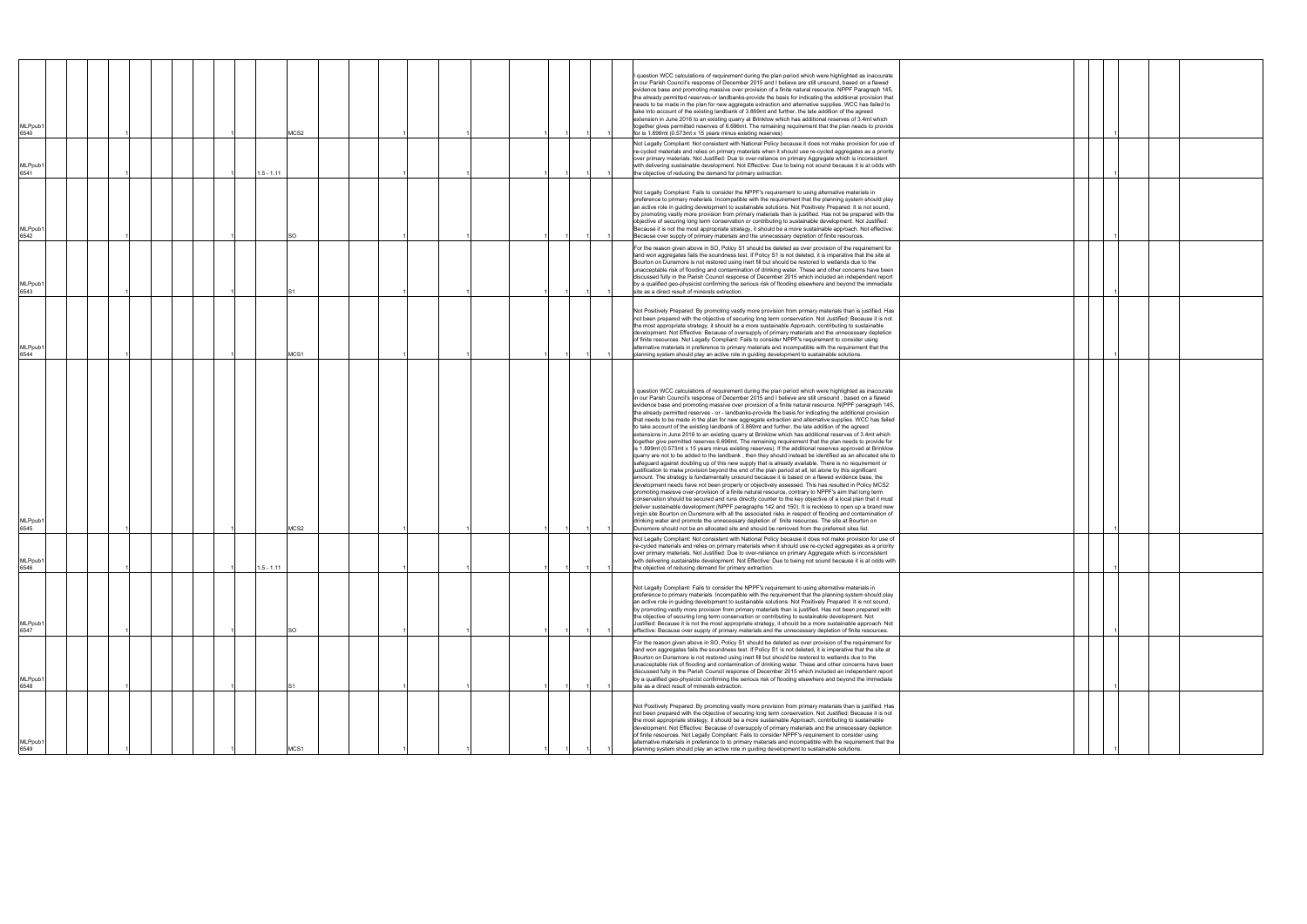| MLPpub′<br>6540             |  |  |              | MCS2      |  |  |  |  | I question WCC calculations of requirement during the plan period which were highlighted as inaccurate<br>in our Parish Council's response of December 2015 and I believe are still unsound, based on a flawed<br>evidence base and promoting massive over provision of a finite natural resource. NPPF Paragraph 145,<br>the already permitted reserves-or landbanks-provide the basis for indicating the additional provision that<br>needs to be made in the plan for new aggregate extraction and alternative supplies. WCC has failed to<br>take into account of the existing landbank of 3.869mt and further, the late addition of the agreed<br>extension in June 2016 to an existing quarry at Brinklow which has additional reserves of 3.4mt which<br>together gives permitted reserves of 6.696mt. The remaining requirement that the plan needs to provide<br>for is 1.899mt (0.573mt x 15 years minus existing reserves)                                                                                                                                                                                                                                                                                                                                                                                                                                                                                                                                                                                                                                                                                                                                                                                                                                                                                                                                                                                                                                                                                                                                                                                                                                            |
|-----------------------------|--|--|--------------|-----------|--|--|--|--|----------------------------------------------------------------------------------------------------------------------------------------------------------------------------------------------------------------------------------------------------------------------------------------------------------------------------------------------------------------------------------------------------------------------------------------------------------------------------------------------------------------------------------------------------------------------------------------------------------------------------------------------------------------------------------------------------------------------------------------------------------------------------------------------------------------------------------------------------------------------------------------------------------------------------------------------------------------------------------------------------------------------------------------------------------------------------------------------------------------------------------------------------------------------------------------------------------------------------------------------------------------------------------------------------------------------------------------------------------------------------------------------------------------------------------------------------------------------------------------------------------------------------------------------------------------------------------------------------------------------------------------------------------------------------------------------------------------------------------------------------------------------------------------------------------------------------------------------------------------------------------------------------------------------------------------------------------------------------------------------------------------------------------------------------------------------------------------------------------------------------------------------------------------------------------|
| MLPpub <sup>-</sup><br>6541 |  |  | $1.5 - 1.11$ |           |  |  |  |  | Not Legally Compliant: Not consistent with National Policy because it does not make provision for use of<br>re-cycled materials and relies on primary materials when it should use re-cycled aggregates as a priority<br>over primary materials. Not Justified: Due to over-reliance on primary Aggregate which is inconsistent<br>with delivering sustainable development. Not Effective: Due to being not sound because it is at odds with<br>the objective of reducing the demand for primary extraction.                                                                                                                                                                                                                                                                                                                                                                                                                                                                                                                                                                                                                                                                                                                                                                                                                                                                                                                                                                                                                                                                                                                                                                                                                                                                                                                                                                                                                                                                                                                                                                                                                                                                     |
| MLPpub <sup>-</sup><br>6542 |  |  |              | <b>SO</b> |  |  |  |  | Not Legally Compliant: Fails to consider the NPPF's requirement to using alternative materials in<br>preference to primary materials. Incompatible with the requirement that the planning system should play<br>an active role in guiding development to sustainable solutions. Not Positively Prepared: It is not sound,<br>by promoting vastly more provision from primary materials than is justified. Has not be prepared with the<br>objective of securing long term conservation or contributing to sustainable development. Not Justified:<br>Because it is not the most appropriate strategy, it should be a more sustainable approach. Not effective:<br>Because over supply of primary materials and the unnecessary depletion of finite resources.                                                                                                                                                                                                                                                                                                                                                                                                                                                                                                                                                                                                                                                                                                                                                                                                                                                                                                                                                                                                                                                                                                                                                                                                                                                                                                                                                                                                                    |
| MLPpub′<br>6543             |  |  |              |           |  |  |  |  | For the reason given above in SO, Policy S1 should be deleted as over provision of the requirement for<br>land won aggregates fails the soundness test. If Policy S1 is not deleted, it is imperative that the site at<br>Bourton on Dunsmore is not restored using inert fill but should be restored to wetlands due to the<br>unacceptable risk of flooding and contamination of drinking water. These and other concerns have been<br>discussed fully in the Parish Council response of December 2015 which included an independent report<br>by a qualified geo-physicist confirming the serious risk of flooding elsewhere and beyond the immediate<br>site as a direct result of minerals extraction.                                                                                                                                                                                                                                                                                                                                                                                                                                                                                                                                                                                                                                                                                                                                                                                                                                                                                                                                                                                                                                                                                                                                                                                                                                                                                                                                                                                                                                                                      |
| MLPpub′<br>6544             |  |  |              | MCS1      |  |  |  |  | Not Positively Prepared: By promoting vastly more provision from primary materials than is justified. Has<br>not been prepared with the objective of securing long term conservation. Not Justified: Because it is not<br>the most appropriate strategy, it should be a more sustainable Approach, contributing to sustainable<br>development. Not Effective: Because of oversupply of primary materials and the unnecessary depletion<br>of finite resources. Not Legally Compliant: Fails to consider NPPF's requirement to consider using<br>alternative materials in preference to primary materials and incompatible with the requirement that the<br>planning system should play an active role in guiding development to sustainable solutions.                                                                                                                                                                                                                                                                                                                                                                                                                                                                                                                                                                                                                                                                                                                                                                                                                                                                                                                                                                                                                                                                                                                                                                                                                                                                                                                                                                                                                           |
| MLPpub′<br>6545             |  |  |              | MCS2      |  |  |  |  | I question WCC calculations of requirement during the plan period which were highlighted as inaccurate<br>in our Parish Council's response of December 2015 and I believe are still unsound, based on a flawed<br>evidence base and promoting massive over provision of a finite natural resource. N{PPF paragraph 145,<br>the already permitted reserves - or - landbanks-provide the basis for indicating the additional provision<br>that needs to be made in the plan for new aggregate extraction and alternative supplies. WCC has failed<br>to take account of the existing landbank of 3.869mt and further, the late addition of the agreed<br>extensions in June 2016 to an existing quarry at Brinklow which has additional reserves of 3.4mt which<br>together give permitted reserves 6.696mt. The remaining requirement that the plan needs to provide for<br>is 1.899mt (0.573mt x 15 years minus existing reserves). If the additional reserves approved at Brinklow<br>quarry are not to be added to the landbank, then they should instead be identified as an allocated site to<br>safeguard against doubling up of this new supply that is already available. There is no requirement or<br>justification to make provision beyond the end of the plan period at all, let alone by this significant<br>amount. The strategy is fundamentally unsound because it is based on a flawed evidence base, the<br>development needs have not been properly or objectively assessed. This has resulted in Policy MCS2<br>promoting masisve over-provision of a finite natural resource, contrary to NPPF's aim that long term<br>conservation should be secured and runs directly counter to the key objective of a local plan that it must<br>deliver sustainable development (NPPF paragraphs 142 and 150). It is reckless to open up a brand new<br>virgin site Bourton on Dunsmore with all the associated risks in respect of flooding and contamination of<br>drinking water and promote the unnecessary depletion of finite resources. The site at Bourton on<br>Dunsmore should not be an allocated site and should be removed from the preferred sites list. |
| MLPpub1<br>6546             |  |  | $1.5 - 1.11$ |           |  |  |  |  | Not Legally Compliant: Not consistent with National Policy because it does not make provision for use of<br>re-cycled materials and relies on primary materials when it should use re-cycled aggregates as a priority<br>over primary materials. Not Justified: Due to over-reliance on primary Aggregate which is inconsistent<br>with delivering sustainable development. Not Effective: Due to being not sound because it is at odds with<br>the objective of reducing demand for primary extraction.                                                                                                                                                                                                                                                                                                                                                                                                                                                                                                                                                                                                                                                                                                                                                                                                                                                                                                                                                                                                                                                                                                                                                                                                                                                                                                                                                                                                                                                                                                                                                                                                                                                                         |
| MLPpub <sup>-</sup><br>6547 |  |  |              | SO        |  |  |  |  | Not Legally Compliant: Fails to consider the NPPF's requirement to using alternative materials in<br>preference to primary materials. Incompatible with the requirement that the planning system should play<br>an active role in guiding development to sustainable solutions. Not Positively Prepared: It is not sound,<br>by promoting vastly more provision from primary materials than is justified. Has not been prepared with<br>the objective of securing long term conservation or contributing to sustainable development. Not<br>Justified: Because it is not the most appropriate strategy, it should be a more sustainable approach. Not<br>effective: Because over supply of primary materials and the unnecessary depletion of finite resources.                                                                                                                                                                                                                                                                                                                                                                                                                                                                                                                                                                                                                                                                                                                                                                                                                                                                                                                                                                                                                                                                                                                                                                                                                                                                                                                                                                                                                  |
| MLPpub <sup>-</sup><br>6548 |  |  |              |           |  |  |  |  | For the reason given above in SO, Policy S1 should be deleted as over provision of the requirement for<br>land won aggregates fails the soundness test. If Policy S1 is not deleted, it is imperative that the site at<br>Bourton on Dunsmore is not restored using inert fill but should be restored to wetlands due to the<br>unacceptable risk of flooding and contamination of drinking water. These and other concerns have been<br>discussed fully in the Parish Council response of December 2015 which included an independent report<br>by a qualified geo-physicist confirming the serious risk of flooding elsewhere and beyond the immediate<br>site as a direct result of minerals extraction.                                                                                                                                                                                                                                                                                                                                                                                                                                                                                                                                                                                                                                                                                                                                                                                                                                                                                                                                                                                                                                                                                                                                                                                                                                                                                                                                                                                                                                                                      |
| MLPpub1<br>6549             |  |  |              | MCS1      |  |  |  |  | Not Positively Prepared: By promoting vastly more provision from primary materials than is justified. Has<br>not been prepared with the objective of securing long term conservation. Not Justified: Because it is not<br>the most appropriate strategy, it should be a more sustainable Approach, contributing to sustainable<br>development. Not Effective: Because of oversupply of primary materials and the unnecessary depletion<br>of finite resources. Not Legally Compliant: Fails to consider NPPF's requirement to consider using<br>alternative materials in preference to to primary materials and incompatible with the requirement that the<br>planning system should play an active role in guiding development to sustainable solutions.                                                                                                                                                                                                                                                                                                                                                                                                                                                                                                                                                                                                                                                                                                                                                                                                                                                                                                                                                                                                                                                                                                                                                                                                                                                                                                                                                                                                                        |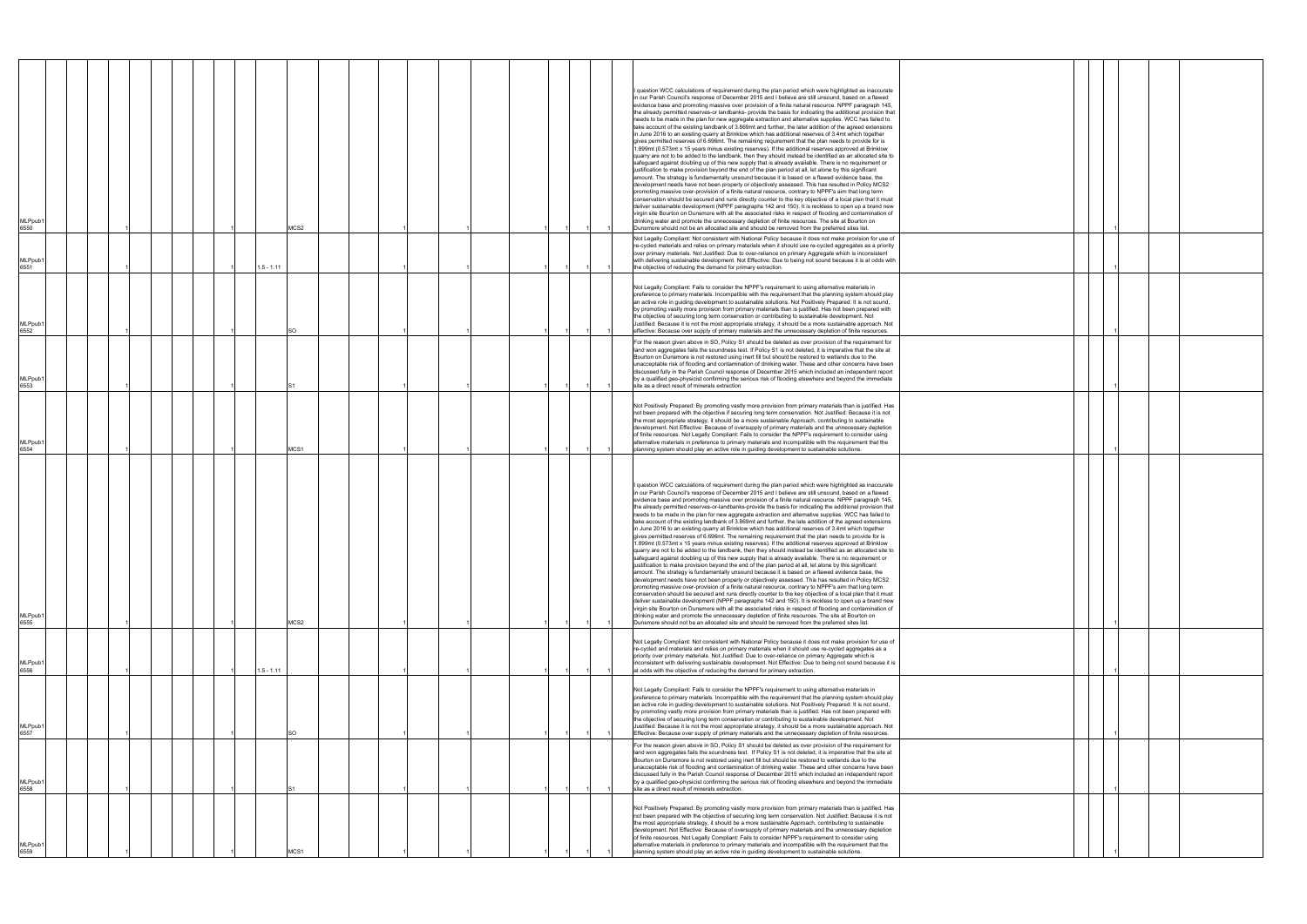| MLPpub1<br>6550             |  | MCS2         |  |  | I question WCC calculations of requirement during the plan period which were highlighted as inaccurate<br>in our Parish Council's response of December 2015 and I believe are still unsound, based on a flawed<br>evidence base and promoting massive over provision of a finite natural resource. NPPF paragraph 145,<br>the already permitted reserves-or landbanks- provide the basis for indicating the additional provision that<br>needs to be made in the plan for new aggregate extraction and alternative supplies. WCC has failed to<br>take account of the existing landbank of 3.869mt and further, the later addition of the agreed extensions<br>in June 2016 to an existing quarry at Brinklow which has additional reserves of 3.4mt which together<br>gives permitted reserves of 6.696mt. The remaining requirement that the plan needs to provide for is<br>1.899mt (0.573mt x 15 years minus existing reserves). If the additional reserves approved at Brinklow<br>quarry are not to be added to the landbank, then they should instead be identified as an allocated site to<br>safeguard against doubling up of this new supply that is already available. There is no requirement or<br>justification to make provision beyond the end of the plan period at all, let alone by this significant<br>amount. The strategy is fundamentally unsound because it is based on a flawed evidence base, the<br>development needs have not been properly or objectively assessed. This has resulted in Policy MCS2<br>promoting massive over-provision of a finite natural resource, contrary to NPPF's aim that long term<br>conservation should be secured and runs directly counter to the key objective of a local plan that it must<br>deliver sustainable development (NPPF paragraphs 142 and 150). It is reckless to open up a brand new<br>virgin site Bourton on Dunsmore with all the associated risks in respect of flooding and contamination of<br>drinking water and promote the unnecessary depletion of finite resources. The site at Bourton on<br>Dunsmore should not be an allocated site and should be removed from the preferred sites list. |  |
|-----------------------------|--|--------------|--|--|-----------------------------------------------------------------------------------------------------------------------------------------------------------------------------------------------------------------------------------------------------------------------------------------------------------------------------------------------------------------------------------------------------------------------------------------------------------------------------------------------------------------------------------------------------------------------------------------------------------------------------------------------------------------------------------------------------------------------------------------------------------------------------------------------------------------------------------------------------------------------------------------------------------------------------------------------------------------------------------------------------------------------------------------------------------------------------------------------------------------------------------------------------------------------------------------------------------------------------------------------------------------------------------------------------------------------------------------------------------------------------------------------------------------------------------------------------------------------------------------------------------------------------------------------------------------------------------------------------------------------------------------------------------------------------------------------------------------------------------------------------------------------------------------------------------------------------------------------------------------------------------------------------------------------------------------------------------------------------------------------------------------------------------------------------------------------------------------------------------------------------------------------------------------------------------|--|
| MLPpub1<br>6551             |  | $1.5 - 1.11$ |  |  | Not Legally Compliant: Not consistent with National Policy because it does not make provision for use of<br>re-cycled materials and relies on primary materials when it should use re-cycled aggregates as a priority<br>over primary materials. Not Justified: Due to over-reliance on primary Aggregate which is inconsistent<br>with delivering sustainable development. Not Effective: Due to being not sound because it is at odds with<br>the objective of reducing the demand for primary extraction.                                                                                                                                                                                                                                                                                                                                                                                                                                                                                                                                                                                                                                                                                                                                                                                                                                                                                                                                                                                                                                                                                                                                                                                                                                                                                                                                                                                                                                                                                                                                                                                                                                                                      |  |
| MLPpub′<br>6552             |  | SO.          |  |  | Not Legally Compliant: Fails to consider the NPPF's requirement to using alternative materials in<br>preference to primary materials. Incompatible with the requirement that the planning system should play<br>an active role in guiding development to sustainable solutions. Not Positively Prepared: It is not sound,<br>by promoting vastly more provision from primary materials than is justified. Has not been prepared with<br>the objective of securing long term conservation or contributing to sustainable development. Not<br>Justified: Because it is not the most appropriate strategy, it should be a more sustainable approach. Not<br>effective: Because over supply of primary materials and the unnecessary depletion of finite resources.                                                                                                                                                                                                                                                                                                                                                                                                                                                                                                                                                                                                                                                                                                                                                                                                                                                                                                                                                                                                                                                                                                                                                                                                                                                                                                                                                                                                                   |  |
| MLPpub1<br>6553             |  |              |  |  | For the reason given above in SO, Policy S1 should be deleted as over provision of the requirement for<br>land won aggregates fails the soundness test. If Policy S1 is not deleted, it is imperative that the site at<br>Bourton on Dunsmore is not restored using inert fill but should be restored to wetlands due to the<br>unacceptable risk of flooding and contamination of drinking water. These and other concerns have been<br>discussed fully in the Parish Council response of December 2015 which included an independent report<br>by a qualified geo-physicist confirming the serious risk of flooding elsewhere and beyond the immediate<br>site as a direct result of minerals extraction                                                                                                                                                                                                                                                                                                                                                                                                                                                                                                                                                                                                                                                                                                                                                                                                                                                                                                                                                                                                                                                                                                                                                                                                                                                                                                                                                                                                                                                                        |  |
| MLPpub1<br>5554             |  | MCS1         |  |  | Not Positively Prepared: By promoting vastly more provision from primary materials than is justified. Has<br>not been prepared with the objective if securing long term conservation. Not Justified: Because it is not<br>the most appropriate strategy, it should be a more sustainable Approach, contributing to sustainable<br>development. Not Effective: Because of oversupply of primary materials and the unnecessary depletion<br>of finite resources. Not Legally Compliant: Fails to consider the NPPF's requirement to consider using<br>alternative materials in preference to primary materials and incompatible with the requirement that the<br>planning system should play an active role in guiding development to sustainable solutions.                                                                                                                                                                                                                                                                                                                                                                                                                                                                                                                                                                                                                                                                                                                                                                                                                                                                                                                                                                                                                                                                                                                                                                                                                                                                                                                                                                                                                        |  |
| MLPpub1<br>6555             |  | MCS2         |  |  | I question WCC calculations of requirement during the plan period which were highlighted as inaccurate<br>in our Parish Council's response of December 2015 and I believe are still unsound, based on a flawed<br>evidence base and promoting massive over provision of a finite natural resource. NPPF paragraph 145,<br>the already permitted reserves-or-landbanks-provide the basis for indicating the additional provision that<br>needs to be made in the plan for new aggregate extraction and alternative supplies. WCC has failed to<br>take account of the existing landbank of 3.869mt and further, the late addition of the agreed extensions<br>in June 2016 to an existing quarry at Brinklow which has additional reserves of 3.4mt which together<br>gives permitted reserves of 6.696mt. The remaining requirement that the plan needs to provide for is<br>1.899mt (0.573mt x 15 years minus existing reserves). If the additional reserves approved at Brinklow<br>quarry are not to be added to the landbank, then they should instead be identified as an allocated site to<br>safeguard against doubling up of this new supply that is already available. There is no requirement or<br>justification to make provision beyond the end of the plan period at all, let alone by this significant<br>amount. The strategy is fundamentally unsound because it is based on a flawed evidence base, the<br>development needs have not been properly or objectively assessed. This has resulted in Policy MCS2<br>promoting massive over-provision of a finite natural resource, contrary to NPPF's aim that long term<br>conservation should be secured and runs directly counter to the key objective of a local plan that it must<br>deliver sustainable development (NPPF paragraphs 142 and 150). It is reckless to open up a brand new<br>virgin site Bourton on Dunsmore with all the associated risks in respect of flooding and contamination of<br>drinking water and promote the unnecessary depletion of finite resources. The site at Bourton on<br>Dunsmore should not be an allocated site and should be removed from the preferred sites list.   |  |
| MLPpub <sup>-</sup><br>6556 |  | 1.5 - 1.11   |  |  | Not Legally Compliant: Not consistent with National Policy because it does not make provision for use of<br>re-cycled and materials and relies on primary materials when it should use re-cycled aggregates as a<br>priority over primary materials. Not Justified: Due to over-reliance on primary Aggregate which is<br>inconsistent with delivering sustainable development. Not Effective: Due to being not sound because it is<br>at odds with the objective of reducing the demand for primary extraction.                                                                                                                                                                                                                                                                                                                                                                                                                                                                                                                                                                                                                                                                                                                                                                                                                                                                                                                                                                                                                                                                                                                                                                                                                                                                                                                                                                                                                                                                                                                                                                                                                                                                  |  |
| MLPpub1<br>6557             |  | SO           |  |  | Not Legally Compliant: Fails to consider the NPPF's requirement to using alternative materials in<br>preference to primary materials. Incompatible with the requirement that the planning system should play<br>an active role in guiding development to sustainable solutions. Not Positively Prepared: It is not sound,<br>by promoting vastly more provision from primary materials than is justified. Has not been prepared with<br>the objective of securing long term conservation or contributing to sustainable development. Not<br>Justified: Because it is not the most appropriate strategy, it should be a more sustainable approach. Not<br>Effective: Because over supply of primary materials and the unnecessary depletion of finite resources.                                                                                                                                                                                                                                                                                                                                                                                                                                                                                                                                                                                                                                                                                                                                                                                                                                                                                                                                                                                                                                                                                                                                                                                                                                                                                                                                                                                                                   |  |
| MLPpub <sup>-</sup><br>6558 |  |              |  |  | For the reason given above in SO, Policy S1 should be deleted as over provision of the requirement for<br>land won aggregates fails the soundness test. If Policy S1 is not deleted, it is imperative that the site at<br>Bourton on Dunsmore is not restored using inert fill but should be restored to wetlands due to the<br>unacceptable risk of flooding and contamination of drinking water. These and other concerns have been<br>discussed fully in the Parish Council response of December 2015 which included an independent report<br>by a qualified geo-physicist confirming the serious risk of flooding elsewhere and beyond the immediate<br>site as a direct result of minerals extraction.                                                                                                                                                                                                                                                                                                                                                                                                                                                                                                                                                                                                                                                                                                                                                                                                                                                                                                                                                                                                                                                                                                                                                                                                                                                                                                                                                                                                                                                                       |  |
| MLPpub1<br>6559             |  | MCS1         |  |  | Not Positively Prepared: By promoting vastly more provision from primary materials than is justified. Has<br>not been prepared with the objective of securing long term conservation. Not Justified: Because it is not<br>the most appropriate strategy, it should be a more sustainable Approach, contributing to sustainable<br>development. Not Effective: Because of oversupply of primary materials and the unnecessary depletion<br>of finite resources. Not Legally Compliant: Fails to consider NPPF's requirement to consider using<br>alternative materials in preference to primary materials and incompatible with the requirement that the<br>planning system should play an active role in guiding development to sustainable solutions.                                                                                                                                                                                                                                                                                                                                                                                                                                                                                                                                                                                                                                                                                                                                                                                                                                                                                                                                                                                                                                                                                                                                                                                                                                                                                                                                                                                                                            |  |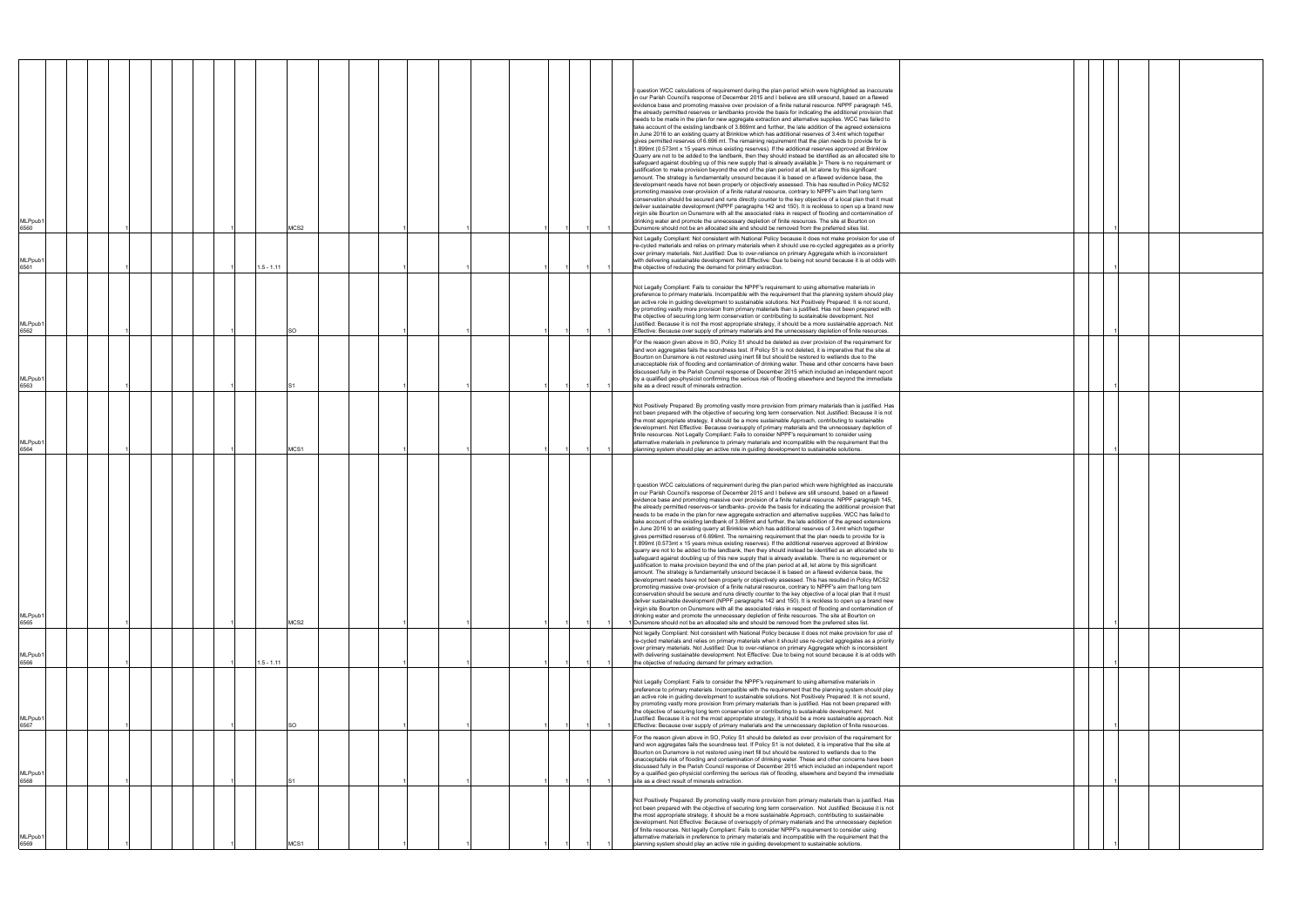|  | $\mathbf{1}$ |  |  |
|--|--------------|--|--|
|  | $\mathbf{1}$ |  |  |
|  |              |  |  |
|  |              |  |  |
|  | 1            |  |  |
|  |              |  |  |
|  | $\mathbf{1}$ |  |  |
|  |              |  |  |
|  |              |  |  |
|  | 1            |  |  |
|  |              |  |  |
|  |              |  |  |
|  |              |  |  |
|  |              |  |  |
|  |              |  |  |
|  |              |  |  |
|  |              |  |  |
|  | $\mathbf{1}$ |  |  |
|  | 1            |  |  |
|  |              |  |  |
|  |              |  |  |
|  | 1            |  |  |
|  |              |  |  |
|  | 1            |  |  |
|  |              |  |  |
|  |              |  |  |
|  | 1            |  |  |

| MLPpub1<br>6560             |  |  |  |              | MCS2  |  |  |  |  | question WCC calculations of requirement during the plan period which were highlighted as inaccurate<br>in our Parish Council's response of December 2015 and I believe are still unsound, based on a flawed<br>evidence base and promoting massive over provision of a finite natural resource. NPPF paragraph 145,<br>the already permitted reserves or landbanks provide the basis for indicating the additional provision that<br>needs to be made in the plan for new aggregate extraction and alternative supplies. WCC has failed to<br>take account of the existing landbank of 3.869mt and further, the late addition of the agreed extensions<br>in June 2016 to an existing quarry at Brinklow which has additional reserves of 3.4mt which together<br>gives permitted reserves of 6.696 mt. The remaining requirement that the plan needs to provide for is<br>.899mt (0.573mt x 15 years minus existing reserves). If the additional reserves approved at Brinklow<br>Quarry are not to be added to the landbank, then they should instead be identified as an allocated site to<br>safeguard against doubling up of this new supply that is already available.]= There is no requirement or<br>justification to make provision beyond the end of the plan period at all, let alone by this significant<br>amount. The strategy is fundamentally unsound because it is based on a flawed evidence base, the<br>development needs have not been properly or objectively assessed. This has resulted in Policy MCS2<br>promoting massive over-provision of a finite natural resource, contrary to NPPF's aim that long term<br>conservation should be secured and runs directly counter to the key objective of a local plan that it must<br>deliver sustainable development (NPPF paragraphs 142 and 150). It is reckless to open up a brand new<br>virgin site Bourton on Dunsmore with all the associated risks in respect of flooding and contamination of<br>drinking water and promote the unnecessary depletion of finite resources. The site at Bourton on<br>Dunsmore should not be an allocated site and should be removed from the preferred sites list. |  |
|-----------------------------|--|--|--|--------------|-------|--|--|--|--|---------------------------------------------------------------------------------------------------------------------------------------------------------------------------------------------------------------------------------------------------------------------------------------------------------------------------------------------------------------------------------------------------------------------------------------------------------------------------------------------------------------------------------------------------------------------------------------------------------------------------------------------------------------------------------------------------------------------------------------------------------------------------------------------------------------------------------------------------------------------------------------------------------------------------------------------------------------------------------------------------------------------------------------------------------------------------------------------------------------------------------------------------------------------------------------------------------------------------------------------------------------------------------------------------------------------------------------------------------------------------------------------------------------------------------------------------------------------------------------------------------------------------------------------------------------------------------------------------------------------------------------------------------------------------------------------------------------------------------------------------------------------------------------------------------------------------------------------------------------------------------------------------------------------------------------------------------------------------------------------------------------------------------------------------------------------------------------------------------------------------------------------------------------------------------|--|
| MLPpub1<br>6561             |  |  |  | $1.5 - 1.11$ |       |  |  |  |  | Not Legally Compliant: Not consistent with National Policy because it does not make provision for use of<br>re-cycled materials and relies on primary materials when it should use re-cycled aggregates as a priority<br>over primary materials. Not Justified: Due to over-reliance on primary Aggregate which is inconsistent<br>with delivering sustainable development. Not Effective: Due to being not sound because it is at odds with<br>the objective of reducing the demand for primary extraction.                                                                                                                                                                                                                                                                                                                                                                                                                                                                                                                                                                                                                                                                                                                                                                                                                                                                                                                                                                                                                                                                                                                                                                                                                                                                                                                                                                                                                                                                                                                                                                                                                                                                    |  |
| MLPpub <sup>-</sup><br>6562 |  |  |  |              | SO    |  |  |  |  | Not Legally Compliant: Fails to consider the NPPF's requirement to using alternative materials in<br>preference to primary materials. Incompatible with the requirement that the planning system should play<br>an active role in guiding development to sustainable solutions. Not Positively Prepared: It is not sound,<br>by promoting vastly more provision from primary materials than is justified. Has not been prepared with<br>the objective of securing long term conservation or contributing to sustainable development. Not<br>Justified: Because it is not the most appropriate strategy, it should be a more sustainable approach. Not<br>Effective: Because over supply of primary materials and the unnecessary depletion of finite resources.                                                                                                                                                                                                                                                                                                                                                                                                                                                                                                                                                                                                                                                                                                                                                                                                                                                                                                                                                                                                                                                                                                                                                                                                                                                                                                                                                                                                                 |  |
| MLPpub1<br>6563             |  |  |  |              |       |  |  |  |  | For the reason given above in SO, Policy S1 should be deleted as over provision of the requirement for<br>land won aggregates fails the soundness test. If Policy S1 is not deleted, it is imperative that the site at<br>Bourton on Dunsmore is not restored using inert fill but should be restored to wetlands due to the<br>unacceptable risk of flooding and contamination of drinking water. These and other concerns have been<br>discussed fully in the Parish Council response of December 2015 which included an independent report<br>by a qualified geo-physicist confirming the serious risk of flooding elsewhere and beyond the immediate<br>site as a direct result of minerals extraction.                                                                                                                                                                                                                                                                                                                                                                                                                                                                                                                                                                                                                                                                                                                                                                                                                                                                                                                                                                                                                                                                                                                                                                                                                                                                                                                                                                                                                                                                     |  |
| MLPpub <sup>-</sup><br>6564 |  |  |  |              | MCS1  |  |  |  |  | Not Positively Prepared: By promoting vastly more provision from primary materials than is justified. Has<br>not been prepared with the objective of securing long term conservation. Not Justified: Because it is not<br>the most appropriate strategy, it should be a more sustainable Approach, contributing to sustainable<br>development. Not Effective: Because oversupply of primary materials and the unnecessary depletion of<br>finite resources. Not Legally Compliant: Fails to consider NPPF's requirement to consider using<br>alternative materials in preference to primary materials and incompatible with the requirement that the<br>planning system should play an active role in guiding development to sustainable solutions.                                                                                                                                                                                                                                                                                                                                                                                                                                                                                                                                                                                                                                                                                                                                                                                                                                                                                                                                                                                                                                                                                                                                                                                                                                                                                                                                                                                                                             |  |
| MLPpub1<br>6565             |  |  |  |              | VICS2 |  |  |  |  | I question WCC calculations of requirement during the plan period which were highlighted as inaccurate<br>in our Parish Council's response of December 2015 and I believe are still unsound, based on a flawed<br>evidence base and promoting massive over provision of a finite natural resource. NPPF paragraph 145,<br>the already permitted reserves-or landbanks- provide the basis for indicating the additional provision that<br>needs to be made in the plan for new aggregate extraction and alternative supplies. WCC has failed to<br>take account of the existing landbank of 3.869mt and further, the late addition of the agreed extensions<br>in June 2016 to an existing quarry at Brinklow which has additional reserves of 3.4mt which together<br>gives permitted reserves of 6.696mt. The remaining requirement that the plan needs to provide for is<br>899mt (0.573mt x 15 years minus existing reserves). If the additional reserves approved at Brinklow<br>quarry are not to be added to the landbank, then they should instead be identified as an allocated site to<br>safeguard against doubling up of this new supply that is already available. There is no requirement or<br>justification to make provision beyond the end of the plan period at all, let alone by this significant<br>amount. The strategy is fundamentally unsound because it is based on a flawed evidence base, the<br>development needs have not been properly or objectively assessed. This has resulted in Policy MCS2<br>promoting massive over-provision of a finite natural resource, contrary to NPPF's aim that long tern<br>conservation should be secure and runs directly counter to the key objective of a local plan that it must<br>deliver sustainable development (NPPF paragraphs 142 and 150). It is reckless to open up a brand new<br>virgin site Bourton on Dunsmore with all the associated risks in respect of flooding and contamination of<br>drinking water and promote the unnecessary depletion of finite resources. The site at Bourton on<br>Dunsmore should not be an allocated site and should be removed from the preferred sites list.   |  |
| MLPpub1<br>6566             |  |  |  | $1.5 - 1.11$ |       |  |  |  |  | Not legally Compliant: Not consistent with National Policy because it does not make provision for use of<br>re-cycled materials and relies on primary materials when it should use re-cycled aggregates as a priority<br>over primary materials. Not Justified: Due to over-reliance on primary Aggregate which is inconsistent<br>with delivering sustainable development. Not Effective: Due to being not sound because it is at odds with<br>the objective of reducing demand for primary extraction.                                                                                                                                                                                                                                                                                                                                                                                                                                                                                                                                                                                                                                                                                                                                                                                                                                                                                                                                                                                                                                                                                                                                                                                                                                                                                                                                                                                                                                                                                                                                                                                                                                                                        |  |
| MLPpub1<br>6567             |  |  |  |              | SO    |  |  |  |  | Not Legally Compliant: Fails to consider the NPPF's requirement to using alternative materials in<br>preference to primary materials. Incompatible with the requirement that the planning system should play<br>an active role in guiding development to sustainable solutions. Not Positively Prepared: It is not sound,<br>by promoting vastly more provision from primary materials than is justified. Has not been prepared with<br>the objective of securing long term conservation or contributing to sustainable development. Not<br>Justified: Because it is not the most appropriate strategy, it should be a more sustainable approach. Not<br>Effective: Because over supply of primary materials and the unnecessary depletion of finite resources.                                                                                                                                                                                                                                                                                                                                                                                                                                                                                                                                                                                                                                                                                                                                                                                                                                                                                                                                                                                                                                                                                                                                                                                                                                                                                                                                                                                                                 |  |
| MLPpub1<br>6568             |  |  |  |              |       |  |  |  |  | For the reason given above in SO, Policy S1 should be deleted as over provision of the requirement for<br>land won aggregates fails the soundness test. If Policy S1 is not deleted, it is imperative that the site at<br>Bourton on Dunsmore is not restored using inert fill but should be restored to wetlands due to the<br>unacceptable risk of flooding and contamination of drinking water. These and other concerns have been<br>discussed fully in the Parish Council response of December 2015 which included an independent report<br>by a qualified geo-physicist confirming the serious risk of flooding, elsewhere and beyond the immediate<br>site as a direct result of minerals extraction.                                                                                                                                                                                                                                                                                                                                                                                                                                                                                                                                                                                                                                                                                                                                                                                                                                                                                                                                                                                                                                                                                                                                                                                                                                                                                                                                                                                                                                                                    |  |
| MLPpub1<br>6569             |  |  |  |              | MCS1  |  |  |  |  | Not Positively Prepared: By promoting vastly more provision from primary materials than is justified. Has<br>not been prepared with the objective of securing long term conservation. Not Justified: Because it is not<br>the most appropriate strategy, it should be a more sustainable Approach, contributing to sustainable<br>development. Not Effective: Because of oversupply of primary materials and the unnecessary depletion<br>of finite resources. Not legally Compliant: Fails to consider NPPF's requirement to consider using<br>alternative materials in preference to primary materials and incompatible with the requirement that the<br>planning system should play an active role in guiding development to sustainable solutions.                                                                                                                                                                                                                                                                                                                                                                                                                                                                                                                                                                                                                                                                                                                                                                                                                                                                                                                                                                                                                                                                                                                                                                                                                                                                                                                                                                                                                          |  |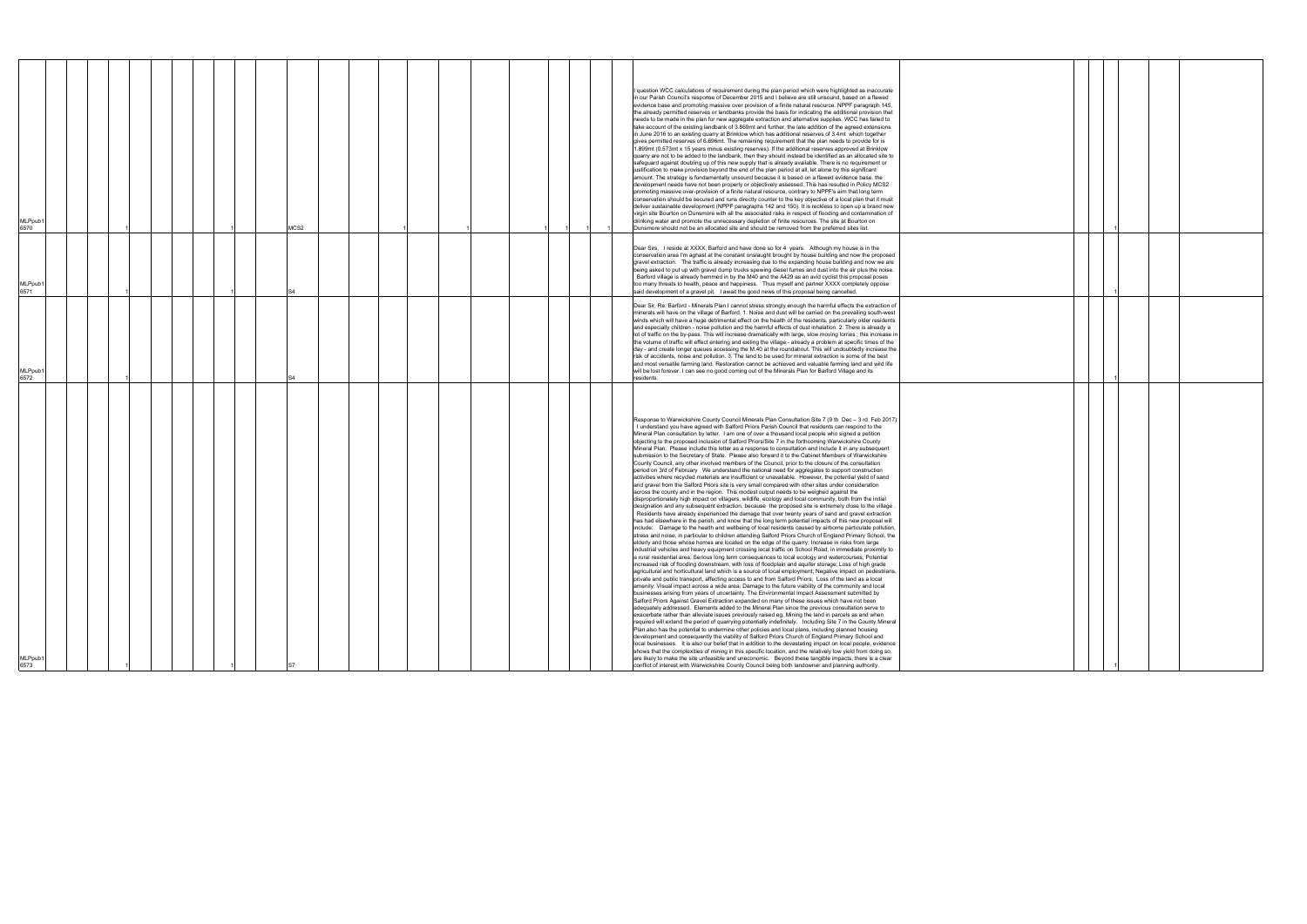| <b>MLPpub</b><br>6573                                                                                                                                                                                                                                                                                                                                                                                                                                                                                                                                                                                                                                                                                                                                                                                                                                                                                                                                                                                                                                                                                                                                                                                                                                                                                                                                                                                                                                                                                                                                                                                                                                                                                                                                                                                                                                                                                                                                                                                                                                                                                                                                                                                                                                                                                                                                                                                                                                                                                                                                                                                                                                                                                                                                                                                                                                                                                                                                                                                                                                                                                                                                                                                                                                                                                                                                                                                                                                                                                                                                                                                                                                                                                                                                                                                   | <b>MLPpub</b><br>6572                                                                                                                                                                                                                                                                                                                                                                                                                                                                                                                                                                                                                                                                                                                                                                                                                                                                                                                                                                                                                                                                                                                                     | <b>MLPpub</b><br>6571                                                                                                                                                                                                                                                                                                                                                                                                                                                                                                                                                                                                                                                                                                                 | <b>MLPpub</b><br>6570                                                                                                                                                                                                                                                                                                                                                                                                                                                                                                                                                                                                                                                                                                                                                                                                                                                                                                                                                                                                                                                                                                                                                                                                                                                                                                                                                                                                                                                                                                                                                                                                                                                                                                                                                                                                                                                                                                                                                                                                                                                                                                                                                         |
|---------------------------------------------------------------------------------------------------------------------------------------------------------------------------------------------------------------------------------------------------------------------------------------------------------------------------------------------------------------------------------------------------------------------------------------------------------------------------------------------------------------------------------------------------------------------------------------------------------------------------------------------------------------------------------------------------------------------------------------------------------------------------------------------------------------------------------------------------------------------------------------------------------------------------------------------------------------------------------------------------------------------------------------------------------------------------------------------------------------------------------------------------------------------------------------------------------------------------------------------------------------------------------------------------------------------------------------------------------------------------------------------------------------------------------------------------------------------------------------------------------------------------------------------------------------------------------------------------------------------------------------------------------------------------------------------------------------------------------------------------------------------------------------------------------------------------------------------------------------------------------------------------------------------------------------------------------------------------------------------------------------------------------------------------------------------------------------------------------------------------------------------------------------------------------------------------------------------------------------------------------------------------------------------------------------------------------------------------------------------------------------------------------------------------------------------------------------------------------------------------------------------------------------------------------------------------------------------------------------------------------------------------------------------------------------------------------------------------------------------------------------------------------------------------------------------------------------------------------------------------------------------------------------------------------------------------------------------------------------------------------------------------------------------------------------------------------------------------------------------------------------------------------------------------------------------------------------------------------------------------------------------------------------------------------------------------------------------------------------------------------------------------------------------------------------------------------------------------------------------------------------------------------------------------------------------------------------------------------------------------------------------------------------------------------------------------------------------------------------------------------------------------------------------------------|-----------------------------------------------------------------------------------------------------------------------------------------------------------------------------------------------------------------------------------------------------------------------------------------------------------------------------------------------------------------------------------------------------------------------------------------------------------------------------------------------------------------------------------------------------------------------------------------------------------------------------------------------------------------------------------------------------------------------------------------------------------------------------------------------------------------------------------------------------------------------------------------------------------------------------------------------------------------------------------------------------------------------------------------------------------------------------------------------------------------------------------------------------------|---------------------------------------------------------------------------------------------------------------------------------------------------------------------------------------------------------------------------------------------------------------------------------------------------------------------------------------------------------------------------------------------------------------------------------------------------------------------------------------------------------------------------------------------------------------------------------------------------------------------------------------------------------------------------------------------------------------------------------------|-------------------------------------------------------------------------------------------------------------------------------------------------------------------------------------------------------------------------------------------------------------------------------------------------------------------------------------------------------------------------------------------------------------------------------------------------------------------------------------------------------------------------------------------------------------------------------------------------------------------------------------------------------------------------------------------------------------------------------------------------------------------------------------------------------------------------------------------------------------------------------------------------------------------------------------------------------------------------------------------------------------------------------------------------------------------------------------------------------------------------------------------------------------------------------------------------------------------------------------------------------------------------------------------------------------------------------------------------------------------------------------------------------------------------------------------------------------------------------------------------------------------------------------------------------------------------------------------------------------------------------------------------------------------------------------------------------------------------------------------------------------------------------------------------------------------------------------------------------------------------------------------------------------------------------------------------------------------------------------------------------------------------------------------------------------------------------------------------------------------------------------------------------------------------------|
|                                                                                                                                                                                                                                                                                                                                                                                                                                                                                                                                                                                                                                                                                                                                                                                                                                                                                                                                                                                                                                                                                                                                                                                                                                                                                                                                                                                                                                                                                                                                                                                                                                                                                                                                                                                                                                                                                                                                                                                                                                                                                                                                                                                                                                                                                                                                                                                                                                                                                                                                                                                                                                                                                                                                                                                                                                                                                                                                                                                                                                                                                                                                                                                                                                                                                                                                                                                                                                                                                                                                                                                                                                                                                                                                                                                                         |                                                                                                                                                                                                                                                                                                                                                                                                                                                                                                                                                                                                                                                                                                                                                                                                                                                                                                                                                                                                                                                                                                                                                           |                                                                                                                                                                                                                                                                                                                                                                                                                                                                                                                                                                                                                                                                                                                                       |                                                                                                                                                                                                                                                                                                                                                                                                                                                                                                                                                                                                                                                                                                                                                                                                                                                                                                                                                                                                                                                                                                                                                                                                                                                                                                                                                                                                                                                                                                                                                                                                                                                                                                                                                                                                                                                                                                                                                                                                                                                                                                                                                                               |
|                                                                                                                                                                                                                                                                                                                                                                                                                                                                                                                                                                                                                                                                                                                                                                                                                                                                                                                                                                                                                                                                                                                                                                                                                                                                                                                                                                                                                                                                                                                                                                                                                                                                                                                                                                                                                                                                                                                                                                                                                                                                                                                                                                                                                                                                                                                                                                                                                                                                                                                                                                                                                                                                                                                                                                                                                                                                                                                                                                                                                                                                                                                                                                                                                                                                                                                                                                                                                                                                                                                                                                                                                                                                                                                                                                                                         |                                                                                                                                                                                                                                                                                                                                                                                                                                                                                                                                                                                                                                                                                                                                                                                                                                                                                                                                                                                                                                                                                                                                                           |                                                                                                                                                                                                                                                                                                                                                                                                                                                                                                                                                                                                                                                                                                                                       |                                                                                                                                                                                                                                                                                                                                                                                                                                                                                                                                                                                                                                                                                                                                                                                                                                                                                                                                                                                                                                                                                                                                                                                                                                                                                                                                                                                                                                                                                                                                                                                                                                                                                                                                                                                                                                                                                                                                                                                                                                                                                                                                                                               |
|                                                                                                                                                                                                                                                                                                                                                                                                                                                                                                                                                                                                                                                                                                                                                                                                                                                                                                                                                                                                                                                                                                                                                                                                                                                                                                                                                                                                                                                                                                                                                                                                                                                                                                                                                                                                                                                                                                                                                                                                                                                                                                                                                                                                                                                                                                                                                                                                                                                                                                                                                                                                                                                                                                                                                                                                                                                                                                                                                                                                                                                                                                                                                                                                                                                                                                                                                                                                                                                                                                                                                                                                                                                                                                                                                                                                         |                                                                                                                                                                                                                                                                                                                                                                                                                                                                                                                                                                                                                                                                                                                                                                                                                                                                                                                                                                                                                                                                                                                                                           |                                                                                                                                                                                                                                                                                                                                                                                                                                                                                                                                                                                                                                                                                                                                       |                                                                                                                                                                                                                                                                                                                                                                                                                                                                                                                                                                                                                                                                                                                                                                                                                                                                                                                                                                                                                                                                                                                                                                                                                                                                                                                                                                                                                                                                                                                                                                                                                                                                                                                                                                                                                                                                                                                                                                                                                                                                                                                                                                               |
|                                                                                                                                                                                                                                                                                                                                                                                                                                                                                                                                                                                                                                                                                                                                                                                                                                                                                                                                                                                                                                                                                                                                                                                                                                                                                                                                                                                                                                                                                                                                                                                                                                                                                                                                                                                                                                                                                                                                                                                                                                                                                                                                                                                                                                                                                                                                                                                                                                                                                                                                                                                                                                                                                                                                                                                                                                                                                                                                                                                                                                                                                                                                                                                                                                                                                                                                                                                                                                                                                                                                                                                                                                                                                                                                                                                                         |                                                                                                                                                                                                                                                                                                                                                                                                                                                                                                                                                                                                                                                                                                                                                                                                                                                                                                                                                                                                                                                                                                                                                           |                                                                                                                                                                                                                                                                                                                                                                                                                                                                                                                                                                                                                                                                                                                                       |                                                                                                                                                                                                                                                                                                                                                                                                                                                                                                                                                                                                                                                                                                                                                                                                                                                                                                                                                                                                                                                                                                                                                                                                                                                                                                                                                                                                                                                                                                                                                                                                                                                                                                                                                                                                                                                                                                                                                                                                                                                                                                                                                                               |
|                                                                                                                                                                                                                                                                                                                                                                                                                                                                                                                                                                                                                                                                                                                                                                                                                                                                                                                                                                                                                                                                                                                                                                                                                                                                                                                                                                                                                                                                                                                                                                                                                                                                                                                                                                                                                                                                                                                                                                                                                                                                                                                                                                                                                                                                                                                                                                                                                                                                                                                                                                                                                                                                                                                                                                                                                                                                                                                                                                                                                                                                                                                                                                                                                                                                                                                                                                                                                                                                                                                                                                                                                                                                                                                                                                                                         |                                                                                                                                                                                                                                                                                                                                                                                                                                                                                                                                                                                                                                                                                                                                                                                                                                                                                                                                                                                                                                                                                                                                                           |                                                                                                                                                                                                                                                                                                                                                                                                                                                                                                                                                                                                                                                                                                                                       |                                                                                                                                                                                                                                                                                                                                                                                                                                                                                                                                                                                                                                                                                                                                                                                                                                                                                                                                                                                                                                                                                                                                                                                                                                                                                                                                                                                                                                                                                                                                                                                                                                                                                                                                                                                                                                                                                                                                                                                                                                                                                                                                                                               |
|                                                                                                                                                                                                                                                                                                                                                                                                                                                                                                                                                                                                                                                                                                                                                                                                                                                                                                                                                                                                                                                                                                                                                                                                                                                                                                                                                                                                                                                                                                                                                                                                                                                                                                                                                                                                                                                                                                                                                                                                                                                                                                                                                                                                                                                                                                                                                                                                                                                                                                                                                                                                                                                                                                                                                                                                                                                                                                                                                                                                                                                                                                                                                                                                                                                                                                                                                                                                                                                                                                                                                                                                                                                                                                                                                                                                         |                                                                                                                                                                                                                                                                                                                                                                                                                                                                                                                                                                                                                                                                                                                                                                                                                                                                                                                                                                                                                                                                                                                                                           |                                                                                                                                                                                                                                                                                                                                                                                                                                                                                                                                                                                                                                                                                                                                       |                                                                                                                                                                                                                                                                                                                                                                                                                                                                                                                                                                                                                                                                                                                                                                                                                                                                                                                                                                                                                                                                                                                                                                                                                                                                                                                                                                                                                                                                                                                                                                                                                                                                                                                                                                                                                                                                                                                                                                                                                                                                                                                                                                               |
|                                                                                                                                                                                                                                                                                                                                                                                                                                                                                                                                                                                                                                                                                                                                                                                                                                                                                                                                                                                                                                                                                                                                                                                                                                                                                                                                                                                                                                                                                                                                                                                                                                                                                                                                                                                                                                                                                                                                                                                                                                                                                                                                                                                                                                                                                                                                                                                                                                                                                                                                                                                                                                                                                                                                                                                                                                                                                                                                                                                                                                                                                                                                                                                                                                                                                                                                                                                                                                                                                                                                                                                                                                                                                                                                                                                                         |                                                                                                                                                                                                                                                                                                                                                                                                                                                                                                                                                                                                                                                                                                                                                                                                                                                                                                                                                                                                                                                                                                                                                           |                                                                                                                                                                                                                                                                                                                                                                                                                                                                                                                                                                                                                                                                                                                                       | MCS2                                                                                                                                                                                                                                                                                                                                                                                                                                                                                                                                                                                                                                                                                                                                                                                                                                                                                                                                                                                                                                                                                                                                                                                                                                                                                                                                                                                                                                                                                                                                                                                                                                                                                                                                                                                                                                                                                                                                                                                                                                                                                                                                                                          |
|                                                                                                                                                                                                                                                                                                                                                                                                                                                                                                                                                                                                                                                                                                                                                                                                                                                                                                                                                                                                                                                                                                                                                                                                                                                                                                                                                                                                                                                                                                                                                                                                                                                                                                                                                                                                                                                                                                                                                                                                                                                                                                                                                                                                                                                                                                                                                                                                                                                                                                                                                                                                                                                                                                                                                                                                                                                                                                                                                                                                                                                                                                                                                                                                                                                                                                                                                                                                                                                                                                                                                                                                                                                                                                                                                                                                         |                                                                                                                                                                                                                                                                                                                                                                                                                                                                                                                                                                                                                                                                                                                                                                                                                                                                                                                                                                                                                                                                                                                                                           |                                                                                                                                                                                                                                                                                                                                                                                                                                                                                                                                                                                                                                                                                                                                       |                                                                                                                                                                                                                                                                                                                                                                                                                                                                                                                                                                                                                                                                                                                                                                                                                                                                                                                                                                                                                                                                                                                                                                                                                                                                                                                                                                                                                                                                                                                                                                                                                                                                                                                                                                                                                                                                                                                                                                                                                                                                                                                                                                               |
|                                                                                                                                                                                                                                                                                                                                                                                                                                                                                                                                                                                                                                                                                                                                                                                                                                                                                                                                                                                                                                                                                                                                                                                                                                                                                                                                                                                                                                                                                                                                                                                                                                                                                                                                                                                                                                                                                                                                                                                                                                                                                                                                                                                                                                                                                                                                                                                                                                                                                                                                                                                                                                                                                                                                                                                                                                                                                                                                                                                                                                                                                                                                                                                                                                                                                                                                                                                                                                                                                                                                                                                                                                                                                                                                                                                                         |                                                                                                                                                                                                                                                                                                                                                                                                                                                                                                                                                                                                                                                                                                                                                                                                                                                                                                                                                                                                                                                                                                                                                           |                                                                                                                                                                                                                                                                                                                                                                                                                                                                                                                                                                                                                                                                                                                                       |                                                                                                                                                                                                                                                                                                                                                                                                                                                                                                                                                                                                                                                                                                                                                                                                                                                                                                                                                                                                                                                                                                                                                                                                                                                                                                                                                                                                                                                                                                                                                                                                                                                                                                                                                                                                                                                                                                                                                                                                                                                                                                                                                                               |
|                                                                                                                                                                                                                                                                                                                                                                                                                                                                                                                                                                                                                                                                                                                                                                                                                                                                                                                                                                                                                                                                                                                                                                                                                                                                                                                                                                                                                                                                                                                                                                                                                                                                                                                                                                                                                                                                                                                                                                                                                                                                                                                                                                                                                                                                                                                                                                                                                                                                                                                                                                                                                                                                                                                                                                                                                                                                                                                                                                                                                                                                                                                                                                                                                                                                                                                                                                                                                                                                                                                                                                                                                                                                                                                                                                                                         |                                                                                                                                                                                                                                                                                                                                                                                                                                                                                                                                                                                                                                                                                                                                                                                                                                                                                                                                                                                                                                                                                                                                                           |                                                                                                                                                                                                                                                                                                                                                                                                                                                                                                                                                                                                                                                                                                                                       |                                                                                                                                                                                                                                                                                                                                                                                                                                                                                                                                                                                                                                                                                                                                                                                                                                                                                                                                                                                                                                                                                                                                                                                                                                                                                                                                                                                                                                                                                                                                                                                                                                                                                                                                                                                                                                                                                                                                                                                                                                                                                                                                                                               |
|                                                                                                                                                                                                                                                                                                                                                                                                                                                                                                                                                                                                                                                                                                                                                                                                                                                                                                                                                                                                                                                                                                                                                                                                                                                                                                                                                                                                                                                                                                                                                                                                                                                                                                                                                                                                                                                                                                                                                                                                                                                                                                                                                                                                                                                                                                                                                                                                                                                                                                                                                                                                                                                                                                                                                                                                                                                                                                                                                                                                                                                                                                                                                                                                                                                                                                                                                                                                                                                                                                                                                                                                                                                                                                                                                                                                         |                                                                                                                                                                                                                                                                                                                                                                                                                                                                                                                                                                                                                                                                                                                                                                                                                                                                                                                                                                                                                                                                                                                                                           |                                                                                                                                                                                                                                                                                                                                                                                                                                                                                                                                                                                                                                                                                                                                       |                                                                                                                                                                                                                                                                                                                                                                                                                                                                                                                                                                                                                                                                                                                                                                                                                                                                                                                                                                                                                                                                                                                                                                                                                                                                                                                                                                                                                                                                                                                                                                                                                                                                                                                                                                                                                                                                                                                                                                                                                                                                                                                                                                               |
|                                                                                                                                                                                                                                                                                                                                                                                                                                                                                                                                                                                                                                                                                                                                                                                                                                                                                                                                                                                                                                                                                                                                                                                                                                                                                                                                                                                                                                                                                                                                                                                                                                                                                                                                                                                                                                                                                                                                                                                                                                                                                                                                                                                                                                                                                                                                                                                                                                                                                                                                                                                                                                                                                                                                                                                                                                                                                                                                                                                                                                                                                                                                                                                                                                                                                                                                                                                                                                                                                                                                                                                                                                                                                                                                                                                                         |                                                                                                                                                                                                                                                                                                                                                                                                                                                                                                                                                                                                                                                                                                                                                                                                                                                                                                                                                                                                                                                                                                                                                           |                                                                                                                                                                                                                                                                                                                                                                                                                                                                                                                                                                                                                                                                                                                                       |                                                                                                                                                                                                                                                                                                                                                                                                                                                                                                                                                                                                                                                                                                                                                                                                                                                                                                                                                                                                                                                                                                                                                                                                                                                                                                                                                                                                                                                                                                                                                                                                                                                                                                                                                                                                                                                                                                                                                                                                                                                                                                                                                                               |
|                                                                                                                                                                                                                                                                                                                                                                                                                                                                                                                                                                                                                                                                                                                                                                                                                                                                                                                                                                                                                                                                                                                                                                                                                                                                                                                                                                                                                                                                                                                                                                                                                                                                                                                                                                                                                                                                                                                                                                                                                                                                                                                                                                                                                                                                                                                                                                                                                                                                                                                                                                                                                                                                                                                                                                                                                                                                                                                                                                                                                                                                                                                                                                                                                                                                                                                                                                                                                                                                                                                                                                                                                                                                                                                                                                                                         |                                                                                                                                                                                                                                                                                                                                                                                                                                                                                                                                                                                                                                                                                                                                                                                                                                                                                                                                                                                                                                                                                                                                                           |                                                                                                                                                                                                                                                                                                                                                                                                                                                                                                                                                                                                                                                                                                                                       |                                                                                                                                                                                                                                                                                                                                                                                                                                                                                                                                                                                                                                                                                                                                                                                                                                                                                                                                                                                                                                                                                                                                                                                                                                                                                                                                                                                                                                                                                                                                                                                                                                                                                                                                                                                                                                                                                                                                                                                                                                                                                                                                                                               |
|                                                                                                                                                                                                                                                                                                                                                                                                                                                                                                                                                                                                                                                                                                                                                                                                                                                                                                                                                                                                                                                                                                                                                                                                                                                                                                                                                                                                                                                                                                                                                                                                                                                                                                                                                                                                                                                                                                                                                                                                                                                                                                                                                                                                                                                                                                                                                                                                                                                                                                                                                                                                                                                                                                                                                                                                                                                                                                                                                                                                                                                                                                                                                                                                                                                                                                                                                                                                                                                                                                                                                                                                                                                                                                                                                                                                         |                                                                                                                                                                                                                                                                                                                                                                                                                                                                                                                                                                                                                                                                                                                                                                                                                                                                                                                                                                                                                                                                                                                                                           |                                                                                                                                                                                                                                                                                                                                                                                                                                                                                                                                                                                                                                                                                                                                       |                                                                                                                                                                                                                                                                                                                                                                                                                                                                                                                                                                                                                                                                                                                                                                                                                                                                                                                                                                                                                                                                                                                                                                                                                                                                                                                                                                                                                                                                                                                                                                                                                                                                                                                                                                                                                                                                                                                                                                                                                                                                                                                                                                               |
|                                                                                                                                                                                                                                                                                                                                                                                                                                                                                                                                                                                                                                                                                                                                                                                                                                                                                                                                                                                                                                                                                                                                                                                                                                                                                                                                                                                                                                                                                                                                                                                                                                                                                                                                                                                                                                                                                                                                                                                                                                                                                                                                                                                                                                                                                                                                                                                                                                                                                                                                                                                                                                                                                                                                                                                                                                                                                                                                                                                                                                                                                                                                                                                                                                                                                                                                                                                                                                                                                                                                                                                                                                                                                                                                                                                                         |                                                                                                                                                                                                                                                                                                                                                                                                                                                                                                                                                                                                                                                                                                                                                                                                                                                                                                                                                                                                                                                                                                                                                           |                                                                                                                                                                                                                                                                                                                                                                                                                                                                                                                                                                                                                                                                                                                                       |                                                                                                                                                                                                                                                                                                                                                                                                                                                                                                                                                                                                                                                                                                                                                                                                                                                                                                                                                                                                                                                                                                                                                                                                                                                                                                                                                                                                                                                                                                                                                                                                                                                                                                                                                                                                                                                                                                                                                                                                                                                                                                                                                                               |
|                                                                                                                                                                                                                                                                                                                                                                                                                                                                                                                                                                                                                                                                                                                                                                                                                                                                                                                                                                                                                                                                                                                                                                                                                                                                                                                                                                                                                                                                                                                                                                                                                                                                                                                                                                                                                                                                                                                                                                                                                                                                                                                                                                                                                                                                                                                                                                                                                                                                                                                                                                                                                                                                                                                                                                                                                                                                                                                                                                                                                                                                                                                                                                                                                                                                                                                                                                                                                                                                                                                                                                                                                                                                                                                                                                                                         |                                                                                                                                                                                                                                                                                                                                                                                                                                                                                                                                                                                                                                                                                                                                                                                                                                                                                                                                                                                                                                                                                                                                                           |                                                                                                                                                                                                                                                                                                                                                                                                                                                                                                                                                                                                                                                                                                                                       |                                                                                                                                                                                                                                                                                                                                                                                                                                                                                                                                                                                                                                                                                                                                                                                                                                                                                                                                                                                                                                                                                                                                                                                                                                                                                                                                                                                                                                                                                                                                                                                                                                                                                                                                                                                                                                                                                                                                                                                                                                                                                                                                                                               |
|                                                                                                                                                                                                                                                                                                                                                                                                                                                                                                                                                                                                                                                                                                                                                                                                                                                                                                                                                                                                                                                                                                                                                                                                                                                                                                                                                                                                                                                                                                                                                                                                                                                                                                                                                                                                                                                                                                                                                                                                                                                                                                                                                                                                                                                                                                                                                                                                                                                                                                                                                                                                                                                                                                                                                                                                                                                                                                                                                                                                                                                                                                                                                                                                                                                                                                                                                                                                                                                                                                                                                                                                                                                                                                                                                                                                         |                                                                                                                                                                                                                                                                                                                                                                                                                                                                                                                                                                                                                                                                                                                                                                                                                                                                                                                                                                                                                                                                                                                                                           |                                                                                                                                                                                                                                                                                                                                                                                                                                                                                                                                                                                                                                                                                                                                       |                                                                                                                                                                                                                                                                                                                                                                                                                                                                                                                                                                                                                                                                                                                                                                                                                                                                                                                                                                                                                                                                                                                                                                                                                                                                                                                                                                                                                                                                                                                                                                                                                                                                                                                                                                                                                                                                                                                                                                                                                                                                                                                                                                               |
| Response to Warwickshire County Council Minerals Plan Consultation Site 7 (9 th Dec - 3 rd Feb 2017)<br>I understand you have agreed with Salford Priors Parish Council that residents can respond to the<br>Mineral Plan consultation by letter. I am one of over a thousand local people who signed a petition<br>objecting to the proposed inclusion of Salford Priors/Site 7 in the forthcoming Warwickshire County<br>Mineral Plan. Please include this letter as a response to consultation and include it in any subsequent<br>submission to the Secretary of State. Please also forward it to the Cabinet Members of Warwickshire<br>County Council, any other involved members of the Council, prior to the closure of the consultation<br>period on 3rd of February We understand the national need for aggregates to support construction<br>activities where recycled materials are insufficient or unavailable. However, the potential yield of sand<br>and gravel from the Salford Priors site is very small compared with other sites under consideration<br>across the county and in the region. This modest output needs to be weighed against the<br>disproportionately high impact on villagers, wildlife, ecology and local community, both from the initial<br>designation and any subsequent extraction, because the proposed site is extremely close to the village.<br>Residents have already experienced the damage that over twenty years of sand and gravel extraction<br>has had elsewhere in the parish, and know that the long term potential impacts of this new proposal will<br>include: Damage to the health and wellbeing of local residents caused by airborne particulate pollution,<br>stress and noise, in particular to children attending Salford Priors Church of England Primary School, the<br>elderly and those whose homes are located on the edge of the quarry; Increase in risks from large<br>industrial vehicles and heavy equipment crossing local traffic on School Road, in immediate proximity to<br>a rural residential area; Serious long term consequences to local ecology and watercourses; Potential<br>increased risk of flooding downstream, with loss of floodplain and aquifer storage; Loss of high grade<br>agricultural and horticultural land which is a source of local employment; Negative impact on pedestrians,<br>private and public transport, affecting access to and from Salford Priors; Loss of the land as a local<br>amenity; Visual impact across a wide area; Damage to the future viability of the community and local<br>businesses arising from years of uncertainty. The Environmental Impact Assessment submitted by<br>Salford Priors Against Gravel Extraction expanded on many of these issues which have not been<br>adequately addressed. Elements added to the Mineral Plan since the previous consultation serve to<br>exacerbate rather than alleviate issues previously raised eg. Mining the land in parcels as and when<br>required will extend the period of quarrying potentially indefinitely. Including Site 7 in the County Mineral<br>Plan also has the potential to undermine other policies and local plans, including planned housing<br>development and consequently the viability of Salford Priors Church of England Primary School and<br>local businesses. It is also our belief that in addition to the devastating impact on local people, evidence<br>shows that the complexities of mining in this specific location, and the relatively low yield from doing so,<br>are likely to make the site unfeasible and uneconomic. Beyond these tangible impacts, there is a clear<br>conflict of interest with Warwickshire County Council being both landowner and planning authority. | Dear Sir, Re: Barford - Minerals Plan I cannot stress strongly enough the harmful effects the extraction of<br>minerals will have on the village of Barford. 1. Noise and dust will be carried on the prevailing south-west<br>winds which will have a huge detrimental effect on the health of the residents, particularly older residents<br>and especially children - noise pollution and the harmful effects of dust inhalation. 2. There is already a<br>lot of traffic on the by-pass. This will increase dramatically with large, slow moving lorries; this increase in<br>the volume of traffic will effect entering and exiting the village - already a problem at specific times of the<br>day - and create longer queues accessing the M.40 at the roundabout. This will undoubtedly increase the<br>risk of accidents, noise and pollution. 3. The land to be used for mineral extraction is some of the best<br>and most versatile farming land. Restoration cannot be achieved and valuable farming land and wild life<br>will be lost forever. I can see no good coming out of the Minerals Plan for Barford Village and its<br>residents. | Dear Sirs, I reside at XXXX, Barford and have done so for 4 years. Although my house is in the<br>conservation area I'm aghast at the constant onslaught brought by house building and now the proposed<br>gravel extraction. The traffic is already increasing due to the expanding house building and now we are<br>being asked to put up with gravel dump trucks spewing diesel fumes and dust into the air plus the noise.<br>Barford village is already hemmed in by the M40 and the A429 as an avid cyclist this proposal poses<br>too many threats to health, peace and happiness. Thus myself and partner XXXX completely oppose<br>said development of a gravel pit. I await the good news of this proposal being cancelled. | question WCC calculations of requirement during the plan period which were highlighted as inaccurate<br>in our Parish Council's response of December 2015 and I believe are still unsound, based on a flawed<br>evidence base and promoting massive over provision of a finite natural resource. NPPF paragraph 145,<br>the already permitted reserves or landbanks provide the basis for indicating the additional provision that<br>needs to be made in the plan for new aggregate extraction and alternative supplies. WCC has failed to<br>take account of the existing landbank of 3.869mt and further, the late addition of the agreed extensions<br>in June 2016 to an existing quarry at Brinklow which has additional reserves of 3.4mt which together<br>gives permitted reserves of 6.696mt. The remaining requirement that the plan needs to provide for is<br>1.899mt (0.573mt x 15 years minus existing reserves). If the additional reserves approved at Brinklow<br>quarry are not to be added to the landbank, then they should instead be identified as an allocated site to<br>safeguard against doubling up of this new supply that is already available. There is no requirement or<br>justification to make provision beyond the end of the plan period at all, let alone by this significant<br>amount. The strategy is fundamentally unsound because it is based on a flawed evidence base, the<br>development needs have not been properly or objectively assessed. This has resulted in Policy MCS2<br>promoting massive over-provision of a finite natural resource, contrary to NPPF's aim that long term<br>conservation should be secured and runs directly counter to the key objective of a local plan that it must<br>deliver sustainable development (NPPF paragraphs 142 and 150). It is reckless to open up a brand new<br>virgin site Bourton on Dunsmore with all the associated risks in respect of flooding and contamination of<br>drinking water and promote the unnecessary depletion of finite resources. The site at Bourton on<br>Dunsmore should not be an allocated site and should be removed from the preferred sites list. |
|                                                                                                                                                                                                                                                                                                                                                                                                                                                                                                                                                                                                                                                                                                                                                                                                                                                                                                                                                                                                                                                                                                                                                                                                                                                                                                                                                                                                                                                                                                                                                                                                                                                                                                                                                                                                                                                                                                                                                                                                                                                                                                                                                                                                                                                                                                                                                                                                                                                                                                                                                                                                                                                                                                                                                                                                                                                                                                                                                                                                                                                                                                                                                                                                                                                                                                                                                                                                                                                                                                                                                                                                                                                                                                                                                                                                         |                                                                                                                                                                                                                                                                                                                                                                                                                                                                                                                                                                                                                                                                                                                                                                                                                                                                                                                                                                                                                                                                                                                                                           |                                                                                                                                                                                                                                                                                                                                                                                                                                                                                                                                                                                                                                                                                                                                       |                                                                                                                                                                                                                                                                                                                                                                                                                                                                                                                                                                                                                                                                                                                                                                                                                                                                                                                                                                                                                                                                                                                                                                                                                                                                                                                                                                                                                                                                                                                                                                                                                                                                                                                                                                                                                                                                                                                                                                                                                                                                                                                                                                               |
|                                                                                                                                                                                                                                                                                                                                                                                                                                                                                                                                                                                                                                                                                                                                                                                                                                                                                                                                                                                                                                                                                                                                                                                                                                                                                                                                                                                                                                                                                                                                                                                                                                                                                                                                                                                                                                                                                                                                                                                                                                                                                                                                                                                                                                                                                                                                                                                                                                                                                                                                                                                                                                                                                                                                                                                                                                                                                                                                                                                                                                                                                                                                                                                                                                                                                                                                                                                                                                                                                                                                                                                                                                                                                                                                                                                                         |                                                                                                                                                                                                                                                                                                                                                                                                                                                                                                                                                                                                                                                                                                                                                                                                                                                                                                                                                                                                                                                                                                                                                           |                                                                                                                                                                                                                                                                                                                                                                                                                                                                                                                                                                                                                                                                                                                                       |                                                                                                                                                                                                                                                                                                                                                                                                                                                                                                                                                                                                                                                                                                                                                                                                                                                                                                                                                                                                                                                                                                                                                                                                                                                                                                                                                                                                                                                                                                                                                                                                                                                                                                                                                                                                                                                                                                                                                                                                                                                                                                                                                                               |

|  | 1            |  |  |
|--|--------------|--|--|
|  |              |  |  |
|  | 1            |  |  |
|  |              |  |  |
|  |              |  |  |
|  |              |  |  |
|  | 1            |  |  |
|  |              |  |  |
|  |              |  |  |
|  |              |  |  |
|  |              |  |  |
|  |              |  |  |
|  |              |  |  |
|  |              |  |  |
|  |              |  |  |
|  |              |  |  |
|  |              |  |  |
|  |              |  |  |
|  |              |  |  |
|  | $\mathbf{1}$ |  |  |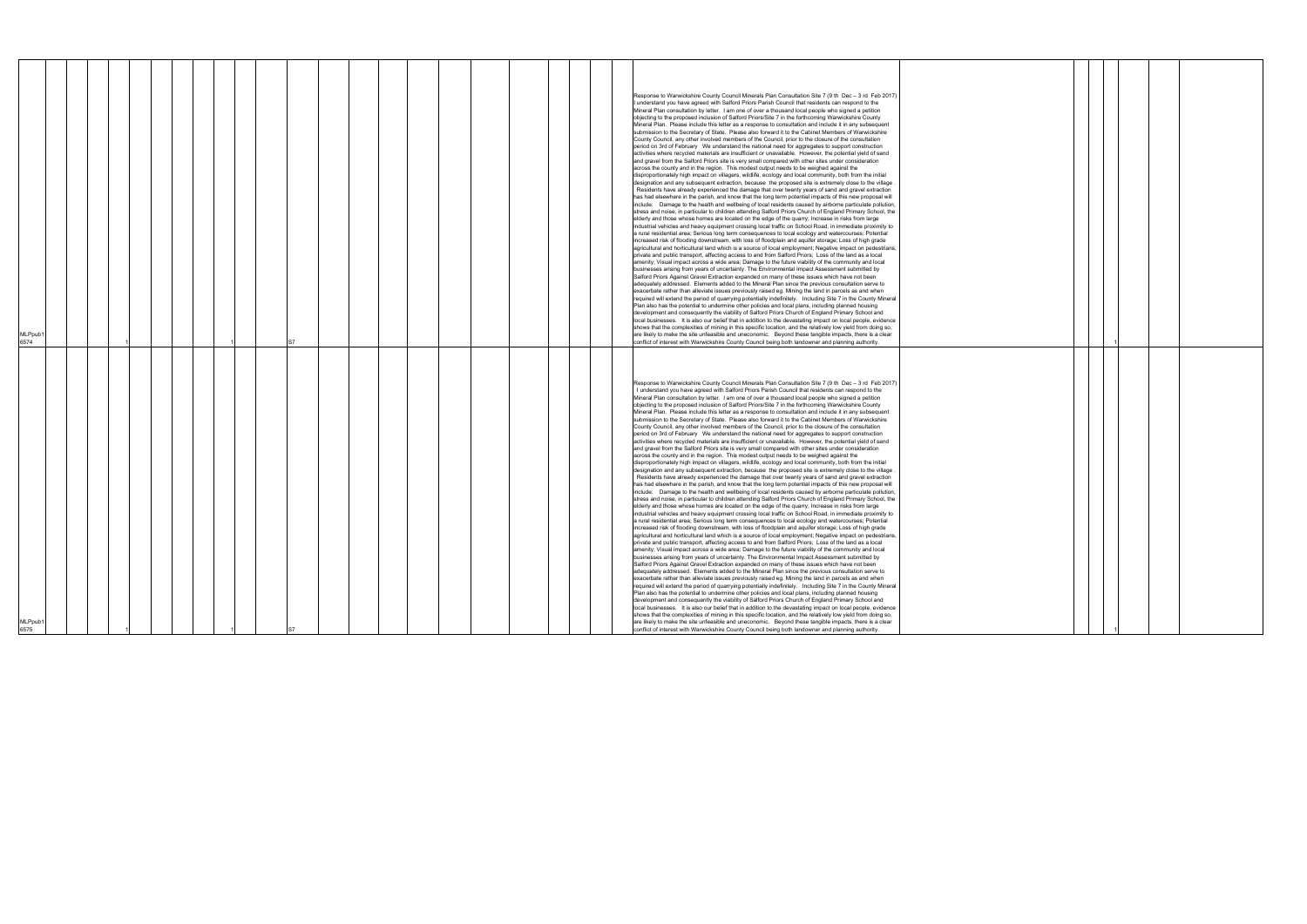|  | 1 |                                                                                                                                                                                                                                                                                                                                                                                                                                                                                             |  |
|--|---|---------------------------------------------------------------------------------------------------------------------------------------------------------------------------------------------------------------------------------------------------------------------------------------------------------------------------------------------------------------------------------------------------------------------------------------------------------------------------------------------|--|
|  |   |                                                                                                                                                                                                                                                                                                                                                                                                                                                                                             |  |
|  |   |                                                                                                                                                                                                                                                                                                                                                                                                                                                                                             |  |
|  |   |                                                                                                                                                                                                                                                                                                                                                                                                                                                                                             |  |
|  |   |                                                                                                                                                                                                                                                                                                                                                                                                                                                                                             |  |
|  |   |                                                                                                                                                                                                                                                                                                                                                                                                                                                                                             |  |
|  |   |                                                                                                                                                                                                                                                                                                                                                                                                                                                                                             |  |
|  |   |                                                                                                                                                                                                                                                                                                                                                                                                                                                                                             |  |
|  |   |                                                                                                                                                                                                                                                                                                                                                                                                                                                                                             |  |
|  |   |                                                                                                                                                                                                                                                                                                                                                                                                                                                                                             |  |
|  |   |                                                                                                                                                                                                                                                                                                                                                                                                                                                                                             |  |
|  |   |                                                                                                                                                                                                                                                                                                                                                                                                                                                                                             |  |
|  |   |                                                                                                                                                                                                                                                                                                                                                                                                                                                                                             |  |
|  |   |                                                                                                                                                                                                                                                                                                                                                                                                                                                                                             |  |
|  |   |                                                                                                                                                                                                                                                                                                                                                                                                                                                                                             |  |
|  |   |                                                                                                                                                                                                                                                                                                                                                                                                                                                                                             |  |
|  |   |                                                                                                                                                                                                                                                                                                                                                                                                                                                                                             |  |
|  |   |                                                                                                                                                                                                                                                                                                                                                                                                                                                                                             |  |
|  |   |                                                                                                                                                                                                                                                                                                                                                                                                                                                                                             |  |
|  |   |                                                                                                                                                                                                                                                                                                                                                                                                                                                                                             |  |
|  |   |                                                                                                                                                                                                                                                                                                                                                                                                                                                                                             |  |
|  |   |                                                                                                                                                                                                                                                                                                                                                                                                                                                                                             |  |
|  |   |                                                                                                                                                                                                                                                                                                                                                                                                                                                                                             |  |
|  |   |                                                                                                                                                                                                                                                                                                                                                                                                                                                                                             |  |
|  |   |                                                                                                                                                                                                                                                                                                                                                                                                                                                                                             |  |
|  |   |                                                                                                                                                                                                                                                                                                                                                                                                                                                                                             |  |
|  |   |                                                                                                                                                                                                                                                                                                                                                                                                                                                                                             |  |
|  |   |                                                                                                                                                                                                                                                                                                                                                                                                                                                                                             |  |
|  |   |                                                                                                                                                                                                                                                                                                                                                                                                                                                                                             |  |
|  |   |                                                                                                                                                                                                                                                                                                                                                                                                                                                                                             |  |
|  |   |                                                                                                                                                                                                                                                                                                                                                                                                                                                                                             |  |
|  |   |                                                                                                                                                                                                                                                                                                                                                                                                                                                                                             |  |
|  |   |                                                                                                                                                                                                                                                                                                                                                                                                                                                                                             |  |
|  |   |                                                                                                                                                                                                                                                                                                                                                                                                                                                                                             |  |
|  |   |                                                                                                                                                                                                                                                                                                                                                                                                                                                                                             |  |
|  |   |                                                                                                                                                                                                                                                                                                                                                                                                                                                                                             |  |
|  |   |                                                                                                                                                                                                                                                                                                                                                                                                                                                                                             |  |
|  |   |                                                                                                                                                                                                                                                                                                                                                                                                                                                                                             |  |
|  |   |                                                                                                                                                                                                                                                                                                                                                                                                                                                                                             |  |
|  |   |                                                                                                                                                                                                                                                                                                                                                                                                                                                                                             |  |
|  |   |                                                                                                                                                                                                                                                                                                                                                                                                                                                                                             |  |
|  |   |                                                                                                                                                                                                                                                                                                                                                                                                                                                                                             |  |
|  |   |                                                                                                                                                                                                                                                                                                                                                                                                                                                                                             |  |
|  |   |                                                                                                                                                                                                                                                                                                                                                                                                                                                                                             |  |
|  |   |                                                                                                                                                                                                                                                                                                                                                                                                                                                                                             |  |
|  |   |                                                                                                                                                                                                                                                                                                                                                                                                                                                                                             |  |
|  |   |                                                                                                                                                                                                                                                                                                                                                                                                                                                                                             |  |
|  |   |                                                                                                                                                                                                                                                                                                                                                                                                                                                                                             |  |
|  |   |                                                                                                                                                                                                                                                                                                                                                                                                                                                                                             |  |
|  |   |                                                                                                                                                                                                                                                                                                                                                                                                                                                                                             |  |
|  |   |                                                                                                                                                                                                                                                                                                                                                                                                                                                                                             |  |
|  |   |                                                                                                                                                                                                                                                                                                                                                                                                                                                                                             |  |
|  |   |                                                                                                                                                                                                                                                                                                                                                                                                                                                                                             |  |
|  |   |                                                                                                                                                                                                                                                                                                                                                                                                                                                                                             |  |
|  |   |                                                                                                                                                                                                                                                                                                                                                                                                                                                                                             |  |
|  |   |                                                                                                                                                                                                                                                                                                                                                                                                                                                                                             |  |
|  |   |                                                                                                                                                                                                                                                                                                                                                                                                                                                                                             |  |
|  |   | $\begin{tabular}{ c c c c } \hline & & & & & \\ \hline & & & & & \\ \hline & & & & & \\ \hline & & & & & \\ \hline & & & & & \\ \hline & & & & & \\ \hline & & & & & \\ \hline & & & & & \\ \hline & & & & & & \\ \hline & & & & & & \\ \hline & & & & & & & \\ \hline & & & & & & & \\ \hline & & & & & & & \\ \hline & & & & & & & \\ \hline & & & & & & & & \\ \hline & & & & & & & & \\ \hline & & & & & & & & \\ \hline & & & & & & & & & \\ \hline & & & & & & & & & \\ \hline & & &$ |  |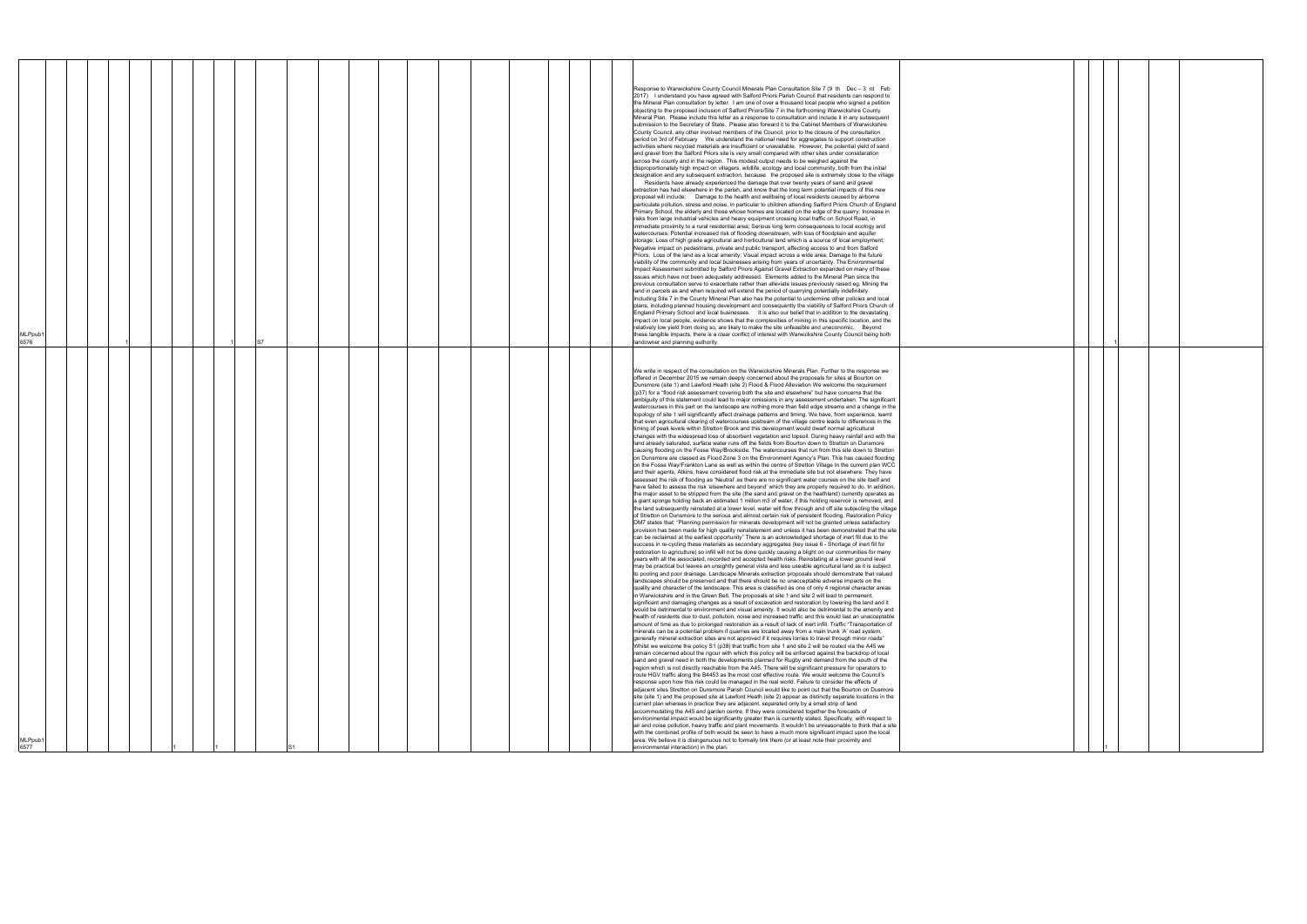| 6576<br><b>ALPpub</b><br>6577                                                                                                                                                                                                                                                                                                                                                                                                                                                                                                                                                                                                                                                                                                                                                                                                                                                                                                                                                                                                                                                                                                                                                                                                                                                                                                                                                                                                                                                                                                                                                                                                                                                                                                                                                                                                                                                                                                                                                                                                                                                                                                                                                                                                                                                                                                                                                                                                                                                                                                                                                                                                                                                                                                                                                                                                                                                                                                                                                                                                                                                                                                                                                                                                                                                                                                                                                                                                                                                                                                                                                                                                                                                                                                                                                                                                                                                                                                                                                                                                                                                                                                                                                                                                                                                                                                                                                                                                                                                                                                                                                                                                                                                                                                                                                                                                                                                                                                                                                                                                                                                                                                                                                                                                                                                                                                                                                                                                                                                                                                                                                                                                                                                                                                                                                                                              | MLPpub1                                                                                                                                                                                                                                                                                                                                                                                                                                                                                                                                                                                                                                                                                                                                                                                                                                                                                                                                                                                                                                                                                                                                                                                                                                                                                                                                                                                                                                                                                                                                                                                                                                                                                                                                                                                                                                                                                                                                                                                                                                                                                                                                                                                                                                                                                                                                                                                                                                                                                                                                                                                                                                                                                                                                                                                                                                                                                                                                                                                                                                                                                                                                                                                                                                                                                                                                                                                                                                                                                                                                                                                                                                                                                                                                                               |
|----------------------------------------------------------------------------------------------------------------------------------------------------------------------------------------------------------------------------------------------------------------------------------------------------------------------------------------------------------------------------------------------------------------------------------------------------------------------------------------------------------------------------------------------------------------------------------------------------------------------------------------------------------------------------------------------------------------------------------------------------------------------------------------------------------------------------------------------------------------------------------------------------------------------------------------------------------------------------------------------------------------------------------------------------------------------------------------------------------------------------------------------------------------------------------------------------------------------------------------------------------------------------------------------------------------------------------------------------------------------------------------------------------------------------------------------------------------------------------------------------------------------------------------------------------------------------------------------------------------------------------------------------------------------------------------------------------------------------------------------------------------------------------------------------------------------------------------------------------------------------------------------------------------------------------------------------------------------------------------------------------------------------------------------------------------------------------------------------------------------------------------------------------------------------------------------------------------------------------------------------------------------------------------------------------------------------------------------------------------------------------------------------------------------------------------------------------------------------------------------------------------------------------------------------------------------------------------------------------------------------------------------------------------------------------------------------------------------------------------------------------------------------------------------------------------------------------------------------------------------------------------------------------------------------------------------------------------------------------------------------------------------------------------------------------------------------------------------------------------------------------------------------------------------------------------------------------------------------------------------------------------------------------------------------------------------------------------------------------------------------------------------------------------------------------------------------------------------------------------------------------------------------------------------------------------------------------------------------------------------------------------------------------------------------------------------------------------------------------------------------------------------------------------------------------------------------------------------------------------------------------------------------------------------------------------------------------------------------------------------------------------------------------------------------------------------------------------------------------------------------------------------------------------------------------------------------------------------------------------------------------------------------------------------------------------------------------------------------------------------------------------------------------------------------------------------------------------------------------------------------------------------------------------------------------------------------------------------------------------------------------------------------------------------------------------------------------------------------------------------------------------------------------------------------------------------------------------------------------------------------------------------------------------------------------------------------------------------------------------------------------------------------------------------------------------------------------------------------------------------------------------------------------------------------------------------------------------------------------------------------------------------------------------------------------------------------------------------------------------------------------------------------------------------------------------------------------------------------------------------------------------------------------------------------------------------------------------------------------------------------------------------------------------------------------------------------------------------------------------------------------------------------------------------------------------------------|-----------------------------------------------------------------------------------------------------------------------------------------------------------------------------------------------------------------------------------------------------------------------------------------------------------------------------------------------------------------------------------------------------------------------------------------------------------------------------------------------------------------------------------------------------------------------------------------------------------------------------------------------------------------------------------------------------------------------------------------------------------------------------------------------------------------------------------------------------------------------------------------------------------------------------------------------------------------------------------------------------------------------------------------------------------------------------------------------------------------------------------------------------------------------------------------------------------------------------------------------------------------------------------------------------------------------------------------------------------------------------------------------------------------------------------------------------------------------------------------------------------------------------------------------------------------------------------------------------------------------------------------------------------------------------------------------------------------------------------------------------------------------------------------------------------------------------------------------------------------------------------------------------------------------------------------------------------------------------------------------------------------------------------------------------------------------------------------------------------------------------------------------------------------------------------------------------------------------------------------------------------------------------------------------------------------------------------------------------------------------------------------------------------------------------------------------------------------------------------------------------------------------------------------------------------------------------------------------------------------------------------------------------------------------------------------------------------------------------------------------------------------------------------------------------------------------------------------------------------------------------------------------------------------------------------------------------------------------------------------------------------------------------------------------------------------------------------------------------------------------------------------------------------------------------------------------------------------------------------------------------------------------------------------------------------------------------------------------------------------------------------------------------------------------------------------------------------------------------------------------------------------------------------------------------------------------------------------------------------------------------------------------------------------------------------------------------------------------------------------------------------------------|
|                                                                                                                                                                                                                                                                                                                                                                                                                                                                                                                                                                                                                                                                                                                                                                                                                                                                                                                                                                                                                                                                                                                                                                                                                                                                                                                                                                                                                                                                                                                                                                                                                                                                                                                                                                                                                                                                                                                                                                                                                                                                                                                                                                                                                                                                                                                                                                                                                                                                                                                                                                                                                                                                                                                                                                                                                                                                                                                                                                                                                                                                                                                                                                                                                                                                                                                                                                                                                                                                                                                                                                                                                                                                                                                                                                                                                                                                                                                                                                                                                                                                                                                                                                                                                                                                                                                                                                                                                                                                                                                                                                                                                                                                                                                                                                                                                                                                                                                                                                                                                                                                                                                                                                                                                                                                                                                                                                                                                                                                                                                                                                                                                                                                                                                                                                                                                            |                                                                                                                                                                                                                                                                                                                                                                                                                                                                                                                                                                                                                                                                                                                                                                                                                                                                                                                                                                                                                                                                                                                                                                                                                                                                                                                                                                                                                                                                                                                                                                                                                                                                                                                                                                                                                                                                                                                                                                                                                                                                                                                                                                                                                                                                                                                                                                                                                                                                                                                                                                                                                                                                                                                                                                                                                                                                                                                                                                                                                                                                                                                                                                                                                                                                                                                                                                                                                                                                                                                                                                                                                                                                                                                                                                       |
|                                                                                                                                                                                                                                                                                                                                                                                                                                                                                                                                                                                                                                                                                                                                                                                                                                                                                                                                                                                                                                                                                                                                                                                                                                                                                                                                                                                                                                                                                                                                                                                                                                                                                                                                                                                                                                                                                                                                                                                                                                                                                                                                                                                                                                                                                                                                                                                                                                                                                                                                                                                                                                                                                                                                                                                                                                                                                                                                                                                                                                                                                                                                                                                                                                                                                                                                                                                                                                                                                                                                                                                                                                                                                                                                                                                                                                                                                                                                                                                                                                                                                                                                                                                                                                                                                                                                                                                                                                                                                                                                                                                                                                                                                                                                                                                                                                                                                                                                                                                                                                                                                                                                                                                                                                                                                                                                                                                                                                                                                                                                                                                                                                                                                                                                                                                                                            |                                                                                                                                                                                                                                                                                                                                                                                                                                                                                                                                                                                                                                                                                                                                                                                                                                                                                                                                                                                                                                                                                                                                                                                                                                                                                                                                                                                                                                                                                                                                                                                                                                                                                                                                                                                                                                                                                                                                                                                                                                                                                                                                                                                                                                                                                                                                                                                                                                                                                                                                                                                                                                                                                                                                                                                                                                                                                                                                                                                                                                                                                                                                                                                                                                                                                                                                                                                                                                                                                                                                                                                                                                                                                                                                                                       |
|                                                                                                                                                                                                                                                                                                                                                                                                                                                                                                                                                                                                                                                                                                                                                                                                                                                                                                                                                                                                                                                                                                                                                                                                                                                                                                                                                                                                                                                                                                                                                                                                                                                                                                                                                                                                                                                                                                                                                                                                                                                                                                                                                                                                                                                                                                                                                                                                                                                                                                                                                                                                                                                                                                                                                                                                                                                                                                                                                                                                                                                                                                                                                                                                                                                                                                                                                                                                                                                                                                                                                                                                                                                                                                                                                                                                                                                                                                                                                                                                                                                                                                                                                                                                                                                                                                                                                                                                                                                                                                                                                                                                                                                                                                                                                                                                                                                                                                                                                                                                                                                                                                                                                                                                                                                                                                                                                                                                                                                                                                                                                                                                                                                                                                                                                                                                                            |                                                                                                                                                                                                                                                                                                                                                                                                                                                                                                                                                                                                                                                                                                                                                                                                                                                                                                                                                                                                                                                                                                                                                                                                                                                                                                                                                                                                                                                                                                                                                                                                                                                                                                                                                                                                                                                                                                                                                                                                                                                                                                                                                                                                                                                                                                                                                                                                                                                                                                                                                                                                                                                                                                                                                                                                                                                                                                                                                                                                                                                                                                                                                                                                                                                                                                                                                                                                                                                                                                                                                                                                                                                                                                                                                                       |
|                                                                                                                                                                                                                                                                                                                                                                                                                                                                                                                                                                                                                                                                                                                                                                                                                                                                                                                                                                                                                                                                                                                                                                                                                                                                                                                                                                                                                                                                                                                                                                                                                                                                                                                                                                                                                                                                                                                                                                                                                                                                                                                                                                                                                                                                                                                                                                                                                                                                                                                                                                                                                                                                                                                                                                                                                                                                                                                                                                                                                                                                                                                                                                                                                                                                                                                                                                                                                                                                                                                                                                                                                                                                                                                                                                                                                                                                                                                                                                                                                                                                                                                                                                                                                                                                                                                                                                                                                                                                                                                                                                                                                                                                                                                                                                                                                                                                                                                                                                                                                                                                                                                                                                                                                                                                                                                                                                                                                                                                                                                                                                                                                                                                                                                                                                                                                            |                                                                                                                                                                                                                                                                                                                                                                                                                                                                                                                                                                                                                                                                                                                                                                                                                                                                                                                                                                                                                                                                                                                                                                                                                                                                                                                                                                                                                                                                                                                                                                                                                                                                                                                                                                                                                                                                                                                                                                                                                                                                                                                                                                                                                                                                                                                                                                                                                                                                                                                                                                                                                                                                                                                                                                                                                                                                                                                                                                                                                                                                                                                                                                                                                                                                                                                                                                                                                                                                                                                                                                                                                                                                                                                                                                       |
|                                                                                                                                                                                                                                                                                                                                                                                                                                                                                                                                                                                                                                                                                                                                                                                                                                                                                                                                                                                                                                                                                                                                                                                                                                                                                                                                                                                                                                                                                                                                                                                                                                                                                                                                                                                                                                                                                                                                                                                                                                                                                                                                                                                                                                                                                                                                                                                                                                                                                                                                                                                                                                                                                                                                                                                                                                                                                                                                                                                                                                                                                                                                                                                                                                                                                                                                                                                                                                                                                                                                                                                                                                                                                                                                                                                                                                                                                                                                                                                                                                                                                                                                                                                                                                                                                                                                                                                                                                                                                                                                                                                                                                                                                                                                                                                                                                                                                                                                                                                                                                                                                                                                                                                                                                                                                                                                                                                                                                                                                                                                                                                                                                                                                                                                                                                                                            |                                                                                                                                                                                                                                                                                                                                                                                                                                                                                                                                                                                                                                                                                                                                                                                                                                                                                                                                                                                                                                                                                                                                                                                                                                                                                                                                                                                                                                                                                                                                                                                                                                                                                                                                                                                                                                                                                                                                                                                                                                                                                                                                                                                                                                                                                                                                                                                                                                                                                                                                                                                                                                                                                                                                                                                                                                                                                                                                                                                                                                                                                                                                                                                                                                                                                                                                                                                                                                                                                                                                                                                                                                                                                                                                                                       |
|                                                                                                                                                                                                                                                                                                                                                                                                                                                                                                                                                                                                                                                                                                                                                                                                                                                                                                                                                                                                                                                                                                                                                                                                                                                                                                                                                                                                                                                                                                                                                                                                                                                                                                                                                                                                                                                                                                                                                                                                                                                                                                                                                                                                                                                                                                                                                                                                                                                                                                                                                                                                                                                                                                                                                                                                                                                                                                                                                                                                                                                                                                                                                                                                                                                                                                                                                                                                                                                                                                                                                                                                                                                                                                                                                                                                                                                                                                                                                                                                                                                                                                                                                                                                                                                                                                                                                                                                                                                                                                                                                                                                                                                                                                                                                                                                                                                                                                                                                                                                                                                                                                                                                                                                                                                                                                                                                                                                                                                                                                                                                                                                                                                                                                                                                                                                                            |                                                                                                                                                                                                                                                                                                                                                                                                                                                                                                                                                                                                                                                                                                                                                                                                                                                                                                                                                                                                                                                                                                                                                                                                                                                                                                                                                                                                                                                                                                                                                                                                                                                                                                                                                                                                                                                                                                                                                                                                                                                                                                                                                                                                                                                                                                                                                                                                                                                                                                                                                                                                                                                                                                                                                                                                                                                                                                                                                                                                                                                                                                                                                                                                                                                                                                                                                                                                                                                                                                                                                                                                                                                                                                                                                                       |
|                                                                                                                                                                                                                                                                                                                                                                                                                                                                                                                                                                                                                                                                                                                                                                                                                                                                                                                                                                                                                                                                                                                                                                                                                                                                                                                                                                                                                                                                                                                                                                                                                                                                                                                                                                                                                                                                                                                                                                                                                                                                                                                                                                                                                                                                                                                                                                                                                                                                                                                                                                                                                                                                                                                                                                                                                                                                                                                                                                                                                                                                                                                                                                                                                                                                                                                                                                                                                                                                                                                                                                                                                                                                                                                                                                                                                                                                                                                                                                                                                                                                                                                                                                                                                                                                                                                                                                                                                                                                                                                                                                                                                                                                                                                                                                                                                                                                                                                                                                                                                                                                                                                                                                                                                                                                                                                                                                                                                                                                                                                                                                                                                                                                                                                                                                                                                            |                                                                                                                                                                                                                                                                                                                                                                                                                                                                                                                                                                                                                                                                                                                                                                                                                                                                                                                                                                                                                                                                                                                                                                                                                                                                                                                                                                                                                                                                                                                                                                                                                                                                                                                                                                                                                                                                                                                                                                                                                                                                                                                                                                                                                                                                                                                                                                                                                                                                                                                                                                                                                                                                                                                                                                                                                                                                                                                                                                                                                                                                                                                                                                                                                                                                                                                                                                                                                                                                                                                                                                                                                                                                                                                                                                       |
|                                                                                                                                                                                                                                                                                                                                                                                                                                                                                                                                                                                                                                                                                                                                                                                                                                                                                                                                                                                                                                                                                                                                                                                                                                                                                                                                                                                                                                                                                                                                                                                                                                                                                                                                                                                                                                                                                                                                                                                                                                                                                                                                                                                                                                                                                                                                                                                                                                                                                                                                                                                                                                                                                                                                                                                                                                                                                                                                                                                                                                                                                                                                                                                                                                                                                                                                                                                                                                                                                                                                                                                                                                                                                                                                                                                                                                                                                                                                                                                                                                                                                                                                                                                                                                                                                                                                                                                                                                                                                                                                                                                                                                                                                                                                                                                                                                                                                                                                                                                                                                                                                                                                                                                                                                                                                                                                                                                                                                                                                                                                                                                                                                                                                                                                                                                                                            |                                                                                                                                                                                                                                                                                                                                                                                                                                                                                                                                                                                                                                                                                                                                                                                                                                                                                                                                                                                                                                                                                                                                                                                                                                                                                                                                                                                                                                                                                                                                                                                                                                                                                                                                                                                                                                                                                                                                                                                                                                                                                                                                                                                                                                                                                                                                                                                                                                                                                                                                                                                                                                                                                                                                                                                                                                                                                                                                                                                                                                                                                                                                                                                                                                                                                                                                                                                                                                                                                                                                                                                                                                                                                                                                                                       |
|                                                                                                                                                                                                                                                                                                                                                                                                                                                                                                                                                                                                                                                                                                                                                                                                                                                                                                                                                                                                                                                                                                                                                                                                                                                                                                                                                                                                                                                                                                                                                                                                                                                                                                                                                                                                                                                                                                                                                                                                                                                                                                                                                                                                                                                                                                                                                                                                                                                                                                                                                                                                                                                                                                                                                                                                                                                                                                                                                                                                                                                                                                                                                                                                                                                                                                                                                                                                                                                                                                                                                                                                                                                                                                                                                                                                                                                                                                                                                                                                                                                                                                                                                                                                                                                                                                                                                                                                                                                                                                                                                                                                                                                                                                                                                                                                                                                                                                                                                                                                                                                                                                                                                                                                                                                                                                                                                                                                                                                                                                                                                                                                                                                                                                                                                                                                                            |                                                                                                                                                                                                                                                                                                                                                                                                                                                                                                                                                                                                                                                                                                                                                                                                                                                                                                                                                                                                                                                                                                                                                                                                                                                                                                                                                                                                                                                                                                                                                                                                                                                                                                                                                                                                                                                                                                                                                                                                                                                                                                                                                                                                                                                                                                                                                                                                                                                                                                                                                                                                                                                                                                                                                                                                                                                                                                                                                                                                                                                                                                                                                                                                                                                                                                                                                                                                                                                                                                                                                                                                                                                                                                                                                                       |
|                                                                                                                                                                                                                                                                                                                                                                                                                                                                                                                                                                                                                                                                                                                                                                                                                                                                                                                                                                                                                                                                                                                                                                                                                                                                                                                                                                                                                                                                                                                                                                                                                                                                                                                                                                                                                                                                                                                                                                                                                                                                                                                                                                                                                                                                                                                                                                                                                                                                                                                                                                                                                                                                                                                                                                                                                                                                                                                                                                                                                                                                                                                                                                                                                                                                                                                                                                                                                                                                                                                                                                                                                                                                                                                                                                                                                                                                                                                                                                                                                                                                                                                                                                                                                                                                                                                                                                                                                                                                                                                                                                                                                                                                                                                                                                                                                                                                                                                                                                                                                                                                                                                                                                                                                                                                                                                                                                                                                                                                                                                                                                                                                                                                                                                                                                                                                            |                                                                                                                                                                                                                                                                                                                                                                                                                                                                                                                                                                                                                                                                                                                                                                                                                                                                                                                                                                                                                                                                                                                                                                                                                                                                                                                                                                                                                                                                                                                                                                                                                                                                                                                                                                                                                                                                                                                                                                                                                                                                                                                                                                                                                                                                                                                                                                                                                                                                                                                                                                                                                                                                                                                                                                                                                                                                                                                                                                                                                                                                                                                                                                                                                                                                                                                                                                                                                                                                                                                                                                                                                                                                                                                                                                       |
|                                                                                                                                                                                                                                                                                                                                                                                                                                                                                                                                                                                                                                                                                                                                                                                                                                                                                                                                                                                                                                                                                                                                                                                                                                                                                                                                                                                                                                                                                                                                                                                                                                                                                                                                                                                                                                                                                                                                                                                                                                                                                                                                                                                                                                                                                                                                                                                                                                                                                                                                                                                                                                                                                                                                                                                                                                                                                                                                                                                                                                                                                                                                                                                                                                                                                                                                                                                                                                                                                                                                                                                                                                                                                                                                                                                                                                                                                                                                                                                                                                                                                                                                                                                                                                                                                                                                                                                                                                                                                                                                                                                                                                                                                                                                                                                                                                                                                                                                                                                                                                                                                                                                                                                                                                                                                                                                                                                                                                                                                                                                                                                                                                                                                                                                                                                                                            |                                                                                                                                                                                                                                                                                                                                                                                                                                                                                                                                                                                                                                                                                                                                                                                                                                                                                                                                                                                                                                                                                                                                                                                                                                                                                                                                                                                                                                                                                                                                                                                                                                                                                                                                                                                                                                                                                                                                                                                                                                                                                                                                                                                                                                                                                                                                                                                                                                                                                                                                                                                                                                                                                                                                                                                                                                                                                                                                                                                                                                                                                                                                                                                                                                                                                                                                                                                                                                                                                                                                                                                                                                                                                                                                                                       |
|                                                                                                                                                                                                                                                                                                                                                                                                                                                                                                                                                                                                                                                                                                                                                                                                                                                                                                                                                                                                                                                                                                                                                                                                                                                                                                                                                                                                                                                                                                                                                                                                                                                                                                                                                                                                                                                                                                                                                                                                                                                                                                                                                                                                                                                                                                                                                                                                                                                                                                                                                                                                                                                                                                                                                                                                                                                                                                                                                                                                                                                                                                                                                                                                                                                                                                                                                                                                                                                                                                                                                                                                                                                                                                                                                                                                                                                                                                                                                                                                                                                                                                                                                                                                                                                                                                                                                                                                                                                                                                                                                                                                                                                                                                                                                                                                                                                                                                                                                                                                                                                                                                                                                                                                                                                                                                                                                                                                                                                                                                                                                                                                                                                                                                                                                                                                                            |                                                                                                                                                                                                                                                                                                                                                                                                                                                                                                                                                                                                                                                                                                                                                                                                                                                                                                                                                                                                                                                                                                                                                                                                                                                                                                                                                                                                                                                                                                                                                                                                                                                                                                                                                                                                                                                                                                                                                                                                                                                                                                                                                                                                                                                                                                                                                                                                                                                                                                                                                                                                                                                                                                                                                                                                                                                                                                                                                                                                                                                                                                                                                                                                                                                                                                                                                                                                                                                                                                                                                                                                                                                                                                                                                                       |
|                                                                                                                                                                                                                                                                                                                                                                                                                                                                                                                                                                                                                                                                                                                                                                                                                                                                                                                                                                                                                                                                                                                                                                                                                                                                                                                                                                                                                                                                                                                                                                                                                                                                                                                                                                                                                                                                                                                                                                                                                                                                                                                                                                                                                                                                                                                                                                                                                                                                                                                                                                                                                                                                                                                                                                                                                                                                                                                                                                                                                                                                                                                                                                                                                                                                                                                                                                                                                                                                                                                                                                                                                                                                                                                                                                                                                                                                                                                                                                                                                                                                                                                                                                                                                                                                                                                                                                                                                                                                                                                                                                                                                                                                                                                                                                                                                                                                                                                                                                                                                                                                                                                                                                                                                                                                                                                                                                                                                                                                                                                                                                                                                                                                                                                                                                                                                            |                                                                                                                                                                                                                                                                                                                                                                                                                                                                                                                                                                                                                                                                                                                                                                                                                                                                                                                                                                                                                                                                                                                                                                                                                                                                                                                                                                                                                                                                                                                                                                                                                                                                                                                                                                                                                                                                                                                                                                                                                                                                                                                                                                                                                                                                                                                                                                                                                                                                                                                                                                                                                                                                                                                                                                                                                                                                                                                                                                                                                                                                                                                                                                                                                                                                                                                                                                                                                                                                                                                                                                                                                                                                                                                                                                       |
|                                                                                                                                                                                                                                                                                                                                                                                                                                                                                                                                                                                                                                                                                                                                                                                                                                                                                                                                                                                                                                                                                                                                                                                                                                                                                                                                                                                                                                                                                                                                                                                                                                                                                                                                                                                                                                                                                                                                                                                                                                                                                                                                                                                                                                                                                                                                                                                                                                                                                                                                                                                                                                                                                                                                                                                                                                                                                                                                                                                                                                                                                                                                                                                                                                                                                                                                                                                                                                                                                                                                                                                                                                                                                                                                                                                                                                                                                                                                                                                                                                                                                                                                                                                                                                                                                                                                                                                                                                                                                                                                                                                                                                                                                                                                                                                                                                                                                                                                                                                                                                                                                                                                                                                                                                                                                                                                                                                                                                                                                                                                                                                                                                                                                                                                                                                                                            |                                                                                                                                                                                                                                                                                                                                                                                                                                                                                                                                                                                                                                                                                                                                                                                                                                                                                                                                                                                                                                                                                                                                                                                                                                                                                                                                                                                                                                                                                                                                                                                                                                                                                                                                                                                                                                                                                                                                                                                                                                                                                                                                                                                                                                                                                                                                                                                                                                                                                                                                                                                                                                                                                                                                                                                                                                                                                                                                                                                                                                                                                                                                                                                                                                                                                                                                                                                                                                                                                                                                                                                                                                                                                                                                                                       |
|                                                                                                                                                                                                                                                                                                                                                                                                                                                                                                                                                                                                                                                                                                                                                                                                                                                                                                                                                                                                                                                                                                                                                                                                                                                                                                                                                                                                                                                                                                                                                                                                                                                                                                                                                                                                                                                                                                                                                                                                                                                                                                                                                                                                                                                                                                                                                                                                                                                                                                                                                                                                                                                                                                                                                                                                                                                                                                                                                                                                                                                                                                                                                                                                                                                                                                                                                                                                                                                                                                                                                                                                                                                                                                                                                                                                                                                                                                                                                                                                                                                                                                                                                                                                                                                                                                                                                                                                                                                                                                                                                                                                                                                                                                                                                                                                                                                                                                                                                                                                                                                                                                                                                                                                                                                                                                                                                                                                                                                                                                                                                                                                                                                                                                                                                                                                                            |                                                                                                                                                                                                                                                                                                                                                                                                                                                                                                                                                                                                                                                                                                                                                                                                                                                                                                                                                                                                                                                                                                                                                                                                                                                                                                                                                                                                                                                                                                                                                                                                                                                                                                                                                                                                                                                                                                                                                                                                                                                                                                                                                                                                                                                                                                                                                                                                                                                                                                                                                                                                                                                                                                                                                                                                                                                                                                                                                                                                                                                                                                                                                                                                                                                                                                                                                                                                                                                                                                                                                                                                                                                                                                                                                                       |
|                                                                                                                                                                                                                                                                                                                                                                                                                                                                                                                                                                                                                                                                                                                                                                                                                                                                                                                                                                                                                                                                                                                                                                                                                                                                                                                                                                                                                                                                                                                                                                                                                                                                                                                                                                                                                                                                                                                                                                                                                                                                                                                                                                                                                                                                                                                                                                                                                                                                                                                                                                                                                                                                                                                                                                                                                                                                                                                                                                                                                                                                                                                                                                                                                                                                                                                                                                                                                                                                                                                                                                                                                                                                                                                                                                                                                                                                                                                                                                                                                                                                                                                                                                                                                                                                                                                                                                                                                                                                                                                                                                                                                                                                                                                                                                                                                                                                                                                                                                                                                                                                                                                                                                                                                                                                                                                                                                                                                                                                                                                                                                                                                                                                                                                                                                                                                            |                                                                                                                                                                                                                                                                                                                                                                                                                                                                                                                                                                                                                                                                                                                                                                                                                                                                                                                                                                                                                                                                                                                                                                                                                                                                                                                                                                                                                                                                                                                                                                                                                                                                                                                                                                                                                                                                                                                                                                                                                                                                                                                                                                                                                                                                                                                                                                                                                                                                                                                                                                                                                                                                                                                                                                                                                                                                                                                                                                                                                                                                                                                                                                                                                                                                                                                                                                                                                                                                                                                                                                                                                                                                                                                                                                       |
|                                                                                                                                                                                                                                                                                                                                                                                                                                                                                                                                                                                                                                                                                                                                                                                                                                                                                                                                                                                                                                                                                                                                                                                                                                                                                                                                                                                                                                                                                                                                                                                                                                                                                                                                                                                                                                                                                                                                                                                                                                                                                                                                                                                                                                                                                                                                                                                                                                                                                                                                                                                                                                                                                                                                                                                                                                                                                                                                                                                                                                                                                                                                                                                                                                                                                                                                                                                                                                                                                                                                                                                                                                                                                                                                                                                                                                                                                                                                                                                                                                                                                                                                                                                                                                                                                                                                                                                                                                                                                                                                                                                                                                                                                                                                                                                                                                                                                                                                                                                                                                                                                                                                                                                                                                                                                                                                                                                                                                                                                                                                                                                                                                                                                                                                                                                                                            |                                                                                                                                                                                                                                                                                                                                                                                                                                                                                                                                                                                                                                                                                                                                                                                                                                                                                                                                                                                                                                                                                                                                                                                                                                                                                                                                                                                                                                                                                                                                                                                                                                                                                                                                                                                                                                                                                                                                                                                                                                                                                                                                                                                                                                                                                                                                                                                                                                                                                                                                                                                                                                                                                                                                                                                                                                                                                                                                                                                                                                                                                                                                                                                                                                                                                                                                                                                                                                                                                                                                                                                                                                                                                                                                                                       |
|                                                                                                                                                                                                                                                                                                                                                                                                                                                                                                                                                                                                                                                                                                                                                                                                                                                                                                                                                                                                                                                                                                                                                                                                                                                                                                                                                                                                                                                                                                                                                                                                                                                                                                                                                                                                                                                                                                                                                                                                                                                                                                                                                                                                                                                                                                                                                                                                                                                                                                                                                                                                                                                                                                                                                                                                                                                                                                                                                                                                                                                                                                                                                                                                                                                                                                                                                                                                                                                                                                                                                                                                                                                                                                                                                                                                                                                                                                                                                                                                                                                                                                                                                                                                                                                                                                                                                                                                                                                                                                                                                                                                                                                                                                                                                                                                                                                                                                                                                                                                                                                                                                                                                                                                                                                                                                                                                                                                                                                                                                                                                                                                                                                                                                                                                                                                                            |                                                                                                                                                                                                                                                                                                                                                                                                                                                                                                                                                                                                                                                                                                                                                                                                                                                                                                                                                                                                                                                                                                                                                                                                                                                                                                                                                                                                                                                                                                                                                                                                                                                                                                                                                                                                                                                                                                                                                                                                                                                                                                                                                                                                                                                                                                                                                                                                                                                                                                                                                                                                                                                                                                                                                                                                                                                                                                                                                                                                                                                                                                                                                                                                                                                                                                                                                                                                                                                                                                                                                                                                                                                                                                                                                                       |
|                                                                                                                                                                                                                                                                                                                                                                                                                                                                                                                                                                                                                                                                                                                                                                                                                                                                                                                                                                                                                                                                                                                                                                                                                                                                                                                                                                                                                                                                                                                                                                                                                                                                                                                                                                                                                                                                                                                                                                                                                                                                                                                                                                                                                                                                                                                                                                                                                                                                                                                                                                                                                                                                                                                                                                                                                                                                                                                                                                                                                                                                                                                                                                                                                                                                                                                                                                                                                                                                                                                                                                                                                                                                                                                                                                                                                                                                                                                                                                                                                                                                                                                                                                                                                                                                                                                                                                                                                                                                                                                                                                                                                                                                                                                                                                                                                                                                                                                                                                                                                                                                                                                                                                                                                                                                                                                                                                                                                                                                                                                                                                                                                                                                                                                                                                                                                            |                                                                                                                                                                                                                                                                                                                                                                                                                                                                                                                                                                                                                                                                                                                                                                                                                                                                                                                                                                                                                                                                                                                                                                                                                                                                                                                                                                                                                                                                                                                                                                                                                                                                                                                                                                                                                                                                                                                                                                                                                                                                                                                                                                                                                                                                                                                                                                                                                                                                                                                                                                                                                                                                                                                                                                                                                                                                                                                                                                                                                                                                                                                                                                                                                                                                                                                                                                                                                                                                                                                                                                                                                                                                                                                                                                       |
|                                                                                                                                                                                                                                                                                                                                                                                                                                                                                                                                                                                                                                                                                                                                                                                                                                                                                                                                                                                                                                                                                                                                                                                                                                                                                                                                                                                                                                                                                                                                                                                                                                                                                                                                                                                                                                                                                                                                                                                                                                                                                                                                                                                                                                                                                                                                                                                                                                                                                                                                                                                                                                                                                                                                                                                                                                                                                                                                                                                                                                                                                                                                                                                                                                                                                                                                                                                                                                                                                                                                                                                                                                                                                                                                                                                                                                                                                                                                                                                                                                                                                                                                                                                                                                                                                                                                                                                                                                                                                                                                                                                                                                                                                                                                                                                                                                                                                                                                                                                                                                                                                                                                                                                                                                                                                                                                                                                                                                                                                                                                                                                                                                                                                                                                                                                                                            |                                                                                                                                                                                                                                                                                                                                                                                                                                                                                                                                                                                                                                                                                                                                                                                                                                                                                                                                                                                                                                                                                                                                                                                                                                                                                                                                                                                                                                                                                                                                                                                                                                                                                                                                                                                                                                                                                                                                                                                                                                                                                                                                                                                                                                                                                                                                                                                                                                                                                                                                                                                                                                                                                                                                                                                                                                                                                                                                                                                                                                                                                                                                                                                                                                                                                                                                                                                                                                                                                                                                                                                                                                                                                                                                                                       |
|                                                                                                                                                                                                                                                                                                                                                                                                                                                                                                                                                                                                                                                                                                                                                                                                                                                                                                                                                                                                                                                                                                                                                                                                                                                                                                                                                                                                                                                                                                                                                                                                                                                                                                                                                                                                                                                                                                                                                                                                                                                                                                                                                                                                                                                                                                                                                                                                                                                                                                                                                                                                                                                                                                                                                                                                                                                                                                                                                                                                                                                                                                                                                                                                                                                                                                                                                                                                                                                                                                                                                                                                                                                                                                                                                                                                                                                                                                                                                                                                                                                                                                                                                                                                                                                                                                                                                                                                                                                                                                                                                                                                                                                                                                                                                                                                                                                                                                                                                                                                                                                                                                                                                                                                                                                                                                                                                                                                                                                                                                                                                                                                                                                                                                                                                                                                                            |                                                                                                                                                                                                                                                                                                                                                                                                                                                                                                                                                                                                                                                                                                                                                                                                                                                                                                                                                                                                                                                                                                                                                                                                                                                                                                                                                                                                                                                                                                                                                                                                                                                                                                                                                                                                                                                                                                                                                                                                                                                                                                                                                                                                                                                                                                                                                                                                                                                                                                                                                                                                                                                                                                                                                                                                                                                                                                                                                                                                                                                                                                                                                                                                                                                                                                                                                                                                                                                                                                                                                                                                                                                                                                                                                                       |
|                                                                                                                                                                                                                                                                                                                                                                                                                                                                                                                                                                                                                                                                                                                                                                                                                                                                                                                                                                                                                                                                                                                                                                                                                                                                                                                                                                                                                                                                                                                                                                                                                                                                                                                                                                                                                                                                                                                                                                                                                                                                                                                                                                                                                                                                                                                                                                                                                                                                                                                                                                                                                                                                                                                                                                                                                                                                                                                                                                                                                                                                                                                                                                                                                                                                                                                                                                                                                                                                                                                                                                                                                                                                                                                                                                                                                                                                                                                                                                                                                                                                                                                                                                                                                                                                                                                                                                                                                                                                                                                                                                                                                                                                                                                                                                                                                                                                                                                                                                                                                                                                                                                                                                                                                                                                                                                                                                                                                                                                                                                                                                                                                                                                                                                                                                                                                            |                                                                                                                                                                                                                                                                                                                                                                                                                                                                                                                                                                                                                                                                                                                                                                                                                                                                                                                                                                                                                                                                                                                                                                                                                                                                                                                                                                                                                                                                                                                                                                                                                                                                                                                                                                                                                                                                                                                                                                                                                                                                                                                                                                                                                                                                                                                                                                                                                                                                                                                                                                                                                                                                                                                                                                                                                                                                                                                                                                                                                                                                                                                                                                                                                                                                                                                                                                                                                                                                                                                                                                                                                                                                                                                                                                       |
|                                                                                                                                                                                                                                                                                                                                                                                                                                                                                                                                                                                                                                                                                                                                                                                                                                                                                                                                                                                                                                                                                                                                                                                                                                                                                                                                                                                                                                                                                                                                                                                                                                                                                                                                                                                                                                                                                                                                                                                                                                                                                                                                                                                                                                                                                                                                                                                                                                                                                                                                                                                                                                                                                                                                                                                                                                                                                                                                                                                                                                                                                                                                                                                                                                                                                                                                                                                                                                                                                                                                                                                                                                                                                                                                                                                                                                                                                                                                                                                                                                                                                                                                                                                                                                                                                                                                                                                                                                                                                                                                                                                                                                                                                                                                                                                                                                                                                                                                                                                                                                                                                                                                                                                                                                                                                                                                                                                                                                                                                                                                                                                                                                                                                                                                                                                                                            |                                                                                                                                                                                                                                                                                                                                                                                                                                                                                                                                                                                                                                                                                                                                                                                                                                                                                                                                                                                                                                                                                                                                                                                                                                                                                                                                                                                                                                                                                                                                                                                                                                                                                                                                                                                                                                                                                                                                                                                                                                                                                                                                                                                                                                                                                                                                                                                                                                                                                                                                                                                                                                                                                                                                                                                                                                                                                                                                                                                                                                                                                                                                                                                                                                                                                                                                                                                                                                                                                                                                                                                                                                                                                                                                                                       |
|                                                                                                                                                                                                                                                                                                                                                                                                                                                                                                                                                                                                                                                                                                                                                                                                                                                                                                                                                                                                                                                                                                                                                                                                                                                                                                                                                                                                                                                                                                                                                                                                                                                                                                                                                                                                                                                                                                                                                                                                                                                                                                                                                                                                                                                                                                                                                                                                                                                                                                                                                                                                                                                                                                                                                                                                                                                                                                                                                                                                                                                                                                                                                                                                                                                                                                                                                                                                                                                                                                                                                                                                                                                                                                                                                                                                                                                                                                                                                                                                                                                                                                                                                                                                                                                                                                                                                                                                                                                                                                                                                                                                                                                                                                                                                                                                                                                                                                                                                                                                                                                                                                                                                                                                                                                                                                                                                                                                                                                                                                                                                                                                                                                                                                                                                                                                                            |                                                                                                                                                                                                                                                                                                                                                                                                                                                                                                                                                                                                                                                                                                                                                                                                                                                                                                                                                                                                                                                                                                                                                                                                                                                                                                                                                                                                                                                                                                                                                                                                                                                                                                                                                                                                                                                                                                                                                                                                                                                                                                                                                                                                                                                                                                                                                                                                                                                                                                                                                                                                                                                                                                                                                                                                                                                                                                                                                                                                                                                                                                                                                                                                                                                                                                                                                                                                                                                                                                                                                                                                                                                                                                                                                                       |
|                                                                                                                                                                                                                                                                                                                                                                                                                                                                                                                                                                                                                                                                                                                                                                                                                                                                                                                                                                                                                                                                                                                                                                                                                                                                                                                                                                                                                                                                                                                                                                                                                                                                                                                                                                                                                                                                                                                                                                                                                                                                                                                                                                                                                                                                                                                                                                                                                                                                                                                                                                                                                                                                                                                                                                                                                                                                                                                                                                                                                                                                                                                                                                                                                                                                                                                                                                                                                                                                                                                                                                                                                                                                                                                                                                                                                                                                                                                                                                                                                                                                                                                                                                                                                                                                                                                                                                                                                                                                                                                                                                                                                                                                                                                                                                                                                                                                                                                                                                                                                                                                                                                                                                                                                                                                                                                                                                                                                                                                                                                                                                                                                                                                                                                                                                                                                            |                                                                                                                                                                                                                                                                                                                                                                                                                                                                                                                                                                                                                                                                                                                                                                                                                                                                                                                                                                                                                                                                                                                                                                                                                                                                                                                                                                                                                                                                                                                                                                                                                                                                                                                                                                                                                                                                                                                                                                                                                                                                                                                                                                                                                                                                                                                                                                                                                                                                                                                                                                                                                                                                                                                                                                                                                                                                                                                                                                                                                                                                                                                                                                                                                                                                                                                                                                                                                                                                                                                                                                                                                                                                                                                                                                       |
|                                                                                                                                                                                                                                                                                                                                                                                                                                                                                                                                                                                                                                                                                                                                                                                                                                                                                                                                                                                                                                                                                                                                                                                                                                                                                                                                                                                                                                                                                                                                                                                                                                                                                                                                                                                                                                                                                                                                                                                                                                                                                                                                                                                                                                                                                                                                                                                                                                                                                                                                                                                                                                                                                                                                                                                                                                                                                                                                                                                                                                                                                                                                                                                                                                                                                                                                                                                                                                                                                                                                                                                                                                                                                                                                                                                                                                                                                                                                                                                                                                                                                                                                                                                                                                                                                                                                                                                                                                                                                                                                                                                                                                                                                                                                                                                                                                                                                                                                                                                                                                                                                                                                                                                                                                                                                                                                                                                                                                                                                                                                                                                                                                                                                                                                                                                                                            |                                                                                                                                                                                                                                                                                                                                                                                                                                                                                                                                                                                                                                                                                                                                                                                                                                                                                                                                                                                                                                                                                                                                                                                                                                                                                                                                                                                                                                                                                                                                                                                                                                                                                                                                                                                                                                                                                                                                                                                                                                                                                                                                                                                                                                                                                                                                                                                                                                                                                                                                                                                                                                                                                                                                                                                                                                                                                                                                                                                                                                                                                                                                                                                                                                                                                                                                                                                                                                                                                                                                                                                                                                                                                                                                                                       |
| landowner and planning authority.<br>We write in respect of the consultation on the Warwickshire Minerals Plan. Further to the response we<br>offered in December 2015 we remain deeply concerned about the proposals for sites at Bourton on<br>Dunsmore (site 1) and Lawford Heath (site 2) Flood & Flood Alleviation We welcome the requirement<br>(p37) for a "flood risk assessment covering both the site and elsewhere" but have concerns that the<br>ambiguity of this statement could lead to major omissions in any assessment undertaken. The significant<br>watercourses in this part on the landscape are nothing more than field edge streams and a change in the<br>topology of site 1 will significantly affect drainage patterns and timing. We have, from experience, learnt<br>that even agricultural clearing of watercourses upstream of the village centre leads to differences in the<br>timing of peak levels within Stretton Brook and this development would dwarf normal agricultural<br>changes with the widespread loss of absorbent vegetation and topsoil. During heavy rainfall and with the<br>land already saturated, surface water runs off the fields from Bourton down to Stretton on Dunsmore<br>causing flooding on the Fosse Way/Brookside. The watercourses that run from this site down to Stretton<br>on Dunsmore are classed as Flood Zone 3 on the Environment Agency's Plan. This has caused flooding<br>on the Fosse Way/Frankton Lane as well as within the centre of Stretton Village In the current plan WCC<br>and their agents, Atkins, have considered flood risk at the immediate site but not elsewhere. They have<br>assessed the risk of flooding as 'Neutral' as there are no significant water courses on the site itself and<br>have failed to assess the risk 'elsewhere and beyond' which they are properly required to do. In addition,<br>the major asset to be stripped from the site (the sand and gravel on the heathland) currently operates as<br>a giant sponge holding back an estimated 1 million m3 of water, if this holding reservoir is removed, and<br>the land subsequently reinstated at a lower level, water will flow through and off site subjecting the village<br>of Stretton on Dunsmore to the serious and almost certain risk of persistent flooding. Restoration Policy<br>DM7 states that: "Planning permission for minerals development will not be granted unless satisfactory<br>provision has been made for high quality reinstatement and unless it has been demonstrated that the site<br>can be reclaimed at the earliest opportunity" There is an acknowledged shortage of inert fill due to the<br>success in re-cycling these materials as secondary aggregates (key issue 6 - Shortage of inert fill for<br>storation to agriculture) so infill will not be done quickly causing a blight on our communities for many<br>years with all the associated, recorded and accepted health risks. Reinstating at a lower ground level<br>may be practical but leaves an unsightly general vista and less useable agricultural land as it is subject<br>to pooling and poor drainage. Landscape Minerals extraction proposals should demonstrate that valued<br>landscapes should be preserved and that there should be no unacceptable adverse impacts on the<br>quality and character of the landscape. This area is classified as one of only 4 regional character areas<br>in Warwickshire and in the Green Belt. The proposals at site 1 and site 2 will lead to permanent,<br>significant and damaging changes as a result of excavation and restoration by lowering the land and it<br>would be detrimental to environment and visual amenity. It would also be detrimental to the amenity and<br>health of residents due to dust, pollution, noise and increased traffic and this would last an unacceptable<br>amount of time as due to prolonged restoration as a result of lack of inert infill. Traffic "Transportation of<br>minerals can be a potential problem if quarries are located away from a main trunk 'A' road system,<br>generally mineral extraction sites are not approved if it requires lorries to travel through minor roads"<br>Whilst we welcome the policy S1 (p38) that traffic from site 1 and site 2 will be routed via the A45 we<br>remain concerned about the rigour with which this policy will be enforced against the backdrop of local<br>sand and gravel need in both the developments planned for Rugby and demand from the south of the<br>region which is not directly reachable from the A45. There will be significant pressure for operators to<br>route HGV traffic along the B4453 as the most cost effective route. We would welcome the Council's<br>response upon how this risk could be managed in the real world. Failure to consider the effects of<br>adjacent sites Stretton on Dunsmore Parish Council would like to point out that the Bourton on Dusmore<br>site (site 1) and the proposed site at Lawford Heath (site 2) appear as distinctly separate locations in the<br>current plan whereas in practice they are adjacent, separated only by a small strip of land<br>accommodating the A45 and garden centre. If they were considered together the forecasts of<br>environmental impact would be significantly greater than is currently stated. Specifically, with respect to<br>air and noise pollution, heavy traffic and plant movements. It wouldn't be unreasonable to think that a site<br>with the combined profile of both would be seen to have a much more significant impact upon the local<br>area. We believe it is disingenuous not to formally link them (or at least note their proximity and<br>environmental interaction) in the plan. | Response to Warwickshire County Council Minerals Plan Consultation Site 7 (9 th Dec - 3 rd Feb<br>2017) I understand you have agreed with Salford Priors Parish Council that residents can respond to<br>the Mineral Plan consultation by letter. I am one of over a thousand local people who signed a petition<br>objecting to the proposed inclusion of Salford Priors/Site 7 in the forthcoming Warwickshire County<br>Mineral Plan. Please include this letter as a response to consultation and include it in any subsequent<br>submission to the Secretary of State. Please also forward it to the Cabinet Members of Warwickshire<br>County Council, any other involved members of the Council, prior to the closure of the consultation<br>period on 3rd of February We understand the national need for aggregates to support construction<br>activities where recycled materials are insufficient or unavailable. However, the potential yield of sand<br>and gravel from the Salford Priors site is very small compared with other sites under consideration<br>across the county and in the region. This modest output needs to be weighed against the<br>disproportionately high impact on villagers, wildlife, ecology and local community, both from the initial<br>designation and any subsequent extraction, because the proposed site is extremely close to the village<br>Residents have already experienced the damage that over twenty years of sand and gravel<br>extraction has had elsewhere in the parish, and know that the long term potential impacts of this new<br>proposal will include: Damage to the health and wellbeing of local residents caused by airborne<br>particulate pollution, stress and noise, in particular to children attending Salford Priors Church of England<br>Primary School, the elderly and those whose homes are located on the edge of the quarry; Increase in<br>risks from large industrial vehicles and heavy equipment crossing local traffic on School Road, in<br>immediate proximity to a rural residential area; Serious long term consequences to local ecology and<br>watercourses; Potential increased risk of flooding downstream, with loss of floodplain and aquifer<br>storage; Loss of high grade agricultural and horticultural land which is a source of local employment;<br>Negative impact on pedestrians, private and public transport, affecting access to and from Salford<br>Priors; Loss of the land as a local amenity; Visual impact across a wide area; Damage to the future<br>viability of the community and local businesses arising from years of uncertainty. The Environmental<br>Impact Assessment submitted by Salford Priors Against Gravel Extraction expanded on many of these<br>issues which have not been adequately addressed. Elements added to the Mineral Plan since the<br>previous consultation serve to exacerbate rather than alleviate issues previously raised eq. Mining the<br>land in parcels as and when required will extend the period of quarrying potentially indefinitely.<br>Including Site 7 in the County Mineral Plan also has the potential to undermine other policies and local<br>plans, including planned housing development and consequently the viability of Salford Priors Church of<br>England Primary School and local businesses. It is also our belief that in addition to the devastating<br>impact on local people, evidence shows that the complexities of mining in this specific location, and the<br>relatively low yield from doing so, are likely to make the site unfeasible and uneconomic.  Beyond<br>these tangible impacts, there is a clear conflict of interest with Warwickshire County Council being both |
|                                                                                                                                                                                                                                                                                                                                                                                                                                                                                                                                                                                                                                                                                                                                                                                                                                                                                                                                                                                                                                                                                                                                                                                                                                                                                                                                                                                                                                                                                                                                                                                                                                                                                                                                                                                                                                                                                                                                                                                                                                                                                                                                                                                                                                                                                                                                                                                                                                                                                                                                                                                                                                                                                                                                                                                                                                                                                                                                                                                                                                                                                                                                                                                                                                                                                                                                                                                                                                                                                                                                                                                                                                                                                                                                                                                                                                                                                                                                                                                                                                                                                                                                                                                                                                                                                                                                                                                                                                                                                                                                                                                                                                                                                                                                                                                                                                                                                                                                                                                                                                                                                                                                                                                                                                                                                                                                                                                                                                                                                                                                                                                                                                                                                                                                                                                                                            |                                                                                                                                                                                                                                                                                                                                                                                                                                                                                                                                                                                                                                                                                                                                                                                                                                                                                                                                                                                                                                                                                                                                                                                                                                                                                                                                                                                                                                                                                                                                                                                                                                                                                                                                                                                                                                                                                                                                                                                                                                                                                                                                                                                                                                                                                                                                                                                                                                                                                                                                                                                                                                                                                                                                                                                                                                                                                                                                                                                                                                                                                                                                                                                                                                                                                                                                                                                                                                                                                                                                                                                                                                                                                                                                                                       |
|                                                                                                                                                                                                                                                                                                                                                                                                                                                                                                                                                                                                                                                                                                                                                                                                                                                                                                                                                                                                                                                                                                                                                                                                                                                                                                                                                                                                                                                                                                                                                                                                                                                                                                                                                                                                                                                                                                                                                                                                                                                                                                                                                                                                                                                                                                                                                                                                                                                                                                                                                                                                                                                                                                                                                                                                                                                                                                                                                                                                                                                                                                                                                                                                                                                                                                                                                                                                                                                                                                                                                                                                                                                                                                                                                                                                                                                                                                                                                                                                                                                                                                                                                                                                                                                                                                                                                                                                                                                                                                                                                                                                                                                                                                                                                                                                                                                                                                                                                                                                                                                                                                                                                                                                                                                                                                                                                                                                                                                                                                                                                                                                                                                                                                                                                                                                                            |                                                                                                                                                                                                                                                                                                                                                                                                                                                                                                                                                                                                                                                                                                                                                                                                                                                                                                                                                                                                                                                                                                                                                                                                                                                                                                                                                                                                                                                                                                                                                                                                                                                                                                                                                                                                                                                                                                                                                                                                                                                                                                                                                                                                                                                                                                                                                                                                                                                                                                                                                                                                                                                                                                                                                                                                                                                                                                                                                                                                                                                                                                                                                                                                                                                                                                                                                                                                                                                                                                                                                                                                                                                                                                                                                                       |
|                                                                                                                                                                                                                                                                                                                                                                                                                                                                                                                                                                                                                                                                                                                                                                                                                                                                                                                                                                                                                                                                                                                                                                                                                                                                                                                                                                                                                                                                                                                                                                                                                                                                                                                                                                                                                                                                                                                                                                                                                                                                                                                                                                                                                                                                                                                                                                                                                                                                                                                                                                                                                                                                                                                                                                                                                                                                                                                                                                                                                                                                                                                                                                                                                                                                                                                                                                                                                                                                                                                                                                                                                                                                                                                                                                                                                                                                                                                                                                                                                                                                                                                                                                                                                                                                                                                                                                                                                                                                                                                                                                                                                                                                                                                                                                                                                                                                                                                                                                                                                                                                                                                                                                                                                                                                                                                                                                                                                                                                                                                                                                                                                                                                                                                                                                                                                            |                                                                                                                                                                                                                                                                                                                                                                                                                                                                                                                                                                                                                                                                                                                                                                                                                                                                                                                                                                                                                                                                                                                                                                                                                                                                                                                                                                                                                                                                                                                                                                                                                                                                                                                                                                                                                                                                                                                                                                                                                                                                                                                                                                                                                                                                                                                                                                                                                                                                                                                                                                                                                                                                                                                                                                                                                                                                                                                                                                                                                                                                                                                                                                                                                                                                                                                                                                                                                                                                                                                                                                                                                                                                                                                                                                       |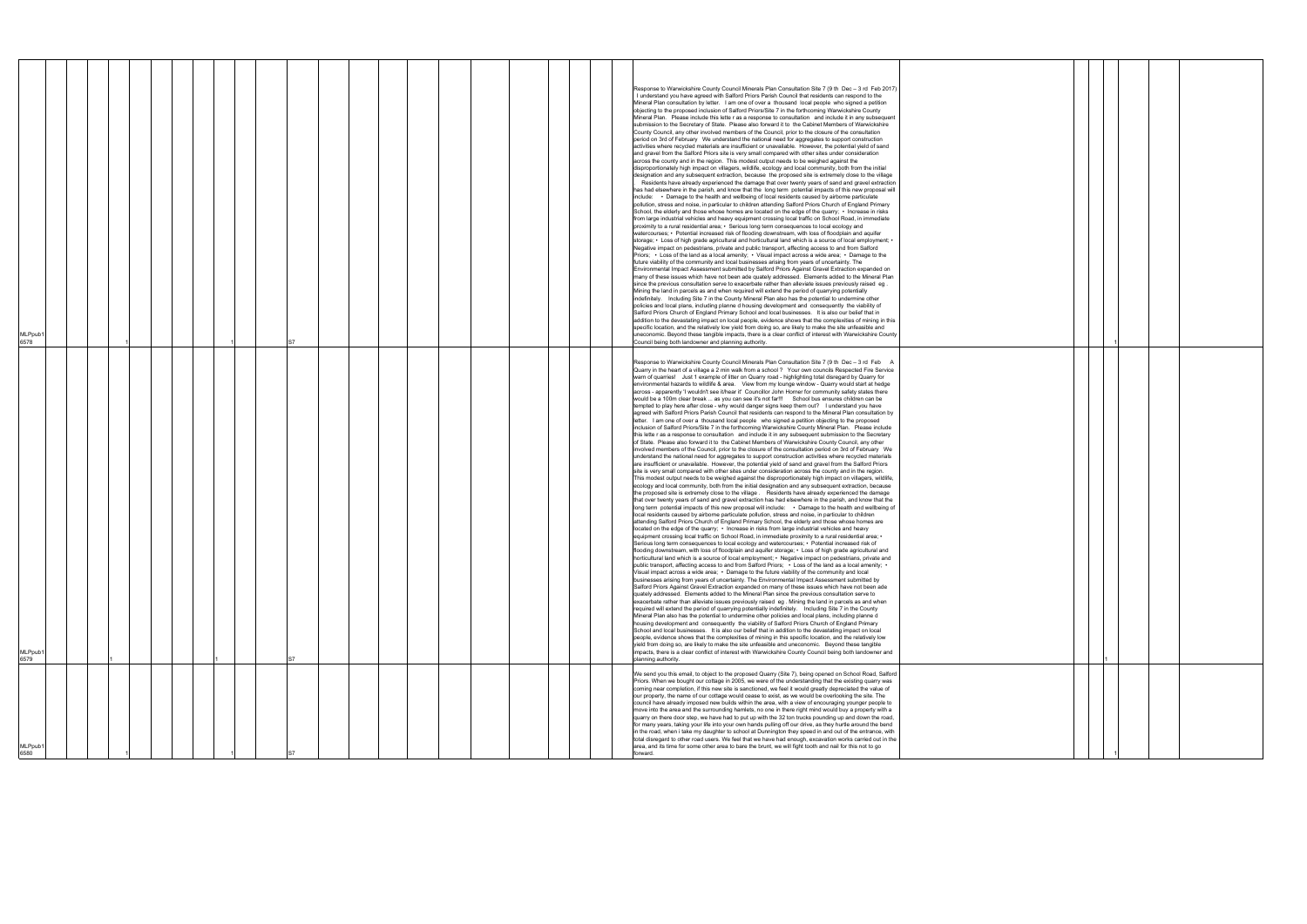| <b>ALPpub</b><br>6580                                                                                                                                                                                                                                                                                                                                                                                                                                                                                                                                                                                                                                                                                                                                                                                                                                                                                                                                                                                                                                                                                                                                                                                                              | <b>MLPpub</b><br>6579                                                                                                                                                                                                                                                                                                                                                                                                                                                                                                                                                                                                                                                                                                                                                                                                                                                                                                                                                                                                                                                                                                                                                                                                                                                                                                                                                                                                                                                                                                                                                                                                                                                                                                                                                                                                                                                                                                                                                                                                                                                                                                                                                                                                                                                                                                                                                                                                                                                                                                                                                                                                                                                                                                                                                                                                                                                                                                                                                                                                                                                                                                                                                                                                                                                                                                                                                                                                                                                                                                                                                                                                                                                                                                                                                                                                                                                                                                                                                                                                                                                                                                                                                                                                                                                                                                                                                                                                                           | MLPpub1<br>6578                                                                                                                                                                                                                                                                                                                                                                                                                                                                                                                                                                                                                                                                                                                                                                                                                                                                                                                                                                                                                                                                                                                                                                                                                                                                                                                                                                                                                                                                                                                                                                                                                                                                                                                                                                                                                                                                                                                                                                                                                                                                                                                                                                                                                                                                                                                                                                                                                                                                                                                                                                                                                                                                                                                                                                                                                                                                                                                                                                                                                                                                                                                                                                                                                                                                                                                                                                                                                                                                                                                                                                                                                                                                                                                                                                                                                |
|------------------------------------------------------------------------------------------------------------------------------------------------------------------------------------------------------------------------------------------------------------------------------------------------------------------------------------------------------------------------------------------------------------------------------------------------------------------------------------------------------------------------------------------------------------------------------------------------------------------------------------------------------------------------------------------------------------------------------------------------------------------------------------------------------------------------------------------------------------------------------------------------------------------------------------------------------------------------------------------------------------------------------------------------------------------------------------------------------------------------------------------------------------------------------------------------------------------------------------|-------------------------------------------------------------------------------------------------------------------------------------------------------------------------------------------------------------------------------------------------------------------------------------------------------------------------------------------------------------------------------------------------------------------------------------------------------------------------------------------------------------------------------------------------------------------------------------------------------------------------------------------------------------------------------------------------------------------------------------------------------------------------------------------------------------------------------------------------------------------------------------------------------------------------------------------------------------------------------------------------------------------------------------------------------------------------------------------------------------------------------------------------------------------------------------------------------------------------------------------------------------------------------------------------------------------------------------------------------------------------------------------------------------------------------------------------------------------------------------------------------------------------------------------------------------------------------------------------------------------------------------------------------------------------------------------------------------------------------------------------------------------------------------------------------------------------------------------------------------------------------------------------------------------------------------------------------------------------------------------------------------------------------------------------------------------------------------------------------------------------------------------------------------------------------------------------------------------------------------------------------------------------------------------------------------------------------------------------------------------------------------------------------------------------------------------------------------------------------------------------------------------------------------------------------------------------------------------------------------------------------------------------------------------------------------------------------------------------------------------------------------------------------------------------------------------------------------------------------------------------------------------------------------------------------------------------------------------------------------------------------------------------------------------------------------------------------------------------------------------------------------------------------------------------------------------------------------------------------------------------------------------------------------------------------------------------------------------------------------------------------------------------------------------------------------------------------------------------------------------------------------------------------------------------------------------------------------------------------------------------------------------------------------------------------------------------------------------------------------------------------------------------------------------------------------------------------------------------------------------------------------------------------------------------------------------------------------------------------------------------------------------------------------------------------------------------------------------------------------------------------------------------------------------------------------------------------------------------------------------------------------------------------------------------------------------------------------------------------------------------------------------------------------------------------------------------|--------------------------------------------------------------------------------------------------------------------------------------------------------------------------------------------------------------------------------------------------------------------------------------------------------------------------------------------------------------------------------------------------------------------------------------------------------------------------------------------------------------------------------------------------------------------------------------------------------------------------------------------------------------------------------------------------------------------------------------------------------------------------------------------------------------------------------------------------------------------------------------------------------------------------------------------------------------------------------------------------------------------------------------------------------------------------------------------------------------------------------------------------------------------------------------------------------------------------------------------------------------------------------------------------------------------------------------------------------------------------------------------------------------------------------------------------------------------------------------------------------------------------------------------------------------------------------------------------------------------------------------------------------------------------------------------------------------------------------------------------------------------------------------------------------------------------------------------------------------------------------------------------------------------------------------------------------------------------------------------------------------------------------------------------------------------------------------------------------------------------------------------------------------------------------------------------------------------------------------------------------------------------------------------------------------------------------------------------------------------------------------------------------------------------------------------------------------------------------------------------------------------------------------------------------------------------------------------------------------------------------------------------------------------------------------------------------------------------------------------------------------------------------------------------------------------------------------------------------------------------------------------------------------------------------------------------------------------------------------------------------------------------------------------------------------------------------------------------------------------------------------------------------------------------------------------------------------------------------------------------------------------------------------------------------------------------------------------------------------------------------------------------------------------------------------------------------------------------------------------------------------------------------------------------------------------------------------------------------------------------------------------------------------------------------------------------------------------------------------------------------------------------------------------------------------------------------|
|                                                                                                                                                                                                                                                                                                                                                                                                                                                                                                                                                                                                                                                                                                                                                                                                                                                                                                                                                                                                                                                                                                                                                                                                                                    |                                                                                                                                                                                                                                                                                                                                                                                                                                                                                                                                                                                                                                                                                                                                                                                                                                                                                                                                                                                                                                                                                                                                                                                                                                                                                                                                                                                                                                                                                                                                                                                                                                                                                                                                                                                                                                                                                                                                                                                                                                                                                                                                                                                                                                                                                                                                                                                                                                                                                                                                                                                                                                                                                                                                                                                                                                                                                                                                                                                                                                                                                                                                                                                                                                                                                                                                                                                                                                                                                                                                                                                                                                                                                                                                                                                                                                                                                                                                                                                                                                                                                                                                                                                                                                                                                                                                                                                                                                                 |                                                                                                                                                                                                                                                                                                                                                                                                                                                                                                                                                                                                                                                                                                                                                                                                                                                                                                                                                                                                                                                                                                                                                                                                                                                                                                                                                                                                                                                                                                                                                                                                                                                                                                                                                                                                                                                                                                                                                                                                                                                                                                                                                                                                                                                                                                                                                                                                                                                                                                                                                                                                                                                                                                                                                                                                                                                                                                                                                                                                                                                                                                                                                                                                                                                                                                                                                                                                                                                                                                                                                                                                                                                                                                                                                                                                                                |
|                                                                                                                                                                                                                                                                                                                                                                                                                                                                                                                                                                                                                                                                                                                                                                                                                                                                                                                                                                                                                                                                                                                                                                                                                                    |                                                                                                                                                                                                                                                                                                                                                                                                                                                                                                                                                                                                                                                                                                                                                                                                                                                                                                                                                                                                                                                                                                                                                                                                                                                                                                                                                                                                                                                                                                                                                                                                                                                                                                                                                                                                                                                                                                                                                                                                                                                                                                                                                                                                                                                                                                                                                                                                                                                                                                                                                                                                                                                                                                                                                                                                                                                                                                                                                                                                                                                                                                                                                                                                                                                                                                                                                                                                                                                                                                                                                                                                                                                                                                                                                                                                                                                                                                                                                                                                                                                                                                                                                                                                                                                                                                                                                                                                                                                 |                                                                                                                                                                                                                                                                                                                                                                                                                                                                                                                                                                                                                                                                                                                                                                                                                                                                                                                                                                                                                                                                                                                                                                                                                                                                                                                                                                                                                                                                                                                                                                                                                                                                                                                                                                                                                                                                                                                                                                                                                                                                                                                                                                                                                                                                                                                                                                                                                                                                                                                                                                                                                                                                                                                                                                                                                                                                                                                                                                                                                                                                                                                                                                                                                                                                                                                                                                                                                                                                                                                                                                                                                                                                                                                                                                                                                                |
|                                                                                                                                                                                                                                                                                                                                                                                                                                                                                                                                                                                                                                                                                                                                                                                                                                                                                                                                                                                                                                                                                                                                                                                                                                    |                                                                                                                                                                                                                                                                                                                                                                                                                                                                                                                                                                                                                                                                                                                                                                                                                                                                                                                                                                                                                                                                                                                                                                                                                                                                                                                                                                                                                                                                                                                                                                                                                                                                                                                                                                                                                                                                                                                                                                                                                                                                                                                                                                                                                                                                                                                                                                                                                                                                                                                                                                                                                                                                                                                                                                                                                                                                                                                                                                                                                                                                                                                                                                                                                                                                                                                                                                                                                                                                                                                                                                                                                                                                                                                                                                                                                                                                                                                                                                                                                                                                                                                                                                                                                                                                                                                                                                                                                                                 |                                                                                                                                                                                                                                                                                                                                                                                                                                                                                                                                                                                                                                                                                                                                                                                                                                                                                                                                                                                                                                                                                                                                                                                                                                                                                                                                                                                                                                                                                                                                                                                                                                                                                                                                                                                                                                                                                                                                                                                                                                                                                                                                                                                                                                                                                                                                                                                                                                                                                                                                                                                                                                                                                                                                                                                                                                                                                                                                                                                                                                                                                                                                                                                                                                                                                                                                                                                                                                                                                                                                                                                                                                                                                                                                                                                                                                |
|                                                                                                                                                                                                                                                                                                                                                                                                                                                                                                                                                                                                                                                                                                                                                                                                                                                                                                                                                                                                                                                                                                                                                                                                                                    |                                                                                                                                                                                                                                                                                                                                                                                                                                                                                                                                                                                                                                                                                                                                                                                                                                                                                                                                                                                                                                                                                                                                                                                                                                                                                                                                                                                                                                                                                                                                                                                                                                                                                                                                                                                                                                                                                                                                                                                                                                                                                                                                                                                                                                                                                                                                                                                                                                                                                                                                                                                                                                                                                                                                                                                                                                                                                                                                                                                                                                                                                                                                                                                                                                                                                                                                                                                                                                                                                                                                                                                                                                                                                                                                                                                                                                                                                                                                                                                                                                                                                                                                                                                                                                                                                                                                                                                                                                                 |                                                                                                                                                                                                                                                                                                                                                                                                                                                                                                                                                                                                                                                                                                                                                                                                                                                                                                                                                                                                                                                                                                                                                                                                                                                                                                                                                                                                                                                                                                                                                                                                                                                                                                                                                                                                                                                                                                                                                                                                                                                                                                                                                                                                                                                                                                                                                                                                                                                                                                                                                                                                                                                                                                                                                                                                                                                                                                                                                                                                                                                                                                                                                                                                                                                                                                                                                                                                                                                                                                                                                                                                                                                                                                                                                                                                                                |
|                                                                                                                                                                                                                                                                                                                                                                                                                                                                                                                                                                                                                                                                                                                                                                                                                                                                                                                                                                                                                                                                                                                                                                                                                                    |                                                                                                                                                                                                                                                                                                                                                                                                                                                                                                                                                                                                                                                                                                                                                                                                                                                                                                                                                                                                                                                                                                                                                                                                                                                                                                                                                                                                                                                                                                                                                                                                                                                                                                                                                                                                                                                                                                                                                                                                                                                                                                                                                                                                                                                                                                                                                                                                                                                                                                                                                                                                                                                                                                                                                                                                                                                                                                                                                                                                                                                                                                                                                                                                                                                                                                                                                                                                                                                                                                                                                                                                                                                                                                                                                                                                                                                                                                                                                                                                                                                                                                                                                                                                                                                                                                                                                                                                                                                 |                                                                                                                                                                                                                                                                                                                                                                                                                                                                                                                                                                                                                                                                                                                                                                                                                                                                                                                                                                                                                                                                                                                                                                                                                                                                                                                                                                                                                                                                                                                                                                                                                                                                                                                                                                                                                                                                                                                                                                                                                                                                                                                                                                                                                                                                                                                                                                                                                                                                                                                                                                                                                                                                                                                                                                                                                                                                                                                                                                                                                                                                                                                                                                                                                                                                                                                                                                                                                                                                                                                                                                                                                                                                                                                                                                                                                                |
|                                                                                                                                                                                                                                                                                                                                                                                                                                                                                                                                                                                                                                                                                                                                                                                                                                                                                                                                                                                                                                                                                                                                                                                                                                    |                                                                                                                                                                                                                                                                                                                                                                                                                                                                                                                                                                                                                                                                                                                                                                                                                                                                                                                                                                                                                                                                                                                                                                                                                                                                                                                                                                                                                                                                                                                                                                                                                                                                                                                                                                                                                                                                                                                                                                                                                                                                                                                                                                                                                                                                                                                                                                                                                                                                                                                                                                                                                                                                                                                                                                                                                                                                                                                                                                                                                                                                                                                                                                                                                                                                                                                                                                                                                                                                                                                                                                                                                                                                                                                                                                                                                                                                                                                                                                                                                                                                                                                                                                                                                                                                                                                                                                                                                                                 |                                                                                                                                                                                                                                                                                                                                                                                                                                                                                                                                                                                                                                                                                                                                                                                                                                                                                                                                                                                                                                                                                                                                                                                                                                                                                                                                                                                                                                                                                                                                                                                                                                                                                                                                                                                                                                                                                                                                                                                                                                                                                                                                                                                                                                                                                                                                                                                                                                                                                                                                                                                                                                                                                                                                                                                                                                                                                                                                                                                                                                                                                                                                                                                                                                                                                                                                                                                                                                                                                                                                                                                                                                                                                                                                                                                                                                |
|                                                                                                                                                                                                                                                                                                                                                                                                                                                                                                                                                                                                                                                                                                                                                                                                                                                                                                                                                                                                                                                                                                                                                                                                                                    |                                                                                                                                                                                                                                                                                                                                                                                                                                                                                                                                                                                                                                                                                                                                                                                                                                                                                                                                                                                                                                                                                                                                                                                                                                                                                                                                                                                                                                                                                                                                                                                                                                                                                                                                                                                                                                                                                                                                                                                                                                                                                                                                                                                                                                                                                                                                                                                                                                                                                                                                                                                                                                                                                                                                                                                                                                                                                                                                                                                                                                                                                                                                                                                                                                                                                                                                                                                                                                                                                                                                                                                                                                                                                                                                                                                                                                                                                                                                                                                                                                                                                                                                                                                                                                                                                                                                                                                                                                                 |                                                                                                                                                                                                                                                                                                                                                                                                                                                                                                                                                                                                                                                                                                                                                                                                                                                                                                                                                                                                                                                                                                                                                                                                                                                                                                                                                                                                                                                                                                                                                                                                                                                                                                                                                                                                                                                                                                                                                                                                                                                                                                                                                                                                                                                                                                                                                                                                                                                                                                                                                                                                                                                                                                                                                                                                                                                                                                                                                                                                                                                                                                                                                                                                                                                                                                                                                                                                                                                                                                                                                                                                                                                                                                                                                                                                                                |
|                                                                                                                                                                                                                                                                                                                                                                                                                                                                                                                                                                                                                                                                                                                                                                                                                                                                                                                                                                                                                                                                                                                                                                                                                                    |                                                                                                                                                                                                                                                                                                                                                                                                                                                                                                                                                                                                                                                                                                                                                                                                                                                                                                                                                                                                                                                                                                                                                                                                                                                                                                                                                                                                                                                                                                                                                                                                                                                                                                                                                                                                                                                                                                                                                                                                                                                                                                                                                                                                                                                                                                                                                                                                                                                                                                                                                                                                                                                                                                                                                                                                                                                                                                                                                                                                                                                                                                                                                                                                                                                                                                                                                                                                                                                                                                                                                                                                                                                                                                                                                                                                                                                                                                                                                                                                                                                                                                                                                                                                                                                                                                                                                                                                                                                 |                                                                                                                                                                                                                                                                                                                                                                                                                                                                                                                                                                                                                                                                                                                                                                                                                                                                                                                                                                                                                                                                                                                                                                                                                                                                                                                                                                                                                                                                                                                                                                                                                                                                                                                                                                                                                                                                                                                                                                                                                                                                                                                                                                                                                                                                                                                                                                                                                                                                                                                                                                                                                                                                                                                                                                                                                                                                                                                                                                                                                                                                                                                                                                                                                                                                                                                                                                                                                                                                                                                                                                                                                                                                                                                                                                                                                                |
|                                                                                                                                                                                                                                                                                                                                                                                                                                                                                                                                                                                                                                                                                                                                                                                                                                                                                                                                                                                                                                                                                                                                                                                                                                    |                                                                                                                                                                                                                                                                                                                                                                                                                                                                                                                                                                                                                                                                                                                                                                                                                                                                                                                                                                                                                                                                                                                                                                                                                                                                                                                                                                                                                                                                                                                                                                                                                                                                                                                                                                                                                                                                                                                                                                                                                                                                                                                                                                                                                                                                                                                                                                                                                                                                                                                                                                                                                                                                                                                                                                                                                                                                                                                                                                                                                                                                                                                                                                                                                                                                                                                                                                                                                                                                                                                                                                                                                                                                                                                                                                                                                                                                                                                                                                                                                                                                                                                                                                                                                                                                                                                                                                                                                                                 |                                                                                                                                                                                                                                                                                                                                                                                                                                                                                                                                                                                                                                                                                                                                                                                                                                                                                                                                                                                                                                                                                                                                                                                                                                                                                                                                                                                                                                                                                                                                                                                                                                                                                                                                                                                                                                                                                                                                                                                                                                                                                                                                                                                                                                                                                                                                                                                                                                                                                                                                                                                                                                                                                                                                                                                                                                                                                                                                                                                                                                                                                                                                                                                                                                                                                                                                                                                                                                                                                                                                                                                                                                                                                                                                                                                                                                |
|                                                                                                                                                                                                                                                                                                                                                                                                                                                                                                                                                                                                                                                                                                                                                                                                                                                                                                                                                                                                                                                                                                                                                                                                                                    |                                                                                                                                                                                                                                                                                                                                                                                                                                                                                                                                                                                                                                                                                                                                                                                                                                                                                                                                                                                                                                                                                                                                                                                                                                                                                                                                                                                                                                                                                                                                                                                                                                                                                                                                                                                                                                                                                                                                                                                                                                                                                                                                                                                                                                                                                                                                                                                                                                                                                                                                                                                                                                                                                                                                                                                                                                                                                                                                                                                                                                                                                                                                                                                                                                                                                                                                                                                                                                                                                                                                                                                                                                                                                                                                                                                                                                                                                                                                                                                                                                                                                                                                                                                                                                                                                                                                                                                                                                                 |                                                                                                                                                                                                                                                                                                                                                                                                                                                                                                                                                                                                                                                                                                                                                                                                                                                                                                                                                                                                                                                                                                                                                                                                                                                                                                                                                                                                                                                                                                                                                                                                                                                                                                                                                                                                                                                                                                                                                                                                                                                                                                                                                                                                                                                                                                                                                                                                                                                                                                                                                                                                                                                                                                                                                                                                                                                                                                                                                                                                                                                                                                                                                                                                                                                                                                                                                                                                                                                                                                                                                                                                                                                                                                                                                                                                                                |
|                                                                                                                                                                                                                                                                                                                                                                                                                                                                                                                                                                                                                                                                                                                                                                                                                                                                                                                                                                                                                                                                                                                                                                                                                                    |                                                                                                                                                                                                                                                                                                                                                                                                                                                                                                                                                                                                                                                                                                                                                                                                                                                                                                                                                                                                                                                                                                                                                                                                                                                                                                                                                                                                                                                                                                                                                                                                                                                                                                                                                                                                                                                                                                                                                                                                                                                                                                                                                                                                                                                                                                                                                                                                                                                                                                                                                                                                                                                                                                                                                                                                                                                                                                                                                                                                                                                                                                                                                                                                                                                                                                                                                                                                                                                                                                                                                                                                                                                                                                                                                                                                                                                                                                                                                                                                                                                                                                                                                                                                                                                                                                                                                                                                                                                 |                                                                                                                                                                                                                                                                                                                                                                                                                                                                                                                                                                                                                                                                                                                                                                                                                                                                                                                                                                                                                                                                                                                                                                                                                                                                                                                                                                                                                                                                                                                                                                                                                                                                                                                                                                                                                                                                                                                                                                                                                                                                                                                                                                                                                                                                                                                                                                                                                                                                                                                                                                                                                                                                                                                                                                                                                                                                                                                                                                                                                                                                                                                                                                                                                                                                                                                                                                                                                                                                                                                                                                                                                                                                                                                                                                                                                                |
|                                                                                                                                                                                                                                                                                                                                                                                                                                                                                                                                                                                                                                                                                                                                                                                                                                                                                                                                                                                                                                                                                                                                                                                                                                    |                                                                                                                                                                                                                                                                                                                                                                                                                                                                                                                                                                                                                                                                                                                                                                                                                                                                                                                                                                                                                                                                                                                                                                                                                                                                                                                                                                                                                                                                                                                                                                                                                                                                                                                                                                                                                                                                                                                                                                                                                                                                                                                                                                                                                                                                                                                                                                                                                                                                                                                                                                                                                                                                                                                                                                                                                                                                                                                                                                                                                                                                                                                                                                                                                                                                                                                                                                                                                                                                                                                                                                                                                                                                                                                                                                                                                                                                                                                                                                                                                                                                                                                                                                                                                                                                                                                                                                                                                                                 |                                                                                                                                                                                                                                                                                                                                                                                                                                                                                                                                                                                                                                                                                                                                                                                                                                                                                                                                                                                                                                                                                                                                                                                                                                                                                                                                                                                                                                                                                                                                                                                                                                                                                                                                                                                                                                                                                                                                                                                                                                                                                                                                                                                                                                                                                                                                                                                                                                                                                                                                                                                                                                                                                                                                                                                                                                                                                                                                                                                                                                                                                                                                                                                                                                                                                                                                                                                                                                                                                                                                                                                                                                                                                                                                                                                                                                |
|                                                                                                                                                                                                                                                                                                                                                                                                                                                                                                                                                                                                                                                                                                                                                                                                                                                                                                                                                                                                                                                                                                                                                                                                                                    |                                                                                                                                                                                                                                                                                                                                                                                                                                                                                                                                                                                                                                                                                                                                                                                                                                                                                                                                                                                                                                                                                                                                                                                                                                                                                                                                                                                                                                                                                                                                                                                                                                                                                                                                                                                                                                                                                                                                                                                                                                                                                                                                                                                                                                                                                                                                                                                                                                                                                                                                                                                                                                                                                                                                                                                                                                                                                                                                                                                                                                                                                                                                                                                                                                                                                                                                                                                                                                                                                                                                                                                                                                                                                                                                                                                                                                                                                                                                                                                                                                                                                                                                                                                                                                                                                                                                                                                                                                                 |                                                                                                                                                                                                                                                                                                                                                                                                                                                                                                                                                                                                                                                                                                                                                                                                                                                                                                                                                                                                                                                                                                                                                                                                                                                                                                                                                                                                                                                                                                                                                                                                                                                                                                                                                                                                                                                                                                                                                                                                                                                                                                                                                                                                                                                                                                                                                                                                                                                                                                                                                                                                                                                                                                                                                                                                                                                                                                                                                                                                                                                                                                                                                                                                                                                                                                                                                                                                                                                                                                                                                                                                                                                                                                                                                                                                                                |
|                                                                                                                                                                                                                                                                                                                                                                                                                                                                                                                                                                                                                                                                                                                                                                                                                                                                                                                                                                                                                                                                                                                                                                                                                                    |                                                                                                                                                                                                                                                                                                                                                                                                                                                                                                                                                                                                                                                                                                                                                                                                                                                                                                                                                                                                                                                                                                                                                                                                                                                                                                                                                                                                                                                                                                                                                                                                                                                                                                                                                                                                                                                                                                                                                                                                                                                                                                                                                                                                                                                                                                                                                                                                                                                                                                                                                                                                                                                                                                                                                                                                                                                                                                                                                                                                                                                                                                                                                                                                                                                                                                                                                                                                                                                                                                                                                                                                                                                                                                                                                                                                                                                                                                                                                                                                                                                                                                                                                                                                                                                                                                                                                                                                                                                 |                                                                                                                                                                                                                                                                                                                                                                                                                                                                                                                                                                                                                                                                                                                                                                                                                                                                                                                                                                                                                                                                                                                                                                                                                                                                                                                                                                                                                                                                                                                                                                                                                                                                                                                                                                                                                                                                                                                                                                                                                                                                                                                                                                                                                                                                                                                                                                                                                                                                                                                                                                                                                                                                                                                                                                                                                                                                                                                                                                                                                                                                                                                                                                                                                                                                                                                                                                                                                                                                                                                                                                                                                                                                                                                                                                                                                                |
|                                                                                                                                                                                                                                                                                                                                                                                                                                                                                                                                                                                                                                                                                                                                                                                                                                                                                                                                                                                                                                                                                                                                                                                                                                    |                                                                                                                                                                                                                                                                                                                                                                                                                                                                                                                                                                                                                                                                                                                                                                                                                                                                                                                                                                                                                                                                                                                                                                                                                                                                                                                                                                                                                                                                                                                                                                                                                                                                                                                                                                                                                                                                                                                                                                                                                                                                                                                                                                                                                                                                                                                                                                                                                                                                                                                                                                                                                                                                                                                                                                                                                                                                                                                                                                                                                                                                                                                                                                                                                                                                                                                                                                                                                                                                                                                                                                                                                                                                                                                                                                                                                                                                                                                                                                                                                                                                                                                                                                                                                                                                                                                                                                                                                                                 |                                                                                                                                                                                                                                                                                                                                                                                                                                                                                                                                                                                                                                                                                                                                                                                                                                                                                                                                                                                                                                                                                                                                                                                                                                                                                                                                                                                                                                                                                                                                                                                                                                                                                                                                                                                                                                                                                                                                                                                                                                                                                                                                                                                                                                                                                                                                                                                                                                                                                                                                                                                                                                                                                                                                                                                                                                                                                                                                                                                                                                                                                                                                                                                                                                                                                                                                                                                                                                                                                                                                                                                                                                                                                                                                                                                                                                |
| We send you this email, to object to the proposed Quarry (Site 7), being opened on School Road, Salford<br>Priors. When we bought our cottage in 2005, we were of the understanding that the existing quarry was<br>coming near completion, if this new site is sanctioned, we feel it would greatly depreciated the value of<br>our property, the name of our cottage would cease to exist, as we would be overlooking the site. The<br>council have already imposed new builds within the area, with a view of encouraging younger people to<br>move into the area and the surrounding hamlets, no one in there right mind would buy a property with a<br>quarry on there door step, we have had to put up with the 32 ton trucks pounding up and down the road,<br>for many years, taking your life into your own hands pulling off our drive, as they hurtle around the bend<br>in the road, when i take my daughter to school at Dunnington they speed in and out of the entrance, with<br>total disregard to other road users. We feel that we have had enough, excavation works carried out in the<br>area, and its time for some other area to bare the brunt, we will fight tooth and nail for this not to go<br>forward. | Response to Warwickshire County Council Minerals Plan Consultation Site 7 (9 th Dec - 3 rd Feb A<br>Quarry in the heart of a village a 2 min walk from a school? Your own councils Respected Fire Service<br>warn of quarries! Just 1 example of litter on Quarry road - highlighting total disregard by Quarry for<br>environmental hazards to wildlife & area. View from my lounge window - Quarry would start at hedge<br>across - apparently 'I wouldn't see it/hear it' Councillor John Horner for community safety states there<br>would be a 100m clear break  as you can see it's not far!!! School bus ensures children can be<br>tempted to play here after close - why would danger signs keep them out? I understand you have<br>agreed with Salford Priors Parish Council that residents can respond to the Mineral Plan consultation by<br>letter. I am one of over a thousand local people who signed a petition objecting to the proposed<br>inclusion of Salford Priors/Site 7 in the forthcoming Warwickshire County Mineral Plan. Please include<br>this lette r as a response to consultation and include it in any subsequent submission to the Secretary<br>of State. Please also forward it to the Cabinet Members of Warwickshire County Council, any other<br>involved members of the Council, prior to the closure of the consultation period on 3rd of February We<br>understand the national need for aggregates to support construction activities where recycled materials<br>are insufficient or unavailable. However, the potential yield of sand and gravel from the Salford Priors<br>site is very small compared with other sites under consideration across the county and in the region.<br>This modest output needs to be weighed against the disproportionately high impact on villagers, wildlife,<br>ecology and local community, both from the initial designation and any subsequent extraction, because<br>the proposed site is extremely close to the village. Residents have already experienced the damage<br>that over twenty years of sand and gravel extraction has had elsewhere in the parish, and know that the<br>long term potential impacts of this new proposal will include: . Damage to the health and wellbeing of<br>local residents caused by airborne particulate pollution, stress and noise, in particular to children<br>attending Salford Priors Church of England Primary School, the elderly and those whose homes are<br>located on the edge of the quarry; • Increase in risks from large industrial vehicles and heavy<br>equipment crossing local traffic on School Road, in immediate proximity to a rural residential area; •<br>Serious long term consequences to local ecology and watercourses; • Potential increased risk of<br>flooding downstream, with loss of floodplain and aquifer storage; • Loss of high grade agricultural and<br>horticultural land which is a source of local employment; • Negative impact on pedestrians, private and<br>public transport, affecting access to and from Salford Priors; • Loss of the land as a local amenity; •<br>Visual impact across a wide area; • Damage to the future viability of the community and local<br>businesses arising from years of uncertainty. The Environmental Impact Assessment submitted by<br>Salford Priors Against Gravel Extraction expanded on many of these issues which have not been ade<br>quately addressed. Elements added to the Mineral Plan since the previous consultation serve to<br>exacerbate rather than alleviate issues previously raised eg . Mining the land in parcels as and when<br>required will extend the period of quarrying potentially indefinitely. Including Site 7 in the County<br>Mineral Plan also has the potential to undermine other policies and local plans, including planne d<br>housing development and consequently the viability of Salford Priors Church of England Primary<br>School and local businesses. It is also our belief that in addition to the devastating impact on local<br>people, evidence shows that the complexities of mining in this specific location, and the relatively low<br>yield from doing so, are likely to make the site unfeasible and uneconomic. Beyond these tangible<br>impacts, there is a clear conflict of interest with Warwickshire County Council being both landowner and<br>planning authority. | Response to Warwickshire County Council Minerals Plan Consultation Site 7 (9 th Dec - 3 rd Feb 2017)<br>I understand you have agreed with Salford Priors Parish Council that residents can respond to the<br>Mineral Plan consultation by letter. I am one of over a thousand local people who signed a petition<br>objecting to the proposed inclusion of Salford Priors/Site 7 in the forthcoming Warwickshire County<br>Mineral Plan. Please include this lette r as a response to consultation and include it in any subsequent<br>submission to the Secretary of State. Please also forward it to the Cabinet Members of Warwickshire<br>County Council, any other involved members of the Council, prior to the closure of the consultation<br>period on 3rd of February We understand the national need for aggregates to support construction<br>activities where recycled materials are insufficient or unavailable. However, the potential yield of sand<br>and gravel from the Salford Priors site is very small compared with other sites under consideration<br>across the county and in the region. This modest output needs to be weighed against the<br>disproportionately high impact on villagers, wildlife, ecology and local community, both from the initial<br>designation and any subsequent extraction, because the proposed site is extremely close to the village<br>Residents have already experienced the damage that over twenty years of sand and gravel extraction<br>has had elsewhere in the parish, and know that the long term potential impacts of this new proposal will<br>include: • Damage to the health and wellbeing of local residents caused by airborne particulate<br>pollution, stress and noise, in particular to children attending Salford Priors Church of England Primary<br>School, the elderly and those whose homes are located on the edge of the quarry; • Increase in risks<br>from large industrial vehicles and heavy equipment crossing local traffic on School Road, in immediate<br>proximity to a rural residential area; • Serious long term consequences to local ecology and<br>watercourses; • Potential increased risk of flooding downstream, with loss of floodplain and aquifer<br>storage; • Loss of high grade agricultural and horticultural land which is a source of local employment; •<br>Negative impact on pedestrians, private and public transport, affecting access to and from Salford<br>Priors; • Loss of the land as a local amenity; • Visual impact across a wide area; • Damage to the<br>future viability of the community and local businesses arising from years of uncertainty. The<br>Environmental Impact Assessment submitted by Salford Priors Against Gravel Extraction expanded on<br>many of these issues which have not been ade quately addressed. Elements added to the Mineral Plan<br>since the previous consultation serve to exacerbate rather than alleviate issues previously raised eg.<br>Mining the land in parcels as and when required will extend the period of quarrying potentially<br>indefinitely. Including Site 7 in the County Mineral Plan also has the potential to undermine other<br>policies and local plans, including planne d housing development and consequently the viability of<br>Salford Priors Church of England Primary School and local businesses. It is also our belief that in<br>addition to the devastating impact on local people, evidence shows that the complexities of mining in this<br>specific location, and the relatively low yield from doing so, are likely to make the site unfeasible and<br>uneconomic. Beyond these tangible impacts, there is a clear conflict of interest with Warwickshire County<br>Council being both landowner and planning authority. |
|                                                                                                                                                                                                                                                                                                                                                                                                                                                                                                                                                                                                                                                                                                                                                                                                                                                                                                                                                                                                                                                                                                                                                                                                                                    |                                                                                                                                                                                                                                                                                                                                                                                                                                                                                                                                                                                                                                                                                                                                                                                                                                                                                                                                                                                                                                                                                                                                                                                                                                                                                                                                                                                                                                                                                                                                                                                                                                                                                                                                                                                                                                                                                                                                                                                                                                                                                                                                                                                                                                                                                                                                                                                                                                                                                                                                                                                                                                                                                                                                                                                                                                                                                                                                                                                                                                                                                                                                                                                                                                                                                                                                                                                                                                                                                                                                                                                                                                                                                                                                                                                                                                                                                                                                                                                                                                                                                                                                                                                                                                                                                                                                                                                                                                                 |                                                                                                                                                                                                                                                                                                                                                                                                                                                                                                                                                                                                                                                                                                                                                                                                                                                                                                                                                                                                                                                                                                                                                                                                                                                                                                                                                                                                                                                                                                                                                                                                                                                                                                                                                                                                                                                                                                                                                                                                                                                                                                                                                                                                                                                                                                                                                                                                                                                                                                                                                                                                                                                                                                                                                                                                                                                                                                                                                                                                                                                                                                                                                                                                                                                                                                                                                                                                                                                                                                                                                                                                                                                                                                                                                                                                                                |
|                                                                                                                                                                                                                                                                                                                                                                                                                                                                                                                                                                                                                                                                                                                                                                                                                                                                                                                                                                                                                                                                                                                                                                                                                                    |                                                                                                                                                                                                                                                                                                                                                                                                                                                                                                                                                                                                                                                                                                                                                                                                                                                                                                                                                                                                                                                                                                                                                                                                                                                                                                                                                                                                                                                                                                                                                                                                                                                                                                                                                                                                                                                                                                                                                                                                                                                                                                                                                                                                                                                                                                                                                                                                                                                                                                                                                                                                                                                                                                                                                                                                                                                                                                                                                                                                                                                                                                                                                                                                                                                                                                                                                                                                                                                                                                                                                                                                                                                                                                                                                                                                                                                                                                                                                                                                                                                                                                                                                                                                                                                                                                                                                                                                                                                 |                                                                                                                                                                                                                                                                                                                                                                                                                                                                                                                                                                                                                                                                                                                                                                                                                                                                                                                                                                                                                                                                                                                                                                                                                                                                                                                                                                                                                                                                                                                                                                                                                                                                                                                                                                                                                                                                                                                                                                                                                                                                                                                                                                                                                                                                                                                                                                                                                                                                                                                                                                                                                                                                                                                                                                                                                                                                                                                                                                                                                                                                                                                                                                                                                                                                                                                                                                                                                                                                                                                                                                                                                                                                                                                                                                                                                                |

|  | 1            |  |  |
|--|--------------|--|--|
|  |              |  |  |
|  |              |  |  |
|  |              |  |  |
|  |              |  |  |
|  |              |  |  |
|  |              |  |  |
|  |              |  |  |
|  |              |  |  |
|  | $\mathbf{1}$ |  |  |
|  |              |  |  |
|  |              |  |  |
|  |              |  |  |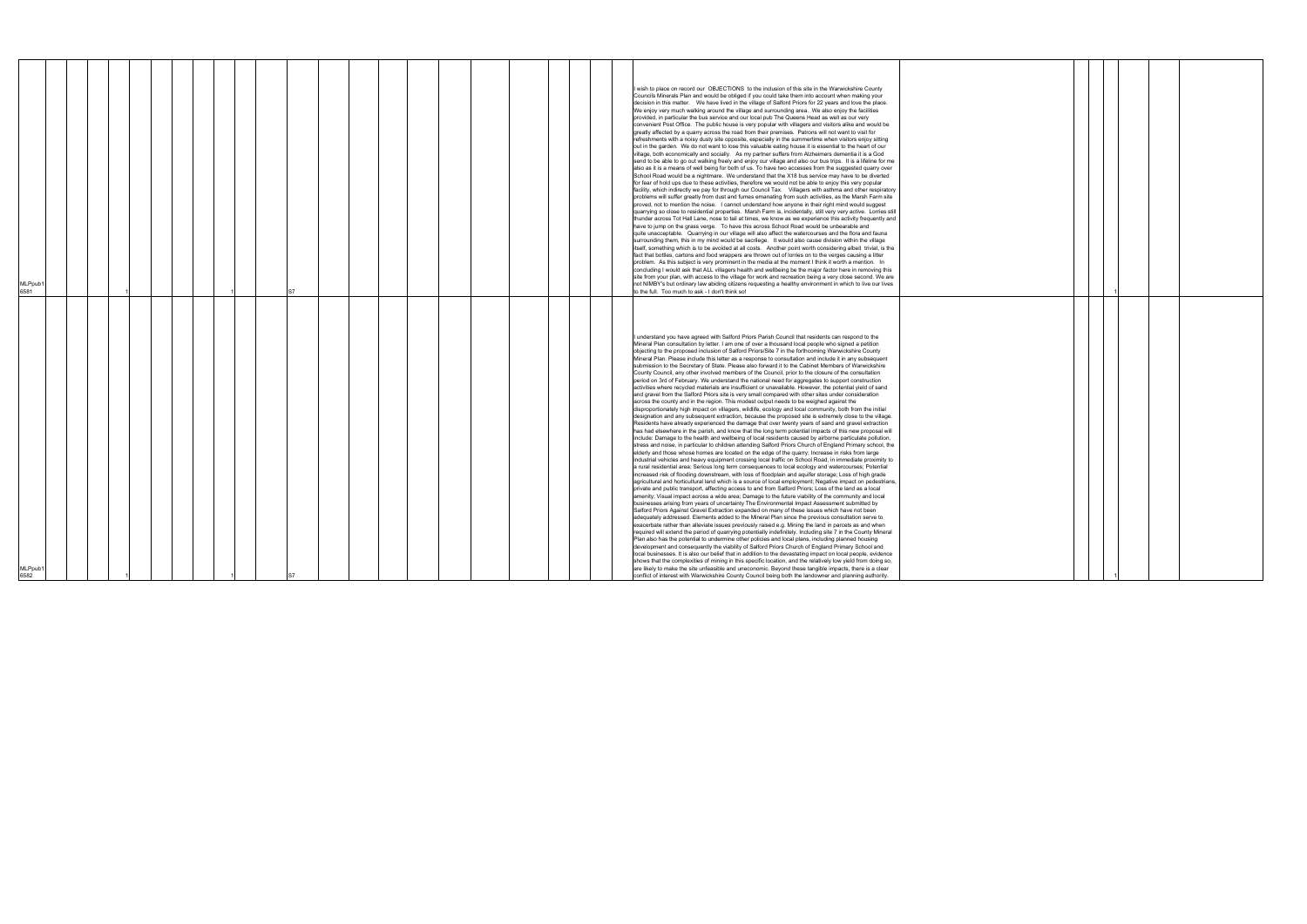| MLPpub1<br>6582                                                                                                                                                                                                                                                                                                                                                                                                                                                                                                                                                                                                                                                                                                                                                                                                                                                                                                                                                                                                                                                                                                                                                                                                                                                                                                                                                                                                                                                                                                                                                                                                                                                                                                                                                                                                                                                                                                                                                                                                                                                                                                                                                                                                                                                                                                                                                                                                                                                                                                                                                                                                                                                                                                                                                                                                                                                                                                                                                                                                                                                                                                                                                                                                                                                                                                                                                                                                                                                                                                                                                                                                                                                                                      | MLPpub<br>6581                                                                                                                                                                                                                                                                                                                                                                                                                                                                                                                                                                                                                                                                                                                                                                                                                                                                                                                                                                                                                                                                                                                                                                                                                                                                                                                                                                                                                                                                                                                                                                                                                                                                                                                                                                                                                                                                                                                                                                                                                                                                                                                                                                                                                                                                                                                                                                                                                                                                                                                                                                                                                                                                                                                                                                                                                                                                                                                                                                                                                                                                                                                     |
|------------------------------------------------------------------------------------------------------------------------------------------------------------------------------------------------------------------------------------------------------------------------------------------------------------------------------------------------------------------------------------------------------------------------------------------------------------------------------------------------------------------------------------------------------------------------------------------------------------------------------------------------------------------------------------------------------------------------------------------------------------------------------------------------------------------------------------------------------------------------------------------------------------------------------------------------------------------------------------------------------------------------------------------------------------------------------------------------------------------------------------------------------------------------------------------------------------------------------------------------------------------------------------------------------------------------------------------------------------------------------------------------------------------------------------------------------------------------------------------------------------------------------------------------------------------------------------------------------------------------------------------------------------------------------------------------------------------------------------------------------------------------------------------------------------------------------------------------------------------------------------------------------------------------------------------------------------------------------------------------------------------------------------------------------------------------------------------------------------------------------------------------------------------------------------------------------------------------------------------------------------------------------------------------------------------------------------------------------------------------------------------------------------------------------------------------------------------------------------------------------------------------------------------------------------------------------------------------------------------------------------------------------------------------------------------------------------------------------------------------------------------------------------------------------------------------------------------------------------------------------------------------------------------------------------------------------------------------------------------------------------------------------------------------------------------------------------------------------------------------------------------------------------------------------------------------------------------------------------------------------------------------------------------------------------------------------------------------------------------------------------------------------------------------------------------------------------------------------------------------------------------------------------------------------------------------------------------------------------------------------------------------------------------------------------------------------|------------------------------------------------------------------------------------------------------------------------------------------------------------------------------------------------------------------------------------------------------------------------------------------------------------------------------------------------------------------------------------------------------------------------------------------------------------------------------------------------------------------------------------------------------------------------------------------------------------------------------------------------------------------------------------------------------------------------------------------------------------------------------------------------------------------------------------------------------------------------------------------------------------------------------------------------------------------------------------------------------------------------------------------------------------------------------------------------------------------------------------------------------------------------------------------------------------------------------------------------------------------------------------------------------------------------------------------------------------------------------------------------------------------------------------------------------------------------------------------------------------------------------------------------------------------------------------------------------------------------------------------------------------------------------------------------------------------------------------------------------------------------------------------------------------------------------------------------------------------------------------------------------------------------------------------------------------------------------------------------------------------------------------------------------------------------------------------------------------------------------------------------------------------------------------------------------------------------------------------------------------------------------------------------------------------------------------------------------------------------------------------------------------------------------------------------------------------------------------------------------------------------------------------------------------------------------------------------------------------------------------------------------------------------------------------------------------------------------------------------------------------------------------------------------------------------------------------------------------------------------------------------------------------------------------------------------------------------------------------------------------------------------------------------------------------------------------------------------------------------------------|
|                                                                                                                                                                                                                                                                                                                                                                                                                                                                                                                                                                                                                                                                                                                                                                                                                                                                                                                                                                                                                                                                                                                                                                                                                                                                                                                                                                                                                                                                                                                                                                                                                                                                                                                                                                                                                                                                                                                                                                                                                                                                                                                                                                                                                                                                                                                                                                                                                                                                                                                                                                                                                                                                                                                                                                                                                                                                                                                                                                                                                                                                                                                                                                                                                                                                                                                                                                                                                                                                                                                                                                                                                                                                                                      |                                                                                                                                                                                                                                                                                                                                                                                                                                                                                                                                                                                                                                                                                                                                                                                                                                                                                                                                                                                                                                                                                                                                                                                                                                                                                                                                                                                                                                                                                                                                                                                                                                                                                                                                                                                                                                                                                                                                                                                                                                                                                                                                                                                                                                                                                                                                                                                                                                                                                                                                                                                                                                                                                                                                                                                                                                                                                                                                                                                                                                                                                                                                    |
|                                                                                                                                                                                                                                                                                                                                                                                                                                                                                                                                                                                                                                                                                                                                                                                                                                                                                                                                                                                                                                                                                                                                                                                                                                                                                                                                                                                                                                                                                                                                                                                                                                                                                                                                                                                                                                                                                                                                                                                                                                                                                                                                                                                                                                                                                                                                                                                                                                                                                                                                                                                                                                                                                                                                                                                                                                                                                                                                                                                                                                                                                                                                                                                                                                                                                                                                                                                                                                                                                                                                                                                                                                                                                                      |                                                                                                                                                                                                                                                                                                                                                                                                                                                                                                                                                                                                                                                                                                                                                                                                                                                                                                                                                                                                                                                                                                                                                                                                                                                                                                                                                                                                                                                                                                                                                                                                                                                                                                                                                                                                                                                                                                                                                                                                                                                                                                                                                                                                                                                                                                                                                                                                                                                                                                                                                                                                                                                                                                                                                                                                                                                                                                                                                                                                                                                                                                                                    |
|                                                                                                                                                                                                                                                                                                                                                                                                                                                                                                                                                                                                                                                                                                                                                                                                                                                                                                                                                                                                                                                                                                                                                                                                                                                                                                                                                                                                                                                                                                                                                                                                                                                                                                                                                                                                                                                                                                                                                                                                                                                                                                                                                                                                                                                                                                                                                                                                                                                                                                                                                                                                                                                                                                                                                                                                                                                                                                                                                                                                                                                                                                                                                                                                                                                                                                                                                                                                                                                                                                                                                                                                                                                                                                      |                                                                                                                                                                                                                                                                                                                                                                                                                                                                                                                                                                                                                                                                                                                                                                                                                                                                                                                                                                                                                                                                                                                                                                                                                                                                                                                                                                                                                                                                                                                                                                                                                                                                                                                                                                                                                                                                                                                                                                                                                                                                                                                                                                                                                                                                                                                                                                                                                                                                                                                                                                                                                                                                                                                                                                                                                                                                                                                                                                                                                                                                                                                                    |
|                                                                                                                                                                                                                                                                                                                                                                                                                                                                                                                                                                                                                                                                                                                                                                                                                                                                                                                                                                                                                                                                                                                                                                                                                                                                                                                                                                                                                                                                                                                                                                                                                                                                                                                                                                                                                                                                                                                                                                                                                                                                                                                                                                                                                                                                                                                                                                                                                                                                                                                                                                                                                                                                                                                                                                                                                                                                                                                                                                                                                                                                                                                                                                                                                                                                                                                                                                                                                                                                                                                                                                                                                                                                                                      |                                                                                                                                                                                                                                                                                                                                                                                                                                                                                                                                                                                                                                                                                                                                                                                                                                                                                                                                                                                                                                                                                                                                                                                                                                                                                                                                                                                                                                                                                                                                                                                                                                                                                                                                                                                                                                                                                                                                                                                                                                                                                                                                                                                                                                                                                                                                                                                                                                                                                                                                                                                                                                                                                                                                                                                                                                                                                                                                                                                                                                                                                                                                    |
|                                                                                                                                                                                                                                                                                                                                                                                                                                                                                                                                                                                                                                                                                                                                                                                                                                                                                                                                                                                                                                                                                                                                                                                                                                                                                                                                                                                                                                                                                                                                                                                                                                                                                                                                                                                                                                                                                                                                                                                                                                                                                                                                                                                                                                                                                                                                                                                                                                                                                                                                                                                                                                                                                                                                                                                                                                                                                                                                                                                                                                                                                                                                                                                                                                                                                                                                                                                                                                                                                                                                                                                                                                                                                                      |                                                                                                                                                                                                                                                                                                                                                                                                                                                                                                                                                                                                                                                                                                                                                                                                                                                                                                                                                                                                                                                                                                                                                                                                                                                                                                                                                                                                                                                                                                                                                                                                                                                                                                                                                                                                                                                                                                                                                                                                                                                                                                                                                                                                                                                                                                                                                                                                                                                                                                                                                                                                                                                                                                                                                                                                                                                                                                                                                                                                                                                                                                                                    |
|                                                                                                                                                                                                                                                                                                                                                                                                                                                                                                                                                                                                                                                                                                                                                                                                                                                                                                                                                                                                                                                                                                                                                                                                                                                                                                                                                                                                                                                                                                                                                                                                                                                                                                                                                                                                                                                                                                                                                                                                                                                                                                                                                                                                                                                                                                                                                                                                                                                                                                                                                                                                                                                                                                                                                                                                                                                                                                                                                                                                                                                                                                                                                                                                                                                                                                                                                                                                                                                                                                                                                                                                                                                                                                      |                                                                                                                                                                                                                                                                                                                                                                                                                                                                                                                                                                                                                                                                                                                                                                                                                                                                                                                                                                                                                                                                                                                                                                                                                                                                                                                                                                                                                                                                                                                                                                                                                                                                                                                                                                                                                                                                                                                                                                                                                                                                                                                                                                                                                                                                                                                                                                                                                                                                                                                                                                                                                                                                                                                                                                                                                                                                                                                                                                                                                                                                                                                                    |
|                                                                                                                                                                                                                                                                                                                                                                                                                                                                                                                                                                                                                                                                                                                                                                                                                                                                                                                                                                                                                                                                                                                                                                                                                                                                                                                                                                                                                                                                                                                                                                                                                                                                                                                                                                                                                                                                                                                                                                                                                                                                                                                                                                                                                                                                                                                                                                                                                                                                                                                                                                                                                                                                                                                                                                                                                                                                                                                                                                                                                                                                                                                                                                                                                                                                                                                                                                                                                                                                                                                                                                                                                                                                                                      |                                                                                                                                                                                                                                                                                                                                                                                                                                                                                                                                                                                                                                                                                                                                                                                                                                                                                                                                                                                                                                                                                                                                                                                                                                                                                                                                                                                                                                                                                                                                                                                                                                                                                                                                                                                                                                                                                                                                                                                                                                                                                                                                                                                                                                                                                                                                                                                                                                                                                                                                                                                                                                                                                                                                                                                                                                                                                                                                                                                                                                                                                                                                    |
|                                                                                                                                                                                                                                                                                                                                                                                                                                                                                                                                                                                                                                                                                                                                                                                                                                                                                                                                                                                                                                                                                                                                                                                                                                                                                                                                                                                                                                                                                                                                                                                                                                                                                                                                                                                                                                                                                                                                                                                                                                                                                                                                                                                                                                                                                                                                                                                                                                                                                                                                                                                                                                                                                                                                                                                                                                                                                                                                                                                                                                                                                                                                                                                                                                                                                                                                                                                                                                                                                                                                                                                                                                                                                                      |                                                                                                                                                                                                                                                                                                                                                                                                                                                                                                                                                                                                                                                                                                                                                                                                                                                                                                                                                                                                                                                                                                                                                                                                                                                                                                                                                                                                                                                                                                                                                                                                                                                                                                                                                                                                                                                                                                                                                                                                                                                                                                                                                                                                                                                                                                                                                                                                                                                                                                                                                                                                                                                                                                                                                                                                                                                                                                                                                                                                                                                                                                                                    |
|                                                                                                                                                                                                                                                                                                                                                                                                                                                                                                                                                                                                                                                                                                                                                                                                                                                                                                                                                                                                                                                                                                                                                                                                                                                                                                                                                                                                                                                                                                                                                                                                                                                                                                                                                                                                                                                                                                                                                                                                                                                                                                                                                                                                                                                                                                                                                                                                                                                                                                                                                                                                                                                                                                                                                                                                                                                                                                                                                                                                                                                                                                                                                                                                                                                                                                                                                                                                                                                                                                                                                                                                                                                                                                      |                                                                                                                                                                                                                                                                                                                                                                                                                                                                                                                                                                                                                                                                                                                                                                                                                                                                                                                                                                                                                                                                                                                                                                                                                                                                                                                                                                                                                                                                                                                                                                                                                                                                                                                                                                                                                                                                                                                                                                                                                                                                                                                                                                                                                                                                                                                                                                                                                                                                                                                                                                                                                                                                                                                                                                                                                                                                                                                                                                                                                                                                                                                                    |
| S7                                                                                                                                                                                                                                                                                                                                                                                                                                                                                                                                                                                                                                                                                                                                                                                                                                                                                                                                                                                                                                                                                                                                                                                                                                                                                                                                                                                                                                                                                                                                                                                                                                                                                                                                                                                                                                                                                                                                                                                                                                                                                                                                                                                                                                                                                                                                                                                                                                                                                                                                                                                                                                                                                                                                                                                                                                                                                                                                                                                                                                                                                                                                                                                                                                                                                                                                                                                                                                                                                                                                                                                                                                                                                                   |                                                                                                                                                                                                                                                                                                                                                                                                                                                                                                                                                                                                                                                                                                                                                                                                                                                                                                                                                                                                                                                                                                                                                                                                                                                                                                                                                                                                                                                                                                                                                                                                                                                                                                                                                                                                                                                                                                                                                                                                                                                                                                                                                                                                                                                                                                                                                                                                                                                                                                                                                                                                                                                                                                                                                                                                                                                                                                                                                                                                                                                                                                                                    |
|                                                                                                                                                                                                                                                                                                                                                                                                                                                                                                                                                                                                                                                                                                                                                                                                                                                                                                                                                                                                                                                                                                                                                                                                                                                                                                                                                                                                                                                                                                                                                                                                                                                                                                                                                                                                                                                                                                                                                                                                                                                                                                                                                                                                                                                                                                                                                                                                                                                                                                                                                                                                                                                                                                                                                                                                                                                                                                                                                                                                                                                                                                                                                                                                                                                                                                                                                                                                                                                                                                                                                                                                                                                                                                      |                                                                                                                                                                                                                                                                                                                                                                                                                                                                                                                                                                                                                                                                                                                                                                                                                                                                                                                                                                                                                                                                                                                                                                                                                                                                                                                                                                                                                                                                                                                                                                                                                                                                                                                                                                                                                                                                                                                                                                                                                                                                                                                                                                                                                                                                                                                                                                                                                                                                                                                                                                                                                                                                                                                                                                                                                                                                                                                                                                                                                                                                                                                                    |
|                                                                                                                                                                                                                                                                                                                                                                                                                                                                                                                                                                                                                                                                                                                                                                                                                                                                                                                                                                                                                                                                                                                                                                                                                                                                                                                                                                                                                                                                                                                                                                                                                                                                                                                                                                                                                                                                                                                                                                                                                                                                                                                                                                                                                                                                                                                                                                                                                                                                                                                                                                                                                                                                                                                                                                                                                                                                                                                                                                                                                                                                                                                                                                                                                                                                                                                                                                                                                                                                                                                                                                                                                                                                                                      |                                                                                                                                                                                                                                                                                                                                                                                                                                                                                                                                                                                                                                                                                                                                                                                                                                                                                                                                                                                                                                                                                                                                                                                                                                                                                                                                                                                                                                                                                                                                                                                                                                                                                                                                                                                                                                                                                                                                                                                                                                                                                                                                                                                                                                                                                                                                                                                                                                                                                                                                                                                                                                                                                                                                                                                                                                                                                                                                                                                                                                                                                                                                    |
|                                                                                                                                                                                                                                                                                                                                                                                                                                                                                                                                                                                                                                                                                                                                                                                                                                                                                                                                                                                                                                                                                                                                                                                                                                                                                                                                                                                                                                                                                                                                                                                                                                                                                                                                                                                                                                                                                                                                                                                                                                                                                                                                                                                                                                                                                                                                                                                                                                                                                                                                                                                                                                                                                                                                                                                                                                                                                                                                                                                                                                                                                                                                                                                                                                                                                                                                                                                                                                                                                                                                                                                                                                                                                                      |                                                                                                                                                                                                                                                                                                                                                                                                                                                                                                                                                                                                                                                                                                                                                                                                                                                                                                                                                                                                                                                                                                                                                                                                                                                                                                                                                                                                                                                                                                                                                                                                                                                                                                                                                                                                                                                                                                                                                                                                                                                                                                                                                                                                                                                                                                                                                                                                                                                                                                                                                                                                                                                                                                                                                                                                                                                                                                                                                                                                                                                                                                                                    |
|                                                                                                                                                                                                                                                                                                                                                                                                                                                                                                                                                                                                                                                                                                                                                                                                                                                                                                                                                                                                                                                                                                                                                                                                                                                                                                                                                                                                                                                                                                                                                                                                                                                                                                                                                                                                                                                                                                                                                                                                                                                                                                                                                                                                                                                                                                                                                                                                                                                                                                                                                                                                                                                                                                                                                                                                                                                                                                                                                                                                                                                                                                                                                                                                                                                                                                                                                                                                                                                                                                                                                                                                                                                                                                      |                                                                                                                                                                                                                                                                                                                                                                                                                                                                                                                                                                                                                                                                                                                                                                                                                                                                                                                                                                                                                                                                                                                                                                                                                                                                                                                                                                                                                                                                                                                                                                                                                                                                                                                                                                                                                                                                                                                                                                                                                                                                                                                                                                                                                                                                                                                                                                                                                                                                                                                                                                                                                                                                                                                                                                                                                                                                                                                                                                                                                                                                                                                                    |
|                                                                                                                                                                                                                                                                                                                                                                                                                                                                                                                                                                                                                                                                                                                                                                                                                                                                                                                                                                                                                                                                                                                                                                                                                                                                                                                                                                                                                                                                                                                                                                                                                                                                                                                                                                                                                                                                                                                                                                                                                                                                                                                                                                                                                                                                                                                                                                                                                                                                                                                                                                                                                                                                                                                                                                                                                                                                                                                                                                                                                                                                                                                                                                                                                                                                                                                                                                                                                                                                                                                                                                                                                                                                                                      |                                                                                                                                                                                                                                                                                                                                                                                                                                                                                                                                                                                                                                                                                                                                                                                                                                                                                                                                                                                                                                                                                                                                                                                                                                                                                                                                                                                                                                                                                                                                                                                                                                                                                                                                                                                                                                                                                                                                                                                                                                                                                                                                                                                                                                                                                                                                                                                                                                                                                                                                                                                                                                                                                                                                                                                                                                                                                                                                                                                                                                                                                                                                    |
|                                                                                                                                                                                                                                                                                                                                                                                                                                                                                                                                                                                                                                                                                                                                                                                                                                                                                                                                                                                                                                                                                                                                                                                                                                                                                                                                                                                                                                                                                                                                                                                                                                                                                                                                                                                                                                                                                                                                                                                                                                                                                                                                                                                                                                                                                                                                                                                                                                                                                                                                                                                                                                                                                                                                                                                                                                                                                                                                                                                                                                                                                                                                                                                                                                                                                                                                                                                                                                                                                                                                                                                                                                                                                                      |                                                                                                                                                                                                                                                                                                                                                                                                                                                                                                                                                                                                                                                                                                                                                                                                                                                                                                                                                                                                                                                                                                                                                                                                                                                                                                                                                                                                                                                                                                                                                                                                                                                                                                                                                                                                                                                                                                                                                                                                                                                                                                                                                                                                                                                                                                                                                                                                                                                                                                                                                                                                                                                                                                                                                                                                                                                                                                                                                                                                                                                                                                                                    |
|                                                                                                                                                                                                                                                                                                                                                                                                                                                                                                                                                                                                                                                                                                                                                                                                                                                                                                                                                                                                                                                                                                                                                                                                                                                                                                                                                                                                                                                                                                                                                                                                                                                                                                                                                                                                                                                                                                                                                                                                                                                                                                                                                                                                                                                                                                                                                                                                                                                                                                                                                                                                                                                                                                                                                                                                                                                                                                                                                                                                                                                                                                                                                                                                                                                                                                                                                                                                                                                                                                                                                                                                                                                                                                      |                                                                                                                                                                                                                                                                                                                                                                                                                                                                                                                                                                                                                                                                                                                                                                                                                                                                                                                                                                                                                                                                                                                                                                                                                                                                                                                                                                                                                                                                                                                                                                                                                                                                                                                                                                                                                                                                                                                                                                                                                                                                                                                                                                                                                                                                                                                                                                                                                                                                                                                                                                                                                                                                                                                                                                                                                                                                                                                                                                                                                                                                                                                                    |
| I understand you have agreed with Salford Priors Parish Council that residents can respond to the<br>Mineral Plan consultation by letter. I am one of over a thousand local people who signed a petition<br>objecting to the proposed inclusion of Salford Priors/Site 7 in the forthcoming Warwickshire County<br>Mineral Plan. Please include this letter as a response to consultation and include it in any subsequent<br>submission to the Secretary of State. Please also forward it to the Cabinet Members of Warwickshire<br>County Council, any other involved members of the Council, prior to the closure of the consultation<br>period on 3rd of February. We understand the national need for aggregates to support construction<br>activities where recycled materials are insufficient or unavailable. However, the potential yield of sand<br>and gravel from the Salford Priors site is very small compared with other sites under consideration<br>across the county and in the region. This modest output needs to be weighed against the<br>disproportionately high impact on villagers, wildlife, ecology and local community, both from the initial<br>designation and any subsequent extraction, because the proposed site is extremely close to the village.<br>Residents have already experienced the damage that over twenty years of sand and gravel extraction<br>has had elsewhere in the parish, and know that the long term potential impacts of this new proposal will<br>include: Damage to the health and wellbeing of local residents caused by airborne particulate pollution,<br>stress and noise, in particular to children attending Salford Priors Church of England Primary school, the<br>elderly and those whose homes are located on the edge of the quarry; Increase in risks from large<br>industrial vehicles and heavy equipment crossing local traffic on School Road, in immediate proximity to<br>a rural residential area; Serious long term consequences to local ecology and watercourses; Potential<br>increased risk of flooding downstream, with loss of floodplain and aquifer storage; Loss of high grade<br>agricultural and horticultural land which is a source of local employment; Negative impact on pedestrians,<br>private and public transport, affecting access to and from Salford Priors; Loss of the land as a local<br>amenity; Visual impact across a wide area; Damage to the future viability of the community and local<br>businesses arising from years of uncertainty The Environmental Impact Assessment submitted by<br>Salford Priors Against Gravel Extraction expanded on many of these issues which have not been<br>adequately addressed. Elements added to the Mineral Plan since the previous consultation serve to<br>exacerbate rather than alleviate issues previously raised e.g. Mining the land in parcels as and when<br>required will extend the period of quarrying potentially indefinitely. Including site 7 in the County Mineral<br>Plan also has the potential to undermine other policies and local plans, including planned housing<br>development and consequently the viability of Salford Priors Church of England Primary School and<br>local businesses. It is also our belief that in addition to the devastating impact on local people, evidence<br>shows that the complexities of mining in this specific location, and the relatively low yield from doing so,<br>are likely to make the site unfeasible and uneconomic. Beyond these tangible impacts, there is a clear<br>conflict of interest with Warwickshire County Council being both the landowner and planning authority. | I wish to place on record our OBJECTIONS to the inclusion of this site in the Warwickshire County<br>Councils Minerals Plan and would be obliged if you could take them into account when making your<br>decision in this matter. We have lived in the village of Salford Priors for 22 years and love the place.<br>We enjoy very much walking around the village and surrounding area. We also enjoy the facilities<br>provided, in particular the bus service and our local pub The Queens Head as well as our very<br>convenient Post Office. The public house is very popular with villagers and visitors alike and would be<br>greatly affected by a quarry across the road from their premises. Patrons will not want to visit for<br>refreshments with a noisy dusty site opposite, especially in the summertime when visitors enjoy sitting<br>out in the garden. We do not want to lose this valuable eating house it is essential to the heart of our<br>village, both economically and socially. As my partner suffers from Alzheimers dementia it is a God<br>send to be able to go out walking freely and enjoy our village and also our bus trips. It is a lifeline for me<br>also as it is a means of well being for both of us. To have two accesses from the suggested quarry over<br>School Road would be a nightmare. We understand that the X18 bus service may have to be diverted<br>for fear of hold ups due to these activities, therefore we would not be able to enjoy this very popular<br>facility, which indirectly we pay for through our Council Tax. Villagers with asthma and other respiratory<br>problems will suffer greatly from dust and fumes emanating from such activities, as the Marsh Farm site<br>proved, not to mention the noise. I cannot understand how anyone in their right mind would suggest<br>quarrying so close to residential properties. Marsh Farm is, incidentally, still very very active. Lorries still<br>thunder across Tot Hall Lane, nose to tail at times, we know as we experience this activity frequently and<br>have to jump on the grass verge. To have this across School Road would be unbearable and<br>quite unacceptable. Quarrying in our village will also affect the watercourses and the flora and fauna<br>surrounding them, this in my mind would be sacrilege. It would also cause division within the village<br>itself, something which is to be avoided at all costs. Another point worth considering albeit trivial, is the<br>fact that bottles, cartons and food wrappers are thrown out of lorries on to the verges causing a litter<br>problem. As this subject is very prominent in the media at the moment I think it worth a mention. In<br>concluding I would ask that ALL villagers health and wellbeing be the major factor here in removing this<br>site from your plan, with access to the village for work and recreation being a very close second. We are<br>not NIMBY's but ordinary law abiding citizens requesting a healthy environment in which to live our lives<br>to the full. Too much to ask - I don't think so! |
|                                                                                                                                                                                                                                                                                                                                                                                                                                                                                                                                                                                                                                                                                                                                                                                                                                                                                                                                                                                                                                                                                                                                                                                                                                                                                                                                                                                                                                                                                                                                                                                                                                                                                                                                                                                                                                                                                                                                                                                                                                                                                                                                                                                                                                                                                                                                                                                                                                                                                                                                                                                                                                                                                                                                                                                                                                                                                                                                                                                                                                                                                                                                                                                                                                                                                                                                                                                                                                                                                                                                                                                                                                                                                                      |                                                                                                                                                                                                                                                                                                                                                                                                                                                                                                                                                                                                                                                                                                                                                                                                                                                                                                                                                                                                                                                                                                                                                                                                                                                                                                                                                                                                                                                                                                                                                                                                                                                                                                                                                                                                                                                                                                                                                                                                                                                                                                                                                                                                                                                                                                                                                                                                                                                                                                                                                                                                                                                                                                                                                                                                                                                                                                                                                                                                                                                                                                                                    |
|                                                                                                                                                                                                                                                                                                                                                                                                                                                                                                                                                                                                                                                                                                                                                                                                                                                                                                                                                                                                                                                                                                                                                                                                                                                                                                                                                                                                                                                                                                                                                                                                                                                                                                                                                                                                                                                                                                                                                                                                                                                                                                                                                                                                                                                                                                                                                                                                                                                                                                                                                                                                                                                                                                                                                                                                                                                                                                                                                                                                                                                                                                                                                                                                                                                                                                                                                                                                                                                                                                                                                                                                                                                                                                      |                                                                                                                                                                                                                                                                                                                                                                                                                                                                                                                                                                                                                                                                                                                                                                                                                                                                                                                                                                                                                                                                                                                                                                                                                                                                                                                                                                                                                                                                                                                                                                                                                                                                                                                                                                                                                                                                                                                                                                                                                                                                                                                                                                                                                                                                                                                                                                                                                                                                                                                                                                                                                                                                                                                                                                                                                                                                                                                                                                                                                                                                                                                                    |

|  | $\mathbf{1}$ |  |  |
|--|--------------|--|--|
|  |              |  |  |
|  |              |  |  |
|  |              |  |  |
|  |              |  |  |
|  |              |  |  |
|  |              |  |  |
|  |              |  |  |
|  |              |  |  |
|  |              |  |  |
|  |              |  |  |
|  |              |  |  |
|  |              |  |  |
|  |              |  |  |
|  |              |  |  |
|  |              |  |  |
|  |              |  |  |
|  |              |  |  |
|  |              |  |  |
|  |              |  |  |
|  |              |  |  |
|  |              |  |  |
|  |              |  |  |
|  |              |  |  |
|  |              |  |  |
|  |              |  |  |
|  |              |  |  |
|  |              |  |  |
|  |              |  |  |
|  | 1            |  |  |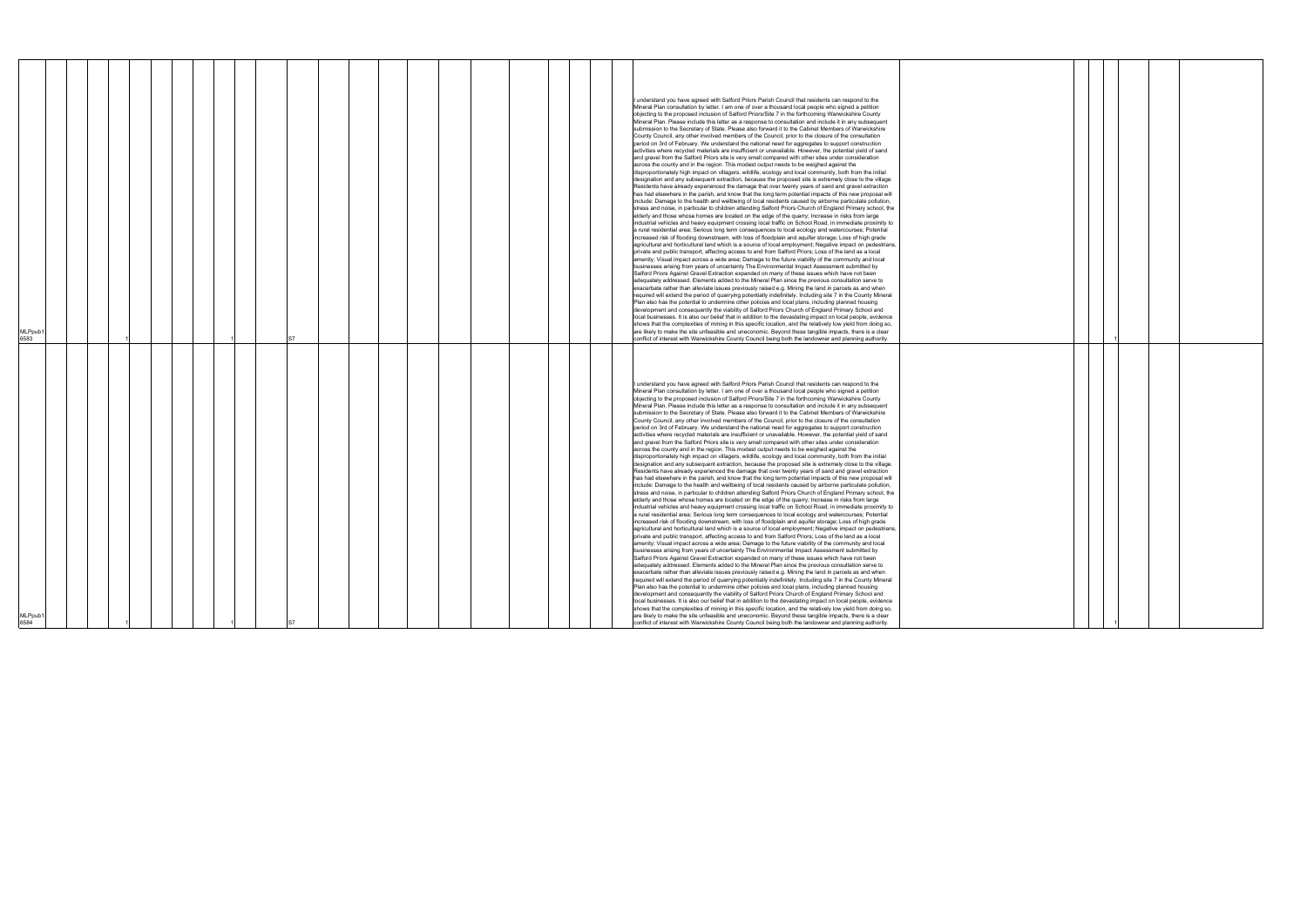|--|

|  | $\mathbf{1}$ |  |  |
|--|--------------|--|--|
|  |              |  |  |
|  |              |  |  |
|  |              |  |  |
|  |              |  |  |
|  |              |  |  |
|  |              |  |  |
|  |              |  |  |
|  |              |  |  |
|  |              |  |  |
|  |              |  |  |
|  |              |  |  |
|  |              |  |  |
|  |              |  |  |
|  |              |  |  |
|  |              |  |  |
|  |              |  |  |
|  |              |  |  |
|  |              |  |  |
|  |              |  |  |
|  |              |  |  |
|  |              |  |  |
|  |              |  |  |
|  |              |  |  |
|  |              |  |  |
|  |              |  |  |
|  |              |  |  |
|  |              |  |  |
|  |              |  |  |
|  |              |  |  |
|  |              |  |  |
|  |              |  |  |
|  |              |  |  |
|  |              |  |  |
|  |              |  |  |
|  | 1            |  |  |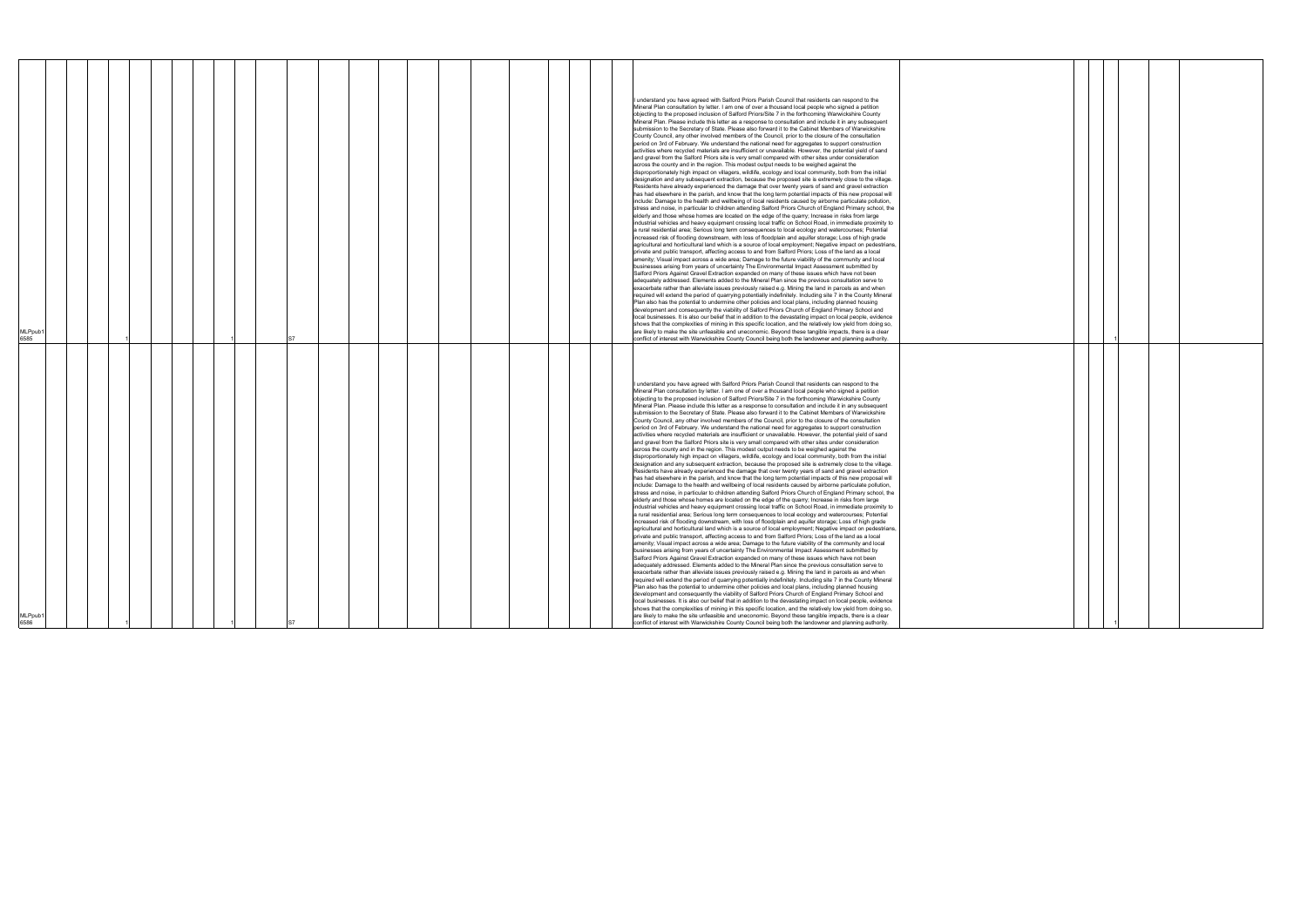|--|

|  | $\mathbf{1}$ |  |  |
|--|--------------|--|--|
|  |              |  |  |
|  |              |  |  |
|  |              |  |  |
|  |              |  |  |
|  |              |  |  |
|  |              |  |  |
|  |              |  |  |
|  |              |  |  |
|  |              |  |  |
|  |              |  |  |
|  |              |  |  |
|  |              |  |  |
|  |              |  |  |
|  |              |  |  |
|  |              |  |  |
|  |              |  |  |
|  |              |  |  |
|  |              |  |  |
|  |              |  |  |
|  |              |  |  |
|  |              |  |  |
|  |              |  |  |
|  |              |  |  |
|  |              |  |  |
|  |              |  |  |
|  |              |  |  |
|  |              |  |  |
|  |              |  |  |
|  |              |  |  |
|  |              |  |  |
|  |              |  |  |
|  |              |  |  |
|  |              |  |  |
|  |              |  |  |
|  | 1            |  |  |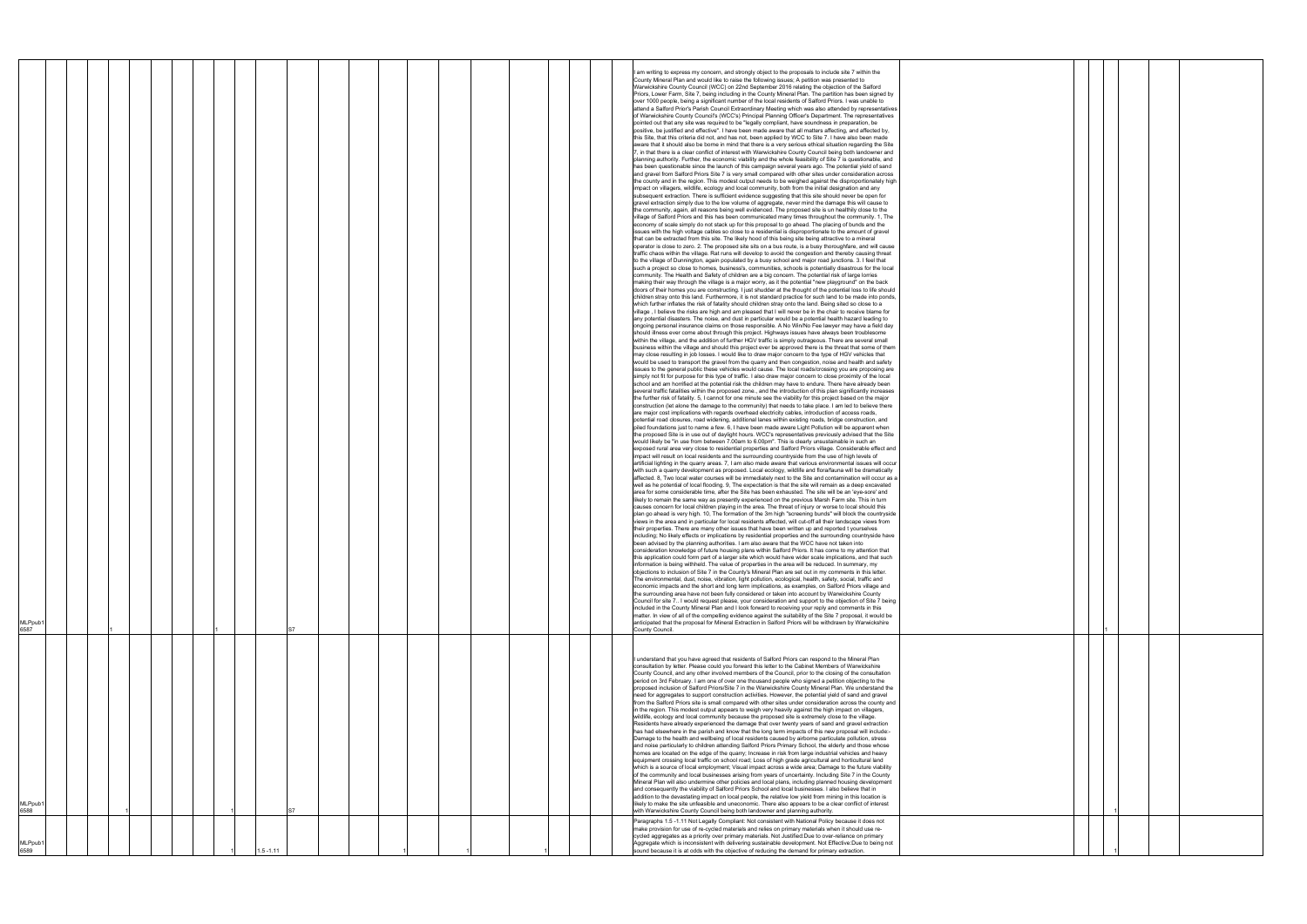|                             |  |  |  |             |  |  |  |  |  | I am writing to express my concern, and strongly object to the proposals to include site 7 within the<br>County Mineral Plan and would like to raise the following issues; A petition was presented to                                                                                                                               |  |
|-----------------------------|--|--|--|-------------|--|--|--|--|--|--------------------------------------------------------------------------------------------------------------------------------------------------------------------------------------------------------------------------------------------------------------------------------------------------------------------------------------|--|
|                             |  |  |  |             |  |  |  |  |  | Warwickshire County Council (WCC) on 22nd September 2016 relating the objection of the Salford<br>Priors, Lower Farm, Site 7, being including in the County Mineral Plan. The partition has been signed by<br>over 1000 people, being a significant number of the local residents of Salford Priors. I was unable to                 |  |
|                             |  |  |  |             |  |  |  |  |  | attend a Salford Prior's Parish Council Extraordinary Meeting which was also attended by representatives<br>of Warwickshire County Council's (WCC's) Principal Planning Officer's Department. The representatives<br>pointed out that any site was required to be "legally compliant, have soundness in preparation, be              |  |
|                             |  |  |  |             |  |  |  |  |  | positive, be justified and effective". I have been made aware that all matters affecting, and affected by,<br>this Site, that this criteria did not, and has not, been applied by WCC to Site 7. I have also been made                                                                                                               |  |
|                             |  |  |  |             |  |  |  |  |  | aware that it should also be borne in mind that there is a very serious ethical situation regarding the Site<br>7, in that there is a clear conflict of interest with Warwickshire County Council being both landowner and                                                                                                           |  |
|                             |  |  |  |             |  |  |  |  |  | planning authority. Further, the economic viability and the whole feasibility of Site 7 is questionable, and<br>has been questionable since the launch of this campaign several years ago. The potential yield of sand                                                                                                               |  |
|                             |  |  |  |             |  |  |  |  |  | and gravel from Salford Priors Site 7 is very small compared with other sites under consideration across<br>the county and in the region. This modest output needs to be weighed against the disproportionately high<br>impact on villagers, wildlife, ecology and local community, both from the initial designation and any        |  |
|                             |  |  |  |             |  |  |  |  |  | subsequent extraction. There is sufficient evidence suggesting that this site should never be open for<br>gravel extraction simply due to the low volume of aggregate, never mind the damage this will cause to                                                                                                                      |  |
|                             |  |  |  |             |  |  |  |  |  | the community, again, all reasons being well evidenced. The proposed site is un healthily close to the<br>village of Salford Priors and this has been communicated many times throughout the community, 1. The                                                                                                                       |  |
|                             |  |  |  |             |  |  |  |  |  | economy of scale simply do not stack up for this proposal to go ahead. The placing of bunds and the<br>issues with the high voltage cables so close to a residential is disproportionate to the amount of gravel                                                                                                                     |  |
|                             |  |  |  |             |  |  |  |  |  | that can be extracted from this site. The likely hood of this being site being attractive to a mineral<br>operator is close to zero. 2. The proposed site sits on a bus route, is a busy thoroughfare, and will cause                                                                                                                |  |
|                             |  |  |  |             |  |  |  |  |  | traffic chaos within the village. Rat runs will develop to avoid the congestion and thereby causing threat<br>to the village of Dunnington, again populated by a busy school and major road junctions. 3. I feel that<br>such a project so close to homes, business's, communities, schools is potentially disastrous for the local  |  |
|                             |  |  |  |             |  |  |  |  |  | community. The Health and Safety of children are a big concern. The potential risk of large lorries<br>making their way through the village is a major worry, as it the potential "new playground" on the back                                                                                                                       |  |
|                             |  |  |  |             |  |  |  |  |  | doors of their homes you are constructing. I just shudder at the thought of the potential loss to life should<br>children stray onto this land. Furthermore, it is not standard practice for such land to be made into ponds,                                                                                                        |  |
|                             |  |  |  |             |  |  |  |  |  | which further inflates the risk of fatality should children stray onto the land. Being sited so close to a<br>village, I believe the risks are high and am pleased that I will never be in the chair to receive blame for                                                                                                            |  |
|                             |  |  |  |             |  |  |  |  |  | any potential disasters. The noise, and dust in particular would be a potential health hazard leading to<br>ongoing personal insurance claims on those responsible. A No Win/No Fee lawyer may have a field day                                                                                                                      |  |
|                             |  |  |  |             |  |  |  |  |  | should illness ever come about through this project. Highways issues have always been troublesome<br>within the village, and the addition of further HGV traffic is simply outrageous. There are several small<br>business within the village and should this project ever be approved there is the threat that some of them         |  |
|                             |  |  |  |             |  |  |  |  |  | may close resulting in job losses. I would like to draw major concern to the type of HGV vehicles that<br>would be used to transport the gravel from the quarry and then congestion, noise and health and safety                                                                                                                     |  |
|                             |  |  |  |             |  |  |  |  |  | issues to the general public these vehicles would cause. The local roads/crossing you are proposing are<br>simply not fit for purpose for this type of traffic. I also draw major concern to close proximity of the local                                                                                                            |  |
|                             |  |  |  |             |  |  |  |  |  | school and am horrified at the potential risk the children may have to endure. There have already been<br>several traffic fatalities within the proposed zone., and the introduction of this plan significantly increases                                                                                                            |  |
|                             |  |  |  |             |  |  |  |  |  | the further risk of fatality. 5, I cannot for one minute see the viability for this project based on the major<br>construction (let alone the damage to the community) that needs to take place. I am led to believe there<br>are major cost implications with regards overhead electricity cables, introduction of access roads,    |  |
|                             |  |  |  |             |  |  |  |  |  | potential road closures, road widening, additional lanes within existing roads, bridge construction, and<br>piled foundations just to name a few. 6, I have been made aware Light Pollution will be apparent when                                                                                                                    |  |
|                             |  |  |  |             |  |  |  |  |  | the proposed Site is in use out of daylight hours. WCC's representatives previously advised that the Site<br>would likely be "in use from between 7.00am to 6.00pm". This is clearly unsustainable in such an                                                                                                                        |  |
|                             |  |  |  |             |  |  |  |  |  | exposed rural area very close to residential properties and Salford Priors village. Considerable effect and<br>impact will result on local residents and the surrounding countryside from the use of high levels of                                                                                                                  |  |
|                             |  |  |  |             |  |  |  |  |  | artificial lighting in the quarry areas. 7, I am also made aware that various environmental issues will occur<br>with such a quarry development as proposed. Local ecology, wildlife and flora/fauna will be dramatically                                                                                                            |  |
|                             |  |  |  |             |  |  |  |  |  | affected. 8, Two local water courses will be immediately next to the Site and contamination will occur as a<br>well as he potential of local flooding. 9, The expectation is that the site will remain as a deep excavated<br>area for some considerable time, after the Site has been exhausted. The site will be an 'eye-sore' and |  |
|                             |  |  |  |             |  |  |  |  |  | likely to remain the same way as presently experienced on the previous Marsh Farm site. This in turn<br>causes concern for local children playing in the area. The threat of injury or worse to local should this                                                                                                                    |  |
|                             |  |  |  |             |  |  |  |  |  | plan go ahead is very high. 10, The formation of the 3m high "screening bunds" will block the countryside<br>views in the area and in particular for local residents affected, will cut-off all their landscape views from                                                                                                           |  |
|                             |  |  |  |             |  |  |  |  |  | their properties. There are many other issues that have been written up and reported t yourselves<br>including; No likely effects or implications by residential properties and the surrounding countryside have                                                                                                                     |  |
|                             |  |  |  |             |  |  |  |  |  | been advised by the planning authorities. I am also aware that the WCC have not taken into<br>consideration knowledge of future housing plans within Salford Priors. It has come to my attention that<br>this application could form part of a larger site which would have wider scale implications, and that such                  |  |
|                             |  |  |  |             |  |  |  |  |  | information is being withheld. The value of properties in the area will be reduced. In summary, my<br>objections to inclusion of Site 7 in the County's Mineral Plan are set out in my comments in this letter.                                                                                                                      |  |
|                             |  |  |  |             |  |  |  |  |  | The environmental, dust, noise, vibration, light pollution, ecological, health, safety, social, traffic and<br>economic impacts and the short and long term implications, as examples, on Salford Priors village and                                                                                                                 |  |
|                             |  |  |  |             |  |  |  |  |  | the surrounding area have not been fully considered or taken into account by Warwickshire County<br>Council for site 7 I would request please, your consideration and support to the objection of Site 7 being                                                                                                                       |  |
|                             |  |  |  |             |  |  |  |  |  | included in the County Mineral Plan and I look forward to receiving your reply and comments in this<br>matter. In view of all of the compelling evidence against the suitability of the Site 7 proposal, it would be                                                                                                                 |  |
| MLPpub <sup>-</sup><br>6587 |  |  |  |             |  |  |  |  |  | anticipated that the proposal for Mineral Extraction in Salford Priors will be withdrawn by Warwickshire<br>County Council.                                                                                                                                                                                                          |  |
|                             |  |  |  |             |  |  |  |  |  | understand that you have agreed that residents of Salford Priors can respond to the Mineral Plan                                                                                                                                                                                                                                     |  |
|                             |  |  |  |             |  |  |  |  |  | consultation by letter. Please could you forward this letter to the Cabinet Members of Warwickshire<br>County Council, and any other involved members of the Council, prior to the closing of the consultation                                                                                                                       |  |
|                             |  |  |  |             |  |  |  |  |  | period on 3rd February. I am one of over one thousand people who signed a petition objecting to the<br>proposed inclusion of Salford Priors/Site 7 in the Warwickshire County Mineral Plan. We understand the                                                                                                                        |  |
|                             |  |  |  |             |  |  |  |  |  | need for aggregates to support construction activities. However, the potential yield of sand and gravel<br>from the Salford Priors site is small compared with other sites under consideration across the county and                                                                                                                 |  |
|                             |  |  |  |             |  |  |  |  |  | in the region. This modest output appears to weigh very heavily against the high impact on villagers,<br>wildlife, ecology and local community because the proposed site is extremely close to the village.<br>Residents have already experienced the damage that over twenty years of sand and gravel extraction                    |  |
|                             |  |  |  |             |  |  |  |  |  | has had elsewhere in the parish and know that the long term impacts of this new proposal will include:-<br>Damage to the health and wellbeing of local residents caused by airborne particulate pollution, stress                                                                                                                    |  |
|                             |  |  |  |             |  |  |  |  |  | and noise particularly to children attending Salford Priors Primary School, the elderly and those whose<br>homes are located on the edge of the quarry; Increase in risk from large industrial vehicles and heavy                                                                                                                    |  |
|                             |  |  |  |             |  |  |  |  |  | equipment crossing local traffic on school road; Loss of high grade agricultural and horticultural land<br>which is a source of local employment; Visual impact across a wide area; Damage to the future viability                                                                                                                   |  |
|                             |  |  |  |             |  |  |  |  |  | of the community and local businesses arising from years of uncertainty. Including Site 7 in the County<br>Mineral Plan will also undermine other policies and local plans, including planned housing development                                                                                                                    |  |
| MLPpub <sup>.</sup>         |  |  |  |             |  |  |  |  |  | and consequently the viability of Salford Priors School and local businesses. I also believe that in<br>addition to the devastating impact on local people, the relative low yield from mining in this location is<br>likely to make the site unfeasible and uneconomic. There also appears to be a clear conflict of interest       |  |
| 6588                        |  |  |  |             |  |  |  |  |  | with Warwickshire County Council being both landowner and planning authority.<br>Paragraphs 1.5-1.11 Not Legally Compliant: Not consistent with National Policy because it does not                                                                                                                                                  |  |
|                             |  |  |  |             |  |  |  |  |  | make provision for use of re-cycled materials and relies on primary materials when it should use re-<br>cycled aggregates as a priority over primary materials. Not Justified:Due to over-reliance on primary                                                                                                                        |  |
| MLPpub <sup>1</sup><br>6589 |  |  |  | $.5 - 1.11$ |  |  |  |  |  | Aggregate which is inconsistent with delivering sustainable development. Not Effective:Due to being not<br>sound because it is at odds with the objective of reducing the demand for primary extraction.                                                                                                                             |  |

|  | 1 |  |  |
|--|---|--|--|
|  |   |  |  |
|  |   |  |  |
|  |   |  |  |
|  |   |  |  |
|  |   |  |  |
|  |   |  |  |
|  |   |  |  |
|  |   |  |  |
|  |   |  |  |
|  |   |  |  |
|  |   |  |  |
|  |   |  |  |
|  | 1 |  |  |
|  |   |  |  |
|  | 1 |  |  |
|  |   |  |  |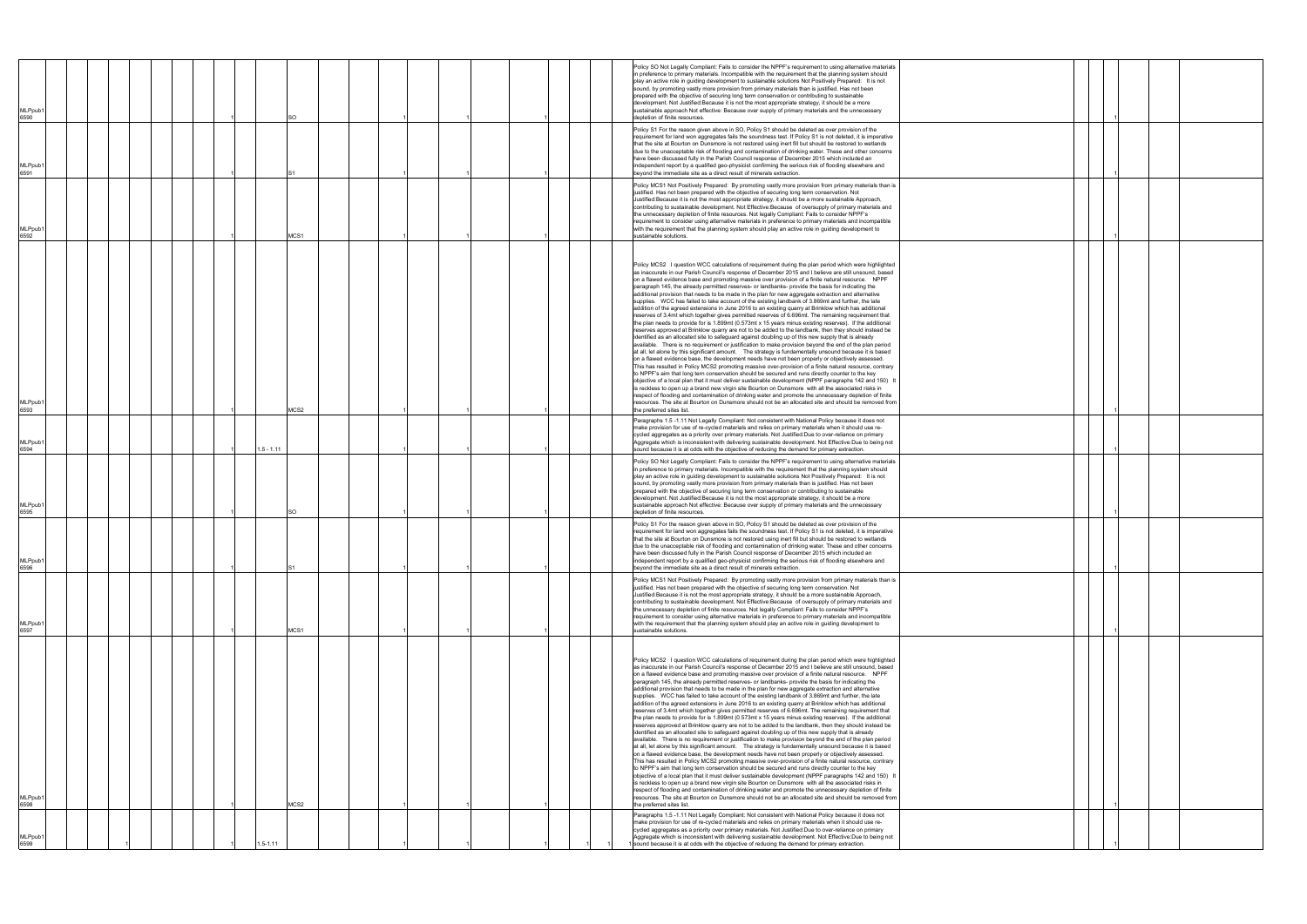| <b>MLPpub</b><br>6590       |  | SO          |  |  |  | Policy SO Not Legally Compliant: Fails to consider the NPPF's requirement to using alternative materials<br>in preference to primary materials. Incompatible with the requirement that the planning system should<br>play an active role in guiding development to sustainable solutions Not Positively Prepared: It is not<br>sound, by promoting vastly more provision from primary materials than is justified. Has not been<br>prepared with the objective of securing long term conservation or contributing to sustainable<br>development. Not Justified: Because it is not the most appropriate strategy, it should be a more<br>sustainable approach Not effective: Because over supply of primary materials and the unnecessary<br>depletion of finite resources.                                                                                                                                                                                                                                                                                                                                                                                                                                                                                                                                                                                                                                                                                                                                                                                                                                                                                                                                                                                                                                                                                                                                                                                                                                                                                                                                                                                                                       |  |  |
|-----------------------------|--|-------------|--|--|--|--------------------------------------------------------------------------------------------------------------------------------------------------------------------------------------------------------------------------------------------------------------------------------------------------------------------------------------------------------------------------------------------------------------------------------------------------------------------------------------------------------------------------------------------------------------------------------------------------------------------------------------------------------------------------------------------------------------------------------------------------------------------------------------------------------------------------------------------------------------------------------------------------------------------------------------------------------------------------------------------------------------------------------------------------------------------------------------------------------------------------------------------------------------------------------------------------------------------------------------------------------------------------------------------------------------------------------------------------------------------------------------------------------------------------------------------------------------------------------------------------------------------------------------------------------------------------------------------------------------------------------------------------------------------------------------------------------------------------------------------------------------------------------------------------------------------------------------------------------------------------------------------------------------------------------------------------------------------------------------------------------------------------------------------------------------------------------------------------------------------------------------------------------------------------------------------------|--|--|
| <b>MLPpub</b><br>6591       |  |             |  |  |  | Policy S1 For the reason given above in SO, Policy S1 should be deleted as over provision of the<br>requirement for land won aggregates fails the soundness test. If Policy S1 is not deleted, it is imperative<br>that the site at Bourton on Dunsmore is not restored using inert fill but should be restored to wetlands<br>due to the unacceptable risk of flooding and contamination of drinking water. These and other concerns<br>have been discussed fully in the Parish Council response of December 2015 which included an<br>independent report by a qualified geo-physicist confirming the serious risk of flooding elsewhere and<br>beyond the immediate site as a direct result of minerals extraction.                                                                                                                                                                                                                                                                                                                                                                                                                                                                                                                                                                                                                                                                                                                                                                                                                                                                                                                                                                                                                                                                                                                                                                                                                                                                                                                                                                                                                                                                            |  |  |
| <b>MLPpub</b><br>6592       |  | MCS1        |  |  |  | Policy MCS1 Not Positively Prepared: By promoting vastly more provision from primary materials than is<br>justified. Has not been prepared with the objective of securing long term conservation. Not<br>Justified: Because it is not the most appropriate strategy, it should be a more sustainable Approach,<br>contributing to sustainable development. Not Effective: Because of oversupply of primary materials and<br>the unnecessary depletion of finite resources. Not legally Compliant: Fails to consider NPPF's<br>requirement to consider using alternative materials in preference to primary materials and incompatible<br>with the requirement that the planning system should play an active role in guiding development to<br>sustainable solutions.                                                                                                                                                                                                                                                                                                                                                                                                                                                                                                                                                                                                                                                                                                                                                                                                                                                                                                                                                                                                                                                                                                                                                                                                                                                                                                                                                                                                                            |  |  |
| <b>MLPpub</b><br>6593       |  | ACS2        |  |  |  | Policy MCS2 I question WCC calculations of requirement during the plan period which were highlighted<br>as inaccurate in our Parish Council's response of December 2015 and I believe are still unsound, based<br>on a flawed evidence base and promoting massive over provision of a finite natural resource. NPPF<br>paragraph 145, the already permitted reserves- or landbanks- provide the basis for indicating the<br>additional provision that needs to be made in the plan for new aggregate extraction and alternative<br>supplies. WCC has failed to take account of the existing landbank of 3.869mt and further, the late<br>addition of the agreed extensions in June 2016 to an existing quarry at Brinklow which has additional<br>reserves of 3.4mt which together gives permitted reserves of 6.696mt. The remaining requirement that<br>the plan needs to provide for is 1.899mt (0.573mt x 15 years minus existing reserves). If the additional<br>reserves approved at Brinklow quarry are not to be added to the landbank, then they should instead be<br>identified as an allocated site to safeguard against doubling up of this new supply that is already<br>available. There is no requirement or justification to make provision beyond the end of the plan period<br>at all, let alone by this significant amount.  The strategy is fundamentally unsound because it is based<br>on a flawed evidence base, the development needs have not been properly or objectively assessed.<br>This has resulted in Policy MCS2 promoting massive over-provision of a finite natural resource, contrary<br>to NPPF's aim that long tern conservation should be secured and runs directly counter to the key<br>objective of a local plan that it must deliver sustainable development (NPPF paragraphs 142 and 150) It<br>is reckless to open up a brand new virgin site Bourton on Dunsmore with all the associated risks in<br>respect of flooding and contamination of drinking water and promote the unnecessary depletion of finite<br>resources. The site at Bourton on Dunsmore should not be an allocated site and should be removed from<br>the preferred sites list. |  |  |
| <b>MLPpub</b><br>6594       |  | $.5 - 1.11$ |  |  |  | Paragraphs 1.5 -1.11 Not Legally Compliant: Not consistent with National Policy because it does not<br>make provision for use of re-cycled materials and relies on primary materials when it should use re-<br>cycled aggregates as a priority over primary materials. Not Justified:Due to over-reliance on primary<br>Aggregate which is inconsistent with delivering sustainable development. Not Effective:Due to being not<br>sound because it is at odds with the objective of reducing the demand for primary extraction.                                                                                                                                                                                                                                                                                                                                                                                                                                                                                                                                                                                                                                                                                                                                                                                                                                                                                                                                                                                                                                                                                                                                                                                                                                                                                                                                                                                                                                                                                                                                                                                                                                                                 |  |  |
| <b>MLPpub</b><br>6595       |  | SO          |  |  |  | Policy SO Not Legally Compliant: Fails to consider the NPPF's requirement to using alternative materials<br>in preference to primary materials. Incompatible with the requirement that the planning system should<br>play an active role in guiding development to sustainable solutions Not Positively Prepared: It is not<br>sound, by promoting vastly more provision from primary materials than is justified. Has not been<br>prepared with the objective of securing long term conservation or contributing to sustainable<br>development. Not Justified:Because it is not the most appropriate strategy, it should be a more<br>sustainable approach Not effective: Because over supply of primary materials and the unnecessary<br>depletion of finite resources.                                                                                                                                                                                                                                                                                                                                                                                                                                                                                                                                                                                                                                                                                                                                                                                                                                                                                                                                                                                                                                                                                                                                                                                                                                                                                                                                                                                                                        |  |  |
| <b>MLPpub</b><br>6596       |  |             |  |  |  | Policy S1 For the reason given above in SO, Policy S1 should be deleted as over provision of the<br>requirement for land won aggregates fails the soundness test. If Policy S1 is not deleted, it is imperative<br>that the site at Bourton on Dunsmore is not restored using inert fill but should be restored to wetlands<br>due to the unacceptable risk of flooding and contamination of drinking water. These and other concerns<br>have been discussed fully in the Parish Council response of December 2015 which included an<br>independent report by a qualified geo-physicist confirming the serious risk of flooding elsewhere and<br>beyond the immediate site as a direct result of minerals extraction.                                                                                                                                                                                                                                                                                                                                                                                                                                                                                                                                                                                                                                                                                                                                                                                                                                                                                                                                                                                                                                                                                                                                                                                                                                                                                                                                                                                                                                                                            |  |  |
| MLPpub <sup>.</sup><br>6597 |  | MCS1        |  |  |  | Policy MCS1 Not Positively Prepared: By promoting vastly more provision from primary materials than is<br>justified. Has not been prepared with the objective of securing long term conservation. Not<br>Justified: Because it is not the most appropriate strategy, it should be a more sustainable Approach,<br>contributing to sustainable development. Not Effective: Because of oversupply of primary materials and<br>the unnecessary depletion of finite resources. Not legally Compliant: Fails to consider NPPF's<br>requirement to consider using alternative materials in preference to primary materials and incompatible<br>with the requirement that the planning system should play an active role in guiding development to<br>sustainable solutions.                                                                                                                                                                                                                                                                                                                                                                                                                                                                                                                                                                                                                                                                                                                                                                                                                                                                                                                                                                                                                                                                                                                                                                                                                                                                                                                                                                                                                            |  |  |
| <b>MLPpub</b><br>6598       |  | VICS2       |  |  |  | Policy MCS2 I question WCC calculations of requirement during the plan period which were highlighted<br>as inaccurate in our Parish Council's response of December 2015 and I believe are still unsound, based<br>on a flawed evidence base and promoting massive over provision of a finite natural resource. NPPF<br>paragraph 145, the already permitted reserves- or landbanks- provide the basis for indicating the<br>additional provision that needs to be made in the plan for new aggregate extraction and alternative<br>supplies. WCC has failed to take account of the existing landbank of 3.869mt and further, the late<br>addition of the agreed extensions in June 2016 to an existing quarry at Brinklow which has additional<br>reserves of 3.4mt which together gives permitted reserves of 6.696mt. The remaining requirement that<br>the plan needs to provide for is 1.899mt (0.573mt x 15 years minus existing reserves). If the additional<br>reserves approved at Brinklow quarry are not to be added to the landbank, then they should instead be<br>identified as an allocated site to safeguard against doubling up of this new supply that is already<br>available. There is no requirement or justification to make provision beyond the end of the plan period<br>at all, let alone by this significant amount.  The strategy is fundamentally unsound because it is based<br>on a flawed evidence base, the development needs have not been properly or objectively assessed.<br>This has resulted in Policy MCS2 promoting massive over-provision of a finite natural resource, contrary<br>to NPPF's aim that long tern conservation should be secured and runs directly counter to the key<br>objective of a local plan that it must deliver sustainable development (NPPF paragraphs 142 and 150) It<br>is reckless to open up a brand new virgin site Bourton on Dunsmore with all the associated risks in<br>respect of flooding and contamination of drinking water and promote the unnecessary depletion of finite<br>resources. The site at Bourton on Dunsmore should not be an allocated site and should be removed from<br>the preferred sites list. |  |  |
| <b>MLPpub</b><br>6599       |  | $.5 - 1.11$ |  |  |  | Paragraphs 1.5 -1.11 Not Legally Compliant: Not consistent with National Policy because it does not<br>make provision for use of re-cycled materials and relies on primary materials when it should use re-<br>cycled aggregates as a priority over primary materials. Not Justified:Due to over-reliance on primary<br>Aggregate which is inconsistent with delivering sustainable development. Not Effective:Due to being not<br>sound because it is at odds with the objective of reducing the demand for primary extraction.                                                                                                                                                                                                                                                                                                                                                                                                                                                                                                                                                                                                                                                                                                                                                                                                                                                                                                                                                                                                                                                                                                                                                                                                                                                                                                                                                                                                                                                                                                                                                                                                                                                                 |  |  |

|  | 1 |  |  |
|--|---|--|--|
|  |   |  |  |
|  | 1 |  |  |
|  | 1 |  |  |
|  |   |  |  |
|  |   |  |  |
|  |   |  |  |
|  |   |  |  |
|  | 1 |  |  |
|  | 1 |  |  |
|  |   |  |  |
|  | 1 |  |  |
|  |   |  |  |
|  | 1 |  |  |
|  | 1 |  |  |
|  |   |  |  |
|  |   |  |  |
|  |   |  |  |
|  |   |  |  |
|  | 1 |  |  |
|  | 1 |  |  |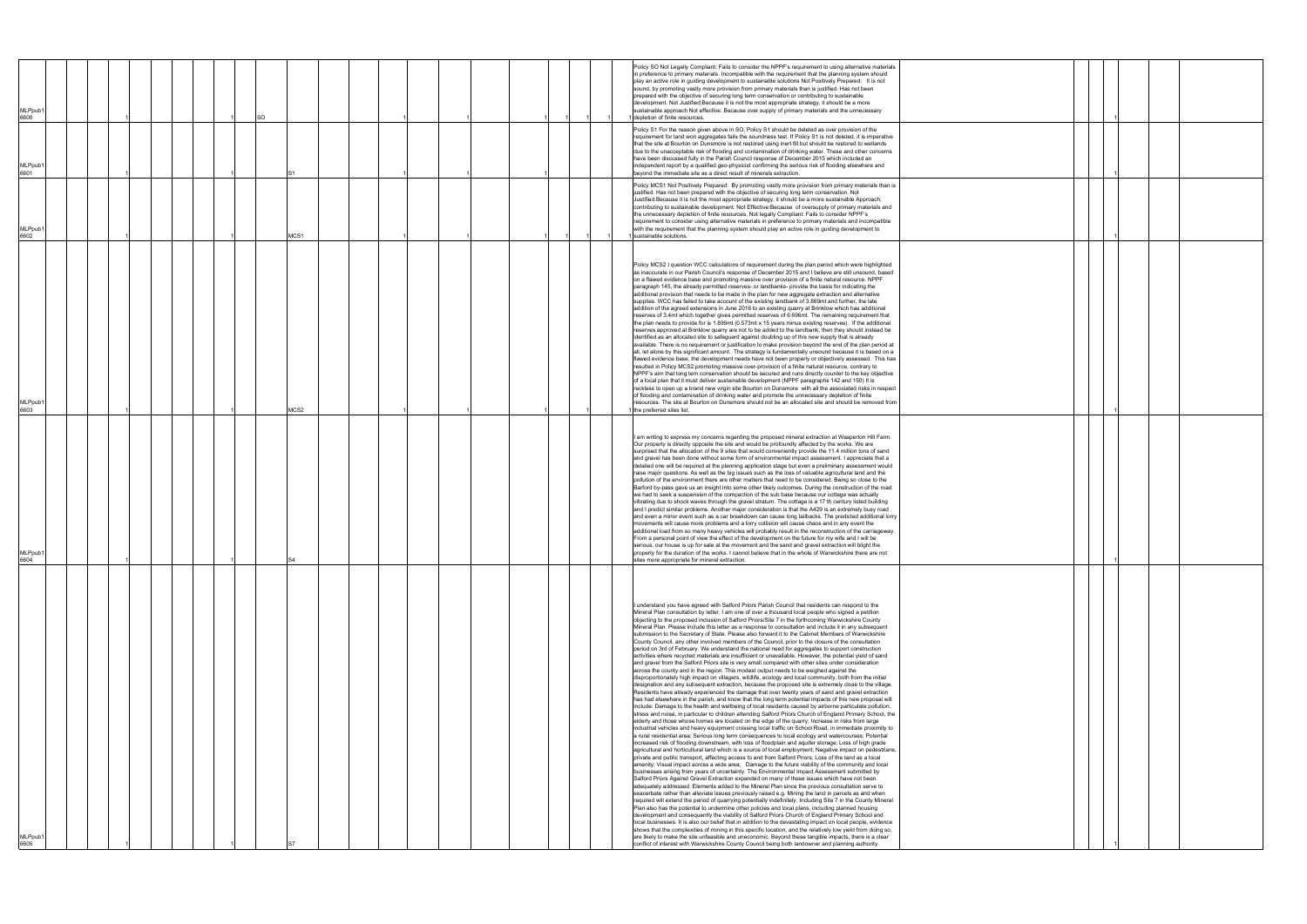| <b>MLPpub</b><br>6600       |  |  |  | SO |      |  |  |  |  |  | Policy SO Not Legally Compliant: Fails to consider the NPPF's requirement to using alternative materials<br>in preference to primary materials. Incompatible with the requirement that the planning system should<br>play an active role in guiding development to sustainable solutions Not Positively Prepared: It is not<br>sound, by promoting vastly more provision from primary materials than is justified. Has not been<br>prepared with the objective of securing long term conservation or contributing to sustainable<br>development. Not Justified: Because it is not the most appropriate strategy, it should be a more<br>sustainable approach Not effective: Because over supply of primary materials and the unnecessary<br>depletion of finite resources.                                                                                                                                                                                                                                                                                                                                                                                                                                                                                                                                                                                                                                                                                                                                                                                                                                                                                                                                                                                                                                                                                                                                                                                                                                                                                                                                                                                                                                                                                                                                                                                                                                                                                                                                                                                                                                                                                                                                                                                                                                                                                                                                                                                                                                                                                                                                                                                                                                                                                                                                                                                                                                                                                                                                                                                                                                                                                                                        |  |
|-----------------------------|--|--|--|----|------|--|--|--|--|--|---------------------------------------------------------------------------------------------------------------------------------------------------------------------------------------------------------------------------------------------------------------------------------------------------------------------------------------------------------------------------------------------------------------------------------------------------------------------------------------------------------------------------------------------------------------------------------------------------------------------------------------------------------------------------------------------------------------------------------------------------------------------------------------------------------------------------------------------------------------------------------------------------------------------------------------------------------------------------------------------------------------------------------------------------------------------------------------------------------------------------------------------------------------------------------------------------------------------------------------------------------------------------------------------------------------------------------------------------------------------------------------------------------------------------------------------------------------------------------------------------------------------------------------------------------------------------------------------------------------------------------------------------------------------------------------------------------------------------------------------------------------------------------------------------------------------------------------------------------------------------------------------------------------------------------------------------------------------------------------------------------------------------------------------------------------------------------------------------------------------------------------------------------------------------------------------------------------------------------------------------------------------------------------------------------------------------------------------------------------------------------------------------------------------------------------------------------------------------------------------------------------------------------------------------------------------------------------------------------------------------------------------------------------------------------------------------------------------------------------------------------------------------------------------------------------------------------------------------------------------------------------------------------------------------------------------------------------------------------------------------------------------------------------------------------------------------------------------------------------------------------------------------------------------------------------------------------------------------------------------------------------------------------------------------------------------------------------------------------------------------------------------------------------------------------------------------------------------------------------------------------------------------------------------------------------------------------------------------------------------------------------------------------------------------------------------------|--|
| MLPpub<br>6601              |  |  |  |    |      |  |  |  |  |  | Policy S1 For the reason given above in SO, Policy S1 should be deleted as over provision of the<br>requirement for land won aggregates fails the soundness test. If Policy S1 is not deleted, it is imperative<br>that the site at Bourton on Dunsmore is not restored using inert fill but should be restored to wetlands<br>due to the unacceptable risk of flooding and contamination of drinking water. These and other concerns<br>have been discussed fully in the Parish Council response of December 2015 which included an<br>independent report by a qualified geo-physicist confirming the serious risk of flooding elsewhere and<br>beyond the immediate site as a direct result of minerals extraction.                                                                                                                                                                                                                                                                                                                                                                                                                                                                                                                                                                                                                                                                                                                                                                                                                                                                                                                                                                                                                                                                                                                                                                                                                                                                                                                                                                                                                                                                                                                                                                                                                                                                                                                                                                                                                                                                                                                                                                                                                                                                                                                                                                                                                                                                                                                                                                                                                                                                                                                                                                                                                                                                                                                                                                                                                                                                                                                                                                             |  |
| MLPpub <sup>®</sup><br>6602 |  |  |  |    | MCS1 |  |  |  |  |  | Policy MCS1 Not Positively Prepared: By promoting vastly more provision from primary materials than is<br>justified. Has not been prepared with the objective of securing long term conservation. Not<br>Justified: Because it is not the most appropriate strategy, it should be a more sustainable Approach,<br>contributing to sustainable development. Not Effective: Because of oversupply of primary materials and<br>the unnecessary depletion of finite resources. Not legally Compliant: Fails to consider NPPF's<br>requirement to consider using alternative materials in preference to primary materials and incompatible<br>with the requirement that the planning system should play an active role in guiding development to<br>sustainable solutions.                                                                                                                                                                                                                                                                                                                                                                                                                                                                                                                                                                                                                                                                                                                                                                                                                                                                                                                                                                                                                                                                                                                                                                                                                                                                                                                                                                                                                                                                                                                                                                                                                                                                                                                                                                                                                                                                                                                                                                                                                                                                                                                                                                                                                                                                                                                                                                                                                                                                                                                                                                                                                                                                                                                                                                                                                                                                                                                             |  |
| MLPpub <sup>®</sup><br>6603 |  |  |  |    | MCS2 |  |  |  |  |  | Policy MCS2 I question WCC calculations of requirement during the plan period which were highlighted<br>as inaccurate in our Parish Council's response of December 2015 and I believe are still unsound, based<br>on a flawed evidence base and promoting massive over provision of a finite natural resource. NPPF<br>paragraph 145, the already permitted reserves- or landbanks- provide the basis for indicating the<br>additional provision that needs to be made in the plan for new aggregate extraction and alternative<br>supplies. WCC has failed to take account of the existing landbank of 3.869mt and further, the late<br>addition of the agreed extensions in June 2016 to an existing quarry at Brinklow which has additional<br>reserves of 3.4mt which together gives permitted reserves of 6.696mt. The remaining requirement that<br>the plan needs to provide for is 1.899mt (0.573mt x 15 years minus existing reserves). If the additional<br>reserves approved at Brinklow quarry are not to be added to the landbank, then they should instead be<br>identified as an allocated site to safeguard against doubling up of this new supply that is already<br>available. There is no requirement or justification to make provision beyond the end of the plan period at<br>all, let alone by this significant amount. The strategy is fundamentally unsound because it is based on a<br>flawed evidence base, the development needs have not been properly or objectively assessed. This has<br>resulted in Policy MCS2 promoting massive over-provision of a finite natural resource, contrary to<br>NPPF's aim that long tern conservation should be secured and runs directly counter to the key objective<br>of a local plan that it must deliver sustainable development (NPPF paragraphs 142 and 150) It is<br>reckless to open up a brand new virgin site Bourton on Dunsmore with all the associated risks in respect<br>of flooding and contamination of drinking water and promote the unnecessary depletion of finite<br>resources. The site at Bourton on Dunsmore should not be an allocated site and should be removed from<br>the preferred sites list.                                                                                                                                                                                                                                                                                                                                                                                                                                                                                                                                                                                                                                                                                                                                                                                                                                                                                                                                                                                                                                                                                                                                                                                                                                                                                                                                                                                                                                                                                                   |  |
| <b>MLPpub</b><br>6604       |  |  |  |    | S4   |  |  |  |  |  | I am writing to express my concerns regarding the proposed mineral extraction at Wasperton Hill Farm.<br>Our property is directly opposite the site and would be profoundly affected by the works. We are<br>surprised that the allocation of the 9 sites that would conveniently provide the 11.4 million tons of sand<br>and gravel has been done without some form of environmental impact assessment. I appreciate that a<br>detailed one will be required at the planning application stage but even a preliminary assessment would<br>raise major questions. As well as the big issues such as the loss of valuable agricultural land and the<br>pollution of the environment there are other matters that need to be considered. Being so close to the<br>Barford by-pass gave us an insight into some other likely outcomes. During the construction of the road<br>we had to seek a suspension of the compaction of the sub base because our cottage was actually<br>vibrating due to shock waves through the gravel stratum. The cottage is a 17 th century listed building<br>and I predict similar problems. Another major consideration is that the A429 is an extremely busy road<br>and even a minor event such as a car breakdown can cause long tailbacks. The predicted additional lorry<br>movements will cause more problems and a lorry collision will cause chaos and in any event the<br>additional load from so many heavy vehicles will probably result in the reconstruction of the carriageway.<br>From a personal point of view the effect of the development on the future for my wife and I will be<br>serious, our house is up for sale at the movement and the sand and gravel extraction will blight the<br>property for the duration of the works. I cannot believe that in the whole of Warwickshire there are not<br>sites more appropriate for mineral extraction.                                                                                                                                                                                                                                                                                                                                                                                                                                                                                                                                                                                                                                                                                                                                                                                                                                                                                                                                                                                                                                                                                                                                                                                                                                                                                                                                                                                                                                                                                                                                                                                                                                                                                                                                                                                           |  |
| MLPpub <sup>.</sup><br>6605 |  |  |  |    |      |  |  |  |  |  | I understand you have agreed with Salford Priors Parish Council that residents can respond to the<br>Mineral Plan consultation by letter. I am one of over a thousand local people who signed a petition<br>objecting to the proposed inclusion of Salford Priors/Site 7 in the forthcoming Warwickshire County<br>Mineral Plan. Please include this letter as a response to consultation and include it in any subsequent<br>submission to the Secretary of State. Please also forward it to the Cabinet Members of Warwickshire<br>County Council, any other involved members of the Council, prior to the closure of the consultation<br>period on 3rd of February. We understand the national need for aggregates to support construction<br>activities where recycled materials are insufficient or unavailable. However, the potential yield of sand<br>and gravel from the Salford Priors site is very small compared with other sites under consideration<br>across the county and in the region. This modest output needs to be weighed against the<br>disproportionately high impact on villagers, wildlife, ecology and local community, both from the initial<br>designation and any subsequent extraction, because the proposed site is extremely close to the village.<br>Residents have already experienced the damage that over twenty years of sand and gravel extraction<br>has had elsewhere in the parish, and know that the long term potential impacts of this new proposal will<br>include: Damage to the health and wellbeing of local residents caused by airborne particulate pollution,<br>stress and noise, in particular to children attending Salford Priors Church of England Primary School, the<br>elderly and those whose homes are located on the edge of the quarry; Increase in risks from large<br>industrial vehicles and heavy equipment crossing local traffic on School Road, in immediate proximity to<br>a rural residential area; Serious long term consequences to local ecology and watercourses; Potential<br>increased risk of flooding downstream, with loss of floodplain and aquifer storage; Loss of high grade<br>agricultural and horticultural land which is a source of local employment; Negative impact on pedestrians,<br>private and public transport, affecting access to and from Salford Priors; Loss of the land as a local<br>amenity; Visual impact across a wide area; Damage to the future viability of the community and local<br>businesses arising from years of uncertainty. The Environmental Impact Assessment submitted by<br>Salford Priors Against Gravel Extraction expanded on many of these issues which have not been<br>adequately addressed. Elements added to the Mineral Plan since the previous consultation serve to<br>exacerbate rather than alleviate issues previously raised e.g. Mining the land in parcels as and when<br>required will extend the period of quarrying potentially indefinitely. Including Site 7 in the County Mineral<br>Plan also has the potential to undermine other policies and local plans, including planned housing<br>development and consequently the viability of Salford Priors Church of England Primary School and<br>local businesses. It is also our belief that in addition to the devastating impact on local people, evidence<br>shows that the complexities of mining in this specific location, and the relatively low yield from doing so,<br>are likely to make the site unfeasible and uneconomic. Beyond these tangible impacts, there is a clear<br>conflict of interest with Warwickshire County Council being both landowner and planning authority. |  |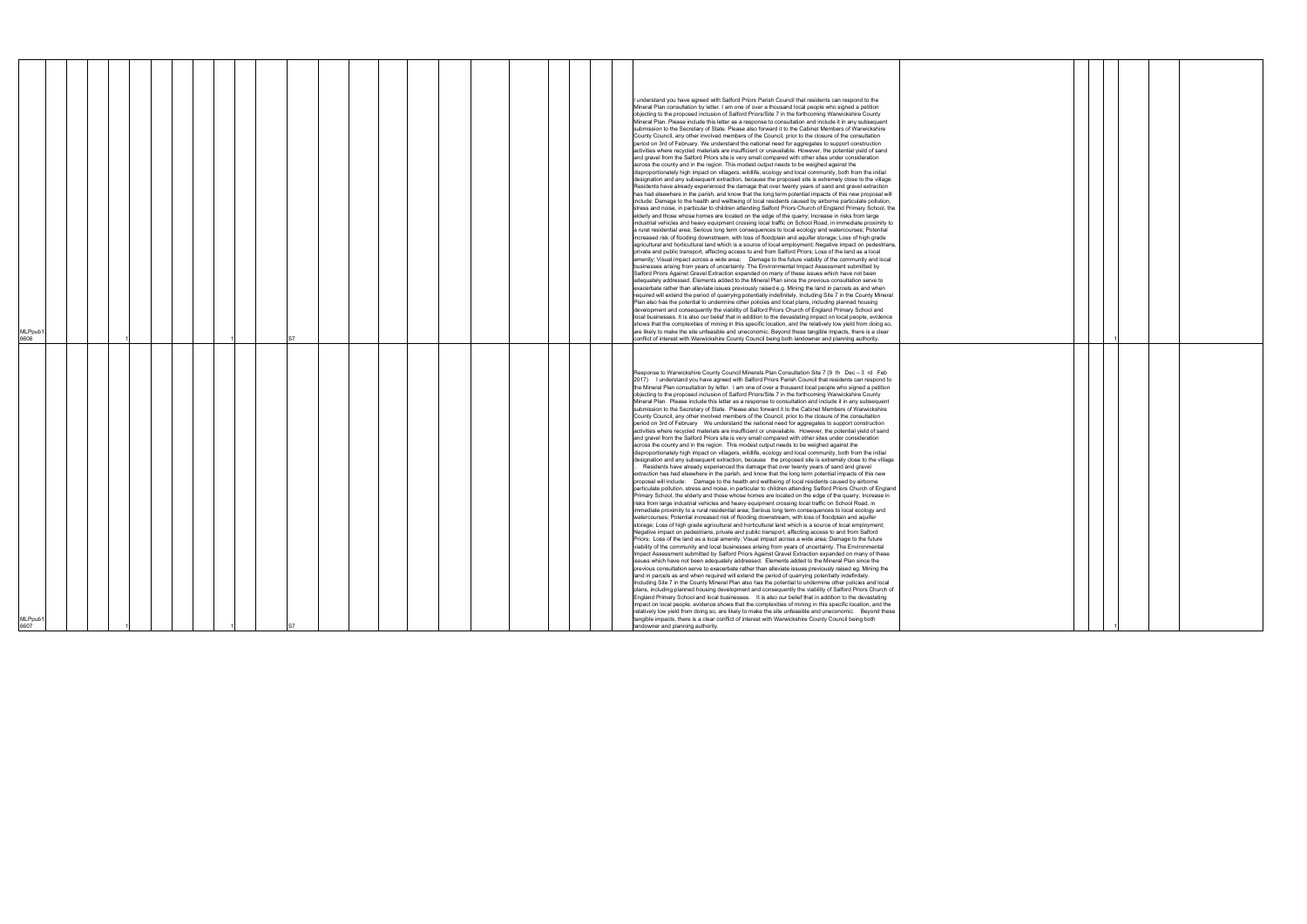| MLPpub1<br>6607                                                                                                                                                                                                                                                                                                                                                                                                                                                                                                                                                                                                                                                                                                                                                                                                                                                                                                                                                                                                                                                                                                                                                                                                                                                                                                                                                                                                                                                                                                                                                                                                                                                                                                                                                                                                                                                                                                                                                                                                                                                                                                                                                                                                                                                                                                                                                                                                                                                                                                                                                                                                                                                                                                                                                                                                                                                                                                                                                                                                                                                                                                                                                                                                                                                                                                                                                                                                                                                                                                                                                                                                                                                                                                                                                                                          | MLPpub1<br>6606                                                                                                                                                                                                                                                                                                                                                                                                                                                                                                                                                                                                                                                                                                                                                                                                                                                                                                                                                                                                                                                                                                                                                                                                                                                                                                                                                                                                                                                                                                                                                                                                                                                                                                                                                                                                                                                                                                                                                                                                                                                                                                                                                                                                                                                                                                                                                                                                                                                                                                                                                                                                                                                                                                                                                                                                                                                                                                                                                                                                                                                                                                                                                                                                                                                                                                                                                                                                                                                                                                                                                                                                                                                                                 |
|----------------------------------------------------------------------------------------------------------------------------------------------------------------------------------------------------------------------------------------------------------------------------------------------------------------------------------------------------------------------------------------------------------------------------------------------------------------------------------------------------------------------------------------------------------------------------------------------------------------------------------------------------------------------------------------------------------------------------------------------------------------------------------------------------------------------------------------------------------------------------------------------------------------------------------------------------------------------------------------------------------------------------------------------------------------------------------------------------------------------------------------------------------------------------------------------------------------------------------------------------------------------------------------------------------------------------------------------------------------------------------------------------------------------------------------------------------------------------------------------------------------------------------------------------------------------------------------------------------------------------------------------------------------------------------------------------------------------------------------------------------------------------------------------------------------------------------------------------------------------------------------------------------------------------------------------------------------------------------------------------------------------------------------------------------------------------------------------------------------------------------------------------------------------------------------------------------------------------------------------------------------------------------------------------------------------------------------------------------------------------------------------------------------------------------------------------------------------------------------------------------------------------------------------------------------------------------------------------------------------------------------------------------------------------------------------------------------------------------------------------------------------------------------------------------------------------------------------------------------------------------------------------------------------------------------------------------------------------------------------------------------------------------------------------------------------------------------------------------------------------------------------------------------------------------------------------------------------------------------------------------------------------------------------------------------------------------------------------------------------------------------------------------------------------------------------------------------------------------------------------------------------------------------------------------------------------------------------------------------------------------------------------------------------------------------------------------------------------------------------------------------------------------------------------------|-------------------------------------------------------------------------------------------------------------------------------------------------------------------------------------------------------------------------------------------------------------------------------------------------------------------------------------------------------------------------------------------------------------------------------------------------------------------------------------------------------------------------------------------------------------------------------------------------------------------------------------------------------------------------------------------------------------------------------------------------------------------------------------------------------------------------------------------------------------------------------------------------------------------------------------------------------------------------------------------------------------------------------------------------------------------------------------------------------------------------------------------------------------------------------------------------------------------------------------------------------------------------------------------------------------------------------------------------------------------------------------------------------------------------------------------------------------------------------------------------------------------------------------------------------------------------------------------------------------------------------------------------------------------------------------------------------------------------------------------------------------------------------------------------------------------------------------------------------------------------------------------------------------------------------------------------------------------------------------------------------------------------------------------------------------------------------------------------------------------------------------------------------------------------------------------------------------------------------------------------------------------------------------------------------------------------------------------------------------------------------------------------------------------------------------------------------------------------------------------------------------------------------------------------------------------------------------------------------------------------------------------------------------------------------------------------------------------------------------------------------------------------------------------------------------------------------------------------------------------------------------------------------------------------------------------------------------------------------------------------------------------------------------------------------------------------------------------------------------------------------------------------------------------------------------------------------------------------------------------------------------------------------------------------------------------------------------------------------------------------------------------------------------------------------------------------------------------------------------------------------------------------------------------------------------------------------------------------------------------------------------------------------------------------------------------------|
|                                                                                                                                                                                                                                                                                                                                                                                                                                                                                                                                                                                                                                                                                                                                                                                                                                                                                                                                                                                                                                                                                                                                                                                                                                                                                                                                                                                                                                                                                                                                                                                                                                                                                                                                                                                                                                                                                                                                                                                                                                                                                                                                                                                                                                                                                                                                                                                                                                                                                                                                                                                                                                                                                                                                                                                                                                                                                                                                                                                                                                                                                                                                                                                                                                                                                                                                                                                                                                                                                                                                                                                                                                                                                                                                                                                                          |                                                                                                                                                                                                                                                                                                                                                                                                                                                                                                                                                                                                                                                                                                                                                                                                                                                                                                                                                                                                                                                                                                                                                                                                                                                                                                                                                                                                                                                                                                                                                                                                                                                                                                                                                                                                                                                                                                                                                                                                                                                                                                                                                                                                                                                                                                                                                                                                                                                                                                                                                                                                                                                                                                                                                                                                                                                                                                                                                                                                                                                                                                                                                                                                                                                                                                                                                                                                                                                                                                                                                                                                                                                                                                 |
|                                                                                                                                                                                                                                                                                                                                                                                                                                                                                                                                                                                                                                                                                                                                                                                                                                                                                                                                                                                                                                                                                                                                                                                                                                                                                                                                                                                                                                                                                                                                                                                                                                                                                                                                                                                                                                                                                                                                                                                                                                                                                                                                                                                                                                                                                                                                                                                                                                                                                                                                                                                                                                                                                                                                                                                                                                                                                                                                                                                                                                                                                                                                                                                                                                                                                                                                                                                                                                                                                                                                                                                                                                                                                                                                                                                                          |                                                                                                                                                                                                                                                                                                                                                                                                                                                                                                                                                                                                                                                                                                                                                                                                                                                                                                                                                                                                                                                                                                                                                                                                                                                                                                                                                                                                                                                                                                                                                                                                                                                                                                                                                                                                                                                                                                                                                                                                                                                                                                                                                                                                                                                                                                                                                                                                                                                                                                                                                                                                                                                                                                                                                                                                                                                                                                                                                                                                                                                                                                                                                                                                                                                                                                                                                                                                                                                                                                                                                                                                                                                                                                 |
|                                                                                                                                                                                                                                                                                                                                                                                                                                                                                                                                                                                                                                                                                                                                                                                                                                                                                                                                                                                                                                                                                                                                                                                                                                                                                                                                                                                                                                                                                                                                                                                                                                                                                                                                                                                                                                                                                                                                                                                                                                                                                                                                                                                                                                                                                                                                                                                                                                                                                                                                                                                                                                                                                                                                                                                                                                                                                                                                                                                                                                                                                                                                                                                                                                                                                                                                                                                                                                                                                                                                                                                                                                                                                                                                                                                                          |                                                                                                                                                                                                                                                                                                                                                                                                                                                                                                                                                                                                                                                                                                                                                                                                                                                                                                                                                                                                                                                                                                                                                                                                                                                                                                                                                                                                                                                                                                                                                                                                                                                                                                                                                                                                                                                                                                                                                                                                                                                                                                                                                                                                                                                                                                                                                                                                                                                                                                                                                                                                                                                                                                                                                                                                                                                                                                                                                                                                                                                                                                                                                                                                                                                                                                                                                                                                                                                                                                                                                                                                                                                                                                 |
|                                                                                                                                                                                                                                                                                                                                                                                                                                                                                                                                                                                                                                                                                                                                                                                                                                                                                                                                                                                                                                                                                                                                                                                                                                                                                                                                                                                                                                                                                                                                                                                                                                                                                                                                                                                                                                                                                                                                                                                                                                                                                                                                                                                                                                                                                                                                                                                                                                                                                                                                                                                                                                                                                                                                                                                                                                                                                                                                                                                                                                                                                                                                                                                                                                                                                                                                                                                                                                                                                                                                                                                                                                                                                                                                                                                                          |                                                                                                                                                                                                                                                                                                                                                                                                                                                                                                                                                                                                                                                                                                                                                                                                                                                                                                                                                                                                                                                                                                                                                                                                                                                                                                                                                                                                                                                                                                                                                                                                                                                                                                                                                                                                                                                                                                                                                                                                                                                                                                                                                                                                                                                                                                                                                                                                                                                                                                                                                                                                                                                                                                                                                                                                                                                                                                                                                                                                                                                                                                                                                                                                                                                                                                                                                                                                                                                                                                                                                                                                                                                                                                 |
|                                                                                                                                                                                                                                                                                                                                                                                                                                                                                                                                                                                                                                                                                                                                                                                                                                                                                                                                                                                                                                                                                                                                                                                                                                                                                                                                                                                                                                                                                                                                                                                                                                                                                                                                                                                                                                                                                                                                                                                                                                                                                                                                                                                                                                                                                                                                                                                                                                                                                                                                                                                                                                                                                                                                                                                                                                                                                                                                                                                                                                                                                                                                                                                                                                                                                                                                                                                                                                                                                                                                                                                                                                                                                                                                                                                                          |                                                                                                                                                                                                                                                                                                                                                                                                                                                                                                                                                                                                                                                                                                                                                                                                                                                                                                                                                                                                                                                                                                                                                                                                                                                                                                                                                                                                                                                                                                                                                                                                                                                                                                                                                                                                                                                                                                                                                                                                                                                                                                                                                                                                                                                                                                                                                                                                                                                                                                                                                                                                                                                                                                                                                                                                                                                                                                                                                                                                                                                                                                                                                                                                                                                                                                                                                                                                                                                                                                                                                                                                                                                                                                 |
|                                                                                                                                                                                                                                                                                                                                                                                                                                                                                                                                                                                                                                                                                                                                                                                                                                                                                                                                                                                                                                                                                                                                                                                                                                                                                                                                                                                                                                                                                                                                                                                                                                                                                                                                                                                                                                                                                                                                                                                                                                                                                                                                                                                                                                                                                                                                                                                                                                                                                                                                                                                                                                                                                                                                                                                                                                                                                                                                                                                                                                                                                                                                                                                                                                                                                                                                                                                                                                                                                                                                                                                                                                                                                                                                                                                                          |                                                                                                                                                                                                                                                                                                                                                                                                                                                                                                                                                                                                                                                                                                                                                                                                                                                                                                                                                                                                                                                                                                                                                                                                                                                                                                                                                                                                                                                                                                                                                                                                                                                                                                                                                                                                                                                                                                                                                                                                                                                                                                                                                                                                                                                                                                                                                                                                                                                                                                                                                                                                                                                                                                                                                                                                                                                                                                                                                                                                                                                                                                                                                                                                                                                                                                                                                                                                                                                                                                                                                                                                                                                                                                 |
|                                                                                                                                                                                                                                                                                                                                                                                                                                                                                                                                                                                                                                                                                                                                                                                                                                                                                                                                                                                                                                                                                                                                                                                                                                                                                                                                                                                                                                                                                                                                                                                                                                                                                                                                                                                                                                                                                                                                                                                                                                                                                                                                                                                                                                                                                                                                                                                                                                                                                                                                                                                                                                                                                                                                                                                                                                                                                                                                                                                                                                                                                                                                                                                                                                                                                                                                                                                                                                                                                                                                                                                                                                                                                                                                                                                                          |                                                                                                                                                                                                                                                                                                                                                                                                                                                                                                                                                                                                                                                                                                                                                                                                                                                                                                                                                                                                                                                                                                                                                                                                                                                                                                                                                                                                                                                                                                                                                                                                                                                                                                                                                                                                                                                                                                                                                                                                                                                                                                                                                                                                                                                                                                                                                                                                                                                                                                                                                                                                                                                                                                                                                                                                                                                                                                                                                                                                                                                                                                                                                                                                                                                                                                                                                                                                                                                                                                                                                                                                                                                                                                 |
|                                                                                                                                                                                                                                                                                                                                                                                                                                                                                                                                                                                                                                                                                                                                                                                                                                                                                                                                                                                                                                                                                                                                                                                                                                                                                                                                                                                                                                                                                                                                                                                                                                                                                                                                                                                                                                                                                                                                                                                                                                                                                                                                                                                                                                                                                                                                                                                                                                                                                                                                                                                                                                                                                                                                                                                                                                                                                                                                                                                                                                                                                                                                                                                                                                                                                                                                                                                                                                                                                                                                                                                                                                                                                                                                                                                                          |                                                                                                                                                                                                                                                                                                                                                                                                                                                                                                                                                                                                                                                                                                                                                                                                                                                                                                                                                                                                                                                                                                                                                                                                                                                                                                                                                                                                                                                                                                                                                                                                                                                                                                                                                                                                                                                                                                                                                                                                                                                                                                                                                                                                                                                                                                                                                                                                                                                                                                                                                                                                                                                                                                                                                                                                                                                                                                                                                                                                                                                                                                                                                                                                                                                                                                                                                                                                                                                                                                                                                                                                                                                                                                 |
|                                                                                                                                                                                                                                                                                                                                                                                                                                                                                                                                                                                                                                                                                                                                                                                                                                                                                                                                                                                                                                                                                                                                                                                                                                                                                                                                                                                                                                                                                                                                                                                                                                                                                                                                                                                                                                                                                                                                                                                                                                                                                                                                                                                                                                                                                                                                                                                                                                                                                                                                                                                                                                                                                                                                                                                                                                                                                                                                                                                                                                                                                                                                                                                                                                                                                                                                                                                                                                                                                                                                                                                                                                                                                                                                                                                                          |                                                                                                                                                                                                                                                                                                                                                                                                                                                                                                                                                                                                                                                                                                                                                                                                                                                                                                                                                                                                                                                                                                                                                                                                                                                                                                                                                                                                                                                                                                                                                                                                                                                                                                                                                                                                                                                                                                                                                                                                                                                                                                                                                                                                                                                                                                                                                                                                                                                                                                                                                                                                                                                                                                                                                                                                                                                                                                                                                                                                                                                                                                                                                                                                                                                                                                                                                                                                                                                                                                                                                                                                                                                                                                 |
|                                                                                                                                                                                                                                                                                                                                                                                                                                                                                                                                                                                                                                                                                                                                                                                                                                                                                                                                                                                                                                                                                                                                                                                                                                                                                                                                                                                                                                                                                                                                                                                                                                                                                                                                                                                                                                                                                                                                                                                                                                                                                                                                                                                                                                                                                                                                                                                                                                                                                                                                                                                                                                                                                                                                                                                                                                                                                                                                                                                                                                                                                                                                                                                                                                                                                                                                                                                                                                                                                                                                                                                                                                                                                                                                                                                                          |                                                                                                                                                                                                                                                                                                                                                                                                                                                                                                                                                                                                                                                                                                                                                                                                                                                                                                                                                                                                                                                                                                                                                                                                                                                                                                                                                                                                                                                                                                                                                                                                                                                                                                                                                                                                                                                                                                                                                                                                                                                                                                                                                                                                                                                                                                                                                                                                                                                                                                                                                                                                                                                                                                                                                                                                                                                                                                                                                                                                                                                                                                                                                                                                                                                                                                                                                                                                                                                                                                                                                                                                                                                                                                 |
|                                                                                                                                                                                                                                                                                                                                                                                                                                                                                                                                                                                                                                                                                                                                                                                                                                                                                                                                                                                                                                                                                                                                                                                                                                                                                                                                                                                                                                                                                                                                                                                                                                                                                                                                                                                                                                                                                                                                                                                                                                                                                                                                                                                                                                                                                                                                                                                                                                                                                                                                                                                                                                                                                                                                                                                                                                                                                                                                                                                                                                                                                                                                                                                                                                                                                                                                                                                                                                                                                                                                                                                                                                                                                                                                                                                                          |                                                                                                                                                                                                                                                                                                                                                                                                                                                                                                                                                                                                                                                                                                                                                                                                                                                                                                                                                                                                                                                                                                                                                                                                                                                                                                                                                                                                                                                                                                                                                                                                                                                                                                                                                                                                                                                                                                                                                                                                                                                                                                                                                                                                                                                                                                                                                                                                                                                                                                                                                                                                                                                                                                                                                                                                                                                                                                                                                                                                                                                                                                                                                                                                                                                                                                                                                                                                                                                                                                                                                                                                                                                                                                 |
|                                                                                                                                                                                                                                                                                                                                                                                                                                                                                                                                                                                                                                                                                                                                                                                                                                                                                                                                                                                                                                                                                                                                                                                                                                                                                                                                                                                                                                                                                                                                                                                                                                                                                                                                                                                                                                                                                                                                                                                                                                                                                                                                                                                                                                                                                                                                                                                                                                                                                                                                                                                                                                                                                                                                                                                                                                                                                                                                                                                                                                                                                                                                                                                                                                                                                                                                                                                                                                                                                                                                                                                                                                                                                                                                                                                                          |                                                                                                                                                                                                                                                                                                                                                                                                                                                                                                                                                                                                                                                                                                                                                                                                                                                                                                                                                                                                                                                                                                                                                                                                                                                                                                                                                                                                                                                                                                                                                                                                                                                                                                                                                                                                                                                                                                                                                                                                                                                                                                                                                                                                                                                                                                                                                                                                                                                                                                                                                                                                                                                                                                                                                                                                                                                                                                                                                                                                                                                                                                                                                                                                                                                                                                                                                                                                                                                                                                                                                                                                                                                                                                 |
|                                                                                                                                                                                                                                                                                                                                                                                                                                                                                                                                                                                                                                                                                                                                                                                                                                                                                                                                                                                                                                                                                                                                                                                                                                                                                                                                                                                                                                                                                                                                                                                                                                                                                                                                                                                                                                                                                                                                                                                                                                                                                                                                                                                                                                                                                                                                                                                                                                                                                                                                                                                                                                                                                                                                                                                                                                                                                                                                                                                                                                                                                                                                                                                                                                                                                                                                                                                                                                                                                                                                                                                                                                                                                                                                                                                                          |                                                                                                                                                                                                                                                                                                                                                                                                                                                                                                                                                                                                                                                                                                                                                                                                                                                                                                                                                                                                                                                                                                                                                                                                                                                                                                                                                                                                                                                                                                                                                                                                                                                                                                                                                                                                                                                                                                                                                                                                                                                                                                                                                                                                                                                                                                                                                                                                                                                                                                                                                                                                                                                                                                                                                                                                                                                                                                                                                                                                                                                                                                                                                                                                                                                                                                                                                                                                                                                                                                                                                                                                                                                                                                 |
|                                                                                                                                                                                                                                                                                                                                                                                                                                                                                                                                                                                                                                                                                                                                                                                                                                                                                                                                                                                                                                                                                                                                                                                                                                                                                                                                                                                                                                                                                                                                                                                                                                                                                                                                                                                                                                                                                                                                                                                                                                                                                                                                                                                                                                                                                                                                                                                                                                                                                                                                                                                                                                                                                                                                                                                                                                                                                                                                                                                                                                                                                                                                                                                                                                                                                                                                                                                                                                                                                                                                                                                                                                                                                                                                                                                                          |                                                                                                                                                                                                                                                                                                                                                                                                                                                                                                                                                                                                                                                                                                                                                                                                                                                                                                                                                                                                                                                                                                                                                                                                                                                                                                                                                                                                                                                                                                                                                                                                                                                                                                                                                                                                                                                                                                                                                                                                                                                                                                                                                                                                                                                                                                                                                                                                                                                                                                                                                                                                                                                                                                                                                                                                                                                                                                                                                                                                                                                                                                                                                                                                                                                                                                                                                                                                                                                                                                                                                                                                                                                                                                 |
|                                                                                                                                                                                                                                                                                                                                                                                                                                                                                                                                                                                                                                                                                                                                                                                                                                                                                                                                                                                                                                                                                                                                                                                                                                                                                                                                                                                                                                                                                                                                                                                                                                                                                                                                                                                                                                                                                                                                                                                                                                                                                                                                                                                                                                                                                                                                                                                                                                                                                                                                                                                                                                                                                                                                                                                                                                                                                                                                                                                                                                                                                                                                                                                                                                                                                                                                                                                                                                                                                                                                                                                                                                                                                                                                                                                                          |                                                                                                                                                                                                                                                                                                                                                                                                                                                                                                                                                                                                                                                                                                                                                                                                                                                                                                                                                                                                                                                                                                                                                                                                                                                                                                                                                                                                                                                                                                                                                                                                                                                                                                                                                                                                                                                                                                                                                                                                                                                                                                                                                                                                                                                                                                                                                                                                                                                                                                                                                                                                                                                                                                                                                                                                                                                                                                                                                                                                                                                                                                                                                                                                                                                                                                                                                                                                                                                                                                                                                                                                                                                                                                 |
|                                                                                                                                                                                                                                                                                                                                                                                                                                                                                                                                                                                                                                                                                                                                                                                                                                                                                                                                                                                                                                                                                                                                                                                                                                                                                                                                                                                                                                                                                                                                                                                                                                                                                                                                                                                                                                                                                                                                                                                                                                                                                                                                                                                                                                                                                                                                                                                                                                                                                                                                                                                                                                                                                                                                                                                                                                                                                                                                                                                                                                                                                                                                                                                                                                                                                                                                                                                                                                                                                                                                                                                                                                                                                                                                                                                                          |                                                                                                                                                                                                                                                                                                                                                                                                                                                                                                                                                                                                                                                                                                                                                                                                                                                                                                                                                                                                                                                                                                                                                                                                                                                                                                                                                                                                                                                                                                                                                                                                                                                                                                                                                                                                                                                                                                                                                                                                                                                                                                                                                                                                                                                                                                                                                                                                                                                                                                                                                                                                                                                                                                                                                                                                                                                                                                                                                                                                                                                                                                                                                                                                                                                                                                                                                                                                                                                                                                                                                                                                                                                                                                 |
| Response to Warwickshire County Council Minerals Plan Consultation Site 7 (9 th Dec - 3 rd Feb<br>2017) I understand you have agreed with Salford Priors Parish Council that residents can respond to<br>the Mineral Plan consultation by letter. I am one of over a thousand local people who signed a petition<br>objecting to the proposed inclusion of Salford Priors/Site 7 in the forthcoming Warwickshire County<br>Mineral Plan. Please include this letter as a response to consultation and include it in any subsequent<br>submission to the Secretary of State. Please also forward it to the Cabinet Members of Warwickshire<br>County Council, any other involved members of the Council, prior to the closure of the consultation<br>period on 3rd of February We understand the national need for aggregates to support construction<br>activities where recycled materials are insufficient or unavailable. However, the potential yield of sand<br>and gravel from the Salford Priors site is very small compared with other sites under consideration<br>across the county and in the region. This modest output needs to be weighed against the<br>disproportionately high impact on villagers, wildlife, ecology and local community, both from the initial<br>designation and any subsequent extraction, because the proposed site is extremely close to the village<br>Residents have already experienced the damage that over twenty years of sand and gravel<br>extraction has had elsewhere in the parish, and know that the long term potential impacts of this new<br>proposal will include: Damage to the health and wellbeing of local residents caused by airborne<br>particulate pollution, stress and noise, in particular to children attending Salford Priors Church of England<br>Primary School, the elderly and those whose homes are located on the edge of the quarry; Increase in<br>risks from large industrial vehicles and heavy equipment crossing local traffic on School Road, in<br>immediate proximity to a rural residential area; Serious long term consequences to local ecology and<br>watercourses; Potential increased risk of flooding downstream, with loss of floodplain and aquifer<br>storage; Loss of high grade agricultural and horticultural land which is a source of local employment;<br>Negative impact on pedestrians, private and public transport, affecting access to and from Salford<br>Priors; Loss of the land as a local amenity; Visual impact across a wide area; Damage to the future<br>riability of the community and local businesses arising from years of uncertainty. The Environmental<br>Impact Assessment submitted by Salford Priors Against Gravel Extraction expanded on many of these<br>issues which have not been adequately addressed. Elements added to the Mineral Plan since the<br>previous consultation serve to exacerbate rather than alleviate issues previously raised eg. Mining the<br>land in parcels as and when required will extend the period of quarrying potentially indefinitely.<br>Including Site 7 in the County Mineral Plan also has the potential to undermine other policies and local<br>plans, including planned housing development and consequently the viability of Salford Priors Church of<br>England Primary School and local businesses. It is also our belief that in addition to the devastating<br>impact on local people, evidence shows that the complexities of mining in this specific location, and the<br>relatively low yield from doing so, are likely to make the site unfeasible and uneconomic. Beyond these<br>tangible impacts, there is a clear conflict of interest with Warwickshire County Council being both<br>andowner and planning authority. | understand you have agreed with Salford Priors Parish Council that residents can respond to the<br>Mineral Plan consultation by letter. I am one of over a thousand local people who signed a petition<br>objecting to the proposed inclusion of Salford Priors/Site 7 in the forthcoming Warwickshire County<br>Mineral Plan. Please include this letter as a response to consultation and include it in any subsequent<br>submission to the Secretary of State. Please also forward it to the Cabinet Members of Warwickshire<br>County Council, any other involved members of the Council, prior to the closure of the consultation<br>period on 3rd of February. We understand the national need for aggregates to support construction<br>activities where recycled materials are insufficient or unavailable. However, the potential yield of sand<br>and gravel from the Salford Priors site is very small compared with other sites under consideration<br>across the county and in the region. This modest output needs to be weighed against the<br>disproportionately high impact on villagers, wildlife, ecology and local community, both from the initial<br>designation and any subsequent extraction, because the proposed site is extremely close to the village.<br>Residents have already experienced the damage that over twenty years of sand and gravel extraction<br>has had elsewhere in the parish, and know that the long term potential impacts of this new proposal will<br>include: Damage to the health and wellbeing of local residents caused by airborne particulate pollution,<br>stress and noise, in particular to children attending Salford Priors Church of England Primary School, the<br>elderly and those whose homes are located on the edge of the quarry; Increase in risks from large<br>industrial vehicles and heavy equipment crossing local traffic on School Road, in immediate proximity to<br>a rural residential area; Serious long term consequences to local ecology and watercourses; Potential<br>increased risk of flooding downstream, with loss of floodplain and aquifer storage; Loss of high grade<br>agricultural and horticultural land which is a source of local employment; Negative impact on pedestrians,<br>private and public transport, affecting access to and from Salford Priors; Loss of the land as a local<br>amenity; Visual impact across a wide area; Damage to the future viability of the community and local<br>businesses arising from years of uncertainty. The Environmental Impact Assessment submitted by<br>Salford Priors Against Gravel Extraction expanded on many of these issues which have not been<br>adequately addressed. Elements added to the Mineral Plan since the previous consultation serve to<br>exacerbate rather than alleviate issues previously raised e.g. Mining the land in parcels as and when<br>required will extend the period of quarrying potentially indefinitely. Including Site 7 in the County Mineral<br>Plan also has the potential to undermine other policies and local plans, including planned housing<br>development and consequently the viability of Salford Priors Church of England Primary School and<br>local businesses. It is also our belief that in addition to the devastating impact on local people, evidence<br>shows that the complexities of mining in this specific location, and the relatively low yield from doing so,<br>are likely to make the site unfeasible and uneconomic. Beyond these tangible impacts, there is a clear<br>conflict of interest with Warwickshire County Council being both landowner and planning authority. |
|                                                                                                                                                                                                                                                                                                                                                                                                                                                                                                                                                                                                                                                                                                                                                                                                                                                                                                                                                                                                                                                                                                                                                                                                                                                                                                                                                                                                                                                                                                                                                                                                                                                                                                                                                                                                                                                                                                                                                                                                                                                                                                                                                                                                                                                                                                                                                                                                                                                                                                                                                                                                                                                                                                                                                                                                                                                                                                                                                                                                                                                                                                                                                                                                                                                                                                                                                                                                                                                                                                                                                                                                                                                                                                                                                                                                          |                                                                                                                                                                                                                                                                                                                                                                                                                                                                                                                                                                                                                                                                                                                                                                                                                                                                                                                                                                                                                                                                                                                                                                                                                                                                                                                                                                                                                                                                                                                                                                                                                                                                                                                                                                                                                                                                                                                                                                                                                                                                                                                                                                                                                                                                                                                                                                                                                                                                                                                                                                                                                                                                                                                                                                                                                                                                                                                                                                                                                                                                                                                                                                                                                                                                                                                                                                                                                                                                                                                                                                                                                                                                                                 |
|                                                                                                                                                                                                                                                                                                                                                                                                                                                                                                                                                                                                                                                                                                                                                                                                                                                                                                                                                                                                                                                                                                                                                                                                                                                                                                                                                                                                                                                                                                                                                                                                                                                                                                                                                                                                                                                                                                                                                                                                                                                                                                                                                                                                                                                                                                                                                                                                                                                                                                                                                                                                                                                                                                                                                                                                                                                                                                                                                                                                                                                                                                                                                                                                                                                                                                                                                                                                                                                                                                                                                                                                                                                                                                                                                                                                          |                                                                                                                                                                                                                                                                                                                                                                                                                                                                                                                                                                                                                                                                                                                                                                                                                                                                                                                                                                                                                                                                                                                                                                                                                                                                                                                                                                                                                                                                                                                                                                                                                                                                                                                                                                                                                                                                                                                                                                                                                                                                                                                                                                                                                                                                                                                                                                                                                                                                                                                                                                                                                                                                                                                                                                                                                                                                                                                                                                                                                                                                                                                                                                                                                                                                                                                                                                                                                                                                                                                                                                                                                                                                                                 |

|  |             | $\mathbf{1}$ |  |  |
|--|-------------|--------------|--|--|
|  |             |              |  |  |
|  |             |              |  |  |
|  |             |              |  |  |
|  |             |              |  |  |
|  |             |              |  |  |
|  |             |              |  |  |
|  |             |              |  |  |
|  |             |              |  |  |
|  |             |              |  |  |
|  |             |              |  |  |
|  |             |              |  |  |
|  |             |              |  |  |
|  |             |              |  |  |
|  |             |              |  |  |
|  |             |              |  |  |
|  |             |              |  |  |
|  |             |              |  |  |
|  |             |              |  |  |
|  |             |              |  |  |
|  |             |              |  |  |
|  |             |              |  |  |
|  |             |              |  |  |
|  |             |              |  |  |
|  |             |              |  |  |
|  |             |              |  |  |
|  |             |              |  |  |
|  |             |              |  |  |
|  | $\parallel$ |              |  |  |
|  |             |              |  |  |
|  |             |              |  |  |
|  |             |              |  |  |
|  |             |              |  |  |
|  |             |              |  |  |
|  |             | $\mathbf{1}$ |  |  |
|  |             |              |  |  |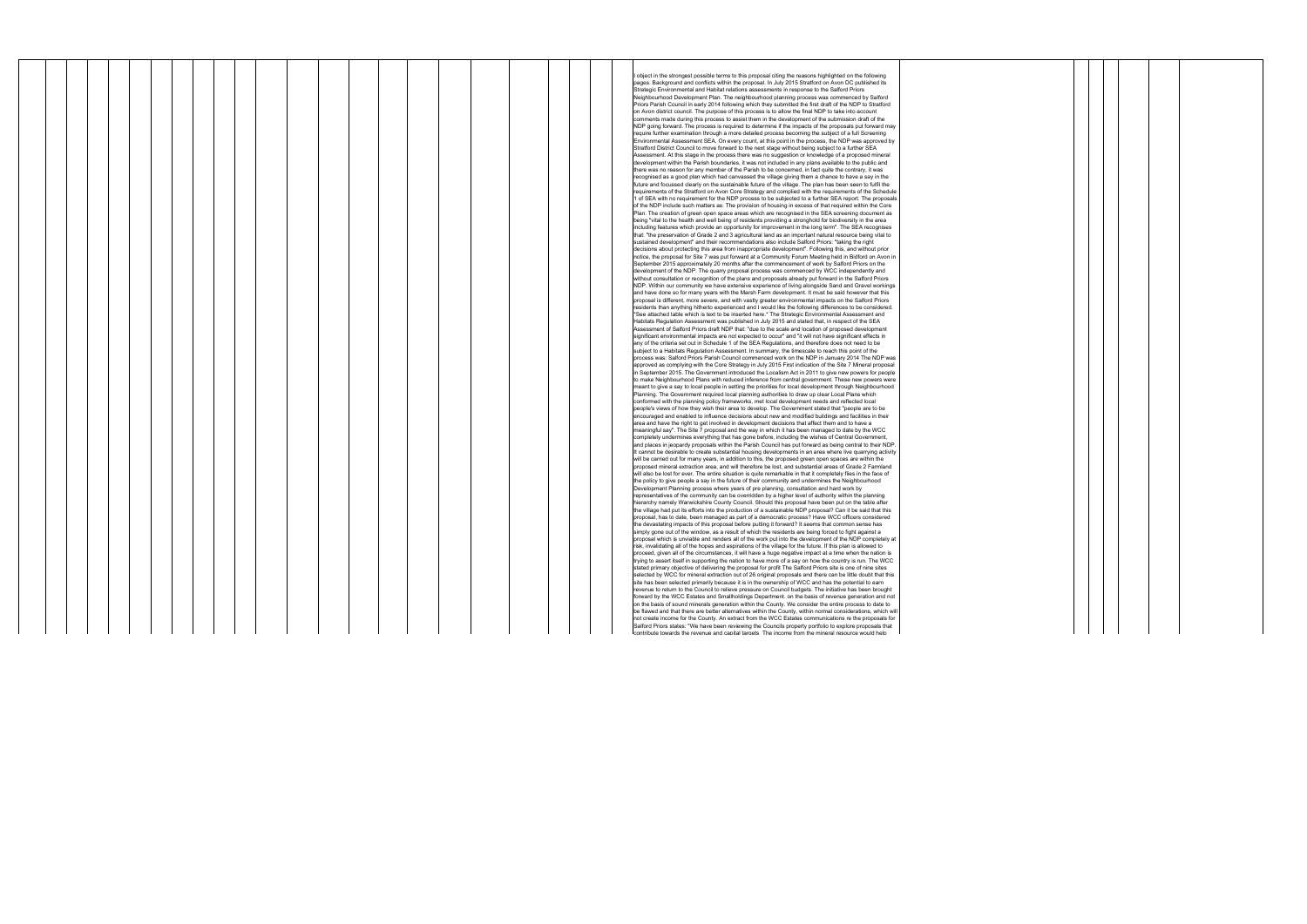|  |  |  |  |  |  |  |  |  |  | object in the strongest possible terms to this proposal citing the reasons highlighted on the following                                                                                                              |
|--|--|--|--|--|--|--|--|--|--|----------------------------------------------------------------------------------------------------------------------------------------------------------------------------------------------------------------------|
|  |  |  |  |  |  |  |  |  |  | pages. Background and conflicts within the proposal. In July 2015 Stratford on Avon DC published its                                                                                                                 |
|  |  |  |  |  |  |  |  |  |  | Strategic Environmental and Habitat relations assessments in response to the Salford Priors                                                                                                                          |
|  |  |  |  |  |  |  |  |  |  | Neighbourhood Development Plan. The neighbourhood planning process was commenced by Salford                                                                                                                          |
|  |  |  |  |  |  |  |  |  |  | Priors Parish Council in early 2014 following which they submitted the first draft of the NDP to Stratford                                                                                                           |
|  |  |  |  |  |  |  |  |  |  | on Avon district council. The purpose of this process is to allow the final NDP to take into account                                                                                                                 |
|  |  |  |  |  |  |  |  |  |  | comments made during this process to assist them in the development of the submission draft of the                                                                                                                   |
|  |  |  |  |  |  |  |  |  |  | NDP going forward. The process is required to determine if the impacts of the proposals put forward may                                                                                                              |
|  |  |  |  |  |  |  |  |  |  | require further examination through a more detailed process becoming the subject of a full Screening                                                                                                                 |
|  |  |  |  |  |  |  |  |  |  | Environmental Assessment SEA. On every count, at this point in the process, the NDP was approved by                                                                                                                  |
|  |  |  |  |  |  |  |  |  |  | Stratford District Council to move forward to the next stage without being subject to a further SEA                                                                                                                  |
|  |  |  |  |  |  |  |  |  |  | Assessment. At this stage in the process there was no suggestion or knowledge of a proposed mineral                                                                                                                  |
|  |  |  |  |  |  |  |  |  |  | development within the Parish boundaries, it was not included in any plans available to the public and                                                                                                               |
|  |  |  |  |  |  |  |  |  |  | there was no reason for any member of the Parish to be concerned, in fact quite the contrary, it was<br>recognised as a good plan which had canvassed the village giving them a chance to have a say in the          |
|  |  |  |  |  |  |  |  |  |  | future and focussed clearly on the sustainable future of the village. The plan has been seen to fulfil the                                                                                                           |
|  |  |  |  |  |  |  |  |  |  | requirements of the Stratford on Avon Core Strategy and complied with the requirements of the Schedule                                                                                                               |
|  |  |  |  |  |  |  |  |  |  | 1 of SEA with no requirement for the NDP process to be subjected to a further SEA report. The proposals                                                                                                              |
|  |  |  |  |  |  |  |  |  |  | of the NDP include such matters as: The provision of housing in excess of that required within the Core                                                                                                              |
|  |  |  |  |  |  |  |  |  |  | Plan. The creation of green open space areas which are recognised in the SEA screening document as                                                                                                                   |
|  |  |  |  |  |  |  |  |  |  | being "vital to the health and well being of residents providing a stronghold for biodiversity in the area                                                                                                           |
|  |  |  |  |  |  |  |  |  |  | including features which provide an opportunity for improvement in the long term". The SEA recognises                                                                                                                |
|  |  |  |  |  |  |  |  |  |  | that: "the preservation of Grade 2 and 3 agricultural land as an important natural resource being vital to                                                                                                           |
|  |  |  |  |  |  |  |  |  |  | sustained development" and their recommendations also include Salford Priors: "taking the right                                                                                                                      |
|  |  |  |  |  |  |  |  |  |  | decisions about protecting this area from inappropriate development". Following this, and without prior                                                                                                              |
|  |  |  |  |  |  |  |  |  |  | notice, the proposal for Site 7 was put forward at a Community Forum Meeting held in Bidford on Avon in                                                                                                              |
|  |  |  |  |  |  |  |  |  |  | September 2015 approximately 20 months after the commencement of work by Salford Priors on the                                                                                                                       |
|  |  |  |  |  |  |  |  |  |  | development of the NDP. The quarry proposal process was commenced by WCC independently and                                                                                                                           |
|  |  |  |  |  |  |  |  |  |  | without consultation or recognition of the plans and proposals already put forward in the Salford Priors                                                                                                             |
|  |  |  |  |  |  |  |  |  |  | NDP. Within our community we have extensive experience of living alongside Sand and Gravel workings                                                                                                                  |
|  |  |  |  |  |  |  |  |  |  | and have done so for many years with the Marsh Farm development. It must be said however that this                                                                                                                   |
|  |  |  |  |  |  |  |  |  |  | proposal is different, more severe, and with vastly greater environmental impacts on the Salford Priors                                                                                                              |
|  |  |  |  |  |  |  |  |  |  | residents than anything hitherto experienced and I would like the following differences to be considered.                                                                                                            |
|  |  |  |  |  |  |  |  |  |  | See attached table which is text to be inserted here.* The Strategic Environmental Assessment and**                                                                                                                  |
|  |  |  |  |  |  |  |  |  |  | Habitats Regulation Assessment was published in July 2015 and stated that, in respect of the SEA                                                                                                                     |
|  |  |  |  |  |  |  |  |  |  | Assessment of Salford Priors draft NDP that: "due to the scale and location of proposed development                                                                                                                  |
|  |  |  |  |  |  |  |  |  |  | significant environmental impacts are not expected to occur" and "it will not have significant effects in                                                                                                            |
|  |  |  |  |  |  |  |  |  |  | any of the criteria set out in Schedule 1 of the SEA Regulations, and therefore does not need to be                                                                                                                  |
|  |  |  |  |  |  |  |  |  |  | subject to a Habitats Regulation Assessment. In summary, the timescale to reach this point of the                                                                                                                    |
|  |  |  |  |  |  |  |  |  |  | process was: Salford Priors Parish Council commenced work on the NDP in January 2014 The NDP was                                                                                                                     |
|  |  |  |  |  |  |  |  |  |  | approved as complying with the Core Strategy in July 2015 First indication of the Site 7 Mineral proposal                                                                                                            |
|  |  |  |  |  |  |  |  |  |  | in September 2015. The Government introduced the Localism Act in 2011 to give new powers for people                                                                                                                  |
|  |  |  |  |  |  |  |  |  |  | to make Neighbourhood Plans with reduced inference from central government. These new powers were                                                                                                                    |
|  |  |  |  |  |  |  |  |  |  | meant to give a say to local people in setting the priorities for local development through Neighbourhood                                                                                                            |
|  |  |  |  |  |  |  |  |  |  | Planning. The Government required local planning authorities to draw up clear Local Plans which                                                                                                                      |
|  |  |  |  |  |  |  |  |  |  | conformed with the planning policy frameworks, met local development needs and reflected local                                                                                                                       |
|  |  |  |  |  |  |  |  |  |  | people's views of how they wish their area to develop. The Government stated that "people are to be                                                                                                                  |
|  |  |  |  |  |  |  |  |  |  | encouraged and enabled to influence decisions about new and modified buildings and facilities in their                                                                                                               |
|  |  |  |  |  |  |  |  |  |  | area and have the right to get involved in development decisions that affect them and to have a                                                                                                                      |
|  |  |  |  |  |  |  |  |  |  | meaningful say". The Site 7 proposal and the way in which it has been managed to date by the WCC                                                                                                                     |
|  |  |  |  |  |  |  |  |  |  | completely undermines everything that has gone before, including the wishes of Central Government,<br>and places in jeopardy proposals within the Parish Council has put forward as being central to their NDP.      |
|  |  |  |  |  |  |  |  |  |  |                                                                                                                                                                                                                      |
|  |  |  |  |  |  |  |  |  |  | It cannot be desirable to create substantial housing developments in an area where live quarrying activity<br>will be carried out for many years, in addition to this, the proposed green open spaces are within the |
|  |  |  |  |  |  |  |  |  |  | proposed mineral extraction area, and will therefore be lost, and substantial areas of Grade 2 Farmland                                                                                                              |
|  |  |  |  |  |  |  |  |  |  | will also be lost for ever. The entire situation is quite remarkable in that it completely flies in the face of                                                                                                      |
|  |  |  |  |  |  |  |  |  |  | the policy to give people a say in the future of their community and undermines the Neighbourhood                                                                                                                    |
|  |  |  |  |  |  |  |  |  |  | Development Planning process where years of pre planning, consultation and hard work by                                                                                                                              |
|  |  |  |  |  |  |  |  |  |  | representatives of the community can be overridden by a higher level of authority within the planning                                                                                                                |
|  |  |  |  |  |  |  |  |  |  | hierarchy namely Warwickshire County Council. Should this proposal have been put on the table after                                                                                                                  |
|  |  |  |  |  |  |  |  |  |  | the village had put its efforts into the production of a sustainable NDP proposal? Can it be said that this                                                                                                          |
|  |  |  |  |  |  |  |  |  |  | proposal, has to date, been managed as part of a democratic process? Have WCC officers considered                                                                                                                    |
|  |  |  |  |  |  |  |  |  |  | the devastating impacts of this proposal before putting it forward? It seems that common sense has                                                                                                                   |
|  |  |  |  |  |  |  |  |  |  | simply gone out of the window, as a result of which the residents are being forced to fight against a                                                                                                                |
|  |  |  |  |  |  |  |  |  |  | proposal which is unviable and renders all of the work put into the development of the NDP completely at                                                                                                             |
|  |  |  |  |  |  |  |  |  |  | risk, invalidating all of the hopes and aspirations of the village for the future. If this plan is allowed to                                                                                                        |
|  |  |  |  |  |  |  |  |  |  | proceed, given all of the circumstances, it will have a huge negative impact at a time when the nation is                                                                                                            |
|  |  |  |  |  |  |  |  |  |  | trying to assert itself in supporting the nation to have more of a say on how the country is run. The WCC                                                                                                            |
|  |  |  |  |  |  |  |  |  |  | stated primary objective of delivering the proposal for profit The Salford Priors site is one of nine sites                                                                                                          |
|  |  |  |  |  |  |  |  |  |  | selected by WCC for mineral extraction out of 26 original proposals and there can be little doubt that this                                                                                                          |
|  |  |  |  |  |  |  |  |  |  | site has been selected primarily because it is in the ownership of WCC and has the potential to earn                                                                                                                 |
|  |  |  |  |  |  |  |  |  |  | revenue to return to the Council to relieve pressure on Council budgets. The initiative has been brought                                                                                                             |
|  |  |  |  |  |  |  |  |  |  | forward by the WCC Estates and Smallholdings Department, on the basis of revenue generation and not                                                                                                                  |
|  |  |  |  |  |  |  |  |  |  | on the basis of sound minerals generation within the County. We consider the entire process to date to                                                                                                               |
|  |  |  |  |  |  |  |  |  |  | be flawed and that there are better alternatives within the County, within normal considerations, which will                                                                                                         |
|  |  |  |  |  |  |  |  |  |  | not create income for the County. An extract from the WCC Estates communications re the proposals for                                                                                                                |
|  |  |  |  |  |  |  |  |  |  | Salford Priors states: "We have been reviewing the Councils property portfolio to explore proposals that                                                                                                             |
|  |  |  |  |  |  |  |  |  |  | contribute towards the revenue and canital targets. The income from the mineral resource would help                                                                                                                  |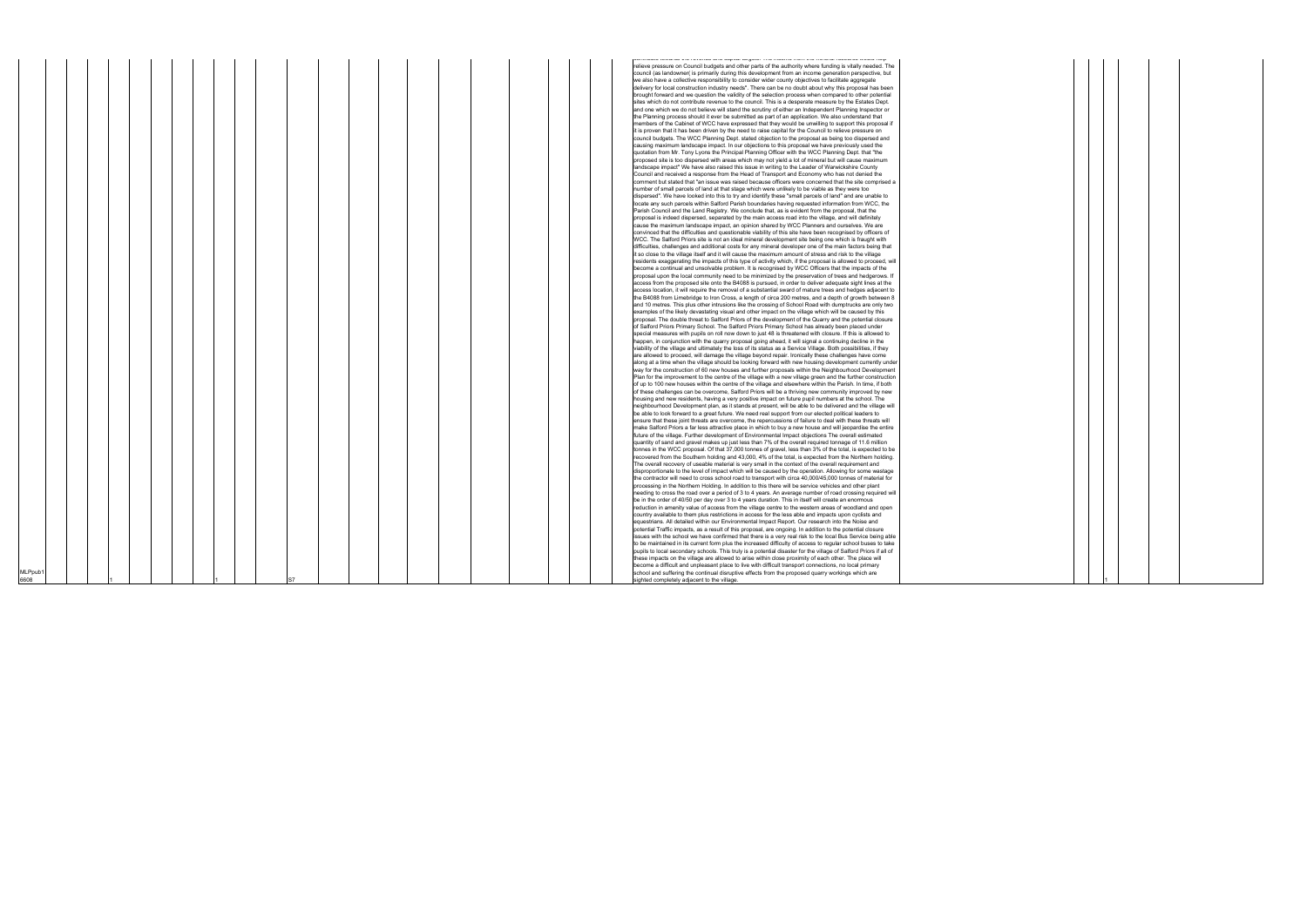|         |  |  |  |  |                 |  |  |  |  |  | אתחתמוס וסאמתמס מוס וסיכותמס מחם סמףונמו ומוקסנס. דווס וחסטוווס ורטוח מוס וחוווסתו וסטטמוסט איסמום ווסוף          |
|---------|--|--|--|--|-----------------|--|--|--|--|--|-------------------------------------------------------------------------------------------------------------------|
|         |  |  |  |  |                 |  |  |  |  |  | relieve pressure on Council budgets and other parts of the authority where funding is vitally needed. The         |
|         |  |  |  |  |                 |  |  |  |  |  |                                                                                                                   |
|         |  |  |  |  |                 |  |  |  |  |  | council (as landowner( is primarily during this development from an income generation perspective, but            |
|         |  |  |  |  |                 |  |  |  |  |  | we also have a collective responsibility to consider wider county objectives to facilitate aggregate              |
|         |  |  |  |  |                 |  |  |  |  |  | delivery for local construction industry needs". There can be no doubt about why this proposal has been           |
|         |  |  |  |  |                 |  |  |  |  |  | brought forward and we question the validity of the selection process when compared to other potential            |
|         |  |  |  |  |                 |  |  |  |  |  |                                                                                                                   |
|         |  |  |  |  |                 |  |  |  |  |  | sites which do not contribute revenue to the council. This is a desperate measure by the Estates Dept.            |
|         |  |  |  |  |                 |  |  |  |  |  | and one which we do not believe will stand the scrutiny of either an Independent Planning Inspector or            |
|         |  |  |  |  |                 |  |  |  |  |  | the Planning process should it ever be submitted as part of an application. We also understand that               |
|         |  |  |  |  |                 |  |  |  |  |  |                                                                                                                   |
|         |  |  |  |  |                 |  |  |  |  |  | members of the Cabinet of WCC have expressed that they would be unwilling to support this proposal if             |
|         |  |  |  |  |                 |  |  |  |  |  | it is proven that it has been driven by the need to raise capital for the Council to relieve pressure on          |
|         |  |  |  |  |                 |  |  |  |  |  | council budgets. The WCC Planning Dept. stated objection to the proposal as being too dispersed and               |
|         |  |  |  |  |                 |  |  |  |  |  | causing maximum landscape impact. In our objections to this proposal we have previously used the                  |
|         |  |  |  |  |                 |  |  |  |  |  |                                                                                                                   |
|         |  |  |  |  |                 |  |  |  |  |  | quotation from Mr. Tony Lyons the Principal Planning Officer with the WCC Planning Dept. that "the                |
|         |  |  |  |  |                 |  |  |  |  |  | proposed site is too dispersed with areas which may not yield a lot of mineral but will cause maximum             |
|         |  |  |  |  |                 |  |  |  |  |  | landscape impact" We have also raised this issue in writing to the Leader of Warwickshire County                  |
|         |  |  |  |  |                 |  |  |  |  |  | Council and received a response from the Head of Transport and Economy who has not denied the                     |
|         |  |  |  |  |                 |  |  |  |  |  |                                                                                                                   |
|         |  |  |  |  |                 |  |  |  |  |  | comment but stated that "an issue was raised because officers were concerned that the site comprised a            |
|         |  |  |  |  |                 |  |  |  |  |  | number of small parcels of land at that stage which were unlikely to be viable as they were too                   |
|         |  |  |  |  |                 |  |  |  |  |  | dispersed". We have looked into this to try and identify these "small parcels of land" and are unable to          |
|         |  |  |  |  |                 |  |  |  |  |  |                                                                                                                   |
|         |  |  |  |  |                 |  |  |  |  |  | locate any such parcels within Salford Parish boundaries having requested information from WCC, the               |
|         |  |  |  |  |                 |  |  |  |  |  | Parish Council and the Land Registry. We conclude that, as is evident from the proposal, that the                 |
|         |  |  |  |  |                 |  |  |  |  |  | proposal is indeed dispersed, separated by the main access road into the village, and will definitely             |
|         |  |  |  |  |                 |  |  |  |  |  | cause the maximum landscape impact, an opinion shared by WCC Planners and ourselves. We are                       |
|         |  |  |  |  |                 |  |  |  |  |  |                                                                                                                   |
|         |  |  |  |  |                 |  |  |  |  |  | convinced that the difficulties and questionable viability of this site have been recognised by officers of       |
|         |  |  |  |  |                 |  |  |  |  |  | WCC. The Salford Priors site is not an ideal mineral development site being one which is fraught with             |
|         |  |  |  |  |                 |  |  |  |  |  | difficulties, challenges and additional costs for any mineral developer one of the main factors being that        |
|         |  |  |  |  |                 |  |  |  |  |  | it so close to the village itself and it will cause the maximum amount of stress and risk to the village          |
|         |  |  |  |  |                 |  |  |  |  |  |                                                                                                                   |
|         |  |  |  |  |                 |  |  |  |  |  | residents exaggerating the impacts of this type of activity which, if the proposal is allowed to proceed, will    |
|         |  |  |  |  |                 |  |  |  |  |  | become a continual and unsolvable problem. It is recognised by WCC Officers that the impacts of the               |
|         |  |  |  |  |                 |  |  |  |  |  | proposal upon the local community need to be minimized by the preservation of trees and hedgerows. If             |
|         |  |  |  |  |                 |  |  |  |  |  |                                                                                                                   |
|         |  |  |  |  |                 |  |  |  |  |  | access from the proposed site onto the B4088 is pursued, in order to deliver adequate sight lines at the          |
|         |  |  |  |  |                 |  |  |  |  |  | access location, it will require the removal of a substantial sward of mature trees and hedges adjacent to        |
|         |  |  |  |  |                 |  |  |  |  |  | the B4088 from Limebridge to Iron Cross, a length of circa 200 metres, and a depth of growth between 8            |
|         |  |  |  |  |                 |  |  |  |  |  | and 10 metres. This plus other intrusions like the crossing of School Road with dumptrucks are only two           |
|         |  |  |  |  |                 |  |  |  |  |  |                                                                                                                   |
|         |  |  |  |  |                 |  |  |  |  |  | examples of the likely devastating visual and other impact on the village which will be caused by this            |
|         |  |  |  |  |                 |  |  |  |  |  | proposal. The double threat to Salford Priors of the development of the Quarry and the potential closure          |
|         |  |  |  |  |                 |  |  |  |  |  | of Salford Priors Primary School. The Salford Priors Primary School has already been placed under                 |
|         |  |  |  |  |                 |  |  |  |  |  | special measures with pupils on roll now down to just 48 is threatened with closure. If this is allowed to        |
|         |  |  |  |  |                 |  |  |  |  |  |                                                                                                                   |
|         |  |  |  |  |                 |  |  |  |  |  | happen, in conjunction with the quarry proposal going ahead, it will signal a continuing decline in the           |
|         |  |  |  |  |                 |  |  |  |  |  | viability of the village and ultimately the loss of its status as a Service Village. Both possibilities, if they  |
|         |  |  |  |  |                 |  |  |  |  |  | are allowed to proceed, will damage the village beyond repair. Ironically these challenges have come              |
|         |  |  |  |  |                 |  |  |  |  |  |                                                                                                                   |
|         |  |  |  |  |                 |  |  |  |  |  | along at a time when the village should be looking forward with new housing development currently under           |
|         |  |  |  |  |                 |  |  |  |  |  | way for the construction of 60 new houses and further proposals within the Neighbourhood Development              |
|         |  |  |  |  |                 |  |  |  |  |  | Plan for the improvement to the centre of the village with a new village green and the further construction       |
|         |  |  |  |  |                 |  |  |  |  |  | of up to 100 new houses within the centre of the village and elsewhere within the Parish. In time, if both        |
|         |  |  |  |  |                 |  |  |  |  |  |                                                                                                                   |
|         |  |  |  |  |                 |  |  |  |  |  | of these challenges can be overcome. Salford Priors will be a thriving new community improved by new              |
|         |  |  |  |  |                 |  |  |  |  |  | housing and new residents, having a very positive impact on future pupil numbers at the school. The               |
|         |  |  |  |  |                 |  |  |  |  |  | neighbourhood Development plan, as it stands at present, will be able to be delivered and the village will        |
|         |  |  |  |  |                 |  |  |  |  |  |                                                                                                                   |
|         |  |  |  |  |                 |  |  |  |  |  | be able to look forward to a great future. We need real support from our elected political leaders to             |
|         |  |  |  |  |                 |  |  |  |  |  | ensure that these joint threats are overcome, the repercussions of failure to deal with these threats will        |
|         |  |  |  |  |                 |  |  |  |  |  | make Salford Priors a far less attractive place in which to buy a new house and will jeopardise the entire        |
|         |  |  |  |  |                 |  |  |  |  |  | future of the village. Further development of Environmental Impact objections The overall estimated               |
|         |  |  |  |  |                 |  |  |  |  |  |                                                                                                                   |
|         |  |  |  |  |                 |  |  |  |  |  | quantity of sand and gravel makes up just less than 7% of the overall required tonnage of 11.6 million            |
|         |  |  |  |  |                 |  |  |  |  |  | tonnes in the WCC proposal. Of that 37,000 tonnes of gravel, less than 3% of the total, is expected to be         |
|         |  |  |  |  |                 |  |  |  |  |  | recovered from the Southern holding and 43,000, 4% of the total, is expected from the Northern holding.           |
|         |  |  |  |  |                 |  |  |  |  |  | The overall recovery of useable material is very small in the context of the overall requirement and              |
|         |  |  |  |  |                 |  |  |  |  |  |                                                                                                                   |
|         |  |  |  |  |                 |  |  |  |  |  | disproportionate to the level of impact which will be caused by the operation. Allowing for some wastage          |
|         |  |  |  |  |                 |  |  |  |  |  | the contractor will need to cross school road to transport with circa 40,000/45,000 tonnes of material for        |
|         |  |  |  |  |                 |  |  |  |  |  | processing in the Northern Holding. In addition to this there will be service vehicles and other plant            |
|         |  |  |  |  |                 |  |  |  |  |  |                                                                                                                   |
|         |  |  |  |  |                 |  |  |  |  |  | needing to cross the road over a period of 3 to 4 years. An average number of road crossing required wil          |
|         |  |  |  |  |                 |  |  |  |  |  | be in the order of 40/50 per day over 3 to 4 years duration. This in itself will create an enormous               |
|         |  |  |  |  |                 |  |  |  |  |  | reduction in amenity value of access from the village centre to the western areas of woodland and open            |
|         |  |  |  |  |                 |  |  |  |  |  | country available to them plus restrictions in access for the less able and impacts upon cyclists and             |
|         |  |  |  |  |                 |  |  |  |  |  |                                                                                                                   |
|         |  |  |  |  |                 |  |  |  |  |  | equestrians. All detailed within our Environmental Impact Report. Our research into the Noise and                 |
|         |  |  |  |  |                 |  |  |  |  |  | potential Traffic impacts, as a result of this proposal, are ongoing. In addition to the potential closure        |
|         |  |  |  |  |                 |  |  |  |  |  | issues with the school we have confirmed that there is a very real risk to the local Bus Service being able       |
|         |  |  |  |  |                 |  |  |  |  |  | to be maintained in its current form plus the increased difficulty of access to regular school buses to take      |
|         |  |  |  |  |                 |  |  |  |  |  |                                                                                                                   |
|         |  |  |  |  |                 |  |  |  |  |  | pupils to local secondary schools. This truly is a potential disaster for the village of Salford Priors if all of |
|         |  |  |  |  |                 |  |  |  |  |  | these impacts on the village are allowed to arise within close proximity of each other. The place will            |
|         |  |  |  |  |                 |  |  |  |  |  | become a difficult and unpleasant place to live with difficult transport connections, no local primary            |
| MLPpub1 |  |  |  |  |                 |  |  |  |  |  | school and suffering the continual disruptive effects from the proposed quarry workings which are                 |
|         |  |  |  |  |                 |  |  |  |  |  |                                                                                                                   |
| 8066    |  |  |  |  | IS <sub>7</sub> |  |  |  |  |  | sighted completely adjacent to the village.                                                                       |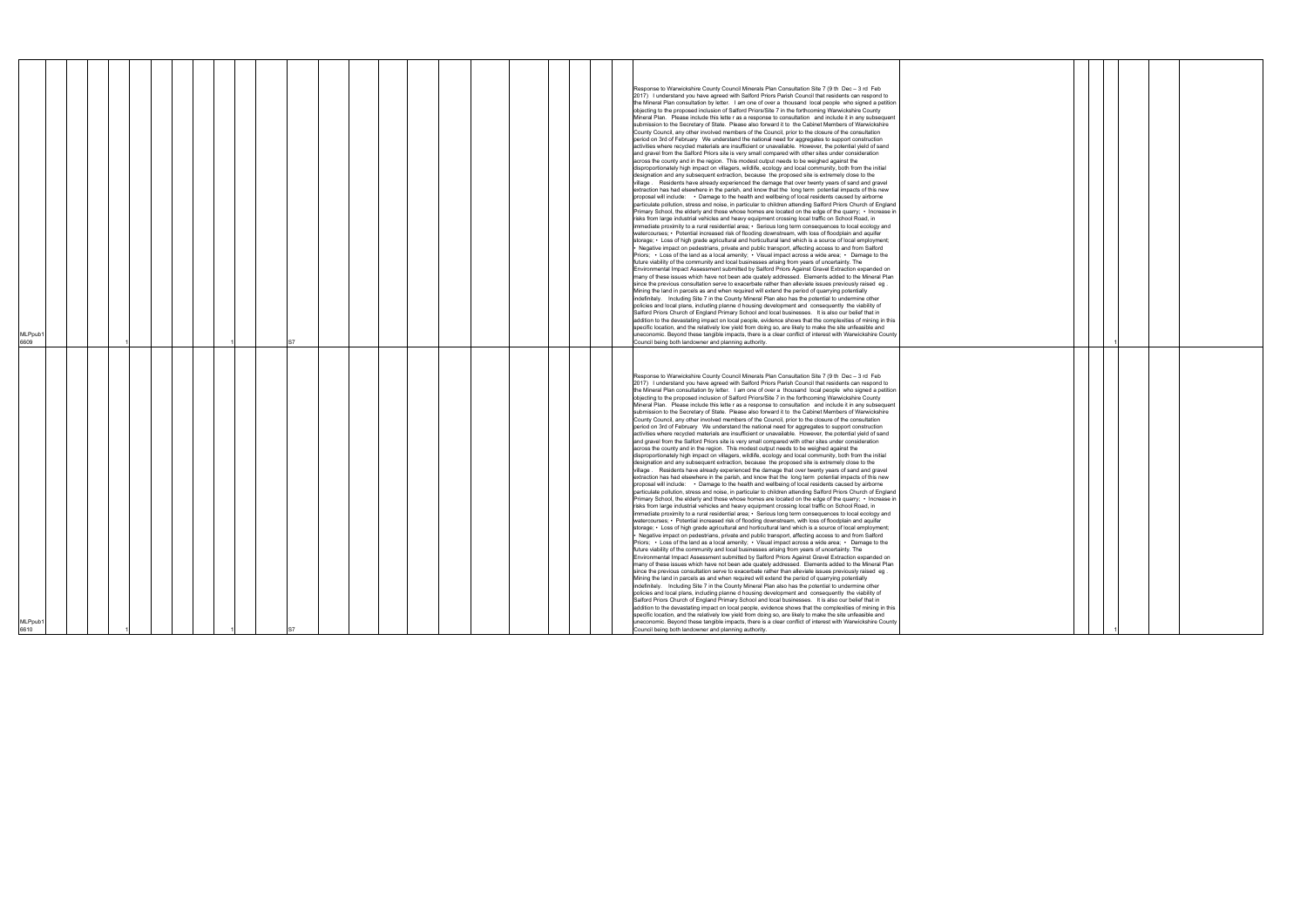| Primary School, the elderly and those whose homes are located on the edge of the quarry; • Increase in<br>risks from large industrial vehicles and heavy equipment crossing local traffic on School Road, in<br>immediate proximity to a rural residential area; • Serious long term consequences to local ecology and<br>watercourses; • Potential increased risk of flooding downstream, with loss of floodplain and aquifer<br>storage; • Loss of high grade agricultural and horticultural land which is a source of local employment;<br>• Negative impact on pedestrians, private and public transport, affecting access to and from Salford<br>Priors; • Loss of the land as a local amenity; • Visual impact across a wide area; • Damage to the<br>future viability of the community and local businesses arising from years of uncertainty. The<br>Environmental Impact Assessment submitted by Salford Priors Against Gravel Extraction expanded on<br>many of these issues which have not been ade quately addressed. Elements added to the Mineral Plan<br>since the previous consultation serve to exacerbate rather than alleviate issues previously raised eg.<br>Mining the land in parcels as and when required will extend the period of quarrying potentially<br>indefinitely. Including Site 7 in the County Mineral Plan also has the potential to undermine other<br>policies and local plans, including planne d housing development and consequently the viability of<br>Salford Priors Church of England Primary School and local businesses. It is also our belief that in<br>addition to the devastating impact on local people, evidence shows that the complexities of mining in this<br>specific location, and the relatively low yield from doing so, are likely to make the site unfeasible and<br><b>MLPpub</b><br>uneconomic. Beyond these tangible impacts, there is a clear conflict of interest with Warwickshire County<br>6609<br>Council being both landowner and planning authority.<br>Response to Warwickshire County Council Minerals Plan Consultation Site 7 (9 th Dec - 3 rd Feb<br>2017) I understand you have agreed with Salford Priors Parish Council that residents can respond to<br>the Mineral Plan consultation by letter. I am one of over a thousand local people who signed a petition<br>objecting to the proposed inclusion of Salford Priors/Site 7 in the forthcoming Warwickshire County<br>Mineral Plan. Please include this lette r as a response to consultation and include it in any subsequent<br>submission to the Secretary of State. Please also forward it to the Cabinet Members of Warwickshire |
|------------------------------------------------------------------------------------------------------------------------------------------------------------------------------------------------------------------------------------------------------------------------------------------------------------------------------------------------------------------------------------------------------------------------------------------------------------------------------------------------------------------------------------------------------------------------------------------------------------------------------------------------------------------------------------------------------------------------------------------------------------------------------------------------------------------------------------------------------------------------------------------------------------------------------------------------------------------------------------------------------------------------------------------------------------------------------------------------------------------------------------------------------------------------------------------------------------------------------------------------------------------------------------------------------------------------------------------------------------------------------------------------------------------------------------------------------------------------------------------------------------------------------------------------------------------------------------------------------------------------------------------------------------------------------------------------------------------------------------------------------------------------------------------------------------------------------------------------------------------------------------------------------------------------------------------------------------------------------------------------------------------------------------------------------------------------------------------------------------------------------------------------------------------------------------------------------------------------------------------------------------------------------------------------------------------------------------------------------------------------------------------------------------------------------------------------------------------------------------------------------------------------------------------------------------------------------------------------------------------------------------------------------------------------------|
|                                                                                                                                                                                                                                                                                                                                                                                                                                                                                                                                                                                                                                                                                                                                                                                                                                                                                                                                                                                                                                                                                                                                                                                                                                                                                                                                                                                                                                                                                                                                                                                                                                                                                                                                                                                                                                                                                                                                                                                                                                                                                                                                                                                                                                                                                                                                                                                                                                                                                                                                                                                                                                                                              |

|  | 1 |                                                                                                                                                                                                                                                                                                                                                                                                                                                                                             |  |
|--|---|---------------------------------------------------------------------------------------------------------------------------------------------------------------------------------------------------------------------------------------------------------------------------------------------------------------------------------------------------------------------------------------------------------------------------------------------------------------------------------------------|--|
|  |   |                                                                                                                                                                                                                                                                                                                                                                                                                                                                                             |  |
|  |   |                                                                                                                                                                                                                                                                                                                                                                                                                                                                                             |  |
|  |   |                                                                                                                                                                                                                                                                                                                                                                                                                                                                                             |  |
|  |   |                                                                                                                                                                                                                                                                                                                                                                                                                                                                                             |  |
|  |   |                                                                                                                                                                                                                                                                                                                                                                                                                                                                                             |  |
|  |   |                                                                                                                                                                                                                                                                                                                                                                                                                                                                                             |  |
|  |   |                                                                                                                                                                                                                                                                                                                                                                                                                                                                                             |  |
|  |   |                                                                                                                                                                                                                                                                                                                                                                                                                                                                                             |  |
|  |   |                                                                                                                                                                                                                                                                                                                                                                                                                                                                                             |  |
|  |   |                                                                                                                                                                                                                                                                                                                                                                                                                                                                                             |  |
|  |   |                                                                                                                                                                                                                                                                                                                                                                                                                                                                                             |  |
|  |   |                                                                                                                                                                                                                                                                                                                                                                                                                                                                                             |  |
|  |   |                                                                                                                                                                                                                                                                                                                                                                                                                                                                                             |  |
|  |   |                                                                                                                                                                                                                                                                                                                                                                                                                                                                                             |  |
|  |   |                                                                                                                                                                                                                                                                                                                                                                                                                                                                                             |  |
|  |   |                                                                                                                                                                                                                                                                                                                                                                                                                                                                                             |  |
|  |   |                                                                                                                                                                                                                                                                                                                                                                                                                                                                                             |  |
|  |   |                                                                                                                                                                                                                                                                                                                                                                                                                                                                                             |  |
|  |   |                                                                                                                                                                                                                                                                                                                                                                                                                                                                                             |  |
|  |   |                                                                                                                                                                                                                                                                                                                                                                                                                                                                                             |  |
|  |   |                                                                                                                                                                                                                                                                                                                                                                                                                                                                                             |  |
|  |   |                                                                                                                                                                                                                                                                                                                                                                                                                                                                                             |  |
|  |   |                                                                                                                                                                                                                                                                                                                                                                                                                                                                                             |  |
|  |   |                                                                                                                                                                                                                                                                                                                                                                                                                                                                                             |  |
|  |   |                                                                                                                                                                                                                                                                                                                                                                                                                                                                                             |  |
|  |   |                                                                                                                                                                                                                                                                                                                                                                                                                                                                                             |  |
|  |   |                                                                                                                                                                                                                                                                                                                                                                                                                                                                                             |  |
|  |   |                                                                                                                                                                                                                                                                                                                                                                                                                                                                                             |  |
|  |   |                                                                                                                                                                                                                                                                                                                                                                                                                                                                                             |  |
|  |   |                                                                                                                                                                                                                                                                                                                                                                                                                                                                                             |  |
|  |   |                                                                                                                                                                                                                                                                                                                                                                                                                                                                                             |  |
|  |   |                                                                                                                                                                                                                                                                                                                                                                                                                                                                                             |  |
|  |   |                                                                                                                                                                                                                                                                                                                                                                                                                                                                                             |  |
|  |   |                                                                                                                                                                                                                                                                                                                                                                                                                                                                                             |  |
|  |   |                                                                                                                                                                                                                                                                                                                                                                                                                                                                                             |  |
|  |   |                                                                                                                                                                                                                                                                                                                                                                                                                                                                                             |  |
|  |   |                                                                                                                                                                                                                                                                                                                                                                                                                                                                                             |  |
|  |   |                                                                                                                                                                                                                                                                                                                                                                                                                                                                                             |  |
|  |   |                                                                                                                                                                                                                                                                                                                                                                                                                                                                                             |  |
|  |   |                                                                                                                                                                                                                                                                                                                                                                                                                                                                                             |  |
|  |   |                                                                                                                                                                                                                                                                                                                                                                                                                                                                                             |  |
|  |   |                                                                                                                                                                                                                                                                                                                                                                                                                                                                                             |  |
|  |   |                                                                                                                                                                                                                                                                                                                                                                                                                                                                                             |  |
|  |   |                                                                                                                                                                                                                                                                                                                                                                                                                                                                                             |  |
|  |   |                                                                                                                                                                                                                                                                                                                                                                                                                                                                                             |  |
|  |   |                                                                                                                                                                                                                                                                                                                                                                                                                                                                                             |  |
|  |   |                                                                                                                                                                                                                                                                                                                                                                                                                                                                                             |  |
|  |   |                                                                                                                                                                                                                                                                                                                                                                                                                                                                                             |  |
|  |   |                                                                                                                                                                                                                                                                                                                                                                                                                                                                                             |  |
|  |   |                                                                                                                                                                                                                                                                                                                                                                                                                                                                                             |  |
|  |   |                                                                                                                                                                                                                                                                                                                                                                                                                                                                                             |  |
|  |   |                                                                                                                                                                                                                                                                                                                                                                                                                                                                                             |  |
|  |   |                                                                                                                                                                                                                                                                                                                                                                                                                                                                                             |  |
|  |   |                                                                                                                                                                                                                                                                                                                                                                                                                                                                                             |  |
|  |   |                                                                                                                                                                                                                                                                                                                                                                                                                                                                                             |  |
|  |   |                                                                                                                                                                                                                                                                                                                                                                                                                                                                                             |  |
|  |   | $\begin{tabular}{ c c c c } \hline & & & & & \\ \hline & & & & & \\ \hline & & & & & \\ \hline & & & & & \\ \hline & & & & & \\ \hline & & & & & \\ \hline & & & & & \\ \hline & & & & & \\ \hline & & & & & & \\ \hline & & & & & & \\ \hline & & & & & & & \\ \hline & & & & & & & \\ \hline & & & & & & & \\ \hline & & & & & & & \\ \hline & & & & & & & & \\ \hline & & & & & & & & \\ \hline & & & & & & & & \\ \hline & & & & & & & & & \\ \hline & & & & & & & & & \\ \hline & & &$ |  |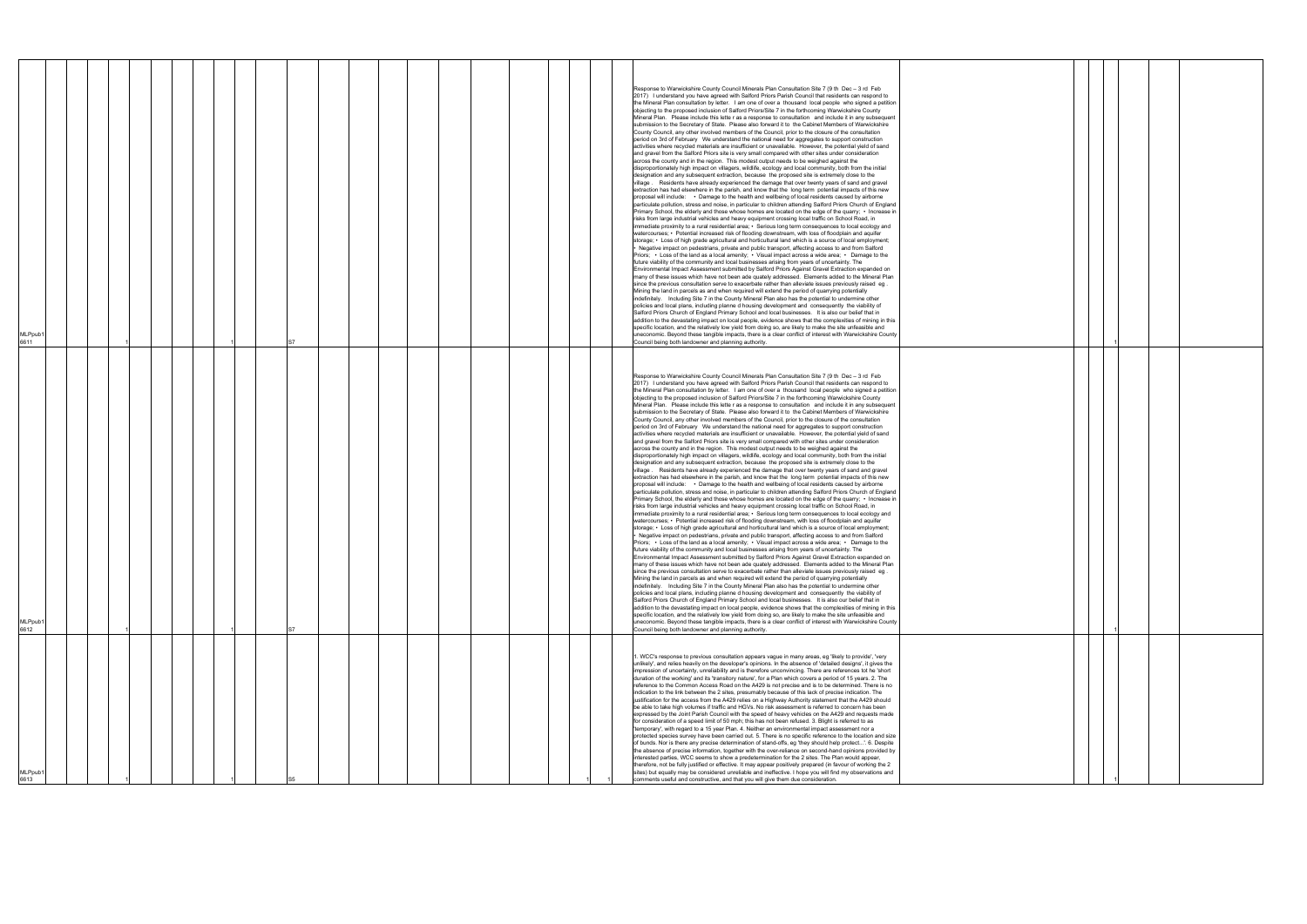| MLPpub<br>6613                                                                                                                                                                                                                                                                                                                                                                                                                                                                                                                                                                                                                                                                                                                                                                                                                                                                                                                                                                                                                                                                                                                                                                                                                                                                                                                                                                                                                                                                                                                                                                                                                                                                                                                                                                                                                                                                                                                                                        | MLPpub <sup>®</sup><br>6612                                                                                                                                                                                                                                                                                                                                                                                                                                                                                                                                                                                                                                                                                                                                                                                                                                                                                                                                                                                                                                                                                                                                                                                                                                                                                                                                                                                                                                                                                                                                                                                                                                                                                                                                                                                                                                                                                                                                                                                                                                                                                                                                                                                                                                                                                                                                                                                                                                                                                                                                                                                                                                                                                                                                                                                                                                                                                                                                                                                                                                                                                                                                                                                                                                                                                                                                                                                                                                                                                                                                                                                                                                                                                                                                                                                                     | MLPpub1<br>6611                                                                                                                                                                                                                                                                                                                                                                                                                                                                                                                                                                                                                                                                                                                                                                                                                                                                                                                                                                                                                                                                                                                                                                                                                                                                                                                                                                                                                                                                                                                                                                                                                                                                                                                                                                                                                                                                                                                                                                                                                                                                                                                                                                                                                                                                                                                                                                                                                                                                                                                                                                                                                                                                                                                                                                                                                                                                                                                                                                                                                                                                                                                                                                                                                                                                                                                                                                                                                                                                                                                                                                                                                                                                                                                                                                                                                 |
|-----------------------------------------------------------------------------------------------------------------------------------------------------------------------------------------------------------------------------------------------------------------------------------------------------------------------------------------------------------------------------------------------------------------------------------------------------------------------------------------------------------------------------------------------------------------------------------------------------------------------------------------------------------------------------------------------------------------------------------------------------------------------------------------------------------------------------------------------------------------------------------------------------------------------------------------------------------------------------------------------------------------------------------------------------------------------------------------------------------------------------------------------------------------------------------------------------------------------------------------------------------------------------------------------------------------------------------------------------------------------------------------------------------------------------------------------------------------------------------------------------------------------------------------------------------------------------------------------------------------------------------------------------------------------------------------------------------------------------------------------------------------------------------------------------------------------------------------------------------------------------------------------------------------------------------------------------------------------|---------------------------------------------------------------------------------------------------------------------------------------------------------------------------------------------------------------------------------------------------------------------------------------------------------------------------------------------------------------------------------------------------------------------------------------------------------------------------------------------------------------------------------------------------------------------------------------------------------------------------------------------------------------------------------------------------------------------------------------------------------------------------------------------------------------------------------------------------------------------------------------------------------------------------------------------------------------------------------------------------------------------------------------------------------------------------------------------------------------------------------------------------------------------------------------------------------------------------------------------------------------------------------------------------------------------------------------------------------------------------------------------------------------------------------------------------------------------------------------------------------------------------------------------------------------------------------------------------------------------------------------------------------------------------------------------------------------------------------------------------------------------------------------------------------------------------------------------------------------------------------------------------------------------------------------------------------------------------------------------------------------------------------------------------------------------------------------------------------------------------------------------------------------------------------------------------------------------------------------------------------------------------------------------------------------------------------------------------------------------------------------------------------------------------------------------------------------------------------------------------------------------------------------------------------------------------------------------------------------------------------------------------------------------------------------------------------------------------------------------------------------------------------------------------------------------------------------------------------------------------------------------------------------------------------------------------------------------------------------------------------------------------------------------------------------------------------------------------------------------------------------------------------------------------------------------------------------------------------------------------------------------------------------------------------------------------------------------------------------------------------------------------------------------------------------------------------------------------------------------------------------------------------------------------------------------------------------------------------------------------------------------------------------------------------------------------------------------------------------------------------------------------------------------------------------------------------|---------------------------------------------------------------------------------------------------------------------------------------------------------------------------------------------------------------------------------------------------------------------------------------------------------------------------------------------------------------------------------------------------------------------------------------------------------------------------------------------------------------------------------------------------------------------------------------------------------------------------------------------------------------------------------------------------------------------------------------------------------------------------------------------------------------------------------------------------------------------------------------------------------------------------------------------------------------------------------------------------------------------------------------------------------------------------------------------------------------------------------------------------------------------------------------------------------------------------------------------------------------------------------------------------------------------------------------------------------------------------------------------------------------------------------------------------------------------------------------------------------------------------------------------------------------------------------------------------------------------------------------------------------------------------------------------------------------------------------------------------------------------------------------------------------------------------------------------------------------------------------------------------------------------------------------------------------------------------------------------------------------------------------------------------------------------------------------------------------------------------------------------------------------------------------------------------------------------------------------------------------------------------------------------------------------------------------------------------------------------------------------------------------------------------------------------------------------------------------------------------------------------------------------------------------------------------------------------------------------------------------------------------------------------------------------------------------------------------------------------------------------------------------------------------------------------------------------------------------------------------------------------------------------------------------------------------------------------------------------------------------------------------------------------------------------------------------------------------------------------------------------------------------------------------------------------------------------------------------------------------------------------------------------------------------------------------------------------------------------------------------------------------------------------------------------------------------------------------------------------------------------------------------------------------------------------------------------------------------------------------------------------------------------------------------------------------------------------------------------------------------------------------------------------------------------------------------|
|                                                                                                                                                                                                                                                                                                                                                                                                                                                                                                                                                                                                                                                                                                                                                                                                                                                                                                                                                                                                                                                                                                                                                                                                                                                                                                                                                                                                                                                                                                                                                                                                                                                                                                                                                                                                                                                                                                                                                                       |                                                                                                                                                                                                                                                                                                                                                                                                                                                                                                                                                                                                                                                                                                                                                                                                                                                                                                                                                                                                                                                                                                                                                                                                                                                                                                                                                                                                                                                                                                                                                                                                                                                                                                                                                                                                                                                                                                                                                                                                                                                                                                                                                                                                                                                                                                                                                                                                                                                                                                                                                                                                                                                                                                                                                                                                                                                                                                                                                                                                                                                                                                                                                                                                                                                                                                                                                                                                                                                                                                                                                                                                                                                                                                                                                                                                                                 |                                                                                                                                                                                                                                                                                                                                                                                                                                                                                                                                                                                                                                                                                                                                                                                                                                                                                                                                                                                                                                                                                                                                                                                                                                                                                                                                                                                                                                                                                                                                                                                                                                                                                                                                                                                                                                                                                                                                                                                                                                                                                                                                                                                                                                                                                                                                                                                                                                                                                                                                                                                                                                                                                                                                                                                                                                                                                                                                                                                                                                                                                                                                                                                                                                                                                                                                                                                                                                                                                                                                                                                                                                                                                                                                                                                                                                 |
|                                                                                                                                                                                                                                                                                                                                                                                                                                                                                                                                                                                                                                                                                                                                                                                                                                                                                                                                                                                                                                                                                                                                                                                                                                                                                                                                                                                                                                                                                                                                                                                                                                                                                                                                                                                                                                                                                                                                                                       |                                                                                                                                                                                                                                                                                                                                                                                                                                                                                                                                                                                                                                                                                                                                                                                                                                                                                                                                                                                                                                                                                                                                                                                                                                                                                                                                                                                                                                                                                                                                                                                                                                                                                                                                                                                                                                                                                                                                                                                                                                                                                                                                                                                                                                                                                                                                                                                                                                                                                                                                                                                                                                                                                                                                                                                                                                                                                                                                                                                                                                                                                                                                                                                                                                                                                                                                                                                                                                                                                                                                                                                                                                                                                                                                                                                                                                 |                                                                                                                                                                                                                                                                                                                                                                                                                                                                                                                                                                                                                                                                                                                                                                                                                                                                                                                                                                                                                                                                                                                                                                                                                                                                                                                                                                                                                                                                                                                                                                                                                                                                                                                                                                                                                                                                                                                                                                                                                                                                                                                                                                                                                                                                                                                                                                                                                                                                                                                                                                                                                                                                                                                                                                                                                                                                                                                                                                                                                                                                                                                                                                                                                                                                                                                                                                                                                                                                                                                                                                                                                                                                                                                                                                                                                                 |
|                                                                                                                                                                                                                                                                                                                                                                                                                                                                                                                                                                                                                                                                                                                                                                                                                                                                                                                                                                                                                                                                                                                                                                                                                                                                                                                                                                                                                                                                                                                                                                                                                                                                                                                                                                                                                                                                                                                                                                       |                                                                                                                                                                                                                                                                                                                                                                                                                                                                                                                                                                                                                                                                                                                                                                                                                                                                                                                                                                                                                                                                                                                                                                                                                                                                                                                                                                                                                                                                                                                                                                                                                                                                                                                                                                                                                                                                                                                                                                                                                                                                                                                                                                                                                                                                                                                                                                                                                                                                                                                                                                                                                                                                                                                                                                                                                                                                                                                                                                                                                                                                                                                                                                                                                                                                                                                                                                                                                                                                                                                                                                                                                                                                                                                                                                                                                                 |                                                                                                                                                                                                                                                                                                                                                                                                                                                                                                                                                                                                                                                                                                                                                                                                                                                                                                                                                                                                                                                                                                                                                                                                                                                                                                                                                                                                                                                                                                                                                                                                                                                                                                                                                                                                                                                                                                                                                                                                                                                                                                                                                                                                                                                                                                                                                                                                                                                                                                                                                                                                                                                                                                                                                                                                                                                                                                                                                                                                                                                                                                                                                                                                                                                                                                                                                                                                                                                                                                                                                                                                                                                                                                                                                                                                                                 |
|                                                                                                                                                                                                                                                                                                                                                                                                                                                                                                                                                                                                                                                                                                                                                                                                                                                                                                                                                                                                                                                                                                                                                                                                                                                                                                                                                                                                                                                                                                                                                                                                                                                                                                                                                                                                                                                                                                                                                                       |                                                                                                                                                                                                                                                                                                                                                                                                                                                                                                                                                                                                                                                                                                                                                                                                                                                                                                                                                                                                                                                                                                                                                                                                                                                                                                                                                                                                                                                                                                                                                                                                                                                                                                                                                                                                                                                                                                                                                                                                                                                                                                                                                                                                                                                                                                                                                                                                                                                                                                                                                                                                                                                                                                                                                                                                                                                                                                                                                                                                                                                                                                                                                                                                                                                                                                                                                                                                                                                                                                                                                                                                                                                                                                                                                                                                                                 |                                                                                                                                                                                                                                                                                                                                                                                                                                                                                                                                                                                                                                                                                                                                                                                                                                                                                                                                                                                                                                                                                                                                                                                                                                                                                                                                                                                                                                                                                                                                                                                                                                                                                                                                                                                                                                                                                                                                                                                                                                                                                                                                                                                                                                                                                                                                                                                                                                                                                                                                                                                                                                                                                                                                                                                                                                                                                                                                                                                                                                                                                                                                                                                                                                                                                                                                                                                                                                                                                                                                                                                                                                                                                                                                                                                                                                 |
|                                                                                                                                                                                                                                                                                                                                                                                                                                                                                                                                                                                                                                                                                                                                                                                                                                                                                                                                                                                                                                                                                                                                                                                                                                                                                                                                                                                                                                                                                                                                                                                                                                                                                                                                                                                                                                                                                                                                                                       |                                                                                                                                                                                                                                                                                                                                                                                                                                                                                                                                                                                                                                                                                                                                                                                                                                                                                                                                                                                                                                                                                                                                                                                                                                                                                                                                                                                                                                                                                                                                                                                                                                                                                                                                                                                                                                                                                                                                                                                                                                                                                                                                                                                                                                                                                                                                                                                                                                                                                                                                                                                                                                                                                                                                                                                                                                                                                                                                                                                                                                                                                                                                                                                                                                                                                                                                                                                                                                                                                                                                                                                                                                                                                                                                                                                                                                 |                                                                                                                                                                                                                                                                                                                                                                                                                                                                                                                                                                                                                                                                                                                                                                                                                                                                                                                                                                                                                                                                                                                                                                                                                                                                                                                                                                                                                                                                                                                                                                                                                                                                                                                                                                                                                                                                                                                                                                                                                                                                                                                                                                                                                                                                                                                                                                                                                                                                                                                                                                                                                                                                                                                                                                                                                                                                                                                                                                                                                                                                                                                                                                                                                                                                                                                                                                                                                                                                                                                                                                                                                                                                                                                                                                                                                                 |
|                                                                                                                                                                                                                                                                                                                                                                                                                                                                                                                                                                                                                                                                                                                                                                                                                                                                                                                                                                                                                                                                                                                                                                                                                                                                                                                                                                                                                                                                                                                                                                                                                                                                                                                                                                                                                                                                                                                                                                       |                                                                                                                                                                                                                                                                                                                                                                                                                                                                                                                                                                                                                                                                                                                                                                                                                                                                                                                                                                                                                                                                                                                                                                                                                                                                                                                                                                                                                                                                                                                                                                                                                                                                                                                                                                                                                                                                                                                                                                                                                                                                                                                                                                                                                                                                                                                                                                                                                                                                                                                                                                                                                                                                                                                                                                                                                                                                                                                                                                                                                                                                                                                                                                                                                                                                                                                                                                                                                                                                                                                                                                                                                                                                                                                                                                                                                                 |                                                                                                                                                                                                                                                                                                                                                                                                                                                                                                                                                                                                                                                                                                                                                                                                                                                                                                                                                                                                                                                                                                                                                                                                                                                                                                                                                                                                                                                                                                                                                                                                                                                                                                                                                                                                                                                                                                                                                                                                                                                                                                                                                                                                                                                                                                                                                                                                                                                                                                                                                                                                                                                                                                                                                                                                                                                                                                                                                                                                                                                                                                                                                                                                                                                                                                                                                                                                                                                                                                                                                                                                                                                                                                                                                                                                                                 |
|                                                                                                                                                                                                                                                                                                                                                                                                                                                                                                                                                                                                                                                                                                                                                                                                                                                                                                                                                                                                                                                                                                                                                                                                                                                                                                                                                                                                                                                                                                                                                                                                                                                                                                                                                                                                                                                                                                                                                                       |                                                                                                                                                                                                                                                                                                                                                                                                                                                                                                                                                                                                                                                                                                                                                                                                                                                                                                                                                                                                                                                                                                                                                                                                                                                                                                                                                                                                                                                                                                                                                                                                                                                                                                                                                                                                                                                                                                                                                                                                                                                                                                                                                                                                                                                                                                                                                                                                                                                                                                                                                                                                                                                                                                                                                                                                                                                                                                                                                                                                                                                                                                                                                                                                                                                                                                                                                                                                                                                                                                                                                                                                                                                                                                                                                                                                                                 |                                                                                                                                                                                                                                                                                                                                                                                                                                                                                                                                                                                                                                                                                                                                                                                                                                                                                                                                                                                                                                                                                                                                                                                                                                                                                                                                                                                                                                                                                                                                                                                                                                                                                                                                                                                                                                                                                                                                                                                                                                                                                                                                                                                                                                                                                                                                                                                                                                                                                                                                                                                                                                                                                                                                                                                                                                                                                                                                                                                                                                                                                                                                                                                                                                                                                                                                                                                                                                                                                                                                                                                                                                                                                                                                                                                                                                 |
|                                                                                                                                                                                                                                                                                                                                                                                                                                                                                                                                                                                                                                                                                                                                                                                                                                                                                                                                                                                                                                                                                                                                                                                                                                                                                                                                                                                                                                                                                                                                                                                                                                                                                                                                                                                                                                                                                                                                                                       |                                                                                                                                                                                                                                                                                                                                                                                                                                                                                                                                                                                                                                                                                                                                                                                                                                                                                                                                                                                                                                                                                                                                                                                                                                                                                                                                                                                                                                                                                                                                                                                                                                                                                                                                                                                                                                                                                                                                                                                                                                                                                                                                                                                                                                                                                                                                                                                                                                                                                                                                                                                                                                                                                                                                                                                                                                                                                                                                                                                                                                                                                                                                                                                                                                                                                                                                                                                                                                                                                                                                                                                                                                                                                                                                                                                                                                 |                                                                                                                                                                                                                                                                                                                                                                                                                                                                                                                                                                                                                                                                                                                                                                                                                                                                                                                                                                                                                                                                                                                                                                                                                                                                                                                                                                                                                                                                                                                                                                                                                                                                                                                                                                                                                                                                                                                                                                                                                                                                                                                                                                                                                                                                                                                                                                                                                                                                                                                                                                                                                                                                                                                                                                                                                                                                                                                                                                                                                                                                                                                                                                                                                                                                                                                                                                                                                                                                                                                                                                                                                                                                                                                                                                                                                                 |
|                                                                                                                                                                                                                                                                                                                                                                                                                                                                                                                                                                                                                                                                                                                                                                                                                                                                                                                                                                                                                                                                                                                                                                                                                                                                                                                                                                                                                                                                                                                                                                                                                                                                                                                                                                                                                                                                                                                                                                       |                                                                                                                                                                                                                                                                                                                                                                                                                                                                                                                                                                                                                                                                                                                                                                                                                                                                                                                                                                                                                                                                                                                                                                                                                                                                                                                                                                                                                                                                                                                                                                                                                                                                                                                                                                                                                                                                                                                                                                                                                                                                                                                                                                                                                                                                                                                                                                                                                                                                                                                                                                                                                                                                                                                                                                                                                                                                                                                                                                                                                                                                                                                                                                                                                                                                                                                                                                                                                                                                                                                                                                                                                                                                                                                                                                                                                                 |                                                                                                                                                                                                                                                                                                                                                                                                                                                                                                                                                                                                                                                                                                                                                                                                                                                                                                                                                                                                                                                                                                                                                                                                                                                                                                                                                                                                                                                                                                                                                                                                                                                                                                                                                                                                                                                                                                                                                                                                                                                                                                                                                                                                                                                                                                                                                                                                                                                                                                                                                                                                                                                                                                                                                                                                                                                                                                                                                                                                                                                                                                                                                                                                                                                                                                                                                                                                                                                                                                                                                                                                                                                                                                                                                                                                                                 |
|                                                                                                                                                                                                                                                                                                                                                                                                                                                                                                                                                                                                                                                                                                                                                                                                                                                                                                                                                                                                                                                                                                                                                                                                                                                                                                                                                                                                                                                                                                                                                                                                                                                                                                                                                                                                                                                                                                                                                                       |                                                                                                                                                                                                                                                                                                                                                                                                                                                                                                                                                                                                                                                                                                                                                                                                                                                                                                                                                                                                                                                                                                                                                                                                                                                                                                                                                                                                                                                                                                                                                                                                                                                                                                                                                                                                                                                                                                                                                                                                                                                                                                                                                                                                                                                                                                                                                                                                                                                                                                                                                                                                                                                                                                                                                                                                                                                                                                                                                                                                                                                                                                                                                                                                                                                                                                                                                                                                                                                                                                                                                                                                                                                                                                                                                                                                                                 |                                                                                                                                                                                                                                                                                                                                                                                                                                                                                                                                                                                                                                                                                                                                                                                                                                                                                                                                                                                                                                                                                                                                                                                                                                                                                                                                                                                                                                                                                                                                                                                                                                                                                                                                                                                                                                                                                                                                                                                                                                                                                                                                                                                                                                                                                                                                                                                                                                                                                                                                                                                                                                                                                                                                                                                                                                                                                                                                                                                                                                                                                                                                                                                                                                                                                                                                                                                                                                                                                                                                                                                                                                                                                                                                                                                                                                 |
|                                                                                                                                                                                                                                                                                                                                                                                                                                                                                                                                                                                                                                                                                                                                                                                                                                                                                                                                                                                                                                                                                                                                                                                                                                                                                                                                                                                                                                                                                                                                                                                                                                                                                                                                                                                                                                                                                                                                                                       |                                                                                                                                                                                                                                                                                                                                                                                                                                                                                                                                                                                                                                                                                                                                                                                                                                                                                                                                                                                                                                                                                                                                                                                                                                                                                                                                                                                                                                                                                                                                                                                                                                                                                                                                                                                                                                                                                                                                                                                                                                                                                                                                                                                                                                                                                                                                                                                                                                                                                                                                                                                                                                                                                                                                                                                                                                                                                                                                                                                                                                                                                                                                                                                                                                                                                                                                                                                                                                                                                                                                                                                                                                                                                                                                                                                                                                 |                                                                                                                                                                                                                                                                                                                                                                                                                                                                                                                                                                                                                                                                                                                                                                                                                                                                                                                                                                                                                                                                                                                                                                                                                                                                                                                                                                                                                                                                                                                                                                                                                                                                                                                                                                                                                                                                                                                                                                                                                                                                                                                                                                                                                                                                                                                                                                                                                                                                                                                                                                                                                                                                                                                                                                                                                                                                                                                                                                                                                                                                                                                                                                                                                                                                                                                                                                                                                                                                                                                                                                                                                                                                                                                                                                                                                                 |
|                                                                                                                                                                                                                                                                                                                                                                                                                                                                                                                                                                                                                                                                                                                                                                                                                                                                                                                                                                                                                                                                                                                                                                                                                                                                                                                                                                                                                                                                                                                                                                                                                                                                                                                                                                                                                                                                                                                                                                       |                                                                                                                                                                                                                                                                                                                                                                                                                                                                                                                                                                                                                                                                                                                                                                                                                                                                                                                                                                                                                                                                                                                                                                                                                                                                                                                                                                                                                                                                                                                                                                                                                                                                                                                                                                                                                                                                                                                                                                                                                                                                                                                                                                                                                                                                                                                                                                                                                                                                                                                                                                                                                                                                                                                                                                                                                                                                                                                                                                                                                                                                                                                                                                                                                                                                                                                                                                                                                                                                                                                                                                                                                                                                                                                                                                                                                                 |                                                                                                                                                                                                                                                                                                                                                                                                                                                                                                                                                                                                                                                                                                                                                                                                                                                                                                                                                                                                                                                                                                                                                                                                                                                                                                                                                                                                                                                                                                                                                                                                                                                                                                                                                                                                                                                                                                                                                                                                                                                                                                                                                                                                                                                                                                                                                                                                                                                                                                                                                                                                                                                                                                                                                                                                                                                                                                                                                                                                                                                                                                                                                                                                                                                                                                                                                                                                                                                                                                                                                                                                                                                                                                                                                                                                                                 |
|                                                                                                                                                                                                                                                                                                                                                                                                                                                                                                                                                                                                                                                                                                                                                                                                                                                                                                                                                                                                                                                                                                                                                                                                                                                                                                                                                                                                                                                                                                                                                                                                                                                                                                                                                                                                                                                                                                                                                                       |                                                                                                                                                                                                                                                                                                                                                                                                                                                                                                                                                                                                                                                                                                                                                                                                                                                                                                                                                                                                                                                                                                                                                                                                                                                                                                                                                                                                                                                                                                                                                                                                                                                                                                                                                                                                                                                                                                                                                                                                                                                                                                                                                                                                                                                                                                                                                                                                                                                                                                                                                                                                                                                                                                                                                                                                                                                                                                                                                                                                                                                                                                                                                                                                                                                                                                                                                                                                                                                                                                                                                                                                                                                                                                                                                                                                                                 |                                                                                                                                                                                                                                                                                                                                                                                                                                                                                                                                                                                                                                                                                                                                                                                                                                                                                                                                                                                                                                                                                                                                                                                                                                                                                                                                                                                                                                                                                                                                                                                                                                                                                                                                                                                                                                                                                                                                                                                                                                                                                                                                                                                                                                                                                                                                                                                                                                                                                                                                                                                                                                                                                                                                                                                                                                                                                                                                                                                                                                                                                                                                                                                                                                                                                                                                                                                                                                                                                                                                                                                                                                                                                                                                                                                                                                 |
|                                                                                                                                                                                                                                                                                                                                                                                                                                                                                                                                                                                                                                                                                                                                                                                                                                                                                                                                                                                                                                                                                                                                                                                                                                                                                                                                                                                                                                                                                                                                                                                                                                                                                                                                                                                                                                                                                                                                                                       |                                                                                                                                                                                                                                                                                                                                                                                                                                                                                                                                                                                                                                                                                                                                                                                                                                                                                                                                                                                                                                                                                                                                                                                                                                                                                                                                                                                                                                                                                                                                                                                                                                                                                                                                                                                                                                                                                                                                                                                                                                                                                                                                                                                                                                                                                                                                                                                                                                                                                                                                                                                                                                                                                                                                                                                                                                                                                                                                                                                                                                                                                                                                                                                                                                                                                                                                                                                                                                                                                                                                                                                                                                                                                                                                                                                                                                 |                                                                                                                                                                                                                                                                                                                                                                                                                                                                                                                                                                                                                                                                                                                                                                                                                                                                                                                                                                                                                                                                                                                                                                                                                                                                                                                                                                                                                                                                                                                                                                                                                                                                                                                                                                                                                                                                                                                                                                                                                                                                                                                                                                                                                                                                                                                                                                                                                                                                                                                                                                                                                                                                                                                                                                                                                                                                                                                                                                                                                                                                                                                                                                                                                                                                                                                                                                                                                                                                                                                                                                                                                                                                                                                                                                                                                                 |
|                                                                                                                                                                                                                                                                                                                                                                                                                                                                                                                                                                                                                                                                                                                                                                                                                                                                                                                                                                                                                                                                                                                                                                                                                                                                                                                                                                                                                                                                                                                                                                                                                                                                                                                                                                                                                                                                                                                                                                       |                                                                                                                                                                                                                                                                                                                                                                                                                                                                                                                                                                                                                                                                                                                                                                                                                                                                                                                                                                                                                                                                                                                                                                                                                                                                                                                                                                                                                                                                                                                                                                                                                                                                                                                                                                                                                                                                                                                                                                                                                                                                                                                                                                                                                                                                                                                                                                                                                                                                                                                                                                                                                                                                                                                                                                                                                                                                                                                                                                                                                                                                                                                                                                                                                                                                                                                                                                                                                                                                                                                                                                                                                                                                                                                                                                                                                                 |                                                                                                                                                                                                                                                                                                                                                                                                                                                                                                                                                                                                                                                                                                                                                                                                                                                                                                                                                                                                                                                                                                                                                                                                                                                                                                                                                                                                                                                                                                                                                                                                                                                                                                                                                                                                                                                                                                                                                                                                                                                                                                                                                                                                                                                                                                                                                                                                                                                                                                                                                                                                                                                                                                                                                                                                                                                                                                                                                                                                                                                                                                                                                                                                                                                                                                                                                                                                                                                                                                                                                                                                                                                                                                                                                                                                                                 |
|                                                                                                                                                                                                                                                                                                                                                                                                                                                                                                                                                                                                                                                                                                                                                                                                                                                                                                                                                                                                                                                                                                                                                                                                                                                                                                                                                                                                                                                                                                                                                                                                                                                                                                                                                                                                                                                                                                                                                                       |                                                                                                                                                                                                                                                                                                                                                                                                                                                                                                                                                                                                                                                                                                                                                                                                                                                                                                                                                                                                                                                                                                                                                                                                                                                                                                                                                                                                                                                                                                                                                                                                                                                                                                                                                                                                                                                                                                                                                                                                                                                                                                                                                                                                                                                                                                                                                                                                                                                                                                                                                                                                                                                                                                                                                                                                                                                                                                                                                                                                                                                                                                                                                                                                                                                                                                                                                                                                                                                                                                                                                                                                                                                                                                                                                                                                                                 |                                                                                                                                                                                                                                                                                                                                                                                                                                                                                                                                                                                                                                                                                                                                                                                                                                                                                                                                                                                                                                                                                                                                                                                                                                                                                                                                                                                                                                                                                                                                                                                                                                                                                                                                                                                                                                                                                                                                                                                                                                                                                                                                                                                                                                                                                                                                                                                                                                                                                                                                                                                                                                                                                                                                                                                                                                                                                                                                                                                                                                                                                                                                                                                                                                                                                                                                                                                                                                                                                                                                                                                                                                                                                                                                                                                                                                 |
|                                                                                                                                                                                                                                                                                                                                                                                                                                                                                                                                                                                                                                                                                                                                                                                                                                                                                                                                                                                                                                                                                                                                                                                                                                                                                                                                                                                                                                                                                                                                                                                                                                                                                                                                                                                                                                                                                                                                                                       |                                                                                                                                                                                                                                                                                                                                                                                                                                                                                                                                                                                                                                                                                                                                                                                                                                                                                                                                                                                                                                                                                                                                                                                                                                                                                                                                                                                                                                                                                                                                                                                                                                                                                                                                                                                                                                                                                                                                                                                                                                                                                                                                                                                                                                                                                                                                                                                                                                                                                                                                                                                                                                                                                                                                                                                                                                                                                                                                                                                                                                                                                                                                                                                                                                                                                                                                                                                                                                                                                                                                                                                                                                                                                                                                                                                                                                 |                                                                                                                                                                                                                                                                                                                                                                                                                                                                                                                                                                                                                                                                                                                                                                                                                                                                                                                                                                                                                                                                                                                                                                                                                                                                                                                                                                                                                                                                                                                                                                                                                                                                                                                                                                                                                                                                                                                                                                                                                                                                                                                                                                                                                                                                                                                                                                                                                                                                                                                                                                                                                                                                                                                                                                                                                                                                                                                                                                                                                                                                                                                                                                                                                                                                                                                                                                                                                                                                                                                                                                                                                                                                                                                                                                                                                                 |
|                                                                                                                                                                                                                                                                                                                                                                                                                                                                                                                                                                                                                                                                                                                                                                                                                                                                                                                                                                                                                                                                                                                                                                                                                                                                                                                                                                                                                                                                                                                                                                                                                                                                                                                                                                                                                                                                                                                                                                       |                                                                                                                                                                                                                                                                                                                                                                                                                                                                                                                                                                                                                                                                                                                                                                                                                                                                                                                                                                                                                                                                                                                                                                                                                                                                                                                                                                                                                                                                                                                                                                                                                                                                                                                                                                                                                                                                                                                                                                                                                                                                                                                                                                                                                                                                                                                                                                                                                                                                                                                                                                                                                                                                                                                                                                                                                                                                                                                                                                                                                                                                                                                                                                                                                                                                                                                                                                                                                                                                                                                                                                                                                                                                                                                                                                                                                                 |                                                                                                                                                                                                                                                                                                                                                                                                                                                                                                                                                                                                                                                                                                                                                                                                                                                                                                                                                                                                                                                                                                                                                                                                                                                                                                                                                                                                                                                                                                                                                                                                                                                                                                                                                                                                                                                                                                                                                                                                                                                                                                                                                                                                                                                                                                                                                                                                                                                                                                                                                                                                                                                                                                                                                                                                                                                                                                                                                                                                                                                                                                                                                                                                                                                                                                                                                                                                                                                                                                                                                                                                                                                                                                                                                                                                                                 |
|                                                                                                                                                                                                                                                                                                                                                                                                                                                                                                                                                                                                                                                                                                                                                                                                                                                                                                                                                                                                                                                                                                                                                                                                                                                                                                                                                                                                                                                                                                                                                                                                                                                                                                                                                                                                                                                                                                                                                                       |                                                                                                                                                                                                                                                                                                                                                                                                                                                                                                                                                                                                                                                                                                                                                                                                                                                                                                                                                                                                                                                                                                                                                                                                                                                                                                                                                                                                                                                                                                                                                                                                                                                                                                                                                                                                                                                                                                                                                                                                                                                                                                                                                                                                                                                                                                                                                                                                                                                                                                                                                                                                                                                                                                                                                                                                                                                                                                                                                                                                                                                                                                                                                                                                                                                                                                                                                                                                                                                                                                                                                                                                                                                                                                                                                                                                                                 |                                                                                                                                                                                                                                                                                                                                                                                                                                                                                                                                                                                                                                                                                                                                                                                                                                                                                                                                                                                                                                                                                                                                                                                                                                                                                                                                                                                                                                                                                                                                                                                                                                                                                                                                                                                                                                                                                                                                                                                                                                                                                                                                                                                                                                                                                                                                                                                                                                                                                                                                                                                                                                                                                                                                                                                                                                                                                                                                                                                                                                                                                                                                                                                                                                                                                                                                                                                                                                                                                                                                                                                                                                                                                                                                                                                                                                 |
|                                                                                                                                                                                                                                                                                                                                                                                                                                                                                                                                                                                                                                                                                                                                                                                                                                                                                                                                                                                                                                                                                                                                                                                                                                                                                                                                                                                                                                                                                                                                                                                                                                                                                                                                                                                                                                                                                                                                                                       |                                                                                                                                                                                                                                                                                                                                                                                                                                                                                                                                                                                                                                                                                                                                                                                                                                                                                                                                                                                                                                                                                                                                                                                                                                                                                                                                                                                                                                                                                                                                                                                                                                                                                                                                                                                                                                                                                                                                                                                                                                                                                                                                                                                                                                                                                                                                                                                                                                                                                                                                                                                                                                                                                                                                                                                                                                                                                                                                                                                                                                                                                                                                                                                                                                                                                                                                                                                                                                                                                                                                                                                                                                                                                                                                                                                                                                 |                                                                                                                                                                                                                                                                                                                                                                                                                                                                                                                                                                                                                                                                                                                                                                                                                                                                                                                                                                                                                                                                                                                                                                                                                                                                                                                                                                                                                                                                                                                                                                                                                                                                                                                                                                                                                                                                                                                                                                                                                                                                                                                                                                                                                                                                                                                                                                                                                                                                                                                                                                                                                                                                                                                                                                                                                                                                                                                                                                                                                                                                                                                                                                                                                                                                                                                                                                                                                                                                                                                                                                                                                                                                                                                                                                                                                                 |
|                                                                                                                                                                                                                                                                                                                                                                                                                                                                                                                                                                                                                                                                                                                                                                                                                                                                                                                                                                                                                                                                                                                                                                                                                                                                                                                                                                                                                                                                                                                                                                                                                                                                                                                                                                                                                                                                                                                                                                       |                                                                                                                                                                                                                                                                                                                                                                                                                                                                                                                                                                                                                                                                                                                                                                                                                                                                                                                                                                                                                                                                                                                                                                                                                                                                                                                                                                                                                                                                                                                                                                                                                                                                                                                                                                                                                                                                                                                                                                                                                                                                                                                                                                                                                                                                                                                                                                                                                                                                                                                                                                                                                                                                                                                                                                                                                                                                                                                                                                                                                                                                                                                                                                                                                                                                                                                                                                                                                                                                                                                                                                                                                                                                                                                                                                                                                                 |                                                                                                                                                                                                                                                                                                                                                                                                                                                                                                                                                                                                                                                                                                                                                                                                                                                                                                                                                                                                                                                                                                                                                                                                                                                                                                                                                                                                                                                                                                                                                                                                                                                                                                                                                                                                                                                                                                                                                                                                                                                                                                                                                                                                                                                                                                                                                                                                                                                                                                                                                                                                                                                                                                                                                                                                                                                                                                                                                                                                                                                                                                                                                                                                                                                                                                                                                                                                                                                                                                                                                                                                                                                                                                                                                                                                                                 |
|                                                                                                                                                                                                                                                                                                                                                                                                                                                                                                                                                                                                                                                                                                                                                                                                                                                                                                                                                                                                                                                                                                                                                                                                                                                                                                                                                                                                                                                                                                                                                                                                                                                                                                                                                                                                                                                                                                                                                                       |                                                                                                                                                                                                                                                                                                                                                                                                                                                                                                                                                                                                                                                                                                                                                                                                                                                                                                                                                                                                                                                                                                                                                                                                                                                                                                                                                                                                                                                                                                                                                                                                                                                                                                                                                                                                                                                                                                                                                                                                                                                                                                                                                                                                                                                                                                                                                                                                                                                                                                                                                                                                                                                                                                                                                                                                                                                                                                                                                                                                                                                                                                                                                                                                                                                                                                                                                                                                                                                                                                                                                                                                                                                                                                                                                                                                                                 |                                                                                                                                                                                                                                                                                                                                                                                                                                                                                                                                                                                                                                                                                                                                                                                                                                                                                                                                                                                                                                                                                                                                                                                                                                                                                                                                                                                                                                                                                                                                                                                                                                                                                                                                                                                                                                                                                                                                                                                                                                                                                                                                                                                                                                                                                                                                                                                                                                                                                                                                                                                                                                                                                                                                                                                                                                                                                                                                                                                                                                                                                                                                                                                                                                                                                                                                                                                                                                                                                                                                                                                                                                                                                                                                                                                                                                 |
| 1. WCC's response to previous consultation appears vague in many areas, eg 'likely to provide', 'very<br>unlikely', and relies heavily on the developer's opinions. In the absence of 'detailed designs', it gives the<br>impression of uncertainty, unreliability and is therefore unconvincing. There are references tot he 'short<br>duration of the working' and its 'transitory nature', for a Plan which covers a period of 15 years. 2. The<br>reference to the Common Access Road on the A429 is not precise and is to be determined. There is no<br>indication to the link between the 2 sites, presumably because of this lack of precise indication. The<br>justification for the access from the A429 relies on a Highway Authority statement that the A429 should<br>be able to take high volumes if traffic and HGVs. No risk assessment is referred to concern has been<br>expressed by the Joint Parish Council with the speed of heavy vehicles on the A429 and requests made<br>for consideration of a speed limit of 50 mph; this has not been refused. 3. Blight is referred to as<br>'temporary', with regard to a 15 year Plan. 4. Neither an environmental impact assessment nor a<br>protected species survey have been carried out. 5. There is no specific reference to the location and size<br>of bunds. Nor is there any precise determination of stand-offs, eg 'they should help protect'. 6. Despite<br>the absence of precise information, together with the over-reliance on second-hand opinions provided by<br>interested parties, WCC seems to show a predetermination for the 2 sites. The Plan would appear,<br>therefore, not be fully justified or effective. It may appear positively prepared (in favour of working the 2<br>sites) but equally may be considered unreliable and ineffective. I hope you will find my observations and<br>comments useful and constructive, and that you will give them due consideration. | Response to Warwickshire County Council Minerals Plan Consultation Site 7 (9 th Dec - 3 rd Feb<br>2017) I understand you have agreed with Salford Priors Parish Council that residents can respond to<br>the Mineral Plan consultation by letter. I am one of over a thousand local people who signed a petition<br>objecting to the proposed inclusion of Salford Priors/Site 7 in the forthcoming Warwickshire County<br>Mineral Plan. Please include this lette r as a response to consultation and include it in any subsequent<br>submission to the Secretary of State. Please also forward it to the Cabinet Members of Warwickshire<br>County Council, any other involved members of the Council, prior to the closure of the consultation<br>period on 3rd of February We understand the national need for aggregates to support construction<br>activities where recycled materials are insufficient or unavailable. However, the potential yield of sand<br>and gravel from the Salford Priors site is very small compared with other sites under consideration<br>across the county and in the region. This modest output needs to be weighed against the<br>disproportionately high impact on villagers, wildlife, ecology and local community, both from the initial<br>designation and any subsequent extraction, because the proposed site is extremely close to the<br>village. Residents have already experienced the damage that over twenty years of sand and gravel<br>extraction has had elsewhere in the parish, and know that the long term potential impacts of this new<br>proposal will include: • Damage to the health and wellbeing of local residents caused by airborne<br>particulate pollution, stress and noise, in particular to children attending Salford Priors Church of England<br>Primary School, the elderly and those whose homes are located on the edge of the quarry; • Increase in<br>risks from large industrial vehicles and heavy equipment crossing local traffic on School Road, in<br>immediate proximity to a rural residential area; • Serious long term consequences to local ecology and<br>watercourses: • Potential increased risk of flooding downstream, with loss of floodplain and aquifer<br>storage; • Loss of high grade agricultural and horticultural land which is a source of local employment;<br>• Negative impact on pedestrians, private and public transport, affecting access to and from Salford<br>Priors; • Loss of the land as a local amenity; • Visual impact across a wide area; • Damage to the<br>future viability of the community and local businesses arising from years of uncertainty. The<br>Environmental Impact Assessment submitted by Salford Priors Against Gravel Extraction expanded on<br>many of these issues which have not been ade quately addressed. Elements added to the Mineral Plan<br>since the previous consultation serve to exacerbate rather than alleviate issues previously raised eg.<br>Mining the land in parcels as and when required will extend the period of quarrying potentially<br>indefinitely. Including Site 7 in the County Mineral Plan also has the potential to undermine other<br>policies and local plans, including planne d housing development and consequently the viability of<br>Salford Priors Church of England Primary School and local businesses. It is also our belief that in<br>addition to the devastating impact on local people, evidence shows that the complexities of mining in this<br>specific location, and the relatively low yield from doing so, are likely to make the site unfeasible and<br>uneconomic. Beyond these tangible impacts, there is a clear conflict of interest with Warwickshire County<br>Council being both landowner and planning authority. | Response to Warwickshire County Council Minerals Plan Consultation Site 7 (9 th Dec - 3 rd Feb<br>2017) I understand you have agreed with Salford Priors Parish Council that residents can respond to<br>the Mineral Plan consultation by letter. I am one of over a thousand local people who signed a petition<br>objecting to the proposed inclusion of Salford Priors/Site 7 in the forthcoming Warwickshire County<br>Mineral Plan. Please include this lette r as a response to consultation and include it in any subsequent<br>submission to the Secretary of State. Please also forward it to the Cabinet Members of Warwickshire<br>County Council, any other involved members of the Council, prior to the closure of the consultation<br>period on 3rd of February We understand the national need for aggregates to support construction<br>activities where recycled materials are insufficient or unavailable. However, the potential yield of sand<br>and gravel from the Salford Priors site is very small compared with other sites under consideration<br>across the county and in the region. This modest output needs to be weighed against the<br>disproportionately high impact on villagers, wildlife, ecology and local community, both from the initial<br>designation and any subsequent extraction, because the proposed site is extremely close to the<br>village. Residents have already experienced the damage that over twenty years of sand and gravel<br>extraction has had elsewhere in the parish, and know that the long term potential impacts of this new<br>proposal will include: • Damage to the health and wellbeing of local residents caused by airborne<br>particulate pollution, stress and noise, in particular to children attending Salford Priors Church of England<br>Primary School, the elderly and those whose homes are located on the edge of the quarry; • Increase in<br>risks from large industrial vehicles and heavy equipment crossing local traffic on School Road, in<br>immediate proximity to a rural residential area; • Serious long term consequences to local ecology and<br>watercourses; • Potential increased risk of flooding downstream, with loss of floodplain and aquifer<br>storage; • Loss of high grade agricultural and horticultural land which is a source of local employment;<br>• Negative impact on pedestrians, private and public transport, affecting access to and from Salford<br>Priors; • Loss of the land as a local amenity; • Visual impact across a wide area; • Damage to the<br>future viability of the community and local businesses arising from years of uncertainty. The<br>Environmental Impact Assessment submitted by Salford Priors Against Gravel Extraction expanded on<br>many of these issues which have not been ade quately addressed. Elements added to the Mineral Plan<br>since the previous consultation serve to exacerbate rather than alleviate issues previously raised eq.<br>Mining the land in parcels as and when required will extend the period of quarrying potentially<br>indefinitely. Including Site 7 in the County Mineral Plan also has the potential to undermine other<br>policies and local plans, including planne d housing development and consequently the viability of<br>Salford Priors Church of England Primary School and local businesses. It is also our belief that in<br>addition to the devastating impact on local people, evidence shows that the complexities of mining in this<br>specific location, and the relatively low yield from doing so, are likely to make the site unfeasible and<br>uneconomic. Beyond these tangible impacts, there is a clear conflict of interest with Warwickshire County<br>Council being both landowner and planning authority. |
|                                                                                                                                                                                                                                                                                                                                                                                                                                                                                                                                                                                                                                                                                                                                                                                                                                                                                                                                                                                                                                                                                                                                                                                                                                                                                                                                                                                                                                                                                                                                                                                                                                                                                                                                                                                                                                                                                                                                                                       |                                                                                                                                                                                                                                                                                                                                                                                                                                                                                                                                                                                                                                                                                                                                                                                                                                                                                                                                                                                                                                                                                                                                                                                                                                                                                                                                                                                                                                                                                                                                                                                                                                                                                                                                                                                                                                                                                                                                                                                                                                                                                                                                                                                                                                                                                                                                                                                                                                                                                                                                                                                                                                                                                                                                                                                                                                                                                                                                                                                                                                                                                                                                                                                                                                                                                                                                                                                                                                                                                                                                                                                                                                                                                                                                                                                                                                 |                                                                                                                                                                                                                                                                                                                                                                                                                                                                                                                                                                                                                                                                                                                                                                                                                                                                                                                                                                                                                                                                                                                                                                                                                                                                                                                                                                                                                                                                                                                                                                                                                                                                                                                                                                                                                                                                                                                                                                                                                                                                                                                                                                                                                                                                                                                                                                                                                                                                                                                                                                                                                                                                                                                                                                                                                                                                                                                                                                                                                                                                                                                                                                                                                                                                                                                                                                                                                                                                                                                                                                                                                                                                                                                                                                                                                                 |
|                                                                                                                                                                                                                                                                                                                                                                                                                                                                                                                                                                                                                                                                                                                                                                                                                                                                                                                                                                                                                                                                                                                                                                                                                                                                                                                                                                                                                                                                                                                                                                                                                                                                                                                                                                                                                                                                                                                                                                       |                                                                                                                                                                                                                                                                                                                                                                                                                                                                                                                                                                                                                                                                                                                                                                                                                                                                                                                                                                                                                                                                                                                                                                                                                                                                                                                                                                                                                                                                                                                                                                                                                                                                                                                                                                                                                                                                                                                                                                                                                                                                                                                                                                                                                                                                                                                                                                                                                                                                                                                                                                                                                                                                                                                                                                                                                                                                                                                                                                                                                                                                                                                                                                                                                                                                                                                                                                                                                                                                                                                                                                                                                                                                                                                                                                                                                                 |                                                                                                                                                                                                                                                                                                                                                                                                                                                                                                                                                                                                                                                                                                                                                                                                                                                                                                                                                                                                                                                                                                                                                                                                                                                                                                                                                                                                                                                                                                                                                                                                                                                                                                                                                                                                                                                                                                                                                                                                                                                                                                                                                                                                                                                                                                                                                                                                                                                                                                                                                                                                                                                                                                                                                                                                                                                                                                                                                                                                                                                                                                                                                                                                                                                                                                                                                                                                                                                                                                                                                                                                                                                                                                                                                                                                                                 |
|                                                                                                                                                                                                                                                                                                                                                                                                                                                                                                                                                                                                                                                                                                                                                                                                                                                                                                                                                                                                                                                                                                                                                                                                                                                                                                                                                                                                                                                                                                                                                                                                                                                                                                                                                                                                                                                                                                                                                                       |                                                                                                                                                                                                                                                                                                                                                                                                                                                                                                                                                                                                                                                                                                                                                                                                                                                                                                                                                                                                                                                                                                                                                                                                                                                                                                                                                                                                                                                                                                                                                                                                                                                                                                                                                                                                                                                                                                                                                                                                                                                                                                                                                                                                                                                                                                                                                                                                                                                                                                                                                                                                                                                                                                                                                                                                                                                                                                                                                                                                                                                                                                                                                                                                                                                                                                                                                                                                                                                                                                                                                                                                                                                                                                                                                                                                                                 |                                                                                                                                                                                                                                                                                                                                                                                                                                                                                                                                                                                                                                                                                                                                                                                                                                                                                                                                                                                                                                                                                                                                                                                                                                                                                                                                                                                                                                                                                                                                                                                                                                                                                                                                                                                                                                                                                                                                                                                                                                                                                                                                                                                                                                                                                                                                                                                                                                                                                                                                                                                                                                                                                                                                                                                                                                                                                                                                                                                                                                                                                                                                                                                                                                                                                                                                                                                                                                                                                                                                                                                                                                                                                                                                                                                                                                 |

|  | 1 |  |  |
|--|---|--|--|
|  |   |  |  |
|  |   |  |  |
|  |   |  |  |
|  | 1 |  |  |
|  |   |  |  |
|  | 1 |  |  |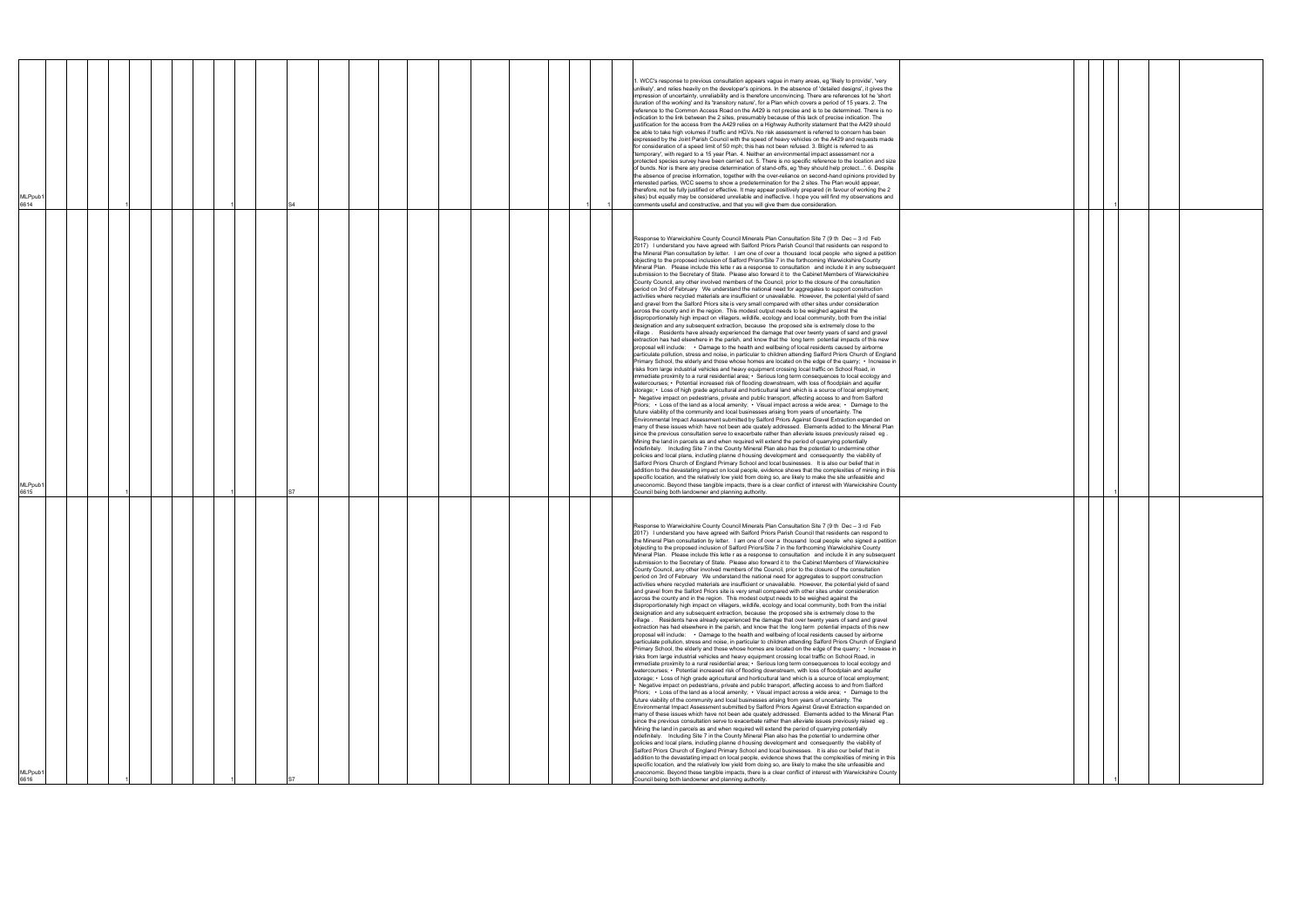| MLPpub <sup>*</sup><br>6616                                                                                                                                                                                                                                                                                                                                                                                                                                                                                                                                                                                                                                                                                                                                                                                                                                                                                                                                                                                                                                                                                                                                                                                                                                                                                                                                                                                                                                                                                                                                                                                                                                                                                                                                                                                                                                                                                                                                                                                                                                                                                                                                                                                                                                                                                                                                                                                                                                                                                                                                                                                                                                                                                                                                                                                                                                                                                                                                                                                                                                                                                                                                                                                                                                                                                                                                                                                                                                                                                                                                                                                                                                                                                                                                                                                                                       | MLPpub1<br>6615                                                                                                                                                                                                                                                                                                                                                                                                                                                                                                                                                                                                                                                                                                                                                                                                                                                                                                                                                                                                                                                                                                                                                                                                                                                                                                                                                                                                                                                                                                                                                                                                                                                                                                                                                                                                                                                                                                                                                                                                                                                                                                                                                                                                                                                                                                                                                                                                                                                                                                                                                                                                                                                                                                                                                                                                                                                                                                                                                                                                                                                                                                                                                                                                                                                                                                                                                                                                                                                                                                                                                                                                                                                                                                                                                                                                                 | <b>MLPpub</b><br>6614                                                                                                                                                                                                                                                                                                                                                                                                                                                                                                                                                                                                                                                                                                                                                                                                                                                                                                                                                                                                                                                                                                                                                                                                                                                                                                                                                                                                                                                                                                                                                                                                                                                                                                                                                                                                                                                                                                                                                 |
|---------------------------------------------------------------------------------------------------------------------------------------------------------------------------------------------------------------------------------------------------------------------------------------------------------------------------------------------------------------------------------------------------------------------------------------------------------------------------------------------------------------------------------------------------------------------------------------------------------------------------------------------------------------------------------------------------------------------------------------------------------------------------------------------------------------------------------------------------------------------------------------------------------------------------------------------------------------------------------------------------------------------------------------------------------------------------------------------------------------------------------------------------------------------------------------------------------------------------------------------------------------------------------------------------------------------------------------------------------------------------------------------------------------------------------------------------------------------------------------------------------------------------------------------------------------------------------------------------------------------------------------------------------------------------------------------------------------------------------------------------------------------------------------------------------------------------------------------------------------------------------------------------------------------------------------------------------------------------------------------------------------------------------------------------------------------------------------------------------------------------------------------------------------------------------------------------------------------------------------------------------------------------------------------------------------------------------------------------------------------------------------------------------------------------------------------------------------------------------------------------------------------------------------------------------------------------------------------------------------------------------------------------------------------------------------------------------------------------------------------------------------------------------------------------------------------------------------------------------------------------------------------------------------------------------------------------------------------------------------------------------------------------------------------------------------------------------------------------------------------------------------------------------------------------------------------------------------------------------------------------------------------------------------------------------------------------------------------------------------------------------------------------------------------------------------------------------------------------------------------------------------------------------------------------------------------------------------------------------------------------------------------------------------------------------------------------------------------------------------------------------------------------------------------------------------------------------------------------|---------------------------------------------------------------------------------------------------------------------------------------------------------------------------------------------------------------------------------------------------------------------------------------------------------------------------------------------------------------------------------------------------------------------------------------------------------------------------------------------------------------------------------------------------------------------------------------------------------------------------------------------------------------------------------------------------------------------------------------------------------------------------------------------------------------------------------------------------------------------------------------------------------------------------------------------------------------------------------------------------------------------------------------------------------------------------------------------------------------------------------------------------------------------------------------------------------------------------------------------------------------------------------------------------------------------------------------------------------------------------------------------------------------------------------------------------------------------------------------------------------------------------------------------------------------------------------------------------------------------------------------------------------------------------------------------------------------------------------------------------------------------------------------------------------------------------------------------------------------------------------------------------------------------------------------------------------------------------------------------------------------------------------------------------------------------------------------------------------------------------------------------------------------------------------------------------------------------------------------------------------------------------------------------------------------------------------------------------------------------------------------------------------------------------------------------------------------------------------------------------------------------------------------------------------------------------------------------------------------------------------------------------------------------------------------------------------------------------------------------------------------------------------------------------------------------------------------------------------------------------------------------------------------------------------------------------------------------------------------------------------------------------------------------------------------------------------------------------------------------------------------------------------------------------------------------------------------------------------------------------------------------------------------------------------------------------------------------------------------------------------------------------------------------------------------------------------------------------------------------------------------------------------------------------------------------------------------------------------------------------------------------------------------------------------------------------------------------------------------------------------------------------------------------------------------------------------|-----------------------------------------------------------------------------------------------------------------------------------------------------------------------------------------------------------------------------------------------------------------------------------------------------------------------------------------------------------------------------------------------------------------------------------------------------------------------------------------------------------------------------------------------------------------------------------------------------------------------------------------------------------------------------------------------------------------------------------------------------------------------------------------------------------------------------------------------------------------------------------------------------------------------------------------------------------------------------------------------------------------------------------------------------------------------------------------------------------------------------------------------------------------------------------------------------------------------------------------------------------------------------------------------------------------------------------------------------------------------------------------------------------------------------------------------------------------------------------------------------------------------------------------------------------------------------------------------------------------------------------------------------------------------------------------------------------------------------------------------------------------------------------------------------------------------------------------------------------------------------------------------------------------------------------------------------------------------|
|                                                                                                                                                                                                                                                                                                                                                                                                                                                                                                                                                                                                                                                                                                                                                                                                                                                                                                                                                                                                                                                                                                                                                                                                                                                                                                                                                                                                                                                                                                                                                                                                                                                                                                                                                                                                                                                                                                                                                                                                                                                                                                                                                                                                                                                                                                                                                                                                                                                                                                                                                                                                                                                                                                                                                                                                                                                                                                                                                                                                                                                                                                                                                                                                                                                                                                                                                                                                                                                                                                                                                                                                                                                                                                                                                                                                                                                   |                                                                                                                                                                                                                                                                                                                                                                                                                                                                                                                                                                                                                                                                                                                                                                                                                                                                                                                                                                                                                                                                                                                                                                                                                                                                                                                                                                                                                                                                                                                                                                                                                                                                                                                                                                                                                                                                                                                                                                                                                                                                                                                                                                                                                                                                                                                                                                                                                                                                                                                                                                                                                                                                                                                                                                                                                                                                                                                                                                                                                                                                                                                                                                                                                                                                                                                                                                                                                                                                                                                                                                                                                                                                                                                                                                                                                                 |                                                                                                                                                                                                                                                                                                                                                                                                                                                                                                                                                                                                                                                                                                                                                                                                                                                                                                                                                                                                                                                                                                                                                                                                                                                                                                                                                                                                                                                                                                                                                                                                                                                                                                                                                                                                                                                                                                                                                                       |
|                                                                                                                                                                                                                                                                                                                                                                                                                                                                                                                                                                                                                                                                                                                                                                                                                                                                                                                                                                                                                                                                                                                                                                                                                                                                                                                                                                                                                                                                                                                                                                                                                                                                                                                                                                                                                                                                                                                                                                                                                                                                                                                                                                                                                                                                                                                                                                                                                                                                                                                                                                                                                                                                                                                                                                                                                                                                                                                                                                                                                                                                                                                                                                                                                                                                                                                                                                                                                                                                                                                                                                                                                                                                                                                                                                                                                                                   |                                                                                                                                                                                                                                                                                                                                                                                                                                                                                                                                                                                                                                                                                                                                                                                                                                                                                                                                                                                                                                                                                                                                                                                                                                                                                                                                                                                                                                                                                                                                                                                                                                                                                                                                                                                                                                                                                                                                                                                                                                                                                                                                                                                                                                                                                                                                                                                                                                                                                                                                                                                                                                                                                                                                                                                                                                                                                                                                                                                                                                                                                                                                                                                                                                                                                                                                                                                                                                                                                                                                                                                                                                                                                                                                                                                                                                 |                                                                                                                                                                                                                                                                                                                                                                                                                                                                                                                                                                                                                                                                                                                                                                                                                                                                                                                                                                                                                                                                                                                                                                                                                                                                                                                                                                                                                                                                                                                                                                                                                                                                                                                                                                                                                                                                                                                                                                       |
|                                                                                                                                                                                                                                                                                                                                                                                                                                                                                                                                                                                                                                                                                                                                                                                                                                                                                                                                                                                                                                                                                                                                                                                                                                                                                                                                                                                                                                                                                                                                                                                                                                                                                                                                                                                                                                                                                                                                                                                                                                                                                                                                                                                                                                                                                                                                                                                                                                                                                                                                                                                                                                                                                                                                                                                                                                                                                                                                                                                                                                                                                                                                                                                                                                                                                                                                                                                                                                                                                                                                                                                                                                                                                                                                                                                                                                                   |                                                                                                                                                                                                                                                                                                                                                                                                                                                                                                                                                                                                                                                                                                                                                                                                                                                                                                                                                                                                                                                                                                                                                                                                                                                                                                                                                                                                                                                                                                                                                                                                                                                                                                                                                                                                                                                                                                                                                                                                                                                                                                                                                                                                                                                                                                                                                                                                                                                                                                                                                                                                                                                                                                                                                                                                                                                                                                                                                                                                                                                                                                                                                                                                                                                                                                                                                                                                                                                                                                                                                                                                                                                                                                                                                                                                                                 |                                                                                                                                                                                                                                                                                                                                                                                                                                                                                                                                                                                                                                                                                                                                                                                                                                                                                                                                                                                                                                                                                                                                                                                                                                                                                                                                                                                                                                                                                                                                                                                                                                                                                                                                                                                                                                                                                                                                                                       |
|                                                                                                                                                                                                                                                                                                                                                                                                                                                                                                                                                                                                                                                                                                                                                                                                                                                                                                                                                                                                                                                                                                                                                                                                                                                                                                                                                                                                                                                                                                                                                                                                                                                                                                                                                                                                                                                                                                                                                                                                                                                                                                                                                                                                                                                                                                                                                                                                                                                                                                                                                                                                                                                                                                                                                                                                                                                                                                                                                                                                                                                                                                                                                                                                                                                                                                                                                                                                                                                                                                                                                                                                                                                                                                                                                                                                                                                   |                                                                                                                                                                                                                                                                                                                                                                                                                                                                                                                                                                                                                                                                                                                                                                                                                                                                                                                                                                                                                                                                                                                                                                                                                                                                                                                                                                                                                                                                                                                                                                                                                                                                                                                                                                                                                                                                                                                                                                                                                                                                                                                                                                                                                                                                                                                                                                                                                                                                                                                                                                                                                                                                                                                                                                                                                                                                                                                                                                                                                                                                                                                                                                                                                                                                                                                                                                                                                                                                                                                                                                                                                                                                                                                                                                                                                                 |                                                                                                                                                                                                                                                                                                                                                                                                                                                                                                                                                                                                                                                                                                                                                                                                                                                                                                                                                                                                                                                                                                                                                                                                                                                                                                                                                                                                                                                                                                                                                                                                                                                                                                                                                                                                                                                                                                                                                                       |
|                                                                                                                                                                                                                                                                                                                                                                                                                                                                                                                                                                                                                                                                                                                                                                                                                                                                                                                                                                                                                                                                                                                                                                                                                                                                                                                                                                                                                                                                                                                                                                                                                                                                                                                                                                                                                                                                                                                                                                                                                                                                                                                                                                                                                                                                                                                                                                                                                                                                                                                                                                                                                                                                                                                                                                                                                                                                                                                                                                                                                                                                                                                                                                                                                                                                                                                                                                                                                                                                                                                                                                                                                                                                                                                                                                                                                                                   |                                                                                                                                                                                                                                                                                                                                                                                                                                                                                                                                                                                                                                                                                                                                                                                                                                                                                                                                                                                                                                                                                                                                                                                                                                                                                                                                                                                                                                                                                                                                                                                                                                                                                                                                                                                                                                                                                                                                                                                                                                                                                                                                                                                                                                                                                                                                                                                                                                                                                                                                                                                                                                                                                                                                                                                                                                                                                                                                                                                                                                                                                                                                                                                                                                                                                                                                                                                                                                                                                                                                                                                                                                                                                                                                                                                                                                 |                                                                                                                                                                                                                                                                                                                                                                                                                                                                                                                                                                                                                                                                                                                                                                                                                                                                                                                                                                                                                                                                                                                                                                                                                                                                                                                                                                                                                                                                                                                                                                                                                                                                                                                                                                                                                                                                                                                                                                       |
|                                                                                                                                                                                                                                                                                                                                                                                                                                                                                                                                                                                                                                                                                                                                                                                                                                                                                                                                                                                                                                                                                                                                                                                                                                                                                                                                                                                                                                                                                                                                                                                                                                                                                                                                                                                                                                                                                                                                                                                                                                                                                                                                                                                                                                                                                                                                                                                                                                                                                                                                                                                                                                                                                                                                                                                                                                                                                                                                                                                                                                                                                                                                                                                                                                                                                                                                                                                                                                                                                                                                                                                                                                                                                                                                                                                                                                                   |                                                                                                                                                                                                                                                                                                                                                                                                                                                                                                                                                                                                                                                                                                                                                                                                                                                                                                                                                                                                                                                                                                                                                                                                                                                                                                                                                                                                                                                                                                                                                                                                                                                                                                                                                                                                                                                                                                                                                                                                                                                                                                                                                                                                                                                                                                                                                                                                                                                                                                                                                                                                                                                                                                                                                                                                                                                                                                                                                                                                                                                                                                                                                                                                                                                                                                                                                                                                                                                                                                                                                                                                                                                                                                                                                                                                                                 |                                                                                                                                                                                                                                                                                                                                                                                                                                                                                                                                                                                                                                                                                                                                                                                                                                                                                                                                                                                                                                                                                                                                                                                                                                                                                                                                                                                                                                                                                                                                                                                                                                                                                                                                                                                                                                                                                                                                                                       |
|                                                                                                                                                                                                                                                                                                                                                                                                                                                                                                                                                                                                                                                                                                                                                                                                                                                                                                                                                                                                                                                                                                                                                                                                                                                                                                                                                                                                                                                                                                                                                                                                                                                                                                                                                                                                                                                                                                                                                                                                                                                                                                                                                                                                                                                                                                                                                                                                                                                                                                                                                                                                                                                                                                                                                                                                                                                                                                                                                                                                                                                                                                                                                                                                                                                                                                                                                                                                                                                                                                                                                                                                                                                                                                                                                                                                                                                   |                                                                                                                                                                                                                                                                                                                                                                                                                                                                                                                                                                                                                                                                                                                                                                                                                                                                                                                                                                                                                                                                                                                                                                                                                                                                                                                                                                                                                                                                                                                                                                                                                                                                                                                                                                                                                                                                                                                                                                                                                                                                                                                                                                                                                                                                                                                                                                                                                                                                                                                                                                                                                                                                                                                                                                                                                                                                                                                                                                                                                                                                                                                                                                                                                                                                                                                                                                                                                                                                                                                                                                                                                                                                                                                                                                                                                                 |                                                                                                                                                                                                                                                                                                                                                                                                                                                                                                                                                                                                                                                                                                                                                                                                                                                                                                                                                                                                                                                                                                                                                                                                                                                                                                                                                                                                                                                                                                                                                                                                                                                                                                                                                                                                                                                                                                                                                                       |
|                                                                                                                                                                                                                                                                                                                                                                                                                                                                                                                                                                                                                                                                                                                                                                                                                                                                                                                                                                                                                                                                                                                                                                                                                                                                                                                                                                                                                                                                                                                                                                                                                                                                                                                                                                                                                                                                                                                                                                                                                                                                                                                                                                                                                                                                                                                                                                                                                                                                                                                                                                                                                                                                                                                                                                                                                                                                                                                                                                                                                                                                                                                                                                                                                                                                                                                                                                                                                                                                                                                                                                                                                                                                                                                                                                                                                                                   |                                                                                                                                                                                                                                                                                                                                                                                                                                                                                                                                                                                                                                                                                                                                                                                                                                                                                                                                                                                                                                                                                                                                                                                                                                                                                                                                                                                                                                                                                                                                                                                                                                                                                                                                                                                                                                                                                                                                                                                                                                                                                                                                                                                                                                                                                                                                                                                                                                                                                                                                                                                                                                                                                                                                                                                                                                                                                                                                                                                                                                                                                                                                                                                                                                                                                                                                                                                                                                                                                                                                                                                                                                                                                                                                                                                                                                 |                                                                                                                                                                                                                                                                                                                                                                                                                                                                                                                                                                                                                                                                                                                                                                                                                                                                                                                                                                                                                                                                                                                                                                                                                                                                                                                                                                                                                                                                                                                                                                                                                                                                                                                                                                                                                                                                                                                                                                       |
|                                                                                                                                                                                                                                                                                                                                                                                                                                                                                                                                                                                                                                                                                                                                                                                                                                                                                                                                                                                                                                                                                                                                                                                                                                                                                                                                                                                                                                                                                                                                                                                                                                                                                                                                                                                                                                                                                                                                                                                                                                                                                                                                                                                                                                                                                                                                                                                                                                                                                                                                                                                                                                                                                                                                                                                                                                                                                                                                                                                                                                                                                                                                                                                                                                                                                                                                                                                                                                                                                                                                                                                                                                                                                                                                                                                                                                                   |                                                                                                                                                                                                                                                                                                                                                                                                                                                                                                                                                                                                                                                                                                                                                                                                                                                                                                                                                                                                                                                                                                                                                                                                                                                                                                                                                                                                                                                                                                                                                                                                                                                                                                                                                                                                                                                                                                                                                                                                                                                                                                                                                                                                                                                                                                                                                                                                                                                                                                                                                                                                                                                                                                                                                                                                                                                                                                                                                                                                                                                                                                                                                                                                                                                                                                                                                                                                                                                                                                                                                                                                                                                                                                                                                                                                                                 | S4                                                                                                                                                                                                                                                                                                                                                                                                                                                                                                                                                                                                                                                                                                                                                                                                                                                                                                                                                                                                                                                                                                                                                                                                                                                                                                                                                                                                                                                                                                                                                                                                                                                                                                                                                                                                                                                                                                                                                                    |
|                                                                                                                                                                                                                                                                                                                                                                                                                                                                                                                                                                                                                                                                                                                                                                                                                                                                                                                                                                                                                                                                                                                                                                                                                                                                                                                                                                                                                                                                                                                                                                                                                                                                                                                                                                                                                                                                                                                                                                                                                                                                                                                                                                                                                                                                                                                                                                                                                                                                                                                                                                                                                                                                                                                                                                                                                                                                                                                                                                                                                                                                                                                                                                                                                                                                                                                                                                                                                                                                                                                                                                                                                                                                                                                                                                                                                                                   |                                                                                                                                                                                                                                                                                                                                                                                                                                                                                                                                                                                                                                                                                                                                                                                                                                                                                                                                                                                                                                                                                                                                                                                                                                                                                                                                                                                                                                                                                                                                                                                                                                                                                                                                                                                                                                                                                                                                                                                                                                                                                                                                                                                                                                                                                                                                                                                                                                                                                                                                                                                                                                                                                                                                                                                                                                                                                                                                                                                                                                                                                                                                                                                                                                                                                                                                                                                                                                                                                                                                                                                                                                                                                                                                                                                                                                 |                                                                                                                                                                                                                                                                                                                                                                                                                                                                                                                                                                                                                                                                                                                                                                                                                                                                                                                                                                                                                                                                                                                                                                                                                                                                                                                                                                                                                                                                                                                                                                                                                                                                                                                                                                                                                                                                                                                                                                       |
|                                                                                                                                                                                                                                                                                                                                                                                                                                                                                                                                                                                                                                                                                                                                                                                                                                                                                                                                                                                                                                                                                                                                                                                                                                                                                                                                                                                                                                                                                                                                                                                                                                                                                                                                                                                                                                                                                                                                                                                                                                                                                                                                                                                                                                                                                                                                                                                                                                                                                                                                                                                                                                                                                                                                                                                                                                                                                                                                                                                                                                                                                                                                                                                                                                                                                                                                                                                                                                                                                                                                                                                                                                                                                                                                                                                                                                                   |                                                                                                                                                                                                                                                                                                                                                                                                                                                                                                                                                                                                                                                                                                                                                                                                                                                                                                                                                                                                                                                                                                                                                                                                                                                                                                                                                                                                                                                                                                                                                                                                                                                                                                                                                                                                                                                                                                                                                                                                                                                                                                                                                                                                                                                                                                                                                                                                                                                                                                                                                                                                                                                                                                                                                                                                                                                                                                                                                                                                                                                                                                                                                                                                                                                                                                                                                                                                                                                                                                                                                                                                                                                                                                                                                                                                                                 |                                                                                                                                                                                                                                                                                                                                                                                                                                                                                                                                                                                                                                                                                                                                                                                                                                                                                                                                                                                                                                                                                                                                                                                                                                                                                                                                                                                                                                                                                                                                                                                                                                                                                                                                                                                                                                                                                                                                                                       |
|                                                                                                                                                                                                                                                                                                                                                                                                                                                                                                                                                                                                                                                                                                                                                                                                                                                                                                                                                                                                                                                                                                                                                                                                                                                                                                                                                                                                                                                                                                                                                                                                                                                                                                                                                                                                                                                                                                                                                                                                                                                                                                                                                                                                                                                                                                                                                                                                                                                                                                                                                                                                                                                                                                                                                                                                                                                                                                                                                                                                                                                                                                                                                                                                                                                                                                                                                                                                                                                                                                                                                                                                                                                                                                                                                                                                                                                   |                                                                                                                                                                                                                                                                                                                                                                                                                                                                                                                                                                                                                                                                                                                                                                                                                                                                                                                                                                                                                                                                                                                                                                                                                                                                                                                                                                                                                                                                                                                                                                                                                                                                                                                                                                                                                                                                                                                                                                                                                                                                                                                                                                                                                                                                                                                                                                                                                                                                                                                                                                                                                                                                                                                                                                                                                                                                                                                                                                                                                                                                                                                                                                                                                                                                                                                                                                                                                                                                                                                                                                                                                                                                                                                                                                                                                                 |                                                                                                                                                                                                                                                                                                                                                                                                                                                                                                                                                                                                                                                                                                                                                                                                                                                                                                                                                                                                                                                                                                                                                                                                                                                                                                                                                                                                                                                                                                                                                                                                                                                                                                                                                                                                                                                                                                                                                                       |
|                                                                                                                                                                                                                                                                                                                                                                                                                                                                                                                                                                                                                                                                                                                                                                                                                                                                                                                                                                                                                                                                                                                                                                                                                                                                                                                                                                                                                                                                                                                                                                                                                                                                                                                                                                                                                                                                                                                                                                                                                                                                                                                                                                                                                                                                                                                                                                                                                                                                                                                                                                                                                                                                                                                                                                                                                                                                                                                                                                                                                                                                                                                                                                                                                                                                                                                                                                                                                                                                                                                                                                                                                                                                                                                                                                                                                                                   |                                                                                                                                                                                                                                                                                                                                                                                                                                                                                                                                                                                                                                                                                                                                                                                                                                                                                                                                                                                                                                                                                                                                                                                                                                                                                                                                                                                                                                                                                                                                                                                                                                                                                                                                                                                                                                                                                                                                                                                                                                                                                                                                                                                                                                                                                                                                                                                                                                                                                                                                                                                                                                                                                                                                                                                                                                                                                                                                                                                                                                                                                                                                                                                                                                                                                                                                                                                                                                                                                                                                                                                                                                                                                                                                                                                                                                 |                                                                                                                                                                                                                                                                                                                                                                                                                                                                                                                                                                                                                                                                                                                                                                                                                                                                                                                                                                                                                                                                                                                                                                                                                                                                                                                                                                                                                                                                                                                                                                                                                                                                                                                                                                                                                                                                                                                                                                       |
|                                                                                                                                                                                                                                                                                                                                                                                                                                                                                                                                                                                                                                                                                                                                                                                                                                                                                                                                                                                                                                                                                                                                                                                                                                                                                                                                                                                                                                                                                                                                                                                                                                                                                                                                                                                                                                                                                                                                                                                                                                                                                                                                                                                                                                                                                                                                                                                                                                                                                                                                                                                                                                                                                                                                                                                                                                                                                                                                                                                                                                                                                                                                                                                                                                                                                                                                                                                                                                                                                                                                                                                                                                                                                                                                                                                                                                                   |                                                                                                                                                                                                                                                                                                                                                                                                                                                                                                                                                                                                                                                                                                                                                                                                                                                                                                                                                                                                                                                                                                                                                                                                                                                                                                                                                                                                                                                                                                                                                                                                                                                                                                                                                                                                                                                                                                                                                                                                                                                                                                                                                                                                                                                                                                                                                                                                                                                                                                                                                                                                                                                                                                                                                                                                                                                                                                                                                                                                                                                                                                                                                                                                                                                                                                                                                                                                                                                                                                                                                                                                                                                                                                                                                                                                                                 |                                                                                                                                                                                                                                                                                                                                                                                                                                                                                                                                                                                                                                                                                                                                                                                                                                                                                                                                                                                                                                                                                                                                                                                                                                                                                                                                                                                                                                                                                                                                                                                                                                                                                                                                                                                                                                                                                                                                                                       |
|                                                                                                                                                                                                                                                                                                                                                                                                                                                                                                                                                                                                                                                                                                                                                                                                                                                                                                                                                                                                                                                                                                                                                                                                                                                                                                                                                                                                                                                                                                                                                                                                                                                                                                                                                                                                                                                                                                                                                                                                                                                                                                                                                                                                                                                                                                                                                                                                                                                                                                                                                                                                                                                                                                                                                                                                                                                                                                                                                                                                                                                                                                                                                                                                                                                                                                                                                                                                                                                                                                                                                                                                                                                                                                                                                                                                                                                   |                                                                                                                                                                                                                                                                                                                                                                                                                                                                                                                                                                                                                                                                                                                                                                                                                                                                                                                                                                                                                                                                                                                                                                                                                                                                                                                                                                                                                                                                                                                                                                                                                                                                                                                                                                                                                                                                                                                                                                                                                                                                                                                                                                                                                                                                                                                                                                                                                                                                                                                                                                                                                                                                                                                                                                                                                                                                                                                                                                                                                                                                                                                                                                                                                                                                                                                                                                                                                                                                                                                                                                                                                                                                                                                                                                                                                                 |                                                                                                                                                                                                                                                                                                                                                                                                                                                                                                                                                                                                                                                                                                                                                                                                                                                                                                                                                                                                                                                                                                                                                                                                                                                                                                                                                                                                                                                                                                                                                                                                                                                                                                                                                                                                                                                                                                                                                                       |
|                                                                                                                                                                                                                                                                                                                                                                                                                                                                                                                                                                                                                                                                                                                                                                                                                                                                                                                                                                                                                                                                                                                                                                                                                                                                                                                                                                                                                                                                                                                                                                                                                                                                                                                                                                                                                                                                                                                                                                                                                                                                                                                                                                                                                                                                                                                                                                                                                                                                                                                                                                                                                                                                                                                                                                                                                                                                                                                                                                                                                                                                                                                                                                                                                                                                                                                                                                                                                                                                                                                                                                                                                                                                                                                                                                                                                                                   |                                                                                                                                                                                                                                                                                                                                                                                                                                                                                                                                                                                                                                                                                                                                                                                                                                                                                                                                                                                                                                                                                                                                                                                                                                                                                                                                                                                                                                                                                                                                                                                                                                                                                                                                                                                                                                                                                                                                                                                                                                                                                                                                                                                                                                                                                                                                                                                                                                                                                                                                                                                                                                                                                                                                                                                                                                                                                                                                                                                                                                                                                                                                                                                                                                                                                                                                                                                                                                                                                                                                                                                                                                                                                                                                                                                                                                 |                                                                                                                                                                                                                                                                                                                                                                                                                                                                                                                                                                                                                                                                                                                                                                                                                                                                                                                                                                                                                                                                                                                                                                                                                                                                                                                                                                                                                                                                                                                                                                                                                                                                                                                                                                                                                                                                                                                                                                       |
|                                                                                                                                                                                                                                                                                                                                                                                                                                                                                                                                                                                                                                                                                                                                                                                                                                                                                                                                                                                                                                                                                                                                                                                                                                                                                                                                                                                                                                                                                                                                                                                                                                                                                                                                                                                                                                                                                                                                                                                                                                                                                                                                                                                                                                                                                                                                                                                                                                                                                                                                                                                                                                                                                                                                                                                                                                                                                                                                                                                                                                                                                                                                                                                                                                                                                                                                                                                                                                                                                                                                                                                                                                                                                                                                                                                                                                                   |                                                                                                                                                                                                                                                                                                                                                                                                                                                                                                                                                                                                                                                                                                                                                                                                                                                                                                                                                                                                                                                                                                                                                                                                                                                                                                                                                                                                                                                                                                                                                                                                                                                                                                                                                                                                                                                                                                                                                                                                                                                                                                                                                                                                                                                                                                                                                                                                                                                                                                                                                                                                                                                                                                                                                                                                                                                                                                                                                                                                                                                                                                                                                                                                                                                                                                                                                                                                                                                                                                                                                                                                                                                                                                                                                                                                                                 |                                                                                                                                                                                                                                                                                                                                                                                                                                                                                                                                                                                                                                                                                                                                                                                                                                                                                                                                                                                                                                                                                                                                                                                                                                                                                                                                                                                                                                                                                                                                                                                                                                                                                                                                                                                                                                                                                                                                                                       |
|                                                                                                                                                                                                                                                                                                                                                                                                                                                                                                                                                                                                                                                                                                                                                                                                                                                                                                                                                                                                                                                                                                                                                                                                                                                                                                                                                                                                                                                                                                                                                                                                                                                                                                                                                                                                                                                                                                                                                                                                                                                                                                                                                                                                                                                                                                                                                                                                                                                                                                                                                                                                                                                                                                                                                                                                                                                                                                                                                                                                                                                                                                                                                                                                                                                                                                                                                                                                                                                                                                                                                                                                                                                                                                                                                                                                                                                   |                                                                                                                                                                                                                                                                                                                                                                                                                                                                                                                                                                                                                                                                                                                                                                                                                                                                                                                                                                                                                                                                                                                                                                                                                                                                                                                                                                                                                                                                                                                                                                                                                                                                                                                                                                                                                                                                                                                                                                                                                                                                                                                                                                                                                                                                                                                                                                                                                                                                                                                                                                                                                                                                                                                                                                                                                                                                                                                                                                                                                                                                                                                                                                                                                                                                                                                                                                                                                                                                                                                                                                                                                                                                                                                                                                                                                                 |                                                                                                                                                                                                                                                                                                                                                                                                                                                                                                                                                                                                                                                                                                                                                                                                                                                                                                                                                                                                                                                                                                                                                                                                                                                                                                                                                                                                                                                                                                                                                                                                                                                                                                                                                                                                                                                                                                                                                                       |
| Response to Warwickshire County Council Minerals Plan Consultation Site 7 (9 th Dec - 3 rd Feb<br>2017) I understand you have agreed with Salford Priors Parish Council that residents can respond to<br>the Mineral Plan consultation by letter. I am one of over a thousand local people who signed a petition<br>objecting to the proposed inclusion of Salford Priors/Site 7 in the forthcoming Warwickshire County<br>Mineral Plan. Please include this lette r as a response to consultation and include it in any subsequent<br>submission to the Secretary of State. Please also forward it to the Cabinet Members of Warwickshire<br>County Council, any other involved members of the Council, prior to the closure of the consultation<br>period on 3rd of February We understand the national need for aggregates to support construction<br>activities where recycled materials are insufficient or unavailable. However, the potential yield of sand<br>and gravel from the Salford Priors site is very small compared with other sites under consideration<br>across the county and in the region. This modest output needs to be weighed against the<br>disproportionately high impact on villagers, wildlife, ecology and local community, both from the initial<br>designation and any subsequent extraction, because the proposed site is extremely close to the<br>village. Residents have already experienced the damage that over twenty years of sand and gravel<br>extraction has had elsewhere in the parish, and know that the long term potential impacts of this new<br>proposal will include: • Damage to the health and wellbeing of local residents caused by airborne<br>particulate pollution, stress and noise, in particular to children attending Salford Priors Church of England<br>Primary School, the elderly and those whose homes are located on the edge of the quarry; • Increase in<br>risks from large industrial vehicles and heavy equipment crossing local traffic on School Road, in<br>immediate proximity to a rural residential area; • Serious long term consequences to local ecology and<br>watercourses; • Potential increased risk of flooding downstream, with loss of floodplain and aquifer<br>storage; • Loss of high grade agricultural and horticultural land which is a source of local employment;<br>Negative impact on pedestrians, private and public transport, affecting access to and from Salford •<br>Priors; $\cdot$ Loss of the land as a local amenity; $\cdot$ Visual impact across a wide area; $\cdot$ Damage to the<br>future viability of the community and local businesses arising from years of uncertainty. The<br>Environmental Impact Assessment submitted by Salford Priors Against Gravel Extraction expanded on<br>many of these issues which have not been ade quately addressed. Elements added to the Mineral Plan<br>since the previous consultation serve to exacerbate rather than alleviate issues previously raised eg.<br>Mining the land in parcels as and when required will extend the period of quarrying potentially<br>indefinitely. Including Site 7 in the County Mineral Plan also has the potential to undermine other<br>policies and local plans, including planne d housing development and consequently the viability of<br>Salford Priors Church of England Primary School and local businesses. It is also our belief that in<br>addition to the devastating impact on local people, evidence shows that the complexities of mining in this<br>specific location, and the relatively low yield from doing so, are likely to make the site unfeasible and<br>uneconomic. Beyond these tangible impacts, there is a clear conflict of interest with Warwickshire County<br>Council being both landowner and planning authority. | Response to Warwickshire County Council Minerals Plan Consultation Site 7 (9 th Dec - 3 rd Feb<br>2017) I understand you have agreed with Salford Priors Parish Council that residents can respond to<br>the Mineral Plan consultation by letter. I am one of over a thousand local people who signed a petition<br>objecting to the proposed inclusion of Salford Priors/Site 7 in the forthcoming Warwickshire County<br>Mineral Plan. Please include this lette r as a response to consultation and include it in any subsequent<br>submission to the Secretary of State. Please also forward it to the Cabinet Members of Warwickshire<br>County Council, any other involved members of the Council, prior to the closure of the consultation<br>period on 3rd of February We understand the national need for aggregates to support construction<br>activities where recycled materials are insufficient or unavailable. However, the potential yield of sand<br>and gravel from the Salford Priors site is very small compared with other sites under consideration<br>across the county and in the region. This modest output needs to be weighed against the<br>disproportionately high impact on villagers, wildlife, ecology and local community, both from the initial<br>designation and any subsequent extraction, because the proposed site is extremely close to the<br>village. Residents have already experienced the damage that over twenty years of sand and gravel<br>extraction has had elsewhere in the parish, and know that the long term potential impacts of this new<br>proposal will include: • Damage to the health and wellbeing of local residents caused by airborne<br>particulate pollution, stress and noise, in particular to children attending Salford Priors Church of England<br>Primary School, the elderly and those whose homes are located on the edge of the quarry; • Increase in<br>risks from large industrial vehicles and heavy equipment crossing local traffic on School Road, in<br>immediate proximity to a rural residential area; • Serious long term consequences to local ecology and<br>watercourses; • Potential increased risk of flooding downstream, with loss of floodplain and aquifer<br>storage; • Loss of high grade agricultural and horticultural land which is a source of local employment;<br>· Negative impact on pedestrians, private and public transport, affecting access to and from Salford<br>Priors; • Loss of the land as a local amenity; • Visual impact across a wide area; • Damage to the<br>future viability of the community and local businesses arising from years of uncertainty. The<br>Environmental Impact Assessment submitted by Salford Priors Against Gravel Extraction expanded on<br>many of these issues which have not been ade quately addressed. Elements added to the Mineral Plan<br>since the previous consultation serve to exacerbate rather than alleviate issues previously raised eg.<br>Mining the land in parcels as and when required will extend the period of quarrying potentially<br>indefinitely. Including Site 7 in the County Mineral Plan also has the potential to undermine other<br>policies and local plans, including planne d housing development and consequently the viability of<br>Salford Priors Church of England Primary School and local businesses. It is also our belief that in<br>addition to the devastating impact on local people, evidence shows that the complexities of mining in this<br>specific location, and the relatively low yield from doing so, are likely to make the site unfeasible and<br>uneconomic. Beyond these tangible impacts, there is a clear conflict of interest with Warwickshire County<br>Council being both landowner and planning authority. | 1. WCC's response to previous consultation appears vague in many areas, eg 'likely to provide', 'very<br>unlikely', and relies heavily on the developer's opinions. In the absence of 'detailed designs', it gives the<br>impression of uncertainty, unreliability and is therefore unconvincing. There are references tot he 'short<br>duration of the working' and its 'transitory nature', for a Plan which covers a period of 15 years. 2. The<br>reference to the Common Access Road on the A429 is not precise and is to be determined. There is no<br>indication to the link between the 2 sites, presumably because of this lack of precise indication. The<br>justification for the access from the A429 relies on a Highway Authority statement that the A429 should<br>be able to take high volumes if traffic and HGVs. No risk assessment is referred to concern has been<br>expressed by the Joint Parish Council with the speed of heavy vehicles on the A429 and requests made<br>for consideration of a speed limit of 50 mph; this has not been refused. 3. Blight is referred to as<br>'temporary', with regard to a 15 year Plan. 4. Neither an environmental impact assessment nor a<br>protected species survey have been carried out. 5. There is no specific reference to the location and size<br>of bunds. Nor is there any precise determination of stand-offs, eg 'they should help protect'. 6. Despite<br>the absence of precise information, together with the over-reliance on second-hand opinions provided by<br>interested parties, WCC seems to show a predetermination for the 2 sites. The Plan would appear,<br>therefore, not be fully justified or effective. It may appear positively prepared (in favour of working the 2<br>sites) but equally may be considered unreliable and ineffective. I hope you will find my observations and<br>comments useful and constructive, and that you will give them due consideration. |
|                                                                                                                                                                                                                                                                                                                                                                                                                                                                                                                                                                                                                                                                                                                                                                                                                                                                                                                                                                                                                                                                                                                                                                                                                                                                                                                                                                                                                                                                                                                                                                                                                                                                                                                                                                                                                                                                                                                                                                                                                                                                                                                                                                                                                                                                                                                                                                                                                                                                                                                                                                                                                                                                                                                                                                                                                                                                                                                                                                                                                                                                                                                                                                                                                                                                                                                                                                                                                                                                                                                                                                                                                                                                                                                                                                                                                                                   |                                                                                                                                                                                                                                                                                                                                                                                                                                                                                                                                                                                                                                                                                                                                                                                                                                                                                                                                                                                                                                                                                                                                                                                                                                                                                                                                                                                                                                                                                                                                                                                                                                                                                                                                                                                                                                                                                                                                                                                                                                                                                                                                                                                                                                                                                                                                                                                                                                                                                                                                                                                                                                                                                                                                                                                                                                                                                                                                                                                                                                                                                                                                                                                                                                                                                                                                                                                                                                                                                                                                                                                                                                                                                                                                                                                                                                 |                                                                                                                                                                                                                                                                                                                                                                                                                                                                                                                                                                                                                                                                                                                                                                                                                                                                                                                                                                                                                                                                                                                                                                                                                                                                                                                                                                                                                                                                                                                                                                                                                                                                                                                                                                                                                                                                                                                                                                       |
|                                                                                                                                                                                                                                                                                                                                                                                                                                                                                                                                                                                                                                                                                                                                                                                                                                                                                                                                                                                                                                                                                                                                                                                                                                                                                                                                                                                                                                                                                                                                                                                                                                                                                                                                                                                                                                                                                                                                                                                                                                                                                                                                                                                                                                                                                                                                                                                                                                                                                                                                                                                                                                                                                                                                                                                                                                                                                                                                                                                                                                                                                                                                                                                                                                                                                                                                                                                                                                                                                                                                                                                                                                                                                                                                                                                                                                                   |                                                                                                                                                                                                                                                                                                                                                                                                                                                                                                                                                                                                                                                                                                                                                                                                                                                                                                                                                                                                                                                                                                                                                                                                                                                                                                                                                                                                                                                                                                                                                                                                                                                                                                                                                                                                                                                                                                                                                                                                                                                                                                                                                                                                                                                                                                                                                                                                                                                                                                                                                                                                                                                                                                                                                                                                                                                                                                                                                                                                                                                                                                                                                                                                                                                                                                                                                                                                                                                                                                                                                                                                                                                                                                                                                                                                                                 |                                                                                                                                                                                                                                                                                                                                                                                                                                                                                                                                                                                                                                                                                                                                                                                                                                                                                                                                                                                                                                                                                                                                                                                                                                                                                                                                                                                                                                                                                                                                                                                                                                                                                                                                                                                                                                                                                                                                                                       |
|                                                                                                                                                                                                                                                                                                                                                                                                                                                                                                                                                                                                                                                                                                                                                                                                                                                                                                                                                                                                                                                                                                                                                                                                                                                                                                                                                                                                                                                                                                                                                                                                                                                                                                                                                                                                                                                                                                                                                                                                                                                                                                                                                                                                                                                                                                                                                                                                                                                                                                                                                                                                                                                                                                                                                                                                                                                                                                                                                                                                                                                                                                                                                                                                                                                                                                                                                                                                                                                                                                                                                                                                                                                                                                                                                                                                                                                   |                                                                                                                                                                                                                                                                                                                                                                                                                                                                                                                                                                                                                                                                                                                                                                                                                                                                                                                                                                                                                                                                                                                                                                                                                                                                                                                                                                                                                                                                                                                                                                                                                                                                                                                                                                                                                                                                                                                                                                                                                                                                                                                                                                                                                                                                                                                                                                                                                                                                                                                                                                                                                                                                                                                                                                                                                                                                                                                                                                                                                                                                                                                                                                                                                                                                                                                                                                                                                                                                                                                                                                                                                                                                                                                                                                                                                                 |                                                                                                                                                                                                                                                                                                                                                                                                                                                                                                                                                                                                                                                                                                                                                                                                                                                                                                                                                                                                                                                                                                                                                                                                                                                                                                                                                                                                                                                                                                                                                                                                                                                                                                                                                                                                                                                                                                                                                                       |

|  | 1 |  |  |
|--|---|--|--|
|  |   |  |  |
|  |   |  |  |
|  |   |  |  |
|  |   |  |  |
|  |   |  |  |
|  |   |  |  |
|  |   |  |  |
|  |   |  |  |
|  |   |  |  |
|  | 1 |  |  |
|  |   |  |  |
|  |   |  |  |
|  |   |  |  |
|  |   |  |  |
|  |   |  |  |
|  |   |  |  |
|  |   |  |  |
|  |   |  |  |
|  |   |  |  |
|  |   |  |  |
|  | 1 |  |  |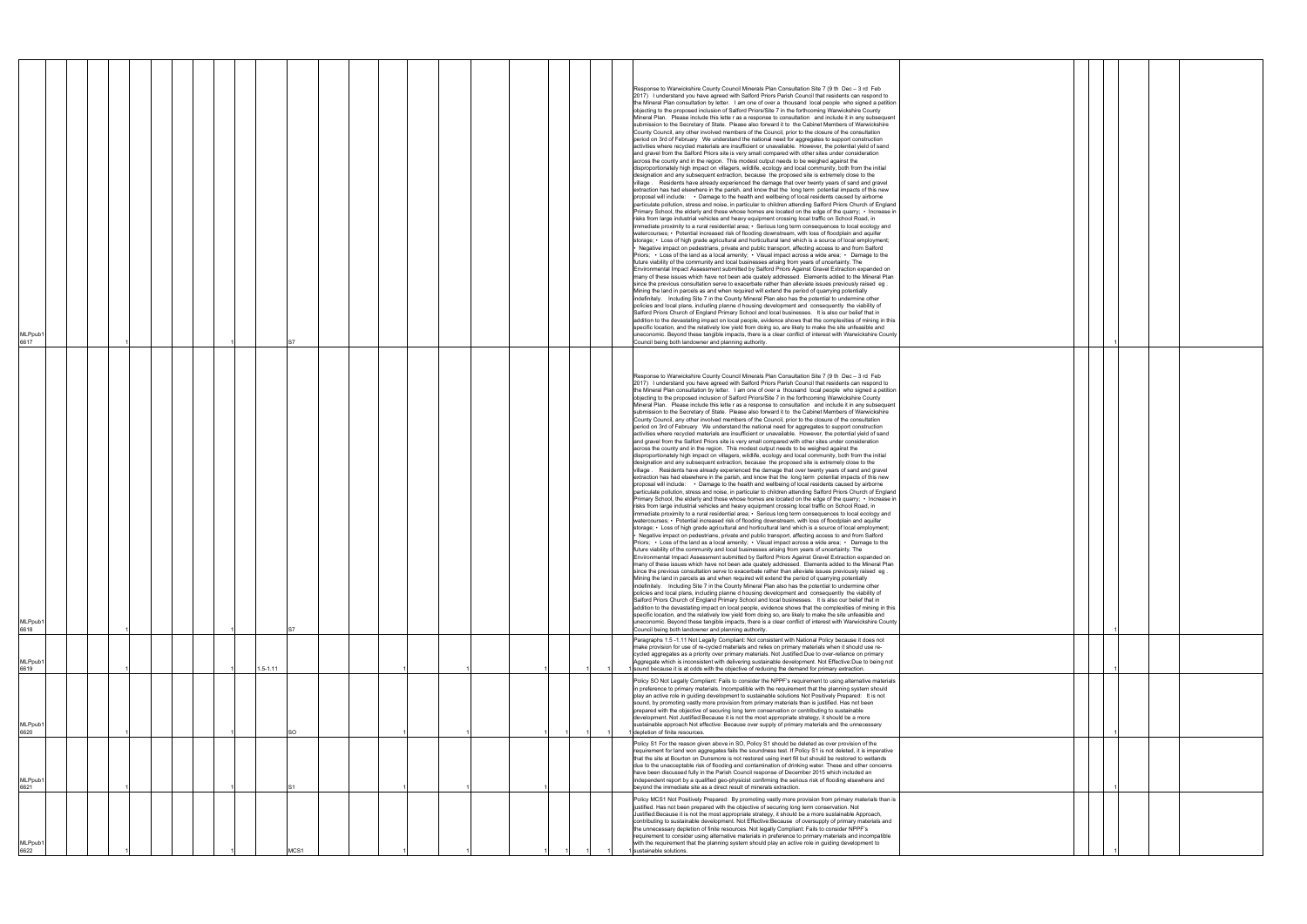| MLPpub1<br>6617             |  |  |  |              |      |  |  |  | Response to Warwickshire County Council Minerals Plan Consultation Site 7 (9 th Dec - 3 rd Feb<br>2017) I understand you have agreed with Salford Priors Parish Council that residents can respond to<br>the Mineral Plan consultation by letter. I am one of over a thousand local people who signed a petition<br>objecting to the proposed inclusion of Salford Priors/Site 7 in the forthcoming Warwickshire County<br>Mineral Plan. Please include this lette r as a response to consultation and include it in any subsequent<br>submission to the Secretary of State. Please also forward it to the Cabinet Members of Warwickshire<br>County Council, any other involved members of the Council, prior to the closure of the consultation<br>period on 3rd of February We understand the national need for aggregates to support construction<br>activities where recycled materials are insufficient or unavailable. However, the potential yield of sand<br>and gravel from the Salford Priors site is very small compared with other sites under consideration<br>across the county and in the region. This modest output needs to be weighed against the<br>disproportionately high impact on villagers, wildlife, ecology and local community, both from the initial<br>designation and any subsequent extraction, because the proposed site is extremely close to the<br>village .  Residents have already experienced the damage that over twenty years of sand and gravel<br>extraction has had elsewhere in the parish, and know that the long term potential impacts of this new<br>proposal will include: • Damage to the health and wellbeing of local residents caused by airborne<br>particulate pollution, stress and noise, in particular to children attending Salford Priors Church of England<br>Primary School, the elderly and those whose homes are located on the edge of the quarry; • Increase in<br>risks from large industrial vehicles and heavy equipment crossing local traffic on School Road, in<br>immediate proximity to a rural residential area; • Serious long term consequences to local ecology and<br>watercourses; • Potential increased risk of flooding downstream, with loss of floodplain and aquifer<br>storage; • Loss of high grade agricultural and horticultural land which is a source of local employment;<br>Negative impact on pedestrians, private and public transport, affecting access to and from Salford<br>Priors; • Loss of the land as a local amenity; • Visual impact across a wide area; • Damage to the<br>future viability of the community and local businesses arising from years of uncertainty. The<br>Environmental Impact Assessment submitted by Salford Priors Against Gravel Extraction expanded on<br>many of these issues which have not been ade quately addressed. Elements added to the Mineral Plan<br>since the previous consultation serve to exacerbate rather than alleviate issues previously raised eg.<br>Mining the land in parcels as and when required will extend the period of quarrying potentially<br>indefinitely. Including Site 7 in the County Mineral Plan also has the potential to undermine other<br>policies and local plans, including planne d housing development and consequently the viability of<br>Salford Priors Church of England Primary School and local businesses. It is also our belief that in<br>addition to the devastating impact on local people, evidence shows that the complexities of mining in this<br>specific location, and the relatively low yield from doing so, are likely to make the site unfeasible and<br>uneconomic. Beyond these tangible impacts, there is a clear conflict of interest with Warwickshire County<br>Council being both landowner and planning authority. |  |
|-----------------------------|--|--|--|--------------|------|--|--|--|---------------------------------------------------------------------------------------------------------------------------------------------------------------------------------------------------------------------------------------------------------------------------------------------------------------------------------------------------------------------------------------------------------------------------------------------------------------------------------------------------------------------------------------------------------------------------------------------------------------------------------------------------------------------------------------------------------------------------------------------------------------------------------------------------------------------------------------------------------------------------------------------------------------------------------------------------------------------------------------------------------------------------------------------------------------------------------------------------------------------------------------------------------------------------------------------------------------------------------------------------------------------------------------------------------------------------------------------------------------------------------------------------------------------------------------------------------------------------------------------------------------------------------------------------------------------------------------------------------------------------------------------------------------------------------------------------------------------------------------------------------------------------------------------------------------------------------------------------------------------------------------------------------------------------------------------------------------------------------------------------------------------------------------------------------------------------------------------------------------------------------------------------------------------------------------------------------------------------------------------------------------------------------------------------------------------------------------------------------------------------------------------------------------------------------------------------------------------------------------------------------------------------------------------------------------------------------------------------------------------------------------------------------------------------------------------------------------------------------------------------------------------------------------------------------------------------------------------------------------------------------------------------------------------------------------------------------------------------------------------------------------------------------------------------------------------------------------------------------------------------------------------------------------------------------------------------------------------------------------------------------------------------------------------------------------------------------------------------------------------------------------------------------------------------------------------------------------------------------------------------------------------------------------------------------------------------------------------------------------------------------------------------------------------------------------------------------------------------------------------------------------------------------------------------------------------------------|--|
| MLPpub1<br>6618             |  |  |  |              |      |  |  |  | Response to Warwickshire County Council Minerals Plan Consultation Site 7 (9 th Dec - 3 rd Feb<br>2017) I understand you have agreed with Salford Priors Parish Council that residents can respond to<br>the Mineral Plan consultation by letter. I am one of over a thousand local people who signed a petition<br>objecting to the proposed inclusion of Salford Priors/Site 7 in the forthcoming Warwickshire County<br>Mineral Plan. Please include this lette r as a response to consultation and include it in any subsequent<br>submission to the Secretary of State. Please also forward it to the Cabinet Members of Warwickshire<br>County Council, any other involved members of the Council, prior to the closure of the consultation<br>period on 3rd of February We understand the national need for aggregates to support construction<br>activities where recycled materials are insufficient or unavailable. However, the potential yield of sand<br>and gravel from the Salford Priors site is very small compared with other sites under consideration<br>across the county and in the region. This modest output needs to be weighed against the<br>disproportionately high impact on villagers, wildlife, ecology and local community, both from the initial<br>designation and any subsequent extraction, because the proposed site is extremely close to the<br>village . Residents have already experienced the damage that over twenty years of sand and gravel<br>extraction has had elsewhere in the parish, and know that the long term potential impacts of this new<br>proposal will include: • Damage to the health and wellbeing of local residents caused by airborne<br>particulate pollution, stress and noise, in particular to children attending Salford Priors Church of England<br>Primary School, the elderly and those whose homes are located on the edge of the quarry; • Increase in<br>risks from large industrial vehicles and heavy equipment crossing local traffic on School Road, in<br>immediate proximity to a rural residential area; • Serious long term consequences to local ecology and<br>watercourses; • Potential increased risk of flooding downstream, with loss of floodplain and aquifer<br>storage; • Loss of high grade agricultural and horticultural land which is a source of local employment;<br>Negative impact on pedestrians, private and public transport, affecting access to and from Salford<br>Priors; • Loss of the land as a local amenity; • Visual impact across a wide area; • Damage to the<br>future viability of the community and local businesses arising from years of uncertainty. The<br>Environmental Impact Assessment submitted by Salford Priors Against Gravel Extraction expanded on<br>many of these issues which have not been ade quately addressed. Elements added to the Mineral Plan<br>since the previous consultation serve to exacerbate rather than alleviate issues previously raised eg.<br>Mining the land in parcels as and when required will extend the period of quarrying potentially<br>indefinitely. Including Site 7 in the County Mineral Plan also has the potential to undermine other<br>policies and local plans, including planne d housing development and consequently the viability of<br>Salford Priors Church of England Primary School and local businesses. It is also our belief that in<br>addition to the devastating impact on local people, evidence shows that the complexities of mining in this<br>specific location, and the relatively low yield from doing so, are likely to make the site unfeasible and<br>uneconomic. Beyond these tangible impacts, there is a clear conflict of interest with Warwickshire County<br>Council being both landowner and planning authority.  |  |
| MLPpub1<br>6619             |  |  |  | $1.5 - 1.11$ |      |  |  |  | Paragraphs 1.5-1.11 Not Legally Compliant: Not consistent with National Policy because it does not<br>make provision for use of re-cycled materials and relies on primary materials when it should use re-<br>cycled aggregates as a priority over primary materials. Not Justified: Due to over-reliance on primary<br>Aggregate which is inconsistent with delivering sustainable development. Not Effective:Due to being not<br>sound because it is at odds with the objective of reducing the demand for primary extraction.                                                                                                                                                                                                                                                                                                                                                                                                                                                                                                                                                                                                                                                                                                                                                                                                                                                                                                                                                                                                                                                                                                                                                                                                                                                                                                                                                                                                                                                                                                                                                                                                                                                                                                                                                                                                                                                                                                                                                                                                                                                                                                                                                                                                                                                                                                                                                                                                                                                                                                                                                                                                                                                                                                                                                                                                                                                                                                                                                                                                                                                                                                                                                                                                                                                                                                |  |
| MLPpub1<br>6620             |  |  |  |              | SO.  |  |  |  | Policy SO Not Legally Compliant: Fails to consider the NPPF's requirement to using alternative materials<br>in preference to primary materials. Incompatible with the requirement that the planning system should<br>play an active role in guiding development to sustainable solutions Not Positively Prepared: It is not<br>sound, by promoting vastly more provision from primary materials than is justified. Has not been<br>prepared with the objective of securing long term conservation or contributing to sustainable<br>development. Not Justified: Because it is not the most appropriate strategy, it should be a more<br>sustainable approach Not effective: Because over supply of primary materials and the unnecessary<br>depletion of finite resources.                                                                                                                                                                                                                                                                                                                                                                                                                                                                                                                                                                                                                                                                                                                                                                                                                                                                                                                                                                                                                                                                                                                                                                                                                                                                                                                                                                                                                                                                                                                                                                                                                                                                                                                                                                                                                                                                                                                                                                                                                                                                                                                                                                                                                                                                                                                                                                                                                                                                                                                                                                                                                                                                                                                                                                                                                                                                                                                                                                                                                                                      |  |
| MLPpub1<br>6621             |  |  |  |              |      |  |  |  | Policy S1 For the reason given above in SO, Policy S1 should be deleted as over provision of the<br>requirement for land won aggregates fails the soundness test. If Policy S1 is not deleted, it is imperative<br>that the site at Bourton on Dunsmore is not restored using inert fill but should be restored to wetlands<br>due to the unacceptable risk of flooding and contamination of drinking water. These and other concerns<br>have been discussed fully in the Parish Council response of December 2015 which included an<br>independent report by a qualified geo-physicist confirming the serious risk of flooding elsewhere and<br>beyond the immediate site as a direct result of minerals extraction.                                                                                                                                                                                                                                                                                                                                                                                                                                                                                                                                                                                                                                                                                                                                                                                                                                                                                                                                                                                                                                                                                                                                                                                                                                                                                                                                                                                                                                                                                                                                                                                                                                                                                                                                                                                                                                                                                                                                                                                                                                                                                                                                                                                                                                                                                                                                                                                                                                                                                                                                                                                                                                                                                                                                                                                                                                                                                                                                                                                                                                                                                                           |  |
| MLPpub <sup>®</sup><br>6622 |  |  |  |              | MCS1 |  |  |  | Policy MCS1 Not Positively Prepared: By promoting vastly more provision from primary materials than is<br>justified. Has not been prepared with the objective of securing long term conservation. Not<br>Justified: Because it is not the most appropriate strategy, it should be a more sustainable Approach,<br>contributing to sustainable development. Not Effective:Because of oversupply of primary materials and<br>the unnecessary depletion of finite resources. Not legally Compliant: Fails to consider NPPF's<br>requirement to consider using alternative materials in preference to primary materials and incompatible<br>with the requirement that the planning system should play an active role in guiding development to<br>sustainable solutions.                                                                                                                                                                                                                                                                                                                                                                                                                                                                                                                                                                                                                                                                                                                                                                                                                                                                                                                                                                                                                                                                                                                                                                                                                                                                                                                                                                                                                                                                                                                                                                                                                                                                                                                                                                                                                                                                                                                                                                                                                                                                                                                                                                                                                                                                                                                                                                                                                                                                                                                                                                                                                                                                                                                                                                                                                                                                                                                                                                                                                                                            |  |

|  | 1 |  |  |
|--|---|--|--|
|  |   |  |  |
|  |   |  |  |
|  |   |  |  |
|  |   |  |  |
|  |   |  |  |
|  | 1 |  |  |
|  | 1 |  |  |
|  | 1 |  |  |
|  | 1 |  |  |
|  | 1 |  |  |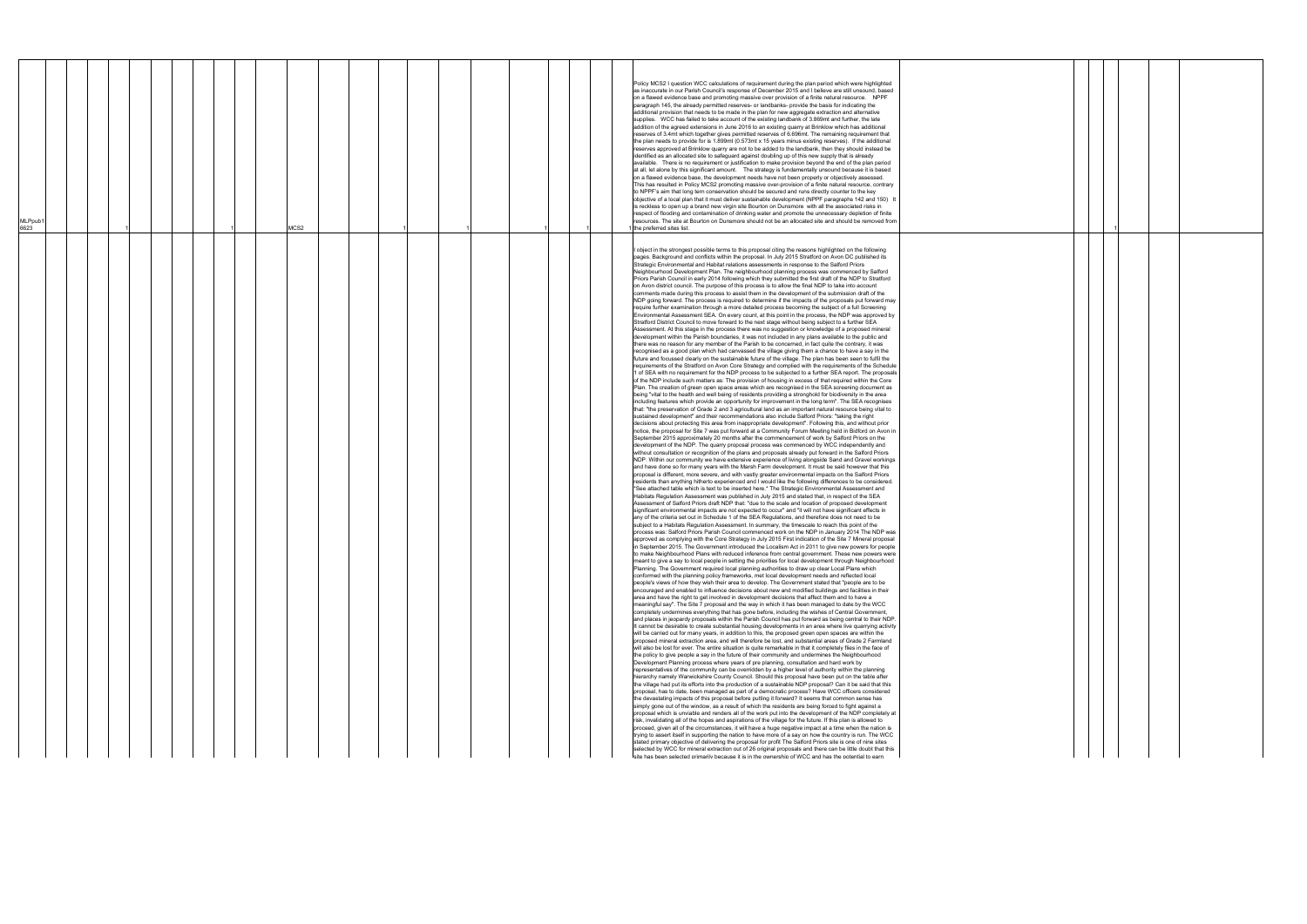| MLPpub1<br>6623 |  |  |  | MCS2 |  |  |  |  | Policy MCS2 I question WCC calculations of requirement during the plan period which were highlighted<br>as inaccurate in our Parish Council's response of December 2015 and I believe are still unsound, based<br>on a flawed evidence base and promoting massive over provision of a finite natural resource. NPPF<br>paragraph 145, the already permitted reserves- or landbanks- provide the basis for indicating the<br>additional provision that needs to be made in the plan for new aggregate extraction and alternative<br>supplies. WCC has failed to take account of the existing landbank of 3.869mt and further, the late<br>addition of the agreed extensions in June 2016 to an existing quarry at Brinklow which has additional<br>reserves of 3.4mt which together gives permitted reserves of 6.696mt. The remaining requirement that<br>the plan needs to provide for is 1.899mt (0.573mt x 15 years minus existing reserves). If the additional<br>reserves approved at Brinklow quarry are not to be added to the landbank, then they should instead be<br>identified as an allocated site to safeguard against doubling up of this new supply that is already<br>available. There is no requirement or justification to make provision beyond the end of the plan period<br>at all, let alone by this significant amount.  The strategy is fundamentally unsound because it is based<br>on a flawed evidence base, the development needs have not been properly or objectively assessed.<br>This has resulted in Policy MCS2 promoting massive over-provision of a finite natural resource, contrary<br>to NPPF's aim that long tern conservation should be secured and runs directly counter to the key<br>objective of a local plan that it must deliver sustainable development (NPPF paragraphs 142 and 150) It<br>is reckless to open up a brand new virgin site Bourton on Dunsmore with all the associated risks in<br>respect of flooding and contamination of drinking water and promote the unnecessary depletion of finite<br>resources. The site at Bourton on Dunsmore should not be an allocated site and should be removed from<br>1 the preferred sites list.                                                                                                                                                                                                                                                                                                                                                                                                                                                                                                                                                                                                                                                                                                                                                                                                                                                                                                                                                                                                                                                                                                                                                                                                                                                                                                                                                                                                                                                                                                                                                                                                                                                                                                                                                                                                                                                                                                                                                                                                                                                                                                                                                                                                                                                                                                                                                                                                                                                                                                                                                                                                                                                                                                                                                                                                                                                                                                                                                                                                                                                                                                                                                                                                                                                                                                                                                                                                                                                                                                                                                                                                                                                                                                                                                                                                                                                                                                                                                                                                                                                                                                                                                                                                                                                                                                                                                                                                                                                                                                                                                                                                                                                                                                                                                                                                                                                                                                                                                                                                                                                                                                                                                                                                                                                                                                                                                                                                                                                                                                                      |  |
|-----------------|--|--|--|------|--|--|--|--|-------------------------------------------------------------------------------------------------------------------------------------------------------------------------------------------------------------------------------------------------------------------------------------------------------------------------------------------------------------------------------------------------------------------------------------------------------------------------------------------------------------------------------------------------------------------------------------------------------------------------------------------------------------------------------------------------------------------------------------------------------------------------------------------------------------------------------------------------------------------------------------------------------------------------------------------------------------------------------------------------------------------------------------------------------------------------------------------------------------------------------------------------------------------------------------------------------------------------------------------------------------------------------------------------------------------------------------------------------------------------------------------------------------------------------------------------------------------------------------------------------------------------------------------------------------------------------------------------------------------------------------------------------------------------------------------------------------------------------------------------------------------------------------------------------------------------------------------------------------------------------------------------------------------------------------------------------------------------------------------------------------------------------------------------------------------------------------------------------------------------------------------------------------------------------------------------------------------------------------------------------------------------------------------------------------------------------------------------------------------------------------------------------------------------------------------------------------------------------------------------------------------------------------------------------------------------------------------------------------------------------------------------------------------------------------------------------------------------------------------------------------------------------------------------------------------------------------------------------------------------------------------------------------------------------------------------------------------------------------------------------------------------------------------------------------------------------------------------------------------------------------------------------------------------------------------------------------------------------------------------------------------------------------------------------------------------------------------------------------------------------------------------------------------------------------------------------------------------------------------------------------------------------------------------------------------------------------------------------------------------------------------------------------------------------------------------------------------------------------------------------------------------------------------------------------------------------------------------------------------------------------------------------------------------------------------------------------------------------------------------------------------------------------------------------------------------------------------------------------------------------------------------------------------------------------------------------------------------------------------------------------------------------------------------------------------------------------------------------------------------------------------------------------------------------------------------------------------------------------------------------------------------------------------------------------------------------------------------------------------------------------------------------------------------------------------------------------------------------------------------------------------------------------------------------------------------------------------------------------------------------------------------------------------------------------------------------------------------------------------------------------------------------------------------------------------------------------------------------------------------------------------------------------------------------------------------------------------------------------------------------------------------------------------------------------------------------------------------------------------------------------------------------------------------------------------------------------------------------------------------------------------------------------------------------------------------------------------------------------------------------------------------------------------------------------------------------------------------------------------------------------------------------------------------------------------------------------------------------------------------------------------------------------------------------------------------------------------------------------------------------------------------------------------------------------------------------------------------------------------------------------------------------------------------------------------------------------------------------------------------------------------------------------------------------------------------------------------------------------------------------------------------------------------------------------------------------------------------------------------------------------------------------------------------------------------------------------------------------------------------------------------------------------------------------------------------------------------------------------------------------------------------------------------------------------------------------------------------------------------------------------------------------------------------------------------------------------------------------------------------------------------------------------------------------------------------------------------------------------------------------------------------------------------------------------------------------------------------------------------------------------------------------------------------------------------------------------------------------------------------------------------------------------------------------------------------------------------------------------------------------------------------------------------------------------------------------------------------------------------------------------------------------------------------------------------------------------------------|--|
|                 |  |  |  |      |  |  |  |  | object in the strongest possible terms to this proposal citing the reasons highlighted on the following<br>pages. Background and conflicts within the proposal. In July 2015 Stratford on Avon DC published its<br>Strategic Environmental and Habitat relations assessments in response to the Salford Priors<br>Neighbourhood Development Plan. The neighbourhood planning process was commenced by Salford<br>Priors Parish Council in early 2014 following which they submitted the first draft of the NDP to Stratford<br>on Avon district council. The purpose of this process is to allow the final NDP to take into account<br>comments made during this process to assist them in the development of the submission draft of the<br>NDP going forward. The process is required to determine if the impacts of the proposals put forward may<br>require further examination through a more detailed process becoming the subject of a full Screening<br>Environmental Assessment SEA. On every count, at this point in the process, the NDP was approved by<br>Stratford District Council to move forward to the next stage without being subject to a further SEA<br>Assessment. At this stage in the process there was no suggestion or knowledge of a proposed mineral<br>development within the Parish boundaries, it was not included in any plans available to the public and<br>there was no reason for any member of the Parish to be concerned, in fact quite the contrary, it was<br>recognised as a good plan which had canvassed the village giving them a chance to have a say in the<br>future and focussed clearly on the sustainable future of the village. The plan has been seen to fulfil the<br>requirements of the Stratford on Avon Core Strategy and complied with the requirements of the Schedule<br>1 of SEA with no requirement for the NDP process to be subjected to a further SEA report. The proposals<br>of the NDP include such matters as: The provision of housing in excess of that required within the Core<br>Plan. The creation of green open space areas which are recognised in the SEA screening document as<br>being "vital to the health and well being of residents providing a stronghold for biodiversity in the area<br>including features which provide an opportunity for improvement in the long term". The SEA recognises<br>that: "the preservation of Grade 2 and 3 agricultural land as an important natural resource being vital to<br>sustained development" and their recommendations also include Salford Priors: "taking the right<br>decisions about protecting this area from inappropriate development". Following this, and without prior<br>notice, the proposal for Site 7 was put forward at a Community Forum Meeting held in Bidford on Avon in<br>September 2015 approximately 20 months after the commencement of work by Salford Priors on the<br>development of the NDP. The quarry proposal process was commenced by WCC independently and<br>without consultation or recognition of the plans and proposals already put forward in the Salford Priors<br>NDP. Within our community we have extensive experience of living alongside Sand and Gravel workings<br>and have done so for many years with the Marsh Farm development. It must be said however that this<br>proposal is different, more severe, and with vastly greater environmental impacts on the Salford Priors<br>residents than anything hitherto experienced and I would like the following differences to be considered.<br>*See attached table which is text to be inserted here.* The Strategic Environmental Assessment and<br>Habitats Regulation Assessment was published in July 2015 and stated that, in respect of the SEA<br>Assessment of Salford Priors draft NDP that: "due to the scale and location of proposed development<br>significant environmental impacts are not expected to occur" and "it will not have significant effects in<br>any of the criteria set out in Schedule 1 of the SEA Regulations, and therefore does not need to be<br>subject to a Habitats Regulation Assessment. In summary, the timescale to reach this point of the<br>process was: Salford Priors Parish Council commenced work on the NDP in January 2014 The NDP was<br>approved as complying with the Core Strategy in July 2015 First indication of the Site 7 Mineral proposal<br>in September 2015. The Government introduced the Localism Act in 2011 to give new powers for people<br>to make Neighbourhood Plans with reduced inference from central government. These new powers were<br>meant to give a say to local people in setting the priorities for local development through Neighbourhood<br>Planning. The Government required local planning authorities to draw up clear Local Plans which<br>conformed with the planning policy frameworks, met local development needs and reflected local<br>people's views of how they wish their area to develop. The Government stated that "people are to be<br>encouraged and enabled to influence decisions about new and modified buildings and facilities in their<br>area and have the right to get involved in development decisions that affect them and to have a<br>meaningful say". The Site 7 proposal and the way in which it has been managed to date by the WCC<br>completely undermines everything that has gone before, including the wishes of Central Government,<br>and places in jeopardy proposals within the Parish Council has put forward as being central to their NDP.<br>It cannot be desirable to create substantial housing developments in an area where live quarrying activity<br>will be carried out for many years, in addition to this, the proposed green open spaces are within the<br>proposed mineral extraction area, and will therefore be lost, and substantial areas of Grade 2 Farmland<br>will also be lost for ever. The entire situation is quite remarkable in that it completely flies in the face of<br>the policy to give people a say in the future of their community and undermines the Neighbourhood<br>Development Planning process where years of pre planning, consultation and hard work by<br>representatives of the community can be overridden by a higher level of authority within the planning<br>hierarchy namely Warwickshire County Council. Should this proposal have been put on the table after<br>the village had put its efforts into the production of a sustainable NDP proposal? Can it be said that this<br>proposal, has to date, been managed as part of a democratic process? Have WCC officers considered<br>the devastating impacts of this proposal before putting it forward? It seems that common sense has<br>simply gone out of the window, as a result of which the residents are being forced to fight against a<br>proposal which is unviable and renders all of the work put into the development of the NDP completely at<br>risk, invalidating all of the hopes and aspirations of the village for the future. If this plan is allowed to<br>proceed, given all of the circumstances, it will have a huge negative impact at a time when the nation is<br>trying to assert itself in supporting the nation to have more of a say on how the country is run. The WCC<br>stated primary objective of delivering the proposal for profit The Salford Priors site is one of nine sites<br>selected by WCC for mineral extraction out of 26 original proposals and there can be little doubt that this<br>site has been selected primarily because it is in the ownership of WCC and has the potential to earn |  |

|  | 1 |  |  |
|--|---|--|--|
|  |   |  |  |
|  |   |  |  |
|  |   |  |  |
|  |   |  |  |
|  |   |  |  |
|  |   |  |  |
|  |   |  |  |
|  |   |  |  |
|  |   |  |  |
|  |   |  |  |
|  |   |  |  |
|  |   |  |  |
|  |   |  |  |
|  |   |  |  |
|  |   |  |  |
|  |   |  |  |
|  |   |  |  |
|  |   |  |  |
|  |   |  |  |
|  |   |  |  |
|  |   |  |  |
|  |   |  |  |
|  |   |  |  |
|  |   |  |  |
|  |   |  |  |
|  |   |  |  |
|  |   |  |  |
|  |   |  |  |
|  |   |  |  |
|  |   |  |  |
|  |   |  |  |
|  |   |  |  |
|  |   |  |  |
|  |   |  |  |
|  |   |  |  |
|  |   |  |  |
|  |   |  |  |
|  |   |  |  |
|  |   |  |  |
|  |   |  |  |
|  |   |  |  |
|  |   |  |  |
|  |   |  |  |
|  |   |  |  |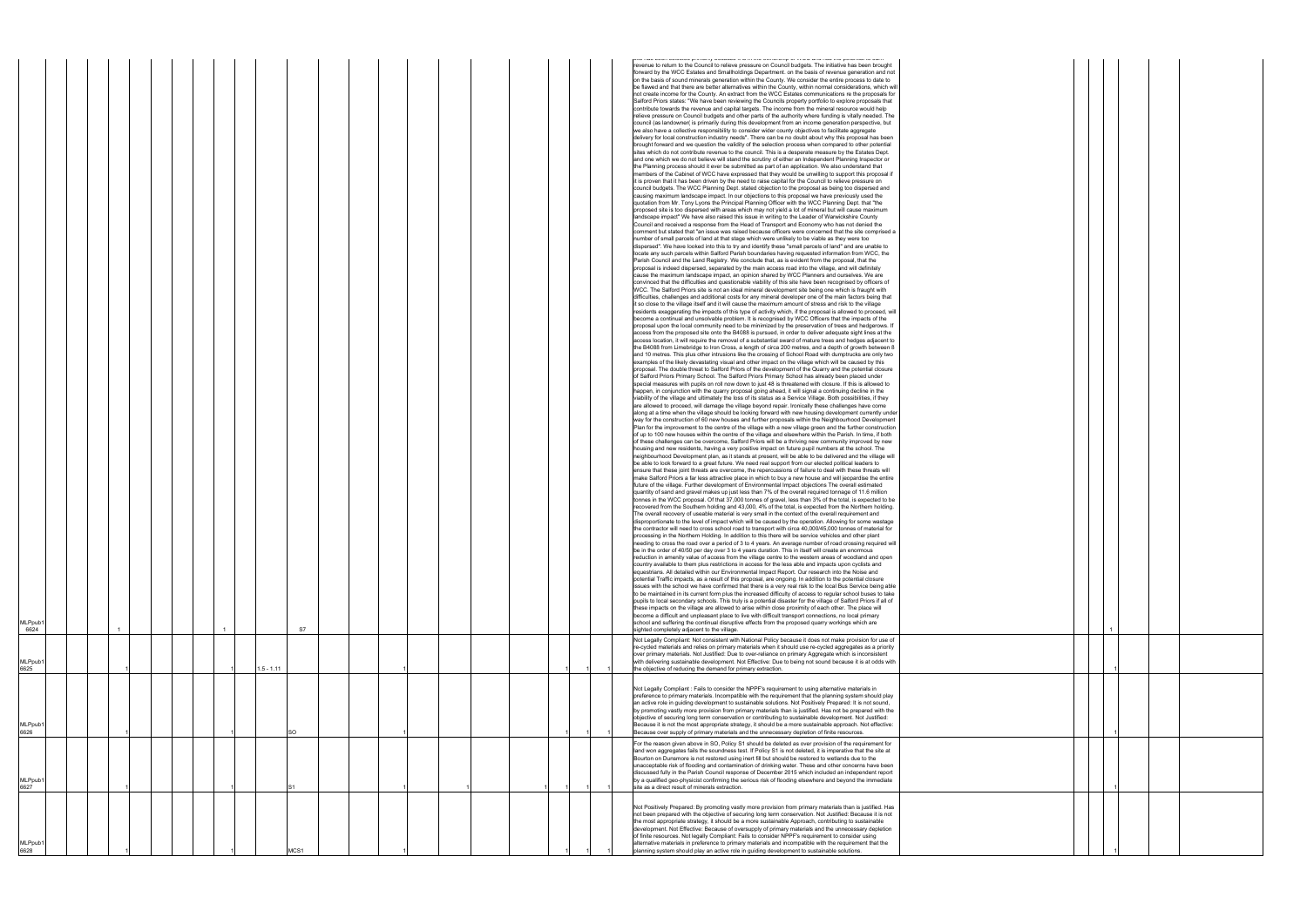| MLPpub                        |  |  |  |              |                  |  |  |  |  |  | and documents a promote promote a contract to the contract of the second contract of position of derivative and<br>revenue to return to the Council to relieve pressure on Council budgets. The initiative has been brought<br>forward by the WCC Estates and Smallholdings Department. on the basis of revenue generation and not<br>on the basis of sound minerals generation within the County. We consider the entire process to date to<br>be flawed and that there are better alternatives within the County, within normal considerations, which wi<br>not create income for the County. An extract from the WCC Estates communications re the proposals for<br>Salford Priors states: "We have been reviewing the Councils property portfolio to explore proposals that<br>contribute towards the revenue and capital targets. The income from the mineral resource would help<br>relieve pressure on Council budgets and other parts of the authority where funding is vitally needed. The<br>council (as landowner( is primarily during this development from an income generation perspective, but<br>we also have a collective responsibility to consider wider county objectives to facilitate aggregate<br>delivery for local construction industry needs". There can be no doubt about why this proposal has been<br>brought forward and we question the validity of the selection process when compared to other potential<br>sites which do not contribute revenue to the council. This is a desperate measure by the Estates Dept.<br>and one which we do not believe will stand the scrutiny of either an Independent Planning Inspector or<br>the Planning process should it ever be submitted as part of an application. We also understand that<br>members of the Cabinet of WCC have expressed that they would be unwilling to support this proposal if<br>it is proven that it has been driven by the need to raise capital for the Council to relieve pressure on<br>council budgets. The WCC Planning Dept. stated objection to the proposal as being too dispersed and<br>causing maximum landscape impact. In our objections to this proposal we have previously used the<br>quotation from Mr. Tony Lyons the Principal Planning Officer with the WCC Planning Dept. that "the<br>proposed site is too dispersed with areas which may not yield a lot of mineral but will cause maximum<br>landscape impact" We have also raised this issue in writing to the Leader of Warwickshire County<br>Council and received a response from the Head of Transport and Economy who has not denied the<br>comment but stated that "an issue was raised because officers were concerned that the site comprised a<br>number of small parcels of land at that stage which were unlikely to be viable as they were too<br>dispersed". We have looked into this to try and identify these "small parcels of land" and are unable to<br>locate any such parcels within Salford Parish boundaries having requested information from WCC, the<br>Parish Council and the Land Registry. We conclude that, as is evident from the proposal, that the<br>proposal is indeed dispersed, separated by the main access road into the village, and will definitely<br>cause the maximum landscape impact, an opinion shared by WCC Planners and ourselves. We are<br>convinced that the difficulties and questionable viability of this site have been recognised by officers of<br>WCC. The Salford Priors site is not an ideal mineral development site being one which is fraught with<br>difficulties, challenges and additional costs for any mineral developer one of the main factors being that<br>it so close to the village itself and it will cause the maximum amount of stress and risk to the village<br>residents exaggerating the impacts of this type of activity which, if the proposal is allowed to proceed, will<br>become a continual and unsolvable problem. It is recognised by WCC Officers that the impacts of the<br>proposal upon the local community need to be minimized by the preservation of trees and hedgerows. If<br>access from the proposed site onto the B4088 is pursued, in order to deliver adequate sight lines at the<br>access location, it will require the removal of a substantial sward of mature trees and hedges adjacent to<br>the B4088 from Limebridge to Iron Cross, a length of circa 200 metres, and a depth of growth between 8<br>and 10 metres. This plus other intrusions like the crossing of School Road with dumptrucks are only two<br>examples of the likely devastating visual and other impact on the village which will be caused by this<br>proposal. The double threat to Salford Priors of the development of the Quarry and the potential closure<br>of Salford Priors Primary School. The Salford Priors Primary School has already been placed under<br>special measures with pupils on roll now down to just 48 is threatened with closure. If this is allowed to<br>happen, in conjunction with the quarry proposal going ahead, it will signal a continuing decline in the<br>viability of the village and ultimately the loss of its status as a Service Village. Both possibilities, if they<br>are allowed to proceed, will damage the village beyond repair. Ironically these challenges have come<br>along at a time when the village should be looking forward with new housing development currently under<br>way for the construction of 60 new houses and further proposals within the Neighbourhood Development<br>Plan for the improvement to the centre of the village with a new village green and the further construction<br>of up to 100 new houses within the centre of the village and elsewhere within the Parish. In time, if both<br>of these challenges can be overcome, Salford Priors will be a thriving new community improved by new<br>housing and new residents, having a very positive impact on future pupil numbers at the school. The<br>neighbourhood Development plan, as it stands at present, will be able to be delivered and the village will<br>be able to look forward to a great future. We need real support from our elected political leaders to<br>ensure that these joint threats are overcome, the repercussions of failure to deal with these threats will<br>make Salford Priors a far less attractive place in which to buy a new house and will jeopardise the entire<br>future of the village. Further development of Environmental Impact objections The overall estimated<br>quantity of sand and gravel makes up just less than 7% of the overall required tonnage of 11.6 million<br>tonnes in the WCC proposal. Of that 37,000 tonnes of gravel, less than 3% of the total, is expected to be<br>recovered from the Southern holding and 43,000, 4% of the total, is expected from the Northern holding.<br>The overall recovery of useable material is very small in the context of the overall requirement and<br>disproportionate to the level of impact which will be caused by the operation. Allowing for some wastage<br>the contractor will need to cross school road to transport with circa 40,000/45,000 tonnes of material for<br>processing in the Northern Holding. In addition to this there will be service vehicles and other plant<br>needing to cross the road over a period of 3 to 4 years. An average number of road crossing required will<br>be in the order of 40/50 per day over 3 to 4 years duration. This in itself will create an enormous<br>reduction in amenity value of access from the village centre to the western areas of woodland and open<br>country available to them plus restrictions in access for the less able and impacts upon cyclists and<br>equestrians. All detailed within our Environmental Impact Report. Our research into the Noise and<br>potential Traffic impacts, as a result of this proposal, are ongoing. In addition to the potential closure<br>issues with the school we have confirmed that there is a very real risk to the local Bus Service being able<br>to be maintained in its current form plus the increased difficulty of access to regular school buses to take<br>pupils to local secondary schools. This truly is a potential disaster for the village of Salford Priors if all of<br>these impacts on the village are allowed to arise within close proximity of each other. The place will<br>become a difficult and unpleasant place to live with difficult transport connections, no local primary<br>school and suffering the continual disruptive effects from the proposed quarry workings which are |  |
|-------------------------------|--|--|--|--------------|------------------|--|--|--|--|--|-----------------------------------------------------------------------------------------------------------------------------------------------------------------------------------------------------------------------------------------------------------------------------------------------------------------------------------------------------------------------------------------------------------------------------------------------------------------------------------------------------------------------------------------------------------------------------------------------------------------------------------------------------------------------------------------------------------------------------------------------------------------------------------------------------------------------------------------------------------------------------------------------------------------------------------------------------------------------------------------------------------------------------------------------------------------------------------------------------------------------------------------------------------------------------------------------------------------------------------------------------------------------------------------------------------------------------------------------------------------------------------------------------------------------------------------------------------------------------------------------------------------------------------------------------------------------------------------------------------------------------------------------------------------------------------------------------------------------------------------------------------------------------------------------------------------------------------------------------------------------------------------------------------------------------------------------------------------------------------------------------------------------------------------------------------------------------------------------------------------------------------------------------------------------------------------------------------------------------------------------------------------------------------------------------------------------------------------------------------------------------------------------------------------------------------------------------------------------------------------------------------------------------------------------------------------------------------------------------------------------------------------------------------------------------------------------------------------------------------------------------------------------------------------------------------------------------------------------------------------------------------------------------------------------------------------------------------------------------------------------------------------------------------------------------------------------------------------------------------------------------------------------------------------------------------------------------------------------------------------------------------------------------------------------------------------------------------------------------------------------------------------------------------------------------------------------------------------------------------------------------------------------------------------------------------------------------------------------------------------------------------------------------------------------------------------------------------------------------------------------------------------------------------------------------------------------------------------------------------------------------------------------------------------------------------------------------------------------------------------------------------------------------------------------------------------------------------------------------------------------------------------------------------------------------------------------------------------------------------------------------------------------------------------------------------------------------------------------------------------------------------------------------------------------------------------------------------------------------------------------------------------------------------------------------------------------------------------------------------------------------------------------------------------------------------------------------------------------------------------------------------------------------------------------------------------------------------------------------------------------------------------------------------------------------------------------------------------------------------------------------------------------------------------------------------------------------------------------------------------------------------------------------------------------------------------------------------------------------------------------------------------------------------------------------------------------------------------------------------------------------------------------------------------------------------------------------------------------------------------------------------------------------------------------------------------------------------------------------------------------------------------------------------------------------------------------------------------------------------------------------------------------------------------------------------------------------------------------------------------------------------------------------------------------------------------------------------------------------------------------------------------------------------------------------------------------------------------------------------------------------------------------------------------------------------------------------------------------------------------------------------------------------------------------------------------------------------------------------------------------------------------------------------------------------------------------------------------------------------------------------------------------------------------------------------------------------------------------------------------------------------------------------------------------------------------------------------------------------------------------------------------------------------------------------------------------------------------------------------------------------------------------------------------------------------------------------------------------------------------------------------------------------------------------------------------------------------------------------------------------------------------------------------------------------------------------------------------------------------------------------------------------------------------------------------------------------------------------------------------------------------------------------------------------------------------------------------------------------------------------------------------------------------------------------------------------------------------------------------------------------------------------------------------------------------------------------------------------------------------------------------------------------------------------------------------------------------------------------------------------------------------------------------------------------------------------------------------------------------------------------------------------------------------------------------------------------------------------------------------------------------------------------------------------------------------------------------------------------------------------------------------------------------------------------------------------------------------------------------------------------------------------------------------------------------------------------------------------------------------------------------------------------------------------------------------------------------------------------------------------------------------------------------------------------------------------------------------------------------------|--|
| 6624<br><b>MLPpub</b><br>6625 |  |  |  | $1.5 - 1.11$ | S7               |  |  |  |  |  | sighted completely adjacent to the village.<br>Not Legally Compliant: Not consistent with National Policy because it does not make provision for use of<br>re-cycled materials and relies on primary materials when it should use re-cycled aggregates as a priority<br>over primary materials. Not Justified: Due to over-reliance on primary Aggregate which is inconsistent<br>with delivering sustainable development. Not Effective: Due to being not sound because it is at odds with<br>the objective of reducing the demand for primary extraction.                                                                                                                                                                                                                                                                                                                                                                                                                                                                                                                                                                                                                                                                                                                                                                                                                                                                                                                                                                                                                                                                                                                                                                                                                                                                                                                                                                                                                                                                                                                                                                                                                                                                                                                                                                                                                                                                                                                                                                                                                                                                                                                                                                                                                                                                                                                                                                                                                                                                                                                                                                                                                                                                                                                                                                                                                                                                                                                                                                                                                                                                                                                                                                                                                                                                                                                                                                                                                                                                                                                                                                                                                                                                                                                                                                                                                                                                                                                                                                                                                                                                                                                                                                                                                                                                                                                                                                                                                                                                                                                                                                                                                                                                                                                                                                                                                                                                                                                                                                                                                                                                                                                                                                                                                                                                                                                                                                                                                                                                                                                                                                                                                                                                                                                                                                                                                                                                                                                                                                                                                                                                                                                                                                                                                                                                                                                                                                                                                                                                                                                                                                                                                                                                                                                                                                                                                                                                                                                                                                                                                                                                                                                                                                                                                                                                                                                                                                                                                                                                                                                                                                                                                                                                                                                                                                                                                                                                                                                                                                                                                                                                                                                                                                             |  |
| MLPpub <sup>-</sup><br>6626   |  |  |  |              | SO               |  |  |  |  |  | Not Legally Compliant : Fails to consider the NPPF's requirement to using alternative materials in<br>preference to primary materials. Incompatible with the requirement that the planning system should play<br>an active role in guiding development to sustainable solutions. Not Positively Prepared: It is not sound,<br>by promoting vastly more provision from primary materials than is justified. Has not be prepared with the<br>objective of securing long term conservation or contributing to sustainable development. Not Justified:<br>Because it is not the most appropriate strategy, it should be a more sustainable approach. Not effective:<br>Because over supply of primary materials and the unnecessary depletion of finite resources.                                                                                                                                                                                                                                                                                                                                                                                                                                                                                                                                                                                                                                                                                                                                                                                                                                                                                                                                                                                                                                                                                                                                                                                                                                                                                                                                                                                                                                                                                                                                                                                                                                                                                                                                                                                                                                                                                                                                                                                                                                                                                                                                                                                                                                                                                                                                                                                                                                                                                                                                                                                                                                                                                                                                                                                                                                                                                                                                                                                                                                                                                                                                                                                                                                                                                                                                                                                                                                                                                                                                                                                                                                                                                                                                                                                                                                                                                                                                                                                                                                                                                                                                                                                                                                                                                                                                                                                                                                                                                                                                                                                                                                                                                                                                                                                                                                                                                                                                                                                                                                                                                                                                                                                                                                                                                                                                                                                                                                                                                                                                                                                                                                                                                                                                                                                                                                                                                                                                                                                                                                                                                                                                                                                                                                                                                                                                                                                                                                                                                                                                                                                                                                                                                                                                                                                                                                                                                                                                                                                                                                                                                                                                                                                                                                                                                                                                                                                                                                                                                                                                                                                                                                                                                                                                                                                                                                                                                                                                                                          |  |
| <b>MLPpub</b><br>6627         |  |  |  |              |                  |  |  |  |  |  | For the reason given above in SO, Policy S1 should be deleted as over provision of the requirement for<br>land won aggregates fails the soundness test. If Policy S1 is not deleted, it is imperative that the site at<br>Bourton on Dunsmore is not restored using inert fill but should be restored to wetlands due to the<br>unacceptable risk of flooding and contamination of drinking water. These and other concerns have been<br>discussed fully in the Parish Council response of December 2015 which included an independent report<br>by a qualified geo-physicist confirming the serious risk of flooding elsewhere and beyond the immediate<br>site as a direct result of minerals extraction.                                                                                                                                                                                                                                                                                                                                                                                                                                                                                                                                                                                                                                                                                                                                                                                                                                                                                                                                                                                                                                                                                                                                                                                                                                                                                                                                                                                                                                                                                                                                                                                                                                                                                                                                                                                                                                                                                                                                                                                                                                                                                                                                                                                                                                                                                                                                                                                                                                                                                                                                                                                                                                                                                                                                                                                                                                                                                                                                                                                                                                                                                                                                                                                                                                                                                                                                                                                                                                                                                                                                                                                                                                                                                                                                                                                                                                                                                                                                                                                                                                                                                                                                                                                                                                                                                                                                                                                                                                                                                                                                                                                                                                                                                                                                                                                                                                                                                                                                                                                                                                                                                                                                                                                                                                                                                                                                                                                                                                                                                                                                                                                                                                                                                                                                                                                                                                                                                                                                                                                                                                                                                                                                                                                                                                                                                                                                                                                                                                                                                                                                                                                                                                                                                                                                                                                                                                                                                                                                                                                                                                                                                                                                                                                                                                                                                                                                                                                                                                                                                                                                                                                                                                                                                                                                                                                                                                                                                                                                                                                                                             |  |
| MLPpub <sup>.</sup><br>6628   |  |  |  |              | ACS <sub>1</sub> |  |  |  |  |  | Not Positively Prepared: By promoting vastly more provision from primary materials than is justified. Has<br>not been prepared with the objective of securing long term conservation. Not Justified: Because it is not<br>the most appropriate strategy, it should be a more sustainable Approach, contributing to sustainable<br>development. Not Effective: Because of oversupply of primary materials and the unnecessary depletion<br>of finite resources. Not legally Compliant: Fails to consider NPPF's requirement to consider using<br>alternative materials in preference to primary materials and incompatible with the requirement that the<br>planning system should play an active role in guiding development to sustainable solutions.                                                                                                                                                                                                                                                                                                                                                                                                                                                                                                                                                                                                                                                                                                                                                                                                                                                                                                                                                                                                                                                                                                                                                                                                                                                                                                                                                                                                                                                                                                                                                                                                                                                                                                                                                                                                                                                                                                                                                                                                                                                                                                                                                                                                                                                                                                                                                                                                                                                                                                                                                                                                                                                                                                                                                                                                                                                                                                                                                                                                                                                                                                                                                                                                                                                                                                                                                                                                                                                                                                                                                                                                                                                                                                                                                                                                                                                                                                                                                                                                                                                                                                                                                                                                                                                                                                                                                                                                                                                                                                                                                                                                                                                                                                                                                                                                                                                                                                                                                                                                                                                                                                                                                                                                                                                                                                                                                                                                                                                                                                                                                                                                                                                                                                                                                                                                                                                                                                                                                                                                                                                                                                                                                                                                                                                                                                                                                                                                                                                                                                                                                                                                                                                                                                                                                                                                                                                                                                                                                                                                                                                                                                                                                                                                                                                                                                                                                                                                                                                                                                                                                                                                                                                                                                                                                                                                                                                                                                                                                                                  |  |

|  | 1 |  |  |
|--|---|--|--|
|  | 1 |  |  |
|  |   |  |  |
|  |   |  |  |
|  | 1 |  |  |
|  |   |  |  |
|  | 1 |  |  |
|  |   |  |  |
|  |   |  |  |
|  |   |  |  |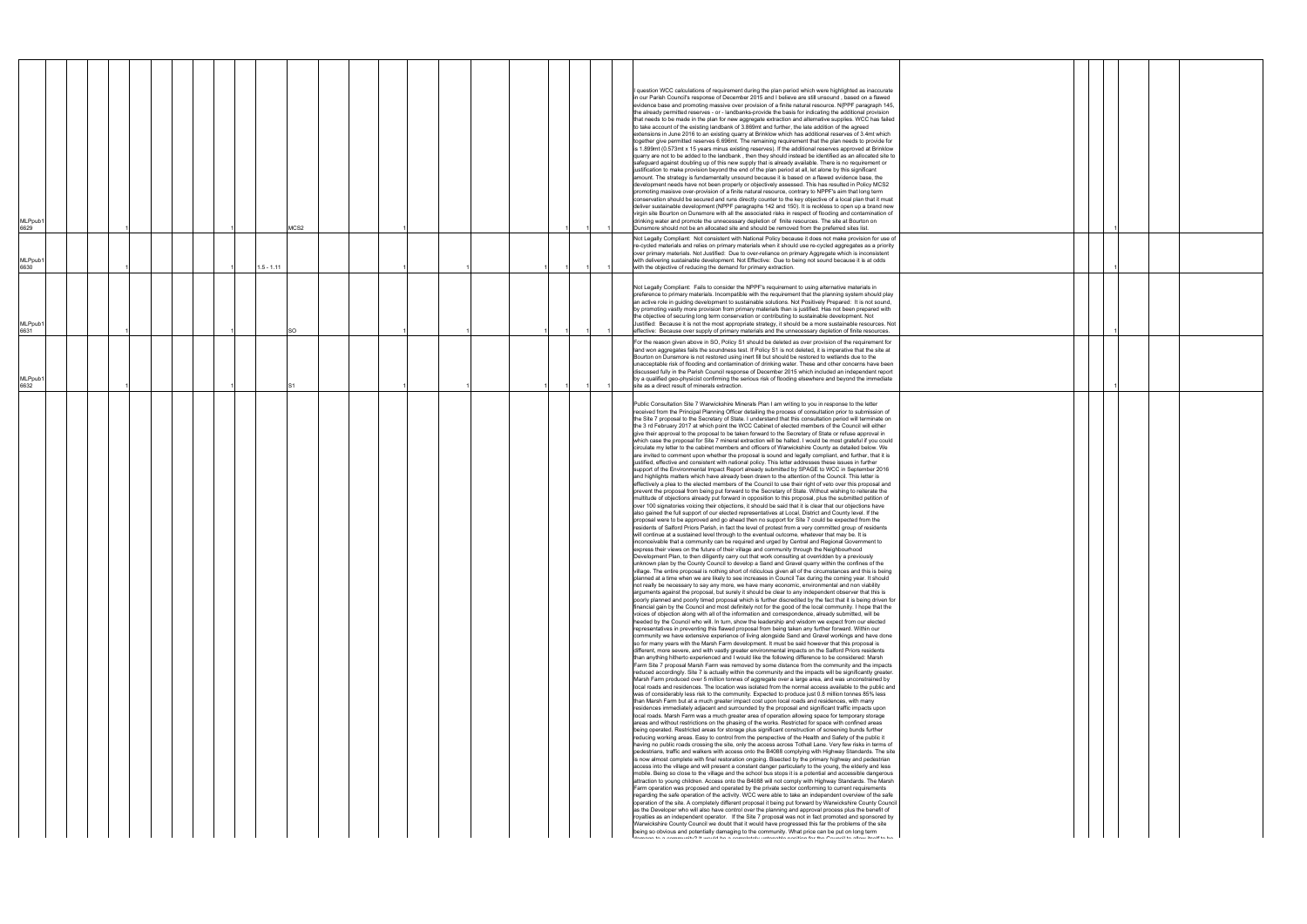| MLPpub1<br>6629 |  |  |  | MCS2         |  |  |  |  | question WCC calculations of requirement during the plan period which were highlighted as inaccurate<br>in our Parish Council's response of December 2015 and I believe are still unsound, based on a flawed<br>evidence base and promoting massive over provision of a finite natural resource. N{PPF paragraph 145,<br>the already permitted reserves - or - landbanks-provide the basis for indicating the additional provision<br>that needs to be made in the plan for new aggregate extraction and alternative supplies. WCC has failed<br>to take account of the existing landbank of 3.869mt and further, the late addition of the agreed<br>extensions in June 2016 to an existing quarry at Brinklow which has additional reserves of 3.4mt which<br>together give permitted reserves 6.696mt. The remaining requirement that the plan needs to provide for<br>is 1.899mt (0.573mt x 15 years minus existing reserves). If the additional reserves approved at Brinklow<br>quarry are not to be added to the landbank, then they should instead be identified as an allocated site to<br>safeguard against doubling up of this new supply that is already available. There is no requirement or<br>ustification to make provision beyond the end of the plan period at all, let alone by this significant<br>amount. The strategy is fundamentally unsound because it is based on a flawed evidence base, the<br>development needs have not been properly or objectively assessed. This has resulted in Policy MCS2<br>promoting masisve over-provision of a finite natural resource, contrary to NPPF's aim that long term<br>conservation should be secured and runs directly counter to the key objective of a local plan that it must<br>deliver sustainable development (NPPF paragraphs 142 and 150). It is reckless to open up a brand new<br>virgin site Bourton on Dunsmore with all the associated risks in respect of flooding and contamination of<br>drinking water and promote the unnecessary depletion of finite resources. The site at Bourton on<br>Dunsmore should not be an allocated site and should be removed from the preferred sites list.<br>Not Legally Compliant: Not consistent with National Policy because it does not make provision for use of                                                                                                                                                                                                                                                                                                                                                                                                                                                                                                                                                                                                                                                                                                                                                                                                                                                                                                                                                                                                                                                                                                                                                                                                                                                                                                                                                                                                                                                                                                                                                                                                                                                                                                                                                                                                                                                                                                                                                                                                                                                                                                                                                                                                                                                                                                                                                                                                                                                                                                                                                                                                                                                                                                                                                                                                                                                                                                                                                                                                                                                                                                                                                                                                                                                                                                                                                                                                                                                                                                                                                                                                                                                                                                                                                                                                                                                                                                                                                                                                                                                                                                                                                                                                                                                                                                                                                                |  |
|-----------------|--|--|--|--------------|--|--|--|--|----------------------------------------------------------------------------------------------------------------------------------------------------------------------------------------------------------------------------------------------------------------------------------------------------------------------------------------------------------------------------------------------------------------------------------------------------------------------------------------------------------------------------------------------------------------------------------------------------------------------------------------------------------------------------------------------------------------------------------------------------------------------------------------------------------------------------------------------------------------------------------------------------------------------------------------------------------------------------------------------------------------------------------------------------------------------------------------------------------------------------------------------------------------------------------------------------------------------------------------------------------------------------------------------------------------------------------------------------------------------------------------------------------------------------------------------------------------------------------------------------------------------------------------------------------------------------------------------------------------------------------------------------------------------------------------------------------------------------------------------------------------------------------------------------------------------------------------------------------------------------------------------------------------------------------------------------------------------------------------------------------------------------------------------------------------------------------------------------------------------------------------------------------------------------------------------------------------------------------------------------------------------------------------------------------------------------------------------------------------------------------------------------------------------------------------------------------------------------------------------------------------------------------------------------------------------------------------------------------------------------------------------------------------------------------------------------------------------------------------------------------------------------------------------------------------------------------------------------------------------------------------------------------------------------------------------------------------------------------------------------------------------------------------------------------------------------------------------------------------------------------------------------------------------------------------------------------------------------------------------------------------------------------------------------------------------------------------------------------------------------------------------------------------------------------------------------------------------------------------------------------------------------------------------------------------------------------------------------------------------------------------------------------------------------------------------------------------------------------------------------------------------------------------------------------------------------------------------------------------------------------------------------------------------------------------------------------------------------------------------------------------------------------------------------------------------------------------------------------------------------------------------------------------------------------------------------------------------------------------------------------------------------------------------------------------------------------------------------------------------------------------------------------------------------------------------------------------------------------------------------------------------------------------------------------------------------------------------------------------------------------------------------------------------------------------------------------------------------------------------------------------------------------------------------------------------------------------------------------------------------------------------------------------------------------------------------------------------------------------------------------------------------------------------------------------------------------------------------------------------------------------------------------------------------------------------------------------------------------------------------------------------------------------------------------------------------------------------------------------------------------------------------------------------------------------------------------------------------------------------------------------------------------------------------------------------------------------------------------------------------------------------------------------------------------------------------------------------------------------------------------------------------------------------------------------------------------------------------------------------------------------------------------------------------------------------------------------------------------------------------------------------------------------------------------------------------------------------------------------------------------------------------------------------------------------------------------------------------------------------------------------------------------------------------------------------------------------------------------------------------------------------------------------------------------------------------------------------------------------------------------------------------------------------------------------------------------------------------------------------------------------------------------|--|
| MLPpub1<br>6630 |  |  |  | $1.5 - 1.11$ |  |  |  |  | re-cycled materials and relies on primary materials when it should use re-cycled aggregates as a priority<br>over primary materials. Not Justified: Due to over-reliance on primary Aggregate which is inconsistent<br>with delivering sustainable development. Not Effective: Due to being not sound because it is at odds<br>with the objective of reducing the demand for primary extraction.                                                                                                                                                                                                                                                                                                                                                                                                                                                                                                                                                                                                                                                                                                                                                                                                                                                                                                                                                                                                                                                                                                                                                                                                                                                                                                                                                                                                                                                                                                                                                                                                                                                                                                                                                                                                                                                                                                                                                                                                                                                                                                                                                                                                                                                                                                                                                                                                                                                                                                                                                                                                                                                                                                                                                                                                                                                                                                                                                                                                                                                                                                                                                                                                                                                                                                                                                                                                                                                                                                                                                                                                                                                                                                                                                                                                                                                                                                                                                                                                                                                                                                                                                                                                                                                                                                                                                                                                                                                                                                                                                                                                                                                                                                                                                                                                                                                                                                                                                                                                                                                                                                                                                                                                                                                                                                                                                                                                                                                                                                                                                                                                                                                                                                                                                                                                                                                                                                                                                                                                                                                                                                                                                                                                                                                         |  |
| MLPpub1<br>6631 |  |  |  | <b>SO</b>    |  |  |  |  | Not Legally Compliant: Fails to consider the NPPF's requirement to using alternative materials in<br>preference to primary materials. Incompatible with the requirement that the planning system should play<br>an active role in guiding development to sustainable solutions. Not Positively Prepared: It is not sound,<br>by promoting vastly more provision from primary materials than is justified. Has not been prepared with<br>the objective of securing long term conservation or contributing to sustainable development. Not<br>Justified: Because it is not the most appropriate strategy, it should be a more sustainable resources. Not<br>effective: Because over supply of primary materials and the unnecessary depletion of finite resources.                                                                                                                                                                                                                                                                                                                                                                                                                                                                                                                                                                                                                                                                                                                                                                                                                                                                                                                                                                                                                                                                                                                                                                                                                                                                                                                                                                                                                                                                                                                                                                                                                                                                                                                                                                                                                                                                                                                                                                                                                                                                                                                                                                                                                                                                                                                                                                                                                                                                                                                                                                                                                                                                                                                                                                                                                                                                                                                                                                                                                                                                                                                                                                                                                                                                                                                                                                                                                                                                                                                                                                                                                                                                                                                                                                                                                                                                                                                                                                                                                                                                                                                                                                                                                                                                                                                                                                                                                                                                                                                                                                                                                                                                                                                                                                                                                                                                                                                                                                                                                                                                                                                                                                                                                                                                                                                                                                                                                                                                                                                                                                                                                                                                                                                                                                                                                                                                                         |  |
| MLPpub1<br>6632 |  |  |  |              |  |  |  |  | For the reason given above in SO, Policy S1 should be deleted as over provision of the requirement for<br>land won aggregates fails the soundness test. If Policy S1 is not deleted, it is imperative that the site at<br>Bourton on Dunsmore is not restored using inert fill but should be restored to wetlands due to the<br>unacceptable risk of flooding and contamination of drinking water. These and other concerns have been<br>discussed fully in the Parish Council response of December 2015 which included an independent report<br>by a qualified geo-physicist confirming the serious risk of flooding elsewhere and beyond the immediate<br>site as a direct result of minerals extraction.                                                                                                                                                                                                                                                                                                                                                                                                                                                                                                                                                                                                                                                                                                                                                                                                                                                                                                                                                                                                                                                                                                                                                                                                                                                                                                                                                                                                                                                                                                                                                                                                                                                                                                                                                                                                                                                                                                                                                                                                                                                                                                                                                                                                                                                                                                                                                                                                                                                                                                                                                                                                                                                                                                                                                                                                                                                                                                                                                                                                                                                                                                                                                                                                                                                                                                                                                                                                                                                                                                                                                                                                                                                                                                                                                                                                                                                                                                                                                                                                                                                                                                                                                                                                                                                                                                                                                                                                                                                                                                                                                                                                                                                                                                                                                                                                                                                                                                                                                                                                                                                                                                                                                                                                                                                                                                                                                                                                                                                                                                                                                                                                                                                                                                                                                                                                                                                                                                                                              |  |
|                 |  |  |  |              |  |  |  |  | Public Consultation Site 7 Warwickshire Minerals Plan I am writing to you in response to the letter<br>received from the Principal Planning Officer detailing the process of consultation prior to submission of<br>the Site 7 proposal to the Secretary of State. I understand that this consultation period will terminate on<br>the 3 rd February 2017 at which point the WCC Cabinet of elected members of the Council will either<br>give their approval to the proposal to be taken forward to the Secretary of State or refuse approval in<br>which case the proposal for Site 7 mineral extraction will be halted. I would be most grateful if you could<br>circulate my letter to the cabinet members and officers of Warwickshire County as detailed below. We<br>are invited to comment upon whether the proposal is sound and legally compliant, and further, that it is<br>ustified, effective and consistent with national policy. This letter addresses these issues in further<br>support of the Environmental Impact Report already submitted by SPAGE to WCC in September 2016<br>and highlights matters which have already been drawn to the attention of the Council. This letter is<br>effectively a plea to the elected members of the Council to use their right of veto over this proposal and<br>prevent the proposal from being put forward to the Secretary of State. Without wishing to reiterate the<br>multitude of objections already put forward in opposition to this proposal, plus the submitted petition of<br>over 100 signatories voicing their objections, it should be said that it is clear that our objections have<br>also gained the full support of our elected representatives at Local, District and County level. If the<br>proposal were to be approved and go ahead then no support for Site 7 could be expected from the<br>residents of Salford Priors Parish, in fact the level of protest from a very committed group of residents<br>will continue at a sustained level through to the eventual outcome, whatever that may be. It is<br>inconceivable that a community can be required and urged by Central and Regional Government to<br>express their views on the future of their village and community through the Neighbourhood<br>Development Plan, to then diligently carry out that work consulting at overridden by a previously<br>unknown plan by the County Council to develop a Sand and Gravel quarry within the confines of the<br>village. The entire proposal is nothing short of ridiculous given all of the circumstances and this is being<br>planned at a time when we are likely to see increases in Council Tax during the coming year. It should<br>not really be necessary to say any more, we have many economic, environmental and non viability<br>arguments against the proposal, but surely it should be clear to any independent observer that this is<br>poorly planned and poorly timed proposal which is further discredited by the fact that it is being driven for<br>financial gain by the Council and most definitely not for the good of the local community. I hope that the<br>voices of objection along with all of the information and correspondence, already submitted, will be<br>heeded by the Council who will. In turn, show the leadership and wisdom we expect from our elected<br>representatives in preventing this flawed proposal from being taken any further forward. Within our<br>community we have extensive experience of living alongside Sand and Gravel workings and have done<br>so for many years with the Marsh Farm development. It must be said however that this proposal is<br>different, more severe, and with vastly greater environmental impacts on the Salford Priors residents<br>than anything hitherto experienced and I would like the following difference to be considered: Marsh<br>Farm Site 7 proposal Marsh Farm was removed by some distance from the community and the impacts<br>reduced accordingly. Site 7 is actually within the community and the impacts will be significantly greater.<br>Marsh Farm produced over 5 million tonnes of aggregate over a large area, and was unconstrained by<br>local roads and residences. The location was isolated from the normal access available to the public and<br>was of considerably less risk to the community. Expected to produce just 0.8 million tonnes 85% less<br>than Marsh Farm but at a much greater impact cost upon local roads and residences, with many<br>residences immediately adjacent and surrounded by the proposal and significant traffic impacts upon<br>local roads. Marsh Farm was a much greater area of operation allowing space for temporary storage<br>areas and without restrictions on the phasing of the works. Restricted for space with confined areas<br>being operated. Restricted areas for storage plus significant construction of screening bunds further<br>reducing working areas. Easy to control from the perspective of the Health and Safety of the public it<br>having no public roads crossing the site, only the access across Tothall Lane. Very few risks in terms of<br>pedestrians, traffic and walkers with access onto the B4088 complying with Highway Standards. The site<br>is now almost complete with final restoration ongoing. Bisected by the primary highway and pedestrian<br>access into the village and will present a constant danger particularly to the young, the elderly and less<br>mobile. Being so close to the village and the school bus stops it is a potential and accessible dangerous<br>attraction to young children. Access onto the B4088 will not comply with Highway Standards. The Marsh<br>Farm operation was proposed and operated by the private sector conforming to current requirements<br>regarding the safe operation of the activity. WCC were able to take an independent overview of the safe<br>operation of the site. A completely different proposal it being put forward by Warwickshire County Council<br>as the Developer who will also have control over the planning and approval process plus the benefit of<br>royalties as an independent operator. If the Site 7 proposal was not in fact promoted and sponsored by<br>Warwickshire County Council we doubt that it would have progressed this far the problems of the site<br>being so obvious and potentially damaging to the community. What price can be put on long term<br>adamana ka a sammamak O Humud kha a sammanin ulakanahu uga kasa ka ka ka Osunal ka dhawana a si sananah |  |

|  | 1 |  |  |
|--|---|--|--|
|  | 1 |  |  |
|  |   |  |  |
|  |   |  |  |
|  |   |  |  |
|  |   |  |  |
|  | 1 |  |  |
|  |   |  |  |
|  |   |  |  |
|  |   |  |  |
|  |   |  |  |
|  |   |  |  |
|  |   |  |  |
|  |   |  |  |
|  |   |  |  |
|  |   |  |  |
|  |   |  |  |
|  |   |  |  |
|  |   |  |  |
|  |   |  |  |
|  |   |  |  |
|  |   |  |  |
|  |   |  |  |
|  |   |  |  |
|  |   |  |  |
|  |   |  |  |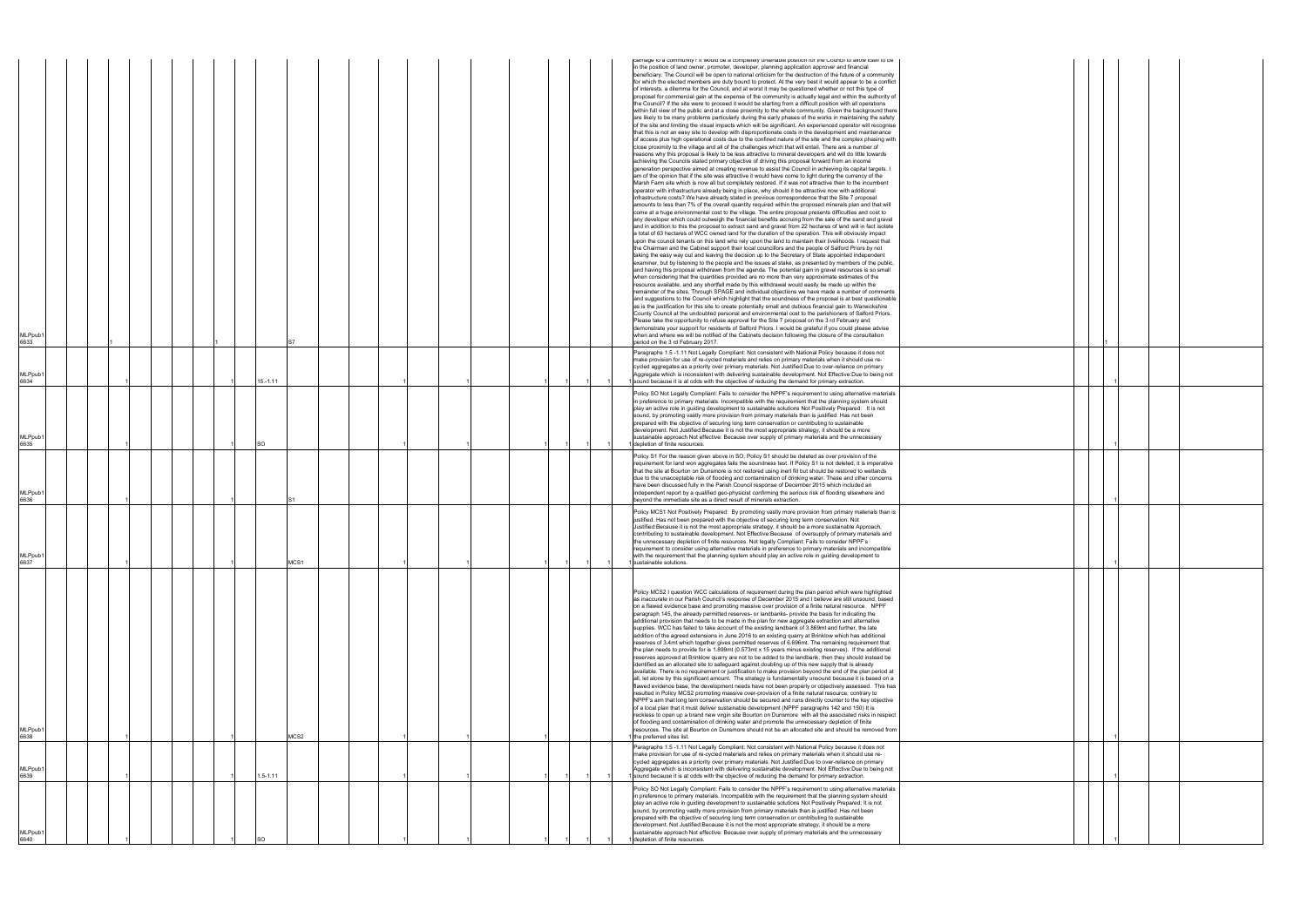| <b>MLPpub</b><br>6633 |  |  |           |              |      |  |  |  |  |  | damage to a community? it would be a completely untenable position for the Council to allow itself to be<br>in the position of land owner, promoter, developer, planning application approver and financial<br>beneficiary. The Council will be open to national criticism for the destruction of the future of a community<br>for which the elected members are duty bound to protect. At the very best it would appear to be a conflict<br>of interests, a dilemma for the Council, and at worst it may be questioned whether or not this type of<br>proposal for commercial gain at the expense of the community is actually legal and within the authority of<br>the Council? If the site were to proceed it would be starting from a difficult position with all operations<br>within full view of the public and at a close proximity to the whole community. Given the background there<br>are likely to be many problems particularly during the early phases of the works in maintaining the safety<br>of the site and limiting the visual impacts which will be significant. An experienced operator will recognise<br>that this is not an easy site to develop with disproportionate costs in the development and maintenance<br>of access plus high operational costs due to the confined nature of the site and the complex phasing with<br>close proximity to the village and all of the challenges which that will entail. There are a number of<br>reasons why this proposal is likely to be less attractive to mineral developers and will do little towards<br>achieving the Councils stated primary objective of driving this proposal forward from an income<br>generation perspective aimed at creating revenue to assist the Council in achieving its capital targets. I<br>am of the opinion that if the site was attractive it would have come to light during the currency of the<br>Marsh Farm site which is now all but completely restored. If it was not attractive then to the incumbent<br>operator with infrastructure already being in place, why should it be attractive now with additional<br>infrastructure costs? We have already stated in previous correspondence that the Site 7 proposal<br>amounts to less than 7% of the overall quantity required within the proposed minerals plan and that will<br>come at a huge environmental cost to the village. The entire proposal presents difficulties and cost to<br>any developer which could outweigh the financial benefits accruing from the sale of the sand and gravel<br>and in addition to this the proposal to extract sand and gravel from 22 hectares of land will in fact isolate<br>a total of 63 hectares of WCC owned land for the duration of the operation. This will obviously impact<br>upon the council tenants on this land who rely upon the land to maintain their livelihoods. I request that<br>the Chairman and the Cabinet support their local councillors and the people of Salford Priors by not<br>taking the easy way out and leaving the decision up to the Secretary of State appointed independent<br>examiner, but by listening to the people and the issues at stake, as presented by members of the public,<br>and having this proposal withdrawn from the agenda. The potential gain in gravel resources is so small<br>when considering that the quantities provided are no more than very approximate estimates of the<br>resource available, and any shortfall made by this withdrawal would easily be made up within the<br>remainder of the sites. Through SPAGE and individual objections we have made a number of comments<br>and suggestions to the Council which highlight that the soundness of the proposal is at best questionable<br>as is the justification for this site to create potentially small and dubious financial gain to Warwickshire<br>County Council at the undoubted personal and environmental cost to the parishioners of Salford Priors.<br>Please take the opportunity to refuse approval for the Site 7 proposal on the 3 rd February and<br>demonstrate your support for residents of Salford Priors. I would be grateful if you could please advise<br>when and where we will be notified of the Cabinets decision following the closure of the consultation<br>period on the 3 rd February 2017. |  |
|-----------------------|--|--|-----------|--------------|------|--|--|--|--|--|---------------------------------------------------------------------------------------------------------------------------------------------------------------------------------------------------------------------------------------------------------------------------------------------------------------------------------------------------------------------------------------------------------------------------------------------------------------------------------------------------------------------------------------------------------------------------------------------------------------------------------------------------------------------------------------------------------------------------------------------------------------------------------------------------------------------------------------------------------------------------------------------------------------------------------------------------------------------------------------------------------------------------------------------------------------------------------------------------------------------------------------------------------------------------------------------------------------------------------------------------------------------------------------------------------------------------------------------------------------------------------------------------------------------------------------------------------------------------------------------------------------------------------------------------------------------------------------------------------------------------------------------------------------------------------------------------------------------------------------------------------------------------------------------------------------------------------------------------------------------------------------------------------------------------------------------------------------------------------------------------------------------------------------------------------------------------------------------------------------------------------------------------------------------------------------------------------------------------------------------------------------------------------------------------------------------------------------------------------------------------------------------------------------------------------------------------------------------------------------------------------------------------------------------------------------------------------------------------------------------------------------------------------------------------------------------------------------------------------------------------------------------------------------------------------------------------------------------------------------------------------------------------------------------------------------------------------------------------------------------------------------------------------------------------------------------------------------------------------------------------------------------------------------------------------------------------------------------------------------------------------------------------------------------------------------------------------------------------------------------------------------------------------------------------------------------------------------------------------------------------------------------------------------------------------------------------------------------------------------------------------------------------------------------------------------------------------------------------------------------------------------------------------------------------------------------------------------------------------------------------------------------------------------------------------------------------------------------------------------------------------------------------------------------------------------------------------------------------------------------------------------------------------------------------------------------------------------------------------------------------------------------------------------------------------------------------------------------------------------------|--|
| <b>MLPpub</b><br>6634 |  |  |           | $15.-1.11$   |      |  |  |  |  |  | Paragraphs 1.5-1.11 Not Legally Compliant: Not consistent with National Policy because it does not<br>make provision for use of re-cycled materials and relies on primary materials when it should use re-<br>cycled aggregates as a priority over primary materials. Not Justified: Due to over-reliance on primary<br>Aggregate which is inconsistent with delivering sustainable development. Not Effective:Due to being not<br>sound because it is at odds with the objective of reducing the demand for primary extraction.                                                                                                                                                                                                                                                                                                                                                                                                                                                                                                                                                                                                                                                                                                                                                                                                                                                                                                                                                                                                                                                                                                                                                                                                                                                                                                                                                                                                                                                                                                                                                                                                                                                                                                                                                                                                                                                                                                                                                                                                                                                                                                                                                                                                                                                                                                                                                                                                                                                                                                                                                                                                                                                                                                                                                                                                                                                                                                                                                                                                                                                                                                                                                                                                                                                                                                                                                                                                                                                                                                                                                                                                                                                                                                                                                                                                                                    |  |
| <b>MLPpub</b><br>6635 |  |  | <b>SO</b> |              |      |  |  |  |  |  | Policy SO Not Legally Compliant: Fails to consider the NPPF's requirement to using alternative materials<br>in preference to primary materials. Incompatible with the requirement that the planning system should<br>play an active role in guiding development to sustainable solutions Not Positively Prepared: It is not<br>sound, by promoting vastly more provision from primary materials than is justified. Has not been<br>prepared with the objective of securing long term conservation or contributing to sustainable<br>development. Not Justified: Because it is not the most appropriate strategy, it should be a more<br>sustainable approach Not effective: Because over supply of primary materials and the unnecessary<br>depletion of finite resources                                                                                                                                                                                                                                                                                                                                                                                                                                                                                                                                                                                                                                                                                                                                                                                                                                                                                                                                                                                                                                                                                                                                                                                                                                                                                                                                                                                                                                                                                                                                                                                                                                                                                                                                                                                                                                                                                                                                                                                                                                                                                                                                                                                                                                                                                                                                                                                                                                                                                                                                                                                                                                                                                                                                                                                                                                                                                                                                                                                                                                                                                                                                                                                                                                                                                                                                                                                                                                                                                                                                                                                           |  |
| <b>MLPpub</b><br>6636 |  |  |           |              |      |  |  |  |  |  | Policy S1 For the reason given above in SO, Policy S1 should be deleted as over provision of the<br>requirement for land won aggregates fails the soundness test. If Policy S1 is not deleted, it is imperative<br>that the site at Bourton on Dunsmore is not restored using inert fill but should be restored to wetlands<br>due to the unacceptable risk of flooding and contamination of drinking water. These and other concerns<br>have been discussed fully in the Parish Council response of December 2015 which included an<br>independent report by a qualified geo-physicist confirming the serious risk of flooding elsewhere and<br>beyond the immediate site as a direct result of minerals extraction.                                                                                                                                                                                                                                                                                                                                                                                                                                                                                                                                                                                                                                                                                                                                                                                                                                                                                                                                                                                                                                                                                                                                                                                                                                                                                                                                                                                                                                                                                                                                                                                                                                                                                                                                                                                                                                                                                                                                                                                                                                                                                                                                                                                                                                                                                                                                                                                                                                                                                                                                                                                                                                                                                                                                                                                                                                                                                                                                                                                                                                                                                                                                                                                                                                                                                                                                                                                                                                                                                                                                                                                                                                               |  |
| <b>MLPpub</b><br>6637 |  |  |           |              | MCS1 |  |  |  |  |  | Policy MCS1 Not Positively Prepared: By promoting vastly more provision from primary materials than is<br>justified. Has not been prepared with the objective of securing long term conservation. Not<br>Justified: Because it is not the most appropriate strategy, it should be a more sustainable Approach,<br>contributing to sustainable development. Not Effective: Because of oversupply of primary materials and<br>the unnecessary depletion of finite resources. Not legally Compliant: Fails to consider NPPF's<br>requirement to consider using alternative materials in preference to primary materials and incompatible<br>with the requirement that the planning system should play an active role in guiding development to<br>sustainable solutions.                                                                                                                                                                                                                                                                                                                                                                                                                                                                                                                                                                                                                                                                                                                                                                                                                                                                                                                                                                                                                                                                                                                                                                                                                                                                                                                                                                                                                                                                                                                                                                                                                                                                                                                                                                                                                                                                                                                                                                                                                                                                                                                                                                                                                                                                                                                                                                                                                                                                                                                                                                                                                                                                                                                                                                                                                                                                                                                                                                                                                                                                                                                                                                                                                                                                                                                                                                                                                                                                                                                                                                                               |  |
| MLPpub1<br>6638       |  |  |           |              | MCS2 |  |  |  |  |  | Policy MCS2 I question WCC calculations of requirement during the plan period which were highlighted<br>as inaccurate in our Parish Council's response of December 2015 and I believe are still unsound, based<br>on a flawed evidence base and promoting massive over provision of a finite natural resource. NPPF<br>paragraph 145, the already permitted reserves- or landbanks- provide the basis for indicating the<br>additional provision that needs to be made in the plan for new aggregate extraction and alternative<br>supplies. WCC has failed to take account of the existing landbank of 3.869mt and further, the late<br>addition of the agreed extensions in June 2016 to an existing quarry at Brinklow which has additional<br>reserves of 3.4mt which together gives permitted reserves of 6.696mt. The remaining requirement that<br>the plan needs to provide for is 1.899mt (0.573mt x 15 years minus existing reserves). If the additional<br>reserves approved at Brinklow quarry are not to be added to the landbank, then they should instead be<br>identified as an allocated site to safeguard against doubling up of this new supply that is already<br>available. There is no requirement or justification to make provision beyond the end of the plan period at<br>all, let alone by this significant amount. The strategy is fundamentally unsound because it is based on a<br>flawed evidence base, the development needs have not been properly or objectively assessed. This has<br>resulted in Policy MCS2 promoting massive over-provision of a finite natural resource, contrary to<br>NPPF's aim that long tern conservation should be secured and runs directly counter to the key objective<br>of a local plan that it must deliver sustainable development (NPPF paragraphs 142 and 150) It is<br>reckless to open up a brand new virgin site Bourton on Dunsmore with all the associated risks in respect<br>of flooding and contamination of drinking water and promote the unnecessary depletion of finite<br>resources. The site at Bourton on Dunsmore should not be an allocated site and should be removed from<br>the preferred sites list.                                                                                                                                                                                                                                                                                                                                                                                                                                                                                                                                                                                                                                                                                                                                                                                                                                                                                                                                                                                                                                                                                                                                                                                                                                                                                                                                                                                                                                                                                                                                                                                                                                                                                                                                                                                                                                                                                                                                                                                                                                                                                                                                                                     |  |
| MLPpub1<br>6639       |  |  |           | $1.5 - 1.11$ |      |  |  |  |  |  | Paragraphs 1.5 -1.11 Not Legally Compliant: Not consistent with National Policy because it does not<br>make provision for use of re-cycled materials and relies on primary materials when it should use re-<br>cycled aggregates as a priority over primary materials. Not Justified: Due to over-reliance on primary<br>Aggregate which is inconsistent with delivering sustainable development. Not Effective:Due to being not<br>sound because it is at odds with the objective of reducing the demand for primary extraction.                                                                                                                                                                                                                                                                                                                                                                                                                                                                                                                                                                                                                                                                                                                                                                                                                                                                                                                                                                                                                                                                                                                                                                                                                                                                                                                                                                                                                                                                                                                                                                                                                                                                                                                                                                                                                                                                                                                                                                                                                                                                                                                                                                                                                                                                                                                                                                                                                                                                                                                                                                                                                                                                                                                                                                                                                                                                                                                                                                                                                                                                                                                                                                                                                                                                                                                                                                                                                                                                                                                                                                                                                                                                                                                                                                                                                                   |  |
| <b>MLPpub</b><br>6640 |  |  |           |              |      |  |  |  |  |  | Policy SO Not Legally Compliant: Fails to consider the NPPF's requirement to using alternative materials<br>in preference to primary materials. Incompatible with the requirement that the planning system should<br>play an active role in guiding development to sustainable solutions Not Positively Prepared: It is not<br>sound, by promoting vastly more provision from primary materials than is justified. Has not been<br>prepared with the objective of securing long term conservation or contributing to sustainable<br>development. Not Justified: Because it is not the most appropriate strategy, it should be a more<br>sustainable approach Not effective: Because over supply of primary materials and the unnecessary<br>depletion of finite resources.                                                                                                                                                                                                                                                                                                                                                                                                                                                                                                                                                                                                                                                                                                                                                                                                                                                                                                                                                                                                                                                                                                                                                                                                                                                                                                                                                                                                                                                                                                                                                                                                                                                                                                                                                                                                                                                                                                                                                                                                                                                                                                                                                                                                                                                                                                                                                                                                                                                                                                                                                                                                                                                                                                                                                                                                                                                                                                                                                                                                                                                                                                                                                                                                                                                                                                                                                                                                                                                                                                                                                                                          |  |

|  | 1 |  |  |
|--|---|--|--|
|  |   |  |  |
|  |   |  |  |
|  | 1 |  |  |
|  |   |  |  |
|  |   |  |  |
|  |   |  |  |
|  | 1 |  |  |
|  |   |  |  |
|  |   |  |  |
|  |   |  |  |
|  | 1 |  |  |
|  |   |  |  |
|  |   |  |  |
|  |   |  |  |
|  | 1 |  |  |
|  |   |  |  |
|  |   |  |  |
|  |   |  |  |
|  |   |  |  |
|  |   |  |  |
|  |   |  |  |
|  |   |  |  |
|  |   |  |  |
|  |   |  |  |
|  |   |  |  |
|  |   |  |  |
|  | 1 |  |  |
|  |   |  |  |
|  | 1 |  |  |
|  |   |  |  |
|  |   |  |  |
|  |   |  |  |
|  |   |  |  |
|  | 1 |  |  |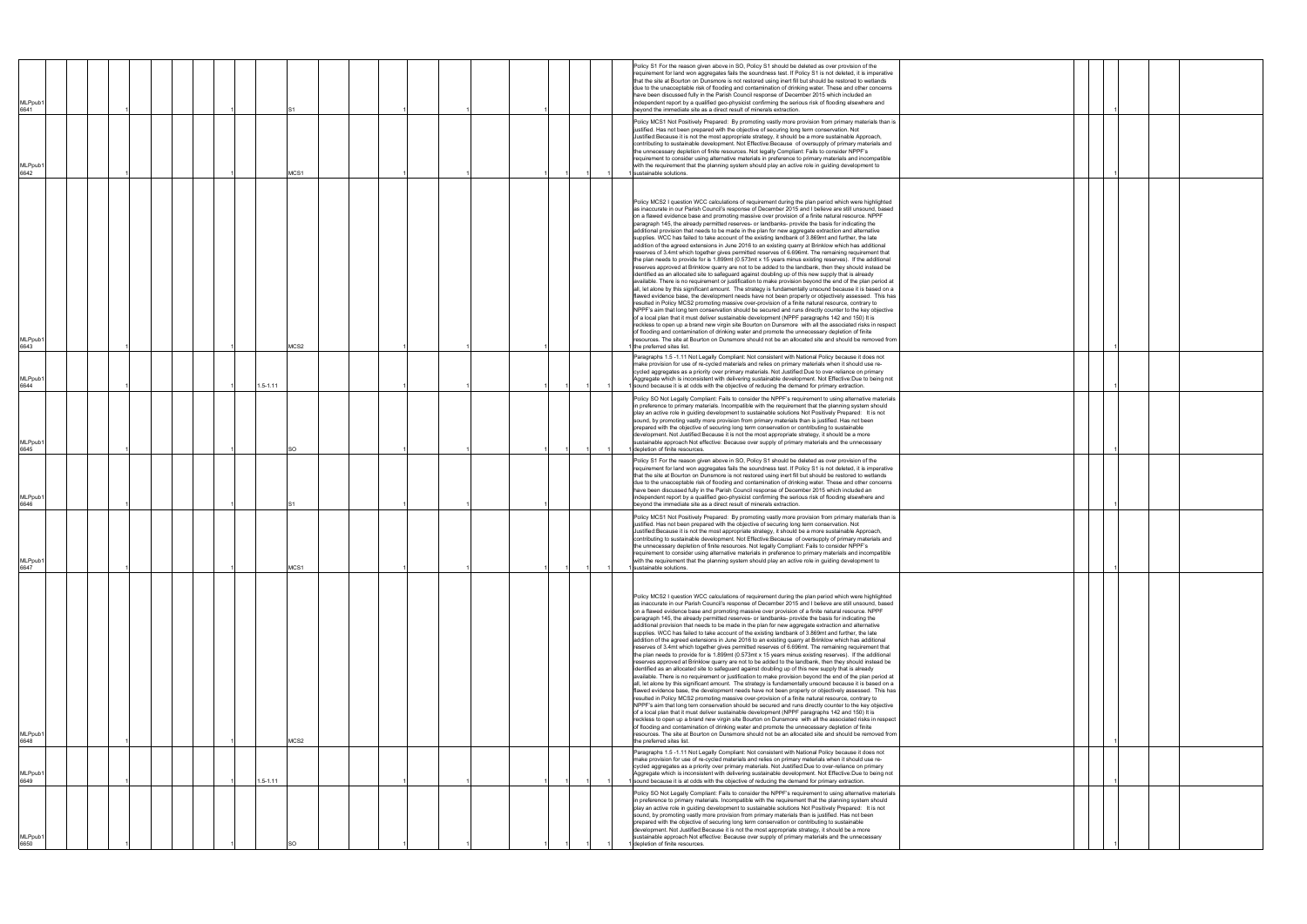| MLPpub <sup>-</sup><br>6641 |  |  |              |       |  |  |  |  |  | Policy S1 For the reason given above in SO, Policy S1 should be deleted as over provision of the<br>requirement for land won aggregates fails the soundness test. If Policy S1 is not deleted, it is imperative<br>that the site at Bourton on Dunsmore is not restored using inert fill but should be restored to wetlands<br>due to the unacceptable risk of flooding and contamination of drinking water. These and other concerns<br>have been discussed fully in the Parish Council response of December 2015 which included an<br>independent report by a qualified geo-physicist confirming the serious risk of flooding elsewhere and<br>beyond the immediate site as a direct result of minerals extraction.<br>Policy MCS1 Not Positively Prepared: By promoting vastly more provision from primary materials than is<br>justified. Has not been prepared with the objective of securing long term conservation. Not<br>Justified: Because it is not the most appropriate strategy, it should be a more sustainable Approach,                                                                                                                                                                                                                                                                                                                                                                                                                                                                                                                                                                                                                                                                                                                                                                                                                                                                                                                                                                                                                                                                                                                                                         |  |
|-----------------------------|--|--|--------------|-------|--|--|--|--|--|-------------------------------------------------------------------------------------------------------------------------------------------------------------------------------------------------------------------------------------------------------------------------------------------------------------------------------------------------------------------------------------------------------------------------------------------------------------------------------------------------------------------------------------------------------------------------------------------------------------------------------------------------------------------------------------------------------------------------------------------------------------------------------------------------------------------------------------------------------------------------------------------------------------------------------------------------------------------------------------------------------------------------------------------------------------------------------------------------------------------------------------------------------------------------------------------------------------------------------------------------------------------------------------------------------------------------------------------------------------------------------------------------------------------------------------------------------------------------------------------------------------------------------------------------------------------------------------------------------------------------------------------------------------------------------------------------------------------------------------------------------------------------------------------------------------------------------------------------------------------------------------------------------------------------------------------------------------------------------------------------------------------------------------------------------------------------------------------------------------------------------------------------------------------------------------------------|--|
| MLPpub <sup>-</sup><br>6642 |  |  |              | MCS1  |  |  |  |  |  | contributing to sustainable development. Not Effective: Because of oversupply of primary materials and<br>the unnecessary depletion of finite resources. Not legally Compliant: Fails to consider NPPF's<br>requirement to consider using alternative materials in preference to primary materials and incompatible<br>with the requirement that the planning system should play an active role in quiding development to<br>sustainable solutions.                                                                                                                                                                                                                                                                                                                                                                                                                                                                                                                                                                                                                                                                                                                                                                                                                                                                                                                                                                                                                                                                                                                                                                                                                                                                                                                                                                                                                                                                                                                                                                                                                                                                                                                                             |  |
| MLPpub <sup>.</sup><br>6643 |  |  |              | MCS2  |  |  |  |  |  | Policy MCS2 I question WCC calculations of requirement during the plan period which were highlighted<br>as inaccurate in our Parish Council's response of December 2015 and I believe are still unsound, based<br>on a flawed evidence base and promoting massive over provision of a finite natural resource. NPPF<br>paragraph 145, the already permitted reserves- or landbanks- provide the basis for indicating the<br>additional provision that needs to be made in the plan for new aggregate extraction and alternative<br>supplies. WCC has failed to take account of the existing landbank of 3.869mt and further, the late<br>addition of the agreed extensions in June 2016 to an existing quarry at Brinklow which has additional<br>reserves of 3.4mt which together gives permitted reserves of 6.696mt. The remaining requirement that<br>the plan needs to provide for is 1.899mt (0.573mt x 15 years minus existing reserves). If the additional<br>reserves approved at Brinklow quarry are not to be added to the landbank, then they should instead be<br>identified as an allocated site to safeguard against doubling up of this new supply that is already<br>available. There is no requirement or justification to make provision beyond the end of the plan period at<br>all, let alone by this significant amount. The strategy is fundamentally unsound because it is based on a<br>flawed evidence base, the development needs have not been properly or objectively assessed. This has<br>resulted in Policy MCS2 promoting massive over-provision of a finite natural resource, contrary to<br>NPPF's aim that long tern conservation should be secured and runs directly counter to the key objective<br>of a local plan that it must deliver sustainable development (NPPF paragraphs 142 and 150) It is<br>reckless to open up a brand new virgin site Bourton on Dunsmore with all the associated risks in respect<br>of flooding and contamination of drinking water and promote the unnecessary depletion of finite<br>resources. The site at Bourton on Dunsmore should not be an allocated site and should be removed from<br>the preferred sites list. |  |
| MLPpub <sup>.</sup><br>6644 |  |  | $1.5 - 1.11$ |       |  |  |  |  |  | Paragraphs 1.5 -1.11 Not Legally Compliant: Not consistent with National Policy because it does not<br>make provision for use of re-cycled materials and relies on primary materials when it should use re-<br>cycled aggregates as a priority over primary materials. Not Justified: Due to over-reliance on primary<br>Aggregate which is inconsistent with delivering sustainable development. Not Effective:Due to being not<br>sound because it is at odds with the objective of reducing the demand for primary extraction.                                                                                                                                                                                                                                                                                                                                                                                                                                                                                                                                                                                                                                                                                                                                                                                                                                                                                                                                                                                                                                                                                                                                                                                                                                                                                                                                                                                                                                                                                                                                                                                                                                                               |  |
| MLPpub <sup>-</sup><br>6645 |  |  |              | SО    |  |  |  |  |  | Policy SO Not Legally Compliant: Fails to consider the NPPF's requirement to using alternative materials<br>in preference to primary materials. Incompatible with the requirement that the planning system should<br>play an active role in guiding development to sustainable solutions Not Positively Prepared: It is not<br>sound, by promoting vastly more provision from primary materials than is justified. Has not been<br>prepared with the objective of securing long term conservation or contributing to sustainable<br>development. Not Justified: Because it is not the most appropriate strategy, it should be a more<br>sustainable approach Not effective: Because over supply of primary materials and the unnecessary<br>depletion of finite resources.                                                                                                                                                                                                                                                                                                                                                                                                                                                                                                                                                                                                                                                                                                                                                                                                                                                                                                                                                                                                                                                                                                                                                                                                                                                                                                                                                                                                                      |  |
| MLPpub <sup>-</sup><br>6646 |  |  |              |       |  |  |  |  |  | Policy S1 For the reason given above in SO, Policy S1 should be deleted as over provision of the<br>requirement for land won aggregates fails the soundness test. If Policy S1 is not deleted, it is imperative<br>that the site at Bourton on Dunsmore is not restored using inert fill but should be restored to wetlands<br>due to the unacceptable risk of flooding and contamination of drinking water. These and other concerns<br>have been discussed fully in the Parish Council response of December 2015 which included an<br>independent report by a qualified geo-physicist confirming the serious risk of flooding elsewhere and<br>bevond the immediate site as a direct result of minerals extraction                                                                                                                                                                                                                                                                                                                                                                                                                                                                                                                                                                                                                                                                                                                                                                                                                                                                                                                                                                                                                                                                                                                                                                                                                                                                                                                                                                                                                                                                            |  |
| MLPpub <sup>-</sup><br>6647 |  |  |              | VICS1 |  |  |  |  |  | Policy MCS1 Not Positively Prepared: By promoting vastly more provision from primary materials than is<br>justified. Has not been prepared with the objective of securing long term conservation. Not<br>Justified: Because it is not the most appropriate strategy, it should be a more sustainable Approach,<br>contributing to sustainable development. Not Effective: Because of oversupply of primary materials and<br>the unnecessary depletion of finite resources. Not legally Compliant: Fails to consider NPPF's<br>requirement to consider using alternative materials in preference to primary materials and incompatible<br>with the requirement that the planning system should play an active role in guiding development to<br>sustainable solutions.                                                                                                                                                                                                                                                                                                                                                                                                                                                                                                                                                                                                                                                                                                                                                                                                                                                                                                                                                                                                                                                                                                                                                                                                                                                                                                                                                                                                                           |  |
| MLPpub′<br>6648             |  |  |              | VICS2 |  |  |  |  |  | Policy MCS2 I question WCC calculations of requirement during the plan period which were highlighted<br>as inaccurate in our Parish Council's response of December 2015 and I believe are still unsound, based<br>on a flawed evidence base and promoting massive over provision of a finite natural resource. NPPF<br>paragraph 145, the already permitted reserves- or landbanks- provide the basis for indicating the<br>additional provision that needs to be made in the plan for new aggregate extraction and alternative<br>supplies. WCC has failed to take account of the existing landbank of 3.869mt and further, the late<br>addition of the agreed extensions in June 2016 to an existing quarry at Brinklow which has additional<br>reserves of 3.4mt which together gives permitted reserves of 6.696mt. The remaining requirement that<br>the plan needs to provide for is 1.899mt (0.573mt x 15 years minus existing reserves). If the additional<br>reserves approved at Brinklow quarry are not to be added to the landbank, then they should instead be<br>identified as an allocated site to safeguard against doubling up of this new supply that is already<br>available. There is no requirement or justification to make provision beyond the end of the plan period at<br>all, let alone by this significant amount. The strategy is fundamentally unsound because it is based on a<br>flawed evidence base, the development needs have not been properly or objectively assessed. This has<br>resulted in Policy MCS2 promoting massive over-provision of a finite natural resource, contrary to<br>NPPF's aim that long tern conservation should be secured and runs directly counter to the key objective<br>of a local plan that it must deliver sustainable development (NPPF paragraphs 142 and 150) It is<br>reckless to open up a brand new virgin site Bourton on Dunsmore with all the associated risks in respect<br>of flooding and contamination of drinking water and promote the unnecessary depletion of finite<br>resources. The site at Bourton on Dunsmore should not be an allocated site and should be removed from<br>the preferred sites list. |  |
| MLPpub′<br>6649             |  |  | 1.5-1.11     |       |  |  |  |  |  | Paragraphs 1.5 -1.11 Not Legally Compliant: Not consistent with National Policy because it does not<br>make provision for use of re-cycled materials and relies on primary materials when it should use re-<br>cycled aggregates as a priority over primary materials. Not Justified: Due to over-reliance on primary<br>Aggregate which is inconsistent with delivering sustainable development. Not Effective:Due to being not<br>sound because it is at odds with the objective of reducing the demand for primary extraction.                                                                                                                                                                                                                                                                                                                                                                                                                                                                                                                                                                                                                                                                                                                                                                                                                                                                                                                                                                                                                                                                                                                                                                                                                                                                                                                                                                                                                                                                                                                                                                                                                                                               |  |
| MLPpub1<br>6650             |  |  |              | SO    |  |  |  |  |  | Policy SO Not Legally Compliant: Fails to consider the NPPF's requirement to using alternative materials<br>in preference to primary materials. Incompatible with the requirement that the planning system should<br>play an active role in guiding development to sustainable solutions Not Positively Prepared: It is not<br>sound, by promoting vastly more provision from primary materials than is justified. Has not been<br>prepared with the objective of securing long term conservation or contributing to sustainable<br>development. Not Justified: Because it is not the most appropriate strategy, it should be a more<br>sustainable approach Not effective: Because over supply of primary materials and the unnecessary<br>depletion of finite resources.                                                                                                                                                                                                                                                                                                                                                                                                                                                                                                                                                                                                                                                                                                                                                                                                                                                                                                                                                                                                                                                                                                                                                                                                                                                                                                                                                                                                                      |  |

|  | $\mathbf{1}$ |  |  |
|--|--------------|--|--|
|  | 1            |  |  |
|  |              |  |  |
|  |              |  |  |
|  |              |  |  |
|  | $\mathbf{1}$ |  |  |
|  | $\mathbf{1}$ |  |  |
|  |              |  |  |
|  | 1            |  |  |
|  | $\mathbf{1}$ |  |  |
|  |              |  |  |
|  | 1            |  |  |
|  |              |  |  |
|  |              |  |  |
|  |              |  |  |
|  | 1            |  |  |
|  | 1            |  |  |
|  |              |  |  |
|  | 1            |  |  |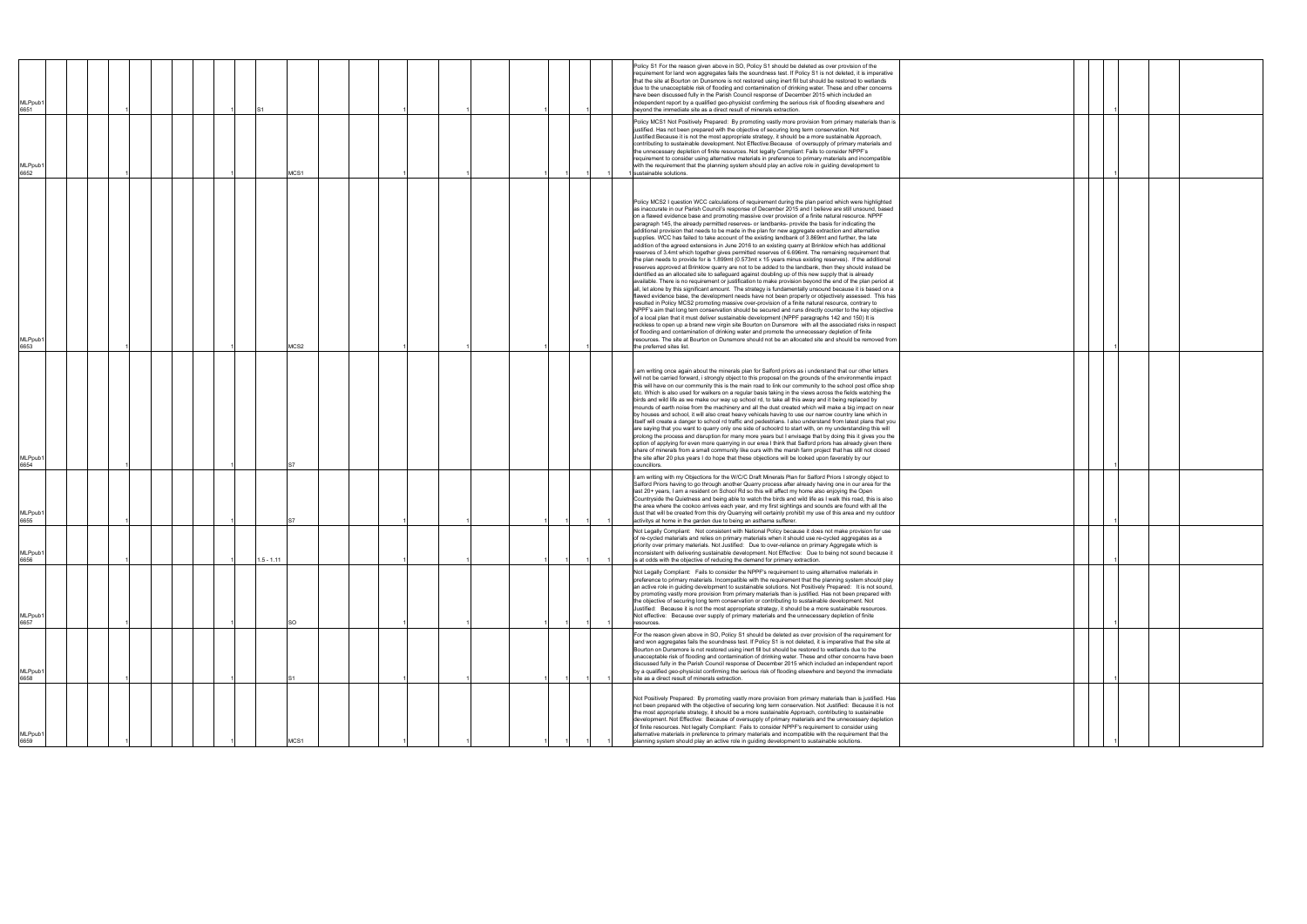| MLPpub1<br>6651             |  |  |             |  | Policy S1 For the reason given above in SO, Policy S1 should be deleted as over provision of the<br>requirement for land won aggregates fails the soundness test. If Policy S1 is not deleted, it is imperative<br>that the site at Bourton on Dunsmore is not restored using inert fill but should be restored to wetlands<br>due to the unacceptable risk of flooding and contamination of drinking water. These and other concerns<br>have been discussed fully in the Parish Council response of December 2015 which included an<br>independent report by a qualified geo-physicist confirming the serious risk of flooding elsewhere and<br>beyond the immediate site as a direct result of minerals extraction.                                                                                                                                                                                                                                                                                                                                                                                                                                                                                                                                                                                                                                                                                                                                                                                                                                                                                                                                                                                                                                                                                                                                                                                                                                                                                                                                                                                                                                                                           |  |  |  |
|-----------------------------|--|--|-------------|--|-------------------------------------------------------------------------------------------------------------------------------------------------------------------------------------------------------------------------------------------------------------------------------------------------------------------------------------------------------------------------------------------------------------------------------------------------------------------------------------------------------------------------------------------------------------------------------------------------------------------------------------------------------------------------------------------------------------------------------------------------------------------------------------------------------------------------------------------------------------------------------------------------------------------------------------------------------------------------------------------------------------------------------------------------------------------------------------------------------------------------------------------------------------------------------------------------------------------------------------------------------------------------------------------------------------------------------------------------------------------------------------------------------------------------------------------------------------------------------------------------------------------------------------------------------------------------------------------------------------------------------------------------------------------------------------------------------------------------------------------------------------------------------------------------------------------------------------------------------------------------------------------------------------------------------------------------------------------------------------------------------------------------------------------------------------------------------------------------------------------------------------------------------------------------------------------------|--|--|--|
| MLPpub1<br>6652             |  |  | MCS1        |  | Policy MCS1 Not Positively Prepared: By promoting vastly more provision from primary materials than is<br>justified. Has not been prepared with the objective of securing long term conservation. Not<br>Justified: Because it is not the most appropriate strategy, it should be a more sustainable Approach,<br>contributing to sustainable development. Not Effective: Because of oversupply of primary materials and<br>the unnecessary depletion of finite resources. Not legally Compliant: Fails to consider NPPF's<br>requirement to consider using alternative materials in preference to primary materials and incompatible<br>with the requirement that the planning system should play an active role in guiding development to<br>sustainable solutions.                                                                                                                                                                                                                                                                                                                                                                                                                                                                                                                                                                                                                                                                                                                                                                                                                                                                                                                                                                                                                                                                                                                                                                                                                                                                                                                                                                                                                           |  |  |  |
| MLPpub1<br>6653             |  |  | MCS2        |  | Policy MCS2 I question WCC calculations of requirement during the plan period which were highlighted<br>as inaccurate in our Parish Council's response of December 2015 and I believe are still unsound, based<br>on a flawed evidence base and promoting massive over provision of a finite natural resource. NPPF<br>paragraph 145, the already permitted reserves- or landbanks- provide the basis for indicating the<br>additional provision that needs to be made in the plan for new aggregate extraction and alternative<br>supplies. WCC has failed to take account of the existing landbank of 3.869mt and further, the late<br>addition of the agreed extensions in June 2016 to an existing quarry at Brinklow which has additional<br>reserves of 3.4mt which together gives permitted reserves of 6.696mt. The remaining requirement that<br>the plan needs to provide for is 1.899mt (0.573mt x 15 years minus existing reserves). If the additional<br>reserves approved at Brinklow quarry are not to be added to the landbank, then they should instead be<br>identified as an allocated site to safeguard against doubling up of this new supply that is already<br>available. There is no requirement or justification to make provision beyond the end of the plan period at<br>all, let alone by this significant amount. The strategy is fundamentally unsound because it is based on a<br>flawed evidence base, the development needs have not been properly or objectively assessed. This has<br>resulted in Policy MCS2 promoting massive over-provision of a finite natural resource, contrary to<br>NPPF's aim that long tern conservation should be secured and runs directly counter to the key objective<br>of a local plan that it must deliver sustainable development (NPPF paragraphs 142 and 150) It is<br>reckless to open up a brand new virgin site Bourton on Dunsmore with all the associated risks in respect<br>of flooding and contamination of drinking water and promote the unnecessary depletion of finite<br>resources. The site at Bourton on Dunsmore should not be an allocated site and should be removed from<br>the preferred sites list. |  |  |  |
| MLPpub1<br>6654             |  |  |             |  | I am writing once again about the minerals plan for Salford priors as i understand that our other letters<br>will not be carried forward, i strongly object to this proposal on the grounds of the environmentle impact<br>this will have on our community this is the main road to link our community to the school post office shop<br>etc. Which is also used for walkers on a regular basis taking in the views across the fields watching the<br>birds and wild life as we make our way up school rd, to take all this away and it being replaced by<br>mounds of earth noise from the machinery and all the dust created which will make a big impact on near<br>by houses and school, it will also creat heavy vehicals having to use our narrow country lane which in<br>itself will create a danger to school rd traffic and pedestrians. I also understand from latest plans that you<br>are saying that you want to quarry only one side of schoolrd to start with, on my understanding this will<br>prolong the process and disruption for many more years but I envisage that by doing this it gives you the<br>option of applying for even more quarrying in our erea I think that Salford priors has already given there<br>share of minerals from a small community like ours with the marsh farm project that has still not closed<br>the site after 20 plus years I do hope that these objections will be looked upon faverably by our<br>councillors.                                                                                                                                                                                                                                                                                                                                                                                                                                                                                                                                                                                                                                                                                                                        |  |  |  |
| MLPpub1<br>6655             |  |  |             |  | I am writing with my Objections for the W/C/C Draft Minerals Plan for Salford Priors I strongly object to<br>Salford Priors having to go through another Quarry process after already having one in our area for the<br>last 20+ years, I am a resident on School Rd so this will affect my home also enjoying the Open<br>Countryside the Quietness and being able to watch the birds and wild life as I walk this road, this is also<br>the area where the cookoo arrives each year, and my first sightings and sounds are found with all the<br>dust that will be created from this dry Quarrying will certainly prohibit my use of this area and my outdoor<br>activitys at home in the garden due to being an asthama sufferer.                                                                                                                                                                                                                                                                                                                                                                                                                                                                                                                                                                                                                                                                                                                                                                                                                                                                                                                                                                                                                                                                                                                                                                                                                                                                                                                                                                                                                                                            |  |  |  |
| MLPpub1<br>6656             |  |  | $.5 - 1.11$ |  | Not Legally Compliant: Not consistent with National Policy because it does not make provision for use<br>of re-cycled materials and relies on primary materials when it should use re-cycled aggregates as a<br>priority over primary materials. Not Justified: Due to over-reliance on primary Aggregate which is<br>inconsistent with delivering sustainable development. Not Effective: Due to being not sound because it<br>is at odds with the objective of reducing the demand for primary extraction.                                                                                                                                                                                                                                                                                                                                                                                                                                                                                                                                                                                                                                                                                                                                                                                                                                                                                                                                                                                                                                                                                                                                                                                                                                                                                                                                                                                                                                                                                                                                                                                                                                                                                    |  |  |  |
| MLPpub <sup>®</sup><br>6657 |  |  | SO.         |  | Not Legally Compliant: Fails to consider the NPPF's requirement to using alternative materials in<br>preference to primary materials. Incompatible with the requirement that the planning system should play<br>an active role in guiding development to sustainable solutions. Not Positively Prepared: It is not sound,<br>by promoting vastly more provision from primary materials than is justified. Has not been prepared with<br>the objective of securing long term conservation or contributing to sustainable development. Not<br>Justified: Because it is not the most appropriate strategy, it should be a more sustainable resources.<br>Not effective: Because over supply of primary materials and the unnecessary depletion of finite<br>resources.                                                                                                                                                                                                                                                                                                                                                                                                                                                                                                                                                                                                                                                                                                                                                                                                                                                                                                                                                                                                                                                                                                                                                                                                                                                                                                                                                                                                                             |  |  |  |
| MLPpub <sup>®</sup><br>6658 |  |  |             |  | For the reason given above in SO, Policy S1 should be deleted as over provision of the requirement for<br>land won aggregates fails the soundness test. If Policy S1 is not deleted, it is imperative that the site at<br>Bourton on Dunsmore is not restored using inert fill but should be restored to wetlands due to the<br>unacceptable risk of flooding and contamination of drinking water. These and other concerns have been<br>discussed fully in the Parish Council response of December 2015 which included an independent report<br>by a qualified geo-physicist confirming the serious risk of flooding elsewhere and beyond the immediate<br>site as a direct result of minerals extraction.                                                                                                                                                                                                                                                                                                                                                                                                                                                                                                                                                                                                                                                                                                                                                                                                                                                                                                                                                                                                                                                                                                                                                                                                                                                                                                                                                                                                                                                                                     |  |  |  |
| MLPpub1<br>6659             |  |  | MCS1        |  | Not Positively Prepared: By promoting vastly more provision from primary materials than is justified. Has<br>not been prepared with the objective of securing long term conservation. Not Justified: Because it is not<br>the most appropriate strategy, it should be a more sustainable Approach, contributing to sustainable<br>development. Not Effective: Because of oversupply of primary materials and the unnecessary depletion<br>of finite resources. Not legally Compliant: Fails to consider NPPF's requirement to consider using<br>alternative materials in preference to primary materials and incompatible with the requirement that the<br>planning system should play an active role in guiding development to sustainable solutions.                                                                                                                                                                                                                                                                                                                                                                                                                                                                                                                                                                                                                                                                                                                                                                                                                                                                                                                                                                                                                                                                                                                                                                                                                                                                                                                                                                                                                                          |  |  |  |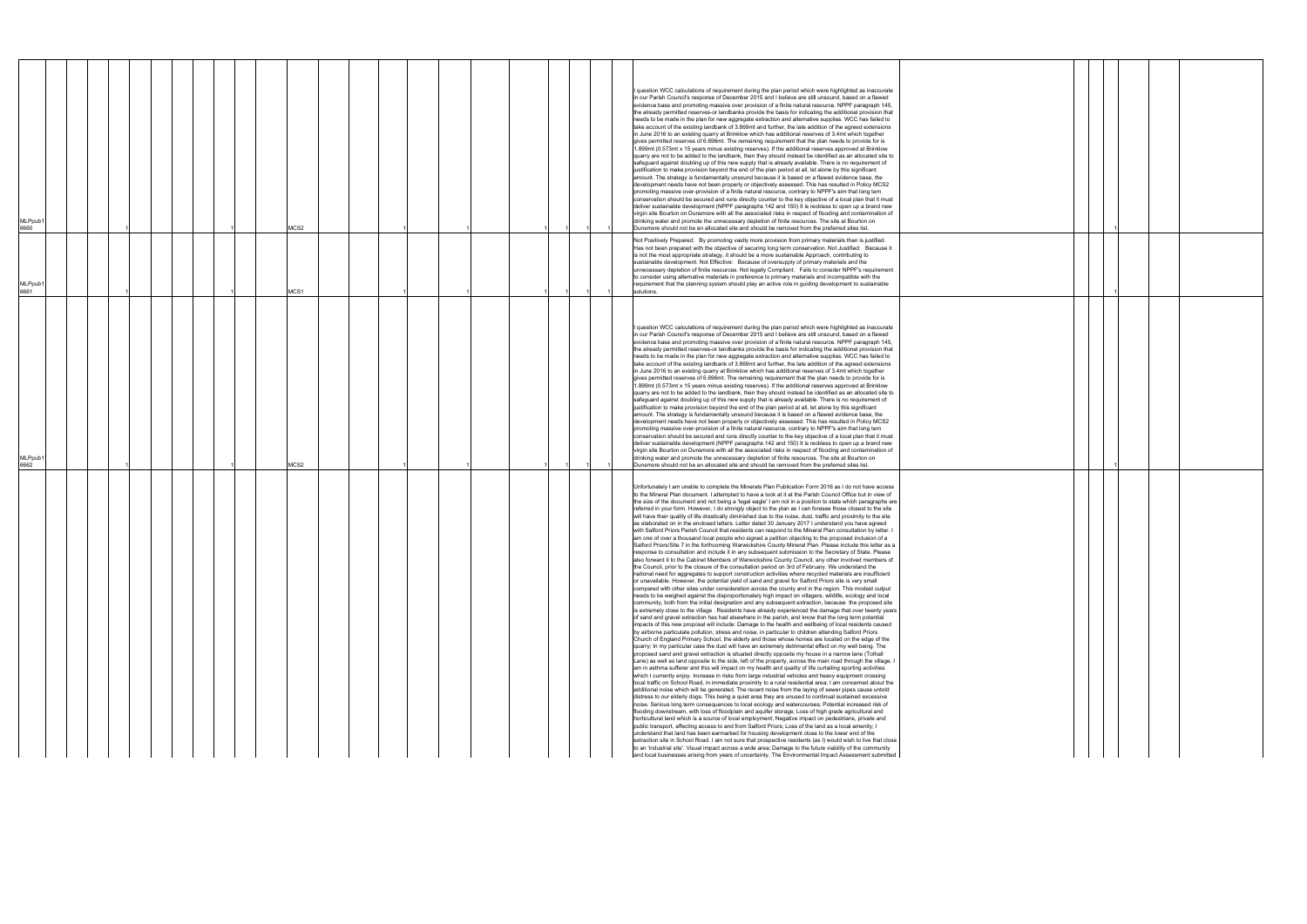|                                                                                                                                                                                                                                                                                                                                                                                                                                                                                                                                                                                                                                                                                                                                                                                                                                                                                                                                                                                                                                                                                                                                                                                                                                                                                                                                                                                                                                                                                                                                                                                                                                                                                                                                                                                                                                                                                                                                                                                                                                                                                                                                                                                                                                                                                                                                                                                                                                                                                                                                                                                                                                                                                                                                                                                                                                                                                                                                                                                                                                                                                                                                                                                                                                                                                                                                                                                                                                                                                                                                                                                                                                                                                                                                                                                                                                                                                                                                                                                                                                                                                                                                                                                                                        | MLPpub <sup>,</sup><br>6662                                                                                                                                                                                                                                                                                                                                                                                                                                                                                                                                                                                                                                                                                                                                                                                                                                                                                                                                                                                                                                                                                                                                                                                                                                                                                                                                                                                                                                                                                                                                                                                                                                                                                                                                                                                                                                                                                                                                                                                                                                                                                                                                                    | MLPpub <sup>-</sup><br>6661                                                                                                                                                                                                                                                                                                                                                                                                                                                                                                                                                                                                                                                                                                                               | MLPpub <sup>-</sup><br>6660                                                                                                                                                                                                                                                                                                                                                                                                                                                                                                                                                                                                                                                                                                                                                                                                                                                                                                                                                                                                                                                                                                                                                                                                                                                                                                                                                                                                                                                                                                                                                                                                                                                                                                                                                                                                                                                                                                                                                                                                                                                                                                                                                  |
|------------------------------------------------------------------------------------------------------------------------------------------------------------------------------------------------------------------------------------------------------------------------------------------------------------------------------------------------------------------------------------------------------------------------------------------------------------------------------------------------------------------------------------------------------------------------------------------------------------------------------------------------------------------------------------------------------------------------------------------------------------------------------------------------------------------------------------------------------------------------------------------------------------------------------------------------------------------------------------------------------------------------------------------------------------------------------------------------------------------------------------------------------------------------------------------------------------------------------------------------------------------------------------------------------------------------------------------------------------------------------------------------------------------------------------------------------------------------------------------------------------------------------------------------------------------------------------------------------------------------------------------------------------------------------------------------------------------------------------------------------------------------------------------------------------------------------------------------------------------------------------------------------------------------------------------------------------------------------------------------------------------------------------------------------------------------------------------------------------------------------------------------------------------------------------------------------------------------------------------------------------------------------------------------------------------------------------------------------------------------------------------------------------------------------------------------------------------------------------------------------------------------------------------------------------------------------------------------------------------------------------------------------------------------------------------------------------------------------------------------------------------------------------------------------------------------------------------------------------------------------------------------------------------------------------------------------------------------------------------------------------------------------------------------------------------------------------------------------------------------------------------------------------------------------------------------------------------------------------------------------------------------------------------------------------------------------------------------------------------------------------------------------------------------------------------------------------------------------------------------------------------------------------------------------------------------------------------------------------------------------------------------------------------------------------------------------------------------------------------------------------------------------------------------------------------------------------------------------------------------------------------------------------------------------------------------------------------------------------------------------------------------------------------------------------------------------------------------------------------------------------------------------------------------------------------------------------------------|--------------------------------------------------------------------------------------------------------------------------------------------------------------------------------------------------------------------------------------------------------------------------------------------------------------------------------------------------------------------------------------------------------------------------------------------------------------------------------------------------------------------------------------------------------------------------------------------------------------------------------------------------------------------------------------------------------------------------------------------------------------------------------------------------------------------------------------------------------------------------------------------------------------------------------------------------------------------------------------------------------------------------------------------------------------------------------------------------------------------------------------------------------------------------------------------------------------------------------------------------------------------------------------------------------------------------------------------------------------------------------------------------------------------------------------------------------------------------------------------------------------------------------------------------------------------------------------------------------------------------------------------------------------------------------------------------------------------------------------------------------------------------------------------------------------------------------------------------------------------------------------------------------------------------------------------------------------------------------------------------------------------------------------------------------------------------------------------------------------------------------------------------------------------------------|-----------------------------------------------------------------------------------------------------------------------------------------------------------------------------------------------------------------------------------------------------------------------------------------------------------------------------------------------------------------------------------------------------------------------------------------------------------------------------------------------------------------------------------------------------------------------------------------------------------------------------------------------------------------------------------------------------------------------------------------------------------|------------------------------------------------------------------------------------------------------------------------------------------------------------------------------------------------------------------------------------------------------------------------------------------------------------------------------------------------------------------------------------------------------------------------------------------------------------------------------------------------------------------------------------------------------------------------------------------------------------------------------------------------------------------------------------------------------------------------------------------------------------------------------------------------------------------------------------------------------------------------------------------------------------------------------------------------------------------------------------------------------------------------------------------------------------------------------------------------------------------------------------------------------------------------------------------------------------------------------------------------------------------------------------------------------------------------------------------------------------------------------------------------------------------------------------------------------------------------------------------------------------------------------------------------------------------------------------------------------------------------------------------------------------------------------------------------------------------------------------------------------------------------------------------------------------------------------------------------------------------------------------------------------------------------------------------------------------------------------------------------------------------------------------------------------------------------------------------------------------------------------------------------------------------------------|
|                                                                                                                                                                                                                                                                                                                                                                                                                                                                                                                                                                                                                                                                                                                                                                                                                                                                                                                                                                                                                                                                                                                                                                                                                                                                                                                                                                                                                                                                                                                                                                                                                                                                                                                                                                                                                                                                                                                                                                                                                                                                                                                                                                                                                                                                                                                                                                                                                                                                                                                                                                                                                                                                                                                                                                                                                                                                                                                                                                                                                                                                                                                                                                                                                                                                                                                                                                                                                                                                                                                                                                                                                                                                                                                                                                                                                                                                                                                                                                                                                                                                                                                                                                                                                        |                                                                                                                                                                                                                                                                                                                                                                                                                                                                                                                                                                                                                                                                                                                                                                                                                                                                                                                                                                                                                                                                                                                                                                                                                                                                                                                                                                                                                                                                                                                                                                                                                                                                                                                                                                                                                                                                                                                                                                                                                                                                                                                                                                                |                                                                                                                                                                                                                                                                                                                                                                                                                                                                                                                                                                                                                                                                                                                                                           |                                                                                                                                                                                                                                                                                                                                                                                                                                                                                                                                                                                                                                                                                                                                                                                                                                                                                                                                                                                                                                                                                                                                                                                                                                                                                                                                                                                                                                                                                                                                                                                                                                                                                                                                                                                                                                                                                                                                                                                                                                                                                                                                                                              |
|                                                                                                                                                                                                                                                                                                                                                                                                                                                                                                                                                                                                                                                                                                                                                                                                                                                                                                                                                                                                                                                                                                                                                                                                                                                                                                                                                                                                                                                                                                                                                                                                                                                                                                                                                                                                                                                                                                                                                                                                                                                                                                                                                                                                                                                                                                                                                                                                                                                                                                                                                                                                                                                                                                                                                                                                                                                                                                                                                                                                                                                                                                                                                                                                                                                                                                                                                                                                                                                                                                                                                                                                                                                                                                                                                                                                                                                                                                                                                                                                                                                                                                                                                                                                                        |                                                                                                                                                                                                                                                                                                                                                                                                                                                                                                                                                                                                                                                                                                                                                                                                                                                                                                                                                                                                                                                                                                                                                                                                                                                                                                                                                                                                                                                                                                                                                                                                                                                                                                                                                                                                                                                                                                                                                                                                                                                                                                                                                                                |                                                                                                                                                                                                                                                                                                                                                                                                                                                                                                                                                                                                                                                                                                                                                           |                                                                                                                                                                                                                                                                                                                                                                                                                                                                                                                                                                                                                                                                                                                                                                                                                                                                                                                                                                                                                                                                                                                                                                                                                                                                                                                                                                                                                                                                                                                                                                                                                                                                                                                                                                                                                                                                                                                                                                                                                                                                                                                                                                              |
|                                                                                                                                                                                                                                                                                                                                                                                                                                                                                                                                                                                                                                                                                                                                                                                                                                                                                                                                                                                                                                                                                                                                                                                                                                                                                                                                                                                                                                                                                                                                                                                                                                                                                                                                                                                                                                                                                                                                                                                                                                                                                                                                                                                                                                                                                                                                                                                                                                                                                                                                                                                                                                                                                                                                                                                                                                                                                                                                                                                                                                                                                                                                                                                                                                                                                                                                                                                                                                                                                                                                                                                                                                                                                                                                                                                                                                                                                                                                                                                                                                                                                                                                                                                                                        |                                                                                                                                                                                                                                                                                                                                                                                                                                                                                                                                                                                                                                                                                                                                                                                                                                                                                                                                                                                                                                                                                                                                                                                                                                                                                                                                                                                                                                                                                                                                                                                                                                                                                                                                                                                                                                                                                                                                                                                                                                                                                                                                                                                |                                                                                                                                                                                                                                                                                                                                                                                                                                                                                                                                                                                                                                                                                                                                                           |                                                                                                                                                                                                                                                                                                                                                                                                                                                                                                                                                                                                                                                                                                                                                                                                                                                                                                                                                                                                                                                                                                                                                                                                                                                                                                                                                                                                                                                                                                                                                                                                                                                                                                                                                                                                                                                                                                                                                                                                                                                                                                                                                                              |
|                                                                                                                                                                                                                                                                                                                                                                                                                                                                                                                                                                                                                                                                                                                                                                                                                                                                                                                                                                                                                                                                                                                                                                                                                                                                                                                                                                                                                                                                                                                                                                                                                                                                                                                                                                                                                                                                                                                                                                                                                                                                                                                                                                                                                                                                                                                                                                                                                                                                                                                                                                                                                                                                                                                                                                                                                                                                                                                                                                                                                                                                                                                                                                                                                                                                                                                                                                                                                                                                                                                                                                                                                                                                                                                                                                                                                                                                                                                                                                                                                                                                                                                                                                                                                        |                                                                                                                                                                                                                                                                                                                                                                                                                                                                                                                                                                                                                                                                                                                                                                                                                                                                                                                                                                                                                                                                                                                                                                                                                                                                                                                                                                                                                                                                                                                                                                                                                                                                                                                                                                                                                                                                                                                                                                                                                                                                                                                                                                                |                                                                                                                                                                                                                                                                                                                                                                                                                                                                                                                                                                                                                                                                                                                                                           |                                                                                                                                                                                                                                                                                                                                                                                                                                                                                                                                                                                                                                                                                                                                                                                                                                                                                                                                                                                                                                                                                                                                                                                                                                                                                                                                                                                                                                                                                                                                                                                                                                                                                                                                                                                                                                                                                                                                                                                                                                                                                                                                                                              |
|                                                                                                                                                                                                                                                                                                                                                                                                                                                                                                                                                                                                                                                                                                                                                                                                                                                                                                                                                                                                                                                                                                                                                                                                                                                                                                                                                                                                                                                                                                                                                                                                                                                                                                                                                                                                                                                                                                                                                                                                                                                                                                                                                                                                                                                                                                                                                                                                                                                                                                                                                                                                                                                                                                                                                                                                                                                                                                                                                                                                                                                                                                                                                                                                                                                                                                                                                                                                                                                                                                                                                                                                                                                                                                                                                                                                                                                                                                                                                                                                                                                                                                                                                                                                                        |                                                                                                                                                                                                                                                                                                                                                                                                                                                                                                                                                                                                                                                                                                                                                                                                                                                                                                                                                                                                                                                                                                                                                                                                                                                                                                                                                                                                                                                                                                                                                                                                                                                                                                                                                                                                                                                                                                                                                                                                                                                                                                                                                                                |                                                                                                                                                                                                                                                                                                                                                                                                                                                                                                                                                                                                                                                                                                                                                           |                                                                                                                                                                                                                                                                                                                                                                                                                                                                                                                                                                                                                                                                                                                                                                                                                                                                                                                                                                                                                                                                                                                                                                                                                                                                                                                                                                                                                                                                                                                                                                                                                                                                                                                                                                                                                                                                                                                                                                                                                                                                                                                                                                              |
|                                                                                                                                                                                                                                                                                                                                                                                                                                                                                                                                                                                                                                                                                                                                                                                                                                                                                                                                                                                                                                                                                                                                                                                                                                                                                                                                                                                                                                                                                                                                                                                                                                                                                                                                                                                                                                                                                                                                                                                                                                                                                                                                                                                                                                                                                                                                                                                                                                                                                                                                                                                                                                                                                                                                                                                                                                                                                                                                                                                                                                                                                                                                                                                                                                                                                                                                                                                                                                                                                                                                                                                                                                                                                                                                                                                                                                                                                                                                                                                                                                                                                                                                                                                                                        |                                                                                                                                                                                                                                                                                                                                                                                                                                                                                                                                                                                                                                                                                                                                                                                                                                                                                                                                                                                                                                                                                                                                                                                                                                                                                                                                                                                                                                                                                                                                                                                                                                                                                                                                                                                                                                                                                                                                                                                                                                                                                                                                                                                |                                                                                                                                                                                                                                                                                                                                                                                                                                                                                                                                                                                                                                                                                                                                                           |                                                                                                                                                                                                                                                                                                                                                                                                                                                                                                                                                                                                                                                                                                                                                                                                                                                                                                                                                                                                                                                                                                                                                                                                                                                                                                                                                                                                                                                                                                                                                                                                                                                                                                                                                                                                                                                                                                                                                                                                                                                                                                                                                                              |
|                                                                                                                                                                                                                                                                                                                                                                                                                                                                                                                                                                                                                                                                                                                                                                                                                                                                                                                                                                                                                                                                                                                                                                                                                                                                                                                                                                                                                                                                                                                                                                                                                                                                                                                                                                                                                                                                                                                                                                                                                                                                                                                                                                                                                                                                                                                                                                                                                                                                                                                                                                                                                                                                                                                                                                                                                                                                                                                                                                                                                                                                                                                                                                                                                                                                                                                                                                                                                                                                                                                                                                                                                                                                                                                                                                                                                                                                                                                                                                                                                                                                                                                                                                                                                        |                                                                                                                                                                                                                                                                                                                                                                                                                                                                                                                                                                                                                                                                                                                                                                                                                                                                                                                                                                                                                                                                                                                                                                                                                                                                                                                                                                                                                                                                                                                                                                                                                                                                                                                                                                                                                                                                                                                                                                                                                                                                                                                                                                                |                                                                                                                                                                                                                                                                                                                                                                                                                                                                                                                                                                                                                                                                                                                                                           |                                                                                                                                                                                                                                                                                                                                                                                                                                                                                                                                                                                                                                                                                                                                                                                                                                                                                                                                                                                                                                                                                                                                                                                                                                                                                                                                                                                                                                                                                                                                                                                                                                                                                                                                                                                                                                                                                                                                                                                                                                                                                                                                                                              |
|                                                                                                                                                                                                                                                                                                                                                                                                                                                                                                                                                                                                                                                                                                                                                                                                                                                                                                                                                                                                                                                                                                                                                                                                                                                                                                                                                                                                                                                                                                                                                                                                                                                                                                                                                                                                                                                                                                                                                                                                                                                                                                                                                                                                                                                                                                                                                                                                                                                                                                                                                                                                                                                                                                                                                                                                                                                                                                                                                                                                                                                                                                                                                                                                                                                                                                                                                                                                                                                                                                                                                                                                                                                                                                                                                                                                                                                                                                                                                                                                                                                                                                                                                                                                                        |                                                                                                                                                                                                                                                                                                                                                                                                                                                                                                                                                                                                                                                                                                                                                                                                                                                                                                                                                                                                                                                                                                                                                                                                                                                                                                                                                                                                                                                                                                                                                                                                                                                                                                                                                                                                                                                                                                                                                                                                                                                                                                                                                                                |                                                                                                                                                                                                                                                                                                                                                                                                                                                                                                                                                                                                                                                                                                                                                           |                                                                                                                                                                                                                                                                                                                                                                                                                                                                                                                                                                                                                                                                                                                                                                                                                                                                                                                                                                                                                                                                                                                                                                                                                                                                                                                                                                                                                                                                                                                                                                                                                                                                                                                                                                                                                                                                                                                                                                                                                                                                                                                                                                              |
|                                                                                                                                                                                                                                                                                                                                                                                                                                                                                                                                                                                                                                                                                                                                                                                                                                                                                                                                                                                                                                                                                                                                                                                                                                                                                                                                                                                                                                                                                                                                                                                                                                                                                                                                                                                                                                                                                                                                                                                                                                                                                                                                                                                                                                                                                                                                                                                                                                                                                                                                                                                                                                                                                                                                                                                                                                                                                                                                                                                                                                                                                                                                                                                                                                                                                                                                                                                                                                                                                                                                                                                                                                                                                                                                                                                                                                                                                                                                                                                                                                                                                                                                                                                                                        |                                                                                                                                                                                                                                                                                                                                                                                                                                                                                                                                                                                                                                                                                                                                                                                                                                                                                                                                                                                                                                                                                                                                                                                                                                                                                                                                                                                                                                                                                                                                                                                                                                                                                                                                                                                                                                                                                                                                                                                                                                                                                                                                                                                |                                                                                                                                                                                                                                                                                                                                                                                                                                                                                                                                                                                                                                                                                                                                                           |                                                                                                                                                                                                                                                                                                                                                                                                                                                                                                                                                                                                                                                                                                                                                                                                                                                                                                                                                                                                                                                                                                                                                                                                                                                                                                                                                                                                                                                                                                                                                                                                                                                                                                                                                                                                                                                                                                                                                                                                                                                                                                                                                                              |
|                                                                                                                                                                                                                                                                                                                                                                                                                                                                                                                                                                                                                                                                                                                                                                                                                                                                                                                                                                                                                                                                                                                                                                                                                                                                                                                                                                                                                                                                                                                                                                                                                                                                                                                                                                                                                                                                                                                                                                                                                                                                                                                                                                                                                                                                                                                                                                                                                                                                                                                                                                                                                                                                                                                                                                                                                                                                                                                                                                                                                                                                                                                                                                                                                                                                                                                                                                                                                                                                                                                                                                                                                                                                                                                                                                                                                                                                                                                                                                                                                                                                                                                                                                                                                        |                                                                                                                                                                                                                                                                                                                                                                                                                                                                                                                                                                                                                                                                                                                                                                                                                                                                                                                                                                                                                                                                                                                                                                                                                                                                                                                                                                                                                                                                                                                                                                                                                                                                                                                                                                                                                                                                                                                                                                                                                                                                                                                                                                                |                                                                                                                                                                                                                                                                                                                                                                                                                                                                                                                                                                                                                                                                                                                                                           |                                                                                                                                                                                                                                                                                                                                                                                                                                                                                                                                                                                                                                                                                                                                                                                                                                                                                                                                                                                                                                                                                                                                                                                                                                                                                                                                                                                                                                                                                                                                                                                                                                                                                                                                                                                                                                                                                                                                                                                                                                                                                                                                                                              |
|                                                                                                                                                                                                                                                                                                                                                                                                                                                                                                                                                                                                                                                                                                                                                                                                                                                                                                                                                                                                                                                                                                                                                                                                                                                                                                                                                                                                                                                                                                                                                                                                                                                                                                                                                                                                                                                                                                                                                                                                                                                                                                                                                                                                                                                                                                                                                                                                                                                                                                                                                                                                                                                                                                                                                                                                                                                                                                                                                                                                                                                                                                                                                                                                                                                                                                                                                                                                                                                                                                                                                                                                                                                                                                                                                                                                                                                                                                                                                                                                                                                                                                                                                                                                                        | MCS2                                                                                                                                                                                                                                                                                                                                                                                                                                                                                                                                                                                                                                                                                                                                                                                                                                                                                                                                                                                                                                                                                                                                                                                                                                                                                                                                                                                                                                                                                                                                                                                                                                                                                                                                                                                                                                                                                                                                                                                                                                                                                                                                                                           | <b>MCS1</b>                                                                                                                                                                                                                                                                                                                                                                                                                                                                                                                                                                                                                                                                                                                                               | MCS2                                                                                                                                                                                                                                                                                                                                                                                                                                                                                                                                                                                                                                                                                                                                                                                                                                                                                                                                                                                                                                                                                                                                                                                                                                                                                                                                                                                                                                                                                                                                                                                                                                                                                                                                                                                                                                                                                                                                                                                                                                                                                                                                                                         |
|                                                                                                                                                                                                                                                                                                                                                                                                                                                                                                                                                                                                                                                                                                                                                                                                                                                                                                                                                                                                                                                                                                                                                                                                                                                                                                                                                                                                                                                                                                                                                                                                                                                                                                                                                                                                                                                                                                                                                                                                                                                                                                                                                                                                                                                                                                                                                                                                                                                                                                                                                                                                                                                                                                                                                                                                                                                                                                                                                                                                                                                                                                                                                                                                                                                                                                                                                                                                                                                                                                                                                                                                                                                                                                                                                                                                                                                                                                                                                                                                                                                                                                                                                                                                                        |                                                                                                                                                                                                                                                                                                                                                                                                                                                                                                                                                                                                                                                                                                                                                                                                                                                                                                                                                                                                                                                                                                                                                                                                                                                                                                                                                                                                                                                                                                                                                                                                                                                                                                                                                                                                                                                                                                                                                                                                                                                                                                                                                                                |                                                                                                                                                                                                                                                                                                                                                                                                                                                                                                                                                                                                                                                                                                                                                           |                                                                                                                                                                                                                                                                                                                                                                                                                                                                                                                                                                                                                                                                                                                                                                                                                                                                                                                                                                                                                                                                                                                                                                                                                                                                                                                                                                                                                                                                                                                                                                                                                                                                                                                                                                                                                                                                                                                                                                                                                                                                                                                                                                              |
|                                                                                                                                                                                                                                                                                                                                                                                                                                                                                                                                                                                                                                                                                                                                                                                                                                                                                                                                                                                                                                                                                                                                                                                                                                                                                                                                                                                                                                                                                                                                                                                                                                                                                                                                                                                                                                                                                                                                                                                                                                                                                                                                                                                                                                                                                                                                                                                                                                                                                                                                                                                                                                                                                                                                                                                                                                                                                                                                                                                                                                                                                                                                                                                                                                                                                                                                                                                                                                                                                                                                                                                                                                                                                                                                                                                                                                                                                                                                                                                                                                                                                                                                                                                                                        |                                                                                                                                                                                                                                                                                                                                                                                                                                                                                                                                                                                                                                                                                                                                                                                                                                                                                                                                                                                                                                                                                                                                                                                                                                                                                                                                                                                                                                                                                                                                                                                                                                                                                                                                                                                                                                                                                                                                                                                                                                                                                                                                                                                |                                                                                                                                                                                                                                                                                                                                                                                                                                                                                                                                                                                                                                                                                                                                                           |                                                                                                                                                                                                                                                                                                                                                                                                                                                                                                                                                                                                                                                                                                                                                                                                                                                                                                                                                                                                                                                                                                                                                                                                                                                                                                                                                                                                                                                                                                                                                                                                                                                                                                                                                                                                                                                                                                                                                                                                                                                                                                                                                                              |
|                                                                                                                                                                                                                                                                                                                                                                                                                                                                                                                                                                                                                                                                                                                                                                                                                                                                                                                                                                                                                                                                                                                                                                                                                                                                                                                                                                                                                                                                                                                                                                                                                                                                                                                                                                                                                                                                                                                                                                                                                                                                                                                                                                                                                                                                                                                                                                                                                                                                                                                                                                                                                                                                                                                                                                                                                                                                                                                                                                                                                                                                                                                                                                                                                                                                                                                                                                                                                                                                                                                                                                                                                                                                                                                                                                                                                                                                                                                                                                                                                                                                                                                                                                                                                        |                                                                                                                                                                                                                                                                                                                                                                                                                                                                                                                                                                                                                                                                                                                                                                                                                                                                                                                                                                                                                                                                                                                                                                                                                                                                                                                                                                                                                                                                                                                                                                                                                                                                                                                                                                                                                                                                                                                                                                                                                                                                                                                                                                                |                                                                                                                                                                                                                                                                                                                                                                                                                                                                                                                                                                                                                                                                                                                                                           |                                                                                                                                                                                                                                                                                                                                                                                                                                                                                                                                                                                                                                                                                                                                                                                                                                                                                                                                                                                                                                                                                                                                                                                                                                                                                                                                                                                                                                                                                                                                                                                                                                                                                                                                                                                                                                                                                                                                                                                                                                                                                                                                                                              |
|                                                                                                                                                                                                                                                                                                                                                                                                                                                                                                                                                                                                                                                                                                                                                                                                                                                                                                                                                                                                                                                                                                                                                                                                                                                                                                                                                                                                                                                                                                                                                                                                                                                                                                                                                                                                                                                                                                                                                                                                                                                                                                                                                                                                                                                                                                                                                                                                                                                                                                                                                                                                                                                                                                                                                                                                                                                                                                                                                                                                                                                                                                                                                                                                                                                                                                                                                                                                                                                                                                                                                                                                                                                                                                                                                                                                                                                                                                                                                                                                                                                                                                                                                                                                                        |                                                                                                                                                                                                                                                                                                                                                                                                                                                                                                                                                                                                                                                                                                                                                                                                                                                                                                                                                                                                                                                                                                                                                                                                                                                                                                                                                                                                                                                                                                                                                                                                                                                                                                                                                                                                                                                                                                                                                                                                                                                                                                                                                                                |                                                                                                                                                                                                                                                                                                                                                                                                                                                                                                                                                                                                                                                                                                                                                           |                                                                                                                                                                                                                                                                                                                                                                                                                                                                                                                                                                                                                                                                                                                                                                                                                                                                                                                                                                                                                                                                                                                                                                                                                                                                                                                                                                                                                                                                                                                                                                                                                                                                                                                                                                                                                                                                                                                                                                                                                                                                                                                                                                              |
|                                                                                                                                                                                                                                                                                                                                                                                                                                                                                                                                                                                                                                                                                                                                                                                                                                                                                                                                                                                                                                                                                                                                                                                                                                                                                                                                                                                                                                                                                                                                                                                                                                                                                                                                                                                                                                                                                                                                                                                                                                                                                                                                                                                                                                                                                                                                                                                                                                                                                                                                                                                                                                                                                                                                                                                                                                                                                                                                                                                                                                                                                                                                                                                                                                                                                                                                                                                                                                                                                                                                                                                                                                                                                                                                                                                                                                                                                                                                                                                                                                                                                                                                                                                                                        |                                                                                                                                                                                                                                                                                                                                                                                                                                                                                                                                                                                                                                                                                                                                                                                                                                                                                                                                                                                                                                                                                                                                                                                                                                                                                                                                                                                                                                                                                                                                                                                                                                                                                                                                                                                                                                                                                                                                                                                                                                                                                                                                                                                |                                                                                                                                                                                                                                                                                                                                                                                                                                                                                                                                                                                                                                                                                                                                                           |                                                                                                                                                                                                                                                                                                                                                                                                                                                                                                                                                                                                                                                                                                                                                                                                                                                                                                                                                                                                                                                                                                                                                                                                                                                                                                                                                                                                                                                                                                                                                                                                                                                                                                                                                                                                                                                                                                                                                                                                                                                                                                                                                                              |
|                                                                                                                                                                                                                                                                                                                                                                                                                                                                                                                                                                                                                                                                                                                                                                                                                                                                                                                                                                                                                                                                                                                                                                                                                                                                                                                                                                                                                                                                                                                                                                                                                                                                                                                                                                                                                                                                                                                                                                                                                                                                                                                                                                                                                                                                                                                                                                                                                                                                                                                                                                                                                                                                                                                                                                                                                                                                                                                                                                                                                                                                                                                                                                                                                                                                                                                                                                                                                                                                                                                                                                                                                                                                                                                                                                                                                                                                                                                                                                                                                                                                                                                                                                                                                        |                                                                                                                                                                                                                                                                                                                                                                                                                                                                                                                                                                                                                                                                                                                                                                                                                                                                                                                                                                                                                                                                                                                                                                                                                                                                                                                                                                                                                                                                                                                                                                                                                                                                                                                                                                                                                                                                                                                                                                                                                                                                                                                                                                                |                                                                                                                                                                                                                                                                                                                                                                                                                                                                                                                                                                                                                                                                                                                                                           |                                                                                                                                                                                                                                                                                                                                                                                                                                                                                                                                                                                                                                                                                                                                                                                                                                                                                                                                                                                                                                                                                                                                                                                                                                                                                                                                                                                                                                                                                                                                                                                                                                                                                                                                                                                                                                                                                                                                                                                                                                                                                                                                                                              |
|                                                                                                                                                                                                                                                                                                                                                                                                                                                                                                                                                                                                                                                                                                                                                                                                                                                                                                                                                                                                                                                                                                                                                                                                                                                                                                                                                                                                                                                                                                                                                                                                                                                                                                                                                                                                                                                                                                                                                                                                                                                                                                                                                                                                                                                                                                                                                                                                                                                                                                                                                                                                                                                                                                                                                                                                                                                                                                                                                                                                                                                                                                                                                                                                                                                                                                                                                                                                                                                                                                                                                                                                                                                                                                                                                                                                                                                                                                                                                                                                                                                                                                                                                                                                                        |                                                                                                                                                                                                                                                                                                                                                                                                                                                                                                                                                                                                                                                                                                                                                                                                                                                                                                                                                                                                                                                                                                                                                                                                                                                                                                                                                                                                                                                                                                                                                                                                                                                                                                                                                                                                                                                                                                                                                                                                                                                                                                                                                                                |                                                                                                                                                                                                                                                                                                                                                                                                                                                                                                                                                                                                                                                                                                                                                           |                                                                                                                                                                                                                                                                                                                                                                                                                                                                                                                                                                                                                                                                                                                                                                                                                                                                                                                                                                                                                                                                                                                                                                                                                                                                                                                                                                                                                                                                                                                                                                                                                                                                                                                                                                                                                                                                                                                                                                                                                                                                                                                                                                              |
|                                                                                                                                                                                                                                                                                                                                                                                                                                                                                                                                                                                                                                                                                                                                                                                                                                                                                                                                                                                                                                                                                                                                                                                                                                                                                                                                                                                                                                                                                                                                                                                                                                                                                                                                                                                                                                                                                                                                                                                                                                                                                                                                                                                                                                                                                                                                                                                                                                                                                                                                                                                                                                                                                                                                                                                                                                                                                                                                                                                                                                                                                                                                                                                                                                                                                                                                                                                                                                                                                                                                                                                                                                                                                                                                                                                                                                                                                                                                                                                                                                                                                                                                                                                                                        |                                                                                                                                                                                                                                                                                                                                                                                                                                                                                                                                                                                                                                                                                                                                                                                                                                                                                                                                                                                                                                                                                                                                                                                                                                                                                                                                                                                                                                                                                                                                                                                                                                                                                                                                                                                                                                                                                                                                                                                                                                                                                                                                                                                |                                                                                                                                                                                                                                                                                                                                                                                                                                                                                                                                                                                                                                                                                                                                                           |                                                                                                                                                                                                                                                                                                                                                                                                                                                                                                                                                                                                                                                                                                                                                                                                                                                                                                                                                                                                                                                                                                                                                                                                                                                                                                                                                                                                                                                                                                                                                                                                                                                                                                                                                                                                                                                                                                                                                                                                                                                                                                                                                                              |
|                                                                                                                                                                                                                                                                                                                                                                                                                                                                                                                                                                                                                                                                                                                                                                                                                                                                                                                                                                                                                                                                                                                                                                                                                                                                                                                                                                                                                                                                                                                                                                                                                                                                                                                                                                                                                                                                                                                                                                                                                                                                                                                                                                                                                                                                                                                                                                                                                                                                                                                                                                                                                                                                                                                                                                                                                                                                                                                                                                                                                                                                                                                                                                                                                                                                                                                                                                                                                                                                                                                                                                                                                                                                                                                                                                                                                                                                                                                                                                                                                                                                                                                                                                                                                        |                                                                                                                                                                                                                                                                                                                                                                                                                                                                                                                                                                                                                                                                                                                                                                                                                                                                                                                                                                                                                                                                                                                                                                                                                                                                                                                                                                                                                                                                                                                                                                                                                                                                                                                                                                                                                                                                                                                                                                                                                                                                                                                                                                                |                                                                                                                                                                                                                                                                                                                                                                                                                                                                                                                                                                                                                                                                                                                                                           |                                                                                                                                                                                                                                                                                                                                                                                                                                                                                                                                                                                                                                                                                                                                                                                                                                                                                                                                                                                                                                                                                                                                                                                                                                                                                                                                                                                                                                                                                                                                                                                                                                                                                                                                                                                                                                                                                                                                                                                                                                                                                                                                                                              |
|                                                                                                                                                                                                                                                                                                                                                                                                                                                                                                                                                                                                                                                                                                                                                                                                                                                                                                                                                                                                                                                                                                                                                                                                                                                                                                                                                                                                                                                                                                                                                                                                                                                                                                                                                                                                                                                                                                                                                                                                                                                                                                                                                                                                                                                                                                                                                                                                                                                                                                                                                                                                                                                                                                                                                                                                                                                                                                                                                                                                                                                                                                                                                                                                                                                                                                                                                                                                                                                                                                                                                                                                                                                                                                                                                                                                                                                                                                                                                                                                                                                                                                                                                                                                                        |                                                                                                                                                                                                                                                                                                                                                                                                                                                                                                                                                                                                                                                                                                                                                                                                                                                                                                                                                                                                                                                                                                                                                                                                                                                                                                                                                                                                                                                                                                                                                                                                                                                                                                                                                                                                                                                                                                                                                                                                                                                                                                                                                                                |                                                                                                                                                                                                                                                                                                                                                                                                                                                                                                                                                                                                                                                                                                                                                           |                                                                                                                                                                                                                                                                                                                                                                                                                                                                                                                                                                                                                                                                                                                                                                                                                                                                                                                                                                                                                                                                                                                                                                                                                                                                                                                                                                                                                                                                                                                                                                                                                                                                                                                                                                                                                                                                                                                                                                                                                                                                                                                                                                              |
|                                                                                                                                                                                                                                                                                                                                                                                                                                                                                                                                                                                                                                                                                                                                                                                                                                                                                                                                                                                                                                                                                                                                                                                                                                                                                                                                                                                                                                                                                                                                                                                                                                                                                                                                                                                                                                                                                                                                                                                                                                                                                                                                                                                                                                                                                                                                                                                                                                                                                                                                                                                                                                                                                                                                                                                                                                                                                                                                                                                                                                                                                                                                                                                                                                                                                                                                                                                                                                                                                                                                                                                                                                                                                                                                                                                                                                                                                                                                                                                                                                                                                                                                                                                                                        |                                                                                                                                                                                                                                                                                                                                                                                                                                                                                                                                                                                                                                                                                                                                                                                                                                                                                                                                                                                                                                                                                                                                                                                                                                                                                                                                                                                                                                                                                                                                                                                                                                                                                                                                                                                                                                                                                                                                                                                                                                                                                                                                                                                |                                                                                                                                                                                                                                                                                                                                                                                                                                                                                                                                                                                                                                                                                                                                                           |                                                                                                                                                                                                                                                                                                                                                                                                                                                                                                                                                                                                                                                                                                                                                                                                                                                                                                                                                                                                                                                                                                                                                                                                                                                                                                                                                                                                                                                                                                                                                                                                                                                                                                                                                                                                                                                                                                                                                                                                                                                                                                                                                                              |
|                                                                                                                                                                                                                                                                                                                                                                                                                                                                                                                                                                                                                                                                                                                                                                                                                                                                                                                                                                                                                                                                                                                                                                                                                                                                                                                                                                                                                                                                                                                                                                                                                                                                                                                                                                                                                                                                                                                                                                                                                                                                                                                                                                                                                                                                                                                                                                                                                                                                                                                                                                                                                                                                                                                                                                                                                                                                                                                                                                                                                                                                                                                                                                                                                                                                                                                                                                                                                                                                                                                                                                                                                                                                                                                                                                                                                                                                                                                                                                                                                                                                                                                                                                                                                        |                                                                                                                                                                                                                                                                                                                                                                                                                                                                                                                                                                                                                                                                                                                                                                                                                                                                                                                                                                                                                                                                                                                                                                                                                                                                                                                                                                                                                                                                                                                                                                                                                                                                                                                                                                                                                                                                                                                                                                                                                                                                                                                                                                                |                                                                                                                                                                                                                                                                                                                                                                                                                                                                                                                                                                                                                                                                                                                                                           |                                                                                                                                                                                                                                                                                                                                                                                                                                                                                                                                                                                                                                                                                                                                                                                                                                                                                                                                                                                                                                                                                                                                                                                                                                                                                                                                                                                                                                                                                                                                                                                                                                                                                                                                                                                                                                                                                                                                                                                                                                                                                                                                                                              |
|                                                                                                                                                                                                                                                                                                                                                                                                                                                                                                                                                                                                                                                                                                                                                                                                                                                                                                                                                                                                                                                                                                                                                                                                                                                                                                                                                                                                                                                                                                                                                                                                                                                                                                                                                                                                                                                                                                                                                                                                                                                                                                                                                                                                                                                                                                                                                                                                                                                                                                                                                                                                                                                                                                                                                                                                                                                                                                                                                                                                                                                                                                                                                                                                                                                                                                                                                                                                                                                                                                                                                                                                                                                                                                                                                                                                                                                                                                                                                                                                                                                                                                                                                                                                                        |                                                                                                                                                                                                                                                                                                                                                                                                                                                                                                                                                                                                                                                                                                                                                                                                                                                                                                                                                                                                                                                                                                                                                                                                                                                                                                                                                                                                                                                                                                                                                                                                                                                                                                                                                                                                                                                                                                                                                                                                                                                                                                                                                                                |                                                                                                                                                                                                                                                                                                                                                                                                                                                                                                                                                                                                                                                                                                                                                           |                                                                                                                                                                                                                                                                                                                                                                                                                                                                                                                                                                                                                                                                                                                                                                                                                                                                                                                                                                                                                                                                                                                                                                                                                                                                                                                                                                                                                                                                                                                                                                                                                                                                                                                                                                                                                                                                                                                                                                                                                                                                                                                                                                              |
|                                                                                                                                                                                                                                                                                                                                                                                                                                                                                                                                                                                                                                                                                                                                                                                                                                                                                                                                                                                                                                                                                                                                                                                                                                                                                                                                                                                                                                                                                                                                                                                                                                                                                                                                                                                                                                                                                                                                                                                                                                                                                                                                                                                                                                                                                                                                                                                                                                                                                                                                                                                                                                                                                                                                                                                                                                                                                                                                                                                                                                                                                                                                                                                                                                                                                                                                                                                                                                                                                                                                                                                                                                                                                                                                                                                                                                                                                                                                                                                                                                                                                                                                                                                                                        |                                                                                                                                                                                                                                                                                                                                                                                                                                                                                                                                                                                                                                                                                                                                                                                                                                                                                                                                                                                                                                                                                                                                                                                                                                                                                                                                                                                                                                                                                                                                                                                                                                                                                                                                                                                                                                                                                                                                                                                                                                                                                                                                                                                |                                                                                                                                                                                                                                                                                                                                                                                                                                                                                                                                                                                                                                                                                                                                                           |                                                                                                                                                                                                                                                                                                                                                                                                                                                                                                                                                                                                                                                                                                                                                                                                                                                                                                                                                                                                                                                                                                                                                                                                                                                                                                                                                                                                                                                                                                                                                                                                                                                                                                                                                                                                                                                                                                                                                                                                                                                                                                                                                                              |
| Unfortunately I am unable to complete the Minerals Plan Publication Form 2016 as I do not have access<br>to the Mineral Plan document. I attempted to have a look at it at the Parish Council Office but in view of<br>the size of the document and not being a 'legal eagle' I am not in a position to state which paragraphs are<br>referred in your form. However, I do strongly object to the plan as I can foresee those closest to the site<br>will have their quality of life drastically diminished due to the noise, dust, traffic and proximity to the site<br>as elaborated on in the enclosed letters. Letter dated 30 January 2017 I understand you have agreed<br>with Salford Priors Parish Council that residents can respond to the Mineral Plan consultation by letter. I<br>am one of over a thousand local people who signed a petition objecting to the proposed inclusion of a<br>Salford Priors/Site 7 in the forthcoming Warwickshire County Mineral Plan. Please include this letter as a<br>esponse to consultation and include it in any subsequent submission to the Secretary of State. Please<br>also forward it to the Cabinet Members of Warwickshire County Council, any other involved members of<br>the Council, prior to the closure of the consultation period on 3rd of February. We understand the<br>national need for aggregates to support construction activities where recycled materials are insufficient<br>or unavailable. However, the potential yield of sand and gravel for Salford Priors site is very small<br>compared with other sites under consideration across the county and in the region. This modest output<br>needs to be weighed against the disproportionately high impact on villagers, wildlife, ecology and local<br>community, both from the initial designation and any subsequent extraction, because the proposed site<br>is extremely close to the village . Residents have already experienced the damage that over twenty years<br>of sand and gravel extraction has had elsewhere in the parish, and know that the long term potential<br>impacts of this new proposal will include: Damage to the health and wellbeing of local residents caused<br>by airborne particulate pollution, stress and noise, in particular to children attending Salford Priors<br>Church of England Primary School, the elderly and those whose homes are located on the edge of the<br>quarry; In my particular case the dust will have an extremely detrimental effect on my well being. The<br>proposed sand and gravel extraction is situated directly opposite my house in a narrow lane (Tothall<br>Lane) as well as land opposite to the side, left of the property, across the main road through the village. I<br>am in asthma sufferer and this will impact on my health and quality of life curtailing sporting activities<br>which I currently enjoy. Increase in risks from large industrial vehicles and heavy equipment crossing<br>local traffic on School Road, in immediate proximity to a rural residential area; I am concerned about the<br>additional noise which will be generated. The recent noise from the laying of sewer pipes cause untold<br>distress to our elderly dogs. This being a quiet area they are unused to continual sustained excessive<br>noise. Serious long term consequences to local ecology and watercourses; Potential increased risk of<br>flooding downstream, with loss of floodplain and aquifer storage; Loss of high grade agricultural and<br>horticultural land which is a source of local employment; Negative impact on pedestrians, private and<br>public transport, affecting access to and from Salford Priors; Loss of the land as a local amenity; I<br>understand that land has been earmarked for housing development close to the lower end of the<br>extraction site in School Road. I am not sure that prospective residents (as I) would wish to live that close<br>to an 'industrial site'. Visual impact across a wide area; Damage to the future viability of the community<br>and local businesses arising from years of uncertainty. The Environmental Impact Assessment submitted | I question WCC calculations of requirement during the plan period which were highlighted as inaccurate<br>in our Parish Council's response of December 2015 and I believe are still unsound, based on a flawed<br>evidence base and promoting massive over provision of a finite natural resource. NPPF paragraph 145,<br>the already permitted reserves-or landbanks provide the basis for indicating the additional provision that<br>needs to be made in the plan for new aggregate extraction and alternative supplies. WCC has failed to<br>take account of the existing landbank of 3.869mt and further, the late addition of the agreed extensions<br>in June 2016 to an existing quarry at Brinklow which has additional reserves of 3.4mt which together<br>gives permitted reserves of 6.696mt. The remaining requirement that the plan needs to provide for is<br>1.899mt (0.573mt x 15 years minus existing reserves). If the additional reserves approved at Brinklow<br>quarry are not to be added to the landbank, then they should instead be identified as an allocated site to<br>safeguard against doubling up of this new supply that is already available. There is no requirement of<br>justification to make provision beyond the end of the plan period at all, let alone by this significant<br>amount. The strategy is fundamentally unsound because it is based on a flawed evidence base, the<br>development needs have not been properly or objectively assessed. This has resulted in Policy MCS2<br>promoting massive over-provision of a finite natural resource, contrary to NPPF's aim that long tern<br>conservation should be secured and runs directly counter to the key objective of a local plan that it must<br>deliver sustainable development (NPPF paragraphs 142 and 150) It is reckless to open up a brand new<br>virgin site Bourton on Dunsmore with all the associated risks in respect of flooding and contamination of<br>drinking water and promote the unnecessary depletion of finite resources. The site at Bourton on<br>Dunsmore should not be an allocated site and should be removed from the preferred sites list. | Not Positively Prepared: By promoting vastly more provision from primary materials than is justified.<br>Has not been prepared with the objective of securing long term conservation. Not Justified: Because it<br>is not the most appropriate strategy, it should be a more sustainable Approach, contributing to<br>sustainable development. Not Effective: Because of oversupply of primary materials and the<br>unnecessary depletion of finite resources. Not legally Compliant: Fails to consider NPPF's requirement<br>to consider using alternative materials in preference to primary materials and incompatible with the<br>requirement that the planning system should play an active role in guiding development to sustainable<br>solutions. | question WCC calculations of requirement during the plan period which were highlighted as inaccurate<br>in our Parish Council's response of December 2015 and I believe are still unsound, based on a flawed<br>evidence base and promoting massive over provision of a finite natural resource. NPPF paragraph 145,<br>the already permitted reserves-or landbanks provide the basis for indicating the additional provision that<br>needs to be made in the plan for new aggregate extraction and alternative supplies. WCC has failed to<br>take account of the existing landbank of 3.869mt and further, the late addition of the agreed extensions<br>in June 2016 to an existing quarry at Brinklow which has additional reserves of 3.4mt which together<br>gives permitted reserves of 6.696mt. The remaining requirement that the plan needs to provide for is<br>1.899mt (0.573mt x 15 years minus existing reserves). If the additional reserves approved at Brinklow<br>quarry are not to be added to the landbank, then they should instead be identified as an allocated site to<br>safeguard against doubling up of this new supply that is already available. There is no requirement of<br>justification to make provision beyond the end of the plan period at all, let alone by this significant<br>amount. The strategy is fundamentally unsound because it is based on a flawed evidence base, the<br>development needs have not been properly or objectively assessed. This has resulted in Policy MCS2<br>promoting massive over-provision of a finite natural resource, contrary to NPPF's aim that long tern<br>conservation should be secured and runs directly counter to the key objective of a local plan that it must<br>deliver sustainable development (NPPF paragraphs 142 and 150) It is reckless to open up a brand new<br>virgin site Bourton on Dunsmore with all the associated risks in respect of flooding and contamination of<br>drinking water and promote the unnecessary depletion of finite resources. The site at Bourton on<br>Dunsmore should not be an allocated site and should be removed from the preferred sites list. |
|                                                                                                                                                                                                                                                                                                                                                                                                                                                                                                                                                                                                                                                                                                                                                                                                                                                                                                                                                                                                                                                                                                                                                                                                                                                                                                                                                                                                                                                                                                                                                                                                                                                                                                                                                                                                                                                                                                                                                                                                                                                                                                                                                                                                                                                                                                                                                                                                                                                                                                                                                                                                                                                                                                                                                                                                                                                                                                                                                                                                                                                                                                                                                                                                                                                                                                                                                                                                                                                                                                                                                                                                                                                                                                                                                                                                                                                                                                                                                                                                                                                                                                                                                                                                                        |                                                                                                                                                                                                                                                                                                                                                                                                                                                                                                                                                                                                                                                                                                                                                                                                                                                                                                                                                                                                                                                                                                                                                                                                                                                                                                                                                                                                                                                                                                                                                                                                                                                                                                                                                                                                                                                                                                                                                                                                                                                                                                                                                                                |                                                                                                                                                                                                                                                                                                                                                                                                                                                                                                                                                                                                                                                                                                                                                           |                                                                                                                                                                                                                                                                                                                                                                                                                                                                                                                                                                                                                                                                                                                                                                                                                                                                                                                                                                                                                                                                                                                                                                                                                                                                                                                                                                                                                                                                                                                                                                                                                                                                                                                                                                                                                                                                                                                                                                                                                                                                                                                                                                              |
|                                                                                                                                                                                                                                                                                                                                                                                                                                                                                                                                                                                                                                                                                                                                                                                                                                                                                                                                                                                                                                                                                                                                                                                                                                                                                                                                                                                                                                                                                                                                                                                                                                                                                                                                                                                                                                                                                                                                                                                                                                                                                                                                                                                                                                                                                                                                                                                                                                                                                                                                                                                                                                                                                                                                                                                                                                                                                                                                                                                                                                                                                                                                                                                                                                                                                                                                                                                                                                                                                                                                                                                                                                                                                                                                                                                                                                                                                                                                                                                                                                                                                                                                                                                                                        |                                                                                                                                                                                                                                                                                                                                                                                                                                                                                                                                                                                                                                                                                                                                                                                                                                                                                                                                                                                                                                                                                                                                                                                                                                                                                                                                                                                                                                                                                                                                                                                                                                                                                                                                                                                                                                                                                                                                                                                                                                                                                                                                                                                |                                                                                                                                                                                                                                                                                                                                                                                                                                                                                                                                                                                                                                                                                                                                                           |                                                                                                                                                                                                                                                                                                                                                                                                                                                                                                                                                                                                                                                                                                                                                                                                                                                                                                                                                                                                                                                                                                                                                                                                                                                                                                                                                                                                                                                                                                                                                                                                                                                                                                                                                                                                                                                                                                                                                                                                                                                                                                                                                                              |

|  | 1 |  |  |
|--|---|--|--|
|  |   |  |  |
|  |   |  |  |
|  | 1 |  |  |
|  |   |  |  |
|  |   |  |  |
|  |   |  |  |
|  |   |  |  |
|  |   |  |  |
|  | 1 |  |  |
|  |   |  |  |
|  |   |  |  |
|  |   |  |  |
|  |   |  |  |
|  |   |  |  |
|  |   |  |  |
|  |   |  |  |
|  |   |  |  |
|  |   |  |  |
|  |   |  |  |
|  |   |  |  |
|  |   |  |  |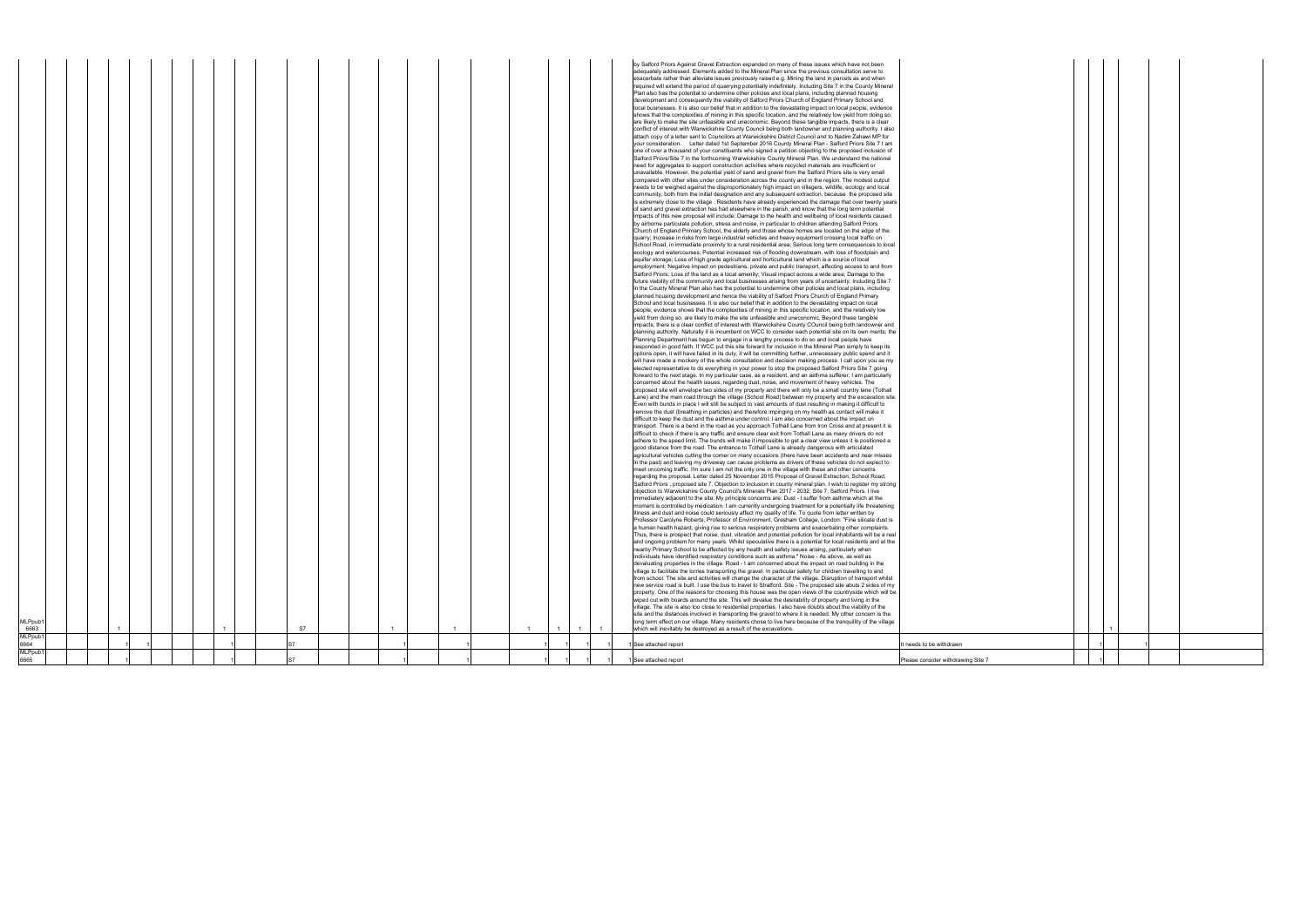| 6663<br>MLPpub1<br>6664<br>MLPpub1 |  |  |  |    |  |                |                |  | See attached report                                                                                                                                                                                                                                                                                                                                                                                                                                                                                                                                                                                                                                                                                                                                                                                                                                                                                                                                                                                                                                                                                                                                                                                                                                                                                                                                                                                                                                                                                                                                                                                                                                                                                                                                                                                                                                                                                                                                                                                                                                                                                                                                                                                                                                                                                                                                                                                                                                                                                                                                                                                                                                                                                                                                                                                                                                                                                                                                                                                                                                                                                                                                                                                                                                                                                                                                                                                                                                                                                                                                                                                                                                                                                                                                                                                                                                                                                                                                                                                                                                                                                                                                                                                                                                                                                                                                                                                                                                                                                                                                                                                                                                                                                                                                                                                                                                                                                                                                                                                                                                                                                                                                                                                                                                                                                                                                                                                                                                                                                                                                                                                                                                                                                                                                                                                                                                                                                                                                                                                                                                                                                                                                                                                                                                                                                                                                                                                                                                                                                                                                                                                                                                                                                                                                                                                                                                                                                                                                                                                                                                                                                                                                                                                                                                                                                                                                                                                                                                                                                                                                                                                                                                                                                                                                                                                                                                                                                                                                                                                                                                                                                                                                                                                                                                                                                                                                                                    | t needs to be withdrawn |  |  |
|------------------------------------|--|--|--|----|--|----------------|----------------|--|----------------------------------------------------------------------------------------------------------------------------------------------------------------------------------------------------------------------------------------------------------------------------------------------------------------------------------------------------------------------------------------------------------------------------------------------------------------------------------------------------------------------------------------------------------------------------------------------------------------------------------------------------------------------------------------------------------------------------------------------------------------------------------------------------------------------------------------------------------------------------------------------------------------------------------------------------------------------------------------------------------------------------------------------------------------------------------------------------------------------------------------------------------------------------------------------------------------------------------------------------------------------------------------------------------------------------------------------------------------------------------------------------------------------------------------------------------------------------------------------------------------------------------------------------------------------------------------------------------------------------------------------------------------------------------------------------------------------------------------------------------------------------------------------------------------------------------------------------------------------------------------------------------------------------------------------------------------------------------------------------------------------------------------------------------------------------------------------------------------------------------------------------------------------------------------------------------------------------------------------------------------------------------------------------------------------------------------------------------------------------------------------------------------------------------------------------------------------------------------------------------------------------------------------------------------------------------------------------------------------------------------------------------------------------------------------------------------------------------------------------------------------------------------------------------------------------------------------------------------------------------------------------------------------------------------------------------------------------------------------------------------------------------------------------------------------------------------------------------------------------------------------------------------------------------------------------------------------------------------------------------------------------------------------------------------------------------------------------------------------------------------------------------------------------------------------------------------------------------------------------------------------------------------------------------------------------------------------------------------------------------------------------------------------------------------------------------------------------------------------------------------------------------------------------------------------------------------------------------------------------------------------------------------------------------------------------------------------------------------------------------------------------------------------------------------------------------------------------------------------------------------------------------------------------------------------------------------------------------------------------------------------------------------------------------------------------------------------------------------------------------------------------------------------------------------------------------------------------------------------------------------------------------------------------------------------------------------------------------------------------------------------------------------------------------------------------------------------------------------------------------------------------------------------------------------------------------------------------------------------------------------------------------------------------------------------------------------------------------------------------------------------------------------------------------------------------------------------------------------------------------------------------------------------------------------------------------------------------------------------------------------------------------------------------------------------------------------------------------------------------------------------------------------------------------------------------------------------------------------------------------------------------------------------------------------------------------------------------------------------------------------------------------------------------------------------------------------------------------------------------------------------------------------------------------------------------------------------------------------------------------------------------------------------------------------------------------------------------------------------------------------------------------------------------------------------------------------------------------------------------------------------------------------------------------------------------------------------------------------------------------------------------------------------------------------------------------------------------------------------------------------------------------------------------------------------------------------------------------------------------------------------------------------------------------------------------------------------------------------------------------------------------------------------------------------------------------------------------------------------------------------------------------------------------------------------------------------------------------------------------------------------------------------------------------------------------------------------------------------------------------------------------------------------------------------------------------------------------------------------------------------------------------------------------------------------------------------------------------------------------------------------------------------------------------------------------------------------------------------------------------------------------------------------------------------------------------------------------------------------------------------------------------------------------------------------------------------------------------------------------------------------------------------------------------------------------------------------------------------------------------------------------------------------------------------------------------------------------------------------------------------------------------------------------------------------------------------------------------------------------------------------------------------------------------------------------------------------------------------------------------------------------------------------------------------------------------------------------------------------------------------------------------------------------------------------------------------------------------------------------------------|-------------------------|--|--|
|                                    |  |  |  |    |  |                |                |  |                                                                                                                                                                                                                                                                                                                                                                                                                                                                                                                                                                                                                                                                                                                                                                                                                                                                                                                                                                                                                                                                                                                                                                                                                                                                                                                                                                                                                                                                                                                                                                                                                                                                                                                                                                                                                                                                                                                                                                                                                                                                                                                                                                                                                                                                                                                                                                                                                                                                                                                                                                                                                                                                                                                                                                                                                                                                                                                                                                                                                                                                                                                                                                                                                                                                                                                                                                                                                                                                                                                                                                                                                                                                                                                                                                                                                                                                                                                                                                                                                                                                                                                                                                                                                                                                                                                                                                                                                                                                                                                                                                                                                                                                                                                                                                                                                                                                                                                                                                                                                                                                                                                                                                                                                                                                                                                                                                                                                                                                                                                                                                                                                                                                                                                                                                                                                                                                                                                                                                                                                                                                                                                                                                                                                                                                                                                                                                                                                                                                                                                                                                                                                                                                                                                                                                                                                                                                                                                                                                                                                                                                                                                                                                                                                                                                                                                                                                                                                                                                                                                                                                                                                                                                                                                                                                                                                                                                                                                                                                                                                                                                                                                                                                                                                                                                                                                                                                                        |                         |  |  |
| MLPpub <sup>®</sup>                |  |  |  | S7 |  | $\overline{1}$ | $\overline{1}$ |  | required will extend the period of quarrying potentially indefinitely. Including Site 7 in the County Mineral<br>Plan also has the potential to undermine other policies and local plans, including planned housing<br>development and consequently the viability of Salford Priors Church of England Primary School and<br>local businesses. It is also our belief that in addition to the devastating impact on local people, evidence<br>shows that the complexities of mining in this specific location, and the relatively low yield from doing so,<br>are likely to make the site unfeasible and uneconomic. Beyond these tangible impacts, there is a clear<br>conflict of interest with Warwickshire County Council being both landowner and planning authority. I also<br>attach copy of a letter sent to Councilors at Warwickshire District Council and to Nadim Zahawi MP for<br>your consideration. Letter dated 1st September 2016 County Mineral Plan - Salford Priors Site 7 I am<br>one of over a thousand of your constituents who signed a petition objecting to the proposed inclusion of<br>Salford Priors/Site 7 in the forthcoming Warwickshire County Mineral Plan. We understand the national<br>need for aggregates to support construction activities where recycled materials are insufficient or<br>unavailable. However, the potential yield of sand and gravel from the Salford Priors site is very small<br>compared with other sites under consideration across the county and in the region. The modest output<br>needs to be weighed against the disproportionately high impact on villagers, wildlife, ecology and local<br>community, both from the initial designation and any subsequent extraction, because the proposed site<br>is extremely close to the village . Residents have already experienced the damage that over twenty years<br>of sand and gravel extraction has had elsewhere in the parish, and know that the long term potential<br>impacts of this new proposal will include: Damage to the health and wellbeing of local residents caused<br>by airborne particulate pollution, stress and noise, in particular to children attending Salford Priors<br>Church of England Primary School, the elderly and those whose homes are located on the edge of the<br>quarry; Increase in risks from large industrial vehicles and heavy equipment crossing local traffic on<br>School Road, in immediate proximity to a rural residential area; Serious long term consequences to local<br>ecology and watercourses; Potential increased risk of flooding downstream, with loss of floodplain and<br>aquifer storage; Loss of high grade agricultural and horticultural land which is a source of local<br>employment; Negative impact on pedestrians, private and public transport, affecting access to and from<br>Salford Priors; Loss of the land as a local amenity; Visual impact across a wide area; Damage to the<br>future viability of the community and local businesses arising from years of uncertainty. Including Site 7<br>in the County Mineral Plan also has the potential to undermine other policies and local plans, including<br>planned housing development and hence the viability of Salford Priors Church of England Primary<br>School and local businesses. It is also our belief that in addition to the devastating impact on local<br>people, evidence shows that the complexities of mining in this specific location, and the relatively low<br>yield from doing so, are likely to make the site unfeasible and uneconomic. Beyond these tangible<br>impacts, there is a clear conflict of interest with Warwickshire County COuncil being both landowner and<br>planning authority. Naturally it is incumbent on WCC to consider each potential site on its own merits; the<br>Planning Department has begun to engage in a lengthy process to do so and local people have<br>responded in good faith. If WCC put this site forward for inclusion in the Mineral Plan simply to keep its<br>options open, it will have failed in its duty, it will be committing further, unnecessary public spend and it<br>will have made a mockery of the whole consultation and decision making process. I call upon you as my<br>elected representative to do everything in your power to stop the proposed Salford Priors Site 7 going<br>forward to the next stage. In my particular case, as a resident, and an asthma sufferer, I am particularly<br>concerned about the health issues, regarding dust, noise, and movement of heavy vehicles. The<br>proposed site will envelope two sides of my property and there will only be a small country lane (Tothall<br>Lane) and the main road through the village (School Road) between my property and the excavation site.<br>Even with bunds in place I will still be subject to vast amounts of dust resulting in making it difficult to<br>remove the dust (breathing in particles) and therefore impinging on my health as contact will make it<br>difficult to keep the dust and the asthma under control. I am also concerned about the impact on<br>transport. There is a bend in the road as you approach Tothall Lane from Iron Cross and at present it is<br>difficult to check if there is any traffic and ensure clear exit from Tothall Lane as many drivers do not<br>adhere to the speed limit. The bunds will make it impossible to get a clear view unless it is positioned a<br>good distance from the road. The entrance to Tothall Lane is already dangerous with articulated<br>agricultural vehicles cutting the corner on many occasions (there have been accidents and near misses<br>in the past) and leaving my driveway can cause problems as drivers of these vehicles do not expect to<br>meet oncoming traffic. I'm sure I am not the only one in the village with these and other concerns<br>regarding the proposal. Letter dated 25 November 2015 Proposal of Gravel Extraction, School Road,<br>Salford Priors, proposed site 7. Objection to inclusion in county mineral plan. I wish to register my strong<br>objection to Warwickshire County Council's Minerals Plan 2017 - 2032, Site 7, Salford Priors. I live<br>immediately adjacent to the site. My principle concerns are: Dust - I suffer from asthma which at the<br>moment is controlled by medication. I am currently undergoing treatment for a potentially life threatening<br>Illness and dust and noise could seriously affect my quality of life. To quote from letter written by<br>Professor Carolyne Roberts, Professor of Environment, Gresham College, London: "Fine silicate dust is<br>a human health hazard, giving rise to serious respiratory problems and exacerbating other complaints.<br>Thus, there is prospect that noise, dust, vibration and potential pollution for local inhabitants will be a real<br>and ongoing problem for many years. Whilst speculative there is a potential for local residents and at the<br>nearby Primary School to be affected by any health and safety issues arising, particularly when<br>individuals have identified respiratory conditions such as asthma." Noise - As above, as well as<br>devaluating properties in the village. Road - I am concerned about the impact on road building in the<br>village to facilitate the lorries transporting the gravel. In particular safety for children travelling to and<br>from school. The site and activities will change the character of the village. Disruption of transport whilst<br>new service road is built. I use the bus to travel to Stratford. Site - The proposed site abuts 2 sides of my<br>property. One of the reasons for choosing this house was the open views of the countryside which will be<br>wiped out with boards around the site. This will devalue the desirability of property and living in the<br>village. The site is also too close to residential properties. I also have doubts about the viability of the<br>site and the distances involved in transporting the gravel to where it is needed. My other concern is the<br>long term effect on our village. Many residents chose to live here because of the tranquillity of the village<br>which will inevitably be destroyed as a result of the excavations. |                         |  |  |
|                                    |  |  |  |    |  |                |                |  | by Salford Priors Against Gravel Extraction expanded on many of these issues which have not been<br>adequately addressed. Elements added to the Mineral Plan since the previous consultation serve to<br>exacerbate rather than alleviate issues previously raised e.g. Mining the land in parcels as and when                                                                                                                                                                                                                                                                                                                                                                                                                                                                                                                                                                                                                                                                                                                                                                                                                                                                                                                                                                                                                                                                                                                                                                                                                                                                                                                                                                                                                                                                                                                                                                                                                                                                                                                                                                                                                                                                                                                                                                                                                                                                                                                                                                                                                                                                                                                                                                                                                                                                                                                                                                                                                                                                                                                                                                                                                                                                                                                                                                                                                                                                                                                                                                                                                                                                                                                                                                                                                                                                                                                                                                                                                                                                                                                                                                                                                                                                                                                                                                                                                                                                                                                                                                                                                                                                                                                                                                                                                                                                                                                                                                                                                                                                                                                                                                                                                                                                                                                                                                                                                                                                                                                                                                                                                                                                                                                                                                                                                                                                                                                                                                                                                                                                                                                                                                                                                                                                                                                                                                                                                                                                                                                                                                                                                                                                                                                                                                                                                                                                                                                                                                                                                                                                                                                                                                                                                                                                                                                                                                                                                                                                                                                                                                                                                                                                                                                                                                                                                                                                                                                                                                                                                                                                                                                                                                                                                                                                                                                                                                                                                                                                         |                         |  |  |

|  |   | 1 |   |  |
|--|---|---|---|--|
|  | 1 |   | 1 |  |
|  |   |   |   |  |
|  | 1 |   |   |  |
|  |   |   |   |  |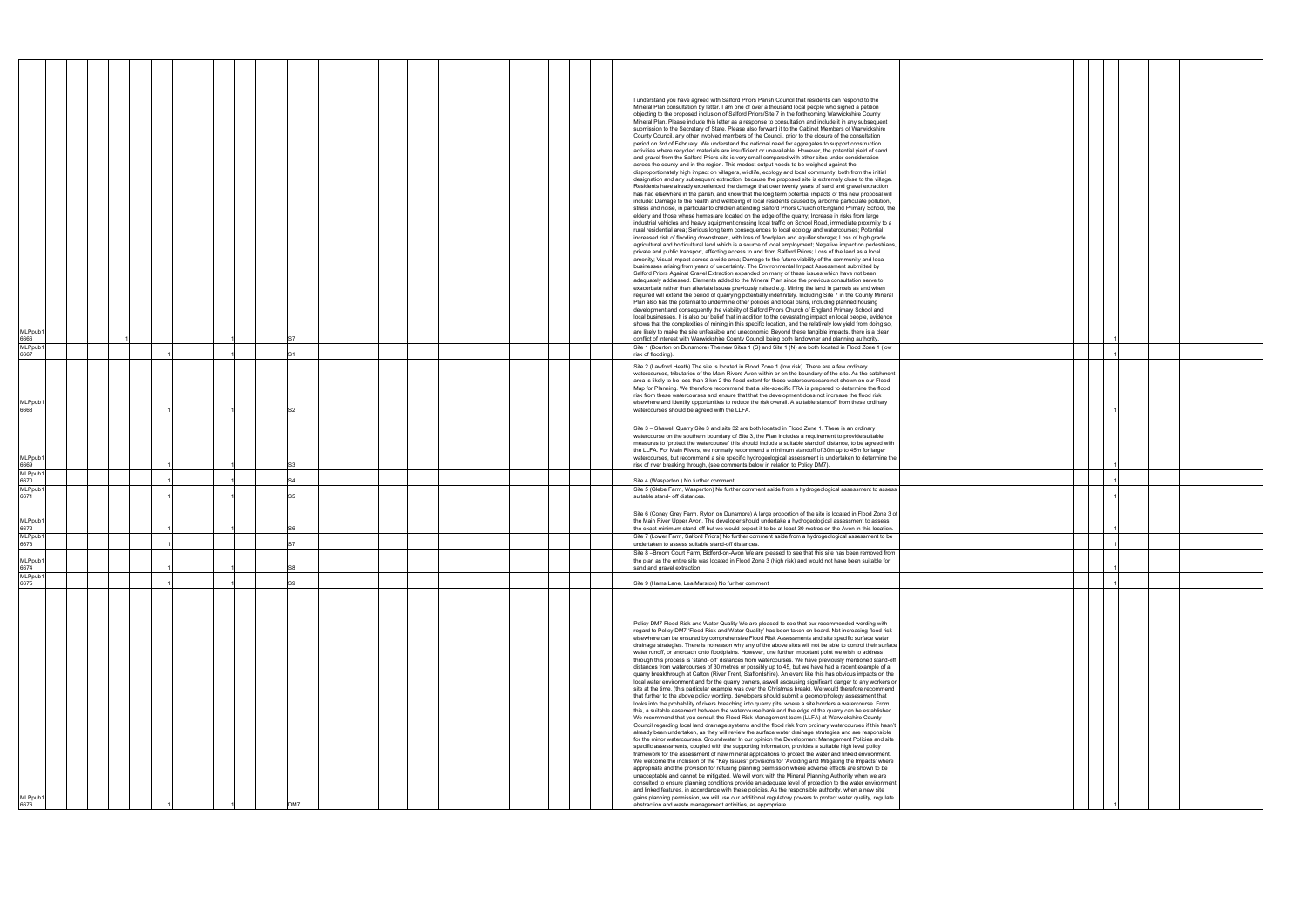| MLPpub1<br>6666<br><b>MLPpub</b><br>6667 |  |  |     |  |  | I understand you have agreed with Salford Priors Parish Council that residents can respond to the<br>Mineral Plan consultation by letter. I am one of over a thousand local people who signed a petition<br>objecting to the proposed inclusion of Salford Priors/Site 7 in the forthcoming Warwickshire County<br>Mineral Plan. Please include this letter as a response to consultation and include it in any subsequent<br>submission to the Secretary of State. Please also forward it to the Cabinet Members of Warwickshire<br>County Council, any other involved members of the Council, prior to the closure of the consultation<br>period on 3rd of February. We understand the national need for aggregates to support construction<br>activities where recycled materials are insufficient or unavailable. However, the potential yield of sand<br>and gravel from the Salford Priors site is very small compared with other sites under consideration<br>across the county and in the region. This modest output needs to be weighed against the<br>disproportionately high impact on villagers, wildlife, ecology and local community, both from the initial<br>designation and any subsequent extraction, because the proposed site is extremely close to the village.<br>Residents have already experienced the damage that over twenty years of sand and gravel extraction<br>has had elsewhere in the parish, and know that the long term potential impacts of this new proposal will<br>include: Damage to the health and wellbeing of local residents caused by airborne particulate pollution,<br>stress and noise, in particular to children attending Salford Priors Church of England Primary School, the<br>elderly and those whose homes are located on the edge of the quarry; Increase in risks from large<br>industrial vehicles and heavy equipment crossing local traffic on School Road, immediate proximity to a<br>rural residential area; Serious long term consequences to local ecology and watercourses; Potential<br>increased risk of flooding downstream, with loss of floodplain and aquifer storage; Loss of high grade<br>agricultural and horticultural land which is a source of local employment; Negative impact on pedestrians,<br>private and public transport, affecting access to and from Salford Priors; Loss of the land as a local<br>amenity; Visual impact across a wide area; Damage to the future viability of the community and local<br>businesses arising from years of uncertainty. The Environmental Impact Assessment submitted by<br>Salford Priors Against Gravel Extraction expanded on many of these issues which have not been<br>adequately addressed. Elements added to the Mineral Plan since the previous consultation serve to<br>exacerbate rather than alleviate issues previously raised e.g. Mining the land in parcels as and when<br>required will extend the period of quarrying potentially indefinitely. Including Site 7 in the County Mineral<br>Plan also has the potential to undermine other policies and local plans, including planned housing<br>development and consequently the viability of Salford Priors Church of England Primary School and<br>local businesses. It is also our belief that in addition to the devastating impact on local people, evidence<br>shows that the complexities of mining in this specific location, and the relatively low yield from doing so,<br>are likely to make the site unfeasible and uneconomic. Beyond these tangible impacts, there is a clear<br>conflict of interest with Warwickshire County Council being both landowner and planning authority.<br>Site 1 (Bourton on Dunsmore) The new Sites 1 (S) and Site 1 (N) are both located in Flood Zone 1 (low<br>risk of flooding).<br>Site 2 (Lawford Heath) The site is located in Flood Zone 1 (low risk). There are a few ordinary<br>watercourses, tributaries of the Main Rivers Avon within or on the boundary of the site. As the catchment<br>area is likely to be less than 3 km 2 the flood extent for these watercoursesare not shown on our Flood<br>Map for Planning. We therefore recommend that a site-specific FRA is prepared to determine the flood |  |
|------------------------------------------|--|--|-----|--|--|------------------------------------------------------------------------------------------------------------------------------------------------------------------------------------------------------------------------------------------------------------------------------------------------------------------------------------------------------------------------------------------------------------------------------------------------------------------------------------------------------------------------------------------------------------------------------------------------------------------------------------------------------------------------------------------------------------------------------------------------------------------------------------------------------------------------------------------------------------------------------------------------------------------------------------------------------------------------------------------------------------------------------------------------------------------------------------------------------------------------------------------------------------------------------------------------------------------------------------------------------------------------------------------------------------------------------------------------------------------------------------------------------------------------------------------------------------------------------------------------------------------------------------------------------------------------------------------------------------------------------------------------------------------------------------------------------------------------------------------------------------------------------------------------------------------------------------------------------------------------------------------------------------------------------------------------------------------------------------------------------------------------------------------------------------------------------------------------------------------------------------------------------------------------------------------------------------------------------------------------------------------------------------------------------------------------------------------------------------------------------------------------------------------------------------------------------------------------------------------------------------------------------------------------------------------------------------------------------------------------------------------------------------------------------------------------------------------------------------------------------------------------------------------------------------------------------------------------------------------------------------------------------------------------------------------------------------------------------------------------------------------------------------------------------------------------------------------------------------------------------------------------------------------------------------------------------------------------------------------------------------------------------------------------------------------------------------------------------------------------------------------------------------------------------------------------------------------------------------------------------------------------------------------------------------------------------------------------------------------------------------------------------------------------------------------------------------------------------------------------------------------------------------------------------------------------------------------------------------------------------------------------------------------------------------------------------------------------------------------------------------------------------------------------------------------------------------------------------------------------------------------------------------------------------------------------------------------------------------------------------------------|--|
|                                          |  |  |     |  |  | risk from these watercourses and ensure that that the development does not increase the flood risk                                                                                                                                                                                                                                                                                                                                                                                                                                                                                                                                                                                                                                                                                                                                                                                                                                                                                                                                                                                                                                                                                                                                                                                                                                                                                                                                                                                                                                                                                                                                                                                                                                                                                                                                                                                                                                                                                                                                                                                                                                                                                                                                                                                                                                                                                                                                                                                                                                                                                                                                                                                                                                                                                                                                                                                                                                                                                                                                                                                                                                                                                                                                                                                                                                                                                                                                                                                                                                                                                                                                                                                                                                                                                                                                                                                                                                                                                                                                                                                                                                                                                                                                                               |  |
| MLPpub1<br>6668                          |  |  |     |  |  | elsewhere and identify opportunities to reduce the risk overall. A suitable standoff from these ordinary<br>watercourses should be agreed with the LLFA.                                                                                                                                                                                                                                                                                                                                                                                                                                                                                                                                                                                                                                                                                                                                                                                                                                                                                                                                                                                                                                                                                                                                                                                                                                                                                                                                                                                                                                                                                                                                                                                                                                                                                                                                                                                                                                                                                                                                                                                                                                                                                                                                                                                                                                                                                                                                                                                                                                                                                                                                                                                                                                                                                                                                                                                                                                                                                                                                                                                                                                                                                                                                                                                                                                                                                                                                                                                                                                                                                                                                                                                                                                                                                                                                                                                                                                                                                                                                                                                                                                                                                                         |  |
| MLPpub1<br>6669                          |  |  |     |  |  | Site 3 - Shawell Quarry Site 3 and site 32 are both located in Flood Zone 1. There is an ordinary<br>watercourse on the southern boundary of Site 3, the Plan includes a requirement to provide suitable<br>measures to "protect the watercourse" this should include a suitable standoff distance, to be agreed with<br>the LLFA. For Main Rivers, we normally recommend a minimum standoff of 30m up to 45m for larger<br>watercourses, but recommend a site specific hydrogeological assessment is undertaken to determine the<br>risk of river breaking through, (see comments below in relation to Policy DM7).                                                                                                                                                                                                                                                                                                                                                                                                                                                                                                                                                                                                                                                                                                                                                                                                                                                                                                                                                                                                                                                                                                                                                                                                                                                                                                                                                                                                                                                                                                                                                                                                                                                                                                                                                                                                                                                                                                                                                                                                                                                                                                                                                                                                                                                                                                                                                                                                                                                                                                                                                                                                                                                                                                                                                                                                                                                                                                                                                                                                                                                                                                                                                                                                                                                                                                                                                                                                                                                                                                                                                                                                                                             |  |
| <b>MLPpub</b><br>6670                    |  |  |     |  |  | Site 4 (Wasperton) No further comment.                                                                                                                                                                                                                                                                                                                                                                                                                                                                                                                                                                                                                                                                                                                                                                                                                                                                                                                                                                                                                                                                                                                                                                                                                                                                                                                                                                                                                                                                                                                                                                                                                                                                                                                                                                                                                                                                                                                                                                                                                                                                                                                                                                                                                                                                                                                                                                                                                                                                                                                                                                                                                                                                                                                                                                                                                                                                                                                                                                                                                                                                                                                                                                                                                                                                                                                                                                                                                                                                                                                                                                                                                                                                                                                                                                                                                                                                                                                                                                                                                                                                                                                                                                                                                           |  |
| <b>MLPpub</b>                            |  |  |     |  |  | Site 5 (Glebe Farm, Wasperton) No further comment aside from a hydrogeological assessment to assess                                                                                                                                                                                                                                                                                                                                                                                                                                                                                                                                                                                                                                                                                                                                                                                                                                                                                                                                                                                                                                                                                                                                                                                                                                                                                                                                                                                                                                                                                                                                                                                                                                                                                                                                                                                                                                                                                                                                                                                                                                                                                                                                                                                                                                                                                                                                                                                                                                                                                                                                                                                                                                                                                                                                                                                                                                                                                                                                                                                                                                                                                                                                                                                                                                                                                                                                                                                                                                                                                                                                                                                                                                                                                                                                                                                                                                                                                                                                                                                                                                                                                                                                                              |  |
| 6671                                     |  |  |     |  |  | suitable stand- off distances.                                                                                                                                                                                                                                                                                                                                                                                                                                                                                                                                                                                                                                                                                                                                                                                                                                                                                                                                                                                                                                                                                                                                                                                                                                                                                                                                                                                                                                                                                                                                                                                                                                                                                                                                                                                                                                                                                                                                                                                                                                                                                                                                                                                                                                                                                                                                                                                                                                                                                                                                                                                                                                                                                                                                                                                                                                                                                                                                                                                                                                                                                                                                                                                                                                                                                                                                                                                                                                                                                                                                                                                                                                                                                                                                                                                                                                                                                                                                                                                                                                                                                                                                                                                                                                   |  |
| MLPpub1<br>6672<br>MLPpub <sup>4</sup>   |  |  |     |  |  | Site 6 (Coney Grey Farm, Ryton on Dunsmore) A large proportion of the site is located in Flood Zone 3 of<br>the Main River Upper Avon. The developer should undertake a hydrogeological assessment to assess<br>the exact minimum stand-off but we would expect it to be at least 30 metres on the Avon in this location.<br>Site 7 (Lower Farm, Salford Priors) No further comment aside from a hydrogeological assessment to be                                                                                                                                                                                                                                                                                                                                                                                                                                                                                                                                                                                                                                                                                                                                                                                                                                                                                                                                                                                                                                                                                                                                                                                                                                                                                                                                                                                                                                                                                                                                                                                                                                                                                                                                                                                                                                                                                                                                                                                                                                                                                                                                                                                                                                                                                                                                                                                                                                                                                                                                                                                                                                                                                                                                                                                                                                                                                                                                                                                                                                                                                                                                                                                                                                                                                                                                                                                                                                                                                                                                                                                                                                                                                                                                                                                                                                |  |
| 6673                                     |  |  |     |  |  | undertaken to assess suitable stand-off distances.                                                                                                                                                                                                                                                                                                                                                                                                                                                                                                                                                                                                                                                                                                                                                                                                                                                                                                                                                                                                                                                                                                                                                                                                                                                                                                                                                                                                                                                                                                                                                                                                                                                                                                                                                                                                                                                                                                                                                                                                                                                                                                                                                                                                                                                                                                                                                                                                                                                                                                                                                                                                                                                                                                                                                                                                                                                                                                                                                                                                                                                                                                                                                                                                                                                                                                                                                                                                                                                                                                                                                                                                                                                                                                                                                                                                                                                                                                                                                                                                                                                                                                                                                                                                               |  |
| MLPpub1<br>6674<br><b>MLPpub</b>         |  |  |     |  |  | Site 8 -Broom Court Farm, Bidford-on-Avon We are pleased to see that this site has been removed from<br>the plan as the entire site was located in Flood Zone 3 (high risk) and would not have been suitable for<br>sand and gravel extraction.                                                                                                                                                                                                                                                                                                                                                                                                                                                                                                                                                                                                                                                                                                                                                                                                                                                                                                                                                                                                                                                                                                                                                                                                                                                                                                                                                                                                                                                                                                                                                                                                                                                                                                                                                                                                                                                                                                                                                                                                                                                                                                                                                                                                                                                                                                                                                                                                                                                                                                                                                                                                                                                                                                                                                                                                                                                                                                                                                                                                                                                                                                                                                                                                                                                                                                                                                                                                                                                                                                                                                                                                                                                                                                                                                                                                                                                                                                                                                                                                                  |  |
| 6675                                     |  |  |     |  |  | Site 9 (Hams Lane, Lea Marston) No further comment                                                                                                                                                                                                                                                                                                                                                                                                                                                                                                                                                                                                                                                                                                                                                                                                                                                                                                                                                                                                                                                                                                                                                                                                                                                                                                                                                                                                                                                                                                                                                                                                                                                                                                                                                                                                                                                                                                                                                                                                                                                                                                                                                                                                                                                                                                                                                                                                                                                                                                                                                                                                                                                                                                                                                                                                                                                                                                                                                                                                                                                                                                                                                                                                                                                                                                                                                                                                                                                                                                                                                                                                                                                                                                                                                                                                                                                                                                                                                                                                                                                                                                                                                                                                               |  |
| MLPpub1<br>6676                          |  |  | DM7 |  |  | Policy DM7 Flood Risk and Water Quality We are pleased to see that our recommended wording with<br>regard to Policy DM7 'Flood Risk and Water Quality' has been taken on board. Not increasing flood risk<br>elsewhere can be ensured by comprehensive Flood Risk Assessments and site specific surface water<br>drainage strategies. There is no reason why any of the above sites will not be able to control their surface<br>water runoff, or encroach onto floodplains. However, one further important point we wish to address<br>through this process is 'stand- off' distances from watercourses. We have previously mentioned stand-off<br>distances from watercourses of 30 metres or possibly up to 45, but we have had a recent example of a<br>quarry breakthrough at Catton (River Trent, Staffordshire). An event like this has obvious impacts on the<br>local water environment and for the quarry owners, aswell ascausing significant danger to any workers on<br>site at the time, (this particular example was over the Christmas break). We would therefore recommend<br>that further to the above policy wording, developers should submit a geomorphology assessment that<br>looks into the probability of rivers breaching into quarry pits, where a site borders a watercourse. From<br>this, a suitable easement between the watercourse bank and the edge of the quarry can be established.<br>We recommend that you consult the Flood Risk Management team (LLFA) at Warwickshire County<br>Council regarding local land drainage systems and the flood risk from ordinary watercourses if this hasn't<br>already been undertaken, as they will review the surface water drainage strategies and are responsible<br>for the minor watercourses. Groundwater In our opinion the Development Management Policies and site<br>specific assessments, coupled with the supporting information, provides a suitable high level policy<br>framework for the assessment of new mineral applications to protect the water and linked environment.<br>We welcome the inclusion of the "Key Issues" provisions for 'Avoiding and Mitigating the Impacts' where<br>appropriate and the provision for refusing planning permission where adverse effects are shown to be<br>unacceptable and cannot be mitigated. We will work with the Mineral Planning Authority when we are<br>consulted to ensure planning conditions provide an adequate level of protection to the water environment<br>and linked features, in accordance with these policies. As the responsible authority, when a new site<br>gains planning permission, we will use our additional regulatory powers to protect water quality, regulate<br>abstraction and waste management activities, as appropriate.                                                                                                                                                                                                                                                                                                                                                                                                                                                                                                                                                                                                                                                                                                                                                                                                                                                                                                                                                                                                                                                                                                                                                                                                                                                                                                                                                                                                                                                                |  |

|  | 1                    |  |  |
|--|----------------------|--|--|
|  | $\mathbf{1}$         |  |  |
|  |                      |  |  |
|  |                      |  |  |
|  |                      |  |  |
|  |                      |  |  |
|  | $\mathbf{1}$         |  |  |
|  |                      |  |  |
|  |                      |  |  |
|  |                      |  |  |
|  |                      |  |  |
|  | $\mathbf{1}$         |  |  |
|  | 1                    |  |  |
|  | 1                    |  |  |
|  |                      |  |  |
|  |                      |  |  |
|  | 1                    |  |  |
|  | $\ddot{\phantom{a}}$ |  |  |
|  |                      |  |  |
|  | 1                    |  |  |
|  |                      |  |  |
|  | $\mathbf{1}$         |  |  |
|  |                      |  |  |
|  |                      |  |  |
|  |                      |  |  |
|  |                      |  |  |
|  |                      |  |  |
|  |                      |  |  |
|  |                      |  |  |
|  |                      |  |  |
|  |                      |  |  |
|  |                      |  |  |
|  |                      |  |  |
|  |                      |  |  |
|  |                      |  |  |
|  |                      |  |  |
|  |                      |  |  |
|  |                      |  |  |
|  |                      |  |  |
|  |                      |  |  |
|  | 1                    |  |  |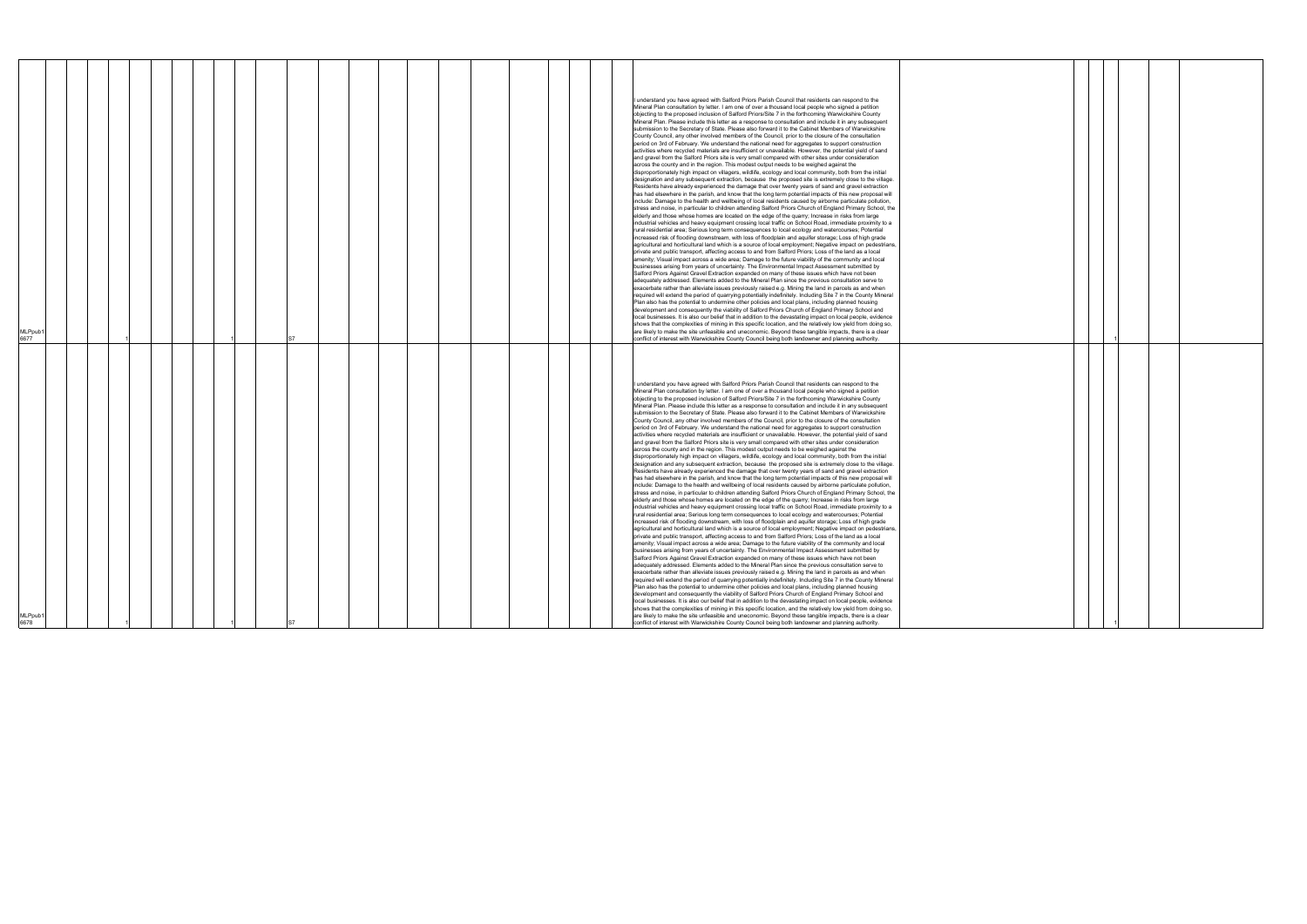|--|

|  | $\mathbf{1}$ |  |  |
|--|--------------|--|--|
|  |              |  |  |
|  |              |  |  |
|  |              |  |  |
|  |              |  |  |
|  |              |  |  |
|  |              |  |  |
|  |              |  |  |
|  |              |  |  |
|  |              |  |  |
|  |              |  |  |
|  |              |  |  |
|  |              |  |  |
|  |              |  |  |
|  |              |  |  |
|  |              |  |  |
|  |              |  |  |
|  |              |  |  |
|  |              |  |  |
|  |              |  |  |
|  |              |  |  |
|  |              |  |  |
|  |              |  |  |
|  |              |  |  |
|  |              |  |  |
|  |              |  |  |
|  |              |  |  |
|  |              |  |  |
|  |              |  |  |
|  |              |  |  |
|  |              |  |  |
|  |              |  |  |
|  |              |  |  |
|  |              |  |  |
|  |              |  |  |
|  | 1            |  |  |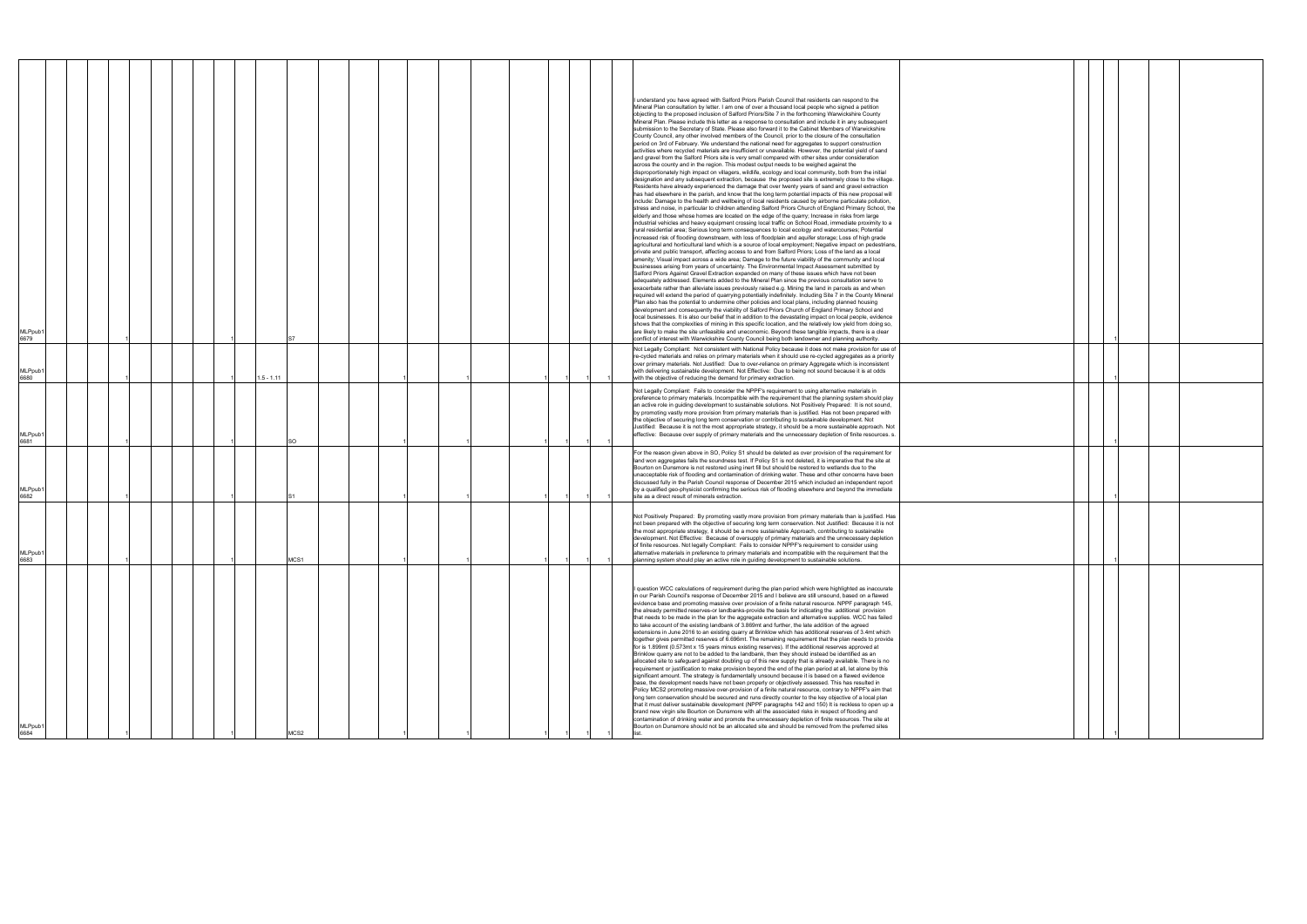| MLPpub<br>684                                                                                                                                                                                                                                                                                                                                                                                                                                                                                                                                                                                                                                                                                                                                                                                                                                                                                                                                                                                                                                                                                                                                                                                                                                                                                                                                                                                                                                                                                                                                                                                                                                                                                                                                                                                                                                                                                                                                                                                                                                                                                                                                                            | 6683                                                                                                                                                                                                                                                                                                                                                                                                                                                                                                                                                                                                                                                                                                                                                  | MLPpub <sup>.</sup><br>6682                                                                                                                                                                                                                                                                                                                                                                                                                                                                                                                                                                                                                                                                                 | <b>MLPpub</b><br>6681                                                                                                                                                                                                                                                                                                                                                                                                                                                                                                                                                                                                                                                                                                                                              | <b>MLPpub</b><br>680                                                                                                                                                                                                                                                                                                                                                                                                                                                                                         | <b>MLPpub</b><br>6679                                                                                                                                                                                                                                                                                                                                                                                                                                                                                                                                                                                                                                                                                                                                                                                                                                                                                                                                                                                                                                                                                                                                                                                                                                                                                                                                                                                                                                                                                                                                                                                                                                                                                                                                                                                                                                                                                                                                                                                                                                                                                                                                                                                                                                                                                                                                                                                                                                                                                                                                                                                                                                                                                                                                                                                                                                                                                                                                                                                                                                                                                                                                                                                                                                                                                                                                                                                                                                                                                                                                                                                                                                                                          |
|--------------------------------------------------------------------------------------------------------------------------------------------------------------------------------------------------------------------------------------------------------------------------------------------------------------------------------------------------------------------------------------------------------------------------------------------------------------------------------------------------------------------------------------------------------------------------------------------------------------------------------------------------------------------------------------------------------------------------------------------------------------------------------------------------------------------------------------------------------------------------------------------------------------------------------------------------------------------------------------------------------------------------------------------------------------------------------------------------------------------------------------------------------------------------------------------------------------------------------------------------------------------------------------------------------------------------------------------------------------------------------------------------------------------------------------------------------------------------------------------------------------------------------------------------------------------------------------------------------------------------------------------------------------------------------------------------------------------------------------------------------------------------------------------------------------------------------------------------------------------------------------------------------------------------------------------------------------------------------------------------------------------------------------------------------------------------------------------------------------------------------------------------------------------------|-------------------------------------------------------------------------------------------------------------------------------------------------------------------------------------------------------------------------------------------------------------------------------------------------------------------------------------------------------------------------------------------------------------------------------------------------------------------------------------------------------------------------------------------------------------------------------------------------------------------------------------------------------------------------------------------------------------------------------------------------------|-------------------------------------------------------------------------------------------------------------------------------------------------------------------------------------------------------------------------------------------------------------------------------------------------------------------------------------------------------------------------------------------------------------------------------------------------------------------------------------------------------------------------------------------------------------------------------------------------------------------------------------------------------------------------------------------------------------|--------------------------------------------------------------------------------------------------------------------------------------------------------------------------------------------------------------------------------------------------------------------------------------------------------------------------------------------------------------------------------------------------------------------------------------------------------------------------------------------------------------------------------------------------------------------------------------------------------------------------------------------------------------------------------------------------------------------------------------------------------------------|--------------------------------------------------------------------------------------------------------------------------------------------------------------------------------------------------------------------------------------------------------------------------------------------------------------------------------------------------------------------------------------------------------------------------------------------------------------------------------------------------------------|------------------------------------------------------------------------------------------------------------------------------------------------------------------------------------------------------------------------------------------------------------------------------------------------------------------------------------------------------------------------------------------------------------------------------------------------------------------------------------------------------------------------------------------------------------------------------------------------------------------------------------------------------------------------------------------------------------------------------------------------------------------------------------------------------------------------------------------------------------------------------------------------------------------------------------------------------------------------------------------------------------------------------------------------------------------------------------------------------------------------------------------------------------------------------------------------------------------------------------------------------------------------------------------------------------------------------------------------------------------------------------------------------------------------------------------------------------------------------------------------------------------------------------------------------------------------------------------------------------------------------------------------------------------------------------------------------------------------------------------------------------------------------------------------------------------------------------------------------------------------------------------------------------------------------------------------------------------------------------------------------------------------------------------------------------------------------------------------------------------------------------------------------------------------------------------------------------------------------------------------------------------------------------------------------------------------------------------------------------------------------------------------------------------------------------------------------------------------------------------------------------------------------------------------------------------------------------------------------------------------------------------------------------------------------------------------------------------------------------------------------------------------------------------------------------------------------------------------------------------------------------------------------------------------------------------------------------------------------------------------------------------------------------------------------------------------------------------------------------------------------------------------------------------------------------------------------------------------------------------------------------------------------------------------------------------------------------------------------------------------------------------------------------------------------------------------------------------------------------------------------------------------------------------------------------------------------------------------------------------------------------------------------------------------------------------------|
|                                                                                                                                                                                                                                                                                                                                                                                                                                                                                                                                                                                                                                                                                                                                                                                                                                                                                                                                                                                                                                                                                                                                                                                                                                                                                                                                                                                                                                                                                                                                                                                                                                                                                                                                                                                                                                                                                                                                                                                                                                                                                                                                                                          |                                                                                                                                                                                                                                                                                                                                                                                                                                                                                                                                                                                                                                                                                                                                                       |                                                                                                                                                                                                                                                                                                                                                                                                                                                                                                                                                                                                                                                                                                             |                                                                                                                                                                                                                                                                                                                                                                                                                                                                                                                                                                                                                                                                                                                                                                    |                                                                                                                                                                                                                                                                                                                                                                                                                                                                                                              |                                                                                                                                                                                                                                                                                                                                                                                                                                                                                                                                                                                                                                                                                                                                                                                                                                                                                                                                                                                                                                                                                                                                                                                                                                                                                                                                                                                                                                                                                                                                                                                                                                                                                                                                                                                                                                                                                                                                                                                                                                                                                                                                                                                                                                                                                                                                                                                                                                                                                                                                                                                                                                                                                                                                                                                                                                                                                                                                                                                                                                                                                                                                                                                                                                                                                                                                                                                                                                                                                                                                                                                                                                                                                                |
|                                                                                                                                                                                                                                                                                                                                                                                                                                                                                                                                                                                                                                                                                                                                                                                                                                                                                                                                                                                                                                                                                                                                                                                                                                                                                                                                                                                                                                                                                                                                                                                                                                                                                                                                                                                                                                                                                                                                                                                                                                                                                                                                                                          |                                                                                                                                                                                                                                                                                                                                                                                                                                                                                                                                                                                                                                                                                                                                                       |                                                                                                                                                                                                                                                                                                                                                                                                                                                                                                                                                                                                                                                                                                             |                                                                                                                                                                                                                                                                                                                                                                                                                                                                                                                                                                                                                                                                                                                                                                    |                                                                                                                                                                                                                                                                                                                                                                                                                                                                                                              |                                                                                                                                                                                                                                                                                                                                                                                                                                                                                                                                                                                                                                                                                                                                                                                                                                                                                                                                                                                                                                                                                                                                                                                                                                                                                                                                                                                                                                                                                                                                                                                                                                                                                                                                                                                                                                                                                                                                                                                                                                                                                                                                                                                                                                                                                                                                                                                                                                                                                                                                                                                                                                                                                                                                                                                                                                                                                                                                                                                                                                                                                                                                                                                                                                                                                                                                                                                                                                                                                                                                                                                                                                                                                                |
|                                                                                                                                                                                                                                                                                                                                                                                                                                                                                                                                                                                                                                                                                                                                                                                                                                                                                                                                                                                                                                                                                                                                                                                                                                                                                                                                                                                                                                                                                                                                                                                                                                                                                                                                                                                                                                                                                                                                                                                                                                                                                                                                                                          |                                                                                                                                                                                                                                                                                                                                                                                                                                                                                                                                                                                                                                                                                                                                                       |                                                                                                                                                                                                                                                                                                                                                                                                                                                                                                                                                                                                                                                                                                             |                                                                                                                                                                                                                                                                                                                                                                                                                                                                                                                                                                                                                                                                                                                                                                    |                                                                                                                                                                                                                                                                                                                                                                                                                                                                                                              |                                                                                                                                                                                                                                                                                                                                                                                                                                                                                                                                                                                                                                                                                                                                                                                                                                                                                                                                                                                                                                                                                                                                                                                                                                                                                                                                                                                                                                                                                                                                                                                                                                                                                                                                                                                                                                                                                                                                                                                                                                                                                                                                                                                                                                                                                                                                                                                                                                                                                                                                                                                                                                                                                                                                                                                                                                                                                                                                                                                                                                                                                                                                                                                                                                                                                                                                                                                                                                                                                                                                                                                                                                                                                                |
|                                                                                                                                                                                                                                                                                                                                                                                                                                                                                                                                                                                                                                                                                                                                                                                                                                                                                                                                                                                                                                                                                                                                                                                                                                                                                                                                                                                                                                                                                                                                                                                                                                                                                                                                                                                                                                                                                                                                                                                                                                                                                                                                                                          |                                                                                                                                                                                                                                                                                                                                                                                                                                                                                                                                                                                                                                                                                                                                                       |                                                                                                                                                                                                                                                                                                                                                                                                                                                                                                                                                                                                                                                                                                             |                                                                                                                                                                                                                                                                                                                                                                                                                                                                                                                                                                                                                                                                                                                                                                    |                                                                                                                                                                                                                                                                                                                                                                                                                                                                                                              |                                                                                                                                                                                                                                                                                                                                                                                                                                                                                                                                                                                                                                                                                                                                                                                                                                                                                                                                                                                                                                                                                                                                                                                                                                                                                                                                                                                                                                                                                                                                                                                                                                                                                                                                                                                                                                                                                                                                                                                                                                                                                                                                                                                                                                                                                                                                                                                                                                                                                                                                                                                                                                                                                                                                                                                                                                                                                                                                                                                                                                                                                                                                                                                                                                                                                                                                                                                                                                                                                                                                                                                                                                                                                                |
|                                                                                                                                                                                                                                                                                                                                                                                                                                                                                                                                                                                                                                                                                                                                                                                                                                                                                                                                                                                                                                                                                                                                                                                                                                                                                                                                                                                                                                                                                                                                                                                                                                                                                                                                                                                                                                                                                                                                                                                                                                                                                                                                                                          |                                                                                                                                                                                                                                                                                                                                                                                                                                                                                                                                                                                                                                                                                                                                                       |                                                                                                                                                                                                                                                                                                                                                                                                                                                                                                                                                                                                                                                                                                             |                                                                                                                                                                                                                                                                                                                                                                                                                                                                                                                                                                                                                                                                                                                                                                    |                                                                                                                                                                                                                                                                                                                                                                                                                                                                                                              |                                                                                                                                                                                                                                                                                                                                                                                                                                                                                                                                                                                                                                                                                                                                                                                                                                                                                                                                                                                                                                                                                                                                                                                                                                                                                                                                                                                                                                                                                                                                                                                                                                                                                                                                                                                                                                                                                                                                                                                                                                                                                                                                                                                                                                                                                                                                                                                                                                                                                                                                                                                                                                                                                                                                                                                                                                                                                                                                                                                                                                                                                                                                                                                                                                                                                                                                                                                                                                                                                                                                                                                                                                                                                                |
|                                                                                                                                                                                                                                                                                                                                                                                                                                                                                                                                                                                                                                                                                                                                                                                                                                                                                                                                                                                                                                                                                                                                                                                                                                                                                                                                                                                                                                                                                                                                                                                                                                                                                                                                                                                                                                                                                                                                                                                                                                                                                                                                                                          |                                                                                                                                                                                                                                                                                                                                                                                                                                                                                                                                                                                                                                                                                                                                                       |                                                                                                                                                                                                                                                                                                                                                                                                                                                                                                                                                                                                                                                                                                             |                                                                                                                                                                                                                                                                                                                                                                                                                                                                                                                                                                                                                                                                                                                                                                    |                                                                                                                                                                                                                                                                                                                                                                                                                                                                                                              |                                                                                                                                                                                                                                                                                                                                                                                                                                                                                                                                                                                                                                                                                                                                                                                                                                                                                                                                                                                                                                                                                                                                                                                                                                                                                                                                                                                                                                                                                                                                                                                                                                                                                                                                                                                                                                                                                                                                                                                                                                                                                                                                                                                                                                                                                                                                                                                                                                                                                                                                                                                                                                                                                                                                                                                                                                                                                                                                                                                                                                                                                                                                                                                                                                                                                                                                                                                                                                                                                                                                                                                                                                                                                                |
|                                                                                                                                                                                                                                                                                                                                                                                                                                                                                                                                                                                                                                                                                                                                                                                                                                                                                                                                                                                                                                                                                                                                                                                                                                                                                                                                                                                                                                                                                                                                                                                                                                                                                                                                                                                                                                                                                                                                                                                                                                                                                                                                                                          | <b>MCS1</b>                                                                                                                                                                                                                                                                                                                                                                                                                                                                                                                                                                                                                                                                                                                                           |                                                                                                                                                                                                                                                                                                                                                                                                                                                                                                                                                                                                                                                                                                             | SO                                                                                                                                                                                                                                                                                                                                                                                                                                                                                                                                                                                                                                                                                                                                                                 | $1.5 - 1.11$                                                                                                                                                                                                                                                                                                                                                                                                                                                                                                 |                                                                                                                                                                                                                                                                                                                                                                                                                                                                                                                                                                                                                                                                                                                                                                                                                                                                                                                                                                                                                                                                                                                                                                                                                                                                                                                                                                                                                                                                                                                                                                                                                                                                                                                                                                                                                                                                                                                                                                                                                                                                                                                                                                                                                                                                                                                                                                                                                                                                                                                                                                                                                                                                                                                                                                                                                                                                                                                                                                                                                                                                                                                                                                                                                                                                                                                                                                                                                                                                                                                                                                                                                                                                                                |
|                                                                                                                                                                                                                                                                                                                                                                                                                                                                                                                                                                                                                                                                                                                                                                                                                                                                                                                                                                                                                                                                                                                                                                                                                                                                                                                                                                                                                                                                                                                                                                                                                                                                                                                                                                                                                                                                                                                                                                                                                                                                                                                                                                          |                                                                                                                                                                                                                                                                                                                                                                                                                                                                                                                                                                                                                                                                                                                                                       |                                                                                                                                                                                                                                                                                                                                                                                                                                                                                                                                                                                                                                                                                                             |                                                                                                                                                                                                                                                                                                                                                                                                                                                                                                                                                                                                                                                                                                                                                                    |                                                                                                                                                                                                                                                                                                                                                                                                                                                                                                              |                                                                                                                                                                                                                                                                                                                                                                                                                                                                                                                                                                                                                                                                                                                                                                                                                                                                                                                                                                                                                                                                                                                                                                                                                                                                                                                                                                                                                                                                                                                                                                                                                                                                                                                                                                                                                                                                                                                                                                                                                                                                                                                                                                                                                                                                                                                                                                                                                                                                                                                                                                                                                                                                                                                                                                                                                                                                                                                                                                                                                                                                                                                                                                                                                                                                                                                                                                                                                                                                                                                                                                                                                                                                                                |
|                                                                                                                                                                                                                                                                                                                                                                                                                                                                                                                                                                                                                                                                                                                                                                                                                                                                                                                                                                                                                                                                                                                                                                                                                                                                                                                                                                                                                                                                                                                                                                                                                                                                                                                                                                                                                                                                                                                                                                                                                                                                                                                                                                          |                                                                                                                                                                                                                                                                                                                                                                                                                                                                                                                                                                                                                                                                                                                                                       |                                                                                                                                                                                                                                                                                                                                                                                                                                                                                                                                                                                                                                                                                                             |                                                                                                                                                                                                                                                                                                                                                                                                                                                                                                                                                                                                                                                                                                                                                                    |                                                                                                                                                                                                                                                                                                                                                                                                                                                                                                              |                                                                                                                                                                                                                                                                                                                                                                                                                                                                                                                                                                                                                                                                                                                                                                                                                                                                                                                                                                                                                                                                                                                                                                                                                                                                                                                                                                                                                                                                                                                                                                                                                                                                                                                                                                                                                                                                                                                                                                                                                                                                                                                                                                                                                                                                                                                                                                                                                                                                                                                                                                                                                                                                                                                                                                                                                                                                                                                                                                                                                                                                                                                                                                                                                                                                                                                                                                                                                                                                                                                                                                                                                                                                                                |
|                                                                                                                                                                                                                                                                                                                                                                                                                                                                                                                                                                                                                                                                                                                                                                                                                                                                                                                                                                                                                                                                                                                                                                                                                                                                                                                                                                                                                                                                                                                                                                                                                                                                                                                                                                                                                                                                                                                                                                                                                                                                                                                                                                          |                                                                                                                                                                                                                                                                                                                                                                                                                                                                                                                                                                                                                                                                                                                                                       |                                                                                                                                                                                                                                                                                                                                                                                                                                                                                                                                                                                                                                                                                                             |                                                                                                                                                                                                                                                                                                                                                                                                                                                                                                                                                                                                                                                                                                                                                                    |                                                                                                                                                                                                                                                                                                                                                                                                                                                                                                              |                                                                                                                                                                                                                                                                                                                                                                                                                                                                                                                                                                                                                                                                                                                                                                                                                                                                                                                                                                                                                                                                                                                                                                                                                                                                                                                                                                                                                                                                                                                                                                                                                                                                                                                                                                                                                                                                                                                                                                                                                                                                                                                                                                                                                                                                                                                                                                                                                                                                                                                                                                                                                                                                                                                                                                                                                                                                                                                                                                                                                                                                                                                                                                                                                                                                                                                                                                                                                                                                                                                                                                                                                                                                                                |
|                                                                                                                                                                                                                                                                                                                                                                                                                                                                                                                                                                                                                                                                                                                                                                                                                                                                                                                                                                                                                                                                                                                                                                                                                                                                                                                                                                                                                                                                                                                                                                                                                                                                                                                                                                                                                                                                                                                                                                                                                                                                                                                                                                          |                                                                                                                                                                                                                                                                                                                                                                                                                                                                                                                                                                                                                                                                                                                                                       |                                                                                                                                                                                                                                                                                                                                                                                                                                                                                                                                                                                                                                                                                                             |                                                                                                                                                                                                                                                                                                                                                                                                                                                                                                                                                                                                                                                                                                                                                                    |                                                                                                                                                                                                                                                                                                                                                                                                                                                                                                              |                                                                                                                                                                                                                                                                                                                                                                                                                                                                                                                                                                                                                                                                                                                                                                                                                                                                                                                                                                                                                                                                                                                                                                                                                                                                                                                                                                                                                                                                                                                                                                                                                                                                                                                                                                                                                                                                                                                                                                                                                                                                                                                                                                                                                                                                                                                                                                                                                                                                                                                                                                                                                                                                                                                                                                                                                                                                                                                                                                                                                                                                                                                                                                                                                                                                                                                                                                                                                                                                                                                                                                                                                                                                                                |
|                                                                                                                                                                                                                                                                                                                                                                                                                                                                                                                                                                                                                                                                                                                                                                                                                                                                                                                                                                                                                                                                                                                                                                                                                                                                                                                                                                                                                                                                                                                                                                                                                                                                                                                                                                                                                                                                                                                                                                                                                                                                                                                                                                          |                                                                                                                                                                                                                                                                                                                                                                                                                                                                                                                                                                                                                                                                                                                                                       |                                                                                                                                                                                                                                                                                                                                                                                                                                                                                                                                                                                                                                                                                                             |                                                                                                                                                                                                                                                                                                                                                                                                                                                                                                                                                                                                                                                                                                                                                                    |                                                                                                                                                                                                                                                                                                                                                                                                                                                                                                              |                                                                                                                                                                                                                                                                                                                                                                                                                                                                                                                                                                                                                                                                                                                                                                                                                                                                                                                                                                                                                                                                                                                                                                                                                                                                                                                                                                                                                                                                                                                                                                                                                                                                                                                                                                                                                                                                                                                                                                                                                                                                                                                                                                                                                                                                                                                                                                                                                                                                                                                                                                                                                                                                                                                                                                                                                                                                                                                                                                                                                                                                                                                                                                                                                                                                                                                                                                                                                                                                                                                                                                                                                                                                                                |
|                                                                                                                                                                                                                                                                                                                                                                                                                                                                                                                                                                                                                                                                                                                                                                                                                                                                                                                                                                                                                                                                                                                                                                                                                                                                                                                                                                                                                                                                                                                                                                                                                                                                                                                                                                                                                                                                                                                                                                                                                                                                                                                                                                          |                                                                                                                                                                                                                                                                                                                                                                                                                                                                                                                                                                                                                                                                                                                                                       |                                                                                                                                                                                                                                                                                                                                                                                                                                                                                                                                                                                                                                                                                                             |                                                                                                                                                                                                                                                                                                                                                                                                                                                                                                                                                                                                                                                                                                                                                                    |                                                                                                                                                                                                                                                                                                                                                                                                                                                                                                              |                                                                                                                                                                                                                                                                                                                                                                                                                                                                                                                                                                                                                                                                                                                                                                                                                                                                                                                                                                                                                                                                                                                                                                                                                                                                                                                                                                                                                                                                                                                                                                                                                                                                                                                                                                                                                                                                                                                                                                                                                                                                                                                                                                                                                                                                                                                                                                                                                                                                                                                                                                                                                                                                                                                                                                                                                                                                                                                                                                                                                                                                                                                                                                                                                                                                                                                                                                                                                                                                                                                                                                                                                                                                                                |
|                                                                                                                                                                                                                                                                                                                                                                                                                                                                                                                                                                                                                                                                                                                                                                                                                                                                                                                                                                                                                                                                                                                                                                                                                                                                                                                                                                                                                                                                                                                                                                                                                                                                                                                                                                                                                                                                                                                                                                                                                                                                                                                                                                          |                                                                                                                                                                                                                                                                                                                                                                                                                                                                                                                                                                                                                                                                                                                                                       |                                                                                                                                                                                                                                                                                                                                                                                                                                                                                                                                                                                                                                                                                                             |                                                                                                                                                                                                                                                                                                                                                                                                                                                                                                                                                                                                                                                                                                                                                                    |                                                                                                                                                                                                                                                                                                                                                                                                                                                                                                              |                                                                                                                                                                                                                                                                                                                                                                                                                                                                                                                                                                                                                                                                                                                                                                                                                                                                                                                                                                                                                                                                                                                                                                                                                                                                                                                                                                                                                                                                                                                                                                                                                                                                                                                                                                                                                                                                                                                                                                                                                                                                                                                                                                                                                                                                                                                                                                                                                                                                                                                                                                                                                                                                                                                                                                                                                                                                                                                                                                                                                                                                                                                                                                                                                                                                                                                                                                                                                                                                                                                                                                                                                                                                                                |
|                                                                                                                                                                                                                                                                                                                                                                                                                                                                                                                                                                                                                                                                                                                                                                                                                                                                                                                                                                                                                                                                                                                                                                                                                                                                                                                                                                                                                                                                                                                                                                                                                                                                                                                                                                                                                                                                                                                                                                                                                                                                                                                                                                          |                                                                                                                                                                                                                                                                                                                                                                                                                                                                                                                                                                                                                                                                                                                                                       |                                                                                                                                                                                                                                                                                                                                                                                                                                                                                                                                                                                                                                                                                                             |                                                                                                                                                                                                                                                                                                                                                                                                                                                                                                                                                                                                                                                                                                                                                                    |                                                                                                                                                                                                                                                                                                                                                                                                                                                                                                              |                                                                                                                                                                                                                                                                                                                                                                                                                                                                                                                                                                                                                                                                                                                                                                                                                                                                                                                                                                                                                                                                                                                                                                                                                                                                                                                                                                                                                                                                                                                                                                                                                                                                                                                                                                                                                                                                                                                                                                                                                                                                                                                                                                                                                                                                                                                                                                                                                                                                                                                                                                                                                                                                                                                                                                                                                                                                                                                                                                                                                                                                                                                                                                                                                                                                                                                                                                                                                                                                                                                                                                                                                                                                                                |
|                                                                                                                                                                                                                                                                                                                                                                                                                                                                                                                                                                                                                                                                                                                                                                                                                                                                                                                                                                                                                                                                                                                                                                                                                                                                                                                                                                                                                                                                                                                                                                                                                                                                                                                                                                                                                                                                                                                                                                                                                                                                                                                                                                          |                                                                                                                                                                                                                                                                                                                                                                                                                                                                                                                                                                                                                                                                                                                                                       |                                                                                                                                                                                                                                                                                                                                                                                                                                                                                                                                                                                                                                                                                                             |                                                                                                                                                                                                                                                                                                                                                                                                                                                                                                                                                                                                                                                                                                                                                                    |                                                                                                                                                                                                                                                                                                                                                                                                                                                                                                              |                                                                                                                                                                                                                                                                                                                                                                                                                                                                                                                                                                                                                                                                                                                                                                                                                                                                                                                                                                                                                                                                                                                                                                                                                                                                                                                                                                                                                                                                                                                                                                                                                                                                                                                                                                                                                                                                                                                                                                                                                                                                                                                                                                                                                                                                                                                                                                                                                                                                                                                                                                                                                                                                                                                                                                                                                                                                                                                                                                                                                                                                                                                                                                                                                                                                                                                                                                                                                                                                                                                                                                                                                                                                                                |
| I question WCC calculations of requirement during the plan period which were highlighted as inaccurate<br>in our Parish Council's response of December 2015 and I believe are still unsound, based on a flawed<br>evidence base and promoting massive over provision of a finite natural resource. NPPF paragraph 145,<br>the already permitted reserves-or landbanks-provide the basis for indicating the additional provision<br>that needs to be made in the plan for the aggregate extraction and alternative supplies. WCC has failed<br>to take account of the existing landbank of 3.869mt and further, the late addition of the agreed<br>extensions in June 2016 to an existing quarry at Brinklow which has additional reserves of 3.4mt which<br>together gives permitted reserves of 6.696mt. The remaining requirement that the plan needs to provide<br>for is 1.899mt (0.573mt x 15 years minus existing reserves). If the additional reserves approved at<br>Brinklow quarry are not to be added to the landbank, then they should instead be identified as an<br>allocated site to safeguard against doubling up of this new supply that is already available. There is no<br>requirement or justification to make provision beyond the end of the plan period at all, let alone by this<br>significant amount. The strategy is fundamentally unsound because it is based on a flawed evidence<br>base, the development needs have not been properly or objectively assessed. This has resulted in<br>Policy MCS2 promoting massive over-provision of a finite natural resource, contrary to NPPF's aim that<br>long tern conservation should be secured and runs directly counter to the key objective of a local plan<br>that it must deliver sustainable development (NPPF paragraphs 142 and 150) It is reckless to open up a<br>brand new virgin site Bourton on Dunsmore with all the associated risks in respect of flooding and<br>contamination of drinking water and promote the unnecessary depletion of finite resources. The site at<br>Bourton on Dunsmore should not be an allocated site and should be removed from the preferred sites | Not Positively Prepared: By promoting vastly more provision from primary materials than is justified. Has<br>not been prepared with the objective of securing long term conservation. Not Justified: Because it is not<br>the most appropriate strategy, it should be a more sustainable Approach, contributing to sustainable<br>development. Not Effective: Because of oversupply of primary materials and the unnecessary depletion<br>of finite resources. Not legally Compliant: Fails to consider NPPF's requirement to consider using<br>Iternative materials in preference to primary materials and incompatible with the requirement that the<br>planning system should play an active role in guiding development to sustainable solutions. | For the reason given above in SO, Policy S1 should be deleted as over provision of the requirement for<br>land won aggregates fails the soundness test. If Policy S1 is not deleted, it is imperative that the site at<br>Bourton on Dunsmore is not restored using inert fill but should be restored to wetlands due to the<br>unacceptable risk of flooding and contamination of drinking water. These and other concerns have been<br>discussed fully in the Parish Council response of December 2015 which included an independent report<br>by a qualified geo-physicist confirming the serious risk of flooding elsewhere and beyond the immediate<br>site as a direct result of minerals extraction. | Not Legally Compliant: Fails to consider the NPPF's requirement to using alternative materials in<br>preference to primary materials. Incompatible with the requirement that the planning system should play<br>an active role in guiding development to sustainable solutions. Not Positively Prepared: It is not sound,<br>by promoting vastly more provision from primary materials than is justified. Has not been prepared with<br>the objective of securing long term conservation or contributing to sustainable development. Not<br>Justified: Because it is not the most appropriate strategy, it should be a more sustainable approach. Not<br>effective: Because over supply of primary materials and the unnecessary depletion of finite resources. s. | Not Legally Compliant: Not consistent with National Policy because it does not make provision for use of<br>re-cycled materials and relies on primary materials when it should use re-cycled aggregates as a priority<br>over primary materials. Not Justified: Due to over-reliance on primary Aggregate which is inconsistent<br>with delivering sustainable development. Not Effective: Due to being not sound because it is at odds<br>with the objective of reducing the demand for primary extraction. | I understand you have agreed with Salford Priors Parish Council that residents can respond to the<br>Mineral Plan consultation by letter. I am one of over a thousand local people who signed a petition<br>objecting to the proposed inclusion of Salford Priors/Site 7 in the forthcoming Warwickshire County<br>Mineral Plan. Please include this letter as a response to consultation and include it in any subsequent<br>submission to the Secretary of State. Please also forward it to the Cabinet Members of Warwickshire<br>County Council, any other involved members of the Council, prior to the closure of the consultation<br>period on 3rd of February. We understand the national need for aggregates to support construction<br>activities where recycled materials are insufficient or unavailable. However, the potential yield of sand<br>and gravel from the Salford Priors site is very small compared with other sites under consideration<br>across the county and in the region. This modest output needs to be weighed against the<br>disproportionately high impact on villagers, wildlife, ecology and local community, both from the initial<br>designation and any subsequent extraction, because the proposed site is extremely close to the village.<br>Residents have already experienced the damage that over twenty years of sand and gravel extraction<br>has had elsewhere in the parish, and know that the long term potential impacts of this new proposal will<br>include: Damage to the health and wellbeing of local residents caused by airborne particulate pollution,<br>stress and noise, in particular to children attending Salford Priors Church of England Primary School, the<br>elderly and those whose homes are located on the edge of the quarry; Increase in risks from large<br>industrial vehicles and heavy equipment crossing local traffic on School Road, immediate proximity to a<br>rural residential area; Serious long term consequences to local ecology and watercourses; Potential<br>increased risk of flooding downstream, with loss of floodplain and aquifer storage; Loss of high grade<br>agricultural and horticultural land which is a source of local employment; Negative impact on pedestrians,<br>private and public transport, affecting access to and from Salford Priors; Loss of the land as a local<br>amenity; Visual impact across a wide area; Damage to the future viability of the community and local<br>businesses arising from years of uncertainty. The Environmental Impact Assessment submitted by<br>Salford Priors Against Gravel Extraction expanded on many of these issues which have not been<br>adequately addressed. Elements added to the Mineral Plan since the previous consultation serve to<br>exacerbate rather than alleviate issues previously raised e.g. Mining the land in parcels as and when<br>required will extend the period of quarrying potentially indefinitely. Including Site 7 in the County Mineral<br>Plan also has the potential to undermine other policies and local plans, including planned housing<br>development and consequently the viability of Salford Priors Church of England Primary School and<br>local businesses. It is also our belief that in addition to the devastating impact on local people, evidence<br>shows that the complexities of mining in this specific location, and the relatively low yield from doing so,<br>are likely to make the site unfeasible and uneconomic. Beyond these tangible impacts, there is a clear<br>conflict of interest with Warwickshire County Council being both landowner and planning authority. |
|                                                                                                                                                                                                                                                                                                                                                                                                                                                                                                                                                                                                                                                                                                                                                                                                                                                                                                                                                                                                                                                                                                                                                                                                                                                                                                                                                                                                                                                                                                                                                                                                                                                                                                                                                                                                                                                                                                                                                                                                                                                                                                                                                                          |                                                                                                                                                                                                                                                                                                                                                                                                                                                                                                                                                                                                                                                                                                                                                       |                                                                                                                                                                                                                                                                                                                                                                                                                                                                                                                                                                                                                                                                                                             |                                                                                                                                                                                                                                                                                                                                                                                                                                                                                                                                                                                                                                                                                                                                                                    |                                                                                                                                                                                                                                                                                                                                                                                                                                                                                                              |                                                                                                                                                                                                                                                                                                                                                                                                                                                                                                                                                                                                                                                                                                                                                                                                                                                                                                                                                                                                                                                                                                                                                                                                                                                                                                                                                                                                                                                                                                                                                                                                                                                                                                                                                                                                                                                                                                                                                                                                                                                                                                                                                                                                                                                                                                                                                                                                                                                                                                                                                                                                                                                                                                                                                                                                                                                                                                                                                                                                                                                                                                                                                                                                                                                                                                                                                                                                                                                                                                                                                                                                                                                                                                |
|                                                                                                                                                                                                                                                                                                                                                                                                                                                                                                                                                                                                                                                                                                                                                                                                                                                                                                                                                                                                                                                                                                                                                                                                                                                                                                                                                                                                                                                                                                                                                                                                                                                                                                                                                                                                                                                                                                                                                                                                                                                                                                                                                                          |                                                                                                                                                                                                                                                                                                                                                                                                                                                                                                                                                                                                                                                                                                                                                       |                                                                                                                                                                                                                                                                                                                                                                                                                                                                                                                                                                                                                                                                                                             |                                                                                                                                                                                                                                                                                                                                                                                                                                                                                                                                                                                                                                                                                                                                                                    |                                                                                                                                                                                                                                                                                                                                                                                                                                                                                                              |                                                                                                                                                                                                                                                                                                                                                                                                                                                                                                                                                                                                                                                                                                                                                                                                                                                                                                                                                                                                                                                                                                                                                                                                                                                                                                                                                                                                                                                                                                                                                                                                                                                                                                                                                                                                                                                                                                                                                                                                                                                                                                                                                                                                                                                                                                                                                                                                                                                                                                                                                                                                                                                                                                                                                                                                                                                                                                                                                                                                                                                                                                                                                                                                                                                                                                                                                                                                                                                                                                                                                                                                                                                                                                |

|  | 1            |  |  |
|--|--------------|--|--|
|  | $\mathbf{1}$ |  |  |
|  |              |  |  |
|  |              |  |  |
|  | 1            |  |  |
|  |              |  |  |
|  | $\mathbf{1}$ |  |  |
|  |              |  |  |
|  |              |  |  |
|  | $\mathbf{1}$ |  |  |
|  |              |  |  |
|  |              |  |  |
|  |              |  |  |
|  |              |  |  |
|  |              |  |  |
|  |              |  |  |
|  |              |  |  |